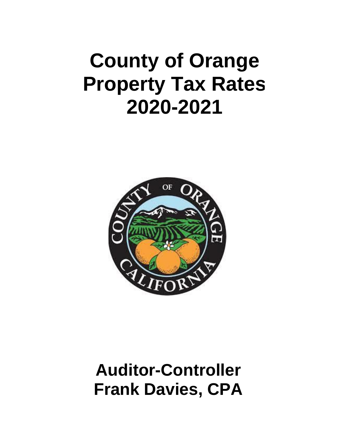## **County of Orange Property Tax Rates 2020-2021**



## **Auditor-Controller Frank Davies, CPA**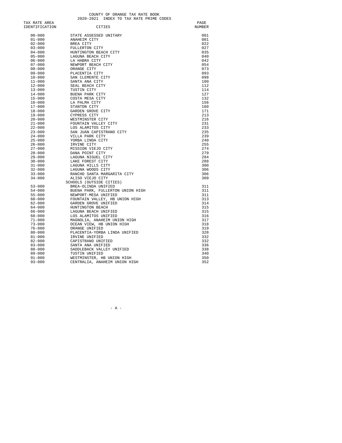COUNTY OF ORANGE TAX RATE BOOK<br>2020-2021 INDEX TO TAX RATE PRIME CODES

| TAX RATE AREA  |                                  | PAGE          |
|----------------|----------------------------------|---------------|
| IDENTIFICATION | CITIES                           | <b>NUMBER</b> |
|                |                                  |               |
| $00 - 000$     | STATE ASSESSED UNITARY           | 001           |
| $01 - 000$     | ANAHEIM CITY                     | 001           |
| $02 - 000$     | BREA CITY                        | 022           |
| $03 - 000$     | FULLERTON CITY                   | 027           |
| $04 - 000$     | HUNTINGTON BEACH CITY            | 035           |
| $05 - 000$     | LAGUNA BEACH CITY                | 040           |
| $06 - 000$     | LA HABRA CITY                    | 042           |
| $07 - 000$     | NEWPORT BEACH CITY               | 054           |
| $08 - 000$     | ORANGE CITY                      | 073           |
| $09 - 000$     | PLACENTIA CITY                   | 093           |
| $10 - 000$     | SAN CLEMENTE CITY                | 098           |
| $11 - 000$     | SANTA ANA CITY                   | 100           |
| $12 - 000$     | SEAL BEACH CITY                  | 112           |
| $13 - 000$     | TUSTIN CITY                      | 114           |
| $14 - 000$     | BUENA PARK CITY                  | 127           |
| $15 - 000$     | COSTA MESA CITY                  | 132           |
| $16 - 000$     | LA PALMA CITY                    | 156           |
| $17 - 000$     | STANTON CITY                     | 160           |
| $18 - 000$     | GARDEN GROVE CITY                | 171           |
| $19 - 000$     | CYPRESS CITY                     | 213           |
| $20 - 000$     | WESTMINSTER CITY                 | 216           |
| $21 - 000$     | FOUNTAIN VALLEY CITY             | 231           |
| $22 - 000$     | LOS ALAMITOS CITY                | 233           |
| $23 - 000$     | SAN JUAN CAPISTRANO CITY         | 235           |
| $24 - 000$     | VILLA PARK CITY                  | 239           |
| $25 - 000$     | YORBA LINDA CITY                 | 240           |
| $26 - 000$     | IRVINE CITY                      | 255           |
| $27 - 000$     | MISSION VIEJO CITY               | 274           |
| $28 - 000$     | DANA POINT CITY                  | 279           |
| $29 - 000$     | LAGUNA NIGUEL CITY               | 284           |
| $30 - 000$     | LAKE FOREST CITY                 | 288           |
| $31 - 000$     | LAGUNA HILLS CITY                | 300           |
| $32 - 000$     | LAGUNA WOODS CITY                | 306           |
| $33 - 000$     | RANCHO SANTA MARGARITA CITY      | 306           |
| $34 - 000$     | ALISO VIEJO CITY                 | 309           |
|                | SCHOOLS (OUTSIDE CITIES)         |               |
| $53 - 000$     | BREA-OLINDA UNIFIED              | 311           |
| $54 - 000$     | BUENA PARK, FULLERTON UNION HIGH | 311           |
| $55 - 000$     | NEWPORT-MESA UNIFIED             | 311           |
| 60-000         | FOUNTAIN VALLEY, HB UNION HIGH   | 313           |
| $62 - 000$     | GARDEN GROVE UNIFIED             | 314           |
| 64-000         | HUNTINGTON BEACH                 | 315           |
| 66-000         | LAGUNA BEACH UNIFIED             | 315           |
| 68-000         | LOS ALAMITOS UNIFIED             | 316           |
| $71 - 000$     | MAGNOLIA, ANAHEIM UNION HIGH     | 317           |
| $73 - 000$     | OCEAN VIEW, HB UNION HIGH        | 318           |
| $76 - 000$     | ORANGE UNIFIED                   | 319           |
| $80 - 000$     | PLACENTIA-YORBA LINDA UNIFIED    | 328           |
| $81 - 000$     | IRVINE UNIFIED                   | 332           |
| $82 - 000$     | CAPISTRANO UNIFIED               | 332           |
| $83 - 000$     | SANTA ANA UNIFIED                | 336           |
| $88 - 000$     | SADDLEBACK VALLEY UNIFIED        | 338           |
| $89 - 000$     | TUSTIN UNIFIED                   | 340           |
| $91 - 000$     |                                  | 350           |
|                | WESTMINSTER, HB UNION HIGH       |               |
| $93 - 000$     | CENTRALIA, ANAHEIM UNION HIGH    | 352           |

- A -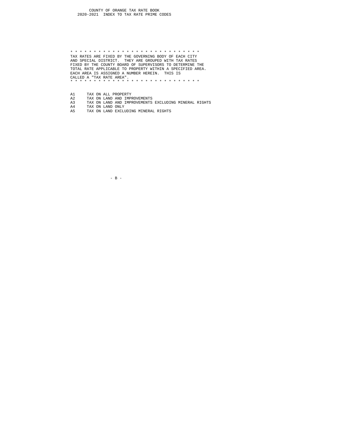\* \* \* \* \* \* \* \* \* \* \* \* \* \* \* \* \* \* \* \* \* \* \* \* \* \* \* \* TAX RATES ARE FIXED BY THE GOVERNING BODY OF EACH CITY AND SPECIAL DISTRICT. THEY ARE GROUPED WITH TAX RATES FIXED BY THE COUNTY BOARD OF SUPERVISORS TO DETERMINE THE TOTAL RATE APPLICABLE TO PROPERTY WITHIN A SPECIFIED AREA. EACH AREA IS ASSIGNED A NUMBER HEREIN. THIS IS CALLED A "TAX RATE AREA". \* \* \* \* \* \* \* \* \* \* \* \* \* \* \* \* \* \* \* \* \* \* \* \* \* \* \* \*

- 
- 
- A2 TAX ON LAND AND IMPROVEMENTS<br>A3 TAX ON LAND AND IMPROVEMENTS EXCLUDING MINERAL RIGHTS<br>A4 TAX ON LAND EXCLUDING MINERAL RIGHTS<br>A5 TAX ON LAND EXCLUDING MINERAL RIGHTS
- A1 TAX ON ALL PROPERTY A2 TAX ON LAND AND IMPERTY TAX ON LAND ADD IMPERTY AS TAX ON LAND ONLY A5 TAX ON LAND EXCLUDIN

- B -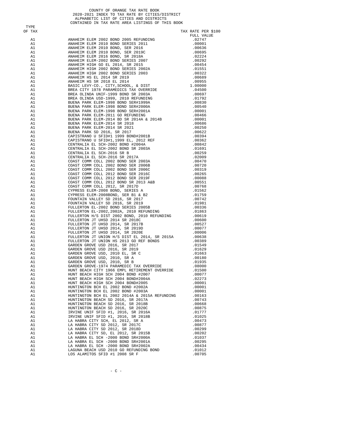COUNTY OF ORANGE TAX RATE BOOK<br>2020-2021 INDEX TO TAX RATE BY CITIES/DISTRICT<br>ALPHABETIC LIST OF CITIES AND DISTRICTS<br>CONTAINED IN TAX RATE AREA LISTINGS OF THIS BOOK

TYPE<br>OF TAX

| ----<br>OF TAX |                                                                            | TAX RATE PER \$100 |
|----------------|----------------------------------------------------------------------------|--------------------|
|                |                                                                            | FULL VALUE         |
|                |                                                                            |                    |
|                |                                                                            |                    |
|                |                                                                            |                    |
|                |                                                                            |                    |
|                |                                                                            |                    |
|                |                                                                            |                    |
|                |                                                                            |                    |
|                |                                                                            |                    |
|                |                                                                            |                    |
|                |                                                                            |                    |
|                |                                                                            |                    |
|                |                                                                            |                    |
|                |                                                                            |                    |
|                |                                                                            |                    |
|                |                                                                            |                    |
|                |                                                                            |                    |
|                |                                                                            |                    |
|                |                                                                            |                    |
|                |                                                                            |                    |
|                |                                                                            |                    |
|                |                                                                            |                    |
|                |                                                                            |                    |
|                |                                                                            |                    |
|                |                                                                            |                    |
|                |                                                                            |                    |
|                |                                                                            |                    |
|                |                                                                            |                    |
|                |                                                                            |                    |
|                |                                                                            |                    |
|                |                                                                            |                    |
|                |                                                                            |                    |
|                |                                                                            |                    |
|                |                                                                            |                    |
|                |                                                                            |                    |
|                |                                                                            |                    |
|                |                                                                            |                    |
|                |                                                                            |                    |
|                |                                                                            |                    |
|                |                                                                            |                    |
|                |                                                                            |                    |
|                |                                                                            |                    |
|                |                                                                            |                    |
|                |                                                                            |                    |
|                |                                                                            |                    |
|                |                                                                            |                    |
|                |                                                                            |                    |
|                |                                                                            |                    |
|                |                                                                            |                    |
|                |                                                                            |                    |
|                |                                                                            |                    |
|                |                                                                            |                    |
| A1             | HUNT BEACH HIGH SCH 2004 BOND#2005                                         | .00001             |
| A1<br>A1       | HUNTINGTON BCH EL 2002 BOND #2002A<br>HUNTINGTON BCH EL 2002 BOND #2003A   | .00001<br>.00001   |
| A1             | HUNTINGTON BCH EL 2002 2014A & 2015A REFUNDING                             | .00163             |
| A1             | HUNTINGTON BEACH SD 2016, SR 2017A                                         | .00743             |
| A1             | HUNTINGTON BEACH SD 2016, SR 2018B                                         | .00668             |
| A1             | HUNTINGTON BEACH SD 2016, SR 2020C                                         | .00875             |
| A1             | IRVINE UNIF SFID #1, 2016, SR 2016A                                        | .01777             |
| A1             | IRVINE UNIF SFID #1, 2016, SR 2018B                                        | .01025             |
| A1<br>A1       | LA HABRA CITY SCH, EL 2012, SR A<br>LA HABRA CITY SD 2012, SR 2017C        | .00473             |
| A1             | LA HABRA CITY SD 2012, SR 2018D                                            | .00877<br>.00299   |
| A1             | LA HABRA CITY SD, EL 2012, SR 2015B                                        | .00202             |
| A1             | LA HABRA EL SCH -2000 BOND SR#2000A                                        | .01037             |
| A1             | LA HABRA EL SCH -2000 BOND SR#2000A<br>LA HABRA EL SCH -2000 BOND SR#2001A | .00295             |
| A1             | LA HABRA EL SCH -2000 BOND SR#2002A                                        | .00434             |
| A1             | LAGUNA BEACH USD 2010 GO REFUNDING BOND                                    | .01012             |
| A1             | LOS ALAMITOS SFID #1 2008 SR F                                             | .00705             |

 $-$  C  $-$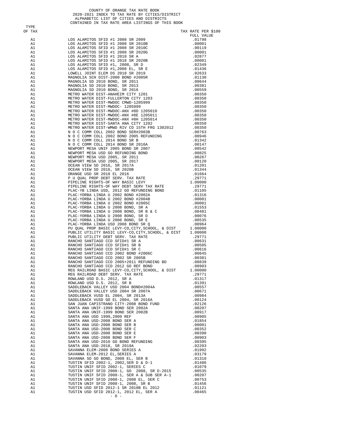|          | ALPHABETIC LIST OF CITIES AND DISTRICTS<br>CONTAINED IN TAX RATE AREA LISTINGS OF THIS BOOK                                                                                                                                                   |                    |
|----------|-----------------------------------------------------------------------------------------------------------------------------------------------------------------------------------------------------------------------------------------------|--------------------|
| TYPE     | CONTRIBUE IN TAX RATE AREA LESTINGS OF THE SOME PART AND 1990 CONTRIBUE AND 1990 CONTROL WAS RELEVELY (1990 CONTROL WAS ARRESPEND (1990 CONTROL) 2013 2013<br>AN 1990 ALAMITYON STED #1 2008 SR 2010 CONTROL (1990 CONTROL) (19               |                    |
| OF TAX   |                                                                                                                                                                                                                                               | TAX RATE PER \$100 |
|          |                                                                                                                                                                                                                                               | FULL VALUE         |
|          |                                                                                                                                                                                                                                               |                    |
|          |                                                                                                                                                                                                                                               |                    |
|          |                                                                                                                                                                                                                                               |                    |
|          |                                                                                                                                                                                                                                               |                    |
|          |                                                                                                                                                                                                                                               |                    |
|          |                                                                                                                                                                                                                                               |                    |
|          |                                                                                                                                                                                                                                               |                    |
|          |                                                                                                                                                                                                                                               |                    |
|          |                                                                                                                                                                                                                                               |                    |
|          |                                                                                                                                                                                                                                               |                    |
|          |                                                                                                                                                                                                                                               |                    |
|          |                                                                                                                                                                                                                                               |                    |
|          |                                                                                                                                                                                                                                               |                    |
|          |                                                                                                                                                                                                                                               |                    |
|          |                                                                                                                                                                                                                                               |                    |
|          |                                                                                                                                                                                                                                               |                    |
|          |                                                                                                                                                                                                                                               |                    |
|          |                                                                                                                                                                                                                                               |                    |
|          |                                                                                                                                                                                                                                               |                    |
|          |                                                                                                                                                                                                                                               |                    |
|          |                                                                                                                                                                                                                                               |                    |
|          |                                                                                                                                                                                                                                               |                    |
|          |                                                                                                                                                                                                                                               |                    |
|          |                                                                                                                                                                                                                                               |                    |
|          |                                                                                                                                                                                                                                               |                    |
|          |                                                                                                                                                                                                                                               |                    |
|          |                                                                                                                                                                                                                                               |                    |
|          |                                                                                                                                                                                                                                               |                    |
|          |                                                                                                                                                                                                                                               |                    |
|          |                                                                                                                                                                                                                                               |                    |
|          |                                                                                                                                                                                                                                               |                    |
|          |                                                                                                                                                                                                                                               |                    |
|          |                                                                                                                                                                                                                                               |                    |
|          |                                                                                                                                                                                                                                               |                    |
|          |                                                                                                                                                                                                                                               |                    |
|          |                                                                                                                                                                                                                                               |                    |
|          |                                                                                                                                                                                                                                               |                    |
|          |                                                                                                                                                                                                                                               |                    |
|          |                                                                                                                                                                                                                                               |                    |
|          |                                                                                                                                                                                                                                               |                    |
|          |                                                                                                                                                                                                                                               |                    |
|          |                                                                                                                                                                                                                                               |                    |
|          |                                                                                                                                                                                                                                               |                    |
|          |                                                                                                                                                                                                                                               |                    |
|          |                                                                                                                                                                                                                                               |                    |
| A1<br>A1 |                                                                                                                                                                                                                                               | .29771<br>.01317   |
| A1       |                                                                                                                                                                                                                                               | .01391             |
| A1       |                                                                                                                                                                                                                                               | .00557             |
| A1<br>A1 | RANCHO SANTIAGO CCD 2012 GO REF BOND<br>REG RAILROAD BASIC LEVY-CO, CITY, SCHOOL, & DIST<br>REG RAILROAD DEBT SERV. TAX RATE<br>ROWLAND USD D.S. 2012, SR A<br>SADDLEBACK VALLEY USD 2004 BOND#2004A<br>SADDLEBACK VALLEY USD 2004 BOND#2004A | .00671<br>.00984   |
| A1       |                                                                                                                                                                                                                                               | .00124             |
| A1       |                                                                                                                                                                                                                                               | .02126             |
| A1       |                                                                                                                                                                                                                                               |                    |
| A1       |                                                                                                                                                                                                                                               |                    |
| A1<br>A1 |                                                                                                                                                                                                                                               |                    |
| A1       |                                                                                                                                                                                                                                               |                    |
| A1       |                                                                                                                                                                                                                                               |                    |
| A1       |                                                                                                                                                                                                                                               |                    |
| A1<br>A1 |                                                                                                                                                                                                                                               |                    |
| A1       |                                                                                                                                                                                                                                               |                    |
| A1       |                                                                                                                                                                                                                                               |                    |
| A1       |                                                                                                                                                                                                                                               |                    |
| A1<br>A1 |                                                                                                                                                                                                                                               |                    |
| A1       |                                                                                                                                                                                                                                               |                    |
| A1       |                                                                                                                                                                                                                                               |                    |
| A1       |                                                                                                                                                                                                                                               |                    |
| A1       |                                                                                                                                                                                                                                               |                    |
| A1<br>A1 |                                                                                                                                                                                                                                               |                    |
| A1       | TUSTIN USD SFID 2012-1, 2012 EL, SER A                                                                                                                                                                                                        | .00465             |
|          | $-$ D $-$                                                                                                                                                                                                                                     |                    |

COUNTY OF ORANGE TAX RATE BOOK<br>2020-2021 INDEX TO TAX RATE BY CITIES/DISTRICT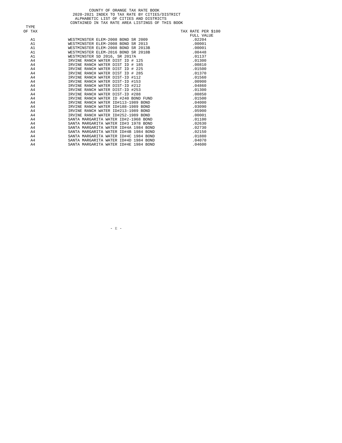|             | COUNTY OF ORANGE TAX RATE BOOK                                                                                                                                                                                                                                                      |                    |
|-------------|-------------------------------------------------------------------------------------------------------------------------------------------------------------------------------------------------------------------------------------------------------------------------------------|--------------------|
|             | 2020-2021 INDEX TO TAX RATE BY CITIES/DISTRICT                                                                                                                                                                                                                                      |                    |
|             | ALPHABETIC LIST OF CITIES AND DISTRICTS                                                                                                                                                                                                                                             |                    |
|             | CONTAINED IN TAX RATE AREA LISTINGS OF THIS BOOK                                                                                                                                                                                                                                    |                    |
| <b>TYPE</b> |                                                                                                                                                                                                                                                                                     |                    |
| OF TAX      |                                                                                                                                                                                                                                                                                     | TAX RATE PER \$100 |
|             |                                                                                                                                                                                                                                                                                     | FULL VALUE         |
| A1          | WESTMINSTER ELEM-2008 BOND SR 2009                                                                                                                                                                                                                                                  | .02204             |
| A1          | WESTMINSTER ELEM-2008 BOND SR 2013                                                                                                                                                                                                                                                  | .00001             |
| A1          | WESTMINSTER ELEM-2008 BOND SR 2013B                                                                                                                                                                                                                                                 | .00001             |
| A1          | WESTMINSTER ELEM-2016 BOND SR 2018B                                                                                                                                                                                                                                                 | .00448             |
| A1          |                                                                                                                                                                                                                                                                                     | .01137             |
| A4          |                                                                                                                                                                                                                                                                                     | .01300             |
| A4          |                                                                                                                                                                                                                                                                                     | .00810             |
| A4          |                                                                                                                                                                                                                                                                                     | .01500             |
| A4          |                                                                                                                                                                                                                                                                                     | .01370             |
| A4          |                                                                                                                                                                                                                                                                                     | .01560             |
| A4          |                                                                                                                                                                                                                                                                                     | .00900             |
| A4          | WESTMINSTER ELEM-2016 BOND SR 2018B<br>WESTMINSTER SD 2016, SR 2017A<br>IRVINE RANCH WATER DIST ID # 125<br>IRVINE RANCH WATER DIST ID # 125<br>IRVINE RANCH WATER DIST ID # 225<br>IRVINE RANCH WATER DIST ID #125<br>IRVINE RANCH WATER DIST-I<br>IRVINE RANCH WATER DIST-ID #212 | .04860             |
| A4          | IRVINE RANCH WATER DIST-ID #253                                                                                                                                                                                                                                                     | .01300             |
| A4          |                                                                                                                                                                                                                                                                                     | .00850             |
| A4          | IRVINE RANCH WATER ID #240 BOND FUND                                                                                                                                                                                                                                                | .01500             |
| A4          | IRVINE RANCH WATER ID#113-1989 BOND                                                                                                                                                                                                                                                 | .04000             |
| A4          | IRVINE RANCH WATER ID#188-1989 BOND                                                                                                                                                                                                                                                 | .03090             |
| A4          | IRVINE RANCH WATER ID#213-1989 BOND                                                                                                                                                                                                                                                 | .05900             |
| A4          | IRVINE RANCH WATER ID#252-1989 BOND                                                                                                                                                                                                                                                 | .00001             |
| A4          | SANTA MARGARITA WATER ID#2-1968 BOND                                                                                                                                                                                                                                                | .01100             |
| A4          | SANTA MARGARITA WATER ID#3 1978 BOND                                                                                                                                                                                                                                                | 02630              |
| A4          | SANTA MARGARITA WATER ID#4A 1984 BOND                                                                                                                                                                                                                                               | .02730             |
| A4          | SANTA MARGARITA WATER ID#4B 1984 BOND                                                                                                                                                                                                                                               | .02150             |
| A4          | SANTA MARGARITA WATER ID#4C 1984 BOND                                                                                                                                                                                                                                               | .01880             |
| A4          | SANTA MARGARITA WATER ID#4D 1984 BOND                                                                                                                                                                                                                                               | .04070             |
| A4          | SANTA MARGARITA WATER ID#4E 1984 BOND                                                                                                                                                                                                                                               | .04600             |
|             |                                                                                                                                                                                                                                                                                     |                    |

 $-$  E  $-$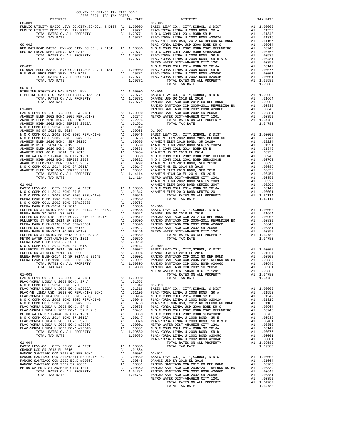| 2020-2021 TRA TAX RATES<br>DISTRICT | TAX RATE | DISTRICT<br>01-005<br>Fig. | TAX RATE |
|-------------------------------------|----------|----------------------------|----------|
| $00 - 001$                          |          |                            |          |
|                                     |          |                            |          |
|                                     |          |                            |          |
|                                     |          |                            |          |
|                                     |          |                            |          |
|                                     |          |                            |          |
|                                     |          |                            |          |
|                                     |          |                            |          |
|                                     |          |                            |          |
|                                     |          |                            |          |
|                                     |          |                            |          |
|                                     |          |                            |          |
|                                     |          |                            |          |
|                                     |          |                            |          |
|                                     |          |                            |          |
|                                     |          |                            |          |
|                                     |          |                            |          |
|                                     |          |                            |          |
|                                     |          |                            |          |
|                                     |          |                            |          |
|                                     |          |                            |          |
|                                     |          |                            |          |
|                                     |          |                            |          |
|                                     |          |                            |          |
|                                     |          |                            |          |
|                                     |          |                            |          |
|                                     |          |                            |          |
|                                     |          |                            |          |
|                                     |          |                            |          |
|                                     |          |                            |          |
|                                     |          |                            |          |
|                                     |          |                            |          |
|                                     |          |                            |          |
|                                     |          |                            |          |
|                                     |          |                            |          |
|                                     |          |                            |          |
|                                     |          |                            |          |
|                                     |          |                            |          |
|                                     |          |                            |          |
|                                     |          |                            |          |
|                                     |          |                            |          |
|                                     |          |                            |          |
|                                     |          |                            |          |
|                                     |          |                            |          |
|                                     |          |                            |          |
|                                     |          |                            |          |
|                                     |          |                            |          |
|                                     |          |                            |          |
|                                     |          |                            |          |
|                                     |          |                            |          |
|                                     |          |                            |          |
|                                     |          |                            |          |
|                                     |          |                            |          |
|                                     |          |                            |          |
|                                     |          |                            |          |
|                                     |          |                            |          |
|                                     |          |                            |          |
|                                     |          |                            |          |
|                                     |          |                            |          |
|                                     |          |                            |          |
|                                     |          |                            |          |
|                                     |          |                            |          |
|                                     |          |                            |          |
|                                     |          |                            |          |
|                                     |          |                            |          |
|                                     |          |                            |          |
|                                     |          |                            |          |
|                                     |          |                            |          |
|                                     |          |                            |          |
|                                     |          |                            |          |
|                                     |          |                            |          |
|                                     |          |                            |          |
|                                     |          |                            |          |
|                                     |          |                            |          |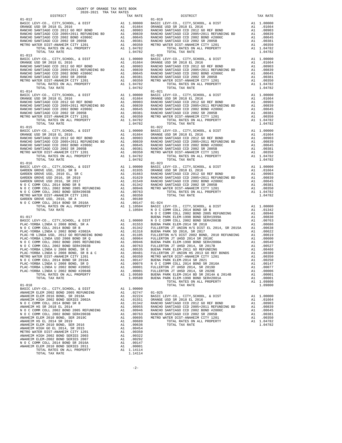| COUNTY OF ORANGE TAX RATE BOOK<br>2020-2021 TRA TAX RATES |          |            |          |
|-----------------------------------------------------------|----------|------------|----------|
| DISTRICT                                                  | TAX RATE | DISTRICT   | TAX RATE |
| $01 - 012$<br>$01 - 013$                                  |          | $01 - 019$ |          |
|                                                           |          |            |          |
|                                                           |          |            |          |
|                                                           |          |            |          |
|                                                           |          |            |          |
|                                                           |          |            |          |
| TOTAL TAX RATE                                            |          |            |          |

-2-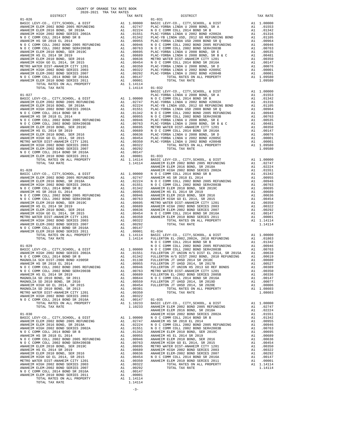| MEIRU WAIER DISITANAREIM UIII IZUI       | $H_{\pm}$                                                                                                                                                                                                                     | .          |
|------------------------------------------|-------------------------------------------------------------------------------------------------------------------------------------------------------------------------------------------------------------------------------|------------|
| ANAHEIM HIGH 2002 BOND SERIES 2003       | A1                                                                                                                                                                                                                            | .00322     |
| N O C COMM COLL 2014 BOND SR 2016A       |                                                                                                                                                                                                                               | A1 .00147  |
| TOTAL RATES ON ALL PROPERTY              |                                                                                                                                                                                                                               | A1 1.10233 |
| TOTAL TAX RATE                           |                                                                                                                                                                                                                               | 1,10233    |
|                                          |                                                                                                                                                                                                                               |            |
| $01 - 030$                               |                                                                                                                                                                                                                               |            |
| BASIC LEVY-CO., CITY, SCHOOL, & DIST     | A1                                                                                                                                                                                                                            | 1,00000    |
| ANAHEIM ELEM 2002 BOND 2005 REFUNDING    | A1                                                                                                                                                                                                                            | .02747     |
| ANAHEIM ELEM 2016 BOND, SR 2018A         | A1 and a set of the set of the set of the set of the set of the set of the set of the set of the set of the set of the set of the set of the set of the set of the set of the set of the set of the set of the set of the set | .02224     |
| ANAHEIM HIGH 2002 BOND SERIES 2002A      | A1                                                                                                                                                                                                                            | .01551     |
| N O C COMM COLL 2014 BOND SR B           | A1                                                                                                                                                                                                                            | .01342     |
| ANAHEIM HS SR 2018 EL 2014               | A1                                                                                                                                                                                                                            | .00955     |
| N O C COMM COLL 2002 BOND 2005 REFUNDING | A1                                                                                                                                                                                                                            | .00946     |
| N O C COMM COLL 2002 BOND SER#2003B      | A1                                                                                                                                                                                                                            | .00763     |
| ANAHEIM ELEM 2010 BOND, SER 2019C        | A1                                                                                                                                                                                                                            | .00695     |
| ANAHEIM HS EL 2014 SR 2019               | A1                                                                                                                                                                                                                            | .00689     |
| ANAHEIM ELEM 2010 BOND, SER 2016         | A1                                                                                                                                                                                                                            | .00636     |
| ANAHEIM HIGH GO EL 2014, SR 2015         | A1                                                                                                                                                                                                                            | .00454     |
| METRO WATER DIST-ANAHEIM CITY 1201       | A1                                                                                                                                                                                                                            | .00350     |
| ANAHEIM HIGH 2002 BOND SERIES 2003       | A1                                                                                                                                                                                                                            | .00322     |
| ANAHEIM ELEM-2002 BOND SERIES 2007       | A1                                                                                                                                                                                                                            | .00292     |
| N O C COMM COLL 2014 BOND SR 2016A       | A1                                                                                                                                                                                                                            | .00147     |
| ANAHEIM ELEM 2010 BOND SERIES 2011       | A1                                                                                                                                                                                                                            | .00001     |
| TOTAL RATES ON ALL PROPERTY              | A1                                                                                                                                                                                                                            | 1.14114    |
| TOTAL TAX RATE                           |                                                                                                                                                                                                                               | 1.14114    |
|                                          |                                                                                                                                                                                                                               |            |
|                                          |                                                                                                                                                                                                                               |            |

-3-

## DISTRICT TAX RATE DISTRICT TAX RATE

COUNTY OF ORANGE TAX RATE BOOK 2020-2021 TRA TAX RATES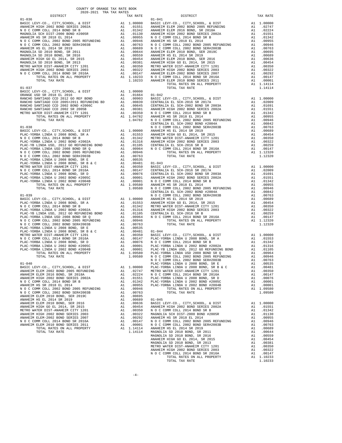| $\begin{tabular}{l c c c c c} \multicolumn{1}{c}{\textbf{MAGROLLA SCH LUSH}} & \multicolumn{1}{c}{\textbf{MAGROLLA SCH LUSH}} & \multicolumn{1}{c}{\textbf{A1}} & \multicolumn{1}{c}{.00955} & \multicolumn{1}{c}{\textbf{N O C COMM COLL 2002 BOND 2005 REFUNDING}} \\ \multicolumn{1}{c}{\textbf{A1}} & \multicolumn{1}{c}{.00955} & \multicolumn{1}{c}{\textbf{N O C COMM COLL 2002 BOND 2005 REFUNDING}} & \multicolumn{1}{c}{\$ |          |                  |                    |
|--------------------------------------------------------------------------------------------------------------------------------------------------------------------------------------------------------------------------------------------------------------------------------------------------------------------------------------------------------------------------------------------------------------------------------------|----------|------------------|--------------------|
|                                                                                                                                                                                                                                                                                                                                                                                                                                      |          |                  |                    |
|                                                                                                                                                                                                                                                                                                                                                                                                                                      |          |                  |                    |
|                                                                                                                                                                                                                                                                                                                                                                                                                                      |          |                  |                    |
|                                                                                                                                                                                                                                                                                                                                                                                                                                      |          |                  |                    |
|                                                                                                                                                                                                                                                                                                                                                                                                                                      |          |                  |                    |
|                                                                                                                                                                                                                                                                                                                                                                                                                                      |          |                  |                    |
|                                                                                                                                                                                                                                                                                                                                                                                                                                      |          |                  |                    |
|                                                                                                                                                                                                                                                                                                                                                                                                                                      |          |                  |                    |
|                                                                                                                                                                                                                                                                                                                                                                                                                                      |          |                  |                    |
|                                                                                                                                                                                                                                                                                                                                                                                                                                      |          |                  |                    |
|                                                                                                                                                                                                                                                                                                                                                                                                                                      |          |                  |                    |
|                                                                                                                                                                                                                                                                                                                                                                                                                                      |          |                  |                    |
|                                                                                                                                                                                                                                                                                                                                                                                                                                      |          |                  |                    |
|                                                                                                                                                                                                                                                                                                                                                                                                                                      |          |                  |                    |
|                                                                                                                                                                                                                                                                                                                                                                                                                                      |          |                  |                    |
|                                                                                                                                                                                                                                                                                                                                                                                                                                      |          |                  |                    |
|                                                                                                                                                                                                                                                                                                                                                                                                                                      |          |                  |                    |
|                                                                                                                                                                                                                                                                                                                                                                                                                                      |          |                  |                    |
|                                                                                                                                                                                                                                                                                                                                                                                                                                      |          |                  |                    |
|                                                                                                                                                                                                                                                                                                                                                                                                                                      |          |                  |                    |
|                                                                                                                                                                                                                                                                                                                                                                                                                                      |          |                  |                    |
|                                                                                                                                                                                                                                                                                                                                                                                                                                      |          |                  |                    |
|                                                                                                                                                                                                                                                                                                                                                                                                                                      |          |                  |                    |
|                                                                                                                                                                                                                                                                                                                                                                                                                                      |          |                  |                    |
|                                                                                                                                                                                                                                                                                                                                                                                                                                      |          |                  |                    |
| $01 - 039$                                                                                                                                                                                                                                                                                                                                                                                                                           |          |                  | CENTRAL<br>NOCC    |
|                                                                                                                                                                                                                                                                                                                                                                                                                                      |          |                  |                    |
|                                                                                                                                                                                                                                                                                                                                                                                                                                      |          |                  |                    |
|                                                                                                                                                                                                                                                                                                                                                                                                                                      |          |                  |                    |
|                                                                                                                                                                                                                                                                                                                                                                                                                                      |          |                  |                    |
|                                                                                                                                                                                                                                                                                                                                                                                                                                      |          |                  |                    |
|                                                                                                                                                                                                                                                                                                                                                                                                                                      |          |                  |                    |
|                                                                                                                                                                                                                                                                                                                                                                                                                                      |          |                  |                    |
|                                                                                                                                                                                                                                                                                                                                                                                                                                      |          |                  |                    |
|                                                                                                                                                                                                                                                                                                                                                                                                                                      |          |                  |                    |
|                                                                                                                                                                                                                                                                                                                                                                                                                                      |          |                  |                    |
|                                                                                                                                                                                                                                                                                                                                                                                                                                      |          |                  |                    |
|                                                                                                                                                                                                                                                                                                                                                                                                                                      |          |                  |                    |
|                                                                                                                                                                                                                                                                                                                                                                                                                                      |          |                  |                    |
|                                                                                                                                                                                                                                                                                                                                                                                                                                      |          |                  |                    |
|                                                                                                                                                                                                                                                                                                                                                                                                                                      |          |                  | NOCC               |
|                                                                                                                                                                                                                                                                                                                                                                                                                                      |          |                  |                    |
|                                                                                                                                                                                                                                                                                                                                                                                                                                      |          |                  |                    |
|                                                                                                                                                                                                                                                                                                                                                                                                                                      |          |                  |                    |
|                                                                                                                                                                                                                                                                                                                                                                                                                                      |          |                  |                    |
|                                                                                                                                                                                                                                                                                                                                                                                                                                      |          |                  |                    |
|                                                                                                                                                                                                                                                                                                                                                                                                                                      |          | .00955           |                    |
| N O C COMM COLL 2002 BOND 2005 REFUNDING<br>N O C COMM COLL 2002 BOND SER#2003B                                                                                                                                                                                                                                                                                                                                                      | A1<br>A1 | .00946           |                    |
| ANAHEIM ELEM 2010 BOND, SER 2019C                                                                                                                                                                                                                                                                                                                                                                                                    | A1       | .00763<br>.00695 |                    |
| ANAHEIM HS EL 2014 SR 2019                                                                                                                                                                                                                                                                                                                                                                                                           | A1       | .00689           | $01 - 045$         |
| ANAHEIM ELEM 2010 BOND, SER 2016                                                                                                                                                                                                                                                                                                                                                                                                     | A1       | .00636           | BASIC L            |
| ANAHEIM HIGH GO EL 2014, SR 2015                                                                                                                                                                                                                                                                                                                                                                                                     | A1       | .00454           | <b>ANAHEIM</b>     |
| METRO WATER DIST-ANAHEIM CITY 1201<br>ANAHEIM HIGH 2002 BOND SERIES 2003                                                                                                                                                                                                                                                                                                                                                             | A1<br>A1 | .00350<br>.00322 | N O C C<br>MAGNOLI |
| ANAHEIM ELEM-2002 BOND SERIES 2007                                                                                                                                                                                                                                                                                                                                                                                                   | A1       | .00292           | ANAHEIM            |
| N O C COMM COLL 2014 BOND SR 2016A                                                                                                                                                                                                                                                                                                                                                                                                   | A1       | .00147           | NOCC               |
| ANAHEIM ELEM 2010 BOND SERIES 2011                                                                                                                                                                                                                                                                                                                                                                                                   | A1       | .00001           | NOCC               |
| TOTAL RATES ON ALL PROPERTY                                                                                                                                                                                                                                                                                                                                                                                                          |          | A1 1.14114       | ANAHEIM            |
| TOTAL TAX RATE                                                                                                                                                                                                                                                                                                                                                                                                                       |          | 1.14114          | MAGNOLI            |

| COUNTY OF ORANGE TAX RATE BOOK<br>2020-2021 TRA TAX RATES<br>$\begin{minipage}{.4\linewidth} \begin{tabular}{lcccc} \textbf{1-AX RATE} & \textbf{1-X} & \textbf{1-X} & \textbf{RATE} & \textbf{1-X} & \textbf{1-X} & \textbf{1-X} & \textbf{1-X} & \textbf{1-X} & \textbf{1-X} & \textbf{1-X} & \textbf{1-X} & \textbf{1-X} & \textbf{1-X} & \textbf{1-X} & \textbf{1-X} & \textbf{1-X} & \textbf{1-X} & \textbf{1-X} & \textbf{1-X} & \textbf{1-X} & \textbf{1-X} & \textbf{1-X} & \textbf{1-X} & \textbf{$ |          |          |          |
|--------------------------------------------------------------------------------------------------------------------------------------------------------------------------------------------------------------------------------------------------------------------------------------------------------------------------------------------------------------------------------------------------------------------------------------------------------------------------------------------------------------|----------|----------|----------|
|                                                                                                                                                                                                                                                                                                                                                                                                                                                                                                              | TAX RATE | DISTRICT | TAX RATE |
|                                                                                                                                                                                                                                                                                                                                                                                                                                                                                                              |          |          |          |
|                                                                                                                                                                                                                                                                                                                                                                                                                                                                                                              |          |          |          |
|                                                                                                                                                                                                                                                                                                                                                                                                                                                                                                              |          |          |          |
|                                                                                                                                                                                                                                                                                                                                                                                                                                                                                                              |          |          |          |
|                                                                                                                                                                                                                                                                                                                                                                                                                                                                                                              |          |          |          |
|                                                                                                                                                                                                                                                                                                                                                                                                                                                                                                              |          |          |          |
|                                                                                                                                                                                                                                                                                                                                                                                                                                                                                                              |          |          |          |
|                                                                                                                                                                                                                                                                                                                                                                                                                                                                                                              |          |          |          |
|                                                                                                                                                                                                                                                                                                                                                                                                                                                                                                              |          |          |          |
|                                                                                                                                                                                                                                                                                                                                                                                                                                                                                                              |          |          |          |
|                                                                                                                                                                                                                                                                                                                                                                                                                                                                                                              |          |          |          |
|                                                                                                                                                                                                                                                                                                                                                                                                                                                                                                              |          |          |          |
|                                                                                                                                                                                                                                                                                                                                                                                                                                                                                                              |          |          |          |
|                                                                                                                                                                                                                                                                                                                                                                                                                                                                                                              |          |          |          |
|                                                                                                                                                                                                                                                                                                                                                                                                                                                                                                              |          |          |          |
|                                                                                                                                                                                                                                                                                                                                                                                                                                                                                                              |          |          |          |
|                                                                                                                                                                                                                                                                                                                                                                                                                                                                                                              |          |          |          |
|                                                                                                                                                                                                                                                                                                                                                                                                                                                                                                              |          |          |          |
|                                                                                                                                                                                                                                                                                                                                                                                                                                                                                                              |          |          |          |
|                                                                                                                                                                                                                                                                                                                                                                                                                                                                                                              |          |          |          |
|                                                                                                                                                                                                                                                                                                                                                                                                                                                                                                              |          |          |          |
|                                                                                                                                                                                                                                                                                                                                                                                                                                                                                                              |          |          |          |
|                                                                                                                                                                                                                                                                                                                                                                                                                                                                                                              |          |          |          |
|                                                                                                                                                                                                                                                                                                                                                                                                                                                                                                              |          |          |          |
|                                                                                                                                                                                                                                                                                                                                                                                                                                                                                                              |          |          |          |
|                                                                                                                                                                                                                                                                                                                                                                                                                                                                                                              |          |          |          |
|                                                                                                                                                                                                                                                                                                                                                                                                                                                                                                              |          |          |          |
|                                                                                                                                                                                                                                                                                                                                                                                                                                                                                                              |          |          |          |
|                                                                                                                                                                                                                                                                                                                                                                                                                                                                                                              |          |          |          |
|                                                                                                                                                                                                                                                                                                                                                                                                                                                                                                              |          |          |          |
|                                                                                                                                                                                                                                                                                                                                                                                                                                                                                                              |          |          |          |
|                                                                                                                                                                                                                                                                                                                                                                                                                                                                                                              |          |          |          |
|                                                                                                                                                                                                                                                                                                                                                                                                                                                                                                              |          |          |          |
|                                                                                                                                                                                                                                                                                                                                                                                                                                                                                                              |          |          |          |
|                                                                                                                                                                                                                                                                                                                                                                                                                                                                                                              |          |          |          |
|                                                                                                                                                                                                                                                                                                                                                                                                                                                                                                              |          |          |          |
|                                                                                                                                                                                                                                                                                                                                                                                                                                                                                                              |          |          |          |
|                                                                                                                                                                                                                                                                                                                                                                                                                                                                                                              |          |          |          |
|                                                                                                                                                                                                                                                                                                                                                                                                                                                                                                              |          |          |          |
|                                                                                                                                                                                                                                                                                                                                                                                                                                                                                                              |          |          |          |
|                                                                                                                                                                                                                                                                                                                                                                                                                                                                                                              |          |          |          |
|                                                                                                                                                                                                                                                                                                                                                                                                                                                                                                              |          |          |          |
|                                                                                                                                                                                                                                                                                                                                                                                                                                                                                                              |          |          |          |
|                                                                                                                                                                                                                                                                                                                                                                                                                                                                                                              |          |          |          |
|                                                                                                                                                                                                                                                                                                                                                                                                                                                                                                              |          |          |          |
|                                                                                                                                                                                                                                                                                                                                                                                                                                                                                                              |          |          |          |
|                                                                                                                                                                                                                                                                                                                                                                                                                                                                                                              |          |          |          |
|                                                                                                                                                                                                                                                                                                                                                                                                                                                                                                              |          |          |          |
|                                                                                                                                                                                                                                                                                                                                                                                                                                                                                                              |          |          |          |
|                                                                                                                                                                                                                                                                                                                                                                                                                                                                                                              |          |          |          |
|                                                                                                                                                                                                                                                                                                                                                                                                                                                                                                              |          |          |          |
|                                                                                                                                                                                                                                                                                                                                                                                                                                                                                                              |          |          |          |
|                                                                                                                                                                                                                                                                                                                                                                                                                                                                                                              |          |          |          |
|                                                                                                                                                                                                                                                                                                                                                                                                                                                                                                              |          |          |          |
|                                                                                                                                                                                                                                                                                                                                                                                                                                                                                                              |          |          |          |
|                                                                                                                                                                                                                                                                                                                                                                                                                                                                                                              |          |          |          |
|                                                                                                                                                                                                                                                                                                                                                                                                                                                                                                              |          |          |          |
|                                                                                                                                                                                                                                                                                                                                                                                                                                                                                                              |          |          |          |
|                                                                                                                                                                                                                                                                                                                                                                                                                                                                                                              |          |          |          |
|                                                                                                                                                                                                                                                                                                                                                                                                                                                                                                              |          |          |          |
|                                                                                                                                                                                                                                                                                                                                                                                                                                                                                                              |          |          |          |
|                                                                                                                                                                                                                                                                                                                                                                                                                                                                                                              |          |          |          |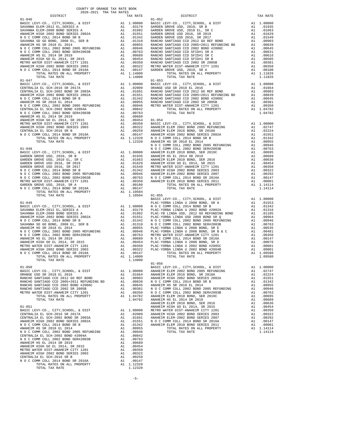| TOTAL TAX RATE                                                                |          | 1.14000                                                                                                |         |
|-------------------------------------------------------------------------------|----------|--------------------------------------------------------------------------------------------------------|---------|
|                                                                               |          |                                                                                                        |         |
|                                                                               |          |                                                                                                        |         |
|                                                                               |          |                                                                                                        |         |
|                                                                               |          |                                                                                                        |         |
|                                                                               |          |                                                                                                        |         |
|                                                                               |          |                                                                                                        |         |
|                                                                               |          |                                                                                                        |         |
|                                                                               |          |                                                                                                        |         |
|                                                                               |          |                                                                                                        |         |
|                                                                               |          |                                                                                                        |         |
|                                                                               |          |                                                                                                        |         |
|                                                                               |          |                                                                                                        |         |
|                                                                               |          |                                                                                                        |         |
|                                                                               |          |                                                                                                        |         |
|                                                                               |          |                                                                                                        |         |
|                                                                               |          |                                                                                                        | N O C C |
|                                                                               |          |                                                                                                        |         |
|                                                                               |          |                                                                                                        |         |
|                                                                               |          |                                                                                                        |         |
|                                                                               |          |                                                                                                        |         |
|                                                                               |          |                                                                                                        |         |
|                                                                               |          |                                                                                                        |         |
|                                                                               |          |                                                                                                        |         |
|                                                                               |          |                                                                                                        |         |
|                                                                               |          |                                                                                                        |         |
|                                                                               |          |                                                                                                        |         |
|                                                                               |          |                                                                                                        |         |
|                                                                               |          |                                                                                                        | BASIC L |
|                                                                               |          |                                                                                                        |         |
|                                                                               |          |                                                                                                        |         |
|                                                                               |          |                                                                                                        |         |
|                                                                               |          |                                                                                                        |         |
|                                                                               |          |                                                                                                        |         |
|                                                                               |          |                                                                                                        |         |
|                                                                               |          |                                                                                                        |         |
|                                                                               |          |                                                                                                        |         |
|                                                                               |          |                                                                                                        |         |
|                                                                               |          |                                                                                                        |         |
|                                                                               |          |                                                                                                        |         |
|                                                                               |          |                                                                                                        |         |
|                                                                               |          |                                                                                                        |         |
|                                                                               |          |                                                                                                        |         |
|                                                                               |          |                                                                                                        |         |
|                                                                               |          |                                                                                                        |         |
|                                                                               |          |                                                                                                        |         |
|                                                                               |          |                                                                                                        |         |
|                                                                               |          |                                                                                                        |         |
|                                                                               |          |                                                                                                        |         |
|                                                                               |          |                                                                                                        |         |
| TOTAL TAX RATE                                                                |          | 1.04782                                                                                                | ANAHEIM |
|                                                                               |          |                                                                                                        | ANAHEIM |
| $01 - 051$                                                                    |          |                                                                                                        | ANAHEIM |
| BASIC LEVY-CO., CITY, SCHOOL, & DIST                                          |          |                                                                                                        |         |
| CENTRALIA EL SCH-2016 SR 2017A<br>CENTRALIA EL SCH-2002 BOND SR 2003A         |          |                                                                                                        |         |
| ANAHEIM HIGH 2002 BOND SERIES 2002A                                           |          | A1 1.00000 METRO W<br>A1 .02009 ANAHEIM<br>A1 .01691 ANAHEIM<br>A1 .01551 N O C C<br>A1 .01342 ANAHEIM |         |
| N O C COMM COLL 2014 BOND SR B                                                |          |                                                                                                        |         |
| ANAHEIM HS SR 2018 EL 2014                                                    | A1       | .00955                                                                                                 |         |
| N O C COMM COLL 2002 BOND 2005 REFUNDING<br>CENTRALIA EL SCH-2002 BOND #2004A |          | A1 .00946<br>A1 .00842                                                                                 |         |
| N O C COMM COLL 2002 BOND SER#2003B                                           |          | A1 .00763                                                                                              |         |
| ANAHEIM HS EL 2014 SR 2019                                                    |          | A1 .00689                                                                                              |         |
| ANAHEIM HIGH GO EL 2014, SR 2015                                              | A1       | .00454                                                                                                 |         |
| METRO WATER DIST-ANAHEIM CITY 1201<br>ANAHEIM HIGH 2002 BOND SERIES 2003      | A1<br>A1 | .00350<br>.00322                                                                                       |         |
| CENTRALIA EL SCH-2016 SR B                                                    | A1       | .00259                                                                                                 |         |
| N O C COMM COLL 2014 BOND SR 2016A                                            | A1       | .00147                                                                                                 |         |
| TOTAL RATES ON ALL PROPERTY                                                   |          | A1 1.12320                                                                                             |         |
| TOTAL TAX RATE                                                                |          | 1.12320                                                                                                |         |

| COUNTY OF ORANGE TAX RATE BOOK                                                                                                                                                                                                                                                                                                                                                                                                                   |          |            |          |
|--------------------------------------------------------------------------------------------------------------------------------------------------------------------------------------------------------------------------------------------------------------------------------------------------------------------------------------------------------------------------------------------------------------------------------------------------|----------|------------|----------|
| $\begin{minipage}{.4\linewidth} \begin{tabular}{lcccccc} \textbf{1-AX RATE} & \textbf{1-X} & \textbf{1-X} & \textbf{RATE} & \textbf{1-X} & \textbf{1-X} & \textbf{1-X} & \textbf{1-X} & \textbf{1-X} & \textbf{1-X} & \textbf{1-X} & \textbf{1-X} & \textbf{1-X} & \textbf{1-X} & \textbf{1-X} & \textbf{1-X} & \textbf{1-X} & \textbf{1-X} & \textbf{1-X} & \textbf{1-X} & \textbf{1-X} & \textbf{1-X} & \textbf{1-X} & \textbf{1-X} & \textbf$ | TAX RATE | DISTRICT   | TAX RATE |
| $01 - 046$                                                                                                                                                                                                                                                                                                                                                                                                                                       |          | $01 - 052$ |          |
|                                                                                                                                                                                                                                                                                                                                                                                                                                                  |          |            |          |
|                                                                                                                                                                                                                                                                                                                                                                                                                                                  |          |            |          |
|                                                                                                                                                                                                                                                                                                                                                                                                                                                  |          |            |          |
| TOTAL TAX RATE                                                                                                                                                                                                                                                                                                                                                                                                                                   | 1.14000  |            |          |
|                                                                                                                                                                                                                                                                                                                                                                                                                                                  |          | $01 - 056$ |          |
|                                                                                                                                                                                                                                                                                                                                                                                                                                                  |          |            |          |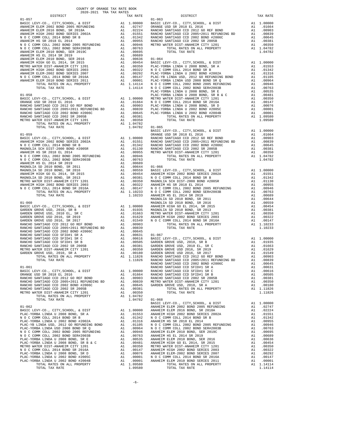| COUNTY OF ORANGE TAX RATE BOOK<br>2020-2021 TRA TAX RATES |                                      |                    |
|-----------------------------------------------------------|--------------------------------------|--------------------|
| DISTRICT                                                  | TAX RATE                             |                    |
| $01 - 057$                                                |                                      | $01 - 063$         |
|                                                           |                                      |                    |
|                                                           |                                      |                    |
|                                                           |                                      |                    |
|                                                           |                                      |                    |
|                                                           |                                      |                    |
|                                                           |                                      |                    |
|                                                           |                                      |                    |
|                                                           |                                      |                    |
|                                                           |                                      |                    |
|                                                           |                                      |                    |
|                                                           |                                      |                    |
|                                                           |                                      |                    |
|                                                           |                                      |                    |
|                                                           |                                      |                    |
|                                                           |                                      | PLAC-YO            |
| $01 - 058$                                                |                                      | PLAC-YO            |
|                                                           |                                      |                    |
|                                                           |                                      |                    |
|                                                           |                                      |                    |
|                                                           |                                      |                    |
|                                                           |                                      |                    |
|                                                           |                                      |                    |
| TOTAL TAX RATE                                            | 1.04782 01-065                       |                    |
|                                                           |                                      | BASIC L            |
| $01 - 059$                                                |                                      | ORANGE             |
|                                                           |                                      |                    |
|                                                           |                                      |                    |
|                                                           |                                      |                    |
|                                                           |                                      |                    |
|                                                           |                                      |                    |
|                                                           |                                      |                    |
|                                                           |                                      |                    |
|                                                           |                                      |                    |
|                                                           |                                      |                    |
|                                                           |                                      |                    |
|                                                           |                                      |                    |
|                                                           |                                      |                    |
|                                                           |                                      |                    |
|                                                           |                                      | MAGNOLI            |
| $01 - 060$                                                |                                      | MAGNOLI            |
|                                                           |                                      |                    |
|                                                           |                                      |                    |
|                                                           |                                      |                    |
|                                                           |                                      |                    |
|                                                           |                                      |                    |
|                                                           |                                      |                    |
|                                                           |                                      |                    |
|                                                           |                                      |                    |
|                                                           |                                      |                    |
|                                                           |                                      |                    |
|                                                           |                                      |                    |
|                                                           |                                      |                    |
| TOTAL TAX RATE                                            | 1.11826                              | RANCHO             |
| $01 - 061$                                                |                                      | RANCHO<br>RANCHO   |
|                                                           |                                      |                    |
|                                                           |                                      |                    |
|                                                           |                                      |                    |
| RANCHO SANTIAGO CCD 2002 BOND #2006C                      |                                      |                    |
| RANCHO SANTIAGO CCD 2002 SR 2005B                         |                                      |                    |
| METRO WATER DIST-ANAHEIM CITY 1201                        | A1 .00381<br>A1 .00350<br>A1 1.04782 |                    |
| TOTAL RATES ON ALL PROPERTY                               |                                      |                    |
| TOTAL TAX RATE                                            | 1.04782 01-068                       |                    |
| $01 - 062$                                                |                                      | BASIC L<br>ANAHEIM |
|                                                           |                                      |                    |
|                                                           |                                      |                    |
|                                                           |                                      |                    |
|                                                           |                                      |                    |
|                                                           |                                      |                    |
|                                                           |                                      |                    |
|                                                           |                                      |                    |
|                                                           |                                      |                    |
|                                                           |                                      |                    |
|                                                           |                                      |                    |
|                                                           |                                      |                    |
|                                                           |                                      |                    |
|                                                           |                                      |                    |

| TAX RATE<br>DISTRICT                                                                                                                                                                                                                                                                                                                                                                                                                                                                                                                                                                                                                                                                                                                                               |                | DISTRICT | TAX RATE |
|--------------------------------------------------------------------------------------------------------------------------------------------------------------------------------------------------------------------------------------------------------------------------------------------------------------------------------------------------------------------------------------------------------------------------------------------------------------------------------------------------------------------------------------------------------------------------------------------------------------------------------------------------------------------------------------------------------------------------------------------------------------------|----------------|----------|----------|
|                                                                                                                                                                                                                                                                                                                                                                                                                                                                                                                                                                                                                                                                                                                                                                    |                |          |          |
|                                                                                                                                                                                                                                                                                                                                                                                                                                                                                                                                                                                                                                                                                                                                                                    |                |          |          |
|                                                                                                                                                                                                                                                                                                                                                                                                                                                                                                                                                                                                                                                                                                                                                                    |                |          |          |
|                                                                                                                                                                                                                                                                                                                                                                                                                                                                                                                                                                                                                                                                                                                                                                    |                |          |          |
|                                                                                                                                                                                                                                                                                                                                                                                                                                                                                                                                                                                                                                                                                                                                                                    |                |          |          |
|                                                                                                                                                                                                                                                                                                                                                                                                                                                                                                                                                                                                                                                                                                                                                                    |                |          |          |
|                                                                                                                                                                                                                                                                                                                                                                                                                                                                                                                                                                                                                                                                                                                                                                    |                |          |          |
|                                                                                                                                                                                                                                                                                                                                                                                                                                                                                                                                                                                                                                                                                                                                                                    |                |          |          |
|                                                                                                                                                                                                                                                                                                                                                                                                                                                                                                                                                                                                                                                                                                                                                                    |                |          |          |
|                                                                                                                                                                                                                                                                                                                                                                                                                                                                                                                                                                                                                                                                                                                                                                    |                |          |          |
|                                                                                                                                                                                                                                                                                                                                                                                                                                                                                                                                                                                                                                                                                                                                                                    |                |          |          |
|                                                                                                                                                                                                                                                                                                                                                                                                                                                                                                                                                                                                                                                                                                                                                                    |                |          |          |
|                                                                                                                                                                                                                                                                                                                                                                                                                                                                                                                                                                                                                                                                                                                                                                    |                |          |          |
|                                                                                                                                                                                                                                                                                                                                                                                                                                                                                                                                                                                                                                                                                                                                                                    |                |          |          |
|                                                                                                                                                                                                                                                                                                                                                                                                                                                                                                                                                                                                                                                                                                                                                                    |                |          |          |
|                                                                                                                                                                                                                                                                                                                                                                                                                                                                                                                                                                                                                                                                                                                                                                    |                |          |          |
|                                                                                                                                                                                                                                                                                                                                                                                                                                                                                                                                                                                                                                                                                                                                                                    |                |          |          |
|                                                                                                                                                                                                                                                                                                                                                                                                                                                                                                                                                                                                                                                                                                                                                                    |                |          |          |
|                                                                                                                                                                                                                                                                                                                                                                                                                                                                                                                                                                                                                                                                                                                                                                    |                |          |          |
|                                                                                                                                                                                                                                                                                                                                                                                                                                                                                                                                                                                                                                                                                                                                                                    |                |          |          |
|                                                                                                                                                                                                                                                                                                                                                                                                                                                                                                                                                                                                                                                                                                                                                                    |                |          |          |
|                                                                                                                                                                                                                                                                                                                                                                                                                                                                                                                                                                                                                                                                                                                                                                    |                |          |          |
|                                                                                                                                                                                                                                                                                                                                                                                                                                                                                                                                                                                                                                                                                                                                                                    |                |          |          |
|                                                                                                                                                                                                                                                                                                                                                                                                                                                                                                                                                                                                                                                                                                                                                                    |                |          |          |
|                                                                                                                                                                                                                                                                                                                                                                                                                                                                                                                                                                                                                                                                                                                                                                    |                |          |          |
|                                                                                                                                                                                                                                                                                                                                                                                                                                                                                                                                                                                                                                                                                                                                                                    |                |          |          |
|                                                                                                                                                                                                                                                                                                                                                                                                                                                                                                                                                                                                                                                                                                                                                                    |                |          |          |
|                                                                                                                                                                                                                                                                                                                                                                                                                                                                                                                                                                                                                                                                                                                                                                    | 1.04782 01-065 |          |          |
| $\begin{array}{cccccccc} 0.127 & 0.127 & 0.127 & 0.127 & 0.127 & 0.127 & 0.127 & 0.127 & 0.127 & 0.127 & 0.127 & 0.127 & 0.127 & 0.127 & 0.127 & 0.127 & 0.127 & 0.127 & 0.127 & 0.127 & 0.127 & 0.127 & 0.127 & 0.127 & 0.127 & 0.127 & 0.127 & 0.127 & 0.127 & 0.127 & 0$<br><b>When <math>\frac{1}{2}</math> and <math>\frac{1}{2}</math> and <math>\frac{1}{2}</math> and <math>\frac{1}{2}</math> and <math>\frac{1}{2}</math> and <math>\frac{1}{2}</math> and <math>\frac{1}{2}</math> and <math>\frac{1}{2}</math> and <math>\frac{1}{2}</math> and <math>\frac{1}{2}</math> and <math>\frac{1}{2}</math> and <math>\frac{1}{2}</math> and <math>\frac{1}{2}</math> and <math>\frac{1}{2}</math> and <math>\frac{1}{2}</math> and <math>\frac{1</math></b> |                |          |          |
|                                                                                                                                                                                                                                                                                                                                                                                                                                                                                                                                                                                                                                                                                                                                                                    |                |          |          |
|                                                                                                                                                                                                                                                                                                                                                                                                                                                                                                                                                                                                                                                                                                                                                                    |                |          |          |
|                                                                                                                                                                                                                                                                                                                                                                                                                                                                                                                                                                                                                                                                                                                                                                    |                |          |          |
|                                                                                                                                                                                                                                                                                                                                                                                                                                                                                                                                                                                                                                                                                                                                                                    |                |          |          |
|                                                                                                                                                                                                                                                                                                                                                                                                                                                                                                                                                                                                                                                                                                                                                                    |                |          |          |
|                                                                                                                                                                                                                                                                                                                                                                                                                                                                                                                                                                                                                                                                                                                                                                    |                |          |          |
|                                                                                                                                                                                                                                                                                                                                                                                                                                                                                                                                                                                                                                                                                                                                                                    |                |          |          |
|                                                                                                                                                                                                                                                                                                                                                                                                                                                                                                                                                                                                                                                                                                                                                                    |                |          |          |
|                                                                                                                                                                                                                                                                                                                                                                                                                                                                                                                                                                                                                                                                                                                                                                    |                |          |          |
|                                                                                                                                                                                                                                                                                                                                                                                                                                                                                                                                                                                                                                                                                                                                                                    |                |          |          |
|                                                                                                                                                                                                                                                                                                                                                                                                                                                                                                                                                                                                                                                                                                                                                                    |                |          |          |
|                                                                                                                                                                                                                                                                                                                                                                                                                                                                                                                                                                                                                                                                                                                                                                    |                |          |          |
|                                                                                                                                                                                                                                                                                                                                                                                                                                                                                                                                                                                                                                                                                                                                                                    |                |          |          |
|                                                                                                                                                                                                                                                                                                                                                                                                                                                                                                                                                                                                                                                                                                                                                                    |                |          |          |
|                                                                                                                                                                                                                                                                                                                                                                                                                                                                                                                                                                                                                                                                                                                                                                    |                |          |          |
|                                                                                                                                                                                                                                                                                                                                                                                                                                                                                                                                                                                                                                                                                                                                                                    |                |          |          |
|                                                                                                                                                                                                                                                                                                                                                                                                                                                                                                                                                                                                                                                                                                                                                                    |                |          |          |
|                                                                                                                                                                                                                                                                                                                                                                                                                                                                                                                                                                                                                                                                                                                                                                    |                |          |          |
|                                                                                                                                                                                                                                                                                                                                                                                                                                                                                                                                                                                                                                                                                                                                                                    |                |          |          |
|                                                                                                                                                                                                                                                                                                                                                                                                                                                                                                                                                                                                                                                                                                                                                                    |                |          |          |
|                                                                                                                                                                                                                                                                                                                                                                                                                                                                                                                                                                                                                                                                                                                                                                    |                |          |          |
|                                                                                                                                                                                                                                                                                                                                                                                                                                                                                                                                                                                                                                                                                                                                                                    |                |          |          |
|                                                                                                                                                                                                                                                                                                                                                                                                                                                                                                                                                                                                                                                                                                                                                                    |                |          |          |
|                                                                                                                                                                                                                                                                                                                                                                                                                                                                                                                                                                                                                                                                                                                                                                    |                |          |          |
|                                                                                                                                                                                                                                                                                                                                                                                                                                                                                                                                                                                                                                                                                                                                                                    |                |          |          |
|                                                                                                                                                                                                                                                                                                                                                                                                                                                                                                                                                                                                                                                                                                                                                                    |                |          |          |
|                                                                                                                                                                                                                                                                                                                                                                                                                                                                                                                                                                                                                                                                                                                                                                    |                |          |          |
|                                                                                                                                                                                                                                                                                                                                                                                                                                                                                                                                                                                                                                                                                                                                                                    |                |          |          |
|                                                                                                                                                                                                                                                                                                                                                                                                                                                                                                                                                                                                                                                                                                                                                                    |                |          |          |
|                                                                                                                                                                                                                                                                                                                                                                                                                                                                                                                                                                                                                                                                                                                                                                    |                |          |          |
|                                                                                                                                                                                                                                                                                                                                                                                                                                                                                                                                                                                                                                                                                                                                                                    |                |          |          |
|                                                                                                                                                                                                                                                                                                                                                                                                                                                                                                                                                                                                                                                                                                                                                                    |                |          |          |
|                                                                                                                                                                                                                                                                                                                                                                                                                                                                                                                                                                                                                                                                                                                                                                    |                |          |          |
|                                                                                                                                                                                                                                                                                                                                                                                                                                                                                                                                                                                                                                                                                                                                                                    |                |          |          |
|                                                                                                                                                                                                                                                                                                                                                                                                                                                                                                                                                                                                                                                                                                                                                                    |                |          |          |
|                                                                                                                                                                                                                                                                                                                                                                                                                                                                                                                                                                                                                                                                                                                                                                    |                |          |          |
|                                                                                                                                                                                                                                                                                                                                                                                                                                                                                                                                                                                                                                                                                                                                                                    |                |          |          |
|                                                                                                                                                                                                                                                                                                                                                                                                                                                                                                                                                                                                                                                                                                                                                                    |                |          |          |
|                                                                                                                                                                                                                                                                                                                                                                                                                                                                                                                                                                                                                                                                                                                                                                    |                |          |          |
|                                                                                                                                                                                                                                                                                                                                                                                                                                                                                                                                                                                                                                                                                                                                                                    |                |          |          |
|                                                                                                                                                                                                                                                                                                                                                                                                                                                                                                                                                                                                                                                                                                                                                                    |                |          |          |
|                                                                                                                                                                                                                                                                                                                                                                                                                                                                                                                                                                                                                                                                                                                                                                    |                |          |          |
|                                                                                                                                                                                                                                                                                                                                                                                                                                                                                                                                                                                                                                                                                                                                                                    |                |          |          |
|                                                                                                                                                                                                                                                                                                                                                                                                                                                                                                                                                                                                                                                                                                                                                                    |                |          |          |
|                                                                                                                                                                                                                                                                                                                                                                                                                                                                                                                                                                                                                                                                                                                                                                    |                |          |          |
|                                                                                                                                                                                                                                                                                                                                                                                                                                                                                                                                                                                                                                                                                                                                                                    |                |          |          |
|                                                                                                                                                                                                                                                                                                                                                                                                                                                                                                                                                                                                                                                                                                                                                                    |                |          |          |
|                                                                                                                                                                                                                                                                                                                                                                                                                                                                                                                                                                                                                                                                                                                                                                    |                |          |          |
|                                                                                                                                                                                                                                                                                                                                                                                                                                                                                                                                                                                                                                                                                                                                                                    |                |          |          |
|                                                                                                                                                                                                                                                                                                                                                                                                                                                                                                                                                                                                                                                                                                                                                                    |                |          |          |
|                                                                                                                                                                                                                                                                                                                                                                                                                                                                                                                                                                                                                                                                                                                                                                    |                |          |          |
|                                                                                                                                                                                                                                                                                                                                                                                                                                                                                                                                                                                                                                                                                                                                                                    |                |          |          |
|                                                                                                                                                                                                                                                                                                                                                                                                                                                                                                                                                                                                                                                                                                                                                                    |                |          |          |
|                                                                                                                                                                                                                                                                                                                                                                                                                                                                                                                                                                                                                                                                                                                                                                    |                |          |          |
|                                                                                                                                                                                                                                                                                                                                                                                                                                                                                                                                                                                                                                                                                                                                                                    |                |          |          |
|                                                                                                                                                                                                                                                                                                                                                                                                                                                                                                                                                                                                                                                                                                                                                                    |                |          |          |
|                                                                                                                                                                                                                                                                                                                                                                                                                                                                                                                                                                                                                                                                                                                                                                    |                |          |          |
|                                                                                                                                                                                                                                                                                                                                                                                                                                                                                                                                                                                                                                                                                                                                                                    |                |          |          |
|                                                                                                                                                                                                                                                                                                                                                                                                                                                                                                                                                                                                                                                                                                                                                                    |                |          |          |
|                                                                                                                                                                                                                                                                                                                                                                                                                                                                                                                                                                                                                                                                                                                                                                    |                |          |          |
|                                                                                                                                                                                                                                                                                                                                                                                                                                                                                                                                                                                                                                                                                                                                                                    |                |          |          |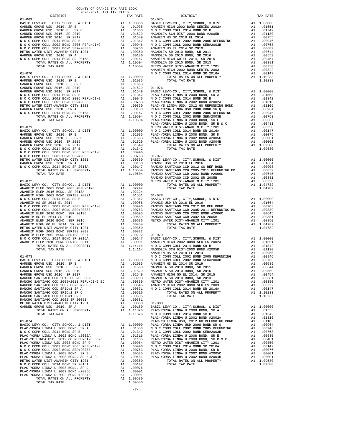|                                                                                                                                                                                                                                                                                                                                                                                                                    |    |                                                                                       | ANAHEIM            |
|--------------------------------------------------------------------------------------------------------------------------------------------------------------------------------------------------------------------------------------------------------------------------------------------------------------------------------------------------------------------------------------------------------------------|----|---------------------------------------------------------------------------------------|--------------------|
|                                                                                                                                                                                                                                                                                                                                                                                                                    |    |                                                                                       |                    |
|                                                                                                                                                                                                                                                                                                                                                                                                                    |    |                                                                                       |                    |
|                                                                                                                                                                                                                                                                                                                                                                                                                    |    |                                                                                       |                    |
|                                                                                                                                                                                                                                                                                                                                                                                                                    |    |                                                                                       |                    |
|                                                                                                                                                                                                                                                                                                                                                                                                                    |    |                                                                                       |                    |
|                                                                                                                                                                                                                                                                                                                                                                                                                    |    |                                                                                       |                    |
|                                                                                                                                                                                                                                                                                                                                                                                                                    |    |                                                                                       |                    |
|                                                                                                                                                                                                                                                                                                                                                                                                                    |    |                                                                                       |                    |
|                                                                                                                                                                                                                                                                                                                                                                                                                    |    |                                                                                       |                    |
|                                                                                                                                                                                                                                                                                                                                                                                                                    |    |                                                                                       | PLAC-YO            |
| $01 - 071$                                                                                                                                                                                                                                                                                                                                                                                                         |    |                                                                                       | METRO W            |
|                                                                                                                                                                                                                                                                                                                                                                                                                    |    |                                                                                       |                    |
|                                                                                                                                                                                                                                                                                                                                                                                                                    |    |                                                                                       |                    |
|                                                                                                                                                                                                                                                                                                                                                                                                                    |    |                                                                                       |                    |
|                                                                                                                                                                                                                                                                                                                                                                                                                    |    |                                                                                       |                    |
|                                                                                                                                                                                                                                                                                                                                                                                                                    |    |                                                                                       |                    |
|                                                                                                                                                                                                                                                                                                                                                                                                                    |    |                                                                                       |                    |
|                                                                                                                                                                                                                                                                                                                                                                                                                    |    |                                                                                       |                    |
|                                                                                                                                                                                                                                                                                                                                                                                                                    |    |                                                                                       |                    |
|                                                                                                                                                                                                                                                                                                                                                                                                                    |    |                                                                                       |                    |
| $01 - 072$                                                                                                                                                                                                                                                                                                                                                                                                         |    |                                                                                       | RANCHO<br>METRO W  |
|                                                                                                                                                                                                                                                                                                                                                                                                                    |    |                                                                                       |                    |
|                                                                                                                                                                                                                                                                                                                                                                                                                    |    |                                                                                       |                    |
|                                                                                                                                                                                                                                                                                                                                                                                                                    |    |                                                                                       |                    |
|                                                                                                                                                                                                                                                                                                                                                                                                                    |    |                                                                                       |                    |
|                                                                                                                                                                                                                                                                                                                                                                                                                    |    |                                                                                       |                    |
|                                                                                                                                                                                                                                                                                                                                                                                                                    |    |                                                                                       |                    |
|                                                                                                                                                                                                                                                                                                                                                                                                                    |    |                                                                                       |                    |
|                                                                                                                                                                                                                                                                                                                                                                                                                    |    |                                                                                       |                    |
|                                                                                                                                                                                                                                                                                                                                                                                                                    |    |                                                                                       |                    |
|                                                                                                                                                                                                                                                                                                                                                                                                                    |    |                                                                                       |                    |
|                                                                                                                                                                                                                                                                                                                                                                                                                    |    |                                                                                       |                    |
|                                                                                                                                                                                                                                                                                                                                                                                                                    |    |                                                                                       |                    |
|                                                                                                                                                                                                                                                                                                                                                                                                                    |    |                                                                                       |                    |
|                                                                                                                                                                                                                                                                                                                                                                                                                    |    |                                                                                       |                    |
|                                                                                                                                                                                                                                                                                                                                                                                                                    |    |                                                                                       | ANAHEIM            |
| $01 - 073$<br>BASIC LEVY-CO., CITY, SCHOOL, & DIST                                                                                                                                                                                                                                                                                                                                                                 |    | MOCC<br>A1 1.00000 NOCC<br>A1 .01935 ANAHEM<br>A1 .01663 MAGNOLI<br>A1 .01629 MAGNOLI |                    |
|                                                                                                                                                                                                                                                                                                                                                                                                                    |    |                                                                                       |                    |
| GARDEN GROVE USD 2016, SR 2019                                                                                                                                                                                                                                                                                                                                                                                     |    |                                                                                       |                    |
|                                                                                                                                                                                                                                                                                                                                                                                                                    |    |                                                                                       |                    |
|                                                                                                                                                                                                                                                                                                                                                                                                                    |    |                                                                                       |                    |
|                                                                                                                                                                                                                                                                                                                                                                                                                    |    |                                                                                       |                    |
|                                                                                                                                                                                                                                                                                                                                                                                                                    |    |                                                                                       |                    |
| RANCHO SANTIAGO CCD SFID#1 SR C                                                                                                                                                                                                                                                                                                                                                                                    |    | A1 .00616                                                                             |                    |
| RANCHO SANTIAGO CCD SFID#1 SR B<br>RANCHO SANTIAGO CCD 2002 SR 2005B                                                                                                                                                                                                                                                                                                                                               |    | A1.00505<br>A1.00381                                                                  |                    |
| METRO WATER DIST-ANAHEIM CITY 1201                                                                                                                                                                                                                                                                                                                                                                                 |    | A1.00350                                                                              | $01 - 080$         |
| GARDEN GROVE USD, 2010, SR A<br>TOTAL RATES ON ALL PROPERTY                                                                                                                                                                                                                                                                                                                                                        | A1 | .00180<br>A1 1.11826                                                                  | BASIC L<br>PLAC-YO |
| TOTAL TAX RATE                                                                                                                                                                                                                                                                                                                                                                                                     |    | 1.11826                                                                               | NOCC               |
|                                                                                                                                                                                                                                                                                                                                                                                                                    |    |                                                                                       | PLAC-YO            |
|                                                                                                                                                                                                                                                                                                                                                                                                                    |    |                                                                                       |                    |
|                                                                                                                                                                                                                                                                                                                                                                                                                    |    |                                                                                       |                    |
| $\begin{tabular}{l c c c c} \multicolumn{1}{c}{\textbf{PLAC}-YORBA LINDA U 2008 BOND, SR A} & \multicolumn{1}{c}{\textbf{PLAC}-YORBA LINDA U 2008 BOND, SR A} & \multicolumn{1}{c}{\textbf{PLAC}-YORBA LINDA U 2008 BOND, SR A} & \multicolumn{1}{c}{\textbf{AL 0.0000}} & \multicolumn{1}{c}{\textbf{PLAC}-YORBA LINDA U 2008 BOND} & \multicolumn{1}{c}{\textbf{AL 0.01053}} & \multicolumn{1}{c}{\textbf{NL 0.$ |    |                                                                                       |                    |
|                                                                                                                                                                                                                                                                                                                                                                                                                    |    |                                                                                       |                    |
|                                                                                                                                                                                                                                                                                                                                                                                                                    |    |                                                                                       |                    |
|                                                                                                                                                                                                                                                                                                                                                                                                                    |    |                                                                                       |                    |
|                                                                                                                                                                                                                                                                                                                                                                                                                    |    |                                                                                       |                    |
|                                                                                                                                                                                                                                                                                                                                                                                                                    |    |                                                                                       |                    |
|                                                                                                                                                                                                                                                                                                                                                                                                                    |    |                                                                                       |                    |
| PLAC-YORBA LINDA U 2008 BOND, SR D                                                                                                                                                                                                                                                                                                                                                                                 | A1 | .00076                                                                                |                    |
| PLAC-YORBA LINDA U 2002 BOND #2005C<br>PLAC-YORBA LINDA U 2002 BOND #2004B                                                                                                                                                                                                                                                                                                                                         | A1 | A1 .00001<br>.00001                                                                   |                    |
| TOTAL RATES ON ALL PROPERTY                                                                                                                                                                                                                                                                                                                                                                                        |    | A1 1.09580                                                                            |                    |
| TOTAL TAX RATE                                                                                                                                                                                                                                                                                                                                                                                                     |    | 1.09580                                                                               |                    |

-7-

| 2020 2021 IM IMM WILBO<br>DISTRICT | TAX RATE | DISTRICT   | TAX RATE |
|------------------------------------|----------|------------|----------|
|                                    |          | $01 - 075$ |          |
|                                    |          |            |          |
|                                    |          |            |          |
|                                    |          |            |          |
|                                    |          |            |          |
|                                    |          |            |          |
|                                    |          |            |          |
|                                    |          |            |          |
|                                    |          |            |          |
|                                    |          |            |          |
|                                    |          |            |          |
|                                    |          |            |          |
|                                    |          |            |          |
|                                    |          |            |          |
|                                    |          |            |          |
|                                    |          |            |          |
|                                    |          |            |          |
|                                    |          |            |          |
|                                    |          |            |          |
|                                    |          |            |          |
|                                    |          |            |          |
|                                    |          |            |          |
|                                    |          |            |          |
|                                    |          |            |          |
|                                    |          |            |          |
|                                    |          |            |          |
|                                    |          |            |          |
|                                    |          |            |          |
|                                    |          |            |          |
|                                    |          |            |          |
|                                    |          |            |          |
|                                    |          |            |          |
|                                    |          |            |          |
|                                    |          |            |          |
|                                    |          |            |          |
|                                    |          |            |          |
|                                    |          |            |          |
|                                    |          |            |          |
|                                    |          |            |          |
|                                    |          |            |          |
|                                    |          |            |          |
|                                    |          |            |          |
|                                    |          |            |          |
|                                    |          |            |          |
|                                    |          |            |          |
|                                    |          |            |          |
|                                    |          |            |          |
|                                    |          |            |          |
|                                    |          |            |          |
|                                    |          |            |          |
|                                    |          |            |          |
|                                    |          |            |          |
|                                    |          |            |          |
|                                    |          |            |          |
|                                    |          |            |          |
|                                    |          |            |          |
|                                    |          |            |          |
|                                    |          |            |          |
|                                    |          |            |          |
|                                    |          |            |          |
|                                    |          |            |          |
|                                    |          |            |          |
|                                    |          |            |          |
|                                    |          |            |          |
|                                    |          |            |          |
|                                    |          |            |          |
|                                    |          |            |          |
|                                    |          |            |          |
|                                    |          |            |          |
|                                    |          |            |          |
|                                    |          |            |          |
|                                    |          |            |          |
|                                    |          |            |          |
|                                    |          |            |          |
|                                    |          |            |          |
|                                    |          |            |          |
|                                    |          |            |          |
|                                    |          |            |          |
|                                    |          |            |          |
|                                    |          |            |          |
|                                    |          |            |          |

COUNTY OF ORANGE TAX RATE BOOK 2020-2021 TRA TAX RATES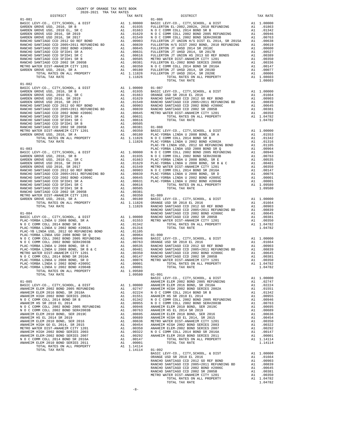| COUNTY OF ORANGE TAX RATE BOOK<br>2020-2021 TRA TAX RATES |          |                                                                                                                                                                                                                                            |          |
|-----------------------------------------------------------|----------|--------------------------------------------------------------------------------------------------------------------------------------------------------------------------------------------------------------------------------------------|----------|
| DISTRICT                                                  | TAX RATE | DISTRICT                                                                                                                                                                                                                                   | TAX RATE |
| $01 - 081$                                                |          | $01 - 086$                                                                                                                                                                                                                                 |          |
|                                                           |          |                                                                                                                                                                                                                                            |          |
|                                                           |          |                                                                                                                                                                                                                                            |          |
|                                                           |          |                                                                                                                                                                                                                                            |          |
|                                                           |          |                                                                                                                                                                                                                                            |          |
|                                                           |          |                                                                                                                                                                                                                                            |          |
|                                                           |          |                                                                                                                                                                                                                                            |          |
|                                                           |          |                                                                                                                                                                                                                                            |          |
|                                                           |          |                                                                                                                                                                                                                                            |          |
|                                                           |          |                                                                                                                                                                                                                                            |          |
|                                                           |          |                                                                                                                                                                                                                                            |          |
|                                                           |          |                                                                                                                                                                                                                                            |          |
|                                                           |          |                                                                                                                                                                                                                                            |          |
|                                                           |          |                                                                                                                                                                                                                                            |          |
| $01 - 082$                                                |          |                                                                                                                                                                                                                                            |          |
|                                                           |          |                                                                                                                                                                                                                                            |          |
|                                                           |          |                                                                                                                                                                                                                                            |          |
|                                                           |          |                                                                                                                                                                                                                                            |          |
|                                                           |          |                                                                                                                                                                                                                                            |          |
|                                                           |          |                                                                                                                                                                                                                                            |          |
|                                                           |          |                                                                                                                                                                                                                                            |          |
|                                                           |          |                                                                                                                                                                                                                                            |          |
|                                                           |          |                                                                                                                                                                                                                                            |          |
|                                                           |          |                                                                                                                                                                                                                                            |          |
|                                                           |          |                                                                                                                                                                                                                                            |          |
|                                                           |          |                                                                                                                                                                                                                                            |          |
|                                                           |          |                                                                                                                                                                                                                                            |          |
|                                                           |          |                                                                                                                                                                                                                                            |          |
|                                                           |          |                                                                                                                                                                                                                                            |          |
|                                                           |          |                                                                                                                                                                                                                                            |          |
|                                                           |          |                                                                                                                                                                                                                                            |          |
|                                                           |          |                                                                                                                                                                                                                                            |          |
|                                                           |          |                                                                                                                                                                                                                                            |          |
|                                                           |          |                                                                                                                                                                                                                                            |          |
|                                                           |          |                                                                                                                                                                                                                                            |          |
|                                                           |          |                                                                                                                                                                                                                                            |          |
|                                                           |          |                                                                                                                                                                                                                                            |          |
|                                                           |          |                                                                                                                                                                                                                                            |          |
|                                                           |          |                                                                                                                                                                                                                                            |          |
|                                                           |          |                                                                                                                                                                                                                                            |          |
|                                                           |          |                                                                                                                                                                                                                                            |          |
|                                                           |          |                                                                                                                                                                                                                                            |          |
|                                                           |          |                                                                                                                                                                                                                                            |          |
|                                                           |          |                                                                                                                                                                                                                                            |          |
|                                                           |          |                                                                                                                                                                                                                                            |          |
|                                                           |          |                                                                                                                                                                                                                                            |          |
|                                                           |          |                                                                                                                                                                                                                                            |          |
|                                                           |          |                                                                                                                                                                                                                                            |          |
|                                                           |          |                                                                                                                                                                                                                                            |          |
|                                                           |          |                                                                                                                                                                                                                                            |          |
|                                                           |          |                                                                                                                                                                                                                                            |          |
|                                                           |          |                                                                                                                                                                                                                                            |          |
|                                                           |          |                                                                                                                                                                                                                                            |          |
|                                                           |          | ARICHO SANTIAGO COD 2002 SR 2005B<br>PLAC-YORBA LINDA U 2008 BOND, SR D<br>PLAC-YORBA LINDA U 2008 BOND, SR D<br>PLAC-YORBA LINDA U 2008 BOND, SR D<br>PLAC-YORBA LINDA U 2002 BOND #2005E<br>PLAC-YORBA LINDA U 2002 BOND #2005E<br>PLAC- |          |
|                                                           |          |                                                                                                                                                                                                                                            |          |
|                                                           |          |                                                                                                                                                                                                                                            |          |
|                                                           |          |                                                                                                                                                                                                                                            |          |
|                                                           |          |                                                                                                                                                                                                                                            |          |
|                                                           |          |                                                                                                                                                                                                                                            |          |
|                                                           |          |                                                                                                                                                                                                                                            |          |
|                                                           |          |                                                                                                                                                                                                                                            |          |
|                                                           |          |                                                                                                                                                                                                                                            |          |
|                                                           |          |                                                                                                                                                                                                                                            |          |
|                                                           |          |                                                                                                                                                                                                                                            |          |
|                                                           |          |                                                                                                                                                                                                                                            |          |
|                                                           |          |                                                                                                                                                                                                                                            |          |
|                                                           |          |                                                                                                                                                                                                                                            |          |
|                                                           |          |                                                                                                                                                                                                                                            |          |
|                                                           |          |                                                                                                                                                                                                                                            |          |
|                                                           |          |                                                                                                                                                                                                                                            |          |
|                                                           |          |                                                                                                                                                                                                                                            |          |
|                                                           |          |                                                                                                                                                                                                                                            |          |
|                                                           |          |                                                                                                                                                                                                                                            |          |
|                                                           |          |                                                                                                                                                                                                                                            |          |
|                                                           |          |                                                                                                                                                                                                                                            |          |
|                                                           |          |                                                                                                                                                                                                                                            |          |
|                                                           |          |                                                                                                                                                                                                                                            |          |
|                                                           |          |                                                                                                                                                                                                                                            |          |
|                                                           |          |                                                                                                                                                                                                                                            |          |
|                                                           |          |                                                                                                                                                                                                                                            |          |

-8-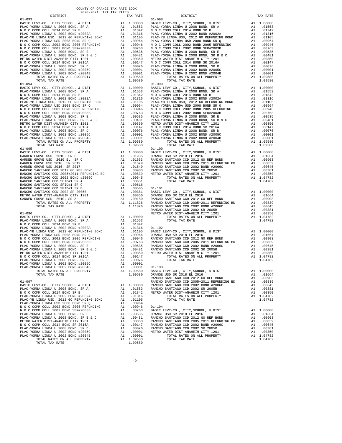| TOTAL TAX RATE                                                                  |    | 1.09580                                                                                                        |         |
|---------------------------------------------------------------------------------|----|----------------------------------------------------------------------------------------------------------------|---------|
|                                                                                 |    |                                                                                                                |         |
|                                                                                 |    |                                                                                                                |         |
|                                                                                 |    |                                                                                                                |         |
|                                                                                 |    |                                                                                                                |         |
|                                                                                 |    |                                                                                                                |         |
|                                                                                 |    |                                                                                                                |         |
|                                                                                 |    |                                                                                                                |         |
|                                                                                 |    |                                                                                                                |         |
|                                                                                 |    |                                                                                                                |         |
|                                                                                 |    |                                                                                                                |         |
|                                                                                 |    |                                                                                                                |         |
|                                                                                 |    |                                                                                                                |         |
|                                                                                 |    |                                                                                                                |         |
|                                                                                 |    |                                                                                                                |         |
|                                                                                 |    |                                                                                                                |         |
|                                                                                 |    |                                                                                                                |         |
|                                                                                 |    |                                                                                                                |         |
|                                                                                 |    |                                                                                                                |         |
|                                                                                 |    |                                                                                                                |         |
|                                                                                 |    |                                                                                                                |         |
|                                                                                 |    |                                                                                                                |         |
|                                                                                 |    |                                                                                                                |         |
|                                                                                 |    |                                                                                                                |         |
|                                                                                 |    |                                                                                                                |         |
|                                                                                 |    |                                                                                                                |         |
|                                                                                 |    |                                                                                                                |         |
|                                                                                 |    |                                                                                                                |         |
|                                                                                 |    |                                                                                                                |         |
|                                                                                 |    |                                                                                                                | RANCHO  |
| $01 - 096$                                                                      |    |                                                                                                                | METRO W |
|                                                                                 |    |                                                                                                                |         |
|                                                                                 |    |                                                                                                                |         |
|                                                                                 |    |                                                                                                                |         |
|                                                                                 |    |                                                                                                                |         |
|                                                                                 |    |                                                                                                                |         |
|                                                                                 |    |                                                                                                                |         |
|                                                                                 |    |                                                                                                                |         |
|                                                                                 |    |                                                                                                                |         |
|                                                                                 |    |                                                                                                                |         |
|                                                                                 |    |                                                                                                                |         |
|                                                                                 |    |                                                                                                                |         |
| TOTAL RATES ON ALL PROPERTY                                                     |    | A1 1.09580                                                                                                     | BASIC L |
| TOTAL TAX RATE                                                                  |    | 1.09580                                                                                                        | ORANGE  |
|                                                                                 |    |                                                                                                                | RANCHO  |
| $01 - 097$                                                                      |    |                                                                                                                | RANCHO  |
| BASIC LEVY-CO., CITY, SCHOOL, & DIST<br>PLAC-YORBA LINDA U 2008 BOND, SR A      |    | A1 1.00000 RANCHO<br>A1 .01553 RANCHO<br>A1 .01342 METROW                                                      |         |
| N O C COMM COLL 2014 BOND SR B                                                  |    |                                                                                                                |         |
| PLAC-YORBA LINDA U 2002 BOND #2002A                                             | A1 | .01316                                                                                                         |         |
| PLAC-YB LINDA USD, 2012 GO REFUNDING BOND                                       | A1 | .01105                                                                                                         |         |
| PLAC-YORBA LINDA USD 2008 BOND SR Q<br>N O C COMM COLL 2002 BOND 2005 REFUNDING | A1 | .00964                                                                                                         |         |
| N O C COMM COLL 2002 BOND SER#2003B                                             |    | A1 .00946 01-104<br>A1 .00763 BASIC L                                                                          |         |
| PLAC-YORBA LINDA U 2008 BOND, SR E                                              |    | A1.00535                                                                                                       | ORANGE  |
| PLAC-YORBA LINDA U 2008 BOND, SR B & C                                          |    |                                                                                                                |         |
| METRO WATER DIST-ANAHEIM CITY 1201<br>N O C COMM COLL 2014 BOND SR 2016A        |    |                                                                                                                |         |
| PLAC-YORBA LINDA U 2008 BOND, SR D                                              |    | A1 .00355<br>A1 .00481 RANCHO<br>A1 .00147 RANCHO<br>A1 .00076 RANCHO<br>A1 .00076 RANCHO<br>A1 .00001 METRO W |         |
| PLAC-YORBA LINDA U 2002 BOND #2005C                                             |    |                                                                                                                |         |
| PLAC-YORBA LINDA U 2002 BOND #2004B                                             |    | A1 .00001                                                                                                      |         |
| TOTAL RATES ON ALL PROPERTY                                                     |    | A1 1.09580                                                                                                     |         |
| TOTAL TAX RATE                                                                  |    | 1.09580                                                                                                        |         |

| COUNTY OF ORANGE TAX RATE BOOK<br>2020-2021 TRA TAX RATES |          |                                                                                                                                                                                                                                                                                                                                                                                                                     |          |
|-----------------------------------------------------------|----------|---------------------------------------------------------------------------------------------------------------------------------------------------------------------------------------------------------------------------------------------------------------------------------------------------------------------------------------------------------------------------------------------------------------------|----------|
| DISTRICT                                                  | TAX RATE | DISTRICT                                                                                                                                                                                                                                                                                                                                                                                                            | TAX RATE |
|                                                           |          | $01 - 098$                                                                                                                                                                                                                                                                                                                                                                                                          |          |
|                                                           |          |                                                                                                                                                                                                                                                                                                                                                                                                                     |          |
|                                                           |          |                                                                                                                                                                                                                                                                                                                                                                                                                     |          |
|                                                           |          |                                                                                                                                                                                                                                                                                                                                                                                                                     |          |
|                                                           |          |                                                                                                                                                                                                                                                                                                                                                                                                                     |          |
|                                                           |          |                                                                                                                                                                                                                                                                                                                                                                                                                     |          |
|                                                           |          |                                                                                                                                                                                                                                                                                                                                                                                                                     |          |
|                                                           |          |                                                                                                                                                                                                                                                                                                                                                                                                                     |          |
|                                                           |          |                                                                                                                                                                                                                                                                                                                                                                                                                     |          |
|                                                           |          |                                                                                                                                                                                                                                                                                                                                                                                                                     |          |
|                                                           |          |                                                                                                                                                                                                                                                                                                                                                                                                                     |          |
|                                                           |          |                                                                                                                                                                                                                                                                                                                                                                                                                     |          |
|                                                           |          |                                                                                                                                                                                                                                                                                                                                                                                                                     |          |
|                                                           |          |                                                                                                                                                                                                                                                                                                                                                                                                                     |          |
|                                                           |          |                                                                                                                                                                                                                                                                                                                                                                                                                     |          |
|                                                           |          |                                                                                                                                                                                                                                                                                                                                                                                                                     |          |
|                                                           |          |                                                                                                                                                                                                                                                                                                                                                                                                                     |          |
|                                                           |          |                                                                                                                                                                                                                                                                                                                                                                                                                     |          |
|                                                           |          |                                                                                                                                                                                                                                                                                                                                                                                                                     |          |
|                                                           |          |                                                                                                                                                                                                                                                                                                                                                                                                                     |          |
|                                                           |          |                                                                                                                                                                                                                                                                                                                                                                                                                     |          |
|                                                           |          |                                                                                                                                                                                                                                                                                                                                                                                                                     |          |
|                                                           |          |                                                                                                                                                                                                                                                                                                                                                                                                                     |          |
|                                                           |          |                                                                                                                                                                                                                                                                                                                                                                                                                     |          |
|                                                           |          |                                                                                                                                                                                                                                                                                                                                                                                                                     |          |
|                                                           |          |                                                                                                                                                                                                                                                                                                                                                                                                                     |          |
|                                                           |          |                                                                                                                                                                                                                                                                                                                                                                                                                     |          |
|                                                           |          |                                                                                                                                                                                                                                                                                                                                                                                                                     |          |
|                                                           |          |                                                                                                                                                                                                                                                                                                                                                                                                                     |          |
|                                                           |          |                                                                                                                                                                                                                                                                                                                                                                                                                     |          |
|                                                           |          |                                                                                                                                                                                                                                                                                                                                                                                                                     |          |
|                                                           |          |                                                                                                                                                                                                                                                                                                                                                                                                                     |          |
|                                                           |          |                                                                                                                                                                                                                                                                                                                                                                                                                     |          |
|                                                           |          |                                                                                                                                                                                                                                                                                                                                                                                                                     |          |
|                                                           |          |                                                                                                                                                                                                                                                                                                                                                                                                                     |          |
|                                                           |          |                                                                                                                                                                                                                                                                                                                                                                                                                     |          |
|                                                           |          |                                                                                                                                                                                                                                                                                                                                                                                                                     |          |
|                                                           |          |                                                                                                                                                                                                                                                                                                                                                                                                                     |          |
|                                                           |          |                                                                                                                                                                                                                                                                                                                                                                                                                     |          |
|                                                           |          |                                                                                                                                                                                                                                                                                                                                                                                                                     |          |
|                                                           |          |                                                                                                                                                                                                                                                                                                                                                                                                                     |          |
|                                                           |          |                                                                                                                                                                                                                                                                                                                                                                                                                     |          |
|                                                           |          |                                                                                                                                                                                                                                                                                                                                                                                                                     |          |
|                                                           |          |                                                                                                                                                                                                                                                                                                                                                                                                                     |          |
|                                                           |          | $\begin{array}{ccccccccc} \texttt{M-TE} & \texttt{M-TE} & \texttt{M-NE} & \texttt{M-TE} & \texttt{M-NE} & \texttt{M-TE} & \texttt{M-NE} & \texttt{M-TE} & \texttt{M-NE} & \texttt{M-TE} & \texttt{M-NE} & \texttt{M-TE} & \texttt{M-NE} & \texttt{M-NE} & \texttt{M-NE} & \texttt{M-NE} & \texttt{M-NE} & \texttt{M-NE} & \texttt{M-NE} & \texttt{M-NE} & \texttt{M-NE} & \texttt{M-NE} & \texttt{M-NE} & \texttt{$ |          |
|                                                           |          |                                                                                                                                                                                                                                                                                                                                                                                                                     |          |
|                                                           |          |                                                                                                                                                                                                                                                                                                                                                                                                                     |          |
|                                                           |          |                                                                                                                                                                                                                                                                                                                                                                                                                     |          |
|                                                           |          |                                                                                                                                                                                                                                                                                                                                                                                                                     |          |
|                                                           |          |                                                                                                                                                                                                                                                                                                                                                                                                                     |          |
|                                                           |          |                                                                                                                                                                                                                                                                                                                                                                                                                     |          |
|                                                           |          |                                                                                                                                                                                                                                                                                                                                                                                                                     |          |
|                                                           |          |                                                                                                                                                                                                                                                                                                                                                                                                                     |          |
|                                                           |          |                                                                                                                                                                                                                                                                                                                                                                                                                     |          |
|                                                           |          |                                                                                                                                                                                                                                                                                                                                                                                                                     |          |
|                                                           |          |                                                                                                                                                                                                                                                                                                                                                                                                                     |          |
|                                                           |          |                                                                                                                                                                                                                                                                                                                                                                                                                     |          |
|                                                           |          |                                                                                                                                                                                                                                                                                                                                                                                                                     |          |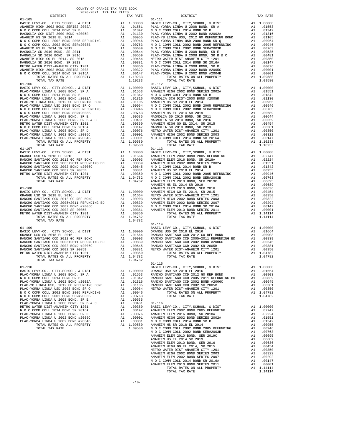| 2020-2021 TRA TAX RATES<br>DISTRICT | TAX RATE | DISTRICT                                                                                                                                                                                                                                                                         | TAX RATE |
|-------------------------------------|----------|----------------------------------------------------------------------------------------------------------------------------------------------------------------------------------------------------------------------------------------------------------------------------------|----------|
| $01 - 105$                          |          | $01 - 111$                                                                                                                                                                                                                                                                       |          |
|                                     |          |                                                                                                                                                                                                                                                                                  |          |
|                                     |          |                                                                                                                                                                                                                                                                                  |          |
|                                     |          |                                                                                                                                                                                                                                                                                  |          |
|                                     |          |                                                                                                                                                                                                                                                                                  |          |
|                                     |          |                                                                                                                                                                                                                                                                                  |          |
|                                     |          |                                                                                                                                                                                                                                                                                  |          |
|                                     |          |                                                                                                                                                                                                                                                                                  |          |
|                                     |          |                                                                                                                                                                                                                                                                                  |          |
|                                     |          |                                                                                                                                                                                                                                                                                  |          |
|                                     |          |                                                                                                                                                                                                                                                                                  |          |
|                                     |          |                                                                                                                                                                                                                                                                                  |          |
|                                     |          |                                                                                                                                                                                                                                                                                  |          |
|                                     |          |                                                                                                                                                                                                                                                                                  |          |
| $01 - 106$                          |          | $01 - 112$<br>$[0.106 \, \, 10704. \, 2044 \, \, 10704. \, 2044 \, \, 10704. \, 2044 \, \, 10704. \, 2044 \, \, 10704. \, 2044 \, \, 10704. \, 2044 \, \, 10704. \, 2044 \, \, 10704. \, 2044 \, \, 10704. \, 2044 \, \, 10704. \, 2044 \, \, 10704. \, 2044 \, \, 10704. \, 20$ |          |
|                                     |          |                                                                                                                                                                                                                                                                                  |          |
|                                     |          |                                                                                                                                                                                                                                                                                  |          |
|                                     |          |                                                                                                                                                                                                                                                                                  |          |
|                                     |          |                                                                                                                                                                                                                                                                                  |          |
|                                     |          |                                                                                                                                                                                                                                                                                  |          |
|                                     |          |                                                                                                                                                                                                                                                                                  |          |
|                                     |          |                                                                                                                                                                                                                                                                                  |          |
|                                     |          |                                                                                                                                                                                                                                                                                  |          |
|                                     |          |                                                                                                                                                                                                                                                                                  |          |
|                                     |          |                                                                                                                                                                                                                                                                                  |          |
|                                     |          |                                                                                                                                                                                                                                                                                  |          |
|                                     |          |                                                                                                                                                                                                                                                                                  |          |
|                                     |          |                                                                                                                                                                                                                                                                                  |          |
|                                     |          |                                                                                                                                                                                                                                                                                  |          |
|                                     |          |                                                                                                                                                                                                                                                                                  |          |
|                                     |          |                                                                                                                                                                                                                                                                                  |          |
|                                     |          |                                                                                                                                                                                                                                                                                  |          |
|                                     |          |                                                                                                                                                                                                                                                                                  |          |
|                                     |          |                                                                                                                                                                                                                                                                                  |          |
|                                     |          |                                                                                                                                                                                                                                                                                  |          |
|                                     |          |                                                                                                                                                                                                                                                                                  |          |
|                                     |          |                                                                                                                                                                                                                                                                                  |          |
|                                     |          |                                                                                                                                                                                                                                                                                  |          |
|                                     |          |                                                                                                                                                                                                                                                                                  |          |
|                                     |          |                                                                                                                                                                                                                                                                                  |          |
|                                     |          |                                                                                                                                                                                                                                                                                  |          |
|                                     |          |                                                                                                                                                                                                                                                                                  |          |
|                                     |          |                                                                                                                                                                                                                                                                                  |          |
|                                     |          |                                                                                                                                                                                                                                                                                  |          |
|                                     |          |                                                                                                                                                                                                                                                                                  |          |
|                                     |          |                                                                                                                                                                                                                                                                                  |          |
|                                     |          |                                                                                                                                                                                                                                                                                  |          |
|                                     |          |                                                                                                                                                                                                                                                                                  |          |
|                                     |          |                                                                                                                                                                                                                                                                                  |          |
|                                     |          |                                                                                                                                                                                                                                                                                  |          |
|                                     |          |                                                                                                                                                                                                                                                                                  |          |
|                                     |          |                                                                                                                                                                                                                                                                                  |          |
|                                     |          |                                                                                                                                                                                                                                                                                  |          |
|                                     |          |                                                                                                                                                                                                                                                                                  |          |
|                                     |          |                                                                                                                                                                                                                                                                                  |          |
|                                     |          |                                                                                                                                                                                                                                                                                  |          |
|                                     |          | $01 - 115$                                                                                                                                                                                                                                                                       |          |
|                                     |          |                                                                                                                                                                                                                                                                                  |          |
|                                     |          |                                                                                                                                                                                                                                                                                  |          |
|                                     |          |                                                                                                                                                                                                                                                                                  |          |
|                                     |          |                                                                                                                                                                                                                                                                                  |          |
|                                     |          |                                                                                                                                                                                                                                                                                  |          |
|                                     |          |                                                                                                                                                                                                                                                                                  |          |
|                                     |          |                                                                                                                                                                                                                                                                                  |          |
|                                     |          |                                                                                                                                                                                                                                                                                  |          |
|                                     |          |                                                                                                                                                                                                                                                                                  |          |
|                                     |          |                                                                                                                                                                                                                                                                                  |          |
|                                     |          |                                                                                                                                                                                                                                                                                  |          |
|                                     |          |                                                                                                                                                                                                                                                                                  |          |
|                                     |          |                                                                                                                                                                                                                                                                                  |          |
|                                     |          |                                                                                                                                                                                                                                                                                  |          |
|                                     |          |                                                                                                                                                                                                                                                                                  |          |
|                                     |          |                                                                                                                                                                                                                                                                                  |          |
|                                     |          |                                                                                                                                                                                                                                                                                  |          |
|                                     |          |                                                                                                                                                                                                                                                                                  |          |
|                                     |          |                                                                                                                                                                                                                                                                                  |          |
|                                     |          |                                                                                                                                                                                                                                                                                  |          |
|                                     |          |                                                                                                                                                                                                                                                                                  |          |
|                                     |          |                                                                                                                                                                                                                                                                                  |          |
|                                     |          |                                                                                                                                                                                                                                                                                  |          |
|                                     |          |                                                                                                                                                                                                                                                                                  |          |
|                                     |          |                                                                                                                                                                                                                                                                                  |          |
|                                     |          |                                                                                                                                                                                                                                                                                  |          |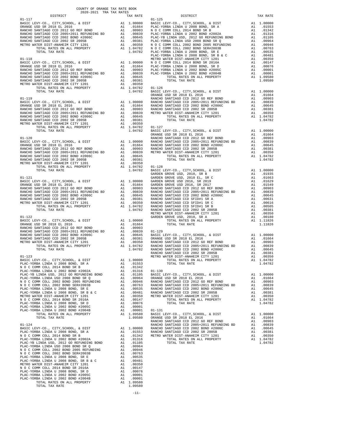| COUNTY OF ORANGE TAX RATE BOOK<br>$2020-2021 \quad \text{TRA RATES}$ DISTRICT $\hspace{2.5cm}$ |          |          |          |
|------------------------------------------------------------------------------------------------|----------|----------|----------|
|                                                                                                | TAX RATE | DISTRICT | TAX RATE |
|                                                                                                |          |          |          |
|                                                                                                |          |          |          |
|                                                                                                |          |          |          |
|                                                                                                |          |          |          |
|                                                                                                |          |          |          |
|                                                                                                |          |          |          |
|                                                                                                |          |          |          |
|                                                                                                |          |          |          |
|                                                                                                |          |          |          |
|                                                                                                |          |          |          |
|                                                                                                |          |          |          |
|                                                                                                |          |          |          |
|                                                                                                |          |          |          |
|                                                                                                |          |          |          |
|                                                                                                |          |          |          |
|                                                                                                |          |          |          |
|                                                                                                |          |          |          |
|                                                                                                |          |          |          |
|                                                                                                |          |          |          |
|                                                                                                |          |          |          |
|                                                                                                |          |          |          |
|                                                                                                |          |          |          |
|                                                                                                |          |          |          |
|                                                                                                |          |          |          |
|                                                                                                |          |          |          |
|                                                                                                |          |          |          |
|                                                                                                |          |          |          |
|                                                                                                |          |          |          |
|                                                                                                |          |          |          |
|                                                                                                |          |          |          |
|                                                                                                |          |          |          |
|                                                                                                |          |          |          |
|                                                                                                |          |          |          |
|                                                                                                |          |          |          |
|                                                                                                |          |          |          |
|                                                                                                |          |          |          |
|                                                                                                |          |          |          |
|                                                                                                |          |          |          |
|                                                                                                |          |          |          |
|                                                                                                |          |          |          |
|                                                                                                |          |          |          |
|                                                                                                |          |          |          |
|                                                                                                |          |          |          |
|                                                                                                |          |          |          |
|                                                                                                |          |          |          |
|                                                                                                |          |          |          |
|                                                                                                |          |          |          |
|                                                                                                |          |          |          |
|                                                                                                |          |          |          |
|                                                                                                |          |          |          |
|                                                                                                |          |          |          |
|                                                                                                |          |          |          |
|                                                                                                |          |          |          |
|                                                                                                |          |          |          |
|                                                                                                |          |          |          |
|                                                                                                |          |          |          |
|                                                                                                |          |          |          |
|                                                                                                |          |          |          |
|                                                                                                |          |          |          |
|                                                                                                |          |          |          |
|                                                                                                |          |          |          |
|                                                                                                |          |          |          |
|                                                                                                |          |          |          |
|                                                                                                |          |          |          |
|                                                                                                |          |          |          |
|                                                                                                |          |          |          |
|                                                                                                |          |          |          |
|                                                                                                |          |          |          |
|                                                                                                |          |          |          |
|                                                                                                |          |          |          |
|                                                                                                |          |          |          |
|                                                                                                |          |          |          |
|                                                                                                |          |          |          |
|                                                                                                |          |          |          |
|                                                                                                |          |          |          |
|                                                                                                |          |          |          |
|                                                                                                |          |          |          |
|                                                                                                |          |          |          |

-11-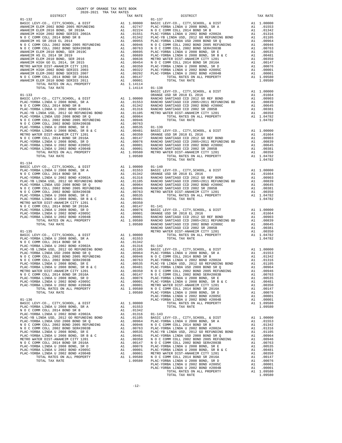| $01 - 132$<br>$01 - 137$<br>$\begin{tabular}{cccccccc} {\bf 1111} & {\bf 1211} & {\bf 1311} & {\bf 1411} & {\bf 11111} & {\bf 11111} & {\bf 11111} & {\bf 11111} & {\bf 11111} & {\bf 11111} & {\bf 11111} & {\bf 11111} & {\bf 11111} & {\bf 11111} & {\bf 11111} & {\bf 11111} & {\bf 11111} & {\bf 11111} & {\bf 11111} & {\bf 11111} & {\bf 11111} & {\bf 11$<br>TOTAL TAX RATE |
|-------------------------------------------------------------------------------------------------------------------------------------------------------------------------------------------------------------------------------------------------------------------------------------------------------------------------------------------------------------------------------------|
|                                                                                                                                                                                                                                                                                                                                                                                     |
|                                                                                                                                                                                                                                                                                                                                                                                     |
|                                                                                                                                                                                                                                                                                                                                                                                     |
|                                                                                                                                                                                                                                                                                                                                                                                     |
|                                                                                                                                                                                                                                                                                                                                                                                     |
|                                                                                                                                                                                                                                                                                                                                                                                     |
|                                                                                                                                                                                                                                                                                                                                                                                     |
|                                                                                                                                                                                                                                                                                                                                                                                     |
|                                                                                                                                                                                                                                                                                                                                                                                     |
|                                                                                                                                                                                                                                                                                                                                                                                     |
|                                                                                                                                                                                                                                                                                                                                                                                     |
|                                                                                                                                                                                                                                                                                                                                                                                     |
|                                                                                                                                                                                                                                                                                                                                                                                     |
|                                                                                                                                                                                                                                                                                                                                                                                     |
|                                                                                                                                                                                                                                                                                                                                                                                     |
|                                                                                                                                                                                                                                                                                                                                                                                     |
|                                                                                                                                                                                                                                                                                                                                                                                     |
|                                                                                                                                                                                                                                                                                                                                                                                     |
|                                                                                                                                                                                                                                                                                                                                                                                     |
|                                                                                                                                                                                                                                                                                                                                                                                     |
|                                                                                                                                                                                                                                                                                                                                                                                     |
|                                                                                                                                                                                                                                                                                                                                                                                     |
|                                                                                                                                                                                                                                                                                                                                                                                     |
|                                                                                                                                                                                                                                                                                                                                                                                     |
|                                                                                                                                                                                                                                                                                                                                                                                     |
|                                                                                                                                                                                                                                                                                                                                                                                     |
|                                                                                                                                                                                                                                                                                                                                                                                     |
|                                                                                                                                                                                                                                                                                                                                                                                     |
|                                                                                                                                                                                                                                                                                                                                                                                     |
|                                                                                                                                                                                                                                                                                                                                                                                     |
|                                                                                                                                                                                                                                                                                                                                                                                     |
|                                                                                                                                                                                                                                                                                                                                                                                     |
|                                                                                                                                                                                                                                                                                                                                                                                     |
|                                                                                                                                                                                                                                                                                                                                                                                     |
|                                                                                                                                                                                                                                                                                                                                                                                     |
|                                                                                                                                                                                                                                                                                                                                                                                     |
|                                                                                                                                                                                                                                                                                                                                                                                     |
|                                                                                                                                                                                                                                                                                                                                                                                     |
|                                                                                                                                                                                                                                                                                                                                                                                     |
|                                                                                                                                                                                                                                                                                                                                                                                     |
|                                                                                                                                                                                                                                                                                                                                                                                     |
|                                                                                                                                                                                                                                                                                                                                                                                     |
|                                                                                                                                                                                                                                                                                                                                                                                     |
|                                                                                                                                                                                                                                                                                                                                                                                     |
|                                                                                                                                                                                                                                                                                                                                                                                     |
|                                                                                                                                                                                                                                                                                                                                                                                     |
|                                                                                                                                                                                                                                                                                                                                                                                     |
|                                                                                                                                                                                                                                                                                                                                                                                     |
|                                                                                                                                                                                                                                                                                                                                                                                     |
|                                                                                                                                                                                                                                                                                                                                                                                     |
|                                                                                                                                                                                                                                                                                                                                                                                     |
|                                                                                                                                                                                                                                                                                                                                                                                     |
|                                                                                                                                                                                                                                                                                                                                                                                     |
|                                                                                                                                                                                                                                                                                                                                                                                     |
|                                                                                                                                                                                                                                                                                                                                                                                     |
|                                                                                                                                                                                                                                                                                                                                                                                     |
|                                                                                                                                                                                                                                                                                                                                                                                     |
|                                                                                                                                                                                                                                                                                                                                                                                     |
|                                                                                                                                                                                                                                                                                                                                                                                     |
|                                                                                                                                                                                                                                                                                                                                                                                     |
|                                                                                                                                                                                                                                                                                                                                                                                     |
|                                                                                                                                                                                                                                                                                                                                                                                     |
|                                                                                                                                                                                                                                                                                                                                                                                     |
|                                                                                                                                                                                                                                                                                                                                                                                     |
|                                                                                                                                                                                                                                                                                                                                                                                     |
|                                                                                                                                                                                                                                                                                                                                                                                     |
|                                                                                                                                                                                                                                                                                                                                                                                     |
|                                                                                                                                                                                                                                                                                                                                                                                     |
|                                                                                                                                                                                                                                                                                                                                                                                     |
|                                                                                                                                                                                                                                                                                                                                                                                     |
|                                                                                                                                                                                                                                                                                                                                                                                     |
|                                                                                                                                                                                                                                                                                                                                                                                     |
|                                                                                                                                                                                                                                                                                                                                                                                     |
|                                                                                                                                                                                                                                                                                                                                                                                     |
|                                                                                                                                                                                                                                                                                                                                                                                     |
|                                                                                                                                                                                                                                                                                                                                                                                     |
|                                                                                                                                                                                                                                                                                                                                                                                     |
|                                                                                                                                                                                                                                                                                                                                                                                     |
|                                                                                                                                                                                                                                                                                                                                                                                     |
|                                                                                                                                                                                                                                                                                                                                                                                     |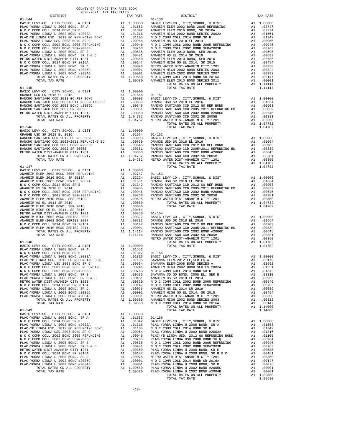| COUNTY OF ORANGE TAX RATE BOOK                                                                                                                                                                                                |          |                                                                                                                                                                                                                                                                                                                               |          |
|-------------------------------------------------------------------------------------------------------------------------------------------------------------------------------------------------------------------------------|----------|-------------------------------------------------------------------------------------------------------------------------------------------------------------------------------------------------------------------------------------------------------------------------------------------------------------------------------|----------|
| 2020-2021 TRA TAX RATES<br>DISTRICT                                                                                                                                                                                           | TAX RATE | DISTRICT                                                                                                                                                                                                                                                                                                                      | TAX RATE |
| $01 - 144$                                                                                                                                                                                                                    |          | $01 - 150$                                                                                                                                                                                                                                                                                                                    |          |
|                                                                                                                                                                                                                               |          |                                                                                                                                                                                                                                                                                                                               |          |
|                                                                                                                                                                                                                               |          |                                                                                                                                                                                                                                                                                                                               |          |
|                                                                                                                                                                                                                               |          |                                                                                                                                                                                                                                                                                                                               |          |
|                                                                                                                                                                                                                               |          |                                                                                                                                                                                                                                                                                                                               |          |
|                                                                                                                                                                                                                               |          |                                                                                                                                                                                                                                                                                                                               |          |
|                                                                                                                                                                                                                               |          |                                                                                                                                                                                                                                                                                                                               |          |
|                                                                                                                                                                                                                               |          |                                                                                                                                                                                                                                                                                                                               |          |
|                                                                                                                                                                                                                               |          |                                                                                                                                                                                                                                                                                                                               |          |
|                                                                                                                                                                                                                               |          |                                                                                                                                                                                                                                                                                                                               |          |
|                                                                                                                                                                                                                               |          |                                                                                                                                                                                                                                                                                                                               |          |
|                                                                                                                                                                                                                               |          |                                                                                                                                                                                                                                                                                                                               |          |
|                                                                                                                                                                                                                               |          |                                                                                                                                                                                                                                                                                                                               |          |
|                                                                                                                                                                                                                               |          |                                                                                                                                                                                                                                                                                                                               |          |
|                                                                                                                                                                                                                               |          |                                                                                                                                                                                                                                                                                                                               |          |
|                                                                                                                                                                                                                               |          |                                                                                                                                                                                                                                                                                                                               |          |
|                                                                                                                                                                                                                               |          |                                                                                                                                                                                                                                                                                                                               |          |
|                                                                                                                                                                                                                               |          |                                                                                                                                                                                                                                                                                                                               |          |
|                                                                                                                                                                                                                               |          |                                                                                                                                                                                                                                                                                                                               |          |
|                                                                                                                                                                                                                               |          |                                                                                                                                                                                                                                                                                                                               |          |
|                                                                                                                                                                                                                               |          |                                                                                                                                                                                                                                                                                                                               |          |
|                                                                                                                                                                                                                               |          | TOTAL TAX RATE                                                                                                                                                                                                                                                                                                                |          |
|                                                                                                                                                                                                                               |          |                                                                                                                                                                                                                                                                                                                               |          |
|                                                                                                                                                                                                                               |          |                                                                                                                                                                                                                                                                                                                               |          |
|                                                                                                                                                                                                                               |          |                                                                                                                                                                                                                                                                                                                               |          |
|                                                                                                                                                                                                                               |          |                                                                                                                                                                                                                                                                                                                               |          |
|                                                                                                                                                                                                                               |          |                                                                                                                                                                                                                                                                                                                               |          |
|                                                                                                                                                                                                                               |          |                                                                                                                                                                                                                                                                                                                               |          |
|                                                                                                                                                                                                                               |          |                                                                                                                                                                                                                                                                                                                               |          |
| $01 - 147$                                                                                                                                                                                                                    |          | TOTAL TAX RATE                                                                                                                                                                                                                                                                                                                | 1.04782  |
|                                                                                                                                                                                                                               |          |                                                                                                                                                                                                                                                                                                                               |          |
|                                                                                                                                                                                                                               |          |                                                                                                                                                                                                                                                                                                                               |          |
|                                                                                                                                                                                                                               |          |                                                                                                                                                                                                                                                                                                                               |          |
|                                                                                                                                                                                                                               |          |                                                                                                                                                                                                                                                                                                                               |          |
|                                                                                                                                                                                                                               |          |                                                                                                                                                                                                                                                                                                                               |          |
|                                                                                                                                                                                                                               |          |                                                                                                                                                                                                                                                                                                                               |          |
|                                                                                                                                                                                                                               |          |                                                                                                                                                                                                                                                                                                                               |          |
|                                                                                                                                                                                                                               |          |                                                                                                                                                                                                                                                                                                                               |          |
|                                                                                                                                                                                                                               |          |                                                                                                                                                                                                                                                                                                                               |          |
|                                                                                                                                                                                                                               |          |                                                                                                                                                                                                                                                                                                                               |          |
|                                                                                                                                                                                                                               |          |                                                                                                                                                                                                                                                                                                                               |          |
|                                                                                                                                                                                                                               |          |                                                                                                                                                                                                                                                                                                                               |          |
|                                                                                                                                                                                                                               |          |                                                                                                                                                                                                                                                                                                                               |          |
|                                                                                                                                                                                                                               |          |                                                                                                                                                                                                                                                                                                                               |          |
|                                                                                                                                                                                                                               |          |                                                                                                                                                                                                                                                                                                                               |          |
|                                                                                                                                                                                                                               |          |                                                                                                                                                                                                                                                                                                                               |          |
|                                                                                                                                                                                                                               |          |                                                                                                                                                                                                                                                                                                                               |          |
|                                                                                                                                                                                                                               |          |                                                                                                                                                                                                                                                                                                                               |          |
|                                                                                                                                                                                                                               |          |                                                                                                                                                                                                                                                                                                                               |          |
|                                                                                                                                                                                                                               |          |                                                                                                                                                                                                                                                                                                                               |          |
|                                                                                                                                                                                                                               |          |                                                                                                                                                                                                                                                                                                                               |          |
|                                                                                                                                                                                                                               |          |                                                                                                                                                                                                                                                                                                                               |          |
|                                                                                                                                                                                                                               |          |                                                                                                                                                                                                                                                                                                                               |          |
|                                                                                                                                                                                                                               |          |                                                                                                                                                                                                                                                                                                                               |          |
|                                                                                                                                                                                                                               |          |                                                                                                                                                                                                                                                                                                                               |          |
|                                                                                                                                                                                                                               |          |                                                                                                                                                                                                                                                                                                                               |          |
|                                                                                                                                                                                                                               |          |                                                                                                                                                                                                                                                                                                                               |          |
|                                                                                                                                                                                                                               |          |                                                                                                                                                                                                                                                                                                                               |          |
|                                                                                                                                                                                                                               |          | $\begin{tabular}{l cccc} $N$ O C COMM COLL 2014 BOND 5R150 A & 0.1142 & 01-155 \\ \hline \texttt{PLAC-YOB R1 LINDA U 2002 BOND 5R150 A} & 0.11142 & 01-155 \\ \texttt{PLAC-YOB R1 LINDA U 2012 BOND 5R150 A} & 0.11116 & 0.11165 & 0.11165 & 0.11165 \\ \texttt{PLAC-YB LINDA U 2012 BUND 5R150 A} & 0.11165 & 0.11165 & 0.1$ |          |
|                                                                                                                                                                                                                               |          |                                                                                                                                                                                                                                                                                                                               |          |
|                                                                                                                                                                                                                               |          |                                                                                                                                                                                                                                                                                                                               |          |
|                                                                                                                                                                                                                               |          |                                                                                                                                                                                                                                                                                                                               |          |
|                                                                                                                                                                                                                               |          |                                                                                                                                                                                                                                                                                                                               |          |
|                                                                                                                                                                                                                               |          |                                                                                                                                                                                                                                                                                                                               |          |
|                                                                                                                                                                                                                               |          |                                                                                                                                                                                                                                                                                                                               |          |
|                                                                                                                                                                                                                               |          |                                                                                                                                                                                                                                                                                                                               |          |
|                                                                                                                                                                                                                               |          |                                                                                                                                                                                                                                                                                                                               |          |
|                                                                                                                                                                                                                               |          |                                                                                                                                                                                                                                                                                                                               |          |
|                                                                                                                                                                                                                               |          |                                                                                                                                                                                                                                                                                                                               |          |
|                                                                                                                                                                                                                               |          |                                                                                                                                                                                                                                                                                                                               |          |
|                                                                                                                                                                                                                               |          |                                                                                                                                                                                                                                                                                                                               |          |
| TOTAL TAX RATE (1997 - 1991), SERIC LEVY-CO, CITY, SCHOOL, & DIST (1991), SERIC LEVY-CO, CITY, SCHOOL, & DIST (1990) BOND SERIC LEVY-CO, CITY, SCHOOL, & DIST (1990) BOND SERIC LEVY-CO, CITY, SCHOOL, & DIST (1990) BOND AND |          |                                                                                                                                                                                                                                                                                                                               |          |

-13-

TOTAL TAX RATE THAT A RATE TO PAIN AND RESERVE TO A LOGAL CONTROL OF A LOGAL CONTROL OF A LOGAL CONTROL OF A LOGAL CONTROL OF A LOGAL CONTROL OF A LOGAL CONTROL OF A LOGAL CONTROL OF A LOGAL CONTROL OF A LOGAL CONTROL OF A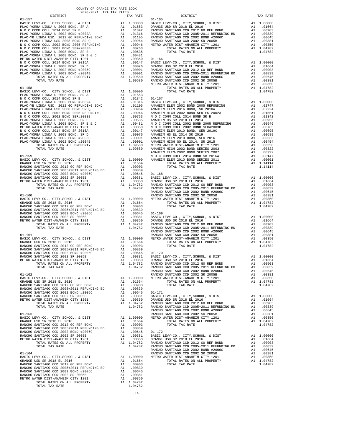| DISTRICT | TAX RATE | DISTRICT                                                                                                                                                                                                                      | TAX RATE |
|----------|----------|-------------------------------------------------------------------------------------------------------------------------------------------------------------------------------------------------------------------------------|----------|
|          |          |                                                                                                                                                                                                                               |          |
|          |          |                                                                                                                                                                                                                               |          |
|          |          |                                                                                                                                                                                                                               |          |
|          |          |                                                                                                                                                                                                                               |          |
|          |          |                                                                                                                                                                                                                               |          |
|          |          |                                                                                                                                                                                                                               |          |
|          |          |                                                                                                                                                                                                                               |          |
|          |          |                                                                                                                                                                                                                               |          |
|          |          |                                                                                                                                                                                                                               |          |
|          |          |                                                                                                                                                                                                                               |          |
|          |          |                                                                                                                                                                                                                               |          |
|          |          |                                                                                                                                                                                                                               |          |
|          |          |                                                                                                                                                                                                                               |          |
|          |          |                                                                                                                                                                                                                               |          |
|          |          |                                                                                                                                                                                                                               |          |
|          |          |                                                                                                                                                                                                                               |          |
|          |          |                                                                                                                                                                                                                               |          |
|          |          |                                                                                                                                                                                                                               |          |
|          |          |                                                                                                                                                                                                                               |          |
|          |          |                                                                                                                                                                                                                               |          |
|          |          |                                                                                                                                                                                                                               |          |
|          |          |                                                                                                                                                                                                                               |          |
|          |          |                                                                                                                                                                                                                               |          |
|          |          |                                                                                                                                                                                                                               |          |
|          |          |                                                                                                                                                                                                                               |          |
|          |          |                                                                                                                                                                                                                               |          |
|          |          |                                                                                                                                                                                                                               |          |
|          |          |                                                                                                                                                                                                                               |          |
|          |          |                                                                                                                                                                                                                               |          |
|          |          |                                                                                                                                                                                                                               |          |
|          |          |                                                                                                                                                                                                                               |          |
|          |          |                                                                                                                                                                                                                               |          |
|          |          |                                                                                                                                                                                                                               |          |
|          |          |                                                                                                                                                                                                                               |          |
|          |          |                                                                                                                                                                                                                               |          |
|          |          |                                                                                                                                                                                                                               |          |
|          |          |                                                                                                                                                                                                                               |          |
|          |          |                                                                                                                                                                                                                               |          |
|          |          |                                                                                                                                                                                                                               |          |
|          |          |                                                                                                                                                                                                                               |          |
|          |          |                                                                                                                                                                                                                               |          |
|          |          |                                                                                                                                                                                                                               |          |
|          |          |                                                                                                                                                                                                                               |          |
|          |          |                                                                                                                                                                                                                               |          |
|          |          |                                                                                                                                                                                                                               |          |
|          |          |                                                                                                                                                                                                                               |          |
|          |          |                                                                                                                                                                                                                               |          |
|          |          |                                                                                                                                                                                                                               |          |
|          |          |                                                                                                                                                                                                                               |          |
|          |          |                                                                                                                                                                                                                               |          |
|          |          |                                                                                                                                                                                                                               |          |
|          |          |                                                                                                                                                                                                                               |          |
|          |          |                                                                                                                                                                                                                               |          |
|          |          |                                                                                                                                                                                                                               |          |
|          |          |                                                                                                                                                                                                                               |          |
|          |          |                                                                                                                                                                                                                               |          |
|          |          |                                                                                                                                                                                                                               |          |
|          |          |                                                                                                                                                                                                                               |          |
|          |          |                                                                                                                                                                                                                               |          |
|          |          |                                                                                                                                                                                                                               |          |
|          |          |                                                                                                                                                                                                                               |          |
|          |          |                                                                                                                                                                                                                               |          |
|          |          |                                                                                                                                                                                                                               |          |
|          |          |                                                                                                                                                                                                                               |          |
|          |          |                                                                                                                                                                                                                               |          |
|          |          |                                                                                                                                                                                                                               |          |
|          |          |                                                                                                                                                                                                                               |          |
|          |          |                                                                                                                                                                                                                               |          |
|          |          |                                                                                                                                                                                                                               |          |
|          |          |                                                                                                                                                                                                                               |          |
|          |          |                                                                                                                                                                                                                               |          |
|          |          |                                                                                                                                                                                                                               |          |
|          |          |                                                                                                                                                                                                                               |          |
|          |          |                                                                                                                                                                                                                               |          |
|          |          |                                                                                                                                                                                                                               |          |
|          |          |                                                                                                                                                                                                                               |          |
|          |          |                                                                                                                                                                                                                               |          |
|          |          |                                                                                                                                                                                                                               |          |
|          |          |                                                                                                                                                                                                                               |          |
|          |          |                                                                                                                                                                                                                               |          |
|          |          | METRO MITE DISPUTED CITY, COLOR 1991 11, 00150 0 0014028 (201) 2011 11, 00120 0 002 201) 2011 11, 00120 0 002 2011 11, 00130 0 002 2011 11, 00130 0 002 2011 11, 00130 0 002 2011 11, 00130 0 002 2011 11, 00130 0 002 2011 1 |          |
|          |          |                                                                                                                                                                                                                               |          |
|          |          |                                                                                                                                                                                                                               |          |
|          |          |                                                                                                                                                                                                                               |          |
|          |          |                                                                                                                                                                                                                               |          |
|          |          |                                                                                                                                                                                                                               |          |
|          |          |                                                                                                                                                                                                                               |          |
|          |          |                                                                                                                                                                                                                               |          |
|          |          |                                                                                                                                                                                                                               |          |
|          |          |                                                                                                                                                                                                                               |          |
|          |          |                                                                                                                                                                                                                               |          |
|          |          |                                                                                                                                                                                                                               |          |

COUNTY OF ORANGE TAX RATE BOOK 2020-2021 TRA TAX RATES

-14-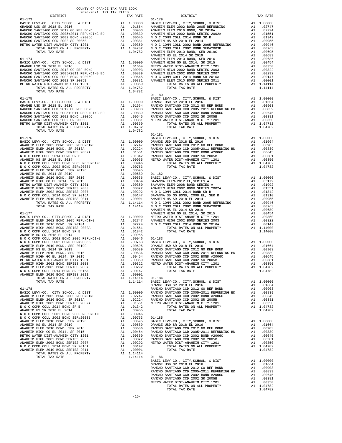| COUNTY OF ORANGE TAX RATE BOOK                                                                                                                                                                                                                                                                                                                                                                                                         |          |            |          |
|----------------------------------------------------------------------------------------------------------------------------------------------------------------------------------------------------------------------------------------------------------------------------------------------------------------------------------------------------------------------------------------------------------------------------------------|----------|------------|----------|
| $\begin{minipage}{0.5\textwidth} \begin{tabular}{lcccccc} \textbf{1} & \textbf{1} & \textbf{1} & \textbf{1} & \textbf{1} & \textbf{1} & \textbf{1} & \textbf{1} & \textbf{1} & \textbf{1} & \textbf{1} & \textbf{1} & \textbf{1} & \textbf{1} & \textbf{1} & \textbf{1} & \textbf{1} & \textbf{1} & \textbf{1} & \textbf{1} & \textbf{1} & \textbf{1} & \textbf{1} & \textbf{1} & \textbf{1} & \textbf{1} & \textbf{1} & \textbf{1} &$ | TAX RATE | DISTRICT   | TAX RATE |
| $01 - 173$                                                                                                                                                                                                                                                                                                                                                                                                                             |          | $01 - 179$ |          |
|                                                                                                                                                                                                                                                                                                                                                                                                                                        |          |            |          |
|                                                                                                                                                                                                                                                                                                                                                                                                                                        |          |            |          |
|                                                                                                                                                                                                                                                                                                                                                                                                                                        |          |            |          |
|                                                                                                                                                                                                                                                                                                                                                                                                                                        |          |            |          |
|                                                                                                                                                                                                                                                                                                                                                                                                                                        |          |            |          |
|                                                                                                                                                                                                                                                                                                                                                                                                                                        |          |            |          |
|                                                                                                                                                                                                                                                                                                                                                                                                                                        |          |            |          |
|                                                                                                                                                                                                                                                                                                                                                                                                                                        |          |            |          |
|                                                                                                                                                                                                                                                                                                                                                                                                                                        |          |            |          |
|                                                                                                                                                                                                                                                                                                                                                                                                                                        |          |            |          |
|                                                                                                                                                                                                                                                                                                                                                                                                                                        |          |            |          |
|                                                                                                                                                                                                                                                                                                                                                                                                                                        |          |            |          |
|                                                                                                                                                                                                                                                                                                                                                                                                                                        |          |            |          |
|                                                                                                                                                                                                                                                                                                                                                                                                                                        |          |            |          |
|                                                                                                                                                                                                                                                                                                                                                                                                                                        |          |            |          |
|                                                                                                                                                                                                                                                                                                                                                                                                                                        |          |            |          |
|                                                                                                                                                                                                                                                                                                                                                                                                                                        |          |            |          |
|                                                                                                                                                                                                                                                                                                                                                                                                                                        |          |            |          |
|                                                                                                                                                                                                                                                                                                                                                                                                                                        |          |            |          |
|                                                                                                                                                                                                                                                                                                                                                                                                                                        |          |            |          |
|                                                                                                                                                                                                                                                                                                                                                                                                                                        |          |            |          |
|                                                                                                                                                                                                                                                                                                                                                                                                                                        |          |            |          |
|                                                                                                                                                                                                                                                                                                                                                                                                                                        |          |            |          |
|                                                                                                                                                                                                                                                                                                                                                                                                                                        |          |            |          |
|                                                                                                                                                                                                                                                                                                                                                                                                                                        |          |            |          |
|                                                                                                                                                                                                                                                                                                                                                                                                                                        |          |            |          |
|                                                                                                                                                                                                                                                                                                                                                                                                                                        |          |            |          |
|                                                                                                                                                                                                                                                                                                                                                                                                                                        |          |            |          |
|                                                                                                                                                                                                                                                                                                                                                                                                                                        |          |            |          |
|                                                                                                                                                                                                                                                                                                                                                                                                                                        |          |            |          |
|                                                                                                                                                                                                                                                                                                                                                                                                                                        |          |            |          |
|                                                                                                                                                                                                                                                                                                                                                                                                                                        |          |            |          |
|                                                                                                                                                                                                                                                                                                                                                                                                                                        |          |            |          |
|                                                                                                                                                                                                                                                                                                                                                                                                                                        |          |            |          |
|                                                                                                                                                                                                                                                                                                                                                                                                                                        |          |            |          |
|                                                                                                                                                                                                                                                                                                                                                                                                                                        |          |            |          |
|                                                                                                                                                                                                                                                                                                                                                                                                                                        |          |            |          |
|                                                                                                                                                                                                                                                                                                                                                                                                                                        |          |            |          |
|                                                                                                                                                                                                                                                                                                                                                                                                                                        |          |            |          |
|                                                                                                                                                                                                                                                                                                                                                                                                                                        |          |            |          |
|                                                                                                                                                                                                                                                                                                                                                                                                                                        |          |            |          |
|                                                                                                                                                                                                                                                                                                                                                                                                                                        |          |            |          |
|                                                                                                                                                                                                                                                                                                                                                                                                                                        |          |            |          |
|                                                                                                                                                                                                                                                                                                                                                                                                                                        |          |            |          |
|                                                                                                                                                                                                                                                                                                                                                                                                                                        |          |            |          |
|                                                                                                                                                                                                                                                                                                                                                                                                                                        |          |            |          |
|                                                                                                                                                                                                                                                                                                                                                                                                                                        |          |            |          |
|                                                                                                                                                                                                                                                                                                                                                                                                                                        |          |            |          |
|                                                                                                                                                                                                                                                                                                                                                                                                                                        |          |            |          |
|                                                                                                                                                                                                                                                                                                                                                                                                                                        |          |            |          |
|                                                                                                                                                                                                                                                                                                                                                                                                                                        |          |            |          |
|                                                                                                                                                                                                                                                                                                                                                                                                                                        |          |            |          |
|                                                                                                                                                                                                                                                                                                                                                                                                                                        |          |            |          |
|                                                                                                                                                                                                                                                                                                                                                                                                                                        |          |            |          |
|                                                                                                                                                                                                                                                                                                                                                                                                                                        |          |            |          |
|                                                                                                                                                                                                                                                                                                                                                                                                                                        |          |            |          |
|                                                                                                                                                                                                                                                                                                                                                                                                                                        |          |            |          |
|                                                                                                                                                                                                                                                                                                                                                                                                                                        |          |            |          |
|                                                                                                                                                                                                                                                                                                                                                                                                                                        |          |            |          |
|                                                                                                                                                                                                                                                                                                                                                                                                                                        |          |            |          |
|                                                                                                                                                                                                                                                                                                                                                                                                                                        |          |            |          |
|                                                                                                                                                                                                                                                                                                                                                                                                                                        |          |            |          |
|                                                                                                                                                                                                                                                                                                                                                                                                                                        |          |            |          |
|                                                                                                                                                                                                                                                                                                                                                                                                                                        |          |            |          |
|                                                                                                                                                                                                                                                                                                                                                                                                                                        |          |            |          |
|                                                                                                                                                                                                                                                                                                                                                                                                                                        |          |            |          |
|                                                                                                                                                                                                                                                                                                                                                                                                                                        |          |            |          |
|                                                                                                                                                                                                                                                                                                                                                                                                                                        |          |            |          |
|                                                                                                                                                                                                                                                                                                                                                                                                                                        |          |            |          |
|                                                                                                                                                                                                                                                                                                                                                                                                                                        |          |            |          |
|                                                                                                                                                                                                                                                                                                                                                                                                                                        |          |            |          |
|                                                                                                                                                                                                                                                                                                                                                                                                                                        |          |            |          |
|                                                                                                                                                                                                                                                                                                                                                                                                                                        |          |            |          |
|                                                                                                                                                                                                                                                                                                                                                                                                                                        |          |            |          |
|                                                                                                                                                                                                                                                                                                                                                                                                                                        |          |            |          |
|                                                                                                                                                                                                                                                                                                                                                                                                                                        |          |            |          |
|                                                                                                                                                                                                                                                                                                                                                                                                                                        |          |            |          |
|                                                                                                                                                                                                                                                                                                                                                                                                                                        |          |            |          |
|                                                                                                                                                                                                                                                                                                                                                                                                                                        |          |            |          |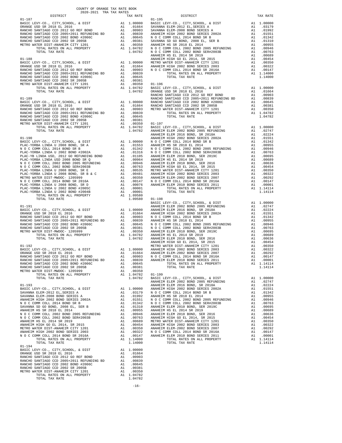| COUNTY OF ORANGE TAX RATE BOOK<br>$2020-2021 \quad \text{TRA RATE B}$ DISTRICT 2020–2021 TRA TAX RATES |          |                                                                                                                                                                                                                                                                                                                                                                                                                                                                                                                     |          |
|--------------------------------------------------------------------------------------------------------|----------|---------------------------------------------------------------------------------------------------------------------------------------------------------------------------------------------------------------------------------------------------------------------------------------------------------------------------------------------------------------------------------------------------------------------------------------------------------------------------------------------------------------------|----------|
|                                                                                                        | TAX RATE | DISTRICT                                                                                                                                                                                                                                                                                                                                                                                                                                                                                                            | TAX RATE |
|                                                                                                        |          |                                                                                                                                                                                                                                                                                                                                                                                                                                                                                                                     |          |
|                                                                                                        |          |                                                                                                                                                                                                                                                                                                                                                                                                                                                                                                                     |          |
|                                                                                                        |          |                                                                                                                                                                                                                                                                                                                                                                                                                                                                                                                     |          |
|                                                                                                        |          |                                                                                                                                                                                                                                                                                                                                                                                                                                                                                                                     |          |
|                                                                                                        |          |                                                                                                                                                                                                                                                                                                                                                                                                                                                                                                                     |          |
|                                                                                                        |          |                                                                                                                                                                                                                                                                                                                                                                                                                                                                                                                     |          |
|                                                                                                        |          |                                                                                                                                                                                                                                                                                                                                                                                                                                                                                                                     |          |
|                                                                                                        |          |                                                                                                                                                                                                                                                                                                                                                                                                                                                                                                                     |          |
|                                                                                                        |          |                                                                                                                                                                                                                                                                                                                                                                                                                                                                                                                     |          |
|                                                                                                        |          |                                                                                                                                                                                                                                                                                                                                                                                                                                                                                                                     |          |
|                                                                                                        |          |                                                                                                                                                                                                                                                                                                                                                                                                                                                                                                                     |          |
|                                                                                                        |          |                                                                                                                                                                                                                                                                                                                                                                                                                                                                                                                     |          |
|                                                                                                        |          |                                                                                                                                                                                                                                                                                                                                                                                                                                                                                                                     |          |
|                                                                                                        |          |                                                                                                                                                                                                                                                                                                                                                                                                                                                                                                                     |          |
|                                                                                                        |          |                                                                                                                                                                                                                                                                                                                                                                                                                                                                                                                     |          |
|                                                                                                        |          |                                                                                                                                                                                                                                                                                                                                                                                                                                                                                                                     |          |
|                                                                                                        |          |                                                                                                                                                                                                                                                                                                                                                                                                                                                                                                                     |          |
|                                                                                                        |          |                                                                                                                                                                                                                                                                                                                                                                                                                                                                                                                     |          |
|                                                                                                        |          |                                                                                                                                                                                                                                                                                                                                                                                                                                                                                                                     |          |
|                                                                                                        |          |                                                                                                                                                                                                                                                                                                                                                                                                                                                                                                                     |          |
|                                                                                                        |          |                                                                                                                                                                                                                                                                                                                                                                                                                                                                                                                     |          |
|                                                                                                        |          |                                                                                                                                                                                                                                                                                                                                                                                                                                                                                                                     |          |
|                                                                                                        |          |                                                                                                                                                                                                                                                                                                                                                                                                                                                                                                                     |          |
|                                                                                                        |          |                                                                                                                                                                                                                                                                                                                                                                                                                                                                                                                     |          |
|                                                                                                        |          |                                                                                                                                                                                                                                                                                                                                                                                                                                                                                                                     |          |
|                                                                                                        |          |                                                                                                                                                                                                                                                                                                                                                                                                                                                                                                                     |          |
|                                                                                                        |          |                                                                                                                                                                                                                                                                                                                                                                                                                                                                                                                     |          |
|                                                                                                        |          |                                                                                                                                                                                                                                                                                                                                                                                                                                                                                                                     |          |
|                                                                                                        |          |                                                                                                                                                                                                                                                                                                                                                                                                                                                                                                                     |          |
|                                                                                                        |          |                                                                                                                                                                                                                                                                                                                                                                                                                                                                                                                     |          |
|                                                                                                        |          |                                                                                                                                                                                                                                                                                                                                                                                                                                                                                                                     |          |
|                                                                                                        |          |                                                                                                                                                                                                                                                                                                                                                                                                                                                                                                                     |          |
|                                                                                                        |          |                                                                                                                                                                                                                                                                                                                                                                                                                                                                                                                     |          |
|                                                                                                        |          |                                                                                                                                                                                                                                                                                                                                                                                                                                                                                                                     |          |
|                                                                                                        |          |                                                                                                                                                                                                                                                                                                                                                                                                                                                                                                                     |          |
|                                                                                                        |          |                                                                                                                                                                                                                                                                                                                                                                                                                                                                                                                     |          |
|                                                                                                        |          |                                                                                                                                                                                                                                                                                                                                                                                                                                                                                                                     |          |
|                                                                                                        |          |                                                                                                                                                                                                                                                                                                                                                                                                                                                                                                                     |          |
|                                                                                                        |          |                                                                                                                                                                                                                                                                                                                                                                                                                                                                                                                     |          |
|                                                                                                        |          |                                                                                                                                                                                                                                                                                                                                                                                                                                                                                                                     |          |
|                                                                                                        |          |                                                                                                                                                                                                                                                                                                                                                                                                                                                                                                                     |          |
|                                                                                                        |          |                                                                                                                                                                                                                                                                                                                                                                                                                                                                                                                     |          |
|                                                                                                        |          |                                                                                                                                                                                                                                                                                                                                                                                                                                                                                                                     |          |
|                                                                                                        |          |                                                                                                                                                                                                                                                                                                                                                                                                                                                                                                                     |          |
|                                                                                                        |          |                                                                                                                                                                                                                                                                                                                                                                                                                                                                                                                     |          |
|                                                                                                        |          |                                                                                                                                                                                                                                                                                                                                                                                                                                                                                                                     |          |
|                                                                                                        |          |                                                                                                                                                                                                                                                                                                                                                                                                                                                                                                                     |          |
|                                                                                                        |          |                                                                                                                                                                                                                                                                                                                                                                                                                                                                                                                     |          |
|                                                                                                        |          |                                                                                                                                                                                                                                                                                                                                                                                                                                                                                                                     |          |
|                                                                                                        |          |                                                                                                                                                                                                                                                                                                                                                                                                                                                                                                                     |          |
|                                                                                                        |          |                                                                                                                                                                                                                                                                                                                                                                                                                                                                                                                     |          |
|                                                                                                        |          |                                                                                                                                                                                                                                                                                                                                                                                                                                                                                                                     |          |
|                                                                                                        |          |                                                                                                                                                                                                                                                                                                                                                                                                                                                                                                                     |          |
|                                                                                                        |          |                                                                                                                                                                                                                                                                                                                                                                                                                                                                                                                     |          |
|                                                                                                        |          | $\begin{tabular}{cccccccc} $01-191$ & $109560$ & $101-198$ & $109580$ & $101-198$ & $101-198$ & $101-198$ & $101-198$ & $101-198$ & $101-198$ & $101-198$ & $101-198$ & $101-198$ & $101-198$ & $101-198$ & $101-198$ & $101-198$ & $101-198$ & $101-198$ & $101-198$ & $101-198$ & $101$                                                                                                                                                                                                                           |          |
|                                                                                                        |          |                                                                                                                                                                                                                                                                                                                                                                                                                                                                                                                     |          |
|                                                                                                        |          |                                                                                                                                                                                                                                                                                                                                                                                                                                                                                                                     |          |
|                                                                                                        |          |                                                                                                                                                                                                                                                                                                                                                                                                                                                                                                                     |          |
|                                                                                                        |          |                                                                                                                                                                                                                                                                                                                                                                                                                                                                                                                     |          |
|                                                                                                        |          |                                                                                                                                                                                                                                                                                                                                                                                                                                                                                                                     |          |
|                                                                                                        |          |                                                                                                                                                                                                                                                                                                                                                                                                                                                                                                                     |          |
|                                                                                                        |          |                                                                                                                                                                                                                                                                                                                                                                                                                                                                                                                     |          |
|                                                                                                        |          |                                                                                                                                                                                                                                                                                                                                                                                                                                                                                                                     |          |
|                                                                                                        |          |                                                                                                                                                                                                                                                                                                                                                                                                                                                                                                                     |          |
|                                                                                                        |          |                                                                                                                                                                                                                                                                                                                                                                                                                                                                                                                     |          |
|                                                                                                        |          |                                                                                                                                                                                                                                                                                                                                                                                                                                                                                                                     |          |
|                                                                                                        |          |                                                                                                                                                                                                                                                                                                                                                                                                                                                                                                                     |          |
|                                                                                                        |          |                                                                                                                                                                                                                                                                                                                                                                                                                                                                                                                     |          |
|                                                                                                        |          |                                                                                                                                                                                                                                                                                                                                                                                                                                                                                                                     |          |
|                                                                                                        |          | $\begin{tabular}{cccccccc} \textbf{1.13}\footnotesize & \textbf{1.14}\footnotesize & \textbf{1.14}\footnotesize & \textbf{1.14}\footnotesize & \textbf{1.14}\footnotesize & \textbf{1.14}\footnotesize & \textbf{1.14}\footnotesize & \textbf{1.14}\footnotesize & \textbf{1.14}\footnotesize & \textbf{1.14}\footnotesize & \textbf{1.14}\footnotesize & \textbf{1.14}\footnotesize & \textbf{1.14}\footnotesize & \textbf{1.14}\footnotesize & \textbf{1.14}\footnotesize & \textbf{1.14}\footnotesize & \textbf$ |          |
| $01 - 194$                                                                                             |          |                                                                                                                                                                                                                                                                                                                                                                                                                                                                                                                     |          |
|                                                                                                        |          |                                                                                                                                                                                                                                                                                                                                                                                                                                                                                                                     |          |
|                                                                                                        |          |                                                                                                                                                                                                                                                                                                                                                                                                                                                                                                                     |          |
|                                                                                                        |          |                                                                                                                                                                                                                                                                                                                                                                                                                                                                                                                     |          |
|                                                                                                        |          |                                                                                                                                                                                                                                                                                                                                                                                                                                                                                                                     |          |
|                                                                                                        |          |                                                                                                                                                                                                                                                                                                                                                                                                                                                                                                                     |          |
|                                                                                                        |          |                                                                                                                                                                                                                                                                                                                                                                                                                                                                                                                     |          |
|                                                                                                        |          |                                                                                                                                                                                                                                                                                                                                                                                                                                                                                                                     |          |

-16-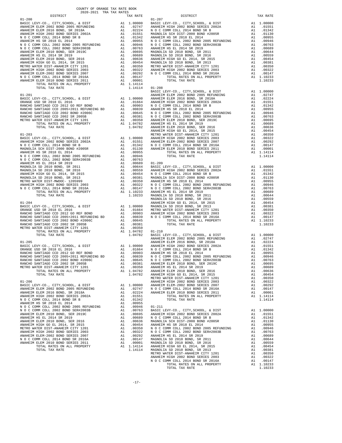| $01 - 200$                                                               |    |                        | $01 - 207$                |
|--------------------------------------------------------------------------|----|------------------------|---------------------------|
|                                                                          |    |                        |                           |
|                                                                          |    |                        |                           |
|                                                                          |    |                        |                           |
|                                                                          |    |                        |                           |
|                                                                          |    |                        |                           |
|                                                                          |    |                        |                           |
|                                                                          |    |                        |                           |
|                                                                          |    |                        |                           |
|                                                                          |    |                        |                           |
|                                                                          |    |                        |                           |
|                                                                          |    |                        |                           |
|                                                                          |    |                        |                           |
|                                                                          |    |                        |                           |
| TOTAL TAX RATE                                                           |    | 1.14114                | $01 - 208$                |
|                                                                          |    |                        | BASIC L                   |
| $01 - 201$                                                               |    |                        | ANAHEIM                   |
|                                                                          |    |                        |                           |
|                                                                          |    |                        |                           |
|                                                                          |    |                        |                           |
|                                                                          |    |                        |                           |
|                                                                          |    |                        |                           |
|                                                                          |    |                        |                           |
|                                                                          |    |                        | ANAHEIM                   |
| $01 - 203$                                                               |    |                        | METRO W                   |
|                                                                          |    |                        |                           |
|                                                                          |    |                        |                           |
|                                                                          |    |                        |                           |
|                                                                          |    |                        |                           |
|                                                                          |    |                        |                           |
|                                                                          |    |                        |                           |
|                                                                          |    |                        |                           |
|                                                                          |    |                        |                           |
|                                                                          |    |                        |                           |
|                                                                          |    |                        |                           |
|                                                                          |    |                        |                           |
|                                                                          |    |                        |                           |
|                                                                          |    |                        |                           |
|                                                                          |    |                        | MAGNOLI                   |
| $01 - 204$                                                               |    |                        | ANAHEIM                   |
|                                                                          |    |                        |                           |
|                                                                          |    |                        |                           |
|                                                                          |    |                        |                           |
|                                                                          |    |                        |                           |
|                                                                          |    |                        |                           |
|                                                                          |    |                        |                           |
| TOTAL TAX RATE                                                           |    | 1.04782                | BASIC L<br><b>ANAHEIM</b> |
| $01 - 205$                                                               |    |                        | ANAHEIM                   |
|                                                                          |    |                        |                           |
|                                                                          |    |                        |                           |
|                                                                          |    |                        |                           |
|                                                                          |    |                        |                           |
|                                                                          |    |                        |                           |
| TOTAL RATES ON ALL PROPERTY                                              | A1 |                        | 1.04782 ANAHEIM           |
| TOTAL TAX RATE                                                           |    | 1.04782                | ANAHEIM                   |
|                                                                          |    |                        | METRO W                   |
| $01 - 206$<br>BASIC LEVY-CO., CITY, SCHOOL, & DIST                       |    | A1 1.00000             | ANAHEIM                   |
| ANAHEIM ELEM 2002 BOND 2005 REFUNDING                                    |    | A1.02747               | ANAHEIM<br>N O C C        |
| ANAHEIM ELEM 2016 BOND, SR 2018A                                         | A1 | .02224                 | ANAHEIM                   |
| ANAHEIM HIGH 2002 BOND SERIES 2002A                                      | A1 | .01551                 |                           |
| N O C COMM COLL 2014 BOND SR B<br>ANAHEIM HS SR 2018 EL 2014             |    | A1 .01342<br>A1 .00955 |                           |
| N O C COMM COLL 2002 BOND 2005 REFUNDING                                 |    |                        |                           |
| N O C COMM COLL 2002 BOND SER#2003B                                      |    |                        |                           |
| ANAHEIM ELEM 2010 BOND, SER 2019C<br>ANAHEIM HS EL 2014 SR 2019          |    |                        |                           |
| ANAHEIM ELEM 2010 BOND, SER 2016                                         |    |                        |                           |
| ANAHEIM HIGH GO EL 2014, SR 2015                                         |    |                        |                           |
| METRO WATER DIST-ANAHEIM CITY 1201                                       |    |                        |                           |
| ANAHEIM HIGH 2002 BOND SERIES 2003<br>ANAHEIM ELEM-2002 BOND SERIES 2007 |    |                        |                           |
| N O C COMM COLL 2014 BOND SR 2016A                                       |    |                        |                           |
| ANAHEIM ELEM 2010 BOND SERIES 2011                                       |    |                        |                           |
| TOTAL RATES ON ALL PROPERTY                                              |    |                        |                           |
| TOTAL TAX RATE                                                           |    |                        |                           |

| COUNTY OF ORANGE TAX RATE BOOK<br>2020–2021 הסד מחד במס<br>$\begin{minipage}{.03\textwidth} \begin{tabular}{l} \multicolumn{2}{c}{\textwidth} \end{tabular} \begin{tabular}{l} \multicolumn{2}{c}{\textwidth} \end{tabular} \begin{tabular}{l} \multicolumn{2}{c}{\textwidth} \end{tabular} \begin{tabular}{l} \multicolumn{2}{c}{\textwidth} \end{tabular} \begin{tabular}{l} \multicolumn{2}{c}{\textwidth} \end{tabular} \begin{tabular}{l} \multicolumn{2}{c}{\textwidth} \end{tabular} \begin{tabular}{l} \multicolumn{2}{c}{\textwidth} \end{tabular} \begin{tabular}{l} \multicolumn{2}{c}{$ |          |          |          |
|-----------------------------------------------------------------------------------------------------------------------------------------------------------------------------------------------------------------------------------------------------------------------------------------------------------------------------------------------------------------------------------------------------------------------------------------------------------------------------------------------------------------------------------------------------------------------------------------------------|----------|----------|----------|
|                                                                                                                                                                                                                                                                                                                                                                                                                                                                                                                                                                                                     | TAX RATE | DISTRICT | TAX RATE |
|                                                                                                                                                                                                                                                                                                                                                                                                                                                                                                                                                                                                     |          |          |          |
|                                                                                                                                                                                                                                                                                                                                                                                                                                                                                                                                                                                                     |          |          |          |
|                                                                                                                                                                                                                                                                                                                                                                                                                                                                                                                                                                                                     |          |          |          |
|                                                                                                                                                                                                                                                                                                                                                                                                                                                                                                                                                                                                     |          |          |          |
|                                                                                                                                                                                                                                                                                                                                                                                                                                                                                                                                                                                                     |          |          |          |
|                                                                                                                                                                                                                                                                                                                                                                                                                                                                                                                                                                                                     |          |          |          |
|                                                                                                                                                                                                                                                                                                                                                                                                                                                                                                                                                                                                     |          |          |          |
|                                                                                                                                                                                                                                                                                                                                                                                                                                                                                                                                                                                                     |          |          |          |
|                                                                                                                                                                                                                                                                                                                                                                                                                                                                                                                                                                                                     |          |          |          |
|                                                                                                                                                                                                                                                                                                                                                                                                                                                                                                                                                                                                     |          |          |          |
|                                                                                                                                                                                                                                                                                                                                                                                                                                                                                                                                                                                                     |          |          |          |
|                                                                                                                                                                                                                                                                                                                                                                                                                                                                                                                                                                                                     |          |          |          |
|                                                                                                                                                                                                                                                                                                                                                                                                                                                                                                                                                                                                     |          |          |          |
|                                                                                                                                                                                                                                                                                                                                                                                                                                                                                                                                                                                                     |          |          |          |
|                                                                                                                                                                                                                                                                                                                                                                                                                                                                                                                                                                                                     |          |          |          |
|                                                                                                                                                                                                                                                                                                                                                                                                                                                                                                                                                                                                     |          |          |          |
|                                                                                                                                                                                                                                                                                                                                                                                                                                                                                                                                                                                                     |          |          |          |
|                                                                                                                                                                                                                                                                                                                                                                                                                                                                                                                                                                                                     |          |          |          |
|                                                                                                                                                                                                                                                                                                                                                                                                                                                                                                                                                                                                     |          |          |          |
|                                                                                                                                                                                                                                                                                                                                                                                                                                                                                                                                                                                                     |          |          |          |
|                                                                                                                                                                                                                                                                                                                                                                                                                                                                                                                                                                                                     |          |          |          |
|                                                                                                                                                                                                                                                                                                                                                                                                                                                                                                                                                                                                     |          |          |          |
|                                                                                                                                                                                                                                                                                                                                                                                                                                                                                                                                                                                                     |          |          |          |
|                                                                                                                                                                                                                                                                                                                                                                                                                                                                                                                                                                                                     |          |          |          |
|                                                                                                                                                                                                                                                                                                                                                                                                                                                                                                                                                                                                     |          |          |          |
|                                                                                                                                                                                                                                                                                                                                                                                                                                                                                                                                                                                                     |          |          |          |
|                                                                                                                                                                                                                                                                                                                                                                                                                                                                                                                                                                                                     |          |          |          |
|                                                                                                                                                                                                                                                                                                                                                                                                                                                                                                                                                                                                     |          |          |          |
|                                                                                                                                                                                                                                                                                                                                                                                                                                                                                                                                                                                                     |          |          |          |
|                                                                                                                                                                                                                                                                                                                                                                                                                                                                                                                                                                                                     |          |          |          |
|                                                                                                                                                                                                                                                                                                                                                                                                                                                                                                                                                                                                     |          |          |          |
|                                                                                                                                                                                                                                                                                                                                                                                                                                                                                                                                                                                                     |          |          |          |
|                                                                                                                                                                                                                                                                                                                                                                                                                                                                                                                                                                                                     |          |          |          |
|                                                                                                                                                                                                                                                                                                                                                                                                                                                                                                                                                                                                     |          |          |          |
|                                                                                                                                                                                                                                                                                                                                                                                                                                                                                                                                                                                                     |          |          |          |
|                                                                                                                                                                                                                                                                                                                                                                                                                                                                                                                                                                                                     |          |          |          |
|                                                                                                                                                                                                                                                                                                                                                                                                                                                                                                                                                                                                     |          |          |          |
|                                                                                                                                                                                                                                                                                                                                                                                                                                                                                                                                                                                                     |          |          |          |
| $\begin{tabular}{c cccc} \multicolumn{4}{c}{\textbf{1.04762}} & \multicolumn{4}{c}{\textbf{1.04762}} & \multicolumn{4}{c}{\textbf{1.04762}} & \multicolumn{4}{c}{\textbf{1.04762}} & \multicolumn{4}{c}{\textbf{1.04762}} & \multicolumn{4}{c}{\textbf{1.04782}} & \multicolumn{4}{c}{\textbf{1.04782}} & \multicolumn{4}{c}{\textbf{1.04782}} & \multicolumn{4}{c}{\textbf{1.04782}} & \multicolumn{4}{c}{\textbf$                                                                                                                                                                                 |          |          |          |
|                                                                                                                                                                                                                                                                                                                                                                                                                                                                                                                                                                                                     |          |          |          |
|                                                                                                                                                                                                                                                                                                                                                                                                                                                                                                                                                                                                     |          |          |          |
|                                                                                                                                                                                                                                                                                                                                                                                                                                                                                                                                                                                                     |          |          |          |
|                                                                                                                                                                                                                                                                                                                                                                                                                                                                                                                                                                                                     |          |          |          |
|                                                                                                                                                                                                                                                                                                                                                                                                                                                                                                                                                                                                     |          |          |          |
|                                                                                                                                                                                                                                                                                                                                                                                                                                                                                                                                                                                                     |          |          |          |
|                                                                                                                                                                                                                                                                                                                                                                                                                                                                                                                                                                                                     |          |          |          |
|                                                                                                                                                                                                                                                                                                                                                                                                                                                                                                                                                                                                     |          |          |          |
|                                                                                                                                                                                                                                                                                                                                                                                                                                                                                                                                                                                                     |          |          |          |
|                                                                                                                                                                                                                                                                                                                                                                                                                                                                                                                                                                                                     |          |          |          |
|                                                                                                                                                                                                                                                                                                                                                                                                                                                                                                                                                                                                     |          |          |          |
|                                                                                                                                                                                                                                                                                                                                                                                                                                                                                                                                                                                                     |          |          |          |
|                                                                                                                                                                                                                                                                                                                                                                                                                                                                                                                                                                                                     |          |          |          |
|                                                                                                                                                                                                                                                                                                                                                                                                                                                                                                                                                                                                     |          |          |          |
|                                                                                                                                                                                                                                                                                                                                                                                                                                                                                                                                                                                                     |          |          |          |
|                                                                                                                                                                                                                                                                                                                                                                                                                                                                                                                                                                                                     |          |          |          |
|                                                                                                                                                                                                                                                                                                                                                                                                                                                                                                                                                                                                     |          |          |          |
|                                                                                                                                                                                                                                                                                                                                                                                                                                                                                                                                                                                                     |          |          |          |
|                                                                                                                                                                                                                                                                                                                                                                                                                                                                                                                                                                                                     |          |          |          |
|                                                                                                                                                                                                                                                                                                                                                                                                                                                                                                                                                                                                     |          |          |          |
|                                                                                                                                                                                                                                                                                                                                                                                                                                                                                                                                                                                                     |          |          |          |
|                                                                                                                                                                                                                                                                                                                                                                                                                                                                                                                                                                                                     |          |          |          |
|                                                                                                                                                                                                                                                                                                                                                                                                                                                                                                                                                                                                     |          |          |          |
| $\begin{tabular}{cccccccc} \textbf{RAMSEID} & \textbf{RAMSEID} & \textbf{MAMSEID} & \textbf{MAMSEID} & \textbf{MAMSEID} & \textbf{MAMSEID} & \textbf{MAMSEID} & \textbf{MAMSEID} & \textbf{MAMSEID} & \textbf{MAMSEID} & \textbf{MAMSEID} & \textbf{MAMSEID} & \textbf{MAMSEID} & \textbf{MAMSEID} & \textbf{MAMSEID} & \textbf{MAMSEID} & \textbf{MAMSEID} & \textbf{MAMSEID} & \textbf{MAMSEID} & \textbf{MAMSEID} & \textbf{MAMSEID} & \$                                                                                                                                                        |          |          | 1.10233  |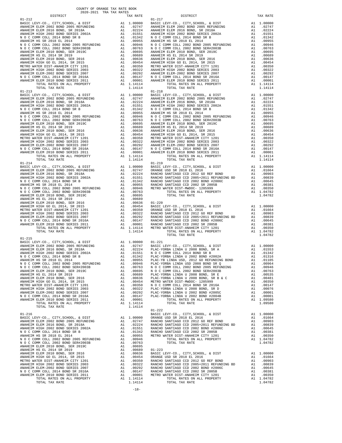| COUNTY OF ORANGE TAX RATE BOOK<br>$2020-2021 \quad \text{TRA RATE} \label{eq:1}$ DISTRICT 2020–2021 TRA TAX RATES |          |            |          |
|-------------------------------------------------------------------------------------------------------------------|----------|------------|----------|
|                                                                                                                   | TAX RATE | DISTRICT   | TAX RATE |
|                                                                                                                   |          | $01 - 217$ |          |
|                                                                                                                   |          |            |          |
|                                                                                                                   |          |            |          |
|                                                                                                                   |          |            |          |
|                                                                                                                   |          |            |          |
|                                                                                                                   |          |            |          |
|                                                                                                                   |          |            |          |
|                                                                                                                   |          |            |          |
|                                                                                                                   |          |            |          |
|                                                                                                                   |          |            |          |
|                                                                                                                   |          |            |          |
|                                                                                                                   |          |            |          |
|                                                                                                                   |          |            |          |
|                                                                                                                   |          |            |          |
|                                                                                                                   |          |            |          |
|                                                                                                                   |          |            |          |
|                                                                                                                   |          |            |          |
|                                                                                                                   |          |            |          |
|                                                                                                                   |          |            |          |
|                                                                                                                   |          |            |          |
|                                                                                                                   |          |            |          |
|                                                                                                                   |          |            |          |
|                                                                                                                   |          |            |          |
|                                                                                                                   |          |            |          |
|                                                                                                                   |          |            |          |
|                                                                                                                   |          |            |          |
|                                                                                                                   |          |            |          |
|                                                                                                                   |          |            |          |
|                                                                                                                   |          |            |          |
|                                                                                                                   |          |            |          |
|                                                                                                                   |          |            |          |
|                                                                                                                   |          |            |          |
|                                                                                                                   |          |            |          |
|                                                                                                                   |          |            |          |
|                                                                                                                   |          |            |          |
|                                                                                                                   |          |            |          |
|                                                                                                                   |          |            |          |
|                                                                                                                   |          |            |          |
|                                                                                                                   |          |            |          |
|                                                                                                                   |          |            |          |
|                                                                                                                   |          |            |          |
|                                                                                                                   |          |            |          |
|                                                                                                                   |          |            |          |
|                                                                                                                   |          |            |          |
|                                                                                                                   |          |            |          |
|                                                                                                                   |          |            |          |
|                                                                                                                   |          |            |          |
|                                                                                                                   |          |            |          |
| $01 - 215$                                                                                                        |          |            |          |
|                                                                                                                   |          |            |          |
|                                                                                                                   |          |            |          |
|                                                                                                                   |          |            |          |
|                                                                                                                   |          |            |          |
|                                                                                                                   |          |            |          |
|                                                                                                                   |          |            |          |
|                                                                                                                   |          |            |          |
|                                                                                                                   |          |            |          |
|                                                                                                                   |          |            |          |
|                                                                                                                   |          |            |          |
|                                                                                                                   |          |            |          |
|                                                                                                                   |          |            |          |
|                                                                                                                   |          |            |          |
|                                                                                                                   |          |            |          |
|                                                                                                                   |          | $01 - 222$ |          |
|                                                                                                                   |          |            |          |
|                                                                                                                   |          |            |          |
|                                                                                                                   |          |            |          |
|                                                                                                                   |          |            |          |
|                                                                                                                   |          |            |          |
|                                                                                                                   |          |            |          |
|                                                                                                                   |          |            |          |
|                                                                                                                   |          |            |          |
|                                                                                                                   |          |            |          |
|                                                                                                                   |          |            |          |
|                                                                                                                   |          |            |          |
|                                                                                                                   |          |            |          |
|                                                                                                                   |          |            |          |
|                                                                                                                   |          |            |          |
|                                                                                                                   |          |            |          |
|                                                                                                                   |          |            |          |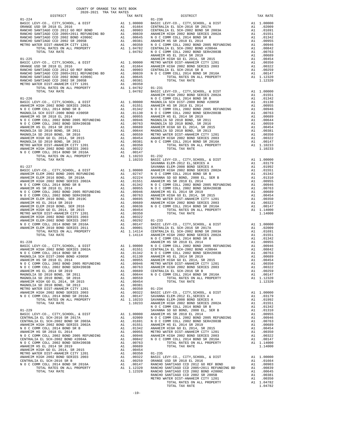| CULUPANG IRA INA RAILO<br>DISTRICT | TAX RATE | DISTRICT | TAX RATE |
|------------------------------------|----------|----------|----------|
|                                    |          |          |          |
|                                    |          |          |          |
|                                    |          |          |          |
|                                    |          |          |          |
|                                    |          |          |          |
|                                    |          |          |          |
|                                    |          |          |          |
|                                    |          |          |          |
|                                    |          |          |          |
|                                    |          |          |          |
|                                    |          |          |          |
|                                    |          |          |          |
|                                    |          |          |          |
|                                    |          |          |          |
|                                    |          |          |          |
|                                    |          |          |          |
|                                    |          |          |          |
|                                    |          |          |          |
|                                    |          |          |          |
|                                    |          |          |          |
|                                    |          |          |          |
|                                    |          |          |          |
|                                    |          |          |          |
|                                    |          |          |          |
|                                    |          |          |          |
|                                    |          |          |          |
|                                    |          |          |          |
|                                    |          |          |          |
|                                    |          |          |          |
|                                    |          |          |          |
|                                    |          |          |          |
|                                    |          |          |          |
|                                    |          |          |          |
|                                    |          |          |          |
|                                    |          |          |          |
|                                    |          |          |          |
|                                    |          |          |          |
|                                    |          |          |          |
|                                    |          |          |          |
|                                    |          |          |          |
|                                    |          |          |          |
|                                    |          |          |          |
|                                    |          |          |          |
|                                    |          |          |          |
|                                    |          |          |          |
|                                    |          |          |          |
|                                    |          |          |          |
|                                    |          |          |          |
|                                    |          |          |          |
|                                    |          |          |          |
|                                    |          |          |          |
|                                    |          |          |          |
|                                    |          |          |          |
|                                    |          |          |          |
|                                    |          |          |          |
|                                    |          |          |          |
|                                    |          |          |          |
|                                    |          |          |          |
|                                    |          |          |          |
|                                    |          |          |          |
|                                    |          |          |          |
|                                    |          |          |          |
|                                    |          |          |          |
|                                    |          |          |          |
|                                    |          |          |          |
|                                    |          |          |          |
|                                    |          |          |          |
|                                    |          |          |          |
|                                    |          |          |          |
|                                    |          |          |          |
|                                    |          |          |          |
|                                    |          |          |          |
|                                    |          |          |          |
|                                    |          |          |          |
|                                    |          |          |          |
|                                    |          |          |          |
|                                    |          |          |          |

## COUNTY OF ORANGE TAX RATE BOOK 2020-2021 TRA TAX RATES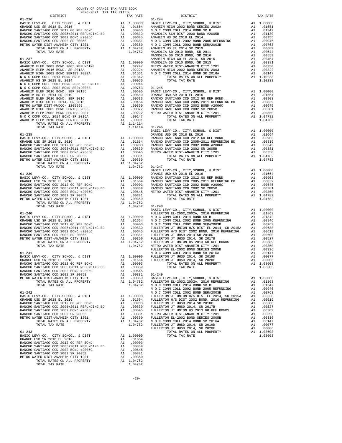| $\begin{minipage}{.4\linewidth} \begin{tabular}{lcccccc} \textbf{1-A} & \textbf{1-A} & \textbf{RATE} & \textbf{B} \\ \textbf{2020-2021} & \textbf{TRA} & \textbf{TAX RATES} \\ \end{tabular} \end{minipage}$                                                                                                                              | TAX RATE | DISTRICT   | TAX RATE |
|-------------------------------------------------------------------------------------------------------------------------------------------------------------------------------------------------------------------------------------------------------------------------------------------------------------------------------------------|----------|------------|----------|
| $01 - 236$                                                                                                                                                                                                                                                                                                                                |          | $01 - 244$ |          |
|                                                                                                                                                                                                                                                                                                                                           |          |            |          |
|                                                                                                                                                                                                                                                                                                                                           |          |            |          |
|                                                                                                                                                                                                                                                                                                                                           |          |            |          |
|                                                                                                                                                                                                                                                                                                                                           |          |            |          |
|                                                                                                                                                                                                                                                                                                                                           |          |            |          |
|                                                                                                                                                                                                                                                                                                                                           |          |            |          |
|                                                                                                                                                                                                                                                                                                                                           |          |            |          |
|                                                                                                                                                                                                                                                                                                                                           |          |            |          |
|                                                                                                                                                                                                                                                                                                                                           |          |            |          |
|                                                                                                                                                                                                                                                                                                                                           |          |            |          |
|                                                                                                                                                                                                                                                                                                                                           |          |            |          |
|                                                                                                                                                                                                                                                                                                                                           |          |            |          |
|                                                                                                                                                                                                                                                                                                                                           |          |            |          |
|                                                                                                                                                                                                                                                                                                                                           |          |            |          |
|                                                                                                                                                                                                                                                                                                                                           |          |            |          |
|                                                                                                                                                                                                                                                                                                                                           |          |            |          |
|                                                                                                                                                                                                                                                                                                                                           |          |            |          |
|                                                                                                                                                                                                                                                                                                                                           |          |            |          |
|                                                                                                                                                                                                                                                                                                                                           |          |            |          |
|                                                                                                                                                                                                                                                                                                                                           |          |            |          |
|                                                                                                                                                                                                                                                                                                                                           |          |            |          |
|                                                                                                                                                                                                                                                                                                                                           |          |            |          |
|                                                                                                                                                                                                                                                                                                                                           |          |            |          |
|                                                                                                                                                                                                                                                                                                                                           |          |            |          |
|                                                                                                                                                                                                                                                                                                                                           |          |            |          |
|                                                                                                                                                                                                                                                                                                                                           |          |            |          |
|                                                                                                                                                                                                                                                                                                                                           |          |            |          |
|                                                                                                                                                                                                                                                                                                                                           |          |            |          |
|                                                                                                                                                                                                                                                                                                                                           |          |            |          |
|                                                                                                                                                                                                                                                                                                                                           |          |            |          |
|                                                                                                                                                                                                                                                                                                                                           |          |            |          |
|                                                                                                                                                                                                                                                                                                                                           |          |            |          |
|                                                                                                                                                                                                                                                                                                                                           |          |            |          |
|                                                                                                                                                                                                                                                                                                                                           |          |            |          |
|                                                                                                                                                                                                                                                                                                                                           |          |            |          |
|                                                                                                                                                                                                                                                                                                                                           |          |            |          |
|                                                                                                                                                                                                                                                                                                                                           |          |            |          |
|                                                                                                                                                                                                                                                                                                                                           |          |            |          |
|                                                                                                                                                                                                                                                                                                                                           |          |            |          |
|                                                                                                                                                                                                                                                                                                                                           |          |            |          |
|                                                                                                                                                                                                                                                                                                                                           |          |            |          |
|                                                                                                                                                                                                                                                                                                                                           |          |            |          |
|                                                                                                                                                                                                                                                                                                                                           |          |            |          |
|                                                                                                                                                                                                                                                                                                                                           |          |            |          |
|                                                                                                                                                                                                                                                                                                                                           |          |            |          |
|                                                                                                                                                                                                                                                                                                                                           |          |            |          |
|                                                                                                                                                                                                                                                                                                                                           |          |            |          |
|                                                                                                                                                                                                                                                                                                                                           |          |            |          |
|                                                                                                                                                                                                                                                                                                                                           |          |            |          |
|                                                                                                                                                                                                                                                                                                                                           |          |            |          |
|                                                                                                                                                                                                                                                                                                                                           |          |            |          |
|                                                                                                                                                                                                                                                                                                                                           |          |            |          |
|                                                                                                                                                                                                                                                                                                                                           |          |            |          |
|                                                                                                                                                                                                                                                                                                                                           |          |            |          |
|                                                                                                                                                                                                                                                                                                                                           |          |            |          |
|                                                                                                                                                                                                                                                                                                                                           |          |            |          |
|                                                                                                                                                                                                                                                                                                                                           |          |            |          |
|                                                                                                                                                                                                                                                                                                                                           |          |            |          |
|                                                                                                                                                                                                                                                                                                                                           |          |            |          |
|                                                                                                                                                                                                                                                                                                                                           |          |            |          |
|                                                                                                                                                                                                                                                                                                                                           |          |            |          |
|                                                                                                                                                                                                                                                                                                                                           |          |            |          |
|                                                                                                                                                                                                                                                                                                                                           |          |            |          |
|                                                                                                                                                                                                                                                                                                                                           |          |            |          |
|                                                                                                                                                                                                                                                                                                                                           |          |            |          |
|                                                                                                                                                                                                                                                                                                                                           |          |            |          |
|                                                                                                                                                                                                                                                                                                                                           |          |            |          |
|                                                                                                                                                                                                                                                                                                                                           |          |            |          |
|                                                                                                                                                                                                                                                                                                                                           |          |            |          |
|                                                                                                                                                                                                                                                                                                                                           |          |            |          |
|                                                                                                                                                                                                                                                                                                                                           |          |            |          |
| $\begin{array}{cccc} 01-241 \mbox{RMS} & 00000 \mbox{S/NMS} \\ 000000 \mbox{S/NMS} & 00000 \mbox{S/NMS} \\ 000000 \mbox{S/NMS} \\ 00000 \mbox{S/NMS} \\ 00000 \mbox{S/NMS} \\ 00000 \mbox{S/NMS} \\ 00000 \mbox{S/NMS} \\ 00000 \mbox{S/NMS} \\ 00000 \mbox{S/NMS} \\ 00000 \mbox{S/NMS} \\ 00000 \mbox{S/NMS} \\ 00000 \mbox{S/NMS} \\ $ |          |            |          |

-20-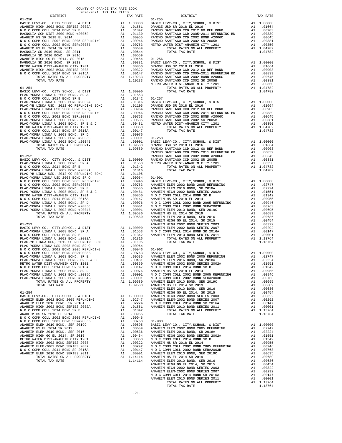| COUNTY OF ORANGE TAX RATE BOOK<br>2020-2021 TRA TAX RATES                                                                                                                                                                                                                                                                                                                                                                                                                                                 |          |                                                                                                                                                          |                                                    |
|-----------------------------------------------------------------------------------------------------------------------------------------------------------------------------------------------------------------------------------------------------------------------------------------------------------------------------------------------------------------------------------------------------------------------------------------------------------------------------------------------------------|----------|----------------------------------------------------------------------------------------------------------------------------------------------------------|----------------------------------------------------|
| DISTRICT                                                                                                                                                                                                                                                                                                                                                                                                                                                                                                  |          | TAX RATE                                                                                                                                                 |                                                    |
|                                                                                                                                                                                                                                                                                                                                                                                                                                                                                                           |          |                                                                                                                                                          |                                                    |
|                                                                                                                                                                                                                                                                                                                                                                                                                                                                                                           |          |                                                                                                                                                          |                                                    |
|                                                                                                                                                                                                                                                                                                                                                                                                                                                                                                           |          |                                                                                                                                                          |                                                    |
|                                                                                                                                                                                                                                                                                                                                                                                                                                                                                                           |          |                                                                                                                                                          |                                                    |
|                                                                                                                                                                                                                                                                                                                                                                                                                                                                                                           |          |                                                                                                                                                          |                                                    |
|                                                                                                                                                                                                                                                                                                                                                                                                                                                                                                           |          |                                                                                                                                                          |                                                    |
|                                                                                                                                                                                                                                                                                                                                                                                                                                                                                                           |          |                                                                                                                                                          |                                                    |
|                                                                                                                                                                                                                                                                                                                                                                                                                                                                                                           |          |                                                                                                                                                          |                                                    |
|                                                                                                                                                                                                                                                                                                                                                                                                                                                                                                           |          |                                                                                                                                                          |                                                    |
|                                                                                                                                                                                                                                                                                                                                                                                                                                                                                                           |          |                                                                                                                                                          |                                                    |
|                                                                                                                                                                                                                                                                                                                                                                                                                                                                                                           |          |                                                                                                                                                          |                                                    |
|                                                                                                                                                                                                                                                                                                                                                                                                                                                                                                           |          |                                                                                                                                                          |                                                    |
|                                                                                                                                                                                                                                                                                                                                                                                                                                                                                                           |          |                                                                                                                                                          |                                                    |
|                                                                                                                                                                                                                                                                                                                                                                                                                                                                                                           |          |                                                                                                                                                          |                                                    |
|                                                                                                                                                                                                                                                                                                                                                                                                                                                                                                           |          |                                                                                                                                                          |                                                    |
| $01 - 251$                                                                                                                                                                                                                                                                                                                                                                                                                                                                                                |          |                                                                                                                                                          |                                                    |
|                                                                                                                                                                                                                                                                                                                                                                                                                                                                                                           |          |                                                                                                                                                          |                                                    |
|                                                                                                                                                                                                                                                                                                                                                                                                                                                                                                           |          |                                                                                                                                                          |                                                    |
|                                                                                                                                                                                                                                                                                                                                                                                                                                                                                                           |          |                                                                                                                                                          |                                                    |
|                                                                                                                                                                                                                                                                                                                                                                                                                                                                                                           |          |                                                                                                                                                          |                                                    |
|                                                                                                                                                                                                                                                                                                                                                                                                                                                                                                           |          |                                                                                                                                                          |                                                    |
|                                                                                                                                                                                                                                                                                                                                                                                                                                                                                                           |          |                                                                                                                                                          |                                                    |
|                                                                                                                                                                                                                                                                                                                                                                                                                                                                                                           |          |                                                                                                                                                          |                                                    |
|                                                                                                                                                                                                                                                                                                                                                                                                                                                                                                           |          |                                                                                                                                                          |                                                    |
|                                                                                                                                                                                                                                                                                                                                                                                                                                                                                                           |          |                                                                                                                                                          |                                                    |
|                                                                                                                                                                                                                                                                                                                                                                                                                                                                                                           |          |                                                                                                                                                          |                                                    |
|                                                                                                                                                                                                                                                                                                                                                                                                                                                                                                           |          |                                                                                                                                                          |                                                    |
|                                                                                                                                                                                                                                                                                                                                                                                                                                                                                                           |          |                                                                                                                                                          |                                                    |
|                                                                                                                                                                                                                                                                                                                                                                                                                                                                                                           |          |                                                                                                                                                          |                                                    |
|                                                                                                                                                                                                                                                                                                                                                                                                                                                                                                           |          |                                                                                                                                                          |                                                    |
| $01 - 252$                                                                                                                                                                                                                                                                                                                                                                                                                                                                                                |          |                                                                                                                                                          | RANCHO                                             |
| $\begin{tabular}{lllllllllllll} \multicolumn{4}{c}{\textbf{LADCL}} & $\textbf{LU} = \textbf{V} \times \textbf{V} \times \textbf{V} \times \textbf{V} \times \textbf{V} \times \textbf{V} \times \textbf{V} \times \textbf{V} \times \textbf{V} \times \textbf{V} \times \textbf{V} \times \textbf{V} \times \textbf{V} \times \textbf{V} \times \textbf{V} \times \textbf{V} \times \textbf{V} \times \textbf{V} \times \textbf{V} \times \textbf{V} \times \textbf{V} \times \textbf{V} \times \textbf{$ |          |                                                                                                                                                          |                                                    |
|                                                                                                                                                                                                                                                                                                                                                                                                                                                                                                           |          |                                                                                                                                                          |                                                    |
|                                                                                                                                                                                                                                                                                                                                                                                                                                                                                                           |          |                                                                                                                                                          |                                                    |
|                                                                                                                                                                                                                                                                                                                                                                                                                                                                                                           |          |                                                                                                                                                          |                                                    |
|                                                                                                                                                                                                                                                                                                                                                                                                                                                                                                           |          |                                                                                                                                                          |                                                    |
|                                                                                                                                                                                                                                                                                                                                                                                                                                                                                                           |          |                                                                                                                                                          |                                                    |
|                                                                                                                                                                                                                                                                                                                                                                                                                                                                                                           |          |                                                                                                                                                          |                                                    |
|                                                                                                                                                                                                                                                                                                                                                                                                                                                                                                           |          |                                                                                                                                                          |                                                    |
|                                                                                                                                                                                                                                                                                                                                                                                                                                                                                                           |          |                                                                                                                                                          |                                                    |
|                                                                                                                                                                                                                                                                                                                                                                                                                                                                                                           |          |                                                                                                                                                          |                                                    |
|                                                                                                                                                                                                                                                                                                                                                                                                                                                                                                           |          |                                                                                                                                                          |                                                    |
|                                                                                                                                                                                                                                                                                                                                                                                                                                                                                                           |          |                                                                                                                                                          |                                                    |
|                                                                                                                                                                                                                                                                                                                                                                                                                                                                                                           |          |                                                                                                                                                          |                                                    |
|                                                                                                                                                                                                                                                                                                                                                                                                                                                                                                           |          |                                                                                                                                                          |                                                    |
|                                                                                                                                                                                                                                                                                                                                                                                                                                                                                                           |          |                                                                                                                                                          | ANAHEIM                                            |
|                                                                                                                                                                                                                                                                                                                                                                                                                                                                                                           |          |                                                                                                                                                          |                                                    |
|                                                                                                                                                                                                                                                                                                                                                                                                                                                                                                           |          |                                                                                                                                                          |                                                    |
|                                                                                                                                                                                                                                                                                                                                                                                                                                                                                                           |          |                                                                                                                                                          |                                                    |
|                                                                                                                                                                                                                                                                                                                                                                                                                                                                                                           |          |                                                                                                                                                          |                                                    |
|                                                                                                                                                                                                                                                                                                                                                                                                                                                                                                           |          |                                                                                                                                                          |                                                    |
|                                                                                                                                                                                                                                                                                                                                                                                                                                                                                                           |          |                                                                                                                                                          |                                                    |
|                                                                                                                                                                                                                                                                                                                                                                                                                                                                                                           |          |                                                                                                                                                          |                                                    |
|                                                                                                                                                                                                                                                                                                                                                                                                                                                                                                           |          |                                                                                                                                                          |                                                    |
|                                                                                                                                                                                                                                                                                                                                                                                                                                                                                                           |          |                                                                                                                                                          |                                                    |
| PLAC-YORBA LINDA U 2008 BOND, SR B & C                                                                                                                                                                                                                                                                                                                                                                                                                                                                    |          | A1 .00481                                                                                                                                                | ANAHEIM                                            |
| METRO WATER DIST-ANAHEIM CITY 1201<br>N O C COMM COLL 2014 BOND SR 2016A                                                                                                                                                                                                                                                                                                                                                                                                                                  |          |                                                                                                                                                          |                                                    |
| PLAC-YORBA LINDA U 2008 BOND, SR D                                                                                                                                                                                                                                                                                                                                                                                                                                                                        |          |                                                                                                                                                          |                                                    |
| PLAC-YORBA LINDA U 2002 BOND #2005C                                                                                                                                                                                                                                                                                                                                                                                                                                                                       |          |                                                                                                                                                          |                                                    |
| PLAC-YORBA LINDA U 2002 BOND #2004B                                                                                                                                                                                                                                                                                                                                                                                                                                                                       |          | A1 .00350 ANAHEIM<br>A1 .00147 N 0 C C<br>A1 .00076 ANAHEIM<br>A1 .00001 N 0 C C<br>A1 .00001 N 0 C C                                                    |                                                    |
| TOTAL RATES ON ALL PROPERTY                                                                                                                                                                                                                                                                                                                                                                                                                                                                               |          | A1 1.09580                                                                                                                                               | ANAHEIM                                            |
| TOTAL TAX RATE                                                                                                                                                                                                                                                                                                                                                                                                                                                                                            |          | 1.09580                                                                                                                                                  | <b>ANAHEIM</b>                                     |
| $01 - 254$                                                                                                                                                                                                                                                                                                                                                                                                                                                                                                |          |                                                                                                                                                          | ANAHEIM<br>ANAHEIM                                 |
| BASIC LEVY-CO., CITY, SCHOOL, & DIST                                                                                                                                                                                                                                                                                                                                                                                                                                                                      |          |                                                                                                                                                          |                                                    |
| ANAHEIM ELEM 2002 BOND 2005 REFUNDING                                                                                                                                                                                                                                                                                                                                                                                                                                                                     |          | A1 1.00000 ANAHEIM<br>A1 .02747 ANAHEIM<br>A1 .02224 NOCC<br>A1 .01551 ANAHEIM                                                                           |                                                    |
| ANAHEIM ELEM 2016 BOND, SR 2018A                                                                                                                                                                                                                                                                                                                                                                                                                                                                          |          |                                                                                                                                                          |                                                    |
| ANAHEIM HIGH 2002 BOND SERIES 2002A                                                                                                                                                                                                                                                                                                                                                                                                                                                                       |          |                                                                                                                                                          |                                                    |
| N O C COMM COLL 2014 BOND SR B<br>ANAHEIM HS SR 2018 EL 2014                                                                                                                                                                                                                                                                                                                                                                                                                                              | A1<br>A1 | .01342                                                                                                                                                   |                                                    |
| N O C COMM COLL 2002 BOND 2005 REFUNDING                                                                                                                                                                                                                                                                                                                                                                                                                                                                  |          | .00955<br>A1.00946                                                                                                                                       |                                                    |
| N O C COMM COLL 2002 BOND SER#2003B                                                                                                                                                                                                                                                                                                                                                                                                                                                                       |          | A1 .00763 01-903                                                                                                                                         |                                                    |
| ANAHEIM ELEM 2010 BOND, SER 2019C                                                                                                                                                                                                                                                                                                                                                                                                                                                                         |          | A1 .00695                                                                                                                                                | BASIC L                                            |
| ANAHEIM HS EL 2014 SR 2019                                                                                                                                                                                                                                                                                                                                                                                                                                                                                |          | A1.00689                                                                                                                                                 | .00689 ANAHEIM<br>.00636 ANAHEIM<br>.00454 ANAHEIM |
| ANAHEIM ELEM 2010 BOND, SER 2016                                                                                                                                                                                                                                                                                                                                                                                                                                                                          | A1       |                                                                                                                                                          |                                                    |
| ANAHEIM HIGH GO EL 2014, SR 2015<br>METRO WATER DIST-ANAHEIM CITY 1201                                                                                                                                                                                                                                                                                                                                                                                                                                    | A1       |                                                                                                                                                          |                                                    |
| ANAHEIM HIGH 2002 BOND SERIES 2003                                                                                                                                                                                                                                                                                                                                                                                                                                                                        |          |                                                                                                                                                          |                                                    |
| ANAHEIM ELEM-2002 BOND SERIES 2007                                                                                                                                                                                                                                                                                                                                                                                                                                                                        |          |                                                                                                                                                          |                                                    |
| N O C COMM COLL 2014 BOND SR 2016A                                                                                                                                                                                                                                                                                                                                                                                                                                                                        |          |                                                                                                                                                          |                                                    |
| ANAHEIM ELEM 2010 BOND SERIES 2011                                                                                                                                                                                                                                                                                                                                                                                                                                                                        |          |                                                                                                                                                          |                                                    |
| TOTAL RATES ON ALL PROPERTY                                                                                                                                                                                                                                                                                                                                                                                                                                                                               |          | A1 .00350 NOCCORRELATED NO CONTRETE<br>A1 .00322 NAHELM<br>A1 .00322 NOCCORRELATED<br>A1 .000147 NOCCORRELATED<br>A1 .00001 NAHELM<br>A1 1.14114 ANAHELM |                                                    |
| TOTAL TAX RATE                                                                                                                                                                                                                                                                                                                                                                                                                                                                                            |          |                                                                                                                                                          | ANAHEIM                                            |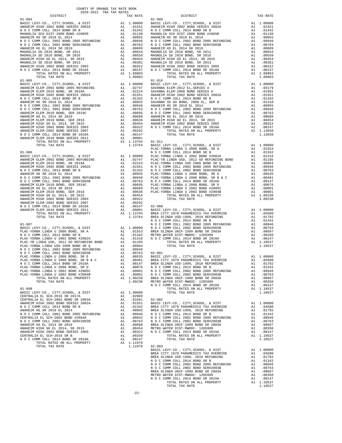| TOTAL TAX RATE                                                         |    | 1.09883                                                                                                                                                                           |                       |
|------------------------------------------------------------------------|----|-----------------------------------------------------------------------------------------------------------------------------------------------------------------------------------|-----------------------|
| $01 - 905$                                                             |    |                                                                                                                                                                                   | $01 - 910$            |
|                                                                        |    |                                                                                                                                                                                   |                       |
|                                                                        |    |                                                                                                                                                                                   |                       |
|                                                                        |    |                                                                                                                                                                                   |                       |
|                                                                        |    |                                                                                                                                                                                   |                       |
|                                                                        |    |                                                                                                                                                                                   |                       |
|                                                                        |    |                                                                                                                                                                                   |                       |
|                                                                        |    |                                                                                                                                                                                   |                       |
|                                                                        |    |                                                                                                                                                                                   |                       |
|                                                                        |    |                                                                                                                                                                                   |                       |
|                                                                        |    |                                                                                                                                                                                   |                       |
|                                                                        |    |                                                                                                                                                                                   |                       |
|                                                                        |    |                                                                                                                                                                                   |                       |
|                                                                        |    |                                                                                                                                                                                   |                       |
|                                                                        |    |                                                                                                                                                                                   |                       |
|                                                                        |    |                                                                                                                                                                                   | PLAC-YO               |
| $01 - 906$                                                             |    |                                                                                                                                                                                   | NOCC                  |
|                                                                        |    |                                                                                                                                                                                   |                       |
|                                                                        |    |                                                                                                                                                                                   |                       |
|                                                                        |    |                                                                                                                                                                                   |                       |
|                                                                        |    |                                                                                                                                                                                   |                       |
|                                                                        |    |                                                                                                                                                                                   |                       |
|                                                                        |    |                                                                                                                                                                                   |                       |
|                                                                        |    |                                                                                                                                                                                   |                       |
|                                                                        |    |                                                                                                                                                                                   |                       |
|                                                                        |    |                                                                                                                                                                                   |                       |
|                                                                        |    |                                                                                                                                                                                   |                       |
|                                                                        |    |                                                                                                                                                                                   |                       |
|                                                                        |    |                                                                                                                                                                                   |                       |
|                                                                        |    |                                                                                                                                                                                   |                       |
|                                                                        |    |                                                                                                                                                                                   |                       |
|                                                                        |    |                                                                                                                                                                                   |                       |
|                                                                        |    |                                                                                                                                                                                   |                       |
| $01 - 907$                                                             |    |                                                                                                                                                                                   | NOCC<br>N O C C       |
|                                                                        |    |                                                                                                                                                                                   |                       |
|                                                                        |    |                                                                                                                                                                                   |                       |
|                                                                        |    |                                                                                                                                                                                   |                       |
|                                                                        |    |                                                                                                                                                                                   |                       |
|                                                                        |    |                                                                                                                                                                                   |                       |
|                                                                        |    |                                                                                                                                                                                   |                       |
|                                                                        |    |                                                                                                                                                                                   |                       |
|                                                                        |    |                                                                                                                                                                                   |                       |
|                                                                        |    |                                                                                                                                                                                   |                       |
|                                                                        |    |                                                                                                                                                                                   |                       |
|                                                                        |    |                                                                                                                                                                                   |                       |
|                                                                        |    |                                                                                                                                                                                   |                       |
| PLAC-YORBA LINDA U 2002 BOND #2004B<br>TOTAL RATES ON ALL PROPERTY     |    | A1 .00001 NOCC<br>A1 1.09230                                                                                                                                                      | BREA OL               |
| TOTAL TAX RATE                                                         |    | 1.09230                                                                                                                                                                           | METRO W               |
|                                                                        |    |                                                                                                                                                                                   | NOCC                  |
| $01 - 908$                                                             | A1 | 1.00000                                                                                                                                                                           |                       |
| BASIC LEVY-CO., CITY, SCHOOL, & DIST<br>CENTRALIA EL SCH-2016 SR 2017A |    | A1 .02009                                                                                                                                                                         |                       |
| CENTRALIA EL SCH-2002 BOND SR 2003A                                    |    | A1.01691                                                                                                                                                                          | $02 - 002$            |
| ANAHEIM HIGH 2002 BOND SERIES 2002A                                    |    | A1 .01551 BASIC L<br>A1 .01551 BASIC L<br>A1 .01342 BREA CL<br>A1 .00946 NOCC<br>A1 .00842 NOCC<br>A1 .00689 BREA OL<br>A1 .00689 BREA OL<br>A1 .00454 METRON<br>A1 .00454 METRON | BASIC L               |
| N O C COMM COLL 2014 BOND SR B                                         |    |                                                                                                                                                                                   |                       |
| ANAHEIM HS SR 2018 EL 2014                                             |    |                                                                                                                                                                                   |                       |
| N O C COMM COLL 2002 BOND 2005 REFUNDING                               |    |                                                                                                                                                                                   |                       |
| CENTRALIA EL SCH-2002 BOND #2004A                                      |    |                                                                                                                                                                                   |                       |
| N O C COMM COLL 2002 BOND SER#2003B<br>ANAHEIM HS EL 2014 SR 2019      |    |                                                                                                                                                                                   |                       |
| ANAHEIM HIGH GO EL 2014, SR 2015                                       |    |                                                                                                                                                                                   |                       |
| ANAHEIM HIGH 2002 BOND SERIES 2003                                     | A1 | .00322                                                                                                                                                                            | N O C C               |
| CENTRALIA EL SCH-2016 SR B                                             | A1 | .00259                                                                                                                                                                            |                       |
| N O C COMM COLL 2014 BOND SR 2016A                                     | A1 | .00147                                                                                                                                                                            |                       |
| TOTAL RATES ON ALL PROPERTY                                            |    | A1 1.11970                                                                                                                                                                        |                       |
| TOTAL TAX RATE                                                         |    | 1.11970                                                                                                                                                                           | $02 - 003$<br>BASIC L |
|                                                                        |    |                                                                                                                                                                                   | RPFA CT               |

| $\begin{minipage}{0.5\textwidth} \begin{tabular}{lcccccc} \textbf{1} & \textbf{1} & \textbf{1} & \textbf{1} & \textbf{1} & \textbf{1} & \textbf{1} & \textbf{1} & \textbf{1} & \textbf{1} & \textbf{1} & \textbf{1} & \textbf{1} & \textbf{1} & \textbf{1} & \textbf{1} & \textbf{1} & \textbf{1} & \textbf{1} & \textbf{1} & \textbf{1} & \textbf{1} & \textbf{1} & \textbf{1} & \textbf{1} & \textbf{1} & \textbf{1} & \textbf{1} &$<br>DISTRICT<br>TAX RATE<br>TAX RATE<br>$01 - 909$ |
|------------------------------------------------------------------------------------------------------------------------------------------------------------------------------------------------------------------------------------------------------------------------------------------------------------------------------------------------------------------------------------------------------------------------------------------------------------------------------------------|
|                                                                                                                                                                                                                                                                                                                                                                                                                                                                                          |
|                                                                                                                                                                                                                                                                                                                                                                                                                                                                                          |
|                                                                                                                                                                                                                                                                                                                                                                                                                                                                                          |
|                                                                                                                                                                                                                                                                                                                                                                                                                                                                                          |
|                                                                                                                                                                                                                                                                                                                                                                                                                                                                                          |
|                                                                                                                                                                                                                                                                                                                                                                                                                                                                                          |
|                                                                                                                                                                                                                                                                                                                                                                                                                                                                                          |
|                                                                                                                                                                                                                                                                                                                                                                                                                                                                                          |
|                                                                                                                                                                                                                                                                                                                                                                                                                                                                                          |
|                                                                                                                                                                                                                                                                                                                                                                                                                                                                                          |
|                                                                                                                                                                                                                                                                                                                                                                                                                                                                                          |
|                                                                                                                                                                                                                                                                                                                                                                                                                                                                                          |
|                                                                                                                                                                                                                                                                                                                                                                                                                                                                                          |
|                                                                                                                                                                                                                                                                                                                                                                                                                                                                                          |
|                                                                                                                                                                                                                                                                                                                                                                                                                                                                                          |
|                                                                                                                                                                                                                                                                                                                                                                                                                                                                                          |
|                                                                                                                                                                                                                                                                                                                                                                                                                                                                                          |
|                                                                                                                                                                                                                                                                                                                                                                                                                                                                                          |
|                                                                                                                                                                                                                                                                                                                                                                                                                                                                                          |
|                                                                                                                                                                                                                                                                                                                                                                                                                                                                                          |
|                                                                                                                                                                                                                                                                                                                                                                                                                                                                                          |
|                                                                                                                                                                                                                                                                                                                                                                                                                                                                                          |
|                                                                                                                                                                                                                                                                                                                                                                                                                                                                                          |
|                                                                                                                                                                                                                                                                                                                                                                                                                                                                                          |
|                                                                                                                                                                                                                                                                                                                                                                                                                                                                                          |
|                                                                                                                                                                                                                                                                                                                                                                                                                                                                                          |
|                                                                                                                                                                                                                                                                                                                                                                                                                                                                                          |
|                                                                                                                                                                                                                                                                                                                                                                                                                                                                                          |
|                                                                                                                                                                                                                                                                                                                                                                                                                                                                                          |
|                                                                                                                                                                                                                                                                                                                                                                                                                                                                                          |
|                                                                                                                                                                                                                                                                                                                                                                                                                                                                                          |
|                                                                                                                                                                                                                                                                                                                                                                                                                                                                                          |
|                                                                                                                                                                                                                                                                                                                                                                                                                                                                                          |
|                                                                                                                                                                                                                                                                                                                                                                                                                                                                                          |
|                                                                                                                                                                                                                                                                                                                                                                                                                                                                                          |
|                                                                                                                                                                                                                                                                                                                                                                                                                                                                                          |
|                                                                                                                                                                                                                                                                                                                                                                                                                                                                                          |
|                                                                                                                                                                                                                                                                                                                                                                                                                                                                                          |
|                                                                                                                                                                                                                                                                                                                                                                                                                                                                                          |
|                                                                                                                                                                                                                                                                                                                                                                                                                                                                                          |
|                                                                                                                                                                                                                                                                                                                                                                                                                                                                                          |
|                                                                                                                                                                                                                                                                                                                                                                                                                                                                                          |
|                                                                                                                                                                                                                                                                                                                                                                                                                                                                                          |
|                                                                                                                                                                                                                                                                                                                                                                                                                                                                                          |
|                                                                                                                                                                                                                                                                                                                                                                                                                                                                                          |
|                                                                                                                                                                                                                                                                                                                                                                                                                                                                                          |
|                                                                                                                                                                                                                                                                                                                                                                                                                                                                                          |
|                                                                                                                                                                                                                                                                                                                                                                                                                                                                                          |
|                                                                                                                                                                                                                                                                                                                                                                                                                                                                                          |
|                                                                                                                                                                                                                                                                                                                                                                                                                                                                                          |
|                                                                                                                                                                                                                                                                                                                                                                                                                                                                                          |
|                                                                                                                                                                                                                                                                                                                                                                                                                                                                                          |
|                                                                                                                                                                                                                                                                                                                                                                                                                                                                                          |
|                                                                                                                                                                                                                                                                                                                                                                                                                                                                                          |
|                                                                                                                                                                                                                                                                                                                                                                                                                                                                                          |
|                                                                                                                                                                                                                                                                                                                                                                                                                                                                                          |
|                                                                                                                                                                                                                                                                                                                                                                                                                                                                                          |
| $[1.00000 \times 10000 \times 10000] \times \text{R} \cdot \text{B} \cdot \text{R} \cdot \text{C} \cdot \text{C} \cdot \text{C} \cdot \text{C} \cdot \text{C} \cdot \text{C} \cdot \text{C} \cdot \text{C} \cdot \text{C} \cdot \text{C} \cdot \text{C} \cdot \text{C} \cdot \text{C} \cdot \text{C} \cdot \text{C} \cdot \text{C} \cdot \text{C} \cdot \text{D} \cdot \text{D} \cdot \text{D} \cdot \text{D} \cdot \text{D} \cdot \text{D} \cdot \text{D} \cdot \text{D$                |
|                                                                                                                                                                                                                                                                                                                                                                                                                                                                                          |
|                                                                                                                                                                                                                                                                                                                                                                                                                                                                                          |
|                                                                                                                                                                                                                                                                                                                                                                                                                                                                                          |
|                                                                                                                                                                                                                                                                                                                                                                                                                                                                                          |
|                                                                                                                                                                                                                                                                                                                                                                                                                                                                                          |
|                                                                                                                                                                                                                                                                                                                                                                                                                                                                                          |
|                                                                                                                                                                                                                                                                                                                                                                                                                                                                                          |
|                                                                                                                                                                                                                                                                                                                                                                                                                                                                                          |
|                                                                                                                                                                                                                                                                                                                                                                                                                                                                                          |
|                                                                                                                                                                                                                                                                                                                                                                                                                                                                                          |
|                                                                                                                                                                                                                                                                                                                                                                                                                                                                                          |
|                                                                                                                                                                                                                                                                                                                                                                                                                                                                                          |
|                                                                                                                                                                                                                                                                                                                                                                                                                                                                                          |
|                                                                                                                                                                                                                                                                                                                                                                                                                                                                                          |
|                                                                                                                                                                                                                                                                                                                                                                                                                                                                                          |
|                                                                                                                                                                                                                                                                                                                                                                                                                                                                                          |
|                                                                                                                                                                                                                                                                                                                                                                                                                                                                                          |
|                                                                                                                                                                                                                                                                                                                                                                                                                                                                                          |
|                                                                                                                                                                                                                                                                                                                                                                                                                                                                                          |
|                                                                                                                                                                                                                                                                                                                                                                                                                                                                                          |
|                                                                                                                                                                                                                                                                                                                                                                                                                                                                                          |
|                                                                                                                                                                                                                                                                                                                                                                                                                                                                                          |
|                                                                                                                                                                                                                                                                                                                                                                                                                                                                                          |
|                                                                                                                                                                                                                                                                                                                                                                                                                                                                                          |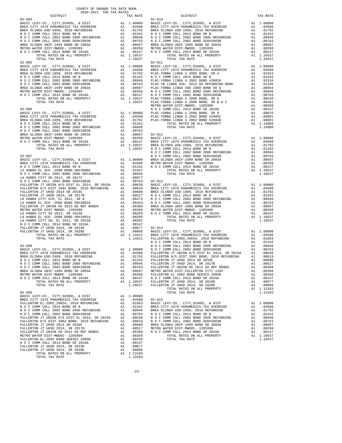| $02 - 004$                                                             |    |                                       | $02 - 010$      |
|------------------------------------------------------------------------|----|---------------------------------------|-----------------|
|                                                                        |    |                                       |                 |
|                                                                        |    |                                       |                 |
|                                                                        |    |                                       |                 |
|                                                                        |    |                                       |                 |
|                                                                        |    |                                       |                 |
|                                                                        |    |                                       |                 |
|                                                                        |    |                                       |                 |
| TOTAL TAX RATE                                                         |    | 1.10537                               |                 |
|                                                                        |    |                                       |                 |
|                                                                        |    |                                       |                 |
|                                                                        |    |                                       |                 |
|                                                                        |    |                                       |                 |
|                                                                        |    |                                       |                 |
|                                                                        |    |                                       |                 |
|                                                                        |    |                                       |                 |
|                                                                        |    |                                       |                 |
|                                                                        |    |                                       |                 |
|                                                                        |    |                                       | METRO W         |
|                                                                        |    |                                       |                 |
|                                                                        |    |                                       |                 |
|                                                                        |    |                                       |                 |
|                                                                        |    |                                       |                 |
|                                                                        |    |                                       |                 |
|                                                                        |    |                                       |                 |
|                                                                        |    |                                       |                 |
|                                                                        |    |                                       |                 |
|                                                                        |    |                                       |                 |
|                                                                        |    |                                       |                 |
|                                                                        |    |                                       | NOCC            |
|                                                                        |    |                                       |                 |
|                                                                        |    |                                       |                 |
|                                                                        |    |                                       |                 |
|                                                                        |    |                                       |                 |
|                                                                        |    |                                       |                 |
|                                                                        |    |                                       |                 |
|                                                                        |    |                                       |                 |
|                                                                        |    |                                       |                 |
|                                                                        |    |                                       |                 |
|                                                                        |    |                                       |                 |
|                                                                        |    |                                       |                 |
|                                                                        |    |                                       |                 |
|                                                                        |    |                                       |                 |
|                                                                        |    |                                       |                 |
|                                                                        |    |                                       |                 |
|                                                                        |    |                                       |                 |
|                                                                        |    |                                       |                 |
|                                                                        |    |                                       |                 |
|                                                                        |    |                                       |                 |
|                                                                        |    |                                       |                 |
| $02 - 008$                                                             |    |                                       | N O C C<br>NOCC |
|                                                                        |    |                                       |                 |
|                                                                        |    |                                       |                 |
|                                                                        |    |                                       |                 |
|                                                                        |    |                                       |                 |
|                                                                        |    |                                       |                 |
| BREA OLINDA UNIF-1999 BOND SR 2003A                                    |    | A1 .00697 METRO W                     |                 |
| METRO WATER DIST-MWDOC- 1205999                                        | A1 | .00350                                | FULLERT         |
| N O C COMM COLL 2014 BOND SR 2016A                                     | A1 | .00147                                | NOCC            |
| TOTAL RATES ON ALL PROPERTY<br>TOTAL TAX RATE                          |    | A1 1.10537 FULLERT<br>1.10537 FULLERT |                 |
|                                                                        |    |                                       |                 |
| $02 - 009$                                                             |    |                                       |                 |
|                                                                        |    |                                       |                 |
|                                                                        |    |                                       |                 |
|                                                                        |    |                                       |                 |
|                                                                        |    |                                       |                 |
|                                                                        |    |                                       |                 |
|                                                                        |    |                                       |                 |
|                                                                        |    |                                       |                 |
|                                                                        |    |                                       |                 |
|                                                                        |    |                                       |                 |
|                                                                        |    |                                       |                 |
| FULLERTON EL-2002 BOND SERIES 2005B                                    |    | A1 .00336                             |                 |
| N O C COMM COLL 2014 BOND SR 2016A<br>FULLERTON JT UHSD 2014, SR 2019D |    | A1 .00147<br>A1 .00077                |                 |
| FULLERTON JT UHSD 2014, SR 2020E                                       |    | A1 .00006                             |                 |
| TOTAL RATES ON ALL PROPERTY                                            |    | A1 1.13103                            |                 |
| TOTAL TAX RATE                                                         |    | 1.13103                               |                 |

-23-

| COUNTY OF ORANGE TAX RATE BOOK<br>2020-2021 TRA TAX RATES<br>$\begin{minipage}{0.5\textwidth} \begin{tabular}{lcccccc} \textbf{1} & \textbf{1} & \textbf{1} & \textbf{1} & \textbf{1} & \textbf{1} & \textbf{1} & \textbf{1} & \textbf{1} & \textbf{1} & \textbf{1} & \textbf{1} & \textbf{1} & \textbf{1} & \textbf{1} & \textbf{1} & \textbf{1} & \textbf{1} & \textbf{1} & \textbf{1} & \textbf{1} & \textbf{1} & \textbf{1} & \textbf{1} & \textbf{1} & \textbf{1} & \textbf{1} & \textbf{1} &$ |                                                  |                                                                                                                                                                                                                                                                                                                                                                                                     |          |
|-----------------------------------------------------------------------------------------------------------------------------------------------------------------------------------------------------------------------------------------------------------------------------------------------------------------------------------------------------------------------------------------------------------------------------------------------------------------------------------------------------|--------------------------------------------------|-----------------------------------------------------------------------------------------------------------------------------------------------------------------------------------------------------------------------------------------------------------------------------------------------------------------------------------------------------------------------------------------------------|----------|
|                                                                                                                                                                                                                                                                                                                                                                                                                                                                                                     | TAX RATE                                         | DISTRICT                                                                                                                                                                                                                                                                                                                                                                                            | TAX RATE |
| $02 - 004$                                                                                                                                                                                                                                                                                                                                                                                                                                                                                          |                                                  | $02 - 010$                                                                                                                                                                                                                                                                                                                                                                                          |          |
|                                                                                                                                                                                                                                                                                                                                                                                                                                                                                                     |                                                  |                                                                                                                                                                                                                                                                                                                                                                                                     |          |
|                                                                                                                                                                                                                                                                                                                                                                                                                                                                                                     |                                                  |                                                                                                                                                                                                                                                                                                                                                                                                     |          |
|                                                                                                                                                                                                                                                                                                                                                                                                                                                                                                     |                                                  |                                                                                                                                                                                                                                                                                                                                                                                                     |          |
|                                                                                                                                                                                                                                                                                                                                                                                                                                                                                                     |                                                  |                                                                                                                                                                                                                                                                                                                                                                                                     |          |
|                                                                                                                                                                                                                                                                                                                                                                                                                                                                                                     |                                                  |                                                                                                                                                                                                                                                                                                                                                                                                     |          |
|                                                                                                                                                                                                                                                                                                                                                                                                                                                                                                     |                                                  |                                                                                                                                                                                                                                                                                                                                                                                                     |          |
|                                                                                                                                                                                                                                                                                                                                                                                                                                                                                                     |                                                  |                                                                                                                                                                                                                                                                                                                                                                                                     |          |
|                                                                                                                                                                                                                                                                                                                                                                                                                                                                                                     |                                                  |                                                                                                                                                                                                                                                                                                                                                                                                     |          |
|                                                                                                                                                                                                                                                                                                                                                                                                                                                                                                     |                                                  |                                                                                                                                                                                                                                                                                                                                                                                                     |          |
|                                                                                                                                                                                                                                                                                                                                                                                                                                                                                                     |                                                  |                                                                                                                                                                                                                                                                                                                                                                                                     |          |
|                                                                                                                                                                                                                                                                                                                                                                                                                                                                                                     |                                                  |                                                                                                                                                                                                                                                                                                                                                                                                     |          |
|                                                                                                                                                                                                                                                                                                                                                                                                                                                                                                     |                                                  |                                                                                                                                                                                                                                                                                                                                                                                                     |          |
|                                                                                                                                                                                                                                                                                                                                                                                                                                                                                                     |                                                  |                                                                                                                                                                                                                                                                                                                                                                                                     |          |
|                                                                                                                                                                                                                                                                                                                                                                                                                                                                                                     |                                                  |                                                                                                                                                                                                                                                                                                                                                                                                     |          |
|                                                                                                                                                                                                                                                                                                                                                                                                                                                                                                     |                                                  |                                                                                                                                                                                                                                                                                                                                                                                                     |          |
|                                                                                                                                                                                                                                                                                                                                                                                                                                                                                                     |                                                  |                                                                                                                                                                                                                                                                                                                                                                                                     |          |
|                                                                                                                                                                                                                                                                                                                                                                                                                                                                                                     |                                                  |                                                                                                                                                                                                                                                                                                                                                                                                     |          |
|                                                                                                                                                                                                                                                                                                                                                                                                                                                                                                     |                                                  |                                                                                                                                                                                                                                                                                                                                                                                                     |          |
|                                                                                                                                                                                                                                                                                                                                                                                                                                                                                                     |                                                  |                                                                                                                                                                                                                                                                                                                                                                                                     |          |
|                                                                                                                                                                                                                                                                                                                                                                                                                                                                                                     |                                                  |                                                                                                                                                                                                                                                                                                                                                                                                     |          |
|                                                                                                                                                                                                                                                                                                                                                                                                                                                                                                     |                                                  |                                                                                                                                                                                                                                                                                                                                                                                                     |          |
|                                                                                                                                                                                                                                                                                                                                                                                                                                                                                                     |                                                  |                                                                                                                                                                                                                                                                                                                                                                                                     |          |
|                                                                                                                                                                                                                                                                                                                                                                                                                                                                                                     |                                                  |                                                                                                                                                                                                                                                                                                                                                                                                     |          |
|                                                                                                                                                                                                                                                                                                                                                                                                                                                                                                     |                                                  |                                                                                                                                                                                                                                                                                                                                                                                                     |          |
|                                                                                                                                                                                                                                                                                                                                                                                                                                                                                                     |                                                  |                                                                                                                                                                                                                                                                                                                                                                                                     |          |
|                                                                                                                                                                                                                                                                                                                                                                                                                                                                                                     |                                                  |                                                                                                                                                                                                                                                                                                                                                                                                     |          |
|                                                                                                                                                                                                                                                                                                                                                                                                                                                                                                     |                                                  |                                                                                                                                                                                                                                                                                                                                                                                                     |          |
|                                                                                                                                                                                                                                                                                                                                                                                                                                                                                                     |                                                  |                                                                                                                                                                                                                                                                                                                                                                                                     |          |
|                                                                                                                                                                                                                                                                                                                                                                                                                                                                                                     |                                                  |                                                                                                                                                                                                                                                                                                                                                                                                     |          |
|                                                                                                                                                                                                                                                                                                                                                                                                                                                                                                     |                                                  |                                                                                                                                                                                                                                                                                                                                                                                                     |          |
|                                                                                                                                                                                                                                                                                                                                                                                                                                                                                                     |                                                  |                                                                                                                                                                                                                                                                                                                                                                                                     |          |
|                                                                                                                                                                                                                                                                                                                                                                                                                                                                                                     |                                                  |                                                                                                                                                                                                                                                                                                                                                                                                     |          |
|                                                                                                                                                                                                                                                                                                                                                                                                                                                                                                     |                                                  |                                                                                                                                                                                                                                                                                                                                                                                                     |          |
|                                                                                                                                                                                                                                                                                                                                                                                                                                                                                                     |                                                  |                                                                                                                                                                                                                                                                                                                                                                                                     |          |
|                                                                                                                                                                                                                                                                                                                                                                                                                                                                                                     |                                                  |                                                                                                                                                                                                                                                                                                                                                                                                     |          |
|                                                                                                                                                                                                                                                                                                                                                                                                                                                                                                     |                                                  |                                                                                                                                                                                                                                                                                                                                                                                                     |          |
|                                                                                                                                                                                                                                                                                                                                                                                                                                                                                                     |                                                  |                                                                                                                                                                                                                                                                                                                                                                                                     |          |
|                                                                                                                                                                                                                                                                                                                                                                                                                                                                                                     |                                                  | $\begin{tabular}{l c c c c c c} \multicolumn{4}{c c c c} \multicolumn{4}{c c c} \multicolumn{4}{c c c} \multicolumn{4}{c c c} \multicolumn{4}{c c c} \multicolumn{4}{c c c} \multicolumn{4}{c c c} \multicolumn{4}{c c c} \multicolumn{4}{c c c} \multicolumn{4}{c c c} \multicolumn{4}{c c c} \multicolumn{4}{c c c} \multicolumn{4}{c c c} \multicolumn{4}{c c c} \multicolumn{4}{c c c} \multic$ |          |
|                                                                                                                                                                                                                                                                                                                                                                                                                                                                                                     |                                                  |                                                                                                                                                                                                                                                                                                                                                                                                     |          |
|                                                                                                                                                                                                                                                                                                                                                                                                                                                                                                     |                                                  | $02 - 015$                                                                                                                                                                                                                                                                                                                                                                                          |          |
|                                                                                                                                                                                                                                                                                                                                                                                                                                                                                                     |                                                  |                                                                                                                                                                                                                                                                                                                                                                                                     |          |
|                                                                                                                                                                                                                                                                                                                                                                                                                                                                                                     |                                                  | ${\tt FULLERTON\ E1-2002, 2002A, 2010\ {\tt REFWIDING\ FULLERTON\ E1-2002, 2002A, 2010\ {\tt REFWIDING\ FULLERTON\ E2-2002, 2002A, 2010\ {\tt REFWIDING\ FULLERTON\ E1-2002, 2002BOND\ SERFUNDING\ A1\ 01342\ 0148\ {\tt N}O\ C\ {\tt COMM\ COLL\ 2012\ BOND\ 2002\ 0001\ 014\ 01046\ 01046\ 01046\ 01046\ $                                                                                        |          |
|                                                                                                                                                                                                                                                                                                                                                                                                                                                                                                     |                                                  |                                                                                                                                                                                                                                                                                                                                                                                                     |          |
|                                                                                                                                                                                                                                                                                                                                                                                                                                                                                                     |                                                  |                                                                                                                                                                                                                                                                                                                                                                                                     |          |
| FULLERTON EL-2002 BOND SERIES 2005B                                                                                                                                                                                                                                                                                                                                                                                                                                                                 |                                                  | TOTAL TAX RATE                                                                                                                                                                                                                                                                                                                                                                                      | 1.10537  |
| N O C COMM COLL 2014 BOND SR 2016A                                                                                                                                                                                                                                                                                                                                                                                                                                                                  | A1 .00350<br>A1 .00336<br>A1 .00147<br>A1 .00077 |                                                                                                                                                                                                                                                                                                                                                                                                     |          |
| FULLERTON JT UHSD 2014, SR 2019D                                                                                                                                                                                                                                                                                                                                                                                                                                                                    |                                                  |                                                                                                                                                                                                                                                                                                                                                                                                     |          |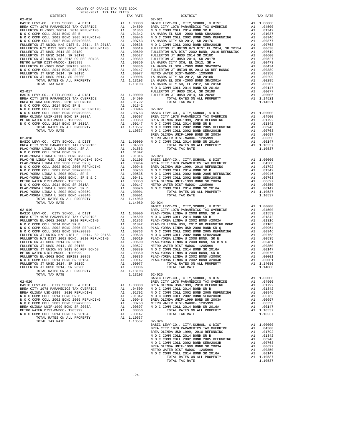| $02 - 017$                                                                     |          |                  | FULLERT        |
|--------------------------------------------------------------------------------|----------|------------------|----------------|
|                                                                                |          |                  |                |
|                                                                                |          |                  |                |
|                                                                                |          |                  |                |
|                                                                                |          |                  |                |
|                                                                                |          |                  |                |
|                                                                                |          |                  |                |
|                                                                                |          |                  |                |
|                                                                                |          |                  |                |
|                                                                                |          |                  |                |
|                                                                                |          |                  |                |
|                                                                                |          |                  | BREA OL        |
|                                                                                |          |                  |                |
|                                                                                |          |                  |                |
|                                                                                |          |                  |                |
|                                                                                |          |                  |                |
|                                                                                |          |                  |                |
|                                                                                |          |                  |                |
|                                                                                |          |                  |                |
|                                                                                |          |                  |                |
|                                                                                |          |                  |                |
|                                                                                |          |                  |                |
|                                                                                |          |                  |                |
|                                                                                |          |                  |                |
|                                                                                |          |                  |                |
|                                                                                |          |                  |                |
|                                                                                |          |                  |                |
|                                                                                |          |                  |                |
|                                                                                |          |                  |                |
|                                                                                |          | 1.14080 02-024   |                |
|                                                                                |          |                  | BASIC L        |
|                                                                                |          |                  |                |
|                                                                                |          |                  |                |
|                                                                                |          |                  |                |
|                                                                                |          |                  |                |
|                                                                                |          |                  |                |
|                                                                                |          |                  |                |
|                                                                                |          |                  |                |
|                                                                                |          |                  |                |
|                                                                                |          |                  |                |
|                                                                                |          |                  |                |
|                                                                                |          |                  |                |
|                                                                                |          |                  |                |
|                                                                                |          |                  |                |
|                                                                                |          |                  |                |
|                                                                                |          |                  |                |
|                                                                                |          |                  |                |
|                                                                                |          |                  |                |
|                                                                                |          |                  |                |
|                                                                                |          |                  | BASIC L        |
| $02 - 020$                                                                     |          | A1 1.00000       | BREA CI        |
| BASIC LEVY-CO., CITY, SCHOOL, & DIST<br>BREA CITY 1978 PARAMEDICS TAX OVERRIDE | A1       |                  | BREA OL        |
| BREA OLINDA USD-1999, 2010 REFUNDING                                           |          | .04500           | NOCC           |
|                                                                                | A1       | .01792<br>.01342 | NOCC<br>NOCC   |
| N O C COMM COLL 2014 BOND SR B<br>N O C COMM COLL 2002 BOND 2005 REFUNDING     | A1<br>A1 | .00946           | BREA OL        |
| N O C COMM COLL 2002 BOND SER#2003B                                            | A1       | .00763           | METRO W        |
| BREA OLINDA UNIF-1999 BOND SR 2003A                                            | A1       | .00697           | N O C C        |
| METRO WATER DIST-MWDOC- 1205999                                                | A1       | .00350           |                |
| N O C COMM COLL 2014 BOND SR 2016A                                             | A1       | .00147           |                |
| TOTAL RATES ON ALL PROPERTY                                                    | A1       | 1.10537          |                |
| TOTAL TAX RATE                                                                 |          |                  | 1.10537 02-026 |
|                                                                                |          |                  |                |

| COUNTY OF ORANGE TAX RATE BOOK<br>$\begin{minipage}{.03\textwidth} \begin{tabular}{l} \multicolumn{2}{c}{\textwidth} \end{tabular} \begin{tabular}{l} \multicolumn{2}{c}{\textwidth} \end{tabular} \begin{tabular}{l} \multicolumn{2}{c}{\textwidth} \end{tabular} \begin{tabular}{l} \multicolumn{2}{c}{\textwidth} \end{tabular} \begin{tabular}{l} \multicolumn{2}{c}{\textwidth} \end{tabular} \begin{tabular}{l} \multicolumn{2}{c}{\textwidth} \end{tabular} \begin{tabular}{l} \multicolumn{2}{c}{\textwidth} \end{tabular} \begin{tabular}{l} \multicolumn{2}{c}{$ |          |                |          |
|----------------------------------------------------------------------------------------------------------------------------------------------------------------------------------------------------------------------------------------------------------------------------------------------------------------------------------------------------------------------------------------------------------------------------------------------------------------------------------------------------------------------------------------------------------------------------|----------|----------------|----------|
|                                                                                                                                                                                                                                                                                                                                                                                                                                                                                                                                                                            | TAX RATE | DISTRICT       | TAX RATE |
|                                                                                                                                                                                                                                                                                                                                                                                                                                                                                                                                                                            |          |                |          |
|                                                                                                                                                                                                                                                                                                                                                                                                                                                                                                                                                                            |          |                |          |
|                                                                                                                                                                                                                                                                                                                                                                                                                                                                                                                                                                            |          |                |          |
|                                                                                                                                                                                                                                                                                                                                                                                                                                                                                                                                                                            |          |                |          |
|                                                                                                                                                                                                                                                                                                                                                                                                                                                                                                                                                                            |          |                |          |
|                                                                                                                                                                                                                                                                                                                                                                                                                                                                                                                                                                            |          |                |          |
|                                                                                                                                                                                                                                                                                                                                                                                                                                                                                                                                                                            |          |                |          |
|                                                                                                                                                                                                                                                                                                                                                                                                                                                                                                                                                                            |          |                |          |
|                                                                                                                                                                                                                                                                                                                                                                                                                                                                                                                                                                            |          |                |          |
|                                                                                                                                                                                                                                                                                                                                                                                                                                                                                                                                                                            |          |                |          |
|                                                                                                                                                                                                                                                                                                                                                                                                                                                                                                                                                                            |          |                |          |
|                                                                                                                                                                                                                                                                                                                                                                                                                                                                                                                                                                            |          |                |          |
|                                                                                                                                                                                                                                                                                                                                                                                                                                                                                                                                                                            |          |                |          |
|                                                                                                                                                                                                                                                                                                                                                                                                                                                                                                                                                                            |          |                |          |
|                                                                                                                                                                                                                                                                                                                                                                                                                                                                                                                                                                            |          |                |          |
|                                                                                                                                                                                                                                                                                                                                                                                                                                                                                                                                                                            |          |                |          |
|                                                                                                                                                                                                                                                                                                                                                                                                                                                                                                                                                                            |          |                |          |
|                                                                                                                                                                                                                                                                                                                                                                                                                                                                                                                                                                            |          |                |          |
|                                                                                                                                                                                                                                                                                                                                                                                                                                                                                                                                                                            |          |                |          |
|                                                                                                                                                                                                                                                                                                                                                                                                                                                                                                                                                                            |          |                |          |
|                                                                                                                                                                                                                                                                                                                                                                                                                                                                                                                                                                            |          |                |          |
|                                                                                                                                                                                                                                                                                                                                                                                                                                                                                                                                                                            |          |                |          |
|                                                                                                                                                                                                                                                                                                                                                                                                                                                                                                                                                                            |          |                |          |
|                                                                                                                                                                                                                                                                                                                                                                                                                                                                                                                                                                            |          |                |          |
|                                                                                                                                                                                                                                                                                                                                                                                                                                                                                                                                                                            |          |                |          |
|                                                                                                                                                                                                                                                                                                                                                                                                                                                                                                                                                                            |          |                |          |
|                                                                                                                                                                                                                                                                                                                                                                                                                                                                                                                                                                            |          |                |          |
|                                                                                                                                                                                                                                                                                                                                                                                                                                                                                                                                                                            |          |                |          |
|                                                                                                                                                                                                                                                                                                                                                                                                                                                                                                                                                                            |          |                |          |
|                                                                                                                                                                                                                                                                                                                                                                                                                                                                                                                                                                            |          |                |          |
|                                                                                                                                                                                                                                                                                                                                                                                                                                                                                                                                                                            |          |                |          |
|                                                                                                                                                                                                                                                                                                                                                                                                                                                                                                                                                                            |          |                |          |
|                                                                                                                                                                                                                                                                                                                                                                                                                                                                                                                                                                            |          |                |          |
|                                                                                                                                                                                                                                                                                                                                                                                                                                                                                                                                                                            |          |                |          |
|                                                                                                                                                                                                                                                                                                                                                                                                                                                                                                                                                                            |          |                |          |
|                                                                                                                                                                                                                                                                                                                                                                                                                                                                                                                                                                            |          |                |          |
|                                                                                                                                                                                                                                                                                                                                                                                                                                                                                                                                                                            |          |                |          |
|                                                                                                                                                                                                                                                                                                                                                                                                                                                                                                                                                                            |          |                |          |
|                                                                                                                                                                                                                                                                                                                                                                                                                                                                                                                                                                            |          |                |          |
|                                                                                                                                                                                                                                                                                                                                                                                                                                                                                                                                                                            |          |                |          |
|                                                                                                                                                                                                                                                                                                                                                                                                                                                                                                                                                                            |          |                |          |
|                                                                                                                                                                                                                                                                                                                                                                                                                                                                                                                                                                            |          |                |          |
|                                                                                                                                                                                                                                                                                                                                                                                                                                                                                                                                                                            |          |                |          |
|                                                                                                                                                                                                                                                                                                                                                                                                                                                                                                                                                                            |          |                |          |
|                                                                                                                                                                                                                                                                                                                                                                                                                                                                                                                                                                            |          |                |          |
|                                                                                                                                                                                                                                                                                                                                                                                                                                                                                                                                                                            |          |                |          |
|                                                                                                                                                                                                                                                                                                                                                                                                                                                                                                                                                                            |          |                |          |
|                                                                                                                                                                                                                                                                                                                                                                                                                                                                                                                                                                            |          |                |          |
|                                                                                                                                                                                                                                                                                                                                                                                                                                                                                                                                                                            |          |                |          |
|                                                                                                                                                                                                                                                                                                                                                                                                                                                                                                                                                                            |          |                |          |
|                                                                                                                                                                                                                                                                                                                                                                                                                                                                                                                                                                            |          |                |          |
|                                                                                                                                                                                                                                                                                                                                                                                                                                                                                                                                                                            |          |                |          |
|                                                                                                                                                                                                                                                                                                                                                                                                                                                                                                                                                                            |          |                |          |
|                                                                                                                                                                                                                                                                                                                                                                                                                                                                                                                                                                            |          |                |          |
|                                                                                                                                                                                                                                                                                                                                                                                                                                                                                                                                                                            |          |                |          |
|                                                                                                                                                                                                                                                                                                                                                                                                                                                                                                                                                                            |          |                |          |
|                                                                                                                                                                                                                                                                                                                                                                                                                                                                                                                                                                            |          |                |          |
|                                                                                                                                                                                                                                                                                                                                                                                                                                                                                                                                                                            |          |                |          |
|                                                                                                                                                                                                                                                                                                                                                                                                                                                                                                                                                                            |          |                |          |
|                                                                                                                                                                                                                                                                                                                                                                                                                                                                                                                                                                            |          | TOTAL TAX RATE | 1.10537  |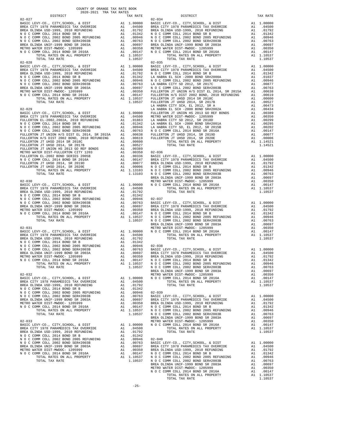| $02 - 027$                                                                                  |          |                                                                                     |                       |
|---------------------------------------------------------------------------------------------|----------|-------------------------------------------------------------------------------------|-----------------------|
|                                                                                             |          |                                                                                     |                       |
|                                                                                             |          |                                                                                     |                       |
|                                                                                             |          |                                                                                     |                       |
|                                                                                             |          |                                                                                     |                       |
|                                                                                             |          |                                                                                     |                       |
| TOTAL TAX RATE                                                                              |          | 1.10537                                                                             |                       |
| $02 - 028$                                                                                  |          |                                                                                     | $02 - 035$            |
|                                                                                             |          |                                                                                     |                       |
|                                                                                             |          |                                                                                     |                       |
|                                                                                             |          |                                                                                     |                       |
|                                                                                             |          |                                                                                     |                       |
|                                                                                             |          |                                                                                     |                       |
|                                                                                             |          |                                                                                     |                       |
|                                                                                             |          |                                                                                     |                       |
|                                                                                             |          |                                                                                     | LA HABR               |
| $02 - 029$                                                                                  |          |                                                                                     | LA HABR               |
|                                                                                             |          |                                                                                     |                       |
|                                                                                             |          |                                                                                     |                       |
|                                                                                             |          |                                                                                     |                       |
|                                                                                             |          |                                                                                     |                       |
|                                                                                             |          |                                                                                     |                       |
|                                                                                             |          |                                                                                     |                       |
|                                                                                             |          |                                                                                     |                       |
|                                                                                             |          |                                                                                     |                       |
|                                                                                             |          |                                                                                     |                       |
|                                                                                             |          |                                                                                     |                       |
|                                                                                             |          |                                                                                     |                       |
|                                                                                             |          |                                                                                     |                       |
|                                                                                             |          |                                                                                     | BREA OL               |
|                                                                                             |          |                                                                                     |                       |
|                                                                                             |          |                                                                                     |                       |
|                                                                                             |          |                                                                                     |                       |
|                                                                                             |          |                                                                                     |                       |
|                                                                                             |          |                                                                                     |                       |
|                                                                                             |          |                                                                                     |                       |
|                                                                                             |          |                                                                                     |                       |
|                                                                                             |          |                                                                                     |                       |
|                                                                                             |          |                                                                                     |                       |
|                                                                                             |          |                                                                                     |                       |
|                                                                                             |          |                                                                                     |                       |
|                                                                                             |          |                                                                                     |                       |
|                                                                                             |          |                                                                                     |                       |
|                                                                                             |          |                                                                                     |                       |
|                                                                                             |          |                                                                                     |                       |
|                                                                                             |          |                                                                                     |                       |
|                                                                                             |          |                                                                                     |                       |
|                                                                                             |          |                                                                                     | BREA OL               |
| $02 - 032$                                                                                  |          |                                                                                     | METRO W               |
| BASIC LEVY-CO., CITY, SCHOOL, & DIST<br>BREA CITY 1978 PARAMEDICS TAX OVERRIDE              |          | A1 1.00000                                                                          | N O C C               |
| BREA OLINDA USD-1999, 2010 REFUNDING                                                        | A1       | A1 .04500<br>.01792                                                                 |                       |
| N O C COMM COLL 2014 BOND SR B                                                              |          | A1 .01342                                                                           |                       |
| N O C COMM COLL 2002 BOND 2005 REFUNDING<br>N O C COMM COLL 2002 BOND SER#2003B             | A1<br>A1 | .00946<br>.00763                                                                    | $02 - 039$<br>BASIC L |
| BREA OLINDA UNIF-1999 BOND SR 2003A                                                         | A1       | .00697                                                                              | BREA CI               |
| METRO WATER DIST-MWDOC- 1205999<br>N O C COMM COLL 2014 BOND SR 2016A                       |          |                                                                                     |                       |
| TOTAL RATES ON ALL PROPERTY                                                                 |          | A1 .00350<br>A1 .00350 BREA OL<br>A1 .00147 NOCC<br>A1 1.10537 NOCC<br>1.10537 NOCC |                       |
| TOTAL TAX RATE                                                                              |          |                                                                                     | BREA OL               |
| $02 - 033$                                                                                  |          | OL METRO W<br>METRO W<br>A1 .04500 N O C C<br>A1 .04500                             |                       |
| BASIC LEVY-CO., CITY, SCHOOL, & DIST<br>BREA CITY 1978 PARAMEDICS TAX OVERRIDE              |          |                                                                                     |                       |
| BREA OLINDA USD-1999, 2010 REFUNDING                                                        |          |                                                                                     |                       |
| N O C COMM COLL 2014 BOND SR B<br>N O C COMM COLL 2002 BOND 2005 REFUNDING A1 .00946 02-040 |          | A1 .01342                                                                           |                       |
| N O C COMM COLL 2002 BOND SER#2003B<br>N O C COMM COLL 2002 BOND SER#2003B                  |          | A1.00763                                                                            | BASIC L               |
|                                                                                             | A1       | .00697                                                                              | BREA CI               |
| METRO WATER DIST-MWDOC- 1205999<br>N O C COMM COLL 2014 BOND SR 2016A                       |          | A1 .00350 BREA OL<br>A1 .00147 NOCC<br>A1 1.10537 NOCC<br>1.10537 NOCC              |                       |
| TOTAL RATES ON ALL PROPERTY                                                                 |          |                                                                                     |                       |
| TOTAL TAX RATE                                                                              |          |                                                                                     |                       |

| COUNTY OF ORANGE TAX RATE BOOK<br>2020-2021 TRA TAX RATES<br>$2020-2021 \quad \text{TRA TAX RATES}$ DISTRICT $\hspace{2.5cm}$ | TAX RATE | DISTRICT   | TAX RATE |
|-------------------------------------------------------------------------------------------------------------------------------|----------|------------|----------|
| $02 - 027$                                                                                                                    |          | $02 - 034$ |          |
|                                                                                                                               |          |            |          |
|                                                                                                                               |          |            |          |
|                                                                                                                               |          |            |          |
|                                                                                                                               |          |            |          |
|                                                                                                                               |          |            |          |
|                                                                                                                               |          |            |          |
|                                                                                                                               |          |            |          |
|                                                                                                                               |          |            |          |
|                                                                                                                               |          |            |          |
|                                                                                                                               |          |            |          |
|                                                                                                                               |          |            |          |
|                                                                                                                               |          |            |          |
|                                                                                                                               |          |            |          |
|                                                                                                                               |          |            |          |
|                                                                                                                               |          |            |          |
|                                                                                                                               |          |            |          |
|                                                                                                                               |          |            |          |
|                                                                                                                               |          |            |          |
|                                                                                                                               |          |            |          |
|                                                                                                                               |          |            |          |
|                                                                                                                               |          |            |          |
|                                                                                                                               |          |            |          |
|                                                                                                                               |          |            |          |
|                                                                                                                               |          |            |          |
|                                                                                                                               |          |            |          |
|                                                                                                                               |          |            |          |
|                                                                                                                               |          |            |          |
|                                                                                                                               |          |            |          |
|                                                                                                                               |          |            |          |
|                                                                                                                               |          |            |          |
|                                                                                                                               |          |            |          |
|                                                                                                                               |          |            |          |
|                                                                                                                               |          |            |          |
|                                                                                                                               |          |            |          |
|                                                                                                                               |          |            |          |
|                                                                                                                               |          |            |          |
|                                                                                                                               |          |            |          |
|                                                                                                                               |          |            |          |
|                                                                                                                               |          |            |          |
|                                                                                                                               |          |            |          |
|                                                                                                                               |          |            |          |
|                                                                                                                               |          |            |          |
|                                                                                                                               |          |            |          |
|                                                                                                                               |          |            |          |
|                                                                                                                               |          |            |          |
|                                                                                                                               |          |            |          |
|                                                                                                                               |          |            |          |
|                                                                                                                               |          |            |          |
|                                                                                                                               |          |            |          |
|                                                                                                                               |          |            |          |
|                                                                                                                               |          |            |          |
|                                                                                                                               |          |            |          |
|                                                                                                                               |          |            |          |
|                                                                                                                               |          |            |          |
|                                                                                                                               |          |            |          |
|                                                                                                                               |          |            |          |
|                                                                                                                               |          |            |          |
|                                                                                                                               |          |            |          |
|                                                                                                                               |          |            |          |
|                                                                                                                               |          |            |          |
|                                                                                                                               |          |            |          |
|                                                                                                                               |          |            |          |
|                                                                                                                               |          |            |          |
|                                                                                                                               |          |            |          |
|                                                                                                                               |          |            |          |
|                                                                                                                               |          |            |          |
|                                                                                                                               |          |            |          |
|                                                                                                                               |          |            |          |
|                                                                                                                               |          |            |          |
|                                                                                                                               |          |            |          |
|                                                                                                                               |          |            |          |
|                                                                                                                               |          |            |          |
|                                                                                                                               |          |            |          |
|                                                                                                                               |          |            |          |
|                                                                                                                               |          |            |          |
|                                                                                                                               |          |            |          |
|                                                                                                                               |          |            |          |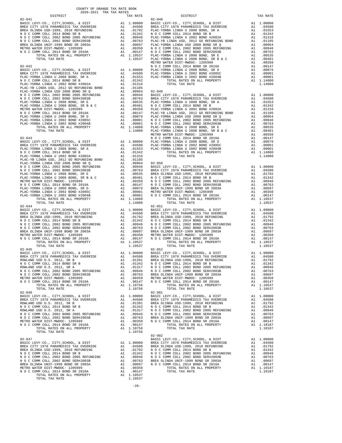| 2020-2021 TRA TAX RATES<br>DISTRICT | TAX RATE | TE DISTRICT                                                                                                                                                                                                                               | TAX RATE |
|-------------------------------------|----------|-------------------------------------------------------------------------------------------------------------------------------------------------------------------------------------------------------------------------------------------|----------|
|                                     |          |                                                                                                                                                                                                                                           |          |
|                                     |          |                                                                                                                                                                                                                                           |          |
|                                     |          |                                                                                                                                                                                                                                           |          |
|                                     |          |                                                                                                                                                                                                                                           |          |
|                                     |          |                                                                                                                                                                                                                                           |          |
|                                     |          |                                                                                                                                                                                                                                           |          |
|                                     |          |                                                                                                                                                                                                                                           |          |
|                                     |          |                                                                                                                                                                                                                                           |          |
|                                     |          |                                                                                                                                                                                                                                           |          |
|                                     |          |                                                                                                                                                                                                                                           |          |
|                                     |          |                                                                                                                                                                                                                                           |          |
|                                     |          |                                                                                                                                                                                                                                           |          |
|                                     |          |                                                                                                                                                                                                                                           |          |
|                                     |          |                                                                                                                                                                                                                                           |          |
|                                     |          |                                                                                                                                                                                                                                           |          |
|                                     |          |                                                                                                                                                                                                                                           |          |
|                                     |          |                                                                                                                                                                                                                                           |          |
|                                     |          |                                                                                                                                                                                                                                           |          |
|                                     |          |                                                                                                                                                                                                                                           |          |
|                                     |          |                                                                                                                                                                                                                                           |          |
|                                     |          |                                                                                                                                                                                                                                           |          |
|                                     |          |                                                                                                                                                                                                                                           |          |
|                                     |          |                                                                                                                                                                                                                                           |          |
|                                     |          |                                                                                                                                                                                                                                           |          |
|                                     |          |                                                                                                                                                                                                                                           |          |
|                                     |          |                                                                                                                                                                                                                                           |          |
|                                     |          |                                                                                                                                                                                                                                           |          |
|                                     |          |                                                                                                                                                                                                                                           |          |
|                                     |          |                                                                                                                                                                                                                                           |          |
|                                     |          |                                                                                                                                                                                                                                           |          |
|                                     |          |                                                                                                                                                                                                                                           |          |
|                                     |          |                                                                                                                                                                                                                                           |          |
|                                     |          |                                                                                                                                                                                                                                           |          |
|                                     |          |                                                                                                                                                                                                                                           |          |
|                                     |          |                                                                                                                                                                                                                                           |          |
|                                     |          |                                                                                                                                                                                                                                           |          |
|                                     |          |                                                                                                                                                                                                                                           |          |
|                                     |          |                                                                                                                                                                                                                                           |          |
|                                     |          |                                                                                                                                                                                                                                           |          |
|                                     |          |                                                                                                                                                                                                                                           |          |
|                                     |          |                                                                                                                                                                                                                                           |          |
|                                     |          |                                                                                                                                                                                                                                           |          |
|                                     |          |                                                                                                                                                                                                                                           |          |
|                                     |          |                                                                                                                                                                                                                                           |          |
|                                     |          |                                                                                                                                                                                                                                           |          |
|                                     |          |                                                                                                                                                                                                                                           |          |
|                                     |          |                                                                                                                                                                                                                                           |          |
|                                     |          |                                                                                                                                                                                                                                           |          |
|                                     |          |                                                                                                                                                                                                                                           |          |
|                                     |          |                                                                                                                                                                                                                                           |          |
|                                     |          |                                                                                                                                                                                                                                           |          |
|                                     |          |                                                                                                                                                                                                                                           |          |
|                                     |          |                                                                                                                                                                                                                                           |          |
|                                     |          |                                                                                                                                                                                                                                           |          |
|                                     |          |                                                                                                                                                                                                                                           |          |
|                                     |          |                                                                                                                                                                                                                                           |          |
|                                     |          |                                                                                                                                                                                                                                           |          |
|                                     |          |                                                                                                                                                                                                                                           |          |
|                                     |          |                                                                                                                                                                                                                                           |          |
|                                     |          |                                                                                                                                                                                                                                           |          |
|                                     |          |                                                                                                                                                                                                                                           |          |
|                                     |          |                                                                                                                                                                                                                                           |          |
|                                     |          |                                                                                                                                                                                                                                           |          |
|                                     |          |                                                                                                                                                                                                                                           |          |
|                                     |          |                                                                                                                                                                                                                                           |          |
|                                     |          |                                                                                                                                                                                                                                           |          |
|                                     |          |                                                                                                                                                                                                                                           |          |
|                                     |          | ROWLAND USD D.S. 2012, SR B<br>NO C COMM COLL 2014 BOND BR B<br>NO C COMM COLL 2014 BOND BR B<br>NO C COMM COLL 2002 BOND 2005 REFUNDING<br>NO C COMM COLL 2002 BOND BR B<br>NO C COMM COLL 2002 BOND BR B<br>NO C COMM COLL 2002 BOND SR |          |
|                                     |          | $02 - 901$                                                                                                                                                                                                                                |          |
|                                     |          |                                                                                                                                                                                                                                           |          |
|                                     |          |                                                                                                                                                                                                                                           |          |
|                                     |          |                                                                                                                                                                                                                                           |          |
|                                     |          |                                                                                                                                                                                                                                           |          |
|                                     |          |                                                                                                                                                                                                                                           |          |
|                                     |          |                                                                                                                                                                                                                                           |          |
|                                     |          |                                                                                                                                                                                                                                           |          |
|                                     |          |                                                                                                                                                                                                                                           |          |
|                                     |          |                                                                                                                                                                                                                                           |          |
|                                     |          |                                                                                                                                                                                                                                           |          |
|                                     |          |                                                                                                                                                                                                                                           |          |
|                                     |          |                                                                                                                                                                                                                                           |          |
|                                     |          |                                                                                                                                                                                                                                           |          |
|                                     |          |                                                                                                                                                                                                                                           |          |
|                                     |          |                                                                                                                                                                                                                                           |          |
|                                     |          |                                                                                                                                                                                                                                           |          |
|                                     |          |                                                                                                                                                                                                                                           |          |
|                                     |          |                                                                                                                                                                                                                                           |          |
|                                     |          |                                                                                                                                                                                                                                           |          |
|                                     |          |                                                                                                                                                                                                                                           |          |
|                                     |          |                                                                                                                                                                                                                                           |          |
|                                     |          |                                                                                                                                                                                                                                           |          |

-26-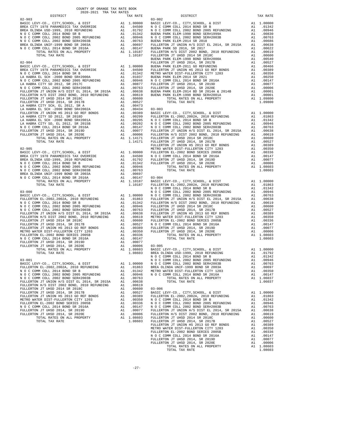|                                      |                                                                                  | 2020-2021 TRA TAX RATES |          |                  |                    |
|--------------------------------------|----------------------------------------------------------------------------------|-------------------------|----------|------------------|--------------------|
|                                      | DISTRICT                                                                         |                         |          | TAX RATE         |                    |
|                                      |                                                                                  |                         |          |                  |                    |
|                                      |                                                                                  |                         |          |                  |                    |
|                                      |                                                                                  |                         |          |                  |                    |
|                                      |                                                                                  |                         |          |                  |                    |
|                                      |                                                                                  |                         |          |                  |                    |
|                                      |                                                                                  |                         |          |                  |                    |
|                                      |                                                                                  |                         |          |                  |                    |
|                                      |                                                                                  |                         |          |                  |                    |
|                                      |                                                                                  |                         |          |                  |                    |
|                                      |                                                                                  |                         |          |                  |                    |
| $02 - 904$                           |                                                                                  |                         |          |                  | FULLERT            |
|                                      |                                                                                  |                         |          |                  |                    |
|                                      |                                                                                  |                         |          |                  |                    |
|                                      |                                                                                  |                         |          |                  |                    |
|                                      |                                                                                  |                         |          |                  |                    |
|                                      |                                                                                  |                         |          |                  |                    |
|                                      |                                                                                  |                         |          |                  |                    |
|                                      |                                                                                  |                         |          |                  |                    |
|                                      |                                                                                  |                         |          |                  |                    |
|                                      |                                                                                  |                         |          |                  |                    |
|                                      |                                                                                  |                         |          |                  |                    |
|                                      |                                                                                  |                         |          |                  |                    |
|                                      |                                                                                  |                         |          |                  |                    |
|                                      |                                                                                  |                         |          |                  |                    |
|                                      |                                                                                  |                         |          |                  |                    |
|                                      |                                                                                  |                         |          |                  |                    |
|                                      |                                                                                  |                         |          |                  |                    |
|                                      |                                                                                  |                         |          |                  |                    |
|                                      |                                                                                  |                         |          |                  |                    |
|                                      |                                                                                  |                         |          |                  |                    |
|                                      |                                                                                  |                         |          |                  |                    |
| $02 - 905$                           |                                                                                  |                         |          |                  | METRO W            |
|                                      |                                                                                  |                         |          |                  |                    |
|                                      |                                                                                  |                         |          |                  |                    |
|                                      |                                                                                  |                         |          |                  |                    |
|                                      |                                                                                  |                         |          |                  |                    |
|                                      |                                                                                  |                         |          |                  |                    |
|                                      |                                                                                  |                         |          |                  |                    |
|                                      |                                                                                  |                         |          |                  |                    |
|                                      |                                                                                  |                         |          |                  |                    |
|                                      |                                                                                  |                         |          |                  |                    |
|                                      |                                                                                  |                         |          |                  | N O C C            |
|                                      |                                                                                  |                         |          |                  |                    |
|                                      |                                                                                  |                         |          |                  |                    |
|                                      |                                                                                  |                         |          |                  |                    |
|                                      |                                                                                  |                         |          |                  |                    |
|                                      |                                                                                  |                         |          |                  |                    |
|                                      |                                                                                  |                         |          |                  |                    |
|                                      |                                                                                  |                         |          |                  |                    |
|                                      |                                                                                  |                         |          |                  |                    |
|                                      |                                                                                  |                         |          |                  |                    |
|                                      |                                                                                  |                         |          |                  |                    |
|                                      |                                                                                  |                         |          |                  |                    |
|                                      |                                                                                  |                         |          |                  |                    |
|                                      |                                                                                  |                         |          |                  |                    |
|                                      |                                                                                  |                         |          |                  |                    |
|                                      |                                                                                  |                         |          |                  |                    |
|                                      |                                                                                  |                         |          |                  |                    |
|                                      |                                                                                  |                         |          |                  |                    |
| $03 - 001$                           |                                                                                  |                         |          |                  | NOCC               |
|                                      | BASIC LEVY-CO., CITY, SCHOOL, & DIST<br>FULLERTON EL-2002, 2002A, 2010 REFUNDING |                         | A1       | 1.00000          | NOCC               |
|                                      | N O C COMM COLL 2014 BOND SR B                                                   |                         | A1<br>A1 | .01863<br>.01342 | BREA OL<br>METRO W |
|                                      | N O C COMM COLL 2002 BOND 2005 REFUNDING                                         |                         | A1       | .00946           | NOCC               |
|                                      | N O C COMM COLL 2002 BOND SER#2003B                                              |                         | A1       | .00763           |                    |
|                                      | FULLERTON JT UNION H/S DIST EL 2014, SR 2015A                                    |                         |          | A1.00638         |                    |
|                                      | FULLERTON H/S DIST 2002 BOND, 2010 REFUNDING                                     |                         | A1       | .00619           |                    |
| FULLERTON JT UHSD 2014 SR 2018C      |                                                                                  |                         | A1       | .00600           | $03 - 006$         |
| FULLERTON JT UHSD 2014, SR 2017B     |                                                                                  |                         | A1       | .00527           | BASIC L            |
| METRO WATER DIST-FULLERTON CITY 1203 | FULLERTON JT UNION HS 2013 GO REF BONDS                                          |                         | A1       | .00389           | FULLERT            |
|                                      | FULLERTON EL-2002 BOND SERIES 2005B                                              |                         | A1<br>A1 | .00350<br>.00336 |                    |
| N O C COMM COLL 2014 BOND SR 2016A   |                                                                                  |                         | A1       | .00147           | N O C C            |
|                                      | FULLERTON JT UHSD 2014, SR 2019D                                                 |                         | A1       | .00077           | FULLERT            |
|                                      | FULLERTON JT UHSD 2014, SR 2020E                                                 |                         | A1       | .00006           | FULLERT            |
|                                      | TOTAL RATES ON ALL PROPERTY                                                      |                         |          | A1 1.08603       | FULLERT            |
|                                      | TOTAL TAX RATE                                                                   |                         |          | 1.08603          | FULLERT            |
|                                      |                                                                                  |                         |          |                  | FULLERT<br>METRO W |

| 2020-2021 TRA TAX RATES<br>DISTRICT | TAX RATE | ATE<br>DISTRICT                                                                                                                                                                                                                                                                                                                                    | TAX RATE |
|-------------------------------------|----------|----------------------------------------------------------------------------------------------------------------------------------------------------------------------------------------------------------------------------------------------------------------------------------------------------------------------------------------------------|----------|
|                                     |          | $03 - 002$                                                                                                                                                                                                                                                                                                                                         |          |
|                                     |          |                                                                                                                                                                                                                                                                                                                                                    |          |
|                                     |          |                                                                                                                                                                                                                                                                                                                                                    |          |
|                                     |          |                                                                                                                                                                                                                                                                                                                                                    |          |
|                                     |          |                                                                                                                                                                                                                                                                                                                                                    |          |
|                                     |          |                                                                                                                                                                                                                                                                                                                                                    |          |
|                                     |          |                                                                                                                                                                                                                                                                                                                                                    |          |
|                                     |          |                                                                                                                                                                                                                                                                                                                                                    |          |
|                                     |          |                                                                                                                                                                                                                                                                                                                                                    |          |
|                                     |          |                                                                                                                                                                                                                                                                                                                                                    |          |
|                                     |          |                                                                                                                                                                                                                                                                                                                                                    |          |
|                                     |          |                                                                                                                                                                                                                                                                                                                                                    |          |
|                                     |          |                                                                                                                                                                                                                                                                                                                                                    |          |
|                                     |          |                                                                                                                                                                                                                                                                                                                                                    |          |
|                                     |          |                                                                                                                                                                                                                                                                                                                                                    |          |
|                                     |          |                                                                                                                                                                                                                                                                                                                                                    |          |
|                                     |          |                                                                                                                                                                                                                                                                                                                                                    |          |
|                                     |          |                                                                                                                                                                                                                                                                                                                                                    |          |
|                                     |          |                                                                                                                                                                                                                                                                                                                                                    |          |
|                                     |          |                                                                                                                                                                                                                                                                                                                                                    |          |
|                                     |          |                                                                                                                                                                                                                                                                                                                                                    |          |
|                                     |          |                                                                                                                                                                                                                                                                                                                                                    |          |
|                                     |          |                                                                                                                                                                                                                                                                                                                                                    |          |
|                                     |          |                                                                                                                                                                                                                                                                                                                                                    |          |
|                                     |          |                                                                                                                                                                                                                                                                                                                                                    |          |
|                                     |          |                                                                                                                                                                                                                                                                                                                                                    |          |
|                                     |          |                                                                                                                                                                                                                                                                                                                                                    |          |
|                                     |          |                                                                                                                                                                                                                                                                                                                                                    |          |
|                                     |          |                                                                                                                                                                                                                                                                                                                                                    |          |
|                                     |          |                                                                                                                                                                                                                                                                                                                                                    |          |
|                                     |          |                                                                                                                                                                                                                                                                                                                                                    |          |
|                                     |          |                                                                                                                                                                                                                                                                                                                                                    |          |
|                                     |          |                                                                                                                                                                                                                                                                                                                                                    |          |
|                                     |          |                                                                                                                                                                                                                                                                                                                                                    |          |
|                                     |          |                                                                                                                                                                                                                                                                                                                                                    |          |
|                                     |          |                                                                                                                                                                                                                                                                                                                                                    |          |
|                                     |          |                                                                                                                                                                                                                                                                                                                                                    |          |
|                                     |          |                                                                                                                                                                                                                                                                                                                                                    |          |
|                                     |          |                                                                                                                                                                                                                                                                                                                                                    |          |
|                                     |          |                                                                                                                                                                                                                                                                                                                                                    |          |
|                                     |          |                                                                                                                                                                                                                                                                                                                                                    |          |
|                                     |          |                                                                                                                                                                                                                                                                                                                                                    |          |
|                                     |          |                                                                                                                                                                                                                                                                                                                                                    |          |
|                                     |          |                                                                                                                                                                                                                                                                                                                                                    |          |
|                                     |          |                                                                                                                                                                                                                                                                                                                                                    |          |
|                                     |          |                                                                                                                                                                                                                                                                                                                                                    |          |
|                                     |          |                                                                                                                                                                                                                                                                                                                                                    |          |
|                                     |          |                                                                                                                                                                                                                                                                                                                                                    |          |
|                                     |          |                                                                                                                                                                                                                                                                                                                                                    |          |
|                                     |          |                                                                                                                                                                                                                                                                                                                                                    |          |
|                                     |          |                                                                                                                                                                                                                                                                                                                                                    |          |
|                                     |          |                                                                                                                                                                                                                                                                                                                                                    |          |
|                                     |          |                                                                                                                                                                                                                                                                                                                                                    |          |
|                                     |          |                                                                                                                                                                                                                                                                                                                                                    |          |
|                                     |          |                                                                                                                                                                                                                                                                                                                                                    |          |
|                                     |          |                                                                                                                                                                                                                                                                                                                                                    |          |
|                                     |          |                                                                                                                                                                                                                                                                                                                                                    |          |
|                                     |          |                                                                                                                                                                                                                                                                                                                                                    |          |
|                                     |          |                                                                                                                                                                                                                                                                                                                                                    |          |
|                                     |          |                                                                                                                                                                                                                                                                                                                                                    |          |
|                                     |          |                                                                                                                                                                                                                                                                                                                                                    |          |
|                                     |          |                                                                                                                                                                                                                                                                                                                                                    |          |
|                                     |          |                                                                                                                                                                                                                                                                                                                                                    |          |
|                                     |          |                                                                                                                                                                                                                                                                                                                                                    |          |
|                                     |          |                                                                                                                                                                                                                                                                                                                                                    |          |
|                                     |          |                                                                                                                                                                                                                                                                                                                                                    |          |
|                                     |          |                                                                                                                                                                                                                                                                                                                                                    |          |
|                                     |          |                                                                                                                                                                                                                                                                                                                                                    |          |
|                                     |          |                                                                                                                                                                                                                                                                                                                                                    |          |
|                                     |          |                                                                                                                                                                                                                                                                                                                                                    |          |
|                                     |          |                                                                                                                                                                                                                                                                                                                                                    |          |
|                                     |          |                                                                                                                                                                                                                                                                                                                                                    |          |
|                                     |          |                                                                                                                                                                                                                                                                                                                                                    |          |
|                                     |          |                                                                                                                                                                                                                                                                                                                                                    |          |
|                                     |          |                                                                                                                                                                                                                                                                                                                                                    |          |
|                                     |          | ${\rm FULLERTON~JT~UBD~2014},~{\rm SR~2017B}~~{\rm Al}~~.00527\\ {\rm FULLERTON~JT~UBTON~HS~2013~GO~REF~BONDS}~~{\rm Al}~~.00389\\ {\rm METRO~WATER~DIST-FULLERTON~CTTY~1203}~~{\rm Al}~~.00336\\ {\rm FULLERTON~EL-2002~BOND~SER~2016A}~~{\rm Al}~~.00336\\ {\rm N~O~COMM~COLL~2014~BOND~SR~2016A}~~{\rm Al}~~.00147\\ {\rm FULLERTON~JT~UBD~201$ |          |
|                                     |          | TOTAL TAX RATE                                                                                                                                                                                                                                                                                                                                     | 1.08603  |
|                                     |          |                                                                                                                                                                                                                                                                                                                                                    |          |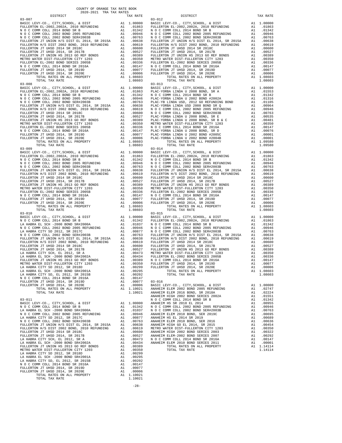03-010 03-015 N O C COMM COLL 2014 BOND SR 2016A A1 .00147 A U COMM COMM DOUTHED 2014, SR 2019D A1 .00077 03-016<br>
FULLERTON JT UHSD 2014, SR 2020E A1 .00006 BASIC I<br>
TOTAL RATES ON ALL PROPERTY A1 1.10021 ANAHEIN

NA BABRA CITT 50, BE 2012, SR 2015<br>N O C COMM COLL 2014 BOND SR 2016A A1 .00147<br>FULLERTON JT UHSD 2014, SR 2019D A1 .00077 FULLERTON JT UHSD 2014, SR 2019D A1 .00077 FULLERTON JT UHSD 2014, SR 2020E A1 .00006 TOTAL RATES ON ALL PROPERTY A1 1.10021 TOTAL TAX RATE 1.10021

 $\begin{tabular}{lllllllllllllllllll} &\mbox{DISTRICT} &\mbox{TAX RATE} &\mbox{DISTRICT} &\mbox{TAX RATE} \\[0.3-007 &0.7-0.07 &0.7-0.02 &0.024 &0.020 &0.020 &0.020 &0.020 &0.020 &0.020 &0.020 \\[0.3-0.025cm] &\mbox{BASIC LEVY-CO.} &\mbox{CITY}, \mbox{SCHOOL} &\mbox{A1} & 1.00000 &\mbox{BASIC LEVY-CO.} &\mbox{CITY}, \mbox$  N O C COMM COLL 2002 BOND SER#2003B A1 .00763 N O C COMM COLL 2002 BOND SER#2003B A1 .00763 FULLERTON JT UNION H/S DIST EL 2014, SR 2015A A1 .00638 FULLERTON JT UNION H/S DIST EL 2014, SR 2015A A1 .00638 FULLERTON H/S DIST 2002 BOND, 2010 REFUNDING A1 .00619 FULLERTON H/S DIST 2002 BOND, 2010 REFUNDING A1 .00619 FULLERTON JT UHSD 2014 SR 2018C A1 .00600 FULLERTON JT UHSD 2014 SR 2018C A1 .00600 FULLERTON JT UHSD 2014, SR 2017B A1 .00527 FULLERTON JT UHSD 2014, SR 2017B A1 .00527 FULLERTON JT UNION HS 2013 GO REF BONDS A1 .00389 FULLERTON JT UNION HS 2013 GO REF BONDS A1 .00389 METRO WATER DIST-FULLERTON CITY 1203 A1 .00350 METRO WATER DIST-FULLERTON CITY 1203 A1 .00350 FULLERTON EL-2002 BOND SERIES 2005B A1 .00336 FULLERTON EL-2002 BOND SERIES 2005B A1 .00336 N O C COMM COLL 2014 BOND SR 2016A A1 .00147 N O C COMM COLL 2014 BOND SR 2016A A1 .00147 FULLERTON JT UHSD 2014, SR 2019D A1 .00077 FULLERTON JT UHSD 2014, SR 2019D A1 .00077 FULLERTON JT UHSD 2014, SR 2020E A1 .00006 FULLERTON JT UHSD 2014, SR 2020E A1 .00006 TOTAL RATES ON ALL PROPERTY A1 1.08603 TOTAL RATES ON ALL PROPERTY A1 1.08603 TOTAL TAX RATE 1.08603 TOTAL TAX RATE 1.08603 03-008 03-013 BASIC LEVY-CO., CITY,SCHOOL, & DIST A1 1.00000 BASIC LEVY-CO., CITY,SCHOOL, & DIST A1 1.00000 FULLERTON EL-2002,2002A, 2010 REFUNDING A1 .01863 PLAC-YORBA LINDA U 2008 BOND, SR A A1 .01553 N O C COMM COLL 2014 BOND SR B A1 .01342 N O C COMM COLL 2014 BOND SR B A1 .01342 N O C COMM COLL 2002 BOND 2005 REFUNDING A1 .00946 PLAC-YORBA LINDA U 2002 BOND #2002A A1 .01316 N O C COMM COLL 2002 BOND SER#2003B A1 .00763 PLAC-YB LINDA USD, 2012 GO REFUNDING BOND A1 .01105 FULLERTON JT UNION H/S DIST EL 2014, SR 2015A A1 .00638 PLAC-YORBA LINDA USD 2008 BOND SR Q A1 .00964 FULLERTON H/S DIST 2002 BOND, 2010 REFUNDING A1 .00619 N O C COMM COLL 2002 BOND 2005 REFUNDING A1 .00946 FULLERTON JT UHSD 2014 SR 2018C A1 .00600 N O C COMM COLL 2002 BOND SER#2003B A1 .00763 FULLERTON JT UHSD 2014, SR 2017B A1 .00527 PLAC-YORBA LINDA U 2008 BOND, SR E A1 .00535 FULLERTON JT UNION HS 2013 GO REF BONDS A1 .00389 PLAC-YORBA LINDA U 2008 BOND, SR B & C A1 .00481 METRO WATER DIST-FULLERTON CITY 1203 A1 .00350 METRO WATER DIST-FULLERTON CITY 1203 A1 .00350 FULLERTON EL-2002 BOND SERIES 2005B A1 .00336 N O C COMM COLL 2014 BOND SR 2016A A1 .00147 N O C COMM COLL 2014 BOND SR 2016A A1 .00147 PLAC-YORBA LINDA U 2008 BOND, SR D A1 .00076 FULLERTON JT UHSD 2014, SR 2019D A1 .00077 PLAC-YORBA LINDA U 2002 BOND #2005C A1 .00001 FULLERTON JT UHSD 2014, SR 2020E A1 .00006 PLAC-YORBA LINDA U 2002 BOND #2004B A1 .00001 TOTAL RATES ON ALL PROPERTY A1 1.08603 TOTAL RATES ON ALL PROPERTY A1 1.09580 TOTAL TAX RATE 1.08603 TOTAL TAX RATE 1.09580 03-009 03-014 BASIC LEVY-CO., CITY,SCHOOL, & DIST A1 1.00000 BASIC LEVY-CO., CITY,SCHOOL, & DIST A1 1.00000 FULLERTON EL-2002,2002A, 2010 REFUNDING A1 .01863 FULLERTON EL-2002,2002A, 2010 REFUNDING A1 .01863 N O C COMM COLL 2014 BOND SR B A1 .01342 N O C COMM COLL 2014 BOND SR B A1 .01342 N O C COMM COLL 2002 BOND 2005 REFUNDING A1 .00946 N O C COMM COLL 2002 BOND 2005 REFUNDING A1 .00946 N O C COMM COLL 2002 BOND SER#2003B A1 .00763 N O C COMM COLL 2002 BOND SER#2003B A1 .00763 FULLERTON JT UNION H/S DIST EL 2014, SR 2015A A1 .00638 FULLERTON JT UNION H/S DIST EL 2014, SR 2015A A1 .00638 FULLERTON H/S DIST 2002 BOND, 2010 REFUNDING A1 .00619 FULLERTON H/S DIST 2002 BOND, 2010 REFUNDING A1 .00619 FULLERTON JT UHSD 2014 SR 2018C A1 .00600 FULLERTON JT UHSD 2014 SR 2018C A1 .00600 FULLERTON JT UHSD 2014, SR 2017B A1 .00527 FULLERTON JT UHSD 2014, SR 2017B A1 .00527 FULLERTON JT UNION HS 2013 GO REF BONDS A1 .00389 FULLERTON JT UNION HS 2013 GO REF BONDS A1 .00389 METRO WATER DIST-FULLERTON CITY 1203 A1 .00350 METRO WATER DIST-FULLERTON CITY 1203 A1 .00350 FULLERTON EL-2002 BOND SERIES 2005B A1 .00336 FULLERTON EL-2002 BOND SERIES 2005B A1 .00336 FULLERTON EL-2002 BOND SERIES 2005B A1 .00336 FULLERTON TO CLOMM COLL 2014 BOND SR 2019D A1 .00147 N O COMM COLL 2014 SR 2019D A1 BASIC LEVY-CO., CITY,SCHOOL, & DIST A1 1.00000 BASIC LEVY-CO., CITY,SCHOOL, & DIST A1 1.00000 N O C COMM COLL 2014 BOND SR B A1 .01342 FULLERTON EL-2002,2002A, 2010 REFUNDING A1 .01863 LA HABRA EL SCH -2000 BOND SR#2000A A1 .01037 N O C COMM COLL 2014 BOND SR B A1 .01342 N O C COMM COLL 2002 BOND 2005 REFUNDING A1 .00946 N O C COMM COLL 2002 BOND 2005 REFUNDING A1 .00946 LA HABRA CITY SD 2012, SR 2017C A1 .00877 N O C COMM COLL 2002 BOND SER#2003B A1 .00763 N O C COMM COLL 2002 BOND SER#2003B A1 .00763 FULLERTON JT UNION H/S DIST EL 2014, SR 2015A A1 .00638 FULLERTON JT UNION H/S DIST EL 2014, SR 2015A A1 .00638 FULLERTON H/S DIST 2002 BOND, 2010 REFUNDING A1 .00619 FULLERTON JT UNION H/S DIST EL 2014, SR 2015A A1 .00638 FULLERTON H/S DIST 2002 BOND, 2010 REFUNDING A1 .00619<br>FULLERTON H/S DIST 2002 BOND, 2010 REFUNDING A1 .00600 FULLERTON JT UHSD 2014 SR 2018C A1 .006000 FULLERTON JT FULLERTON JT UHSD 2014 SR 2018C A1 .00600 FULLERTON JT UHSD 2014, SR 2017B A1 .00527  $\begin{tabular}{l|c|c|c|c|c|c|c|c} FULLERTON T UNICD 2014, SR 2017B 2013 B0 R39 & \text{A1} & .00589 \\ \text{LA HABRA EL SCH } -2000\text{ BOND S } R41 & .00547 & \text{WETRO WATE DIST- FULLERTON CITY 1203 \\ \text{LA HABRA EL SCH } -2000\text{ BOND S } R42002A & \text{A1} & .00434 & \text{FULLERTON EL} -2002\text{ BOND S } R11 & .00350 \\ \text{FULLERTON T UNICN HUS$  FULLERTON JT UHSD 2014, SR 2020E A1 .00006 BASIC LEVY-CO., CITY,SCHOOL, & DIST A1 1.00000 TOTAL RATES ON ALL PROPERTY A1 1.10021 ANAHEIM ELEM 2002 BOND 2005 REFUNDING A1 .02747 TOTAL TAX RATE 1.10021 ANAHEIM ELEM 2016 BOND, SR 2018A A1 .02224 ANAHEIM HIGH 2002 BOND SERIES 2002A A1 .01551 03-011 N O C COMM COLL 2014 BOND SR B A1 .01342<br>BASIC LEVY-CO., CITY, SCHOOL, & DIST A1 1.00000 ANAHEIM HS SR 2018 EL 2014 A1 .00955 BASIC LEVY-CO., CITY,SCHOOL, & DIST A1 1.00000 ANAHEIM HS SR 2018 EL 2014 A1 .00955 0 C COMM COLL 2014 BOND SR B A1 .01342 N O C COMM COLL 2002 BOND 2005 REFUNDING A1<br>10163 AI RABRA EL SCH -2000 BOND SR#2000A A1 .01037 N O C COMM COLL 2002 BOND SER#2003B 00695. NO COOMMOOLL 2002 BOND 2005 REFUNDING A1 00946 ANAHEIM ELEM 2010 BOND, SER 2019C A1 00695<br>LA HABRA CITY SD 2012, SR 2017 ANAHEIM AS ANAHEIM HS EL 2014 SR 2019<br>NO COOMMOOLL 2002 BOND SER#2003B A1 00763 ANAHEIM ELEM 2 FULLERTON JT UNION H/S DIST EL 2014, SR 2015A A1 .00638 ANAHEIM HIGH GO EL 2014, SR 2015 A1 .00454 FULLERTON H/S DIST 2002 BOND, 2010 REFUNDING A1 .00619 METRO WATER DIST-FULLERTON CITY 1203 A1 .00350 FULLERTON JT UHSD 2014 SR 2018C A1 .00600 ANAHEIM HIGH 2002 BOND SERIES 2003 A1 .00322 FULLERTON JT UHSD 2014, SR 2017B A1 .00527 ANAHEIM ELEM-2002 BOND SERIES 2007 A1 .00292 100147 (1981) LA HABRA CITY SCH, EL 2012, SR A MARIA A1 100473 NO COOMM COLL 2014 BOND SR 2016A A1<br>10001 MABRA EL SCH –2000 DENHERA AND SRHAM SOLO BOOT A1 10000 ASRIEIM ELEM DOOT AN HABRA EL SOCOOT BOOT A1 00<br>1114114 FULLE METRO WATER DIST-FULLERTON CURLERTON CITY 1203 A1 .00350 TOTAL TAX RATE 1.14114 (1.14114) AND REAR OUT ALLERTON CITY 1203 A1 .00350 TOTAL TAX RATE 1.14114 (1.14114) AN ALLERTON CITY 1203 A1 .00350 TOTAL TAX RATE 1.14114 LA HABRA CITY SD 2012, SR 2018D A1 .00299 LA HABRA EL SCH -2000 BOND SR#2001A A1 .00295 LA HABRA CITY SD, EL 2012, SR 2015B A1 .00202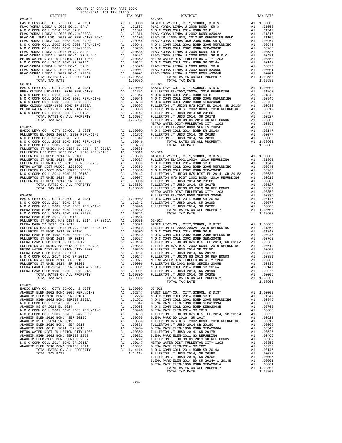| COUNTY OF ORANGE TAX RATE BOOK<br>2020-2021 TRA TAX RATES                                                                                                                                                                               |  |                                |          |
|-----------------------------------------------------------------------------------------------------------------------------------------------------------------------------------------------------------------------------------------|--|--------------------------------|----------|
| DISTRICT                                                                                                                                                                                                                                |  | TAX RATE<br>03-023<br>DISTRICT | TAX RATE |
| $03 - 017$                                                                                                                                                                                                                              |  |                                |          |
|                                                                                                                                                                                                                                         |  |                                |          |
|                                                                                                                                                                                                                                         |  |                                |          |
|                                                                                                                                                                                                                                         |  |                                |          |
|                                                                                                                                                                                                                                         |  |                                |          |
|                                                                                                                                                                                                                                         |  |                                |          |
|                                                                                                                                                                                                                                         |  |                                |          |
|                                                                                                                                                                                                                                         |  |                                |          |
|                                                                                                                                                                                                                                         |  |                                |          |
|                                                                                                                                                                                                                                         |  |                                |          |
|                                                                                                                                                                                                                                         |  |                                |          |
|                                                                                                                                                                                                                                         |  |                                |          |
|                                                                                                                                                                                                                                         |  |                                |          |
|                                                                                                                                                                                                                                         |  |                                |          |
|                                                                                                                                                                                                                                         |  |                                |          |
|                                                                                                                                                                                                                                         |  |                                |          |
|                                                                                                                                                                                                                                         |  |                                |          |
|                                                                                                                                                                                                                                         |  |                                |          |
|                                                                                                                                                                                                                                         |  |                                |          |
|                                                                                                                                                                                                                                         |  |                                |          |
|                                                                                                                                                                                                                                         |  |                                |          |
|                                                                                                                                                                                                                                         |  |                                |          |
|                                                                                                                                                                                                                                         |  |                                |          |
|                                                                                                                                                                                                                                         |  |                                |          |
|                                                                                                                                                                                                                                         |  |                                |          |
|                                                                                                                                                                                                                                         |  |                                |          |
|                                                                                                                                                                                                                                         |  |                                |          |
|                                                                                                                                                                                                                                         |  |                                |          |
|                                                                                                                                                                                                                                         |  |                                |          |
|                                                                                                                                                                                                                                         |  |                                |          |
|                                                                                                                                                                                                                                         |  |                                |          |
|                                                                                                                                                                                                                                         |  |                                |          |
|                                                                                                                                                                                                                                         |  |                                |          |
|                                                                                                                                                                                                                                         |  |                                |          |
|                                                                                                                                                                                                                                         |  |                                |          |
|                                                                                                                                                                                                                                         |  |                                |          |
|                                                                                                                                                                                                                                         |  |                                |          |
|                                                                                                                                                                                                                                         |  |                                |          |
|                                                                                                                                                                                                                                         |  |                                |          |
|                                                                                                                                                                                                                                         |  |                                |          |
| $103-022$ TOTAL TAX RATE<br>NAREZIM ELEM 2002 BORD SERVIKOLO, & DIST<br>NAREZIM ELEM 2002 BORD SERVIKOLO, & DIST<br>NAREZIM ELEM 2002 BORD SERVIKOLO, & DIST<br>NAREZIM ELEM 2002 BORD SERVIKOLO EN DE SERVIKOLO EN 100000<br>NAREZIM E |  |                                |          |
|                                                                                                                                                                                                                                         |  |                                |          |
|                                                                                                                                                                                                                                         |  |                                |          |
|                                                                                                                                                                                                                                         |  |                                |          |
|                                                                                                                                                                                                                                         |  |                                |          |
|                                                                                                                                                                                                                                         |  |                                |          |
|                                                                                                                                                                                                                                         |  |                                |          |
|                                                                                                                                                                                                                                         |  |                                |          |
|                                                                                                                                                                                                                                         |  |                                |          |
|                                                                                                                                                                                                                                         |  |                                |          |
|                                                                                                                                                                                                                                         |  |                                |          |
|                                                                                                                                                                                                                                         |  |                                |          |
|                                                                                                                                                                                                                                         |  |                                |          |
|                                                                                                                                                                                                                                         |  |                                |          |
|                                                                                                                                                                                                                                         |  |                                |          |
|                                                                                                                                                                                                                                         |  |                                |          |

| A <sub>1</sub> | .01342 |
|----------------|--------|
| A1             | .01316 |
| A1             | .01105 |
| A <sub>1</sub> | .00964 |
| 7.1            | 00000  |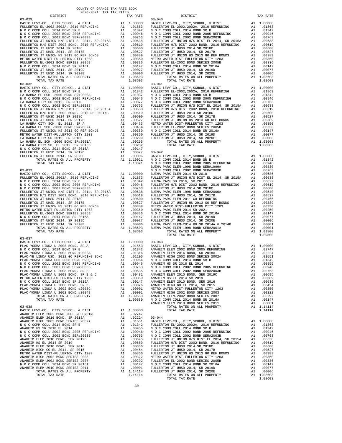| COUNTY OF ORANGE TAX RATE BOOK      |          |                 |
|-------------------------------------|----------|-----------------|
| 2020-2021 TRA TAX RATES<br>DISTRICT | TAX RATE |                 |
| $03 - 029$                          |          | $03 - 040$      |
|                                     |          |                 |
|                                     |          |                 |
|                                     |          |                 |
|                                     |          |                 |
|                                     |          |                 |
|                                     |          |                 |
|                                     |          |                 |
|                                     |          |                 |
|                                     |          |                 |
|                                     |          |                 |
|                                     |          |                 |
|                                     |          |                 |
|                                     |          |                 |
|                                     |          |                 |
|                                     |          |                 |
|                                     |          |                 |
| $03 - 032$                          |          | $03 - 041$      |
|                                     |          |                 |
|                                     |          |                 |
|                                     |          |                 |
|                                     |          |                 |
|                                     |          |                 |
|                                     |          |                 |
|                                     |          |                 |
|                                     |          |                 |
|                                     |          |                 |
|                                     |          |                 |
|                                     |          |                 |
|                                     |          |                 |
|                                     |          |                 |
|                                     |          |                 |
|                                     |          |                 |
|                                     |          |                 |
|                                     |          |                 |
|                                     |          |                 |
|                                     |          |                 |
|                                     |          |                 |
|                                     |          |                 |
|                                     |          |                 |
| $03 - 033$                          |          | BUENA P<br>NOCC |
|                                     |          |                 |
|                                     |          |                 |
|                                     |          |                 |
|                                     |          |                 |
|                                     |          |                 |
|                                     |          |                 |
|                                     |          |                 |
|                                     |          |                 |
|                                     |          |                 |
|                                     |          |                 |
|                                     |          |                 |
|                                     |          |                 |
|                                     |          |                 |
|                                     |          |                 |
|                                     |          |                 |
|                                     |          |                 |
| TOTAL TAX RATE                      | 1.08603  |                 |
|                                     |          |                 |
| $03 - 037$                          |          |                 |
|                                     |          |                 |
|                                     |          |                 |
|                                     |          |                 |
|                                     |          |                 |
|                                     |          |                 |
|                                     |          |                 |
|                                     |          |                 |
|                                     |          |                 |
|                                     |          |                 |
|                                     |          |                 |
|                                     |          |                 |

|                                                                                                                                                                                                                                                                                                                                                                                                             | TAX RATE | DISTRICT       | TAX RATE |
|-------------------------------------------------------------------------------------------------------------------------------------------------------------------------------------------------------------------------------------------------------------------------------------------------------------------------------------------------------------------------------------------------------------|----------|----------------|----------|
|                                                                                                                                                                                                                                                                                                                                                                                                             |          |                |          |
|                                                                                                                                                                                                                                                                                                                                                                                                             |          |                |          |
|                                                                                                                                                                                                                                                                                                                                                                                                             |          |                |          |
|                                                                                                                                                                                                                                                                                                                                                                                                             |          |                |          |
|                                                                                                                                                                                                                                                                                                                                                                                                             |          |                |          |
|                                                                                                                                                                                                                                                                                                                                                                                                             |          |                |          |
|                                                                                                                                                                                                                                                                                                                                                                                                             |          |                |          |
|                                                                                                                                                                                                                                                                                                                                                                                                             |          |                |          |
|                                                                                                                                                                                                                                                                                                                                                                                                             |          |                |          |
|                                                                                                                                                                                                                                                                                                                                                                                                             |          |                |          |
|                                                                                                                                                                                                                                                                                                                                                                                                             |          |                |          |
|                                                                                                                                                                                                                                                                                                                                                                                                             |          |                |          |
|                                                                                                                                                                                                                                                                                                                                                                                                             |          |                |          |
|                                                                                                                                                                                                                                                                                                                                                                                                             |          |                |          |
|                                                                                                                                                                                                                                                                                                                                                                                                             |          |                |          |
|                                                                                                                                                                                                                                                                                                                                                                                                             |          |                |          |
|                                                                                                                                                                                                                                                                                                                                                                                                             |          |                |          |
|                                                                                                                                                                                                                                                                                                                                                                                                             |          |                |          |
|                                                                                                                                                                                                                                                                                                                                                                                                             |          |                |          |
|                                                                                                                                                                                                                                                                                                                                                                                                             |          |                |          |
|                                                                                                                                                                                                                                                                                                                                                                                                             |          |                |          |
|                                                                                                                                                                                                                                                                                                                                                                                                             |          |                |          |
|                                                                                                                                                                                                                                                                                                                                                                                                             |          |                |          |
|                                                                                                                                                                                                                                                                                                                                                                                                             |          |                |          |
|                                                                                                                                                                                                                                                                                                                                                                                                             |          |                |          |
|                                                                                                                                                                                                                                                                                                                                                                                                             |          |                |          |
|                                                                                                                                                                                                                                                                                                                                                                                                             |          |                |          |
|                                                                                                                                                                                                                                                                                                                                                                                                             |          |                |          |
|                                                                                                                                                                                                                                                                                                                                                                                                             |          |                |          |
|                                                                                                                                                                                                                                                                                                                                                                                                             |          |                |          |
|                                                                                                                                                                                                                                                                                                                                                                                                             |          |                |          |
|                                                                                                                                                                                                                                                                                                                                                                                                             |          |                |          |
|                                                                                                                                                                                                                                                                                                                                                                                                             |          |                |          |
|                                                                                                                                                                                                                                                                                                                                                                                                             |          |                |          |
|                                                                                                                                                                                                                                                                                                                                                                                                             |          |                |          |
|                                                                                                                                                                                                                                                                                                                                                                                                             |          |                |          |
|                                                                                                                                                                                                                                                                                                                                                                                                             |          |                |          |
|                                                                                                                                                                                                                                                                                                                                                                                                             |          |                |          |
|                                                                                                                                                                                                                                                                                                                                                                                                             |          |                |          |
|                                                                                                                                                                                                                                                                                                                                                                                                             |          |                |          |
|                                                                                                                                                                                                                                                                                                                                                                                                             |          |                |          |
|                                                                                                                                                                                                                                                                                                                                                                                                             |          |                |          |
|                                                                                                                                                                                                                                                                                                                                                                                                             |          |                |          |
|                                                                                                                                                                                                                                                                                                                                                                                                             |          |                |          |
|                                                                                                                                                                                                                                                                                                                                                                                                             |          |                |          |
|                                                                                                                                                                                                                                                                                                                                                                                                             |          |                |          |
|                                                                                                                                                                                                                                                                                                                                                                                                             |          |                |          |
|                                                                                                                                                                                                                                                                                                                                                                                                             |          |                |          |
|                                                                                                                                                                                                                                                                                                                                                                                                             |          |                |          |
|                                                                                                                                                                                                                                                                                                                                                                                                             |          |                |          |
|                                                                                                                                                                                                                                                                                                                                                                                                             |          |                |          |
|                                                                                                                                                                                                                                                                                                                                                                                                             |          |                |          |
|                                                                                                                                                                                                                                                                                                                                                                                                             |          |                |          |
|                                                                                                                                                                                                                                                                                                                                                                                                             |          |                |          |
|                                                                                                                                                                                                                                                                                                                                                                                                             |          |                |          |
|                                                                                                                                                                                                                                                                                                                                                                                                             |          |                |          |
|                                                                                                                                                                                                                                                                                                                                                                                                             |          |                |          |
|                                                                                                                                                                                                                                                                                                                                                                                                             |          |                |          |
|                                                                                                                                                                                                                                                                                                                                                                                                             |          |                |          |
|                                                                                                                                                                                                                                                                                                                                                                                                             |          |                |          |
|                                                                                                                                                                                                                                                                                                                                                                                                             |          |                |          |
|                                                                                                                                                                                                                                                                                                                                                                                                             |          | TOTAL TAX RATE | 1.09800  |
|                                                                                                                                                                                                                                                                                                                                                                                                             |          |                |          |
|                                                                                                                                                                                                                                                                                                                                                                                                             |          |                |          |
|                                                                                                                                                                                                                                                                                                                                                                                                             |          |                |          |
|                                                                                                                                                                                                                                                                                                                                                                                                             |          |                |          |
|                                                                                                                                                                                                                                                                                                                                                                                                             |          |                |          |
|                                                                                                                                                                                                                                                                                                                                                                                                             |          |                |          |
|                                                                                                                                                                                                                                                                                                                                                                                                             |          |                |          |
|                                                                                                                                                                                                                                                                                                                                                                                                             |          |                |          |
|                                                                                                                                                                                                                                                                                                                                                                                                             |          |                |          |
|                                                                                                                                                                                                                                                                                                                                                                                                             |          |                |          |
|                                                                                                                                                                                                                                                                                                                                                                                                             |          |                |          |
|                                                                                                                                                                                                                                                                                                                                                                                                             |          |                |          |
|                                                                                                                                                                                                                                                                                                                                                                                                             |          |                |          |
|                                                                                                                                                                                                                                                                                                                                                                                                             |          |                |          |
|                                                                                                                                                                                                                                                                                                                                                                                                             |          |                |          |
|                                                                                                                                                                                                                                                                                                                                                                                                             |          |                |          |
|                                                                                                                                                                                                                                                                                                                                                                                                             |          |                |          |
|                                                                                                                                                                                                                                                                                                                                                                                                             |          |                |          |
|                                                                                                                                                                                                                                                                                                                                                                                                             |          |                |          |
|                                                                                                                                                                                                                                                                                                                                                                                                             |          |                |          |
|                                                                                                                                                                                                                                                                                                                                                                                                             |          |                |          |
|                                                                                                                                                                                                                                                                                                                                                                                                             |          |                |          |
|                                                                                                                                                                                                                                                                                                                                                                                                             |          |                |          |
|                                                                                                                                                                                                                                                                                                                                                                                                             |          |                |          |
|                                                                                                                                                                                                                                                                                                                                                                                                             |          |                |          |
|                                                                                                                                                                                                                                                                                                                                                                                                             |          |                |          |
|                                                                                                                                                                                                                                                                                                                                                                                                             |          |                |          |
|                                                                                                                                                                                                                                                                                                                                                                                                             |          |                |          |
|                                                                                                                                                                                                                                                                                                                                                                                                             |          |                |          |
|                                                                                                                                                                                                                                                                                                                                                                                                             |          |                |          |
|                                                                                                                                                                                                                                                                                                                                                                                                             |          |                |          |
|                                                                                                                                                                                                                                                                                                                                                                                                             |          |                |          |
|                                                                                                                                                                                                                                                                                                                                                                                                             |          |                |          |
|                                                                                                                                                                                                                                                                                                                                                                                                             |          |                |          |
|                                                                                                                                                                                                                                                                                                                                                                                                             |          |                |          |
|                                                                                                                                                                                                                                                                                                                                                                                                             |          |                |          |
|                                                                                                                                                                                                                                                                                                                                                                                                             |          |                |          |
| $\begin{tabular}{cccc} 0.3-0.8 \\ 0.4-0.8 \\ \hline \textbf{MAMEN IN ELM} & 20.02 \\ \hline \textbf{MAMEN IN ELM} & 20.02 \\ \hline \textbf{MAMEN IN ELM} & 20.02 \\ \hline \textbf{MAMEN IN ELM} & 20.02 \\ \hline \textbf{MAMEN IN ELM} & 20.02 \\ \hline \textbf{MAMEN IN ELM} & 20.02 \\ \hline \textbf{MOM} & 20.02 \\ \hline \textbf{MOM} & 20.02 \\ \hline \textbf{MOM} & 20.02 \\ \hline \textbf{M$ |          |                |          |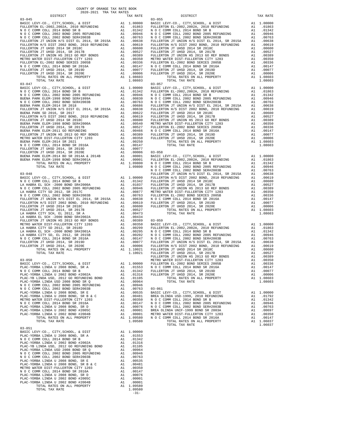| COUNTY OF ORANGE TAX RATE BOOK<br>2020-2021 TRA TAX RATES |          |                                                                                                                                                                                                                                                                                                                                                                                                                       |          |
|-----------------------------------------------------------|----------|-----------------------------------------------------------------------------------------------------------------------------------------------------------------------------------------------------------------------------------------------------------------------------------------------------------------------------------------------------------------------------------------------------------------------|----------|
| DISTRICT<br>$03 - 045$                                    | TAX RATE | $03 - 055$<br>DISTRICT                                                                                                                                                                                                                                                                                                                                                                                                | TAX RATE |
|                                                           |          |                                                                                                                                                                                                                                                                                                                                                                                                                       |          |
|                                                           |          | $03 - 057$<br>$\frac{32-97}{10-27} \times 70\% \text{ A. } \frac{3}{2} \times 70\% \text{ A. } \frac{3}{2} \times 70\% \text{ A. } \frac{3}{2} \times 70\% \text{ A. } \frac{3}{2} \times 70\% \text{ A. } \frac{3}{2} \times 70\% \text{ A. } \frac{3}{2} \times 70\% \text{ A. } \frac{3}{2} \times 70\% \text{ A. } \frac{3}{2} \times 70\% \text{ A. } \frac{3}{2} \times 70\% \text{ A. } \frac{3}{2} \times 70$ |          |
|                                                           |          |                                                                                                                                                                                                                                                                                                                                                                                                                       |          |
|                                                           |          |                                                                                                                                                                                                                                                                                                                                                                                                                       |          |
|                                                           |          |                                                                                                                                                                                                                                                                                                                                                                                                                       |          |
| $03 - 051$                                                |          | $\begin{tabular}{cccccccc} {\bf 1.10021} & {\bf 1.10021} & {\bf 1.100221} & {\bf 1.100221} & {\bf 1.10021} & {\bf 1.100221} & {\bf 1.100221} & {\bf 1.10021} & {\bf 1.100221} & {\bf 1.10021} & {\bf 1.100221} & {\bf 1.100221} & {\bf 1.100221} & {\bf 1.100221} & {\bf 1.100221} & {\bf 1.100221} & {\bf 1.100$                                                                                                     |          |
|                                                           | $-31-$   |                                                                                                                                                                                                                                                                                                                                                                                                                       |          |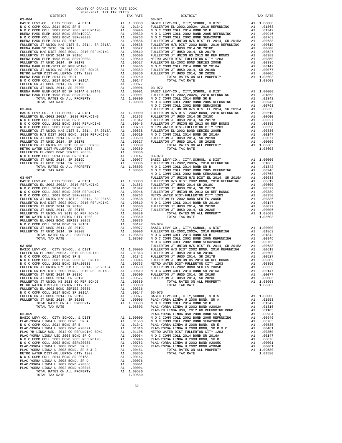| COUNTY OF ORANGE TAX RATE BOOK      |  |                                        |          |
|-------------------------------------|--|----------------------------------------|----------|
| 2020-2021 TRA TAX RATES<br>DISTRICT |  | RATES<br>TAX RATE $03-071$<br>$03-071$ | TAX RATE |
| $03 - 064$                          |  |                                        |          |
|                                     |  |                                        |          |
|                                     |  |                                        |          |
|                                     |  |                                        |          |
|                                     |  |                                        |          |
|                                     |  |                                        |          |
|                                     |  |                                        |          |
|                                     |  |                                        |          |
|                                     |  |                                        |          |
|                                     |  |                                        |          |
|                                     |  |                                        |          |
|                                     |  |                                        |          |
|                                     |  |                                        |          |
|                                     |  |                                        |          |
|                                     |  |                                        |          |
|                                     |  |                                        |          |
|                                     |  |                                        |          |
|                                     |  |                                        |          |
|                                     |  |                                        |          |
|                                     |  |                                        |          |
|                                     |  |                                        |          |
|                                     |  |                                        |          |
|                                     |  |                                        |          |
|                                     |  |                                        |          |
|                                     |  |                                        |          |
|                                     |  |                                        |          |
|                                     |  |                                        |          |
|                                     |  |                                        |          |
|                                     |  |                                        |          |
|                                     |  |                                        |          |
|                                     |  |                                        |          |
|                                     |  |                                        |          |
|                                     |  |                                        |          |
|                                     |  |                                        |          |
|                                     |  |                                        |          |
|                                     |  |                                        |          |
|                                     |  |                                        |          |
|                                     |  |                                        |          |
|                                     |  |                                        |          |
|                                     |  |                                        |          |
|                                     |  |                                        |          |
|                                     |  |                                        |          |
|                                     |  |                                        |          |
|                                     |  |                                        |          |
|                                     |  |                                        |          |
|                                     |  |                                        |          |
|                                     |  |                                        |          |
|                                     |  |                                        |          |
|                                     |  |                                        |          |
|                                     |  |                                        |          |
|                                     |  |                                        |          |
|                                     |  |                                        |          |
|                                     |  |                                        |          |
|                                     |  |                                        |          |
|                                     |  |                                        |          |
|                                     |  |                                        |          |
|                                     |  |                                        |          |
|                                     |  |                                        |          |
|                                     |  |                                        |          |
|                                     |  |                                        |          |
|                                     |  |                                        |          |
|                                     |  |                                        |          |
|                                     |  |                                        |          |
|                                     |  |                                        |          |
|                                     |  |                                        |          |
|                                     |  |                                        |          |
|                                     |  |                                        |          |
|                                     |  |                                        |          |
|                                     |  |                                        |          |
|                                     |  |                                        |          |
|                                     |  |                                        |          |
|                                     |  |                                        |          |
|                                     |  |                                        |          |
|                                     |  |                                        |          |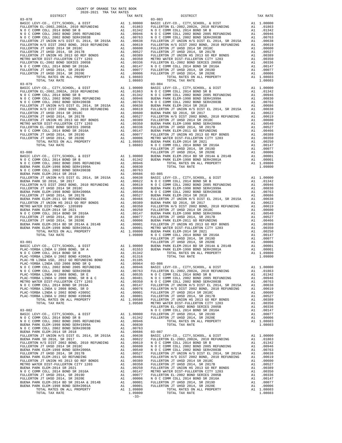| DISTRICT       | TAX RATE |         |
|----------------|----------|---------|
|                |          |         |
|                |          |         |
|                |          |         |
|                |          |         |
|                |          |         |
|                |          |         |
|                |          |         |
|                |          |         |
|                |          |         |
|                |          |         |
|                |          |         |
|                |          |         |
|                |          |         |
|                |          |         |
|                |          |         |
|                |          |         |
|                |          |         |
|                |          |         |
|                |          |         |
|                |          |         |
|                |          |         |
|                |          |         |
|                |          |         |
|                |          |         |
|                |          |         |
|                |          |         |
|                |          |         |
|                |          |         |
|                |          |         |
|                |          |         |
|                |          |         |
|                |          |         |
|                |          |         |
|                |          |         |
|                |          |         |
|                |          | FULLERT |
| $03 - 080$     |          | FULLERT |
|                |          |         |
|                |          |         |
|                |          |         |
|                |          |         |
|                |          |         |
|                |          |         |
|                |          |         |
|                |          |         |
|                |          |         |
|                |          |         |
|                |          |         |
|                |          |         |
|                |          |         |
|                |          |         |
|                |          |         |
|                |          |         |
|                |          |         |
|                |          |         |
|                |          |         |
|                |          |         |
|                |          |         |
|                |          |         |
|                |          |         |
|                |          | FULLERT |
|                |          |         |
|                |          |         |
|                |          |         |
|                |          |         |
|                |          |         |
|                |          |         |
|                |          |         |
|                |          |         |
|                |          |         |
|                |          |         |
|                |          |         |
|                |          |         |
|                |          |         |
|                |          |         |
|                |          |         |
|                |          |         |
|                |          |         |
|                |          |         |
|                |          | FULLERT |
| $03 - 082$     |          | NOCC    |
|                |          |         |
|                |          |         |
|                |          |         |
|                |          |         |
|                |          |         |
|                |          |         |
|                |          |         |
|                |          |         |
|                |          |         |
|                |          |         |
|                |          |         |
|                |          |         |
|                |          |         |
|                |          |         |
|                |          |         |
|                |          |         |
|                |          |         |
|                |          |         |
|                |          |         |
|                |          |         |
|                |          |         |
| TOTAL TAX RATE | 1.09800  |         |
|                |          |         |

| TAX RATE<br>DISTRICT |        | DISTRICT   | TAX RATE |
|----------------------|--------|------------|----------|
| $03 - 078$           |        | $03 - 083$ |          |
|                      |        |            |          |
|                      |        |            |          |
|                      |        |            |          |
|                      |        |            |          |
|                      |        |            |          |
|                      |        |            |          |
|                      |        |            |          |
|                      |        |            |          |
|                      |        |            |          |
|                      |        |            |          |
|                      |        |            |          |
|                      |        |            |          |
|                      |        |            |          |
|                      |        |            |          |
|                      |        |            |          |
|                      |        |            |          |
|                      |        |            |          |
|                      |        |            |          |
|                      |        |            |          |
|                      |        |            |          |
|                      |        |            |          |
|                      |        |            |          |
|                      |        |            |          |
|                      |        |            |          |
|                      |        |            |          |
|                      |        |            |          |
|                      |        |            |          |
|                      |        |            |          |
|                      |        |            |          |
|                      |        |            |          |
|                      |        |            |          |
|                      |        |            |          |
|                      |        |            |          |
|                      |        |            |          |
|                      |        |            |          |
|                      |        |            |          |
|                      |        |            |          |
|                      |        |            |          |
|                      |        |            |          |
|                      |        |            |          |
|                      |        |            |          |
|                      |        |            |          |
|                      |        |            |          |
|                      |        |            |          |
|                      |        |            |          |
|                      |        |            |          |
|                      |        |            |          |
|                      |        |            |          |
|                      |        |            |          |
|                      |        |            |          |
|                      |        |            |          |
|                      |        |            |          |
|                      |        |            |          |
|                      |        |            |          |
|                      |        |            |          |
|                      |        |            |          |
|                      |        |            |          |
|                      |        |            |          |
|                      |        |            |          |
|                      |        |            |          |
|                      |        |            |          |
|                      |        |            |          |
|                      |        |            |          |
|                      |        |            |          |
|                      |        |            |          |
|                      |        |            |          |
|                      |        |            |          |
|                      |        |            |          |
|                      |        |            |          |
|                      |        |            |          |
|                      |        |            |          |
|                      |        |            |          |
|                      |        |            |          |
|                      |        |            |          |
|                      |        |            |          |
|                      |        |            |          |
|                      |        |            |          |
|                      |        |            |          |
|                      |        |            |          |
|                      |        |            |          |
|                      |        |            |          |
|                      |        |            |          |
|                      |        |            |          |
|                      |        |            |          |
|                      |        |            |          |
|                      |        |            |          |
|                      |        |            |          |
|                      |        |            |          |
|                      |        |            |          |
|                      |        |            |          |
|                      |        |            |          |
|                      |        |            |          |
|                      |        |            |          |
|                      |        |            |          |
|                      |        |            |          |
|                      |        |            |          |
|                      |        |            |          |
|                      |        |            |          |
|                      |        |            |          |
|                      |        |            |          |
|                      |        |            |          |
|                      |        |            |          |
|                      | $-33-$ |            |          |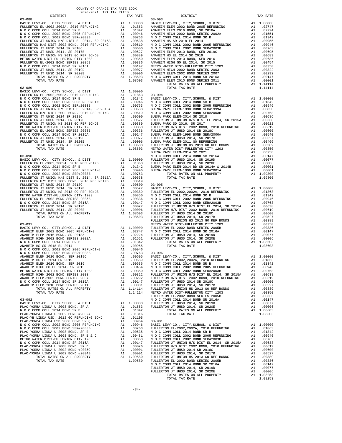| COUNTY OF ORANGE TAX RATE BOOK<br>2020-2021 TRA TAX RATES                                 |    |                                                                                                                                                                                                                              |                 |
|-------------------------------------------------------------------------------------------|----|------------------------------------------------------------------------------------------------------------------------------------------------------------------------------------------------------------------------------|-----------------|
| DISTRICT                                                                                  |    | TAX RATE                                                                                                                                                                                                                     |                 |
|                                                                                           |    |                                                                                                                                                                                                                              |                 |
|                                                                                           |    |                                                                                                                                                                                                                              |                 |
|                                                                                           |    |                                                                                                                                                                                                                              |                 |
|                                                                                           |    |                                                                                                                                                                                                                              |                 |
|                                                                                           |    |                                                                                                                                                                                                                              |                 |
|                                                                                           |    |                                                                                                                                                                                                                              |                 |
|                                                                                           |    |                                                                                                                                                                                                                              |                 |
|                                                                                           |    |                                                                                                                                                                                                                              |                 |
|                                                                                           |    |                                                                                                                                                                                                                              |                 |
|                                                                                           |    |                                                                                                                                                                                                                              |                 |
|                                                                                           |    |                                                                                                                                                                                                                              |                 |
|                                                                                           |    |                                                                                                                                                                                                                              |                 |
|                                                                                           |    |                                                                                                                                                                                                                              |                 |
|                                                                                           |    |                                                                                                                                                                                                                              |                 |
|                                                                                           |    |                                                                                                                                                                                                                              |                 |
|                                                                                           |    |                                                                                                                                                                                                                              |                 |
|                                                                                           |    |                                                                                                                                                                                                                              |                 |
|                                                                                           |    |                                                                                                                                                                                                                              |                 |
|                                                                                           |    |                                                                                                                                                                                                                              |                 |
|                                                                                           |    |                                                                                                                                                                                                                              |                 |
|                                                                                           |    |                                                                                                                                                                                                                              |                 |
|                                                                                           |    |                                                                                                                                                                                                                              |                 |
|                                                                                           |    |                                                                                                                                                                                                                              |                 |
|                                                                                           |    |                                                                                                                                                                                                                              |                 |
|                                                                                           |    |                                                                                                                                                                                                                              |                 |
|                                                                                           |    |                                                                                                                                                                                                                              |                 |
|                                                                                           |    |                                                                                                                                                                                                                              |                 |
|                                                                                           |    |                                                                                                                                                                                                                              |                 |
|                                                                                           |    |                                                                                                                                                                                                                              |                 |
|                                                                                           |    |                                                                                                                                                                                                                              |                 |
|                                                                                           |    |                                                                                                                                                                                                                              |                 |
|                                                                                           |    |                                                                                                                                                                                                                              |                 |
|                                                                                           |    |                                                                                                                                                                                                                              |                 |
| $03 - 090$                                                                                |    |                                                                                                                                                                                                                              | NOCC            |
|                                                                                           |    |                                                                                                                                                                                                                              |                 |
|                                                                                           |    |                                                                                                                                                                                                                              |                 |
|                                                                                           |    |                                                                                                                                                                                                                              |                 |
|                                                                                           |    |                                                                                                                                                                                                                              |                 |
|                                                                                           |    |                                                                                                                                                                                                                              |                 |
|                                                                                           |    |                                                                                                                                                                                                                              |                 |
|                                                                                           |    |                                                                                                                                                                                                                              |                 |
|                                                                                           |    |                                                                                                                                                                                                                              |                 |
|                                                                                           |    |                                                                                                                                                                                                                              |                 |
|                                                                                           |    |                                                                                                                                                                                                                              |                 |
|                                                                                           |    |                                                                                                                                                                                                                              |                 |
|                                                                                           |    |                                                                                                                                                                                                                              |                 |
|                                                                                           |    |                                                                                                                                                                                                                              |                 |
|                                                                                           |    |                                                                                                                                                                                                                              |                 |
|                                                                                           |    |                                                                                                                                                                                                                              |                 |
|                                                                                           |    |                                                                                                                                                                                                                              | FULLERT         |
| $03 - 091$                                                                                |    |                                                                                                                                                                                                                              | METRO W         |
|                                                                                           |    |                                                                                                                                                                                                                              |                 |
|                                                                                           |    |                                                                                                                                                                                                                              |                 |
|                                                                                           |    |                                                                                                                                                                                                                              |                 |
|                                                                                           |    |                                                                                                                                                                                                                              |                 |
|                                                                                           |    |                                                                                                                                                                                                                              |                 |
|                                                                                           |    |                                                                                                                                                                                                                              |                 |
|                                                                                           |    |                                                                                                                                                                                                                              |                 |
|                                                                                           |    |                                                                                                                                                                                                                              |                 |
| ANAHEIM HS EL 2014 SR 2019                                                                |    |                                                                                                                                                                                                                              |                 |
| ANAHEIM ELEM 2010 BOND, SER 2016                                                          |    | A1 .00689<br>A1 .00636 NOCC<br>A1 .00636 NOCC<br>A1 .00350 NOCC<br>A1 .00322 FULLERT                                                                                                                                         |                 |
| ANAHEIM HIGH GO EL 2014, SR 2015                                                          |    |                                                                                                                                                                                                                              |                 |
| METRO WATER DIST-FULLERTON CITY 1203                                                      |    |                                                                                                                                                                                                                              |                 |
| ANAHEIM HIGH 2002 BOND SERIES 2003<br>ANAHEIM ELEM-2002 BOND SERIES 2007                  |    | A1.00292                                                                                                                                                                                                                     | FULLERT         |
| N O C COMM COLL 2014 BOND SR 2016A                                                        | A1 | .00147                                                                                                                                                                                                                       | FULLERT         |
| ANAHEIM ELEM 2010 BOND SERIES 2011                                                        | A1 | .00001                                                                                                                                                                                                                       | FULLERT         |
| TOTAL RATES ON ALL PROPERTY                                                               |    |                                                                                                                                                                                                                              |                 |
| TOTAL TAX RATE                                                                            |    | A1 1.14114 FULLERT<br>1.14114 METRO W                                                                                                                                                                                        |                 |
|                                                                                           |    |                                                                                                                                                                                                                              | FULLERT         |
| $03 - 092$<br>BASIC LEVY-CO., CITY, SCHOOL, & DIST                                        | A1 |                                                                                                                                                                                                                              | NOCC<br>FULLERT |
| PLAC-YORBA LINDA U 2008 BOND, SR A                                                        |    | A1 1.00000<br>A1 .01553                                                                                                                                                                                                      | FULLERT         |
| N O C COMM COLL 2014 BOND SR B                                                            | A1 | .01342                                                                                                                                                                                                                       |                 |
| PLAC-YORBA LINDA U 2002 BOND #2002A                                                       | A1 | .01316                                                                                                                                                                                                                       |                 |
| PLAC-YB LINDA USD, 2012 GO REFUNDING BOND A1                                              |    | .01105                                                                                                                                                                                                                       |                 |
| PLAC-YORBA LINDA USD 2008 BOND SR O                                                       |    | A1 .00964 03-901                                                                                                                                                                                                             |                 |
| PLAC-YORBA LINDA USD 2008 BOND SK Q<br>N 0 C COMM COLL 2002 BOND 2005 REFUNDING A1 .00946 |    |                                                                                                                                                                                                                              | BASIC L         |
| N O C COMM COLL 2002 BOND SER#2003B<br>PLAC-YORBA LINDA U 2008 BOND, SR E                 |    |                                                                                                                                                                                                                              |                 |
| PLAC-YORBA LINDA U 2008 BOND, SR B & C                                                    |    |                                                                                                                                                                                                                              |                 |
| METRO WATER DIST-FULLERTON CITY 1203                                                      |    |                                                                                                                                                                                                                              |                 |
| N O C COMM COLL 2014 BOND SR 2016A                                                        |    |                                                                                                                                                                                                                              |                 |
| PLAC-YORBA LINDA U 2008 BOND, SR D                                                        |    |                                                                                                                                                                                                                              |                 |
| PLAC-YORBA LINDA U 2002 BOND #2005C                                                       |    |                                                                                                                                                                                                                              |                 |
| PLAC-YORBA LINDA U 2002 BOND #2004B                                                       |    | AL 00763 FULLERT<br>Al 00763 FULLERT<br>Al 00535 N O C C<br>Al 00481 N O C C<br>Al 00350 N O C C<br>Al 00076 FULLERT<br>Al 00001 FULLERT<br>Al 00001 FULLERT<br>Al 00001 FULLERT<br>Al 1.09580 FULLERT<br>Al 1.09580 FULLERT |                 |
| TOTAL RATES ON ALL PROPERTY                                                               |    |                                                                                                                                                                                                                              |                 |
| TOTAL TAX RATE                                                                            |    |                                                                                                                                                                                                                              | 1.09580 FULLERT |

|  |  | TOTAL TAX RATE |         |
|--|--|----------------|---------|
|  |  |                |         |
|  |  |                |         |
|  |  |                |         |
|  |  |                |         |
|  |  |                |         |
|  |  |                |         |
|  |  |                |         |
|  |  |                |         |
|  |  |                |         |
|  |  |                |         |
|  |  |                |         |
|  |  |                |         |
|  |  |                |         |
|  |  |                |         |
|  |  |                |         |
|  |  |                |         |
|  |  |                |         |
|  |  |                |         |
|  |  |                |         |
|  |  |                |         |
|  |  |                |         |
|  |  |                |         |
|  |  |                |         |
|  |  |                |         |
|  |  |                |         |
|  |  |                |         |
|  |  |                |         |
|  |  |                |         |
|  |  |                |         |
|  |  |                |         |
|  |  |                |         |
|  |  |                |         |
|  |  |                |         |
|  |  |                |         |
|  |  |                |         |
|  |  |                |         |
|  |  |                |         |
|  |  |                |         |
|  |  |                |         |
|  |  |                |         |
|  |  |                |         |
|  |  |                |         |
|  |  |                |         |
|  |  |                |         |
|  |  |                |         |
|  |  |                |         |
|  |  |                |         |
|  |  |                |         |
|  |  |                |         |
|  |  |                |         |
|  |  |                |         |
|  |  |                |         |
|  |  |                |         |
|  |  |                |         |
|  |  |                |         |
|  |  |                |         |
|  |  |                |         |
|  |  |                |         |
|  |  |                |         |
|  |  |                |         |
|  |  | TOTAL TAX RATE | 1.08253 |
|  |  |                |         |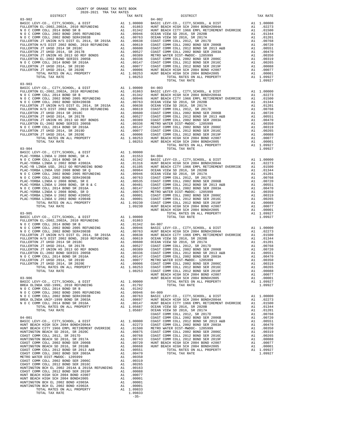| COUNTY OF ORANGE TAX RATE BOOK<br>$2020-2021 \quad \text{TRA TAX RATES}$ DISTRICT $\hspace{2.5cm}$                                                                                                                                                                                                                                                         |          |                |          |
|------------------------------------------------------------------------------------------------------------------------------------------------------------------------------------------------------------------------------------------------------------------------------------------------------------------------------------------------------------|----------|----------------|----------|
|                                                                                                                                                                                                                                                                                                                                                            | TAX RATE | DISTRICT       | TAX RATE |
| $03 - 902$<br>$\begin{tabular}{cccccc} 03-902 & \mbox{\sc b}16.10000 & \mbox{\sc b}16.10000 & \mbox{\sc b}16.10000 & \mbox{\sc b}16.10000 \\ \mbox{\sc b}16.100000 & \mbox{\sc b}16.10000 \\ \mbox{\sc b}16.100000 & \mbox{\sc b}16.10000 \\ \mbox{\sc b}16.100000 & \mbox{\sc b}16.10000 \\ \mbox{\sc b}16.100000 & \mbox{\sc b}16.10000 \\ \mbox{\sc b}$ |          | $04 - 002$     |          |
|                                                                                                                                                                                                                                                                                                                                                            |          |                |          |
|                                                                                                                                                                                                                                                                                                                                                            |          |                |          |
|                                                                                                                                                                                                                                                                                                                                                            |          |                |          |
|                                                                                                                                                                                                                                                                                                                                                            |          |                |          |
|                                                                                                                                                                                                                                                                                                                                                            |          |                |          |
|                                                                                                                                                                                                                                                                                                                                                            |          |                |          |
|                                                                                                                                                                                                                                                                                                                                                            |          |                |          |
|                                                                                                                                                                                                                                                                                                                                                            |          |                |          |
|                                                                                                                                                                                                                                                                                                                                                            |          |                |          |
|                                                                                                                                                                                                                                                                                                                                                            |          |                |          |
|                                                                                                                                                                                                                                                                                                                                                            |          |                |          |
|                                                                                                                                                                                                                                                                                                                                                            |          |                |          |
|                                                                                                                                                                                                                                                                                                                                                            |          | TOTAL TAX RATE | 1.09927  |
|                                                                                                                                                                                                                                                                                                                                                            |          |                |          |
|                                                                                                                                                                                                                                                                                                                                                            |          |                |          |
|                                                                                                                                                                                                                                                                                                                                                            |          |                |          |
|                                                                                                                                                                                                                                                                                                                                                            |          |                |          |
|                                                                                                                                                                                                                                                                                                                                                            |          |                |          |
|                                                                                                                                                                                                                                                                                                                                                            |          |                |          |
|                                                                                                                                                                                                                                                                                                                                                            |          |                |          |
|                                                                                                                                                                                                                                                                                                                                                            |          |                |          |
|                                                                                                                                                                                                                                                                                                                                                            |          |                |          |
|                                                                                                                                                                                                                                                                                                                                                            |          |                |          |
|                                                                                                                                                                                                                                                                                                                                                            |          |                |          |
|                                                                                                                                                                                                                                                                                                                                                            |          |                |          |
|                                                                                                                                                                                                                                                                                                                                                            |          |                |          |
|                                                                                                                                                                                                                                                                                                                                                            |          | TOTAL TAX RATE |          |
|                                                                                                                                                                                                                                                                                                                                                            |          |                |          |
|                                                                                                                                                                                                                                                                                                                                                            |          |                |          |
|                                                                                                                                                                                                                                                                                                                                                            |          |                |          |
|                                                                                                                                                                                                                                                                                                                                                            |          |                |          |
|                                                                                                                                                                                                                                                                                                                                                            |          |                |          |
|                                                                                                                                                                                                                                                                                                                                                            |          |                |          |
|                                                                                                                                                                                                                                                                                                                                                            |          |                |          |
|                                                                                                                                                                                                                                                                                                                                                            |          |                |          |
|                                                                                                                                                                                                                                                                                                                                                            |          |                |          |
|                                                                                                                                                                                                                                                                                                                                                            |          |                |          |
|                                                                                                                                                                                                                                                                                                                                                            |          |                |          |
|                                                                                                                                                                                                                                                                                                                                                            |          |                |          |
|                                                                                                                                                                                                                                                                                                                                                            |          |                |          |
|                                                                                                                                                                                                                                                                                                                                                            |          |                |          |
|                                                                                                                                                                                                                                                                                                                                                            |          |                |          |
|                                                                                                                                                                                                                                                                                                                                                            |          |                |          |
|                                                                                                                                                                                                                                                                                                                                                            |          |                |          |
|                                                                                                                                                                                                                                                                                                                                                            |          |                |          |
|                                                                                                                                                                                                                                                                                                                                                            |          |                |          |
|                                                                                                                                                                                                                                                                                                                                                            |          |                |          |
|                                                                                                                                                                                                                                                                                                                                                            |          |                |          |
|                                                                                                                                                                                                                                                                                                                                                            |          |                |          |
|                                                                                                                                                                                                                                                                                                                                                            |          |                |          |
|                                                                                                                                                                                                                                                                                                                                                            |          |                |          |
|                                                                                                                                                                                                                                                                                                                                                            |          |                |          |
|                                                                                                                                                                                                                                                                                                                                                            |          |                |          |
|                                                                                                                                                                                                                                                                                                                                                            |          |                |          |
|                                                                                                                                                                                                                                                                                                                                                            |          |                |          |
|                                                                                                                                                                                                                                                                                                                                                            |          |                |          |
|                                                                                                                                                                                                                                                                                                                                                            |          |                |          |
|                                                                                                                                                                                                                                                                                                                                                            |          |                |          |
|                                                                                                                                                                                                                                                                                                                                                            |          |                |          |
|                                                                                                                                                                                                                                                                                                                                                            |          |                |          |
|                                                                                                                                                                                                                                                                                                                                                            |          |                |          |
|                                                                                                                                                                                                                                                                                                                                                            |          |                |          |
|                                                                                                                                                                                                                                                                                                                                                            |          |                |          |
|                                                                                                                                                                                                                                                                                                                                                            |          |                |          |
|                                                                                                                                                                                                                                                                                                                                                            |          |                |          |
|                                                                                                                                                                                                                                                                                                                                                            |          |                |          |
|                                                                                                                                                                                                                                                                                                                                                            |          |                |          |
|                                                                                                                                                                                                                                                                                                                                                            |          |                |          |
|                                                                                                                                                                                                                                                                                                                                                            |          |                |          |
|                                                                                                                                                                                                                                                                                                                                                            |          |                |          |
|                                                                                                                                                                                                                                                                                                                                                            |          |                |          |
|                                                                                                                                                                                                                                                                                                                                                            |          |                |          |
|                                                                                                                                                                                                                                                                                                                                                            |          |                |          |
|                                                                                                                                                                                                                                                                                                                                                            |          |                |          |
|                                                                                                                                                                                                                                                                                                                                                            |          |                |          |
|                                                                                                                                                                                                                                                                                                                                                            |          |                |          |
|                                                                                                                                                                                                                                                                                                                                                            |          |                |          |
|                                                                                                                                                                                                                                                                                                                                                            |          |                |          |
|                                                                                                                                                                                                                                                                                                                                                            |          |                |          |

 $1.09833$ <br>-35-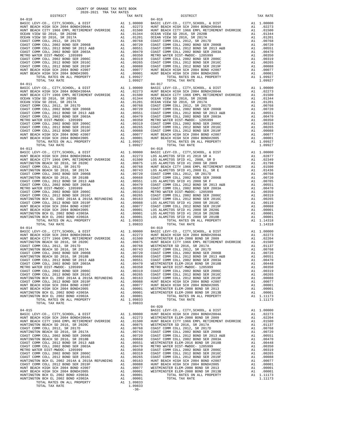| COUNTY OF ORANGE TAX RATE BOOK<br>2020-2021 TRA TAX RATES                                                                                                                                                                                                                                                                       |          |            |          |
|---------------------------------------------------------------------------------------------------------------------------------------------------------------------------------------------------------------------------------------------------------------------------------------------------------------------------------|----------|------------|----------|
| DISTRICT<br>$\begin{tabular}{cccccccc} $64-010$ & $108$ & $108$ & $108$ & $108$ & $108$ & $108$ & $108$ & $108$ & $108$ & $108$ & $108$ & $108$ & $108$ & $108$ & $108$ & $108$ & $108$ & $108$ & $108$ & $108$ & $108$ & $108$ & $108$ & $108$ & $108$ & $108$ & $108$ & $108$ & $108$ & $108$ & $108$ & $108$ & $108$ & $108$ | TAX RATE | DISTRICT   | TAX RATE |
| $04 - 010$                                                                                                                                                                                                                                                                                                                      |          | $04 - 016$ |          |
|                                                                                                                                                                                                                                                                                                                                 |          |            |          |
|                                                                                                                                                                                                                                                                                                                                 |          |            |          |
|                                                                                                                                                                                                                                                                                                                                 |          |            |          |
|                                                                                                                                                                                                                                                                                                                                 |          |            |          |
|                                                                                                                                                                                                                                                                                                                                 |          |            |          |
|                                                                                                                                                                                                                                                                                                                                 |          |            |          |
|                                                                                                                                                                                                                                                                                                                                 |          |            |          |
|                                                                                                                                                                                                                                                                                                                                 |          |            |          |
|                                                                                                                                                                                                                                                                                                                                 |          |            |          |
|                                                                                                                                                                                                                                                                                                                                 |          |            |          |
|                                                                                                                                                                                                                                                                                                                                 |          |            |          |
|                                                                                                                                                                                                                                                                                                                                 |          |            |          |
|                                                                                                                                                                                                                                                                                                                                 |          |            |          |
|                                                                                                                                                                                                                                                                                                                                 |          |            |          |
|                                                                                                                                                                                                                                                                                                                                 |          |            |          |
|                                                                                                                                                                                                                                                                                                                                 |          |            |          |
|                                                                                                                                                                                                                                                                                                                                 |          |            |          |
|                                                                                                                                                                                                                                                                                                                                 |          |            |          |
|                                                                                                                                                                                                                                                                                                                                 |          |            |          |
|                                                                                                                                                                                                                                                                                                                                 |          |            |          |
|                                                                                                                                                                                                                                                                                                                                 |          |            |          |
|                                                                                                                                                                                                                                                                                                                                 |          |            |          |
|                                                                                                                                                                                                                                                                                                                                 |          |            |          |
|                                                                                                                                                                                                                                                                                                                                 |          |            |          |
|                                                                                                                                                                                                                                                                                                                                 |          |            |          |
|                                                                                                                                                                                                                                                                                                                                 |          |            |          |
|                                                                                                                                                                                                                                                                                                                                 |          |            |          |
|                                                                                                                                                                                                                                                                                                                                 |          |            |          |
|                                                                                                                                                                                                                                                                                                                                 |          |            |          |
|                                                                                                                                                                                                                                                                                                                                 |          |            |          |
|                                                                                                                                                                                                                                                                                                                                 |          |            |          |
|                                                                                                                                                                                                                                                                                                                                 |          |            |          |
|                                                                                                                                                                                                                                                                                                                                 |          |            |          |
|                                                                                                                                                                                                                                                                                                                                 |          |            |          |
|                                                                                                                                                                                                                                                                                                                                 |          |            |          |
|                                                                                                                                                                                                                                                                                                                                 |          |            |          |
|                                                                                                                                                                                                                                                                                                                                 |          |            |          |
|                                                                                                                                                                                                                                                                                                                                 |          |            |          |
|                                                                                                                                                                                                                                                                                                                                 |          |            |          |
|                                                                                                                                                                                                                                                                                                                                 |          |            |          |
|                                                                                                                                                                                                                                                                                                                                 |          |            |          |
|                                                                                                                                                                                                                                                                                                                                 |          |            |          |
|                                                                                                                                                                                                                                                                                                                                 |          |            |          |
| $\begin{array}{cccccccc} 0.4-0.1 & 0.014 & 0.4-0.1 & 0.0000 & 0.4-0.1 & 0.0000 & 0.4-0.1 & 0.00000 & 0.4-0.1 & 0.00000 & 0.4-0.1 & 0.00000 & 0.4-0.1 & 0.00000 & 0.4-0.1 & 0.00000 & 0.4-0.1 & 0.00000 & 0.4-0.1 & 0.00000 & 0.4-0.1 & 0.00000 & 0.4-0.1 & 0.00000 &$                                                           |          |            |          |
| $04 - 014$                                                                                                                                                                                                                                                                                                                      |          | $04 - 019$ |          |
|                                                                                                                                                                                                                                                                                                                                 |          |            |          |
|                                                                                                                                                                                                                                                                                                                                 |          |            |          |
|                                                                                                                                                                                                                                                                                                                                 |          |            |          |
|                                                                                                                                                                                                                                                                                                                                 |          |            |          |
|                                                                                                                                                                                                                                                                                                                                 |          |            |          |
|                                                                                                                                                                                                                                                                                                                                 |          |            |          |
|                                                                                                                                                                                                                                                                                                                                 |          |            |          |
|                                                                                                                                                                                                                                                                                                                                 |          |            |          |
|                                                                                                                                                                                                                                                                                                                                 |          |            |          |
|                                                                                                                                                                                                                                                                                                                                 |          |            |          |
|                                                                                                                                                                                                                                                                                                                                 |          |            |          |
|                                                                                                                                                                                                                                                                                                                                 |          |            |          |
|                                                                                                                                                                                                                                                                                                                                 |          |            |          |
|                                                                                                                                                                                                                                                                                                                                 |          |            |          |
|                                                                                                                                                                                                                                                                                                                                 |          |            |          |
| TOTAL TAX RATE                                                                                                                                                                                                                                                                                                                  | 1.09833  |            |          |
|                                                                                                                                                                                                                                                                                                                                 |          |            |          |
|                                                                                                                                                                                                                                                                                                                                 |          |            |          |
|                                                                                                                                                                                                                                                                                                                                 |          |            |          |
|                                                                                                                                                                                                                                                                                                                                 |          |            |          |
|                                                                                                                                                                                                                                                                                                                                 |          |            |          |
|                                                                                                                                                                                                                                                                                                                                 |          |            |          |
|                                                                                                                                                                                                                                                                                                                                 |          |            |          |
|                                                                                                                                                                                                                                                                                                                                 |          |            |          |
|                                                                                                                                                                                                                                                                                                                                 |          |            |          |
|                                                                                                                                                                                                                                                                                                                                 |          |            |          |
|                                                                                                                                                                                                                                                                                                                                 |          |            |          |
|                                                                                                                                                                                                                                                                                                                                 |          |            |          |
|                                                                                                                                                                                                                                                                                                                                 |          |            |          |
|                                                                                                                                                                                                                                                                                                                                 |          |            |          |
|                                                                                                                                                                                                                                                                                                                                 |          |            |          |
|                                                                                                                                                                                                                                                                                                                                 |          |            |          |
| $\begin{tabular}{cccccccc} $04-015$ & $14-015$ & $14-015$ & $14-015$ & $14-015$ & $14-015$ & $14-015$ & $14-015$ & $14-015$ & $14-01000 & $140000 & $140000 & $1400000 & $1400000 & $14000000 & $140000000 & $140000000 & $140000000 & $140000000 & $1400000000 & $1400000000 & $1400000$                                       |          |            |          |
|                                                                                                                                                                                                                                                                                                                                 | $-36-$   |            |          |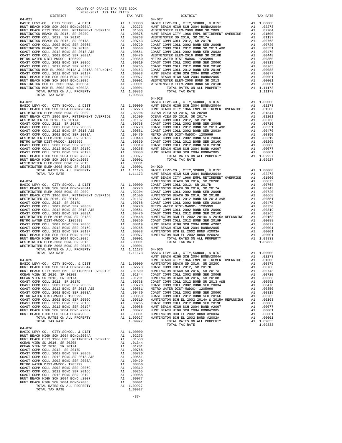| COUNTY OF ORANGE TAX RATE BOOK<br>2020-2021 TRA TAX RATES<br>$2020-2021 \quad \text{TRA RATE B}$ DISTRICT 2020–2021 TRA TAX RATES |          |                                                                                                                                                                                                                                                                                     |          |
|-----------------------------------------------------------------------------------------------------------------------------------|----------|-------------------------------------------------------------------------------------------------------------------------------------------------------------------------------------------------------------------------------------------------------------------------------------|----------|
|                                                                                                                                   | TAX RATE | DISTRICT                                                                                                                                                                                                                                                                            | TAX RATE |
| $04 - 021$                                                                                                                        |          | $04 - 027$<br>$\begin{tabular}{cccccccc} 04-021 & 018787167 & 018787167 & 018777 & 0187716 & 01877 & 0187716 & 0187716 & 0187716 & 0187716 & 0187716 & 0187716 & 0187716 & 0187716 & 0187716 & 0187716 & 0187716 & 0187716 & 0187716 & 0187716 & 0187716 & 0187716 & 0187716 & 018$ |          |
|                                                                                                                                   |          |                                                                                                                                                                                                                                                                                     |          |
|                                                                                                                                   |          |                                                                                                                                                                                                                                                                                     |          |
|                                                                                                                                   |          |                                                                                                                                                                                                                                                                                     |          |
|                                                                                                                                   |          |                                                                                                                                                                                                                                                                                     |          |
|                                                                                                                                   |          |                                                                                                                                                                                                                                                                                     |          |
|                                                                                                                                   |          |                                                                                                                                                                                                                                                                                     |          |
|                                                                                                                                   |          |                                                                                                                                                                                                                                                                                     |          |
|                                                                                                                                   |          |                                                                                                                                                                                                                                                                                     |          |
|                                                                                                                                   |          |                                                                                                                                                                                                                                                                                     |          |
|                                                                                                                                   |          |                                                                                                                                                                                                                                                                                     |          |
|                                                                                                                                   |          |                                                                                                                                                                                                                                                                                     |          |
|                                                                                                                                   |          |                                                                                                                                                                                                                                                                                     |          |
|                                                                                                                                   |          |                                                                                                                                                                                                                                                                                     |          |
|                                                                                                                                   |          |                                                                                                                                                                                                                                                                                     |          |
|                                                                                                                                   |          |                                                                                                                                                                                                                                                                                     |          |
|                                                                                                                                   |          |                                                                                                                                                                                                                                                                                     |          |
|                                                                                                                                   |          |                                                                                                                                                                                                                                                                                     |          |
|                                                                                                                                   |          | $04 - 028$                                                                                                                                                                                                                                                                          |          |
|                                                                                                                                   |          |                                                                                                                                                                                                                                                                                     |          |
|                                                                                                                                   |          |                                                                                                                                                                                                                                                                                     |          |
|                                                                                                                                   |          |                                                                                                                                                                                                                                                                                     |          |
|                                                                                                                                   |          |                                                                                                                                                                                                                                                                                     |          |
|                                                                                                                                   |          |                                                                                                                                                                                                                                                                                     |          |
|                                                                                                                                   |          |                                                                                                                                                                                                                                                                                     |          |
|                                                                                                                                   |          |                                                                                                                                                                                                                                                                                     |          |
|                                                                                                                                   |          |                                                                                                                                                                                                                                                                                     |          |
|                                                                                                                                   |          |                                                                                                                                                                                                                                                                                     |          |
|                                                                                                                                   |          |                                                                                                                                                                                                                                                                                     |          |
|                                                                                                                                   |          | $\begin{tabular}{cccc} 0.4-0.22 & 0.4-0.4 & 0.4-0.22 & 0.4-0.4 & 0.4-0.22 & 0.4-0.4 & 0.4-0.22 & 0.4-0.4 & 0.4-0.2 & 0.4-0.2 & 0.4-0.2 & 0.4-0.2 & 0.4-0.2 & 0.4-0.2 & 0.4-0.2 & 0.4-0.2 & 0.4-0.2 & 0.4-0.2 & 0.4-0.2 & 0.4-0.2 & 0.4-0.2 & 0.4-0.2 & 0.4-0.2 & $                  |          |
|                                                                                                                                   |          |                                                                                                                                                                                                                                                                                     |          |
|                                                                                                                                   |          |                                                                                                                                                                                                                                                                                     |          |
|                                                                                                                                   |          |                                                                                                                                                                                                                                                                                     |          |
|                                                                                                                                   |          |                                                                                                                                                                                                                                                                                     |          |
|                                                                                                                                   |          |                                                                                                                                                                                                                                                                                     |          |
|                                                                                                                                   |          |                                                                                                                                                                                                                                                                                     |          |
|                                                                                                                                   |          |                                                                                                                                                                                                                                                                                     |          |
|                                                                                                                                   |          |                                                                                                                                                                                                                                                                                     |          |
|                                                                                                                                   |          |                                                                                                                                                                                                                                                                                     |          |
|                                                                                                                                   |          |                                                                                                                                                                                                                                                                                     |          |
|                                                                                                                                   |          |                                                                                                                                                                                                                                                                                     |          |
|                                                                                                                                   |          |                                                                                                                                                                                                                                                                                     |          |
|                                                                                                                                   |          |                                                                                                                                                                                                                                                                                     |          |
|                                                                                                                                   |          |                                                                                                                                                                                                                                                                                     |          |
|                                                                                                                                   |          |                                                                                                                                                                                                                                                                                     |          |
|                                                                                                                                   |          |                                                                                                                                                                                                                                                                                     |          |
|                                                                                                                                   |          |                                                                                                                                                                                                                                                                                     |          |
|                                                                                                                                   |          |                                                                                                                                                                                                                                                                                     |          |
|                                                                                                                                   |          |                                                                                                                                                                                                                                                                                     |          |
|                                                                                                                                   |          |                                                                                                                                                                                                                                                                                     |          |
|                                                                                                                                   |          |                                                                                                                                                                                                                                                                                     |          |
|                                                                                                                                   |          |                                                                                                                                                                                                                                                                                     |          |
|                                                                                                                                   |          |                                                                                                                                                                                                                                                                                     |          |
|                                                                                                                                   |          |                                                                                                                                                                                                                                                                                     |          |
|                                                                                                                                   |          | AI 1.11/3 04-030<br>1.11173 BASIC LEVY-CO., CITY, SCHOOL, & DIST A1 1.00000<br>HUNT BEACH HIGH SCH 2004 BOND#2004A A1 .02273<br>HUNT BEACH CITY 1966 EMPL RETIREMENT OVERRIDE A1 .01500                                                                                             |          |
|                                                                                                                                   |          |                                                                                                                                                                                                                                                                                     |          |
|                                                                                                                                   |          |                                                                                                                                                                                                                                                                                     |          |
|                                                                                                                                   |          |                                                                                                                                                                                                                                                                                     |          |
|                                                                                                                                   |          |                                                                                                                                                                                                                                                                                     |          |
|                                                                                                                                   |          |                                                                                                                                                                                                                                                                                     |          |
|                                                                                                                                   |          |                                                                                                                                                                                                                                                                                     |          |
|                                                                                                                                   |          |                                                                                                                                                                                                                                                                                     |          |
|                                                                                                                                   |          |                                                                                                                                                                                                                                                                                     |          |
|                                                                                                                                   |          |                                                                                                                                                                                                                                                                                     |          |
|                                                                                                                                   |          |                                                                                                                                                                                                                                                                                     |          |
|                                                                                                                                   |          |                                                                                                                                                                                                                                                                                     |          |
|                                                                                                                                   |          |                                                                                                                                                                                                                                                                                     |          |
|                                                                                                                                   |          |                                                                                                                                                                                                                                                                                     |          |
|                                                                                                                                   |          |                                                                                                                                                                                                                                                                                     |          |
|                                                                                                                                   |          |                                                                                                                                                                                                                                                                                     |          |
| $04 - 026$                                                                                                                        |          |                                                                                                                                                                                                                                                                                     |          |
|                                                                                                                                   |          |                                                                                                                                                                                                                                                                                     |          |
|                                                                                                                                   |          |                                                                                                                                                                                                                                                                                     |          |
|                                                                                                                                   |          |                                                                                                                                                                                                                                                                                     |          |
|                                                                                                                                   |          |                                                                                                                                                                                                                                                                                     |          |
|                                                                                                                                   |          |                                                                                                                                                                                                                                                                                     |          |
|                                                                                                                                   |          |                                                                                                                                                                                                                                                                                     |          |
|                                                                                                                                   |          |                                                                                                                                                                                                                                                                                     |          |
|                                                                                                                                   |          |                                                                                                                                                                                                                                                                                     |          |
|                                                                                                                                   |          |                                                                                                                                                                                                                                                                                     |          |
|                                                                                                                                   |          |                                                                                                                                                                                                                                                                                     |          |
|                                                                                                                                   |          |                                                                                                                                                                                                                                                                                     |          |
|                                                                                                                                   |          |                                                                                                                                                                                                                                                                                     |          |
|                                                                                                                                   |          |                                                                                                                                                                                                                                                                                     |          |
|                                                                                                                                   |          |                                                                                                                                                                                                                                                                                     |          |

-37-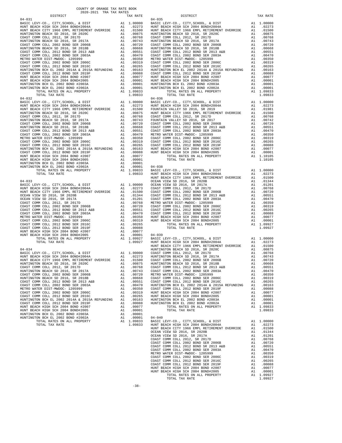| COUNTY OF ORANGE TAX RATE BOOK<br>$\begin{minipage}{.4\linewidth} \begin{tabular}{lcccccc} \multicolumn{2}{c}{\textbf{1.41}\textbf{1.42}} & \multicolumn{2}{c}{\textbf{1.42}\textbf{1.43}} & \multicolumn{2}{c}{\textbf{1.43}\textbf{1.44}} & \multicolumn{2}{c}{\textbf{1.45}\textbf{1.45}} & \multicolumn{2}{c}{\textbf{1.46}\textbf{1.45}} & \multicolumn{2}{c}{\textbf{1.47}\textbf{1.45}} & \multicolumn{2}{c}{\textbf{1.47}\textbf{1.45}} & \multicolumn{2}{c}{$ |          |                                                                                                                                                                                                                                                                                                                   |          |
|------------------------------------------------------------------------------------------------------------------------------------------------------------------------------------------------------------------------------------------------------------------------------------------------------------------------------------------------------------------------------------------------------------------------------------------------------------------------|----------|-------------------------------------------------------------------------------------------------------------------------------------------------------------------------------------------------------------------------------------------------------------------------------------------------------------------|----------|
|                                                                                                                                                                                                                                                                                                                                                                                                                                                                        | TAX RATE | DISTRICT                                                                                                                                                                                                                                                                                                          | TAX RATE |
| $04 - 031$                                                                                                                                                                                                                                                                                                                                                                                                                                                             |          | $04 - 035$<br>$\begin{tabular}{ c c c c c c c c c c c c c c c} & $\mu_{10010}$ & $\mu_{110000}$ & $\mu_{12011}$ & $1.0000$ & $1.0000$ & $1.0000$ & $1.0000$ & $1.0000$ & $1.0000$ & $1.0000$ \\ \hline & {\tt R00T} & {\tt BEC1E1} & 20014 & 20015 & 20114 & 20121 & 20114 & 20121 & 20121 & 20121 & 20121 & 201$ |          |
|                                                                                                                                                                                                                                                                                                                                                                                                                                                                        |          |                                                                                                                                                                                                                                                                                                                   |          |
|                                                                                                                                                                                                                                                                                                                                                                                                                                                                        |          |                                                                                                                                                                                                                                                                                                                   |          |
|                                                                                                                                                                                                                                                                                                                                                                                                                                                                        |          |                                                                                                                                                                                                                                                                                                                   |          |
|                                                                                                                                                                                                                                                                                                                                                                                                                                                                        |          |                                                                                                                                                                                                                                                                                                                   |          |
|                                                                                                                                                                                                                                                                                                                                                                                                                                                                        |          |                                                                                                                                                                                                                                                                                                                   |          |
|                                                                                                                                                                                                                                                                                                                                                                                                                                                                        |          |                                                                                                                                                                                                                                                                                                                   |          |
|                                                                                                                                                                                                                                                                                                                                                                                                                                                                        |          |                                                                                                                                                                                                                                                                                                                   |          |
|                                                                                                                                                                                                                                                                                                                                                                                                                                                                        |          |                                                                                                                                                                                                                                                                                                                   |          |
|                                                                                                                                                                                                                                                                                                                                                                                                                                                                        |          |                                                                                                                                                                                                                                                                                                                   |          |
|                                                                                                                                                                                                                                                                                                                                                                                                                                                                        |          |                                                                                                                                                                                                                                                                                                                   |          |
|                                                                                                                                                                                                                                                                                                                                                                                                                                                                        |          |                                                                                                                                                                                                                                                                                                                   |          |
|                                                                                                                                                                                                                                                                                                                                                                                                                                                                        |          |                                                                                                                                                                                                                                                                                                                   |          |
|                                                                                                                                                                                                                                                                                                                                                                                                                                                                        |          |                                                                                                                                                                                                                                                                                                                   |          |
|                                                                                                                                                                                                                                                                                                                                                                                                                                                                        |          |                                                                                                                                                                                                                                                                                                                   |          |
|                                                                                                                                                                                                                                                                                                                                                                                                                                                                        |          |                                                                                                                                                                                                                                                                                                                   |          |
|                                                                                                                                                                                                                                                                                                                                                                                                                                                                        |          |                                                                                                                                                                                                                                                                                                                   |          |
|                                                                                                                                                                                                                                                                                                                                                                                                                                                                        |          |                                                                                                                                                                                                                                                                                                                   |          |
|                                                                                                                                                                                                                                                                                                                                                                                                                                                                        |          |                                                                                                                                                                                                                                                                                                                   |          |
|                                                                                                                                                                                                                                                                                                                                                                                                                                                                        |          |                                                                                                                                                                                                                                                                                                                   |          |
|                                                                                                                                                                                                                                                                                                                                                                                                                                                                        |          |                                                                                                                                                                                                                                                                                                                   |          |
|                                                                                                                                                                                                                                                                                                                                                                                                                                                                        |          |                                                                                                                                                                                                                                                                                                                   |          |
|                                                                                                                                                                                                                                                                                                                                                                                                                                                                        |          |                                                                                                                                                                                                                                                                                                                   |          |
|                                                                                                                                                                                                                                                                                                                                                                                                                                                                        |          |                                                                                                                                                                                                                                                                                                                   |          |
|                                                                                                                                                                                                                                                                                                                                                                                                                                                                        |          |                                                                                                                                                                                                                                                                                                                   |          |
|                                                                                                                                                                                                                                                                                                                                                                                                                                                                        |          |                                                                                                                                                                                                                                                                                                                   |          |
|                                                                                                                                                                                                                                                                                                                                                                                                                                                                        |          |                                                                                                                                                                                                                                                                                                                   |          |
|                                                                                                                                                                                                                                                                                                                                                                                                                                                                        |          |                                                                                                                                                                                                                                                                                                                   |          |
|                                                                                                                                                                                                                                                                                                                                                                                                                                                                        |          |                                                                                                                                                                                                                                                                                                                   |          |
|                                                                                                                                                                                                                                                                                                                                                                                                                                                                        |          |                                                                                                                                                                                                                                                                                                                   |          |
|                                                                                                                                                                                                                                                                                                                                                                                                                                                                        |          |                                                                                                                                                                                                                                                                                                                   |          |
|                                                                                                                                                                                                                                                                                                                                                                                                                                                                        |          |                                                                                                                                                                                                                                                                                                                   |          |
|                                                                                                                                                                                                                                                                                                                                                                                                                                                                        |          |                                                                                                                                                                                                                                                                                                                   |          |
|                                                                                                                                                                                                                                                                                                                                                                                                                                                                        |          |                                                                                                                                                                                                                                                                                                                   |          |
|                                                                                                                                                                                                                                                                                                                                                                                                                                                                        |          |                                                                                                                                                                                                                                                                                                                   |          |
|                                                                                                                                                                                                                                                                                                                                                                                                                                                                        |          |                                                                                                                                                                                                                                                                                                                   |          |
|                                                                                                                                                                                                                                                                                                                                                                                                                                                                        |          |                                                                                                                                                                                                                                                                                                                   |          |
|                                                                                                                                                                                                                                                                                                                                                                                                                                                                        |          |                                                                                                                                                                                                                                                                                                                   |          |
|                                                                                                                                                                                                                                                                                                                                                                                                                                                                        |          |                                                                                                                                                                                                                                                                                                                   |          |
|                                                                                                                                                                                                                                                                                                                                                                                                                                                                        |          |                                                                                                                                                                                                                                                                                                                   |          |
|                                                                                                                                                                                                                                                                                                                                                                                                                                                                        |          |                                                                                                                                                                                                                                                                                                                   |          |
|                                                                                                                                                                                                                                                                                                                                                                                                                                                                        |          |                                                                                                                                                                                                                                                                                                                   |          |
|                                                                                                                                                                                                                                                                                                                                                                                                                                                                        |          |                                                                                                                                                                                                                                                                                                                   |          |
|                                                                                                                                                                                                                                                                                                                                                                                                                                                                        |          |                                                                                                                                                                                                                                                                                                                   |          |
|                                                                                                                                                                                                                                                                                                                                                                                                                                                                        |          |                                                                                                                                                                                                                                                                                                                   |          |
|                                                                                                                                                                                                                                                                                                                                                                                                                                                                        |          |                                                                                                                                                                                                                                                                                                                   |          |
|                                                                                                                                                                                                                                                                                                                                                                                                                                                                        |          |                                                                                                                                                                                                                                                                                                                   |          |
|                                                                                                                                                                                                                                                                                                                                                                                                                                                                        |          |                                                                                                                                                                                                                                                                                                                   |          |
|                                                                                                                                                                                                                                                                                                                                                                                                                                                                        |          |                                                                                                                                                                                                                                                                                                                   |          |
|                                                                                                                                                                                                                                                                                                                                                                                                                                                                        |          |                                                                                                                                                                                                                                                                                                                   |          |
|                                                                                                                                                                                                                                                                                                                                                                                                                                                                        |          |                                                                                                                                                                                                                                                                                                                   |          |
|                                                                                                                                                                                                                                                                                                                                                                                                                                                                        |          |                                                                                                                                                                                                                                                                                                                   |          |
|                                                                                                                                                                                                                                                                                                                                                                                                                                                                        |          |                                                                                                                                                                                                                                                                                                                   |          |
|                                                                                                                                                                                                                                                                                                                                                                                                                                                                        |          |                                                                                                                                                                                                                                                                                                                   |          |
|                                                                                                                                                                                                                                                                                                                                                                                                                                                                        |          |                                                                                                                                                                                                                                                                                                                   |          |
|                                                                                                                                                                                                                                                                                                                                                                                                                                                                        |          |                                                                                                                                                                                                                                                                                                                   |          |
|                                                                                                                                                                                                                                                                                                                                                                                                                                                                        |          |                                                                                                                                                                                                                                                                                                                   |          |
|                                                                                                                                                                                                                                                                                                                                                                                                                                                                        |          |                                                                                                                                                                                                                                                                                                                   |          |
|                                                                                                                                                                                                                                                                                                                                                                                                                                                                        |          |                                                                                                                                                                                                                                                                                                                   |          |
|                                                                                                                                                                                                                                                                                                                                                                                                                                                                        |          |                                                                                                                                                                                                                                                                                                                   |          |
|                                                                                                                                                                                                                                                                                                                                                                                                                                                                        |          |                                                                                                                                                                                                                                                                                                                   |          |
|                                                                                                                                                                                                                                                                                                                                                                                                                                                                        |          |                                                                                                                                                                                                                                                                                                                   |          |
|                                                                                                                                                                                                                                                                                                                                                                                                                                                                        |          |                                                                                                                                                                                                                                                                                                                   |          |
|                                                                                                                                                                                                                                                                                                                                                                                                                                                                        |          |                                                                                                                                                                                                                                                                                                                   |          |
|                                                                                                                                                                                                                                                                                                                                                                                                                                                                        |          |                                                                                                                                                                                                                                                                                                                   |          |
|                                                                                                                                                                                                                                                                                                                                                                                                                                                                        |          |                                                                                                                                                                                                                                                                                                                   |          |
|                                                                                                                                                                                                                                                                                                                                                                                                                                                                        |          |                                                                                                                                                                                                                                                                                                                   |          |
|                                                                                                                                                                                                                                                                                                                                                                                                                                                                        |          |                                                                                                                                                                                                                                                                                                                   |          |
|                                                                                                                                                                                                                                                                                                                                                                                                                                                                        |          |                                                                                                                                                                                                                                                                                                                   |          |
|                                                                                                                                                                                                                                                                                                                                                                                                                                                                        |          |                                                                                                                                                                                                                                                                                                                   |          |
|                                                                                                                                                                                                                                                                                                                                                                                                                                                                        |          |                                                                                                                                                                                                                                                                                                                   |          |
|                                                                                                                                                                                                                                                                                                                                                                                                                                                                        |          |                                                                                                                                                                                                                                                                                                                   |          |
|                                                                                                                                                                                                                                                                                                                                                                                                                                                                        |          |                                                                                                                                                                                                                                                                                                                   |          |
|                                                                                                                                                                                                                                                                                                                                                                                                                                                                        |          |                                                                                                                                                                                                                                                                                                                   |          |
|                                                                                                                                                                                                                                                                                                                                                                                                                                                                        |          |                                                                                                                                                                                                                                                                                                                   |          |
|                                                                                                                                                                                                                                                                                                                                                                                                                                                                        |          |                                                                                                                                                                                                                                                                                                                   |          |
|                                                                                                                                                                                                                                                                                                                                                                                                                                                                        |          |                                                                                                                                                                                                                                                                                                                   |          |
|                                                                                                                                                                                                                                                                                                                                                                                                                                                                        |          |                                                                                                                                                                                                                                                                                                                   |          |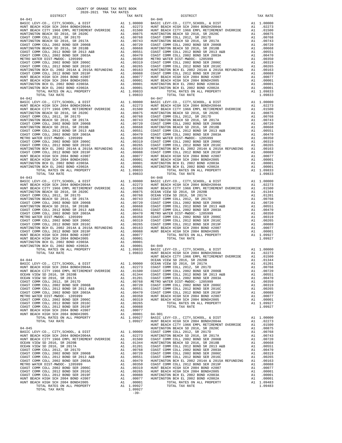| DISTRICT                                                                                                              | TAX RATE | DISTRICT                                                                                                                                                                                                                                                                                    | TAX RATE |
|-----------------------------------------------------------------------------------------------------------------------|----------|---------------------------------------------------------------------------------------------------------------------------------------------------------------------------------------------------------------------------------------------------------------------------------------------|----------|
| $04 - 041$                                                                                                            |          |                                                                                                                                                                                                                                                                                             |          |
|                                                                                                                       |          |                                                                                                                                                                                                                                                                                             |          |
|                                                                                                                       |          |                                                                                                                                                                                                                                                                                             |          |
|                                                                                                                       |          |                                                                                                                                                                                                                                                                                             |          |
|                                                                                                                       |          |                                                                                                                                                                                                                                                                                             |          |
|                                                                                                                       |          |                                                                                                                                                                                                                                                                                             |          |
|                                                                                                                       |          |                                                                                                                                                                                                                                                                                             |          |
|                                                                                                                       |          |                                                                                                                                                                                                                                                                                             |          |
|                                                                                                                       |          |                                                                                                                                                                                                                                                                                             |          |
|                                                                                                                       |          |                                                                                                                                                                                                                                                                                             |          |
|                                                                                                                       |          |                                                                                                                                                                                                                                                                                             |          |
|                                                                                                                       |          |                                                                                                                                                                                                                                                                                             |          |
|                                                                                                                       |          |                                                                                                                                                                                                                                                                                             |          |
|                                                                                                                       |          |                                                                                                                                                                                                                                                                                             |          |
|                                                                                                                       |          |                                                                                                                                                                                                                                                                                             |          |
|                                                                                                                       |          |                                                                                                                                                                                                                                                                                             |          |
|                                                                                                                       |          |                                                                                                                                                                                                                                                                                             |          |
|                                                                                                                       |          |                                                                                                                                                                                                                                                                                             |          |
|                                                                                                                       |          |                                                                                                                                                                                                                                                                                             |          |
|                                                                                                                       |          |                                                                                                                                                                                                                                                                                             |          |
|                                                                                                                       |          |                                                                                                                                                                                                                                                                                             |          |
|                                                                                                                       |          |                                                                                                                                                                                                                                                                                             |          |
|                                                                                                                       |          |                                                                                                                                                                                                                                                                                             |          |
|                                                                                                                       |          |                                                                                                                                                                                                                                                                                             |          |
|                                                                                                                       |          |                                                                                                                                                                                                                                                                                             |          |
|                                                                                                                       |          |                                                                                                                                                                                                                                                                                             |          |
|                                                                                                                       |          |                                                                                                                                                                                                                                                                                             |          |
|                                                                                                                       |          |                                                                                                                                                                                                                                                                                             |          |
|                                                                                                                       |          |                                                                                                                                                                                                                                                                                             |          |
|                                                                                                                       |          |                                                                                                                                                                                                                                                                                             |          |
|                                                                                                                       |          |                                                                                                                                                                                                                                                                                             |          |
|                                                                                                                       |          |                                                                                                                                                                                                                                                                                             |          |
|                                                                                                                       |          |                                                                                                                                                                                                                                                                                             |          |
|                                                                                                                       |          |                                                                                                                                                                                                                                                                                             |          |
|                                                                                                                       |          |                                                                                                                                                                                                                                                                                             |          |
|                                                                                                                       |          |                                                                                                                                                                                                                                                                                             |          |
|                                                                                                                       |          |                                                                                                                                                                                                                                                                                             |          |
|                                                                                                                       |          |                                                                                                                                                                                                                                                                                             |          |
|                                                                                                                       |          |                                                                                                                                                                                                                                                                                             |          |
|                                                                                                                       |          |                                                                                                                                                                                                                                                                                             |          |
|                                                                                                                       |          |                                                                                                                                                                                                                                                                                             |          |
|                                                                                                                       |          |                                                                                                                                                                                                                                                                                             |          |
|                                                                                                                       |          |                                                                                                                                                                                                                                                                                             |          |
|                                                                                                                       |          |                                                                                                                                                                                                                                                                                             |          |
|                                                                                                                       |          |                                                                                                                                                                                                                                                                                             |          |
|                                                                                                                       |          |                                                                                                                                                                                                                                                                                             |          |
|                                                                                                                       |          |                                                                                                                                                                                                                                                                                             |          |
|                                                                                                                       |          |                                                                                                                                                                                                                                                                                             |          |
|                                                                                                                       |          |                                                                                                                                                                                                                                                                                             |          |
|                                                                                                                       |          |                                                                                                                                                                                                                                                                                             |          |
|                                                                                                                       |          |                                                                                                                                                                                                                                                                                             |          |
|                                                                                                                       |          |                                                                                                                                                                                                                                                                                             |          |
|                                                                                                                       |          |                                                                                                                                                                                                                                                                                             |          |
|                                                                                                                       |          |                                                                                                                                                                                                                                                                                             |          |
|                                                                                                                       |          |                                                                                                                                                                                                                                                                                             |          |
|                                                                                                                       |          |                                                                                                                                                                                                                                                                                             |          |
|                                                                                                                       |          |                                                                                                                                                                                                                                                                                             |          |
|                                                                                                                       |          |                                                                                                                                                                                                                                                                                             |          |
|                                                                                                                       |          |                                                                                                                                                                                                                                                                                             |          |
|                                                                                                                       |          |                                                                                                                                                                                                                                                                                             |          |
|                                                                                                                       |          |                                                                                                                                                                                                                                                                                             |          |
|                                                                                                                       |          |                                                                                                                                                                                                                                                                                             |          |
|                                                                                                                       |          |                                                                                                                                                                                                                                                                                             |          |
|                                                                                                                       |          |                                                                                                                                                                                                                                                                                             |          |
|                                                                                                                       |          |                                                                                                                                                                                                                                                                                             |          |
|                                                                                                                       |          |                                                                                                                                                                                                                                                                                             |          |
|                                                                                                                       |          |                                                                                                                                                                                                                                                                                             |          |
|                                                                                                                       |          |                                                                                                                                                                                                                                                                                             |          |
|                                                                                                                       |          |                                                                                                                                                                                                                                                                                             |          |
|                                                                                                                       |          |                                                                                                                                                                                                                                                                                             |          |
|                                                                                                                       |          |                                                                                                                                                                                                                                                                                             |          |
|                                                                                                                       |          |                                                                                                                                                                                                                                                                                             |          |
|                                                                                                                       |          |                                                                                                                                                                                                                                                                                             |          |
|                                                                                                                       |          |                                                                                                                                                                                                                                                                                             |          |
|                                                                                                                       |          |                                                                                                                                                                                                                                                                                             |          |
|                                                                                                                       |          |                                                                                                                                                                                                                                                                                             |          |
| $04 - 044$                                                                                                            |          | OCEAN VIEW SD 2016, SR 2020B                                                                                                                                                                                                                                                                |          |
| $04-044$ OCEAN VIEW SD 2016, SR 2020B<br>BASIC LEVY-CO., CITY, SCHOOL, & DIST A1 1.00000 OCEAN VIEW SD 2016, SR 2017A |          | TOTAL RATES ON ALL PROPERTY<br>109833<br>1078. ARTES ON ALL PROPERTY<br>109833<br>1078. ARTES ON ALL PROPERTY<br>109833<br>109933<br>109933<br>109933<br>109933<br>10993<br>10993<br>10993<br>10993<br>10993<br>10993<br>10993<br>10993<br>10993<br>10993<br>10993<br>1<br>01344<br>A101201 |          |
|                                                                                                                       |          |                                                                                                                                                                                                                                                                                             |          |
|                                                                                                                       |          |                                                                                                                                                                                                                                                                                             |          |
|                                                                                                                       |          |                                                                                                                                                                                                                                                                                             |          |
|                                                                                                                       |          |                                                                                                                                                                                                                                                                                             |          |
|                                                                                                                       |          |                                                                                                                                                                                                                                                                                             |          |
|                                                                                                                       |          |                                                                                                                                                                                                                                                                                             |          |
|                                                                                                                       |          |                                                                                                                                                                                                                                                                                             |          |
|                                                                                                                       |          |                                                                                                                                                                                                                                                                                             |          |
|                                                                                                                       |          |                                                                                                                                                                                                                                                                                             |          |
|                                                                                                                       |          |                                                                                                                                                                                                                                                                                             |          |
|                                                                                                                       |          |                                                                                                                                                                                                                                                                                             |          |
|                                                                                                                       |          |                                                                                                                                                                                                                                                                                             |          |
|                                                                                                                       |          |                                                                                                                                                                                                                                                                                             |          |
|                                                                                                                       |          |                                                                                                                                                                                                                                                                                             |          |
|                                                                                                                       |          |                                                                                                                                                                                                                                                                                             |          |
|                                                                                                                       |          |                                                                                                                                                                                                                                                                                             |          |
|                                                                                                                       |          |                                                                                                                                                                                                                                                                                             |          |
|                                                                                                                       |          |                                                                                                                                                                                                                                                                                             |          |
|                                                                                                                       |          |                                                                                                                                                                                                                                                                                             |          |
|                                                                                                                       |          |                                                                                                                                                                                                                                                                                             |          |
|                                                                                                                       |          |                                                                                                                                                                                                                                                                                             |          |
|                                                                                                                       |          |                                                                                                                                                                                                                                                                                             |          |
|                                                                                                                       |          |                                                                                                                                                                                                                                                                                             |          |
|                                                                                                                       |          |                                                                                                                                                                                                                                                                                             |          |
|                                                                                                                       |          |                                                                                                                                                                                                                                                                                             |          |
|                                                                                                                       |          |                                                                                                                                                                                                                                                                                             |          |
|                                                                                                                       |          |                                                                                                                                                                                                                                                                                             |          |
|                                                                                                                       |          |                                                                                                                                                                                                                                                                                             |          |
|                                                                                                                       |          |                                                                                                                                                                                                                                                                                             |          |
|                                                                                                                       |          |                                                                                                                                                                                                                                                                                             |          |
|                                                                                                                       |          |                                                                                                                                                                                                                                                                                             |          |
|                                                                                                                       |          |                                                                                                                                                                                                                                                                                             |          |
|                                                                                                                       |          |                                                                                                                                                                                                                                                                                             |          |
|                                                                                                                       |          |                                                                                                                                                                                                                                                                                             |          |
|                                                                                                                       |          |                                                                                                                                                                                                                                                                                             |          |
|                                                                                                                       |          |                                                                                                                                                                                                                                                                                             |          |
|                                                                                                                       |          |                                                                                                                                                                                                                                                                                             |          |
|                                                                                                                       |          |                                                                                                                                                                                                                                                                                             |          |
|                                                                                                                       |          |                                                                                                                                                                                                                                                                                             |          |
|                                                                                                                       |          |                                                                                                                                                                                                                                                                                             |          |

COUNTY OF ORANGE TAX RATE BOOK 2020-2021 TRA TAX RATES

-39-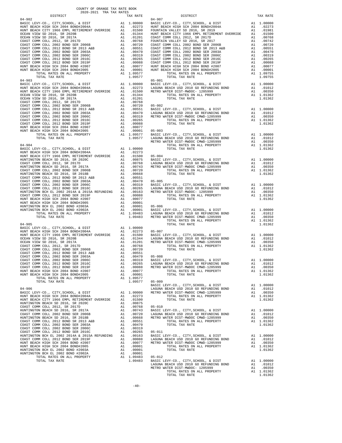| COUNTY OF ORANGE TAX RATE BOOK<br>2020-2021 TRA TAX RATES<br>rax RATE B المحتملات<br>DISTRICT 2020-2021 TRA TAX RATES |          |          |          |
|-----------------------------------------------------------------------------------------------------------------------|----------|----------|----------|
|                                                                                                                       | TAX RATE | DISTRICT | TAX RATE |
|                                                                                                                       |          |          |          |
|                                                                                                                       |          |          |          |
|                                                                                                                       |          |          |          |
|                                                                                                                       |          |          |          |
|                                                                                                                       |          |          |          |
|                                                                                                                       |          |          |          |
|                                                                                                                       |          |          |          |
|                                                                                                                       |          |          |          |
|                                                                                                                       |          |          |          |
|                                                                                                                       |          |          |          |
|                                                                                                                       |          |          |          |
|                                                                                                                       |          |          |          |
|                                                                                                                       |          |          |          |
|                                                                                                                       |          |          |          |
|                                                                                                                       |          |          |          |
|                                                                                                                       |          |          |          |
|                                                                                                                       |          |          |          |
|                                                                                                                       |          |          |          |
|                                                                                                                       |          |          |          |
|                                                                                                                       |          |          |          |
|                                                                                                                       |          |          |          |
|                                                                                                                       |          |          |          |
|                                                                                                                       |          |          |          |
|                                                                                                                       |          |          |          |
|                                                                                                                       |          |          |          |
|                                                                                                                       |          |          |          |
|                                                                                                                       |          |          |          |
|                                                                                                                       |          |          |          |
|                                                                                                                       |          |          |          |
|                                                                                                                       |          |          |          |
|                                                                                                                       |          |          |          |
|                                                                                                                       |          |          |          |
|                                                                                                                       |          |          |          |
|                                                                                                                       |          |          |          |
|                                                                                                                       |          |          |          |
|                                                                                                                       |          |          |          |
|                                                                                                                       |          |          |          |
|                                                                                                                       |          |          |          |
|                                                                                                                       |          |          |          |
|                                                                                                                       |          |          |          |
|                                                                                                                       |          |          |          |
|                                                                                                                       |          |          |          |
|                                                                                                                       |          |          |          |
|                                                                                                                       |          |          |          |
|                                                                                                                       |          |          |          |
|                                                                                                                       |          |          |          |
|                                                                                                                       |          |          |          |
|                                                                                                                       |          |          |          |
|                                                                                                                       |          |          |          |
|                                                                                                                       |          |          |          |
|                                                                                                                       |          |          |          |
|                                                                                                                       |          |          |          |
|                                                                                                                       |          |          |          |
|                                                                                                                       |          |          |          |
|                                                                                                                       |          |          |          |
|                                                                                                                       |          |          |          |
|                                                                                                                       |          |          |          |
|                                                                                                                       |          |          |          |
|                                                                                                                       |          |          |          |
|                                                                                                                       |          |          |          |
|                                                                                                                       |          |          |          |
|                                                                                                                       |          |          |          |
|                                                                                                                       |          |          |          |
|                                                                                                                       |          |          |          |
|                                                                                                                       |          |          |          |
|                                                                                                                       |          |          |          |
|                                                                                                                       |          |          |          |
|                                                                                                                       |          |          |          |
|                                                                                                                       |          |          |          |
|                                                                                                                       |          |          |          |
|                                                                                                                       |          |          |          |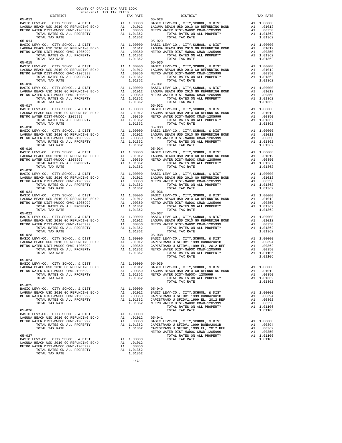| $\begin{minipage}{0.03\textwidth} \begin{tabular}{c} \textbf{0.03}\textbf{0.04}\textbf{0.05}\end{tabular} \end{minipage}$<br>DISTRICT $\begin{tabular}{c} \textbf{0.04}\textbf{0.06}\end{tabular}$ |                         | TAX RATE DISTRICT                                                                                                                                                                                                                                                                                                                                                                                                    | TAX RATE |
|----------------------------------------------------------------------------------------------------------------------------------------------------------------------------------------------------|-------------------------|----------------------------------------------------------------------------------------------------------------------------------------------------------------------------------------------------------------------------------------------------------------------------------------------------------------------------------------------------------------------------------------------------------------------|----------|
|                                                                                                                                                                                                    |                         |                                                                                                                                                                                                                                                                                                                                                                                                                      |          |
|                                                                                                                                                                                                    |                         |                                                                                                                                                                                                                                                                                                                                                                                                                      |          |
|                                                                                                                                                                                                    |                         |                                                                                                                                                                                                                                                                                                                                                                                                                      |          |
|                                                                                                                                                                                                    |                         |                                                                                                                                                                                                                                                                                                                                                                                                                      |          |
|                                                                                                                                                                                                    |                         |                                                                                                                                                                                                                                                                                                                                                                                                                      |          |
|                                                                                                                                                                                                    |                         |                                                                                                                                                                                                                                                                                                                                                                                                                      |          |
|                                                                                                                                                                                                    |                         |                                                                                                                                                                                                                                                                                                                                                                                                                      |          |
|                                                                                                                                                                                                    |                         |                                                                                                                                                                                                                                                                                                                                                                                                                      |          |
|                                                                                                                                                                                                    |                         |                                                                                                                                                                                                                                                                                                                                                                                                                      |          |
|                                                                                                                                                                                                    |                         |                                                                                                                                                                                                                                                                                                                                                                                                                      |          |
|                                                                                                                                                                                                    |                         |                                                                                                                                                                                                                                                                                                                                                                                                                      |          |
|                                                                                                                                                                                                    |                         |                                                                                                                                                                                                                                                                                                                                                                                                                      |          |
|                                                                                                                                                                                                    |                         |                                                                                                                                                                                                                                                                                                                                                                                                                      |          |
|                                                                                                                                                                                                    |                         |                                                                                                                                                                                                                                                                                                                                                                                                                      |          |
|                                                                                                                                                                                                    |                         |                                                                                                                                                                                                                                                                                                                                                                                                                      |          |
|                                                                                                                                                                                                    |                         |                                                                                                                                                                                                                                                                                                                                                                                                                      |          |
|                                                                                                                                                                                                    |                         |                                                                                                                                                                                                                                                                                                                                                                                                                      |          |
|                                                                                                                                                                                                    |                         |                                                                                                                                                                                                                                                                                                                                                                                                                      |          |
|                                                                                                                                                                                                    |                         |                                                                                                                                                                                                                                                                                                                                                                                                                      |          |
|                                                                                                                                                                                                    |                         |                                                                                                                                                                                                                                                                                                                                                                                                                      |          |
|                                                                                                                                                                                                    |                         |                                                                                                                                                                                                                                                                                                                                                                                                                      |          |
|                                                                                                                                                                                                    |                         |                                                                                                                                                                                                                                                                                                                                                                                                                      |          |
|                                                                                                                                                                                                    |                         |                                                                                                                                                                                                                                                                                                                                                                                                                      |          |
|                                                                                                                                                                                                    |                         |                                                                                                                                                                                                                                                                                                                                                                                                                      |          |
|                                                                                                                                                                                                    |                         |                                                                                                                                                                                                                                                                                                                                                                                                                      |          |
|                                                                                                                                                                                                    |                         |                                                                                                                                                                                                                                                                                                                                                                                                                      |          |
|                                                                                                                                                                                                    |                         |                                                                                                                                                                                                                                                                                                                                                                                                                      |          |
|                                                                                                                                                                                                    |                         |                                                                                                                                                                                                                                                                                                                                                                                                                      |          |
|                                                                                                                                                                                                    |                         |                                                                                                                                                                                                                                                                                                                                                                                                                      |          |
|                                                                                                                                                                                                    |                         |                                                                                                                                                                                                                                                                                                                                                                                                                      |          |
|                                                                                                                                                                                                    |                         |                                                                                                                                                                                                                                                                                                                                                                                                                      |          |
|                                                                                                                                                                                                    |                         |                                                                                                                                                                                                                                                                                                                                                                                                                      |          |
|                                                                                                                                                                                                    |                         |                                                                                                                                                                                                                                                                                                                                                                                                                      |          |
|                                                                                                                                                                                                    |                         |                                                                                                                                                                                                                                                                                                                                                                                                                      |          |
|                                                                                                                                                                                                    |                         |                                                                                                                                                                                                                                                                                                                                                                                                                      |          |
|                                                                                                                                                                                                    |                         |                                                                                                                                                                                                                                                                                                                                                                                                                      |          |
|                                                                                                                                                                                                    |                         |                                                                                                                                                                                                                                                                                                                                                                                                                      |          |
|                                                                                                                                                                                                    |                         |                                                                                                                                                                                                                                                                                                                                                                                                                      |          |
|                                                                                                                                                                                                    |                         |                                                                                                                                                                                                                                                                                                                                                                                                                      |          |
|                                                                                                                                                                                                    |                         |                                                                                                                                                                                                                                                                                                                                                                                                                      |          |
|                                                                                                                                                                                                    |                         |                                                                                                                                                                                                                                                                                                                                                                                                                      |          |
|                                                                                                                                                                                                    |                         |                                                                                                                                                                                                                                                                                                                                                                                                                      |          |
|                                                                                                                                                                                                    |                         |                                                                                                                                                                                                                                                                                                                                                                                                                      |          |
|                                                                                                                                                                                                    |                         |                                                                                                                                                                                                                                                                                                                                                                                                                      |          |
|                                                                                                                                                                                                    |                         |                                                                                                                                                                                                                                                                                                                                                                                                                      |          |
|                                                                                                                                                                                                    |                         |                                                                                                                                                                                                                                                                                                                                                                                                                      |          |
|                                                                                                                                                                                                    |                         |                                                                                                                                                                                                                                                                                                                                                                                                                      |          |
|                                                                                                                                                                                                    |                         |                                                                                                                                                                                                                                                                                                                                                                                                                      |          |
|                                                                                                                                                                                                    |                         |                                                                                                                                                                                                                                                                                                                                                                                                                      |          |
|                                                                                                                                                                                                    |                         |                                                                                                                                                                                                                                                                                                                                                                                                                      |          |
|                                                                                                                                                                                                    |                         |                                                                                                                                                                                                                                                                                                                                                                                                                      |          |
|                                                                                                                                                                                                    |                         | 05-024<br>BASIC LEVY-CO., CITY, SCHOOL, & DIST<br>LAGUNA BEACH USD 2010 GO REFUNDING BOND<br>METRO WATER DIST-MWDOC CMWD-1205999<br>TOTAL RATES ON ALL PROPERTY A1 1.01362<br>TOTAL RATES ON ALL PROPERTY A1 1.01362<br>TOTAL RATES ON ALL                                                                                                                                                                           |          |
|                                                                                                                                                                                                    |                         |                                                                                                                                                                                                                                                                                                                                                                                                                      |          |
|                                                                                                                                                                                                    |                         |                                                                                                                                                                                                                                                                                                                                                                                                                      |          |
|                                                                                                                                                                                                    |                         |                                                                                                                                                                                                                                                                                                                                                                                                                      |          |
|                                                                                                                                                                                                    |                         | $\begin{tabular}{lllllllllllllllllllll} \multicolumn{4}{c}{\textbf{0.6-025}} & \multicolumn{4}{c}{\textbf{0.7-025}} & \multicolumn{4}{c}{\textbf{0.8-025}} & \multicolumn{4}{c}{\textbf{0.8-025}} & \multicolumn{4}{c}{\textbf{0.8-025}} & \multicolumn{4}{c}{\textbf{0.8-025}} & \multicolumn{4}{c}{\textbf{0.8-025}} & \multicolumn{4}{c}{\textbf{0.8-025}} & \multicolumn{4}{c}{\textbf{0.8-025}} & \multicolumn$ |          |
|                                                                                                                                                                                                    |                         |                                                                                                                                                                                                                                                                                                                                                                                                                      |          |
|                                                                                                                                                                                                    |                         |                                                                                                                                                                                                                                                                                                                                                                                                                      |          |
|                                                                                                                                                                                                    |                         |                                                                                                                                                                                                                                                                                                                                                                                                                      |          |
|                                                                                                                                                                                                    |                         |                                                                                                                                                                                                                                                                                                                                                                                                                      |          |
|                                                                                                                                                                                                    |                         |                                                                                                                                                                                                                                                                                                                                                                                                                      |          |
|                                                                                                                                                                                                    |                         |                                                                                                                                                                                                                                                                                                                                                                                                                      |          |
|                                                                                                                                                                                                    |                         |                                                                                                                                                                                                                                                                                                                                                                                                                      |          |
|                                                                                                                                                                                                    |                         | $05 - 041$                                                                                                                                                                                                                                                                                                                                                                                                           |          |
| TOTAL RATES ON ALL PROPERTY                                                                                                                                                                        |                         |                                                                                                                                                                                                                                                                                                                                                                                                                      |          |
| TOTAL TAX RATE                                                                                                                                                                                     |                         | A1 .00350 BASIC LEVY-CO., CITY, SCHOOL, & DIST A1 1.00000<br>A1 1.01362 CAPISTRANO U SFID#1 1999 BOND#2001B A1 .00350<br>1.01362 CAPISTRANO U SFID#1,1999 BL, 2012 REF A1 .00350<br>METRO WATER DIST-MWDOC CMWD-1205999 A1 .00350<br>M                                                                                                                                                                               |          |
|                                                                                                                                                                                                    |                         |                                                                                                                                                                                                                                                                                                                                                                                                                      |          |
| $05 - 027$                                                                                                                                                                                         |                         | TOTAL TAX RATE                                                                                                                                                                                                                                                                                                                                                                                                       | 1.01106  |
| BASIC LEVY-CO., CITY, SCHOOL, & DIST A1 1.00000<br>LAGUNA BEACH USD 2010 GO REFUNDING BOND A1 .01012<br>METRO WATER DIST-MWDOC CMWD-1205999 A1 .00350                                              |                         |                                                                                                                                                                                                                                                                                                                                                                                                                      |          |
|                                                                                                                                                                                                    |                         |                                                                                                                                                                                                                                                                                                                                                                                                                      |          |
| TOTAL RATES ON ALL PROPERTY<br>TOTAL TAX RATE                                                                                                                                                      | $A1$ 1.01362<br>1 01362 |                                                                                                                                                                                                                                                                                                                                                                                                                      |          |

-41-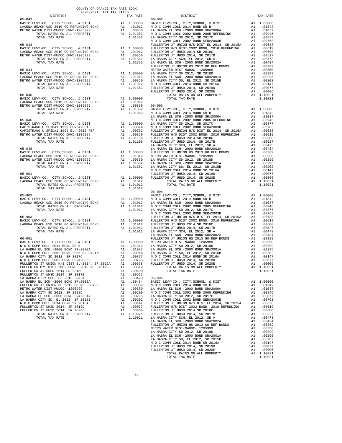| COUNTY OF ORANGE TAX RATE BOOK<br>DISTRICT |  | 2020-2021 TRA TAX RATES<br>TAX RATE 75 DISTRICT 06-002                                                                                                                                                                                                                                                                                |          |
|--------------------------------------------|--|---------------------------------------------------------------------------------------------------------------------------------------------------------------------------------------------------------------------------------------------------------------------------------------------------------------------------------------|----------|
|                                            |  |                                                                                                                                                                                                                                                                                                                                       | TAX RATE |
|                                            |  |                                                                                                                                                                                                                                                                                                                                       |          |
|                                            |  |                                                                                                                                                                                                                                                                                                                                       |          |
|                                            |  |                                                                                                                                                                                                                                                                                                                                       |          |
|                                            |  |                                                                                                                                                                                                                                                                                                                                       |          |
|                                            |  |                                                                                                                                                                                                                                                                                                                                       |          |
|                                            |  |                                                                                                                                                                                                                                                                                                                                       |          |
|                                            |  |                                                                                                                                                                                                                                                                                                                                       |          |
|                                            |  |                                                                                                                                                                                                                                                                                                                                       |          |
|                                            |  |                                                                                                                                                                                                                                                                                                                                       |          |
|                                            |  |                                                                                                                                                                                                                                                                                                                                       |          |
|                                            |  |                                                                                                                                                                                                                                                                                                                                       |          |
|                                            |  |                                                                                                                                                                                                                                                                                                                                       |          |
|                                            |  |                                                                                                                                                                                                                                                                                                                                       |          |
|                                            |  |                                                                                                                                                                                                                                                                                                                                       |          |
|                                            |  |                                                                                                                                                                                                                                                                                                                                       |          |
|                                            |  |                                                                                                                                                                                                                                                                                                                                       |          |
|                                            |  |                                                                                                                                                                                                                                                                                                                                       |          |
|                                            |  |                                                                                                                                                                                                                                                                                                                                       |          |
|                                            |  |                                                                                                                                                                                                                                                                                                                                       |          |
|                                            |  |                                                                                                                                                                                                                                                                                                                                       |          |
|                                            |  |                                                                                                                                                                                                                                                                                                                                       |          |
|                                            |  |                                                                                                                                                                                                                                                                                                                                       |          |
|                                            |  |                                                                                                                                                                                                                                                                                                                                       |          |
|                                            |  |                                                                                                                                                                                                                                                                                                                                       |          |
|                                            |  |                                                                                                                                                                                                                                                                                                                                       |          |
|                                            |  |                                                                                                                                                                                                                                                                                                                                       |          |
|                                            |  |                                                                                                                                                                                                                                                                                                                                       |          |
|                                            |  |                                                                                                                                                                                                                                                                                                                                       |          |
|                                            |  |                                                                                                                                                                                                                                                                                                                                       |          |
|                                            |  |                                                                                                                                                                                                                                                                                                                                       |          |
|                                            |  |                                                                                                                                                                                                                                                                                                                                       |          |
|                                            |  |                                                                                                                                                                                                                                                                                                                                       |          |
|                                            |  |                                                                                                                                                                                                                                                                                                                                       |          |
|                                            |  |                                                                                                                                                                                                                                                                                                                                       |          |
|                                            |  |                                                                                                                                                                                                                                                                                                                                       |          |
|                                            |  |                                                                                                                                                                                                                                                                                                                                       |          |
|                                            |  |                                                                                                                                                                                                                                                                                                                                       |          |
|                                            |  |                                                                                                                                                                                                                                                                                                                                       |          |
|                                            |  |                                                                                                                                                                                                                                                                                                                                       |          |
|                                            |  |                                                                                                                                                                                                                                                                                                                                       |          |
|                                            |  |                                                                                                                                                                                                                                                                                                                                       |          |
|                                            |  |                                                                                                                                                                                                                                                                                                                                       |          |
|                                            |  |                                                                                                                                                                                                                                                                                                                                       |          |
|                                            |  |                                                                                                                                                                                                                                                                                                                                       |          |
|                                            |  |                                                                                                                                                                                                                                                                                                                                       |          |
|                                            |  |                                                                                                                                                                                                                                                                                                                                       |          |
|                                            |  |                                                                                                                                                                                                                                                                                                                                       |          |
|                                            |  |                                                                                                                                                                                                                                                                                                                                       |          |
|                                            |  |                                                                                                                                                                                                                                                                                                                                       |          |
|                                            |  |                                                                                                                                                                                                                                                                                                                                       |          |
|                                            |  |                                                                                                                                                                                                                                                                                                                                       |          |
|                                            |  |                                                                                                                                                                                                                                                                                                                                       |          |
|                                            |  |                                                                                                                                                                                                                                                                                                                                       |          |
|                                            |  |                                                                                                                                                                                                                                                                                                                                       |          |
|                                            |  | $\begin{tabular}{cccccccc} {\bf 10011} & {\bf 101012} & {\bf 10012} & {\bf 10012} & {\bf 10012} & {\bf 10002} & {\bf 10000} & {\bf 10112} & {\bf 10000} & {\bf 10112} & {\bf 10000} & {\bf 1012} & {\bf 10000} & {\bf 1012} & {\bf 10000} & {\bf 1012} & {\bf 10000} & {\bf 1012} & {\bf 10000} & {\bf 1012} & {\bf 10000} & {\bf 10$ |          |
|                                            |  |                                                                                                                                                                                                                                                                                                                                       |          |
|                                            |  |                                                                                                                                                                                                                                                                                                                                       |          |
|                                            |  |                                                                                                                                                                                                                                                                                                                                       |          |
|                                            |  |                                                                                                                                                                                                                                                                                                                                       |          |
|                                            |  |                                                                                                                                                                                                                                                                                                                                       |          |
|                                            |  |                                                                                                                                                                                                                                                                                                                                       |          |
|                                            |  |                                                                                                                                                                                                                                                                                                                                       |          |
|                                            |  |                                                                                                                                                                                                                                                                                                                                       |          |
|                                            |  |                                                                                                                                                                                                                                                                                                                                       |          |
|                                            |  |                                                                                                                                                                                                                                                                                                                                       |          |
|                                            |  |                                                                                                                                                                                                                                                                                                                                       |          |
|                                            |  |                                                                                                                                                                                                                                                                                                                                       |          |
|                                            |  |                                                                                                                                                                                                                                                                                                                                       |          |
|                                            |  |                                                                                                                                                                                                                                                                                                                                       |          |
|                                            |  |                                                                                                                                                                                                                                                                                                                                       |          |
|                                            |  |                                                                                                                                                                                                                                                                                                                                       |          |
|                                            |  |                                                                                                                                                                                                                                                                                                                                       |          |
|                                            |  |                                                                                                                                                                                                                                                                                                                                       |          |
|                                            |  |                                                                                                                                                                                                                                                                                                                                       |          |
|                                            |  |                                                                                                                                                                                                                                                                                                                                       |          |
|                                            |  |                                                                                                                                                                                                                                                                                                                                       |          |
|                                            |  |                                                                                                                                                                                                                                                                                                                                       |          |
|                                            |  |                                                                                                                                                                                                                                                                                                                                       |          |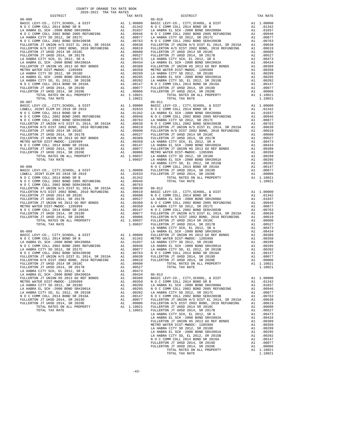| COUNTY OF ORANGE TAX RATE BOOK<br>$\begin{minipage}{.03\linewidth} \begin{tabular}{lcccccc} \multicolumn{2}{c}{\textbf{1.64} \textbf{1.64} \textbf{1.65} \textbf{1.67} \textbf{1.68} \textbf{1.68} \textbf{1.69} \textbf{1.69} \textbf{1.60} \textbf{1.60} \textbf{1.60} \textbf{1.60} \textbf{1.60} \textbf{1.60} \textbf{1.60} \textbf{1.60} \textbf{1.60} \textbf{1.60} \textbf{1.60} \textbf{1.60} \textbf{1.60$ |          |                                                                                                                                                                                                                                                                                             |          |
|----------------------------------------------------------------------------------------------------------------------------------------------------------------------------------------------------------------------------------------------------------------------------------------------------------------------------------------------------------------------------------------------------------------------|----------|---------------------------------------------------------------------------------------------------------------------------------------------------------------------------------------------------------------------------------------------------------------------------------------------|----------|
|                                                                                                                                                                                                                                                                                                                                                                                                                      | TAX RATE | DISTRICT<br>$06 - 010$                                                                                                                                                                                                                                                                      | TAX RATE |
| $06 - 006$                                                                                                                                                                                                                                                                                                                                                                                                           |          |                                                                                                                                                                                                                                                                                             |          |
|                                                                                                                                                                                                                                                                                                                                                                                                                      |          |                                                                                                                                                                                                                                                                                             |          |
|                                                                                                                                                                                                                                                                                                                                                                                                                      |          |                                                                                                                                                                                                                                                                                             |          |
|                                                                                                                                                                                                                                                                                                                                                                                                                      |          |                                                                                                                                                                                                                                                                                             |          |
|                                                                                                                                                                                                                                                                                                                                                                                                                      |          |                                                                                                                                                                                                                                                                                             |          |
|                                                                                                                                                                                                                                                                                                                                                                                                                      |          |                                                                                                                                                                                                                                                                                             |          |
|                                                                                                                                                                                                                                                                                                                                                                                                                      |          |                                                                                                                                                                                                                                                                                             |          |
|                                                                                                                                                                                                                                                                                                                                                                                                                      |          |                                                                                                                                                                                                                                                                                             |          |
|                                                                                                                                                                                                                                                                                                                                                                                                                      |          |                                                                                                                                                                                                                                                                                             |          |
|                                                                                                                                                                                                                                                                                                                                                                                                                      |          |                                                                                                                                                                                                                                                                                             |          |
|                                                                                                                                                                                                                                                                                                                                                                                                                      |          |                                                                                                                                                                                                                                                                                             |          |
|                                                                                                                                                                                                                                                                                                                                                                                                                      |          |                                                                                                                                                                                                                                                                                             |          |
|                                                                                                                                                                                                                                                                                                                                                                                                                      |          |                                                                                                                                                                                                                                                                                             |          |
|                                                                                                                                                                                                                                                                                                                                                                                                                      |          |                                                                                                                                                                                                                                                                                             |          |
|                                                                                                                                                                                                                                                                                                                                                                                                                      |          |                                                                                                                                                                                                                                                                                             |          |
|                                                                                                                                                                                                                                                                                                                                                                                                                      |          |                                                                                                                                                                                                                                                                                             |          |
|                                                                                                                                                                                                                                                                                                                                                                                                                      |          |                                                                                                                                                                                                                                                                                             |          |
|                                                                                                                                                                                                                                                                                                                                                                                                                      |          |                                                                                                                                                                                                                                                                                             |          |
|                                                                                                                                                                                                                                                                                                                                                                                                                      |          |                                                                                                                                                                                                                                                                                             |          |
|                                                                                                                                                                                                                                                                                                                                                                                                                      |          |                                                                                                                                                                                                                                                                                             |          |
|                                                                                                                                                                                                                                                                                                                                                                                                                      |          |                                                                                                                                                                                                                                                                                             |          |
|                                                                                                                                                                                                                                                                                                                                                                                                                      |          |                                                                                                                                                                                                                                                                                             |          |
|                                                                                                                                                                                                                                                                                                                                                                                                                      |          |                                                                                                                                                                                                                                                                                             |          |
|                                                                                                                                                                                                                                                                                                                                                                                                                      |          |                                                                                                                                                                                                                                                                                             |          |
|                                                                                                                                                                                                                                                                                                                                                                                                                      |          |                                                                                                                                                                                                                                                                                             |          |
|                                                                                                                                                                                                                                                                                                                                                                                                                      |          |                                                                                                                                                                                                                                                                                             |          |
|                                                                                                                                                                                                                                                                                                                                                                                                                      |          |                                                                                                                                                                                                                                                                                             |          |
|                                                                                                                                                                                                                                                                                                                                                                                                                      |          |                                                                                                                                                                                                                                                                                             |          |
|                                                                                                                                                                                                                                                                                                                                                                                                                      |          |                                                                                                                                                                                                                                                                                             |          |
|                                                                                                                                                                                                                                                                                                                                                                                                                      |          |                                                                                                                                                                                                                                                                                             |          |
|                                                                                                                                                                                                                                                                                                                                                                                                                      |          |                                                                                                                                                                                                                                                                                             |          |
|                                                                                                                                                                                                                                                                                                                                                                                                                      |          |                                                                                                                                                                                                                                                                                             |          |
|                                                                                                                                                                                                                                                                                                                                                                                                                      |          |                                                                                                                                                                                                                                                                                             |          |
|                                                                                                                                                                                                                                                                                                                                                                                                                      |          |                                                                                                                                                                                                                                                                                             |          |
|                                                                                                                                                                                                                                                                                                                                                                                                                      |          |                                                                                                                                                                                                                                                                                             |          |
|                                                                                                                                                                                                                                                                                                                                                                                                                      |          |                                                                                                                                                                                                                                                                                             |          |
|                                                                                                                                                                                                                                                                                                                                                                                                                      |          |                                                                                                                                                                                                                                                                                             |          |
|                                                                                                                                                                                                                                                                                                                                                                                                                      |          |                                                                                                                                                                                                                                                                                             |          |
|                                                                                                                                                                                                                                                                                                                                                                                                                      |          |                                                                                                                                                                                                                                                                                             |          |
|                                                                                                                                                                                                                                                                                                                                                                                                                      |          |                                                                                                                                                                                                                                                                                             |          |
|                                                                                                                                                                                                                                                                                                                                                                                                                      |          |                                                                                                                                                                                                                                                                                             |          |
|                                                                                                                                                                                                                                                                                                                                                                                                                      |          |                                                                                                                                                                                                                                                                                             |          |
|                                                                                                                                                                                                                                                                                                                                                                                                                      |          |                                                                                                                                                                                                                                                                                             |          |
|                                                                                                                                                                                                                                                                                                                                                                                                                      |          |                                                                                                                                                                                                                                                                                             |          |
|                                                                                                                                                                                                                                                                                                                                                                                                                      |          |                                                                                                                                                                                                                                                                                             |          |
|                                                                                                                                                                                                                                                                                                                                                                                                                      |          |                                                                                                                                                                                                                                                                                             |          |
|                                                                                                                                                                                                                                                                                                                                                                                                                      |          |                                                                                                                                                                                                                                                                                             |          |
|                                                                                                                                                                                                                                                                                                                                                                                                                      |          |                                                                                                                                                                                                                                                                                             |          |
|                                                                                                                                                                                                                                                                                                                                                                                                                      |          |                                                                                                                                                                                                                                                                                             |          |
| ${\tt FULLERTON\ H/S\ DIST\ 2002\ BOND,\ 2010\ REFUNDING\qquad\quad {\tt Al}\qquad .00619 }$                                                                                                                                                                                                                                                                                                                         |          | FULLERTON JT UHSD 2014, SR 2020E<br>FULLERTON JT UHSD 2014, SR 2020E A1 .00006<br>TOTAL RATES ON ALL PROPERTY A1 1.10021<br>TOTAL TAX RATE 1.10021                                                                                                                                          |          |
|                                                                                                                                                                                                                                                                                                                                                                                                                      |          |                                                                                                                                                                                                                                                                                             |          |
|                                                                                                                                                                                                                                                                                                                                                                                                                      |          |                                                                                                                                                                                                                                                                                             |          |
|                                                                                                                                                                                                                                                                                                                                                                                                                      |          |                                                                                                                                                                                                                                                                                             |          |
|                                                                                                                                                                                                                                                                                                                                                                                                                      |          |                                                                                                                                                                                                                                                                                             |          |
|                                                                                                                                                                                                                                                                                                                                                                                                                      |          |                                                                                                                                                                                                                                                                                             |          |
|                                                                                                                                                                                                                                                                                                                                                                                                                      |          |                                                                                                                                                                                                                                                                                             |          |
|                                                                                                                                                                                                                                                                                                                                                                                                                      |          |                                                                                                                                                                                                                                                                                             |          |
|                                                                                                                                                                                                                                                                                                                                                                                                                      |          |                                                                                                                                                                                                                                                                                             |          |
|                                                                                                                                                                                                                                                                                                                                                                                                                      |          |                                                                                                                                                                                                                                                                                             |          |
|                                                                                                                                                                                                                                                                                                                                                                                                                      |          |                                                                                                                                                                                                                                                                                             |          |
|                                                                                                                                                                                                                                                                                                                                                                                                                      |          |                                                                                                                                                                                                                                                                                             |          |
|                                                                                                                                                                                                                                                                                                                                                                                                                      |          |                                                                                                                                                                                                                                                                                             |          |
|                                                                                                                                                                                                                                                                                                                                                                                                                      |          |                                                                                                                                                                                                                                                                                             |          |
|                                                                                                                                                                                                                                                                                                                                                                                                                      |          |                                                                                                                                                                                                                                                                                             |          |
|                                                                                                                                                                                                                                                                                                                                                                                                                      |          |                                                                                                                                                                                                                                                                                             |          |
|                                                                                                                                                                                                                                                                                                                                                                                                                      |          |                                                                                                                                                                                                                                                                                             |          |
|                                                                                                                                                                                                                                                                                                                                                                                                                      |          |                                                                                                                                                                                                                                                                                             |          |
|                                                                                                                                                                                                                                                                                                                                                                                                                      |          | $\begin{tabular}{l c c c c} FQULEERON AT UNICM H/S DIST 2002 BAND 2014, SP. 1014, SP. 1014, SP. 1014, SP. 1014, SP. 1014, SP. 1014, SP. 1014, SP. 1014, SP. 1014, SP. 1014, P. 1014, P. 1014, P. 1014, P. 1014, P. 1014, P. 1014, P. 1014, P. 1014, P. 1014, P. 1014, P. 1014, P. 1014, P.$ |          |
|                                                                                                                                                                                                                                                                                                                                                                                                                      |          |                                                                                                                                                                                                                                                                                             |          |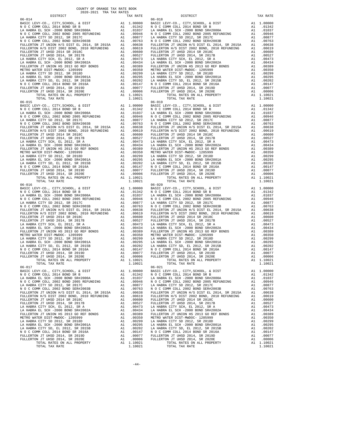| $2020-2021 \quad \text{TRA RATE} \label{eq:Q020}$ DISTRICT $2020-2021 \quad \text{TRA TAX RATES}$<br>DISTRICT<br>TAX RATE<br>$06 - 018$<br>$06 - 020$ | TAX RATE |
|-------------------------------------------------------------------------------------------------------------------------------------------------------|----------|
|                                                                                                                                                       |          |
|                                                                                                                                                       |          |
|                                                                                                                                                       |          |
|                                                                                                                                                       |          |
|                                                                                                                                                       |          |
|                                                                                                                                                       |          |
|                                                                                                                                                       |          |
|                                                                                                                                                       |          |
|                                                                                                                                                       |          |
|                                                                                                                                                       |          |
|                                                                                                                                                       |          |
|                                                                                                                                                       |          |
|                                                                                                                                                       |          |
|                                                                                                                                                       |          |
|                                                                                                                                                       |          |
|                                                                                                                                                       |          |
|                                                                                                                                                       |          |
|                                                                                                                                                       |          |
|                                                                                                                                                       |          |
|                                                                                                                                                       |          |
|                                                                                                                                                       |          |
|                                                                                                                                                       |          |
|                                                                                                                                                       |          |
|                                                                                                                                                       |          |
|                                                                                                                                                       |          |
|                                                                                                                                                       |          |
|                                                                                                                                                       |          |
|                                                                                                                                                       |          |
|                                                                                                                                                       |          |
|                                                                                                                                                       |          |
|                                                                                                                                                       |          |
| $06 - 017$<br>$06 - 021$                                                                                                                              |          |
|                                                                                                                                                       |          |
|                                                                                                                                                       |          |
|                                                                                                                                                       |          |
|                                                                                                                                                       |          |
|                                                                                                                                                       |          |
|                                                                                                                                                       |          |
|                                                                                                                                                       |          |
|                                                                                                                                                       |          |
|                                                                                                                                                       |          |
|                                                                                                                                                       |          |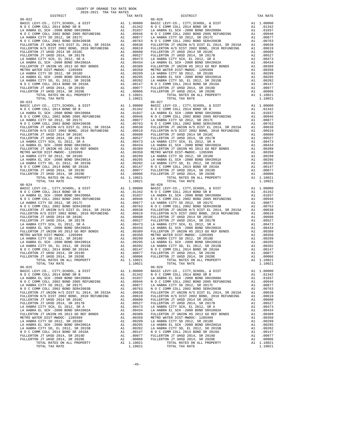| COUNTY OF ORANGE TAX RATE BOOK<br>$2020-2021 \quad \text{TRA RATE} \label{eq:Q020}$ DISTRICT $2020-2021 \quad \text{TRA TAX RATES}$ |          |                        |          |
|-------------------------------------------------------------------------------------------------------------------------------------|----------|------------------------|----------|
| $06 - 022$                                                                                                                          | TAX RATE | DISTRICT<br>$06 - 026$ | TAX RATE |
|                                                                                                                                     |          |                        |          |
|                                                                                                                                     |          | $06 - 028$             |          |
| $06 - 025$                                                                                                                          |          | $06 - 029$             |          |
|                                                                                                                                     |          |                        |          |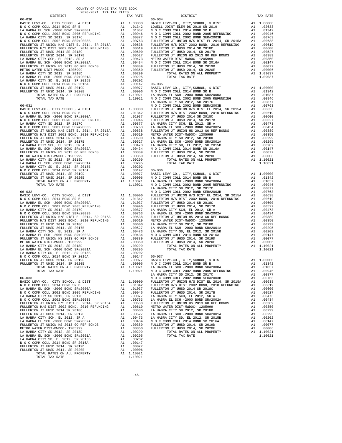| COUNTY OF ORANGE TAX RATE BOOK<br>$2020-2021 \quad \text{TRA TAX RATES}$ DISTRICT $\hspace{0.5cm}$ |  |                               |          |
|----------------------------------------------------------------------------------------------------|--|-------------------------------|----------|
|                                                                                                    |  | $TAX RATE$<br>06-034 DISTRICT | TAX RATE |
|                                                                                                    |  |                               |          |
|                                                                                                    |  |                               |          |
|                                                                                                    |  |                               |          |
|                                                                                                    |  |                               |          |
|                                                                                                    |  |                               |          |
|                                                                                                    |  |                               |          |
|                                                                                                    |  |                               |          |
|                                                                                                    |  |                               |          |
|                                                                                                    |  |                               |          |
|                                                                                                    |  |                               |          |
|                                                                                                    |  |                               |          |
|                                                                                                    |  |                               |          |
|                                                                                                    |  |                               |          |
|                                                                                                    |  |                               |          |
|                                                                                                    |  |                               |          |
|                                                                                                    |  |                               |          |
|                                                                                                    |  |                               |          |
|                                                                                                    |  |                               |          |
|                                                                                                    |  |                               |          |
|                                                                                                    |  |                               |          |
|                                                                                                    |  |                               |          |
|                                                                                                    |  |                               |          |
|                                                                                                    |  |                               |          |
|                                                                                                    |  |                               |          |
|                                                                                                    |  |                               |          |
|                                                                                                    |  |                               |          |
|                                                                                                    |  |                               |          |
|                                                                                                    |  |                               |          |
|                                                                                                    |  |                               |          |
|                                                                                                    |  |                               |          |
|                                                                                                    |  |                               |          |
|                                                                                                    |  |                               |          |
|                                                                                                    |  |                               |          |
|                                                                                                    |  |                               |          |
|                                                                                                    |  |                               |          |
|                                                                                                    |  |                               |          |
|                                                                                                    |  |                               |          |
|                                                                                                    |  |                               |          |
|                                                                                                    |  |                               |          |
|                                                                                                    |  |                               |          |
|                                                                                                    |  |                               |          |
|                                                                                                    |  |                               |          |
|                                                                                                    |  |                               |          |
|                                                                                                    |  |                               |          |
|                                                                                                    |  |                               |          |
|                                                                                                    |  |                               |          |
|                                                                                                    |  |                               |          |
|                                                                                                    |  |                               |          |
|                                                                                                    |  |                               |          |
|                                                                                                    |  |                               |          |
|                                                                                                    |  |                               |          |
|                                                                                                    |  |                               |          |
|                                                                                                    |  |                               |          |
|                                                                                                    |  |                               |          |
|                                                                                                    |  |                               |          |
|                                                                                                    |  |                               |          |
|                                                                                                    |  |                               |          |
|                                                                                                    |  |                               |          |
|                                                                                                    |  |                               |          |
|                                                                                                    |  |                               |          |
|                                                                                                    |  |                               |          |
|                                                                                                    |  |                               |          |
|                                                                                                    |  |                               |          |
|                                                                                                    |  |                               |          |
|                                                                                                    |  |                               |          |
|                                                                                                    |  |                               |          |
|                                                                                                    |  |                               |          |
|                                                                                                    |  |                               |          |
|                                                                                                    |  |                               |          |
|                                                                                                    |  |                               |          |
|                                                                                                    |  |                               |          |
|                                                                                                    |  |                               |          |
|                                                                                                    |  |                               |          |
|                                                                                                    |  |                               |          |
|                                                                                                    |  |                               |          |
|                                                                                                    |  |                               |          |
|                                                                                                    |  |                               |          |

 $-46-$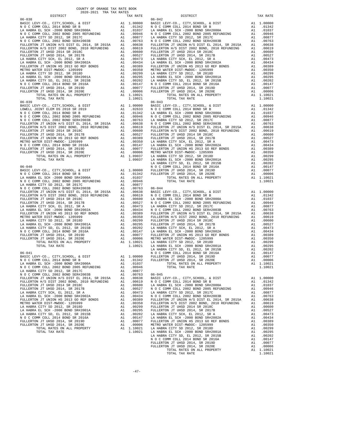| 2020-2021 TRA TAX RATES                                                                                  |          |                      |                    |
|----------------------------------------------------------------------------------------------------------|----------|----------------------|--------------------|
| DISTRICT                                                                                                 |          | TAX RATE             |                    |
|                                                                                                          |          |                      |                    |
|                                                                                                          |          |                      |                    |
|                                                                                                          |          |                      |                    |
|                                                                                                          |          |                      |                    |
|                                                                                                          |          |                      |                    |
|                                                                                                          |          |                      |                    |
|                                                                                                          |          |                      |                    |
|                                                                                                          |          |                      |                    |
|                                                                                                          |          |                      |                    |
|                                                                                                          |          |                      |                    |
|                                                                                                          |          |                      |                    |
|                                                                                                          |          |                      |                    |
|                                                                                                          |          |                      |                    |
|                                                                                                          |          |                      |                    |
|                                                                                                          |          |                      |                    |
|                                                                                                          |          |                      |                    |
|                                                                                                          |          |                      |                    |
|                                                                                                          |          |                      |                    |
|                                                                                                          |          |                      |                    |
|                                                                                                          |          |                      |                    |
|                                                                                                          |          |                      |                    |
|                                                                                                          |          |                      |                    |
|                                                                                                          |          |                      |                    |
|                                                                                                          |          |                      |                    |
|                                                                                                          |          |                      |                    |
|                                                                                                          |          |                      |                    |
|                                                                                                          |          |                      |                    |
|                                                                                                          |          |                      |                    |
|                                                                                                          |          |                      |                    |
|                                                                                                          |          |                      |                    |
|                                                                                                          |          |                      |                    |
|                                                                                                          |          |                      |                    |
|                                                                                                          |          |                      |                    |
|                                                                                                          |          |                      |                    |
|                                                                                                          |          |                      |                    |
|                                                                                                          |          |                      |                    |
|                                                                                                          |          |                      | LA HABR            |
| $06 - 040$                                                                                               |          |                      | NOCC               |
|                                                                                                          |          |                      |                    |
|                                                                                                          |          |                      |                    |
|                                                                                                          |          |                      |                    |
|                                                                                                          |          |                      |                    |
|                                                                                                          |          |                      |                    |
|                                                                                                          |          |                      |                    |
|                                                                                                          |          |                      |                    |
|                                                                                                          |          |                      |                    |
|                                                                                                          |          |                      |                    |
|                                                                                                          |          |                      |                    |
|                                                                                                          |          |                      |                    |
|                                                                                                          |          |                      |                    |
|                                                                                                          |          |                      |                    |
|                                                                                                          |          |                      |                    |
|                                                                                                          |          |                      |                    |
|                                                                                                          |          |                      |                    |
|                                                                                                          |          |                      |                    |
|                                                                                                          |          |                      |                    |
|                                                                                                          |          |                      |                    |
|                                                                                                          |          |                      |                    |
|                                                                                                          |          |                      |                    |
|                                                                                                          |          |                      | LA HABR            |
| $06 - 041$                                                                                               |          |                      | NOCC               |
| BASIC LEVY-CO., CITY, SCHOOL, & DIST A1 1.00000 FULLERT N O C COMM COLL 2014 BOND SR B A1 .01342 FULLERT |          |                      |                    |
| LA HABRA EL SCH -2000 BOND SR#2000A                                                                      |          |                      |                    |
|                                                                                                          | A1       | .01037               |                    |
| N O C COMM COLL 2002 BOND 2005 REFUNDING<br>LA HABRA CITY SD 2012, SR 2017C                              | A1<br>A1 | .00946<br>.00877     |                    |
| N O C COMM COLL 2002 BOND SER#2003B                                                                      | A1       | .00763               | $06 - 045$         |
| FULLERTON JT UNION H/S DIST EL 2014, SR 2015A                                                            |          | A1.00638             | BASIC L            |
| FULLERTON H/S DIST 2002 BOND, 2010 REFUNDING                                                             |          | A1.00619             | N O C C            |
| FULLERTON JT UHSD 2014 SR 2018C                                                                          | A1       | .00600               | LA HABR            |
| FULLERTON JT UHSD 2014, SR 2017B                                                                         | A1       | .00527               | NOCC               |
| LA HABRA CITY SCH, EL 2012, SR A                                                                         | A1       | .00473               | LA HABR            |
| LA HABRA EL SCH -2000 BOND SR#2002A                                                                      | A1       | .00434               | NOCC               |
| FULLERTON JT UNION HS 2013 GO REF BONDS                                                                  | A1       | .00389               | FULLERT            |
| METRO WATER DIST-MWDOC- 1205999                                                                          | A1       | .00350               | FULLERT            |
| LA HABRA CITY SD 2012, SR 2018D                                                                          | A1       | .00299               | FULLERT            |
| LA HABRA EL SCH -2000 BOND SR#2001A                                                                      | A1       | .00295               | FULLERT            |
| LA HABRA CITY SD, EL 2012, SR 2015B                                                                      | A1       | .00202               | LA HABR            |
| N O C COMM COLL 2014 BOND SR 2016A                                                                       | A1       | .00147               | LA HABR            |
| FULLERTON JT UHSD 2014, SR 2019D                                                                         | A1       | .00077               | FULLERT            |
| FULLERTON JT UHSD 2014, SR 2020E                                                                         | A1       | .00006<br>A1 1.10021 | METRO W            |
| TOTAL RATES ON ALL PROPERTY<br>TOTAL TAX RATE                                                            |          | 1.10021              | LA HABR<br>LA HABR |
|                                                                                                          |          |                      | LA HABR            |

| COUNTY OF ORANGE TAX RATE BOOK<br>2020-2021 TRA TAX RATES |  |                |          |
|-----------------------------------------------------------|--|----------------|----------|
| DISTRICT<br>$06 - 038$                                    |  | $06 - 042$     | TAX RATE |
|                                                           |  |                |          |
|                                                           |  |                |          |
|                                                           |  |                |          |
|                                                           |  |                |          |
|                                                           |  |                |          |
|                                                           |  |                |          |
|                                                           |  |                |          |
|                                                           |  |                |          |
|                                                           |  |                |          |
|                                                           |  |                |          |
|                                                           |  |                |          |
|                                                           |  |                |          |
|                                                           |  |                |          |
|                                                           |  |                |          |
|                                                           |  |                |          |
|                                                           |  |                |          |
|                                                           |  |                |          |
|                                                           |  |                |          |
|                                                           |  |                |          |
|                                                           |  |                |          |
|                                                           |  |                |          |
|                                                           |  |                |          |
|                                                           |  |                |          |
|                                                           |  |                |          |
|                                                           |  |                |          |
|                                                           |  |                |          |
|                                                           |  |                |          |
|                                                           |  |                |          |
|                                                           |  |                |          |
|                                                           |  |                |          |
|                                                           |  |                |          |
|                                                           |  |                |          |
|                                                           |  |                |          |
|                                                           |  |                |          |
|                                                           |  |                |          |
|                                                           |  |                |          |
|                                                           |  |                |          |
|                                                           |  |                |          |
|                                                           |  |                |          |
|                                                           |  |                |          |
|                                                           |  |                |          |
|                                                           |  |                |          |
|                                                           |  |                |          |
|                                                           |  |                |          |
|                                                           |  |                |          |
|                                                           |  |                |          |
|                                                           |  |                |          |
|                                                           |  |                |          |
|                                                           |  |                |          |
|                                                           |  |                |          |
|                                                           |  |                |          |
|                                                           |  |                |          |
|                                                           |  |                |          |
|                                                           |  |                |          |
|                                                           |  |                |          |
|                                                           |  |                |          |
|                                                           |  |                |          |
|                                                           |  |                |          |
|                                                           |  |                |          |
|                                                           |  |                |          |
|                                                           |  |                |          |
|                                                           |  |                |          |
|                                                           |  |                |          |
|                                                           |  |                |          |
|                                                           |  |                |          |
|                                                           |  |                |          |
|                                                           |  |                |          |
|                                                           |  |                |          |
|                                                           |  |                |          |
|                                                           |  |                |          |
|                                                           |  |                |          |
|                                                           |  |                |          |
|                                                           |  |                |          |
|                                                           |  |                |          |
|                                                           |  | TOTAL TAX RATE |          |
|                                                           |  |                |          |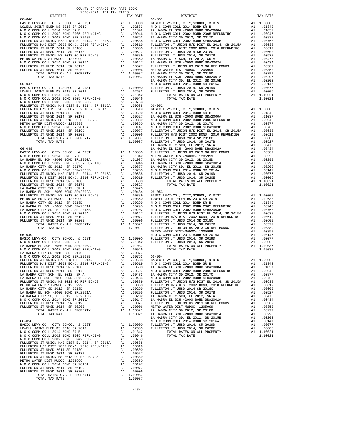| COUNTY OF ORANGE TAX RATE BOOK<br>$2020-2021 \quad \text{TRA RATE B}$ DISTRICT 2020–2021 TRA TAX RATES                                                                                                                                                                                                                                                                                              |  |                                 |          |
|-----------------------------------------------------------------------------------------------------------------------------------------------------------------------------------------------------------------------------------------------------------------------------------------------------------------------------------------------------------------------------------------------------|--|---------------------------------|----------|
|                                                                                                                                                                                                                                                                                                                                                                                                     |  | IRA IAA NATES TAX RATE DISTRICT | TAX RATE |
|                                                                                                                                                                                                                                                                                                                                                                                                     |  |                                 |          |
|                                                                                                                                                                                                                                                                                                                                                                                                     |  |                                 |          |
|                                                                                                                                                                                                                                                                                                                                                                                                     |  |                                 |          |
|                                                                                                                                                                                                                                                                                                                                                                                                     |  |                                 |          |
|                                                                                                                                                                                                                                                                                                                                                                                                     |  |                                 |          |
|                                                                                                                                                                                                                                                                                                                                                                                                     |  |                                 |          |
|                                                                                                                                                                                                                                                                                                                                                                                                     |  |                                 |          |
|                                                                                                                                                                                                                                                                                                                                                                                                     |  |                                 |          |
|                                                                                                                                                                                                                                                                                                                                                                                                     |  |                                 |          |
|                                                                                                                                                                                                                                                                                                                                                                                                     |  |                                 |          |
|                                                                                                                                                                                                                                                                                                                                                                                                     |  |                                 |          |
|                                                                                                                                                                                                                                                                                                                                                                                                     |  |                                 |          |
|                                                                                                                                                                                                                                                                                                                                                                                                     |  |                                 |          |
|                                                                                                                                                                                                                                                                                                                                                                                                     |  |                                 |          |
|                                                                                                                                                                                                                                                                                                                                                                                                     |  |                                 |          |
|                                                                                                                                                                                                                                                                                                                                                                                                     |  |                                 |          |
|                                                                                                                                                                                                                                                                                                                                                                                                     |  |                                 |          |
|                                                                                                                                                                                                                                                                                                                                                                                                     |  |                                 |          |
|                                                                                                                                                                                                                                                                                                                                                                                                     |  |                                 |          |
|                                                                                                                                                                                                                                                                                                                                                                                                     |  |                                 |          |
|                                                                                                                                                                                                                                                                                                                                                                                                     |  |                                 |          |
|                                                                                                                                                                                                                                                                                                                                                                                                     |  |                                 |          |
|                                                                                                                                                                                                                                                                                                                                                                                                     |  |                                 |          |
|                                                                                                                                                                                                                                                                                                                                                                                                     |  |                                 |          |
|                                                                                                                                                                                                                                                                                                                                                                                                     |  |                                 |          |
|                                                                                                                                                                                                                                                                                                                                                                                                     |  |                                 |          |
|                                                                                                                                                                                                                                                                                                                                                                                                     |  |                                 |          |
|                                                                                                                                                                                                                                                                                                                                                                                                     |  |                                 |          |
|                                                                                                                                                                                                                                                                                                                                                                                                     |  |                                 |          |
|                                                                                                                                                                                                                                                                                                                                                                                                     |  |                                 |          |
|                                                                                                                                                                                                                                                                                                                                                                                                     |  |                                 |          |
|                                                                                                                                                                                                                                                                                                                                                                                                     |  |                                 |          |
|                                                                                                                                                                                                                                                                                                                                                                                                     |  |                                 |          |
|                                                                                                                                                                                                                                                                                                                                                                                                     |  |                                 |          |
|                                                                                                                                                                                                                                                                                                                                                                                                     |  |                                 |          |
|                                                                                                                                                                                                                                                                                                                                                                                                     |  |                                 |          |
|                                                                                                                                                                                                                                                                                                                                                                                                     |  |                                 |          |
|                                                                                                                                                                                                                                                                                                                                                                                                     |  |                                 |          |
|                                                                                                                                                                                                                                                                                                                                                                                                     |  |                                 |          |
|                                                                                                                                                                                                                                                                                                                                                                                                     |  |                                 |          |
|                                                                                                                                                                                                                                                                                                                                                                                                     |  |                                 |          |
|                                                                                                                                                                                                                                                                                                                                                                                                     |  |                                 |          |
|                                                                                                                                                                                                                                                                                                                                                                                                     |  |                                 |          |
|                                                                                                                                                                                                                                                                                                                                                                                                     |  |                                 |          |
|                                                                                                                                                                                                                                                                                                                                                                                                     |  |                                 |          |
|                                                                                                                                                                                                                                                                                                                                                                                                     |  |                                 |          |
|                                                                                                                                                                                                                                                                                                                                                                                                     |  |                                 |          |
|                                                                                                                                                                                                                                                                                                                                                                                                     |  |                                 |          |
|                                                                                                                                                                                                                                                                                                                                                                                                     |  |                                 |          |
|                                                                                                                                                                                                                                                                                                                                                                                                     |  |                                 |          |
|                                                                                                                                                                                                                                                                                                                                                                                                     |  |                                 |          |
|                                                                                                                                                                                                                                                                                                                                                                                                     |  |                                 |          |
|                                                                                                                                                                                                                                                                                                                                                                                                     |  |                                 |          |
|                                                                                                                                                                                                                                                                                                                                                                                                     |  |                                 |          |
|                                                                                                                                                                                                                                                                                                                                                                                                     |  |                                 |          |
|                                                                                                                                                                                                                                                                                                                                                                                                     |  |                                 |          |
|                                                                                                                                                                                                                                                                                                                                                                                                     |  |                                 |          |
|                                                                                                                                                                                                                                                                                                                                                                                                     |  |                                 |          |
|                                                                                                                                                                                                                                                                                                                                                                                                     |  |                                 |          |
|                                                                                                                                                                                                                                                                                                                                                                                                     |  |                                 |          |
|                                                                                                                                                                                                                                                                                                                                                                                                     |  |                                 |          |
|                                                                                                                                                                                                                                                                                                                                                                                                     |  |                                 |          |
|                                                                                                                                                                                                                                                                                                                                                                                                     |  |                                 |          |
|                                                                                                                                                                                                                                                                                                                                                                                                     |  |                                 |          |
|                                                                                                                                                                                                                                                                                                                                                                                                     |  |                                 |          |
|                                                                                                                                                                                                                                                                                                                                                                                                     |  |                                 |          |
|                                                                                                                                                                                                                                                                                                                                                                                                     |  |                                 |          |
|                                                                                                                                                                                                                                                                                                                                                                                                     |  |                                 |          |
| ${\small \begin{tabular}{lcccc} \textbf{FULLERTON} & \textbf{FUUD} & \textbf{SUD} & \textbf{SUD} & \textbf{SUD} & \textbf{SUD} & \textbf{A1} & 0.0619 \\ \textbf{FULLERTON} & \textbf{FUUBD} & 2014 & \textbf{S}\text{R} & 2017 \textbf{B} & \textbf{A1} & 0.0600 \\ \textbf{FULLERTON} & \textbf{TUHSD} & 2014 & \textbf{S}\text{R} & 2017 \textbf{B} & \textbf{A1} & 0.0527 \\ \textbf{FULLERTON$ |  |                                 |          |
|                                                                                                                                                                                                                                                                                                                                                                                                     |  |                                 |          |
|                                                                                                                                                                                                                                                                                                                                                                                                     |  |                                 |          |
|                                                                                                                                                                                                                                                                                                                                                                                                     |  |                                 |          |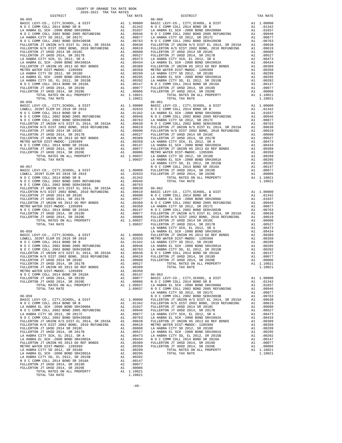| TAX RATE<br>DISTRICT |  | DISTRICT   | TAX RATE |
|----------------------|--|------------|----------|
| $06 - 055$           |  | $06 - 060$ |          |
|                      |  |            |          |
|                      |  |            |          |
|                      |  |            |          |
|                      |  |            |          |
|                      |  |            |          |
|                      |  |            |          |
|                      |  |            |          |
|                      |  |            |          |
|                      |  |            |          |
|                      |  |            |          |
|                      |  |            |          |
|                      |  |            |          |
|                      |  |            |          |
|                      |  |            |          |
|                      |  |            |          |
|                      |  |            |          |
|                      |  |            |          |
|                      |  |            |          |
|                      |  |            |          |
|                      |  |            |          |
|                      |  |            |          |
|                      |  |            |          |
|                      |  |            |          |
|                      |  |            |          |
|                      |  |            |          |
|                      |  |            |          |
|                      |  |            |          |
|                      |  |            |          |
|                      |  |            |          |
|                      |  |            |          |
|                      |  |            |          |
|                      |  |            |          |
|                      |  |            |          |
|                      |  |            |          |
|                      |  |            |          |
|                      |  |            |          |
|                      |  |            |          |
|                      |  |            |          |
|                      |  |            |          |
|                      |  |            |          |
|                      |  |            |          |
|                      |  |            |          |
|                      |  |            |          |
|                      |  |            |          |
|                      |  |            |          |
|                      |  |            |          |
|                      |  |            |          |
|                      |  |            |          |
|                      |  |            |          |
|                      |  |            |          |
|                      |  |            |          |
|                      |  |            |          |
|                      |  |            |          |
|                      |  |            |          |
|                      |  |            |          |
|                      |  |            |          |
|                      |  |            |          |
|                      |  |            |          |
|                      |  |            |          |
|                      |  |            |          |
|                      |  |            |          |
|                      |  |            |          |
|                      |  |            |          |
|                      |  |            |          |
|                      |  |            |          |
|                      |  |            |          |
|                      |  |            |          |
|                      |  |            |          |
|                      |  |            |          |
|                      |  |            |          |
|                      |  |            |          |
|                      |  |            |          |
|                      |  |            |          |
|                      |  |            |          |
|                      |  |            |          |
|                      |  |            |          |
|                      |  |            |          |
|                      |  |            |          |
|                      |  |            |          |
|                      |  |            |          |
|                      |  |            |          |
|                      |  |            |          |
|                      |  |            |          |
|                      |  |            |          |
|                      |  |            |          |
|                      |  |            |          |
|                      |  |            |          |
|                      |  |            |          |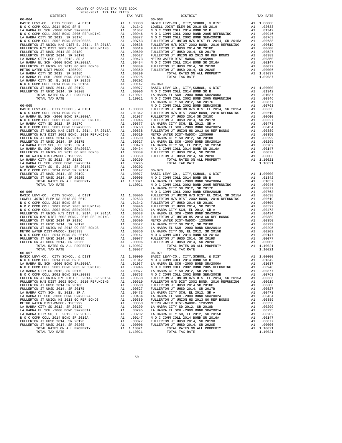| COUNTY OF ORANGE TAX RATE BOOK<br>2020-2021 TRA TAX RATES<br>$2020-2021 \quad \text{TRA} \quad \text{TARATE}$ DISTRICT |                      |                                                                                                                                                                                                                                |            |
|------------------------------------------------------------------------------------------------------------------------|----------------------|--------------------------------------------------------------------------------------------------------------------------------------------------------------------------------------------------------------------------------|------------|
|                                                                                                                        |                      | TAX RATE DISTRICT                                                                                                                                                                                                              | TAX RATE   |
|                                                                                                                        |                      |                                                                                                                                                                                                                                |            |
|                                                                                                                        |                      |                                                                                                                                                                                                                                |            |
|                                                                                                                        |                      |                                                                                                                                                                                                                                |            |
|                                                                                                                        |                      |                                                                                                                                                                                                                                |            |
|                                                                                                                        |                      |                                                                                                                                                                                                                                |            |
|                                                                                                                        |                      |                                                                                                                                                                                                                                |            |
|                                                                                                                        |                      |                                                                                                                                                                                                                                |            |
|                                                                                                                        |                      |                                                                                                                                                                                                                                |            |
|                                                                                                                        |                      |                                                                                                                                                                                                                                |            |
|                                                                                                                        |                      |                                                                                                                                                                                                                                |            |
|                                                                                                                        |                      |                                                                                                                                                                                                                                |            |
|                                                                                                                        |                      |                                                                                                                                                                                                                                |            |
|                                                                                                                        |                      |                                                                                                                                                                                                                                |            |
|                                                                                                                        |                      |                                                                                                                                                                                                                                |            |
|                                                                                                                        |                      |                                                                                                                                                                                                                                |            |
|                                                                                                                        |                      |                                                                                                                                                                                                                                |            |
|                                                                                                                        |                      |                                                                                                                                                                                                                                |            |
|                                                                                                                        |                      |                                                                                                                                                                                                                                |            |
|                                                                                                                        |                      |                                                                                                                                                                                                                                |            |
|                                                                                                                        |                      |                                                                                                                                                                                                                                |            |
|                                                                                                                        |                      |                                                                                                                                                                                                                                |            |
|                                                                                                                        |                      |                                                                                                                                                                                                                                |            |
|                                                                                                                        |                      |                                                                                                                                                                                                                                |            |
|                                                                                                                        |                      |                                                                                                                                                                                                                                |            |
|                                                                                                                        |                      |                                                                                                                                                                                                                                |            |
|                                                                                                                        |                      |                                                                                                                                                                                                                                |            |
|                                                                                                                        |                      |                                                                                                                                                                                                                                |            |
|                                                                                                                        |                      |                                                                                                                                                                                                                                |            |
|                                                                                                                        |                      |                                                                                                                                                                                                                                |            |
|                                                                                                                        |                      |                                                                                                                                                                                                                                |            |
|                                                                                                                        |                      |                                                                                                                                                                                                                                |            |
|                                                                                                                        |                      |                                                                                                                                                                                                                                |            |
|                                                                                                                        |                      |                                                                                                                                                                                                                                |            |
|                                                                                                                        |                      |                                                                                                                                                                                                                                |            |
|                                                                                                                        |                      |                                                                                                                                                                                                                                |            |
|                                                                                                                        |                      |                                                                                                                                                                                                                                |            |
|                                                                                                                        |                      |                                                                                                                                                                                                                                |            |
|                                                                                                                        |                      |                                                                                                                                                                                                                                |            |
|                                                                                                                        |                      |                                                                                                                                                                                                                                |            |
|                                                                                                                        |                      |                                                                                                                                                                                                                                |            |
|                                                                                                                        |                      |                                                                                                                                                                                                                                |            |
|                                                                                                                        |                      |                                                                                                                                                                                                                                |            |
|                                                                                                                        |                      |                                                                                                                                                                                                                                |            |
|                                                                                                                        |                      |                                                                                                                                                                                                                                |            |
|                                                                                                                        |                      |                                                                                                                                                                                                                                |            |
|                                                                                                                        |                      |                                                                                                                                                                                                                                |            |
|                                                                                                                        |                      |                                                                                                                                                                                                                                |            |
|                                                                                                                        |                      |                                                                                                                                                                                                                                |            |
|                                                                                                                        |                      |                                                                                                                                                                                                                                |            |
|                                                                                                                        |                      |                                                                                                                                                                                                                                |            |
|                                                                                                                        |                      |                                                                                                                                                                                                                                |            |
|                                                                                                                        |                      |                                                                                                                                                                                                                                |            |
|                                                                                                                        |                      | BASIC LEVY-CO., CITY, SCHOOL, & DIST A1 1.00000 BASIC LEVY-CO., CITY, SCHOOL, & DIST                                                                                                                                           | A1 1,00000 |
|                                                                                                                        |                      |                                                                                                                                                                                                                                |            |
|                                                                                                                        | 11.01037<br>11.00946 |                                                                                                                                                                                                                                |            |
| N O C COMM COLL 2002 BOND 2005 REFUNDING                                                                               |                      |                                                                                                                                                                                                                                |            |
| LA HABRA CITY SD 2012, SR 2017C<br>N O C COMM COLL 2002 BOND SER#2003B A1 .00763                                       |                      |                                                                                                                                                                                                                                |            |
| FULLERTON JT UNION H/S DIST EL 2014, SR 2015A A1 .00638                                                                |                      | FULLERTON JT UNION H/S DIST EL 2014, SR 2015A A1 .00638                                                                                                                                                                        |            |
|                                                                                                                        |                      |                                                                                                                                                                                                                                |            |
|                                                                                                                        |                      |                                                                                                                                                                                                                                |            |
|                                                                                                                        |                      | FULLERTON H/S DIST 2002 BOND, 2010 REFUNDING A1 .00619 FULLERTON H/S DIST 2002 BOND, 2010 REFUNDING A1 .00619 PULLERTON H/S DIST 2002 BOND, 2010 REFUNDING A1 .00619 PULLERTON JT UHSD 2014 SR 2013E A1 .00619 PULLERTON JT UH |            |
|                                                                                                                        |                      |                                                                                                                                                                                                                                |            |
|                                                                                                                        |                      |                                                                                                                                                                                                                                |            |
|                                                                                                                        |                      |                                                                                                                                                                                                                                |            |
|                                                                                                                        |                      |                                                                                                                                                                                                                                |            |
|                                                                                                                        |                      |                                                                                                                                                                                                                                |            |
|                                                                                                                        |                      |                                                                                                                                                                                                                                |            |
|                                                                                                                        |                      |                                                                                                                                                                                                                                |            |
|                                                                                                                        |                      |                                                                                                                                                                                                                                |            |
| TOTAL TAX RATE                                                                                                         | 1.10021              | TOTAL TAX RATE                                                                                                                                                                                                                 | 1.10021    |
|                                                                                                                        |                      |                                                                                                                                                                                                                                |            |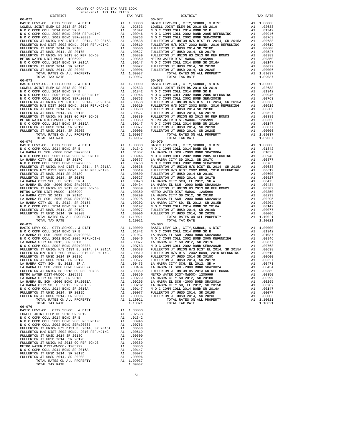| COUNTY OF ORANGE TAX RATE BOOK<br>2020-2021 TRA TAX RATES              |          |                                                                                                     |                               |
|------------------------------------------------------------------------|----------|-----------------------------------------------------------------------------------------------------|-------------------------------|
| DISTRICT                                                               |          | TAX RATE                                                                                            |                               |
|                                                                        |          |                                                                                                     |                               |
|                                                                        |          |                                                                                                     |                               |
|                                                                        |          |                                                                                                     |                               |
|                                                                        |          |                                                                                                     |                               |
|                                                                        |          |                                                                                                     |                               |
|                                                                        |          |                                                                                                     |                               |
|                                                                        |          |                                                                                                     |                               |
|                                                                        |          |                                                                                                     |                               |
|                                                                        |          |                                                                                                     |                               |
|                                                                        |          |                                                                                                     |                               |
|                                                                        |          |                                                                                                     |                               |
|                                                                        |          |                                                                                                     |                               |
|                                                                        |          |                                                                                                     |                               |
|                                                                        |          |                                                                                                     |                               |
|                                                                        |          |                                                                                                     |                               |
|                                                                        |          |                                                                                                     |                               |
|                                                                        |          |                                                                                                     |                               |
|                                                                        |          |                                                                                                     |                               |
|                                                                        |          |                                                                                                     |                               |
|                                                                        |          |                                                                                                     |                               |
|                                                                        |          |                                                                                                     |                               |
|                                                                        |          |                                                                                                     |                               |
|                                                                        |          |                                                                                                     |                               |
|                                                                        |          |                                                                                                     |                               |
|                                                                        |          |                                                                                                     |                               |
|                                                                        |          |                                                                                                     |                               |
|                                                                        |          |                                                                                                     |                               |
| $06 - 074$                                                             |          |                                                                                                     | $06 - 079$                    |
|                                                                        |          |                                                                                                     |                               |
|                                                                        |          |                                                                                                     |                               |
|                                                                        |          |                                                                                                     |                               |
|                                                                        |          |                                                                                                     |                               |
|                                                                        |          |                                                                                                     |                               |
|                                                                        |          |                                                                                                     |                               |
|                                                                        |          |                                                                                                     |                               |
|                                                                        |          |                                                                                                     |                               |
|                                                                        |          |                                                                                                     |                               |
|                                                                        |          |                                                                                                     |                               |
|                                                                        |          |                                                                                                     |                               |
|                                                                        |          |                                                                                                     |                               |
|                                                                        |          |                                                                                                     |                               |
|                                                                        |          |                                                                                                     |                               |
|                                                                        |          |                                                                                                     |                               |
|                                                                        |          |                                                                                                     |                               |
|                                                                        |          |                                                                                                     |                               |
| TOTAL TAX RATE                                                         |          | 1.10021                                                                                             |                               |
|                                                                        |          |                                                                                                     |                               |
|                                                                        |          |                                                                                                     |                               |
|                                                                        |          |                                                                                                     |                               |
|                                                                        |          |                                                                                                     |                               |
|                                                                        |          |                                                                                                     |                               |
|                                                                        |          |                                                                                                     |                               |
|                                                                        |          |                                                                                                     |                               |
|                                                                        |          |                                                                                                     |                               |
|                                                                        |          |                                                                                                     | FULLERT                       |
|                                                                        |          |                                                                                                     | LA HABR                       |
|                                                                        |          |                                                                                                     | LA HABR                       |
| METRO WATER DIST-MWDOC- 1205999                                        |          | A1.00350                                                                                            | FULLERT<br>METRO W<br>LA HABR |
| LA HABRA CITY SD 2012, SR 2018D                                        |          | A1.00299                                                                                            |                               |
| LA HABRA EL SCH -2000 BOND SR#2001A                                    |          | A1.00295                                                                                            | LA HABR                       |
| LA HABRA CITY SD, EL 2012, SR 2015B                                    |          | A1 .00295 LA HABR<br>A1 .00202 LA HABR<br>A1 .00147 N O C<br>A1 .00077 FULLERT<br>A1 .00006 FULLERT |                               |
| N O C COMM COLL 2014 BOND SR 2016A                                     |          |                                                                                                     |                               |
| FULLERTON JT UHSD 2014, SR 2019D<br>FULLERTON JT UHSD 2014, SR 2020E   |          |                                                                                                     |                               |
| TOTAL RATES ON ALL PROPERTY                                            |          | A1 1.10021                                                                                          |                               |
| TOTAL TAX RATE                                                         |          | 1.10021                                                                                             |                               |
| $06 - 076$<br>BASIC LEVY-CO., CITY, SCHOOL, & DIST                     | A1       | 1.00000                                                                                             |                               |
| LOWELL JOINT ELEM DS 2018 SR 2019                                      |          | A1 .02633                                                                                           |                               |
| N O C COMM COLL 2014 BOND SR B                                         | A1       | .01342                                                                                              |                               |
| N O C COMM COLL 2002 BOND 2005 REFUNDING A1 .00946                     |          |                                                                                                     |                               |
| N O C COMM COLL 2002 BOND SER#2003B                                    |          | A1 .00763                                                                                           |                               |
|                                                                        |          |                                                                                                     |                               |
|                                                                        |          |                                                                                                     |                               |
|                                                                        |          |                                                                                                     |                               |
|                                                                        |          |                                                                                                     |                               |
| METRO WATER DIST-MWDOC- 1205999                                        | A1       | .00350                                                                                              |                               |
| N O C COMM COLL 2014 BOND SR 2016A<br>FULLERTON JT UHSD 2014, SR 2019D | A1<br>A1 | .00147<br>.00077                                                                                    |                               |
| FULLERTON JT UHSD 2014, SR 2020E                                       | A1       | .00006                                                                                              |                               |
| TOTAL RATES ON ALL PROPERTY                                            |          | A1 1.09037                                                                                          |                               |
| TOTAL TAX RATE                                                         |          | 1.09037                                                                                             |                               |

| DISTRICT                                                                                                                                                                                                                                                                                                                                                                                                            |     | TAX RATE           | <b>DISTRICT</b>                         |    | TAX RATE   |
|---------------------------------------------------------------------------------------------------------------------------------------------------------------------------------------------------------------------------------------------------------------------------------------------------------------------------------------------------------------------------------------------------------------------|-----|--------------------|-----------------------------------------|----|------------|
|                                                                                                                                                                                                                                                                                                                                                                                                                     |     |                    | $06 - 077$                              |    |            |
|                                                                                                                                                                                                                                                                                                                                                                                                                     |     |                    |                                         |    |            |
|                                                                                                                                                                                                                                                                                                                                                                                                                     |     |                    |                                         |    |            |
|                                                                                                                                                                                                                                                                                                                                                                                                                     |     |                    |                                         |    |            |
|                                                                                                                                                                                                                                                                                                                                                                                                                     |     |                    |                                         |    |            |
|                                                                                                                                                                                                                                                                                                                                                                                                                     |     |                    |                                         |    |            |
|                                                                                                                                                                                                                                                                                                                                                                                                                     |     |                    |                                         |    |            |
|                                                                                                                                                                                                                                                                                                                                                                                                                     |     |                    |                                         |    |            |
|                                                                                                                                                                                                                                                                                                                                                                                                                     |     |                    |                                         |    |            |
|                                                                                                                                                                                                                                                                                                                                                                                                                     |     |                    |                                         |    |            |
|                                                                                                                                                                                                                                                                                                                                                                                                                     |     |                    |                                         |    |            |
|                                                                                                                                                                                                                                                                                                                                                                                                                     |     |                    |                                         |    |            |
|                                                                                                                                                                                                                                                                                                                                                                                                                     |     |                    |                                         |    |            |
|                                                                                                                                                                                                                                                                                                                                                                                                                     |     |                    |                                         |    |            |
|                                                                                                                                                                                                                                                                                                                                                                                                                     |     |                    |                                         |    |            |
|                                                                                                                                                                                                                                                                                                                                                                                                                     |     |                    |                                         |    |            |
|                                                                                                                                                                                                                                                                                                                                                                                                                     |     |                    |                                         |    |            |
|                                                                                                                                                                                                                                                                                                                                                                                                                     |     |                    |                                         |    |            |
|                                                                                                                                                                                                                                                                                                                                                                                                                     |     |                    |                                         |    |            |
|                                                                                                                                                                                                                                                                                                                                                                                                                     |     |                    |                                         |    |            |
|                                                                                                                                                                                                                                                                                                                                                                                                                     |     |                    |                                         |    |            |
|                                                                                                                                                                                                                                                                                                                                                                                                                     |     |                    |                                         |    |            |
|                                                                                                                                                                                                                                                                                                                                                                                                                     |     |                    |                                         |    |            |
|                                                                                                                                                                                                                                                                                                                                                                                                                     |     |                    |                                         |    |            |
|                                                                                                                                                                                                                                                                                                                                                                                                                     |     |                    |                                         |    |            |
|                                                                                                                                                                                                                                                                                                                                                                                                                     |     |                    |                                         |    |            |
|                                                                                                                                                                                                                                                                                                                                                                                                                     |     |                    |                                         |    |            |
|                                                                                                                                                                                                                                                                                                                                                                                                                     |     |                    |                                         |    |            |
|                                                                                                                                                                                                                                                                                                                                                                                                                     |     |                    |                                         |    |            |
|                                                                                                                                                                                                                                                                                                                                                                                                                     |     |                    |                                         |    |            |
|                                                                                                                                                                                                                                                                                                                                                                                                                     |     |                    |                                         |    |            |
|                                                                                                                                                                                                                                                                                                                                                                                                                     |     |                    |                                         |    |            |
|                                                                                                                                                                                                                                                                                                                                                                                                                     |     |                    |                                         |    |            |
| $06 - 074$                                                                                                                                                                                                                                                                                                                                                                                                          |     |                    | $06 - 079$                              |    |            |
|                                                                                                                                                                                                                                                                                                                                                                                                                     |     |                    |                                         |    |            |
|                                                                                                                                                                                                                                                                                                                                                                                                                     |     |                    |                                         |    |            |
|                                                                                                                                                                                                                                                                                                                                                                                                                     |     |                    |                                         |    |            |
|                                                                                                                                                                                                                                                                                                                                                                                                                     |     |                    |                                         |    |            |
|                                                                                                                                                                                                                                                                                                                                                                                                                     |     |                    |                                         |    |            |
|                                                                                                                                                                                                                                                                                                                                                                                                                     |     |                    |                                         |    |            |
|                                                                                                                                                                                                                                                                                                                                                                                                                     |     |                    |                                         |    |            |
|                                                                                                                                                                                                                                                                                                                                                                                                                     |     |                    |                                         |    |            |
|                                                                                                                                                                                                                                                                                                                                                                                                                     |     |                    |                                         |    |            |
|                                                                                                                                                                                                                                                                                                                                                                                                                     |     |                    |                                         |    |            |
|                                                                                                                                                                                                                                                                                                                                                                                                                     |     |                    |                                         |    |            |
|                                                                                                                                                                                                                                                                                                                                                                                                                     |     |                    |                                         |    |            |
|                                                                                                                                                                                                                                                                                                                                                                                                                     |     |                    |                                         |    |            |
|                                                                                                                                                                                                                                                                                                                                                                                                                     |     |                    |                                         |    |            |
|                                                                                                                                                                                                                                                                                                                                                                                                                     |     |                    |                                         |    |            |
|                                                                                                                                                                                                                                                                                                                                                                                                                     |     |                    |                                         |    |            |
|                                                                                                                                                                                                                                                                                                                                                                                                                     |     |                    |                                         |    |            |
|                                                                                                                                                                                                                                                                                                                                                                                                                     |     |                    |                                         |    |            |
|                                                                                                                                                                                                                                                                                                                                                                                                                     |     |                    |                                         |    |            |
|                                                                                                                                                                                                                                                                                                                                                                                                                     |     |                    |                                         |    |            |
|                                                                                                                                                                                                                                                                                                                                                                                                                     |     |                    |                                         |    |            |
| $06 - 075$                                                                                                                                                                                                                                                                                                                                                                                                          |     |                    | $06 - 080$                              |    |            |
|                                                                                                                                                                                                                                                                                                                                                                                                                     |     |                    |                                         |    |            |
|                                                                                                                                                                                                                                                                                                                                                                                                                     |     |                    |                                         |    |            |
|                                                                                                                                                                                                                                                                                                                                                                                                                     |     |                    |                                         |    |            |
|                                                                                                                                                                                                                                                                                                                                                                                                                     |     |                    |                                         |    |            |
|                                                                                                                                                                                                                                                                                                                                                                                                                     |     |                    |                                         |    |            |
|                                                                                                                                                                                                                                                                                                                                                                                                                     |     |                    |                                         |    |            |
|                                                                                                                                                                                                                                                                                                                                                                                                                     |     |                    |                                         |    |            |
|                                                                                                                                                                                                                                                                                                                                                                                                                     |     |                    |                                         |    |            |
|                                                                                                                                                                                                                                                                                                                                                                                                                     |     |                    |                                         |    |            |
|                                                                                                                                                                                                                                                                                                                                                                                                                     |     |                    |                                         |    |            |
| LA HABRA EL SCH -2000 BOND SR#2002A                                                                                                                                                                                                                                                                                                                                                                                 | A1  | .00434             | LA HABRA EL SCH -2000 BOND SR#2002A     | A1 | .00434     |
| FULLERTON JT UNION HS 2013 GO REF BONDS                                                                                                                                                                                                                                                                                                                                                                             |     | A1 .00389          | FULLERTON JT UNION HS 2013 GO REF BONDS |    | A1 .00389  |
| METRO WATER DIST-MWDOC- 1205999                                                                                                                                                                                                                                                                                                                                                                                     |     | A1 .00350          | METRO WATER DIST-MWDOC- 1205999         |    | A1 .00350  |
| LA HABRA CITY SD 2012, SR 2018D                                                                                                                                                                                                                                                                                                                                                                                     |     | A1 .00299          | LA HABRA CITY SD 2012, SR 2018D         |    | A1 .00299  |
| LA HABRA EL SCH -2000 BOND SR#2001A                                                                                                                                                                                                                                                                                                                                                                                 | A1  | .00295             | LA HABRA EL SCH -2000 BOND SR#2001A     | A1 | .00295     |
| LA HABRA CITY SD, EL 2012, SR 2015B                                                                                                                                                                                                                                                                                                                                                                                 |     | A1 .00202          | LA HABRA CITY SD, EL 2012, SR 2015B     | A1 | .00202     |
| N O C COMM COLL 2014 BOND SR 2016A                                                                                                                                                                                                                                                                                                                                                                                  |     | A1 .00147          | N O C COMM COLL 2014 BOND SR 2016A      | A1 | .00147     |
| FULLERTON JT UHSD 2014. SR 2019D                                                                                                                                                                                                                                                                                                                                                                                    |     | A1 .00077          | FULLERTON JT UHSD 2014, SR 2019D        |    | A1 .00077  |
| FULLERTON JT UHSD 2014, SR 2020E                                                                                                                                                                                                                                                                                                                                                                                    |     | A1 .00006          | FULLERTON JT UHSD 2014, SR 2020E        |    | A1 .00006  |
| TOTAL RATES ON ALL PROPERTY                                                                                                                                                                                                                                                                                                                                                                                         |     | A1 1.10021         | TOTAL RATES ON ALL PROPERTY             |    | A1 1.10021 |
| TOTAL TAX RATE                                                                                                                                                                                                                                                                                                                                                                                                      |     | 1.10021            | TOTAL TAX RATE                          |    | 1.10021    |
| $06 - 076$                                                                                                                                                                                                                                                                                                                                                                                                          |     |                    |                                         |    |            |
| BASIC LEVY-CO., CITY, SCHOOL, & DIST                                                                                                                                                                                                                                                                                                                                                                                |     | A1 1.00000         |                                         |    |            |
| LOWELL JOINT ELEM DS 2018 SR 2019<br>$\overline{M}$ $\cap$ $\overline{M}$ $\overline{M}$ $\overline{M}$ $\overline{M}$ $\overline{M}$ $\overline{M}$ $\overline{M}$ $\overline{M}$ $\overline{M}$ $\overline{M}$ $\overline{M}$ $\overline{M}$ $\overline{M}$ $\overline{M}$ $\overline{M}$ $\overline{M}$ $\overline{M}$ $\overline{M}$ $\overline{M}$ $\overline{M}$ $\overline{M}$ $\overline{M}$ $\overline{M}$ | 2.1 | A1 .02633<br>01240 |                                         |    |            |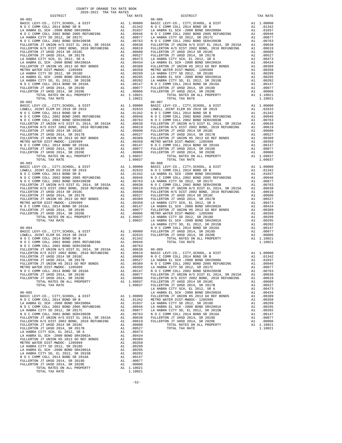| DISTRICT.                           |                                    | TAX RATE                                                   |            |
|-------------------------------------|------------------------------------|------------------------------------------------------------|------------|
| $06 - 081$                          |                                    |                                                            | $06 - 086$ |
|                                     |                                    |                                                            |            |
|                                     |                                    |                                                            |            |
|                                     |                                    |                                                            |            |
|                                     |                                    |                                                            |            |
|                                     |                                    |                                                            |            |
|                                     |                                    |                                                            |            |
|                                     |                                    |                                                            |            |
|                                     |                                    |                                                            |            |
|                                     |                                    |                                                            |            |
|                                     |                                    |                                                            |            |
|                                     |                                    |                                                            |            |
|                                     |                                    |                                                            |            |
|                                     |                                    |                                                            |            |
|                                     |                                    |                                                            |            |
|                                     |                                    |                                                            |            |
|                                     |                                    |                                                            |            |
|                                     |                                    |                                                            |            |
|                                     |                                    |                                                            |            |
|                                     |                                    |                                                            |            |
| TOTAL TAX RATE                      |                                    | 1.10021                                                    |            |
|                                     |                                    |                                                            |            |
|                                     |                                    |                                                            |            |
|                                     |                                    |                                                            |            |
|                                     |                                    |                                                            |            |
|                                     |                                    |                                                            |            |
|                                     |                                    |                                                            |            |
|                                     |                                    |                                                            |            |
|                                     |                                    |                                                            |            |
|                                     |                                    |                                                            |            |
|                                     |                                    |                                                            |            |
|                                     |                                    |                                                            |            |
|                                     |                                    |                                                            |            |
|                                     |                                    |                                                            |            |
|                                     |                                    |                                                            |            |
|                                     |                                    |                                                            |            |
|                                     |                                    |                                                            |            |
|                                     |                                    |                                                            |            |
|                                     |                                    |                                                            |            |
|                                     |                                    |                                                            |            |
|                                     |                                    |                                                            |            |
|                                     |                                    |                                                            |            |
|                                     |                                    |                                                            |            |
|                                     |                                    |                                                            |            |
|                                     |                                    |                                                            |            |
|                                     |                                    |                                                            |            |
|                                     |                                    |                                                            |            |
|                                     |                                    |                                                            |            |
|                                     |                                    |                                                            |            |
|                                     |                                    |                                                            |            |
|                                     |                                    |                                                            |            |
|                                     |                                    |                                                            |            |
|                                     |                                    |                                                            | LA HABR    |
| $06 - 084$                          |                                    |                                                            | NOCC       |
|                                     |                                    |                                                            |            |
|                                     |                                    |                                                            |            |
|                                     |                                    |                                                            |            |
|                                     |                                    |                                                            |            |
|                                     |                                    |                                                            |            |
|                                     |                                    |                                                            |            |
|                                     |                                    |                                                            |            |
|                                     |                                    |                                                            |            |
|                                     |                                    |                                                            |            |
| METRO WATER DIST-MWDOC- 1205999     |                                    |                                                            |            |
| N O C COMM COLL 2014 BOND SR 2016A  |                                    | A1 .00350 LA HABR<br>A1 .00147 NOCC<br>A1 .00077 FULLERT   |            |
| FULLERTON JT UHSD 2014, SR 2019D    |                                    |                                                            |            |
| FULLERTON JT UHSD 2014, SR 2020E    |                                    |                                                            |            |
| TOTAL RATES ON ALL PROPERTY         |                                    |                                                            |            |
| TOTAL TAX RATE                      |                                    | A1 .00006 FULLERT<br>A1 1.09037 FULLERT<br>1.09037 FULLERT |            |
|                                     |                                    |                                                            | LA HABR    |
| $06 - 085$                          |                                    |                                                            | LA HABR    |
|                                     |                                    |                                                            |            |
|                                     |                                    |                                                            |            |
|                                     |                                    |                                                            |            |
|                                     |                                    |                                                            |            |
|                                     |                                    |                                                            |            |
|                                     |                                    |                                                            |            |
|                                     |                                    |                                                            |            |
|                                     |                                    |                                                            |            |
| FULLERTON JT UHSD 2014, SR 2017B    |                                    | A1 .00600                                                  |            |
|                                     |                                    | A1 .00527                                                  |            |
|                                     |                                    |                                                            |            |
|                                     |                                    |                                                            |            |
|                                     |                                    |                                                            |            |
| LA HABRA CITY SD 2012, SR 2018D     |                                    | A1.00299                                                   |            |
| LA HABRA EL SCH -2000 BOND SR#2001A |                                    | A1 .00295                                                  |            |
| LA HABRA CITY SD, EL 2012, SR 2015B |                                    | .00202                                                     |            |
| N O C COMM COLL 2014 BOND SR 2016A  | $\overline{A1}$<br>$\overline{A1}$ | .00147                                                     |            |
| FULLERTON JT UHSD 2014, SR 2019D    | A1                                 | .00077                                                     |            |
| FULLERTON JT UHSD 2014, SR 2020E    | A1                                 | .00006                                                     |            |
| TOTAL RATES ON ALL PROPERTY         |                                    | A1 1.10021                                                 |            |
| TOTAL TAX RATE                      |                                    | 1.10021                                                    |            |

| COUNTY OF ORANGE TAX RATE BOOK                                                                                                                                                                                                                                                                                                                                                               |  |          |                                                                                                                                                                                                                                                                                                                                                                                                                                                                                                                            |    |                        |  |  |
|----------------------------------------------------------------------------------------------------------------------------------------------------------------------------------------------------------------------------------------------------------------------------------------------------------------------------------------------------------------------------------------------|--|----------|----------------------------------------------------------------------------------------------------------------------------------------------------------------------------------------------------------------------------------------------------------------------------------------------------------------------------------------------------------------------------------------------------------------------------------------------------------------------------------------------------------------------------|----|------------------------|--|--|
|                                                                                                                                                                                                                                                                                                                                                                                              |  | TAX RATE | DISTRICT<br>$06 - 086$                                                                                                                                                                                                                                                                                                                                                                                                                                                                                                     |    | TAX RATE               |  |  |
|                                                                                                                                                                                                                                                                                                                                                                                              |  |          |                                                                                                                                                                                                                                                                                                                                                                                                                                                                                                                            |    |                        |  |  |
|                                                                                                                                                                                                                                                                                                                                                                                              |  |          |                                                                                                                                                                                                                                                                                                                                                                                                                                                                                                                            |    |                        |  |  |
|                                                                                                                                                                                                                                                                                                                                                                                              |  |          |                                                                                                                                                                                                                                                                                                                                                                                                                                                                                                                            |    |                        |  |  |
|                                                                                                                                                                                                                                                                                                                                                                                              |  |          |                                                                                                                                                                                                                                                                                                                                                                                                                                                                                                                            |    |                        |  |  |
|                                                                                                                                                                                                                                                                                                                                                                                              |  |          | $\begin{tabular}{l c c c c c c c c} \multicolumn{4}{c}{\textbf{FULERTON}}&\textbf{JT} &\textbf{UNDOS} & \textbf{M} & \textbf{.0037} & \textbf{AA} & \textbf{.0022} & \textbf{LA HABRA} & \textbf{EL} & \textbf{SCH} & -2000 & \textbf{BOND} & \textbf{SR} \#2000 \textbf{A} & \textbf{A1} & \textbf{.0037} \\ \multicolumn{4}{c}{\textbf{METRO WATER DIST-MWBOC-1205999}} & \textbf{A1} & \textbf{$<br>1.09037 FULLERTON JT UHSD 2014, SR 2017B<br>LA HABRA CITY SCH, EL 2012, SR A<br>LA HABRA EL SCH -2000 BOND SR#2002A |    | A1 .00527<br>A1 .00473 |  |  |
| $06 - 085$<br>${\small \begin{tabular}{l} \textbf{FULLERTON JT UHSD 2014 SR 20180} & \textbf{A1} & 0.06600 \\ \textbf{FULLERTON JT UHSD 2014, SR 2017B} & \textbf{A1} & 0.0600 \\ \textbf{LA HABRA CITY SCH, EL 2012, SR A} & \textbf{A1} & 0.0473 \\ \textbf{LA HABRA EL SCH -2000 BOND SR#2002A} & \textbf{A1} & 0.0473 \\ \textbf{FULLERTON JT UNTOH IS 2013 GO RRF 0} & \textbf{A1} & 0$ |  |          |                                                                                                                                                                                                                                                                                                                                                                                                                                                                                                                            | A1 | .00434                 |  |  |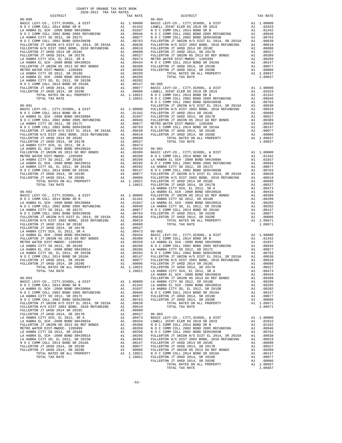| COUNTY OF ORANGE TAX RATE BOOK<br>2020-2021 TRA TAX RATES<br>$2020-2021\quad\text{TRA} \text{ TAX RATE}$ DISTRICT $$\tt 2020-2021$$ |  |                   |          |
|-------------------------------------------------------------------------------------------------------------------------------------|--|-------------------|----------|
|                                                                                                                                     |  | TAX RATE DISTRICT | TAX RATE |
|                                                                                                                                     |  |                   |          |
|                                                                                                                                     |  |                   |          |
|                                                                                                                                     |  |                   |          |
|                                                                                                                                     |  |                   |          |
|                                                                                                                                     |  |                   |          |
|                                                                                                                                     |  |                   |          |
|                                                                                                                                     |  |                   |          |
|                                                                                                                                     |  |                   |          |
|                                                                                                                                     |  |                   |          |
|                                                                                                                                     |  |                   |          |
|                                                                                                                                     |  |                   |          |
|                                                                                                                                     |  |                   |          |
|                                                                                                                                     |  |                   |          |
|                                                                                                                                     |  |                   |          |
|                                                                                                                                     |  |                   |          |
|                                                                                                                                     |  |                   |          |
|                                                                                                                                     |  |                   |          |
|                                                                                                                                     |  |                   |          |
|                                                                                                                                     |  |                   |          |
|                                                                                                                                     |  |                   |          |
|                                                                                                                                     |  |                   |          |
|                                                                                                                                     |  |                   |          |
|                                                                                                                                     |  |                   |          |
|                                                                                                                                     |  |                   |          |
|                                                                                                                                     |  |                   |          |
|                                                                                                                                     |  |                   |          |
|                                                                                                                                     |  |                   |          |
|                                                                                                                                     |  |                   |          |
|                                                                                                                                     |  |                   |          |
|                                                                                                                                     |  |                   |          |
|                                                                                                                                     |  |                   |          |
|                                                                                                                                     |  |                   |          |
|                                                                                                                                     |  |                   |          |
|                                                                                                                                     |  |                   |          |
|                                                                                                                                     |  |                   |          |
|                                                                                                                                     |  |                   |          |
|                                                                                                                                     |  |                   |          |
|                                                                                                                                     |  |                   |          |
|                                                                                                                                     |  |                   |          |
|                                                                                                                                     |  |                   |          |
|                                                                                                                                     |  |                   |          |
|                                                                                                                                     |  |                   |          |
|                                                                                                                                     |  |                   |          |
|                                                                                                                                     |  |                   |          |
|                                                                                                                                     |  |                   |          |
|                                                                                                                                     |  |                   |          |
|                                                                                                                                     |  |                   |          |
|                                                                                                                                     |  |                   |          |
|                                                                                                                                     |  |                   |          |
|                                                                                                                                     |  |                   |          |
|                                                                                                                                     |  |                   |          |
|                                                                                                                                     |  |                   |          |
|                                                                                                                                     |  |                   |          |
|                                                                                                                                     |  |                   |          |
|                                                                                                                                     |  |                   |          |
|                                                                                                                                     |  |                   |          |
|                                                                                                                                     |  |                   |          |
|                                                                                                                                     |  |                   |          |
|                                                                                                                                     |  |                   |          |
|                                                                                                                                     |  |                   |          |
|                                                                                                                                     |  |                   |          |
|                                                                                                                                     |  |                   |          |
|                                                                                                                                     |  |                   |          |
|                                                                                                                                     |  |                   |          |
|                                                                                                                                     |  |                   |          |
|                                                                                                                                     |  |                   |          |
|                                                                                                                                     |  |                   |          |
|                                                                                                                                     |  |                   |          |
|                                                                                                                                     |  |                   |          |
|                                                                                                                                     |  |                   |          |
|                                                                                                                                     |  | TOTAL TAX RATE    |          |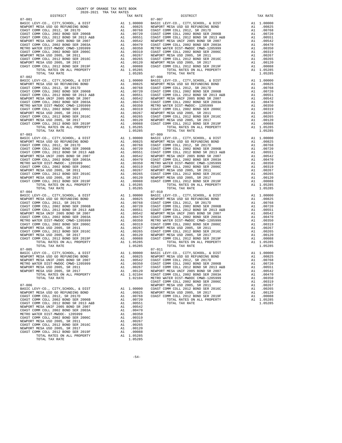| $07 - 001$                                                                                                                                  |                                                                                                                                                                                                                                                                                                                                                                                                      |                       | $07 - 007$         |
|---------------------------------------------------------------------------------------------------------------------------------------------|------------------------------------------------------------------------------------------------------------------------------------------------------------------------------------------------------------------------------------------------------------------------------------------------------------------------------------------------------------------------------------------------------|-----------------------|--------------------|
|                                                                                                                                             |                                                                                                                                                                                                                                                                                                                                                                                                      |                       |                    |
|                                                                                                                                             |                                                                                                                                                                                                                                                                                                                                                                                                      |                       |                    |
|                                                                                                                                             |                                                                                                                                                                                                                                                                                                                                                                                                      |                       |                    |
|                                                                                                                                             |                                                                                                                                                                                                                                                                                                                                                                                                      |                       |                    |
|                                                                                                                                             |                                                                                                                                                                                                                                                                                                                                                                                                      |                       |                    |
|                                                                                                                                             |                                                                                                                                                                                                                                                                                                                                                                                                      |                       |                    |
|                                                                                                                                             |                                                                                                                                                                                                                                                                                                                                                                                                      |                       |                    |
|                                                                                                                                             |                                                                                                                                                                                                                                                                                                                                                                                                      |                       |                    |
|                                                                                                                                             |                                                                                                                                                                                                                                                                                                                                                                                                      |                       |                    |
|                                                                                                                                             |                                                                                                                                                                                                                                                                                                                                                                                                      |                       |                    |
| TOTAL RATES ON ALL PROPERTY                                                                                                                 |                                                                                                                                                                                                                                                                                                                                                                                                      | A1 1.05285            |                    |
| TOTAL TAX RATE                                                                                                                              |                                                                                                                                                                                                                                                                                                                                                                                                      | 1.05285               |                    |
| $07 - 002$<br>BASIC LEVY-CO., CITY, SCHOOL, & DIST                                                                                          |                                                                                                                                                                                                                                                                                                                                                                                                      |                       | $07 - 008$         |
| NEWPORT MESA USD GO REFUNDING BOND                                                                                                          |                                                                                                                                                                                                                                                                                                                                                                                                      |                       |                    |
| COAST COMM COLL 2012, SR 2017D                                                                                                              |                                                                                                                                                                                                                                                                                                                                                                                                      |                       |                    |
| COAST COMM COLL 2002 BOND SER 2006B                                                                                                         |                                                                                                                                                                                                                                                                                                                                                                                                      |                       |                    |
| COAST COMM COLL 2012 BOND SR 2013 A&B                                                                                                       |                                                                                                                                                                                                                                                                                                                                                                                                      |                       |                    |
| NEWPORT MESA UNIF 2005 BOND SR 2007<br>COAST COMM COLL 2002 BOND SER 2003A                                                                  |                                                                                                                                                                                                                                                                                                                                                                                                      |                       |                    |
| METRO WATER DIST-MWDOC CMWD-1205999                                                                                                         |                                                                                                                                                                                                                                                                                                                                                                                                      |                       |                    |
| COAST COMM COLL 2002 BOND SER 2006C                                                                                                         |                                                                                                                                                                                                                                                                                                                                                                                                      |                       |                    |
| NEWPORT MESA USD 2005, SR 2011                                                                                                              |                                                                                                                                                                                                                                                                                                                                                                                                      |                       |                    |
| COAST COMM COLL 2012 BOND SER 2016C                                                                                                         |                                                                                                                                                                                                                                                                                                                                                                                                      |                       |                    |
| NEWPORT MESA USD 2005, SR 2017                                                                                                              |                                                                                                                                                                                                                                                                                                                                                                                                      |                       |                    |
| COAST COMM COLL 2012 BOND SER 2019F<br>TOTAL RATES ON ALL PROPERTY                                                                          |                                                                                                                                                                                                                                                                                                                                                                                                      |                       |                    |
| TOTAL TAX RATE                                                                                                                              | $\begin{tabular}{cc} & 07-008 \\ \text{A1} & 1.00000 \\ \text{A1} & .00825 \\ \text{A1} & .00825 \\ \text{A1} & .00768 \\ \text{A1} & .00768 \\ \text{A1} & .00768 \\ \text{A1} & .00551 \\ \text{A2} & .00551 \\ \text{A3} & .00542 \\ \text{A1} & .00470 \\ \text{A1} & .00350 \\ \text{A1} & .00350 \\ \text{A2} & .00357 \\ \text{A1} & .00319 \\ \text{A2$                                      | 1.05285               |                    |
| $07 - 003$                                                                                                                                  |                                                                                                                                                                                                                                                                                                                                                                                                      |                       |                    |
| BASIC LEVY-CO., CITY, SCHOOL, & DIST<br>NEWPORT MESA USD GO REFUNDING BOND                                                                  |                                                                                                                                                                                                                                                                                                                                                                                                      |                       |                    |
| COAST COMM COLL 2012, SR 2017D                                                                                                              |                                                                                                                                                                                                                                                                                                                                                                                                      |                       |                    |
| COAST COMM COLL 2002 BOND SER 2006B                                                                                                         |                                                                                                                                                                                                                                                                                                                                                                                                      |                       |                    |
|                                                                                                                                             |                                                                                                                                                                                                                                                                                                                                                                                                      |                       |                    |
|                                                                                                                                             |                                                                                                                                                                                                                                                                                                                                                                                                      |                       |                    |
|                                                                                                                                             |                                                                                                                                                                                                                                                                                                                                                                                                      |                       |                    |
| METRO WATER DIST-MWDOC- 1205999<br>COAST COMM COLL 2002 BOND SER 2006C                                                                      |                                                                                                                                                                                                                                                                                                                                                                                                      |                       |                    |
| NEWPORT MESA USD 2005, SR 2011                                                                                                              |                                                                                                                                                                                                                                                                                                                                                                                                      |                       |                    |
| COAST COMM COLL 2012 BOND SER 2016C                                                                                                         |                                                                                                                                                                                                                                                                                                                                                                                                      |                       |                    |
| NEWPORT MESA USD 2005, SR 2017                                                                                                              |                                                                                                                                                                                                                                                                                                                                                                                                      |                       |                    |
| COAST COMM COLL 2012 BOND SER 2019F                                                                                                         |                                                                                                                                                                                                                                                                                                                                                                                                      |                       |                    |
| TOTAL RATES ON ALL PROPERTY<br>TOTAL TAX RATE                                                                                               |                                                                                                                                                                                                                                                                                                                                                                                                      | A1 1.05285<br>1.05285 |                    |
| $07 - 004$                                                                                                                                  | $\begin{tabular}{cc} $07$-010$ & $07$-010$ \\ \texttt{A1} & .00000 & \texttt{BASIC L} \\ \texttt{A1} & .00825 & \texttt{NEWPORT C} \\ \texttt{A1} & .00768 & \texttt{COAST C} \\ \texttt{A1} & .00720 & \texttt{COAST C} \\ \texttt{A1} & .00551 & \texttt{COAST C} \\ \texttt{A1} & .00470 & \texttt{COAST C} \\ \texttt{A1} & .00470 & \texttt{COAST C} \\ \texttt{A1} & .00350 & \texttt{METRO W$ |                       | $07 - 010$         |
| BASIC LEVY-CO., CITY, SCHOOL, & DIST                                                                                                        |                                                                                                                                                                                                                                                                                                                                                                                                      |                       |                    |
| NEWPORT MESA USD GO REFUNDING BOND                                                                                                          |                                                                                                                                                                                                                                                                                                                                                                                                      |                       |                    |
| COAST COMM COLL 2012, SR 2017D<br>COAST COMM COLL 2002 BOND SER 2006B                                                                       |                                                                                                                                                                                                                                                                                                                                                                                                      |                       |                    |
| COAST COMM COLL 2012 BOND SR 2013 A&B                                                                                                       |                                                                                                                                                                                                                                                                                                                                                                                                      |                       |                    |
| NEWPORT MESA UNIF 2005 BOND SR 2007                                                                                                         |                                                                                                                                                                                                                                                                                                                                                                                                      |                       |                    |
| COAST COMM COLL 2002 CMWD-1205999<br>COAST COMM COLL 2002 BOND SER 2006C<br>NEWPORT MESA USD 2005, SR 2011<br>COAST COMM COLL 2005, SR 2011 |                                                                                                                                                                                                                                                                                                                                                                                                      |                       |                    |
|                                                                                                                                             |                                                                                                                                                                                                                                                                                                                                                                                                      |                       |                    |
|                                                                                                                                             |                                                                                                                                                                                                                                                                                                                                                                                                      |                       |                    |
| COAST COMM COLL 2012 BOND SER 2016C                                                                                                         |                                                                                                                                                                                                                                                                                                                                                                                                      |                       |                    |
| NEWPORT MESA USD 2005, SR 2017                                                                                                              |                                                                                                                                                                                                                                                                                                                                                                                                      |                       |                    |
| COAST COMM COLL 2012 BOND SER 2019F                                                                                                         |                                                                                                                                                                                                                                                                                                                                                                                                      |                       |                    |
| TOTAL RATES ON ALL PROPERTY                                                                                                                 |                                                                                                                                                                                                                                                                                                                                                                                                      |                       |                    |
| TOTAL TAX RATE<br>$07 - 005$                                                                                                                |                                                                                                                                                                                                                                                                                                                                                                                                      | 1.05285               |                    |
| BASIC LEVY-CO., CITY, SCHOOL, & DIST                                                                                                        | 07-011<br>A1 1.00000 BASIC L<br>A1 .00855 NEWPORT<br>A1 .00542 COAST C<br>A1 .00350 COAST C<br>A1 .00267 COAST C                                                                                                                                                                                                                                                                                     |                       |                    |
| NEWPORT MESA USD GO REFUNDING BOND                                                                                                          |                                                                                                                                                                                                                                                                                                                                                                                                      |                       |                    |
| NEWPORT MESA UNIF 2005 BOND SR 2007                                                                                                         |                                                                                                                                                                                                                                                                                                                                                                                                      |                       |                    |
| METRO WATER DIST-MWDOC CMWD-1205999                                                                                                         |                                                                                                                                                                                                                                                                                                                                                                                                      |                       |                    |
| NEWPORT MESA USD 2005, SR 2011                                                                                                              |                                                                                                                                                                                                                                                                                                                                                                                                      | A1 .00120             |                    |
| NEWPORT MESA USD 2005, SR 2017<br>TOTAL RATES ON ALL PROPERTY                                                                               | A1                                                                                                                                                                                                                                                                                                                                                                                                   | 1.02104               | NEWPORT<br>COAST C |
| TOTAL TAX RATE                                                                                                                              |                                                                                                                                                                                                                                                                                                                                                                                                      | 1.02104               | METRO W            |
|                                                                                                                                             |                                                                                                                                                                                                                                                                                                                                                                                                      |                       | COAST C            |
| $07 - 006$                                                                                                                                  |                                                                                                                                                                                                                                                                                                                                                                                                      | 1.00000               | NEWPORT<br>COAST C |
| BASIC LEVY-CO., CITY, SCHOOL, & DIST<br>NEWPORT MESA USD GO REFUNDING BOND                                                                  | A1                                                                                                                                                                                                                                                                                                                                                                                                   | A1 .00825             | NEWPORT            |
| COAST COMM COLL 2012, SR 2017D                                                                                                              | A1                                                                                                                                                                                                                                                                                                                                                                                                   | .00768                | COAST C            |
| COAST COMM COLL 2002 BOND SER 2006B                                                                                                         | A1                                                                                                                                                                                                                                                                                                                                                                                                   | .00720                |                    |
| COAST COMM COLL 2012 BOND SR 2013 A&B                                                                                                       | A1                                                                                                                                                                                                                                                                                                                                                                                                   | .00551                |                    |
| NEWPORT MESA UNIF 2005 BOND SR 2007<br>COAST COMM COLL 2002 BOND SER 2003A                                                                  | A1                                                                                                                                                                                                                                                                                                                                                                                                   | .00542<br>.00470      |                    |
| METRO WATER DIST-MWDOC- 1205999                                                                                                             | A1<br>A1                                                                                                                                                                                                                                                                                                                                                                                             | .00350                |                    |
| COAST COMM COLL 2002 BOND SER 2006C                                                                                                         | A1                                                                                                                                                                                                                                                                                                                                                                                                   | .00319                |                    |
| NEWPORT MESA USD 2005, SR 2011                                                                                                              | A1                                                                                                                                                                                                                                                                                                                                                                                                   | .00267                |                    |
| COAST COMM COLL 2012 BOND SER 2016C                                                                                                         | A1                                                                                                                                                                                                                                                                                                                                                                                                   | .00265                |                    |
| NEWPORT MESA USD 2005, SR 2017<br>COAST COMM COLL 2012 BOND SER 2019F                                                                       | A1<br>A1                                                                                                                                                                                                                                                                                                                                                                                             | .00120                |                    |
| TOTAL RATES ON ALL PROPERTY                                                                                                                 |                                                                                                                                                                                                                                                                                                                                                                                                      | .00088<br>A1 1.05285  |                    |
|                                                                                                                                             |                                                                                                                                                                                                                                                                                                                                                                                                      |                       |                    |

| TOTAL RATES ON ALL PROPERTY | A1 1.05285 |
|-----------------------------|------------|
| TOTAL TAX RATE              | 1.05285    |
|                             |            |

 COUNTY OF ORANGE TAX RATE BOOK 2020-2021 TRA TAX RATES DISTRICT TAX RATE DISTRICT TAX RATE BASIC LEVY-CO., CITY,SCHOOL, & DIST A1 1.00000 BASIC LEVY-CO., CITY,SCHOOL, & DIST A1 1.00000 NEWPORT MESA USD GO REFUNDING BOND A1 .00825 NEWPORT MESA USD GO REFUNDING BOND A1 .00825 COAST COMM COLL 2012, SR 2017D A1 .00768 COAST COMM COLL 2012, SR 2017D A1 .00768 COAST COMM COLL 2002 BOND SER 2006B A1 .00720 COAST COMM COLL 2002 BOND SER 2006B A1 .00720 COAST COMM COLL 2012 BOND SR 2013 A&B A1 .00551 COAST COMM COLL 2012 BOND SR 2013 A&B A1 .00551 NEWPORT MESA UNIF 2005 BOND SR 2007 A1 .00542 NEWPORT MESA UNIF 2005 BOND SR 2007 A1 .00542 COAST COMM COLL 2002 BOND SER 2003A A1 .00470 COAST COMM COLL 2002 BOND SER 2003A A1 .00470 METRO WATER DIST-MWDOC CMWD-1205999 A1 .00350 METRO WATER DIST-MWDOC CMWD-1205999 A1 .00350<br>COAST COMM COLL 2002 BOND SER 2006C A1 .00319 COAST COMM COLL 2002 BOND SER 2006C NEWPORT MESA USD 2005, SR 2011 A1 .00267 NEWPORT MESA USD 2005, SR 2011 A1 .00267 COAST COMM COLL 2012 BOND SER 2016C A1 .00265 COAST COMM COLL 2012 BOND SER 2016C A1 .00265 00120 NEWPORT MESA USD 2005, SR 2017 – 11 00120 NEWPORT MESA USD 2005, SR 2017<br>COAST COMM COLL 2012 BORD SR 2019F – 12 00088 COAST COMM COLL 2012 BORD SER 2019F – 12 00088<br>A1 1.05285 – TOTAL RATES ON ALL PROPERTY – 11 0528  $1.05285 \hspace{1.5cm} \text{CVA} \hspace{1.5cm} \text{CVA} \hspace{1.5cm} \text{CVA} \hspace{1.5cm} \text{CVA} \hspace{1.5cm} \text{RATE} \hspace{1.5cm} \text{ON} \hspace{1.5cm} \text{ALL} \hspace{1.5cm} \text{PROPERTY} \hspace{1.5cm} \text{A1} \hspace{1.5cm} 1.05285 \hspace{1.5cm} 1.05285 \hspace{1.5cm} 1.05285 \hspace{1.5cm} 1.05285 \hspace{1.5cm}$  $\begin{tabular}{lcccc} BASIC LEVY-CO., CITY, SCHOOL, & DIST & A1 & 1.00000 & BASIC LEVY-CO., CITY, SCHOOL, & DIST & A1 & 1.00000 \\ NEWOPORT MEMSO AUS CO AESFWDING BOND & BOND & A1 & .00825 & NEWPORT MESA USO GORETWDING BOND & A1 & .00825 & .00877 COMM COLL & 2002 & .00877 COMM COLL & 2002 & .00877 COMM COLL & 2002 & .00877 COMM COLL & 2002 & .00877 COMM COLL & 2002 & .00$  NEWPORT MESA UNIF 2005 BOND SR 2007 A1 .00542 NEWPORT MESA UNIF 2005 BOND SR 2007 A1 .00542 COAST COMM COLL 2002 BOND SER 2003A A1 .00470 COAST COMM COLL 2002 BOND SER 2003A A1 .00470 METRO WATER DIST-MWDOC CMWD-1205999 A1 .00350 METRO WATER DIST-MWDOC- 1205999 A1 .00350 COAST COMM COLL 2002 BOND SER 2006C A1 .00319 COAST COMM COLL 2002 BOND SER 2006C A1 .00319 00267 NEWPORT MESAUSD 2005, SR 2011 (10267 A1 .00267 NEWPORT MESAUSD 2005, SR 2011 (10267 NEWPORT MESAUSD 2005<br>COAST COMM COLL 2015 AND SER 2016C A1 .10265 COAST COMM COLL 2012 ASRD SER 2016C A1 .00265<br>NEWPORT MESAUSD 2005 COAST COMM COLL 2012 BOND SER 2019F A1 .00088 COAST COMM COLL 2012 BOND SER 2019F A1 .00088<br>TOTAL RATES ON ALL PROPERTY A1 1.05285 TOTAL TAX RATES ON ALL PROPERTY 1.05285<br>1.05285 1.05285 TOTAL TAX RATE  $\begin{tabular}{lcccc} BASIC LEVY-CO., CITY, SCHOOL, & DIST & A1 & 1.00000 & BASIC LEVY-CO., CITY, SCHOOL, & DIST & A1 & 1.00000 \\ NEWOPORT MEMSO AUS CO AESFWDING BOND & BOND & A1 & .00825 & NEWPORT MESA USO GORETWDING BOND & A1 & .00825 & .00877 COMM COLL & 2002 & .00877 COMM COLL & 2002 & .00877 COMM COLL & 2002 & .00877 COMM COLL & 2002 & .00877 COMM COLL & 2002 & .00$  NEWPORT MESA UNIF 2005 BOND SR 2007 A1 .00542 NEWPORT MESA UNIF 2005 BOND SR 2007 A1 .00542 COAST COMM COLL 2002 BOND SER 2003A A1 .00470 COAST COMM COLL 2002 BOND SER 2003A A1 .00470 METRO WATER DIST-MWDOC- 1205999 A1 .00350 METRO WATER DIST-MWDOC CMWD-1205999 A1 .00350 COAST COMM COLL 2002 BOND SER 2006C A1 .00319 COAST COMM COLL 2002 BOND SER 2006C A1 .00319 NEW ORTER DIST-MADOC CMAD-1205999 A1 .00350<br>
NEW ORDER 2005 NEWPORT MESA USD 2005, SR 2006C A1 .00219<br>
NEWPORT MESA USD 2005, SR 2011 A1 .00265<br>
NEWPORT COMM COLL 2012 ROND SER 2016C A1 .00265 00265 . 00265 . 00265 . 00265 . 00265 . 00265 . 00265 . 00265 . 00267 . 00265 . 00267 . 00265 . 00265 . 00265<br>NEWPORT MESA USD 2005, SR 2017 . 00120 . 11 . 00120 . 11 . 0028 . 00120 . 00120 . 00212 . 00120 . 00120 . 001<br>CO TOTAL RATES ON ALL PROPERTY A1 1.05285 TOTAL RATES ON ALL PROPERTY A1 1.05285 TOTAL TAX RATE  $1.05285$ TOTAL TAX RATE  $07-010$  BASIC LEVY-CO., CITY,SCHOOL, & DIST A1 1.00000 BASIC LEVY-CO., CITY,SCHOOL, & DIST A1 1.00000 NEWPORT MESAUSD GO REFUNDING BOND (10825 NEWPORT MESAUSD GO REFUNDING BOND (10825 NEWPORT MESAUSD GO REFUNDING<br>COAST COMM COLL 2002 SOND SER 2006B (10.0768 COAST COMM COLL 2012 SR 2017D (2002 TOMM COLL 2002 BOND SER 2006B<br> NEWPORT MESA UNIF 2005 BOND SR 2007 A1 .00542 NEWPORT MESA UNIF 2005 BOND SR 2007 A1 .00542 COAST COMM COLL 2002 BOND SER 2003A A1 .00470 COAST COMM COLL 2002 BOND SER 2003A A1 .00470 METRO WATER DIST-MWDOC CMWD-1205999 A1 .00350 METRO WATER DIST-MWDOC CMWD-1205999 A1 .00319 COAST COMM COLL 2002 BOND SER 2006C<br>
NEWPORT MESA USD 2005, SR 2011 00319<br>
NEWPORT MESA USD 2005, SR 2016C<br>
COAST COMM COLL 2012 BOND SER 2016C<br>
NEWPORT MESA USD 2005, SR 2017 A1 .00265<br>
NEWPORT MESA USD 2005, SR 2017 A1 . TOTAL RATES ON ALL PROPERTY A1 1.05285<br>1.05285 TOTAL RATES ON ALL PROPERTY A1 1.05285<br>1.05285 1.05285 TOTAL TAX RATE TOTAL TAX RATE 1.05285 TOTAL TAX RATE 1.05285 BASIC LEVY-CO., CITY,SCHOOL, & DIST A1 1.00000 BASIC LEVY-CO., CITY,SCHOOL, & DIST A1 1.00000 00825 NEWPORT MESA USD GO REFUNDING BOND MENING A1 .00825 NEWPORT MESA USD GO REFUNDING BOND A1 .00825<br>NEWPORT MESA UNIF 2005 BOND SR 20076 20076 A1 .00542 COAST COMM COLL 2010, SR 2017D D ANNORT MESA UNIF 200768<br>METRO WAT NEWPORT MESA USD 2005, SR 2011 A1 .00267 COAST COMM COLL 2012 BOND SR 2013 A&B A1 .00551 NEWPORT MESA USD 2005, SR 2017 A1 .00120 NEWPORT MESA UNIF 2005 BOND SR 2007 A1 .00542 TOTAL RATES ON ALL PROPERTY AND TOTAL RATES ON ALL PROPERTY AND RESEARCH AT A 1.02104 COAST COMM COLL 2002 BOND SER 2003A A1 .00350 METRO WATER DIST-MWDOC CMWD-1205999 A1 .00350<br>COAST COMM COLL 2002 BOND SER 2006C A1 .00319 COAST COMM COLL 2002 BOND SER 2006C A1 .00319 07-006 NEWPORT MESA USD 2005, SR 2011 A1 .00267 BASIC LEVY-COMM COLL 2012 BOND SER 2016C A1 .00265 A1 .00265 A1 .00265 A1 .00265 A1 .00265 NEWPORT MESA USD GO REFUNDING BOND A1 .00825 NEWPORT MESA USD 2005, SR 2017 A1 .00120 COAST COMM COLL 2012, SR 2017D A1 .00768 COAST COMM COLL 2012 BOND SER 2019F A1 .00088 A1 .00720 TOTAL RATES ON ALL PROPERTY A1 .05285<br>A1 .00551 TOTAL RATES ON ALL PROPERTY A1 1.05285 COAST COMM COLL 2012 BOND SR 2013 A&B A1 .00551 TOTAL TAX RATE 1.05285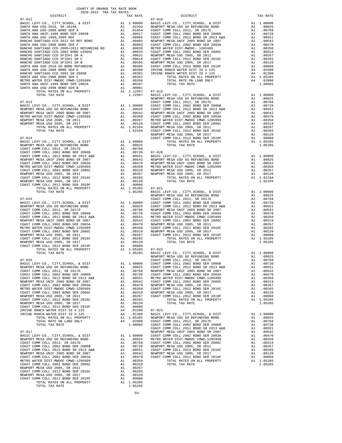| METRO WATER DIST-MWDOC CMWD-1205999                                                                            | A1 .00350 COAST C<br>A1 .00267 METRO N<br>A1 .00120 COAST C<br>A1 1.02104 NEWPORT<br>1.02104 COAST C                                                                                                       |                         |                    |
|----------------------------------------------------------------------------------------------------------------|------------------------------------------------------------------------------------------------------------------------------------------------------------------------------------------------------------|-------------------------|--------------------|
| NEWPORT MESA USD 2005, SR 2011                                                                                 |                                                                                                                                                                                                            |                         |                    |
| NEWPORT MESA USD 2005, SR 2017<br>TOTAL RATES ON ALL PROPERTY                                                  |                                                                                                                                                                                                            |                         |                    |
| TOTAL TAX RATE                                                                                                 |                                                                                                                                                                                                            |                         |                    |
|                                                                                                                |                                                                                                                                                                                                            |                         | NEWPORT            |
| $07 - 014$                                                                                                     |                                                                                                                                                                                                            |                         | COAST C            |
| BASIC LEVY-CO., CITY, SCHOOL, & DIST                                                                           |                                                                                                                                                                                                            | A1 1.00000              |                    |
| NEWPORT MESA USD GO REFUNDING BOND<br>COAST COMM COLL 2012, SR 2017D                                           |                                                                                                                                                                                                            |                         |                    |
| COAST COMM COLL 2012, SR 2017D                                                                                 |                                                                                                                                                                                                            |                         |                    |
| COAST COMM COLL 2002 BOND SER 2006B                                                                            |                                                                                                                                                                                                            |                         |                    |
| COAST COMM COLL 2012 BOND SR 2013 A&B<br>COAST COMM COLL 2012 BOND SR 2013 A&B                                 | A1 .00025<br>A1 .00768<br>A1 .00750 07-020<br>A1 .00551 BASIC L<br>A1 .00551 BASIC L<br>A1 .00542 NEWPORT<br>A1 .00350 METRO W<br>A1 .00350 NEWPORT<br>A1 .00267 NEWPORT<br>A1 .00267 NEWPORT<br>A1 .00267 |                         |                    |
| NEWPORT MESA UNIF 2005 BOND SR 2007                                                                            |                                                                                                                                                                                                            |                         |                    |
| COAST COMM COLL 2002 BOND SER 2003A<br>METRO WATER DIST-MWDOC CMWD-1205999                                     |                                                                                                                                                                                                            |                         |                    |
| COAST COMM COLL 2002 BOND SER 2006C                                                                            |                                                                                                                                                                                                            |                         |                    |
| NEWPORT MESA USD 2005, SR 2011                                                                                 |                                                                                                                                                                                                            |                         |                    |
| COAST COMM COLL 2012 BOND SER 2016C                                                                            |                                                                                                                                                                                                            |                         |                    |
| NEWPORT MESA USD 2005, SR 2017                                                                                 | A1 .00120<br>A1 .00088<br>A1 1.05285                                                                                                                                                                       |                         |                    |
| COAST COMM COLL 2012 BOND SER 2019F                                                                            |                                                                                                                                                                                                            |                         |                    |
| TOTAL RATES ON ALL PROPERTY                                                                                    |                                                                                                                                                                                                            |                         | $07 - 021$         |
| TOTAL TAX RATE                                                                                                 |                                                                                                                                                                                                            | 1.05285                 | BASIC L            |
|                                                                                                                |                                                                                                                                                                                                            |                         | NEWPORT            |
| $07 - 015$                                                                                                     |                                                                                                                                                                                                            |                         | COAST C            |
|                                                                                                                |                                                                                                                                                                                                            |                         |                    |
|                                                                                                                |                                                                                                                                                                                                            |                         |                    |
|                                                                                                                |                                                                                                                                                                                                            |                         |                    |
|                                                                                                                |                                                                                                                                                                                                            |                         |                    |
|                                                                                                                |                                                                                                                                                                                                            |                         |                    |
|                                                                                                                |                                                                                                                                                                                                            |                         |                    |
|                                                                                                                |                                                                                                                                                                                                            |                         |                    |
|                                                                                                                |                                                                                                                                                                                                            |                         |                    |
|                                                                                                                |                                                                                                                                                                                                            |                         |                    |
|                                                                                                                |                                                                                                                                                                                                            |                         |                    |
|                                                                                                                |                                                                                                                                                                                                            |                         |                    |
|                                                                                                                |                                                                                                                                                                                                            |                         |                    |
|                                                                                                                |                                                                                                                                                                                                            |                         |                    |
| TOTAL TAX RATE                                                                                                 |                                                                                                                                                                                                            | 1.05285                 | BASIC L            |
|                                                                                                                |                                                                                                                                                                                                            |                         | NEWPORT            |
| $07 - 016$                                                                                                     |                                                                                                                                                                                                            |                         | COAST C            |
|                                                                                                                |                                                                                                                                                                                                            |                         |                    |
|                                                                                                                |                                                                                                                                                                                                            |                         |                    |
|                                                                                                                |                                                                                                                                                                                                            |                         |                    |
|                                                                                                                |                                                                                                                                                                                                            |                         |                    |
|                                                                                                                |                                                                                                                                                                                                            |                         |                    |
|                                                                                                                |                                                                                                                                                                                                            |                         |                    |
|                                                                                                                |                                                                                                                                                                                                            |                         |                    |
|                                                                                                                |                                                                                                                                                                                                            |                         |                    |
|                                                                                                                |                                                                                                                                                                                                            |                         |                    |
|                                                                                                                |                                                                                                                                                                                                            |                         |                    |
|                                                                                                                |                                                                                                                                                                                                            |                         |                    |
|                                                                                                                |                                                                                                                                                                                                            |                         |                    |
|                                                                                                                |                                                                                                                                                                                                            |                         |                    |
|                                                                                                                |                                                                                                                                                                                                            |                         |                    |
|                                                                                                                |                                                                                                                                                                                                            |                         |                    |
|                                                                                                                |                                                                                                                                                                                                            |                         |                    |
|                                                                                                                |                                                                                                                                                                                                            |                         |                    |
|                                                                                                                |                                                                                                                                                                                                            |                         |                    |
| $07 - 017$                                                                                                     |                                                                                                                                                                                                            |                         | COAST C<br>NEWPORT |
|                                                                                                                |                                                                                                                                                                                                            |                         |                    |
| BASIC LEVY-CO., CITY, SCHOOL, & DIST<br>NEWPORT MESA USD GO REFUNDING BOND                                     |                                                                                                                                                                                                            |                         |                    |
|                                                                                                                |                                                                                                                                                                                                            |                         |                    |
| COAST COMM COLL 2012, SR 2017D<br>COAST COMM COLL 2002 BOND SER 2006B<br>COAST COMM COLL 2012 BOND SR 2013 A&B |                                                                                                                                                                                                            |                         |                    |
|                                                                                                                |                                                                                                                                                                                                            |                         |                    |
| NEWPORT MESA UNIF 2005 BOND SR 2007                                                                            |                                                                                                                                                                                                            |                         |                    |
| COAST COMM COLL 2002 BOND SER 2003A                                                                            | A1 1.00000 NEWPORT<br>A1 .00825 METRO W<br>A1 .00758 COAST C<br>A1 .00758 COAST C<br>A1 .00750 NEWPORT<br>A1 .00551 COAST C<br>A1 .00319<br>A1 .00319                                                      |                         |                    |
| METRO WATER DIST-MWDOC CMWD-1205999                                                                            |                                                                                                                                                                                                            |                         |                    |
| COAST COMM COLL 2002 BOND SER 2006C                                                                            |                                                                                                                                                                                                            | A1.00319<br>A1.00319    |                    |
| NEWPORT MESA USD 2005, SR 2011                                                                                 |                                                                                                                                                                                                            | A1 .00267               |                    |
| COAST COMM COLL 2012 BOND SER 2016C                                                                            | A1                                                                                                                                                                                                         | .00265                  |                    |
| NEWPORT MESA USD 2005, SR 2017                                                                                 |                                                                                                                                                                                                            | A1 .00120               |                    |
| COAST COMM COLL 2012 BOND SER 2019F                                                                            |                                                                                                                                                                                                            | A1 .00088<br>A1 1.05285 |                    |
| TOTAL RATES ON ALL PROPERTY                                                                                    |                                                                                                                                                                                                            |                         |                    |
| TOTAL TAX RATE                                                                                                 |                                                                                                                                                                                                            | 1.05285                 |                    |
|                                                                                                                |                                                                                                                                                                                                            |                         |                    |
|                                                                                                                |                                                                                                                                                                                                            | $-55-$                  |                    |

| $\begin{smallmatrix} 0.11 & 0.12 & 0.12 & 0.12 & 0.12 & 0.12 & 0.12 & 0.12 & 0.12 & 0.12 & 0.12 & 0.12 & 0.12 & 0.12 & 0.12 & 0.12 & 0.12 & 0.12 & 0.12 & 0.12 & 0.12 & 0.12 & 0.12 & 0.12 & 0.12 & 0.12 & 0.12 & 0.12 & 0.12 & 0.12 & 0.12 & 0.12 & 0.12 & 0.12 & 0.12 & 0.1$ |  |  |  |
|--------------------------------------------------------------------------------------------------------------------------------------------------------------------------------------------------------------------------------------------------------------------------------|--|--|--|
|                                                                                                                                                                                                                                                                                |  |  |  |
|                                                                                                                                                                                                                                                                                |  |  |  |
|                                                                                                                                                                                                                                                                                |  |  |  |
|                                                                                                                                                                                                                                                                                |  |  |  |
|                                                                                                                                                                                                                                                                                |  |  |  |
|                                                                                                                                                                                                                                                                                |  |  |  |
|                                                                                                                                                                                                                                                                                |  |  |  |
|                                                                                                                                                                                                                                                                                |  |  |  |
|                                                                                                                                                                                                                                                                                |  |  |  |
|                                                                                                                                                                                                                                                                                |  |  |  |
|                                                                                                                                                                                                                                                                                |  |  |  |
|                                                                                                                                                                                                                                                                                |  |  |  |
|                                                                                                                                                                                                                                                                                |  |  |  |
|                                                                                                                                                                                                                                                                                |  |  |  |
|                                                                                                                                                                                                                                                                                |  |  |  |
|                                                                                                                                                                                                                                                                                |  |  |  |
|                                                                                                                                                                                                                                                                                |  |  |  |
|                                                                                                                                                                                                                                                                                |  |  |  |
|                                                                                                                                                                                                                                                                                |  |  |  |
|                                                                                                                                                                                                                                                                                |  |  |  |
|                                                                                                                                                                                                                                                                                |  |  |  |
|                                                                                                                                                                                                                                                                                |  |  |  |
|                                                                                                                                                                                                                                                                                |  |  |  |
|                                                                                                                                                                                                                                                                                |  |  |  |
|                                                                                                                                                                                                                                                                                |  |  |  |
|                                                                                                                                                                                                                                                                                |  |  |  |
|                                                                                                                                                                                                                                                                                |  |  |  |
|                                                                                                                                                                                                                                                                                |  |  |  |
|                                                                                                                                                                                                                                                                                |  |  |  |
|                                                                                                                                                                                                                                                                                |  |  |  |
|                                                                                                                                                                                                                                                                                |  |  |  |
|                                                                                                                                                                                                                                                                                |  |  |  |
|                                                                                                                                                                                                                                                                                |  |  |  |
|                                                                                                                                                                                                                                                                                |  |  |  |
|                                                                                                                                                                                                                                                                                |  |  |  |
|                                                                                                                                                                                                                                                                                |  |  |  |
|                                                                                                                                                                                                                                                                                |  |  |  |
|                                                                                                                                                                                                                                                                                |  |  |  |
|                                                                                                                                                                                                                                                                                |  |  |  |
|                                                                                                                                                                                                                                                                                |  |  |  |
|                                                                                                                                                                                                                                                                                |  |  |  |
|                                                                                                                                                                                                                                                                                |  |  |  |
|                                                                                                                                                                                                                                                                                |  |  |  |
|                                                                                                                                                                                                                                                                                |  |  |  |
|                                                                                                                                                                                                                                                                                |  |  |  |
|                                                                                                                                                                                                                                                                                |  |  |  |
|                                                                                                                                                                                                                                                                                |  |  |  |
|                                                                                                                                                                                                                                                                                |  |  |  |
|                                                                                                                                                                                                                                                                                |  |  |  |
|                                                                                                                                                                                                                                                                                |  |  |  |
|                                                                                                                                                                                                                                                                                |  |  |  |
|                                                                                                                                                                                                                                                                                |  |  |  |
|                                                                                                                                                                                                                                                                                |  |  |  |
|                                                                                                                                                                                                                                                                                |  |  |  |
|                                                                                                                                                                                                                                                                                |  |  |  |
|                                                                                                                                                                                                                                                                                |  |  |  |
|                                                                                                                                                                                                                                                                                |  |  |  |
|                                                                                                                                                                                                                                                                                |  |  |  |
|                                                                                                                                                                                                                                                                                |  |  |  |
|                                                                                                                                                                                                                                                                                |  |  |  |
|                                                                                                                                                                                                                                                                                |  |  |  |
|                                                                                                                                                                                                                                                                                |  |  |  |
|                                                                                                                                                                                                                                                                                |  |  |  |
|                                                                                                                                                                                                                                                                                |  |  |  |
|                                                                                                                                                                                                                                                                                |  |  |  |
|                                                                                                                                                                                                                                                                                |  |  |  |
|                                                                                                                                                                                                                                                                                |  |  |  |
|                                                                                                                                                                                                                                                                                |  |  |  |
|                                                                                                                                                                                                                                                                                |  |  |  |
|                                                                                                                                                                                                                                                                                |  |  |  |
|                                                                                                                                                                                                                                                                                |  |  |  |
|                                                                                                                                                                                                                                                                                |  |  |  |
|                                                                                                                                                                                                                                                                                |  |  |  |
|                                                                                                                                                                                                                                                                                |  |  |  |
|                                                                                                                                                                                                                                                                                |  |  |  |
|                                                                                                                                                                                                                                                                                |  |  |  |
|                                                                                                                                                                                                                                                                                |  |  |  |
|                                                                                                                                                                                                                                                                                |  |  |  |
|                                                                                                                                                                                                                                                                                |  |  |  |
|                                                                                                                                                                                                                                                                                |  |  |  |
|                                                                                                                                                                                                                                                                                |  |  |  |
|                                                                                                                                                                                                                                                                                |  |  |  |
|                                                                                                                                                                                                                                                                                |  |  |  |
|                                                                                                                                                                                                                                                                                |  |  |  |
|                                                                                                                                                                                                                                                                                |  |  |  |
|                                                                                                                                                                                                                                                                                |  |  |  |
|                                                                                                                                                                                                                                                                                |  |  |  |
|                                                                                                                                                                                                                                                                                |  |  |  |

 COUNTY OF ORANGE TAX RATE BOOK 2020-2021 TRA TAX RATES DISTRICT TAX RATE DISTRICT TAX RATE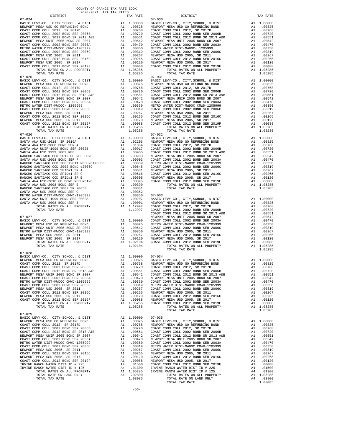MASIC LEVY-CO., CITY, SCHOOL, & DIST Al 1.00000 AL DIST ALL 1.00000 AL CHORE AND REFUNDING BOND 07-028 BASIC LEVY-CO., CITY,SCHOOL, & DIST A1 1.00000 07-034 07-029 BASIC LEVY-CO., CITY, SCHOOL, & DIST A1 1.00000<br>NEWPORT MESA USD GO REFUNDING BOND A1 .00825

 DISTRICT TAX RATE DISTRICT TAX RATE 07-024 07-030 BASIC LEVY-CO., CITY,SCHOOL, & DIST A1 1.00000 BASIC LEVY-CO., CITY,SCHOOL, & DIST A1 1.00000 NEWPORT MESA USD GO REFUNDING BOND A1 .00825 NEWPORT MESA USD GO REFUNDING BOND A1 .00825 COAST COMM COLL 2012, SR 2017D A1 .00768 COAST COMM COLL 2012, SR 2017D A1 .00768 COAST COMM COLL 2002 BOND SER 2006B A1 .00720 COAST COMM COLL 2002 BOND SER 2006B A1 .00720 COAST COMM COLL 2012 BOND SR 2013 A&B A1 .00551 COAST COMM COLL 2012 BOND SR 2013 A&B A1 .00551 NEWPORT MESA UNIF 2005 BOND SR 2007 A1 .00542 NEWPORT MESA UNIF 2005 BOND SR 2007 A1 .00542 COAST COMM COLL 2002 BOND SER 2003A A1 .00470 COAST COMM COLL 2002 BOND SER 2003A A1 .00470 METRO WATER DIST-MWDOC CMWD-1205999 A1 .00350 METRO WATER DIST-MWDOC- 1205999 A1 .00350 COAST COMM COLL 2002 BOND SER 2006C A1 .00319 COAST COMM COLL 2002 BOND SER 2006C A1 .00319 NEWPORT MESA USD 2005, SR 2011 A1 .00267 NEWPORT MESA USD 2005, SR 2011 A1 .00267 COAST COMM COLL 2012 BOND SER 2016C A1 .00265 COAST COMM COLL 2012 BOND SER 2016C A1 .00265 00120 NEWPORT MESA USD 2005, SR 2017 – 11 00120 NEWPORT MESA USD 2005, SR 2017<br>COAST COMM COLL 2012 BORD SR 2019F – 12 00088 COAST COMM COLL 2012 BORD SER 2019F – 12 00088<br>A1 1.05285 – TOTAL RATES ON ALL PROPERTY – 11 0528 TORL TAX RATE 1.05285 TORL TAX RATE 1.05285 TORL TAX RATE 1.05285 TORL TAX RATE 1.05285 TORL TAX RATE 1.05285 TORL TAX RATE 1.05285 TORL TAX RATE 1.05285 TORL TAX RATE 1.05285 TORL TAX RATE 1.05285 TORL TAX RATE 1.05285 TO  $\begin{tabular}{lcccc} BASIC LEVY-CO., CITY, SCHOOL, & DIST & A1 & 1.00000 & BASIC LEVY-CO., CITY, SCHOOL, & DIST & A1 & 1.00000 \\ NEWOPORT MEMSO AUS CO AESFWDING BOND & BOND & A1 & .00825 & NEWPORT MESA USO GORETWDING BOND & A1 & .00825 & .00877 COMM COLL & 2002 & .00877 COMM COLL & 2002 & .00877 COMM COLL & 2002 & .00877 COMM COLL & 2002 & .00877 COMM COLL & 2002 & .00$  NEWPORT MESA UNIF 2005 BOND SR 2007 A1 .00542 NEWPORT MESA UNIF 2005 BOND SR 2007 A1 .00542 COAST COMM COLL 2002 BOND SER 2003A A1 .00470 COAST COMM COLL 2002 BOND SER 2003A A1 .00470 METRO WATER DIST-MWDOC- 1205999 A1 .00350 METRO WATER DIST-MWDOC CMWD-1205999 A1 .00350 COAST COMM COLL 2002 BOND SER 2006C A1 .00319 COAST COMM COLL 2002 BOND SER 2006C A1 .00319 00267 NEWPORT MESAUSD 2005, SR 2011 (10267 A1 .00267 NEWPORT MESAUSD 2005, SR 2011 (10267 NEWPORT MESAUSD 2005<br>COAST COMM COLL 2015 AND SER 2016C A1 .10265 COAST COMM COLL 2012 ASRD SER 2016C A1 .00265<br>NEWPORT MESAUSD 2005 COAST COMM COLL 2012 BOND SER 2019F A1 .00088 COAST COMM COLL 2012 BOND SER 2019F A1 .00088<br>TOTAL RATES ON ALL PROPERTY A1 1.05285 TOTAL TAX RATES ON ALL PROPERTY 1.05285<br>1.05285 1.05285 TOTAL TAX RATE  $\begin{array}{cccc} 07-026\\ {\small\textbf{BAST C EW-CO. , CITY, SCHOOL, & E DIST} & \small\textbf{A1} & 1.00000\\ {\small\textbf{BAST C EW-CO. , CITY, SCHOOL, & E DIST} & \small\textbf{A1} & 1.00000\\ {\small\textbf{SANTC AND}}-2018\text{ , SR 2019A} & \small\textbf{A1} & 0.02203\\ {\small\textbf{SANTC AND}}-2008\text{ BOND SER A} & \small\textbf{A1} & 0.01854\\ {\small\textbf{SANTC AND}}-2008\text{ BOND$  $\begin{tabular}{l|c|c|c|c|c|c|c} \multicolumn{4}{c}{\textbf{RANCHO}} \multicolumn{4}{c}{\textbf{SANTIAGO}} \multicolumn{4}{c}{\textbf{CDD}} \multicolumn{4}{c}{\textbf{RANCHO}} \multicolumn{4}{c}{\textbf{RANCHO}} \multicolumn{4}{c}{\textbf{RANCHO}} \multicolumn{4}{c}{\textbf{RANCHO}} \multicolumn{4}{c}{\textbf{RANT ANIC}} \multicolumn{4}{c}{\textbf{COD}} \multicolumn{4}{c}{\textbf{COD}} \multicolumn{4}{c}{\textbf{RANT ANIC}} \multicolumn{4}{c}{\text$ 00120 RANCHO SANTIAGO CCD SFID#1 SR B REAR ON A1 00505 NEWPORT MESA USD 2005, SR 2017<br>SANTA ANA USD-2010 GO BOND REFUNDING AN A1 00395 COAST COMM COLL 2012 BORD SER 2019F A1 00088<br>SANTA ANA USD-2008 BOND SER E B REAR A1 00 RANCHO SANTIAGO CCD 2002 SR 2005B A1 .00381 TOTAL TAX RATE 1.05285 SANTA ANA USD-2008 BOND SER C A1 .00352 METRO WATER DIST-MWDOC CMWD-1205999 A1 .00350 07-033 SANTA ANA UNIF-1999 BOND SER 2002A A1 .00207 BASIC LEVY-CO., CITY,SCHOOL, & DIST A1 1.00000 SANTA ANA USD-2008 BOND SER B A1 .00001 NEWPORT MESA USD GO REFUNDING BOND A1 .00825 TOTAL RATES ON ALL PROPERTY A1 1.12997 COAST COMM COLL 2012, SR 2017D A1 .00768 TOTAL TAX RATE 1.12997 COAST COMM COLL 2002 BOND SER 2006B A1 .00720 OOAST COMM COLL 2012 BOND SR 2013 A&B A1 .00551<br>D7-027 . A1 .00542 NEW SAL UNIFORT MESA UNIF 2005 BOND SR 2007<br>00470 0.0470 0.0470 .00470 A1 .00000 0OAST COMM COLL 2002 BOND SER 2003A NEWPORT MESAUSD GO REFUNDING BOND<br>NEWPORT MESAUNIF 2005 DOND SR 2007 METRO WATER DIST-MWDOC CMWD-1205999 METRO WATER DIST A1 .00350<br>METRO WATER DIST-MWDOC CMWD-1205999 MB 1.00542 A1 .00350 NEWPORT MESAUSD 2005, SR 2016C A1 NEWPORT MESA USD 2005, SR 2017 A1 .00120 NEWPORT MESA USD 2005, SR 2017 A1 .00120 TOTAL RATES ON ALL PROPERTY A1 1.02104 COAST COMM COLL 2012 BOND SER 2019F A1 .00088 TOTAL TAX RATE 1.02104 TOTAL RATES ON ALL PROPERTY A1 1.05285 TOTAL TAX RATE 1.05285 NEW 1.00000 07-034<br>NEW 100825 BASIC LEVY-CO., CITY,SCHOOL, & DIST A1 1.00000<br>NEW 200768 NEWPORT MESAUSD GO REFUNDING BOND A1 .00825 COAST COMM COLL 2012, SR 2017D A1 .00768 NEWPORT MESA USD GO REFUNDING BOND A1 .00825 COAST COMM COLL 2002 BOND SER 2006B A1 .00720 COAST COMM COLL 2012, SR 2017D A1 .00768 COAST COMM COLL 2012 BOND SR 2013 A&B A1 .00551 COAST COMM COLL 2002 BOND SER 2006B A1 .00720 NEWPORT MESA UNIF 2005 BOND SR 2007 A1 .00542 COAST COMM COLL 2012 BOND SR 2013 A&B A1 .00551<br>COAST COMM COLL 2002 BOND SR 2003A A1 .00470 NEWPORT MESA UNIF 2005 BOND SR 2007 A1 .00542 COAST COMM COLL 2002 BOND SER 2003A A1 .00470 NEWPORT MESA UNIF 2005 BOND SR 2007 A1 .00542 METRO WATER DIST-MWDOC CMWD-1205999 A1 .00350 COAST COMM COLL 2002 BOND SER 2003A A1 .00470 COAST COMM COLL 2002 BOND SER 2006C A1 .00319 METRO WATER DIST-MWDOC CMWD-1205999 A1 .00350 NEWPORT MESA USD 2005, SR 2011 A1 .00267 COAST COMM COLL 2002 BOND SER 2006C A1 .00319 EL 20207 COAST COMM COLL 2002 BOND SER 2006C AT . 00267<br>A1 .00265 NEWPORT MESA USD 2005, SR 2011 00265<br>A1 .00265 A1 .00267 COMM COLL 2012 BOND SER 2016C NEWPORT MESA USD 2005, SR 2017 A1 .00120 COAST COMM COLL 2012 BOND SER 2016C A1 .00265 00120. COAST COMM COLL 2012 BOND SER 2019F A1 .00088 NEWPORT MESA USD 2005, SR 2017 A1 .00120<br>TOTAL RATES ON ALL PROPERTY A1 1.05285 COAST COMM COLL 2019 RATES ON ALL PROPERTY A1 1.05285<br>TOTAL TAX RATE 1.05285 1.05285 TOTA NEWPORT MESA USD GO REFUNDING BOND A1 .00825 BASIC LEVY-CO., CITY,SCHOOL, & DIST A1 1.00000 COAST COMM COLL 2012, SR 2017D A1 .00768 NEWPORT MESA USD GO REFUNDING BOND A1 .00825 COAST COMM COLL 2002 BOND SER 2006B A1 .00720 COAST COMM COLL 2012, SR 2017D A1 .00768 COAST COMM COLL 2012 BOND SR 2013 A&B A1 .00551 COAST COMM COLL 2002 BOND SER 2006B A1 .00720 NEWPORT MESA UNIF 2005 BOND SR 2007 A1 .00542 COAST COMM COLL 2012 BOND SR 2013 A&B A1 .00551 00AST COMM COLL 2002 BOND SER 2003A A1 .00470 NEWPORT MESA UNIF 2005 BOND SR 2007 A1 .00542<br>METRO WATER DIST-MWDOC CMWD-1205999 A1 .00350 COAST COMM COLL 2002 BOND SER 2003A A1 .00470 NEWPORT MESA UNIF 2005 BOND SR 2007 <br>
COAST COMM COLL 2012 BOND SR 2013 A&B A1 .00551<br>
COAST COMM COLL 2002 BOND SER 2007 NEWPORT MESA UNIF 2005 BOND SR 2007 A1 .00470<br>
NEWPORT MESA USD 2002 BOND SER 2006C <br>
METRO WATER DI NEW 120025 COAST COMM COLL 2002 BOND SER 2006C A1 .00319<br>100267 COAST COMM COLL 2002 BOND SER 2006C A1 .00319<br>100265 NEWPORT MESA USD 2005, SR 2011 A1 .00267 COAST COMM COLL 2012 BOND SER 2016C A1 .00265 NEWPORT MESA USD 2005, SR 2011 A1 .00267 NEWPORT MESA USD 2005, SR 2017 A1 .00120 COAST COMM COLL 2012 BOND SER 2016C A1 .00265 COAST COMM COLL 2012 BOND SER 2019F A1 .00088 NEWPORT MESA USD 2005, SR 2017 A1 .00120 IRVINE RANCH WATER DIST ID # 225 A4 .01500 COAST COMM COLL 2012 BOND SER 2019F A1 .00088 IRVINE RANCH WATER DIST ID # 125 A4 .01300 IRVINE RANCH WATER DIST ID # 225 A4 .01500 TOTAL RATES ON ALL PROPERTY A1 1.05285 IRVINE RANCH WATER DIST ID # 125 A4 .01300 TOTAL RATE ON LAND ONLY A4 .02800 TOTAL RATES ON ALL PROPERTY A1 1.05285 TOTAL TAX RATE 1.08085 TOTAL RATE ON LAND ONLY A4 .02800 TOTAL TAX RATE 1.08085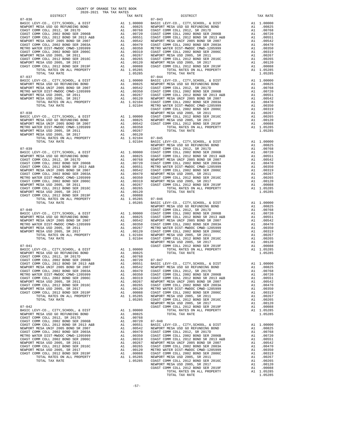| $\begin{tabular}{l c c c c c c} \multicolumn{2}{c}{\textbf{MUM-COLL 2012 SODND SER 2007}} & \multicolumn{2}{c}{\textbf{A1}} & .00542 & \multicolumn{2}{c}{\textbf{NEWDCT MESA UNIF 2005 BODD SE 2007}} & \multicolumn{2}{c}{\textbf{A1}} & .00542 & \multicolumn{2}{c}{\textbf{NEWDCT C}} \\ \multicolumn{2}{c}{\textbf{COST COMM COLL 2002 BODD SER 2003A}} & \multicolumn{2}{c}{\textbf{A1}} & .00470$ |                                                                                                                                                                                                            |                                                                                                                                                  |                    |
|----------------------------------------------------------------------------------------------------------------------------------------------------------------------------------------------------------------------------------------------------------------------------------------------------------------------------------------------------------------------------------------------------------|------------------------------------------------------------------------------------------------------------------------------------------------------------------------------------------------------------|--------------------------------------------------------------------------------------------------------------------------------------------------|--------------------|
|                                                                                                                                                                                                                                                                                                                                                                                                          |                                                                                                                                                                                                            |                                                                                                                                                  |                    |
|                                                                                                                                                                                                                                                                                                                                                                                                          |                                                                                                                                                                                                            |                                                                                                                                                  |                    |
|                                                                                                                                                                                                                                                                                                                                                                                                          |                                                                                                                                                                                                            |                                                                                                                                                  |                    |
|                                                                                                                                                                                                                                                                                                                                                                                                          |                                                                                                                                                                                                            |                                                                                                                                                  |                    |
|                                                                                                                                                                                                                                                                                                                                                                                                          |                                                                                                                                                                                                            |                                                                                                                                                  |                    |
|                                                                                                                                                                                                                                                                                                                                                                                                          |                                                                                                                                                                                                            |                                                                                                                                                  |                    |
|                                                                                                                                                                                                                                                                                                                                                                                                          |                                                                                                                                                                                                            |                                                                                                                                                  |                    |
| TOTAL TAX RATE<br>$07 - 037$                                                                                                                                                                                                                                                                                                                                                                             |                                                                                                                                                                                                            | 1.05285                                                                                                                                          | $07 - 044$         |
| BASIC LEVY-CO., CITY, SCHOOL, & DIST                                                                                                                                                                                                                                                                                                                                                                     | A1 1.00000 BASIC L<br>A1 .00825 NEWPORT<br>A1 .00825 COAST C<br>A1 .00350 COAST C<br>A1 .00267 COAST C<br>A1 .00267 COAST C<br>A1 .0010 NEWPORT<br>A1 1.02104 COAST C<br>1.02104 METRO N                   |                                                                                                                                                  |                    |
| NEWPORT MESA USD GO REFUNDING BOND                                                                                                                                                                                                                                                                                                                                                                       |                                                                                                                                                                                                            |                                                                                                                                                  |                    |
| NEWPORT MESA UNIF 2005 BOND SR 2007                                                                                                                                                                                                                                                                                                                                                                      |                                                                                                                                                                                                            |                                                                                                                                                  |                    |
| NETRO WATER DIST-MWDOC CMWD-1205999<br>NEWPORT MESA USD 2005 90 2011                                                                                                                                                                                                                                                                                                                                     |                                                                                                                                                                                                            |                                                                                                                                                  |                    |
|                                                                                                                                                                                                                                                                                                                                                                                                          |                                                                                                                                                                                                            |                                                                                                                                                  |                    |
| NEWPORT MESA USD 2005, SR 2017<br>TOTAL RATES ON ALL PROPERTY                                                                                                                                                                                                                                                                                                                                            |                                                                                                                                                                                                            |                                                                                                                                                  |                    |
| TOTAL TAX RATE                                                                                                                                                                                                                                                                                                                                                                                           |                                                                                                                                                                                                            |                                                                                                                                                  |                    |
|                                                                                                                                                                                                                                                                                                                                                                                                          |                                                                                                                                                                                                            |                                                                                                                                                  | COAST C            |
| $07 - 038$                                                                                                                                                                                                                                                                                                                                                                                               |                                                                                                                                                                                                            | NEWPORT<br>A1 1.00000 COAST C<br>A1 .00825 NEWPORT<br>A1 .00542 COAST C<br>A1 .00350                                                             |                    |
| BASIC LEVY-CO., CITY, SCHOOL, & DIST                                                                                                                                                                                                                                                                                                                                                                     |                                                                                                                                                                                                            |                                                                                                                                                  |                    |
| NEWPORT MESA USD GO REFUNDING BOND                                                                                                                                                                                                                                                                                                                                                                       |                                                                                                                                                                                                            |                                                                                                                                                  |                    |
| NEWPORT MESA UNIF 2005 BOND SR 2007<br>METRO WATER DIST-MWDOC CMWD-1205999                                                                                                                                                                                                                                                                                                                               |                                                                                                                                                                                                            |                                                                                                                                                  |                    |
| NEWPORT MESA USD 2005, SR 2011                                                                                                                                                                                                                                                                                                                                                                           |                                                                                                                                                                                                            |                                                                                                                                                  |                    |
| NEWPORT MESA USD 2005, SR 2017                                                                                                                                                                                                                                                                                                                                                                           |                                                                                                                                                                                                            | A1 .00267<br>A1 .00120<br>A1 .00120<br>A1 1.02104 07-045<br>1.02104 BASIC L                                                                      |                    |
| ---- VIV 2003, SR 2017<br>TOTAL RATES ON ALL PROPERTY<br>TOTAL TIME -                                                                                                                                                                                                                                                                                                                                    |                                                                                                                                                                                                            |                                                                                                                                                  |                    |
| TOTAL TAX RATE                                                                                                                                                                                                                                                                                                                                                                                           |                                                                                                                                                                                                            |                                                                                                                                                  |                    |
| $07 - 039$                                                                                                                                                                                                                                                                                                                                                                                               |                                                                                                                                                                                                            |                                                                                                                                                  | NEWPORT<br>COAST C |
|                                                                                                                                                                                                                                                                                                                                                                                                          |                                                                                                                                                                                                            |                                                                                                                                                  |                    |
|                                                                                                                                                                                                                                                                                                                                                                                                          |                                                                                                                                                                                                            |                                                                                                                                                  |                    |
|                                                                                                                                                                                                                                                                                                                                                                                                          |                                                                                                                                                                                                            |                                                                                                                                                  |                    |
|                                                                                                                                                                                                                                                                                                                                                                                                          |                                                                                                                                                                                                            |                                                                                                                                                  |                    |
|                                                                                                                                                                                                                                                                                                                                                                                                          |                                                                                                                                                                                                            |                                                                                                                                                  |                    |
|                                                                                                                                                                                                                                                                                                                                                                                                          |                                                                                                                                                                                                            |                                                                                                                                                  |                    |
|                                                                                                                                                                                                                                                                                                                                                                                                          |                                                                                                                                                                                                            |                                                                                                                                                  |                    |
|                                                                                                                                                                                                                                                                                                                                                                                                          |                                                                                                                                                                                                            |                                                                                                                                                  |                    |
|                                                                                                                                                                                                                                                                                                                                                                                                          |                                                                                                                                                                                                            |                                                                                                                                                  |                    |
|                                                                                                                                                                                                                                                                                                                                                                                                          |                                                                                                                                                                                                            |                                                                                                                                                  |                    |
|                                                                                                                                                                                                                                                                                                                                                                                                          |                                                                                                                                                                                                            |                                                                                                                                                  |                    |
|                                                                                                                                                                                                                                                                                                                                                                                                          |                                                                                                                                                                                                            |                                                                                                                                                  |                    |
|                                                                                                                                                                                                                                                                                                                                                                                                          |                                                                                                                                                                                                            |                                                                                                                                                  |                    |
|                                                                                                                                                                                                                                                                                                                                                                                                          |                                                                                                                                                                                                            |                                                                                                                                                  | NEWPORT            |
| $07 - 040$                                                                                                                                                                                                                                                                                                                                                                                               | NEWPORT<br>20087 COAST COAST<br>21 .000825 COAST C<br>21 .000825 NEWPORT<br>21 .00350 COAST C<br>21 .00350 METRO M<br>21 .00267 METRO METRON<br>21 .00120 COAST C<br>21 1.02104 NEWPORT<br>1.02104 NEWPORT |                                                                                                                                                  |                    |
| BASIC LEVY-CO., CITY, SCHOOL, & DIST                                                                                                                                                                                                                                                                                                                                                                     |                                                                                                                                                                                                            |                                                                                                                                                  |                    |
| NEWPORT MESA USD GO REFUNDING BOND                                                                                                                                                                                                                                                                                                                                                                       |                                                                                                                                                                                                            |                                                                                                                                                  |                    |
| NEWPORT MESA UNIF 2005 BOND SR 2007<br>METRO WATER DIST-MWDOC CMWD-1205999                                                                                                                                                                                                                                                                                                                               |                                                                                                                                                                                                            |                                                                                                                                                  |                    |
| NEWPORT MESA USD 2005, SR 2011                                                                                                                                                                                                                                                                                                                                                                           |                                                                                                                                                                                                            |                                                                                                                                                  |                    |
| NEWPORT MESA USD 2005, SR 2017                                                                                                                                                                                                                                                                                                                                                                           |                                                                                                                                                                                                            |                                                                                                                                                  |                    |
| TOTAL RATES ON ALL PROPERTY                                                                                                                                                                                                                                                                                                                                                                              |                                                                                                                                                                                                            |                                                                                                                                                  |                    |
| TOTAL TAX RATE                                                                                                                                                                                                                                                                                                                                                                                           |                                                                                                                                                                                                            |                                                                                                                                                  |                    |
|                                                                                                                                                                                                                                                                                                                                                                                                          |                                                                                                                                                                                                            |                                                                                                                                                  | NEWPORT            |
| $07 - 041$<br>BASIC LEVY-CO., CITY, SCHOOL, & DIST                                                                                                                                                                                                                                                                                                                                                       | A1 1.00000<br>A1 .00825<br>A1 00760                                                                                                                                                                        |                                                                                                                                                  | COAST C            |
| NEWPORT MESA USD GO REFUNDING BOND                                                                                                                                                                                                                                                                                                                                                                       |                                                                                                                                                                                                            |                                                                                                                                                  |                    |
|                                                                                                                                                                                                                                                                                                                                                                                                          |                                                                                                                                                                                                            |                                                                                                                                                  |                    |
|                                                                                                                                                                                                                                                                                                                                                                                                          |                                                                                                                                                                                                            |                                                                                                                                                  |                    |
|                                                                                                                                                                                                                                                                                                                                                                                                          |                                                                                                                                                                                                            |                                                                                                                                                  |                    |
|                                                                                                                                                                                                                                                                                                                                                                                                          |                                                                                                                                                                                                            |                                                                                                                                                  |                    |
|                                                                                                                                                                                                                                                                                                                                                                                                          |                                                                                                                                                                                                            |                                                                                                                                                  |                    |
|                                                                                                                                                                                                                                                                                                                                                                                                          |                                                                                                                                                                                                            |                                                                                                                                                  |                    |
|                                                                                                                                                                                                                                                                                                                                                                                                          |                                                                                                                                                                                                            |                                                                                                                                                  |                    |
|                                                                                                                                                                                                                                                                                                                                                                                                          |                                                                                                                                                                                                            |                                                                                                                                                  |                    |
| NEWPORT MESA USD 2005, SR 2017                                                                                                                                                                                                                                                                                                                                                                           |                                                                                                                                                                                                            | A1 .00120<br>A1 .00088                                                                                                                           |                    |
| COAST COMM COLL 2012 BOND SER 2019F                                                                                                                                                                                                                                                                                                                                                                      |                                                                                                                                                                                                            | A1 .00120 METRO W<br>A1 .00088 COAST C<br>A1 1.05285 NEWPORT                                                                                     |                    |
| TOTAL RATES ON ALL PROPERTY<br>TOTAL TAX RATE                                                                                                                                                                                                                                                                                                                                                            |                                                                                                                                                                                                            | 1.05285                                                                                                                                          | COAST C            |
|                                                                                                                                                                                                                                                                                                                                                                                                          |                                                                                                                                                                                                            |                                                                                                                                                  | NEWPORT            |
| $07 - 042$                                                                                                                                                                                                                                                                                                                                                                                               |                                                                                                                                                                                                            |                                                                                                                                                  | COAST C            |
| BASIC LEVY-CO., CITY, SCHOOL, & DIST                                                                                                                                                                                                                                                                                                                                                                     | A1                                                                                                                                                                                                         | 1.00000                                                                                                                                          |                    |
| NEWPORT MESA USD GO REFUNDING BOND                                                                                                                                                                                                                                                                                                                                                                       | A1                                                                                                                                                                                                         | .00825                                                                                                                                           |                    |
| COAST COMM COLL 2012, SR 2017D                                                                                                                                                                                                                                                                                                                                                                           | A1                                                                                                                                                                                                         | .00768                                                                                                                                           |                    |
| COAST COMM COLL 2002 BOND SER 2006B                                                                                                                                                                                                                                                                                                                                                                      |                                                                                                                                                                                                            | A1 .00720                                                                                                                                        | $07 - 048$         |
| COAST COMM COLL 2012 BOND SR 2013 A&B<br>NEWPORT MESA UNIF 2005 BOND SR 2007                                                                                                                                                                                                                                                                                                                             | A1                                                                                                                                                                                                         | A1.00551<br>.00542                                                                                                                               | BASIC L<br>NEWPORT |
| COAST COMM COLL 2002 BOND SER 2003A                                                                                                                                                                                                                                                                                                                                                                      | A1                                                                                                                                                                                                         | .00470                                                                                                                                           | COAST C            |
| METRO WATER DIST-MWDOC CMWD-1205999                                                                                                                                                                                                                                                                                                                                                                      | A1                                                                                                                                                                                                         | .00350                                                                                                                                           | COAST C            |
| COAST COMM COLL 2002 BOND SER 2006C                                                                                                                                                                                                                                                                                                                                                                      |                                                                                                                                                                                                            | A1 .00359 COAST C<br>A1 .00319 COAST C<br>A1 .00265 COAST C<br>A1 .00265 COAST C<br>A1 .00120 METRO M<br>A1 .00088 COAST C<br>A1 1.05285 NEWPORT |                    |
| NEWPORT MESA USD 2005, SR 2011                                                                                                                                                                                                                                                                                                                                                                           |                                                                                                                                                                                                            |                                                                                                                                                  |                    |
| COAST COMM COLL 2012 BOND SER 2016C                                                                                                                                                                                                                                                                                                                                                                      |                                                                                                                                                                                                            |                                                                                                                                                  |                    |
| NEWPORT MESA USD 2005, SR 2017                                                                                                                                                                                                                                                                                                                                                                           |                                                                                                                                                                                                            |                                                                                                                                                  |                    |
| COAST COMM COLL 2012 BOND SER 2019F<br>TOTAL RATES ON ALL PROPERTY                                                                                                                                                                                                                                                                                                                                       |                                                                                                                                                                                                            |                                                                                                                                                  |                    |
| TOTAL TAX RATE                                                                                                                                                                                                                                                                                                                                                                                           |                                                                                                                                                                                                            | 1 05285 COAST C                                                                                                                                  |                    |

| COUNTY OF ORANGE TAX RATE BOOK<br>2020-2021 TRA TAX RATES<br>$2020-2021 \quad \text{TRA RATE B}$ DISTRICT 2020–2021 TRA TAX RATES |          |                                                                                                                                                                                                                                                                                |          |
|-----------------------------------------------------------------------------------------------------------------------------------|----------|--------------------------------------------------------------------------------------------------------------------------------------------------------------------------------------------------------------------------------------------------------------------------------|----------|
| $07 - 036$                                                                                                                        | TAX RATE | DISTRICT<br>$07 - 043$                                                                                                                                                                                                                                                         | TAX RATE |
|                                                                                                                                   |          |                                                                                                                                                                                                                                                                                |          |
|                                                                                                                                   |          |                                                                                                                                                                                                                                                                                |          |
|                                                                                                                                   |          |                                                                                                                                                                                                                                                                                |          |
|                                                                                                                                   |          |                                                                                                                                                                                                                                                                                |          |
|                                                                                                                                   |          |                                                                                                                                                                                                                                                                                |          |
|                                                                                                                                   |          |                                                                                                                                                                                                                                                                                |          |
|                                                                                                                                   |          |                                                                                                                                                                                                                                                                                |          |
|                                                                                                                                   |          |                                                                                                                                                                                                                                                                                |          |
|                                                                                                                                   |          |                                                                                                                                                                                                                                                                                |          |
|                                                                                                                                   |          |                                                                                                                                                                                                                                                                                |          |
|                                                                                                                                   |          |                                                                                                                                                                                                                                                                                |          |
|                                                                                                                                   |          |                                                                                                                                                                                                                                                                                |          |
|                                                                                                                                   |          | $07 - 044$                                                                                                                                                                                                                                                                     |          |
|                                                                                                                                   |          |                                                                                                                                                                                                                                                                                |          |
|                                                                                                                                   |          |                                                                                                                                                                                                                                                                                |          |
|                                                                                                                                   |          |                                                                                                                                                                                                                                                                                |          |
|                                                                                                                                   |          |                                                                                                                                                                                                                                                                                |          |
|                                                                                                                                   |          |                                                                                                                                                                                                                                                                                |          |
|                                                                                                                                   |          |                                                                                                                                                                                                                                                                                |          |
|                                                                                                                                   |          |                                                                                                                                                                                                                                                                                |          |
|                                                                                                                                   |          |                                                                                                                                                                                                                                                                                |          |
|                                                                                                                                   |          |                                                                                                                                                                                                                                                                                |          |
|                                                                                                                                   |          |                                                                                                                                                                                                                                                                                |          |
|                                                                                                                                   |          |                                                                                                                                                                                                                                                                                |          |
|                                                                                                                                   |          |                                                                                                                                                                                                                                                                                |          |
|                                                                                                                                   |          |                                                                                                                                                                                                                                                                                |          |
|                                                                                                                                   |          |                                                                                                                                                                                                                                                                                |          |
|                                                                                                                                   |          | $\begin{smallmatrix} 1.74 & 0.74 & 0.74 & 0.74 & 0.74 & 0.74 & 0.74 & 0.74 & 0.74 & 0.74 & 0.74 & 0.74 & 0.74 & 0.74 & 0.74 & 0.74 & 0.74 & 0.74 & 0.74 & 0.74 & 0.74 & 0.74 & 0.74 & 0.74 & 0.74 & 0.74 & 0.74 & 0.74 & 0.74 & 0.74 & 0.74 & 0.74 & 0.74 & 0.74 & 0.74 & 0.7$ |          |
|                                                                                                                                   |          |                                                                                                                                                                                                                                                                                |          |
|                                                                                                                                   |          |                                                                                                                                                                                                                                                                                |          |
|                                                                                                                                   |          |                                                                                                                                                                                                                                                                                |          |
|                                                                                                                                   |          |                                                                                                                                                                                                                                                                                |          |
|                                                                                                                                   |          |                                                                                                                                                                                                                                                                                |          |
|                                                                                                                                   |          |                                                                                                                                                                                                                                                                                |          |
|                                                                                                                                   |          |                                                                                                                                                                                                                                                                                |          |
|                                                                                                                                   |          |                                                                                                                                                                                                                                                                                |          |
|                                                                                                                                   |          |                                                                                                                                                                                                                                                                                |          |
|                                                                                                                                   |          |                                                                                                                                                                                                                                                                                |          |
|                                                                                                                                   |          |                                                                                                                                                                                                                                                                                |          |
|                                                                                                                                   |          |                                                                                                                                                                                                                                                                                |          |
|                                                                                                                                   |          |                                                                                                                                                                                                                                                                                |          |
|                                                                                                                                   |          |                                                                                                                                                                                                                                                                                |          |
|                                                                                                                                   |          |                                                                                                                                                                                                                                                                                |          |
|                                                                                                                                   |          |                                                                                                                                                                                                                                                                                |          |
|                                                                                                                                   |          |                                                                                                                                                                                                                                                                                |          |
|                                                                                                                                   |          |                                                                                                                                                                                                                                                                                |          |
|                                                                                                                                   |          |                                                                                                                                                                                                                                                                                |          |
|                                                                                                                                   |          |                                                                                                                                                                                                                                                                                |          |
|                                                                                                                                   |          |                                                                                                                                                                                                                                                                                |          |
|                                                                                                                                   |          |                                                                                                                                                                                                                                                                                |          |
|                                                                                                                                   |          |                                                                                                                                                                                                                                                                                |          |
|                                                                                                                                   |          |                                                                                                                                                                                                                                                                                |          |
|                                                                                                                                   |          |                                                                                                                                                                                                                                                                                |          |
|                                                                                                                                   |          |                                                                                                                                                                                                                                                                                |          |
|                                                                                                                                   |          |                                                                                                                                                                                                                                                                                |          |
|                                                                                                                                   |          |                                                                                                                                                                                                                                                                                |          |
|                                                                                                                                   |          |                                                                                                                                                                                                                                                                                |          |
|                                                                                                                                   |          |                                                                                                                                                                                                                                                                                |          |
|                                                                                                                                   |          |                                                                                                                                                                                                                                                                                |          |
|                                                                                                                                   |          |                                                                                                                                                                                                                                                                                |          |
|                                                                                                                                   |          |                                                                                                                                                                                                                                                                                |          |
|                                                                                                                                   |          |                                                                                                                                                                                                                                                                                |          |
|                                                                                                                                   |          |                                                                                                                                                                                                                                                                                |          |
|                                                                                                                                   |          |                                                                                                                                                                                                                                                                                |          |
|                                                                                                                                   |          |                                                                                                                                                                                                                                                                                |          |
|                                                                                                                                   |          |                                                                                                                                                                                                                                                                                |          |
|                                                                                                                                   |          |                                                                                                                                                                                                                                                                                |          |
|                                                                                                                                   |          |                                                                                                                                                                                                                                                                                |          |
|                                                                                                                                   |          |                                                                                                                                                                                                                                                                                |          |
|                                                                                                                                   |          |                                                                                                                                                                                                                                                                                |          |
|                                                                                                                                   |          |                                                                                                                                                                                                                                                                                |          |
|                                                                                                                                   |          |                                                                                                                                                                                                                                                                                |          |
|                                                                                                                                   |          |                                                                                                                                                                                                                                                                                |          |
|                                                                                                                                   |          |                                                                                                                                                                                                                                                                                |          |
|                                                                                                                                   |          |                                                                                                                                                                                                                                                                                |          |
|                                                                                                                                   |          |                                                                                                                                                                                                                                                                                |          |
|                                                                                                                                   |          |                                                                                                                                                                                                                                                                                |          |
|                                                                                                                                   |          |                                                                                                                                                                                                                                                                                |          |
|                                                                                                                                   |          |                                                                                                                                                                                                                                                                                |          |
|                                                                                                                                   |          |                                                                                                                                                                                                                                                                                |          |
|                                                                                                                                   |          |                                                                                                                                                                                                                                                                                |          |
|                                                                                                                                   |          |                                                                                                                                                                                                                                                                                |          |
|                                                                                                                                   |          |                                                                                                                                                                                                                                                                                |          |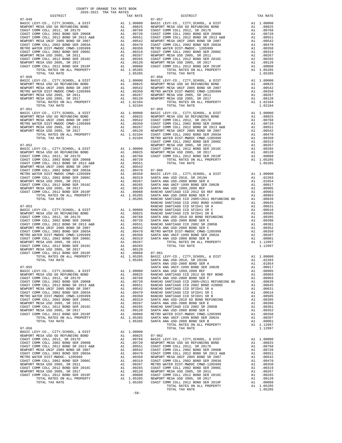| DISTRICT                                                                   |                                                                                                                                                                                                                                                                                                                                                                                                                          | TAX RATE               |            |
|----------------------------------------------------------------------------|--------------------------------------------------------------------------------------------------------------------------------------------------------------------------------------------------------------------------------------------------------------------------------------------------------------------------------------------------------------------------------------------------------------------------|------------------------|------------|
| $07 - 049$                                                                 |                                                                                                                                                                                                                                                                                                                                                                                                                          |                        | $07 - 057$ |
|                                                                            |                                                                                                                                                                                                                                                                                                                                                                                                                          |                        |            |
|                                                                            |                                                                                                                                                                                                                                                                                                                                                                                                                          |                        |            |
|                                                                            |                                                                                                                                                                                                                                                                                                                                                                                                                          |                        |            |
|                                                                            |                                                                                                                                                                                                                                                                                                                                                                                                                          |                        |            |
|                                                                            |                                                                                                                                                                                                                                                                                                                                                                                                                          |                        |            |
|                                                                            |                                                                                                                                                                                                                                                                                                                                                                                                                          |                        |            |
|                                                                            |                                                                                                                                                                                                                                                                                                                                                                                                                          |                        |            |
|                                                                            |                                                                                                                                                                                                                                                                                                                                                                                                                          |                        |            |
|                                                                            |                                                                                                                                                                                                                                                                                                                                                                                                                          |                        |            |
|                                                                            |                                                                                                                                                                                                                                                                                                                                                                                                                          |                        |            |
|                                                                            |                                                                                                                                                                                                                                                                                                                                                                                                                          |                        |            |
|                                                                            |                                                                                                                                                                                                                                                                                                                                                                                                                          |                        |            |
|                                                                            |                                                                                                                                                                                                                                                                                                                                                                                                                          |                        |            |
|                                                                            |                                                                                                                                                                                                                                                                                                                                                                                                                          |                        |            |
| $07 - 050$                                                                 |                                                                                                                                                                                                                                                                                                                                                                                                                          |                        | $07 - 058$ |
|                                                                            |                                                                                                                                                                                                                                                                                                                                                                                                                          |                        |            |
|                                                                            |                                                                                                                                                                                                                                                                                                                                                                                                                          |                        |            |
|                                                                            |                                                                                                                                                                                                                                                                                                                                                                                                                          |                        |            |
|                                                                            |                                                                                                                                                                                                                                                                                                                                                                                                                          |                        |            |
|                                                                            |                                                                                                                                                                                                                                                                                                                                                                                                                          |                        |            |
|                                                                            |                                                                                                                                                                                                                                                                                                                                                                                                                          |                        |            |
|                                                                            | TOTAL RATES ON ALL PROPERTY                                                                                                                                                                                                                                                                                                                                                                                              | A1.00120<br>A1 1.02104 |            |
| TOTAL TAX RATE                                                             |                                                                                                                                                                                                                                                                                                                                                                                                                          | 1.02104                |            |
| $07 - 051$                                                                 |                                                                                                                                                                                                                                                                                                                                                                                                                          |                        | $07 - 059$ |
|                                                                            |                                                                                                                                                                                                                                                                                                                                                                                                                          |                        |            |
|                                                                            |                                                                                                                                                                                                                                                                                                                                                                                                                          |                        |            |
|                                                                            |                                                                                                                                                                                                                                                                                                                                                                                                                          |                        |            |
|                                                                            |                                                                                                                                                                                                                                                                                                                                                                                                                          |                        |            |
|                                                                            |                                                                                                                                                                                                                                                                                                                                                                                                                          |                        |            |
|                                                                            |                                                                                                                                                                                                                                                                                                                                                                                                                          |                        |            |
|                                                                            |                                                                                                                                                                                                                                                                                                                                                                                                                          |                        |            |
|                                                                            |                                                                                                                                                                                                                                                                                                                                                                                                                          |                        |            |
|                                                                            |                                                                                                                                                                                                                                                                                                                                                                                                                          |                        | COAST C    |
| $07 - 052$                                                                 |                                                                                                                                                                                                                                                                                                                                                                                                                          |                        | NEWPORT    |
|                                                                            |                                                                                                                                                                                                                                                                                                                                                                                                                          |                        |            |
|                                                                            |                                                                                                                                                                                                                                                                                                                                                                                                                          |                        |            |
|                                                                            |                                                                                                                                                                                                                                                                                                                                                                                                                          |                        |            |
|                                                                            |                                                                                                                                                                                                                                                                                                                                                                                                                          |                        |            |
|                                                                            |                                                                                                                                                                                                                                                                                                                                                                                                                          |                        |            |
|                                                                            |                                                                                                                                                                                                                                                                                                                                                                                                                          |                        |            |
|                                                                            |                                                                                                                                                                                                                                                                                                                                                                                                                          |                        |            |
|                                                                            |                                                                                                                                                                                                                                                                                                                                                                                                                          |                        |            |
|                                                                            |                                                                                                                                                                                                                                                                                                                                                                                                                          |                        |            |
|                                                                            |                                                                                                                                                                                                                                                                                                                                                                                                                          |                        |            |
|                                                                            |                                                                                                                                                                                                                                                                                                                                                                                                                          |                        |            |
|                                                                            |                                                                                                                                                                                                                                                                                                                                                                                                                          |                        |            |
|                                                                            |                                                                                                                                                                                                                                                                                                                                                                                                                          |                        |            |
|                                                                            |                                                                                                                                                                                                                                                                                                                                                                                                                          |                        |            |
|                                                                            |                                                                                                                                                                                                                                                                                                                                                                                                                          |                        |            |
|                                                                            | $\begin{tabular}{l c c c} 07-052 & \multicolumn{2}{c}{\textbf{MSEIC }} \textbf{LEVY-C0.}, & \textbf{CITY}, & \textbf{SCHOOL}, & \textbf{a} & \textbf{DIST} & \textbf{NEWD-CT} \\ \textbf{NENPORT} & \textbf{MESV}-\textbf{C0.}, & \textbf{CITY}, & \textbf{SCHOOL}, & \textbf{a} & \textbf{DIST} & \textbf{A1} & 1.00000 & \textbf{COAST C} \\ \textbf{NENPORT} & \textbf{MESA} & \textbf{USD} & \textbf{GO} & \textbf{$ |                        | RANCHO     |
| $07 - 053$                                                                 |                                                                                                                                                                                                                                                                                                                                                                                                                          |                        | RANCHO     |
|                                                                            |                                                                                                                                                                                                                                                                                                                                                                                                                          |                        |            |
|                                                                            |                                                                                                                                                                                                                                                                                                                                                                                                                          |                        |            |
|                                                                            |                                                                                                                                                                                                                                                                                                                                                                                                                          |                        |            |
|                                                                            |                                                                                                                                                                                                                                                                                                                                                                                                                          |                        |            |
|                                                                            |                                                                                                                                                                                                                                                                                                                                                                                                                          |                        |            |
|                                                                            |                                                                                                                                                                                                                                                                                                                                                                                                                          |                        |            |
|                                                                            |                                                                                                                                                                                                                                                                                                                                                                                                                          |                        |            |
|                                                                            |                                                                                                                                                                                                                                                                                                                                                                                                                          |                        |            |
|                                                                            |                                                                                                                                                                                                                                                                                                                                                                                                                          |                        |            |
| COAST COMM COLL 2012 BOND SER 2016C                                        |                                                                                                                                                                                                                                                                                                                                                                                                                          |                        |            |
|                                                                            | A1 .00205<br>A1 .00120<br>A1 .00088 07-061<br>A1 1.05285 BASIC L<br>1.05285 SANTA A<br>SANTA A                                                                                                                                                                                                                                                                                                                           |                        |            |
| NEWPORT MESA USD 2005, SR 2017<br>COAST COMM COLL 2012 BOND SER 2019F      |                                                                                                                                                                                                                                                                                                                                                                                                                          |                        |            |
|                                                                            |                                                                                                                                                                                                                                                                                                                                                                                                                          |                        |            |
| TOTAL RATES ON ALL PROPERTY                                                |                                                                                                                                                                                                                                                                                                                                                                                                                          |                        |            |
| TOTAL TAX RATE                                                             |                                                                                                                                                                                                                                                                                                                                                                                                                          |                        |            |
|                                                                            |                                                                                                                                                                                                                                                                                                                                                                                                                          |                        |            |
| $07 - 055$                                                                 |                                                                                                                                                                                                                                                                                                                                                                                                                          | 1,00000                | SANTA A    |
| BASIC LEVY-CO., CITY, SCHOOL, & DIST<br>NEWPORT MESA USD GO REFUNDING BOND | A1                                                                                                                                                                                                                                                                                                                                                                                                                       |                        | SANTA A    |
| COAST COMM COLL 2012, SR 2017D                                             |                                                                                                                                                                                                                                                                                                                                                                                                                          |                        |            |
| COAST COMM COLL 2002 BOND SER 2006B                                        |                                                                                                                                                                                                                                                                                                                                                                                                                          |                        |            |
| COAST COMM COLL 2012 BOND SR 2013 A&B                                      |                                                                                                                                                                                                                                                                                                                                                                                                                          |                        |            |
| NEWPORT MESA UNIF 2005 BOND SR 2007                                        |                                                                                                                                                                                                                                                                                                                                                                                                                          |                        |            |
| COAST COMM COLL 2002 BOND SER 2003A                                        |                                                                                                                                                                                                                                                                                                                                                                                                                          |                        |            |
| METRO WATER DIST-MWDOC CMWD-1205999                                        |                                                                                                                                                                                                                                                                                                                                                                                                                          |                        |            |
| COAST COMM COLL 2002 BOND SER 2006C                                        |                                                                                                                                                                                                                                                                                                                                                                                                                          |                        |            |
| NEWPORT MESA USD 2005, SR 2011                                             |                                                                                                                                                                                                                                                                                                                                                                                                                          |                        |            |
| COAST COMM COLL 2012 BOND SER 2016C                                        |                                                                                                                                                                                                                                                                                                                                                                                                                          |                        |            |
| NEWPORT MESA USD 2005, SR 2017                                             |                                                                                                                                                                                                                                                                                                                                                                                                                          |                        |            |
| COAST COMM COLL 2012 BOND SER 2019F                                        |                                                                                                                                                                                                                                                                                                                                                                                                                          |                        |            |
| TOTAL RATES ON ALL PROPERTY                                                |                                                                                                                                                                                                                                                                                                                                                                                                                          |                        |            |
| TOTAL TAX RATE                                                             |                                                                                                                                                                                                                                                                                                                                                                                                                          |                        |            |
|                                                                            |                                                                                                                                                                                                                                                                                                                                                                                                                          |                        |            |
| $07 - 056$                                                                 |                                                                                                                                                                                                                                                                                                                                                                                                                          |                        |            |
| BASIC LEVY-CO., CITY, SCHOOL, & DIST                                       | A1                                                                                                                                                                                                                                                                                                                                                                                                                       | 1.00000                |            |
| NEWPORT MESA USD GO REFUNDING BOND                                         |                                                                                                                                                                                                                                                                                                                                                                                                                          |                        |            |
| COAST COMM COLL 2012, SR 2017D                                             |                                                                                                                                                                                                                                                                                                                                                                                                                          |                        |            |
| COAST COMM COLL 2002 BOND SER 2006B                                        |                                                                                                                                                                                                                                                                                                                                                                                                                          |                        |            |
| COAST COMM COLL 2012 BOND SR 2013 A&B                                      |                                                                                                                                                                                                                                                                                                                                                                                                                          |                        |            |
| NEWPORT MESA UNIF 2005 BOND SR 2007                                        |                                                                                                                                                                                                                                                                                                                                                                                                                          |                        |            |
| COAST COMM COLL 2002 BOND SER 2003A                                        |                                                                                                                                                                                                                                                                                                                                                                                                                          |                        |            |
| METRO WATER DIST-MWDOC- 1205999                                            |                                                                                                                                                                                                                                                                                                                                                                                                                          |                        |            |
| COAST COMM COLL 2002 BOND SER 2006C                                        |                                                                                                                                                                                                                                                                                                                                                                                                                          |                        |            |
| NEWPORT MESA USD 2005, SR 2011                                             |                                                                                                                                                                                                                                                                                                                                                                                                                          |                        |            |
| COAST COMM COLL 2012 BOND SER 2016C                                        |                                                                                                                                                                                                                                                                                                                                                                                                                          |                        |            |
| NEWPORT MESA USD 2005, SR 2017                                             |                                                                                                                                                                                                                                                                                                                                                                                                                          |                        |            |
| COAST COMM COLL 2012 BOND SER 2019F                                        |                                                                                                                                                                                                                                                                                                                                                                                                                          |                        |            |
| TOTAL RATES ON ALL PROPERTY                                                |                                                                                                                                                                                                                                                                                                                                                                                                                          |                        |            |
| TOTAL TAX RATE                                                             |                                                                                                                                                                                                                                                                                                                                                                                                                          |                        |            |
|                                                                            |                                                                                                                                                                                                                                                                                                                                                                                                                          |                        |            |

| DISTRICT   | 2020-2021 TRA TAX RATES | TAX RATE | DISTRICT       | TAX RATE |
|------------|-------------------------|----------|----------------|----------|
| $07 - 049$ |                         |          | $07 - 057$     |          |
|            |                         |          |                |          |
|            |                         |          |                |          |
|            |                         |          |                |          |
|            |                         |          |                |          |
|            |                         |          |                |          |
|            |                         |          |                |          |
|            |                         |          |                |          |
|            |                         |          |                |          |
|            |                         |          |                |          |
|            |                         |          |                |          |
|            |                         |          |                |          |
|            |                         |          |                |          |
|            |                         |          |                |          |
|            |                         |          |                |          |
|            |                         |          |                |          |
|            |                         |          |                |          |
|            |                         |          |                |          |
|            |                         |          |                |          |
|            |                         |          |                |          |
|            |                         |          |                |          |
|            |                         |          |                |          |
|            |                         |          |                |          |
|            |                         |          |                |          |
|            |                         |          |                |          |
|            |                         |          |                |          |
|            |                         |          |                |          |
|            |                         |          |                |          |
|            |                         |          |                |          |
|            |                         |          |                |          |
|            |                         |          |                |          |
|            |                         |          |                |          |
|            |                         |          |                |          |
|            |                         |          |                |          |
|            |                         |          |                |          |
|            |                         |          |                |          |
|            |                         |          |                |          |
|            |                         |          |                |          |
|            |                         |          |                |          |
|            |                         |          |                |          |
|            |                         |          |                |          |
|            |                         |          |                |          |
|            |                         |          |                |          |
|            |                         |          |                |          |
|            |                         |          |                |          |
|            |                         |          |                |          |
|            |                         |          |                |          |
|            |                         |          |                |          |
|            |                         |          |                |          |
|            |                         |          |                |          |
|            |                         |          |                |          |
|            |                         |          |                |          |
|            |                         |          |                |          |
|            |                         |          |                |          |
|            |                         |          |                |          |
|            |                         |          |                |          |
|            |                         |          |                |          |
|            |                         |          |                |          |
|            |                         |          |                |          |
|            |                         |          |                |          |
|            |                         |          |                |          |
|            |                         |          |                |          |
|            |                         |          |                |          |
|            |                         |          |                |          |
|            |                         |          |                |          |
|            |                         |          |                |          |
|            |                         |          |                |          |
|            |                         |          |                |          |
|            |                         |          |                |          |
|            |                         |          |                |          |
|            |                         |          |                |          |
|            |                         |          | TOTAL TAX RATE | 1.05285  |
|            |                         | $-58-$   |                |          |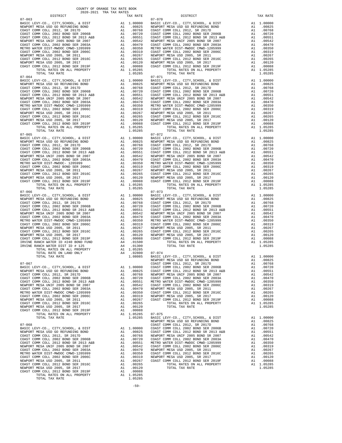COAST COMM COLL 2012 BOND SER 2016C<br>
NEWPORT MESA USD 2005, SR 2017 A1 .00120<br>
COAST COMM COLL 2012 BOND SER 2019F A1 .00120<br>
COAST COMM COLL 2012 BOND SER 2019F A1 .00088<br>
TOTAL RATES ON ALL PROPERTY A1 1.05285 TOTAL RATES ON ALL PROPERTY A1 1.05285 TOTAL TAX RATE 1.05285

% OLD 2012 DOLD DER PROPERTY A1 1.05285 07-075<br>TOTAL RATES ON ALL PROPERTY A1 1.05285 BASIC I

 07-065 07-072 TOTAL TAX RATE  $07-066$   $07-073$ 

MONTO ERVY-CO., CITY, SCHOOL, & DIST Al 1.00000 ALL 1.00000 NEWPORT MESA USD GO REFUNDING BOND A1 .00825

07-063 07-070

 DISTRICT TAX RATE DISTRICT TAX RATE BASIC LEVY-CO., CITY,SCHOOL, & DIST A1 1.00000 BASIC LEVY-CO., CITY,SCHOOL, & DIST A1 1.00000 NEWPORT MESA USD GO REFUNDING BOND A1 .00825 NEWPORT MESA USD GO REFUNDING BOND A1 .00825 COAST COMM COLL 2012, SR 2017D A1 .00768 COAST COMM COLL 2012, SR 2017D A1 .00768 COAST COMM COLL 2002 BOND SER 2006B A1 .00720 COAST COMM COLL 2002 BOND SER 2006B A1 .00720 COAST COMM COLL 2012 BOND SR 2013 A&B A1 .00551 COAST COMM COLL 2012 BOND SR 2013 A&B A1 .00551 NEWPORT MESA UNIF 2005 BOND SR 2007 A1 .00542 NEWPORT MESA UNIF 2005 BOND SR 2007 A1 .00542 COAST COMM COLL 2002 BOND SER 2003A A1 .00470 COAST COMM COLL 2002 BOND SER 2003A A1 .00470 METRO WATER DIST-MWDOC CMWD-1205999 A1 .00350 METRO WATER DIST-MWDOC CMWD-1205999 A1 .00350<br>COAST COMM COLL 2002 BOND SER 2006C A1 .00319 COAST COMM COLL 2002 BOND SER 2006C NEWPORT MESA USD 2005, SR 2011 A1 .00267 NEWPORT MESA USD 2005, SR 2011 A1 .00267 COAST COMM COLL 2012 BOND SER 2016C A1 .00265 COAST COMM COLL 2012 BOND SER 2016C A1 .00265 00120 NEWPORT MESA USD 2005, SR 2017 – 11 00120 NEWPORT MESA USD 2005, SR 2017<br>COAST COMM COLL 2012 BORD SR 2019F – 12 00088 COAST COMM COLL 2012 BORD SER 2019F – 12 00088<br>A1 1.05285 – TOTAL RATES ON ALL PROPERTY – 11 0528 TORL TAX RATE 1.05285 TOM COLL 2012 BOND SER 2017<br>
TORL TAX RATE 1.05285 TOMM COLL 2012 BOND SER 2017<br>
TOTAL RATES ON ALL PROPERTY AT 1.05285 TOMM COLL 2012 BOND SER 2019<br>
TOTAL TAX RATE 1.05285 TOTAL TAX RATE 1.05285 TOTA  $\begin{tabular}{lcccc} BASIC LEVY-CO., CITY, SCHOOL, & DIST & A1 & 1.00000 & BASIC LEVY-CO., CITY, SCHOOL, & DIST & A1 & 1.00000 \\ NEWOPORT MEMSO AUS CO AESFWDING BOND & BOND & A1 & .00825 & NEWPORT MESA USO GORETWDING BOND & A1 & .00825 & .00877 COMM COLL & 2002 & .00877 COMM COLL & 2002 & .00877 COMM COLL & 2002 & .00877 COMM COLL & 2002 & .00877 COMM COLL & 2002 & .00$  NEWPORT MESA UNIF 2005 BOND SR 2007 A1 .00542 NEWPORT MESA UNIF 2005 BOND SR 2007 A1 .00542 COAST COMM COLL 2002 BOND SER 2003A A1 .00470 COAST COMM COLL 2002 BOND SER 2003A A1 .00470 METRO WATER DIST-MWDOC CMWD-1205999 A1 .00350 METRO WATER DIST-MWDOC CMWD-1205999 A1 .00350<br>COAST COMM COLL 2002 BOND SER 2006C A1 .00319 COAST COMM COLL 2002 BOND SER 2006C 00267 NEWPORT MESAUSD 2005, SR 2011 (10267 A1 .00267 NEWPORT MESAUSD 2005, SR 2011 (10267 NEWPORT MESAUSD 2005<br>COAST COMM COLL 2015 AND SER 2016C A1 .10265 COAST COMM COLL 2012 ASRD SER 2016C A1 .00265<br>NEWPORT MESAUSD 2005 COAST COMM COLL 2012 BOND SER 2019F A1 .00088 COAST COMM COLL 2012 BOND SER 2019F A1 .00088<br>TOTAL RATES ON ALL PROPERTY A1 1.05285 TOTAL TAX RATES ON ALL PROPERTY 1.05285<br>1.05285 1.05285 TOTAL TAX RATE  $\begin{tabular}{lcccc} BASIC LEVY-CO., CITY, SCHOOL, & DIST & A1 & 1.00000 & BASIC LEVY-CO., CITY, SCHOOL, & DIST & A1 & 1.00000 \\ NEWOPORT MEMSO AUS CO AESFWDING BOND & BOND & A1 & .00825 & NEWPORT MESA USO GORETWDING BOND & A1 & .00825 & .00877 COMM COLL & 2002 & .00877 COMM COLL & 2002 & .00877 COMM COLL & 2002 & .00877 COMM COLL & 2002 & .00877 COMM COLL & 2002 & .00$  NEWPORT MESA UNIF 2005 BOND SR 2007 A1 .00542 NEWPORT MESA UNIF 2005 BOND SR 2007 A1 .00542 COAST COMM COLL 2002 BOND SER 2003A A1 .00470 COAST COMM COLL 2002 BOND SER 2003A A1 .00470 METRO WATER DIST-MWDOC- 1205999 A1 .00350 METRO WATER DIST-MWDOC CMWD-1205999 A1 .00350 COAST COMM COLL 2002 BOND SER 2006C A1 .00319 COAST COMM COLL 2002 BOND SER 2006C A1 .00319 NEWPORT MESAUSD 2005, SR 2011 (0267 NEWPORT MESAUSD 2005, SR 2011 (0267 NEWPORT MESAUSD 2005, SR 2011 (0267 NEWPORT MESAUSD 2005, SR 2016C<br>COAST COM COLL 2012 ERR 2016C 2016C 2011 (02065 2017 21) 2012 NEWPORT MESAUSD 2005, ALL COLL COLL CONDUCTS ON ALL PROPERTY AT 1.05285 TOTAL RATES ON ALL PROPERTY ALL 1.05285 TOTAL RATES ON ALL PROPERTY A1 1.05285 TOTAL RATES ON ALL PROPERTY A1 1.05285 07-066 07-073 BASIC LEVY-CO., CITY,SCHOOL, & DIST A1 1.00000 BASIC LEVY-CO., CITY,SCHOOL, & DIST A1 1.00000 NEWPORT MESAUSD GO REFUNDING BOND (10825 NEWPORT MESAUSD GO REFUNDING BOND (10825 NEWPORT MESAUSD GO REFUNDING<br>COAST COMM COLL 2002 SOND SER 2006B (10.0768 COAST COMM COLL 2012 SR 2017D (2002 TOMM COLL 2002 BOND SER 2006B<br> NEWPORT MESA UNIF 2005 BOND SR 2007 A1 .00542 NEWPORT MESA UNIF 2005 BOND SR 2007 A1 .00542 COAST COMM COLL 2002 BOND SER 2003A A1 .00470 COAST COMM COLL 2002 BOND SER 2003A A1 .00470 METRO WATER DIST-MWDOC CMWD-1205999 A1 .00350 METRO WATER DIST-MWDOC CMWD-1205999 A1 .00350 METRO WATER DIST-MWDOC CMWD-1205999 A1 .00350 COAST COMM COLL 2012 BOND SER 2006C ARE 2006C AND SER 2006C AT ALL AND COLL AT A COL IRVINE RANCH WATER ID #240 BOND FUND A4 .01500 TOTAL RATES ON ALL PROPERTY A1 1.05285 IRVINE RANCH WATER DIST ID # 125 A4 .01300 TOTAL TAX RATE <br>
TOTAL RATES ON ALL PROPERTY A1 1.05285<br>
TOTAL RATE ON LAND ONLY A4 .02800 07-074 TOTAL TAX RATE 1.08085 BASIC LEVY-CO., CITY, SCHOOL, & DIST 1.00000<br>10825 1.00825 NEWPORT MESA USD GO REFUNDING BOND 07-067 COAST COMM COLL 2012, SR 2017D A1 .00768 BASIC LEVY-CO., CITY,SCHOOL, & DIST A1 1.00000 COAST COMM COLL 2002 BOND SER 2006B A1 .00720 NEWPORT MESA USD GO REFUNDING BOND A1 .00825 COAST COMM COLL 2012 BOND SR 2013 A&B A1 .00551 COAST COMM COLL 2012, SR 2017D A1 .00768 NEWPORT MESA UNIF 2005 BOND SR 2007 A1 .00542 COAST COMM COLL 2002 BOND SER 2006B A1 .00720 COAST COMM COLL 2002 BOND SER 2003A A1 .00470 COAST COMM COLL 2012 BOND SR 2013 A&B A1 .00551 METRO WATER DIST-MWDOC CMWD-1205999 A1 .00350 NEWPORT MESA UNIF 2005 BOND SR 2007 A1 .00542 COAST COMM COLL 2002 BOND SER 2006C A1 .00319 COAST COMM COLL 2002 BOND SER 2003A A1 .00470 NEWPORT MESA USD 2005, SR 2011 A1 .00267 METRO WATER DIST-MWDOC CMWD-1205999 A1 .00350 COAST COMM COLL 2012 BOND SER 2016C A1 .00265 COAST COMM COLL 2002 BOND SER 2006C A1 .00319 NEWPORT MESA USD 2005, SR 2017 A1 .00120 NEWPORT MESA USD 2005, SR 2011 A1 .00267 COAST COMM COLL 2012 BOND SER 2019F A1 .00088 COAST COMM COLL 2012 BOND SER 2016C A1 .00265 TOTAL RATES ON ALL PROPERTY A1 1.05285 NEWPORT MESA USD 2005, SR 2017 A1 .00120 TOTAL TAX RATE 1.05285 COAST COMM COLL 2012 BOND SER 2019F A1 .00088 RASIC LEVY-CO., CITY, SCHOOL, & DIST A1 1.00000<br>NEWPORT MESA USD GO REFUNDING BOND A1 .00825 0825 (0825). NEWPORT MESA USD GO REFUNDING BOND A1<br>COAST COMM COLL 2012, SR 2017D<br>BASIC LEVY-CO., CITY,SCHOOL, & DIST A1 1.00000 COAST COMM COLL 2002 BOND SER 2006B A1 00720 07-068 COAST COMM COLL 2012, SR 2017D A1 .00768 BASIC LEVY-CO., CITY,SCHOOL, & DIST A1 1.00000 COAST COMM COLL 2002 BOND SER 2006B A1 .00720 NEWPORT MESA USD GO REFUNDING BOND A1 .00825 COAST COMM COLL 2012 BOND SR 2013 A&B A1 .00551<br>COAST COMM COLL 2002 BOND SER 2006B A1 .00768 NEWPORT MESA UNIF 2005 BOND SR 2007 A1 .00542<br>COAST COMM COLL 2002 BOND SER 2006B A  $\begin{array}{cccccccccccccccc} \texttt{MENPORT} & \texttt{MESA} & \texttt{USD} & \texttt{GORST COMM} & \texttt{COL} & \texttt{CORST COMM} & \texttt{COLL} & \texttt{2012 BOND SR 2013} & \texttt{AED} & \texttt{AED} & \texttt{AED} & \texttt{AED} & \texttt{AED} & \texttt{AED} & \texttt{AED} & \texttt{AED} & \texttt{AED} & \texttt{AED} & \texttt{AED} & \texttt{AED} & \texttt{AED} & \texttt{AED} & \texttt{AED} & \texttt{AED} & \$  COAST COMM COLL 2002 BOND SER 2003A A1 .00470 NEWPORT MESA USD 2005, SR 2011 A1 .00267 METRO WATER DIST-MWDOC CMWD-1205999 A1 .00350 COAST COMM COLL 2012 BOND SER 2016C A1 .00265 COAST COMM COLL 2002 BOND SER 2006C A1 .00319 NEWPORT MESA USD 2005, SR 2017 A1 .00120 NEWPORT MESA USD 2005, SR 2011 A1 .00267 COAST COMM COLL 2012 BOND SER 2019F A1 .00088 COAST COMM COLL 2012 BOND SER 2016C A1 .00265 TOTAL RATES ON ALL PROPERTY A1 1.05285 NEWPORT MESA USD 2005, SR 2017 A1 .00120 TOTAL TAX RATE 1.05285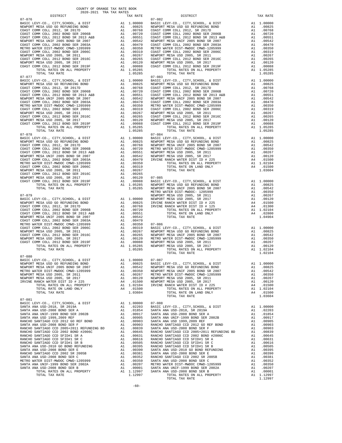07-080 07-081 BASIC LEVY-CO., CITY,SCHOOL, & DIST A1 1.00000 07-088

BASIC LEVY-CO., CITY, SCHOOL, & DIST A1 1.00000 NEWPORT MESA USD 2005, SR 2011 A1 .00267 TOTAL TAX RATE 1.03604 COAST COMM COLL 2012 BOND SER 2016C A1 .00265 NEWPORT MESA USING DIE 2012 BOND SER 2010C<br>NEWPORT MESA USD 2005, SR 2017 CORST COMMIC DOLL 2012 007-085<br>COAST COMM COLL 2012 BOND SER 2019F A1 .00088 BASIC I COAST COMM COLL 2002 BOND SER 2003A A1 .00470

 DISTRICT TAX RATE DISTRICT TAX RATE 07-076 07-082 BASIC LEVY-CO., CITY,SCHOOL, & DIST A1 1.00000 BASIC LEVY-CO., CITY,SCHOOL, & DIST A1 1.00000 NEWPORT MESA USD GO REFUNDING BOND A1 .00825 NEWPORT MESA USD GO REFUNDING BOND A1 .00825 COAST COMM COLL 2012, SR 2017D A1 .00768 COAST COMM COLL 2012, SR 2017D A1 .00768 COAST COMM COLL 2002 BOND SER 2006B A1 .00720 COAST COMM COLL 2002 BOND SER 2006B A1 .00720 COAST COMM COLL 2012 BOND SR 2013 A&B A1 .00551 COAST COMM COLL 2012 BOND SR 2013 A&B A1 .00551 NEWPORT MESA UNIF 2005 BOND SR 2007 A1 .00542 NEWPORT MESA UNIF 2005 BOND SR 2007 A1 .00542 COAST COMM COLL 2002 BOND SER 2003A A1 .00470 COAST COMM COLL 2002 BOND SER 2003A A1 .00470 METRO WATER DIST-MWDOC CMWD-1205999 A1 .00350 METRO WATER DIST-MWDOC CMWD-1205999 A1 .00350<br>COAST COMM COLL 2002 BOND SER 2006C A1 .00319 COAST COMM COLL 2002 BOND SER 2006C NEWPORT MESA USD 2005, SR 2011 A1 .00267 NEWPORT MESA USD 2005, SR 2011 A1 .00267 COAST COMM COLL 2012 BOND SER 2016C A1 .00265 COAST COMM COLL 2012 BOND SER 2016C A1 .00265 00120 NEWPORT MESA USD 2005, SR 2017 – 11 00120 NEWPORT MESA USD 2005, SR 2017<br>COAST COMM COLL 2012 BORD SR 2019F – 12 00088 COAST COMM COLL 2010 ESR 2019F – 12 00088<br>A1 1.05285 – TOTAL RATES ON ALL PROPERTY – 11 05285 – T TOMM COLL 2012 BOND SER 2016<br>
TATEM COLL 2012 BOND SER 2010<br>
TORSET COMM COLL 2012 BOND SER 2010<br>
TORSET COMM COLL 2012 BOND SER 2010<br>
TORSET COMM COLL 2012 BOND SER 2010<br>
NEWPORT MESA USD 2005, SR 2011<br>
A1 .00265 COAST CO  $\begin{tabular}{lcccc} BASIC LEVY-CO., CITY, SCHOOL, & DIST & A1 & 1.00000 & BASIC LEVY-CO., CITY, SCHOOL, & DIST & A1 & 1.00000 \\ NEWOPORT MEMSO AUS CO AESFWDING BOND & BOND & A1 & .00825 & NEWPORT MESA USO GORETWDING BOND & A1 & .00825 & .00827 & .00827 & .00827 & .00827 & .00827 & .00827 & .00827 & .00827 & .00827 & .00827 & .00827 & .00827 & .00827 & .0$  NEWPORT MESA UNIF 2005 BOND SR 2007 A1 .00542 NEWPORT MESA UNIF 2005 BOND SR 2007 A1 .00542 COAST COMM COLL 2002 BOND SER 2003A A1 .00470 COAST COMM COLL 2002 BOND SER 2003A A1 .00470 METRO WATER DIST-MWDOC CMWD-1205999 A1 .00350 METRO WATER DIST-MWDOC CMWD-1205999 A1 .00350<br>COAST COMM COLL 2002 BOND SER 2006C A1 .00319 COAST COMM COLL 2002 BOND SER 2006C 00267 NEWPORT MESAUSD 2005, SR 2011 (10267 A1 .00267 NEWPORT MESAUSD 2005, SR 2011 (10267 A1 .00267<br>COAST COMM COLL 2010 SR 2016C (2005 A1 .00265 COAST COAST COMM COLL 2012 A1 .00265 A1 .00265<br>NEWPORT MESAUSD 2005, SR 2017 COAST COMM COLL 2012 BOND SER 2019F A1 .00088 COAST COMM COLL 2012 BOND SER 2019F A1 .00088<br>TOTAL RATES ON ALL PROPERTY A1 1.05285 TOTAL TAX RATES ON ALL PROPERTY 1.05285<br>1.05285 1.05285 TOTAL TAX RATE  $\begin{array}{cccc} 07-078 \\ \text{BASIC LEVY-CO.}\end{array}, \quad \begin{array}{cccc} 07-0784 \\ \text{BASIC LEVY-CO.}\end{array}, \quad \begin{array}{cccc} 07-084 \\ \text{BASIC LEVY-CO.}\end{array}, \quad \begin{array}{cccc} 07-084 \\ \text{BASIC LEVY-CO.}\end{array}, \quad \begin{array}{cccc} 07-084 \\ \text{RIST LEVY-CO.}\end{array}, \quad \begin{array}{cccc} 07-084 \\ \text{RIST LEVY-CO.}\end{array}, \quad \begin{array}{cccc} 07-084 \\ \text$  NEWPORT MESA UNIF 2005 BOND SR 2007 A1 .00542 NEWPORT MESA USD 2005, SR 2017 A1 .00120 COAST COMM COLL 2002 BOND SER 2003A A1 .00470 IRVINE RANCH WATER DIST ID # 225 A4 .01500 METRO WATER DIST-MWDOC CMWD-1205999 A1 .00350 A1 .00350 TOTAL RATES ON ALL PROPERTY A1 1.02104<br>COAST COMM COLL 2002 BOND SER 2006C A1 .00319 TOTAL RATE ON LAND ONLY A4 .01500 COAST COMM COLL 2002 BOND SER 2006C A1 .00319 TOTAL RATE ON LAND ONLY A4 .01500 COAST COMM COLL 2012 BOND SER 2019F A1 .00088 BASIC LEVY-CO., CITY,SCHOOL, & DIST A1 1.00000<br>TOTAL RATES ON ALL PROPERTY A1 1.05285 NEWPORT MESA USD GO REFUNDING BOND A1 .00825 TOTAL TAX RATE 1.05285 NEWPORT MESA UNIF 2005 BOND SR 2007 A1 .00542 METRO WATER DIST-MWDOC- 1205999 A1 .00350 07-079 NEWPORT MESA USD 2005, SR 2011 A1 .00267 BASIC LEVY-CO., CITY,SCHOOL, & DIST A1 1.00000 NEWPORT MESA USD 2005, SR 2017 A1 .00120 NEWPORT MESA USD GO REFUNDING BOND A1 .00825 IRVINE RANCH WATER DIST ID # 225 A4 .01500 COAST COMM COLL 2012, SR 2017D A1 .00768 IRVINE RANCH WATER DIST ID # 125 A4 .01300 COAST COMM COLL 2002 BOND SER 2006B A1 .00720 TOTAL RATES ON ALL PROPERTY A1 1.02104 COAST COMM COLL 2012 BOND SR 2013 A&B A1 .00551 TOTAL RATE ON LAND ONLY A4 .02800<br>NEWPORT MESA UNIF 2005 BOND SR 2007 A1 .00542 TOTAL TAX RATE 1.04904 METRO WATER DIST-MWDOC CMWD-1205999 A1 00350 07-086<br>COAST COMM COLL 2005 RER 2006C A1 00319 BASIC LEVY-CO., CITY, SCHOOL, & DIST A1 1.00000<br>NEWPORT MESAUSD 2005, SR 2011 (10026 A1 00267 NEWPORT MESAUSD GO REFUNDING BOND A1 NEWPORT MESA USD 2005, SR 2017 A1 .00120 METRO WATER DIST-MWDOC CMWD-1205999 A1 .00350 MESA USD 2005, SR 2017<br>
COMM COLL 2012 BOND SER 2019F A1 .00088 NEWPORT MESA USD 2005, SR 2011<br>
TOTAL RATES ON ALL PROPERTY A1 .00268 NEWPORT MESA USD 2005, SR 2011<br>
TOTAL TAX RATE A1 .0.1204 TOTAL RATES ON ALL PROPERTY A1 1.05285 NEWPORT MESA USD 2005, SR 2017 A1 .00120 TOTAL TAX RATE 1.05285 TOTAL RATES ON ALL PROPERTY A1 1.02104 TOTAL TAX RATE 1.02104 BASIC LEVY-CO., CITY, SCHOOL, & DIST<br>
NEWPORT MESA USD GO REFUNDING BOND 0.0825 A1 0.0825 ASIC LEVY-CO., CITY, SCHOOL, & DIST NEWPORT MESA USD GO REFUNDING BOND A1 .00825 BASIC LEVY-CO., CITY,SCHOOL, & DIST A1 1.00000 NEWPORT MESIC LEVIT CO., CITI,SCROOL, WAS ALLED AND COST AND COST AND COST AND COST AND COST AND COST AND COST<br>A1 .00542 NEWPORT MESA UNIF 2005 BOND SR 2007 A1 .00825 METRO WATER DIST-MWDOC CMWD-1205999 A1 .00350 NEWPORT MESA UNIF 2005 BOND SR 2007 A1 .00542 NEWPORT MESA USD 2005, SR 2011 A1 .00267 METRO WATER DIST-MWDOC CMWD-1205999 A1 .00350  $\begin{tabular}{l|c|c|c|c|c} {\bf NEWPORT} {\bf MESA} {\bf USB} {\bf SDD} {\bf 2005, SR2017 & \bf AI & .00267\\ \hline {\bf IRVINE RATE} {\bf DATER} {\bf DSES} {\bf SRE} {\bf 2017 & \bf A1 & .00267\\ \hline {\bf TQTAL} {\bf RATED} {\bf SER} {\bf 2017 & \bf A1 & .01500\\ \hline {\bf TQTAL} {\bf RATES} {\bf ON ALL} {\bf PROPERTY} {\bf SDES} {\bf A1 & .01500\\ \hline {\bf TQTAL} {\bf RATES} {\bf ON AL$  SANTA ANA USD-2018, SR 2019A A1 .02203 BASIC LEVY-CO., CITY,SCHOOL, & DIST A1 1.00000 SANTA ANA USD-2008 BOND SER A A1 .01854 SANTA ANA USD-2018, SR 2019A A1 .02203 SANTA ANA UNIF-1999 BOND SER 2002B A1 .00917 SANTA ANA USD-2008 BOND SER A A1 .01854 SANTA ANA USD 1999, SUND USD 1999, DUN USD 1999, DUN USD 1999, DUN USD 1999, DUN AT . 00917<br>SANTA ANA USD 1999 BOND 10905 SANTA ANA UNIF-1999 BOND 10905<br>RANCHO SANTIAGO CCD 2012 GO REF BOND 10905 A1 . 00903 SANTA ANA USD 1  $\begin{tabular}{l|c|c|c|c|c|c} \multicolumn{4}{c}{\textbf{RANCHO}} \multicolumn{4}{c}{\textbf{SANTIAGO}} \multicolumn{4}{c}{\textbf{CCD}} \multicolumn{4}{c}{\textbf{CCD}} \multicolumn{4}{c}{\textbf{CCD}} \multicolumn{4}{c}{\textbf{CCD}} \multicolumn{4}{c}{\textbf{CCD}} \multicolumn{4}{c}{\textbf{CCD}} \multicolumn{4}{c}{\textbf{CCD}} \multicolumn{4}{c}{\textbf{RANTA}} \multicolumn{4}{c}{\textbf{NLO}} \multicolumn{4}{c}{\textbf{RANTA}} \mult$  RANCHO SANTIAGO CCD SFID#1 SR B A1 .00505 RANCHO SANTIAGO CCD SFID#1 SR C A1 .00616 SANTA ANA USD-2010 GO BOND REFUNDING A1 .00395 RANCHO SANTIAGO CCD SFID#1 SR B A1 .00505 SANTA ANA USD-2008 BOND SER E A1 .00390 SANTA ANA USD-2010 GO BOND REFUNDING A1 .00395 RANCHO SANTIAGO CCD 2002 SR 2005B A1 .00381 SANTA ANA USD-2008 BOND SER E A1 .00390 SANTA ANA USD-2008 BOND SER C A1 .00352 RANCHO SANTIAGO CCD 2002 SR 2005B A1 .00381 METRO WATER DIST-MWDOC CMWD-1205999 A1 .00350 SANTA ANA USD-2008 BOND SER C A1 .00352 SANTA ANA UNIF-1999 BOND SER 2002A A1 .00207 METRO WATER DIST-MWDOC CMWD-1205999 A1 .00350 SANTA ANA USD-2008 BOND SER B A1 .00001 SANTA ANA UNIF-1999 BOND SER 2002A A1 .00207 TOTAL RATES ON ALL PROPERTY A1 1.12997 SANTA ANA USD-2008 BOND SER B A1 .00001 TOTAL TAX RATE 1.12997 TOTAL RATES ON ALL PROPERTY A1 1.12997 TOTAL TAX RATE 1.12997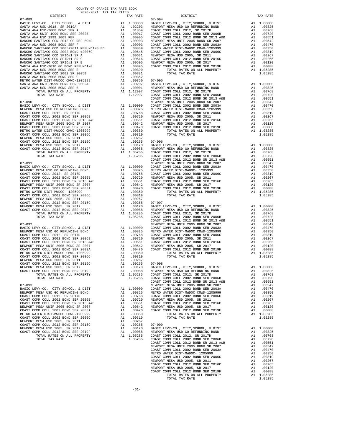| DISTRICT                              |    | TAX RATE                                                                                                                                                                                                                                                                                         |                                  |
|---------------------------------------|----|--------------------------------------------------------------------------------------------------------------------------------------------------------------------------------------------------------------------------------------------------------------------------------------------------|----------------------------------|
| $07 - 089$                            |    |                                                                                                                                                                                                                                                                                                  | $07 - 094$                       |
|                                       |    |                                                                                                                                                                                                                                                                                                  |                                  |
|                                       |    |                                                                                                                                                                                                                                                                                                  |                                  |
|                                       |    |                                                                                                                                                                                                                                                                                                  |                                  |
|                                       |    |                                                                                                                                                                                                                                                                                                  |                                  |
|                                       |    |                                                                                                                                                                                                                                                                                                  |                                  |
|                                       |    |                                                                                                                                                                                                                                                                                                  |                                  |
|                                       |    |                                                                                                                                                                                                                                                                                                  |                                  |
|                                       |    |                                                                                                                                                                                                                                                                                                  |                                  |
|                                       |    |                                                                                                                                                                                                                                                                                                  |                                  |
|                                       |    |                                                                                                                                                                                                                                                                                                  |                                  |
|                                       |    |                                                                                                                                                                                                                                                                                                  |                                  |
|                                       |    |                                                                                                                                                                                                                                                                                                  |                                  |
|                                       |    |                                                                                                                                                                                                                                                                                                  |                                  |
|                                       |    |                                                                                                                                                                                                                                                                                                  |                                  |
|                                       |    |                                                                                                                                                                                                                                                                                                  |                                  |
|                                       |    |                                                                                                                                                                                                                                                                                                  |                                  |
|                                       |    |                                                                                                                                                                                                                                                                                                  |                                  |
|                                       |    |                                                                                                                                                                                                                                                                                                  |                                  |
|                                       |    |                                                                                                                                                                                                                                                                                                  |                                  |
|                                       |    |                                                                                                                                                                                                                                                                                                  |                                  |
|                                       |    |                                                                                                                                                                                                                                                                                                  |                                  |
|                                       |    |                                                                                                                                                                                                                                                                                                  |                                  |
|                                       |    |                                                                                                                                                                                                                                                                                                  | COAST C                          |
|                                       |    |                                                                                                                                                                                                                                                                                                  |                                  |
|                                       |    |                                                                                                                                                                                                                                                                                                  |                                  |
|                                       |    |                                                                                                                                                                                                                                                                                                  |                                  |
|                                       |    |                                                                                                                                                                                                                                                                                                  |                                  |
|                                       |    |                                                                                                                                                                                                                                                                                                  |                                  |
|                                       |    |                                                                                                                                                                                                                                                                                                  |                                  |
|                                       |    |                                                                                                                                                                                                                                                                                                  |                                  |
|                                       |    |                                                                                                                                                                                                                                                                                                  |                                  |
|                                       |    |                                                                                                                                                                                                                                                                                                  |                                  |
|                                       |    |                                                                                                                                                                                                                                                                                                  |                                  |
|                                       |    |                                                                                                                                                                                                                                                                                                  |                                  |
|                                       |    |                                                                                                                                                                                                                                                                                                  |                                  |
|                                       |    |                                                                                                                                                                                                                                                                                                  |                                  |
|                                       |    |                                                                                                                                                                                                                                                                                                  |                                  |
|                                       |    |                                                                                                                                                                                                                                                                                                  |                                  |
|                                       |    |                                                                                                                                                                                                                                                                                                  |                                  |
|                                       |    |                                                                                                                                                                                                                                                                                                  |                                  |
|                                       |    |                                                                                                                                                                                                                                                                                                  |                                  |
| $07 - 091$                            |    |                                                                                                                                                                                                                                                                                                  | NEWPORT                          |
|                                       |    |                                                                                                                                                                                                                                                                                                  |                                  |
|                                       |    |                                                                                                                                                                                                                                                                                                  |                                  |
|                                       |    |                                                                                                                                                                                                                                                                                                  |                                  |
|                                       |    |                                                                                                                                                                                                                                                                                                  |                                  |
|                                       |    |                                                                                                                                                                                                                                                                                                  |                                  |
|                                       |    |                                                                                                                                                                                                                                                                                                  |                                  |
|                                       |    |                                                                                                                                                                                                                                                                                                  |                                  |
|                                       |    |                                                                                                                                                                                                                                                                                                  |                                  |
|                                       |    |                                                                                                                                                                                                                                                                                                  |                                  |
|                                       |    |                                                                                                                                                                                                                                                                                                  |                                  |
| NEWPORT MESA USD 2005, SR 2011        |    | A1 .00267                                                                                                                                                                                                                                                                                        |                                  |
| COAST COMM COLL 2012 BOND SER 2016C   |    |                                                                                                                                                                                                                                                                                                  |                                  |
| NEWPORT MESA USD 2005, SR 2017        |    | A1 .00265 07-097<br>A1 .00265 07-097<br>A1 .00088 NEWPORT<br>A1 .00088 NEWPORT<br>A1 1.05285 COAST C<br>1.05285 COAST C                                                                                                                                                                          |                                  |
| COAST COMM COLL 2012 BOND SER 2019F   |    |                                                                                                                                                                                                                                                                                                  |                                  |
| TOTAL RATES ON ALL PROPERTY           |    |                                                                                                                                                                                                                                                                                                  |                                  |
| TOTAL TAX RATE                        |    |                                                                                                                                                                                                                                                                                                  |                                  |
|                                       |    |                                                                                                                                                                                                                                                                                                  | COAST C                          |
| $07 - 092$                            |    |                                                                                                                                                                                                                                                                                                  | NEWPORT                          |
|                                       |    |                                                                                                                                                                                                                                                                                                  |                                  |
|                                       |    |                                                                                                                                                                                                                                                                                                  |                                  |
|                                       |    |                                                                                                                                                                                                                                                                                                  |                                  |
|                                       |    |                                                                                                                                                                                                                                                                                                  |                                  |
|                                       |    |                                                                                                                                                                                                                                                                                                  |                                  |
|                                       |    |                                                                                                                                                                                                                                                                                                  |                                  |
|                                       |    |                                                                                                                                                                                                                                                                                                  |                                  |
|                                       |    |                                                                                                                                                                                                                                                                                                  |                                  |
|                                       |    |                                                                                                                                                                                                                                                                                                  |                                  |
|                                       |    |                                                                                                                                                                                                                                                                                                  |                                  |
|                                       |    |                                                                                                                                                                                                                                                                                                  |                                  |
|                                       |    |                                                                                                                                                                                                                                                                                                  |                                  |
| NEWPORT MESA USD 2005, SR 2017        |    | A1 .00120 BASIC L<br>A1 .00088 NEWPORT<br>A1 1.05285 COAST C                                                                                                                                                                                                                                     |                                  |
| COAST COMM COLL 2012 BOND SER 2019F   |    |                                                                                                                                                                                                                                                                                                  |                                  |
| TOTAL RATES ON ALL PROPERTY           |    |                                                                                                                                                                                                                                                                                                  |                                  |
| TOTAL TAX RATE                        |    | 1.05285                                                                                                                                                                                                                                                                                          | COAST C                          |
|                                       |    |                                                                                                                                                                                                                                                                                                  | COAST C                          |
| $07 - 093$                            |    |                                                                                                                                                                                                                                                                                                  | NEWPORT                          |
| BASIC LEVY-CO., CITY, SCHOOL, & DIST  |    |                                                                                                                                                                                                                                                                                                  |                                  |
| NEWPORT MESA USD GO REFUNDING BOND    |    |                                                                                                                                                                                                                                                                                                  |                                  |
| COAST COMM COLL 2012, SR 2017D        |    |                                                                                                                                                                                                                                                                                                  |                                  |
| COAST COMM COLL 2002 BOND SER 2006B   |    |                                                                                                                                                                                                                                                                                                  |                                  |
| COAST COMM COLL 2012 BOND SR 2013 A&B |    | $\begin{tabular}{llllll} \texttt{A1} & 1.00000 & \texttt{N} & \texttt{N} & \texttt{N} & \texttt{N} \\ \texttt{A1} & .00825 & \texttt{METRO W} \\ \texttt{A1} & .00768 & \texttt{COAST C} \\ \texttt{A1} & .00720 & \texttt{NEWPORT} \\ \texttt{A1} & .00551 & \texttt{COAST C} \\ \end{tabular}$ |                                  |
| NEWPORT MESA UNIF 2005 BOND SR 2007   | A1 |                                                                                                                                                                                                                                                                                                  |                                  |
|                                       |    |                                                                                                                                                                                                                                                                                                  | .00542 NEWPORT<br>.00470 COAST C |
| COAST COMM COLL 2002 BOND SER 2003A   | A1 |                                                                                                                                                                                                                                                                                                  |                                  |
| METRO WATER DIST-MWDOC CMWD-1205999   |    | A1 .00350                                                                                                                                                                                                                                                                                        |                                  |
| COAST COMM COLL 2002 BOND SER 2006C   |    | A1 .00319                                                                                                                                                                                                                                                                                        |                                  |
| NEWPORT MESA USD 2005, SR 2011        |    | A1 .00267                                                                                                                                                                                                                                                                                        |                                  |
| COAST COMM COLL 2012 BOND SER 2016C   |    | A1.00265                                                                                                                                                                                                                                                                                         | $07 - 099$                       |
| NEWPORT MESA USD 2005, SR 2017        |    | A1 .00265 07-099<br>A1 .00120 BASIC L<br>A1 .0008 MEWPORT<br>A1 1.05285 COAST C                                                                                                                                                                                                                  |                                  |
| COAST COMM COLL 2012 BOND SER 2019F   | A1 |                                                                                                                                                                                                                                                                                                  |                                  |
| TOTAL RATES ON ALL PROPERTY           |    |                                                                                                                                                                                                                                                                                                  |                                  |
| TOTAL TAX RATE                        |    |                                                                                                                                                                                                                                                                                                  |                                  |

| COUNTY OF ORANGE TAX RATE BOOK<br>$2020-2021 \quad \text{TRA RATE} \label{eq:1}$ DISTRICT 2020–2021 TRA TAX RATES                                                                                                            |          |          |          |
|------------------------------------------------------------------------------------------------------------------------------------------------------------------------------------------------------------------------------|----------|----------|----------|
|                                                                                                                                                                                                                              | TAX RATE | DISTRICT | TAX RATE |
|                                                                                                                                                                                                                              |          |          |          |
|                                                                                                                                                                                                                              |          |          |          |
|                                                                                                                                                                                                                              |          |          |          |
|                                                                                                                                                                                                                              |          |          |          |
|                                                                                                                                                                                                                              |          |          |          |
|                                                                                                                                                                                                                              |          |          |          |
|                                                                                                                                                                                                                              |          |          |          |
|                                                                                                                                                                                                                              |          |          |          |
|                                                                                                                                                                                                                              |          |          |          |
|                                                                                                                                                                                                                              |          |          |          |
|                                                                                                                                                                                                                              |          |          |          |
|                                                                                                                                                                                                                              |          |          |          |
|                                                                                                                                                                                                                              |          |          |          |
|                                                                                                                                                                                                                              |          |          |          |
|                                                                                                                                                                                                                              |          |          |          |
|                                                                                                                                                                                                                              |          |          |          |
|                                                                                                                                                                                                                              |          |          |          |
|                                                                                                                                                                                                                              |          |          |          |
|                                                                                                                                                                                                                              |          |          |          |
|                                                                                                                                                                                                                              |          |          |          |
|                                                                                                                                                                                                                              |          |          |          |
|                                                                                                                                                                                                                              |          |          |          |
|                                                                                                                                                                                                                              |          |          |          |
|                                                                                                                                                                                                                              |          |          |          |
|                                                                                                                                                                                                                              |          |          |          |
|                                                                                                                                                                                                                              |          |          |          |
|                                                                                                                                                                                                                              |          |          |          |
|                                                                                                                                                                                                                              |          |          |          |
|                                                                                                                                                                                                                              |          |          |          |
|                                                                                                                                                                                                                              |          |          |          |
|                                                                                                                                                                                                                              |          |          |          |
|                                                                                                                                                                                                                              |          |          |          |
|                                                                                                                                                                                                                              |          |          |          |
|                                                                                                                                                                                                                              |          |          |          |
|                                                                                                                                                                                                                              |          |          |          |
|                                                                                                                                                                                                                              |          |          |          |
|                                                                                                                                                                                                                              |          |          |          |
|                                                                                                                                                                                                                              |          |          |          |
|                                                                                                                                                                                                                              |          |          |          |
|                                                                                                                                                                                                                              |          |          |          |
|                                                                                                                                                                                                                              |          |          |          |
|                                                                                                                                                                                                                              |          |          |          |
|                                                                                                                                                                                                                              |          |          |          |
|                                                                                                                                                                                                                              |          |          |          |
|                                                                                                                                                                                                                              |          |          |          |
|                                                                                                                                                                                                                              |          |          |          |
|                                                                                                                                                                                                                              |          |          |          |
|                                                                                                                                                                                                                              |          |          |          |
|                                                                                                                                                                                                                              |          |          |          |
|                                                                                                                                                                                                                              |          |          |          |
|                                                                                                                                                                                                                              |          |          |          |
|                                                                                                                                                                                                                              |          |          |          |
|                                                                                                                                                                                                                              |          |          |          |
|                                                                                                                                                                                                                              |          |          |          |
|                                                                                                                                                                                                                              |          |          |          |
|                                                                                                                                                                                                                              |          |          |          |
|                                                                                                                                                                                                                              |          |          |          |
|                                                                                                                                                                                                                              |          |          |          |
|                                                                                                                                                                                                                              |          |          |          |
|                                                                                                                                                                                                                              |          |          |          |
|                                                                                                                                                                                                                              |          |          |          |
|                                                                                                                                                                                                                              |          |          |          |
|                                                                                                                                                                                                                              |          |          |          |
|                                                                                                                                                                                                                              |          |          |          |
|                                                                                                                                                                                                                              |          |          |          |
|                                                                                                                                                                                                                              |          |          |          |
|                                                                                                                                                                                                                              |          |          |          |
|                                                                                                                                                                                                                              |          |          |          |
|                                                                                                                                                                                                                              |          |          |          |
|                                                                                                                                                                                                                              |          |          |          |
|                                                                                                                                                                                                                              |          |          |          |
|                                                                                                                                                                                                                              |          |          |          |
|                                                                                                                                                                                                                              |          |          |          |
|                                                                                                                                                                                                                              |          |          |          |
|                                                                                                                                                                                                                              |          |          |          |
| COAST COME COLL 2010 ARTIS 2013 ART 2013 ART 2013 ART 2013 ART 2013 ART 2013 ART 2013 ART 2013 ART 2013 ART 2013 ART 2013 ART 2013 ART 2013 ART 2013 ART 2013 ART 2013 ART 2013 ART 2013 ART 2013 ART 2013 ART 2013 ART 2013 |          |          |          |
|                                                                                                                                                                                                                              |          |          |          |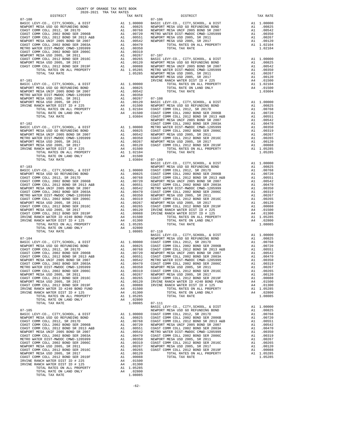IRVINE RANCH WATER DIST ID # 125 A4 .01300<br>TOTAL RATES ON ALL PROPERTY A1 105285<br>2020 A4 .02800 TOTAL TAX RATE 1.08085

| DISTRICT   | 2020-2021 TRA TAX RATES<br>TAX RATE | DISTRICT                                                                                                                                                                                                                                                                    | TAX RATE |
|------------|-------------------------------------|-----------------------------------------------------------------------------------------------------------------------------------------------------------------------------------------------------------------------------------------------------------------------------|----------|
| $07 - 100$ |                                     | $07 - 106$                                                                                                                                                                                                                                                                  |          |
|            |                                     |                                                                                                                                                                                                                                                                             |          |
|            |                                     |                                                                                                                                                                                                                                                                             |          |
|            |                                     |                                                                                                                                                                                                                                                                             |          |
|            |                                     |                                                                                                                                                                                                                                                                             |          |
|            |                                     |                                                                                                                                                                                                                                                                             |          |
|            |                                     |                                                                                                                                                                                                                                                                             |          |
|            |                                     |                                                                                                                                                                                                                                                                             |          |
|            |                                     |                                                                                                                                                                                                                                                                             |          |
|            |                                     |                                                                                                                                                                                                                                                                             |          |
|            |                                     |                                                                                                                                                                                                                                                                             |          |
|            |                                     |                                                                                                                                                                                                                                                                             |          |
|            |                                     |                                                                                                                                                                                                                                                                             |          |
|            |                                     |                                                                                                                                                                                                                                                                             |          |
|            |                                     |                                                                                                                                                                                                                                                                             |          |
|            |                                     |                                                                                                                                                                                                                                                                             |          |
|            |                                     |                                                                                                                                                                                                                                                                             |          |
|            |                                     |                                                                                                                                                                                                                                                                             |          |
|            |                                     |                                                                                                                                                                                                                                                                             |          |
|            |                                     |                                                                                                                                                                                                                                                                             |          |
|            |                                     |                                                                                                                                                                                                                                                                             |          |
|            |                                     |                                                                                                                                                                                                                                                                             |          |
|            |                                     |                                                                                                                                                                                                                                                                             |          |
|            |                                     |                                                                                                                                                                                                                                                                             |          |
|            |                                     |                                                                                                                                                                                                                                                                             |          |
|            |                                     |                                                                                                                                                                                                                                                                             |          |
|            |                                     |                                                                                                                                                                                                                                                                             |          |
|            |                                     |                                                                                                                                                                                                                                                                             |          |
|            |                                     |                                                                                                                                                                                                                                                                             |          |
|            |                                     |                                                                                                                                                                                                                                                                             |          |
|            |                                     |                                                                                                                                                                                                                                                                             |          |
|            |                                     |                                                                                                                                                                                                                                                                             |          |
|            |                                     |                                                                                                                                                                                                                                                                             |          |
|            |                                     |                                                                                                                                                                                                                                                                             |          |
|            |                                     |                                                                                                                                                                                                                                                                             |          |
|            |                                     |                                                                                                                                                                                                                                                                             |          |
|            |                                     |                                                                                                                                                                                                                                                                             |          |
|            |                                     |                                                                                                                                                                                                                                                                             |          |
|            |                                     |                                                                                                                                                                                                                                                                             |          |
|            |                                     |                                                                                                                                                                                                                                                                             |          |
|            |                                     |                                                                                                                                                                                                                                                                             |          |
|            |                                     |                                                                                                                                                                                                                                                                             |          |
|            |                                     |                                                                                                                                                                                                                                                                             |          |
|            |                                     |                                                                                                                                                                                                                                                                             |          |
|            |                                     |                                                                                                                                                                                                                                                                             |          |
|            |                                     |                                                                                                                                                                                                                                                                             |          |
|            |                                     | $\begin{tabular}{cccccccc} 17-103 & 1.05264 & 07-109 & 1.05265 & 0 & 07-109 & 1.05265 \\ 17-103 & 1.00000 & 0.047 & 0.00000 & 0.047 & 0.00000 \\ 17-103 & 1.00000 & 0.047 & 0.00000 & 0.047 & 0.00000 \\ 17-104 & 0.00000 & 0.00000 & 0.00000 & 0.00000 & 0.00000 \\ 17-10$ |          |
|            |                                     |                                                                                                                                                                                                                                                                             |          |
|            |                                     |                                                                                                                                                                                                                                                                             |          |
|            |                                     |                                                                                                                                                                                                                                                                             |          |
|            |                                     |                                                                                                                                                                                                                                                                             |          |
|            |                                     |                                                                                                                                                                                                                                                                             |          |
|            |                                     |                                                                                                                                                                                                                                                                             |          |
|            |                                     |                                                                                                                                                                                                                                                                             |          |
|            |                                     |                                                                                                                                                                                                                                                                             |          |
|            |                                     |                                                                                                                                                                                                                                                                             |          |
|            |                                     |                                                                                                                                                                                                                                                                             |          |
|            |                                     |                                                                                                                                                                                                                                                                             |          |
|            |                                     |                                                                                                                                                                                                                                                                             |          |
|            |                                     |                                                                                                                                                                                                                                                                             |          |
|            |                                     |                                                                                                                                                                                                                                                                             |          |
|            |                                     |                                                                                                                                                                                                                                                                             |          |
|            |                                     |                                                                                                                                                                                                                                                                             |          |
|            |                                     |                                                                                                                                                                                                                                                                             |          |
|            |                                     |                                                                                                                                                                                                                                                                             |          |
|            |                                     |                                                                                                                                                                                                                                                                             |          |
|            |                                     |                                                                                                                                                                                                                                                                             |          |
|            |                                     |                                                                                                                                                                                                                                                                             |          |
|            |                                     |                                                                                                                                                                                                                                                                             |          |
|            |                                     |                                                                                                                                                                                                                                                                             |          |
|            |                                     |                                                                                                                                                                                                                                                                             |          |
|            |                                     |                                                                                                                                                                                                                                                                             |          |
|            |                                     |                                                                                                                                                                                                                                                                             |          |
|            |                                     |                                                                                                                                                                                                                                                                             |          |
|            |                                     |                                                                                                                                                                                                                                                                             |          |
|            |                                     |                                                                                                                                                                                                                                                                             |          |
|            |                                     |                                                                                                                                                                                                                                                                             |          |
|            |                                     |                                                                                                                                                                                                                                                                             |          |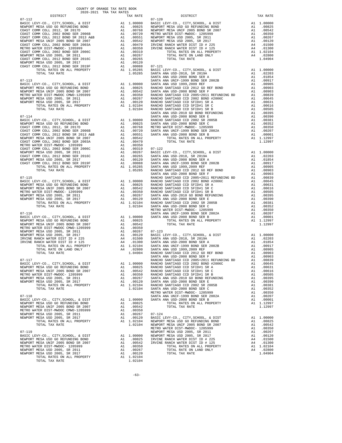| COUNTY OF ORANGE TAX RATE BOOK<br>$2020-2021 \quad \text{TRA RATES}$ DISTRICT 2020–2021 TRA TAX RATES |          |          |          |
|-------------------------------------------------------------------------------------------------------|----------|----------|----------|
|                                                                                                       | TAX RATE | DISTRICT | TAX RATE |
|                                                                                                       |          |          |          |
|                                                                                                       |          |          |          |
|                                                                                                       |          |          |          |
|                                                                                                       |          |          |          |
|                                                                                                       |          |          |          |
|                                                                                                       |          |          |          |
|                                                                                                       |          |          |          |
|                                                                                                       |          |          |          |
|                                                                                                       |          |          |          |
|                                                                                                       |          |          |          |
|                                                                                                       |          |          |          |
|                                                                                                       |          |          |          |
|                                                                                                       |          |          |          |
|                                                                                                       |          |          |          |
|                                                                                                       |          |          |          |
|                                                                                                       |          |          |          |
|                                                                                                       |          |          |          |
|                                                                                                       |          |          |          |
|                                                                                                       |          |          |          |
|                                                                                                       |          |          |          |
|                                                                                                       |          |          |          |
|                                                                                                       |          |          |          |
|                                                                                                       |          |          |          |
|                                                                                                       |          |          |          |
|                                                                                                       |          |          |          |
|                                                                                                       |          |          |          |
|                                                                                                       |          |          |          |
|                                                                                                       |          |          |          |
|                                                                                                       |          |          |          |
|                                                                                                       |          |          |          |
|                                                                                                       |          |          |          |
|                                                                                                       |          |          |          |
|                                                                                                       |          |          |          |
|                                                                                                       |          |          |          |
|                                                                                                       |          |          |          |
|                                                                                                       |          |          |          |
|                                                                                                       |          |          |          |
|                                                                                                       |          |          |          |
|                                                                                                       |          |          |          |
|                                                                                                       |          |          |          |
|                                                                                                       |          |          |          |
|                                                                                                       |          |          |          |
|                                                                                                       |          |          |          |
|                                                                                                       |          |          |          |
|                                                                                                       |          |          |          |
|                                                                                                       |          |          |          |
|                                                                                                       |          |          |          |
|                                                                                                       |          |          |          |
|                                                                                                       |          |          |          |
|                                                                                                       |          |          |          |
|                                                                                                       |          |          |          |
|                                                                                                       |          |          |          |
|                                                                                                       |          |          |          |
|                                                                                                       |          |          |          |
|                                                                                                       |          |          |          |
|                                                                                                       |          |          |          |
|                                                                                                       |          |          |          |
|                                                                                                       |          |          |          |
|                                                                                                       |          |          |          |
|                                                                                                       |          |          |          |
|                                                                                                       |          |          |          |
|                                                                                                       |          |          |          |
|                                                                                                       |          |          |          |
|                                                                                                       |          |          |          |
|                                                                                                       |          |          |          |
|                                                                                                       |          |          |          |
|                                                                                                       |          |          |          |
|                                                                                                       |          |          |          |
|                                                                                                       |          |          |          |
|                                                                                                       |          |          |          |
|                                                                                                       |          |          |          |
|                                                                                                       |          |          |          |
|                                                                                                       |          |          |          |
|                                                                                                       |          |          |          |
|                                                                                                       |          |          |          |
|                                                                                                       |          |          |          |
|                                                                                                       |          |          |          |
|                                                                                                       |          |          |          |
|                                                                                                       |          |          |          |
|                                                                                                       |          |          |          |
|                                                                                                       |          |          |          |
|                                                                                                       |          |          |          |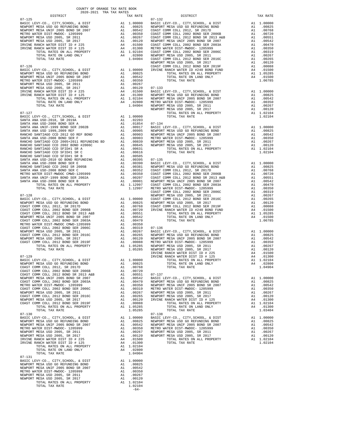| COUNTY OF ORANGE TAX RATE BOOK<br>2020-2021 TRA TAX RATES |                |                        |          |
|-----------------------------------------------------------|----------------|------------------------|----------|
| DISTRICT                                                  | TAX RATE       | $07 - 132$<br>DISTRICT | TAX RATE |
| $07 - 125$                                                |                |                        |          |
|                                                           |                |                        |          |
|                                                           |                |                        |          |
|                                                           |                |                        |          |
|                                                           |                |                        |          |
|                                                           |                |                        |          |
|                                                           |                |                        |          |
|                                                           |                |                        |          |
|                                                           |                |                        |          |
|                                                           |                |                        |          |
|                                                           |                |                        |          |
|                                                           |                |                        |          |
|                                                           |                |                        |          |
|                                                           |                |                        |          |
|                                                           |                |                        |          |
|                                                           |                |                        |          |
|                                                           |                |                        |          |
|                                                           |                |                        |          |
|                                                           |                |                        |          |
|                                                           |                |                        |          |
|                                                           |                |                        |          |
|                                                           |                |                        |          |
|                                                           |                |                        |          |
|                                                           |                |                        |          |
|                                                           |                |                        |          |
|                                                           |                |                        |          |
|                                                           |                |                        |          |
|                                                           |                |                        |          |
|                                                           |                |                        |          |
|                                                           |                |                        |          |
|                                                           |                |                        |          |
|                                                           |                |                        |          |
|                                                           |                |                        |          |
|                                                           |                |                        |          |
|                                                           |                |                        |          |
|                                                           |                |                        |          |
|                                                           |                |                        |          |
|                                                           |                |                        |          |
|                                                           |                |                        |          |
|                                                           |                |                        |          |
|                                                           |                |                        |          |
|                                                           |                |                        |          |
|                                                           |                |                        |          |
|                                                           |                |                        |          |
|                                                           |                |                        |          |
|                                                           |                |                        |          |
|                                                           |                |                        |          |
|                                                           |                |                        |          |
|                                                           |                |                        |          |
|                                                           |                |                        |          |
|                                                           |                |                        |          |
|                                                           |                |                        |          |
|                                                           |                |                        |          |
|                                                           |                |                        |          |
|                                                           |                |                        |          |
|                                                           |                |                        |          |
|                                                           |                |                        |          |
|                                                           |                |                        |          |
|                                                           |                |                        |          |
|                                                           |                |                        |          |
|                                                           |                |                        |          |
|                                                           |                |                        |          |
|                                                           |                |                        |          |
|                                                           |                |                        |          |
|                                                           |                |                        |          |
|                                                           |                |                        |          |
|                                                           |                |                        |          |
|                                                           |                |                        |          |
|                                                           |                |                        |          |
|                                                           |                |                        |          |
|                                                           |                |                        |          |
|                                                           |                |                        |          |
|                                                           |                |                        |          |
|                                                           |                |                        |          |
|                                                           |                |                        |          |
|                                                           |                |                        |          |
|                                                           |                |                        |          |
|                                                           |                |                        |          |
|                                                           | $1.02104 -64-$ |                        |          |

-64-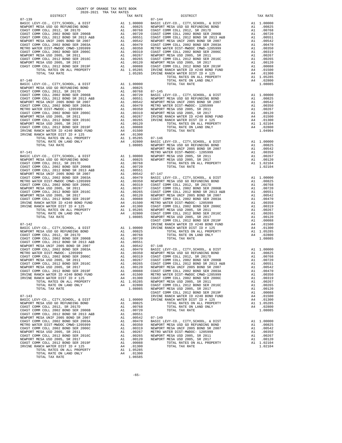| $07 - 140$                                                                                                                                                                                                                                                                                                                                                                          |                             |                                                          |                    |
|-------------------------------------------------------------------------------------------------------------------------------------------------------------------------------------------------------------------------------------------------------------------------------------------------------------------------------------------------------------------------------------|-----------------------------|----------------------------------------------------------|--------------------|
|                                                                                                                                                                                                                                                                                                                                                                                     |                             |                                                          |                    |
|                                                                                                                                                                                                                                                                                                                                                                                     |                             |                                                          |                    |
|                                                                                                                                                                                                                                                                                                                                                                                     |                             |                                                          |                    |
|                                                                                                                                                                                                                                                                                                                                                                                     |                             |                                                          |                    |
|                                                                                                                                                                                                                                                                                                                                                                                     |                             |                                                          |                    |
|                                                                                                                                                                                                                                                                                                                                                                                     |                             |                                                          |                    |
|                                                                                                                                                                                                                                                                                                                                                                                     |                             |                                                          |                    |
|                                                                                                                                                                                                                                                                                                                                                                                     |                             |                                                          |                    |
|                                                                                                                                                                                                                                                                                                                                                                                     |                             |                                                          |                    |
| IRVINE RANCH WATER ID #240 BOND FUND                                                                                                                                                                                                                                                                                                                                                |                             |                                                          |                    |
| IRVINE RANCH WATER DIST ID # 125                                                                                                                                                                                                                                                                                                                                                    |                             |                                                          |                    |
|                                                                                                                                                                                                                                                                                                                                                                                     |                             |                                                          |                    |
|                                                                                                                                                                                                                                                                                                                                                                                     |                             |                                                          |                    |
| $07 - 141$                                                                                                                                                                                                                                                                                                                                                                          |                             |                                                          | METRO W            |
| $\begin{tabular}{l c c c} 07-141 & \mbox{METRO} & \mbox{METRO} \\ \hline BASE C LEVY-CO., CITY, SCHOOL, & DIST & \mbox{A1} & 1.00000 & \mbox{NEWPORT} \\ \hline COAST COMM COLL 2012, SR 2017D & \mbox{A1} & .00825 & \mbox{NEWPORT} \\ \hline COAST COMM COLL 2012, SR 2017D & \mbox{A1} & .00768 \\ \hline COAST COMM COLL 2012, SDR D SR 2005 & \mbox{A1} & .00720 \\ \hline CO$ |                             |                                                          |                    |
|                                                                                                                                                                                                                                                                                                                                                                                     |                             |                                                          |                    |
|                                                                                                                                                                                                                                                                                                                                                                                     |                             |                                                          |                    |
|                                                                                                                                                                                                                                                                                                                                                                                     |                             |                                                          |                    |
|                                                                                                                                                                                                                                                                                                                                                                                     |                             |                                                          |                    |
|                                                                                                                                                                                                                                                                                                                                                                                     |                             |                                                          |                    |
|                                                                                                                                                                                                                                                                                                                                                                                     |                             |                                                          |                    |
|                                                                                                                                                                                                                                                                                                                                                                                     |                             |                                                          |                    |
|                                                                                                                                                                                                                                                                                                                                                                                     |                             |                                                          |                    |
|                                                                                                                                                                                                                                                                                                                                                                                     |                             |                                                          |                    |
|                                                                                                                                                                                                                                                                                                                                                                                     |                             |                                                          |                    |
|                                                                                                                                                                                                                                                                                                                                                                                     |                             |                                                          |                    |
|                                                                                                                                                                                                                                                                                                                                                                                     |                             |                                                          |                    |
|                                                                                                                                                                                                                                                                                                                                                                                     |                             |                                                          |                    |
| $07 - 142$                                                                                                                                                                                                                                                                                                                                                                          |                             |                                                          | COAST C            |
| BASIC LEVY-CO., CITY, SCHOOL, & DIST                                                                                                                                                                                                                                                                                                                                                | IRVINE<br>Al 1.00000 IRVINE |                                                          |                    |
| NEWPORT MESA USD GO REFUNDING BOND                                                                                                                                                                                                                                                                                                                                                  | A1                          | A1 .00825                                                |                    |
| COAST COMM COLL 2012, SR 2017D<br>COAST COMM COLL 2002 BOND SER 2006B                                                                                                                                                                                                                                                                                                               | A1                          | .00768<br>.00720                                         |                    |
|                                                                                                                                                                                                                                                                                                                                                                                     |                             |                                                          |                    |
|                                                                                                                                                                                                                                                                                                                                                                                     |                             |                                                          |                    |
|                                                                                                                                                                                                                                                                                                                                                                                     |                             |                                                          |                    |
|                                                                                                                                                                                                                                                                                                                                                                                     |                             |                                                          |                    |
|                                                                                                                                                                                                                                                                                                                                                                                     |                             |                                                          |                    |
|                                                                                                                                                                                                                                                                                                                                                                                     |                             |                                                          |                    |
|                                                                                                                                                                                                                                                                                                                                                                                     |                             |                                                          |                    |
|                                                                                                                                                                                                                                                                                                                                                                                     |                             |                                                          |                    |
| TOTAL RATES ON ALL PROPERTY                                                                                                                                                                                                                                                                                                                                                         | A1 1.05285 NEWPORT          |                                                          |                    |
| TOTAL RATE ON LAND ONLY                                                                                                                                                                                                                                                                                                                                                             |                             | A4 .02800                                                | COAST C            |
| TOTAL TAX RATE                                                                                                                                                                                                                                                                                                                                                                      |                             | 1.08085                                                  | NEWPORT<br>COAST C |
| $07 - 143$                                                                                                                                                                                                                                                                                                                                                                          |                             |                                                          | IRVINE             |
| BASIC LEVY-CO., CITY, SCHOOL, & DIST<br>NEWPORT MESA USD GO REFUNDING BOND                                                                                                                                                                                                                                                                                                          | A1                          | A1 1.00000<br>.00825                                     | IRVINE             |
| COAST COMM COLL 2012, SR 2017D                                                                                                                                                                                                                                                                                                                                                      | A1                          | .00768                                                   |                    |
| COAST COMM COLL 2002 BOND SER 2006B                                                                                                                                                                                                                                                                                                                                                 | A1                          | .00720                                                   |                    |
| COAST COMM COLL 2012 BOND SR 2013 A&B<br>NEWPORT MESA UNIF 2005 BOND SR 2007                                                                                                                                                                                                                                                                                                        | A1<br>A1                    | .00551<br>.00542                                         | $07 - 149$         |
| COAST COMM COLL 2002 BOND SER 2003A                                                                                                                                                                                                                                                                                                                                                 |                             | A1 .00470                                                | BASIC L            |
| METRO WATER DIST-MWDOC CMWD-1205999                                                                                                                                                                                                                                                                                                                                                 | A1                          | .00350                                                   | NEWPORT            |
| COAST COMM COLL 2002 BOND SER 2006C<br>NEWPORT MESA USD 2005, SR 2011                                                                                                                                                                                                                                                                                                               |                             | A1 .00319<br>A1 .00267                                   | NEWPORT<br>METRO W |
| COAST COMM COLL 2012 BOND SER 2016C                                                                                                                                                                                                                                                                                                                                                 |                             | A1.00265                                                 | NEWPORT            |
| NEWPORT MESA USD 2005, SR 2017<br>COAST COMM COLL 2012 BOND SER 2019F                                                                                                                                                                                                                                                                                                               | A1                          | $\begin{array}{cc}\n & 0.0120 \\  & 0.0120\n\end{array}$ | NEWPORT            |
|                                                                                                                                                                                                                                                                                                                                                                                     |                             |                                                          |                    |

 TOTAL RATES ON ALL PROPERTY A1 1.05285 TOTAL RATE ON LAND ONLY A4 .01300 TOTAL TAX RATE 1.06585

 DISTRICT TAX RATE DISTRICT TAX RATE 07-139 07-144 A1 1.00000 BASIC LEVY-CO., CITY,SCHOOL, & DIST A1 1.00000<br>BA1 .00825 NEWPORT MESAUSD GOREFUNDING BOND A1 .00768 COAST COMM COLL 2012, SR 2017D NEWPORT MESA USD GO REFUNDING BOND A1 .00825 NEWPORT MESA USD GO REFUNDING BOND A1 .00825 COAST COMM COLL 2012, SR 2017D A1 .00768 COAST COMM COLL 2012, SR 2017D A1 .00768 COAST COMM COLL 2002 BOND SER 2006B A1 .00720 COAST COMM COLL 2002 BOND SER 2006B A1 .00720 COAST COMM COLL 2012 BOND SR 2013 A&B A1 .00551 COAST COMM COLL 2012 BOND SR 2013 A&B A1 .00551 NEWPORT MESA UNIF 2005 BOND SR 2007 A1 .00542 NEWPORT MESA UNIF 2005 BOND SR 2007 A1 .00542 COAST COMM COLL 2002 BOND SER 2003A A1 .00470 COAST COMM COLL 2002 BOND SER 2003A A1 .00470 METRO WATER DIST-MWDOC CMWD-1205999 A1 .00350 METRO WATER DIST-MWDOC CMWD-1205999 A1 .00350<br>COAST COMM COLL 2002 BOND SER 2006C A1 .00319 COAST COMM COLL 2002 BOND SER 2006C NEWPORT MESA USD 2005, SR 2011 A1 .00267 NEWPORT MESA USD 2005, SR 2011 A1 .00267 COAST COMM COLL 2012 BOND SER 2016C A1 .00265 COAST COMM COLL 2012 BOND SER 2016C A1 .00265 00120 NEWPORT MESAUSD 2005, SR 2017 – 11 00120 NEWPORT MESAUSD 2005, SR 2017<br>1008T COMM COLL 2012 BORD 10088 COAST COMM COLL 2019 EXASS COMM COLL 2012 BORD SER 2019F<br>10.1500 A4 101500 ALL PROPERTY – A1 1.05285 IRVINE RANCH 01300. TOTAL TAX RATE 1.05285 IRVINE RANCH WATER DIST ID # 125 A4 .01300<br>TOTAL RATES ON ALL PROPERTY A1 1.05285 07-140 (12800). 07-140 (12800) ONLY TOTAL RATE ON LAND ONLY A4 .02800<br>108085 1.08085 BASIC LEVY-CO., CITY,SCHOOL, & DIST 21 .00768 07–145<br>21 .00768 07–145 A1 .00000 BASIC LEVY-CO., CITY, SCHOOL, & DIST A1 1.00000<br>21 .00551 NEWPORT MESAUNIF 2005 BOND SR 2007 A1 .00542<br>2007 A1 .00542 NEWPORT MESAUNIF 2005 BOND SR 2007 COAST COMM COLL 2012 BOND SR 2013 A&B A1 .00551 NEWPORT MESA USD GO REFUNDING BOND A1 .00825 NEWPORT MESA UNIF 2005 BOND SR 2007 A1 .00542 NEWPORT MESA UNIF 2005 BOND SR 2007 A1 .00542 COAST COMM COLL 2002 BOND SER 2003A A1 .00470 METRO WATER DIST-MWDOC- 1205999 A1 .00350 METRO WATER DIST-MWDOC- 1205999 A1 .00350 NEWPORT MESA USD 2005, SR 2011 A1 .00267 00120 0011 00120 0087 0011 00119 00319 NEWPORT MESAUSD 2005, SR 2017 11<br>NEWPORT MESAUSD 2005, SR 2011 2002 00267 1RVINE RANCH WATER ID #240 BOND FUND 10 101500<br>1010. COAST COMM COLL 2012 BOND SER 2016C 41 .00265 IRVINE RAN NEWPORT MESA USD 2005, SR 2017 A1 .00120 TOTAL RATES ON ALL PROPERTY A1 1.02104 COAST COMM COLL 2012 BOND SER 2019F A1 .00088 TOTAL RATE ON LAND ONLY A4 .02800 1.04904 IRVINE RANCH WATER ID #240 BOND FUND A4 .01500 TOTAL TAX RATE 1.04904 A1 1.05285 07-146<br>
A4 .02800 BASIC LEVY-CO., CITY,SCHOOL, & DIST A1 1.00000<br>
1.08085 REWPORT MESAUSD GO REFUNDING BOND A1 .00825 OTAL TAX RATE 1.08085 NEWPORT MESA USD GO REFUNDING BOND A1<br>1.0892 A1 .00826 NEW AND DRIVER MESA UNIF 2005 BOND AN USH ON ATER 2007<br>120599 07-141 A1 .00350 A1 .00350 NETRO WATER DIST-MWDOC- 1205999 BASIC LEVY-CO., CITY,SCHOOL, & DIST A1 1.00000 NEWPORT MESA USD 2005, SR 2011 A1 .00267 NEWPORT MESA USD GO REFUNDING BOND A1 .00825 NEWPORT MESA USD 2005, SR 2017 A1 .00120 COAST COMM COLL 2012, SR 2017D A1 .00768 TOTAL RATES ON ALL PROPERTY A1 1.02104 COAST COMM COLL 2002 BOND SER 2006B A1 .00720 TOTAL TAX RATE 1.02104 COAST COMM COLL 2002 BOND SER 2003A A1 .00470 BASIC LEVY-CO., CITY,SCHOOL, & DIST A1 1.00000 METRO WATER DIST-MWDOC CMWD-1205999 A1 .00350 NEWPORT MESA USD GO REFUNDING BOND A1 .00825<br>COAST COMM COLL 2002 BOND SER 2006C A1 .00319 COAST COMM COLL 2012, SR 2017D NEWPORT MESA USD 2005, SR 2011 A1 .00267 COAST COMM COLL 2002 BOND SER 2006B A1 .00720 COAST COMM COLL 2012 BOND SER 2016C A1 .00265 COAST COMM COLL 2012 BOND SR 2013 A&B A1 .00551 NEWPORT MESA UNIF 2005 BOND SR 2007 A1 .00542<br>A1 .00088 COAST COMM COLL 2002 BOND SER 2003A A1 .00470 00457 COMM COLL 2012 BOND SER 2019F A1 .00088 COAST COMM COLL 2002 BOND SER 2003A A1 .00470<br>IRVINE RANCH WATER ID #24 .01500 METRO METRO METRIOR AT AN OLL 2002 BOND SER 2003A A1 .0050<br>IRVINE RANCH WATER DIST ID #125 A1 .01 TOTAL RATE ON LAND ONLY A4 .02800 COAST COMM COLL 2012 BOND SER 2016C A1 .00265 TOTAL TAX RATE 1.08085 NEWPORT MESA USD 2005, SR 2017 A1 .00120 COAST COMM COLL 2012 BOND SER 2019F A1 .00088 07-142 IRVINE RANCH WATER ID #240 BOND FUND A4 .01500 BASIC LEVY-CO., CITY,SCHOOL, & DIST A1 1.00000 IRVINE RANCH WATER DIST ID # 125 A4 .01300 NEWPORT MESA USD GO REFUNDING BOND A1 .00825 TOTAL RATES ON ALL PROPERTY A1 1.05285 COAST COMM COLL 2012, SR 2017D A1 .00768 TOTAL RATE ON LAND ONLY A4 .02800 COAST COMM COLL 2002 BOND SER 2006B A1 .00720 TOTAL TAX RATE 1.08085 COAST COMM COLL 2002 BOND SER 2003A A1 .00470 BASIC LEVY-CO., CITY,SCHOOL, & DIST A1 1.00000 METRO WATER DIST-MWDOC- 1205999 A1 .00350 NEWPORT MESA USD GO REFUNDING BOND A1 .00825 00768 COAST COMM COLL 2002 BOND SER 2006C A1 .00319 COAST COMM COLL 2012, SR 2017D<br>NEWPORT MESA USD SOME COAST COAST COAST COAST COAST COAST ON COLL 2012 BOND SER 2006B A1<br>C NEWPORT MESA USD 2005, SR 2017 A1 .00120 NEWPORT MESA UNIF 2005 BOND SR 2007 A1 .00542 COAST COMM COLL 2012 BOND SER 2019F A1 .00088 COAST COMM COLL 2002 BOND SER 2003A A1 .00470 IRVINE RANCH WATER DIST-MWDOC CMWD-1205999 A1 .01500 METRO WATER DIST-MWDOC CMWD-1205999<br>A4 .01300 COAST COMM COLL 2002 BOND SER 2006C A1 .00319 10319. IRVINE RANCH WATER DIST ID #125 (008 A4 .01300 COAST COMM COLL 2002 BOND SER 2006C<br>10.0587 107AL PROBERTY 1205, SR 2011 11 20527 11 11.05285 101 A1 DROBERTY<br>10265 1.1 TOTAL RATE ON LAND ONLY DIEX 104 .02800 COAST CO TOTAL TAX RATE 1.08085 NEWPORT MESA USD 2005, SR 2017 A1 .00120 COAST COMM COLL 2012 BOND SER 2019F A1 .00088 07-143 IRVINE RANCH WATER ID #240 BOND FUND A4 .01500 BASIC LEVY-CO., CITY,SCHOOL, & DIST A1 1.00000 IRVINE RANCH WATER DIST ID # 125 A4 .01300 NEWPORT MESAUSD GO REFUNDING BOND (A1 00825 TOTAL RATES ON ALL PROPERTY (A1 1.05285 )<br>COAST COMM COLL 2012, SR 2017D (A1 1.0768 ) (O0768 ) TOTAL RATE ON LAND ONLY (A4 102800)<br>COAST COMM COLL 2002 BOND SER 2006B (A1 1.00720 A1 .00551<br>
A1 .00551<br>
A1 .00470 BASIC LEVY-CO., CITY, SCHOOL, & DIST A1 1.00000<br>
A1 .00350 NEWPORT MESA USD GO REFUNDING BOND A1 .00825<br>
A1 .00350 NEWPORT MESA UNIF 2005 BOND SR 2007 A1 .00542 METRO WATER DISTRICT AND THE SAN USD GO REFUNDING BOND AND ALL 1.00825<br>-00350 NEWPORT MESA USD GO REFUNDING BOND A1 .00825<br>-00542 A1 .00542 COAST COMM COLL 2002 BOND SER 2006C A1 .00319 NEWPORT MESA UNIF 2005 BOND SR 2007 A1 .00542 NEWPORT MESA USD 2005, SR 2011 A1 .00267 METRO WATER DIST-MWDOC- 1205999 A1 .00350 COAST COMM COLL 2012 BOND SER 2016C A1 .00265 NEWPORT MESA USD 2005, SR 2011 A1 .00267 NEWPORT MESA USD 2005, SR 2017 A1 .00120 NEWPORT MESA USD 2005, SR 2017 A1 .00120 COAST COMM COLL 2012 BOND SER 2019F A1 .00088 TOTAL RATES ON ALL PROPERTY A1 1.02104 IRVINE RANCH WATER DIST ID # 125 A4 .01300 TOTAL TAX RATE 1.02104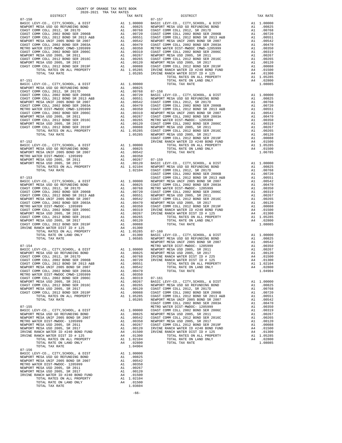| DISTRICT                                                                                                                                                                                                                                                                                                                                                                                                                |                                                                                                                                 | TAX RATE                                                                                                                                                          |            |
|-------------------------------------------------------------------------------------------------------------------------------------------------------------------------------------------------------------------------------------------------------------------------------------------------------------------------------------------------------------------------------------------------------------------------|---------------------------------------------------------------------------------------------------------------------------------|-------------------------------------------------------------------------------------------------------------------------------------------------------------------|------------|
| $07 - 150$                                                                                                                                                                                                                                                                                                                                                                                                              |                                                                                                                                 |                                                                                                                                                                   | $07 - 157$ |
|                                                                                                                                                                                                                                                                                                                                                                                                                         |                                                                                                                                 |                                                                                                                                                                   |            |
|                                                                                                                                                                                                                                                                                                                                                                                                                         |                                                                                                                                 |                                                                                                                                                                   |            |
|                                                                                                                                                                                                                                                                                                                                                                                                                         |                                                                                                                                 |                                                                                                                                                                   |            |
|                                                                                                                                                                                                                                                                                                                                                                                                                         |                                                                                                                                 |                                                                                                                                                                   |            |
|                                                                                                                                                                                                                                                                                                                                                                                                                         |                                                                                                                                 |                                                                                                                                                                   |            |
|                                                                                                                                                                                                                                                                                                                                                                                                                         |                                                                                                                                 |                                                                                                                                                                   |            |
|                                                                                                                                                                                                                                                                                                                                                                                                                         |                                                                                                                                 |                                                                                                                                                                   |            |
|                                                                                                                                                                                                                                                                                                                                                                                                                         |                                                                                                                                 |                                                                                                                                                                   |            |
|                                                                                                                                                                                                                                                                                                                                                                                                                         |                                                                                                                                 |                                                                                                                                                                   |            |
|                                                                                                                                                                                                                                                                                                                                                                                                                         |                                                                                                                                 |                                                                                                                                                                   |            |
|                                                                                                                                                                                                                                                                                                                                                                                                                         |                                                                                                                                 |                                                                                                                                                                   |            |
|                                                                                                                                                                                                                                                                                                                                                                                                                         |                                                                                                                                 |                                                                                                                                                                   |            |
|                                                                                                                                                                                                                                                                                                                                                                                                                         |                                                                                                                                 |                                                                                                                                                                   |            |
| $07 - 151$                                                                                                                                                                                                                                                                                                                                                                                                              |                                                                                                                                 |                                                                                                                                                                   |            |
|                                                                                                                                                                                                                                                                                                                                                                                                                         | $A1 \quad 1.00000$                                                                                                              |                                                                                                                                                                   |            |
|                                                                                                                                                                                                                                                                                                                                                                                                                         |                                                                                                                                 | A1 .00825                                                                                                                                                         |            |
|                                                                                                                                                                                                                                                                                                                                                                                                                         |                                                                                                                                 |                                                                                                                                                                   |            |
|                                                                                                                                                                                                                                                                                                                                                                                                                         |                                                                                                                                 |                                                                                                                                                                   |            |
|                                                                                                                                                                                                                                                                                                                                                                                                                         |                                                                                                                                 |                                                                                                                                                                   |            |
|                                                                                                                                                                                                                                                                                                                                                                                                                         |                                                                                                                                 |                                                                                                                                                                   |            |
|                                                                                                                                                                                                                                                                                                                                                                                                                         |                                                                                                                                 |                                                                                                                                                                   |            |
|                                                                                                                                                                                                                                                                                                                                                                                                                         |                                                                                                                                 |                                                                                                                                                                   |            |
|                                                                                                                                                                                                                                                                                                                                                                                                                         |                                                                                                                                 |                                                                                                                                                                   |            |
|                                                                                                                                                                                                                                                                                                                                                                                                                         |                                                                                                                                 |                                                                                                                                                                   |            |
|                                                                                                                                                                                                                                                                                                                                                                                                                         |                                                                                                                                 |                                                                                                                                                                   |            |
|                                                                                                                                                                                                                                                                                                                                                                                                                         |                                                                                                                                 |                                                                                                                                                                   |            |
| $\begin{tabular}{l c c c c} \multicolumn{1}{c}{\textbf{MSEVDDT MESA US DO RETUNDING BOND}} & $\mathsf{SODF}$ & $\mathsf{A1}$ & .00825 \\ \multicolumn{1}{c}{\textbf{COST COMM COLL 2012, SR 2017D}} & $\mathsf{A1}$ & .00825 \\ \multicolumn{1}{c}{\textbf{COST COMM COLL 2012 BOND SR 2015} } & $\mathsf{A1}$ & .00768 & $\mathsf{07$--158} \\ \multicolumn{1}{c}{\textbf{COST COMM COLL 2012 BOND SR 2013 A&B}} & $\$ |                                                                                                                                 |                                                                                                                                                                   | COAST C    |
| $07 - 152$                                                                                                                                                                                                                                                                                                                                                                                                              |                                                                                                                                 |                                                                                                                                                                   | IRVINE     |
| BASIC LEVY-CO., CITY, SCHOOL, & DIST                                                                                                                                                                                                                                                                                                                                                                                    | A1 1.00000<br>A1 .00825<br>A1 .00542                                                                                            |                                                                                                                                                                   |            |
| NEWPORT MESA USD GO REFUNDING BOND                                                                                                                                                                                                                                                                                                                                                                                      |                                                                                                                                 |                                                                                                                                                                   |            |
| NEWPORT MESA UNIF 2005 BOND SR 2007<br>METRO WATER DIST-MWDOC- 1205999                                                                                                                                                                                                                                                                                                                                                  | A1                                                                                                                              |                                                                                                                                                                   |            |
| NEWPORT MESA USD 2005, SR 2011                                                                                                                                                                                                                                                                                                                                                                                          |                                                                                                                                 | .00350                                                                                                                                                            |            |
| MESA USD 2005, SR 2011<br>MESA USD 2005, SR 2017<br>MESA USD 2005, SR 2017<br>TOTAL RATES ON ALL PROPERTY<br>ME A1 1.02104 COAST C<br>TOTAL TAX RATE<br>TOTAL TAX RATE<br>TOTAL TAX RATE<br>COAST C<br>COAST C<br>NEWPORT MESA USD 2005, SR 2017                                                                                                                                                                        |                                                                                                                                 |                                                                                                                                                                   |            |
|                                                                                                                                                                                                                                                                                                                                                                                                                         |                                                                                                                                 |                                                                                                                                                                   |            |
|                                                                                                                                                                                                                                                                                                                                                                                                                         |                                                                                                                                 |                                                                                                                                                                   |            |
|                                                                                                                                                                                                                                                                                                                                                                                                                         |                                                                                                                                 |                                                                                                                                                                   | COAST C    |
| $07 - 153$                                                                                                                                                                                                                                                                                                                                                                                                              |                                                                                                                                 |                                                                                                                                                                   | COAST C    |
|                                                                                                                                                                                                                                                                                                                                                                                                                         |                                                                                                                                 |                                                                                                                                                                   |            |
|                                                                                                                                                                                                                                                                                                                                                                                                                         |                                                                                                                                 |                                                                                                                                                                   |            |
|                                                                                                                                                                                                                                                                                                                                                                                                                         |                                                                                                                                 |                                                                                                                                                                   |            |
|                                                                                                                                                                                                                                                                                                                                                                                                                         |                                                                                                                                 |                                                                                                                                                                   |            |
|                                                                                                                                                                                                                                                                                                                                                                                                                         |                                                                                                                                 |                                                                                                                                                                   |            |
|                                                                                                                                                                                                                                                                                                                                                                                                                         |                                                                                                                                 |                                                                                                                                                                   |            |
|                                                                                                                                                                                                                                                                                                                                                                                                                         |                                                                                                                                 |                                                                                                                                                                   |            |
|                                                                                                                                                                                                                                                                                                                                                                                                                         |                                                                                                                                 |                                                                                                                                                                   |            |
|                                                                                                                                                                                                                                                                                                                                                                                                                         |                                                                                                                                 |                                                                                                                                                                   |            |
|                                                                                                                                                                                                                                                                                                                                                                                                                         |                                                                                                                                 |                                                                                                                                                                   |            |
|                                                                                                                                                                                                                                                                                                                                                                                                                         |                                                                                                                                 |                                                                                                                                                                   |            |
|                                                                                                                                                                                                                                                                                                                                                                                                                         |                                                                                                                                 |                                                                                                                                                                   |            |
|                                                                                                                                                                                                                                                                                                                                                                                                                         |                                                                                                                                 |                                                                                                                                                                   |            |
|                                                                                                                                                                                                                                                                                                                                                                                                                         |                                                                                                                                 |                                                                                                                                                                   |            |
|                                                                                                                                                                                                                                                                                                                                                                                                                         |                                                                                                                                 |                                                                                                                                                                   | NEWPORT    |
| $07 - 154$<br>BASIC LEVY-CO., CITY, SCHOOL, & DIST                                                                                                                                                                                                                                                                                                                                                                      |                                                                                                                                 |                                                                                                                                                                   |            |
| NEWPORT MESA USD GO REFUNDING BOND                                                                                                                                                                                                                                                                                                                                                                                      |                                                                                                                                 |                                                                                                                                                                   |            |
| COAST COMM COLL 2012, SR 2017D                                                                                                                                                                                                                                                                                                                                                                                          |                                                                                                                                 |                                                                                                                                                                   |            |
| COAST COMM COLL 2002 BOND SER 2006B                                                                                                                                                                                                                                                                                                                                                                                     | NETRO N<br>METRO N<br>A1 1.00000 NEWPORT<br>A1 .00825 NEWPORT<br>A1 .00768 IRVINE<br>A1 .00750 IRVINE<br>A1 .00551<br>A1 .0054. |                                                                                                                                                                   |            |
| COAST COMM COLL 2012 BOND SR 2013 A&B                                                                                                                                                                                                                                                                                                                                                                                   |                                                                                                                                 |                                                                                                                                                                   |            |
| NEWPORT MESA UNIF 2005 BOND SR 2007<br>COAST COMM COLL 2002 BOND SER 2003A                                                                                                                                                                                                                                                                                                                                              |                                                                                                                                 | A1 .00542<br>A1 .00470                                                                                                                                            |            |
| METRO WATER DIST-MWDOC CMWD-1205999                                                                                                                                                                                                                                                                                                                                                                                     |                                                                                                                                 | A1.00350                                                                                                                                                          |            |
| COAST COMM COLL 2002 BOND SER 2006C                                                                                                                                                                                                                                                                                                                                                                                     |                                                                                                                                 | A1 .00319 07-161<br>A1 .00319 07-161<br>A1 .00265 NEWPORT<br>A1 .00265 NEWPORT<br>A1 .00120 COAST C<br>A1 .00088 COAST C<br>A1 1.05285 COAST C<br>1.05285 NEWPORT |            |
| NEWPORT MESA USD 2005, SR 2011                                                                                                                                                                                                                                                                                                                                                                                          |                                                                                                                                 |                                                                                                                                                                   |            |
| COAST COMM COLL 2012 BOND SER 2016C                                                                                                                                                                                                                                                                                                                                                                                     |                                                                                                                                 |                                                                                                                                                                   |            |
| NEWPORT MESA USD 2005, SR 2017<br>COAST COMM COLL 2012 BOND SER 2019F                                                                                                                                                                                                                                                                                                                                                   |                                                                                                                                 |                                                                                                                                                                   |            |
| TOTAL RATES ON ALL PROPERTY                                                                                                                                                                                                                                                                                                                                                                                             |                                                                                                                                 |                                                                                                                                                                   |            |
| TOTAL TAX RATE                                                                                                                                                                                                                                                                                                                                                                                                          |                                                                                                                                 |                                                                                                                                                                   |            |
|                                                                                                                                                                                                                                                                                                                                                                                                                         |                                                                                                                                 |                                                                                                                                                                   | COAST C    |
| $07 - 155$                                                                                                                                                                                                                                                                                                                                                                                                              |                                                                                                                                 |                                                                                                                                                                   | METRO W    |
| BASIC LEVY-CO., CITY, SCHOOL, & DIST<br>NEWPORT MESA USD GO REFUNDING BOND                                                                                                                                                                                                                                                                                                                                              |                                                                                                                                 |                                                                                                                                                                   |            |
| NEWPORT MESA UNIF 2005 BOND SR 2007                                                                                                                                                                                                                                                                                                                                                                                     |                                                                                                                                 |                                                                                                                                                                   |            |
| METRO WATER DIST-MWDOC- 1205999                                                                                                                                                                                                                                                                                                                                                                                         |                                                                                                                                 |                                                                                                                                                                   |            |
| NEWPORT MESA USD 2005, SR 2011                                                                                                                                                                                                                                                                                                                                                                                          |                                                                                                                                 |                                                                                                                                                                   |            |
| NEWPORT MESA USD 2005, SR 2017                                                                                                                                                                                                                                                                                                                                                                                          |                                                                                                                                 | A1 1.00000 PALINOW<br>A1 .00825 NEWPORT<br>A1 .00832 COAST C<br>A1 .00350 NEWPORT<br>A1 .00267 COAST<br>A1 .0020 IRVINE<br>A4 .01500 IRVINE<br>A4 .01500 IRVINE   |            |
| IRVINE RANCH WATER ID #240 BOND FUND<br>IRVINE RANCH WATER DIST ID # 125                                                                                                                                                                                                                                                                                                                                                | A4                                                                                                                              |                                                                                                                                                                   |            |
| TOTAL RATES ON ALL PROPERTY                                                                                                                                                                                                                                                                                                                                                                                             |                                                                                                                                 | .01300<br>$A1 \quad 1.02104$                                                                                                                                      |            |
| TOTAL RATE ON LAND ONLY                                                                                                                                                                                                                                                                                                                                                                                                 |                                                                                                                                 | A4 .02800                                                                                                                                                         |            |
| TOTAL TAX RATE                                                                                                                                                                                                                                                                                                                                                                                                          |                                                                                                                                 | 1.04904                                                                                                                                                           |            |
| $07 - 156$                                                                                                                                                                                                                                                                                                                                                                                                              |                                                                                                                                 |                                                                                                                                                                   |            |
| BASIC LEVY-CO., CITY, SCHOOL, & DIST                                                                                                                                                                                                                                                                                                                                                                                    |                                                                                                                                 | A1 1.00000                                                                                                                                                        |            |
| NEWPORT MESA USD GO REFUNDING BOND<br>NEWPORT MESA UNIF 2005 BOND SR 2007                                                                                                                                                                                                                                                                                                                                               | A1                                                                                                                              | A1 .00825<br>.00542                                                                                                                                               |            |
| METRO WATER DIST-MWDOC- 1205999                                                                                                                                                                                                                                                                                                                                                                                         | A1                                                                                                                              | .00350                                                                                                                                                            |            |
| NEWPORT MESA USD 2005, SR 2011                                                                                                                                                                                                                                                                                                                                                                                          | A1                                                                                                                              | .00267                                                                                                                                                            |            |
| NEWPORT MESA USD 2005, SR 2017                                                                                                                                                                                                                                                                                                                                                                                          |                                                                                                                                 | A1 .00120                                                                                                                                                         |            |
| IRVINE RANCH WATER ID #240 BOND FUND                                                                                                                                                                                                                                                                                                                                                                                    |                                                                                                                                 | A4 .01500                                                                                                                                                         |            |
| TOTAL RATES ON ALL PROPERTY                                                                                                                                                                                                                                                                                                                                                                                             |                                                                                                                                 | A1 1.02104                                                                                                                                                        |            |
| TOTAL RATE ON LAND ONLY<br>TOTAL TAX RATE                                                                                                                                                                                                                                                                                                                                                                               |                                                                                                                                 | A4 .01500<br>1.03604                                                                                                                                              |            |
|                                                                                                                                                                                                                                                                                                                                                                                                                         |                                                                                                                                 |                                                                                                                                                                   |            |

-66-

| DISTRICT   | CALIMA ANI LAN LAVITUDU | TAX RATE | DISTRICT   | TAX RATE |
|------------|-------------------------|----------|------------|----------|
| $07 - 150$ |                         |          | $07 - 157$ |          |
|            |                         |          |            |          |
|            |                         |          |            |          |
|            |                         |          |            |          |
|            |                         |          |            |          |
|            |                         |          |            |          |
|            |                         |          |            |          |
|            |                         |          |            |          |
|            |                         |          |            |          |
|            |                         |          |            |          |
|            |                         |          |            |          |
|            |                         |          |            |          |
|            |                         |          |            |          |
|            |                         |          |            |          |
|            |                         |          |            |          |
|            |                         |          |            |          |
|            |                         |          |            |          |
|            |                         |          |            |          |
|            |                         |          |            |          |
|            |                         |          |            |          |
|            |                         |          |            |          |
|            |                         |          |            |          |
|            |                         |          |            |          |
|            |                         |          |            |          |
|            |                         |          |            |          |
|            |                         |          |            |          |
|            |                         |          |            |          |
|            |                         |          |            |          |
|            |                         |          |            |          |
|            |                         |          |            |          |
|            |                         |          |            |          |
|            |                         |          |            |          |
|            |                         |          |            |          |
|            |                         |          |            |          |
|            |                         |          |            |          |
|            |                         |          |            |          |
|            |                         |          |            |          |
|            |                         |          |            |          |
|            |                         |          |            |          |
|            |                         |          |            |          |
|            |                         |          |            |          |
|            |                         |          |            |          |
|            |                         |          |            |          |
|            |                         |          |            |          |
|            |                         |          |            |          |
|            |                         |          |            |          |
|            |                         |          |            |          |
|            |                         |          |            |          |
|            |                         |          |            |          |
|            |                         |          |            |          |
|            |                         |          |            |          |
|            |                         |          |            |          |
|            |                         |          |            |          |
|            |                         |          |            |          |
|            |                         |          |            |          |
|            |                         |          |            |          |
|            |                         |          |            |          |
|            |                         |          |            |          |
|            |                         |          |            |          |
|            |                         |          |            |          |
|            |                         |          |            |          |
|            |                         |          |            |          |
|            |                         |          |            |          |
|            |                         |          |            |          |
|            |                         |          |            |          |
|            |                         |          |            |          |
|            |                         |          |            |          |
|            |                         |          |            |          |
|            |                         |          |            |          |
|            |                         |          |            |          |
|            |                         |          |            |          |
| $07 - 156$ |                         |          |            |          |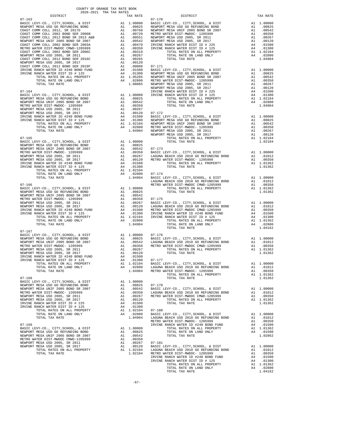| COUNTY OF ORANGE TAX RATE BOOK<br>2020-2021 TRA TAX RATES                  |    |                                                    |            |
|----------------------------------------------------------------------------|----|----------------------------------------------------|------------|
| DISTRICT                                                                   |    | TAX RATE                                           |            |
|                                                                            |    |                                                    |            |
|                                                                            |    |                                                    |            |
|                                                                            |    |                                                    |            |
|                                                                            |    |                                                    |            |
|                                                                            |    |                                                    |            |
|                                                                            |    |                                                    |            |
|                                                                            |    |                                                    |            |
|                                                                            |    |                                                    |            |
|                                                                            |    |                                                    |            |
|                                                                            |    |                                                    |            |
|                                                                            |    |                                                    |            |
|                                                                            |    |                                                    |            |
|                                                                            |    |                                                    |            |
|                                                                            |    |                                                    |            |
|                                                                            |    |                                                    |            |
|                                                                            |    |                                                    |            |
|                                                                            |    |                                                    | NEWPORT    |
|                                                                            |    |                                                    |            |
|                                                                            |    |                                                    |            |
|                                                                            |    |                                                    |            |
|                                                                            |    |                                                    |            |
|                                                                            |    |                                                    |            |
|                                                                            |    |                                                    |            |
|                                                                            |    |                                                    |            |
|                                                                            |    |                                                    |            |
|                                                                            |    |                                                    |            |
|                                                                            |    |                                                    |            |
|                                                                            |    |                                                    |            |
|                                                                            |    |                                                    |            |
|                                                                            |    |                                                    |            |
|                                                                            |    |                                                    |            |
|                                                                            |    |                                                    |            |
|                                                                            |    |                                                    |            |
|                                                                            |    |                                                    |            |
|                                                                            |    |                                                    |            |
|                                                                            |    |                                                    |            |
|                                                                            |    |                                                    |            |
|                                                                            |    |                                                    |            |
|                                                                            |    |                                                    |            |
|                                                                            |    |                                                    | LAGUNA     |
| $07 - 166$                                                                 |    |                                                    | METRO W    |
|                                                                            |    |                                                    |            |
|                                                                            |    |                                                    |            |
|                                                                            |    |                                                    |            |
|                                                                            |    |                                                    |            |
|                                                                            |    |                                                    |            |
|                                                                            |    |                                                    |            |
|                                                                            |    |                                                    |            |
|                                                                            |    |                                                    |            |
|                                                                            |    |                                                    |            |
| TOTAL TAX RATE                                                             |    | 1.04904                                            |            |
|                                                                            |    |                                                    |            |
| $07 - 167$                                                                 |    |                                                    |            |
|                                                                            |    |                                                    |            |
|                                                                            |    |                                                    |            |
|                                                                            |    |                                                    |            |
|                                                                            |    |                                                    |            |
|                                                                            |    |                                                    |            |
|                                                                            |    |                                                    |            |
| IRVINE RANCH WATER DIST ID # 125<br>TOTAL RATES ON ALL PROPERTY            |    | A4 .01300                                          | $07 - 177$ |
| TOTAL RATE ON LAND ONLY                                                    | A4 | A1 1.02104                                         |            |
| TOTAL TAX RATE                                                             |    | 1.02104 BASIC L<br>.02800 LAGUNA<br>1.04904 METROW |            |
|                                                                            |    |                                                    |            |
| $07 - 168$                                                                 |    |                                                    |            |
| BASIC LEVY-CO., CITY, SCHOOL, & DIST                                       |    | A1 1.00000                                         |            |
| NEWPORT MESA USD GO REFUNDING BOND                                         |    | A1 .00825                                          | $07 - 178$ |
| NEWPORT MESA UNIF 2005 BOND SR 2007<br>METRO WATER DIST-MWDOC- 1205999     | A1 | .00542                                             | BASIC L    |
| NEWPORT MESA USD 2005, SR 2011                                             |    | A1 .00350 LAGUNA<br>A1 .00267 METROW               |            |
| NEWPORT MESA USD 2005, SR 2017                                             |    | A1 .00120                                          |            |
| IRVINE RANCH WATER DIST ID # 225                                           |    | A4 .01500                                          |            |
| IRVINE RANCH WATER DIST ID # 125                                           | A4 | .01300                                             |            |
| TOTAL RATES ON ALL PROPERTY                                                |    | A1 1.02104                                         | $07 - 180$ |
| TOTAL RATE ON LAND ONLY                                                    |    | A4 .02800                                          | BASIC L    |
| TOTAL TAX RATE                                                             |    | 1.04904                                            | LAGUNA     |
|                                                                            |    |                                                    | METRO W    |
| $07 - 169$                                                                 |    |                                                    | IRVINE     |
| BASIC LEVY-CO., CITY, SCHOOL, & DIST<br>NEWPORT MESA USD GO REFUNDING BOND |    | A1 1.00000<br>A1 .00825                            |            |
| NEWPORT MESA UNIF 2005 BOND SR 2007                                        | A1 | .00542                                             |            |
| METRO WATER DIST-MWDOC CMWD-1205999                                        | A1 | .00350                                             |            |
| NEWPORT MESA USD 2005, SR 2011                                             | A1 | .00267                                             | $07 - 181$ |
| NEWPORT MESA USD 2005, SR 2017                                             | A1 | .00120                                             | BASIC L    |
| TOTAL RATES ON ALL PROPERTY                                                |    | A1 1.02104                                         | LAGUNA     |
| TOTAL TAX RATE                                                             |    | 1.02104                                            | METRO W    |

| COUNTI OF ORNHOLD THIS RESID BOOK<br>2020-2021 TRA TAX RATES<br>DISTRICT |  | DISTRICT                                                                                                                                                                                                                                                                                                                                                                                                                                     | TAX RATE |
|--------------------------------------------------------------------------|--|----------------------------------------------------------------------------------------------------------------------------------------------------------------------------------------------------------------------------------------------------------------------------------------------------------------------------------------------------------------------------------------------------------------------------------------------|----------|
| $07 - 163$                                                               |  | TAX RATE $07-170$                                                                                                                                                                                                                                                                                                                                                                                                                            |          |
|                                                                          |  |                                                                                                                                                                                                                                                                                                                                                                                                                                              |          |
|                                                                          |  |                                                                                                                                                                                                                                                                                                                                                                                                                                              |          |
|                                                                          |  |                                                                                                                                                                                                                                                                                                                                                                                                                                              |          |
|                                                                          |  |                                                                                                                                                                                                                                                                                                                                                                                                                                              |          |
|                                                                          |  |                                                                                                                                                                                                                                                                                                                                                                                                                                              |          |
|                                                                          |  |                                                                                                                                                                                                                                                                                                                                                                                                                                              |          |
|                                                                          |  |                                                                                                                                                                                                                                                                                                                                                                                                                                              |          |
|                                                                          |  |                                                                                                                                                                                                                                                                                                                                                                                                                                              |          |
|                                                                          |  |                                                                                                                                                                                                                                                                                                                                                                                                                                              |          |
|                                                                          |  |                                                                                                                                                                                                                                                                                                                                                                                                                                              |          |
|                                                                          |  |                                                                                                                                                                                                                                                                                                                                                                                                                                              |          |
|                                                                          |  |                                                                                                                                                                                                                                                                                                                                                                                                                                              |          |
|                                                                          |  |                                                                                                                                                                                                                                                                                                                                                                                                                                              |          |
|                                                                          |  |                                                                                                                                                                                                                                                                                                                                                                                                                                              |          |
|                                                                          |  |                                                                                                                                                                                                                                                                                                                                                                                                                                              |          |
|                                                                          |  |                                                                                                                                                                                                                                                                                                                                                                                                                                              |          |
|                                                                          |  |                                                                                                                                                                                                                                                                                                                                                                                                                                              |          |
|                                                                          |  |                                                                                                                                                                                                                                                                                                                                                                                                                                              |          |
|                                                                          |  |                                                                                                                                                                                                                                                                                                                                                                                                                                              |          |
|                                                                          |  |                                                                                                                                                                                                                                                                                                                                                                                                                                              |          |
|                                                                          |  |                                                                                                                                                                                                                                                                                                                                                                                                                                              |          |
|                                                                          |  |                                                                                                                                                                                                                                                                                                                                                                                                                                              |          |
|                                                                          |  |                                                                                                                                                                                                                                                                                                                                                                                                                                              |          |
|                                                                          |  |                                                                                                                                                                                                                                                                                                                                                                                                                                              |          |
|                                                                          |  |                                                                                                                                                                                                                                                                                                                                                                                                                                              |          |
|                                                                          |  |                                                                                                                                                                                                                                                                                                                                                                                                                                              |          |
|                                                                          |  |                                                                                                                                                                                                                                                                                                                                                                                                                                              |          |
|                                                                          |  |                                                                                                                                                                                                                                                                                                                                                                                                                                              |          |
|                                                                          |  |                                                                                                                                                                                                                                                                                                                                                                                                                                              |          |
|                                                                          |  |                                                                                                                                                                                                                                                                                                                                                                                                                                              |          |
|                                                                          |  |                                                                                                                                                                                                                                                                                                                                                                                                                                              |          |
|                                                                          |  |                                                                                                                                                                                                                                                                                                                                                                                                                                              |          |
|                                                                          |  |                                                                                                                                                                                                                                                                                                                                                                                                                                              |          |
|                                                                          |  |                                                                                                                                                                                                                                                                                                                                                                                                                                              |          |
|                                                                          |  |                                                                                                                                                                                                                                                                                                                                                                                                                                              |          |
|                                                                          |  |                                                                                                                                                                                                                                                                                                                                                                                                                                              |          |
|                                                                          |  |                                                                                                                                                                                                                                                                                                                                                                                                                                              |          |
|                                                                          |  |                                                                                                                                                                                                                                                                                                                                                                                                                                              |          |
|                                                                          |  |                                                                                                                                                                                                                                                                                                                                                                                                                                              |          |
|                                                                          |  |                                                                                                                                                                                                                                                                                                                                                                                                                                              |          |
|                                                                          |  |                                                                                                                                                                                                                                                                                                                                                                                                                                              |          |
|                                                                          |  |                                                                                                                                                                                                                                                                                                                                                                                                                                              |          |
|                                                                          |  |                                                                                                                                                                                                                                                                                                                                                                                                                                              |          |
|                                                                          |  |                                                                                                                                                                                                                                                                                                                                                                                                                                              |          |
|                                                                          |  |                                                                                                                                                                                                                                                                                                                                                                                                                                              |          |
| $07 - 167$                                                               |  |                                                                                                                                                                                                                                                                                                                                                                                                                                              |          |
|                                                                          |  | $\begin{tabular}{l c c c c c c} \multicolumn{4}{c}{\textbf{BASTC LEVY-C0.}} & CITY, SCHOOL, & & DIST & & & \\ \multicolumn{4}{c}{\textbf{ABSTC LEVY-C0.}} & CITY, SCHOOL, & & DIST & & \\ \multicolumn{4}{c}{\textbf{NEWPORT MESA USD GO RFEVUMDING BOND}} & & & & & \\ \multicolumn{4}{c}{\textbf{NEWPORT MESA USD BONDORT MESA USD GO NND TMSA USD SOD}} & & & & \\ \multicolumn{4}{c}{\textbf{NEWPORT MESA UST MESO NOTR MESA UST MESO}}$ |          |
|                                                                          |  |                                                                                                                                                                                                                                                                                                                                                                                                                                              |          |
|                                                                          |  |                                                                                                                                                                                                                                                                                                                                                                                                                                              |          |
|                                                                          |  |                                                                                                                                                                                                                                                                                                                                                                                                                                              |          |
|                                                                          |  |                                                                                                                                                                                                                                                                                                                                                                                                                                              |          |
|                                                                          |  |                                                                                                                                                                                                                                                                                                                                                                                                                                              |          |
| IRVINE RANCH WATER DIST ID # 125 A4 .01300 07-177                        |  |                                                                                                                                                                                                                                                                                                                                                                                                                                              |          |
|                                                                          |  |                                                                                                                                                                                                                                                                                                                                                                                                                                              |          |
|                                                                          |  | $\begin{array}{cccccccc} \text{IE RATE} & \text{DIST} & \text{A1} & 1.01000 \\ \text{TOTAL RATE} & \text{DIST} & \text{DIT} & \text{A1} & 0.1010 \\ \text{TOTAL RATE} & \text{ON LAD} & \text{ONLY} & \text{A1} & 1.02104 \\ \text{TOTAL RATE} & \text{ON LAND} & \text{ONLY} & \text{A1} & 1.02104 \\ \text{TOTAL RATE} & \text{ON LAND} & \text{ONLY} & \text{A2} & 1.04904 \\ \text{TOTAL TAX RATE} & \text{NATE} &$                      |          |
|                                                                          |  |                                                                                                                                                                                                                                                                                                                                                                                                                                              |          |
| $07 - 168$                                                               |  |                                                                                                                                                                                                                                                                                                                                                                                                                                              |          |
|                                                                          |  |                                                                                                                                                                                                                                                                                                                                                                                                                                              |          |
|                                                                          |  | $\begin{tabular}{@{}c@{}}\hline\textbf{07--168} & $\textbf{07--168}$\\ \hline \textbf{RSEIC LEVY-CO., CITY, SCHOOL, & $DIST$}\\ \hline \textbf{RSEPOLWENERS ADI} & $\textbf{0.0000}$ & $D1111100000$ & $D11210000$ & $D11210000$\\ \hline \textbf{RSEPOLWENERS ADI} & $\textbf{0.0000}$ & $\textbf{0.0000}$ & $D112100000$ & $D112100000$ & $D112100000$\\ \$                                                                                |          |
|                                                                          |  |                                                                                                                                                                                                                                                                                                                                                                                                                                              |          |
|                                                                          |  |                                                                                                                                                                                                                                                                                                                                                                                                                                              |          |
|                                                                          |  |                                                                                                                                                                                                                                                                                                                                                                                                                                              |          |
|                                                                          |  |                                                                                                                                                                                                                                                                                                                                                                                                                                              |          |
|                                                                          |  |                                                                                                                                                                                                                                                                                                                                                                                                                                              |          |
|                                                                          |  |                                                                                                                                                                                                                                                                                                                                                                                                                                              |          |
|                                                                          |  |                                                                                                                                                                                                                                                                                                                                                                                                                                              |          |
|                                                                          |  |                                                                                                                                                                                                                                                                                                                                                                                                                                              |          |
|                                                                          |  |                                                                                                                                                                                                                                                                                                                                                                                                                                              |          |
|                                                                          |  |                                                                                                                                                                                                                                                                                                                                                                                                                                              |          |
|                                                                          |  |                                                                                                                                                                                                                                                                                                                                                                                                                                              |          |
|                                                                          |  |                                                                                                                                                                                                                                                                                                                                                                                                                                              |          |
|                                                                          |  |                                                                                                                                                                                                                                                                                                                                                                                                                                              |          |
|                                                                          |  |                                                                                                                                                                                                                                                                                                                                                                                                                                              |          |
|                                                                          |  |                                                                                                                                                                                                                                                                                                                                                                                                                                              |          |
|                                                                          |  |                                                                                                                                                                                                                                                                                                                                                                                                                                              |          |
|                                                                          |  |                                                                                                                                                                                                                                                                                                                                                                                                                                              |          |
|                                                                          |  |                                                                                                                                                                                                                                                                                                                                                                                                                                              |          |
|                                                                          |  |                                                                                                                                                                                                                                                                                                                                                                                                                                              |          |
|                                                                          |  |                                                                                                                                                                                                                                                                                                                                                                                                                                              |          |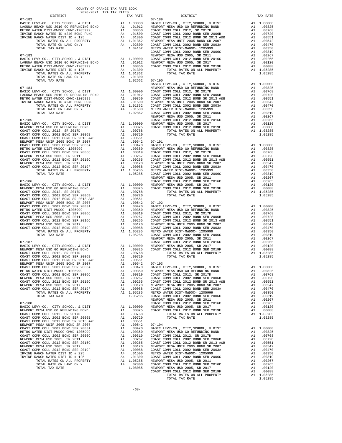| DISTRICT | TAX RATE | DISTRICT | TAX RATE |
|----------|----------|----------|----------|
|          |          |          |          |
|          |          |          |          |
|          |          |          |          |
|          |          |          |          |
|          |          |          |          |
|          |          |          |          |
|          |          |          |          |
|          |          |          |          |
|          |          |          |          |
|          |          |          |          |
|          |          |          |          |
|          |          |          |          |
|          |          |          |          |
|          |          |          |          |
|          |          |          |          |
|          |          |          |          |
|          |          |          |          |
|          |          |          |          |
|          |          |          |          |
|          |          |          |          |
|          |          |          |          |
|          |          |          |          |
|          |          |          |          |
|          |          |          |          |
|          |          |          |          |
|          |          |          |          |
|          |          |          |          |
|          |          |          |          |
|          |          |          |          |
|          |          |          |          |
|          |          |          |          |
|          |          |          |          |
|          |          |          |          |
|          |          |          |          |
|          |          |          |          |
|          |          |          |          |
|          |          |          |          |
|          |          |          |          |
|          |          |          |          |
|          |          |          |          |
|          |          |          |          |
|          |          |          |          |
|          |          |          |          |
|          |          |          |          |
|          |          |          |          |
|          |          |          |          |
|          |          |          |          |
|          |          |          |          |
|          |          |          |          |
|          |          |          |          |
|          |          |          |          |
|          |          |          |          |
|          |          |          |          |
|          |          |          |          |
|          |          |          |          |
|          |          |          |          |
|          |          |          |          |
|          |          |          |          |
|          |          |          |          |
|          |          |          |          |
|          |          |          |          |
|          |          |          |          |
|          |          |          |          |
|          |          |          |          |
|          |          |          |          |
|          |          |          |          |
|          |          |          |          |
|          |          |          |          |
|          |          |          |          |
|          |          |          |          |
|          |          |          |          |
|          |          |          |          |
|          |          |          |          |
|          |          |          |          |
|          |          |          |          |
|          |          |          |          |
|          |          |          |          |
|          |          |          |          |
|          |          |          |          |
|          |          |          |          |
|          |          |          |          |
|          |          |          |          |
|          |          |          |          |
|          |          |          |          |
|          |          |          | 1.05285  |
|          |          |          |          |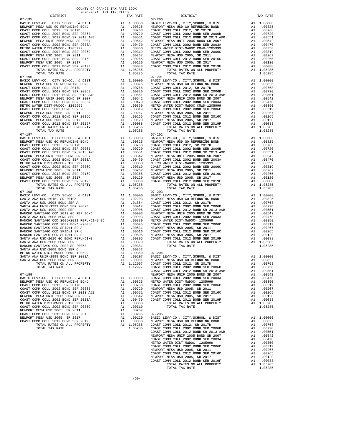MASIC LEVY-CO., CITY, SCHOOL, & DIST Al 1.00000<br>NEWPORT MESA USD GO REFUNDING BOND A1 .00825 07-197 07-202 TOTAL TAX RATE 1.05285 TOTAL TAX RATE 1.05285

 COUNTY OF ORANGE TAX RATE BOOK 2020-2021 TRA TAX RATES DISTRICT TAX RATE DISTRICT TAX RATE 07-195<br>
07-200<br>
BASIC LEVY-CO., CITY, SCHOOL, & DIST<br>
NEWPORT MESA USD GO REFUNDING BOND<br>
NEWPORT MESA USD GO REFUNDING BOND<br>
MEWPORT MESA USD GO REFUNDING BOND  $\begin{tabular}{l|c|c|c|c|c|c|c} \textbf{BAST CDFV-CO, C, CITY, SCIOOL, & 6 DIST} & \textbf{A1} & 1.00000 & \textbf{RAST CDFV}, & 6 DIST} & \textbf{A1} & 1.00000 \\ \textbf{RIST COMM COLL 2012, SR 2017D} & \textbf{A1} & 0.000000 & \textbf{RIST COMM COLL 2012, SR 2017D} & \textbf{A1} & 0.00000 \\ \textbf{COAST COMM OCLL 2012, SR 2017D} & \textbf{A1} &$ TOTAL TAX RATE 1.05285 TOTAL TAX RATE 1.05285 TOTAL TAX RATE 1.05285 TOTAL TAX RATE 1.05285 TOTAL TAX RATE 1.05285 TOTAL TAX RATE 1.05285 TOTAL TAX RATE 1.05285 TOTAL TAX RATE 1.05285 TOTAL PROPERTY PASA USE 2019 TOTAL RAT BASIC LEVY-CO., CITY,SCHOOL, & DIST A1 1.00000 BASIC LEVY-CO., CITY,SCHOOL, & DIST A1 1.00000 NEWPORT MESA USD GO REFUNDING BOND A1 .00825 NEWPORT MESA USD GO REFUNDING BOND A1 .00825 COAST COMM COLL 2012, SR 2017D A1 .00768 COAST COMM COLL 2012, SR 2017D A1 .00768 COAST COMM COLL 2002 BOND SER 2006B A1 .00720 COAST COMM COLL 2002 BOND SER 2006B A1 .00720 COAST COMM COLL 2012 BOND SR 2013 A&B A1 .00551 COAST COMM COLL 2012 BOND SR 2013 A&B A1 .00551 NEWPORT MESA UNIF 2005 BOND SR 2007 A1 .00542 NEWPORT MESA UNIF 2005 BOND SR 2007 A1 .00542 COAST COMM COLL 2002 BOND SER 2003A A1 .00470 COAST COMM COLL 2002 BOND SER 2003A A1 .00470 METRO WATER DIST-MWDOC- 1205999 A1 .00350 METRO WATER DIST-MWDOC CMWD-1205999 A1 .00350 COAST COMM COLL 2002 BOND SER 2006C A1 .00319 COAST COMM COLL 2002 BOND SER 2006C A1 .00319 00267 NEWPORT MESAUSD 2005, SR 2011 (10267 A1 .00267 NEWPORT MESAUSD 2005, SR 2011 (10267 NEWPORT MESAUSD 2005<br>COAST COMM COLL 2015 AND SER 2016C A1 .10265 COAST COMM COLL 2012 ASRD SER 2016C A1 .00265<br>NEWPORT MESAUSD 2005 COAST COMM COLL 2012 BOND SER 2019F A1 .00088 COAST COMM COLL 2012 BOND SER 2019F A1 .00088<br>TOTAL RATES ON ALL PROPERTY A1 1.05285 TOTAL TAX RATES ON ALL PROPERTY 1.05285<br>1.05285 1.05285 TOTAL TAX RATE  $\begin{tabular}{lcccc} BASIC LEVY-CO., CITY, SCHOOL, & DIST & A1 & 1.00000 & BASIC LEVY-CO., CITY, SCHOOL, & DIST & A1 & 1.00000 \\ NEWOPORT MEMSO AUS CO AESFWDING BOND & BOND & A1 & .00825 & NEWPORT MESA USO GORETWDING BOND & A1 & .00825 & .00877 COMM COLL & 2002 & .00877 COMM COLL & 2002 & .00877 COMM COLL & 2002 & .00877 COMM COLL & 2002 & .00877 COMM COLL & 2002 & .00$  NEWPORT MESA UNIF 2005 BOND SR 2007 A1 .00542 NEWPORT MESA UNIF 2005 BOND SR 2007 A1 .00542 COAST COMM COLL 2002 BOND SER 2003A A1 .00470 COAST COMM COLL 2002 BOND SER 2003A A1 .00470 METRO WATER DIST-MWDOC- 1205999 A1 .00350 METRO WATER DIST-MWDOC- 1205999 A1 .00350 COAST COMM COLL 2002 BOND SER 2006C A1 .00319 COAST COMM COLL 2002 BOND SER 2006C A1 .00319 NEWPORT MESAUSD 2005, SR 2011 (0267 NEWPORT MESAUSD 2005, SR 2011 (0267 NEWPORT MESAUSD 2005, SR 2011 (0267 NEWPORT MESAUSD 2005, SR 2016C<br>COAST COM COLL 2012 ERR 2016C 2016C 2011 (02065 2017 21) 2012 NEWPORT MESAUSD 2005, TOTAL RATES ON ALL PROPERTY A1 1.05285 TOTAL RATES ON ALL PROPERTY A1 1.05285 07-198 07-203 BASIC LEVY-CO., CITY,SCHOOL, & DIST A1 1.00000 BASIC LEVY-CO., CITY,SCHOOL, & DIST A1 1.00000 SANTA ANA USD-2018, SR 2019A A1 .02203 NEWPORT MESA USD GO REFUNDING BOND A1 .00825 SANTA ANA USD-2008 BOND SER A A1 .01854 COAST COMM COLL 2012, SR 2017D A1 .00768 SANTA ANA UNIF-1999 BOND SER 2002B A1 .00917 COAST COMM COLL 2002 BOND SER 2006B A1 .00720 SANTA ANA USD 1999,2009 REF A1 .00905 COAST COMM COLL 2012 BOND SR 2013 A&B A1 .00551  $\begin{tabular}{l|c|c|c|c|c|c|c} \multicolumn{4}{c}{\textbf{RANCHO}} \multicolumn{4}{c}{\textbf{SANTIAGO}} \multicolumn{4}{c}{\textbf{CCD}} \multicolumn{4}{c}{\textbf{COD}} \multicolumn{4}{c}{\textbf{RANCHO}} \multicolumn{4}{c}{\textbf{RANCHO}} \multicolumn{4}{c}{\textbf{RANCHO}} \multicolumn{4}{c}{\textbf{RANTARA}} \multicolumn{4}{c}{\textbf{COD}} \multicolumn{4}{c}{\textbf{COD}} \multicolumn{4}{c}{\textbf{RANTARA}} \multicolumn{4}{c}{\text$  RANCHO SANTIAGO CCD SFID#1 SR B A1 .00505 NEWPORT MESA USD 2005, SR 2017 A1 .00120 SANTA ANA USD-2010 GO BOND REFUNDING A1 .00395 COAST COMM COLL 2012 BOND SER 2019F A1 .00088 SANTA ANA USD-2008 BOND SER E A1 .00390 TOTAL RATES ON ALL PROPERTY A1 1.05285 RANCHO SANTIAGO CCD 2002 SR 2005B A1 .00381 TOTAL TAX RATE 1.05285 SANTA ANA USD-2008 BOND SER C A1 .00352 METRO WATER DIST-MWDOC CMWD-1205999 A1 .00350 07-204 SANTA ANA UNIF-1999 BOND SER 2002A A1 .00207 BASIC LEVY-CO., CITY,SCHOOL, & DIST A1 1.00000 SANTA ANA USD-2008 BOND SER B A1 .00001 NEWPORT MESA USD GO REFUNDING BOND A1 .00825 TOTAL RATES ON ALL PROPERTY A1 1.12997 COAST COMM COLL 2012, SR 2017D A1 .00768 TOTAL TAX RATE 1.12997 COAST COMM COLL 2002 BOND SER 2006B A1 .00720 COAST COMM COLL 2012 BOND SER 2017D<br>TOTAL RATES ON ALL PROPERTY AT 1.12997 COAST COMM COLL 2012 BOND SER 2015D<br>COAST COMM COLL 2012 BOND SER 2015B<br>COAST COMM COLL 2012 BOND SR 2013 A&B<br>COAST COMM COLL 2012 BOND SR 2017 A1 07-199 NEWPORT MESA UNIF 2005 BOND SR 2007<br>BASIC LEVY-CO., CITY, SCHOOL, & DIST A1 1.00000 COAST COMM COLL 2002 BOND SER 2003A A1 .00470 BASIC LEVY-CO., CITY,SCHOOL, & DIST A1 1.00000 COAST COMM COLL 2002 BOND SER 2003A A1 .00470 NEWPORT MESA USD GO REFUNDING BOND A1 .00825 METRO WATER DIST-MWDOC- 1205999 A1 .00350 COAST COMM COLL 2012, SR 2017D A1 .00768 COAST COMM COLL 2002 BOND SER 2006C A1 .00319 COAST COMM COLL 2002 BOND SER 2006B A1 .00720 NEWPORT MESA USD 2005, SR 2011 A1 .00267 OOAST COMM COMM COMM COLL 2012 BOND COMM CONTROLL 2012 BOND COAST COMM COLL 2012 COAST COMM COLL 2012 AT AND CO<br>COAST COMM COLL 2012 BOND SR 2013 A&B A1 .00551 COAST COMM COLL 2012 BOND SER 2016C A1 .00265<br>MEWPORT MESA UN NEWPORT MESA UNIF 2005 BOND SR 2007 A1 .00542 NEWPORT MESA USD 2005, SR 2017 A1 .00120 COAST COMM COLL 2002 BOND SER 2003A A1 .00470 COAST COMM COLL 2012 BOND SER 2019F A1 .00088 METRO WATER DIST-MWDOC-1205999 MM A1 .00350 TOTAL RATES ON ALL PROPERTY A1 1.05285<br>COAST COMM COLL 2005 OOD 2006 MM A1 .00319 TOTAL TAX RATE TOTAL MESS ON ALL PROPERTY A1 1.05285<br>NEWPORT MESA USD 2005, SR 2011 MM A1 .00267 NEWPORT MESA USD 2005, SR 2017 A1 .00120 BASIC LEVY-CO., CITY,SCHOOL, & DIST A1 1.00000 COAST COMM COLL 2012 BOND SER 2019F A1 .00088 NEWPORT MESA USD GO REFUNDING BOND A1 .00825 TOTAL RATES ON ALL PROPERTY A1 1.05285 COAST COMM COLL 2012, SR 2017D<br>TOTAL RATES ON ALL PROPERTY A1 1.05285 COAST COMM COLL 2002 BOND SER 2006B A1 .00768 TOTAL TAX RATE 1.05285 COAST COMM COLL 2002 BOND SER 2006B A1 .00720 COAST COMM COLL 2012 BOND SR 2013 A&B A1 .00551 NEWPORT MESA UNIF 2005 BOND SR 2007 A1 .00542 COAST COMM COLL 2002 BOND SER 2003A A1 .00470 METRO WATER DIST-MWDOC- 1205999 A1 .00350 COAST COMM COLL 2002 BOND SER 2006C A1 .00319 NEWPORT MESA USD 2005, SR 2011 A1 .00267 COAST COMM COLL 2012 BOND SER 2016C A1 .00265 NEWPORT MESA USD 2005, SR 2017 A1 .00120 COAST COMM COLL 2012 BOND SER 2019F A1 .00088 TOTAL RATES ON ALL PROPERTY A1 1.05285<br>TOTAL TAX RATE 1.05285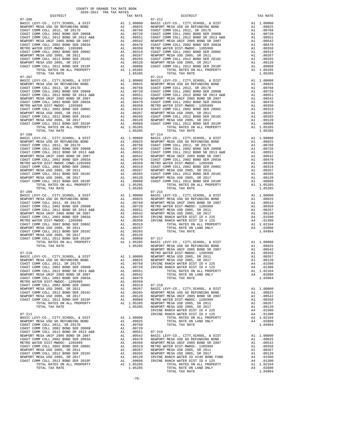| $\begin{tabular}{l c c c c c} \multicolumn{1}{c}{\textbf{NEWPORT} MESA UNIF 2005 BOND SR 2007} & \multicolumn{1}{c}{\textbf{A1}} & .00542 & \multicolumn{1}{c}{\textbf{NEWPORT} COM COL 2002 BOND SR 2013A} \\ \multicolumn{1}{c}{\textbf{METRO} MCOL 2002 BOND SR 2003A} & \multicolumn{1}{c}{\textbf{A1}} & .00470 & COAST COM COL 202 BOND SR 2006 \\ \multicolumn{1}{c}{\textbf{NEWPORT} MESA USD 2005, SR 2$ |                                                                                                                                                                                                                                                                                                                                                                                  |                                                             |            |
|-------------------------------------------------------------------------------------------------------------------------------------------------------------------------------------------------------------------------------------------------------------------------------------------------------------------------------------------------------------------------------------------------------------------|----------------------------------------------------------------------------------------------------------------------------------------------------------------------------------------------------------------------------------------------------------------------------------------------------------------------------------------------------------------------------------|-------------------------------------------------------------|------------|
|                                                                                                                                                                                                                                                                                                                                                                                                                   |                                                                                                                                                                                                                                                                                                                                                                                  |                                                             |            |
|                                                                                                                                                                                                                                                                                                                                                                                                                   |                                                                                                                                                                                                                                                                                                                                                                                  |                                                             |            |
|                                                                                                                                                                                                                                                                                                                                                                                                                   |                                                                                                                                                                                                                                                                                                                                                                                  |                                                             |            |
|                                                                                                                                                                                                                                                                                                                                                                                                                   |                                                                                                                                                                                                                                                                                                                                                                                  |                                                             |            |
|                                                                                                                                                                                                                                                                                                                                                                                                                   |                                                                                                                                                                                                                                                                                                                                                                                  |                                                             |            |
|                                                                                                                                                                                                                                                                                                                                                                                                                   |                                                                                                                                                                                                                                                                                                                                                                                  |                                                             |            |
| TOTAL TAX RATE                                                                                                                                                                                                                                                                                                                                                                                                    |                                                                                                                                                                                                                                                                                                                                                                                  | 1.05285                                                     |            |
| $07 - 207$                                                                                                                                                                                                                                                                                                                                                                                                        | $\begin{tabular}{cc} & 07-213 \\ \text{A1} & 1.00000 & \text{BASIC L} \\ \text{A1} & 0.0825 & \text{NEWPORT C} \\ \text{A1} & 0.0768 & \text{COAST C} \\ \text{A1} & 0.0720 & \text{COAST C} \\ \text{A1} & 0.00551 & \text{COAST C} \\ \text{A1} & 0.00542 & \text{NEWPORT C} \\ \text{A1} & 0.00470 & \text{COAST C} \\ \text{A1} & 0.0350 & \text{METRO W} \\ \text{A1} & 0.$ |                                                             | $07 - 213$ |
| BASIC LEVY-CO., CITY, SCHOOL, & DIST                                                                                                                                                                                                                                                                                                                                                                              |                                                                                                                                                                                                                                                                                                                                                                                  |                                                             |            |
| NEWPORT MESA USD GO REFUNDING BOND                                                                                                                                                                                                                                                                                                                                                                                |                                                                                                                                                                                                                                                                                                                                                                                  |                                                             |            |
| COAST COMM COLL 2012, SR 2017D<br>COAST COMM COLL 2002 BOND SER 2006B                                                                                                                                                                                                                                                                                                                                             |                                                                                                                                                                                                                                                                                                                                                                                  |                                                             |            |
| COAST COMM COLL 2012 BOND SR 2013 A&B                                                                                                                                                                                                                                                                                                                                                                             |                                                                                                                                                                                                                                                                                                                                                                                  |                                                             |            |
| NEWPORT MESA UNIF 2005 BOND SR 2007                                                                                                                                                                                                                                                                                                                                                                               |                                                                                                                                                                                                                                                                                                                                                                                  |                                                             |            |
| COAST COMM COLL 2002 BOND SER 2003A                                                                                                                                                                                                                                                                                                                                                                               |                                                                                                                                                                                                                                                                                                                                                                                  |                                                             |            |
| METRO WATER DIST-MWDOC- 1205999                                                                                                                                                                                                                                                                                                                                                                                   |                                                                                                                                                                                                                                                                                                                                                                                  |                                                             |            |
| COAST COMM COLL 2002 BOND SER 2006C<br>NEWPORT MESA USD 2005, SR 2011                                                                                                                                                                                                                                                                                                                                             |                                                                                                                                                                                                                                                                                                                                                                                  |                                                             |            |
| COAST COMM COLL 2012 BOND SER 2016C                                                                                                                                                                                                                                                                                                                                                                               |                                                                                                                                                                                                                                                                                                                                                                                  |                                                             |            |
| NEWPORT MESA USD 2005, SR 2017                                                                                                                                                                                                                                                                                                                                                                                    |                                                                                                                                                                                                                                                                                                                                                                                  |                                                             |            |
| COAST COMM COLL 2012 BOND SER 2019F                                                                                                                                                                                                                                                                                                                                                                               |                                                                                                                                                                                                                                                                                                                                                                                  |                                                             |            |
| TOTAL RATES ON ALL PROPERTY                                                                                                                                                                                                                                                                                                                                                                                       |                                                                                                                                                                                                                                                                                                                                                                                  |                                                             |            |
| TOTAL TAX RATE<br>$07 - 208$                                                                                                                                                                                                                                                                                                                                                                                      |                                                                                                                                                                                                                                                                                                                                                                                  | 1.05285                                                     | $07 - 214$ |
| BASIC LEVY-CO., CITY, SCHOOL, & DIST                                                                                                                                                                                                                                                                                                                                                                              |                                                                                                                                                                                                                                                                                                                                                                                  |                                                             |            |
| NEWPORT MESA USD GO REFUNDING BOND<br>COAST COMM COLL 2012 SP 2017D                                                                                                                                                                                                                                                                                                                                               |                                                                                                                                                                                                                                                                                                                                                                                  |                                                             |            |
| COAST COMM COLL 2012, SR 2017D                                                                                                                                                                                                                                                                                                                                                                                    |                                                                                                                                                                                                                                                                                                                                                                                  |                                                             |            |
|                                                                                                                                                                                                                                                                                                                                                                                                                   |                                                                                                                                                                                                                                                                                                                                                                                  |                                                             |            |
|                                                                                                                                                                                                                                                                                                                                                                                                                   |                                                                                                                                                                                                                                                                                                                                                                                  |                                                             |            |
| COAST COMM COLL 2002 BOND SR 2013 A&B<br>COAST COMM COLL 2012 BOND SR 2013 A&B<br>NEWPORT MESA UNIF 2005 BOND SR 2003<br>COAST COMM COLL 2002 BOND SER 2003<br>NETRO WATER DIST-MWDOC CMWD-1205999<br>NETRO WATER DIST -MWDOC CMWD-1205999<br>NE                                                                                                                                                                  |                                                                                                                                                                                                                                                                                                                                                                                  |                                                             |            |
|                                                                                                                                                                                                                                                                                                                                                                                                                   |                                                                                                                                                                                                                                                                                                                                                                                  |                                                             |            |
|                                                                                                                                                                                                                                                                                                                                                                                                                   |                                                                                                                                                                                                                                                                                                                                                                                  |                                                             |            |
|                                                                                                                                                                                                                                                                                                                                                                                                                   |                                                                                                                                                                                                                                                                                                                                                                                  |                                                             |            |
|                                                                                                                                                                                                                                                                                                                                                                                                                   |                                                                                                                                                                                                                                                                                                                                                                                  |                                                             |            |
|                                                                                                                                                                                                                                                                                                                                                                                                                   |                                                                                                                                                                                                                                                                                                                                                                                  |                                                             |            |
|                                                                                                                                                                                                                                                                                                                                                                                                                   |                                                                                                                                                                                                                                                                                                                                                                                  | A1 1.05285                                                  |            |
| TOTAL TAX RATE                                                                                                                                                                                                                                                                                                                                                                                                    |                                                                                                                                                                                                                                                                                                                                                                                  | 1.05285                                                     |            |
| $07 - 209$                                                                                                                                                                                                                                                                                                                                                                                                        |                                                                                                                                                                                                                                                                                                                                                                                  |                                                             | $07 - 215$ |
|                                                                                                                                                                                                                                                                                                                                                                                                                   |                                                                                                                                                                                                                                                                                                                                                                                  |                                                             |            |
|                                                                                                                                                                                                                                                                                                                                                                                                                   |                                                                                                                                                                                                                                                                                                                                                                                  |                                                             |            |
|                                                                                                                                                                                                                                                                                                                                                                                                                   |                                                                                                                                                                                                                                                                                                                                                                                  |                                                             |            |
|                                                                                                                                                                                                                                                                                                                                                                                                                   |                                                                                                                                                                                                                                                                                                                                                                                  |                                                             |            |
|                                                                                                                                                                                                                                                                                                                                                                                                                   |                                                                                                                                                                                                                                                                                                                                                                                  |                                                             |            |
|                                                                                                                                                                                                                                                                                                                                                                                                                   |                                                                                                                                                                                                                                                                                                                                                                                  |                                                             |            |
|                                                                                                                                                                                                                                                                                                                                                                                                                   |                                                                                                                                                                                                                                                                                                                                                                                  |                                                             |            |
|                                                                                                                                                                                                                                                                                                                                                                                                                   |                                                                                                                                                                                                                                                                                                                                                                                  |                                                             |            |
|                                                                                                                                                                                                                                                                                                                                                                                                                   |                                                                                                                                                                                                                                                                                                                                                                                  |                                                             |            |
|                                                                                                                                                                                                                                                                                                                                                                                                                   |                                                                                                                                                                                                                                                                                                                                                                                  |                                                             |            |
|                                                                                                                                                                                                                                                                                                                                                                                                                   |                                                                                                                                                                                                                                                                                                                                                                                  |                                                             |            |
|                                                                                                                                                                                                                                                                                                                                                                                                                   |                                                                                                                                                                                                                                                                                                                                                                                  |                                                             |            |
|                                                                                                                                                                                                                                                                                                                                                                                                                   |                                                                                                                                                                                                                                                                                                                                                                                  |                                                             |            |
|                                                                                                                                                                                                                                                                                                                                                                                                                   |                                                                                                                                                                                                                                                                                                                                                                                  |                                                             | NEWPORT    |
|                                                                                                                                                                                                                                                                                                                                                                                                                   |                                                                                                                                                                                                                                                                                                                                                                                  |                                                             |            |
|                                                                                                                                                                                                                                                                                                                                                                                                                   |                                                                                                                                                                                                                                                                                                                                                                                  |                                                             |            |
|                                                                                                                                                                                                                                                                                                                                                                                                                   |                                                                                                                                                                                                                                                                                                                                                                                  |                                                             |            |
|                                                                                                                                                                                                                                                                                                                                                                                                                   |                                                                                                                                                                                                                                                                                                                                                                                  |                                                             |            |
|                                                                                                                                                                                                                                                                                                                                                                                                                   |                                                                                                                                                                                                                                                                                                                                                                                  |                                                             |            |
|                                                                                                                                                                                                                                                                                                                                                                                                                   |                                                                                                                                                                                                                                                                                                                                                                                  |                                                             |            |
|                                                                                                                                                                                                                                                                                                                                                                                                                   |                                                                                                                                                                                                                                                                                                                                                                                  |                                                             |            |
|                                                                                                                                                                                                                                                                                                                                                                                                                   |                                                                                                                                                                                                                                                                                                                                                                                  |                                                             |            |
|                                                                                                                                                                                                                                                                                                                                                                                                                   |                                                                                                                                                                                                                                                                                                                                                                                  |                                                             |            |
| COAST COMM COLL 2012 BOND SER 2016C                                                                                                                                                                                                                                                                                                                                                                               | A1                                                                                                                                                                                                                                                                                                                                                                               | .00265                                                      | NEWPORT    |
| NEWPORT MESA USD 2005, SR 2017                                                                                                                                                                                                                                                                                                                                                                                    | A1                                                                                                                                                                                                                                                                                                                                                                               | .00120                                                      | NEWPORT    |
| COAST COMM COLL 2012 BOND SER 2019F                                                                                                                                                                                                                                                                                                                                                                               | A1                                                                                                                                                                                                                                                                                                                                                                               | .00088                                                      | METRO W    |
| TOTAL RATES ON ALL PROPERTY                                                                                                                                                                                                                                                                                                                                                                                       |                                                                                                                                                                                                                                                                                                                                                                                  | A1 1.05285                                                  | NEWPORT    |
| TOTAL TAX RATE                                                                                                                                                                                                                                                                                                                                                                                                    |                                                                                                                                                                                                                                                                                                                                                                                  | 1.05285                                                     | NEWPORT    |
| $07 - 211$                                                                                                                                                                                                                                                                                                                                                                                                        |                                                                                                                                                                                                                                                                                                                                                                                  |                                                             | IRVINE     |
| BASIC LEVY-CO., CITY, SCHOOL, & DIST                                                                                                                                                                                                                                                                                                                                                                              | A1                                                                                                                                                                                                                                                                                                                                                                               | 1.00000                                                     | IRVINE     |
| NEWPORT MESA USD GO REFUNDING BOND                                                                                                                                                                                                                                                                                                                                                                                | A1                                                                                                                                                                                                                                                                                                                                                                               | .00825                                                      |            |
| COAST COMM COLL 2012, SR 2017D                                                                                                                                                                                                                                                                                                                                                                                    | A1                                                                                                                                                                                                                                                                                                                                                                               | .00768                                                      |            |
| COAST COMM COLL 2002 BOND SER 2006B                                                                                                                                                                                                                                                                                                                                                                               | A1                                                                                                                                                                                                                                                                                                                                                                               | .00720                                                      |            |
| COAST COMM COLL 2012 BOND SR 2013 A&B                                                                                                                                                                                                                                                                                                                                                                             | A1                                                                                                                                                                                                                                                                                                                                                                               | .00551                                                      | $07 - 219$ |
| NEWPORT MESA UNIF 2005 BOND SR 2007                                                                                                                                                                                                                                                                                                                                                                               | A1                                                                                                                                                                                                                                                                                                                                                                               | .00542                                                      | BASIC L    |
| COAST COMM COLL 2002 BOND SER 2003A<br>METRO WATER DIST-MWDOC- 1205999                                                                                                                                                                                                                                                                                                                                            | A1                                                                                                                                                                                                                                                                                                                                                                               | .00470                                                      | NEWPORT    |
| COAST COMM COLL 2002 BOND SER 2006C                                                                                                                                                                                                                                                                                                                                                                               |                                                                                                                                                                                                                                                                                                                                                                                  | A1 .00470 NEWPORT<br>A1 .00319 METRO W<br>A1 .00267 NEWPORT |            |
| NEWPORT MESA USD 2005, SR 2011                                                                                                                                                                                                                                                                                                                                                                                    |                                                                                                                                                                                                                                                                                                                                                                                  |                                                             |            |
| COAST COMM COLL 2012 BOND SER 2016C                                                                                                                                                                                                                                                                                                                                                                               |                                                                                                                                                                                                                                                                                                                                                                                  | A1 .00265                                                   | NEWPORT    |
| NEWPORT MESA USD 2005, SR 2017                                                                                                                                                                                                                                                                                                                                                                                    | A1                                                                                                                                                                                                                                                                                                                                                                               | .00120                                                      | IRVINE     |
| COAST COMM COLL 2012 BOND SER 2019F                                                                                                                                                                                                                                                                                                                                                                               | A1                                                                                                                                                                                                                                                                                                                                                                               | .00088                                                      | IRVINE     |
| TOTAL RATES ON ALL PROPERTY<br>TOTAL TAY RATE                                                                                                                                                                                                                                                                                                                                                                     |                                                                                                                                                                                                                                                                                                                                                                                  | A1 1.05285<br>1 05285                                       |            |
|                                                                                                                                                                                                                                                                                                                                                                                                                   |                                                                                                                                                                                                                                                                                                                                                                                  |                                                             |            |

| 2020-2021 TRA TAX RATES<br>DISTRICT | TAX RATE | DISTRICT   | TAX RATE |
|-------------------------------------|----------|------------|----------|
| $07 - 206$                          |          | $07 - 212$ |          |
|                                     |          |            |          |
|                                     |          |            |          |
|                                     |          |            |          |
|                                     |          |            |          |
|                                     |          |            |          |
|                                     |          |            |          |
|                                     |          |            |          |
|                                     |          |            |          |
|                                     |          |            |          |
|                                     |          |            |          |
|                                     |          |            |          |
| $07 - 207$                          |          | $07 - 213$ |          |
|                                     |          |            |          |
|                                     |          |            |          |
|                                     |          |            |          |
|                                     |          |            |          |
|                                     |          |            |          |
|                                     |          |            |          |
|                                     |          |            |          |
|                                     |          |            |          |
|                                     |          |            |          |
|                                     |          |            |          |
|                                     |          |            |          |
|                                     |          |            |          |
|                                     |          |            |          |
|                                     |          |            |          |
|                                     |          |            |          |
|                                     |          |            |          |
|                                     |          |            |          |
|                                     |          |            |          |
|                                     |          |            |          |
|                                     |          |            |          |
|                                     |          |            |          |
|                                     |          |            |          |
|                                     |          |            |          |
|                                     |          |            |          |
|                                     |          |            |          |
|                                     |          |            |          |
|                                     |          |            |          |
|                                     |          |            |          |
|                                     |          |            |          |
|                                     |          |            |          |
|                                     |          |            |          |
|                                     |          |            |          |
|                                     |          |            |          |
|                                     |          |            |          |
|                                     |          |            |          |
|                                     |          |            |          |
|                                     |          |            |          |
|                                     |          |            |          |
|                                     |          |            |          |
|                                     |          |            |          |
|                                     |          |            |          |
|                                     |          |            |          |
|                                     |          |            |          |
|                                     |          |            |          |
|                                     |          |            |          |
|                                     |          |            |          |
|                                     |          |            |          |
|                                     |          |            |          |
|                                     |          |            |          |
|                                     |          |            |          |
|                                     |          |            |          |
|                                     |          |            |          |
|                                     |          |            |          |
|                                     |          |            |          |
|                                     |          |            |          |
|                                     |          |            |          |
|                                     |          |            |          |
|                                     |          |            |          |
|                                     |          |            |          |
|                                     |          |            |          |
|                                     |          |            |          |
|                                     |          |            |          |
|                                     |          |            |          |
|                                     |          |            |          |
|                                     |          |            |          |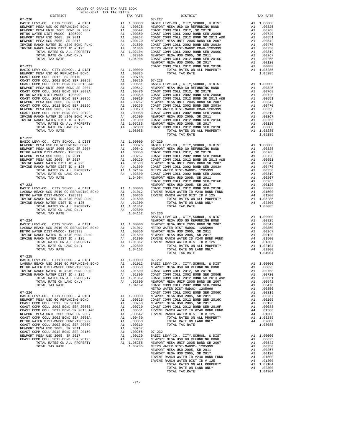| $2020-2021 \quad \text{TRA TAX RATES}$ DISTRICT<br>$07 - 220$ | TAX RATE | DISTRICT<br>$07 - 227$                                                                                                                                                                                                                               | TAX RATE |
|---------------------------------------------------------------|----------|------------------------------------------------------------------------------------------------------------------------------------------------------------------------------------------------------------------------------------------------------|----------|
|                                                               |          |                                                                                                                                                                                                                                                      |          |
|                                                               |          |                                                                                                                                                                                                                                                      |          |
|                                                               |          |                                                                                                                                                                                                                                                      |          |
|                                                               |          |                                                                                                                                                                                                                                                      |          |
|                                                               |          |                                                                                                                                                                                                                                                      |          |
|                                                               |          |                                                                                                                                                                                                                                                      |          |
|                                                               |          |                                                                                                                                                                                                                                                      |          |
|                                                               |          |                                                                                                                                                                                                                                                      |          |
|                                                               |          |                                                                                                                                                                                                                                                      |          |
|                                                               |          |                                                                                                                                                                                                                                                      |          |
|                                                               |          |                                                                                                                                                                                                                                                      |          |
|                                                               |          |                                                                                                                                                                                                                                                      |          |
|                                                               |          |                                                                                                                                                                                                                                                      |          |
|                                                               |          |                                                                                                                                                                                                                                                      |          |
|                                                               |          |                                                                                                                                                                                                                                                      |          |
|                                                               |          |                                                                                                                                                                                                                                                      |          |
|                                                               |          |                                                                                                                                                                                                                                                      |          |
|                                                               |          |                                                                                                                                                                                                                                                      |          |
|                                                               |          |                                                                                                                                                                                                                                                      |          |
|                                                               |          |                                                                                                                                                                                                                                                      |          |
|                                                               |          |                                                                                                                                                                                                                                                      |          |
|                                                               |          |                                                                                                                                                                                                                                                      |          |
|                                                               |          |                                                                                                                                                                                                                                                      |          |
|                                                               |          |                                                                                                                                                                                                                                                      |          |
|                                                               |          |                                                                                                                                                                                                                                                      |          |
|                                                               |          |                                                                                                                                                                                                                                                      |          |
|                                                               |          |                                                                                                                                                                                                                                                      |          |
|                                                               |          |                                                                                                                                                                                                                                                      |          |
| $07 - 222$                                                    |          |                                                                                                                                                                                                                                                      |          |
|                                                               |          |                                                                                                                                                                                                                                                      |          |
|                                                               |          |                                                                                                                                                                                                                                                      |          |
|                                                               |          |                                                                                                                                                                                                                                                      |          |
|                                                               |          |                                                                                                                                                                                                                                                      |          |
|                                                               |          |                                                                                                                                                                                                                                                      |          |
|                                                               |          |                                                                                                                                                                                                                                                      |          |
|                                                               |          |                                                                                                                                                                                                                                                      |          |
|                                                               |          |                                                                                                                                                                                                                                                      |          |
|                                                               |          |                                                                                                                                                                                                                                                      |          |
|                                                               |          |                                                                                                                                                                                                                                                      |          |
|                                                               |          |                                                                                                                                                                                                                                                      |          |
|                                                               |          |                                                                                                                                                                                                                                                      |          |
|                                                               |          |                                                                                                                                                                                                                                                      |          |
|                                                               |          |                                                                                                                                                                                                                                                      |          |
|                                                               |          |                                                                                                                                                                                                                                                      |          |
|                                                               |          |                                                                                                                                                                                                                                                      |          |
|                                                               |          |                                                                                                                                                                                                                                                      |          |
|                                                               |          |                                                                                                                                                                                                                                                      |          |
|                                                               |          |                                                                                                                                                                                                                                                      |          |
|                                                               |          |                                                                                                                                                                                                                                                      |          |
|                                                               |          |                                                                                                                                                                                                                                                      |          |
|                                                               |          |                                                                                                                                                                                                                                                      |          |
|                                                               |          |                                                                                                                                                                                                                                                      |          |
|                                                               |          |                                                                                                                                                                                                                                                      |          |
|                                                               |          |                                                                                                                                                                                                                                                      |          |
|                                                               |          |                                                                                                                                                                                                                                                      |          |
|                                                               |          |                                                                                                                                                                                                                                                      |          |
|                                                               |          | TOTAL TAX RATE                                                                                                                                                                                                                                       | 1.04904  |
|                                                               |          | 179741. ΤΑΧ ΚΑΤΕ<br>179741. ΤΑΧ ΚΑΤΕ<br>179741. ΤΑΧ ΚΑΤΕ<br>179742. ΤΑΧ ΚΑΤΕ<br>179742. ΤΑΧ ΚΑΤΕ<br>179742. ΤΑΧ ΚΑΤΕ<br>179742. ΤΑΧ ΚΑΤΕ<br>179742. ΤΑΧ ΚΑΤΕ<br>179742. ΤΑΧ ΚΑΤΕ<br>179742. ΤΑΧ ΚΑΤΕ<br>179742. ΤΑΧ ΚΑΤΕ<br>179742. ΤΑΧ ΚΑΤΕ<br>1797 |          |
|                                                               |          |                                                                                                                                                                                                                                                      |          |
|                                                               |          |                                                                                                                                                                                                                                                      |          |
|                                                               |          |                                                                                                                                                                                                                                                      |          |
|                                                               |          |                                                                                                                                                                                                                                                      |          |
|                                                               |          |                                                                                                                                                                                                                                                      |          |
|                                                               |          |                                                                                                                                                                                                                                                      |          |
|                                                               |          |                                                                                                                                                                                                                                                      |          |
|                                                               |          |                                                                                                                                                                                                                                                      |          |
|                                                               |          |                                                                                                                                                                                                                                                      |          |
|                                                               |          |                                                                                                                                                                                                                                                      |          |
|                                                               |          |                                                                                                                                                                                                                                                      |          |
|                                                               |          |                                                                                                                                                                                                                                                      |          |
|                                                               |          |                                                                                                                                                                                                                                                      |          |
|                                                               |          |                                                                                                                                                                                                                                                      |          |
|                                                               |          |                                                                                                                                                                                                                                                      |          |
|                                                               |          |                                                                                                                                                                                                                                                      |          |
|                                                               |          |                                                                                                                                                                                                                                                      |          |
|                                                               |          |                                                                                                                                                                                                                                                      |          |
|                                                               |          |                                                                                                                                                                                                                                                      |          |
|                                                               |          |                                                                                                                                                                                                                                                      |          |
|                                                               |          |                                                                                                                                                                                                                                                      |          |
|                                                               |          |                                                                                                                                                                                                                                                      |          |
|                                                               |          |                                                                                                                                                                                                                                                      |          |
|                                                               |          |                                                                                                                                                                                                                                                      |          |
|                                                               |          |                                                                                                                                                                                                                                                      |          |
|                                                               |          |                                                                                                                                                                                                                                                      |          |
|                                                               |          |                                                                                                                                                                                                                                                      |          |
|                                                               |          |                                                                                                                                                                                                                                                      |          |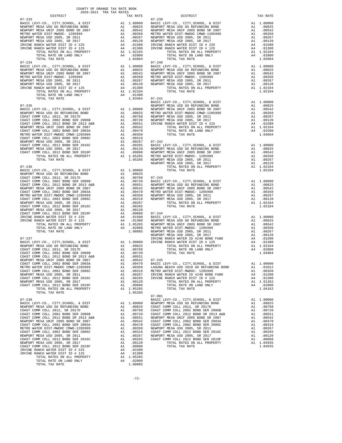| ----------<br>$07 - 233$                                                                     |                                                                                                                                                                                                                                | tuv vute                                                                                                                                        | $07 - 239$              |
|----------------------------------------------------------------------------------------------|--------------------------------------------------------------------------------------------------------------------------------------------------------------------------------------------------------------------------------|-------------------------------------------------------------------------------------------------------------------------------------------------|-------------------------|
| BASIC LEVY-CO., CITY, SCHOOL, & DIST                                                         | A1 1.00000 DASIC L<br>A1 .00825 NEWPORT<br>A1 .00824 NEWPORT<br>A1 .00350 NETRO W<br>A1 .00350 NETRO W<br>A1 .00267 NEWPORT<br>A1 .00120 NEWPORT<br>A4 .01500 IRVINE<br>A4 .01500 IRVINE<br>A4 .01300 IRVINE                   |                                                                                                                                                 |                         |
| NEWPORT MESA USD GO REFUNDING BOND<br>NEWPORT MESA UNIF 2005 BOND SR 2007                    |                                                                                                                                                                                                                                |                                                                                                                                                 |                         |
| METRO WATER DIST-MWDOC- 1205999                                                              |                                                                                                                                                                                                                                |                                                                                                                                                 |                         |
| NEWPORT MESA USD 2005, SR 2011                                                               |                                                                                                                                                                                                                                |                                                                                                                                                 |                         |
| NEWPORT MESA USD 2005, SR 2017<br>IRVINE RANCH WATER DIST ID # 225                           |                                                                                                                                                                                                                                |                                                                                                                                                 |                         |
| IRVINE RANCH WATER DIST ID # 125                                                             |                                                                                                                                                                                                                                |                                                                                                                                                 |                         |
| TOTAL RATES ON ALL PROPERTY                                                                  |                                                                                                                                                                                                                                | $A1 \t1.02104$                                                                                                                                  |                         |
| TOTAL RATE ON LAND ONLY                                                                      |                                                                                                                                                                                                                                | A4.02800                                                                                                                                        |                         |
| TOTAL TAX RATE<br>$07 - 234$                                                                 |                                                                                                                                                                                                                                | 1.04904                                                                                                                                         | $07 - 240$              |
| BASIC LEVY-CO., CITY, SCHOOL, & DIST                                                         | 07-240<br>A1 1.00000 BASIC L<br>A1 .00825 NEWPORT<br>A1 .00362 NEWPORT<br>A1 .00360 METRO W<br>A1 .00267 NEWPORT<br>A1 .00120 NEWPORT<br>A4 .01300 NEWPORT<br>A4 .01300<br>A4 1.02104<br>A4 .01300                             |                                                                                                                                                 |                         |
| NEWPORT MESA USD GO REFUNDING BOND                                                           |                                                                                                                                                                                                                                |                                                                                                                                                 |                         |
| NEWPORT MESA UNIF 2005 BOND SR 2007<br>METRO WATER DIST-MWDOC- 1205999                       |                                                                                                                                                                                                                                |                                                                                                                                                 |                         |
| NEWPORT MESA USD 2005, SR 2011                                                               |                                                                                                                                                                                                                                |                                                                                                                                                 |                         |
| NEWPORT MESA USD 2005, SR 2017                                                               |                                                                                                                                                                                                                                |                                                                                                                                                 |                         |
| IRVINE RANCH WATER DIST ID # 125<br>RANCH WATER DIST ID # 125<br>TOTAL RATES ON ALL PROPERTY |                                                                                                                                                                                                                                |                                                                                                                                                 |                         |
| TOTAL RATE ON LAND ONLY                                                                      |                                                                                                                                                                                                                                |                                                                                                                                                 |                         |
| TOTAL TAX RATE                                                                               |                                                                                                                                                                                                                                | 1.03404 07-241                                                                                                                                  |                         |
|                                                                                              |                                                                                                                                                                                                                                |                                                                                                                                                 | BASIC L                 |
| $07 - 235$<br>BASIC LEVY-CO., CITY, SCHOOL, & DIST                                           | NEWPORT AND 1.00000 NEWPORT AN 1.00000 NEWPORT AN 1.00768 NEWPORT AN 1.00768 NEWPORT AN 1.00760 NEWPORT AN 1.00542 AN 1.00350 AN 1.00350 AN 1.00267 07-242 AN 1.00265 BASIC LAN 1.00265 BASIC LAN 1.00265 BASIC LAN 1.000265 B |                                                                                                                                                 | NEWPORT                 |
| NEWPORT MESA USD GO REFUNDING BOND                                                           |                                                                                                                                                                                                                                |                                                                                                                                                 |                         |
| COAST COMM COLL 2012, SR 2017D                                                               |                                                                                                                                                                                                                                |                                                                                                                                                 |                         |
| COAST COMM COLL 2002 BOND SER 2006B<br>COAST COMM COLL 2012 BOND SR 2013 A&B                 |                                                                                                                                                                                                                                |                                                                                                                                                 |                         |
| NEWPORT MESA UNIF 2005 BOND SR 2007                                                          |                                                                                                                                                                                                                                |                                                                                                                                                 |                         |
| COAST COMM COLL 2002 BOND SER 2003A                                                          |                                                                                                                                                                                                                                |                                                                                                                                                 |                         |
| METRO WATER DIST-MWDOC CMWD-1205999<br>COAST COMM COLL 2002 BOND SER 2006C                   |                                                                                                                                                                                                                                |                                                                                                                                                 |                         |
| NEWPORT MESA USD 2005, SR 2011                                                               |                                                                                                                                                                                                                                |                                                                                                                                                 |                         |
| COAST COMM COLL 2012 BOND SER 2016C                                                          |                                                                                                                                                                                                                                |                                                                                                                                                 |                         |
| NEWPORT MESA USD 2005, SR 2017                                                               |                                                                                                                                                                                                                                |                                                                                                                                                 |                         |
| COAST COMM COLL 2012 BOND SER 2019F<br>TOTAL RATES ON ALL PROPERTY                           |                                                                                                                                                                                                                                |                                                                                                                                                 |                         |
| TOTAL TAX RATE                                                                               |                                                                                                                                                                                                                                |                                                                                                                                                 |                         |
|                                                                                              |                                                                                                                                                                                                                                |                                                                                                                                                 | NEWPORT                 |
| $07 - 236$                                                                                   |                                                                                                                                                                                                                                |                                                                                                                                                 |                         |
|                                                                                              |                                                                                                                                                                                                                                |                                                                                                                                                 |                         |
|                                                                                              |                                                                                                                                                                                                                                |                                                                                                                                                 |                         |
|                                                                                              |                                                                                                                                                                                                                                |                                                                                                                                                 |                         |
|                                                                                              |                                                                                                                                                                                                                                |                                                                                                                                                 |                         |
|                                                                                              |                                                                                                                                                                                                                                |                                                                                                                                                 |                         |
|                                                                                              |                                                                                                                                                                                                                                |                                                                                                                                                 |                         |
|                                                                                              |                                                                                                                                                                                                                                |                                                                                                                                                 |                         |
|                                                                                              |                                                                                                                                                                                                                                |                                                                                                                                                 |                         |
|                                                                                              |                                                                                                                                                                                                                                |                                                                                                                                                 |                         |
| COAST COMM COLL 2012 BOND SER 2019F<br>IRVINE RANCH WATER DIST ID # 225                      |                                                                                                                                                                                                                                |                                                                                                                                                 |                         |
| IRVINE RANCH WATER DIST ID # 125                                                             |                                                                                                                                                                                                                                |                                                                                                                                                 |                         |
| TOTAL RATES ON ALL PROPERTY                                                                  | A1 .00088 07-244<br>A4 .01500 BASIC L<br>A4 .01500 BASIC L<br>A4 .01300 NEWPORT<br>A1 1.05285 NEWPORT<br>A4 .02800 METROW<br>1.08085 NEWPORT                                                                                   |                                                                                                                                                 |                         |
| TOTAL RATE ON LAND ONLY                                                                      |                                                                                                                                                                                                                                |                                                                                                                                                 |                         |
| TOTAL TAX RATE                                                                               |                                                                                                                                                                                                                                |                                                                                                                                                 | NEWPORT                 |
| $07 - 237$                                                                                   |                                                                                                                                                                                                                                |                                                                                                                                                 | IRVINE                  |
| BASIC LEVY-CO., CITY, SCHOOL, & DIST                                                         | IKVINE<br>A1 1.00000 IRVINE<br>A1 .00825<br>A1 .00768                                                                                                                                                                          |                                                                                                                                                 |                         |
| NEWPORT MESA USD GO REFUNDING BOND<br>COAST COMM COLL, 2012 SP 2017D                         |                                                                                                                                                                                                                                |                                                                                                                                                 |                         |
|                                                                                              |                                                                                                                                                                                                                                |                                                                                                                                                 |                         |
|                                                                                              |                                                                                                                                                                                                                                |                                                                                                                                                 |                         |
|                                                                                              |                                                                                                                                                                                                                                |                                                                                                                                                 |                         |
|                                                                                              |                                                                                                                                                                                                                                |                                                                                                                                                 |                         |
| COAST COMM COLL 2002 BOND SER 2006C                                                          | A1                                                                                                                                                                                                                             | .00319                                                                                                                                          | METRO W                 |
| NEWPORT MESA USD 2005, SR 2011<br>COAST COMM COLL 2012 BOND SER 2016C                        | A1<br>A1                                                                                                                                                                                                                       | .00267<br>.00265                                                                                                                                | IRVINE<br>IRVINE<br>IPV |
| NEWPORT MESA USD 2005, SR 2017                                                               |                                                                                                                                                                                                                                | A1 .00120                                                                                                                                       |                         |
| COAST COMM COLL 2012 BOND SER 2019F                                                          |                                                                                                                                                                                                                                | A1.00088                                                                                                                                        |                         |
| TOTAL RATES ON ALL PROPERTY                                                                  |                                                                                                                                                                                                                                | A1 1.05285                                                                                                                                      |                         |
| TOTAL TAX RATE                                                                               |                                                                                                                                                                                                                                | 1.05285                                                                                                                                         | $07 - 901$              |
| $07 - 238$                                                                                   |                                                                                                                                                                                                                                |                                                                                                                                                 | BASIC L                 |
| BASIC LEVY-CO., CITY, SCHOOL, & DIST                                                         | A1                                                                                                                                                                                                                             | 1.00000 NEWPORT<br>.00825 COAST C                                                                                                               |                         |
| NEWPORT MESA USD GO REFUNDING BOND<br>COAST COMM COLL 2012, SR 2017D                         | A1                                                                                                                                                                                                                             | A1.00825<br>.00768                                                                                                                              |                         |
| COAST COMM COLL 2002 BOND SER 2006B                                                          | A1                                                                                                                                                                                                                             | .00720                                                                                                                                          | COAST C<br>COAST C      |
| COAST COMM COLL 2012 BOND SR 2013 A&B                                                        | A1                                                                                                                                                                                                                             | .00551                                                                                                                                          | NEWPORT                 |
| NEWPORT MESA UNIF 2005 BOND SR 2007<br>COAST COMM COLL 2002 BOND SER 2003A                   |                                                                                                                                                                                                                                | A1 .00551 NEWPORT<br>A1 .00542 COAST C<br>A1 .00470 COAST C<br>A1 .00350 NEWPORT<br>A1 .00265 NEWPORT<br>A1 .00265 COAST C<br>A1 .00265 COAST C |                         |
| METRO WATER DIST-MWDOC CMWD-1205999                                                          |                                                                                                                                                                                                                                |                                                                                                                                                 |                         |
| COAST COMM COLL 2002 BOND SER 2006C                                                          |                                                                                                                                                                                                                                |                                                                                                                                                 |                         |
| NEWPORT MESA USD 2005, SR 2011                                                               |                                                                                                                                                                                                                                |                                                                                                                                                 |                         |
| COAST COMM COLL 2012 BOND SER 2016C<br>NEWPORT MESA USD 2005, SR 2017                        |                                                                                                                                                                                                                                | A1 .00120                                                                                                                                       |                         |
| COAST COMM COLL 2012 BOND SER 2019F                                                          | A1                                                                                                                                                                                                                             | .00088                                                                                                                                          |                         |
| IRVINE RANCH WATER DIST ID # 225                                                             | A4                                                                                                                                                                                                                             | .01500                                                                                                                                          |                         |
| IRVINE RANCH WATER DIST ID # 125<br>TOTAL RATES ON ALL PROPERTY                              |                                                                                                                                                                                                                                | A4 .01300                                                                                                                                       |                         |
| TOTAL RATE ON LAND ONLY                                                                      |                                                                                                                                                                                                                                | A1 1.05285<br>A4 .02800                                                                                                                         |                         |
| TOTAL TAX RATE                                                                               |                                                                                                                                                                                                                                | 1.08085                                                                                                                                         |                         |

| COUNTY OF ORANGE TAX RATE BOOK<br>2020-2021 TRA TAX RATES<br>$2020-2021 \quad \text{TRA TAX RATES}$ DISTRICT $\hspace{2.5cm}$                                                                                                                                                       |          |            |          |
|-------------------------------------------------------------------------------------------------------------------------------------------------------------------------------------------------------------------------------------------------------------------------------------|----------|------------|----------|
|                                                                                                                                                                                                                                                                                     | TAX RATE | DISTRICT   | TAX RATE |
| $07 - 233$<br>$\begin{array}{ccccccccc} 07-233 & 015 & 01871117 & 01000 & 07-239 & 0157812 & 0157812 & 0157812 & 0157812 & 0157812 & 0157812 & 0157812 & 0157812 & 0157812 & 0157812 & 0157812 & 0157812 & 0157812 & 0157812 & 0157812 & 0157812 & 0157812 & 0157812 & 0157812 & 0$ |          | $07 - 239$ |          |
|                                                                                                                                                                                                                                                                                     |          |            |          |
|                                                                                                                                                                                                                                                                                     |          |            |          |
|                                                                                                                                                                                                                                                                                     |          |            |          |
|                                                                                                                                                                                                                                                                                     |          |            |          |
|                                                                                                                                                                                                                                                                                     |          |            |          |
|                                                                                                                                                                                                                                                                                     |          |            |          |
|                                                                                                                                                                                                                                                                                     |          |            |          |
|                                                                                                                                                                                                                                                                                     |          |            |          |
|                                                                                                                                                                                                                                                                                     |          |            |          |
|                                                                                                                                                                                                                                                                                     |          |            |          |
|                                                                                                                                                                                                                                                                                     |          |            |          |
|                                                                                                                                                                                                                                                                                     |          |            |          |
|                                                                                                                                                                                                                                                                                     |          |            |          |
|                                                                                                                                                                                                                                                                                     |          |            |          |
|                                                                                                                                                                                                                                                                                     |          |            |          |
|                                                                                                                                                                                                                                                                                     |          |            |          |
|                                                                                                                                                                                                                                                                                     |          |            |          |
|                                                                                                                                                                                                                                                                                     |          |            |          |
|                                                                                                                                                                                                                                                                                     |          |            |          |
|                                                                                                                                                                                                                                                                                     |          |            |          |
|                                                                                                                                                                                                                                                                                     |          |            |          |
|                                                                                                                                                                                                                                                                                     |          |            |          |
|                                                                                                                                                                                                                                                                                     |          |            |          |
|                                                                                                                                                                                                                                                                                     |          |            |          |
|                                                                                                                                                                                                                                                                                     |          |            |          |
|                                                                                                                                                                                                                                                                                     |          |            |          |
|                                                                                                                                                                                                                                                                                     |          |            |          |
|                                                                                                                                                                                                                                                                                     |          |            |          |
| 77734. APPEND WAS CONFERENT AT 1.02018 17742. AND 1.02013 17742. AND 2.02012 17742. AND 2.02012 17742. AND 2.02012 17742. AND 2.02012 17742. AND 2.02012 17842. AND 2.02012 17842. AND 2.02012 17842. AND 2.02012 17842. AND                                                        |          |            |          |
|                                                                                                                                                                                                                                                                                     |          |            |          |
|                                                                                                                                                                                                                                                                                     |          |            |          |
|                                                                                                                                                                                                                                                                                     |          |            |          |
|                                                                                                                                                                                                                                                                                     |          |            |          |
|                                                                                                                                                                                                                                                                                     |          |            |          |
|                                                                                                                                                                                                                                                                                     |          |            |          |
|                                                                                                                                                                                                                                                                                     |          |            |          |
|                                                                                                                                                                                                                                                                                     |          |            |          |
|                                                                                                                                                                                                                                                                                     |          |            |          |
|                                                                                                                                                                                                                                                                                     |          |            |          |
|                                                                                                                                                                                                                                                                                     |          | $07 - 901$ |          |
|                                                                                                                                                                                                                                                                                     |          |            |          |
|                                                                                                                                                                                                                                                                                     |          |            |          |
|                                                                                                                                                                                                                                                                                     |          |            |          |
|                                                                                                                                                                                                                                                                                     |          |            |          |
|                                                                                                                                                                                                                                                                                     |          |            |          |
|                                                                                                                                                                                                                                                                                     |          |            |          |
|                                                                                                                                                                                                                                                                                     |          |            |          |
|                                                                                                                                                                                                                                                                                     |          |            |          |
|                                                                                                                                                                                                                                                                                     |          |            |          |
|                                                                                                                                                                                                                                                                                     |          |            |          |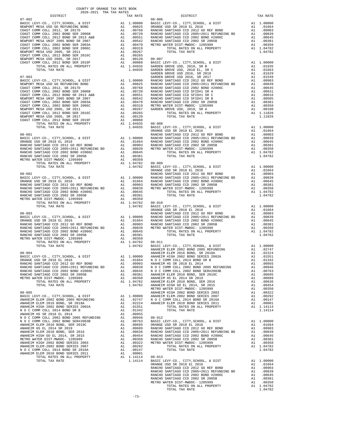| $07 - 902$                                                                |          |                                                           | $08 - 006$                 |
|---------------------------------------------------------------------------|----------|-----------------------------------------------------------|----------------------------|
|                                                                           |          |                                                           |                            |
|                                                                           |          |                                                           |                            |
|                                                                           |          |                                                           |                            |
|                                                                           |          |                                                           |                            |
|                                                                           |          |                                                           |                            |
|                                                                           |          |                                                           |                            |
|                                                                           |          |                                                           |                            |
|                                                                           |          |                                                           |                            |
|                                                                           |          |                                                           |                            |
|                                                                           |          |                                                           |                            |
|                                                                           |          |                                                           | GARDEN                     |
| $07 - 903$                                                                |          |                                                           | GARDEN                     |
|                                                                           |          |                                                           |                            |
|                                                                           |          |                                                           |                            |
|                                                                           |          |                                                           |                            |
|                                                                           |          |                                                           |                            |
|                                                                           |          |                                                           |                            |
|                                                                           |          |                                                           |                            |
|                                                                           |          |                                                           |                            |
|                                                                           |          |                                                           |                            |
|                                                                           |          |                                                           |                            |
|                                                                           |          |                                                           |                            |
|                                                                           |          |                                                           | ORANGE                     |
| $08 - 001$                                                                |          |                                                           | RANCHO                     |
|                                                                           |          |                                                           |                            |
|                                                                           |          |                                                           |                            |
|                                                                           |          |                                                           |                            |
|                                                                           |          |                                                           |                            |
|                                                                           |          |                                                           |                            |
|                                                                           |          |                                                           |                            |
|                                                                           |          |                                                           | ORANGE                     |
|                                                                           |          |                                                           |                            |
|                                                                           |          |                                                           |                            |
|                                                                           |          |                                                           |                            |
|                                                                           |          |                                                           |                            |
|                                                                           |          |                                                           |                            |
|                                                                           |          |                                                           |                            |
|                                                                           |          |                                                           |                            |
|                                                                           |          |                                                           |                            |
|                                                                           |          |                                                           |                            |
|                                                                           |          |                                                           |                            |
|                                                                           |          |                                                           |                            |
|                                                                           |          |                                                           |                            |
|                                                                           |          |                                                           |                            |
|                                                                           |          |                                                           |                            |
|                                                                           |          |                                                           |                            |
|                                                                           |          |                                                           |                            |
|                                                                           |          |                                                           |                            |
| $08 - 004$                                                                |          |                                                           | ANAHEIM                    |
|                                                                           |          |                                                           |                            |
|                                                                           |          |                                                           |                            |
|                                                                           |          |                                                           |                            |
| RANCHO SANTIAGO CCD 2002 BOND #2006C<br>RANCHO SANTIAGO CCD 2002 SR 2005B | A1       | A1 .00645 NOCC<br>.00381                                  | ANAHEIM                    |
| METRO WATER DIST-MWDOC- 1205999                                           | A1       | .00350                                                    | ANAHEIM                    |
| TOTAL RATES ON ALL PROPERTY                                               |          | A1 1.04782                                                | ANAHEIM                    |
| TOTAL TAX RATE                                                            |          | 1.04782                                                   | ANAHEIM<br>METRO W         |
| $08 - 005$                                                                |          |                                                           | ANAHEIM                    |
| BASIC LEVY-CO., CITY, SCHOOL, & DIST                                      |          | A1 1.00000 ANAHEIM<br>A1 .02747 NOCC<br>A1 .02224 ANAHEIM |                            |
| ANAHEIM ELEM 2002 BOND 2005 REFUNDING<br>ANAHEIM ELEM 2016 BOND. SR 2018A |          |                                                           |                            |
| ANAHEIM HIGH 2002 BOND SERIES 2002A                                       | A1       | .01551                                                    |                            |
| N O C COMM COLL 2014 BOND SR B                                            | A1       | .01342                                                    |                            |
| ANAHEIM HS SR 2018 EL 2014<br>N O C COMM COLL 2002 BOND 2005 REFUNDING    |          | A1 .00955                                                 |                            |
| N O C COMM COLL 2002 BOND SER#2003B                                       |          | A1 .00946 08-012<br>A1.00763                              | BASIC L                    |
| ANAHEIM ELEM 2010 BOND, SER 2019C                                         |          | A1.00695                                                  |                            |
| ANAHEIM HS EL 2014 SR 2019<br>ANAHEIM ELEM 2010 BOND, SER 2016            | A1<br>A1 | .00689<br>.00636                                          | ORANGE<br>RANCHO<br>RANCHO |
| ANAHEIM HIGH GO EL 2014, SR 2015                                          | A1       |                                                           |                            |
| METRO WATER DIST-MWDOC- 1205999                                           |          | A1 .00454 RANCHO<br>A1 .00350 RANCHO<br>A1 .00322 METROW  |                            |
| ANAHEIM HIGH 2002 BOND SERIES 2003<br>ANAHEIM ELEM-2002 BOND SERIES 2007  |          | A1.00292                                                  |                            |
| N O C COMM COLL 2014 BOND SR 2016A                                        | A1       | .00147                                                    |                            |
| ANAHEIM ELEM 2010 BOND SERIES 2011                                        |          | A1 .00001                                                 | 000022                     |

| DISTRICT | TAX RATE | DISTRICT       | TAX RATE |
|----------|----------|----------------|----------|
|          |          |                |          |
|          |          |                |          |
|          |          |                |          |
|          |          |                |          |
|          |          |                |          |
|          |          |                |          |
|          |          |                |          |
|          |          |                |          |
|          |          |                |          |
|          |          |                |          |
|          |          |                |          |
|          |          |                |          |
|          |          |                |          |
|          |          |                |          |
|          |          |                |          |
|          |          |                |          |
|          |          |                |          |
|          |          |                |          |
|          |          |                |          |
|          |          |                |          |
|          |          |                |          |
|          |          |                |          |
|          |          |                |          |
|          |          |                |          |
|          |          |                |          |
|          |          |                |          |
|          |          |                |          |
|          |          |                |          |
|          |          |                |          |
|          |          |                |          |
|          |          |                |          |
|          |          |                |          |
|          |          |                |          |
|          |          |                |          |
|          |          |                |          |
|          |          |                |          |
|          |          |                |          |
|          |          |                |          |
|          |          |                |          |
|          |          |                |          |
|          |          |                |          |
|          |          |                |          |
|          |          |                |          |
|          |          |                |          |
|          |          |                |          |
|          |          |                |          |
|          |          |                |          |
|          |          |                |          |
|          |          |                |          |
|          |          |                |          |
|          |          |                |          |
|          |          |                |          |
|          |          |                |          |
|          |          |                |          |
|          |          |                |          |
|          |          |                |          |
|          |          |                |          |
|          |          |                |          |
|          |          |                |          |
|          |          |                |          |
|          |          |                |          |
|          |          |                |          |
|          |          |                |          |
|          |          |                |          |
|          |          |                |          |
|          |          |                |          |
|          |          |                |          |
|          |          |                |          |
|          |          |                |          |
|          |          |                |          |
|          |          |                |          |
|          |          |                |          |
|          |          |                |          |
|          |          |                |          |
|          |          |                |          |
|          |          |                |          |
|          |          |                |          |
|          |          |                |          |
|          |          |                |          |
|          |          |                |          |
|          |          |                |          |
|          |          |                |          |
|          |          |                |          |
|          |          |                |          |
|          |          |                |          |
|          |          |                |          |
|          |          |                |          |
|          |          |                |          |
|          |          |                |          |
|          |          |                |          |
|          |          |                |          |
|          |          |                |          |
|          |          |                |          |
|          |          |                |          |
|          |          |                |          |
|          |          |                |          |
|          |          |                |          |
|          |          |                |          |
|          |          |                |          |
|          |          |                |          |
|          |          |                |          |
|          |          |                |          |
|          |          |                |          |
|          |          | TOTAL TAX RATE | 1.04782  |
|          |          |                |          |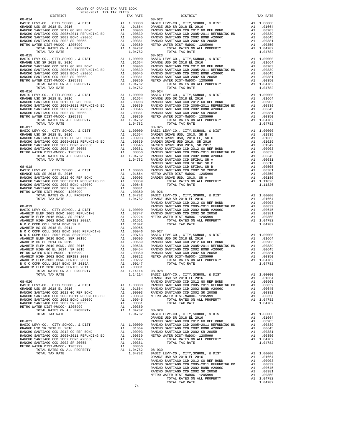|                                                                                                                                             | COUNTY OF ORANGE TAX RATE BOOK<br>2020-2021 TRA TAX RATES |               |                                      |                  |
|---------------------------------------------------------------------------------------------------------------------------------------------|-----------------------------------------------------------|---------------|--------------------------------------|------------------|
| DISTRICT                                                                                                                                    |                                                           |               | TAX RATE                             |                  |
| $08 - 014$                                                                                                                                  |                                                           |               |                                      | $08 - 022$       |
|                                                                                                                                             |                                                           |               |                                      |                  |
|                                                                                                                                             |                                                           |               | 1.04782                              |                  |
|                                                                                                                                             |                                                           |               |                                      |                  |
|                                                                                                                                             |                                                           |               |                                      |                  |
|                                                                                                                                             |                                                           |               |                                      |                  |
|                                                                                                                                             |                                                           |               |                                      |                  |
|                                                                                                                                             |                                                           |               |                                      |                  |
|                                                                                                                                             |                                                           |               |                                      |                  |
|                                                                                                                                             |                                                           |               |                                      |                  |
|                                                                                                                                             |                                                           |               |                                      |                  |
|                                                                                                                                             |                                                           |               |                                      |                  |
|                                                                                                                                             |                                                           |               |                                      |                  |
|                                                                                                                                             |                                                           |               |                                      |                  |
|                                                                                                                                             |                                                           |               |                                      |                  |
| $08 - 018$                                                                                                                                  |                                                           |               |                                      | RANCHO           |
|                                                                                                                                             |                                                           |               |                                      |                  |
|                                                                                                                                             |                                                           |               |                                      |                  |
|                                                                                                                                             |                                                           |               |                                      |                  |
|                                                                                                                                             |                                                           |               |                                      |                  |
| $08 - 019$                                                                                                                                  |                                                           |               |                                      | RANCHO<br>RANCHO |
|                                                                                                                                             |                                                           |               |                                      |                  |
|                                                                                                                                             |                                                           |               |                                      |                  |
|                                                                                                                                             |                                                           |               |                                      |                  |
|                                                                                                                                             |                                                           |               |                                      |                  |
|                                                                                                                                             |                                                           |               |                                      |                  |
|                                                                                                                                             |                                                           |               |                                      |                  |
| ANAHEIM HIGH 2002 BOND SERIES 2003 A1                                                                                                       |                                                           |               |                                      | .00322 METRO W   |
| ANAHEIM ELEM-2002 BOND SERIES 2007<br>N O C COMM COLL 2014 BOND SR 2016A                                                                    |                                                           | $\mathtt{Al}$ | .00292                               |                  |
| ANAHEIM ELEM 2010 BOND SERIES 2011<br>TOTAL RATES ON ALL PROPERTY                                                                           |                                                           |               | A1 .00147<br>A1 .00001<br>A1 1.14114 |                  |
| TOTAL TAX RATE<br>$08 - 020$                                                                                                                |                                                           |               | 1.14114  08-028<br>1.14114  BASIC L  | ORANGE<br>RANCHO |
|                                                                                                                                             |                                                           |               |                                      |                  |
|                                                                                                                                             |                                                           |               |                                      |                  |
| NANCHO SANTIAGO CCD 2002 BOND #2006C<br>RANCHO SANTIAGO CCD 2002 SR 2005B<br>METRO WATER DIST-MWDOC- 1205999<br>TOTAL RATES ON ALL PROPERTY |                                                           |               | A1 .00645                            |                  |
| TOTAL RATES ON ALL PROPERTY                                                                                                                 |                                                           |               | A1 .00381<br>A1 .00350<br>A1 1.04782 | $08 - 029$       |
| TOTAL TAX RATE                                                                                                                              |                                                           |               | 1.04782 BASIC L                      |                  |
| $08 - 021$                                                                                                                                  |                                                           |               |                                      | ORANGE<br>RANCHO |
|                                                                                                                                             |                                                           |               |                                      |                  |
|                                                                                                                                             |                                                           |               |                                      |                  |
|                                                                                                                                             |                                                           |               |                                      |                  |
| TOTAL RATES ON ALL PROPERTY                                                                                                                 |                                                           |               | A1 1.04782 08-030<br>1.04782 BASIC L |                  |
| TOTAL TAX RATE                                                                                                                              |                                                           |               |                                      |                  |

| 2020-2021 TRA TAX RATES<br>DISTRICT | TAX RATE | DISTRICT                  | TAX RATE |
|-------------------------------------|----------|---------------------------|----------|
| $08 - 014$                          |          | $08 - 022$                |          |
|                                     |          |                           |          |
|                                     |          |                           |          |
|                                     |          |                           |          |
|                                     |          |                           |          |
|                                     |          |                           |          |
|                                     |          |                           |          |
| $08 - 015$                          |          | $08 - 023$                |          |
|                                     |          |                           |          |
|                                     |          |                           |          |
|                                     |          |                           |          |
|                                     |          |                           |          |
|                                     |          |                           |          |
|                                     |          |                           |          |
|                                     |          |                           |          |
|                                     |          |                           |          |
|                                     |          |                           |          |
|                                     |          |                           |          |
|                                     |          |                           |          |
|                                     |          |                           |          |
|                                     |          |                           |          |
|                                     |          |                           |          |
| $08 - 017$                          |          | $08 - 025$                |          |
|                                     |          |                           |          |
|                                     |          |                           |          |
|                                     |          |                           |          |
|                                     |          |                           |          |
|                                     |          |                           |          |
|                                     |          |                           |          |
|                                     |          |                           |          |
|                                     |          |                           |          |
|                                     |          |                           |          |
|                                     |          |                           |          |
|                                     |          |                           |          |
|                                     |          |                           |          |
|                                     |          |                           |          |
|                                     |          |                           |          |
|                                     |          |                           |          |
|                                     |          |                           |          |
|                                     |          |                           |          |
|                                     |          |                           |          |
|                                     |          |                           |          |
|                                     |          |                           |          |
|                                     |          |                           |          |
|                                     |          |                           |          |
|                                     |          |                           |          |
|                                     |          |                           |          |
|                                     |          |                           |          |
|                                     |          |                           |          |
|                                     |          |                           |          |
|                                     |          |                           |          |
|                                     |          |                           |          |
|                                     |          |                           |          |
|                                     |          |                           |          |
|                                     |          |                           |          |
|                                     |          |                           |          |
|                                     |          |                           |          |
|                                     |          |                           |          |
|                                     |          |                           |          |
|                                     |          |                           |          |
|                                     |          |                           |          |
|                                     |          |                           |          |
|                                     |          |                           |          |
|                                     |          |                           |          |
|                                     |          |                           |          |
|                                     |          |                           |          |
|                                     |          |                           |          |
|                                     |          |                           |          |
|                                     |          |                           |          |
|                                     |          |                           |          |
|                                     |          |                           |          |
|                                     |          |                           |          |
|                                     |          |                           |          |
|                                     |          |                           |          |
|                                     |          |                           |          |
|                                     |          |                           |          |
|                                     |          |                           |          |
|                                     |          | TOTAL TAX RATE<br>1.04782 |          |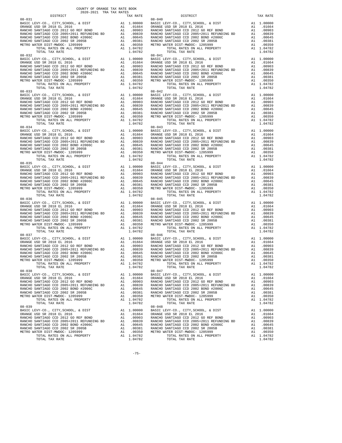| DISTRICT   | 2020-2021 TRA TAX RATES | TAX RATE | DISTRICT                                                                                                                                                                                                                                                                                                                                                                                                                                                                                          | TAX RATE |
|------------|-------------------------|----------|---------------------------------------------------------------------------------------------------------------------------------------------------------------------------------------------------------------------------------------------------------------------------------------------------------------------------------------------------------------------------------------------------------------------------------------------------------------------------------------------------|----------|
| $08 - 031$ |                         |          | $08 - 040$                                                                                                                                                                                                                                                                                                                                                                                                                                                                                        |          |
| $08 - 032$ |                         |          | $08 - 041$                                                                                                                                                                                                                                                                                                                                                                                                                                                                                        |          |
| $08 - 034$ |                         |          | $\begin{tabular}{0.85-023 $0$-0101 $00000 $101$ $100000$ $1011$ $100000$ $1011$ $100000$ $1011$ $100000$ $1011$ $10000$ $1011$ $10000$ $1011$ $10000$ $1011$ $10000$ $1011$ $10000$ $10000$ $1011$ $10000$ $10000$ $1011$ $10000$ $10000$ $1011$ $10000$ $10000$ $1011$<br>$08 - 043$                                                                                                                                                                                                             |          |
|            |                         |          |                                                                                                                                                                                                                                                                                                                                                                                                                                                                                                   |          |
|            |                         |          |                                                                                                                                                                                                                                                                                                                                                                                                                                                                                                   |          |
|            |                         |          |                                                                                                                                                                                                                                                                                                                                                                                                                                                                                                   |          |
| $08 - 037$ |                         |          | $08 - 046$<br>$\begin{tabular}{lllllllllllll} \multicolumn{2}{c }{\multicolumn{2}{c }{\multicolumn{2}{c}{\multicolumn{2}{c}{\multicolumn{2}{c}{\multicolumn{2}{c}{\multicolumn{2}{c}{\multicolumn{2}{c}{\multicolumn{2}{c}{\multicolumn{2}{c}{\multicolumn{2}{c}{\multicolumn{2}{c}{\multicolumn{2}{c}{\multicolumn{2}{c}{\multicolumn{2}{c}{\multicolumn{2}{c}{\multicolumn{2}{c}{\multicolumn{2}{c}{\multicolumn{2}{c}{\multicolumn{2}{c}{\multicolumn{2}{c}{\multicolumn{2}{c}{\multicolumn{2$ |          |
| $08 - 038$ |                         |          |                                                                                                                                                                                                                                                                                                                                                                                                                                                                                                   |          |
|            |                         |          |                                                                                                                                                                                                                                                                                                                                                                                                                                                                                                   |          |

-75-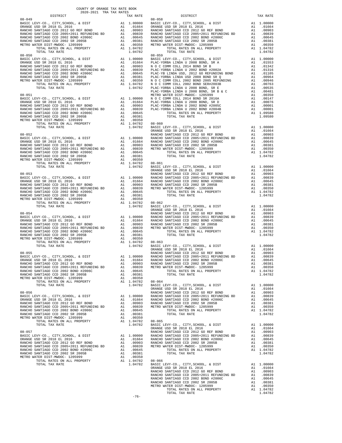| COUNTY OF ORANGE TAX RATE BOOK<br>2020-2021 TRA TAX RATES |          |                        |          |
|-----------------------------------------------------------|----------|------------------------|----------|
| DISTRICT<br>$08 - 049$                                    | TAX RATE | DISTRICT<br>$08 - 058$ | TAX RATE |
|                                                           |          |                        |          |
| $08 - 050$                                                |          |                        |          |
|                                                           |          |                        |          |
|                                                           |          |                        |          |
|                                                           |          |                        |          |
|                                                           |          |                        |          |
|                                                           |          |                        |          |
|                                                           |          |                        |          |
|                                                           |          |                        |          |
|                                                           |          |                        |          |
|                                                           |          |                        |          |
|                                                           |          |                        |          |
|                                                           |          |                        |          |
|                                                           |          |                        |          |
|                                                           |          |                        |          |
|                                                           |          |                        |          |
|                                                           |          |                        |          |
|                                                           |          |                        |          |
|                                                           |          |                        |          |
|                                                           |          |                        |          |
|                                                           |          |                        |          |
|                                                           |          |                        |          |
|                                                           |          |                        |          |
|                                                           |          |                        |          |
|                                                           |          |                        |          |
|                                                           |          |                        |          |
|                                                           |          |                        |          |
|                                                           |          |                        |          |

-76-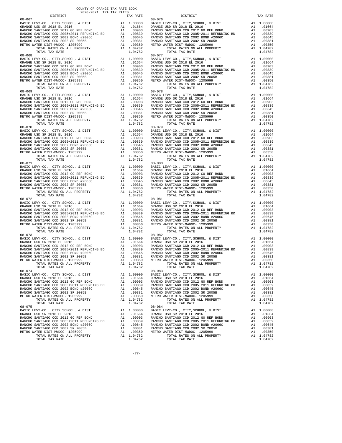| DISTRICT                 | 2020-2021 TRA TAX RATES | TAX RATE | DISTRICT                                                                                                                                                                                                                                                                                                                                                                                                                                                                                          | TAX RATE |
|--------------------------|-------------------------|----------|---------------------------------------------------------------------------------------------------------------------------------------------------------------------------------------------------------------------------------------------------------------------------------------------------------------------------------------------------------------------------------------------------------------------------------------------------------------------------------------------------|----------|
| $08 - 067$<br>$08 - 068$ |                         |          | $08 - 076$<br>$08 - 077$                                                                                                                                                                                                                                                                                                                                                                                                                                                                          |          |
|                          |                         |          |                                                                                                                                                                                                                                                                                                                                                                                                                                                                                                   |          |
| $08 - 070$               |                         |          | $08 - 079$                                                                                                                                                                                                                                                                                                                                                                                                                                                                                        |          |
|                          |                         |          |                                                                                                                                                                                                                                                                                                                                                                                                                                                                                                   |          |
|                          |                         |          |                                                                                                                                                                                                                                                                                                                                                                                                                                                                                                   |          |
|                          |                         |          |                                                                                                                                                                                                                                                                                                                                                                                                                                                                                                   |          |
| $08 - 073$<br>$08 - 074$ |                         |          | $08 - 082$<br>$\begin{tabular}{lllllllllllll} \multicolumn{2}{c }{\multicolumn{2}{c }{\multicolumn{2}{c}{\multicolumn{2}{c}{\multicolumn{2}{c}{\multicolumn{2}{c}{\multicolumn{2}{c}{\multicolumn{2}{c}{\multicolumn{2}{c}{\multicolumn{2}{c}{\multicolumn{2}{c}{\multicolumn{2}{c}{\multicolumn{2}{c}{\multicolumn{2}{c}{\multicolumn{2}{c}{\multicolumn{2}{c}{\multicolumn{2}{c}{\multicolumn{2}{c}{\multicolumn{2}{c}{\multicolumn{2}{c}{\multicolumn{2}{c}{\multicolumn{2}{c}{\multicolumn{2$ |          |
|                          |                         |          |                                                                                                                                                                                                                                                                                                                                                                                                                                                                                                   |          |
|                          |                         |          | $\begin{tabular}{cccccc} 08-075 & 1014L& 14A RALE & 1014L& 14A RALE & 1014L& 14A RALE & 1014L& 14A RALE & 1014L& 14A RALE & 1014L& 14A RALE & 1014L& 14A RALE & 1014L& 14A RALE & 1014L& 14A RALE & 1014L& 14A RALE & 1014L& 14A RALE & 1014L& 14A RALE & 1014L& 14A RALE & 1014L& 14A RALE & 1014L&$                                                                                                                                                                                             |          |

-77-

COUNTY OF ORANGE TAX RATE BOOK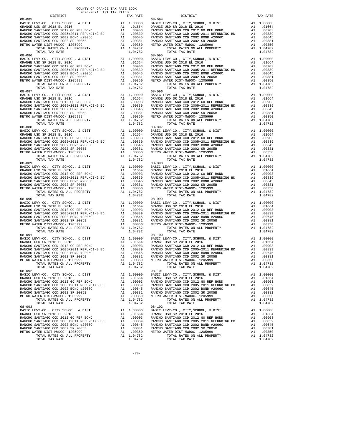| DISTRICT                 | 2020-2021 TRA TAX RATES |  | TAX RATE | DISTRICT                 | TAX RATE |
|--------------------------|-------------------------|--|----------|--------------------------|----------|
| $08 - 085$<br>$08 - 086$ |                         |  |          | $08 - 094$<br>$08 - 095$ |          |
|                          |                         |  |          |                          |          |
| $08 - 088$               |                         |  |          | $08 - 097$               |          |
|                          |                         |  |          |                          |          |
|                          |                         |  |          |                          |          |
|                          |                         |  |          |                          |          |
| $08 - 091$<br>$08 - 092$ |                         |  |          | $08 - 100$<br>$08 - 101$ |          |
|                          |                         |  |          |                          |          |
|                          |                         |  |          |                          |          |

-78-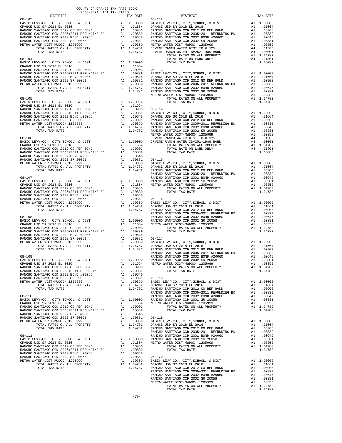| COUNTY OF ORANGE TAX RATE BOOK<br>2020-2021 TRA TAX RATES            |          |          |          |
|----------------------------------------------------------------------|----------|----------|----------|
| $2020-2021 \quad \text{TRA RATE B}$ DISTRICT 2020–2021 TRA TAX RATES | TAX RATE | DISTRICT | TAX RATE |
|                                                                      |          |          |          |
|                                                                      |          |          |          |
|                                                                      |          |          |          |
|                                                                      |          |          |          |
|                                                                      |          |          |          |
|                                                                      |          |          |          |
|                                                                      |          |          |          |
|                                                                      |          |          |          |
|                                                                      |          |          |          |
|                                                                      |          |          |          |
|                                                                      |          |          |          |
|                                                                      |          |          |          |
|                                                                      |          |          |          |
|                                                                      |          |          |          |
|                                                                      |          |          |          |
|                                                                      |          |          |          |
|                                                                      |          |          |          |
|                                                                      |          |          |          |
|                                                                      |          |          |          |
|                                                                      |          |          |          |
|                                                                      |          |          |          |
|                                                                      |          |          |          |
|                                                                      |          |          |          |
|                                                                      |          |          |          |
|                                                                      |          |          |          |
|                                                                      |          |          |          |
|                                                                      |          |          |          |
|                                                                      |          |          |          |
|                                                                      |          |          |          |
|                                                                      |          |          |          |
|                                                                      |          |          |          |
|                                                                      |          |          |          |
|                                                                      |          |          |          |
|                                                                      |          |          |          |
|                                                                      |          |          |          |
|                                                                      |          |          |          |
|                                                                      |          |          |          |
|                                                                      |          |          |          |
|                                                                      |          |          |          |
|                                                                      |          |          |          |
|                                                                      |          |          |          |
|                                                                      |          |          |          |
|                                                                      |          |          |          |
|                                                                      |          |          |          |
|                                                                      |          |          |          |
|                                                                      |          |          |          |
|                                                                      |          |          |          |
|                                                                      |          |          |          |
|                                                                      |          |          |          |
|                                                                      |          |          |          |
|                                                                      |          |          |          |
|                                                                      |          |          |          |
|                                                                      |          |          |          |
|                                                                      |          |          |          |
|                                                                      |          |          |          |
|                                                                      |          |          |          |
|                                                                      |          |          |          |
|                                                                      |          |          |          |
|                                                                      |          |          |          |
|                                                                      |          |          |          |
|                                                                      |          |          |          |
|                                                                      |          |          |          |
|                                                                      |          |          |          |
|                                                                      |          |          |          |
|                                                                      |          |          |          |
|                                                                      |          |          |          |
|                                                                      |          |          |          |
|                                                                      |          |          |          |
|                                                                      |          |          |          |
|                                                                      |          |          |          |
|                                                                      |          |          |          |
|                                                                      |          |          |          |
|                                                                      |          |          |          |
|                                                                      |          |          |          |
|                                                                      |          |          |          |
|                                                                      |          |          |          |
|                                                                      |          |          |          |
|                                                                      |          |          |          |
|                                                                      |          |          |          |
|                                                                      |          |          |          |
|                                                                      |          |          |          |
|                                                                      |          |          |          |
|                                                                      |          |          |          |
|                                                                      |          |          |          |
|                                                                      |          |          |          |
|                                                                      |          |          |          |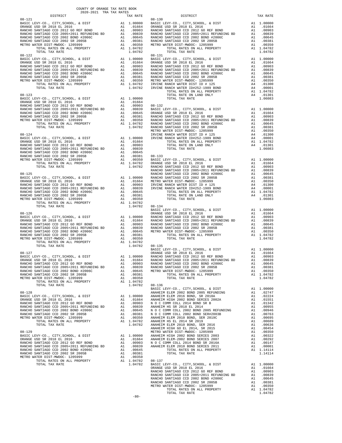| COUNTY OF ORANGE TAX RATE BOOK<br>2020-2021 TRA TAX RATES<br>$2020-2021 \quad \text{TRA RATES}$ DISTRICT $$\tt 2020-2021$$ |          |                                                                                                                                                                                           |          |
|----------------------------------------------------------------------------------------------------------------------------|----------|-------------------------------------------------------------------------------------------------------------------------------------------------------------------------------------------|----------|
| $08 - 121$                                                                                                                 | TAX RATE | DISTRICT<br>$08 - 130$                                                                                                                                                                    | TAX RATE |
|                                                                                                                            |          |                                                                                                                                                                                           |          |
|                                                                                                                            |          |                                                                                                                                                                                           |          |
|                                                                                                                            |          |                                                                                                                                                                                           |          |
|                                                                                                                            |          |                                                                                                                                                                                           |          |
|                                                                                                                            |          |                                                                                                                                                                                           |          |
|                                                                                                                            |          |                                                                                                                                                                                           |          |
|                                                                                                                            |          |                                                                                                                                                                                           |          |
|                                                                                                                            |          |                                                                                                                                                                                           |          |
|                                                                                                                            |          |                                                                                                                                                                                           |          |
|                                                                                                                            |          |                                                                                                                                                                                           |          |
|                                                                                                                            |          |                                                                                                                                                                                           |          |
|                                                                                                                            |          |                                                                                                                                                                                           |          |
|                                                                                                                            |          |                                                                                                                                                                                           |          |
|                                                                                                                            |          |                                                                                                                                                                                           |          |
|                                                                                                                            |          |                                                                                                                                                                                           |          |
|                                                                                                                            |          |                                                                                                                                                                                           |          |
|                                                                                                                            |          |                                                                                                                                                                                           |          |
|                                                                                                                            |          |                                                                                                                                                                                           |          |
|                                                                                                                            |          |                                                                                                                                                                                           |          |
|                                                                                                                            |          |                                                                                                                                                                                           |          |
|                                                                                                                            |          |                                                                                                                                                                                           |          |
|                                                                                                                            |          |                                                                                                                                                                                           |          |
|                                                                                                                            |          |                                                                                                                                                                                           |          |
|                                                                                                                            |          |                                                                                                                                                                                           |          |
|                                                                                                                            |          |                                                                                                                                                                                           |          |
|                                                                                                                            |          |                                                                                                                                                                                           |          |
|                                                                                                                            |          |                                                                                                                                                                                           |          |
|                                                                                                                            |          |                                                                                                                                                                                           |          |
|                                                                                                                            |          |                                                                                                                                                                                           |          |
|                                                                                                                            |          |                                                                                                                                                                                           |          |
|                                                                                                                            |          |                                                                                                                                                                                           |          |
|                                                                                                                            |          |                                                                                                                                                                                           |          |
|                                                                                                                            |          |                                                                                                                                                                                           |          |
|                                                                                                                            |          |                                                                                                                                                                                           |          |
|                                                                                                                            |          |                                                                                                                                                                                           |          |
|                                                                                                                            |          |                                                                                                                                                                                           |          |
|                                                                                                                            |          |                                                                                                                                                                                           |          |
|                                                                                                                            |          |                                                                                                                                                                                           |          |
|                                                                                                                            |          |                                                                                                                                                                                           |          |
|                                                                                                                            |          |                                                                                                                                                                                           |          |
|                                                                                                                            |          |                                                                                                                                                                                           |          |
|                                                                                                                            |          |                                                                                                                                                                                           |          |
|                                                                                                                            |          |                                                                                                                                                                                           |          |
|                                                                                                                            |          |                                                                                                                                                                                           |          |
|                                                                                                                            |          |                                                                                                                                                                                           |          |
|                                                                                                                            |          |                                                                                                                                                                                           |          |
|                                                                                                                            |          | 2010.1 2011<br>BASIC LEVY-CO., CITY, SCHOOL, & DIST 2016<br>BASIC LEVY-CO., CITY, SCHOOL, & DIST 2016<br>BASIC LEVY-CO., CITY, SCHOOL, & DIST 2012 GO REF BOND 2012 GO REF BOND 2010.1664 |          |
|                                                                                                                            |          |                                                                                                                                                                                           |          |
|                                                                                                                            |          |                                                                                                                                                                                           |          |
|                                                                                                                            |          |                                                                                                                                                                                           |          |
|                                                                                                                            |          |                                                                                                                                                                                           |          |
|                                                                                                                            |          |                                                                                                                                                                                           |          |
|                                                                                                                            |          |                                                                                                                                                                                           |          |
|                                                                                                                            |          |                                                                                                                                                                                           |          |
|                                                                                                                            |          |                                                                                                                                                                                           |          |
|                                                                                                                            |          |                                                                                                                                                                                           |          |
|                                                                                                                            |          |                                                                                                                                                                                           |          |
|                                                                                                                            |          |                                                                                                                                                                                           |          |
|                                                                                                                            |          |                                                                                                                                                                                           |          |
|                                                                                                                            |          |                                                                                                                                                                                           |          |
|                                                                                                                            |          |                                                                                                                                                                                           |          |
|                                                                                                                            |          |                                                                                                                                                                                           |          |
|                                                                                                                            |          |                                                                                                                                                                                           |          |
|                                                                                                                            |          |                                                                                                                                                                                           |          |
|                                                                                                                            |          |                                                                                                                                                                                           |          |
|                                                                                                                            |          |                                                                                                                                                                                           |          |
|                                                                                                                            |          |                                                                                                                                                                                           |          |
|                                                                                                                            |          |                                                                                                                                                                                           |          |
|                                                                                                                            |          |                                                                                                                                                                                           |          |
|                                                                                                                            |          |                                                                                                                                                                                           |          |
|                                                                                                                            |          |                                                                                                                                                                                           |          |
|                                                                                                                            |          |                                                                                                                                                                                           |          |
|                                                                                                                            |          |                                                                                                                                                                                           |          |
|                                                                                                                            |          |                                                                                                                                                                                           |          |
|                                                                                                                            |          |                                                                                                                                                                                           |          |
|                                                                                                                            |          |                                                                                                                                                                                           |          |

-80-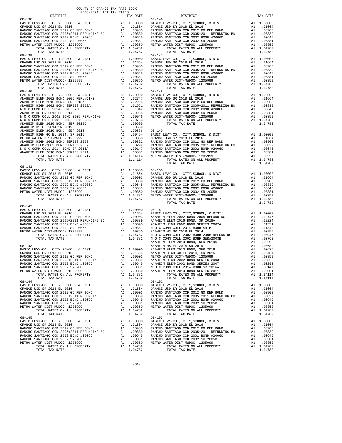| COUNTY OF ORANGE TAX RATE BOOK<br>2020-2021 TRA TAX RATES |                                                                                                                                                                                                                                                                                                                                                                                                                |                                                                                                                                                                                                                                                                                                                                                                                                                                                  |          |
|-----------------------------------------------------------|----------------------------------------------------------------------------------------------------------------------------------------------------------------------------------------------------------------------------------------------------------------------------------------------------------------------------------------------------------------------------------------------------------------|--------------------------------------------------------------------------------------------------------------------------------------------------------------------------------------------------------------------------------------------------------------------------------------------------------------------------------------------------------------------------------------------------------------------------------------------------|----------|
| DISTRICT                                                  | $\begin{array}{r@{\hspace{1em}}c@{\hspace{1em}}c@{\hspace{1em}}c@{\hspace{1em}}c@{\hspace{1em}}c@{\hspace{1em}}c@{\hspace{1em}}c@{\hspace{1em}}c@{\hspace{1em}}c@{\hspace{1em}}c@{\hspace{1em}}c@{\hspace{1em}}c@{\hspace{1em}}c@{\hspace{1em}}c@{\hspace{1em}}c@{\hspace{1em}}c@{\hspace{1em}}c@{\hspace{1em}}c@{\hspace{1em}}c@{\hspace{1em}}c@{\hspace{1em}}c@{\hspace{1em}}c@{\hspace{1em}}c@{\hspace{1em$ | DISTRICT                                                                                                                                                                                                                                                                                                                                                                                                                                         | TAX RATE |
| $08 - 138$                                                |                                                                                                                                                                                                                                                                                                                                                                                                                |                                                                                                                                                                                                                                                                                                                                                                                                                                                  |          |
|                                                           |                                                                                                                                                                                                                                                                                                                                                                                                                |                                                                                                                                                                                                                                                                                                                                                                                                                                                  |          |
|                                                           |                                                                                                                                                                                                                                                                                                                                                                                                                |                                                                                                                                                                                                                                                                                                                                                                                                                                                  |          |
|                                                           |                                                                                                                                                                                                                                                                                                                                                                                                                |                                                                                                                                                                                                                                                                                                                                                                                                                                                  |          |
|                                                           |                                                                                                                                                                                                                                                                                                                                                                                                                |                                                                                                                                                                                                                                                                                                                                                                                                                                                  |          |
|                                                           |                                                                                                                                                                                                                                                                                                                                                                                                                |                                                                                                                                                                                                                                                                                                                                                                                                                                                  |          |
|                                                           |                                                                                                                                                                                                                                                                                                                                                                                                                | $\begin{tabular}{l c c c c c c c} \multicolumn{1}{c}{\textbf{RAMCH6}} & \multicolumn{1}{c}{\textbf{RAMCH6}} & \multicolumn{1}{c}{\textbf{RAMCH6}} & \multicolumn{1}{c}{\textbf{RAMCH6}} & \multicolumn{1}{c}{\textbf{RAMCH6}} & \multicolumn{1}{c}{\textbf{RAMCH6}} & \multicolumn{1}{c}{\textbf{RAMCH6}} & \multicolumn{1}{c}{\textbf{RAMCH6}} & \multicolumn{1}{c}{\textbf{RAMCH6}} & \multicolumn{1}{c}{\textbf{RAMCH6}} & \multicolumn{1}{c$ |          |
| $08 - 144$                                                |                                                                                                                                                                                                                                                                                                                                                                                                                | $08 - 152$<br>$\begin{tabular}{cccc} 08-14 & 707 \text{h} & 1047 \text{h} & 1.047 \text{h} & 1.047 \text{h} & 1.047 \text{h} \\ 08-15 & 207 \text{h} & 1.047 \text{h} & 1.047 \text{h} \\ 08-15 & 207 \text{h} & 1.00000 & 8 \text{h} \\ 08-15 & 207 \text{h} & 1.00000 & 8 \text{h} \\ 08-15 & 207 \text{h} & 1.00000 & 8 \text{h} \\ 08-1$                                                                                                     |          |
|                                                           |                                                                                                                                                                                                                                                                                                                                                                                                                |                                                                                                                                                                                                                                                                                                                                                                                                                                                  |          |

-81-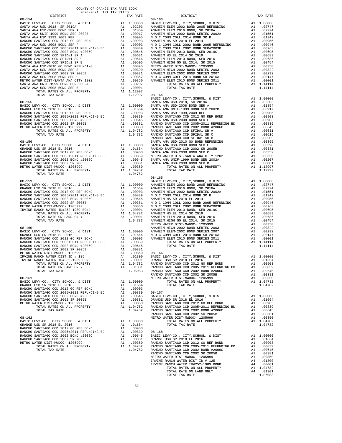| COUNTY OF ORANGE TAX RATE BOOK<br>$2020-2021 \quad \text{TRA RATES}$ DISTRICT $$\tt 2020-2021$$ |          |                                                                                                                                                                                                                                                                                                                                                                    |          |
|-------------------------------------------------------------------------------------------------|----------|--------------------------------------------------------------------------------------------------------------------------------------------------------------------------------------------------------------------------------------------------------------------------------------------------------------------------------------------------------------------|----------|
| $08 - 154$                                                                                      | TAX RATE | DISTRICT<br>$08 - 163$                                                                                                                                                                                                                                                                                                                                             | TAX RATE |
|                                                                                                 |          |                                                                                                                                                                                                                                                                                                                                                                    |          |
|                                                                                                 |          |                                                                                                                                                                                                                                                                                                                                                                    |          |
|                                                                                                 |          |                                                                                                                                                                                                                                                                                                                                                                    |          |
|                                                                                                 |          |                                                                                                                                                                                                                                                                                                                                                                    |          |
|                                                                                                 |          |                                                                                                                                                                                                                                                                                                                                                                    |          |
|                                                                                                 |          |                                                                                                                                                                                                                                                                                                                                                                    |          |
|                                                                                                 |          |                                                                                                                                                                                                                                                                                                                                                                    |          |
|                                                                                                 |          |                                                                                                                                                                                                                                                                                                                                                                    |          |
|                                                                                                 |          |                                                                                                                                                                                                                                                                                                                                                                    |          |
|                                                                                                 |          |                                                                                                                                                                                                                                                                                                                                                                    |          |
|                                                                                                 |          |                                                                                                                                                                                                                                                                                                                                                                    |          |
|                                                                                                 |          |                                                                                                                                                                                                                                                                                                                                                                    |          |
|                                                                                                 |          |                                                                                                                                                                                                                                                                                                                                                                    |          |
|                                                                                                 |          |                                                                                                                                                                                                                                                                                                                                                                    |          |
|                                                                                                 |          |                                                                                                                                                                                                                                                                                                                                                                    |          |
|                                                                                                 |          |                                                                                                                                                                                                                                                                                                                                                                    |          |
|                                                                                                 |          |                                                                                                                                                                                                                                                                                                                                                                    |          |
|                                                                                                 |          |                                                                                                                                                                                                                                                                                                                                                                    |          |
|                                                                                                 |          |                                                                                                                                                                                                                                                                                                                                                                    |          |
|                                                                                                 |          |                                                                                                                                                                                                                                                                                                                                                                    |          |
|                                                                                                 |          |                                                                                                                                                                                                                                                                                                                                                                    |          |
|                                                                                                 |          |                                                                                                                                                                                                                                                                                                                                                                    |          |
|                                                                                                 |          |                                                                                                                                                                                                                                                                                                                                                                    |          |
|                                                                                                 |          |                                                                                                                                                                                                                                                                                                                                                                    |          |
|                                                                                                 |          |                                                                                                                                                                                                                                                                                                                                                                    |          |
|                                                                                                 |          |                                                                                                                                                                                                                                                                                                                                                                    |          |
|                                                                                                 |          |                                                                                                                                                                                                                                                                                                                                                                    |          |
|                                                                                                 |          |                                                                                                                                                                                                                                                                                                                                                                    |          |
|                                                                                                 |          |                                                                                                                                                                                                                                                                                                                                                                    |          |
|                                                                                                 |          |                                                                                                                                                                                                                                                                                                                                                                    |          |
|                                                                                                 |          |                                                                                                                                                                                                                                                                                                                                                                    |          |
|                                                                                                 |          |                                                                                                                                                                                                                                                                                                                                                                    |          |
|                                                                                                 |          | $\begin{tabular}{l cccc} {\bf 107ML TAX RATE} & \multicolumn{1}{c }{\bf 11.19997} & 08-164 & \multicolumn{1}{c }{\bf 11.19997} & 08-164 & \multicolumn{1}{c }{\bf 11.19997} & 08-164 & \multicolumn{1}{c }{\bf 11.19997} & 08-164 & \multicolumn{1}{c }{\bf 11.19997} & 08-164 & \multicolumn{1}{c }{\bf 11.19997} & 08-164 & \multicolumn{1}{c }{\$<br>$08 - 165$ |          |
|                                                                                                 |          |                                                                                                                                                                                                                                                                                                                                                                    |          |
|                                                                                                 |          |                                                                                                                                                                                                                                                                                                                                                                    |          |
|                                                                                                 |          |                                                                                                                                                                                                                                                                                                                                                                    |          |
|                                                                                                 |          |                                                                                                                                                                                                                                                                                                                                                                    |          |
|                                                                                                 |          |                                                                                                                                                                                                                                                                                                                                                                    |          |
|                                                                                                 |          |                                                                                                                                                                                                                                                                                                                                                                    |          |
|                                                                                                 |          |                                                                                                                                                                                                                                                                                                                                                                    |          |
|                                                                                                 |          |                                                                                                                                                                                                                                                                                                                                                                    |          |
|                                                                                                 |          |                                                                                                                                                                                                                                                                                                                                                                    |          |
|                                                                                                 |          |                                                                                                                                                                                                                                                                                                                                                                    |          |
|                                                                                                 |          |                                                                                                                                                                                                                                                                                                                                                                    |          |
|                                                                                                 |          |                                                                                                                                                                                                                                                                                                                                                                    |          |
|                                                                                                 |          |                                                                                                                                                                                                                                                                                                                                                                    |          |
|                                                                                                 |          |                                                                                                                                                                                                                                                                                                                                                                    |          |
|                                                                                                 |          |                                                                                                                                                                                                                                                                                                                                                                    |          |
|                                                                                                 |          |                                                                                                                                                                                                                                                                                                                                                                    |          |
|                                                                                                 |          |                                                                                                                                                                                                                                                                                                                                                                    |          |
|                                                                                                 |          |                                                                                                                                                                                                                                                                                                                                                                    |          |
|                                                                                                 |          |                                                                                                                                                                                                                                                                                                                                                                    |          |
|                                                                                                 |          |                                                                                                                                                                                                                                                                                                                                                                    |          |
|                                                                                                 |          |                                                                                                                                                                                                                                                                                                                                                                    |          |
|                                                                                                 |          |                                                                                                                                                                                                                                                                                                                                                                    |          |
|                                                                                                 |          |                                                                                                                                                                                                                                                                                                                                                                    |          |
|                                                                                                 |          |                                                                                                                                                                                                                                                                                                                                                                    |          |
|                                                                                                 |          |                                                                                                                                                                                                                                                                                                                                                                    |          |
|                                                                                                 |          |                                                                                                                                                                                                                                                                                                                                                                    |          |
|                                                                                                 |          |                                                                                                                                                                                                                                                                                                                                                                    |          |
|                                                                                                 |          |                                                                                                                                                                                                                                                                                                                                                                    |          |
|                                                                                                 |          |                                                                                                                                                                                                                                                                                                                                                                    |          |
|                                                                                                 |          |                                                                                                                                                                                                                                                                                                                                                                    |          |
|                                                                                                 |          |                                                                                                                                                                                                                                                                                                                                                                    |          |
|                                                                                                 |          |                                                                                                                                                                                                                                                                                                                                                                    |          |
|                                                                                                 |          |                                                                                                                                                                                                                                                                                                                                                                    |          |
|                                                                                                 |          |                                                                                                                                                                                                                                                                                                                                                                    |          |
|                                                                                                 |          |                                                                                                                                                                                                                                                                                                                                                                    |          |
|                                                                                                 |          |                                                                                                                                                                                                                                                                                                                                                                    |          |
|                                                                                                 |          |                                                                                                                                                                                                                                                                                                                                                                    |          |
|                                                                                                 |          |                                                                                                                                                                                                                                                                                                                                                                    |          |
|                                                                                                 |          |                                                                                                                                                                                                                                                                                                                                                                    |          |
|                                                                                                 |          |                                                                                                                                                                                                                                                                                                                                                                    |          |
|                                                                                                 |          |                                                                                                                                                                                                                                                                                                                                                                    |          |
|                                                                                                 |          |                                                                                                                                                                                                                                                                                                                                                                    |          |
|                                                                                                 |          |                                                                                                                                                                                                                                                                                                                                                                    |          |
|                                                                                                 |          |                                                                                                                                                                                                                                                                                                                                                                    |          |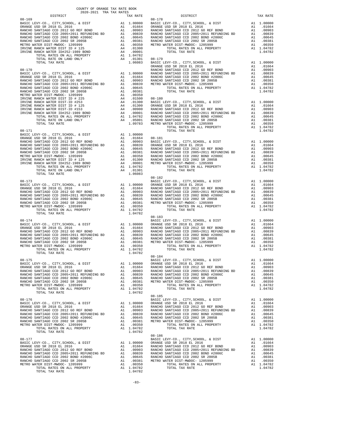| DISTRICT | TAX RATE | DISTRICT                                                                                                                                                                                                                      | TAX RATE |
|----------|----------|-------------------------------------------------------------------------------------------------------------------------------------------------------------------------------------------------------------------------------|----------|
|          |          |                                                                                                                                                                                                                               |          |
|          |          |                                                                                                                                                                                                                               |          |
|          |          |                                                                                                                                                                                                                               |          |
|          |          |                                                                                                                                                                                                                               |          |
|          |          |                                                                                                                                                                                                                               |          |
|          |          |                                                                                                                                                                                                                               |          |
|          |          |                                                                                                                                                                                                                               |          |
|          |          |                                                                                                                                                                                                                               |          |
|          |          |                                                                                                                                                                                                                               |          |
|          |          |                                                                                                                                                                                                                               |          |
|          |          |                                                                                                                                                                                                                               |          |
|          |          |                                                                                                                                                                                                                               |          |
|          |          |                                                                                                                                                                                                                               |          |
|          |          |                                                                                                                                                                                                                               |          |
|          |          |                                                                                                                                                                                                                               |          |
|          |          |                                                                                                                                                                                                                               |          |
|          |          |                                                                                                                                                                                                                               |          |
|          |          |                                                                                                                                                                                                                               |          |
|          |          |                                                                                                                                                                                                                               |          |
|          |          |                                                                                                                                                                                                                               |          |
|          |          |                                                                                                                                                                                                                               |          |
|          |          |                                                                                                                                                                                                                               |          |
|          |          |                                                                                                                                                                                                                               |          |
|          |          |                                                                                                                                                                                                                               |          |
|          |          |                                                                                                                                                                                                                               |          |
|          |          |                                                                                                                                                                                                                               |          |
|          |          |                                                                                                                                                                                                                               |          |
|          |          |                                                                                                                                                                                                                               |          |
|          |          |                                                                                                                                                                                                                               |          |
|          |          |                                                                                                                                                                                                                               |          |
|          |          |                                                                                                                                                                                                                               |          |
|          |          |                                                                                                                                                                                                                               |          |
|          |          |                                                                                                                                                                                                                               |          |
|          |          |                                                                                                                                                                                                                               |          |
|          |          |                                                                                                                                                                                                                               |          |
|          |          |                                                                                                                                                                                                                               |          |
|          |          |                                                                                                                                                                                                                               |          |
|          |          |                                                                                                                                                                                                                               |          |
|          |          | 02.109 DERMICH (1997) 2003 (1997) 2003 (1997) 2003 (1997) 2003 (1997) 2003 (1997) 2003 (1997) 2003 (1997) 2003 (1997) 2003 (1997) 2003 (1997) 2003 (1997) 2003 (1997) 2003 (1997) 2003 (1997) 2003 (1997) 2003 (1997) 2003 (1 |          |
|          |          |                                                                                                                                                                                                                               |          |
|          |          |                                                                                                                                                                                                                               |          |
|          |          |                                                                                                                                                                                                                               |          |
|          |          |                                                                                                                                                                                                                               |          |
|          |          |                                                                                                                                                                                                                               |          |
|          |          |                                                                                                                                                                                                                               |          |
|          |          |                                                                                                                                                                                                                               |          |
|          |          |                                                                                                                                                                                                                               |          |
|          |          |                                                                                                                                                                                                                               |          |
|          |          |                                                                                                                                                                                                                               |          |
|          |          |                                                                                                                                                                                                                               |          |
|          |          |                                                                                                                                                                                                                               |          |
|          |          |                                                                                                                                                                                                                               |          |
|          |          |                                                                                                                                                                                                                               |          |
|          |          |                                                                                                                                                                                                                               |          |
|          |          |                                                                                                                                                                                                                               |          |
|          |          |                                                                                                                                                                                                                               |          |
|          |          |                                                                                                                                                                                                                               |          |
|          |          |                                                                                                                                                                                                                               |          |
|          | 1.04782  |                                                                                                                                                                                                                               |          |
|          |          |                                                                                                                                                                                                                               |          |
|          |          |                                                                                                                                                                                                                               |          |
|          |          |                                                                                                                                                                                                                               |          |
|          |          |                                                                                                                                                                                                                               |          |
|          |          |                                                                                                                                                                                                                               |          |
|          |          |                                                                                                                                                                                                                               |          |
|          |          |                                                                                                                                                                                                                               |          |
|          |          |                                                                                                                                                                                                                               |          |
|          |          |                                                                                                                                                                                                                               |          |
|          |          |                                                                                                                                                                                                                               |          |
|          |          |                                                                                                                                                                                                                               |          |
|          |          |                                                                                                                                                                                                                               |          |
|          |          |                                                                                                                                                                                                                               |          |
|          |          |                                                                                                                                                                                                                               |          |
|          |          |                                                                                                                                                                                                                               |          |
|          |          |                                                                                                                                                                                                                               |          |
|          |          |                                                                                                                                                                                                                               |          |
|          |          |                                                                                                                                                                                                                               |          |
|          |          |                                                                                                                                                                                                                               |          |
|          |          |                                                                                                                                                                                                                               |          |
|          |          | $08 - 186$                                                                                                                                                                                                                    |          |
|          |          |                                                                                                                                                                                                                               |          |
|          |          |                                                                                                                                                                                                                               |          |
|          |          |                                                                                                                                                                                                                               |          |
|          |          |                                                                                                                                                                                                                               |          |
|          |          |                                                                                                                                                                                                                               |          |
|          |          |                                                                                                                                                                                                                               |          |
|          |          |                                                                                                                                                                                                                               |          |
|          |          |                                                                                                                                                                                                                               |          |
|          |          |                                                                                                                                                                                                                               |          |
|          |          |                                                                                                                                                                                                                               |          |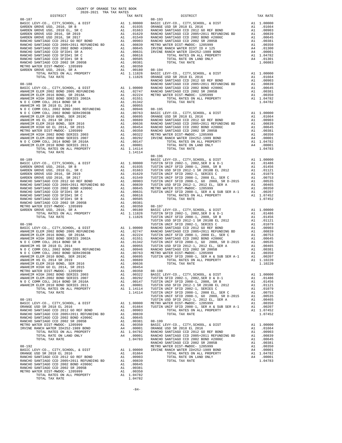| DISTRICT                                                                     |          | TAX RATE                                                                        |                  |
|------------------------------------------------------------------------------|----------|---------------------------------------------------------------------------------|------------------|
| $08 - 187$                                                                   |          |                                                                                 | $08 - 193$       |
|                                                                              |          |                                                                                 |                  |
|                                                                              |          |                                                                                 |                  |
|                                                                              |          |                                                                                 |                  |
|                                                                              |          |                                                                                 |                  |
|                                                                              |          |                                                                                 |                  |
|                                                                              |          |                                                                                 |                  |
|                                                                              |          |                                                                                 |                  |
|                                                                              |          |                                                                                 |                  |
|                                                                              |          |                                                                                 |                  |
|                                                                              |          |                                                                                 |                  |
|                                                                              |          |                                                                                 |                  |
|                                                                              |          |                                                                                 |                  |
|                                                                              |          |                                                                                 |                  |
| $08 - 188$                                                                   |          |                                                                                 | RANCHO           |
|                                                                              |          |                                                                                 |                  |
|                                                                              |          |                                                                                 |                  |
|                                                                              |          |                                                                                 |                  |
|                                                                              |          |                                                                                 |                  |
|                                                                              |          |                                                                                 |                  |
|                                                                              |          |                                                                                 |                  |
|                                                                              |          |                                                                                 |                  |
|                                                                              |          |                                                                                 |                  |
|                                                                              |          |                                                                                 |                  |
|                                                                              |          |                                                                                 |                  |
|                                                                              |          |                                                                                 |                  |
|                                                                              |          |                                                                                 |                  |
|                                                                              |          |                                                                                 |                  |
|                                                                              |          |                                                                                 |                  |
|                                                                              |          |                                                                                 | 08-196           |
|                                                                              |          |                                                                                 |                  |
|                                                                              |          |                                                                                 |                  |
|                                                                              |          |                                                                                 |                  |
|                                                                              |          |                                                                                 |                  |
|                                                                              |          |                                                                                 |                  |
|                                                                              |          |                                                                                 |                  |
|                                                                              |          |                                                                                 |                  |
|                                                                              |          |                                                                                 |                  |
|                                                                              |          |                                                                                 |                  |
|                                                                              |          |                                                                                 |                  |
|                                                                              |          |                                                                                 |                  |
|                                                                              |          |                                                                                 |                  |
|                                                                              |          |                                                                                 |                  |
|                                                                              |          |                                                                                 | TUSTIN           |
|                                                                              |          |                                                                                 | TUSTIN           |
|                                                                              |          |                                                                                 |                  |
|                                                                              |          |                                                                                 |                  |
|                                                                              |          |                                                                                 |                  |
|                                                                              |          |                                                                                 |                  |
|                                                                              |          |                                                                                 |                  |
|                                                                              |          |                                                                                 |                  |
|                                                                              |          |                                                                                 |                  |
|                                                                              |          |                                                                                 |                  |
| ANAHEIM HIGH GO EL 2014, SR 2015                                             |          |                                                                                 |                  |
| METRO WATER DIST-MWDOC- 1205999                                              | A1       | .00350                                                                          | $08 - 198$       |
| ANAHEIM HIGH 2002 BOND SERIES 2003                                           | A1       | .00322                                                                          | BASIC L          |
| ANAHEIM ELEM-2002 BOND SERIES 2007<br>N O C COMM COLL 2014 BOND SR 2016A     | A1<br>A1 | .00292<br>.00147                                                                | TUSTIN<br>TUSTIN |
| ANAHEIM ELEM 2010 BOND SERIES 2011                                           |          | A1 .0013, TUSTIN<br>A1 .00001 TUSTIN<br>A1 1.14114 TUSTIN<br>1.14114 TUSTIN     |                  |
| TOTAL RATES ON ALL PROPERTY                                                  |          |                                                                                 |                  |
| TOTAL TAX RATE                                                               |          |                                                                                 | TUSTIN           |
| $08 - 191$                                                                   |          |                                                                                 | TUSTIN           |
|                                                                              |          |                                                                                 |                  |
|                                                                              |          |                                                                                 |                  |
|                                                                              |          |                                                                                 |                  |
| RANCHO SANTIAGO CCD 2002 BOND #2006C<br>RANCHO SANTIAGO CCD 2002 BOND #2006C |          | A1.00645                                                                        |                  |
| RANCHO SANTIAGO CCD 2002 SR 2005B                                            |          | A1 .00381 08-199                                                                |                  |
| METRO WATER DIST-MWDOC- 1205999                                              | A4       | A1.00350                                                                        | BASIC L          |
| IRVINE RANCH WATER ID#252-1989 BOND<br>TOTAL RATES ON ALL PROPERTY           |          | .00001<br>A4 . 00001<br>A1 1.04782 RANCHO<br>A4 .00001 RANCHO<br>1.04783 RANCHO | ORANGE           |
| TOTAL RATE ON LAND ONLY                                                      |          |                                                                                 |                  |
| TOTAL TAX RATE                                                               |          |                                                                                 |                  |
|                                                                              |          |                                                                                 | RANCHO           |
| $08 - 192$<br>BASIC LEVY-CO., CITY, SCHOOL, & DIST                           |          | METRO M<br>METRO W<br>A1 .01664<br>A1 .01664                                    |                  |
| ORANGE USD SR 2018 EL 2016                                                   |          |                                                                                 |                  |
|                                                                              |          |                                                                                 |                  |
|                                                                              |          |                                                                                 |                  |
|                                                                              |          |                                                                                 |                  |
|                                                                              |          |                                                                                 |                  |
|                                                                              |          |                                                                                 |                  |
| TOTAL TAX RATE                                                               |          | 1.04782                                                                         |                  |

| COUNTY OF ORANGE TAX RATE BOOK<br>2020-2021 TRA TAX RATES |          |                                                                                                                                                                                                                                         |          |
|-----------------------------------------------------------|----------|-----------------------------------------------------------------------------------------------------------------------------------------------------------------------------------------------------------------------------------------|----------|
| DISTRICT                                                  | TAX RATE | DISTRICT                                                                                                                                                                                                                                | TAX RATE |
| $08 - 187$                                                |          | $08 - 193$                                                                                                                                                                                                                              |          |
|                                                           |          |                                                                                                                                                                                                                                         |          |
|                                                           |          |                                                                                                                                                                                                                                         |          |
|                                                           |          |                                                                                                                                                                                                                                         |          |
|                                                           |          |                                                                                                                                                                                                                                         |          |
|                                                           |          |                                                                                                                                                                                                                                         |          |
|                                                           |          |                                                                                                                                                                                                                                         |          |
|                                                           |          |                                                                                                                                                                                                                                         |          |
|                                                           |          |                                                                                                                                                                                                                                         |          |
|                                                           |          |                                                                                                                                                                                                                                         |          |
|                                                           |          |                                                                                                                                                                                                                                         |          |
|                                                           |          |                                                                                                                                                                                                                                         |          |
|                                                           |          |                                                                                                                                                                                                                                         |          |
|                                                           |          |                                                                                                                                                                                                                                         |          |
|                                                           |          |                                                                                                                                                                                                                                         |          |
|                                                           |          |                                                                                                                                                                                                                                         |          |
|                                                           |          |                                                                                                                                                                                                                                         |          |
|                                                           |          |                                                                                                                                                                                                                                         |          |
|                                                           |          |                                                                                                                                                                                                                                         |          |
|                                                           |          |                                                                                                                                                                                                                                         |          |
|                                                           |          |                                                                                                                                                                                                                                         |          |
|                                                           |          |                                                                                                                                                                                                                                         |          |
|                                                           |          |                                                                                                                                                                                                                                         |          |
|                                                           |          |                                                                                                                                                                                                                                         |          |
|                                                           |          |                                                                                                                                                                                                                                         |          |
|                                                           |          |                                                                                                                                                                                                                                         |          |
|                                                           |          |                                                                                                                                                                                                                                         |          |
|                                                           |          |                                                                                                                                                                                                                                         |          |
|                                                           |          |                                                                                                                                                                                                                                         |          |
|                                                           |          |                                                                                                                                                                                                                                         |          |
|                                                           |          |                                                                                                                                                                                                                                         |          |
|                                                           |          | $08 - 196$                                                                                                                                                                                                                              |          |
|                                                           |          |                                                                                                                                                                                                                                         |          |
|                                                           |          |                                                                                                                                                                                                                                         |          |
|                                                           |          |                                                                                                                                                                                                                                         |          |
|                                                           |          |                                                                                                                                                                                                                                         |          |
|                                                           |          |                                                                                                                                                                                                                                         |          |
|                                                           |          |                                                                                                                                                                                                                                         |          |
|                                                           |          |                                                                                                                                                                                                                                         |          |
|                                                           |          |                                                                                                                                                                                                                                         |          |
|                                                           |          |                                                                                                                                                                                                                                         |          |
|                                                           |          |                                                                                                                                                                                                                                         |          |
|                                                           |          |                                                                                                                                                                                                                                         |          |
|                                                           |          |                                                                                                                                                                                                                                         |          |
|                                                           |          |                                                                                                                                                                                                                                         |          |
|                                                           |          |                                                                                                                                                                                                                                         |          |
|                                                           |          |                                                                                                                                                                                                                                         |          |
|                                                           |          |                                                                                                                                                                                                                                         |          |
|                                                           |          |                                                                                                                                                                                                                                         |          |
|                                                           |          |                                                                                                                                                                                                                                         |          |
|                                                           |          |                                                                                                                                                                                                                                         |          |
|                                                           |          |                                                                                                                                                                                                                                         |          |
|                                                           |          |                                                                                                                                                                                                                                         |          |
|                                                           |          |                                                                                                                                                                                                                                         |          |
|                                                           |          |                                                                                                                                                                                                                                         |          |
|                                                           |          |                                                                                                                                                                                                                                         |          |
|                                                           |          |                                                                                                                                                                                                                                         |          |
|                                                           |          |                                                                                                                                                                                                                                         |          |
|                                                           |          |                                                                                                                                                                                                                                         |          |
|                                                           |          |                                                                                                                                                                                                                                         |          |
|                                                           |          |                                                                                                                                                                                                                                         |          |
|                                                           |          |                                                                                                                                                                                                                                         |          |
|                                                           |          |                                                                                                                                                                                                                                         |          |
|                                                           |          |                                                                                                                                                                                                                                         |          |
|                                                           |          |                                                                                                                                                                                                                                         |          |
|                                                           |          |                                                                                                                                                                                                                                         |          |
|                                                           |          |                                                                                                                                                                                                                                         |          |
|                                                           |          |                                                                                                                                                                                                                                         |          |
|                                                           |          |                                                                                                                                                                                                                                         |          |
|                                                           |          |                                                                                                                                                                                                                                         |          |
|                                                           |          |                                                                                                                                                                                                                                         |          |
|                                                           |          | NEWHERE REPAIRS 2010 2000 DESIRE 2012<br>ARMEIN RELEA 2010 2000, DESIRE 2019<br>ARMEIN RELEA 2010 2000, DESIRE 2019<br>ARMEIN RELEA 2010 4000, DESIRE 2019<br>ARMEIN RELEA 2010 4000, DESIRE 2019<br>ARMEIN RELEA 2010 4000, DESIRE 201 |          |
|                                                           |          |                                                                                                                                                                                                                                         |          |
|                                                           |          |                                                                                                                                                                                                                                         |          |
|                                                           |          |                                                                                                                                                                                                                                         |          |
|                                                           |          |                                                                                                                                                                                                                                         |          |
|                                                           |          |                                                                                                                                                                                                                                         |          |
|                                                           |          |                                                                                                                                                                                                                                         |          |
|                                                           |          |                                                                                                                                                                                                                                         |          |
|                                                           |          |                                                                                                                                                                                                                                         |          |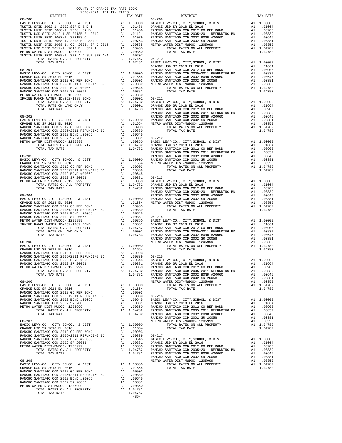| DISTRICT | TAX RATE | DISTRICT | TAX RATE |
|----------|----------|----------|----------|
|          |          |          |          |
|          |          |          |          |
|          |          |          |          |
|          |          |          |          |
|          |          |          |          |
|          |          |          |          |
|          |          |          |          |
|          |          |          |          |
|          |          |          |          |
|          |          |          |          |
|          |          |          |          |
|          |          |          |          |
|          |          |          |          |
|          |          |          |          |
|          |          |          |          |
|          |          |          |          |
|          |          |          |          |
|          |          |          |          |
|          |          |          |          |
|          |          |          |          |
|          |          |          |          |
|          |          |          |          |
|          |          |          |          |
|          |          |          |          |
|          |          |          |          |
|          |          |          |          |
|          |          |          |          |
|          |          |          |          |
|          |          |          |          |
|          |          |          |          |
|          |          |          |          |
|          |          |          |          |
|          |          |          |          |
|          |          |          |          |
|          |          |          |          |
|          |          |          |          |
|          |          |          |          |
|          |          |          |          |
|          |          |          |          |
|          |          |          |          |
|          |          |          |          |
|          |          |          |          |
|          |          |          |          |
|          |          |          |          |
|          |          |          |          |
|          |          |          |          |
|          |          |          |          |
|          |          |          |          |
|          |          |          |          |
|          |          |          |          |
|          |          |          |          |
|          |          |          |          |
|          |          |          |          |
|          |          |          |          |
|          |          |          |          |
|          |          |          |          |
|          |          |          |          |
|          |          |          |          |
|          |          |          |          |
|          |          |          |          |
|          |          |          |          |
|          |          |          |          |
|          |          |          |          |
|          |          |          |          |
|          |          |          |          |
|          |          |          |          |
|          |          |          |          |
|          |          |          |          |
|          |          |          |          |
|          |          |          |          |
|          |          |          |          |
|          |          |          |          |
|          |          |          |          |
|          |          |          |          |
|          |          |          |          |
|          |          |          |          |
|          |          |          |          |
|          |          |          |          |
|          |          |          |          |
|          |          |          |          |
|          |          |          |          |
|          |          |          |          |
|          |          |          |          |
|          |          |          |          |
|          |          |          |          |
|          |          |          |          |
|          |          |          |          |
|          |          |          |          |
|          |          |          |          |
|          |          |          |          |
|          |          |          |          |
|          |          |          |          |
|          |          |          |          |
|          |          |          |          |
|          |          |          |          |
|          |          |          |          |
|          |          |          |          |
|          |          |          |          |
|          |          |          |          |
|          |          |          |          |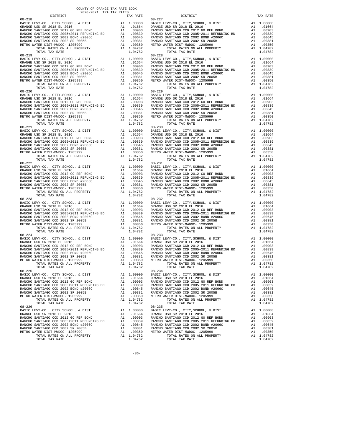| DISTRICT                 | 2020-2021 TRA TAX RATES | TAX RATE | DISTRICT                 | TAX RATE |
|--------------------------|-------------------------|----------|--------------------------|----------|
| $08 - 218$<br>$08 - 219$ |                         |          | $08 - 227$<br>$08 - 228$ |          |
|                          |                         |          |                          |          |
| $08 - 221$               |                         |          | $08 - 230$               |          |
|                          |                         |          |                          |          |
|                          |                         |          |                          |          |
|                          |                         |          |                          |          |
| $08 - 224$<br>$08 - 225$ |                         |          | $08 - 233$<br>$08 - 234$ |          |
|                          |                         |          |                          |          |
|                          |                         |          |                          |          |

-86-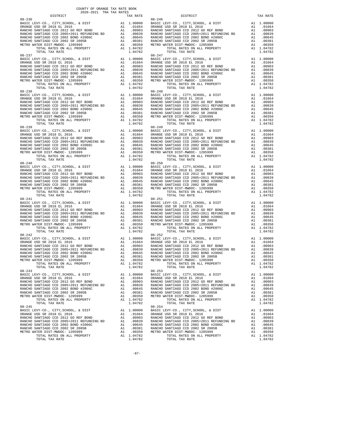| DISTRICT                 | 2020-2021 TRA TAX RATES | TAX RATE | DISTRICT                                                                                                                                                                                                                                                                                                                                                                                                                                                                                          | TAX RATE |
|--------------------------|-------------------------|----------|---------------------------------------------------------------------------------------------------------------------------------------------------------------------------------------------------------------------------------------------------------------------------------------------------------------------------------------------------------------------------------------------------------------------------------------------------------------------------------------------------|----------|
| $08 - 236$<br>$08 - 237$ |                         |          | $08 - 246$<br>$08 - 247$                                                                                                                                                                                                                                                                                                                                                                                                                                                                          |          |
|                          |                         |          |                                                                                                                                                                                                                                                                                                                                                                                                                                                                                                   |          |
| $08 - 239$               |                         |          | $08 - 249$                                                                                                                                                                                                                                                                                                                                                                                                                                                                                        |          |
|                          |                         |          |                                                                                                                                                                                                                                                                                                                                                                                                                                                                                                   |          |
|                          |                         |          |                                                                                                                                                                                                                                                                                                                                                                                                                                                                                                   |          |
|                          |                         |          |                                                                                                                                                                                                                                                                                                                                                                                                                                                                                                   |          |
| $08 - 242$<br>$08 - 243$ |                         |          | $08 - 252$<br>$\begin{tabular}{lllllllllllll} \multicolumn{2}{c }{\multicolumn{2}{c }{\multicolumn{2}{c}{\multicolumn{2}{c}{\multicolumn{2}{c}{\multicolumn{2}{c}{\multicolumn{2}{c}{\multicolumn{2}{c}{\multicolumn{2}{c}{\multicolumn{2}{c}{\multicolumn{2}{c}{\multicolumn{2}{c}{\multicolumn{2}{c}{\multicolumn{2}{c}{\multicolumn{2}{c}{\multicolumn{2}{c}{\multicolumn{2}{c}{\multicolumn{2}{c}{\multicolumn{2}{c}{\multicolumn{2}{c}{\multicolumn{2}{c}{\multicolumn{2}{c}{\multicolumn{2$ |          |
|                          |                         |          |                                                                                                                                                                                                                                                                                                                                                                                                                                                                                                   |          |
|                          |                         |          |                                                                                                                                                                                                                                                                                                                                                                                                                                                                                                   |          |

-87-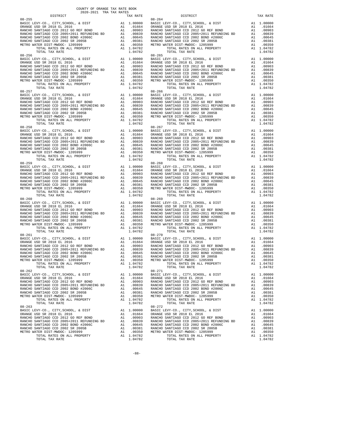| DISTRICT                 | 2020-2021 TRA TAX RATES | TAX RATE | DISTRICT                 | TAX RATE |
|--------------------------|-------------------------|----------|--------------------------|----------|
| $08 - 255$               |                         |          | $08 - 264$               |          |
| $08 - 256$               |                         |          | $08 - 265$               |          |
| $08 - 258$               |                         |          | $08 - 267$               |          |
|                          |                         |          |                          |          |
|                          |                         |          |                          |          |
|                          |                         |          |                          |          |
| $08 - 261$<br>$08 - 262$ |                         |          | $08 - 270$<br>$08 - 271$ |          |
|                          |                         |          |                          |          |
|                          |                         |          |                          |          |

-88-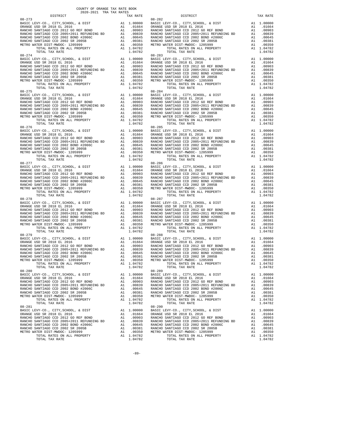| DISTRICT   | 2020-2021 TRA TAX RATES | TAX RATE | DISTRICT                 | TAX RATE |
|------------|-------------------------|----------|--------------------------|----------|
| $08 - 273$ |                         |          | $08 - 282$               |          |
| $08 - 274$ |                         |          | $08 - 283$               |          |
| $08 - 276$ |                         |          | $08 - 285$               |          |
|            |                         |          |                          |          |
|            |                         |          |                          |          |
|            |                         |          |                          |          |
| $08 - 279$ |                         |          | $08 - 288$<br>$08 - 289$ |          |
| $08 - 280$ |                         |          |                          |          |
|            |                         |          |                          |          |

-89-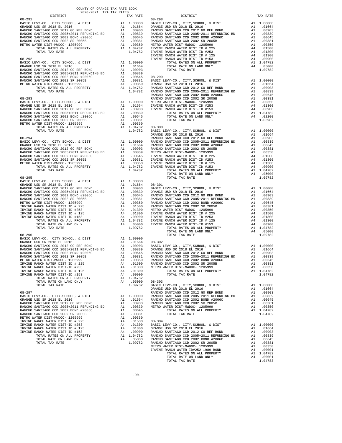| COUNTY OF ORANGE TAX RATE BOOK<br>2020-2021 TRA TAX RATES<br>DISTRICT | TAX RATE | DISTRICT<br>08-291<br>1942-291<br>1942-291<br>1942-291<br>1942-291<br>1942-291<br>1942-291<br>1942-291<br>1942-291<br>1942-291<br>1942-291<br>1942-201 (1942-201), 6 1917<br>1942-201 (1942-201), 6 1917<br>1942-201 (1942-201), 6 1917<br>1942-201 (1942-201), 6 191                       | TAX RATE |
|-----------------------------------------------------------------------|----------|---------------------------------------------------------------------------------------------------------------------------------------------------------------------------------------------------------------------------------------------------------------------------------------------|----------|
|                                                                       |          |                                                                                                                                                                                                                                                                                             |          |
|                                                                       |          |                                                                                                                                                                                                                                                                                             |          |
|                                                                       |          |                                                                                                                                                                                                                                                                                             |          |
|                                                                       |          |                                                                                                                                                                                                                                                                                             |          |
|                                                                       |          |                                                                                                                                                                                                                                                                                             |          |
|                                                                       |          |                                                                                                                                                                                                                                                                                             |          |
|                                                                       |          |                                                                                                                                                                                                                                                                                             |          |
|                                                                       |          |                                                                                                                                                                                                                                                                                             |          |
|                                                                       |          |                                                                                                                                                                                                                                                                                             |          |
|                                                                       |          |                                                                                                                                                                                                                                                                                             |          |
|                                                                       |          |                                                                                                                                                                                                                                                                                             |          |
|                                                                       |          |                                                                                                                                                                                                                                                                                             |          |
|                                                                       |          |                                                                                                                                                                                                                                                                                             |          |
|                                                                       |          |                                                                                                                                                                                                                                                                                             |          |
|                                                                       |          |                                                                                                                                                                                                                                                                                             |          |
|                                                                       |          |                                                                                                                                                                                                                                                                                             |          |
|                                                                       |          |                                                                                                                                                                                                                                                                                             |          |
|                                                                       |          |                                                                                                                                                                                                                                                                                             |          |
|                                                                       |          |                                                                                                                                                                                                                                                                                             |          |
|                                                                       |          |                                                                                                                                                                                                                                                                                             |          |
|                                                                       |          |                                                                                                                                                                                                                                                                                             |          |
|                                                                       |          |                                                                                                                                                                                                                                                                                             |          |
|                                                                       |          |                                                                                                                                                                                                                                                                                             |          |
|                                                                       |          |                                                                                                                                                                                                                                                                                             |          |
|                                                                       |          |                                                                                                                                                                                                                                                                                             |          |
|                                                                       |          |                                                                                                                                                                                                                                                                                             |          |
|                                                                       |          |                                                                                                                                                                                                                                                                                             |          |
|                                                                       |          |                                                                                                                                                                                                                                                                                             |          |
|                                                                       |          |                                                                                                                                                                                                                                                                                             |          |
|                                                                       |          |                                                                                                                                                                                                                                                                                             |          |
|                                                                       |          |                                                                                                                                                                                                                                                                                             |          |
|                                                                       |          |                                                                                                                                                                                                                                                                                             |          |
|                                                                       |          |                                                                                                                                                                                                                                                                                             |          |
|                                                                       |          |                                                                                                                                                                                                                                                                                             |          |
|                                                                       |          |                                                                                                                                                                                                                                                                                             |          |
|                                                                       |          |                                                                                                                                                                                                                                                                                             |          |
|                                                                       |          |                                                                                                                                                                                                                                                                                             |          |
|                                                                       |          |                                                                                                                                                                                                                                                                                             |          |
|                                                                       |          |                                                                                                                                                                                                                                                                                             |          |
|                                                                       |          |                                                                                                                                                                                                                                                                                             |          |
|                                                                       |          |                                                                                                                                                                                                                                                                                             |          |
|                                                                       |          |                                                                                                                                                                                                                                                                                             |          |
|                                                                       |          |                                                                                                                                                                                                                                                                                             |          |
|                                                                       |          |                                                                                                                                                                                                                                                                                             |          |
|                                                                       |          |                                                                                                                                                                                                                                                                                             |          |
|                                                                       |          |                                                                                                                                                                                                                                                                                             |          |
|                                                                       |          |                                                                                                                                                                                                                                                                                             |          |
|                                                                       |          |                                                                                                                                                                                                                                                                                             |          |
|                                                                       |          |                                                                                                                                                                                                                                                                                             |          |
|                                                                       |          |                                                                                                                                                                                                                                                                                             |          |
|                                                                       |          |                                                                                                                                                                                                                                                                                             |          |
|                                                                       |          |                                                                                                                                                                                                                                                                                             |          |
|                                                                       |          | $\begin{tabular}{l c c c c c c c c} \multicolumn{4}{c}{\textbf{RMCB}}\textbf{CCD} & 20018 & 2018 & 2018 & 2018 & 2018 & 2018 & 2018 & 2018 & 2018 & 2018 & 2018 & 2018 & 2018 & 2018 & 2018 & 2018 & 2018 & 2018 & 2018 & 2018 & 2018 & 2018 & 2018 & 2018 & 2018 & 2018 & 2018 & 2018 & 2$ |          |
|                                                                       |          |                                                                                                                                                                                                                                                                                             |          |
|                                                                       |          |                                                                                                                                                                                                                                                                                             |          |
|                                                                       |          |                                                                                                                                                                                                                                                                                             |          |
|                                                                       |          |                                                                                                                                                                                                                                                                                             |          |
|                                                                       |          |                                                                                                                                                                                                                                                                                             |          |
|                                                                       |          |                                                                                                                                                                                                                                                                                             |          |
|                                                                       |          |                                                                                                                                                                                                                                                                                             |          |
|                                                                       |          |                                                                                                                                                                                                                                                                                             |          |
|                                                                       |          |                                                                                                                                                                                                                                                                                             |          |
|                                                                       |          |                                                                                                                                                                                                                                                                                             |          |
|                                                                       |          |                                                                                                                                                                                                                                                                                             |          |
|                                                                       |          |                                                                                                                                                                                                                                                                                             |          |
|                                                                       |          |                                                                                                                                                                                                                                                                                             |          |
|                                                                       |          |                                                                                                                                                                                                                                                                                             |          |
|                                                                       |          |                                                                                                                                                                                                                                                                                             |          |
|                                                                       |          |                                                                                                                                                                                                                                                                                             |          |
|                                                                       |          |                                                                                                                                                                                                                                                                                             |          |
|                                                                       |          |                                                                                                                                                                                                                                                                                             |          |
|                                                                       |          |                                                                                                                                                                                                                                                                                             |          |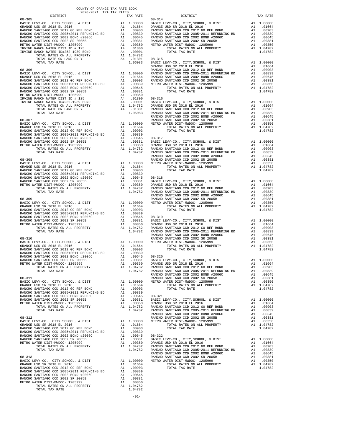| COUNTY OF ORANGE TAX RATE BOOK<br>2020-2021 TRA TAX RATES<br>$2020-2021 \quad \text{TRA RATES}$ DISTRICT $\hspace{0.5cm}$ |          |          |          |
|---------------------------------------------------------------------------------------------------------------------------|----------|----------|----------|
|                                                                                                                           | TAX RATE | DISTRICT | TAX RATE |
|                                                                                                                           |          |          |          |
|                                                                                                                           |          |          |          |
|                                                                                                                           |          |          |          |
|                                                                                                                           |          |          |          |
|                                                                                                                           |          |          |          |
|                                                                                                                           |          |          |          |
|                                                                                                                           |          |          |          |
|                                                                                                                           |          |          |          |
|                                                                                                                           |          |          |          |
|                                                                                                                           |          |          |          |
|                                                                                                                           |          |          |          |
|                                                                                                                           |          |          |          |
|                                                                                                                           |          |          |          |
|                                                                                                                           |          |          |          |
|                                                                                                                           |          |          |          |
|                                                                                                                           |          |          |          |
|                                                                                                                           |          |          |          |
|                                                                                                                           |          |          |          |
|                                                                                                                           |          |          |          |
|                                                                                                                           |          |          |          |
|                                                                                                                           |          |          |          |
|                                                                                                                           |          |          |          |
|                                                                                                                           |          |          |          |
|                                                                                                                           |          |          |          |
|                                                                                                                           |          |          |          |
|                                                                                                                           |          |          |          |
|                                                                                                                           |          |          |          |
|                                                                                                                           |          |          |          |
|                                                                                                                           |          |          |          |
|                                                                                                                           |          |          |          |
|                                                                                                                           |          |          |          |
|                                                                                                                           |          |          |          |
|                                                                                                                           |          |          |          |
|                                                                                                                           |          |          |          |
|                                                                                                                           |          |          |          |
|                                                                                                                           |          |          |          |
|                                                                                                                           |          |          |          |
|                                                                                                                           |          |          |          |
|                                                                                                                           |          |          |          |
|                                                                                                                           |          |          |          |
|                                                                                                                           |          |          |          |
|                                                                                                                           |          |          |          |
|                                                                                                                           |          |          |          |
|                                                                                                                           |          |          |          |
|                                                                                                                           |          |          |          |
|                                                                                                                           |          |          |          |
|                                                                                                                           |          |          |          |
|                                                                                                                           |          |          |          |
|                                                                                                                           |          |          |          |
|                                                                                                                           |          |          |          |
|                                                                                                                           |          |          |          |
|                                                                                                                           |          |          |          |
|                                                                                                                           |          |          |          |
|                                                                                                                           |          |          |          |
|                                                                                                                           |          |          |          |
|                                                                                                                           |          |          |          |
|                                                                                                                           |          |          |          |
|                                                                                                                           |          |          |          |
|                                                                                                                           |          |          |          |
|                                                                                                                           |          |          |          |
|                                                                                                                           |          |          |          |
|                                                                                                                           |          |          |          |
|                                                                                                                           |          |          |          |
|                                                                                                                           |          |          |          |
|                                                                                                                           |          |          |          |
|                                                                                                                           |          |          |          |
|                                                                                                                           |          |          |          |
|                                                                                                                           |          |          |          |
|                                                                                                                           |          |          |          |
|                                                                                                                           |          |          |          |
|                                                                                                                           |          |          |          |
|                                                                                                                           |          |          |          |
|                                                                                                                           |          |          |          |
|                                                                                                                           |          |          |          |
|                                                                                                                           |          |          |          |
|                                                                                                                           |          |          |          |
|                                                                                                                           |          |          |          |
|                                                                                                                           |          |          |          |
|                                                                                                                           |          |          |          |
|                                                                                                                           |          |          |          |
|                                                                                                                           |          |          |          |
|                                                                                                                           |          |          |          |
|                                                                                                                           |          |          |          |
|                                                                                                                           |          |          |          |
|                                                                                                                           |          |          |          |
|                                                                                                                           |          |          |          |
|                                                                                                                           |          |          |          |
|                                                                                                                           |          |          |          |
|                                                                                                                           |          |          |          |

TOTAL TAX RATE 1.04782

-91-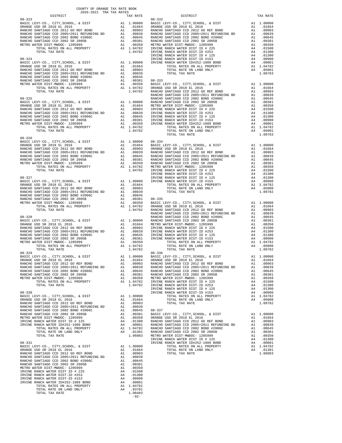| COUNTY OF ORANGE TAX RATE BOOK<br>$2020-2021 \quad \text{TRA TAX RATES}$ DISTRICT $$\tt 2020-2021$$ |          |                                                                                                                                                                                                                                                                                            |          |
|-----------------------------------------------------------------------------------------------------|----------|--------------------------------------------------------------------------------------------------------------------------------------------------------------------------------------------------------------------------------------------------------------------------------------------|----------|
| $08 - 323$                                                                                          | TAX RATE | DISTRICT<br>$08 - 332$                                                                                                                                                                                                                                                                     | TAX RATE |
|                                                                                                     |          |                                                                                                                                                                                                                                                                                            |          |
|                                                                                                     |          |                                                                                                                                                                                                                                                                                            |          |
|                                                                                                     |          |                                                                                                                                                                                                                                                                                            |          |
|                                                                                                     |          |                                                                                                                                                                                                                                                                                            |          |
|                                                                                                     |          |                                                                                                                                                                                                                                                                                            |          |
|                                                                                                     |          |                                                                                                                                                                                                                                                                                            |          |
|                                                                                                     |          |                                                                                                                                                                                                                                                                                            |          |
|                                                                                                     |          |                                                                                                                                                                                                                                                                                            |          |
|                                                                                                     |          |                                                                                                                                                                                                                                                                                            |          |
|                                                                                                     |          |                                                                                                                                                                                                                                                                                            |          |
|                                                                                                     |          |                                                                                                                                                                                                                                                                                            |          |
|                                                                                                     |          |                                                                                                                                                                                                                                                                                            |          |
|                                                                                                     |          |                                                                                                                                                                                                                                                                                            |          |
|                                                                                                     |          |                                                                                                                                                                                                                                                                                            |          |
|                                                                                                     |          |                                                                                                                                                                                                                                                                                            |          |
|                                                                                                     |          |                                                                                                                                                                                                                                                                                            |          |
|                                                                                                     |          |                                                                                                                                                                                                                                                                                            |          |
|                                                                                                     |          |                                                                                                                                                                                                                                                                                            |          |
|                                                                                                     |          |                                                                                                                                                                                                                                                                                            |          |
|                                                                                                     |          |                                                                                                                                                                                                                                                                                            |          |
|                                                                                                     |          |                                                                                                                                                                                                                                                                                            |          |
|                                                                                                     |          |                                                                                                                                                                                                                                                                                            |          |
|                                                                                                     |          |                                                                                                                                                                                                                                                                                            |          |
| $08 - 326$                                                                                          |          | $\begin{tabular}{cccc} $08-326$ & $108-36$ & $108-36$ & $108-36$ & $108-36$ & $108-36$ & $108-36$ & $108-36$ & $108-36$ & $108-36$ & $108-36$ & $108-36$ & $108-36$ & $108-36$ & $108-36$ & $108-36$ & $108-36$ & $108-36$ & $108-36$ & $108-36$ & $108-36$ & $108-36$ & $108-36$ & $108-$ |          |
|                                                                                                     |          |                                                                                                                                                                                                                                                                                            |          |
|                                                                                                     |          |                                                                                                                                                                                                                                                                                            |          |
|                                                                                                     |          |                                                                                                                                                                                                                                                                                            |          |
|                                                                                                     |          |                                                                                                                                                                                                                                                                                            |          |
|                                                                                                     |          |                                                                                                                                                                                                                                                                                            |          |
|                                                                                                     |          |                                                                                                                                                                                                                                                                                            |          |
|                                                                                                     |          |                                                                                                                                                                                                                                                                                            |          |
|                                                                                                     |          |                                                                                                                                                                                                                                                                                            |          |
|                                                                                                     |          |                                                                                                                                                                                                                                                                                            |          |
|                                                                                                     |          |                                                                                                                                                                                                                                                                                            |          |
|                                                                                                     |          |                                                                                                                                                                                                                                                                                            |          |
|                                                                                                     |          |                                                                                                                                                                                                                                                                                            |          |
|                                                                                                     |          |                                                                                                                                                                                                                                                                                            |          |
|                                                                                                     |          |                                                                                                                                                                                                                                                                                            |          |
|                                                                                                     |          |                                                                                                                                                                                                                                                                                            |          |
|                                                                                                     |          |                                                                                                                                                                                                                                                                                            |          |
|                                                                                                     |          |                                                                                                                                                                                                                                                                                            |          |
|                                                                                                     |          |                                                                                                                                                                                                                                                                                            |          |
|                                                                                                     |          |                                                                                                                                                                                                                                                                                            |          |
|                                                                                                     |          |                                                                                                                                                                                                                                                                                            |          |
|                                                                                                     |          |                                                                                                                                                                                                                                                                                            |          |
|                                                                                                     |          |                                                                                                                                                                                                                                                                                            |          |
|                                                                                                     |          |                                                                                                                                                                                                                                                                                            |          |
|                                                                                                     |          |                                                                                                                                                                                                                                                                                            |          |
|                                                                                                     |          |                                                                                                                                                                                                                                                                                            |          |
|                                                                                                     |          |                                                                                                                                                                                                                                                                                            |          |
|                                                                                                     |          |                                                                                                                                                                                                                                                                                            |          |
|                                                                                                     |          |                                                                                                                                                                                                                                                                                            |          |
|                                                                                                     |          |                                                                                                                                                                                                                                                                                            |          |
|                                                                                                     |          |                                                                                                                                                                                                                                                                                            |          |
|                                                                                                     |          |                                                                                                                                                                                                                                                                                            |          |
|                                                                                                     |          |                                                                                                                                                                                                                                                                                            |          |
|                                                                                                     |          |                                                                                                                                                                                                                                                                                            |          |
|                                                                                                     |          |                                                                                                                                                                                                                                                                                            |          |
|                                                                                                     |          |                                                                                                                                                                                                                                                                                            |          |
|                                                                                                     |          |                                                                                                                                                                                                                                                                                            |          |
|                                                                                                     |          |                                                                                                                                                                                                                                                                                            |          |
|                                                                                                     |          |                                                                                                                                                                                                                                                                                            |          |
|                                                                                                     |          |                                                                                                                                                                                                                                                                                            |          |
|                                                                                                     |          |                                                                                                                                                                                                                                                                                            |          |
|                                                                                                     |          |                                                                                                                                                                                                                                                                                            |          |
|                                                                                                     |          |                                                                                                                                                                                                                                                                                            |          |
|                                                                                                     |          |                                                                                                                                                                                                                                                                                            |          |
|                                                                                                     |          |                                                                                                                                                                                                                                                                                            |          |
|                                                                                                     |          |                                                                                                                                                                                                                                                                                            |          |
|                                                                                                     |          |                                                                                                                                                                                                                                                                                            |          |
|                                                                                                     |          |                                                                                                                                                                                                                                                                                            |          |
|                                                                                                     |          |                                                                                                                                                                                                                                                                                            |          |
|                                                                                                     |          |                                                                                                                                                                                                                                                                                            |          |
|                                                                                                     |          |                                                                                                                                                                                                                                                                                            |          |
|                                                                                                     | $-92-$   |                                                                                                                                                                                                                                                                                            |          |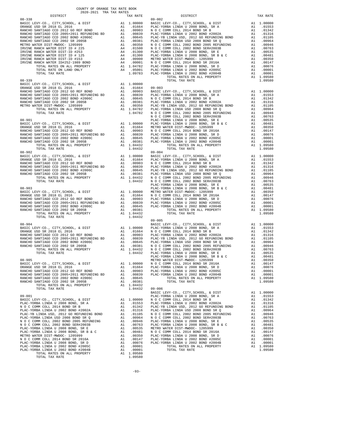| COUNTY OF ORANGE TAX RATE BOOK<br>2020-2021 TRA TAX RATES<br>$2020-2021 \quad \text{TRA TAX RATES}$<br>DISTRICT $\hspace{0.5cm}$ |          |                                                                                                                                                                                                                                                                                                |          |
|----------------------------------------------------------------------------------------------------------------------------------|----------|------------------------------------------------------------------------------------------------------------------------------------------------------------------------------------------------------------------------------------------------------------------------------------------------|----------|
|                                                                                                                                  | TAX RATE | DISTRICT<br>$\begin{array}{cccccccccccc} 08-318 & 0.07 & 0.08 & 0.07 & 0.07 & 0.08 & 0.07 & 0.07 & 0.07 & 0.07 & 0.07 & 0.07 & 0.07 & 0.07 & 0.07 & 0.07 & 0.07 & 0.07 & 0.07 & 0.07 & 0.07 & 0.07 & 0.07 & 0.07 & 0.07 & 0.07 & 0.07 & 0.07 & 0.07 & 0.07 & 0.07 & 0.07 & 0.07 & 0.07 & 0.07$ | TAX RATE |
|                                                                                                                                  |          | $09 - 002$                                                                                                                                                                                                                                                                                     |          |
|                                                                                                                                  |          |                                                                                                                                                                                                                                                                                                |          |
|                                                                                                                                  |          |                                                                                                                                                                                                                                                                                                |          |
|                                                                                                                                  |          |                                                                                                                                                                                                                                                                                                |          |
|                                                                                                                                  |          |                                                                                                                                                                                                                                                                                                |          |
|                                                                                                                                  |          |                                                                                                                                                                                                                                                                                                |          |
|                                                                                                                                  |          |                                                                                                                                                                                                                                                                                                |          |
|                                                                                                                                  |          |                                                                                                                                                                                                                                                                                                |          |
|                                                                                                                                  |          |                                                                                                                                                                                                                                                                                                |          |
|                                                                                                                                  |          |                                                                                                                                                                                                                                                                                                |          |
|                                                                                                                                  |          |                                                                                                                                                                                                                                                                                                |          |
|                                                                                                                                  |          |                                                                                                                                                                                                                                                                                                |          |
|                                                                                                                                  |          |                                                                                                                                                                                                                                                                                                |          |
|                                                                                                                                  |          |                                                                                                                                                                                                                                                                                                |          |
|                                                                                                                                  |          |                                                                                                                                                                                                                                                                                                |          |
|                                                                                                                                  |          |                                                                                                                                                                                                                                                                                                |          |
|                                                                                                                                  |          |                                                                                                                                                                                                                                                                                                |          |
|                                                                                                                                  |          |                                                                                                                                                                                                                                                                                                |          |
|                                                                                                                                  |          |                                                                                                                                                                                                                                                                                                |          |
|                                                                                                                                  |          |                                                                                                                                                                                                                                                                                                |          |
|                                                                                                                                  |          |                                                                                                                                                                                                                                                                                                |          |
|                                                                                                                                  |          |                                                                                                                                                                                                                                                                                                |          |
|                                                                                                                                  |          |                                                                                                                                                                                                                                                                                                |          |
|                                                                                                                                  |          |                                                                                                                                                                                                                                                                                                |          |
|                                                                                                                                  |          |                                                                                                                                                                                                                                                                                                |          |
|                                                                                                                                  |          |                                                                                                                                                                                                                                                                                                |          |
|                                                                                                                                  |          |                                                                                                                                                                                                                                                                                                |          |
|                                                                                                                                  |          |                                                                                                                                                                                                                                                                                                |          |
|                                                                                                                                  |          |                                                                                                                                                                                                                                                                                                |          |
|                                                                                                                                  |          |                                                                                                                                                                                                                                                                                                |          |
|                                                                                                                                  |          |                                                                                                                                                                                                                                                                                                |          |
|                                                                                                                                  |          |                                                                                                                                                                                                                                                                                                |          |
|                                                                                                                                  |          |                                                                                                                                                                                                                                                                                                |          |
|                                                                                                                                  |          |                                                                                                                                                                                                                                                                                                |          |
|                                                                                                                                  |          |                                                                                                                                                                                                                                                                                                |          |
|                                                                                                                                  |          |                                                                                                                                                                                                                                                                                                |          |
|                                                                                                                                  |          |                                                                                                                                                                                                                                                                                                |          |
|                                                                                                                                  |          |                                                                                                                                                                                                                                                                                                |          |
|                                                                                                                                  |          |                                                                                                                                                                                                                                                                                                |          |
|                                                                                                                                  |          |                                                                                                                                                                                                                                                                                                |          |
|                                                                                                                                  |          |                                                                                                                                                                                                                                                                                                |          |
|                                                                                                                                  |          |                                                                                                                                                                                                                                                                                                |          |
|                                                                                                                                  | 1.04432  | $09 - 005$                                                                                                                                                                                                                                                                                     |          |
|                                                                                                                                  |          |                                                                                                                                                                                                                                                                                                |          |
|                                                                                                                                  |          |                                                                                                                                                                                                                                                                                                |          |
|                                                                                                                                  |          |                                                                                                                                                                                                                                                                                                |          |
|                                                                                                                                  |          |                                                                                                                                                                                                                                                                                                |          |
|                                                                                                                                  |          |                                                                                                                                                                                                                                                                                                |          |
|                                                                                                                                  |          |                                                                                                                                                                                                                                                                                                |          |
|                                                                                                                                  |          |                                                                                                                                                                                                                                                                                                |          |
|                                                                                                                                  |          |                                                                                                                                                                                                                                                                                                |          |
|                                                                                                                                  |          |                                                                                                                                                                                                                                                                                                |          |
|                                                                                                                                  |          |                                                                                                                                                                                                                                                                                                |          |
|                                                                                                                                  |          |                                                                                                                                                                                                                                                                                                |          |
|                                                                                                                                  |          |                                                                                                                                                                                                                                                                                                |          |
|                                                                                                                                  |          |                                                                                                                                                                                                                                                                                                |          |
|                                                                                                                                  |          |                                                                                                                                                                                                                                                                                                |          |
|                                                                                                                                  |          |                                                                                                                                                                                                                                                                                                |          |
|                                                                                                                                  |          |                                                                                                                                                                                                                                                                                                |          |
|                                                                                                                                  |          |                                                                                                                                                                                                                                                                                                |          |
|                                                                                                                                  |          |                                                                                                                                                                                                                                                                                                |          |
|                                                                                                                                  |          |                                                                                                                                                                                                                                                                                                |          |
|                                                                                                                                  |          |                                                                                                                                                                                                                                                                                                |          |
|                                                                                                                                  |          |                                                                                                                                                                                                                                                                                                |          |
|                                                                                                                                  |          |                                                                                                                                                                                                                                                                                                |          |
|                                                                                                                                  |          |                                                                                                                                                                                                                                                                                                |          |
|                                                                                                                                  |          |                                                                                                                                                                                                                                                                                                |          |
|                                                                                                                                  |          |                                                                                                                                                                                                                                                                                                |          |
|                                                                                                                                  |          |                                                                                                                                                                                                                                                                                                |          |
|                                                                                                                                  |          |                                                                                                                                                                                                                                                                                                |          |
|                                                                                                                                  |          |                                                                                                                                                                                                                                                                                                |          |
|                                                                                                                                  |          |                                                                                                                                                                                                                                                                                                |          |
|                                                                                                                                  |          |                                                                                                                                                                                                                                                                                                |          |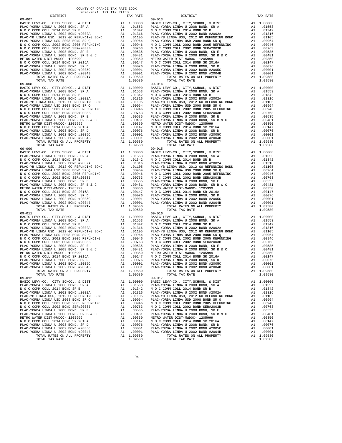| $09 - 007$                                                                      |          |                                                    | 09-013                       |
|---------------------------------------------------------------------------------|----------|----------------------------------------------------|------------------------------|
|                                                                                 |          |                                                    |                              |
|                                                                                 |          |                                                    |                              |
|                                                                                 |          |                                                    |                              |
|                                                                                 |          |                                                    |                              |
|                                                                                 |          |                                                    |                              |
|                                                                                 |          |                                                    |                              |
|                                                                                 |          |                                                    |                              |
|                                                                                 |          |                                                    |                              |
|                                                                                 |          |                                                    |                              |
|                                                                                 |          |                                                    |                              |
|                                                                                 |          |                                                    |                              |
|                                                                                 |          |                                                    |                              |
|                                                                                 |          |                                                    |                              |
|                                                                                 |          |                                                    |                              |
|                                                                                 |          |                                                    |                              |
|                                                                                 |          |                                                    |                              |
|                                                                                 |          |                                                    |                              |
|                                                                                 |          |                                                    |                              |
|                                                                                 |          |                                                    |                              |
|                                                                                 |          |                                                    |                              |
|                                                                                 |          |                                                    |                              |
|                                                                                 |          |                                                    |                              |
|                                                                                 |          |                                                    |                              |
|                                                                                 |          |                                                    |                              |
|                                                                                 |          |                                                    |                              |
|                                                                                 |          |                                                    |                              |
|                                                                                 |          |                                                    |                              |
|                                                                                 |          |                                                    |                              |
|                                                                                 |          |                                                    |                              |
|                                                                                 |          |                                                    |                              |
|                                                                                 |          |                                                    |                              |
|                                                                                 |          |                                                    |                              |
|                                                                                 |          |                                                    |                              |
|                                                                                 |          |                                                    |                              |
|                                                                                 |          |                                                    |                              |
|                                                                                 |          |                                                    |                              |
|                                                                                 |          |                                                    |                              |
|                                                                                 |          |                                                    |                              |
|                                                                                 |          |                                                    |                              |
|                                                                                 |          |                                                    |                              |
|                                                                                 |          |                                                    |                              |
|                                                                                 |          |                                                    |                              |
|                                                                                 |          |                                                    |                              |
|                                                                                 |          |                                                    |                              |
| $09 - 011$                                                                      |          |                                                    | $09 - 016$                   |
|                                                                                 |          |                                                    |                              |
|                                                                                 |          |                                                    |                              |
|                                                                                 |          |                                                    |                              |
|                                                                                 |          |                                                    |                              |
|                                                                                 |          |                                                    |                              |
|                                                                                 |          |                                                    |                              |
|                                                                                 |          |                                                    |                              |
|                                                                                 |          |                                                    |                              |
|                                                                                 |          |                                                    |                              |
|                                                                                 |          |                                                    |                              |
|                                                                                 |          |                                                    |                              |
|                                                                                 |          |                                                    |                              |
| TOTAL RATES ON ALL PROPERTY                                                     |          | A1 1.09580                                         |                              |
| TOTAL TAX RATE                                                                  |          | 1.09580                                            |                              |
| $09 - 012$<br>BASIC LEVY-CO., CITY, SCHOOL, & DIST                              | A1       | 1.00000                                            | $09 - 017$<br>BASIC L        |
| PLAC-YORBA LINDA U 2008 BOND, SR A                                              |          | A1 .01553                                          | PLAC-YO                      |
| N O C COMM COLL 2014 BOND SR B                                                  | A1       | .01342                                             | NOCC                         |
| PLAC-YORBA LINDA U 2002 BOND #2002A                                             | A1       | .01316                                             | PLAC-YO                      |
| PLAC-YB LINDA USD, 2012 GO REFUNDING BOND                                       | A1       | .01105                                             | PLAC-YB                      |
| PLAC-YORBA LINDA USD 2008 BOND SR Q<br>N O C COMM COLL 2002 BOND 2005 REFUNDING | A1<br>A1 | .00964<br>.00946                                   | PLAC-YO<br>NOCC              |
| N O C COMM COLL 2002 BOND SER#2003B                                             |          | A1.00946 NOCC<br>A1.00763 NOCC<br>A1.00535 PLAC-YO |                              |
| PLAC-YORBA LINDA U 2008 BOND, SR E                                              |          |                                                    |                              |
| PLAC-YORBA LINDA U 2008 BOND, SR B & C                                          | A1       | .00481                                             | PLAC-YO                      |
| METRO WATER DIST-MWDOC- 1205999                                                 | A1       |                                                    | .00350 METROW<br>.00147 NOCC |
| N O C COMM COLL 2014 BOND SR 2016A<br>PLAC-YORBA LINDA U 2008 BOND, SR D        | A1<br>A1 | .00076                                             | PLAC-YO                      |
| PLAC-YORBA LINDA U 2002 BOND #2005C                                             | A1       | .00001                                             | PLAC-YO                      |
| PLAC-YORBA LINDA U 2002 BOND #2004B                                             | A1       | .00001                                             | PLAC-YO                      |
| TOTAL RATES ON ALL PROPERTY                                                     |          | A1 1.09580                                         |                              |
| may pam                                                                         |          |                                                    |                              |

|            | TAX RATE<br>DISTRICT |         | DISTRICT<br>$\begin{tabular}{cccccc} \textbf{D=007} & \textbf{DISTRICT} & \textbf{DISTRICT} & \textbf{TAX RATE} & \textbf{DISTRICT} & \textbf{TAX RATE} \\ \textbf{BAC–YORBA LITNDA 12.014 BOND SR B 12.0308\nRAC–YORBA LITNDA 12.049 BOND SR B 140020\nRAC–YORBA LITNDA 12.049 BOND SR D 2001\nRAC–YORBA LITNDA 12.049 BOND SR D 301\nRAC–YORBA LITNDA 12.049\nRAC$                                        | TAX RATE |
|------------|----------------------|---------|-------------------------------------------------------------------------------------------------------------------------------------------------------------------------------------------------------------------------------------------------------------------------------------------------------------------------------------------------------------------------------------------------------------|----------|
|            |                      |         |                                                                                                                                                                                                                                                                                                                                                                                                             |          |
|            |                      |         |                                                                                                                                                                                                                                                                                                                                                                                                             |          |
|            |                      |         |                                                                                                                                                                                                                                                                                                                                                                                                             |          |
|            |                      |         |                                                                                                                                                                                                                                                                                                                                                                                                             |          |
|            |                      |         |                                                                                                                                                                                                                                                                                                                                                                                                             |          |
|            |                      |         |                                                                                                                                                                                                                                                                                                                                                                                                             |          |
|            |                      |         |                                                                                                                                                                                                                                                                                                                                                                                                             |          |
|            |                      |         |                                                                                                                                                                                                                                                                                                                                                                                                             |          |
|            |                      |         |                                                                                                                                                                                                                                                                                                                                                                                                             |          |
|            |                      |         |                                                                                                                                                                                                                                                                                                                                                                                                             |          |
|            |                      |         |                                                                                                                                                                                                                                                                                                                                                                                                             |          |
|            |                      |         |                                                                                                                                                                                                                                                                                                                                                                                                             |          |
|            |                      |         |                                                                                                                                                                                                                                                                                                                                                                                                             |          |
|            |                      |         |                                                                                                                                                                                                                                                                                                                                                                                                             |          |
|            |                      |         |                                                                                                                                                                                                                                                                                                                                                                                                             |          |
|            |                      |         |                                                                                                                                                                                                                                                                                                                                                                                                             |          |
|            |                      |         |                                                                                                                                                                                                                                                                                                                                                                                                             |          |
|            |                      |         |                                                                                                                                                                                                                                                                                                                                                                                                             |          |
|            |                      |         |                                                                                                                                                                                                                                                                                                                                                                                                             |          |
|            |                      |         |                                                                                                                                                                                                                                                                                                                                                                                                             |          |
|            |                      |         |                                                                                                                                                                                                                                                                                                                                                                                                             |          |
|            |                      |         |                                                                                                                                                                                                                                                                                                                                                                                                             |          |
|            |                      |         |                                                                                                                                                                                                                                                                                                                                                                                                             |          |
|            |                      |         |                                                                                                                                                                                                                                                                                                                                                                                                             |          |
|            |                      |         |                                                                                                                                                                                                                                                                                                                                                                                                             |          |
|            |                      |         |                                                                                                                                                                                                                                                                                                                                                                                                             |          |
|            |                      |         |                                                                                                                                                                                                                                                                                                                                                                                                             |          |
|            |                      |         |                                                                                                                                                                                                                                                                                                                                                                                                             |          |
|            |                      |         |                                                                                                                                                                                                                                                                                                                                                                                                             |          |
|            |                      |         |                                                                                                                                                                                                                                                                                                                                                                                                             |          |
|            |                      |         |                                                                                                                                                                                                                                                                                                                                                                                                             |          |
|            |                      |         |                                                                                                                                                                                                                                                                                                                                                                                                             |          |
|            |                      |         |                                                                                                                                                                                                                                                                                                                                                                                                             |          |
|            |                      |         |                                                                                                                                                                                                                                                                                                                                                                                                             |          |
|            |                      |         |                                                                                                                                                                                                                                                                                                                                                                                                             |          |
|            |                      |         |                                                                                                                                                                                                                                                                                                                                                                                                             |          |
|            |                      |         |                                                                                                                                                                                                                                                                                                                                                                                                             |          |
|            |                      |         |                                                                                                                                                                                                                                                                                                                                                                                                             |          |
|            |                      |         |                                                                                                                                                                                                                                                                                                                                                                                                             |          |
|            |                      |         |                                                                                                                                                                                                                                                                                                                                                                                                             |          |
|            |                      |         |                                                                                                                                                                                                                                                                                                                                                                                                             |          |
|            |                      |         |                                                                                                                                                                                                                                                                                                                                                                                                             |          |
|            |                      |         |                                                                                                                                                                                                                                                                                                                                                                                                             |          |
|            |                      |         |                                                                                                                                                                                                                                                                                                                                                                                                             |          |
|            |                      |         |                                                                                                                                                                                                                                                                                                                                                                                                             |          |
|            |                      |         |                                                                                                                                                                                                                                                                                                                                                                                                             |          |
|            |                      |         |                                                                                                                                                                                                                                                                                                                                                                                                             |          |
|            |                      |         |                                                                                                                                                                                                                                                                                                                                                                                                             |          |
|            |                      |         |                                                                                                                                                                                                                                                                                                                                                                                                             |          |
|            |                      |         |                                                                                                                                                                                                                                                                                                                                                                                                             |          |
|            |                      |         |                                                                                                                                                                                                                                                                                                                                                                                                             |          |
|            |                      |         |                                                                                                                                                                                                                                                                                                                                                                                                             |          |
|            |                      |         |                                                                                                                                                                                                                                                                                                                                                                                                             |          |
|            |                      |         |                                                                                                                                                                                                                                                                                                                                                                                                             |          |
|            |                      |         |                                                                                                                                                                                                                                                                                                                                                                                                             |          |
|            |                      |         |                                                                                                                                                                                                                                                                                                                                                                                                             |          |
|            |                      |         |                                                                                                                                                                                                                                                                                                                                                                                                             |          |
|            |                      |         |                                                                                                                                                                                                                                                                                                                                                                                                             |          |
|            |                      |         |                                                                                                                                                                                                                                                                                                                                                                                                             |          |
|            |                      |         |                                                                                                                                                                                                                                                                                                                                                                                                             |          |
|            |                      |         |                                                                                                                                                                                                                                                                                                                                                                                                             |          |
|            |                      |         |                                                                                                                                                                                                                                                                                                                                                                                                             |          |
|            |                      |         |                                                                                                                                                                                                                                                                                                                                                                                                             |          |
|            |                      |         |                                                                                                                                                                                                                                                                                                                                                                                                             |          |
|            |                      |         |                                                                                                                                                                                                                                                                                                                                                                                                             |          |
|            |                      |         |                                                                                                                                                                                                                                                                                                                                                                                                             |          |
|            |                      |         |                                                                                                                                                                                                                                                                                                                                                                                                             |          |
|            |                      |         |                                                                                                                                                                                                                                                                                                                                                                                                             |          |
|            |                      |         | $\begin{tabular}{cccccc} 09-011 & \mbox{\textbf{0.16}} & \mbox{\textbf{0.16}} & \mbox{\textbf{0.16}} & \mbox{\textbf{0.16}} & \mbox{\textbf{0.16}} & \mbox{\textbf{0.16}} & \mbox{\textbf{0.16}} & \mbox{\textbf{0.16}} & \mbox{\textbf{0.16}} & \mbox{\textbf{0.16}} & \mbox{\textbf{0.16}} & \mbox{\textbf{0.16}} & \mbox{\textbf{0.16}} & \mbox{\textbf{0.16}} & \mbox{\textbf{0.16}} & \mbox{\textbf{0$ |          |
|            |                      |         |                                                                                                                                                                                                                                                                                                                                                                                                             |          |
|            |                      |         |                                                                                                                                                                                                                                                                                                                                                                                                             |          |
|            |                      |         |                                                                                                                                                                                                                                                                                                                                                                                                             |          |
|            |                      |         |                                                                                                                                                                                                                                                                                                                                                                                                             |          |
|            |                      |         |                                                                                                                                                                                                                                                                                                                                                                                                             |          |
|            |                      |         |                                                                                                                                                                                                                                                                                                                                                                                                             |          |
|            |                      |         |                                                                                                                                                                                                                                                                                                                                                                                                             |          |
|            |                      |         |                                                                                                                                                                                                                                                                                                                                                                                                             |          |
|            |                      |         |                                                                                                                                                                                                                                                                                                                                                                                                             |          |
| $09 - 012$ |                      |         | $09 - 017$                                                                                                                                                                                                                                                                                                                                                                                                  |          |
|            |                      |         | UNITY ON THE SERVICE OF THE RASH CLEVY-CO., CITY, SCHOOL, & DIST ALL 1.00000 BASIC LEVY-CO., CITY, SCHOOL, & DIST ALL 1.00000 BASIC LEVY-CO., CITY, SCHOOL, & DIST ALL 1.00000 BASIC LEVY-CO., CITY, SCHOOL, & DIST ALL 1.0000                                                                                                                                                                              |          |
|            |                      |         |                                                                                                                                                                                                                                                                                                                                                                                                             |          |
|            |                      |         |                                                                                                                                                                                                                                                                                                                                                                                                             |          |
|            |                      |         |                                                                                                                                                                                                                                                                                                                                                                                                             |          |
|            |                      |         |                                                                                                                                                                                                                                                                                                                                                                                                             |          |
|            |                      |         |                                                                                                                                                                                                                                                                                                                                                                                                             |          |
|            |                      |         |                                                                                                                                                                                                                                                                                                                                                                                                             |          |
|            |                      |         |                                                                                                                                                                                                                                                                                                                                                                                                             |          |
|            |                      |         |                                                                                                                                                                                                                                                                                                                                                                                                             |          |
|            |                      |         |                                                                                                                                                                                                                                                                                                                                                                                                             |          |
|            |                      |         |                                                                                                                                                                                                                                                                                                                                                                                                             |          |
|            |                      |         |                                                                                                                                                                                                                                                                                                                                                                                                             |          |
|            |                      |         |                                                                                                                                                                                                                                                                                                                                                                                                             |          |
|            |                      |         |                                                                                                                                                                                                                                                                                                                                                                                                             |          |
|            |                      |         |                                                                                                                                                                                                                                                                                                                                                                                                             |          |
|            |                      |         |                                                                                                                                                                                                                                                                                                                                                                                                             |          |
|            |                      |         |                                                                                                                                                                                                                                                                                                                                                                                                             |          |
|            |                      |         |                                                                                                                                                                                                                                                                                                                                                                                                             |          |
|            | TOTAL TAX RATE       | 1.09580 | TOTAL TAX RATE                                                                                                                                                                                                                                                                                                                                                                                              | 1.09580  |
|            |                      |         |                                                                                                                                                                                                                                                                                                                                                                                                             |          |

 $-94-$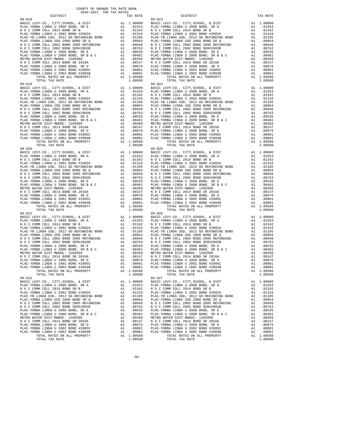| $09 - 018$                                                                       |          |                                                       | 09-023             |
|----------------------------------------------------------------------------------|----------|-------------------------------------------------------|--------------------|
|                                                                                  |          |                                                       |                    |
|                                                                                  |          |                                                       |                    |
|                                                                                  |          |                                                       |                    |
|                                                                                  |          |                                                       |                    |
|                                                                                  |          |                                                       |                    |
|                                                                                  |          |                                                       |                    |
|                                                                                  |          |                                                       |                    |
|                                                                                  |          |                                                       |                    |
|                                                                                  |          |                                                       |                    |
|                                                                                  |          |                                                       |                    |
|                                                                                  |          |                                                       |                    |
|                                                                                  |          |                                                       |                    |
|                                                                                  |          |                                                       |                    |
|                                                                                  |          |                                                       |                    |
|                                                                                  |          |                                                       |                    |
|                                                                                  |          |                                                       |                    |
|                                                                                  |          |                                                       |                    |
|                                                                                  |          |                                                       |                    |
|                                                                                  |          |                                                       |                    |
|                                                                                  |          |                                                       |                    |
|                                                                                  |          |                                                       |                    |
|                                                                                  |          |                                                       |                    |
|                                                                                  |          |                                                       |                    |
|                                                                                  |          |                                                       |                    |
|                                                                                  |          |                                                       |                    |
|                                                                                  |          |                                                       |                    |
|                                                                                  |          |                                                       |                    |
|                                                                                  |          |                                                       |                    |
|                                                                                  |          |                                                       |                    |
|                                                                                  |          |                                                       |                    |
|                                                                                  |          |                                                       |                    |
|                                                                                  |          |                                                       |                    |
|                                                                                  |          |                                                       |                    |
|                                                                                  |          |                                                       |                    |
|                                                                                  |          |                                                       |                    |
|                                                                                  |          |                                                       |                    |
|                                                                                  |          |                                                       |                    |
|                                                                                  |          |                                                       |                    |
|                                                                                  |          |                                                       |                    |
|                                                                                  |          |                                                       |                    |
|                                                                                  |          |                                                       |                    |
|                                                                                  |          |                                                       |                    |
|                                                                                  |          |                                                       |                    |
|                                                                                  |          |                                                       |                    |
|                                                                                  |          |                                                       |                    |
| $09 - 021$                                                                       |          |                                                       | $09 - 026$         |
|                                                                                  |          |                                                       |                    |
|                                                                                  |          |                                                       |                    |
|                                                                                  |          |                                                       |                    |
|                                                                                  |          |                                                       |                    |
|                                                                                  |          |                                                       |                    |
|                                                                                  |          |                                                       |                    |
|                                                                                  |          |                                                       |                    |
|                                                                                  |          |                                                       |                    |
|                                                                                  |          |                                                       |                    |
|                                                                                  |          |                                                       |                    |
|                                                                                  |          |                                                       |                    |
|                                                                                  |          |                                                       |                    |
|                                                                                  |          |                                                       |                    |
| TOTAL RATES ON ALL PROPERTY<br>TOTAL TAX RATE                                    |          | A1 1.09580<br>1.09580                                 |                    |
| $09 - 022$                                                                       |          |                                                       | $09 - 027$         |
| BASIC LEVY-CO., CITY, SCHOOL, & DIST                                             | A1       | 1.00000                                               | BASIC L            |
| PLAC-YORBA LINDA U 2008 BOND, SR A                                               |          | A1 .01553                                             | PLAC-YO            |
| N O C COMM COLL 2014 BOND SR B                                                   | A1       | .01342                                                | N O C C            |
| PLAC-YORBA LINDA U 2002 BOND #2002A                                              | A1       | .01316                                                | PLAC-YO            |
| PLAC-YB LINDA USD, 2012 GO REFUNDING BOND<br>PLAC-YORBA LINDA USD 2008 BOND SR Q | A1<br>A1 | .01105<br>.00964                                      | PLAC-YB<br>PLAC-YO |
| N O C COMM COLL 2002 BOND 2005 REFUNDING                                         |          |                                                       |                    |
| N O C COMM COLL 2002 BOND SER#2003B                                              |          | A1 .00946 NOCC<br>A1 .00763 NOCC<br>A1 .00535 PLAC-YO |                    |
| PLAC-YORBA LINDA U 2008 BOND, SR E                                               |          |                                                       |                    |
| PLAC-YORBA LINDA U 2008 BOND, SR B & C                                           |          | A1 .00481                                             | PLAC-YO            |
| METRO WATER DIST-MWDOC- 1205999                                                  |          | A1 .00350 METROW<br>A1 .00147 NOCC                    |                    |
| N O C COMM COLL 2014 BOND SR 2016A<br>PLAC-YORBA LINDA U 2008 BOND, SR D         | A1       |                                                       | PLAC-YO            |
| PLAC-YORBA LINDA U 2002 BOND #2005C                                              | A1       | .00076<br>.00001                                      | PLAC-YO            |
| PLAC-YORBA LINDA U 2002 BOND #2004B                                              | A1       | .00001                                                | PLAC-YO            |
| TOTAL RATES ON ALL PROPERTY                                                      |          | A1 1.09580                                            |                    |
| TOTAL TAX RATE                                                                   |          | 1.09580                                               |                    |

| TAX RATE<br>DISTRICT |         | DISTRICT                                                                                                                                                                                                                                                                                                                                                                                                                                                                                                        | TAX RATE |
|----------------------|---------|-----------------------------------------------------------------------------------------------------------------------------------------------------------------------------------------------------------------------------------------------------------------------------------------------------------------------------------------------------------------------------------------------------------------------------------------------------------------------------------------------------------------|----------|
|                      |         |                                                                                                                                                                                                                                                                                                                                                                                                                                                                                                                 |          |
|                      |         |                                                                                                                                                                                                                                                                                                                                                                                                                                                                                                                 |          |
|                      |         |                                                                                                                                                                                                                                                                                                                                                                                                                                                                                                                 |          |
|                      |         |                                                                                                                                                                                                                                                                                                                                                                                                                                                                                                                 |          |
|                      |         |                                                                                                                                                                                                                                                                                                                                                                                                                                                                                                                 |          |
|                      |         |                                                                                                                                                                                                                                                                                                                                                                                                                                                                                                                 |          |
|                      |         |                                                                                                                                                                                                                                                                                                                                                                                                                                                                                                                 |          |
|                      |         |                                                                                                                                                                                                                                                                                                                                                                                                                                                                                                                 |          |
|                      |         |                                                                                                                                                                                                                                                                                                                                                                                                                                                                                                                 |          |
|                      |         |                                                                                                                                                                                                                                                                                                                                                                                                                                                                                                                 |          |
|                      |         |                                                                                                                                                                                                                                                                                                                                                                                                                                                                                                                 |          |
|                      |         |                                                                                                                                                                                                                                                                                                                                                                                                                                                                                                                 |          |
|                      |         |                                                                                                                                                                                                                                                                                                                                                                                                                                                                                                                 |          |
|                      |         |                                                                                                                                                                                                                                                                                                                                                                                                                                                                                                                 |          |
|                      |         |                                                                                                                                                                                                                                                                                                                                                                                                                                                                                                                 |          |
|                      |         |                                                                                                                                                                                                                                                                                                                                                                                                                                                                                                                 |          |
|                      |         |                                                                                                                                                                                                                                                                                                                                                                                                                                                                                                                 |          |
|                      |         |                                                                                                                                                                                                                                                                                                                                                                                                                                                                                                                 |          |
|                      |         |                                                                                                                                                                                                                                                                                                                                                                                                                                                                                                                 |          |
|                      |         |                                                                                                                                                                                                                                                                                                                                                                                                                                                                                                                 |          |
|                      |         |                                                                                                                                                                                                                                                                                                                                                                                                                                                                                                                 |          |
|                      |         |                                                                                                                                                                                                                                                                                                                                                                                                                                                                                                                 |          |
|                      |         |                                                                                                                                                                                                                                                                                                                                                                                                                                                                                                                 |          |
|                      |         |                                                                                                                                                                                                                                                                                                                                                                                                                                                                                                                 |          |
|                      |         |                                                                                                                                                                                                                                                                                                                                                                                                                                                                                                                 |          |
|                      |         |                                                                                                                                                                                                                                                                                                                                                                                                                                                                                                                 |          |
|                      |         |                                                                                                                                                                                                                                                                                                                                                                                                                                                                                                                 |          |
|                      |         |                                                                                                                                                                                                                                                                                                                                                                                                                                                                                                                 |          |
|                      |         |                                                                                                                                                                                                                                                                                                                                                                                                                                                                                                                 |          |
|                      |         |                                                                                                                                                                                                                                                                                                                                                                                                                                                                                                                 |          |
|                      |         |                                                                                                                                                                                                                                                                                                                                                                                                                                                                                                                 |          |
|                      |         |                                                                                                                                                                                                                                                                                                                                                                                                                                                                                                                 |          |
|                      |         |                                                                                                                                                                                                                                                                                                                                                                                                                                                                                                                 |          |
|                      |         |                                                                                                                                                                                                                                                                                                                                                                                                                                                                                                                 |          |
|                      |         |                                                                                                                                                                                                                                                                                                                                                                                                                                                                                                                 |          |
| $09 - 020$           |         | $09 - 025$                                                                                                                                                                                                                                                                                                                                                                                                                                                                                                      |          |
|                      |         |                                                                                                                                                                                                                                                                                                                                                                                                                                                                                                                 |          |
|                      |         |                                                                                                                                                                                                                                                                                                                                                                                                                                                                                                                 |          |
|                      |         |                                                                                                                                                                                                                                                                                                                                                                                                                                                                                                                 |          |
|                      |         |                                                                                                                                                                                                                                                                                                                                                                                                                                                                                                                 |          |
|                      |         |                                                                                                                                                                                                                                                                                                                                                                                                                                                                                                                 |          |
|                      |         |                                                                                                                                                                                                                                                                                                                                                                                                                                                                                                                 |          |
|                      |         |                                                                                                                                                                                                                                                                                                                                                                                                                                                                                                                 |          |
|                      |         |                                                                                                                                                                                                                                                                                                                                                                                                                                                                                                                 |          |
|                      |         |                                                                                                                                                                                                                                                                                                                                                                                                                                                                                                                 |          |
|                      |         |                                                                                                                                                                                                                                                                                                                                                                                                                                                                                                                 |          |
|                      |         |                                                                                                                                                                                                                                                                                                                                                                                                                                                                                                                 |          |
|                      |         |                                                                                                                                                                                                                                                                                                                                                                                                                                                                                                                 |          |
|                      |         |                                                                                                                                                                                                                                                                                                                                                                                                                                                                                                                 |          |
|                      |         |                                                                                                                                                                                                                                                                                                                                                                                                                                                                                                                 |          |
|                      |         |                                                                                                                                                                                                                                                                                                                                                                                                                                                                                                                 |          |
|                      |         |                                                                                                                                                                                                                                                                                                                                                                                                                                                                                                                 |          |
| $09 - 021$           |         | $09 - 026$                                                                                                                                                                                                                                                                                                                                                                                                                                                                                                      |          |
|                      |         |                                                                                                                                                                                                                                                                                                                                                                                                                                                                                                                 |          |
|                      |         |                                                                                                                                                                                                                                                                                                                                                                                                                                                                                                                 |          |
|                      |         |                                                                                                                                                                                                                                                                                                                                                                                                                                                                                                                 |          |
|                      |         |                                                                                                                                                                                                                                                                                                                                                                                                                                                                                                                 |          |
|                      |         |                                                                                                                                                                                                                                                                                                                                                                                                                                                                                                                 |          |
|                      |         |                                                                                                                                                                                                                                                                                                                                                                                                                                                                                                                 |          |
|                      |         |                                                                                                                                                                                                                                                                                                                                                                                                                                                                                                                 |          |
|                      |         |                                                                                                                                                                                                                                                                                                                                                                                                                                                                                                                 |          |
|                      |         |                                                                                                                                                                                                                                                                                                                                                                                                                                                                                                                 |          |
|                      |         |                                                                                                                                                                                                                                                                                                                                                                                                                                                                                                                 |          |
|                      |         |                                                                                                                                                                                                                                                                                                                                                                                                                                                                                                                 |          |
|                      |         |                                                                                                                                                                                                                                                                                                                                                                                                                                                                                                                 |          |
|                      |         |                                                                                                                                                                                                                                                                                                                                                                                                                                                                                                                 |          |
|                      |         |                                                                                                                                                                                                                                                                                                                                                                                                                                                                                                                 |          |
|                      |         |                                                                                                                                                                                                                                                                                                                                                                                                                                                                                                                 |          |
|                      |         |                                                                                                                                                                                                                                                                                                                                                                                                                                                                                                                 |          |
| $09 - 022$           |         | $09 - 027$                                                                                                                                                                                                                                                                                                                                                                                                                                                                                                      |          |
|                      |         |                                                                                                                                                                                                                                                                                                                                                                                                                                                                                                                 |          |
|                      |         |                                                                                                                                                                                                                                                                                                                                                                                                                                                                                                                 |          |
|                      |         |                                                                                                                                                                                                                                                                                                                                                                                                                                                                                                                 |          |
|                      |         |                                                                                                                                                                                                                                                                                                                                                                                                                                                                                                                 |          |
|                      |         |                                                                                                                                                                                                                                                                                                                                                                                                                                                                                                                 |          |
|                      |         |                                                                                                                                                                                                                                                                                                                                                                                                                                                                                                                 |          |
|                      |         |                                                                                                                                                                                                                                                                                                                                                                                                                                                                                                                 |          |
|                      |         |                                                                                                                                                                                                                                                                                                                                                                                                                                                                                                                 |          |
|                      |         |                                                                                                                                                                                                                                                                                                                                                                                                                                                                                                                 |          |
|                      |         |                                                                                                                                                                                                                                                                                                                                                                                                                                                                                                                 |          |
|                      |         |                                                                                                                                                                                                                                                                                                                                                                                                                                                                                                                 |          |
|                      |         |                                                                                                                                                                                                                                                                                                                                                                                                                                                                                                                 |          |
|                      |         |                                                                                                                                                                                                                                                                                                                                                                                                                                                                                                                 |          |
|                      |         |                                                                                                                                                                                                                                                                                                                                                                                                                                                                                                                 |          |
|                      |         |                                                                                                                                                                                                                                                                                                                                                                                                                                                                                                                 |          |
| TOTAL TAX RATE       | 1.09580 | $\begin{tabular}{l c c c c c} \multicolumn{1}{c}{\textbf{N} & $\mathcal{O}$ & $\mathcal{C}$ & $\mathcal{O}$ & $\mathcal{S}$ & $\mathcal{O}$ \\ \multicolumn{1}{c}{\textbf{N} & $\mathcal{O}$ & $\mathcal{C}$ & $\mathcal{O}$ & $\mathcal{O}$ & $\mathcal{O}$ & $\mathcal{O}$ \\ \multicolumn{1}{c}{\textbf{N} & $\mathcal{O}$ & $\mathcal{C}$ & $\mathcal{O}$ & $\mathcal{O}$ & $\mathcal{O}$ \\ \multicolumn{1}{c}{\textbf{N} & $\mathcal{O}$ & $\mathcal{C}$ & $\mathcal{O}$ & $\mathcal{O$<br>TOTAL TAX RATE | 1.09580  |
|                      |         |                                                                                                                                                                                                                                                                                                                                                                                                                                                                                                                 |          |

-95-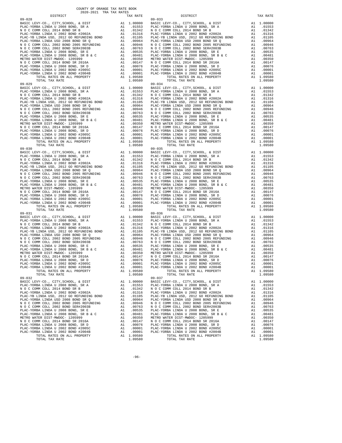| $09 - 028$                                                                       |          |                                                       | $09 - 033$         |
|----------------------------------------------------------------------------------|----------|-------------------------------------------------------|--------------------|
|                                                                                  |          |                                                       |                    |
|                                                                                  |          |                                                       |                    |
|                                                                                  |          |                                                       |                    |
|                                                                                  |          |                                                       |                    |
|                                                                                  |          |                                                       |                    |
|                                                                                  |          |                                                       |                    |
|                                                                                  |          |                                                       |                    |
|                                                                                  |          |                                                       |                    |
|                                                                                  |          |                                                       |                    |
|                                                                                  |          |                                                       |                    |
|                                                                                  |          |                                                       |                    |
|                                                                                  |          |                                                       |                    |
|                                                                                  |          |                                                       |                    |
|                                                                                  |          |                                                       |                    |
|                                                                                  |          |                                                       |                    |
|                                                                                  |          |                                                       |                    |
|                                                                                  |          |                                                       |                    |
|                                                                                  |          |                                                       |                    |
|                                                                                  |          |                                                       |                    |
|                                                                                  |          |                                                       |                    |
|                                                                                  |          |                                                       |                    |
|                                                                                  |          |                                                       |                    |
|                                                                                  |          |                                                       |                    |
|                                                                                  |          |                                                       |                    |
|                                                                                  |          |                                                       |                    |
|                                                                                  |          |                                                       |                    |
|                                                                                  |          |                                                       |                    |
|                                                                                  |          |                                                       |                    |
|                                                                                  |          |                                                       |                    |
|                                                                                  |          |                                                       |                    |
|                                                                                  |          |                                                       |                    |
|                                                                                  |          |                                                       |                    |
|                                                                                  |          |                                                       |                    |
|                                                                                  |          |                                                       |                    |
|                                                                                  |          |                                                       |                    |
|                                                                                  |          |                                                       |                    |
|                                                                                  |          |                                                       |                    |
|                                                                                  |          |                                                       |                    |
|                                                                                  |          |                                                       |                    |
|                                                                                  |          |                                                       |                    |
|                                                                                  |          |                                                       |                    |
|                                                                                  |          |                                                       |                    |
|                                                                                  |          |                                                       |                    |
|                                                                                  |          |                                                       |                    |
|                                                                                  |          |                                                       |                    |
| $09 - 031$                                                                       |          |                                                       | $09 - 036$         |
|                                                                                  |          |                                                       |                    |
|                                                                                  |          |                                                       |                    |
|                                                                                  |          |                                                       |                    |
|                                                                                  |          |                                                       |                    |
|                                                                                  |          |                                                       |                    |
|                                                                                  |          |                                                       |                    |
|                                                                                  |          |                                                       |                    |
|                                                                                  |          |                                                       |                    |
|                                                                                  |          |                                                       |                    |
|                                                                                  |          |                                                       |                    |
|                                                                                  |          |                                                       |                    |
|                                                                                  |          |                                                       |                    |
|                                                                                  |          |                                                       |                    |
| TOTAL RATES ON ALL PROPERTY<br>TOTAL TAX RATE                                    |          | A1 1.09580<br>1.09580                                 |                    |
| $09 - 032$                                                                       |          |                                                       | $09 - 037$         |
| BASIC LEVY-CO., CITY, SCHOOL, & DIST                                             | A1       | 1.00000                                               | BASIC L            |
| PLAC-YORBA LINDA U 2008 BOND, SR A                                               |          | A1 .01553                                             | PLAC-YO            |
| N O C COMM COLL 2014 BOND SR B                                                   | A1       | .01342                                                | N O C C            |
| PLAC-YORBA LINDA U 2002 BOND #2002A                                              | A1       | .01316                                                | PLAC-YO            |
| PLAC-YB LINDA USD, 2012 GO REFUNDING BOND<br>PLAC-YORBA LINDA USD 2008 BOND SR Q | A1<br>A1 | .01105<br>.00964                                      | PLAC-YB<br>PLAC-YO |
| N O C COMM COLL 2002 BOND 2005 REFUNDING                                         |          |                                                       |                    |
| N O C COMM COLL 2002 BOND SER#2003B                                              |          | A1 .00946 NOCC<br>A1 .00763 NOCC<br>A1 .00535 PLAC-YO |                    |
| PLAC-YORBA LINDA U 2008 BOND, SR E                                               |          |                                                       |                    |
| PLAC-YORBA LINDA U 2008 BOND, SR B & C                                           |          | A1 .00481                                             | PLAC-YO            |
| METRO WATER DIST-MWDOC- 1205999                                                  |          | A1 .00350 METROW<br>A1 .00147 NOCC                    |                    |
| N O C COMM COLL 2014 BOND SR 2016A<br>PLAC-YORBA LINDA U 2008 BOND, SR D         | A1       |                                                       | PLAC-YO            |
| PLAC-YORBA LINDA U 2002 BOND #2005C                                              | A1       | .00076<br>.00001                                      | PLAC-YO            |
| PLAC-YORBA LINDA U 2002 BOND #2004B                                              | A1       | .00001                                                | PLAC-YO            |
| TOTAL RATES ON ALL PROPERTY                                                      |          | A1 1.09580                                            |                    |
| TOTAL TAX RATE                                                                   |          | 1.09580                                               |                    |

| TAX RATE<br>DISTRICT                                                                                                                                                                                                                                                                                                                                                                                                   |         | DISTRICT                              | TAX RATE  |
|------------------------------------------------------------------------------------------------------------------------------------------------------------------------------------------------------------------------------------------------------------------------------------------------------------------------------------------------------------------------------------------------------------------------|---------|---------------------------------------|-----------|
|                                                                                                                                                                                                                                                                                                                                                                                                                        |         |                                       |           |
|                                                                                                                                                                                                                                                                                                                                                                                                                        |         |                                       |           |
|                                                                                                                                                                                                                                                                                                                                                                                                                        |         |                                       |           |
|                                                                                                                                                                                                                                                                                                                                                                                                                        |         |                                       |           |
|                                                                                                                                                                                                                                                                                                                                                                                                                        |         |                                       |           |
|                                                                                                                                                                                                                                                                                                                                                                                                                        |         |                                       |           |
|                                                                                                                                                                                                                                                                                                                                                                                                                        |         |                                       |           |
|                                                                                                                                                                                                                                                                                                                                                                                                                        |         |                                       |           |
|                                                                                                                                                                                                                                                                                                                                                                                                                        |         |                                       |           |
|                                                                                                                                                                                                                                                                                                                                                                                                                        |         |                                       |           |
|                                                                                                                                                                                                                                                                                                                                                                                                                        |         |                                       |           |
|                                                                                                                                                                                                                                                                                                                                                                                                                        |         |                                       |           |
|                                                                                                                                                                                                                                                                                                                                                                                                                        |         |                                       |           |
|                                                                                                                                                                                                                                                                                                                                                                                                                        |         |                                       |           |
|                                                                                                                                                                                                                                                                                                                                                                                                                        |         |                                       |           |
|                                                                                                                                                                                                                                                                                                                                                                                                                        |         |                                       |           |
|                                                                                                                                                                                                                                                                                                                                                                                                                        |         |                                       |           |
|                                                                                                                                                                                                                                                                                                                                                                                                                        |         |                                       |           |
|                                                                                                                                                                                                                                                                                                                                                                                                                        |         |                                       |           |
|                                                                                                                                                                                                                                                                                                                                                                                                                        |         |                                       |           |
|                                                                                                                                                                                                                                                                                                                                                                                                                        |         |                                       |           |
|                                                                                                                                                                                                                                                                                                                                                                                                                        |         |                                       |           |
|                                                                                                                                                                                                                                                                                                                                                                                                                        |         |                                       |           |
|                                                                                                                                                                                                                                                                                                                                                                                                                        |         |                                       |           |
|                                                                                                                                                                                                                                                                                                                                                                                                                        |         |                                       |           |
|                                                                                                                                                                                                                                                                                                                                                                                                                        |         |                                       |           |
|                                                                                                                                                                                                                                                                                                                                                                                                                        |         |                                       |           |
|                                                                                                                                                                                                                                                                                                                                                                                                                        |         |                                       |           |
|                                                                                                                                                                                                                                                                                                                                                                                                                        |         |                                       |           |
|                                                                                                                                                                                                                                                                                                                                                                                                                        |         |                                       |           |
|                                                                                                                                                                                                                                                                                                                                                                                                                        |         |                                       |           |
|                                                                                                                                                                                                                                                                                                                                                                                                                        |         |                                       |           |
|                                                                                                                                                                                                                                                                                                                                                                                                                        |         |                                       |           |
|                                                                                                                                                                                                                                                                                                                                                                                                                        |         |                                       |           |
|                                                                                                                                                                                                                                                                                                                                                                                                                        |         |                                       |           |
|                                                                                                                                                                                                                                                                                                                                                                                                                        |         |                                       |           |
|                                                                                                                                                                                                                                                                                                                                                                                                                        |         |                                       |           |
|                                                                                                                                                                                                                                                                                                                                                                                                                        |         |                                       |           |
| $\begin{array}{cccccc} 19 & 100 & 100000 & 100000 & 100000 & 1000000 & 1000000 & 10000000 & 10000000 & 10000000 & 10000000 & 10000000 & 10000000 & 10000000 & 10000000 & 10000000 & 10000000 & 1000000 & 1000000 & 1000000 & 1000000 & 1000000 & 1000000 & 100000$                                                                                                                                                     |         |                                       |           |
|                                                                                                                                                                                                                                                                                                                                                                                                                        |         |                                       |           |
|                                                                                                                                                                                                                                                                                                                                                                                                                        |         |                                       |           |
|                                                                                                                                                                                                                                                                                                                                                                                                                        |         |                                       |           |
|                                                                                                                                                                                                                                                                                                                                                                                                                        |         |                                       |           |
|                                                                                                                                                                                                                                                                                                                                                                                                                        |         |                                       |           |
|                                                                                                                                                                                                                                                                                                                                                                                                                        |         |                                       |           |
|                                                                                                                                                                                                                                                                                                                                                                                                                        |         |                                       |           |
|                                                                                                                                                                                                                                                                                                                                                                                                                        |         |                                       |           |
|                                                                                                                                                                                                                                                                                                                                                                                                                        |         |                                       |           |
|                                                                                                                                                                                                                                                                                                                                                                                                                        |         |                                       |           |
|                                                                                                                                                                                                                                                                                                                                                                                                                        |         |                                       |           |
|                                                                                                                                                                                                                                                                                                                                                                                                                        |         |                                       |           |
|                                                                                                                                                                                                                                                                                                                                                                                                                        |         |                                       |           |
|                                                                                                                                                                                                                                                                                                                                                                                                                        |         |                                       |           |
|                                                                                                                                                                                                                                                                                                                                                                                                                        |         |                                       |           |
|                                                                                                                                                                                                                                                                                                                                                                                                                        |         |                                       |           |
|                                                                                                                                                                                                                                                                                                                                                                                                                        |         |                                       |           |
|                                                                                                                                                                                                                                                                                                                                                                                                                        |         |                                       |           |
|                                                                                                                                                                                                                                                                                                                                                                                                                        |         |                                       |           |
|                                                                                                                                                                                                                                                                                                                                                                                                                        |         |                                       |           |
|                                                                                                                                                                                                                                                                                                                                                                                                                        |         |                                       |           |
|                                                                                                                                                                                                                                                                                                                                                                                                                        |         |                                       |           |
|                                                                                                                                                                                                                                                                                                                                                                                                                        |         |                                       |           |
|                                                                                                                                                                                                                                                                                                                                                                                                                        |         |                                       |           |
|                                                                                                                                                                                                                                                                                                                                                                                                                        |         |                                       |           |
|                                                                                                                                                                                                                                                                                                                                                                                                                        |         |                                       |           |
|                                                                                                                                                                                                                                                                                                                                                                                                                        |         |                                       |           |
|                                                                                                                                                                                                                                                                                                                                                                                                                        |         |                                       |           |
|                                                                                                                                                                                                                                                                                                                                                                                                                        |         |                                       |           |
|                                                                                                                                                                                                                                                                                                                                                                                                                        |         |                                       |           |
| $\begin{tabular}{cccccc} 09-031 & \mbox{\textbf{0.1}} & \mbox{\textbf{0.2}} & \mbox{\textbf{0.3}} & \mbox{\textbf{0.4}} & \mbox{\textbf{0.4}} & \mbox{\textbf{0.4}} & \mbox{\textbf{0.4}} & \mbox{\textbf{0.4}} & \mbox{\textbf{0.4}} & \mbox{\textbf{0.4}} & \mbox{\textbf{0.4}} & \mbox{\textbf{0.4}} & \mbox{\textbf{0.4}} & \mbox{\textbf{0.4}} & \mbox{\textbf{0.4}} & \mbox{\textbf{0.4}} & \mbox{\textbf{0.4}}$ |         |                                       |           |
|                                                                                                                                                                                                                                                                                                                                                                                                                        |         |                                       |           |
|                                                                                                                                                                                                                                                                                                                                                                                                                        |         |                                       |           |
|                                                                                                                                                                                                                                                                                                                                                                                                                        |         |                                       |           |
|                                                                                                                                                                                                                                                                                                                                                                                                                        |         |                                       |           |
|                                                                                                                                                                                                                                                                                                                                                                                                                        |         |                                       |           |
|                                                                                                                                                                                                                                                                                                                                                                                                                        |         |                                       |           |
|                                                                                                                                                                                                                                                                                                                                                                                                                        |         |                                       |           |
|                                                                                                                                                                                                                                                                                                                                                                                                                        |         | $09 - 037$                            |           |
| $09 - 032$                                                                                                                                                                                                                                                                                                                                                                                                             |         |                                       |           |
| BASIC LEVY-CO., CITY, SCHOOL, & DIST A1 1.00000 BASIC LEVY-CO., CITY, SCHOOL, & DIST A1 1.00000 BASIC LEVY-CO., CITY, SCHOOL, & DIST A1 1.00000 BASIC LEVY-CO., CITY, SCHOOL, & DIST A1 1.00000 BASIC LEVY-CO., CITY, SCHOOL,                                                                                                                                                                                          |         |                                       |           |
|                                                                                                                                                                                                                                                                                                                                                                                                                        |         |                                       |           |
| N O C COMM COLL 2014 BOND SR B                                                                                                                                                                                                                                                                                                                                                                                         |         | A1 .01342 NOCCOMM COLL 2014 BOND SR B | A1 .01342 |
| $\begin{tabular}{l c c c c c c c c c c c} \hline \texttt{PLAC-YORBA LINDA U 2002 BOND 42002A} & \texttt{A1} & .01316 & \texttt{PLAC-YORBA LINDA U 2002 A} \\ \hline \texttt{PLAC-YORBA LINDA U 2002 BOND 5R} & \texttt{A1} & .01316 & \texttt{PLAC-YORBA LINDA U 2002 BOND 2002A} \\ \hline \texttt{PLAC-YORBA LINDA U 2002 BOND 2008 BOND SRE Q} & \texttt{A1} & .010964 &$                                           |         |                                       | A1 .01316 |
|                                                                                                                                                                                                                                                                                                                                                                                                                        |         |                                       | A1 .01105 |
|                                                                                                                                                                                                                                                                                                                                                                                                                        |         |                                       | A1 .00964 |
|                                                                                                                                                                                                                                                                                                                                                                                                                        |         |                                       |           |
|                                                                                                                                                                                                                                                                                                                                                                                                                        |         |                                       |           |
|                                                                                                                                                                                                                                                                                                                                                                                                                        |         |                                       |           |
|                                                                                                                                                                                                                                                                                                                                                                                                                        |         |                                       |           |
|                                                                                                                                                                                                                                                                                                                                                                                                                        |         |                                       |           |
|                                                                                                                                                                                                                                                                                                                                                                                                                        |         |                                       |           |
|                                                                                                                                                                                                                                                                                                                                                                                                                        |         |                                       |           |
|                                                                                                                                                                                                                                                                                                                                                                                                                        |         |                                       |           |
|                                                                                                                                                                                                                                                                                                                                                                                                                        |         |                                       |           |
|                                                                                                                                                                                                                                                                                                                                                                                                                        |         |                                       |           |
|                                                                                                                                                                                                                                                                                                                                                                                                                        |         |                                       |           |
| TOTAL TAX RATE                                                                                                                                                                                                                                                                                                                                                                                                         | 1.09580 | TOTAL TAX RATE                        | 1.09580   |

-96-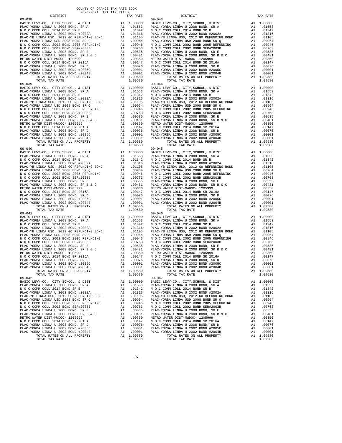| $09 - 038$                                                                       |          |                                                                      | $09 - 043$         |
|----------------------------------------------------------------------------------|----------|----------------------------------------------------------------------|--------------------|
|                                                                                  |          |                                                                      |                    |
|                                                                                  |          |                                                                      |                    |
|                                                                                  |          |                                                                      |                    |
|                                                                                  |          |                                                                      |                    |
|                                                                                  |          |                                                                      |                    |
|                                                                                  |          |                                                                      |                    |
|                                                                                  |          |                                                                      |                    |
|                                                                                  |          |                                                                      |                    |
|                                                                                  |          |                                                                      |                    |
|                                                                                  |          |                                                                      |                    |
|                                                                                  |          |                                                                      |                    |
|                                                                                  |          |                                                                      |                    |
|                                                                                  |          |                                                                      |                    |
|                                                                                  |          |                                                                      |                    |
|                                                                                  |          |                                                                      |                    |
|                                                                                  |          |                                                                      |                    |
|                                                                                  |          |                                                                      |                    |
|                                                                                  |          |                                                                      |                    |
|                                                                                  |          |                                                                      |                    |
|                                                                                  |          |                                                                      |                    |
|                                                                                  |          |                                                                      |                    |
|                                                                                  |          |                                                                      |                    |
|                                                                                  |          |                                                                      |                    |
|                                                                                  |          |                                                                      |                    |
|                                                                                  |          |                                                                      |                    |
|                                                                                  |          |                                                                      |                    |
|                                                                                  |          |                                                                      |                    |
|                                                                                  |          |                                                                      |                    |
|                                                                                  |          |                                                                      |                    |
|                                                                                  |          |                                                                      |                    |
|                                                                                  |          |                                                                      |                    |
|                                                                                  |          |                                                                      |                    |
|                                                                                  |          |                                                                      |                    |
|                                                                                  |          |                                                                      |                    |
|                                                                                  |          |                                                                      |                    |
|                                                                                  |          |                                                                      |                    |
|                                                                                  |          |                                                                      |                    |
|                                                                                  |          |                                                                      |                    |
|                                                                                  |          |                                                                      |                    |
|                                                                                  |          |                                                                      |                    |
|                                                                                  |          |                                                                      |                    |
|                                                                                  |          |                                                                      |                    |
|                                                                                  |          |                                                                      |                    |
|                                                                                  |          |                                                                      |                    |
|                                                                                  |          |                                                                      |                    |
| $09 - 041$                                                                       |          |                                                                      | $09 - 046$         |
|                                                                                  |          |                                                                      |                    |
|                                                                                  |          |                                                                      |                    |
|                                                                                  |          |                                                                      |                    |
|                                                                                  |          |                                                                      |                    |
|                                                                                  |          |                                                                      |                    |
|                                                                                  |          |                                                                      |                    |
|                                                                                  |          |                                                                      |                    |
|                                                                                  |          |                                                                      |                    |
|                                                                                  |          |                                                                      |                    |
|                                                                                  |          |                                                                      |                    |
|                                                                                  |          |                                                                      |                    |
|                                                                                  |          |                                                                      |                    |
|                                                                                  |          |                                                                      |                    |
| TOTAL RATES ON ALL PROPERTY<br>TOTAL TAX RATE                                    |          | A1 1.09580<br>1.09580                                                |                    |
| $09 - 042$                                                                       |          |                                                                      | $09 - 047$         |
| BASIC LEVY-CO., CITY, SCHOOL, & DIST                                             | A1       | 1.00000                                                              | BASIC L            |
| PLAC-YORBA LINDA U 2008 BOND, SR A                                               |          | A1 .01553                                                            | PLAC-YO            |
| N O C COMM COLL 2014 BOND SR B                                                   | A1       | .01342                                                               | N O C C            |
| PLAC-YORBA LINDA U 2002 BOND #2002A<br>PLAC-YB LINDA USD, 2012 GO REFUNDING BOND | A1       | .01316                                                               | PLAC-YO            |
| PLAC-YORBA LINDA USD 2008 BOND SR Q                                              | A1<br>A1 | .01105<br>.00964                                                     | PLAC-YB<br>PLAC-YO |
| N O C COMM COLL 2002 BOND 2005 REFUNDING                                         |          |                                                                      |                    |
| N O C COMM COLL 2002 BOND SER#2003B                                              |          | A1 .00946 NOCC<br>A1 .00763 NOCC<br>A1 .00535 PLAC-YO<br>A1 00401 -- |                    |
| PLAC-YORBA LINDA U 2008 BOND, SR E                                               |          |                                                                      |                    |
| PLAC-YORBA LINDA U 2008 BOND, SR B & C                                           |          | A1 .00481                                                            | PLAC-YO            |
| METRO WATER DIST-MWDOC- 1205999                                                  |          | A1 .00350 METROW<br>A1 .00147 NOCC                                   |                    |
| N O C COMM COLL 2014 BOND SR 2016A<br>PLAC-YORBA LINDA U 2008 BOND, SR D         | A1       |                                                                      | PLAC-YO            |
| PLAC-YORBA LINDA U 2002 BOND #2005C                                              | A1       | .00076<br>.00001                                                     | PLAC-YO            |
| PLAC-YORBA LINDA U 2002 BOND #2004B                                              | A1       | .00001                                                               | PLAC-YO            |
| TOTAL RATES ON ALL PROPERTY                                                      |          | A1 1.09580                                                           |                    |
| TOTAL TAX RATE                                                                   |          | 1.09580                                                              |                    |

|            | TAX RATE<br>DISTRICT                |                                      |         | DISTRICT                                                                                                                                                                                                                                                                                                                          |    | TAX RATE   |
|------------|-------------------------------------|--------------------------------------|---------|-----------------------------------------------------------------------------------------------------------------------------------------------------------------------------------------------------------------------------------------------------------------------------------------------------------------------------------|----|------------|
| $09 - 038$ |                                     |                                      |         | $09 - 043$                                                                                                                                                                                                                                                                                                                        |    |            |
|            |                                     |                                      |         |                                                                                                                                                                                                                                                                                                                                   |    |            |
|            |                                     |                                      |         |                                                                                                                                                                                                                                                                                                                                   |    |            |
|            |                                     |                                      |         |                                                                                                                                                                                                                                                                                                                                   |    |            |
|            |                                     |                                      |         |                                                                                                                                                                                                                                                                                                                                   |    |            |
|            |                                     |                                      |         |                                                                                                                                                                                                                                                                                                                                   |    |            |
|            |                                     |                                      |         |                                                                                                                                                                                                                                                                                                                                   |    |            |
|            |                                     |                                      |         |                                                                                                                                                                                                                                                                                                                                   |    |            |
|            |                                     |                                      |         |                                                                                                                                                                                                                                                                                                                                   |    |            |
|            |                                     |                                      |         |                                                                                                                                                                                                                                                                                                                                   |    |            |
|            |                                     |                                      |         |                                                                                                                                                                                                                                                                                                                                   |    |            |
|            |                                     |                                      |         |                                                                                                                                                                                                                                                                                                                                   |    |            |
|            |                                     |                                      |         |                                                                                                                                                                                                                                                                                                                                   |    |            |
|            |                                     |                                      |         |                                                                                                                                                                                                                                                                                                                                   |    |            |
|            |                                     |                                      |         |                                                                                                                                                                                                                                                                                                                                   |    |            |
|            |                                     |                                      |         |                                                                                                                                                                                                                                                                                                                                   |    |            |
|            |                                     |                                      |         |                                                                                                                                                                                                                                                                                                                                   |    |            |
|            |                                     |                                      |         |                                                                                                                                                                                                                                                                                                                                   |    |            |
|            |                                     |                                      |         | $09 - 044$                                                                                                                                                                                                                                                                                                                        |    |            |
|            |                                     |                                      |         |                                                                                                                                                                                                                                                                                                                                   |    |            |
|            |                                     |                                      |         |                                                                                                                                                                                                                                                                                                                                   |    |            |
|            |                                     |                                      |         |                                                                                                                                                                                                                                                                                                                                   |    |            |
|            |                                     |                                      |         |                                                                                                                                                                                                                                                                                                                                   |    |            |
|            |                                     |                                      |         |                                                                                                                                                                                                                                                                                                                                   |    |            |
|            |                                     |                                      |         |                                                                                                                                                                                                                                                                                                                                   |    |            |
|            |                                     |                                      |         |                                                                                                                                                                                                                                                                                                                                   |    |            |
|            |                                     |                                      |         |                                                                                                                                                                                                                                                                                                                                   |    |            |
|            |                                     |                                      |         |                                                                                                                                                                                                                                                                                                                                   |    |            |
|            |                                     |                                      |         |                                                                                                                                                                                                                                                                                                                                   |    |            |
|            |                                     |                                      |         |                                                                                                                                                                                                                                                                                                                                   |    |            |
|            |                                     |                                      |         |                                                                                                                                                                                                                                                                                                                                   |    |            |
|            |                                     |                                      |         |                                                                                                                                                                                                                                                                                                                                   |    |            |
|            |                                     |                                      |         |                                                                                                                                                                                                                                                                                                                                   |    |            |
|            |                                     |                                      |         |                                                                                                                                                                                                                                                                                                                                   |    |            |
|            |                                     |                                      |         |                                                                                                                                                                                                                                                                                                                                   |    |            |
|            |                                     |                                      |         |                                                                                                                                                                                                                                                                                                                                   |    |            |
|            |                                     |                                      |         |                                                                                                                                                                                                                                                                                                                                   |    |            |
|            |                                     |                                      |         |                                                                                                                                                                                                                                                                                                                                   |    |            |
|            |                                     |                                      |         |                                                                                                                                                                                                                                                                                                                                   |    |            |
|            |                                     |                                      |         |                                                                                                                                                                                                                                                                                                                                   |    |            |
|            |                                     |                                      |         |                                                                                                                                                                                                                                                                                                                                   |    |            |
|            |                                     |                                      |         |                                                                                                                                                                                                                                                                                                                                   |    |            |
|            |                                     |                                      |         |                                                                                                                                                                                                                                                                                                                                   |    |            |
|            |                                     |                                      |         |                                                                                                                                                                                                                                                                                                                                   |    |            |
|            |                                     |                                      |         |                                                                                                                                                                                                                                                                                                                                   |    |            |
|            |                                     |                                      |         |                                                                                                                                                                                                                                                                                                                                   |    |            |
|            |                                     |                                      |         |                                                                                                                                                                                                                                                                                                                                   |    |            |
|            |                                     |                                      |         |                                                                                                                                                                                                                                                                                                                                   |    |            |
|            |                                     |                                      |         |                                                                                                                                                                                                                                                                                                                                   |    |            |
|            |                                     |                                      |         |                                                                                                                                                                                                                                                                                                                                   |    |            |
|            |                                     |                                      |         |                                                                                                                                                                                                                                                                                                                                   |    |            |
|            |                                     |                                      |         |                                                                                                                                                                                                                                                                                                                                   |    |            |
|            |                                     |                                      |         |                                                                                                                                                                                                                                                                                                                                   |    |            |
|            |                                     |                                      |         |                                                                                                                                                                                                                                                                                                                                   |    |            |
|            |                                     |                                      |         |                                                                                                                                                                                                                                                                                                                                   |    |            |
| $09 - 041$ |                                     |                                      |         | $09 - 046$                                                                                                                                                                                                                                                                                                                        |    |            |
|            |                                     |                                      |         |                                                                                                                                                                                                                                                                                                                                   |    |            |
|            |                                     |                                      |         |                                                                                                                                                                                                                                                                                                                                   |    |            |
|            |                                     |                                      |         |                                                                                                                                                                                                                                                                                                                                   |    |            |
|            |                                     |                                      |         |                                                                                                                                                                                                                                                                                                                                   |    |            |
|            |                                     |                                      |         |                                                                                                                                                                                                                                                                                                                                   |    |            |
|            |                                     |                                      |         |                                                                                                                                                                                                                                                                                                                                   |    |            |
|            |                                     |                                      |         |                                                                                                                                                                                                                                                                                                                                   |    |            |
|            |                                     |                                      |         |                                                                                                                                                                                                                                                                                                                                   |    |            |
|            |                                     |                                      |         |                                                                                                                                                                                                                                                                                                                                   |    |            |
|            |                                     |                                      |         |                                                                                                                                                                                                                                                                                                                                   |    |            |
|            |                                     |                                      |         |                                                                                                                                                                                                                                                                                                                                   |    |            |
|            |                                     |                                      |         |                                                                                                                                                                                                                                                                                                                                   |    |            |
|            |                                     |                                      |         |                                                                                                                                                                                                                                                                                                                                   |    |            |
|            |                                     |                                      |         |                                                                                                                                                                                                                                                                                                                                   |    |            |
|            |                                     |                                      |         |                                                                                                                                                                                                                                                                                                                                   |    |            |
|            | PLAC-YORBA LINDA U 2002 BOND #2004B |                                      |         |                                                                                                                                                                                                                                                                                                                                   |    | A1 .00001  |
|            | TOTAL RATES ON ALL PROPERTY         | A1 .00001<br>A1 .00001<br>A1 1.09580 |         | PLAC-YORBA LINDA U 2002 BOND #2004B<br>TOTAL RATES ON ALL PROPERTY                                                                                                                                                                                                                                                                |    | A1 1.09580 |
|            | TOTAL TAX RATE                      |                                      | 1.09580 | TOTAL TAX RATE                                                                                                                                                                                                                                                                                                                    |    | 1.09580    |
| $09 - 042$ |                                     |                                      |         | $09 - 047$                                                                                                                                                                                                                                                                                                                        |    |            |
|            |                                     |                                      |         | BASIC LEVY-CO., CITY, SCHOOL, & DIST A1 1.00000 BASIC LEVY-CO., CITY, SCHOOL, & DIST A1 1.00000 BASIC LEVY-CO., CITY, SCHOOL, & DIST A1 1.00000 BASIC LEVY-CO., CITY, SCHOOL, & DIST A1 1.00000 BASIC LEVY-CO., CITY, SCHOOL,                                                                                                     |    |            |
|            |                                     |                                      |         |                                                                                                                                                                                                                                                                                                                                   |    |            |
|            | N O C COMM COLL 2014 BOND SR B      |                                      |         | A1 .01342 NOCCOMM COLL 2014 BOND SR B                                                                                                                                                                                                                                                                                             |    | A1 .01342  |
|            |                                     |                                      |         | PLAC-YORBA LINDA U 2002 BOND #2002A<br>PLAC-YB LINDA USD, 2012 GO REFUNDING BOND<br>PLAC-YB LINDA USD 2008 BOND SR O A1 01105 PLAC-YB LINDA USD, 2012 GO REFUNDING BOND<br>PLAC-YORBA LINDA USD 2008 BOND SR O A1 00964 PLAC-YORBA L                                                                                              |    | A1 .01316  |
|            |                                     |                                      |         |                                                                                                                                                                                                                                                                                                                                   | A1 |            |
|            |                                     |                                      |         |                                                                                                                                                                                                                                                                                                                                   |    |            |
|            |                                     |                                      |         |                                                                                                                                                                                                                                                                                                                                   |    |            |
|            |                                     |                                      |         |                                                                                                                                                                                                                                                                                                                                   |    |            |
|            |                                     |                                      |         |                                                                                                                                                                                                                                                                                                                                   |    |            |
|            |                                     |                                      |         |                                                                                                                                                                                                                                                                                                                                   |    |            |
|            |                                     |                                      |         |                                                                                                                                                                                                                                                                                                                                   |    |            |
|            |                                     |                                      |         |                                                                                                                                                                                                                                                                                                                                   |    |            |
|            |                                     |                                      |         |                                                                                                                                                                                                                                                                                                                                   |    |            |
|            |                                     |                                      |         |                                                                                                                                                                                                                                                                                                                                   |    |            |
|            |                                     |                                      |         |                                                                                                                                                                                                                                                                                                                                   |    |            |
|            |                                     |                                      |         |                                                                                                                                                                                                                                                                                                                                   |    |            |
|            | TOTAL TAX RATE                      |                                      | 1.09580 | $\begin{tabular}{l c c c c c c c c} \multicolumn{4}{c}{\textbf{N} & 0 & C & COMM & COLL & 2002 & BOND & 2005 & REFUNDING & 801D & 2002 & 2000 & 2005 & REFUNDING & 801D & 2002 & 2000 & 2000 & 2000 & 2000 & 2000 & 2000 & 2000 & 2000 & 2000 & 2000 & 2000 & 2000 & 2000 & 2000 & 2000 & 2000 & 2000 & 2000 &$<br>TOTAL TAX RATE |    | 1.09580    |
|            |                                     |                                      |         |                                                                                                                                                                                                                                                                                                                                   |    |            |

-97-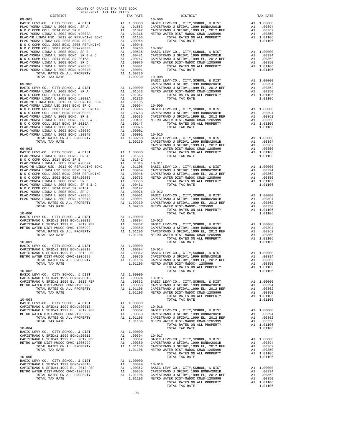| COUNTY OF ORANGE TAX RATE BOOK<br>2020-2021 TRA TAX RATES                                                                                                                                                    |               |                                                                                                    |         |
|--------------------------------------------------------------------------------------------------------------------------------------------------------------------------------------------------------------|---------------|----------------------------------------------------------------------------------------------------|---------|
| DISTRICT                                                                                                                                                                                                     |               | TAX RATE                                                                                           |         |
|                                                                                                                                                                                                              |               |                                                                                                    |         |
|                                                                                                                                                                                                              |               |                                                                                                    |         |
|                                                                                                                                                                                                              |               |                                                                                                    |         |
|                                                                                                                                                                                                              |               |                                                                                                    |         |
|                                                                                                                                                                                                              |               |                                                                                                    |         |
|                                                                                                                                                                                                              |               |                                                                                                    |         |
|                                                                                                                                                                                                              |               |                                                                                                    |         |
|                                                                                                                                                                                                              |               |                                                                                                    |         |
|                                                                                                                                                                                                              |               |                                                                                                    |         |
|                                                                                                                                                                                                              |               |                                                                                                    |         |
|                                                                                                                                                                                                              |               |                                                                                                    |         |
|                                                                                                                                                                                                              |               |                                                                                                    |         |
|                                                                                                                                                                                                              |               |                                                                                                    |         |
|                                                                                                                                                                                                              |               |                                                                                                    |         |
|                                                                                                                                                                                                              |               |                                                                                                    | BASIC L |
|                                                                                                                                                                                                              |               |                                                                                                    |         |
|                                                                                                                                                                                                              |               |                                                                                                    |         |
|                                                                                                                                                                                                              |               |                                                                                                    |         |
|                                                                                                                                                                                                              |               |                                                                                                    |         |
|                                                                                                                                                                                                              |               |                                                                                                    |         |
|                                                                                                                                                                                                              |               |                                                                                                    |         |
|                                                                                                                                                                                                              |               |                                                                                                    |         |
|                                                                                                                                                                                                              |               |                                                                                                    |         |
|                                                                                                                                                                                                              |               |                                                                                                    |         |
|                                                                                                                                                                                                              |               |                                                                                                    |         |
|                                                                                                                                                                                                              |               |                                                                                                    |         |
|                                                                                                                                                                                                              |               |                                                                                                    |         |
|                                                                                                                                                                                                              |               |                                                                                                    |         |
|                                                                                                                                                                                                              |               |                                                                                                    |         |
|                                                                                                                                                                                                              |               |                                                                                                    |         |
|                                                                                                                                                                                                              |               |                                                                                                    | CAPISTR |
| $09 - 903$                                                                                                                                                                                                   |               |                                                                                                    | METRO W |
|                                                                                                                                                                                                              |               |                                                                                                    |         |
|                                                                                                                                                                                                              |               |                                                                                                    |         |
|                                                                                                                                                                                                              |               |                                                                                                    |         |
|                                                                                                                                                                                                              |               |                                                                                                    |         |
|                                                                                                                                                                                                              |               |                                                                                                    |         |
|                                                                                                                                                                                                              |               |                                                                                                    |         |
|                                                                                                                                                                                                              |               |                                                                                                    |         |
|                                                                                                                                                                                                              |               |                                                                                                    |         |
|                                                                                                                                                                                                              |               |                                                                                                    |         |
|                                                                                                                                                                                                              |               |                                                                                                    |         |
|                                                                                                                                                                                                              |               |                                                                                                    |         |
|                                                                                                                                                                                                              |               |                                                                                                    |         |
|                                                                                                                                                                                                              |               |                                                                                                    |         |
|                                                                                                                                                                                                              |               |                                                                                                    |         |
| $10 - 000$                                                                                                                                                                                                   |               |                                                                                                    |         |
|                                                                                                                                                                                                              |               |                                                                                                    |         |
|                                                                                                                                                                                                              |               |                                                                                                    |         |
|                                                                                                                                                                                                              |               |                                                                                                    |         |
|                                                                                                                                                                                                              |               |                                                                                                    |         |
|                                                                                                                                                                                                              |               |                                                                                                    |         |
|                                                                                                                                                                                                              |               |                                                                                                    |         |
| $10 - 001$                                                                                                                                                                                                   |               |                                                                                                    |         |
|                                                                                                                                                                                                              |               |                                                                                                    |         |
|                                                                                                                                                                                                              |               |                                                                                                    |         |
| BASIC LEVY-CO., CITY, SCHOOL, & DIST<br>CAPISTRANO U SFID#1 1999 BOND#2001B<br>CAPISTRANO U SFID#1 1999 BLND#2001B<br>A1 .00394 10-014<br>METRO MATER NEROL CAMER 1205000<br>METRO MATER NEROL CAMER 1205000 |               |                                                                                                    |         |
| METRO WATER DIST-MWDOC CMWD-1205999                                                                                                                                                                          | $\mathbb{A}1$ | .00350<br>A1 1.01106 CAPISTR                                                                       | CAPISTR |
| TOTAL RATES ON ALL PROPERTY<br>TOTAL TAX RATE                                                                                                                                                                |               | 1.01106                                                                                            | METRO W |
|                                                                                                                                                                                                              |               |                                                                                                    |         |
| $10 - 002$                                                                                                                                                                                                   |               |                                                                                                    |         |
| BASIC LEVY-CO., CITY, SCHOOL, & DIST                                                                                                                                                                         |               | A1 1.00000                                                                                         |         |
| CAPISTRANO U SFID#1 1999 BOND#2001B                                                                                                                                                                          |               |                                                                                                    |         |
| CAPISTRANO U SFID#1,1999 EL, 2012 REF                                                                                                                                                                        |               |                                                                                                    |         |
| METRO WATER DIST-MWDOC CMWD-1205999<br>TOTAL RATES ON ALL PROPERTY                                                                                                                                           |               | A1 .00394 10-015<br>A1 .00362 BASIC L<br>A1 .00350 CAPISTR<br>A1 1.01106 CAPISTR<br>1.01106 METROW |         |
| TOTAL TAX RATE                                                                                                                                                                                               |               |                                                                                                    |         |
|                                                                                                                                                                                                              |               |                                                                                                    |         |
| $10 - 003$                                                                                                                                                                                                   |               |                                                                                                    |         |
| BASIC LEVY-CO., CITY, SCHOOL, & DIST                                                                                                                                                                         |               | A1 1.00000                                                                                         |         |
| CAPISTRANO U SFID#1 1999 BOND#2001B                                                                                                                                                                          |               | A1 .00394 10-016                                                                                   |         |
| CAPISTRANO U SFID#1,1999 EL, 2012 REF<br>METRO WATER DIST-MWDOC CMWD-1205999                                                                                                                                 |               | A1 .00362<br>A1 .00350                                                                             | BASIC L |
| TOTAL RATES ON ALL PROPERTY                                                                                                                                                                                  |               |                                                                                                    |         |
| TOTAL TAX RATE                                                                                                                                                                                               |               | A1 .00362 BASIC<br>A1 .00350 CAPISTR<br>A1 1.01106 CAPISTR<br>1.01106 METROW                       |         |
|                                                                                                                                                                                                              |               |                                                                                                    |         |
| $10 - 004$                                                                                                                                                                                                   |               |                                                                                                    |         |
| BASIC LEVY-CO., CITY, SCHOOL, & DIST                                                                                                                                                                         |               | A1 1.00000                                                                                         |         |
| CAPISTRANO U SFID#1 1999 BOND#2001B                                                                                                                                                                          |               |                                                                                                    |         |
| CAPISTRANO U SFID#1,1999 EL, 2012 REF<br>METRO WATER DIST-MWDOC CMWD-1205999                                                                                                                                 |               | A1 .00394 10-017<br>A1 .00394 10-017<br>A1 .00352 BASIC L<br>A1 1.01106 CAPISTR<br>1.01106 METROW  |         |
| TOTAL RATES ON ALL PROPERTY                                                                                                                                                                                  |               |                                                                                                    |         |
| TOTAL TAX RATE                                                                                                                                                                                               |               |                                                                                                    |         |
|                                                                                                                                                                                                              |               |                                                                                                    |         |
| $10 - 005$                                                                                                                                                                                                   |               |                                                                                                    |         |
| BASIC LEVY-CO., CITY, SCHOOL, & DIST                                                                                                                                                                         |               | A1 1.00000                                                                                         |         |
| CAPISTRANO U SFID#1 1999 BOND#2001B                                                                                                                                                                          |               | A1 .00394 10-018<br>A1 .00362 BASIC L<br>A1 .00350 CAPISTR<br>A1 1.01106 CAPISTR                   |         |
| CAPISTRANO U SFID#1,1999 EL, 2012 REF<br>METRO WATER DIST-MWDOC CMWD-1205999                                                                                                                                 |               |                                                                                                    |         |
| TOTAL RATES ON ALL PROPERTY                                                                                                                                                                                  |               |                                                                                                    |         |
| TOTAL TAX RATE                                                                                                                                                                                               |               | 1,01106 METRO W                                                                                    |         |

| 2020-2021 TRA TAX RATES<br>DISTRICT | TAX RATE | <b>DISTRICT</b>                                                                                                                      | TAX RATE |
|-------------------------------------|----------|--------------------------------------------------------------------------------------------------------------------------------------|----------|
|                                     |          |                                                                                                                                      |          |
|                                     |          |                                                                                                                                      |          |
|                                     |          |                                                                                                                                      |          |
|                                     |          |                                                                                                                                      |          |
|                                     |          |                                                                                                                                      |          |
|                                     |          |                                                                                                                                      |          |
|                                     |          |                                                                                                                                      |          |
|                                     |          |                                                                                                                                      |          |
|                                     |          |                                                                                                                                      |          |
|                                     |          |                                                                                                                                      |          |
|                                     |          |                                                                                                                                      |          |
|                                     |          |                                                                                                                                      |          |
|                                     |          |                                                                                                                                      |          |
|                                     |          |                                                                                                                                      |          |
|                                     |          |                                                                                                                                      |          |
|                                     |          |                                                                                                                                      |          |
|                                     |          |                                                                                                                                      |          |
|                                     |          |                                                                                                                                      |          |
|                                     |          |                                                                                                                                      |          |
|                                     |          |                                                                                                                                      |          |
|                                     |          |                                                                                                                                      |          |
|                                     |          |                                                                                                                                      |          |
|                                     |          |                                                                                                                                      |          |
|                                     |          |                                                                                                                                      |          |
|                                     |          |                                                                                                                                      |          |
|                                     |          |                                                                                                                                      |          |
|                                     |          |                                                                                                                                      |          |
|                                     |          |                                                                                                                                      |          |
|                                     |          |                                                                                                                                      |          |
|                                     |          |                                                                                                                                      |          |
|                                     |          |                                                                                                                                      |          |
|                                     |          |                                                                                                                                      |          |
|                                     |          |                                                                                                                                      |          |
|                                     |          |                                                                                                                                      |          |
|                                     |          |                                                                                                                                      |          |
|                                     |          |                                                                                                                                      |          |
|                                     |          |                                                                                                                                      |          |
|                                     |          |                                                                                                                                      |          |
|                                     |          |                                                                                                                                      |          |
|                                     |          |                                                                                                                                      |          |
|                                     |          |                                                                                                                                      |          |
|                                     |          |                                                                                                                                      |          |
|                                     |          |                                                                                                                                      |          |
|                                     |          |                                                                                                                                      |          |
|                                     |          |                                                                                                                                      |          |
|                                     |          |                                                                                                                                      |          |
|                                     |          |                                                                                                                                      |          |
|                                     |          |                                                                                                                                      |          |
|                                     |          |                                                                                                                                      |          |
|                                     |          |                                                                                                                                      |          |
|                                     |          |                                                                                                                                      |          |
|                                     |          | 1.01106 METRO WATER DIST-MWDOC- 1205999 and 0.03150 A1 .00360 METRO WATER DIST-MWDOC- 1205999 and 0.03150 and 1.01106 TOTAL TAX RATE |          |
|                                     |          |                                                                                                                                      |          |
|                                     |          |                                                                                                                                      |          |
|                                     |          |                                                                                                                                      |          |
|                                     |          |                                                                                                                                      |          |
|                                     |          |                                                                                                                                      |          |
|                                     |          |                                                                                                                                      |          |
|                                     |          |                                                                                                                                      |          |
|                                     |          |                                                                                                                                      |          |
|                                     |          |                                                                                                                                      |          |
|                                     |          |                                                                                                                                      |          |
|                                     |          |                                                                                                                                      |          |
|                                     |          |                                                                                                                                      |          |
|                                     |          |                                                                                                                                      |          |
|                                     |          |                                                                                                                                      |          |
|                                     |          |                                                                                                                                      |          |
|                                     |          |                                                                                                                                      |          |
|                                     |          |                                                                                                                                      |          |
|                                     |          |                                                                                                                                      |          |
|                                     |          |                                                                                                                                      |          |
|                                     |          |                                                                                                                                      |          |
|                                     |          |                                                                                                                                      |          |
|                                     |          |                                                                                                                                      |          |
|                                     |          |                                                                                                                                      |          |
|                                     |          |                                                                                                                                      |          |
|                                     |          |                                                                                                                                      |          |
|                                     |          |                                                                                                                                      |          |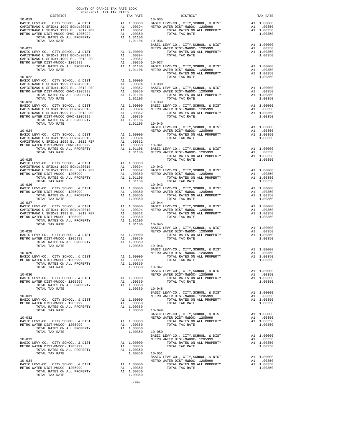|  | $\begin{tabular}{c c c c} \multicolumn{4}{c}{10-028} & 1.01106 & 10-045 & \multicolumn{4}{c}{\texttt{BASC LEVY-CO.}}, \ \texttt{CITY}, \texttt{SCHOOL}, & \texttt{DIST} & \texttt{A1 1.00000} \\ \texttt{BASE LEVY-CO.}, \ \texttt{CITY}, \texttt{SCHOOL}, & \texttt{DIST} & \texttt{A1 1.00000} & \texttt{METRO WETRO NATE DIST-MWDOC-120599} & \texttt{A1 1.00350} \\ \texttt{METRO WATER DIST-MW$                                                                                                              |  |
|--|-------------------------------------------------------------------------------------------------------------------------------------------------------------------------------------------------------------------------------------------------------------------------------------------------------------------------------------------------------------------------------------------------------------------------------------------------------------------------------------------------------------------|--|
|  |                                                                                                                                                                                                                                                                                                                                                                                                                                                                                                                   |  |
|  |                                                                                                                                                                                                                                                                                                                                                                                                                                                                                                                   |  |
|  | $\begin{tabular}{c c c c c c} \multicolumn{3}{c c c c} \multicolumn{3}{c c c} \multicolumn{3}{c c c} \multicolumn{3}{c c c} \multicolumn{3}{c c c} \multicolumn{3}{c c} \multicolumn{3}{c c} \multicolumn{3}{c c} \multicolumn{3}{c c} \multicolumn{3}{c c} \multicolumn{3}{c c} \multicolumn{3}{c c} \multicolumn{3}{c c} \multicolumn{3}{c c} \multicolumn{3}{c c} \multicolumn{3}{c c} \multicolumn{3}{c c} \multic$                                                                                           |  |
|  |                                                                                                                                                                                                                                                                                                                                                                                                                                                                                                                   |  |
|  |                                                                                                                                                                                                                                                                                                                                                                                                                                                                                                                   |  |
|  |                                                                                                                                                                                                                                                                                                                                                                                                                                                                                                                   |  |
|  |                                                                                                                                                                                                                                                                                                                                                                                                                                                                                                                   |  |
|  |                                                                                                                                                                                                                                                                                                                                                                                                                                                                                                                   |  |
|  |                                                                                                                                                                                                                                                                                                                                                                                                                                                                                                                   |  |
|  |                                                                                                                                                                                                                                                                                                                                                                                                                                                                                                                   |  |
|  |                                                                                                                                                                                                                                                                                                                                                                                                                                                                                                                   |  |
|  |                                                                                                                                                                                                                                                                                                                                                                                                                                                                                                                   |  |
|  |                                                                                                                                                                                                                                                                                                                                                                                                                                                                                                                   |  |
|  | $\begin{tabular}{ccccc} \multicolumn{4}{c}{\begin{tabular}{c} \multicolumn{4}{c}{\begin{tabular}{c} \multicolumn{4}{c}{\begin{tabular}{c} \multicolumn{4}{c}{\begin{tabular}{c} \multicolumn{4}{c}{\begin{tabular}{c} \multicolumn{4}{c}{\begin{tabular}{c} \multicolumn{4}{c}{\begin{tabular}{c} \multicolumn{4}{c}{\begin{tabular}{c} \multicolumn{4}{c}{\begin{tabular}{c} \multicolumn{4}{c}{\begin{tabular}{c} \multicolumn{4}{c}{\begin{tabular}{c} \multicolumn{4}{c}{\begin{tabular}{c} \multicolumn{4}{$ |  |
|  |                                                                                                                                                                                                                                                                                                                                                                                                                                                                                                                   |  |
|  |                                                                                                                                                                                                                                                                                                                                                                                                                                                                                                                   |  |
|  |                                                                                                                                                                                                                                                                                                                                                                                                                                                                                                                   |  |
|  | $\begin{tabular}{lllllllllllllllll} \multicolumn{4}{c }{\textbf{10-033}} & & & & & & & & & & & & & & \\ & & & & & & & & & & & & & & & & & \\ \hline \multicolumn{4}{c }{\textbf{10-038}} & & & & & & & & & & & & \\ \multicolumn{4}{c }{\textbf{10-038}} & & & & & & & & & & & \\ \multicolumn{4}{c }{\textbf{10-038}} & & & & & & & & & & \\ \multicolumn{4}{c }{\textbf{10-038}} & & & & & & & & & & \\ \multicolumn{4}{c }{\textbf{10$                                                                         |  |
|  |                                                                                                                                                                                                                                                                                                                                                                                                                                                                                                                   |  |
|  |                                                                                                                                                                                                                                                                                                                                                                                                                                                                                                                   |  |
|  |                                                                                                                                                                                                                                                                                                                                                                                                                                                                                                                   |  |
|  |                                                                                                                                                                                                                                                                                                                                                                                                                                                                                                                   |  |
|  |                                                                                                                                                                                                                                                                                                                                                                                                                                                                                                                   |  |
|  |                                                                                                                                                                                                                                                                                                                                                                                                                                                                                                                   |  |
|  |                                                                                                                                                                                                                                                                                                                                                                                                                                                                                                                   |  |

-99-

COUNTY OF ORANGE TAX RATE BOOK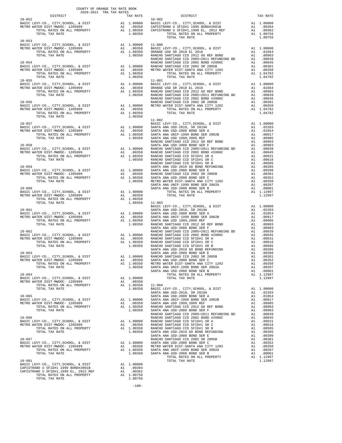| $\begin{minipage}{.4\linewidth} \begin{tabular}{lcccccc} \multicolumn{2}{c}{\textbf{0.1}} & \multicolumn{2}{c}{\textbf{0.1}} & \multicolumn{2}{c}{\textbf{0.1}} & \multicolumn{2}{c}{\textbf{0.1}} & \multicolumn{2}{c}{\textbf{0.1}} & \multicolumn{2}{c}{\textbf{0.1}} & \multicolumn{2}{c}{\textbf{0.1}} & \multicolumn{2}{c}{\textbf{0.1}} & \multicolumn{2}{c}{\textbf{0.1}} & \multicolumn{2}{c}{\textbf{0.1}} & \multicolumn{2}{c}{\textbf{0.1}} &$<br>$10 - 052$ |         | TRA TAX RATES $\begin{array}{ccccc}\n\texttt{TRA} & \texttt{RATES} & & & & \texttt{DISTRICT} \\ \texttt{TAX} & \texttt{RATE} & & & & \texttt{DISTRICT}\n\end{array}$<br>$10 - 902$                                                                                                                                                                                                                                  | TAX RATE |
|--------------------------------------------------------------------------------------------------------------------------------------------------------------------------------------------------------------------------------------------------------------------------------------------------------------------------------------------------------------------------------------------------------------------------------------------------------------------------|---------|---------------------------------------------------------------------------------------------------------------------------------------------------------------------------------------------------------------------------------------------------------------------------------------------------------------------------------------------------------------------------------------------------------------------|----------|
|                                                                                                                                                                                                                                                                                                                                                                                                                                                                          |         |                                                                                                                                                                                                                                                                                                                                                                                                                     |          |
|                                                                                                                                                                                                                                                                                                                                                                                                                                                                          |         |                                                                                                                                                                                                                                                                                                                                                                                                                     |          |
|                                                                                                                                                                                                                                                                                                                                                                                                                                                                          |         |                                                                                                                                                                                                                                                                                                                                                                                                                     |          |
| $10 - 053$                                                                                                                                                                                                                                                                                                                                                                                                                                                               |         | TOTAL TAX RATE<br>$\begin{tabular}{cccc} 10-051 & 100-085 \\ \hline \texttt{METRO WATER BIST-MHROO} & 100-08999 \\ \hline \texttt{METRO WATER BIST-MHROO} & 100-08999 \\ \hline \texttt{METRO WATER BIST-MHROO} & 100-080 \\ \hline \texttt{NETRO WATER BIST} & 100-080 \\ \hline \texttt{NCTAL R MTSS ON} & \texttt{ML} \texttt{ PROBERTY} & 100-080 \\ \hline \texttt{NCTAL R MTSS ON} & 100-080 \\ \hline \text$ | 1.00756  |
|                                                                                                                                                                                                                                                                                                                                                                                                                                                                          |         |                                                                                                                                                                                                                                                                                                                                                                                                                     |          |
|                                                                                                                                                                                                                                                                                                                                                                                                                                                                          |         |                                                                                                                                                                                                                                                                                                                                                                                                                     |          |
|                                                                                                                                                                                                                                                                                                                                                                                                                                                                          |         |                                                                                                                                                                                                                                                                                                                                                                                                                     |          |
|                                                                                                                                                                                                                                                                                                                                                                                                                                                                          |         |                                                                                                                                                                                                                                                                                                                                                                                                                     |          |
|                                                                                                                                                                                                                                                                                                                                                                                                                                                                          |         |                                                                                                                                                                                                                                                                                                                                                                                                                     |          |
|                                                                                                                                                                                                                                                                                                                                                                                                                                                                          |         |                                                                                                                                                                                                                                                                                                                                                                                                                     |          |
|                                                                                                                                                                                                                                                                                                                                                                                                                                                                          |         |                                                                                                                                                                                                                                                                                                                                                                                                                     |          |
|                                                                                                                                                                                                                                                                                                                                                                                                                                                                          |         |                                                                                                                                                                                                                                                                                                                                                                                                                     |          |
|                                                                                                                                                                                                                                                                                                                                                                                                                                                                          |         |                                                                                                                                                                                                                                                                                                                                                                                                                     |          |
|                                                                                                                                                                                                                                                                                                                                                                                                                                                                          |         |                                                                                                                                                                                                                                                                                                                                                                                                                     |          |
|                                                                                                                                                                                                                                                                                                                                                                                                                                                                          |         |                                                                                                                                                                                                                                                                                                                                                                                                                     |          |
|                                                                                                                                                                                                                                                                                                                                                                                                                                                                          |         |                                                                                                                                                                                                                                                                                                                                                                                                                     |          |
|                                                                                                                                                                                                                                                                                                                                                                                                                                                                          |         |                                                                                                                                                                                                                                                                                                                                                                                                                     |          |
|                                                                                                                                                                                                                                                                                                                                                                                                                                                                          |         |                                                                                                                                                                                                                                                                                                                                                                                                                     |          |
|                                                                                                                                                                                                                                                                                                                                                                                                                                                                          | 1.00350 |                                                                                                                                                                                                                                                                                                                                                                                                                     |          |
|                                                                                                                                                                                                                                                                                                                                                                                                                                                                          |         |                                                                                                                                                                                                                                                                                                                                                                                                                     |          |
|                                                                                                                                                                                                                                                                                                                                                                                                                                                                          |         | $\begin{tabular}{cccc} 10-059 & 1.04782 & 1.04782 & 1.04782 & 1.04782 & 1.04782 & 1.04782 & 1.04782 & 1.04782 & 1.04782 & 1.04782 & 1.04782 & 1.04782 & 1.04782 & 1.04782 & 1.04782 & 1.04782 & 1.04782 & 1.04782 & 1.04782 & 1.04782 & 1.04782 & 1.04782 & 1.047$                                                                                                                                                  |          |
|                                                                                                                                                                                                                                                                                                                                                                                                                                                                          |         |                                                                                                                                                                                                                                                                                                                                                                                                                     |          |
|                                                                                                                                                                                                                                                                                                                                                                                                                                                                          |         |                                                                                                                                                                                                                                                                                                                                                                                                                     |          |
|                                                                                                                                                                                                                                                                                                                                                                                                                                                                          |         |                                                                                                                                                                                                                                                                                                                                                                                                                     |          |
|                                                                                                                                                                                                                                                                                                                                                                                                                                                                          |         |                                                                                                                                                                                                                                                                                                                                                                                                                     |          |
|                                                                                                                                                                                                                                                                                                                                                                                                                                                                          |         |                                                                                                                                                                                                                                                                                                                                                                                                                     |          |
|                                                                                                                                                                                                                                                                                                                                                                                                                                                                          |         |                                                                                                                                                                                                                                                                                                                                                                                                                     |          |
|                                                                                                                                                                                                                                                                                                                                                                                                                                                                          |         |                                                                                                                                                                                                                                                                                                                                                                                                                     |          |
|                                                                                                                                                                                                                                                                                                                                                                                                                                                                          |         |                                                                                                                                                                                                                                                                                                                                                                                                                     |          |
|                                                                                                                                                                                                                                                                                                                                                                                                                                                                          |         |                                                                                                                                                                                                                                                                                                                                                                                                                     |          |
|                                                                                                                                                                                                                                                                                                                                                                                                                                                                          |         |                                                                                                                                                                                                                                                                                                                                                                                                                     |          |
|                                                                                                                                                                                                                                                                                                                                                                                                                                                                          |         |                                                                                                                                                                                                                                                                                                                                                                                                                     |          |
|                                                                                                                                                                                                                                                                                                                                                                                                                                                                          |         |                                                                                                                                                                                                                                                                                                                                                                                                                     |          |
|                                                                                                                                                                                                                                                                                                                                                                                                                                                                          |         |                                                                                                                                                                                                                                                                                                                                                                                                                     |          |
|                                                                                                                                                                                                                                                                                                                                                                                                                                                                          |         |                                                                                                                                                                                                                                                                                                                                                                                                                     |          |
|                                                                                                                                                                                                                                                                                                                                                                                                                                                                          |         |                                                                                                                                                                                                                                                                                                                                                                                                                     |          |
|                                                                                                                                                                                                                                                                                                                                                                                                                                                                          |         |                                                                                                                                                                                                                                                                                                                                                                                                                     |          |
|                                                                                                                                                                                                                                                                                                                                                                                                                                                                          |         |                                                                                                                                                                                                                                                                                                                                                                                                                     |          |
|                                                                                                                                                                                                                                                                                                                                                                                                                                                                          |         |                                                                                                                                                                                                                                                                                                                                                                                                                     |          |
|                                                                                                                                                                                                                                                                                                                                                                                                                                                                          |         |                                                                                                                                                                                                                                                                                                                                                                                                                     |          |
|                                                                                                                                                                                                                                                                                                                                                                                                                                                                          |         |                                                                                                                                                                                                                                                                                                                                                                                                                     |          |
|                                                                                                                                                                                                                                                                                                                                                                                                                                                                          |         |                                                                                                                                                                                                                                                                                                                                                                                                                     |          |
|                                                                                                                                                                                                                                                                                                                                                                                                                                                                          |         |                                                                                                                                                                                                                                                                                                                                                                                                                     |          |
|                                                                                                                                                                                                                                                                                                                                                                                                                                                                          |         |                                                                                                                                                                                                                                                                                                                                                                                                                     |          |
|                                                                                                                                                                                                                                                                                                                                                                                                                                                                          |         |                                                                                                                                                                                                                                                                                                                                                                                                                     |          |
|                                                                                                                                                                                                                                                                                                                                                                                                                                                                          |         |                                                                                                                                                                                                                                                                                                                                                                                                                     |          |
|                                                                                                                                                                                                                                                                                                                                                                                                                                                                          |         |                                                                                                                                                                                                                                                                                                                                                                                                                     |          |
|                                                                                                                                                                                                                                                                                                                                                                                                                                                                          |         |                                                                                                                                                                                                                                                                                                                                                                                                                     |          |
|                                                                                                                                                                                                                                                                                                                                                                                                                                                                          |         |                                                                                                                                                                                                                                                                                                                                                                                                                     |          |
|                                                                                                                                                                                                                                                                                                                                                                                                                                                                          |         |                                                                                                                                                                                                                                                                                                                                                                                                                     |          |
|                                                                                                                                                                                                                                                                                                                                                                                                                                                                          |         |                                                                                                                                                                                                                                                                                                                                                                                                                     |          |
|                                                                                                                                                                                                                                                                                                                                                                                                                                                                          |         |                                                                                                                                                                                                                                                                                                                                                                                                                     |          |
|                                                                                                                                                                                                                                                                                                                                                                                                                                                                          |         |                                                                                                                                                                                                                                                                                                                                                                                                                     |          |
|                                                                                                                                                                                                                                                                                                                                                                                                                                                                          |         |                                                                                                                                                                                                                                                                                                                                                                                                                     |          |
|                                                                                                                                                                                                                                                                                                                                                                                                                                                                          |         |                                                                                                                                                                                                                                                                                                                                                                                                                     |          |
|                                                                                                                                                                                                                                                                                                                                                                                                                                                                          |         |                                                                                                                                                                                                                                                                                                                                                                                                                     |          |
|                                                                                                                                                                                                                                                                                                                                                                                                                                                                          |         |                                                                                                                                                                                                                                                                                                                                                                                                                     |          |
|                                                                                                                                                                                                                                                                                                                                                                                                                                                                          |         |                                                                                                                                                                                                                                                                                                                                                                                                                     |          |
|                                                                                                                                                                                                                                                                                                                                                                                                                                                                          |         |                                                                                                                                                                                                                                                                                                                                                                                                                     |          |
|                                                                                                                                                                                                                                                                                                                                                                                                                                                                          |         |                                                                                                                                                                                                                                                                                                                                                                                                                     |          |
|                                                                                                                                                                                                                                                                                                                                                                                                                                                                          |         |                                                                                                                                                                                                                                                                                                                                                                                                                     |          |
|                                                                                                                                                                                                                                                                                                                                                                                                                                                                          |         |                                                                                                                                                                                                                                                                                                                                                                                                                     |          |
|                                                                                                                                                                                                                                                                                                                                                                                                                                                                          |         |                                                                                                                                                                                                                                                                                                                                                                                                                     |          |
|                                                                                                                                                                                                                                                                                                                                                                                                                                                                          |         |                                                                                                                                                                                                                                                                                                                                                                                                                     |          |
|                                                                                                                                                                                                                                                                                                                                                                                                                                                                          |         |                                                                                                                                                                                                                                                                                                                                                                                                                     |          |
|                                                                                                                                                                                                                                                                                                                                                                                                                                                                          |         |                                                                                                                                                                                                                                                                                                                                                                                                                     |          |
|                                                                                                                                                                                                                                                                                                                                                                                                                                                                          |         |                                                                                                                                                                                                                                                                                                                                                                                                                     |          |
|                                                                                                                                                                                                                                                                                                                                                                                                                                                                          |         |                                                                                                                                                                                                                                                                                                                                                                                                                     |          |
|                                                                                                                                                                                                                                                                                                                                                                                                                                                                          |         |                                                                                                                                                                                                                                                                                                                                                                                                                     |          |
| NO-901<br>BASIC LEVY-CO., CITY, SCHOOL, & DIST Al 1.00000<br>CAPISTRANO U SFID#1 1999 BOND#2001B Al .00394<br>CAPISTRANO U SFID#1,1999 EL, 2012 REF Al .00362<br>TOTAL RATES ON ALL PROPERTY Al 1.00756<br>TOTAL TAX RATE                                                                                                                                                                                                                                                |         |                                                                                                                                                                                                                                                                                                                                                                                                                     |          |
|                                                                                                                                                                                                                                                                                                                                                                                                                                                                          |         |                                                                                                                                                                                                                                                                                                                                                                                                                     |          |
|                                                                                                                                                                                                                                                                                                                                                                                                                                                                          |         |                                                                                                                                                                                                                                                                                                                                                                                                                     |          |

-100-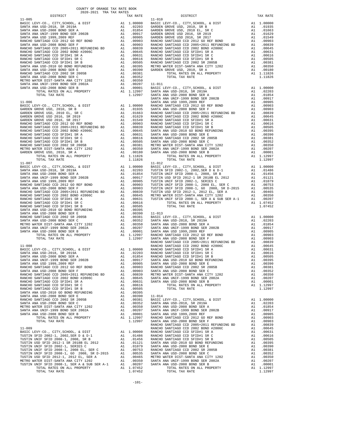|                                                                                                                                                                                                                                                                                                                                                                                                                                                     |          |                                                                                                                          | SANTA A            |
|-----------------------------------------------------------------------------------------------------------------------------------------------------------------------------------------------------------------------------------------------------------------------------------------------------------------------------------------------------------------------------------------------------------------------------------------------------|----------|--------------------------------------------------------------------------------------------------------------------------|--------------------|
| $11 - 006$                                                                                                                                                                                                                                                                                                                                                                                                                                          |          |                                                                                                                          | SANTA A            |
|                                                                                                                                                                                                                                                                                                                                                                                                                                                     |          |                                                                                                                          |                    |
|                                                                                                                                                                                                                                                                                                                                                                                                                                                     |          |                                                                                                                          |                    |
|                                                                                                                                                                                                                                                                                                                                                                                                                                                     |          |                                                                                                                          |                    |
|                                                                                                                                                                                                                                                                                                                                                                                                                                                     |          |                                                                                                                          |                    |
|                                                                                                                                                                                                                                                                                                                                                                                                                                                     |          |                                                                                                                          |                    |
|                                                                                                                                                                                                                                                                                                                                                                                                                                                     |          |                                                                                                                          |                    |
|                                                                                                                                                                                                                                                                                                                                                                                                                                                     |          |                                                                                                                          |                    |
|                                                                                                                                                                                                                                                                                                                                                                                                                                                     |          |                                                                                                                          |                    |
|                                                                                                                                                                                                                                                                                                                                                                                                                                                     |          |                                                                                                                          |                    |
|                                                                                                                                                                                                                                                                                                                                                                                                                                                     |          |                                                                                                                          |                    |
|                                                                                                                                                                                                                                                                                                                                                                                                                                                     |          |                                                                                                                          |                    |
| TOTAL TAX RATE                                                                                                                                                                                                                                                                                                                                                                                                                                      |          | 1.11826                                                                                                                  |                    |
|                                                                                                                                                                                                                                                                                                                                                                                                                                                     |          |                                                                                                                          |                    |
|                                                                                                                                                                                                                                                                                                                                                                                                                                                     |          |                                                                                                                          |                    |
|                                                                                                                                                                                                                                                                                                                                                                                                                                                     |          |                                                                                                                          |                    |
|                                                                                                                                                                                                                                                                                                                                                                                                                                                     |          |                                                                                                                          |                    |
|                                                                                                                                                                                                                                                                                                                                                                                                                                                     |          |                                                                                                                          |                    |
|                                                                                                                                                                                                                                                                                                                                                                                                                                                     |          |                                                                                                                          |                    |
|                                                                                                                                                                                                                                                                                                                                                                                                                                                     |          |                                                                                                                          |                    |
|                                                                                                                                                                                                                                                                                                                                                                                                                                                     |          |                                                                                                                          |                    |
|                                                                                                                                                                                                                                                                                                                                                                                                                                                     |          |                                                                                                                          |                    |
|                                                                                                                                                                                                                                                                                                                                                                                                                                                     |          |                                                                                                                          |                    |
|                                                                                                                                                                                                                                                                                                                                                                                                                                                     |          |                                                                                                                          |                    |
|                                                                                                                                                                                                                                                                                                                                                                                                                                                     |          |                                                                                                                          |                    |
|                                                                                                                                                                                                                                                                                                                                                                                                                                                     |          |                                                                                                                          |                    |
|                                                                                                                                                                                                                                                                                                                                                                                                                                                     |          |                                                                                                                          |                    |
|                                                                                                                                                                                                                                                                                                                                                                                                                                                     |          |                                                                                                                          |                    |
|                                                                                                                                                                                                                                                                                                                                                                                                                                                     |          |                                                                                                                          |                    |
|                                                                                                                                                                                                                                                                                                                                                                                                                                                     |          |                                                                                                                          | RANCHO             |
| $\begin{tabular}{l c c c c c} \multicolumn{1}{c}{\textbf{RANGEO}} & \multicolumn{1}{c}{\textbf{RANGEO}} & \multicolumn{1}{c}{\textbf{RANGEO}} \\ \multicolumn{1}{c}{\textbf{RANGEO}} & \multicolumn{1}{c}{\textbf{RANGEO}} \\ \multicolumn{1}{c}{\textbf{SANTA ANA USD-2018, SR 2019A}} & \multicolumn{1}{c}{\textbf{A1}} & \multicolumn{1}{c}{\textbf{.00200}} & \multicolumn{1}{c}{\textbf{RANGEO}} \\ \multicolumn{1}{c}{\textbf{SANTA ANA USD-$ |          |                                                                                                                          |                    |
|                                                                                                                                                                                                                                                                                                                                                                                                                                                     |          |                                                                                                                          |                    |
|                                                                                                                                                                                                                                                                                                                                                                                                                                                     |          |                                                                                                                          |                    |
|                                                                                                                                                                                                                                                                                                                                                                                                                                                     |          |                                                                                                                          |                    |
|                                                                                                                                                                                                                                                                                                                                                                                                                                                     |          |                                                                                                                          |                    |
|                                                                                                                                                                                                                                                                                                                                                                                                                                                     |          |                                                                                                                          |                    |
|                                                                                                                                                                                                                                                                                                                                                                                                                                                     |          |                                                                                                                          |                    |
| RANCHO SANTIAGO CCD SFID#1 SR A                                                                                                                                                                                                                                                                                                                                                                                                                     | A1       | .00631                                                                                                                   | SANTA A            |
| RANCHO SANTIAGO CCD SFID#1 SR C<br>RANCHO SANTIAGO CCD SFID#1 SR B                                                                                                                                                                                                                                                                                                                                                                                  |          | A1 .00616                                                                                                                |                    |
| SANTA ANA USD-2010 GO BOND REFUNDING                                                                                                                                                                                                                                                                                                                                                                                                                | A1       | A1 .00505<br>.00395                                                                                                      |                    |
| SANTA ANA USD-2008 BOND SER E                                                                                                                                                                                                                                                                                                                                                                                                                       | A1       | .00390                                                                                                                   | $11 - 014$         |
| RANCHO SANTIAGO CCD 2002 SR 2005B<br>SANTA ANA USD-2008 BOND SER C                                                                                                                                                                                                                                                                                                                                                                                  | A1<br>A1 | .00381<br>.00352                                                                                                         | BASIC L<br>SANTA A |
| METRO WATER DIST-SANTA ANA CITY 1202                                                                                                                                                                                                                                                                                                                                                                                                                |          |                                                                                                                          |                    |
| SANTA ANA UNIF-1999 BOND SER 2002A                                                                                                                                                                                                                                                                                                                                                                                                                  |          | A1 .00350 SANTA A<br>A1 .00207 SANTA A<br>A1 .00001 SANTA A<br>A1 .00001 SANTA A<br>A1 1.12997 RANCHO<br>1.12997 SANTA A |                    |
| SANTA ANA USD-2008 BOND SER B<br>TOTAL RATES ON ALL PROPERTY                                                                                                                                                                                                                                                                                                                                                                                        |          |                                                                                                                          |                    |
| TOTAL TAX RATE                                                                                                                                                                                                                                                                                                                                                                                                                                      |          |                                                                                                                          |                    |
|                                                                                                                                                                                                                                                                                                                                                                                                                                                     |          |                                                                                                                          | RANCHO             |
|                                                                                                                                                                                                                                                                                                                                                                                                                                                     |          |                                                                                                                          |                    |
|                                                                                                                                                                                                                                                                                                                                                                                                                                                     |          |                                                                                                                          |                    |
|                                                                                                                                                                                                                                                                                                                                                                                                                                                     |          |                                                                                                                          |                    |
|                                                                                                                                                                                                                                                                                                                                                                                                                                                     |          |                                                                                                                          |                    |
|                                                                                                                                                                                                                                                                                                                                                                                                                                                     |          |                                                                                                                          |                    |
|                                                                                                                                                                                                                                                                                                                                                                                                                                                     |          |                                                                                                                          |                    |
|                                                                                                                                                                                                                                                                                                                                                                                                                                                     |          |                                                                                                                          |                    |
|                                                                                                                                                                                                                                                                                                                                                                                                                                                     |          |                                                                                                                          |                    |
| TOTAL RATES ON ALL PROPERTY<br>סידוגם עגים זגים ח                                                                                                                                                                                                                                                                                                                                                                                                   |          | A1 1.07452<br>1.07452                                                                                                    |                    |

| DISTRICT                                                                                                                                                                                                                                                                       | TAX RATE | DISTRICT | TAX RATE |
|--------------------------------------------------------------------------------------------------------------------------------------------------------------------------------------------------------------------------------------------------------------------------------|----------|----------|----------|
|                                                                                                                                                                                                                                                                                |          |          |          |
|                                                                                                                                                                                                                                                                                |          |          |          |
|                                                                                                                                                                                                                                                                                |          |          |          |
|                                                                                                                                                                                                                                                                                |          |          |          |
|                                                                                                                                                                                                                                                                                |          |          |          |
|                                                                                                                                                                                                                                                                                |          |          |          |
|                                                                                                                                                                                                                                                                                |          |          |          |
|                                                                                                                                                                                                                                                                                |          |          |          |
|                                                                                                                                                                                                                                                                                |          |          |          |
|                                                                                                                                                                                                                                                                                |          |          |          |
|                                                                                                                                                                                                                                                                                |          |          |          |
|                                                                                                                                                                                                                                                                                |          |          |          |
|                                                                                                                                                                                                                                                                                |          |          |          |
|                                                                                                                                                                                                                                                                                |          |          |          |
|                                                                                                                                                                                                                                                                                |          |          |          |
|                                                                                                                                                                                                                                                                                |          |          |          |
|                                                                                                                                                                                                                                                                                |          |          |          |
|                                                                                                                                                                                                                                                                                |          |          |          |
|                                                                                                                                                                                                                                                                                |          |          |          |
|                                                                                                                                                                                                                                                                                |          |          |          |
|                                                                                                                                                                                                                                                                                |          |          |          |
|                                                                                                                                                                                                                                                                                |          |          |          |
|                                                                                                                                                                                                                                                                                |          |          |          |
|                                                                                                                                                                                                                                                                                |          |          |          |
|                                                                                                                                                                                                                                                                                |          |          |          |
|                                                                                                                                                                                                                                                                                |          |          |          |
|                                                                                                                                                                                                                                                                                |          |          |          |
|                                                                                                                                                                                                                                                                                |          |          |          |
|                                                                                                                                                                                                                                                                                |          |          |          |
|                                                                                                                                                                                                                                                                                |          |          |          |
|                                                                                                                                                                                                                                                                                |          |          |          |
|                                                                                                                                                                                                                                                                                |          |          |          |
|                                                                                                                                                                                                                                                                                |          |          |          |
|                                                                                                                                                                                                                                                                                |          |          |          |
|                                                                                                                                                                                                                                                                                |          |          |          |
|                                                                                                                                                                                                                                                                                |          |          |          |
|                                                                                                                                                                                                                                                                                |          |          |          |
|                                                                                                                                                                                                                                                                                |          |          |          |
|                                                                                                                                                                                                                                                                                |          |          |          |
|                                                                                                                                                                                                                                                                                |          |          |          |
|                                                                                                                                                                                                                                                                                |          |          |          |
|                                                                                                                                                                                                                                                                                |          |          |          |
|                                                                                                                                                                                                                                                                                |          |          |          |
|                                                                                                                                                                                                                                                                                |          |          |          |
|                                                                                                                                                                                                                                                                                |          |          |          |
|                                                                                                                                                                                                                                                                                |          |          |          |
|                                                                                                                                                                                                                                                                                |          |          |          |
|                                                                                                                                                                                                                                                                                |          |          |          |
|                                                                                                                                                                                                                                                                                |          |          |          |
|                                                                                                                                                                                                                                                                                |          |          |          |
|                                                                                                                                                                                                                                                                                |          |          |          |
|                                                                                                                                                                                                                                                                                |          |          |          |
|                                                                                                                                                                                                                                                                                |          |          |          |
|                                                                                                                                                                                                                                                                                |          |          |          |
|                                                                                                                                                                                                                                                                                |          |          |          |
|                                                                                                                                                                                                                                                                                |          |          |          |
|                                                                                                                                                                                                                                                                                |          |          |          |
|                                                                                                                                                                                                                                                                                |          |          |          |
|                                                                                                                                                                                                                                                                                |          |          |          |
|                                                                                                                                                                                                                                                                                |          |          |          |
|                                                                                                                                                                                                                                                                                |          |          |          |
|                                                                                                                                                                                                                                                                                |          |          |          |
|                                                                                                                                                                                                                                                                                |          |          |          |
|                                                                                                                                                                                                                                                                                |          |          |          |
|                                                                                                                                                                                                                                                                                |          |          |          |
|                                                                                                                                                                                                                                                                                |          |          |          |
|                                                                                                                                                                                                                                                                                |          |          |          |
|                                                                                                                                                                                                                                                                                |          |          |          |
|                                                                                                                                                                                                                                                                                |          |          |          |
|                                                                                                                                                                                                                                                                                |          |          |          |
|                                                                                                                                                                                                                                                                                |          |          |          |
|                                                                                                                                                                                                                                                                                |          |          |          |
|                                                                                                                                                                                                                                                                                |          |          |          |
|                                                                                                                                                                                                                                                                                |          |          |          |
|                                                                                                                                                                                                                                                                                |          |          |          |
|                                                                                                                                                                                                                                                                                |          |          |          |
|                                                                                                                                                                                                                                                                                |          |          |          |
|                                                                                                                                                                                                                                                                                |          |          |          |
|                                                                                                                                                                                                                                                                                |          |          |          |
|                                                                                                                                                                                                                                                                                |          |          |          |
|                                                                                                                                                                                                                                                                                |          |          |          |
|                                                                                                                                                                                                                                                                                |          |          |          |
|                                                                                                                                                                                                                                                                                |          |          |          |
|                                                                                                                                                                                                                                                                                |          |          |          |
|                                                                                                                                                                                                                                                                                |          |          |          |
| $\begin{smallmatrix} 1.11 & 0.11 & 0.11 & 0.11 & 0.11 & 0.11 & 0.11 & 0.11 & 0.11 & 0.11 & 0.11 & 0.11 & 0.11 & 0.11 & 0.11 & 0.11 & 0.11 & 0.11 & 0.11 & 0.11 & 0.11 & 0.11 & 0.11 & 0.11 & 0.11 & 0.11 & 0.11 & 0.11 & 0.11 & 0.11 & 0.11 & 0.11 & 0.11 & 0.11 & 0.11 & 0.1$ |          |          |          |
|                                                                                                                                                                                                                                                                                |          |          |          |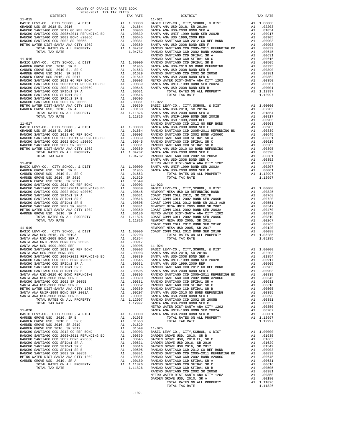| 2020-2021 TRA TAX RATES<br>DISTRICT | TAX RATE | DISTRICT   | TAX RATE |
|-------------------------------------|----------|------------|----------|
|                                     |          | $11 - 021$ |          |
|                                     |          |            |          |
|                                     |          |            |          |
|                                     |          |            |          |
|                                     |          |            |          |
|                                     |          |            |          |
|                                     |          |            |          |
|                                     |          |            |          |
|                                     |          |            |          |
|                                     |          |            |          |
|                                     |          |            |          |
|                                     |          |            |          |
|                                     |          |            |          |
|                                     |          |            |          |
|                                     |          |            |          |
|                                     |          |            |          |
|                                     |          |            |          |
|                                     |          |            |          |
|                                     |          |            |          |
|                                     |          |            |          |
|                                     |          |            |          |
|                                     |          |            |          |
|                                     |          |            |          |
|                                     |          |            |          |
|                                     |          |            |          |
|                                     |          |            |          |
|                                     |          |            |          |
|                                     |          |            |          |
|                                     |          |            |          |
|                                     |          |            |          |
|                                     |          |            |          |
|                                     |          |            |          |
|                                     |          |            |          |
|                                     |          |            |          |
|                                     |          |            |          |
|                                     |          |            |          |
|                                     |          |            |          |
|                                     |          |            |          |
|                                     |          |            |          |
|                                     |          |            |          |
|                                     |          |            |          |
|                                     |          |            |          |
|                                     |          |            |          |
|                                     |          |            |          |
|                                     |          |            |          |
|                                     |          |            |          |
|                                     |          |            |          |
|                                     |          |            |          |
|                                     |          |            |          |
|                                     |          |            |          |
|                                     |          |            |          |
|                                     |          |            |          |
|                                     |          |            |          |
|                                     |          |            |          |
|                                     |          |            |          |
|                                     |          |            |          |
|                                     |          |            |          |
|                                     |          |            |          |
|                                     |          |            |          |
|                                     |          |            |          |
|                                     |          |            |          |
|                                     |          |            |          |
|                                     |          |            |          |
|                                     |          |            |          |
|                                     |          |            |          |
|                                     |          |            |          |
|                                     |          |            |          |
|                                     |          |            |          |
|                                     |          |            |          |
|                                     |          |            |          |
|                                     |          |            |          |
|                                     |          |            |          |
|                                     |          |            |          |
|                                     |          |            |          |
|                                     |          |            |          |
|                                     |          |            |          |
|                                     |          |            |          |
|                                     |          |            |          |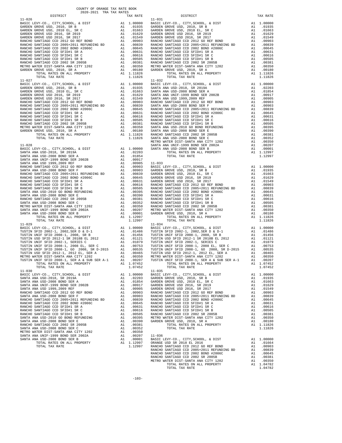| COUNTY OF ORANGE TAX RATE BOOK<br>2020-2021 TRA TAX RATES                   |          |                                                                                                                                                                                                                                                        |                         |
|-----------------------------------------------------------------------------|----------|--------------------------------------------------------------------------------------------------------------------------------------------------------------------------------------------------------------------------------------------------------|-------------------------|
| DISTRICT                                                                    |          | TAX RATE                                                                                                                                                                                                                                               |                         |
| $11 - 026$                                                                  |          |                                                                                                                                                                                                                                                        | $11 - 031$              |
|                                                                             |          |                                                                                                                                                                                                                                                        |                         |
|                                                                             |          |                                                                                                                                                                                                                                                        |                         |
|                                                                             |          |                                                                                                                                                                                                                                                        |                         |
|                                                                             |          |                                                                                                                                                                                                                                                        |                         |
|                                                                             |          |                                                                                                                                                                                                                                                        |                         |
|                                                                             |          |                                                                                                                                                                                                                                                        |                         |
|                                                                             |          |                                                                                                                                                                                                                                                        |                         |
| TOTAL TAX RATE                                                              |          | 1.11826                                                                                                                                                                                                                                                |                         |
| $11 - 027$                                                                  |          |                                                                                                                                                                                                                                                        | $11 - 032$              |
|                                                                             |          |                                                                                                                                                                                                                                                        |                         |
|                                                                             |          |                                                                                                                                                                                                                                                        |                         |
|                                                                             |          |                                                                                                                                                                                                                                                        |                         |
|                                                                             |          |                                                                                                                                                                                                                                                        |                         |
|                                                                             |          |                                                                                                                                                                                                                                                        |                         |
|                                                                             |          |                                                                                                                                                                                                                                                        |                         |
|                                                                             |          |                                                                                                                                                                                                                                                        |                         |
|                                                                             |          |                                                                                                                                                                                                                                                        |                         |
|                                                                             |          |                                                                                                                                                                                                                                                        |                         |
|                                                                             |          |                                                                                                                                                                                                                                                        |                         |
| $11 - 028$                                                                  |          |                                                                                                                                                                                                                                                        | METRO W<br>SANTA A      |
|                                                                             |          |                                                                                                                                                                                                                                                        |                         |
|                                                                             |          |                                                                                                                                                                                                                                                        |                         |
|                                                                             |          |                                                                                                                                                                                                                                                        |                         |
|                                                                             |          |                                                                                                                                                                                                                                                        |                         |
|                                                                             |          |                                                                                                                                                                                                                                                        |                         |
|                                                                             |          |                                                                                                                                                                                                                                                        |                         |
|                                                                             |          |                                                                                                                                                                                                                                                        |                         |
|                                                                             |          |                                                                                                                                                                                                                                                        |                         |
|                                                                             |          |                                                                                                                                                                                                                                                        |                         |
|                                                                             |          |                                                                                                                                                                                                                                                        |                         |
|                                                                             |          |                                                                                                                                                                                                                                                        |                         |
|                                                                             |          |                                                                                                                                                                                                                                                        |                         |
|                                                                             |          |                                                                                                                                                                                                                                                        |                         |
| TOTAL TAX RATE                                                              |          | 1.12997                                                                                                                                                                                                                                                |                         |
|                                                                             |          |                                                                                                                                                                                                                                                        |                         |
|                                                                             |          |                                                                                                                                                                                                                                                        |                         |
|                                                                             |          |                                                                                                                                                                                                                                                        |                         |
|                                                                             |          |                                                                                                                                                                                                                                                        |                         |
|                                                                             |          |                                                                                                                                                                                                                                                        |                         |
|                                                                             |          |                                                                                                                                                                                                                                                        |                         |
|                                                                             |          |                                                                                                                                                                                                                                                        |                         |
| TUSTIN UNIF SFID 2008-1, SER A & SUB SER A-1<br>TOTAL RATES ON ALL PROPERTY | A1       | A1 .00207<br>1.07452                                                                                                                                                                                                                                   | TUSTIN                  |
| TOTAL TAX RATE<br>$11 - 030$                                                |          | 1.07452                                                                                                                                                                                                                                                | $11 - 035$              |
| BASIC LEVY-CO., CITY, SCHOOL, & DIST                                        |          | A1 1.00000                                                                                                                                                                                                                                             | BASIC L                 |
| SANTA ANA USD-2018, SR 2019A<br>SANTA ANA USD-2008 BOND SER A               | A1       | A1 .02203<br>.01854                                                                                                                                                                                                                                    | GARDEN<br>GARDEN        |
| SANTA ANA UNIF-1999 BOND SER 2002B                                          | A1       | .00917                                                                                                                                                                                                                                                 | GARDEN                  |
| SANTA ANA USD 1999, 2009 REF                                                |          |                                                                                                                                                                                                                                                        |                         |
| RANCHO SANTIAGO CCD 2012 GO REF BOND<br>SANTA ANA USD-2008 BOND SER F       |          |                                                                                                                                                                                                                                                        |                         |
| RANCHO SANTIAGO CCD 2005+2011 REFUNDING BD                                  |          |                                                                                                                                                                                                                                                        |                         |
| RANCHO SANTIAGO CCD 2002 BOND #2006C<br>RANCHO SANTIAGO CCD SFID#1 SR A     |          | AL 0.0905 GARDEN<br>Al 0.0905 GARDEN<br>Al 0.0903 RANCHO<br>Al 0.0903 RANCHO<br>Al 0.0939 RANCHO<br>Al 0.0645 RANCHO<br>Al 0.0645 RANCHO<br>Al 0.0645 RANCHO<br>Al 0.0505 RANCHO<br>Al 0.0395 METRO W<br>Al 0.0395 METRO W<br>Al 0.0399 GARDEN<br>Al 0 |                         |
| RANCHO SANTIAGO CCD SFID#1 SR C                                             |          |                                                                                                                                                                                                                                                        |                         |
| RANCHO SANTIAGO CCD SFID#1 SR B<br>SANTA ANA USD-2010 GO BOND REFUNDING     |          |                                                                                                                                                                                                                                                        |                         |
| SANTA ANA USD-2008 BOND SER E                                               |          |                                                                                                                                                                                                                                                        |                         |
| RANCHO SANTIAGO CCD 2002 SR 2005B<br>SANTA ANA USD-2008 BOND SER C          | A1       | A1.00381<br>.00352                                                                                                                                                                                                                                     |                         |
| METRO WATER DIST-SANTA ANA CITY 1202                                        | A1       | .00350                                                                                                                                                                                                                                                 |                         |
| SANTA ANA UNIF-1999 BOND SER 2002A<br>SANTA ANA USD-2008 BOND SER B         | A1<br>A1 | .00207<br>.00001                                                                                                                                                                                                                                       | $11 - 036$<br>BASIC L   |
| TOTAL RATES ON ALL PROPERTY                                                 |          | A1 1.12997                                                                                                                                                                                                                                             | ORANGE                  |
| TOTAL TAX RATE                                                              |          | 1.12997                                                                                                                                                                                                                                                | RANCHO<br><b>DAMOUO</b> |

| 2020-2021 TRA TAX RATES<br>DISTRICT | TAX RATE | DISTRICT                                                                                                                                                                                                                       | TAX RATE |
|-------------------------------------|----------|--------------------------------------------------------------------------------------------------------------------------------------------------------------------------------------------------------------------------------|----------|
| $11 - 026$                          |          | $11 - 031$                                                                                                                                                                                                                     |          |
|                                     |          |                                                                                                                                                                                                                                |          |
|                                     |          |                                                                                                                                                                                                                                |          |
|                                     |          |                                                                                                                                                                                                                                |          |
|                                     |          |                                                                                                                                                                                                                                |          |
|                                     |          |                                                                                                                                                                                                                                |          |
|                                     |          |                                                                                                                                                                                                                                |          |
|                                     |          |                                                                                                                                                                                                                                |          |
|                                     |          |                                                                                                                                                                                                                                |          |
|                                     |          |                                                                                                                                                                                                                                |          |
|                                     |          |                                                                                                                                                                                                                                |          |
|                                     |          |                                                                                                                                                                                                                                |          |
|                                     |          |                                                                                                                                                                                                                                |          |
|                                     |          |                                                                                                                                                                                                                                |          |
|                                     |          |                                                                                                                                                                                                                                |          |
|                                     |          |                                                                                                                                                                                                                                |          |
|                                     |          |                                                                                                                                                                                                                                |          |
|                                     |          |                                                                                                                                                                                                                                |          |
|                                     |          |                                                                                                                                                                                                                                |          |
|                                     |          |                                                                                                                                                                                                                                |          |
|                                     |          |                                                                                                                                                                                                                                |          |
|                                     |          |                                                                                                                                                                                                                                |          |
|                                     |          |                                                                                                                                                                                                                                |          |
|                                     |          |                                                                                                                                                                                                                                |          |
|                                     |          |                                                                                                                                                                                                                                |          |
|                                     |          |                                                                                                                                                                                                                                |          |
|                                     |          |                                                                                                                                                                                                                                |          |
|                                     |          |                                                                                                                                                                                                                                |          |
|                                     |          |                                                                                                                                                                                                                                |          |
|                                     |          |                                                                                                                                                                                                                                |          |
|                                     |          |                                                                                                                                                                                                                                |          |
|                                     |          |                                                                                                                                                                                                                                |          |
|                                     |          |                                                                                                                                                                                                                                |          |
|                                     |          |                                                                                                                                                                                                                                |          |
|                                     |          |                                                                                                                                                                                                                                |          |
|                                     |          |                                                                                                                                                                                                                                |          |
|                                     |          |                                                                                                                                                                                                                                |          |
|                                     |          |                                                                                                                                                                                                                                |          |
|                                     |          |                                                                                                                                                                                                                                |          |
|                                     |          |                                                                                                                                                                                                                                |          |
|                                     |          |                                                                                                                                                                                                                                |          |
|                                     |          |                                                                                                                                                                                                                                |          |
|                                     |          |                                                                                                                                                                                                                                |          |
|                                     |          |                                                                                                                                                                                                                                |          |
|                                     |          | THE APPEAR AND RESIDENCE WANTED ON A 1.11826<br>1.1200 TYPIA DATA CHE AN ENGERENT A 1.11826<br>1.1200 TYPIA DATA CHE AN ENGERE LEVEN CON AN ENGERE LEVEN CON CHE AN ENGERE AN AN ENGERE AREA CHE AN ENGERE AN ENGERE AN ENGERE |          |
|                                     |          |                                                                                                                                                                                                                                |          |
|                                     |          |                                                                                                                                                                                                                                |          |
|                                     |          |                                                                                                                                                                                                                                |          |
|                                     |          |                                                                                                                                                                                                                                |          |
|                                     |          |                                                                                                                                                                                                                                |          |
|                                     |          |                                                                                                                                                                                                                                |          |
|                                     |          |                                                                                                                                                                                                                                |          |
|                                     |          |                                                                                                                                                                                                                                |          |
|                                     |          |                                                                                                                                                                                                                                |          |
|                                     |          |                                                                                                                                                                                                                                |          |
|                                     |          |                                                                                                                                                                                                                                |          |
|                                     |          |                                                                                                                                                                                                                                |          |
|                                     |          |                                                                                                                                                                                                                                |          |
|                                     |          |                                                                                                                                                                                                                                |          |
|                                     |          |                                                                                                                                                                                                                                |          |
|                                     |          |                                                                                                                                                                                                                                |          |
|                                     |          |                                                                                                                                                                                                                                |          |
|                                     |          |                                                                                                                                                                                                                                |          |
|                                     |          |                                                                                                                                                                                                                                |          |
|                                     |          |                                                                                                                                                                                                                                |          |
|                                     |          |                                                                                                                                                                                                                                |          |
|                                     |          |                                                                                                                                                                                                                                |          |
|                                     |          |                                                                                                                                                                                                                                |          |
|                                     |          |                                                                                                                                                                                                                                |          |
|                                     |          |                                                                                                                                                                                                                                |          |
|                                     |          |                                                                                                                                                                                                                                |          |
|                                     |          |                                                                                                                                                                                                                                |          |
|                                     |          |                                                                                                                                                                                                                                |          |
|                                     |          |                                                                                                                                                                                                                                |          |
|                                     |          |                                                                                                                                                                                                                                |          |
|                                     |          |                                                                                                                                                                                                                                |          |
|                                     |          |                                                                                                                                                                                                                                |          |
|                                     |          |                                                                                                                                                                                                                                |          |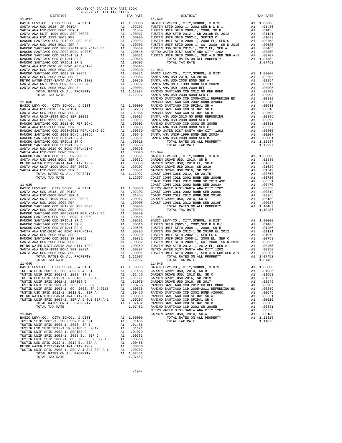| TAX RATE<br>DISTRICT |         | DISTRICT | TAX RATE |
|----------------------|---------|----------|----------|
|                      |         |          |          |
|                      |         |          |          |
|                      |         |          |          |
|                      |         |          |          |
|                      |         |          |          |
|                      |         |          |          |
|                      |         |          |          |
| TOTAL TAX RATE       | 1.07452 |          |          |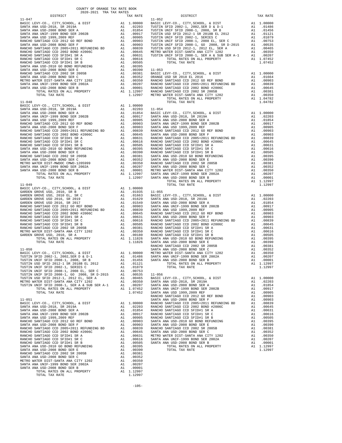| COUNTY OF ORANGE TAX RATE BOOK<br>$2020-2021 \quad \text{TRA RATE B}$ DISTRICT 2020–2021 TRA TAX RATES |          |                        |          |
|--------------------------------------------------------------------------------------------------------|----------|------------------------|----------|
| $11 - 047$                                                                                             | TAX RATE | DISTRICT<br>$11 - 052$ | TAX RATE |
|                                                                                                        |          |                        |          |
|                                                                                                        |          |                        |          |
|                                                                                                        |          |                        |          |
|                                                                                                        |          |                        |          |
|                                                                                                        |          |                        |          |
|                                                                                                        |          |                        |          |
|                                                                                                        |          |                        |          |
|                                                                                                        |          |                        |          |
|                                                                                                        |          |                        |          |
|                                                                                                        |          |                        |          |
|                                                                                                        |          |                        |          |
|                                                                                                        |          |                        |          |
|                                                                                                        |          |                        |          |
|                                                                                                        |          |                        |          |
|                                                                                                        |          |                        |          |
|                                                                                                        |          |                        |          |
|                                                                                                        |          |                        |          |
|                                                                                                        |          |                        |          |
|                                                                                                        |          |                        |          |
|                                                                                                        |          |                        |          |
|                                                                                                        |          |                        |          |
|                                                                                                        |          |                        |          |
|                                                                                                        |          |                        |          |
|                                                                                                        |          |                        |          |
|                                                                                                        |          |                        |          |
|                                                                                                        |          |                        |          |
|                                                                                                        |          |                        |          |
|                                                                                                        |          |                        |          |
|                                                                                                        |          |                        |          |
|                                                                                                        |          |                        |          |
|                                                                                                        |          |                        |          |
|                                                                                                        |          |                        |          |
|                                                                                                        |          |                        |          |
|                                                                                                        |          |                        |          |
|                                                                                                        |          |                        |          |
|                                                                                                        |          |                        |          |
|                                                                                                        |          |                        |          |
|                                                                                                        |          |                        |          |
|                                                                                                        |          |                        |          |
|                                                                                                        |          |                        |          |
|                                                                                                        |          |                        |          |
|                                                                                                        |          |                        |          |
|                                                                                                        |          |                        |          |
|                                                                                                        |          |                        |          |
|                                                                                                        |          |                        |          |
|                                                                                                        |          |                        |          |
|                                                                                                        |          |                        |          |
|                                                                                                        |          |                        |          |
|                                                                                                        |          |                        |          |
|                                                                                                        |          |                        |          |
|                                                                                                        |          |                        |          |
|                                                                                                        |          |                        |          |
|                                                                                                        |          |                        |          |
|                                                                                                        |          |                        |          |
|                                                                                                        |          |                        |          |
|                                                                                                        |          |                        |          |
|                                                                                                        |          |                        |          |
|                                                                                                        |          |                        |          |
|                                                                                                        |          |                        |          |
|                                                                                                        |          |                        |          |
|                                                                                                        |          |                        |          |
|                                                                                                        |          |                        |          |
|                                                                                                        |          |                        |          |
|                                                                                                        |          |                        |          |
|                                                                                                        |          |                        |          |
|                                                                                                        |          |                        |          |
|                                                                                                        |          |                        |          |
|                                                                                                        |          |                        |          |
|                                                                                                        |          |                        |          |
|                                                                                                        |          |                        |          |
|                                                                                                        |          |                        |          |
|                                                                                                        |          |                        |          |
|                                                                                                        |          |                        |          |
|                                                                                                        |          |                        |          |
|                                                                                                        |          |                        |          |
|                                                                                                        |          |                        |          |
|                                                                                                        |          |                        |          |
|                                                                                                        |          |                        |          |
|                                                                                                        |          |                        |          |
|                                                                                                        |          |                        |          |
|                                                                                                        |          |                        |          |
|                                                                                                        |          |                        |          |
|                                                                                                        |          |                        |          |

-105-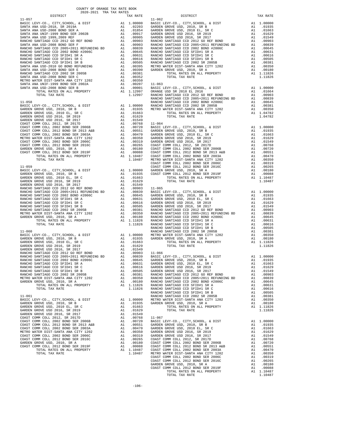|                                                                              | COUNTY OF ORANGE TAX RATE BOOK<br>2020-2021 TRA TAX RATES |                                                                                                                                                                                                                        |                                       |
|------------------------------------------------------------------------------|-----------------------------------------------------------|------------------------------------------------------------------------------------------------------------------------------------------------------------------------------------------------------------------------|---------------------------------------|
| DISTRICT                                                                     |                                                           | TAX RATE                                                                                                                                                                                                               |                                       |
| $11 - 057$                                                                   |                                                           |                                                                                                                                                                                                                        | $11 - 062$                            |
|                                                                              |                                                           |                                                                                                                                                                                                                        |                                       |
|                                                                              |                                                           |                                                                                                                                                                                                                        |                                       |
|                                                                              |                                                           |                                                                                                                                                                                                                        |                                       |
|                                                                              |                                                           |                                                                                                                                                                                                                        |                                       |
|                                                                              |                                                           |                                                                                                                                                                                                                        |                                       |
|                                                                              |                                                           |                                                                                                                                                                                                                        |                                       |
|                                                                              |                                                           |                                                                                                                                                                                                                        |                                       |
|                                                                              |                                                           |                                                                                                                                                                                                                        |                                       |
|                                                                              |                                                           |                                                                                                                                                                                                                        |                                       |
|                                                                              |                                                           |                                                                                                                                                                                                                        |                                       |
|                                                                              |                                                           |                                                                                                                                                                                                                        |                                       |
|                                                                              |                                                           |                                                                                                                                                                                                                        |                                       |
|                                                                              |                                                           |                                                                                                                                                                                                                        |                                       |
|                                                                              |                                                           |                                                                                                                                                                                                                        |                                       |
|                                                                              |                                                           |                                                                                                                                                                                                                        |                                       |
|                                                                              |                                                           |                                                                                                                                                                                                                        |                                       |
|                                                                              |                                                           |                                                                                                                                                                                                                        |                                       |
|                                                                              |                                                           |                                                                                                                                                                                                                        |                                       |
| $11 - 058$                                                                   |                                                           |                                                                                                                                                                                                                        | RANCHO                                |
|                                                                              |                                                           |                                                                                                                                                                                                                        |                                       |
|                                                                              |                                                           |                                                                                                                                                                                                                        |                                       |
|                                                                              |                                                           |                                                                                                                                                                                                                        |                                       |
|                                                                              |                                                           |                                                                                                                                                                                                                        |                                       |
|                                                                              |                                                           |                                                                                                                                                                                                                        |                                       |
|                                                                              |                                                           |                                                                                                                                                                                                                        |                                       |
|                                                                              |                                                           |                                                                                                                                                                                                                        |                                       |
|                                                                              |                                                           |                                                                                                                                                                                                                        |                                       |
|                                                                              |                                                           |                                                                                                                                                                                                                        |                                       |
|                                                                              |                                                           |                                                                                                                                                                                                                        |                                       |
|                                                                              |                                                           |                                                                                                                                                                                                                        |                                       |
|                                                                              |                                                           |                                                                                                                                                                                                                        |                                       |
|                                                                              |                                                           |                                                                                                                                                                                                                        |                                       |
|                                                                              |                                                           |                                                                                                                                                                                                                        | COAST C                               |
|                                                                              |                                                           |                                                                                                                                                                                                                        |                                       |
|                                                                              |                                                           |                                                                                                                                                                                                                        |                                       |
|                                                                              |                                                           |                                                                                                                                                                                                                        |                                       |
|                                                                              |                                                           |                                                                                                                                                                                                                        |                                       |
|                                                                              |                                                           |                                                                                                                                                                                                                        |                                       |
|                                                                              |                                                           |                                                                                                                                                                                                                        |                                       |
|                                                                              |                                                           |                                                                                                                                                                                                                        |                                       |
|                                                                              |                                                           |                                                                                                                                                                                                                        |                                       |
|                                                                              |                                                           |                                                                                                                                                                                                                        |                                       |
|                                                                              |                                                           |                                                                                                                                                                                                                        |                                       |
|                                                                              |                                                           |                                                                                                                                                                                                                        |                                       |
|                                                                              |                                                           |                                                                                                                                                                                                                        |                                       |
|                                                                              |                                                           |                                                                                                                                                                                                                        |                                       |
|                                                                              |                                                           |                                                                                                                                                                                                                        |                                       |
|                                                                              |                                                           |                                                                                                                                                                                                                        | RANCHO                                |
| $11 - 060$                                                                   |                                                           |                                                                                                                                                                                                                        | RANCHO                                |
|                                                                              |                                                           |                                                                                                                                                                                                                        |                                       |
|                                                                              |                                                           |                                                                                                                                                                                                                        |                                       |
|                                                                              |                                                           |                                                                                                                                                                                                                        |                                       |
|                                                                              |                                                           |                                                                                                                                                                                                                        |                                       |
|                                                                              |                                                           |                                                                                                                                                                                                                        |                                       |
| RANCHO SANTIAGO CCD 2002 BOND #2006C                                         |                                                           | A1 .00645 GARDEN                                                                                                                                                                                                       |                                       |
| RANCHO SANTIAGO CCD SFID#1 SR A                                              |                                                           |                                                                                                                                                                                                                        | GARDEN                                |
| RANCHO SANTIAGO CCD SFID#1 SR C                                              |                                                           |                                                                                                                                                                                                                        | ${\tt GARDEN}$                        |
| RANCHO SANTIAGO CCD SFID#1 SR B                                              |                                                           | A1 .00631<br>A1 .00616<br>A1 .00505<br>A1 .00505 GARDEN<br>A1 .00381 RANCHO<br>A1 .00381 RANCHO<br>A1 .00380 RANCHO<br>A1 1.11826 RANCHO                                                                               |                                       |
| RANCHO SANTIAGO CCD 2002 SR 2005B                                            |                                                           |                                                                                                                                                                                                                        |                                       |
| METRO WATER DIST-SANTA ANA CITY 1202<br>GARDEN GROVE USD, 2010, SR A         |                                                           |                                                                                                                                                                                                                        |                                       |
| TOTAL RATES ON ALL PROPERTY                                                  |                                                           |                                                                                                                                                                                                                        |                                       |
| TOTAL TAX RATE                                                               |                                                           | 1.11826 RANCHO                                                                                                                                                                                                         |                                       |
|                                                                              |                                                           |                                                                                                                                                                                                                        | RANCHO                                |
| $11 - 061$                                                                   |                                                           |                                                                                                                                                                                                                        | RANCHO                                |
| BASIC LEVY-CO., CITY, SCHOOL, & DIST<br>GARDEN GROVE USD, 2010, SR B         |                                                           |                                                                                                                                                                                                                        | A1 1.00000 METROW<br>A1 .01935 GARDEN |
| GARDEN GROVE USD, 2010 EL, SR C                                              |                                                           | A1 .01663                                                                                                                                                                                                              |                                       |
| GARDEN GROVE USD 2016, SR 2019                                               |                                                           |                                                                                                                                                                                                                        |                                       |
| GARDEN GROVE USD 2016, SR 2017                                               |                                                           | A1 .01629<br>A1 .01549                                                                                                                                                                                                 |                                       |
| COAST COMM COLL 2012, SR 2017D                                               |                                                           |                                                                                                                                                                                                                        |                                       |
| COAST COMM COLL 2002 BOND SER 2006B<br>COAST COMM COLL 2012 BOND SR 2013 A&B |                                                           |                                                                                                                                                                                                                        |                                       |
| COAST COMM COLL 2002 BOND SER 2003A                                          |                                                           |                                                                                                                                                                                                                        |                                       |
| METRO WATER DIST-SANTA ANA CITY 1202                                         |                                                           |                                                                                                                                                                                                                        |                                       |
| COAST COMM COLL 2002 BOND SER 2006C                                          |                                                           |                                                                                                                                                                                                                        |                                       |
| COAST COMM COLL 2012 BOND SER 2016C<br>GARDEN GROVE USD, 2010, SR A          |                                                           |                                                                                                                                                                                                                        |                                       |
| COAST COMM COLL 2012 BOND SER 2019F                                          |                                                           | A1 .01549<br>A1 .00768 11-067<br>A1 .00720 BASIC L<br>A1 .00551 GARDEN<br>A1 .00470 GARDEN<br>A1 .00350 GARDEN<br>A1 .00319 GARDEN<br>A1 .00365 COAST C<br>A1 .00180 COAST C<br>A1 .00180 COAST C<br>A1 .00180 COAST C |                                       |
|                                                                              |                                                           |                                                                                                                                                                                                                        |                                       |

|  |                |  | TOTAL RATES ON ALL PROPERTY |
|--|----------------|--|-----------------------------|
|  | TOTAL TAX RATE |  |                             |

| DISTRICT | TAX RATE | DISTRICT | TAX RATE |
|----------|----------|----------|----------|
|          |          |          |          |
|          |          |          |          |
|          |          |          |          |
|          |          |          |          |
|          |          |          |          |
|          |          |          |          |
|          |          |          |          |
|          |          |          |          |
|          |          |          |          |
|          |          |          |          |
|          |          |          |          |
|          |          |          |          |
|          |          |          |          |
|          |          |          |          |
|          |          |          |          |
|          |          |          |          |
|          |          |          |          |
|          |          |          |          |
|          |          |          |          |
|          |          |          |          |
|          |          |          |          |
|          |          |          |          |
|          |          |          |          |
|          |          |          |          |
|          |          |          |          |
|          |          |          |          |
|          |          |          |          |
|          |          |          |          |
|          |          |          |          |
|          |          |          |          |
|          |          |          |          |
|          |          |          |          |
|          |          |          |          |
|          |          |          |          |
|          |          |          |          |
|          |          |          |          |
|          |          |          |          |
|          |          |          |          |
|          |          |          |          |
|          |          |          |          |
|          |          |          |          |
|          |          |          |          |
|          |          |          |          |
|          |          |          |          |
|          |          |          |          |
|          |          |          |          |
|          |          |          |          |
|          |          |          |          |
|          |          |          |          |
|          |          |          |          |
|          |          |          |          |
|          |          |          |          |
|          |          |          |          |
|          |          |          |          |
|          |          |          |          |
|          |          |          |          |
|          |          |          |          |
|          |          |          |          |
|          |          |          |          |
|          |          |          |          |
|          |          |          |          |
|          |          |          |          |
|          |          |          |          |
|          |          |          |          |
|          |          |          |          |
|          |          |          |          |
|          |          |          |          |
|          |          |          |          |
|          |          |          |          |
|          |          |          |          |
|          |          |          |          |
|          |          |          |          |
|          |          |          |          |
|          |          |          |          |
|          |          |          |          |
|          |          |          |          |
|          |          |          |          |
|          |          |          |          |
|          |          |          |          |
|          |          |          |          |
|          |          |          |          |
|          |          |          |          |
|          |          |          |          |
|          |          |          |          |
|          |          |          |          |
|          |          |          |          |
|          |          |          |          |
|          |          |          |          |
|          |          |          |          |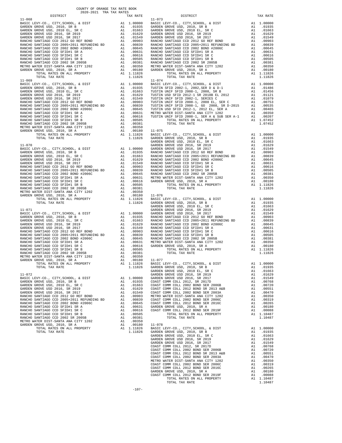| COUNTY OF ORANGE TAX RATE BOOK<br>2020-2021 TRA TAX RATES<br>DISTRICT                                                                                                                                                                                                                                                                                                                                                                  |          |                        |          |
|----------------------------------------------------------------------------------------------------------------------------------------------------------------------------------------------------------------------------------------------------------------------------------------------------------------------------------------------------------------------------------------------------------------------------------------|----------|------------------------|----------|
| $11 - 068$                                                                                                                                                                                                                                                                                                                                                                                                                             | TAX RATE | DISTRICT<br>$11 - 073$ | TAX RATE |
|                                                                                                                                                                                                                                                                                                                                                                                                                                        |          |                        |          |
|                                                                                                                                                                                                                                                                                                                                                                                                                                        |          |                        |          |
|                                                                                                                                                                                                                                                                                                                                                                                                                                        |          |                        |          |
|                                                                                                                                                                                                                                                                                                                                                                                                                                        |          |                        |          |
|                                                                                                                                                                                                                                                                                                                                                                                                                                        |          |                        |          |
|                                                                                                                                                                                                                                                                                                                                                                                                                                        |          |                        |          |
|                                                                                                                                                                                                                                                                                                                                                                                                                                        |          |                        |          |
|                                                                                                                                                                                                                                                                                                                                                                                                                                        |          |                        |          |
|                                                                                                                                                                                                                                                                                                                                                                                                                                        |          |                        |          |
|                                                                                                                                                                                                                                                                                                                                                                                                                                        |          |                        |          |
|                                                                                                                                                                                                                                                                                                                                                                                                                                        |          |                        |          |
|                                                                                                                                                                                                                                                                                                                                                                                                                                        |          |                        |          |
|                                                                                                                                                                                                                                                                                                                                                                                                                                        |          |                        |          |
|                                                                                                                                                                                                                                                                                                                                                                                                                                        |          |                        |          |
|                                                                                                                                                                                                                                                                                                                                                                                                                                        |          |                        |          |
|                                                                                                                                                                                                                                                                                                                                                                                                                                        |          |                        |          |
|                                                                                                                                                                                                                                                                                                                                                                                                                                        |          |                        |          |
|                                                                                                                                                                                                                                                                                                                                                                                                                                        |          |                        |          |
|                                                                                                                                                                                                                                                                                                                                                                                                                                        |          |                        |          |
|                                                                                                                                                                                                                                                                                                                                                                                                                                        |          |                        |          |
|                                                                                                                                                                                                                                                                                                                                                                                                                                        |          |                        |          |
|                                                                                                                                                                                                                                                                                                                                                                                                                                        |          |                        |          |
|                                                                                                                                                                                                                                                                                                                                                                                                                                        |          |                        |          |
|                                                                                                                                                                                                                                                                                                                                                                                                                                        |          |                        |          |
|                                                                                                                                                                                                                                                                                                                                                                                                                                        |          |                        |          |
|                                                                                                                                                                                                                                                                                                                                                                                                                                        |          |                        |          |
|                                                                                                                                                                                                                                                                                                                                                                                                                                        |          |                        |          |
|                                                                                                                                                                                                                                                                                                                                                                                                                                        |          |                        |          |
|                                                                                                                                                                                                                                                                                                                                                                                                                                        |          |                        |          |
|                                                                                                                                                                                                                                                                                                                                                                                                                                        |          |                        |          |
|                                                                                                                                                                                                                                                                                                                                                                                                                                        |          |                        |          |
|                                                                                                                                                                                                                                                                                                                                                                                                                                        |          |                        |          |
|                                                                                                                                                                                                                                                                                                                                                                                                                                        |          |                        |          |
|                                                                                                                                                                                                                                                                                                                                                                                                                                        |          |                        |          |
|                                                                                                                                                                                                                                                                                                                                                                                                                                        |          |                        |          |
|                                                                                                                                                                                                                                                                                                                                                                                                                                        |          |                        |          |
|                                                                                                                                                                                                                                                                                                                                                                                                                                        |          |                        |          |
|                                                                                                                                                                                                                                                                                                                                                                                                                                        |          |                        |          |
|                                                                                                                                                                                                                                                                                                                                                                                                                                        |          |                        |          |
|                                                                                                                                                                                                                                                                                                                                                                                                                                        |          |                        |          |
|                                                                                                                                                                                                                                                                                                                                                                                                                                        |          |                        |          |
|                                                                                                                                                                                                                                                                                                                                                                                                                                        |          |                        |          |
|                                                                                                                                                                                                                                                                                                                                                                                                                                        |          |                        |          |
|                                                                                                                                                                                                                                                                                                                                                                                                                                        |          |                        |          |
|                                                                                                                                                                                                                                                                                                                                                                                                                                        |          |                        |          |
|                                                                                                                                                                                                                                                                                                                                                                                                                                        |          |                        |          |
|                                                                                                                                                                                                                                                                                                                                                                                                                                        |          |                        |          |
|                                                                                                                                                                                                                                                                                                                                                                                                                                        |          |                        |          |
|                                                                                                                                                                                                                                                                                                                                                                                                                                        |          |                        |          |
|                                                                                                                                                                                                                                                                                                                                                                                                                                        |          |                        |          |
|                                                                                                                                                                                                                                                                                                                                                                                                                                        |          |                        |          |
|                                                                                                                                                                                                                                                                                                                                                                                                                                        |          |                        |          |
|                                                                                                                                                                                                                                                                                                                                                                                                                                        |          |                        |          |
|                                                                                                                                                                                                                                                                                                                                                                                                                                        |          |                        |          |
|                                                                                                                                                                                                                                                                                                                                                                                                                                        |          |                        |          |
|                                                                                                                                                                                                                                                                                                                                                                                                                                        |          |                        |          |
|                                                                                                                                                                                                                                                                                                                                                                                                                                        |          |                        |          |
|                                                                                                                                                                                                                                                                                                                                                                                                                                        |          |                        |          |
|                                                                                                                                                                                                                                                                                                                                                                                                                                        |          |                        |          |
|                                                                                                                                                                                                                                                                                                                                                                                                                                        |          |                        |          |
|                                                                                                                                                                                                                                                                                                                                                                                                                                        |          |                        |          |
|                                                                                                                                                                                                                                                                                                                                                                                                                                        |          |                        |          |
|                                                                                                                                                                                                                                                                                                                                                                                                                                        |          |                        |          |
|                                                                                                                                                                                                                                                                                                                                                                                                                                        |          |                        |          |
|                                                                                                                                                                                                                                                                                                                                                                                                                                        |          |                        |          |
|                                                                                                                                                                                                                                                                                                                                                                                                                                        |          |                        |          |
|                                                                                                                                                                                                                                                                                                                                                                                                                                        |          |                        |          |
|                                                                                                                                                                                                                                                                                                                                                                                                                                        |          |                        |          |
|                                                                                                                                                                                                                                                                                                                                                                                                                                        |          |                        |          |
|                                                                                                                                                                                                                                                                                                                                                                                                                                        |          |                        |          |
|                                                                                                                                                                                                                                                                                                                                                                                                                                        |          |                        |          |
|                                                                                                                                                                                                                                                                                                                                                                                                                                        |          |                        |          |
|                                                                                                                                                                                                                                                                                                                                                                                                                                        |          |                        |          |
|                                                                                                                                                                                                                                                                                                                                                                                                                                        |          |                        |          |
|                                                                                                                                                                                                                                                                                                                                                                                                                                        |          |                        |          |
|                                                                                                                                                                                                                                                                                                                                                                                                                                        |          |                        |          |
|                                                                                                                                                                                                                                                                                                                                                                                                                                        |          |                        |          |
| $\begin{tabular}{l ll} \textbf{RANCH} & \textbf{RANCH} & \textbf{RANCH} & \textbf{RANCH} & \textbf{RANCH} & \textbf{RANCH} & \textbf{RANCH} & \textbf{RANCH} & \textbf{RANCH} & \textbf{RANCH} & \textbf{RANCH} & \textbf{RANCH} & \textbf{RANCH} & \textbf{RANCH} & \textbf{RANCH} & \textbf{RANCH} & \textbf{RANCH} & \textbf{RANCH} & \textbf{RANCH} & \textbf{RANCH} & \textbf{RANCH} & \textbf{RANCH} & \textbf{RANCH} & \textbf$ |          |                        |          |

|  |  | $\begin{smallmatrix} 1.47 & 77776 & 76776 & 76776 & 76776 & 76776 & 1.1148 & 1.975 & 7766 & 7676 & 7676 & 7676 & 7676 & 7676 & 7676 & 7676 & 7676 & 7676 & 7676 & 7676 & 7676 & 7676 & 7676 & 7676 & 7676 & 7676 & 7676 & 7676 & 7676 & 7676 & 7676 & 7676 & 7676 & 7676 & 7$                                                 |  |
|--|--|-------------------------------------------------------------------------------------------------------------------------------------------------------------------------------------------------------------------------------------------------------------------------------------------------------------------------------|--|
|  |  |                                                                                                                                                                                                                                                                                                                               |  |
|  |  |                                                                                                                                                                                                                                                                                                                               |  |
|  |  |                                                                                                                                                                                                                                                                                                                               |  |
|  |  |                                                                                                                                                                                                                                                                                                                               |  |
|  |  |                                                                                                                                                                                                                                                                                                                               |  |
|  |  |                                                                                                                                                                                                                                                                                                                               |  |
|  |  |                                                                                                                                                                                                                                                                                                                               |  |
|  |  |                                                                                                                                                                                                                                                                                                                               |  |
|  |  |                                                                                                                                                                                                                                                                                                                               |  |
|  |  |                                                                                                                                                                                                                                                                                                                               |  |
|  |  |                                                                                                                                                                                                                                                                                                                               |  |
|  |  |                                                                                                                                                                                                                                                                                                                               |  |
|  |  |                                                                                                                                                                                                                                                                                                                               |  |
|  |  |                                                                                                                                                                                                                                                                                                                               |  |
|  |  |                                                                                                                                                                                                                                                                                                                               |  |
|  |  |                                                                                                                                                                                                                                                                                                                               |  |
|  |  |                                                                                                                                                                                                                                                                                                                               |  |
|  |  |                                                                                                                                                                                                                                                                                                                               |  |
|  |  |                                                                                                                                                                                                                                                                                                                               |  |
|  |  |                                                                                                                                                                                                                                                                                                                               |  |
|  |  |                                                                                                                                                                                                                                                                                                                               |  |
|  |  |                                                                                                                                                                                                                                                                                                                               |  |
|  |  |                                                                                                                                                                                                                                                                                                                               |  |
|  |  |                                                                                                                                                                                                                                                                                                                               |  |
|  |  | $\begin{tabular}{cccccccc} {\bf 11-47} & {\bf 12-972} & {\bf 13-972} & {\bf 13-972} & {\bf 14-972} & {\bf 15-972} & {\bf 16-972} & {\bf 17-972} & {\bf 18-972} & {\bf 18-972} & {\bf 19-972} & {\bf 19-972} & {\bf 10-972} & {\bf 11-972} & {\bf 12-972} & {\bf 13-972} & {\bf 14-972} & {\bf 15-972} & {\bf 16-972} & {\bf $ |  |
|  |  |                                                                                                                                                                                                                                                                                                                               |  |
|  |  |                                                                                                                                                                                                                                                                                                                               |  |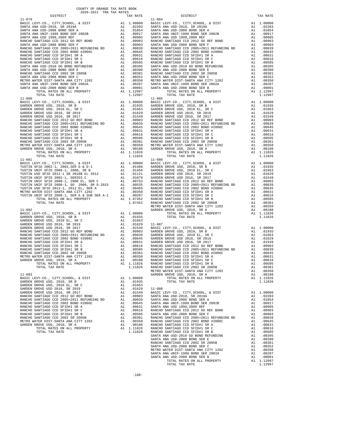| 2020-2021 TRA TAX RATES<br>DISTRICT | TAX RATE | DISTRICT<br>11–879<br>1997–1992 12222–2222 TARA KATER 2000, A DISTRA TAX KATER 2000, A CHE CANNON CONTROL 4 DISTRA AN INCORPORATION (1997–2012) TARA KATER 2000, A DISTRA AN INCORPORATION (1997–2012) A CHE CANNON CONTROL 4 DISTRA AN INC | TAX RATE |
|-------------------------------------|----------|---------------------------------------------------------------------------------------------------------------------------------------------------------------------------------------------------------------------------------------------|----------|
| $11 - 079$                          |          | $11 - 084$                                                                                                                                                                                                                                  |          |
|                                     |          |                                                                                                                                                                                                                                             |          |
|                                     |          |                                                                                                                                                                                                                                             |          |
|                                     |          |                                                                                                                                                                                                                                             |          |
|                                     |          |                                                                                                                                                                                                                                             |          |
|                                     |          |                                                                                                                                                                                                                                             |          |
|                                     |          |                                                                                                                                                                                                                                             |          |
|                                     |          |                                                                                                                                                                                                                                             |          |
|                                     |          |                                                                                                                                                                                                                                             |          |
|                                     |          |                                                                                                                                                                                                                                             |          |
|                                     |          |                                                                                                                                                                                                                                             |          |
|                                     |          |                                                                                                                                                                                                                                             |          |
|                                     |          |                                                                                                                                                                                                                                             |          |
|                                     |          |                                                                                                                                                                                                                                             |          |
|                                     |          |                                                                                                                                                                                                                                             |          |
|                                     |          |                                                                                                                                                                                                                                             |          |
|                                     |          |                                                                                                                                                                                                                                             |          |
|                                     |          |                                                                                                                                                                                                                                             |          |
|                                     |          |                                                                                                                                                                                                                                             |          |
|                                     |          |                                                                                                                                                                                                                                             |          |
|                                     |          |                                                                                                                                                                                                                                             |          |
|                                     |          |                                                                                                                                                                                                                                             |          |
|                                     |          |                                                                                                                                                                                                                                             |          |
|                                     |          |                                                                                                                                                                                                                                             |          |
|                                     |          |                                                                                                                                                                                                                                             |          |
|                                     |          |                                                                                                                                                                                                                                             |          |
|                                     |          |                                                                                                                                                                                                                                             |          |
|                                     |          |                                                                                                                                                                                                                                             |          |
|                                     |          |                                                                                                                                                                                                                                             |          |
|                                     |          |                                                                                                                                                                                                                                             |          |
|                                     |          |                                                                                                                                                                                                                                             |          |
|                                     |          |                                                                                                                                                                                                                                             |          |
|                                     |          |                                                                                                                                                                                                                                             |          |
|                                     |          |                                                                                                                                                                                                                                             |          |
|                                     |          |                                                                                                                                                                                                                                             |          |
|                                     |          |                                                                                                                                                                                                                                             |          |
|                                     |          |                                                                                                                                                                                                                                             |          |
|                                     |          |                                                                                                                                                                                                                                             |          |
|                                     |          |                                                                                                                                                                                                                                             |          |
|                                     |          |                                                                                                                                                                                                                                             |          |
|                                     |          |                                                                                                                                                                                                                                             |          |
|                                     |          |                                                                                                                                                                                                                                             |          |
|                                     |          |                                                                                                                                                                                                                                             |          |
|                                     |          |                                                                                                                                                                                                                                             |          |
|                                     |          |                                                                                                                                                                                                                                             |          |
|                                     |          |                                                                                                                                                                                                                                             |          |
|                                     |          |                                                                                                                                                                                                                                             |          |
|                                     |          |                                                                                                                                                                                                                                             |          |
|                                     |          |                                                                                                                                                                                                                                             |          |
|                                     |          |                                                                                                                                                                                                                                             |          |
|                                     |          |                                                                                                                                                                                                                                             |          |
|                                     |          |                                                                                                                                                                                                                                             |          |
|                                     |          |                                                                                                                                                                                                                                             |          |
|                                     |          |                                                                                                                                                                                                                                             |          |
|                                     |          |                                                                                                                                                                                                                                             |          |
|                                     |          |                                                                                                                                                                                                                                             |          |
|                                     |          |                                                                                                                                                                                                                                             |          |
|                                     |          |                                                                                                                                                                                                                                             |          |
|                                     |          |                                                                                                                                                                                                                                             |          |
|                                     |          |                                                                                                                                                                                                                                             |          |
|                                     |          |                                                                                                                                                                                                                                             |          |
|                                     |          |                                                                                                                                                                                                                                             |          |
|                                     |          |                                                                                                                                                                                                                                             |          |
|                                     |          |                                                                                                                                                                                                                                             |          |
|                                     |          |                                                                                                                                                                                                                                             |          |
|                                     |          |                                                                                                                                                                                                                                             |          |
|                                     |          |                                                                                                                                                                                                                                             |          |
|                                     |          |                                                                                                                                                                                                                                             |          |
|                                     |          |                                                                                                                                                                                                                                             |          |
|                                     |          |                                                                                                                                                                                                                                             |          |
|                                     |          |                                                                                                                                                                                                                                             |          |
|                                     |          |                                                                                                                                                                                                                                             |          |
|                                     |          |                                                                                                                                                                                                                                             |          |
|                                     |          |                                                                                                                                                                                                                                             |          |
|                                     |          |                                                                                                                                                                                                                                             |          |
|                                     |          |                                                                                                                                                                                                                                             |          |
|                                     |          |                                                                                                                                                                                                                                             |          |
|                                     |          |                                                                                                                                                                                                                                             |          |
|                                     |          |                                                                                                                                                                                                                                             |          |
|                                     |          |                                                                                                                                                                                                                                             |          |
|                                     |          | METO WITE DESTRIA ARICHY SINCE 100513 (AL. 200350 PARCHO SARTIZACO CONTERN 15 A 200511 (AL. 200515 PTAL RATE (TOTAL RATE ROPERTY AND 1.10326 PARCHO SARTIAGO CONTERN 15 A 200516 PTAL PARTS (THE SINCE ALL 200515 PTAL ARICHA               |          |
|                                     |          |                                                                                                                                                                                                                                             |          |
|                                     |          |                                                                                                                                                                                                                                             |          |

COUNTY OF ORANGE TAX RATE BOOK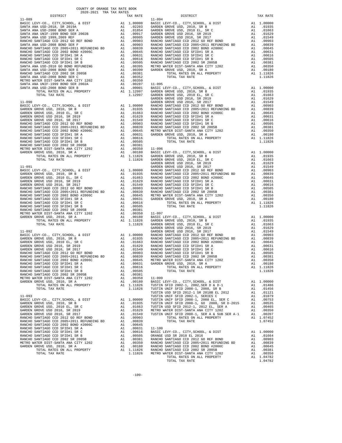| COUNTY OF ORANGE TAX RATE BOOK<br>2020-2021 TRA TAX RATES |          |          |          |
|-----------------------------------------------------------|----------|----------|----------|
| DISTRICT                                                  | TAX RATE | DISTRICT | TAX RATE |
|                                                           |          |          |          |
|                                                           |          |          |          |
|                                                           |          |          |          |
|                                                           |          |          |          |
|                                                           |          |          |          |
|                                                           |          |          |          |
|                                                           |          |          |          |
|                                                           |          |          |          |
|                                                           |          |          |          |
|                                                           |          |          |          |
|                                                           |          |          |          |
|                                                           |          |          |          |
|                                                           |          |          |          |
|                                                           |          |          |          |
|                                                           |          |          |          |
|                                                           |          |          |          |
|                                                           |          |          |          |
|                                                           |          |          |          |
|                                                           |          |          |          |
|                                                           |          |          |          |
|                                                           |          |          |          |
|                                                           |          |          |          |
|                                                           |          |          |          |
|                                                           |          |          |          |
|                                                           |          |          |          |
|                                                           |          |          |          |
|                                                           |          |          |          |
|                                                           |          |          |          |
|                                                           |          |          |          |
|                                                           |          |          |          |
|                                                           |          |          |          |
|                                                           |          |          |          |
|                                                           |          |          |          |
|                                                           |          |          |          |
|                                                           |          |          |          |
|                                                           |          |          |          |
|                                                           |          |          |          |
|                                                           |          |          |          |
|                                                           |          |          |          |
|                                                           |          |          |          |
|                                                           |          |          |          |
|                                                           |          |          |          |
|                                                           |          |          |          |
|                                                           |          |          |          |
|                                                           |          |          |          |
|                                                           |          |          |          |
|                                                           |          |          |          |
|                                                           |          |          |          |
|                                                           |          |          |          |
|                                                           |          |          |          |
|                                                           |          |          |          |
|                                                           |          |          |          |
|                                                           |          |          |          |
|                                                           |          |          |          |
|                                                           |          |          |          |
|                                                           |          |          |          |
|                                                           |          |          |          |
|                                                           |          |          |          |
|                                                           |          |          |          |
|                                                           |          |          |          |
|                                                           |          |          |          |
|                                                           |          |          |          |
|                                                           |          |          |          |
|                                                           |          |          |          |
|                                                           |          |          |          |
|                                                           |          |          |          |
|                                                           |          |          |          |
|                                                           |          |          |          |
|                                                           |          |          |          |
|                                                           |          |          |          |
|                                                           |          |          |          |
|                                                           |          |          |          |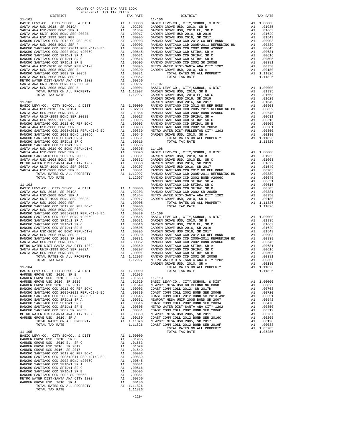| COUNTY OF ORANGE TAX RATE BOOK<br>2020-2021 TRA TAX RATES |          |          |          |
|-----------------------------------------------------------|----------|----------|----------|
| DISTRICT                                                  | TAX RATE | DISTRICT | TAX RATE |
|                                                           |          |          |          |
|                                                           |          |          |          |
|                                                           |          |          |          |
|                                                           |          |          |          |
|                                                           |          |          |          |
|                                                           |          |          |          |
|                                                           |          |          |          |
|                                                           |          |          |          |
|                                                           |          |          |          |
|                                                           |          |          |          |
|                                                           |          |          |          |
|                                                           |          |          |          |
|                                                           |          |          |          |
|                                                           |          |          |          |
|                                                           |          |          |          |
|                                                           |          |          |          |
|                                                           |          |          |          |
|                                                           |          |          |          |
|                                                           |          |          |          |
|                                                           |          |          |          |
|                                                           |          |          |          |
|                                                           |          |          |          |
|                                                           |          |          |          |
|                                                           |          |          |          |
|                                                           |          |          |          |
|                                                           |          |          |          |
|                                                           |          |          |          |
|                                                           |          |          |          |
|                                                           |          |          |          |
|                                                           |          |          |          |
|                                                           |          |          |          |
|                                                           |          |          |          |
|                                                           |          |          |          |
|                                                           |          |          |          |
|                                                           |          |          |          |
|                                                           |          |          |          |
|                                                           |          |          |          |
|                                                           |          |          |          |
|                                                           |          |          |          |
|                                                           |          |          |          |
|                                                           |          |          |          |
|                                                           |          |          |          |
|                                                           |          |          |          |
|                                                           |          |          |          |
|                                                           |          |          |          |
|                                                           |          |          |          |
|                                                           |          |          |          |
|                                                           |          |          |          |
|                                                           |          |          |          |
|                                                           |          |          |          |
|                                                           |          |          |          |
|                                                           |          |          |          |
|                                                           |          |          |          |
|                                                           |          |          |          |
|                                                           |          |          |          |
|                                                           |          |          |          |
|                                                           |          |          |          |
|                                                           |          |          |          |
|                                                           |          |          |          |
|                                                           |          |          |          |
|                                                           |          |          |          |
|                                                           |          |          |          |
|                                                           |          |          |          |
|                                                           |          |          |          |
|                                                           |          |          |          |
|                                                           |          |          |          |
|                                                           |          |          |          |
|                                                           |          |          |          |
|                                                           |          |          |          |
|                                                           |          |          |          |
|                                                           |          |          |          |
|                                                           |          |          |          |
|                                                           |          |          |          |
|                                                           |          |          |          |
|                                                           |          |          |          |
|                                                           |          |          |          |
|                                                           |          |          |          |
|                                                           |          |          |          |
|                                                           |          |          |          |
|                                                           |          |          |          |
|                                                           |          |          |          |
|                                                           |          |          |          |
|                                                           |          |          |          |
|                                                           |          |          |          |
|                                                           |          |          |          |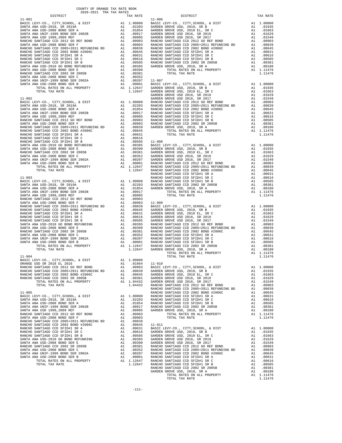| DISTRICT | TAX RATE | DISTRICT | TAX RATE |
|----------|----------|----------|----------|
|          |          |          |          |
|          |          |          |          |
|          |          |          |          |
|          |          |          |          |
|          |          |          |          |
|          |          |          |          |
|          |          |          |          |
|          |          |          |          |
|          |          |          |          |
|          |          |          |          |
|          |          |          |          |
|          |          |          |          |
|          |          |          |          |
|          |          |          |          |
|          |          |          |          |
|          |          |          |          |
|          |          |          |          |
|          |          |          |          |
|          |          |          |          |
|          |          |          |          |
|          |          |          |          |
|          |          |          |          |
|          |          |          |          |
|          |          |          |          |
|          |          |          |          |
|          |          |          |          |
|          |          |          |          |
|          |          |          |          |
|          |          |          |          |
|          |          |          |          |
|          |          |          |          |
|          |          |          |          |
|          |          |          |          |
|          |          |          |          |
|          |          |          |          |
|          |          |          |          |
|          |          |          |          |
|          |          |          |          |
|          |          |          |          |
|          |          |          |          |
|          |          |          |          |
|          |          |          |          |
|          |          |          |          |
|          |          |          |          |
|          |          |          |          |
|          |          |          |          |
|          |          |          |          |
|          |          |          |          |
|          |          |          |          |
|          |          |          |          |
|          |          |          |          |
|          |          |          |          |
|          |          |          |          |
|          |          |          |          |
|          |          |          |          |
|          |          |          |          |
|          |          |          |          |
|          |          |          |          |
|          |          |          |          |
|          |          |          |          |
|          |          |          |          |
|          |          |          |          |
|          |          |          |          |
|          |          |          |          |
|          |          |          |          |
|          |          |          |          |
|          |          |          |          |
|          |          |          |          |
|          |          |          |          |
|          |          |          |          |
|          |          |          |          |
|          |          |          |          |
|          |          |          |          |
|          |          |          |          |
|          |          |          |          |
|          |          |          |          |
|          |          |          |          |
|          |          |          |          |
|          |          |          |          |
|          |          |          |          |
|          |          |          |          |
|          |          |          |          |
|          |          |          |          |
|          |          |          |          |
|          |          |          |          |
|          |          |          |          |
|          |          |          |          |
|          |          |          |          |
|          |          |          |          |
|          |          |          |          |
|          |          |          |          |
|          |          |          |          |
|          |          |          |          |
|          |          |          |          |
|          |          |          |          |
|          |          |          |          |
|          |          |          |          |
|          |          |          |          |
|          |          |          |          |
|          |          |          |          |
|          |          |          |          |
|          |          |          |          |
|          |          |          |          |
|          |          |          |          |
|          |          |          |          |
|          |          |          |          |
|          |          |          |          |
|          |          |          |          |
|          |          |          |          |
|          |          |          |          |
|          |          |          |          |
|          |          |          |          |
|          |          |          |          |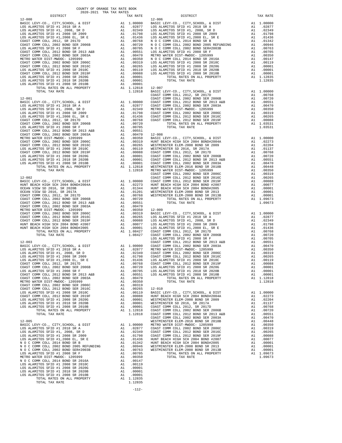| DOS ADAMIIOS SPID #1 2006 SR 2010C<br>COAST COMM COLL 2012 BOND SER 2019F                                                                            |                     | A1 .00088 LOS ALA<br>A1 .00088 LOS ALA<br>A1 .00001<br>A1 .00001<br>A1 1.12818 12-007<br>A1 1.12818 12-007 |                    |
|------------------------------------------------------------------------------------------------------------------------------------------------------|---------------------|------------------------------------------------------------------------------------------------------------|--------------------|
| COAST COMM CODE 2011 11 2008 SR 2020G<br>LOS ALAMITOS SFID #1 2008 SR 2020G                                                                          |                     |                                                                                                            |                    |
| LOS ALAMITOS SFID #1 2018 SR 2020B<br>LOS ALAMITOS SFID #1 2008 SR 2010B                                                                             |                     |                                                                                                            |                    |
| TOTAL RATES ON ALL PROPERTY                                                                                                                          |                     |                                                                                                            |                    |
| TOTAL TAX RATE                                                                                                                                       |                     | 1.12818                                                                                                    | 12-007<br>BASIC L  |
|                                                                                                                                                      |                     |                                                                                                            | COAST C            |
|                                                                                                                                                      |                     |                                                                                                            |                    |
|                                                                                                                                                      |                     |                                                                                                            |                    |
|                                                                                                                                                      |                     |                                                                                                            |                    |
|                                                                                                                                                      |                     |                                                                                                            |                    |
|                                                                                                                                                      |                     |                                                                                                            |                    |
|                                                                                                                                                      |                     |                                                                                                            |                    |
|                                                                                                                                                      |                     |                                                                                                            |                    |
|                                                                                                                                                      |                     |                                                                                                            |                    |
|                                                                                                                                                      |                     |                                                                                                            |                    |
|                                                                                                                                                      |                     |                                                                                                            |                    |
|                                                                                                                                                      |                     |                                                                                                            |                    |
|                                                                                                                                                      |                     |                                                                                                            |                    |
|                                                                                                                                                      |                     |                                                                                                            |                    |
|                                                                                                                                                      |                     |                                                                                                            |                    |
|                                                                                                                                                      |                     |                                                                                                            |                    |
|                                                                                                                                                      |                     |                                                                                                            |                    |
|                                                                                                                                                      |                     |                                                                                                            |                    |
|                                                                                                                                                      |                     |                                                                                                            |                    |
| $12 - 002$                                                                                                                                           |                     |                                                                                                            |                    |
| BASIC LEVY-CO., CITY, SCHOOL, & DIST                                                                                                                 |                     |                                                                                                            | COAST C            |
| HUNT BEACH HIGH SCH 2004 BOMD#2004A                                                                                                                  |                     |                                                                                                            |                    |
| OCEAN VIEW SD 2016, SR 2020B                                                                                                                         |                     |                                                                                                            |                    |
| OCEAN VIEW SD 2016, SR 2017A                                                                                                                         |                     |                                                                                                            |                    |
| COAST COMM COLL 2012, SR 2017D                                                                                                                       |                     |                                                                                                            |                    |
| COAST COMM COLL 2012, SR 2017D<br>COAST COMM COLL 2002 BOND SR 2006B<br>COAST COMM COLL 2012 BOND SR 2013 A&B<br>COAST COMM COLL 2002 BOND SER 2003A |                     |                                                                                                            |                    |
|                                                                                                                                                      |                     |                                                                                                            |                    |
| METRO WATER DIST-MWDOC- 1205999                                                                                                                      |                     |                                                                                                            |                    |
| COAST COMM COLL 2002 BOND SER 2006C                                                                                                                  |                     |                                                                                                            |                    |
| COAST COMM COLL 2012 BOND SER 2016C                                                                                                                  |                     |                                                                                                            |                    |
| COAST COMM COLL 2012 BOND SER 2019F                                                                                                                  |                     |                                                                                                            |                    |
| COAST COMM COLL 2012 BOND SER 2019F<br>HUNT BEACH HIGH SCH 2004 BOND #2007<br>HUNT BEACH HIGH SCH 2004 BOND#2005<br>TOTAL RATES ON ALL PROPERTY      |                     |                                                                                                            |                    |
|                                                                                                                                                      |                     |                                                                                                            |                    |
| TOTAL TAX RATE                                                                                                                                       |                     |                                                                                                            |                    |
|                                                                                                                                                      |                     |                                                                                                            | LOS ALA            |
| $12 - 003$                                                                                                                                           |                     |                                                                                                            | COAST C            |
|                                                                                                                                                      |                     |                                                                                                            |                    |
|                                                                                                                                                      |                     |                                                                                                            |                    |
|                                                                                                                                                      |                     |                                                                                                            |                    |
|                                                                                                                                                      |                     |                                                                                                            |                    |
|                                                                                                                                                      |                     |                                                                                                            |                    |
|                                                                                                                                                      |                     |                                                                                                            |                    |
|                                                                                                                                                      |                     |                                                                                                            |                    |
|                                                                                                                                                      |                     |                                                                                                            |                    |
|                                                                                                                                                      |                     |                                                                                                            |                    |
|                                                                                                                                                      |                     |                                                                                                            |                    |
|                                                                                                                                                      |                     |                                                                                                            |                    |
|                                                                                                                                                      |                     |                                                                                                            |                    |
|                                                                                                                                                      |                     |                                                                                                            |                    |
|                                                                                                                                                      |                     |                                                                                                            |                    |
|                                                                                                                                                      |                     |                                                                                                            |                    |
|                                                                                                                                                      |                     |                                                                                                            |                    |
|                                                                                                                                                      |                     |                                                                                                            |                    |
|                                                                                                                                                      |                     |                                                                                                            |                    |
| $12 - 005$                                                                                                                                           |                     |                                                                                                            | WESTMIN            |
| BASIC LEVY-CO., CITY, SCHOOL, & DIST                                                                                                                 | A1                  | 1.00000                                                                                                    | METRO W            |
| LOS ALAMITOS SFID #1 2018 SR A                                                                                                                       | A1                  | .02877                                                                                                     | COAST C            |
| LOS ALAMITOS SFID #1, 2008, SR D                                                                                                                     |                     | A1.02349                                                                                                   | COAST C            |
| LOS ALAMITOS SFID #1 2008 SR 2009                                                                                                                    |                     | A1.01798                                                                                                   | COAST C            |
| LOS ALAMITOS SFID #1,2008 EL, SR E                                                                                                                   | A1                  | .01436                                                                                                     | HUNT BE            |
| N O C COMM COLL 2014 BOND SR B<br>N O C COMM COLL 2002 BOND 2005 REFUNDING                                                                           | $\mathtt{Al}$<br>A1 | .01342<br>.00946                                                                                           | HUNT BE<br>WESTMIN |
| N O C COMM COLL 2002 BOND SER#2003B                                                                                                                  | A1                  | .00763                                                                                                     | WESTMIN            |
| LOS ALAMITOS SFID #1 2008 SR F                                                                                                                       |                     | A1 .00705                                                                                                  |                    |
| METRO WATER DIST-MWDOC- 1205999                                                                                                                      |                     | A1 .00350                                                                                                  |                    |
| N O C COMM COLL 2014 BOND SR 2016A                                                                                                                   | A1                  | .00147                                                                                                     |                    |
| LOS ALAMITOS SFID #1 2008 SR 2010C                                                                                                                   | A1                  | .00119                                                                                                     |                    |
| LOS ALAMITOS SFID #1 2008 SR 2020G<br>LOS ALAMITOS SFID #1 2018 SR 2020B                                                                             | A1                  | .00001                                                                                                     |                    |
| LOS ALAMITOS SFID #1 2008 SR 2010B                                                                                                                   | A1<br>A1            | .00001<br>.00001                                                                                           |                    |
| TOTAL RATES ON ALL PROPERTY                                                                                                                          |                     | A1 1.12835                                                                                                 |                    |
| TOTAL TAX RATE                                                                                                                                       |                     | 1.12835                                                                                                    |                    |
|                                                                                                                                                      |                     |                                                                                                            |                    |
|                                                                                                                                                      |                     | $-112-$                                                                                                    |                    |

| $12 - 000$ | $12 - 006$ |  |
|------------|------------|--|
|            |            |  |
|            |            |  |
|            |            |  |
|            |            |  |
|            |            |  |
|            |            |  |
|            |            |  |
|            |            |  |
|            |            |  |
|            |            |  |
|            |            |  |
|            |            |  |
|            |            |  |
|            |            |  |
|            |            |  |
|            |            |  |
|            |            |  |
|            |            |  |
|            |            |  |
|            |            |  |
|            |            |  |
|            |            |  |
|            |            |  |
|            |            |  |
|            |            |  |
|            |            |  |
|            |            |  |
|            |            |  |
|            |            |  |
|            |            |  |
|            |            |  |
|            |            |  |
|            |            |  |
|            |            |  |
|            |            |  |
|            |            |  |
|            |            |  |
|            |            |  |
|            |            |  |
|            |            |  |
|            |            |  |
|            |            |  |
|            |            |  |
|            |            |  |
|            |            |  |
|            |            |  |
|            |            |  |
|            |            |  |
|            |            |  |
|            |            |  |
|            |            |  |
|            |            |  |
|            |            |  |
|            |            |  |
|            |            |  |
|            |            |  |
|            |            |  |
|            |            |  |
|            |            |  |
|            |            |  |
|            |            |  |
|            |            |  |
|            |            |  |
|            |            |  |
|            |            |  |
|            |            |  |
|            |            |  |
|            |            |  |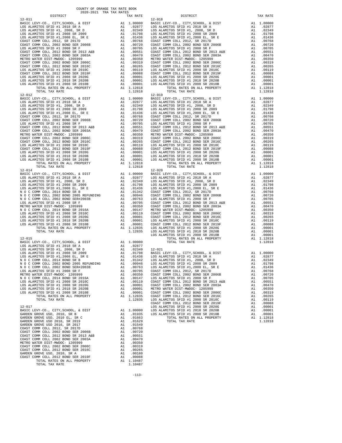| 12-011<br>$\begin{tabular}{ c  c  c c c} 12-011 & 12-018 \\ 12-011 & 12-018 \\ \hline ERS & EEV-CO, CITY, SCHOOL, & DIST & A1 & 1.00000 & BASIC L \\ \hline LOS ALAMITOS SFID #1, 2008 SR. 2009 & A1 & .02349 & LOS ALAMITOS SFID #1, 2008 SR. 2009 \\ \hline LOS ALAMITOS SFID #1, 2008 SE, 2009 & A1 & .02349 & LOS ALAMITOS SFID #1, 2008 EL, SR & A1 & .01436 & LOS ALAM$ |          |                                                                                                                                                                                                                | $12 - 018$         |
|-------------------------------------------------------------------------------------------------------------------------------------------------------------------------------------------------------------------------------------------------------------------------------------------------------------------------------------------------------------------------------|----------|----------------------------------------------------------------------------------------------------------------------------------------------------------------------------------------------------------------|--------------------|
|                                                                                                                                                                                                                                                                                                                                                                               |          |                                                                                                                                                                                                                |                    |
|                                                                                                                                                                                                                                                                                                                                                                               |          |                                                                                                                                                                                                                |                    |
|                                                                                                                                                                                                                                                                                                                                                                               |          |                                                                                                                                                                                                                |                    |
|                                                                                                                                                                                                                                                                                                                                                                               |          |                                                                                                                                                                                                                |                    |
|                                                                                                                                                                                                                                                                                                                                                                               |          |                                                                                                                                                                                                                |                    |
|                                                                                                                                                                                                                                                                                                                                                                               |          |                                                                                                                                                                                                                |                    |
|                                                                                                                                                                                                                                                                                                                                                                               |          |                                                                                                                                                                                                                |                    |
|                                                                                                                                                                                                                                                                                                                                                                               |          |                                                                                                                                                                                                                |                    |
|                                                                                                                                                                                                                                                                                                                                                                               |          |                                                                                                                                                                                                                |                    |
|                                                                                                                                                                                                                                                                                                                                                                               |          |                                                                                                                                                                                                                |                    |
|                                                                                                                                                                                                                                                                                                                                                                               |          |                                                                                                                                                                                                                |                    |
|                                                                                                                                                                                                                                                                                                                                                                               |          |                                                                                                                                                                                                                |                    |
|                                                                                                                                                                                                                                                                                                                                                                               |          |                                                                                                                                                                                                                |                    |
| TOTAL TAX RATE                                                                                                                                                                                                                                                                                                                                                                |          | 1.12818                                                                                                                                                                                                        |                    |
| $12 - 012$                                                                                                                                                                                                                                                                                                                                                                    |          |                                                                                                                                                                                                                | $12 - 019$         |
|                                                                                                                                                                                                                                                                                                                                                                               |          |                                                                                                                                                                                                                |                    |
|                                                                                                                                                                                                                                                                                                                                                                               |          |                                                                                                                                                                                                                |                    |
|                                                                                                                                                                                                                                                                                                                                                                               |          |                                                                                                                                                                                                                |                    |
|                                                                                                                                                                                                                                                                                                                                                                               |          |                                                                                                                                                                                                                |                    |
|                                                                                                                                                                                                                                                                                                                                                                               |          |                                                                                                                                                                                                                |                    |
|                                                                                                                                                                                                                                                                                                                                                                               |          |                                                                                                                                                                                                                |                    |
|                                                                                                                                                                                                                                                                                                                                                                               |          |                                                                                                                                                                                                                |                    |
|                                                                                                                                                                                                                                                                                                                                                                               |          |                                                                                                                                                                                                                |                    |
|                                                                                                                                                                                                                                                                                                                                                                               |          |                                                                                                                                                                                                                |                    |
|                                                                                                                                                                                                                                                                                                                                                                               |          |                                                                                                                                                                                                                |                    |
|                                                                                                                                                                                                                                                                                                                                                                               |          |                                                                                                                                                                                                                |                    |
|                                                                                                                                                                                                                                                                                                                                                                               |          |                                                                                                                                                                                                                |                    |
|                                                                                                                                                                                                                                                                                                                                                                               |          |                                                                                                                                                                                                                |                    |
|                                                                                                                                                                                                                                                                                                                                                                               |          |                                                                                                                                                                                                                |                    |
| TOTAL TAX RATE                                                                                                                                                                                                                                                                                                                                                                |          | 1.12818                                                                                                                                                                                                        |                    |
| $12 - 014$                                                                                                                                                                                                                                                                                                                                                                    |          |                                                                                                                                                                                                                | $12 - 020$         |
|                                                                                                                                                                                                                                                                                                                                                                               |          |                                                                                                                                                                                                                |                    |
|                                                                                                                                                                                                                                                                                                                                                                               |          |                                                                                                                                                                                                                |                    |
|                                                                                                                                                                                                                                                                                                                                                                               |          |                                                                                                                                                                                                                |                    |
|                                                                                                                                                                                                                                                                                                                                                                               |          |                                                                                                                                                                                                                |                    |
|                                                                                                                                                                                                                                                                                                                                                                               |          |                                                                                                                                                                                                                |                    |
|                                                                                                                                                                                                                                                                                                                                                                               |          |                                                                                                                                                                                                                |                    |
|                                                                                                                                                                                                                                                                                                                                                                               |          |                                                                                                                                                                                                                |                    |
|                                                                                                                                                                                                                                                                                                                                                                               |          |                                                                                                                                                                                                                |                    |
|                                                                                                                                                                                                                                                                                                                                                                               |          |                                                                                                                                                                                                                |                    |
|                                                                                                                                                                                                                                                                                                                                                                               |          |                                                                                                                                                                                                                |                    |
|                                                                                                                                                                                                                                                                                                                                                                               |          |                                                                                                                                                                                                                |                    |
|                                                                                                                                                                                                                                                                                                                                                                               |          |                                                                                                                                                                                                                |                    |
|                                                                                                                                                                                                                                                                                                                                                                               |          |                                                                                                                                                                                                                | LOS ALA            |
| $12 - 015$<br>BASIC LEVY-CO., CITY, SCHOOL, & DIST                                                                                                                                                                                                                                                                                                                            |          | A1 1.00000                                                                                                                                                                                                     |                    |
| LOS ALAMITOS SFID #1 2018 SR A                                                                                                                                                                                                                                                                                                                                                |          | A1.02877                                                                                                                                                                                                       |                    |
|                                                                                                                                                                                                                                                                                                                                                                               |          |                                                                                                                                                                                                                |                    |
|                                                                                                                                                                                                                                                                                                                                                                               |          |                                                                                                                                                                                                                |                    |
|                                                                                                                                                                                                                                                                                                                                                                               |          |                                                                                                                                                                                                                |                    |
|                                                                                                                                                                                                                                                                                                                                                                               |          |                                                                                                                                                                                                                |                    |
| LOS ALAMITOS SFID #1 2008 SR F                                                                                                                                                                                                                                                                                                                                                |          |                                                                                                                                                                                                                |                    |
| METRO WATER DIST-MWDOC- 1205999                                                                                                                                                                                                                                                                                                                                               |          |                                                                                                                                                                                                                |                    |
| N O C COMM COLL 2014 BOND SR 2016A                                                                                                                                                                                                                                                                                                                                            |          | A1 .00763 LOS ALA<br>A1 .00703 COAST C<br>A1 .00350 COAST C<br>A1 .00147 LOS ALA<br>A1 .00119 COAST C<br>A1 .00001 COAST C<br>A1 .00001 METRO W<br>A1 .00001 COAST C<br>A1 .00001 COAST C<br>A1 .00001 COAST C |                    |
| LOS ALAMITOS SFID #1 2008 SR 2010C<br>LOS ALAMITOS SFID #1 2008 SR 2020G                                                                                                                                                                                                                                                                                                      |          |                                                                                                                                                                                                                |                    |
| LOS ALAMITOS SFID #1 2018 SR 2020B                                                                                                                                                                                                                                                                                                                                            |          |                                                                                                                                                                                                                |                    |
| LOS ALAMITOS SFID #1 2008 SR 2010B                                                                                                                                                                                                                                                                                                                                            |          |                                                                                                                                                                                                                |                    |
| TOTAL RATES ON ALL PROPERTY<br>TOTAL TAX RATE                                                                                                                                                                                                                                                                                                                                 |          | A1 1.12835<br>1.12835                                                                                                                                                                                          | COAST C<br>LOS ALA |
|                                                                                                                                                                                                                                                                                                                                                                               |          |                                                                                                                                                                                                                | COAST C            |
| $12 - 017$<br>BASIC LEVY-CO., CITY, SCHOOL, & DIST                                                                                                                                                                                                                                                                                                                            |          |                                                                                                                                                                                                                | LOS ALA            |
| GARDEN GROVE USD, 2010, SR B                                                                                                                                                                                                                                                                                                                                                  |          | A1 1.00000 LOS ALA<br>A1 .01935 LOS ALA                                                                                                                                                                        |                    |
| GARDEN GROVE USD, 2010 EL, SR C                                                                                                                                                                                                                                                                                                                                               | A1       | .01663                                                                                                                                                                                                         |                    |
| GARDEN GROVE USD 2016, SR 2019<br>GARDEN GROVE USD 2016, SR 2017                                                                                                                                                                                                                                                                                                              | A1<br>A1 | .01629<br>.01549                                                                                                                                                                                               |                    |
| COAST COMM COLL 2012, SR 2017D                                                                                                                                                                                                                                                                                                                                                |          |                                                                                                                                                                                                                |                    |
| COAST COMM COLL 2002 BOND SER 2006B                                                                                                                                                                                                                                                                                                                                           |          | A1 .00768<br>A1 .00720                                                                                                                                                                                         |                    |
| COAST COMM COLL 2012 BOND SR 2013 A&B<br>COAST COMM COLL 2002 BOND SER 2003A                                                                                                                                                                                                                                                                                                  |          | A1 .00551<br>A1 .00470                                                                                                                                                                                         |                    |
| METRO WATER DIST-MWDOC- 1205999                                                                                                                                                                                                                                                                                                                                               |          | A1.00350                                                                                                                                                                                                       |                    |
| COAST COMM COLL 2002 BOND SER 2006C                                                                                                                                                                                                                                                                                                                                           | A1       | .00319                                                                                                                                                                                                         |                    |
| COAST COMM COLL 2012 BOND SER 2016C<br>GARDEN GROVE USD, 2010, SR A                                                                                                                                                                                                                                                                                                           | A1       | .00265<br>A1 .00180                                                                                                                                                                                            |                    |
| COAST COMM COLL 2012 BOND SER 2019F                                                                                                                                                                                                                                                                                                                                           | A1       | .00088                                                                                                                                                                                                         |                    |
| TOTAL RATES ON ALL PROPERTY                                                                                                                                                                                                                                                                                                                                                   |          | A1 1.10487                                                                                                                                                                                                     |                    |
| TOTAL TAX RATE                                                                                                                                                                                                                                                                                                                                                                |          | 1.10487                                                                                                                                                                                                        |                    |

-113-

| COUNTY OF ORANGE TAX RATE BOOK<br>2020-2021 TRA TAX RATES |          |            |          |
|-----------------------------------------------------------|----------|------------|----------|
| DISTRICT                                                  | TAX RATE | DISTRICT   | TAX RATE |
| $12 - 011$                                                |          | $12 - 018$ |          |
|                                                           |          |            |          |
|                                                           |          |            |          |
|                                                           |          |            |          |
|                                                           |          |            |          |
|                                                           |          |            |          |
|                                                           |          |            |          |
|                                                           |          |            |          |
|                                                           |          |            |          |
|                                                           |          |            |          |
|                                                           |          |            |          |
|                                                           |          |            |          |
|                                                           |          |            |          |
|                                                           |          |            |          |
|                                                           |          |            |          |
|                                                           |          |            |          |
|                                                           |          |            |          |
|                                                           |          |            |          |
|                                                           |          |            |          |
|                                                           |          |            |          |
|                                                           |          |            |          |
|                                                           |          |            |          |
|                                                           |          |            |          |
|                                                           |          |            |          |
|                                                           |          |            |          |
|                                                           |          |            |          |
|                                                           |          |            |          |
|                                                           |          |            |          |
|                                                           |          |            |          |
|                                                           |          |            |          |
|                                                           |          |            |          |
|                                                           |          |            |          |
|                                                           |          | $12 - 020$ |          |
|                                                           |          |            |          |
|                                                           |          |            |          |
|                                                           |          |            |          |
|                                                           |          |            |          |
|                                                           |          |            |          |
|                                                           |          |            |          |
|                                                           |          |            |          |
|                                                           |          |            |          |
|                                                           |          |            |          |
|                                                           |          |            |          |
|                                                           |          |            |          |
|                                                           |          |            |          |
|                                                           |          |            |          |
|                                                           |          |            |          |
|                                                           |          |            |          |
|                                                           |          |            |          |
|                                                           |          |            |          |
|                                                           |          |            |          |
|                                                           |          |            |          |
|                                                           |          |            |          |
|                                                           |          |            |          |
|                                                           |          |            |          |
|                                                           |          |            |          |
|                                                           |          |            |          |
|                                                           |          |            |          |
|                                                           |          |            |          |
|                                                           |          |            |          |
|                                                           |          |            |          |
|                                                           |          |            |          |
|                                                           |          |            |          |
|                                                           |          |            |          |
|                                                           |          |            |          |
|                                                           |          |            |          |
|                                                           |          |            |          |
|                                                           |          |            |          |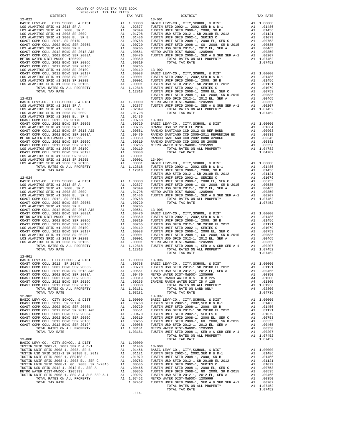-114-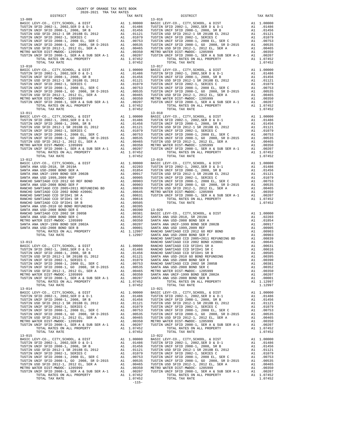| COUNTY OF ORANGE TAX RATE BOOK<br>2020-2021 TRA TAX RATES |          |                                                                                                                                                                                                                                                                                |          |
|-----------------------------------------------------------|----------|--------------------------------------------------------------------------------------------------------------------------------------------------------------------------------------------------------------------------------------------------------------------------------|----------|
| DISTRICT                                                  | TAX RATE | DISTRICT                                                                                                                                                                                                                                                                       | TAX RATE |
|                                                           |          |                                                                                                                                                                                                                                                                                |          |
|                                                           |          |                                                                                                                                                                                                                                                                                |          |
|                                                           |          |                                                                                                                                                                                                                                                                                |          |
|                                                           |          |                                                                                                                                                                                                                                                                                |          |
|                                                           |          |                                                                                                                                                                                                                                                                                |          |
|                                                           |          |                                                                                                                                                                                                                                                                                |          |
|                                                           |          |                                                                                                                                                                                                                                                                                |          |
|                                                           |          |                                                                                                                                                                                                                                                                                |          |
|                                                           |          |                                                                                                                                                                                                                                                                                |          |
|                                                           |          |                                                                                                                                                                                                                                                                                |          |
|                                                           |          |                                                                                                                                                                                                                                                                                |          |
|                                                           |          |                                                                                                                                                                                                                                                                                |          |
|                                                           |          |                                                                                                                                                                                                                                                                                |          |
|                                                           |          |                                                                                                                                                                                                                                                                                |          |
|                                                           |          |                                                                                                                                                                                                                                                                                |          |
|                                                           |          |                                                                                                                                                                                                                                                                                |          |
|                                                           |          |                                                                                                                                                                                                                                                                                |          |
|                                                           |          |                                                                                                                                                                                                                                                                                |          |
|                                                           |          |                                                                                                                                                                                                                                                                                |          |
|                                                           |          |                                                                                                                                                                                                                                                                                |          |
|                                                           |          |                                                                                                                                                                                                                                                                                |          |
|                                                           |          |                                                                                                                                                                                                                                                                                |          |
|                                                           |          |                                                                                                                                                                                                                                                                                |          |
|                                                           |          |                                                                                                                                                                                                                                                                                |          |
|                                                           |          |                                                                                                                                                                                                                                                                                |          |
|                                                           |          |                                                                                                                                                                                                                                                                                |          |
|                                                           |          |                                                                                                                                                                                                                                                                                |          |
|                                                           |          |                                                                                                                                                                                                                                                                                |          |
|                                                           |          |                                                                                                                                                                                                                                                                                |          |
|                                                           |          |                                                                                                                                                                                                                                                                                |          |
|                                                           |          |                                                                                                                                                                                                                                                                                |          |
|                                                           |          |                                                                                                                                                                                                                                                                                |          |
|                                                           |          |                                                                                                                                                                                                                                                                                |          |
|                                                           |          |                                                                                                                                                                                                                                                                                |          |
|                                                           |          |                                                                                                                                                                                                                                                                                |          |
|                                                           |          |                                                                                                                                                                                                                                                                                |          |
|                                                           |          |                                                                                                                                                                                                                                                                                |          |
|                                                           |          |                                                                                                                                                                                                                                                                                |          |
|                                                           |          |                                                                                                                                                                                                                                                                                |          |
|                                                           |          |                                                                                                                                                                                                                                                                                |          |
|                                                           |          |                                                                                                                                                                                                                                                                                |          |
|                                                           |          |                                                                                                                                                                                                                                                                                |          |
|                                                           |          |                                                                                                                                                                                                                                                                                |          |
|                                                           |          |                                                                                                                                                                                                                                                                                |          |
|                                                           |          |                                                                                                                                                                                                                                                                                |          |
|                                                           |          |                                                                                                                                                                                                                                                                                |          |
|                                                           |          |                                                                                                                                                                                                                                                                                |          |
|                                                           |          |                                                                                                                                                                                                                                                                                |          |
|                                                           |          |                                                                                                                                                                                                                                                                                |          |
|                                                           |          |                                                                                                                                                                                                                                                                                |          |
|                                                           |          |                                                                                                                                                                                                                                                                                |          |
|                                                           |          |                                                                                                                                                                                                                                                                                |          |
|                                                           |          |                                                                                                                                                                                                                                                                                |          |
|                                                           |          |                                                                                                                                                                                                                                                                                |          |
|                                                           |          |                                                                                                                                                                                                                                                                                |          |
|                                                           |          |                                                                                                                                                                                                                                                                                |          |
|                                                           |          |                                                                                                                                                                                                                                                                                |          |
|                                                           |          |                                                                                                                                                                                                                                                                                |          |
| $13 - 014$                                                |          | $13 - 021$                                                                                                                                                                                                                                                                     |          |
|                                                           |          |                                                                                                                                                                                                                                                                                |          |
|                                                           |          |                                                                                                                                                                                                                                                                                |          |
|                                                           |          |                                                                                                                                                                                                                                                                                |          |
|                                                           |          |                                                                                                                                                                                                                                                                                |          |
|                                                           |          |                                                                                                                                                                                                                                                                                |          |
|                                                           |          |                                                                                                                                                                                                                                                                                |          |
|                                                           |          |                                                                                                                                                                                                                                                                                |          |
|                                                           |          |                                                                                                                                                                                                                                                                                |          |
|                                                           |          |                                                                                                                                                                                                                                                                                |          |
|                                                           |          |                                                                                                                                                                                                                                                                                |          |
| $13 - 015$                                                |          | $13 - 022$                                                                                                                                                                                                                                                                     |          |
|                                                           |          |                                                                                                                                                                                                                                                                                |          |
|                                                           |          |                                                                                                                                                                                                                                                                                |          |
|                                                           |          |                                                                                                                                                                                                                                                                                |          |
|                                                           |          |                                                                                                                                                                                                                                                                                |          |
|                                                           |          |                                                                                                                                                                                                                                                                                |          |
|                                                           |          |                                                                                                                                                                                                                                                                                |          |
|                                                           |          |                                                                                                                                                                                                                                                                                |          |
|                                                           |          |                                                                                                                                                                                                                                                                                |          |
|                                                           |          | $\begin{tabular}{cccccc} 13-015 & 1040 & 1446 & 1040 & 1040 & 1040 & 1040 & 1040 & 1040 & 1040 & 1040 & 1040 & 1040 & 1040 & 1040 & 1040 & 1040 & 1040 & 1040 & 1040 & 1040 & 1040 & 1040 & 1040 & 1040 & 1040 & 1040 & 1040 & 1040 & 1040 & 1040 & 1040 & 1040 & 1040 & 1040$ |          |

| X KATE           | DISTRICT                                                                                                                                                                                                                                                                                                                                                                                                                                      |                            | TAX RATE                            |
|------------------|-----------------------------------------------------------------------------------------------------------------------------------------------------------------------------------------------------------------------------------------------------------------------------------------------------------------------------------------------------------------------------------------------------------------------------------------------|----------------------------|-------------------------------------|
|                  | $13 - 016$<br>$(0.0000\quad \  \  \, \mbox{BAIC LEVY-CO.}, \,\, \mbox{CITY}, \mbox{SCHOOL}, \,\, \& \,\, \mbox{DIST} \qquad \qquad \mbox{A1} \quad 1.00000 \\ \mbox{0.01486} \quad \, \mbox{TUSTIN SFD 2002-1}, \,\, \mbox{2002}, \mbox{SER D $\&$D$-1} \\ \mbox{0.11456} \quad \, \mbox{TUSTIN WIF SFD 2002-1}, \,\, \mbox{2008}, \,\, \mbox{SRE}\quad \, \mbox{A1} \qquad \, \$                                                             |                            |                                     |
|                  |                                                                                                                                                                                                                                                                                                                                                                                                                                               |                            |                                     |
|                  |                                                                                                                                                                                                                                                                                                                                                                                                                                               |                            |                                     |
|                  |                                                                                                                                                                                                                                                                                                                                                                                                                                               |                            |                                     |
|                  |                                                                                                                                                                                                                                                                                                                                                                                                                                               |                            |                                     |
|                  |                                                                                                                                                                                                                                                                                                                                                                                                                                               |                            |                                     |
|                  |                                                                                                                                                                                                                                                                                                                                                                                                                                               |                            |                                     |
|                  |                                                                                                                                                                                                                                                                                                                                                                                                                                               |                            |                                     |
|                  |                                                                                                                                                                                                                                                                                                                                                                                                                                               |                            |                                     |
| .07452           | TOTAL RATES ON ALL PROPERTY                                                                                                                                                                                                                                                                                                                                                                                                                   |                            | 1.07452                             |
| .07452           | TOTAL TAX RATE                                                                                                                                                                                                                                                                                                                                                                                                                                | $^\mathrm{AL}_\mathrm{Al}$ | 1.07452                             |
|                  | $13 - 017$                                                                                                                                                                                                                                                                                                                                                                                                                                    |                            |                                     |
|                  | $(0.0000\quad \  \  \, \mbox{BAST L} \, \, \mbox{EVI} \, \, \mbox{CEVY-CO.}, \,\, \mbox{CITY}, \mbox{SCHOOL}, \,\, \mbox{& DIST} \qquad \qquad \mbox{A1} \quad 1.00000 \quad \mbox{BAST L EVY-CO.}, \,\, \mbox{CITY}, \mbox{SCBOL}, \,\, \mbox{& D15T} \qquad \qquad \mbox{A1} \quad 1.00000 \quad \mbox{0.01486} \quad \mbox{TUSTIN WIP F SFD 2002-1, 2008, SR B} \qquad$                                                                    |                            |                                     |
|                  |                                                                                                                                                                                                                                                                                                                                                                                                                                               |                            |                                     |
|                  |                                                                                                                                                                                                                                                                                                                                                                                                                                               |                            |                                     |
|                  |                                                                                                                                                                                                                                                                                                                                                                                                                                               |                            |                                     |
|                  |                                                                                                                                                                                                                                                                                                                                                                                                                                               |                            |                                     |
|                  |                                                                                                                                                                                                                                                                                                                                                                                                                                               |                            |                                     |
|                  |                                                                                                                                                                                                                                                                                                                                                                                                                                               |                            |                                     |
|                  |                                                                                                                                                                                                                                                                                                                                                                                                                                               |                            | .00350                              |
|                  |                                                                                                                                                                                                                                                                                                                                                                                                                                               |                            |                                     |
| .07452           | TOTAL TAX RATE                                                                                                                                                                                                                                                                                                                                                                                                                                |                            | 1.07452                             |
|                  | $13 - 018$                                                                                                                                                                                                                                                                                                                                                                                                                                    |                            |                                     |
|                  |                                                                                                                                                                                                                                                                                                                                                                                                                                               |                            |                                     |
|                  |                                                                                                                                                                                                                                                                                                                                                                                                                                               |                            |                                     |
|                  |                                                                                                                                                                                                                                                                                                                                                                                                                                               |                            |                                     |
|                  |                                                                                                                                                                                                                                                                                                                                                                                                                                               |                            |                                     |
|                  |                                                                                                                                                                                                                                                                                                                                                                                                                                               |                            |                                     |
|                  | $(0.0000\quad \  \  \, \mbox{BAST L EVV-CO.}, \,\, \mbox{CITY}, \mbox{SCHOOL}, \,\, \mbox{& DIST} \qquad \qquad \mbox{A1} \quad 1.00000 \quad \mbox{BAST L EVV-CO.}, \,\, \mbox{CITY}, \mbox{SCHOOL}, \,\, \mbox{& DIST} \qquad \qquad \mbox{A1} \quad 1.00000 \quad \mbox{BAST L EVV-CO.}, \,\, \mbox{C008}, \,\, \mbox{SRE}\quad \qquad \mbox{A1} \qquad 0.11486 \qquad \qquad \mbox{7UST$                                                  |                            |                                     |
|                  |                                                                                                                                                                                                                                                                                                                                                                                                                                               |                            |                                     |
|                  |                                                                                                                                                                                                                                                                                                                                                                                                                                               |                            |                                     |
|                  |                                                                                                                                                                                                                                                                                                                                                                                                                                               |                            |                                     |
| .07452           | TOTAL TAX RATE                                                                                                                                                                                                                                                                                                                                                                                                                                |                            | 1.07452                             |
|                  | $13 - 019$                                                                                                                                                                                                                                                                                                                                                                                                                                    |                            |                                     |
|                  | $(0.0000\quad \  \  \, \mbox{BAIC LEVY-CO.}, \,\, \mbox{CITY}, \mbox{SCHOOL}, \,\, \& \,\, \mbox{DIST} \qquad \qquad \mbox{A1} \quad 1.00000 \\ \mbox{0.02203} \quad \, \mbox{TUSTIN SFD 2002-1}, \,\, \mbox{2002}, \mbox{SER D & D-1} \\ \mbox{0.1284} \quad \, \mbox{0.1486} \\ \mbox{0.0917} \quad \, \mbox{TUSTIN USP SF D 2002-1}, \,\, \mbox{SRE R 20$                                                                                  |                            |                                     |
|                  |                                                                                                                                                                                                                                                                                                                                                                                                                                               |                            |                                     |
|                  |                                                                                                                                                                                                                                                                                                                                                                                                                                               |                            |                                     |
|                  |                                                                                                                                                                                                                                                                                                                                                                                                                                               |                            |                                     |
|                  |                                                                                                                                                                                                                                                                                                                                                                                                                                               |                            |                                     |
|                  |                                                                                                                                                                                                                                                                                                                                                                                                                                               |                            |                                     |
|                  |                                                                                                                                                                                                                                                                                                                                                                                                                                               |                            |                                     |
|                  |                                                                                                                                                                                                                                                                                                                                                                                                                                               |                            |                                     |
|                  |                                                                                                                                                                                                                                                                                                                                                                                                                                               |                            |                                     |
| .00616           | TOTAL RATES ON ALL PROPERTY                                                                                                                                                                                                                                                                                                                                                                                                                   |                            | A1 1.07452                          |
| .00505<br>.00395 | TOTAL TAX RATE                                                                                                                                                                                                                                                                                                                                                                                                                                |                            | 1.07452                             |
|                  | .00399<br>.00390 13-020<br>.00381 BASIC LEVY-CO., CITY, SCHOOL, & DIST<br>.00352 SANTA ANA USD-2018, SR 2019A<br>.00350 SANTA ANA USD-2008 BOND SER A<br>.00201 SANTA ANA USD-2008 BOND SER 2002B<br>.00201 SANTA ANA USD 1999, 2009 REF<br>                                                                                                                                                                                                  |                            |                                     |
|                  |                                                                                                                                                                                                                                                                                                                                                                                                                                               | A1                         | 1.00000                             |
|                  |                                                                                                                                                                                                                                                                                                                                                                                                                                               | A1                         | .02203                              |
|                  |                                                                                                                                                                                                                                                                                                                                                                                                                                               | A1                         | .01854                              |
|                  |                                                                                                                                                                                                                                                                                                                                                                                                                                               |                            |                                     |
|                  |                                                                                                                                                                                                                                                                                                                                                                                                                                               |                            |                                     |
|                  |                                                                                                                                                                                                                                                                                                                                                                                                                                               |                            |                                     |
|                  |                                                                                                                                                                                                                                                                                                                                                                                                                                               |                            |                                     |
|                  |                                                                                                                                                                                                                                                                                                                                                                                                                                               |                            |                                     |
|                  |                                                                                                                                                                                                                                                                                                                                                                                                                                               |                            |                                     |
|                  |                                                                                                                                                                                                                                                                                                                                                                                                                                               | A1                         | .00616                              |
|                  |                                                                                                                                                                                                                                                                                                                                                                                                                                               | A1                         | .00505                              |
|                  | EMICIO SANTIAGO CCD 2002 BOND #2006C<br>RANCHO SANTIAGO CCD 2002 BOND #2006C<br>0.00000 RANCHO SANTIAGO CCD STIP#1 SR R<br>0.01456 RANCHO SANTIAGO CCD STIP#1 SR R<br>0.01456 RANCHO SANTIAGO CCD STIP#1 SR B<br>0.01421 SANTA ANA USD-2                                                                                                                                                                                                      |                            | A1 .00395<br>A1 .00390<br>A1 .00381 |
|                  |                                                                                                                                                                                                                                                                                                                                                                                                                                               |                            |                                     |
| .00535           | SANTA ANA USD-2008 BOND SER C                                                                                                                                                                                                                                                                                                                                                                                                                 | A1                         | .00352                              |
| .00465           | METRO WATER DIST-MWDOC- 1205999                                                                                                                                                                                                                                                                                                                                                                                                               | A1                         | .00350                              |
|                  | .00350 SANTA ANA UNIF-1999 BOND SER 2002A<br>00207 SANTA ANA UNIF-1999 BOND SER 2002A<br>00207 SANTA ANA USD-2008 BOND SER B                                                                                                                                                                                                                                                                                                                  | A1                         | .00207                              |
| .07452           | TOTAL RATES ON ALL PROPERTY                                                                                                                                                                                                                                                                                                                                                                                                                   | A1<br>A1                   | .00001<br>1.12997                   |
| .07452           | TOTAL TAX RATE                                                                                                                                                                                                                                                                                                                                                                                                                                |                            | 1.12997                             |
|                  | $13 - 021$                                                                                                                                                                                                                                                                                                                                                                                                                                    |                            |                                     |
|                  |                                                                                                                                                                                                                                                                                                                                                                                                                                               |                            | 1.00000                             |
|                  |                                                                                                                                                                                                                                                                                                                                                                                                                                               |                            | A1.01486                            |
|                  |                                                                                                                                                                                                                                                                                                                                                                                                                                               | A1                         | .01456                              |
|                  |                                                                                                                                                                                                                                                                                                                                                                                                                                               | A1<br>A1                   | .01121<br>.01079                    |
|                  |                                                                                                                                                                                                                                                                                                                                                                                                                                               |                            | .00753                              |
|                  |                                                                                                                                                                                                                                                                                                                                                                                                                                               |                            | .00535                              |
|                  |                                                                                                                                                                                                                                                                                                                                                                                                                                               | A1                         | .00465                              |
|                  | $\begin{tabular}{ c c c c c c c c} 13-021 & 13-021 & 14-021 & 14-021 & 14-021 & 14-021 & 14-021 & 14-021 & 14-021 & 14-021 & 14-021 & 14-021 & 14-021 & 14-021 & 14-021 & 14-021 & 14-021 & 14-021 & 14-021 & 14-021 & 14-021 & 14-021 & 14-021 & 14-021 & 14-021 & 14-0$                                                                                                                                                                     | A1                         | 00350.<br>00207.                    |
|                  | TUSTIN UNIF SFID 2008-1, SER A & SUB SER A-1<br>TOTAL RATES ON ALL DROPEDTY                                                                                                                                                                                                                                                                                                                                                                   | A1                         |                                     |
| .07452<br>.07452 | TOTAL RATES ON ALL PROPERTY<br>TOTAL TAX RATE                                                                                                                                                                                                                                                                                                                                                                                                 |                            | A1 1.07452<br>1.07452               |
|                  | $13 - 022$                                                                                                                                                                                                                                                                                                                                                                                                                                    |                            |                                     |
|                  |                                                                                                                                                                                                                                                                                                                                                                                                                                               |                            | 1.00000                             |
|                  |                                                                                                                                                                                                                                                                                                                                                                                                                                               |                            | .01486                              |
|                  |                                                                                                                                                                                                                                                                                                                                                                                                                                               |                            | .01456                              |
|                  |                                                                                                                                                                                                                                                                                                                                                                                                                                               |                            | .01121                              |
|                  |                                                                                                                                                                                                                                                                                                                                                                                                                                               |                            | .01079<br>.00753                    |
|                  |                                                                                                                                                                                                                                                                                                                                                                                                                                               |                            | .00535                              |
|                  |                                                                                                                                                                                                                                                                                                                                                                                                                                               |                            | .00465                              |
|                  |                                                                                                                                                                                                                                                                                                                                                                                                                                               |                            | .00350                              |
|                  |                                                                                                                                                                                                                                                                                                                                                                                                                                               |                            | .00207                              |
| .07452           | $\begin{tabular}{ c c c c c c c c} \multicolumn{1}{c}{\textbf{13--022}} & \multicolumn{1}{c}{\textbf{13--022}} & \multicolumn{1}{c}{\textbf{13--022}} & \multicolumn{1}{c}{\textbf{13--022}} & \multicolumn{1}{c}{\textbf{14--01486}} & \multicolumn{1}{c}{\textbf{15--01486}} & \multicolumn{1}{c}{\textbf{15--01486}} & \multicolumn{1}{c}{\textbf{15--01486}} & \multicolumn{1}{c}{\textbf{15--01486}} & \multicolumn{1$<br>TOTAL TAX RATE |                            | A1 1.07452<br>1.07452               |
|                  |                                                                                                                                                                                                                                                                                                                                                                                                                                               |                            |                                     |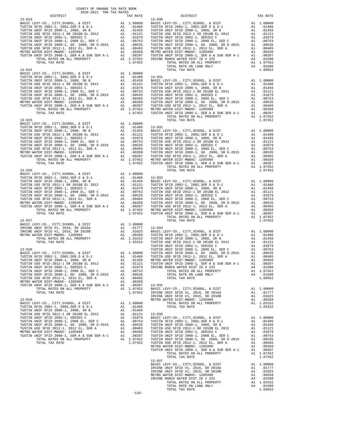| COUNTY OF ORANGE TAX RATE BOOK<br>2020-2021 TRA TAX RATES |          |                |          |
|-----------------------------------------------------------|----------|----------------|----------|
| <b>DISTRICT</b>                                           | TAX RATE | DISTRICT       | TAX RATE |
| $13 - 023$                                                |          | $13 - 030$     |          |
|                                                           |          |                |          |
|                                                           |          |                |          |
|                                                           |          |                |          |
|                                                           |          |                |          |
|                                                           |          |                |          |
|                                                           |          |                |          |
|                                                           |          |                |          |
|                                                           |          |                |          |
|                                                           |          |                |          |
|                                                           |          |                |          |
|                                                           |          |                |          |
|                                                           |          |                |          |
|                                                           |          |                |          |
|                                                           |          |                |          |
|                                                           |          |                |          |
|                                                           |          |                |          |
|                                                           |          |                |          |
|                                                           |          |                |          |
|                                                           |          |                |          |
|                                                           |          |                |          |
|                                                           |          |                |          |
|                                                           |          |                |          |
|                                                           |          |                |          |
|                                                           |          |                |          |
|                                                           |          |                |          |
|                                                           |          |                |          |
|                                                           |          |                |          |
|                                                           |          |                |          |
|                                                           |          |                |          |
|                                                           |          |                |          |
|                                                           |          |                |          |
|                                                           |          |                |          |
|                                                           |          |                |          |
|                                                           |          |                |          |
|                                                           |          |                |          |
|                                                           |          |                |          |
|                                                           |          |                |          |
|                                                           |          |                |          |
|                                                           |          |                |          |
|                                                           |          |                |          |
|                                                           |          |                |          |
|                                                           |          |                |          |
|                                                           |          |                |          |
|                                                           |          |                |          |
|                                                           |          |                |          |
|                                                           |          |                |          |
|                                                           |          |                |          |
|                                                           |          |                |          |
|                                                           |          |                |          |
|                                                           |          |                |          |
|                                                           |          |                |          |
|                                                           |          |                |          |
|                                                           |          |                |          |
|                                                           |          |                |          |
|                                                           |          |                |          |
|                                                           |          |                |          |
|                                                           |          |                |          |
|                                                           |          |                |          |
|                                                           |          |                |          |
|                                                           |          |                |          |
|                                                           |          |                |          |
|                                                           |          |                |          |
|                                                           |          |                |          |
|                                                           |          |                |          |
|                                                           |          |                |          |
|                                                           |          |                |          |
|                                                           |          |                |          |
|                                                           |          |                |          |
|                                                           |          |                |          |
|                                                           |          |                |          |
|                                                           |          |                |          |
|                                                           |          |                |          |
|                                                           |          |                |          |
|                                                           |          |                |          |
|                                                           |          | $13 - 037$     |          |
|                                                           |          |                |          |
|                                                           |          |                |          |
|                                                           |          |                |          |
|                                                           |          |                |          |
|                                                           |          |                |          |
|                                                           |          | TOTAL TAX RATE | 1.04652  |
|                                                           | $-116-$  |                |          |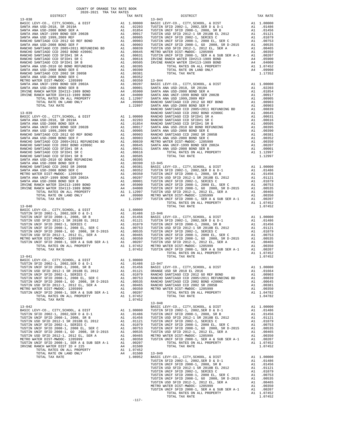| DISTRICT | TAX RATE | DISTRICT   | TAX RATE |  |
|----------|----------|------------|----------|--|
|          |          |            |          |  |
|          |          |            |          |  |
|          |          |            |          |  |
|          |          |            |          |  |
|          |          |            |          |  |
|          |          |            |          |  |
|          |          |            |          |  |
|          |          |            |          |  |
|          |          |            |          |  |
|          |          |            |          |  |
|          |          |            |          |  |
|          |          |            |          |  |
|          |          |            |          |  |
|          |          |            |          |  |
|          |          |            |          |  |
|          |          |            |          |  |
|          |          |            |          |  |
|          |          |            |          |  |
|          |          |            |          |  |
|          |          |            |          |  |
|          |          |            |          |  |
|          |          |            |          |  |
|          |          |            |          |  |
|          |          |            |          |  |
|          |          |            |          |  |
|          |          |            |          |  |
|          |          |            |          |  |
|          |          |            |          |  |
|          |          |            |          |  |
|          |          |            |          |  |
|          |          |            |          |  |
|          |          |            |          |  |
|          |          |            |          |  |
|          |          |            |          |  |
|          |          |            |          |  |
|          |          |            |          |  |
|          |          |            |          |  |
|          |          |            |          |  |
|          |          |            |          |  |
|          |          |            |          |  |
|          |          |            |          |  |
|          |          |            |          |  |
|          |          |            |          |  |
|          |          |            |          |  |
|          |          |            |          |  |
|          |          |            |          |  |
|          |          |            |          |  |
|          |          |            |          |  |
|          |          |            |          |  |
|          |          |            |          |  |
|          |          |            |          |  |
|          |          |            |          |  |
|          |          |            |          |  |
|          |          |            |          |  |
|          |          |            |          |  |
|          |          |            |          |  |
|          |          |            |          |  |
|          |          |            |          |  |
|          |          |            |          |  |
|          |          |            |          |  |
|          |          |            |          |  |
|          |          |            |          |  |
|          |          |            |          |  |
|          |          |            |          |  |
|          |          |            |          |  |
|          |          |            |          |  |
|          |          |            |          |  |
|          |          |            |          |  |
|          |          |            |          |  |
|          |          |            |          |  |
|          |          |            |          |  |
|          |          |            |          |  |
|          |          |            |          |  |
|          |          |            |          |  |
|          |          |            |          |  |
|          |          |            |          |  |
|          |          |            |          |  |
|          |          |            |          |  |
|          |          |            |          |  |
|          |          |            |          |  |
|          |          | $13 - 048$ |          |  |
|          |          |            |          |  |
|          |          |            |          |  |
|          |          |            |          |  |
|          |          |            |          |  |
|          |          |            |          |  |
|          |          |            |          |  |
|          |          |            |          |  |
|          |          |            |          |  |
|          |          |            |          |  |
|          |          |            |          |  |
|          |          |            |          |  |
|          |          |            |          |  |
|          |          |            |          |  |
|          |          |            |          |  |
|          |          |            |          |  |
|          |          |            |          |  |
|          |          |            |          |  |
|          |          |            |          |  |
|          |          |            |          |  |
|          |          |            |          |  |
|          |          |            |          |  |
|          |          |            |          |  |
|          |          |            |          |  |
|          |          |            |          |  |
|          |          |            |          |  |
|          |          |            |          |  |
|          |          |            |          |  |
|          |          |            |          |  |

-117-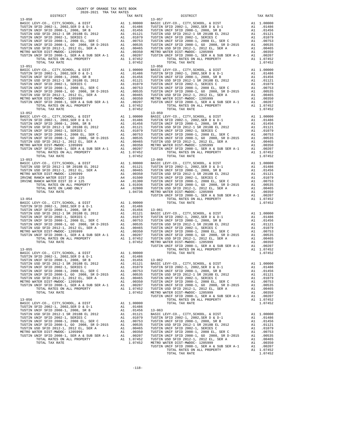| COUNTY OF ORANGE TAX RATE BOOK<br>$\begin{minipage}{.03\linewidth} \begin{tabular}{lcccccc} \multicolumn{2}{c}{\textbf{1.41}\textbf{1.62}} & \multicolumn{2}{c}{\textbf{1.62}\textbf{1}} & \multicolumn{2}{c}{\textbf{1.63}\textbf{1}} & \multicolumn{2}{c}{\textbf{1.64}\textbf{1}} & \multicolumn{2}{c}{\textbf{1.65}\textbf{1}} & \multicolumn{2}{c}{\textbf{1.66}\textbf{1}} & \multicolumn{2}{c}{\textbf{1.67}\textbf{1}} & \multicolumn{2}{c}{\textbf{1.67}\textbf{1}} & \mult$ |          |          |          |
|---------------------------------------------------------------------------------------------------------------------------------------------------------------------------------------------------------------------------------------------------------------------------------------------------------------------------------------------------------------------------------------------------------------------------------------------------------------------------------------|----------|----------|----------|
|                                                                                                                                                                                                                                                                                                                                                                                                                                                                                       | TAX RATE | DISTRICT | TAX RATE |
|                                                                                                                                                                                                                                                                                                                                                                                                                                                                                       |          |          |          |
|                                                                                                                                                                                                                                                                                                                                                                                                                                                                                       |          |          |          |
|                                                                                                                                                                                                                                                                                                                                                                                                                                                                                       |          |          |          |
|                                                                                                                                                                                                                                                                                                                                                                                                                                                                                       |          |          |          |
|                                                                                                                                                                                                                                                                                                                                                                                                                                                                                       |          |          |          |
|                                                                                                                                                                                                                                                                                                                                                                                                                                                                                       |          |          |          |
|                                                                                                                                                                                                                                                                                                                                                                                                                                                                                       |          |          |          |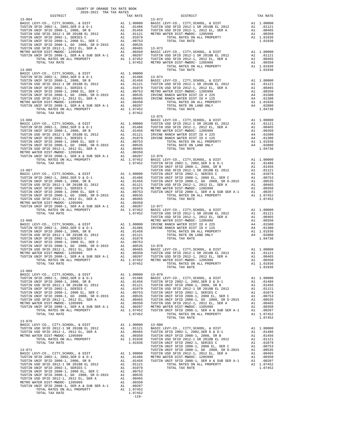|                                                                      | COUNTY OF ORANGE TAX RATE BOOK |                |          |
|----------------------------------------------------------------------|--------------------------------|----------------|----------|
| $2020-2021 \quad \text{TRA RATE B}$ DISTRICT 2020–2021 TRA TAX RATES | TAX RATE                       | DISTRICT       | TAX RATE |
| $13 - 064$                                                           |                                | $13 - 072$     |          |
|                                                                      |                                |                |          |
|                                                                      |                                |                |          |
|                                                                      |                                |                |          |
|                                                                      |                                |                |          |
|                                                                      |                                |                |          |
|                                                                      |                                |                |          |
|                                                                      |                                |                |          |
|                                                                      |                                |                |          |
|                                                                      |                                |                |          |
|                                                                      |                                |                |          |
|                                                                      |                                |                |          |
|                                                                      |                                |                |          |
|                                                                      |                                |                |          |
|                                                                      |                                |                |          |
|                                                                      |                                |                |          |
|                                                                      |                                | $13 - 075$     |          |
|                                                                      |                                |                |          |
|                                                                      |                                |                |          |
|                                                                      |                                |                |          |
|                                                                      |                                |                |          |
|                                                                      |                                |                |          |
|                                                                      |                                |                |          |
|                                                                      |                                |                |          |
|                                                                      |                                |                |          |
|                                                                      |                                |                |          |
|                                                                      |                                |                |          |
|                                                                      |                                |                |          |
|                                                                      |                                |                |          |
|                                                                      |                                |                |          |
|                                                                      |                                |                |          |
|                                                                      |                                |                |          |
|                                                                      |                                |                |          |
|                                                                      |                                |                |          |
|                                                                      |                                |                |          |
|                                                                      |                                |                |          |
|                                                                      |                                |                |          |
|                                                                      |                                |                |          |
|                                                                      |                                |                |          |
|                                                                      |                                |                |          |
|                                                                      |                                |                |          |
|                                                                      |                                |                |          |
| $13 - 069$                                                           |                                | TOTAL TAX RATE | 1.01936  |
|                                                                      |                                |                |          |
|                                                                      |                                |                |          |
|                                                                      |                                |                |          |
|                                                                      |                                |                |          |
|                                                                      |                                |                |          |
|                                                                      |                                |                |          |
|                                                                      |                                |                |          |
|                                                                      |                                |                |          |
| $13 - 070$                                                           |                                |                |          |
|                                                                      |                                |                |          |
|                                                                      |                                |                |          |
|                                                                      |                                |                |          |
|                                                                      |                                |                |          |
|                                                                      |                                |                |          |
|                                                                      |                                |                |          |
|                                                                      |                                |                |          |
|                                                                      |                                |                |          |
|                                                                      |                                |                |          |
|                                                                      |                                |                |          |
|                                                                      |                                |                |          |
|                                                                      | $-119-$                        |                |          |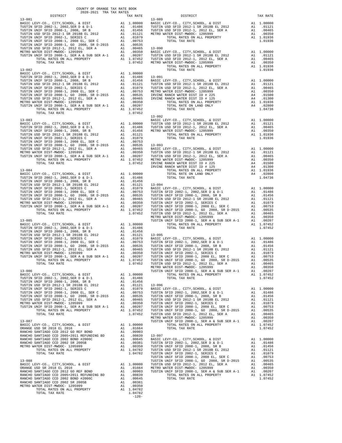| COUNTY OF ORANGE TAX RATE BOOK<br>$2020-2021 \quad \text{TRA TAX RATES}$ DISTRICT $\hspace{0.5cm}$ |         |                                                                                                                                                                                                                                                   |  |
|----------------------------------------------------------------------------------------------------|---------|---------------------------------------------------------------------------------------------------------------------------------------------------------------------------------------------------------------------------------------------------|--|
|                                                                                                    |         |                                                                                                                                                                                                                                                   |  |
|                                                                                                    |         |                                                                                                                                                                                                                                                   |  |
|                                                                                                    |         |                                                                                                                                                                                                                                                   |  |
|                                                                                                    |         |                                                                                                                                                                                                                                                   |  |
|                                                                                                    |         |                                                                                                                                                                                                                                                   |  |
|                                                                                                    |         |                                                                                                                                                                                                                                                   |  |
|                                                                                                    |         |                                                                                                                                                                                                                                                   |  |
|                                                                                                    |         |                                                                                                                                                                                                                                                   |  |
|                                                                                                    |         |                                                                                                                                                                                                                                                   |  |
|                                                                                                    |         |                                                                                                                                                                                                                                                   |  |
|                                                                                                    |         |                                                                                                                                                                                                                                                   |  |
|                                                                                                    |         |                                                                                                                                                                                                                                                   |  |
|                                                                                                    |         |                                                                                                                                                                                                                                                   |  |
|                                                                                                    |         |                                                                                                                                                                                                                                                   |  |
|                                                                                                    |         |                                                                                                                                                                                                                                                   |  |
|                                                                                                    |         |                                                                                                                                                                                                                                                   |  |
|                                                                                                    |         |                                                                                                                                                                                                                                                   |  |
|                                                                                                    |         |                                                                                                                                                                                                                                                   |  |
|                                                                                                    |         |                                                                                                                                                                                                                                                   |  |
|                                                                                                    |         |                                                                                                                                                                                                                                                   |  |
|                                                                                                    |         |                                                                                                                                                                                                                                                   |  |
|                                                                                                    |         | $13 - 092$<br><b>1997 - 1997 - 1997 - 1997 - 1997 - 1997 - 1997 - 1998 - 1998 - 1998 - 1998 - 1998 - 1998 - 1998 - 1998 - 1998 - 1998 - 1998 - 1998 - 1998 - 1998 - 1998 - 1998 - 1998 - 1998 - 1998 - 1998 - 1998 - 1998 - 1998 - 1998 - 199</b> |  |
|                                                                                                    |         |                                                                                                                                                                                                                                                   |  |
|                                                                                                    |         |                                                                                                                                                                                                                                                   |  |
|                                                                                                    |         |                                                                                                                                                                                                                                                   |  |
|                                                                                                    |         |                                                                                                                                                                                                                                                   |  |
|                                                                                                    |         |                                                                                                                                                                                                                                                   |  |
|                                                                                                    |         |                                                                                                                                                                                                                                                   |  |
|                                                                                                    |         |                                                                                                                                                                                                                                                   |  |
|                                                                                                    |         |                                                                                                                                                                                                                                                   |  |
|                                                                                                    |         |                                                                                                                                                                                                                                                   |  |
|                                                                                                    |         |                                                                                                                                                                                                                                                   |  |
|                                                                                                    |         |                                                                                                                                                                                                                                                   |  |
|                                                                                                    |         |                                                                                                                                                                                                                                                   |  |
|                                                                                                    |         |                                                                                                                                                                                                                                                   |  |
|                                                                                                    |         |                                                                                                                                                                                                                                                   |  |
|                                                                                                    |         |                                                                                                                                                                                                                                                   |  |
|                                                                                                    |         |                                                                                                                                                                                                                                                   |  |
|                                                                                                    |         |                                                                                                                                                                                                                                                   |  |
|                                                                                                    |         |                                                                                                                                                                                                                                                   |  |
|                                                                                                    |         |                                                                                                                                                                                                                                                   |  |
|                                                                                                    |         |                                                                                                                                                                                                                                                   |  |
|                                                                                                    |         |                                                                                                                                                                                                                                                   |  |
|                                                                                                    |         |                                                                                                                                                                                                                                                   |  |
|                                                                                                    |         |                                                                                                                                                                                                                                                   |  |
|                                                                                                    |         |                                                                                                                                                                                                                                                   |  |
|                                                                                                    |         |                                                                                                                                                                                                                                                   |  |
|                                                                                                    |         |                                                                                                                                                                                                                                                   |  |
|                                                                                                    |         |                                                                                                                                                                                                                                                   |  |
|                                                                                                    |         |                                                                                                                                                                                                                                                   |  |
|                                                                                                    |         |                                                                                                                                                                                                                                                   |  |
|                                                                                                    |         |                                                                                                                                                                                                                                                   |  |
|                                                                                                    |         |                                                                                                                                                                                                                                                   |  |
|                                                                                                    |         |                                                                                                                                                                                                                                                   |  |
|                                                                                                    |         |                                                                                                                                                                                                                                                   |  |
|                                                                                                    |         |                                                                                                                                                                                                                                                   |  |
|                                                                                                    |         |                                                                                                                                                                                                                                                   |  |
|                                                                                                    |         |                                                                                                                                                                                                                                                   |  |
|                                                                                                    |         |                                                                                                                                                                                                                                                   |  |
|                                                                                                    |         |                                                                                                                                                                                                                                                   |  |
|                                                                                                    |         |                                                                                                                                                                                                                                                   |  |
|                                                                                                    |         |                                                                                                                                                                                                                                                   |  |
|                                                                                                    |         |                                                                                                                                                                                                                                                   |  |
|                                                                                                    |         |                                                                                                                                                                                                                                                   |  |
|                                                                                                    |         |                                                                                                                                                                                                                                                   |  |
|                                                                                                    |         |                                                                                                                                                                                                                                                   |  |
|                                                                                                    |         |                                                                                                                                                                                                                                                   |  |
|                                                                                                    |         |                                                                                                                                                                                                                                                   |  |
|                                                                                                    |         |                                                                                                                                                                                                                                                   |  |
|                                                                                                    |         |                                                                                                                                                                                                                                                   |  |
|                                                                                                    |         |                                                                                                                                                                                                                                                   |  |
|                                                                                                    |         |                                                                                                                                                                                                                                                   |  |
|                                                                                                    |         |                                                                                                                                                                                                                                                   |  |
|                                                                                                    |         |                                                                                                                                                                                                                                                   |  |
|                                                                                                    |         |                                                                                                                                                                                                                                                   |  |
|                                                                                                    |         |                                                                                                                                                                                                                                                   |  |
|                                                                                                    |         |                                                                                                                                                                                                                                                   |  |
|                                                                                                    |         |                                                                                                                                                                                                                                                   |  |
|                                                                                                    |         |                                                                                                                                                                                                                                                   |  |
|                                                                                                    | $-120-$ | THERM SEE PRID 2005-1, 2003 BL, 2003 BL, 2004 1200711 (1912) 2004 1200721 (1912) 2004 1200721 (1912) 2004 1200721 (1912) 2004 1200721 (1912) 2004 1200721 (1912) 2004 1200721 (1912) 2004 1200721 (1912) 2004 1200721 (1912)                      |  |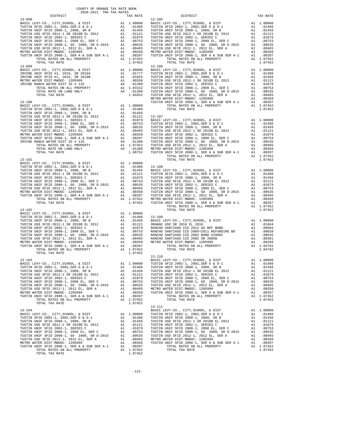| COUNTY OF ORANGE TAX RATE BOOK<br>2020-2021 TRA TAX RATES |          |            |          |
|-----------------------------------------------------------|----------|------------|----------|
| DISTRICT                                                  | TAX RATE | DISTRICT   | TAX RATE |
|                                                           |          | $13 - 105$ |          |
|                                                           |          |            |          |
|                                                           |          |            |          |
|                                                           |          |            |          |
|                                                           |          |            |          |
|                                                           |          |            |          |
|                                                           |          |            |          |
|                                                           |          |            |          |
|                                                           |          |            |          |
|                                                           |          |            |          |
|                                                           |          |            |          |
|                                                           |          |            |          |
|                                                           |          |            |          |
|                                                           |          |            |          |
|                                                           |          |            |          |
|                                                           |          |            |          |
|                                                           |          |            |          |
|                                                           |          |            |          |
|                                                           |          |            |          |
|                                                           |          |            |          |
|                                                           |          |            |          |
|                                                           |          |            |          |
|                                                           |          |            |          |
|                                                           |          |            |          |
|                                                           |          |            |          |
|                                                           |          |            |          |
|                                                           |          |            |          |
|                                                           |          |            |          |
|                                                           |          |            |          |
|                                                           |          |            |          |
|                                                           |          |            |          |
|                                                           |          |            |          |
|                                                           |          |            |          |
|                                                           |          |            |          |
|                                                           |          |            |          |
|                                                           |          |            |          |
|                                                           |          |            |          |
|                                                           |          |            |          |
|                                                           |          |            |          |
|                                                           |          |            |          |
|                                                           |          |            |          |
|                                                           |          |            |          |
|                                                           |          |            |          |
|                                                           |          |            |          |
|                                                           |          |            |          |
|                                                           |          |            |          |
|                                                           |          |            |          |
|                                                           |          |            |          |
|                                                           |          |            |          |
|                                                           |          |            |          |
|                                                           |          |            |          |
|                                                           |          |            |          |
|                                                           |          |            |          |
|                                                           |          |            |          |
|                                                           |          |            |          |
|                                                           |          |            |          |
|                                                           |          |            |          |
|                                                           |          |            |          |
|                                                           |          |            |          |
|                                                           |          |            |          |
|                                                           |          |            |          |
|                                                           |          |            |          |
|                                                           |          |            |          |
|                                                           |          |            |          |
|                                                           |          |            |          |
|                                                           |          |            |          |
|                                                           |          |            |          |
|                                                           |          |            |          |
|                                                           |          |            |          |
|                                                           |          |            |          |
|                                                           |          | 13-111     |          |
|                                                           |          |            |          |
|                                                           |          |            |          |
|                                                           |          |            |          |
|                                                           |          |            |          |
|                                                           |          |            |          |
|                                                           |          |            |          |
|                                                           |          |            |          |
|                                                           |          |            |          |
|                                                           |          |            |          |
|                                                           |          |            |          |
|                                                           |          |            |          |
|                                                           |          |            |          |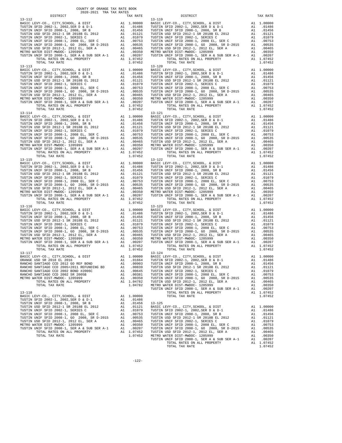| COUNTY OF ORANGE TAX RATE BOOK<br>$\begin{minipage}{.4\linewidth} \begin{tabular}{lcccccc} \multicolumn{2}{c}{\textbf{1.41}\textbf{1.42} & \textbf{1.43} & \textbf{RATE B}} \\ \multicolumn{2}{c}{\textbf{2.020-2021} & \textbf{TRA TAX RATES}} \\ \multicolumn{2}{c}{\textbf{DISTRICT}} & \multicolumn{2}{c}{\textbf{3.01}\textbf{1}} & \multicolumn{2}{c}{\textbf{5.02}\textbf{1}} & \multicolumn{2}{c}{\textbf{6.02}\textbf{1}} & \multicolumn{2}{c}{\textbf{6.03}\textbf{1}} \\$ |          |                                                                                                                                                                                                                               |          |  |  |  |
|--------------------------------------------------------------------------------------------------------------------------------------------------------------------------------------------------------------------------------------------------------------------------------------------------------------------------------------------------------------------------------------------------------------------------------------------------------------------------------------|----------|-------------------------------------------------------------------------------------------------------------------------------------------------------------------------------------------------------------------------------|----------|--|--|--|
|                                                                                                                                                                                                                                                                                                                                                                                                                                                                                      | TAX RATE | DISTRICT                                                                                                                                                                                                                      | TAX RATE |  |  |  |
|                                                                                                                                                                                                                                                                                                                                                                                                                                                                                      |          |                                                                                                                                                                                                                               |          |  |  |  |
|                                                                                                                                                                                                                                                                                                                                                                                                                                                                                      |          |                                                                                                                                                                                                                               |          |  |  |  |
|                                                                                                                                                                                                                                                                                                                                                                                                                                                                                      |          |                                                                                                                                                                                                                               |          |  |  |  |
|                                                                                                                                                                                                                                                                                                                                                                                                                                                                                      |          |                                                                                                                                                                                                                               |          |  |  |  |
|                                                                                                                                                                                                                                                                                                                                                                                                                                                                                      |          |                                                                                                                                                                                                                               |          |  |  |  |
|                                                                                                                                                                                                                                                                                                                                                                                                                                                                                      |          | n and the set of the set of the set of the set of the set of the set of the set of the set of the set of the set of the set of the set of the set of the set of the set of the set of the set of the set of the set of the se |          |  |  |  |
| $\begin{tabular}{c cccc} $10144$ & $100000$ & $10144$ & $100000$ & $10144$ & $100000$ \\ \hline TOTAL TAK RATE & 12002, 1, 2002, 5\&R D & 4 & 100000 & $10144$ & $101486$ \\ \hline TUSTIN WHF SET 1D 2002-1, 2002, 5\&R D & 4 & 101486 & 13-125 & 1002, 5\&R D & 51017 & 10179 & 10174 & 10179 & 101$                                                                                                                                                                               |          |                                                                                                                                                                                                                               |          |  |  |  |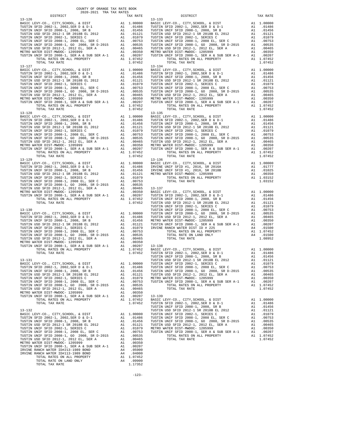| COUNTY OF ORANGE TAX RATE BOOK<br>2020-2021 TRA TAX RATES |          |          |          |
|-----------------------------------------------------------|----------|----------|----------|
| DISTRICT                                                  | TAX RATE | DISTRICT | TAX RATE |
|                                                           |          |          |          |
|                                                           |          |          |          |
|                                                           |          |          |          |
|                                                           |          |          |          |
|                                                           |          |          |          |
|                                                           |          |          |          |
|                                                           |          |          |          |
|                                                           |          |          |          |
|                                                           |          |          |          |
|                                                           |          |          |          |
|                                                           |          |          |          |
|                                                           |          |          |          |
|                                                           |          |          |          |
|                                                           |          |          |          |
|                                                           |          |          |          |
|                                                           |          |          |          |
|                                                           |          |          |          |
|                                                           |          |          |          |
|                                                           |          |          |          |
|                                                           |          |          |          |
|                                                           |          |          |          |
|                                                           |          |          |          |
|                                                           |          |          |          |
|                                                           |          |          |          |
|                                                           |          |          |          |
|                                                           |          |          |          |
|                                                           |          |          |          |
|                                                           |          |          |          |
|                                                           |          |          |          |
|                                                           |          |          |          |
|                                                           |          |          |          |
|                                                           |          |          |          |
|                                                           |          |          |          |
|                                                           |          |          |          |
|                                                           |          |          |          |
|                                                           |          |          |          |
|                                                           |          |          |          |
|                                                           |          |          |          |
|                                                           |          |          |          |
|                                                           |          |          |          |
|                                                           |          |          |          |
|                                                           |          |          |          |
|                                                           |          |          |          |
|                                                           |          |          |          |
|                                                           |          |          |          |
|                                                           |          |          |          |
|                                                           |          |          |          |
|                                                           |          |          |          |
|                                                           |          |          |          |
|                                                           |          |          |          |
|                                                           |          |          |          |
|                                                           |          |          |          |
|                                                           |          |          |          |
|                                                           |          |          |          |
|                                                           |          |          |          |
|                                                           |          |          |          |
|                                                           |          |          |          |
|                                                           |          |          |          |
|                                                           |          |          |          |
|                                                           |          |          |          |
|                                                           |          |          |          |
|                                                           |          |          |          |
|                                                           |          |          |          |
|                                                           |          |          |          |
|                                                           |          |          |          |
|                                                           |          |          |          |
|                                                           |          |          |          |

| RATE:                                                                                                             | DISTRICT<br>$13 - 133$                                                                                                                                                                                                                                                                                                                                                                                                                                                                                       | TAX RATE                                                                                                                                                                                  |
|-------------------------------------------------------------------------------------------------------------------|--------------------------------------------------------------------------------------------------------------------------------------------------------------------------------------------------------------------------------------------------------------------------------------------------------------------------------------------------------------------------------------------------------------------------------------------------------------------------------------------------------------|-------------------------------------------------------------------------------------------------------------------------------------------------------------------------------------------|
| 07452                                                                                                             | $\begin{tabular}{ c c c c c c c c} 13-133 & 13-133 \\ 0.0000 & BASIC & EVY-C0., CITY, SCHOOL, & & DIST \\ 0.1486 & TUSTIN STID 2002-1, & 2002, SER D & & D-1 \\ 0.1486 & TUSTIN UNIF SFID 2008-1, & 2008, SR B & & & & & 0.1456 \\ 0.1456 & TUSTIN UNIF SFID 2008-1, & 2008, SR B & & & & & 0.1121 \\ 0.1079 & TUSTIN UNIF SFID 2002-1, & SERIES C & & & &$<br>$13 - 134$<br>TOTAL TAX RATE                                                                                                                  | 1.07452                                                                                                                                                                                   |
|                                                                                                                   |                                                                                                                                                                                                                                                                                                                                                                                                                                                                                                              |                                                                                                                                                                                           |
|                                                                                                                   |                                                                                                                                                                                                                                                                                                                                                                                                                                                                                                              |                                                                                                                                                                                           |
| 00753<br>00535                                                                                                    | TOTAL TAX RATE                                                                                                                                                                                                                                                                                                                                                                                                                                                                                               | 1.03152                                                                                                                                                                                   |
| 00350                                                                                                             |                                                                                                                                                                                                                                                                                                                                                                                                                                                                                                              |                                                                                                                                                                                           |
| 01486<br>01456<br>01121<br>01079<br>00753<br>00535<br>00465<br>00350                                              | 00350<br>07452 BASIC LEVY-CO., CITY, SCHOOL, & DIST<br>07452 BASIC LEVY-CO., CITY, SCHOOL, 2002, SER D & D-1 A1 .00000<br>TUSTIN UNIF SFID 2002-1, 2008, SR B A1 .01486<br>TUSTIN USD SFID 2012-1 SR 2018B EL 2012 A1 .01121<br>----- E<br>TUSTIN UNIF SFID 2008-1, 2008 EL, SER C<br>TUSTIN UNIF SFID 2008-1, GO 2008, SR D-2015<br>TUSTIN USD SFID 2012-1, 2012 EL, SER A METRO WATER DIST-MWDOC- 1205999<br>TUSTIN UNIF SFID 2008-1, SER A & SUB SER A-1<br>TOTAL RATES ON ALL PROPERTY<br>TOTAL TAX RATE | A1<br>.00753<br>A1<br>.00535<br>A1<br>.00465<br>A1<br>.00350<br>A1<br>.00207<br>A1 1.07452<br>1.07452                                                                                     |
| 00207<br>07452<br>07452<br>00000<br>01486<br>01456<br>01121<br>01079<br>00753<br>00535<br>00465<br>00350<br>00207 | $13 - 139$<br>BASIC LEVY-CO., CITY, SCHOOL, & DIST<br>TUSTIN SFID 2002-1, 2002, SER D & D-1<br>TUSTIN UNIF SFID 2008-1, 2008, SR B<br>TUSTIN USD SFID 2012-1 SR 2018B EL 2012<br>TUSTIN UNIF SFID 2002-1, SERIES C<br>TUSTIN UNIF SFID 2008-1, 2008 EL, SER C<br>TUSTIN UNIF SFID 2008-1, GO 2008, SR D-2015<br>TUSTIN USD SFID 2012-1, 2012 EL, SER A METRO WATER DIST-MWDOC- 1205999<br>TUSTIN UNIF SFID 2008-1, SER A & SUB SER A-1<br>TOTAL RATES ON ALL PROPERTY<br>TOTAL TAX RATE                      | A1<br>1.00000<br>A1<br>.01486<br>A1<br>.01456<br>A1<br>.01121<br>A1<br>.01079<br>A1<br>.00753<br>A1<br>.00535<br>A1<br>.00465<br>A1<br>.00350<br>A1<br>.00207<br>A1<br>1.07452<br>1.07452 |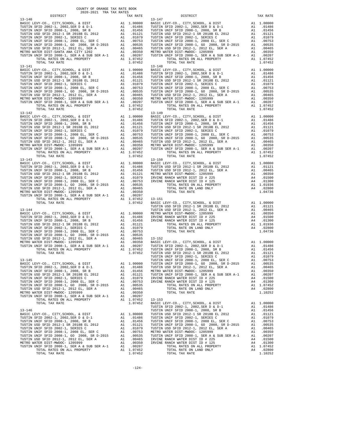| COUNTY OF ORANGE TAX RATE BOOK<br>2020-2021 TRA TAX RATES |          |          |          |
|-----------------------------------------------------------|----------|----------|----------|
| DISTRICT                                                  | TAX RATE | DISTRICT | TAX RATE |
|                                                           |          |          |          |
|                                                           |          |          |          |
|                                                           |          |          |          |
|                                                           |          |          |          |
|                                                           |          |          |          |
|                                                           |          |          |          |
|                                                           |          |          |          |
|                                                           |          |          |          |
|                                                           |          |          |          |
|                                                           |          |          |          |
|                                                           |          |          |          |
|                                                           |          |          |          |
|                                                           |          |          |          |
|                                                           |          |          |          |
|                                                           |          |          |          |
|                                                           |          |          |          |
|                                                           |          |          |          |
|                                                           |          |          |          |
|                                                           |          |          |          |
|                                                           |          |          |          |
|                                                           |          |          |          |
|                                                           |          |          |          |
|                                                           |          |          |          |
|                                                           |          |          |          |
|                                                           |          |          |          |
|                                                           |          |          |          |
|                                                           |          |          |          |
|                                                           |          |          |          |
|                                                           |          |          |          |
|                                                           |          |          |          |
|                                                           |          |          |          |
|                                                           |          |          |          |
|                                                           |          |          |          |
|                                                           |          |          |          |
|                                                           |          |          |          |
|                                                           |          |          |          |
|                                                           |          |          |          |
|                                                           |          |          |          |
|                                                           |          |          |          |
|                                                           |          |          |          |
|                                                           |          |          |          |
|                                                           |          |          |          |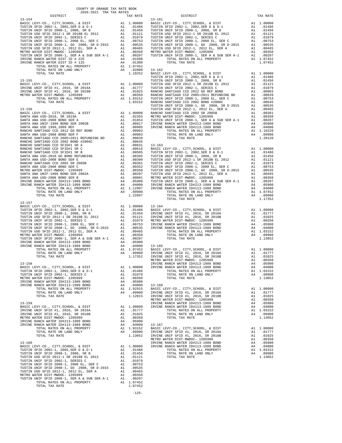| COUNTY OF ORANGE TAX RATE BOOK<br>2020-2021 TRA TAX RATES<br>$2020-2021 \quad \text{TRA TAX RATES}$ DISTRICT $\hspace{2.5cm}$                                                                                               |          |                                                                                                                                                                                                                                                                                  |          |
|-----------------------------------------------------------------------------------------------------------------------------------------------------------------------------------------------------------------------------|----------|----------------------------------------------------------------------------------------------------------------------------------------------------------------------------------------------------------------------------------------------------------------------------------|----------|
|                                                                                                                                                                                                                             | TAX RATE | DISTRICT                                                                                                                                                                                                                                                                         | TAX RATE |
| $13 - 154$                                                                                                                                                                                                                  |          | $13 - 161$                                                                                                                                                                                                                                                                       |          |
|                                                                                                                                                                                                                             |          |                                                                                                                                                                                                                                                                                  |          |
|                                                                                                                                                                                                                             |          |                                                                                                                                                                                                                                                                                  |          |
|                                                                                                                                                                                                                             |          |                                                                                                                                                                                                                                                                                  |          |
|                                                                                                                                                                                                                             |          |                                                                                                                                                                                                                                                                                  |          |
|                                                                                                                                                                                                                             |          |                                                                                                                                                                                                                                                                                  |          |
|                                                                                                                                                                                                                             |          |                                                                                                                                                                                                                                                                                  |          |
|                                                                                                                                                                                                                             |          |                                                                                                                                                                                                                                                                                  |          |
|                                                                                                                                                                                                                             |          |                                                                                                                                                                                                                                                                                  |          |
|                                                                                                                                                                                                                             |          |                                                                                                                                                                                                                                                                                  |          |
|                                                                                                                                                                                                                             |          |                                                                                                                                                                                                                                                                                  |          |
|                                                                                                                                                                                                                             |          |                                                                                                                                                                                                                                                                                  |          |
|                                                                                                                                                                                                                             |          |                                                                                                                                                                                                                                                                                  |          |
|                                                                                                                                                                                                                             |          |                                                                                                                                                                                                                                                                                  |          |
|                                                                                                                                                                                                                             |          |                                                                                                                                                                                                                                                                                  |          |
|                                                                                                                                                                                                                             |          |                                                                                                                                                                                                                                                                                  |          |
|                                                                                                                                                                                                                             |          |                                                                                                                                                                                                                                                                                  |          |
|                                                                                                                                                                                                                             |          |                                                                                                                                                                                                                                                                                  |          |
|                                                                                                                                                                                                                             |          |                                                                                                                                                                                                                                                                                  |          |
|                                                                                                                                                                                                                             |          |                                                                                                                                                                                                                                                                                  |          |
|                                                                                                                                                                                                                             |          |                                                                                                                                                                                                                                                                                  |          |
|                                                                                                                                                                                                                             |          |                                                                                                                                                                                                                                                                                  |          |
|                                                                                                                                                                                                                             |          |                                                                                                                                                                                                                                                                                  |          |
|                                                                                                                                                                                                                             |          |                                                                                                                                                                                                                                                                                  |          |
|                                                                                                                                                                                                                             |          |                                                                                                                                                                                                                                                                                  |          |
|                                                                                                                                                                                                                             |          |                                                                                                                                                                                                                                                                                  |          |
|                                                                                                                                                                                                                             |          |                                                                                                                                                                                                                                                                                  |          |
|                                                                                                                                                                                                                             |          |                                                                                                                                                                                                                                                                                  |          |
|                                                                                                                                                                                                                             |          |                                                                                                                                                                                                                                                                                  |          |
|                                                                                                                                                                                                                             |          |                                                                                                                                                                                                                                                                                  |          |
|                                                                                                                                                                                                                             |          |                                                                                                                                                                                                                                                                                  |          |
|                                                                                                                                                                                                                             |          |                                                                                                                                                                                                                                                                                  |          |
|                                                                                                                                                                                                                             |          |                                                                                                                                                                                                                                                                                  |          |
|                                                                                                                                                                                                                             |          |                                                                                                                                                                                                                                                                                  |          |
|                                                                                                                                                                                                                             |          |                                                                                                                                                                                                                                                                                  |          |
|                                                                                                                                                                                                                             |          |                                                                                                                                                                                                                                                                                  |          |
|                                                                                                                                                                                                                             |          |                                                                                                                                                                                                                                                                                  |          |
|                                                                                                                                                                                                                             |          |                                                                                                                                                                                                                                                                                  |          |
|                                                                                                                                                                                                                             |          | 2020. 2020. 2020. 2020. 2020. 2020. 2020. 2020. 2020. 2020. 2020. 2020. 2020. 2020. 2020. 2020. 2020. 2020. 2020. 2020. 2020. 2020. 2020. 2020. 2020. 2020. 2020. 2020. 2020. 2020. 2020. 2020. 2020. 2020. 2020. 2020. 2020                                                     |          |
| $13 - 157$                                                                                                                                                                                                                  |          |                                                                                                                                                                                                                                                                                  |          |
|                                                                                                                                                                                                                             |          |                                                                                                                                                                                                                                                                                  |          |
|                                                                                                                                                                                                                             |          |                                                                                                                                                                                                                                                                                  |          |
|                                                                                                                                                                                                                             |          |                                                                                                                                                                                                                                                                                  |          |
|                                                                                                                                                                                                                             |          |                                                                                                                                                                                                                                                                                  |          |
|                                                                                                                                                                                                                             |          |                                                                                                                                                                                                                                                                                  |          |
|                                                                                                                                                                                                                             |          |                                                                                                                                                                                                                                                                                  |          |
|                                                                                                                                                                                                                             |          |                                                                                                                                                                                                                                                                                  |          |
|                                                                                                                                                                                                                             |          |                                                                                                                                                                                                                                                                                  |          |
|                                                                                                                                                                                                                             |          |                                                                                                                                                                                                                                                                                  |          |
|                                                                                                                                                                                                                             |          |                                                                                                                                                                                                                                                                                  |          |
|                                                                                                                                                                                                                             |          |                                                                                                                                                                                                                                                                                  |          |
|                                                                                                                                                                                                                             |          | $\begin{tabular}{l c c c c} 1.3-157\\ 1.3-157\\ \hline RISTM WRIF SFD & 2002-1, 2008-5ER & D & D & D & D & D \\ \hline TUSTIM WRIF SFD & 2002-1, 2008-1, 2008-1, 2008-1, 2008-1, 2008-1, 2008-1, 2008-1, 2008-1, 2008-1, 2008-1, 2008-1, 2008-1, 2008-1, 2008-1, 2008-1, 2008-1$ |          |
|                                                                                                                                                                                                                             |          |                                                                                                                                                                                                                                                                                  |          |
|                                                                                                                                                                                                                             |          |                                                                                                                                                                                                                                                                                  |          |
|                                                                                                                                                                                                                             |          |                                                                                                                                                                                                                                                                                  |          |
|                                                                                                                                                                                                                             |          |                                                                                                                                                                                                                                                                                  |          |
|                                                                                                                                                                                                                             |          |                                                                                                                                                                                                                                                                                  |          |
|                                                                                                                                                                                                                             |          |                                                                                                                                                                                                                                                                                  |          |
|                                                                                                                                                                                                                             |          |                                                                                                                                                                                                                                                                                  |          |
|                                                                                                                                                                                                                             |          |                                                                                                                                                                                                                                                                                  |          |
|                                                                                                                                                                                                                             |          |                                                                                                                                                                                                                                                                                  |          |
|                                                                                                                                                                                                                             |          |                                                                                                                                                                                                                                                                                  |          |
|                                                                                                                                                                                                                             |          |                                                                                                                                                                                                                                                                                  |          |
|                                                                                                                                                                                                                             |          |                                                                                                                                                                                                                                                                                  |          |
|                                                                                                                                                                                                                             |          |                                                                                                                                                                                                                                                                                  |          |
|                                                                                                                                                                                                                             |          |                                                                                                                                                                                                                                                                                  |          |
|                                                                                                                                                                                                                             |          |                                                                                                                                                                                                                                                                                  |          |
|                                                                                                                                                                                                                             |          |                                                                                                                                                                                                                                                                                  |          |
|                                                                                                                                                                                                                             |          |                                                                                                                                                                                                                                                                                  |          |
|                                                                                                                                                                                                                             |          |                                                                                                                                                                                                                                                                                  |          |
|                                                                                                                                                                                                                             |          |                                                                                                                                                                                                                                                                                  |          |
|                                                                                                                                                                                                                             |          |                                                                                                                                                                                                                                                                                  |          |
|                                                                                                                                                                                                                             |          |                                                                                                                                                                                                                                                                                  |          |
|                                                                                                                                                                                                                             |          |                                                                                                                                                                                                                                                                                  |          |
|                                                                                                                                                                                                                             |          |                                                                                                                                                                                                                                                                                  |          |
|                                                                                                                                                                                                                             |          |                                                                                                                                                                                                                                                                                  |          |
|                                                                                                                                                                                                                             |          |                                                                                                                                                                                                                                                                                  |          |
|                                                                                                                                                                                                                             |          |                                                                                                                                                                                                                                                                                  |          |
| 1707A. PATT OR CAND ONLY  A . 0.9500<br>1973A. 2003 - 1973A. 2003 - 1974A. 2003 - 1974A. 2003 - 1974A. 2003 - 1974A. 2003 - 1974A. 2003 - 1974A. 2003 - 1974A. 2003 - 1974A. 2003 - 1974A. 2003 - 1974A. 2003 - 1974A. 2003 |          |                                                                                                                                                                                                                                                                                  |          |
|                                                                                                                                                                                                                             |          |                                                                                                                                                                                                                                                                                  |          |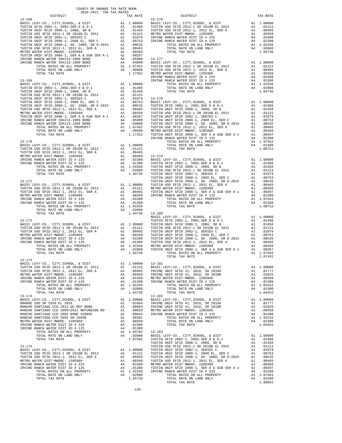| $2020-2021\quad\text{TRA TAX RATES}\label{eq:2020}$ DISTRICT<br>DISTRICT<br>TAX RATE<br>$\begin{smallmatrix} \textbf{1} & \textbf{0} & \textbf{0} & \textbf{0} & \textbf{0} & \textbf{0} & \textbf{0} & \textbf{0} & \textbf{0} & \textbf{0} & \textbf{0} & \textbf{0} & \textbf{0} & \textbf{0} & \textbf{0} & \textbf{0} & \textbf{0} & \textbf{0} & \textbf{0} & \textbf{0} & \textbf{0} & \textbf{0} & \textbf{0} & \textbf{0} & \textbf{0} & \textbf{0} & \textbf{0} & \textbf{0} & \textbf{0} & \textbf{0} & \textbf{$ | TAX RATE |
|------------------------------------------------------------------------------------------------------------------------------------------------------------------------------------------------------------------------------------------------------------------------------------------------------------------------------------------------------------------------------------------------------------------------------------------------------------------------------------------------------------------------------|----------|
|                                                                                                                                                                                                                                                                                                                                                                                                                                                                                                                              |          |
|                                                                                                                                                                                                                                                                                                                                                                                                                                                                                                                              |          |
|                                                                                                                                                                                                                                                                                                                                                                                                                                                                                                                              |          |
|                                                                                                                                                                                                                                                                                                                                                                                                                                                                                                                              |          |
|                                                                                                                                                                                                                                                                                                                                                                                                                                                                                                                              |          |
|                                                                                                                                                                                                                                                                                                                                                                                                                                                                                                                              |          |
|                                                                                                                                                                                                                                                                                                                                                                                                                                                                                                                              |          |
|                                                                                                                                                                                                                                                                                                                                                                                                                                                                                                                              |          |
|                                                                                                                                                                                                                                                                                                                                                                                                                                                                                                                              |          |
|                                                                                                                                                                                                                                                                                                                                                                                                                                                                                                                              |          |
|                                                                                                                                                                                                                                                                                                                                                                                                                                                                                                                              |          |
|                                                                                                                                                                                                                                                                                                                                                                                                                                                                                                                              |          |
|                                                                                                                                                                                                                                                                                                                                                                                                                                                                                                                              |          |
|                                                                                                                                                                                                                                                                                                                                                                                                                                                                                                                              |          |
|                                                                                                                                                                                                                                                                                                                                                                                                                                                                                                                              |          |
|                                                                                                                                                                                                                                                                                                                                                                                                                                                                                                                              |          |
|                                                                                                                                                                                                                                                                                                                                                                                                                                                                                                                              |          |
|                                                                                                                                                                                                                                                                                                                                                                                                                                                                                                                              |          |
|                                                                                                                                                                                                                                                                                                                                                                                                                                                                                                                              |          |
|                                                                                                                                                                                                                                                                                                                                                                                                                                                                                                                              |          |
|                                                                                                                                                                                                                                                                                                                                                                                                                                                                                                                              |          |
|                                                                                                                                                                                                                                                                                                                                                                                                                                                                                                                              |          |
|                                                                                                                                                                                                                                                                                                                                                                                                                                                                                                                              |          |
|                                                                                                                                                                                                                                                                                                                                                                                                                                                                                                                              |          |
|                                                                                                                                                                                                                                                                                                                                                                                                                                                                                                                              |          |
|                                                                                                                                                                                                                                                                                                                                                                                                                                                                                                                              |          |
|                                                                                                                                                                                                                                                                                                                                                                                                                                                                                                                              |          |
|                                                                                                                                                                                                                                                                                                                                                                                                                                                                                                                              |          |
|                                                                                                                                                                                                                                                                                                                                                                                                                                                                                                                              |          |
|                                                                                                                                                                                                                                                                                                                                                                                                                                                                                                                              |          |
|                                                                                                                                                                                                                                                                                                                                                                                                                                                                                                                              |          |
|                                                                                                                                                                                                                                                                                                                                                                                                                                                                                                                              |          |
|                                                                                                                                                                                                                                                                                                                                                                                                                                                                                                                              |          |
|                                                                                                                                                                                                                                                                                                                                                                                                                                                                                                                              |          |
|                                                                                                                                                                                                                                                                                                                                                                                                                                                                                                                              |          |
|                                                                                                                                                                                                                                                                                                                                                                                                                                                                                                                              |          |
|                                                                                                                                                                                                                                                                                                                                                                                                                                                                                                                              |          |
|                                                                                                                                                                                                                                                                                                                                                                                                                                                                                                                              |          |
|                                                                                                                                                                                                                                                                                                                                                                                                                                                                                                                              |          |
|                                                                                                                                                                                                                                                                                                                                                                                                                                                                                                                              |          |
|                                                                                                                                                                                                                                                                                                                                                                                                                                                                                                                              |          |
|                                                                                                                                                                                                                                                                                                                                                                                                                                                                                                                              |          |
|                                                                                                                                                                                                                                                                                                                                                                                                                                                                                                                              |          |
|                                                                                                                                                                                                                                                                                                                                                                                                                                                                                                                              |          |
|                                                                                                                                                                                                                                                                                                                                                                                                                                                                                                                              |          |
|                                                                                                                                                                                                                                                                                                                                                                                                                                                                                                                              |          |
|                                                                                                                                                                                                                                                                                                                                                                                                                                                                                                                              |          |
|                                                                                                                                                                                                                                                                                                                                                                                                                                                                                                                              |          |
|                                                                                                                                                                                                                                                                                                                                                                                                                                                                                                                              |          |
|                                                                                                                                                                                                                                                                                                                                                                                                                                                                                                                              |          |
|                                                                                                                                                                                                                                                                                                                                                                                                                                                                                                                              |          |
|                                                                                                                                                                                                                                                                                                                                                                                                                                                                                                                              |          |
|                                                                                                                                                                                                                                                                                                                                                                                                                                                                                                                              |          |
| 13-173                                                                                                                                                                                                                                                                                                                                                                                                                                                                                                                       |          |
|                                                                                                                                                                                                                                                                                                                                                                                                                                                                                                                              |          |
|                                                                                                                                                                                                                                                                                                                                                                                                                                                                                                                              |          |
|                                                                                                                                                                                                                                                                                                                                                                                                                                                                                                                              |          |
|                                                                                                                                                                                                                                                                                                                                                                                                                                                                                                                              |          |
|                                                                                                                                                                                                                                                                                                                                                                                                                                                                                                                              |          |
|                                                                                                                                                                                                                                                                                                                                                                                                                                                                                                                              |          |
|                                                                                                                                                                                                                                                                                                                                                                                                                                                                                                                              |          |
|                                                                                                                                                                                                                                                                                                                                                                                                                                                                                                                              |          |
|                                                                                                                                                                                                                                                                                                                                                                                                                                                                                                                              |          |
|                                                                                                                                                                                                                                                                                                                                                                                                                                                                                                                              |          |
|                                                                                                                                                                                                                                                                                                                                                                                                                                                                                                                              |          |
|                                                                                                                                                                                                                                                                                                                                                                                                                                                                                                                              |          |
|                                                                                                                                                                                                                                                                                                                                                                                                                                                                                                                              |          |
|                                                                                                                                                                                                                                                                                                                                                                                                                                                                                                                              |          |
|                                                                                                                                                                                                                                                                                                                                                                                                                                                                                                                              |          |
|                                                                                                                                                                                                                                                                                                                                                                                                                                                                                                                              |          |
|                                                                                                                                                                                                                                                                                                                                                                                                                                                                                                                              |          |
|                                                                                                                                                                                                                                                                                                                                                                                                                                                                                                                              |          |
|                                                                                                                                                                                                                                                                                                                                                                                                                                                                                                                              |          |
|                                                                                                                                                                                                                                                                                                                                                                                                                                                                                                                              |          |
|                                                                                                                                                                                                                                                                                                                                                                                                                                                                                                                              |          |
|                                                                                                                                                                                                                                                                                                                                                                                                                                                                                                                              |          |
|                                                                                                                                                                                                                                                                                                                                                                                                                                                                                                                              |          |
|                                                                                                                                                                                                                                                                                                                                                                                                                                                                                                                              |          |
|                                                                                                                                                                                                                                                                                                                                                                                                                                                                                                                              |          |
|                                                                                                                                                                                                                                                                                                                                                                                                                                                                                                                              |          |
|                                                                                                                                                                                                                                                                                                                                                                                                                                                                                                                              |          |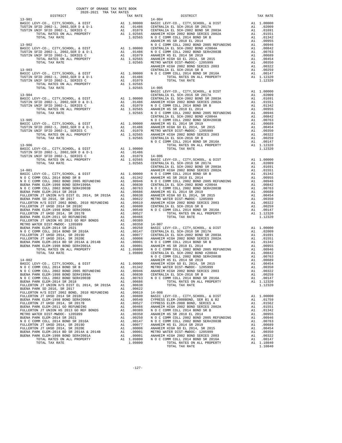| $2020-2021 \quad \text{TRA TAX RATES}$<br>DISTRICT |  | A TAX RATES<br>TAX RATE DISTRICT DISTRICT                                                                                                                                                                                                                                                                                                              | TAX RATE |
|----------------------------------------------------|--|--------------------------------------------------------------------------------------------------------------------------------------------------------------------------------------------------------------------------------------------------------------------------------------------------------------------------------------------------------|----------|
|                                                    |  |                                                                                                                                                                                                                                                                                                                                                        |          |
|                                                    |  |                                                                                                                                                                                                                                                                                                                                                        |          |
|                                                    |  |                                                                                                                                                                                                                                                                                                                                                        |          |
|                                                    |  |                                                                                                                                                                                                                                                                                                                                                        |          |
|                                                    |  |                                                                                                                                                                                                                                                                                                                                                        |          |
|                                                    |  |                                                                                                                                                                                                                                                                                                                                                        |          |
|                                                    |  |                                                                                                                                                                                                                                                                                                                                                        |          |
|                                                    |  |                                                                                                                                                                                                                                                                                                                                                        |          |
|                                                    |  |                                                                                                                                                                                                                                                                                                                                                        |          |
|                                                    |  |                                                                                                                                                                                                                                                                                                                                                        |          |
|                                                    |  |                                                                                                                                                                                                                                                                                                                                                        |          |
|                                                    |  |                                                                                                                                                                                                                                                                                                                                                        |          |
|                                                    |  |                                                                                                                                                                                                                                                                                                                                                        |          |
|                                                    |  |                                                                                                                                                                                                                                                                                                                                                        |          |
|                                                    |  |                                                                                                                                                                                                                                                                                                                                                        |          |
|                                                    |  |                                                                                                                                                                                                                                                                                                                                                        |          |
|                                                    |  |                                                                                                                                                                                                                                                                                                                                                        |          |
|                                                    |  |                                                                                                                                                                                                                                                                                                                                                        |          |
|                                                    |  |                                                                                                                                                                                                                                                                                                                                                        |          |
|                                                    |  |                                                                                                                                                                                                                                                                                                                                                        |          |
|                                                    |  |                                                                                                                                                                                                                                                                                                                                                        |          |
|                                                    |  |                                                                                                                                                                                                                                                                                                                                                        |          |
|                                                    |  |                                                                                                                                                                                                                                                                                                                                                        |          |
|                                                    |  |                                                                                                                                                                                                                                                                                                                                                        |          |
|                                                    |  |                                                                                                                                                                                                                                                                                                                                                        |          |
|                                                    |  |                                                                                                                                                                                                                                                                                                                                                        |          |
|                                                    |  |                                                                                                                                                                                                                                                                                                                                                        |          |
|                                                    |  |                                                                                                                                                                                                                                                                                                                                                        |          |
|                                                    |  |                                                                                                                                                                                                                                                                                                                                                        |          |
|                                                    |  |                                                                                                                                                                                                                                                                                                                                                        |          |
|                                                    |  |                                                                                                                                                                                                                                                                                                                                                        |          |
|                                                    |  |                                                                                                                                                                                                                                                                                                                                                        |          |
|                                                    |  |                                                                                                                                                                                                                                                                                                                                                        |          |
|                                                    |  |                                                                                                                                                                                                                                                                                                                                                        |          |
|                                                    |  |                                                                                                                                                                                                                                                                                                                                                        |          |
|                                                    |  |                                                                                                                                                                                                                                                                                                                                                        |          |
|                                                    |  |                                                                                                                                                                                                                                                                                                                                                        |          |
|                                                    |  |                                                                                                                                                                                                                                                                                                                                                        |          |
|                                                    |  |                                                                                                                                                                                                                                                                                                                                                        |          |
|                                                    |  |                                                                                                                                                                                                                                                                                                                                                        |          |
|                                                    |  |                                                                                                                                                                                                                                                                                                                                                        |          |
|                                                    |  |                                                                                                                                                                                                                                                                                                                                                        |          |
|                                                    |  |                                                                                                                                                                                                                                                                                                                                                        |          |
|                                                    |  |                                                                                                                                                                                                                                                                                                                                                        |          |
|                                                    |  |                                                                                                                                                                                                                                                                                                                                                        |          |
|                                                    |  |                                                                                                                                                                                                                                                                                                                                                        |          |
|                                                    |  |                                                                                                                                                                                                                                                                                                                                                        |          |
|                                                    |  |                                                                                                                                                                                                                                                                                                                                                        |          |
|                                                    |  |                                                                                                                                                                                                                                                                                                                                                        |          |
|                                                    |  |                                                                                                                                                                                                                                                                                                                                                        |          |
|                                                    |  |                                                                                                                                                                                                                                                                                                                                                        |          |
|                                                    |  |                                                                                                                                                                                                                                                                                                                                                        |          |
|                                                    |  | <b>THORM MATHEMATH MATHEMATH AT 1.9000 MM (1991)</b> The state and the state and the state and the state and the state and the state and the state and the state and the state and the state and the state and the state and the                                                                                                                       |          |
|                                                    |  |                                                                                                                                                                                                                                                                                                                                                        |          |
|                                                    |  |                                                                                                                                                                                                                                                                                                                                                        |          |
|                                                    |  | $\begin{tabular}{cccccccc} \texttt{1014L} & \texttt{14A RATE} & \texttt{1.09800} & \texttt{1.09800} & \texttt{1.09800} & \texttt{1.09800} & \texttt{1.09800} & \texttt{1.09800} & \texttt{1.09800} & \texttt{1.09800} & \texttt{1.09800} & \texttt{1.09800} & \texttt{1.09800} & \texttt{1.09800} & \texttt{1.09800} & \texttt{1.09800} & \texttt{1.0$ |          |
|                                                    |  |                                                                                                                                                                                                                                                                                                                                                        |          |
|                                                    |  |                                                                                                                                                                                                                                                                                                                                                        |          |
|                                                    |  |                                                                                                                                                                                                                                                                                                                                                        |          |
|                                                    |  |                                                                                                                                                                                                                                                                                                                                                        |          |
|                                                    |  |                                                                                                                                                                                                                                                                                                                                                        |          |
|                                                    |  |                                                                                                                                                                                                                                                                                                                                                        |          |
|                                                    |  |                                                                                                                                                                                                                                                                                                                                                        |          |
|                                                    |  |                                                                                                                                                                                                                                                                                                                                                        |          |
|                                                    |  |                                                                                                                                                                                                                                                                                                                                                        |          |
|                                                    |  |                                                                                                                                                                                                                                                                                                                                                        |          |
|                                                    |  |                                                                                                                                                                                                                                                                                                                                                        |          |
|                                                    |  |                                                                                                                                                                                                                                                                                                                                                        |          |
|                                                    |  |                                                                                                                                                                                                                                                                                                                                                        |          |
|                                                    |  |                                                                                                                                                                                                                                                                                                                                                        |          |
|                                                    |  |                                                                                                                                                                                                                                                                                                                                                        |          |
|                                                    |  |                                                                                                                                                                                                                                                                                                                                                        |          |
|                                                    |  |                                                                                                                                                                                                                                                                                                                                                        |          |
|                                                    |  |                                                                                                                                                                                                                                                                                                                                                        |          |
|                                                    |  |                                                                                                                                                                                                                                                                                                                                                        |          |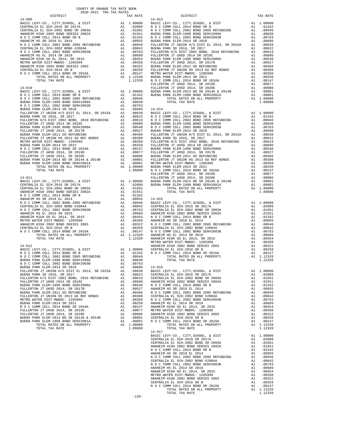| COUNTY OF ORANGE TAX RATE BOOK<br>2020-2021 TRA TAX RATES |          |          |          |
|-----------------------------------------------------------|----------|----------|----------|
|                                                           | TAX RATE | DISTRICT | TAX RATE |
|                                                           |          |          |          |
|                                                           |          |          |          |
|                                                           |          |          |          |
|                                                           |          |          |          |
|                                                           |          |          |          |
|                                                           |          |          |          |
|                                                           |          |          |          |
|                                                           |          |          |          |
|                                                           |          |          |          |
|                                                           |          |          |          |
|                                                           |          |          |          |
|                                                           |          |          |          |
|                                                           |          |          |          |
|                                                           |          |          |          |
|                                                           |          |          |          |
|                                                           |          |          |          |
|                                                           |          |          |          |
|                                                           |          |          |          |
|                                                           |          |          |          |
|                                                           |          |          |          |
|                                                           |          |          |          |
|                                                           |          |          |          |
|                                                           |          |          |          |
|                                                           |          |          |          |
|                                                           |          |          |          |
|                                                           |          |          |          |
|                                                           |          |          |          |
|                                                           |          |          |          |
|                                                           |          |          |          |
|                                                           |          |          |          |
|                                                           |          |          |          |
|                                                           |          |          |          |
|                                                           |          |          |          |
|                                                           |          |          |          |
|                                                           |          |          |          |
|                                                           |          |          |          |
|                                                           |          |          |          |
|                                                           |          |          |          |
|                                                           |          |          |          |
|                                                           |          |          |          |
|                                                           |          |          |          |
|                                                           |          |          |          |
|                                                           |          |          |          |
|                                                           |          |          |          |
|                                                           |          |          |          |
|                                                           |          |          |          |
|                                                           |          |          |          |
|                                                           |          |          |          |
|                                                           |          |          |          |
|                                                           |          |          |          |
|                                                           |          |          |          |
|                                                           |          |          |          |
|                                                           |          |          |          |
|                                                           |          |          |          |
|                                                           |          |          |          |
|                                                           |          |          |          |
|                                                           |          |          |          |
|                                                           |          |          |          |
|                                                           |          |          |          |
|                                                           |          |          |          |
|                                                           |          |          |          |
|                                                           |          |          |          |
|                                                           |          |          |          |
|                                                           |          |          |          |
|                                                           |          |          |          |
|                                                           |          |          |          |
|                                                           |          |          |          |
|                                                           |          |          |          |
|                                                           |          |          |          |
|                                                           |          |          |          |
|                                                           |          |          |          |
|                                                           |          |          |          |
|                                                           |          |          |          |
|                                                           |          |          |          |
|                                                           |          |          |          |
|                                                           |          |          |          |
|                                                           |          |          |          |
|                                                           |          |          |          |
|                                                           |          |          |          |
|                                                           |          |          |          |
|                                                           |          |          |          |
|                                                           | $-128-$  |          |          |

-128-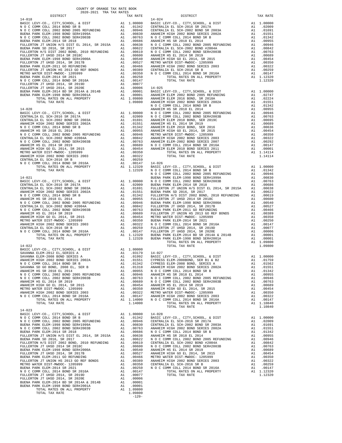| $\begin{tabular}{l c c c c c} \multicolumn{1}{c}{\textbf{CENTRALIA EL SCH-2002 BOND SER 2002A}} & \multicolumn{1}{c}{\textbf{A1}} & .01691 & {\textbf{FULLER}}\\ \multicolumn{1}{c}{\textbf{N.0 C COMM COLL 2014 BOND SER 2002A}} & \multicolumn{1}{c}{\textbf{A1}} & .01691 & {\textbf{FULLER}}\\ \multicolumn{1}{c}{\textbf{N.0 C COMM COLL 2014 BOND SER 2002A}} & \multicolumn{1}{c}{\textbf{A1}} & .01591$ |                    |  |
|-----------------------------------------------------------------------------------------------------------------------------------------------------------------------------------------------------------------------------------------------------------------------------------------------------------------------------------------------------------------------------------------------------------------|--------------------|--|
| $14 - 022$<br>TOTAL TAX RATE                                                                                                                                                                                                                                                                                                                                                                                    | 1.14000            |  |
| $14 - 023$<br>TOTAL TAX RATE                                                                                                                                                                                                                                                                                                                                                                                    | 1.09800<br>$-129-$ |  |

| BUENA PARK ELEM-1998 BOND SER#2000A                                                                                                                                                                                                                                                                        | Al | .00540                                                                                                                                                                                                                                                                                                                                                                               | ANAHEIM        |
|------------------------------------------------------------------------------------------------------------------------------------------------------------------------------------------------------------------------------------------------------------------------------------------------------------|----|--------------------------------------------------------------------------------------------------------------------------------------------------------------------------------------------------------------------------------------------------------------------------------------------------------------------------------------------------------------------------------------|----------------|
| FULLERTON JT UHSD 2014, SR 2017B                                                                                                                                                                                                                                                                           | A1 | .00527                                                                                                                                                                                                                                                                                                                                                                               | METRO W        |
| BUENA PARK ELEM-2011 GO REFUNDING                                                                                                                                                                                                                                                                          | A1 | .00466                                                                                                                                                                                                                                                                                                                                                                               | <b>ANAHEIM</b> |
| FULLERTON JT UNION HS 2013 GO REF BONDS A1                                                                                                                                                                                                                                                                 |    | .00389                                                                                                                                                                                                                                                                                                                                                                               | CENTRAL        |
| METRO WATER DIST-MWDOC- 1205999                                                                                                                                                                                                                                                                            | A1 | .00350                                                                                                                                                                                                                                                                                                                                                                               | NOCC           |
| BUENA PARK ELEM-2014 SR 2021                                                                                                                                                                                                                                                                               | A1 | .00250                                                                                                                                                                                                                                                                                                                                                                               |                |
| N O C COMM COLL 2014 BOND SR 2016A                                                                                                                                                                                                                                                                         |    | A1 .00147                                                                                                                                                                                                                                                                                                                                                                            |                |
| FULLERTON JT UHSD 2014, SR 2019D                                                                                                                                                                                                                                                                           | A1 | .00077                                                                                                                                                                                                                                                                                                                                                                               |                |
| FULLERTON JT UHSD 2014. SR 2020E                                                                                                                                                                                                                                                                           |    | A1 .00006                                                                                                                                                                                                                                                                                                                                                                            | $14 - 025$     |
| BUENA PARK ELEM-2014 BD SR 2014A & 2014B A1 .00001                                                                                                                                                                                                                                                         |    |                                                                                                                                                                                                                                                                                                                                                                                      | <b>BASIC L</b> |
| BUENA PARK ELEM-1998 BOND SER#2001A                                                                                                                                                                                                                                                                        |    | A1 .00001                                                                                                                                                                                                                                                                                                                                                                            | <b>ANAHEIM</b> |
| TOTAL RATES ON ALL PROPERTY                                                                                                                                                                                                                                                                                |    | A1 1.09800                                                                                                                                                                                                                                                                                                                                                                           | <b>ANAHEIM</b> |
| TOTAL TAX RATE                                                                                                                                                                                                                                                                                             |    | 1.09800                                                                                                                                                                                                                                                                                                                                                                              | <b>ANAHEIM</b> |
|                                                                                                                                                                                                                                                                                                            |    |                                                                                                                                                                                                                                                                                                                                                                                      | NOCC           |
| $14 - 020$                                                                                                                                                                                                                                                                                                 |    |                                                                                                                                                                                                                                                                                                                                                                                      | <b>ANAHEIM</b> |
|                                                                                                                                                                                                                                                                                                            |    |                                                                                                                                                                                                                                                                                                                                                                                      | NOCC           |
|                                                                                                                                                                                                                                                                                                            |    |                                                                                                                                                                                                                                                                                                                                                                                      | NOCC           |
|                                                                                                                                                                                                                                                                                                            |    |                                                                                                                                                                                                                                                                                                                                                                                      | <b>ANAHEIM</b> |
| ANAHEIM HIGH 2002 BOND SERIES 2002A A1 .01551                                                                                                                                                                                                                                                              |    |                                                                                                                                                                                                                                                                                                                                                                                      | <b>ANAHEIM</b> |
| N O C COMM COLL 2014 BOND SR B                                                                                                                                                                                                                                                                             |    | A1 .01342                                                                                                                                                                                                                                                                                                                                                                            | <b>ANAHEIM</b> |
| ANAHEIM HS SR 2018 EL 2014                                                                                                                                                                                                                                                                                 |    | A1 .00955                                                                                                                                                                                                                                                                                                                                                                            | <b>ANAHEIM</b> |
| N O C COMM COLL 2002 BOND 2005 REFUNDING A1 .00946                                                                                                                                                                                                                                                         |    |                                                                                                                                                                                                                                                                                                                                                                                      | METRO W        |
| CENTRALIA EL SCH-2002 BOND #2004A                                                                                                                                                                                                                                                                          | A1 | .00842                                                                                                                                                                                                                                                                                                                                                                               | <b>ANAHEIM</b> |
| N O C COMM COLL 2002 BOND SER#2003B                                                                                                                                                                                                                                                                        | A1 | .00763                                                                                                                                                                                                                                                                                                                                                                               | <b>ANAHEIM</b> |
| ANAHEIM HS EL 2014 SR 2019                                                                                                                                                                                                                                                                                 | A1 | .00689                                                                                                                                                                                                                                                                                                                                                                               | NOCC           |
| ANAHEIM HIGH GO EL 2014, SR 2015                                                                                                                                                                                                                                                                           | A1 | .00454                                                                                                                                                                                                                                                                                                                                                                               | <b>ANAHEIM</b> |
| METRO WATER DIST-MWDOC- 1205999                                                                                                                                                                                                                                                                            | A1 | .00350                                                                                                                                                                                                                                                                                                                                                                               |                |
| ANAHEIM HIGH 2002 BOND SERIES 2003                                                                                                                                                                                                                                                                         | A1 | .00322                                                                                                                                                                                                                                                                                                                                                                               |                |
| CENTRALIA EL SCH-2016 SR B                                                                                                                                                                                                                                                                                 | A1 | .00259                                                                                                                                                                                                                                                                                                                                                                               |                |
| N O C COMM COLL 2014 BOND SR 2016A A1 .00147                                                                                                                                                                                                                                                               |    |                                                                                                                                                                                                                                                                                                                                                                                      | $14 - 026$     |
| TOTAL RATES ON ALL PROPERTY A1 1.12320                                                                                                                                                                                                                                                                     |    |                                                                                                                                                                                                                                                                                                                                                                                      | <b>BASIC L</b> |
| TOTAL TAX RATE                                                                                                                                                                                                                                                                                             |    | 1.12320                                                                                                                                                                                                                                                                                                                                                                              | NOCC           |
|                                                                                                                                                                                                                                                                                                            |    |                                                                                                                                                                                                                                                                                                                                                                                      | NOCC           |
| $14 - 021$                                                                                                                                                                                                                                                                                                 |    |                                                                                                                                                                                                                                                                                                                                                                                      | BUENA P        |
| BASIC LEVY-CO., CITY, SCHOOL, & DIST $\begin{bmatrix} 1 & 1 & 0 & 0 & 0 & 0 \\ 0 & 0 & 1 & 1 & 0 & 0 & 0 \\ 0 & 0 & 0 & 0 & 0 & 0 & 0 \\ 0 & 0 & 0 & 0 & 0 & 0 & 0 \\ 0 & 0 & 0 & 0 & 0 & 0 & 0 \\ 0 & 0 & 0 & 0 & 0 & 0 & 0 \\ 0 & 0 & 0 & 0 & 0 & 0 & 0 \\ 0 & 0 & 0 & 0 & 0 & 0 & 0 \\ 0 & 0 & 0 & 0 &$ |    |                                                                                                                                                                                                                                                                                                                                                                                      | NOCC           |
| CENTRALIA EL SCH-2016 SR 2017A                                                                                                                                                                                                                                                                             |    | A1 .02009                                                                                                                                                                                                                                                                                                                                                                            | BUENA P        |
| CUNTERALLY BL COULOGGO BOND OR 20023                                                                                                                                                                                                                                                                       |    | $\overline{1}$ $\overline{1}$ $\overline{1}$ $\overline{1}$ $\overline{1}$ $\overline{1}$ $\overline{1}$ $\overline{1}$ $\overline{1}$ $\overline{1}$ $\overline{1}$ $\overline{1}$ $\overline{1}$ $\overline{1}$ $\overline{1}$ $\overline{1}$ $\overline{1}$ $\overline{1}$ $\overline{1}$ $\overline{1}$ $\overline{1}$ $\overline{1}$ $\overline{1}$ $\overline{1}$ $\overline{$ | DITT T. DD.O   |

## FULLERTON JT UHSD 2014, SR 2019D A1 .00077 FULLERTON JT UHSD 2014, SR 2020E A1 .00006 14-025

| COUNTY OF ORANGE TAX RATE BOOK<br>$\begin{minipage}{0.5\textwidth} \begin{tabular}{lcccccc} \textbf{1} & \textbf{1} & \textbf{1} & \textbf{1} & \textbf{1} & \textbf{1} & \textbf{1} & \textbf{1} & \textbf{1} & \textbf{1} & \textbf{1} & \textbf{1} & \textbf{1} & \textbf{1} & \textbf{1} & \textbf{1} & \textbf{1} & \textbf{1} & \textbf{1} & \textbf{1} & \textbf{1} & \textbf{1} & \textbf{1} & \textbf{1} & \textbf{1} & \textbf{1} & \textbf{1} & \textbf{1} &$ |          |                                                                                                                                                                                                                                                                                                                                                                                                         |            |
|--------------------------------------------------------------------------------------------------------------------------------------------------------------------------------------------------------------------------------------------------------------------------------------------------------------------------------------------------------------------------------------------------------------------------------------------------------------------------|----------|---------------------------------------------------------------------------------------------------------------------------------------------------------------------------------------------------------------------------------------------------------------------------------------------------------------------------------------------------------------------------------------------------------|------------|
|                                                                                                                                                                                                                                                                                                                                                                                                                                                                          | TAX RATE | DISTRICT                                                                                                                                                                                                                                                                                                                                                                                                | TAX RATE   |
|                                                                                                                                                                                                                                                                                                                                                                                                                                                                          |          |                                                                                                                                                                                                                                                                                                                                                                                                         |            |
|                                                                                                                                                                                                                                                                                                                                                                                                                                                                          |          |                                                                                                                                                                                                                                                                                                                                                                                                         |            |
|                                                                                                                                                                                                                                                                                                                                                                                                                                                                          |          |                                                                                                                                                                                                                                                                                                                                                                                                         |            |
|                                                                                                                                                                                                                                                                                                                                                                                                                                                                          |          |                                                                                                                                                                                                                                                                                                                                                                                                         |            |
|                                                                                                                                                                                                                                                                                                                                                                                                                                                                          |          |                                                                                                                                                                                                                                                                                                                                                                                                         |            |
|                                                                                                                                                                                                                                                                                                                                                                                                                                                                          |          |                                                                                                                                                                                                                                                                                                                                                                                                         |            |
|                                                                                                                                                                                                                                                                                                                                                                                                                                                                          |          |                                                                                                                                                                                                                                                                                                                                                                                                         |            |
|                                                                                                                                                                                                                                                                                                                                                                                                                                                                          |          |                                                                                                                                                                                                                                                                                                                                                                                                         |            |
|                                                                                                                                                                                                                                                                                                                                                                                                                                                                          |          |                                                                                                                                                                                                                                                                                                                                                                                                         |            |
|                                                                                                                                                                                                                                                                                                                                                                                                                                                                          |          |                                                                                                                                                                                                                                                                                                                                                                                                         |            |
|                                                                                                                                                                                                                                                                                                                                                                                                                                                                          |          |                                                                                                                                                                                                                                                                                                                                                                                                         |            |
|                                                                                                                                                                                                                                                                                                                                                                                                                                                                          |          |                                                                                                                                                                                                                                                                                                                                                                                                         |            |
|                                                                                                                                                                                                                                                                                                                                                                                                                                                                          |          |                                                                                                                                                                                                                                                                                                                                                                                                         |            |
|                                                                                                                                                                                                                                                                                                                                                                                                                                                                          |          |                                                                                                                                                                                                                                                                                                                                                                                                         |            |
|                                                                                                                                                                                                                                                                                                                                                                                                                                                                          |          |                                                                                                                                                                                                                                                                                                                                                                                                         |            |
|                                                                                                                                                                                                                                                                                                                                                                                                                                                                          |          |                                                                                                                                                                                                                                                                                                                                                                                                         |            |
|                                                                                                                                                                                                                                                                                                                                                                                                                                                                          |          |                                                                                                                                                                                                                                                                                                                                                                                                         |            |
|                                                                                                                                                                                                                                                                                                                                                                                                                                                                          |          |                                                                                                                                                                                                                                                                                                                                                                                                         |            |
|                                                                                                                                                                                                                                                                                                                                                                                                                                                                          |          |                                                                                                                                                                                                                                                                                                                                                                                                         |            |
|                                                                                                                                                                                                                                                                                                                                                                                                                                                                          |          |                                                                                                                                                                                                                                                                                                                                                                                                         |            |
|                                                                                                                                                                                                                                                                                                                                                                                                                                                                          |          |                                                                                                                                                                                                                                                                                                                                                                                                         |            |
|                                                                                                                                                                                                                                                                                                                                                                                                                                                                          |          |                                                                                                                                                                                                                                                                                                                                                                                                         |            |
|                                                                                                                                                                                                                                                                                                                                                                                                                                                                          |          |                                                                                                                                                                                                                                                                                                                                                                                                         |            |
|                                                                                                                                                                                                                                                                                                                                                                                                                                                                          |          |                                                                                                                                                                                                                                                                                                                                                                                                         |            |
|                                                                                                                                                                                                                                                                                                                                                                                                                                                                          |          |                                                                                                                                                                                                                                                                                                                                                                                                         |            |
|                                                                                                                                                                                                                                                                                                                                                                                                                                                                          |          |                                                                                                                                                                                                                                                                                                                                                                                                         |            |
|                                                                                                                                                                                                                                                                                                                                                                                                                                                                          |          |                                                                                                                                                                                                                                                                                                                                                                                                         |            |
|                                                                                                                                                                                                                                                                                                                                                                                                                                                                          |          |                                                                                                                                                                                                                                                                                                                                                                                                         |            |
|                                                                                                                                                                                                                                                                                                                                                                                                                                                                          |          |                                                                                                                                                                                                                                                                                                                                                                                                         |            |
|                                                                                                                                                                                                                                                                                                                                                                                                                                                                          |          |                                                                                                                                                                                                                                                                                                                                                                                                         |            |
|                                                                                                                                                                                                                                                                                                                                                                                                                                                                          |          |                                                                                                                                                                                                                                                                                                                                                                                                         |            |
|                                                                                                                                                                                                                                                                                                                                                                                                                                                                          |          |                                                                                                                                                                                                                                                                                                                                                                                                         |            |
|                                                                                                                                                                                                                                                                                                                                                                                                                                                                          |          |                                                                                                                                                                                                                                                                                                                                                                                                         |            |
|                                                                                                                                                                                                                                                                                                                                                                                                                                                                          |          |                                                                                                                                                                                                                                                                                                                                                                                                         |            |
|                                                                                                                                                                                                                                                                                                                                                                                                                                                                          |          |                                                                                                                                                                                                                                                                                                                                                                                                         |            |
|                                                                                                                                                                                                                                                                                                                                                                                                                                                                          |          |                                                                                                                                                                                                                                                                                                                                                                                                         |            |
|                                                                                                                                                                                                                                                                                                                                                                                                                                                                          |          |                                                                                                                                                                                                                                                                                                                                                                                                         |            |
|                                                                                                                                                                                                                                                                                                                                                                                                                                                                          |          |                                                                                                                                                                                                                                                                                                                                                                                                         |            |
|                                                                                                                                                                                                                                                                                                                                                                                                                                                                          |          |                                                                                                                                                                                                                                                                                                                                                                                                         |            |
|                                                                                                                                                                                                                                                                                                                                                                                                                                                                          |          |                                                                                                                                                                                                                                                                                                                                                                                                         |            |
|                                                                                                                                                                                                                                                                                                                                                                                                                                                                          |          |                                                                                                                                                                                                                                                                                                                                                                                                         |            |
|                                                                                                                                                                                                                                                                                                                                                                                                                                                                          |          |                                                                                                                                                                                                                                                                                                                                                                                                         |            |
|                                                                                                                                                                                                                                                                                                                                                                                                                                                                          |          |                                                                                                                                                                                                                                                                                                                                                                                                         |            |
|                                                                                                                                                                                                                                                                                                                                                                                                                                                                          |          |                                                                                                                                                                                                                                                                                                                                                                                                         |            |
|                                                                                                                                                                                                                                                                                                                                                                                                                                                                          |          |                                                                                                                                                                                                                                                                                                                                                                                                         |            |
|                                                                                                                                                                                                                                                                                                                                                                                                                                                                          |          |                                                                                                                                                                                                                                                                                                                                                                                                         |            |
|                                                                                                                                                                                                                                                                                                                                                                                                                                                                          |          |                                                                                                                                                                                                                                                                                                                                                                                                         |            |
|                                                                                                                                                                                                                                                                                                                                                                                                                                                                          |          |                                                                                                                                                                                                                                                                                                                                                                                                         |            |
|                                                                                                                                                                                                                                                                                                                                                                                                                                                                          |          |                                                                                                                                                                                                                                                                                                                                                                                                         |            |
|                                                                                                                                                                                                                                                                                                                                                                                                                                                                          |          |                                                                                                                                                                                                                                                                                                                                                                                                         |            |
|                                                                                                                                                                                                                                                                                                                                                                                                                                                                          |          |                                                                                                                                                                                                                                                                                                                                                                                                         |            |
|                                                                                                                                                                                                                                                                                                                                                                                                                                                                          |          |                                                                                                                                                                                                                                                                                                                                                                                                         |            |
|                                                                                                                                                                                                                                                                                                                                                                                                                                                                          |          |                                                                                                                                                                                                                                                                                                                                                                                                         |            |
|                                                                                                                                                                                                                                                                                                                                                                                                                                                                          |          |                                                                                                                                                                                                                                                                                                                                                                                                         |            |
|                                                                                                                                                                                                                                                                                                                                                                                                                                                                          |          |                                                                                                                                                                                                                                                                                                                                                                                                         |            |
|                                                                                                                                                                                                                                                                                                                                                                                                                                                                          |          | $\begin{array}{lllllllllllllllllllll} \texttt{H-1ZZ} & \texttt{M1} & \texttt{M1} & \texttt{M1} & \texttt{M1} & \texttt{M1} & \texttt{M1} & \texttt{M1} & \texttt{M1} & \texttt{M1} & \texttt{M1} & \texttt{M1} & \texttt{M1} & \texttt{M1} & \texttt{M1} & \texttt{M1} & \texttt{M1} & \texttt{M1} & \texttt{M1} & \texttt{M1} & \texttt{M1} & \texttt{M1} & \texttt{M1} & \texttt{M1} & \texttt{M1} &$ | A1 1.00000 |
|                                                                                                                                                                                                                                                                                                                                                                                                                                                                          |          |                                                                                                                                                                                                                                                                                                                                                                                                         |            |
|                                                                                                                                                                                                                                                                                                                                                                                                                                                                          |          |                                                                                                                                                                                                                                                                                                                                                                                                         |            |
|                                                                                                                                                                                                                                                                                                                                                                                                                                                                          |          |                                                                                                                                                                                                                                                                                                                                                                                                         |            |
|                                                                                                                                                                                                                                                                                                                                                                                                                                                                          |          |                                                                                                                                                                                                                                                                                                                                                                                                         |            |
|                                                                                                                                                                                                                                                                                                                                                                                                                                                                          |          |                                                                                                                                                                                                                                                                                                                                                                                                         |            |
|                                                                                                                                                                                                                                                                                                                                                                                                                                                                          |          |                                                                                                                                                                                                                                                                                                                                                                                                         |            |
|                                                                                                                                                                                                                                                                                                                                                                                                                                                                          |          |                                                                                                                                                                                                                                                                                                                                                                                                         |            |
|                                                                                                                                                                                                                                                                                                                                                                                                                                                                          |          |                                                                                                                                                                                                                                                                                                                                                                                                         |            |
|                                                                                                                                                                                                                                                                                                                                                                                                                                                                          |          |                                                                                                                                                                                                                                                                                                                                                                                                         |            |
|                                                                                                                                                                                                                                                                                                                                                                                                                                                                          |          |                                                                                                                                                                                                                                                                                                                                                                                                         |            |
|                                                                                                                                                                                                                                                                                                                                                                                                                                                                          |          |                                                                                                                                                                                                                                                                                                                                                                                                         |            |
| $14 - 023$                                                                                                                                                                                                                                                                                                                                                                                                                                                               |          |                                                                                                                                                                                                                                                                                                                                                                                                         |            |
|                                                                                                                                                                                                                                                                                                                                                                                                                                                                          |          |                                                                                                                                                                                                                                                                                                                                                                                                         |            |
|                                                                                                                                                                                                                                                                                                                                                                                                                                                                          |          |                                                                                                                                                                                                                                                                                                                                                                                                         |            |
|                                                                                                                                                                                                                                                                                                                                                                                                                                                                          |          |                                                                                                                                                                                                                                                                                                                                                                                                         |            |
|                                                                                                                                                                                                                                                                                                                                                                                                                                                                          |          |                                                                                                                                                                                                                                                                                                                                                                                                         |            |
|                                                                                                                                                                                                                                                                                                                                                                                                                                                                          |          |                                                                                                                                                                                                                                                                                                                                                                                                         |            |
|                                                                                                                                                                                                                                                                                                                                                                                                                                                                          |          |                                                                                                                                                                                                                                                                                                                                                                                                         |            |
|                                                                                                                                                                                                                                                                                                                                                                                                                                                                          |          |                                                                                                                                                                                                                                                                                                                                                                                                         |            |
|                                                                                                                                                                                                                                                                                                                                                                                                                                                                          |          |                                                                                                                                                                                                                                                                                                                                                                                                         |            |
|                                                                                                                                                                                                                                                                                                                                                                                                                                                                          |          |                                                                                                                                                                                                                                                                                                                                                                                                         |            |
|                                                                                                                                                                                                                                                                                                                                                                                                                                                                          |          |                                                                                                                                                                                                                                                                                                                                                                                                         |            |
|                                                                                                                                                                                                                                                                                                                                                                                                                                                                          |          |                                                                                                                                                                                                                                                                                                                                                                                                         |            |
|                                                                                                                                                                                                                                                                                                                                                                                                                                                                          |          |                                                                                                                                                                                                                                                                                                                                                                                                         |            |
|                                                                                                                                                                                                                                                                                                                                                                                                                                                                          |          |                                                                                                                                                                                                                                                                                                                                                                                                         |            |
|                                                                                                                                                                                                                                                                                                                                                                                                                                                                          |          |                                                                                                                                                                                                                                                                                                                                                                                                         |            |
|                                                                                                                                                                                                                                                                                                                                                                                                                                                                          |          |                                                                                                                                                                                                                                                                                                                                                                                                         |            |
|                                                                                                                                                                                                                                                                                                                                                                                                                                                                          |          |                                                                                                                                                                                                                                                                                                                                                                                                         |            |
|                                                                                                                                                                                                                                                                                                                                                                                                                                                                          |          |                                                                                                                                                                                                                                                                                                                                                                                                         |            |
|                                                                                                                                                                                                                                                                                                                                                                                                                                                                          |          |                                                                                                                                                                                                                                                                                                                                                                                                         |            |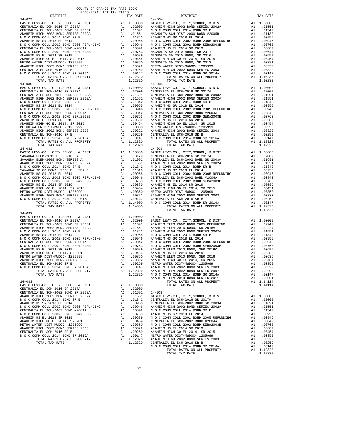| $\begin{tabular}{l c c c c} \multicolumn{1}{c}{AMAFELIM HIGH 2002 BOND SEREES 2002A} & \multicolumn{1}{c}{A1} & .01551 & MQUC & 10044 & 00000\\ \multicolumn{1}{c}{N00} & 000000 & 0001. & 2014 & 800000\\ \multicolumn{1}{c}{N0} & 000000 & 001. & 2014 & 800000\\ \multicolumn{1}{c}{A1} & .01342 & 014 & 01342 & 0144 & 01342 & 01$                                                                                                       |         |            |
|----------------------------------------------------------------------------------------------------------------------------------------------------------------------------------------------------------------------------------------------------------------------------------------------------------------------------------------------------------------------------------------------------------------------------------------------|---------|------------|
|                                                                                                                                                                                                                                                                                                                                                                                                                                              |         |            |
|                                                                                                                                                                                                                                                                                                                                                                                                                                              |         |            |
|                                                                                                                                                                                                                                                                                                                                                                                                                                              |         |            |
|                                                                                                                                                                                                                                                                                                                                                                                                                                              |         |            |
|                                                                                                                                                                                                                                                                                                                                                                                                                                              |         |            |
|                                                                                                                                                                                                                                                                                                                                                                                                                                              |         |            |
|                                                                                                                                                                                                                                                                                                                                                                                                                                              |         |            |
|                                                                                                                                                                                                                                                                                                                                                                                                                                              |         |            |
|                                                                                                                                                                                                                                                                                                                                                                                                                                              |         |            |
|                                                                                                                                                                                                                                                                                                                                                                                                                                              |         |            |
|                                                                                                                                                                                                                                                                                                                                                                                                                                              |         |            |
| TOTAL TAX RATE                                                                                                                                                                                                                                                                                                                                                                                                                               | 1.12320 |            |
| $14 - 030$<br>$\begin{tabular}{l c c c c} \multicolumn{1}{c}{\textbf{14-030}} & \multicolumn{1}{c}{\textbf{14-030}} & \multicolumn{1}{c}{\textbf{14-030}} \\ \multicolumn{1}{c}{\textbf{BASTC EL EVY-C0.~, CITY, SCHOOL, & E DIST} & \multicolumn{1}{c}{\textbf{14-035}} \\ \multicolumn{1}{c}{\textbf{CENTRALIA EL SCH-2016 SR 2017A}} & \multicolumn{1}{c}{\textbf{All}} & \multicolumn{1}{c}{\textbf{0.0000}} & \multicolumn{1}{c}{\text$ |         | $14 - 035$ |
|                                                                                                                                                                                                                                                                                                                                                                                                                                              |         |            |
|                                                                                                                                                                                                                                                                                                                                                                                                                                              |         |            |
|                                                                                                                                                                                                                                                                                                                                                                                                                                              |         |            |
|                                                                                                                                                                                                                                                                                                                                                                                                                                              |         |            |
|                                                                                                                                                                                                                                                                                                                                                                                                                                              |         |            |
|                                                                                                                                                                                                                                                                                                                                                                                                                                              |         |            |
|                                                                                                                                                                                                                                                                                                                                                                                                                                              |         |            |
|                                                                                                                                                                                                                                                                                                                                                                                                                                              |         |            |
|                                                                                                                                                                                                                                                                                                                                                                                                                                              |         |            |
|                                                                                                                                                                                                                                                                                                                                                                                                                                              |         |            |
|                                                                                                                                                                                                                                                                                                                                                                                                                                              |         |            |
|                                                                                                                                                                                                                                                                                                                                                                                                                                              |         |            |
|                                                                                                                                                                                                                                                                                                                                                                                                                                              |         |            |
|                                                                                                                                                                                                                                                                                                                                                                                                                                              |         |            |
|                                                                                                                                                                                                                                                                                                                                                                                                                                              |         |            |
|                                                                                                                                                                                                                                                                                                                                                                                                                                              |         |            |
|                                                                                                                                                                                                                                                                                                                                                                                                                                              |         |            |
| $14 - 031$                                                                                                                                                                                                                                                                                                                                                                                                                                   |         | $14 - 036$ |
|                                                                                                                                                                                                                                                                                                                                                                                                                                              |         |            |
|                                                                                                                                                                                                                                                                                                                                                                                                                                              |         |            |
|                                                                                                                                                                                                                                                                                                                                                                                                                                              |         |            |
|                                                                                                                                                                                                                                                                                                                                                                                                                                              |         |            |
|                                                                                                                                                                                                                                                                                                                                                                                                                                              |         |            |
|                                                                                                                                                                                                                                                                                                                                                                                                                                              |         |            |
|                                                                                                                                                                                                                                                                                                                                                                                                                                              |         |            |
|                                                                                                                                                                                                                                                                                                                                                                                                                                              |         |            |
|                                                                                                                                                                                                                                                                                                                                                                                                                                              |         |            |
|                                                                                                                                                                                                                                                                                                                                                                                                                                              |         |            |
|                                                                                                                                                                                                                                                                                                                                                                                                                                              |         |            |
|                                                                                                                                                                                                                                                                                                                                                                                                                                              |         |            |
|                                                                                                                                                                                                                                                                                                                                                                                                                                              |         |            |
|                                                                                                                                                                                                                                                                                                                                                                                                                                              |         |            |
|                                                                                                                                                                                                                                                                                                                                                                                                                                              |         |            |
| TOTAL TAX RATE                                                                                                                                                                                                                                                                                                                                                                                                                               | 1.14000 |            |
|                                                                                                                                                                                                                                                                                                                                                                                                                                              |         |            |
| $14 - 032$                                                                                                                                                                                                                                                                                                                                                                                                                                   |         |            |
|                                                                                                                                                                                                                                                                                                                                                                                                                                              |         |            |
|                                                                                                                                                                                                                                                                                                                                                                                                                                              |         |            |
|                                                                                                                                                                                                                                                                                                                                                                                                                                              |         |            |
|                                                                                                                                                                                                                                                                                                                                                                                                                                              |         |            |
|                                                                                                                                                                                                                                                                                                                                                                                                                                              |         |            |
|                                                                                                                                                                                                                                                                                                                                                                                                                                              |         |            |
|                                                                                                                                                                                                                                                                                                                                                                                                                                              |         |            |
|                                                                                                                                                                                                                                                                                                                                                                                                                                              |         |            |
|                                                                                                                                                                                                                                                                                                                                                                                                                                              |         |            |
|                                                                                                                                                                                                                                                                                                                                                                                                                                              |         |            |
|                                                                                                                                                                                                                                                                                                                                                                                                                                              |         |            |
|                                                                                                                                                                                                                                                                                                                                                                                                                                              |         |            |
|                                                                                                                                                                                                                                                                                                                                                                                                                                              |         |            |
|                                                                                                                                                                                                                                                                                                                                                                                                                                              |         |            |
|                                                                                                                                                                                                                                                                                                                                                                                                                                              |         |            |
|                                                                                                                                                                                                                                                                                                                                                                                                                                              |         |            |
|                                                                                                                                                                                                                                                                                                                                                                                                                                              |         |            |
|                                                                                                                                                                                                                                                                                                                                                                                                                                              |         | ANAHEIM    |
| $14 - 033$                                                                                                                                                                                                                                                                                                                                                                                                                                   |         |            |
|                                                                                                                                                                                                                                                                                                                                                                                                                                              |         |            |
|                                                                                                                                                                                                                                                                                                                                                                                                                                              |         |            |
|                                                                                                                                                                                                                                                                                                                                                                                                                                              |         |            |
|                                                                                                                                                                                                                                                                                                                                                                                                                                              |         |            |
|                                                                                                                                                                                                                                                                                                                                                                                                                                              |         |            |
|                                                                                                                                                                                                                                                                                                                                                                                                                                              |         |            |
|                                                                                                                                                                                                                                                                                                                                                                                                                                              |         |            |
|                                                                                                                                                                                                                                                                                                                                                                                                                                              |         |            |

| TAX RATE<br>DISTRICT                                                                                                                                                                                                                                                                                                                                                                   |  | DISTRICT                                                                                                                                                                                                                                                                                                                                                                                               | TAX RATE |
|----------------------------------------------------------------------------------------------------------------------------------------------------------------------------------------------------------------------------------------------------------------------------------------------------------------------------------------------------------------------------------------|--|--------------------------------------------------------------------------------------------------------------------------------------------------------------------------------------------------------------------------------------------------------------------------------------------------------------------------------------------------------------------------------------------------------|----------|
| $14 - 029$<br>$\begin{tabular}{l ll} 14-0.29 & \mbox{\sc D187R1CT}& \mbox{\sc D187R1CT}& \mbox{\sc D187R1CT}& \mbox{\sc D187R1CT}& \mbox{\sc D187R1CT}& \mbox{\sc D187R1CT}& \mbox{\sc D187R1CT}& \mbox{\sc D187R1CT}& \mbox{\sc D187R1CT}& \mbox{\sc D187R1CT}& \mbox{\sc D187R1CT}& \mbox{\sc D187R1CT}& \mbox{\sc D187R1CT}& \mbox{\sc D187R1CT}& \mbox{\sc D187R1CT}& \mbox{\sc D$ |  | $14 - 034$                                                                                                                                                                                                                                                                                                                                                                                             |          |
|                                                                                                                                                                                                                                                                                                                                                                                        |  |                                                                                                                                                                                                                                                                                                                                                                                                        |          |
|                                                                                                                                                                                                                                                                                                                                                                                        |  |                                                                                                                                                                                                                                                                                                                                                                                                        |          |
|                                                                                                                                                                                                                                                                                                                                                                                        |  |                                                                                                                                                                                                                                                                                                                                                                                                        |          |
|                                                                                                                                                                                                                                                                                                                                                                                        |  |                                                                                                                                                                                                                                                                                                                                                                                                        |          |
|                                                                                                                                                                                                                                                                                                                                                                                        |  |                                                                                                                                                                                                                                                                                                                                                                                                        |          |
|                                                                                                                                                                                                                                                                                                                                                                                        |  |                                                                                                                                                                                                                                                                                                                                                                                                        |          |
|                                                                                                                                                                                                                                                                                                                                                                                        |  |                                                                                                                                                                                                                                                                                                                                                                                                        |          |
|                                                                                                                                                                                                                                                                                                                                                                                        |  |                                                                                                                                                                                                                                                                                                                                                                                                        |          |
|                                                                                                                                                                                                                                                                                                                                                                                        |  |                                                                                                                                                                                                                                                                                                                                                                                                        |          |
|                                                                                                                                                                                                                                                                                                                                                                                        |  |                                                                                                                                                                                                                                                                                                                                                                                                        |          |
|                                                                                                                                                                                                                                                                                                                                                                                        |  |                                                                                                                                                                                                                                                                                                                                                                                                        |          |
|                                                                                                                                                                                                                                                                                                                                                                                        |  |                                                                                                                                                                                                                                                                                                                                                                                                        |          |
|                                                                                                                                                                                                                                                                                                                                                                                        |  |                                                                                                                                                                                                                                                                                                                                                                                                        |          |
|                                                                                                                                                                                                                                                                                                                                                                                        |  |                                                                                                                                                                                                                                                                                                                                                                                                        |          |
|                                                                                                                                                                                                                                                                                                                                                                                        |  |                                                                                                                                                                                                                                                                                                                                                                                                        |          |
|                                                                                                                                                                                                                                                                                                                                                                                        |  |                                                                                                                                                                                                                                                                                                                                                                                                        |          |
|                                                                                                                                                                                                                                                                                                                                                                                        |  |                                                                                                                                                                                                                                                                                                                                                                                                        |          |
|                                                                                                                                                                                                                                                                                                                                                                                        |  |                                                                                                                                                                                                                                                                                                                                                                                                        |          |
|                                                                                                                                                                                                                                                                                                                                                                                        |  |                                                                                                                                                                                                                                                                                                                                                                                                        |          |
|                                                                                                                                                                                                                                                                                                                                                                                        |  |                                                                                                                                                                                                                                                                                                                                                                                                        |          |
|                                                                                                                                                                                                                                                                                                                                                                                        |  |                                                                                                                                                                                                                                                                                                                                                                                                        |          |
|                                                                                                                                                                                                                                                                                                                                                                                        |  |                                                                                                                                                                                                                                                                                                                                                                                                        |          |
|                                                                                                                                                                                                                                                                                                                                                                                        |  |                                                                                                                                                                                                                                                                                                                                                                                                        |          |
|                                                                                                                                                                                                                                                                                                                                                                                        |  |                                                                                                                                                                                                                                                                                                                                                                                                        |          |
|                                                                                                                                                                                                                                                                                                                                                                                        |  |                                                                                                                                                                                                                                                                                                                                                                                                        |          |
|                                                                                                                                                                                                                                                                                                                                                                                        |  |                                                                                                                                                                                                                                                                                                                                                                                                        |          |
|                                                                                                                                                                                                                                                                                                                                                                                        |  |                                                                                                                                                                                                                                                                                                                                                                                                        |          |
|                                                                                                                                                                                                                                                                                                                                                                                        |  |                                                                                                                                                                                                                                                                                                                                                                                                        |          |
|                                                                                                                                                                                                                                                                                                                                                                                        |  |                                                                                                                                                                                                                                                                                                                                                                                                        |          |
|                                                                                                                                                                                                                                                                                                                                                                                        |  |                                                                                                                                                                                                                                                                                                                                                                                                        |          |
|                                                                                                                                                                                                                                                                                                                                                                                        |  |                                                                                                                                                                                                                                                                                                                                                                                                        |          |
|                                                                                                                                                                                                                                                                                                                                                                                        |  |                                                                                                                                                                                                                                                                                                                                                                                                        |          |
|                                                                                                                                                                                                                                                                                                                                                                                        |  |                                                                                                                                                                                                                                                                                                                                                                                                        |          |
|                                                                                                                                                                                                                                                                                                                                                                                        |  |                                                                                                                                                                                                                                                                                                                                                                                                        |          |
|                                                                                                                                                                                                                                                                                                                                                                                        |  |                                                                                                                                                                                                                                                                                                                                                                                                        |          |
|                                                                                                                                                                                                                                                                                                                                                                                        |  |                                                                                                                                                                                                                                                                                                                                                                                                        |          |
|                                                                                                                                                                                                                                                                                                                                                                                        |  |                                                                                                                                                                                                                                                                                                                                                                                                        |          |
|                                                                                                                                                                                                                                                                                                                                                                                        |  |                                                                                                                                                                                                                                                                                                                                                                                                        |          |
|                                                                                                                                                                                                                                                                                                                                                                                        |  |                                                                                                                                                                                                                                                                                                                                                                                                        |          |
|                                                                                                                                                                                                                                                                                                                                                                                        |  |                                                                                                                                                                                                                                                                                                                                                                                                        |          |
|                                                                                                                                                                                                                                                                                                                                                                                        |  |                                                                                                                                                                                                                                                                                                                                                                                                        |          |
|                                                                                                                                                                                                                                                                                                                                                                                        |  |                                                                                                                                                                                                                                                                                                                                                                                                        |          |
|                                                                                                                                                                                                                                                                                                                                                                                        |  |                                                                                                                                                                                                                                                                                                                                                                                                        |          |
|                                                                                                                                                                                                                                                                                                                                                                                        |  |                                                                                                                                                                                                                                                                                                                                                                                                        |          |
|                                                                                                                                                                                                                                                                                                                                                                                        |  |                                                                                                                                                                                                                                                                                                                                                                                                        |          |
|                                                                                                                                                                                                                                                                                                                                                                                        |  |                                                                                                                                                                                                                                                                                                                                                                                                        |          |
|                                                                                                                                                                                                                                                                                                                                                                                        |  |                                                                                                                                                                                                                                                                                                                                                                                                        |          |
|                                                                                                                                                                                                                                                                                                                                                                                        |  |                                                                                                                                                                                                                                                                                                                                                                                                        |          |
|                                                                                                                                                                                                                                                                                                                                                                                        |  |                                                                                                                                                                                                                                                                                                                                                                                                        |          |
|                                                                                                                                                                                                                                                                                                                                                                                        |  |                                                                                                                                                                                                                                                                                                                                                                                                        |          |
|                                                                                                                                                                                                                                                                                                                                                                                        |  |                                                                                                                                                                                                                                                                                                                                                                                                        |          |
|                                                                                                                                                                                                                                                                                                                                                                                        |  |                                                                                                                                                                                                                                                                                                                                                                                                        |          |
|                                                                                                                                                                                                                                                                                                                                                                                        |  |                                                                                                                                                                                                                                                                                                                                                                                                        |          |
|                                                                                                                                                                                                                                                                                                                                                                                        |  |                                                                                                                                                                                                                                                                                                                                                                                                        |          |
|                                                                                                                                                                                                                                                                                                                                                                                        |  |                                                                                                                                                                                                                                                                                                                                                                                                        |          |
|                                                                                                                                                                                                                                                                                                                                                                                        |  |                                                                                                                                                                                                                                                                                                                                                                                                        |          |
|                                                                                                                                                                                                                                                                                                                                                                                        |  |                                                                                                                                                                                                                                                                                                                                                                                                        |          |
|                                                                                                                                                                                                                                                                                                                                                                                        |  |                                                                                                                                                                                                                                                                                                                                                                                                        |          |
|                                                                                                                                                                                                                                                                                                                                                                                        |  |                                                                                                                                                                                                                                                                                                                                                                                                        |          |
|                                                                                                                                                                                                                                                                                                                                                                                        |  |                                                                                                                                                                                                                                                                                                                                                                                                        |          |
|                                                                                                                                                                                                                                                                                                                                                                                        |  |                                                                                                                                                                                                                                                                                                                                                                                                        |          |
|                                                                                                                                                                                                                                                                                                                                                                                        |  |                                                                                                                                                                                                                                                                                                                                                                                                        |          |
|                                                                                                                                                                                                                                                                                                                                                                                        |  |                                                                                                                                                                                                                                                                                                                                                                                                        |          |
|                                                                                                                                                                                                                                                                                                                                                                                        |  |                                                                                                                                                                                                                                                                                                                                                                                                        |          |
|                                                                                                                                                                                                                                                                                                                                                                                        |  |                                                                                                                                                                                                                                                                                                                                                                                                        |          |
|                                                                                                                                                                                                                                                                                                                                                                                        |  |                                                                                                                                                                                                                                                                                                                                                                                                        |          |
|                                                                                                                                                                                                                                                                                                                                                                                        |  |                                                                                                                                                                                                                                                                                                                                                                                                        |          |
|                                                                                                                                                                                                                                                                                                                                                                                        |  |                                                                                                                                                                                                                                                                                                                                                                                                        |          |
|                                                                                                                                                                                                                                                                                                                                                                                        |  |                                                                                                                                                                                                                                                                                                                                                                                                        |          |
|                                                                                                                                                                                                                                                                                                                                                                                        |  |                                                                                                                                                                                                                                                                                                                                                                                                        |          |
|                                                                                                                                                                                                                                                                                                                                                                                        |  |                                                                                                                                                                                                                                                                                                                                                                                                        |          |
|                                                                                                                                                                                                                                                                                                                                                                                        |  |                                                                                                                                                                                                                                                                                                                                                                                                        |          |
|                                                                                                                                                                                                                                                                                                                                                                                        |  |                                                                                                                                                                                                                                                                                                                                                                                                        |          |
|                                                                                                                                                                                                                                                                                                                                                                                        |  |                                                                                                                                                                                                                                                                                                                                                                                                        |          |
|                                                                                                                                                                                                                                                                                                                                                                                        |  |                                                                                                                                                                                                                                                                                                                                                                                                        |          |
|                                                                                                                                                                                                                                                                                                                                                                                        |  |                                                                                                                                                                                                                                                                                                                                                                                                        |          |
|                                                                                                                                                                                                                                                                                                                                                                                        |  |                                                                                                                                                                                                                                                                                                                                                                                                        |          |
|                                                                                                                                                                                                                                                                                                                                                                                        |  |                                                                                                                                                                                                                                                                                                                                                                                                        |          |
|                                                                                                                                                                                                                                                                                                                                                                                        |  |                                                                                                                                                                                                                                                                                                                                                                                                        |          |
|                                                                                                                                                                                                                                                                                                                                                                                        |  |                                                                                                                                                                                                                                                                                                                                                                                                        |          |
|                                                                                                                                                                                                                                                                                                                                                                                        |  |                                                                                                                                                                                                                                                                                                                                                                                                        |          |
|                                                                                                                                                                                                                                                                                                                                                                                        |  |                                                                                                                                                                                                                                                                                                                                                                                                        |          |
|                                                                                                                                                                                                                                                                                                                                                                                        |  |                                                                                                                                                                                                                                                                                                                                                                                                        |          |
|                                                                                                                                                                                                                                                                                                                                                                                        |  |                                                                                                                                                                                                                                                                                                                                                                                                        |          |
|                                                                                                                                                                                                                                                                                                                                                                                        |  |                                                                                                                                                                                                                                                                                                                                                                                                        |          |
|                                                                                                                                                                                                                                                                                                                                                                                        |  |                                                                                                                                                                                                                                                                                                                                                                                                        |          |
|                                                                                                                                                                                                                                                                                                                                                                                        |  |                                                                                                                                                                                                                                                                                                                                                                                                        |          |
|                                                                                                                                                                                                                                                                                                                                                                                        |  |                                                                                                                                                                                                                                                                                                                                                                                                        |          |
|                                                                                                                                                                                                                                                                                                                                                                                        |  |                                                                                                                                                                                                                                                                                                                                                                                                        |          |
|                                                                                                                                                                                                                                                                                                                                                                                        |  |                                                                                                                                                                                                                                                                                                                                                                                                        |          |
|                                                                                                                                                                                                                                                                                                                                                                                        |  |                                                                                                                                                                                                                                                                                                                                                                                                        |          |
|                                                                                                                                                                                                                                                                                                                                                                                        |  |                                                                                                                                                                                                                                                                                                                                                                                                        |          |
|                                                                                                                                                                                                                                                                                                                                                                                        |  |                                                                                                                                                                                                                                                                                                                                                                                                        |          |
|                                                                                                                                                                                                                                                                                                                                                                                        |  |                                                                                                                                                                                                                                                                                                                                                                                                        |          |
|                                                                                                                                                                                                                                                                                                                                                                                        |  |                                                                                                                                                                                                                                                                                                                                                                                                        |          |
|                                                                                                                                                                                                                                                                                                                                                                                        |  | $\begin{tabular}{cccccc} $^{\text{P}}$ & $^{\text{P}}$ & $^{\text{P}}$ & $^{\text{P}}$ & $^{\text{P}}$ & $^{\text{P}}$ & $^{\text{P}}$ & $^{\text{P}}$ & $^{\text{P}}$ & $^{\text{P}}$ & $^{\text{P}}$ & $^{\text{P}}$ & $^{\text{P}}$ \\ \end{tabular} \begin{tabular}{cccccc} 107k1. PAN RATE & 08 & 040 & 0010 & 0010 & 0010 & 0010 & 0010 & 0010 & 00100 \\ \end{tabular} \begin{tabular}{cccccc}$ |          |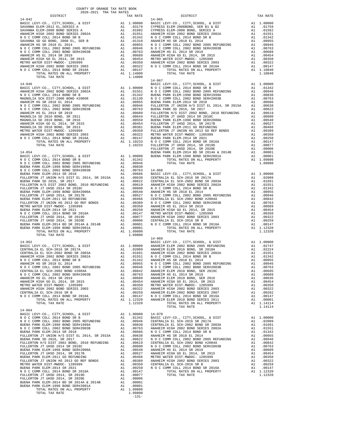| TOTAL TAX RATE                                                   | 1.14000                                                                                                                                          |                       |
|------------------------------------------------------------------|--------------------------------------------------------------------------------------------------------------------------------------------------|-----------------------|
| $14 - 046$                                                       |                                                                                                                                                  | $14 - 067$<br>BASIC L |
|                                                                  |                                                                                                                                                  |                       |
|                                                                  |                                                                                                                                                  |                       |
|                                                                  |                                                                                                                                                  |                       |
|                                                                  |                                                                                                                                                  |                       |
|                                                                  |                                                                                                                                                  |                       |
|                                                                  |                                                                                                                                                  |                       |
|                                                                  |                                                                                                                                                  |                       |
|                                                                  |                                                                                                                                                  |                       |
|                                                                  |                                                                                                                                                  |                       |
|                                                                  |                                                                                                                                                  |                       |
|                                                                  |                                                                                                                                                  |                       |
|                                                                  |                                                                                                                                                  |                       |
|                                                                  |                                                                                                                                                  |                       |
|                                                                  |                                                                                                                                                  | FULLERT               |
|                                                                  |                                                                                                                                                  |                       |
|                                                                  |                                                                                                                                                  |                       |
|                                                                  |                                                                                                                                                  |                       |
|                                                                  |                                                                                                                                                  |                       |
|                                                                  |                                                                                                                                                  |                       |
|                                                                  |                                                                                                                                                  |                       |
|                                                                  |                                                                                                                                                  |                       |
|                                                                  |                                                                                                                                                  |                       |
|                                                                  |                                                                                                                                                  |                       |
|                                                                  |                                                                                                                                                  |                       |
|                                                                  |                                                                                                                                                  |                       |
|                                                                  |                                                                                                                                                  |                       |
|                                                                  |                                                                                                                                                  |                       |
|                                                                  |                                                                                                                                                  |                       |
|                                                                  |                                                                                                                                                  |                       |
|                                                                  |                                                                                                                                                  |                       |
|                                                                  |                                                                                                                                                  |                       |
|                                                                  |                                                                                                                                                  |                       |
|                                                                  |                                                                                                                                                  | $14 - 069$            |
| $14 - 062$                                                       |                                                                                                                                                  | BASIC L               |
|                                                                  |                                                                                                                                                  |                       |
|                                                                  |                                                                                                                                                  |                       |
|                                                                  |                                                                                                                                                  |                       |
|                                                                  |                                                                                                                                                  |                       |
|                                                                  |                                                                                                                                                  |                       |
|                                                                  |                                                                                                                                                  |                       |
|                                                                  |                                                                                                                                                  |                       |
| ANAHEIM HIGH GO EL 2014, SR 2015                                 |                                                                                                                                                  |                       |
| METRO WATER DIST-MWDOC- 1205999                                  | A1 .00454 ANAHELM<br>A1 .00350 METRO W<br>A1 .00352 ANAHELM<br>A1 .00322 ANAHELM<br>A1 .00259 ANAHELM<br>A1 .00147 N O C C<br>A1 1.12320 ANAHELM |                       |
| ANAHEIM HIGH 2002 BOND SERIES 2003                               |                                                                                                                                                  |                       |
| CENTRALIA EL SCH-2016 SR B<br>N O C COMM COLL 2014 BOND SR 2016A |                                                                                                                                                  |                       |
| TOTAL RATES ON ALL PROPERTY                                      |                                                                                                                                                  |                       |
| TOTAL TAX RATE                                                   | 1.12320                                                                                                                                          |                       |
| $14 - 064$                                                       |                                                                                                                                                  |                       |
| BASIC LEVY-CO., CITY, SCHOOL, & DIST                             | A1 1.00000 14-070                                                                                                                                |                       |
|                                                                  |                                                                                                                                                  |                       |
|                                                                  |                                                                                                                                                  |                       |
|                                                                  |                                                                                                                                                  |                       |
|                                                                  |                                                                                                                                                  |                       |
|                                                                  |                                                                                                                                                  |                       |
|                                                                  |                                                                                                                                                  |                       |
|                                                                  |                                                                                                                                                  |                       |
|                                                                  |                                                                                                                                                  |                       |
|                                                                  |                                                                                                                                                  |                       |
|                                                                  |                                                                                                                                                  |                       |
|                                                                  |                                                                                                                                                  |                       |
|                                                                  |                                                                                                                                                  |                       |
|                                                                  |                                                                                                                                                  |                       |
|                                                                  |                                                                                                                                                  |                       |
|                                                                  |                                                                                                                                                  |                       |
| TOTAL RATES ON ALL PROPERTY                                      | A1 1.09800                                                                                                                                       |                       |
| TOTAL TAX RATE                                                   | 1.09800<br>$-131-$                                                                                                                               |                       |
|                                                                  |                                                                                                                                                  |                       |

| TAX RATE<br>DISTRICT                                                                                                                                                                                                                  |  | DISTRICT | TAX RATE |
|---------------------------------------------------------------------------------------------------------------------------------------------------------------------------------------------------------------------------------------|--|----------|----------|
|                                                                                                                                                                                                                                       |  |          |          |
|                                                                                                                                                                                                                                       |  |          |          |
|                                                                                                                                                                                                                                       |  |          |          |
|                                                                                                                                                                                                                                       |  |          |          |
|                                                                                                                                                                                                                                       |  |          |          |
|                                                                                                                                                                                                                                       |  |          |          |
|                                                                                                                                                                                                                                       |  |          |          |
|                                                                                                                                                                                                                                       |  |          |          |
|                                                                                                                                                                                                                                       |  |          |          |
|                                                                                                                                                                                                                                       |  |          |          |
|                                                                                                                                                                                                                                       |  |          |          |
|                                                                                                                                                                                                                                       |  |          |          |
|                                                                                                                                                                                                                                       |  |          |          |
|                                                                                                                                                                                                                                       |  |          |          |
|                                                                                                                                                                                                                                       |  |          |          |
|                                                                                                                                                                                                                                       |  |          |          |
|                                                                                                                                                                                                                                       |  |          |          |
|                                                                                                                                                                                                                                       |  |          |          |
|                                                                                                                                                                                                                                       |  |          |          |
|                                                                                                                                                                                                                                       |  |          |          |
|                                                                                                                                                                                                                                       |  |          |          |
|                                                                                                                                                                                                                                       |  |          |          |
|                                                                                                                                                                                                                                       |  |          |          |
|                                                                                                                                                                                                                                       |  |          |          |
|                                                                                                                                                                                                                                       |  |          |          |
|                                                                                                                                                                                                                                       |  |          |          |
|                                                                                                                                                                                                                                       |  |          |          |
|                                                                                                                                                                                                                                       |  |          |          |
|                                                                                                                                                                                                                                       |  |          |          |
|                                                                                                                                                                                                                                       |  |          |          |
|                                                                                                                                                                                                                                       |  |          |          |
|                                                                                                                                                                                                                                       |  |          |          |
|                                                                                                                                                                                                                                       |  |          |          |
|                                                                                                                                                                                                                                       |  |          |          |
|                                                                                                                                                                                                                                       |  |          |          |
|                                                                                                                                                                                                                                       |  |          |          |
|                                                                                                                                                                                                                                       |  |          |          |
|                                                                                                                                                                                                                                       |  |          |          |
|                                                                                                                                                                                                                                       |  |          |          |
|                                                                                                                                                                                                                                       |  |          |          |
|                                                                                                                                                                                                                                       |  |          |          |
|                                                                                                                                                                                                                                       |  |          |          |
|                                                                                                                                                                                                                                       |  |          |          |
|                                                                                                                                                                                                                                       |  |          |          |
|                                                                                                                                                                                                                                       |  |          |          |
|                                                                                                                                                                                                                                       |  |          |          |
|                                                                                                                                                                                                                                       |  |          |          |
|                                                                                                                                                                                                                                       |  |          |          |
|                                                                                                                                                                                                                                       |  |          |          |
|                                                                                                                                                                                                                                       |  |          |          |
|                                                                                                                                                                                                                                       |  |          |          |
|                                                                                                                                                                                                                                       |  |          |          |
|                                                                                                                                                                                                                                       |  |          |          |
|                                                                                                                                                                                                                                       |  |          |          |
|                                                                                                                                                                                                                                       |  |          |          |
|                                                                                                                                                                                                                                       |  |          |          |
|                                                                                                                                                                                                                                       |  |          |          |
|                                                                                                                                                                                                                                       |  |          |          |
|                                                                                                                                                                                                                                       |  |          |          |
|                                                                                                                                                                                                                                       |  |          |          |
|                                                                                                                                                                                                                                       |  |          |          |
| TOTAL RATES ON ALL PROPERTY ALL 1.09000<br>TOTAL TAX RATES (MLL PROPERTY ALL 1.00000 PANAHEM ELGY CO, CITY, SCHOOL, & DIST<br>RASIC LEVY-CO, CITY, SCHOOL, & DIST<br>RASIC LEVY-CO, CITY, SCHOOL, & DIST<br>CENTRALLA EL. SCH-2016 BR |  |          |          |
|                                                                                                                                                                                                                                       |  |          |          |
|                                                                                                                                                                                                                                       |  |          |          |
|                                                                                                                                                                                                                                       |  |          |          |
|                                                                                                                                                                                                                                       |  |          |          |
|                                                                                                                                                                                                                                       |  |          |          |
| $14 - 064$                                                                                                                                                                                                                            |  |          |          |
|                                                                                                                                                                                                                                       |  |          |          |
|                                                                                                                                                                                                                                       |  |          |          |
|                                                                                                                                                                                                                                       |  |          |          |
|                                                                                                                                                                                                                                       |  |          |          |
|                                                                                                                                                                                                                                       |  |          |          |
|                                                                                                                                                                                                                                       |  |          |          |
|                                                                                                                                                                                                                                       |  |          |          |
|                                                                                                                                                                                                                                       |  |          |          |
|                                                                                                                                                                                                                                       |  |          |          |
|                                                                                                                                                                                                                                       |  |          |          |
|                                                                                                                                                                                                                                       |  |          |          |
|                                                                                                                                                                                                                                       |  |          |          |
|                                                                                                                                                                                                                                       |  |          |          |
|                                                                                                                                                                                                                                       |  |          |          |
|                                                                                                                                                                                                                                       |  |          |          |
|                                                                                                                                                                                                                                       |  |          |          |
|                                                                                                                                                                                                                                       |  |          |          |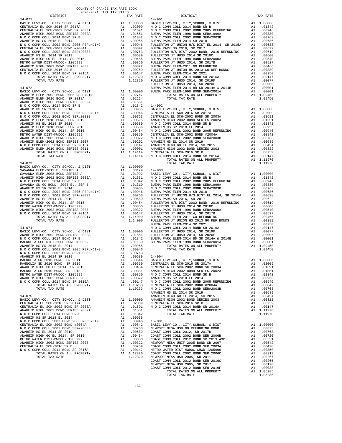|                                                                     |     |                                        | FULLERT    |
|---------------------------------------------------------------------|-----|----------------------------------------|------------|
| $14 - 072$                                                          |     |                                        | BUENA P    |
|                                                                     |     |                                        |            |
|                                                                     |     |                                        |            |
|                                                                     |     |                                        |            |
|                                                                     |     |                                        |            |
|                                                                     |     |                                        |            |
|                                                                     |     |                                        |            |
|                                                                     |     |                                        |            |
|                                                                     |     |                                        |            |
|                                                                     |     |                                        |            |
|                                                                     |     |                                        |            |
|                                                                     |     |                                        |            |
|                                                                     |     |                                        |            |
|                                                                     |     |                                        |            |
|                                                                     |     |                                        |            |
|                                                                     |     |                                        |            |
|                                                                     |     |                                        |            |
|                                                                     |     |                                        |            |
|                                                                     |     |                                        |            |
|                                                                     |     |                                        |            |
| $14 - 073$                                                          |     |                                        |            |
|                                                                     |     |                                        |            |
|                                                                     |     |                                        |            |
|                                                                     |     |                                        |            |
|                                                                     |     |                                        |            |
|                                                                     |     |                                        |            |
|                                                                     |     |                                        |            |
|                                                                     |     |                                        |            |
|                                                                     |     |                                        |            |
|                                                                     |     |                                        |            |
|                                                                     |     |                                        |            |
|                                                                     |     |                                        |            |
|                                                                     |     |                                        |            |
|                                                                     |     |                                        |            |
|                                                                     |     |                                        |            |
|                                                                     |     |                                        | BUENA P    |
|                                                                     |     |                                        |            |
|                                                                     |     |                                        |            |
|                                                                     |     |                                        |            |
|                                                                     |     |                                        |            |
|                                                                     |     |                                        |            |
|                                                                     |     |                                        |            |
|                                                                     |     |                                        |            |
|                                                                     |     |                                        |            |
|                                                                     |     |                                        |            |
|                                                                     |     |                                        |            |
|                                                                     |     |                                        |            |
|                                                                     |     |                                        |            |
|                                                                     |     |                                        |            |
| ANAHEIM HIGH 2002 BOND SERIES 2003                                  | A1  | .00322                                 | ANAHEIM    |
| N O C COMM COLL 2014 BOND SR 2016A                                  | A1  | .00147                                 | NOCC       |
| TOTAL RATES ON ALL PROPERTY                                         |     | A1 1.10233                             | CENTRAL    |
| TOTAL TAX RATE                                                      |     | 1.10233                                | NOCC       |
|                                                                     |     |                                        | ANAHEIM    |
| $14 - 075$                                                          |     |                                        | ANAHEIM    |
| BASIC LEVY-CO., CITY, SCHOOL, & DIST                                | A1  | 1.00000                                | ANAHEIM    |
| CENTRALIA EL SCH-2016 SR 2017A                                      | A1  | .02009                                 | CENTRAL    |
| CENTRALIA EL SCH-2002 BOND SR 2003A                                 | A1  | .01691                                 | NOCC       |
| ANAHEIM HIGH 2002 BOND SERIES 2002A                                 | A1  | .01551                                 |            |
| N O C COMM COLL 2014 BOND SR B                                      | A1  | .01342                                 |            |
| ANAHEIM HS SR 2018 EL 2014                                          | A1  | .00955                                 |            |
| N O C COMM COLL 2002 BOND 2005 REFUNDING                            | A1  | .00946                                 | $15 - 001$ |
| CENTRALIA EL SCH-2002 BOND #2004A                                   | A1  | .00842                                 | BASIC L    |
| N O C COMM COLL 2002 BOND SER#2003B                                 | A1  | .00763                                 | NEWPORT    |
| ANAHEIM HS EL 2014 SR 2019                                          | A1  | .00689                                 | COAST C    |
| ANAHEIM HIGH GO EL 2014, SR 2015<br>METRO WATER DIST-MWDOC- 1205999 |     | A1 .00454 COAST C<br>A1 .00350 COAST C |            |
| ANAUPTM UTCU 2002 DOND CPDTPC 2002                                  | 7.1 | ידים∩מושיםדו לכ? ∩∩                    |            |

| $\begin{minipage}{0.5\textwidth} \begin{tabular}{lcccccc} \textbf{1} & \textbf{1} & \textbf{1} & \textbf{1} & \textbf{1} & \textbf{1} & \textbf{1} & \textbf{1} & \textbf{1} & \textbf{1} & \textbf{1} & \textbf{1} & \textbf{1} & \textbf{1} & \textbf{1} & \textbf{1} & \textbf{1} & \textbf{1} & \textbf{1} & \textbf{1} & \textbf{1} & \textbf{1} & \textbf{1} & \textbf{1} & \textbf{1} & \textbf{1} & \textbf{1} & \textbf{1} &$ |  |                   |          |
|----------------------------------------------------------------------------------------------------------------------------------------------------------------------------------------------------------------------------------------------------------------------------------------------------------------------------------------------------------------------------------------------------------------------------------------|--|-------------------|----------|
|                                                                                                                                                                                                                                                                                                                                                                                                                                        |  | TAX RATE DISTRICT | TAX RATE |
|                                                                                                                                                                                                                                                                                                                                                                                                                                        |  |                   |          |
|                                                                                                                                                                                                                                                                                                                                                                                                                                        |  |                   |          |
|                                                                                                                                                                                                                                                                                                                                                                                                                                        |  |                   |          |
|                                                                                                                                                                                                                                                                                                                                                                                                                                        |  |                   |          |
|                                                                                                                                                                                                                                                                                                                                                                                                                                        |  |                   |          |
|                                                                                                                                                                                                                                                                                                                                                                                                                                        |  |                   |          |
|                                                                                                                                                                                                                                                                                                                                                                                                                                        |  |                   |          |
|                                                                                                                                                                                                                                                                                                                                                                                                                                        |  |                   |          |
|                                                                                                                                                                                                                                                                                                                                                                                                                                        |  |                   |          |
|                                                                                                                                                                                                                                                                                                                                                                                                                                        |  |                   |          |
|                                                                                                                                                                                                                                                                                                                                                                                                                                        |  |                   |          |
|                                                                                                                                                                                                                                                                                                                                                                                                                                        |  |                   |          |
|                                                                                                                                                                                                                                                                                                                                                                                                                                        |  |                   |          |
|                                                                                                                                                                                                                                                                                                                                                                                                                                        |  |                   |          |
|                                                                                                                                                                                                                                                                                                                                                                                                                                        |  |                   |          |
|                                                                                                                                                                                                                                                                                                                                                                                                                                        |  |                   |          |
|                                                                                                                                                                                                                                                                                                                                                                                                                                        |  |                   |          |
|                                                                                                                                                                                                                                                                                                                                                                                                                                        |  |                   |          |
|                                                                                                                                                                                                                                                                                                                                                                                                                                        |  |                   |          |
|                                                                                                                                                                                                                                                                                                                                                                                                                                        |  |                   |          |
|                                                                                                                                                                                                                                                                                                                                                                                                                                        |  |                   |          |
|                                                                                                                                                                                                                                                                                                                                                                                                                                        |  |                   |          |
|                                                                                                                                                                                                                                                                                                                                                                                                                                        |  |                   |          |
|                                                                                                                                                                                                                                                                                                                                                                                                                                        |  |                   |          |
|                                                                                                                                                                                                                                                                                                                                                                                                                                        |  |                   |          |
|                                                                                                                                                                                                                                                                                                                                                                                                                                        |  |                   |          |
|                                                                                                                                                                                                                                                                                                                                                                                                                                        |  |                   |          |
|                                                                                                                                                                                                                                                                                                                                                                                                                                        |  |                   |          |
|                                                                                                                                                                                                                                                                                                                                                                                                                                        |  |                   |          |
|                                                                                                                                                                                                                                                                                                                                                                                                                                        |  |                   |          |
|                                                                                                                                                                                                                                                                                                                                                                                                                                        |  |                   |          |
|                                                                                                                                                                                                                                                                                                                                                                                                                                        |  |                   |          |
|                                                                                                                                                                                                                                                                                                                                                                                                                                        |  |                   |          |
|                                                                                                                                                                                                                                                                                                                                                                                                                                        |  |                   |          |
|                                                                                                                                                                                                                                                                                                                                                                                                                                        |  |                   |          |
|                                                                                                                                                                                                                                                                                                                                                                                                                                        |  |                   |          |
|                                                                                                                                                                                                                                                                                                                                                                                                                                        |  |                   |          |
|                                                                                                                                                                                                                                                                                                                                                                                                                                        |  |                   |          |
|                                                                                                                                                                                                                                                                                                                                                                                                                                        |  |                   |          |
|                                                                                                                                                                                                                                                                                                                                                                                                                                        |  |                   |          |
|                                                                                                                                                                                                                                                                                                                                                                                                                                        |  |                   |          |
|                                                                                                                                                                                                                                                                                                                                                                                                                                        |  |                   |          |
|                                                                                                                                                                                                                                                                                                                                                                                                                                        |  |                   |          |
|                                                                                                                                                                                                                                                                                                                                                                                                                                        |  |                   |          |
|                                                                                                                                                                                                                                                                                                                                                                                                                                        |  |                   |          |
|                                                                                                                                                                                                                                                                                                                                                                                                                                        |  |                   |          |
|                                                                                                                                                                                                                                                                                                                                                                                                                                        |  |                   |          |
|                                                                                                                                                                                                                                                                                                                                                                                                                                        |  |                   |          |
|                                                                                                                                                                                                                                                                                                                                                                                                                                        |  |                   |          |
|                                                                                                                                                                                                                                                                                                                                                                                                                                        |  |                   |          |
|                                                                                                                                                                                                                                                                                                                                                                                                                                        |  |                   |          |
|                                                                                                                                                                                                                                                                                                                                                                                                                                        |  |                   |          |
|                                                                                                                                                                                                                                                                                                                                                                                                                                        |  |                   |          |
|                                                                                                                                                                                                                                                                                                                                                                                                                                        |  |                   |          |
|                                                                                                                                                                                                                                                                                                                                                                                                                                        |  |                   |          |
|                                                                                                                                                                                                                                                                                                                                                                                                                                        |  |                   |          |
|                                                                                                                                                                                                                                                                                                                                                                                                                                        |  |                   |          |
|                                                                                                                                                                                                                                                                                                                                                                                                                                        |  |                   |          |
|                                                                                                                                                                                                                                                                                                                                                                                                                                        |  |                   |          |
|                                                                                                                                                                                                                                                                                                                                                                                                                                        |  |                   |          |
|                                                                                                                                                                                                                                                                                                                                                                                                                                        |  |                   |          |
|                                                                                                                                                                                                                                                                                                                                                                                                                                        |  |                   |          |
|                                                                                                                                                                                                                                                                                                                                                                                                                                        |  |                   |          |
|                                                                                                                                                                                                                                                                                                                                                                                                                                        |  |                   |          |
|                                                                                                                                                                                                                                                                                                                                                                                                                                        |  |                   |          |
|                                                                                                                                                                                                                                                                                                                                                                                                                                        |  |                   |          |
|                                                                                                                                                                                                                                                                                                                                                                                                                                        |  |                   |          |
|                                                                                                                                                                                                                                                                                                                                                                                                                                        |  |                   |          |
|                                                                                                                                                                                                                                                                                                                                                                                                                                        |  |                   |          |
|                                                                                                                                                                                                                                                                                                                                                                                                                                        |  |                   |          |
|                                                                                                                                                                                                                                                                                                                                                                                                                                        |  |                   |          |
|                                                                                                                                                                                                                                                                                                                                                                                                                                        |  |                   |          |
|                                                                                                                                                                                                                                                                                                                                                                                                                                        |  |                   |          |
|                                                                                                                                                                                                                                                                                                                                                                                                                                        |  |                   |          |
|                                                                                                                                                                                                                                                                                                                                                                                                                                        |  |                   |          |
|                                                                                                                                                                                                                                                                                                                                                                                                                                        |  |                   |          |
|                                                                                                                                                                                                                                                                                                                                                                                                                                        |  |                   |          |
|                                                                                                                                                                                                                                                                                                                                                                                                                                        |  |                   |          |
|                                                                                                                                                                                                                                                                                                                                                                                                                                        |  |                   |          |
| $\begin{smallmatrix} \mathbf{1}_{111} \oplus \mathbf{0}_{111} \oplus \mathbf{0}_{111} \oplus \mathbf{0}_{111} \oplus \mathbf{0}_{111} \oplus \mathbf{0}_{111} \oplus \mathbf{0}_{111} \oplus \mathbf{0}_{111} \oplus \mathbf{0}_{111} \oplus \mathbf{0}_{111} \oplus \mathbf{0}_{111} \oplus \mathbf{0}_{111} \oplus \mathbf{0}_{111} \oplus \mathbf{0}_{111} \oplus \mathbf{0}_{111} \oplus \mathbf{0}_{111} \oplus \mathbf{0}_{$     |  |                   |          |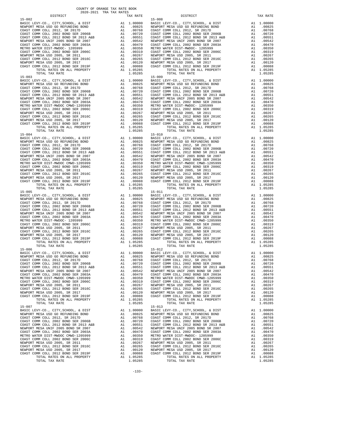| TOTAL TAX RATE                                                                                                       |                                                                                                                                                                                                                                                        | 1.05285                                                                                                                                                                                                                                                |                           |
|----------------------------------------------------------------------------------------------------------------------|--------------------------------------------------------------------------------------------------------------------------------------------------------------------------------------------------------------------------------------------------------|--------------------------------------------------------------------------------------------------------------------------------------------------------------------------------------------------------------------------------------------------------|---------------------------|
| $15 - 003$                                                                                                           |                                                                                                                                                                                                                                                        | 15-009<br>A1 1.00000 BASIC L<br>A1 .00825 NEWPORT<br>A1 .00768 COAST C<br>A1 .00760 COAST C<br>A1 .00760 COAST C<br>A1 .00551 NEWPORT<br>A1 .00470 COAST C<br>A1 .00350 METRO N<br>A1 .00350 METRO N<br>A1 .00267 NEWPORT<br>A1 .00265 COAST C<br>A1 . | $15 - 009$                |
| BASIC LEVY-CO., CITY, SCHOOL, & DIST<br>NEWPORT MESA USD GO REFUNDING BOND                                           |                                                                                                                                                                                                                                                        |                                                                                                                                                                                                                                                        |                           |
| COAST COMM COLL 2012, SR 2017D                                                                                       |                                                                                                                                                                                                                                                        |                                                                                                                                                                                                                                                        |                           |
| COAST COMM COLL 2002 BOND SER 2006B                                                                                  |                                                                                                                                                                                                                                                        |                                                                                                                                                                                                                                                        |                           |
| COAST COMM COLL 2012 BOND SR 2013 A&B                                                                                |                                                                                                                                                                                                                                                        |                                                                                                                                                                                                                                                        |                           |
| NEWPORT MESA UNIF 2005 BOND SR 2007<br>COAST COMM COLL 2002 BOND SER 2003A                                           |                                                                                                                                                                                                                                                        |                                                                                                                                                                                                                                                        |                           |
| METRO WATER DIST-MWDOC CMWD-1205999                                                                                  |                                                                                                                                                                                                                                                        |                                                                                                                                                                                                                                                        |                           |
| COAST COMM COLL 2002 BOND SER 2006C                                                                                  |                                                                                                                                                                                                                                                        |                                                                                                                                                                                                                                                        |                           |
| NEWPORT MESA USD 2005, SR 2011                                                                                       |                                                                                                                                                                                                                                                        |                                                                                                                                                                                                                                                        |                           |
| COAST COMM COLL 2012 BOND SER 2016C                                                                                  |                                                                                                                                                                                                                                                        |                                                                                                                                                                                                                                                        |                           |
| NEWPORT MESA USD 2005, SR 2017<br>COAST COMM COLL 2012 BOND SER 2019F                                                |                                                                                                                                                                                                                                                        |                                                                                                                                                                                                                                                        |                           |
| TOTAL RATES ON ALL PROPERTY                                                                                          |                                                                                                                                                                                                                                                        |                                                                                                                                                                                                                                                        |                           |
| TOTAL TAX RATE                                                                                                       |                                                                                                                                                                                                                                                        | 1.05285                                                                                                                                                                                                                                                |                           |
| $15 - 004$                                                                                                           | 15-010<br>A1 1.00000 BASIC L<br>A1 .00825 NEWPORT<br>A1 .00730 COAST C<br>A1 .00730 COAST C<br>A1 .00551 COAST C<br>A1 .00551 NEWPORT<br>A1 .00470 COAST C<br>A1 .00319 COAST C<br>A1 .00267 NEWPORT<br>A1 .00267 NEWPORT<br>A1 .00265 NEWPORT<br>A1 . |                                                                                                                                                                                                                                                        | $15 - 010$                |
| BASIC LEVY-CO., CITY, SCHOOL, & DIST<br>NEWPORT MESA USD GO REFUNDING BOND                                           |                                                                                                                                                                                                                                                        |                                                                                                                                                                                                                                                        |                           |
| COAST COMM COLL 2012, SR 2017D                                                                                       |                                                                                                                                                                                                                                                        |                                                                                                                                                                                                                                                        |                           |
| COAST COMM COLL 2002 BOND SER 2006B                                                                                  |                                                                                                                                                                                                                                                        |                                                                                                                                                                                                                                                        |                           |
| COAST COMM COLL 2012 BOND SR 2013 A&B                                                                                |                                                                                                                                                                                                                                                        |                                                                                                                                                                                                                                                        |                           |
| NEWPORT MESA UNIF 2005 BOND SR 2007<br>COAST COMM COLL 2002 BOND SER 2003A                                           |                                                                                                                                                                                                                                                        |                                                                                                                                                                                                                                                        |                           |
| METRO WATER DIST-MWDOC CMWD-1205999                                                                                  |                                                                                                                                                                                                                                                        |                                                                                                                                                                                                                                                        |                           |
| COAST COMM COLL 2002 BOND SER 2006C                                                                                  |                                                                                                                                                                                                                                                        |                                                                                                                                                                                                                                                        |                           |
| NEWPORT MESA USD 2005, SR 2011                                                                                       |                                                                                                                                                                                                                                                        |                                                                                                                                                                                                                                                        |                           |
| COAST COMM COLL 2012 BOND SER 2016C<br>NEWPORT MESA USD 2005, SR 2017                                                |                                                                                                                                                                                                                                                        |                                                                                                                                                                                                                                                        |                           |
| COAST COMM COLL 2012 BOND SER 2019F                                                                                  |                                                                                                                                                                                                                                                        |                                                                                                                                                                                                                                                        |                           |
| TOTAL RATES ON ALL PROPERTY                                                                                          |                                                                                                                                                                                                                                                        |                                                                                                                                                                                                                                                        |                           |
| TOTAL TAX RATE<br>$15 - 005$                                                                                         |                                                                                                                                                                                                                                                        | 1.05285                                                                                                                                                                                                                                                |                           |
| BASIC LEVY-CO., CITY, SCHOOL, & DIST                                                                                 |                                                                                                                                                                                                                                                        | 15-011<br>A1 1.00000 BASIC L<br>A1 .00825 NEWPORT<br>A1 .00768 COAST C<br>A1 .00768 COAST C<br>A1 .00768 COAST C<br>A1 .00551 COAST C<br>A1 .00542 NEWPORT<br>A1 .00319 COAST C<br>A1 .00319 COAST C<br>A1 .00319 COAST C<br>A1 .00265 NEWPORT<br>A1 . | $15 - 011$                |
| NEWPORT MESA USD GO REFUNDING BOND                                                                                   |                                                                                                                                                                                                                                                        |                                                                                                                                                                                                                                                        |                           |
| COAST COMM COLL 2012, SR 2017D                                                                                       |                                                                                                                                                                                                                                                        |                                                                                                                                                                                                                                                        |                           |
| COAST COMM COLL 2002 BOND SER 2006B<br>COAST COMM COLL 2012 BOND SR 2013 A&B                                         |                                                                                                                                                                                                                                                        |                                                                                                                                                                                                                                                        |                           |
| NEWPORT MESA UNIF 2005 BOND SR 2007                                                                                  |                                                                                                                                                                                                                                                        |                                                                                                                                                                                                                                                        |                           |
| COAST COMM COLL 2002 BOND SER 2003A                                                                                  |                                                                                                                                                                                                                                                        |                                                                                                                                                                                                                                                        |                           |
| METRO WATER DIST-MWDOC- 1205999                                                                                      |                                                                                                                                                                                                                                                        |                                                                                                                                                                                                                                                        |                           |
| COAST COMM COLL 2002 BOND SER 2006C<br>NEWPORT MESA USD 2005, SR 2011                                                |                                                                                                                                                                                                                                                        |                                                                                                                                                                                                                                                        |                           |
| COAST COMM COLL 2012 BOND SER 2016C                                                                                  |                                                                                                                                                                                                                                                        |                                                                                                                                                                                                                                                        |                           |
| NEWPORT MESA USD 2005, SR 2017                                                                                       |                                                                                                                                                                                                                                                        |                                                                                                                                                                                                                                                        |                           |
| COAST COMM COLL 2012 BOND SER 2019F                                                                                  |                                                                                                                                                                                                                                                        |                                                                                                                                                                                                                                                        |                           |
| TOTAL RATES ON ALL PROPERTY<br>TOTAL TAX RATE                                                                        |                                                                                                                                                                                                                                                        | A1 1.05285<br>1.05285                                                                                                                                                                                                                                  |                           |
| $15 - 006$                                                                                                           |                                                                                                                                                                                                                                                        |                                                                                                                                                                                                                                                        | $15 - 012$                |
| BASIC LEVY-CO., CITY, SCHOOL, & DIST                                                                                 | 15-012<br>A1 1.00000 BASIC L<br>A1 .00825 NEWPORT<br>A1 .00768 COAST C<br>A1 .00760 COAST C<br>A1 .00551 COAST C<br>A1 .00470 COAST C<br>A1 .00470 COAST C<br>A1 .00319 COAST C<br>A1 .00319 COAST C                                                   |                                                                                                                                                                                                                                                        |                           |
| NEWPORT MESA USD GO REFUNDING BOND                                                                                   |                                                                                                                                                                                                                                                        |                                                                                                                                                                                                                                                        |                           |
| COAST COMM COLL 2012, SR 2017D<br>COAST COMM COLL 2002 BOND SER 2006B                                                |                                                                                                                                                                                                                                                        |                                                                                                                                                                                                                                                        |                           |
| COAST COMM COLL 2012 BOND SR 2000B<br>NEWPORT MESA UNIF 2002 BOND SR 2013 A&B<br>NEWPORT MESA UNIF 2005 BOND SR 2007 |                                                                                                                                                                                                                                                        |                                                                                                                                                                                                                                                        |                           |
| NEWPORT MESA UNIF 2005 BOND SR 2007                                                                                  |                                                                                                                                                                                                                                                        |                                                                                                                                                                                                                                                        |                           |
| COAST COMM COLL 2002 BOND SER 2003A                                                                                  |                                                                                                                                                                                                                                                        |                                                                                                                                                                                                                                                        |                           |
| METRO WATER DIST-MWDOC CMWD-1205999<br>COAST COMM COLL 2002 BOND SER 2006C                                           |                                                                                                                                                                                                                                                        |                                                                                                                                                                                                                                                        |                           |
| NEWPORT MESA USD 2005, SR 2011                                                                                       | A1<br>A1                                                                                                                                                                                                                                               | .00267                                                                                                                                                                                                                                                 | .00319 COAST C<br>NEWPORT |
| COAST COMM COLL 2012 BOND SER 2016C                                                                                  | A1                                                                                                                                                                                                                                                     | .00265                                                                                                                                                                                                                                                 | COAST C                   |
| NEWPORT MESA USD 2005, SR 2017                                                                                       | A1                                                                                                                                                                                                                                                     | .00120                                                                                                                                                                                                                                                 | NEWPORT                   |
| COAST COMM COLL 2012 BOND SER 2019F                                                                                  | A1                                                                                                                                                                                                                                                     | .00088                                                                                                                                                                                                                                                 | COAST C                   |
| TOTAL RATES ON ALL PROPERTY<br>TOTAL TAX RATE                                                                        |                                                                                                                                                                                                                                                        | A1 1.05285<br>1.05285                                                                                                                                                                                                                                  |                           |
| $15 - 007$                                                                                                           |                                                                                                                                                                                                                                                        |                                                                                                                                                                                                                                                        | $15 - 013$                |
| BASIC LEVY-CO., CITY, SCHOOL, & DIST<br>NEWPORT MESA USD GO REFUNDING BOND                                           | A1                                                                                                                                                                                                                                                     | 1.00000                                                                                                                                                                                                                                                | BASIC L                   |
| COAST COMM COLL 2012, SR 2017D                                                                                       | A1<br>A1                                                                                                                                                                                                                                               | .00825<br>.00768                                                                                                                                                                                                                                       | NEWPORT<br>COAST C        |
| COAST COMM COLL 2002 BOND SER 2006B                                                                                  | A1                                                                                                                                                                                                                                                     | .00720                                                                                                                                                                                                                                                 | COAST C                   |
| COAST COMM COLL 2012 BOND SR 2013 A&B                                                                                | A1                                                                                                                                                                                                                                                     | .00551                                                                                                                                                                                                                                                 | COAST C                   |
| NEWPORT MESA UNIF 2005 BOND SR 2007                                                                                  | A1                                                                                                                                                                                                                                                     | .00542                                                                                                                                                                                                                                                 | NEWPORT                   |
| COAST COMM COLL 2002 BOND SER 2003A<br>METRO WATER DIST-MWDOC CMWD-1205999                                           | A1<br>A1                                                                                                                                                                                                                                               | .00470<br>.00350                                                                                                                                                                                                                                       | COAST C<br>METRO W        |
| COAST COMM COLL 2002 BOND SER 2006C                                                                                  | A1                                                                                                                                                                                                                                                     |                                                                                                                                                                                                                                                        |                           |
| NEWPORT MESA USD 2005, SR 2011                                                                                       | A1                                                                                                                                                                                                                                                     | .00319 COAST C<br>.00267 NEWPORT .00265 COAST C<br>.00120 NEWPORT                                                                                                                                                                                      |                           |
| COAST COMM COLL 2012 BOND SER 2016C                                                                                  | A1                                                                                                                                                                                                                                                     |                                                                                                                                                                                                                                                        |                           |
| NEWPORT MESA USD 2005, SR 2017                                                                                       | A1                                                                                                                                                                                                                                                     |                                                                                                                                                                                                                                                        | .00088 COAST C            |
| COAST COMM COLL 2012 BOND SER 2019F                                                                                  | A1                                                                                                                                                                                                                                                     |                                                                                                                                                                                                                                                        |                           |

| DISTRICT       | TAX RATE | DISTRICT<br>$\begin{tabular}{cccccccc} \texttt{15--021} & \texttt{D15--032} & \texttt{D15--032} & \texttt{D15--032} & \texttt{D15--032} & \texttt{D15--032} & \texttt{D15--032} & \texttt{D15--032} & \texttt{D15--032} & \texttt{D15--032} & \texttt{D15--032} & \texttt{D15--032} & \texttt{D15--032} & \texttt{D15--032} & \texttt{D15--032} & \texttt{D15--032} & \texttt{$ | TAX RATE |
|----------------|----------|---------------------------------------------------------------------------------------------------------------------------------------------------------------------------------------------------------------------------------------------------------------------------------------------------------------------------------------------------------------------------------|----------|
| $15 - 002$     |          | $15 - 008$                                                                                                                                                                                                                                                                                                                                                                      |          |
|                |          |                                                                                                                                                                                                                                                                                                                                                                                 |          |
|                |          |                                                                                                                                                                                                                                                                                                                                                                                 |          |
|                |          |                                                                                                                                                                                                                                                                                                                                                                                 |          |
|                |          |                                                                                                                                                                                                                                                                                                                                                                                 |          |
|                |          |                                                                                                                                                                                                                                                                                                                                                                                 |          |
|                |          |                                                                                                                                                                                                                                                                                                                                                                                 |          |
|                |          |                                                                                                                                                                                                                                                                                                                                                                                 |          |
|                |          |                                                                                                                                                                                                                                                                                                                                                                                 |          |
|                |          |                                                                                                                                                                                                                                                                                                                                                                                 |          |
|                |          |                                                                                                                                                                                                                                                                                                                                                                                 |          |
|                |          |                                                                                                                                                                                                                                                                                                                                                                                 |          |
|                |          |                                                                                                                                                                                                                                                                                                                                                                                 |          |
|                |          |                                                                                                                                                                                                                                                                                                                                                                                 |          |
|                |          |                                                                                                                                                                                                                                                                                                                                                                                 |          |
|                |          |                                                                                                                                                                                                                                                                                                                                                                                 |          |
|                |          |                                                                                                                                                                                                                                                                                                                                                                                 |          |
|                |          |                                                                                                                                                                                                                                                                                                                                                                                 |          |
|                |          |                                                                                                                                                                                                                                                                                                                                                                                 |          |
|                |          |                                                                                                                                                                                                                                                                                                                                                                                 |          |
|                |          |                                                                                                                                                                                                                                                                                                                                                                                 |          |
|                |          |                                                                                                                                                                                                                                                                                                                                                                                 |          |
|                |          |                                                                                                                                                                                                                                                                                                                                                                                 |          |
|                |          |                                                                                                                                                                                                                                                                                                                                                                                 |          |
|                |          |                                                                                                                                                                                                                                                                                                                                                                                 |          |
|                |          |                                                                                                                                                                                                                                                                                                                                                                                 |          |
|                |          |                                                                                                                                                                                                                                                                                                                                                                                 |          |
|                |          |                                                                                                                                                                                                                                                                                                                                                                                 |          |
|                |          |                                                                                                                                                                                                                                                                                                                                                                                 |          |
|                |          |                                                                                                                                                                                                                                                                                                                                                                                 |          |
|                |          |                                                                                                                                                                                                                                                                                                                                                                                 |          |
|                |          |                                                                                                                                                                                                                                                                                                                                                                                 |          |
|                |          |                                                                                                                                                                                                                                                                                                                                                                                 |          |
|                |          |                                                                                                                                                                                                                                                                                                                                                                                 |          |
|                |          |                                                                                                                                                                                                                                                                                                                                                                                 |          |
|                |          |                                                                                                                                                                                                                                                                                                                                                                                 |          |
|                |          |                                                                                                                                                                                                                                                                                                                                                                                 |          |
|                |          |                                                                                                                                                                                                                                                                                                                                                                                 |          |
|                |          |                                                                                                                                                                                                                                                                                                                                                                                 |          |
|                |          |                                                                                                                                                                                                                                                                                                                                                                                 |          |
|                |          |                                                                                                                                                                                                                                                                                                                                                                                 |          |
|                |          |                                                                                                                                                                                                                                                                                                                                                                                 |          |
|                |          |                                                                                                                                                                                                                                                                                                                                                                                 |          |
|                |          |                                                                                                                                                                                                                                                                                                                                                                                 |          |
|                |          |                                                                                                                                                                                                                                                                                                                                                                                 |          |
|                |          |                                                                                                                                                                                                                                                                                                                                                                                 |          |
|                |          |                                                                                                                                                                                                                                                                                                                                                                                 |          |
|                |          |                                                                                                                                                                                                                                                                                                                                                                                 |          |
|                |          |                                                                                                                                                                                                                                                                                                                                                                                 |          |
|                |          |                                                                                                                                                                                                                                                                                                                                                                                 |          |
|                |          |                                                                                                                                                                                                                                                                                                                                                                                 |          |
|                |          |                                                                                                                                                                                                                                                                                                                                                                                 |          |
|                |          |                                                                                                                                                                                                                                                                                                                                                                                 |          |
|                |          |                                                                                                                                                                                                                                                                                                                                                                                 |          |
|                |          |                                                                                                                                                                                                                                                                                                                                                                                 |          |
|                |          |                                                                                                                                                                                                                                                                                                                                                                                 |          |
|                |          |                                                                                                                                                                                                                                                                                                                                                                                 |          |
|                |          |                                                                                                                                                                                                                                                                                                                                                                                 |          |
| $15 - 006$     |          | $15 - 012$                                                                                                                                                                                                                                                                                                                                                                      |          |
|                |          | A 1.00000 BASIC LEVY-CO., CITY, SCHOOL, & DIST A 1.00000 BASIC LEVY-CO., CITY, SCHOOL, & DIST A 1.00000 BASIC LEVY-CO., CITY, SCHOOL, & DIST A 1.00000 BASIC LEVY-CO., CITY, SCHOOL, & DIST A 1.00000 A 25 ASIC LEVY-CO., CITY                                                                                                                                                  |          |
|                |          |                                                                                                                                                                                                                                                                                                                                                                                 |          |
|                |          |                                                                                                                                                                                                                                                                                                                                                                                 |          |
|                |          | 00720 COAST COMM COLL 2006B A1 .00720 COAST COMM COLL 2002 BOND SER 2006B A1 .00720                                                                                                                                                                                                                                                                                             |          |
|                |          |                                                                                                                                                                                                                                                                                                                                                                                 |          |
|                |          |                                                                                                                                                                                                                                                                                                                                                                                 |          |
|                |          |                                                                                                                                                                                                                                                                                                                                                                                 |          |
|                |          |                                                                                                                                                                                                                                                                                                                                                                                 |          |
|                |          |                                                                                                                                                                                                                                                                                                                                                                                 |          |
|                |          |                                                                                                                                                                                                                                                                                                                                                                                 |          |
|                |          |                                                                                                                                                                                                                                                                                                                                                                                 |          |
|                |          |                                                                                                                                                                                                                                                                                                                                                                                 |          |
|                |          |                                                                                                                                                                                                                                                                                                                                                                                 |          |
|                |          |                                                                                                                                                                                                                                                                                                                                                                                 |          |
|                |          |                                                                                                                                                                                                                                                                                                                                                                                 |          |
|                |          |                                                                                                                                                                                                                                                                                                                                                                                 |          |
|                |          |                                                                                                                                                                                                                                                                                                                                                                                 |          |
|                |          |                                                                                                                                                                                                                                                                                                                                                                                 |          |
|                |          |                                                                                                                                                                                                                                                                                                                                                                                 |          |
|                |          |                                                                                                                                                                                                                                                                                                                                                                                 |          |
|                |          |                                                                                                                                                                                                                                                                                                                                                                                 |          |
|                |          |                                                                                                                                                                                                                                                                                                                                                                                 |          |
|                |          |                                                                                                                                                                                                                                                                                                                                                                                 |          |
|                |          |                                                                                                                                                                                                                                                                                                                                                                                 |          |
|                |          |                                                                                                                                                                                                                                                                                                                                                                                 |          |
|                |          |                                                                                                                                                                                                                                                                                                                                                                                 |          |
|                |          |                                                                                                                                                                                                                                                                                                                                                                                 |          |
| TOTAL TAX RATE |          |                                                                                                                                                                                                                                                                                                                                                                                 | 1.05285  |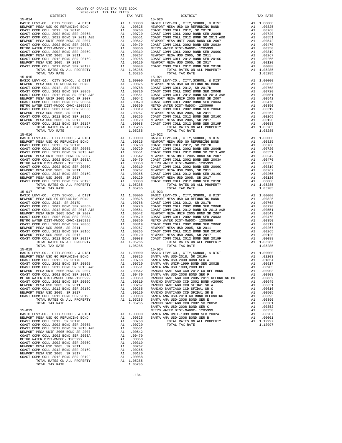NEWPORT MESA UNIF 2005 BOND SR 2007 A1 .00542<br>COAST COMM COLL 2002 BOND SER 2003A A1 .00470<br>METRO WATER DIST-MWDOC- 1205999 A1 .00350<br>COAST COMM COLL 2002 BOND SER 2006C A1 .00319 COAST COMM COLL 2002 BOND SER 2003A A1 .00470 METRO WATER DIST-MWDOC- 1205999 A1 .00350 COAST COMM COLL 2002 BOND SER 2006C A1 .00319 NEWPORT MESA USD 2005, SR 2011 A1 .00267 COAST COMM COLL 2012 BOND SER 2016C A1 .00265 NEWPORT MESA USD 2005, SR 2017 A1 .00120 COAST COMM COLL 2012 BOND SER 2019F A1 .00088 TOTAL RATES ON ALL PROPERTY A1 1.05285 TOTAL TAX RATE 1.05285

-134-

 15-016 15-022 TOTAL TAX RATE  $1.05285$   $1.05285$   $15-017$   $15-023$  TOTAL TAX RATE 1.05285 TOTAL TAX RATE 1.05285 BASIC LEVY-CO., CITY, SCHOOL, & DIST A1 1.00000

 DISTRICT TAX RATE DISTRICT TAX RATE 15-014 15-020 BASIC LEVY-CO., CITY,SCHOOL, & DIST A1 1.00000 BASIC LEVY-CO., CITY,SCHOOL, & DIST A1 1.00000 NEWPORT MESA USD GO REFUNDING BOND A1 .00825 NEWPORT MESA USD GO REFUNDING BOND A1 .00825 COAST COMM COLL 2012, SR 2017D A1 .00768 COAST COMM COLL 2012, SR 2017D A1 .00768 COAST COMM COLL 2002 BOND SER 2006B A1 .00720 COAST COMM COLL 2002 BOND SER 2006B A1 .00720 COAST COMM COLL 2012 BOND SR 2013 A&B A1 .00551 COAST COMM COLL 2012 BOND SR 2013 A&B A1 .00551 NEWPORT MESA UNIF 2005 BOND SR 2007 A1 .00542 NEWPORT MESA UNIF 2005 BOND SR 2007 A1 .00542 COAST COMM COLL 2002 BOND SER 2003A A1 .00470 COAST COMM COLL 2002 BOND SER 2003A A1 .00470 METRO WATER DIST-MWDOC- 1205999 A1 .00350 METRO WATER DIST-MWDOC- 1205999 A1 .00350<br>COAST COMM COLL 2002 BOND SER 2006C A1 .00319 COAST COMM COLL 2002 BOND SER 2006C A1 .0031 NEWPORT MESA USD 2005, SR 2011 A1 .00267 NEWPORT MESA USD 2005, SR 2011 A1 .00267 COAST COMM COLL 2012 BOND SER 2016C A1 .00265 COAST COMM COLL 2012 BOND SER 2016C A1 .00265 00120 NEWPORT MESA USD 2005, SR 2017 – 11 00120 NEWPORT MESA USD 2005, SR 2017<br>COAST COMM COLL 2012 BORD SR 2019F – 12 00088 COAST COMM COLL 2012 BORD SER 2019F – 12 00088<br>A1 1.05285 – TOTAL RATES ON ALL PROPERTY – 11 0528 TORAL TAX RATE 1.05285 TOTAL TAX RATE 1.05285 TOTAL TAX RATE 1.05285 TOTAL TAX RATE 1.05285 TOTAL TAX RATE 1.05285 TOTAL TAX RATE 1.05285 TOTAL TAX RATE 1.05285 TOTAL TAX RATE 1.05285 TOTAL PROPERTY PASS ON ALL PROPERTY AT HASIC LEVY-CO., CITY, SCHOOL, & DIST Al 1.00000<br>NEWPORT MESA USD GO REFUNDING BOND A1 .00825  $\begin{tabular}{lcccc} BASIC LEVY-CO., CITY, SCHOOL, & DIST & A1 & 1.00000 & BASIC LEVY-CO., CITY, SCHOOL, & DIST & A1 & 1.00000 \\ NEWOPORT MEMSO AUS CO AESFWDING BOND & BOND & A1 & .00825 & NEWPORT MESA USO GORETWDING BOND & A1 & .00825 & .00877 COMM COLL & 2002 & .00877 COMM COLL & 2002 & .00877 COMM COLL & 2002 & .00877 COMM COLL & 2002 & .00877 COMM COLL & 2002 & .00$  NEWPORT MESA UNIF 2005 BOND SR 2007 A1 .00542 NEWPORT MESA UNIF 2005 BOND SR 2007 A1 .00542 COAST COMM COLL 2002 BOND SER 2003A A1 .00470 COAST COMM COLL 2002 BOND SER 2003A A1 .00470 METRO WATER DIST-MWDOC CMWD-1205999 A1 .00350 METRO WATER DIST-MWDOC- 1205999 A1 .00350 A1 .00350 METRO WATER DIST-MWDOC- 1205999 A1 .00319 COAST COMM COLL 2002 BOND SER 2006C A1 .00319 COAST COMM COLL 2002 BOND SER 2006C A1 .00319 COAST COMM COLL 2002 BOND SER 2006C A1 .00319 NEWPORT MESA USD 2005, SR 2011 A1 .00267 NEWPORT MESA USD 2005, SR 2011 A1 .00267 COAST COMM COLL 2012 BOND SER 2016C A1 .00265 COAST COMM COLL 2012 BOND SER 2016C A1 .00265 NEWPORT MESA USD 2005, SR 2017 A1 .00120 NEWPORT MESA USD 2005, SR 2017 A1 .00120 COAST COMM COLL 2012 BOND SER 2019F A1 .00088 COAST COMM COLL 2012 BOND SER 2019F A1 .00088 TOTAL RATES ON ALL PROPERTY A1 1.05285 TOTAL RATES ON ALL PROPERTY A1 1.05285 NAFFORM COLL 2012 BOND SER 2019F AT 1.00088 COAST COMM COLL 2012 BOND SER 2019F AT 2012 BOND SER 2019F AT 2012<br>TOTAL RATES ON ALL PROPERTY AT 1.05285 TOTAL TAX RATE 1.05285 TOTAL TAX RATE 1.05285 TOTAL TAX RATE 1.05285 TOT  $\begin{tabular}{lcccc} BASIC LEVY-CO., CITY, SCHOOL, & DIST & A1 & 1.00000 & BASIC LEVY-CO., CITY, SCHOOL, & DIST & A1 & 1.00000 \\ NEWOPORT MEMSO AUS CO AESFWDING BOND & BOND & A1 & .00825 & NEWPORT MESA USO GORETWDING BOND & A1 & .00825 & .00877 COMM COLL & 2002 & .00877 COMM COLL & 2002 & .00877 COMM COLL & 2002 & .00877 COMM COLL & 2002 & .00877 COMM COLL & 2002 & .00$  NEWPORT MESA UNIF 2005 BOND SR 2007 A1 .00542 NEWPORT MESA UNIF 2005 BOND SR 2007 A1 .00542 COAST COMM COLL 2002 BOND SER 2003A A1 .00470 COAST COMM COLL 2002 BOND SER 2003A A1 .00470 METRO WATER DIST-MWDOC- 1205999 A1 .00350 METRO WATER DIST-MWDOC- 1205999 A1 .00350 COAST COMM COLL 2002 BOND SER 2006C A1 .00319 COAST COMM COLL 2002 BOND SER 2006C A1 .00319 NEWPORT MESAUSD 2005, SR 2011 (0267 NEWPORT MESAUSD 2005, SR 2011 (0267 NEWPORT MESAUSD 2005, SR 2011 (0267 NEWPORT MESAUSD 2005, SR 2016C<br>COAST COM COLL 2012 ERR 2016C 2016C 2011 (02065 2017 21) 2012 NEWPORT MESAUSD 2005, ALL COLL COLL CONDUCTS ON ALL PROPERTY AT 1.05285 TOTAL RATES ON ALL PROPERTY ALL 1.05285 TOTAL RATES ON ALL PROPERTY A1 1.05285 TOTAL RATES ON ALL PROPERTY A1 1.05285 15-017 15-023 BASIC LEVY-CO., CITY,SCHOOL, & DIST A1 1.00000 BASIC LEVY-CO., CITY,SCHOOL, & DIST A1 1.00000 NEWPORT MESAUSD GO REFUNDING BOND (10825 NEWPORT MESAUSD GO REFUNDING BOND (10825 NEWPORT MESAUSD GO REFUNDING<br>COAST COMM COLL 2002 SOND SER 2006B (10.0768 COAST COMM COLL 2012 SR 2017D (2002 TOMM COLL 2002 BOND SER 2006B<br> NEWPORT MESA UNIF 2005 BOND SR 2007 A1 .00542 NEWPORT MESA UNIF 2005 BOND SR 2007 A1 .00542 COAST COMM COLL 2002 BOND SER 2003A A1 .00470 COAST COMM COLL 2002 BOND SER 2003A A1 .00470 METRO WATER DIST-MWDOC CMWD-1205999<br>
COAST COM COLL 2010 EON SER 2006C (ALL 200350 METRO WATER DIST-MWDOC-1205999 (ALL 200350 COAST COM COLL 2012<br>
NEWPORT MESA USD 2005, SR 2011 (00267 MEWPORT MESA USD 2005, SR 2011 (00319 TOTAL RATES ON ALL PROPERTY A1 1.05285 TOTAL RATES ON ALL PROPERTY A1 1.05285 TOTAL RATES ON ALL PROPERTY A1 1.05285 BASIC LEVY-CO., CITY,SCHOOL, & DIST A1 1.00000 BASIC LEVY-CO., CITY,SCHOOL, & DIST A1 1.00000 NEWPORT MESA USD GO REFUNDING BOND A1 .00825 SANTA ANA USD-2018, SR 2019A A1 .02203 COAST COMM COLL 2012, SR 2017D A1 .00768 SANTA ANA USD-2008 BOND SER A A1 .01854 COAST COMM COLL 2012 BOND SER 2006B AN 200720 SANTA ANA USD-2018, SR 2019A A1 .00720 COAST COMM COLL 2012, SR 2017D and 200720 COAST COMM COLL 2002 BOND SER 2006B AN 200720 SANTA ANA USD-2008 BOND SER A<br>
COAST COMM COLL 20 COAST COMM COLL 2012 BOND SR 2013 A&B A1 .00551 SANTA ANA USD 1999,2009 REF A1 .00905 NEWPORT MESA UNIF 2005 BOND SR 2007 A1 .00542 RANCHO SANTIAGO CCD 2012 GO REF BOND A1 .00903 COAST COMM COLL 2002 BOND SER 20054 0 AL 00470 SANTIA ANA USD-2008 BOND SER P<br>METRO WATER DIST -MWDC CMWD-1205999 Al 00319 RANCHO SANTIAGO CCD 2005+2011 REFUNDING BD Al 00839<br>COAST COMM COLL 2002 BOND SER 2006C Al 00319 RA NEW AT 200200 AND 20020 AND 20020 AND 20020 AND 20020 AND 20020 AND 20020 AND 20020 AND 20020 AND 20050 AND 20<br>NEWPORT WESA USD 2005, SR 2019 AN 20020 A1 .00120 RANCHO SANTIAGO CCD SFID#1 SR B AN 200505 SANTIAGO CCD SENT<br> COAST COMM COLL 2012 BOND SER 2019F A1 .00088 SANTA ANA USD-2010 GO BOND REFUNDING A1 .00395 TOTAL RATES ON ALL PROPERTY A1 1.05285 SANTA ANA USD-2008 BOND SER E A1 .00390 TOTAL TAX RATE 1.05285 RANCHO SANTIAGO CCD 2002 SR 2005B A1 .00381 0552 .001.<br>METRO MATER DIST-MOOR (12052999 A1 .00352 .00352 MATERO WATER OND SER 200999 A1 .00352<br>00207 0.1 A1 1.00000 SANTA ANA UNIF-1999 BOND SER 2002A A1 .00000 ASSR 2002A NEWPORT MESA USD GO REFUNDING BOND A1 .00825 SANTA ANA USD-2008 BOND SER B A1 .00001 COAST COMM COLL 2012, SR 2017D A1 .00768 TOTAL RATES ON ALL PROPERTY A1 1.12997 COAST COMM COLL 2002 BOND SER 2006B A1 .00720 TOTAL TAX RATE <br>COAST COMM COLL 2012 BOND SR 2013 A&B A1 .00551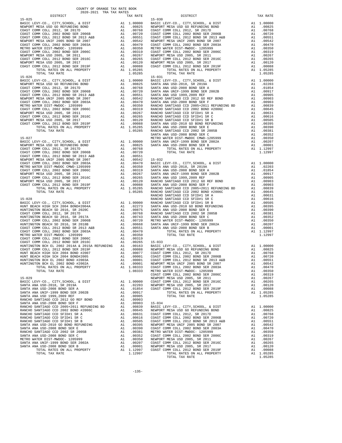| DISTRICT                                                                                                                                                                                                                                                                   | TAX RATE | DISTRICT   | TAX RATE |
|----------------------------------------------------------------------------------------------------------------------------------------------------------------------------------------------------------------------------------------------------------------------------|----------|------------|----------|
|                                                                                                                                                                                                                                                                            |          |            |          |
|                                                                                                                                                                                                                                                                            |          |            |          |
|                                                                                                                                                                                                                                                                            |          |            |          |
|                                                                                                                                                                                                                                                                            |          |            |          |
|                                                                                                                                                                                                                                                                            |          |            |          |
|                                                                                                                                                                                                                                                                            |          |            |          |
|                                                                                                                                                                                                                                                                            |          |            |          |
|                                                                                                                                                                                                                                                                            |          |            |          |
|                                                                                                                                                                                                                                                                            |          |            |          |
|                                                                                                                                                                                                                                                                            |          |            |          |
|                                                                                                                                                                                                                                                                            |          |            |          |
|                                                                                                                                                                                                                                                                            |          |            |          |
|                                                                                                                                                                                                                                                                            |          |            |          |
|                                                                                                                                                                                                                                                                            |          |            |          |
|                                                                                                                                                                                                                                                                            |          |            |          |
|                                                                                                                                                                                                                                                                            |          |            |          |
| $15 - 026$                                                                                                                                                                                                                                                                 |          | $15 - 031$ |          |
|                                                                                                                                                                                                                                                                            |          |            |          |
|                                                                                                                                                                                                                                                                            |          |            |          |
|                                                                                                                                                                                                                                                                            |          |            |          |
|                                                                                                                                                                                                                                                                            |          |            |          |
|                                                                                                                                                                                                                                                                            |          |            |          |
|                                                                                                                                                                                                                                                                            |          |            |          |
|                                                                                                                                                                                                                                                                            |          |            |          |
|                                                                                                                                                                                                                                                                            |          |            |          |
|                                                                                                                                                                                                                                                                            |          |            |          |
|                                                                                                                                                                                                                                                                            |          |            |          |
|                                                                                                                                                                                                                                                                            |          |            |          |
|                                                                                                                                                                                                                                                                            |          |            |          |
|                                                                                                                                                                                                                                                                            |          |            |          |
|                                                                                                                                                                                                                                                                            |          |            |          |
|                                                                                                                                                                                                                                                                            |          |            |          |
|                                                                                                                                                                                                                                                                            |          |            |          |
|                                                                                                                                                                                                                                                                            |          |            |          |
|                                                                                                                                                                                                                                                                            |          |            |          |
|                                                                                                                                                                                                                                                                            |          |            |          |
|                                                                                                                                                                                                                                                                            |          |            |          |
|                                                                                                                                                                                                                                                                            |          |            |          |
|                                                                                                                                                                                                                                                                            |          |            |          |
|                                                                                                                                                                                                                                                                            |          |            |          |
|                                                                                                                                                                                                                                                                            |          |            |          |
|                                                                                                                                                                                                                                                                            |          |            |          |
|                                                                                                                                                                                                                                                                            |          |            |          |
|                                                                                                                                                                                                                                                                            |          |            |          |
|                                                                                                                                                                                                                                                                            |          |            |          |
|                                                                                                                                                                                                                                                                            |          |            |          |
|                                                                                                                                                                                                                                                                            |          |            |          |
|                                                                                                                                                                                                                                                                            |          |            |          |
|                                                                                                                                                                                                                                                                            |          |            |          |
|                                                                                                                                                                                                                                                                            |          |            |          |
|                                                                                                                                                                                                                                                                            |          |            |          |
|                                                                                                                                                                                                                                                                            |          |            |          |
|                                                                                                                                                                                                                                                                            |          |            |          |
|                                                                                                                                                                                                                                                                            |          |            |          |
|                                                                                                                                                                                                                                                                            |          |            |          |
|                                                                                                                                                                                                                                                                            |          |            |          |
|                                                                                                                                                                                                                                                                            |          |            |          |
|                                                                                                                                                                                                                                                                            |          |            |          |
|                                                                                                                                                                                                                                                                            |          |            |          |
|                                                                                                                                                                                                                                                                            |          |            |          |
|                                                                                                                                                                                                                                                                            |          |            |          |
| $\begin{bmatrix} 1.4 & 0.01 & 0.01 & 0.01 & 0.01 & 0.01 & 0.01 & 0.01 & 0.01 & 0.01 & 0.01 & 0.01 & 0.01 & 0.01 & 0.01 & 0.01 & 0.01 & 0.01 & 0.01 & 0.01 & 0.01 & 0.01 & 0.01 & 0.01 & 0.01 & 0.01 & 0.01 & 0.01 & 0.01 & 0.01 & 0.01 & 0.01 & 0.01 & 0.01 & 0.01 & 0.01$ |          |            |          |
|                                                                                                                                                                                                                                                                            |          |            |          |
|                                                                                                                                                                                                                                                                            |          |            |          |
|                                                                                                                                                                                                                                                                            |          |            |          |
|                                                                                                                                                                                                                                                                            |          |            |          |
|                                                                                                                                                                                                                                                                            |          |            |          |
|                                                                                                                                                                                                                                                                            |          |            |          |
|                                                                                                                                                                                                                                                                            |          |            |          |
|                                                                                                                                                                                                                                                                            |          |            |          |
|                                                                                                                                                                                                                                                                            |          |            |          |
|                                                                                                                                                                                                                                                                            |          |            |          |
| ON BCH EL 2002 BOND #2002A<br>TOTAL RATES ON ALL PROPERTY A1 1.08333                                                                                                                                                                                                       |          |            |          |
|                                                                                                                                                                                                                                                                            |          |            |          |
|                                                                                                                                                                                                                                                                            |          |            |          |
|                                                                                                                                                                                                                                                                            |          |            |          |
|                                                                                                                                                                                                                                                                            |          |            |          |
|                                                                                                                                                                                                                                                                            |          |            |          |
|                                                                                                                                                                                                                                                                            |          |            |          |
|                                                                                                                                                                                                                                                                            |          |            |          |
|                                                                                                                                                                                                                                                                            |          |            |          |
|                                                                                                                                                                                                                                                                            |          |            |          |
|                                                                                                                                                                                                                                                                            |          |            |          |
|                                                                                                                                                                                                                                                                            |          |            |          |
|                                                                                                                                                                                                                                                                            |          |            |          |
|                                                                                                                                                                                                                                                                            |          |            |          |
|                                                                                                                                                                                                                                                                            |          |            |          |
|                                                                                                                                                                                                                                                                            |          |            |          |
|                                                                                                                                                                                                                                                                            |          |            |          |
|                                                                                                                                                                                                                                                                            |          |            |          |
|                                                                                                                                                                                                                                                                            |          |            |          |
|                                                                                                                                                                                                                                                                            |          |            |          |
|                                                                                                                                                                                                                                                                            |          |            |          |
|                                                                                                                                                                                                                                                                            |          |            |          |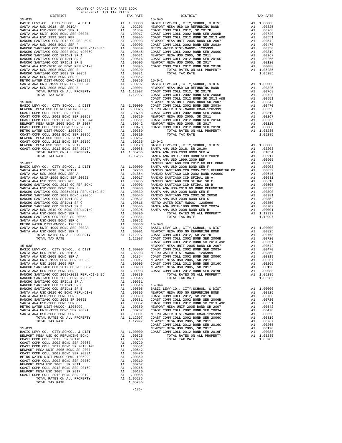|                                                                                                              |    |                                                                                                                                                                                                                                                       | COAST C |
|--------------------------------------------------------------------------------------------------------------|----|-------------------------------------------------------------------------------------------------------------------------------------------------------------------------------------------------------------------------------------------------------|---------|
|                                                                                                              |    |                                                                                                                                                                                                                                                       |         |
|                                                                                                              |    |                                                                                                                                                                                                                                                       |         |
|                                                                                                              |    |                                                                                                                                                                                                                                                       |         |
|                                                                                                              |    |                                                                                                                                                                                                                                                       |         |
|                                                                                                              |    |                                                                                                                                                                                                                                                       |         |
|                                                                                                              |    |                                                                                                                                                                                                                                                       |         |
|                                                                                                              |    |                                                                                                                                                                                                                                                       |         |
|                                                                                                              |    |                                                                                                                                                                                                                                                       |         |
|                                                                                                              |    |                                                                                                                                                                                                                                                       |         |
|                                                                                                              |    |                                                                                                                                                                                                                                                       |         |
|                                                                                                              |    |                                                                                                                                                                                                                                                       |         |
|                                                                                                              |    |                                                                                                                                                                                                                                                       |         |
|                                                                                                              |    |                                                                                                                                                                                                                                                       |         |
|                                                                                                              |    |                                                                                                                                                                                                                                                       |         |
|                                                                                                              |    |                                                                                                                                                                                                                                                       |         |
|                                                                                                              |    |                                                                                                                                                                                                                                                       | SANTA A |
| $15 - 037$                                                                                                   |    |                                                                                                                                                                                                                                                       | RANCHO  |
|                                                                                                              |    |                                                                                                                                                                                                                                                       |         |
|                                                                                                              |    |                                                                                                                                                                                                                                                       |         |
|                                                                                                              |    |                                                                                                                                                                                                                                                       |         |
|                                                                                                              |    |                                                                                                                                                                                                                                                       |         |
|                                                                                                              |    |                                                                                                                                                                                                                                                       |         |
|                                                                                                              |    |                                                                                                                                                                                                                                                       |         |
|                                                                                                              |    |                                                                                                                                                                                                                                                       |         |
|                                                                                                              |    |                                                                                                                                                                                                                                                       |         |
|                                                                                                              |    |                                                                                                                                                                                                                                                       |         |
|                                                                                                              |    |                                                                                                                                                                                                                                                       |         |
|                                                                                                              |    |                                                                                                                                                                                                                                                       |         |
|                                                                                                              |    |                                                                                                                                                                                                                                                       |         |
|                                                                                                              |    |                                                                                                                                                                                                                                                       |         |
|                                                                                                              |    |                                                                                                                                                                                                                                                       |         |
|                                                                                                              |    |                                                                                                                                                                                                                                                       |         |
|                                                                                                              |    |                                                                                                                                                                                                                                                       |         |
|                                                                                                              |    |                                                                                                                                                                                                                                                       |         |
|                                                                                                              |    |                                                                                                                                                                                                                                                       |         |
|                                                                                                              |    |                                                                                                                                                                                                                                                       |         |
|                                                                                                              |    |                                                                                                                                                                                                                                                       |         |
|                                                                                                              |    |                                                                                                                                                                                                                                                       |         |
|                                                                                                              |    |                                                                                                                                                                                                                                                       | COAST C |
| $15 - 038$                                                                                                   |    |                                                                                                                                                                                                                                                       | NEWPORT |
|                                                                                                              |    |                                                                                                                                                                                                                                                       |         |
|                                                                                                              |    |                                                                                                                                                                                                                                                       |         |
|                                                                                                              |    |                                                                                                                                                                                                                                                       |         |
|                                                                                                              |    |                                                                                                                                                                                                                                                       |         |
|                                                                                                              |    |                                                                                                                                                                                                                                                       |         |
|                                                                                                              |    |                                                                                                                                                                                                                                                       |         |
|                                                                                                              |    |                                                                                                                                                                                                                                                       |         |
|                                                                                                              |    |                                                                                                                                                                                                                                                       |         |
|                                                                                                              |    |                                                                                                                                                                                                                                                       |         |
|                                                                                                              |    |                                                                                                                                                                                                                                                       |         |
|                                                                                                              |    |                                                                                                                                                                                                                                                       |         |
| RANCHO SANTIAGO CCD SFID#1 SR C                                                                              |    |                                                                                                                                                                                                                                                       |         |
| RANCHO SANTIAGO CCD SFID#1 SR B                                                                              |    |                                                                                                                                                                                                                                                       |         |
| SANTA ANA USD-2010 GO BOND REFUNDING                                                                         |    |                                                                                                                                                                                                                                                       |         |
| SANTA ANA USD-2008 BOND SER E                                                                                |    |                                                                                                                                                                                                                                                       |         |
| RANCHO SANTIAGO CCD 2002 SR 2005B                                                                            |    |                                                                                                                                                                                                                                                       |         |
| SANTA ANA USD-2008 BOND SER C                                                                                |    |                                                                                                                                                                                                                                                       |         |
| METRO WATER DIST-MWDOC- 1205999                                                                              |    |                                                                                                                                                                                                                                                       |         |
| SANTA ANA UNIF-1999 BOND SER 2002A<br>SANTA ANA USD-2008 BOND SER B                                          |    |                                                                                                                                                                                                                                                       |         |
| TOTAL RATES ON ALL PROPERTY                                                                                  |    |                                                                                                                                                                                                                                                       |         |
| TOTAL TAX RATE                                                                                               |    |                                                                                                                                                                                                                                                       |         |
|                                                                                                              |    | A1 .00616 15-044<br>A1 .00616 15-044<br>A1 .00505 BASIC L<br>A1 .00395 NEWPORT<br>A1 .00390 COAST C<br>A1 .00351 COAST C<br>A1 .00350 NEWPORT<br>A1 .00350 NEWPORT<br>A1 .00207 COAST C<br>A1 .00001 METRO W<br>A1 1.12997 COAST C<br>1.12997 NEWPORT | COAST C |
| $15 - 039$                                                                                                   |    |                                                                                                                                                                                                                                                       | NEWPORT |
|                                                                                                              |    | A1 1.00000                                                                                                                                                                                                                                            | COAST C |
|                                                                                                              |    | A1 .00825                                                                                                                                                                                                                                             |         |
| BASIC LEVY-CO., CITY, SCHOOL, & DIST<br>NEWPORT MESA USD GO REFUNDING BOND<br>COAST COMM COLL 2012, SR 2017D |    | A1.00768                                                                                                                                                                                                                                              |         |
| COAST COMM COLL 2002 BOND SER 2006B                                                                          |    | A1 .00720                                                                                                                                                                                                                                             |         |
| COAST COMM COLL 2012 BOND SR 2013 A&B                                                                        |    |                                                                                                                                                                                                                                                       |         |
| NEWPORT MESA UNIF 2005 BOND SR 2007                                                                          |    |                                                                                                                                                                                                                                                       |         |
| COAST COMM COLL 2002 BOND SER 2003A                                                                          |    |                                                                                                                                                                                                                                                       |         |
| METRO WATER DIST-MWDOC CMWD-1205999                                                                          |    |                                                                                                                                                                                                                                                       |         |
| COAST COMM COLL 2002 BOND SER 2006C                                                                          |    |                                                                                                                                                                                                                                                       |         |
| A1 .00551<br>A1 .00551<br>A1 .00542<br>A1 .00370<br>A1 .00330<br>A1 .00319<br>NEWPORT MESA USD 2005, SR 2011 |    | A1.00267                                                                                                                                                                                                                                              |         |
| NEWPORT MESA USD 2005, SR 2011<br>COAST COMM COLL 2012 BOND SER 2016C                                        | A1 | .00265                                                                                                                                                                                                                                                |         |
| NEWPORT MESA USD 2005, SR 2017                                                                               | A1 | .00120                                                                                                                                                                                                                                                |         |
| COAST COMM COLL 2012 BOND SER 2019F                                                                          | A1 | .00088                                                                                                                                                                                                                                                |         |
| TOTAL RATES ON ALL PROPERTY                                                                                  |    | A1 1.05285                                                                                                                                                                                                                                            |         |
| TOTAL TAX RATE                                                                                               |    | 1.05285                                                                                                                                                                                                                                               |         |

-136-

| CULUPANG IRA INA RAILO<br>DISTRICT | TAX RATE | DISTRICT   | TAX RATE |
|------------------------------------|----------|------------|----------|
| $15 - 035$                         |          | $15 - 040$ |          |
|                                    |          |            |          |
|                                    |          |            |          |
|                                    |          |            |          |
|                                    |          |            |          |
|                                    |          |            |          |
|                                    |          |            |          |
|                                    |          |            |          |
|                                    |          |            |          |
|                                    |          |            |          |
|                                    |          |            |          |
|                                    |          |            |          |
|                                    |          |            |          |
|                                    |          |            |          |
|                                    |          |            |          |
|                                    |          |            |          |
|                                    |          |            |          |
|                                    |          |            |          |
|                                    |          |            |          |
|                                    |          |            |          |
|                                    |          |            |          |
|                                    |          |            |          |
|                                    |          |            |          |
|                                    |          |            |          |
|                                    |          |            |          |
|                                    |          |            |          |
|                                    |          |            |          |
|                                    |          |            |          |
|                                    |          |            |          |
|                                    |          |            |          |
|                                    |          |            |          |
|                                    |          |            |          |
|                                    |          |            |          |
|                                    |          |            |          |
|                                    |          |            |          |
|                                    |          |            |          |
|                                    |          |            |          |
|                                    |          |            |          |
|                                    |          |            |          |
|                                    |          |            |          |
|                                    |          |            |          |
|                                    |          |            |          |
|                                    |          |            |          |
|                                    |          |            |          |
|                                    |          |            |          |
|                                    |          |            |          |
|                                    |          |            |          |
|                                    |          |            |          |
|                                    |          |            |          |
|                                    |          |            |          |
|                                    |          |            |          |
|                                    |          |            |          |
|                                    |          |            |          |
|                                    |          |            |          |
|                                    |          |            |          |
|                                    |          |            |          |
|                                    |          |            |          |
|                                    |          |            |          |
|                                    |          |            |          |
|                                    |          |            |          |
|                                    |          |            |          |
|                                    |          |            |          |
|                                    |          |            |          |
|                                    |          |            |          |
|                                    |          |            |          |
|                                    |          |            |          |
|                                    |          |            |          |
|                                    |          |            |          |
|                                    |          |            |          |
|                                    |          |            |          |
|                                    |          |            |          |
|                                    |          |            |          |
|                                    |          |            |          |
|                                    |          |            |          |
|                                    |          |            |          |
|                                    |          |            |          |
|                                    |          |            |          |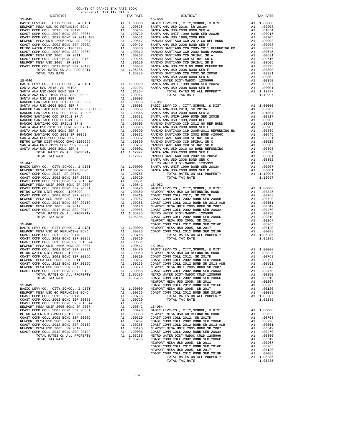| $15 - 050$<br>$15 - 045$<br>SANTA A<br>$15 - 046$<br>METRO W<br>A1 1.00000 SANTA A<br>A1 .02203 SANTA A<br>BASIC LEVY-CO., CITY, SCHOOL, & DIST<br>SANTA A<br>$15 - 047$<br>METRO W<br>$\begin{tabular}{l c c c c} \hline 15-047 & METRO & METRO & METRO\\ \hline BASIC & LEVY-CO., CITY, SCHOOL, & DIST & A1 & 1.00000 & SANTRA \\ \hline CONENT MESA USD GO REENDIDING BOND & A1 & .00825 & SANTRA \\ \hline COAST COMM COLL 2012, SR 2017D & A1 & .00768 \\ \hline COAST COMM COLL 2002 BOND SR 2013 A&B & A1 & .00720 \\ \hline COAST COMM COLL 2012 BOND SR 2013 A&B & A1 & .0051 \\ \hline NENDOPAT MESA UN$<br>NEWPORT<br>$15 - 048$<br>COAST C<br>COAST COMM COLL 2012, SR 2017D<br>A1 .00768<br>NEWPORT MESA USD 2005, SR 2017<br>NEWPORT<br>COAST C<br>COAST COMM COLL 2012 BOND SER 2019F<br>METRO W<br>A1 1.05285<br>TOTAL RATES ON ALL PROPERTY<br>COAST C<br>TOTAL TAX RATE<br>1.05285<br>NEWPORT<br>$15 - 049$<br>COAST C<br>BASIC LEVY-CO., CITY, SCHOOL, & DIST<br>1.00000 NEWPORT<br>A1<br>NEWPORT MESA USD GO REFUNDING BOND<br>COAST C<br>A1.00825<br>COAST COMM COLL 2012, SR 2017D<br>A1<br>.00768<br>COAST COMM COLL 2002 BOND SER 2006B<br>A1<br>.00720<br>COAST COMM COLL 2012 BOND SR 2013 A&B<br>A1<br>.00551<br>NEWPORT MESA UNIF 2005 BOND SR 2007<br>.00542<br>$15 - 054$<br>A1<br>A1 .00542 15-054<br>A1 .00470 BASIC L<br>COAST COMM COLL 2002 BOND SER 2003A<br>METRO WATER DIST-MWDOC- 1205999<br>A1 .00350<br>NEWPORT<br>COAST COMM COLL 2002 BOND SER 2006C<br>A1 .00319 COAST C<br>A1 .00267 COAST C<br>A1 .00265 COAST C<br>A1 .00265 COAST C<br>A1 .00120 NEWPORT<br>A1 .00188 COAST C<br>A1 1.05285 METRO M<br>NEWPORT MESA USD 2005, SR 2011<br>COAST COMM COLL 2012 BOND SER 2016C<br>NEWPORT MESA USD 2005, SR 2017<br>COAST COMM COLL 2012 BOND SER 2019F<br>TOTAL RATES ON ALL PROPERTY | DISTRICT | TAX RATE |  |
|--------------------------------------------------------------------------------------------------------------------------------------------------------------------------------------------------------------------------------------------------------------------------------------------------------------------------------------------------------------------------------------------------------------------------------------------------------------------------------------------------------------------------------------------------------------------------------------------------------------------------------------------------------------------------------------------------------------------------------------------------------------------------------------------------------------------------------------------------------------------------------------------------------------------------------------------------------------------------------------------------------------------------------------------------------------------------------------------------------------------------------------------------------------------------------------------------------------------------------------------------------------------------------------------------------------------------------------------------------------------------------------------------------------------------------------------------------------------------------------------------------------------------------------------------------------------------------------------------------------------------------------------------------------------------------------------------------------------------------------------------------------------------------------------------------------------------------------|----------|----------|--|
|                                                                                                                                                                                                                                                                                                                                                                                                                                                                                                                                                                                                                                                                                                                                                                                                                                                                                                                                                                                                                                                                                                                                                                                                                                                                                                                                                                                                                                                                                                                                                                                                                                                                                                                                                                                                                                      |          |          |  |
|                                                                                                                                                                                                                                                                                                                                                                                                                                                                                                                                                                                                                                                                                                                                                                                                                                                                                                                                                                                                                                                                                                                                                                                                                                                                                                                                                                                                                                                                                                                                                                                                                                                                                                                                                                                                                                      |          |          |  |
|                                                                                                                                                                                                                                                                                                                                                                                                                                                                                                                                                                                                                                                                                                                                                                                                                                                                                                                                                                                                                                                                                                                                                                                                                                                                                                                                                                                                                                                                                                                                                                                                                                                                                                                                                                                                                                      |          |          |  |
|                                                                                                                                                                                                                                                                                                                                                                                                                                                                                                                                                                                                                                                                                                                                                                                                                                                                                                                                                                                                                                                                                                                                                                                                                                                                                                                                                                                                                                                                                                                                                                                                                                                                                                                                                                                                                                      |          |          |  |
|                                                                                                                                                                                                                                                                                                                                                                                                                                                                                                                                                                                                                                                                                                                                                                                                                                                                                                                                                                                                                                                                                                                                                                                                                                                                                                                                                                                                                                                                                                                                                                                                                                                                                                                                                                                                                                      |          |          |  |
|                                                                                                                                                                                                                                                                                                                                                                                                                                                                                                                                                                                                                                                                                                                                                                                                                                                                                                                                                                                                                                                                                                                                                                                                                                                                                                                                                                                                                                                                                                                                                                                                                                                                                                                                                                                                                                      |          |          |  |
|                                                                                                                                                                                                                                                                                                                                                                                                                                                                                                                                                                                                                                                                                                                                                                                                                                                                                                                                                                                                                                                                                                                                                                                                                                                                                                                                                                                                                                                                                                                                                                                                                                                                                                                                                                                                                                      |          |          |  |
|                                                                                                                                                                                                                                                                                                                                                                                                                                                                                                                                                                                                                                                                                                                                                                                                                                                                                                                                                                                                                                                                                                                                                                                                                                                                                                                                                                                                                                                                                                                                                                                                                                                                                                                                                                                                                                      |          |          |  |
|                                                                                                                                                                                                                                                                                                                                                                                                                                                                                                                                                                                                                                                                                                                                                                                                                                                                                                                                                                                                                                                                                                                                                                                                                                                                                                                                                                                                                                                                                                                                                                                                                                                                                                                                                                                                                                      |          |          |  |
|                                                                                                                                                                                                                                                                                                                                                                                                                                                                                                                                                                                                                                                                                                                                                                                                                                                                                                                                                                                                                                                                                                                                                                                                                                                                                                                                                                                                                                                                                                                                                                                                                                                                                                                                                                                                                                      |          |          |  |
|                                                                                                                                                                                                                                                                                                                                                                                                                                                                                                                                                                                                                                                                                                                                                                                                                                                                                                                                                                                                                                                                                                                                                                                                                                                                                                                                                                                                                                                                                                                                                                                                                                                                                                                                                                                                                                      |          |          |  |
|                                                                                                                                                                                                                                                                                                                                                                                                                                                                                                                                                                                                                                                                                                                                                                                                                                                                                                                                                                                                                                                                                                                                                                                                                                                                                                                                                                                                                                                                                                                                                                                                                                                                                                                                                                                                                                      |          |          |  |
|                                                                                                                                                                                                                                                                                                                                                                                                                                                                                                                                                                                                                                                                                                                                                                                                                                                                                                                                                                                                                                                                                                                                                                                                                                                                                                                                                                                                                                                                                                                                                                                                                                                                                                                                                                                                                                      |          |          |  |
|                                                                                                                                                                                                                                                                                                                                                                                                                                                                                                                                                                                                                                                                                                                                                                                                                                                                                                                                                                                                                                                                                                                                                                                                                                                                                                                                                                                                                                                                                                                                                                                                                                                                                                                                                                                                                                      |          |          |  |
|                                                                                                                                                                                                                                                                                                                                                                                                                                                                                                                                                                                                                                                                                                                                                                                                                                                                                                                                                                                                                                                                                                                                                                                                                                                                                                                                                                                                                                                                                                                                                                                                                                                                                                                                                                                                                                      |          |          |  |
|                                                                                                                                                                                                                                                                                                                                                                                                                                                                                                                                                                                                                                                                                                                                                                                                                                                                                                                                                                                                                                                                                                                                                                                                                                                                                                                                                                                                                                                                                                                                                                                                                                                                                                                                                                                                                                      |          |          |  |
|                                                                                                                                                                                                                                                                                                                                                                                                                                                                                                                                                                                                                                                                                                                                                                                                                                                                                                                                                                                                                                                                                                                                                                                                                                                                                                                                                                                                                                                                                                                                                                                                                                                                                                                                                                                                                                      |          |          |  |
|                                                                                                                                                                                                                                                                                                                                                                                                                                                                                                                                                                                                                                                                                                                                                                                                                                                                                                                                                                                                                                                                                                                                                                                                                                                                                                                                                                                                                                                                                                                                                                                                                                                                                                                                                                                                                                      |          |          |  |
|                                                                                                                                                                                                                                                                                                                                                                                                                                                                                                                                                                                                                                                                                                                                                                                                                                                                                                                                                                                                                                                                                                                                                                                                                                                                                                                                                                                                                                                                                                                                                                                                                                                                                                                                                                                                                                      |          |          |  |
|                                                                                                                                                                                                                                                                                                                                                                                                                                                                                                                                                                                                                                                                                                                                                                                                                                                                                                                                                                                                                                                                                                                                                                                                                                                                                                                                                                                                                                                                                                                                                                                                                                                                                                                                                                                                                                      |          |          |  |
|                                                                                                                                                                                                                                                                                                                                                                                                                                                                                                                                                                                                                                                                                                                                                                                                                                                                                                                                                                                                                                                                                                                                                                                                                                                                                                                                                                                                                                                                                                                                                                                                                                                                                                                                                                                                                                      |          |          |  |
|                                                                                                                                                                                                                                                                                                                                                                                                                                                                                                                                                                                                                                                                                                                                                                                                                                                                                                                                                                                                                                                                                                                                                                                                                                                                                                                                                                                                                                                                                                                                                                                                                                                                                                                                                                                                                                      |          |          |  |
|                                                                                                                                                                                                                                                                                                                                                                                                                                                                                                                                                                                                                                                                                                                                                                                                                                                                                                                                                                                                                                                                                                                                                                                                                                                                                                                                                                                                                                                                                                                                                                                                                                                                                                                                                                                                                                      |          |          |  |
|                                                                                                                                                                                                                                                                                                                                                                                                                                                                                                                                                                                                                                                                                                                                                                                                                                                                                                                                                                                                                                                                                                                                                                                                                                                                                                                                                                                                                                                                                                                                                                                                                                                                                                                                                                                                                                      |          |          |  |
|                                                                                                                                                                                                                                                                                                                                                                                                                                                                                                                                                                                                                                                                                                                                                                                                                                                                                                                                                                                                                                                                                                                                                                                                                                                                                                                                                                                                                                                                                                                                                                                                                                                                                                                                                                                                                                      |          |          |  |
|                                                                                                                                                                                                                                                                                                                                                                                                                                                                                                                                                                                                                                                                                                                                                                                                                                                                                                                                                                                                                                                                                                                                                                                                                                                                                                                                                                                                                                                                                                                                                                                                                                                                                                                                                                                                                                      |          |          |  |
|                                                                                                                                                                                                                                                                                                                                                                                                                                                                                                                                                                                                                                                                                                                                                                                                                                                                                                                                                                                                                                                                                                                                                                                                                                                                                                                                                                                                                                                                                                                                                                                                                                                                                                                                                                                                                                      |          |          |  |
|                                                                                                                                                                                                                                                                                                                                                                                                                                                                                                                                                                                                                                                                                                                                                                                                                                                                                                                                                                                                                                                                                                                                                                                                                                                                                                                                                                                                                                                                                                                                                                                                                                                                                                                                                                                                                                      |          |          |  |
|                                                                                                                                                                                                                                                                                                                                                                                                                                                                                                                                                                                                                                                                                                                                                                                                                                                                                                                                                                                                                                                                                                                                                                                                                                                                                                                                                                                                                                                                                                                                                                                                                                                                                                                                                                                                                                      |          |          |  |
|                                                                                                                                                                                                                                                                                                                                                                                                                                                                                                                                                                                                                                                                                                                                                                                                                                                                                                                                                                                                                                                                                                                                                                                                                                                                                                                                                                                                                                                                                                                                                                                                                                                                                                                                                                                                                                      |          |          |  |
|                                                                                                                                                                                                                                                                                                                                                                                                                                                                                                                                                                                                                                                                                                                                                                                                                                                                                                                                                                                                                                                                                                                                                                                                                                                                                                                                                                                                                                                                                                                                                                                                                                                                                                                                                                                                                                      |          |          |  |
|                                                                                                                                                                                                                                                                                                                                                                                                                                                                                                                                                                                                                                                                                                                                                                                                                                                                                                                                                                                                                                                                                                                                                                                                                                                                                                                                                                                                                                                                                                                                                                                                                                                                                                                                                                                                                                      |          |          |  |
|                                                                                                                                                                                                                                                                                                                                                                                                                                                                                                                                                                                                                                                                                                                                                                                                                                                                                                                                                                                                                                                                                                                                                                                                                                                                                                                                                                                                                                                                                                                                                                                                                                                                                                                                                                                                                                      |          |          |  |
|                                                                                                                                                                                                                                                                                                                                                                                                                                                                                                                                                                                                                                                                                                                                                                                                                                                                                                                                                                                                                                                                                                                                                                                                                                                                                                                                                                                                                                                                                                                                                                                                                                                                                                                                                                                                                                      |          |          |  |
|                                                                                                                                                                                                                                                                                                                                                                                                                                                                                                                                                                                                                                                                                                                                                                                                                                                                                                                                                                                                                                                                                                                                                                                                                                                                                                                                                                                                                                                                                                                                                                                                                                                                                                                                                                                                                                      |          |          |  |
|                                                                                                                                                                                                                                                                                                                                                                                                                                                                                                                                                                                                                                                                                                                                                                                                                                                                                                                                                                                                                                                                                                                                                                                                                                                                                                                                                                                                                                                                                                                                                                                                                                                                                                                                                                                                                                      |          |          |  |
|                                                                                                                                                                                                                                                                                                                                                                                                                                                                                                                                                                                                                                                                                                                                                                                                                                                                                                                                                                                                                                                                                                                                                                                                                                                                                                                                                                                                                                                                                                                                                                                                                                                                                                                                                                                                                                      |          |          |  |
|                                                                                                                                                                                                                                                                                                                                                                                                                                                                                                                                                                                                                                                                                                                                                                                                                                                                                                                                                                                                                                                                                                                                                                                                                                                                                                                                                                                                                                                                                                                                                                                                                                                                                                                                                                                                                                      |          |          |  |
|                                                                                                                                                                                                                                                                                                                                                                                                                                                                                                                                                                                                                                                                                                                                                                                                                                                                                                                                                                                                                                                                                                                                                                                                                                                                                                                                                                                                                                                                                                                                                                                                                                                                                                                                                                                                                                      |          |          |  |
|                                                                                                                                                                                                                                                                                                                                                                                                                                                                                                                                                                                                                                                                                                                                                                                                                                                                                                                                                                                                                                                                                                                                                                                                                                                                                                                                                                                                                                                                                                                                                                                                                                                                                                                                                                                                                                      |          |          |  |
|                                                                                                                                                                                                                                                                                                                                                                                                                                                                                                                                                                                                                                                                                                                                                                                                                                                                                                                                                                                                                                                                                                                                                                                                                                                                                                                                                                                                                                                                                                                                                                                                                                                                                                                                                                                                                                      |          |          |  |
|                                                                                                                                                                                                                                                                                                                                                                                                                                                                                                                                                                                                                                                                                                                                                                                                                                                                                                                                                                                                                                                                                                                                                                                                                                                                                                                                                                                                                                                                                                                                                                                                                                                                                                                                                                                                                                      |          |          |  |
|                                                                                                                                                                                                                                                                                                                                                                                                                                                                                                                                                                                                                                                                                                                                                                                                                                                                                                                                                                                                                                                                                                                                                                                                                                                                                                                                                                                                                                                                                                                                                                                                                                                                                                                                                                                                                                      |          |          |  |
|                                                                                                                                                                                                                                                                                                                                                                                                                                                                                                                                                                                                                                                                                                                                                                                                                                                                                                                                                                                                                                                                                                                                                                                                                                                                                                                                                                                                                                                                                                                                                                                                                                                                                                                                                                                                                                      |          |          |  |
|                                                                                                                                                                                                                                                                                                                                                                                                                                                                                                                                                                                                                                                                                                                                                                                                                                                                                                                                                                                                                                                                                                                                                                                                                                                                                                                                                                                                                                                                                                                                                                                                                                                                                                                                                                                                                                      |          |          |  |
|                                                                                                                                                                                                                                                                                                                                                                                                                                                                                                                                                                                                                                                                                                                                                                                                                                                                                                                                                                                                                                                                                                                                                                                                                                                                                                                                                                                                                                                                                                                                                                                                                                                                                                                                                                                                                                      |          |          |  |
|                                                                                                                                                                                                                                                                                                                                                                                                                                                                                                                                                                                                                                                                                                                                                                                                                                                                                                                                                                                                                                                                                                                                                                                                                                                                                                                                                                                                                                                                                                                                                                                                                                                                                                                                                                                                                                      |          |          |  |
|                                                                                                                                                                                                                                                                                                                                                                                                                                                                                                                                                                                                                                                                                                                                                                                                                                                                                                                                                                                                                                                                                                                                                                                                                                                                                                                                                                                                                                                                                                                                                                                                                                                                                                                                                                                                                                      |          |          |  |
|                                                                                                                                                                                                                                                                                                                                                                                                                                                                                                                                                                                                                                                                                                                                                                                                                                                                                                                                                                                                                                                                                                                                                                                                                                                                                                                                                                                                                                                                                                                                                                                                                                                                                                                                                                                                                                      |          |          |  |
|                                                                                                                                                                                                                                                                                                                                                                                                                                                                                                                                                                                                                                                                                                                                                                                                                                                                                                                                                                                                                                                                                                                                                                                                                                                                                                                                                                                                                                                                                                                                                                                                                                                                                                                                                                                                                                      |          |          |  |
|                                                                                                                                                                                                                                                                                                                                                                                                                                                                                                                                                                                                                                                                                                                                                                                                                                                                                                                                                                                                                                                                                                                                                                                                                                                                                                                                                                                                                                                                                                                                                                                                                                                                                                                                                                                                                                      |          |          |  |
|                                                                                                                                                                                                                                                                                                                                                                                                                                                                                                                                                                                                                                                                                                                                                                                                                                                                                                                                                                                                                                                                                                                                                                                                                                                                                                                                                                                                                                                                                                                                                                                                                                                                                                                                                                                                                                      |          |          |  |
|                                                                                                                                                                                                                                                                                                                                                                                                                                                                                                                                                                                                                                                                                                                                                                                                                                                                                                                                                                                                                                                                                                                                                                                                                                                                                                                                                                                                                                                                                                                                                                                                                                                                                                                                                                                                                                      |          |          |  |
|                                                                                                                                                                                                                                                                                                                                                                                                                                                                                                                                                                                                                                                                                                                                                                                                                                                                                                                                                                                                                                                                                                                                                                                                                                                                                                                                                                                                                                                                                                                                                                                                                                                                                                                                                                                                                                      |          |          |  |
|                                                                                                                                                                                                                                                                                                                                                                                                                                                                                                                                                                                                                                                                                                                                                                                                                                                                                                                                                                                                                                                                                                                                                                                                                                                                                                                                                                                                                                                                                                                                                                                                                                                                                                                                                                                                                                      |          |          |  |
|                                                                                                                                                                                                                                                                                                                                                                                                                                                                                                                                                                                                                                                                                                                                                                                                                                                                                                                                                                                                                                                                                                                                                                                                                                                                                                                                                                                                                                                                                                                                                                                                                                                                                                                                                                                                                                      |          |          |  |
|                                                                                                                                                                                                                                                                                                                                                                                                                                                                                                                                                                                                                                                                                                                                                                                                                                                                                                                                                                                                                                                                                                                                                                                                                                                                                                                                                                                                                                                                                                                                                                                                                                                                                                                                                                                                                                      |          |          |  |
|                                                                                                                                                                                                                                                                                                                                                                                                                                                                                                                                                                                                                                                                                                                                                                                                                                                                                                                                                                                                                                                                                                                                                                                                                                                                                                                                                                                                                                                                                                                                                                                                                                                                                                                                                                                                                                      |          |          |  |
|                                                                                                                                                                                                                                                                                                                                                                                                                                                                                                                                                                                                                                                                                                                                                                                                                                                                                                                                                                                                                                                                                                                                                                                                                                                                                                                                                                                                                                                                                                                                                                                                                                                                                                                                                                                                                                      |          |          |  |
|                                                                                                                                                                                                                                                                                                                                                                                                                                                                                                                                                                                                                                                                                                                                                                                                                                                                                                                                                                                                                                                                                                                                                                                                                                                                                                                                                                                                                                                                                                                                                                                                                                                                                                                                                                                                                                      |          |          |  |
|                                                                                                                                                                                                                                                                                                                                                                                                                                                                                                                                                                                                                                                                                                                                                                                                                                                                                                                                                                                                                                                                                                                                                                                                                                                                                                                                                                                                                                                                                                                                                                                                                                                                                                                                                                                                                                      |          |          |  |
|                                                                                                                                                                                                                                                                                                                                                                                                                                                                                                                                                                                                                                                                                                                                                                                                                                                                                                                                                                                                                                                                                                                                                                                                                                                                                                                                                                                                                                                                                                                                                                                                                                                                                                                                                                                                                                      |          |          |  |
|                                                                                                                                                                                                                                                                                                                                                                                                                                                                                                                                                                                                                                                                                                                                                                                                                                                                                                                                                                                                                                                                                                                                                                                                                                                                                                                                                                                                                                                                                                                                                                                                                                                                                                                                                                                                                                      |          |          |  |
|                                                                                                                                                                                                                                                                                                                                                                                                                                                                                                                                                                                                                                                                                                                                                                                                                                                                                                                                                                                                                                                                                                                                                                                                                                                                                                                                                                                                                                                                                                                                                                                                                                                                                                                                                                                                                                      |          |          |  |
|                                                                                                                                                                                                                                                                                                                                                                                                                                                                                                                                                                                                                                                                                                                                                                                                                                                                                                                                                                                                                                                                                                                                                                                                                                                                                                                                                                                                                                                                                                                                                                                                                                                                                                                                                                                                                                      |          |          |  |
|                                                                                                                                                                                                                                                                                                                                                                                                                                                                                                                                                                                                                                                                                                                                                                                                                                                                                                                                                                                                                                                                                                                                                                                                                                                                                                                                                                                                                                                                                                                                                                                                                                                                                                                                                                                                                                      |          |          |  |
|                                                                                                                                                                                                                                                                                                                                                                                                                                                                                                                                                                                                                                                                                                                                                                                                                                                                                                                                                                                                                                                                                                                                                                                                                                                                                                                                                                                                                                                                                                                                                                                                                                                                                                                                                                                                                                      |          |          |  |
|                                                                                                                                                                                                                                                                                                                                                                                                                                                                                                                                                                                                                                                                                                                                                                                                                                                                                                                                                                                                                                                                                                                                                                                                                                                                                                                                                                                                                                                                                                                                                                                                                                                                                                                                                                                                                                      |          |          |  |
|                                                                                                                                                                                                                                                                                                                                                                                                                                                                                                                                                                                                                                                                                                                                                                                                                                                                                                                                                                                                                                                                                                                                                                                                                                                                                                                                                                                                                                                                                                                                                                                                                                                                                                                                                                                                                                      |          |          |  |
|                                                                                                                                                                                                                                                                                                                                                                                                                                                                                                                                                                                                                                                                                                                                                                                                                                                                                                                                                                                                                                                                                                                                                                                                                                                                                                                                                                                                                                                                                                                                                                                                                                                                                                                                                                                                                                      |          |          |  |
|                                                                                                                                                                                                                                                                                                                                                                                                                                                                                                                                                                                                                                                                                                                                                                                                                                                                                                                                                                                                                                                                                                                                                                                                                                                                                                                                                                                                                                                                                                                                                                                                                                                                                                                                                                                                                                      |          |          |  |
|                                                                                                                                                                                                                                                                                                                                                                                                                                                                                                                                                                                                                                                                                                                                                                                                                                                                                                                                                                                                                                                                                                                                                                                                                                                                                                                                                                                                                                                                                                                                                                                                                                                                                                                                                                                                                                      |          |          |  |
|                                                                                                                                                                                                                                                                                                                                                                                                                                                                                                                                                                                                                                                                                                                                                                                                                                                                                                                                                                                                                                                                                                                                                                                                                                                                                                                                                                                                                                                                                                                                                                                                                                                                                                                                                                                                                                      |          |          |  |
|                                                                                                                                                                                                                                                                                                                                                                                                                                                                                                                                                                                                                                                                                                                                                                                                                                                                                                                                                                                                                                                                                                                                                                                                                                                                                                                                                                                                                                                                                                                                                                                                                                                                                                                                                                                                                                      |          |          |  |
|                                                                                                                                                                                                                                                                                                                                                                                                                                                                                                                                                                                                                                                                                                                                                                                                                                                                                                                                                                                                                                                                                                                                                                                                                                                                                                                                                                                                                                                                                                                                                                                                                                                                                                                                                                                                                                      |          |          |  |
|                                                                                                                                                                                                                                                                                                                                                                                                                                                                                                                                                                                                                                                                                                                                                                                                                                                                                                                                                                                                                                                                                                                                                                                                                                                                                                                                                                                                                                                                                                                                                                                                                                                                                                                                                                                                                                      |          |          |  |
|                                                                                                                                                                                                                                                                                                                                                                                                                                                                                                                                                                                                                                                                                                                                                                                                                                                                                                                                                                                                                                                                                                                                                                                                                                                                                                                                                                                                                                                                                                                                                                                                                                                                                                                                                                                                                                      |          |          |  |
|                                                                                                                                                                                                                                                                                                                                                                                                                                                                                                                                                                                                                                                                                                                                                                                                                                                                                                                                                                                                                                                                                                                                                                                                                                                                                                                                                                                                                                                                                                                                                                                                                                                                                                                                                                                                                                      |          |          |  |
|                                                                                                                                                                                                                                                                                                                                                                                                                                                                                                                                                                                                                                                                                                                                                                                                                                                                                                                                                                                                                                                                                                                                                                                                                                                                                                                                                                                                                                                                                                                                                                                                                                                                                                                                                                                                                                      |          |          |  |
|                                                                                                                                                                                                                                                                                                                                                                                                                                                                                                                                                                                                                                                                                                                                                                                                                                                                                                                                                                                                                                                                                                                                                                                                                                                                                                                                                                                                                                                                                                                                                                                                                                                                                                                                                                                                                                      |          |          |  |
|                                                                                                                                                                                                                                                                                                                                                                                                                                                                                                                                                                                                                                                                                                                                                                                                                                                                                                                                                                                                                                                                                                                                                                                                                                                                                                                                                                                                                                                                                                                                                                                                                                                                                                                                                                                                                                      |          |          |  |
|                                                                                                                                                                                                                                                                                                                                                                                                                                                                                                                                                                                                                                                                                                                                                                                                                                                                                                                                                                                                                                                                                                                                                                                                                                                                                                                                                                                                                                                                                                                                                                                                                                                                                                                                                                                                                                      |          |          |  |
|                                                                                                                                                                                                                                                                                                                                                                                                                                                                                                                                                                                                                                                                                                                                                                                                                                                                                                                                                                                                                                                                                                                                                                                                                                                                                                                                                                                                                                                                                                                                                                                                                                                                                                                                                                                                                                      |          |          |  |
|                                                                                                                                                                                                                                                                                                                                                                                                                                                                                                                                                                                                                                                                                                                                                                                                                                                                                                                                                                                                                                                                                                                                                                                                                                                                                                                                                                                                                                                                                                                                                                                                                                                                                                                                                                                                                                      |          |          |  |
|                                                                                                                                                                                                                                                                                                                                                                                                                                                                                                                                                                                                                                                                                                                                                                                                                                                                                                                                                                                                                                                                                                                                                                                                                                                                                                                                                                                                                                                                                                                                                                                                                                                                                                                                                                                                                                      |          |          |  |
|                                                                                                                                                                                                                                                                                                                                                                                                                                                                                                                                                                                                                                                                                                                                                                                                                                                                                                                                                                                                                                                                                                                                                                                                                                                                                                                                                                                                                                                                                                                                                                                                                                                                                                                                                                                                                                      |          |          |  |
|                                                                                                                                                                                                                                                                                                                                                                                                                                                                                                                                                                                                                                                                                                                                                                                                                                                                                                                                                                                                                                                                                                                                                                                                                                                                                                                                                                                                                                                                                                                                                                                                                                                                                                                                                                                                                                      |          |          |  |
|                                                                                                                                                                                                                                                                                                                                                                                                                                                                                                                                                                                                                                                                                                                                                                                                                                                                                                                                                                                                                                                                                                                                                                                                                                                                                                                                                                                                                                                                                                                                                                                                                                                                                                                                                                                                                                      |          |          |  |
|                                                                                                                                                                                                                                                                                                                                                                                                                                                                                                                                                                                                                                                                                                                                                                                                                                                                                                                                                                                                                                                                                                                                                                                                                                                                                                                                                                                                                                                                                                                                                                                                                                                                                                                                                                                                                                      |          |          |  |
|                                                                                                                                                                                                                                                                                                                                                                                                                                                                                                                                                                                                                                                                                                                                                                                                                                                                                                                                                                                                                                                                                                                                                                                                                                                                                                                                                                                                                                                                                                                                                                                                                                                                                                                                                                                                                                      |          |          |  |
|                                                                                                                                                                                                                                                                                                                                                                                                                                                                                                                                                                                                                                                                                                                                                                                                                                                                                                                                                                                                                                                                                                                                                                                                                                                                                                                                                                                                                                                                                                                                                                                                                                                                                                                                                                                                                                      |          |          |  |
|                                                                                                                                                                                                                                                                                                                                                                                                                                                                                                                                                                                                                                                                                                                                                                                                                                                                                                                                                                                                                                                                                                                                                                                                                                                                                                                                                                                                                                                                                                                                                                                                                                                                                                                                                                                                                                      |          |          |  |
|                                                                                                                                                                                                                                                                                                                                                                                                                                                                                                                                                                                                                                                                                                                                                                                                                                                                                                                                                                                                                                                                                                                                                                                                                                                                                                                                                                                                                                                                                                                                                                                                                                                                                                                                                                                                                                      |          |          |  |

| COUNTY OF ORANGE TAX RATE BOOK<br>$2020-2021 \quad \text{TRA TAX RATES}$ DISTRICT $\hspace{2.5cm}$ |  |          |                |  |          |  |  |
|----------------------------------------------------------------------------------------------------|--|----------|----------------|--|----------|--|--|
|                                                                                                    |  | TAX RATE | DISTRICT       |  | TAX RATE |  |  |
|                                                                                                    |  |          |                |  |          |  |  |
|                                                                                                    |  |          |                |  |          |  |  |
|                                                                                                    |  |          |                |  |          |  |  |
|                                                                                                    |  |          |                |  |          |  |  |
|                                                                                                    |  |          |                |  |          |  |  |
|                                                                                                    |  |          |                |  |          |  |  |
|                                                                                                    |  |          |                |  |          |  |  |
|                                                                                                    |  |          |                |  |          |  |  |
|                                                                                                    |  |          |                |  |          |  |  |
|                                                                                                    |  |          |                |  |          |  |  |
|                                                                                                    |  |          |                |  |          |  |  |
|                                                                                                    |  |          |                |  |          |  |  |
|                                                                                                    |  |          |                |  |          |  |  |
|                                                                                                    |  |          |                |  |          |  |  |
|                                                                                                    |  |          |                |  |          |  |  |
|                                                                                                    |  |          |                |  |          |  |  |
|                                                                                                    |  |          |                |  |          |  |  |
|                                                                                                    |  |          |                |  |          |  |  |
|                                                                                                    |  |          |                |  |          |  |  |
|                                                                                                    |  |          |                |  |          |  |  |
|                                                                                                    |  |          |                |  |          |  |  |
|                                                                                                    |  |          |                |  |          |  |  |
|                                                                                                    |  |          |                |  |          |  |  |
|                                                                                                    |  |          |                |  |          |  |  |
|                                                                                                    |  |          |                |  |          |  |  |
|                                                                                                    |  |          |                |  |          |  |  |
|                                                                                                    |  |          |                |  |          |  |  |
|                                                                                                    |  |          |                |  |          |  |  |
|                                                                                                    |  |          |                |  |          |  |  |
|                                                                                                    |  |          |                |  |          |  |  |
|                                                                                                    |  |          |                |  |          |  |  |
|                                                                                                    |  |          |                |  |          |  |  |
|                                                                                                    |  |          |                |  |          |  |  |
|                                                                                                    |  |          |                |  |          |  |  |
|                                                                                                    |  |          |                |  |          |  |  |
|                                                                                                    |  |          |                |  |          |  |  |
|                                                                                                    |  |          |                |  |          |  |  |
|                                                                                                    |  |          |                |  |          |  |  |
|                                                                                                    |  |          |                |  |          |  |  |
|                                                                                                    |  |          |                |  |          |  |  |
|                                                                                                    |  |          |                |  |          |  |  |
|                                                                                                    |  |          |                |  |          |  |  |
|                                                                                                    |  |          |                |  |          |  |  |
|                                                                                                    |  |          |                |  |          |  |  |
|                                                                                                    |  |          |                |  |          |  |  |
|                                                                                                    |  |          |                |  |          |  |  |
|                                                                                                    |  |          |                |  |          |  |  |
|                                                                                                    |  |          |                |  |          |  |  |
|                                                                                                    |  |          |                |  |          |  |  |
|                                                                                                    |  |          |                |  |          |  |  |
|                                                                                                    |  |          |                |  |          |  |  |
|                                                                                                    |  |          |                |  |          |  |  |
|                                                                                                    |  |          |                |  |          |  |  |
|                                                                                                    |  |          |                |  |          |  |  |
|                                                                                                    |  |          |                |  |          |  |  |
|                                                                                                    |  |          |                |  |          |  |  |
|                                                                                                    |  |          |                |  |          |  |  |
|                                                                                                    |  |          |                |  |          |  |  |
|                                                                                                    |  |          |                |  |          |  |  |
|                                                                                                    |  |          |                |  |          |  |  |
|                                                                                                    |  |          |                |  |          |  |  |
|                                                                                                    |  |          |                |  |          |  |  |
|                                                                                                    |  |          |                |  |          |  |  |
|                                                                                                    |  |          |                |  |          |  |  |
|                                                                                                    |  |          |                |  |          |  |  |
|                                                                                                    |  |          |                |  |          |  |  |
|                                                                                                    |  |          |                |  |          |  |  |
|                                                                                                    |  |          |                |  |          |  |  |
|                                                                                                    |  |          |                |  |          |  |  |
|                                                                                                    |  |          |                |  |          |  |  |
|                                                                                                    |  |          | TOTAL TAX RATE |  |          |  |  |
|                                                                                                    |  |          |                |  |          |  |  |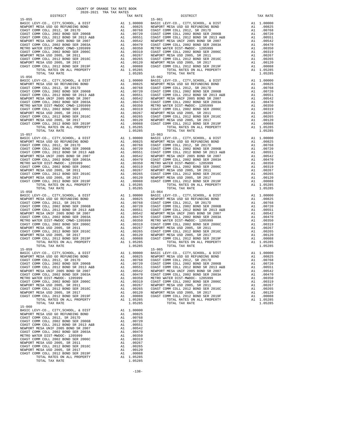| TOTAL TAX RATE                                                                |                                                                                                                                                                                                                                                                                                                                                    | 1.05285               |                    |
|-------------------------------------------------------------------------------|----------------------------------------------------------------------------------------------------------------------------------------------------------------------------------------------------------------------------------------------------------------------------------------------------------------------------------------------------|-----------------------|--------------------|
| $15 - 056$                                                                    |                                                                                                                                                                                                                                                                                                                                                    |                       | $15 - 062$         |
|                                                                               |                                                                                                                                                                                                                                                                                                                                                    |                       |                    |
|                                                                               |                                                                                                                                                                                                                                                                                                                                                    |                       |                    |
|                                                                               |                                                                                                                                                                                                                                                                                                                                                    |                       |                    |
|                                                                               |                                                                                                                                                                                                                                                                                                                                                    |                       |                    |
|                                                                               |                                                                                                                                                                                                                                                                                                                                                    |                       |                    |
|                                                                               |                                                                                                                                                                                                                                                                                                                                                    |                       |                    |
|                                                                               |                                                                                                                                                                                                                                                                                                                                                    |                       |                    |
|                                                                               |                                                                                                                                                                                                                                                                                                                                                    |                       |                    |
|                                                                               |                                                                                                                                                                                                                                                                                                                                                    |                       |                    |
|                                                                               |                                                                                                                                                                                                                                                                                                                                                    |                       |                    |
|                                                                               |                                                                                                                                                                                                                                                                                                                                                    |                       |                    |
| TOTAL TAX RATE<br>$15 - 057$                                                  |                                                                                                                                                                                                                                                                                                                                                    | 1.05285               | $15 - 063$         |
| BASIC LEVY-CO., CITY, SCHOOL, & DIST                                          | $\begin{tabular}{cc} 15-063 \\ \text{A1} & 1.00000 \\ \text{A1} & 0.0825 \\ \text{A1} & 0.0768 \\ \text{A1} & 0.0768 \\ \text{A1} & 0.0768 \\ \text{A1} & 0.0762 \\ \text{A1} & 0.0551 \\ \text{A1} & 0.0551 \\ \text{A2} & 0.0847 \\ \text{A1} & 0.0947 \\ \text{A1} & 0.0319 \\ \text{A1} & 0.0319 \\ \text{A2} & 0.0319 \\ \text{A3} & $        |                       |                    |
| NEWPORT MESA USD GO REFUNDING BOND<br>COAST COMM COT 1 2012 GO REFUNDING BOND |                                                                                                                                                                                                                                                                                                                                                    |                       |                    |
| COAST COMM COLL 2012, SR 2017D<br>COAST COMM COLL 2002 BOND SER 2006B         |                                                                                                                                                                                                                                                                                                                                                    |                       |                    |
| COAST COMM COLL 2012 BOND SR 2013 A&B                                         |                                                                                                                                                                                                                                                                                                                                                    |                       |                    |
| NEWPORT MESA UNIF 2005 BOND SR 2007                                           |                                                                                                                                                                                                                                                                                                                                                    |                       |                    |
| COAST COMM COLL 2002 BOND SER 2003A                                           |                                                                                                                                                                                                                                                                                                                                                    |                       |                    |
| METRO WATER DIST-MWDOC- 1205999<br>COAST COMM COLL 2002 BOND SER 2006C        |                                                                                                                                                                                                                                                                                                                                                    |                       |                    |
| NEWPORT MESA USD 2005, SR 2011                                                |                                                                                                                                                                                                                                                                                                                                                    |                       |                    |
| COAST COMM COLL 2012 BOND SER 2016C                                           |                                                                                                                                                                                                                                                                                                                                                    |                       |                    |
| NEWPORT MESA USD 2005, SR 2017                                                |                                                                                                                                                                                                                                                                                                                                                    |                       |                    |
| COAST COMM COLL 2012 BOND SER 2019F<br>TOTAL RATES ON ALL PROPERTY            |                                                                                                                                                                                                                                                                                                                                                    | A1 1.05285            |                    |
| TOTAL TAX RATE                                                                |                                                                                                                                                                                                                                                                                                                                                    | 1.05285               |                    |
| $15 - 058$                                                                    | $\begin{tabular}{cc} & 15-064 \\ \text{A1} & 1.00000 \\ \text{A1} & 00825 \\ \text{A1} & 00768 \\ \text{A1} & 00768 \\ \text{A1} & 00768 \\ \text{A1} & 00720 \\ \text{A1} & 00551 \\ \text{A1} & 00551 \\ \text{A1} & 00542 \\ \text{A1} & 00470 \\ \text{A1} & 00350 \\ \text{A1} & 00350 \\ \text{A1} & 00350 \\ \text{A1} & 00350 \\ \text{A1$ |                       | $15 - 064$         |
| BASIC LEVY-CO., CITY, SCHOOL, & DIST<br>NEWPORT MESA USD GO REFUNDING BOND    |                                                                                                                                                                                                                                                                                                                                                    |                       |                    |
| COAST COMM COLL 2012, SR 2017D                                                |                                                                                                                                                                                                                                                                                                                                                    |                       |                    |
| COAST COMM COLL 2002 BOND SER 2006B                                           |                                                                                                                                                                                                                                                                                                                                                    |                       |                    |
| COAST COMM COLL 2012 BOND SR 2013 A&B                                         |                                                                                                                                                                                                                                                                                                                                                    |                       |                    |
| NEWPORT MESA UNIF 2005 BOND SR 2007<br>COAST COMM COLL 2002 BOND SER 2003A    |                                                                                                                                                                                                                                                                                                                                                    |                       |                    |
| METRO WATER DIST-MWDOC CMWD-1205999                                           |                                                                                                                                                                                                                                                                                                                                                    |                       |                    |
| COAST COMM COLL 2002 BOND SER 2006C                                           |                                                                                                                                                                                                                                                                                                                                                    |                       |                    |
| NEWPORT MESA USD 2005, SR 2011<br>COAST COMM COLL 2012 BOND SER 2016C         |                                                                                                                                                                                                                                                                                                                                                    |                       |                    |
| NEWPORT MESA USD 2005, SR 2017                                                |                                                                                                                                                                                                                                                                                                                                                    |                       |                    |
| COAST COMM COLL 2012 BOND SER 2019F                                           |                                                                                                                                                                                                                                                                                                                                                    |                       |                    |
| TOTAL RATES ON ALL PROPERTY<br>TOTAL TAX RATE                                 |                                                                                                                                                                                                                                                                                                                                                    | 1.05285               |                    |
| $15 - 059$                                                                    |                                                                                                                                                                                                                                                                                                                                                    |                       | $15 - 065$         |
| BASIC LEVY-CO., CITY, SCHOOL, & DIST                                          | 15-065<br>A1 1.00000 BASIC L<br>A1 .00825 NEWPORT<br>A1 .00768 COAST C<br>A1 .00720 COAST C<br>A1 .00542 NEWPORT<br>A1 .00542 NEWPORT<br>A1 .00470 COAST C                                                                                                                                                                                         |                       |                    |
| NEWPORT MESA USD GO REFUNDING BOND                                            |                                                                                                                                                                                                                                                                                                                                                    |                       |                    |
| COAST COMM COLL 2012, SR 2017D<br>COAST COMM COLL 2002 BOND SER 2006B         |                                                                                                                                                                                                                                                                                                                                                    |                       |                    |
| COAST COMM COLL 2012 BOND SR 2013 A&B                                         |                                                                                                                                                                                                                                                                                                                                                    |                       |                    |
| NEWPORT MESA UNIF 2005 BOND SR 2007                                           |                                                                                                                                                                                                                                                                                                                                                    |                       |                    |
| COAST COMM COLL 2002 BOND SER 2003A<br>METRO WATER DIST-MWDOC- 1205999        | $\overline{A1}$                                                                                                                                                                                                                                                                                                                                    | .00350                | METRO W            |
| COAST COMM COLL 2002 BOND SER 2006C                                           |                                                                                                                                                                                                                                                                                                                                                    | .00319                | COAST C            |
| NEWPORT MESA USD 2005, SR 2011                                                | A1<br>A1                                                                                                                                                                                                                                                                                                                                           | .00267                | NEWPORT            |
| COAST COMM COLL 2012 BOND SER 2016C                                           | A1                                                                                                                                                                                                                                                                                                                                                 | .00265                | COAST C<br>NEWPORT |
| NEWPORT MESA USD 2005, SR 2017<br>COAST COMM COLL 2012 BOND SER 2019F         | A1                                                                                                                                                                                                                                                                                                                                                 | A1 .00120<br>.00088   | COAST C            |
| TOTAL RATES ON ALL PROPERTY                                                   |                                                                                                                                                                                                                                                                                                                                                    | A1 1.05285            |                    |
| TOTAL TAX RATE                                                                |                                                                                                                                                                                                                                                                                                                                                    | 1.05285               |                    |
| $15 - 060$<br>BASIC LEVY-CO., CITY, SCHOOL, & DIST                            |                                                                                                                                                                                                                                                                                                                                                    | A1 1.00000            |                    |
| NEWPORT MESA USD GO REFUNDING BOND                                            | A1                                                                                                                                                                                                                                                                                                                                                 | .00825                |                    |
| COAST COMM COLL 2012, SR 2017D                                                | A1                                                                                                                                                                                                                                                                                                                                                 | .00768                |                    |
| COAST COMM COLL 2002 BOND SER 2006B<br>COAST COMM COLL 2012 BOND SR 2013 A&B  | A1<br>A1                                                                                                                                                                                                                                                                                                                                           | .00720                |                    |
| NEWPORT MESA UNIF 2005 BOND SR 2007                                           | A1                                                                                                                                                                                                                                                                                                                                                 | .00551<br>.00542      |                    |
| COAST COMM COLL 2002 BOND SER 2003A                                           | A1                                                                                                                                                                                                                                                                                                                                                 | .00470                |                    |
| METRO WATER DIST-MWDOC- 1205999                                               | A1                                                                                                                                                                                                                                                                                                                                                 | .00350                |                    |
| COAST COMM COLL 2002 BOND SER 2006C<br>NEWPORT MESA USD 2005, SR 2011         | A1                                                                                                                                                                                                                                                                                                                                                 | A1 .00319<br>.00267   |                    |
| COAST COMM COLL 2012 BOND SER 2016C                                           |                                                                                                                                                                                                                                                                                                                                                    | A1 .00265             |                    |
| NEWPORT MESA USD 2005, SR 2017                                                |                                                                                                                                                                                                                                                                                                                                                    | A1 .00120             |                    |
| COAST COMM COLL 2012 BOND SER 2019F                                           | A1                                                                                                                                                                                                                                                                                                                                                 | .00088                |                    |
| TOTAL RATES ON ALL PROPERTY<br>TOTAL TAX RATE                                 |                                                                                                                                                                                                                                                                                                                                                    | A1 1.05285<br>1.05285 |                    |
|                                                                               |                                                                                                                                                                                                                                                                                                                                                    |                       |                    |

| DISTRICT                                                              |    | TAX RATE           | DISTRICT                                                                                          |          | TAX RATE               |
|-----------------------------------------------------------------------|----|--------------------|---------------------------------------------------------------------------------------------------|----------|------------------------|
|                                                                       |    |                    | $15 - 061$                                                                                        |          |                        |
|                                                                       |    |                    |                                                                                                   |          |                        |
|                                                                       |    |                    |                                                                                                   |          |                        |
|                                                                       |    |                    |                                                                                                   |          |                        |
|                                                                       |    |                    |                                                                                                   |          |                        |
|                                                                       |    |                    |                                                                                                   |          |                        |
|                                                                       |    |                    |                                                                                                   |          |                        |
|                                                                       |    |                    |                                                                                                   |          |                        |
|                                                                       |    |                    |                                                                                                   |          |                        |
|                                                                       |    |                    |                                                                                                   |          |                        |
|                                                                       |    |                    |                                                                                                   |          |                        |
|                                                                       |    |                    |                                                                                                   |          |                        |
|                                                                       |    |                    |                                                                                                   |          |                        |
|                                                                       |    |                    |                                                                                                   |          |                        |
|                                                                       |    |                    |                                                                                                   |          |                        |
|                                                                       |    |                    |                                                                                                   |          |                        |
|                                                                       |    |                    |                                                                                                   |          |                        |
|                                                                       |    |                    |                                                                                                   |          |                        |
|                                                                       |    |                    |                                                                                                   |          |                        |
|                                                                       |    |                    |                                                                                                   |          |                        |
|                                                                       |    |                    |                                                                                                   |          |                        |
|                                                                       |    |                    |                                                                                                   |          |                        |
|                                                                       |    |                    |                                                                                                   |          |                        |
|                                                                       |    |                    |                                                                                                   |          |                        |
|                                                                       |    |                    |                                                                                                   |          |                        |
|                                                                       |    |                    |                                                                                                   |          |                        |
|                                                                       |    |                    |                                                                                                   |          |                        |
|                                                                       |    |                    |                                                                                                   |          |                        |
|                                                                       |    |                    |                                                                                                   |          |                        |
|                                                                       |    |                    |                                                                                                   |          |                        |
|                                                                       |    |                    |                                                                                                   |          |                        |
|                                                                       |    |                    |                                                                                                   |          |                        |
|                                                                       |    |                    |                                                                                                   |          |                        |
|                                                                       |    |                    |                                                                                                   |          |                        |
|                                                                       |    |                    |                                                                                                   |          |                        |
|                                                                       |    |                    |                                                                                                   |          |                        |
|                                                                       |    |                    |                                                                                                   |          |                        |
|                                                                       |    |                    |                                                                                                   |          |                        |
|                                                                       |    |                    |                                                                                                   |          |                        |
|                                                                       |    |                    |                                                                                                   |          |                        |
|                                                                       |    |                    |                                                                                                   |          |                        |
|                                                                       |    |                    |                                                                                                   |          |                        |
|                                                                       |    |                    |                                                                                                   |          |                        |
|                                                                       |    |                    |                                                                                                   |          |                        |
|                                                                       |    |                    |                                                                                                   |          |                        |
|                                                                       |    |                    |                                                                                                   |          |                        |
|                                                                       |    |                    |                                                                                                   |          |                        |
|                                                                       |    |                    |                                                                                                   |          |                        |
|                                                                       |    |                    |                                                                                                   |          |                        |
|                                                                       |    |                    |                                                                                                   |          |                        |
|                                                                       |    |                    |                                                                                                   |          |                        |
|                                                                       |    |                    |                                                                                                   |          |                        |
|                                                                       |    |                    |                                                                                                   |          |                        |
|                                                                       |    |                    |                                                                                                   |          |                        |
|                                                                       |    |                    |                                                                                                   |          |                        |
|                                                                       |    |                    |                                                                                                   |          |                        |
|                                                                       |    |                    |                                                                                                   |          |                        |
|                                                                       |    |                    |                                                                                                   |          |                        |
|                                                                       |    |                    |                                                                                                   |          |                        |
|                                                                       |    |                    |                                                                                                   |          |                        |
|                                                                       |    |                    |                                                                                                   |          |                        |
|                                                                       |    |                    |                                                                                                   |          |                        |
|                                                                       |    |                    |                                                                                                   |          |                        |
| $15 - 059$                                                            |    |                    | $15 - 065$                                                                                        |          |                        |
|                                                                       |    |                    |                                                                                                   |          |                        |
|                                                                       |    |                    |                                                                                                   |          |                        |
|                                                                       |    |                    |                                                                                                   |          |                        |
|                                                                       |    |                    | 00720 COAST COMM COLL 2002 BOND SER 2006B A1 .00720 COAST COMM COLL 2002 BOND SER 2006B A1 .00720 |          |                        |
| COAST COMM COLL 2012 BOND SR 2013 A&B                                 | A1 | .00551             | COAST COMM COLL 2012 BOND SR 2013 A&B                                                             | A1       | .00551                 |
| NEWPORT MESA UNIF 2005 BOND SR 2007                                   |    | A1 .00542          | NEWPORT MESA UNIF 2005 BOND SR 2007                                                               | A1       | .00542                 |
| COAST COMM COLL 2002 BOND SER 2003A                                   |    | A1.00470           | COAST COMM COLL 2002 BOND SER 2003A                                                               |          | A1 .00470              |
| METRO WATER DIST-MWDOC- 1205999                                       |    | A1.00350           | METRO WATER DIST-MWDOC- 1205999                                                                   |          | A1 .00350              |
| COAST COMM COLL 2002 BOND SER 2006C                                   | A1 | A1.00319<br>.00267 | COAST COMM COLL 2002 BOND SER 2006C                                                               | A1<br>A1 | .00319<br>.00267       |
| NEWPORT MESA USD 2005, SR 2011<br>COAST COMM COLL 2012 BOND SER 2016C |    | A1 .00265          | NEWPORT MESA USD 2005, SR 2011<br>COAST COMM COLL 2012 BOND SER 2016C                             |          | .00265                 |
|                                                                       |    | A1 .00120          |                                                                                                   | A1       |                        |
| NEWPORT MESA USD 2005, SR 2017<br>COAST COMM COLL 2012 BOND SER 2019F |    | A1 .00088          | NEWPORT MESA USD 2005, SR 2017<br>COAST COMM COLL 2012 BOND SER 2019F                             |          | A1 .00120<br>A1 .00088 |
| TOTAL RATES ON ALL PROPERTY                                           |    | A1 1.05285         | TOTAL RATES ON ALL PROPERTY                                                                       |          | A1 1.05285             |
| TOTAL TAX RATE                                                        |    | 1.05285            | TOTAL TAX RATE                                                                                    |          | 1.05285                |
| $15 - 060$                                                            |    |                    |                                                                                                   |          |                        |
| BASIC LEVY-CO., CITY, SCHOOL, & DIST                                  |    | A1 1.00000         |                                                                                                   |          |                        |
| NEWPORT MESA USD GO REFUNDING BOND                                    | A1 | .00825             |                                                                                                   |          |                        |
| COAST COMM COLL 2012, SR 2017D                                        | A1 | .00768             |                                                                                                   |          |                        |
|                                                                       |    |                    |                                                                                                   |          |                        |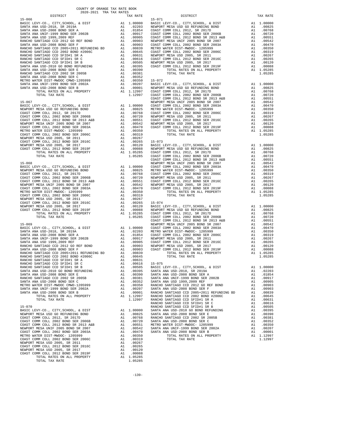| RANCHO SANTIAGO CCD 2002 SR 2005B                                                                               |                                                                                                                                                                                                                                | A1 .00381                                                                                                                                                                                                                                                                       |                    |
|-----------------------------------------------------------------------------------------------------------------|--------------------------------------------------------------------------------------------------------------------------------------------------------------------------------------------------------------------------------|---------------------------------------------------------------------------------------------------------------------------------------------------------------------------------------------------------------------------------------------------------------------------------|--------------------|
| SANTA ANA USD-2008 BOND SER C                                                                                   |                                                                                                                                                                                                                                | A1 .00352                                                                                                                                                                                                                                                                       |                    |
| METRO WATER DIST-MWDOC CMWD-1205999                                                                             |                                                                                                                                                                                                                                |                                                                                                                                                                                                                                                                                 |                    |
| SANTA ANA UNIF-1999 BOND SER 2002A                                                                              |                                                                                                                                                                                                                                |                                                                                                                                                                                                                                                                                 |                    |
| SANTA ANA USD-2008 BOND SER B                                                                                   |                                                                                                                                                                                                                                | A1 .00352<br>A1 .00350 15-072<br>A1 .00207 BASIC L<br>A1 .00001 NEWPORT<br>A1 1.12997 COAST C<br>1.12997 COAST C<br>COAST C                                                                                                                                                     |                    |
| TOTAL RATES ON ALL PROPERTY                                                                                     |                                                                                                                                                                                                                                |                                                                                                                                                                                                                                                                                 |                    |
| TOTAL TAX RATE                                                                                                  |                                                                                                                                                                                                                                |                                                                                                                                                                                                                                                                                 |                    |
|                                                                                                                 |                                                                                                                                                                                                                                |                                                                                                                                                                                                                                                                                 | COAST C            |
| $15 - 067$                                                                                                      |                                                                                                                                                                                                                                |                                                                                                                                                                                                                                                                                 | NEWPORT            |
| BASIC LEVY-CO., CITY, SCHOOL, & DIST                                                                            |                                                                                                                                                                                                                                |                                                                                                                                                                                                                                                                                 |                    |
| NEWPORT MESA USD GO REFUNDING BOND                                                                              |                                                                                                                                                                                                                                | NEWPORT<br>A1 1.00000 COAST C<br>A1 .00825 METRO W<br>A1 .00768 COAST C<br>A1 .00760 NEWPORT<br>A1 .00551 COAST C<br>A1 .00542 NEWPORT<br>A1 .00542 NEWPORT<br>A1 .00470 COAST C                                                                                                |                    |
| COAST COMM COLL 2012, SR 2017D<br>COAST COMM COLL 2002 BOND SER 2006B                                           |                                                                                                                                                                                                                                |                                                                                                                                                                                                                                                                                 |                    |
|                                                                                                                 |                                                                                                                                                                                                                                |                                                                                                                                                                                                                                                                                 |                    |
| COAST COMM COLL 2012 BOND SR 2013 A&B                                                                           |                                                                                                                                                                                                                                |                                                                                                                                                                                                                                                                                 |                    |
| NEWPORT MESA UNIF 2005 BOND SR 2007                                                                             |                                                                                                                                                                                                                                |                                                                                                                                                                                                                                                                                 |                    |
| COAST COMM COLL 2002 BOND SER 2003A                                                                             |                                                                                                                                                                                                                                |                                                                                                                                                                                                                                                                                 |                    |
| METRO WATER DIST-MWDOC- 1205999                                                                                 |                                                                                                                                                                                                                                |                                                                                                                                                                                                                                                                                 |                    |
| COAST COMM COLL 2002 BOND SER 2006C                                                                             |                                                                                                                                                                                                                                | A1 .00350<br>A1 .00319<br>A1 .00313<br>A1 .00267<br>A1 .00265 15-073<br>A1 .00120 BASIC L<br>A1 .00088 NEWPORT<br>A1 1.05285 COAST C<br>1.05285 COAST C<br>COAST C                                                                                                              |                    |
| NEWPORT MESA USD 2005, SR 2011                                                                                  |                                                                                                                                                                                                                                |                                                                                                                                                                                                                                                                                 |                    |
| COAST COMM COLL 2012 BOND SER 2016C                                                                             |                                                                                                                                                                                                                                |                                                                                                                                                                                                                                                                                 |                    |
| NEWPORT MESA USD 2005, SR 2017                                                                                  |                                                                                                                                                                                                                                |                                                                                                                                                                                                                                                                                 |                    |
| COAST COMM COLL 2012 BOND SER 2019F                                                                             |                                                                                                                                                                                                                                |                                                                                                                                                                                                                                                                                 |                    |
| TOTAL RATES ON ALL PROPERTY                                                                                     |                                                                                                                                                                                                                                |                                                                                                                                                                                                                                                                                 |                    |
| TOTAL TAX RATE                                                                                                  |                                                                                                                                                                                                                                |                                                                                                                                                                                                                                                                                 |                    |
|                                                                                                                 |                                                                                                                                                                                                                                |                                                                                                                                                                                                                                                                                 | COAST C            |
| $15 - 068$                                                                                                      |                                                                                                                                                                                                                                |                                                                                                                                                                                                                                                                                 |                    |
| BASIC LEVY-CO., CITY, SCHOOL, & DIST                                                                            |                                                                                                                                                                                                                                | COAST C<br>MEWPORT C<br>A1 .00825 METRO W<br>A1 .00825 METRO W<br>A1 .00768 COAST C<br>A1 .00760 NEWPORT<br>A1 .00551 COAST C<br>A1 .00561 NEWPORT<br>A1 .00319<br>A1 .00319<br>A1 .00319                                                                                       |                    |
| NEWPORT MESA USD GO REFUNDING BOND<br>COAST COMM COLL 2012. SR 2017D                                            |                                                                                                                                                                                                                                |                                                                                                                                                                                                                                                                                 |                    |
|                                                                                                                 |                                                                                                                                                                                                                                |                                                                                                                                                                                                                                                                                 |                    |
| COAST COMM COLL 2002 BOND SER 2006B                                                                             |                                                                                                                                                                                                                                |                                                                                                                                                                                                                                                                                 |                    |
| COAST COMM COLL 2012 BOND SR 2013 A&B                                                                           |                                                                                                                                                                                                                                |                                                                                                                                                                                                                                                                                 |                    |
| NEWPORT MESA UNIF 2005 BOND SR 2007                                                                             |                                                                                                                                                                                                                                |                                                                                                                                                                                                                                                                                 |                    |
| COAST COMM COLL 2002 BOND SER 2003A                                                                             |                                                                                                                                                                                                                                |                                                                                                                                                                                                                                                                                 |                    |
| METRO WATER DIST-MWDOC- 1205999                                                                                 |                                                                                                                                                                                                                                |                                                                                                                                                                                                                                                                                 |                    |
| COAST COMM COLL 2002 BOND SER 2006C                                                                             |                                                                                                                                                                                                                                |                                                                                                                                                                                                                                                                                 |                    |
| NEWPORT MESA USD 2005, SR 2011                                                                                  |                                                                                                                                                                                                                                | A1 .00470<br>A1 .00350<br>A1 .00319<br>A1 .00319<br>A1 .00265<br>A1 .00265<br>A1 .00120<br>BASIC L<br>A1 .00088<br>NEW-DRT C<br>A1 .005285<br>COAST C<br>COAST COAST<br>COAST C<br>COAST C<br>COAST<br>COAST<br>COAST<br>COAST<br>COAST<br>COAST<br>COAST<br>COAST<br>COAST<br> |                    |
| COAST COMM COLL 2012 BOND SER 2016C                                                                             |                                                                                                                                                                                                                                |                                                                                                                                                                                                                                                                                 |                    |
| NEWPORT MESA USD 2005, SR 2017                                                                                  |                                                                                                                                                                                                                                |                                                                                                                                                                                                                                                                                 |                    |
| COAST COMM COLL 2012 BOND SER 2019F                                                                             |                                                                                                                                                                                                                                |                                                                                                                                                                                                                                                                                 |                    |
| TOTAL RATES ON ALL PROPERTY                                                                                     |                                                                                                                                                                                                                                |                                                                                                                                                                                                                                                                                 |                    |
| TOTAL TAX RATE                                                                                                  |                                                                                                                                                                                                                                |                                                                                                                                                                                                                                                                                 |                    |
|                                                                                                                 |                                                                                                                                                                                                                                |                                                                                                                                                                                                                                                                                 | COAST C<br>COAST C |
| $15 - 069$                                                                                                      |                                                                                                                                                                                                                                |                                                                                                                                                                                                                                                                                 | NEWPORT            |
|                                                                                                                 |                                                                                                                                                                                                                                |                                                                                                                                                                                                                                                                                 |                    |
|                                                                                                                 |                                                                                                                                                                                                                                |                                                                                                                                                                                                                                                                                 |                    |
|                                                                                                                 |                                                                                                                                                                                                                                |                                                                                                                                                                                                                                                                                 |                    |
|                                                                                                                 |                                                                                                                                                                                                                                |                                                                                                                                                                                                                                                                                 |                    |
|                                                                                                                 |                                                                                                                                                                                                                                |                                                                                                                                                                                                                                                                                 |                    |
|                                                                                                                 |                                                                                                                                                                                                                                |                                                                                                                                                                                                                                                                                 |                    |
|                                                                                                                 |                                                                                                                                                                                                                                |                                                                                                                                                                                                                                                                                 |                    |
|                                                                                                                 |                                                                                                                                                                                                                                |                                                                                                                                                                                                                                                                                 |                    |
|                                                                                                                 |                                                                                                                                                                                                                                |                                                                                                                                                                                                                                                                                 |                    |
| RANCHO SANTIAGO CCD SFID#1 SR A                                                                                 |                                                                                                                                                                                                                                | A1 .00631                                                                                                                                                                                                                                                                       |                    |
| RANCHO SANTIAGO CCD SFID#1 SR C                                                                                 |                                                                                                                                                                                                                                |                                                                                                                                                                                                                                                                                 |                    |
| RANCHO SANTIAGO CCD SFID#1 SR B                                                                                 |                                                                                                                                                                                                                                |                                                                                                                                                                                                                                                                                 |                    |
| RANCHO SANTIAGO CCD SFID#I SR B<br>SANTA ANA USD-2010 GO BOND REFUNDING                                         |                                                                                                                                                                                                                                |                                                                                                                                                                                                                                                                                 |                    |
| SANTA ANA USD-2008 BOND SER E                                                                                   |                                                                                                                                                                                                                                |                                                                                                                                                                                                                                                                                 |                    |
| RANCHO SANTIAGO CCD 2002 SR 2005B                                                                               |                                                                                                                                                                                                                                | A1 .00631<br>A1 .00616 15-075<br>A1 .00505 BASIC L<br>A1 .00505 BANTA A<br>A1 .00395 SANTA A<br>A1 .00391 SANTA A<br>A1 .00361 SANTA A<br>A1 .00352 SANTA A<br>A1 .00207 SANTA A<br>A1 .00207 SANTA A<br>A1 .00207 RANCHO<br>A1 .00207 RANCHO<br>A1 .0                          |                    |
| SANTA ANA USD-2008 BOND SER C                                                                                   |                                                                                                                                                                                                                                |                                                                                                                                                                                                                                                                                 |                    |
| METRO WATER DIST-MWDOC CMWD-1205999                                                                             |                                                                                                                                                                                                                                |                                                                                                                                                                                                                                                                                 |                    |
| SANTA ANA UNIF-1999 BOND SER 2002A                                                                              |                                                                                                                                                                                                                                |                                                                                                                                                                                                                                                                                 |                    |
| SANTA ANA USD-2008 BOND SER B                                                                                   |                                                                                                                                                                                                                                |                                                                                                                                                                                                                                                                                 |                    |
|                                                                                                                 |                                                                                                                                                                                                                                |                                                                                                                                                                                                                                                                                 |                    |
| TOTAL RATES ON ALL PROPERTY                                                                                     |                                                                                                                                                                                                                                |                                                                                                                                                                                                                                                                                 |                    |
| TOTAL TAX RATE                                                                                                  |                                                                                                                                                                                                                                |                                                                                                                                                                                                                                                                                 |                    |
| $15 - 070$                                                                                                      |                                                                                                                                                                                                                                |                                                                                                                                                                                                                                                                                 | RANCHO<br>RANCHO   |
|                                                                                                                 |                                                                                                                                                                                                                                |                                                                                                                                                                                                                                                                                 |                    |
|                                                                                                                 |                                                                                                                                                                                                                                |                                                                                                                                                                                                                                                                                 |                    |
| PASIC LEVY-CO., CITY, SCHOOL, & DIST A1 1.00000 SANTA A BASIC LEVY-CO., CITY, SCHOOL, & DIST A 1 .00025 SANTA A |                                                                                                                                                                                                                                |                                                                                                                                                                                                                                                                                 |                    |
| COAST COMM COLL 2012, SR 2017D                                                                                  | and the state and the state and the state and the state of the state of the state of the state of the state of the state of the state of the state of the state of the state of the state of the state of the state of the sta |                                                                                                                                                                                                                                                                                 | .00768 RANCHO      |

 NEWPORT MESA USD 2005, SR 2017 A1 .00120 COAST COMM COLL 2012 BOND SER 2019F A1 .00088 TOTAL RATES ON ALL PROPERTY A1 1.05285 TOTAL TAX RATE 1.05285

 COUNTY OF ORANGE TAX RATE BOOK 2020-2021 TRA TAX RATES DISTRICT TAX RATE DISTRICT TAX RATE 15-066 15-071 BASIC LEVY-CO., CITY, SCHOOL, & DIST A1 1.00000 BASIC LEVY-CO., CITY, SCHOOL, & DIST A1 1.00000 SANTA ANA USD-2018, SR 2019A A1 .02203 NEWPORT MESA USD GO REFUNDING BOND A1 .00825 82010. SANTA ANA USD-2008 BOND SER A Almostration (1984 COAST COMM COLL 2012, SR 2017D) Almostration (1986 Alm<br>10720 SANTA ANA UNIF-1999 BOND SER 2002B Almostration (2002 Almostration COLL 2012 BOND SER 2006B ANT ALMOSTRA<br> RANCHO SANTIAGO CCD 2012 GO REF BOND A1 .00903 NEWPORT MESA UNIF 2005 BOND SR 2007 A1 .00542 SANTA ANA USD-2008 BOND SER F A1 .00903 COAST COMM COLL 2002 BOND SER 2003A A1 .00470 RANCHO SANTIAGO CCD 2005+2011 REFUNDING BD A1 .00839 METRO WATER DIST-MWDOC- 1205999 A1 .00350 RANCHO SANTIAGO CCD 2002 BOND #2006C A1 .00645 COAST COMM COLL 2002 BOND SER 2006C A1 .00319 RANCHO SANTIAGO CCD SFID#1 SR A Ann an Logard ann ann ann ann an 1026 ann an 1026 ann an 1026 ann an 1026 ann<br>RANCHO SANTIAGO CCD SFID#1 SR Christian ann an Logard ann an Colla Coast Comm coll 2012 BOND SER 2016Christian 00120 RANCHO SANTIAGO CCD SFID#1 SR B REAR ON A1 00505 NEWPORT MESA USD 2005, SR 2017<br>SANTA ANA USD-2010 GO BOND REFUNDING AN A1 00395 COAST COMM COLL 2012 BORD SER 2019F A1 00088<br>SANTA ANA USD-2008 BOND SER E B REAR A1 00 RANCHO SANTIAGO COME ANNUAL COME ANNO 1.05285 ANNO 1.05285 ANNO 1.05285 2002 1.05285 2002 1.05285 2002 1.05285 ANNO 1.05285 200381 ANNO 1.05285 200381 ANNO 1.05285 200381 ANNO 1.05285 200381 ANNO 1.05285 200381 ANNO 1.0528 ANA 1.00350 15-072<br>ANA 1.00207 BASIC LEVY-CO., CITY,SCHOOL, & DIST A1 1.00000<br>A1 .00001 NEWPORT MESAUSD GO REFUNDING BOND A1 .00825 SANTA ANA USD-2008 BOND SANTA ANA USD-2008 BOND ANA USD-2008 BOND ANA LOOS AT A LOOS AND ANA USD GO A SER BOND AT LOOS AND ANALLO ASSESSMENT AND ANALLO ASSESSMENT AND ANNU AND ANNU AND ANNU ANNU ANN ANN ANN ANN ANN ANN ANN TOTAL RATES ON ALL PROPERTY A1 1.12997 COAST COMM COLL 2012, SR 2017D A1 .00768 TOTAL TAX RATE 1.12997 COAST COMM COLL 2002 BOND SER 2006B A1 .00720 COAST COMM COLL 2012 BOND SR 2013 A&B A1 .00551 15-067 NEWPORT MESA UNIF 2005 BOND SR 2007 A1 .00542 BASIC LEVY-CO., CITY,SCHOOL, & DIST A1 1.00000 COAST COMM COLL 2002 BOND SER 2003A A1 .00470 NEWPORT MESA USD GO REFUNDING BOND A1 .00825 METRO WATER DIST-MWDOC- 1205999 A1 .00350 COAST COMM COLL 2012, SR 2017D A1 .00768 COAST COMM COLL 2002 BOND SER 2006C A1 .00319 COAST COMM COLL 2002 BOND SER 2006B A1 .00720 NEWPORT MESA USD 2005, SR 2011 A1 .00267 COAST COMM COLL 2012 BOND SR 2013 A&B A1 .00551 COAST COMM COLL 2012 BOND SER 2016C A1 .00265 NEWPORT MESA UNIF 2005 BOND SR 2007 A1 .00542 NEWPORT MESA USD 2005, SR 2017 A1 .00120 COAST COMM COLL 2002 BOND SER 2003A A1 .00470 COAST COMM COLL 2012 BOND SER 2019F A1 .00088 METRO WATER DIST-MWDOC- 1205999 A1 .00350 TOTAL RATES ON ALL PROPERTY A1 1.05285 COAST COMM COLL 2002 BOND SER 2006C A1 .00319 TOTAL TAX RATE 1.05285 NEW 100120 BASIC LEVY-CO., CITY, SCHOOL, & DIST A1 1.00000<br>
NEW 100088 NEWPORT MESA USD GO REFUNDING BOND A1 .00828 COAST COMM COLL 2012, SR 2017D OOAST COMM COLL 2012 BOND SER 2019F A1 .00088 NEWPORT MESA USD GO REFUNDING BOND A1 .00825<br>TOTAL RATES ON ALL PROPERTY A1 1.05285 COAST COMM COLL 2012, SR 2017D A1 .00768 OTAL TAX RATE 1.05285 COAST COMM COLL 2002 BOND SER 2006B A1 .00720<br>COAST COMM COLL 2012 BOND SR 2013 A&B A1 .00551 15-068 NEWPORT MESA UNIF 2005 BOND SR 2007<br>BASIC LEVY-CO., CITY,SCHOOL, & DIST A1 1.00000 COAST COMM COLL 2002 BOND SER 2003A NEW 19925 METRO WATER DIST-MWDOC- 1205999 A1 .00350<br>A1 .00768 COAST COMM COLL 2002 BOND SER 2006C A1 .00319 10319, COAST COMM COLL 2012, SR 2017D<br>COAST COMM COLL 2002 BOND SR 2006B REAR OUTLON DES ANNE COAST OONS, SR 2010C<br>COAST COMM COLL 2012 BOND SR 2013 A&B A1 .00751 COAST COMM COLL 2012 BOND SER 2016C A1 .00267<br>COAST COMM CO NEWPORT MESA USD 2005, SR 2017 A1 .00542 NEWPORT MESA USD 2005, SR 2017 A1 .00120<br>A1 .00470 COAST COMM COLL 2012 BOND SER 2019F A1 .00088<br>A1 .00350 TOTAL RATES ON ALL PROPERTY A1 1.05285 OOAST COMM COLL 2002 BOND SER 2003A A1 .00470 COAST COMM COLL 2012 BOND SER 2019F A1 .00088<br>METRO WATER DIST-MWDOC-1205999 A1 .00350 TOTAL RATES ON ALL PROPERTY A1 1.05285 COAST COMM COLL 2002 BOND SER 2006C A1 .00319 TOTAL TAX RATE 1.05285  $\begin{minipage}[c]{.00265 \quad $15-074$ \quad $0.0265$ \quad $15-074$ \quad $0.0000$ \quad $0.0120$ \quad $0.0265$ \quad $10.00008$ \quad $0.00825$ \quad $0.00825$ \quad $0.00825$ \quad $0.00083$ \quad $0.00083$ \quad $0.00083$ \quad $10.00008$ \quad $10.00083$ \quad $10.00083$ \quad $10.00083$ \quad $10.00083$ \quad $10.0$ A1 .00088 NEWPORT MESA USD GO REFUNDING BOND A1 .00088 NEWPORT MESA USD GO REFUNDING BOND A1 .00025<br>A1 .05285 COAST COMM COLL 2012, SR 2017D A1 .00768<br>1.05285 COAST COMM COLL 2012 BOND SER 2006B TOTAL RATES ON ALL PROPERTY A1 1.05285 COAST COMM COLL 2012, SR 2017D A1 .00768 TOTAL TAX RATE 1.05285 COAST COMM COLL 2002 BOND SER 2006B A1 .00720 OOAST COMM COLL 2012 BOND SR 2013 A&B A1 .00551<br>DOSA2 A1 .00542 NEW SOND SR 2007 DENVER MESA UNIF DORT MESA UNIF 2007 SR 2007<br>100470 0.0470 A1 1.00000 COAST COMM COLL 2002 BOND SER 2003A SANTA ANA USD-2018, SR 2019A A1 .02203 METRO WATER DIST-MWDOC- 1205999 A1 .00350 SANTA ANA USANG ANA USANG COAST COMM COLL 2002 BOND SER 2006C A1 .00319<br>-00917 WEWPORT MESA USD 2005. SR 2011 A1 .00267 SANTA ANA UNIF-1999 BOND SER 2002B A1 .00917 NEWPORT MESA USD 2005, SR 2011 A1 .00267 SANTA ANA USD 1999,2009 REF A1 .00905 COAST COMM COLL 2012 BOND SER 2016C A1 .00265 RANCHO SANTIAGO CCD 2012 GO REF BOND A1 .00903 NEWPORT MESA USD 2005, SR 2017 A1 .00120 SANTA ANA USD-2008 BOND SER F A1 .00903 COAST COMM COLL 2012 BOND SER 2019F A1 .00088 RANCHO SANTIAGO CCD 2005+2011 REFUNDING BD A1 .00839 TOTAL RATES ON ALL PROPERTY A1 1.05285 RANCHO SANTIAGO CCD 2002 BOND #2006C A1 .00645 TOTAL TAX RATE 1.05285 RANCHO SANTIAGO CCD SFID#1 SR B (A1 00505 BASIC LEVY-CO., CITY,SCHOOL, & DIST (A1 1.00000<br>SANTA ANA USD-2010 GO BOND REFUNDING (A1 .00395 SANTA ANA USD-2018, SR 2019A) (A1 02203)<br>SANTA ANA USD-2008 BOND SER E DIBS4 (A1 .00 RANCHO SANTA ANA USD-2008 BOND SER ANA USD-2008 AND SER ANA USD-2008 AND SER 2002B A1 .00391 A1 .00905<br>A1 .00381 SANTA ANA USD 1999 BOND SER 2002B A1 .00905<br>A1 .00905 SANTA ANA USD-2008 BOND SER C A1 .00352 SANTA ANA USD 1999,2009 REF A1 .00905 METRO WATER DIST-MWDOC CMWD-1205999 A1 .00350 RANCHO SANTIAGO CCD 2012 GO REF BOND A1 .00903 SANTA ANA UNIF-1999 BOND SER 2002A A1 .00207 SANTA ANA USD-2008 BOND SER F A1 .00903 SANTA ANA USD-2008 BOND SER B A1 .00001 RANCHO SANTIAGO CCD 2005+2011 REFUNDING BD A1 .00839 TOTAL RATES ON ALL PROPERTY A1 1.12997 RANCHO SANTIAGO CCD 2002 BOND #2006C A1 .00645 TOTAL TAX RATE 1.12997 RANCHO SANTIAGO CCD SFID#1 SR A<br>RANCHO SANTIAGO CCD SFID#1 SR A A1 .00631 RANCHO SANTIAGO CCD SFID#1 SR C A1 .00616 RANCHO SANTIAGO CCD SFID#1 SR C A1 .00616 15-070 RANCHO SANTIAGO CCD SFID#1 SR B A1 .00505 BASIC LEVY-CO., CITY,SCHOOL, & DIST A1 1.00000 SANTA ANA USD-2010 GO BOND REFUNDING A1 .00395 NEWPORT MESA USD GO REFUNDING BOND A1 .00825 SANTA ANA USD-2008 BOND SER E A1 .00390 00330. In the corresponding the corresponding to the corresponding to the consequence of the consequence of the<br>COAST COMM COLL 2002, SOND SER 2006B A1 .00768 RANCHO SANTIAGO CCD 2002 SR 2005B COAST COMM COLL 2002 SOND S COAST COMM COLL 2002 BOND SER 2006B A1 .00720 SANTA ANA USD-2008 BOND SER C A1 .00352 COAST COMM COLL 2012 BOND SR 2003<br>COAST COMM COLL 2012 BOND SR 2003<br>NEWPORT MESA UNIF 2005 BOND SR 2007 A1 .00551 METRO WATER DIST-MWDOC- 1205999 A1 .00350 NEWPORT MESA UNIF 2005 BOND SR 2007 A1 .00542 SANTA ANA UNIF-1999 BOND SER 2002A A1 .00207 COAST COMM COLL 2002 BOND SER 2003A A1 .00470 SANTA ANA USD-2008 BOND SER B A1 .00001 METRO METRO WAT TOTAL RATES ON ALL PROPERTY AND ALL 1.12997 AND 1.12997 AND TOTAL RATE COAST COMM COLL 2002 BOND SER 2006C A1 .00319 TOTAL TAX RATE 1.12997 NEWPORT MESA USD 2005, SR 2011 A1 .00267 COAST COMM COLL 2012 BOND SER 2016C A1 .00265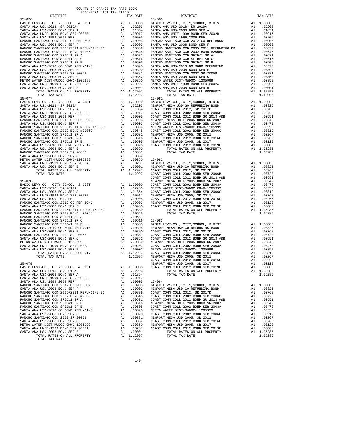| SANTA ANA USD-2008 BOND SER B |         |            |
|-------------------------------|---------|------------|
| TOTAL TAX RATE                | 1.12997 |            |
| $15 - 077$                    |         | $15 - 081$ |
|                               |         |            |
|                               |         |            |
|                               |         |            |
|                               |         |            |
|                               |         |            |
|                               |         |            |
|                               |         |            |
|                               |         |            |
|                               |         |            |
|                               |         |            |
|                               |         |            |
|                               |         |            |
|                               |         |            |
|                               |         |            |
|                               |         |            |
|                               |         |            |
|                               |         |            |
|                               |         | COAST C    |
| $15 - 078$                    |         | NEWPORT    |
|                               |         |            |
|                               |         |            |
|                               |         |            |
|                               |         |            |
|                               |         |            |
|                               |         |            |
|                               |         |            |
|                               |         |            |
|                               |         |            |
|                               |         |            |
|                               |         |            |
|                               |         |            |
|                               |         |            |
|                               |         |            |
|                               |         |            |
|                               |         |            |
|                               |         |            |
|                               |         | COAST C    |
| $15 - 079$                    |         | NEWPORT    |
|                               |         |            |
|                               |         |            |
|                               |         |            |
|                               |         |            |
|                               |         |            |
|                               |         |            |
|                               |         |            |
|                               |         |            |
|                               |         |            |
|                               |         |            |
|                               |         |            |
|                               |         |            |
|                               |         |            |
|                               |         |            |
|                               |         |            |
|                               |         |            |
|                               |         |            |
| TOTAL TAX RATE                | 1.12997 |            |
|                               |         |            |

| COUNTY OF ORANGE TAX RATE BOOK<br>$2020-2021 \quad \text{TRA RATE}$ DISTRICT |          |                                                                                                                                                                                                                                                                                                 |          |
|------------------------------------------------------------------------------|----------|-------------------------------------------------------------------------------------------------------------------------------------------------------------------------------------------------------------------------------------------------------------------------------------------------|----------|
|                                                                              | TAX RATE | DISTRICT                                                                                                                                                                                                                                                                                        | TAX RATE |
| $15 - 076$                                                                   |          | $15 - 080$                                                                                                                                                                                                                                                                                      |          |
|                                                                              |          |                                                                                                                                                                                                                                                                                                 |          |
|                                                                              |          |                                                                                                                                                                                                                                                                                                 |          |
|                                                                              |          |                                                                                                                                                                                                                                                                                                 |          |
|                                                                              |          |                                                                                                                                                                                                                                                                                                 |          |
|                                                                              |          |                                                                                                                                                                                                                                                                                                 |          |
|                                                                              |          |                                                                                                                                                                                                                                                                                                 |          |
|                                                                              |          |                                                                                                                                                                                                                                                                                                 |          |
|                                                                              |          |                                                                                                                                                                                                                                                                                                 |          |
|                                                                              |          |                                                                                                                                                                                                                                                                                                 |          |
|                                                                              |          |                                                                                                                                                                                                                                                                                                 |          |
|                                                                              |          |                                                                                                                                                                                                                                                                                                 |          |
|                                                                              |          |                                                                                                                                                                                                                                                                                                 |          |
|                                                                              |          |                                                                                                                                                                                                                                                                                                 |          |
|                                                                              |          |                                                                                                                                                                                                                                                                                                 |          |
|                                                                              |          |                                                                                                                                                                                                                                                                                                 |          |
|                                                                              |          |                                                                                                                                                                                                                                                                                                 |          |
|                                                                              |          |                                                                                                                                                                                                                                                                                                 |          |
|                                                                              |          |                                                                                                                                                                                                                                                                                                 |          |
|                                                                              |          |                                                                                                                                                                                                                                                                                                 |          |
|                                                                              |          |                                                                                                                                                                                                                                                                                                 |          |
|                                                                              |          |                                                                                                                                                                                                                                                                                                 |          |
|                                                                              |          |                                                                                                                                                                                                                                                                                                 |          |
|                                                                              |          |                                                                                                                                                                                                                                                                                                 |          |
|                                                                              |          |                                                                                                                                                                                                                                                                                                 |          |
|                                                                              |          |                                                                                                                                                                                                                                                                                                 |          |
|                                                                              |          |                                                                                                                                                                                                                                                                                                 |          |
|                                                                              |          |                                                                                                                                                                                                                                                                                                 |          |
|                                                                              |          |                                                                                                                                                                                                                                                                                                 |          |
|                                                                              |          |                                                                                                                                                                                                                                                                                                 |          |
|                                                                              |          |                                                                                                                                                                                                                                                                                                 |          |
|                                                                              |          |                                                                                                                                                                                                                                                                                                 |          |
|                                                                              |          |                                                                                                                                                                                                                                                                                                 |          |
|                                                                              |          |                                                                                                                                                                                                                                                                                                 |          |
|                                                                              |          |                                                                                                                                                                                                                                                                                                 |          |
|                                                                              |          |                                                                                                                                                                                                                                                                                                 |          |
|                                                                              |          |                                                                                                                                                                                                                                                                                                 |          |
|                                                                              |          |                                                                                                                                                                                                                                                                                                 |          |
|                                                                              |          |                                                                                                                                                                                                                                                                                                 |          |
|                                                                              |          |                                                                                                                                                                                                                                                                                                 |          |
|                                                                              |          |                                                                                                                                                                                                                                                                                                 |          |
|                                                                              |          |                                                                                                                                                                                                                                                                                                 |          |
|                                                                              |          |                                                                                                                                                                                                                                                                                                 |          |
|                                                                              |          |                                                                                                                                                                                                                                                                                                 |          |
|                                                                              |          |                                                                                                                                                                                                                                                                                                 |          |
|                                                                              |          |                                                                                                                                                                                                                                                                                                 |          |
|                                                                              |          |                                                                                                                                                                                                                                                                                                 |          |
|                                                                              |          |                                                                                                                                                                                                                                                                                                 |          |
|                                                                              |          |                                                                                                                                                                                                                                                                                                 |          |
|                                                                              |          |                                                                                                                                                                                                                                                                                                 |          |
|                                                                              |          |                                                                                                                                                                                                                                                                                                 |          |
|                                                                              |          |                                                                                                                                                                                                                                                                                                 |          |
|                                                                              |          |                                                                                                                                                                                                                                                                                                 |          |
|                                                                              |          |                                                                                                                                                                                                                                                                                                 |          |
|                                                                              |          |                                                                                                                                                                                                                                                                                                 |          |
|                                                                              |          |                                                                                                                                                                                                                                                                                                 |          |
|                                                                              |          |                                                                                                                                                                                                                                                                                                 |          |
|                                                                              |          |                                                                                                                                                                                                                                                                                                 |          |
|                                                                              |          |                                                                                                                                                                                                                                                                                                 |          |
|                                                                              |          |                                                                                                                                                                                                                                                                                                 |          |
|                                                                              |          |                                                                                                                                                                                                                                                                                                 |          |
|                                                                              |          |                                                                                                                                                                                                                                                                                                 |          |
|                                                                              |          | $\begin{tabular}{cccccccc} $1.5-070 & $1.0019 & $1.0001 & $1.0000 & $1.0001 & $1.0000 & $1.0001 & $1.00000 & $1.0001 & $1.00000 & $1.00000 & $1.00000 & $1.00000 & $1.00000 & $1.00000 & $1.00000 & $1.00000 & $1.00000 & $1.00000 & $1.00000 & $1.00000 & $1.00000 & $1.00000 & $1.00000 & $1$ |          |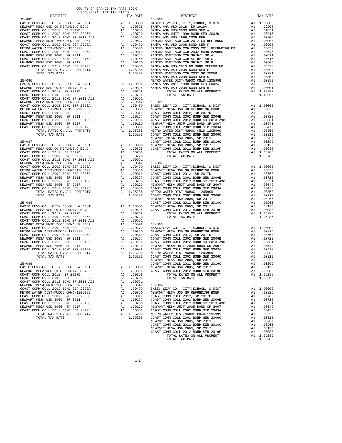|            | DISTRICT | AUAU-AUAI INA IAA NAIBO | TAX RATE | DISTRICT                                                                                                                                                                                                                                                                                                                                                                                                                                   | TAX RATE |
|------------|----------|-------------------------|----------|--------------------------------------------------------------------------------------------------------------------------------------------------------------------------------------------------------------------------------------------------------------------------------------------------------------------------------------------------------------------------------------------------------------------------------------------|----------|
| $15 - 085$ |          |                         |          | $15 - 090$                                                                                                                                                                                                                                                                                                                                                                                                                                 |          |
|            |          |                         |          |                                                                                                                                                                                                                                                                                                                                                                                                                                            |          |
|            |          |                         |          |                                                                                                                                                                                                                                                                                                                                                                                                                                            |          |
|            |          |                         |          |                                                                                                                                                                                                                                                                                                                                                                                                                                            |          |
|            |          |                         |          |                                                                                                                                                                                                                                                                                                                                                                                                                                            |          |
|            |          |                         |          |                                                                                                                                                                                                                                                                                                                                                                                                                                            |          |
|            |          |                         |          |                                                                                                                                                                                                                                                                                                                                                                                                                                            |          |
|            |          |                         |          |                                                                                                                                                                                                                                                                                                                                                                                                                                            |          |
|            |          |                         |          |                                                                                                                                                                                                                                                                                                                                                                                                                                            |          |
|            |          |                         |          |                                                                                                                                                                                                                                                                                                                                                                                                                                            |          |
|            |          |                         |          |                                                                                                                                                                                                                                                                                                                                                                                                                                            |          |
|            |          |                         |          |                                                                                                                                                                                                                                                                                                                                                                                                                                            |          |
|            |          |                         |          |                                                                                                                                                                                                                                                                                                                                                                                                                                            |          |
|            |          |                         |          |                                                                                                                                                                                                                                                                                                                                                                                                                                            |          |
|            |          |                         |          |                                                                                                                                                                                                                                                                                                                                                                                                                                            |          |
|            |          |                         |          |                                                                                                                                                                                                                                                                                                                                                                                                                                            |          |
|            |          |                         |          |                                                                                                                                                                                                                                                                                                                                                                                                                                            |          |
|            |          |                         |          |                                                                                                                                                                                                                                                                                                                                                                                                                                            |          |
|            |          |                         |          |                                                                                                                                                                                                                                                                                                                                                                                                                                            |          |
|            |          |                         |          |                                                                                                                                                                                                                                                                                                                                                                                                                                            |          |
|            |          |                         |          |                                                                                                                                                                                                                                                                                                                                                                                                                                            |          |
|            |          |                         |          |                                                                                                                                                                                                                                                                                                                                                                                                                                            |          |
|            |          |                         |          |                                                                                                                                                                                                                                                                                                                                                                                                                                            |          |
|            |          |                         |          |                                                                                                                                                                                                                                                                                                                                                                                                                                            |          |
|            |          |                         |          |                                                                                                                                                                                                                                                                                                                                                                                                                                            |          |
|            |          |                         |          |                                                                                                                                                                                                                                                                                                                                                                                                                                            |          |
|            |          |                         |          |                                                                                                                                                                                                                                                                                                                                                                                                                                            |          |
|            |          |                         |          |                                                                                                                                                                                                                                                                                                                                                                                                                                            |          |
|            |          |                         |          |                                                                                                                                                                                                                                                                                                                                                                                                                                            |          |
|            |          |                         |          |                                                                                                                                                                                                                                                                                                                                                                                                                                            |          |
|            |          |                         |          |                                                                                                                                                                                                                                                                                                                                                                                                                                            |          |
|            |          |                         |          |                                                                                                                                                                                                                                                                                                                                                                                                                                            |          |
|            |          |                         |          |                                                                                                                                                                                                                                                                                                                                                                                                                                            |          |
|            |          |                         |          |                                                                                                                                                                                                                                                                                                                                                                                                                                            |          |
|            |          |                         |          |                                                                                                                                                                                                                                                                                                                                                                                                                                            |          |
|            |          |                         |          |                                                                                                                                                                                                                                                                                                                                                                                                                                            |          |
|            |          |                         |          |                                                                                                                                                                                                                                                                                                                                                                                                                                            |          |
|            |          |                         |          |                                                                                                                                                                                                                                                                                                                                                                                                                                            |          |
|            |          |                         |          |                                                                                                                                                                                                                                                                                                                                                                                                                                            |          |
|            |          |                         |          |                                                                                                                                                                                                                                                                                                                                                                                                                                            |          |
|            |          |                         |          |                                                                                                                                                                                                                                                                                                                                                                                                                                            |          |
|            |          |                         |          |                                                                                                                                                                                                                                                                                                                                                                                                                                            |          |
|            |          |                         |          |                                                                                                                                                                                                                                                                                                                                                                                                                                            |          |
|            |          |                         |          |                                                                                                                                                                                                                                                                                                                                                                                                                                            |          |
|            |          |                         |          |                                                                                                                                                                                                                                                                                                                                                                                                                                            |          |
|            |          |                         |          |                                                                                                                                                                                                                                                                                                                                                                                                                                            |          |
|            |          |                         |          |                                                                                                                                                                                                                                                                                                                                                                                                                                            |          |
|            |          |                         |          |                                                                                                                                                                                                                                                                                                                                                                                                                                            |          |
|            |          |                         |          |                                                                                                                                                                                                                                                                                                                                                                                                                                            |          |
|            |          |                         |          |                                                                                                                                                                                                                                                                                                                                                                                                                                            |          |
|            |          |                         |          |                                                                                                                                                                                                                                                                                                                                                                                                                                            |          |
|            |          |                         |          |                                                                                                                                                                                                                                                                                                                                                                                                                                            |          |
|            |          |                         |          |                                                                                                                                                                                                                                                                                                                                                                                                                                            |          |
|            |          |                         |          |                                                                                                                                                                                                                                                                                                                                                                                                                                            |          |
|            |          |                         |          |                                                                                                                                                                                                                                                                                                                                                                                                                                            |          |
|            |          |                         |          |                                                                                                                                                                                                                                                                                                                                                                                                                                            |          |
|            |          |                         |          |                                                                                                                                                                                                                                                                                                                                                                                                                                            |          |
|            |          |                         |          |                                                                                                                                                                                                                                                                                                                                                                                                                                            |          |
|            |          |                         |          |                                                                                                                                                                                                                                                                                                                                                                                                                                            |          |
|            |          |                         |          |                                                                                                                                                                                                                                                                                                                                                                                                                                            |          |
|            |          |                         |          |                                                                                                                                                                                                                                                                                                                                                                                                                                            |          |
|            |          |                         |          |                                                                                                                                                                                                                                                                                                                                                                                                                                            |          |
|            |          |                         |          |                                                                                                                                                                                                                                                                                                                                                                                                                                            |          |
|            |          |                         |          |                                                                                                                                                                                                                                                                                                                                                                                                                                            |          |
|            |          |                         |          |                                                                                                                                                                                                                                                                                                                                                                                                                                            |          |
|            |          |                         |          |                                                                                                                                                                                                                                                                                                                                                                                                                                            |          |
|            |          |                         |          |                                                                                                                                                                                                                                                                                                                                                                                                                                            |          |
|            |          |                         |          |                                                                                                                                                                                                                                                                                                                                                                                                                                            |          |
|            |          |                         |          |                                                                                                                                                                                                                                                                                                                                                                                                                                            |          |
|            |          |                         |          |                                                                                                                                                                                                                                                                                                                                                                                                                                            |          |
|            |          |                         |          |                                                                                                                                                                                                                                                                                                                                                                                                                                            |          |
|            |          |                         |          |                                                                                                                                                                                                                                                                                                                                                                                                                                            |          |
|            |          |                         |          |                                                                                                                                                                                                                                                                                                                                                                                                                                            |          |
|            |          |                         |          |                                                                                                                                                                                                                                                                                                                                                                                                                                            |          |
|            |          |                         |          |                                                                                                                                                                                                                                                                                                                                                                                                                                            |          |
|            |          |                         |          |                                                                                                                                                                                                                                                                                                                                                                                                                                            |          |
|            |          |                         |          |                                                                                                                                                                                                                                                                                                                                                                                                                                            |          |
|            |          |                         |          |                                                                                                                                                                                                                                                                                                                                                                                                                                            |          |
|            |          |                         |          | $\begin{tabular}{l c c c c} \hline \text{$\mathcal{R}$ & $m$-cm}, $\mathcal{R}$ & $m$-cm}, $\mathcal{R}$ & $m$-cm}, $\mathcal{R}$ & $m$-cm}, $\mathcal{R}$ & $m$-cm}, $\mathcal{R}$ & $m$-cm}, $\mathcal{R}$ & $m$-cm}, $\mathcal{R}$ & $m$-cm}, $\mathcal{R}$ & $m$-cm}, $\mathcal{R}$ & $m$-cm}, $\mathcal{R}$ & $m$-cm}, $\mathcal{R}$ & $m$-cm}, $\mathcal{R}$ & $m$-cm}, $\mathcal{R}$ & $m$-cm}, $\mathcal{R}$ & $m$-cm}, $\mathcal$ |          |
|            |          |                         |          |                                                                                                                                                                                                                                                                                                                                                                                                                                            |          |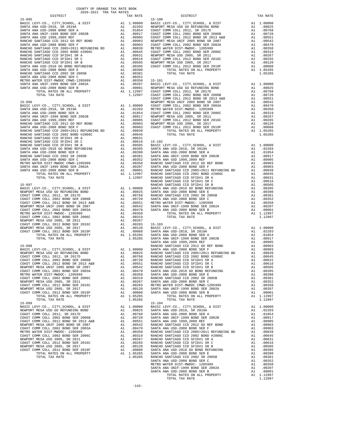|                                                                                                                                                                                                                                                                                                                                                                                                                                             |  | RANCHO  |
|---------------------------------------------------------------------------------------------------------------------------------------------------------------------------------------------------------------------------------------------------------------------------------------------------------------------------------------------------------------------------------------------------------------------------------------------|--|---------|
| $15 - 097$                                                                                                                                                                                                                                                                                                                                                                                                                                  |  |         |
|                                                                                                                                                                                                                                                                                                                                                                                                                                             |  |         |
|                                                                                                                                                                                                                                                                                                                                                                                                                                             |  |         |
|                                                                                                                                                                                                                                                                                                                                                                                                                                             |  |         |
|                                                                                                                                                                                                                                                                                                                                                                                                                                             |  |         |
|                                                                                                                                                                                                                                                                                                                                                                                                                                             |  |         |
|                                                                                                                                                                                                                                                                                                                                                                                                                                             |  |         |
|                                                                                                                                                                                                                                                                                                                                                                                                                                             |  |         |
|                                                                                                                                                                                                                                                                                                                                                                                                                                             |  |         |
|                                                                                                                                                                                                                                                                                                                                                                                                                                             |  |         |
|                                                                                                                                                                                                                                                                                                                                                                                                                                             |  |         |
|                                                                                                                                                                                                                                                                                                                                                                                                                                             |  |         |
|                                                                                                                                                                                                                                                                                                                                                                                                                                             |  |         |
|                                                                                                                                                                                                                                                                                                                                                                                                                                             |  |         |
|                                                                                                                                                                                                                                                                                                                                                                                                                                             |  |         |
|                                                                                                                                                                                                                                                                                                                                                                                                                                             |  |         |
|                                                                                                                                                                                                                                                                                                                                                                                                                                             |  |         |
|                                                                                                                                                                                                                                                                                                                                                                                                                                             |  | SANTA A |
|                                                                                                                                                                                                                                                                                                                                                                                                                                             |  |         |
|                                                                                                                                                                                                                                                                                                                                                                                                                                             |  |         |
|                                                                                                                                                                                                                                                                                                                                                                                                                                             |  |         |
|                                                                                                                                                                                                                                                                                                                                                                                                                                             |  |         |
|                                                                                                                                                                                                                                                                                                                                                                                                                                             |  |         |
|                                                                                                                                                                                                                                                                                                                                                                                                                                             |  |         |
|                                                                                                                                                                                                                                                                                                                                                                                                                                             |  |         |
|                                                                                                                                                                                                                                                                                                                                                                                                                                             |  |         |
|                                                                                                                                                                                                                                                                                                                                                                                                                                             |  |         |
|                                                                                                                                                                                                                                                                                                                                                                                                                                             |  |         |
|                                                                                                                                                                                                                                                                                                                                                                                                                                             |  |         |
|                                                                                                                                                                                                                                                                                                                                                                                                                                             |  |         |
|                                                                                                                                                                                                                                                                                                                                                                                                                                             |  |         |
|                                                                                                                                                                                                                                                                                                                                                                                                                                             |  |         |
|                                                                                                                                                                                                                                                                                                                                                                                                                                             |  |         |
|                                                                                                                                                                                                                                                                                                                                                                                                                                             |  |         |
| $\begin{tabular}{ l c c c} \multicolumn{1}{c}{\textbf{BASIC LEVY-CO., CITY, SCHOOL, $\&$ DIST$} & $\dots$\\ \hline \multicolumn{1}{c}{\textbf{BANTA A}} & $\textbf{SANTA A} \\\hline \multicolumn{1}{c}{\textbf{RANCHOR}} & $\textbf{M.B.} \\\hline \multicolumn{1}{c}{\textbf{NENPORT MESA USDI}} & $\textbf{M1}$ & $1.00000$ & $\textbf{SANTA A} \\ \multicolumn{1}{c}{\textbf{COSAT COMM COLL 2012, SR O1TD}} & $\textbf{A1}$ & $1.0000$ |  |         |
|                                                                                                                                                                                                                                                                                                                                                                                                                                             |  |         |
|                                                                                                                                                                                                                                                                                                                                                                                                                                             |  |         |
|                                                                                                                                                                                                                                                                                                                                                                                                                                             |  |         |
|                                                                                                                                                                                                                                                                                                                                                                                                                                             |  |         |
|                                                                                                                                                                                                                                                                                                                                                                                                                                             |  |         |
|                                                                                                                                                                                                                                                                                                                                                                                                                                             |  |         |
|                                                                                                                                                                                                                                                                                                                                                                                                                                             |  |         |
|                                                                                                                                                                                                                                                                                                                                                                                                                                             |  |         |
|                                                                                                                                                                                                                                                                                                                                                                                                                                             |  |         |
|                                                                                                                                                                                                                                                                                                                                                                                                                                             |  |         |
|                                                                                                                                                                                                                                                                                                                                                                                                                                             |  |         |
|                                                                                                                                                                                                                                                                                                                                                                                                                                             |  |         |
| COAST COMM COLL 2012 BOND SER 2019F A1 .00088 SANTA A                                                                                                                                                                                                                                                                                                                                                                                       |  |         |
|                                                                                                                                                                                                                                                                                                                                                                                                                                             |  |         |

| DISTRICT | TAX RATE | DISTRICT | TAX RATE |
|----------|----------|----------|----------|
|          |          |          |          |
|          |          |          |          |
|          |          |          |          |
|          |          |          |          |
|          |          |          |          |
|          |          |          |          |
|          |          |          |          |
|          |          |          |          |
|          |          |          |          |
|          |          |          |          |
|          |          |          |          |
|          |          |          |          |
|          |          |          |          |
|          |          |          |          |
|          |          |          |          |
|          |          |          |          |
|          |          |          |          |
|          |          |          |          |
|          |          |          |          |
|          |          |          |          |
|          |          |          |          |
|          |          |          |          |
|          |          |          |          |
|          |          |          |          |
|          |          |          |          |
|          |          |          |          |
|          |          |          |          |
|          |          |          |          |
|          |          |          |          |
|          |          |          |          |
|          |          |          |          |
|          |          |          |          |
|          |          |          |          |
|          |          |          |          |
|          |          |          |          |
|          |          |          |          |
|          |          |          |          |
|          |          |          |          |
|          |          |          |          |
|          |          |          |          |
|          |          |          |          |
|          |          |          |          |
|          |          |          |          |
|          |          |          |          |
|          |          |          |          |
|          |          |          |          |
|          |          |          |          |
|          |          |          |          |
|          |          |          |          |
|          |          |          |          |
|          |          |          |          |
|          |          |          |          |
|          |          |          |          |
|          |          |          |          |
|          |          |          |          |
|          |          |          |          |
|          |          |          |          |
|          |          |          |          |
|          |          |          |          |
|          |          |          |          |
|          |          |          |          |
|          |          |          |          |
|          |          |          |          |
|          |          |          |          |
|          |          |          |          |
|          |          |          |          |
|          |          |          |          |
|          |          |          |          |
|          |          |          |          |
|          |          |          |          |
|          |          |          |          |
|          |          |          |          |
|          |          |          |          |
|          |          |          |          |
|          |          |          |          |
|          |          |          |          |
|          |          |          |          |
|          |          |          |          |
|          |          |          |          |
|          |          |          |          |
|          |          |          |          |
|          |          |          |          |
|          |          |          |          |
|          |          |          |          |
|          |          |          |          |
|          |          |          |          |
|          |          |          |          |
|          |          |          |          |
|          |          |          |          |
|          |          |          |          |
|          |          |          |          |
|          |          |          |          |

-142-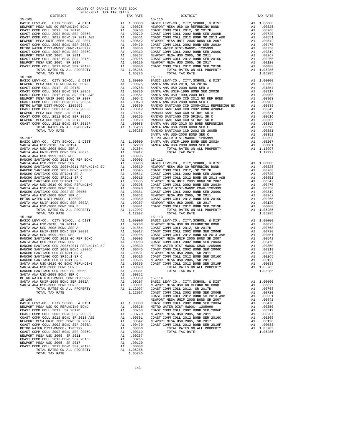| 2020-2021 IRA IAA RAILS<br>DISTRICT | TAX RATE | DISTRICT                                                                                                                                                                                                                            | TAX RATE |
|-------------------------------------|----------|-------------------------------------------------------------------------------------------------------------------------------------------------------------------------------------------------------------------------------------|----------|
| $15 - 105$                          |          | $15 - 110$                                                                                                                                                                                                                          |          |
|                                     |          |                                                                                                                                                                                                                                     |          |
|                                     |          |                                                                                                                                                                                                                                     |          |
|                                     |          |                                                                                                                                                                                                                                     |          |
|                                     |          |                                                                                                                                                                                                                                     |          |
|                                     |          |                                                                                                                                                                                                                                     |          |
|                                     |          |                                                                                                                                                                                                                                     |          |
|                                     |          |                                                                                                                                                                                                                                     |          |
|                                     |          |                                                                                                                                                                                                                                     |          |
|                                     |          |                                                                                                                                                                                                                                     |          |
|                                     |          |                                                                                                                                                                                                                                     |          |
|                                     |          |                                                                                                                                                                                                                                     |          |
|                                     |          |                                                                                                                                                                                                                                     |          |
|                                     |          |                                                                                                                                                                                                                                     |          |
|                                     |          |                                                                                                                                                                                                                                     |          |
|                                     |          |                                                                                                                                                                                                                                     |          |
|                                     |          |                                                                                                                                                                                                                                     |          |
|                                     |          |                                                                                                                                                                                                                                     |          |
|                                     |          |                                                                                                                                                                                                                                     |          |
|                                     |          |                                                                                                                                                                                                                                     |          |
|                                     |          |                                                                                                                                                                                                                                     |          |
|                                     |          |                                                                                                                                                                                                                                     |          |
|                                     |          |                                                                                                                                                                                                                                     |          |
|                                     |          |                                                                                                                                                                                                                                     |          |
|                                     |          |                                                                                                                                                                                                                                     |          |
|                                     |          |                                                                                                                                                                                                                                     |          |
|                                     |          |                                                                                                                                                                                                                                     |          |
|                                     |          |                                                                                                                                                                                                                                     |          |
|                                     |          |                                                                                                                                                                                                                                     |          |
|                                     |          |                                                                                                                                                                                                                                     |          |
|                                     |          |                                                                                                                                                                                                                                     |          |
|                                     |          |                                                                                                                                                                                                                                     |          |
|                                     |          |                                                                                                                                                                                                                                     |          |
|                                     |          |                                                                                                                                                                                                                                     |          |
|                                     |          |                                                                                                                                                                                                                                     |          |
|                                     |          |                                                                                                                                                                                                                                     |          |
|                                     |          |                                                                                                                                                                                                                                     |          |
|                                     |          |                                                                                                                                                                                                                                     |          |
|                                     |          |                                                                                                                                                                                                                                     |          |
|                                     |          |                                                                                                                                                                                                                                     |          |
|                                     |          |                                                                                                                                                                                                                                     |          |
|                                     |          |                                                                                                                                                                                                                                     |          |
|                                     |          |                                                                                                                                                                                                                                     |          |
|                                     |          |                                                                                                                                                                                                                                     |          |
|                                     |          |                                                                                                                                                                                                                                     |          |
|                                     |          |                                                                                                                                                                                                                                     |          |
|                                     |          |                                                                                                                                                                                                                                     |          |
|                                     |          |                                                                                                                                                                                                                                     |          |
|                                     |          |                                                                                                                                                                                                                                     |          |
|                                     |          |                                                                                                                                                                                                                                     |          |
|                                     |          |                                                                                                                                                                                                                                     |          |
|                                     |          |                                                                                                                                                                                                                                     |          |
|                                     |          |                                                                                                                                                                                                                                     |          |
|                                     |          |                                                                                                                                                                                                                                     |          |
|                                     |          |                                                                                                                                                                                                                                     |          |
|                                     |          |                                                                                                                                                                                                                                     |          |
|                                     |          |                                                                                                                                                                                                                                     |          |
|                                     |          |                                                                                                                                                                                                                                     |          |
|                                     |          |                                                                                                                                                                                                                                     |          |
|                                     |          |                                                                                                                                                                                                                                     |          |
|                                     |          |                                                                                                                                                                                                                                     |          |
|                                     |          |                                                                                                                                                                                                                                     |          |
|                                     |          |                                                                                                                                                                                                                                     |          |
|                                     |          |                                                                                                                                                                                                                                     |          |
|                                     |          |                                                                                                                                                                                                                                     |          |
|                                     |          |                                                                                                                                                                                                                                     |          |
|                                     |          |                                                                                                                                                                                                                                     |          |
|                                     |          |                                                                                                                                                                                                                                     |          |
|                                     |          |                                                                                                                                                                                                                                     |          |
|                                     |          |                                                                                                                                                                                                                                     |          |
|                                     |          |                                                                                                                                                                                                                                     |          |
|                                     |          |                                                                                                                                                                                                                                     |          |
|                                     |          |                                                                                                                                                                                                                                     |          |
|                                     |          |                                                                                                                                                                                                                                     |          |
|                                     |          |                                                                                                                                                                                                                                     |          |
|                                     |          |                                                                                                                                                                                                                                     |          |
|                                     |          |                                                                                                                                                                                                                                     |          |
|                                     |          |                                                                                                                                                                                                                                     |          |
|                                     |          |                                                                                                                                                                                                                                     |          |
|                                     |          |                                                                                                                                                                                                                                     |          |
|                                     |          |                                                                                                                                                                                                                                     |          |
|                                     |          |                                                                                                                                                                                                                                     |          |
|                                     |          |                                                                                                                                                                                                                                     |          |
|                                     |          | RANCHO SARTIAGO CCD STIDHI SR $\,$ COAST COMO SARTIAGO COD STIDHI SR $\,$ COAST COMO SARTIAGO CCD STIDHI SR $\,$ COAST COMO SARTIAGO CCD STIDHI SR 2005 (1.2012 SOND SR 2013 (2.30 NEW CORO SARTIAGO CCD STIDHI SR 2005 (1.2012 SON |          |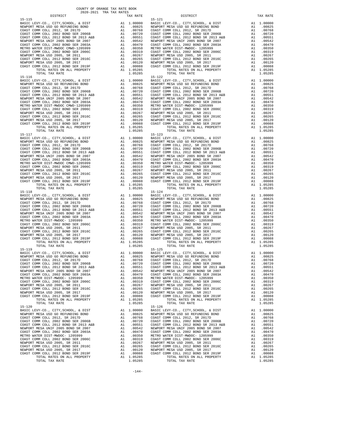$\begin{tabular}{lllllllllllllllllllll} \texttt{BASTC} & LEVY-CO. & CITY, SCHOOL, & \& DIST & \texttt{A1} & 1.00000 \\ \texttt{NEWPORT MESA USD GO} & REFUNCTIOND & BOND & \texttt{A1} & .00825 \\ \end{tabular}$  15-117 15-123 TOTAL TAX RATE 15–118 TOTAL TAX RATE 15–124  $1.05285$  TOTAL TAX RATE  ${\tt BASIC~LEVY-CO.} \hbox{, CITY, SCHOOL, & \tt DIST} \hbox{A1 } 1.00000$ 15-119<br>
BASIC LEVY-CO., CITY, SCHOOL, & DIST Al 1.00000 BASIC L 15-120<br>BASIC LEVY-CO., CITY, SCHOOL, & DIST Al 1.00000 BASIC L

 $-144-$ 

 DISTRICT TAX RATE DISTRICT TAX RATE 15-115<br>
15-121<br>
BASIC LEVY-CO., CITY, SCHOOL, & DIST<br>
NEWPORT MESA USD GO REFUNDING BOND 100825 NEWPORT MESA USD GO REFUNDING BOND 100825 NEWPORT BASIC LEVY-CO., CITY,SCHOOL, & DIST A1 1.00000 BASIC LEVY-CO., CITY,SCHOOL, & DIST A1 1.00000 NEWPORT MESA USD GO REFUNDING BOND A1 .00825 NEWPORT MESA USD GO REFUNDING BOND A1 .00825 COAST COMM COLL 2012, SR 2017D A1 .00768 COAST COMM COLL 2012, SR 2017D A1 .00768 COAST COMM COLL 2002 BOND SER 2006B A1 .00720 COAST COMM COLL 2002 BOND SER 2006B A1 .00720 COAST COMM COLL 2012 BOND SR 2013 A&B A1 .00551 COAST COMM COLL 2012 BOND SR 2013 A&B A1 .00551 NEWPORT MESA UNIF 2005 BOND SR 2007 A1 .00542 NEWPORT MESA UNIF 2005 BOND SR 2007 A1 .00542 COAST COMM COLL 2002 BOND SER 2003A A1 .00470 COAST COMM COLL 2002 BOND SER 2003A A1 .00470 METRO WATER DIST-MWDOC CMWD-1205999 A1 .00350 METRO WATER DIST-MWDOC- 1205999 A1 .00350 COAST COMM COLL 2002 BOND SER 2006C A1 .00319 COAST COMM COLL 2002 BOND SER 2006C A1 .00319 NEWPORT MESA USD 2005, SR 2011 A1 .00267 NEWPORT MESA USD 2005, SR 2011 A1 .00267 COAST COMM COLL 2012 BOND SER 2016C A1 .00265 COAST COMM COLL 2012 BOND SER 2016C A1 .00265 00120 NEWPORT MESA USD 2005, SR 2017 – 11 00120 NEWPORT MESA USD 2005, SR 2017<br>COAST COMM COLL 2012 BORD SR 2019F – 12 00088 COAST COMM COLL 2012 BORD SER 2019F – 12 00088<br>A1 1.05285 – TOTAL RATES ON ALL PROPERTY – 11 0528 TORAL TAX RATE 1.05285 TOTAL TAX RATE 1.05285 TOTAL TAX RATE 1.05285 TOTAL TAX RATE 1.05285 TOTAL TAX RATE 1.05285 TOTAL TAX RATE 1.05285 TOTAL TAX RATE 1.05285 TOTAL PROPERTY PASA USD 2005, SR 2017 A1 .00088 TOTAL RATES O  $\begin{tabular}{lcccc} BASIC LEVY-CO., CITY, SCHOOL, & DIST & A1 & 1.00000 & BASIC LEVY-CO., CITY, SCHOOL, & DIST & A1 & 1.00000 \\ NEWOPORT MEMSO AUS CO AESFWDING BOND & BOND & A1 & .00825 & NEWPORT MESA USO GORETWDING BOND & A1 & .00825 & .00877 COMM COLL & 2002 & .00877 COMM COLL & 2002 & .00877 COMM COLL & 2002 & .00877 COMM COLL & 2002 & .00877 COMM COLL & 2002 & .00$  NEWPORT MESA UNIF 2005 BOND SR 2007 A1 .00542 NEWPORT MESA UNIF 2005 BOND SR 2007 A1 .00542 COAST COMM COLL 2002 BOND SER 2003A A1 .00470 COAST COMM COLL 2002 BOND SER 2003A A1 .00470 METRO WATER DIST-MWDOC CMWD-1205999 A1 .00350 METRO WATER DIST-MWDOC- 1205999 A1 .00350 A1 .00350 METRO WATER DIST-MWDOC- 1205999 A1 .00319 COAST COMM COLL 2002 BOND SER 2006C A1 .00319 COAST COMM COLL 2002 BOND SER 2006C A1 .00319 COAST COMM COLL 2002 BOND SER 2006C A1 .00319 NEWPORT MESA USD 2005, SR 2011 A1 .00267 NEWPORT MESA USD 2005, SR 2011 A1 .00267 COAST COMM COLL 2012 BOND SER 2016C A1 .00265 COAST COMM COLL 2012 BOND SER 2016C A1 .00265 NEWPORT MESA USD 2005, SR 2017 A1 .00120 NEWPORT MESA USD 2005, SR 2017 A1 .00120 COAST COMM COLL 2012 BOND SER 2019F A1 .00088 COAST COMM COLL 2012 BOND SER 2019F A1 .00088 TOTAL RATES ON ALL PROPERTY A1 1.05285 TOTAL RATES ON ALL PROPERTY A1 1.05285 NATIONAL PROPERTY AND COLL 2012 BOND SER 2019F AND AND SER 2019F AND LOOSE COAST COMM COLL 2012 BOND SER 2019F<br>TOTAL RATES ON ALL PROPERTY AND LOOSE TOTAL RATES ON ALL PROPERTY AND LOOSE TOTAL TAX RATE 1.05285<br>TOTAL TAX RA  $\begin{tabular}{lcccc} BASIC LEVY-CO., CITY, SCHOOL, & DIST & A1 & 1.00000 & BASIC LEVY-CO., CITY, SCHOOL, & DIST & A1 & 1.00000 \\ NEWOPORT MEMSO AUS CO AESFWDING BOND & BOND & A1 & .00825 & NEWPORT MESA USO GORETWDING BOND & A1 & .00825 & .00877 COMM COLL & 2002 & .00877 COMM COLL & 2002 & .00877 COMM COLL & 2002 & .00877 COMM COLL & 2002 & .00877 COMM COLL & 2002 & .00$  NEWPORT MESA UNIF 2005 BOND SR 2007 A1 .00542 NEWPORT MESA UNIF 2005 BOND SR 2007 A1 .00542 COAST COMM COLL 2002 BOND SER 2003A A1 .00470 COAST COMM COLL 2002 BOND SER 2003A A1 .00470 METRO WATER DIST-MWDOC CMWD-1205999 A1 .00350 METRO WATER DIST-MWDOC- 1205999 A1 .00350 COAST COMM COLL 2002 BOND SER 2006C A1 .00319 COAST COMM COLL 2002 BOND SER 2006C A1 .00319 NEWPORT MESAUSD 2005, SR 2011 (0267 NEWPORT MESAUSD 2005, SR 2011 (0267 NEWPORT MESAUSD 2005, SR 2011 (0267 NEWPORT MESAUSD 2005, SR 2016C<br>COAST COM COLL 2012 ERR 2016C 2016C 2011 (02065 2017 21) 2012 NEWPORT MESAUSD 2005, ALL PROPERTY ALL PROPERTY ALL PROPERTY ALL PROPERTY AND ALL PROPERTY AND SUMPLIFIES ON ALL PROPERTY ALL 1.05285<br>TOTAL RATES ON ALL PROPERTY ALL PROPERTY ALL PROPERTY ALL PROPERTY ALL PROPERTY ALL 1.05285 BASIC LEVY-CO., CITY,SCHOOL, & DIST A1 1.00000 BASIC LEVY-CO., CITY,SCHOOL, & DIST A1 1.00000 NEWPORT MESAUSD GO REFUNDING BOND (10825 NEWPORT MESAUSD GO REFUNDING BOND (10825 NEWPORT MESAUSD GO REFUNDING<br>COAST COMM COLL 2002 SOND SER 2006B (10.0768 COAST COMM COLL 2012 SR 2017D (2002 TOMM COLL 2002 BOND SER 2006B<br> NEWPORT MESA UNIF 2005 BOND SR 2007 A1 .00542 NEWPORT MESA UNIF 2005 BOND SR 2007 A1 .00542 COAST COMM COLL 2002 BOND SER 2003A A1 .00470 COAST COMM COLL 2002 BOND SER 2003A A1 .00470 METRO WATER DIST-MWDOC- 120599<br>
METRO WATER DIST-MWDOC- 120599 A1 .00350 METRO WATER DIST-MWDOC- 120599<br>
COAST COMM COLL 2002 BOND SER 2016C<br>
MEWPORT MESA USD 2005, SR 2011 A1 .00267<br>
NEWPORT MESA USD 2005, SR 2011 A1 .002 COAST COMM COLL 2002 BOND SER 2006C<br>
NEWPORT MESA USD 2005, SR 2011 00319<br>
NEWPORT MESA USD 2005, SR 2016C<br>
COAST COMM COLL 2012 BOND SER 2016C<br>
NEWPORT MESA USD 2005, SR 2017 A1 .00265<br>
NEWPORT MESA USD 2005, SR 2017 A1 . TOTAL RATES ON ALL PROPERTY A1 1.05285 TOTAL RATES ON ALL PROPERTY A1 1.05285 TOTAL RATES ON ALL PROPERTY A1 1.05285 TOTAL TAX RATE 1.05285 TOTAL TAX RATE 1.05285 A1 1.00000 BASIC LEVY-CO., CITY,SCHOOL, & DIST A1 1.00000<br>A1 .00825 NEWPORT MESA USD GO REFUNDING BOND A1 .00825 NEWPORT MESA USD GO REFUNDING BOND A1 .00825 NEWPORT MESA USD GO REFUNDING BOND A1 .00825 COAST COMM COLL 2012, SR 2017D A1 .00768 COAST COMM COLL 2012, SR 2017D A1 .00768 COAST COMM COLL 2002 BOND SER 2006B A1 .00720 COAST COMM COLL 2002 BOND SER 2006B A1 .00720 100551 COAST COMM OOLL 2012 BOND SR 2013 A&B A1 .00551 COAST COMM COLL 2012 BOND SR 2013 A&B A1 .00551<br>NEWPORT MESA UNIF 2005 A2007 SR 2007 A1 .00542 NEWPORT MESA UNIF 2005 BOND SR 2007<br>COAST COMM COLL 2002 BOND SER 2003A METRO WATER DIST-MWDOC- 1205999 A1 00350 METRO WATER DIST-MWDOC- 1205999 A1 00350<br>COAST COMM COLL 2006 A1 00319 COAST COAST COAST COAST COMM COLL 2002 BOND SER 2006C A1 00319<br>NEWPORT MESAUSD 2005, SR 2011 A1 00267 NEWPORT NEWPORT MESA USD 2005, SR 2017 A1 .00120 NEWPORT MESA USD 2005, SR 2017 A1 .00120 COAST COMM COLL 2012 BOND SER 2019F A1 .00088 COAST COMM COLL 2012 BOND SER 2019F A1 .00088 TOTAL RATES ON ALL PROPERTY A1 1.05285 COLL COLL CALL PROPERTY A1 1.05285 TOTAL RATES ON ALL PROPERTY A1 1.05285<br>TOTAL TAX RATE A1 1.05285 TOTAL TAX RATE 1.05285 TOTAL TAX RATE 1.05285 TOTAL TAX RATE 1.05285 TOTAL TAX RATE 1.05285  $\begin{array}{cccccccccccccccc} \texttt{B}\texttt{SIC} & \texttt{LEVY}-\texttt{CO} \,, & \texttt{CITY}, \texttt{SCHOOL}, & \texttt{EUST} & \texttt{BIST} & \texttt{A1} & \texttt{1.00000} & \texttt{B}\texttt{SIC} & \texttt{LEVY}-\texttt{CO} \,, & \texttt{CITY}, \texttt{SCHOOL}, & \texttt{EUST} & \texttt{A1} & \texttt{1.00000} & \texttt{00825} & \texttt{NEWPORT} & \texttt{MESA} & \texttt{USD} & \texttt{GO} & \texttt{DST} & \texttt$ 00825 NEWPORT MESA USD GO REFUNDING BOND A1 .00825 NEWPORT MESA USD GO REFUNDING BOND A1<br>COAST COMM COLL 2012, SR 201768 COAST COMM COLL 200768 COAST COMM COLL 2002 A1 .00768<br>COAST COMM COLL 2002 BOND SER 2006B A1 .00720 C 100551 COAST COMM OOLL 2012 BOND SR 2013 A&B A1 .00551 COAST COMM COLL 2012 BOND SR 2013 A&B A1 .00551<br>NEWPORT MESA UNIF 2005 A2007 SR 2007 A1 .00542 NEWPORT MESA UNIF 2005 BOND SR 2007<br>COAST COMM COLL 2002 BOND SER 2003A METRO WATER DIST-MWDOC- 1205999 A1 .00350 METRO WATER DIST-MWDOC- 1205999 A1 .00350 COAST COMM COLL 2002 BOND SER 2006C A1 .00319 COAST COMM COLL 2002 BOND SER 2006C A1 .00319 NEWPORT MESA USD 2005, SR 2011 A1 .00267 NEWPORT MESA USD 2005, SR 2011 A1 .00267 COAST COMM COLL 2012 BOND SER 2016C A1 .00265 COAST COMM COLL 2012 BOND SER 2016C A1 .00265 NEWPORT MESA USD 2005, SR 2017 A1 .00120 NEWPORT MESA USD 2005, SR 2017 A1 .00120 COAST COMM COLL 2012 BOND SER 2019F A1 .00088 COAST COMM COLL 2012 BOND SER 2019F A1 .00088 TOTAL RATES ON ALL PROPERTY A1 1.05285 TOTAL RATES ON ALL PROPERTY A1 1.05285 TOTAL TAX RATE 1.05285 TOTAL TAX RATE 1.05285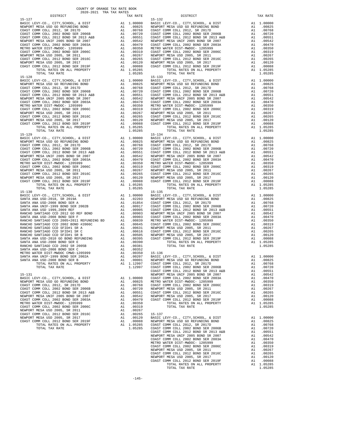$\begin{tabular}{lllllllllllllllllllll} \texttt{BASTC} & LEVY-CO. & CITY, SCHOOL, & \& DIST & \texttt{A1} & 1.00000 \\ \texttt{NEWPORT MESA USD GO} & REFUNDING BOND & & \texttt{A1} & .00825 \\ \end{tabular}$  $\begin{tabular}{lllllllllllll} \texttt{IB}-129 \\ \texttt{BASIC} & \texttt{LEVY-C0.}, & \texttt{CITY}, & \texttt{SCHODI}, & \& & \texttt{DIST} & & \texttt{A1} & 1.00000 \\ \texttt{NEWPORT} & \texttt{MSSA} & \texttt{USD} & \texttt{GO} & \texttt{REFUNDING} & \texttt{BOND} & & \texttt{A1} & .00825 \\ \texttt{COAST} & \texttt{COMM} & \texttt{COLL} & 2002 & \texttt{BOND} & \texttt{SER} & 2006\texttt{B} & & \texttt{A1}$ TOTAL TAX RATE 1.05285 TOTAL TAX RATE 1.05285

 DISTRICT TAX RATE DISTRICT TAX RATE 15-127<br>
BASIC LEVY-CO., CITY, SCHOOL, & DIST (19000001) BASIC LEVY-CO., CITY, SCHOOL, & DIST (190001)<br>
11.00825 NEWPORT MESAUSD GO REFUNDING BOND (1900001) A1.00825 NEWPORT MESAUSD GO REFUNDING BOND  $\begin{tabular}{l|c|c|c|c|c|c|c} \multicolumn{4}{l}{\textbf{BAST} \textbf{ CDM CCL} & \textbf{C.} & \textbf{CITY}, \textbf{GCHOOL} & \textbf{A.} & 1.00000 & \textbf{RART} \textbf{ LSV} - \textbf{CO}, \textbf{C.} & \textbf{CTT}, \textbf{SCHOOL} & \textbf{A.} & 1.00000 \\ \multicolumn{4}{l}{\textbf{RENPORT} \textbf{ MSA} & \textbf{B.} & \textbf{R.} & \textbf{R.} & \textbf{R.} & \textbf{R.} &$ TORAL TAX RATE 1.05285 TOTAL TAX RATE 1.05285 TORAL TAX RATE 1.05285 TORAL TAX RATE 1.05285 TORAL TAX RATE 1.05285 TORAL TAX RATE 1.05285 TORAL TAX RATE 1.05285 TORAL TAX RATE 1.05285 TORAL TAX RATE 1.05285 TORAL TAX RATE BASIC LEVY-CO., CITY,SCHOOL, & DIST A1 1.00000 BASIC LEVY-CO., CITY,SCHOOL, & DIST A1 1.00000 NEWPORT MESA USD GO REFUNDING BOND A1 .00825 NEWPORT MESA USD GO REFUNDING BOND A1 .00825 COAST COMM COLL 2012, SR 2017D A1 .00768 COAST COMM COLL 2012, SR 2017D A1 .00768 COAST COMM COLL 2002 BOND SER 2006B A1 .00720 COAST COMM COLL 2002 BOND SER 2006B A1 .00720 COAST COMM COLL 2012 BOND SR 2013 A&B A1 .00551 COAST COMM COLL 2012 BOND SR 2013 A&B A1 .00551 NEWPORT MESA UNIF 2005 BOND SR 2007 A1 .00542 NEWPORT MESA UNIF 2005 BOND SR 2007 A1 .00542 COAST COMM COLL 2002 BOND SER 2003A A1 .00470 COAST COMM COLL 2002 BOND SER 2003A A1 .00470 METRO WATER DIST-MWDOC- 1205999 A1 .00350 METRO WATER DIST-MWDOC- 1205999 A1 .00350 METRO WATER DIST-MWDOC- 1205999 A1 .00319 COAST COMM COLL 2002 BOND SER 2006C A1 .00319 COAST COMM COLL 2002 BOND SER 2006C A1 .00319 COAST COMM COLL 2002 BOND SER 2006C A1 .00319 NEWPORT MESA USD 2005, SR 2011 A1 .00267 NEWPORT MESA USD 2005, SR 2011 A1 .00267 COAST COMM COLL 2012 BOND SER 2016C A1 .00265 COAST COMM COLL 2012 BOND SER 2016C A1 .00265 NEWPORT MESA USD 2005, SR 2017 A1 .00120 NEWPORT MESA USD 2005, SR 2017 A1 .00120 COAST COMM COLL 2012 BOND SER 2019F A1 .00088 COAST COMM COLL 2012 BOND SER 2019F A1 .00088 TOTAL RATES ON ALL PROPERTY A1 1.05285 TOTAL RATES ON ALL PROPERTY A1 1.05285 NATIONAL PROPERTY AND COLL 2012 BOND SER 2019F<br>
TOTAL RATES ON ALL PROPERTY AND LODGER COAST COMMODIL 2012 BOND SER 2019F<br>
TOTAL RATES ON ALL PROPERTY AND LODGER COAST COMMODIL 2012 BOND SER 2019F<br>
TOTAL TAX RATE 1.05285<br>  $\begin{tabular}{lcccc} BASIC LEVY-CO., CITY, SCHOOL, & DIST & A1 & 1.00000 & BASIC LEVY-CO., CITY, SCHOOL, & DIST & A1 & 1.00000 \\ NEWOPORT MEMSO AUS CO AESFWDING BOND & BOND & A1 & .00825 & NEWPORT MESA USO GORETWDING BOND & A1 & .00825 & .00877 COMM COLL & 2002 & .00877 COMM COLL & 2002 & .00877 COMM COLL & 2002 & .00877 COMM COLL & 2002 & .00877 COMM COLL & 2002 & .00$  NEWPORT MESA UNIF 2005 BOND SR 2007 A1 .00542 NEWPORT MESA UNIF 2005 BOND SR 2007 A1 .00542 COAST COMM COLL 2002 BOND SER 2003A A1 .00470 COAST COMM COLL 2002 BOND SER 2003A A1 .00470 METRO WATER DIST-MWDOC- 1205999 A1 .00350 METRO WATER DIST-MWDOC- 1205999 A1 .00350 COAST COMM COLL 2002 BOND SER 2006C A1 .00319 COAST COMM COLL 2002 BOND SER 2006C A1 .00319 NEWPORT MESAUSD 2005, SR 2011 (0267 NEWPORT MESAUSD 2005, SR 2011 (0267 NEWPORT MESAUSD 2005, SR 2011 (0267 NEWPORT MESAUSD 2005, SR 2016C<br>COAST COM COLL 2012 ERR 2016C 2016C 2011 (02065 2017 21) 2012 NEWPORT MESAUSD 2005, TOTAL RATES ON ALL PROPERTY A1 1.05285 TOTAL RATES ON ALL PROPERTY A1 1.05285 15-130 15-135 BASIC LEVY-CO., CITY,SCHOOL, & DIST A1 1.00000 BASIC LEVY-CO., CITY,SCHOOL, & DIST A1 1.00000 SANTA ANA USD-2018, SR 2019A A1 .02203 NEWPORT MESA USD GO REFUNDING BOND A1 .00825 SANTA ANA USD-2008 BOND SER A A1 .01854 COAST COMM COLL 2012, SR 2017D A1 .00768 SANTA ANA UNIF-1999 BOND SER 2002B A1 .00917 COAST COMM COLL 2002 BOND SER 2006B A1 .00720 SANTA ANA USD 1999,2009 REF A1 .00905 COAST COMM COLL 2012 BOND SR 2013 A&B A1 .00551  $\begin{tabular}{l|c|c|c|c|c|c|c} \multicolumn{4}{c}{\textbf{RANCHO}} \multicolumn{4}{c}{\textbf{SANTIAGO}} \multicolumn{4}{c}{\textbf{CCD}} \multicolumn{4}{c}{\textbf{COD}} \multicolumn{4}{c}{\textbf{RANCHO}} \multicolumn{4}{c}{\textbf{RANCHO}} \multicolumn{4}{c}{\textbf{RANCHO}} \multicolumn{4}{c}{\textbf{RANTARA}} \multicolumn{4}{c}{\textbf{COD}} \multicolumn{4}{c}{\textbf{COD}} \multicolumn{4}{c}{\textbf{RANTARA}} \multicolumn{4}{c}{\text$  $\begin{tabular}{l|c|c|c|c|c} \multicolumn{4}{c}{\textbf{RANCHO} SANTI ANA USD-2010 GO SFID}\end{tabular} \begin{tabular}{lllllllll} \multicolumn{4}{c}{\textbf{RANCHO} SANTI ANA USD-2010 GO BOND SERE} & \multicolumn{4}{c}{\textbf{A1}} & .00505 & \multicolumn{4}{c}{\textbf{NENPORT} MESA USD-2010} & \multicolumn{4}{c}{\textbf{A1}} & .00120 & \multicolumn{4}{c}{\textbf{SANTA} ANI USD-2010 GO BOND SERE} & \multicolumn{4$ COAST COMM COLL 2012 BOND SER 2017D<br>TOTAL RATES ON ALL PROPERTY AT 1.12997 COAST COMM COLL 2012 BOND SER 2015D<br>COAST COMM COLL 2012 BOND SER 2015B<br>COAST COMM COLL 2012 BOND SR 2013 A&B<br>COAST COMM COLL 2012 BOND SR 2017 A1 15-131 NEWPORT MESA UNIF 2005 BOND SR 2007 A1 .00542<br>BASIC LEVY-CO., CITY, SCHOOL, & DIST A1 1.00000 COAST COMM COLL 2002 BOND SER 2003A A1 .00470 BASIC LEVY-CO., CITY,SCHOOL, & DIST A1 1.00000 COAST COMM COLL 2002 BOND SER 2003A A1 .00470 NEWPORT MESA USD GO REFUNDING BOND A1 .00825 METRO WATER DIST-MWDOC- 1205999 A1 .00350 COAST COMM COLL 2012, SR 2017D A1 .00768 COAST COMM COLL 2002 BOND SER 2006C A1 .00319 COAST COMM COLL 2002 BOND SER 2006B A1 .00720 NEWPORT MESA USD 2005, SR 2011 A1 .00267 OOAST COMM COMM COMM COLL 2012 BOND COMM CONTROLL 2012 BOND COAST COMM COLL 2012 COAST COMM COLL 2012 AT AND CO<br>COAST COMM COLL 2012 BOND SR 2013 A&B A1 .00551 COAST COMM COLL 2012 BOND SER 2016C A1 .00265<br>MEWPORT MESA UN NEWPORT MESA UNIF 2005 BOND SR 2007 A1 .00542 NEWPORT MESA USD 2005, SR 2017 A1 .00120 COAST COMM COLL 2002 BOND SER 2003A A1 .00470 COAST COMM COLL 2012 BOND SER 2019F A1 .00088 METRO WATER DIST-MWDOC-1205999 MM A1 .00350 TOTAL RATES ON ALL PROPERTY A1 1.05285<br>COAST COMM COLL 2005 OOD 2000 MM A1 .00019 TOTAL TAX RATE TOTAL MENORT MESA USE 2005, SR 2011 1.05285<br>NEWPORT MESA USD 2005, SR 2011<br>COAST NEWPORT MESA USD 2005, SR 2017 A1 .00120 BASIC LEVY-CO., CITY,SCHOOL, & DIST A1 1.00000 COAST COMM COLL 2012 BOND SER 2019F A1 .00088 NEWPORT MESA USD GO REFUNDING BOND A1 .00825 TOTAL RATES ON ALL PROPERTY FOR A1 1.05285 COAST COMM COLL 2012, SR 2017D<br>TOTAL TAX RATE MEL PROPERTY A1 1.05285 COAST COMM COLL 2002 BOND SER 2006B A1 .00768 TOTAL TAX RATE 1.05285 COAST COMM COLL 2002 BOND SER 2006B A1 .00720 COAST COMM COLL 2012 BOND SR 2013 A&B A1 .00551 NEWPORT MESA UNIF 2005 BOND SR 2007 A1 .00542 COAST COMM COLL 2002 BOND SER 2003A A1 .00470 METRO WATER DIST-MWDOC- 1205999 A1 .00350 COAST COMM COLL 2002 BOND SER 2006C A1 .00319 NEWPORT MESA USD 2005, SR 2011 A1 .00267<br>COAST COMM COLL 2012 BOND SER 2016C A1 .00265 COAST COMM COLL 2012 BOND SER 2016C A1 .00265<br>
NEWPORT MESA USD 2005, SR 2017 A1 .00120<br>
COAST COMM COLL 2012 BOND SER 2019F A1 .00088<br>
TOTAL RATES ON ALL PROPERTY A1 1.05285<br>
TOTAL TAX RATE 1.05285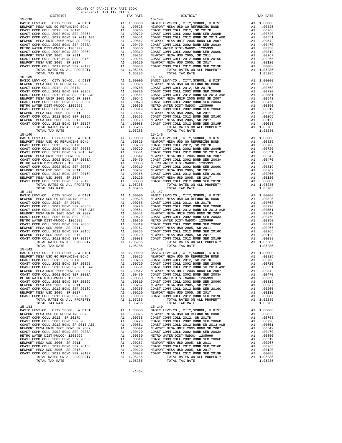BASIC LEVY-CO., CITY, SCHOOL, & DIST A1 1.00000 15-140 15-146 TOTAL TAX RATE 15–141 TOTAL TAX RATE 1.05285 TOTAL TAX RATE  ${\tt BASIC~LEVY-CO.} \hbox{, CITY, SCHOOL, & \tt DIST} \hbox{,} \hbox{,} \hbox{,} \hbox{,} \hbox{,} \hbox{,} \hbox{,} \hbox{,} \hbox{,} \hbox{,} \hbox{,} \hbox{,} \hbox{,} \hbox{,} \hbox{,} \hbox{,} \hbox{,} \hbox{,} \hbox{,} \hbox{,} \hbox{,} \hbox{,} \hbox{,} \hbox{,} \hbox{,} \hbox{,} \hbox{,} \hbox{,} \hbox{,} \hbox{,} \hbox{,} \hbox{,} \$ 15-143<br>
BASIC LEVY-CO., CITY, SCHOOL, & DIST Al 1.00000 BASIC L

 DISTRICT TAX RATE DISTRICT TAX RATE 15-138<br>
BASIC LEVY-CO., CITY, SCHOOL, & DIST<br>
NEWPORT MESA USD GO REFUNDING BOND A1 00825 NEWPORT BASIC LEVY-CO., CITY,SCHOOL, & DIST A1 1.00000 BASIC LEVY-CO., CITY,SCHOOL, & DIST A1 1.00000 NEWPORT MESA USD GO REFUNDING BOND A1 .00825 NEWPORT MESA USD GO REFUNDING BOND A1 .00825 COAST COMM COLL 2012, SR 2017D A1 .00768 COAST COMM COLL 2012, SR 2017D A1 .00768 COAST COMM COLL 2002 BOND SER 2006B A1 .00720 COAST COMM COLL 2002 BOND SER 2006B A1 .00720 COAST COMM COLL 2012 BOND SR 2013 A&B A1 .00551 COAST COMM COLL 2012 BOND SR 2013 A&B A1 .00551 NEWPORT MESA UNIF 2005 BOND SR 2007 A1 .00542 NEWPORT MESA UNIF 2005 BOND SR 2007 A1 .00542 COAST COMM COLL 2002 BOND SER 2003A A1 .00470 COAST COMM COLL 2002 BOND SER 2003A A1 .00470 METRO WATER DIST-MWDOC- 1205999 A1 .00350 METRO WATER DIST-MWDOC- 1205999 A1 .00350<br>COAST COMM COLL 2002 BOND SER 2006C A1 .00319 COAST COMM COLL 2002 BOND SER 2006C A1 .0031 NEWPORT MESA USD 2005, SR 2011 A1 .00267 NEWPORT MESA USD 2005, SR 2011 A1 .00267 COAST COMM COLL 2012 BOND SER 2016C A1 .00265 COAST COMM COLL 2012 BOND SER 2016C A1 .00265 00120 NEWPORT MESA USD 2005, SR 2017 – 11 00120 NEWPORT MESA USD 2005, SR 2017<br>COAST COMM COLL 2012 BORD SR 2019F – 12 00088 COAST COMM COLL 2012 BORD SER 2019F – 12 00088<br>A1 1.05285 – TOTAL RATES ON ALL PROPERTY – 11 0528 TOTAL TAX RATE 1.05285 TOTAL TAX RATE 1.05285 TOTAL TAX RATE 1.05285 TOTAL TAX RATE 1.05285 TOTAL TAX RATE 1.05285 TOTAL TAX RATE 1.05285 TOTAL TAX RATE 1.05285 TOTAL TAX RATE 1.05285 TOTAL TAX RATE 1.05285 TOTAL TAX RATE  $\begin{tabular}{lcccc} BASIC LEVY-CO., CITY, SCHOOL, & DIST & A1 & 1.00000 & BASIC LEVY-CO., CITY, SCHOOL, & DIST & A1 & 1.00000 \\ NEWOPORT MEMSO AUS CO AESFWDING BOND & BOND & A1 & .00825 & NEWPORT MESA USO GORETWDING BOND & A1 & .00825 & .00877 COMM COLL & 2002 & .00877 COMM COLL & 2002 & .00877 COMM COLL & 2002 & .00877 COMM COLL & 2002 & .00877 COMM COLL & 2002 & .00$  NEWPORT MESA UNIF 2005 BOND SR 2007 A1 .00542 NEWPORT MESA UNIF 2005 BOND SR 2007 A1 .00542 COAST COMM COLL 2002 BOND SER 2003A A1 .00470 COAST COMM COLL 2002 BOND SER 2003A A1 .00470 METRO WATER DIST-MWDOC- 1205999 A1 .00350 METRO WATER DIST-MWDOC- 1205999 A1 .00350 METRO WATER DIST-MWDOC- 1205999 A1 .00319 COAST COMM COLL 2002 BOND SER 2006C A1 .00319 COAST COMM COLL 2002 BOND SER 2006C A1 .00319 COAST COMM COLL 2002 BOND SER 2006C A1 .00319 NEWPORT MESA USD 2005, SR 2011 A1 .00267 NEWPORT MESA USD 2005, SR 2011 A1 .00267 COAST COMM COLL 2012 BOND SER 2016C A1 .00265 COAST COMM COLL 2012 BOND SER 2016C A1 .00265 NEWPORT MESA USD 2005, SR 2017 A1 .00120 NEWPORT MESA USD 2005, SR 2017 A1 .00120 COAST COMM COLL 2012 BOND SER 2019F A1 .00088 COAST COMM COLL 2012 BOND SER 2019F A1 .00088 TOTAL RATES ON ALL PROPERTY A1 1.05285 TOTAL RATES ON ALL PROPERTY A1 1.05285 NATIONAL PROPERTY AND COLL 2012 BOND SER 2019F<br>
TOTAL RATES ON ALL PROPERTY AND LODGER COAST COMMODIL 2012 BOND SER 2019F<br>
TOTAL RATES ON ALL PROPERTY AND LODGER COAST COMMODIL 2012 BOND SER 2019F<br>
TOTAL TAX RATE 1.05285<br>  $\begin{tabular}{lcccc} BASIC LEVY-CO., CITY, SCHOOL, & DIST & A1 & 1.00000 & BASIC LEVY-CO., CITY, SCHOOL, & DIST & A1 & 1.00000 \\ NEWOPORT MEMSO AUS CO AESFWDING BOND & BOND & A1 & .00825 & NEWPORT MESA USO GORETWDING BOND & A1 & .00825 & .00877 COMM COLL & 2002 & .00877 COMM COLL & 2002 & .00877 COMM COLL & 2002 & .00877 COMM COLL & 2002 & .00877 COMM COLL & 2002 & .00$  NEWPORT MESA UNIF 2005 BOND SR 2007 A1 .00542 NEWPORT MESA UNIF 2005 BOND SR 2007 A1 .00542 COAST COMM COLL 2002 BOND SER 2003A A1 .00470 COAST COMM COLL 2002 BOND SER 2003A A1 .00470 METRO WATER DIST-MWDOC- 1205999 A1 .00350 METRO WATER DIST-MWDOC- 1205999 A1 .00350 COAST COMM COLL 2002 BOND SER 2006C A1 .00319 COAST COMM COLL 2002 BOND SER 2006C A1 .00319 NEWPORT MESAUSD 2005, SR 2011 (0267 NEWPORT MESAUSD 2005, SR 2011 (0267 NEWPORT MESAUSD 2005, SR 2011 (0267 NEWPORT MESAUSD 2005, SR 2016C<br>COAST COM COLL 2012 ERR 2016C 2016C 2011 (02065 2017 21) 2012 NEWPORT MESAUSD 2005, ALL PROPERTY ALL PROPERTY ALL PROPERTY ALL PROPERTY AND ALL PROPERTY AND SUMPLIFIES ON ALL PROPERTY ALL 1.05285<br>TOTAL RATES ON ALL PROPERTY ALL PROPERTY ALL PROPERTY ALL PROPERTY ALL PROPERTY ALL 1.05285 BASIC LEVY-CO., CITY,SCHOOL, & DIST A1 1.00000 BASIC LEVY-CO., CITY,SCHOOL, & DIST A1 1.00000 NEWPORT MESAUSD GO REFUNDING BOND (10825 NEWPORT MESAUSD GO REFUNDING BOND (10825 NEWPORT MESAUSD GO REFUNDING<br>COAST COMM COLL 2002 SOND SER 2006B (10.0768 COAST COMM COLL 2012 SR 2017D (2002 TOMM COLL 2002 BOND SER 2006B<br> NEWPORT MESA UNIF 2005 BOND SR 2007 A1 .00542 NEWPORT MESA UNIF 2005 BOND SR 2007 A1 .00542 COAST COMM COLL 2002 BOND SER 2003A A1 .00470 COAST COMM COLL 2002 BOND SER 2003A A1 .00470 METRO WATER DIST-MWDOC- 120599<br>
METRO WATER DIST-MWDOC- 120599 A1 .00350 METRO WATER DIST-MWDOC- 120599<br>
COAST COMM COLL 2002 BOND SER 2016C<br>
MEWPORT MESA USD 2005, SR 2011 A1 .00267<br>
NEWPORT MESA USD 2005, SR 2011 A1 .002 COAST COMM COLL 2002 BOND SER 2006C A1 .00319 COAST COMM COLL 2002 BOND SER 2006C A1 .00319 NEWPORT MESA USD 2005, SR 2011 A1 .00267 NEWPORT MESA USD 2005, SR 2011 A1 .00267 COAST COMM COLL 2012 BOND SER 2016C A1 .00265 COAST COMM COLL 2012 BOND SER 2016C A1 .00265 NEWPORT MESA USD 2005, SR 2017 A1 .00120 NEWPORT MESA USD 2005, SR 2017 A1 .00120 COAST COMM COLL 2012 BOND SER 2019F A1 .00088 COAST COMM COLL 2012 BOND SER 2019F A1 .00088 TOTAL RATES ON ALL PROPERTY A1 1.05285 TOTAL RATES ON ALL PROPERTY A1 1.05285 TOTAL RATES ON ALL PROPERTY A1 1.05285 TOTAL TAX RATE 1.05285 TOTAL TAX RATE 1.05285 15-142 15-148 BASIC LEVY-CO., CITY,SCHOOL, & DIST A1 1.00000 BASIC LEVY-CO., CITY,SCHOOL, & DIST A1 1.00000 NEWPORT MESA USD GO REFUNDING BOND A1 .00825 NEWPORT MESA USD GO REFUNDING BOND A1 .00825 COAST COMM COLL 2012, SR 2017D A1 .00768 COAST COMM COLL 2012, SR 2017D A1 .00768 COAST COMM COLL 2002 BOND SER 2006B A1 .00720 COAST COMM COLL 2002 BOND SER 2006B A1 .00720 100551 COAST COMM OOLL 2012 BOND SR 2013 A&B A1 .00551 COAST COMM COLL 2012 BOND SR 2013 A&B A1 .00551<br>NEWPORT MESA UNIF 2005 A2007 SR 2007 A1 .00542 NEWPORT MESA UNIF 2005 BOND SR 2007<br>COAST COMM COLL 2002 BOND SER 2003A METRO WATER DIST-MWDOC- 1205999 A1 00350 METRO WATER DIST-MWDOC- 1205999 A1 00350<br>COAST COMM COLL 2006 A1 00319 COAST COAST COAST COAST COMM COLL 2002 BOND SER 2006C A1 00319<br>NEWPORT MESAUSD 2005, SR 2011 A1 00267 NEWPORT NEWPORT MESA USD 2005, SR 2017 A1 .00120 NEWPORT MESA USD 2005, SR 2017 A1 .00120 COAST COMM COLL 2012 BOND SER 2019F A1 .00088 COAST COMM COLL 2012 BOND SER 2019F A1 .00088 TOTAL RATES ON ALL PROPERTY A1 1.05285 COLL COLL CALL PROPERTY A1 1.05285 TOTAL RATES ON ALL PROPERTY A1 1.05285<br>TOTAL TAX RATE A1 1.05285 TOTAL TAX RATE 1.05285 TOTAL TAX RATE 1.05285 TOTAL TAX RATE 1.05285 TOTAL TAX RATE 1.05285  $\begin{array}{cccccccccccccccccccc} \texttt{BACT} & \texttt{LEVY-CO.}, & \texttt{CITY}, \texttt{SCHOOL}, & \texttt{CITY}, \texttt{SCHOOL}, & \texttt{RIST} & \texttt{A1} & 1.00000 & \texttt{BASTC} & \texttt{LEVY-CO.}, & \texttt{CITY}, \texttt{SCHOOL}, & \texttt{AIST} & \texttt{A1} & 1.00000 & \texttt{A1} & 0.0000 & \texttt{A2} & \texttt{A3} & 0.0000 & \texttt{A4} & \texttt{A5} & 0.0000 & \texttt{A6} & \$ 00825 NEWPORT MESA USD GO REFUNDING BOND A1 .00825 NEWPORT MESA USD GO REFUNDING BOND A1<br>COAST COMM COLL 2012, SR 201768 COAST COMM COLL 200768 COAST COMM COLL 2002 A1 .00768<br>COAST COMM COLL 2002 BOND SER 2006B A1 .00720 C 100551 COAST COMM OOLL 2012 BOND SR 2013 A&B A1 .00551 COAST COMM COLL 2012 BOND SR 2013 A&B A1 .00551<br>NEWPORT MESA UNIF 2005 A2007 SR 2007 A1 .00542 NEWPORT MESA UNIF 2005 BOND SR 2007<br>COAST COMM COLL 2002 BOND SER 2003A METRO WATER DIST-MWDOC- 1205999 A1 .00350 METRO WATER DIST-MWDOC- 1205999 A1 .00350 COAST COMM COLL 2002 BOND SER 2006C A1 .00319 COAST COMM COLL 2002 BOND SER 2006C A1 .00319 NEWPORT MESA USD 2005, SR 2011 A1 .00267 NEWPORT MESA USD 2005, SR 2011 A1 .00267 COAST COMM COLL 2012 BOND SER 2016C A1 .00265 COAST COMM COLL 2012 BOND SER 2016C A1 .00265 NEWPORT MESA USD 2005, SR 2017 A1 .00120 NEWPORT MESA USD 2005, SR 2017 A1 .00120 COAST COMM COLL 2012 BOND SER 2019F A1 .00088 COAST COMM COLL 2012 BOND SER 2019F A1 .00088 TOTAL RATES ON ALL PROPERTY A1 1.05285 TOTAL RATES ON ALL PROPERTY A1 1.05285 TOTAL TAX RATE 1.05285 TOTAL TAX RATE 1.05285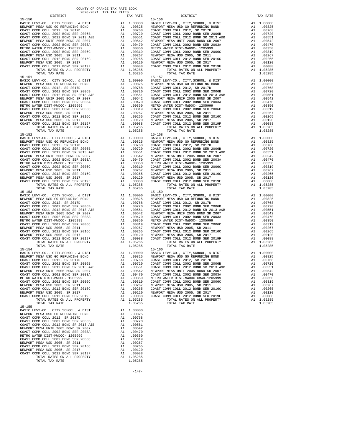| NEWPORT MESA USD GO REFUNDING BOND                                                                                | A1 .00825 NEWPORT                                                                                                                                                                                                                                      |                      |            |
|-------------------------------------------------------------------------------------------------------------------|--------------------------------------------------------------------------------------------------------------------------------------------------------------------------------------------------------------------------------------------------------|----------------------|------------|
|                                                                                                                   |                                                                                                                                                                                                                                                        |                      |            |
|                                                                                                                   |                                                                                                                                                                                                                                                        |                      |            |
|                                                                                                                   |                                                                                                                                                                                                                                                        |                      |            |
|                                                                                                                   |                                                                                                                                                                                                                                                        |                      |            |
|                                                                                                                   |                                                                                                                                                                                                                                                        |                      |            |
|                                                                                                                   |                                                                                                                                                                                                                                                        |                      |            |
|                                                                                                                   |                                                                                                                                                                                                                                                        |                      |            |
|                                                                                                                   |                                                                                                                                                                                                                                                        |                      |            |
|                                                                                                                   |                                                                                                                                                                                                                                                        |                      |            |
|                                                                                                                   |                                                                                                                                                                                                                                                        |                      |            |
| TOTAL TAX RATE                                                                                                    |                                                                                                                                                                                                                                                        | 1.05285              |            |
| $15 - 151$<br>BASIC LEVY-CO., CITY, SCHOOL, & DIST                                                                |                                                                                                                                                                                                                                                        |                      | $15 - 157$ |
| NEWPORT MESA USD GO REFUNDING BOND                                                                                |                                                                                                                                                                                                                                                        |                      |            |
| COAST COMM COLL 2012, SR 2017D                                                                                    |                                                                                                                                                                                                                                                        |                      |            |
| COAST COMM COLL 2002 BOND SER 2006B                                                                               |                                                                                                                                                                                                                                                        |                      |            |
| COAST COMM COLL 2012 BOND SR 2013 A&B                                                                             |                                                                                                                                                                                                                                                        |                      |            |
| NEWPORT MESA UNIF 2005 BOND SR 2007                                                                               |                                                                                                                                                                                                                                                        |                      |            |
| COAST COMM COLL 2002 BOND SER 2003A<br>METRO WATER DIST-MWDOC- 1205999                                            |                                                                                                                                                                                                                                                        |                      |            |
| COAST COMM COLL 2002 BOND SER 2006C                                                                               |                                                                                                                                                                                                                                                        |                      |            |
| NEWPORT MESA USD 2005, SR 2011                                                                                    |                                                                                                                                                                                                                                                        |                      |            |
| COAST COMM COLL 2012 BOND SER 2016C                                                                               |                                                                                                                                                                                                                                                        |                      |            |
| NEWPORT MESA USD 2005, SR 2017                                                                                    |                                                                                                                                                                                                                                                        |                      |            |
| COAST COMM COLL 2012 BOND SER 2019F                                                                               |                                                                                                                                                                                                                                                        |                      |            |
| TOTAL RATES ON ALL PROPERTY<br>TOTAL TAX RATE                                                                     |                                                                                                                                                                                                                                                        | 1.05285              |            |
| $15 - 152$                                                                                                        |                                                                                                                                                                                                                                                        |                      | $15 - 158$ |
|                                                                                                                   |                                                                                                                                                                                                                                                        |                      |            |
|                                                                                                                   |                                                                                                                                                                                                                                                        |                      |            |
|                                                                                                                   |                                                                                                                                                                                                                                                        |                      |            |
|                                                                                                                   |                                                                                                                                                                                                                                                        |                      |            |
|                                                                                                                   |                                                                                                                                                                                                                                                        |                      |            |
|                                                                                                                   |                                                                                                                                                                                                                                                        |                      |            |
|                                                                                                                   |                                                                                                                                                                                                                                                        |                      |            |
|                                                                                                                   |                                                                                                                                                                                                                                                        |                      |            |
|                                                                                                                   |                                                                                                                                                                                                                                                        |                      |            |
|                                                                                                                   |                                                                                                                                                                                                                                                        |                      |            |
|                                                                                                                   |                                                                                                                                                                                                                                                        |                      |            |
| TOTAL RATES ON ALL PROPERTY                                                                                       |                                                                                                                                                                                                                                                        | A1 1.05285           |            |
| TOTAL TAX RATE                                                                                                    |                                                                                                                                                                                                                                                        | 1.05285              |            |
| $15 - 153$                                                                                                        | 15-159<br>A1 1.00000 BASIC L<br>A1 .00825 NEWPORT<br>A1 .00768 COAST C<br>A1 .00768 COAST C<br>A1 .00551 COAST C<br>A1 .00542 NEWPORT<br>A1 .00350 METRO W<br>A1 .00350 COAST C<br>A1 .00350 COAST C<br>A1 .00265 COAST C<br>A1 .00265 COAST C<br>A1 . |                      | $15 - 159$ |
| BASIC LEVY-CO., CITY, SCHOOL, & DIST                                                                              |                                                                                                                                                                                                                                                        |                      |            |
| NEWPORT MESA USD GO REFUNDING BOND                                                                                |                                                                                                                                                                                                                                                        |                      |            |
| COAST COMM COLL 2012, SR 2017D                                                                                    |                                                                                                                                                                                                                                                        |                      |            |
| COAST COMM COLL 2002 BOND SER 20005<br>COAST COMM COLL 2012 BOND SR 2013 A&B<br>2013 2017 POND SPAND CD 2007      |                                                                                                                                                                                                                                                        |                      |            |
| NEWPORT MESA UNIF 2005 BOND SR 2007                                                                               |                                                                                                                                                                                                                                                        |                      |            |
| COAST COMM COLL 2002 BOND SER 2003A                                                                               |                                                                                                                                                                                                                                                        |                      |            |
| METRO WATER DIST-MWDOC- 1205999<br>COAST COMM COLL 2002 BOND SER 2006C                                            |                                                                                                                                                                                                                                                        |                      |            |
| NEWPORT MESA USD 2005, SR 2011                                                                                    |                                                                                                                                                                                                                                                        |                      |            |
| COAST COMM COLL 2012 BOND SER 2016C                                                                               |                                                                                                                                                                                                                                                        |                      |            |
| NEWPORT MESA USD 2005, SR 2017                                                                                    |                                                                                                                                                                                                                                                        |                      |            |
| COAST COMM COLL 2012 BOND SER 2019F                                                                               |                                                                                                                                                                                                                                                        |                      |            |
| TOTAL RATES ON ALL PROPERTY                                                                                       |                                                                                                                                                                                                                                                        | A1 1.05285           |            |
| TOTAL TAX RATE<br>$15 - 154$                                                                                      |                                                                                                                                                                                                                                                        | 1.05285              | $15 - 160$ |
| BASIC LEVY-CO., CITY, SCHOOL, & DIST                                                                              | 15-160<br>A1 1.00000 BASIC L<br>A1 .00825 NEWPORT<br>A1 .00768 COAST C<br>A1 .00760 COAST C<br>A1 .00750 COAST C<br>A1 .00542 NEWPORT<br>A1 .00542 NEWPORT<br>A1 .00440 COAST C                                                                        |                      |            |
| NEWPORT MESA USD GO REFUNDING BOND                                                                                |                                                                                                                                                                                                                                                        |                      |            |
| COAST COMM COLL 2012, SR 2017D                                                                                    |                                                                                                                                                                                                                                                        |                      |            |
| COAST COMM COLL 2002 BOND SER 2006B                                                                               |                                                                                                                                                                                                                                                        |                      |            |
| COAST COMM COLL 2012 BOND SR 2013 A&B<br>NEWPORT MESA UNIF 2005 BOND SR 2007<br>COAST COMM COLL 2005 BOND SR 2007 |                                                                                                                                                                                                                                                        |                      |            |
|                                                                                                                   |                                                                                                                                                                                                                                                        |                      |            |
| COAST COMM COLL 2002 BOND SER 2003A<br>METRO WATER DIST-MWDOC- 1205999                                            | A1                                                                                                                                                                                                                                                     | .00350 METRO W       |            |
| COAST COMM COLL 2002 BOND SER 2006C                                                                               | A1                                                                                                                                                                                                                                                     | .00319               | COAST C    |
| NEWPORT MESA USD 2005, SR 2011                                                                                    | A1                                                                                                                                                                                                                                                     | .00267               | NEWPORT    |
| COAST COMM COLL 2012 BOND SER 2016C                                                                               | A1                                                                                                                                                                                                                                                     | .00265               | COAST C    |
| NEWPORT MESA USD 2005, SR 2017                                                                                    | A1                                                                                                                                                                                                                                                     | .00120               | NEWPORT    |
| COAST COMM COLL 2012 BOND SER 2019F<br>TOTAL RATES ON ALL PROPERTY                                                | A1                                                                                                                                                                                                                                                     | .00088<br>A1 1.05285 | COAST C    |
| TOTAL TAX RATE                                                                                                    |                                                                                                                                                                                                                                                        | 1.05285              |            |
| $15 - 155$                                                                                                        |                                                                                                                                                                                                                                                        |                      |            |
| BASIC LEVY-CO., CITY, SCHOOL, & DIST                                                                              | A1                                                                                                                                                                                                                                                     | 1.00000              |            |
| NEWPORT MESA USD GO REFUNDING BOND                                                                                |                                                                                                                                                                                                                                                        | A1 .00825            |            |
| COAST COMM COLL 2012, SR 2017D<br>COAST COMM COLL 2002 BOND SER 2006B                                             | A1                                                                                                                                                                                                                                                     | .00768               |            |
| COAST COMM COLL 2012 BOND SR 2013 A&B                                                                             | A1<br>A1                                                                                                                                                                                                                                               | .00720<br>.00551     |            |
| NEWPORT MESA UNIF 2005 BOND SR 2007                                                                               | A1                                                                                                                                                                                                                                                     | .00542               |            |
| COAST COMM COLL 2002 BOND SER 2003A                                                                               | A1                                                                                                                                                                                                                                                     | .00470               |            |
| METRO WATER DIST-MWDOC- 1205999                                                                                   | A1                                                                                                                                                                                                                                                     | .00350               |            |
| COAST COMM COLL 2002 BOND SER 2006C                                                                               | A1                                                                                                                                                                                                                                                     | .00319               |            |
| NEWPORT MESA USD 2005, SR 2011<br>COAST COMM COLL 2012 BOND SER 2016C                                             | A1<br>A1                                                                                                                                                                                                                                               | .00267<br>.00265     |            |
| NEWPORT MESA USD 2005, SR 2017                                                                                    | A1                                                                                                                                                                                                                                                     | .00120               |            |
| COAST COMM COLL 2012 BOND SER 2019F                                                                               | A1                                                                                                                                                                                                                                                     | .00088               |            |
| TOTAL RATES ON ALL PROPERTY                                                                                       |                                                                                                                                                                                                                                                        | A1 1.05285           |            |
| TOTAL TAX RATE                                                                                                    |                                                                                                                                                                                                                                                        | 1.05285              |            |

| DISTRICT                                                              | CHINA ANI LAA LAA CHILD | TAX RATE               | DISTRICT                                                                                                                                                                                                                          |    | TAX RATE               |
|-----------------------------------------------------------------------|-------------------------|------------------------|-----------------------------------------------------------------------------------------------------------------------------------------------------------------------------------------------------------------------------------|----|------------------------|
| $15 - 150$                                                            |                         |                        | $15 - 156$                                                                                                                                                                                                                        |    |                        |
|                                                                       |                         |                        |                                                                                                                                                                                                                                   |    |                        |
|                                                                       |                         |                        |                                                                                                                                                                                                                                   |    |                        |
|                                                                       |                         |                        |                                                                                                                                                                                                                                   |    |                        |
|                                                                       |                         |                        |                                                                                                                                                                                                                                   |    |                        |
|                                                                       |                         |                        |                                                                                                                                                                                                                                   |    |                        |
|                                                                       |                         |                        |                                                                                                                                                                                                                                   |    |                        |
|                                                                       |                         |                        |                                                                                                                                                                                                                                   |    |                        |
|                                                                       |                         |                        |                                                                                                                                                                                                                                   |    |                        |
|                                                                       |                         |                        |                                                                                                                                                                                                                                   |    |                        |
|                                                                       |                         |                        |                                                                                                                                                                                                                                   |    |                        |
|                                                                       |                         |                        |                                                                                                                                                                                                                                   |    |                        |
|                                                                       |                         |                        |                                                                                                                                                                                                                                   |    |                        |
|                                                                       |                         |                        |                                                                                                                                                                                                                                   |    |                        |
|                                                                       |                         |                        |                                                                                                                                                                                                                                   |    |                        |
|                                                                       |                         |                        |                                                                                                                                                                                                                                   |    |                        |
|                                                                       |                         |                        |                                                                                                                                                                                                                                   |    |                        |
|                                                                       |                         |                        |                                                                                                                                                                                                                                   |    |                        |
|                                                                       |                         |                        |                                                                                                                                                                                                                                   |    |                        |
|                                                                       |                         |                        |                                                                                                                                                                                                                                   |    |                        |
|                                                                       |                         |                        |                                                                                                                                                                                                                                   |    |                        |
|                                                                       |                         |                        |                                                                                                                                                                                                                                   |    |                        |
|                                                                       |                         |                        |                                                                                                                                                                                                                                   |    |                        |
|                                                                       |                         |                        |                                                                                                                                                                                                                                   |    |                        |
|                                                                       |                         |                        |                                                                                                                                                                                                                                   |    |                        |
|                                                                       |                         |                        |                                                                                                                                                                                                                                   |    |                        |
|                                                                       |                         |                        |                                                                                                                                                                                                                                   |    |                        |
|                                                                       |                         |                        |                                                                                                                                                                                                                                   |    |                        |
|                                                                       |                         |                        |                                                                                                                                                                                                                                   |    |                        |
|                                                                       |                         |                        |                                                                                                                                                                                                                                   |    |                        |
|                                                                       |                         |                        |                                                                                                                                                                                                                                   |    |                        |
|                                                                       |                         |                        |                                                                                                                                                                                                                                   |    |                        |
|                                                                       |                         |                        |                                                                                                                                                                                                                                   |    |                        |
|                                                                       |                         |                        |                                                                                                                                                                                                                                   |    |                        |
|                                                                       |                         |                        |                                                                                                                                                                                                                                   |    |                        |
|                                                                       |                         |                        |                                                                                                                                                                                                                                   |    |                        |
|                                                                       |                         |                        |                                                                                                                                                                                                                                   |    |                        |
|                                                                       |                         |                        |                                                                                                                                                                                                                                   |    |                        |
|                                                                       |                         |                        |                                                                                                                                                                                                                                   |    |                        |
|                                                                       |                         |                        |                                                                                                                                                                                                                                   |    |                        |
|                                                                       |                         |                        |                                                                                                                                                                                                                                   |    |                        |
|                                                                       |                         |                        |                                                                                                                                                                                                                                   |    |                        |
|                                                                       |                         |                        |                                                                                                                                                                                                                                   |    |                        |
|                                                                       |                         |                        |                                                                                                                                                                                                                                   |    |                        |
|                                                                       |                         |                        |                                                                                                                                                                                                                                   |    |                        |
|                                                                       |                         |                        |                                                                                                                                                                                                                                   |    |                        |
|                                                                       |                         |                        |                                                                                                                                                                                                                                   |    |                        |
|                                                                       |                         |                        |                                                                                                                                                                                                                                   |    |                        |
|                                                                       |                         |                        |                                                                                                                                                                                                                                   |    |                        |
|                                                                       |                         |                        |                                                                                                                                                                                                                                   |    |                        |
|                                                                       |                         |                        |                                                                                                                                                                                                                                   |    |                        |
|                                                                       |                         |                        |                                                                                                                                                                                                                                   |    |                        |
|                                                                       |                         |                        |                                                                                                                                                                                                                                   |    |                        |
|                                                                       |                         |                        |                                                                                                                                                                                                                                   |    |                        |
|                                                                       |                         |                        |                                                                                                                                                                                                                                   |    |                        |
|                                                                       |                         |                        |                                                                                                                                                                                                                                   |    |                        |
|                                                                       |                         |                        |                                                                                                                                                                                                                                   |    |                        |
|                                                                       |                         |                        |                                                                                                                                                                                                                                   |    |                        |
|                                                                       |                         |                        |                                                                                                                                                                                                                                   |    |                        |
| $15 - 154$                                                            |                         |                        | $15 - 160$                                                                                                                                                                                                                        |    |                        |
|                                                                       |                         |                        | 19-154 1.00000 BASIC LEVY-CO., CITY, SCHOOL, & DIST<br>NEWPORT MESA USD GO REFUNDING BOND A1 .00000 BASIC LEVY-CO., CITY, SCHOOL, & DIST A1 1.00000<br>NEWPORT MESA USD GO REFUNDING BOND A1 .00825 NEWPORT MESA USD GO REFUNDING |    |                        |
|                                                                       |                         |                        |                                                                                                                                                                                                                                   |    |                        |
|                                                                       |                         |                        |                                                                                                                                                                                                                                   |    |                        |
|                                                                       |                         |                        | 00720 COAST COMM COLL 2002 BOND SER 2006B A1 .00720 COAST COMM COLL 2002 BOND SER 2006B                                                                                                                                           |    |                        |
| COAST COMM COLL 2012 BOND SR 2013 A&B                                 | A1                      | .00551                 | COAST COMM COLL 2012 BOND SR 2013 A&B                                                                                                                                                                                             | A1 | .00551                 |
| NEWPORT MESA UNIF 2005 BOND SR 2007                                   |                         | A1 .00542              | NEWPORT MESA UNIF 2005 BOND SR 2007                                                                                                                                                                                               | A1 | .00542                 |
| COAST COMM COLL 2002 BOND SER 2003A                                   |                         | A1.00470               | COAST COMM COLL 2002 BOND SER 2003A                                                                                                                                                                                               | A1 | .00470                 |
| METRO WATER DIST-MWDOC- 1205999                                       |                         | A1 .00350              | METRO WATER DIST-MWDOC CMWD-1205999                                                                                                                                                                                               |    | A1 .00350              |
| COAST COMM COLL 2002 BOND SER 2006C                                   |                         | A1 .00319<br>A1 .00267 | COAST COMM COLL 2002 BOND SER 2006C                                                                                                                                                                                               |    | A1 .00319<br>A1 .00267 |
| NEWPORT MESA USD 2005, SR 2011<br>COAST COMM COLL 2012 BOND SER 2016C |                         | A1 .00265              | NEWPORT MESA USD 2005, SR 2011<br>COAST COMM COLL 2012 BOND SER 2016C                                                                                                                                                             |    | A1 .00265              |
| NEWPORT MESA USD 2005, SR 2017                                        | A1                      | .00120                 | NEWPORT MESA USD 2005, SR 2017                                                                                                                                                                                                    |    | A1 .00120              |
| COAST COMM COLL 2012 BOND SER 2019F                                   |                         | A1.00088               | COAST COMM COLL 2012 BOND SER 2019F                                                                                                                                                                                               |    | A1 .00088              |
| TOTAL RATES ON ALL PROPERTY                                           |                         | A1 1.05285             | TOTAL RATES ON ALL PROPERTY                                                                                                                                                                                                       |    | A1 1.05285             |
| TOTAL TAX RATE                                                        |                         | 1.05285                | TOTAL TAX RATE                                                                                                                                                                                                                    |    | 1.05285                |
| $15 - 155$                                                            |                         |                        |                                                                                                                                                                                                                                   |    |                        |
| BASIC LEVY-CO., CITY, SCHOOL, & DIST                                  |                         | A1 1.00000             |                                                                                                                                                                                                                                   |    |                        |
| NEWPORT MESA USD GO REFUNDING BOND                                    | A1                      | .00825                 |                                                                                                                                                                                                                                   |    |                        |
| COAST COMM COLL 2012, SR 2017D<br>GOAGE GOMM GOII 3003 ROND GER 300CR | A1<br>2.1               | .00768<br>00720        |                                                                                                                                                                                                                                   |    |                        |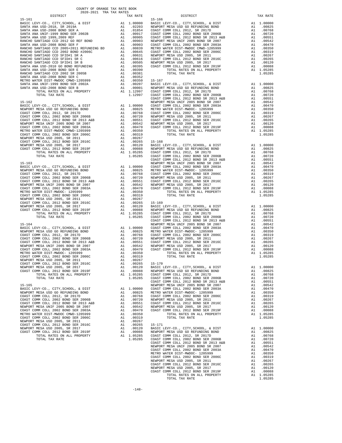|                                                                                                                                                                                                                                                                                                                                                                                                               |          |                                                             | COAST C            |
|---------------------------------------------------------------------------------------------------------------------------------------------------------------------------------------------------------------------------------------------------------------------------------------------------------------------------------------------------------------------------------------------------------------|----------|-------------------------------------------------------------|--------------------|
| $15 - 162$                                                                                                                                                                                                                                                                                                                                                                                                    |          |                                                             | NEWPORT            |
|                                                                                                                                                                                                                                                                                                                                                                                                               |          |                                                             |                    |
|                                                                                                                                                                                                                                                                                                                                                                                                               |          |                                                             |                    |
|                                                                                                                                                                                                                                                                                                                                                                                                               |          |                                                             |                    |
|                                                                                                                                                                                                                                                                                                                                                                                                               |          |                                                             |                    |
|                                                                                                                                                                                                                                                                                                                                                                                                               |          |                                                             |                    |
|                                                                                                                                                                                                                                                                                                                                                                                                               |          |                                                             |                    |
|                                                                                                                                                                                                                                                                                                                                                                                                               |          |                                                             |                    |
|                                                                                                                                                                                                                                                                                                                                                                                                               |          |                                                             |                    |
| $\begin{tabular}{l c c c c} \hline 15-162 & NEWPOR, CITY, SCHOOL, & \& DIST\\ \hline \texttt{RENBCT} & MEV1-C0., CITY, SCHOOL, & \& DISTT & \& A1 & 1.00000 & \texttt{COAST C} \\ \hline \texttt{NENPORT} & MESN & \texttt{NSA} & \texttt{USD} & \texttt{GO} & \texttt{RETDIDING BOND}\\ \hline \texttt{COAST COMM} & \texttt{COLL} & 2012 & \texttt{BOND} & \texttt{SE} & 2006\texttt{B} & \& A1 & .00768 &$ |          |                                                             |                    |
|                                                                                                                                                                                                                                                                                                                                                                                                               |          |                                                             |                    |
|                                                                                                                                                                                                                                                                                                                                                                                                               |          |                                                             |                    |
|                                                                                                                                                                                                                                                                                                                                                                                                               |          |                                                             |                    |
|                                                                                                                                                                                                                                                                                                                                                                                                               |          |                                                             | COAST C            |
|                                                                                                                                                                                                                                                                                                                                                                                                               |          |                                                             |                    |
|                                                                                                                                                                                                                                                                                                                                                                                                               |          |                                                             |                    |
|                                                                                                                                                                                                                                                                                                                                                                                                               |          |                                                             |                    |
|                                                                                                                                                                                                                                                                                                                                                                                                               |          |                                                             |                    |
|                                                                                                                                                                                                                                                                                                                                                                                                               |          |                                                             |                    |
|                                                                                                                                                                                                                                                                                                                                                                                                               |          |                                                             |                    |
|                                                                                                                                                                                                                                                                                                                                                                                                               |          |                                                             |                    |
|                                                                                                                                                                                                                                                                                                                                                                                                               |          |                                                             |                    |
|                                                                                                                                                                                                                                                                                                                                                                                                               |          |                                                             |                    |
|                                                                                                                                                                                                                                                                                                                                                                                                               |          |                                                             |                    |
|                                                                                                                                                                                                                                                                                                                                                                                                               |          |                                                             |                    |
|                                                                                                                                                                                                                                                                                                                                                                                                               |          |                                                             |                    |
|                                                                                                                                                                                                                                                                                                                                                                                                               |          |                                                             |                    |
|                                                                                                                                                                                                                                                                                                                                                                                                               |          |                                                             | COAST C            |
|                                                                                                                                                                                                                                                                                                                                                                                                               |          |                                                             |                    |
|                                                                                                                                                                                                                                                                                                                                                                                                               |          |                                                             |                    |
|                                                                                                                                                                                                                                                                                                                                                                                                               |          |                                                             |                    |
|                                                                                                                                                                                                                                                                                                                                                                                                               |          |                                                             |                    |
|                                                                                                                                                                                                                                                                                                                                                                                                               |          |                                                             |                    |
|                                                                                                                                                                                                                                                                                                                                                                                                               |          |                                                             |                    |
|                                                                                                                                                                                                                                                                                                                                                                                                               |          |                                                             |                    |
|                                                                                                                                                                                                                                                                                                                                                                                                               |          |                                                             |                    |
|                                                                                                                                                                                                                                                                                                                                                                                                               |          |                                                             |                    |
|                                                                                                                                                                                                                                                                                                                                                                                                               |          |                                                             |                    |
|                                                                                                                                                                                                                                                                                                                                                                                                               |          | A1 .00088                                                   |                    |
| COAST COMM COLL 2012 BOND SER 2019F<br>TOTAL RATES ON ALL PROPERTY                                                                                                                                                                                                                                                                                                                                            | A1       | 1.05285                                                     | NEWPORT<br>COAST C |
| TOTAL TAX RATE                                                                                                                                                                                                                                                                                                                                                                                                |          | 1.05285                                                     | COAST C            |
|                                                                                                                                                                                                                                                                                                                                                                                                               |          |                                                             | COAST C            |
| $15 - 165$                                                                                                                                                                                                                                                                                                                                                                                                    |          |                                                             | NEWPORT            |
| BASIC LEVY-CO., CITY, SCHOOL, & DIST<br>NEWPORT MESA USD GO REFUNDING BOND                                                                                                                                                                                                                                                                                                                                    | A1       | 1.00000                                                     | COAST C<br>METRO W |
| COAST COMM COLL 2012, SR 2017D                                                                                                                                                                                                                                                                                                                                                                                | A1<br>A1 | .00825<br>.00768                                            | COAST C            |
| COAST COMM COLL 2002 BOND SER 2006B                                                                                                                                                                                                                                                                                                                                                                           | A1       | .00720                                                      | NEWPORT            |
| COAST COMM COLL 2012 BOND SR 2013 A&B                                                                                                                                                                                                                                                                                                                                                                         |          |                                                             |                    |
| NEWPORT MESA UNIF 2005 BOND SR 2007                                                                                                                                                                                                                                                                                                                                                                           |          | A1 .00551 COAST C<br>A1 .00542 NEWPORT<br>A1 .00470 COAST C |                    |
| COAST COMM COLL 2002 BOND SER 2003A<br>METRO WATER DIST-MWDOC CMWD-1205999                                                                                                                                                                                                                                                                                                                                    | A1       | .00350                                                      |                    |
| COAST COMM COLL 2002 BOND SER 2006C                                                                                                                                                                                                                                                                                                                                                                           | A1       | .00319                                                      |                    |
| NEWPORT MESA USD 2005, SR 2011                                                                                                                                                                                                                                                                                                                                                                                | A1       | .00267                                                      |                    |
| COAST COMM COLL 2012 BOND SER 2016C                                                                                                                                                                                                                                                                                                                                                                           | A1       | .00265                                                      | $15 - 171$         |
| NEWPORT MESA USD 2005, SR 2017<br>COAST COMM COLL 2012 BOND SER 2019F                                                                                                                                                                                                                                                                                                                                         | A1<br>A1 | .00120<br>.00088                                            | BASIC L<br>NEWPORT |
| TOTAL RATES ON ALL PROPERTY                                                                                                                                                                                                                                                                                                                                                                                   |          | A1 1.05285                                                  | COAST C            |
| TOTAL TAX RATE                                                                                                                                                                                                                                                                                                                                                                                                |          | 1.05285                                                     | COAST C            |
|                                                                                                                                                                                                                                                                                                                                                                                                               |          |                                                             | $C0$ $CT$ $CT$     |

| COUNTY OF ORANGE TAX RATE BOOK<br>$\begin{minipage}{.4\linewidth} \begin{tabular}{lcccc} \textbf{1-AX RATE} & \textbf{1-X} & \textbf{1-X} & \textbf{RATE} & \textbf{1-X} & \textbf{1-X} & \textbf{1-X} & \textbf{1-X} & \textbf{1-X} & \textbf{1-X} & \textbf{1-X} & \textbf{1-X} & \textbf{1-X} & \textbf{1-X} & \textbf{1-X} & \textbf{1-X} & \textbf{1-X} & \textbf{1-X} & \textbf{1-X} & \textbf{1-X} & \textbf{1-X} & \textbf{1-X} & \textbf{1-X} & \textbf{1-X} & \textbf{$ |          |          |          |
|-----------------------------------------------------------------------------------------------------------------------------------------------------------------------------------------------------------------------------------------------------------------------------------------------------------------------------------------------------------------------------------------------------------------------------------------------------------------------------------|----------|----------|----------|
|                                                                                                                                                                                                                                                                                                                                                                                                                                                                                   | TAX RATE | DISTRICT | TAX RATE |
|                                                                                                                                                                                                                                                                                                                                                                                                                                                                                   |          |          |          |
|                                                                                                                                                                                                                                                                                                                                                                                                                                                                                   |          |          |          |
|                                                                                                                                                                                                                                                                                                                                                                                                                                                                                   |          |          |          |
|                                                                                                                                                                                                                                                                                                                                                                                                                                                                                   |          |          |          |
|                                                                                                                                                                                                                                                                                                                                                                                                                                                                                   |          |          |          |
|                                                                                                                                                                                                                                                                                                                                                                                                                                                                                   |          |          |          |
|                                                                                                                                                                                                                                                                                                                                                                                                                                                                                   |          |          |          |
|                                                                                                                                                                                                                                                                                                                                                                                                                                                                                   |          |          |          |
|                                                                                                                                                                                                                                                                                                                                                                                                                                                                                   |          |          |          |
|                                                                                                                                                                                                                                                                                                                                                                                                                                                                                   |          |          |          |
|                                                                                                                                                                                                                                                                                                                                                                                                                                                                                   |          |          |          |
|                                                                                                                                                                                                                                                                                                                                                                                                                                                                                   |          |          |          |
|                                                                                                                                                                                                                                                                                                                                                                                                                                                                                   |          |          |          |
|                                                                                                                                                                                                                                                                                                                                                                                                                                                                                   |          |          |          |
|                                                                                                                                                                                                                                                                                                                                                                                                                                                                                   |          |          |          |
|                                                                                                                                                                                                                                                                                                                                                                                                                                                                                   |          |          |          |
|                                                                                                                                                                                                                                                                                                                                                                                                                                                                                   |          |          |          |
|                                                                                                                                                                                                                                                                                                                                                                                                                                                                                   |          |          |          |
|                                                                                                                                                                                                                                                                                                                                                                                                                                                                                   |          |          |          |
|                                                                                                                                                                                                                                                                                                                                                                                                                                                                                   |          |          |          |
|                                                                                                                                                                                                                                                                                                                                                                                                                                                                                   |          |          |          |
|                                                                                                                                                                                                                                                                                                                                                                                                                                                                                   |          |          |          |
|                                                                                                                                                                                                                                                                                                                                                                                                                                                                                   |          |          |          |
|                                                                                                                                                                                                                                                                                                                                                                                                                                                                                   |          |          |          |
|                                                                                                                                                                                                                                                                                                                                                                                                                                                                                   |          |          |          |
|                                                                                                                                                                                                                                                                                                                                                                                                                                                                                   |          |          |          |
|                                                                                                                                                                                                                                                                                                                                                                                                                                                                                   |          |          |          |
|                                                                                                                                                                                                                                                                                                                                                                                                                                                                                   |          |          |          |
|                                                                                                                                                                                                                                                                                                                                                                                                                                                                                   |          |          |          |
|                                                                                                                                                                                                                                                                                                                                                                                                                                                                                   |          |          |          |
|                                                                                                                                                                                                                                                                                                                                                                                                                                                                                   |          |          |          |
|                                                                                                                                                                                                                                                                                                                                                                                                                                                                                   |          |          |          |
|                                                                                                                                                                                                                                                                                                                                                                                                                                                                                   |          |          |          |
|                                                                                                                                                                                                                                                                                                                                                                                                                                                                                   |          |          |          |
|                                                                                                                                                                                                                                                                                                                                                                                                                                                                                   |          |          |          |
|                                                                                                                                                                                                                                                                                                                                                                                                                                                                                   |          |          |          |
|                                                                                                                                                                                                                                                                                                                                                                                                                                                                                   |          |          |          |
|                                                                                                                                                                                                                                                                                                                                                                                                                                                                                   |          |          |          |
|                                                                                                                                                                                                                                                                                                                                                                                                                                                                                   |          |          |          |
|                                                                                                                                                                                                                                                                                                                                                                                                                                                                                   |          |          |          |
|                                                                                                                                                                                                                                                                                                                                                                                                                                                                                   |          |          |          |
|                                                                                                                                                                                                                                                                                                                                                                                                                                                                                   |          |          |          |
|                                                                                                                                                                                                                                                                                                                                                                                                                                                                                   |          |          |          |
|                                                                                                                                                                                                                                                                                                                                                                                                                                                                                   |          |          |          |
|                                                                                                                                                                                                                                                                                                                                                                                                                                                                                   |          |          |          |
|                                                                                                                                                                                                                                                                                                                                                                                                                                                                                   |          |          |          |
|                                                                                                                                                                                                                                                                                                                                                                                                                                                                                   |          |          |          |
|                                                                                                                                                                                                                                                                                                                                                                                                                                                                                   |          |          |          |
|                                                                                                                                                                                                                                                                                                                                                                                                                                                                                   |          |          |          |
|                                                                                                                                                                                                                                                                                                                                                                                                                                                                                   |          |          |          |
|                                                                                                                                                                                                                                                                                                                                                                                                                                                                                   |          |          |          |
|                                                                                                                                                                                                                                                                                                                                                                                                                                                                                   |          |          |          |
|                                                                                                                                                                                                                                                                                                                                                                                                                                                                                   |          |          |          |
|                                                                                                                                                                                                                                                                                                                                                                                                                                                                                   |          |          |          |
|                                                                                                                                                                                                                                                                                                                                                                                                                                                                                   |          |          |          |
|                                                                                                                                                                                                                                                                                                                                                                                                                                                                                   |          |          |          |
|                                                                                                                                                                                                                                                                                                                                                                                                                                                                                   |          |          |          |
|                                                                                                                                                                                                                                                                                                                                                                                                                                                                                   |          |          |          |
|                                                                                                                                                                                                                                                                                                                                                                                                                                                                                   |          |          |          |
|                                                                                                                                                                                                                                                                                                                                                                                                                                                                                   |          |          |          |
|                                                                                                                                                                                                                                                                                                                                                                                                                                                                                   |          |          |          |
|                                                                                                                                                                                                                                                                                                                                                                                                                                                                                   |          |          |          |
|                                                                                                                                                                                                                                                                                                                                                                                                                                                                                   |          |          |          |
|                                                                                                                                                                                                                                                                                                                                                                                                                                                                                   |          |          |          |
|                                                                                                                                                                                                                                                                                                                                                                                                                                                                                   |          |          |          |
|                                                                                                                                                                                                                                                                                                                                                                                                                                                                                   |          |          |          |
|                                                                                                                                                                                                                                                                                                                                                                                                                                                                                   |          |          |          |
|                                                                                                                                                                                                                                                                                                                                                                                                                                                                                   |          |          |          |
|                                                                                                                                                                                                                                                                                                                                                                                                                                                                                   |          |          |          |
|                                                                                                                                                                                                                                                                                                                                                                                                                                                                                   |          |          |          |
|                                                                                                                                                                                                                                                                                                                                                                                                                                                                                   |          |          |          |
|                                                                                                                                                                                                                                                                                                                                                                                                                                                                                   |          |          |          |
|                                                                                                                                                                                                                                                                                                                                                                                                                                                                                   |          |          |          |
|                                                                                                                                                                                                                                                                                                                                                                                                                                                                                   |          |          |          |
|                                                                                                                                                                                                                                                                                                                                                                                                                                                                                   |          |          |          |
|                                                                                                                                                                                                                                                                                                                                                                                                                                                                                   |          |          |          |
|                                                                                                                                                                                                                                                                                                                                                                                                                                                                                   |          |          |          |
|                                                                                                                                                                                                                                                                                                                                                                                                                                                                                   |          |          |          |
|                                                                                                                                                                                                                                                                                                                                                                                                                                                                                   |          |          |          |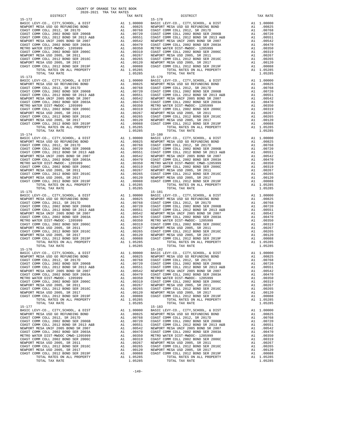BASIC LEVY-CO., CITY, SCHOOL, & DIST A1 1.00000 15-174 15-180 TOTAL TAX RATE 15–175 TOTAL TAX RATE 15–175  $1.05285$  TOTAL TAX RATE  ${\tt BASIC~LEVY-CO.} \hbox{, CITY, SCHOOL, & \tt DIST} \hbox{,} \hbox{,} \hbox{1.00000} \hbox{,}$ TOTAL TAX RATE  $1.05285$  TOTAL TAX RATE  $15-176$ BASIC LEVY-CO., CITY, SCHOOL, & DIST A1 1.00000 15-177<br>
BASIC LEVY-CO., CITY, SCHOOL, & DIST Al 1.00000 BASIC L

 COUNTY OF ORANGE TAX RATE BOOK 2020-2021 TRA TAX RATES DISTRICT TAX RATE DISTRICT TAX RATE 15-172 15-178 BASIC LEVY-CO., CITY,SCHOOL, & DIST A1 1.00000 BASIC LEVY-CO., CITY,SCHOOL, & DIST A1 1.00000 NEWPORT MESA USD GO REFUNDING BOND A1 .00825 NEWPORT MESA USD GO REFUNDING BOND A1 .00825 COAST COMM COLL 2012, SR 2017D A1 .00768 COAST COMM COLL 2012, SR 2017D A1 .00768 COAST COMM COLL 2002 BOND SER 2006B A1 .00720 COAST COMM COLL 2002 BOND SER 2006B A1 .00720 COAST COMM COLL 2012 BOND SR 2013 A&B A1 .00551 COAST COMM COLL 2012 BOND SR 2013 A&B A1 .00551 NEWPORT MESA UNIF 2005 BOND SR 2007 A1 .00542 NEWPORT MESA UNIF 2005 BOND SR 2007 A1 .00542 COAST COMM COLL 2002 BOND SER 2003A A1 .00470 COAST COMM COLL 2002 BOND SER 2003A A1 .00470 METRO WATER DIST-MWDOC- 1205999 A1 .00350 METRO WATER DIST-MWDOC- 1205999 A1 .00350<br>COAST COMM COLL 2002 BOND SER 2006C A1 .00319 COAST COMM COLL 2002 BOND SER 2006C A1 .0031 NEWPORT MESA USD 2005, SR 2011 A1 .00267 NEWPORT MESA USD 2005, SR 2011 A1 .00267 COAST COMM COLL 2012 BOND SER 2016C A1 .00265 COAST COMM COLL 2012 BOND SER 2016C A1 .00265 00120 NEWPORT MESA USD 2005, SR 2017 – 11 00120 NEWPORT MESA USD 2005, SR 2017<br>COAST COMM COLL 2012 BORD SR 2019F – 12 00088 COAST COMM COLL 2012 BORD SER 2019F – 12 00088<br>A1 1.05285 – TOTAL RATES ON ALL PROPERTY – 11 0528 TOTAL TAX RATE 1.05285 TOTAL TAX RATE 1.05285 TOTAL TAX RATE 1.05285 TOTAL TAX RATE 1.05285 TOTAL TAX RATE 1.05285 TOTAL TAX RATE 1.05285 TOTAL TAX RATE 1.05285 TOTAL TAX RATE 1.05285 TOTAL TAX RATE 1.05285 TOTAL TAX RATE BASIC LEVY-CO., CITY,SCHOOL, & DIST A1 1.00000 BASIC LEVY-CO., CITY,SCHOOL, & DIST A1 1.00000 NEWPORT MESAUSD GO REFUNDING BOND (10825 NEWPORT MESAUSD GO REFUNDING BOND (10825 NEWPORT MESAUSD GO REFUNDING<br>COAST COMM COLL 2002 SOND SER 2006B (10.0768 COAST COMM COLL 2012 SR 2017D (2002 TOMM COLL 2002 BOND SER 2006B<br> NEWPORT MESA UNIF 2005 BOND SR 2007 A1 .00542 NEWPORT MESA UNIF 2005 BOND SR 2007 A1 .00542 COAST COMM COLL 2002 BOND SER 2003A A1 .00470 COAST COMM COLL 2002 BOND SER 2003A A1 .00470 METRO WATER DIST-MWDOC- 1205999 A1 .00350 METRO WATER DIST-MWDOC- 1205999 A1 .00350 METRO WATER DIST-MWDOC- 1205999 A1 .00319 COAST COMM COLL 2002 BOND SER 2006C A1 .00319 COAST COMM COLL 2002 BOND SER 2006C A1 .00319 COAST COMM COLL 2002 BOND SER 2006C A1 .00319 NEWPORT MESA USD 2005, SR 2011 A1 .00267 NEWPORT MESA USD 2005, SR 2011 A1 .00267 COAST COMM COLL 2012 BOND SER 2016C A1 .00265 COAST COMM COLL 2012 BOND SER 2016C A1 .00265 NEWPORT MESA USD 2005, SR 2017 A1 .00120 NEWPORT MESA USD 2005, SR 2017 A1 .00120 COAST COMM COLL 2012 BOND SER 2019F A1 .00088 COAST COMM COLL 2012 BOND SER 2019F A1 .00088 TOTAL RATES ON ALL PROPERTY A1 1.05285 TOTAL RATES ON ALL PROPERTY A1 1.05285 NATIONAL PROPERTY AT 1.00088 COAST COMM COLL 2012 BOND SER 2019F AT 1.00088 COAST COMM COLL 2012 BOND SER 2019F AT 2012 BOND SER 2019F AT 2012 BOND SER 2019F AT 2012 BOND SER 2019F AT 2012 BOND SER 2019F AT 2012 BOND SER 2  $\begin{tabular}{lcccc} BASIC LEVY-CO., CITY, SCHOOL, & DIST & A1 & 1.00000 & BASIC LEVY-CO., CITY, SCHOOL, & DIST & A1 & 1.00000 \\ NEWOPORT MEMSO AUS CO AESFWDING BOND & BOND & A1 & .00825 & NEWPORT MESA USO GORETWDING BOND & A1 & .00825 & .00877 COMM COLL & 2002 & .00877 COMM COLL & 2002 & .00877 COMM COLL & 2002 & .00877 COMM COLL & 2002 & .00877 COMM COLL & 2002 & .00$  NEWPORT MESA UNIF 2005 BOND SR 2007 A1 .00542 NEWPORT MESA UNIF 2005 BOND SR 2007 A1 .00542 COAST COMM COLL 2002 BOND SER 2003A A1 .00470 COAST COMM COLL 2002 BOND SER 2003A A1 .00470 METRO WATER DIST-MWDOC- 1205999 A1 .00350 METRO WATER DIST-MWDOC CMWD-1205999 A1 .00350 COAST COMM COLL 2002 BOND SER 2006C A1 .00319 COAST COMM COLL 2002 BOND SER 2006C A1 .00319 METRO WATER DIST-MWDOC - 1205999 MMETRO WATER DIST-MWDOC CMWD-1205999 MMETRO WATER DIST COMM COLL 2002 BOND SER 2006C<br>NEWPORT MESA USD 2002 BOND SER 2006C MM COLL 2002 BOND SER 2006C MMD-1205999 MMESA USD 20057 OMM COLL 20 COAST COMM COLL 2012 BOND SER 2016C A1 .00265 COAST COMM COLL 2012 BOND SER 2016C A1 .00265<br>NEWPORT MESA USD 2005, SR 2017 AN .00120 A1 .0020 A1 .00120 A1 .00120 A1 .00120 A1 .00120 A1 .00120 A1 .00120<br>COAST COMM COLL 2012 NEWPORT MESA USD 2005, SR 2017 A1 .00120 NEWPORT MESA USD 2005, SR 2017 A1 .00120 COAST COMM COLL 2012 BOND SER 2019F A1 .00088 COAST COMM COLL 2012 BOND SER 2019F A1 .00088 ALL PROPERTY ALL PROPERTY ALL PROPERTY ALL PROPERTY AND ALL PROPERTY AND SUMPLIFIES ON ALL PROPERTY ALL 1.05285<br>TOTAL RATES ON ALL PROPERTY ALL PROPERTY ALL PROPERTY ALL PROPERTY ALL PROPERTY ALL 1.05285 BASIC LEVY-CO., CITY,SCHOOL, & DIST A1 1.00000 BASIC LEVY-CO., CITY,SCHOOL, & DIST A1 1.00000 NEWPORT MESAUSD GO REFUNDING BOND (10825 NEWPORT MESAUSD GO REFUNDING BOND (10825 NEWPORT MESAUSD GO REFUNDING<br>COAST COMM COLL 2002 SOND SER 2006B (10.0768 COAST COMM COLL 2012 SR 2017D (2002 TOMM COLL 2002 BOND SER 2006B<br> NEWPORT MESA UNIF 2005 BOND SR 2007 A1 .00542 NEWPORT MESA UNIF 2005 BOND SR 2007 A1 .00542 COAST COMM COLL 2002 BOND SER 2003A A1 .00470 COAST COMM COLL 2002 BOND SER 2003A A1 .00470 METRO WATER DIST-MWDOC- 120599<br>
METRO WATER DIST-MWDOC- 120599 A1 .00350 METRO WATER DIST-MWDOC- 120599<br>
COAST COMM COLL 2002 BOND SER 2016C<br>
MEWPORT MESA USD 2005, SR 2011 A1 .00267<br>
NEWPORT MESA USD 2005, SR 2011 A1 .002 COAST COMM COLL 2002 BOND SER 2006C A1 .00319 COAST COMM COLL 2002 BOND SER 2006C A1 .00319 NEWPORT MESA USD 2005, SR 2011 A1 .00267 NEWPORT MESA USD 2005, SR 2011 A1 .00267 COAST COMM COLL 2012 BOND SER 2016C A1 .00265 COAST COMM COLL 2012 BOND SER 2016C A1 .00265 NEWPORT MESA USD 2005, SR 2017 A1 .00120 NEWPORT MESA USD 2005, SR 2017 A1 .00120 COAST COMM COLL 2012 BOND SER 2019F A1 .00088 COAST COMM COLL 2012 BOND SER 2019F A1 .00088 TOTAL RATES ON ALL PROPERTY A1 1.05285 TOTAL RATES ON ALL PROPERTY A1 1.05285 TOTAL RATES ON ALL PROPERTY A1 1.05285 A1 1.00000 BASIC LEVY-CO., CITY,SCHOOL, & DIST A1 1.00000<br>A1 .00825 NEWPORT MESA USD GO REFUNDING BOND A1 .00825 NEWPORT MESA USD GO REFUNDING BOND A1 .00825 NEWPORT MESA USD GO REFUNDING BOND A1 .00825 COAST COMM COLL 2012, SR 2017D A1 .00768 COAST COMM COLL 2012, SR 2017D A1 .00768 COAST COMM COLL 2002 BOND SER 2006B A1 .00720 COAST COMM COLL 2002 BOND SER 2006B A1 .00720 100551 COAST COMM OOLL 2012 BOND SR 2013 A&B A1 .00551 COAST COMM COLL 2012 BOND SR 2013 A&B A1 .00551<br>NEWPORT MESA UNIF 2005 A2007 SR 2007 A1 .00542 NEWPORT MESA UNIF 2005 BOND SR 2007<br>COAST COMM COLL 2002 BOND SER 2003A METRO WATER DIST-MWDOC- 1205999 A1 00350 METRO WATER DIST-MWDOC- 1205999 A1 00350<br>COAST COMM COLL 2006 A1 00319 COAST COAST COAST COAST COMM COLL 2002 BOND SER 2006C A1 00319<br>NEWPORT MESAUSD 2005, SR 2011 A1 00267 NEWPORT NEWPORT MESA USD 2005, SR 2017 A1 .00120 NEWPORT MESA USD 2005, SR 2017 A1 .00120 COAST COMM COLL 2012 BOND SER 2019F A1 .00088 COAST COMM COLL 2012 BOND SER 2019F A1 .00088 TOTAL RATES ON ALL PROPERTY A1 1.05285 COLL COLL CALL PROPERTY A1 1.05285 TOTAL RATES ON ALL PROPERTY A1 1.05285<br>TOTAL TAX RATE A1 1.05285 TOTAL TAX RATE 1.05285 TOTAL TAX RATE 1.05285 TOTAL TAX RATE 1.05285 TOTAL TAX RATE 1.05285  $\begin{array}{cccccccccccccccc} \texttt{BAST} & \texttt{LEVY-CO.}, & \texttt{CITY}, \texttt{SCHOOL}, & \texttt{CITY}, \texttt{SCHOOL}, & \texttt{BIST} & \texttt{A1} & 1.00000 & \texttt{BASTC LEVY-CO.}, & \texttt{CITY}, \texttt{SCHOOL}, & \texttt{EIST} & \texttt{A1} & 1.00000 & \texttt{A1} & 0.0000 & \texttt{A2} & \texttt{A3} & 0.0000 & \texttt{A4} & \texttt{A5} & 0.0000 & \texttt{A6} & \texttt{A7}$ 00825 NEWPORT MESA USD GO REFUNDING BOND A1 .00825 NEWPORT MESA USD GO REFUNDING BOND A1<br>COAST COMM COLL 2012, SR 201768 COAST COMM COLL 200768 COAST COMM COLL 2002 A1 .00768<br>COAST COMM COLL 2002 BOND SER 2006B A1 .00720 C 100551 COAST COMM OOLL 2012 BOND SR 2013 A&B A1 .00551 COAST COMM COLL 2012 BOND SR 2013 A&B A1 .00551<br>NEWPORT MESA UNIF 2005 A2007 SR 2007 A1 .00542 NEWPORT MESA UNIF 2005 BOND SR 2007<br>COAST COMM COLL 2002 BOND SER 2003A METRO WATER DIST-MWDOC CMWD-1205999 A1 .00470 COAST COMM COLL 2002 BOND SER 2003A<br>METRO WATER DIST-MWDOC CMWD-1205999 A1 .00350 METRO WATER DIST-MWDOC- 1205999 A1 .00350<br>COAST COMM COLL 2002 BOND SER 20030 COAST OMN COLL 2 COAST COMM COLL 2002 BOND SER 2006C A1 .00319 COAST COMM COLL 2002 BOND SER 2006C A1 .00319 NEWPORT MESA USD 2005, SR 2011 A1 .00267 NEWPORT MESA USD 2005, SR 2011 A1 .00267 COAST COMM COLL 2012 BOND SER 2016C A1 .00265 COAST COMM COLL 2012 BOND SER 2016C A1 .00265 NEWPORT MESA USD 2005, SR 2017 A1 .00120 NEWPORT MESA USD 2005, SR 2017 A1 .00120 COAST COMM COLL 2012 BOND SER 2019F A1 .00088 COAST COMM COLL 2012 BOND SER 2019F A1 .00088 TOTAL RATES ON ALL PROPERTY A1 1.05285 TOTAL RATES ON ALL PROPERTY A1 1.05285 TOTAL TAX RATE 1.05285 TOTAL TAX RATE 1.05285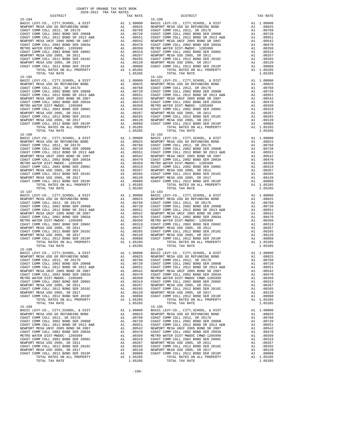15-185 15-191 15-186 15-192 TOTAL TAX RATE 1.05285 TOTAL TAX RATE 1.05285  ${\tt BASIC~LEVY-CO.} \hbox{, CITY, SCHOOL, & \tt DIST} \hbox{,} \hbox{,} \hbox{1.00000} \hbox{,}$ TOTAL TAX RATE  $1.05285$  TOTAL TAX RATE  $15-188$ 15-189<br>BASIC LEVY-CO., CITY, SCHOOL, & DIST Al 1.00000 BASIC L

 DISTRICT TAX RATE DISTRICT TAX RATE 15-184<br>
15-190 16-190 16-190 16-190 16-190 16-190 16-190 16-190 16-190 16-190 16-2<br>
1 1.00000 BASIC INEWPORT MESA USD GO REFUNDING BOND 11 1.00025 NEWPORT BASIC LEVY-CO., CITY,SCHOOL, & DIST A1 1.00000 BASIC LEVY-CO., CITY,SCHOOL, & DIST A1 1.00000 NEWPORT MESA USD GO REFUNDING BOND A1 .00825 NEWPORT MESA USD GO REFUNDING BOND A1 .00825 COAST COMM COLL 2012, SR 2017D A1 .00768 COAST COMM COLL 2012, SR 2017D A1 .00768 COAST COMM COLL 2002 BOND SER 2006B A1 .00720 COAST COMM COLL 2002 BOND SER 2006B A1 .00720 COAST COMM COLL 2012 BOND SR 2013 A&B A1 .00551 COAST COMM COLL 2012 BOND SR 2013 A&B A1 .00551 NEWPORT MESA UNIF 2005 BOND SR 2007 A1 .00542 NEWPORT MESA UNIF 2005 BOND SR 2007 A1 .00542 COAST COMM COLL 2002 BOND SER 2003A A1 .00470 COAST COMM COLL 2002 BOND SER 2003A A1 .00470 METRO WATER DIST-MWDOC- 1205999 A1 .00350 METRO WATER DIST-MWDOC- 1205999 A1 .00350<br>COAST COMM COLL 2002 BOND SER 2006C A1 .00319 COAST COMM COLL 2002 BOND SER 2006C A1 .0031 NEWPORT MESA USD 2005, SR 2011 A1 .00267 NEWPORT MESA USD 2005, SR 2011 A1 .00267 COAST COMM COLL 2012 BOND SER 2016C A1 .00265 COAST COMM COLL 2012 BOND SER 2016C A1 .00265 00120 NEWPORT MESA USD 2005, SR 2017 – 11 00120 NEWPORT MESA USD 2005, SR 2017<br>COAST COMM COLL 2012 BORD SR 2019F – 12 00088 COAST COMM COLL 2012 BORD SER 2019F – 12 00088<br>A1 1.05285 – TOTAL RATES ON ALL PROPERTY – 11 0528 TORAL TAX RATE 1.05285 TOTAL TAX RATE 1.05285 TORAL TAX RATE 1.05285 TORAL TAX RATE 1.05285 TORAL TAX RATE 1.05285 TORAL TAX RATE 1.05285 TORAL TAX RATE 1.05285 TORAL TAX RATE 1.05285 TORAL TAX RATE 1.05285 TORAL TAX RATE  $\begin{tabular}{lcccc} BASIC LEVY-CO., CITY, SCHOOL, & DIST & A1 & 1.00000 & BASIC LEVY-CO., CITY, SCHOOL, & DIST & A1 & 1.00000 \\ NEWOPORT MEMSO AUS CO AESFWDING BOND & BOND & A1 & .00825 & NEWPORT MESA USO GORETWDING BOND & A1 & .00825 & .00877 COMM COLL & 2002 & .00877 COMM COLL & 2002 & .00877 COMM COLL & 2002 & .00877 COMM COLL & 2002 & .00877 COMM COLL & 2002 & .00$  NEWPORT MESA UNIF 2005 BOND SR 2007 A1 .00542 NEWPORT MESA UNIF 2005 BOND SR 2007 A1 .00542 COAST COMM COLL 2002 BOND SER 2003A A1 .00470 COAST COMM COLL 2002 BOND SER 2003A A1 .00470 METRO WATER DIST-MWDOC- 1205999 A1 .00350 METRO WATER DIST-MWDOC- 1205999 A1 .00350 METRO WATER DIST-MWDOC- 1205999 A1 .00319 COAST COMM COLL 2002 BOND SER 2006C A1 .00319 COAST COMM COLL 2002 BOND SER 2006C A1 .00319 COAST COMM COLL 2002 BOND SER 2006C A1 .00319 NEWPORT MESA USD 2005, SR 2011 A1 .00267 NEWPORT MESA USD 2005, SR 2011 A1 .00267 COAST COMM COLL 2012 BOND SER 2016C A1 .00265 COAST COMM COLL 2012 BOND SER 2016C A1 .00265 NEWPORT MESA USD 2005, SR 2017 A1 .00120 NEWPORT MESA USD 2005, SR 2017 A1 .00120 COAST COMM COLL 2012 BOND SER 2019F A1 .00088 COAST COMM COLL 2012 BOND SER 2019F A1 .00088 TOTAL RATES ON ALL PROPERTY A1 1.05285 TOTAL RATES ON ALL PROPERTY A1 1.05285 NAFFORM COLL 2012 BOND SER 2019F AT 1.00088 COAST COMM COLL 2012 BOND SER 2019F AT 2012 BOND SER 2019F AT 2012<br>TOTAL RATES ON ALL PROPERTY AT 1.05285 TOTAL RATES ON ALL PROPERTY AT 1.05285 TOTAL TAX RATE 1.05285 TOTAL TAX  $\begin{tabular}{lcccc} BASIC LEVY-CO., CITY, SCHOOL, & DIST & A1 & 1.00000 & BASIC LEVY-CO., CITY, SCHOOL, & DIST & A1 & 1.00000 \\ NEWOPORT MEMSO AUS CO AESFWDING BOND & BOND & A1 & .00825 & NEWPORT MESA USO GORETWDING BOND & A1 & .00825 & .00877 COMM COLL & 2002 & .00877 COMM COLL & 2002 & .00877 COMM COLL & 2002 & .00877 COMM COLL & 2002 & .00877 COMM COLL & 2002 & .00$  NEWPORT MESA UNIF 2005 BOND SR 2007 A1 .00542 NEWPORT MESA UNIF 2005 BOND SR 2007 A1 .00542 COAST COMM COLL 2002 BOND SER 2003A A1 .00470 COAST COMM COLL 2002 BOND SER 2003A A1 .00470 METRO WATER DIST-MWDOC- 1205999 A1 .00350 METRO WATER DIST-MWDOC- 1205999 A1 .00350 COAST COMM COLL 2002 BOND SER 2006C A1 .00319 COAST COMM COLL 2002 BOND SER 2006C A1 .00319 NEWPORT MESAUSD 2005, SR 2011 (0267 NEWPORT MESAUSD 2005, SR 2011 (0267 NEWPORT MESAUSD 2005, SR 2011 (0267 NEWPORT MESAUSD 2005, SR 2016C<br>COAST COM COLL 2012 ERR 2016C 2016C 2011 (02065 2017 21) 2012 NEWPORT MESAUSD 2005, TOTAL RATES ON ALL PROPERTY A1 1.05285 TOTAL RATES ON ALL PROPERTY A1 1.05285 TOTAL RATES ON ALL PROPERTY A1 1.05285 TOTAL RATE BASIC LEVY-CO., CITY, SCHOOL, & DIST A1 1.00000 BASIC LEVY-CO., CITY, SCHOOL, & DIST NEWPORT MESA USD AN ISONO<br>COAST COMM COLL 2012, SR 2017D A1 .00825 OAST COMM COLL 2012 BOND A1 .00768 COAST COMM COLL 2002 BOND A1 .0072<br> NEWPORT MESAUSD GO REFUNDING BOND (10825 NEWPORT MESAUSD GO REFUNDING BOND (10825 NEWPORT MESAUSD GO REFUNDING<br>COAST COMM COLL 2002 SOND SER 2006B (10.0768 COAST COMM COLL 2012 SR 2017D (2002 TOMM COLL 2002 BOND SER 2006B<br> NEWPORT MESA UNIF 2005 BOND SR 2007 A1 .00542 NEWPORT MESA UNIF 2005 BOND SR 2007 A1 .00542 COAST COMM COLL 2002 BOND SER 2003A A1 .00470 COAST COMM COLL 2002 BOND SER 2003A A1 .00470 METRO WATER DIST-MWDOC- 120599<br>
METRO WATER DIST-MWDOC- 120599 A1 .00350 METRO WATER DIST-MWDOC- 120599<br>
COAST COMM COLL 2002 BOND SER 2016C<br>
MEWPORT MESA USD 2005, SR 2011 A1 .00267<br>
NEWPORT MESA USD 2005, SR 2011 A1 .002 COAST COMM COLL 2002 BOND SER 2006C A1 .00319 COAST COMM COLL 2002 BOND SER 2006C A1 .00319 NEWPORT MESA USD 2005, SR 2011 A1 .00267 NEWPORT MESA USD 2005, SR 2011 A1 .00267 COAST COMM COLL 2012 BOND SER 2016C A1 .00265 COAST COMM COLL 2012 BOND SER 2016C A1 .00265 NEWPORT MESA USD 2005, SR 2017 A1 .00120 NEWPORT MESA USD 2005, SR 2017 A1 .00120 COAST COMM COLL 2012 BOND SER 2019F A1 .00088 COAST COMM COLL 2012 BOND SER 2019F A1 .00088 TOTAL RATES ON ALL PROPERTY A1 1.05285 TOTAL RATES ON ALL PROPERTY A1 1.05285 TOTAL RATES ON ALL PROPERTY A1 1.05285 15-188 15-194 BASIC LEVY-CO., CITY,SCHOOL, & DIST A1 1.00000 BASIC LEVY-CO., CITY,SCHOOL, & DIST A1 1.00000 NEWPORT MESA USD GO REFUNDING BOND A1 .00825 NEWPORT MESA USD GO REFUNDING BOND A1 .00825 COAST COMM COLL 2012, SR 2017D A1 .00768 COAST COMM COLL 2012, SR 2017D A1 .00768 COAST COMM COLL 2002 BOND SER 2006B A1 .00720 COAST COMM COLL 2002 BOND SER 2006B A1 .00720 100551 COAST COMM OOLL 2012 BOND SR 2013 A&B A1 .00551 COAST COMM COLL 2012 BOND SR 2013 A&B A1 .00551<br>NEWPORT MESA UNIF 2005 A2007 SR 2007 A1 .00542 NEWPORT MESA UNIF 2005 BOND SR 2007<br>COAST COMM COLL 2002 BOND SER 2003A METRO WATER DIST-MWDOC- 1205999 A1 .00350 METRO WATER DIST-MWDOC CMWD-1205999 A1 .00350 COAST COMM COLL 2002 BOND SER 2006C A1 .00319 COAST COMM COLL 2002 BOND SER 2006C A1 .00319 NEWPORT MESA USD 2005, SR 2011 A1 .00267 NEWPORT MESA USD 2005, SR 2011 A1 .00267 NEWPORT MESA USD 2005, SR 2011 1.00267<br>COAST COMM COLL 2012 BOND SER 2016C 2012 BOND SER 2016C 2013 BOND SER 2016C 2017 COAST COMM COLL 2012 BOND SER<br>NEWPORT MESA USD 2005, SR 2017 2012 BOND SER 2019F 200615 COAST COMM COL NEWPORT MESA USD 2005, SR 2017 A1 .00120 NEWPORT MESA USD 2005, SR 2017 A1 .00120 COAST COMM COLL 2012 BOND SER 2019F A1 .00088 COAST COMM COLL 2012 BOND SER 2019F A1 .00088 TOTAL RATES ON ALL PROPERTY A1 1.05285 COLL COLL COLL CALL PROPERTY A1 1.05285<br>TOTAL RATES ON ALL PROPERTY A1 1.05285 TOTAL RATES ON ALL PROPERTY A1 1.05285<br>TOTAL TAX RATE 1.05285 TOTAL TAX RATE TOTAL TAX RATE 1.05285 TOTAL TAX RATE 1.05285  $\begin{array}{cccccccccccccccc} \texttt{BACC} & \texttt{LEVY-CO.}, & \texttt{CITY}, \texttt{SCHOOL}, & \texttt{WIST} & \texttt{A1} & \texttt{1.00000} & \texttt{BASIC} & \texttt{LEVY-CO.}, & \texttt{CITY}, \texttt{SCHOOL}, & \texttt{WIST} & \texttt{A1} & \texttt{1.00000} \\ \texttt{NEWPORT} & \texttt{MESA} & \texttt{USD} & \texttt{GO} & \texttt{REFUNDING} & \texttt{BND} & \texttt{A1} & \texttt{0.00825} & \texttt{0.0825}$ 00825 NEWPORT MESA USD GO REFUNDING BOND A1 .00825 NEWPORT MESA USD GO REFUNDING BOND A1<br>COAST COMM COLL 2012, SR 201768 COAST COMM COLL 200768 COAST COMM COLL 2002 A1 .00768<br>COAST COMM COLL 2002 BOND SER 2006B A1 .00720 C COAST COMM COLL 2012 BOND SR 2013 A&B<br>NEWPORT MESA UNIF 2005 SOND SR 2007 A1 .00551 COAST COMM COLL 2012 BOND SR 2013 A&B A1 .00551<br>COAST COMM COLL 2002 BOND SER 2003A A1 .00470 COAST COMM COLL 2002 BOND SER 2003A A1 .0047 COAST COMM COLL 2002 BOND SER 2006C A1 .00319 COAST COMM COLL 2002 BOND SER 2006C A1 .00319 NEWPORT MESA USD 2005, SR 2011 A1 .00267 NEWPORT MESA USD 2005, SR 2011 A1 .00267 COAST COMM COLL 2012 BOND SER 2016C A1 .00265 COAST COMM COLL 2012 BOND SER 2016C A1 .00265 NEWPORT MESA USD 2005, SR 2017 A1 .00120 NEWPORT MESA USD 2005, SR 2017 A1 .00120 COAST COMM COLL 2012 BOND SER 2019F A1 .00088 COAST COMM COLL 2012 BOND SER 2019F A1 .00088 TOTAL RATES ON ALL PROPERTY A1 1.05285 TOTAL RATES ON ALL PROPERTY A1 1.05285 TOTAL TAX RATE 1.05285 TOTAL TAX RATE 1.05285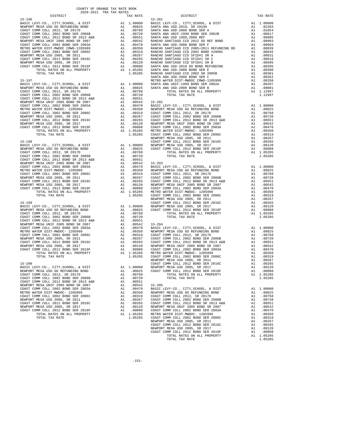| COUNTY OF ORANGE TAX RATE BOOK<br>$2020-2021 \quad \text{TRA TAX RATES}$ DISTRICT $\hspace{2.5cm}$ |          |                                                                                                                                                                                                                                            |          |
|----------------------------------------------------------------------------------------------------|----------|--------------------------------------------------------------------------------------------------------------------------------------------------------------------------------------------------------------------------------------------|----------|
|                                                                                                    | TAX RATE | DISTRICT                                                                                                                                                                                                                                   | TAX RATE |
|                                                                                                    |          |                                                                                                                                                                                                                                            |          |
|                                                                                                    |          |                                                                                                                                                                                                                                            |          |
|                                                                                                    |          |                                                                                                                                                                                                                                            |          |
|                                                                                                    |          |                                                                                                                                                                                                                                            |          |
|                                                                                                    |          |                                                                                                                                                                                                                                            |          |
|                                                                                                    |          |                                                                                                                                                                                                                                            |          |
|                                                                                                    |          |                                                                                                                                                                                                                                            |          |
|                                                                                                    |          |                                                                                                                                                                                                                                            |          |
|                                                                                                    |          |                                                                                                                                                                                                                                            |          |
|                                                                                                    |          |                                                                                                                                                                                                                                            |          |
|                                                                                                    |          |                                                                                                                                                                                                                                            |          |
|                                                                                                    |          |                                                                                                                                                                                                                                            |          |
|                                                                                                    |          |                                                                                                                                                                                                                                            |          |
|                                                                                                    |          |                                                                                                                                                                                                                                            |          |
|                                                                                                    |          |                                                                                                                                                                                                                                            |          |
|                                                                                                    |          |                                                                                                                                                                                                                                            |          |
|                                                                                                    |          |                                                                                                                                                                                                                                            |          |
|                                                                                                    |          |                                                                                                                                                                                                                                            |          |
|                                                                                                    |          |                                                                                                                                                                                                                                            |          |
|                                                                                                    |          |                                                                                                                                                                                                                                            |          |
|                                                                                                    |          |                                                                                                                                                                                                                                            |          |
|                                                                                                    |          |                                                                                                                                                                                                                                            |          |
|                                                                                                    |          |                                                                                                                                                                                                                                            |          |
|                                                                                                    |          |                                                                                                                                                                                                                                            |          |
|                                                                                                    |          |                                                                                                                                                                                                                                            |          |
|                                                                                                    |          |                                                                                                                                                                                                                                            |          |
|                                                                                                    |          |                                                                                                                                                                                                                                            |          |
|                                                                                                    |          |                                                                                                                                                                                                                                            |          |
|                                                                                                    |          |                                                                                                                                                                                                                                            |          |
|                                                                                                    |          |                                                                                                                                                                                                                                            |          |
|                                                                                                    |          |                                                                                                                                                                                                                                            |          |
|                                                                                                    |          |                                                                                                                                                                                                                                            |          |
|                                                                                                    |          |                                                                                                                                                                                                                                            |          |
|                                                                                                    |          |                                                                                                                                                                                                                                            |          |
|                                                                                                    |          |                                                                                                                                                                                                                                            |          |
|                                                                                                    |          |                                                                                                                                                                                                                                            |          |
|                                                                                                    |          |                                                                                                                                                                                                                                            |          |
|                                                                                                    |          |                                                                                                                                                                                                                                            |          |
|                                                                                                    |          |                                                                                                                                                                                                                                            |          |
|                                                                                                    |          |                                                                                                                                                                                                                                            |          |
|                                                                                                    |          |                                                                                                                                                                                                                                            |          |
|                                                                                                    |          |                                                                                                                                                                                                                                            |          |
|                                                                                                    |          |                                                                                                                                                                                                                                            |          |
|                                                                                                    |          |                                                                                                                                                                                                                                            |          |
|                                                                                                    |          |                                                                                                                                                                                                                                            |          |
|                                                                                                    |          |                                                                                                                                                                                                                                            |          |
|                                                                                                    |          |                                                                                                                                                                                                                                            |          |
|                                                                                                    |          |                                                                                                                                                                                                                                            |          |
|                                                                                                    |          |                                                                                                                                                                                                                                            |          |
|                                                                                                    |          |                                                                                                                                                                                                                                            |          |
|                                                                                                    |          |                                                                                                                                                                                                                                            |          |
|                                                                                                    |          |                                                                                                                                                                                                                                            |          |
|                                                                                                    |          |                                                                                                                                                                                                                                            |          |
|                                                                                                    |          |                                                                                                                                                                                                                                            |          |
|                                                                                                    |          |                                                                                                                                                                                                                                            |          |
|                                                                                                    |          |                                                                                                                                                                                                                                            |          |
|                                                                                                    |          |                                                                                                                                                                                                                                            |          |
|                                                                                                    |          |                                                                                                                                                                                                                                            |          |
|                                                                                                    |          |                                                                                                                                                                                                                                            |          |
|                                                                                                    |          |                                                                                                                                                                                                                                            |          |
|                                                                                                    |          |                                                                                                                                                                                                                                            |          |
|                                                                                                    |          | VORST COMM COLL 2012 BOND SER 2016C<br>NEWPORT MESA USD 2005, SR 2011<br>COAST COMM COLL 2012 BOND SER 2016C<br>NEWPORT MESA USD 2005, SR 2017<br>COAST COMM COLL 2012 BOND SER 2019F<br>TOTAL RATES ON ALL PROPERTY<br>TOTAL RATES ON ALL |          |
|                                                                                                    |          |                                                                                                                                                                                                                                            |          |
|                                                                                                    |          |                                                                                                                                                                                                                                            |          |
|                                                                                                    |          |                                                                                                                                                                                                                                            |          |
|                                                                                                    |          |                                                                                                                                                                                                                                            |          |
|                                                                                                    |          |                                                                                                                                                                                                                                            |          |
|                                                                                                    |          |                                                                                                                                                                                                                                            |          |
|                                                                                                    |          |                                                                                                                                                                                                                                            |          |
|                                                                                                    |          |                                                                                                                                                                                                                                            |          |
|                                                                                                    |          |                                                                                                                                                                                                                                            |          |
|                                                                                                    |          |                                                                                                                                                                                                                                            |          |
|                                                                                                    |          |                                                                                                                                                                                                                                            |          |
|                                                                                                    |          |                                                                                                                                                                                                                                            |          |
|                                                                                                    |          |                                                                                                                                                                                                                                            |          |

NEWPORT MESA USD 2005, SR 2011<br>
COAST COMM COLL 2012 BOND SER 2016C<br>
NEWPORT MESA USD 2005, SR 2017<br>
A1 .00265<br>
NEWPORT MESA USD 2005, SR 2017<br>
COAST COMM COLL 2012 BOND SER 2019F<br>
TOTAL RATES ON ALL PROPERTY<br>
TOTAL TAX RA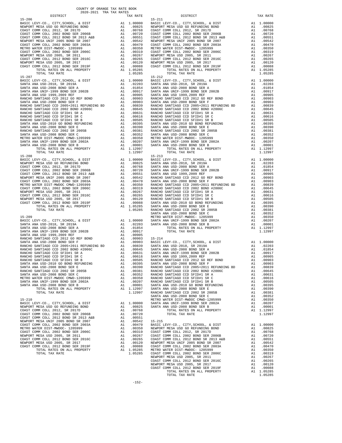| DIPIKICI                                                                                                                                                                                                                                        |    | IAA KAIL                                                                   |            |
|-------------------------------------------------------------------------------------------------------------------------------------------------------------------------------------------------------------------------------------------------|----|----------------------------------------------------------------------------|------------|
| $15 - 206$                                                                                                                                                                                                                                      |    |                                                                            | $15 - 211$ |
|                                                                                                                                                                                                                                                 |    |                                                                            |            |
|                                                                                                                                                                                                                                                 |    |                                                                            |            |
|                                                                                                                                                                                                                                                 |    |                                                                            |            |
|                                                                                                                                                                                                                                                 |    |                                                                            |            |
|                                                                                                                                                                                                                                                 |    |                                                                            |            |
|                                                                                                                                                                                                                                                 |    |                                                                            |            |
|                                                                                                                                                                                                                                                 |    |                                                                            |            |
|                                                                                                                                                                                                                                                 |    |                                                                            |            |
|                                                                                                                                                                                                                                                 |    |                                                                            |            |
|                                                                                                                                                                                                                                                 |    |                                                                            |            |
|                                                                                                                                                                                                                                                 |    |                                                                            |            |
|                                                                                                                                                                                                                                                 |    |                                                                            |            |
|                                                                                                                                                                                                                                                 |    |                                                                            |            |
|                                                                                                                                                                                                                                                 |    |                                                                            |            |
| TOTAL TAX RATE                                                                                                                                                                                                                                  |    | 1.05285                                                                    |            |
| $15 - 207$                                                                                                                                                                                                                                      |    |                                                                            | 15-212     |
|                                                                                                                                                                                                                                                 |    |                                                                            |            |
|                                                                                                                                                                                                                                                 |    |                                                                            |            |
|                                                                                                                                                                                                                                                 |    |                                                                            |            |
|                                                                                                                                                                                                                                                 |    |                                                                            |            |
|                                                                                                                                                                                                                                                 |    |                                                                            |            |
|                                                                                                                                                                                                                                                 |    |                                                                            |            |
|                                                                                                                                                                                                                                                 |    |                                                                            |            |
|                                                                                                                                                                                                                                                 |    |                                                                            |            |
|                                                                                                                                                                                                                                                 |    |                                                                            |            |
|                                                                                                                                                                                                                                                 |    |                                                                            |            |
|                                                                                                                                                                                                                                                 |    |                                                                            |            |
|                                                                                                                                                                                                                                                 |    |                                                                            |            |
|                                                                                                                                                                                                                                                 |    |                                                                            |            |
|                                                                                                                                                                                                                                                 |    |                                                                            |            |
|                                                                                                                                                                                                                                                 |    |                                                                            |            |
|                                                                                                                                                                                                                                                 |    |                                                                            |            |
|                                                                                                                                                                                                                                                 |    |                                                                            |            |
|                                                                                                                                                                                                                                                 |    |                                                                            |            |
|                                                                                                                                                                                                                                                 |    |                                                                            |            |
| SANTA ANA USD-2008 BOND SER E<br>RANCHO SANTIAGO CCD 2002 SR 2005B<br>SANTA ANA USD-2008 BOND SER C<br>SANTA ANA USD-2008 BOND SER C<br>METRO WATER DIST-MWDOC CMWD-1205999<br>SANTA ANA UNIF-1999 BOND SER 2002A<br>SANTA ANA USD-2008 BOND SE |    |                                                                            |            |
|                                                                                                                                                                                                                                                 |    | A1 1.12997                                                                 |            |
| TOTAL TAX RATE                                                                                                                                                                                                                                  |    | 1.12997                                                                    |            |
| $15 - 208$                                                                                                                                                                                                                                      |    |                                                                            | $15 - 213$ |
|                                                                                                                                                                                                                                                 |    |                                                                            |            |
|                                                                                                                                                                                                                                                 |    |                                                                            |            |
|                                                                                                                                                                                                                                                 |    |                                                                            |            |
|                                                                                                                                                                                                                                                 |    |                                                                            |            |
|                                                                                                                                                                                                                                                 |    |                                                                            |            |
|                                                                                                                                                                                                                                                 |    |                                                                            |            |
|                                                                                                                                                                                                                                                 |    |                                                                            |            |
|                                                                                                                                                                                                                                                 |    |                                                                            |            |
|                                                                                                                                                                                                                                                 |    |                                                                            |            |
|                                                                                                                                                                                                                                                 |    |                                                                            |            |
|                                                                                                                                                                                                                                                 |    |                                                                            |            |
|                                                                                                                                                                                                                                                 |    |                                                                            |            |
|                                                                                                                                                                                                                                                 |    |                                                                            |            |
|                                                                                                                                                                                                                                                 |    |                                                                            |            |
| TOTAL TAX RATE                                                                                                                                                                                                                                  |    | $1.05285$ RANCHO                                                           |            |
|                                                                                                                                                                                                                                                 |    |                                                                            | SANTA A    |
| $15 - 209$                                                                                                                                                                                                                                      |    |                                                                            | METRO W    |
| BASIC LEVY-CO., CITY, SCHOOL, & DIST                                                                                                                                                                                                            |    | METRO W<br>A1 .00000 SANTA A<br>A1 .02203 SANTA A<br>A1 .01854<br>A1 00017 |            |
| SANTA ANA USD-2018, SR 2019A                                                                                                                                                                                                                    |    |                                                                            |            |
|                                                                                                                                                                                                                                                 |    |                                                                            |            |
|                                                                                                                                                                                                                                                 |    |                                                                            |            |
|                                                                                                                                                                                                                                                 |    |                                                                            |            |
|                                                                                                                                                                                                                                                 |    |                                                                            |            |
|                                                                                                                                                                                                                                                 |    |                                                                            |            |
|                                                                                                                                                                                                                                                 |    |                                                                            |            |
|                                                                                                                                                                                                                                                 |    |                                                                            |            |
|                                                                                                                                                                                                                                                 |    |                                                                            |            |
|                                                                                                                                                                                                                                                 |    |                                                                            |            |
|                                                                                                                                                                                                                                                 |    |                                                                            |            |
|                                                                                                                                                                                                                                                 |    |                                                                            |            |
|                                                                                                                                                                                                                                                 |    |                                                                            |            |
| SANTA ANA USD-2008 BOND SER E                                                                                                                                                                                                                   | A1 | .00390                                                                     | RANCHO     |
| RANCHO SANTIAGO CCD 2002 SR 2005B                                                                                                                                                                                                               |    | A1 .00381                                                                  | RANCHO     |
| SANTA ANA USD-2008 BOND SER C                                                                                                                                                                                                                   |    | A1 .00352                                                                  | RANCHO     |
| METRO WATER DIST-MWDOC CMWD-1205999                                                                                                                                                                                                             | A1 | .00350                                                                     | RANCHO     |
| SANTA ANA UNIF-1999 BOND SER 2002A                                                                                                                                                                                                              | A1 | .00207                                                                     | RANCHO     |
| SANTA ANA USD-2008 BOND SER B                                                                                                                                                                                                                   | A1 | .00001                                                                     | SANTA A    |
| TOTAL RATES ON ALL PROPERTY                                                                                                                                                                                                                     |    | A1 1.12997                                                                 | SANTA A    |
| TOTAL TAX RATE                                                                                                                                                                                                                                  |    | 1.12997                                                                    | RANCHO     |
|                                                                                                                                                                                                                                                 |    |                                                                            | SANTA A    |
| $15 - 210$                                                                                                                                                                                                                                      |    |                                                                            | METRO W    |
| BASIC LEVY-CO., CITY, SCHOOL, & DIST                                                                                                                                                                                                            |    | A1 1.00000                                                                 | SANTA A    |
| NEWPORT MESA USD GO REFUNDING BOND                                                                                                                                                                                                              |    | A1 .00825                                                                  | SANTA A    |
| COAST COMM COLL 2012, SR 2017D                                                                                                                                                                                                                  | A1 | .00768                                                                     |            |
| COAST COMM COLL 2002 BOND SER 2006B                                                                                                                                                                                                             | A1 | .00720                                                                     |            |
| COAST COMM COLL 2012 BOND SR 2013 A&B                                                                                                                                                                                                           |    | A1 .00551                                                                  |            |
|                                                                                                                                                                                                                                                 |    |                                                                            |            |

| BASIC BEVITCO., CIII,SCHOOD, & DISI   | $\sqrt{2}$ | <b>1.</b> 0000 | <i>ت حيد حيد</i> |
|---------------------------------------|------------|----------------|------------------|
| NEWPORT MESA USD GO REFUNDING BOND    |            | A1.00825       | SANTA A          |
| COAST COMM COLL 2012, SR 2017D        | A1         | .00768         |                  |
| COAST COMM COLL 2002 BOND SER 2006B   | A1         | .00720         |                  |
| COAST COMM COLL 2012 BOND SR 2013 A&B | A1         | .00551         |                  |
| NEWPORT MESA UNIF 2005 BOND SR 2007   | A1         | .00542         | 15-215           |
| COAST COMM COLL 2002 BOND SER 2003A   | A1         | .00470         | <b>BASIC L</b>   |
| METRO WATER DIST-MWDOC- 1205999       | A1         | .00350         | NEWPORT          |
| COAST COMM COLL 2002 BOND SER 2006C   | A1         | .00319         | COAST C          |
| NEWPORT MESA USD 2005, SR 2011        | A1         | .00267         | COAST C          |
| COAST COMM COLL 2012 BOND SER 2016C   | A1         | .00265         | COAST C          |
| NEWPORT MESA USD 2005, SR 2017        | A1         | .00120         | NEWPORT          |
| COAST COMM COLL 2012 BOND SER 2019F   | A1         | .00088         | COAST C          |
| TOTAL RATES ON ALL PROPERTY           |            | A1 1.05285     | METRO W          |
| TOTAL TAX RATE                        |            | 1.05285        | COAST C          |
|                                       |            |                | $\frac{1}{2}$    |

| COUNTY OF ORANGE TAX RATE BOOK<br>$2020-2021 \quad \text{TRA TAX RATES}$ DISTRICT $2020-2021 \quad \text{TRA TAX RATES}$ |          |                |          |
|--------------------------------------------------------------------------------------------------------------------------|----------|----------------|----------|
|                                                                                                                          | TAX RATE | DISTRICT       | TAX RATE |
| $15 - 206$                                                                                                               |          | $15 - 211$     |          |
|                                                                                                                          |          |                |          |
|                                                                                                                          |          |                |          |
|                                                                                                                          |          |                |          |
|                                                                                                                          |          |                |          |
|                                                                                                                          |          |                |          |
|                                                                                                                          |          |                |          |
|                                                                                                                          |          |                |          |
|                                                                                                                          |          |                |          |
|                                                                                                                          |          |                |          |
|                                                                                                                          |          |                |          |
|                                                                                                                          |          |                |          |
| $15 - 207$                                                                                                               |          | $15 - 212$     |          |
|                                                                                                                          |          |                |          |
|                                                                                                                          |          |                |          |
|                                                                                                                          |          |                |          |
|                                                                                                                          |          |                |          |
|                                                                                                                          |          |                |          |
|                                                                                                                          |          |                |          |
|                                                                                                                          |          |                |          |
|                                                                                                                          |          |                |          |
|                                                                                                                          |          |                |          |
|                                                                                                                          |          |                |          |
|                                                                                                                          |          |                |          |
|                                                                                                                          |          |                |          |
|                                                                                                                          |          |                |          |
|                                                                                                                          |          |                |          |
|                                                                                                                          |          |                |          |
|                                                                                                                          |          |                |          |
|                                                                                                                          |          |                |          |
|                                                                                                                          |          |                |          |
|                                                                                                                          |          |                |          |
|                                                                                                                          |          |                |          |
|                                                                                                                          |          |                |          |
|                                                                                                                          |          |                |          |
|                                                                                                                          |          |                |          |
|                                                                                                                          |          |                |          |
|                                                                                                                          |          |                |          |
|                                                                                                                          |          |                |          |
|                                                                                                                          |          |                |          |
|                                                                                                                          |          |                |          |
|                                                                                                                          |          |                |          |
|                                                                                                                          |          |                |          |
|                                                                                                                          |          |                |          |
|                                                                                                                          |          |                |          |
|                                                                                                                          |          |                |          |
|                                                                                                                          |          |                |          |
|                                                                                                                          |          |                |          |
|                                                                                                                          |          |                |          |
|                                                                                                                          |          |                |          |
|                                                                                                                          |          |                |          |
|                                                                                                                          |          |                |          |
|                                                                                                                          |          |                |          |
|                                                                                                                          |          |                |          |
|                                                                                                                          |          |                |          |
|                                                                                                                          |          |                |          |
|                                                                                                                          |          |                |          |
|                                                                                                                          |          |                |          |
|                                                                                                                          |          |                |          |
|                                                                                                                          |          |                |          |
|                                                                                                                          |          |                |          |
|                                                                                                                          |          |                |          |
|                                                                                                                          |          |                |          |
|                                                                                                                          |          |                |          |
|                                                                                                                          |          |                |          |
|                                                                                                                          |          |                |          |
|                                                                                                                          |          |                |          |
|                                                                                                                          |          |                |          |
|                                                                                                                          |          |                |          |
|                                                                                                                          |          |                |          |
|                                                                                                                          |          |                |          |
|                                                                                                                          |          |                |          |
|                                                                                                                          |          |                |          |
|                                                                                                                          |          |                |          |
|                                                                                                                          |          |                |          |
|                                                                                                                          |          |                |          |
|                                                                                                                          |          |                |          |
|                                                                                                                          |          |                |          |
|                                                                                                                          |          |                |          |
|                                                                                                                          |          |                |          |
|                                                                                                                          |          | TOTAL TAX RATE | 1.05285  |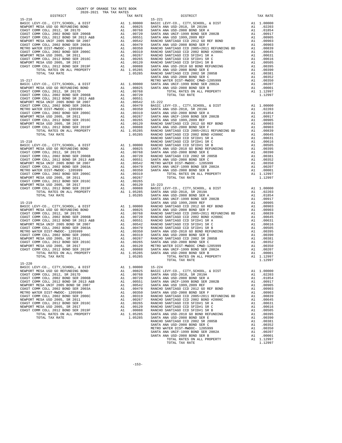| ---------                                                                                                                                                                                                                                                                                                                                                                                                     |    | TAT TATES         |            |
|---------------------------------------------------------------------------------------------------------------------------------------------------------------------------------------------------------------------------------------------------------------------------------------------------------------------------------------------------------------------------------------------------------------|----|-------------------|------------|
| $15 - 216$                                                                                                                                                                                                                                                                                                                                                                                                    |    |                   | $15 - 221$ |
|                                                                                                                                                                                                                                                                                                                                                                                                               |    |                   |            |
|                                                                                                                                                                                                                                                                                                                                                                                                               |    |                   |            |
|                                                                                                                                                                                                                                                                                                                                                                                                               |    |                   |            |
|                                                                                                                                                                                                                                                                                                                                                                                                               |    |                   |            |
|                                                                                                                                                                                                                                                                                                                                                                                                               |    |                   |            |
|                                                                                                                                                                                                                                                                                                                                                                                                               |    |                   |            |
|                                                                                                                                                                                                                                                                                                                                                                                                               |    |                   |            |
|                                                                                                                                                                                                                                                                                                                                                                                                               |    |                   |            |
|                                                                                                                                                                                                                                                                                                                                                                                                               |    |                   |            |
|                                                                                                                                                                                                                                                                                                                                                                                                               |    |                   |            |
|                                                                                                                                                                                                                                                                                                                                                                                                               |    |                   |            |
|                                                                                                                                                                                                                                                                                                                                                                                                               |    |                   |            |
|                                                                                                                                                                                                                                                                                                                                                                                                               |    |                   |            |
|                                                                                                                                                                                                                                                                                                                                                                                                               |    |                   |            |
|                                                                                                                                                                                                                                                                                                                                                                                                               |    |                   |            |
|                                                                                                                                                                                                                                                                                                                                                                                                               |    |                   |            |
|                                                                                                                                                                                                                                                                                                                                                                                                               |    |                   | SANTA A    |
|                                                                                                                                                                                                                                                                                                                                                                                                               |    |                   |            |
| $15 - 217$                                                                                                                                                                                                                                                                                                                                                                                                    |    |                   | METRO W    |
|                                                                                                                                                                                                                                                                                                                                                                                                               |    |                   |            |
|                                                                                                                                                                                                                                                                                                                                                                                                               |    |                   |            |
|                                                                                                                                                                                                                                                                                                                                                                                                               |    |                   |            |
|                                                                                                                                                                                                                                                                                                                                                                                                               |    |                   |            |
|                                                                                                                                                                                                                                                                                                                                                                                                               |    |                   |            |
|                                                                                                                                                                                                                                                                                                                                                                                                               |    |                   |            |
|                                                                                                                                                                                                                                                                                                                                                                                                               |    |                   |            |
|                                                                                                                                                                                                                                                                                                                                                                                                               |    |                   |            |
|                                                                                                                                                                                                                                                                                                                                                                                                               |    |                   |            |
|                                                                                                                                                                                                                                                                                                                                                                                                               |    |                   |            |
|                                                                                                                                                                                                                                                                                                                                                                                                               |    |                   |            |
|                                                                                                                                                                                                                                                                                                                                                                                                               |    |                   |            |
|                                                                                                                                                                                                                                                                                                                                                                                                               |    |                   |            |
|                                                                                                                                                                                                                                                                                                                                                                                                               |    |                   |            |
| $\begin{tabular}{l c c c c} \hline 15-217 & \multicolumn{2}{l}{METRO W} & \multicolumn{2}{l}{METRO W} \\ \hline \multicolumn{2}{l}{MENSC LEVY-CO.}, & CTTY, SCHOOL, & & DIST & & & & 1.00000 & \text{SANTRA A} \\ \hline \multicolumn{2}{l}{COAST COMM COLL 2012}, & SR 2017D & & & 1.00768 \\ \multicolumn{2}{l}{COAST COMM COLL 2012 BOND SFR 2006B} & & & & 1.00768 \\ \multicolumn{2}{l}{COAST COMM COLL$ |    |                   |            |
|                                                                                                                                                                                                                                                                                                                                                                                                               |    |                   |            |
|                                                                                                                                                                                                                                                                                                                                                                                                               |    |                   | RANCHO     |
| $15 - 218$                                                                                                                                                                                                                                                                                                                                                                                                    |    |                   | RANCHO     |
|                                                                                                                                                                                                                                                                                                                                                                                                               |    |                   |            |
|                                                                                                                                                                                                                                                                                                                                                                                                               |    |                   |            |
|                                                                                                                                                                                                                                                                                                                                                                                                               |    |                   |            |
|                                                                                                                                                                                                                                                                                                                                                                                                               |    |                   |            |
|                                                                                                                                                                                                                                                                                                                                                                                                               |    |                   |            |
|                                                                                                                                                                                                                                                                                                                                                                                                               |    |                   |            |
|                                                                                                                                                                                                                                                                                                                                                                                                               |    |                   |            |
|                                                                                                                                                                                                                                                                                                                                                                                                               |    |                   |            |
| $\begin{tabular}{l c c c c} \hline 15-218 & \multicolumn{4}{l c c} \multicolumn{4}{l c c} \multicolumn{4}{l c c} \multicolumn{4}{l c c} \multicolumn{4}{l c c} \multicolumn{4}{l c c} \multicolumn{4}{l c c} \multicolumn{4}{l c c} \multicolumn{4}{l c c} \multicolumn{4}{l c c} \multicolumn{4}{l c c} \multicolumn{4}{l c c} \multicolumn{4}{l c c} \multicolumn{4}{l c c} \multicolumn{4}{l c $           |    |                   |            |
|                                                                                                                                                                                                                                                                                                                                                                                                               |    |                   |            |
|                                                                                                                                                                                                                                                                                                                                                                                                               |    |                   |            |
|                                                                                                                                                                                                                                                                                                                                                                                                               |    |                   |            |
|                                                                                                                                                                                                                                                                                                                                                                                                               |    |                   |            |
|                                                                                                                                                                                                                                                                                                                                                                                                               |    |                   |            |
|                                                                                                                                                                                                                                                                                                                                                                                                               |    |                   |            |
|                                                                                                                                                                                                                                                                                                                                                                                                               |    |                   |            |
|                                                                                                                                                                                                                                                                                                                                                                                                               |    |                   |            |
|                                                                                                                                                                                                                                                                                                                                                                                                               |    |                   | SANTA A    |
|                                                                                                                                                                                                                                                                                                                                                                                                               |    |                   |            |
|                                                                                                                                                                                                                                                                                                                                                                                                               |    |                   |            |
|                                                                                                                                                                                                                                                                                                                                                                                                               |    |                   |            |
|                                                                                                                                                                                                                                                                                                                                                                                                               |    |                   |            |
|                                                                                                                                                                                                                                                                                                                                                                                                               |    |                   |            |
|                                                                                                                                                                                                                                                                                                                                                                                                               |    |                   |            |
|                                                                                                                                                                                                                                                                                                                                                                                                               |    |                   |            |
|                                                                                                                                                                                                                                                                                                                                                                                                               |    |                   |            |
|                                                                                                                                                                                                                                                                                                                                                                                                               |    |                   |            |
|                                                                                                                                                                                                                                                                                                                                                                                                               |    |                   |            |
|                                                                                                                                                                                                                                                                                                                                                                                                               |    |                   |            |
|                                                                                                                                                                                                                                                                                                                                                                                                               |    |                   |            |
|                                                                                                                                                                                                                                                                                                                                                                                                               |    |                   |            |
|                                                                                                                                                                                                                                                                                                                                                                                                               |    |                   |            |
|                                                                                                                                                                                                                                                                                                                                                                                                               |    |                   |            |
|                                                                                                                                                                                                                                                                                                                                                                                                               |    |                   |            |
|                                                                                                                                                                                                                                                                                                                                                                                                               |    |                   |            |
| TOTAL TAX RATE                                                                                                                                                                                                                                                                                                                                                                                                |    | 1.05285           |            |
|                                                                                                                                                                                                                                                                                                                                                                                                               |    |                   |            |
| $15 - 220$                                                                                                                                                                                                                                                                                                                                                                                                    |    |                   |            |
| BASIC LEVY-CO., CITY, SCHOOL, & DIST                                                                                                                                                                                                                                                                                                                                                                          |    | A1 1.00000 15-224 |            |
| NEWPORT MESA USD GO REFUNDING BOND                                                                                                                                                                                                                                                                                                                                                                            | A1 | .00825            | BASIC L    |
| COAST COMM COLL 2012, SR 2017D                                                                                                                                                                                                                                                                                                                                                                                | A1 | .00768            | SANTA A    |
| COAST COMM COLL 2002 BOND SER 2006B                                                                                                                                                                                                                                                                                                                                                                           | A1 | .00720            | SANTA A    |
| COAST COMM COLL 2012 BOND SR 2013 A&B                                                                                                                                                                                                                                                                                                                                                                         | A1 | .00551            | SANTA A    |
| NEWPORT MESA UNIF 2005 BOND SR 2007                                                                                                                                                                                                                                                                                                                                                                           |    | .00542            | SANTA A    |
|                                                                                                                                                                                                                                                                                                                                                                                                               | A1 |                   |            |
| COAST COMM COLL 2002 BOND SER 2003A                                                                                                                                                                                                                                                                                                                                                                           | A1 | .00470            | RANCHO     |
| METRO WATER DIST-MWDOC- 1205999                                                                                                                                                                                                                                                                                                                                                                               | A1 | .00350            | SANTA A    |
| COAST COMM COLL 2002 BOND SER 2006C                                                                                                                                                                                                                                                                                                                                                                           | A1 | .00319            | RANCHO     |
| NEWPORT MESA USD 2005, SR 2011                                                                                                                                                                                                                                                                                                                                                                                | A1 | .00267            | RANCHO     |
| COAST COMM COLL 2012 BOND SER 2016C                                                                                                                                                                                                                                                                                                                                                                           | A1 | .00265            | RANCHO     |
| NEWPORT MESA USD 2005, SR 2017                                                                                                                                                                                                                                                                                                                                                                                | A1 | .00120            | RANCHO     |
| COAST COMM COLL 2012 BOND SER 2019F                                                                                                                                                                                                                                                                                                                                                                           | A1 | .00088            | RANCHO     |
| TOTAL RATES ON ALL PROPERTY                                                                                                                                                                                                                                                                                                                                                                                   |    | A1 1.05285        | SANTA A    |
|                                                                                                                                                                                                                                                                                                                                                                                                               |    |                   |            |
| TOTAL TAX RATE                                                                                                                                                                                                                                                                                                                                                                                                |    | 1.05285           | SANTA A    |

| COUNTY OF ORANGE TAX RATE BOOK<br>$2020-2021 \quad \text{TRA RATE B}$ DISTRICT 2020–2021 TRA TAX RATES | TAX RATE | DISTRICT                        | TAX RATE |
|--------------------------------------------------------------------------------------------------------|----------|---------------------------------|----------|
|                                                                                                        |          |                                 |          |
|                                                                                                        |          |                                 |          |
|                                                                                                        |          |                                 |          |
|                                                                                                        |          |                                 |          |
|                                                                                                        |          |                                 |          |
|                                                                                                        |          |                                 |          |
|                                                                                                        |          |                                 |          |
|                                                                                                        |          |                                 |          |
|                                                                                                        |          |                                 |          |
|                                                                                                        |          |                                 |          |
|                                                                                                        |          |                                 |          |
|                                                                                                        |          |                                 |          |
|                                                                                                        |          |                                 |          |
|                                                                                                        |          |                                 |          |
|                                                                                                        |          |                                 |          |
|                                                                                                        |          |                                 |          |
|                                                                                                        |          |                                 |          |
|                                                                                                        |          |                                 |          |
|                                                                                                        |          |                                 |          |
|                                                                                                        |          |                                 |          |
|                                                                                                        |          |                                 |          |
|                                                                                                        |          |                                 |          |
|                                                                                                        |          |                                 |          |
|                                                                                                        |          |                                 |          |
|                                                                                                        |          |                                 |          |
|                                                                                                        |          |                                 |          |
|                                                                                                        |          |                                 |          |
|                                                                                                        |          |                                 |          |
|                                                                                                        |          |                                 |          |
|                                                                                                        |          |                                 |          |
|                                                                                                        |          |                                 |          |
|                                                                                                        |          |                                 |          |
|                                                                                                        |          |                                 |          |
|                                                                                                        |          |                                 |          |
|                                                                                                        |          |                                 |          |
|                                                                                                        |          |                                 |          |
|                                                                                                        |          |                                 |          |
|                                                                                                        |          |                                 |          |
|                                                                                                        |          |                                 |          |
|                                                                                                        |          |                                 |          |
|                                                                                                        |          |                                 |          |
|                                                                                                        |          |                                 |          |
|                                                                                                        |          |                                 |          |
|                                                                                                        |          |                                 |          |
|                                                                                                        |          |                                 |          |
|                                                                                                        |          |                                 |          |
|                                                                                                        |          |                                 |          |
|                                                                                                        |          |                                 |          |
|                                                                                                        |          |                                 |          |
|                                                                                                        |          |                                 |          |
|                                                                                                        |          |                                 |          |
|                                                                                                        |          |                                 |          |
|                                                                                                        |          |                                 |          |
|                                                                                                        |          |                                 |          |
|                                                                                                        |          |                                 |          |
|                                                                                                        |          |                                 |          |
|                                                                                                        |          |                                 |          |
|                                                                                                        |          | $\frac{1}{2}$<br>TOTAL TAX RATE | 1.12997  |
| $15 - 220$                                                                                             |          |                                 |          |
|                                                                                                        |          |                                 |          |
|                                                                                                        |          |                                 |          |
|                                                                                                        |          |                                 |          |
|                                                                                                        |          |                                 |          |
|                                                                                                        |          |                                 |          |
|                                                                                                        |          |                                 |          |
|                                                                                                        |          |                                 |          |
|                                                                                                        |          |                                 |          |
|                                                                                                        |          |                                 |          |
|                                                                                                        |          |                                 |          |
|                                                                                                        |          |                                 |          |
|                                                                                                        |          |                                 |          |
|                                                                                                        |          |                                 |          |
|                                                                                                        |          |                                 |          |
|                                                                                                        |          |                                 |          |
|                                                                                                        |          |                                 |          |
|                                                                                                        |          |                                 |          |
|                                                                                                        |          |                                 |          |
|                                                                                                        |          |                                 |          |
|                                                                                                        |          |                                 |          |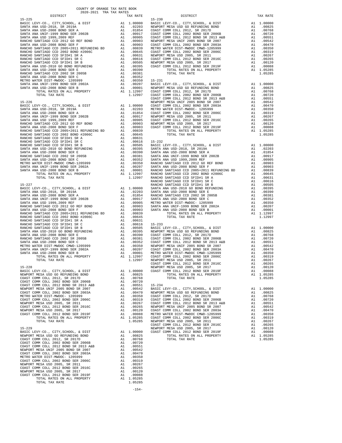|                                                                                                                                                                                                           |                                                                |    |         | COAST C |
|-----------------------------------------------------------------------------------------------------------------------------------------------------------------------------------------------------------|----------------------------------------------------------------|----|---------|---------|
|                                                                                                                                                                                                           |                                                                |    |         |         |
|                                                                                                                                                                                                           |                                                                |    |         |         |
|                                                                                                                                                                                                           |                                                                |    |         |         |
|                                                                                                                                                                                                           |                                                                |    |         |         |
|                                                                                                                                                                                                           |                                                                |    |         |         |
|                                                                                                                                                                                                           |                                                                |    |         |         |
|                                                                                                                                                                                                           |                                                                |    |         |         |
|                                                                                                                                                                                                           |                                                                |    |         |         |
|                                                                                                                                                                                                           |                                                                |    |         |         |
|                                                                                                                                                                                                           |                                                                |    |         |         |
|                                                                                                                                                                                                           |                                                                |    |         |         |
|                                                                                                                                                                                                           |                                                                |    |         |         |
|                                                                                                                                                                                                           |                                                                |    |         |         |
|                                                                                                                                                                                                           |                                                                |    |         |         |
|                                                                                                                                                                                                           |                                                                |    |         |         |
|                                                                                                                                                                                                           |                                                                |    |         |         |
|                                                                                                                                                                                                           |                                                                |    |         |         |
|                                                                                                                                                                                                           |                                                                |    |         |         |
|                                                                                                                                                                                                           |                                                                |    |         |         |
|                                                                                                                                                                                                           |                                                                |    |         |         |
|                                                                                                                                                                                                           |                                                                |    |         |         |
|                                                                                                                                                                                                           |                                                                |    |         |         |
|                                                                                                                                                                                                           |                                                                |    |         | RANCHO  |
| $15 - 227$                                                                                                                                                                                                |                                                                |    |         | RANCHO  |
|                                                                                                                                                                                                           |                                                                |    |         |         |
|                                                                                                                                                                                                           |                                                                |    |         |         |
|                                                                                                                                                                                                           |                                                                |    |         |         |
|                                                                                                                                                                                                           |                                                                |    |         |         |
|                                                                                                                                                                                                           |                                                                |    |         |         |
|                                                                                                                                                                                                           |                                                                |    |         |         |
|                                                                                                                                                                                                           |                                                                |    |         |         |
|                                                                                                                                                                                                           |                                                                |    |         |         |
|                                                                                                                                                                                                           |                                                                |    |         |         |
|                                                                                                                                                                                                           |                                                                |    |         |         |
|                                                                                                                                                                                                           |                                                                |    |         |         |
|                                                                                                                                                                                                           |                                                                |    |         |         |
|                                                                                                                                                                                                           |                                                                |    |         |         |
|                                                                                                                                                                                                           |                                                                |    |         |         |
|                                                                                                                                                                                                           |                                                                |    |         |         |
|                                                                                                                                                                                                           |                                                                |    |         |         |
|                                                                                                                                                                                                           |                                                                |    |         |         |
|                                                                                                                                                                                                           |                                                                |    |         |         |
|                                                                                                                                                                                                           |                                                                |    |         |         |
|                                                                                                                                                                                                           |                                                                |    |         |         |
|                                                                                                                                                                                                           |                                                                |    |         |         |
|                                                                                                                                                                                                           |                                                                |    |         |         |
| $15 - 228$                                                                                                                                                                                                |                                                                |    |         | NEWPORT |
| ${\tt BASE}$ ${\tt BASIC}$ ${\tt LEVY-C0.}$ , ${\tt CITY}$ ,<br>${\tt SEHODI}$ , $\&$ ${\tt DIST}$<br>${\tt A1}$ ${\tt 1.00000}$ ${\tt COAST}$ ${\tt CORF}$<br>${\tt NEWPORT}$ ${\tt MSE}$ ${\tt I00825}$ |                                                                |    |         |         |
|                                                                                                                                                                                                           |                                                                |    |         |         |
|                                                                                                                                                                                                           |                                                                |    |         |         |
|                                                                                                                                                                                                           |                                                                |    |         |         |
|                                                                                                                                                                                                           |                                                                |    |         |         |
|                                                                                                                                                                                                           |                                                                |    |         |         |
|                                                                                                                                                                                                           |                                                                |    |         |         |
|                                                                                                                                                                                                           |                                                                |    |         |         |
|                                                                                                                                                                                                           |                                                                |    |         |         |
|                                                                                                                                                                                                           |                                                                |    |         |         |
|                                                                                                                                                                                                           |                                                                |    |         |         |
|                                                                                                                                                                                                           |                                                                |    |         |         |
|                                                                                                                                                                                                           |                                                                |    |         |         |
|                                                                                                                                                                                                           |                                                                |    |         |         |
|                                                                                                                                                                                                           |                                                                |    |         | COAST C |
|                                                                                                                                                                                                           |                                                                |    |         |         |
|                                                                                                                                                                                                           |                                                                |    |         |         |
|                                                                                                                                                                                                           |                                                                |    |         | NEWPORT |
|                                                                                                                                                                                                           |                                                                |    |         | COAST C |
| ${\tt BASEC~LEVY-CO.},~{\tt CITY, SCHOOL},~\&~{\tt DIST}~~{\tt A1}~~1.00000\\ {\tt NEWPORT~MESA~USD~CO~REFUNDING~BOND}~~{\tt A1}~~.00825\\$                                                               |                                                                |    |         |         |
|                                                                                                                                                                                                           |                                                                |    |         |         |
|                                                                                                                                                                                                           |                                                                |    |         |         |
|                                                                                                                                                                                                           |                                                                |    |         |         |
|                                                                                                                                                                                                           |                                                                |    |         |         |
|                                                                                                                                                                                                           |                                                                |    |         |         |
|                                                                                                                                                                                                           |                                                                |    |         |         |
| COAST COMM COLL 2002 BOND SER 2006C<br>NEWPORT MESA HOL 2002 BOND SER 2006C                                                                                                                               |                                                                | A1 | .00319  |         |
| NEWPORT MESA USD 2005, SR 2011                                                                                                                                                                            |                                                                |    |         |         |
| COAST COMM COLL 2012 BOND SER 2016C                                                                                                                                                                       |                                                                |    |         |         |
| NEWPORT MESA USD 2005, SR 2017<br>COAST COMM COLL 2012 BOND SER 2019F                                                                                                                                     |                                                                |    |         |         |
|                                                                                                                                                                                                           |                                                                |    |         |         |
| TOTAL RATES ON ALL PROPERTY<br>TOTAL TAX RATE                                                                                                                                                             | A1 .00267<br>A1 .00265<br>A1 .00120<br>A1 .00088<br>A1 1.05285 |    | 1.05285 |         |

-154-

| ZUZU-ZUZI TRA TAX RATES<br>DISTRICT | TAX RATE | DISTRICT | TAX RATE |
|-------------------------------------|----------|----------|----------|
|                                     |          |          |          |
|                                     |          |          |          |
|                                     |          |          |          |
|                                     |          |          |          |
|                                     |          |          |          |
|                                     |          |          |          |
|                                     |          |          |          |
|                                     |          |          |          |
|                                     |          |          |          |
|                                     |          |          |          |
|                                     |          |          |          |
|                                     |          |          |          |
|                                     |          |          |          |
|                                     |          |          |          |
|                                     |          |          |          |
|                                     |          |          |          |
|                                     |          |          |          |
|                                     |          |          |          |
|                                     |          |          |          |
|                                     |          |          |          |
|                                     |          |          |          |
|                                     |          |          |          |
|                                     |          |          |          |
|                                     |          |          |          |
|                                     |          |          |          |
|                                     |          |          |          |
|                                     |          |          |          |
|                                     |          |          |          |
|                                     |          |          |          |
|                                     |          |          |          |
|                                     |          |          |          |
|                                     |          |          |          |
|                                     |          |          |          |
|                                     |          |          |          |
|                                     |          |          |          |
|                                     |          |          |          |
|                                     |          |          |          |
|                                     |          |          |          |
|                                     |          |          |          |
|                                     |          |          |          |
|                                     |          |          |          |
|                                     |          |          |          |
|                                     |          |          |          |
|                                     |          |          |          |
|                                     |          |          |          |
|                                     |          |          |          |
|                                     |          |          |          |
|                                     |          |          |          |
|                                     |          |          |          |
|                                     |          |          |          |
|                                     |          |          |          |
|                                     |          |          |          |
|                                     |          |          |          |
|                                     |          |          |          |
|                                     |          |          |          |
|                                     |          |          |          |
|                                     |          |          |          |
|                                     |          |          |          |
|                                     |          |          |          |
|                                     |          |          |          |
|                                     |          |          |          |
|                                     |          |          |          |
|                                     |          |          |          |
|                                     |          |          |          |
|                                     |          |          |          |
|                                     |          |          |          |
|                                     |          |          |          |
|                                     |          |          |          |
|                                     |          |          |          |
|                                     |          |          |          |
|                                     |          |          |          |
|                                     |          |          |          |
|                                     |          |          |          |
|                                     |          |          |          |
|                                     |          |          |          |
|                                     |          |          |          |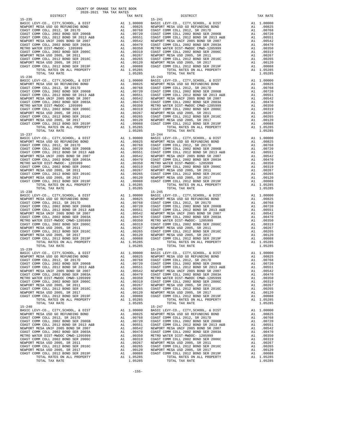| TOTAL RATES ON ALL PROPERTY                                                                                                                                                          |          | A1 1.05285                                                                                                                                                                                                                                                 |                                                                                                                                                                                                                                  |
|--------------------------------------------------------------------------------------------------------------------------------------------------------------------------------------|----------|------------------------------------------------------------------------------------------------------------------------------------------------------------------------------------------------------------------------------------------------------------|----------------------------------------------------------------------------------------------------------------------------------------------------------------------------------------------------------------------------------|
| TOTAL TAX RATE                                                                                                                                                                       |          | 1.05285                                                                                                                                                                                                                                                    |                                                                                                                                                                                                                                  |
| $15 - 236$                                                                                                                                                                           |          |                                                                                                                                                                                                                                                            | $15 - 243$                                                                                                                                                                                                                       |
| BASIC LEVY-CO., CITY, SCHOOL, & DIST                                                                                                                                                 |          | 15–243<br>A1 1.00000 BASIC L<br>A1 .00825 NEWPORT<br>A1 .00768 COAST C<br>A1 .00720 COAST C<br>A1 .00551 COAST C<br>A1 .00551 COAST C<br>A1 .00470 COAST C<br>A1 .00350 METRO W<br>A1 .00350 METRO W<br>A1 .00265 NEWPORT<br>A1 .00265 COAST C<br>A1 .     |                                                                                                                                                                                                                                  |
| NEWPORT MESA USD GO REFUNDING BOND<br>COAST COMM COLL 2012 CREUNDING BOND                                                                                                            |          |                                                                                                                                                                                                                                                            |                                                                                                                                                                                                                                  |
| COAST COMM COLL 2012, SR 2017D                                                                                                                                                       |          |                                                                                                                                                                                                                                                            |                                                                                                                                                                                                                                  |
| COAST COMM COLL 2002 BOND SER 2006B                                                                                                                                                  |          |                                                                                                                                                                                                                                                            |                                                                                                                                                                                                                                  |
| COAST COMM COLL 2012 BOND SR 2013 A&B                                                                                                                                                |          |                                                                                                                                                                                                                                                            |                                                                                                                                                                                                                                  |
| NEWPORT MESA UNIF 2005 BOND SR 2007                                                                                                                                                  |          |                                                                                                                                                                                                                                                            |                                                                                                                                                                                                                                  |
| COAST COMM COLL 2002 BOND SER 2003A                                                                                                                                                  |          |                                                                                                                                                                                                                                                            |                                                                                                                                                                                                                                  |
| METRO WATER DIST-MWDOC- 1205999                                                                                                                                                      |          |                                                                                                                                                                                                                                                            |                                                                                                                                                                                                                                  |
| COAST COMM COLL 2002 BOND SER 2006C                                                                                                                                                  |          |                                                                                                                                                                                                                                                            |                                                                                                                                                                                                                                  |
| NEWPORT MESA USD 2005, SR 2011                                                                                                                                                       |          |                                                                                                                                                                                                                                                            |                                                                                                                                                                                                                                  |
| NEWFORT NESSA USD 2002 BOND SER 2016C<br>NEWFORT MESA USD 2005, SR 2017<br>COAST COMM COLL 2012 BOND SER 2019F<br>COAST COMM COLL 2012 BOND SER 2019F<br>TOTAL RATES ON ALL PROPERTY |          |                                                                                                                                                                                                                                                            |                                                                                                                                                                                                                                  |
|                                                                                                                                                                                      |          |                                                                                                                                                                                                                                                            |                                                                                                                                                                                                                                  |
| TOTAL RATES ON ALL PROPERTY                                                                                                                                                          |          | A1 1.05285                                                                                                                                                                                                                                                 |                                                                                                                                                                                                                                  |
| TOTAL TAX RATE                                                                                                                                                                       |          | 1.05285                                                                                                                                                                                                                                                    |                                                                                                                                                                                                                                  |
| $15 - 237$                                                                                                                                                                           |          |                                                                                                                                                                                                                                                            | $15 - 244$                                                                                                                                                                                                                       |
| BASIC LEVY-CO., CITY, SCHOOL, & DIST                                                                                                                                                 |          |                                                                                                                                                                                                                                                            |                                                                                                                                                                                                                                  |
| NEWPORT MESA USD GO REFUNDING BOND                                                                                                                                                   |          | 15-244<br>A1 1.00000 BASIC L<br>A1 .00825 NEWPORT<br>A1 .00768 COAST C<br>A1 .00768 COAST C<br>A1 .00720 COAST C<br>A1 .00551 COAST C<br>A1 .00470 COAST C<br>A1 .00310 METRO NEWPORT<br>A1 .00265 COAST C<br>A1 .00265 COAST C<br>A1 .00265 COAST C       |                                                                                                                                                                                                                                  |
| COAST COMM COLL 2012, SR 2017D                                                                                                                                                       |          |                                                                                                                                                                                                                                                            |                                                                                                                                                                                                                                  |
| COAST COMM COLL 2002 BOND SER 2006B                                                                                                                                                  |          |                                                                                                                                                                                                                                                            |                                                                                                                                                                                                                                  |
| COAST COMM COLL 2012 BOND SR 2013 A&B                                                                                                                                                |          |                                                                                                                                                                                                                                                            |                                                                                                                                                                                                                                  |
| NEWPORT MESA UNIF 2005 BOND SR 2007                                                                                                                                                  |          |                                                                                                                                                                                                                                                            |                                                                                                                                                                                                                                  |
| COAST COMM COLL 2002 BOND SER 2003A                                                                                                                                                  |          |                                                                                                                                                                                                                                                            |                                                                                                                                                                                                                                  |
| METRO WATER DIST-MWDOC- 1205999                                                                                                                                                      |          |                                                                                                                                                                                                                                                            |                                                                                                                                                                                                                                  |
| COAST COMM COLL 2002 BOND SER 2006C                                                                                                                                                  |          |                                                                                                                                                                                                                                                            |                                                                                                                                                                                                                                  |
| NEWPORT MESA USD 2005, SR 2011                                                                                                                                                       |          |                                                                                                                                                                                                                                                            |                                                                                                                                                                                                                                  |
| NEWFURI MENA ULU 2012 BOND SER 2016C<br>COAST COMM COLL 2012 BOND SER 2016C                                                                                                          |          |                                                                                                                                                                                                                                                            |                                                                                                                                                                                                                                  |
| NEWPORT MESA USD 2005, SR 2017                                                                                                                                                       |          |                                                                                                                                                                                                                                                            |                                                                                                                                                                                                                                  |
| COAST COMM COLL 2012 BOND SER 2019F                                                                                                                                                  |          |                                                                                                                                                                                                                                                            |                                                                                                                                                                                                                                  |
| TOTAL RATES ON ALL PROPERTY                                                                                                                                                          |          |                                                                                                                                                                                                                                                            |                                                                                                                                                                                                                                  |
| TOTAL TAX RATE                                                                                                                                                                       |          | 1.05285                                                                                                                                                                                                                                                    |                                                                                                                                                                                                                                  |
| $15 - 238$                                                                                                                                                                           |          | $[15-245$ Al $1.00000$ BASIC L<br>Al $.000025$ NEWPORT C<br>Al $.00768$ COAST C<br>Al $.00720$ COAST C<br>Al $.00542$ NEWPORT Al $.00542$ NEWPORT Al $.00319$ COAST C<br>Al $.00319$ COAST C<br>Al $.00267$ NEWPORT Al $.00267$ NEWPORT Al $.00267$ NEWPOR | $15 - 245$                                                                                                                                                                                                                       |
| NEWPORT MESA USD GO REFUNDING BOND COAST COMM COLL 2012 SP 2015                                                                                                                      |          |                                                                                                                                                                                                                                                            |                                                                                                                                                                                                                                  |
| COAST COMM COLL 2012, SR 2017D                                                                                                                                                       |          |                                                                                                                                                                                                                                                            |                                                                                                                                                                                                                                  |
| COAST COMM COLL 2002 BOND SER 2006B                                                                                                                                                  |          |                                                                                                                                                                                                                                                            |                                                                                                                                                                                                                                  |
| COAST COMM COLL 2012 BOND SR 2013 A&B                                                                                                                                                |          |                                                                                                                                                                                                                                                            |                                                                                                                                                                                                                                  |
| NEWPORT MESA UNIF 2005 BOND SR 2007                                                                                                                                                  |          |                                                                                                                                                                                                                                                            |                                                                                                                                                                                                                                  |
| COAST COMM COLL 2002 BOND SER 2003A                                                                                                                                                  |          |                                                                                                                                                                                                                                                            |                                                                                                                                                                                                                                  |
| METRO WATER DIST-MWDOC CMWD-1205999                                                                                                                                                  |          |                                                                                                                                                                                                                                                            |                                                                                                                                                                                                                                  |
| COAST COMM COLL 2002 BOND SER 2006C                                                                                                                                                  |          |                                                                                                                                                                                                                                                            |                                                                                                                                                                                                                                  |
| NEWPORT MESA USD 2005, SR 2011                                                                                                                                                       |          |                                                                                                                                                                                                                                                            |                                                                                                                                                                                                                                  |
| COAST COMM COLL 2012 BOND SER 2016C                                                                                                                                                  |          |                                                                                                                                                                                                                                                            |                                                                                                                                                                                                                                  |
| NEWPORT MESA USD 2005, SR 2017                                                                                                                                                       |          |                                                                                                                                                                                                                                                            |                                                                                                                                                                                                                                  |
| COAST COMM COLL 2012 BOND SER 2019F                                                                                                                                                  |          |                                                                                                                                                                                                                                                            |                                                                                                                                                                                                                                  |
| TOTAL RATES ON ALL PROPERTY                                                                                                                                                          |          |                                                                                                                                                                                                                                                            |                                                                                                                                                                                                                                  |
| TOTAL TAX RATE                                                                                                                                                                       |          | 1.05285                                                                                                                                                                                                                                                    |                                                                                                                                                                                                                                  |
| $15 - 239$                                                                                                                                                                           |          |                                                                                                                                                                                                                                                            | $15 - 246$                                                                                                                                                                                                                       |
|                                                                                                                                                                                      |          |                                                                                                                                                                                                                                                            |                                                                                                                                                                                                                                  |
|                                                                                                                                                                                      |          |                                                                                                                                                                                                                                                            |                                                                                                                                                                                                                                  |
|                                                                                                                                                                                      |          |                                                                                                                                                                                                                                                            |                                                                                                                                                                                                                                  |
|                                                                                                                                                                                      |          |                                                                                                                                                                                                                                                            |                                                                                                                                                                                                                                  |
|                                                                                                                                                                                      |          |                                                                                                                                                                                                                                                            |                                                                                                                                                                                                                                  |
|                                                                                                                                                                                      |          |                                                                                                                                                                                                                                                            |                                                                                                                                                                                                                                  |
|                                                                                                                                                                                      |          |                                                                                                                                                                                                                                                            |                                                                                                                                                                                                                                  |
| COAST COMM COLL 2002 BOND SER 2006C                                                                                                                                                  | A1       | .00319                                                                                                                                                                                                                                                     | COAST C                                                                                                                                                                                                                          |
| NEWPORT MESA USD 2005, SR 2011                                                                                                                                                       | A1       | .00267                                                                                                                                                                                                                                                     | NEWPORT                                                                                                                                                                                                                          |
| COAST COMM COLL 2012 BOND SER 2016C                                                                                                                                                  | A1       | .00265                                                                                                                                                                                                                                                     | COAST C                                                                                                                                                                                                                          |
| NEWPORT MESA USD 2005, SR 2017                                                                                                                                                       | A1       | .00120                                                                                                                                                                                                                                                     | NEWPORT                                                                                                                                                                                                                          |
| COAST COMM COLL 2012 BOND SER 2019F                                                                                                                                                  | A1       | .00088                                                                                                                                                                                                                                                     | COAST C                                                                                                                                                                                                                          |
| TOTAL RATES ON ALL PROPERTY                                                                                                                                                          |          | A1 1.05285                                                                                                                                                                                                                                                 |                                                                                                                                                                                                                                  |
| TOTAL TAX RATE                                                                                                                                                                       |          | 1.05285                                                                                                                                                                                                                                                    |                                                                                                                                                                                                                                  |
| $15 - 240$                                                                                                                                                                           |          |                                                                                                                                                                                                                                                            | $15 - 247$                                                                                                                                                                                                                       |
| BASIC LEVY-CO., CITY, SCHOOL, & DIST                                                                                                                                                 | A1       | 1.00000                                                                                                                                                                                                                                                    | BASIC L                                                                                                                                                                                                                          |
| NEWPORT MESA USD GO REFUNDING BOND                                                                                                                                                   | A1<br>A1 | .00825                                                                                                                                                                                                                                                     | NEWPORT                                                                                                                                                                                                                          |
| COAST COMM COLL 2012, SR 2017D                                                                                                                                                       | A1       |                                                                                                                                                                                                                                                            |                                                                                                                                                                                                                                  |
| COAST COMM COLL 2002 BOND SER 2006B<br>COAST COMM COLL 2012 BOND SR 2013 A&B                                                                                                         | A1       |                                                                                                                                                                                                                                                            | 00268 NEWTON<br>00768 COAST COAST COAST COAST COAST COAST COAST COAST COAST COAST COAST COAST COAST CONST CONST CONST CONST CONST CONST CONST CONST CONST CONST CONST CONST CONST CONST CONST CONST CONST CONST CONST CONST CONS |
| NEWPORT MESA UNIF 2005 BOND SR 2007                                                                                                                                                  | A1       |                                                                                                                                                                                                                                                            |                                                                                                                                                                                                                                  |
| COAST COMM COLL 2002 BOND SER 2003A                                                                                                                                                  | A1       |                                                                                                                                                                                                                                                            |                                                                                                                                                                                                                                  |
| METRO WATER DIST-MWDOC CMWD-1205999                                                                                                                                                  | A1       |                                                                                                                                                                                                                                                            |                                                                                                                                                                                                                                  |
| COAST COMM COLL 2002 BOND SER 2006C                                                                                                                                                  | A1       |                                                                                                                                                                                                                                                            |                                                                                                                                                                                                                                  |
| NEWPORT MESA USD 2005, SR 2011                                                                                                                                                       | A1       | .00267                                                                                                                                                                                                                                                     | NEWPORT                                                                                                                                                                                                                          |
| COAST COMM COLL 2012 BOND SER 2016C                                                                                                                                                  | A1       | .00265                                                                                                                                                                                                                                                     |                                                                                                                                                                                                                                  |
| NEWPORT MESA USD 2005, SR 2017                                                                                                                                                       |          | A1 .00120                                                                                                                                                                                                                                                  | COAST C<br>NEWPORT                                                                                                                                                                                                               |
| COAST COMM COLL 2012 BOND SER 2019F                                                                                                                                                  |          | A1.00088                                                                                                                                                                                                                                                   | COAST C                                                                                                                                                                                                                          |

| COUNTY OF ORANGE TAX RATE BOOK<br>$\begin{minipage}{.03\textwidth} \begin{tabular}{l} \multicolumn{2}{c}{\textwidth} \end{tabular} \begin{tabular}{l} \multicolumn{2}{c}{\textwidth} \end{tabular} \begin{tabular}{l} \multicolumn{2}{c}{\textwidth} \end{tabular} \begin{tabular}{l} \multicolumn{2}{c}{\textwidth} \end{tabular} \begin{tabular}{l} \multicolumn{2}{c}{\textwidth} \end{tabular} \begin{tabular}{l} \multicolumn{2}{c}{\textwidth} \end{tabular} \begin{tabular}{l} \multicolumn{2}{c}{\textwidth} \end{tabular} \begin{tabular}{l} \multicolumn{2}{c}{$ |          |            |          |  |
|----------------------------------------------------------------------------------------------------------------------------------------------------------------------------------------------------------------------------------------------------------------------------------------------------------------------------------------------------------------------------------------------------------------------------------------------------------------------------------------------------------------------------------------------------------------------------|----------|------------|----------|--|
|                                                                                                                                                                                                                                                                                                                                                                                                                                                                                                                                                                            | TAX RATE | DISTRICT   | TAX RATE |  |
| $15 - 235$                                                                                                                                                                                                                                                                                                                                                                                                                                                                                                                                                                 |          | $15 - 241$ |          |  |
|                                                                                                                                                                                                                                                                                                                                                                                                                                                                                                                                                                            |          |            |          |  |
|                                                                                                                                                                                                                                                                                                                                                                                                                                                                                                                                                                            |          |            |          |  |
|                                                                                                                                                                                                                                                                                                                                                                                                                                                                                                                                                                            |          |            |          |  |
|                                                                                                                                                                                                                                                                                                                                                                                                                                                                                                                                                                            |          |            |          |  |
|                                                                                                                                                                                                                                                                                                                                                                                                                                                                                                                                                                            |          |            |          |  |
|                                                                                                                                                                                                                                                                                                                                                                                                                                                                                                                                                                            |          |            |          |  |
|                                                                                                                                                                                                                                                                                                                                                                                                                                                                                                                                                                            |          |            |          |  |
|                                                                                                                                                                                                                                                                                                                                                                                                                                                                                                                                                                            |          |            |          |  |
|                                                                                                                                                                                                                                                                                                                                                                                                                                                                                                                                                                            |          |            |          |  |
|                                                                                                                                                                                                                                                                                                                                                                                                                                                                                                                                                                            |          |            |          |  |
|                                                                                                                                                                                                                                                                                                                                                                                                                                                                                                                                                                            |          |            |          |  |
| $15 - 236$                                                                                                                                                                                                                                                                                                                                                                                                                                                                                                                                                                 |          | $15 - 243$ |          |  |
|                                                                                                                                                                                                                                                                                                                                                                                                                                                                                                                                                                            |          |            |          |  |
|                                                                                                                                                                                                                                                                                                                                                                                                                                                                                                                                                                            |          |            |          |  |
|                                                                                                                                                                                                                                                                                                                                                                                                                                                                                                                                                                            |          |            |          |  |
|                                                                                                                                                                                                                                                                                                                                                                                                                                                                                                                                                                            |          |            |          |  |
|                                                                                                                                                                                                                                                                                                                                                                                                                                                                                                                                                                            |          |            |          |  |
|                                                                                                                                                                                                                                                                                                                                                                                                                                                                                                                                                                            |          |            |          |  |
|                                                                                                                                                                                                                                                                                                                                                                                                                                                                                                                                                                            |          |            |          |  |
|                                                                                                                                                                                                                                                                                                                                                                                                                                                                                                                                                                            |          |            |          |  |
|                                                                                                                                                                                                                                                                                                                                                                                                                                                                                                                                                                            |          |            |          |  |
|                                                                                                                                                                                                                                                                                                                                                                                                                                                                                                                                                                            |          |            |          |  |
|                                                                                                                                                                                                                                                                                                                                                                                                                                                                                                                                                                            |          |            |          |  |
|                                                                                                                                                                                                                                                                                                                                                                                                                                                                                                                                                                            |          |            |          |  |
|                                                                                                                                                                                                                                                                                                                                                                                                                                                                                                                                                                            |          |            |          |  |
|                                                                                                                                                                                                                                                                                                                                                                                                                                                                                                                                                                            |          |            |          |  |
|                                                                                                                                                                                                                                                                                                                                                                                                                                                                                                                                                                            |          |            |          |  |
|                                                                                                                                                                                                                                                                                                                                                                                                                                                                                                                                                                            |          |            |          |  |
|                                                                                                                                                                                                                                                                                                                                                                                                                                                                                                                                                                            |          |            |          |  |
|                                                                                                                                                                                                                                                                                                                                                                                                                                                                                                                                                                            |          |            |          |  |
|                                                                                                                                                                                                                                                                                                                                                                                                                                                                                                                                                                            |          |            |          |  |
|                                                                                                                                                                                                                                                                                                                                                                                                                                                                                                                                                                            |          |            |          |  |
|                                                                                                                                                                                                                                                                                                                                                                                                                                                                                                                                                                            |          |            |          |  |
|                                                                                                                                                                                                                                                                                                                                                                                                                                                                                                                                                                            |          |            |          |  |
|                                                                                                                                                                                                                                                                                                                                                                                                                                                                                                                                                                            |          |            |          |  |
|                                                                                                                                                                                                                                                                                                                                                                                                                                                                                                                                                                            |          |            |          |  |
|                                                                                                                                                                                                                                                                                                                                                                                                                                                                                                                                                                            |          |            |          |  |
|                                                                                                                                                                                                                                                                                                                                                                                                                                                                                                                                                                            |          |            |          |  |
|                                                                                                                                                                                                                                                                                                                                                                                                                                                                                                                                                                            |          |            |          |  |
|                                                                                                                                                                                                                                                                                                                                                                                                                                                                                                                                                                            |          |            |          |  |
|                                                                                                                                                                                                                                                                                                                                                                                                                                                                                                                                                                            |          |            |          |  |
|                                                                                                                                                                                                                                                                                                                                                                                                                                                                                                                                                                            |          |            |          |  |
|                                                                                                                                                                                                                                                                                                                                                                                                                                                                                                                                                                            |          |            |          |  |
|                                                                                                                                                                                                                                                                                                                                                                                                                                                                                                                                                                            |          |            |          |  |
|                                                                                                                                                                                                                                                                                                                                                                                                                                                                                                                                                                            |          |            |          |  |
|                                                                                                                                                                                                                                                                                                                                                                                                                                                                                                                                                                            |          |            |          |  |
|                                                                                                                                                                                                                                                                                                                                                                                                                                                                                                                                                                            |          |            |          |  |
|                                                                                                                                                                                                                                                                                                                                                                                                                                                                                                                                                                            |          |            |          |  |
|                                                                                                                                                                                                                                                                                                                                                                                                                                                                                                                                                                            |          |            |          |  |
|                                                                                                                                                                                                                                                                                                                                                                                                                                                                                                                                                                            |          |            |          |  |
|                                                                                                                                                                                                                                                                                                                                                                                                                                                                                                                                                                            |          |            |          |  |
|                                                                                                                                                                                                                                                                                                                                                                                                                                                                                                                                                                            |          |            |          |  |
|                                                                                                                                                                                                                                                                                                                                                                                                                                                                                                                                                                            |          |            |          |  |
|                                                                                                                                                                                                                                                                                                                                                                                                                                                                                                                                                                            |          |            |          |  |
|                                                                                                                                                                                                                                                                                                                                                                                                                                                                                                                                                                            |          |            |          |  |
|                                                                                                                                                                                                                                                                                                                                                                                                                                                                                                                                                                            |          |            |          |  |
|                                                                                                                                                                                                                                                                                                                                                                                                                                                                                                                                                                            |          |            |          |  |
|                                                                                                                                                                                                                                                                                                                                                                                                                                                                                                                                                                            |          |            |          |  |
|                                                                                                                                                                                                                                                                                                                                                                                                                                                                                                                                                                            |          |            |          |  |
|                                                                                                                                                                                                                                                                                                                                                                                                                                                                                                                                                                            |          |            |          |  |
|                                                                                                                                                                                                                                                                                                                                                                                                                                                                                                                                                                            |          |            |          |  |
|                                                                                                                                                                                                                                                                                                                                                                                                                                                                                                                                                                            |          |            |          |  |
|                                                                                                                                                                                                                                                                                                                                                                                                                                                                                                                                                                            |          |            |          |  |
| $15 - 240$                                                                                                                                                                                                                                                                                                                                                                                                                                                                                                                                                                 |          | $15 - 247$ |          |  |
|                                                                                                                                                                                                                                                                                                                                                                                                                                                                                                                                                                            |          |            |          |  |
|                                                                                                                                                                                                                                                                                                                                                                                                                                                                                                                                                                            |          |            |          |  |
|                                                                                                                                                                                                                                                                                                                                                                                                                                                                                                                                                                            |          |            |          |  |
|                                                                                                                                                                                                                                                                                                                                                                                                                                                                                                                                                                            |          |            |          |  |
|                                                                                                                                                                                                                                                                                                                                                                                                                                                                                                                                                                            |          |            |          |  |
|                                                                                                                                                                                                                                                                                                                                                                                                                                                                                                                                                                            |          |            |          |  |
|                                                                                                                                                                                                                                                                                                                                                                                                                                                                                                                                                                            |          |            |          |  |
|                                                                                                                                                                                                                                                                                                                                                                                                                                                                                                                                                                            |          |            |          |  |
|                                                                                                                                                                                                                                                                                                                                                                                                                                                                                                                                                                            |          |            |          |  |
|                                                                                                                                                                                                                                                                                                                                                                                                                                                                                                                                                                            |          |            |          |  |
|                                                                                                                                                                                                                                                                                                                                                                                                                                                                                                                                                                            |          |            |          |  |
|                                                                                                                                                                                                                                                                                                                                                                                                                                                                                                                                                                            |          |            |          |  |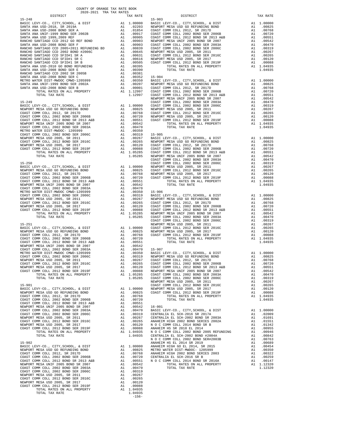|                                                                                                                                                                                                                                                                                                                                                                                                                                             |         | COAST C            |
|---------------------------------------------------------------------------------------------------------------------------------------------------------------------------------------------------------------------------------------------------------------------------------------------------------------------------------------------------------------------------------------------------------------------------------------------|---------|--------------------|
|                                                                                                                                                                                                                                                                                                                                                                                                                                             |         |                    |
|                                                                                                                                                                                                                                                                                                                                                                                                                                             |         |                    |
|                                                                                                                                                                                                                                                                                                                                                                                                                                             |         |                    |
|                                                                                                                                                                                                                                                                                                                                                                                                                                             |         |                    |
|                                                                                                                                                                                                                                                                                                                                                                                                                                             |         |                    |
|                                                                                                                                                                                                                                                                                                                                                                                                                                             |         |                    |
|                                                                                                                                                                                                                                                                                                                                                                                                                                             |         |                    |
|                                                                                                                                                                                                                                                                                                                                                                                                                                             |         |                    |
|                                                                                                                                                                                                                                                                                                                                                                                                                                             |         |                    |
|                                                                                                                                                                                                                                                                                                                                                                                                                                             |         |                    |
|                                                                                                                                                                                                                                                                                                                                                                                                                                             |         |                    |
|                                                                                                                                                                                                                                                                                                                                                                                                                                             |         |                    |
|                                                                                                                                                                                                                                                                                                                                                                                                                                             |         |                    |
| $15 - 251$<br>$\begin{tabular}{l c c c} \hline 15-251 & \multicolumn{4}{l c c} \multicolumn{4}{l}{\begin{tabular}{l@{}}\hline\hline 15-251 & \multicolumn{4}{l}{\begin{tabular}{l@{}}\hline\hline 15-251 & \multicolumn{4}{l}{\begin{tabular}{l@{}}\hline\hline 15-251 & \multicolumn{4}{l}{\begin{tabular}{l@{}}\hline\hline 15-251 & \multicolumn{4}{l}{\begin{tabular}{l@{}}\hline\hline 15-251 & \multicolumn{4}{l}{\begin{tabular}{l@$ |         | NEWPORT            |
|                                                                                                                                                                                                                                                                                                                                                                                                                                             |         |                    |
|                                                                                                                                                                                                                                                                                                                                                                                                                                             |         |                    |
|                                                                                                                                                                                                                                                                                                                                                                                                                                             |         |                    |
|                                                                                                                                                                                                                                                                                                                                                                                                                                             |         |                    |
|                                                                                                                                                                                                                                                                                                                                                                                                                                             |         |                    |
|                                                                                                                                                                                                                                                                                                                                                                                                                                             |         |                    |
|                                                                                                                                                                                                                                                                                                                                                                                                                                             |         |                    |
|                                                                                                                                                                                                                                                                                                                                                                                                                                             |         |                    |
|                                                                                                                                                                                                                                                                                                                                                                                                                                             |         |                    |
|                                                                                                                                                                                                                                                                                                                                                                                                                                             |         |                    |
|                                                                                                                                                                                                                                                                                                                                                                                                                                             |         |                    |
|                                                                                                                                                                                                                                                                                                                                                                                                                                             |         |                    |
| $15 - 901$                                                                                                                                                                                                                                                                                                                                                                                                                                  |         | NEWPORT<br>COAST C |
|                                                                                                                                                                                                                                                                                                                                                                                                                                             |         |                    |
|                                                                                                                                                                                                                                                                                                                                                                                                                                             |         |                    |
|                                                                                                                                                                                                                                                                                                                                                                                                                                             |         |                    |
|                                                                                                                                                                                                                                                                                                                                                                                                                                             |         |                    |
|                                                                                                                                                                                                                                                                                                                                                                                                                                             |         |                    |
|                                                                                                                                                                                                                                                                                                                                                                                                                                             |         |                    |
|                                                                                                                                                                                                                                                                                                                                                                                                                                             |         |                    |
|                                                                                                                                                                                                                                                                                                                                                                                                                                             |         |                    |
|                                                                                                                                                                                                                                                                                                                                                                                                                                             |         |                    |
|                                                                                                                                                                                                                                                                                                                                                                                                                                             |         |                    |
|                                                                                                                                                                                                                                                                                                                                                                                                                                             |         |                    |
|                                                                                                                                                                                                                                                                                                                                                                                                                                             |         |                    |
|                                                                                                                                                                                                                                                                                                                                                                                                                                             |         | NOCC               |
| $15 - 902$                                                                                                                                                                                                                                                                                                                                                                                                                                  |         | ANAHEIM            |
|                                                                                                                                                                                                                                                                                                                                                                                                                                             |         |                    |
|                                                                                                                                                                                                                                                                                                                                                                                                                                             |         |                    |
|                                                                                                                                                                                                                                                                                                                                                                                                                                             |         |                    |
|                                                                                                                                                                                                                                                                                                                                                                                                                                             |         |                    |
|                                                                                                                                                                                                                                                                                                                                                                                                                                             |         |                    |
|                                                                                                                                                                                                                                                                                                                                                                                                                                             |         |                    |
|                                                                                                                                                                                                                                                                                                                                                                                                                                             |         |                    |
|                                                                                                                                                                                                                                                                                                                                                                                                                                             |         |                    |
|                                                                                                                                                                                                                                                                                                                                                                                                                                             |         |                    |
|                                                                                                                                                                                                                                                                                                                                                                                                                                             |         |                    |
| TOTAL TAX RATE                                                                                                                                                                                                                                                                                                                                                                                                                              | 1.04935 |                    |
|                                                                                                                                                                                                                                                                                                                                                                                                                                             | $-156-$ |                    |
|                                                                                                                                                                                                                                                                                                                                                                                                                                             |         |                    |

| TAX RATE<br>DISTRICT |  | DISTRICT | TAX RATE |
|----------------------|--|----------|----------|
|                      |  |          |          |
|                      |  |          |          |
|                      |  |          |          |
|                      |  |          |          |
|                      |  |          |          |
|                      |  |          |          |
|                      |  |          |          |
|                      |  |          |          |
|                      |  |          |          |
|                      |  |          |          |
|                      |  |          |          |
|                      |  |          |          |
|                      |  |          |          |
|                      |  |          |          |
|                      |  |          |          |
|                      |  |          |          |
|                      |  |          |          |
|                      |  |          |          |
|                      |  |          |          |
|                      |  |          |          |
|                      |  |          |          |
|                      |  |          |          |
|                      |  |          |          |
|                      |  |          |          |
|                      |  |          |          |
|                      |  |          |          |
|                      |  |          |          |
|                      |  |          |          |
|                      |  |          |          |
|                      |  |          |          |
|                      |  |          |          |
|                      |  |          |          |
|                      |  |          |          |
|                      |  |          |          |
|                      |  |          |          |
|                      |  |          |          |
|                      |  |          |          |
|                      |  |          |          |
|                      |  |          |          |
|                      |  |          |          |
|                      |  |          |          |
|                      |  |          |          |
|                      |  |          |          |
|                      |  |          |          |
|                      |  |          |          |
|                      |  |          |          |
|                      |  |          |          |
|                      |  |          |          |
|                      |  |          |          |
|                      |  |          |          |
|                      |  |          |          |
|                      |  |          |          |
|                      |  |          |          |
|                      |  |          |          |
|                      |  |          |          |
|                      |  |          |          |
|                      |  |          |          |
|                      |  |          |          |
|                      |  |          |          |
|                      |  |          |          |
|                      |  |          |          |
|                      |  |          |          |
|                      |  |          |          |
|                      |  |          |          |
|                      |  |          |          |
|                      |  |          |          |
|                      |  |          |          |
|                      |  |          |          |
|                      |  |          |          |
|                      |  |          |          |
|                      |  |          |          |
|                      |  |          |          |
|                      |  |          |          |
|                      |  |          |          |
|                      |  |          |          |
|                      |  |          |          |
|                      |  |          |          |
|                      |  |          |          |
|                      |  |          |          |
|                      |  |          |          |
|                      |  |          |          |
|                      |  |          |          |
|                      |  |          |          |
|                      |  |          |          |
|                      |  |          |          |
|                      |  |          |          |
|                      |  |          |          |
|                      |  |          |          |
|                      |  |          |          |
|                      |  |          |          |
|                      |  |          |          |
|                      |  |          |          |
|                      |  |          |          |
|                      |  |          |          |
|                      |  |          |          |
|                      |  |          |          |
|                      |  |          |          |
|                      |  |          |          |
|                      |  |          |          |
|                      |  |          |          |
|                      |  |          |          |
|                      |  |          |          |
|                      |  |          |          |
|                      |  |          |          |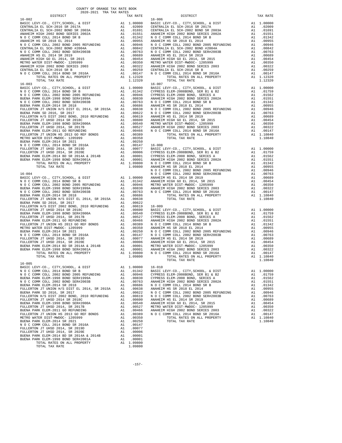| COUNTY OF ORANGE TAX RATE BOOK<br>$\begin{minipage}{.4\linewidth} \begin{tabular}{lcccccc} \textbf{1-AX RATE} & \textbf{1-X} & \textbf{1-X} & \textbf{RATE} & \textbf{1-X} & \textbf{1-X} & \textbf{1-X} & \textbf{1-X} & \textbf{1-X} & \textbf{1-X} & \textbf{1-X} & \textbf{1-X} & \textbf{1-X} & \textbf{1-X} & \textbf{1-X} & \textbf{1-X} & \textbf{1-X} & \textbf{1-X} & \textbf{1-X} & \textbf{1-X} & \textbf{1-X} & \textbf{1-X} & \textbf{1-X} & \textbf{1-X} & \textbf$ |          |                |          |  |
|------------------------------------------------------------------------------------------------------------------------------------------------------------------------------------------------------------------------------------------------------------------------------------------------------------------------------------------------------------------------------------------------------------------------------------------------------------------------------------|----------|----------------|----------|--|
|                                                                                                                                                                                                                                                                                                                                                                                                                                                                                    | TAX RATE | DISTRICT       | TAX RATE |  |
|                                                                                                                                                                                                                                                                                                                                                                                                                                                                                    |          |                |          |  |
|                                                                                                                                                                                                                                                                                                                                                                                                                                                                                    |          |                |          |  |
|                                                                                                                                                                                                                                                                                                                                                                                                                                                                                    |          |                |          |  |
|                                                                                                                                                                                                                                                                                                                                                                                                                                                                                    |          |                |          |  |
|                                                                                                                                                                                                                                                                                                                                                                                                                                                                                    |          |                |          |  |
|                                                                                                                                                                                                                                                                                                                                                                                                                                                                                    |          |                |          |  |
|                                                                                                                                                                                                                                                                                                                                                                                                                                                                                    |          |                |          |  |
|                                                                                                                                                                                                                                                                                                                                                                                                                                                                                    |          |                |          |  |
|                                                                                                                                                                                                                                                                                                                                                                                                                                                                                    |          |                |          |  |
|                                                                                                                                                                                                                                                                                                                                                                                                                                                                                    |          |                |          |  |
|                                                                                                                                                                                                                                                                                                                                                                                                                                                                                    |          |                |          |  |
|                                                                                                                                                                                                                                                                                                                                                                                                                                                                                    |          |                |          |  |
|                                                                                                                                                                                                                                                                                                                                                                                                                                                                                    |          |                |          |  |
|                                                                                                                                                                                                                                                                                                                                                                                                                                                                                    |          |                |          |  |
|                                                                                                                                                                                                                                                                                                                                                                                                                                                                                    |          |                |          |  |
|                                                                                                                                                                                                                                                                                                                                                                                                                                                                                    |          |                |          |  |
|                                                                                                                                                                                                                                                                                                                                                                                                                                                                                    |          |                |          |  |
|                                                                                                                                                                                                                                                                                                                                                                                                                                                                                    |          |                |          |  |
|                                                                                                                                                                                                                                                                                                                                                                                                                                                                                    |          |                |          |  |
|                                                                                                                                                                                                                                                                                                                                                                                                                                                                                    |          |                |          |  |
|                                                                                                                                                                                                                                                                                                                                                                                                                                                                                    |          |                |          |  |
|                                                                                                                                                                                                                                                                                                                                                                                                                                                                                    |          |                |          |  |
|                                                                                                                                                                                                                                                                                                                                                                                                                                                                                    |          |                |          |  |
|                                                                                                                                                                                                                                                                                                                                                                                                                                                                                    |          |                |          |  |
|                                                                                                                                                                                                                                                                                                                                                                                                                                                                                    |          |                |          |  |
|                                                                                                                                                                                                                                                                                                                                                                                                                                                                                    |          |                |          |  |
|                                                                                                                                                                                                                                                                                                                                                                                                                                                                                    |          |                |          |  |
|                                                                                                                                                                                                                                                                                                                                                                                                                                                                                    |          |                |          |  |
|                                                                                                                                                                                                                                                                                                                                                                                                                                                                                    |          |                |          |  |
|                                                                                                                                                                                                                                                                                                                                                                                                                                                                                    |          |                |          |  |
|                                                                                                                                                                                                                                                                                                                                                                                                                                                                                    |          |                |          |  |
|                                                                                                                                                                                                                                                                                                                                                                                                                                                                                    |          |                |          |  |
|                                                                                                                                                                                                                                                                                                                                                                                                                                                                                    |          |                |          |  |
|                                                                                                                                                                                                                                                                                                                                                                                                                                                                                    |          |                |          |  |
|                                                                                                                                                                                                                                                                                                                                                                                                                                                                                    |          |                |          |  |
|                                                                                                                                                                                                                                                                                                                                                                                                                                                                                    |          |                |          |  |
|                                                                                                                                                                                                                                                                                                                                                                                                                                                                                    |          |                |          |  |
|                                                                                                                                                                                                                                                                                                                                                                                                                                                                                    |          |                |          |  |
|                                                                                                                                                                                                                                                                                                                                                                                                                                                                                    |          |                |          |  |
|                                                                                                                                                                                                                                                                                                                                                                                                                                                                                    |          |                |          |  |
|                                                                                                                                                                                                                                                                                                                                                                                                                                                                                    |          |                |          |  |
| $16 - 005$                                                                                                                                                                                                                                                                                                                                                                                                                                                                         |          | TOTAL TAX RATE | 1.10840  |  |
|                                                                                                                                                                                                                                                                                                                                                                                                                                                                                    |          |                |          |  |
|                                                                                                                                                                                                                                                                                                                                                                                                                                                                                    |          |                |          |  |
|                                                                                                                                                                                                                                                                                                                                                                                                                                                                                    |          |                |          |  |
|                                                                                                                                                                                                                                                                                                                                                                                                                                                                                    |          |                |          |  |
|                                                                                                                                                                                                                                                                                                                                                                                                                                                                                    |          |                |          |  |
|                                                                                                                                                                                                                                                                                                                                                                                                                                                                                    |          |                |          |  |
|                                                                                                                                                                                                                                                                                                                                                                                                                                                                                    |          |                |          |  |
|                                                                                                                                                                                                                                                                                                                                                                                                                                                                                    |          |                |          |  |
|                                                                                                                                                                                                                                                                                                                                                                                                                                                                                    |          |                |          |  |
|                                                                                                                                                                                                                                                                                                                                                                                                                                                                                    |          |                |          |  |
|                                                                                                                                                                                                                                                                                                                                                                                                                                                                                    |          |                |          |  |
|                                                                                                                                                                                                                                                                                                                                                                                                                                                                                    |          |                |          |  |
|                                                                                                                                                                                                                                                                                                                                                                                                                                                                                    |          |                |          |  |
|                                                                                                                                                                                                                                                                                                                                                                                                                                                                                    |          |                |          |  |
|                                                                                                                                                                                                                                                                                                                                                                                                                                                                                    |          |                |          |  |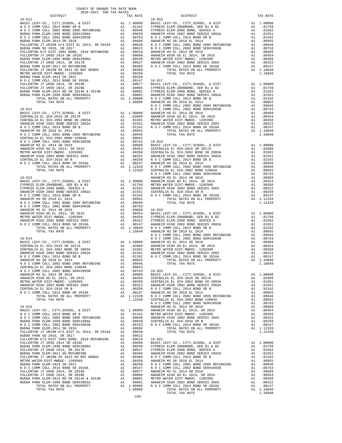|                                                                                                                                                                                                                                                                                                                                                                                  |                                                                                                                           | NOCC    |
|----------------------------------------------------------------------------------------------------------------------------------------------------------------------------------------------------------------------------------------------------------------------------------------------------------------------------------------------------------------------------------|---------------------------------------------------------------------------------------------------------------------------|---------|
|                                                                                                                                                                                                                                                                                                                                                                                  |                                                                                                                           |         |
|                                                                                                                                                                                                                                                                                                                                                                                  |                                                                                                                           |         |
|                                                                                                                                                                                                                                                                                                                                                                                  |                                                                                                                           |         |
|                                                                                                                                                                                                                                                                                                                                                                                  |                                                                                                                           |         |
|                                                                                                                                                                                                                                                                                                                                                                                  |                                                                                                                           |         |
|                                                                                                                                                                                                                                                                                                                                                                                  |                                                                                                                           |         |
|                                                                                                                                                                                                                                                                                                                                                                                  |                                                                                                                           |         |
|                                                                                                                                                                                                                                                                                                                                                                                  |                                                                                                                           |         |
|                                                                                                                                                                                                                                                                                                                                                                                  |                                                                                                                           |         |
|                                                                                                                                                                                                                                                                                                                                                                                  |                                                                                                                           |         |
|                                                                                                                                                                                                                                                                                                                                                                                  |                                                                                                                           |         |
|                                                                                                                                                                                                                                                                                                                                                                                  |                                                                                                                           |         |
|                                                                                                                                                                                                                                                                                                                                                                                  |                                                                                                                           |         |
|                                                                                                                                                                                                                                                                                                                                                                                  |                                                                                                                           |         |
|                                                                                                                                                                                                                                                                                                                                                                                  |                                                                                                                           | NOCC    |
|                                                                                                                                                                                                                                                                                                                                                                                  |                                                                                                                           |         |
|                                                                                                                                                                                                                                                                                                                                                                                  |                                                                                                                           |         |
|                                                                                                                                                                                                                                                                                                                                                                                  |                                                                                                                           |         |
|                                                                                                                                                                                                                                                                                                                                                                                  |                                                                                                                           |         |
|                                                                                                                                                                                                                                                                                                                                                                                  |                                                                                                                           |         |
| $\begin{tabular}{l c c c c c} \multicolumn{1}{c}{A1 & 0045\, \, \multicolumn{1}{c}{MUC} & 0044\, \, & 0.044\, \, & 0.044\, \, & 0.045\, \, \\ \multicolumn{1}{c}{A1 & 00955\, \, & 0.0956\, \, \\ N\,O\,C\,COMM\,COLL\, \, 2002\, \, BOND\, \, 2005\, \, {\it REFUNDING}\, & \, A1\quad \, .00956\, \, \\ N\,O\,C\, COMM\, COLL\, \,$                                            |                                                                                                                           |         |
|                                                                                                                                                                                                                                                                                                                                                                                  |                                                                                                                           |         |
|                                                                                                                                                                                                                                                                                                                                                                                  |                                                                                                                           |         |
|                                                                                                                                                                                                                                                                                                                                                                                  |                                                                                                                           |         |
|                                                                                                                                                                                                                                                                                                                                                                                  |                                                                                                                           |         |
|                                                                                                                                                                                                                                                                                                                                                                                  |                                                                                                                           |         |
|                                                                                                                                                                                                                                                                                                                                                                                  |                                                                                                                           |         |
|                                                                                                                                                                                                                                                                                                                                                                                  |                                                                                                                           | NOCC    |
| $16 - 014$                                                                                                                                                                                                                                                                                                                                                                       |                                                                                                                           | NOCC    |
|                                                                                                                                                                                                                                                                                                                                                                                  |                                                                                                                           |         |
|                                                                                                                                                                                                                                                                                                                                                                                  |                                                                                                                           |         |
|                                                                                                                                                                                                                                                                                                                                                                                  |                                                                                                                           |         |
|                                                                                                                                                                                                                                                                                                                                                                                  |                                                                                                                           |         |
|                                                                                                                                                                                                                                                                                                                                                                                  |                                                                                                                           |         |
|                                                                                                                                                                                                                                                                                                                                                                                  |                                                                                                                           |         |
| N O C COMM COLL 2002 BOND SER#2003B A1 .00763 16-020                                                                                                                                                                                                                                                                                                                             |                                                                                                                           |         |
| ANAHEIM HS EL 2014 SR 2019                                                                                                                                                                                                                                                                                                                                                       | A1 .00689 BASIC L                                                                                                         |         |
| ANAHEIM HIGH GO EL 2014, SR 2015                                                                                                                                                                                                                                                                                                                                                 | A1 .00454                                                                                                                 | CENTRAL |
| ANAHEIM HIGH GO EL 2014, SR 2015<br>METRO WATER DIST-MWDOC- 1205999<br>ANAHEIM HIGH 2002 BOND SERIES 2003<br>MAHEIM HIGH 2002 BOND SERIES 2003                                                                                                                                                                                                                                   | A1.00350                                                                                                                  | CENTRAL |
| CENTRALIA EL SCH-2016 SR B                                                                                                                                                                                                                                                                                                                                                       |                                                                                                                           |         |
| N O C COMM COLL 2014 BOND SR 2016A                                                                                                                                                                                                                                                                                                                                               | A1 .00322 ANAHEIM<br>A1 .00259 N O C C<br>A1 .00159 N O C C<br>A1 .00147 ANAHEIM<br>1 .1.12320 N O C C<br>1.12320 CENTRAL |         |
| TOTAL RATES ON ALL PROPERTY                                                                                                                                                                                                                                                                                                                                                      |                                                                                                                           |         |
| TOTAL TAX RATE                                                                                                                                                                                                                                                                                                                                                                   |                                                                                                                           | NOCC    |
| $16 - 015$                                                                                                                                                                                                                                                                                                                                                                       |                                                                                                                           | ANAHEIM |
|                                                                                                                                                                                                                                                                                                                                                                                  |                                                                                                                           |         |
|                                                                                                                                                                                                                                                                                                                                                                                  |                                                                                                                           |         |
|                                                                                                                                                                                                                                                                                                                                                                                  |                                                                                                                           |         |
|                                                                                                                                                                                                                                                                                                                                                                                  |                                                                                                                           |         |
|                                                                                                                                                                                                                                                                                                                                                                                  |                                                                                                                           |         |
|                                                                                                                                                                                                                                                                                                                                                                                  |                                                                                                                           |         |
|                                                                                                                                                                                                                                                                                                                                                                                  |                                                                                                                           |         |
|                                                                                                                                                                                                                                                                                                                                                                                  |                                                                                                                           |         |
|                                                                                                                                                                                                                                                                                                                                                                                  |                                                                                                                           |         |
|                                                                                                                                                                                                                                                                                                                                                                                  |                                                                                                                           |         |
|                                                                                                                                                                                                                                                                                                                                                                                  |                                                                                                                           |         |
|                                                                                                                                                                                                                                                                                                                                                                                  |                                                                                                                           |         |
|                                                                                                                                                                                                                                                                                                                                                                                  |                                                                                                                           |         |
|                                                                                                                                                                                                                                                                                                                                                                                  |                                                                                                                           |         |
|                                                                                                                                                                                                                                                                                                                                                                                  |                                                                                                                           |         |
|                                                                                                                                                                                                                                                                                                                                                                                  |                                                                                                                           |         |
|                                                                                                                                                                                                                                                                                                                                                                                  |                                                                                                                           |         |
| $\begin{tabular}{l c c c c c c c c} \hline FULERTON & T & UNION & H/S & DIST & E1 & 2014\ , & SR & 2015A & A1 & .00638 \\ \hline \texttt{EULERTON} & PRAR & 2016\ , & SR & 2017 & A1 & .00622 & 16-021 \\ \hline FULLERTON & T & UHSD & 2014 & SR & 2018C & A1 & .00610 & BASIC & L10600 \\ \hline BULLERTON & T & UHSD & 2014 & SR & 2017B & & A1 & .00540 &$<br>TOTAL TAX RATE |                                                                                                                           |         |

| COUNTY OF ORANGE TAX RATE BOOK<br>$\begin{minipage}{.4\linewidth} \begin{tabular}{lcccccc} \multicolumn{2}{c}{\textbf{1-AX RATE}} & \multicolumn{2}{c}{\textbf{1-AX RATE}} & \multicolumn{2}{c}{\textbf{1-AX RATE}} & \multicolumn{2}{c}{\textbf{1-AX RATE}} & \multicolumn{2}{c}{\textbf{1-AX RATE}} & \multicolumn{2}{c}{\textbf{1-AX RATE}} & \multicolumn{2}{c}{\textbf{1-AX RATE}} & \multicolumn{2}{c}{\textbf{1-AX RATE}} & \multicolumn{2}{c}{\textbf{1-AX RATE}} & \multicolumn{2}{c}{\textbf{1-AX RATE$ |          |          |          |
|-------------------------------------------------------------------------------------------------------------------------------------------------------------------------------------------------------------------------------------------------------------------------------------------------------------------------------------------------------------------------------------------------------------------------------------------------------------------------------------------------------------------|----------|----------|----------|
|                                                                                                                                                                                                                                                                                                                                                                                                                                                                                                                   | TAX RATE | DISTRICT | TAX RATE |
|                                                                                                                                                                                                                                                                                                                                                                                                                                                                                                                   |          |          |          |
|                                                                                                                                                                                                                                                                                                                                                                                                                                                                                                                   |          |          |          |
|                                                                                                                                                                                                                                                                                                                                                                                                                                                                                                                   |          |          |          |
|                                                                                                                                                                                                                                                                                                                                                                                                                                                                                                                   |          |          |          |
|                                                                                                                                                                                                                                                                                                                                                                                                                                                                                                                   |          |          |          |
|                                                                                                                                                                                                                                                                                                                                                                                                                                                                                                                   |          |          |          |
|                                                                                                                                                                                                                                                                                                                                                                                                                                                                                                                   |          |          |          |
|                                                                                                                                                                                                                                                                                                                                                                                                                                                                                                                   |          |          |          |
|                                                                                                                                                                                                                                                                                                                                                                                                                                                                                                                   |          |          |          |
|                                                                                                                                                                                                                                                                                                                                                                                                                                                                                                                   |          |          |          |
|                                                                                                                                                                                                                                                                                                                                                                                                                                                                                                                   |          |          |          |
|                                                                                                                                                                                                                                                                                                                                                                                                                                                                                                                   |          |          |          |
|                                                                                                                                                                                                                                                                                                                                                                                                                                                                                                                   |          |          |          |
|                                                                                                                                                                                                                                                                                                                                                                                                                                                                                                                   |          |          |          |
|                                                                                                                                                                                                                                                                                                                                                                                                                                                                                                                   |          |          |          |
|                                                                                                                                                                                                                                                                                                                                                                                                                                                                                                                   |          |          |          |
|                                                                                                                                                                                                                                                                                                                                                                                                                                                                                                                   |          |          |          |
|                                                                                                                                                                                                                                                                                                                                                                                                                                                                                                                   |          |          |          |
|                                                                                                                                                                                                                                                                                                                                                                                                                                                                                                                   |          |          |          |
|                                                                                                                                                                                                                                                                                                                                                                                                                                                                                                                   |          |          |          |
|                                                                                                                                                                                                                                                                                                                                                                                                                                                                                                                   |          |          |          |
|                                                                                                                                                                                                                                                                                                                                                                                                                                                                                                                   |          |          |          |
|                                                                                                                                                                                                                                                                                                                                                                                                                                                                                                                   |          |          |          |
|                                                                                                                                                                                                                                                                                                                                                                                                                                                                                                                   |          |          |          |
|                                                                                                                                                                                                                                                                                                                                                                                                                                                                                                                   |          |          |          |
|                                                                                                                                                                                                                                                                                                                                                                                                                                                                                                                   |          |          |          |
|                                                                                                                                                                                                                                                                                                                                                                                                                                                                                                                   |          |          |          |
|                                                                                                                                                                                                                                                                                                                                                                                                                                                                                                                   |          |          |          |
|                                                                                                                                                                                                                                                                                                                                                                                                                                                                                                                   |          |          |          |
|                                                                                                                                                                                                                                                                                                                                                                                                                                                                                                                   |          |          |          |
|                                                                                                                                                                                                                                                                                                                                                                                                                                                                                                                   |          |          |          |
|                                                                                                                                                                                                                                                                                                                                                                                                                                                                                                                   |          |          |          |
|                                                                                                                                                                                                                                                                                                                                                                                                                                                                                                                   |          |          |          |
|                                                                                                                                                                                                                                                                                                                                                                                                                                                                                                                   |          |          |          |
|                                                                                                                                                                                                                                                                                                                                                                                                                                                                                                                   |          |          |          |
|                                                                                                                                                                                                                                                                                                                                                                                                                                                                                                                   |          |          |          |
|                                                                                                                                                                                                                                                                                                                                                                                                                                                                                                                   |          |          |          |
|                                                                                                                                                                                                                                                                                                                                                                                                                                                                                                                   |          |          |          |
|                                                                                                                                                                                                                                                                                                                                                                                                                                                                                                                   |          |          |          |
|                                                                                                                                                                                                                                                                                                                                                                                                                                                                                                                   |          |          |          |
|                                                                                                                                                                                                                                                                                                                                                                                                                                                                                                                   |          |          |          |
|                                                                                                                                                                                                                                                                                                                                                                                                                                                                                                                   |          |          |          |
|                                                                                                                                                                                                                                                                                                                                                                                                                                                                                                                   |          |          |          |
|                                                                                                                                                                                                                                                                                                                                                                                                                                                                                                                   |          |          |          |
|                                                                                                                                                                                                                                                                                                                                                                                                                                                                                                                   |          |          |          |
|                                                                                                                                                                                                                                                                                                                                                                                                                                                                                                                   |          |          |          |
|                                                                                                                                                                                                                                                                                                                                                                                                                                                                                                                   |          |          |          |
|                                                                                                                                                                                                                                                                                                                                                                                                                                                                                                                   |          |          |          |
|                                                                                                                                                                                                                                                                                                                                                                                                                                                                                                                   |          |          |          |
|                                                                                                                                                                                                                                                                                                                                                                                                                                                                                                                   |          |          |          |
|                                                                                                                                                                                                                                                                                                                                                                                                                                                                                                                   |          |          |          |
|                                                                                                                                                                                                                                                                                                                                                                                                                                                                                                                   |          |          |          |
|                                                                                                                                                                                                                                                                                                                                                                                                                                                                                                                   |          |          |          |
|                                                                                                                                                                                                                                                                                                                                                                                                                                                                                                                   |          |          |          |
|                                                                                                                                                                                                                                                                                                                                                                                                                                                                                                                   |          |          |          |
|                                                                                                                                                                                                                                                                                                                                                                                                                                                                                                                   |          |          |          |
|                                                                                                                                                                                                                                                                                                                                                                                                                                                                                                                   |          |          |          |
|                                                                                                                                                                                                                                                                                                                                                                                                                                                                                                                   |          |          |          |
|                                                                                                                                                                                                                                                                                                                                                                                                                                                                                                                   |          |          |          |
|                                                                                                                                                                                                                                                                                                                                                                                                                                                                                                                   |          |          |          |
|                                                                                                                                                                                                                                                                                                                                                                                                                                                                                                                   |          |          |          |
|                                                                                                                                                                                                                                                                                                                                                                                                                                                                                                                   |          |          |          |
|                                                                                                                                                                                                                                                                                                                                                                                                                                                                                                                   |          |          |          |
|                                                                                                                                                                                                                                                                                                                                                                                                                                                                                                                   |          |          |          |
|                                                                                                                                                                                                                                                                                                                                                                                                                                                                                                                   |          |          |          |
|                                                                                                                                                                                                                                                                                                                                                                                                                                                                                                                   |          |          |          |
|                                                                                                                                                                                                                                                                                                                                                                                                                                                                                                                   |          |          |          |
|                                                                                                                                                                                                                                                                                                                                                                                                                                                                                                                   |          |          |          |
|                                                                                                                                                                                                                                                                                                                                                                                                                                                                                                                   |          |          |          |
|                                                                                                                                                                                                                                                                                                                                                                                                                                                                                                                   |          |          |          |
|                                                                                                                                                                                                                                                                                                                                                                                                                                                                                                                   |          |          |          |
|                                                                                                                                                                                                                                                                                                                                                                                                                                                                                                                   |          |          |          |
|                                                                                                                                                                                                                                                                                                                                                                                                                                                                                                                   |          |          |          |
|                                                                                                                                                                                                                                                                                                                                                                                                                                                                                                                   |          |          |          |
|                                                                                                                                                                                                                                                                                                                                                                                                                                                                                                                   |          |          |          |
|                                                                                                                                                                                                                                                                                                                                                                                                                                                                                                                   |          |          |          |
|                                                                                                                                                                                                                                                                                                                                                                                                                                                                                                                   |          |          |          |
|                                                                                                                                                                                                                                                                                                                                                                                                                                                                                                                   |          |          |          |
|                                                                                                                                                                                                                                                                                                                                                                                                                                                                                                                   |          |          |          |
|                                                                                                                                                                                                                                                                                                                                                                                                                                                                                                                   |          |          |          |
|                                                                                                                                                                                                                                                                                                                                                                                                                                                                                                                   |          |          |          |
|                                                                                                                                                                                                                                                                                                                                                                                                                                                                                                                   |          |          |          |
|                                                                                                                                                                                                                                                                                                                                                                                                                                                                                                                   |          |          |          |
|                                                                                                                                                                                                                                                                                                                                                                                                                                                                                                                   |          |          |          |
|                                                                                                                                                                                                                                                                                                                                                                                                                                                                                                                   |          |          |          |
|                                                                                                                                                                                                                                                                                                                                                                                                                                                                                                                   |          |          |          |
|                                                                                                                                                                                                                                                                                                                                                                                                                                                                                                                   |          |          |          |
|                                                                                                                                                                                                                                                                                                                                                                                                                                                                                                                   |          |          |          |
|                                                                                                                                                                                                                                                                                                                                                                                                                                                                                                                   |          |          |          |
|                                                                                                                                                                                                                                                                                                                                                                                                                                                                                                                   |          |          |          |
|                                                                                                                                                                                                                                                                                                                                                                                                                                                                                                                   |          |          |          |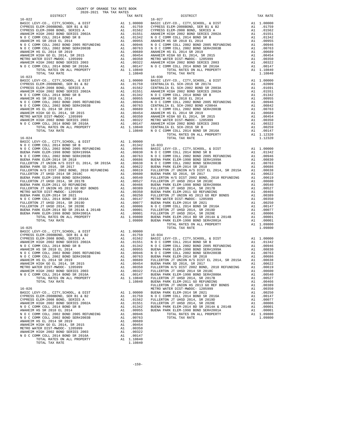| COUNTY OF ORANGE TAX RATE BOOK |          |            |          |
|--------------------------------|----------|------------|----------|
|                                | TAX RATE | DISTRICT   | TAX RATE |
| $16 - 022$                     |          | $16 - 027$ |          |
|                                |          |            |          |
|                                |          |            |          |
|                                |          |            |          |
|                                |          |            |          |
|                                |          |            |          |
|                                |          |            |          |
|                                |          |            |          |
|                                |          |            |          |
|                                |          |            |          |
|                                |          |            |          |
| $16 - 023$                     |          | $16 - 030$ |          |
|                                |          |            |          |
|                                |          |            |          |
|                                |          |            |          |
|                                |          |            |          |
|                                |          |            |          |
|                                |          |            |          |
|                                |          |            |          |
|                                |          |            |          |
|                                |          |            |          |
|                                |          |            |          |
|                                |          |            |          |
|                                |          |            |          |
|                                |          |            |          |
|                                |          |            |          |
|                                |          |            |          |
|                                |          |            |          |
|                                |          |            |          |
|                                |          |            |          |
|                                |          |            |          |
|                                |          |            |          |
|                                |          |            |          |
|                                |          |            |          |
|                                |          |            |          |
|                                |          |            |          |
|                                |          |            |          |
|                                |          |            |          |
|                                |          |            |          |
|                                |          |            |          |
|                                |          |            |          |
|                                |          |            |          |
|                                |          |            |          |
|                                |          |            |          |
|                                |          |            |          |
|                                |          |            |          |
|                                |          |            |          |
|                                |          |            |          |
|                                |          |            |          |
|                                |          |            |          |
|                                |          |            |          |
|                                |          |            |          |
|                                |          |            |          |
|                                |          |            |          |
|                                |          |            |          |
|                                |          |            |          |
|                                |          |            |          |
|                                |          |            |          |
|                                |          |            |          |
|                                |          |            |          |
|                                |          |            |          |
|                                |          |            |          |
|                                |          |            |          |
|                                |          |            |          |
|                                |          |            |          |
|                                |          |            |          |

-159-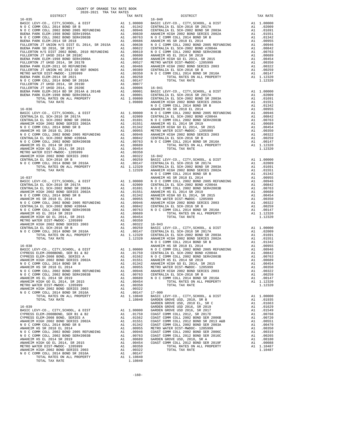| ANAHEIN HIGH AVVA DOND DERIED AVVJ                            | $\sim$ | ممد ب ب .  | エローロエコ         |
|---------------------------------------------------------------|--------|------------|----------------|
|                                                               |        |            | BASIC L        |
|                                                               |        |            | CENTRAL        |
|                                                               |        |            | CENTRAL        |
| TOTAL TAX RATE                                                |        | 1.12320    | ANAHEIM        |
|                                                               |        |            | NOCC           |
| $16 - 038$                                                    |        |            | <b>ANAHEIM</b> |
| BASIC LEVY-CO., CITY, SCHOOL, & DIST A1 1.00000               |        |            | NOCC           |
| CYPRESS ELEM-2008BOND, SER B1 & B2 $\qquad \qquad$ A1 .01759  |        |            | CENTRAL        |
| CYPRESS ELEM-2008 BOND, SERIES A                              |        | A1 .01562  | NOCC           |
| ANAHEIM HIGH 2002 BOND SERIES 2002A A1 .01551                 |        |            | <b>ANAHEIM</b> |
| N O C COMM COLL 2014 BOND SR B                                |        | A1 .01342  | <b>ANAHEIM</b> |
| ANAHEIM HS SR 2018 EL 2014                                    |        | A1 .00955  | METRO W        |
| N O C COMM COLL 2002 BOND 2005 REFUNDING A1                   |        | .00946     | ANAHEIM        |
| N O C COMM COLL 2002 BOND SER#2003B A1                        |        | .00763     | CENTRAL        |
| ANAHEIM HS EL 2014 SR 2019                                    | A1     | .00689     | NOCC           |
| ANAHEIM HIGH GO EL 2014, SR 2015                              | A1     | .00454     |                |
| METRO WATER DIST-MWDOC- 1205999                               | A1     | .00350     |                |
| ANAHEIM HIGH 2002 BOND SERIES 2003                            |        | A1 .00322  |                |
| N O C COMM COLL 2014 BOND SR 2016A                            |        | A1 .00147  | $17 - 000$     |
| TOTAL RATES ON ALL PROPERTY                                   |        | A1 1.10840 | <b>BASIC L</b> |
| TOTAL TAX RATE                                                |        | 1.10840    | GARDEN         |
|                                                               |        |            | GARDEN         |
| $16 - 039$                                                    |        |            | GARDEN         |
| BASIC LEVY-CO., CITY, SCHOOL, & DIST                          |        | A1 1.00000 | GARDEN         |
| CYPRESS ELEM-2008BOND, SER B1 & B2                            |        | A1 .01759  | COAST C        |
| CYPRESS ELEM-2008 BOND, SERIES A                              |        | A1 .01562  | COAST C        |
| ANAHEIM HIGH 2002 BOND SERIES 2002A                           |        | A1 .01551  | COAST C        |
| N O C COMM COLL 2014 BOND SR B<br>anahrtm hs sr 2018 rt. 2014 |        | A1 .01342  | COAST C        |
| ANAHEIM HS SR 2018 EL 2014                                    | A1     | .00955     | METRO W        |
| N O C COMM COLL 2002 BOND 2005 REFUNDING A1                   |        | .00946     | COAST C        |
| N O C COMM COLL 2002 BOND SER#2003B A1                        |        | .00763     | COAST C        |
| ANAHEIM HS EL 2014 SR 2019                                    | A1     | .00689     | GARDEN         |
| ANAHEIM HIGH GO EL 2014, SR 2015                              | A1     | .00454     | COAST C        |
| METRO WATER DIST-MWDOC- 1205999                               | A1     | .00350     |                |
| ANAHEIM HIGH 2002 BOND SERIES 2003                            | A1     | .00322     |                |
| N O C COMM COLL 2014 BOND SR 2016A                            |        | A1 .00147  |                |
| TOTAL RATES ON ALL PROPERTY                                   |        | A1 1.10840 |                |
| TOTAL TAX RATE                                                |        | 1,10840    |                |

| DISTRICT                                                                                                                                                                                                                                                                                                                                                                                                                                  | TAX RATE | DISTRICT | TAX RATE |
|-------------------------------------------------------------------------------------------------------------------------------------------------------------------------------------------------------------------------------------------------------------------------------------------------------------------------------------------------------------------------------------------------------------------------------------------|----------|----------|----------|
|                                                                                                                                                                                                                                                                                                                                                                                                                                           |          |          |          |
|                                                                                                                                                                                                                                                                                                                                                                                                                                           |          |          |          |
|                                                                                                                                                                                                                                                                                                                                                                                                                                           |          |          |          |
|                                                                                                                                                                                                                                                                                                                                                                                                                                           |          |          |          |
|                                                                                                                                                                                                                                                                                                                                                                                                                                           |          |          |          |
|                                                                                                                                                                                                                                                                                                                                                                                                                                           |          |          |          |
|                                                                                                                                                                                                                                                                                                                                                                                                                                           |          |          |          |
|                                                                                                                                                                                                                                                                                                                                                                                                                                           |          |          |          |
|                                                                                                                                                                                                                                                                                                                                                                                                                                           |          |          |          |
|                                                                                                                                                                                                                                                                                                                                                                                                                                           |          |          |          |
|                                                                                                                                                                                                                                                                                                                                                                                                                                           |          |          |          |
|                                                                                                                                                                                                                                                                                                                                                                                                                                           |          |          |          |
|                                                                                                                                                                                                                                                                                                                                                                                                                                           |          |          |          |
|                                                                                                                                                                                                                                                                                                                                                                                                                                           |          |          |          |
|                                                                                                                                                                                                                                                                                                                                                                                                                                           |          |          |          |
|                                                                                                                                                                                                                                                                                                                                                                                                                                           |          |          |          |
|                                                                                                                                                                                                                                                                                                                                                                                                                                           |          |          |          |
|                                                                                                                                                                                                                                                                                                                                                                                                                                           |          |          |          |
|                                                                                                                                                                                                                                                                                                                                                                                                                                           |          |          |          |
|                                                                                                                                                                                                                                                                                                                                                                                                                                           |          |          |          |
|                                                                                                                                                                                                                                                                                                                                                                                                                                           |          |          |          |
|                                                                                                                                                                                                                                                                                                                                                                                                                                           |          |          |          |
|                                                                                                                                                                                                                                                                                                                                                                                                                                           |          |          |          |
|                                                                                                                                                                                                                                                                                                                                                                                                                                           |          |          |          |
|                                                                                                                                                                                                                                                                                                                                                                                                                                           |          |          |          |
|                                                                                                                                                                                                                                                                                                                                                                                                                                           |          |          |          |
|                                                                                                                                                                                                                                                                                                                                                                                                                                           |          |          |          |
|                                                                                                                                                                                                                                                                                                                                                                                                                                           |          |          |          |
|                                                                                                                                                                                                                                                                                                                                                                                                                                           |          |          |          |
|                                                                                                                                                                                                                                                                                                                                                                                                                                           |          |          |          |
|                                                                                                                                                                                                                                                                                                                                                                                                                                           |          |          |          |
|                                                                                                                                                                                                                                                                                                                                                                                                                                           |          |          |          |
|                                                                                                                                                                                                                                                                                                                                                                                                                                           |          |          |          |
|                                                                                                                                                                                                                                                                                                                                                                                                                                           |          |          |          |
|                                                                                                                                                                                                                                                                                                                                                                                                                                           |          |          |          |
|                                                                                                                                                                                                                                                                                                                                                                                                                                           |          |          |          |
|                                                                                                                                                                                                                                                                                                                                                                                                                                           |          |          |          |
|                                                                                                                                                                                                                                                                                                                                                                                                                                           |          |          |          |
|                                                                                                                                                                                                                                                                                                                                                                                                                                           |          |          |          |
|                                                                                                                                                                                                                                                                                                                                                                                                                                           |          |          |          |
|                                                                                                                                                                                                                                                                                                                                                                                                                                           |          |          |          |
|                                                                                                                                                                                                                                                                                                                                                                                                                                           |          |          |          |
|                                                                                                                                                                                                                                                                                                                                                                                                                                           |          |          |          |
|                                                                                                                                                                                                                                                                                                                                                                                                                                           |          |          |          |
|                                                                                                                                                                                                                                                                                                                                                                                                                                           |          |          |          |
|                                                                                                                                                                                                                                                                                                                                                                                                                                           |          |          |          |
|                                                                                                                                                                                                                                                                                                                                                                                                                                           |          |          |          |
|                                                                                                                                                                                                                                                                                                                                                                                                                                           |          |          |          |
|                                                                                                                                                                                                                                                                                                                                                                                                                                           |          |          |          |
|                                                                                                                                                                                                                                                                                                                                                                                                                                           |          |          |          |
|                                                                                                                                                                                                                                                                                                                                                                                                                                           |          |          |          |
|                                                                                                                                                                                                                                                                                                                                                                                                                                           |          |          |          |
|                                                                                                                                                                                                                                                                                                                                                                                                                                           |          |          |          |
|                                                                                                                                                                                                                                                                                                                                                                                                                                           |          |          |          |
|                                                                                                                                                                                                                                                                                                                                                                                                                                           |          |          |          |
|                                                                                                                                                                                                                                                                                                                                                                                                                                           |          |          |          |
|                                                                                                                                                                                                                                                                                                                                                                                                                                           |          |          |          |
|                                                                                                                                                                                                                                                                                                                                                                                                                                           |          |          |          |
|                                                                                                                                                                                                                                                                                                                                                                                                                                           |          |          |          |
|                                                                                                                                                                                                                                                                                                                                                                                                                                           |          |          |          |
|                                                                                                                                                                                                                                                                                                                                                                                                                                           |          |          |          |
|                                                                                                                                                                                                                                                                                                                                                                                                                                           |          |          |          |
|                                                                                                                                                                                                                                                                                                                                                                                                                                           |          |          |          |
|                                                                                                                                                                                                                                                                                                                                                                                                                                           |          |          |          |
|                                                                                                                                                                                                                                                                                                                                                                                                                                           |          |          |          |
|                                                                                                                                                                                                                                                                                                                                                                                                                                           |          |          |          |
| $\begin{array}{cccccccc} \textbf{XMSREIM} & \textbf{S L L RMS} & \textbf{S L L RMS} & \textbf{M M} & \textbf{M M} & \textbf{M M} & \textbf{M M} & \textbf{M M} & \textbf{M M} & \textbf{M M} & \textbf{M M} & \textbf{M M} & \textbf{M M} & \textbf{M M} & \textbf{M M} & \textbf{M M} & \textbf{M M} & \textbf{M M} & \textbf{M M} & \textbf{M M} & \textbf{M M} & \textbf{M M} & \textbf{M M} & \textbf{M M} & \textbf{M M} & \textbf{$ |          |          |          |
|                                                                                                                                                                                                                                                                                                                                                                                                                                           |          |          |          |
|                                                                                                                                                                                                                                                                                                                                                                                                                                           |          |          |          |
|                                                                                                                                                                                                                                                                                                                                                                                                                                           |          |          |          |
|                                                                                                                                                                                                                                                                                                                                                                                                                                           |          |          |          |
|                                                                                                                                                                                                                                                                                                                                                                                                                                           |          |          |          |
|                                                                                                                                                                                                                                                                                                                                                                                                                                           |          |          |          |
|                                                                                                                                                                                                                                                                                                                                                                                                                                           |          |          |          |
|                                                                                                                                                                                                                                                                                                                                                                                                                                           |          |          |          |
|                                                                                                                                                                                                                                                                                                                                                                                                                                           |          |          |          |
|                                                                                                                                                                                                                                                                                                                                                                                                                                           |          |          |          |
|                                                                                                                                                                                                                                                                                                                                                                                                                                           |          |          |          |
|                                                                                                                                                                                                                                                                                                                                                                                                                                           |          |          |          |
|                                                                                                                                                                                                                                                                                                                                                                                                                                           |          |          |          |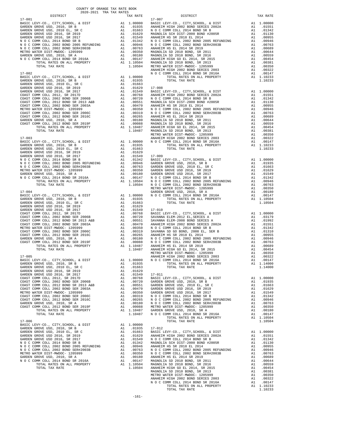| COUNTY OF ORANGE TAX RATE BOOK<br>2020-2021 TRA TAX RATES |  |                                                                                                                                                                                                                                                                                                                                                                                       |          |
|-----------------------------------------------------------|--|---------------------------------------------------------------------------------------------------------------------------------------------------------------------------------------------------------------------------------------------------------------------------------------------------------------------------------------------------------------------------------------|----------|
| DISTRICT                                                  |  |                                                                                                                                                                                                                                                                                                                                                                                       | TAX RATE |
| $17 - 001$                                                |  | $17 - 007$                                                                                                                                                                                                                                                                                                                                                                            |          |
|                                                           |  |                                                                                                                                                                                                                                                                                                                                                                                       |          |
|                                                           |  |                                                                                                                                                                                                                                                                                                                                                                                       |          |
|                                                           |  |                                                                                                                                                                                                                                                                                                                                                                                       |          |
|                                                           |  |                                                                                                                                                                                                                                                                                                                                                                                       |          |
|                                                           |  |                                                                                                                                                                                                                                                                                                                                                                                       |          |
|                                                           |  |                                                                                                                                                                                                                                                                                                                                                                                       |          |
|                                                           |  |                                                                                                                                                                                                                                                                                                                                                                                       |          |
|                                                           |  |                                                                                                                                                                                                                                                                                                                                                                                       |          |
|                                                           |  |                                                                                                                                                                                                                                                                                                                                                                                       |          |
|                                                           |  |                                                                                                                                                                                                                                                                                                                                                                                       |          |
|                                                           |  |                                                                                                                                                                                                                                                                                                                                                                                       |          |
|                                                           |  |                                                                                                                                                                                                                                                                                                                                                                                       |          |
|                                                           |  |                                                                                                                                                                                                                                                                                                                                                                                       |          |
|                                                           |  |                                                                                                                                                                                                                                                                                                                                                                                       |          |
|                                                           |  |                                                                                                                                                                                                                                                                                                                                                                                       |          |
|                                                           |  |                                                                                                                                                                                                                                                                                                                                                                                       |          |
|                                                           |  |                                                                                                                                                                                                                                                                                                                                                                                       |          |
|                                                           |  |                                                                                                                                                                                                                                                                                                                                                                                       |          |
|                                                           |  |                                                                                                                                                                                                                                                                                                                                                                                       |          |
|                                                           |  |                                                                                                                                                                                                                                                                                                                                                                                       |          |
|                                                           |  |                                                                                                                                                                                                                                                                                                                                                                                       |          |
|                                                           |  |                                                                                                                                                                                                                                                                                                                                                                                       |          |
|                                                           |  |                                                                                                                                                                                                                                                                                                                                                                                       |          |
|                                                           |  |                                                                                                                                                                                                                                                                                                                                                                                       |          |
|                                                           |  |                                                                                                                                                                                                                                                                                                                                                                                       |          |
|                                                           |  |                                                                                                                                                                                                                                                                                                                                                                                       |          |
|                                                           |  |                                                                                                                                                                                                                                                                                                                                                                                       |          |
|                                                           |  |                                                                                                                                                                                                                                                                                                                                                                                       |          |
|                                                           |  |                                                                                                                                                                                                                                                                                                                                                                                       |          |
|                                                           |  |                                                                                                                                                                                                                                                                                                                                                                                       |          |
|                                                           |  |                                                                                                                                                                                                                                                                                                                                                                                       |          |
|                                                           |  |                                                                                                                                                                                                                                                                                                                                                                                       |          |
|                                                           |  |                                                                                                                                                                                                                                                                                                                                                                                       |          |
|                                                           |  |                                                                                                                                                                                                                                                                                                                                                                                       |          |
|                                                           |  |                                                                                                                                                                                                                                                                                                                                                                                       |          |
|                                                           |  |                                                                                                                                                                                                                                                                                                                                                                                       |          |
|                                                           |  |                                                                                                                                                                                                                                                                                                                                                                                       |          |
|                                                           |  |                                                                                                                                                                                                                                                                                                                                                                                       |          |
|                                                           |  |                                                                                                                                                                                                                                                                                                                                                                                       |          |
|                                                           |  |                                                                                                                                                                                                                                                                                                                                                                                       |          |
|                                                           |  |                                                                                                                                                                                                                                                                                                                                                                                       |          |
|                                                           |  |                                                                                                                                                                                                                                                                                                                                                                                       |          |
|                                                           |  |                                                                                                                                                                                                                                                                                                                                                                                       |          |
|                                                           |  |                                                                                                                                                                                                                                                                                                                                                                                       |          |
|                                                           |  |                                                                                                                                                                                                                                                                                                                                                                                       |          |
|                                                           |  |                                                                                                                                                                                                                                                                                                                                                                                       |          |
|                                                           |  |                                                                                                                                                                                                                                                                                                                                                                                       |          |
|                                                           |  |                                                                                                                                                                                                                                                                                                                                                                                       |          |
|                                                           |  |                                                                                                                                                                                                                                                                                                                                                                                       |          |
|                                                           |  |                                                                                                                                                                                                                                                                                                                                                                                       |          |
|                                                           |  |                                                                                                                                                                                                                                                                                                                                                                                       |          |
|                                                           |  |                                                                                                                                                                                                                                                                                                                                                                                       |          |
|                                                           |  |                                                                                                                                                                                                                                                                                                                                                                                       |          |
|                                                           |  |                                                                                                                                                                                                                                                                                                                                                                                       |          |
|                                                           |  |                                                                                                                                                                                                                                                                                                                                                                                       |          |
|                                                           |  |                                                                                                                                                                                                                                                                                                                                                                                       |          |
|                                                           |  |                                                                                                                                                                                                                                                                                                                                                                                       |          |
|                                                           |  |                                                                                                                                                                                                                                                                                                                                                                                       |          |
|                                                           |  |                                                                                                                                                                                                                                                                                                                                                                                       |          |
|                                                           |  | $\begin{tabular}{l cccc} $\text{17-005}$ & $ \text{18-004} & $ \text{1004} & $ \text{1004} & $ \text{1004} & $ \text{1004} & $ \text{1004} & $ \text{1004} & $ \text{1004} \\ \hline \text{RABER LEWY-CO}, $\text{CTT}, $\text{SCHODL}, $\text{6}$ & $ \text{158} & $ \text{11} & 1.00000 & $ \text{1004} \\ \text{GADEBK GAVDE USD}, 2010, $ \text{SPB} & $ \text{11} & 1.00000 & $$ |          |
|                                                           |  |                                                                                                                                                                                                                                                                                                                                                                                       |          |
|                                                           |  |                                                                                                                                                                                                                                                                                                                                                                                       |          |
|                                                           |  |                                                                                                                                                                                                                                                                                                                                                                                       |          |
|                                                           |  |                                                                                                                                                                                                                                                                                                                                                                                       |          |
|                                                           |  |                                                                                                                                                                                                                                                                                                                                                                                       |          |
|                                                           |  |                                                                                                                                                                                                                                                                                                                                                                                       |          |
|                                                           |  |                                                                                                                                                                                                                                                                                                                                                                                       |          |
|                                                           |  |                                                                                                                                                                                                                                                                                                                                                                                       |          |
|                                                           |  |                                                                                                                                                                                                                                                                                                                                                                                       |          |
|                                                           |  |                                                                                                                                                                                                                                                                                                                                                                                       |          |
|                                                           |  |                                                                                                                                                                                                                                                                                                                                                                                       |          |
|                                                           |  |                                                                                                                                                                                                                                                                                                                                                                                       |          |
|                                                           |  |                                                                                                                                                                                                                                                                                                                                                                                       |          |
|                                                           |  |                                                                                                                                                                                                                                                                                                                                                                                       |          |
|                                                           |  |                                                                                                                                                                                                                                                                                                                                                                                       |          |
|                                                           |  |                                                                                                                                                                                                                                                                                                                                                                                       |          |
|                                                           |  |                                                                                                                                                                                                                                                                                                                                                                                       |          |

| DISTRICT                                                                                                                                                                                                                                                                                                                                                                                                        | TAX RATE | DISTRICT | TAX RATE |
|-----------------------------------------------------------------------------------------------------------------------------------------------------------------------------------------------------------------------------------------------------------------------------------------------------------------------------------------------------------------------------------------------------------------|----------|----------|----------|
|                                                                                                                                                                                                                                                                                                                                                                                                                 |          |          |          |
|                                                                                                                                                                                                                                                                                                                                                                                                                 |          |          |          |
|                                                                                                                                                                                                                                                                                                                                                                                                                 |          |          |          |
|                                                                                                                                                                                                                                                                                                                                                                                                                 |          |          |          |
|                                                                                                                                                                                                                                                                                                                                                                                                                 |          |          |          |
|                                                                                                                                                                                                                                                                                                                                                                                                                 |          |          |          |
|                                                                                                                                                                                                                                                                                                                                                                                                                 |          |          |          |
|                                                                                                                                                                                                                                                                                                                                                                                                                 |          |          |          |
|                                                                                                                                                                                                                                                                                                                                                                                                                 |          |          |          |
|                                                                                                                                                                                                                                                                                                                                                                                                                 |          |          |          |
|                                                                                                                                                                                                                                                                                                                                                                                                                 |          |          |          |
|                                                                                                                                                                                                                                                                                                                                                                                                                 |          |          |          |
|                                                                                                                                                                                                                                                                                                                                                                                                                 |          |          |          |
|                                                                                                                                                                                                                                                                                                                                                                                                                 |          |          |          |
|                                                                                                                                                                                                                                                                                                                                                                                                                 |          |          |          |
|                                                                                                                                                                                                                                                                                                                                                                                                                 |          |          |          |
|                                                                                                                                                                                                                                                                                                                                                                                                                 |          |          |          |
|                                                                                                                                                                                                                                                                                                                                                                                                                 |          |          |          |
|                                                                                                                                                                                                                                                                                                                                                                                                                 |          |          |          |
|                                                                                                                                                                                                                                                                                                                                                                                                                 |          |          |          |
|                                                                                                                                                                                                                                                                                                                                                                                                                 |          |          |          |
|                                                                                                                                                                                                                                                                                                                                                                                                                 |          |          |          |
|                                                                                                                                                                                                                                                                                                                                                                                                                 |          |          |          |
|                                                                                                                                                                                                                                                                                                                                                                                                                 |          |          |          |
|                                                                                                                                                                                                                                                                                                                                                                                                                 |          |          |          |
|                                                                                                                                                                                                                                                                                                                                                                                                                 |          |          |          |
|                                                                                                                                                                                                                                                                                                                                                                                                                 |          |          |          |
|                                                                                                                                                                                                                                                                                                                                                                                                                 |          |          |          |
|                                                                                                                                                                                                                                                                                                                                                                                                                 |          |          |          |
|                                                                                                                                                                                                                                                                                                                                                                                                                 |          |          |          |
|                                                                                                                                                                                                                                                                                                                                                                                                                 |          |          |          |
|                                                                                                                                                                                                                                                                                                                                                                                                                 |          |          |          |
|                                                                                                                                                                                                                                                                                                                                                                                                                 |          |          |          |
|                                                                                                                                                                                                                                                                                                                                                                                                                 |          |          |          |
|                                                                                                                                                                                                                                                                                                                                                                                                                 |          |          |          |
|                                                                                                                                                                                                                                                                                                                                                                                                                 |          |          |          |
|                                                                                                                                                                                                                                                                                                                                                                                                                 |          |          |          |
|                                                                                                                                                                                                                                                                                                                                                                                                                 |          |          |          |
|                                                                                                                                                                                                                                                                                                                                                                                                                 |          |          |          |
|                                                                                                                                                                                                                                                                                                                                                                                                                 |          |          |          |
|                                                                                                                                                                                                                                                                                                                                                                                                                 |          |          |          |
|                                                                                                                                                                                                                                                                                                                                                                                                                 |          |          |          |
|                                                                                                                                                                                                                                                                                                                                                                                                                 |          |          |          |
|                                                                                                                                                                                                                                                                                                                                                                                                                 |          |          |          |
|                                                                                                                                                                                                                                                                                                                                                                                                                 |          |          |          |
|                                                                                                                                                                                                                                                                                                                                                                                                                 |          |          |          |
|                                                                                                                                                                                                                                                                                                                                                                                                                 |          |          |          |
|                                                                                                                                                                                                                                                                                                                                                                                                                 |          |          |          |
|                                                                                                                                                                                                                                                                                                                                                                                                                 |          |          |          |
|                                                                                                                                                                                                                                                                                                                                                                                                                 |          |          |          |
|                                                                                                                                                                                                                                                                                                                                                                                                                 |          |          |          |
|                                                                                                                                                                                                                                                                                                                                                                                                                 |          |          |          |
|                                                                                                                                                                                                                                                                                                                                                                                                                 |          |          |          |
|                                                                                                                                                                                                                                                                                                                                                                                                                 |          |          |          |
|                                                                                                                                                                                                                                                                                                                                                                                                                 |          |          |          |
|                                                                                                                                                                                                                                                                                                                                                                                                                 |          |          |          |
|                                                                                                                                                                                                                                                                                                                                                                                                                 |          |          |          |
|                                                                                                                                                                                                                                                                                                                                                                                                                 |          |          |          |
|                                                                                                                                                                                                                                                                                                                                                                                                                 |          |          |          |
|                                                                                                                                                                                                                                                                                                                                                                                                                 |          |          |          |
|                                                                                                                                                                                                                                                                                                                                                                                                                 |          |          |          |
|                                                                                                                                                                                                                                                                                                                                                                                                                 |          |          |          |
|                                                                                                                                                                                                                                                                                                                                                                                                                 |          |          |          |
|                                                                                                                                                                                                                                                                                                                                                                                                                 |          |          |          |
|                                                                                                                                                                                                                                                                                                                                                                                                                 |          |          |          |
|                                                                                                                                                                                                                                                                                                                                                                                                                 |          |          |          |
|                                                                                                                                                                                                                                                                                                                                                                                                                 |          |          |          |
|                                                                                                                                                                                                                                                                                                                                                                                                                 |          |          |          |
|                                                                                                                                                                                                                                                                                                                                                                                                                 |          |          |          |
|                                                                                                                                                                                                                                                                                                                                                                                                                 |          |          |          |
|                                                                                                                                                                                                                                                                                                                                                                                                                 |          |          |          |
|                                                                                                                                                                                                                                                                                                                                                                                                                 |          |          |          |
|                                                                                                                                                                                                                                                                                                                                                                                                                 |          |          |          |
|                                                                                                                                                                                                                                                                                                                                                                                                                 |          |          |          |
|                                                                                                                                                                                                                                                                                                                                                                                                                 |          |          |          |
|                                                                                                                                                                                                                                                                                                                                                                                                                 |          |          |          |
|                                                                                                                                                                                                                                                                                                                                                                                                                 |          |          |          |
|                                                                                                                                                                                                                                                                                                                                                                                                                 |          |          |          |
|                                                                                                                                                                                                                                                                                                                                                                                                                 |          |          |          |
|                                                                                                                                                                                                                                                                                                                                                                                                                 |          |          |          |
|                                                                                                                                                                                                                                                                                                                                                                                                                 |          |          |          |
|                                                                                                                                                                                                                                                                                                                                                                                                                 |          |          |          |
|                                                                                                                                                                                                                                                                                                                                                                                                                 |          |          |          |
|                                                                                                                                                                                                                                                                                                                                                                                                                 |          |          |          |
|                                                                                                                                                                                                                                                                                                                                                                                                                 |          |          |          |
|                                                                                                                                                                                                                                                                                                                                                                                                                 |          |          |          |
|                                                                                                                                                                                                                                                                                                                                                                                                                 |          |          |          |
|                                                                                                                                                                                                                                                                                                                                                                                                                 |          |          |          |
|                                                                                                                                                                                                                                                                                                                                                                                                                 |          |          |          |
|                                                                                                                                                                                                                                                                                                                                                                                                                 |          |          |          |
|                                                                                                                                                                                                                                                                                                                                                                                                                 |          |          |          |
|                                                                                                                                                                                                                                                                                                                                                                                                                 |          |          |          |
|                                                                                                                                                                                                                                                                                                                                                                                                                 |          |          |          |
|                                                                                                                                                                                                                                                                                                                                                                                                                 |          |          |          |
|                                                                                                                                                                                                                                                                                                                                                                                                                 |          |          |          |
|                                                                                                                                                                                                                                                                                                                                                                                                                 |          |          |          |
|                                                                                                                                                                                                                                                                                                                                                                                                                 |          |          |          |
|                                                                                                                                                                                                                                                                                                                                                                                                                 |          |          |          |
|                                                                                                                                                                                                                                                                                                                                                                                                                 |          |          |          |
|                                                                                                                                                                                                                                                                                                                                                                                                                 |          |          |          |
|                                                                                                                                                                                                                                                                                                                                                                                                                 |          |          |          |
|                                                                                                                                                                                                                                                                                                                                                                                                                 |          |          |          |
|                                                                                                                                                                                                                                                                                                                                                                                                                 |          |          |          |
|                                                                                                                                                                                                                                                                                                                                                                                                                 |          |          |          |
|                                                                                                                                                                                                                                                                                                                                                                                                                 |          |          |          |
|                                                                                                                                                                                                                                                                                                                                                                                                                 |          |          |          |
|                                                                                                                                                                                                                                                                                                                                                                                                                 |          |          |          |
|                                                                                                                                                                                                                                                                                                                                                                                                                 |          |          |          |
|                                                                                                                                                                                                                                                                                                                                                                                                                 |          |          |          |
|                                                                                                                                                                                                                                                                                                                                                                                                                 |          |          |          |
| $\begin{tabular}{c cccc} T/700K & TAX RATE \\ \hline 17-006 \\ \hline 0ADEM & GOUS & SP & 10000 \\ \hline 0ADEM & GOUS & SP & 10000 \\ \hline 0ADEM & GOUS & SP & 10000 \\ \hline 0ADEM & GOUS & SP & 10000 \\ \hline 0ADEM & GOUS & SP & 10000 \\ \hline 0ADEM & GOUS & SP & 10000 \\ \hline 0ADEM & GOUS & SP & 10000 \\ \hline 0ADEM & SOUS & 10000 \\ \hline 0ADEM & SOUS & 10000 \\ \hline 0ADEM & SOUS &$ |          |          |          |
|                                                                                                                                                                                                                                                                                                                                                                                                                 |          |          |          |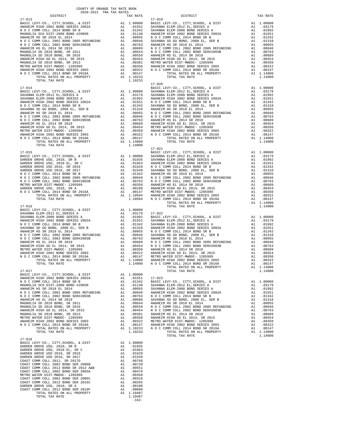| MAGNOLIA SD 2010 BOND, SR 2013        | A1                                                                                                                                                                                                                            | .00381     |
|---------------------------------------|-------------------------------------------------------------------------------------------------------------------------------------------------------------------------------------------------------------------------------|------------|
| METRO WATER DIST-MWDOC- 1205999       | A1                                                                                                                                                                                                                            | .00350     |
| ANAHEIM HIGH 2002 BOND SERIES 2003    | A1                                                                                                                                                                                                                            | .00322     |
| N O C COMM COLL 2014 BOND SR 2016A    | A1                                                                                                                                                                                                                            | .00147     |
| TOTAL RATES ON ALL PROPERTY           |                                                                                                                                                                                                                               | A1 1.10233 |
| TOTAL TAX RATE                        |                                                                                                                                                                                                                               | 1.10233    |
|                                       |                                                                                                                                                                                                                               |            |
| $17 - 018$                            |                                                                                                                                                                                                                               |            |
| BASIC LEVY-CO., CITY, SCHOOL, & DIST  |                                                                                                                                                                                                                               | A1 1.00000 |
| GARDEN GROVE USD, 2010, SR B          | A1                                                                                                                                                                                                                            | .01935     |
| GARDEN GROVE USD, 2010 EL, SR C       | A1                                                                                                                                                                                                                            | .01663     |
| GARDEN GROVE USD 2016, SR 2019        | A1                                                                                                                                                                                                                            | .01629     |
| GARDEN GROVE USD 2016, SR 2017        | A1                                                                                                                                                                                                                            | .01549     |
| COAST COMM COLL 2012, SR 2017D        | A1                                                                                                                                                                                                                            | .00768     |
| COAST COMM COLL 2002 BOND SER 2006B   | A1 and a set of the set of the set of the set of the set of the set of the set of the set of the set of the set of the set of the set of the set of the set of the set of the set of the set of the set of the set of the set | .00720     |
| COAST COMM COLL 2012 BOND SR 2013 A&B | A1 and a set of the set of the set of the set of the set of the set of the set of the set of the set of the set of the set of the set of the set of the set of the set of the set of the set of the set of the set of the set | .00551     |
| COAST COMM COLL 2002 BOND SER 2003A   | A1                                                                                                                                                                                                                            | .00470     |
| METRO WATER DIST-MWDOC- 1205999       | A1                                                                                                                                                                                                                            | .00350     |
| COAST COMM COLL 2002 BOND SER 2006C   | A1                                                                                                                                                                                                                            | .00319     |
| COAST COMM COLL 2012 BOND SER 2016C   | A1                                                                                                                                                                                                                            | .00265     |
| GARDEN GROVE USD, 2010, SR A          | A1                                                                                                                                                                                                                            | .00180     |
| COAST COMM COLL 2012 BOND SER 2019F   | A1                                                                                                                                                                                                                            | .00088     |
| TOTAL RATES ON ALL PROPERTY           |                                                                                                                                                                                                                               | A1 1.10487 |
| TOTAL TAX RATE                        |                                                                                                                                                                                                                               | 1.10487    |
|                                       |                                                                                                                                                                                                                               | $-162-$    |
|                                       |                                                                                                                                                                                                                               |            |

## 17-021

| COUNTY OF ORANGE TAX RATE BOOK           |               |            |                                          |                |            |
|------------------------------------------|---------------|------------|------------------------------------------|----------------|------------|
| 2020-2021                                | TRA TAX RATES |            |                                          |                |            |
| DISTRICT                                 |               | TAX RATE   | DISTRICT                                 |                | TAX RATE   |
| $17 - 013$                               |               |            | $17 - 019$                               |                |            |
| BASIC LEVY-CO., CITY, SCHOOL, & DIST     |               | A1 1.00000 | BASIC LEVY-CO., CITY, SCHOOL, & DIST     |                | A1 1.00000 |
| ANAHEIM HIGH 2002 BOND SERIES 2002A      | A1            | .01551     | SAVANNA ELEM-2012 EL, SERIES A           | A1             | .03179     |
| N O C COMM COLL 2014 BOND SR B           | A1            | .01342     | SAVANNA ELEM-2008 BOND SERIES A          | A1             | .01992     |
| MAGNOLIA SCH DIST-2000 BOND #2005R       | A1            | .01130     | ANAHEIM HIGH 2002 BOND SERIES 2002A      | A1             | .01551     |
| ANAHEIM HS SR 2018 EL 2014               | A1            | .00955     | NOCCOMM COLL 2014 BOND SR B              | A1             | .01342     |
| N O C COMM COLL 2002 BOND 2005 REFUNDING | A1            | .00946     | SAVANNA SD GO BOND, 2008 EL, SER B       | A1             | .01310     |
| N O C COMM COLL 2002 BOND SER#2003B      | A1            | .00763     | ANAHEIM HS SR 2018 EL 2014               | A1             | .00955     |
| ANAHEIM HS EL 2014 SR 2019               | A1            | .00689     | N O C COMM COLL 2002 BOND 2005 REFUNDING | A1             | .00946     |
| MAGNOLIA SD 2010 BOND, SR 2011           | A1            | .00644     | N O C COMM COLL 2002 BOND SER#2003B      | A1             | .00763     |
| MAGNOLIA SD 2010 BOND, SR 2016           | A1            | .00559     | ANAHEIM HS EL 2014 SR 2019               | A1             | .00689     |
| ANAHEIM HIGH GO EL 2014, SR 2015         | A1            | .00454     | ANAHEIM HIGH GO EL 2014, SR 2015         | A1             | .00454     |
| MAGNOLIA SD 2010 BOND, SR 2013           | A1            | .00381     | METRO WATER DIST-MWDOC- 1205999          | A1             | .00350     |
| METRO WATER DIST-MWDOC- 1205999          | A1            | .00350     | ANAHEIM HIGH 2002 BOND SERIES 2003       | A1             | .00322     |
| ANAHEIM HIGH 2002 BOND SERIES 2003       | A1            | .00322     | N O C COMM COLL 2014 BOND SR 2016A       | A1             | .00147     |
| N O C COMM COLL 2014 BOND SR 2016A       | A1            | .00147     | TOTAL RATES ON ALL PROPERTY              |                | A1 1.14000 |
| TOTAL RATES ON ALL PROPERTY              |               | A1 1.10233 | TOTAL TAX RATE                           |                | 1,14000    |
| TOTAL TAX RATE                           |               | 1.10233    |                                          |                |            |
|                                          |               |            | $17 - 020$                               |                |            |
| $17 - 014$                               |               |            | BASIC LEVY-CO., CITY, SCHOOL, & DIST     |                | A1 1.00000 |
| BASIC LEVY-CO., CITY, SCHOOL, & DIST     | A1 1.00000    |            | SAVANNA ELEM-2012 EL.SERIES A            | A <sub>1</sub> | .03179     |
| CAUSANIA ELEM 2012 EL CEDIEC A           |               | מדינר ור   | CAULANNIA ELEM 2009 BOND CEDIEC A        | $\pi$ 1        | 01002      |

| $17 - 013$                                                                                                          |  | $17 - 019$                                                                                                                                                                                                                                                                                |         |
|---------------------------------------------------------------------------------------------------------------------|--|-------------------------------------------------------------------------------------------------------------------------------------------------------------------------------------------------------------------------------------------------------------------------------------------|---------|
|                                                                                                                     |  |                                                                                                                                                                                                                                                                                           |         |
|                                                                                                                     |  |                                                                                                                                                                                                                                                                                           |         |
|                                                                                                                     |  |                                                                                                                                                                                                                                                                                           |         |
|                                                                                                                     |  |                                                                                                                                                                                                                                                                                           |         |
|                                                                                                                     |  |                                                                                                                                                                                                                                                                                           |         |
|                                                                                                                     |  |                                                                                                                                                                                                                                                                                           |         |
|                                                                                                                     |  |                                                                                                                                                                                                                                                                                           |         |
|                                                                                                                     |  |                                                                                                                                                                                                                                                                                           |         |
|                                                                                                                     |  |                                                                                                                                                                                                                                                                                           |         |
|                                                                                                                     |  |                                                                                                                                                                                                                                                                                           |         |
|                                                                                                                     |  |                                                                                                                                                                                                                                                                                           |         |
|                                                                                                                     |  |                                                                                                                                                                                                                                                                                           |         |
|                                                                                                                     |  |                                                                                                                                                                                                                                                                                           |         |
|                                                                                                                     |  |                                                                                                                                                                                                                                                                                           |         |
|                                                                                                                     |  |                                                                                                                                                                                                                                                                                           |         |
|                                                                                                                     |  |                                                                                                                                                                                                                                                                                           |         |
|                                                                                                                     |  |                                                                                                                                                                                                                                                                                           |         |
|                                                                                                                     |  |                                                                                                                                                                                                                                                                                           |         |
|                                                                                                                     |  |                                                                                                                                                                                                                                                                                           |         |
|                                                                                                                     |  |                                                                                                                                                                                                                                                                                           |         |
|                                                                                                                     |  |                                                                                                                                                                                                                                                                                           |         |
|                                                                                                                     |  |                                                                                                                                                                                                                                                                                           |         |
|                                                                                                                     |  |                                                                                                                                                                                                                                                                                           |         |
|                                                                                                                     |  |                                                                                                                                                                                                                                                                                           |         |
|                                                                                                                     |  |                                                                                                                                                                                                                                                                                           |         |
|                                                                                                                     |  |                                                                                                                                                                                                                                                                                           |         |
|                                                                                                                     |  |                                                                                                                                                                                                                                                                                           |         |
|                                                                                                                     |  |                                                                                                                                                                                                                                                                                           |         |
|                                                                                                                     |  |                                                                                                                                                                                                                                                                                           |         |
|                                                                                                                     |  |                                                                                                                                                                                                                                                                                           |         |
|                                                                                                                     |  |                                                                                                                                                                                                                                                                                           |         |
|                                                                                                                     |  |                                                                                                                                                                                                                                                                                           |         |
|                                                                                                                     |  | $\begin{tabular}{cccccccc} $17-014$ & $14.0000$ & $14.0000$ & $14.0000$ & $14.0000$ & $14.0000$ & $14.0000$ & $14.0000$ & $14.0000$ & $14.0000$ & $14.0000$ & $14.0000$ & $14.0000$ & $14.0000$ & $14.0000$ & $14.0000$ & $14.0000$ & $14.0000$ & $14.0000$ & $14.0000$ & $14.0000$ & $1$ |         |
|                                                                                                                     |  |                                                                                                                                                                                                                                                                                           |         |
|                                                                                                                     |  |                                                                                                                                                                                                                                                                                           |         |
|                                                                                                                     |  |                                                                                                                                                                                                                                                                                           |         |
|                                                                                                                     |  |                                                                                                                                                                                                                                                                                           |         |
|                                                                                                                     |  |                                                                                                                                                                                                                                                                                           |         |
|                                                                                                                     |  |                                                                                                                                                                                                                                                                                           |         |
|                                                                                                                     |  |                                                                                                                                                                                                                                                                                           |         |
|                                                                                                                     |  |                                                                                                                                                                                                                                                                                           |         |
|                                                                                                                     |  |                                                                                                                                                                                                                                                                                           |         |
|                                                                                                                     |  |                                                                                                                                                                                                                                                                                           |         |
|                                                                                                                     |  |                                                                                                                                                                                                                                                                                           |         |
|                                                                                                                     |  |                                                                                                                                                                                                                                                                                           |         |
|                                                                                                                     |  |                                                                                                                                                                                                                                                                                           |         |
|                                                                                                                     |  |                                                                                                                                                                                                                                                                                           |         |
|                                                                                                                     |  |                                                                                                                                                                                                                                                                                           |         |
|                                                                                                                     |  |                                                                                                                                                                                                                                                                                           |         |
|                                                                                                                     |  |                                                                                                                                                                                                                                                                                           |         |
|                                                                                                                     |  |                                                                                                                                                                                                                                                                                           |         |
|                                                                                                                     |  |                                                                                                                                                                                                                                                                                           |         |
|                                                                                                                     |  |                                                                                                                                                                                                                                                                                           |         |
|                                                                                                                     |  |                                                                                                                                                                                                                                                                                           |         |
|                                                                                                                     |  |                                                                                                                                                                                                                                                                                           |         |
|                                                                                                                     |  |                                                                                                                                                                                                                                                                                           |         |
|                                                                                                                     |  |                                                                                                                                                                                                                                                                                           |         |
|                                                                                                                     |  |                                                                                                                                                                                                                                                                                           |         |
|                                                                                                                     |  |                                                                                                                                                                                                                                                                                           |         |
|                                                                                                                     |  |                                                                                                                                                                                                                                                                                           |         |
|                                                                                                                     |  |                                                                                                                                                                                                                                                                                           |         |
|                                                                                                                     |  |                                                                                                                                                                                                                                                                                           |         |
|                                                                                                                     |  |                                                                                                                                                                                                                                                                                           |         |
|                                                                                                                     |  |                                                                                                                                                                                                                                                                                           |         |
|                                                                                                                     |  |                                                                                                                                                                                                                                                                                           |         |
|                                                                                                                     |  |                                                                                                                                                                                                                                                                                           |         |
|                                                                                                                     |  |                                                                                                                                                                                                                                                                                           |         |
|                                                                                                                     |  |                                                                                                                                                                                                                                                                                           |         |
|                                                                                                                     |  |                                                                                                                                                                                                                                                                                           |         |
|                                                                                                                     |  |                                                                                                                                                                                                                                                                                           |         |
|                                                                                                                     |  |                                                                                                                                                                                                                                                                                           |         |
|                                                                                                                     |  |                                                                                                                                                                                                                                                                                           |         |
|                                                                                                                     |  |                                                                                                                                                                                                                                                                                           |         |
|                                                                                                                     |  |                                                                                                                                                                                                                                                                                           |         |
|                                                                                                                     |  |                                                                                                                                                                                                                                                                                           |         |
|                                                                                                                     |  |                                                                                                                                                                                                                                                                                           |         |
|                                                                                                                     |  |                                                                                                                                                                                                                                                                                           |         |
|                                                                                                                     |  |                                                                                                                                                                                                                                                                                           |         |
|                                                                                                                     |  |                                                                                                                                                                                                                                                                                           |         |
|                                                                                                                     |  |                                                                                                                                                                                                                                                                                           |         |
|                                                                                                                     |  |                                                                                                                                                                                                                                                                                           | 1,14000 |
|                                                                                                                     |  |                                                                                                                                                                                                                                                                                           |         |
|                                                                                                                     |  |                                                                                                                                                                                                                                                                                           |         |
|                                                                                                                     |  |                                                                                                                                                                                                                                                                                           |         |
|                                                                                                                     |  |                                                                                                                                                                                                                                                                                           |         |
|                                                                                                                     |  |                                                                                                                                                                                                                                                                                           |         |
|                                                                                                                     |  |                                                                                                                                                                                                                                                                                           |         |
|                                                                                                                     |  |                                                                                                                                                                                                                                                                                           |         |
|                                                                                                                     |  |                                                                                                                                                                                                                                                                                           |         |
|                                                                                                                     |  |                                                                                                                                                                                                                                                                                           |         |
|                                                                                                                     |  |                                                                                                                                                                                                                                                                                           |         |
|                                                                                                                     |  |                                                                                                                                                                                                                                                                                           |         |
|                                                                                                                     |  |                                                                                                                                                                                                                                                                                           |         |
|                                                                                                                     |  |                                                                                                                                                                                                                                                                                           |         |
|                                                                                                                     |  |                                                                                                                                                                                                                                                                                           |         |
|                                                                                                                     |  |                                                                                                                                                                                                                                                                                           |         |
|                                                                                                                     |  |                                                                                                                                                                                                                                                                                           |         |
|                                                                                                                     |  |                                                                                                                                                                                                                                                                                           |         |
|                                                                                                                     |  |                                                                                                                                                                                                                                                                                           |         |
|                                                                                                                     |  |                                                                                                                                                                                                                                                                                           |         |
|                                                                                                                     |  |                                                                                                                                                                                                                                                                                           |         |
|                                                                                                                     |  |                                                                                                                                                                                                                                                                                           |         |
| $17 - 018$                                                                                                          |  |                                                                                                                                                                                                                                                                                           |         |
| ${\tt BASIC~LEVY-CO.} \ , \ {\tt CITY} \ , {\tt SCHOOL} \ , \ {\tt & \tt DIST} \hspace{2cm} {\tt A1} \quad 1.00000$ |  |                                                                                                                                                                                                                                                                                           |         |
|                                                                                                                     |  |                                                                                                                                                                                                                                                                                           |         |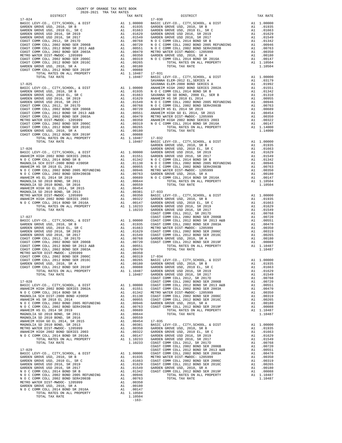|                                                                                                                                                                                                                                                                                                                                                                                                                                                  |           | SAVANNA            |
|--------------------------------------------------------------------------------------------------------------------------------------------------------------------------------------------------------------------------------------------------------------------------------------------------------------------------------------------------------------------------------------------------------------------------------------------------|-----------|--------------------|
|                                                                                                                                                                                                                                                                                                                                                                                                                                                  |           |                    |
|                                                                                                                                                                                                                                                                                                                                                                                                                                                  |           |                    |
|                                                                                                                                                                                                                                                                                                                                                                                                                                                  |           |                    |
|                                                                                                                                                                                                                                                                                                                                                                                                                                                  |           |                    |
|                                                                                                                                                                                                                                                                                                                                                                                                                                                  |           |                    |
|                                                                                                                                                                                                                                                                                                                                                                                                                                                  |           |                    |
|                                                                                                                                                                                                                                                                                                                                                                                                                                                  |           |                    |
|                                                                                                                                                                                                                                                                                                                                                                                                                                                  |           |                    |
|                                                                                                                                                                                                                                                                                                                                                                                                                                                  |           |                    |
|                                                                                                                                                                                                                                                                                                                                                                                                                                                  |           |                    |
|                                                                                                                                                                                                                                                                                                                                                                                                                                                  |           |                    |
|                                                                                                                                                                                                                                                                                                                                                                                                                                                  |           | GARDEN             |
| $17 - 026$                                                                                                                                                                                                                                                                                                                                                                                                                                       |           | GARDEN             |
|                                                                                                                                                                                                                                                                                                                                                                                                                                                  |           |                    |
|                                                                                                                                                                                                                                                                                                                                                                                                                                                  |           |                    |
|                                                                                                                                                                                                                                                                                                                                                                                                                                                  |           |                    |
|                                                                                                                                                                                                                                                                                                                                                                                                                                                  |           |                    |
|                                                                                                                                                                                                                                                                                                                                                                                                                                                  |           |                    |
|                                                                                                                                                                                                                                                                                                                                                                                                                                                  |           |                    |
|                                                                                                                                                                                                                                                                                                                                                                                                                                                  |           |                    |
|                                                                                                                                                                                                                                                                                                                                                                                                                                                  |           |                    |
| $\begin{tabular}{l c c c} \multicolumn{1}{c}{17-026} & \multicolumn{1}{c}{GARDEN} \\ \hline \multicolumn{1}{c}{\textbf{BASIC LEVY-CO.}}, & \multicolumn{1}{c}{CITY}, \text{SCHODL}, & \multicolumn{1}{c}{\textbf{GADEN N}} & \multicolumn{1}{c}{GARDEN} \\ \hline \multicolumn{1}{c}{\textbf{ANAEIM M ICH 2002 BOND SERIES 2002A}} & \multicolumn{1}{c}{\textbf{A1}} & .01551 & \multicolumn{1}{c}{GARDEN} \\ \hline \multicolumn{1}{c}{\textbf$ |           |                    |
|                                                                                                                                                                                                                                                                                                                                                                                                                                                  |           |                    |
|                                                                                                                                                                                                                                                                                                                                                                                                                                                  |           |                    |
|                                                                                                                                                                                                                                                                                                                                                                                                                                                  |           |                    |
| 17-027                                                                                                                                                                                                                                                                                                                                                                                                                                           |           | COAST C<br>COAST C |
|                                                                                                                                                                                                                                                                                                                                                                                                                                                  |           |                    |
|                                                                                                                                                                                                                                                                                                                                                                                                                                                  |           |                    |
|                                                                                                                                                                                                                                                                                                                                                                                                                                                  |           |                    |
|                                                                                                                                                                                                                                                                                                                                                                                                                                                  |           |                    |
|                                                                                                                                                                                                                                                                                                                                                                                                                                                  |           |                    |
|                                                                                                                                                                                                                                                                                                                                                                                                                                                  |           |                    |
|                                                                                                                                                                                                                                                                                                                                                                                                                                                  |           |                    |
|                                                                                                                                                                                                                                                                                                                                                                                                                                                  |           |                    |
|                                                                                                                                                                                                                                                                                                                                                                                                                                                  |           |                    |
|                                                                                                                                                                                                                                                                                                                                                                                                                                                  |           |                    |
|                                                                                                                                                                                                                                                                                                                                                                                                                                                  |           |                    |
|                                                                                                                                                                                                                                                                                                                                                                                                                                                  |           | COAST C            |
| $17 - 028$                                                                                                                                                                                                                                                                                                                                                                                                                                       |           | COAST C            |
|                                                                                                                                                                                                                                                                                                                                                                                                                                                  |           |                    |
|                                                                                                                                                                                                                                                                                                                                                                                                                                                  |           |                    |
|                                                                                                                                                                                                                                                                                                                                                                                                                                                  |           |                    |
|                                                                                                                                                                                                                                                                                                                                                                                                                                                  |           |                    |
|                                                                                                                                                                                                                                                                                                                                                                                                                                                  |           |                    |
|                                                                                                                                                                                                                                                                                                                                                                                                                                                  |           |                    |
| MAGNOLIA SD 2010 BOND, SR 2016<br>ANAHEIM HIGH GO EL 2014, SR 2015                                                                                                                                                                                                                                                                                                                                                                               | A1 .00559 |                    |
| $\begin{tabular}{l c c c c c} \multicolumn{1}{c}{\textbf{A1}} & 0.0454 & 1.00454 & 1.00454 & 1.00454 & 1.00454 & 1.00454 & 1.00454 & 1.00454 & 1.00454 & 1.00454 & 1.00454 & 1.00454 & 1.00454 & 1.00454 & 1.00454 & 1.00454 & 1.00454 & 1.00454 & 1.00454 & 1.00454 & 1.004$<br>MAGNOLIA SD 2010 BOND, SR 2013                                                                                                                                  |           |                    |
| METRO WATER DIST-MWDOC- 1205999                                                                                                                                                                                                                                                                                                                                                                                                                  |           |                    |
| ANAHEIM HIGH 2002 BOND SERIES 2003<br>N O C COMM COLL 2014 BOND SR 2016A                                                                                                                                                                                                                                                                                                                                                                         |           |                    |
|                                                                                                                                                                                                                                                                                                                                                                                                                                                  |           |                    |
|                                                                                                                                                                                                                                                                                                                                                                                                                                                  |           |                    |
|                                                                                                                                                                                                                                                                                                                                                                                                                                                  |           |                    |
|                                                                                                                                                                                                                                                                                                                                                                                                                                                  |           |                    |
|                                                                                                                                                                                                                                                                                                                                                                                                                                                  |           |                    |
|                                                                                                                                                                                                                                                                                                                                                                                                                                                  |           |                    |
|                                                                                                                                                                                                                                                                                                                                                                                                                                                  |           |                    |
|                                                                                                                                                                                                                                                                                                                                                                                                                                                  |           |                    |
|                                                                                                                                                                                                                                                                                                                                                                                                                                                  |           |                    |
|                                                                                                                                                                                                                                                                                                                                                                                                                                                  |           |                    |
|                                                                                                                                                                                                                                                                                                                                                                                                                                                  |           |                    |
|                                                                                                                                                                                                                                                                                                                                                                                                                                                  |           |                    |
|                                                                                                                                                                                                                                                                                                                                                                                                                                                  |           |                    |

| DISTRICT   | TAX RATE | DISTRICT   | TAX RATE |
|------------|----------|------------|----------|
| $17 - 024$ |          | $17 - 030$ |          |
|            |          |            |          |
|            |          |            |          |
|            |          |            |          |
|            |          |            |          |
|            |          |            |          |
|            |          |            |          |
|            |          |            |          |
|            |          |            |          |
|            |          |            |          |
|            |          |            |          |
|            |          |            |          |
|            |          |            |          |
|            |          |            |          |
|            |          |            |          |
|            |          |            |          |
|            |          |            |          |
|            |          |            |          |
|            |          |            |          |
|            |          |            |          |
|            |          |            |          |
|            |          |            |          |
|            |          |            |          |
|            |          |            |          |
|            |          |            |          |
|            |          |            |          |
|            |          |            |          |
|            |          |            |          |
|            |          |            |          |
|            |          |            |          |
|            |          |            |          |
|            |          |            |          |
|            |          |            |          |
|            |          |            |          |
|            |          |            |          |
|            |          |            |          |
|            |          |            |          |
|            |          |            |          |
|            |          |            |          |
|            |          |            |          |
|            |          |            |          |
|            |          |            |          |
|            |          |            |          |
|            |          |            |          |
|            |          |            |          |
|            |          |            |          |
|            |          |            |          |
|            |          |            |          |
|            |          |            |          |
|            |          |            |          |
|            |          |            |          |
|            |          |            |          |
|            |          |            |          |
|            |          |            |          |
|            |          |            |          |
|            |          |            |          |
|            |          |            |          |
|            |          |            |          |
|            |          |            |          |
|            |          |            |          |
|            |          |            |          |
|            |          |            |          |
|            |          |            |          |
|            |          |            |          |
|            |          |            |          |
|            |          |            |          |
|            |          |            |          |
|            |          |            |          |
|            |          |            |          |
|            |          |            |          |
|            |          |            |          |
|            |          |            |          |
|            |          |            |          |
|            |          |            |          |
|            |          |            |          |
|            |          |            |          |
|            |          |            |          |
|            |          |            |          |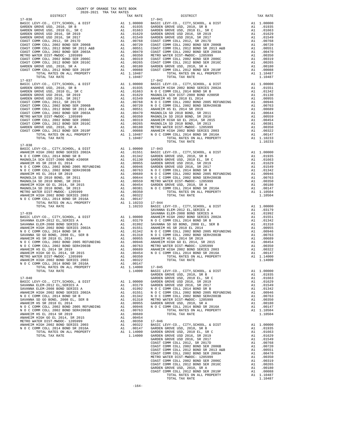| TAX RATE<br>DISTRICT |  | DISTRICT | TAX RATE |
|----------------------|--|----------|----------|
|                      |  |          |          |
|                      |  |          |          |
|                      |  |          |          |
|                      |  |          |          |
|                      |  |          |          |
|                      |  |          |          |
|                      |  |          |          |
|                      |  |          |          |
|                      |  |          |          |
|                      |  |          |          |
|                      |  |          |          |
|                      |  |          |          |
|                      |  |          |          |
|                      |  |          |          |
|                      |  |          |          |
|                      |  |          |          |
|                      |  |          |          |
|                      |  |          |          |
|                      |  |          |          |
|                      |  |          |          |
|                      |  |          |          |
|                      |  |          |          |
|                      |  |          |          |
|                      |  |          |          |
|                      |  |          |          |
|                      |  |          |          |
|                      |  |          |          |
|                      |  |          |          |
|                      |  |          |          |
|                      |  |          |          |
|                      |  |          |          |
|                      |  |          |          |
| $17 - 038$           |  |          |          |
|                      |  |          |          |
|                      |  |          |          |
|                      |  |          |          |
|                      |  |          |          |
|                      |  |          |          |
|                      |  |          |          |
|                      |  |          |          |
|                      |  |          |          |
|                      |  |          |          |
|                      |  |          |          |
|                      |  |          |          |
|                      |  |          |          |
|                      |  |          |          |
|                      |  |          |          |
|                      |  |          |          |
|                      |  |          |          |
|                      |  |          |          |
|                      |  |          |          |
|                      |  |          |          |
|                      |  |          |          |
|                      |  |          |          |
|                      |  |          |          |
|                      |  |          |          |
|                      |  |          |          |
|                      |  |          |          |
|                      |  |          |          |
|                      |  |          |          |
|                      |  |          |          |
|                      |  |          |          |
|                      |  |          |          |
|                      |  |          |          |
|                      |  |          |          |
|                      |  |          |          |
|                      |  |          |          |
|                      |  |          |          |
|                      |  |          |          |
|                      |  |          |          |
|                      |  |          |          |
|                      |  |          |          |
|                      |  |          |          |
|                      |  |          |          |
|                      |  |          |          |
|                      |  |          |          |
|                      |  |          |          |
|                      |  |          |          |
|                      |  |          |          |
|                      |  |          |          |
|                      |  |          |          |
|                      |  |          |          |
|                      |  |          |          |
|                      |  |          |          |
|                      |  |          |          |
|                      |  |          |          |
|                      |  |          |          |
|                      |  |          |          |
|                      |  |          |          |
|                      |  |          |          |
|                      |  |          |          |
|                      |  |          |          |
|                      |  |          |          |
|                      |  |          |          |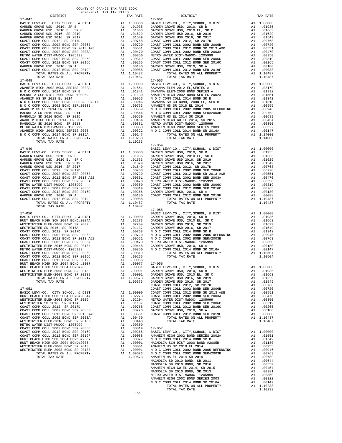| TOTAL TAX RATE                                                             |          | 1.10487                                                                                                                 |                    |
|----------------------------------------------------------------------------|----------|-------------------------------------------------------------------------------------------------------------------------|--------------------|
|                                                                            |          |                                                                                                                         |                    |
|                                                                            |          |                                                                                                                         |                    |
|                                                                            |          |                                                                                                                         |                    |
|                                                                            |          |                                                                                                                         |                    |
|                                                                            |          |                                                                                                                         |                    |
|                                                                            |          |                                                                                                                         |                    |
|                                                                            |          |                                                                                                                         |                    |
|                                                                            |          |                                                                                                                         |                    |
|                                                                            |          |                                                                                                                         |                    |
|                                                                            |          |                                                                                                                         |                    |
|                                                                            |          |                                                                                                                         |                    |
|                                                                            |          |                                                                                                                         |                    |
|                                                                            |          |                                                                                                                         |                    |
|                                                                            |          |                                                                                                                         |                    |
| $17 - 049$                                                                 |          |                                                                                                                         | BASIC L            |
|                                                                            |          |                                                                                                                         |                    |
|                                                                            |          |                                                                                                                         |                    |
|                                                                            |          |                                                                                                                         |                    |
|                                                                            |          |                                                                                                                         |                    |
|                                                                            |          |                                                                                                                         |                    |
|                                                                            |          |                                                                                                                         |                    |
|                                                                            |          |                                                                                                                         |                    |
|                                                                            |          |                                                                                                                         |                    |
|                                                                            |          |                                                                                                                         |                    |
|                                                                            |          |                                                                                                                         |                    |
|                                                                            |          |                                                                                                                         |                    |
|                                                                            |          |                                                                                                                         |                    |
| TOTAL TAX RATE                                                             |          | 1.10487                                                                                                                 | $17 - 055$         |
| $17 - 050$                                                                 |          |                                                                                                                         | BASIC L            |
|                                                                            |          |                                                                                                                         |                    |
|                                                                            |          |                                                                                                                         |                    |
|                                                                            |          |                                                                                                                         |                    |
|                                                                            |          |                                                                                                                         |                    |
|                                                                            |          |                                                                                                                         |                    |
|                                                                            |          |                                                                                                                         |                    |
|                                                                            |          |                                                                                                                         |                    |
|                                                                            |          |                                                                                                                         |                    |
|                                                                            |          |                                                                                                                         |                    |
|                                                                            |          |                                                                                                                         |                    |
|                                                                            |          |                                                                                                                         |                    |
|                                                                            |          |                                                                                                                         |                    |
|                                                                            |          | A1 .00001                                                                                                               | GARDEN             |
|                                                                            | A1       | 1.09673                                                                                                                 | GARDEN             |
|                                                                            |          | 1.09673                                                                                                                 | GARDEN             |
| $17 - 051$                                                                 |          |                                                                                                                         | COAST C<br>COAST C |
| BASIC LEVY-CO., CITY, SCHOOL, & DIST                                       | A1       | 1.00000 COAST C<br>.02273 COAST C                                                                                       |                    |
| HUNT BEACH HIGH SCH 2004 BOND#2004A                                        |          | A1 .02273                                                                                                               |                    |
| WESTMINSTER ELEM-2008 BOND SR 2009<br>WESTMINSTER SD 2016, SR 2017A        | A1<br>A1 | .02204<br>.01137                                                                                                        | METRO W<br>COAST C |
| COAST COMM COLL 2012, SR 2017D                                             |          |                                                                                                                         |                    |
| COAST COMM COLL 2002 BOND SER 2006B                                        |          | A1 .00768 COAST C<br>A1 .00720 GARDEN<br>A1 .00551 COAST C                                                              |                    |
| COAST COMM COLL 2012 BOND SR 2013 A&B                                      |          |                                                                                                                         |                    |
| COAST COMM COLL 2002 BOND SER 2003A<br>WESTMINSTER ELEM-2016 BOND SR 2018B | A1       | A1 .00470<br>.00448                                                                                                     |                    |
| METRO WATER DIST-MWDOC- 1205999                                            | A1       | .00350                                                                                                                  |                    |
| COAST COMM COLL 2002 BOND SER 2006C                                        |          | A1 .00319                                                                                                               | $17 - 057$         |
| COAST COMM COLL 2012 BOND SER 2016C<br>COAST COMM COLL 2012 BOND SER 2019F |          | A1 .00265<br>A1 .00265<br>A1 .00088<br>A1 .00077 N O C C<br>A1 .00001 MAGNOLI<br>A1 .00001 MAGHEIM<br>A1 .00001 ANAHEIM |                    |
| HUNT BEACH HIGH SCH 2004 BOND #2007                                        |          |                                                                                                                         |                    |
| HUNT BEACH HIGH SCH 2004 BOND#2005                                         |          |                                                                                                                         |                    |
| WESTMINSTER ELEM-2008 BOND SR 2013                                         |          |                                                                                                                         |                    |
| WESTMINSTER ELEM-2008 BOND SR 2013B<br>TOTAL RATES ON ALL PROPERTY         | A1       |                                                                                                                         |                    |
| TOTAL TAX RATE                                                             |          | A1 .00001 NOCC<br>A1 1.09673 NOCC<br>1.09673 ANAHEIM                                                                    |                    |
|                                                                            |          |                                                                                                                         |                    |

| DISTRICT                                                                                                                                                                                                                                | TAX RATE | DISTRICT   | TAX RATE |  |
|-----------------------------------------------------------------------------------------------------------------------------------------------------------------------------------------------------------------------------------------|----------|------------|----------|--|
| $17 - 047$                                                                                                                                                                                                                              |          | $17 - 052$ |          |  |
|                                                                                                                                                                                                                                         |          |            |          |  |
|                                                                                                                                                                                                                                         |          |            |          |  |
|                                                                                                                                                                                                                                         |          |            |          |  |
|                                                                                                                                                                                                                                         |          |            |          |  |
|                                                                                                                                                                                                                                         |          |            |          |  |
|                                                                                                                                                                                                                                         |          |            |          |  |
|                                                                                                                                                                                                                                         |          |            |          |  |
|                                                                                                                                                                                                                                         |          |            |          |  |
|                                                                                                                                                                                                                                         |          |            |          |  |
|                                                                                                                                                                                                                                         |          |            |          |  |
|                                                                                                                                                                                                                                         |          |            |          |  |
|                                                                                                                                                                                                                                         |          |            |          |  |
|                                                                                                                                                                                                                                         |          |            |          |  |
|                                                                                                                                                                                                                                         |          |            |          |  |
|                                                                                                                                                                                                                                         |          |            |          |  |
|                                                                                                                                                                                                                                         |          |            |          |  |
|                                                                                                                                                                                                                                         |          |            |          |  |
|                                                                                                                                                                                                                                         |          |            |          |  |
|                                                                                                                                                                                                                                         |          |            |          |  |
|                                                                                                                                                                                                                                         |          |            |          |  |
|                                                                                                                                                                                                                                         |          |            |          |  |
|                                                                                                                                                                                                                                         |          |            |          |  |
|                                                                                                                                                                                                                                         |          |            |          |  |
|                                                                                                                                                                                                                                         |          |            |          |  |
|                                                                                                                                                                                                                                         |          |            |          |  |
|                                                                                                                                                                                                                                         |          |            |          |  |
|                                                                                                                                                                                                                                         |          |            |          |  |
|                                                                                                                                                                                                                                         |          |            |          |  |
|                                                                                                                                                                                                                                         |          |            |          |  |
|                                                                                                                                                                                                                                         |          |            |          |  |
|                                                                                                                                                                                                                                         |          |            |          |  |
|                                                                                                                                                                                                                                         |          |            |          |  |
|                                                                                                                                                                                                                                         |          |            |          |  |
|                                                                                                                                                                                                                                         |          |            |          |  |
|                                                                                                                                                                                                                                         |          |            |          |  |
|                                                                                                                                                                                                                                         |          |            |          |  |
|                                                                                                                                                                                                                                         |          |            |          |  |
|                                                                                                                                                                                                                                         |          |            |          |  |
|                                                                                                                                                                                                                                         |          |            |          |  |
|                                                                                                                                                                                                                                         |          |            |          |  |
|                                                                                                                                                                                                                                         |          |            |          |  |
|                                                                                                                                                                                                                                         |          |            |          |  |
|                                                                                                                                                                                                                                         |          |            |          |  |
|                                                                                                                                                                                                                                         |          |            |          |  |
|                                                                                                                                                                                                                                         |          |            |          |  |
|                                                                                                                                                                                                                                         |          |            |          |  |
|                                                                                                                                                                                                                                         |          |            |          |  |
|                                                                                                                                                                                                                                         |          |            |          |  |
|                                                                                                                                                                                                                                         |          |            |          |  |
|                                                                                                                                                                                                                                         |          |            |          |  |
|                                                                                                                                                                                                                                         |          |            |          |  |
|                                                                                                                                                                                                                                         |          |            |          |  |
|                                                                                                                                                                                                                                         |          |            |          |  |
| COART COME 5011 STORE 2018<br>COART COME COLE 5011 SUNG 1000 1<br>COART COME COLE 5011 SUNG 1000 1<br>MISSINETIES ELECT (FOR COME COLE 2013 SUNG 1000 1<br>MISSINETER ELECT AND FRONT COLE 2013 SUNG 1000 1<br>MISSINETER ELECT AND FRO | $-165-$  |            |          |  |
|                                                                                                                                                                                                                                         |          |            |          |  |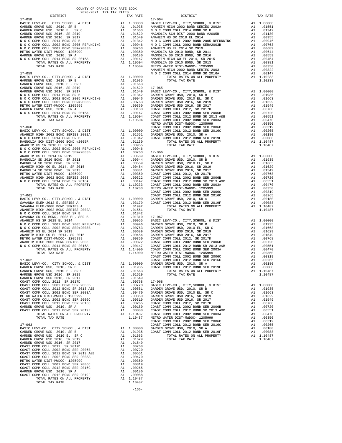| DISTRICT                                                                                          | ZUZU-ZUZI IRA IAA RAIES |                                                                                                                                                                                                                                        | TAX RATE                                                                                                                                                                                                                                               |            |
|---------------------------------------------------------------------------------------------------|-------------------------|----------------------------------------------------------------------------------------------------------------------------------------------------------------------------------------------------------------------------------------|--------------------------------------------------------------------------------------------------------------------------------------------------------------------------------------------------------------------------------------------------------|------------|
| $17 - 058$                                                                                        |                         |                                                                                                                                                                                                                                        |                                                                                                                                                                                                                                                        | $17 - 064$ |
|                                                                                                   |                         |                                                                                                                                                                                                                                        |                                                                                                                                                                                                                                                        |            |
|                                                                                                   |                         |                                                                                                                                                                                                                                        |                                                                                                                                                                                                                                                        |            |
|                                                                                                   |                         |                                                                                                                                                                                                                                        |                                                                                                                                                                                                                                                        |            |
|                                                                                                   |                         |                                                                                                                                                                                                                                        |                                                                                                                                                                                                                                                        |            |
|                                                                                                   |                         |                                                                                                                                                                                                                                        |                                                                                                                                                                                                                                                        |            |
|                                                                                                   |                         |                                                                                                                                                                                                                                        |                                                                                                                                                                                                                                                        |            |
|                                                                                                   |                         |                                                                                                                                                                                                                                        |                                                                                                                                                                                                                                                        |            |
|                                                                                                   |                         |                                                                                                                                                                                                                                        |                                                                                                                                                                                                                                                        |            |
|                                                                                                   |                         |                                                                                                                                                                                                                                        |                                                                                                                                                                                                                                                        |            |
|                                                                                                   |                         |                                                                                                                                                                                                                                        |                                                                                                                                                                                                                                                        |            |
|                                                                                                   |                         |                                                                                                                                                                                                                                        |                                                                                                                                                                                                                                                        | ANAHEIM    |
| $17 - 059$                                                                                        |                         |                                                                                                                                                                                                                                        |                                                                                                                                                                                                                                                        | NOCC       |
| BASIC LEVY-CO., CITY, SCHOOL, & DIST                                                              |                         |                                                                                                                                                                                                                                        | $A1 \quad 1.00000$                                                                                                                                                                                                                                     |            |
| GARDEN GROVE USD, 2010, SR B<br>GARDEN GROVE USD, 2010 EL, SR C<br>GARDEN GROVE USD 2016, SR 2019 |                         |                                                                                                                                                                                                                                        | $A1$ .01935<br>$A1$ .01663                                                                                                                                                                                                                             |            |
|                                                                                                   |                         |                                                                                                                                                                                                                                        |                                                                                                                                                                                                                                                        |            |
|                                                                                                   |                         |                                                                                                                                                                                                                                        |                                                                                                                                                                                                                                                        |            |
|                                                                                                   |                         |                                                                                                                                                                                                                                        |                                                                                                                                                                                                                                                        |            |
|                                                                                                   |                         |                                                                                                                                                                                                                                        |                                                                                                                                                                                                                                                        |            |
|                                                                                                   |                         |                                                                                                                                                                                                                                        |                                                                                                                                                                                                                                                        |            |
|                                                                                                   |                         |                                                                                                                                                                                                                                        |                                                                                                                                                                                                                                                        |            |
|                                                                                                   |                         |                                                                                                                                                                                                                                        |                                                                                                                                                                                                                                                        |            |
|                                                                                                   |                         |                                                                                                                                                                                                                                        |                                                                                                                                                                                                                                                        |            |
|                                                                                                   |                         |                                                                                                                                                                                                                                        |                                                                                                                                                                                                                                                        |            |
| $17 - 060$                                                                                        |                         |                                                                                                                                                                                                                                        |                                                                                                                                                                                                                                                        | COAST C    |
|                                                                                                   |                         |                                                                                                                                                                                                                                        |                                                                                                                                                                                                                                                        |            |
|                                                                                                   |                         |                                                                                                                                                                                                                                        |                                                                                                                                                                                                                                                        |            |
|                                                                                                   |                         |                                                                                                                                                                                                                                        |                                                                                                                                                                                                                                                        |            |
|                                                                                                   |                         |                                                                                                                                                                                                                                        |                                                                                                                                                                                                                                                        |            |
|                                                                                                   |                         |                                                                                                                                                                                                                                        |                                                                                                                                                                                                                                                        |            |
|                                                                                                   |                         |                                                                                                                                                                                                                                        |                                                                                                                                                                                                                                                        |            |
|                                                                                                   |                         |                                                                                                                                                                                                                                        |                                                                                                                                                                                                                                                        |            |
|                                                                                                   |                         |                                                                                                                                                                                                                                        |                                                                                                                                                                                                                                                        |            |
|                                                                                                   |                         |                                                                                                                                                                                                                                        |                                                                                                                                                                                                                                                        |            |
|                                                                                                   |                         |                                                                                                                                                                                                                                        |                                                                                                                                                                                                                                                        |            |
|                                                                                                   |                         |                                                                                                                                                                                                                                        |                                                                                                                                                                                                                                                        |            |
|                                                                                                   |                         |                                                                                                                                                                                                                                        |                                                                                                                                                                                                                                                        |            |
|                                                                                                   |                         |                                                                                                                                                                                                                                        |                                                                                                                                                                                                                                                        |            |
|                                                                                                   |                         |                                                                                                                                                                                                                                        |                                                                                                                                                                                                                                                        |            |
|                                                                                                   |                         |                                                                                                                                                                                                                                        |                                                                                                                                                                                                                                                        | COAST C    |
|                                                                                                   |                         |                                                                                                                                                                                                                                        |                                                                                                                                                                                                                                                        |            |
|                                                                                                   |                         |                                                                                                                                                                                                                                        |                                                                                                                                                                                                                                                        |            |
|                                                                                                   |                         |                                                                                                                                                                                                                                        |                                                                                                                                                                                                                                                        |            |
|                                                                                                   |                         |                                                                                                                                                                                                                                        |                                                                                                                                                                                                                                                        |            |
|                                                                                                   |                         |                                                                                                                                                                                                                                        |                                                                                                                                                                                                                                                        |            |
|                                                                                                   |                         |                                                                                                                                                                                                                                        |                                                                                                                                                                                                                                                        |            |
|                                                                                                   |                         |                                                                                                                                                                                                                                        |                                                                                                                                                                                                                                                        |            |
|                                                                                                   |                         |                                                                                                                                                                                                                                        |                                                                                                                                                                                                                                                        |            |
|                                                                                                   |                         |                                                                                                                                                                                                                                        |                                                                                                                                                                                                                                                        |            |
|                                                                                                   |                         |                                                                                                                                                                                                                                        |                                                                                                                                                                                                                                                        |            |
|                                                                                                   |                         |                                                                                                                                                                                                                                        |                                                                                                                                                                                                                                                        |            |
|                                                                                                   |                         |                                                                                                                                                                                                                                        |                                                                                                                                                                                                                                                        |            |
|                                                                                                   |                         |                                                                                                                                                                                                                                        |                                                                                                                                                                                                                                                        |            |
|                                                                                                   |                         |                                                                                                                                                                                                                                        |                                                                                                                                                                                                                                                        |            |
|                                                                                                   |                         |                                                                                                                                                                                                                                        |                                                                                                                                                                                                                                                        |            |
| BASIC LEVY-CO., CITY, SCHOOL,                                                                     | & DIST                  |                                                                                                                                                                                                                                        | A1 1.00000                                                                                                                                                                                                                                             | GARDEN     |
| GARDEN GROVE USD, 2010, SR B                                                                      |                         |                                                                                                                                                                                                                                        | A1 1.00000 GARDEN<br>A1 .01935 COAST C                                                                                                                                                                                                                 |            |
| GARDEN GROVE USD, 2010 EL, SR C<br>GARDEN GROVE USD 2016, SR 2019                                 |                         |                                                                                                                                                                                                                                        | A1.01663<br>A1.01629                                                                                                                                                                                                                                   |            |
| GARDEN GROVE USD 2016, SR 2017                                                                    |                         |                                                                                                                                                                                                                                        |                                                                                                                                                                                                                                                        |            |
| COAST COMM COLL 2012, SR 2017D                                                                    |                         |                                                                                                                                                                                                                                        | A1 .01529<br>A1 .00768 17-068<br>A1 .00768 BASIC L<br>A1 .00750 BASIC L<br>A1 .00551 GARDEN<br>A1 .00470 GARDEN<br>A1 .00359 GARDEN<br>A1 .00319 GARDEN<br>A1 .00265 COAST C<br>A1 .00088 COAST C<br>A1 .00088 COAST C<br>A1 1.10487 METRO M<br>1.1048 |            |
| COAST COMM COLL 2002 BOND SER 2006B                                                               |                         |                                                                                                                                                                                                                                        |                                                                                                                                                                                                                                                        |            |
| COAST COMM COLL 2012 BOND SR 2013 A&B<br>COAST COMM COLL 2002 BOND SER 2003A                      |                         |                                                                                                                                                                                                                                        |                                                                                                                                                                                                                                                        |            |
| METRO WATER DIST-MWDOC- 1205999                                                                   |                         |                                                                                                                                                                                                                                        |                                                                                                                                                                                                                                                        |            |
| COAST COMM COLL 2002 BOND SER 2006C                                                               |                         |                                                                                                                                                                                                                                        |                                                                                                                                                                                                                                                        |            |
| COAST COMM COLL 2012 BOND SER 2016C                                                               |                         |                                                                                                                                                                                                                                        |                                                                                                                                                                                                                                                        |            |
| GARDEN GROVE USD, 2010, SR A                                                                      |                         |                                                                                                                                                                                                                                        |                                                                                                                                                                                                                                                        |            |
| COAST COMM COLL 2012 BOND SER 2019F<br>TOTAL RATES ON ALL PROPERTY                                |                         |                                                                                                                                                                                                                                        |                                                                                                                                                                                                                                                        |            |
| TOTAL TAX RATE                                                                                    |                         |                                                                                                                                                                                                                                        |                                                                                                                                                                                                                                                        |            |
|                                                                                                   |                         |                                                                                                                                                                                                                                        |                                                                                                                                                                                                                                                        | COAST C    |
| $17 - 063$                                                                                        |                         |                                                                                                                                                                                                                                        |                                                                                                                                                                                                                                                        | COAST C    |
| BASIC LEVY-CO., CITY, SCHOOL, & DIST                                                              |                         |                                                                                                                                                                                                                                        | A1 1.00000 GARDEN<br>A1 .01935 COAST C                                                                                                                                                                                                                 |            |
| GARDEN GROVE USD, 2010, SR B<br>GARDEN GROVE USD, 2010 EL, SR C                                   |                         | A1                                                                                                                                                                                                                                     | .01663                                                                                                                                                                                                                                                 |            |
| GARDEN GROVE USD 2016, SR 2019                                                                    |                         | A1                                                                                                                                                                                                                                     | .01629                                                                                                                                                                                                                                                 |            |
| GARDEN GROVE USD 2016, SR 2017                                                                    |                         | A1                                                                                                                                                                                                                                     | .01549                                                                                                                                                                                                                                                 |            |
| COAST COMM COLL 2012, SR 2017D                                                                    |                         | $\begin{array}{ccccc} & & & \text{A}_1 & & \\ & & & \text{A}_1 & & \\ & & & \text{A}_1 & & \\ & & & \text{A}_1 & & \\ & & & \text{A}_1 & & \\ & & & \text{A}_1 & & \\ & & & & \text{A}_1 & & \\ & & & & \text{A}_1 & & \\ \end{array}$ | A1.00768                                                                                                                                                                                                                                               |            |
| COAST COMM COLL 2002 BOND SER 2006B                                                               |                         |                                                                                                                                                                                                                                        | A1 .00720                                                                                                                                                                                                                                              |            |
| COAST COMM COLL 2012 BOND SR 2013 A&B<br>COAST COMM COLL 2002 BOND SER 2003A                      |                         |                                                                                                                                                                                                                                        | .00551<br>.00470                                                                                                                                                                                                                                       |            |
| METRO WATER DIST-MWDOC- 1205999                                                                   |                         |                                                                                                                                                                                                                                        | .00350                                                                                                                                                                                                                                                 |            |
| COAST COMM COLL 2002 BOND SER 2006C                                                               |                         |                                                                                                                                                                                                                                        | .00319                                                                                                                                                                                                                                                 |            |
| COAST COMM COLL 2012 BOND SER 2016C                                                               |                         |                                                                                                                                                                                                                                        | .00265                                                                                                                                                                                                                                                 |            |
| GARDEN GROVE USD, 2010, SR A<br>COAST COMM COLL 2012 BOND SER 2019F                               |                         |                                                                                                                                                                                                                                        | A1 .00180<br>A1.00088                                                                                                                                                                                                                                  |            |
| TOTAL RATES ON ALL PROPERTY                                                                       |                         |                                                                                                                                                                                                                                        | A1 1.10487                                                                                                                                                                                                                                             |            |
| TOTAL TAX RATE                                                                                    |                         |                                                                                                                                                                                                                                        | 1.10487                                                                                                                                                                                                                                                |            |

-166-

| $2020-2021 \quad \text{TRA RATES}$ DISTRICT $\hspace{0.5cm}$ | TAX RATE | DISTRICT | TAX RATE |
|--------------------------------------------------------------|----------|----------|----------|
|                                                              |          |          |          |
|                                                              |          |          |          |
|                                                              |          |          |          |
|                                                              |          |          |          |
|                                                              |          |          |          |
|                                                              |          |          |          |
|                                                              |          |          |          |
|                                                              |          |          |          |
|                                                              |          |          |          |
|                                                              |          |          |          |
|                                                              |          |          |          |
|                                                              |          |          |          |
|                                                              |          |          |          |
|                                                              |          |          |          |
|                                                              |          |          |          |
|                                                              |          |          |          |
|                                                              |          |          |          |
|                                                              |          |          |          |
|                                                              |          |          |          |
|                                                              |          |          |          |
|                                                              |          |          |          |
|                                                              |          |          |          |
|                                                              |          |          |          |
|                                                              |          |          |          |
|                                                              |          |          |          |
|                                                              |          |          |          |
|                                                              |          |          |          |
|                                                              |          |          |          |
|                                                              |          |          |          |
|                                                              |          |          |          |
|                                                              |          |          |          |
|                                                              |          |          |          |
|                                                              |          |          |          |
|                                                              |          |          |          |
|                                                              |          |          |          |
|                                                              |          |          |          |
|                                                              |          |          |          |
|                                                              |          |          |          |
|                                                              |          |          |          |
|                                                              |          |          |          |
|                                                              |          |          |          |
|                                                              |          |          |          |
|                                                              |          |          |          |
|                                                              |          |          |          |
|                                                              |          |          |          |
|                                                              |          |          |          |
|                                                              |          |          |          |
|                                                              |          |          |          |
|                                                              |          |          |          |
|                                                              |          |          |          |
|                                                              |          |          |          |
|                                                              |          |          |          |
|                                                              |          |          |          |
|                                                              |          |          |          |
|                                                              |          |          |          |
|                                                              |          |          |          |
|                                                              |          |          |          |
|                                                              |          |          |          |
|                                                              |          |          |          |
|                                                              |          |          |          |
|                                                              |          |          |          |
|                                                              |          |          |          |
|                                                              |          |          |          |
|                                                              |          |          |          |
|                                                              |          |          |          |
|                                                              |          |          |          |
|                                                              |          |          |          |
|                                                              |          |          |          |
|                                                              |          |          |          |
|                                                              |          |          |          |
|                                                              |          |          |          |
|                                                              |          |          |          |
|                                                              |          |          |          |
|                                                              |          |          |          |
|                                                              |          |          |          |
|                                                              |          |          |          |
|                                                              |          |          |          |
|                                                              |          |          |          |
|                                                              |          |          |          |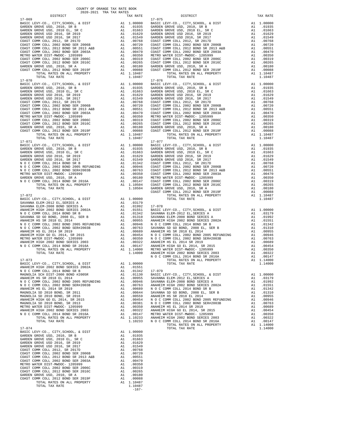| DISTRICT                                                                                                              |                                              | TAX RATE                                                                                                                                       |            |
|-----------------------------------------------------------------------------------------------------------------------|----------------------------------------------|------------------------------------------------------------------------------------------------------------------------------------------------|------------|
|                                                                                                                       |                                              |                                                                                                                                                | $17 - 075$ |
|                                                                                                                       |                                              |                                                                                                                                                |            |
|                                                                                                                       |                                              |                                                                                                                                                |            |
|                                                                                                                       |                                              |                                                                                                                                                |            |
|                                                                                                                       |                                              |                                                                                                                                                |            |
|                                                                                                                       |                                              |                                                                                                                                                |            |
|                                                                                                                       |                                              |                                                                                                                                                |            |
|                                                                                                                       |                                              |                                                                                                                                                |            |
|                                                                                                                       |                                              |                                                                                                                                                |            |
|                                                                                                                       |                                              |                                                                                                                                                |            |
|                                                                                                                       |                                              |                                                                                                                                                |            |
|                                                                                                                       |                                              |                                                                                                                                                |            |
|                                                                                                                       |                                              |                                                                                                                                                |            |
|                                                                                                                       |                                              |                                                                                                                                                |            |
|                                                                                                                       |                                              |                                                                                                                                                |            |
|                                                                                                                       |                                              |                                                                                                                                                |            |
|                                                                                                                       |                                              |                                                                                                                                                |            |
|                                                                                                                       |                                              |                                                                                                                                                |            |
|                                                                                                                       |                                              |                                                                                                                                                |            |
|                                                                                                                       |                                              |                                                                                                                                                |            |
|                                                                                                                       |                                              |                                                                                                                                                |            |
|                                                                                                                       |                                              |                                                                                                                                                |            |
|                                                                                                                       |                                              |                                                                                                                                                |            |
|                                                                                                                       |                                              |                                                                                                                                                |            |
|                                                                                                                       |                                              |                                                                                                                                                |            |
|                                                                                                                       |                                              |                                                                                                                                                |            |
|                                                                                                                       |                                              |                                                                                                                                                |            |
|                                                                                                                       |                                              |                                                                                                                                                |            |
|                                                                                                                       |                                              |                                                                                                                                                |            |
|                                                                                                                       |                                              |                                                                                                                                                |            |
|                                                                                                                       |                                              |                                                                                                                                                |            |
|                                                                                                                       |                                              |                                                                                                                                                |            |
|                                                                                                                       |                                              |                                                                                                                                                |            |
|                                                                                                                       |                                              |                                                                                                                                                |            |
|                                                                                                                       |                                              |                                                                                                                                                |            |
|                                                                                                                       |                                              |                                                                                                                                                |            |
|                                                                                                                       |                                              |                                                                                                                                                |            |
|                                                                                                                       |                                              |                                                                                                                                                |            |
|                                                                                                                       |                                              |                                                                                                                                                |            |
|                                                                                                                       |                                              |                                                                                                                                                |            |
|                                                                                                                       |                                              |                                                                                                                                                |            |
|                                                                                                                       |                                              |                                                                                                                                                |            |
|                                                                                                                       |                                              |                                                                                                                                                | COAST C    |
|                                                                                                                       |                                              |                                                                                                                                                |            |
|                                                                                                                       |                                              |                                                                                                                                                |            |
|                                                                                                                       |                                              |                                                                                                                                                |            |
|                                                                                                                       |                                              |                                                                                                                                                |            |
|                                                                                                                       |                                              |                                                                                                                                                |            |
|                                                                                                                       |                                              |                                                                                                                                                |            |
|                                                                                                                       |                                              |                                                                                                                                                |            |
|                                                                                                                       |                                              |                                                                                                                                                |            |
|                                                                                                                       |                                              |                                                                                                                                                |            |
|                                                                                                                       |                                              |                                                                                                                                                |            |
|                                                                                                                       |                                              |                                                                                                                                                |            |
|                                                                                                                       |                                              |                                                                                                                                                |            |
|                                                                                                                       |                                              |                                                                                                                                                |            |
|                                                                                                                       |                                              |                                                                                                                                                |            |
|                                                                                                                       |                                              |                                                                                                                                                | NOCC       |
| $17 - 073$                                                                                                            |                                              |                                                                                                                                                |            |
| BASIC LEVY-CO., CITY, SCHOOL, & DIST A1 1.00000                                                                       |                                              |                                                                                                                                                |            |
| ANAHEIM HIGH 2002 BOND SERIES 2002A                                                                                   | A1                                           | .01551                                                                                                                                         |            |
|                                                                                                                       |                                              |                                                                                                                                                |            |
|                                                                                                                       |                                              |                                                                                                                                                |            |
|                                                                                                                       |                                              |                                                                                                                                                |            |
|                                                                                                                       |                                              |                                                                                                                                                |            |
|                                                                                                                       |                                              |                                                                                                                                                |            |
|                                                                                                                       |                                              |                                                                                                                                                |            |
|                                                                                                                       |                                              |                                                                                                                                                |            |
| ANAHEIM HIGH GO EL 2014, SR 2015                                                                                      |                                              |                                                                                                                                                |            |
| MAGNOLIA SD 2010 BOND, SR 2013<br>METRO WATER DIST-MWDOC- 1205999                                                     |                                              |                                                                                                                                                |            |
| ANAHEIM HIGH 2002 BOND SERIES 2003                                                                                    |                                              |                                                                                                                                                |            |
| N O C COMM COLL 2014 BOND SR 2016A                                                                                    |                                              |                                                                                                                                                |            |
| TOTAL RATES ON ALL PROPERTY                                                                                           |                                              |                                                                                                                                                |            |
| TOTAL TAX RATE                                                                                                        |                                              | A1 .0059<br>A1 .00454 NOCC<br>A1 .00361 NOCC<br>A1 .00350 NAMEEM<br>A1 .00322 NAMEEM<br>A1 .00147 METRO N<br>A1 1.10233 NAMEEM<br>1.10233 NOCC |            |
|                                                                                                                       |                                              |                                                                                                                                                |            |
| $17 - 074$                                                                                                            |                                              |                                                                                                                                                |            |
| BASIC LEVY-CO., CITY, SCHOOL, & DIST                                                                                  | A1<br>A1                                     | 1.00000<br>.01935                                                                                                                              |            |
| GARDEN GROVE USD, 2010, SR B<br>GARDEN GROVE USD, 2010 EL, SR C                                                       | A1                                           | .01663                                                                                                                                         |            |
| GARDEN GROVE USD 2016, SR 2019                                                                                        | A1                                           | .01629                                                                                                                                         |            |
| GARDEN GROVE USD 2016, SR 2017                                                                                        | A1                                           | .01549                                                                                                                                         |            |
| COAST COMM COLL 2012, SR 2017D                                                                                        |                                              | .00768                                                                                                                                         |            |
| COAST COMM COLL 2002 BOND SER 2006B<br>COAST COMM COLL 2012 BOND SR 2013 A&B<br>COAST COMM COLL 2002 BOND SR 2013 A&B |                                              | .00720                                                                                                                                         |            |
|                                                                                                                       |                                              | .00551                                                                                                                                         |            |
|                                                                                                                       |                                              | .00470                                                                                                                                         |            |
| METRO WATER DIST-MWDOC- 1205999<br>COAST COMM COLL 2002 BOND SER 2006C                                                |                                              | .00350<br>.00319                                                                                                                               |            |
| COAST COMM COLL 2012 BOND SER 2016C                                                                                   | Al<br>Al<br>Al<br>Al<br>Al<br>Al<br>Al<br>Al | .00265                                                                                                                                         |            |
| GARDEN GROVE USD, 2010, SR A                                                                                          |                                              | .00180                                                                                                                                         |            |
| COAST COMM COLL 2012 BOND SER 2019F                                                                                   | A1                                           | .00088                                                                                                                                         |            |
| TOTAL RATES ON ALL PROPERTY                                                                                           |                                              | A1 1.10487                                                                                                                                     |            |
| TOTAL TAX RATE                                                                                                        |                                              | 1.10487                                                                                                                                        |            |

-167-

| DISTRICT | TAX RATE | DISTRICT | TAX RATE |
|----------|----------|----------|----------|
|          |          |          |          |
|          |          |          |          |
|          |          |          |          |
|          |          |          |          |
|          |          |          |          |
|          |          |          |          |
|          |          |          |          |
|          |          |          |          |
|          |          |          |          |
|          |          |          |          |
|          |          |          |          |
|          |          |          |          |
|          |          |          |          |
|          |          |          |          |
|          |          |          |          |
|          |          |          |          |
|          |          |          |          |
|          |          |          |          |
|          |          |          |          |
|          |          |          |          |
|          |          |          |          |
|          |          |          |          |
|          |          |          |          |
|          |          |          |          |
|          |          |          |          |
|          |          |          |          |
|          |          |          |          |
|          |          |          |          |
|          |          |          |          |
|          |          |          |          |
|          |          |          |          |
|          |          |          |          |
|          |          |          |          |
|          |          |          |          |
|          |          |          |          |
|          |          |          |          |
|          |          |          |          |
|          |          |          |          |
|          |          |          |          |
|          |          |          |          |
|          |          |          |          |
|          |          |          |          |
|          |          |          |          |
|          |          |          |          |
|          |          |          |          |
|          |          |          |          |
|          |          |          |          |
|          |          |          |          |
|          |          |          |          |
|          |          |          |          |
|          |          |          |          |
|          |          |          |          |
|          |          |          |          |
|          |          |          |          |
|          |          |          |          |
|          |          |          |          |
|          |          |          |          |
|          |          |          |          |
|          |          |          |          |
|          |          |          |          |
|          |          |          |          |
|          |          |          |          |
|          |          |          |          |
|          |          |          |          |
|          |          |          |          |
|          |          |          |          |
|          |          |          |          |
|          |          |          |          |
|          |          |          |          |
|          |          |          |          |
|          |          |          |          |
|          |          |          |          |
|          |          |          |          |
|          |          |          |          |
|          |          |          |          |
|          |          |          |          |
|          |          |          |          |
|          |          |          |          |
|          |          |          |          |
|          |          |          |          |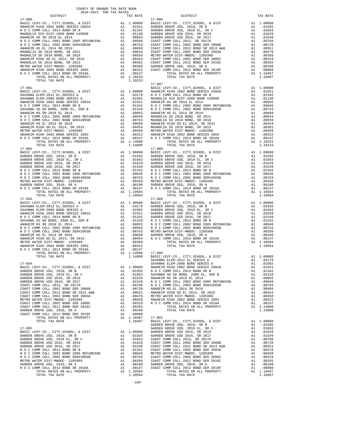| TAX RATE<br>DISTRICT                                                                                                                                                                                                                |         | DISTRICT   | TAX RATE |
|-------------------------------------------------------------------------------------------------------------------------------------------------------------------------------------------------------------------------------------|---------|------------|----------|
|                                                                                                                                                                                                                                     |         |            |          |
|                                                                                                                                                                                                                                     |         |            |          |
|                                                                                                                                                                                                                                     |         |            |          |
|                                                                                                                                                                                                                                     |         |            |          |
|                                                                                                                                                                                                                                     |         |            |          |
|                                                                                                                                                                                                                                     |         |            |          |
|                                                                                                                                                                                                                                     |         |            |          |
|                                                                                                                                                                                                                                     |         |            |          |
|                                                                                                                                                                                                                                     |         |            |          |
|                                                                                                                                                                                                                                     |         |            |          |
|                                                                                                                                                                                                                                     |         |            |          |
|                                                                                                                                                                                                                                     |         |            |          |
|                                                                                                                                                                                                                                     |         |            |          |
|                                                                                                                                                                                                                                     |         |            |          |
|                                                                                                                                                                                                                                     |         |            |          |
| TOTAL TAX RATE                                                                                                                                                                                                                      | 1.10233 |            |          |
|                                                                                                                                                                                                                                     |         | $17 - 087$ |          |
|                                                                                                                                                                                                                                     |         |            |          |
|                                                                                                                                                                                                                                     |         |            |          |
|                                                                                                                                                                                                                                     |         |            |          |
|                                                                                                                                                                                                                                     |         |            |          |
|                                                                                                                                                                                                                                     |         |            |          |
|                                                                                                                                                                                                                                     |         |            |          |
|                                                                                                                                                                                                                                     |         |            |          |
|                                                                                                                                                                                                                                     |         |            |          |
|                                                                                                                                                                                                                                     |         |            |          |
|                                                                                                                                                                                                                                     |         |            |          |
|                                                                                                                                                                                                                                     |         |            |          |
|                                                                                                                                                                                                                                     |         |            |          |
|                                                                                                                                                                                                                                     |         |            |          |
|                                                                                                                                                                                                                                     |         |            |          |
|                                                                                                                                                                                                                                     |         |            |          |
|                                                                                                                                                                                                                                     |         |            |          |
|                                                                                                                                                                                                                                     |         |            |          |
|                                                                                                                                                                                                                                     |         |            |          |
|                                                                                                                                                                                                                                     |         |            |          |
|                                                                                                                                                                                                                                     |         |            |          |
|                                                                                                                                                                                                                                     |         |            |          |
|                                                                                                                                                                                                                                     |         |            |          |
|                                                                                                                                                                                                                                     |         |            |          |
|                                                                                                                                                                                                                                     |         |            |          |
|                                                                                                                                                                                                                                     |         |            |          |
|                                                                                                                                                                                                                                     |         |            |          |
|                                                                                                                                                                                                                                     |         |            |          |
|                                                                                                                                                                                                                                     |         |            |          |
|                                                                                                                                                                                                                                     |         |            |          |
|                                                                                                                                                                                                                                     |         |            |          |
|                                                                                                                                                                                                                                     |         |            |          |
|                                                                                                                                                                                                                                     |         |            |          |
|                                                                                                                                                                                                                                     |         |            |          |
|                                                                                                                                                                                                                                     |         |            |          |
|                                                                                                                                                                                                                                     |         |            |          |
|                                                                                                                                                                                                                                     |         |            |          |
|                                                                                                                                                                                                                                     |         |            |          |
|                                                                                                                                                                                                                                     |         |            |          |
|                                                                                                                                                                                                                                     |         |            |          |
|                                                                                                                                                                                                                                     |         |            |          |
|                                                                                                                                                                                                                                     |         |            |          |
|                                                                                                                                                                                                                                     |         |            |          |
|                                                                                                                                                                                                                                     |         |            |          |
|                                                                                                                                                                                                                                     |         |            |          |
|                                                                                                                                                                                                                                     |         |            |          |
| <b>FOR A SHOT ON ALL COMPANY AND A 1990 MANUS COMPANY AND INTERFERENCE A SHOT ON A SHOT ON A SHOT ON A 1990 MANUS COMPANY AND INTERFERENCE A SHOT ON A 1990 MANUS COMPANY AND INTERFERENCE A SHOT ON A 1990 MANUS COMPANY AND I</b> |         |            |          |
|                                                                                                                                                                                                                                     |         |            |          |
|                                                                                                                                                                                                                                     |         |            |          |
|                                                                                                                                                                                                                                     |         |            |          |
|                                                                                                                                                                                                                                     |         |            |          |
|                                                                                                                                                                                                                                     |         |            |          |
|                                                                                                                                                                                                                                     |         |            |          |
|                                                                                                                                                                                                                                     |         |            |          |
|                                                                                                                                                                                                                                     |         |            |          |
|                                                                                                                                                                                                                                     |         |            |          |
|                                                                                                                                                                                                                                     |         |            |          |
|                                                                                                                                                                                                                                     |         |            |          |
|                                                                                                                                                                                                                                     |         |            |          |
|                                                                                                                                                                                                                                     |         |            |          |
|                                                                                                                                                                                                                                     |         |            |          |
|                                                                                                                                                                                                                                     |         |            |          |
|                                                                                                                                                                                                                                     |         |            |          |
|                                                                                                                                                                                                                                     |         |            |          |
|                                                                                                                                                                                                                                     |         |            |          |
|                                                                                                                                                                                                                                     |         |            |          |
|                                                                                                                                                                                                                                     |         |            |          |
|                                                                                                                                                                                                                                     |         |            |          |
|                                                                                                                                                                                                                                     |         |            |          |
|                                                                                                                                                                                                                                     |         |            |          |
|                                                                                                                                                                                                                                     |         |            |          |
|                                                                                                                                                                                                                                     |         |            |          |
|                                                                                                                                                                                                                                     |         |            |          |
|                                                                                                                                                                                                                                     |         |            |          |
|                                                                                                                                                                                                                                     |         |            |          |
|                                                                                                                                                                                                                                     |         |            |          |
|                                                                                                                                                                                                                                     |         |            |          |
|                                                                                                                                                                                                                                     |         |            |          |
|                                                                                                                                                                                                                                     |         |            |          |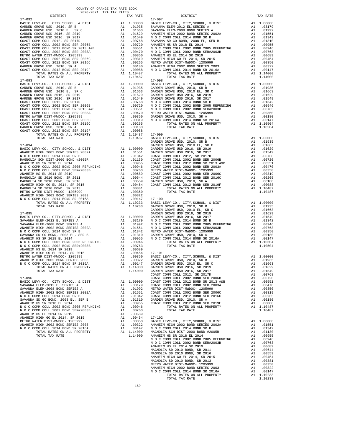| DISTRICT                                                                                                                                                                                                                                                              | TAX RATE | DISTRICT | TAX RATE |
|-----------------------------------------------------------------------------------------------------------------------------------------------------------------------------------------------------------------------------------------------------------------------|----------|----------|----------|
|                                                                                                                                                                                                                                                                       |          |          |          |
|                                                                                                                                                                                                                                                                       |          |          |          |
|                                                                                                                                                                                                                                                                       |          |          |          |
|                                                                                                                                                                                                                                                                       |          |          |          |
|                                                                                                                                                                                                                                                                       |          |          |          |
|                                                                                                                                                                                                                                                                       |          |          |          |
|                                                                                                                                                                                                                                                                       |          |          |          |
|                                                                                                                                                                                                                                                                       |          |          |          |
|                                                                                                                                                                                                                                                                       |          |          |          |
|                                                                                                                                                                                                                                                                       |          |          |          |
|                                                                                                                                                                                                                                                                       |          |          |          |
|                                                                                                                                                                                                                                                                       |          |          |          |
|                                                                                                                                                                                                                                                                       |          |          |          |
|                                                                                                                                                                                                                                                                       |          |          |          |
|                                                                                                                                                                                                                                                                       |          |          |          |
|                                                                                                                                                                                                                                                                       |          |          |          |
|                                                                                                                                                                                                                                                                       |          |          |          |
|                                                                                                                                                                                                                                                                       |          |          |          |
|                                                                                                                                                                                                                                                                       |          |          |          |
|                                                                                                                                                                                                                                                                       |          |          |          |
|                                                                                                                                                                                                                                                                       |          |          |          |
|                                                                                                                                                                                                                                                                       |          |          |          |
|                                                                                                                                                                                                                                                                       |          |          |          |
|                                                                                                                                                                                                                                                                       |          |          |          |
|                                                                                                                                                                                                                                                                       |          |          |          |
|                                                                                                                                                                                                                                                                       |          |          |          |
|                                                                                                                                                                                                                                                                       |          |          |          |
| $\begin{bmatrix} 0.867 & 0.986 & 0.167 & 0.167 & 0.167 & 0.167 & 0.167 & 0.167 & 0.167 & 0.167 & 0.167 & 0.167 & 0.167 & 0.167 & 0.167 & 0.167 & 0.167 & 0.167 & 0.167 & 0.167 & 0.167 & 0.167 & 0.167 & 0.167 & 0.167 & 0.167 & 0.167 & 0.167 & 0.167 & 0.167 & 0.1$ |          |          |          |
|                                                                                                                                                                                                                                                                       |          |          |          |
|                                                                                                                                                                                                                                                                       |          |          |          |
|                                                                                                                                                                                                                                                                       |          |          |          |
|                                                                                                                                                                                                                                                                       |          |          |          |
|                                                                                                                                                                                                                                                                       |          |          |          |
|                                                                                                                                                                                                                                                                       |          |          |          |
|                                                                                                                                                                                                                                                                       |          |          |          |
|                                                                                                                                                                                                                                                                       |          |          |          |
|                                                                                                                                                                                                                                                                       |          |          |          |
|                                                                                                                                                                                                                                                                       |          |          |          |
|                                                                                                                                                                                                                                                                       |          |          |          |
|                                                                                                                                                                                                                                                                       |          |          |          |
|                                                                                                                                                                                                                                                                       |          |          |          |
|                                                                                                                                                                                                                                                                       |          |          |          |
|                                                                                                                                                                                                                                                                       |          |          |          |
|                                                                                                                                                                                                                                                                       |          |          |          |
|                                                                                                                                                                                                                                                                       |          |          |          |
|                                                                                                                                                                                                                                                                       |          |          |          |
|                                                                                                                                                                                                                                                                       |          |          |          |
|                                                                                                                                                                                                                                                                       |          |          |          |
|                                                                                                                                                                                                                                                                       |          |          |          |
|                                                                                                                                                                                                                                                                       |          |          |          |
|                                                                                                                                                                                                                                                                       |          |          |          |
|                                                                                                                                                                                                                                                                       |          |          |          |
|                                                                                                                                                                                                                                                                       |          |          |          |
|                                                                                                                                                                                                                                                                       |          |          |          |
|                                                                                                                                                                                                                                                                       |          |          |          |
|                                                                                                                                                                                                                                                                       |          |          |          |
|                                                                                                                                                                                                                                                                       |          |          |          |
|                                                                                                                                                                                                                                                                       |          |          |          |
|                                                                                                                                                                                                                                                                       |          |          |          |
|                                                                                                                                                                                                                                                                       |          |          |          |
|                                                                                                                                                                                                                                                                       |          |          |          |
|                                                                                                                                                                                                                                                                       |          |          |          |
|                                                                                                                                                                                                                                                                       |          |          |          |
|                                                                                                                                                                                                                                                                       |          |          |          |
|                                                                                                                                                                                                                                                                       |          |          |          |
|                                                                                                                                                                                                                                                                       |          |          |          |
|                                                                                                                                                                                                                                                                       |          |          |          |
|                                                                                                                                                                                                                                                                       |          |          |          |
|                                                                                                                                                                                                                                                                       |          |          |          |
|                                                                                                                                                                                                                                                                       |          |          |          |
|                                                                                                                                                                                                                                                                       |          |          |          |
|                                                                                                                                                                                                                                                                       |          |          |          |
|                                                                                                                                                                                                                                                                       |          |          |          |
|                                                                                                                                                                                                                                                                       |          |          |          |
|                                                                                                                                                                                                                                                                       |          |          |          |
|                                                                                                                                                                                                                                                                       |          |          |          |
|                                                                                                                                                                                                                                                                       |          |          |          |
|                                                                                                                                                                                                                                                                       |          |          |          |
|                                                                                                                                                                                                                                                                       |          |          |          |
|                                                                                                                                                                                                                                                                       |          |          |          |
|                                                                                                                                                                                                                                                                       |          |          |          |
|                                                                                                                                                                                                                                                                       |          |          |          |
|                                                                                                                                                                                                                                                                       |          |          |          |
|                                                                                                                                                                                                                                                                       |          |          |          |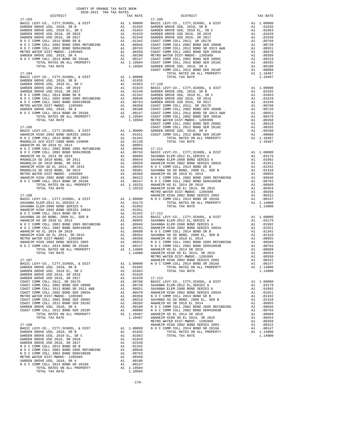| COUNTY OF ORANGE TAX RATE BOOK<br>2020-2021 TRA TAX RATES                                                                                                                                                                                              |          |                      |            |
|--------------------------------------------------------------------------------------------------------------------------------------------------------------------------------------------------------------------------------------------------------|----------|----------------------|------------|
| DISTRICT<br>$17 - 103$                                                                                                                                                                                                                                 |          | TAX RATE             | $17 - 109$ |
|                                                                                                                                                                                                                                                        |          |                      |            |
|                                                                                                                                                                                                                                                        |          |                      |            |
|                                                                                                                                                                                                                                                        |          |                      |            |
|                                                                                                                                                                                                                                                        |          |                      |            |
|                                                                                                                                                                                                                                                        |          |                      |            |
|                                                                                                                                                                                                                                                        |          |                      |            |
|                                                                                                                                                                                                                                                        |          |                      |            |
|                                                                                                                                                                                                                                                        |          |                      |            |
|                                                                                                                                                                                                                                                        |          |                      |            |
|                                                                                                                                                                                                                                                        |          |                      |            |
|                                                                                                                                                                                                                                                        |          |                      |            |
|                                                                                                                                                                                                                                                        |          |                      | COAST C    |
|                                                                                                                                                                                                                                                        |          |                      |            |
|                                                                                                                                                                                                                                                        |          |                      |            |
|                                                                                                                                                                                                                                                        |          |                      |            |
|                                                                                                                                                                                                                                                        |          |                      |            |
|                                                                                                                                                                                                                                                        |          |                      |            |
|                                                                                                                                                                                                                                                        |          |                      |            |
|                                                                                                                                                                                                                                                        |          |                      |            |
|                                                                                                                                                                                                                                                        |          |                      |            |
|                                                                                                                                                                                                                                                        |          |                      |            |
|                                                                                                                                                                                                                                                        |          |                      |            |
|                                                                                                                                                                                                                                                        |          |                      |            |
|                                                                                                                                                                                                                                                        |          |                      |            |
|                                                                                                                                                                                                                                                        |          |                      | COAST C    |
|                                                                                                                                                                                                                                                        |          |                      |            |
|                                                                                                                                                                                                                                                        |          |                      |            |
|                                                                                                                                                                                                                                                        |          |                      |            |
|                                                                                                                                                                                                                                                        |          |                      |            |
|                                                                                                                                                                                                                                                        |          |                      |            |
|                                                                                                                                                                                                                                                        |          |                      |            |
|                                                                                                                                                                                                                                                        |          |                      |            |
|                                                                                                                                                                                                                                                        |          |                      |            |
|                                                                                                                                                                                                                                                        |          |                      |            |
|                                                                                                                                                                                                                                                        |          |                      |            |
|                                                                                                                                                                                                                                                        |          |                      |            |
|                                                                                                                                                                                                                                                        |          |                      |            |
|                                                                                                                                                                                                                                                        |          |                      |            |
|                                                                                                                                                                                                                                                        |          |                      |            |
|                                                                                                                                                                                                                                                        |          |                      |            |
|                                                                                                                                                                                                                                                        |          |                      |            |
|                                                                                                                                                                                                                                                        |          |                      |            |
| $17 - 106$                                                                                                                                                                                                                                             |          |                      | ANAHEIM    |
|                                                                                                                                                                                                                                                        |          |                      |            |
|                                                                                                                                                                                                                                                        |          |                      |            |
|                                                                                                                                                                                                                                                        |          |                      |            |
|                                                                                                                                                                                                                                                        |          |                      |            |
|                                                                                                                                                                                                                                                        |          |                      |            |
|                                                                                                                                                                                                                                                        |          |                      |            |
|                                                                                                                                                                                                                                                        |          |                      |            |
|                                                                                                                                                                                                                                                        |          |                      |            |
|                                                                                                                                                                                                                                                        |          |                      |            |
|                                                                                                                                                                                                                                                        |          |                      |            |
|                                                                                                                                                                                                                                                        |          |                      |            |
|                                                                                                                                                                                                                                                        |          |                      |            |
|                                                                                                                                                                                                                                                        |          |                      |            |
|                                                                                                                                                                                                                                                        |          |                      |            |
|                                                                                                                                                                                                                                                        |          |                      |            |
|                                                                                                                                                                                                                                                        |          |                      | METRO W    |
| $17 - 107$                                                                                                                                                                                                                                             |          |                      | ANAHEIM    |
| BASIC LEVY-CO., CITY, SCHOOL, & DIST                                                                                                                                                                                                                   | A1       | 1.00000              | NOCC       |
| GARDEN GROVE USD, 2010, SR B                                                                                                                                                                                                                           |          | A1 .01935            |            |
| GARDEN GROVE USD, 2010 EL, SR C                                                                                                                                                                                                                        | A1       | .01663               |            |
| GARDEN GROVE USD 2016, SR 2019                                                                                                                                                                                                                         | A1       | .01629               |            |
| GARDEN GROVE USD 2016, SR 2017                                                                                                                                                                                                                         |          | A1.01549             | $17 - 113$ |
| COAST COMM COLL 2012, SR 2017D                                                                                                                                                                                                                         |          |                      |            |
| COAST COMM COLL 2002 BOND SER 2006B                                                                                                                                                                                                                    |          |                      |            |
| COAST COMM COLL 2012 BOND SR 2013 A&B<br>COAST COMM COLL 2002 BOND SER 2003A                                                                                                                                                                           |          |                      |            |
|                                                                                                                                                                                                                                                        |          |                      |            |
| METRO WATER DIST-MWDOC- 1205999                                                                                                                                                                                                                        |          |                      |            |
| COAST COMM COLL 2002 BOND SER 2006C<br>COAST COMM COLL 2012 BOND SER 2016C                                                                                                                                                                             |          |                      |            |
| GARDEN GROVE USD, 2010, SR A                                                                                                                                                                                                                           |          |                      |            |
|                                                                                                                                                                                                                                                        |          |                      |            |
| COAST COMM COLL 2012 BOND SER 2019F<br>TOTAL RATES ON ALL PROPERTY                                                                                                                                                                                     |          |                      |            |
| TOTAL TAX RATE                                                                                                                                                                                                                                         |          |                      |            |
| A1 .00720 SAVANNA<br>A1 .00720 SAVANNA<br>A1 .00551 SAVANNA<br>A1 .00470 ANAHELM<br>A1 .00350 N O C C<br>A1 .00350 N O C C<br>A1 .00265 ANAHELM<br>A1 .00180 N O C C<br>A1 .00180 N O C C<br>A1 .00180 N O C C<br>A1 1.10487 ANAHELM<br>METRO M<br>N M |          |                      |            |
| $17 - 108$                                                                                                                                                                                                                                             |          |                      | ANAHEIM    |
| BASIC LEVY-CO., CITY, SCHOOL, & DIST                                                                                                                                                                                                                   |          | A1 1.00000 NOCC      |            |
| GARDEN GROVE USD, 2010, SR B                                                                                                                                                                                                                           |          | A1.01935             |            |
| GARDEN GROVE USD, 2010 EL, SR C                                                                                                                                                                                                                        | A1       | .01663               |            |
| GARDEN GROVE USD 2016, SR 2019                                                                                                                                                                                                                         | A1       | .01629               |            |
| GARDEN GROVE USD 2016, SR 2017                                                                                                                                                                                                                         | A1       | .01549               |            |
| N O C COMM COLL 2014 BOND SR B                                                                                                                                                                                                                         |          | A1.01342             |            |
| N O C COMM COLL 2002 BOND 2005 REFUNDING A1 .00946<br>N O COMM COLL 2002 BOND 2005 REFUNDING A1 .00946<br>METRO WATER DISTRIBUTION 19056REPUNDING A1 .00763                                                                                            |          |                      |            |
|                                                                                                                                                                                                                                                        |          |                      |            |
| METRO WATER DIST-MWDOC- 1205999<br>GARDEN GROVE USD, 2010, SR A                                                                                                                                                                                        | A1       | .00350               |            |
|                                                                                                                                                                                                                                                        | A1<br>A1 | .00180               |            |
| N O C COMM COLL 2014 BOND SR 2016A<br>TOTAL RATES ON ALL PROPERTY                                                                                                                                                                                      |          | .00147<br>A1 1.10504 |            |
| TOTAL TAX RATE                                                                                                                                                                                                                                         |          | 1.10504              |            |
|                                                                                                                                                                                                                                                        |          |                      |            |

| AVAV-AVAI INA IAA NAIBO<br>DISTRICT | TAX RATE | DISTRICT   | TAX RATE |
|-------------------------------------|----------|------------|----------|
| $17 - 103$                          |          | $17 - 109$ |          |
|                                     |          |            |          |
|                                     |          |            |          |
|                                     |          |            |          |
|                                     |          |            |          |
|                                     |          |            |          |
|                                     |          |            |          |
|                                     |          |            |          |
|                                     |          |            |          |
|                                     |          |            |          |
|                                     |          |            |          |
|                                     |          |            |          |
|                                     |          |            |          |
|                                     |          |            |          |
|                                     |          |            |          |
|                                     |          |            |          |
|                                     |          |            |          |
|                                     |          |            |          |
|                                     |          |            |          |
|                                     |          |            |          |
|                                     |          |            |          |
|                                     |          |            |          |
|                                     |          |            |          |
|                                     |          |            |          |
|                                     |          |            |          |
|                                     |          |            |          |
|                                     |          |            |          |
|                                     |          |            |          |
|                                     |          |            |          |
|                                     |          |            |          |
|                                     |          |            |          |
|                                     |          |            |          |
|                                     |          |            |          |
|                                     |          |            |          |
|                                     |          |            |          |
|                                     |          |            |          |
|                                     |          |            |          |
|                                     |          |            |          |
|                                     |          |            |          |
|                                     |          |            |          |
|                                     |          |            |          |
|                                     |          |            |          |
|                                     |          |            |          |
|                                     |          |            |          |
|                                     |          |            |          |
|                                     |          |            |          |
|                                     |          |            |          |
|                                     |          |            |          |
|                                     |          |            |          |
|                                     |          |            |          |
|                                     |          |            |          |
|                                     |          |            |          |
|                                     |          |            |          |
|                                     |          |            |          |
|                                     |          |            |          |
|                                     |          |            |          |
|                                     |          |            |          |
|                                     |          |            |          |
|                                     |          |            |          |
|                                     |          |            |          |
|                                     |          |            |          |
|                                     |          |            |          |
|                                     |          |            |          |
|                                     |          |            |          |
|                                     |          |            |          |
|                                     |          |            |          |
|                                     |          |            |          |
|                                     |          |            |          |
|                                     |          |            |          |
|                                     |          |            |          |
|                                     |          |            |          |
|                                     |          |            |          |
|                                     |          |            |          |
|                                     |          |            |          |
|                                     |          |            |          |
|                                     |          |            |          |
|                                     |          |            |          |
|                                     |          |            |          |
|                                     |          |            |          |
|                                     |          |            |          |
|                                     |          |            |          |
|                                     |          |            |          |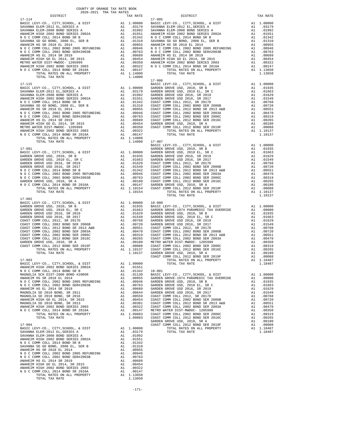| TOTAL TAX RATE                                                   |          | 1.14000                                                              |                    |
|------------------------------------------------------------------|----------|----------------------------------------------------------------------|--------------------|
|                                                                  |          |                                                                      | $17 - 906$         |
| 17-115                                                           |          |                                                                      | BASIC L            |
|                                                                  |          |                                                                      |                    |
|                                                                  |          |                                                                      |                    |
|                                                                  |          |                                                                      |                    |
|                                                                  |          |                                                                      |                    |
|                                                                  |          |                                                                      |                    |
|                                                                  |          |                                                                      |                    |
|                                                                  |          |                                                                      |                    |
|                                                                  |          |                                                                      |                    |
|                                                                  |          |                                                                      |                    |
|                                                                  |          |                                                                      |                    |
|                                                                  |          |                                                                      |                    |
|                                                                  |          |                                                                      |                    |
|                                                                  |          |                                                                      |                    |
| TOTAL TAX RATE                                                   |          | 1.14000 17-907                                                       | BASIC L            |
| 17-901                                                           |          |                                                                      | GARDEN             |
|                                                                  |          |                                                                      |                    |
|                                                                  |          |                                                                      |                    |
|                                                                  |          |                                                                      |                    |
|                                                                  |          |                                                                      |                    |
|                                                                  |          |                                                                      |                    |
|                                                                  |          |                                                                      |                    |
|                                                                  |          |                                                                      |                    |
|                                                                  |          |                                                                      |                    |
|                                                                  |          |                                                                      |                    |
|                                                                  |          |                                                                      |                    |
| TOTAL TAX RATE                                                   |          | 1.10154                                                              |                    |
|                                                                  |          |                                                                      |                    |
| $17 - 902$                                                       |          |                                                                      |                    |
|                                                                  |          |                                                                      |                    |
|                                                                  |          |                                                                      |                    |
|                                                                  |          |                                                                      |                    |
|                                                                  |          |                                                                      |                    |
|                                                                  |          |                                                                      |                    |
|                                                                  |          |                                                                      |                    |
|                                                                  |          |                                                                      |                    |
|                                                                  |          |                                                                      |                    |
|                                                                  |          |                                                                      |                    |
|                                                                  |          |                                                                      |                    |
|                                                                  |          |                                                                      |                    |
|                                                                  |          |                                                                      |                    |
|                                                                  |          |                                                                      |                    |
| $17 - 903$                                                       |          |                                                                      | COAST C            |
|                                                                  |          |                                                                      |                    |
|                                                                  |          |                                                                      |                    |
|                                                                  |          |                                                                      |                    |
|                                                                  |          |                                                                      |                    |
|                                                                  |          |                                                                      |                    |
|                                                                  |          |                                                                      |                    |
| ANAHEIM HS EL 2014 SR 2019                                       | A1       | .00689                                                               | GARDEN             |
| MAGNOLIA SD 2010 BOND, SR 2011                                   | A1       | .00009 GARDEN                                                        |                    |
| MAGNOLIA SD 2010 BOND, SR 2016                                   |          | A1 .00559 COAST C                                                    |                    |
| ANAHEIM HIGH GO EL 2014, SR 2015                                 |          | A1 .00454                                                            |                    |
| MAGNOLIA SD 2010 BOND, SR 2013                                   | A1       |                                                                      |                    |
| ANAHEIM HIGH 2002 BOND SERIES 2003                               | A1       |                                                                      |                    |
| N O C COMM COLL 2014 BOND SR 2016A                               | A1       | .00454 COAST C<br>.00381 COAST C<br>.00322 COAST C<br>.00147 METRO W |                    |
| TOTAL RATES ON ALL PROPERTY<br>TOTAL TAX RATE                    |          | A1 1.09883<br>1.09883                                                | COAST C<br>COAST C |
|                                                                  |          |                                                                      | GARDEN             |
| $17 - 904$                                                       |          |                                                                      | COAST C            |
| BASIC LEVY-CO., CITY, SCHOOL, & DIST                             | A1       | 1.00000                                                              |                    |
| SAVANNA ELEM-2012 EL, SERIES A                                   |          | A1 .03179                                                            |                    |
| SAVANNA ELEM-2008 BOND SERIES A                                  | A1       | .01992                                                               |                    |
| ANAHEIM HIGH 2002 BOND SERIES 2002A                              | A1       | .01551                                                               |                    |
| N O C COMM COLL 2014 BOND SR B                                   | A1<br>A1 | .01342<br>.01310                                                     |                    |
| SAVANNA SD GO BOND, 2008 EL, SER B<br>ANAHEIM HS SR 2018 EL 2014 |          | A1 .00955                                                            |                    |
| N O C COMM COLL 2002 BOND 2005 REFUNDING                         | A1       | .00946                                                               |                    |
| N O C COMM COLL 2002 BOND SER#2003B                              | A1       | .00763                                                               |                    |
| ANAHEIM HS EL 2014 SR 2019                                       | A1       | .00689                                                               |                    |
| ANAHEIM HIGH GO EL 2014, SR 2015                                 | A1       | .00454                                                               |                    |
| ANAHEIM HIGH 2002 BOND SERIES 2003                               | A1       | .00322                                                               |                    |
| N O C COMM COLL 2014 BOND SR 2016A                               | A1       | .00147                                                               |                    |
| TOTAL RATES ON ALL PROPERTY<br>TOTAL TAX RATE                    |          | A1 1.13650<br>1.13650                                                |                    |
|                                                                  |          |                                                                      |                    |

-171-

| $\begin{tabular}{cccccccc} $17-115$ & $17-906$ & $17-906$ & $17-906$ & $17-906$ & $17-906$ & $17-906$ & $17-906$ & $17-906$ & $17-906$ & $11.00000 & $1817 & $17-906$ & $11.00000 & $18.021 & $10.0000 & $10.0000 & $10.0000 & $10.0000 & $10.0000 & $10.0000 & $10.0000 & $10.0000 & $10.00$                                                                                                  |                                 |  |  |
|------------------------------------------------------------------------------------------------------------------------------------------------------------------------------------------------------------------------------------------------------------------------------------------------------------------------------------------------------------------------------------------------|---------------------------------|--|--|
|                                                                                                                                                                                                                                                                                                                                                                                                |                                 |  |  |
|                                                                                                                                                                                                                                                                                                                                                                                                |                                 |  |  |
|                                                                                                                                                                                                                                                                                                                                                                                                |                                 |  |  |
|                                                                                                                                                                                                                                                                                                                                                                                                |                                 |  |  |
|                                                                                                                                                                                                                                                                                                                                                                                                |                                 |  |  |
|                                                                                                                                                                                                                                                                                                                                                                                                |                                 |  |  |
|                                                                                                                                                                                                                                                                                                                                                                                                |                                 |  |  |
|                                                                                                                                                                                                                                                                                                                                                                                                |                                 |  |  |
|                                                                                                                                                                                                                                                                                                                                                                                                |                                 |  |  |
|                                                                                                                                                                                                                                                                                                                                                                                                |                                 |  |  |
|                                                                                                                                                                                                                                                                                                                                                                                                |                                 |  |  |
|                                                                                                                                                                                                                                                                                                                                                                                                |                                 |  |  |
|                                                                                                                                                                                                                                                                                                                                                                                                |                                 |  |  |
|                                                                                                                                                                                                                                                                                                                                                                                                |                                 |  |  |
| $\begin{tabular}{l c c c c c} \hline \text{TOTA} & \text{TAR RATE} & \text{1.14000} & \text{17-901} & \text{18A51C LEVY-CO., CITY, SCHOOL, & $D17$} \\ \hline \text{RASC LEVY-CO., CITY, SCHOOL, & $D15T$} & \text{A1 1.00000} & \text{GARDEN GROV ESD, & 2010 F., & $R$ C \\ \hline \text{GARDEN GROV EUSD, & 2010 F., & $R$ C \\ \hline \text{GARDEN GROV EUSD} & 2010 F., & $R$ C$          |                                 |  |  |
|                                                                                                                                                                                                                                                                                                                                                                                                |                                 |  |  |
|                                                                                                                                                                                                                                                                                                                                                                                                |                                 |  |  |
|                                                                                                                                                                                                                                                                                                                                                                                                |                                 |  |  |
|                                                                                                                                                                                                                                                                                                                                                                                                |                                 |  |  |
|                                                                                                                                                                                                                                                                                                                                                                                                |                                 |  |  |
|                                                                                                                                                                                                                                                                                                                                                                                                |                                 |  |  |
|                                                                                                                                                                                                                                                                                                                                                                                                |                                 |  |  |
|                                                                                                                                                                                                                                                                                                                                                                                                |                                 |  |  |
|                                                                                                                                                                                                                                                                                                                                                                                                |                                 |  |  |
|                                                                                                                                                                                                                                                                                                                                                                                                |                                 |  |  |
|                                                                                                                                                                                                                                                                                                                                                                                                |                                 |  |  |
|                                                                                                                                                                                                                                                                                                                                                                                                |                                 |  |  |
| 17-902                                                                                                                                                                                                                                                                                                                                                                                         |                                 |  |  |
|                                                                                                                                                                                                                                                                                                                                                                                                |                                 |  |  |
|                                                                                                                                                                                                                                                                                                                                                                                                |                                 |  |  |
|                                                                                                                                                                                                                                                                                                                                                                                                |                                 |  |  |
|                                                                                                                                                                                                                                                                                                                                                                                                |                                 |  |  |
|                                                                                                                                                                                                                                                                                                                                                                                                |                                 |  |  |
|                                                                                                                                                                                                                                                                                                                                                                                                |                                 |  |  |
|                                                                                                                                                                                                                                                                                                                                                                                                |                                 |  |  |
|                                                                                                                                                                                                                                                                                                                                                                                                |                                 |  |  |
|                                                                                                                                                                                                                                                                                                                                                                                                |                                 |  |  |
|                                                                                                                                                                                                                                                                                                                                                                                                |                                 |  |  |
|                                                                                                                                                                                                                                                                                                                                                                                                |                                 |  |  |
|                                                                                                                                                                                                                                                                                                                                                                                                |                                 |  |  |
|                                                                                                                                                                                                                                                                                                                                                                                                |                                 |  |  |
|                                                                                                                                                                                                                                                                                                                                                                                                |                                 |  |  |
| $\begin{tabular}{l cccc} $1.903 \\ \hline \textbf{RAGE} \textbf{LEVY-CO.}, CITY, SCHOOL, & \& DISTT & \& A1 & 1.00000 \\ \hline \textbf{RAGE} \textbf{LEVY-CO.}, CITY, SCHOOL, & \& DISTT & \& A1 & 1.00000 \\ \textbf{MAEADL} \textbf{REUS} & 20000 \\ \textbf{MAEADL} \textbf{NEU} & 20000 \\ \textbf{MAEADL} \textbf{NEU} & 20000 \\ \textbf{MAEADL} \textbf{NEU} & 20000 \\ \textbf{MAEAD$ |                                 |  |  |
|                                                                                                                                                                                                                                                                                                                                                                                                |                                 |  |  |
|                                                                                                                                                                                                                                                                                                                                                                                                |                                 |  |  |
|                                                                                                                                                                                                                                                                                                                                                                                                |                                 |  |  |
|                                                                                                                                                                                                                                                                                                                                                                                                |                                 |  |  |
|                                                                                                                                                                                                                                                                                                                                                                                                |                                 |  |  |
|                                                                                                                                                                                                                                                                                                                                                                                                |                                 |  |  |
|                                                                                                                                                                                                                                                                                                                                                                                                |                                 |  |  |
|                                                                                                                                                                                                                                                                                                                                                                                                |                                 |  |  |
|                                                                                                                                                                                                                                                                                                                                                                                                |                                 |  |  |
|                                                                                                                                                                                                                                                                                                                                                                                                |                                 |  |  |
|                                                                                                                                                                                                                                                                                                                                                                                                |                                 |  |  |
|                                                                                                                                                                                                                                                                                                                                                                                                |                                 |  |  |
|                                                                                                                                                                                                                                                                                                                                                                                                |                                 |  |  |
|                                                                                                                                                                                                                                                                                                                                                                                                |                                 |  |  |
|                                                                                                                                                                                                                                                                                                                                                                                                |                                 |  |  |
|                                                                                                                                                                                                                                                                                                                                                                                                | 51750.<br>101992. A1<br>1551 14 |  |  |
| ANAUPTM UTOU 2002 PONT CPDTPC 2002A                                                                                                                                                                                                                                                                                                                                                            |                                 |  |  |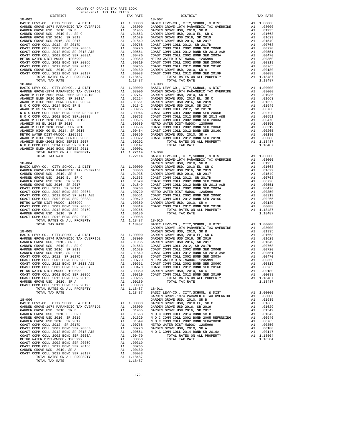| COUNTY OF ORANGE TAX RATE BOOK<br>2020-2021 TRA TAX RATES                                                                                                                                                                                   |    |                                   |                  |
|---------------------------------------------------------------------------------------------------------------------------------------------------------------------------------------------------------------------------------------------|----|-----------------------------------|------------------|
| DISTRICT                                                                                                                                                                                                                                    |    | TAX RATE                          |                  |
| $18 - 002$                                                                                                                                                                                                                                  |    |                                   | $18 - 007$       |
|                                                                                                                                                                                                                                             |    |                                   |                  |
|                                                                                                                                                                                                                                             |    |                                   |                  |
|                                                                                                                                                                                                                                             |    |                                   |                  |
|                                                                                                                                                                                                                                             |    |                                   |                  |
|                                                                                                                                                                                                                                             |    |                                   |                  |
|                                                                                                                                                                                                                                             |    |                                   |                  |
|                                                                                                                                                                                                                                             |    |                                   |                  |
|                                                                                                                                                                                                                                             |    |                                   |                  |
|                                                                                                                                                                                                                                             |    |                                   |                  |
|                                                                                                                                                                                                                                             |    |                                   |                  |
|                                                                                                                                                                                                                                             |    |                                   |                  |
|                                                                                                                                                                                                                                             |    |                                   |                  |
| TOTAL TAX RATE                                                                                                                                                                                                                              |    | 1.18487                           |                  |
| TOTAL RATES ON ALL PROPERTY<br>TOTAL TAX RATE<br>TOTAL TAX RATE<br>TOTAL TAX RATE<br>BASIC LEVY-CO., CITY, SCHOOL, & DIST<br>ALL 1.00000 BASIC LEVY-CO., CITY, SCHOOL, & DIST<br>ANAHEIM ELEM 2016 BOND , SR 2018<br>ANAHEIM ELEM 2016 BOND |    |                                   |                  |
|                                                                                                                                                                                                                                             |    |                                   |                  |
|                                                                                                                                                                                                                                             |    |                                   |                  |
|                                                                                                                                                                                                                                             |    |                                   |                  |
|                                                                                                                                                                                                                                             |    |                                   |                  |
|                                                                                                                                                                                                                                             |    |                                   |                  |
|                                                                                                                                                                                                                                             |    |                                   |                  |
|                                                                                                                                                                                                                                             |    |                                   |                  |
|                                                                                                                                                                                                                                             |    |                                   |                  |
|                                                                                                                                                                                                                                             |    |                                   |                  |
|                                                                                                                                                                                                                                             |    |                                   |                  |
|                                                                                                                                                                                                                                             |    |                                   |                  |
|                                                                                                                                                                                                                                             |    |                                   |                  |
|                                                                                                                                                                                                                                             |    |                                   |                  |
|                                                                                                                                                                                                                                             |    |                                   |                  |
|                                                                                                                                                                                                                                             |    |                                   |                  |
|                                                                                                                                                                                                                                             |    |                                   |                  |
|                                                                                                                                                                                                                                             |    |                                   |                  |
|                                                                                                                                                                                                                                             |    |                                   |                  |
|                                                                                                                                                                                                                                             |    |                                   |                  |
|                                                                                                                                                                                                                                             |    |                                   |                  |
|                                                                                                                                                                                                                                             |    |                                   |                  |
|                                                                                                                                                                                                                                             |    |                                   |                  |
|                                                                                                                                                                                                                                             |    |                                   |                  |
|                                                                                                                                                                                                                                             |    |                                   |                  |
|                                                                                                                                                                                                                                             |    |                                   |                  |
|                                                                                                                                                                                                                                             |    |                                   |                  |
|                                                                                                                                                                                                                                             |    |                                   |                  |
|                                                                                                                                                                                                                                             |    |                                   |                  |
|                                                                                                                                                                                                                                             |    |                                   |                  |
|                                                                                                                                                                                                                                             |    |                                   |                  |
|                                                                                                                                                                                                                                             |    |                                   |                  |
|                                                                                                                                                                                                                                             |    |                                   |                  |
|                                                                                                                                                                                                                                             |    |                                   |                  |
|                                                                                                                                                                                                                                             |    |                                   | GARDEN           |
| $18 - 005$                                                                                                                                                                                                                                  |    |                                   | GARDEN           |
|                                                                                                                                                                                                                                             |    |                                   |                  |
|                                                                                                                                                                                                                                             |    |                                   |                  |
|                                                                                                                                                                                                                                             |    |                                   |                  |
|                                                                                                                                                                                                                                             |    |                                   |                  |
|                                                                                                                                                                                                                                             |    |                                   |                  |
| COAST COMM COLL 2002 BOND SER 2006B                                                                                                                                                                                                         |    |                                   |                  |
| COAST COMM COLL 2012 BOND SR 2013 A&B                                                                                                                                                                                                       |    |                                   |                  |
| A 1 .00720 METRO W<br>A 1 .00720 METRO W<br>A 1 .00551 COAST C<br>A 1 .00350 GARDEN<br>A 1 .00369 GARDEN<br>A 1 .00319 COAST C<br>A 1 .00265<br>COAST COMM COLL 2002 BOND SER 2003A                                                         |    |                                   |                  |
| METRO WATER DIST-MWDOC- 1205999                                                                                                                                                                                                             |    |                                   |                  |
| COAST COMM COLL 2002 BOND SER 2006C<br>COAST COMM COLL 2012 BOND SER 2016C                                                                                                                                                                  |    |                                   |                  |
| GARDEN GROVE USD, 2010, SR A                                                                                                                                                                                                                | A1 | .00180                            |                  |
| COAST COMM COLL 2012 BOND SER 2019F                                                                                                                                                                                                         | A1 | .00088                            |                  |
| TOTAL RATES ON ALL PROPERTY                                                                                                                                                                                                                 |    | $A1$<br>Al $1.18487$<br>$1.18487$ | $18 - 011$       |
| TOTAL TAX RATE                                                                                                                                                                                                                              |    | 1.18487                           | BASIC L          |
| $18 - 006$                                                                                                                                                                                                                                  |    |                                   | GARDEN<br>GARDEN |
|                                                                                                                                                                                                                                             |    |                                   |                  |
|                                                                                                                                                                                                                                             |    |                                   |                  |
|                                                                                                                                                                                                                                             |    |                                   |                  |
|                                                                                                                                                                                                                                             |    |                                   |                  |
|                                                                                                                                                                                                                                             |    |                                   |                  |
|                                                                                                                                                                                                                                             |    |                                   |                  |
|                                                                                                                                                                                                                                             |    |                                   |                  |
|                                                                                                                                                                                                                                             |    |                                   |                  |
|                                                                                                                                                                                                                                             |    |                                   |                  |
|                                                                                                                                                                                                                                             |    |                                   |                  |
|                                                                                                                                                                                                                                             |    |                                   |                  |
|                                                                                                                                                                                                                                             |    |                                   |                  |
| COAST COMM COLL 2012 BOND SER 2019F                                                                                                                                                                                                         |    | A1.00088                          |                  |
| TOTAL RATES ON ALL PROPERTY                                                                                                                                                                                                                 |    | A1 1.18487                        |                  |
| TOTAL TAX RATE                                                                                                                                                                                                                              |    | 1.18487                           |                  |

| DEN GROVE USD. 2010. SR A    |                         |  |  |  |
|------------------------------|-------------------------|--|--|--|
| ST COMM COLL 2012 BOND SER 2 |                         |  |  |  |
|                              | TOTAL RATES ON ALL PROP |  |  |  |
|                              | TOTAL TAY PATE          |  |  |  |

| DISTRICT   | 2020-2021 TRA TAX RATES<br>TAX RATE | DISTRICT                                                                                                                                                                                                                                                                   | TAX RATE |
|------------|-------------------------------------|----------------------------------------------------------------------------------------------------------------------------------------------------------------------------------------------------------------------------------------------------------------------------|----------|
| $18 - 002$ |                                     | $18 - 007$                                                                                                                                                                                                                                                                 |          |
|            |                                     |                                                                                                                                                                                                                                                                            |          |
|            |                                     |                                                                                                                                                                                                                                                                            |          |
|            |                                     |                                                                                                                                                                                                                                                                            |          |
|            |                                     |                                                                                                                                                                                                                                                                            |          |
|            |                                     |                                                                                                                                                                                                                                                                            |          |
|            |                                     |                                                                                                                                                                                                                                                                            |          |
|            |                                     |                                                                                                                                                                                                                                                                            |          |
|            |                                     |                                                                                                                                                                                                                                                                            |          |
|            |                                     |                                                                                                                                                                                                                                                                            |          |
|            |                                     |                                                                                                                                                                                                                                                                            |          |
|            |                                     |                                                                                                                                                                                                                                                                            |          |
|            |                                     |                                                                                                                                                                                                                                                                            |          |
|            |                                     |                                                                                                                                                                                                                                                                            |          |
|            |                                     |                                                                                                                                                                                                                                                                            |          |
|            |                                     |                                                                                                                                                                                                                                                                            |          |
|            |                                     |                                                                                                                                                                                                                                                                            |          |
|            |                                     |                                                                                                                                                                                                                                                                            |          |
|            |                                     |                                                                                                                                                                                                                                                                            |          |
|            |                                     |                                                                                                                                                                                                                                                                            |          |
|            |                                     |                                                                                                                                                                                                                                                                            |          |
|            |                                     |                                                                                                                                                                                                                                                                            |          |
|            |                                     |                                                                                                                                                                                                                                                                            |          |
|            |                                     |                                                                                                                                                                                                                                                                            |          |
|            |                                     |                                                                                                                                                                                                                                                                            |          |
|            |                                     | $\begin{tabular}{cccccccc} 18-003 & 14464 & 144847 & 11.8487 & 10000 & 18467 & 10000 & 18467 & 100000 & 18467 & 100000 & 18467 & 100000 & 18467 & 100000 & 18467 & 100000 & 18467 & 100000 & 1847 & 100000 & 1847 & 100000 & 1847 & 100000 & 1847 & 100000 & 1847 & 10000$ |          |
|            |                                     |                                                                                                                                                                                                                                                                            |          |
|            |                                     |                                                                                                                                                                                                                                                                            |          |
|            |                                     |                                                                                                                                                                                                                                                                            |          |
|            |                                     |                                                                                                                                                                                                                                                                            |          |
|            |                                     |                                                                                                                                                                                                                                                                            |          |
|            |                                     |                                                                                                                                                                                                                                                                            |          |
|            |                                     |                                                                                                                                                                                                                                                                            |          |
|            |                                     |                                                                                                                                                                                                                                                                            |          |
|            |                                     |                                                                                                                                                                                                                                                                            |          |
|            |                                     |                                                                                                                                                                                                                                                                            |          |
|            |                                     |                                                                                                                                                                                                                                                                            |          |
|            |                                     |                                                                                                                                                                                                                                                                            |          |
|            |                                     |                                                                                                                                                                                                                                                                            |          |
|            |                                     |                                                                                                                                                                                                                                                                            |          |
|            |                                     |                                                                                                                                                                                                                                                                            |          |
|            |                                     |                                                                                                                                                                                                                                                                            |          |
|            |                                     |                                                                                                                                                                                                                                                                            |          |
|            |                                     |                                                                                                                                                                                                                                                                            |          |
|            |                                     |                                                                                                                                                                                                                                                                            |          |
|            |                                     |                                                                                                                                                                                                                                                                            |          |
|            |                                     |                                                                                                                                                                                                                                                                            |          |
|            |                                     |                                                                                                                                                                                                                                                                            |          |
|            |                                     |                                                                                                                                                                                                                                                                            |          |
|            |                                     |                                                                                                                                                                                                                                                                            |          |
|            |                                     |                                                                                                                                                                                                                                                                            |          |
|            |                                     |                                                                                                                                                                                                                                                                            |          |
|            |                                     |                                                                                                                                                                                                                                                                            |          |
|            |                                     | ARMEETI ELEN 2010 NORM SERTES 2011 - 10001 1201 118-009<br>19201 - 10002 1000 NAL PROPERTY A 1 1,02011 18-009 INV-CO., CITY, SEROP, 6, DEST<br>19201 - TOTAL TAX PATE 2010 - 10002 - 10002 - 10002 - 10002 - 10002 - 10002 - 1000                                          |          |
|            |                                     |                                                                                                                                                                                                                                                                            |          |
|            |                                     |                                                                                                                                                                                                                                                                            |          |
|            |                                     |                                                                                                                                                                                                                                                                            |          |
|            |                                     |                                                                                                                                                                                                                                                                            |          |
|            |                                     |                                                                                                                                                                                                                                                                            |          |
|            |                                     |                                                                                                                                                                                                                                                                            |          |
|            |                                     |                                                                                                                                                                                                                                                                            |          |
|            |                                     |                                                                                                                                                                                                                                                                            |          |
|            |                                     |                                                                                                                                                                                                                                                                            |          |
|            |                                     |                                                                                                                                                                                                                                                                            |          |
|            |                                     |                                                                                                                                                                                                                                                                            |          |
|            |                                     |                                                                                                                                                                                                                                                                            |          |
|            |                                     |                                                                                                                                                                                                                                                                            |          |
|            |                                     |                                                                                                                                                                                                                                                                            |          |
|            |                                     |                                                                                                                                                                                                                                                                            |          |
|            |                                     |                                                                                                                                                                                                                                                                            |          |
|            |                                     |                                                                                                                                                                                                                                                                            |          |
|            |                                     |                                                                                                                                                                                                                                                                            |          |
|            |                                     |                                                                                                                                                                                                                                                                            |          |
|            |                                     |                                                                                                                                                                                                                                                                            |          |
|            |                                     |                                                                                                                                                                                                                                                                            |          |
|            |                                     |                                                                                                                                                                                                                                                                            |          |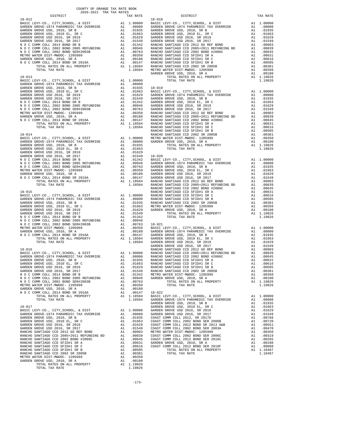| $18 - 012$                                                           |                 |                                                                       | $18 - 018$ |
|----------------------------------------------------------------------|-----------------|-----------------------------------------------------------------------|------------|
|                                                                      |                 |                                                                       |            |
|                                                                      |                 |                                                                       |            |
|                                                                      |                 |                                                                       |            |
|                                                                      |                 |                                                                       |            |
|                                                                      |                 |                                                                       |            |
|                                                                      |                 |                                                                       |            |
|                                                                      |                 |                                                                       |            |
|                                                                      |                 |                                                                       |            |
|                                                                      |                 |                                                                       |            |
|                                                                      |                 |                                                                       |            |
|                                                                      |                 |                                                                       | GARDEN     |
|                                                                      |                 |                                                                       |            |
|                                                                      |                 |                                                                       |            |
|                                                                      |                 |                                                                       |            |
|                                                                      |                 |                                                                       |            |
|                                                                      |                 |                                                                       |            |
|                                                                      |                 |                                                                       |            |
|                                                                      |                 |                                                                       |            |
|                                                                      |                 |                                                                       |            |
|                                                                      |                 |                                                                       |            |
|                                                                      |                 |                                                                       |            |
|                                                                      |                 |                                                                       |            |
|                                                                      |                 |                                                                       | RANCHO     |
| $18 - 014$                                                           |                 |                                                                       | RANCHO     |
|                                                                      |                 |                                                                       |            |
|                                                                      |                 |                                                                       |            |
|                                                                      |                 |                                                                       |            |
|                                                                      |                 |                                                                       |            |
|                                                                      |                 |                                                                       |            |
|                                                                      |                 |                                                                       |            |
|                                                                      |                 |                                                                       |            |
|                                                                      |                 |                                                                       |            |
|                                                                      |                 |                                                                       |            |
|                                                                      |                 |                                                                       |            |
|                                                                      |                 |                                                                       |            |
|                                                                      |                 |                                                                       |            |
|                                                                      |                 |                                                                       |            |
|                                                                      |                 |                                                                       |            |
|                                                                      |                 |                                                                       |            |
|                                                                      |                 |                                                                       |            |
|                                                                      |                 |                                                                       |            |
|                                                                      |                 |                                                                       |            |
|                                                                      |                 |                                                                       |            |
|                                                                      |                 |                                                                       |            |
|                                                                      |                 |                                                                       |            |
|                                                                      |                 |                                                                       |            |
|                                                                      |                 |                                                                       |            |
|                                                                      |                 |                                                                       |            |
|                                                                      |                 |                                                                       | GARDEN     |
|                                                                      |                 |                                                                       |            |
|                                                                      |                 |                                                                       |            |
|                                                                      |                 |                                                                       |            |
|                                                                      |                 |                                                                       |            |
|                                                                      |                 |                                                                       |            |
| N O C COMM COLL 2014 BOND SR B                                       |                 | A1 .01342                                                             | METRO W    |
|                                                                      |                 |                                                                       | GARDEN     |
| METRO WATER DIST-MWDOC- 1205999                                      | A1              | .00350                                                                |            |
| GARDEN GROVE USD, 2010, SR A                                         |                 |                                                                       |            |
| N O C COMM COLL 2014 BOND SR 2016A                                   |                 |                                                                       |            |
| TOTAL RATES ON ALL PROPERTY                                          |                 | A1 .00180<br>A1 .00147 18-022<br>A1 1.18504 BASIC L<br>1.18504 GARDEN |            |
| TOTAL TAX RATE                                                       |                 |                                                                       | GARDEN     |
| $18 - 017$                                                           |                 |                                                                       | GARDEN     |
|                                                                      |                 |                                                                       |            |
|                                                                      |                 |                                                                       |            |
|                                                                      |                 |                                                                       |            |
|                                                                      |                 |                                                                       |            |
|                                                                      |                 |                                                                       |            |
|                                                                      |                 |                                                                       |            |
|                                                                      |                 |                                                                       |            |
|                                                                      |                 |                                                                       |            |
|                                                                      |                 |                                                                       |            |
| RANCHO SANTIAGO CCD SFID#1 SR B<br>RANCHO SANTIAGO CCD 2002 SR 2005B |                 | $A1 \t .00505$                                                        |            |
| METRO WATER DIST-MWDOC- 1205999                                      | A1              | A1.00381<br>.00350                                                    |            |
| GARDEN GROVE USD, 2010, SR A                                         | $\overline{A1}$ | .00180                                                                |            |
| TOTAL RATES ON ALL PROPERTY                                          |                 | A1 1.19826                                                            |            |
| TOTAL TAX RATE                                                       |                 | 1.19826                                                               |            |

| COUNTY OF ORANGE TAX RATE BOOK<br>$\begin{minipage}{.4\linewidth} \begin{tabular}{lcccccc} \multicolumn{2}{c}{\textbf{1-AX} RATE} & \multicolumn{2}{c}{\textbf{1-AY} RATE} & \multicolumn{2}{c}{\textbf{1-AY} RATE} & \multicolumn{2}{c}{\textbf{1-AY} RATE} & \multicolumn{2}{c}{\textbf{1-AY} RATE} & \multicolumn{2}{c}{\textbf{1-AY} RATE} & \multicolumn{2}{c}{\textbf{1-AY} RATE} & \multicolumn{2}{c}{\textbf{1-AY} RATE} & \multicolumn{2}{c}{\textbf{1-AY} RATE} & \multicolumn{2}{c}{$ |              |          |                                                                                                                                                                                                                                               |          |
|--------------------------------------------------------------------------------------------------------------------------------------------------------------------------------------------------------------------------------------------------------------------------------------------------------------------------------------------------------------------------------------------------------------------------------------------------------------------------------------------------|--------------|----------|-----------------------------------------------------------------------------------------------------------------------------------------------------------------------------------------------------------------------------------------------|----------|
|                                                                                                                                                                                                                                                                                                                                                                                                                                                                                                  |              | TAX RATE | <b>DISTRICT</b>                                                                                                                                                                                                                               | TAX RATE |
|                                                                                                                                                                                                                                                                                                                                                                                                                                                                                                  |              |          |                                                                                                                                                                                                                                               |          |
|                                                                                                                                                                                                                                                                                                                                                                                                                                                                                                  |              |          |                                                                                                                                                                                                                                               |          |
|                                                                                                                                                                                                                                                                                                                                                                                                                                                                                                  |              |          |                                                                                                                                                                                                                                               |          |
|                                                                                                                                                                                                                                                                                                                                                                                                                                                                                                  |              |          |                                                                                                                                                                                                                                               |          |
|                                                                                                                                                                                                                                                                                                                                                                                                                                                                                                  |              |          |                                                                                                                                                                                                                                               |          |
|                                                                                                                                                                                                                                                                                                                                                                                                                                                                                                  |              |          |                                                                                                                                                                                                                                               |          |
|                                                                                                                                                                                                                                                                                                                                                                                                                                                                                                  |              |          |                                                                                                                                                                                                                                               |          |
|                                                                                                                                                                                                                                                                                                                                                                                                                                                                                                  |              |          |                                                                                                                                                                                                                                               |          |
|                                                                                                                                                                                                                                                                                                                                                                                                                                                                                                  |              |          |                                                                                                                                                                                                                                               |          |
|                                                                                                                                                                                                                                                                                                                                                                                                                                                                                                  |              |          |                                                                                                                                                                                                                                               |          |
|                                                                                                                                                                                                                                                                                                                                                                                                                                                                                                  |              |          |                                                                                                                                                                                                                                               |          |
|                                                                                                                                                                                                                                                                                                                                                                                                                                                                                                  |              |          |                                                                                                                                                                                                                                               |          |
|                                                                                                                                                                                                                                                                                                                                                                                                                                                                                                  |              |          |                                                                                                                                                                                                                                               |          |
|                                                                                                                                                                                                                                                                                                                                                                                                                                                                                                  |              |          |                                                                                                                                                                                                                                               |          |
|                                                                                                                                                                                                                                                                                                                                                                                                                                                                                                  |              |          |                                                                                                                                                                                                                                               |          |
|                                                                                                                                                                                                                                                                                                                                                                                                                                                                                                  |              |          |                                                                                                                                                                                                                                               |          |
|                                                                                                                                                                                                                                                                                                                                                                                                                                                                                                  |              |          |                                                                                                                                                                                                                                               |          |
|                                                                                                                                                                                                                                                                                                                                                                                                                                                                                                  |              |          |                                                                                                                                                                                                                                               |          |
|                                                                                                                                                                                                                                                                                                                                                                                                                                                                                                  |              |          |                                                                                                                                                                                                                                               |          |
|                                                                                                                                                                                                                                                                                                                                                                                                                                                                                                  |              |          |                                                                                                                                                                                                                                               |          |
|                                                                                                                                                                                                                                                                                                                                                                                                                                                                                                  |              |          |                                                                                                                                                                                                                                               |          |
|                                                                                                                                                                                                                                                                                                                                                                                                                                                                                                  |              |          |                                                                                                                                                                                                                                               |          |
|                                                                                                                                                                                                                                                                                                                                                                                                                                                                                                  |              |          |                                                                                                                                                                                                                                               |          |
|                                                                                                                                                                                                                                                                                                                                                                                                                                                                                                  |              |          |                                                                                                                                                                                                                                               |          |
|                                                                                                                                                                                                                                                                                                                                                                                                                                                                                                  |              |          |                                                                                                                                                                                                                                               |          |
|                                                                                                                                                                                                                                                                                                                                                                                                                                                                                                  |              |          |                                                                                                                                                                                                                                               |          |
|                                                                                                                                                                                                                                                                                                                                                                                                                                                                                                  |              |          |                                                                                                                                                                                                                                               |          |
|                                                                                                                                                                                                                                                                                                                                                                                                                                                                                                  |              |          |                                                                                                                                                                                                                                               |          |
|                                                                                                                                                                                                                                                                                                                                                                                                                                                                                                  |              |          |                                                                                                                                                                                                                                               |          |
|                                                                                                                                                                                                                                                                                                                                                                                                                                                                                                  |              |          |                                                                                                                                                                                                                                               |          |
|                                                                                                                                                                                                                                                                                                                                                                                                                                                                                                  |              |          |                                                                                                                                                                                                                                               |          |
|                                                                                                                                                                                                                                                                                                                                                                                                                                                                                                  |              |          |                                                                                                                                                                                                                                               |          |
|                                                                                                                                                                                                                                                                                                                                                                                                                                                                                                  |              |          |                                                                                                                                                                                                                                               |          |
|                                                                                                                                                                                                                                                                                                                                                                                                                                                                                                  |              |          |                                                                                                                                                                                                                                               |          |
|                                                                                                                                                                                                                                                                                                                                                                                                                                                                                                  |              |          |                                                                                                                                                                                                                                               |          |
|                                                                                                                                                                                                                                                                                                                                                                                                                                                                                                  |              |          |                                                                                                                                                                                                                                               |          |
|                                                                                                                                                                                                                                                                                                                                                                                                                                                                                                  |              |          |                                                                                                                                                                                                                                               |          |
|                                                                                                                                                                                                                                                                                                                                                                                                                                                                                                  |              |          |                                                                                                                                                                                                                                               |          |
|                                                                                                                                                                                                                                                                                                                                                                                                                                                                                                  |              |          |                                                                                                                                                                                                                                               |          |
|                                                                                                                                                                                                                                                                                                                                                                                                                                                                                                  |              |          |                                                                                                                                                                                                                                               |          |
|                                                                                                                                                                                                                                                                                                                                                                                                                                                                                                  |              |          |                                                                                                                                                                                                                                               |          |
|                                                                                                                                                                                                                                                                                                                                                                                                                                                                                                  |              |          |                                                                                                                                                                                                                                               |          |
|                                                                                                                                                                                                                                                                                                                                                                                                                                                                                                  |              |          |                                                                                                                                                                                                                                               |          |
|                                                                                                                                                                                                                                                                                                                                                                                                                                                                                                  |              |          |                                                                                                                                                                                                                                               |          |
|                                                                                                                                                                                                                                                                                                                                                                                                                                                                                                  |              |          |                                                                                                                                                                                                                                               |          |
|                                                                                                                                                                                                                                                                                                                                                                                                                                                                                                  |              |          |                                                                                                                                                                                                                                               |          |
|                                                                                                                                                                                                                                                                                                                                                                                                                                                                                                  |              |          |                                                                                                                                                                                                                                               |          |
|                                                                                                                                                                                                                                                                                                                                                                                                                                                                                                  |              |          |                                                                                                                                                                                                                                               |          |
|                                                                                                                                                                                                                                                                                                                                                                                                                                                                                                  |              |          |                                                                                                                                                                                                                                               |          |
|                                                                                                                                                                                                                                                                                                                                                                                                                                                                                                  |              |          |                                                                                                                                                                                                                                               |          |
|                                                                                                                                                                                                                                                                                                                                                                                                                                                                                                  |              |          |                                                                                                                                                                                                                                               |          |
|                                                                                                                                                                                                                                                                                                                                                                                                                                                                                                  |              |          |                                                                                                                                                                                                                                               |          |
|                                                                                                                                                                                                                                                                                                                                                                                                                                                                                                  |              |          |                                                                                                                                                                                                                                               |          |
|                                                                                                                                                                                                                                                                                                                                                                                                                                                                                                  |              |          |                                                                                                                                                                                                                                               |          |
|                                                                                                                                                                                                                                                                                                                                                                                                                                                                                                  |              |          |                                                                                                                                                                                                                                               |          |
|                                                                                                                                                                                                                                                                                                                                                                                                                                                                                                  |              |          |                                                                                                                                                                                                                                               |          |
|                                                                                                                                                                                                                                                                                                                                                                                                                                                                                                  |              |          |                                                                                                                                                                                                                                               |          |
|                                                                                                                                                                                                                                                                                                                                                                                                                                                                                                  |              |          |                                                                                                                                                                                                                                               |          |
|                                                                                                                                                                                                                                                                                                                                                                                                                                                                                                  |              |          |                                                                                                                                                                                                                                               |          |
|                                                                                                                                                                                                                                                                                                                                                                                                                                                                                                  |              |          |                                                                                                                                                                                                                                               |          |
|                                                                                                                                                                                                                                                                                                                                                                                                                                                                                                  |              |          |                                                                                                                                                                                                                                               |          |
|                                                                                                                                                                                                                                                                                                                                                                                                                                                                                                  |              |          |                                                                                                                                                                                                                                               |          |
|                                                                                                                                                                                                                                                                                                                                                                                                                                                                                                  |              |          |                                                                                                                                                                                                                                               |          |
|                                                                                                                                                                                                                                                                                                                                                                                                                                                                                                  |              |          |                                                                                                                                                                                                                                               |          |
|                                                                                                                                                                                                                                                                                                                                                                                                                                                                                                  |              |          |                                                                                                                                                                                                                                               |          |
|                                                                                                                                                                                                                                                                                                                                                                                                                                                                                                  |              |          |                                                                                                                                                                                                                                               |          |
|                                                                                                                                                                                                                                                                                                                                                                                                                                                                                                  |              |          |                                                                                                                                                                                                                                               |          |
|                                                                                                                                                                                                                                                                                                                                                                                                                                                                                                  |              |          |                                                                                                                                                                                                                                               |          |
|                                                                                                                                                                                                                                                                                                                                                                                                                                                                                                  |              |          |                                                                                                                                                                                                                                               |          |
|                                                                                                                                                                                                                                                                                                                                                                                                                                                                                                  |              |          |                                                                                                                                                                                                                                               |          |
|                                                                                                                                                                                                                                                                                                                                                                                                                                                                                                  |              |          |                                                                                                                                                                                                                                               |          |
|                                                                                                                                                                                                                                                                                                                                                                                                                                                                                                  |              |          |                                                                                                                                                                                                                                               |          |
|                                                                                                                                                                                                                                                                                                                                                                                                                                                                                                  |              |          |                                                                                                                                                                                                                                               |          |
|                                                                                                                                                                                                                                                                                                                                                                                                                                                                                                  |              |          |                                                                                                                                                                                                                                               |          |
|                                                                                                                                                                                                                                                                                                                                                                                                                                                                                                  |              |          |                                                                                                                                                                                                                                               |          |
|                                                                                                                                                                                                                                                                                                                                                                                                                                                                                                  |              |          |                                                                                                                                                                                                                                               |          |
|                                                                                                                                                                                                                                                                                                                                                                                                                                                                                                  |              |          | $\begin{tabular}{ c c c c c c c c c c c} \hline &158511&15371&15371&100000&10000&10000&10000&10000&10000&10000&10000&10000&10000&10000&10000&10000&10000&10000&10000&10000&10000&10000&10000&10000&10000&10000&10000&10000&10000&10000&10000$ |          |
| CADDDBI CDDIUUU B IIO D 2010 0033                                                                                                                                                                                                                                                                                                                                                                                                                                                                | $\mathbf{A}$ | 00100    |                                                                                                                                                                                                                                               |          |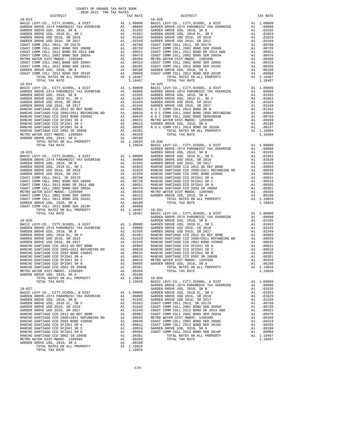| COUNTY OF ORANGE TAX RATE BOOK                                                                                                                                                                                                                                               |                                                                                                                                                       |                                                                                                                                                                                                                                                                                                                                                                                                                                                                                                  |
|------------------------------------------------------------------------------------------------------------------------------------------------------------------------------------------------------------------------------------------------------------------------------|-------------------------------------------------------------------------------------------------------------------------------------------------------|--------------------------------------------------------------------------------------------------------------------------------------------------------------------------------------------------------------------------------------------------------------------------------------------------------------------------------------------------------------------------------------------------------------------------------------------------------------------------------------------------|
| 2020-2021 TRA TAX RATES<br>DISTRICT                                                                                                                                                                                                                                          | TAX RATE                                                                                                                                              |                                                                                                                                                                                                                                                                                                                                                                                                                                                                                                  |
| $18 - 023$                                                                                                                                                                                                                                                                   |                                                                                                                                                       | $18 - 028$                                                                                                                                                                                                                                                                                                                                                                                                                                                                                       |
| $18 - 024$                                                                                                                                                                                                                                                                   |                                                                                                                                                       | $18 - 029$                                                                                                                                                                                                                                                                                                                                                                                                                                                                                       |
| $18 - 025$                                                                                                                                                                                                                                                                   |                                                                                                                                                       | GARDEN<br>GARDEN<br>GARDEN                                                                                                                                                                                                                                                                                                                                                                                                                                                                       |
| $18 - 026$<br>RANCHO SANTIAGO CCD SFID#1 SR A<br>RANCHO SANTIAGO CCD SFID#1 SR C<br>RANCHO SANTIAGO CCD SFID#1 SR B<br>RANCHO SANTIAGO CCD 2002 SR 2005B<br>METRO WATER DIST-MWDOC- 1205999<br>GARDEN GROVE USD, 2010, SR A<br>TOTAL RATES ON ALL PROPERTY<br>TOTAL TAX RATE | A1<br>.00631<br>A1 .00631 RANCHO<br>A1 .00616 METROW<br>A1 .00505 GARDEN<br>A1.00381<br>A1 .00350<br>$\mathtt{Al}$<br>.00180<br>A1 1.19826<br>1.19826 | GARDEN<br>RANCHO<br>$18 - 032$<br>$\begin{array}{c}\n\text{BASIC L} \\ \text{L} \\ \text{L} \\ \text{L} \\ \text{L} \\ \text{L} \\ \text{L} \\ \text{L} \\ \text{L} \\ \text{L} \\ \text{L} \\ \text{L} \\ \text{L} \\ \text{L} \\ \text{L} \\ \text{L} \\ \text{L} \\ \text{L} \\ \text{L} \\ \text{L} \\ \text{L} \\ \text{L} \\ \text{L} \\ \text{L} \\ \text{L} \\ \text{L} \\ \text{L} \\ \text{L} \\ \text{L} \\ \text{L} \\ \text{L} \\ \text{L} \\ \text{L} \\ \text{L} \\ \text{L} \\ $ |
| $18 - 027$<br>GARDEN GROVE USD, 2010, SR A<br>TOTAL RATES ON ALL PROPERTY<br>TOTAL TAX RATE                                                                                                                                                                                  | A1<br>.00180<br>A1 1.19826<br>1.19826                                                                                                                 | GARDEN<br>GARDEN                                                                                                                                                                                                                                                                                                                                                                                                                                                                                 |

| COUNII OF ORANGE IAA RAIE BOOP<br>2020-2021 TRA TAX RATES |          |            |          |
|-----------------------------------------------------------|----------|------------|----------|
| DISTRICT                                                  | TAX RATE | DISTRICT   | TAX RATE |
| $18 - 023$                                                |          | $18 - 028$ |          |
|                                                           |          |            |          |
|                                                           |          |            |          |
|                                                           |          |            |          |
|                                                           |          |            |          |
|                                                           |          |            |          |
|                                                           |          |            |          |
|                                                           |          |            |          |
|                                                           |          |            |          |
|                                                           |          |            |          |
|                                                           |          |            |          |
|                                                           |          |            |          |
|                                                           |          |            |          |
|                                                           |          |            |          |
|                                                           |          |            |          |
|                                                           |          |            |          |
|                                                           |          |            |          |
|                                                           |          |            |          |
|                                                           |          |            |          |
|                                                           |          |            |          |
|                                                           |          |            |          |
|                                                           |          |            |          |
|                                                           |          |            |          |
|                                                           |          |            |          |
|                                                           |          |            |          |
|                                                           |          |            |          |
|                                                           |          |            |          |
|                                                           |          |            |          |
|                                                           |          |            |          |
|                                                           |          |            |          |
|                                                           |          |            |          |
|                                                           |          |            |          |
|                                                           |          |            |          |
|                                                           |          |            |          |
|                                                           |          |            |          |
|                                                           |          |            |          |
|                                                           |          |            |          |
|                                                           |          |            |          |
|                                                           |          |            |          |
|                                                           |          |            |          |
|                                                           |          |            |          |
|                                                           |          |            |          |
|                                                           |          |            |          |
|                                                           |          |            |          |
|                                                           |          |            |          |
|                                                           |          |            |          |
|                                                           |          |            |          |
|                                                           |          |            |          |
|                                                           |          |            |          |
|                                                           |          |            |          |
|                                                           |          |            |          |
|                                                           |          |            |          |
|                                                           |          |            |          |
|                                                           |          |            |          |
|                                                           |          |            |          |
|                                                           |          |            |          |
|                                                           |          |            |          |
|                                                           |          |            |          |
|                                                           |          |            |          |
|                                                           |          |            |          |
|                                                           |          |            |          |
|                                                           |          |            |          |
|                                                           |          |            |          |
|                                                           |          |            |          |
|                                                           |          |            |          |
|                                                           |          |            |          |
|                                                           |          |            |          |
|                                                           |          |            |          |
|                                                           |          |            |          |
|                                                           |          |            |          |
|                                                           |          |            |          |
|                                                           |          |            |          |
|                                                           |          |            |          |
|                                                           |          |            |          |
|                                                           |          |            |          |
|                                                           |          |            |          |
|                                                           |          |            |          |
|                                                           |          |            |          |
|                                                           |          |            |          |
|                                                           |          |            |          |
|                                                           |          |            |          |
|                                                           |          |            |          |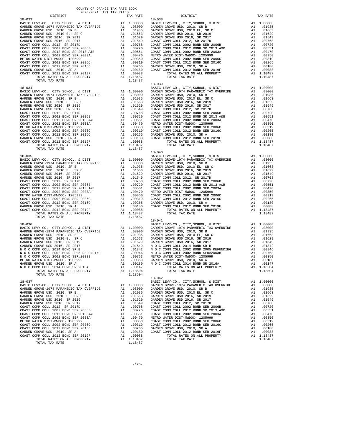| COUNTY OF ORANGE TAX RATE BOOK                                                                                                                                                                                                                 |         |                                   |          |
|------------------------------------------------------------------------------------------------------------------------------------------------------------------------------------------------------------------------------------------------|---------|-----------------------------------|----------|
| 2020-2021 TRA TAX RATES<br>DISTRICT                                                                                                                                                                                                            |         | IAA KALES<br>TAX RATE<br>DISTRICT | TAX RATE |
| $18 - 033$<br>TOTAL TAX RATE                                                                                                                                                                                                                   | 1.18487 | $18 - 038$                        |          |
|                                                                                                                                                                                                                                                |         |                                   |          |
|                                                                                                                                                                                                                                                |         | $18 - 040$                        |          |
| N O COMM COLL 2002 BOND SER#2003B<br>METRO WATER DIST-MWDOC- 120599<br>METRO WATER DIST-MWDOC- 120599<br>METRO WATER DIST-MWDOC- 120599<br>METRO WATER DIST-MWDOC- 120599<br>AI .00180<br>METRO WATER DIST-MWDOC- 120599<br>AI .00180<br>AI .0 |         | $18 - 041$                        |          |
|                                                                                                                                                                                                                                                |         | $18 - 042$                        |          |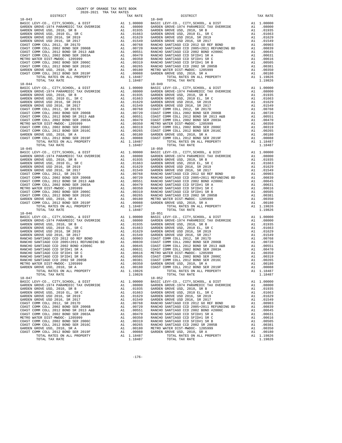| $18 - 043$                                                             |    |                                                                                                                                                                                                                                                        | $18 - 048$ |
|------------------------------------------------------------------------|----|--------------------------------------------------------------------------------------------------------------------------------------------------------------------------------------------------------------------------------------------------------|------------|
|                                                                        |    |                                                                                                                                                                                                                                                        |            |
|                                                                        |    |                                                                                                                                                                                                                                                        |            |
|                                                                        |    |                                                                                                                                                                                                                                                        |            |
|                                                                        |    |                                                                                                                                                                                                                                                        |            |
|                                                                        |    |                                                                                                                                                                                                                                                        |            |
|                                                                        |    |                                                                                                                                                                                                                                                        |            |
|                                                                        |    |                                                                                                                                                                                                                                                        |            |
|                                                                        |    |                                                                                                                                                                                                                                                        |            |
|                                                                        |    |                                                                                                                                                                                                                                                        |            |
|                                                                        |    |                                                                                                                                                                                                                                                        |            |
|                                                                        |    |                                                                                                                                                                                                                                                        |            |
|                                                                        |    |                                                                                                                                                                                                                                                        |            |
|                                                                        |    |                                                                                                                                                                                                                                                        |            |
| TOTAL RATES ON ALL PROPERTY<br>TOTAL TAX RATE                          |    | A1 1.18487<br>1.18487                                                                                                                                                                                                                                  |            |
| $18 - 044$                                                             |    |                                                                                                                                                                                                                                                        | $18 - 049$ |
|                                                                        |    |                                                                                                                                                                                                                                                        |            |
|                                                                        |    |                                                                                                                                                                                                                                                        |            |
|                                                                        |    |                                                                                                                                                                                                                                                        |            |
|                                                                        |    |                                                                                                                                                                                                                                                        |            |
|                                                                        |    |                                                                                                                                                                                                                                                        |            |
|                                                                        |    |                                                                                                                                                                                                                                                        |            |
|                                                                        |    |                                                                                                                                                                                                                                                        |            |
|                                                                        |    |                                                                                                                                                                                                                                                        |            |
|                                                                        |    |                                                                                                                                                                                                                                                        |            |
|                                                                        |    |                                                                                                                                                                                                                                                        |            |
|                                                                        |    |                                                                                                                                                                                                                                                        |            |
|                                                                        |    |                                                                                                                                                                                                                                                        |            |
|                                                                        |    |                                                                                                                                                                                                                                                        |            |
|                                                                        |    |                                                                                                                                                                                                                                                        |            |
| TOTAL TAX RATE                                                         |    | 1.18487                                                                                                                                                                                                                                                |            |
|                                                                        |    |                                                                                                                                                                                                                                                        | $18 - 050$ |
|                                                                        |    |                                                                                                                                                                                                                                                        |            |
|                                                                        |    |                                                                                                                                                                                                                                                        |            |
|                                                                        |    |                                                                                                                                                                                                                                                        |            |
|                                                                        |    |                                                                                                                                                                                                                                                        |            |
|                                                                        |    |                                                                                                                                                                                                                                                        |            |
|                                                                        |    |                                                                                                                                                                                                                                                        |            |
|                                                                        |    |                                                                                                                                                                                                                                                        |            |
|                                                                        |    |                                                                                                                                                                                                                                                        |            |
|                                                                        |    |                                                                                                                                                                                                                                                        |            |
|                                                                        |    |                                                                                                                                                                                                                                                        |            |
|                                                                        |    |                                                                                                                                                                                                                                                        |            |
|                                                                        |    |                                                                                                                                                                                                                                                        |            |
|                                                                        |    |                                                                                                                                                                                                                                                        |            |
|                                                                        |    |                                                                                                                                                                                                                                                        |            |
| $18 - 046$                                                             |    |                                                                                                                                                                                                                                                        | $18 - 051$ |
|                                                                        |    |                                                                                                                                                                                                                                                        |            |
|                                                                        |    |                                                                                                                                                                                                                                                        |            |
|                                                                        |    |                                                                                                                                                                                                                                                        |            |
|                                                                        |    |                                                                                                                                                                                                                                                        |            |
|                                                                        |    |                                                                                                                                                                                                                                                        |            |
|                                                                        |    |                                                                                                                                                                                                                                                        |            |
|                                                                        |    |                                                                                                                                                                                                                                                        |            |
|                                                                        |    |                                                                                                                                                                                                                                                        |            |
|                                                                        |    |                                                                                                                                                                                                                                                        |            |
|                                                                        |    |                                                                                                                                                                                                                                                        |            |
|                                                                        |    |                                                                                                                                                                                                                                                        |            |
|                                                                        |    |                                                                                                                                                                                                                                                        |            |
| GARDEN GROVE USD, 2010, SR A                                           |    | A1 .00180 COAST C                                                                                                                                                                                                                                      |            |
| TOTAL RATES ON ALL PROPERTY                                            |    | A1 1.19826                                                                                                                                                                                                                                             |            |
| TOTAL TAX RATE                                                         |    | 1.19826                                                                                                                                                                                                                                                |            |
| $18 - 047$                                                             |    |                                                                                                                                                                                                                                                        | $18 - 052$ |
| BASIC LEVY-CO., CITY, SCHOOL, & DIST                                   |    | A1 1.00000                                                                                                                                                                                                                                             | BASIC L    |
| GARDEN GROVE-1974 PARAMEDIC TAX OVERRIDE                               |    | A1 .08000                                                                                                                                                                                                                                              | GARDEN     |
| GARDEN GROVE USD, 2010, SR B<br>GARDEN GROVE USD, 2010 EL, SR C        |    |                                                                                                                                                                                                                                                        |            |
| GARDEN GROVE USD 2016, SR 2019                                         |    | A1 .08000<br>A1 .01935 GARDEN<br>A1 .01663 GARDEN<br>A1 .01663 GARDEN<br>A1 .01663 GARDEN<br>A1 .01663 RANCHO<br>A1 .00768 RANCHO<br>A1 .00551 RANCHO<br>A1 .00350 RANCHO<br>A1 .00359 RANCHO<br>A1 .00359 RANCHO<br>A1 .00265 RANCHO<br>A1 .00265 RAN |            |
| GARDEN GROVE USD 2016, SR 2017                                         |    |                                                                                                                                                                                                                                                        |            |
| COAST COMM COLL 2012, SR 2017D                                         |    |                                                                                                                                                                                                                                                        |            |
| COAST COMM COLL 2002 BOND SER 2006B                                    |    |                                                                                                                                                                                                                                                        |            |
| COAST COMM COLL 2012 BOND SR 2013 A&B                                  |    |                                                                                                                                                                                                                                                        |            |
| COAST COMM COLL 2002 BOND SER 2003A                                    |    |                                                                                                                                                                                                                                                        |            |
| METRO WATER DIST-MWDOC- 1205999<br>COAST COMM COLL 2002 BOND SER 2006C |    |                                                                                                                                                                                                                                                        |            |
| COAST COMM COLL 2012 BOND SER 2016C                                    |    |                                                                                                                                                                                                                                                        |            |
| GARDEN GROVE USD, 2010, SR A                                           | A1 | .00180                                                                                                                                                                                                                                                 | METRO W    |
| COAST COMM COLL 2012 BOND SER 2019F                                    | A1 | .00088                                                                                                                                                                                                                                                 | GARDEN     |
| TOTAL RATES ON ALL PROPERTY                                            |    | A1 1.18487                                                                                                                                                                                                                                             |            |
| TOTAL TAX RATE                                                         |    | 1.18487                                                                                                                                                                                                                                                |            |

| 2020-2021 TRA TAX RATES<br>DISTRICT | TAX RATE | DISTRICT                                                                                                                                                                                                                                                                      | TAX RATE |
|-------------------------------------|----------|-------------------------------------------------------------------------------------------------------------------------------------------------------------------------------------------------------------------------------------------------------------------------------|----------|
| $18 - 043$                          |          | $18 - 048$                                                                                                                                                                                                                                                                    |          |
|                                     |          |                                                                                                                                                                                                                                                                               |          |
|                                     |          |                                                                                                                                                                                                                                                                               |          |
|                                     |          |                                                                                                                                                                                                                                                                               |          |
|                                     |          |                                                                                                                                                                                                                                                                               |          |
|                                     |          |                                                                                                                                                                                                                                                                               |          |
|                                     |          |                                                                                                                                                                                                                                                                               |          |
|                                     |          |                                                                                                                                                                                                                                                                               |          |
|                                     |          |                                                                                                                                                                                                                                                                               |          |
|                                     |          |                                                                                                                                                                                                                                                                               |          |
|                                     |          |                                                                                                                                                                                                                                                                               |          |
|                                     |          |                                                                                                                                                                                                                                                                               |          |
|                                     |          |                                                                                                                                                                                                                                                                               |          |
|                                     |          |                                                                                                                                                                                                                                                                               |          |
|                                     |          |                                                                                                                                                                                                                                                                               |          |
|                                     |          |                                                                                                                                                                                                                                                                               |          |
|                                     |          |                                                                                                                                                                                                                                                                               |          |
|                                     |          |                                                                                                                                                                                                                                                                               |          |
|                                     |          |                                                                                                                                                                                                                                                                               |          |
|                                     |          |                                                                                                                                                                                                                                                                               |          |
|                                     |          |                                                                                                                                                                                                                                                                               |          |
|                                     |          |                                                                                                                                                                                                                                                                               |          |
|                                     |          |                                                                                                                                                                                                                                                                               |          |
|                                     |          |                                                                                                                                                                                                                                                                               |          |
|                                     |          |                                                                                                                                                                                                                                                                               |          |
|                                     |          |                                                                                                                                                                                                                                                                               |          |
|                                     |          |                                                                                                                                                                                                                                                                               |          |
|                                     |          |                                                                                                                                                                                                                                                                               |          |
|                                     |          |                                                                                                                                                                                                                                                                               |          |
|                                     |          |                                                                                                                                                                                                                                                                               |          |
|                                     |          |                                                                                                                                                                                                                                                                               |          |
|                                     |          |                                                                                                                                                                                                                                                                               |          |
|                                     |          |                                                                                                                                                                                                                                                                               |          |
|                                     |          |                                                                                                                                                                                                                                                                               |          |
|                                     |          |                                                                                                                                                                                                                                                                               |          |
|                                     |          |                                                                                                                                                                                                                                                                               |          |
|                                     |          |                                                                                                                                                                                                                                                                               |          |
|                                     |          |                                                                                                                                                                                                                                                                               |          |
|                                     |          |                                                                                                                                                                                                                                                                               |          |
|                                     |          |                                                                                                                                                                                                                                                                               |          |
|                                     |          |                                                                                                                                                                                                                                                                               |          |
|                                     |          |                                                                                                                                                                                                                                                                               |          |
|                                     |          |                                                                                                                                                                                                                                                                               |          |
|                                     |          |                                                                                                                                                                                                                                                                               |          |
|                                     |          |                                                                                                                                                                                                                                                                               |          |
|                                     |          |                                                                                                                                                                                                                                                                               |          |
|                                     |          |                                                                                                                                                                                                                                                                               |          |
|                                     |          |                                                                                                                                                                                                                                                                               |          |
|                                     |          |                                                                                                                                                                                                                                                                               |          |
|                                     |          |                                                                                                                                                                                                                                                                               |          |
|                                     |          |                                                                                                                                                                                                                                                                               |          |
|                                     |          |                                                                                                                                                                                                                                                                               |          |
|                                     |          |                                                                                                                                                                                                                                                                               |          |
|                                     |          |                                                                                                                                                                                                                                                                               |          |
|                                     |          |                                                                                                                                                                                                                                                                               |          |
|                                     |          |                                                                                                                                                                                                                                                                               |          |
|                                     |          |                                                                                                                                                                                                                                                                               |          |
|                                     |          | $\begin{tabular}{cccc} 1.1840 & 1.1844 & 1.1844 & 1.1844 & 1.1844 & 1.1844 & 1.1844 & 1.1844 & 1.1844 & 1.1844 & 1.1844 & 1.1844 & 1.1844 & 1.1844 & 1.1844 & 1.1844 & 1.1844 & 1.1844 & 1.1844 & 1.1844 & 1.1844 & 1.1844 & 1.1844 & 1.1844 & 1.1844 & 1.1844 & 1.1$         |          |
|                                     |          |                                                                                                                                                                                                                                                                               |          |
|                                     |          |                                                                                                                                                                                                                                                                               |          |
|                                     |          |                                                                                                                                                                                                                                                                               |          |
|                                     |          |                                                                                                                                                                                                                                                                               |          |
|                                     |          |                                                                                                                                                                                                                                                                               |          |
|                                     |          |                                                                                                                                                                                                                                                                               |          |
|                                     |          |                                                                                                                                                                                                                                                                               |          |
|                                     |          |                                                                                                                                                                                                                                                                               |          |
|                                     |          |                                                                                                                                                                                                                                                                               |          |
|                                     |          |                                                                                                                                                                                                                                                                               |          |
|                                     |          |                                                                                                                                                                                                                                                                               |          |
|                                     |          |                                                                                                                                                                                                                                                                               |          |
|                                     |          |                                                                                                                                                                                                                                                                               |          |
|                                     |          |                                                                                                                                                                                                                                                                               |          |
|                                     |          |                                                                                                                                                                                                                                                                               |          |
|                                     |          |                                                                                                                                                                                                                                                                               |          |
|                                     |          | METRO WATER DIST-MWDOC-120599<br>METRO WATER DIST-MWDOC-1205999<br>(GARDEN GROVE USD, 2010, SR A<br>(COAST COMM COLL 2012 BOND SER 2019F A1<br>(COAST COMM COLL 2012 BOND SER 2019F A1<br>(COAST COMM COLL 2012 BOND SER 2019F A1<br>(COAS                                    |          |
|                                     |          |                                                                                                                                                                                                                                                                               |          |
|                                     |          |                                                                                                                                                                                                                                                                               |          |
|                                     |          |                                                                                                                                                                                                                                                                               |          |
|                                     |          |                                                                                                                                                                                                                                                                               |          |
|                                     |          |                                                                                                                                                                                                                                                                               |          |
|                                     |          |                                                                                                                                                                                                                                                                               |          |
|                                     |          |                                                                                                                                                                                                                                                                               |          |
|                                     |          |                                                                                                                                                                                                                                                                               |          |
|                                     |          |                                                                                                                                                                                                                                                                               |          |
|                                     |          |                                                                                                                                                                                                                                                                               |          |
|                                     |          |                                                                                                                                                                                                                                                                               |          |
|                                     |          |                                                                                                                                                                                                                                                                               |          |
|                                     |          |                                                                                                                                                                                                                                                                               |          |
|                                     |          |                                                                                                                                                                                                                                                                               |          |
|                                     |          |                                                                                                                                                                                                                                                                               |          |
|                                     |          |                                                                                                                                                                                                                                                                               |          |
|                                     |          |                                                                                                                                                                                                                                                                               |          |
|                                     |          |                                                                                                                                                                                                                                                                               |          |
|                                     |          | $\begin{tabular}{cccc} 18-047 & 10144 & 1048 & 1148 & 1148 & 1148 & 1148 & 1148 & 1148 & 1148 & 1148 & 1148 & 1148 & 1148 & 1148 & 1148 & 1148 & 1148 & 1148 & 1148 & 1148 & 1148 & 1148 & 1148 & 1148 & 1148 & 1148 & 1148 & 1148 & 1148 & 1148 & 1148 & 1148 & 1148 & 1148$ |          |
|                                     |          |                                                                                                                                                                                                                                                                               |          |

-176-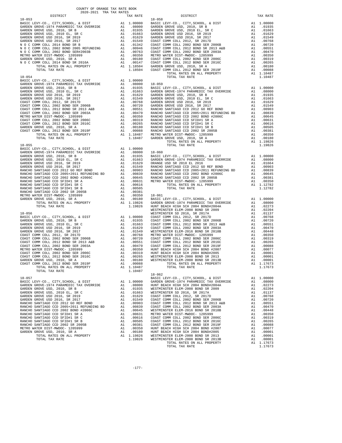| COUNTY OF ORANGE TAX RATE BOOK<br>2020–2021 הפד משפחת המש<br>2020-2021 TRA TAX RATES |          |                                                                                                                                                                                                                                                            |          |
|--------------------------------------------------------------------------------------|----------|------------------------------------------------------------------------------------------------------------------------------------------------------------------------------------------------------------------------------------------------------------|----------|
| DISTRICT                                                                             | TAX RATE | DISTRICT                                                                                                                                                                                                                                                   | TAX RATE |
| $18 - 053$                                                                           |          | $18 - 058$                                                                                                                                                                                                                                                 |          |
|                                                                                      |          |                                                                                                                                                                                                                                                            |          |
|                                                                                      |          |                                                                                                                                                                                                                                                            |          |
|                                                                                      |          |                                                                                                                                                                                                                                                            |          |
|                                                                                      |          |                                                                                                                                                                                                                                                            |          |
|                                                                                      |          |                                                                                                                                                                                                                                                            |          |
|                                                                                      |          |                                                                                                                                                                                                                                                            |          |
|                                                                                      |          | TOTAL TAX RATE                                                                                                                                                                                                                                             | 1.10487  |
|                                                                                      |          |                                                                                                                                                                                                                                                            |          |
|                                                                                      |          |                                                                                                                                                                                                                                                            |          |
|                                                                                      |          |                                                                                                                                                                                                                                                            |          |
|                                                                                      |          |                                                                                                                                                                                                                                                            |          |
|                                                                                      |          |                                                                                                                                                                                                                                                            |          |
|                                                                                      |          |                                                                                                                                                                                                                                                            |          |
|                                                                                      |          |                                                                                                                                                                                                                                                            |          |
|                                                                                      |          |                                                                                                                                                                                                                                                            |          |
|                                                                                      |          |                                                                                                                                                                                                                                                            |          |
|                                                                                      |          |                                                                                                                                                                                                                                                            |          |
|                                                                                      |          | $\begin{tabular}{ c c c c c c c c c c c c c} \hline 18-025 & 0771, 077, 077, 0777, 0770, 0777, 0770, 0777, 0770, 0777, 0777, 0770, 0777, 0777, 0777, 0777, 0777, 0777, 0777, 0777, 0777, 0777, 0777, 0777, 0777, 0777, 0777, 0777, 0777, 077$              |          |
|                                                                                      |          |                                                                                                                                                                                                                                                            |          |
|                                                                                      |          |                                                                                                                                                                                                                                                            |          |
|                                                                                      |          |                                                                                                                                                                                                                                                            |          |
|                                                                                      |          |                                                                                                                                                                                                                                                            |          |
|                                                                                      |          |                                                                                                                                                                                                                                                            |          |
|                                                                                      |          |                                                                                                                                                                                                                                                            |          |
|                                                                                      |          |                                                                                                                                                                                                                                                            |          |
|                                                                                      |          |                                                                                                                                                                                                                                                            |          |
|                                                                                      |          |                                                                                                                                                                                                                                                            |          |
|                                                                                      |          |                                                                                                                                                                                                                                                            |          |
|                                                                                      |          |                                                                                                                                                                                                                                                            |          |
|                                                                                      |          |                                                                                                                                                                                                                                                            |          |
|                                                                                      |          |                                                                                                                                                                                                                                                            |          |
|                                                                                      |          |                                                                                                                                                                                                                                                            |          |
|                                                                                      |          |                                                                                                                                                                                                                                                            |          |
|                                                                                      |          |                                                                                                                                                                                                                                                            |          |
|                                                                                      |          |                                                                                                                                                                                                                                                            |          |
|                                                                                      |          |                                                                                                                                                                                                                                                            |          |
|                                                                                      |          |                                                                                                                                                                                                                                                            |          |
|                                                                                      |          |                                                                                                                                                                                                                                                            |          |
|                                                                                      |          |                                                                                                                                                                                                                                                            |          |
|                                                                                      |          | COAST COMM COLL 2012 BOND SER 2010C<br>CARDEN GROEN (2012 BOND SER 2010C)<br>COAST COMM COLL 2012 BOND SER 2019F<br>COAST COMM COLL 2012 BOND SER 2019F<br>TOTAL RATES ON ALL PROPERTY<br>TOTAL RATES ON ALL PROPERTY<br>TOTAL TAX RATE<br>1<br>$18 - 062$ |          |
|                                                                                      |          |                                                                                                                                                                                                                                                            |          |
|                                                                                      |          |                                                                                                                                                                                                                                                            |          |
|                                                                                      |          |                                                                                                                                                                                                                                                            |          |
|                                                                                      |          |                                                                                                                                                                                                                                                            |          |
|                                                                                      |          |                                                                                                                                                                                                                                                            |          |
|                                                                                      |          |                                                                                                                                                                                                                                                            |          |
|                                                                                      |          |                                                                                                                                                                                                                                                            |          |
|                                                                                      |          |                                                                                                                                                                                                                                                            |          |
|                                                                                      |          |                                                                                                                                                                                                                                                            |          |
|                                                                                      |          |                                                                                                                                                                                                                                                            |          |
|                                                                                      |          |                                                                                                                                                                                                                                                            |          |
|                                                                                      |          |                                                                                                                                                                                                                                                            |          |
|                                                                                      |          |                                                                                                                                                                                                                                                            |          |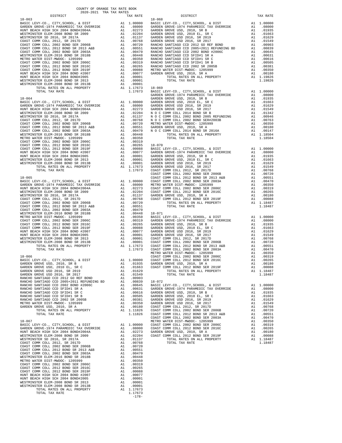| DISTRICT | TAX RATE |         | DISTRICT | TAX RATE |
|----------|----------|---------|----------|----------|
|          |          |         |          |          |
|          |          |         |          |          |
|          |          |         |          |          |
|          |          |         |          |          |
|          |          |         |          |          |
|          |          |         |          |          |
|          |          |         |          |          |
|          |          |         |          |          |
|          |          |         |          |          |
|          |          |         |          |          |
|          |          |         |          |          |
|          |          |         |          |          |
|          |          |         |          |          |
|          |          |         |          |          |
|          |          |         |          |          |
|          |          |         |          |          |
|          |          |         |          |          |
|          |          |         |          |          |
|          |          |         |          |          |
|          |          |         |          |          |
|          |          |         |          |          |
|          |          |         |          |          |
|          |          |         |          |          |
|          |          |         |          |          |
|          |          |         |          |          |
|          |          |         |          |          |
|          |          |         |          |          |
|          |          |         |          |          |
|          |          |         |          |          |
|          |          |         |          |          |
|          |          |         |          |          |
|          |          |         |          |          |
|          |          |         |          |          |
|          |          |         |          |          |
|          |          |         |          |          |
|          |          |         |          |          |
|          |          |         |          |          |
|          |          |         |          |          |
|          |          |         |          |          |
|          |          |         |          |          |
|          |          |         |          |          |
|          |          |         |          |          |
|          |          |         |          |          |
|          |          |         |          |          |
|          |          |         |          |          |
|          |          |         |          |          |
|          |          |         |          |          |
|          |          |         |          |          |
|          |          |         |          |          |
|          |          |         |          |          |
|          |          |         |          |          |
|          |          |         |          |          |
|          |          |         |          |          |
|          |          |         |          |          |
|          |          |         |          |          |
|          |          |         |          |          |
|          |          |         |          |          |
|          |          |         |          |          |
|          |          |         |          |          |
|          |          |         |          |          |
|          |          |         |          |          |
|          |          |         |          |          |
|          |          |         |          |          |
|          |          |         |          |          |
|          |          |         |          |          |
|          |          |         |          |          |
|          |          |         |          |          |
|          |          |         |          |          |
|          |          |         |          |          |
|          |          |         |          |          |
|          |          |         |          |          |
|          |          |         |          |          |
|          |          |         |          |          |
|          |          |         |          |          |
|          |          |         |          |          |
|          |          |         |          |          |
|          |          |         |          |          |
|          |          |         |          |          |
|          |          |         |          |          |
|          |          |         |          |          |
|          |          |         |          |          |
|          |          |         |          |          |
|          |          |         |          |          |
|          |          |         |          |          |
|          |          |         |          |          |
|          |          |         |          |          |
|          |          |         |          |          |
|          |          |         |          |          |
|          |          |         |          |          |
|          |          |         |          |          |
|          |          |         |          |          |
|          |          |         |          |          |
|          |          |         |          |          |
|          |          | $-178-$ |          |          |

|          |                    | A1 .00768 GARDEN GROVE USD 2016, SR 2017<br>A1 .00768 GARDEN GROVE USD 2016, SR 2017<br>A1 .00768 GARDEN GROVE USD 2016, SR 2017<br>A1 .00561 RANCHO SANTIAGO CCD 2005+2011 REFUNDING BD<br>A1 .00470 RANCHO SANTIAGO CCD 2002 BOND #                |                       |                         |
|----------|--------------------|------------------------------------------------------------------------------------------------------------------------------------------------------------------------------------------------------------------------------------------------------|-----------------------|-------------------------|
|          |                    |                                                                                                                                                                                                                                                      |                       |                         |
|          |                    |                                                                                                                                                                                                                                                      |                       |                         |
|          |                    |                                                                                                                                                                                                                                                      |                       |                         |
|          |                    |                                                                                                                                                                                                                                                      |                       |                         |
|          |                    |                                                                                                                                                                                                                                                      |                       |                         |
|          |                    |                                                                                                                                                                                                                                                      |                       |                         |
|          |                    |                                                                                                                                                                                                                                                      |                       |                         |
|          |                    |                                                                                                                                                                                                                                                      |                       |                         |
|          |                    |                                                                                                                                                                                                                                                      |                       |                         |
|          | A1 1.17673         | $\begin{tabular}{lllll} 1.17673 & 18-069 \\ 1.17673 & BASIC LEVY-CO. , CITY, SCHOOL, & DIST \end{tabular}$                                                                                                                                           |                       |                         |
|          |                    |                                                                                                                                                                                                                                                      |                       | A1 1.00                 |
|          |                    | GARDEN GROVE-1974 PARAMEDIC TAX OVERRIDE<br>GARDEN GROVE-1974 PARAMEDIC TAX OVERRIDE                                                                                                                                                                 | A1                    | A1 .08<br>.01           |
|          |                    |                                                                                                                                                                                                                                                      |                       | A1 .01<br>A1 .01        |
|          |                    |                                                                                                                                                                                                                                                      |                       |                         |
|          |                    |                                                                                                                                                                                                                                                      | A1<br>A1              | .01<br>.01              |
|          |                    |                                                                                                                                                                                                                                                      | A1                    | .00                     |
|          |                    |                                                                                                                                                                                                                                                      | A1                    | .00                     |
|          |                    |                                                                                                                                                                                                                                                      | A1                    | .00                     |
|          |                    |                                                                                                                                                                                                                                                      |                       | A1 .00<br>A1 .00        |
|          |                    |                                                                                                                                                                                                                                                      |                       | A1 1.18                 |
|          |                    |                                                                                                                                                                                                                                                      |                       | 1.18                    |
|          |                    | A1 .00350<br>A1 .00350<br>A1 .00350<br>A1 .00350<br>A1 .00265<br>BaSIC LEVY-CO., CITY, SCHOOL, & DIST<br>A1 .00077<br>ARDEN GROVE-1974 PARAMEDIC TAX OVERFIDE<br>A1 .00001<br>GARDEN GROVE USD, 2010 EL, SR C<br>A1 .00001<br>GARDEN GROVE USD, 2010 |                       |                         |
|          |                    |                                                                                                                                                                                                                                                      | A1                    | 1.00                    |
|          |                    |                                                                                                                                                                                                                                                      | A1                    | A1 .08<br>A1 .01<br>.01 |
|          |                    |                                                                                                                                                                                                                                                      | A1                    | .01                     |
|          |                    |                                                                                                                                                                                                                                                      | A1                    | .01                     |
|          |                    |                                                                                                                                                                                                                                                      | A1<br>A1              | .01<br>.00              |
|          |                    |                                                                                                                                                                                                                                                      |                       | .00                     |
|          |                    |                                                                                                                                                                                                                                                      | A1<br>A1<br>A1<br>A1  | .00                     |
|          |                    | A1 1.00000 COAST COMM COLL 2002 BOND SER 2003A<br>A1 .08000 COAST COMM COLL 2002 BOND SER 2003A<br>A1 .08000 METRO WATER DIST-MWDOC- 1205999<br>A1 .02273 COAST COMM COLL 2012 BOND SER 2006C<br>A1 .02204 COAST COMM COLL 2012 BOND                 | A1                    | .00<br>.00              |
|          |                    |                                                                                                                                                                                                                                                      | A1                    | .00                     |
|          |                    |                                                                                                                                                                                                                                                      | A1                    | .00                     |
|          |                    |                                                                                                                                                                                                                                                      | A1<br>$\overline{A1}$ | .00<br>.00              |
|          |                    |                                                                                                                                                                                                                                                      | A1                    | 1.18                    |
|          |                    |                                                                                                                                                                                                                                                      |                       | 1.18                    |
|          | A1 .00470          |                                                                                                                                                                                                                                                      |                       |                         |
|          |                    | A1 .00478<br>A1 .00448 18-071<br>A1 .00350 BASIC LEVY-CO., CITY, SCHOOL, & DIST<br>A1 .00319 GARDEN GROVE-1974 PARAMEDIC TAX OVERRIDE<br>A1 .00265 GARDEN GROVE USD, 2010, SR B<br>A1 .00088 GARDEN GROVE USD, 2010 EL, SR C<br>A1 .00070            |                       | A1 1.00                 |
|          |                    |                                                                                                                                                                                                                                                      |                       | A1 .08                  |
|          |                    |                                                                                                                                                                                                                                                      | A1<br>A1              | .01<br>.01              |
|          |                    |                                                                                                                                                                                                                                                      | A1                    | .01                     |
|          |                    |                                                                                                                                                                                                                                                      | A1                    | .01                     |
|          |                    |                                                                                                                                                                                                                                                      | A1<br>A1              | .00<br>.00              |
|          |                    |                                                                                                                                                                                                                                                      | A1                    | .00                     |
|          |                    |                                                                                                                                                                                                                                                      | A1                    | .00                     |
|          |                    | METRO WATER DIST-MWDOC- 1205999                                                                                                                                                                                                                      | A1<br>A1              | .00<br>.00              |
|          |                    |                                                                                                                                                                                                                                                      | A1                    | .00                     |
|          |                    |                                                                                                                                                                                                                                                      |                       | $A1 \t .00$             |
|          |                    |                                                                                                                                                                                                                                                      | A1                    | .00<br>A1 1.18          |
| A1       | .01549             | TOTAL TAX RATE                                                                                                                                                                                                                                       |                       | 1.18                    |
| A1       | .00903             |                                                                                                                                                                                                                                                      |                       |                         |
|          |                    | A1 .00839 18-072<br>A1 .00645 BASIC LEVY-CO., CITY, SCHOOL, & DIST                                                                                                                                                                                   | A1                    | 1.00                    |
| Α1       | .00631             | GARDEN GROVE-1974 PARAMEDIC TAX OVERRIDE                                                                                                                                                                                                             | A1.                   | .08                     |
| A1       | .00616             | GARDEN GROVE USD, 2010, SR B                                                                                                                                                                                                                         | A1                    | .01                     |
| A1<br>A1 | .00505<br>.00381   | GARDEN GROVE USD, 2010 EL, SR C<br>GARDEN GROVE USD 2016, SR 2019                                                                                                                                                                                    | A1<br>A1              | .01<br>.01              |
| A1       | .00350             | GARDEN GROVE USD 2016, SR 2017                                                                                                                                                                                                                       | A1                    | .01                     |
| A1       | .00180             | COAST COMM COLL 2012, SR 2017D                                                                                                                                                                                                                       | A1                    | .00                     |
| A1       | 1.11826<br>1.11826 | COAST COMM COLL 2002 BOND SER 2006B<br>COAST COMM COLL 2012 BOND SR 2013 A&B                                                                                                                                                                         | A1<br>A1              | .00<br>.00              |
|          |                    | COAST COMM COLL 2002 BOND SER 2003A                                                                                                                                                                                                                  | A1                    | .00                     |
|          |                    | METRO WATER DIST-MWDOC- 1205999                                                                                                                                                                                                                      | A1                    | .00                     |
| A1<br>A1 | 1.00000<br>.08000  | COAST COMM COLL 2002 BOND SER 2006C<br>COAST COMM COLL 2012 BOND SER 2016C                                                                                                                                                                           | A1<br>A1              | .00<br>.00              |
| A1       | .02273             | GARDEN GROVE USD, 2010, SR A                                                                                                                                                                                                                         | A1                    | .00                     |
| A1       | .02204             | COAST COMM COLL 2012 BOND SER 2019F                                                                                                                                                                                                                  | A1                    | .00                     |
| A1<br>A1 | .01137<br>.00768   | TOTAL RATES ON ALL PROPERTY<br>TOTAL TAX RATE                                                                                                                                                                                                        | A1                    | 1.18<br>1.18            |
| A1       | .00720             |                                                                                                                                                                                                                                                      |                       |                         |
| 7.1      | 00551              |                                                                                                                                                                                                                                                      |                       |                         |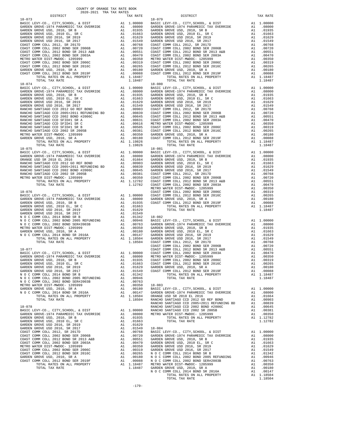| COUNTY OF ORANGE TAX RATE BOOK<br>2020-2021 TRA TAX RATES |          |                                                                                                                                                                                                                                                                               |          |
|-----------------------------------------------------------|----------|-------------------------------------------------------------------------------------------------------------------------------------------------------------------------------------------------------------------------------------------------------------------------------|----------|
| DISTRICT                                                  | TAX RATE | DISTRICT                                                                                                                                                                                                                                                                      | TAX RATE |
| $18 - 073$                                                |          | $18 - 079$                                                                                                                                                                                                                                                                    |          |
|                                                           |          |                                                                                                                                                                                                                                                                               |          |
|                                                           |          |                                                                                                                                                                                                                                                                               |          |
|                                                           |          |                                                                                                                                                                                                                                                                               |          |
|                                                           |          |                                                                                                                                                                                                                                                                               |          |
|                                                           |          |                                                                                                                                                                                                                                                                               |          |
|                                                           |          |                                                                                                                                                                                                                                                                               |          |
|                                                           |          |                                                                                                                                                                                                                                                                               |          |
|                                                           |          |                                                                                                                                                                                                                                                                               |          |
|                                                           |          |                                                                                                                                                                                                                                                                               |          |
|                                                           |          |                                                                                                                                                                                                                                                                               |          |
|                                                           |          |                                                                                                                                                                                                                                                                               |          |
|                                                           |          | $\begin{tabular}{cccccccc} 18-074 & 101 \text{A L} & 148-87 & 11.648 & 1.1648 & 1.1648 & 1.1648 & 1.1648 & 1.1648 & 1.1648 & 1.1648 & 1.1648 & 1.1648 & 1.1648 & 1.1648 & 1.1648 & 1.1648 & 1.1648 & 1.1648 & 1.1648 & 1.1648 & 1.1648 & 1.1648 & 1.1648 & 1.1648 & 1.1648 &$ |          |
|                                                           |          |                                                                                                                                                                                                                                                                               |          |
|                                                           |          |                                                                                                                                                                                                                                                                               |          |
|                                                           |          |                                                                                                                                                                                                                                                                               |          |
|                                                           |          |                                                                                                                                                                                                                                                                               |          |
|                                                           |          |                                                                                                                                                                                                                                                                               |          |
|                                                           |          |                                                                                                                                                                                                                                                                               |          |
|                                                           |          |                                                                                                                                                                                                                                                                               |          |
|                                                           |          |                                                                                                                                                                                                                                                                               |          |
|                                                           |          |                                                                                                                                                                                                                                                                               |          |
|                                                           |          |                                                                                                                                                                                                                                                                               |          |
|                                                           |          |                                                                                                                                                                                                                                                                               |          |
|                                                           |          |                                                                                                                                                                                                                                                                               |          |
|                                                           |          |                                                                                                                                                                                                                                                                               |          |
|                                                           |          |                                                                                                                                                                                                                                                                               |          |
|                                                           |          |                                                                                                                                                                                                                                                                               |          |
|                                                           |          |                                                                                                                                                                                                                                                                               |          |
|                                                           |          |                                                                                                                                                                                                                                                                               |          |
|                                                           |          |                                                                                                                                                                                                                                                                               |          |
|                                                           |          |                                                                                                                                                                                                                                                                               |          |
|                                                           |          |                                                                                                                                                                                                                                                                               |          |
|                                                           |          |                                                                                                                                                                                                                                                                               |          |
|                                                           |          |                                                                                                                                                                                                                                                                               |          |
|                                                           |          |                                                                                                                                                                                                                                                                               |          |
|                                                           |          |                                                                                                                                                                                                                                                                               |          |
|                                                           |          |                                                                                                                                                                                                                                                                               |          |
|                                                           |          |                                                                                                                                                                                                                                                                               |          |
|                                                           |          |                                                                                                                                                                                                                                                                               |          |
|                                                           |          |                                                                                                                                                                                                                                                                               |          |
|                                                           |          |                                                                                                                                                                                                                                                                               |          |
|                                                           |          |                                                                                                                                                                                                                                                                               |          |
|                                                           |          |                                                                                                                                                                                                                                                                               |          |
|                                                           |          |                                                                                                                                                                                                                                                                               |          |
|                                                           |          |                                                                                                                                                                                                                                                                               |          |
|                                                           |          |                                                                                                                                                                                                                                                                               |          |
|                                                           |          |                                                                                                                                                                                                                                                                               |          |
|                                                           |          |                                                                                                                                                                                                                                                                               |          |
|                                                           |          |                                                                                                                                                                                                                                                                               |          |
|                                                           |          |                                                                                                                                                                                                                                                                               |          |
|                                                           |          |                                                                                                                                                                                                                                                                               |          |
|                                                           |          |                                                                                                                                                                                                                                                                               |          |
|                                                           |          |                                                                                                                                                                                                                                                                               |          |
|                                                           |          |                                                                                                                                                                                                                                                                               |          |
|                                                           |          |                                                                                                                                                                                                                                                                               |          |
|                                                           |          |                                                                                                                                                                                                                                                                               |          |
|                                                           |          |                                                                                                                                                                                                                                                                               |          |
|                                                           |          |                                                                                                                                                                                                                                                                               |          |
|                                                           |          |                                                                                                                                                                                                                                                                               |          |
|                                                           |          |                                                                                                                                                                                                                                                                               |          |
|                                                           |          |                                                                                                                                                                                                                                                                               |          |
|                                                           |          |                                                                                                                                                                                                                                                                               |          |
|                                                           |          |                                                                                                                                                                                                                                                                               |          |
|                                                           |          |                                                                                                                                                                                                                                                                               |          |
|                                                           |          |                                                                                                                                                                                                                                                                               |          |
|                                                           |          |                                                                                                                                                                                                                                                                               |          |
|                                                           |          |                                                                                                                                                                                                                                                                               |          |
|                                                           |          |                                                                                                                                                                                                                                                                               |          |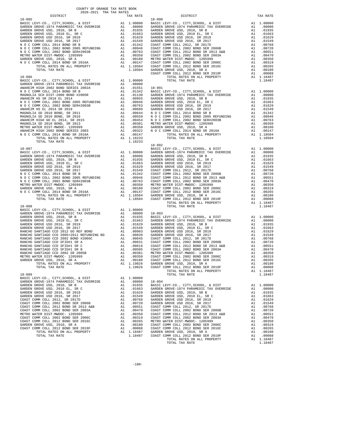| COUNTY OF ORANGE TAX RATE BOOK<br>2020-2021 TRA TAX RATES |          |                                                                                                                                                                                                                                                                                                                                                            |          |
|-----------------------------------------------------------|----------|------------------------------------------------------------------------------------------------------------------------------------------------------------------------------------------------------------------------------------------------------------------------------------------------------------------------------------------------------------|----------|
| DISTRICT                                                  | TAX RATE | DISTRICT                                                                                                                                                                                                                                                                                                                                                   | TAX RATE |
|                                                           |          | $\begin{tabular}{cccc} 18-085 & \rule{0.2cm}{0.12cm} & \rule{0.2cm}{0.12cm} & \rule{0.2cm}{0.12cm} & \rule{0.2cm}{0.12cm} & \rule{0.2cm}{0.12cm} & \rule{0.2cm}{0.12cm} & \rule{0.2cm}{0.12cm} & \rule{0.2cm}{0.12cm} & \rule{0.2cm}{0.12cm} & \rule{0.2cm}{0.12cm} & \rule{0.2cm}{0.12cm} & \rule{0.2cm}{0.12cm} & \rule{0.2cm}{0.12cm} & \rule{0.2cm}{0$ |          |
|                                                           |          |                                                                                                                                                                                                                                                                                                                                                            |          |
|                                                           |          |                                                                                                                                                                                                                                                                                                                                                            |          |
|                                                           |          | 18-092                                                                                                                                                                                                                                                                                                                                                     |          |
| $18 - 088$                                                |          | TOTAL TAX RATE                                                                                                                                                                                                                                                                                                                                             | 1.18487  |
|                                                           |          |                                                                                                                                                                                                                                                                                                                                                            |          |
| GARDEN GROVE USD, 2010, SR A                              |          | 41 .00180 COAST COMM COLL 2012 BOND SER 2016C<br>GROVE USIN (1982 COAST COMM COLL 2012 BOND SER 2016C<br>TOTAL RATES ON ALL PROPERTY AN 1.00180 COAST COMM COLL 2012 BOND SER 2016C<br>TOTAL TAX RATE 1.19826 GARDEN GROVE USD, 2010                                                                                                                       |          |
|                                                           |          |                                                                                                                                                                                                                                                                                                                                                            |          |
|                                                           |          |                                                                                                                                                                                                                                                                                                                                                            |          |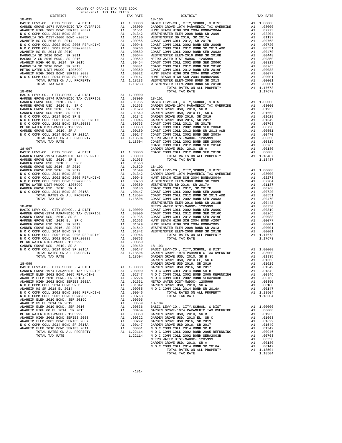| $18 - 095$                                                                       |          |                                                                                      | $18 - 100$       |
|----------------------------------------------------------------------------------|----------|--------------------------------------------------------------------------------------|------------------|
|                                                                                  |          |                                                                                      |                  |
|                                                                                  |          |                                                                                      |                  |
|                                                                                  |          |                                                                                      |                  |
|                                                                                  |          |                                                                                      |                  |
|                                                                                  |          |                                                                                      |                  |
|                                                                                  |          |                                                                                      |                  |
|                                                                                  |          |                                                                                      |                  |
|                                                                                  |          |                                                                                      |                  |
|                                                                                  |          |                                                                                      |                  |
|                                                                                  |          |                                                                                      |                  |
|                                                                                  |          |                                                                                      |                  |
|                                                                                  |          |                                                                                      |                  |
|                                                                                  |          |                                                                                      |                  |
|                                                                                  |          |                                                                                      |                  |
|                                                                                  |          |                                                                                      |                  |
|                                                                                  |          |                                                                                      |                  |
|                                                                                  |          |                                                                                      |                  |
|                                                                                  |          |                                                                                      |                  |
|                                                                                  |          |                                                                                      |                  |
|                                                                                  |          |                                                                                      |                  |
|                                                                                  |          |                                                                                      |                  |
|                                                                                  |          |                                                                                      |                  |
|                                                                                  |          |                                                                                      |                  |
|                                                                                  |          |                                                                                      |                  |
|                                                                                  |          |                                                                                      |                  |
|                                                                                  |          |                                                                                      |                  |
|                                                                                  |          |                                                                                      |                  |
|                                                                                  |          |                                                                                      | COAST C          |
| $18 - 097$                                                                       |          |                                                                                      | GARDEN           |
|                                                                                  |          |                                                                                      |                  |
|                                                                                  |          |                                                                                      |                  |
|                                                                                  |          |                                                                                      |                  |
|                                                                                  |          |                                                                                      |                  |
|                                                                                  |          |                                                                                      |                  |
|                                                                                  |          |                                                                                      |                  |
|                                                                                  |          |                                                                                      |                  |
|                                                                                  |          |                                                                                      |                  |
|                                                                                  |          |                                                                                      |                  |
|                                                                                  |          |                                                                                      |                  |
|                                                                                  |          |                                                                                      |                  |
|                                                                                  |          |                                                                                      |                  |
| $18 - 098$                                                                       |          |                                                                                      | METRO W          |
|                                                                                  |          |                                                                                      |                  |
|                                                                                  |          |                                                                                      |                  |
|                                                                                  |          |                                                                                      |                  |
|                                                                                  |          |                                                                                      |                  |
|                                                                                  |          |                                                                                      |                  |
|                                                                                  |          |                                                                                      |                  |
|                                                                                  |          |                                                                                      |                  |
|                                                                                  |          |                                                                                      |                  |
|                                                                                  |          |                                                                                      |                  |
|                                                                                  |          |                                                                                      |                  |
|                                                                                  |          |                                                                                      |                  |
|                                                                                  |          |                                                                                      |                  |
|                                                                                  |          |                                                                                      | GARDEN           |
| 18-099                                                                           |          | $\begin{tabular}{ll} \bf{GARDEN} \\ \bf{A1} & 1.00000 & \text{GARDEN} \end{tabular}$ |                  |
| BASIC LEVY-CO., CITY, SCHOOL, & DIST<br>GARDEN GROVE-1974 PARAMEDIC TAX OVERRIDE | A1       | .08000                                                                               | NOCC             |
| ANAHEIM ELEM 2002 BOND 2005 REFUNDING                                            | A1       | .02747                                                                               | NOCC             |
| ANAHEIM ELEM 2016 BOND, SR 2018A                                                 | A1       | .02224                                                                               | N O C C          |
| ANAHEIM HIGH 2002 BOND SERIES 2002A                                              | A1       | .01551                                                                               | METRO W          |
| N O C COMM COLL 2014 BOND SR B                                                   | A1       | .01342                                                                               | GARDEN           |
| ANAHEIM HS SR 2018 EL 2014<br>N O C COMM COLL 2002 BOND 2005 REFUNDING           | A1<br>A1 | .00955<br>.00946                                                                     | NOCC             |
| N O C COMM COLL 2002 BOND SER#2003B                                              | A1       | .00763                                                                               |                  |
| ANAHEIM ELEM 2010 BOND, SER 2019C                                                | A1       | .00695                                                                               |                  |
| ANAHEIM HS EL 2014 SR 2019                                                       | A1       | .00689                                                                               | $18 - 104$       |
| ANAHEIM ELEM 2010 BOND, SER 2016                                                 | A1       | .00636                                                                               | BASIC L          |
| ANAHEIM HIGH GO EL 2014, SR 2015                                                 | A1       | .00454                                                                               | GARDEN           |
| METRO WATER DIST-MWDOC- 1205999<br>ANAHEIM HIGH 2002 BOND SERIES 2003            | A1<br>A1 | .00350<br>.00322                                                                     | GARDEN<br>GARDEN |
| ANAHEIM ELEM-2002 BOND SERIES 2007                                               | A1       | .00292                                                                               | GARDEN           |
| N O C COMM COLL 2014 BOND SR 2016A                                               | A1       | .00147                                                                               | GARDEN           |
| ANAHEIM ELEM 2010 BOND SERIES 2011                                               | A1       | .00001                                                                               | NOCC             |
| TOTAL RATES ON ALL PROPERTY                                                      |          | A1 1.22114                                                                           | N O C C          |
| TOTAL TAX RATE                                                                   |          | 1.22114                                                                              | NOCC<br>MFTPO W  |

| COUNTY OF ORANGE TAX RATE BOOK<br>2020-2021 TRA TAX RATES<br>$2020-2021 \quad \text{TRA RATES}$ DISTRICT $\hspace{2.5cm}$ |          |                |          |
|---------------------------------------------------------------------------------------------------------------------------|----------|----------------|----------|
|                                                                                                                           | TAX RATE | DISTRICT       | TAX RATE |
|                                                                                                                           |          |                |          |
|                                                                                                                           |          |                |          |
|                                                                                                                           |          |                |          |
|                                                                                                                           |          |                |          |
|                                                                                                                           |          |                |          |
|                                                                                                                           |          |                |          |
|                                                                                                                           |          |                |          |
|                                                                                                                           |          |                |          |
|                                                                                                                           |          |                |          |
|                                                                                                                           |          |                |          |
|                                                                                                                           |          |                |          |
|                                                                                                                           |          |                |          |
|                                                                                                                           |          |                |          |
|                                                                                                                           |          |                |          |
|                                                                                                                           |          |                |          |
|                                                                                                                           |          |                |          |
|                                                                                                                           |          |                |          |
|                                                                                                                           |          |                |          |
|                                                                                                                           |          |                |          |
|                                                                                                                           |          |                |          |
|                                                                                                                           |          |                |          |
|                                                                                                                           |          |                |          |
|                                                                                                                           |          |                |          |
|                                                                                                                           |          |                |          |
|                                                                                                                           |          |                |          |
|                                                                                                                           |          |                |          |
|                                                                                                                           |          |                |          |
|                                                                                                                           |          |                |          |
|                                                                                                                           |          |                |          |
|                                                                                                                           |          |                |          |
|                                                                                                                           |          |                |          |
|                                                                                                                           |          |                |          |
|                                                                                                                           |          |                |          |
|                                                                                                                           |          |                |          |
|                                                                                                                           |          |                |          |
|                                                                                                                           |          |                |          |
|                                                                                                                           |          |                |          |
|                                                                                                                           |          |                |          |
|                                                                                                                           |          |                |          |
|                                                                                                                           |          |                |          |
|                                                                                                                           |          |                |          |
|                                                                                                                           |          |                |          |
|                                                                                                                           |          |                |          |
|                                                                                                                           |          |                |          |
|                                                                                                                           |          |                |          |
|                                                                                                                           |          |                |          |
|                                                                                                                           |          |                |          |
|                                                                                                                           |          |                |          |
|                                                                                                                           |          |                |          |
|                                                                                                                           |          |                |          |
|                                                                                                                           |          |                |          |
|                                                                                                                           |          |                |          |
|                                                                                                                           |          |                |          |
|                                                                                                                           |          |                |          |
|                                                                                                                           |          |                |          |
|                                                                                                                           |          |                |          |
|                                                                                                                           |          |                |          |
|                                                                                                                           |          | TOTAL TAX RATE | 1.18504  |
|                                                                                                                           |          |                |          |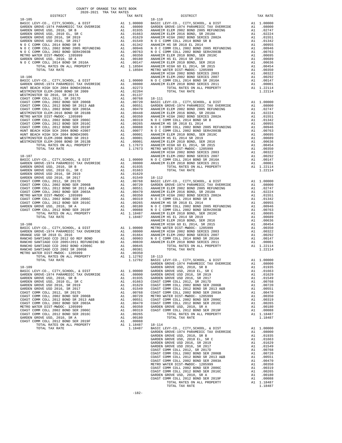| COUNTY OF ORANGE TAX RATE BOOK<br>2020-2021 TRA TAX RATES                                                                                                                                                                                     |    |                                                                                                                                                                                                                                                          |                  |
|-----------------------------------------------------------------------------------------------------------------------------------------------------------------------------------------------------------------------------------------------|----|----------------------------------------------------------------------------------------------------------------------------------------------------------------------------------------------------------------------------------------------------------|------------------|
| DISTRICT                                                                                                                                                                                                                                      |    | TAX RATE                                                                                                                                                                                                                                                 |                  |
| $18 - 105$                                                                                                                                                                                                                                    |    |                                                                                                                                                                                                                                                          | $18 - 110$       |
|                                                                                                                                                                                                                                               |    |                                                                                                                                                                                                                                                          |                  |
|                                                                                                                                                                                                                                               |    |                                                                                                                                                                                                                                                          |                  |
|                                                                                                                                                                                                                                               |    |                                                                                                                                                                                                                                                          |                  |
|                                                                                                                                                                                                                                               |    |                                                                                                                                                                                                                                                          |                  |
|                                                                                                                                                                                                                                               |    |                                                                                                                                                                                                                                                          |                  |
|                                                                                                                                                                                                                                               |    |                                                                                                                                                                                                                                                          |                  |
|                                                                                                                                                                                                                                               |    |                                                                                                                                                                                                                                                          |                  |
|                                                                                                                                                                                                                                               |    |                                                                                                                                                                                                                                                          |                  |
|                                                                                                                                                                                                                                               |    |                                                                                                                                                                                                                                                          |                  |
|                                                                                                                                                                                                                                               |    |                                                                                                                                                                                                                                                          |                  |
|                                                                                                                                                                                                                                               |    |                                                                                                                                                                                                                                                          |                  |
|                                                                                                                                                                                                                                               |    |                                                                                                                                                                                                                                                          |                  |
|                                                                                                                                                                                                                                               |    |                                                                                                                                                                                                                                                          | ANAHEIM          |
| $18 - 106$                                                                                                                                                                                                                                    |    |                                                                                                                                                                                                                                                          | ANAHEIM          |
|                                                                                                                                                                                                                                               |    |                                                                                                                                                                                                                                                          |                  |
|                                                                                                                                                                                                                                               |    |                                                                                                                                                                                                                                                          |                  |
|                                                                                                                                                                                                                                               |    |                                                                                                                                                                                                                                                          |                  |
|                                                                                                                                                                                                                                               |    |                                                                                                                                                                                                                                                          |                  |
|                                                                                                                                                                                                                                               |    |                                                                                                                                                                                                                                                          |                  |
|                                                                                                                                                                                                                                               |    |                                                                                                                                                                                                                                                          |                  |
|                                                                                                                                                                                                                                               |    |                                                                                                                                                                                                                                                          |                  |
|                                                                                                                                                                                                                                               |    |                                                                                                                                                                                                                                                          |                  |
|                                                                                                                                                                                                                                               |    |                                                                                                                                                                                                                                                          |                  |
|                                                                                                                                                                                                                                               |    |                                                                                                                                                                                                                                                          |                  |
|                                                                                                                                                                                                                                               |    |                                                                                                                                                                                                                                                          |                  |
|                                                                                                                                                                                                                                               |    |                                                                                                                                                                                                                                                          |                  |
|                                                                                                                                                                                                                                               |    |                                                                                                                                                                                                                                                          |                  |
|                                                                                                                                                                                                                                               |    |                                                                                                                                                                                                                                                          |                  |
|                                                                                                                                                                                                                                               |    |                                                                                                                                                                                                                                                          |                  |
|                                                                                                                                                                                                                                               |    |                                                                                                                                                                                                                                                          |                  |
|                                                                                                                                                                                                                                               |    |                                                                                                                                                                                                                                                          |                  |
|                                                                                                                                                                                                                                               |    |                                                                                                                                                                                                                                                          |                  |
|                                                                                                                                                                                                                                               |    |                                                                                                                                                                                                                                                          |                  |
|                                                                                                                                                                                                                                               |    |                                                                                                                                                                                                                                                          | ANAHEIM          |
| 18-107                                                                                                                                                                                                                                        |    |                                                                                                                                                                                                                                                          | <b>ANAHEIM</b>   |
| BASIC LEVY-CO., CITY, SCHOOL, & DIST and a model of CARDEN GROVE-1974 PARAMEDIC TAX OVERRIDE A 1 .00000 N O C C<br>GARDEN GROVE USD, 2010, SR B c c c and a 1 .01935<br>GARDEN GROVE USD. 2010, SR B c c c c c c c c c c c c c c              |    |                                                                                                                                                                                                                                                          |                  |
|                                                                                                                                                                                                                                               |    |                                                                                                                                                                                                                                                          |                  |
|                                                                                                                                                                                                                                               |    |                                                                                                                                                                                                                                                          |                  |
| GARDEN GROVE USD, 2010 EL, SR C                                                                                                                                                                                                               |    | A1 .01663                                                                                                                                                                                                                                                |                  |
| GARDEN GROVE USD 2016, SR 2019                                                                                                                                                                                                                |    | A1 .01663<br>A1 .01663<br>A1 .01549 18-112<br>A1 .00768 BASTC L<br>A1 .00760 GARDEN<br>A1 .00551 ANAHEIM<br>A1 .00470 ANAHEIM<br>A1 .00319 NOCC<br>A1 .00319 NOCC<br>A1 .00365 ANAHEIM<br>A1 .00365 ANAHEIM<br>A1 .00365 ANAHEIM<br>A1 .00160 NOCC<br>A1 |                  |
| GARDEN GROVE USD 2016, SR 2017                                                                                                                                                                                                                |    |                                                                                                                                                                                                                                                          |                  |
| COAST COMM COLL 2012, SR 2017D                                                                                                                                                                                                                |    |                                                                                                                                                                                                                                                          |                  |
| COASI COMM COLL 2002 BOND SER 2006B<br>COAST COMM COLL 2012 BOND SR 2013 A&B<br>COAST COMM COLL 2002 BOND SER 2003A<br>METRO WATER DIST-MWDOC 1005068                                                                                         |    |                                                                                                                                                                                                                                                          |                  |
|                                                                                                                                                                                                                                               |    |                                                                                                                                                                                                                                                          |                  |
| METRO WATER DIST-MWDOC- 1205999                                                                                                                                                                                                               |    |                                                                                                                                                                                                                                                          |                  |
|                                                                                                                                                                                                                                               |    |                                                                                                                                                                                                                                                          |                  |
| METRO WALLER DISPOSED DONE CONST COMM COLL 2012 BOND SER 2006C<br>COAST COMM COLL 2012 BOND SER 2016C<br>GARDEN GROVE USD, 2010, SR A<br>COAST COMM COLL 2012 BOND SER 2019F<br>COAST COMM COLL 2012 BOND SER 2019F<br>TOTAL RATES ON ALL PRO |    |                                                                                                                                                                                                                                                          |                  |
|                                                                                                                                                                                                                                               |    |                                                                                                                                                                                                                                                          |                  |
| COAST COMM COLL 2012 BOND SER 2019F<br>TOTAL RATES ON ALL PROPERTY                                                                                                                                                                            |    |                                                                                                                                                                                                                                                          |                  |
|                                                                                                                                                                                                                                               |    |                                                                                                                                                                                                                                                          |                  |
| TOTAL TAX RATE                                                                                                                                                                                                                                |    |                                                                                                                                                                                                                                                          |                  |
|                                                                                                                                                                                                                                               |    |                                                                                                                                                                                                                                                          | ANAHEIM          |
| $18 - 108$                                                                                                                                                                                                                                    |    |                                                                                                                                                                                                                                                          | ANAHEIM          |
|                                                                                                                                                                                                                                               |    |                                                                                                                                                                                                                                                          |                  |
|                                                                                                                                                                                                                                               |    |                                                                                                                                                                                                                                                          |                  |
|                                                                                                                                                                                                                                               |    |                                                                                                                                                                                                                                                          |                  |
|                                                                                                                                                                                                                                               |    |                                                                                                                                                                                                                                                          |                  |
|                                                                                                                                                                                                                                               |    |                                                                                                                                                                                                                                                          |                  |
|                                                                                                                                                                                                                                               |    |                                                                                                                                                                                                                                                          |                  |
|                                                                                                                                                                                                                                               |    |                                                                                                                                                                                                                                                          |                  |
|                                                                                                                                                                                                                                               |    |                                                                                                                                                                                                                                                          |                  |
| TOTAL TAX RATE                                                                                                                                                                                                                                |    | 1.12782                                                                                                                                                                                                                                                  | BASIC L          |
|                                                                                                                                                                                                                                               |    |                                                                                                                                                                                                                                                          | GARDEN           |
| $18 - 109$                                                                                                                                                                                                                                    |    |                                                                                                                                                                                                                                                          | GARDEN           |
| BASIC LEVY-CO., CITY, SCHOOL, & DIST                                                                                                                                                                                                          | A1 | 1.00000                                                                                                                                                                                                                                                  | GARDEN           |
| GARDEN GROVE-1974 PARAMEDIC TAX OVERRIDE                                                                                                                                                                                                      |    | A1 .08000                                                                                                                                                                                                                                                |                  |
| GARDEN GROVE USD, 2010, SR B                                                                                                                                                                                                                  | A1 | .01935                                                                                                                                                                                                                                                   | GARDEN<br>GARDEN |
| GARDEN GROVE USD, 2010 EL, SR C                                                                                                                                                                                                               | A1 | .01663                                                                                                                                                                                                                                                   | COAST C          |
| GARDEN GROVE USD 2016, SR 2019                                                                                                                                                                                                                | A1 | .01629                                                                                                                                                                                                                                                   | COAST C          |
| GARDEN GROVE USD 2016, SR 2017                                                                                                                                                                                                                |    |                                                                                                                                                                                                                                                          |                  |
| COAST COMM COLL 2012, SR 2017D                                                                                                                                                                                                                |    |                                                                                                                                                                                                                                                          |                  |
| COAST COMM COLL 2002 BOND SER 2006B                                                                                                                                                                                                           |    |                                                                                                                                                                                                                                                          |                  |
| COAST COMM COLL 2012 BOND SR 2013 A&B                                                                                                                                                                                                         |    | 1 101549 COAST C<br>A1 .00768 COAST C<br>A1 .00768 COAST C<br>A1 .00720 METRO W<br>A1 .00350 COAST C<br>A1 .00350 GARDEN<br>A1 .00350 COAST C<br>A1 .00359 COAST C<br>A1 .00359 COAST C                                                                  |                  |
| COAST COMM COLL 2002 BOND SER 2003A                                                                                                                                                                                                           |    |                                                                                                                                                                                                                                                          |                  |
| METRO WATER DIST-MWDOC- 1205999                                                                                                                                                                                                               |    |                                                                                                                                                                                                                                                          |                  |
| COAST COMM COLL 2002 BOND SER 2006C<br>COAST COMM COLL 2012 BOND SER 2016C                                                                                                                                                                    | A1 | .00265                                                                                                                                                                                                                                                   |                  |
| GARDEN GROVE USD, 2010, SR A                                                                                                                                                                                                                  |    | A1 .00180                                                                                                                                                                                                                                                |                  |
| COAST COMM COLL 2012 BOND SER 2019F                                                                                                                                                                                                           |    | A1 .00088                                                                                                                                                                                                                                                |                  |
| TOTAL RATES ON ALL PROPERTY                                                                                                                                                                                                                   |    | A1 1.18487                                                                                                                                                                                                                                               | $18 - 114$       |
| TOTAL TAX RATE                                                                                                                                                                                                                                |    | 1.18487                                                                                                                                                                                                                                                  | BASIC L          |
|                                                                                                                                                                                                                                               |    |                                                                                                                                                                                                                                                          | GARDEN<br>GARDEN |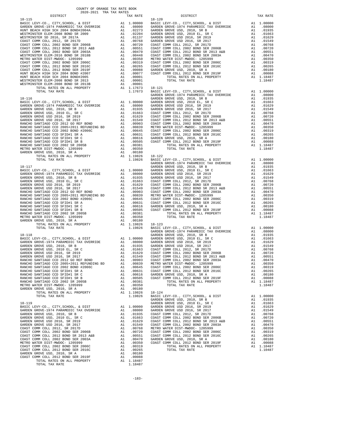| COUNTY OF ORANGE TAX RATE BOOK<br>$2020-2021 \quad \text{TRA TAX RATES}$ DISTRICT |          |            |          |
|-----------------------------------------------------------------------------------|----------|------------|----------|
|                                                                                   | TAX RATE | DISTRICT   | TAX RATE |
|                                                                                   |          | $18 - 120$ |          |
|                                                                                   |          |            |          |
|                                                                                   |          |            |          |
|                                                                                   |          |            |          |
|                                                                                   |          |            |          |
|                                                                                   |          |            |          |
|                                                                                   |          |            |          |
|                                                                                   |          |            |          |
|                                                                                   |          |            |          |
|                                                                                   |          |            |          |
|                                                                                   |          |            |          |
|                                                                                   |          |            |          |
|                                                                                   |          |            |          |
|                                                                                   |          |            |          |
|                                                                                   |          |            |          |
|                                                                                   |          |            |          |
|                                                                                   |          |            |          |
|                                                                                   |          |            |          |
|                                                                                   |          |            |          |
|                                                                                   |          |            |          |
|                                                                                   |          |            |          |
|                                                                                   |          |            |          |
|                                                                                   |          |            |          |
|                                                                                   |          |            |          |
|                                                                                   |          |            |          |
|                                                                                   |          |            |          |
|                                                                                   |          |            |          |
|                                                                                   |          |            |          |
|                                                                                   |          |            |          |
|                                                                                   |          |            |          |
|                                                                                   |          |            |          |
|                                                                                   |          |            |          |
|                                                                                   |          |            |          |
|                                                                                   |          |            |          |
|                                                                                   |          |            |          |
|                                                                                   |          |            |          |
|                                                                                   |          |            |          |
|                                                                                   |          |            |          |
|                                                                                   |          |            |          |
|                                                                                   |          |            |          |
|                                                                                   |          |            |          |
|                                                                                   |          |            |          |
|                                                                                   |          |            |          |
|                                                                                   |          |            |          |
|                                                                                   |          |            |          |
|                                                                                   |          |            |          |
|                                                                                   |          |            |          |
|                                                                                   |          |            |          |
|                                                                                   |          |            |          |
|                                                                                   |          |            |          |
|                                                                                   |          |            |          |
|                                                                                   |          |            |          |
|                                                                                   |          |            |          |
|                                                                                   |          |            |          |
|                                                                                   |          |            |          |
|                                                                                   |          |            |          |
|                                                                                   |          |            |          |
|                                                                                   |          |            |          |
|                                                                                   |          |            |          |
|                                                                                   |          |            |          |
|                                                                                   |          |            |          |
|                                                                                   |          |            |          |
|                                                                                   |          |            |          |
|                                                                                   |          |            |          |
|                                                                                   |          |            |          |
|                                                                                   |          |            |          |
|                                                                                   |          |            |          |
|                                                                                   |          |            |          |
|                                                                                   |          |            |          |
|                                                                                   |          |            |          |
|                                                                                   |          |            |          |
|                                                                                   |          |            |          |
|                                                                                   |          |            |          |
|                                                                                   |          |            |          |
|                                                                                   |          |            |          |
|                                                                                   |          |            |          |
|                                                                                   |          |            |          |
|                                                                                   |          |            |          |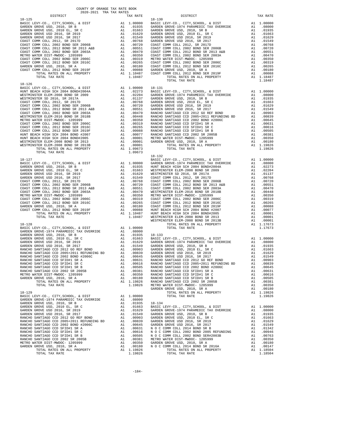| COUNTY OF ORANGE TAX RATE BOOK<br>2020-2021 TRA TAX RATES<br>$\begin{minipage}{.03\linewidth} \begin{tabular}{lcccccc} \multicolumn{2}{c}{\textbf{1-AX} RATE} & \multicolumn{2}{c}{\textbf{1-AX} RATE} \\ \multicolumn{2}{c}{\textbf{2020-2021} } & \multicolumn{2}{c}{\textbf{TRA} TAX RATES} \end{tabular} \end{minipage}$ |          |                |          |
|------------------------------------------------------------------------------------------------------------------------------------------------------------------------------------------------------------------------------------------------------------------------------------------------------------------------------|----------|----------------|----------|
|                                                                                                                                                                                                                                                                                                                              | TAX RATE | DISTRICT       | TAX RATE |
| $18 - 125$                                                                                                                                                                                                                                                                                                                   |          | $18 - 130$     |          |
|                                                                                                                                                                                                                                                                                                                              |          |                |          |
|                                                                                                                                                                                                                                                                                                                              |          |                |          |
|                                                                                                                                                                                                                                                                                                                              |          |                |          |
|                                                                                                                                                                                                                                                                                                                              |          |                |          |
|                                                                                                                                                                                                                                                                                                                              |          |                |          |
|                                                                                                                                                                                                                                                                                                                              |          |                |          |
|                                                                                                                                                                                                                                                                                                                              |          |                |          |
|                                                                                                                                                                                                                                                                                                                              |          |                |          |
|                                                                                                                                                                                                                                                                                                                              |          |                |          |
|                                                                                                                                                                                                                                                                                                                              |          | TOTAL TAX RATE | 1.18487  |
| $18 - 126$                                                                                                                                                                                                                                                                                                                   |          |                |          |
|                                                                                                                                                                                                                                                                                                                              |          |                |          |
|                                                                                                                                                                                                                                                                                                                              |          |                |          |
|                                                                                                                                                                                                                                                                                                                              |          |                |          |
|                                                                                                                                                                                                                                                                                                                              |          |                |          |
|                                                                                                                                                                                                                                                                                                                              |          |                |          |
|                                                                                                                                                                                                                                                                                                                              |          |                |          |
|                                                                                                                                                                                                                                                                                                                              |          |                |          |
|                                                                                                                                                                                                                                                                                                                              |          |                |          |
|                                                                                                                                                                                                                                                                                                                              |          |                |          |
|                                                                                                                                                                                                                                                                                                                              |          |                |          |
|                                                                                                                                                                                                                                                                                                                              |          |                |          |
|                                                                                                                                                                                                                                                                                                                              |          |                |          |
|                                                                                                                                                                                                                                                                                                                              |          | 18-132         |          |
|                                                                                                                                                                                                                                                                                                                              |          |                |          |
|                                                                                                                                                                                                                                                                                                                              |          |                |          |
|                                                                                                                                                                                                                                                                                                                              |          |                |          |
|                                                                                                                                                                                                                                                                                                                              |          |                |          |
|                                                                                                                                                                                                                                                                                                                              |          |                |          |
|                                                                                                                                                                                                                                                                                                                              |          |                |          |
|                                                                                                                                                                                                                                                                                                                              |          |                |          |
|                                                                                                                                                                                                                                                                                                                              |          |                |          |
|                                                                                                                                                                                                                                                                                                                              |          |                |          |
|                                                                                                                                                                                                                                                                                                                              |          |                |          |
|                                                                                                                                                                                                                                                                                                                              |          |                |          |
|                                                                                                                                                                                                                                                                                                                              |          |                |          |
|                                                                                                                                                                                                                                                                                                                              |          |                |          |
|                                                                                                                                                                                                                                                                                                                              |          |                |          |
|                                                                                                                                                                                                                                                                                                                              |          |                |          |
|                                                                                                                                                                                                                                                                                                                              |          |                |          |
|                                                                                                                                                                                                                                                                                                                              |          |                |          |
|                                                                                                                                                                                                                                                                                                                              |          |                |          |
|                                                                                                                                                                                                                                                                                                                              |          |                |          |
|                                                                                                                                                                                                                                                                                                                              |          |                |          |
|                                                                                                                                                                                                                                                                                                                              |          |                |          |
|                                                                                                                                                                                                                                                                                                                              |          |                |          |
|                                                                                                                                                                                                                                                                                                                              |          |                |          |
|                                                                                                                                                                                                                                                                                                                              |          |                |          |
|                                                                                                                                                                                                                                                                                                                              |          |                |          |
|                                                                                                                                                                                                                                                                                                                              |          |                |          |
|                                                                                                                                                                                                                                                                                                                              |          |                |          |
|                                                                                                                                                                                                                                                                                                                              |          |                |          |
|                                                                                                                                                                                                                                                                                                                              |          |                |          |
|                                                                                                                                                                                                                                                                                                                              |          |                |          |
|                                                                                                                                                                                                                                                                                                                              |          |                |          |
|                                                                                                                                                                                                                                                                                                                              |          |                |          |
|                                                                                                                                                                                                                                                                                                                              |          |                |          |
|                                                                                                                                                                                                                                                                                                                              |          |                |          |
|                                                                                                                                                                                                                                                                                                                              |          |                |          |
|                                                                                                                                                                                                                                                                                                                              |          |                |          |
|                                                                                                                                                                                                                                                                                                                              |          |                |          |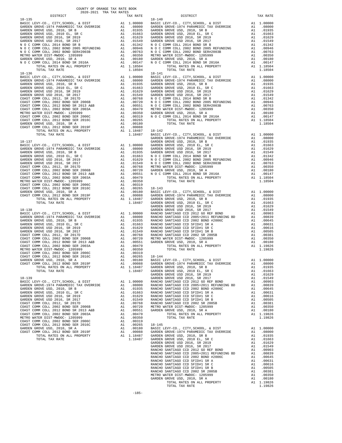| COUNTY OF ORANGE TAX RATE BOOK<br>2020-2021 TRA TAX RATES           |    |                                                                                                                                                           |                       |
|---------------------------------------------------------------------|----|-----------------------------------------------------------------------------------------------------------------------------------------------------------|-----------------------|
| DISTRICT                                                            |    | TAX RATE                                                                                                                                                  |                       |
| $18 - 135$                                                          |    |                                                                                                                                                           | 18-140                |
|                                                                     |    |                                                                                                                                                           |                       |
|                                                                     |    |                                                                                                                                                           |                       |
|                                                                     |    |                                                                                                                                                           |                       |
|                                                                     |    |                                                                                                                                                           |                       |
|                                                                     |    |                                                                                                                                                           |                       |
|                                                                     |    |                                                                                                                                                           |                       |
|                                                                     |    |                                                                                                                                                           |                       |
|                                                                     |    |                                                                                                                                                           |                       |
|                                                                     |    |                                                                                                                                                           |                       |
|                                                                     |    |                                                                                                                                                           |                       |
|                                                                     |    |                                                                                                                                                           |                       |
| TOTAL TAX RATE<br>$18 - 136$                                        |    | 1.18504                                                                                                                                                   | $18 - 141$            |
|                                                                     |    |                                                                                                                                                           |                       |
|                                                                     |    |                                                                                                                                                           |                       |
|                                                                     |    |                                                                                                                                                           |                       |
|                                                                     |    |                                                                                                                                                           |                       |
|                                                                     |    |                                                                                                                                                           |                       |
|                                                                     |    |                                                                                                                                                           |                       |
|                                                                     |    |                                                                                                                                                           |                       |
|                                                                     |    |                                                                                                                                                           |                       |
|                                                                     |    |                                                                                                                                                           |                       |
|                                                                     |    |                                                                                                                                                           |                       |
|                                                                     |    |                                                                                                                                                           |                       |
|                                                                     |    |                                                                                                                                                           |                       |
|                                                                     |    |                                                                                                                                                           |                       |
|                                                                     |    |                                                                                                                                                           |                       |
|                                                                     |    |                                                                                                                                                           |                       |
|                                                                     |    |                                                                                                                                                           |                       |
| $18 - 137$                                                          |    |                                                                                                                                                           | GARDEN                |
|                                                                     |    |                                                                                                                                                           |                       |
|                                                                     |    |                                                                                                                                                           |                       |
|                                                                     |    |                                                                                                                                                           |                       |
|                                                                     |    |                                                                                                                                                           |                       |
|                                                                     |    |                                                                                                                                                           |                       |
|                                                                     |    |                                                                                                                                                           |                       |
|                                                                     |    |                                                                                                                                                           |                       |
|                                                                     |    |                                                                                                                                                           |                       |
|                                                                     |    |                                                                                                                                                           |                       |
|                                                                     |    |                                                                                                                                                           |                       |
|                                                                     |    |                                                                                                                                                           |                       |
|                                                                     |    |                                                                                                                                                           |                       |
|                                                                     |    |                                                                                                                                                           |                       |
|                                                                     |    |                                                                                                                                                           |                       |
|                                                                     |    |                                                                                                                                                           |                       |
|                                                                     |    |                                                                                                                                                           |                       |
| $18 - 138$                                                          |    |                                                                                                                                                           | GARDEN                |
|                                                                     |    |                                                                                                                                                           |                       |
|                                                                     |    |                                                                                                                                                           |                       |
|                                                                     |    |                                                                                                                                                           |                       |
|                                                                     |    |                                                                                                                                                           |                       |
|                                                                     |    |                                                                                                                                                           |                       |
|                                                                     |    |                                                                                                                                                           |                       |
|                                                                     |    |                                                                                                                                                           |                       |
|                                                                     |    |                                                                                                                                                           |                       |
|                                                                     |    |                                                                                                                                                           |                       |
|                                                                     |    |                                                                                                                                                           |                       |
|                                                                     |    |                                                                                                                                                           |                       |
| GARDEN GROVE USD, 2010, SR A                                        | A1 | .00180                                                                                                                                                    | BASIC L               |
| COAST COMM COLL 2012 BOND SER 2019F                                 | A1 | .00088                                                                                                                                                    | GARDEN                |
| TOTAL RATES ON ALL PROPERTY                                         |    | A1 1.18487<br>1.18487                                                                                                                                     | GARDEN                |
| TOTAL TAX RATE                                                      |    |                                                                                                                                                           | GARDEN<br>GARDEN      |
| $18 - 139$                                                          |    |                                                                                                                                                           | GARDEN                |
| BASIC LEVY-CO., CITY, SCHOOL, & DIST                                |    | A1 1.00000 RANCHO<br>A1 .08000 RANCHO                                                                                                                     |                       |
| GARDEN GROVE-1974 PARAMEDIC TAX OVERRIDE                            |    |                                                                                                                                                           |                       |
| GARDEN GROVE USD, 2010, SR B                                        |    | AL 00000 FANCHO<br>Al 01935 RANCHO<br>Al 01663 RANCHO<br>Al 01669 RANCHO<br>Al 00768 RANCHO<br>Al 00760 METROW<br>Al 00951 GARDEN<br>Al 00470<br>Al 00350 |                       |
| GARDEN GROVE USD, 2010 EL, SR C                                     |    |                                                                                                                                                           |                       |
| GARDEN GROVE USD 2016, SR 2019<br>GARDEN GROVE USD 2016, SR 2017    |    |                                                                                                                                                           |                       |
| COAST COMM COLL 2012, SR 2017D                                      |    |                                                                                                                                                           |                       |
| COAST COMM COLL 2002 BOND SER 2006B                                 |    |                                                                                                                                                           |                       |
| COAST COMM COLL 2012 BOND SR 2013 A&B                               |    |                                                                                                                                                           |                       |
| COAST COMM COLL 2002 BOND SER 2003A                                 |    |                                                                                                                                                           |                       |
| METRO WATER DIST-MWDOC- 1205999                                     |    | A1 .00350                                                                                                                                                 |                       |
| COAST COMM COLL 2002 BOND SER 2006C                                 |    | A1 .00319                                                                                                                                                 |                       |
| COAST COMM COLL 2012 BOND SER 2016C<br>GARDEN GROVE USD, 2010, SR A |    | A1.00265<br>A1 .00180                                                                                                                                     | $18 - 145$<br>BASIC L |
| COAST COMM COLL 2012 BOND SER 2019F                                 | A1 | .00088                                                                                                                                                    | GARDEN                |
| TOTAL RATES ON ALL PROPERTY                                         |    | A1 1.18487                                                                                                                                                | GARDEN                |
| TOTAL TAX RATE                                                      |    | 1.18487 GARDEN                                                                                                                                            |                       |

| DISTRICT   | 2020-2021 TRA TAX RATES | TAX RATE | DISTRICT   | TAX RATE |
|------------|-------------------------|----------|------------|----------|
| $18 - 135$ |                         |          | $18 - 140$ |          |
|            |                         |          |            |          |
|            |                         |          |            |          |
|            |                         |          |            |          |
|            |                         |          |            |          |
|            |                         |          |            |          |
|            |                         |          |            |          |
|            |                         |          |            |          |
|            |                         |          |            |          |
|            |                         |          |            |          |
|            |                         |          |            |          |
|            |                         |          |            |          |
|            |                         |          |            |          |
|            |                         |          |            |          |
|            |                         |          |            |          |
|            |                         |          |            |          |
|            |                         |          |            |          |
|            |                         |          |            |          |
|            |                         |          |            |          |
|            |                         |          |            |          |
|            |                         |          |            |          |
|            |                         |          |            |          |
|            |                         |          |            |          |
|            |                         |          |            |          |
|            |                         |          |            |          |
|            |                         |          |            |          |
|            |                         |          |            |          |
|            |                         |          |            |          |
|            |                         |          |            |          |
|            |                         |          |            |          |
|            |                         |          |            |          |
|            |                         |          |            |          |
|            |                         |          |            |          |
|            |                         |          |            |          |
|            |                         |          |            |          |
|            |                         |          |            |          |
|            |                         |          |            |          |
|            |                         |          |            |          |
|            |                         |          |            |          |
|            |                         |          |            |          |
|            |                         |          |            |          |
|            |                         |          |            |          |
|            |                         |          |            |          |
|            |                         |          |            |          |
|            |                         |          |            |          |
|            |                         |          |            |          |
|            |                         |          |            |          |
|            |                         |          |            |          |
|            |                         |          |            |          |
|            |                         |          |            |          |
|            |                         |          |            |          |
|            |                         |          |            |          |
|            |                         |          |            |          |
|            |                         |          |            |          |
|            |                         |          |            |          |
|            |                         |          |            |          |
|            |                         |          |            |          |
|            |                         |          |            |          |
|            |                         |          |            |          |
|            |                         |          |            |          |
|            |                         |          |            |          |
|            |                         |          |            |          |
|            |                         |          |            |          |
|            |                         |          |            |          |
|            |                         |          |            |          |
|            |                         |          |            |          |
|            |                         |          |            |          |
|            |                         |          |            |          |
|            |                         |          |            |          |
|            |                         |          |            |          |
|            |                         |          |            |          |
|            |                         |          |            |          |
|            |                         |          |            |          |
|            |                         |          |            |          |
|            |                         |          |            |          |
|            |                         |          |            |          |
|            |                         |          |            |          |
|            |                         |          |            |          |
|            |                         |          |            |          |
|            |                         |          |            |          |
|            |                         |          |            |          |
|            |                         |          |            |          |
|            |                         |          |            |          |
|            |                         |          |            |          |
|            |                         |          |            |          |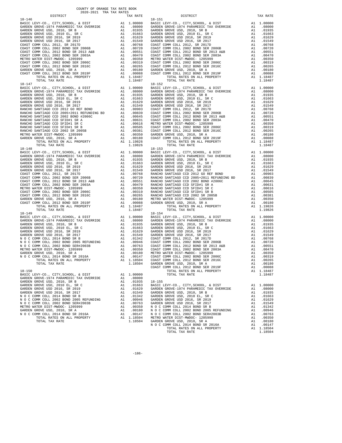| COUNTY OF ORANGE TAX RATE BOOK<br>2020-2021 TRA TAX RATES |          |                                                                                                                                                                                         |            |
|-----------------------------------------------------------|----------|-----------------------------------------------------------------------------------------------------------------------------------------------------------------------------------------|------------|
| DISTRICT                                                  |          | TAX RATE                                                                                                                                                                                |            |
| 18-146                                                    |          |                                                                                                                                                                                         | $18 - 151$ |
|                                                           |          |                                                                                                                                                                                         |            |
|                                                           |          |                                                                                                                                                                                         |            |
|                                                           |          |                                                                                                                                                                                         |            |
|                                                           |          |                                                                                                                                                                                         |            |
|                                                           |          |                                                                                                                                                                                         |            |
|                                                           |          |                                                                                                                                                                                         |            |
|                                                           |          |                                                                                                                                                                                         |            |
|                                                           |          |                                                                                                                                                                                         |            |
|                                                           |          |                                                                                                                                                                                         |            |
|                                                           |          |                                                                                                                                                                                         |            |
|                                                           |          |                                                                                                                                                                                         |            |
|                                                           |          |                                                                                                                                                                                         |            |
|                                                           |          |                                                                                                                                                                                         |            |
|                                                           |          |                                                                                                                                                                                         |            |
|                                                           |          |                                                                                                                                                                                         |            |
| TOTAL TAX RATE                                            |          | 1.18487                                                                                                                                                                                 |            |
|                                                           |          |                                                                                                                                                                                         | $18 - 152$ |
|                                                           |          |                                                                                                                                                                                         |            |
|                                                           |          |                                                                                                                                                                                         |            |
|                                                           |          |                                                                                                                                                                                         |            |
|                                                           |          |                                                                                                                                                                                         |            |
|                                                           |          |                                                                                                                                                                                         |            |
|                                                           |          |                                                                                                                                                                                         |            |
|                                                           |          |                                                                                                                                                                                         |            |
|                                                           |          |                                                                                                                                                                                         |            |
|                                                           |          |                                                                                                                                                                                         |            |
|                                                           |          |                                                                                                                                                                                         |            |
|                                                           |          |                                                                                                                                                                                         |            |
|                                                           |          |                                                                                                                                                                                         |            |
|                                                           |          |                                                                                                                                                                                         |            |
|                                                           |          |                                                                                                                                                                                         |            |
|                                                           |          |                                                                                                                                                                                         |            |
|                                                           |          |                                                                                                                                                                                         |            |
|                                                           |          |                                                                                                                                                                                         |            |
| $18 - 148$                                                |          |                                                                                                                                                                                         | $18 - 153$ |
|                                                           |          |                                                                                                                                                                                         |            |
|                                                           |          |                                                                                                                                                                                         |            |
|                                                           |          |                                                                                                                                                                                         |            |
|                                                           |          |                                                                                                                                                                                         |            |
|                                                           |          |                                                                                                                                                                                         |            |
|                                                           |          |                                                                                                                                                                                         |            |
|                                                           |          |                                                                                                                                                                                         |            |
|                                                           |          |                                                                                                                                                                                         |            |
|                                                           |          |                                                                                                                                                                                         |            |
|                                                           |          |                                                                                                                                                                                         |            |
|                                                           |          |                                                                                                                                                                                         |            |
|                                                           |          |                                                                                                                                                                                         |            |
|                                                           |          |                                                                                                                                                                                         |            |
|                                                           |          |                                                                                                                                                                                         |            |
|                                                           |          |                                                                                                                                                                                         |            |
| TOTAL TAX RATE                                            |          | 1.18487                                                                                                                                                                                 |            |
| 18-149                                                    |          |                                                                                                                                                                                         | $18 - 154$ |
|                                                           |          |                                                                                                                                                                                         |            |
|                                                           |          |                                                                                                                                                                                         |            |
|                                                           |          |                                                                                                                                                                                         |            |
|                                                           |          |                                                                                                                                                                                         |            |
|                                                           |          |                                                                                                                                                                                         |            |
|                                                           |          |                                                                                                                                                                                         |            |
|                                                           |          |                                                                                                                                                                                         |            |
|                                                           |          |                                                                                                                                                                                         |            |
|                                                           |          |                                                                                                                                                                                         |            |
|                                                           |          |                                                                                                                                                                                         |            |
|                                                           |          |                                                                                                                                                                                         |            |
|                                                           |          |                                                                                                                                                                                         |            |
| TOTAL RATES ON ALL PROPERTY                               | $A1$ $1$ | 1.18504                                                                                                                                                                                 | COAST C    |
| TOTAL TAX RATE                                            |          | 1.18504                                                                                                                                                                                 | GARDEN     |
| $18 - 150$                                                |          |                                                                                                                                                                                         | COAST C    |
| BASIC LEVY-CO., CITY, SCHOOL, & DIST                      |          | A1 1.00000                                                                                                                                                                              |            |
| GARDEN GROVE-1974 PARAMEDIC TAX OVERRIDE                  |          | A1.08000                                                                                                                                                                                |            |
| GARDEN GROVE USD, 2010, SR B                              | A1       | .01935                                                                                                                                                                                  | $18 - 155$ |
| GARDEN GROVE USD, 2010 EL, SR C                           | A1       | .01663                                                                                                                                                                                  | BASIC L    |
| GARDEN GROVE USD 2016, SR 2019                            | A1       | .01629                                                                                                                                                                                  | GARDEN     |
| GARDEN GROVE USD 2016, SR 2017                            |          |                                                                                                                                                                                         |            |
| N O C COMM COLL 2014 BOND SR B                            |          |                                                                                                                                                                                         |            |
| N O C COMM COLL 2002 BOND 2005 REFUNDING                  |          |                                                                                                                                                                                         |            |
| N O C COMM COLL 2002 BOND SER#2003B                       |          |                                                                                                                                                                                         |            |
| METRO WATER DIST-MWDOC- 1205999                           |          |                                                                                                                                                                                         |            |
| GARDEN GROVE USD, 2010, SR A                              |          |                                                                                                                                                                                         |            |
| N O C COMM COLL 2014 BOND SR 2016A                        |          |                                                                                                                                                                                         |            |
| TOTAL RATES ON ALL PROPERTY                               |          | AL 0.0529 GARDEN<br>Al 0.01342 GARDEN<br>Al 0.01342 GARDEN<br>Al 0.0946 GARDEN<br>Al 0.0763 GARDEN<br>Al 0.0180 N O C C<br>Al 0.0187 N O C C<br>Al 1.18504 METRO M<br>Al 1.18504 METRON |            |
| TOTAL TAX RATE                                            |          | 1.18504 GARDEN                                                                                                                                                                          |            |

| none neur nur nur mitue<br>DISTRICT                                                                                                                                                                                                                                                                                                                                                                                   | TAX RATE | DISTRICT                                                                                                                                                                                                                                                                                                                                                                                                      | TAX RATE |
|-----------------------------------------------------------------------------------------------------------------------------------------------------------------------------------------------------------------------------------------------------------------------------------------------------------------------------------------------------------------------------------------------------------------------|----------|---------------------------------------------------------------------------------------------------------------------------------------------------------------------------------------------------------------------------------------------------------------------------------------------------------------------------------------------------------------------------------------------------------------|----------|
|                                                                                                                                                                                                                                                                                                                                                                                                                       |          |                                                                                                                                                                                                                                                                                                                                                                                                               |          |
|                                                                                                                                                                                                                                                                                                                                                                                                                       |          |                                                                                                                                                                                                                                                                                                                                                                                                               |          |
|                                                                                                                                                                                                                                                                                                                                                                                                                       |          |                                                                                                                                                                                                                                                                                                                                                                                                               |          |
|                                                                                                                                                                                                                                                                                                                                                                                                                       |          |                                                                                                                                                                                                                                                                                                                                                                                                               |          |
|                                                                                                                                                                                                                                                                                                                                                                                                                       |          |                                                                                                                                                                                                                                                                                                                                                                                                               |          |
|                                                                                                                                                                                                                                                                                                                                                                                                                       |          |                                                                                                                                                                                                                                                                                                                                                                                                               |          |
|                                                                                                                                                                                                                                                                                                                                                                                                                       |          |                                                                                                                                                                                                                                                                                                                                                                                                               |          |
|                                                                                                                                                                                                                                                                                                                                                                                                                       |          |                                                                                                                                                                                                                                                                                                                                                                                                               |          |
|                                                                                                                                                                                                                                                                                                                                                                                                                       |          |                                                                                                                                                                                                                                                                                                                                                                                                               |          |
|                                                                                                                                                                                                                                                                                                                                                                                                                       |          |                                                                                                                                                                                                                                                                                                                                                                                                               |          |
|                                                                                                                                                                                                                                                                                                                                                                                                                       |          |                                                                                                                                                                                                                                                                                                                                                                                                               |          |
|                                                                                                                                                                                                                                                                                                                                                                                                                       |          |                                                                                                                                                                                                                                                                                                                                                                                                               |          |
|                                                                                                                                                                                                                                                                                                                                                                                                                       |          |                                                                                                                                                                                                                                                                                                                                                                                                               |          |
|                                                                                                                                                                                                                                                                                                                                                                                                                       |          |                                                                                                                                                                                                                                                                                                                                                                                                               |          |
|                                                                                                                                                                                                                                                                                                                                                                                                                       |          |                                                                                                                                                                                                                                                                                                                                                                                                               |          |
|                                                                                                                                                                                                                                                                                                                                                                                                                       |          |                                                                                                                                                                                                                                                                                                                                                                                                               |          |
|                                                                                                                                                                                                                                                                                                                                                                                                                       |          |                                                                                                                                                                                                                                                                                                                                                                                                               |          |
|                                                                                                                                                                                                                                                                                                                                                                                                                       |          |                                                                                                                                                                                                                                                                                                                                                                                                               |          |
|                                                                                                                                                                                                                                                                                                                                                                                                                       |          |                                                                                                                                                                                                                                                                                                                                                                                                               |          |
|                                                                                                                                                                                                                                                                                                                                                                                                                       |          |                                                                                                                                                                                                                                                                                                                                                                                                               |          |
|                                                                                                                                                                                                                                                                                                                                                                                                                       |          |                                                                                                                                                                                                                                                                                                                                                                                                               |          |
|                                                                                                                                                                                                                                                                                                                                                                                                                       |          |                                                                                                                                                                                                                                                                                                                                                                                                               |          |
|                                                                                                                                                                                                                                                                                                                                                                                                                       |          |                                                                                                                                                                                                                                                                                                                                                                                                               |          |
|                                                                                                                                                                                                                                                                                                                                                                                                                       |          |                                                                                                                                                                                                                                                                                                                                                                                                               |          |
|                                                                                                                                                                                                                                                                                                                                                                                                                       |          |                                                                                                                                                                                                                                                                                                                                                                                                               |          |
|                                                                                                                                                                                                                                                                                                                                                                                                                       |          |                                                                                                                                                                                                                                                                                                                                                                                                               |          |
|                                                                                                                                                                                                                                                                                                                                                                                                                       |          |                                                                                                                                                                                                                                                                                                                                                                                                               |          |
|                                                                                                                                                                                                                                                                                                                                                                                                                       |          |                                                                                                                                                                                                                                                                                                                                                                                                               |          |
|                                                                                                                                                                                                                                                                                                                                                                                                                       |          |                                                                                                                                                                                                                                                                                                                                                                                                               |          |
|                                                                                                                                                                                                                                                                                                                                                                                                                       |          |                                                                                                                                                                                                                                                                                                                                                                                                               |          |
|                                                                                                                                                                                                                                                                                                                                                                                                                       |          |                                                                                                                                                                                                                                                                                                                                                                                                               |          |
|                                                                                                                                                                                                                                                                                                                                                                                                                       |          |                                                                                                                                                                                                                                                                                                                                                                                                               |          |
|                                                                                                                                                                                                                                                                                                                                                                                                                       |          |                                                                                                                                                                                                                                                                                                                                                                                                               |          |
|                                                                                                                                                                                                                                                                                                                                                                                                                       |          |                                                                                                                                                                                                                                                                                                                                                                                                               |          |
|                                                                                                                                                                                                                                                                                                                                                                                                                       |          |                                                                                                                                                                                                                                                                                                                                                                                                               |          |
|                                                                                                                                                                                                                                                                                                                                                                                                                       |          |                                                                                                                                                                                                                                                                                                                                                                                                               |          |
|                                                                                                                                                                                                                                                                                                                                                                                                                       |          |                                                                                                                                                                                                                                                                                                                                                                                                               |          |
|                                                                                                                                                                                                                                                                                                                                                                                                                       |          |                                                                                                                                                                                                                                                                                                                                                                                                               |          |
|                                                                                                                                                                                                                                                                                                                                                                                                                       |          |                                                                                                                                                                                                                                                                                                                                                                                                               |          |
|                                                                                                                                                                                                                                                                                                                                                                                                                       |          |                                                                                                                                                                                                                                                                                                                                                                                                               |          |
|                                                                                                                                                                                                                                                                                                                                                                                                                       |          |                                                                                                                                                                                                                                                                                                                                                                                                               |          |
|                                                                                                                                                                                                                                                                                                                                                                                                                       |          |                                                                                                                                                                                                                                                                                                                                                                                                               |          |
|                                                                                                                                                                                                                                                                                                                                                                                                                       |          |                                                                                                                                                                                                                                                                                                                                                                                                               |          |
|                                                                                                                                                                                                                                                                                                                                                                                                                       |          |                                                                                                                                                                                                                                                                                                                                                                                                               |          |
|                                                                                                                                                                                                                                                                                                                                                                                                                       |          |                                                                                                                                                                                                                                                                                                                                                                                                               |          |
|                                                                                                                                                                                                                                                                                                                                                                                                                       |          |                                                                                                                                                                                                                                                                                                                                                                                                               |          |
|                                                                                                                                                                                                                                                                                                                                                                                                                       |          |                                                                                                                                                                                                                                                                                                                                                                                                               |          |
|                                                                                                                                                                                                                                                                                                                                                                                                                       |          |                                                                                                                                                                                                                                                                                                                                                                                                               |          |
|                                                                                                                                                                                                                                                                                                                                                                                                                       |          |                                                                                                                                                                                                                                                                                                                                                                                                               |          |
|                                                                                                                                                                                                                                                                                                                                                                                                                       |          |                                                                                                                                                                                                                                                                                                                                                                                                               |          |
|                                                                                                                                                                                                                                                                                                                                                                                                                       |          |                                                                                                                                                                                                                                                                                                                                                                                                               |          |
|                                                                                                                                                                                                                                                                                                                                                                                                                       |          |                                                                                                                                                                                                                                                                                                                                                                                                               |          |
|                                                                                                                                                                                                                                                                                                                                                                                                                       |          |                                                                                                                                                                                                                                                                                                                                                                                                               |          |
|                                                                                                                                                                                                                                                                                                                                                                                                                       |          |                                                                                                                                                                                                                                                                                                                                                                                                               |          |
|                                                                                                                                                                                                                                                                                                                                                                                                                       |          |                                                                                                                                                                                                                                                                                                                                                                                                               |          |
|                                                                                                                                                                                                                                                                                                                                                                                                                       |          |                                                                                                                                                                                                                                                                                                                                                                                                               |          |
|                                                                                                                                                                                                                                                                                                                                                                                                                       |          |                                                                                                                                                                                                                                                                                                                                                                                                               |          |
|                                                                                                                                                                                                                                                                                                                                                                                                                       |          |                                                                                                                                                                                                                                                                                                                                                                                                               |          |
|                                                                                                                                                                                                                                                                                                                                                                                                                       |          |                                                                                                                                                                                                                                                                                                                                                                                                               |          |
|                                                                                                                                                                                                                                                                                                                                                                                                                       |          |                                                                                                                                                                                                                                                                                                                                                                                                               |          |
|                                                                                                                                                                                                                                                                                                                                                                                                                       |          |                                                                                                                                                                                                                                                                                                                                                                                                               |          |
|                                                                                                                                                                                                                                                                                                                                                                                                                       |          |                                                                                                                                                                                                                                                                                                                                                                                                               |          |
|                                                                                                                                                                                                                                                                                                                                                                                                                       |          |                                                                                                                                                                                                                                                                                                                                                                                                               |          |
|                                                                                                                                                                                                                                                                                                                                                                                                                       |          |                                                                                                                                                                                                                                                                                                                                                                                                               |          |
|                                                                                                                                                                                                                                                                                                                                                                                                                       |          |                                                                                                                                                                                                                                                                                                                                                                                                               |          |
|                                                                                                                                                                                                                                                                                                                                                                                                                       |          |                                                                                                                                                                                                                                                                                                                                                                                                               |          |
|                                                                                                                                                                                                                                                                                                                                                                                                                       |          | $\begin{tabular}{cccccccc} 18-149 & 18-154 \\ \texttt{BABISC EWY-CO} &, \texttt{CITY}, \texttt{SCHOOL}, & \texttt{a DIST} & \texttt{A1} & 1.00000 & \texttt{BABISC EWY-CO} &, \texttt{CITY}, \texttt{SCHOOL}, & \texttt{a DIST} & \texttt{A1} & 1.00000 \\ \texttt{GARDEN GROVE 1974 PARMMEDIC TAX OVERRIDE} & \texttt{A1} & .080000 & \texttt{GARDEN GROVE 1974 PARMBDEC TAX OVERRIDE} & \texttt{A1} & .080$ |          |
|                                                                                                                                                                                                                                                                                                                                                                                                                       |          |                                                                                                                                                                                                                                                                                                                                                                                                               |          |
|                                                                                                                                                                                                                                                                                                                                                                                                                       |          |                                                                                                                                                                                                                                                                                                                                                                                                               |          |
|                                                                                                                                                                                                                                                                                                                                                                                                                       |          |                                                                                                                                                                                                                                                                                                                                                                                                               |          |
|                                                                                                                                                                                                                                                                                                                                                                                                                       |          |                                                                                                                                                                                                                                                                                                                                                                                                               |          |
|                                                                                                                                                                                                                                                                                                                                                                                                                       |          |                                                                                                                                                                                                                                                                                                                                                                                                               |          |
|                                                                                                                                                                                                                                                                                                                                                                                                                       |          |                                                                                                                                                                                                                                                                                                                                                                                                               |          |
|                                                                                                                                                                                                                                                                                                                                                                                                                       |          |                                                                                                                                                                                                                                                                                                                                                                                                               |          |
|                                                                                                                                                                                                                                                                                                                                                                                                                       |          |                                                                                                                                                                                                                                                                                                                                                                                                               |          |
|                                                                                                                                                                                                                                                                                                                                                                                                                       |          |                                                                                                                                                                                                                                                                                                                                                                                                               |          |
|                                                                                                                                                                                                                                                                                                                                                                                                                       |          |                                                                                                                                                                                                                                                                                                                                                                                                               |          |
|                                                                                                                                                                                                                                                                                                                                                                                                                       |          |                                                                                                                                                                                                                                                                                                                                                                                                               |          |
|                                                                                                                                                                                                                                                                                                                                                                                                                       |          |                                                                                                                                                                                                                                                                                                                                                                                                               |          |
|                                                                                                                                                                                                                                                                                                                                                                                                                       |          |                                                                                                                                                                                                                                                                                                                                                                                                               |          |
|                                                                                                                                                                                                                                                                                                                                                                                                                       |          |                                                                                                                                                                                                                                                                                                                                                                                                               |          |
|                                                                                                                                                                                                                                                                                                                                                                                                                       |          |                                                                                                                                                                                                                                                                                                                                                                                                               |          |
|                                                                                                                                                                                                                                                                                                                                                                                                                       |          |                                                                                                                                                                                                                                                                                                                                                                                                               |          |
|                                                                                                                                                                                                                                                                                                                                                                                                                       |          |                                                                                                                                                                                                                                                                                                                                                                                                               |          |
|                                                                                                                                                                                                                                                                                                                                                                                                                       |          |                                                                                                                                                                                                                                                                                                                                                                                                               |          |
|                                                                                                                                                                                                                                                                                                                                                                                                                       |          |                                                                                                                                                                                                                                                                                                                                                                                                               |          |
| $\begin{tabular}{c cccc} \multicolumn{4}{c}{\textbf{18-150}}\\ \multicolumn{4}{c}{\textbf{19-150}}\\ \multicolumn{4}{c}{\textbf{19-150}}\\ \multicolumn{4}{c}{\textbf{19-150}}\\ \multicolumn{4}{c}{\textbf{19-150}}\\ \multicolumn{4}{c}{\textbf{19-150}}\\ \multicolumn{4}{c}{\textbf{19-150}}\\ \multicolumn{4}{c}{\textbf{19-150}}\\ \multicolumn{4}{c}{\textbf{19-150}}\\ \multicolumn{4}{c}{\textbf{19-150}}\\$ |          |                                                                                                                                                                                                                                                                                                                                                                                                               |          |
|                                                                                                                                                                                                                                                                                                                                                                                                                       |          |                                                                                                                                                                                                                                                                                                                                                                                                               |          |

-186-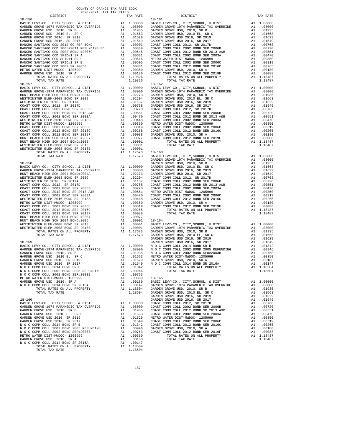| $18 - 156$                                                                                                          |                                                                              |                   |
|---------------------------------------------------------------------------------------------------------------------|------------------------------------------------------------------------------|-------------------|
|                                                                                                                     |                                                                              | $18 - 161$        |
|                                                                                                                     |                                                                              |                   |
|                                                                                                                     |                                                                              |                   |
|                                                                                                                     |                                                                              |                   |
|                                                                                                                     |                                                                              |                   |
|                                                                                                                     |                                                                              |                   |
|                                                                                                                     |                                                                              |                   |
|                                                                                                                     |                                                                              |                   |
|                                                                                                                     |                                                                              |                   |
|                                                                                                                     |                                                                              |                   |
|                                                                                                                     |                                                                              |                   |
|                                                                                                                     |                                                                              |                   |
|                                                                                                                     |                                                                              |                   |
|                                                                                                                     |                                                                              |                   |
|                                                                                                                     |                                                                              |                   |
|                                                                                                                     |                                                                              |                   |
| TOTAL TAX RATE                                                                                                      | 1.19826                                                                      |                   |
| $18 - 157$                                                                                                          |                                                                              | $18 - 162$        |
|                                                                                                                     |                                                                              |                   |
|                                                                                                                     |                                                                              |                   |
|                                                                                                                     |                                                                              |                   |
|                                                                                                                     |                                                                              |                   |
|                                                                                                                     |                                                                              |                   |
|                                                                                                                     |                                                                              |                   |
|                                                                                                                     |                                                                              |                   |
|                                                                                                                     |                                                                              |                   |
|                                                                                                                     |                                                                              |                   |
|                                                                                                                     |                                                                              |                   |
|                                                                                                                     |                                                                              |                   |
|                                                                                                                     |                                                                              |                   |
|                                                                                                                     |                                                                              |                   |
|                                                                                                                     |                                                                              |                   |
|                                                                                                                     |                                                                              |                   |
|                                                                                                                     |                                                                              |                   |
|                                                                                                                     |                                                                              |                   |
|                                                                                                                     |                                                                              |                   |
|                                                                                                                     |                                                                              |                   |
|                                                                                                                     |                                                                              |                   |
|                                                                                                                     |                                                                              |                   |
|                                                                                                                     |                                                                              | GARDEN            |
|                                                                                                                     |                                                                              |                   |
|                                                                                                                     |                                                                              |                   |
|                                                                                                                     |                                                                              |                   |
|                                                                                                                     |                                                                              |                   |
|                                                                                                                     |                                                                              |                   |
|                                                                                                                     |                                                                              |                   |
|                                                                                                                     |                                                                              |                   |
|                                                                                                                     |                                                                              |                   |
|                                                                                                                     |                                                                              |                   |
|                                                                                                                     |                                                                              |                   |
|                                                                                                                     |                                                                              |                   |
|                                                                                                                     |                                                                              |                   |
|                                                                                                                     |                                                                              |                   |
|                                                                                                                     |                                                                              |                   |
|                                                                                                                     |                                                                              |                   |
|                                                                                                                     |                                                                              |                   |
|                                                                                                                     |                                                                              |                   |
|                                                                                                                     |                                                                              |                   |
|                                                                                                                     |                                                                              |                   |
|                                                                                                                     |                                                                              |                   |
|                                                                                                                     |                                                                              |                   |
|                                                                                                                     |                                                                              |                   |
|                                                                                                                     |                                                                              |                   |
|                                                                                                                     |                                                                              | GARDEN            |
| $18 - 159$                                                                                                          |                                                                              | GARDEN            |
|                                                                                                                     |                                                                              |                   |
|                                                                                                                     |                                                                              |                   |
|                                                                                                                     |                                                                              |                   |
|                                                                                                                     |                                                                              |                   |
|                                                                                                                     |                                                                              |                   |
|                                                                                                                     |                                                                              |                   |
| N O C COMM COLL 2014 BOND SR B<br>A1                                                                                | .01342                                                                       |                   |
| N O C COMM COLL 2002 BOND 2005 REFUNDING<br>A1                                                                      | .00946                                                                       |                   |
|                                                                                                                     | A1.00763                                                                     |                   |
| N O C COMM COLL 2002 BOND 2003 NEWSTONES<br>N O C COMM COLL 2002 BOND SERT#2003B<br>METRO WATER DIST-MWDOC- 1205999 | A1 .00350                                                                    | $18 - 165$        |
| GARDEN GROVE USD, 2010, SR A                                                                                        |                                                                              | 18-165<br>BASIC L |
| N O C COMM COLL 2014 BOND SR 2016A                                                                                  |                                                                              |                   |
| TOTAL RATES ON ALL PROPERTY                                                                                         |                                                                              |                   |
| TOTAL TAX RATE                                                                                                      |                                                                              |                   |
|                                                                                                                     | A1 .00180 BASIC L<br>A1 .00147 GARDEN<br>A1 1.18504 GARDEN<br>1.18504 GARDEN | GARDEN            |
| $18 - 160$                                                                                                          |                                                                              | GARDEN            |
|                                                                                                                     |                                                                              |                   |
|                                                                                                                     |                                                                              |                   |
|                                                                                                                     |                                                                              |                   |
|                                                                                                                     |                                                                              |                   |
|                                                                                                                     |                                                                              |                   |
|                                                                                                                     |                                                                              |                   |
|                                                                                                                     |                                                                              |                   |
|                                                                                                                     |                                                                              |                   |
|                                                                                                                     |                                                                              |                   |
|                                                                                                                     |                                                                              |                   |
| METRO WATER DIST-MWDOC- 1205999                                                                                     | A1 .00350                                                                    |                   |
| GARDEN GROVE USD. 2010. SR A                                                                                        |                                                                              |                   |
| N O C COMM COLL 2014 BOND SR 2016A                                                                                  | A1 .00180<br>A1 .00147                                                       |                   |
| TOTAL RATES ON ALL PROPERTY<br>TOTAL TAX RATE                                                                       | A1 1.18504<br>1.18504                                                        |                   |

| COUNTY OF ORANGE TAX RATE BOOK<br>2020-2021 TRA TAX RATES                                                                                                                                                                                                                           |          |            |          |
|-------------------------------------------------------------------------------------------------------------------------------------------------------------------------------------------------------------------------------------------------------------------------------------|----------|------------|----------|
| DISTRICT                                                                                                                                                                                                                                                                            | TAX RATE | DISTRICT   | TAX RATE |
|                                                                                                                                                                                                                                                                                     |          | $18 - 161$ |          |
|                                                                                                                                                                                                                                                                                     |          |            |          |
| $\begin{tabular}{l ll} \textbf{WESTIMINISTER} \textbf{KEM-200B ROMDER} & 11.17673 & 18-163 & 100000 & 6.01871 & 11.17673 & 18-163 & 100000 & 6.01871 & 11.17673 & 18-163 & 100000 & 6.01871 & 11.17673 & 11.17673 & 18-163 & 100000 & 6.01871 & 11.17673 & 11.17673 & 11.17673 & 1$ |          |            |          |
|                                                                                                                                                                                                                                                                                     |          |            |          |
|                                                                                                                                                                                                                                                                                     |          |            |          |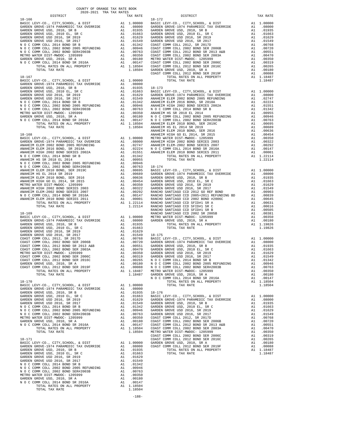|                                                                                                                                                                                   |               |                         | COAST C |
|-----------------------------------------------------------------------------------------------------------------------------------------------------------------------------------|---------------|-------------------------|---------|
|                                                                                                                                                                                   |               |                         |         |
|                                                                                                                                                                                   |               |                         |         |
|                                                                                                                                                                                   |               |                         |         |
|                                                                                                                                                                                   |               |                         |         |
|                                                                                                                                                                                   |               |                         |         |
|                                                                                                                                                                                   |               |                         |         |
|                                                                                                                                                                                   |               |                         |         |
|                                                                                                                                                                                   |               |                         |         |
|                                                                                                                                                                                   |               |                         |         |
|                                                                                                                                                                                   |               |                         | ANAHEIM |
| $18 - 168$                                                                                                                                                                        |               |                         | ANAHEIM |
|                                                                                                                                                                                   |               |                         |         |
|                                                                                                                                                                                   |               |                         |         |
|                                                                                                                                                                                   |               |                         |         |
|                                                                                                                                                                                   |               |                         |         |
|                                                                                                                                                                                   |               |                         |         |
|                                                                                                                                                                                   |               |                         |         |
|                                                                                                                                                                                   |               |                         |         |
|                                                                                                                                                                                   |               |                         |         |
|                                                                                                                                                                                   |               |                         |         |
|                                                                                                                                                                                   |               |                         |         |
|                                                                                                                                                                                   |               |                         |         |
|                                                                                                                                                                                   |               |                         |         |
|                                                                                                                                                                                   |               |                         |         |
| RANCHO (10-109 RANCHO )<br>BASIC LEVY-CO., CITY, SCHOOL, & DIST (41 1.00000 METRO WERD WERD CARDEN GROVE-1974 PARAMEDIC TAX OVERRIDE (41 1.08000 )<br>GARDEN GROVE USD. 2010 SP R |               |                         |         |
|                                                                                                                                                                                   |               |                         |         |
| GARDEN GROVE USD, 2010, SR B<br>GARDEN GROVE USD, 2010 EL, SR C                                                                                                                   |               | A1.01935<br>A1 .01663   |         |
| GARDEN GROVE USD 2016, SR 2019                                                                                                                                                    | $\mathtt{Al}$ | .01629                  |         |
|                                                                                                                                                                                   |               |                         |         |
|                                                                                                                                                                                   |               |                         |         |
|                                                                                                                                                                                   |               |                         |         |
|                                                                                                                                                                                   |               |                         |         |
|                                                                                                                                                                                   |               |                         |         |
|                                                                                                                                                                                   |               |                         |         |
|                                                                                                                                                                                   |               |                         |         |
| TOTAL TAX RATE                                                                                                                                                                    |               | 1.18487 GARDEN          | NOCC    |
| $18 - 170$                                                                                                                                                                        |               |                         |         |
|                                                                                                                                                                                   |               |                         |         |
|                                                                                                                                                                                   |               |                         |         |
|                                                                                                                                                                                   |               |                         |         |
|                                                                                                                                                                                   |               |                         |         |
|                                                                                                                                                                                   |               |                         |         |
|                                                                                                                                                                                   |               |                         |         |
|                                                                                                                                                                                   |               |                         |         |
|                                                                                                                                                                                   |               |                         |         |
|                                                                                                                                                                                   |               |                         | COAST C |
| $18 - 171$                                                                                                                                                                        |               |                         | COAST C |
| BASIC LEVY-CO., CITY, SCHOOL, & DIST<br>CARDEN GROVE-1974 PARAMEDIC TAX OVERRIDE A1 .08000 COAST C<br>GARDEN GROVE USD, 2010. SR B                                                |               |                         |         |
| GARDEN GROVE USD, 2010, SR B<br>GARDEN GROVE USD, 2010 EL, SR C                                                                                                                   |               | A1 .01935<br>A1.01663   |         |
|                                                                                                                                                                                   |               |                         |         |
|                                                                                                                                                                                   |               |                         |         |
|                                                                                                                                                                                   |               |                         |         |
| METRO WATER DIST-MWDOC- 1205999                                                                                                                                                   |               | A1 .00350               |         |
| GARDEN GROVE USD, 2010, SR A                                                                                                                                                      |               | A1 .00180               |         |
| N O C COMM COLL 2014 BOND SR 2016A<br>N O C COMM COLL 2014 BOND SR 2016A<br>TOTAL RATES ON ALL PROPERTY                                                                           |               | A1 .00147<br>A1 1.18504 |         |
| TOTAL TAX RATE                                                                                                                                                                    |               | 1.18504                 |         |

| COUNTY OF ORANGE TAX RATE BOOK<br>2020-2021 TRA TAX RATES |          |          |          |
|-----------------------------------------------------------|----------|----------|----------|
| DISTRICT                                                  | TAX RATE | DISTRICT | TAX RATE |
|                                                           |          |          |          |
|                                                           |          |          |          |
|                                                           |          |          |          |
|                                                           |          |          |          |
|                                                           |          |          |          |
|                                                           |          |          |          |
|                                                           |          |          |          |
|                                                           |          |          |          |
|                                                           |          |          |          |
|                                                           |          |          |          |
|                                                           |          |          |          |
|                                                           |          |          |          |
|                                                           |          |          |          |
|                                                           |          |          |          |
|                                                           |          |          |          |
|                                                           |          |          |          |
|                                                           |          |          |          |
|                                                           |          |          |          |
|                                                           |          |          |          |
|                                                           |          |          |          |
|                                                           |          |          |          |
|                                                           |          |          |          |
|                                                           |          |          |          |
|                                                           |          |          |          |
|                                                           |          |          |          |
|                                                           |          |          |          |
|                                                           |          |          |          |
|                                                           |          |          |          |
|                                                           |          |          |          |
|                                                           |          |          |          |
|                                                           |          |          |          |
|                                                           |          |          |          |
|                                                           |          |          |          |
|                                                           |          |          |          |
|                                                           |          |          |          |
|                                                           |          |          |          |
|                                                           |          |          |          |
|                                                           |          |          |          |
|                                                           |          |          |          |
|                                                           |          |          |          |
|                                                           |          |          |          |
|                                                           |          |          |          |
|                                                           |          |          |          |
|                                                           |          |          |          |
|                                                           |          |          |          |
|                                                           |          |          |          |
|                                                           |          |          |          |
|                                                           |          |          |          |
|                                                           |          |          |          |
|                                                           |          |          |          |
|                                                           |          |          |          |
|                                                           |          |          |          |
|                                                           |          |          |          |
|                                                           |          |          |          |
|                                                           |          |          |          |
|                                                           |          |          |          |
|                                                           |          |          |          |
|                                                           |          |          |          |
|                                                           |          |          |          |
|                                                           |          |          |          |
|                                                           |          |          |          |
|                                                           |          |          |          |
|                                                           |          |          |          |
|                                                           |          |          |          |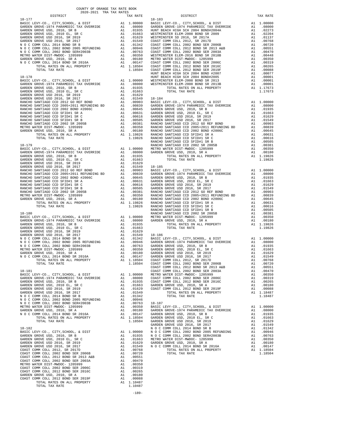| COUNTY OF ORANGE TAX RATE BOOK<br>2020-2021 TRA TAX RATES |          |                                                                                                                                                                                                                                        |          |
|-----------------------------------------------------------|----------|----------------------------------------------------------------------------------------------------------------------------------------------------------------------------------------------------------------------------------------|----------|
| DISTRICT                                                  | TAX RATE | DISTRICT                                                                                                                                                                                                                               | TAX RATE |
|                                                           |          |                                                                                                                                                                                                                                        |          |
|                                                           |          |                                                                                                                                                                                                                                        |          |
|                                                           |          |                                                                                                                                                                                                                                        |          |
|                                                           |          |                                                                                                                                                                                                                                        |          |
|                                                           |          |                                                                                                                                                                                                                                        |          |
|                                                           |          |                                                                                                                                                                                                                                        |          |
|                                                           |          |                                                                                                                                                                                                                                        |          |
|                                                           |          |                                                                                                                                                                                                                                        |          |
|                                                           |          |                                                                                                                                                                                                                                        |          |
|                                                           |          |                                                                                                                                                                                                                                        |          |
|                                                           |          |                                                                                                                                                                                                                                        |          |
|                                                           |          |                                                                                                                                                                                                                                        |          |
|                                                           |          |                                                                                                                                                                                                                                        |          |
|                                                           |          |                                                                                                                                                                                                                                        |          |
|                                                           |          |                                                                                                                                                                                                                                        |          |
|                                                           |          |                                                                                                                                                                                                                                        |          |
|                                                           |          |                                                                                                                                                                                                                                        |          |
|                                                           |          |                                                                                                                                                                                                                                        |          |
|                                                           |          |                                                                                                                                                                                                                                        |          |
|                                                           |          |                                                                                                                                                                                                                                        |          |
|                                                           |          |                                                                                                                                                                                                                                        |          |
|                                                           |          |                                                                                                                                                                                                                                        |          |
|                                                           |          |                                                                                                                                                                                                                                        |          |
|                                                           |          |                                                                                                                                                                                                                                        |          |
|                                                           |          |                                                                                                                                                                                                                                        |          |
|                                                           |          |                                                                                                                                                                                                                                        |          |
|                                                           |          |                                                                                                                                                                                                                                        |          |
|                                                           |          |                                                                                                                                                                                                                                        |          |
|                                                           |          |                                                                                                                                                                                                                                        |          |
|                                                           |          |                                                                                                                                                                                                                                        |          |
|                                                           |          |                                                                                                                                                                                                                                        |          |
|                                                           |          |                                                                                                                                                                                                                                        |          |
|                                                           |          |                                                                                                                                                                                                                                        |          |
|                                                           |          |                                                                                                                                                                                                                                        |          |
|                                                           |          |                                                                                                                                                                                                                                        |          |
|                                                           |          |                                                                                                                                                                                                                                        |          |
|                                                           |          |                                                                                                                                                                                                                                        |          |
|                                                           |          |                                                                                                                                                                                                                                        |          |
|                                                           |          |                                                                                                                                                                                                                                        |          |
|                                                           |          |                                                                                                                                                                                                                                        |          |
|                                                           |          |                                                                                                                                                                                                                                        |          |
|                                                           |          |                                                                                                                                                                                                                                        |          |
|                                                           |          |                                                                                                                                                                                                                                        |          |
|                                                           |          |                                                                                                                                                                                                                                        |          |
|                                                           |          |                                                                                                                                                                                                                                        |          |
|                                                           |          |                                                                                                                                                                                                                                        |          |
|                                                           |          |                                                                                                                                                                                                                                        |          |
|                                                           |          |                                                                                                                                                                                                                                        |          |
|                                                           |          |                                                                                                                                                                                                                                        |          |
|                                                           |          |                                                                                                                                                                                                                                        |          |
|                                                           |          |                                                                                                                                                                                                                                        |          |
|                                                           |          |                                                                                                                                                                                                                                        |          |
|                                                           |          |                                                                                                                                                                                                                                        |          |
|                                                           |          |                                                                                                                                                                                                                                        |          |
|                                                           |          |                                                                                                                                                                                                                                        |          |
|                                                           |          |                                                                                                                                                                                                                                        |          |
|                                                           |          |                                                                                                                                                                                                                                        |          |
|                                                           |          |                                                                                                                                                                                                                                        |          |
|                                                           |          |                                                                                                                                                                                                                                        |          |
|                                                           |          |                                                                                                                                                                                                                                        |          |
|                                                           |          |                                                                                                                                                                                                                                        |          |
|                                                           |          |                                                                                                                                                                                                                                        |          |
|                                                           |          |                                                                                                                                                                                                                                        |          |
|                                                           |          |                                                                                                                                                                                                                                        |          |
|                                                           |          |                                                                                                                                                                                                                                        |          |
|                                                           |          |                                                                                                                                                                                                                                        |          |
|                                                           |          |                                                                                                                                                                                                                                        |          |
|                                                           |          |                                                                                                                                                                                                                                        |          |
|                                                           |          |                                                                                                                                                                                                                                        |          |
|                                                           |          |                                                                                                                                                                                                                                        |          |
|                                                           |          |                                                                                                                                                                                                                                        |          |
|                                                           |          |                                                                                                                                                                                                                                        |          |
|                                                           |          |                                                                                                                                                                                                                                        |          |
|                                                           |          |                                                                                                                                                                                                                                        |          |
|                                                           |          |                                                                                                                                                                                                                                        |          |
|                                                           |          |                                                                                                                                                                                                                                        |          |
|                                                           |          |                                                                                                                                                                                                                                        |          |
|                                                           |          |                                                                                                                                                                                                                                        |          |
|                                                           |          | 461200 MESSIN (500 16227)<br>4210 MESSIN (500 16227)<br>4210 MESSIN (500 1622 MESSIN (500 1622 MESSIN (500 162 MESSIN (500 162 MESSIN)<br>102 COM9 COLL 2014 BOD 63 2015A<br>102 COM9 COLL 2014 BOD 63 2015A<br>11. 102147 COM2 COLL 2 |          |
|                                                           |          |                                                                                                                                                                                                                                        |          |

-189-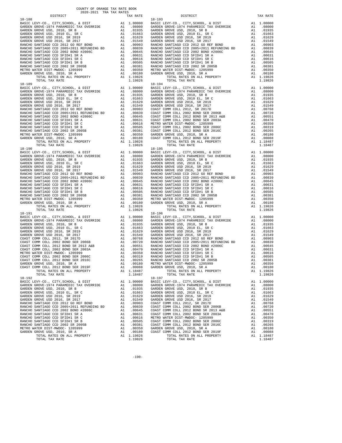| COUNTY OF ORANGE TAX RATE BOOK<br>2020-2021 TRA TAX RATES |          |          |          |
|-----------------------------------------------------------|----------|----------|----------|
| DISTRICT                                                  | TAX RATE | DISTRICT | TAX RATE |
| 18-188                                                    |          | 18-193   |          |
|                                                           |          |          |          |
|                                                           |          |          |          |
|                                                           |          |          |          |
|                                                           |          |          |          |
|                                                           |          |          |          |
|                                                           |          |          |          |
|                                                           |          |          |          |
|                                                           |          |          |          |
|                                                           |          |          |          |
|                                                           |          |          |          |
|                                                           |          |          |          |
|                                                           |          |          |          |
|                                                           |          |          |          |
|                                                           |          |          |          |
|                                                           |          |          |          |
|                                                           |          |          |          |
|                                                           |          |          |          |
|                                                           |          |          |          |
|                                                           |          |          |          |
|                                                           |          |          |          |
|                                                           |          |          |          |
|                                                           |          |          |          |
|                                                           |          |          |          |
|                                                           |          |          |          |
|                                                           |          |          |          |
|                                                           |          |          |          |
|                                                           |          |          |          |
|                                                           |          |          |          |
|                                                           |          |          |          |
|                                                           |          |          |          |
|                                                           |          |          |          |
|                                                           |          |          |          |
|                                                           |          |          |          |
|                                                           |          |          |          |
|                                                           |          |          |          |
|                                                           |          |          |          |
|                                                           |          |          |          |
|                                                           |          |          |          |
|                                                           |          |          |          |
|                                                           |          |          |          |
|                                                           |          |          |          |
|                                                           |          |          |          |
|                                                           |          |          |          |
|                                                           |          |          |          |
|                                                           |          |          |          |
|                                                           |          |          |          |
|                                                           |          |          |          |
|                                                           |          |          |          |
|                                                           |          |          |          |
|                                                           |          |          |          |
|                                                           |          |          |          |
|                                                           |          |          |          |
|                                                           |          |          |          |
|                                                           |          |          |          |
|                                                           |          |          |          |
|                                                           |          |          |          |
|                                                           |          |          |          |
|                                                           |          |          |          |
|                                                           |          |          |          |
|                                                           |          |          |          |
|                                                           |          |          |          |
|                                                           |          |          |          |
|                                                           |          |          |          |
|                                                           |          |          |          |
|                                                           |          |          |          |
|                                                           |          |          |          |
|                                                           |          |          |          |
|                                                           |          |          |          |
|                                                           |          |          |          |
|                                                           |          |          |          |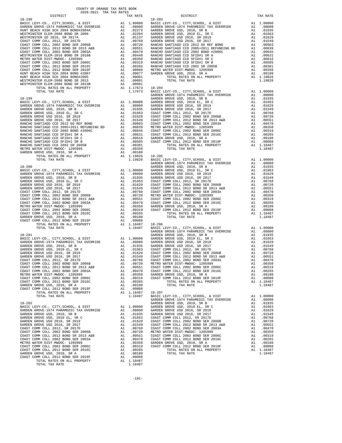| DISTRICT   | TAX RATE | DISTRICT   | TAX RATE |
|------------|----------|------------|----------|
| $18 - 198$ |          | $18 - 203$ |          |
|            |          |            |          |
|            |          |            |          |
|            |          |            |          |
|            |          |            |          |
|            |          |            |          |
|            |          |            |          |
|            |          |            |          |
|            |          |            |          |
|            |          |            |          |
|            |          |            |          |
|            |          |            |          |
|            |          |            |          |
|            |          |            |          |
|            |          |            |          |
|            |          |            |          |
|            |          |            |          |
|            |          |            |          |
|            |          |            |          |
|            |          |            |          |
|            |          |            |          |
|            |          |            |          |
|            |          |            |          |
|            |          |            |          |
|            |          |            |          |
|            |          |            |          |
|            |          |            |          |
|            |          |            |          |
|            |          |            |          |
|            |          |            |          |
|            |          |            |          |
|            |          |            |          |
|            |          |            |          |
|            |          |            |          |
|            |          |            |          |
|            |          |            |          |
|            |          |            |          |
|            |          |            |          |
|            |          |            |          |
|            |          |            |          |
|            |          |            |          |
|            |          |            |          |
|            |          |            |          |
|            |          |            |          |
|            |          |            |          |
|            |          |            |          |
|            |          |            |          |
|            |          |            |          |
|            |          |            |          |
|            |          |            |          |
|            |          |            |          |
|            |          |            |          |
|            |          |            |          |
|            |          |            |          |
|            |          |            |          |
|            |          |            |          |
|            |          |            |          |
|            |          |            |          |
|            |          |            |          |
|            |          |            |          |
|            |          |            |          |
|            |          |            |          |
|            |          |            |          |
|            |          |            |          |
|            |          |            |          |
|            |          |            |          |
|            |          |            |          |
|            |          |            |          |
|            |          |            |          |
|            |          |            |          |
|            |          |            |          |
|            |          |            |          |
|            |          |            |          |
|            |          |            |          |
|            |          |            |          |
|            |          |            |          |
|            |          |            |          |
|            |          |            |          |
|            |          |            |          |
|            |          |            |          |
|            |          |            |          |
|            |          |            |          |
|            |          |            |          |
|            |          |            |          |
|            |          |            |          |
|            |          |            |          |
|            |          |            |          |
|            |          |            |          |
|            |          |            |          |
|            |          |            |          |
|            |          |            |          |
|            |          |            |          |
|            |          |            |          |
|            |          |            |          |
|            |          |            |          |
|            |          |            |          |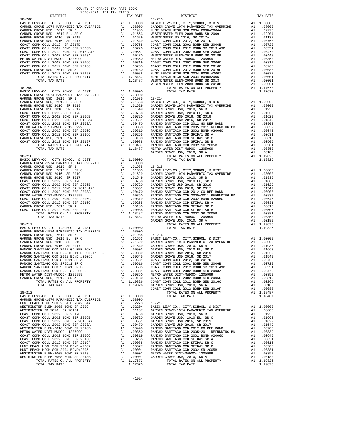| COUNTY OF ORANGE TAX RATE BOOK<br>2020-2021 TRA TAX RATES |          |          |          |
|-----------------------------------------------------------|----------|----------|----------|
| DISTRICT                                                  | TAX RATE | DISTRICT | TAX RATE |
|                                                           |          |          |          |
|                                                           |          |          |          |
|                                                           |          |          |          |
|                                                           |          |          |          |
|                                                           |          |          |          |
|                                                           |          |          |          |
|                                                           |          |          |          |
|                                                           |          |          |          |
|                                                           |          |          |          |
|                                                           |          |          |          |
|                                                           |          |          |          |
|                                                           |          |          |          |
|                                                           |          |          |          |
|                                                           |          |          |          |
|                                                           |          |          |          |
|                                                           |          |          |          |
|                                                           |          |          |          |
|                                                           |          |          |          |
|                                                           |          |          |          |
|                                                           |          |          |          |
|                                                           |          |          |          |
|                                                           |          |          |          |
|                                                           |          |          |          |
|                                                           |          |          |          |
|                                                           |          |          |          |
|                                                           |          |          |          |
|                                                           |          |          |          |
|                                                           |          |          |          |
|                                                           |          |          |          |
|                                                           |          |          |          |
|                                                           |          |          |          |
|                                                           |          |          |          |
|                                                           |          |          |          |
|                                                           |          |          |          |
|                                                           |          |          |          |
|                                                           |          |          |          |
|                                                           |          |          |          |
|                                                           |          |          |          |
|                                                           |          |          |          |
|                                                           |          |          |          |
|                                                           |          |          |          |
|                                                           |          |          |          |
|                                                           |          |          |          |
|                                                           |          |          |          |
|                                                           |          |          |          |
|                                                           |          |          |          |
|                                                           |          |          |          |
|                                                           |          |          |          |
|                                                           |          |          |          |
|                                                           |          |          |          |
|                                                           |          |          |          |
|                                                           |          |          |          |
|                                                           |          |          |          |
|                                                           |          |          |          |
|                                                           |          |          |          |
|                                                           |          |          |          |
|                                                           |          |          |          |
|                                                           |          |          |          |
|                                                           |          |          |          |
|                                                           |          |          |          |
|                                                           |          |          |          |
|                                                           |          |          |          |
|                                                           |          |          |          |
|                                                           |          |          |          |
|                                                           |          |          |          |
|                                                           |          |          |          |
|                                                           |          |          |          |
|                                                           |          |          |          |
|                                                           |          |          |          |
|                                                           |          |          |          |
|                                                           |          |          |          |
|                                                           |          |          |          |
|                                                           |          |          |          |
|                                                           |          |          |          |
|                                                           |          |          |          |
|                                                           |          |          |          |
|                                                           |          |          |          |
|                                                           |          |          |          |
|                                                           |          |          |          |
|                                                           |          |          |          |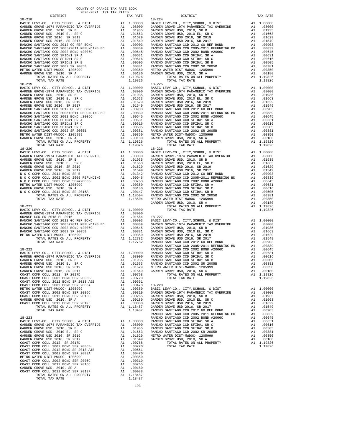| DISTRICT                                                                                                                                                                                                                      | TAX RATE | DISTRICT | TAX RATE |
|-------------------------------------------------------------------------------------------------------------------------------------------------------------------------------------------------------------------------------|----------|----------|----------|
| $18 - 218$                                                                                                                                                                                                                    |          | 18-224   |          |
|                                                                                                                                                                                                                               |          |          |          |
|                                                                                                                                                                                                                               |          |          |          |
|                                                                                                                                                                                                                               |          |          |          |
|                                                                                                                                                                                                                               |          |          |          |
|                                                                                                                                                                                                                               |          |          |          |
|                                                                                                                                                                                                                               |          |          |          |
|                                                                                                                                                                                                                               |          |          |          |
|                                                                                                                                                                                                                               |          |          |          |
|                                                                                                                                                                                                                               |          |          |          |
|                                                                                                                                                                                                                               |          |          |          |
|                                                                                                                                                                                                                               |          |          |          |
|                                                                                                                                                                                                                               |          |          |          |
|                                                                                                                                                                                                                               |          |          |          |
|                                                                                                                                                                                                                               |          |          |          |
|                                                                                                                                                                                                                               |          |          |          |
|                                                                                                                                                                                                                               |          |          |          |
|                                                                                                                                                                                                                               |          |          |          |
|                                                                                                                                                                                                                               |          |          |          |
|                                                                                                                                                                                                                               |          |          |          |
|                                                                                                                                                                                                                               |          |          |          |
|                                                                                                                                                                                                                               |          |          |          |
|                                                                                                                                                                                                                               |          |          |          |
|                                                                                                                                                                                                                               |          |          |          |
|                                                                                                                                                                                                                               |          |          |          |
|                                                                                                                                                                                                                               |          |          |          |
|                                                                                                                                                                                                                               |          |          |          |
|                                                                                                                                                                                                                               |          |          |          |
|                                                                                                                                                                                                                               |          |          |          |
|                                                                                                                                                                                                                               |          |          |          |
|                                                                                                                                                                                                                               |          |          |          |
|                                                                                                                                                                                                                               |          |          |          |
|                                                                                                                                                                                                                               |          |          |          |
|                                                                                                                                                                                                                               |          |          |          |
|                                                                                                                                                                                                                               |          |          |          |
|                                                                                                                                                                                                                               |          |          |          |
|                                                                                                                                                                                                                               |          |          |          |
|                                                                                                                                                                                                                               |          |          |          |
|                                                                                                                                                                                                                               |          |          |          |
|                                                                                                                                                                                                                               |          |          |          |
|                                                                                                                                                                                                                               |          |          |          |
|                                                                                                                                                                                                                               |          |          |          |
|                                                                                                                                                                                                                               |          |          |          |
|                                                                                                                                                                                                                               |          |          |          |
|                                                                                                                                                                                                                               |          |          |          |
|                                                                                                                                                                                                                               |          |          |          |
|                                                                                                                                                                                                                               |          |          |          |
|                                                                                                                                                                                                                               |          |          |          |
|                                                                                                                                                                                                                               |          |          |          |
|                                                                                                                                                                                                                               |          |          |          |
|                                                                                                                                                                                                                               |          |          |          |
|                                                                                                                                                                                                                               |          |          |          |
|                                                                                                                                                                                                                               |          |          |          |
|                                                                                                                                                                                                                               |          |          |          |
|                                                                                                                                                                                                                               |          |          |          |
|                                                                                                                                                                                                                               |          |          |          |
|                                                                                                                                                                                                                               |          |          |          |
|                                                                                                                                                                                                                               |          |          |          |
|                                                                                                                                                                                                                               |          |          |          |
|                                                                                                                                                                                                                               |          |          |          |
|                                                                                                                                                                                                                               |          |          |          |
|                                                                                                                                                                                                                               |          |          |          |
|                                                                                                                                                                                                                               |          |          |          |
|                                                                                                                                                                                                                               |          |          |          |
|                                                                                                                                                                                                                               |          |          |          |
|                                                                                                                                                                                                                               |          |          |          |
|                                                                                                                                                                                                                               |          |          |          |
|                                                                                                                                                                                                                               |          |          |          |
|                                                                                                                                                                                                                               |          |          |          |
|                                                                                                                                                                                                                               |          |          |          |
|                                                                                                                                                                                                                               |          |          |          |
|                                                                                                                                                                                                                               |          |          |          |
|                                                                                                                                                                                                                               |          |          |          |
|                                                                                                                                                                                                                               |          |          |          |
|                                                                                                                                                                                                                               |          |          |          |
|                                                                                                                                                                                                                               |          |          |          |
|                                                                                                                                                                                                                               |          |          |          |
|                                                                                                                                                                                                                               |          |          |          |
|                                                                                                                                                                                                                               |          |          |          |
|                                                                                                                                                                                                                               |          |          |          |
|                                                                                                                                                                                                                               |          |          |          |
|                                                                                                                                                                                                                               |          |          |          |
|                                                                                                                                                                                                                               |          |          |          |
|                                                                                                                                                                                                                               |          |          |          |
|                                                                                                                                                                                                                               |          |          |          |
|                                                                                                                                                                                                                               |          |          |          |
|                                                                                                                                                                                                                               |          |          |          |
|                                                                                                                                                                                                                               |          |          |          |
|                                                                                                                                                                                                                               |          |          |          |
|                                                                                                                                                                                                                               |          |          |          |
|                                                                                                                                                                                                                               |          |          |          |
|                                                                                                                                                                                                                               |          |          |          |
|                                                                                                                                                                                                                               |          |          |          |
|                                                                                                                                                                                                                               |          |          |          |
|                                                                                                                                                                                                                               |          |          |          |
|                                                                                                                                                                                                                               |          |          |          |
|                                                                                                                                                                                                                               |          |          |          |
|                                                                                                                                                                                                                               |          |          |          |
|                                                                                                                                                                                                                               |          |          |          |
|                                                                                                                                                                                                                               |          |          |          |
|                                                                                                                                                                                                                               |          |          |          |
|                                                                                                                                                                                                                               |          |          |          |
|                                                                                                                                                                                                                               |          |          |          |
|                                                                                                                                                                                                                               |          |          |          |
| 13.12011. The state of the state of the state of the state of the state of the state of the state of the state of the state of the state of the state of the state of the state of the state of the state of the state of the |          |          |          |

-193-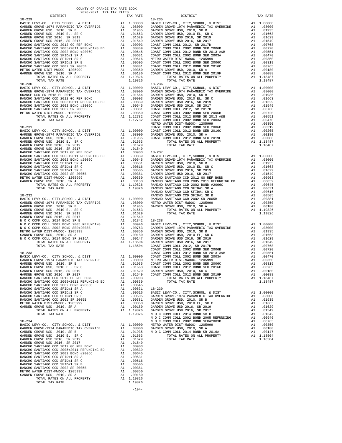| 2020-2021 TRA TAX RATES<br>DISTRICT | TAX RATE | DISTRICT   | TAX RATE |
|-------------------------------------|----------|------------|----------|
| $18 - 229$                          |          | $18 - 235$ |          |
|                                     |          |            |          |
|                                     |          |            |          |
|                                     |          |            |          |
|                                     |          |            |          |
|                                     |          |            |          |
|                                     |          |            |          |
|                                     |          |            |          |
|                                     |          |            |          |
|                                     |          |            |          |
|                                     |          |            |          |
|                                     |          |            |          |
|                                     |          |            |          |
|                                     |          |            |          |
|                                     |          |            |          |
|                                     |          |            |          |
|                                     |          |            |          |
|                                     |          |            |          |
|                                     |          |            |          |
|                                     |          |            |          |
|                                     |          |            |          |
|                                     |          |            |          |
|                                     |          |            |          |
|                                     |          |            |          |
|                                     |          |            |          |
|                                     |          |            |          |
|                                     |          |            |          |
|                                     |          |            |          |
|                                     |          |            |          |
|                                     |          |            |          |
|                                     |          |            |          |
|                                     |          |            |          |
|                                     |          |            |          |
|                                     |          |            |          |
|                                     |          |            |          |
|                                     |          |            |          |
|                                     |          |            |          |
|                                     |          |            |          |
|                                     |          |            |          |
|                                     |          |            |          |
|                                     |          |            |          |
|                                     |          |            |          |
|                                     |          |            |          |
|                                     |          |            |          |
|                                     |          |            |          |
|                                     |          |            |          |
|                                     |          |            |          |
|                                     |          |            |          |
|                                     |          |            |          |
|                                     |          |            |          |
|                                     |          |            |          |
|                                     |          |            |          |
|                                     |          |            |          |
|                                     |          |            |          |
|                                     |          |            |          |
|                                     |          |            |          |
|                                     |          |            |          |
|                                     |          |            |          |
|                                     |          |            |          |
|                                     |          |            |          |
|                                     |          |            |          |
|                                     |          |            |          |
|                                     |          |            |          |
|                                     |          |            |          |
|                                     |          |            |          |
|                                     |          |            |          |
|                                     |          |            |          |
|                                     |          |            |          |
|                                     |          |            |          |
|                                     |          |            |          |
|                                     |          |            |          |
|                                     |          |            |          |
|                                     |          |            |          |
|                                     |          |            |          |
|                                     |          |            |          |
|                                     |          |            |          |
|                                     |          |            |          |
|                                     |          |            |          |
| TOTAL TAX RATE                      |          |            |          |
|                                     |          |            |          |

COUNTY OF ORANGE TAX RATE BOOK

-194-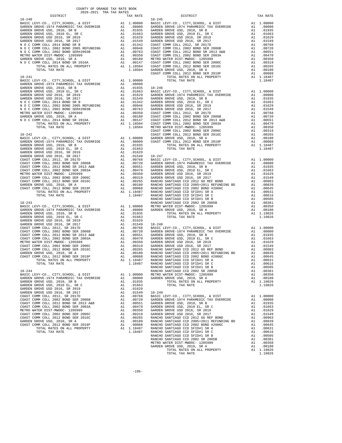| COUNTY OF ORANGE TAX RATE BOOK<br>2020-2021 TRA TAX RATES |          |                                                                                                                                                                                                                                                                                     |          |
|-----------------------------------------------------------|----------|-------------------------------------------------------------------------------------------------------------------------------------------------------------------------------------------------------------------------------------------------------------------------------------|----------|
| DISTRICT                                                  | TAX RATE | DISTRICT                                                                                                                                                                                                                                                                            | TAX RATE |
| $18 - 240$                                                |          | $18 - 245$                                                                                                                                                                                                                                                                          |          |
|                                                           |          |                                                                                                                                                                                                                                                                                     |          |
|                                                           |          |                                                                                                                                                                                                                                                                                     |          |
|                                                           |          |                                                                                                                                                                                                                                                                                     |          |
|                                                           |          |                                                                                                                                                                                                                                                                                     |          |
|                                                           |          |                                                                                                                                                                                                                                                                                     |          |
|                                                           |          |                                                                                                                                                                                                                                                                                     |          |
|                                                           |          |                                                                                                                                                                                                                                                                                     |          |
|                                                           |          |                                                                                                                                                                                                                                                                                     |          |
|                                                           |          |                                                                                                                                                                                                                                                                                     |          |
|                                                           |          |                                                                                                                                                                                                                                                                                     |          |
|                                                           |          |                                                                                                                                                                                                                                                                                     |          |
|                                                           |          |                                                                                                                                                                                                                                                                                     |          |
|                                                           |          |                                                                                                                                                                                                                                                                                     |          |
|                                                           |          |                                                                                                                                                                                                                                                                                     |          |
|                                                           |          |                                                                                                                                                                                                                                                                                     |          |
|                                                           |          |                                                                                                                                                                                                                                                                                     |          |
|                                                           |          |                                                                                                                                                                                                                                                                                     |          |
|                                                           |          |                                                                                                                                                                                                                                                                                     |          |
|                                                           |          |                                                                                                                                                                                                                                                                                     |          |
|                                                           |          |                                                                                                                                                                                                                                                                                     |          |
|                                                           |          |                                                                                                                                                                                                                                                                                     |          |
|                                                           |          |                                                                                                                                                                                                                                                                                     |          |
|                                                           |          |                                                                                                                                                                                                                                                                                     |          |
|                                                           |          |                                                                                                                                                                                                                                                                                     |          |
|                                                           |          |                                                                                                                                                                                                                                                                                     |          |
|                                                           |          |                                                                                                                                                                                                                                                                                     |          |
|                                                           |          |                                                                                                                                                                                                                                                                                     |          |
|                                                           |          | 1.5.11<br>1.5.21<br>1.5.21<br>1.5.21<br>1.5.21<br>1.5.21<br>1.5.21<br>1.5.21<br>1.5.21<br>1.5.21<br>1.5.21<br>1.5.21<br>1.5.21<br>1.5.21<br>1.5.21<br>2.5.21<br>2.5.21<br>2.5.21<br>2.5.21<br>2.5.21<br>2.5.21<br>2.5.21<br>2.5.21<br>2.5.21<br>2.5.21<br>2.5.21<br>2.5.21<br>2.5.2 |          |
|                                                           |          |                                                                                                                                                                                                                                                                                     |          |
|                                                           |          |                                                                                                                                                                                                                                                                                     |          |
|                                                           |          |                                                                                                                                                                                                                                                                                     |          |
|                                                           |          |                                                                                                                                                                                                                                                                                     |          |
|                                                           |          |                                                                                                                                                                                                                                                                                     |          |
|                                                           |          |                                                                                                                                                                                                                                                                                     |          |
|                                                           |          |                                                                                                                                                                                                                                                                                     |          |
|                                                           |          |                                                                                                                                                                                                                                                                                     |          |
|                                                           |          |                                                                                                                                                                                                                                                                                     |          |
|                                                           |          |                                                                                                                                                                                                                                                                                     |          |
|                                                           |          |                                                                                                                                                                                                                                                                                     |          |
|                                                           |          |                                                                                                                                                                                                                                                                                     |          |
|                                                           |          |                                                                                                                                                                                                                                                                                     |          |
|                                                           |          |                                                                                                                                                                                                                                                                                     |          |
|                                                           |          |                                                                                                                                                                                                                                                                                     |          |
|                                                           |          |                                                                                                                                                                                                                                                                                     |          |
|                                                           |          |                                                                                                                                                                                                                                                                                     |          |
|                                                           |          |                                                                                                                                                                                                                                                                                     |          |
|                                                           |          |                                                                                                                                                                                                                                                                                     |          |
|                                                           |          |                                                                                                                                                                                                                                                                                     |          |
|                                                           |          |                                                                                                                                                                                                                                                                                     |          |
|                                                           |          |                                                                                                                                                                                                                                                                                     |          |
|                                                           |          |                                                                                                                                                                                                                                                                                     |          |
|                                                           |          |                                                                                                                                                                                                                                                                                     |          |
|                                                           |          |                                                                                                                                                                                                                                                                                     |          |
|                                                           |          |                                                                                                                                                                                                                                                                                     |          |
|                                                           |          |                                                                                                                                                                                                                                                                                     |          |
|                                                           |          |                                                                                                                                                                                                                                                                                     |          |
|                                                           |          |                                                                                                                                                                                                                                                                                     |          |
|                                                           |          |                                                                                                                                                                                                                                                                                     |          |
|                                                           |          |                                                                                                                                                                                                                                                                                     |          |
|                                                           |          |                                                                                                                                                                                                                                                                                     |          |
|                                                           |          |                                                                                                                                                                                                                                                                                     |          |
|                                                           |          |                                                                                                                                                                                                                                                                                     |          |
|                                                           |          |                                                                                                                                                                                                                                                                                     |          |
|                                                           |          |                                                                                                                                                                                                                                                                                     |          |
|                                                           |          |                                                                                                                                                                                                                                                                                     |          |
|                                                           |          |                                                                                                                                                                                                                                                                                     |          |
|                                                           |          |                                                                                                                                                                                                                                                                                     |          |
|                                                           |          |                                                                                                                                                                                                                                                                                     |          |
|                                                           |          |                                                                                                                                                                                                                                                                                     |          |
|                                                           |          |                                                                                                                                                                                                                                                                                     |          |
|                                                           |          |                                                                                                                                                                                                                                                                                     |          |
|                                                           |          |                                                                                                                                                                                                                                                                                     |          |
|                                                           |          |                                                                                                                                                                                                                                                                                     |          |
|                                                           |          |                                                                                                                                                                                                                                                                                     |          |
|                                                           |          |                                                                                                                                                                                                                                                                                     |          |
|                                                           |          |                                                                                                                                                                                                                                                                                     |          |
|                                                           |          |                                                                                                                                                                                                                                                                                     |          |
|                                                           |          |                                                                                                                                                                                                                                                                                     |          |
|                                                           |          |                                                                                                                                                                                                                                                                                     |          |
|                                                           |          |                                                                                                                                                                                                                                                                                     |          |
|                                                           |          |                                                                                                                                                                                                                                                                                     |          |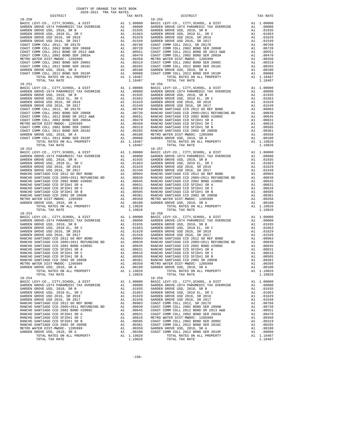| <b>DISIKICI</b>              |    | IAA KAIL   |            |
|------------------------------|----|------------|------------|
| $18 - 250$                   |    |            | $18 - 255$ |
|                              |    |            |            |
|                              |    |            |            |
|                              |    |            |            |
|                              |    |            |            |
|                              |    |            |            |
|                              |    |            |            |
|                              |    |            |            |
|                              |    |            |            |
|                              |    |            |            |
|                              |    |            |            |
|                              |    |            |            |
|                              |    |            |            |
|                              |    |            |            |
|                              |    |            |            |
|                              |    |            |            |
|                              |    |            |            |
| TOTAL TAX RATE               |    | 1.18487    |            |
| $18 - 251$                   |    |            | $18 - 256$ |
|                              |    |            |            |
|                              |    |            |            |
|                              |    |            |            |
|                              |    |            |            |
|                              |    |            |            |
|                              |    |            |            |
|                              |    |            |            |
|                              |    |            |            |
|                              |    |            |            |
|                              |    |            |            |
|                              |    |            |            |
|                              |    |            |            |
|                              |    |            |            |
|                              |    |            |            |
|                              |    |            |            |
|                              |    |            |            |
|                              |    |            |            |
|                              |    |            |            |
|                              |    |            |            |
|                              |    |            |            |
|                              |    |            |            |
|                              |    |            |            |
|                              |    |            |            |
|                              |    |            |            |
|                              |    |            |            |
|                              |    |            |            |
|                              |    |            |            |
|                              |    |            |            |
|                              |    |            |            |
|                              |    |            |            |
|                              |    |            |            |
|                              |    |            |            |
|                              |    |            |            |
|                              |    |            |            |
|                              |    |            |            |
|                              |    |            |            |
|                              |    |            |            |
|                              |    |            |            |
|                              |    |            |            |
|                              |    |            |            |
|                              |    |            |            |
|                              |    |            |            |
|                              |    |            |            |
|                              |    |            |            |
|                              |    |            |            |
|                              |    |            |            |
|                              |    |            |            |
|                              |    |            |            |
|                              |    |            |            |
|                              |    |            |            |
|                              |    |            |            |
|                              |    |            |            |
|                              |    |            |            |
| GARDEN GROVE USD, 2010, SR A | A1 | .00180     | GARDEN     |
| TOTAL RATES ON ALL PROPERTY  |    | A1 1.19826 |            |
| TOTAL TAX RATE               |    | 1.19826    |            |
| $18 - 254$                   |    |            | $18 - 259$ |
|                              |    |            |            |
|                              |    |            |            |
|                              |    |            |            |
|                              |    |            |            |
|                              |    |            |            |
|                              |    |            |            |
|                              |    |            |            |
|                              |    |            |            |
|                              |    |            |            |
|                              |    |            |            |
|                              |    |            |            |
|                              |    |            |            |
|                              |    |            |            |
|                              |    |            |            |
|                              |    |            |            |
|                              |    |            |            |
|                              |    |            |            |
| TOTAL RATES ON ALL PROPERTY  |    | A1 1.19826 |            |

| COUNTY OF ORANGE TAX RATE BOOK<br>2020-2021 TRA TAX RATES |          |                                                                                                                                                                                            |          |
|-----------------------------------------------------------|----------|--------------------------------------------------------------------------------------------------------------------------------------------------------------------------------------------|----------|
| DISTRICT<br>$18 - 250$                                    | TAX RATE | DISTRICT<br>$18 - 255$                                                                                                                                                                     | TAX RATE |
|                                                           |          |                                                                                                                                                                                            |          |
|                                                           |          |                                                                                                                                                                                            |          |
|                                                           |          |                                                                                                                                                                                            |          |
|                                                           |          | RANCHO SANTIAGO CCD 2002 SR 2005B<br>RANCHO SANTIAGO CCD 2002 SR 2005B<br>METRO WATER DIST<br>—MIDOC – 1205999<br>METRO WATER DIST_MWDOC – 1205999<br>METRO WATER DIST_MWDOC – 1205999<br> |          |
| $18 - 254$                                                |          | $18 - 259$                                                                                                                                                                                 |          |

-196-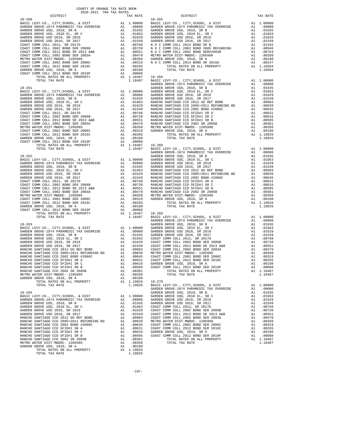| COUNTY OF ORANGE TAX RATE BOOK<br>2020-2021 TRA TAX RATES |  |                                                                                                                                                                                                                                                                           |  |
|-----------------------------------------------------------|--|---------------------------------------------------------------------------------------------------------------------------------------------------------------------------------------------------------------------------------------------------------------------------|--|
|                                                           |  |                                                                                                                                                                                                                                                                           |  |
|                                                           |  |                                                                                                                                                                                                                                                                           |  |
|                                                           |  |                                                                                                                                                                                                                                                                           |  |
|                                                           |  |                                                                                                                                                                                                                                                                           |  |
|                                                           |  |                                                                                                                                                                                                                                                                           |  |
|                                                           |  |                                                                                                                                                                                                                                                                           |  |
|                                                           |  |                                                                                                                                                                                                                                                                           |  |
|                                                           |  |                                                                                                                                                                                                                                                                           |  |
|                                                           |  |                                                                                                                                                                                                                                                                           |  |
|                                                           |  |                                                                                                                                                                                                                                                                           |  |
|                                                           |  |                                                                                                                                                                                                                                                                           |  |
|                                                           |  |                                                                                                                                                                                                                                                                           |  |
|                                                           |  |                                                                                                                                                                                                                                                                           |  |
|                                                           |  |                                                                                                                                                                                                                                                                           |  |
|                                                           |  |                                                                                                                                                                                                                                                                           |  |
|                                                           |  |                                                                                                                                                                                                                                                                           |  |
|                                                           |  |                                                                                                                                                                                                                                                                           |  |
|                                                           |  |                                                                                                                                                                                                                                                                           |  |
|                                                           |  |                                                                                                                                                                                                                                                                           |  |
|                                                           |  |                                                                                                                                                                                                                                                                           |  |
|                                                           |  |                                                                                                                                                                                                                                                                           |  |
|                                                           |  |                                                                                                                                                                                                                                                                           |  |
|                                                           |  |                                                                                                                                                                                                                                                                           |  |
|                                                           |  |                                                                                                                                                                                                                                                                           |  |
|                                                           |  |                                                                                                                                                                                                                                                                           |  |
|                                                           |  |                                                                                                                                                                                                                                                                           |  |
|                                                           |  |                                                                                                                                                                                                                                                                           |  |
|                                                           |  |                                                                                                                                                                                                                                                                           |  |
|                                                           |  |                                                                                                                                                                                                                                                                           |  |
|                                                           |  |                                                                                                                                                                                                                                                                           |  |
|                                                           |  |                                                                                                                                                                                                                                                                           |  |
|                                                           |  |                                                                                                                                                                                                                                                                           |  |
|                                                           |  |                                                                                                                                                                                                                                                                           |  |
|                                                           |  |                                                                                                                                                                                                                                                                           |  |
|                                                           |  |                                                                                                                                                                                                                                                                           |  |
|                                                           |  |                                                                                                                                                                                                                                                                           |  |
|                                                           |  |                                                                                                                                                                                                                                                                           |  |
|                                                           |  |                                                                                                                                                                                                                                                                           |  |
|                                                           |  |                                                                                                                                                                                                                                                                           |  |
|                                                           |  |                                                                                                                                                                                                                                                                           |  |
|                                                           |  |                                                                                                                                                                                                                                                                           |  |
|                                                           |  |                                                                                                                                                                                                                                                                           |  |
|                                                           |  |                                                                                                                                                                                                                                                                           |  |
|                                                           |  |                                                                                                                                                                                                                                                                           |  |
|                                                           |  |                                                                                                                                                                                                                                                                           |  |
|                                                           |  |                                                                                                                                                                                                                                                                           |  |
|                                                           |  |                                                                                                                                                                                                                                                                           |  |
|                                                           |  |                                                                                                                                                                                                                                                                           |  |
|                                                           |  |                                                                                                                                                                                                                                                                           |  |
|                                                           |  |                                                                                                                                                                                                                                                                           |  |
|                                                           |  |                                                                                                                                                                                                                                                                           |  |
|                                                           |  |                                                                                                                                                                                                                                                                           |  |
|                                                           |  |                                                                                                                                                                                                                                                                           |  |
|                                                           |  |                                                                                                                                                                                                                                                                           |  |
|                                                           |  |                                                                                                                                                                                                                                                                           |  |
|                                                           |  |                                                                                                                                                                                                                                                                           |  |
|                                                           |  |                                                                                                                                                                                                                                                                           |  |
|                                                           |  |                                                                                                                                                                                                                                                                           |  |
|                                                           |  |                                                                                                                                                                                                                                                                           |  |
|                                                           |  |                                                                                                                                                                                                                                                                           |  |
|                                                           |  |                                                                                                                                                                                                                                                                           |  |
|                                                           |  |                                                                                                                                                                                                                                                                           |  |
|                                                           |  | $\begin{tabular}{cccccc} \textbf{WALM} & 0.0000 & 0.0000 & 0.00000 & 0.00000 & 0.00000 & 0.00000 & 0.00000 & 0.00000 & 0.00000 & 0.00000 & 0.00000 & 0.00000 & 0.00000 & 0.00000 & 0.00000 & 0.00000 & 0.00000 & 0.00000 & 0.00000 & 0.00000 & 0.00000 & 0.00000 & 0.000$ |  |
|                                                           |  |                                                                                                                                                                                                                                                                           |  |
|                                                           |  |                                                                                                                                                                                                                                                                           |  |
|                                                           |  |                                                                                                                                                                                                                                                                           |  |
|                                                           |  |                                                                                                                                                                                                                                                                           |  |
|                                                           |  |                                                                                                                                                                                                                                                                           |  |
|                                                           |  |                                                                                                                                                                                                                                                                           |  |
|                                                           |  |                                                                                                                                                                                                                                                                           |  |
|                                                           |  |                                                                                                                                                                                                                                                                           |  |
|                                                           |  |                                                                                                                                                                                                                                                                           |  |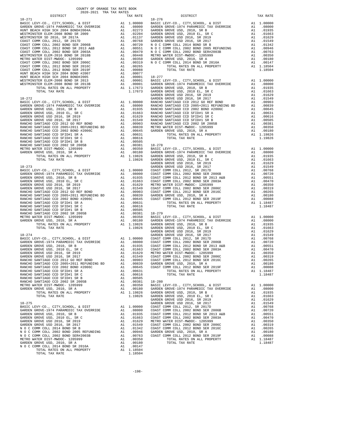| COUNTY OF ORANGE TAX RATE BOOK<br>$2020-2021 \quad \text{TRA TAX RATES}$ DISTRICT $2020-2021 \quad \text{TRA TAX RATES}$ |          |          |          |
|--------------------------------------------------------------------------------------------------------------------------|----------|----------|----------|
|                                                                                                                          | TAX RATE | DISTRICT | TAX RATE |
|                                                                                                                          |          |          |          |
|                                                                                                                          |          |          |          |
|                                                                                                                          |          |          |          |
|                                                                                                                          |          |          |          |
|                                                                                                                          |          |          |          |
|                                                                                                                          |          |          |          |
|                                                                                                                          |          |          |          |
|                                                                                                                          |          |          |          |
|                                                                                                                          |          |          |          |
|                                                                                                                          |          |          |          |
|                                                                                                                          |          |          |          |
|                                                                                                                          |          |          |          |
|                                                                                                                          |          |          |          |
|                                                                                                                          |          |          |          |
|                                                                                                                          |          |          |          |
|                                                                                                                          |          |          |          |
|                                                                                                                          |          |          |          |
|                                                                                                                          |          |          |          |
|                                                                                                                          |          |          |          |
|                                                                                                                          |          |          |          |
|                                                                                                                          |          |          |          |
|                                                                                                                          |          |          |          |
|                                                                                                                          |          |          |          |
|                                                                                                                          |          |          |          |
|                                                                                                                          |          |          |          |
|                                                                                                                          |          |          |          |
|                                                                                                                          |          |          |          |
|                                                                                                                          |          |          |          |
|                                                                                                                          |          |          |          |
|                                                                                                                          |          |          |          |
|                                                                                                                          |          |          |          |
|                                                                                                                          |          |          |          |
|                                                                                                                          |          |          |          |
|                                                                                                                          |          |          |          |
|                                                                                                                          |          |          |          |
|                                                                                                                          |          |          |          |
|                                                                                                                          |          |          |          |
|                                                                                                                          |          |          |          |
|                                                                                                                          |          |          |          |
|                                                                                                                          |          |          |          |
|                                                                                                                          |          |          |          |
|                                                                                                                          |          |          |          |
|                                                                                                                          |          |          |          |
|                                                                                                                          |          |          |          |
|                                                                                                                          |          |          |          |
|                                                                                                                          |          |          |          |
|                                                                                                                          |          |          |          |
|                                                                                                                          |          |          |          |
|                                                                                                                          |          |          |          |
|                                                                                                                          |          |          |          |
|                                                                                                                          |          |          |          |
|                                                                                                                          |          |          |          |
|                                                                                                                          |          |          |          |
|                                                                                                                          |          |          |          |
|                                                                                                                          |          |          |          |
|                                                                                                                          |          |          |          |
|                                                                                                                          |          |          |          |
|                                                                                                                          |          |          |          |
|                                                                                                                          |          |          |          |
|                                                                                                                          |          |          |          |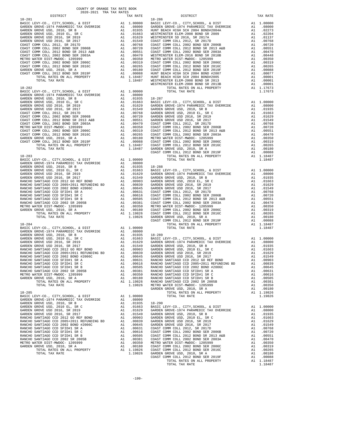| COUNTY OF ORANGE TAX RATE BOOK<br>$2020-2021 \quad \text{TRA TAX RATES}$ DISTRICT |          |          |          |
|-----------------------------------------------------------------------------------|----------|----------|----------|
|                                                                                   | TAX RATE | DISTRICT | TAX RATE |
|                                                                                   |          |          |          |
|                                                                                   |          |          |          |
|                                                                                   |          |          |          |
|                                                                                   |          |          |          |
|                                                                                   |          |          |          |
|                                                                                   |          |          |          |
|                                                                                   |          |          |          |
|                                                                                   |          |          |          |
|                                                                                   |          |          |          |
|                                                                                   |          |          |          |
|                                                                                   |          |          |          |
|                                                                                   |          |          |          |
|                                                                                   |          |          |          |
|                                                                                   |          |          |          |
|                                                                                   |          |          |          |
|                                                                                   |          |          |          |
|                                                                                   |          |          |          |
|                                                                                   |          |          |          |
|                                                                                   |          |          |          |
|                                                                                   |          |          |          |
|                                                                                   |          |          |          |
|                                                                                   |          |          |          |
|                                                                                   |          |          |          |
|                                                                                   |          |          |          |
|                                                                                   |          |          |          |
|                                                                                   |          |          |          |
|                                                                                   |          |          |          |
|                                                                                   |          |          |          |
|                                                                                   |          |          |          |
|                                                                                   |          |          |          |
|                                                                                   |          |          |          |
|                                                                                   |          |          |          |
|                                                                                   |          |          |          |
|                                                                                   |          |          |          |
|                                                                                   |          |          |          |
|                                                                                   |          |          |          |
|                                                                                   |          |          |          |
|                                                                                   |          |          |          |
|                                                                                   |          |          |          |
|                                                                                   |          |          |          |
|                                                                                   |          |          |          |
|                                                                                   |          |          |          |
|                                                                                   |          |          |          |
|                                                                                   |          |          |          |
|                                                                                   |          |          |          |
|                                                                                   |          |          |          |
|                                                                                   |          |          |          |
|                                                                                   |          |          |          |
|                                                                                   |          |          |          |
|                                                                                   |          |          |          |
|                                                                                   |          |          |          |
|                                                                                   |          |          |          |
|                                                                                   |          |          |          |
|                                                                                   |          |          |          |
|                                                                                   |          |          |          |
|                                                                                   |          |          |          |
|                                                                                   |          |          |          |
|                                                                                   |          |          |          |
|                                                                                   |          |          |          |
|                                                                                   |          |          |          |
|                                                                                   |          |          |          |
|                                                                                   |          |          |          |
|                                                                                   |          |          |          |
|                                                                                   |          |          |          |
|                                                                                   |          |          |          |
|                                                                                   |          |          |          |
|                                                                                   |          |          |          |
|                                                                                   |          |          |          |
|                                                                                   |          |          |          |
|                                                                                   |          |          |          |
|                                                                                   |          |          |          |
|                                                                                   |          |          |          |
|                                                                                   |          |          |          |
|                                                                                   |          |          |          |
|                                                                                   |          |          |          |
|                                                                                   |          |          |          |
|                                                                                   |          |          |          |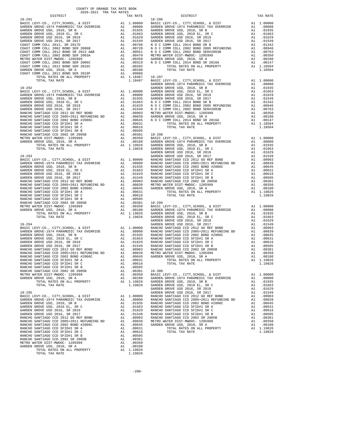| COUNTY OF ORANGE TAX RATE BOOK<br>2020–2021 הפיד במכה 2020–20<br>2020-2021 TRA TAX RATES |          |          |          |
|------------------------------------------------------------------------------------------|----------|----------|----------|
| DISTRICT                                                                                 | TAX RATE | DISTRICT | TAX RATE |
| $18 - 291$                                                                               |          | 18-296   |          |
|                                                                                          |          |          |          |
|                                                                                          |          |          |          |
|                                                                                          |          |          |          |
|                                                                                          |          |          |          |
|                                                                                          |          |          |          |
|                                                                                          |          |          |          |
|                                                                                          |          |          |          |
|                                                                                          |          |          |          |
|                                                                                          |          |          |          |
|                                                                                          |          |          |          |
|                                                                                          |          |          |          |
|                                                                                          |          |          |          |
|                                                                                          |          |          |          |
|                                                                                          |          |          |          |
|                                                                                          |          |          |          |
|                                                                                          |          |          |          |
|                                                                                          |          |          |          |
|                                                                                          |          |          |          |
|                                                                                          |          |          |          |
|                                                                                          |          |          |          |
|                                                                                          |          |          |          |
|                                                                                          |          |          |          |
|                                                                                          |          |          |          |
|                                                                                          |          |          |          |
|                                                                                          |          |          |          |
|                                                                                          |          |          |          |
|                                                                                          |          |          |          |
|                                                                                          |          |          |          |
|                                                                                          |          |          |          |
|                                                                                          |          |          |          |
|                                                                                          |          |          |          |
|                                                                                          |          |          |          |
|                                                                                          |          |          |          |
|                                                                                          |          |          |          |
|                                                                                          |          |          |          |
|                                                                                          |          |          |          |
|                                                                                          |          |          |          |
|                                                                                          |          |          |          |
|                                                                                          |          |          |          |
|                                                                                          |          |          |          |
|                                                                                          |          |          |          |
|                                                                                          |          |          |          |
|                                                                                          |          |          |          |
|                                                                                          |          |          |          |
|                                                                                          |          |          |          |
|                                                                                          |          |          |          |
|                                                                                          |          |          |          |
|                                                                                          |          |          |          |
|                                                                                          |          |          |          |
|                                                                                          |          |          |          |
|                                                                                          |          |          |          |
|                                                                                          |          |          |          |
|                                                                                          |          |          |          |
|                                                                                          |          |          |          |
|                                                                                          |          |          |          |
|                                                                                          |          |          |          |
|                                                                                          |          |          |          |
|                                                                                          |          |          |          |
|                                                                                          |          |          |          |
|                                                                                          |          |          |          |
|                                                                                          |          |          |          |
|                                                                                          |          |          |          |
|                                                                                          |          |          |          |
|                                                                                          |          |          |          |
|                                                                                          |          |          |          |
|                                                                                          |          |          |          |
|                                                                                          |          |          |          |
|                                                                                          |          |          |          |
|                                                                                          |          |          |          |
|                                                                                          |          |          |          |
|                                                                                          |          |          |          |
|                                                                                          |          |          |          |
|                                                                                          |          |          |          |

-200-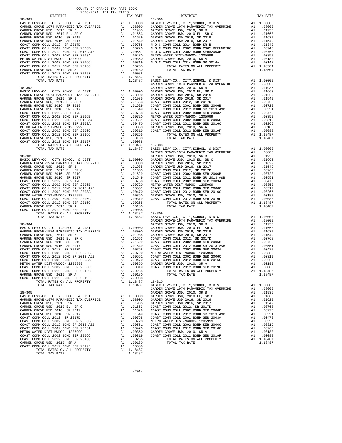| COUNTY OF ORANGE TAX RATE BOOK<br>2020-2021 TRA TAX RATES |          |            |          |
|-----------------------------------------------------------|----------|------------|----------|
| DISTRICT                                                  | TAX RATE | DISTRICT   | TAX RATE |
| $18 - 301$                                                |          | $18 - 306$ |          |
|                                                           |          |            |          |
|                                                           |          |            |          |
|                                                           |          |            |          |
|                                                           |          |            |          |
|                                                           |          |            |          |
|                                                           |          |            |          |
|                                                           |          |            |          |
|                                                           |          |            |          |
|                                                           |          |            |          |
|                                                           |          |            |          |
|                                                           |          |            |          |
|                                                           |          |            |          |
|                                                           |          |            |          |
|                                                           |          |            |          |
|                                                           |          |            |          |
|                                                           |          |            |          |
|                                                           |          |            |          |
|                                                           |          |            |          |
|                                                           |          |            |          |
|                                                           |          |            |          |
|                                                           |          |            |          |
|                                                           |          |            |          |
|                                                           |          |            |          |
|                                                           |          |            |          |
|                                                           |          |            |          |
|                                                           |          |            |          |
|                                                           |          |            |          |
|                                                           |          |            |          |
|                                                           |          |            |          |
|                                                           |          |            |          |
|                                                           |          |            |          |
|                                                           |          |            |          |
|                                                           |          |            |          |
|                                                           |          |            |          |
|                                                           |          |            |          |
|                                                           |          |            |          |
|                                                           |          |            |          |
|                                                           |          |            |          |
|                                                           |          |            |          |
|                                                           |          |            |          |
|                                                           |          |            |          |
|                                                           |          |            |          |
|                                                           |          |            |          |
|                                                           |          |            |          |
|                                                           |          |            |          |
|                                                           |          |            |          |
|                                                           |          |            |          |
|                                                           |          |            |          |
|                                                           |          |            |          |
|                                                           |          |            |          |
|                                                           |          |            |          |
|                                                           |          |            |          |
|                                                           |          |            |          |
|                                                           |          |            |          |
|                                                           |          |            |          |
|                                                           |          |            |          |
|                                                           |          |            |          |
|                                                           |          |            |          |
|                                                           |          |            |          |
|                                                           |          |            |          |
|                                                           |          |            |          |
|                                                           |          |            |          |
|                                                           |          |            |          |
|                                                           |          |            |          |
|                                                           |          |            |          |
|                                                           |          |            |          |
|                                                           |          |            |          |
|                                                           |          |            |          |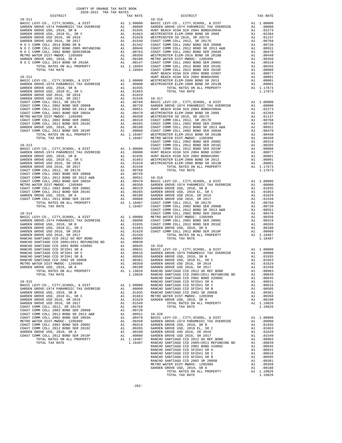|                                                                                                                                                                                                                                                                                                                                                                                                                                                                                                                                          | TAX RATE | DISTRICT | TAX RATE |
|------------------------------------------------------------------------------------------------------------------------------------------------------------------------------------------------------------------------------------------------------------------------------------------------------------------------------------------------------------------------------------------------------------------------------------------------------------------------------------------------------------------------------------------|----------|----------|----------|
| $\begin{minipage}{.03\textwidth} \begin{tabular}{l} \multicolumn{2}{c}{\textwidth} \end{tabular} \begin{tabular}{l} \multicolumn{2}{c}{\textwidth} \end{tabular} \begin{tabular}{l} \multicolumn{2}{c}{\textwidth} \end{tabular} \begin{tabular}{l} \multicolumn{2}{c}{\textwidth} \end{tabular} \begin{tabular}{l} \multicolumn{2}{c}{\textwidth} \end{tabular} \begin{tabular}{l} \multicolumn{2}{c}{\textwidth} \end{tabular} \begin{tabular}{l} \multicolumn{2}{c}{\textwidth} \end{tabular} \begin{tabular}{l} \multicolumn{2}{c}{$ |          |          |          |
|                                                                                                                                                                                                                                                                                                                                                                                                                                                                                                                                          |          |          |          |
|                                                                                                                                                                                                                                                                                                                                                                                                                                                                                                                                          |          |          |          |
|                                                                                                                                                                                                                                                                                                                                                                                                                                                                                                                                          |          |          |          |
|                                                                                                                                                                                                                                                                                                                                                                                                                                                                                                                                          |          |          |          |
|                                                                                                                                                                                                                                                                                                                                                                                                                                                                                                                                          |          |          |          |
|                                                                                                                                                                                                                                                                                                                                                                                                                                                                                                                                          |          |          |          |
|                                                                                                                                                                                                                                                                                                                                                                                                                                                                                                                                          |          |          |          |
|                                                                                                                                                                                                                                                                                                                                                                                                                                                                                                                                          |          |          |          |
|                                                                                                                                                                                                                                                                                                                                                                                                                                                                                                                                          |          |          |          |
|                                                                                                                                                                                                                                                                                                                                                                                                                                                                                                                                          |          |          |          |
|                                                                                                                                                                                                                                                                                                                                                                                                                                                                                                                                          |          |          |          |
|                                                                                                                                                                                                                                                                                                                                                                                                                                                                                                                                          |          |          |          |
|                                                                                                                                                                                                                                                                                                                                                                                                                                                                                                                                          |          |          |          |
|                                                                                                                                                                                                                                                                                                                                                                                                                                                                                                                                          |          |          |          |
|                                                                                                                                                                                                                                                                                                                                                                                                                                                                                                                                          |          |          |          |
|                                                                                                                                                                                                                                                                                                                                                                                                                                                                                                                                          |          |          |          |
|                                                                                                                                                                                                                                                                                                                                                                                                                                                                                                                                          |          |          |          |
|                                                                                                                                                                                                                                                                                                                                                                                                                                                                                                                                          |          |          |          |
|                                                                                                                                                                                                                                                                                                                                                                                                                                                                                                                                          |          |          |          |
|                                                                                                                                                                                                                                                                                                                                                                                                                                                                                                                                          |          |          |          |
|                                                                                                                                                                                                                                                                                                                                                                                                                                                                                                                                          |          |          |          |
|                                                                                                                                                                                                                                                                                                                                                                                                                                                                                                                                          |          |          |          |
|                                                                                                                                                                                                                                                                                                                                                                                                                                                                                                                                          |          |          |          |
|                                                                                                                                                                                                                                                                                                                                                                                                                                                                                                                                          |          |          |          |
|                                                                                                                                                                                                                                                                                                                                                                                                                                                                                                                                          |          |          |          |
|                                                                                                                                                                                                                                                                                                                                                                                                                                                                                                                                          |          |          |          |
|                                                                                                                                                                                                                                                                                                                                                                                                                                                                                                                                          |          |          |          |
|                                                                                                                                                                                                                                                                                                                                                                                                                                                                                                                                          |          |          |          |
|                                                                                                                                                                                                                                                                                                                                                                                                                                                                                                                                          |          |          |          |
|                                                                                                                                                                                                                                                                                                                                                                                                                                                                                                                                          |          |          |          |
|                                                                                                                                                                                                                                                                                                                                                                                                                                                                                                                                          |          |          |          |
|                                                                                                                                                                                                                                                                                                                                                                                                                                                                                                                                          |          |          |          |
|                                                                                                                                                                                                                                                                                                                                                                                                                                                                                                                                          |          |          |          |
|                                                                                                                                                                                                                                                                                                                                                                                                                                                                                                                                          |          |          |          |
|                                                                                                                                                                                                                                                                                                                                                                                                                                                                                                                                          |          |          |          |
|                                                                                                                                                                                                                                                                                                                                                                                                                                                                                                                                          |          |          |          |
|                                                                                                                                                                                                                                                                                                                                                                                                                                                                                                                                          |          |          |          |
|                                                                                                                                                                                                                                                                                                                                                                                                                                                                                                                                          |          |          |          |
|                                                                                                                                                                                                                                                                                                                                                                                                                                                                                                                                          |          |          |          |
|                                                                                                                                                                                                                                                                                                                                                                                                                                                                                                                                          |          |          |          |
|                                                                                                                                                                                                                                                                                                                                                                                                                                                                                                                                          |          |          |          |
|                                                                                                                                                                                                                                                                                                                                                                                                                                                                                                                                          |          |          |          |
|                                                                                                                                                                                                                                                                                                                                                                                                                                                                                                                                          |          |          |          |
|                                                                                                                                                                                                                                                                                                                                                                                                                                                                                                                                          |          |          |          |
|                                                                                                                                                                                                                                                                                                                                                                                                                                                                                                                                          |          |          |          |
|                                                                                                                                                                                                                                                                                                                                                                                                                                                                                                                                          |          |          |          |
|                                                                                                                                                                                                                                                                                                                                                                                                                                                                                                                                          |          |          |          |
|                                                                                                                                                                                                                                                                                                                                                                                                                                                                                                                                          |          |          |          |
|                                                                                                                                                                                                                                                                                                                                                                                                                                                                                                                                          |          |          |          |
|                                                                                                                                                                                                                                                                                                                                                                                                                                                                                                                                          |          |          |          |
|                                                                                                                                                                                                                                                                                                                                                                                                                                                                                                                                          |          |          |          |
|                                                                                                                                                                                                                                                                                                                                                                                                                                                                                                                                          |          |          |          |
|                                                                                                                                                                                                                                                                                                                                                                                                                                                                                                                                          |          |          |          |
|                                                                                                                                                                                                                                                                                                                                                                                                                                                                                                                                          |          |          |          |
|                                                                                                                                                                                                                                                                                                                                                                                                                                                                                                                                          |          |          |          |
|                                                                                                                                                                                                                                                                                                                                                                                                                                                                                                                                          |          |          |          |
|                                                                                                                                                                                                                                                                                                                                                                                                                                                                                                                                          |          |          |          |
|                                                                                                                                                                                                                                                                                                                                                                                                                                                                                                                                          |          |          |          |
|                                                                                                                                                                                                                                                                                                                                                                                                                                                                                                                                          |          |          |          |
|                                                                                                                                                                                                                                                                                                                                                                                                                                                                                                                                          |          |          |          |
|                                                                                                                                                                                                                                                                                                                                                                                                                                                                                                                                          |          |          |          |
|                                                                                                                                                                                                                                                                                                                                                                                                                                                                                                                                          |          |          |          |
|                                                                                                                                                                                                                                                                                                                                                                                                                                                                                                                                          |          |          |          |
|                                                                                                                                                                                                                                                                                                                                                                                                                                                                                                                                          |          |          |          |
|                                                                                                                                                                                                                                                                                                                                                                                                                                                                                                                                          |          |          |          |
|                                                                                                                                                                                                                                                                                                                                                                                                                                                                                                                                          |          |          |          |
|                                                                                                                                                                                                                                                                                                                                                                                                                                                                                                                                          |          |          |          |
|                                                                                                                                                                                                                                                                                                                                                                                                                                                                                                                                          |          |          |          |
|                                                                                                                                                                                                                                                                                                                                                                                                                                                                                                                                          |          |          |          |
|                                                                                                                                                                                                                                                                                                                                                                                                                                                                                                                                          |          |          |          |
|                                                                                                                                                                                                                                                                                                                                                                                                                                                                                                                                          |          |          |          |
|                                                                                                                                                                                                                                                                                                                                                                                                                                                                                                                                          |          |          |          |
|                                                                                                                                                                                                                                                                                                                                                                                                                                                                                                                                          |          |          |          |
|                                                                                                                                                                                                                                                                                                                                                                                                                                                                                                                                          |          |          |          |
|                                                                                                                                                                                                                                                                                                                                                                                                                                                                                                                                          |          |          |          |
|                                                                                                                                                                                                                                                                                                                                                                                                                                                                                                                                          |          |          |          |
|                                                                                                                                                                                                                                                                                                                                                                                                                                                                                                                                          |          |          |          |
|                                                                                                                                                                                                                                                                                                                                                                                                                                                                                                                                          |          |          |          |
|                                                                                                                                                                                                                                                                                                                                                                                                                                                                                                                                          |          |          |          |
|                                                                                                                                                                                                                                                                                                                                                                                                                                                                                                                                          |          |          |          |
| FARCHO SANTING COD STIPUI SR C<br>RANGHO SANTING COD STIPUI SR C<br>RANGHO SANTING COD STIPUI SR C<br>MANGHO SANTING COD STIPUI SR C<br>MANGHO SANTING COD STIPUI SR C<br>MANGHO SANTING COD STIPUI SR C<br>MANGHO SANTING COD STIPUI SR                                                                                                                                                                                                                                                                                                 |          |          |          |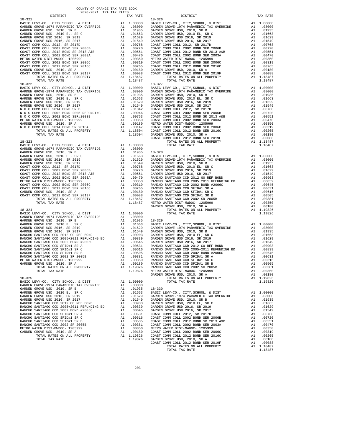| COUNTY OF ORANGE TAX RATE BOOK<br>2020-2021 TRA TAX RATES |                       |                                                                                                                                                                                                                                                                                                                                                                                                                 |          |
|-----------------------------------------------------------|-----------------------|-----------------------------------------------------------------------------------------------------------------------------------------------------------------------------------------------------------------------------------------------------------------------------------------------------------------------------------------------------------------------------------------------------------------|----------|
| DISTRICT                                                  | IAA KAIBJ<br>TAX RATE | DISTRICT                                                                                                                                                                                                                                                                                                                                                                                                        | TAX RATE |
|                                                           |                       | $18 - 326$                                                                                                                                                                                                                                                                                                                                                                                                      |          |
|                                                           |                       |                                                                                                                                                                                                                                                                                                                                                                                                                 |          |
|                                                           |                       |                                                                                                                                                                                                                                                                                                                                                                                                                 |          |
|                                                           |                       |                                                                                                                                                                                                                                                                                                                                                                                                                 |          |
|                                                           |                       | $\begin{tabular}{l c c c c c c c c c c c} \multicolumn{1}{c}{\textbf{RANCHO SAMIUMO CCD}} & $\mathsf{SATIAGO} $\mathsf{CDI} $ & $ \mathsf{ADIC} $ & $ \mathsf{ADIC} $ \\ \mathsf{RANCHO} $\mathsf{SANTIAGO} $\mathsf{CCD}$ & $ \mathsf{2002} $\mathsf{SR}$ & $ \mathsf{ADIC} $ & $ \mathsf{ADIC} $ \\ \mathsf{METRO} $\mathsf{WATER} $ & $ \mathsf{DIST-MWDOC-1205999}$ & $ \mathsf{A1} $ & $ \mathsf{.00351}$$ |          |
|                                                           |                       |                                                                                                                                                                                                                                                                                                                                                                                                                 |          |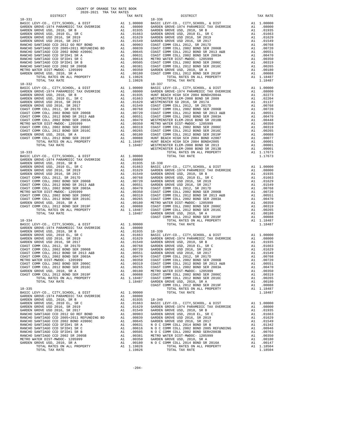| COUNTY OF ORANGE TAX RATE BOOK<br>2020-2021 TRA TAX RATES |          |            |          |
|-----------------------------------------------------------|----------|------------|----------|
| DISTRICT                                                  | TAX RATE | DISTRICT   | TAX RATE |
|                                                           |          | $18 - 336$ |          |
|                                                           |          |            |          |
|                                                           |          |            |          |
|                                                           |          |            |          |
|                                                           |          |            |          |
|                                                           |          |            |          |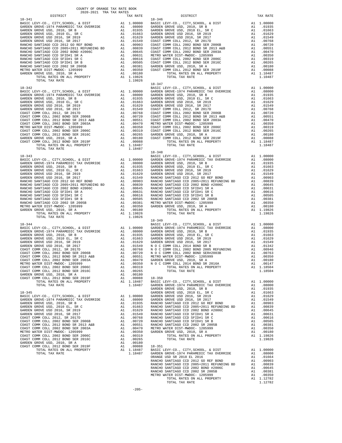| COUNTY OF ORANGE TAX RATE BOOK<br>2020-2021 TPA TAY PATES<br>2020-2021 TRA TAX RATES |          |            |          |
|--------------------------------------------------------------------------------------|----------|------------|----------|
| DISTRICT                                                                             | TAX RATE | DISTRICT   | TAX RATE |
| $18 - 341$                                                                           |          | $18 - 346$ |          |
|                                                                                      |          |            |          |
|                                                                                      |          |            |          |
|                                                                                      |          |            |          |
|                                                                                      |          |            |          |
|                                                                                      |          |            |          |
|                                                                                      |          |            |          |
|                                                                                      |          |            |          |
|                                                                                      |          |            |          |
|                                                                                      |          |            |          |
|                                                                                      |          |            |          |
|                                                                                      |          |            |          |
|                                                                                      |          |            |          |
|                                                                                      |          |            |          |
|                                                                                      |          |            |          |
|                                                                                      |          |            |          |
|                                                                                      |          |            |          |
|                                                                                      |          |            |          |
|                                                                                      |          |            |          |
|                                                                                      |          |            |          |
|                                                                                      |          |            |          |
|                                                                                      |          |            |          |
|                                                                                      |          |            |          |
|                                                                                      |          |            |          |
|                                                                                      |          |            |          |
|                                                                                      |          |            |          |
|                                                                                      |          |            |          |
|                                                                                      |          |            |          |
|                                                                                      |          |            |          |
|                                                                                      |          |            |          |
|                                                                                      |          |            |          |
|                                                                                      |          |            |          |
|                                                                                      |          |            |          |
|                                                                                      |          |            |          |
|                                                                                      |          |            |          |
|                                                                                      |          |            |          |
|                                                                                      |          |            |          |
|                                                                                      |          |            |          |
|                                                                                      |          |            |          |
|                                                                                      |          |            |          |
|                                                                                      |          |            |          |
|                                                                                      |          | $18 - 349$ |          |
|                                                                                      |          |            |          |
|                                                                                      |          |            |          |
|                                                                                      |          |            |          |
|                                                                                      |          |            |          |
|                                                                                      |          |            |          |
|                                                                                      |          |            |          |
|                                                                                      |          |            |          |
|                                                                                      |          |            |          |
|                                                                                      |          |            |          |
|                                                                                      |          |            |          |
|                                                                                      |          |            |          |
|                                                                                      |          |            |          |
|                                                                                      |          |            |          |
|                                                                                      |          |            |          |
|                                                                                      |          |            |          |
|                                                                                      |          |            |          |
|                                                                                      |          |            |          |
|                                                                                      |          |            |          |
|                                                                                      |          |            |          |
|                                                                                      |          |            |          |
|                                                                                      |          |            |          |
|                                                                                      |          |            |          |
|                                                                                      |          |            |          |
|                                                                                      |          |            |          |
|                                                                                      |          |            |          |
|                                                                                      |          |            |          |
|                                                                                      |          |            |          |
|                                                                                      |          |            |          |
|                                                                                      |          |            |          |
|                                                                                      |          |            |          |
|                                                                                      |          |            |          |
|                                                                                      |          |            |          |
|                                                                                      |          |            |          |
|                                                                                      |          |            |          |
|                                                                                      |          |            |          |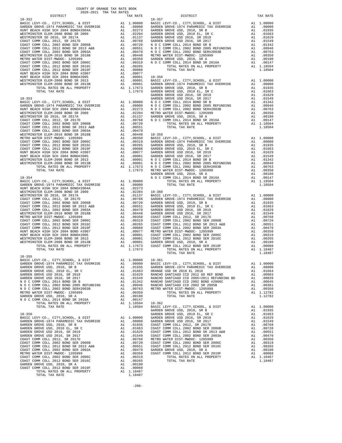| DISTRICT                                                           |    | TAX RATE                |            |
|--------------------------------------------------------------------|----|-------------------------|------------|
| $18 - 352$                                                         |    |                         | $18 - 357$ |
|                                                                    |    |                         |            |
|                                                                    |    |                         |            |
|                                                                    |    |                         |            |
|                                                                    |    |                         |            |
|                                                                    |    |                         |            |
|                                                                    |    |                         |            |
|                                                                    |    |                         |            |
|                                                                    |    |                         |            |
|                                                                    |    |                         |            |
|                                                                    |    |                         |            |
|                                                                    |    |                         |            |
|                                                                    |    |                         |            |
|                                                                    |    |                         |            |
|                                                                    |    |                         |            |
|                                                                    |    |                         |            |
|                                                                    |    |                         |            |
|                                                                    |    |                         |            |
|                                                                    |    |                         | GARDEN     |
| $18 - 353$                                                         |    |                         | GARDEN     |
|                                                                    |    |                         |            |
|                                                                    |    |                         |            |
|                                                                    |    |                         |            |
|                                                                    |    |                         |            |
|                                                                    |    |                         |            |
|                                                                    |    |                         |            |
|                                                                    |    |                         |            |
|                                                                    |    |                         |            |
|                                                                    |    |                         |            |
|                                                                    |    |                         |            |
|                                                                    |    |                         |            |
|                                                                    |    |                         |            |
|                                                                    |    |                         |            |
|                                                                    |    |                         |            |
|                                                                    |    |                         |            |
|                                                                    |    |                         |            |
|                                                                    |    |                         |            |
|                                                                    |    |                         |            |
|                                                                    |    |                         |            |
|                                                                    |    |                         | GARDEN     |
| $18 - 354$                                                         |    |                         | NOCC       |
|                                                                    |    |                         |            |
|                                                                    |    |                         |            |
|                                                                    |    |                         |            |
|                                                                    |    |                         |            |
|                                                                    |    |                         |            |
|                                                                    |    |                         |            |
|                                                                    |    |                         |            |
|                                                                    |    |                         |            |
|                                                                    |    |                         |            |
|                                                                    |    |                         |            |
|                                                                    |    |                         |            |
|                                                                    |    |                         |            |
|                                                                    |    |                         |            |
|                                                                    |    |                         |            |
|                                                                    |    |                         |            |
|                                                                    |    |                         |            |
|                                                                    |    |                         |            |
| TOTAL TAX RATE                                                     |    | 1.17673                 |            |
|                                                                    |    |                         |            |
| $18 - 355$                                                         |    |                         |            |
|                                                                    |    |                         |            |
| GARDEN GROVE USD, 2010, SR B                                       |    | A1 .01935 GARDEN        |            |
|                                                                    |    |                         |            |
|                                                                    |    |                         |            |
|                                                                    |    |                         |            |
|                                                                    |    |                         |            |
|                                                                    |    |                         |            |
|                                                                    |    |                         |            |
| METRO WATER DIST-MWDOC- 1205999                                    | A1 | .00350                  |            |
| GARDEN GROVE USD, 2010, SR A                                       | A1 | .00180                  |            |
| N O C COMM COLL 2014 BOND SR 2016A<br>TOTAL RATES ON ALL PROPERTY  |    | A1 .00147<br>A1 1.18504 | $18 - 362$ |
| TOTAL TAX RATE                                                     |    | 1.18504                 | BASIC L    |
|                                                                    |    |                         | GARDEN     |
| $18 - 356$                                                         |    |                         | GARDEN     |
|                                                                    |    |                         |            |
|                                                                    |    |                         |            |
|                                                                    |    |                         |            |
|                                                                    |    |                         |            |
|                                                                    |    |                         |            |
|                                                                    |    |                         |            |
|                                                                    |    |                         |            |
|                                                                    |    |                         |            |
|                                                                    |    |                         |            |
|                                                                    |    |                         |            |
|                                                                    |    |                         |            |
|                                                                    |    |                         |            |
|                                                                    |    |                         |            |
|                                                                    | A1 | .00088                  |            |
| COAST COMM COLL 2012 BOND SER 2019F<br>TOTAL RATES ON ALL PROPERTY |    | A1 1.18487              |            |
| TOTAL TAX RATE                                                     |    | 1.18487                 |            |
|                                                                    |    |                         |            |

| DISTRICT                                               | ZUZUTZUZI IRA IAA RAIBO | TAX RATE | DISTRICT                                                                                                                                                                                                                            | TAX RATE |
|--------------------------------------------------------|-------------------------|----------|-------------------------------------------------------------------------------------------------------------------------------------------------------------------------------------------------------------------------------------|----------|
|                                                        |                         |          |                                                                                                                                                                                                                                     |          |
|                                                        |                         |          |                                                                                                                                                                                                                                     |          |
|                                                        |                         |          |                                                                                                                                                                                                                                     |          |
|                                                        |                         |          |                                                                                                                                                                                                                                     |          |
|                                                        |                         |          |                                                                                                                                                                                                                                     |          |
|                                                        |                         |          |                                                                                                                                                                                                                                     |          |
|                                                        |                         |          |                                                                                                                                                                                                                                     |          |
|                                                        |                         |          |                                                                                                                                                                                                                                     |          |
|                                                        |                         |          |                                                                                                                                                                                                                                     |          |
|                                                        |                         |          |                                                                                                                                                                                                                                     |          |
|                                                        |                         |          |                                                                                                                                                                                                                                     |          |
|                                                        |                         |          |                                                                                                                                                                                                                                     |          |
|                                                        |                         |          |                                                                                                                                                                                                                                     |          |
|                                                        |                         |          |                                                                                                                                                                                                                                     |          |
|                                                        |                         |          |                                                                                                                                                                                                                                     |          |
|                                                        |                         |          |                                                                                                                                                                                                                                     |          |
|                                                        |                         |          |                                                                                                                                                                                                                                     |          |
|                                                        |                         |          |                                                                                                                                                                                                                                     |          |
|                                                        |                         |          |                                                                                                                                                                                                                                     |          |
|                                                        |                         |          |                                                                                                                                                                                                                                     |          |
|                                                        |                         |          |                                                                                                                                                                                                                                     |          |
|                                                        |                         |          |                                                                                                                                                                                                                                     |          |
|                                                        |                         |          |                                                                                                                                                                                                                                     |          |
|                                                        |                         |          |                                                                                                                                                                                                                                     |          |
|                                                        |                         |          |                                                                                                                                                                                                                                     |          |
|                                                        |                         |          |                                                                                                                                                                                                                                     |          |
|                                                        |                         |          |                                                                                                                                                                                                                                     |          |
|                                                        |                         |          |                                                                                                                                                                                                                                     |          |
|                                                        |                         |          |                                                                                                                                                                                                                                     |          |
|                                                        |                         |          |                                                                                                                                                                                                                                     |          |
|                                                        |                         |          |                                                                                                                                                                                                                                     |          |
|                                                        |                         |          |                                                                                                                                                                                                                                     |          |
|                                                        |                         |          |                                                                                                                                                                                                                                     |          |
|                                                        |                         |          |                                                                                                                                                                                                                                     |          |
|                                                        |                         |          |                                                                                                                                                                                                                                     |          |
|                                                        |                         |          |                                                                                                                                                                                                                                     |          |
|                                                        |                         |          |                                                                                                                                                                                                                                     |          |
|                                                        |                         |          |                                                                                                                                                                                                                                     |          |
|                                                        |                         |          |                                                                                                                                                                                                                                     |          |
|                                                        |                         |          |                                                                                                                                                                                                                                     |          |
|                                                        |                         |          |                                                                                                                                                                                                                                     |          |
|                                                        |                         |          |                                                                                                                                                                                                                                     |          |
|                                                        |                         |          |                                                                                                                                                                                                                                     |          |
|                                                        |                         |          |                                                                                                                                                                                                                                     |          |
|                                                        |                         |          |                                                                                                                                                                                                                                     |          |
|                                                        |                         |          |                                                                                                                                                                                                                                     |          |
| $18 - 355$                                             |                         |          |                                                                                                                                                                                                                                     |          |
| BASIC LEVY-CO., CITY, SCHOOL, & DIST A1 1.00000 18-361 |                         |          |                                                                                                                                                                                                                                     |          |
|                                                        |                         |          |                                                                                                                                                                                                                                     |          |
|                                                        |                         |          |                                                                                                                                                                                                                                     |          |
|                                                        |                         |          |                                                                                                                                                                                                                                     |          |
|                                                        |                         |          |                                                                                                                                                                                                                                     |          |
|                                                        |                         |          |                                                                                                                                                                                                                                     |          |
|                                                        |                         |          |                                                                                                                                                                                                                                     |          |
|                                                        |                         |          |                                                                                                                                                                                                                                     |          |
|                                                        |                         |          |                                                                                                                                                                                                                                     |          |
|                                                        |                         |          |                                                                                                                                                                                                                                     |          |
|                                                        |                         |          |                                                                                                                                                                                                                                     |          |
|                                                        |                         |          |                                                                                                                                                                                                                                     |          |
|                                                        |                         |          |                                                                                                                                                                                                                                     |          |
|                                                        |                         |          |                                                                                                                                                                                                                                     |          |
|                                                        |                         |          |                                                                                                                                                                                                                                     |          |
|                                                        |                         |          |                                                                                                                                                                                                                                     |          |
|                                                        |                         |          |                                                                                                                                                                                                                                     |          |
|                                                        |                         |          |                                                                                                                                                                                                                                     |          |
|                                                        |                         |          |                                                                                                                                                                                                                                     |          |
|                                                        |                         |          |                                                                                                                                                                                                                                     |          |
|                                                        |                         |          | 18 -1956<br>(AARDEN GROVE-1974, SCHOOL, 4 DIST 11.00000 18-361<br>(AARDEN GROVE-1974, SCHOOL, 4 DIST (AND ANIXAMELY TAX CREATER (AND ANIXAME SUGAR GROVE SIGNAL FROM CONSTRAINTS)<br>(AARDEN GROVE USD, 52, 2010 E. 52, 2017) A1 .0 |          |

-206-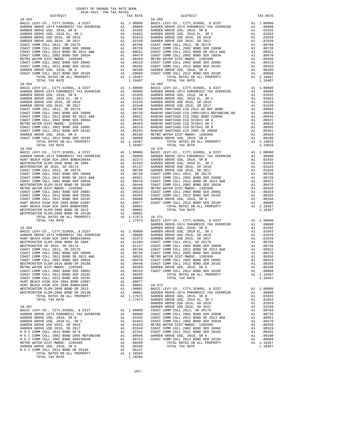| TOTAL TAX RATE                                                                  |          | 1.18487                                                                                                                                                                                  |                  |
|---------------------------------------------------------------------------------|----------|------------------------------------------------------------------------------------------------------------------------------------------------------------------------------------------|------------------|
|                                                                                 |          |                                                                                                                                                                                          |                  |
|                                                                                 |          |                                                                                                                                                                                          |                  |
|                                                                                 |          |                                                                                                                                                                                          |                  |
|                                                                                 |          |                                                                                                                                                                                          |                  |
|                                                                                 |          |                                                                                                                                                                                          |                  |
|                                                                                 |          |                                                                                                                                                                                          |                  |
|                                                                                 |          |                                                                                                                                                                                          |                  |
|                                                                                 |          |                                                                                                                                                                                          |                  |
|                                                                                 |          |                                                                                                                                                                                          |                  |
|                                                                                 |          |                                                                                                                                                                                          |                  |
|                                                                                 |          |                                                                                                                                                                                          |                  |
|                                                                                 |          |                                                                                                                                                                                          |                  |
|                                                                                 |          |                                                                                                                                                                                          |                  |
|                                                                                 |          |                                                                                                                                                                                          |                  |
| $18 - 365$                                                                      |          |                                                                                                                                                                                          | $18 - 370$       |
|                                                                                 |          |                                                                                                                                                                                          |                  |
|                                                                                 |          |                                                                                                                                                                                          |                  |
|                                                                                 |          |                                                                                                                                                                                          |                  |
|                                                                                 |          |                                                                                                                                                                                          |                  |
|                                                                                 |          |                                                                                                                                                                                          |                  |
|                                                                                 |          |                                                                                                                                                                                          |                  |
|                                                                                 |          |                                                                                                                                                                                          |                  |
|                                                                                 |          |                                                                                                                                                                                          |                  |
|                                                                                 |          |                                                                                                                                                                                          |                  |
|                                                                                 |          |                                                                                                                                                                                          |                  |
|                                                                                 |          |                                                                                                                                                                                          |                  |
|                                                                                 |          |                                                                                                                                                                                          |                  |
|                                                                                 |          |                                                                                                                                                                                          |                  |
|                                                                                 |          |                                                                                                                                                                                          |                  |
|                                                                                 |          |                                                                                                                                                                                          |                  |
| TOTAL TAX RATE                                                                  |          | $\begin{tabular}{ll} 1.17673 & 18-371 \\ 1.17673 & \texttt{BASIC L} \end{tabular}$                                                                                                       |                  |
|                                                                                 |          |                                                                                                                                                                                          | GARDEN           |
|                                                                                 |          |                                                                                                                                                                                          |                  |
|                                                                                 |          |                                                                                                                                                                                          |                  |
|                                                                                 |          |                                                                                                                                                                                          |                  |
|                                                                                 |          |                                                                                                                                                                                          |                  |
|                                                                                 |          |                                                                                                                                                                                          |                  |
|                                                                                 |          |                                                                                                                                                                                          |                  |
|                                                                                 |          |                                                                                                                                                                                          |                  |
|                                                                                 |          |                                                                                                                                                                                          |                  |
|                                                                                 |          |                                                                                                                                                                                          |                  |
|                                                                                 |          |                                                                                                                                                                                          |                  |
| COAST COMM COLL 2012 BOND SER 2016C                                             | A1       | .00265                                                                                                                                                                                   |                  |
| COAST COMM COLL 2012 BOND SER 2019F                                             | A1       | .00088                                                                                                                                                                                   |                  |
| HUNT BEACH HIGH SCH 2004 BOND #2007<br>HUNT BEACH HIGH SCH 2004 BOND#2005       | A1<br>A1 | .00077<br>.00001                                                                                                                                                                         | 18-372           |
| WESTMINSTER ELEM-2008 BOND SR 2013                                              | A1       | .00001                                                                                                                                                                                   | BASIC L          |
| WESTMINSTER ELEM-2008 BOND SR 2013B                                             | A1       | .00001                                                                                                                                                                                   | GARDEN           |
| TOTAL RATES ON ALL PROPERTY                                                     |          | A1 1.17673                                                                                                                                                                               | GARDEN           |
| TOTAL TAX RATE                                                                  |          | 1.17673                                                                                                                                                                                  | GARDEN<br>GARDEN |
| 18-367                                                                          |          |                                                                                                                                                                                          | GARDEN           |
| BASIC LEVY-CO., CITY, SCHOOL, & DIST                                            |          | A1 1.00000 GOAST C<br>A1 .08000 COAST C<br>A1 .01863 COAST C<br>A1 .01663 COAST C<br>A1 .01663 COAST C<br>A1 .01549 COAST C<br>A1 .01342 COAST C<br>A1 .00946 GARDEN<br>A1 .00946 GARDEN |                  |
| GARDEN GROVE-1974 PARAMEDIC TAX OVERRIDE                                        |          |                                                                                                                                                                                          |                  |
| GARDEN GROVE USD, 2010, SR B<br>GARDEN GROVE USD, 2010 EL, SR C                 |          |                                                                                                                                                                                          |                  |
| GARDEN GROVE USD 2016, SR 2019                                                  |          |                                                                                                                                                                                          |                  |
| GARDEN GROVE USD 2016, SR 2017                                                  |          |                                                                                                                                                                                          |                  |
| N O C COMM COLL 2014 BOND SR B                                                  |          |                                                                                                                                                                                          |                  |
| N O C COMM COLL 2002 BOND 2005 REFUNDING<br>N O C COMM COLL 2002 BOND SER#2003B | A1<br>A1 | .00763                                                                                                                                                                                   | COAST C          |
| METRO WATER DIST-MWDOC- 1205999                                                 | A1       | .00350                                                                                                                                                                                   |                  |
| GARDEN GROVE USD, 2010, SR A                                                    |          | A1 .00180                                                                                                                                                                                |                  |
| N O C COMM COLL 2014 BOND SR 2016A                                              | A1       | .00147                                                                                                                                                                                   |                  |
| TOTAL RATES ON ALL PROPERTY<br>TOTAL TAX RATE                                   |          | A1 1.18504<br>1.18504                                                                                                                                                                    |                  |

| COUNTY OF ORANGE TAX RATE BOOK<br>2020-2021 TRA TAX RATES                                                                                                                                                                                                                  |          |            |          |
|----------------------------------------------------------------------------------------------------------------------------------------------------------------------------------------------------------------------------------------------------------------------------|----------|------------|----------|
| DISTRICT                                                                                                                                                                                                                                                                   | TAX RATE | DISTRICT   | TAX RATE |
|                                                                                                                                                                                                                                                                            |          | $18 - 368$ |          |
|                                                                                                                                                                                                                                                                            |          |            |          |
|                                                                                                                                                                                                                                                                            |          |            |          |
|                                                                                                                                                                                                                                                                            |          |            |          |
|                                                                                                                                                                                                                                                                            |          |            |          |
|                                                                                                                                                                                                                                                                            |          |            |          |
|                                                                                                                                                                                                                                                                            |          |            |          |
|                                                                                                                                                                                                                                                                            |          |            |          |
|                                                                                                                                                                                                                                                                            |          |            |          |
|                                                                                                                                                                                                                                                                            |          |            |          |
|                                                                                                                                                                                                                                                                            |          |            |          |
|                                                                                                                                                                                                                                                                            |          |            |          |
|                                                                                                                                                                                                                                                                            |          |            |          |
|                                                                                                                                                                                                                                                                            |          |            |          |
|                                                                                                                                                                                                                                                                            |          |            |          |
|                                                                                                                                                                                                                                                                            |          |            |          |
|                                                                                                                                                                                                                                                                            |          |            |          |
|                                                                                                                                                                                                                                                                            |          |            |          |
|                                                                                                                                                                                                                                                                            |          |            |          |
|                                                                                                                                                                                                                                                                            |          |            |          |
|                                                                                                                                                                                                                                                                            |          |            |          |
|                                                                                                                                                                                                                                                                            |          |            |          |
|                                                                                                                                                                                                                                                                            |          |            |          |
|                                                                                                                                                                                                                                                                            |          |            |          |
|                                                                                                                                                                                                                                                                            |          |            |          |
|                                                                                                                                                                                                                                                                            |          |            |          |
|                                                                                                                                                                                                                                                                            |          |            |          |
|                                                                                                                                                                                                                                                                            |          |            |          |
|                                                                                                                                                                                                                                                                            |          |            |          |
|                                                                                                                                                                                                                                                                            |          |            |          |
|                                                                                                                                                                                                                                                                            |          |            |          |
|                                                                                                                                                                                                                                                                            |          |            |          |
|                                                                                                                                                                                                                                                                            |          |            |          |
|                                                                                                                                                                                                                                                                            |          |            |          |
|                                                                                                                                                                                                                                                                            |          |            |          |
|                                                                                                                                                                                                                                                                            |          |            |          |
|                                                                                                                                                                                                                                                                            |          |            |          |
|                                                                                                                                                                                                                                                                            |          |            |          |
|                                                                                                                                                                                                                                                                            |          |            |          |
|                                                                                                                                                                                                                                                                            |          |            |          |
|                                                                                                                                                                                                                                                                            |          |            |          |
|                                                                                                                                                                                                                                                                            |          |            |          |
|                                                                                                                                                                                                                                                                            |          |            |          |
|                                                                                                                                                                                                                                                                            |          |            |          |
|                                                                                                                                                                                                                                                                            |          |            |          |
|                                                                                                                                                                                                                                                                            |          |            |          |
|                                                                                                                                                                                                                                                                            |          |            |          |
|                                                                                                                                                                                                                                                                            |          |            |          |
|                                                                                                                                                                                                                                                                            |          |            |          |
|                                                                                                                                                                                                                                                                            |          |            |          |
|                                                                                                                                                                                                                                                                            |          |            |          |
|                                                                                                                                                                                                                                                                            |          |            |          |
|                                                                                                                                                                                                                                                                            |          |            |          |
|                                                                                                                                                                                                                                                                            |          |            |          |
|                                                                                                                                                                                                                                                                            |          |            |          |
|                                                                                                                                                                                                                                                                            |          |            |          |
|                                                                                                                                                                                                                                                                            |          |            |          |
|                                                                                                                                                                                                                                                                            |          |            |          |
|                                                                                                                                                                                                                                                                            |          |            |          |
|                                                                                                                                                                                                                                                                            |          |            |          |
|                                                                                                                                                                                                                                                                            |          |            |          |
|                                                                                                                                                                                                                                                                            |          |            |          |
| $\begin{smallmatrix} &1.16 & 0.000 & 0.000 & 0.000 & 0.000 & 0.000 & 0.000 & 0.000 & 0.000 & 0.000 & 0.000 & 0.000 & 0.000 & 0.000 & 0.000 & 0.000 & 0.000 & 0.000 & 0.000 & 0.000 & 0.000 & 0.000 & 0.000 & 0.000 & 0.000 & 0.000 & 0.000 & 0.000 & 0.000 & 0.000 & 0.00$ |          |            |          |
|                                                                                                                                                                                                                                                                            |          |            |          |
|                                                                                                                                                                                                                                                                            |          |            |          |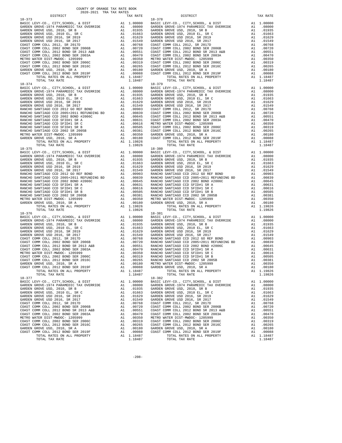| DISTRICT                                                                     |    | TAX RATE                                                    |            |
|------------------------------------------------------------------------------|----|-------------------------------------------------------------|------------|
| $18 - 373$                                                                   |    |                                                             | $18 - 378$ |
|                                                                              |    |                                                             |            |
|                                                                              |    |                                                             |            |
|                                                                              |    |                                                             |            |
|                                                                              |    |                                                             |            |
|                                                                              |    |                                                             |            |
|                                                                              |    |                                                             |            |
|                                                                              |    |                                                             |            |
|                                                                              |    |                                                             |            |
|                                                                              |    |                                                             |            |
|                                                                              |    |                                                             |            |
|                                                                              |    |                                                             |            |
|                                                                              |    |                                                             |            |
|                                                                              |    |                                                             |            |
|                                                                              |    |                                                             |            |
| TOTAL TAX RATE                                                               |    | 1.18487                                                     |            |
|                                                                              |    |                                                             | $18 - 379$ |
|                                                                              |    |                                                             |            |
|                                                                              |    |                                                             |            |
|                                                                              |    |                                                             |            |
|                                                                              |    |                                                             |            |
|                                                                              |    |                                                             |            |
|                                                                              |    |                                                             |            |
|                                                                              |    |                                                             |            |
|                                                                              |    |                                                             |            |
|                                                                              |    |                                                             |            |
|                                                                              |    |                                                             |            |
|                                                                              |    |                                                             |            |
|                                                                              |    |                                                             |            |
|                                                                              |    |                                                             |            |
|                                                                              |    |                                                             |            |
|                                                                              |    |                                                             |            |
| TOTAL TAX RATE                                                               |    | 1.19826                                                     |            |
| $18 - 375$                                                                   |    |                                                             | $18 - 380$ |
|                                                                              |    |                                                             |            |
|                                                                              |    |                                                             |            |
|                                                                              |    |                                                             |            |
|                                                                              |    |                                                             |            |
|                                                                              |    |                                                             |            |
|                                                                              |    |                                                             |            |
|                                                                              |    |                                                             |            |
|                                                                              |    |                                                             |            |
|                                                                              |    |                                                             |            |
|                                                                              |    |                                                             |            |
|                                                                              |    |                                                             |            |
|                                                                              |    |                                                             |            |
|                                                                              |    |                                                             |            |
|                                                                              |    |                                                             |            |
| TOTAL TAX RATE                                                               |    | 1.19826                                                     |            |
| $18 - 376$                                                                   |    |                                                             | 18-381     |
|                                                                              |    |                                                             |            |
|                                                                              |    |                                                             |            |
|                                                                              |    |                                                             |            |
|                                                                              |    |                                                             |            |
|                                                                              |    |                                                             |            |
|                                                                              |    |                                                             |            |
|                                                                              |    |                                                             |            |
|                                                                              |    |                                                             |            |
|                                                                              |    |                                                             |            |
|                                                                              |    |                                                             |            |
|                                                                              |    |                                                             |            |
|                                                                              |    |                                                             |            |
|                                                                              |    |                                                             |            |
| COAST COMM COLL 2012 BOND SER 2019F                                          | A1 | .00088                                                      | GARDEN     |
| TOTAL RATES ON ALL PROPERTY                                                  | A1 | 1.18487                                                     |            |
| TOTAL TAX RATE                                                               |    | 1.18487                                                     |            |
| $18 - 377$                                                                   |    |                                                             | $18 - 382$ |
| BASIC LEVY-CO., CITY, SCHOOL, & DIST                                         | A1 | 1.00000                                                     | BASIC L    |
| GARDEN GROVE-1974 PARAMEDIC TAX OVERRIDE                                     |    | A1.08000                                                    | GARDEN     |
| GARDEN GROVE USD, 2010, SR B                                                 | A1 | .01935                                                      | GARDEN     |
| GARDEN GROVE USD, 2010 EL, SR C                                              | A1 | .01663                                                      | GARDEN     |
| GARDEN GROVE USD 2016, SR 2019                                               | A1 | .01629                                                      | GARDEN     |
| GARDEN GROVE USD 2016, SR 2017                                               |    | A1 .01549 GARDEN<br>A1 .00768 COAST C<br>A1 .00720 COAST C  |            |
| COAST COMM COLL 2012, SR 2017D                                               |    |                                                             |            |
| COAST COMM COLL 2002 BOND SER 2006B                                          |    |                                                             |            |
| COAST COMM COLL 2012 BOND SR 2013 A&B<br>COAST COMM COLL 2002 BOND SER 2003A |    | A1 .00551 COAST C<br>A1 .00470 COAST C<br>A1 .00350 METRO W |            |
| METRO WATER DIST-MWDOC- 1205999                                              | A1 |                                                             |            |
| COAST COMM COLL 2002 BOND SER 2006C                                          | A1 | .00319                                                      | COAST C    |
| COAST COMM COLL 2012 BOND SER 2016C                                          | A1 | .00265                                                      | COAST C    |
| GARDEN GROVE USD, 2010, SR A                                                 | A1 | .00180                                                      | GARDEN     |
| COAST COMM COLL 2012 BOND SER 2019F                                          | A1 | .00088                                                      | COAST C    |
| TOTAL RATES ON ALL PROPERTY                                                  |    | A1 1.18487                                                  |            |
| TOTAL TAX RATE                                                               |    | 1.18487                                                     |            |

| COUNTY OF ORANGE TAX RATE BOOK<br>2020-2021 TRA TAX RATES |          |                                                                                                                                                                                                                                                |          |
|-----------------------------------------------------------|----------|------------------------------------------------------------------------------------------------------------------------------------------------------------------------------------------------------------------------------------------------|----------|
| DISTRICT                                                  | TAX RATE | DISTRICT                                                                                                                                                                                                                                       | TAX RATE |
|                                                           |          |                                                                                                                                                                                                                                                |          |
|                                                           |          |                                                                                                                                                                                                                                                |          |
|                                                           |          |                                                                                                                                                                                                                                                |          |
|                                                           |          | COAST COMM COLL 2012 BOND SER 2016C<br>COAST COMM COLL 2012 BOND SER 2016C<br>COAST COMM COLL 2012 BOND SER 2016C<br>COAST COMM COLL 2012 BOND SER 2016C<br>COAST COMM COLL 2012 BOND SER 2016C<br>A1 .00288<br>A1 .00288<br>A1 .00180<br>METR |          |
|                                                           |          |                                                                                                                                                                                                                                                |          |

-208-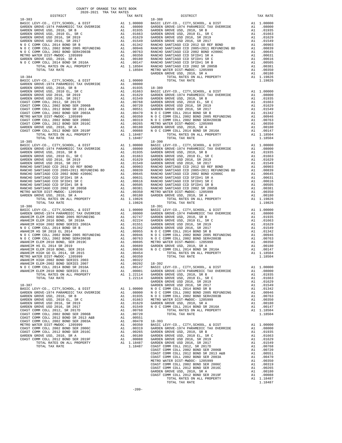| DISTRICT | TAX RATE | DISTRICT | TAX RATE |
|----------|----------|----------|----------|
|          |          |          |          |
|          |          |          |          |
|          |          |          |          |
|          |          |          |          |
|          |          |          |          |
|          |          |          |          |
|          |          |          |          |
|          |          |          |          |
|          |          |          |          |
|          |          |          |          |
|          |          |          |          |
|          |          |          |          |
|          |          |          |          |
|          |          |          |          |
|          |          |          |          |
|          |          |          |          |
|          |          |          |          |
|          |          |          |          |
|          |          |          |          |
|          |          |          |          |
|          |          |          |          |
|          |          |          |          |
|          |          |          |          |
|          |          |          |          |
|          |          |          |          |
|          |          |          |          |
|          |          |          |          |
|          |          |          |          |
|          |          |          |          |
|          |          |          |          |
|          |          |          |          |
|          |          |          |          |
|          |          |          |          |
|          |          |          |          |
|          |          |          |          |
|          |          |          |          |
|          |          |          |          |
|          |          |          |          |
|          |          |          |          |
|          |          |          |          |
|          |          |          |          |
|          |          |          |          |
|          |          |          |          |
|          |          |          |          |
|          |          |          |          |
|          |          |          |          |
|          |          |          |          |
|          |          |          |          |
|          |          |          |          |
|          |          |          |          |
|          |          |          |          |
|          |          |          |          |
|          |          |          |          |
|          |          |          |          |
|          |          |          |          |
|          |          |          |          |
|          |          |          |          |
|          |          |          |          |
|          |          |          |          |
|          |          |          |          |
|          |          |          |          |
|          |          |          |          |
|          |          |          |          |
|          |          |          |          |
|          |          |          |          |
|          |          |          |          |
|          |          |          |          |
|          |          |          |          |
|          |          |          |          |
|          |          |          |          |
|          |          |          |          |
|          |          |          |          |
|          |          |          |          |
|          |          |          |          |
|          |          |          |          |
|          |          |          |          |
|          |          |          |          |
|          |          |          |          |
|          |          |          |          |
|          |          |          |          |
|          |          |          |          |
|          |          |          |          |
|          |          |          |          |
|          |          |          |          |
|          |          |          |          |
|          |          |          |          |
|          |          |          |          |
|          |          |          |          |
|          |          |          |          |
|          |          |          |          |
|          |          |          |          |
|          |          |          |          |
|          |          |          |          |
|          |          |          |          |
|          |          |          |          |
|          |          |          |          |
|          |          |          |          |
|          |          |          |          |
|          |          |          |          |
|          |          |          |          |
|          |          |          |          |
|          |          |          |          |
|          |          |          |          |
|          |          |          |          |
|          |          |          |          |
|          |          |          |          |
|          |          |          |          |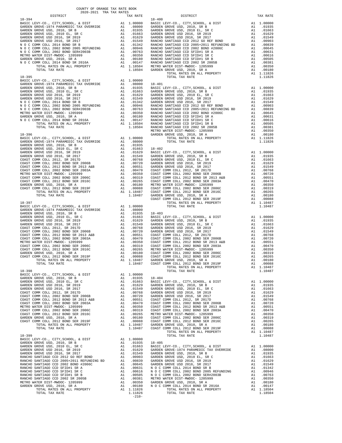| DISTRICT   | TAX RATE | DISTRICT       | TAX RATE |
|------------|----------|----------------|----------|
| $18 - 394$ |          | $18 - 400$     |          |
|            |          |                |          |
|            |          |                |          |
|            |          |                |          |
|            |          |                |          |
|            |          |                |          |
|            |          |                |          |
|            |          |                |          |
|            |          |                |          |
|            |          |                |          |
|            |          |                |          |
|            |          |                |          |
|            |          |                |          |
|            |          |                |          |
|            |          |                |          |
|            |          |                |          |
|            |          | TOTAL TAX RATE |          |
| $18 - 395$ |          |                | 1.11826  |
|            |          |                |          |
|            |          |                |          |
|            |          |                |          |
|            |          |                |          |
|            |          |                |          |
|            |          |                |          |
|            |          |                |          |
|            |          |                |          |
|            |          |                |          |
|            |          |                |          |
|            |          |                |          |
|            |          |                |          |
|            |          |                |          |
|            |          |                |          |
|            |          |                |          |
|            |          |                |          |
|            |          |                |          |
|            |          |                |          |
|            |          |                |          |
|            |          |                |          |
|            |          |                |          |
|            |          |                |          |
|            |          |                |          |
|            |          |                |          |
|            |          |                |          |
|            |          |                |          |
|            |          |                |          |
|            |          |                |          |
|            |          |                |          |
|            |          |                |          |
|            |          |                |          |
|            |          |                |          |
|            |          |                |          |
|            |          |                |          |
|            |          |                |          |
|            |          |                |          |
|            |          |                |          |
|            |          |                |          |
|            |          |                |          |
|            |          |                |          |
|            |          |                |          |
|            |          |                |          |
|            |          |                |          |
|            |          |                |          |
|            |          |                |          |
|            |          |                |          |
|            |          |                |          |
|            |          |                |          |
|            |          |                |          |
|            |          |                |          |
|            |          |                |          |
|            |          |                |          |
|            |          |                |          |
|            |          |                |          |
|            |          |                |          |
|            |          |                |          |
|            |          |                |          |
|            |          |                |          |
|            |          |                |          |
|            |          |                |          |
|            |          |                |          |
|            |          |                |          |
|            |          |                |          |
|            |          |                |          |
|            |          |                |          |
|            |          |                |          |
|            |          |                |          |
|            |          |                |          |
|            |          |                |          |
|            |          |                |          |
|            |          |                |          |
|            |          |                |          |
|            |          |                |          |
|            |          |                |          |
|            |          |                |          |
|            |          |                |          |
|            |          |                |          |
|            |          |                |          |
|            |          |                |          |
|            |          |                |          |
|            |          |                |          |
|            |          |                |          |
|            |          |                |          |
|            |          |                |          |
|            |          |                |          |
|            |          |                |          |
|            |          |                |          |
|            |          |                |          |
|            |          |                |          |
|            |          |                |          |
|            |          |                |          |
|            |          |                |          |
|            |          |                |          |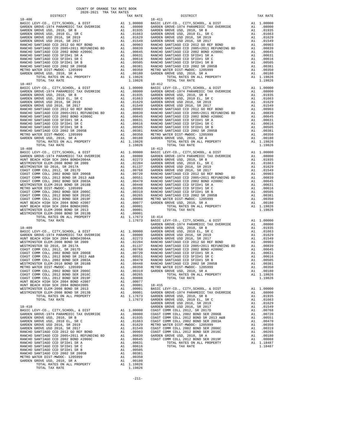| TOTAL TAX RATE                      |    | 1.19826                                                                       |            |
|-------------------------------------|----|-------------------------------------------------------------------------------|------------|
|                                     |    |                                                                               |            |
| $18 - 407$                          |    |                                                                               | $18 - 412$ |
|                                     |    |                                                                               |            |
|                                     |    |                                                                               |            |
|                                     |    |                                                                               |            |
|                                     |    |                                                                               |            |
|                                     |    |                                                                               |            |
|                                     |    |                                                                               |            |
|                                     |    |                                                                               |            |
|                                     |    |                                                                               |            |
|                                     |    |                                                                               |            |
|                                     |    |                                                                               |            |
|                                     |    |                                                                               |            |
|                                     |    |                                                                               |            |
|                                     |    |                                                                               |            |
|                                     |    |                                                                               |            |
|                                     |    |                                                                               |            |
|                                     |    |                                                                               |            |
|                                     |    |                                                                               |            |
|                                     |    |                                                                               |            |
|                                     |    |                                                                               |            |
|                                     |    |                                                                               |            |
| TOTAL TAX RATE                      |    | 1.19826                                                                       |            |
| $18 - 408$                          |    |                                                                               | $18 - 413$ |
|                                     |    |                                                                               |            |
|                                     |    |                                                                               |            |
|                                     |    |                                                                               |            |
|                                     |    |                                                                               |            |
|                                     |    |                                                                               |            |
|                                     |    |                                                                               |            |
|                                     |    |                                                                               |            |
|                                     |    |                                                                               |            |
|                                     |    |                                                                               |            |
|                                     |    |                                                                               |            |
|                                     |    |                                                                               |            |
|                                     |    |                                                                               |            |
|                                     |    |                                                                               |            |
|                                     |    |                                                                               |            |
|                                     |    |                                                                               |            |
|                                     |    |                                                                               |            |
|                                     |    |                                                                               |            |
|                                     |    |                                                                               |            |
|                                     |    |                                                                               |            |
|                                     |    |                                                                               |            |
|                                     |    |                                                                               |            |
|                                     |    |                                                                               |            |
|                                     |    |                                                                               |            |
|                                     |    |                                                                               |            |
|                                     |    |                                                                               |            |
|                                     |    |                                                                               | GARDEN     |
| $18 - 409$                          |    |                                                                               | GARDEN     |
|                                     |    |                                                                               |            |
|                                     |    |                                                                               |            |
|                                     |    |                                                                               |            |
|                                     |    |                                                                               |            |
|                                     |    |                                                                               |            |
|                                     |    |                                                                               |            |
|                                     |    |                                                                               |            |
|                                     |    |                                                                               |            |
|                                     |    |                                                                               |            |
|                                     |    |                                                                               |            |
|                                     |    |                                                                               |            |
|                                     |    |                                                                               |            |
|                                     |    |                                                                               |            |
|                                     |    |                                                                               |            |
|                                     |    |                                                                               |            |
| COAST COMM COLL 2012 BOND SER 2016C |    |                                                                               |            |
|                                     |    | A1 .00265<br>A1 .00088                                                        |            |
| COAST COMM COLL 2012 BOND SER 2019F |    |                                                                               |            |
| HUNT BEACH HIGH SCH 2004 BOND #2007 |    | A1 .00077                                                                     |            |
| HUNT BEACH HIGH SCH 2004 BOND#2005  |    | A1 .00001                                                                     | 18-415     |
| WESTMINSTER ELEM-2008 BOND SR 2013  |    |                                                                               |            |
|                                     |    |                                                                               |            |
| WESTMINSTER ELEM-2008 BOND SR 2013B |    |                                                                               |            |
| TOTAL RATES ON ALL PROPERTY         |    |                                                                               |            |
| TOTAL TAX RATE                      |    | A1 .00001 BASIC L<br>A1 .00001 GARDEN<br>A1 .1.17673 GARDEN<br>1.17673 GARDEN |            |
|                                     |    |                                                                               | GARDEN     |
| $18 - 410$                          |    |                                                                               |            |
|                                     |    |                                                                               | GARDEN     |
|                                     |    |                                                                               |            |
|                                     |    |                                                                               |            |
|                                     |    |                                                                               |            |
|                                     |    |                                                                               |            |
|                                     |    |                                                                               |            |
|                                     |    |                                                                               |            |
|                                     |    |                                                                               |            |
|                                     |    |                                                                               |            |
|                                     |    |                                                                               |            |
|                                     |    |                                                                               |            |
|                                     |    |                                                                               |            |
|                                     |    |                                                                               |            |
|                                     |    |                                                                               |            |
|                                     |    |                                                                               |            |
|                                     |    |                                                                               |            |
|                                     |    |                                                                               |            |
|                                     |    |                                                                               |            |
|                                     |    |                                                                               |            |
|                                     |    |                                                                               |            |
| GARDEN GROVE USD, 2010, SR A        | A1 | .00180                                                                        |            |
| TOTAL RATES ON ALL PROPERTY         |    | A1 1.19826                                                                    |            |
| TOTAL TAX RATE                      |    | 1.19826                                                                       |            |

| COUNTY OF ORANGE TAX RATE BOOK<br>2020-2021 TRA TAX RATES |          |            |          |
|-----------------------------------------------------------|----------|------------|----------|
| DISTRICT                                                  | TAX RATE | DISTRICT   | TAX RATE |
|                                                           |          | $18 - 411$ |          |
|                                                           |          |            |          |
|                                                           |          |            |          |
|                                                           |          |            |          |
|                                                           |          |            |          |
|                                                           |          |            |          |
|                                                           |          |            |          |
|                                                           |          |            |          |
|                                                           |          |            |          |
|                                                           |          |            |          |
|                                                           |          |            |          |
|                                                           |          |            |          |
|                                                           |          |            |          |
|                                                           |          |            |          |
|                                                           |          |            |          |
|                                                           |          |            |          |
|                                                           |          |            |          |
|                                                           |          |            |          |
|                                                           |          |            |          |
|                                                           |          |            |          |
|                                                           |          |            |          |
|                                                           |          |            |          |
|                                                           |          |            |          |
|                                                           |          |            |          |
|                                                           |          |            |          |
|                                                           |          |            |          |
|                                                           |          |            |          |
|                                                           |          |            |          |
|                                                           |          |            |          |
|                                                           |          |            |          |
|                                                           |          |            |          |
|                                                           |          |            |          |
|                                                           |          |            |          |
|                                                           |          |            |          |
|                                                           |          |            |          |
|                                                           |          |            |          |
|                                                           |          |            |          |
|                                                           |          |            |          |
|                                                           |          |            |          |
|                                                           |          |            |          |
|                                                           |          |            |          |
|                                                           |          |            |          |
|                                                           |          |            |          |
|                                                           |          |            |          |
|                                                           |          |            |          |
|                                                           |          |            |          |
|                                                           |          |            |          |
|                                                           |          |            |          |
|                                                           |          |            |          |
|                                                           |          |            |          |
|                                                           |          |            |          |
|                                                           |          |            |          |
|                                                           |          |            |          |
|                                                           |          |            |          |
|                                                           |          |            |          |
|                                                           |          |            |          |
|                                                           |          |            |          |
|                                                           |          |            |          |
|                                                           |          |            |          |
|                                                           |          |            |          |
|                                                           |          |            |          |
|                                                           |          |            |          |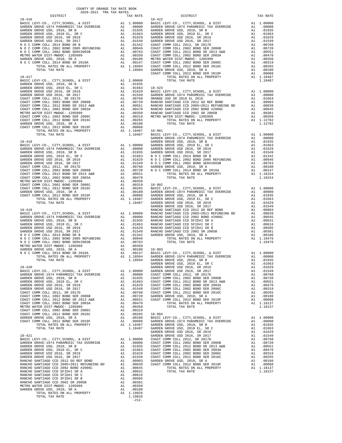| DISTRICT                                                                                                                                                                                                                                                                                                                                                                                                                                                                                                          | TAX RATE |            |
|-------------------------------------------------------------------------------------------------------------------------------------------------------------------------------------------------------------------------------------------------------------------------------------------------------------------------------------------------------------------------------------------------------------------------------------------------------------------------------------------------------------------|----------|------------|
| $18 - 416$                                                                                                                                                                                                                                                                                                                                                                                                                                                                                                        |          | $18 - 422$ |
|                                                                                                                                                                                                                                                                                                                                                                                                                                                                                                                   |          |            |
|                                                                                                                                                                                                                                                                                                                                                                                                                                                                                                                   |          |            |
|                                                                                                                                                                                                                                                                                                                                                                                                                                                                                                                   |          |            |
|                                                                                                                                                                                                                                                                                                                                                                                                                                                                                                                   |          |            |
|                                                                                                                                                                                                                                                                                                                                                                                                                                                                                                                   |          |            |
|                                                                                                                                                                                                                                                                                                                                                                                                                                                                                                                   |          |            |
|                                                                                                                                                                                                                                                                                                                                                                                                                                                                                                                   |          |            |
|                                                                                                                                                                                                                                                                                                                                                                                                                                                                                                                   |          |            |
|                                                                                                                                                                                                                                                                                                                                                                                                                                                                                                                   |          |            |
|                                                                                                                                                                                                                                                                                                                                                                                                                                                                                                                   |          |            |
|                                                                                                                                                                                                                                                                                                                                                                                                                                                                                                                   |          |            |
|                                                                                                                                                                                                                                                                                                                                                                                                                                                                                                                   |          |            |
|                                                                                                                                                                                                                                                                                                                                                                                                                                                                                                                   |          |            |
|                                                                                                                                                                                                                                                                                                                                                                                                                                                                                                                   |          |            |
| $\begin{tabular}{ c c c c} \multicolumn{1}{c}{\begin{tabular}{c} \multicolumn{1}{c}{\begin{tabular}{c} \multicolumn{1}{c}{\begin{tabular}{c} \multicolumn{1}{c}{\begin{tabular}{c} \multicolumn{1}{c}{\begin{tabular}{c} \multicolumn{1}{c}{\begin{tabular}{c} \multicolumn{1}{c}{\begin{tabular}{c} \multicolumn{1}{c}{\begin{tabular}{c} \multicolumn{1}{c}{\begin{tabular}{c} \multicolumn{1}{c}{\begin{tabular}{c} \multicolumn{1}{c}{\begin{tabular}{c} \multicolumn{1}{c}{\begin{tabular}{c} \multicolumn{$ |          |            |
|                                                                                                                                                                                                                                                                                                                                                                                                                                                                                                                   |          |            |
|                                                                                                                                                                                                                                                                                                                                                                                                                                                                                                                   |          |            |
|                                                                                                                                                                                                                                                                                                                                                                                                                                                                                                                   |          |            |
|                                                                                                                                                                                                                                                                                                                                                                                                                                                                                                                   |          |            |
|                                                                                                                                                                                                                                                                                                                                                                                                                                                                                                                   |          |            |
|                                                                                                                                                                                                                                                                                                                                                                                                                                                                                                                   |          |            |
|                                                                                                                                                                                                                                                                                                                                                                                                                                                                                                                   |          |            |
|                                                                                                                                                                                                                                                                                                                                                                                                                                                                                                                   |          |            |
|                                                                                                                                                                                                                                                                                                                                                                                                                                                                                                                   |          |            |
|                                                                                                                                                                                                                                                                                                                                                                                                                                                                                                                   |          |            |
|                                                                                                                                                                                                                                                                                                                                                                                                                                                                                                                   |          |            |
|                                                                                                                                                                                                                                                                                                                                                                                                                                                                                                                   |          |            |
|                                                                                                                                                                                                                                                                                                                                                                                                                                                                                                                   |          |            |
|                                                                                                                                                                                                                                                                                                                                                                                                                                                                                                                   |          |            |
|                                                                                                                                                                                                                                                                                                                                                                                                                                                                                                                   |          |            |
|                                                                                                                                                                                                                                                                                                                                                                                                                                                                                                                   |          |            |
|                                                                                                                                                                                                                                                                                                                                                                                                                                                                                                                   |          |            |
|                                                                                                                                                                                                                                                                                                                                                                                                                                                                                                                   |          |            |
|                                                                                                                                                                                                                                                                                                                                                                                                                                                                                                                   |          |            |
|                                                                                                                                                                                                                                                                                                                                                                                                                                                                                                                   |          |            |
|                                                                                                                                                                                                                                                                                                                                                                                                                                                                                                                   |          |            |
|                                                                                                                                                                                                                                                                                                                                                                                                                                                                                                                   |          |            |
|                                                                                                                                                                                                                                                                                                                                                                                                                                                                                                                   |          |            |
|                                                                                                                                                                                                                                                                                                                                                                                                                                                                                                                   |          |            |
|                                                                                                                                                                                                                                                                                                                                                                                                                                                                                                                   |          |            |
|                                                                                                                                                                                                                                                                                                                                                                                                                                                                                                                   |          |            |
|                                                                                                                                                                                                                                                                                                                                                                                                                                                                                                                   |          |            |
|                                                                                                                                                                                                                                                                                                                                                                                                                                                                                                                   |          |            |
|                                                                                                                                                                                                                                                                                                                                                                                                                                                                                                                   |          |            |
|                                                                                                                                                                                                                                                                                                                                                                                                                                                                                                                   |          |            |
|                                                                                                                                                                                                                                                                                                                                                                                                                                                                                                                   |          |            |
|                                                                                                                                                                                                                                                                                                                                                                                                                                                                                                                   |          |            |
|                                                                                                                                                                                                                                                                                                                                                                                                                                                                                                                   |          |            |
| $18 - 419$                                                                                                                                                                                                                                                                                                                                                                                                                                                                                                        |          | RANCHO     |
|                                                                                                                                                                                                                                                                                                                                                                                                                                                                                                                   |          |            |
|                                                                                                                                                                                                                                                                                                                                                                                                                                                                                                                   |          |            |
|                                                                                                                                                                                                                                                                                                                                                                                                                                                                                                                   |          |            |
|                                                                                                                                                                                                                                                                                                                                                                                                                                                                                                                   |          |            |
|                                                                                                                                                                                                                                                                                                                                                                                                                                                                                                                   |          |            |
|                                                                                                                                                                                                                                                                                                                                                                                                                                                                                                                   |          |            |
|                                                                                                                                                                                                                                                                                                                                                                                                                                                                                                                   |          |            |
|                                                                                                                                                                                                                                                                                                                                                                                                                                                                                                                   |          |            |
|                                                                                                                                                                                                                                                                                                                                                                                                                                                                                                                   |          |            |
|                                                                                                                                                                                                                                                                                                                                                                                                                                                                                                                   |          |            |
|                                                                                                                                                                                                                                                                                                                                                                                                                                                                                                                   |          |            |
|                                                                                                                                                                                                                                                                                                                                                                                                                                                                                                                   |          |            |
|                                                                                                                                                                                                                                                                                                                                                                                                                                                                                                                   |          |            |
|                                                                                                                                                                                                                                                                                                                                                                                                                                                                                                                   |          | GARDEN     |
| $18 - 420$                                                                                                                                                                                                                                                                                                                                                                                                                                                                                                        |          | GARDEN     |
|                                                                                                                                                                                                                                                                                                                                                                                                                                                                                                                   |          |            |
|                                                                                                                                                                                                                                                                                                                                                                                                                                                                                                                   |          |            |
|                                                                                                                                                                                                                                                                                                                                                                                                                                                                                                                   |          |            |
|                                                                                                                                                                                                                                                                                                                                                                                                                                                                                                                   |          |            |
|                                                                                                                                                                                                                                                                                                                                                                                                                                                                                                                   |          |            |
|                                                                                                                                                                                                                                                                                                                                                                                                                                                                                                                   |          |            |
|                                                                                                                                                                                                                                                                                                                                                                                                                                                                                                                   |          |            |
|                                                                                                                                                                                                                                                                                                                                                                                                                                                                                                                   |          |            |
|                                                                                                                                                                                                                                                                                                                                                                                                                                                                                                                   |          |            |
|                                                                                                                                                                                                                                                                                                                                                                                                                                                                                                                   |          |            |
|                                                                                                                                                                                                                                                                                                                                                                                                                                                                                                                   |          |            |
|                                                                                                                                                                                                                                                                                                                                                                                                                                                                                                                   |          |            |
|                                                                                                                                                                                                                                                                                                                                                                                                                                                                                                                   |          |            |
|                                                                                                                                                                                                                                                                                                                                                                                                                                                                                                                   |          |            |
|                                                                                                                                                                                                                                                                                                                                                                                                                                                                                                                   |          |            |
|                                                                                                                                                                                                                                                                                                                                                                                                                                                                                                                   |          | GARDEN     |
| $18 - 421$                                                                                                                                                                                                                                                                                                                                                                                                                                                                                                        |          | GARDEN     |
|                                                                                                                                                                                                                                                                                                                                                                                                                                                                                                                   |          |            |
|                                                                                                                                                                                                                                                                                                                                                                                                                                                                                                                   |          |            |
|                                                                                                                                                                                                                                                                                                                                                                                                                                                                                                                   |          |            |
|                                                                                                                                                                                                                                                                                                                                                                                                                                                                                                                   |          |            |
|                                                                                                                                                                                                                                                                                                                                                                                                                                                                                                                   |          |            |
|                                                                                                                                                                                                                                                                                                                                                                                                                                                                                                                   |          |            |
|                                                                                                                                                                                                                                                                                                                                                                                                                                                                                                                   |          |            |
|                                                                                                                                                                                                                                                                                                                                                                                                                                                                                                                   |          |            |
|                                                                                                                                                                                                                                                                                                                                                                                                                                                                                                                   |          |            |
|                                                                                                                                                                                                                                                                                                                                                                                                                                                                                                                   |          |            |
|                                                                                                                                                                                                                                                                                                                                                                                                                                                                                                                   |          |            |
|                                                                                                                                                                                                                                                                                                                                                                                                                                                                                                                   |          |            |
| $\begin{tabular}{l c c c} \multicolumn{4}{c}{\textbf{A}RDER} & $\mathsf{GARDBN}$ & $\mathsf{GARDBN}$ & $\mathsf{GARDBN}$ \\ \hline \texttt{BASIC LEVY-CO.}, $\mathsf{CITY}, \mathsf{SCHOOL}, $\& $\mathsf{DIST}$ & $\mathsf{A1}$ & $1.00000$ & $\mathsf{COAST C}$ \\ \hline \texttt{GARDEN GROVE USD}, 2010, \mathsf{SR B} & $\mathsf{A1}$ & $0.1935$ & $\mathsf{COAST C}$ \\ \hline \texttt{GARDEN GROVE USD}, 2010, \mathsf{SR B} &$                                                                            |          |            |
|                                                                                                                                                                                                                                                                                                                                                                                                                                                                                                                   |          |            |
|                                                                                                                                                                                                                                                                                                                                                                                                                                                                                                                   |          |            |
|                                                                                                                                                                                                                                                                                                                                                                                                                                                                                                                   |          |            |
|                                                                                                                                                                                                                                                                                                                                                                                                                                                                                                                   | $-212-$  |            |

| COUNTY OF ORANGE TAX RATE BOOK<br>2020-2021 TRA TAX RATES |          |                                                                                                                                                                                                                                                                                                                                                                         |          |
|-----------------------------------------------------------|----------|-------------------------------------------------------------------------------------------------------------------------------------------------------------------------------------------------------------------------------------------------------------------------------------------------------------------------------------------------------------------------|----------|
| DISTRICT                                                  | TAX RATE | DISTRICT<br>$\begin{tabular}{cccccccc} \texttt{18-416} & \texttt{DSTR-CT} & \texttt{0.0001} & \texttt{0.0012} & \texttt{0.0013} & \texttt{0.0001} & \texttt{0.0014} & \texttt{0.0001} & \texttt{0.0015} & \texttt{0.0001} & \texttt{0.0016} & \texttt{0.0001} & \texttt{0.0001} & \texttt{0.0001} & \texttt{0.0001} & \texttt{0.0001} & \texttt{0.0001} & \texttt{0.00$ | TAX RATE |
| $18 - 416$                                                |          | $18 - 422$                                                                                                                                                                                                                                                                                                                                                              |          |
|                                                           |          |                                                                                                                                                                                                                                                                                                                                                                         |          |
|                                                           |          |                                                                                                                                                                                                                                                                                                                                                                         |          |
|                                                           |          |                                                                                                                                                                                                                                                                                                                                                                         |          |
|                                                           |          |                                                                                                                                                                                                                                                                                                                                                                         |          |
|                                                           |          |                                                                                                                                                                                                                                                                                                                                                                         |          |
|                                                           |          |                                                                                                                                                                                                                                                                                                                                                                         |          |
|                                                           |          |                                                                                                                                                                                                                                                                                                                                                                         |          |
|                                                           |          |                                                                                                                                                                                                                                                                                                                                                                         |          |
|                                                           |          |                                                                                                                                                                                                                                                                                                                                                                         |          |
|                                                           |          |                                                                                                                                                                                                                                                                                                                                                                         |          |
|                                                           |          |                                                                                                                                                                                                                                                                                                                                                                         |          |
|                                                           |          |                                                                                                                                                                                                                                                                                                                                                                         |          |
|                                                           |          |                                                                                                                                                                                                                                                                                                                                                                         |          |
|                                                           |          |                                                                                                                                                                                                                                                                                                                                                                         |          |
|                                                           |          |                                                                                                                                                                                                                                                                                                                                                                         |          |
|                                                           |          |                                                                                                                                                                                                                                                                                                                                                                         |          |
|                                                           |          |                                                                                                                                                                                                                                                                                                                                                                         |          |
|                                                           |          |                                                                                                                                                                                                                                                                                                                                                                         |          |
|                                                           |          |                                                                                                                                                                                                                                                                                                                                                                         |          |
|                                                           |          |                                                                                                                                                                                                                                                                                                                                                                         |          |
|                                                           |          |                                                                                                                                                                                                                                                                                                                                                                         |          |
|                                                           |          |                                                                                                                                                                                                                                                                                                                                                                         |          |
|                                                           |          |                                                                                                                                                                                                                                                                                                                                                                         |          |
|                                                           |          |                                                                                                                                                                                                                                                                                                                                                                         |          |
|                                                           |          |                                                                                                                                                                                                                                                                                                                                                                         |          |
|                                                           |          |                                                                                                                                                                                                                                                                                                                                                                         |          |
|                                                           |          |                                                                                                                                                                                                                                                                                                                                                                         |          |
|                                                           |          |                                                                                                                                                                                                                                                                                                                                                                         |          |
|                                                           |          |                                                                                                                                                                                                                                                                                                                                                                         |          |
|                                                           |          |                                                                                                                                                                                                                                                                                                                                                                         |          |
|                                                           |          |                                                                                                                                                                                                                                                                                                                                                                         |          |
|                                                           |          |                                                                                                                                                                                                                                                                                                                                                                         |          |
|                                                           |          |                                                                                                                                                                                                                                                                                                                                                                         |          |
|                                                           |          |                                                                                                                                                                                                                                                                                                                                                                         |          |
|                                                           |          |                                                                                                                                                                                                                                                                                                                                                                         |          |
|                                                           |          |                                                                                                                                                                                                                                                                                                                                                                         |          |
|                                                           |          |                                                                                                                                                                                                                                                                                                                                                                         |          |
|                                                           |          |                                                                                                                                                                                                                                                                                                                                                                         |          |
|                                                           |          |                                                                                                                                                                                                                                                                                                                                                                         |          |
|                                                           |          |                                                                                                                                                                                                                                                                                                                                                                         |          |
|                                                           |          |                                                                                                                                                                                                                                                                                                                                                                         |          |
|                                                           |          |                                                                                                                                                                                                                                                                                                                                                                         |          |
|                                                           |          |                                                                                                                                                                                                                                                                                                                                                                         |          |
|                                                           |          |                                                                                                                                                                                                                                                                                                                                                                         |          |
|                                                           |          |                                                                                                                                                                                                                                                                                                                                                                         |          |
|                                                           |          |                                                                                                                                                                                                                                                                                                                                                                         |          |
|                                                           |          |                                                                                                                                                                                                                                                                                                                                                                         |          |
|                                                           |          |                                                                                                                                                                                                                                                                                                                                                                         |          |
|                                                           |          |                                                                                                                                                                                                                                                                                                                                                                         |          |
|                                                           |          |                                                                                                                                                                                                                                                                                                                                                                         |          |
|                                                           |          |                                                                                                                                                                                                                                                                                                                                                                         |          |
|                                                           |          |                                                                                                                                                                                                                                                                                                                                                                         |          |
|                                                           |          |                                                                                                                                                                                                                                                                                                                                                                         |          |
|                                                           |          |                                                                                                                                                                                                                                                                                                                                                                         |          |
|                                                           |          |                                                                                                                                                                                                                                                                                                                                                                         |          |
|                                                           |          |                                                                                                                                                                                                                                                                                                                                                                         |          |
|                                                           |          |                                                                                                                                                                                                                                                                                                                                                                         |          |
|                                                           |          |                                                                                                                                                                                                                                                                                                                                                                         |          |
|                                                           |          |                                                                                                                                                                                                                                                                                                                                                                         |          |
|                                                           |          |                                                                                                                                                                                                                                                                                                                                                                         |          |
|                                                           |          |                                                                                                                                                                                                                                                                                                                                                                         |          |
|                                                           |          |                                                                                                                                                                                                                                                                                                                                                                         |          |
|                                                           |          |                                                                                                                                                                                                                                                                                                                                                                         |          |
|                                                           |          |                                                                                                                                                                                                                                                                                                                                                                         |          |
|                                                           |          |                                                                                                                                                                                                                                                                                                                                                                         |          |
|                                                           |          |                                                                                                                                                                                                                                                                                                                                                                         |          |
|                                                           |          |                                                                                                                                                                                                                                                                                                                                                                         |          |
|                                                           |          |                                                                                                                                                                                                                                                                                                                                                                         |          |
|                                                           |          |                                                                                                                                                                                                                                                                                                                                                                         |          |
|                                                           |          |                                                                                                                                                                                                                                                                                                                                                                         |          |
|                                                           |          |                                                                                                                                                                                                                                                                                                                                                                         |          |
|                                                           |          |                                                                                                                                                                                                                                                                                                                                                                         |          |
|                                                           |          |                                                                                                                                                                                                                                                                                                                                                                         |          |
|                                                           |          |                                                                                                                                                                                                                                                                                                                                                                         |          |
|                                                           |          |                                                                                                                                                                                                                                                                                                                                                                         |          |
|                                                           |          |                                                                                                                                                                                                                                                                                                                                                                         |          |
|                                                           |          |                                                                                                                                                                                                                                                                                                                                                                         |          |
|                                                           |          |                                                                                                                                                                                                                                                                                                                                                                         |          |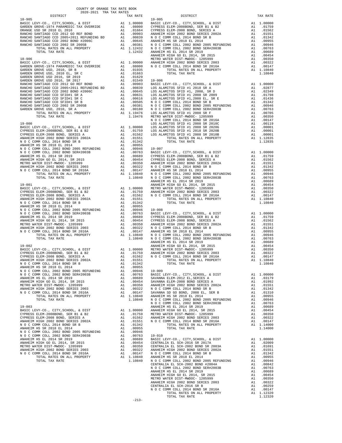| 2020-2021 TRA TAX RATES<br>DISTRICT | TAX RATE | $19 - 005$<br>DISTRICT | TAX RATE |
|-------------------------------------|----------|------------------------|----------|
|                                     |          |                        |          |
|                                     |          |                        |          |
|                                     |          |                        |          |
|                                     |          |                        |          |
|                                     |          |                        |          |
|                                     |          |                        |          |
|                                     |          |                        |          |
|                                     |          |                        |          |
|                                     |          |                        |          |
|                                     |          |                        |          |
|                                     |          |                        |          |
|                                     |          |                        |          |
|                                     |          |                        |          |
|                                     |          |                        |          |
|                                     |          |                        |          |
|                                     |          |                        |          |
|                                     |          |                        |          |
|                                     |          |                        |          |
|                                     |          |                        |          |
|                                     |          |                        |          |
|                                     |          |                        |          |
|                                     |          |                        |          |
|                                     |          |                        |          |
|                                     |          |                        |          |
|                                     |          |                        |          |
|                                     |          |                        |          |
|                                     |          |                        |          |
|                                     |          |                        |          |
|                                     |          |                        |          |
|                                     |          |                        |          |
|                                     |          |                        |          |
|                                     |          |                        |          |
|                                     |          |                        |          |
|                                     |          |                        |          |
|                                     |          |                        |          |
|                                     |          |                        |          |
|                                     |          |                        |          |
|                                     |          |                        |          |
|                                     |          |                        |          |
|                                     |          |                        |          |
|                                     |          |                        |          |
|                                     |          |                        |          |
|                                     |          |                        |          |
|                                     |          |                        |          |
|                                     |          |                        |          |
|                                     |          |                        |          |
|                                     |          |                        |          |
|                                     |          |                        |          |
|                                     |          |                        |          |
|                                     |          |                        |          |
|                                     |          |                        |          |
|                                     |          |                        |          |
|                                     |          |                        |          |
|                                     |          |                        |          |
|                                     |          |                        |          |
|                                     |          |                        |          |
|                                     |          |                        |          |
|                                     |          |                        |          |
|                                     |          |                        |          |
|                                     |          |                        |          |
|                                     |          |                        |          |
|                                     |          |                        |          |
|                                     |          |                        |          |
|                                     |          |                        |          |
|                                     |          |                        |          |
|                                     |          |                        |          |
|                                     |          |                        |          |
|                                     |          |                        |          |
|                                     |          |                        |          |
|                                     |          |                        |          |
|                                     |          |                        |          |
|                                     |          |                        |          |
|                                     |          |                        |          |
|                                     |          |                        |          |
|                                     |          |                        |          |
|                                     |          |                        |          |
|                                     |          |                        |          |
|                                     |          |                        |          |
|                                     |          |                        |          |
|                                     |          |                        |          |
|                                     |          |                        |          |
|                                     |          |                        |          |
|                                     |          |                        |          |
|                                     |          |                        |          |
|                                     |          |                        |          |
|                                     |          |                        |          |
|                                     |          |                        |          |
|                                     |          |                        |          |
|                                     |          |                        |          |
|                                     |          |                        |          |

-213-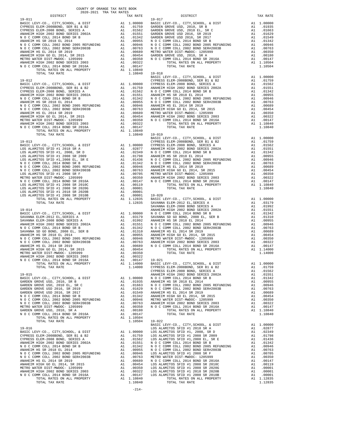| TOTAL TAX RATE                                                     |          | 1.10840 19-018              |                    |
|--------------------------------------------------------------------|----------|-----------------------------|--------------------|
|                                                                    |          |                             | BASIC L            |
| $19 - 012$                                                         |          |                             | CYPRESS            |
|                                                                    |          |                             |                    |
|                                                                    |          |                             |                    |
|                                                                    |          |                             |                    |
|                                                                    |          |                             |                    |
|                                                                    |          |                             |                    |
|                                                                    |          |                             |                    |
|                                                                    |          |                             |                    |
|                                                                    |          |                             |                    |
|                                                                    |          |                             |                    |
|                                                                    |          |                             |                    |
| TOTAL TAX RATE                                                     |          | 1.10840 19-019              |                    |
|                                                                    |          |                             | BASIC L            |
|                                                                    |          |                             |                    |
|                                                                    |          |                             |                    |
|                                                                    |          |                             |                    |
|                                                                    |          |                             |                    |
|                                                                    |          |                             |                    |
|                                                                    |          |                             |                    |
|                                                                    |          |                             |                    |
|                                                                    |          |                             |                    |
|                                                                    |          |                             |                    |
|                                                                    |          |                             |                    |
|                                                                    |          |                             |                    |
|                                                                    |          |                             |                    |
|                                                                    |          |                             |                    |
|                                                                    |          |                             | SAVANNA            |
| $19 - 014$                                                         |          |                             | ANAHEIM            |
|                                                                    |          |                             |                    |
|                                                                    |          |                             |                    |
|                                                                    |          |                             |                    |
|                                                                    |          |                             |                    |
|                                                                    |          |                             |                    |
|                                                                    |          |                             |                    |
|                                                                    |          |                             |                    |
|                                                                    |          |                             |                    |
|                                                                    |          |                             |                    |
|                                                                    |          |                             |                    |
|                                                                    |          |                             |                    |
|                                                                    |          |                             |                    |
| $19 - 015$                                                         |          |                             | ANAHEIM            |
| BASIC LEVY-CO., CITY, SCHOOL, & DIST                               | A1       | 1.00000                     | N O C C            |
|                                                                    |          |                             |                    |
|                                                                    |          |                             |                    |
|                                                                    |          |                             |                    |
|                                                                    |          |                             |                    |
|                                                                    |          |                             |                    |
|                                                                    |          |                             |                    |
| GARDEN GROVE USD, 2010, SR A<br>N O C COMM COLL 2014 BOND SR 2016A | A1<br>A1 | .00180<br>.00147            |                    |
| TOTAL RATES ON ALL PROPERTY                                        |          | A1<br>A1 1.10504<br>1 10504 |                    |
| TOTAL TAX RATE                                                     |          | 1.10504                     | $19 - 022$         |
| $19 - 016$                                                         |          |                             | BASIC L<br>LOS ALA |
|                                                                    |          |                             |                    |
|                                                                    |          |                             |                    |
|                                                                    |          |                             |                    |
|                                                                    |          |                             |                    |
|                                                                    |          |                             |                    |
|                                                                    |          |                             |                    |
|                                                                    |          |                             |                    |
|                                                                    |          |                             |                    |
|                                                                    |          |                             |                    |
|                                                                    |          |                             |                    |
| TOTAL RATES ON ALL PROPERTY                                        |          | A1 1.10840                  |                    |
| TOTAL TAX RATE                                                     |          | 1.10840                     |                    |

| TAX RATE<br>DISTRICT                                                                                                                                                                                                                                                                                                                                                                                                                    |  | DISTRICT | TAX RATE |
|-----------------------------------------------------------------------------------------------------------------------------------------------------------------------------------------------------------------------------------------------------------------------------------------------------------------------------------------------------------------------------------------------------------------------------------------|--|----------|----------|
|                                                                                                                                                                                                                                                                                                                                                                                                                                         |  |          |          |
|                                                                                                                                                                                                                                                                                                                                                                                                                                         |  |          |          |
|                                                                                                                                                                                                                                                                                                                                                                                                                                         |  |          |          |
|                                                                                                                                                                                                                                                                                                                                                                                                                                         |  |          |          |
|                                                                                                                                                                                                                                                                                                                                                                                                                                         |  |          |          |
|                                                                                                                                                                                                                                                                                                                                                                                                                                         |  |          |          |
|                                                                                                                                                                                                                                                                                                                                                                                                                                         |  |          |          |
|                                                                                                                                                                                                                                                                                                                                                                                                                                         |  |          |          |
|                                                                                                                                                                                                                                                                                                                                                                                                                                         |  |          |          |
|                                                                                                                                                                                                                                                                                                                                                                                                                                         |  |          |          |
|                                                                                                                                                                                                                                                                                                                                                                                                                                         |  |          |          |
|                                                                                                                                                                                                                                                                                                                                                                                                                                         |  |          |          |
|                                                                                                                                                                                                                                                                                                                                                                                                                                         |  |          |          |
|                                                                                                                                                                                                                                                                                                                                                                                                                                         |  |          |          |
|                                                                                                                                                                                                                                                                                                                                                                                                                                         |  |          |          |
|                                                                                                                                                                                                                                                                                                                                                                                                                                         |  |          |          |
|                                                                                                                                                                                                                                                                                                                                                                                                                                         |  |          |          |
|                                                                                                                                                                                                                                                                                                                                                                                                                                         |  |          |          |
|                                                                                                                                                                                                                                                                                                                                                                                                                                         |  |          |          |
|                                                                                                                                                                                                                                                                                                                                                                                                                                         |  |          |          |
|                                                                                                                                                                                                                                                                                                                                                                                                                                         |  |          |          |
|                                                                                                                                                                                                                                                                                                                                                                                                                                         |  |          |          |
|                                                                                                                                                                                                                                                                                                                                                                                                                                         |  |          |          |
|                                                                                                                                                                                                                                                                                                                                                                                                                                         |  |          |          |
|                                                                                                                                                                                                                                                                                                                                                                                                                                         |  |          |          |
|                                                                                                                                                                                                                                                                                                                                                                                                                                         |  |          |          |
|                                                                                                                                                                                                                                                                                                                                                                                                                                         |  |          |          |
|                                                                                                                                                                                                                                                                                                                                                                                                                                         |  |          |          |
|                                                                                                                                                                                                                                                                                                                                                                                                                                         |  |          |          |
|                                                                                                                                                                                                                                                                                                                                                                                                                                         |  |          |          |
|                                                                                                                                                                                                                                                                                                                                                                                                                                         |  |          |          |
|                                                                                                                                                                                                                                                                                                                                                                                                                                         |  |          |          |
|                                                                                                                                                                                                                                                                                                                                                                                                                                         |  |          |          |
|                                                                                                                                                                                                                                                                                                                                                                                                                                         |  |          |          |
|                                                                                                                                                                                                                                                                                                                                                                                                                                         |  |          |          |
|                                                                                                                                                                                                                                                                                                                                                                                                                                         |  |          |          |
|                                                                                                                                                                                                                                                                                                                                                                                                                                         |  |          |          |
|                                                                                                                                                                                                                                                                                                                                                                                                                                         |  |          |          |
|                                                                                                                                                                                                                                                                                                                                                                                                                                         |  |          |          |
|                                                                                                                                                                                                                                                                                                                                                                                                                                         |  |          |          |
|                                                                                                                                                                                                                                                                                                                                                                                                                                         |  |          |          |
|                                                                                                                                                                                                                                                                                                                                                                                                                                         |  |          |          |
|                                                                                                                                                                                                                                                                                                                                                                                                                                         |  |          |          |
|                                                                                                                                                                                                                                                                                                                                                                                                                                         |  |          |          |
|                                                                                                                                                                                                                                                                                                                                                                                                                                         |  |          |          |
|                                                                                                                                                                                                                                                                                                                                                                                                                                         |  |          |          |
|                                                                                                                                                                                                                                                                                                                                                                                                                                         |  |          |          |
|                                                                                                                                                                                                                                                                                                                                                                                                                                         |  |          |          |
|                                                                                                                                                                                                                                                                                                                                                                                                                                         |  |          |          |
|                                                                                                                                                                                                                                                                                                                                                                                                                                         |  |          |          |
|                                                                                                                                                                                                                                                                                                                                                                                                                                         |  |          |          |
|                                                                                                                                                                                                                                                                                                                                                                                                                                         |  |          |          |
|                                                                                                                                                                                                                                                                                                                                                                                                                                         |  |          |          |
|                                                                                                                                                                                                                                                                                                                                                                                                                                         |  |          |          |
|                                                                                                                                                                                                                                                                                                                                                                                                                                         |  |          |          |
|                                                                                                                                                                                                                                                                                                                                                                                                                                         |  |          |          |
|                                                                                                                                                                                                                                                                                                                                                                                                                                         |  |          |          |
|                                                                                                                                                                                                                                                                                                                                                                                                                                         |  |          |          |
|                                                                                                                                                                                                                                                                                                                                                                                                                                         |  |          |          |
|                                                                                                                                                                                                                                                                                                                                                                                                                                         |  |          |          |
|                                                                                                                                                                                                                                                                                                                                                                                                                                         |  |          |          |
|                                                                                                                                                                                                                                                                                                                                                                                                                                         |  |          |          |
|                                                                                                                                                                                                                                                                                                                                                                                                                                         |  |          |          |
|                                                                                                                                                                                                                                                                                                                                                                                                                                         |  |          |          |
|                                                                                                                                                                                                                                                                                                                                                                                                                                         |  |          |          |
|                                                                                                                                                                                                                                                                                                                                                                                                                                         |  |          |          |
|                                                                                                                                                                                                                                                                                                                                                                                                                                         |  |          |          |
|                                                                                                                                                                                                                                                                                                                                                                                                                                         |  |          |          |
|                                                                                                                                                                                                                                                                                                                                                                                                                                         |  |          |          |
|                                                                                                                                                                                                                                                                                                                                                                                                                                         |  |          |          |
|                                                                                                                                                                                                                                                                                                                                                                                                                                         |  |          |          |
|                                                                                                                                                                                                                                                                                                                                                                                                                                         |  |          |          |
|                                                                                                                                                                                                                                                                                                                                                                                                                                         |  |          |          |
|                                                                                                                                                                                                                                                                                                                                                                                                                                         |  |          |          |
|                                                                                                                                                                                                                                                                                                                                                                                                                                         |  |          |          |
|                                                                                                                                                                                                                                                                                                                                                                                                                                         |  |          |          |
|                                                                                                                                                                                                                                                                                                                                                                                                                                         |  |          |          |
|                                                                                                                                                                                                                                                                                                                                                                                                                                         |  |          |          |
|                                                                                                                                                                                                                                                                                                                                                                                                                                         |  |          |          |
|                                                                                                                                                                                                                                                                                                                                                                                                                                         |  |          |          |
|                                                                                                                                                                                                                                                                                                                                                                                                                                         |  |          |          |
|                                                                                                                                                                                                                                                                                                                                                                                                                                         |  |          |          |
|                                                                                                                                                                                                                                                                                                                                                                                                                                         |  |          |          |
|                                                                                                                                                                                                                                                                                                                                                                                                                                         |  |          |          |
|                                                                                                                                                                                                                                                                                                                                                                                                                                         |  |          |          |
|                                                                                                                                                                                                                                                                                                                                                                                                                                         |  |          |          |
|                                                                                                                                                                                                                                                                                                                                                                                                                                         |  |          |          |
|                                                                                                                                                                                                                                                                                                                                                                                                                                         |  |          |          |
|                                                                                                                                                                                                                                                                                                                                                                                                                                         |  |          |          |
|                                                                                                                                                                                                                                                                                                                                                                                                                                         |  |          |          |
|                                                                                                                                                                                                                                                                                                                                                                                                                                         |  |          |          |
|                                                                                                                                                                                                                                                                                                                                                                                                                                         |  |          |          |
|                                                                                                                                                                                                                                                                                                                                                                                                                                         |  |          |          |
|                                                                                                                                                                                                                                                                                                                                                                                                                                         |  |          |          |
|                                                                                                                                                                                                                                                                                                                                                                                                                                         |  |          |          |
|                                                                                                                                                                                                                                                                                                                                                                                                                                         |  |          |          |
|                                                                                                                                                                                                                                                                                                                                                                                                                                         |  |          |          |
|                                                                                                                                                                                                                                                                                                                                                                                                                                         |  |          |          |
|                                                                                                                                                                                                                                                                                                                                                                                                                                         |  |          |          |
|                                                                                                                                                                                                                                                                                                                                                                                                                                         |  |          |          |
| $\begin{tabular}{l cccc} \multicolumn{4}{c}{\textbf{107AL}\textbf{11}} & \multicolumn{4}{c}{\textbf{107AL}\textbf{1201}} & \multicolumn{4}{c}{\textbf{107AL}\textbf{131}} & \multicolumn{4}{c}{\textbf{107AL}\textbf{141}} & \multicolumn{4}{c}{\textbf{107AL}\textbf{142}} & \multicolumn{4}{c}{\textbf{107AL}\textbf{143}} & \multicolumn{4}{c}{\textbf{107AL}\textbf{144}} & \multicolumn{4}{c}{\textbf{107AL}\textbf{145}} & \mult$ |  |          |          |
|                                                                                                                                                                                                                                                                                                                                                                                                                                         |  |          |          |
|                                                                                                                                                                                                                                                                                                                                                                                                                                         |  |          |          |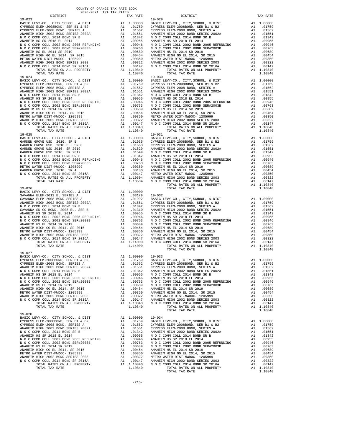| TOTAL TAX RATE                                                           |    | 1.10840                                                                                                                                                                          |            |
|--------------------------------------------------------------------------|----|----------------------------------------------------------------------------------------------------------------------------------------------------------------------------------|------------|
| $19 - 024$                                                               |    |                                                                                                                                                                                  | $19 - 030$ |
|                                                                          |    |                                                                                                                                                                                  |            |
|                                                                          |    |                                                                                                                                                                                  |            |
|                                                                          |    |                                                                                                                                                                                  |            |
|                                                                          |    |                                                                                                                                                                                  |            |
|                                                                          |    |                                                                                                                                                                                  |            |
|                                                                          |    |                                                                                                                                                                                  |            |
|                                                                          |    |                                                                                                                                                                                  |            |
|                                                                          |    |                                                                                                                                                                                  |            |
|                                                                          |    |                                                                                                                                                                                  |            |
|                                                                          |    |                                                                                                                                                                                  |            |
|                                                                          |    |                                                                                                                                                                                  |            |
|                                                                          |    |                                                                                                                                                                                  |            |
|                                                                          |    |                                                                                                                                                                                  |            |
| $19 - 025$                                                               |    |                                                                                                                                                                                  | 19-031     |
|                                                                          |    |                                                                                                                                                                                  |            |
|                                                                          |    |                                                                                                                                                                                  |            |
|                                                                          |    |                                                                                                                                                                                  |            |
|                                                                          |    |                                                                                                                                                                                  |            |
|                                                                          |    |                                                                                                                                                                                  |            |
|                                                                          |    |                                                                                                                                                                                  |            |
|                                                                          |    |                                                                                                                                                                                  |            |
|                                                                          |    |                                                                                                                                                                                  |            |
|                                                                          |    |                                                                                                                                                                                  |            |
|                                                                          |    |                                                                                                                                                                                  |            |
|                                                                          |    |                                                                                                                                                                                  |            |
| $19 - 026$                                                               |    |                                                                                                                                                                                  |            |
|                                                                          |    |                                                                                                                                                                                  |            |
|                                                                          |    |                                                                                                                                                                                  |            |
|                                                                          |    |                                                                                                                                                                                  |            |
|                                                                          |    |                                                                                                                                                                                  |            |
|                                                                          |    |                                                                                                                                                                                  |            |
|                                                                          |    |                                                                                                                                                                                  |            |
|                                                                          |    |                                                                                                                                                                                  |            |
|                                                                          |    |                                                                                                                                                                                  |            |
|                                                                          |    |                                                                                                                                                                                  |            |
|                                                                          |    |                                                                                                                                                                                  |            |
|                                                                          |    |                                                                                                                                                                                  |            |
|                                                                          |    |                                                                                                                                                                                  |            |
|                                                                          |    |                                                                                                                                                                                  |            |
| TOTAL TAX RATE                                                           |    | 1.14000                                                                                                                                                                          |            |
| $19 - 027$                                                               |    |                                                                                                                                                                                  |            |
|                                                                          |    |                                                                                                                                                                                  |            |
|                                                                          |    |                                                                                                                                                                                  |            |
|                                                                          |    |                                                                                                                                                                                  |            |
|                                                                          |    |                                                                                                                                                                                  |            |
|                                                                          |    |                                                                                                                                                                                  |            |
| N O C COMM COLL 2002 BOND 2005 REFUNDING                                 |    | A1 .00946 ANAHEIM                                                                                                                                                                |            |
| N O C COMM COLL 2002 BOND SER#2003B                                      |    |                                                                                                                                                                                  |            |
| ANAHEIM HS EL 2014 SR 2019                                               |    |                                                                                                                                                                                  |            |
| ANAHEIM HIGH GO EL 2014, SR 2015                                         |    | A1 .00763 NOCC<br>A1 .00689 NOCC<br>A1 .00454 ANAHEIM<br>A1 .00350 ANAHEIM                                                                                                       |            |
| METRO WATER DIST-MWDOC- 1205999                                          |    |                                                                                                                                                                                  |            |
| ANAHEIM HIGH 2002 BOND SERIES 2003<br>N O C COMM COLL 2014 BOND SR 2016A | A1 | .00322                                                                                                                                                                           | METRO W    |
| TOTAL RATES ON ALL PROPERTY                                              |    | A1 .00522 PERSON<br>A1 .00147 ANAHEIM<br>A1 1.10840 NOCC                                                                                                                         |            |
| TOTAL TAX RATE                                                           |    | 1.10840                                                                                                                                                                          |            |
|                                                                          |    |                                                                                                                                                                                  |            |
| $19 - 028$                                                               |    |                                                                                                                                                                                  |            |
| BASIC LEVY-CO., CITY, SCHOOL, & DIST                                     |    |                                                                                                                                                                                  |            |
| CYPRESS ELEM-2008BOND, SER B1 & B2<br>CYPRESS ELEM-2008 BOND, SERIES A   |    |                                                                                                                                                                                  |            |
| ANAHEIM HIGH 2002 BOND SERIES 2002A                                      |    |                                                                                                                                                                                  |            |
| N O C COMM COLL 2014 BOND SR B                                           |    | A1 1.00000 19-034<br>A1 .01759 BASIC L<br>A1 .01562 CYPRESS<br>A1 .01551 CYPRESS<br>A1 .01342 ANAHEIM<br>A1 .00946 ANAHEIM<br>A1 .00763 NOCC<br>A1 .00763 NOCC<br>A1 .00689 NOCC |            |
| ANAHEIM HS SR 2018 EL 2014                                               |    |                                                                                                                                                                                  |            |
| N O C COMM COLL 2002 BOND 2005 REFUNDING                                 |    |                                                                                                                                                                                  |            |
| N O C COMM COLL 2002 BOND SER#2003B<br>ANAHEIM HS EL 2014 SR 2019        |    |                                                                                                                                                                                  |            |
| ANAHEIM HIGH GO EL 2014, SR 2015                                         |    |                                                                                                                                                                                  |            |
| METRO WATER DIST-MWDOC- 1205999                                          |    |                                                                                                                                                                                  |            |
| ANAHEIM HIGH 2002 BOND SERIES 2003                                       |    |                                                                                                                                                                                  |            |
| N O C COMM COLL 2014 BOND SR 2016A                                       |    | A1 .00454 ANAHEIM<br>A1 .00350 ANAHEIM<br>A1 .00320 METRO W<br>A1 .00147 ANAHEIM<br>A1 1.10840 NOCC                                                                              |            |
| TOTAL RATES ON ALL PROPERTY                                              |    |                                                                                                                                                                                  |            |
| TOTAL TAX RATE                                                           |    | 1.10840                                                                                                                                                                          |            |

| COUNTY OF ORANGE TAX RATE BOOK<br>2020–2021 הסד מחד במס<br>$\begin{minipage}{0.5\textwidth} \begin{tabular}{lcccccc} \textbf{1} & \textbf{1} & \textbf{1} & \textbf{1} & \textbf{1} & \textbf{1} & \textbf{1} & \textbf{1} & \textbf{1} & \textbf{1} & \textbf{1} & \textbf{1} & \textbf{1} & \textbf{1} & \textbf{1} & \textbf{1} & \textbf{1} & \textbf{1} & \textbf{1} & \textbf{1} & \textbf{1} & \textbf{1} & \textbf{1} & \textbf{1} & \textbf{1} & \textbf{1} & \textbf{1} & \textbf{1} &$ |          |                        |          |
|---------------------------------------------------------------------------------------------------------------------------------------------------------------------------------------------------------------------------------------------------------------------------------------------------------------------------------------------------------------------------------------------------------------------------------------------------------------------------------------------------|----------|------------------------|----------|
| $19 - 023$                                                                                                                                                                                                                                                                                                                                                                                                                                                                                        | TAX RATE | DISTRICT<br>$19 - 029$ | TAX RATE |
|                                                                                                                                                                                                                                                                                                                                                                                                                                                                                                   |          |                        |          |
|                                                                                                                                                                                                                                                                                                                                                                                                                                                                                                   |          |                        |          |
|                                                                                                                                                                                                                                                                                                                                                                                                                                                                                                   |          |                        |          |
|                                                                                                                                                                                                                                                                                                                                                                                                                                                                                                   |          |                        |          |
|                                                                                                                                                                                                                                                                                                                                                                                                                                                                                                   |          |                        |          |
|                                                                                                                                                                                                                                                                                                                                                                                                                                                                                                   |          |                        |          |
|                                                                                                                                                                                                                                                                                                                                                                                                                                                                                                   |          |                        |          |
|                                                                                                                                                                                                                                                                                                                                                                                                                                                                                                   |          |                        |          |
|                                                                                                                                                                                                                                                                                                                                                                                                                                                                                                   |          |                        |          |
|                                                                                                                                                                                                                                                                                                                                                                                                                                                                                                   |          |                        |          |
|                                                                                                                                                                                                                                                                                                                                                                                                                                                                                                   |          |                        |          |
|                                                                                                                                                                                                                                                                                                                                                                                                                                                                                                   |          |                        |          |
| $19 - 024$                                                                                                                                                                                                                                                                                                                                                                                                                                                                                        |          | $19 - 030$             |          |
|                                                                                                                                                                                                                                                                                                                                                                                                                                                                                                   |          |                        |          |
|                                                                                                                                                                                                                                                                                                                                                                                                                                                                                                   |          |                        |          |
|                                                                                                                                                                                                                                                                                                                                                                                                                                                                                                   |          |                        |          |
|                                                                                                                                                                                                                                                                                                                                                                                                                                                                                                   |          |                        |          |
|                                                                                                                                                                                                                                                                                                                                                                                                                                                                                                   |          |                        |          |
|                                                                                                                                                                                                                                                                                                                                                                                                                                                                                                   |          |                        |          |
|                                                                                                                                                                                                                                                                                                                                                                                                                                                                                                   |          |                        |          |
|                                                                                                                                                                                                                                                                                                                                                                                                                                                                                                   |          |                        |          |
|                                                                                                                                                                                                                                                                                                                                                                                                                                                                                                   |          |                        |          |
|                                                                                                                                                                                                                                                                                                                                                                                                                                                                                                   |          |                        |          |
|                                                                                                                                                                                                                                                                                                                                                                                                                                                                                                   |          |                        |          |
|                                                                                                                                                                                                                                                                                                                                                                                                                                                                                                   |          |                        |          |
|                                                                                                                                                                                                                                                                                                                                                                                                                                                                                                   |          |                        |          |
|                                                                                                                                                                                                                                                                                                                                                                                                                                                                                                   |          |                        |          |
|                                                                                                                                                                                                                                                                                                                                                                                                                                                                                                   |          |                        |          |
|                                                                                                                                                                                                                                                                                                                                                                                                                                                                                                   |          |                        |          |
|                                                                                                                                                                                                                                                                                                                                                                                                                                                                                                   |          |                        |          |
|                                                                                                                                                                                                                                                                                                                                                                                                                                                                                                   |          |                        |          |
|                                                                                                                                                                                                                                                                                                                                                                                                                                                                                                   |          |                        |          |
|                                                                                                                                                                                                                                                                                                                                                                                                                                                                                                   |          |                        |          |
|                                                                                                                                                                                                                                                                                                                                                                                                                                                                                                   |          |                        |          |
|                                                                                                                                                                                                                                                                                                                                                                                                                                                                                                   |          |                        |          |
|                                                                                                                                                                                                                                                                                                                                                                                                                                                                                                   |          |                        |          |
|                                                                                                                                                                                                                                                                                                                                                                                                                                                                                                   |          |                        |          |
|                                                                                                                                                                                                                                                                                                                                                                                                                                                                                                   |          |                        |          |
|                                                                                                                                                                                                                                                                                                                                                                                                                                                                                                   |          |                        |          |
|                                                                                                                                                                                                                                                                                                                                                                                                                                                                                                   |          |                        |          |
|                                                                                                                                                                                                                                                                                                                                                                                                                                                                                                   |          |                        |          |
|                                                                                                                                                                                                                                                                                                                                                                                                                                                                                                   |          |                        |          |
|                                                                                                                                                                                                                                                                                                                                                                                                                                                                                                   |          |                        |          |
|                                                                                                                                                                                                                                                                                                                                                                                                                                                                                                   |          |                        |          |
|                                                                                                                                                                                                                                                                                                                                                                                                                                                                                                   |          |                        |          |
|                                                                                                                                                                                                                                                                                                                                                                                                                                                                                                   |          |                        |          |
|                                                                                                                                                                                                                                                                                                                                                                                                                                                                                                   |          |                        |          |
|                                                                                                                                                                                                                                                                                                                                                                                                                                                                                                   |          |                        |          |
|                                                                                                                                                                                                                                                                                                                                                                                                                                                                                                   |          |                        |          |
|                                                                                                                                                                                                                                                                                                                                                                                                                                                                                                   |          |                        |          |
|                                                                                                                                                                                                                                                                                                                                                                                                                                                                                                   |          |                        |          |
|                                                                                                                                                                                                                                                                                                                                                                                                                                                                                                   |          |                        |          |
|                                                                                                                                                                                                                                                                                                                                                                                                                                                                                                   |          |                        |          |
| $19 - 027$                                                                                                                                                                                                                                                                                                                                                                                                                                                                                        |          |                        |          |
| BASIC LEVY-CO., CITY, SCHOOL, & DIST A1 1.00000 19-033                                                                                                                                                                                                                                                                                                                                                                                                                                            |          |                        |          |
|                                                                                                                                                                                                                                                                                                                                                                                                                                                                                                   |          |                        |          |
|                                                                                                                                                                                                                                                                                                                                                                                                                                                                                                   |          |                        |          |
|                                                                                                                                                                                                                                                                                                                                                                                                                                                                                                   |          |                        |          |
|                                                                                                                                                                                                                                                                                                                                                                                                                                                                                                   |          |                        |          |
|                                                                                                                                                                                                                                                                                                                                                                                                                                                                                                   |          |                        |          |
|                                                                                                                                                                                                                                                                                                                                                                                                                                                                                                   |          |                        |          |
|                                                                                                                                                                                                                                                                                                                                                                                                                                                                                                   |          |                        |          |
|                                                                                                                                                                                                                                                                                                                                                                                                                                                                                                   |          |                        |          |
|                                                                                                                                                                                                                                                                                                                                                                                                                                                                                                   |          |                        |          |
|                                                                                                                                                                                                                                                                                                                                                                                                                                                                                                   |          |                        |          |
|                                                                                                                                                                                                                                                                                                                                                                                                                                                                                                   |          |                        |          |
|                                                                                                                                                                                                                                                                                                                                                                                                                                                                                                   |          |                        |          |
|                                                                                                                                                                                                                                                                                                                                                                                                                                                                                                   |          |                        |          |
|                                                                                                                                                                                                                                                                                                                                                                                                                                                                                                   |          |                        |          |
|                                                                                                                                                                                                                                                                                                                                                                                                                                                                                                   |          |                        |          |
|                                                                                                                                                                                                                                                                                                                                                                                                                                                                                                   |          |                        |          |
|                                                                                                                                                                                                                                                                                                                                                                                                                                                                                                   |          |                        |          |
|                                                                                                                                                                                                                                                                                                                                                                                                                                                                                                   |          |                        |          |
|                                                                                                                                                                                                                                                                                                                                                                                                                                                                                                   |          |                        |          |
|                                                                                                                                                                                                                                                                                                                                                                                                                                                                                                   |          |                        |          |
|                                                                                                                                                                                                                                                                                                                                                                                                                                                                                                   |          |                        |          |
|                                                                                                                                                                                                                                                                                                                                                                                                                                                                                                   |          |                        |          |
|                                                                                                                                                                                                                                                                                                                                                                                                                                                                                                   |          |                        |          |
|                                                                                                                                                                                                                                                                                                                                                                                                                                                                                                   |          |                        |          |
|                                                                                                                                                                                                                                                                                                                                                                                                                                                                                                   |          |                        |          |
|                                                                                                                                                                                                                                                                                                                                                                                                                                                                                                   |          |                        |          |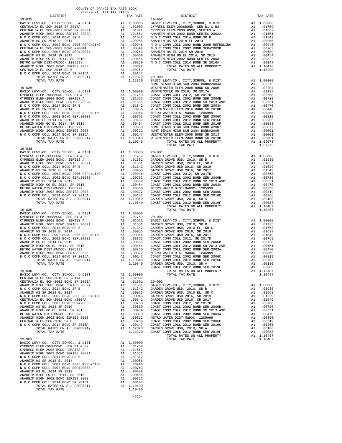| CENTRALIA EL SCH-2002 BOND SR 2003A A1 .01691 20-003                            |           |         |                 |
|---------------------------------------------------------------------------------|-----------|---------|-----------------|
| ANAHEIM HIGH 2002 BOND SERIES 2002A A1 .01551 BASIC L                           |           |         |                 |
|                                                                                 |           |         | GARDEN          |
|                                                                                 |           |         | GARDEN          |
| N O C COMM COLL 2002 BOND 2005 REFUNDING A1 .00946 GARDEN                       |           |         |                 |
|                                                                                 |           |         |                 |
|                                                                                 |           |         |                 |
|                                                                                 |           | .00689  | COAST C         |
|                                                                                 | A1 .00454 |         | COAST C         |
| METRO WATER DIST-MWDOC- 1205999                                                 | A1 .00350 |         | COAST C         |
| ANAHEIM HIGH 2002 BOND SERIES 2003 A1 .00322                                    |           |         | METRO W         |
| CENTRALIA EL SCH-2016 SR B                                                      |           |         | COAST C         |
|                                                                                 |           |         | COAST C         |
| TOTAL RATES ON ALL PROPERTY A1 1.12320                                          |           |         | GARDEN          |
| TOTAL TAX RATE                                                                  |           |         | 1.12320 COAST C |
| $19 - 901$                                                                      |           |         |                 |
| BASIC LEVY-CO., CITY, SCHOOL, & DIST Al 1.00000                                 |           |         |                 |
| CYPRESS ELEM-2008BOND, SER B1 & B2                                              | A1 .01759 |         |                 |
| CYPRESS ELEM-2008 BOND, SERIES A                                                | A1 .01562 |         |                 |
| ANAHEIM HIGH 2002 BOND SERIES 2002A A1 .01551                                   |           |         |                 |
| N O C COMM COLL 2014 BOND SR B                                                  | A1 .01342 |         |                 |
| ANAHEIM HS SR 2018 EL 2014                                                      | A1        | .00955  |                 |
| N O C COMM COLL 2002 BOND 2005 REFUNDING A1 .00946                              |           |         |                 |
| N O C COMM COLL 2002 BOND SER#2003B A1                                          |           | .00763  |                 |
| ANAHEIM HS EL 2014 SR 2019                                                      | A1 .00689 |         |                 |
| ANAHEIM HIGH GO EL 2014, SR 2015                                                | A1 .00454 |         |                 |
| ANAHEIM HIGH 2002 BOND SERIES 2003 A1                                           |           | .00322  |                 |
| $\hbox{\tt N O C COMM COLL 2014 BOND SR 2016A} \hbox{\tt A1} \hbox{\tt .00147}$ |           |         |                 |
| TOTAL RATES ON ALL PROPERTY A1 1.10490                                          |           |         |                 |
| TOTAL TAX RATE                                                                  |           | 1,10490 |                 |

-216-

| N O C COMM COLL 2002 BOND 2005 REFUNDING A1 |                                                                                                                                                                                                                                | .00946     | COAST C        |
|---------------------------------------------|--------------------------------------------------------------------------------------------------------------------------------------------------------------------------------------------------------------------------------|------------|----------------|
| N O C COMM COLL 2002 BOND SER#2003B A1      |                                                                                                                                                                                                                                | .00763     | COAST C        |
| ANAHEIM HS EL 2014 SR 2019                  | A1 and any structure of the structure of the structure of the structure of the structure of the structure of the structure of the structure of the structure of the structure of the structure of the structure of the structu | .00689     | COAST C        |
| ANAHEIM HIGH GO EL 2014, SR 2015            | A1                                                                                                                                                                                                                             | .00454     | COAST C        |
| METRO WATER DIST-MWDOC- 1205999             | A1                                                                                                                                                                                                                             | .00350     | METRO W        |
| ANAHEIM HIGH 2002 BOND SERIES 2003          | A1                                                                                                                                                                                                                             | .00322     | COAST C        |
| N O C COMM COLL 2014 BOND SR 2016A          |                                                                                                                                                                                                                                | A1 .00147  | COAST C        |
| TOTAL RATES ON ALL PROPERTY                 |                                                                                                                                                                                                                                | A1 1.10840 | GARDEN         |
| TOTAL TAX RATE                              |                                                                                                                                                                                                                                | 1,10840    | COAST C        |
| $19 - 039$                                  |                                                                                                                                                                                                                                |            |                |
| BASIC LEVY-CO., CITY, SCHOOL, & DIST        |                                                                                                                                                                                                                                | A1 1.00000 |                |
| CYPRESS ELEM-2008BOND, SER B1 & B2          |                                                                                                                                                                                                                                | A1.01759   | $20 - 002$     |
| CYPRESS ELEM-2008 BOND, SERIES A            |                                                                                                                                                                                                                                | A1.01562   | <b>BASIC L</b> |
| ANAHEIM HIGH 2002 BOND SERIES 2002A         | A1                                                                                                                                                                                                                             | .01551     | GARDEN         |
| N O C COMM COLL 2014 BOND SR B              |                                                                                                                                                                                                                                | A1 .01342  | GARDEN         |
| ANAHEIM HS SR 2018 EL 2014                  | A1                                                                                                                                                                                                                             | .00955     | GARDEN         |
| N O C COMM COLL 2002 BOND 2005 REFUNDING A1 |                                                                                                                                                                                                                                | .00946     | GARDEN         |
| N O C COMM COLL 2002 BOND SER#2003B         | A1                                                                                                                                                                                                                             | .00763     | COAST C        |
| ANAHEIM HS EL 2014 SR 2019                  | A1                                                                                                                                                                                                                             | .00689     | COAST C        |
| ANAHEIM HIGH GO EL 2014, SR 2015            | A1                                                                                                                                                                                                                             | .00454     | COAST C        |
| METRO WATER DIST-MWDOC- 1205999             | A1                                                                                                                                                                                                                             | .00350     | COAST C        |
| ANAHEIM HIGH 2002 BOND SERIES 2003          | A1                                                                                                                                                                                                                             | .00322     | METRO W        |
| N O C COMM COLL 2014 BOND SR 2016A          | A1                                                                                                                                                                                                                             | .00147     | COAST C        |
| TOTAL RATES ON ALL PROPERTY                 | A1                                                                                                                                                                                                                             | 1.10840    | COAST C        |
| <b>POPAL PAV DAPP</b>                       |                                                                                                                                                                                                                                | 1.10040    | CADDM          |

## 19-038 BASIC LEVY-CO., CITY,SCHOOL, & DIST A1 1.00000 20-001

| avav aval tun inn ivnill                 |    |            |                                          |                |            |
|------------------------------------------|----|------------|------------------------------------------|----------------|------------|
| DISTRICT                                 |    | TAX RATE   | DISTRICT                                 |                | TAX RATE   |
| $19 - 035$                               |    |            | $19 - 902$                               |                |            |
| BASIC LEVY-CO., CITY, SCHOOL, & DIST     |    | A1 1.00000 | BASIC LEVY-CO., CITY, SCHOOL, & DIST     |                | A1 1,00000 |
| CENTRALIA EL SCH-2016 SR 2017A           | A1 | .02009     | CYPRESS ELEM-2008BOND, SER B1 & B2       | A1             | .01759     |
| CENTRALIA EL SCH-2002 BOND SR 2003A      | A1 | .01691     | CYPRESS ELEM-2008 BOND. SERIES A         | A1             | .01562     |
| ANAHEIM HIGH 2002 BOND SERIES 2002A      | A1 | .01551     | ANAHEIM HIGH 2002 BOND SERIES 2002A      | A1             | .01551     |
| N O C COMM COLL 2014 BOND SR B           | A1 | .01342     | NOCCOMM COLL 2014 BOND SR B              | A1             | .01342     |
| ANAHEIM HS SR 2018 EL 2014               | A1 | .00955     | ANAHEIM HS SR 2018 EL 2014               | A1             | .00955     |
| N O C COMM COLL 2002 BOND 2005 REFUNDING | A1 | .00946     | N O C COMM COLL 2002 BOND 2005 REFUNDING | A1             | .00946     |
| CENTRALIA EL SCH-2002 BOND #2004A        | A1 | .00842     | N O C COMM COLL 2002 BOND SER#2003B      | A1             | .00763     |
| N O C COMM COLL 2002 BOND SER#2003B      | A1 | .00763     | ANAHEIM HS EL 2014 SR 2019               | A <sub>1</sub> | .00689     |
| ANAHEIM HS EL 2014 SR 2019               | A1 | .00689     | ANAHEIM HIGH GO EL 2014. SR 2015         | A1             | .00454     |
| ANAHEIM HIGH GO EL 2014, SR 2015         | A1 | .00454     | ANAHEIM HIGH 2002 BOND SERIES 2003       | A1             | .00322     |
| METRO WATER DIST-MWDOC- 1205999          | A1 | .00350     | N O C COMM COLL 2014 BOND SR 2016A       | A1             | .00147     |
| ANAHEIM HIGH 2002 BOND SERIES 2003       | A1 | .00322     | TOTAL RATES ON ALL PROPERTY              |                | A1 1.10490 |
| CENTRALIA EL SCH-2016 SR B               | A1 | .00259     | TOTAL TAX RATE                           |                | 1.10490    |
| N O C COMM COLL 2014 BOND SR 2016A       | A1 | .00147     |                                          |                |            |
| TOTAL RATES ON ALL PROPERTY              |    | A1 1.12320 | $20 - 000$                               |                |            |
| TOTAL TAX RATE                           |    | 1.12320    | BASIC LEVY-CO., CITY, SCHOOL, & DIST     |                | A1 1,00000 |
|                                          |    |            | HUNT BEACH HIGH SCH 2004 BOND#2004A      | A1             | .02273     |
| $19 - 036$                               |    |            | WESTMINSTER ELEM-2008 BOND SR 2009       | A1             | .02204     |
| BASIC LEVY-CO., CITY, SCHOOL, & DIST     |    | A1 1,00000 | WESTMINSTER SD 2016, SR 2017A            | A1             | .01137     |
| CYPRESS ELEM-2008BOND SER B1 & B2        | A1 | 01759      | COAST COMM COLL 2012 SR 2017D            | $\Delta$ 1     | 00768      |

| $19 - 038$                                                                                                                                                                                                                                                                                                                                                                                              |  |                                                                                                                                                                                                                                                                                                                                                                                                        |  |
|---------------------------------------------------------------------------------------------------------------------------------------------------------------------------------------------------------------------------------------------------------------------------------------------------------------------------------------------------------------------------------------------------------|--|--------------------------------------------------------------------------------------------------------------------------------------------------------------------------------------------------------------------------------------------------------------------------------------------------------------------------------------------------------------------------------------------------------|--|
|                                                                                                                                                                                                                                                                                                                                                                                                         |  |                                                                                                                                                                                                                                                                                                                                                                                                        |  |
|                                                                                                                                                                                                                                                                                                                                                                                                         |  | $\begin{tabular}{l cccc} $19-038 \\ \hline \textbf{RABIC LEVY-CO} \,, $CFR$ 508BOND, SER ILE B2 \\ \hline \textbf{CPPEES S} \; {\small\texttt{LEWY-COO}} \,, $CFR$ 514 & 100000 & 20-001 \\ \hline \textbf{CPPEES S} \; {\small\texttt{LEW-2008BOND}}, $SER \; {\small\texttt{LEY-2008B}} \\ \hline \textbf{CYPRSS ELEM-2008BOND}, $SER \; {\small\texttt{LEX-2008B}} \\ \hline \textbf{ANAEIM HIGH 2$ |  |
|                                                                                                                                                                                                                                                                                                                                                                                                         |  |                                                                                                                                                                                                                                                                                                                                                                                                        |  |
|                                                                                                                                                                                                                                                                                                                                                                                                         |  |                                                                                                                                                                                                                                                                                                                                                                                                        |  |
|                                                                                                                                                                                                                                                                                                                                                                                                         |  |                                                                                                                                                                                                                                                                                                                                                                                                        |  |
|                                                                                                                                                                                                                                                                                                                                                                                                         |  |                                                                                                                                                                                                                                                                                                                                                                                                        |  |
|                                                                                                                                                                                                                                                                                                                                                                                                         |  |                                                                                                                                                                                                                                                                                                                                                                                                        |  |
|                                                                                                                                                                                                                                                                                                                                                                                                         |  |                                                                                                                                                                                                                                                                                                                                                                                                        |  |
|                                                                                                                                                                                                                                                                                                                                                                                                         |  |                                                                                                                                                                                                                                                                                                                                                                                                        |  |
|                                                                                                                                                                                                                                                                                                                                                                                                         |  |                                                                                                                                                                                                                                                                                                                                                                                                        |  |
|                                                                                                                                                                                                                                                                                                                                                                                                         |  |                                                                                                                                                                                                                                                                                                                                                                                                        |  |
|                                                                                                                                                                                                                                                                                                                                                                                                         |  |                                                                                                                                                                                                                                                                                                                                                                                                        |  |
|                                                                                                                                                                                                                                                                                                                                                                                                         |  |                                                                                                                                                                                                                                                                                                                                                                                                        |  |
|                                                                                                                                                                                                                                                                                                                                                                                                         |  |                                                                                                                                                                                                                                                                                                                                                                                                        |  |
|                                                                                                                                                                                                                                                                                                                                                                                                         |  |                                                                                                                                                                                                                                                                                                                                                                                                        |  |
|                                                                                                                                                                                                                                                                                                                                                                                                         |  |                                                                                                                                                                                                                                                                                                                                                                                                        |  |
|                                                                                                                                                                                                                                                                                                                                                                                                         |  |                                                                                                                                                                                                                                                                                                                                                                                                        |  |
|                                                                                                                                                                                                                                                                                                                                                                                                         |  |                                                                                                                                                                                                                                                                                                                                                                                                        |  |
|                                                                                                                                                                                                                                                                                                                                                                                                         |  |                                                                                                                                                                                                                                                                                                                                                                                                        |  |
|                                                                                                                                                                                                                                                                                                                                                                                                         |  |                                                                                                                                                                                                                                                                                                                                                                                                        |  |
|                                                                                                                                                                                                                                                                                                                                                                                                         |  |                                                                                                                                                                                                                                                                                                                                                                                                        |  |
|                                                                                                                                                                                                                                                                                                                                                                                                         |  |                                                                                                                                                                                                                                                                                                                                                                                                        |  |
|                                                                                                                                                                                                                                                                                                                                                                                                         |  |                                                                                                                                                                                                                                                                                                                                                                                                        |  |
|                                                                                                                                                                                                                                                                                                                                                                                                         |  |                                                                                                                                                                                                                                                                                                                                                                                                        |  |
|                                                                                                                                                                                                                                                                                                                                                                                                         |  |                                                                                                                                                                                                                                                                                                                                                                                                        |  |
|                                                                                                                                                                                                                                                                                                                                                                                                         |  |                                                                                                                                                                                                                                                                                                                                                                                                        |  |
|                                                                                                                                                                                                                                                                                                                                                                                                         |  |                                                                                                                                                                                                                                                                                                                                                                                                        |  |
|                                                                                                                                                                                                                                                                                                                                                                                                         |  |                                                                                                                                                                                                                                                                                                                                                                                                        |  |
|                                                                                                                                                                                                                                                                                                                                                                                                         |  |                                                                                                                                                                                                                                                                                                                                                                                                        |  |
|                                                                                                                                                                                                                                                                                                                                                                                                         |  |                                                                                                                                                                                                                                                                                                                                                                                                        |  |
|                                                                                                                                                                                                                                                                                                                                                                                                         |  |                                                                                                                                                                                                                                                                                                                                                                                                        |  |
|                                                                                                                                                                                                                                                                                                                                                                                                         |  |                                                                                                                                                                                                                                                                                                                                                                                                        |  |
|                                                                                                                                                                                                                                                                                                                                                                                                         |  |                                                                                                                                                                                                                                                                                                                                                                                                        |  |
|                                                                                                                                                                                                                                                                                                                                                                                                         |  |                                                                                                                                                                                                                                                                                                                                                                                                        |  |
|                                                                                                                                                                                                                                                                                                                                                                                                         |  |                                                                                                                                                                                                                                                                                                                                                                                                        |  |
|                                                                                                                                                                                                                                                                                                                                                                                                         |  |                                                                                                                                                                                                                                                                                                                                                                                                        |  |
|                                                                                                                                                                                                                                                                                                                                                                                                         |  |                                                                                                                                                                                                                                                                                                                                                                                                        |  |
|                                                                                                                                                                                                                                                                                                                                                                                                         |  |                                                                                                                                                                                                                                                                                                                                                                                                        |  |
|                                                                                                                                                                                                                                                                                                                                                                                                         |  |                                                                                                                                                                                                                                                                                                                                                                                                        |  |
|                                                                                                                                                                                                                                                                                                                                                                                                         |  |                                                                                                                                                                                                                                                                                                                                                                                                        |  |
|                                                                                                                                                                                                                                                                                                                                                                                                         |  |                                                                                                                                                                                                                                                                                                                                                                                                        |  |
|                                                                                                                                                                                                                                                                                                                                                                                                         |  |                                                                                                                                                                                                                                                                                                                                                                                                        |  |
|                                                                                                                                                                                                                                                                                                                                                                                                         |  |                                                                                                                                                                                                                                                                                                                                                                                                        |  |
|                                                                                                                                                                                                                                                                                                                                                                                                         |  |                                                                                                                                                                                                                                                                                                                                                                                                        |  |
|                                                                                                                                                                                                                                                                                                                                                                                                         |  |                                                                                                                                                                                                                                                                                                                                                                                                        |  |
|                                                                                                                                                                                                                                                                                                                                                                                                         |  |                                                                                                                                                                                                                                                                                                                                                                                                        |  |
|                                                                                                                                                                                                                                                                                                                                                                                                         |  |                                                                                                                                                                                                                                                                                                                                                                                                        |  |
|                                                                                                                                                                                                                                                                                                                                                                                                         |  |                                                                                                                                                                                                                                                                                                                                                                                                        |  |
|                                                                                                                                                                                                                                                                                                                                                                                                         |  |                                                                                                                                                                                                                                                                                                                                                                                                        |  |
|                                                                                                                                                                                                                                                                                                                                                                                                         |  |                                                                                                                                                                                                                                                                                                                                                                                                        |  |
|                                                                                                                                                                                                                                                                                                                                                                                                         |  |                                                                                                                                                                                                                                                                                                                                                                                                        |  |
|                                                                                                                                                                                                                                                                                                                                                                                                         |  |                                                                                                                                                                                                                                                                                                                                                                                                        |  |
|                                                                                                                                                                                                                                                                                                                                                                                                         |  |                                                                                                                                                                                                                                                                                                                                                                                                        |  |
|                                                                                                                                                                                                                                                                                                                                                                                                         |  |                                                                                                                                                                                                                                                                                                                                                                                                        |  |
|                                                                                                                                                                                                                                                                                                                                                                                                         |  |                                                                                                                                                                                                                                                                                                                                                                                                        |  |
|                                                                                                                                                                                                                                                                                                                                                                                                         |  |                                                                                                                                                                                                                                                                                                                                                                                                        |  |
|                                                                                                                                                                                                                                                                                                                                                                                                         |  |                                                                                                                                                                                                                                                                                                                                                                                                        |  |
|                                                                                                                                                                                                                                                                                                                                                                                                         |  |                                                                                                                                                                                                                                                                                                                                                                                                        |  |
|                                                                                                                                                                                                                                                                                                                                                                                                         |  |                                                                                                                                                                                                                                                                                                                                                                                                        |  |
|                                                                                                                                                                                                                                                                                                                                                                                                         |  |                                                                                                                                                                                                                                                                                                                                                                                                        |  |
|                                                                                                                                                                                                                                                                                                                                                                                                         |  |                                                                                                                                                                                                                                                                                                                                                                                                        |  |
|                                                                                                                                                                                                                                                                                                                                                                                                         |  |                                                                                                                                                                                                                                                                                                                                                                                                        |  |
|                                                                                                                                                                                                                                                                                                                                                                                                         |  |                                                                                                                                                                                                                                                                                                                                                                                                        |  |
|                                                                                                                                                                                                                                                                                                                                                                                                         |  |                                                                                                                                                                                                                                                                                                                                                                                                        |  |
|                                                                                                                                                                                                                                                                                                                                                                                                         |  |                                                                                                                                                                                                                                                                                                                                                                                                        |  |
| $\begin{tabular}{c cccc} $^{\circ}$ & $^{\circ}$ & $707 \text{A} & RATEs & $^{\circ}$ \\ 19-040 & $707 \text{A} & RATEs & $^{\circ}$ \\ \hline \end{tabular} \begin{tabular}{c cccc} 19-040 & $707 \text{A} & RATEs & $^{\circ}$ \\ 19-040 & $707 \text{A} & RATEs & $^{\circ}$ \\ 19-040 & $707 \text{A} & RATEs & $^{\circ}$ \\ 19-040 & $507 \text{A} & 2017 \text{A} & $^{\circ}$ \\ 19-040 & $507$ |  |                                                                                                                                                                                                                                                                                                                                                                                                        |  |
|                                                                                                                                                                                                                                                                                                                                                                                                         |  |                                                                                                                                                                                                                                                                                                                                                                                                        |  |
|                                                                                                                                                                                                                                                                                                                                                                                                         |  |                                                                                                                                                                                                                                                                                                                                                                                                        |  |
|                                                                                                                                                                                                                                                                                                                                                                                                         |  |                                                                                                                                                                                                                                                                                                                                                                                                        |  |
|                                                                                                                                                                                                                                                                                                                                                                                                         |  |                                                                                                                                                                                                                                                                                                                                                                                                        |  |
|                                                                                                                                                                                                                                                                                                                                                                                                         |  |                                                                                                                                                                                                                                                                                                                                                                                                        |  |
|                                                                                                                                                                                                                                                                                                                                                                                                         |  |                                                                                                                                                                                                                                                                                                                                                                                                        |  |
|                                                                                                                                                                                                                                                                                                                                                                                                         |  |                                                                                                                                                                                                                                                                                                                                                                                                        |  |
|                                                                                                                                                                                                                                                                                                                                                                                                         |  |                                                                                                                                                                                                                                                                                                                                                                                                        |  |
|                                                                                                                                                                                                                                                                                                                                                                                                         |  |                                                                                                                                                                                                                                                                                                                                                                                                        |  |
|                                                                                                                                                                                                                                                                                                                                                                                                         |  |                                                                                                                                                                                                                                                                                                                                                                                                        |  |
|                                                                                                                                                                                                                                                                                                                                                                                                         |  |                                                                                                                                                                                                                                                                                                                                                                                                        |  |
|                                                                                                                                                                                                                                                                                                                                                                                                         |  |                                                                                                                                                                                                                                                                                                                                                                                                        |  |
|                                                                                                                                                                                                                                                                                                                                                                                                         |  |                                                                                                                                                                                                                                                                                                                                                                                                        |  |
|                                                                                                                                                                                                                                                                                                                                                                                                         |  |                                                                                                                                                                                                                                                                                                                                                                                                        |  |
|                                                                                                                                                                                                                                                                                                                                                                                                         |  |                                                                                                                                                                                                                                                                                                                                                                                                        |  |
|                                                                                                                                                                                                                                                                                                                                                                                                         |  |                                                                                                                                                                                                                                                                                                                                                                                                        |  |
|                                                                                                                                                                                                                                                                                                                                                                                                         |  |                                                                                                                                                                                                                                                                                                                                                                                                        |  |
|                                                                                                                                                                                                                                                                                                                                                                                                         |  |                                                                                                                                                                                                                                                                                                                                                                                                        |  |
|                                                                                                                                                                                                                                                                                                                                                                                                         |  |                                                                                                                                                                                                                                                                                                                                                                                                        |  |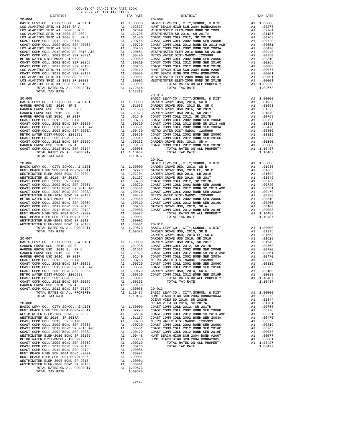| From the distribution of the space of $\Lambda$ in the space of the space of the space of the space of the space of the space of the space of the space of the space of the space of the space of the space of the space of the sp |  |  |
|------------------------------------------------------------------------------------------------------------------------------------------------------------------------------------------------------------------------------------|--|--|

| . .<br>۰ |  |
|----------|--|
|          |  |

|  |  | $20 - 010$ |  |
|--|--|------------|--|
|  |  |            |  |
|  |  |            |  |
|  |  |            |  |
|  |  |            |  |
|  |  |            |  |
|  |  |            |  |
|  |  |            |  |
|  |  |            |  |
|  |  |            |  |
|  |  |            |  |
|  |  |            |  |
|  |  |            |  |
|  |  |            |  |
|  |  |            |  |
|  |  |            |  |
|  |  |            |  |
|  |  |            |  |
|  |  |            |  |
|  |  |            |  |
|  |  |            |  |
|  |  |            |  |
|  |  |            |  |
|  |  |            |  |
|  |  |            |  |
|  |  |            |  |
|  |  |            |  |
|  |  |            |  |
|  |  |            |  |
|  |  |            |  |
|  |  |            |  |
|  |  |            |  |
|  |  |            |  |
|  |  |            |  |
|  |  |            |  |
|  |  |            |  |
|  |  |            |  |
|  |  |            |  |
|  |  |            |  |
|  |  |            |  |
|  |  |            |  |
|  |  |            |  |
|  |  |            |  |
|  |  |            |  |
|  |  |            |  |
|  |  |            |  |
|  |  |            |  |
|  |  |            |  |
|  |  |            |  |
|  |  |            |  |
|  |  |            |  |
|  |  |            |  |
|  |  |            |  |
|  |  |            |  |
|  |  |            |  |
|  |  |            |  |
|  |  |            |  |
|  |  |            |  |
|  |  |            |  |
|  |  |            |  |
|  |  |            |  |
|  |  |            |  |
|  |  |            |  |
|  |  |            |  |
|  |  |            |  |
|  |  |            |  |
|  |  |            |  |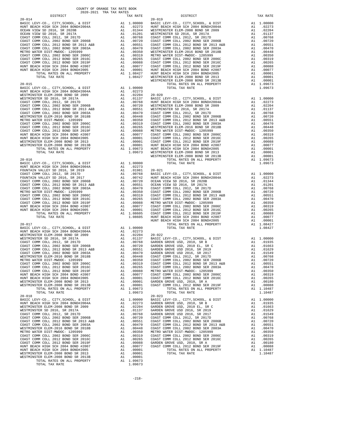|            | DIPIKICI                                                                                                                                                                                                                                                                                                                                                                                                                                                                                                                                                                                                                                                                                                              |                                                                                                                                                                                                                                                                                                                                                                                                                                    | IAA KAIL                                                                                                                                                                  |                       |
|------------|-----------------------------------------------------------------------------------------------------------------------------------------------------------------------------------------------------------------------------------------------------------------------------------------------------------------------------------------------------------------------------------------------------------------------------------------------------------------------------------------------------------------------------------------------------------------------------------------------------------------------------------------------------------------------------------------------------------------------|------------------------------------------------------------------------------------------------------------------------------------------------------------------------------------------------------------------------------------------------------------------------------------------------------------------------------------------------------------------------------------------------------------------------------------|---------------------------------------------------------------------------------------------------------------------------------------------------------------------------|-----------------------|
| $20 - 014$ |                                                                                                                                                                                                                                                                                                                                                                                                                                                                                                                                                                                                                                                                                                                       |                                                                                                                                                                                                                                                                                                                                                                                                                                    |                                                                                                                                                                           | $20 - 019$<br>WESTMIN |
| $20 - 015$ | BASIC LEVY-CO., CITY, SCHOOL, & DIST                                                                                                                                                                                                                                                                                                                                                                                                                                                                                                                                                                                                                                                                                  |                                                                                                                                                                                                                                                                                                                                                                                                                                    | A1 1.00000                                                                                                                                                                | WESTMIN               |
| $20 - 016$ | BASIC LEVY-CO., CITY, SCHOOL, & DIST<br>HUNT BEACH HIGH SCH 2004 BOND#2004A<br>FOUNTAIN VALLEY SD 2016 SP 2019<br>FOUNTAIN VALLEY SD 2016, SR 2019<br>COAST COMM COLL 2012, SR 2017D<br>FOUNTAIN VALLEY SD 2016, SR 2017<br>COAST COMM COLL 2002 BOND SER 2006B<br>COAST COMM COLL 2012 BOND SR 2013 A&B<br>COAST COMM COLL 2002 BOND SER 2003A<br>METRO WATER DIST-MWDOC- 1205999<br>COAST COMM COLL 2002 BOND SER 2006C<br>COAST COMM COLL 2012 BOND SER 2016C<br>COAST COMM COLL 2012 BOND SER 2019F<br>HUNT BEACH HIGH SCH 2004 BOND #2007<br>HUNT BEACH HIGH SCH 2004 BOND#2005<br>TOTAL RATES ON ALL PROPERTY<br>TOTAL TAX RATE                                                                                 | $\begin{tabular}{cc} \bf A1 & 1.00000 \\ \bf A1 & .02273 \\ \bf A1 & .01981 \\ \bf A1 & .00768 \\ \bf A1 & .00742 \\ \bf A1 & .00742 \\ \bf A1 & .00720 \\ \bf A1 & .00750 \\ \bf A1 & .00551 \\ \bf A1 & .00551 \\ \bf A1 & .00319 \\ \bf A1 & .00319 \\ \bf A1 & .00319 \\ \bf A1 & .00319 \\ \bf A1 & .00319 \\ \bf A1 & .00088 \\ \bf A1 & .00001 \\ \bf A1 & .$                                                               |                                                                                                                                                                           |                       |
| $20 - 017$ | BASIC LEVY-CO., CITY, SCHOOL, & DIST<br>HUNT BEACH HIGH SCH 2004 BOND#2004A<br>WESTMINSTER ELEM-2008 BOND SR 2009<br>WESTMINSTER SD 2016, SR 2017A<br>WESTMINSIEN US --<br>COAST COMM COLL 2002 BOND SER 2006B<br>COAST COMM COLL 2002 BOND SER 2006B<br>COAST COMM COLL 2002 BOND SER 2003A<br>WESTMINSTER ELEM-2016 BOND SR 2018B<br>METRO WATER DIST-MWDOC- 1205999<br>COAST COMM COLL 2002 BOND SER 2006C<br>COAST COMM COLL 2012 BOND SER 2016C<br>COAST COMM COLL 2012 BOND SER 2019F<br>HUNT BEACH HIGH SCH 2004 BOND #2007<br>HUNT BEACH HIGH SCH 2004 BOND#2005<br>WESTMINSTER ELEM-2008 BOND SR 2013<br>WESTMINSTER ELEM-2008 BOND SR 2013B<br>TOTAL RATES ON ALL PROPERTY<br>TOTAL TAX RATE                | A1 1.00000<br>A1 .02273<br>A1 .02204 20-022<br>A1 .01137 BASIC L<br>A1 .00768 GARDEN<br>A1 .00768 GARDEN<br>A1 .00551 GARDEN<br>A1 .00448 GARDEN<br>A1 .00448 GOAST C<br>A1 .00350 COAST C<br>A1 .00350 COAST C<br>A1 .00350 COAST C<br>A1 .00350 COAS                                                                                                                                                                             | A1 .00265 COAST COAST COAST COAST COAST COAST COAST COAST COAST COAST COAST COAST COAST COAST COAST COAST COAST COAST COAST COAST COAST COAST CO<br>A1 1.09673<br>1.09673 |                       |
| $20 - 018$ | BASIC LEVY-CO., CITY, SCHOOL, & DIST<br>HUNT BEACH HIGH SCH 2004 BOND#2004A<br>WESTMINSTER ELEM-2008 BOND SR 2009<br>WESTMINSTER SD 2016, SR 2017A<br>COAST COMM COLL 2012, SR 2017D<br>COAST COMM COLL 2002 BOND SER 2006B<br>COAST COMM COLL 2012 BOND SR 2013 A&B<br>COAST COMM COLL 2002 BOND SER 2003A<br>WESTMINSTER ELEM-2016 BOND SR 2018B<br>METRO WATER DIST-MWDOC- 1205999<br>COAST COMM COLL 2002 BOND SER 2006C<br>COAST COMM COLL 2012 BOND SER 2016C<br>COAST COMM COLL 2012 BOND SER 2019F<br>HUNT BEACH HIGH SCH 2004 BOND #2007<br>HUNT BEACH HIGH SCH 2004 BOND#2005<br>WESTMINSTER ELEM-2008 BOND SR 2013<br>WESTMINSTER ELEM-2008 BOND SR 2013B<br>TOTAL RATES ON ALL PROPERTY<br>TOTAL TAX RATE | $\begin{tabular}{cc} {\bf 20-023} & {\bf 21-023} \\ {\bf Al} & .02273 & {\bf GASIDEN} \\ {\bf Al} & .02204 & {\bf GARDEN} \\ {\bf Al} & .01137 & {\bf GARDEN} \\ {\bf Al} & .01137 & {\bf GARDEN} \\ {\bf Al} & .00768 & {\bf GARDEN} \\ {\bf Al} & .00720 & {\bf COAST C} \\ {\bf Al} & .00511 & {\bf COAST C} \\ {\bf Al} & .00448 & {\bf COAST C} \\ {\bf Al} & .00448 & {\bf COAST C} \\ {\bf Al} & .00319 & {\bf OOST}$<br>A1 | A1 .00001<br>A1 .00001<br>.00001<br>A1 1.09673<br>1.09673                                                                                                                 | $20 - 023$            |

| COUNTY OF ORANGE TAX RATE BOOK<br>2020-2021 TRA TAX RATES |          |            |          |
|-----------------------------------------------------------|----------|------------|----------|
| DISTRICT                                                  | TAX RATE | DISTRICT   | TAX RATE |
|                                                           |          | $20 - 019$ |          |
|                                                           |          |            |          |
|                                                           |          |            |          |
|                                                           |          |            |          |
|                                                           |          |            |          |
|                                                           |          |            |          |
|                                                           |          |            |          |
|                                                           |          |            |          |
|                                                           |          |            |          |
|                                                           |          |            |          |
|                                                           |          |            |          |
|                                                           |          |            |          |
|                                                           |          |            |          |
|                                                           |          |            |          |
|                                                           |          |            |          |
|                                                           |          |            |          |
|                                                           |          |            |          |
|                                                           |          |            |          |
|                                                           |          |            |          |
|                                                           |          |            |          |
|                                                           |          |            |          |
|                                                           |          |            |          |
|                                                           |          |            |          |
|                                                           |          |            |          |
|                                                           |          |            |          |
|                                                           |          |            |          |
|                                                           |          |            |          |
|                                                           |          |            |          |
|                                                           |          |            |          |
|                                                           |          |            |          |
|                                                           |          |            |          |
|                                                           |          |            |          |
|                                                           |          |            |          |
|                                                           |          |            |          |
|                                                           |          |            |          |
|                                                           |          |            |          |
|                                                           |          |            |          |
|                                                           |          |            |          |
|                                                           |          |            |          |
|                                                           |          |            |          |
|                                                           |          |            |          |
|                                                           |          |            |          |
|                                                           |          |            |          |
|                                                           |          |            |          |
|                                                           |          |            |          |
|                                                           |          |            |          |
|                                                           |          |            |          |
|                                                           |          |            |          |
|                                                           |          |            |          |
|                                                           |          |            |          |
|                                                           |          |            |          |
|                                                           |          |            |          |
|                                                           |          |            |          |
|                                                           |          |            |          |
|                                                           |          |            |          |
|                                                           |          |            |          |
|                                                           |          |            |          |
|                                                           |          |            |          |
|                                                           |          |            |          |
|                                                           |          |            |          |
|                                                           |          |            |          |
|                                                           |          |            |          |
| ישים שחים זו זו היחידת היחידת היחי                        |          |            |          |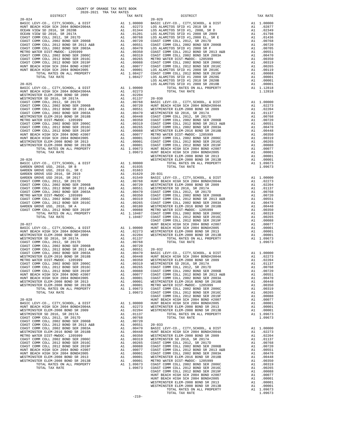| WESTMINSTER ELEM-2016 BOND SR 2018B   | A1 | .00448     | HUNT BE        |
|---------------------------------------|----|------------|----------------|
| METRO WATER DIST-MWDOC- 1205999       | A1 | .00350     | WESTMIN        |
| COAST COMM COLL 2002 BOND SER 2006C   | A1 | .00319     | WESTMIN        |
| COAST COMM COLL 2012 BOND SER 2016C   | A1 | .00265     | COAST C        |
| COAST COMM COLL 2012 BOND SER 2019F   | A1 | .00088     | COAST C        |
| HUNT BEACH HIGH SCH 2004 BOND #2007   | A1 | .00077     | COAST C        |
| HUNT BEACH HIGH SCH 2004 BOND#2005    | A1 | .00001     | COAST C        |
| WESTMINSTER ELEM-2008 BOND SR 2013    | A1 | .00001     | WESTMIN        |
| WESTMINSTER ELEM-2008 BOND SR 2013B   | A1 | .00001     | METRO W        |
| TOTAL RATES ON ALL PROPERTY           | A1 | 1.09673    | COAST C        |
| TOTAL TAX RATE                        |    | 1.09673    | COAST C        |
|                                       |    |            | COAST C        |
| $20 - 028$                            |    |            | HUNT BE        |
| BASIC LEVY-CO., CITY, SCHOOL, & DIST  |    | A1 1.00000 | HUNT BE        |
| HUNT BEACH HIGH SCH 2004 BOND#2004A   | A1 | .02273     | WESTMIN        |
| WESTMINSTER ELEM-2008 BOND SR 2009    | A1 | .02204     | WESTMIN        |
| WESTMINSTER SD 2016, SR 2017A         | A1 | .01137     |                |
| COAST COMM COLL 2012, SR 2017D        | A1 | .00768     |                |
| COAST COMM COLL 2002 BOND SER 2006B   | A1 | .00720     |                |
| COAST COMM COLL 2012 BOND SR 2013 A&B | A1 | .00551     | $20 - 033$     |
| COAST COMM COLL 2002 BOND SER 2003A   | A1 | .00470     | <b>BASIC L</b> |
| WESTMINSTER ELEM-2016 BOND SR 2018B   | A1 | .00448     | HUNT BE        |
| METRO WATER DIST-MWDOC- 1205999       | A1 | .00350     | WESTMIN        |
| COAST COMM COLL 2002 BOND SER 2006C   | A1 | .00319     | WESTMIN        |
| COAST COMM COLL 2012 BOND SER 2016C   | A1 | .00265     | COAST C        |
| COAST COMM COLL 2012 BOND SER 2019F   | A1 | .00088     | COAST C        |
| HUNT BEACH HIGH SCH 2004 BOND #2007   | A1 | .00077     | COAST C        |
| HUNT BEACH HIGH SCH 2004 BOND#2005    | A1 | .00001     | COAST C        |
| WESTMINSTER ELEM-2008 BOND SR 2013    | A1 | .00001     | WESTMIN        |
| WESTMINSTER ELEM-2008 BOND SR 2013B   | A1 | .00001     | METRO W        |
| TOTAL RATES ON ALL PROPERTY           | A1 | 1.09673    | COAST C        |
| TOTAL TAY RATE                        |    | 1 09673    | COAST C        |

| COUNTY OF ORANGE TAX RATE BOOK<br>2020-2021 TRA TAX RATES |          |          |          |
|-----------------------------------------------------------|----------|----------|----------|
| DISTRICT                                                  | TAX RATE | DISTRICT | TAX RATE |
|                                                           |          |          |          |
|                                                           |          |          |          |
|                                                           |          |          |          |
|                                                           |          |          |          |
|                                                           |          |          |          |
|                                                           |          |          |          |
|                                                           |          |          |          |
|                                                           |          |          |          |
|                                                           |          |          |          |
|                                                           |          |          |          |
|                                                           |          |          |          |
|                                                           |          |          |          |
|                                                           |          |          |          |
|                                                           |          |          |          |
|                                                           |          |          |          |
|                                                           |          |          |          |
|                                                           |          |          |          |
|                                                           |          |          |          |
|                                                           |          |          |          |
|                                                           |          |          |          |
|                                                           |          |          |          |
|                                                           |          |          |          |
|                                                           |          |          |          |
|                                                           |          |          |          |
|                                                           |          |          |          |
|                                                           |          |          |          |
|                                                           |          |          |          |
|                                                           |          |          |          |
|                                                           |          |          |          |
|                                                           |          |          |          |
|                                                           |          |          |          |
|                                                           |          |          |          |
|                                                           |          |          |          |
|                                                           |          |          |          |
|                                                           |          |          |          |
|                                                           |          |          |          |
|                                                           |          |          |          |
|                                                           |          |          |          |
|                                                           |          |          |          |
|                                                           |          |          |          |
|                                                           |          |          |          |
|                                                           |          |          |          |
|                                                           |          |          |          |
|                                                           |          |          |          |
|                                                           |          |          |          |
|                                                           |          |          |          |
|                                                           |          |          |          |
|                                                           |          |          |          |
|                                                           |          |          |          |
|                                                           |          |          |          |
|                                                           |          |          |          |
|                                                           |          |          |          |
|                                                           |          |          |          |
|                                                           |          |          |          |
|                                                           |          |          |          |
|                                                           |          |          |          |
|                                                           |          |          |          |
|                                                           |          |          |          |
|                                                           |          |          |          |
|                                                           |          |          |          |
|                                                           |          |          |          |
|                                                           |          |          |          |
|                                                           |          |          |          |
|                                                           |          |          |          |
|                                                           |          |          |          |
|                                                           |          |          |          |
|                                                           |          |          |          |
|                                                           |          |          |          |
|                                                           |          |          |          |
|                                                           |          |          |          |
|                                                           |          |          |          |
|                                                           |          |          |          |
|                                                           |          |          |          |
|                                                           |          |          |          |
|                                                           |          |          |          |
|                                                           |          |          |          |
|                                                           |          |          |          |
|                                                           |          |          |          |
|                                                           | $-219-$  |          |          |
|                                                           |          |          |          |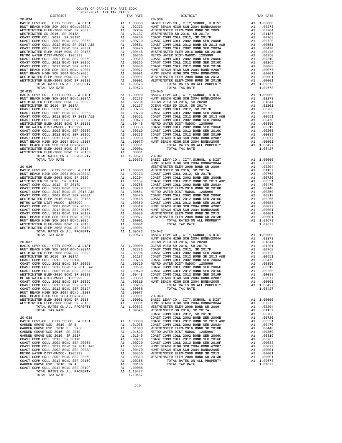| $20 - 034$                                                                                                                                                                                                                                                                  |                                                                                                                                                                                                                                                        | $20 - 039$         |
|-----------------------------------------------------------------------------------------------------------------------------------------------------------------------------------------------------------------------------------------------------------------------------|--------------------------------------------------------------------------------------------------------------------------------------------------------------------------------------------------------------------------------------------------------|--------------------|
|                                                                                                                                                                                                                                                                             |                                                                                                                                                                                                                                                        |                    |
|                                                                                                                                                                                                                                                                             |                                                                                                                                                                                                                                                        |                    |
|                                                                                                                                                                                                                                                                             |                                                                                                                                                                                                                                                        |                    |
|                                                                                                                                                                                                                                                                             |                                                                                                                                                                                                                                                        |                    |
|                                                                                                                                                                                                                                                                             |                                                                                                                                                                                                                                                        |                    |
|                                                                                                                                                                                                                                                                             |                                                                                                                                                                                                                                                        |                    |
|                                                                                                                                                                                                                                                                             |                                                                                                                                                                                                                                                        |                    |
|                                                                                                                                                                                                                                                                             |                                                                                                                                                                                                                                                        |                    |
|                                                                                                                                                                                                                                                                             |                                                                                                                                                                                                                                                        |                    |
|                                                                                                                                                                                                                                                                             |                                                                                                                                                                                                                                                        |                    |
|                                                                                                                                                                                                                                                                             |                                                                                                                                                                                                                                                        |                    |
|                                                                                                                                                                                                                                                                             |                                                                                                                                                                                                                                                        |                    |
| TOTAL TAX RATE                                                                                                                                                                                                                                                              | 1.09673                                                                                                                                                                                                                                                |                    |
| $20 - 035$<br>BASIC LEVY-CO., CITY, SCHOOL, & DIST                                                                                                                                                                                                                          | 20-040<br>Al 1.0000 BASIC L<br>Al 1.02273 HUNT BE<br>Al .02273 HUNT BE<br>Al .02204 OCEAN V<br>Al .01137 OCEAN V<br>Al .00768 COAST C<br>Al .00760 COAST C<br>Al .00448 METRO N<br>Al .00448 METRO N<br>Al .00448 METRO N<br>Al .00319 COAST C<br>Al . | $20 - 040$         |
| HUNT BEACH HIGH SCH 2004 BOND#2004A                                                                                                                                                                                                                                         |                                                                                                                                                                                                                                                        |                    |
| WESTMINSTER ELEM-2008 BOND SR 2009<br>WESTMINSTER SD 2016, SR 2017A                                                                                                                                                                                                         |                                                                                                                                                                                                                                                        |                    |
| COAST COMM COLL 2012, SR 2017D                                                                                                                                                                                                                                              |                                                                                                                                                                                                                                                        |                    |
| COAST COMM COLL 2012, SR 2017D<br>COAST COMM COLL 2002 BOND SER 2006B<br>COAST COMM COLL 2012 BOND SR 2013 A&B<br>$\frac{1}{2}$ COMM COLL 2012 BOND SR 2013                                                                                                                 |                                                                                                                                                                                                                                                        |                    |
| COAST COMM COLL 2002 BOND SER 2003A                                                                                                                                                                                                                                         |                                                                                                                                                                                                                                                        |                    |
| WESTMINSTER ELEM-2016 BOND SR 2018B<br>METRO WATER DIST-MWDOC- 1205999                                                                                                                                                                                                      |                                                                                                                                                                                                                                                        |                    |
| COAST COMM COLL 2002 BOND SER 2006C                                                                                                                                                                                                                                         |                                                                                                                                                                                                                                                        |                    |
| COAST COMM COLL 2012 BOND SER 2016C                                                                                                                                                                                                                                         |                                                                                                                                                                                                                                                        |                    |
| COAST COMM COLL 2012 BOND SER 2019F                                                                                                                                                                                                                                         |                                                                                                                                                                                                                                                        |                    |
|                                                                                                                                                                                                                                                                             |                                                                                                                                                                                                                                                        |                    |
|                                                                                                                                                                                                                                                                             |                                                                                                                                                                                                                                                        |                    |
| COAST COMM COLL 2012 BORD SER 2002 THUNT BEACH HIGH SCH 2004 BOND #2007<br>HUNT BEACH HIGH SCH 2004 BOND #2005<br>WESTMINSTER ELEM-2008 BOND SR 2013<br>WESTMINSTER ELEM-2008 BOND SR 2013<br>WESTMINSTER ELEM-2008 BOND SR 2013<br>TOTAL TO<br>TOTAL RATES ON ALL PROPERTY |                                                                                                                                                                                                                                                        |                    |
| TOTAL TAX RATE                                                                                                                                                                                                                                                              |                                                                                                                                                                                                                                                        |                    |
| $20 - 036$                                                                                                                                                                                                                                                                  |                                                                                                                                                                                                                                                        | HUNT BE<br>WESTMIN |
| BASIC LEVY-CO., CITY, SCHOOL, & DIST                                                                                                                                                                                                                                        | MESTMIN WESTMIN WESTMIN<br>A1 1.00000 WESTMIN<br>A1 .02204 COAST C<br>A1 .01137 COAST C<br>A1 .01137 COAST C<br>A1 .00760 WESTMIN<br>A1 .00760 WESTMIN<br>A1 .00551 METRO W<br>A1 .00448 COAST C<br>A1 .00350 COAST C<br>A1 .00350 COAST C<br>A1 .00   |                    |
| HUNT BEACH HIGH SCH 2004 BOND#2004A<br>WESTMINSTER ELEM-2008 BOND SR 2009<br>WESTMINSTER ELEM-2008 BOND SR 2009                                                                                                                                                             |                                                                                                                                                                                                                                                        |                    |
| WESTMINSTER SD 2016, SR 2017A                                                                                                                                                                                                                                               |                                                                                                                                                                                                                                                        |                    |
| COAST COMM COLL 2012, SR 2017D                                                                                                                                                                                                                                              |                                                                                                                                                                                                                                                        |                    |
| COAST COMM COLL 2002 BOND SER 2006B<br>COAST COMM COLL 2012 BOND SR 2013 A&B                                                                                                                                                                                                |                                                                                                                                                                                                                                                        |                    |
| COAST COMM COLL 2002 BOND SER 2003A                                                                                                                                                                                                                                         |                                                                                                                                                                                                                                                        |                    |
| COAST COMM COLL 2002 BOND SER 2003A<br>WESTMINSTER ELEM-2016 BOND SR 2018B<br>METRO WATER DIST-MWDOC- 1205999                                                                                                                                                               |                                                                                                                                                                                                                                                        |                    |
| COAST COMM COLL 2002 BOND SER 2006C                                                                                                                                                                                                                                         |                                                                                                                                                                                                                                                        |                    |
| COAST COMM COLL 2012 BOND SER 2016C<br>COAST COMM COLL 2012 BOND SER 2019F                                                                                                                                                                                                  |                                                                                                                                                                                                                                                        |                    |
| HUNT BEACH HIGH SCH 2004 BOND #2007                                                                                                                                                                                                                                         |                                                                                                                                                                                                                                                        |                    |
| HUNT BEACH HIGH SCH 2004 BOND#2005                                                                                                                                                                                                                                          |                                                                                                                                                                                                                                                        |                    |
| WESTMINSTER ELEM-2008 BOND SR 2013<br>WESTMINSTER ELEM-2008 BOND SR 2013B                                                                                                                                                                                                   | A1 .00001<br>A1 .00001<br>A1 1.09673 20-042                                                                                                                                                                                                            |                    |
| TOTAL RATES ON ALL PROPERTY                                                                                                                                                                                                                                                 |                                                                                                                                                                                                                                                        |                    |
| TOTAL TAX RATE                                                                                                                                                                                                                                                              | 1.09673                                                                                                                                                                                                                                                | BASIC L<br>HUNT BE |
| $20 - 037$                                                                                                                                                                                                                                                                  |                                                                                                                                                                                                                                                        |                    |
| BASIC LEVY-CO., CITY, SCHOOL, & DIST                                                                                                                                                                                                                                        |                                                                                                                                                                                                                                                        |                    |
| HUNT BEACH HIGH SCH 2004 BOND#2004A<br>WESTMINSTER ELEM-2008 ROND SP 2000                                                                                                                                                                                                   |                                                                                                                                                                                                                                                        |                    |
| WESTMINSTER SD 2016, SR 2017A                                                                                                                                                                                                                                               |                                                                                                                                                                                                                                                        |                    |
| COAST COMM COLL 2012, SR 2017D<br>COAST COMM COLL 2002 BOND SER 2006B                                                                                                                                                                                                       |                                                                                                                                                                                                                                                        |                    |
| COAST COMM COLL 2012 BOND SR 2013 A&B                                                                                                                                                                                                                                       |                                                                                                                                                                                                                                                        |                    |
| COAST COMM COLL 2002 BOND SER 2003A<br>WESTMINSTER ELEM-2016 BOND SR 2018B                                                                                                                                                                                                  |                                                                                                                                                                                                                                                        |                    |
| METRO WATER DIST-MWDOC- 1205999                                                                                                                                                                                                                                             | A1 .00350                                                                                                                                                                                                                                              | HUNT BE<br>HUNT BE |
| COAST COMM COLL 2002 BOND SER 2006C                                                                                                                                                                                                                                         | A1.00319                                                                                                                                                                                                                                               |                    |
| COAST COMM COLL 2012 BOND SER 2016C<br>COAST COMM COLL 2012 BOND SER 2019F                                                                                                                                                                                                  | A1<br>.00265<br>A1<br>.00088                                                                                                                                                                                                                           |                    |
| HUNT BEACH HIGH SCH 2004 BOND #2007                                                                                                                                                                                                                                         | .00077                                                                                                                                                                                                                                                 |                    |
| HUNT BEACH HIGH SCH 2004 BOND#2005<br>WESTMINSTER ELEM-2008 BOND SR 2013                                                                                                                                                                                                    | A1 .00001 20-043<br>A1 .00001 BASIC L<br>A1 .00001 HUNT BE<br>A1 1.09673 WESTMIN<br>1.09673 WESTMIN                                                                                                                                                    |                    |
| WESTMINSTER ELEM-2008 BOND SR 2013B                                                                                                                                                                                                                                         |                                                                                                                                                                                                                                                        |                    |
| TOTAL RATES ON ALL PROPERTY<br>TOTAL TAX RATE                                                                                                                                                                                                                               |                                                                                                                                                                                                                                                        |                    |
|                                                                                                                                                                                                                                                                             |                                                                                                                                                                                                                                                        | COAST C            |
| $20 - 038$                                                                                                                                                                                                                                                                  |                                                                                                                                                                                                                                                        | COAST C            |
| BASIC LEVY-CO., CITY, SCHOOL, & DIST<br>GARDEN GROVE USD, 2010, SR B                                                                                                                                                                                                        |                                                                                                                                                                                                                                                        |                    |
| GARDEN GROVE USD, 2010 EL, SR C                                                                                                                                                                                                                                             |                                                                                                                                                                                                                                                        |                    |
| GARDEN GROVE USD 2016, SR 2019<br>GARDEN GROVE USD 2016, SR 2017                                                                                                                                                                                                            | COAST C<br>A1 1.00000 COAST C<br>A1 .01935 COAST C<br>A1 .01663 WESTMIN<br>A1 .01663 WESTMIN<br>A1 .01663 WESTMIN<br>A1 .00768 COAST C<br>A1 .00768 COAST C<br>A1 .00760 COAST C<br>A1 .00551 HUNT BE<br>A1 .00470 HUNT BE<br>A1 .00350 WESTMIN<br>A1  |                    |
| COAST COMM COLL 2012, SR 2017D                                                                                                                                                                                                                                              |                                                                                                                                                                                                                                                        |                    |
| COAST COMM COLL 2002 BOND SER 2006B                                                                                                                                                                                                                                         |                                                                                                                                                                                                                                                        |                    |
| COAST COMM COLL 2012 BOND SR 2013 A&B<br>COAST COMM COLL 2002 BOND SER 2003A                                                                                                                                                                                                |                                                                                                                                                                                                                                                        |                    |
| METRO WATER DIST-MWDOC- 1205999                                                                                                                                                                                                                                             |                                                                                                                                                                                                                                                        |                    |
| COAST COMM COLL 2002 BOND SER 2006C<br>COAST COMM COLL 2012 BOND SER 2016C                                                                                                                                                                                                  | A1<br>.00265                                                                                                                                                                                                                                           |                    |
| GARDEN GROVE USD, 2010, SR A                                                                                                                                                                                                                                                | A1<br>.00180                                                                                                                                                                                                                                           |                    |
| COAST COMM COLL 2012 BOND SER 2019F                                                                                                                                                                                                                                         | A1<br>.00088<br>A1 1.10487                                                                                                                                                                                                                             |                    |
| TOTAL RATES ON ALL PROPERTY<br>TOTAL TAX RATE                                                                                                                                                                                                                               | 1.10487                                                                                                                                                                                                                                                |                    |

| COUNTY OF ORANGE TAX RATE BOOK<br>2020-2021 TRA TAX RATES                                                                                                                                                                                                                                                                                                                                      |          |            |          |
|------------------------------------------------------------------------------------------------------------------------------------------------------------------------------------------------------------------------------------------------------------------------------------------------------------------------------------------------------------------------------------------------|----------|------------|----------|
| DISTRICT                                                                                                                                                                                                                                                                                                                                                                                       | TAX RATE | DISTRICT   | TAX RATE |
| $20 - 034$<br>26-314<br>MESTRIC INTENSION (1972-1921 TRA TAX RATE)<br>MESTRIC INTENSION (1972-2012)<br>MESTRIC INTENSION (1972-2012)<br>MESTRIC INTENSION (1972-2012)<br>MESTRIC INTENSION (1972-2012)<br>MESTRIC INTENSION (1972-2012)<br>MESTRIC INTENS                                                                                                                                      |          | $20 - 039$ |          |
|                                                                                                                                                                                                                                                                                                                                                                                                |          |            |          |
|                                                                                                                                                                                                                                                                                                                                                                                                |          |            |          |
|                                                                                                                                                                                                                                                                                                                                                                                                |          |            |          |
|                                                                                                                                                                                                                                                                                                                                                                                                |          |            |          |
|                                                                                                                                                                                                                                                                                                                                                                                                |          |            |          |
|                                                                                                                                                                                                                                                                                                                                                                                                |          |            |          |
|                                                                                                                                                                                                                                                                                                                                                                                                |          |            |          |
|                                                                                                                                                                                                                                                                                                                                                                                                |          |            |          |
|                                                                                                                                                                                                                                                                                                                                                                                                |          |            |          |
|                                                                                                                                                                                                                                                                                                                                                                                                |          |            |          |
|                                                                                                                                                                                                                                                                                                                                                                                                |          |            |          |
|                                                                                                                                                                                                                                                                                                                                                                                                |          |            |          |
| $\begin{tabular}{l c c c c c c c c} \hline\hline\text{DTAL RATES ON ALL PROPERTY} & \text{A1 } 1.09673 & \text{20--042} \\ \hline\text{TOTAL TAX RATE} & 1.09673 & \text{20--042} \\ \hline\end{tabular} \begin{tabular}{l c c c c c c c} \hline\text{DTAL TAX RATE} & \text{A1 } 1.00600 & \text{HUNT BEACH HIGH SCH 2004A} & \text{A1 } 1.00000 \\ \hline\end{tabular} \begin{tabular}{l c $ |          |            |          |
|                                                                                                                                                                                                                                                                                                                                                                                                |          |            |          |
|                                                                                                                                                                                                                                                                                                                                                                                                |          |            |          |
|                                                                                                                                                                                                                                                                                                                                                                                                |          |            |          |
|                                                                                                                                                                                                                                                                                                                                                                                                |          |            |          |
|                                                                                                                                                                                                                                                                                                                                                                                                |          |            |          |
|                                                                                                                                                                                                                                                                                                                                                                                                |          |            |          |
|                                                                                                                                                                                                                                                                                                                                                                                                |          |            |          |
|                                                                                                                                                                                                                                                                                                                                                                                                |          |            |          |
|                                                                                                                                                                                                                                                                                                                                                                                                |          |            |          |
| WEININGTER ELEM-2008 19.13 TOM (1913)<br>WEININGTER 612-2015, SE 2017A<br>COART COMET COME COART COME COME CONT COME COART COME COART COME COART CORE AND ARREST AT 1.00702<br>COART COME COART CORE (1912), SE 2017A<br>COART COME C                                                                                                                                                          |          |            |          |
|                                                                                                                                                                                                                                                                                                                                                                                                |          |            |          |
|                                                                                                                                                                                                                                                                                                                                                                                                |          |            |          |
|                                                                                                                                                                                                                                                                                                                                                                                                |          |            |          |
|                                                                                                                                                                                                                                                                                                                                                                                                |          |            |          |
|                                                                                                                                                                                                                                                                                                                                                                                                |          |            |          |
|                                                                                                                                                                                                                                                                                                                                                                                                |          |            |          |
|                                                                                                                                                                                                                                                                                                                                                                                                |          |            |          |
|                                                                                                                                                                                                                                                                                                                                                                                                |          |            |          |

-220-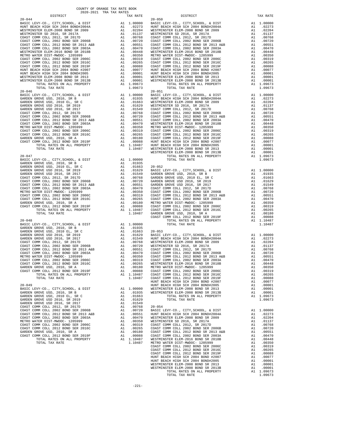|                                       | CALIMA ANI LAN LAVITUDU |                                               |          |
|---------------------------------------|-------------------------|-----------------------------------------------|----------|
| DISTRICT                              | TAX RATE                | DISTRICT                                      | TAX RATE |
|                                       |                         |                                               |          |
|                                       |                         |                                               |          |
|                                       |                         |                                               |          |
|                                       |                         |                                               |          |
|                                       |                         |                                               |          |
|                                       |                         |                                               |          |
|                                       |                         |                                               |          |
|                                       |                         |                                               |          |
|                                       |                         |                                               |          |
|                                       |                         |                                               |          |
|                                       |                         |                                               |          |
|                                       |                         |                                               |          |
|                                       |                         |                                               |          |
|                                       |                         |                                               |          |
|                                       |                         |                                               |          |
|                                       |                         |                                               |          |
|                                       |                         |                                               |          |
|                                       |                         |                                               |          |
|                                       |                         |                                               |          |
|                                       |                         |                                               |          |
|                                       |                         |                                               |          |
|                                       |                         |                                               |          |
|                                       |                         |                                               |          |
|                                       |                         |                                               |          |
|                                       |                         |                                               |          |
|                                       |                         |                                               |          |
|                                       |                         |                                               |          |
|                                       |                         |                                               |          |
|                                       |                         |                                               |          |
|                                       |                         |                                               |          |
|                                       |                         |                                               |          |
|                                       |                         |                                               |          |
|                                       |                         |                                               |          |
|                                       |                         |                                               |          |
|                                       |                         |                                               |          |
|                                       |                         |                                               |          |
|                                       |                         |                                               |          |
|                                       |                         |                                               |          |
|                                       |                         |                                               |          |
|                                       |                         |                                               |          |
|                                       |                         |                                               |          |
|                                       |                         |                                               |          |
|                                       |                         |                                               |          |
|                                       |                         |                                               |          |
|                                       |                         |                                               |          |
|                                       |                         |                                               |          |
|                                       |                         |                                               |          |
|                                       |                         |                                               |          |
|                                       |                         |                                               |          |
|                                       |                         |                                               |          |
|                                       |                         |                                               |          |
|                                       |                         |                                               |          |
|                                       |                         |                                               |          |
|                                       |                         |                                               |          |
|                                       |                         |                                               |          |
|                                       |                         |                                               |          |
|                                       |                         |                                               |          |
|                                       |                         |                                               |          |
|                                       |                         |                                               |          |
|                                       |                         |                                               |          |
|                                       |                         |                                               |          |
|                                       |                         |                                               |          |
|                                       |                         |                                               |          |
|                                       |                         |                                               |          |
|                                       |                         |                                               |          |
|                                       |                         |                                               |          |
|                                       |                         |                                               |          |
|                                       |                         |                                               |          |
|                                       |                         |                                               |          |
|                                       |                         |                                               |          |
|                                       |                         |                                               |          |
|                                       |                         |                                               |          |
|                                       |                         |                                               |          |
|                                       |                         |                                               |          |
|                                       |                         |                                               |          |
|                                       |                         |                                               |          |
|                                       |                         |                                               |          |
|                                       |                         | A1 .00265 WESTMINSTER ELEM-2016 BOND SR 2018B |          |
| GARDEN GROVE USD, 2010, SR A          | A1 .00180               | METRO WATER DIST-MWDOC- 1205999               | A1.00350 |
|                                       |                         |                                               |          |
|                                       |                         |                                               |          |
|                                       |                         |                                               |          |
|                                       |                         |                                               |          |
|                                       |                         |                                               |          |
|                                       |                         |                                               |          |
|                                       |                         |                                               |          |
|                                       |                         |                                               |          |
|                                       |                         |                                               |          |
|                                       |                         |                                               |          |
|                                       |                         |                                               |          |
|                                       |                         |                                               |          |
|                                       |                         |                                               |          |
| 103.05 GOING GOIT 3883 BOND OFF 38865 | 00720                   | DAOTA ININI AO<br>C                           | 1.00000  |

|                | 1.10407 |
|----------------|---------|
|                |         |
| $20 - 053$     |         |
|                |         |
|                |         |
|                |         |
|                |         |
|                |         |
|                |         |
|                |         |
|                |         |
|                |         |
|                |         |
|                |         |
|                |         |
|                |         |
|                |         |
|                |         |
|                |         |
|                |         |
|                |         |
|                |         |
|                |         |
| $20 - 054$     |         |
|                |         |
|                |         |
|                |         |
|                |         |
|                |         |
|                |         |
|                |         |
|                |         |
|                |         |
|                |         |
|                |         |
|                |         |
|                |         |
|                |         |
|                |         |
|                |         |
|                |         |
|                |         |
| TOTAL TAX RATE | 1.09673 |

|       | RATE BOOK  |                                                                                                                                                                                                                                                  |                       |                                                                                         |
|-------|------------|--------------------------------------------------------------------------------------------------------------------------------------------------------------------------------------------------------------------------------------------------|-----------------------|-----------------------------------------------------------------------------------------|
| RATES | TAX RATE   | DISTRICT                                                                                                                                                                                                                                         |                       | TAX RATE                                                                                |
|       |            | $20 - 050$                                                                                                                                                                                                                                       |                       |                                                                                         |
|       | A1 1.00000 | BASIC LEVY-CO., CITY, SCHOOL, & DIST                                                                                                                                                                                                             |                       | A1 1.00000                                                                              |
|       |            |                                                                                                                                                                                                                                                  | A1                    | .02273                                                                                  |
|       |            |                                                                                                                                                                                                                                                  | A1                    | .02204                                                                                  |
|       |            |                                                                                                                                                                                                                                                  | A1                    | .01137                                                                                  |
|       |            |                                                                                                                                                                                                                                                  | A1                    | .00768                                                                                  |
|       |            |                                                                                                                                                                                                                                                  | A1                    | .00720                                                                                  |
|       |            |                                                                                                                                                                                                                                                  |                       | A1 .00551                                                                               |
|       |            |                                                                                                                                                                                                                                                  |                       | A1 .00551<br>A1 .00448<br>A1 .00350<br>A1 .00319<br>A1 .00265<br>A1 .00077<br>A1 .00001 |
|       |            |                                                                                                                                                                                                                                                  |                       |                                                                                         |
|       |            |                                                                                                                                                                                                                                                  |                       |                                                                                         |
|       |            |                                                                                                                                                                                                                                                  |                       |                                                                                         |
|       |            |                                                                                                                                                                                                                                                  |                       |                                                                                         |
|       |            |                                                                                                                                                                                                                                                  |                       |                                                                                         |
|       |            |                                                                                                                                                                                                                                                  |                       |                                                                                         |
|       |            |                                                                                                                                                                                                                                                  | A1                    | .00001                                                                                  |
|       |            |                                                                                                                                                                                                                                                  |                       | $A1 \t .00001$                                                                          |
|       |            |                                                                                                                                                                                                                                                  | A1<br>$\overline{A1}$ | .00001                                                                                  |
|       |            |                                                                                                                                                                                                                                                  |                       | 1.09673                                                                                 |
|       |            |                                                                                                                                                                                                                                                  |                       | 1.09673                                                                                 |
|       |            |                                                                                                                                                                                                                                                  |                       |                                                                                         |
|       |            |                                                                                                                                                                                                                                                  |                       |                                                                                         |
|       |            |                                                                                                                                                                                                                                                  |                       |                                                                                         |
|       |            |                                                                                                                                                                                                                                                  |                       |                                                                                         |
|       |            |                                                                                                                                                                                                                                                  |                       |                                                                                         |
|       |            |                                                                                                                                                                                                                                                  |                       |                                                                                         |
|       |            |                                                                                                                                                                                                                                                  |                       |                                                                                         |
|       |            |                                                                                                                                                                                                                                                  |                       |                                                                                         |
|       |            |                                                                                                                                                                                                                                                  |                       |                                                                                         |
|       |            |                                                                                                                                                                                                                                                  |                       |                                                                                         |
|       |            | METRO WATER DIST-MWDOC- 12059999<br>COAST COMM COLL 2002 BOND SER 2006C<br>COAST COMM COLL 2012 BOND SER 2016C<br>COAST COMM COLL 2012 BOND SER 2019<br>FUNT BEACH HIGH SCH 2004 BOND #2007<br>HUNT BEACH HIGH SCH 2004 BOND #2005<br>WESTMINSTE |                       |                                                                                         |
|       |            |                                                                                                                                                                                                                                                  |                       |                                                                                         |
|       |            |                                                                                                                                                                                                                                                  |                       |                                                                                         |
|       |            |                                                                                                                                                                                                                                                  |                       |                                                                                         |
|       |            |                                                                                                                                                                                                                                                  |                       |                                                                                         |
|       |            |                                                                                                                                                                                                                                                  |                       |                                                                                         |
|       |            |                                                                                                                                                                                                                                                  |                       |                                                                                         |
|       |            |                                                                                                                                                                                                                                                  |                       | A1 1.09673                                                                              |
|       | A1 1.00000 | TOTAL TAX RATE                                                                                                                                                                                                                                   |                       | 1.09673                                                                                 |
|       | A1 .01935  |                                                                                                                                                                                                                                                  |                       |                                                                                         |
|       |            |                                                                                                                                                                                                                                                  |                       |                                                                                         |
|       |            |                                                                                                                                                                                                                                                  |                       |                                                                                         |
|       |            |                                                                                                                                                                                                                                                  |                       |                                                                                         |
|       |            |                                                                                                                                                                                                                                                  |                       |                                                                                         |
|       |            |                                                                                                                                                                                                                                                  |                       |                                                                                         |
|       |            |                                                                                                                                                                                                                                                  |                       |                                                                                         |
|       |            |                                                                                                                                                                                                                                                  |                       |                                                                                         |
|       |            |                                                                                                                                                                                                                                                  |                       |                                                                                         |
|       |            |                                                                                                                                                                                                                                                  |                       |                                                                                         |
|       |            |                                                                                                                                                                                                                                                  |                       |                                                                                         |
|       |            |                                                                                                                                                                                                                                                  |                       |                                                                                         |
|       |            |                                                                                                                                                                                                                                                  |                       |                                                                                         |
|       |            |                                                                                                                                                                                                                                                  |                       |                                                                                         |
|       |            |                                                                                                                                                                                                                                                  |                       |                                                                                         |
|       |            |                                                                                                                                                                                                                                                  |                       |                                                                                         |
|       |            |                                                                                                                                                                                                                                                  |                       |                                                                                         |
|       |            |                                                                                                                                                                                                                                                  |                       |                                                                                         |
| A1    | .01935     |                                                                                                                                                                                                                                                  |                       |                                                                                         |
|       |            |                                                                                                                                                                                                                                                  |                       |                                                                                         |
|       |            |                                                                                                                                                                                                                                                  |                       |                                                                                         |
|       |            |                                                                                                                                                                                                                                                  |                       |                                                                                         |
|       |            |                                                                                                                                                                                                                                                  |                       |                                                                                         |
|       |            |                                                                                                                                                                                                                                                  |                       |                                                                                         |
|       |            |                                                                                                                                                                                                                                                  |                       |                                                                                         |
|       |            |                                                                                                                                                                                                                                                  |                       |                                                                                         |
|       |            |                                                                                                                                                                                                                                                  |                       |                                                                                         |
|       |            |                                                                                                                                                                                                                                                  |                       |                                                                                         |
|       |            |                                                                                                                                                                                                                                                  |                       |                                                                                         |
|       |            |                                                                                                                                                                                                                                                  |                       |                                                                                         |
|       |            |                                                                                                                                                                                                                                                  |                       | .00319                                                                                  |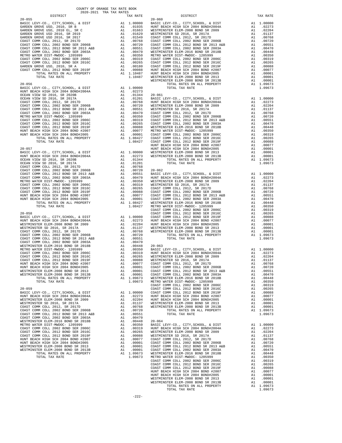| $20 - 055$                                                                                                                                           |                                                                                                                                                                                                                                                                       |                                                                                                                                                                                                                                                                                                                                                                                                                                                                                                              | $20 - 060$         |
|------------------------------------------------------------------------------------------------------------------------------------------------------|-----------------------------------------------------------------------------------------------------------------------------------------------------------------------------------------------------------------------------------------------------------------------|--------------------------------------------------------------------------------------------------------------------------------------------------------------------------------------------------------------------------------------------------------------------------------------------------------------------------------------------------------------------------------------------------------------------------------------------------------------------------------------------------------------|--------------------|
|                                                                                                                                                      |                                                                                                                                                                                                                                                                       |                                                                                                                                                                                                                                                                                                                                                                                                                                                                                                              |                    |
|                                                                                                                                                      |                                                                                                                                                                                                                                                                       |                                                                                                                                                                                                                                                                                                                                                                                                                                                                                                              |                    |
|                                                                                                                                                      |                                                                                                                                                                                                                                                                       |                                                                                                                                                                                                                                                                                                                                                                                                                                                                                                              |                    |
|                                                                                                                                                      |                                                                                                                                                                                                                                                                       |                                                                                                                                                                                                                                                                                                                                                                                                                                                                                                              |                    |
|                                                                                                                                                      |                                                                                                                                                                                                                                                                       |                                                                                                                                                                                                                                                                                                                                                                                                                                                                                                              |                    |
|                                                                                                                                                      |                                                                                                                                                                                                                                                                       |                                                                                                                                                                                                                                                                                                                                                                                                                                                                                                              |                    |
|                                                                                                                                                      |                                                                                                                                                                                                                                                                       |                                                                                                                                                                                                                                                                                                                                                                                                                                                                                                              |                    |
|                                                                                                                                                      |                                                                                                                                                                                                                                                                       |                                                                                                                                                                                                                                                                                                                                                                                                                                                                                                              |                    |
|                                                                                                                                                      |                                                                                                                                                                                                                                                                       |                                                                                                                                                                                                                                                                                                                                                                                                                                                                                                              |                    |
|                                                                                                                                                      |                                                                                                                                                                                                                                                                       |                                                                                                                                                                                                                                                                                                                                                                                                                                                                                                              |                    |
|                                                                                                                                                      |                                                                                                                                                                                                                                                                       |                                                                                                                                                                                                                                                                                                                                                                                                                                                                                                              |                    |
|                                                                                                                                                      |                                                                                                                                                                                                                                                                       |                                                                                                                                                                                                                                                                                                                                                                                                                                                                                                              |                    |
|                                                                                                                                                      |                                                                                                                                                                                                                                                                       |                                                                                                                                                                                                                                                                                                                                                                                                                                                                                                              | WESTMIN            |
| $20 - 056$                                                                                                                                           | A1 1.00000<br>A1 .02273<br>A1 .01344 20-061<br>A1 .01201 BASIC L<br>A1 .00768 HUNT BE<br>A1 .00720 WESTMIN<br>A1 .00720 WESTMIN<br>A1 .00470 COAST C<br>A1 .00319 COAST C<br>A1 .00265 COAST C<br>A1 .00265 COAST C<br>A1 .00068 WESTMIN<br>A1 .00008 WESTMIN<br>A1 . |                                                                                                                                                                                                                                                                                                                                                                                                                                                                                                              |                    |
| BASIC LEVY-CO., CITY, SCHOOL, & DIST<br>HUNT BEACH HIGH SCH 2004 BOND#2004A<br>OCEAN VIEW SD 2016, SR 2020R                                          |                                                                                                                                                                                                                                                                       |                                                                                                                                                                                                                                                                                                                                                                                                                                                                                                              |                    |
| OCEAN VIEW SD 2016, SR 2020B                                                                                                                         |                                                                                                                                                                                                                                                                       |                                                                                                                                                                                                                                                                                                                                                                                                                                                                                                              |                    |
| OCEAN VIEW SD 2016, SR 2017A                                                                                                                         |                                                                                                                                                                                                                                                                       |                                                                                                                                                                                                                                                                                                                                                                                                                                                                                                              |                    |
| COAST COMM COLL 2012, SR 2017D<br>COAST COMM COLL 2002 BOND SER 2006B                                                                                |                                                                                                                                                                                                                                                                       |                                                                                                                                                                                                                                                                                                                                                                                                                                                                                                              |                    |
| COAST COMM COLL 2012 BOND SER 2006B<br>COAST COMM COLL 2012 BOND SER 2013 A&B<br>COAST COMM COLL 2002 BOND SER 2003A<br>METRO WATER DIET METRO 10071 |                                                                                                                                                                                                                                                                       |                                                                                                                                                                                                                                                                                                                                                                                                                                                                                                              |                    |
|                                                                                                                                                      |                                                                                                                                                                                                                                                                       |                                                                                                                                                                                                                                                                                                                                                                                                                                                                                                              |                    |
| METRO WATER DIST-MWDOC- 1205999<br>COAST COMM COLL 2002 BOND SER 2006C                                                                               |                                                                                                                                                                                                                                                                       |                                                                                                                                                                                                                                                                                                                                                                                                                                                                                                              |                    |
| COAST COMM COLL 2012 BOND SER 2016C                                                                                                                  |                                                                                                                                                                                                                                                                       |                                                                                                                                                                                                                                                                                                                                                                                                                                                                                                              |                    |
| COAST COMM COLL 2012 BOND SER 2019F                                                                                                                  |                                                                                                                                                                                                                                                                       |                                                                                                                                                                                                                                                                                                                                                                                                                                                                                                              |                    |
|                                                                                                                                                      |                                                                                                                                                                                                                                                                       |                                                                                                                                                                                                                                                                                                                                                                                                                                                                                                              |                    |
|                                                                                                                                                      |                                                                                                                                                                                                                                                                       |                                                                                                                                                                                                                                                                                                                                                                                                                                                                                                              |                    |
| TOTAL TAX RATE                                                                                                                                       |                                                                                                                                                                                                                                                                       |                                                                                                                                                                                                                                                                                                                                                                                                                                                                                                              |                    |
|                                                                                                                                                      |                                                                                                                                                                                                                                                                       |                                                                                                                                                                                                                                                                                                                                                                                                                                                                                                              | HUNT BE            |
| $20 - 057$                                                                                                                                           |                                                                                                                                                                                                                                                                       |                                                                                                                                                                                                                                                                                                                                                                                                                                                                                                              | HUNT BE            |
|                                                                                                                                                      |                                                                                                                                                                                                                                                                       |                                                                                                                                                                                                                                                                                                                                                                                                                                                                                                              |                    |
|                                                                                                                                                      |                                                                                                                                                                                                                                                                       |                                                                                                                                                                                                                                                                                                                                                                                                                                                                                                              |                    |
|                                                                                                                                                      |                                                                                                                                                                                                                                                                       |                                                                                                                                                                                                                                                                                                                                                                                                                                                                                                              |                    |
|                                                                                                                                                      |                                                                                                                                                                                                                                                                       |                                                                                                                                                                                                                                                                                                                                                                                                                                                                                                              |                    |
|                                                                                                                                                      |                                                                                                                                                                                                                                                                       |                                                                                                                                                                                                                                                                                                                                                                                                                                                                                                              |                    |
|                                                                                                                                                      |                                                                                                                                                                                                                                                                       |                                                                                                                                                                                                                                                                                                                                                                                                                                                                                                              |                    |
|                                                                                                                                                      |                                                                                                                                                                                                                                                                       |                                                                                                                                                                                                                                                                                                                                                                                                                                                                                                              |                    |
|                                                                                                                                                      |                                                                                                                                                                                                                                                                       |                                                                                                                                                                                                                                                                                                                                                                                                                                                                                                              |                    |
|                                                                                                                                                      |                                                                                                                                                                                                                                                                       |                                                                                                                                                                                                                                                                                                                                                                                                                                                                                                              |                    |
|                                                                                                                                                      |                                                                                                                                                                                                                                                                       |                                                                                                                                                                                                                                                                                                                                                                                                                                                                                                              |                    |
|                                                                                                                                                      |                                                                                                                                                                                                                                                                       |                                                                                                                                                                                                                                                                                                                                                                                                                                                                                                              |                    |
|                                                                                                                                                      |                                                                                                                                                                                                                                                                       |                                                                                                                                                                                                                                                                                                                                                                                                                                                                                                              |                    |
|                                                                                                                                                      |                                                                                                                                                                                                                                                                       |                                                                                                                                                                                                                                                                                                                                                                                                                                                                                                              | COAST C            |
| $20 - 058$                                                                                                                                           |                                                                                                                                                                                                                                                                       | $\begin{tabular}{ll} \multicolumn{2}{c}{\begin{tabular}{c} \multicolumn{2}{c}{\text{}}\end{tabular}} & $\cup$ & $\cup$ & $\cup$ & $\cup$ & $\cup$ & $\cup$ & $\cup$ \\ \multicolumn{2}{c}{\begin{tabular}{c} \multicolumn{2}{c}{\text{}}\end{tabular}} & $\cup$ & $\cup$ & $\cup$ & $\cup$ & $\cup$ & $\cup$ \\ \multicolumn{2}{c}{\begin{tabular}{c} \multicolumn{2}{c}{\text{}}\end{tabular}} & $\cup$ & $\cup$ & $\cup$ & $\cup$ & $\cup$ & $\cup$ & $\cup$ & $\cup$ \\ \multicolumn{2}{c}{\text{A1}}$ &$ |                    |
| BASIC LEVY-CO., CITY, SCHOOL, & DIST<br>HUNT BEACH HIGH SCH 2004 BOND#2004A                                                                          |                                                                                                                                                                                                                                                                       |                                                                                                                                                                                                                                                                                                                                                                                                                                                                                                              |                    |
| WESTMINSTER ELEM-2008 BOND SR 2009                                                                                                                   |                                                                                                                                                                                                                                                                       |                                                                                                                                                                                                                                                                                                                                                                                                                                                                                                              |                    |
| WESTMINSTER SD 2016, SR 2017A                                                                                                                        |                                                                                                                                                                                                                                                                       |                                                                                                                                                                                                                                                                                                                                                                                                                                                                                                              |                    |
| COAST COMM COLL 2012, SR 2017D<br>COAST COMM COLL 2002 BOND SER 2006B                                                                                | A1 .00768 WESTMIN<br>A1 .00720<br>A1 .00551<br>A1 .00451<br>A1 .00470<br>A1 .00448 20-063<br>A1 .00350 BASIC L<br>A1 .00359 HUNT BE<br>A1 .00265 WESTMIN<br>A1 .00088 WESTMIN<br>A1 .00080 WESTMIN<br>A1 .0007 COAST C                                                |                                                                                                                                                                                                                                                                                                                                                                                                                                                                                                              |                    |
| COAST COMM COLL 2012 BOND SR 2013 A&B                                                                                                                |                                                                                                                                                                                                                                                                       |                                                                                                                                                                                                                                                                                                                                                                                                                                                                                                              |                    |
| COAST COMM COLL 2002 BOND SER 2003A                                                                                                                  |                                                                                                                                                                                                                                                                       |                                                                                                                                                                                                                                                                                                                                                                                                                                                                                                              |                    |
| WESTMINSTER ELEM-2016 BOND SR 2018B<br>METRO WATER DIST-MWDOC- 1205999                                                                               |                                                                                                                                                                                                                                                                       |                                                                                                                                                                                                                                                                                                                                                                                                                                                                                                              |                    |
| COAST COMM COLL 2002 BOND SER 2006C                                                                                                                  |                                                                                                                                                                                                                                                                       |                                                                                                                                                                                                                                                                                                                                                                                                                                                                                                              |                    |
| COAST COMM COLL 2012 BOND SER 2016C                                                                                                                  |                                                                                                                                                                                                                                                                       |                                                                                                                                                                                                                                                                                                                                                                                                                                                                                                              |                    |
| COAST COMM COLL 2012 BOND SER 2019F                                                                                                                  |                                                                                                                                                                                                                                                                       |                                                                                                                                                                                                                                                                                                                                                                                                                                                                                                              |                    |
| HUNT BEACH HIGH SCH 2004 BOND #2007<br>HUNT BEACH HIGH SCH 2004 BOND#2005                                                                            | A1 .00001 COAST C                                                                                                                                                                                                                                                     |                                                                                                                                                                                                                                                                                                                                                                                                                                                                                                              |                    |
| WESTMINSTER ELEM-2008 BOND SR 2013                                                                                                                   | A1                                                                                                                                                                                                                                                                    | .00001 COAST C                                                                                                                                                                                                                                                                                                                                                                                                                                                                                               |                    |
| WESTMINSTER ELEM-2008 BOND SR 2013B                                                                                                                  | A1                                                                                                                                                                                                                                                                    | .00001                                                                                                                                                                                                                                                                                                                                                                                                                                                                                                       | COAST C            |
| TOTAL RATES ON ALL PROPERTY                                                                                                                          |                                                                                                                                                                                                                                                                       | A1 1.09673                                                                                                                                                                                                                                                                                                                                                                                                                                                                                                   | WESTMIN            |
| TOTAL TAX RATE                                                                                                                                       |                                                                                                                                                                                                                                                                       | 1.09673                                                                                                                                                                                                                                                                                                                                                                                                                                                                                                      | METRO W<br>COAST C |
| $20 - 059$                                                                                                                                           |                                                                                                                                                                                                                                                                       |                                                                                                                                                                                                                                                                                                                                                                                                                                                                                                              | COAST C            |
| BASIC LEVY-CO., CITY, SCHOOL, & DIST                                                                                                                 |                                                                                                                                                                                                                                                                       |                                                                                                                                                                                                                                                                                                                                                                                                                                                                                                              |                    |
| HUNT BEACH HIGH SCH 2004 BOND#2004A<br>WESTMINSTER ELEM-2008 BOND SR 2009                                                                            |                                                                                                                                                                                                                                                                       |                                                                                                                                                                                                                                                                                                                                                                                                                                                                                                              |                    |
| WESTMINSTER SD 2016, SR 2017A                                                                                                                        |                                                                                                                                                                                                                                                                       |                                                                                                                                                                                                                                                                                                                                                                                                                                                                                                              |                    |
| COAST COMM COLL 2012, SR 2017D                                                                                                                       |                                                                                                                                                                                                                                                                       | A1 1.00000 COAST C<br>A1 .02273 HUNT BE<br>A1 .02204 HUNT BE<br>A1 .01137 WESTMIN<br>A1 .00768 WESTMIN                                                                                                                                                                                                                                                                                                                                                                                                       |                    |
| COAST COMM COLL 2002 BOND SER 2006B<br>COAST COMM COLL 2012 BOND SR 2013 A&B                                                                         | A1                                                                                                                                                                                                                                                                    | .00720                                                                                                                                                                                                                                                                                                                                                                                                                                                                                                       |                    |
| COAST COMM COLL 2002 BOND SER 2003A                                                                                                                  |                                                                                                                                                                                                                                                                       | A1 .00551<br>A1.00470                                                                                                                                                                                                                                                                                                                                                                                                                                                                                        |                    |
| WESTMINSTER ELEM-2016 BOND SR 2018B                                                                                                                  |                                                                                                                                                                                                                                                                       | A1 .00448 20-064                                                                                                                                                                                                                                                                                                                                                                                                                                                                                             |                    |
| METRO WATER DIST-MWDOC- 1205999                                                                                                                      |                                                                                                                                                                                                                                                                       | A1.00350                                                                                                                                                                                                                                                                                                                                                                                                                                                                                                     | BASIC L            |
| COAST COMM COLL 2002 BOND SER 2006C<br>COAST COMM COLL 2012 BOND SER 2016C                                                                           | A1                                                                                                                                                                                                                                                                    | .00319<br>.00265                                                                                                                                                                                                                                                                                                                                                                                                                                                                                             | HUNT BE<br>WESTMIN |
| COAST COMM COLL 2012 BOND SER 2019F                                                                                                                  |                                                                                                                                                                                                                                                                       | .00088                                                                                                                                                                                                                                                                                                                                                                                                                                                                                                       | WESTMIN            |
| HUNT BEACH HIGH SCH 2004 BOND #2007                                                                                                                  | $\begin{array}{c}\n\overline{A1} \\ \overline{A1} \\ \overline{A1}\n\end{array}$                                                                                                                                                                                      |                                                                                                                                                                                                                                                                                                                                                                                                                                                                                                              |                    |
| HUNT BEACH HIGH SCH 2004 BOND#2005                                                                                                                   |                                                                                                                                                                                                                                                                       |                                                                                                                                                                                                                                                                                                                                                                                                                                                                                                              |                    |
| WESTMINSTER ELEM-2008 BOND SR 2013<br>WESTMINSTER ELEM-2008 BOND SR 2013B                                                                            |                                                                                                                                                                                                                                                                       | A1 .00077 COAST C<br>A1 .00077 COAST C<br>A1 .00001 COAST C<br>A1 .00001 COAST C<br>A1 .00001 COAST C<br>A1 1.09673 WESTMIN                                                                                                                                                                                                                                                                                                                                                                                  |                    |
| TOTAL RATES ON ALL PROPERTY                                                                                                                          |                                                                                                                                                                                                                                                                       |                                                                                                                                                                                                                                                                                                                                                                                                                                                                                                              |                    |

| COUNTY OF ORANGE TAX RATE BOOK                                                                                                                                                                                                                                                                                                                                                                                                                                 |          |          |          |
|----------------------------------------------------------------------------------------------------------------------------------------------------------------------------------------------------------------------------------------------------------------------------------------------------------------------------------------------------------------------------------------------------------------------------------------------------------------|----------|----------|----------|
| $\begin{minipage}{.4\linewidth} \begin{tabular}{lcccccc} \multicolumn{2}{c}{\textbf{1-AX} RATE} & \multicolumn{2}{c}{\textbf{1-AY} RATE} & \multicolumn{2}{c}{\textbf{1-AY} RATE} & \multicolumn{2}{c}{\textbf{1-AY} RATE} & \multicolumn{2}{c}{\textbf{1-AY} RATE} & \multicolumn{2}{c}{\textbf{1-AY} RATE} & \multicolumn{2}{c}{\textbf{1-AY} RATE} & \multicolumn{2}{c}{\textbf{1-AY} RATE} & \multicolumn{2}{c}{\textbf{1-AY} RATE} & \multicolumn{2}{c}{$ | TAX RATE | DISTRICT | TAX RATE |
|                                                                                                                                                                                                                                                                                                                                                                                                                                                                |          |          |          |
|                                                                                                                                                                                                                                                                                                                                                                                                                                                                |          |          |          |
|                                                                                                                                                                                                                                                                                                                                                                                                                                                                |          |          |          |
|                                                                                                                                                                                                                                                                                                                                                                                                                                                                |          |          |          |
|                                                                                                                                                                                                                                                                                                                                                                                                                                                                |          |          |          |
|                                                                                                                                                                                                                                                                                                                                                                                                                                                                |          |          |          |
|                                                                                                                                                                                                                                                                                                                                                                                                                                                                |          |          |          |
|                                                                                                                                                                                                                                                                                                                                                                                                                                                                |          |          |          |
|                                                                                                                                                                                                                                                                                                                                                                                                                                                                |          |          |          |
|                                                                                                                                                                                                                                                                                                                                                                                                                                                                |          |          |          |
|                                                                                                                                                                                                                                                                                                                                                                                                                                                                |          |          |          |
|                                                                                                                                                                                                                                                                                                                                                                                                                                                                |          |          |          |
|                                                                                                                                                                                                                                                                                                                                                                                                                                                                |          |          |          |
|                                                                                                                                                                                                                                                                                                                                                                                                                                                                |          |          |          |
|                                                                                                                                                                                                                                                                                                                                                                                                                                                                |          |          |          |
|                                                                                                                                                                                                                                                                                                                                                                                                                                                                |          |          |          |
|                                                                                                                                                                                                                                                                                                                                                                                                                                                                |          |          |          |
|                                                                                                                                                                                                                                                                                                                                                                                                                                                                |          |          |          |
|                                                                                                                                                                                                                                                                                                                                                                                                                                                                |          |          |          |
|                                                                                                                                                                                                                                                                                                                                                                                                                                                                |          |          |          |
|                                                                                                                                                                                                                                                                                                                                                                                                                                                                |          |          |          |
|                                                                                                                                                                                                                                                                                                                                                                                                                                                                |          |          |          |
|                                                                                                                                                                                                                                                                                                                                                                                                                                                                |          |          |          |
|                                                                                                                                                                                                                                                                                                                                                                                                                                                                |          |          |          |
|                                                                                                                                                                                                                                                                                                                                                                                                                                                                |          |          |          |
|                                                                                                                                                                                                                                                                                                                                                                                                                                                                |          |          |          |
|                                                                                                                                                                                                                                                                                                                                                                                                                                                                |          |          |          |
|                                                                                                                                                                                                                                                                                                                                                                                                                                                                |          |          |          |
|                                                                                                                                                                                                                                                                                                                                                                                                                                                                |          |          |          |
|                                                                                                                                                                                                                                                                                                                                                                                                                                                                |          |          |          |
|                                                                                                                                                                                                                                                                                                                                                                                                                                                                |          |          |          |
|                                                                                                                                                                                                                                                                                                                                                                                                                                                                |          |          |          |
|                                                                                                                                                                                                                                                                                                                                                                                                                                                                |          |          |          |
|                                                                                                                                                                                                                                                                                                                                                                                                                                                                |          |          |          |
|                                                                                                                                                                                                                                                                                                                                                                                                                                                                |          |          |          |
|                                                                                                                                                                                                                                                                                                                                                                                                                                                                |          |          |          |
|                                                                                                                                                                                                                                                                                                                                                                                                                                                                |          |          |          |
|                                                                                                                                                                                                                                                                                                                                                                                                                                                                |          |          |          |
|                                                                                                                                                                                                                                                                                                                                                                                                                                                                |          |          |          |
|                                                                                                                                                                                                                                                                                                                                                                                                                                                                |          |          |          |
|                                                                                                                                                                                                                                                                                                                                                                                                                                                                |          |          |          |
|                                                                                                                                                                                                                                                                                                                                                                                                                                                                |          |          |          |
|                                                                                                                                                                                                                                                                                                                                                                                                                                                                |          |          |          |
|                                                                                                                                                                                                                                                                                                                                                                                                                                                                |          |          |          |
|                                                                                                                                                                                                                                                                                                                                                                                                                                                                |          |          |          |
|                                                                                                                                                                                                                                                                                                                                                                                                                                                                |          |          |          |
|                                                                                                                                                                                                                                                                                                                                                                                                                                                                |          |          |          |
|                                                                                                                                                                                                                                                                                                                                                                                                                                                                |          |          |          |
|                                                                                                                                                                                                                                                                                                                                                                                                                                                                |          |          |          |
|                                                                                                                                                                                                                                                                                                                                                                                                                                                                |          |          |          |
|                                                                                                                                                                                                                                                                                                                                                                                                                                                                |          |          |          |
|                                                                                                                                                                                                                                                                                                                                                                                                                                                                |          |          |          |
|                                                                                                                                                                                                                                                                                                                                                                                                                                                                |          |          |          |
|                                                                                                                                                                                                                                                                                                                                                                                                                                                                |          |          |          |
|                                                                                                                                                                                                                                                                                                                                                                                                                                                                |          |          |          |
|                                                                                                                                                                                                                                                                                                                                                                                                                                                                |          |          |          |
|                                                                                                                                                                                                                                                                                                                                                                                                                                                                |          |          |          |
|                                                                                                                                                                                                                                                                                                                                                                                                                                                                |          |          |          |
|                                                                                                                                                                                                                                                                                                                                                                                                                                                                |          |          |          |
|                                                                                                                                                                                                                                                                                                                                                                                                                                                                |          |          |          |
|                                                                                                                                                                                                                                                                                                                                                                                                                                                                |          |          |          |
|                                                                                                                                                                                                                                                                                                                                                                                                                                                                |          |          |          |
|                                                                                                                                                                                                                                                                                                                                                                                                                                                                |          |          |          |
|                                                                                                                                                                                                                                                                                                                                                                                                                                                                |          |          |          |
|                                                                                                                                                                                                                                                                                                                                                                                                                                                                |          |          |          |
|                                                                                                                                                                                                                                                                                                                                                                                                                                                                |          |          |          |
|                                                                                                                                                                                                                                                                                                                                                                                                                                                                |          |          |          |
|                                                                                                                                                                                                                                                                                                                                                                                                                                                                |          |          |          |
|                                                                                                                                                                                                                                                                                                                                                                                                                                                                |          |          |          |
|                                                                                                                                                                                                                                                                                                                                                                                                                                                                |          |          |          |
|                                                                                                                                                                                                                                                                                                                                                                                                                                                                |          |          |          |
|                                                                                                                                                                                                                                                                                                                                                                                                                                                                |          |          |          |
|                                                                                                                                                                                                                                                                                                                                                                                                                                                                |          |          |          |
|                                                                                                                                                                                                                                                                                                                                                                                                                                                                |          |          |          |
|                                                                                                                                                                                                                                                                                                                                                                                                                                                                |          |          |          |
|                                                                                                                                                                                                                                                                                                                                                                                                                                                                |          |          |          |
|                                                                                                                                                                                                                                                                                                                                                                                                                                                                |          |          |          |
|                                                                                                                                                                                                                                                                                                                                                                                                                                                                |          |          |          |
|                                                                                                                                                                                                                                                                                                                                                                                                                                                                |          |          |          |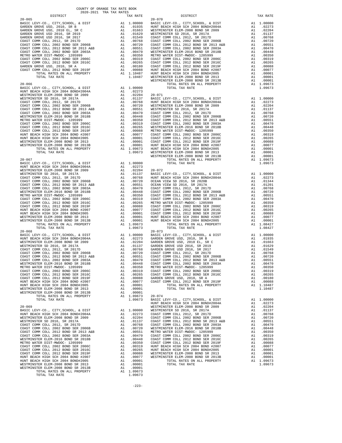| DISTRICT                                                                                                       | $5000$ $5001$ $1000$ $1000$                                                                                                                                                                                                                         | TAX RATE                                                                                                                                                                                                                                 |                                 |
|----------------------------------------------------------------------------------------------------------------|-----------------------------------------------------------------------------------------------------------------------------------------------------------------------------------------------------------------------------------------------------|------------------------------------------------------------------------------------------------------------------------------------------------------------------------------------------------------------------------------------------|---------------------------------|
| $20 - 065$<br>BASIC LEVY-CO., CITY, SCHOOL, & DIST                                                             | 20-070<br>Al 1.00000 BASIC L<br>Al 1.01935 HUNT BE<br>Al .01663 WESTMIN<br>Al .01663 WESTMIN<br>Al .01663 WESTMIN<br>Al .00768 COAST C<br>Al .00768 COAST C<br>Al .00551 COAST C<br>Al .00470 WESTMIN<br>Al .00359 METRO WESTMIN<br>Al .00369 METRO |                                                                                                                                                                                                                                          | $20 - 070$                      |
| GARDEN GROVE USD, 2010, SR B                                                                                   |                                                                                                                                                                                                                                                     |                                                                                                                                                                                                                                          |                                 |
| GARDEN GROVE USD, 2010 EL, SR C                                                                                |                                                                                                                                                                                                                                                     |                                                                                                                                                                                                                                          |                                 |
| GARDEN GROVE USD 2016, SR 2019<br>GARDEN GROVE USD 2016, SR 2017                                               |                                                                                                                                                                                                                                                     |                                                                                                                                                                                                                                          |                                 |
|                                                                                                                |                                                                                                                                                                                                                                                     |                                                                                                                                                                                                                                          |                                 |
| COAST COMM COLL 2012, SR 2017D<br>COAST COMM COLL 2002 BOND SER 2006B<br>COAST COMM COLL 2012 BOND SR 2013 A&B |                                                                                                                                                                                                                                                     |                                                                                                                                                                                                                                          |                                 |
| COAST COMM COLL 2012 BOND SR 2013 A&B                                                                          |                                                                                                                                                                                                                                                     |                                                                                                                                                                                                                                          |                                 |
| COAST COMM COLL 2002 BOND SER 2003A<br>METRO WATER DIST-MWDOC- 1205999                                         |                                                                                                                                                                                                                                                     |                                                                                                                                                                                                                                          |                                 |
| COAST COMM COLL 2002 BOND SER 2006C                                                                            |                                                                                                                                                                                                                                                     |                                                                                                                                                                                                                                          |                                 |
| COAST COMM COLL 2012 BOND SER 2016C                                                                            |                                                                                                                                                                                                                                                     |                                                                                                                                                                                                                                          |                                 |
| GARDEN GROVE USD, 2010, SR A<br>GARDEN GRUVE USD, 2010, 2011<br>COAST COMM COLL 2012 BOND SER 2019F            |                                                                                                                                                                                                                                                     |                                                                                                                                                                                                                                          |                                 |
| TOTAL RATES ON ALL PROPERTY                                                                                    |                                                                                                                                                                                                                                                     |                                                                                                                                                                                                                                          |                                 |
| TOTAL TAX RATE                                                                                                 |                                                                                                                                                                                                                                                     |                                                                                                                                                                                                                                          |                                 |
|                                                                                                                |                                                                                                                                                                                                                                                     |                                                                                                                                                                                                                                          | WESTMIN                         |
| $20 - 066$                                                                                                     |                                                                                                                                                                                                                                                     |                                                                                                                                                                                                                                          |                                 |
|                                                                                                                |                                                                                                                                                                                                                                                     |                                                                                                                                                                                                                                          |                                 |
|                                                                                                                |                                                                                                                                                                                                                                                     |                                                                                                                                                                                                                                          |                                 |
|                                                                                                                |                                                                                                                                                                                                                                                     |                                                                                                                                                                                                                                          |                                 |
|                                                                                                                |                                                                                                                                                                                                                                                     |                                                                                                                                                                                                                                          |                                 |
|                                                                                                                |                                                                                                                                                                                                                                                     |                                                                                                                                                                                                                                          |                                 |
|                                                                                                                |                                                                                                                                                                                                                                                     |                                                                                                                                                                                                                                          |                                 |
|                                                                                                                |                                                                                                                                                                                                                                                     |                                                                                                                                                                                                                                          |                                 |
|                                                                                                                |                                                                                                                                                                                                                                                     |                                                                                                                                                                                                                                          |                                 |
|                                                                                                                |                                                                                                                                                                                                                                                     |                                                                                                                                                                                                                                          |                                 |
|                                                                                                                |                                                                                                                                                                                                                                                     |                                                                                                                                                                                                                                          |                                 |
|                                                                                                                |                                                                                                                                                                                                                                                     |                                                                                                                                                                                                                                          |                                 |
|                                                                                                                |                                                                                                                                                                                                                                                     |                                                                                                                                                                                                                                          |                                 |
|                                                                                                                |                                                                                                                                                                                                                                                     |                                                                                                                                                                                                                                          |                                 |
|                                                                                                                |                                                                                                                                                                                                                                                     |                                                                                                                                                                                                                                          |                                 |
|                                                                                                                |                                                                                                                                                                                                                                                     |                                                                                                                                                                                                                                          | WESTMIN                         |
| $20 - 067$                                                                                                     |                                                                                                                                                                                                                                                     |                                                                                                                                                                                                                                          |                                 |
|                                                                                                                |                                                                                                                                                                                                                                                     |                                                                                                                                                                                                                                          |                                 |
|                                                                                                                |                                                                                                                                                                                                                                                     |                                                                                                                                                                                                                                          |                                 |
|                                                                                                                |                                                                                                                                                                                                                                                     |                                                                                                                                                                                                                                          |                                 |
|                                                                                                                |                                                                                                                                                                                                                                                     |                                                                                                                                                                                                                                          |                                 |
|                                                                                                                |                                                                                                                                                                                                                                                     |                                                                                                                                                                                                                                          |                                 |
|                                                                                                                |                                                                                                                                                                                                                                                     |                                                                                                                                                                                                                                          |                                 |
|                                                                                                                |                                                                                                                                                                                                                                                     |                                                                                                                                                                                                                                          |                                 |
|                                                                                                                |                                                                                                                                                                                                                                                     |                                                                                                                                                                                                                                          |                                 |
|                                                                                                                |                                                                                                                                                                                                                                                     |                                                                                                                                                                                                                                          |                                 |
|                                                                                                                |                                                                                                                                                                                                                                                     |                                                                                                                                                                                                                                          |                                 |
|                                                                                                                |                                                                                                                                                                                                                                                     |                                                                                                                                                                                                                                          |                                 |
|                                                                                                                |                                                                                                                                                                                                                                                     |                                                                                                                                                                                                                                          |                                 |
|                                                                                                                |                                                                                                                                                                                                                                                     |                                                                                                                                                                                                                                          |                                 |
| TOTAL TAX RATE                                                                                                 |                                                                                                                                                                                                                                                     | 1.09673                                                                                                                                                                                                                                  |                                 |
|                                                                                                                |                                                                                                                                                                                                                                                     |                                                                                                                                                                                                                                          |                                 |
|                                                                                                                |                                                                                                                                                                                                                                                     |                                                                                                                                                                                                                                          |                                 |
|                                                                                                                |                                                                                                                                                                                                                                                     |                                                                                                                                                                                                                                          |                                 |
|                                                                                                                |                                                                                                                                                                                                                                                     |                                                                                                                                                                                                                                          |                                 |
|                                                                                                                |                                                                                                                                                                                                                                                     |                                                                                                                                                                                                                                          |                                 |
|                                                                                                                |                                                                                                                                                                                                                                                     |                                                                                                                                                                                                                                          |                                 |
|                                                                                                                |                                                                                                                                                                                                                                                     |                                                                                                                                                                                                                                          |                                 |
|                                                                                                                |                                                                                                                                                                                                                                                     |                                                                                                                                                                                                                                          |                                 |
| METRO WATER DIST-MWDOC- 1205999<br>COAST COMM COLL 2002 BOND SER 2006C                                         | A1<br>A1                                                                                                                                                                                                                                            | .00319                                                                                                                                                                                                                                   | .00350 METRO W<br>COAST C       |
| COAST COMM COLL 2012 BOND SER 2016C                                                                            | A1                                                                                                                                                                                                                                                  | .00265                                                                                                                                                                                                                                   | COAST C                         |
| COAST COMM COLL 2012 BOND SER 2019F                                                                            | A1                                                                                                                                                                                                                                                  |                                                                                                                                                                                                                                          | .00088 GARDEN<br>.00077 COAST C |
| HUNT BEACH HIGH SCH 2004 BOND #2007                                                                            | A1                                                                                                                                                                                                                                                  |                                                                                                                                                                                                                                          |                                 |
| HUNT BEACH HIGH SCH 2004 BOND#2005<br>WESTMINSTER ELEM-2008 BOND SR 2013                                       | A1<br>A1                                                                                                                                                                                                                                            | .00001<br>.00001                                                                                                                                                                                                                         |                                 |
| WESTMINSTER ELEM-2008 BOND SR 2013B                                                                            | A1                                                                                                                                                                                                                                                  | .00001                                                                                                                                                                                                                                   |                                 |
| TOTAL RATES ON ALL PROPERTY                                                                                    |                                                                                                                                                                                                                                                     | A1 1.09673                                                                                                                                                                                                                               | $20 - 074$                      |
| TOTAL TAX RATE                                                                                                 |                                                                                                                                                                                                                                                     | 1.09673                                                                                                                                                                                                                                  | BASIC L<br>HUNT BE              |
| $20 - 069$                                                                                                     |                                                                                                                                                                                                                                                     |                                                                                                                                                                                                                                          | WESTMIN                         |
| BASIC LEVY-CO., CITY, SCHOOL, & DIST                                                                           | A1                                                                                                                                                                                                                                                  | 1.00000                                                                                                                                                                                                                                  | WESTMIN                         |
| HUNT BEACH HIGH SCH 2004 BOND#2004A                                                                            |                                                                                                                                                                                                                                                     | A1 .02273                                                                                                                                                                                                                                | COAST C                         |
| WESTMINSTER ELEM-2008 BOND SR 2009<br>WESTMINSTER SD 2016, SR 2017A                                            | A1                                                                                                                                                                                                                                                  | .02204<br>AL .02204 COAST COAST COAST COAST COAST COAST COAST COAST COAST COAST COAST COAST COAST COAST COAST COAST COAST CAN 0.0048 COAST CAN 0.00319 HUNT BE AL .00319 HUNT BE AL .00319 HUNT BE AL .00365 HUNT BE AL .00365 HUNT BE A | COAST C                         |
| COAST COMM COLL 2012, SR 2017D                                                                                 |                                                                                                                                                                                                                                                     |                                                                                                                                                                                                                                          |                                 |
| COAST COMM COLL 2002 BOND SER 2006B                                                                            |                                                                                                                                                                                                                                                     |                                                                                                                                                                                                                                          |                                 |
| COAST COMM COLL 2012 BOND SR 2013 A&B<br>COAST COMM COLL 2002 BOND SER 2003A                                   |                                                                                                                                                                                                                                                     |                                                                                                                                                                                                                                          |                                 |
| WESTMINSTER ELEM-2016 BOND SR 2018B                                                                            |                                                                                                                                                                                                                                                     |                                                                                                                                                                                                                                          |                                 |
| METRO WATER DIST-MWDOC- 1205999                                                                                |                                                                                                                                                                                                                                                     |                                                                                                                                                                                                                                          |                                 |
| COAST COMM COLL 2002 BOND SER 2006C                                                                            |                                                                                                                                                                                                                                                     |                                                                                                                                                                                                                                          |                                 |
| COAST COMM COLL 2012 BOND SER 2016C<br>COAST COMM COLL 2012 BOND SER 2019F                                     | A1                                                                                                                                                                                                                                                  | .00088                                                                                                                                                                                                                                   | WESTMIN                         |
|                                                                                                                |                                                                                                                                                                                                                                                     |                                                                                                                                                                                                                                          |                                 |

|            | COUNTY OF ORANGE TAX RATE BOOK<br>2020-2021 TRA TAX RATES |            |          |
|------------|-----------------------------------------------------------|------------|----------|
| DISTRICT   | TAX RATE                                                  | DISTRICT   | TAX RATE |
|            |                                                           | $20 - 070$ |          |
|            |                                                           |            |          |
|            |                                                           |            |          |
|            |                                                           |            |          |
|            |                                                           |            |          |
|            |                                                           |            |          |
|            |                                                           |            |          |
|            |                                                           |            |          |
|            |                                                           |            |          |
|            |                                                           |            |          |
|            |                                                           |            |          |
|            |                                                           |            |          |
|            |                                                           |            |          |
|            |                                                           |            |          |
|            |                                                           |            |          |
|            |                                                           |            |          |
|            |                                                           |            |          |
|            |                                                           |            |          |
|            |                                                           |            |          |
|            |                                                           |            |          |
|            |                                                           |            |          |
|            |                                                           |            |          |
|            |                                                           |            |          |
|            |                                                           |            |          |
|            |                                                           |            |          |
|            |                                                           |            |          |
|            |                                                           |            |          |
|            |                                                           |            |          |
|            |                                                           |            |          |
|            |                                                           |            |          |
|            |                                                           |            |          |
|            |                                                           |            |          |
|            |                                                           |            |          |
|            |                                                           |            |          |
|            |                                                           |            |          |
|            |                                                           |            |          |
|            |                                                           |            |          |
|            |                                                           |            |          |
|            |                                                           |            |          |
|            |                                                           |            |          |
|            |                                                           |            |          |
|            |                                                           |            |          |
|            |                                                           |            |          |
| $20 - 068$ |                                                           | $20 - 073$ |          |
|            |                                                           |            |          |
|            |                                                           |            |          |
|            |                                                           |            |          |
|            |                                                           |            |          |
|            |                                                           |            |          |
|            |                                                           |            |          |
|            |                                                           |            |          |
|            |                                                           |            |          |
|            |                                                           |            |          |
|            |                                                           |            |          |
|            |                                                           |            |          |
|            |                                                           |            |          |
|            |                                                           |            |          |
|            |                                                           |            |          |
|            |                                                           |            |          |
|            |                                                           |            |          |
|            |                                                           |            |          |
|            |                                                           |            |          |
|            |                                                           |            |          |
|            |                                                           |            |          |
|            |                                                           |            |          |
|            |                                                           |            |          |
|            |                                                           |            |          |
|            |                                                           |            |          |
|            |                                                           |            |          |
|            |                                                           |            |          |
|            |                                                           |            |          |
|            |                                                           |            |          |
|            |                                                           |            |          |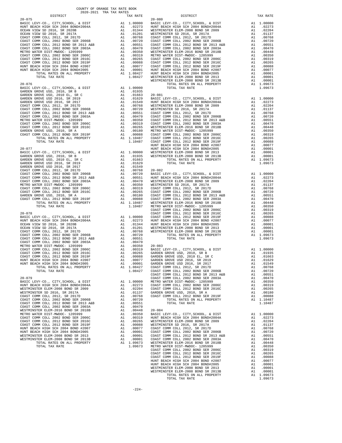| ntergram                                                                                                                                                   |                                                                                                                                                                                                                                                                                                                                                                                                                       | IAA RAIL                                                                                                                                                                                   |                 |
|------------------------------------------------------------------------------------------------------------------------------------------------------------|-----------------------------------------------------------------------------------------------------------------------------------------------------------------------------------------------------------------------------------------------------------------------------------------------------------------------------------------------------------------------------------------------------------------------|--------------------------------------------------------------------------------------------------------------------------------------------------------------------------------------------|-----------------|
| $20 - 075$                                                                                                                                                 |                                                                                                                                                                                                                                                                                                                                                                                                                       |                                                                                                                                                                                            | $20 - 080$      |
|                                                                                                                                                            |                                                                                                                                                                                                                                                                                                                                                                                                                       |                                                                                                                                                                                            |                 |
|                                                                                                                                                            |                                                                                                                                                                                                                                                                                                                                                                                                                       |                                                                                                                                                                                            |                 |
|                                                                                                                                                            |                                                                                                                                                                                                                                                                                                                                                                                                                       |                                                                                                                                                                                            |                 |
|                                                                                                                                                            |                                                                                                                                                                                                                                                                                                                                                                                                                       |                                                                                                                                                                                            |                 |
|                                                                                                                                                            |                                                                                                                                                                                                                                                                                                                                                                                                                       |                                                                                                                                                                                            |                 |
|                                                                                                                                                            |                                                                                                                                                                                                                                                                                                                                                                                                                       |                                                                                                                                                                                            |                 |
|                                                                                                                                                            |                                                                                                                                                                                                                                                                                                                                                                                                                       |                                                                                                                                                                                            |                 |
|                                                                                                                                                            |                                                                                                                                                                                                                                                                                                                                                                                                                       |                                                                                                                                                                                            |                 |
|                                                                                                                                                            |                                                                                                                                                                                                                                                                                                                                                                                                                       |                                                                                                                                                                                            |                 |
|                                                                                                                                                            |                                                                                                                                                                                                                                                                                                                                                                                                                       |                                                                                                                                                                                            |                 |
|                                                                                                                                                            |                                                                                                                                                                                                                                                                                                                                                                                                                       |                                                                                                                                                                                            |                 |
|                                                                                                                                                            |                                                                                                                                                                                                                                                                                                                                                                                                                       |                                                                                                                                                                                            |                 |
|                                                                                                                                                            |                                                                                                                                                                                                                                                                                                                                                                                                                       |                                                                                                                                                                                            |                 |
|                                                                                                                                                            |                                                                                                                                                                                                                                                                                                                                                                                                                       |                                                                                                                                                                                            |                 |
|                                                                                                                                                            |                                                                                                                                                                                                                                                                                                                                                                                                                       |                                                                                                                                                                                            |                 |
|                                                                                                                                                            |                                                                                                                                                                                                                                                                                                                                                                                                                       |                                                                                                                                                                                            |                 |
|                                                                                                                                                            |                                                                                                                                                                                                                                                                                                                                                                                                                       |                                                                                                                                                                                            |                 |
|                                                                                                                                                            |                                                                                                                                                                                                                                                                                                                                                                                                                       |                                                                                                                                                                                            | WESTMIN         |
| $20 - 076$                                                                                                                                                 |                                                                                                                                                                                                                                                                                                                                                                                                                       |                                                                                                                                                                                            |                 |
| BASIC LEVY-CO., CITY, SCHOOL, & DIST                                                                                                                       | A1                                                                                                                                                                                                                                                                                                                                                                                                                    | 1.00000                                                                                                                                                                                    |                 |
|                                                                                                                                                            |                                                                                                                                                                                                                                                                                                                                                                                                                       |                                                                                                                                                                                            |                 |
|                                                                                                                                                            |                                                                                                                                                                                                                                                                                                                                                                                                                       |                                                                                                                                                                                            |                 |
|                                                                                                                                                            |                                                                                                                                                                                                                                                                                                                                                                                                                       |                                                                                                                                                                                            |                 |
|                                                                                                                                                            |                                                                                                                                                                                                                                                                                                                                                                                                                       |                                                                                                                                                                                            |                 |
|                                                                                                                                                            |                                                                                                                                                                                                                                                                                                                                                                                                                       |                                                                                                                                                                                            |                 |
|                                                                                                                                                            |                                                                                                                                                                                                                                                                                                                                                                                                                       |                                                                                                                                                                                            |                 |
|                                                                                                                                                            |                                                                                                                                                                                                                                                                                                                                                                                                                       |                                                                                                                                                                                            |                 |
|                                                                                                                                                            |                                                                                                                                                                                                                                                                                                                                                                                                                       |                                                                                                                                                                                            |                 |
|                                                                                                                                                            |                                                                                                                                                                                                                                                                                                                                                                                                                       |                                                                                                                                                                                            |                 |
|                                                                                                                                                            |                                                                                                                                                                                                                                                                                                                                                                                                                       |                                                                                                                                                                                            |                 |
|                                                                                                                                                            |                                                                                                                                                                                                                                                                                                                                                                                                                       |                                                                                                                                                                                            |                 |
|                                                                                                                                                            |                                                                                                                                                                                                                                                                                                                                                                                                                       |                                                                                                                                                                                            |                 |
|                                                                                                                                                            |                                                                                                                                                                                                                                                                                                                                                                                                                       |                                                                                                                                                                                            |                 |
|                                                                                                                                                            |                                                                                                                                                                                                                                                                                                                                                                                                                       |                                                                                                                                                                                            |                 |
|                                                                                                                                                            |                                                                                                                                                                                                                                                                                                                                                                                                                       |                                                                                                                                                                                            |                 |
|                                                                                                                                                            |                                                                                                                                                                                                                                                                                                                                                                                                                       |                                                                                                                                                                                            |                 |
|                                                                                                                                                            |                                                                                                                                                                                                                                                                                                                                                                                                                       |                                                                                                                                                                                            | HUNT BE         |
| $20 - 077$                                                                                                                                                 |                                                                                                                                                                                                                                                                                                                                                                                                                       | NUMT BE<br>A1 1.00000 WESTMIN<br>A1 .01935 WESTMIN<br>A1 .01663                                                                                                                            |                 |
| BASIC LEVY-CO., CITY, SCHOOL, & DIST                                                                                                                       |                                                                                                                                                                                                                                                                                                                                                                                                                       |                                                                                                                                                                                            |                 |
| GARDEN GROVE USD, 2010, SR B                                                                                                                               |                                                                                                                                                                                                                                                                                                                                                                                                                       |                                                                                                                                                                                            |                 |
| GARDEN GROVE USD, 2010 EL, SR C                                                                                                                            |                                                                                                                                                                                                                                                                                                                                                                                                                       |                                                                                                                                                                                            |                 |
| GARDEN GROVE USD 2016, SR 2019                                                                                                                             | A1                                                                                                                                                                                                                                                                                                                                                                                                                    | .01629                                                                                                                                                                                     |                 |
| GARDEN GROVE USD 2016, SR 2017                                                                                                                             |                                                                                                                                                                                                                                                                                                                                                                                                                       |                                                                                                                                                                                            |                 |
| COAST COMM COLL 2012, SR 2017D                                                                                                                             | A1 .01629<br>A1 .01768 20-082<br>A1 .00768 20-082<br>A1 .00768 BASC L<br>A1 .00551 HMT BE<br>A1 .00351 HMT BE<br>A1 .00350 WESTMIN<br>A1 .00319 COAST C<br>A1 .00265 COAST C<br>A1 .00180 COAST C<br>A1 .00180 COAST C<br>A1 .00180 COAST C<br>A1 1.10                                                                                                                                                                |                                                                                                                                                                                            |                 |
|                                                                                                                                                            |                                                                                                                                                                                                                                                                                                                                                                                                                       |                                                                                                                                                                                            |                 |
| COAST COMM COLL 2002 BOND SER 2006B<br>COAST COMM COLL 2002 BOND SER 2006B<br>COAST COMM COLL 2012 BOND SR 2013 A&B<br>COAST COMM COLL 2002 BOND SER 2003A |                                                                                                                                                                                                                                                                                                                                                                                                                       |                                                                                                                                                                                            |                 |
|                                                                                                                                                            |                                                                                                                                                                                                                                                                                                                                                                                                                       |                                                                                                                                                                                            |                 |
|                                                                                                                                                            |                                                                                                                                                                                                                                                                                                                                                                                                                       |                                                                                                                                                                                            |                 |
| METRO WATER DIST-MWDOC- 1205999                                                                                                                            |                                                                                                                                                                                                                                                                                                                                                                                                                       |                                                                                                                                                                                            |                 |
| COAST COMM COLL 2002 BOND SER 2006C<br>COAST COMM COLL 2012 BOND SER 2016C                                                                                 |                                                                                                                                                                                                                                                                                                                                                                                                                       |                                                                                                                                                                                            |                 |
|                                                                                                                                                            |                                                                                                                                                                                                                                                                                                                                                                                                                       |                                                                                                                                                                                            |                 |
| GARDEN GROVE USD, 2010, SR A                                                                                                                               |                                                                                                                                                                                                                                                                                                                                                                                                                       |                                                                                                                                                                                            |                 |
| COAST COMM COLL 2012 BOND SER 2019F                                                                                                                        |                                                                                                                                                                                                                                                                                                                                                                                                                       |                                                                                                                                                                                            |                 |
| TOTAL RATES ON ALL PROPERTY                                                                                                                                |                                                                                                                                                                                                                                                                                                                                                                                                                       |                                                                                                                                                                                            |                 |
| TOTAL TAX RATE                                                                                                                                             |                                                                                                                                                                                                                                                                                                                                                                                                                       |                                                                                                                                                                                            |                 |
|                                                                                                                                                            |                                                                                                                                                                                                                                                                                                                                                                                                                       |                                                                                                                                                                                            | COAST C         |
| $20 - 078$                                                                                                                                                 |                                                                                                                                                                                                                                                                                                                                                                                                                       |                                                                                                                                                                                            | COAST C         |
| BASIC LEVY-CO., CITY, SCHOOL, & DIST                                                                                                                       |                                                                                                                                                                                                                                                                                                                                                                                                                       |                                                                                                                                                                                            |                 |
| HUNT BEACH HIGH SCH 2004 BOND#2004A                                                                                                                        |                                                                                                                                                                                                                                                                                                                                                                                                                       |                                                                                                                                                                                            |                 |
| OCEAN VIEW SD 2016, SR 2020B                                                                                                                               |                                                                                                                                                                                                                                                                                                                                                                                                                       |                                                                                                                                                                                            |                 |
| OCEAN VIEW SD 2016, SR 2017A                                                                                                                               |                                                                                                                                                                                                                                                                                                                                                                                                                       |                                                                                                                                                                                            |                 |
|                                                                                                                                                            |                                                                                                                                                                                                                                                                                                                                                                                                                       |                                                                                                                                                                                            |                 |
| COAST COMM COLL 2012, SR 2017D<br>COAST COMM COLL 2002 BOND SER 2006B                                                                                      |                                                                                                                                                                                                                                                                                                                                                                                                                       |                                                                                                                                                                                            |                 |
|                                                                                                                                                            |                                                                                                                                                                                                                                                                                                                                                                                                                       |                                                                                                                                                                                            |                 |
| COAST COMM COLL 2012 BOND SR 2013 A&B                                                                                                                      |                                                                                                                                                                                                                                                                                                                                                                                                                       |                                                                                                                                                                                            |                 |
| OAST COMM COLL 2002 BOND SER 2003A<br>METRO WATER DISTRIBUTION 1005051                                                                                     | $\begin{tabular}{cc} & CoAST & CoAST & CoAST & CoAST & CoAST & CoAST & CoAST & CoAST & COST & HUNT & BE \\ \hline A1 & .01244 & HUNT & BE & MENT & DESTMINI & A1 & .01201 & WESTMINI & A1 & .00768 & WESTMINI & A1 & .00768 & WESTMINI & A1 & .00551 & A1 & .00551 & A1 & .00319 & BASIC & L & A1 & .00319 & BASIC & L & A1 & .00081 & GARDEN & A1 & .00081 & GARDEN & A1 & .00077 & GARDEN & A1 & .00077 & GARDEN &$ |                                                                                                                                                                                            |                 |
| METRO WATER DIST-MWDOC- 1205999                                                                                                                            |                                                                                                                                                                                                                                                                                                                                                                                                                       |                                                                                                                                                                                            |                 |
| COAST COMM COLL 2002 BOND SER 2006C                                                                                                                        |                                                                                                                                                                                                                                                                                                                                                                                                                       |                                                                                                                                                                                            |                 |
| COAST COMM COLL 2012 BOND SER 2016C                                                                                                                        |                                                                                                                                                                                                                                                                                                                                                                                                                       |                                                                                                                                                                                            |                 |
| COAST COMM COLL 2012 BOND SER 2019F<br>HUNT BEACH HIGH SCH 2004 BOND #2007<br>HUNT BEACH HIGH SCH 2004 BOND #2007                                          |                                                                                                                                                                                                                                                                                                                                                                                                                       |                                                                                                                                                                                            |                 |
|                                                                                                                                                            |                                                                                                                                                                                                                                                                                                                                                                                                                       |                                                                                                                                                                                            |                 |
| HUNT BEACH HIGH SCH 2004 BOND#2005                                                                                                                         |                                                                                                                                                                                                                                                                                                                                                                                                                       |                                                                                                                                                                                            |                 |
| TOTAL RATES ON ALL PROPERTY                                                                                                                                |                                                                                                                                                                                                                                                                                                                                                                                                                       | A1 1.08427                                                                                                                                                                                 | COAST C         |
| TOTAL TAX RATE                                                                                                                                             |                                                                                                                                                                                                                                                                                                                                                                                                                       |                                                                                                                                                                                            | 1.08427 COAST C |
|                                                                                                                                                            |                                                                                                                                                                                                                                                                                                                                                                                                                       |                                                                                                                                                                                            | COAST C         |
| $20 - 079$                                                                                                                                                 |                                                                                                                                                                                                                                                                                                                                                                                                                       |                                                                                                                                                                                            | COAST C         |
| BASIC LEVY-CO., CITY, SCHOOL, & DIST                                                                                                                       |                                                                                                                                                                                                                                                                                                                                                                                                                       |                                                                                                                                                                                            |                 |
| HUNT BEACH HIGH SCH 2004 BOND#2004A                                                                                                                        |                                                                                                                                                                                                                                                                                                                                                                                                                       |                                                                                                                                                                                            |                 |
|                                                                                                                                                            |                                                                                                                                                                                                                                                                                                                                                                                                                       |                                                                                                                                                                                            |                 |
| WESTMINSTER ELEM-2008 BOND SR 2009                                                                                                                         |                                                                                                                                                                                                                                                                                                                                                                                                                       |                                                                                                                                                                                            |                 |
| WESTMINSTER SD 2016, SR 2017A                                                                                                                              |                                                                                                                                                                                                                                                                                                                                                                                                                       | A1 1.00000 METRO W<br>A1 .02273 COAST C<br>A1 .02274 COAST C<br>A1 .01137 GARDEN<br>A1 .00768 COAST C<br>A1 .00768 COAST C<br>A1 .00768                                                    |                 |
| COAST COMM COLL 2012, SR 2017D                                                                                                                             |                                                                                                                                                                                                                                                                                                                                                                                                                       |                                                                                                                                                                                            |                 |
| COAST COMM COLL 2002 BOND SER 2006B                                                                                                                        |                                                                                                                                                                                                                                                                                                                                                                                                                       |                                                                                                                                                                                            |                 |
| COAST COMM COLL 2012 BOND SR 2013 A&B                                                                                                                      |                                                                                                                                                                                                                                                                                                                                                                                                                       | A1 .00551                                                                                                                                                                                  |                 |
| COAST COMM COLL 2002 BOND SER 2003A                                                                                                                        |                                                                                                                                                                                                                                                                                                                                                                                                                       | A1 .00470<br>A1 .00448                                                                                                                                                                     |                 |
| WESTMINSTER ELEM-2016 BOND SR 2018B                                                                                                                        |                                                                                                                                                                                                                                                                                                                                                                                                                       |                                                                                                                                                                                            | $20 - 084$      |
| METRO WATER DIST-MWDOC- 1205999                                                                                                                            |                                                                                                                                                                                                                                                                                                                                                                                                                       | A1 .00350                                                                                                                                                                                  | BASIC L         |
| COAST COMM COLL 2002 BOND SER 2006C                                                                                                                        |                                                                                                                                                                                                                                                                                                                                                                                                                       |                                                                                                                                                                                            |                 |
| COAST COMM COLL 2012 BOND SER 2016C                                                                                                                        |                                                                                                                                                                                                                                                                                                                                                                                                                       |                                                                                                                                                                                            |                 |
| COAST COMM COLL 2012 BOND SER 2019F                                                                                                                        |                                                                                                                                                                                                                                                                                                                                                                                                                       |                                                                                                                                                                                            |                 |
| HUNT BEACH HIGH SCH 2004 BOND #2007                                                                                                                        |                                                                                                                                                                                                                                                                                                                                                                                                                       |                                                                                                                                                                                            |                 |
| HUNT BEACH HIGH SCH 2004 BOND#2005                                                                                                                         |                                                                                                                                                                                                                                                                                                                                                                                                                       |                                                                                                                                                                                            |                 |
| WESTMINSTER ELEM-2008 BOND SR 2013                                                                                                                         |                                                                                                                                                                                                                                                                                                                                                                                                                       |                                                                                                                                                                                            |                 |
|                                                                                                                                                            |                                                                                                                                                                                                                                                                                                                                                                                                                       |                                                                                                                                                                                            |                 |
| WESTMINSTER ELEM-2008 BOND SR 2013B                                                                                                                        |                                                                                                                                                                                                                                                                                                                                                                                                                       | A1 .00350 BASIC L<br>A1 .00319 HUNT BE<br>A1 .00265 WESTMIN<br>A1 .00265 WESTMIN<br>A1 .00077 COAST C<br>A1 .00001 COAST C<br>A1 .00001 COAST C<br>A1 .00001 COAST C<br>A1 1.09673 WESTMIN |                 |
| TOTAL RATES ON ALL PROPERTY                                                                                                                                |                                                                                                                                                                                                                                                                                                                                                                                                                       |                                                                                                                                                                                            |                 |

| COUNTY OF ORANGE TAX RATE BOOK<br>2020-2021 TRA TAX RATES |          |          |          |
|-----------------------------------------------------------|----------|----------|----------|
| DISTRICT                                                  | TAX RATE | DISTRICT | TAX RATE |
|                                                           |          |          |          |
|                                                           |          |          |          |
|                                                           |          |          |          |
|                                                           |          |          |          |
|                                                           |          |          |          |
|                                                           |          |          |          |
|                                                           |          |          |          |
|                                                           |          |          |          |
|                                                           |          |          |          |
|                                                           |          |          |          |
|                                                           |          |          |          |
|                                                           |          |          |          |
|                                                           |          |          |          |
|                                                           |          |          |          |
|                                                           |          |          |          |
|                                                           |          |          |          |
|                                                           |          |          |          |
|                                                           |          |          |          |
|                                                           |          |          |          |
|                                                           |          |          |          |
|                                                           |          |          |          |
|                                                           |          |          |          |
|                                                           |          |          |          |
|                                                           |          |          |          |
|                                                           |          |          |          |
|                                                           |          |          |          |
|                                                           |          |          |          |
|                                                           |          |          |          |
|                                                           |          |          |          |
|                                                           |          |          |          |
|                                                           |          |          |          |
|                                                           |          |          |          |
|                                                           |          |          |          |
|                                                           |          |          |          |
|                                                           |          |          |          |
|                                                           |          |          |          |
|                                                           |          |          |          |
|                                                           |          |          |          |
|                                                           |          |          |          |
|                                                           |          |          |          |
|                                                           |          |          |          |
|                                                           |          |          |          |
|                                                           |          |          |          |
|                                                           |          |          |          |
|                                                           |          |          |          |
|                                                           |          |          |          |
|                                                           |          |          |          |
|                                                           |          |          |          |
|                                                           |          |          |          |
|                                                           |          |          |          |
|                                                           |          |          |          |
|                                                           |          |          |          |
|                                                           |          |          |          |
|                                                           |          |          |          |
|                                                           |          |          |          |
|                                                           |          |          |          |
|                                                           |          |          |          |
|                                                           |          |          |          |
|                                                           |          |          |          |
|                                                           |          |          |          |
|                                                           |          |          |          |
|                                                           |          |          |          |
|                                                           |          |          |          |
|                                                           |          |          |          |
|                                                           |          |          |          |
|                                                           |          |          |          |
|                                                           |          |          |          |
|                                                           |          |          |          |
|                                                           |          |          |          |
|                                                           |          |          |          |
|                                                           |          |          |          |
|                                                           |          |          |          |
|                                                           |          | 1.09673  |          |
|                                                           |          |          |          |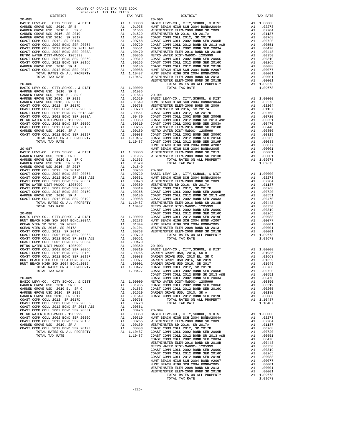| DISTRICT                                                                                                              |                                                                                                                                                                                                                                                                    | TAX RATE                                                                 |            |
|-----------------------------------------------------------------------------------------------------------------------|--------------------------------------------------------------------------------------------------------------------------------------------------------------------------------------------------------------------------------------------------------------------|--------------------------------------------------------------------------|------------|
| $20 - 085$                                                                                                            |                                                                                                                                                                                                                                                                    |                                                                          | $20 - 090$ |
| BASIC LEVY-CO., CITY, SCHOOL, & DIST                                                                                  |                                                                                                                                                                                                                                                                    |                                                                          |            |
| GARDEN GROVE USD, 2010, SR B                                                                                          |                                                                                                                                                                                                                                                                    |                                                                          |            |
| GARDEN GROVE USD, 2010 EL, SR C                                                                                       |                                                                                                                                                                                                                                                                    |                                                                          |            |
| GARDEN GROVE USD 2016, SR 2019                                                                                        |                                                                                                                                                                                                                                                                    |                                                                          |            |
| GARDEN GROVE USD 2016, SR 2017                                                                                        |                                                                                                                                                                                                                                                                    |                                                                          |            |
| COAST COMM COLL 2012, SR 2017D                                                                                        |                                                                                                                                                                                                                                                                    |                                                                          |            |
| COAST COMM COLL 2002 BOND SER 2006B                                                                                   |                                                                                                                                                                                                                                                                    |                                                                          |            |
|                                                                                                                       |                                                                                                                                                                                                                                                                    |                                                                          |            |
| COAST COMM COLL 2012 BOND SR 2013 A&B                                                                                 |                                                                                                                                                                                                                                                                    |                                                                          |            |
| COAST COMM COLL 2002 BOND SER 2003A                                                                                   |                                                                                                                                                                                                                                                                    |                                                                          |            |
| METRO WATER DIST-MWDOC- 1205999                                                                                       |                                                                                                                                                                                                                                                                    |                                                                          |            |
| COAST COMM COLL 2002 BOND SER 2006C<br>COAST COMM COLL 2012 BOND SER 2016C                                            |                                                                                                                                                                                                                                                                    |                                                                          |            |
|                                                                                                                       |                                                                                                                                                                                                                                                                    |                                                                          |            |
| GARDEN GROVE USD, 2010, SR A                                                                                          |                                                                                                                                                                                                                                                                    |                                                                          |            |
| GARDEN GRUVE USD, 2010, L<br>COAST COMM COLL 2012 BOMD SER 2019F                                                      |                                                                                                                                                                                                                                                                    |                                                                          |            |
| TOTAL RATES ON ALL PROPERTY                                                                                           |                                                                                                                                                                                                                                                                    |                                                                          |            |
|                                                                                                                       |                                                                                                                                                                                                                                                                    |                                                                          |            |
|                                                                                                                       | 20-090<br>A1 1.0000 BASIC L<br>A1 .01935 HINT BE<br>A1 .01935 HINT BE<br>A1 .01663 WESTMIN<br>A1 .01663 WESTMIN<br>A1 .01549 COAST C<br>A1 .00768 COAST C<br>A1 .00551 COAST C<br>A1 .00319 COAST C<br>A1 .00319 COAST C<br>A1 .00369 METRO WESTMIN<br>            |                                                                          |            |
|                                                                                                                       |                                                                                                                                                                                                                                                                    |                                                                          |            |
|                                                                                                                       |                                                                                                                                                                                                                                                                    |                                                                          |            |
|                                                                                                                       |                                                                                                                                                                                                                                                                    |                                                                          |            |
|                                                                                                                       |                                                                                                                                                                                                                                                                    |                                                                          |            |
|                                                                                                                       |                                                                                                                                                                                                                                                                    |                                                                          |            |
|                                                                                                                       |                                                                                                                                                                                                                                                                    |                                                                          |            |
|                                                                                                                       |                                                                                                                                                                                                                                                                    |                                                                          |            |
|                                                                                                                       |                                                                                                                                                                                                                                                                    |                                                                          |            |
|                                                                                                                       |                                                                                                                                                                                                                                                                    |                                                                          |            |
|                                                                                                                       |                                                                                                                                                                                                                                                                    |                                                                          |            |
|                                                                                                                       |                                                                                                                                                                                                                                                                    |                                                                          |            |
|                                                                                                                       |                                                                                                                                                                                                                                                                    |                                                                          |            |
|                                                                                                                       |                                                                                                                                                                                                                                                                    |                                                                          |            |
|                                                                                                                       |                                                                                                                                                                                                                                                                    |                                                                          |            |
|                                                                                                                       |                                                                                                                                                                                                                                                                    |                                                                          |            |
|                                                                                                                       |                                                                                                                                                                                                                                                                    |                                                                          |            |
|                                                                                                                       |                                                                                                                                                                                                                                                                    |                                                                          |            |
|                                                                                                                       |                                                                                                                                                                                                                                                                    |                                                                          |            |
|                                                                                                                       |                                                                                                                                                                                                                                                                    |                                                                          |            |
| $20 - 087$                                                                                                            | HUNT BE WESTMIN HUNT BE WESTMIN A1 .01935 WESTMIN<br>A1 .01935 WESTMIN<br>A1 .01663<br>A1 .01663<br>A1 .01549<br>A1 .00768 20-092<br>A1 .00768 BASIC L<br>A1 .0051 HUNT BE<br>A1 .00470 WESTMIN<br>A1 .00359 COAST C<br>A1 .00265 COAST C<br>A1 .00265 COAST C<br> |                                                                          | HUNT BE    |
| BASIC LEVY-CO., CITY, SCHOOL, & DIST                                                                                  |                                                                                                                                                                                                                                                                    |                                                                          |            |
| GARDEN GROVE USD, 2010, SR B                                                                                          |                                                                                                                                                                                                                                                                    |                                                                          |            |
| GARDEN GROVE USD, 2010 EL, SR C                                                                                       |                                                                                                                                                                                                                                                                    |                                                                          |            |
|                                                                                                                       |                                                                                                                                                                                                                                                                    |                                                                          |            |
| GARDEN GROVE USD 2016, SR 2019<br>GARDEN GROVE USD 2016, SR 2017                                                      |                                                                                                                                                                                                                                                                    |                                                                          |            |
|                                                                                                                       |                                                                                                                                                                                                                                                                    |                                                                          |            |
| COAST COMM COLL 2012, SR 2017D                                                                                        |                                                                                                                                                                                                                                                                    |                                                                          |            |
| COAST COMM COLL 2002 BOND SER 2006B                                                                                   |                                                                                                                                                                                                                                                                    |                                                                          |            |
| COAST COMM COLL 2012 BOND SR 2013 A&B                                                                                 |                                                                                                                                                                                                                                                                    |                                                                          |            |
| COAST COMM COLL 2002 BOND SER 2003A                                                                                   |                                                                                                                                                                                                                                                                    |                                                                          |            |
| METRO WATER DIST-MWDOC- 1205999                                                                                       |                                                                                                                                                                                                                                                                    |                                                                          |            |
| COAST COMM COLL 2002 BOND SER 2006C                                                                                   |                                                                                                                                                                                                                                                                    |                                                                          |            |
| COAST COMM COLL 2012 BOND SER 2016C                                                                                   |                                                                                                                                                                                                                                                                    |                                                                          |            |
| GARDEN GROVE USD, 2010, SR A                                                                                          |                                                                                                                                                                                                                                                                    |                                                                          |            |
| COAST COMM COLL 2012 BOND SER 2019F                                                                                   |                                                                                                                                                                                                                                                                    |                                                                          |            |
| DOTAL RATES ON ALL PROPERTY TOTAL RATES ON ALL PROPERTY                                                               |                                                                                                                                                                                                                                                                    |                                                                          |            |
| TOTAL TAX RATE                                                                                                        |                                                                                                                                                                                                                                                                    |                                                                          |            |
|                                                                                                                       |                                                                                                                                                                                                                                                                    |                                                                          | COAST C    |
| $20 - 088$                                                                                                            |                                                                                                                                                                                                                                                                    |                                                                          | COAST C    |
| BASIC LEVY-CO., CITY, SCHOOL, & DIST                                                                                  | Al 1.00000 COAST C<br>Al .02273 HUNT BE<br>Al .01244 HUNT BE<br>Al .01201 WESTMIN<br>Al .00768 WESTMIN<br>Al .00768 WESTMIN                                                                                                                                        |                                                                          |            |
| HUNT BEACH HIGH SCH 2004 BOND#2004A<br>OCEAN VIEW SD 2016 SP 2004 BOND#2004A                                          |                                                                                                                                                                                                                                                                    |                                                                          |            |
| OCEAN VIEW SD 2016, SR 2020B                                                                                          |                                                                                                                                                                                                                                                                    |                                                                          |            |
|                                                                                                                       |                                                                                                                                                                                                                                                                    |                                                                          |            |
| OCEAN VIEW SD 2016, SR 2017A                                                                                          |                                                                                                                                                                                                                                                                    |                                                                          |            |
| COAST COMM COLL 2012, SR 2017D                                                                                        |                                                                                                                                                                                                                                                                    |                                                                          |            |
| COAST COMM COLL 2002 BOND SER 2006B<br>COAST COMM COLL 2012 BOND SR 2013 A&B<br>COAST COMM COLL 2012 BOND SR 2013 A&B | AL 0.0768 WESTMIN<br>Al 0.0720<br>Al 0.09551<br>Al 0.0950 20-093<br>Al 0.0319 BASIC L<br>Al 0.0255 GARDEN<br>Al 0.0025 GARDEN<br>Al 0.00017 GARDEN<br>Al 0.00077 GARDEN<br>Al 0.00017 GARDEN<br>Al 0.00010 GARDEN<br>Al 0.00010 GARDEN                             |                                                                          |            |
|                                                                                                                       |                                                                                                                                                                                                                                                                    |                                                                          |            |
|                                                                                                                       |                                                                                                                                                                                                                                                                    |                                                                          |            |
| METRO WATER DIST-MWDOC- 1205999                                                                                       |                                                                                                                                                                                                                                                                    |                                                                          |            |
| COAST COMM COLL 2002 BOND SER 2006C                                                                                   |                                                                                                                                                                                                                                                                    |                                                                          |            |
|                                                                                                                       |                                                                                                                                                                                                                                                                    |                                                                          |            |
|                                                                                                                       |                                                                                                                                                                                                                                                                    |                                                                          |            |
|                                                                                                                       |                                                                                                                                                                                                                                                                    |                                                                          |            |
|                                                                                                                       |                                                                                                                                                                                                                                                                    |                                                                          |            |
|                                                                                                                       |                                                                                                                                                                                                                                                                    | A1 1.08427                                                               | COAST C    |
|                                                                                                                       |                                                                                                                                                                                                                                                                    | 1.08427                                                                  | COAST C    |
|                                                                                                                       |                                                                                                                                                                                                                                                                    |                                                                          | COAST C    |
| $20 - 089$                                                                                                            |                                                                                                                                                                                                                                                                    |                                                                          | COAST C    |
|                                                                                                                       |                                                                                                                                                                                                                                                                    |                                                                          |            |
| BASIC LEVY-CO., CITY, SCHOOL, & DIST                                                                                  |                                                                                                                                                                                                                                                                    | A1 1.00000 METRO W<br>A1 .01935 COAST C                                  |            |
| GARDEN GROVE USD, 2010, SR B                                                                                          |                                                                                                                                                                                                                                                                    |                                                                          |            |
| GARDEN GROVE USD, 2010 EL, SR C                                                                                       |                                                                                                                                                                                                                                                                    | A1 .01663                                                                | COAST C    |
| GARDEN GROVE USD 2016, SR 2019                                                                                        | A1                                                                                                                                                                                                                                                                 | .01629                                                                   | GARDEN     |
| GARDEN GROVE USD 2016, SR 2017                                                                                        | A1                                                                                                                                                                                                                                                                 | .01549                                                                   | COAST C    |
| COAST COMM COLL 2012, SR 2017D                                                                                        | A1                                                                                                                                                                                                                                                                 | .00768                                                                   |            |
| COAST COMM COLL 2002 BOND SER 2006B                                                                                   | A1                                                                                                                                                                                                                                                                 | .00720                                                                   |            |
| COAST COMM COLL 2012 BOND SR 2013 A&B                                                                                 |                                                                                                                                                                                                                                                                    | A1 .00551                                                                |            |
| COAST COMM COLL 2002 BOND SER 2003A                                                                                   |                                                                                                                                                                                                                                                                    | A1 .00470 20-094                                                         |            |
| METRO WATER DIST-MWDOC- 1205999                                                                                       |                                                                                                                                                                                                                                                                    | A1 .00350                                                                | BASIC L    |
| COAST COMM COLL 2002 BOND SER 2006C                                                                                   |                                                                                                                                                                                                                                                                    |                                                                          |            |
| COAST COMM COLL 2012 BOND SER 2016C                                                                                   |                                                                                                                                                                                                                                                                    | A1 .00550<br>A1 .00319 HUNT BE<br>A1 .00265 WESTMIN<br>A1 .00180 WESTMIN |            |
| GARDEN GROVE USD, 2010, SR A                                                                                          |                                                                                                                                                                                                                                                                    |                                                                          |            |
| COAST COMM COLL 2012 BOND SER 2019F                                                                                   |                                                                                                                                                                                                                                                                    | A1 .00180<br>A1 .00088                                                   |            |
| TOTAL RATES ON ALL PROPERTY                                                                                           |                                                                                                                                                                                                                                                                    | A1 .00088 COAST C<br>A1 1.10487 COAST C                                  |            |
|                                                                                                                       |                                                                                                                                                                                                                                                                    |                                                                          |            |

| COUNTY OF ORANGE TAX RATE BOOK<br>2020-2021 TRA TAX RATES |          |          |          |
|-----------------------------------------------------------|----------|----------|----------|
| DISTRICT                                                  | TAX RATE | DISTRICT | TAX RATE |
|                                                           |          |          |          |
|                                                           |          |          |          |
|                                                           |          |          |          |
|                                                           |          |          |          |
|                                                           |          |          |          |
|                                                           |          |          |          |
|                                                           |          |          |          |
|                                                           |          |          |          |
|                                                           |          |          |          |
|                                                           |          |          |          |
|                                                           |          |          |          |
|                                                           |          |          |          |
|                                                           |          |          |          |
|                                                           |          |          |          |
|                                                           |          |          |          |
|                                                           |          |          |          |
|                                                           |          |          |          |
|                                                           |          |          |          |
|                                                           |          |          |          |
|                                                           |          |          |          |
|                                                           |          |          |          |
|                                                           |          |          |          |
|                                                           |          |          |          |
|                                                           |          |          |          |
|                                                           |          |          |          |
|                                                           |          |          |          |
|                                                           |          |          |          |
|                                                           |          |          |          |
|                                                           |          |          |          |
|                                                           |          |          |          |
|                                                           |          |          |          |
|                                                           |          |          |          |
|                                                           |          |          |          |
|                                                           |          |          |          |
|                                                           |          |          |          |
|                                                           |          |          |          |
|                                                           |          |          |          |
|                                                           |          |          |          |
|                                                           |          |          |          |
|                                                           |          |          |          |
|                                                           |          |          |          |
|                                                           |          |          |          |
|                                                           |          |          |          |
|                                                           |          |          |          |
|                                                           |          |          |          |
|                                                           |          |          |          |
|                                                           |          |          |          |
|                                                           |          |          |          |
|                                                           |          |          |          |
|                                                           |          |          |          |
|                                                           |          |          |          |
|                                                           |          |          |          |
|                                                           |          |          |          |
|                                                           |          |          |          |
|                                                           |          |          |          |
|                                                           |          |          |          |
|                                                           |          |          |          |
|                                                           |          |          |          |
|                                                           |          |          |          |
|                                                           |          |          |          |
|                                                           |          |          |          |
|                                                           |          |          |          |
|                                                           |          |          |          |
|                                                           |          |          |          |
|                                                           |          |          |          |
|                                                           |          |          |          |
|                                                           |          |          |          |
|                                                           |          |          |          |
|                                                           |          |          |          |
|                                                           |          |          |          |
|                                                           |          |          |          |
|                                                           |          |          |          |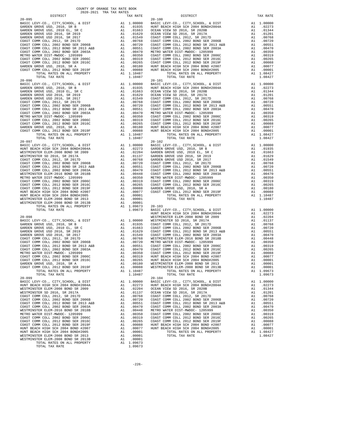| $20 - 095$<br>$\begin{tabular}{cc} \bf 1ST & \tt A1 & 1.00000 & \tt BASIC & \tt L0100 \\ \tt A1 & .01935 & \tt HUNIT BE \\ \tt A1 & .01663 & \tt OCEAN V \\ \tt A1 & .01629 & \tt CCEAN V \\ \tt A1 & .01549 & \tt COAST C \\ \tt A1 & .00780 & \tt COAST C \\ \tt 06B & \tt A1 & .00720 & \tt COAST C \\ \tt 03A & \tt A1 & .00551 & \tt COAST C \\ \tt 03A & \tt A1 & .00350 & \tt COAST C \\ \tt 06C & \tt A$ |                                                                                                                                                                                                                                                          |                                                        | $20 - 100$            |
|------------------------------------------------------------------------------------------------------------------------------------------------------------------------------------------------------------------------------------------------------------------------------------------------------------------------------------------------------------------------------------------------------------------|----------------------------------------------------------------------------------------------------------------------------------------------------------------------------------------------------------------------------------------------------------|--------------------------------------------------------|-----------------------|
| BASIC LEVY-CO., CITY, SCHOOL, & DIST                                                                                                                                                                                                                                                                                                                                                                             |                                                                                                                                                                                                                                                          |                                                        |                       |
| GARDEN GROVE USD, 2010, SR B<br>GARDEN GROVE USD, 2010 EL, SR C                                                                                                                                                                                                                                                                                                                                                  |                                                                                                                                                                                                                                                          |                                                        |                       |
| GARDEN GROVE USD 2016, SR 2019                                                                                                                                                                                                                                                                                                                                                                                   |                                                                                                                                                                                                                                                          |                                                        |                       |
| GARDEN GROVE USD 2016, SR 2017                                                                                                                                                                                                                                                                                                                                                                                   |                                                                                                                                                                                                                                                          |                                                        |                       |
| COAST COMM COLL 2012, SR 2017D                                                                                                                                                                                                                                                                                                                                                                                   |                                                                                                                                                                                                                                                          |                                                        |                       |
| COAST COMM COLL 2002 BOND SER 2006B                                                                                                                                                                                                                                                                                                                                                                              |                                                                                                                                                                                                                                                          |                                                        |                       |
| COAST COMM COLL 2012 BOND SR 2013 A&B<br>COAST COMM COLL 2012 BOND SR 2013 A&B                                                                                                                                                                                                                                                                                                                                   |                                                                                                                                                                                                                                                          |                                                        |                       |
| COAST COMM COLL 2002 BOND SER 2003A                                                                                                                                                                                                                                                                                                                                                                              |                                                                                                                                                                                                                                                          |                                                        |                       |
| METRO WATER DIST-MWDOC- 1205999                                                                                                                                                                                                                                                                                                                                                                                  |                                                                                                                                                                                                                                                          |                                                        |                       |
| COAST COMM COLL 2002 BOND SER 2006C<br>COAST COMM COLL 2012 BOND SER 2016C                                                                                                                                                                                                                                                                                                                                       |                                                                                                                                                                                                                                                          |                                                        |                       |
| GARDEN GROVE USD, 2010, SR A                                                                                                                                                                                                                                                                                                                                                                                     |                                                                                                                                                                                                                                                          |                                                        |                       |
| COAST COMM COLL 2012 BOND SER 2019F                                                                                                                                                                                                                                                                                                                                                                              |                                                                                                                                                                                                                                                          |                                                        |                       |
| TOTAL RATES ON ALL PROPERTY                                                                                                                                                                                                                                                                                                                                                                                      |                                                                                                                                                                                                                                                          |                                                        |                       |
| TOTAL TAX RATE                                                                                                                                                                                                                                                                                                                                                                                                   |                                                                                                                                                                                                                                                          | 1.10487                                                |                       |
| $20 - 096$                                                                                                                                                                                                                                                                                                                                                                                                       |                                                                                                                                                                                                                                                          |                                                        | $20 - 101$            |
|                                                                                                                                                                                                                                                                                                                                                                                                                  |                                                                                                                                                                                                                                                          |                                                        |                       |
|                                                                                                                                                                                                                                                                                                                                                                                                                  |                                                                                                                                                                                                                                                          |                                                        |                       |
|                                                                                                                                                                                                                                                                                                                                                                                                                  |                                                                                                                                                                                                                                                          |                                                        |                       |
|                                                                                                                                                                                                                                                                                                                                                                                                                  |                                                                                                                                                                                                                                                          |                                                        |                       |
|                                                                                                                                                                                                                                                                                                                                                                                                                  |                                                                                                                                                                                                                                                          |                                                        |                       |
|                                                                                                                                                                                                                                                                                                                                                                                                                  |                                                                                                                                                                                                                                                          |                                                        |                       |
|                                                                                                                                                                                                                                                                                                                                                                                                                  |                                                                                                                                                                                                                                                          |                                                        |                       |
|                                                                                                                                                                                                                                                                                                                                                                                                                  |                                                                                                                                                                                                                                                          |                                                        |                       |
|                                                                                                                                                                                                                                                                                                                                                                                                                  |                                                                                                                                                                                                                                                          |                                                        |                       |
|                                                                                                                                                                                                                                                                                                                                                                                                                  |                                                                                                                                                                                                                                                          |                                                        |                       |
|                                                                                                                                                                                                                                                                                                                                                                                                                  |                                                                                                                                                                                                                                                          |                                                        |                       |
|                                                                                                                                                                                                                                                                                                                                                                                                                  |                                                                                                                                                                                                                                                          |                                                        |                       |
|                                                                                                                                                                                                                                                                                                                                                                                                                  |                                                                                                                                                                                                                                                          |                                                        |                       |
| TOTAL TAX RATE                                                                                                                                                                                                                                                                                                                                                                                                   | 1.10487<br>1.10487<br>20-102<br>A1 1.00000 BASIC L<br>A1 .02273 GARDEN<br>A1 .02273 GARDEN<br>A1 .00730 GARDEN<br>A1 .00751 GARDEN<br>A1 .00751 COAST C<br>A1 .00551 COAST C<br>A1 .00448 COAST C<br>A1 .00350 METRO W<br>A1 .00350 METRO W<br>A1 .00350 | 1.10487                                                |                       |
| $20 - 097$                                                                                                                                                                                                                                                                                                                                                                                                       |                                                                                                                                                                                                                                                          |                                                        |                       |
| BASIC LEVY-CO., CITY, SCHOOL, & DIST                                                                                                                                                                                                                                                                                                                                                                             |                                                                                                                                                                                                                                                          |                                                        |                       |
| HUNT BEACH HIGH SCH 2004 BOND#2004A<br>WESTMINSTER ELEM-2008 BOND SR 2009                                                                                                                                                                                                                                                                                                                                        |                                                                                                                                                                                                                                                          |                                                        |                       |
| WESTMINSTER SD 2016, SR 2017A                                                                                                                                                                                                                                                                                                                                                                                    |                                                                                                                                                                                                                                                          |                                                        |                       |
| COAST COMM COLL 2012, SR 2017D                                                                                                                                                                                                                                                                                                                                                                                   |                                                                                                                                                                                                                                                          |                                                        |                       |
| COAST COMM COLL 2002 BOND SER 2006B                                                                                                                                                                                                                                                                                                                                                                              |                                                                                                                                                                                                                                                          |                                                        |                       |
| COAST COMM COLL 2012 BOND SR 2013 A&B                                                                                                                                                                                                                                                                                                                                                                            |                                                                                                                                                                                                                                                          |                                                        |                       |
| COAST COMM COLL 2002 BOND SER 2003A                                                                                                                                                                                                                                                                                                                                                                              |                                                                                                                                                                                                                                                          |                                                        |                       |
| WESTMINSTER ELEM-2016 BOND SR 2018B                                                                                                                                                                                                                                                                                                                                                                              |                                                                                                                                                                                                                                                          |                                                        |                       |
| METRO WATER DIST-MWDOC- 1205999                                                                                                                                                                                                                                                                                                                                                                                  |                                                                                                                                                                                                                                                          |                                                        |                       |
| COAST COMM COLL 2002 BOND SER 2006C<br>COAST COMM COLL 2012 BOND SER 2016C                                                                                                                                                                                                                                                                                                                                       |                                                                                                                                                                                                                                                          |                                                        |                       |
| COAST COMM COLL 2012 BOND SER 2019F                                                                                                                                                                                                                                                                                                                                                                              |                                                                                                                                                                                                                                                          |                                                        |                       |
| HUNT BEACH HIGH SCH 2004 BOND #2007                                                                                                                                                                                                                                                                                                                                                                              |                                                                                                                                                                                                                                                          |                                                        |                       |
| HUNT BEACH HIGH SCH 2004 BOND#2005                                                                                                                                                                                                                                                                                                                                                                               |                                                                                                                                                                                                                                                          |                                                        |                       |
| WESTMINSTER ELEM-2008 BOND SR 2013                                                                                                                                                                                                                                                                                                                                                                               |                                                                                                                                                                                                                                                          |                                                        |                       |
| WESTMINSTER ELEM-2006 BOND SR 2013<br>WESTMINSTER ELEM-2008 BOND SR 2013B<br>TOTAL RATES ON ALL PROPERTY                                                                                                                                                                                                                                                                                                         |                                                                                                                                                                                                                                                          |                                                        |                       |
| TOTAL RATES ON ALL PROPERTY                                                                                                                                                                                                                                                                                                                                                                                      |                                                                                                                                                                                                                                                          |                                                        |                       |
| TOTAL TAX RATE                                                                                                                                                                                                                                                                                                                                                                                                   |                                                                                                                                                                                                                                                          |                                                        |                       |
| $20 - 098$                                                                                                                                                                                                                                                                                                                                                                                                       |                                                                                                                                                                                                                                                          |                                                        | HUNT BE<br>WESTMIN    |
|                                                                                                                                                                                                                                                                                                                                                                                                                  |                                                                                                                                                                                                                                                          |                                                        |                       |
|                                                                                                                                                                                                                                                                                                                                                                                                                  |                                                                                                                                                                                                                                                          |                                                        |                       |
|                                                                                                                                                                                                                                                                                                                                                                                                                  |                                                                                                                                                                                                                                                          |                                                        |                       |
|                                                                                                                                                                                                                                                                                                                                                                                                                  |                                                                                                                                                                                                                                                          |                                                        |                       |
|                                                                                                                                                                                                                                                                                                                                                                                                                  |                                                                                                                                                                                                                                                          |                                                        |                       |
|                                                                                                                                                                                                                                                                                                                                                                                                                  |                                                                                                                                                                                                                                                          |                                                        |                       |
|                                                                                                                                                                                                                                                                                                                                                                                                                  |                                                                                                                                                                                                                                                          |                                                        |                       |
|                                                                                                                                                                                                                                                                                                                                                                                                                  |                                                                                                                                                                                                                                                          |                                                        |                       |
|                                                                                                                                                                                                                                                                                                                                                                                                                  |                                                                                                                                                                                                                                                          |                                                        |                       |
|                                                                                                                                                                                                                                                                                                                                                                                                                  |                                                                                                                                                                                                                                                          |                                                        |                       |
|                                                                                                                                                                                                                                                                                                                                                                                                                  |                                                                                                                                                                                                                                                          |                                                        |                       |
|                                                                                                                                                                                                                                                                                                                                                                                                                  |                                                                                                                                                                                                                                                          |                                                        |                       |
|                                                                                                                                                                                                                                                                                                                                                                                                                  |                                                                                                                                                                                                                                                          |                                                        |                       |
| TOTAL RATES ON ALL PROPERTY                                                                                                                                                                                                                                                                                                                                                                                      |                                                                                                                                                                                                                                                          | A1 1.10487                                             |                       |
| TOTAL TAX RATE                                                                                                                                                                                                                                                                                                                                                                                                   |                                                                                                                                                                                                                                                          | 1.10487                                                |                       |
| $20 - 099$<br>BASIC LEVY-CO., CITY, SCHOOL, & DIST                                                                                                                                                                                                                                                                                                                                                               | A1                                                                                                                                                                                                                                                       | 1.00000                                                | $20 - 104$<br>BASIC L |
| HUNT BEACH HIGH SCH 2004 BOND#2004A                                                                                                                                                                                                                                                                                                                                                                              |                                                                                                                                                                                                                                                          | A1 .02273                                              | HUNT BE               |
| WESTMINSTER ELEM-2008 BOND SR 2009                                                                                                                                                                                                                                                                                                                                                                               | A1                                                                                                                                                                                                                                                       | .02204                                                 | OCEAN V               |
| WESTMINSTER SD 2016, SR 2017A                                                                                                                                                                                                                                                                                                                                                                                    | A1                                                                                                                                                                                                                                                       | .01137                                                 | OCEAN V               |
| COAST COMM COLL 2012, SR 2017D                                                                                                                                                                                                                                                                                                                                                                                   | A1                                                                                                                                                                                                                                                       | .00768                                                 | COAST C               |
| COAST COMM COLL 2002 BOND SER 2006B                                                                                                                                                                                                                                                                                                                                                                              | A1                                                                                                                                                                                                                                                       | .00720                                                 | COAST C               |
| COAST COMM COLL 2012 BOND SR 2013 A&B                                                                                                                                                                                                                                                                                                                                                                            | A1                                                                                                                                                                                                                                                       | .00551                                                 | COAST C               |
| COAST COMM COLL 2002 BOND SER 2003A                                                                                                                                                                                                                                                                                                                                                                              |                                                                                                                                                                                                                                                          | A1 .00551 COAST<br>A1 .00470 COAST<br>A1 .00448 METROW |                       |
| WESTMINSTER ELEM-2016 BOND SR 2018B                                                                                                                                                                                                                                                                                                                                                                              |                                                                                                                                                                                                                                                          |                                                        |                       |
|                                                                                                                                                                                                                                                                                                                                                                                                                  |                                                                                                                                                                                                                                                          |                                                        |                       |
| METRO WATER DIST-MWDOC- 1205999                                                                                                                                                                                                                                                                                                                                                                                  | A1                                                                                                                                                                                                                                                       | .00350                                                 | COAST C               |
| COAST COMM COLL 2002 BOND SER 2006C<br>COAST COMM COLL 2012 BOND SER 2016C                                                                                                                                                                                                                                                                                                                                       | A1<br>A1                                                                                                                                                                                                                                                 | .00319<br>.00265                                       | COAST C<br>COAST C    |

| DISTRICT   | TAX RATE | DISTRICT   | TAX RATE |
|------------|----------|------------|----------|
| $20 - 095$ |          | $20 - 100$ |          |
|            |          |            |          |
|            |          |            |          |
|            |          |            |          |
|            |          |            |          |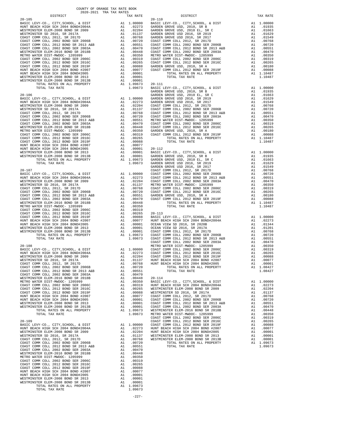| METRO WATER DIST-MWDOC- 1205999       | A1                                                                                                                                                                                                                            | .00350     |
|---------------------------------------|-------------------------------------------------------------------------------------------------------------------------------------------------------------------------------------------------------------------------------|------------|
| COAST COMM COLL 2002 BOND SER 2006C   | A1 and a set of the set of the set of the set of the set of the set of the set of the set of the set of the set of the set of the set of the set of the set of the set of the set of the set of the set of the set of the set | .00319     |
| COAST COMM COLL 2012 BOND SER 2016C   | A1                                                                                                                                                                                                                            | .00265     |
| COAST COMM COLL 2012 BOND SER 2019F   | A1                                                                                                                                                                                                                            | .00088     |
| HUNT BEACH HIGH SCH 2004 BOND #2007   | A1                                                                                                                                                                                                                            | .00077     |
| HUNT BEACH HIGH SCH 2004 BOND#2005    | A1                                                                                                                                                                                                                            | .00001     |
| WESTMINSTER ELEM-2008 BOND SR 2013    | A1                                                                                                                                                                                                                            | .00001     |
| WESTMINSTER ELEM-2008 BOND SR 2013B   |                                                                                                                                                                                                                               | A1 .00001  |
| TOTAL RATES ON ALL PROPERTY           |                                                                                                                                                                                                                               | A1 1.09673 |
| TOTAL TAX RATE                        |                                                                                                                                                                                                                               | 1.09673    |
|                                       |                                                                                                                                                                                                                               |            |
| $20 - 109$                            |                                                                                                                                                                                                                               |            |
| BASIC LEVY-CO., CITY, SCHOOL, & DIST  |                                                                                                                                                                                                                               | A1 1.00000 |
| HUNT BEACH HIGH SCH 2004 BOND#2004A   |                                                                                                                                                                                                                               | A1 .02273  |
| WESTMINSTER ELEM-2008 BOND SR 2009    | A1                                                                                                                                                                                                                            | .02204     |
| WESTMINSTER SD 2016, SR 2017A         | A1                                                                                                                                                                                                                            | .01137     |
| COAST COMM COLL 2012, SR 2017D        | A1                                                                                                                                                                                                                            | .00768     |
| COAST COMM COLL 2002 BOND SER 2006B   | A1                                                                                                                                                                                                                            | .00720     |
| COAST COMM COLL 2012 BOND SR 2013 A&B | A1                                                                                                                                                                                                                            | .00551     |
| COAST COMM COLL 2002 BOND SER 2003A   | A1                                                                                                                                                                                                                            | .00470     |
| WESTMINSTER ELEM-2016 BOND SR 2018B   | A1                                                                                                                                                                                                                            | .00448     |
| METRO WATER DIST-MWDOC- 1205999       | A1                                                                                                                                                                                                                            | .00350     |
| COAST COMM COLL 2002 BOND SER 2006C   | A1                                                                                                                                                                                                                            | .00319     |
| COAST COMM COLL 2012 BOND SER 2016C   | A1                                                                                                                                                                                                                            | .00265     |
| COAST COMM COLL 2012 BOND SER 2019F   | A1                                                                                                                                                                                                                            | .00088     |
| HUNT BEACH HIGH SCH 2004 BOND #2007   | A1                                                                                                                                                                                                                            | .00077     |
| HUNT BEACH HIGH SCH 2004 BOND#2005    | A1                                                                                                                                                                                                                            | .00001     |
| WESTMINSTER ELEM-2008 BOND SR 2013    | A1                                                                                                                                                                                                                            | .00001     |
| WESTMINSTER ELEM-2008 BOND SR 2013B   | A1                                                                                                                                                                                                                            | .00001     |
| TOTAL RATES ON ALL PROPERTY           | A1                                                                                                                                                                                                                            | 1.09673    |
| TOTAL TAX RATE                        |                                                                                                                                                                                                                               | 1.09673    |

| DISTRICT | TAX RATE | DISTRICT | TAX RATE |
|----------|----------|----------|----------|
|          |          |          |          |
|          |          |          |          |
|          |          |          |          |
|          |          |          |          |
|          |          |          |          |
|          |          |          |          |
|          |          |          |          |
|          |          |          |          |
|          |          |          |          |
|          |          |          |          |
|          |          |          |          |
|          |          |          |          |
|          |          |          |          |
|          |          |          |          |
|          |          |          |          |
|          |          |          |          |
|          |          |          |          |
|          |          |          |          |
|          |          |          |          |
|          |          |          |          |
|          |          |          |          |
|          |          |          |          |
|          |          |          |          |
|          |          |          |          |
|          |          |          |          |
|          |          |          |          |
|          |          |          |          |
|          |          |          |          |
|          |          |          |          |
|          |          |          |          |
|          |          |          |          |
|          |          |          |          |
|          |          |          |          |
|          |          |          |          |
|          |          |          |          |
|          |          |          |          |
|          |          |          |          |
|          |          |          |          |
|          |          |          |          |
|          |          |          |          |
|          |          |          |          |
|          |          |          |          |
|          |          |          |          |
|          |          |          |          |
|          |          |          |          |
|          |          |          |          |
|          |          |          |          |
|          |          |          |          |
|          |          |          |          |
|          |          |          |          |
|          |          |          |          |
|          |          |          |          |
|          |          |          |          |
|          |          |          |          |
|          |          |          |          |
|          |          |          |          |
|          |          |          |          |
|          |          |          |          |
|          |          |          |          |
|          |          |          |          |
|          |          |          |          |
|          |          |          |          |
|          |          |          |          |
|          |          |          |          |
|          |          |          |          |
|          |          |          |          |
|          |          |          |          |
|          |          |          |          |
|          |          |          |          |
|          |          |          |          |
|          |          |          |          |
|          |          |          |          |
|          |          |          |          |
|          |          |          |          |
|          |          |          |          |
|          |          |          |          |
|          |          |          |          |
|          |          |          |          |
|          |          |          |          |
|          |          |          |          |
|          |          |          |          |
|          |          |          |          |
|          |          |          |          |
|          |          |          |          |
|          |          |          |          |
|          |          |          |          |
|          |          |          |          |
|          |          |          |          |
|          |          |          |          |
|          |          |          |          |
|          |          |          |          |
|          |          |          |          |
|          |          |          |          |
|          |          |          |          |
|          |          |          |          |
|          |          |          |          |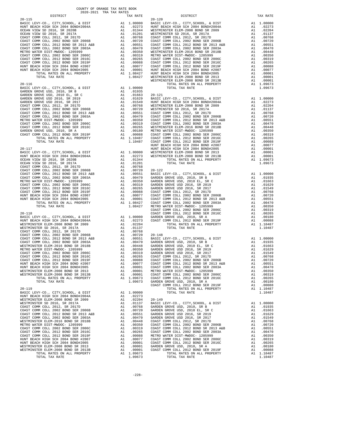| DIPIKICI                                                                                                                                                                                                                                                                                                                                                                                                                                                                                                                                                                                                                                                                                                                                                                                                                                                                                                                                                                                        |                            | IAA KAIL                                                                                                                                                                                                                                                                                                                                         |                                           |
|-------------------------------------------------------------------------------------------------------------------------------------------------------------------------------------------------------------------------------------------------------------------------------------------------------------------------------------------------------------------------------------------------------------------------------------------------------------------------------------------------------------------------------------------------------------------------------------------------------------------------------------------------------------------------------------------------------------------------------------------------------------------------------------------------------------------------------------------------------------------------------------------------------------------------------------------------------------------------------------------------|----------------------------|--------------------------------------------------------------------------------------------------------------------------------------------------------------------------------------------------------------------------------------------------------------------------------------------------------------------------------------------------|-------------------------------------------|
| $20 - 115$                                                                                                                                                                                                                                                                                                                                                                                                                                                                                                                                                                                                                                                                                                                                                                                                                                                                                                                                                                                      |                            |                                                                                                                                                                                                                                                                                                                                                  | $20 - 120$<br>WESTMIN                     |
| $20 - 116$<br>BASIC LEVY-CO., CITY, SCHOOL, & DIST<br>BASIC LEVY-CO., CITY, CONSIDER SARDEN GROVE USD, 2010, SR B                                                                                                                                                                                                                                                                                                                                                                                                                                                                                                                                                                                                                                                                                                                                                                                                                                                                               |                            | A1 1.00000                                                                                                                                                                                                                                                                                                                                       |                                           |
| $20 - 117$<br>BASIC LEVY-CO., CITY, SCHOOL, & DIST<br>, CILI, SCHOOL, & DIST<br>HUNT BEACH HIGH SCH 2004 BOND#2004A<br>OCEAN VIEW SD 2016, SR 2020B                                                                                                                                                                                                                                                                                                                                                                                                                                                                                                                                                                                                                                                                                                                                                                                                                                             |                            |                                                                                                                                                                                                                                                                                                                                                  | HUNT BE                                   |
| $20 - 118$<br>BASIC LEVY-CO., CITY, SCHOOL, & DIST<br>HUNT BEACH HIGH SCH 2004 BOND#2004A<br>WESTMINSTER ELEM-2008 BOND SR 2004<br>WESTMINSTER SD 2016, SR 2017A<br>A1 .02204<br>A1 .001768<br>A1 .001768<br>A1 .00768<br>A1 .00551 BASIC L<br>A1 .00551 BASIC L<br>A1 .00470 GARDEN<br>A1 .00350 GARDEN<br>A1 .00350 GARDEN<br>A1 .00359 GARDEN<br>A1 .00265 COAST C<br>A1 .00068 COAST C<br>A1 .00088 COAST C<br>A1 .00088<br>COAST COMM COLL 2012, SR 2017D<br>COAST COMM COLL 2002 BOND SER 2006B<br>COAST COMM COLL 2012 BOND SR 2013 A&B<br>COAST COMM COLL 2002 BOND SER 2003A<br>WESTMINSTER ELEM-2016 BOND SR 2018B<br>METRO WATER DIST-MWDOC- 1205999<br>COAST COMM COLL 2002 BOND SER 2006C<br>COAST COMM COLL 2012 BOND SER 2016C<br>COAST COMM COLL 2012 BOND SER 2019F<br>HUNT BEACH HIGH SCH 2004 BOND #2007<br>HUNT BEACH HIGH SCH 2004 BOND#2005<br>WESTMINSTER ELEM-2008 BOND SR 2013<br>WESTMINSTER ELEM-2008 BOND SR 2013B<br>TOTAL RATES ON ALL PROPERTY<br>TOTAL TAX RATE |                            | A1 1.00000 GARDEN<br>A1 .02273 COAST C<br>A1 .02204<br>A1 .00001 COAST C<br>A1 .00001 COAST C<br>A1 .00001 METRO W<br>A1 .00001 COAST C<br>A1 1.09673 COAST C<br>1.09673 GARDEM                                                                                                                                                                  | COAST C<br>COAST C<br>COAST C             |
| $20 - 119$<br>BASIC LEVY-CO., CITY, SCHOOL, & DIST<br>HUNT BEACH HIGH SCH 2004 BOND#2004A<br>WESTMINSTER ELEM-2008 BOND SR 2009<br>WESTMINSTER SD 2016, SR 2017A<br>COAST COMM COLL 2012, SR 2017D<br>COAST COMM COLL 2002 BOND SER 2006B<br>COAST COMM COLL 2012 BOND SR 2013 A&B<br>COAST COMM COLL 2002 BOND SER 2003A<br>WESTMINSTER ELEM-2016 BOND SR 2018B<br>METRO WATER DIST-MWDOC- 1205999<br>COAST COMM COLL 2002 BOND SER 2006C<br>COAST COMM COLL 2012 BOND SER 2016C<br>COAST COMM COLL 2012 BOND SER 2019F<br>HUNT BEACH HIGH SCH 2004 BOND #2007<br>HUNT BEACH HIGH SCH 2004 BOND#2005<br>WESTMINSTER ELEM-2008 BOND SR 2013<br>WESTMINSTER ELEM-2008 BOND SR 2013B<br>TOTAL RATES ON ALL PROPERTY                                                                                                                                                                                                                                                                               | A1<br>A1<br>A1<br>A1<br>A1 | 1.00000<br>A1 .02273<br>.02204<br>.01137<br>.00768<br>.00720<br>A1 .00720 GARDEN<br>A1 .00551 GARDEN<br>A1 .00470 GARDEN<br>A1 .00470 GARDEN<br>A1 .00350 COAST C<br>A1 .00319 COAST C<br>A1 .00305 COAST C<br>A1 .00088 METRO W<br>A1 .00007 COAST C<br>A1 .00001 COAST C<br>A1 .00001 COAST C<br>A1 .00001 GARDEN<br>A1 .00001 G<br>A1 1.09673 | $20 - 149$<br>BASIC L<br>GARDEN<br>GARDEN |

| DISTRICT | 2020-2021 TRA TAX RATES | TAX RATE | DISTRICT                                                                                                                                                                                                                                | TAX RATE |
|----------|-------------------------|----------|-----------------------------------------------------------------------------------------------------------------------------------------------------------------------------------------------------------------------------------------|----------|
|          |                         |          | $20 - 120$                                                                                                                                                                                                                              |          |
|          |                         |          |                                                                                                                                                                                                                                         |          |
|          |                         |          |                                                                                                                                                                                                                                         |          |
|          |                         |          |                                                                                                                                                                                                                                         |          |
|          |                         |          |                                                                                                                                                                                                                                         |          |
|          |                         |          |                                                                                                                                                                                                                                         |          |
|          |                         |          |                                                                                                                                                                                                                                         |          |
|          |                         |          |                                                                                                                                                                                                                                         |          |
|          |                         |          |                                                                                                                                                                                                                                         |          |
|          |                         |          |                                                                                                                                                                                                                                         |          |
|          |                         |          |                                                                                                                                                                                                                                         |          |
|          |                         |          |                                                                                                                                                                                                                                         |          |
|          |                         |          |                                                                                                                                                                                                                                         |          |
|          |                         |          |                                                                                                                                                                                                                                         |          |
|          |                         |          |                                                                                                                                                                                                                                         |          |
|          |                         |          |                                                                                                                                                                                                                                         |          |
|          |                         |          |                                                                                                                                                                                                                                         |          |
|          |                         |          |                                                                                                                                                                                                                                         |          |
|          |                         |          |                                                                                                                                                                                                                                         |          |
|          |                         |          |                                                                                                                                                                                                                                         |          |
|          |                         |          |                                                                                                                                                                                                                                         |          |
|          |                         |          |                                                                                                                                                                                                                                         |          |
|          |                         |          |                                                                                                                                                                                                                                         |          |
|          |                         |          |                                                                                                                                                                                                                                         |          |
|          |                         |          |                                                                                                                                                                                                                                         |          |
|          |                         |          |                                                                                                                                                                                                                                         |          |
|          |                         |          |                                                                                                                                                                                                                                         |          |
|          |                         |          |                                                                                                                                                                                                                                         |          |
|          |                         |          |                                                                                                                                                                                                                                         |          |
|          |                         |          |                                                                                                                                                                                                                                         |          |
|          |                         |          |                                                                                                                                                                                                                                         |          |
|          |                         |          |                                                                                                                                                                                                                                         |          |
|          |                         |          |                                                                                                                                                                                                                                         |          |
|          |                         |          |                                                                                                                                                                                                                                         |          |
|          |                         |          |                                                                                                                                                                                                                                         |          |
|          |                         |          |                                                                                                                                                                                                                                         |          |
|          |                         |          |                                                                                                                                                                                                                                         |          |
|          |                         |          |                                                                                                                                                                                                                                         |          |
|          |                         |          |                                                                                                                                                                                                                                         |          |
|          |                         |          |                                                                                                                                                                                                                                         |          |
|          |                         |          |                                                                                                                                                                                                                                         |          |
|          |                         |          |                                                                                                                                                                                                                                         |          |
|          |                         |          |                                                                                                                                                                                                                                         |          |
|          |                         |          |                                                                                                                                                                                                                                         |          |
|          |                         |          |                                                                                                                                                                                                                                         |          |
|          |                         |          |                                                                                                                                                                                                                                         |          |
|          |                         |          |                                                                                                                                                                                                                                         |          |
|          |                         |          |                                                                                                                                                                                                                                         |          |
|          |                         |          |                                                                                                                                                                                                                                         |          |
|          |                         |          |                                                                                                                                                                                                                                         |          |
|          |                         |          |                                                                                                                                                                                                                                         |          |
|          |                         |          |                                                                                                                                                                                                                                         |          |
|          |                         |          |                                                                                                                                                                                                                                         |          |
|          |                         |          |                                                                                                                                                                                                                                         |          |
|          |                         |          |                                                                                                                                                                                                                                         |          |
|          |                         |          |                                                                                                                                                                                                                                         |          |
|          |                         |          |                                                                                                                                                                                                                                         |          |
|          |                         |          |                                                                                                                                                                                                                                         |          |
|          |                         |          |                                                                                                                                                                                                                                         |          |
|          |                         |          |                                                                                                                                                                                                                                         |          |
|          |                         |          |                                                                                                                                                                                                                                         |          |
|          |                         |          |                                                                                                                                                                                                                                         |          |
|          |                         |          |                                                                                                                                                                                                                                         |          |
|          |                         |          |                                                                                                                                                                                                                                         |          |
|          |                         |          |                                                                                                                                                                                                                                         |          |
|          |                         |          |                                                                                                                                                                                                                                         |          |
|          |                         |          |                                                                                                                                                                                                                                         |          |
|          |                         |          |                                                                                                                                                                                                                                         |          |
|          |                         |          |                                                                                                                                                                                                                                         |          |
|          |                         |          |                                                                                                                                                                                                                                         |          |
|          |                         |          |                                                                                                                                                                                                                                         |          |
|          |                         |          |                                                                                                                                                                                                                                         |          |
|          |                         |          |                                                                                                                                                                                                                                         |          |
|          |                         |          |                                                                                                                                                                                                                                         |          |
|          |                         |          |                                                                                                                                                                                                                                         |          |
|          |                         |          |                                                                                                                                                                                                                                         |          |
|          |                         |          |                                                                                                                                                                                                                                         |          |
|          |                         |          |                                                                                                                                                                                                                                         |          |
|          |                         |          | COAST COME COLL 2013 RODE SE 2016 12.0223<br>COAST COME COLL 2012 ROBD SER 2019<br>IN 1.0023 ROD SER 2016 12.023 ROBD SER 2017<br>MESTINIERE RELEAT-2009 BORD SER 2019<br>MESTINIERE RELEAT-2009 BORD SER 2013<br>MESTINIERE RELEAT-200 |          |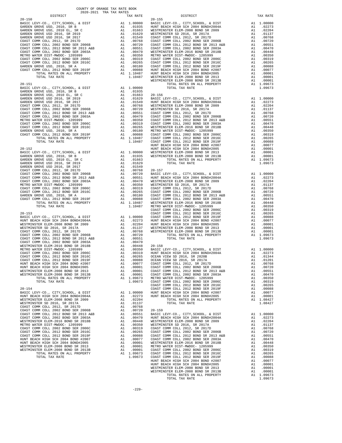| $20 - 150$                                                                                                          |                                                                                                                                                                                                                                                         |                                                                                                                                                                                                                                                                      | $20 - 155$ |
|---------------------------------------------------------------------------------------------------------------------|---------------------------------------------------------------------------------------------------------------------------------------------------------------------------------------------------------------------------------------------------------|----------------------------------------------------------------------------------------------------------------------------------------------------------------------------------------------------------------------------------------------------------------------|------------|
|                                                                                                                     |                                                                                                                                                                                                                                                         |                                                                                                                                                                                                                                                                      |            |
|                                                                                                                     |                                                                                                                                                                                                                                                         |                                                                                                                                                                                                                                                                      |            |
|                                                                                                                     |                                                                                                                                                                                                                                                         |                                                                                                                                                                                                                                                                      |            |
|                                                                                                                     |                                                                                                                                                                                                                                                         |                                                                                                                                                                                                                                                                      |            |
|                                                                                                                     |                                                                                                                                                                                                                                                         |                                                                                                                                                                                                                                                                      |            |
|                                                                                                                     |                                                                                                                                                                                                                                                         |                                                                                                                                                                                                                                                                      |            |
|                                                                                                                     |                                                                                                                                                                                                                                                         |                                                                                                                                                                                                                                                                      |            |
|                                                                                                                     |                                                                                                                                                                                                                                                         |                                                                                                                                                                                                                                                                      |            |
|                                                                                                                     |                                                                                                                                                                                                                                                         |                                                                                                                                                                                                                                                                      |            |
|                                                                                                                     |                                                                                                                                                                                                                                                         |                                                                                                                                                                                                                                                                      |            |
|                                                                                                                     |                                                                                                                                                                                                                                                         |                                                                                                                                                                                                                                                                      |            |
|                                                                                                                     |                                                                                                                                                                                                                                                         |                                                                                                                                                                                                                                                                      |            |
|                                                                                                                     |                                                                                                                                                                                                                                                         |                                                                                                                                                                                                                                                                      |            |
|                                                                                                                     |                                                                                                                                                                                                                                                         |                                                                                                                                                                                                                                                                      | WESTMIN    |
| $20 - 151$                                                                                                          |                                                                                                                                                                                                                                                         |                                                                                                                                                                                                                                                                      |            |
| BASIC LEVY-CO., CITY, SCHOOL, & DIST                                                                                |                                                                                                                                                                                                                                                         | A1 1.00000                                                                                                                                                                                                                                                           |            |
| GARDEN GROVE USD, 2010, SR B                                                                                        |                                                                                                                                                                                                                                                         | A1 .01935                                                                                                                                                                                                                                                            |            |
| GARDEN GROVE USD, 2010 EL, SR C                                                                                     |                                                                                                                                                                                                                                                         |                                                                                                                                                                                                                                                                      |            |
| GARDEN GROVE USD 2016, SR 2019<br>GARDEN GROVE USD 2016, SR 2017                                                    |                                                                                                                                                                                                                                                         |                                                                                                                                                                                                                                                                      |            |
| COAST COMM COLL 2012, SR 2017D                                                                                      |                                                                                                                                                                                                                                                         |                                                                                                                                                                                                                                                                      |            |
| COAST COMM COLL 2002 BOND SER 2006B                                                                                 |                                                                                                                                                                                                                                                         | Al .01935<br>Al .01639<br>Al .01659<br>Al .01629<br>Al .01549<br>HUNT BE<br>Al .00750<br>Al .00750<br>MESTMIN<br>Al .00751<br>COAST COAST C<br>Al .00310<br>COAST COAST C<br>Al .00319<br>COAST COAST C<br>Al .00319<br>COAST C<br>Al .00265<br>Al .00265<br>MESTMIN |            |
| COAST COMM COLL 2012 BOND SR 2013 A&B<br>COAST COMM COLL 2012 BOND SR 2013 A&B                                      |                                                                                                                                                                                                                                                         |                                                                                                                                                                                                                                                                      |            |
|                                                                                                                     |                                                                                                                                                                                                                                                         |                                                                                                                                                                                                                                                                      |            |
| METRO WATER DIST-MWDOC- 1205999<br>COAST COMM COLL 2002 BOND SER 2006C                                              |                                                                                                                                                                                                                                                         |                                                                                                                                                                                                                                                                      |            |
| COAST COMM COLL 2012 BOND SER 2016C                                                                                 |                                                                                                                                                                                                                                                         |                                                                                                                                                                                                                                                                      |            |
| GARDEN GROVE USD, 2010, SR A                                                                                        |                                                                                                                                                                                                                                                         |                                                                                                                                                                                                                                                                      |            |
| COAST COMM COLL 2012 BOND SER 2019F                                                                                 |                                                                                                                                                                                                                                                         |                                                                                                                                                                                                                                                                      |            |
| TOTAL RATES ON ALL PROPERTY                                                                                         |                                                                                                                                                                                                                                                         |                                                                                                                                                                                                                                                                      |            |
| TOTAL TAX RATE                                                                                                      |                                                                                                                                                                                                                                                         |                                                                                                                                                                                                                                                                      |            |
|                                                                                                                     |                                                                                                                                                                                                                                                         |                                                                                                                                                                                                                                                                      | HUNT BE    |
| $20 - 152$<br>BASIC LEVY-CO., CITY, SCHOOL, & DIST                                                                  |                                                                                                                                                                                                                                                         |                                                                                                                                                                                                                                                                      | HUNT BE    |
| GARDEN GROVE USD, 2010, SR B                                                                                        |                                                                                                                                                                                                                                                         | A1 1.00000 WESTMIN<br>A1 .01935 WESTMIN                                                                                                                                                                                                                              |            |
| GARDEN GROVE USD, 2010 EL, SR C                                                                                     |                                                                                                                                                                                                                                                         | A1 .01663                                                                                                                                                                                                                                                            |            |
| GARDEN GROVE USD 2016, SR 2019                                                                                      |                                                                                                                                                                                                                                                         | A1 .01629                                                                                                                                                                                                                                                            |            |
| GARDEN GROVE USD 2016, SR 2017                                                                                      | A1 .01549<br>A1 .00768 20-157<br>A1 .00720 BASIC L<br>A1 .00751 HUNT BE<br>A1 .00470 WESTMIN<br>A1 .00350 WESTMIN<br>A1 .00350 WESTMIN<br>A1 .00265 COAST C<br>A1 .00180 COAST C<br>A1 .00180 COAST C<br>A1 .00180 COAST C<br>A1 .00180 COAST METAN<br> | A1.01549                                                                                                                                                                                                                                                             |            |
| COAST COMM COLL 2012, SR 2017D<br>COAST COMM COLL 2002 BOND SER 2006B                                               |                                                                                                                                                                                                                                                         |                                                                                                                                                                                                                                                                      |            |
| COAST COMM COLL 2002 BOND SER 2006B<br>COAST COMM COLL 2012 BOND SR 2013 A&B<br>COAST COMM COLL 2002 BOND SER 2003A |                                                                                                                                                                                                                                                         |                                                                                                                                                                                                                                                                      |            |
| COAST COMM COLL 2002 BOND SER 2003A                                                                                 |                                                                                                                                                                                                                                                         |                                                                                                                                                                                                                                                                      |            |
| METRO WATER DIST-MWDOC- 1205999                                                                                     |                                                                                                                                                                                                                                                         |                                                                                                                                                                                                                                                                      |            |
| COAST COMM COLL 2002 BOND SER 2006C<br>COAST COMM COLL 2012 BOND SER 2016C                                          |                                                                                                                                                                                                                                                         |                                                                                                                                                                                                                                                                      |            |
|                                                                                                                     |                                                                                                                                                                                                                                                         |                                                                                                                                                                                                                                                                      |            |
| GARDEN GROVE USD, 2010, SR A<br>COAST COMM COLL 2012 BOND SER 2019F                                                 |                                                                                                                                                                                                                                                         |                                                                                                                                                                                                                                                                      |            |
| TOTAL RATES ON ALL PROPERTY                                                                                         |                                                                                                                                                                                                                                                         |                                                                                                                                                                                                                                                                      |            |
| TOTAL TAX RATE                                                                                                      |                                                                                                                                                                                                                                                         |                                                                                                                                                                                                                                                                      |            |
|                                                                                                                     |                                                                                                                                                                                                                                                         |                                                                                                                                                                                                                                                                      | COAST C    |
| $20 - 153$                                                                                                          |                                                                                                                                                                                                                                                         |                                                                                                                                                                                                                                                                      |            |
| BASIC LEVY-CO., CITY, SCHOOL, & DIST<br>HUNT BEACH HIGH SCH 2004 BOND#2004A                                         |                                                                                                                                                                                                                                                         |                                                                                                                                                                                                                                                                      |            |
| WESTMINSTER ELEM-2008 BOND SR 2009                                                                                  |                                                                                                                                                                                                                                                         |                                                                                                                                                                                                                                                                      |            |
| WESTMINSTER SD 2016, SR 2017A                                                                                       |                                                                                                                                                                                                                                                         |                                                                                                                                                                                                                                                                      |            |
| COAST COMM COLL 2012, SR 2017D                                                                                      |                                                                                                                                                                                                                                                         |                                                                                                                                                                                                                                                                      |            |
| COAST COMM COLL 2002 BOND SER 2006B                                                                                 |                                                                                                                                                                                                                                                         |                                                                                                                                                                                                                                                                      |            |
| COAST COMM COLL 2012 BOND SR 2013 A&B                                                                               |                                                                                                                                                                                                                                                         |                                                                                                                                                                                                                                                                      |            |
| COAST COMM COLL 2002 BOND SER 2003A<br>WESTMINSTER ELEM-2016 BOND SR 2018B                                          |                                                                                                                                                                                                                                                         |                                                                                                                                                                                                                                                                      |            |
| METRO WATER DIST-MWDOC- 1205999                                                                                     |                                                                                                                                                                                                                                                         |                                                                                                                                                                                                                                                                      |            |
| COAST COMM COLL 2002 BOND SER 2006C                                                                                 |                                                                                                                                                                                                                                                         |                                                                                                                                                                                                                                                                      |            |
| COAST COMM COLL 2012 BOND SER 2016C                                                                                 |                                                                                                                                                                                                                                                         |                                                                                                                                                                                                                                                                      |            |
| COAST COMM COLL 2012 BOND SER 2019F                                                                                 |                                                                                                                                                                                                                                                         |                                                                                                                                                                                                                                                                      |            |
| HUNT BEACH HIGH SCH 2004 BOND #2007                                                                                 |                                                                                                                                                                                                                                                         |                                                                                                                                                                                                                                                                      |            |
| HUNT BEACH HIGH SCH 2004 BOND#2005<br>WESTMINSTER ELEM-2008 BOND SR 2013                                            |                                                                                                                                                                                                                                                         | A1 .00001 COAST C                                                                                                                                                                                                                                                    |            |
| WESTMINSTER ELEM-2008 BOND SR 2013B                                                                                 | A1                                                                                                                                                                                                                                                      | .00001                                                                                                                                                                                                                                                               | COAST C    |
| TOTAL RATES ON ALL PROPERTY                                                                                         |                                                                                                                                                                                                                                                         | A1 1.09673                                                                                                                                                                                                                                                           | METRO W    |
| TOTAL TAX RATE                                                                                                      |                                                                                                                                                                                                                                                         | 1.09673                                                                                                                                                                                                                                                              | COAST C    |
|                                                                                                                     |                                                                                                                                                                                                                                                         |                                                                                                                                                                                                                                                                      | COAST C    |
| $20 - 154$<br>BASIC LEVY-CO., CITY, SCHOOL, & DIST                                                                  |                                                                                                                                                                                                                                                         |                                                                                                                                                                                                                                                                      | COAST C    |
| HUNT BEACH HIGH SCH 2004 BOND#2004A                                                                                 |                                                                                                                                                                                                                                                         | A1 1.00000 HUNT BE<br>A1 .02273 HUNT BE                                                                                                                                                                                                                              |            |
| WESTMINSTER ELEM-2008 BOND SR 2009                                                                                  | A1                                                                                                                                                                                                                                                      | .02204                                                                                                                                                                                                                                                               |            |
| WESTMINSTER SD 2016, SR 2017A                                                                                       | A1                                                                                                                                                                                                                                                      | .01137                                                                                                                                                                                                                                                               |            |
| COAST COMM COLL 2012, SR 2017D                                                                                      | A1                                                                                                                                                                                                                                                      | .00768                                                                                                                                                                                                                                                               |            |
| COAST COMM COLL 2002 BOND SER 2006B<br>COAST COMM COLL 2012 BOND SR 2013 A&B                                        |                                                                                                                                                                                                                                                         | A1 .00720 20-159                                                                                                                                                                                                                                                     |            |
| COAST COMM COLL 2002 BOND SER 2003A                                                                                 |                                                                                                                                                                                                                                                         | A1 .00551 BASIC L<br>A1 .00470 HUNT BE<br>A1 .00448 WESTMIN                                                                                                                                                                                                          |            |
| WESTMINSTER ELEM-2016 BOND SR 2018B                                                                                 |                                                                                                                                                                                                                                                         |                                                                                                                                                                                                                                                                      |            |
| METRO WATER DIST-MWDOC- 1205999                                                                                     | A1                                                                                                                                                                                                                                                      | .00350                                                                                                                                                                                                                                                               | WESTMIN    |
| COAST COMM COLL 2002 BOND SER 2006C                                                                                 |                                                                                                                                                                                                                                                         |                                                                                                                                                                                                                                                                      |            |
| COAST COMM COLL 2012 BOND SER 2016C                                                                                 |                                                                                                                                                                                                                                                         |                                                                                                                                                                                                                                                                      |            |
| COAST COMM COLL 2012 BOND SER 2019F<br>HUNT BEACH HIGH SCH 2004 BOND #2007                                          |                                                                                                                                                                                                                                                         |                                                                                                                                                                                                                                                                      |            |
| HUNT BEACH HIGH SCH 2004 BOND#2005                                                                                  |                                                                                                                                                                                                                                                         | A1 .00319 .00AST C<br>A1 .00319 .00AST C<br>A1 .00088 .00AST C<br>A1 .00088 .00AST C<br>A1 .0007 .00AST C<br>A1 .00001 .00AST C<br>A1 .00001 .00AST C<br>A1 .00001 .00AST C<br>A1 .00001 .00AST C<br>A1 .00001 .00AST C                                              |            |
| WESTMINSTER ELEM-2008 BOND SR 2013                                                                                  |                                                                                                                                                                                                                                                         |                                                                                                                                                                                                                                                                      |            |
| WESTMINSTER ELEM-2008 BOND SR 2013B                                                                                 |                                                                                                                                                                                                                                                         |                                                                                                                                                                                                                                                                      |            |
|                                                                                                                     |                                                                                                                                                                                                                                                         |                                                                                                                                                                                                                                                                      |            |

|          | 2020-2021 TRA TAX RATES |          |          |          |
|----------|-------------------------|----------|----------|----------|
| DISTRICT |                         | TAX RATE | DISTRICT | TAX RATE |
|          |                         |          |          |          |
|          |                         |          |          |          |
|          |                         |          |          |          |
|          |                         |          |          |          |
|          |                         |          |          |          |
|          |                         |          |          |          |
|          |                         |          |          |          |
|          |                         |          |          |          |
|          |                         |          |          |          |
|          |                         |          |          |          |
|          |                         |          |          |          |
|          |                         |          |          |          |
|          |                         |          |          |          |
|          |                         |          |          |          |
|          |                         |          |          |          |
|          |                         |          |          |          |
|          |                         |          |          |          |
|          |                         |          |          |          |
|          |                         |          |          |          |
|          |                         |          |          |          |
|          |                         |          |          |          |
|          |                         |          |          |          |
|          |                         |          |          |          |
|          |                         |          |          |          |
|          |                         |          |          |          |
|          |                         |          |          |          |
|          |                         |          |          |          |
|          |                         |          |          |          |
|          |                         |          |          |          |
|          |                         |          |          |          |
|          |                         |          |          |          |
|          |                         |          |          |          |
|          |                         |          |          |          |
|          |                         |          |          |          |
|          |                         |          |          |          |
|          |                         |          |          |          |
|          |                         |          |          |          |
|          |                         |          |          |          |
|          |                         |          |          |          |
|          |                         |          |          |          |
|          |                         |          |          |          |
|          |                         |          |          |          |
|          |                         |          |          |          |
|          |                         |          |          |          |
|          |                         |          |          |          |
|          |                         |          |          |          |
|          |                         |          |          |          |
|          |                         |          |          |          |
|          |                         |          |          |          |
|          |                         |          |          |          |
|          |                         |          |          |          |
|          |                         |          |          |          |
|          |                         |          |          |          |
|          |                         |          |          |          |
|          |                         |          |          |          |
|          |                         |          |          |          |
|          |                         |          |          |          |
|          |                         |          |          |          |
|          |                         |          |          |          |
|          |                         |          |          |          |
|          |                         |          |          |          |
|          |                         |          |          |          |
|          |                         |          |          |          |
|          |                         |          |          |          |
|          |                         |          |          |          |
|          |                         |          |          |          |
|          |                         |          |          |          |
|          |                         |          |          |          |
|          |                         |          |          |          |
|          |                         |          |          |          |
|          |                         |          |          |          |
|          |                         |          |          |          |
|          |                         |          |          |          |
|          |                         |          |          |          |
|          |                         |          |          |          |
|          |                         |          |          |          |
|          |                         |          |          |          |
|          |                         |          |          |          |
|          |                         |          |          |          |
|          |                         |          |          |          |
|          |                         |          |          |          |
|          |                         |          |          |          |
|          |                         |          |          |          |
|          |                         |          |          |          |
|          |                         |          |          |          |
|          |                         |          |          |          |
|          |                         |          |          |          |
|          |                         |          |          |          |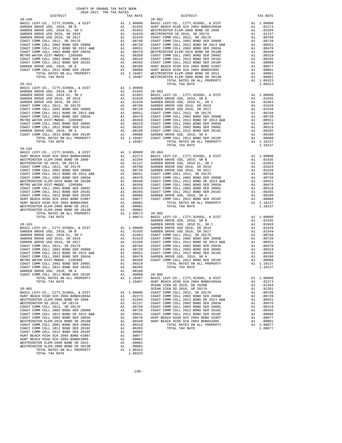| DISTRICT                                                                                                                                                                                                                                                                                                                                                                                                                                                                                                                                                                                                                                                                                         |          | TAX RATE                                                                                                                                                                                                                                                                                                                                                                                                                                                                                                                     |                                          |
|--------------------------------------------------------------------------------------------------------------------------------------------------------------------------------------------------------------------------------------------------------------------------------------------------------------------------------------------------------------------------------------------------------------------------------------------------------------------------------------------------------------------------------------------------------------------------------------------------------------------------------------------------------------------------------------------------|----------|------------------------------------------------------------------------------------------------------------------------------------------------------------------------------------------------------------------------------------------------------------------------------------------------------------------------------------------------------------------------------------------------------------------------------------------------------------------------------------------------------------------------------|------------------------------------------|
| $20 - 160$                                                                                                                                                                                                                                                                                                                                                                                                                                                                                                                                                                                                                                                                                       |          |                                                                                                                                                                                                                                                                                                                                                                                                                                                                                                                              | $20 - 902$                               |
|                                                                                                                                                                                                                                                                                                                                                                                                                                                                                                                                                                                                                                                                                                  |          |                                                                                                                                                                                                                                                                                                                                                                                                                                                                                                                              |                                          |
| $20 - 161$<br>TOTAL TAX RATE                                                                                                                                                                                                                                                                                                                                                                                                                                                                                                                                                                                                                                                                     |          | 1.10487                                                                                                                                                                                                                                                                                                                                                                                                                                                                                                                      |                                          |
| $20 - 162$                                                                                                                                                                                                                                                                                                                                                                                                                                                                                                                                                                                                                                                                                       |          |                                                                                                                                                                                                                                                                                                                                                                                                                                                                                                                              | GARDEN                                   |
| TOTAL TAX RATE                                                                                                                                                                                                                                                                                                                                                                                                                                                                                                                                                                                                                                                                                   |          | 1.10487                                                                                                                                                                                                                                                                                                                                                                                                                                                                                                                      | HUNT BE                                  |
| $20 - 901$<br>BASIC LEVY-CO., CITY, SCHOOL, & DIST<br>HUNT BEACH HIGH SCH 2004 BOND#2004A<br>WESTMINSTER ELEM-2008 BOND SR 2009<br>WESTMINSTER SD 2016, SR 2017A<br>COAST COMM COLL 2012, SR 2017D<br>COAST COMM COLL 2002 BOND SER 2006B<br>COAST COMM COLL 2012 BOND SR 2013 A&B<br>COAST COMM COLL 2002 BOND SER 2003A<br>WESTMINSTER ELEM-2016 BOND SR 2018B<br>COAST COMM COLL 2002 BOND SER 2006C<br>COAST COMM COLL 2012 BOND SER 2016C<br>COAST COMM COLL 2012 BOND SER 2019F<br>HUNT BEACH HIGH SCH 2004 BOND #2007<br>HUNT BEACH HIGH SCH 2004 BOND#2005<br>WESTMINSTER ELEM-2008 BOND SR 2013<br>WESTMINSTER ELEM-2008 BOND SR 2013B<br>TOTAL RATES ON ALL PROPERTY<br>TOTAL TAX RATE | A1<br>A1 | A1 1.00000<br>A1 .02273<br>$\begin{tabular}{ll} $\text{A1} $ & .02273$ & COAST C \\ $\text{A1} $ & .02204$ & COAST C \\ $\text{A1} $ & .01137$ & COAST C \\ $\text{A1} $ & .00768$ & COAST C \\ $\text{A1} $ & .00720$ & COAST C \\ $\text{A1} $ & .00551$ & COAST C \\ $\text{A1} $ & .00448$ & HUNT BE \\ $\text{A1} $ & .00448$ & HUNT BE \\ $\text{A1} $ & .00319$ & A1 $ & .00265$ \\ $\text{A1} $ & .00246$ & HUNT BE \\ $\text{A$<br>A1 .00088<br>A1 .00077<br>A1 .00001<br>.00001<br>.00001<br>A1 1.09323<br>1.09323 | OCEAN V<br>OCEAN V<br>COAST C<br>COAST C |

| COUNTY OF ORANGE TAX RATE BOOK<br>2020-2021 TRA TAX RATES                                                                                                                                                                                                               |          |                        |          |
|-------------------------------------------------------------------------------------------------------------------------------------------------------------------------------------------------------------------------------------------------------------------------|----------|------------------------|----------|
| DISTRICT<br>$20 - 160$                                                                                                                                                                                                                                                  | TAX RATE | DISTRICT<br>$20 - 902$ | TAX RATE |
|                                                                                                                                                                                                                                                                         |          |                        |          |
| $20 - 162$                                                                                                                                                                                                                                                              |          |                        |          |
|                                                                                                                                                                                                                                                                         |          |                        |          |
|                                                                                                                                                                                                                                                                         |          |                        |          |
| 1974.<br>1974. 1977. 1977. 1977. 1977. 1977. 1977. 1972. 1972. 1972. 1972. 1972. 1972. 1972. 1972. 1972. 1972. 1972. 1972. 1972. 1972. 1972. 1972. 1972. 1972. 1972. 1972. 1972. 1972. 1972. 1972. 1972. 1972. 1972. 1972. 1972<br>woometazonen press 2000 noam en 2012 | 00001    |                        |          |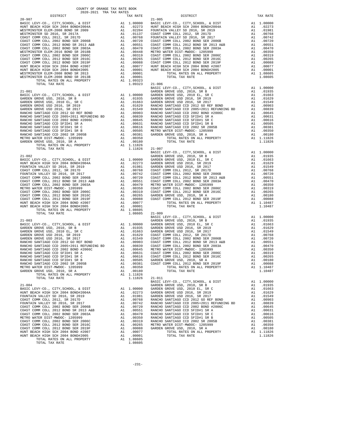| COUNTY OF ORANGE TAX RATE BOOK<br>2020-2021 TRA TAX RATES |          |                        |          |
|-----------------------------------------------------------|----------|------------------------|----------|
| DISTRICT<br>$20 - 907$                                    | TAX RATE | DISTRICT<br>$21 - 005$ | TAX RATE |
|                                                           |          |                        |          |
|                                                           |          |                        |          |
|                                                           |          |                        |          |
| TOTAL TAX RATE                                            |          | 1.11826 21-011         |          |
|                                                           |          |                        |          |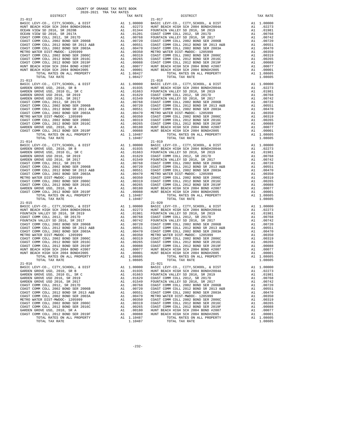| DISTRICT                                                                                                                                                                                                                                                                            | TAX RATE | DISTRICT       | TAX RATE |
|-------------------------------------------------------------------------------------------------------------------------------------------------------------------------------------------------------------------------------------------------------------------------------------|----------|----------------|----------|
|                                                                                                                                                                                                                                                                                     |          |                |          |
|                                                                                                                                                                                                                                                                                     |          |                |          |
|                                                                                                                                                                                                                                                                                     |          |                |          |
|                                                                                                                                                                                                                                                                                     |          |                |          |
|                                                                                                                                                                                                                                                                                     |          |                |          |
|                                                                                                                                                                                                                                                                                     |          |                |          |
|                                                                                                                                                                                                                                                                                     |          |                |          |
|                                                                                                                                                                                                                                                                                     |          |                |          |
|                                                                                                                                                                                                                                                                                     |          |                |          |
|                                                                                                                                                                                                                                                                                     |          |                |          |
|                                                                                                                                                                                                                                                                                     |          |                |          |
|                                                                                                                                                                                                                                                                                     |          |                |          |
|                                                                                                                                                                                                                                                                                     |          |                |          |
|                                                                                                                                                                                                                                                                                     |          |                |          |
|                                                                                                                                                                                                                                                                                     |          |                |          |
|                                                                                                                                                                                                                                                                                     |          |                |          |
|                                                                                                                                                                                                                                                                                     |          |                |          |
|                                                                                                                                                                                                                                                                                     |          |                |          |
|                                                                                                                                                                                                                                                                                     |          |                |          |
|                                                                                                                                                                                                                                                                                     |          |                |          |
|                                                                                                                                                                                                                                                                                     |          |                |          |
|                                                                                                                                                                                                                                                                                     |          |                |          |
|                                                                                                                                                                                                                                                                                     |          |                |          |
|                                                                                                                                                                                                                                                                                     |          |                |          |
|                                                                                                                                                                                                                                                                                     |          |                |          |
|                                                                                                                                                                                                                                                                                     |          |                |          |
|                                                                                                                                                                                                                                                                                     |          |                |          |
|                                                                                                                                                                                                                                                                                     |          |                |          |
|                                                                                                                                                                                                                                                                                     |          |                |          |
|                                                                                                                                                                                                                                                                                     |          |                |          |
| 31.4013   DISTRICT: THE CORRECT TRANSPORT   2013   2013   2013   2013   2013   2013   2013   2014   2013   2014   2022   2014   2014   2022   2014   2014   2022   2014   2014   2022   2014   2022   2014   2022   2014   20                                                       |          |                |          |
|                                                                                                                                                                                                                                                                                     |          |                |          |
|                                                                                                                                                                                                                                                                                     |          |                |          |
|                                                                                                                                                                                                                                                                                     |          |                |          |
|                                                                                                                                                                                                                                                                                     |          |                |          |
|                                                                                                                                                                                                                                                                                     |          |                |          |
|                                                                                                                                                                                                                                                                                     |          |                |          |
|                                                                                                                                                                                                                                                                                     |          |                |          |
|                                                                                                                                                                                                                                                                                     |          |                |          |
|                                                                                                                                                                                                                                                                                     |          |                |          |
|                                                                                                                                                                                                                                                                                     |          |                |          |
|                                                                                                                                                                                                                                                                                     |          |                |          |
|                                                                                                                                                                                                                                                                                     |          |                |          |
|                                                                                                                                                                                                                                                                                     |          |                |          |
|                                                                                                                                                                                                                                                                                     |          |                |          |
|                                                                                                                                                                                                                                                                                     |          |                |          |
|                                                                                                                                                                                                                                                                                     |          |                |          |
|                                                                                                                                                                                                                                                                                     |          |                |          |
|                                                                                                                                                                                                                                                                                     |          |                |          |
|                                                                                                                                                                                                                                                                                     |          |                |          |
|                                                                                                                                                                                                                                                                                     |          |                |          |
|                                                                                                                                                                                                                                                                                     |          |                |          |
|                                                                                                                                                                                                                                                                                     |          |                |          |
|                                                                                                                                                                                                                                                                                     |          |                |          |
|                                                                                                                                                                                                                                                                                     |          |                |          |
|                                                                                                                                                                                                                                                                                     |          |                |          |
|                                                                                                                                                                                                                                                                                     |          |                |          |
|                                                                                                                                                                                                                                                                                     |          |                |          |
|                                                                                                                                                                                                                                                                                     |          |                |          |
|                                                                                                                                                                                                                                                                                     |          |                |          |
|                                                                                                                                                                                                                                                                                     |          |                |          |
|                                                                                                                                                                                                                                                                                     |          |                |          |
|                                                                                                                                                                                                                                                                                     |          |                |          |
|                                                                                                                                                                                                                                                                                     |          |                |          |
|                                                                                                                                                                                                                                                                                     |          |                |          |
| $\begin{array}{cccccccccccc} 21-014 & 707h, 70K & 80.87 & 7000 & 7000 & 7000 & 7000 & 7000 & 7000 & 7000 & 7000 & 7000 & 7000 & 7000 & 7000 & 7000 & 7000 & 7000 & 7000 & 7000 & 7000 & 7000 & 7000 & 7000 & 7000 & 7000 & 7000 & 7000 & 7000 & 7000 & 7000 & 7000 & 7000 & 7000$   |          |                |          |
|                                                                                                                                                                                                                                                                                     |          |                |          |
|                                                                                                                                                                                                                                                                                     |          |                |          |
|                                                                                                                                                                                                                                                                                     |          |                |          |
|                                                                                                                                                                                                                                                                                     |          |                |          |
|                                                                                                                                                                                                                                                                                     |          |                |          |
|                                                                                                                                                                                                                                                                                     |          |                |          |
|                                                                                                                                                                                                                                                                                     |          |                |          |
|                                                                                                                                                                                                                                                                                     |          |                |          |
|                                                                                                                                                                                                                                                                                     |          |                |          |
| $21 - 016$                                                                                                                                                                                                                                                                          |          | $21 - 021$     |          |
|                                                                                                                                                                                                                                                                                     |          |                |          |
|                                                                                                                                                                                                                                                                                     |          |                |          |
|                                                                                                                                                                                                                                                                                     |          |                |          |
|                                                                                                                                                                                                                                                                                     |          |                |          |
|                                                                                                                                                                                                                                                                                     |          |                |          |
|                                                                                                                                                                                                                                                                                     |          |                |          |
|                                                                                                                                                                                                                                                                                     |          |                |          |
|                                                                                                                                                                                                                                                                                     |          |                |          |
|                                                                                                                                                                                                                                                                                     |          |                |          |
|                                                                                                                                                                                                                                                                                     |          |                |          |
|                                                                                                                                                                                                                                                                                     |          |                |          |
|                                                                                                                                                                                                                                                                                     |          |                |          |
|                                                                                                                                                                                                                                                                                     |          |                |          |
|                                                                                                                                                                                                                                                                                     |          |                |          |
|                                                                                                                                                                                                                                                                                     |          |                |          |
|                                                                                                                                                                                                                                                                                     |          |                |          |
|                                                                                                                                                                                                                                                                                     |          |                |          |
| $\begin{tabular}{ c  c  c c c} 21-016 & 21-0276 & 21-0216 & 21-0216 & 21-0216 & 21-0216 & 21-0216 & 21-0216 & 21-0216 & 21-0216 & 21-0216 & 21-0216 & 21-0216 & 21-0216 & 21-0216 & 21-0216 & 21-0216 & 21-0216 & 21-0216 & 21-0216 & 21-0216 & 21-0216 & 21-021$<br>TOTAL TAX RATE | 1.10487  | TOTAL TAX RATE | 1.08605  |
|                                                                                                                                                                                                                                                                                     |          |                |          |

-232-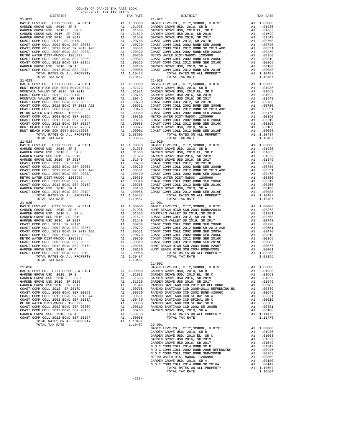| TAX RATE<br>DISTRICT |  | DISTRICT | TAX RATE |
|----------------------|--|----------|----------|
|                      |  |          |          |
|                      |  |          |          |
|                      |  |          |          |
|                      |  |          |          |
|                      |  |          |          |
|                      |  |          |          |
|                      |  |          |          |
|                      |  |          |          |
|                      |  |          |          |
|                      |  |          |          |
|                      |  |          |          |
|                      |  |          |          |
|                      |  |          |          |
|                      |  |          |          |
|                      |  |          |          |
|                      |  |          |          |
|                      |  |          |          |
|                      |  |          |          |
|                      |  |          |          |
|                      |  |          |          |
|                      |  |          |          |
|                      |  |          |          |
|                      |  |          |          |
|                      |  |          |          |
|                      |  |          |          |
|                      |  |          |          |
|                      |  |          |          |
|                      |  |          |          |
|                      |  |          |          |
|                      |  |          |          |
|                      |  |          |          |
|                      |  |          |          |
|                      |  |          |          |
|                      |  |          |          |
|                      |  |          |          |
|                      |  |          |          |
|                      |  |          |          |
|                      |  |          |          |
|                      |  |          |          |
|                      |  |          |          |
|                      |  |          |          |
|                      |  |          |          |
|                      |  |          |          |
|                      |  |          |          |
|                      |  |          |          |
|                      |  |          |          |
|                      |  |          |          |
|                      |  |          |          |
|                      |  |          |          |
|                      |  |          |          |
|                      |  |          |          |
|                      |  |          |          |
|                      |  |          |          |
|                      |  |          |          |
|                      |  |          |          |
|                      |  |          |          |
|                      |  |          |          |
|                      |  |          |          |
|                      |  |          |          |
|                      |  |          |          |
|                      |  |          |          |
|                      |  |          |          |
|                      |  |          |          |
|                      |  |          |          |
|                      |  |          |          |
|                      |  |          |          |
|                      |  |          |          |
|                      |  |          |          |
|                      |  |          |          |
|                      |  |          |          |
|                      |  |          |          |
|                      |  |          |          |
|                      |  |          |          |
|                      |  |          |          |
|                      |  |          |          |
|                      |  |          |          |
|                      |  |          |          |
|                      |  |          |          |
|                      |  |          |          |
|                      |  |          |          |
|                      |  |          |          |
|                      |  |          |          |
|                      |  |          |          |

|  | TOTAL TAX RATE | 1.10504 |
|--|----------------|---------|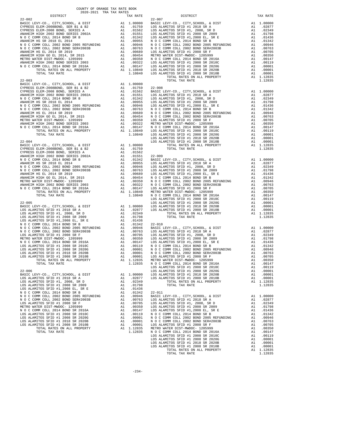|            | COUNTY OF ORANGE TAX RATE BOOK<br>2020-2021 TRA TAX RATES |                                                                                                                                                                                                                                                                            |          |
|------------|-----------------------------------------------------------|----------------------------------------------------------------------------------------------------------------------------------------------------------------------------------------------------------------------------------------------------------------------------|----------|
| DISTRICT   | TAX RATE                                                  | DISTRICT                                                                                                                                                                                                                                                                   | TAX RATE |
| $22 - 002$ |                                                           | $22 - 007$                                                                                                                                                                                                                                                                 |          |
|            |                                                           |                                                                                                                                                                                                                                                                            |          |
|            |                                                           | $\begin{bmatrix} 1.11 & 0.00 & 0.00 & 0.00 & 0.00 & 0.00 & 0.00 & 0.00 & 0.00 & 0.00 & 0.00 & 0.00 & 0.00 & 0.00 & 0.00 & 0.00 & 0.00 & 0.00 & 0.00 & 0.00 & 0.00 & 0.00 & 0.00 & 0.00 & 0.00 & 0.00 & 0.00 & 0.00 & 0.00 & 0.00 & 0.00 & 0.00 & 0.00 & 0.00 & 0.00 & 0.0$ |          |
|            |                                                           |                                                                                                                                                                                                                                                                            |          |
|            |                                                           |                                                                                                                                                                                                                                                                            |          |
|            |                                                           |                                                                                                                                                                                                                                                                            |          |
|            |                                                           |                                                                                                                                                                                                                                                                            |          |
|            |                                                           |                                                                                                                                                                                                                                                                            |          |
|            |                                                           |                                                                                                                                                                                                                                                                            |          |
|            |                                                           |                                                                                                                                                                                                                                                                            |          |
|            |                                                           |                                                                                                                                                                                                                                                                            |          |
|            |                                                           |                                                                                                                                                                                                                                                                            |          |
|            |                                                           |                                                                                                                                                                                                                                                                            |          |
|            |                                                           |                                                                                                                                                                                                                                                                            |          |
|            |                                                           |                                                                                                                                                                                                                                                                            |          |
|            |                                                           |                                                                                                                                                                                                                                                                            |          |
|            |                                                           |                                                                                                                                                                                                                                                                            |          |
|            |                                                           |                                                                                                                                                                                                                                                                            |          |
|            |                                                           |                                                                                                                                                                                                                                                                            |          |
|            |                                                           |                                                                                                                                                                                                                                                                            |          |
|            |                                                           |                                                                                                                                                                                                                                                                            |          |
|            |                                                           |                                                                                                                                                                                                                                                                            |          |
|            |                                                           |                                                                                                                                                                                                                                                                            |          |
|            |                                                           |                                                                                                                                                                                                                                                                            |          |
|            |                                                           |                                                                                                                                                                                                                                                                            |          |
|            |                                                           |                                                                                                                                                                                                                                                                            |          |
|            |                                                           |                                                                                                                                                                                                                                                                            |          |
|            |                                                           |                                                                                                                                                                                                                                                                            |          |
|            |                                                           |                                                                                                                                                                                                                                                                            |          |
|            |                                                           |                                                                                                                                                                                                                                                                            |          |
|            |                                                           |                                                                                                                                                                                                                                                                            |          |
|            |                                                           |                                                                                                                                                                                                                                                                            |          |
|            |                                                           |                                                                                                                                                                                                                                                                            |          |
|            |                                                           |                                                                                                                                                                                                                                                                            |          |
|            |                                                           |                                                                                                                                                                                                                                                                            |          |
|            |                                                           |                                                                                                                                                                                                                                                                            |          |
|            |                                                           |                                                                                                                                                                                                                                                                            |          |
|            |                                                           |                                                                                                                                                                                                                                                                            |          |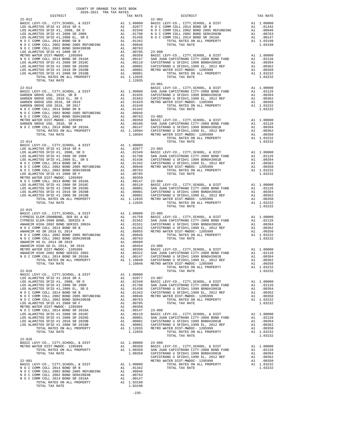| $22 - 012$                           |         |         | $22 - 902$         |
|--------------------------------------|---------|---------|--------------------|
|                                      |         |         |                    |
|                                      |         |         |                    |
|                                      |         |         |                    |
|                                      |         |         |                    |
|                                      |         |         |                    |
|                                      |         |         |                    |
|                                      |         |         |                    |
|                                      |         |         |                    |
|                                      |         |         |                    |
| TOTAL TAX RATE                       |         | 1.12835 |                    |
|                                      |         |         | $23 - 001$         |
| $22 - 013$                           |         |         | BASIC L            |
|                                      |         |         |                    |
|                                      |         |         |                    |
|                                      |         |         |                    |
|                                      |         |         |                    |
|                                      |         |         |                    |
|                                      |         |         |                    |
|                                      |         |         |                    |
|                                      |         |         |                    |
| $22 - 014$                           |         |         |                    |
|                                      |         |         |                    |
|                                      |         |         |                    |
|                                      |         |         |                    |
|                                      |         |         |                    |
|                                      |         |         |                    |
|                                      |         |         |                    |
|                                      |         |         |                    |
|                                      |         |         |                    |
|                                      |         |         |                    |
| TOTAL TAX RATE                       |         | 1.12835 |                    |
| $22 - 015$                           |         |         |                    |
|                                      |         |         |                    |
|                                      |         |         |                    |
|                                      |         |         |                    |
|                                      |         |         |                    |
|                                      |         |         |                    |
|                                      |         |         |                    |
|                                      |         |         |                    |
|                                      |         |         |                    |
|                                      |         |         |                    |
|                                      |         |         |                    |
| $22 - 016$                           |         |         |                    |
|                                      |         |         |                    |
|                                      |         |         |                    |
|                                      |         |         |                    |
|                                      |         |         |                    |
|                                      |         |         |                    |
|                                      |         |         |                    |
|                                      |         |         |                    |
|                                      |         |         |                    |
|                                      |         |         |                    |
| TOTAL TAX RATE                       |         | 1.12835 |                    |
| $22 - 026$                           |         |         |                    |
| BASIC LEVY-CO., CITY, SCHOOL, & DIST |         |         |                    |
| METRO WATER DIST-MWDOC- 1205999      |         |         |                    |
|                                      |         |         |                    |
| $22 - 901$                           |         |         | CAPISTR<br>METRO W |
|                                      |         |         |                    |
|                                      |         |         |                    |
|                                      |         |         |                    |
| TOTAL TAX RATE                       | 1.03198 |         |                    |
|                                      |         |         |                    |

-235-

| COUNTY OF ORANGE TAX RATE BOOK<br>$2020-2021 \quad \text{TRA TAX RATE}$ DISTRICT                                                                                                                                                                                                                                                                                                                                                                       |          |                                                                                                                                                                                                                                   |          |
|--------------------------------------------------------------------------------------------------------------------------------------------------------------------------------------------------------------------------------------------------------------------------------------------------------------------------------------------------------------------------------------------------------------------------------------------------------|----------|-----------------------------------------------------------------------------------------------------------------------------------------------------------------------------------------------------------------------------------|----------|
| $22 - 012$                                                                                                                                                                                                                                                                                                                                                                                                                                             | TAX RATE | DISTRICT<br>$22 - 902$                                                                                                                                                                                                            | TAX RATE |
|                                                                                                                                                                                                                                                                                                                                                                                                                                                        |          |                                                                                                                                                                                                                                   |          |
|                                                                                                                                                                                                                                                                                                                                                                                                                                                        |          |                                                                                                                                                                                                                                   |          |
|                                                                                                                                                                                                                                                                                                                                                                                                                                                        |          |                                                                                                                                                                                                                                   |          |
|                                                                                                                                                                                                                                                                                                                                                                                                                                                        |          |                                                                                                                                                                                                                                   |          |
|                                                                                                                                                                                                                                                                                                                                                                                                                                                        |          |                                                                                                                                                                                                                                   |          |
| 270-013<br>2020-11<br>2020-2021 - 2020-2021 - 2020-2021 - 2020-2021 - 2020-2021 - 2020-2021<br>2020-2021 - 2020-2021 - 2020-2021 - 2020-2021 - 2020-2021 - 2020-2021 - 2020-2021<br>2020-2021 - 2020-2022 - 2020-2022 - 2020-2022 -                                                                                                                                                                                                                    |          |                                                                                                                                                                                                                                   |          |
|                                                                                                                                                                                                                                                                                                                                                                                                                                                        |          |                                                                                                                                                                                                                                   |          |
| $22 - 015$                                                                                                                                                                                                                                                                                                                                                                                                                                             |          |                                                                                                                                                                                                                                   |          |
|                                                                                                                                                                                                                                                                                                                                                                                                                                                        |          | 00 100 114 10840 (APLANCE DISPUBLE 2012 REF ALL PROPERTY ALL PROPERTY ALL INGERETY AND SAMPLE AND SAMPLE AND INCLUSION AND CAPISTRANO U SFIDHI, 1999 EL, 2012 REF ALL 00350 10362<br>TOTAL RATES ON ALL PROPERTY ALL AND A DISPUB |          |
| $\begin{tabular}{c cccc} TUTALI-1A6 & $\cdots$\\ \hline 12.0016 & $L1.00000$ & $TOTAL TAX RATE\\ \hline 12.0000 & $TOTAL TAX RATE\\ \hline 12.0000 & $TOTAL TAX RATE\\ \hline 12.0000 & $TOTAL TAX RATE\\ \hline 12.0000 & $TOTAL TAX RATE\\ \hline 12.0000 & $TOTAL TAX RATE\\ \hline 12.0000 & $TOTAL TAX RATE\\ \hline 12.0000 & $TOTAL TAX RATE\\ \hline 12.00000 & $TOT$                                                                          |          |                                                                                                                                                                                                                                   |          |
|                                                                                                                                                                                                                                                                                                                                                                                                                                                        |          |                                                                                                                                                                                                                                   |          |
| $\begin{tabular}{c c c c c} \multicolumn{4}{c }{\textbf{22-026}} \\ \multicolumn{4}{c }{\textbf{METRO}} & \multicolumn{4}{c }{\textbf{METRO}} & \multicolumn{4}{c }{\textbf{METRO}} & \multicolumn{4}{c }{\textbf{METRO}} & \multicolumn{4}{c }{\textbf{METRO}} & \multicolumn{4}{c }{\textbf{METRO}} & \multicolumn{4}{c }{\textbf{METRO}} & \multicolumn{4}{c }{\textbf{METRO}} & \multicolumn{4}{c }{\textbf{METRO}} & \multicolumn{4}{c }{\textbf$ |          |                                                                                                                                                                                                                                   |          |
|                                                                                                                                                                                                                                                                                                                                                                                                                                                        |          |                                                                                                                                                                                                                                   |          |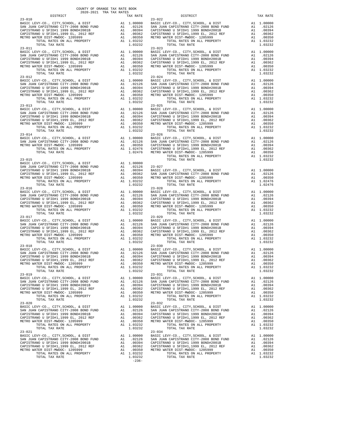| DISTRICT                                                                                       |          | TAX RATE                        |                                  |
|------------------------------------------------------------------------------------------------|----------|---------------------------------|----------------------------------|
| $23 - 010$                                                                                     |          |                                 | $23 - 022$                       |
| $23 - 011$                                                                                     |          |                                 | $23 - 023$                       |
| TOTAL TAX RATE                                                                                 |          | 1.03232                         |                                  |
|                                                                                                |          |                                 |                                  |
|                                                                                                |          |                                 | $23 - 026$                       |
| $23 - 014$                                                                                     |          |                                 |                                  |
| $23 - 015$                                                                                     |          |                                 |                                  |
|                                                                                                |          |                                 |                                  |
| TOTAL TAX RATE                                                                                 |          | 1.03232                         |                                  |
| $23 - 016$                                                                                     |          |                                 | $23 - 028$                       |
|                                                                                                |          |                                 |                                  |
| TOTAL TAX RATE                                                                                 |          | 1.03232                         |                                  |
| $23 - 017$                                                                                     |          |                                 | $23 - 029$                       |
|                                                                                                |          |                                 |                                  |
|                                                                                                |          |                                 |                                  |
|                                                                                                |          |                                 |                                  |
|                                                                                                |          |                                 |                                  |
|                                                                                                |          |                                 |                                  |
| TOTAL RATES ON ALL PROPERTY<br>TOTAL TAX RATE                                                  |          | A1 1.03232<br>1.03232           |                                  |
| $23 - 019$<br>BASIC LEVY-CO., CITY, SCHOOL, & DIST                                             |          | A1 1.00000 BASIC L              | $23 - 031$                       |
| SAN JUAN CAPISTRANO CITY-2008 BOND FUND                                                        |          | A1 .02126                       | SAN JUA                          |
| CAPISTRANO U SFID#1 1999 BOND#2001B<br>CAPISTRANO U SFID#1,1999 EL, 2012 REF                   | A1<br>A1 | .00394<br>.00362                | CAPISTR<br>CAPISTR               |
| METRO WATER DIST-MWDOC- 1205999<br>TOTAL RATES ON ALL PROPERTY<br>TOTAL TAX RATE<br>$23 - 020$ | A1       | .00350<br>A1 1.03232<br>1.03232 | METRO W<br>$23 - 032$            |
| BASIC LEVY-CO., CITY, SCHOOL, & DIST                                                           |          | A1 1.00000                      | BASIC L                          |
| SAN JUAN CAPISTRANO CITY-2008 BOND FUND<br>CAPISTRANO U SFID#1 1999 BOND#2001B                 | A1       | A1.02126<br>.00394              | SAN JUA<br>CAPISTR               |
| CAPISTRANO U SFID#1,1999 EL, 2012 REF                                                          | A1       |                                 | .00362 CAPISTR<br>.00350 METRO W |
| METRO WATER DIST-MWDOC- 1205999<br>TOTAL RATES ON ALL PROPERTY<br>TOTAL TAX RATE               | A1       | A1 1.03232<br>1.03232           |                                  |
| $23 - 021$<br>BASIC LEVY-CO., CITY, SCHOOL, & DIST                                             |          | A1 1.00000                      | $23 - 034$<br>BASIC L            |
| SAN JUAN CAPISTRANO CITY-2008 BOND FUND<br>CAPISTRANO U SFID#1 1999 BOND#2001B                 | A1       | A1 .02126<br>.00394             | SAN JUA<br>CAPISTR               |
| CAPISTRANO U SFID#1,1999 EL, 2012 REF                                                          | A1       | .00362                          | CAPISTR                          |
| METRO WATER DIST-MWDOC- 1205999<br>TOTAL RATES ON ALL PROPERTY                                 | A1       | A1 1.03232                      | .00302 CAPISIN<br>.00350 METROW  |
| TOTAL TAX RATE                                                                                 |          | 1.03232                         |                                  |

| COUNTY OF ORANGE TAX RATE BOOK<br>$2020-2021 \quad \text{TRA TAX RATES}$ DISTRICT $\hspace{2.5cm}$ |          |                                                                                                                                                                                                                                                                                                                                                                                                          |          |
|----------------------------------------------------------------------------------------------------|----------|----------------------------------------------------------------------------------------------------------------------------------------------------------------------------------------------------------------------------------------------------------------------------------------------------------------------------------------------------------------------------------------------------------|----------|
|                                                                                                    | TAX RATE | DISTRICT                                                                                                                                                                                                                                                                                                                                                                                                 | TAX RATE |
| $23 - 010$                                                                                         |          | $23 - 022$                                                                                                                                                                                                                                                                                                                                                                                               |          |
|                                                                                                    |          |                                                                                                                                                                                                                                                                                                                                                                                                          |          |
| $23 - 012$                                                                                         |          | $23 - 024$                                                                                                                                                                                                                                                                                                                                                                                               |          |
|                                                                                                    |          |                                                                                                                                                                                                                                                                                                                                                                                                          |          |
|                                                                                                    |          | $\begin{tabular}{c c c c c} \multicolumn{1}{c c c} \multicolumn{1}{c c c} \multicolumn{1}{c c c} \multicolumn{1}{c c c} \multicolumn{1}{c c c} \multicolumn{1}{c c c} \multicolumn{1}{c c c} \multicolumn{1}{c c c} \multicolumn{1}{c c c} \multicolumn{1}{c c c} \multicolumn{1}{c c c} \multicolumn{1}{c c c} \multicolumn{1}{c c c} \multicolumn{1}{c c c} \multicolumn{1}{c c c} \multicolumn{1}{c $ |          |
|                                                                                                    |          |                                                                                                                                                                                                                                                                                                                                                                                                          |          |
|                                                                                                    |          |                                                                                                                                                                                                                                                                                                                                                                                                          |          |
| $23 - 017$                                                                                         |          | $23 - 029$                                                                                                                                                                                                                                                                                                                                                                                               |          |
| $23 - 019$                                                                                         |          | CAPISTRANO U SPID#1.1999 BL, 2012 REF A1 .00362 CAPISTRANO U SPID#1.1999 BL, 2012 REF A1 .00362<br>CAPISTRANO U SPID#1.1999 BL, 2012 REF A1 .00360 CAPISTRANO U SPID#1.1999 BL, 2012 REF A1 .00362<br>METRO WATER DIST-MWDOC- 1205                                                                                                                                                                       | 1.03232  |
| TOTAL TAX RATE<br>$23 - 020$                                                                       | 1.03232  | $23 - 031$<br>TOTAL TAX RATE<br>$23 - 032$                                                                                                                                                                                                                                                                                                                                                               | 1.03232  |
| TOTAL TAX RATE<br>$23 - 021$                                                                       | 1.03232  | TOTAL TAX RATE<br>$23 - 034$                                                                                                                                                                                                                                                                                                                                                                             | 1.03232  |
|                                                                                                    | $-236-$  |                                                                                                                                                                                                                                                                                                                                                                                                          |          |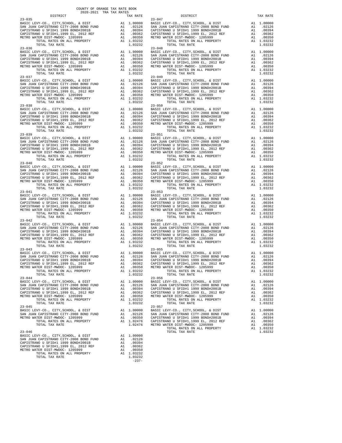|                                                                              |          | IAA KAIL                                                                                        |            |
|------------------------------------------------------------------------------|----------|-------------------------------------------------------------------------------------------------|------------|
| $23 - 035$                                                                   |          |                                                                                                 | $23 - 047$ |
|                                                                              |          |                                                                                                 |            |
|                                                                              |          |                                                                                                 |            |
|                                                                              |          |                                                                                                 |            |
|                                                                              |          |                                                                                                 |            |
|                                                                              |          |                                                                                                 |            |
|                                                                              |          |                                                                                                 |            |
| $23 - 036$                                                                   |          |                                                                                                 | $23 - 048$ |
|                                                                              |          |                                                                                                 |            |
|                                                                              |          |                                                                                                 |            |
|                                                                              |          |                                                                                                 |            |
|                                                                              |          |                                                                                                 |            |
|                                                                              |          |                                                                                                 |            |
|                                                                              |          |                                                                                                 |            |
|                                                                              |          |                                                                                                 |            |
| $23 - 037$                                                                   |          |                                                                                                 | $23 - 049$ |
|                                                                              |          |                                                                                                 |            |
|                                                                              |          |                                                                                                 |            |
|                                                                              |          |                                                                                                 |            |
|                                                                              |          |                                                                                                 |            |
|                                                                              |          |                                                                                                 |            |
|                                                                              |          |                                                                                                 |            |
| TOTAL TAX RATE                                                               |          | 1.03232                                                                                         |            |
|                                                                              |          |                                                                                                 |            |
|                                                                              |          |                                                                                                 |            |
|                                                                              |          |                                                                                                 |            |
|                                                                              |          |                                                                                                 |            |
|                                                                              |          |                                                                                                 |            |
|                                                                              |          |                                                                                                 |            |
|                                                                              |          |                                                                                                 |            |
| $23 - 039$                                                                   |          |                                                                                                 | $23 - 051$ |
|                                                                              |          |                                                                                                 |            |
|                                                                              |          |                                                                                                 |            |
|                                                                              |          |                                                                                                 |            |
|                                                                              |          |                                                                                                 |            |
|                                                                              |          |                                                                                                 |            |
|                                                                              |          |                                                                                                 |            |
|                                                                              |          |                                                                                                 |            |
| $23 - 040$                                                                   |          |                                                                                                 | $23 - 052$ |
|                                                                              |          |                                                                                                 |            |
|                                                                              |          |                                                                                                 |            |
|                                                                              |          |                                                                                                 |            |
|                                                                              |          |                                                                                                 |            |
|                                                                              |          |                                                                                                 |            |
|                                                                              |          |                                                                                                 |            |
| TOTAL TAX RATE                                                               |          | 1.03232                                                                                         |            |
| $23 - 041$                                                                   |          |                                                                                                 | $23 - 053$ |
|                                                                              |          |                                                                                                 |            |
|                                                                              |          |                                                                                                 |            |
|                                                                              |          |                                                                                                 |            |
|                                                                              |          |                                                                                                 |            |
|                                                                              |          |                                                                                                 |            |
|                                                                              |          |                                                                                                 |            |
| TOTAL TAX RATE                                                               |          | 1.03232                                                                                         |            |
|                                                                              |          |                                                                                                 |            |
|                                                                              |          |                                                                                                 |            |
|                                                                              |          |                                                                                                 |            |
|                                                                              |          |                                                                                                 |            |
|                                                                              |          |                                                                                                 |            |
|                                                                              |          |                                                                                                 |            |
|                                                                              |          |                                                                                                 |            |
|                                                                              |          |                                                                                                 |            |
|                                                                              |          |                                                                                                 |            |
|                                                                              |          |                                                                                                 |            |
|                                                                              |          |                                                                                                 |            |
|                                                                              |          |                                                                                                 |            |
|                                                                              |          |                                                                                                 |            |
|                                                                              |          |                                                                                                 |            |
| METRO WATER DIST-MWDOC- 1205999                                              | A1       | .00350                                                                                          | METRO W    |
| TOTAL RATES ON ALL PROPERTY<br>TOTAL TAX RATE                                |          | A1 1.03232<br>1.03232                                                                           |            |
| $23 - 044$                                                                   |          |                                                                                                 | $23 - 056$ |
| BASIC LEVY-CO., CITY, SCHOOL, & DIST                                         |          |                                                                                                 |            |
| SAN JUAN CAPISTRANO CITY-2008 BOND FUND                                      |          |                                                                                                 |            |
| CAPISTRANO U SFID#1 1999 BOND#2001B                                          |          |                                                                                                 |            |
| CAPISTRANO U SFID#1,1999 EL, 2012 REF                                        |          |                                                                                                 |            |
| METRO WATER DIST-MWDOC- 1205999                                              |          |                                                                                                 |            |
| TOTAL RATES ON ALL PROPERTY                                                  |          | A1 1.00000 BASIC L<br>A1 .02126 SAN JUA<br>A1 .00394 CAPISTR<br>A1 .00350 METRO W<br>A1 1.03232 |            |
| TOTAL TAX RATE                                                               |          | 1.03232                                                                                         |            |
| $23 - 045$                                                                   |          |                                                                                                 | $23 - 057$ |
| BASIC LEVY-CO., CITY, SCHOOL, & DIST                                         |          | A1 1.00000                                                                                      | BASIC L    |
| SAN JUAN CAPISTRANO CITY-2008 BOND FUND                                      |          | A1 .02126                                                                                       | SAN JUA    |
| METRO WATER DIST-MWDOC- 1205999                                              |          |                                                                                                 |            |
| TOTAL RATES ON ALL PROPERTY                                                  |          |                                                                                                 |            |
| TOTAL TAX RATE                                                               |          | A1 .00350 CAPISTR<br>A1 1.02476 CAPISTR<br>1.02476 METROW                                       |            |
|                                                                              |          |                                                                                                 |            |
| $23 - 046$                                                                   |          |                                                                                                 |            |
| BASIC LEVY-CO., CITY, SCHOOL, & DIST                                         |          | A1 1.00000                                                                                      |            |
| SAN JUAN CAPISTRANO CITY-2008 BOND FUND                                      |          | A1 .02126<br>A1 .00394                                                                          |            |
| CAPISTRANO U SFID#1 1999 BOND#2001B<br>CAPISTRANO U SFID#1,1999 EL, 2012 REF |          | .00394                                                                                          |            |
| METRO WATER DIST-MWDOC- 1205999                                              | A1<br>A1 | .00362<br>.00350                                                                                |            |
| TOTAL RATES ON ALL PROPERTY                                                  |          | A1 1.03232                                                                                      |            |
| TOTAL TAX RATE                                                               |          | 1.03232                                                                                         |            |

| APISTRANO U SFID#1,1999 EL. 2012 REF |  |
|--------------------------------------|--|
| ETRO WATER DIST-MWDOC- 1205999       |  |
| TOTAL RATES ON ALL PROPERTY          |  |
| TOTAL TAX RATE                       |  |

| COUNTY OF ORANGE TAX RATE BOOK<br>$\begin{minipage}{.03\textwidth} \begin{tabular}{l} \multicolumn{2}{c}{\textwidth} \end{tabular} \begin{tabular}{l} \multicolumn{2}{c}{\textwidth} \end{tabular} \begin{tabular}{l} \multicolumn{2}{c}{\textwidth} \end{tabular} \begin{tabular}{l} \multicolumn{2}{c}{\textwidth} \end{tabular} \begin{tabular}{l} \multicolumn{2}{c}{\textwidth} \end{tabular} \begin{tabular}{l} \multicolumn{2}{c}{\textwidth} \end{tabular} \begin{tabular}{l} \multicolumn{2}{c}{\textwidth} \end{tabular} \begin{tabular}{l} \multicolumn{2}{c}{$ |                     |                                                       |          |
|----------------------------------------------------------------------------------------------------------------------------------------------------------------------------------------------------------------------------------------------------------------------------------------------------------------------------------------------------------------------------------------------------------------------------------------------------------------------------------------------------------------------------------------------------------------------------|---------------------|-------------------------------------------------------|----------|
|                                                                                                                                                                                                                                                                                                                                                                                                                                                                                                                                                                            | TAX RATE            | $\begin{array}{ccc}\n & \text{DISTRICT}\n\end{array}$ | TAX RATE |
| $23 - 035$                                                                                                                                                                                                                                                                                                                                                                                                                                                                                                                                                                 |                     | $23 - 047$                                            |          |
|                                                                                                                                                                                                                                                                                                                                                                                                                                                                                                                                                                            |                     |                                                       |          |
|                                                                                                                                                                                                                                                                                                                                                                                                                                                                                                                                                                            |                     |                                                       |          |
|                                                                                                                                                                                                                                                                                                                                                                                                                                                                                                                                                                            |                     |                                                       |          |
|                                                                                                                                                                                                                                                                                                                                                                                                                                                                                                                                                                            |                     |                                                       |          |
|                                                                                                                                                                                                                                                                                                                                                                                                                                                                                                                                                                            |                     |                                                       |          |
|                                                                                                                                                                                                                                                                                                                                                                                                                                                                                                                                                                            |                     |                                                       |          |
|                                                                                                                                                                                                                                                                                                                                                                                                                                                                                                                                                                            |                     |                                                       |          |
|                                                                                                                                                                                                                                                                                                                                                                                                                                                                                                                                                                            |                     |                                                       |          |
|                                                                                                                                                                                                                                                                                                                                                                                                                                                                                                                                                                            |                     |                                                       |          |
|                                                                                                                                                                                                                                                                                                                                                                                                                                                                                                                                                                            |                     |                                                       |          |
| $23 - 037$                                                                                                                                                                                                                                                                                                                                                                                                                                                                                                                                                                 |                     | $23 - 049$                                            |          |
|                                                                                                                                                                                                                                                                                                                                                                                                                                                                                                                                                                            |                     |                                                       |          |
|                                                                                                                                                                                                                                                                                                                                                                                                                                                                                                                                                                            |                     |                                                       |          |
|                                                                                                                                                                                                                                                                                                                                                                                                                                                                                                                                                                            |                     |                                                       |          |
|                                                                                                                                                                                                                                                                                                                                                                                                                                                                                                                                                                            |                     |                                                       |          |
|                                                                                                                                                                                                                                                                                                                                                                                                                                                                                                                                                                            |                     |                                                       |          |
|                                                                                                                                                                                                                                                                                                                                                                                                                                                                                                                                                                            |                     |                                                       |          |
|                                                                                                                                                                                                                                                                                                                                                                                                                                                                                                                                                                            |                     |                                                       |          |
|                                                                                                                                                                                                                                                                                                                                                                                                                                                                                                                                                                            |                     |                                                       |          |
|                                                                                                                                                                                                                                                                                                                                                                                                                                                                                                                                                                            |                     |                                                       |          |
|                                                                                                                                                                                                                                                                                                                                                                                                                                                                                                                                                                            |                     |                                                       |          |
|                                                                                                                                                                                                                                                                                                                                                                                                                                                                                                                                                                            |                     |                                                       |          |
|                                                                                                                                                                                                                                                                                                                                                                                                                                                                                                                                                                            |                     |                                                       |          |
|                                                                                                                                                                                                                                                                                                                                                                                                                                                                                                                                                                            |                     |                                                       |          |
|                                                                                                                                                                                                                                                                                                                                                                                                                                                                                                                                                                            |                     |                                                       |          |
|                                                                                                                                                                                                                                                                                                                                                                                                                                                                                                                                                                            |                     |                                                       |          |
|                                                                                                                                                                                                                                                                                                                                                                                                                                                                                                                                                                            |                     |                                                       |          |
|                                                                                                                                                                                                                                                                                                                                                                                                                                                                                                                                                                            |                     |                                                       |          |
|                                                                                                                                                                                                                                                                                                                                                                                                                                                                                                                                                                            |                     |                                                       |          |
|                                                                                                                                                                                                                                                                                                                                                                                                                                                                                                                                                                            |                     |                                                       |          |
|                                                                                                                                                                                                                                                                                                                                                                                                                                                                                                                                                                            |                     |                                                       |          |
|                                                                                                                                                                                                                                                                                                                                                                                                                                                                                                                                                                            |                     |                                                       |          |
|                                                                                                                                                                                                                                                                                                                                                                                                                                                                                                                                                                            |                     |                                                       |          |
|                                                                                                                                                                                                                                                                                                                                                                                                                                                                                                                                                                            |                     |                                                       |          |
|                                                                                                                                                                                                                                                                                                                                                                                                                                                                                                                                                                            |                     |                                                       |          |
|                                                                                                                                                                                                                                                                                                                                                                                                                                                                                                                                                                            |                     |                                                       |          |
|                                                                                                                                                                                                                                                                                                                                                                                                                                                                                                                                                                            |                     |                                                       |          |
|                                                                                                                                                                                                                                                                                                                                                                                                                                                                                                                                                                            |                     |                                                       |          |
|                                                                                                                                                                                                                                                                                                                                                                                                                                                                                                                                                                            |                     |                                                       |          |
| $23 - 042$                                                                                                                                                                                                                                                                                                                                                                                                                                                                                                                                                                 |                     | $23 - 054$                                            |          |
|                                                                                                                                                                                                                                                                                                                                                                                                                                                                                                                                                                            |                     |                                                       |          |
|                                                                                                                                                                                                                                                                                                                                                                                                                                                                                                                                                                            |                     |                                                       |          |
|                                                                                                                                                                                                                                                                                                                                                                                                                                                                                                                                                                            |                     |                                                       |          |
|                                                                                                                                                                                                                                                                                                                                                                                                                                                                                                                                                                            |                     |                                                       |          |
|                                                                                                                                                                                                                                                                                                                                                                                                                                                                                                                                                                            |                     |                                                       |          |
| $23 - 043$                                                                                                                                                                                                                                                                                                                                                                                                                                                                                                                                                                 |                     | $23 - 055$                                            |          |
|                                                                                                                                                                                                                                                                                                                                                                                                                                                                                                                                                                            |                     |                                                       |          |
|                                                                                                                                                                                                                                                                                                                                                                                                                                                                                                                                                                            |                     |                                                       |          |
|                                                                                                                                                                                                                                                                                                                                                                                                                                                                                                                                                                            |                     |                                                       |          |
|                                                                                                                                                                                                                                                                                                                                                                                                                                                                                                                                                                            |                     |                                                       |          |
| TOTAL TAX RATE                                                                                                                                                                                                                                                                                                                                                                                                                                                                                                                                                             | 1.03232             | TOTAL TAX RATE                                        | 1.03232  |
| $23 - 044$                                                                                                                                                                                                                                                                                                                                                                                                                                                                                                                                                                 |                     | $23 - 056$                                            |          |
|                                                                                                                                                                                                                                                                                                                                                                                                                                                                                                                                                                            |                     |                                                       |          |
|                                                                                                                                                                                                                                                                                                                                                                                                                                                                                                                                                                            |                     |                                                       |          |
|                                                                                                                                                                                                                                                                                                                                                                                                                                                                                                                                                                            |                     |                                                       |          |
|                                                                                                                                                                                                                                                                                                                                                                                                                                                                                                                                                                            |                     |                                                       |          |
|                                                                                                                                                                                                                                                                                                                                                                                                                                                                                                                                                                            | 1.03232             |                                                       |          |
| $23 - 045$                                                                                                                                                                                                                                                                                                                                                                                                                                                                                                                                                                 |                     | $23 - 057$                                            |          |
|                                                                                                                                                                                                                                                                                                                                                                                                                                                                                                                                                                            |                     |                                                       |          |
|                                                                                                                                                                                                                                                                                                                                                                                                                                                                                                                                                                            |                     |                                                       |          |
|                                                                                                                                                                                                                                                                                                                                                                                                                                                                                                                                                                            |                     |                                                       |          |
|                                                                                                                                                                                                                                                                                                                                                                                                                                                                                                                                                                            |                     |                                                       |          |
| $23 - 046$                                                                                                                                                                                                                                                                                                                                                                                                                                                                                                                                                                 |                     | TOTAL TAX RATE                                        | 1.03232  |
| BASIC LEVY-CO., CITY, SCHOOL, & DIST<br>LAN TUAN GARISTORDANO GIBU 2000 ROND BUND                                                                                                                                                                                                                                                                                                                                                                                                                                                                                          | A1 1.00000<br>0.232 |                                                       |          |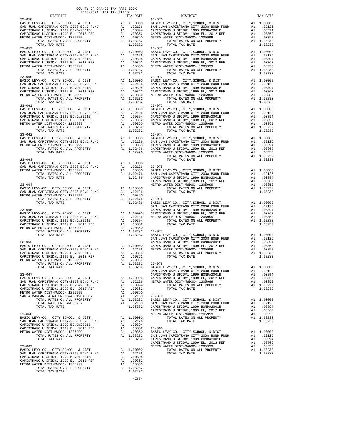| COUNTY OF ORANGE TAX RATE BOOK<br>2020-2021 TRA TAX RATES |         |                                                                                                                                                                                                                                                                                                                                                                                         |          |
|-----------------------------------------------------------|---------|-----------------------------------------------------------------------------------------------------------------------------------------------------------------------------------------------------------------------------------------------------------------------------------------------------------------------------------------------------------------------------------------|----------|
| DISTRICT<br>$23 - 058$                                    |         | $\begin{tabular}{lllll} \texttt{TAX RATES} & & & & \texttt{DISTRICT} \\ & \texttt{TAX RATE} & & & \texttt{DISTRICT} \end{tabular}$                                                                                                                                                                                                                                                      | TAX RATE |
|                                                           |         | $\begin{tabular}{c c c c c} \multicolumn{1}{c}{23-058} \multicolumn{1}{c}{23-058} \multicolumn{1}{c}{23-058} \multicolumn{1}{c}{23-058} \multicolumn{1}{c}{23-058} \multicolumn{1}{c}{23-058} \multicolumn{1}{c}{23-058} \multicolumn{1}{c}{23-058} \multicolumn{1}{c}{23-058} \multicolumn{1}{c}{23-058} \multicolumn{1}{c}{23-058} \multicolumn{1}{c}{23-058} \multicolumn{1}{c}{23-$ |          |
|                                                           |         |                                                                                                                                                                                                                                                                                                                                                                                         |          |
|                                                           |         |                                                                                                                                                                                                                                                                                                                                                                                         |          |
|                                                           |         |                                                                                                                                                                                                                                                                                                                                                                                         |          |
|                                                           |         |                                                                                                                                                                                                                                                                                                                                                                                         |          |
|                                                           |         |                                                                                                                                                                                                                                                                                                                                                                                         |          |
|                                                           |         |                                                                                                                                                                                                                                                                                                                                                                                         |          |
|                                                           |         |                                                                                                                                                                                                                                                                                                                                                                                         |          |
|                                                           |         |                                                                                                                                                                                                                                                                                                                                                                                         |          |
|                                                           |         |                                                                                                                                                                                                                                                                                                                                                                                         |          |
|                                                           |         |                                                                                                                                                                                                                                                                                                                                                                                         |          |
|                                                           |         |                                                                                                                                                                                                                                                                                                                                                                                         |          |
|                                                           |         |                                                                                                                                                                                                                                                                                                                                                                                         |          |
|                                                           |         |                                                                                                                                                                                                                                                                                                                                                                                         |          |
|                                                           |         |                                                                                                                                                                                                                                                                                                                                                                                         |          |
|                                                           |         |                                                                                                                                                                                                                                                                                                                                                                                         |          |
|                                                           |         |                                                                                                                                                                                                                                                                                                                                                                                         |          |
|                                                           |         |                                                                                                                                                                                                                                                                                                                                                                                         |          |
|                                                           |         |                                                                                                                                                                                                                                                                                                                                                                                         |          |
|                                                           |         |                                                                                                                                                                                                                                                                                                                                                                                         |          |
|                                                           |         |                                                                                                                                                                                                                                                                                                                                                                                         |          |
|                                                           |         |                                                                                                                                                                                                                                                                                                                                                                                         |          |
|                                                           |         |                                                                                                                                                                                                                                                                                                                                                                                         |          |
|                                                           |         |                                                                                                                                                                                                                                                                                                                                                                                         |          |
|                                                           |         |                                                                                                                                                                                                                                                                                                                                                                                         |          |
|                                                           |         |                                                                                                                                                                                                                                                                                                                                                                                         |          |
|                                                           |         |                                                                                                                                                                                                                                                                                                                                                                                         |          |
|                                                           |         |                                                                                                                                                                                                                                                                                                                                                                                         |          |
|                                                           |         |                                                                                                                                                                                                                                                                                                                                                                                         |          |
|                                                           |         |                                                                                                                                                                                                                                                                                                                                                                                         |          |
|                                                           |         |                                                                                                                                                                                                                                                                                                                                                                                         |          |
|                                                           |         |                                                                                                                                                                                                                                                                                                                                                                                         |          |
|                                                           |         |                                                                                                                                                                                                                                                                                                                                                                                         |          |
|                                                           |         |                                                                                                                                                                                                                                                                                                                                                                                         |          |
|                                                           |         |                                                                                                                                                                                                                                                                                                                                                                                         |          |
|                                                           |         |                                                                                                                                                                                                                                                                                                                                                                                         |          |
|                                                           |         |                                                                                                                                                                                                                                                                                                                                                                                         |          |
|                                                           |         |                                                                                                                                                                                                                                                                                                                                                                                         |          |
|                                                           |         |                                                                                                                                                                                                                                                                                                                                                                                         |          |
|                                                           |         |                                                                                                                                                                                                                                                                                                                                                                                         |          |
|                                                           |         |                                                                                                                                                                                                                                                                                                                                                                                         |          |
|                                                           |         |                                                                                                                                                                                                                                                                                                                                                                                         |          |
|                                                           |         |                                                                                                                                                                                                                                                                                                                                                                                         |          |
|                                                           |         |                                                                                                                                                                                                                                                                                                                                                                                         |          |
|                                                           |         |                                                                                                                                                                                                                                                                                                                                                                                         |          |
|                                                           |         |                                                                                                                                                                                                                                                                                                                                                                                         |          |
|                                                           |         |                                                                                                                                                                                                                                                                                                                                                                                         |          |
|                                                           |         |                                                                                                                                                                                                                                                                                                                                                                                         |          |
|                                                           |         |                                                                                                                                                                                                                                                                                                                                                                                         |          |
|                                                           |         |                                                                                                                                                                                                                                                                                                                                                                                         |          |
|                                                           |         |                                                                                                                                                                                                                                                                                                                                                                                         |          |
|                                                           |         |                                                                                                                                                                                                                                                                                                                                                                                         |          |
|                                                           |         |                                                                                                                                                                                                                                                                                                                                                                                         |          |
|                                                           |         |                                                                                                                                                                                                                                                                                                                                                                                         |          |
|                                                           |         |                                                                                                                                                                                                                                                                                                                                                                                         |          |
|                                                           |         |                                                                                                                                                                                                                                                                                                                                                                                         |          |
|                                                           |         |                                                                                                                                                                                                                                                                                                                                                                                         |          |
|                                                           |         |                                                                                                                                                                                                                                                                                                                                                                                         |          |
|                                                           |         |                                                                                                                                                                                                                                                                                                                                                                                         |          |
|                                                           |         |                                                                                                                                                                                                                                                                                                                                                                                         |          |
|                                                           |         |                                                                                                                                                                                                                                                                                                                                                                                         |          |
|                                                           |         |                                                                                                                                                                                                                                                                                                                                                                                         |          |
|                                                           |         |                                                                                                                                                                                                                                                                                                                                                                                         |          |
|                                                           |         |                                                                                                                                                                                                                                                                                                                                                                                         |          |
|                                                           |         |                                                                                                                                                                                                                                                                                                                                                                                         |          |
|                                                           |         |                                                                                                                                                                                                                                                                                                                                                                                         |          |
|                                                           |         |                                                                                                                                                                                                                                                                                                                                                                                         |          |
|                                                           |         |                                                                                                                                                                                                                                                                                                                                                                                         |          |
|                                                           |         |                                                                                                                                                                                                                                                                                                                                                                                         |          |
|                                                           |         | SAR JUMA CATERY-MODE TYPT-2005 SOME PARK (2013)<br>CAPERYMANO IS STIPN 1.999 ROWINGOLDS = A1 .00236<br>CAPERYMANO IS STIPN 1.999 ROWINGOLDS = A1 .00236<br>WETTO MATER DETENTION TAX RATES<br>23-067 POTAL FAX RATES<br>23-067 POTAL FA                                                                                                                                                 |          |
|                                                           |         |                                                                                                                                                                                                                                                                                                                                                                                         |          |
|                                                           |         |                                                                                                                                                                                                                                                                                                                                                                                         |          |
|                                                           |         |                                                                                                                                                                                                                                                                                                                                                                                         |          |
|                                                           |         |                                                                                                                                                                                                                                                                                                                                                                                         |          |
|                                                           |         |                                                                                                                                                                                                                                                                                                                                                                                         |          |
|                                                           |         |                                                                                                                                                                                                                                                                                                                                                                                         |          |
|                                                           | 1.03232 |                                                                                                                                                                                                                                                                                                                                                                                         |          |

| TOTAL RATES ON ALL PROPERTY<br>TOTAL TAX RATE                                                                           | A1       |
|-------------------------------------------------------------------------------------------------------------------------|----------|
| $23 - 073$                                                                                                              |          |
| BASIC LEVY-CO., CITY, SCHOOL, & DIST                                                                                    | A1       |
| SAN JUAN CAPISTRANO CITY-2008 BOND FUND                                                                                 | A1       |
|                                                                                                                         |          |
| CAPISTRANO U SFID#1 1999 BOND#2001B<br>CAPISTRANO U SFID#1 1999 BOND#2001B<br>CAPISTRANO U SFID#1,1999 EL, 2012 REF     | A1       |
|                                                                                                                         | A1       |
| METRO WATER DIST-MWDOC- 1205999                                                                                         | A1       |
| TOTAL RATES ON ALL PROPERTY                                                                                             | A1       |
|                                                                                                                         |          |
| TOTAL TAX RATE                                                                                                          |          |
| $23 - 074$                                                                                                              |          |
| BASIC LEVY-CO., CITY, SCHOOL, & DIST                                                                                    | A1       |
| SAN JUAN CAPISTRANO CITY-2008 BOND FUND<br>CAPISTRANO U SFIDHI 1999 BONDH2001B                                          | A1       |
|                                                                                                                         |          |
|                                                                                                                         | A1       |
| CAPISTRANO U SFID#1,1999 EL, 2012 REF                                                                                   | A1       |
| METRO WATER DIST-MWDOC- 1205999                                                                                         | A1       |
| TOTAL RATES ON ALL PROPERTY                                                                                             | A1       |
|                                                                                                                         |          |
| TOTAL TAX RATE                                                                                                          |          |
|                                                                                                                         |          |
| $23 - 075$                                                                                                              |          |
| BASIC LEVY-CO., CITY, SCHOOL, & DIST                                                                                    | A1       |
| BASIC LEVY-CO., CITY, SCHOOL, & DIST<br>SAN JUAN CAPISTRANO CITY-2008 BOND FUND                                         |          |
|                                                                                                                         | A1       |
| CAPISTRANO U SFID#1 1999 BOND#2001B                                                                                     | A1       |
|                                                                                                                         | A1       |
| CAPISTRANO U SFID#1,1999 EL., 2012 REF<br>METRO WATER DIST-MWDOC- 1205999                                               |          |
|                                                                                                                         | A1       |
| TOTAL RATES ON ALL PROPERTY                                                                                             | A1       |
| TOTAL TAX RATE                                                                                                          |          |
|                                                                                                                         |          |
|                                                                                                                         |          |
| $23 - 076$                                                                                                              |          |
| BASIC LEVY-CO., CITY, SCHOOL, & DIST<br>SAN JUAN CAPISTRANO CITY-2008 BOND FUND<br>CAPISTRANO U SFID#1 1999 BOND#2001B  | A1       |
|                                                                                                                         | A1       |
|                                                                                                                         |          |
|                                                                                                                         | A1       |
| CAPISIRANO U SFID#1 1333 BOND#2001B<br>CAPISTRANO U SFID#1,1999 EL, 2012 REF                                            | A1       |
| METRO WATER DIST-MWDOC- 1205999                                                                                         | A1       |
| TOTAL RATES ON ALL PROPERTY                                                                                             | A1       |
|                                                                                                                         |          |
| TOTAL TAX RATE                                                                                                          |          |
|                                                                                                                         |          |
| $23 - 077$                                                                                                              |          |
|                                                                                                                         |          |
| BASIC LEVY-CO., CITY, SCHOOL, & DIST<br>BASIC LEVY-CO., CITY, SCHOOL, & DIST<br>SAN JUAN CAPISTRANO CITY-2008 BOND FUND | A1       |
|                                                                                                                         | A1       |
| CAPISTRANO U SFID#1 1999 BOND#2001B                                                                                     |          |
|                                                                                                                         |          |
|                                                                                                                         | A1       |
| CAPISTRANO U SFID#1,1999 EL, 2012 REF                                                                                   | A1       |
|                                                                                                                         | A1       |
| METRO WATER DIST-MWDOC- 1205999                                                                                         | A1       |
| TOTAL RATES ON ALL PROPERTY                                                                                             |          |
| TOTAL TAX RATE                                                                                                          |          |
|                                                                                                                         |          |
| $23 - 078$                                                                                                              |          |
|                                                                                                                         |          |
| BASIC LEVY-CO., CITY, SCHOOL, & DIST                                                                                    | A1       |
|                                                                                                                         | A1       |
|                                                                                                                         | A1       |
| SAN JUAN CAPISTRANO CITY-2008 BOND FUND<br>CAPISTRANO U SFID#1 1999 BOND#2001B                                          |          |
| CAPISTRANO U SFID#1,1999 EL, 2012 REF                                                                                   | A1       |
| METRO WATER DIST-MWDOC- 1205999                                                                                         | A1       |
| TOTAL RATES ON ALL PROPERTY                                                                                             | A1       |
|                                                                                                                         |          |
| TOTAL TAX RATE                                                                                                          |          |
|                                                                                                                         |          |
| $23 - 079$                                                                                                              |          |
|                                                                                                                         |          |
| BASIC LEVY-CO., CITY, SCHOOL, & DIST                                                                                    | A1       |
|                                                                                                                         | A1       |
| SAN JUAN CAPISTRANO CITY-2008 BOND FUND<br>CAPISTRANO U SFID#1 1999 BOND#2001B                                          | A1       |
|                                                                                                                         | A1       |
| CAPISTRANO U SFID#1,1999 EL, 2012 REF                                                                                   |          |
| METRO WATER DIST-MWDOC- 1205999                                                                                         | A1       |
| TOTAL RATES ON ALL PROPERTY                                                                                             | A1       |
|                                                                                                                         |          |
| TOTAL TAX RATE                                                                                                          |          |
|                                                                                                                         |          |
| $23 - 080$                                                                                                              |          |
|                                                                                                                         | A1       |
| BASIC LEVY-CO., CITY, SCHOOL, & DIST                                                                                    |          |
|                                                                                                                         | A1       |
| SAN JUAN CAPISTRANO CITY-2008 BOND FUND<br>CAPISTRANO U SFID#1 1999 BOND#2001B<br>CAPISTRANO U SFID#1.1999 EL. 2012 REF | A1<br>A1 |

 $-238-$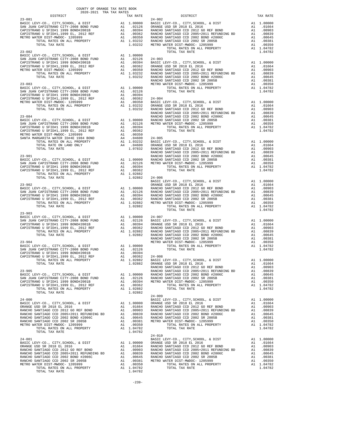| TOTAL TAX RATE | 1.04782 |            |  |
|----------------|---------|------------|--|
|                |         | $24 - 010$ |  |
|                |         |            |  |
|                |         |            |  |
|                |         |            |  |
|                |         |            |  |
|                |         |            |  |
|                |         |            |  |
|                |         |            |  |
|                |         |            |  |
|                |         |            |  |
|                |         |            |  |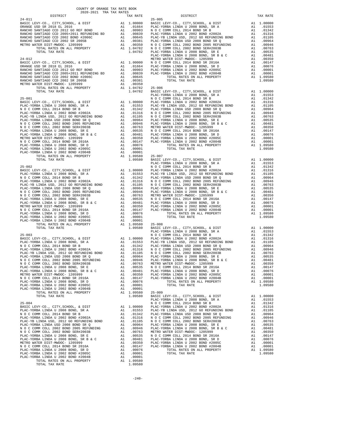| COUNTY OF ORANGE TAX RATE BOOK<br>$\begin{minipage}{0.5\textwidth} \begin{tabular}{lcccccc} \textbf{1} & \textbf{1} & \textbf{1} & \textbf{1} & \textbf{1} & \textbf{1} & \textbf{1} & \textbf{1} & \textbf{1} & \textbf{1} & \textbf{1} & \textbf{1} & \textbf{1} & \textbf{1} & \textbf{1} & \textbf{1} & \textbf{1} & \textbf{1} & \textbf{1} & \textbf{1} & \textbf{1} & \textbf{1} & \textbf{1} & \textbf{1} & \textbf{1} & \textbf{1} & \textbf{1} & \textbf{1} &$ |          |          |          |
|--------------------------------------------------------------------------------------------------------------------------------------------------------------------------------------------------------------------------------------------------------------------------------------------------------------------------------------------------------------------------------------------------------------------------------------------------------------------------|----------|----------|----------|
|                                                                                                                                                                                                                                                                                                                                                                                                                                                                          | TAX RATE | DISTRICT | TAX RATE |
|                                                                                                                                                                                                                                                                                                                                                                                                                                                                          |          |          |          |
|                                                                                                                                                                                                                                                                                                                                                                                                                                                                          |          |          |          |
|                                                                                                                                                                                                                                                                                                                                                                                                                                                                          |          |          |          |
|                                                                                                                                                                                                                                                                                                                                                                                                                                                                          |          |          |          |
|                                                                                                                                                                                                                                                                                                                                                                                                                                                                          |          |          |          |
|                                                                                                                                                                                                                                                                                                                                                                                                                                                                          |          |          |          |
|                                                                                                                                                                                                                                                                                                                                                                                                                                                                          |          |          |          |
|                                                                                                                                                                                                                                                                                                                                                                                                                                                                          |          |          |          |
|                                                                                                                                                                                                                                                                                                                                                                                                                                                                          |          |          |          |
|                                                                                                                                                                                                                                                                                                                                                                                                                                                                          |          |          |          |
|                                                                                                                                                                                                                                                                                                                                                                                                                                                                          |          |          |          |
|                                                                                                                                                                                                                                                                                                                                                                                                                                                                          |          |          |          |
|                                                                                                                                                                                                                                                                                                                                                                                                                                                                          |          |          |          |
|                                                                                                                                                                                                                                                                                                                                                                                                                                                                          |          |          |          |
|                                                                                                                                                                                                                                                                                                                                                                                                                                                                          |          |          |          |
|                                                                                                                                                                                                                                                                                                                                                                                                                                                                          |          |          |          |
|                                                                                                                                                                                                                                                                                                                                                                                                                                                                          |          |          |          |
|                                                                                                                                                                                                                                                                                                                                                                                                                                                                          |          |          |          |
|                                                                                                                                                                                                                                                                                                                                                                                                                                                                          |          |          |          |
|                                                                                                                                                                                                                                                                                                                                                                                                                                                                          |          |          |          |
|                                                                                                                                                                                                                                                                                                                                                                                                                                                                          |          |          |          |
|                                                                                                                                                                                                                                                                                                                                                                                                                                                                          |          |          |          |
|                                                                                                                                                                                                                                                                                                                                                                                                                                                                          |          |          |          |
|                                                                                                                                                                                                                                                                                                                                                                                                                                                                          |          |          |          |
|                                                                                                                                                                                                                                                                                                                                                                                                                                                                          |          |          |          |
|                                                                                                                                                                                                                                                                                                                                                                                                                                                                          |          |          |          |
|                                                                                                                                                                                                                                                                                                                                                                                                                                                                          |          |          |          |
|                                                                                                                                                                                                                                                                                                                                                                                                                                                                          |          |          |          |
|                                                                                                                                                                                                                                                                                                                                                                                                                                                                          |          |          |          |
|                                                                                                                                                                                                                                                                                                                                                                                                                                                                          |          |          |          |
|                                                                                                                                                                                                                                                                                                                                                                                                                                                                          |          |          |          |
|                                                                                                                                                                                                                                                                                                                                                                                                                                                                          |          |          |          |
|                                                                                                                                                                                                                                                                                                                                                                                                                                                                          |          |          |          |
|                                                                                                                                                                                                                                                                                                                                                                                                                                                                          |          |          |          |
|                                                                                                                                                                                                                                                                                                                                                                                                                                                                          |          |          |          |
|                                                                                                                                                                                                                                                                                                                                                                                                                                                                          |          |          |          |
|                                                                                                                                                                                                                                                                                                                                                                                                                                                                          |          |          |          |
|                                                                                                                                                                                                                                                                                                                                                                                                                                                                          |          |          |          |
|                                                                                                                                                                                                                                                                                                                                                                                                                                                                          |          |          |          |
|                                                                                                                                                                                                                                                                                                                                                                                                                                                                          |          |          |          |
|                                                                                                                                                                                                                                                                                                                                                                                                                                                                          |          |          |          |
|                                                                                                                                                                                                                                                                                                                                                                                                                                                                          |          |          |          |
|                                                                                                                                                                                                                                                                                                                                                                                                                                                                          |          |          |          |
|                                                                                                                                                                                                                                                                                                                                                                                                                                                                          |          |          |          |
|                                                                                                                                                                                                                                                                                                                                                                                                                                                                          |          |          |          |
|                                                                                                                                                                                                                                                                                                                                                                                                                                                                          |          |          |          |
|                                                                                                                                                                                                                                                                                                                                                                                                                                                                          |          |          |          |
|                                                                                                                                                                                                                                                                                                                                                                                                                                                                          |          |          |          |
|                                                                                                                                                                                                                                                                                                                                                                                                                                                                          |          |          |          |
|                                                                                                                                                                                                                                                                                                                                                                                                                                                                          |          |          |          |
|                                                                                                                                                                                                                                                                                                                                                                                                                                                                          |          |          |          |
|                                                                                                                                                                                                                                                                                                                                                                                                                                                                          |          |          |          |
|                                                                                                                                                                                                                                                                                                                                                                                                                                                                          |          |          |          |
|                                                                                                                                                                                                                                                                                                                                                                                                                                                                          |          |          |          |
|                                                                                                                                                                                                                                                                                                                                                                                                                                                                          |          |          |          |
|                                                                                                                                                                                                                                                                                                                                                                                                                                                                          |          |          |          |
|                                                                                                                                                                                                                                                                                                                                                                                                                                                                          |          |          |          |
|                                                                                                                                                                                                                                                                                                                                                                                                                                                                          |          |          |          |
|                                                                                                                                                                                                                                                                                                                                                                                                                                                                          |          |          |          |
|                                                                                                                                                                                                                                                                                                                                                                                                                                                                          |          |          |          |
|                                                                                                                                                                                                                                                                                                                                                                                                                                                                          |          |          |          |
|                                                                                                                                                                                                                                                                                                                                                                                                                                                                          |          |          |          |
|                                                                                                                                                                                                                                                                                                                                                                                                                                                                          |          |          |          |
|                                                                                                                                                                                                                                                                                                                                                                                                                                                                          |          |          |          |
|                                                                                                                                                                                                                                                                                                                                                                                                                                                                          |          |          |          |
|                                                                                                                                                                                                                                                                                                                                                                                                                                                                          |          |          |          |
|                                                                                                                                                                                                                                                                                                                                                                                                                                                                          |          |          |          |
|                                                                                                                                                                                                                                                                                                                                                                                                                                                                          |          |          |          |
|                                                                                                                                                                                                                                                                                                                                                                                                                                                                          |          |          |          |
|                                                                                                                                                                                                                                                                                                                                                                                                                                                                          |          |          |          |
|                                                                                                                                                                                                                                                                                                                                                                                                                                                                          |          |          |          |
|                                                                                                                                                                                                                                                                                                                                                                                                                                                                          |          |          |          |
|                                                                                                                                                                                                                                                                                                                                                                                                                                                                          |          |          |          |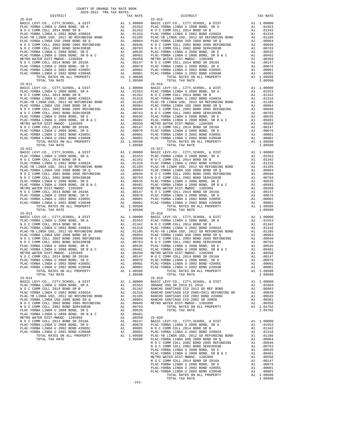| $25 - 010$                                                                       |    |                                                                                                               | $25 - 015$ |
|----------------------------------------------------------------------------------|----|---------------------------------------------------------------------------------------------------------------|------------|
|                                                                                  |    |                                                                                                               |            |
|                                                                                  |    |                                                                                                               |            |
|                                                                                  |    |                                                                                                               |            |
|                                                                                  |    |                                                                                                               |            |
|                                                                                  |    |                                                                                                               |            |
|                                                                                  |    |                                                                                                               |            |
|                                                                                  |    |                                                                                                               |            |
|                                                                                  |    |                                                                                                               |            |
|                                                                                  |    |                                                                                                               |            |
|                                                                                  |    |                                                                                                               |            |
|                                                                                  |    |                                                                                                               |            |
|                                                                                  |    |                                                                                                               |            |
|                                                                                  |    |                                                                                                               |            |
|                                                                                  |    |                                                                                                               |            |
|                                                                                  |    |                                                                                                               |            |
|                                                                                  |    |                                                                                                               |            |
| TOTAL TAX RATE                                                                   |    | 1.09580                                                                                                       |            |
|                                                                                  |    |                                                                                                               | $25 - 016$ |
| $25 - 011$                                                                       |    |                                                                                                               |            |
|                                                                                  |    |                                                                                                               |            |
|                                                                                  |    |                                                                                                               |            |
|                                                                                  |    |                                                                                                               |            |
|                                                                                  |    |                                                                                                               |            |
|                                                                                  |    |                                                                                                               |            |
|                                                                                  |    |                                                                                                               |            |
|                                                                                  |    |                                                                                                               |            |
|                                                                                  |    |                                                                                                               |            |
|                                                                                  |    |                                                                                                               |            |
|                                                                                  |    |                                                                                                               |            |
|                                                                                  |    |                                                                                                               |            |
|                                                                                  |    |                                                                                                               |            |
|                                                                                  |    |                                                                                                               |            |
|                                                                                  |    |                                                                                                               |            |
|                                                                                  |    |                                                                                                               |            |
|                                                                                  |    |                                                                                                               |            |
|                                                                                  |    |                                                                                                               |            |
| TOTAL TAX RATE                                                                   |    | 1.09580                                                                                                       |            |
|                                                                                  |    |                                                                                                               | $25 - 017$ |
|                                                                                  |    |                                                                                                               |            |
|                                                                                  |    |                                                                                                               |            |
|                                                                                  |    |                                                                                                               |            |
|                                                                                  |    |                                                                                                               |            |
|                                                                                  |    |                                                                                                               |            |
|                                                                                  |    |                                                                                                               |            |
|                                                                                  |    |                                                                                                               |            |
|                                                                                  |    |                                                                                                               |            |
|                                                                                  |    |                                                                                                               |            |
|                                                                                  |    |                                                                                                               |            |
|                                                                                  |    |                                                                                                               |            |
|                                                                                  |    |                                                                                                               |            |
|                                                                                  |    |                                                                                                               |            |
|                                                                                  |    |                                                                                                               |            |
|                                                                                  |    |                                                                                                               |            |
|                                                                                  |    |                                                                                                               |            |
|                                                                                  |    |                                                                                                               |            |
|                                                                                  |    |                                                                                                               |            |
|                                                                                  |    |                                                                                                               |            |
|                                                                                  |    |                                                                                                               |            |
|                                                                                  |    |                                                                                                               |            |
|                                                                                  |    |                                                                                                               |            |
|                                                                                  |    |                                                                                                               |            |
|                                                                                  |    |                                                                                                               |            |
|                                                                                  |    |                                                                                                               |            |
|                                                                                  |    |                                                                                                               |            |
|                                                                                  |    |                                                                                                               |            |
|                                                                                  |    |                                                                                                               |            |
|                                                                                  |    |                                                                                                               |            |
|                                                                                  |    |                                                                                                               |            |
|                                                                                  |    |                                                                                                               |            |
|                                                                                  |    |                                                                                                               |            |
|                                                                                  |    |                                                                                                               |            |
|                                                                                  |    |                                                                                                               |            |
|                                                                                  |    |                                                                                                               |            |
| TOTAL RATES ON ALL PROPERTY                                                      |    | A1 1.09580                                                                                                    |            |
| TOTAL TAX RATE                                                                   |    | 1.09580                                                                                                       |            |
| $25 - 014$                                                                       |    |                                                                                                               | $25 - 019$ |
| BASIC LEVY-CO., CITY, SCHOOL, & DIST                                             |    | A1 1.00000 BASIC L<br>A1 .01553 ORANGE                                                                        |            |
| PLAC-YORBA LINDA U 2008 BOND, SR A                                               |    |                                                                                                               |            |
| N O C COMM COLL 2014 BOND SR B                                                   |    |                                                                                                               |            |
| PLAC-YORBA LINDA U 2002 BOND #2002A                                              |    | A1 .01342 RANCHO<br>A1 .01316 RANCHO<br>A1 .01316 RANCHO<br>A1 .00964 RANCHO<br>A1 .00964 METRO<br>A1 .007635 |            |
| PLAC-YB LINDA USD, 2012 GO REFUNDING BOND                                        |    |                                                                                                               |            |
| PLAC-YORBA LINDA USD 2008 BOND SR Q                                              |    |                                                                                                               |            |
| N O C COMM COLL 2002 BOND 2005 REFUNDING                                         |    |                                                                                                               |            |
| N O C COMM COLL 2002 BOND SER#2003B                                              |    |                                                                                                               |            |
| PLAC-YORBA LINDA U 2008 BOND, SR E                                               |    | A1.00535                                                                                                      |            |
| PLAC-YORBA LINDA U 2008 BOND, SR B & C<br>PLAC-YORBA LINDA U 2008 BOND, SR B & C |    | A1.00481                                                                                                      |            |
| METRO WATER DIST-MWDOC- 1205999                                                  |    | A1.00350                                                                                                      | $25 - 020$ |
| N O C COMM COLL 2014 BOND SR 2016A                                               | A1 | .00147                                                                                                        | BASIC L    |
| PLAC-YORBA LINDA U 2008 BOND, SR D                                               | A1 | .00076                                                                                                        | PLAC-YO    |
| PLAC-YORBA LINDA U 2002 BOND #2005C                                              |    |                                                                                                               |            |
|                                                                                  |    |                                                                                                               |            |
| PLAC-YORBA LINDA U 2002 BOND #2004B                                              |    | A1 .00001 NOCC<br>A1 .00001 NOCC<br>A1 .00001 PLAC-YO<br>A1 1.09580 PLAC-YB<br>1.09580 PLAC-YO                |            |
| TOTAL RATES ON ALL PROPERTY                                                      |    |                                                                                                               |            |
| TOTAL TAX RATE                                                                   |    |                                                                                                               |            |

| COUNTY OF ORANGE TAX RATE BOOK<br>2020-2021 TRA TAX RATES |          |            |          |
|-----------------------------------------------------------|----------|------------|----------|
| DISTRICT                                                  | TAX RATE | DISTRICT   | TAX RATE |
| $25 - 010$                                                |          | $25 - 015$ |          |
|                                                           |          |            |          |
|                                                           |          |            |          |
|                                                           |          |            |          |
|                                                           |          |            |          |
|                                                           |          |            |          |
|                                                           |          |            |          |
|                                                           |          |            |          |
|                                                           |          |            |          |
|                                                           |          |            |          |
|                                                           |          |            |          |
|                                                           |          |            |          |
|                                                           |          |            |          |
|                                                           |          |            |          |
|                                                           |          |            |          |
|                                                           |          |            |          |
|                                                           |          |            |          |
|                                                           |          |            |          |
|                                                           |          |            |          |
|                                                           |          |            |          |
|                                                           |          |            |          |
|                                                           |          |            |          |
|                                                           |          |            |          |
|                                                           |          |            |          |
|                                                           |          |            |          |
|                                                           |          |            |          |
|                                                           |          |            |          |
|                                                           |          |            |          |
|                                                           |          |            |          |
|                                                           |          |            |          |
|                                                           |          |            |          |
|                                                           |          |            |          |
|                                                           |          |            |          |
|                                                           |          |            |          |
|                                                           |          |            |          |
| $25 - 013$                                                |          | $25 - 018$ |          |
|                                                           |          |            |          |
|                                                           |          |            |          |
|                                                           |          |            |          |
|                                                           |          |            |          |
|                                                           |          |            |          |
|                                                           |          |            |          |
|                                                           |          |            |          |
|                                                           |          |            |          |
|                                                           |          |            |          |
|                                                           |          |            |          |
|                                                           |          |            |          |
|                                                           |          | $25 - 019$ |          |
|                                                           |          |            |          |
|                                                           |          |            |          |
|                                                           |          |            |          |
|                                                           |          |            |          |
|                                                           |          |            |          |
|                                                           |          |            |          |
|                                                           |          |            |          |
|                                                           |          |            |          |
|                                                           |          |            |          |
|                                                           |          |            |          |
|                                                           |          |            |          |
|                                                           |          |            |          |
|                                                           |          |            |          |
|                                                           |          |            |          |
|                                                           |          |            |          |
|                                                           |          |            |          |
|                                                           |          |            |          |
|                                                           |          |            |          |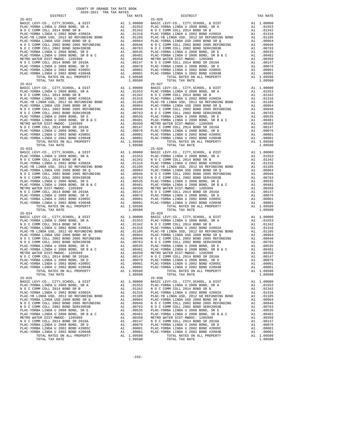| $25 - 021$                                                                   |          |                                                                                                                                                             | $25 - 026$      |
|------------------------------------------------------------------------------|----------|-------------------------------------------------------------------------------------------------------------------------------------------------------------|-----------------|
|                                                                              |          |                                                                                                                                                             |                 |
|                                                                              |          |                                                                                                                                                             |                 |
|                                                                              |          |                                                                                                                                                             |                 |
|                                                                              |          |                                                                                                                                                             |                 |
|                                                                              |          |                                                                                                                                                             |                 |
|                                                                              |          |                                                                                                                                                             |                 |
|                                                                              |          |                                                                                                                                                             |                 |
|                                                                              |          |                                                                                                                                                             |                 |
|                                                                              |          |                                                                                                                                                             |                 |
|                                                                              |          |                                                                                                                                                             |                 |
|                                                                              |          |                                                                                                                                                             |                 |
|                                                                              |          |                                                                                                                                                             |                 |
|                                                                              |          |                                                                                                                                                             |                 |
| TOTAL TAX RATE                                                               |          | 1.09580                                                                                                                                                     |                 |
| $25 - 022$                                                                   |          |                                                                                                                                                             | $25 - 027$      |
|                                                                              |          |                                                                                                                                                             |                 |
|                                                                              |          |                                                                                                                                                             |                 |
|                                                                              |          |                                                                                                                                                             |                 |
|                                                                              |          |                                                                                                                                                             |                 |
|                                                                              |          |                                                                                                                                                             |                 |
|                                                                              |          |                                                                                                                                                             |                 |
|                                                                              |          |                                                                                                                                                             |                 |
|                                                                              |          |                                                                                                                                                             |                 |
|                                                                              |          |                                                                                                                                                             |                 |
|                                                                              |          |                                                                                                                                                             |                 |
|                                                                              |          |                                                                                                                                                             |                 |
|                                                                              |          |                                                                                                                                                             |                 |
|                                                                              |          |                                                                                                                                                             |                 |
|                                                                              |          |                                                                                                                                                             |                 |
|                                                                              |          |                                                                                                                                                             |                 |
|                                                                              |          |                                                                                                                                                             |                 |
|                                                                              |          |                                                                                                                                                             |                 |
|                                                                              |          |                                                                                                                                                             |                 |
|                                                                              |          |                                                                                                                                                             |                 |
|                                                                              |          |                                                                                                                                                             |                 |
|                                                                              |          |                                                                                                                                                             |                 |
|                                                                              |          |                                                                                                                                                             |                 |
|                                                                              |          |                                                                                                                                                             |                 |
|                                                                              |          |                                                                                                                                                             |                 |
|                                                                              |          |                                                                                                                                                             |                 |
|                                                                              |          |                                                                                                                                                             |                 |
|                                                                              |          |                                                                                                                                                             |                 |
|                                                                              |          |                                                                                                                                                             |                 |
| $25 - 024$                                                                   |          |                                                                                                                                                             | $25 - 029$      |
|                                                                              |          |                                                                                                                                                             |                 |
|                                                                              |          |                                                                                                                                                             |                 |
|                                                                              |          |                                                                                                                                                             |                 |
|                                                                              |          |                                                                                                                                                             |                 |
|                                                                              |          |                                                                                                                                                             |                 |
|                                                                              |          |                                                                                                                                                             |                 |
|                                                                              |          |                                                                                                                                                             |                 |
|                                                                              |          |                                                                                                                                                             |                 |
|                                                                              |          |                                                                                                                                                             |                 |
|                                                                              |          |                                                                                                                                                             |                 |
|                                                                              |          |                                                                                                                                                             |                 |
|                                                                              |          |                                                                                                                                                             |                 |
|                                                                              |          |                                                                                                                                                             |                 |
| TOTAL RATES ON ALL PROPERTY<br>TOTAL TAX RATE                                |          | A1 1.09580<br>1.09580                                                                                                                                       |                 |
| $25 - 025$                                                                   |          |                                                                                                                                                             | $25 - 030$      |
| BASIC LEVY-CO., CITY, SCHOOL, & DIST                                         | A1       | 1.00000                                                                                                                                                     | BASIC L         |
| PLAC-YORBA LINDA U 2008 BOND, SR A                                           |          | A1 .01553                                                                                                                                                   | PLAC-YO         |
| N O C COMM COLL 2014 BOND SR B<br>PLAC-YORBA LINDA U 2002 BOND #2002A        | A1<br>A1 | .01342<br>.01316                                                                                                                                            | NOCC<br>PLAC-YO |
| PLAC-YB LINDA USD, 2012 GO REFUNDING BOND                                    | A1       | .01105                                                                                                                                                      | PLAC-YB         |
| PLAC-YORBA LINDA USD 2008 BOND SR Q                                          | A1       | .00964                                                                                                                                                      | PLAC-YO         |
| N O C COMM COLL 2002 BOND 2005 REFUNDING                                     |          | A1 .00946 MOCC<br>A1 .00946 NOCC<br>A1 .00763 NOCC<br>A1 .00535 PLAC-YO<br>A1 .00350 METRO W<br>A1 .00350 METRO N<br>A1 .00076 PLAC-YO<br>A1 .00076 PLAC-YO |                 |
| N O C COMM COLL 2002 BOND SER#2003B                                          |          |                                                                                                                                                             |                 |
| PLAC-YORBA LINDA U 2008 BOND, SR E<br>PLAC-YORBA LINDA U 2008 BOND, SR B & C |          |                                                                                                                                                             |                 |
| METRO WATER DIST-MWDOC- 1205999                                              |          |                                                                                                                                                             |                 |
| N O C COMM COLL 2014 BOND SR 2016A                                           |          |                                                                                                                                                             |                 |
| PLAC-YORBA LINDA U 2008 BOND, SR D                                           |          | A1 .00076                                                                                                                                                   |                 |
| PLAC-YORBA LINDA U 2002 BOND #2005C                                          |          | A1 .00001<br>A1 .00001                                                                                                                                      | PLAC-YO         |
| PLAC-YORBA LINDA U 2002 BOND #2004B                                          |          | A1 1.09580                                                                                                                                                  | PLAC-YO         |
| TOTAL RATES ON ALL PROPERTY<br>TOTAL TAY RATE                                |          | 1 09580                                                                                                                                                     |                 |

| TAX RATE<br>DISTRICT                |                                    | DISTRICT                                                                                                                                                                                                                                                                                                                                                                                                                                                                                      | TAX RATE   |
|-------------------------------------|------------------------------------|-----------------------------------------------------------------------------------------------------------------------------------------------------------------------------------------------------------------------------------------------------------------------------------------------------------------------------------------------------------------------------------------------------------------------------------------------------------------------------------------------|------------|
|                                     |                                    |                                                                                                                                                                                                                                                                                                                                                                                                                                                                                               |            |
|                                     |                                    |                                                                                                                                                                                                                                                                                                                                                                                                                                                                                               |            |
|                                     |                                    |                                                                                                                                                                                                                                                                                                                                                                                                                                                                                               |            |
|                                     |                                    |                                                                                                                                                                                                                                                                                                                                                                                                                                                                                               |            |
|                                     |                                    |                                                                                                                                                                                                                                                                                                                                                                                                                                                                                               |            |
|                                     |                                    |                                                                                                                                                                                                                                                                                                                                                                                                                                                                                               |            |
|                                     |                                    |                                                                                                                                                                                                                                                                                                                                                                                                                                                                                               |            |
|                                     |                                    |                                                                                                                                                                                                                                                                                                                                                                                                                                                                                               |            |
|                                     |                                    |                                                                                                                                                                                                                                                                                                                                                                                                                                                                                               |            |
|                                     |                                    |                                                                                                                                                                                                                                                                                                                                                                                                                                                                                               |            |
|                                     |                                    |                                                                                                                                                                                                                                                                                                                                                                                                                                                                                               |            |
|                                     |                                    |                                                                                                                                                                                                                                                                                                                                                                                                                                                                                               |            |
|                                     |                                    |                                                                                                                                                                                                                                                                                                                                                                                                                                                                                               |            |
|                                     |                                    |                                                                                                                                                                                                                                                                                                                                                                                                                                                                                               |            |
|                                     |                                    |                                                                                                                                                                                                                                                                                                                                                                                                                                                                                               |            |
|                                     |                                    |                                                                                                                                                                                                                                                                                                                                                                                                                                                                                               |            |
|                                     |                                    |                                                                                                                                                                                                                                                                                                                                                                                                                                                                                               |            |
|                                     |                                    |                                                                                                                                                                                                                                                                                                                                                                                                                                                                                               |            |
|                                     |                                    |                                                                                                                                                                                                                                                                                                                                                                                                                                                                                               |            |
|                                     |                                    |                                                                                                                                                                                                                                                                                                                                                                                                                                                                                               |            |
|                                     |                                    |                                                                                                                                                                                                                                                                                                                                                                                                                                                                                               |            |
|                                     |                                    |                                                                                                                                                                                                                                                                                                                                                                                                                                                                                               |            |
|                                     |                                    |                                                                                                                                                                                                                                                                                                                                                                                                                                                                                               |            |
|                                     |                                    |                                                                                                                                                                                                                                                                                                                                                                                                                                                                                               |            |
|                                     |                                    |                                                                                                                                                                                                                                                                                                                                                                                                                                                                                               |            |
|                                     |                                    |                                                                                                                                                                                                                                                                                                                                                                                                                                                                                               |            |
|                                     |                                    |                                                                                                                                                                                                                                                                                                                                                                                                                                                                                               |            |
|                                     |                                    |                                                                                                                                                                                                                                                                                                                                                                                                                                                                                               |            |
|                                     |                                    |                                                                                                                                                                                                                                                                                                                                                                                                                                                                                               |            |
|                                     |                                    |                                                                                                                                                                                                                                                                                                                                                                                                                                                                                               |            |
|                                     |                                    |                                                                                                                                                                                                                                                                                                                                                                                                                                                                                               |            |
|                                     |                                    |                                                                                                                                                                                                                                                                                                                                                                                                                                                                                               |            |
|                                     |                                    |                                                                                                                                                                                                                                                                                                                                                                                                                                                                                               |            |
|                                     |                                    |                                                                                                                                                                                                                                                                                                                                                                                                                                                                                               |            |
|                                     |                                    |                                                                                                                                                                                                                                                                                                                                                                                                                                                                                               |            |
|                                     |                                    |                                                                                                                                                                                                                                                                                                                                                                                                                                                                                               |            |
| $25 - 023$                          |                                    | $25 - 028$                                                                                                                                                                                                                                                                                                                                                                                                                                                                                    |            |
|                                     |                                    |                                                                                                                                                                                                                                                                                                                                                                                                                                                                                               |            |
|                                     |                                    |                                                                                                                                                                                                                                                                                                                                                                                                                                                                                               |            |
|                                     |                                    |                                                                                                                                                                                                                                                                                                                                                                                                                                                                                               |            |
|                                     |                                    |                                                                                                                                                                                                                                                                                                                                                                                                                                                                                               |            |
|                                     |                                    |                                                                                                                                                                                                                                                                                                                                                                                                                                                                                               |            |
|                                     |                                    |                                                                                                                                                                                                                                                                                                                                                                                                                                                                                               |            |
|                                     |                                    |                                                                                                                                                                                                                                                                                                                                                                                                                                                                                               |            |
|                                     |                                    |                                                                                                                                                                                                                                                                                                                                                                                                                                                                                               |            |
|                                     |                                    |                                                                                                                                                                                                                                                                                                                                                                                                                                                                                               |            |
|                                     |                                    |                                                                                                                                                                                                                                                                                                                                                                                                                                                                                               |            |
|                                     |                                    |                                                                                                                                                                                                                                                                                                                                                                                                                                                                                               |            |
|                                     |                                    |                                                                                                                                                                                                                                                                                                                                                                                                                                                                                               |            |
|                                     |                                    |                                                                                                                                                                                                                                                                                                                                                                                                                                                                                               |            |
|                                     |                                    |                                                                                                                                                                                                                                                                                                                                                                                                                                                                                               |            |
|                                     |                                    |                                                                                                                                                                                                                                                                                                                                                                                                                                                                                               |            |
|                                     |                                    |                                                                                                                                                                                                                                                                                                                                                                                                                                                                                               |            |
|                                     |                                    |                                                                                                                                                                                                                                                                                                                                                                                                                                                                                               |            |
| $25 - 024$                          |                                    | $25 - 029$                                                                                                                                                                                                                                                                                                                                                                                                                                                                                    |            |
|                                     |                                    |                                                                                                                                                                                                                                                                                                                                                                                                                                                                                               |            |
|                                     |                                    |                                                                                                                                                                                                                                                                                                                                                                                                                                                                                               |            |
|                                     |                                    |                                                                                                                                                                                                                                                                                                                                                                                                                                                                                               |            |
|                                     |                                    |                                                                                                                                                                                                                                                                                                                                                                                                                                                                                               |            |
|                                     |                                    |                                                                                                                                                                                                                                                                                                                                                                                                                                                                                               |            |
|                                     |                                    |                                                                                                                                                                                                                                                                                                                                                                                                                                                                                               |            |
|                                     |                                    |                                                                                                                                                                                                                                                                                                                                                                                                                                                                                               |            |
|                                     |                                    |                                                                                                                                                                                                                                                                                                                                                                                                                                                                                               |            |
|                                     |                                    |                                                                                                                                                                                                                                                                                                                                                                                                                                                                                               |            |
|                                     |                                    |                                                                                                                                                                                                                                                                                                                                                                                                                                                                                               |            |
|                                     |                                    |                                                                                                                                                                                                                                                                                                                                                                                                                                                                                               |            |
|                                     |                                    |                                                                                                                                                                                                                                                                                                                                                                                                                                                                                               |            |
|                                     |                                    |                                                                                                                                                                                                                                                                                                                                                                                                                                                                                               |            |
|                                     |                                    |                                                                                                                                                                                                                                                                                                                                                                                                                                                                                               |            |
| PLAC-YORBA LINDA U 2002 BOND #2004B | A1 .00001<br>A1 1.09580<br>1.09580 |                                                                                                                                                                                                                                                                                                                                                                                                                                                                                               | A1 .00001  |
| TOTAL RATES ON ALL PROPERTY         |                                    | PLAC-YORBA LINDA U 2002 BOND #2004B<br>TOTAL RATES ON ALL PROPERTY                                                                                                                                                                                                                                                                                                                                                                                                                            | A1 1.09580 |
| TOTAL TAX RATE                      | 1.09580                            | TOTAL TAX RATE                                                                                                                                                                                                                                                                                                                                                                                                                                                                                | 1,09580    |
| $25 - 025$                          |                                    | $25 - 030$                                                                                                                                                                                                                                                                                                                                                                                                                                                                                    |            |
|                                     |                                    | BASIC LEVY-CO., CITY, SCHOOL, & DIST A1 1.00000 BASIC LEVY-CO., CITY, SCHOOL, & DIST A1 1.00000 BASIC LEVY-CO., CITY, SCHOOL, & DIST A1 1.00000 BASIC LEVY-CO., CITY, SCHOOL, & DIST A1 .00000 BASIC LEVY-CO., CITY, SCHOOL, &                                                                                                                                                                                                                                                                |            |
|                                     |                                    |                                                                                                                                                                                                                                                                                                                                                                                                                                                                                               |            |
|                                     |                                    |                                                                                                                                                                                                                                                                                                                                                                                                                                                                                               | A1 .01342  |
|                                     |                                    |                                                                                                                                                                                                                                                                                                                                                                                                                                                                                               | A1 .01316  |
|                                     |                                    | PLAC-YORBA LINDA U 2002 BOND FR B<br>N 0 C COMM COLL 2014 BOND SR B<br>PLAC-YORBA LINDA USD, 2012 GO REFUNDING BOND<br>PLAC-YB LINDA USD, 2012 GO REFUNDING BOND<br>PLAC-YB LINDA USD, 2012 GO REFUNDING BOND<br>PLAC-YB LINDA USD, 2012                                                                                                                                                                                                                                                      | A1 .01105  |
|                                     |                                    |                                                                                                                                                                                                                                                                                                                                                                                                                                                                                               | A1 .00964  |
|                                     |                                    |                                                                                                                                                                                                                                                                                                                                                                                                                                                                                               |            |
|                                     |                                    |                                                                                                                                                                                                                                                                                                                                                                                                                                                                                               |            |
|                                     |                                    |                                                                                                                                                                                                                                                                                                                                                                                                                                                                                               |            |
|                                     |                                    |                                                                                                                                                                                                                                                                                                                                                                                                                                                                                               |            |
|                                     |                                    |                                                                                                                                                                                                                                                                                                                                                                                                                                                                                               |            |
|                                     |                                    |                                                                                                                                                                                                                                                                                                                                                                                                                                                                                               |            |
|                                     |                                    |                                                                                                                                                                                                                                                                                                                                                                                                                                                                                               |            |
|                                     |                                    |                                                                                                                                                                                                                                                                                                                                                                                                                                                                                               |            |
|                                     |                                    | $\begin{tabular}{l c c c c c} \multicolumn{1}{c}{\textbf{N} & $\mathcal{O}$ & $\mathcal{C}$ & $\mathcal{O}$ & $\mathcal{S}$ & $\mathcal{O}$ \\ \multicolumn{1}{c}{\textbf{N} & $\mathcal{O}$ & $\mathcal{C}$ & $\mathcal{O}$ & $\mathcal{O}$ & $\mathcal{O}$ & $\mathcal{O}$ \\ \multicolumn{1}{c}{\textbf{N} & $\mathcal{O}$ & $\mathcal{C}$ & $\mathcal{O}$ & $\mathcal{O}$ & $\mathcal{O}$ \\ \multicolumn{1}{c}{\textbf{N} & $\mathcal{O}$ & $\mathcal{C}$ & $\mathcal{O}$ & $\mathcal{O$ |            |
|                                     |                                    |                                                                                                                                                                                                                                                                                                                                                                                                                                                                                               |            |
| TOTAL TAX RATE                      | 1.09580                            | TOTAL TAX RATE                                                                                                                                                                                                                                                                                                                                                                                                                                                                                | 1.09580    |

 $-242-$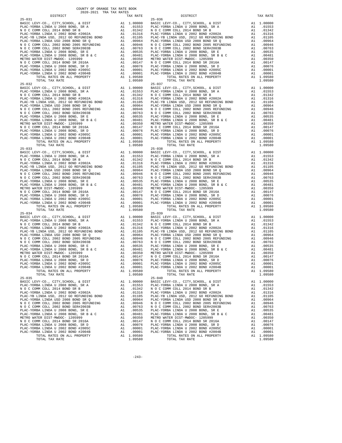| $25 - 031$                                                                       |          |                                                       | $25 - 036$         |
|----------------------------------------------------------------------------------|----------|-------------------------------------------------------|--------------------|
|                                                                                  |          |                                                       |                    |
|                                                                                  |          |                                                       |                    |
|                                                                                  |          |                                                       |                    |
|                                                                                  |          |                                                       |                    |
|                                                                                  |          |                                                       |                    |
|                                                                                  |          |                                                       |                    |
|                                                                                  |          |                                                       |                    |
|                                                                                  |          |                                                       |                    |
|                                                                                  |          |                                                       |                    |
|                                                                                  |          |                                                       |                    |
|                                                                                  |          |                                                       |                    |
|                                                                                  |          |                                                       |                    |
|                                                                                  |          |                                                       |                    |
| TOTAL TAX RATE                                                                   |          | 1.09580                                               |                    |
| $25 - 032$                                                                       |          |                                                       | $25 - 037$         |
|                                                                                  |          |                                                       |                    |
|                                                                                  |          |                                                       |                    |
|                                                                                  |          |                                                       |                    |
|                                                                                  |          |                                                       |                    |
|                                                                                  |          |                                                       |                    |
|                                                                                  |          |                                                       |                    |
|                                                                                  |          |                                                       |                    |
|                                                                                  |          |                                                       |                    |
|                                                                                  |          |                                                       |                    |
|                                                                                  |          |                                                       |                    |
|                                                                                  |          |                                                       |                    |
|                                                                                  |          |                                                       |                    |
|                                                                                  |          |                                                       |                    |
|                                                                                  |          |                                                       |                    |
|                                                                                  |          |                                                       |                    |
|                                                                                  |          |                                                       |                    |
|                                                                                  |          |                                                       |                    |
|                                                                                  |          |                                                       |                    |
|                                                                                  |          |                                                       |                    |
|                                                                                  |          |                                                       |                    |
|                                                                                  |          |                                                       |                    |
|                                                                                  |          |                                                       |                    |
|                                                                                  |          |                                                       |                    |
|                                                                                  |          |                                                       |                    |
|                                                                                  |          |                                                       |                    |
|                                                                                  |          |                                                       |                    |
|                                                                                  |          |                                                       |                    |
|                                                                                  |          |                                                       |                    |
|                                                                                  |          |                                                       |                    |
| $25 - 034$                                                                       |          |                                                       | $25 - 039$         |
|                                                                                  |          |                                                       |                    |
|                                                                                  |          |                                                       |                    |
|                                                                                  |          |                                                       |                    |
|                                                                                  |          |                                                       |                    |
|                                                                                  |          |                                                       |                    |
|                                                                                  |          |                                                       |                    |
|                                                                                  |          |                                                       |                    |
|                                                                                  |          |                                                       |                    |
|                                                                                  |          |                                                       |                    |
|                                                                                  |          |                                                       |                    |
|                                                                                  |          |                                                       |                    |
|                                                                                  |          |                                                       |                    |
|                                                                                  |          |                                                       |                    |
| TOTAL RATES ON ALL PROPERTY                                                      |          | A1 1.09580                                            |                    |
| TOTAL TAX RATE<br>$25 - 035$                                                     |          | 1.09580                                               | $25 - 040$         |
| BASIC LEVY-CO., CITY, SCHOOL, & DIST                                             | A1       | 1.00000                                               | BASIC L            |
| PLAC-YORBA LINDA U 2008 BOND, SR A                                               |          | A1 .01553                                             | PLAC-YO            |
| N O C COMM COLL 2014 BOND SR B                                                   | A1       | .01342                                                | NOCC               |
| PLAC-YORBA LINDA U 2002 BOND #2002A                                              | A1       | .01316                                                | PLAC-YO            |
| PLAC-YB LINDA USD, 2012 GO REFUNDING BOND<br>PLAC-YORBA LINDA USD 2008 BOND SR Q | A1<br>A1 | .01105<br>.00964                                      | PLAC-YB<br>PLAC-YO |
| N O C COMM COLL 2002 BOND 2005 REFUNDING                                         |          | .00946                                                |                    |
| N O C COMM COLL 2002 BOND SER#2003B                                              |          | A1 .00946 NOCC<br>A1 .00763 NOCC<br>A1 .00535 PLAC-YO |                    |
| PLAC-YORBA LINDA U 2008 BOND, SR E                                               |          |                                                       |                    |
| PLAC-YORBA LINDA U 2008 BOND, SR B & C                                           |          | A1.00481                                              | PLAC-YO            |
| METRO WATER DIST-MWDOC- 1205999                                                  |          | A1 .00350 METRO W<br>A1 .00147 NOCC                   |                    |
| N O C COMM COLL 2014 BOND SR 2016A<br>PLAC-YORBA LINDA U 2008 BOND, SR D         | A1       |                                                       | PLAC-YO            |
| PLAC-YORBA LINDA U 2002 BOND #2005C                                              | A1       | .00076                                                | PLAC-YO            |
| PLAC-YORBA LINDA U 2002 BOND #2004B                                              | A1       | $.00001$<br>$.00001$                                  | PLAC-YO            |
| TOTAL RATES ON ALL PROPERTY                                                      |          | A1 1.09580                                            |                    |
| <b>TOTAL TAY DATE</b>                                                            |          | 1 09580                                               |                    |

| TAX RATE<br>DISTRICT                                                                                                                                                                                                                                                    |                                    | DISTRICT                                                                                                                                                                                                                                                                                                                                                                                                                                                                                      | TAX RATE   |
|-------------------------------------------------------------------------------------------------------------------------------------------------------------------------------------------------------------------------------------------------------------------------|------------------------------------|-----------------------------------------------------------------------------------------------------------------------------------------------------------------------------------------------------------------------------------------------------------------------------------------------------------------------------------------------------------------------------------------------------------------------------------------------------------------------------------------------|------------|
|                                                                                                                                                                                                                                                                         |                                    |                                                                                                                                                                                                                                                                                                                                                                                                                                                                                               |            |
|                                                                                                                                                                                                                                                                         |                                    |                                                                                                                                                                                                                                                                                                                                                                                                                                                                                               |            |
|                                                                                                                                                                                                                                                                         |                                    |                                                                                                                                                                                                                                                                                                                                                                                                                                                                                               |            |
|                                                                                                                                                                                                                                                                         |                                    |                                                                                                                                                                                                                                                                                                                                                                                                                                                                                               |            |
|                                                                                                                                                                                                                                                                         |                                    |                                                                                                                                                                                                                                                                                                                                                                                                                                                                                               |            |
|                                                                                                                                                                                                                                                                         |                                    |                                                                                                                                                                                                                                                                                                                                                                                                                                                                                               |            |
|                                                                                                                                                                                                                                                                         |                                    |                                                                                                                                                                                                                                                                                                                                                                                                                                                                                               |            |
|                                                                                                                                                                                                                                                                         |                                    |                                                                                                                                                                                                                                                                                                                                                                                                                                                                                               |            |
|                                                                                                                                                                                                                                                                         |                                    |                                                                                                                                                                                                                                                                                                                                                                                                                                                                                               |            |
|                                                                                                                                                                                                                                                                         |                                    |                                                                                                                                                                                                                                                                                                                                                                                                                                                                                               |            |
|                                                                                                                                                                                                                                                                         |                                    |                                                                                                                                                                                                                                                                                                                                                                                                                                                                                               |            |
|                                                                                                                                                                                                                                                                         |                                    |                                                                                                                                                                                                                                                                                                                                                                                                                                                                                               |            |
|                                                                                                                                                                                                                                                                         |                                    |                                                                                                                                                                                                                                                                                                                                                                                                                                                                                               |            |
|                                                                                                                                                                                                                                                                         |                                    |                                                                                                                                                                                                                                                                                                                                                                                                                                                                                               |            |
|                                                                                                                                                                                                                                                                         |                                    |                                                                                                                                                                                                                                                                                                                                                                                                                                                                                               |            |
|                                                                                                                                                                                                                                                                         |                                    |                                                                                                                                                                                                                                                                                                                                                                                                                                                                                               |            |
|                                                                                                                                                                                                                                                                         |                                    |                                                                                                                                                                                                                                                                                                                                                                                                                                                                                               |            |
|                                                                                                                                                                                                                                                                         |                                    |                                                                                                                                                                                                                                                                                                                                                                                                                                                                                               |            |
|                                                                                                                                                                                                                                                                         |                                    |                                                                                                                                                                                                                                                                                                                                                                                                                                                                                               |            |
|                                                                                                                                                                                                                                                                         |                                    |                                                                                                                                                                                                                                                                                                                                                                                                                                                                                               |            |
|                                                                                                                                                                                                                                                                         |                                    |                                                                                                                                                                                                                                                                                                                                                                                                                                                                                               |            |
|                                                                                                                                                                                                                                                                         |                                    |                                                                                                                                                                                                                                                                                                                                                                                                                                                                                               |            |
|                                                                                                                                                                                                                                                                         |                                    |                                                                                                                                                                                                                                                                                                                                                                                                                                                                                               |            |
|                                                                                                                                                                                                                                                                         |                                    |                                                                                                                                                                                                                                                                                                                                                                                                                                                                                               |            |
|                                                                                                                                                                                                                                                                         |                                    |                                                                                                                                                                                                                                                                                                                                                                                                                                                                                               |            |
|                                                                                                                                                                                                                                                                         |                                    |                                                                                                                                                                                                                                                                                                                                                                                                                                                                                               |            |
|                                                                                                                                                                                                                                                                         |                                    |                                                                                                                                                                                                                                                                                                                                                                                                                                                                                               |            |
|                                                                                                                                                                                                                                                                         |                                    |                                                                                                                                                                                                                                                                                                                                                                                                                                                                                               |            |
|                                                                                                                                                                                                                                                                         |                                    |                                                                                                                                                                                                                                                                                                                                                                                                                                                                                               |            |
| $\begin{array}{cccccc} 25-032 & 707 \text{AL} & 1.09580 & 1.09580 & 1.09580 & 1.09580 & 1.09580 & 1.09580 & 1.09580 & 1.09580 & 1.09580 & 1.09580 & 1.09580 & 1.09580 & 1.09580 & 1.09580 & 1.09580 & 1.09580 & 1.09580 & 1.09580 & 1.09580 & 1.0000 & 1.0000 & 1.0000$ |                                    |                                                                                                                                                                                                                                                                                                                                                                                                                                                                                               |            |
|                                                                                                                                                                                                                                                                         |                                    |                                                                                                                                                                                                                                                                                                                                                                                                                                                                                               |            |
|                                                                                                                                                                                                                                                                         |                                    |                                                                                                                                                                                                                                                                                                                                                                                                                                                                                               |            |
|                                                                                                                                                                                                                                                                         |                                    |                                                                                                                                                                                                                                                                                                                                                                                                                                                                                               |            |
|                                                                                                                                                                                                                                                                         |                                    |                                                                                                                                                                                                                                                                                                                                                                                                                                                                                               |            |
|                                                                                                                                                                                                                                                                         |                                    |                                                                                                                                                                                                                                                                                                                                                                                                                                                                                               |            |
|                                                                                                                                                                                                                                                                         |                                    |                                                                                                                                                                                                                                                                                                                                                                                                                                                                                               |            |
| $25 - 033$                                                                                                                                                                                                                                                              |                                    | $25 - 038$                                                                                                                                                                                                                                                                                                                                                                                                                                                                                    |            |
|                                                                                                                                                                                                                                                                         |                                    |                                                                                                                                                                                                                                                                                                                                                                                                                                                                                               |            |
|                                                                                                                                                                                                                                                                         |                                    |                                                                                                                                                                                                                                                                                                                                                                                                                                                                                               |            |
|                                                                                                                                                                                                                                                                         |                                    |                                                                                                                                                                                                                                                                                                                                                                                                                                                                                               |            |
|                                                                                                                                                                                                                                                                         |                                    |                                                                                                                                                                                                                                                                                                                                                                                                                                                                                               |            |
|                                                                                                                                                                                                                                                                         |                                    |                                                                                                                                                                                                                                                                                                                                                                                                                                                                                               |            |
|                                                                                                                                                                                                                                                                         |                                    |                                                                                                                                                                                                                                                                                                                                                                                                                                                                                               |            |
|                                                                                                                                                                                                                                                                         |                                    |                                                                                                                                                                                                                                                                                                                                                                                                                                                                                               |            |
|                                                                                                                                                                                                                                                                         |                                    |                                                                                                                                                                                                                                                                                                                                                                                                                                                                                               |            |
|                                                                                                                                                                                                                                                                         |                                    |                                                                                                                                                                                                                                                                                                                                                                                                                                                                                               |            |
|                                                                                                                                                                                                                                                                         |                                    |                                                                                                                                                                                                                                                                                                                                                                                                                                                                                               |            |
|                                                                                                                                                                                                                                                                         |                                    |                                                                                                                                                                                                                                                                                                                                                                                                                                                                                               |            |
|                                                                                                                                                                                                                                                                         |                                    |                                                                                                                                                                                                                                                                                                                                                                                                                                                                                               |            |
|                                                                                                                                                                                                                                                                         |                                    |                                                                                                                                                                                                                                                                                                                                                                                                                                                                                               |            |
|                                                                                                                                                                                                                                                                         |                                    |                                                                                                                                                                                                                                                                                                                                                                                                                                                                                               |            |
|                                                                                                                                                                                                                                                                         |                                    |                                                                                                                                                                                                                                                                                                                                                                                                                                                                                               |            |
|                                                                                                                                                                                                                                                                         |                                    |                                                                                                                                                                                                                                                                                                                                                                                                                                                                                               |            |
|                                                                                                                                                                                                                                                                         |                                    |                                                                                                                                                                                                                                                                                                                                                                                                                                                                                               |            |
| $25 - 034$                                                                                                                                                                                                                                                              |                                    | $25 - 039$                                                                                                                                                                                                                                                                                                                                                                                                                                                                                    |            |
|                                                                                                                                                                                                                                                                         |                                    |                                                                                                                                                                                                                                                                                                                                                                                                                                                                                               |            |
|                                                                                                                                                                                                                                                                         |                                    |                                                                                                                                                                                                                                                                                                                                                                                                                                                                                               |            |
|                                                                                                                                                                                                                                                                         |                                    |                                                                                                                                                                                                                                                                                                                                                                                                                                                                                               |            |
|                                                                                                                                                                                                                                                                         |                                    |                                                                                                                                                                                                                                                                                                                                                                                                                                                                                               |            |
|                                                                                                                                                                                                                                                                         |                                    |                                                                                                                                                                                                                                                                                                                                                                                                                                                                                               |            |
|                                                                                                                                                                                                                                                                         |                                    |                                                                                                                                                                                                                                                                                                                                                                                                                                                                                               |            |
|                                                                                                                                                                                                                                                                         |                                    |                                                                                                                                                                                                                                                                                                                                                                                                                                                                                               |            |
|                                                                                                                                                                                                                                                                         |                                    |                                                                                                                                                                                                                                                                                                                                                                                                                                                                                               |            |
|                                                                                                                                                                                                                                                                         |                                    |                                                                                                                                                                                                                                                                                                                                                                                                                                                                                               |            |
|                                                                                                                                                                                                                                                                         |                                    |                                                                                                                                                                                                                                                                                                                                                                                                                                                                                               |            |
|                                                                                                                                                                                                                                                                         |                                    |                                                                                                                                                                                                                                                                                                                                                                                                                                                                                               |            |
|                                                                                                                                                                                                                                                                         |                                    |                                                                                                                                                                                                                                                                                                                                                                                                                                                                                               |            |
|                                                                                                                                                                                                                                                                         |                                    |                                                                                                                                                                                                                                                                                                                                                                                                                                                                                               |            |
|                                                                                                                                                                                                                                                                         |                                    |                                                                                                                                                                                                                                                                                                                                                                                                                                                                                               |            |
| PLAC-YORBA LINDA U 2002 BOND #2004B                                                                                                                                                                                                                                     | A1 .00001<br>A1 1.09580<br>1.09580 | PLAC-YORBA LINDA U 2002 BOND #2004B<br>TOTAL RATES ON ALL PROPERTY                                                                                                                                                                                                                                                                                                                                                                                                                            | A1 .00001  |
| TOTAL RATES ON ALL PROPERTY                                                                                                                                                                                                                                             |                                    |                                                                                                                                                                                                                                                                                                                                                                                                                                                                                               | A1 1.09580 |
| TOTAL TAX RATE                                                                                                                                                                                                                                                          | 1.09580                            | TOTAL TAX RATE                                                                                                                                                                                                                                                                                                                                                                                                                                                                                | 1,09580    |
| $25 - 035$                                                                                                                                                                                                                                                              |                                    | $25 - 040$                                                                                                                                                                                                                                                                                                                                                                                                                                                                                    |            |
|                                                                                                                                                                                                                                                                         |                                    | BASIC LEVY-CO., CITY, SCHOOL, & DIST A1 1.00000 BASIC LEVY-CO., CITY, SCHOOL, & DIST A1 1.00000 BASIC LEVY-CO., CITY, SCHOOL, & DIST A1 1.00000 BASIC LEVY-CO., CITY, SCHOOL, & DIST A1 1.00000 BASIC LEVY-CO., CITY, SCHOOL,                                                                                                                                                                                                                                                                 |            |
|                                                                                                                                                                                                                                                                         |                                    |                                                                                                                                                                                                                                                                                                                                                                                                                                                                                               |            |
|                                                                                                                                                                                                                                                                         |                                    |                                                                                                                                                                                                                                                                                                                                                                                                                                                                                               | A1 .01342  |
|                                                                                                                                                                                                                                                                         |                                    | PLAC-YORBA LINDA U 2002 BOND FR B<br>N 0 C COMM COLL 2014 BOND SR B<br>PLAC-YORBA LINDA USD, 2012 GO REFUNDING BOND<br>PLAC-YB LINDA USD, 2012 GO REFUNDING BOND<br>PLAC-YB LINDA USD, 2012 GO REFUNDING BOND<br>PLAC-YB LINDA USD, 2012                                                                                                                                                                                                                                                      | A1 .01316  |
|                                                                                                                                                                                                                                                                         |                                    |                                                                                                                                                                                                                                                                                                                                                                                                                                                                                               | A1 .01105  |
|                                                                                                                                                                                                                                                                         |                                    |                                                                                                                                                                                                                                                                                                                                                                                                                                                                                               | A1 .00964  |
|                                                                                                                                                                                                                                                                         |                                    |                                                                                                                                                                                                                                                                                                                                                                                                                                                                                               |            |
|                                                                                                                                                                                                                                                                         |                                    |                                                                                                                                                                                                                                                                                                                                                                                                                                                                                               |            |
|                                                                                                                                                                                                                                                                         |                                    |                                                                                                                                                                                                                                                                                                                                                                                                                                                                                               |            |
|                                                                                                                                                                                                                                                                         |                                    |                                                                                                                                                                                                                                                                                                                                                                                                                                                                                               |            |
|                                                                                                                                                                                                                                                                         |                                    |                                                                                                                                                                                                                                                                                                                                                                                                                                                                                               |            |
|                                                                                                                                                                                                                                                                         |                                    |                                                                                                                                                                                                                                                                                                                                                                                                                                                                                               |            |
|                                                                                                                                                                                                                                                                         |                                    |                                                                                                                                                                                                                                                                                                                                                                                                                                                                                               |            |
|                                                                                                                                                                                                                                                                         |                                    |                                                                                                                                                                                                                                                                                                                                                                                                                                                                                               |            |
|                                                                                                                                                                                                                                                                         |                                    | $\begin{tabular}{l c c c c c} \multicolumn{1}{c}{\textbf{N} & $\mathcal{O}$ & $\mathcal{C}$ & $\mathcal{O}$ & $\mathcal{S}$ & $\mathcal{O}$ \\ \multicolumn{1}{c}{\textbf{N} & $\mathcal{O}$ & $\mathcal{C}$ & $\mathcal{O}$ & $\mathcal{O}$ & $\mathcal{O}$ & $\mathcal{O}$ \\ \multicolumn{1}{c}{\textbf{N} & $\mathcal{O}$ & $\mathcal{C}$ & $\mathcal{O}$ & $\mathcal{O}$ & $\mathcal{O}$ \\ \multicolumn{1}{c}{\textbf{N} & $\mathcal{O}$ & $\mathcal{C}$ & $\mathcal{O}$ & $\mathcal{O$ |            |
|                                                                                                                                                                                                                                                                         |                                    |                                                                                                                                                                                                                                                                                                                                                                                                                                                                                               |            |
| TOTAL TAX RATE                                                                                                                                                                                                                                                          | 1.09580                            | TOTAL TAX RATE                                                                                                                                                                                                                                                                                                                                                                                                                                                                                | 1.09580    |

 $-243-$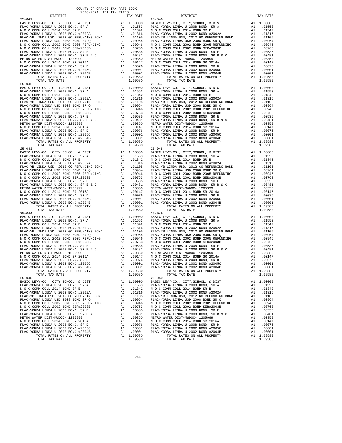| $25 - 041$                                                                      |    |                                                                                                                                                             | $25 - 046$            |
|---------------------------------------------------------------------------------|----|-------------------------------------------------------------------------------------------------------------------------------------------------------------|-----------------------|
|                                                                                 |    |                                                                                                                                                             |                       |
|                                                                                 |    |                                                                                                                                                             |                       |
|                                                                                 |    |                                                                                                                                                             |                       |
|                                                                                 |    |                                                                                                                                                             |                       |
|                                                                                 |    |                                                                                                                                                             |                       |
|                                                                                 |    |                                                                                                                                                             |                       |
|                                                                                 |    |                                                                                                                                                             |                       |
|                                                                                 |    |                                                                                                                                                             |                       |
|                                                                                 |    |                                                                                                                                                             |                       |
|                                                                                 |    |                                                                                                                                                             |                       |
|                                                                                 |    |                                                                                                                                                             |                       |
|                                                                                 |    |                                                                                                                                                             |                       |
|                                                                                 |    |                                                                                                                                                             |                       |
| TOTAL TAX RATE                                                                  |    | 1.09580                                                                                                                                                     |                       |
| $25 - 042$                                                                      |    |                                                                                                                                                             | $25 - 047$            |
|                                                                                 |    |                                                                                                                                                             |                       |
|                                                                                 |    |                                                                                                                                                             |                       |
|                                                                                 |    |                                                                                                                                                             |                       |
|                                                                                 |    |                                                                                                                                                             |                       |
|                                                                                 |    |                                                                                                                                                             |                       |
|                                                                                 |    |                                                                                                                                                             |                       |
|                                                                                 |    |                                                                                                                                                             |                       |
|                                                                                 |    |                                                                                                                                                             |                       |
|                                                                                 |    |                                                                                                                                                             |                       |
|                                                                                 |    |                                                                                                                                                             |                       |
|                                                                                 |    |                                                                                                                                                             |                       |
|                                                                                 |    |                                                                                                                                                             |                       |
|                                                                                 |    |                                                                                                                                                             |                       |
|                                                                                 |    |                                                                                                                                                             |                       |
|                                                                                 |    |                                                                                                                                                             |                       |
|                                                                                 |    |                                                                                                                                                             |                       |
|                                                                                 |    |                                                                                                                                                             |                       |
|                                                                                 |    |                                                                                                                                                             |                       |
|                                                                                 |    |                                                                                                                                                             |                       |
|                                                                                 |    |                                                                                                                                                             |                       |
|                                                                                 |    |                                                                                                                                                             |                       |
|                                                                                 |    |                                                                                                                                                             |                       |
|                                                                                 |    |                                                                                                                                                             |                       |
|                                                                                 |    |                                                                                                                                                             |                       |
|                                                                                 |    |                                                                                                                                                             |                       |
|                                                                                 |    |                                                                                                                                                             |                       |
|                                                                                 |    |                                                                                                                                                             |                       |
|                                                                                 |    |                                                                                                                                                             |                       |
|                                                                                 |    |                                                                                                                                                             |                       |
| $25 - 044$                                                                      |    |                                                                                                                                                             | $25 - 049$            |
|                                                                                 |    |                                                                                                                                                             |                       |
|                                                                                 |    |                                                                                                                                                             |                       |
|                                                                                 |    |                                                                                                                                                             |                       |
|                                                                                 |    |                                                                                                                                                             |                       |
|                                                                                 |    |                                                                                                                                                             |                       |
|                                                                                 |    |                                                                                                                                                             |                       |
|                                                                                 |    |                                                                                                                                                             |                       |
|                                                                                 |    |                                                                                                                                                             |                       |
|                                                                                 |    |                                                                                                                                                             |                       |
|                                                                                 |    |                                                                                                                                                             |                       |
|                                                                                 |    |                                                                                                                                                             |                       |
|                                                                                 |    |                                                                                                                                                             |                       |
|                                                                                 |    |                                                                                                                                                             |                       |
| TOTAL RATES ON ALL PROPERTY                                                     |    | A1 1.09580                                                                                                                                                  |                       |
| TOTAL TAX RATE                                                                  |    | 1.09580                                                                                                                                                     |                       |
| $25 - 045$<br>BASIC LEVY-CO., CITY, SCHOOL, & DIST                              | A1 | 1,00000                                                                                                                                                     | $25 - 050$<br>BASIC L |
| PLAC-YORBA LINDA U 2008 BOND, SR A                                              |    | A1 .01553                                                                                                                                                   | PLAC-YO               |
| N O C COMM COLL 2014 BOND SR B                                                  | A1 | .01342                                                                                                                                                      | NOCC                  |
| PLAC-YORBA LINDA U 2002 BOND #2002A                                             | A1 | .01316                                                                                                                                                      | PLAC-YO               |
| PLAC-YB LINDA USD, 2012 GO REFUNDING BOND                                       | A1 | .01105                                                                                                                                                      | PLAC-YB               |
| PLAC-YORBA LINDA USD 2008 BOND SR Q<br>N O C COMM COLL 2002 BOND 2005 REFUNDING | A1 | .00964                                                                                                                                                      | PLAC-YO               |
| N O C COMM COLL 2002 BOND SER#2003B                                             |    | A1 .00946 MOCC<br>A1 .00946 NOCC<br>A1 .00763 NOCC<br>A1 .00535 PLAC-YO<br>A1 .00350 METRO W<br>A1 .00350 METRO N<br>A1 .00076 PLAC-YO<br>A1 .00076 PLAC-YO |                       |
| PLAC-YORBA LINDA U 2008 BOND, SR E                                              |    |                                                                                                                                                             |                       |
| PLAC-YORBA LINDA U 2008 BOND, SR B & C                                          |    |                                                                                                                                                             |                       |
| METRO WATER DIST-MWDOC- 1205999                                                 |    |                                                                                                                                                             |                       |
| N O C COMM COLL 2014 BOND SR 2016A                                              |    |                                                                                                                                                             |                       |
| PLAC-YORBA LINDA U 2008 BOND, SR D                                              |    | A1 .00076                                                                                                                                                   |                       |
| PLAC-YORBA LINDA U 2002 BOND #2005C                                             |    | A1 .00001<br>A1 .00001                                                                                                                                      | PLAC-YO               |
| PLAC-YORBA LINDA U 2002 BOND #2004B<br>TOTAL RATES ON ALL PROPERTY              |    | A1 1.09580                                                                                                                                                  | PLAC-YO               |
| TOTAL TAY RATE                                                                  |    | 1 09580                                                                                                                                                     |                       |

| TAX RATE<br>DISTRICT |         | DISTRICT       | TAX RATE |
|----------------------|---------|----------------|----------|
|                      |         |                |          |
|                      |         |                |          |
|                      |         |                |          |
|                      |         |                |          |
|                      |         |                |          |
|                      |         |                |          |
|                      |         |                |          |
|                      |         |                |          |
|                      |         |                |          |
|                      |         |                |          |
|                      |         |                |          |
|                      |         |                |          |
|                      |         |                |          |
|                      |         |                |          |
|                      |         |                |          |
|                      |         |                |          |
|                      |         |                |          |
|                      |         |                |          |
|                      |         |                |          |
|                      |         |                |          |
|                      |         |                |          |
|                      |         |                |          |
|                      |         |                |          |
|                      |         |                |          |
|                      |         |                |          |
|                      |         |                |          |
|                      |         |                |          |
|                      |         |                |          |
|                      |         |                |          |
|                      |         |                |          |
|                      |         |                |          |
|                      |         |                |          |
|                      |         |                |          |
|                      |         |                |          |
|                      |         |                |          |
|                      |         |                |          |
| $25 - 043$           |         | $25 - 048$     |          |
|                      |         |                |          |
|                      |         |                |          |
|                      |         |                |          |
|                      |         |                |          |
|                      |         |                |          |
|                      |         |                |          |
|                      |         |                |          |
|                      |         |                |          |
|                      |         |                |          |
|                      |         |                |          |
|                      |         |                |          |
|                      |         |                |          |
|                      |         |                |          |
|                      |         |                |          |
|                      |         |                |          |
|                      |         |                |          |
|                      |         |                |          |
| $25 - 044$           |         | $25 - 049$     |          |
|                      |         |                |          |
|                      |         |                |          |
|                      |         |                |          |
|                      |         |                |          |
|                      |         |                |          |
|                      |         |                |          |
|                      |         |                |          |
|                      |         |                |          |
|                      |         |                |          |
|                      |         |                |          |
|                      |         |                |          |
|                      |         |                |          |
|                      |         |                |          |
|                      |         |                |          |
|                      |         |                |          |
|                      |         |                |          |
|                      |         |                |          |
|                      |         |                |          |
| $25 - 045$           |         | $25 - 050$     |          |
|                      |         |                |          |
|                      |         |                |          |
|                      |         |                |          |
|                      |         |                |          |
|                      |         |                |          |
|                      |         |                |          |
|                      |         |                |          |
|                      |         |                |          |
|                      |         |                |          |
|                      |         |                |          |
|                      |         |                |          |
|                      |         |                |          |
|                      |         |                |          |
|                      |         |                |          |
|                      |         |                |          |
|                      |         |                |          |
| TOTAL TAX RATE       | 1.09580 | TOTAL TAX RATE | 1.09580  |

 $-244-$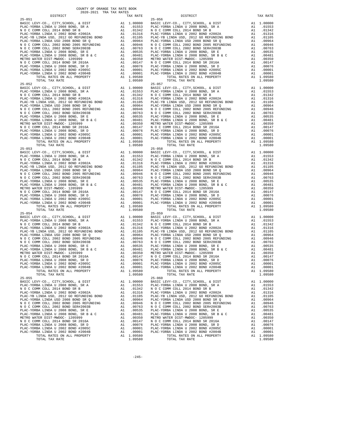| $25 - 051$                                                                       |          |                                                                                                                                                             | $25 - 056$         |
|----------------------------------------------------------------------------------|----------|-------------------------------------------------------------------------------------------------------------------------------------------------------------|--------------------|
|                                                                                  |          |                                                                                                                                                             |                    |
|                                                                                  |          |                                                                                                                                                             |                    |
|                                                                                  |          |                                                                                                                                                             |                    |
|                                                                                  |          |                                                                                                                                                             |                    |
|                                                                                  |          |                                                                                                                                                             |                    |
|                                                                                  |          |                                                                                                                                                             |                    |
|                                                                                  |          |                                                                                                                                                             |                    |
|                                                                                  |          |                                                                                                                                                             |                    |
|                                                                                  |          |                                                                                                                                                             |                    |
|                                                                                  |          |                                                                                                                                                             |                    |
|                                                                                  |          |                                                                                                                                                             |                    |
|                                                                                  |          |                                                                                                                                                             |                    |
|                                                                                  |          |                                                                                                                                                             |                    |
| TOTAL TAX RATE                                                                   |          | 1.09580                                                                                                                                                     |                    |
| $25 - 052$                                                                       |          |                                                                                                                                                             | $25 - 057$         |
|                                                                                  |          |                                                                                                                                                             |                    |
|                                                                                  |          |                                                                                                                                                             |                    |
|                                                                                  |          |                                                                                                                                                             |                    |
|                                                                                  |          |                                                                                                                                                             |                    |
|                                                                                  |          |                                                                                                                                                             |                    |
|                                                                                  |          |                                                                                                                                                             |                    |
|                                                                                  |          |                                                                                                                                                             |                    |
|                                                                                  |          |                                                                                                                                                             |                    |
|                                                                                  |          |                                                                                                                                                             |                    |
|                                                                                  |          |                                                                                                                                                             |                    |
|                                                                                  |          |                                                                                                                                                             |                    |
|                                                                                  |          |                                                                                                                                                             |                    |
|                                                                                  |          |                                                                                                                                                             |                    |
|                                                                                  |          |                                                                                                                                                             |                    |
|                                                                                  |          |                                                                                                                                                             |                    |
|                                                                                  |          |                                                                                                                                                             |                    |
|                                                                                  |          |                                                                                                                                                             |                    |
|                                                                                  |          |                                                                                                                                                             |                    |
|                                                                                  |          |                                                                                                                                                             |                    |
|                                                                                  |          |                                                                                                                                                             |                    |
|                                                                                  |          |                                                                                                                                                             |                    |
|                                                                                  |          |                                                                                                                                                             |                    |
|                                                                                  |          |                                                                                                                                                             |                    |
|                                                                                  |          |                                                                                                                                                             |                    |
|                                                                                  |          |                                                                                                                                                             |                    |
|                                                                                  |          |                                                                                                                                                             |                    |
|                                                                                  |          |                                                                                                                                                             |                    |
|                                                                                  |          |                                                                                                                                                             |                    |
| $25 - 054$                                                                       |          |                                                                                                                                                             | $25 - 059$         |
|                                                                                  |          |                                                                                                                                                             |                    |
|                                                                                  |          |                                                                                                                                                             |                    |
|                                                                                  |          |                                                                                                                                                             |                    |
|                                                                                  |          |                                                                                                                                                             |                    |
|                                                                                  |          |                                                                                                                                                             |                    |
|                                                                                  |          |                                                                                                                                                             |                    |
|                                                                                  |          |                                                                                                                                                             |                    |
|                                                                                  |          |                                                                                                                                                             |                    |
|                                                                                  |          |                                                                                                                                                             |                    |
|                                                                                  |          |                                                                                                                                                             |                    |
|                                                                                  |          |                                                                                                                                                             |                    |
|                                                                                  |          |                                                                                                                                                             |                    |
|                                                                                  |          |                                                                                                                                                             |                    |
| TOTAL RATES ON ALL PROPERTY<br>TOTAL TAX RATE                                    |          | A1 1.09580                                                                                                                                                  |                    |
| $25 - 055$                                                                       |          | 1.09580                                                                                                                                                     | $25 - 060$         |
| BASIC LEVY-CO., CITY, SCHOOL, & DIST                                             | A1       | 1.00000                                                                                                                                                     | BASIC L            |
| PLAC-YORBA LINDA U 2008 BOND, SR A                                               |          | A1 .01553                                                                                                                                                   | PLAC-YO            |
| N O C COMM COLL 2014 BOND SR B                                                   | A1       | .01342                                                                                                                                                      | NOCC               |
| PLAC-YORBA LINDA U 2002 BOND #2002A<br>PLAC-YB LINDA USD, 2012 GO REFUNDING BOND | A1<br>A1 | .01316<br>.01105                                                                                                                                            | PLAC-YO<br>PLAC-YB |
| PLAC-YORBA LINDA USD 2008 BOND SR Q                                              | A1       | .00964                                                                                                                                                      | PLAC-YO            |
| N O C COMM COLL 2002 BOND 2005 REFUNDING                                         |          | A1 .00946 MOCC<br>A1 .00946 NOCC<br>A1 .00763 NOCC<br>A1 .00535 PLAC-YO<br>A1 .00350 METRO W<br>A1 .00350 METRO N<br>A1 .00076 PLAC-YO<br>A1 .00076 PLAC-YO |                    |
| N O C COMM COLL 2002 BOND SER#2003B                                              |          |                                                                                                                                                             |                    |
| PLAC-YORBA LINDA U 2008 BOND, SR E<br>PLAC-YORBA LINDA U 2008 BOND, SR B & C     |          |                                                                                                                                                             |                    |
| METRO WATER DIST-MWDOC- 1205999                                                  |          |                                                                                                                                                             |                    |
| N O C COMM COLL 2014 BOND SR 2016A                                               |          |                                                                                                                                                             |                    |
| PLAC-YORBA LINDA U 2008 BOND, SR D                                               |          | A1 .00076                                                                                                                                                   |                    |
| PLAC-YORBA LINDA U 2002 BOND #2005C                                              |          |                                                                                                                                                             | PLAC-YO            |
| PLAC-YORBA LINDA U 2002 BOND #2004B                                              |          | A1 .00001<br>A1 .00001                                                                                                                                      | PLAC-YO            |
| TOTAL RATES ON ALL PROPERTY<br>TOTAL TAY RATE                                    |          | A1 1.09580<br>1 09580                                                                                                                                       |                    |

| TAX RATE<br>DISTRICT                                                                                                                                                                                                                           |         | DISTRICT                                                                                                                                                                                                                                                                                                                                                           | TAX RATE  |
|------------------------------------------------------------------------------------------------------------------------------------------------------------------------------------------------------------------------------------------------|---------|--------------------------------------------------------------------------------------------------------------------------------------------------------------------------------------------------------------------------------------------------------------------------------------------------------------------------------------------------------------------|-----------|
|                                                                                                                                                                                                                                                |         |                                                                                                                                                                                                                                                                                                                                                                    |           |
|                                                                                                                                                                                                                                                |         |                                                                                                                                                                                                                                                                                                                                                                    |           |
|                                                                                                                                                                                                                                                |         |                                                                                                                                                                                                                                                                                                                                                                    |           |
|                                                                                                                                                                                                                                                |         |                                                                                                                                                                                                                                                                                                                                                                    |           |
|                                                                                                                                                                                                                                                |         |                                                                                                                                                                                                                                                                                                                                                                    |           |
|                                                                                                                                                                                                                                                |         |                                                                                                                                                                                                                                                                                                                                                                    |           |
|                                                                                                                                                                                                                                                |         |                                                                                                                                                                                                                                                                                                                                                                    |           |
|                                                                                                                                                                                                                                                |         |                                                                                                                                                                                                                                                                                                                                                                    |           |
|                                                                                                                                                                                                                                                |         |                                                                                                                                                                                                                                                                                                                                                                    |           |
|                                                                                                                                                                                                                                                |         |                                                                                                                                                                                                                                                                                                                                                                    |           |
|                                                                                                                                                                                                                                                |         |                                                                                                                                                                                                                                                                                                                                                                    |           |
|                                                                                                                                                                                                                                                |         |                                                                                                                                                                                                                                                                                                                                                                    |           |
|                                                                                                                                                                                                                                                |         |                                                                                                                                                                                                                                                                                                                                                                    |           |
|                                                                                                                                                                                                                                                |         |                                                                                                                                                                                                                                                                                                                                                                    |           |
|                                                                                                                                                                                                                                                |         |                                                                                                                                                                                                                                                                                                                                                                    |           |
|                                                                                                                                                                                                                                                |         |                                                                                                                                                                                                                                                                                                                                                                    |           |
|                                                                                                                                                                                                                                                |         |                                                                                                                                                                                                                                                                                                                                                                    |           |
|                                                                                                                                                                                                                                                |         |                                                                                                                                                                                                                                                                                                                                                                    |           |
|                                                                                                                                                                                                                                                |         |                                                                                                                                                                                                                                                                                                                                                                    |           |
|                                                                                                                                                                                                                                                |         |                                                                                                                                                                                                                                                                                                                                                                    |           |
|                                                                                                                                                                                                                                                |         |                                                                                                                                                                                                                                                                                                                                                                    |           |
|                                                                                                                                                                                                                                                |         |                                                                                                                                                                                                                                                                                                                                                                    |           |
|                                                                                                                                                                                                                                                |         |                                                                                                                                                                                                                                                                                                                                                                    |           |
|                                                                                                                                                                                                                                                |         |                                                                                                                                                                                                                                                                                                                                                                    |           |
|                                                                                                                                                                                                                                                |         |                                                                                                                                                                                                                                                                                                                                                                    |           |
|                                                                                                                                                                                                                                                |         |                                                                                                                                                                                                                                                                                                                                                                    |           |
|                                                                                                                                                                                                                                                |         |                                                                                                                                                                                                                                                                                                                                                                    |           |
|                                                                                                                                                                                                                                                |         |                                                                                                                                                                                                                                                                                                                                                                    |           |
|                                                                                                                                                                                                                                                |         |                                                                                                                                                                                                                                                                                                                                                                    |           |
|                                                                                                                                                                                                                                                |         |                                                                                                                                                                                                                                                                                                                                                                    |           |
| $\begin{tabular}{cccccccc} 1073, 1074, 10750, 1074, 10750, 1074, 10750, 1074, 10750, 1074, 10750, 1074, 10750, 1074, 10750, 1074, 10750, 1074, 10750, 1074, 10750, 1074, 10750, 1074, 10750, 1074, 10750, 1074, 10750, 1074, 10750, 1074, 107$ |         |                                                                                                                                                                                                                                                                                                                                                                    |           |
|                                                                                                                                                                                                                                                |         |                                                                                                                                                                                                                                                                                                                                                                    |           |
|                                                                                                                                                                                                                                                |         |                                                                                                                                                                                                                                                                                                                                                                    |           |
|                                                                                                                                                                                                                                                |         |                                                                                                                                                                                                                                                                                                                                                                    |           |
|                                                                                                                                                                                                                                                |         |                                                                                                                                                                                                                                                                                                                                                                    |           |
|                                                                                                                                                                                                                                                |         |                                                                                                                                                                                                                                                                                                                                                                    |           |
|                                                                                                                                                                                                                                                |         |                                                                                                                                                                                                                                                                                                                                                                    |           |
|                                                                                                                                                                                                                                                |         |                                                                                                                                                                                                                                                                                                                                                                    |           |
|                                                                                                                                                                                                                                                |         |                                                                                                                                                                                                                                                                                                                                                                    |           |
|                                                                                                                                                                                                                                                |         |                                                                                                                                                                                                                                                                                                                                                                    |           |
|                                                                                                                                                                                                                                                |         |                                                                                                                                                                                                                                                                                                                                                                    |           |
|                                                                                                                                                                                                                                                |         |                                                                                                                                                                                                                                                                                                                                                                    |           |
|                                                                                                                                                                                                                                                |         |                                                                                                                                                                                                                                                                                                                                                                    |           |
|                                                                                                                                                                                                                                                |         |                                                                                                                                                                                                                                                                                                                                                                    |           |
|                                                                                                                                                                                                                                                |         |                                                                                                                                                                                                                                                                                                                                                                    |           |
|                                                                                                                                                                                                                                                |         |                                                                                                                                                                                                                                                                                                                                                                    |           |
|                                                                                                                                                                                                                                                |         |                                                                                                                                                                                                                                                                                                                                                                    |           |
|                                                                                                                                                                                                                                                |         |                                                                                                                                                                                                                                                                                                                                                                    |           |
|                                                                                                                                                                                                                                                |         |                                                                                                                                                                                                                                                                                                                                                                    |           |
|                                                                                                                                                                                                                                                |         |                                                                                                                                                                                                                                                                                                                                                                    |           |
|                                                                                                                                                                                                                                                |         |                                                                                                                                                                                                                                                                                                                                                                    |           |
|                                                                                                                                                                                                                                                |         |                                                                                                                                                                                                                                                                                                                                                                    |           |
|                                                                                                                                                                                                                                                |         |                                                                                                                                                                                                                                                                                                                                                                    |           |
|                                                                                                                                                                                                                                                |         |                                                                                                                                                                                                                                                                                                                                                                    |           |
|                                                                                                                                                                                                                                                |         |                                                                                                                                                                                                                                                                                                                                                                    |           |
|                                                                                                                                                                                                                                                |         |                                                                                                                                                                                                                                                                                                                                                                    |           |
|                                                                                                                                                                                                                                                |         |                                                                                                                                                                                                                                                                                                                                                                    |           |
|                                                                                                                                                                                                                                                |         |                                                                                                                                                                                                                                                                                                                                                                    |           |
|                                                                                                                                                                                                                                                |         |                                                                                                                                                                                                                                                                                                                                                                    |           |
|                                                                                                                                                                                                                                                |         |                                                                                                                                                                                                                                                                                                                                                                    |           |
|                                                                                                                                                                                                                                                |         |                                                                                                                                                                                                                                                                                                                                                                    |           |
|                                                                                                                                                                                                                                                |         |                                                                                                                                                                                                                                                                                                                                                                    |           |
|                                                                                                                                                                                                                                                |         |                                                                                                                                                                                                                                                                                                                                                                    |           |
|                                                                                                                                                                                                                                                |         |                                                                                                                                                                                                                                                                                                                                                                    |           |
|                                                                                                                                                                                                                                                |         |                                                                                                                                                                                                                                                                                                                                                                    |           |
|                                                                                                                                                                                                                                                |         |                                                                                                                                                                                                                                                                                                                                                                    |           |
|                                                                                                                                                                                                                                                |         |                                                                                                                                                                                                                                                                                                                                                                    |           |
|                                                                                                                                                                                                                                                |         |                                                                                                                                                                                                                                                                                                                                                                    |           |
|                                                                                                                                                                                                                                                |         |                                                                                                                                                                                                                                                                                                                                                                    |           |
|                                                                                                                                                                                                                                                |         |                                                                                                                                                                                                                                                                                                                                                                    |           |
|                                                                                                                                                                                                                                                |         |                                                                                                                                                                                                                                                                                                                                                                    |           |
|                                                                                                                                                                                                                                                |         |                                                                                                                                                                                                                                                                                                                                                                    |           |
|                                                                                                                                                                                                                                                |         |                                                                                                                                                                                                                                                                                                                                                                    |           |
|                                                                                                                                                                                                                                                |         |                                                                                                                                                                                                                                                                                                                                                                    |           |
|                                                                                                                                                                                                                                                |         |                                                                                                                                                                                                                                                                                                                                                                    |           |
| $25 - 055$                                                                                                                                                                                                                                     |         | $25 - 060$                                                                                                                                                                                                                                                                                                                                                         |           |
|                                                                                                                                                                                                                                                |         | BASIC LEVY-CO., CITY, SCHOOL, & DIST A1 1.00000 BASIC LEVY-CO., CITY, SCHOOL, & DIST A1 1.00000 BASIC LEVY-CO., CITY, SCHOOL, & DIST A1 1.00000 BASIC LEVY-CO., CITY, SCHOOL, & DIST A1 1.00000 BASIC LEVY-CO., CITY, SCHOOL,                                                                                                                                      |           |
|                                                                                                                                                                                                                                                |         |                                                                                                                                                                                                                                                                                                                                                                    |           |
|                                                                                                                                                                                                                                                |         |                                                                                                                                                                                                                                                                                                                                                                    | A1 .01342 |
|                                                                                                                                                                                                                                                |         |                                                                                                                                                                                                                                                                                                                                                                    | A1 .01316 |
|                                                                                                                                                                                                                                                |         |                                                                                                                                                                                                                                                                                                                                                                    | A1 .01105 |
|                                                                                                                                                                                                                                                |         |                                                                                                                                                                                                                                                                                                                                                                    | A1 .00964 |
|                                                                                                                                                                                                                                                |         |                                                                                                                                                                                                                                                                                                                                                                    |           |
|                                                                                                                                                                                                                                                |         |                                                                                                                                                                                                                                                                                                                                                                    |           |
|                                                                                                                                                                                                                                                |         |                                                                                                                                                                                                                                                                                                                                                                    |           |
|                                                                                                                                                                                                                                                |         |                                                                                                                                                                                                                                                                                                                                                                    |           |
|                                                                                                                                                                                                                                                |         |                                                                                                                                                                                                                                                                                                                                                                    |           |
|                                                                                                                                                                                                                                                |         |                                                                                                                                                                                                                                                                                                                                                                    |           |
|                                                                                                                                                                                                                                                |         |                                                                                                                                                                                                                                                                                                                                                                    |           |
|                                                                                                                                                                                                                                                |         |                                                                                                                                                                                                                                                                                                                                                                    |           |
|                                                                                                                                                                                                                                                |         |                                                                                                                                                                                                                                                                                                                                                                    |           |
|                                                                                                                                                                                                                                                |         |                                                                                                                                                                                                                                                                                                                                                                    |           |
|                                                                                                                                                                                                                                                |         | $\begin{tabular}{l c c c c c} \multicolumn{1}{c}{\textbf{N} & 0 & C & COMM & COLL & 2002 & BOND & 2008 & BOND & 2008 & BRED & 2008 & BORD & 2008 & BRED & 2008 & BRED & 2008 & BRED & 2008 & BRED & 2008 & BRED & 2008 & BRED & 2008 & BRED & 2008 & BRED & 2008 & BRED & 2008 & BRED & 2008 & BRED & 2008 & BRED & 2008 & BRED & 2008 & BRED & 2008 & BRED & 200$ |           |
| TOTAL TAX RATE                                                                                                                                                                                                                                 | 1.09580 | TOTAL TAX RATE                                                                                                                                                                                                                                                                                                                                                     | 1.09580   |

 $-245-$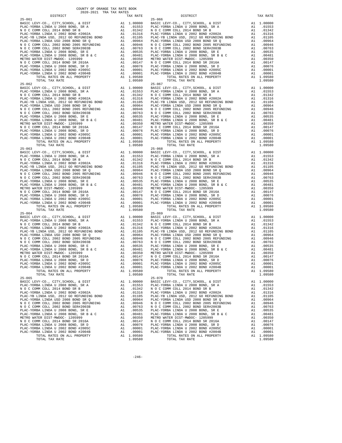| $25 - 061$                                                                   |          |                                                                                                                                                             | $25 - 066$      |
|------------------------------------------------------------------------------|----------|-------------------------------------------------------------------------------------------------------------------------------------------------------------|-----------------|
|                                                                              |          |                                                                                                                                                             |                 |
|                                                                              |          |                                                                                                                                                             |                 |
|                                                                              |          |                                                                                                                                                             |                 |
|                                                                              |          |                                                                                                                                                             |                 |
|                                                                              |          |                                                                                                                                                             |                 |
|                                                                              |          |                                                                                                                                                             |                 |
|                                                                              |          |                                                                                                                                                             |                 |
|                                                                              |          |                                                                                                                                                             |                 |
|                                                                              |          |                                                                                                                                                             |                 |
|                                                                              |          |                                                                                                                                                             |                 |
|                                                                              |          |                                                                                                                                                             |                 |
|                                                                              |          |                                                                                                                                                             |                 |
|                                                                              |          |                                                                                                                                                             |                 |
| TOTAL TAX RATE                                                               |          | 1.09580                                                                                                                                                     |                 |
| $25 - 062$                                                                   |          |                                                                                                                                                             | $25 - 067$      |
|                                                                              |          |                                                                                                                                                             |                 |
|                                                                              |          |                                                                                                                                                             |                 |
|                                                                              |          |                                                                                                                                                             |                 |
|                                                                              |          |                                                                                                                                                             |                 |
|                                                                              |          |                                                                                                                                                             |                 |
|                                                                              |          |                                                                                                                                                             |                 |
|                                                                              |          |                                                                                                                                                             |                 |
|                                                                              |          |                                                                                                                                                             |                 |
|                                                                              |          |                                                                                                                                                             |                 |
|                                                                              |          |                                                                                                                                                             |                 |
|                                                                              |          |                                                                                                                                                             |                 |
|                                                                              |          |                                                                                                                                                             |                 |
|                                                                              |          |                                                                                                                                                             |                 |
|                                                                              |          |                                                                                                                                                             |                 |
|                                                                              |          |                                                                                                                                                             |                 |
|                                                                              |          |                                                                                                                                                             |                 |
|                                                                              |          |                                                                                                                                                             |                 |
|                                                                              |          |                                                                                                                                                             |                 |
|                                                                              |          |                                                                                                                                                             |                 |
|                                                                              |          |                                                                                                                                                             |                 |
|                                                                              |          |                                                                                                                                                             |                 |
|                                                                              |          |                                                                                                                                                             |                 |
|                                                                              |          |                                                                                                                                                             |                 |
|                                                                              |          |                                                                                                                                                             |                 |
|                                                                              |          |                                                                                                                                                             |                 |
|                                                                              |          |                                                                                                                                                             |                 |
|                                                                              |          |                                                                                                                                                             |                 |
|                                                                              |          |                                                                                                                                                             |                 |
| $25 - 064$                                                                   |          |                                                                                                                                                             | $25 - 069$      |
|                                                                              |          |                                                                                                                                                             |                 |
|                                                                              |          |                                                                                                                                                             |                 |
|                                                                              |          |                                                                                                                                                             |                 |
|                                                                              |          |                                                                                                                                                             |                 |
|                                                                              |          |                                                                                                                                                             |                 |
|                                                                              |          |                                                                                                                                                             |                 |
|                                                                              |          |                                                                                                                                                             |                 |
|                                                                              |          |                                                                                                                                                             |                 |
|                                                                              |          |                                                                                                                                                             |                 |
|                                                                              |          |                                                                                                                                                             |                 |
|                                                                              |          |                                                                                                                                                             |                 |
|                                                                              |          |                                                                                                                                                             |                 |
|                                                                              |          |                                                                                                                                                             |                 |
| TOTAL RATES ON ALL PROPERTY<br>TOTAL TAX RATE                                |          | A1 1.09580<br>1.09580                                                                                                                                       |                 |
| $25 - 065$                                                                   |          |                                                                                                                                                             | $25 - 070$      |
| BASIC LEVY-CO., CITY, SCHOOL, & DIST                                         | A1       | 1.00000                                                                                                                                                     | BASIC L         |
| PLAC-YORBA LINDA U 2008 BOND, SR A                                           |          | A1 .01553                                                                                                                                                   | PLAC-YO         |
| N O C COMM COLL 2014 BOND SR B<br>PLAC-YORBA LINDA U 2002 BOND #2002A        | A1<br>A1 | .01342<br>.01316                                                                                                                                            | NOCC<br>PLAC-YO |
| PLAC-YB LINDA USD, 2012 GO REFUNDING BOND                                    | A1       | .01105                                                                                                                                                      | PLAC-YB         |
| PLAC-YORBA LINDA USD 2008 BOND SR Q                                          | A1       | .00964                                                                                                                                                      | PLAC-YO         |
| N O C COMM COLL 2002 BOND 2005 REFUNDING                                     |          | A1 .00946 MOCC<br>A1 .00946 NOCC<br>A1 .00763 NOCC<br>A1 .00535 PLAC-YO<br>A1 .00350 METRO W<br>A1 .00350 METRO N<br>A1 .00076 PLAC-YO<br>A1 .00076 PLAC-YO |                 |
| N O C COMM COLL 2002 BOND SER#2003B                                          |          |                                                                                                                                                             |                 |
| PLAC-YORBA LINDA U 2008 BOND, SR E<br>PLAC-YORBA LINDA U 2008 BOND, SR B & C |          |                                                                                                                                                             |                 |
| METRO WATER DIST-MWDOC- 1205999                                              |          |                                                                                                                                                             |                 |
| N O C COMM COLL 2014 BOND SR 2016A                                           |          |                                                                                                                                                             |                 |
| PLAC-YORBA LINDA U 2008 BOND, SR D                                           |          | A1 .00076                                                                                                                                                   |                 |
| PLAC-YORBA LINDA U 2002 BOND #2005C                                          |          | A1 .00001<br>A1 .00001                                                                                                                                      | PLAC-YO         |
| PLAC-YORBA LINDA U 2002 BOND #2004B                                          |          | A1 1.09580                                                                                                                                                  | PLAC-YO         |
| TOTAL RATES ON ALL PROPERTY<br>TOTAL TAY RATE                                |          | 1 09580                                                                                                                                                     |                 |

| TAX RATE<br>DISTRICT                                                                                                                                                                                                                                                                                                                                               |         | DISTRICT                                                                                                                                                                                                                      | TAX RATE  |
|--------------------------------------------------------------------------------------------------------------------------------------------------------------------------------------------------------------------------------------------------------------------------------------------------------------------------------------------------------------------|---------|-------------------------------------------------------------------------------------------------------------------------------------------------------------------------------------------------------------------------------|-----------|
|                                                                                                                                                                                                                                                                                                                                                                    |         |                                                                                                                                                                                                                               |           |
|                                                                                                                                                                                                                                                                                                                                                                    |         |                                                                                                                                                                                                                               |           |
|                                                                                                                                                                                                                                                                                                                                                                    |         |                                                                                                                                                                                                                               |           |
|                                                                                                                                                                                                                                                                                                                                                                    |         |                                                                                                                                                                                                                               |           |
|                                                                                                                                                                                                                                                                                                                                                                    |         |                                                                                                                                                                                                                               |           |
|                                                                                                                                                                                                                                                                                                                                                                    |         |                                                                                                                                                                                                                               |           |
|                                                                                                                                                                                                                                                                                                                                                                    |         |                                                                                                                                                                                                                               |           |
|                                                                                                                                                                                                                                                                                                                                                                    |         |                                                                                                                                                                                                                               |           |
|                                                                                                                                                                                                                                                                                                                                                                    |         |                                                                                                                                                                                                                               |           |
|                                                                                                                                                                                                                                                                                                                                                                    |         |                                                                                                                                                                                                                               |           |
|                                                                                                                                                                                                                                                                                                                                                                    |         |                                                                                                                                                                                                                               |           |
|                                                                                                                                                                                                                                                                                                                                                                    |         |                                                                                                                                                                                                                               |           |
|                                                                                                                                                                                                                                                                                                                                                                    |         |                                                                                                                                                                                                                               |           |
|                                                                                                                                                                                                                                                                                                                                                                    |         |                                                                                                                                                                                                                               |           |
|                                                                                                                                                                                                                                                                                                                                                                    |         |                                                                                                                                                                                                                               |           |
|                                                                                                                                                                                                                                                                                                                                                                    |         |                                                                                                                                                                                                                               |           |
|                                                                                                                                                                                                                                                                                                                                                                    |         |                                                                                                                                                                                                                               |           |
|                                                                                                                                                                                                                                                                                                                                                                    |         |                                                                                                                                                                                                                               |           |
| $\begin{tabular}{cccccc} 1073, 1074, 10750, 1074, 10750, 1074, 10750, 1074, 10750, 1074, 10750, 1074, 10750, 1074, 10750, 1074, 10750, 1074, 10750, 1074, 10750, 1074, 10750, 1074, 10750, 1074, 10750, 1074, 10750, 1074, 10750, 1074, 107$                                                                                                                       |         |                                                                                                                                                                                                                               |           |
|                                                                                                                                                                                                                                                                                                                                                                    |         |                                                                                                                                                                                                                               |           |
|                                                                                                                                                                                                                                                                                                                                                                    |         |                                                                                                                                                                                                                               |           |
|                                                                                                                                                                                                                                                                                                                                                                    |         |                                                                                                                                                                                                                               |           |
|                                                                                                                                                                                                                                                                                                                                                                    |         |                                                                                                                                                                                                                               |           |
|                                                                                                                                                                                                                                                                                                                                                                    |         |                                                                                                                                                                                                                               |           |
|                                                                                                                                                                                                                                                                                                                                                                    |         |                                                                                                                                                                                                                               |           |
|                                                                                                                                                                                                                                                                                                                                                                    |         |                                                                                                                                                                                                                               |           |
|                                                                                                                                                                                                                                                                                                                                                                    |         |                                                                                                                                                                                                                               |           |
|                                                                                                                                                                                                                                                                                                                                                                    |         |                                                                                                                                                                                                                               |           |
|                                                                                                                                                                                                                                                                                                                                                                    |         |                                                                                                                                                                                                                               |           |
|                                                                                                                                                                                                                                                                                                                                                                    |         |                                                                                                                                                                                                                               |           |
|                                                                                                                                                                                                                                                                                                                                                                    |         |                                                                                                                                                                                                                               |           |
|                                                                                                                                                                                                                                                                                                                                                                    |         |                                                                                                                                                                                                                               |           |
|                                                                                                                                                                                                                                                                                                                                                                    |         |                                                                                                                                                                                                                               |           |
|                                                                                                                                                                                                                                                                                                                                                                    |         |                                                                                                                                                                                                                               |           |
|                                                                                                                                                                                                                                                                                                                                                                    |         |                                                                                                                                                                                                                               |           |
|                                                                                                                                                                                                                                                                                                                                                                    |         |                                                                                                                                                                                                                               |           |
|                                                                                                                                                                                                                                                                                                                                                                    |         |                                                                                                                                                                                                                               |           |
|                                                                                                                                                                                                                                                                                                                                                                    |         |                                                                                                                                                                                                                               |           |
|                                                                                                                                                                                                                                                                                                                                                                    |         |                                                                                                                                                                                                                               |           |
|                                                                                                                                                                                                                                                                                                                                                                    |         |                                                                                                                                                                                                                               |           |
|                                                                                                                                                                                                                                                                                                                                                                    |         |                                                                                                                                                                                                                               |           |
|                                                                                                                                                                                                                                                                                                                                                                    |         |                                                                                                                                                                                                                               |           |
|                                                                                                                                                                                                                                                                                                                                                                    |         |                                                                                                                                                                                                                               |           |
|                                                                                                                                                                                                                                                                                                                                                                    |         |                                                                                                                                                                                                                               |           |
|                                                                                                                                                                                                                                                                                                                                                                    |         |                                                                                                                                                                                                                               |           |
|                                                                                                                                                                                                                                                                                                                                                                    |         |                                                                                                                                                                                                                               |           |
|                                                                                                                                                                                                                                                                                                                                                                    |         |                                                                                                                                                                                                                               |           |
|                                                                                                                                                                                                                                                                                                                                                                    |         |                                                                                                                                                                                                                               |           |
|                                                                                                                                                                                                                                                                                                                                                                    |         |                                                                                                                                                                                                                               |           |
|                                                                                                                                                                                                                                                                                                                                                                    |         |                                                                                                                                                                                                                               |           |
|                                                                                                                                                                                                                                                                                                                                                                    |         |                                                                                                                                                                                                                               |           |
|                                                                                                                                                                                                                                                                                                                                                                    |         |                                                                                                                                                                                                                               |           |
|                                                                                                                                                                                                                                                                                                                                                                    |         |                                                                                                                                                                                                                               |           |
|                                                                                                                                                                                                                                                                                                                                                                    |         |                                                                                                                                                                                                                               |           |
|                                                                                                                                                                                                                                                                                                                                                                    |         |                                                                                                                                                                                                                               |           |
|                                                                                                                                                                                                                                                                                                                                                                    |         |                                                                                                                                                                                                                               |           |
|                                                                                                                                                                                                                                                                                                                                                                    |         |                                                                                                                                                                                                                               |           |
|                                                                                                                                                                                                                                                                                                                                                                    |         |                                                                                                                                                                                                                               |           |
|                                                                                                                                                                                                                                                                                                                                                                    |         |                                                                                                                                                                                                                               |           |
|                                                                                                                                                                                                                                                                                                                                                                    |         |                                                                                                                                                                                                                               |           |
|                                                                                                                                                                                                                                                                                                                                                                    |         |                                                                                                                                                                                                                               |           |
|                                                                                                                                                                                                                                                                                                                                                                    |         |                                                                                                                                                                                                                               |           |
|                                                                                                                                                                                                                                                                                                                                                                    |         |                                                                                                                                                                                                                               |           |
|                                                                                                                                                                                                                                                                                                                                                                    |         |                                                                                                                                                                                                                               |           |
|                                                                                                                                                                                                                                                                                                                                                                    |         |                                                                                                                                                                                                                               |           |
|                                                                                                                                                                                                                                                                                                                                                                    |         |                                                                                                                                                                                                                               |           |
|                                                                                                                                                                                                                                                                                                                                                                    |         |                                                                                                                                                                                                                               |           |
|                                                                                                                                                                                                                                                                                                                                                                    |         |                                                                                                                                                                                                                               |           |
|                                                                                                                                                                                                                                                                                                                                                                    |         |                                                                                                                                                                                                                               |           |
|                                                                                                                                                                                                                                                                                                                                                                    |         |                                                                                                                                                                                                                               |           |
|                                                                                                                                                                                                                                                                                                                                                                    |         |                                                                                                                                                                                                                               |           |
|                                                                                                                                                                                                                                                                                                                                                                    |         |                                                                                                                                                                                                                               |           |
|                                                                                                                                                                                                                                                                                                                                                                    |         |                                                                                                                                                                                                                               |           |
|                                                                                                                                                                                                                                                                                                                                                                    |         |                                                                                                                                                                                                                               |           |
|                                                                                                                                                                                                                                                                                                                                                                    |         |                                                                                                                                                                                                                               |           |
|                                                                                                                                                                                                                                                                                                                                                                    |         |                                                                                                                                                                                                                               |           |
| $25 - 065$                                                                                                                                                                                                                                                                                                                                                         |         | $25 - 070$                                                                                                                                                                                                                    |           |
|                                                                                                                                                                                                                                                                                                                                                                    |         | BASIC LEVY-CO., CITY, SCHOOL, & DIST A1 1.00000 BASIC LEVY-CO., CITY, SCHOOL, & DIST A1 1.00000 BASIC LEVY-CO., CITY, SCHOOL, & DIST A1 1.00000 BASIC LEVY-CO., CITY, SCHOOL, & DIST A1 1.00000 BASIC LEVY-CO., CITY, SCHOOL, |           |
|                                                                                                                                                                                                                                                                                                                                                                    |         |                                                                                                                                                                                                                               |           |
|                                                                                                                                                                                                                                                                                                                                                                    |         |                                                                                                                                                                                                                               | A1 .01342 |
|                                                                                                                                                                                                                                                                                                                                                                    |         |                                                                                                                                                                                                                               | A1 .01316 |
|                                                                                                                                                                                                                                                                                                                                                                    |         |                                                                                                                                                                                                                               | A1 .01105 |
|                                                                                                                                                                                                                                                                                                                                                                    |         |                                                                                                                                                                                                                               | A1 .00964 |
|                                                                                                                                                                                                                                                                                                                                                                    |         |                                                                                                                                                                                                                               |           |
|                                                                                                                                                                                                                                                                                                                                                                    |         |                                                                                                                                                                                                                               |           |
|                                                                                                                                                                                                                                                                                                                                                                    |         |                                                                                                                                                                                                                               |           |
|                                                                                                                                                                                                                                                                                                                                                                    |         |                                                                                                                                                                                                                               |           |
|                                                                                                                                                                                                                                                                                                                                                                    |         |                                                                                                                                                                                                                               |           |
|                                                                                                                                                                                                                                                                                                                                                                    |         |                                                                                                                                                                                                                               |           |
|                                                                                                                                                                                                                                                                                                                                                                    |         |                                                                                                                                                                                                                               |           |
|                                                                                                                                                                                                                                                                                                                                                                    |         |                                                                                                                                                                                                                               |           |
|                                                                                                                                                                                                                                                                                                                                                                    |         |                                                                                                                                                                                                                               |           |
| $\begin{tabular}{l c c c c c} \multicolumn{1}{c}{\textbf{N} & 0 & C & COMM & COLL & 2002 & BOND & 2008 & BOND & 2008 & BRED & 2008 & BORD & 2008 & BRED & 2008 & BRED & 2008 & BRED & 2008 & BRED & 2008 & BRED & 2008 & BRED & 2008 & BRED & 2008 & BRED & 2008 & BRED & 2008 & BRED & 2008 & BRED & 2008 & BRED & 2008 & BRED & 2008 & BRED & 2008 & BRED & 200$ |         |                                                                                                                                                                                                                               |           |
|                                                                                                                                                                                                                                                                                                                                                                    |         |                                                                                                                                                                                                                               |           |
| TOTAL TAX RATE                                                                                                                                                                                                                                                                                                                                                     | 1.09580 | TOTAL TAX RATE                                                                                                                                                                                                                | 1.09580   |

 $-246-$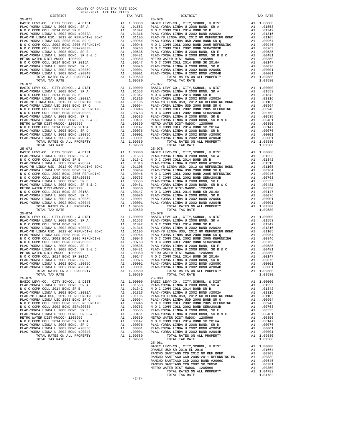| $25 - 071$                                                                      |              |                      | $25 - 076$                   |
|---------------------------------------------------------------------------------|--------------|----------------------|------------------------------|
|                                                                                 |              |                      |                              |
|                                                                                 |              |                      |                              |
|                                                                                 |              |                      |                              |
|                                                                                 |              |                      |                              |
|                                                                                 |              |                      |                              |
|                                                                                 |              |                      |                              |
|                                                                                 |              |                      |                              |
|                                                                                 |              |                      |                              |
|                                                                                 |              |                      |                              |
|                                                                                 |              |                      |                              |
|                                                                                 |              |                      |                              |
|                                                                                 |              |                      |                              |
| TOTAL TAX RATE                                                                  |              | 1.09580              |                              |
| $25 - 072$                                                                      |              |                      | $25 - 077$                   |
|                                                                                 |              |                      |                              |
|                                                                                 |              |                      |                              |
|                                                                                 |              |                      |                              |
|                                                                                 |              |                      |                              |
|                                                                                 |              |                      |                              |
|                                                                                 |              |                      |                              |
|                                                                                 |              |                      |                              |
|                                                                                 |              |                      |                              |
|                                                                                 |              |                      |                              |
|                                                                                 |              |                      |                              |
|                                                                                 |              |                      |                              |
|                                                                                 |              |                      |                              |
| TOTAL TAX RATE                                                                  |              | 1.09580              |                              |
|                                                                                 |              |                      |                              |
|                                                                                 |              |                      |                              |
|                                                                                 |              |                      |                              |
|                                                                                 |              |                      |                              |
|                                                                                 |              |                      |                              |
|                                                                                 |              |                      |                              |
|                                                                                 |              |                      |                              |
|                                                                                 |              |                      |                              |
|                                                                                 |              |                      |                              |
|                                                                                 |              |                      |                              |
|                                                                                 |              |                      |                              |
|                                                                                 |              |                      |                              |
|                                                                                 |              |                      |                              |
|                                                                                 |              |                      |                              |
| $25 - 074$                                                                      |              |                      | $25 - 079$                   |
|                                                                                 |              |                      |                              |
|                                                                                 |              |                      |                              |
|                                                                                 |              |                      |                              |
|                                                                                 |              |                      |                              |
|                                                                                 |              |                      |                              |
|                                                                                 |              |                      |                              |
|                                                                                 |              |                      |                              |
|                                                                                 |              |                      |                              |
|                                                                                 |              |                      |                              |
|                                                                                 |              |                      |                              |
|                                                                                 |              |                      |                              |
|                                                                                 |              |                      |                              |
| TOTAL RATES ON ALL PROPERTY                                                     | $A1 \quad 1$ | 1.09580              |                              |
| TOTAL TAX RATE                                                                  |              | 1.09580              |                              |
| $25 - 075$                                                                      |              |                      | $25 - 080$                   |
| BASIC LEVY-CO., CITY, SCHOOL, & DIST                                            | A1           | 1.00000<br>A1 .01553 | BASIC L                      |
| PLAC-YORBA LINDA U 2008 BOND, SR A<br>NOCCOMM COLL 2014 BOND SR B               | A1           | .01342               | PLAC-YO<br>NOCC              |
| PLAC-YORBA LINDA U 2002 BOND #2002A                                             | A1           | .01316               | PLAC-YO                      |
| PLAC-YB LINDA USD, 2012 GO REFUNDING BOND                                       | A1           | .01105               | PLAC-YB                      |
| PLAC-YORBA LINDA USD 2008 BOND SR Q                                             | A1           | .00964               | PLAC-YO                      |
| N O C COMM COLL 2002 BOND 2005 REFUNDING<br>N O C COMM COLL 2002 BOND SER#2003B | A1           | .00946<br>A1.00763   | N O C C<br>N O C C           |
| PLAC-YORBA LINDA U 2008 BOND, SR E                                              |              | A1 .00535            | PLAC-YO                      |
| PLAC-YORBA LINDA U 2008 BOND, SR B & C                                          | A1           | .00481               | PLAC-YO                      |
| METRO WATER DIST-MWDOC- 1205999                                                 | A1           |                      | .00350 METROW<br>.00147 NOCC |
| N O C COMM COLL 2014 BOND SR 2016A<br>PLAC-YORBA LINDA U 2008 BOND, SR D        | A1           | .00076               | PLAC-YO                      |
| PLAC-YORBA LINDA U 2002 BOND #2005C                                             | A1<br>A1     | .00001               | PLAC-YO                      |
| PLAC-YORBA LINDA U 2002 BOND #2004B                                             | A1           | .00001               | PLAC-YO                      |
| TOTAL RATES ON ALL PROPERTY                                                     |              | A1 1.09580           |                              |

| COUNTY OF ORANGE TAX RATE BOOK<br>2020-2021 TRA TAX RATES<br>DISTRICT | TAX RATE | DISTRICT                                                                                                                                                                                                                                                                                                     | TAX RATE |
|-----------------------------------------------------------------------|----------|--------------------------------------------------------------------------------------------------------------------------------------------------------------------------------------------------------------------------------------------------------------------------------------------------------------|----------|
| $25 - 071$                                                            |          | $25 - 076$                                                                                                                                                                                                                                                                                                   |          |
|                                                                       |          |                                                                                                                                                                                                                                                                                                              |          |
|                                                                       |          |                                                                                                                                                                                                                                                                                                              |          |
|                                                                       |          |                                                                                                                                                                                                                                                                                                              |          |
|                                                                       |          |                                                                                                                                                                                                                                                                                                              |          |
|                                                                       |          |                                                                                                                                                                                                                                                                                                              |          |
|                                                                       |          |                                                                                                                                                                                                                                                                                                              |          |
|                                                                       |          |                                                                                                                                                                                                                                                                                                              |          |
|                                                                       |          |                                                                                                                                                                                                                                                                                                              |          |
|                                                                       |          |                                                                                                                                                                                                                                                                                                              |          |
|                                                                       |          |                                                                                                                                                                                                                                                                                                              |          |
|                                                                       |          |                                                                                                                                                                                                                                                                                                              |          |
|                                                                       |          |                                                                                                                                                                                                                                                                                                              |          |
|                                                                       |          |                                                                                                                                                                                                                                                                                                              |          |
|                                                                       |          |                                                                                                                                                                                                                                                                                                              |          |
|                                                                       |          |                                                                                                                                                                                                                                                                                                              |          |
|                                                                       |          |                                                                                                                                                                                                                                                                                                              |          |
|                                                                       |          |                                                                                                                                                                                                                                                                                                              |          |
|                                                                       |          |                                                                                                                                                                                                                                                                                                              |          |
|                                                                       |          |                                                                                                                                                                                                                                                                                                              |          |
|                                                                       |          |                                                                                                                                                                                                                                                                                                              |          |
|                                                                       |          |                                                                                                                                                                                                                                                                                                              |          |
|                                                                       |          |                                                                                                                                                                                                                                                                                                              |          |
|                                                                       |          |                                                                                                                                                                                                                                                                                                              |          |
|                                                                       |          |                                                                                                                                                                                                                                                                                                              |          |
|                                                                       |          |                                                                                                                                                                                                                                                                                                              |          |
|                                                                       |          |                                                                                                                                                                                                                                                                                                              |          |
|                                                                       |          |                                                                                                                                                                                                                                                                                                              |          |
|                                                                       |          |                                                                                                                                                                                                                                                                                                              |          |
|                                                                       |          |                                                                                                                                                                                                                                                                                                              |          |
|                                                                       |          |                                                                                                                                                                                                                                                                                                              |          |
|                                                                       |          |                                                                                                                                                                                                                                                                                                              |          |
|                                                                       |          |                                                                                                                                                                                                                                                                                                              |          |
|                                                                       |          |                                                                                                                                                                                                                                                                                                              |          |
|                                                                       |          |                                                                                                                                                                                                                                                                                                              |          |
|                                                                       |          |                                                                                                                                                                                                                                                                                                              |          |
|                                                                       |          |                                                                                                                                                                                                                                                                                                              |          |
|                                                                       |          |                                                                                                                                                                                                                                                                                                              |          |
|                                                                       |          |                                                                                                                                                                                                                                                                                                              |          |
|                                                                       |          |                                                                                                                                                                                                                                                                                                              |          |
| $25 - 074$                                                            |          | $\begin{array}{cccccccc} 25-073 & 0.01 & 0.01 & 0.000 & 0.000 & 0.000 & 0.0000 & 0.0000 & 0.0000 & 0.0000 & 0.0000 & 0.00000 & 0.00000 & 0.00000 & 0.00000 & 0.00000 & 0.00000 & 0.00000 & 0.00000 & 0.00000 & 0.00000 & 0.00000 & 0.00000 & 0.00000 & 0.00000 & 0.00$<br>$25 - 079$                         |          |
|                                                                       |          |                                                                                                                                                                                                                                                                                                              |          |
|                                                                       |          |                                                                                                                                                                                                                                                                                                              |          |
|                                                                       |          |                                                                                                                                                                                                                                                                                                              |          |
|                                                                       |          |                                                                                                                                                                                                                                                                                                              |          |
|                                                                       |          |                                                                                                                                                                                                                                                                                                              |          |
|                                                                       |          |                                                                                                                                                                                                                                                                                                              |          |
|                                                                       |          |                                                                                                                                                                                                                                                                                                              |          |
|                                                                       |          |                                                                                                                                                                                                                                                                                                              |          |
|                                                                       |          |                                                                                                                                                                                                                                                                                                              |          |
|                                                                       |          |                                                                                                                                                                                                                                                                                                              |          |
|                                                                       |          |                                                                                                                                                                                                                                                                                                              |          |
|                                                                       |          |                                                                                                                                                                                                                                                                                                              |          |
|                                                                       |          |                                                                                                                                                                                                                                                                                                              |          |
| $25 - 075$                                                            |          | $25 - 080$                                                                                                                                                                                                                                                                                                   |          |
|                                                                       |          |                                                                                                                                                                                                                                                                                                              |          |
|                                                                       |          |                                                                                                                                                                                                                                                                                                              |          |
|                                                                       |          |                                                                                                                                                                                                                                                                                                              |          |
|                                                                       |          |                                                                                                                                                                                                                                                                                                              |          |
|                                                                       |          |                                                                                                                                                                                                                                                                                                              |          |
|                                                                       |          |                                                                                                                                                                                                                                                                                                              |          |
|                                                                       |          |                                                                                                                                                                                                                                                                                                              |          |
|                                                                       |          |                                                                                                                                                                                                                                                                                                              |          |
|                                                                       |          |                                                                                                                                                                                                                                                                                                              |          |
|                                                                       |          |                                                                                                                                                                                                                                                                                                              |          |
|                                                                       |          |                                                                                                                                                                                                                                                                                                              |          |
|                                                                       |          |                                                                                                                                                                                                                                                                                                              |          |
|                                                                       |          | $\begin{array}{cccccc} 25-075 & 101A\text{L} & 10.9580 & 101A\text{L} & 10.9950 & 101A\text{L} & 10.9950 & 101A\text{L} & 10.9950 & 101A\text{L} & 10.9950 & 101A\text{L} & 10.9950 & 101A\text{L} & 10.9050 & 101A\text{L} & 10.9050 & 101A\text{L} & 10.9050 & 101A\text{L} & 10.9050 & 101$<br>$25 - 081$ |          |
|                                                                       |          |                                                                                                                                                                                                                                                                                                              |          |
|                                                                       |          |                                                                                                                                                                                                                                                                                                              |          |
|                                                                       |          |                                                                                                                                                                                                                                                                                                              |          |
|                                                                       |          |                                                                                                                                                                                                                                                                                                              |          |
|                                                                       |          |                                                                                                                                                                                                                                                                                                              |          |
|                                                                       |          |                                                                                                                                                                                                                                                                                                              |          |
|                                                                       |          |                                                                                                                                                                                                                                                                                                              |          |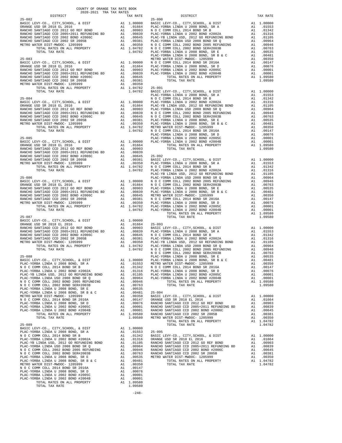| TOTAL TAX RATE |  |  |  |
|----------------|--|--|--|
|                |  |  |  |

COUNTY OF ORANGE TAX RATE BOOK 2020-2021 TRA TAX RATES

 $-248-$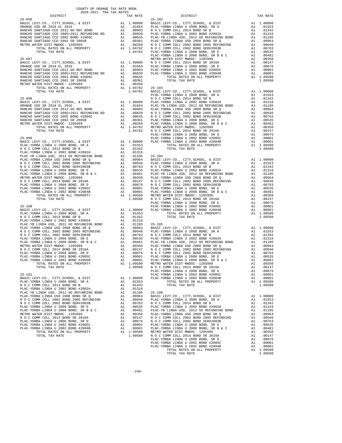| 2020-2021 TRA TAX RATES<br>DISTRICT | TAX RATE | DISTRICT | TAX RATE |
|-------------------------------------|----------|----------|----------|
|                                     |          |          |          |
|                                     |          |          |          |
|                                     |          |          |          |
|                                     |          |          |          |
|                                     |          |          |          |
|                                     |          |          |          |
|                                     |          |          |          |
|                                     |          |          |          |
|                                     |          |          |          |
|                                     |          |          |          |
|                                     |          |          |          |
|                                     |          |          |          |
|                                     |          |          |          |
|                                     |          |          |          |
|                                     |          |          |          |
|                                     |          |          |          |
|                                     |          |          |          |
|                                     |          |          |          |
|                                     |          |          |          |
|                                     |          |          |          |
|                                     |          |          |          |
|                                     |          |          |          |
|                                     |          |          |          |
|                                     |          |          |          |
|                                     |          |          |          |
|                                     |          |          |          |
|                                     |          |          |          |
|                                     |          |          |          |
|                                     |          |          |          |
|                                     |          |          |          |
|                                     |          |          |          |
|                                     |          |          |          |
|                                     |          |          |          |
|                                     |          |          |          |
|                                     |          |          |          |
|                                     |          |          |          |
|                                     |          |          |          |
|                                     |          |          |          |
|                                     |          |          |          |
|                                     |          |          |          |
|                                     |          |          |          |
|                                     |          |          |          |
|                                     |          |          |          |
|                                     |          |          |          |
|                                     |          |          |          |
|                                     |          |          |          |
|                                     |          |          |          |
|                                     |          |          |          |
|                                     |          |          |          |
|                                     |          |          |          |
|                                     |          |          |          |
|                                     |          |          |          |
|                                     |          |          |          |
|                                     |          |          |          |
|                                     |          |          |          |
|                                     |          |          |          |
|                                     |          |          |          |
|                                     |          |          |          |
|                                     |          |          |          |
|                                     |          |          |          |
|                                     |          |          |          |
|                                     |          |          |          |
|                                     |          |          |          |
|                                     |          |          |          |
|                                     |          |          |          |
|                                     |          |          |          |
|                                     |          |          | 1.09580  |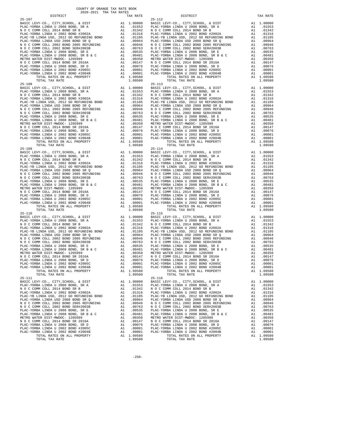| $25 - 107$                                                                   |    |                                                                         | 25-112             |
|------------------------------------------------------------------------------|----|-------------------------------------------------------------------------|--------------------|
|                                                                              |    |                                                                         |                    |
|                                                                              |    |                                                                         |                    |
|                                                                              |    |                                                                         |                    |
|                                                                              |    |                                                                         |                    |
|                                                                              |    |                                                                         |                    |
|                                                                              |    |                                                                         |                    |
|                                                                              |    |                                                                         |                    |
|                                                                              |    |                                                                         |                    |
|                                                                              |    |                                                                         |                    |
|                                                                              |    |                                                                         |                    |
|                                                                              |    |                                                                         |                    |
|                                                                              |    |                                                                         |                    |
|                                                                              |    |                                                                         |                    |
| TOTAL TAX RATE                                                               |    | 1.09580                                                                 |                    |
| $25 - 108$                                                                   |    |                                                                         | $25 - 113$         |
|                                                                              |    |                                                                         |                    |
|                                                                              |    |                                                                         |                    |
|                                                                              |    |                                                                         |                    |
|                                                                              |    |                                                                         |                    |
|                                                                              |    |                                                                         |                    |
|                                                                              |    |                                                                         |                    |
|                                                                              |    |                                                                         |                    |
|                                                                              |    |                                                                         |                    |
|                                                                              |    |                                                                         |                    |
|                                                                              |    |                                                                         |                    |
|                                                                              |    |                                                                         |                    |
|                                                                              |    |                                                                         |                    |
|                                                                              |    |                                                                         |                    |
|                                                                              |    |                                                                         |                    |
|                                                                              |    |                                                                         |                    |
|                                                                              |    |                                                                         |                    |
|                                                                              |    |                                                                         |                    |
|                                                                              |    |                                                                         |                    |
|                                                                              |    |                                                                         |                    |
|                                                                              |    |                                                                         |                    |
|                                                                              |    |                                                                         |                    |
|                                                                              |    |                                                                         |                    |
|                                                                              |    |                                                                         |                    |
|                                                                              |    |                                                                         |                    |
|                                                                              |    |                                                                         |                    |
|                                                                              |    |                                                                         |                    |
|                                                                              |    |                                                                         |                    |
|                                                                              |    |                                                                         |                    |
|                                                                              |    |                                                                         |                    |
|                                                                              |    |                                                                         |                    |
| $25 - 110$                                                                   |    |                                                                         | $25 - 115$         |
|                                                                              |    |                                                                         |                    |
|                                                                              |    |                                                                         |                    |
|                                                                              |    |                                                                         |                    |
|                                                                              |    |                                                                         |                    |
|                                                                              |    |                                                                         |                    |
|                                                                              |    |                                                                         |                    |
|                                                                              |    |                                                                         |                    |
|                                                                              |    |                                                                         |                    |
|                                                                              |    |                                                                         |                    |
|                                                                              |    |                                                                         |                    |
|                                                                              |    |                                                                         |                    |
|                                                                              |    |                                                                         |                    |
|                                                                              |    |                                                                         |                    |
| TOTAL RATES ON ALL PROPERTY                                                  |    | A1 1.09580                                                              |                    |
| TOTAL TAX RATE                                                               |    | 1.09580                                                                 |                    |
| $25 - 111$                                                                   |    |                                                                         | $25 - 116$         |
| BASIC LEVY-CO., CITY, SCHOOL, & DIST<br>PLAC-YORBA LINDA U 2008 BOND, SR A   | A1 | 1.00000                                                                 | BASIC L<br>PLAC-YO |
| N O C COMM COLL 2014 BOND SR B                                               | A1 | A1 .01553<br>.01342                                                     | NOCC               |
| PLAC-YORBA LINDA U 2002 BOND #2002A                                          | A1 | .01316                                                                  | PLAC-YO            |
| PLAC-YB LINDA USD, 2012 GO REFUNDING BOND                                    | A1 | .01105                                                                  | PLAC-YB            |
| PLAC-YORBA LINDA USD 2008 BOND SR Q                                          | A1 | .00964                                                                  | PLAC-YO            |
| N O C COMM COLL 2002 BOND 2005 REFUNDING                                     |    | A1 .00946 NOCC<br>A1 .00763 NOCC<br>A1 .00535 PLAC-YO<br>A1 .00481 NOCC |                    |
| N O C COMM COLL 2002 BOND SER#2003B                                          |    |                                                                         |                    |
| PLAC-YORBA LINDA U 2008 BOND, SR E<br>PLAC-YORBA LINDA U 2008 BOND, SR B & C |    | A1.00481                                                                | PLAC-YO            |
| METRO WATER DIST-MWDOC- 1205999                                              |    |                                                                         |                    |
| N O C COMM COLL 2014 BOND SR 2016A                                           |    | A1 .00350 METROW<br>A1 .00147 NOCC                                      |                    |
| PLAC-YORBA LINDA U 2008 BOND, SR D                                           | A1 | .00076                                                                  | PLAC-YO            |
| PLAC-YORBA LINDA U 2002 BOND #2005C                                          | A1 | .00001                                                                  | PLAC-YO            |
| PLAC-YORBA LINDA U 2002 BOND #2004B                                          | A1 | .00001                                                                  | PLAC-YO            |
| TOTAL RATES ON ALL PROPERTY                                                  |    | A1 1.09580                                                              |                    |
| TOTAL TAX RATE                                                               |    | 1.09580                                                                 |                    |

| TAX RATE<br>DISTRICT |         | DISTRICT                                                                                                                                                                                                                                                                                                                                                           | TAX RATE               |
|----------------------|---------|--------------------------------------------------------------------------------------------------------------------------------------------------------------------------------------------------------------------------------------------------------------------------------------------------------------------------------------------------------------------|------------------------|
|                      |         |                                                                                                                                                                                                                                                                                                                                                                    |                        |
|                      |         |                                                                                                                                                                                                                                                                                                                                                                    |                        |
|                      |         |                                                                                                                                                                                                                                                                                                                                                                    |                        |
|                      |         |                                                                                                                                                                                                                                                                                                                                                                    |                        |
|                      |         |                                                                                                                                                                                                                                                                                                                                                                    |                        |
|                      |         |                                                                                                                                                                                                                                                                                                                                                                    |                        |
|                      |         |                                                                                                                                                                                                                                                                                                                                                                    |                        |
|                      |         |                                                                                                                                                                                                                                                                                                                                                                    |                        |
|                      |         |                                                                                                                                                                                                                                                                                                                                                                    |                        |
|                      |         |                                                                                                                                                                                                                                                                                                                                                                    |                        |
|                      |         |                                                                                                                                                                                                                                                                                                                                                                    |                        |
|                      |         |                                                                                                                                                                                                                                                                                                                                                                    |                        |
|                      |         |                                                                                                                                                                                                                                                                                                                                                                    |                        |
|                      |         |                                                                                                                                                                                                                                                                                                                                                                    |                        |
|                      |         |                                                                                                                                                                                                                                                                                                                                                                    |                        |
|                      |         |                                                                                                                                                                                                                                                                                                                                                                    |                        |
|                      |         |                                                                                                                                                                                                                                                                                                                                                                    |                        |
|                      |         |                                                                                                                                                                                                                                                                                                                                                                    |                        |
|                      |         |                                                                                                                                                                                                                                                                                                                                                                    |                        |
|                      |         |                                                                                                                                                                                                                                                                                                                                                                    |                        |
|                      |         |                                                                                                                                                                                                                                                                                                                                                                    |                        |
|                      |         |                                                                                                                                                                                                                                                                                                                                                                    |                        |
|                      |         |                                                                                                                                                                                                                                                                                                                                                                    |                        |
|                      |         |                                                                                                                                                                                                                                                                                                                                                                    |                        |
|                      |         |                                                                                                                                                                                                                                                                                                                                                                    |                        |
|                      |         |                                                                                                                                                                                                                                                                                                                                                                    |                        |
|                      |         |                                                                                                                                                                                                                                                                                                                                                                    |                        |
|                      |         |                                                                                                                                                                                                                                                                                                                                                                    |                        |
|                      |         |                                                                                                                                                                                                                                                                                                                                                                    |                        |
|                      |         |                                                                                                                                                                                                                                                                                                                                                                    |                        |
|                      |         |                                                                                                                                                                                                                                                                                                                                                                    |                        |
|                      |         |                                                                                                                                                                                                                                                                                                                                                                    |                        |
|                      |         |                                                                                                                                                                                                                                                                                                                                                                    |                        |
|                      |         |                                                                                                                                                                                                                                                                                                                                                                    |                        |
|                      |         |                                                                                                                                                                                                                                                                                                                                                                    |                        |
|                      |         |                                                                                                                                                                                                                                                                                                                                                                    |                        |
|                      |         |                                                                                                                                                                                                                                                                                                                                                                    |                        |
|                      |         |                                                                                                                                                                                                                                                                                                                                                                    |                        |
|                      |         |                                                                                                                                                                                                                                                                                                                                                                    |                        |
|                      |         |                                                                                                                                                                                                                                                                                                                                                                    |                        |
|                      |         |                                                                                                                                                                                                                                                                                                                                                                    |                        |
|                      |         |                                                                                                                                                                                                                                                                                                                                                                    |                        |
|                      |         |                                                                                                                                                                                                                                                                                                                                                                    |                        |
|                      |         |                                                                                                                                                                                                                                                                                                                                                                    |                        |
|                      |         |                                                                                                                                                                                                                                                                                                                                                                    |                        |
|                      |         |                                                                                                                                                                                                                                                                                                                                                                    |                        |
|                      |         |                                                                                                                                                                                                                                                                                                                                                                    |                        |
|                      |         |                                                                                                                                                                                                                                                                                                                                                                    |                        |
|                      |         |                                                                                                                                                                                                                                                                                                                                                                    |                        |
|                      |         |                                                                                                                                                                                                                                                                                                                                                                    |                        |
|                      |         |                                                                                                                                                                                                                                                                                                                                                                    |                        |
|                      |         |                                                                                                                                                                                                                                                                                                                                                                    |                        |
|                      |         |                                                                                                                                                                                                                                                                                                                                                                    |                        |
|                      |         |                                                                                                                                                                                                                                                                                                                                                                    |                        |
|                      |         |                                                                                                                                                                                                                                                                                                                                                                    |                        |
|                      |         |                                                                                                                                                                                                                                                                                                                                                                    |                        |
|                      |         |                                                                                                                                                                                                                                                                                                                                                                    |                        |
|                      |         |                                                                                                                                                                                                                                                                                                                                                                    |                        |
|                      |         |                                                                                                                                                                                                                                                                                                                                                                    |                        |
|                      |         |                                                                                                                                                                                                                                                                                                                                                                    |                        |
|                      |         |                                                                                                                                                                                                                                                                                                                                                                    |                        |
|                      |         |                                                                                                                                                                                                                                                                                                                                                                    |                        |
|                      |         |                                                                                                                                                                                                                                                                                                                                                                    |                        |
|                      |         |                                                                                                                                                                                                                                                                                                                                                                    |                        |
|                      |         |                                                                                                                                                                                                                                                                                                                                                                    |                        |
|                      |         |                                                                                                                                                                                                                                                                                                                                                                    |                        |
|                      |         |                                                                                                                                                                                                                                                                                                                                                                    |                        |
|                      |         |                                                                                                                                                                                                                                                                                                                                                                    |                        |
|                      |         |                                                                                                                                                                                                                                                                                                                                                                    |                        |
|                      |         |                                                                                                                                                                                                                                                                                                                                                                    |                        |
| $25 - 111$           |         | $25 - 116$                                                                                                                                                                                                                                                                                                                                                         |                        |
|                      |         | BASIC LEVY-CO., CITY, SCHOOL, & DIST A1 1.00000 BASIC LEVY-CO., CITY, SCHOOL, & DIST A1 1.00000 BASIC LEVY-CO., CITY, SCHOOL, & DIST A1 1.00000 BASIC LEVY-CO., CITY, SCHOOL, & DIST A1 1.00000 BASIC LEVY-CO., CITY, SCHOOL,                                                                                                                                      |                        |
|                      |         |                                                                                                                                                                                                                                                                                                                                                                    |                        |
|                      |         |                                                                                                                                                                                                                                                                                                                                                                    | A1 .01342<br>A1 .01316 |
|                      |         |                                                                                                                                                                                                                                                                                                                                                                    | A1 .01105              |
|                      |         |                                                                                                                                                                                                                                                                                                                                                                    | A1 .00964              |
|                      |         |                                                                                                                                                                                                                                                                                                                                                                    |                        |
|                      |         |                                                                                                                                                                                                                                                                                                                                                                    |                        |
|                      |         |                                                                                                                                                                                                                                                                                                                                                                    |                        |
|                      |         |                                                                                                                                                                                                                                                                                                                                                                    |                        |
|                      |         |                                                                                                                                                                                                                                                                                                                                                                    |                        |
|                      |         |                                                                                                                                                                                                                                                                                                                                                                    |                        |
|                      |         |                                                                                                                                                                                                                                                                                                                                                                    |                        |
|                      |         | $\begin{tabular}{l c c c c c} \multicolumn{1}{c}{\textbf{N} & 0 & C & COMM & COLL & 2002 & BOND & 2008 & BOND & 2008 & BRED & 2008 & BORD & 2008 & BRED & 2008 & BRED & 2008 & BRED & 2008 & BRED & 2008 & BRED & 2008 & BRED & 2008 & BRED & 2008 & BRED & 2008 & BRED & 2008 & BRED & 2008 & BRED & 2008 & BRED & 2008 & BRED & 2008 & BRED & 2008 & BRED & 200$ |                        |
|                      |         |                                                                                                                                                                                                                                                                                                                                                                    |                        |
|                      |         |                                                                                                                                                                                                                                                                                                                                                                    |                        |
| TOTAL TAX RATE       | 1.09580 | TOTAL TAX RATE                                                                                                                                                                                                                                                                                                                                                     | 1.09580                |

-250-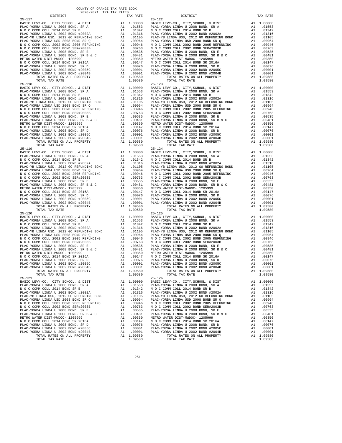| $25 - 117$                                                                       |          |                                                                         | $25 - 122$         |
|----------------------------------------------------------------------------------|----------|-------------------------------------------------------------------------|--------------------|
|                                                                                  |          |                                                                         |                    |
|                                                                                  |          |                                                                         |                    |
|                                                                                  |          |                                                                         |                    |
|                                                                                  |          |                                                                         |                    |
|                                                                                  |          |                                                                         |                    |
|                                                                                  |          |                                                                         |                    |
|                                                                                  |          |                                                                         |                    |
|                                                                                  |          |                                                                         |                    |
|                                                                                  |          |                                                                         |                    |
|                                                                                  |          |                                                                         |                    |
|                                                                                  |          |                                                                         |                    |
|                                                                                  |          |                                                                         |                    |
|                                                                                  |          |                                                                         |                    |
| TOTAL TAX RATE<br>$25 - 118$                                                     |          | 1.09580                                                                 | $25 - 123$         |
|                                                                                  |          |                                                                         |                    |
|                                                                                  |          |                                                                         |                    |
|                                                                                  |          |                                                                         |                    |
|                                                                                  |          |                                                                         |                    |
|                                                                                  |          |                                                                         |                    |
|                                                                                  |          |                                                                         |                    |
|                                                                                  |          |                                                                         |                    |
|                                                                                  |          |                                                                         |                    |
|                                                                                  |          |                                                                         |                    |
|                                                                                  |          |                                                                         |                    |
|                                                                                  |          |                                                                         |                    |
|                                                                                  |          |                                                                         |                    |
|                                                                                  |          |                                                                         |                    |
|                                                                                  |          |                                                                         |                    |
|                                                                                  |          |                                                                         |                    |
|                                                                                  |          |                                                                         |                    |
|                                                                                  |          |                                                                         |                    |
|                                                                                  |          |                                                                         |                    |
|                                                                                  |          |                                                                         |                    |
|                                                                                  |          |                                                                         |                    |
|                                                                                  |          |                                                                         |                    |
|                                                                                  |          |                                                                         |                    |
|                                                                                  |          |                                                                         |                    |
|                                                                                  |          |                                                                         |                    |
|                                                                                  |          |                                                                         |                    |
|                                                                                  |          |                                                                         |                    |
|                                                                                  |          |                                                                         |                    |
|                                                                                  |          |                                                                         |                    |
|                                                                                  |          |                                                                         |                    |
| $25 - 120$                                                                       |          |                                                                         | $25 - 125$         |
|                                                                                  |          |                                                                         |                    |
|                                                                                  |          |                                                                         |                    |
|                                                                                  |          |                                                                         |                    |
|                                                                                  |          |                                                                         |                    |
|                                                                                  |          |                                                                         |                    |
|                                                                                  |          |                                                                         |                    |
|                                                                                  |          |                                                                         |                    |
|                                                                                  |          |                                                                         |                    |
|                                                                                  |          |                                                                         |                    |
|                                                                                  |          |                                                                         |                    |
|                                                                                  |          |                                                                         |                    |
|                                                                                  |          |                                                                         |                    |
|                                                                                  |          |                                                                         |                    |
| TOTAL RATES ON ALL PROPERTY                                                      |          | A1 1.09580                                                              |                    |
| TOTAL TAX RATE<br>$25 - 121$                                                     |          | 1.09580                                                                 | $25 - 126$         |
| BASIC LEVY-CO., CITY, SCHOOL, & DIST                                             | A1       | 1.00000                                                                 | BASIC L            |
| PLAC-YORBA LINDA U 2008 BOND, SR A                                               |          | A1 .01553                                                               | PLAC-YO            |
| N O C COMM COLL 2014 BOND SR B                                                   | A1       | .01342                                                                  | NOCC               |
| PLAC-YORBA LINDA U 2002 BOND #2002A                                              | A1       | .01316                                                                  | PLAC-YO            |
| PLAC-YB LINDA USD, 2012 GO REFUNDING BOND<br>PLAC-YORBA LINDA USD 2008 BOND SR Q | A1<br>A1 | .01105<br>.00964                                                        | PLAC-YB<br>PLAC-YO |
| N O C COMM COLL 2002 BOND 2005 REFUNDING                                         |          |                                                                         |                    |
| N O C COMM COLL 2002 BOND SER#2003B                                              |          | A1 .00946 NOCC<br>A1 .00763 NOCC<br>A1 .00535 PLAC-YO<br>A1 .00481 NOCC |                    |
| PLAC-YORBA LINDA U 2008 BOND, SR E                                               |          |                                                                         |                    |
| PLAC-YORBA LINDA U 2008 BOND, SR B & C                                           |          |                                                                         | PLAC-YO            |
| METRO WATER DIST-MWDOC- 1205999                                                  |          | A1 .00350 METROW<br>A1 .00147 NOCC                                      |                    |
| N O C COMM COLL 2014 BOND SR 2016A<br>PLAC-YORBA LINDA U 2008 BOND, SR D         | A1       | .00076                                                                  | PLAC-YO            |
| PLAC-YORBA LINDA U 2002 BOND #2005C                                              | A1       | .00001                                                                  | PLAC-YO            |
| PLAC-YORBA LINDA U 2002 BOND #2004B                                              | A1       | .00001                                                                  | PLAC-YO            |
| TOTAL RATES ON ALL PROPERTY                                                      |          | A1 1.09580                                                              |                    |
| TOTAL TAX RATE                                                                   |          | 1.09580                                                                 |                    |

| TAX RATE<br>DISTRICT                                                                                                                                                                                                                                                       |         | DISTRICT                                                                                                                                                                                                                      | TAX RATE |
|----------------------------------------------------------------------------------------------------------------------------------------------------------------------------------------------------------------------------------------------------------------------------|---------|-------------------------------------------------------------------------------------------------------------------------------------------------------------------------------------------------------------------------------|----------|
|                                                                                                                                                                                                                                                                            |         |                                                                                                                                                                                                                               |          |
|                                                                                                                                                                                                                                                                            |         |                                                                                                                                                                                                                               |          |
|                                                                                                                                                                                                                                                                            |         |                                                                                                                                                                                                                               |          |
|                                                                                                                                                                                                                                                                            |         |                                                                                                                                                                                                                               |          |
|                                                                                                                                                                                                                                                                            |         |                                                                                                                                                                                                                               |          |
|                                                                                                                                                                                                                                                                            |         |                                                                                                                                                                                                                               |          |
|                                                                                                                                                                                                                                                                            |         |                                                                                                                                                                                                                               |          |
|                                                                                                                                                                                                                                                                            |         |                                                                                                                                                                                                                               |          |
|                                                                                                                                                                                                                                                                            |         |                                                                                                                                                                                                                               |          |
|                                                                                                                                                                                                                                                                            |         |                                                                                                                                                                                                                               |          |
|                                                                                                                                                                                                                                                                            |         |                                                                                                                                                                                                                               |          |
|                                                                                                                                                                                                                                                                            |         |                                                                                                                                                                                                                               |          |
|                                                                                                                                                                                                                                                                            |         |                                                                                                                                                                                                                               |          |
|                                                                                                                                                                                                                                                                            |         |                                                                                                                                                                                                                               |          |
|                                                                                                                                                                                                                                                                            |         |                                                                                                                                                                                                                               |          |
|                                                                                                                                                                                                                                                                            |         |                                                                                                                                                                                                                               |          |
|                                                                                                                                                                                                                                                                            |         |                                                                                                                                                                                                                               |          |
|                                                                                                                                                                                                                                                                            |         |                                                                                                                                                                                                                               |          |
|                                                                                                                                                                                                                                                                            |         |                                                                                                                                                                                                                               |          |
|                                                                                                                                                                                                                                                                            |         |                                                                                                                                                                                                                               |          |
|                                                                                                                                                                                                                                                                            |         |                                                                                                                                                                                                                               |          |
|                                                                                                                                                                                                                                                                            |         |                                                                                                                                                                                                                               |          |
|                                                                                                                                                                                                                                                                            |         |                                                                                                                                                                                                                               |          |
|                                                                                                                                                                                                                                                                            |         |                                                                                                                                                                                                                               |          |
|                                                                                                                                                                                                                                                                            |         |                                                                                                                                                                                                                               |          |
|                                                                                                                                                                                                                                                                            |         |                                                                                                                                                                                                                               |          |
|                                                                                                                                                                                                                                                                            |         |                                                                                                                                                                                                                               |          |
|                                                                                                                                                                                                                                                                            |         |                                                                                                                                                                                                                               |          |
|                                                                                                                                                                                                                                                                            |         |                                                                                                                                                                                                                               |          |
|                                                                                                                                                                                                                                                                            |         |                                                                                                                                                                                                                               |          |
|                                                                                                                                                                                                                                                                            |         |                                                                                                                                                                                                                               |          |
|                                                                                                                                                                                                                                                                            |         |                                                                                                                                                                                                                               |          |
|                                                                                                                                                                                                                                                                            |         |                                                                                                                                                                                                                               |          |
|                                                                                                                                                                                                                                                                            |         |                                                                                                                                                                                                                               |          |
|                                                                                                                                                                                                                                                                            |         |                                                                                                                                                                                                                               |          |
|                                                                                                                                                                                                                                                                            |         |                                                                                                                                                                                                                               |          |
|                                                                                                                                                                                                                                                                            |         |                                                                                                                                                                                                                               |          |
| 25-118 200741 APTER OR ALL PROPERTY<br>25-118 200741 APTER OR ALL PROPERTY 12.1.198580<br>26-2118 200741 APTER OR ALL PROPERTY 31.1.199580<br>26-2118 20074 APTER OR ALL PROPERTY 31.1.199580<br>26-2 C-COMM CDLE, 2012 APPER OR ALL                                       |         |                                                                                                                                                                                                                               |          |
|                                                                                                                                                                                                                                                                            |         |                                                                                                                                                                                                                               |          |
|                                                                                                                                                                                                                                                                            |         |                                                                                                                                                                                                                               |          |
|                                                                                                                                                                                                                                                                            |         |                                                                                                                                                                                                                               |          |
|                                                                                                                                                                                                                                                                            |         |                                                                                                                                                                                                                               |          |
|                                                                                                                                                                                                                                                                            |         |                                                                                                                                                                                                                               |          |
|                                                                                                                                                                                                                                                                            |         |                                                                                                                                                                                                                               |          |
|                                                                                                                                                                                                                                                                            |         |                                                                                                                                                                                                                               |          |
|                                                                                                                                                                                                                                                                            |         |                                                                                                                                                                                                                               |          |
|                                                                                                                                                                                                                                                                            |         |                                                                                                                                                                                                                               |          |
|                                                                                                                                                                                                                                                                            |         |                                                                                                                                                                                                                               |          |
|                                                                                                                                                                                                                                                                            |         |                                                                                                                                                                                                                               |          |
|                                                                                                                                                                                                                                                                            |         |                                                                                                                                                                                                                               |          |
|                                                                                                                                                                                                                                                                            |         |                                                                                                                                                                                                                               |          |
|                                                                                                                                                                                                                                                                            |         |                                                                                                                                                                                                                               |          |
|                                                                                                                                                                                                                                                                            |         |                                                                                                                                                                                                                               |          |
|                                                                                                                                                                                                                                                                            |         |                                                                                                                                                                                                                               |          |
|                                                                                                                                                                                                                                                                            |         |                                                                                                                                                                                                                               |          |
|                                                                                                                                                                                                                                                                            |         |                                                                                                                                                                                                                               |          |
|                                                                                                                                                                                                                                                                            |         |                                                                                                                                                                                                                               |          |
|                                                                                                                                                                                                                                                                            |         |                                                                                                                                                                                                                               |          |
|                                                                                                                                                                                                                                                                            |         |                                                                                                                                                                                                                               |          |
|                                                                                                                                                                                                                                                                            |         |                                                                                                                                                                                                                               |          |
|                                                                                                                                                                                                                                                                            |         |                                                                                                                                                                                                                               |          |
|                                                                                                                                                                                                                                                                            |         |                                                                                                                                                                                                                               |          |
|                                                                                                                                                                                                                                                                            |         |                                                                                                                                                                                                                               |          |
|                                                                                                                                                                                                                                                                            |         |                                                                                                                                                                                                                               |          |
|                                                                                                                                                                                                                                                                            |         |                                                                                                                                                                                                                               |          |
|                                                                                                                                                                                                                                                                            |         |                                                                                                                                                                                                                               |          |
|                                                                                                                                                                                                                                                                            |         |                                                                                                                                                                                                                               |          |
|                                                                                                                                                                                                                                                                            |         |                                                                                                                                                                                                                               |          |
|                                                                                                                                                                                                                                                                            |         |                                                                                                                                                                                                                               |          |
|                                                                                                                                                                                                                                                                            |         |                                                                                                                                                                                                                               |          |
|                                                                                                                                                                                                                                                                            |         |                                                                                                                                                                                                                               |          |
|                                                                                                                                                                                                                                                                            |         |                                                                                                                                                                                                                               |          |
|                                                                                                                                                                                                                                                                            |         |                                                                                                                                                                                                                               |          |
|                                                                                                                                                                                                                                                                            |         |                                                                                                                                                                                                                               |          |
|                                                                                                                                                                                                                                                                            |         |                                                                                                                                                                                                                               |          |
|                                                                                                                                                                                                                                                                            |         |                                                                                                                                                                                                                               |          |
| $25 - 121$                                                                                                                                                                                                                                                                 |         | $25 - 126$                                                                                                                                                                                                                    |          |
|                                                                                                                                                                                                                                                                            |         | BASIC LEVY-CO., CITY, SCHOOL, & DIST A1 1.00000 BASIC LEVY-CO., CITY, SCHOOL, & DIST A1 1.00000 BASIC LEVY-CO., CITY, SCHOOL, & DIST A1 1.00000 BASIC LEVY-CO., CITY, SCHOOL, & DIST A1 1.00000 BASIC LEVY-CO., CITY, SCHOOL, |          |
|                                                                                                                                                                                                                                                                            |         |                                                                                                                                                                                                                               |          |
|                                                                                                                                                                                                                                                                            |         |                                                                                                                                                                                                                               |          |
|                                                                                                                                                                                                                                                                            |         |                                                                                                                                                                                                                               |          |
|                                                                                                                                                                                                                                                                            |         |                                                                                                                                                                                                                               |          |
|                                                                                                                                                                                                                                                                            |         |                                                                                                                                                                                                                               |          |
|                                                                                                                                                                                                                                                                            |         |                                                                                                                                                                                                                               |          |
|                                                                                                                                                                                                                                                                            |         |                                                                                                                                                                                                                               |          |
|                                                                                                                                                                                                                                                                            |         |                                                                                                                                                                                                                               |          |
|                                                                                                                                                                                                                                                                            |         |                                                                                                                                                                                                                               |          |
|                                                                                                                                                                                                                                                                            |         |                                                                                                                                                                                                                               |          |
|                                                                                                                                                                                                                                                                            |         |                                                                                                                                                                                                                               |          |
|                                                                                                                                                                                                                                                                            |         |                                                                                                                                                                                                                               |          |
| $\begin{tabular}{l c c c c c} \textbf{F.A.} & 0.008 & 0.008 & 0.008 & 0.008 & 0.008 & 0.008 & 0.008 & 0.008 & 0.008 & 0.008 & 0.008 & 0.008 & 0.008 & 0.008 & 0.008 & 0.008 & 0.008 & 0.008 & 0.008 & 0.008 & 0.008 & 0.008 & 0.008 & 0.008 & 0.008 & 0.008 & 0.008 & 0.0$ |         |                                                                                                                                                                                                                               |          |
|                                                                                                                                                                                                                                                                            |         |                                                                                                                                                                                                                               |          |
|                                                                                                                                                                                                                                                                            |         |                                                                                                                                                                                                                               |          |
|                                                                                                                                                                                                                                                                            |         |                                                                                                                                                                                                                               |          |
| TOTAL TAX RATE                                                                                                                                                                                                                                                             | 1.09580 | TOTAL TAX RATE                                                                                                                                                                                                                | 1.09580  |

-251-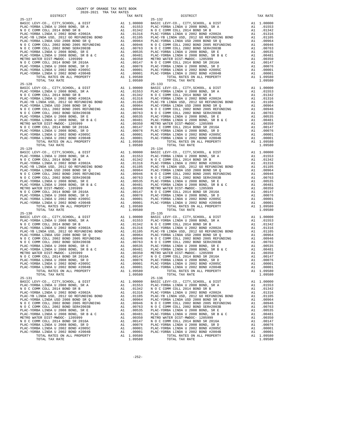| $25 - 127$                                                                   |          |                                                                         | $25 - 132$      |
|------------------------------------------------------------------------------|----------|-------------------------------------------------------------------------|-----------------|
|                                                                              |          |                                                                         |                 |
|                                                                              |          |                                                                         |                 |
|                                                                              |          |                                                                         |                 |
|                                                                              |          |                                                                         |                 |
|                                                                              |          |                                                                         |                 |
|                                                                              |          |                                                                         |                 |
|                                                                              |          |                                                                         |                 |
|                                                                              |          |                                                                         |                 |
|                                                                              |          |                                                                         |                 |
|                                                                              |          |                                                                         |                 |
|                                                                              |          |                                                                         |                 |
|                                                                              |          |                                                                         |                 |
|                                                                              |          |                                                                         |                 |
| TOTAL TAX RATE<br>$25 - 128$                                                 |          | 1.09580                                                                 | $25 - 133$      |
|                                                                              |          |                                                                         |                 |
|                                                                              |          |                                                                         |                 |
|                                                                              |          |                                                                         |                 |
|                                                                              |          |                                                                         |                 |
|                                                                              |          |                                                                         |                 |
|                                                                              |          |                                                                         |                 |
|                                                                              |          |                                                                         |                 |
|                                                                              |          |                                                                         |                 |
|                                                                              |          |                                                                         |                 |
|                                                                              |          |                                                                         |                 |
|                                                                              |          |                                                                         |                 |
|                                                                              |          |                                                                         |                 |
|                                                                              |          |                                                                         |                 |
|                                                                              |          |                                                                         |                 |
|                                                                              |          |                                                                         |                 |
|                                                                              |          |                                                                         |                 |
|                                                                              |          |                                                                         |                 |
|                                                                              |          |                                                                         |                 |
|                                                                              |          |                                                                         |                 |
|                                                                              |          |                                                                         |                 |
|                                                                              |          |                                                                         |                 |
|                                                                              |          |                                                                         |                 |
|                                                                              |          |                                                                         |                 |
|                                                                              |          |                                                                         |                 |
|                                                                              |          |                                                                         |                 |
|                                                                              |          |                                                                         |                 |
|                                                                              |          |                                                                         |                 |
|                                                                              |          |                                                                         |                 |
|                                                                              |          |                                                                         |                 |
| $25 - 130$                                                                   |          |                                                                         | $25 - 135$      |
|                                                                              |          |                                                                         |                 |
|                                                                              |          |                                                                         |                 |
|                                                                              |          |                                                                         |                 |
|                                                                              |          |                                                                         |                 |
|                                                                              |          |                                                                         |                 |
|                                                                              |          |                                                                         |                 |
|                                                                              |          |                                                                         |                 |
|                                                                              |          |                                                                         |                 |
|                                                                              |          |                                                                         |                 |
|                                                                              |          |                                                                         |                 |
|                                                                              |          |                                                                         |                 |
|                                                                              |          |                                                                         |                 |
|                                                                              |          | A1 1.09580                                                              |                 |
| TOTAL RATES ON ALL PROPERTY<br>TOTAL TAX RATE                                |          | 1.09580                                                                 |                 |
| $25 - 131$                                                                   |          |                                                                         | $25 - 136$      |
| BASIC LEVY-CO., CITY, SCHOOL, & DIST                                         | A1       | 1.00000                                                                 | BASIC L         |
| PLAC-YORBA LINDA U 2008 BOND, SR A                                           |          | A1 .01553                                                               | PLAC-YO         |
| N O C COMM COLL 2014 BOND SR B<br>PLAC-YORBA LINDA U 2002 BOND #2002A        | A1<br>A1 | .01342<br>.01316                                                        | NOCC<br>PLAC-YO |
| PLAC-YB LINDA USD, 2012 GO REFUNDING BOND                                    | A1       | .01105                                                                  | PLAC-YB         |
| PLAC-YORBA LINDA USD 2008 BOND SR Q                                          | A1       | .00964                                                                  | PLAC-YO         |
| N O C COMM COLL 2002 BOND 2005 REFUNDING                                     |          | A1 .00946 NOCC<br>A1 .00763 NOCC<br>A1 .00535 PLAC-YO<br>A1 .00481 NOCC |                 |
| N O C COMM COLL 2002 BOND SER#2003B                                          |          |                                                                         |                 |
| PLAC-YORBA LINDA U 2008 BOND, SR E<br>PLAC-YORBA LINDA U 2008 BOND, SR B & C |          |                                                                         | PLAC-YO         |
| METRO WATER DIST-MWDOC- 1205999                                              |          |                                                                         |                 |
| N O C COMM COLL 2014 BOND SR 2016A                                           |          | A1 .00350 METROW<br>A1 .00147 NOCC                                      |                 |
| PLAC-YORBA LINDA U 2008 BOND, SR D                                           | A1       | .00076                                                                  | PLAC-YO         |
| PLAC-YORBA LINDA U 2002 BOND #2005C                                          | A1       | .00001                                                                  | PLAC-YO         |
| PLAC-YORBA LINDA U 2002 BOND #2004B<br>TOTAL RATES ON ALL PROPERTY           | A1       | .00001<br>A1 1.09580                                                    | PLAC-YO         |
| TOTAL TAX RATE                                                               |          | 1.09580                                                                 |                 |
|                                                                              |          |                                                                         |                 |

| TAX RATE<br>DISTRICT                                                                                                                                                                                                          |         | DISTRICT                                                                                                                                                                                                                                                                                                                             |    | TAX RATE   |
|-------------------------------------------------------------------------------------------------------------------------------------------------------------------------------------------------------------------------------|---------|--------------------------------------------------------------------------------------------------------------------------------------------------------------------------------------------------------------------------------------------------------------------------------------------------------------------------------------|----|------------|
| $25 - 127$                                                                                                                                                                                                                    |         | $25 - 132$                                                                                                                                                                                                                                                                                                                           |    |            |
|                                                                                                                                                                                                                               |         |                                                                                                                                                                                                                                                                                                                                      |    |            |
|                                                                                                                                                                                                                               |         |                                                                                                                                                                                                                                                                                                                                      |    |            |
|                                                                                                                                                                                                                               |         |                                                                                                                                                                                                                                                                                                                                      |    |            |
|                                                                                                                                                                                                                               |         |                                                                                                                                                                                                                                                                                                                                      |    |            |
|                                                                                                                                                                                                                               |         |                                                                                                                                                                                                                                                                                                                                      |    |            |
|                                                                                                                                                                                                                               |         |                                                                                                                                                                                                                                                                                                                                      |    |            |
|                                                                                                                                                                                                                               |         |                                                                                                                                                                                                                                                                                                                                      |    |            |
|                                                                                                                                                                                                                               |         |                                                                                                                                                                                                                                                                                                                                      |    |            |
|                                                                                                                                                                                                                               |         |                                                                                                                                                                                                                                                                                                                                      |    |            |
|                                                                                                                                                                                                                               |         |                                                                                                                                                                                                                                                                                                                                      |    |            |
|                                                                                                                                                                                                                               |         |                                                                                                                                                                                                                                                                                                                                      |    |            |
|                                                                                                                                                                                                                               |         |                                                                                                                                                                                                                                                                                                                                      |    |            |
|                                                                                                                                                                                                                               |         |                                                                                                                                                                                                                                                                                                                                      |    |            |
|                                                                                                                                                                                                                               |         |                                                                                                                                                                                                                                                                                                                                      |    |            |
|                                                                                                                                                                                                                               |         |                                                                                                                                                                                                                                                                                                                                      |    |            |
|                                                                                                                                                                                                                               |         |                                                                                                                                                                                                                                                                                                                                      |    |            |
|                                                                                                                                                                                                                               |         | $25 - 133$                                                                                                                                                                                                                                                                                                                           |    |            |
|                                                                                                                                                                                                                               |         |                                                                                                                                                                                                                                                                                                                                      |    |            |
|                                                                                                                                                                                                                               |         |                                                                                                                                                                                                                                                                                                                                      |    |            |
|                                                                                                                                                                                                                               |         |                                                                                                                                                                                                                                                                                                                                      |    |            |
|                                                                                                                                                                                                                               |         |                                                                                                                                                                                                                                                                                                                                      |    |            |
|                                                                                                                                                                                                                               |         |                                                                                                                                                                                                                                                                                                                                      |    |            |
|                                                                                                                                                                                                                               |         |                                                                                                                                                                                                                                                                                                                                      |    |            |
|                                                                                                                                                                                                                               |         |                                                                                                                                                                                                                                                                                                                                      |    |            |
|                                                                                                                                                                                                                               |         |                                                                                                                                                                                                                                                                                                                                      |    |            |
|                                                                                                                                                                                                                               |         |                                                                                                                                                                                                                                                                                                                                      |    |            |
|                                                                                                                                                                                                                               |         |                                                                                                                                                                                                                                                                                                                                      |    |            |
|                                                                                                                                                                                                                               |         |                                                                                                                                                                                                                                                                                                                                      |    |            |
|                                                                                                                                                                                                                               |         |                                                                                                                                                                                                                                                                                                                                      |    |            |
|                                                                                                                                                                                                                               |         |                                                                                                                                                                                                                                                                                                                                      |    |            |
|                                                                                                                                                                                                                               |         |                                                                                                                                                                                                                                                                                                                                      |    |            |
|                                                                                                                                                                                                                               |         |                                                                                                                                                                                                                                                                                                                                      |    |            |
|                                                                                                                                                                                                                               |         |                                                                                                                                                                                                                                                                                                                                      |    |            |
|                                                                                                                                                                                                                               |         |                                                                                                                                                                                                                                                                                                                                      |    |            |
|                                                                                                                                                                                                                               |         |                                                                                                                                                                                                                                                                                                                                      |    |            |
|                                                                                                                                                                                                                               |         |                                                                                                                                                                                                                                                                                                                                      |    |            |
|                                                                                                                                                                                                                               |         |                                                                                                                                                                                                                                                                                                                                      |    |            |
|                                                                                                                                                                                                                               |         |                                                                                                                                                                                                                                                                                                                                      |    |            |
|                                                                                                                                                                                                                               |         |                                                                                                                                                                                                                                                                                                                                      |    |            |
|                                                                                                                                                                                                                               |         |                                                                                                                                                                                                                                                                                                                                      |    |            |
|                                                                                                                                                                                                                               |         |                                                                                                                                                                                                                                                                                                                                      |    |            |
|                                                                                                                                                                                                                               |         |                                                                                                                                                                                                                                                                                                                                      |    |            |
|                                                                                                                                                                                                                               |         |                                                                                                                                                                                                                                                                                                                                      |    |            |
|                                                                                                                                                                                                                               |         |                                                                                                                                                                                                                                                                                                                                      |    |            |
|                                                                                                                                                                                                                               |         |                                                                                                                                                                                                                                                                                                                                      |    |            |
|                                                                                                                                                                                                                               |         |                                                                                                                                                                                                                                                                                                                                      |    |            |
|                                                                                                                                                                                                                               |         |                                                                                                                                                                                                                                                                                                                                      |    |            |
|                                                                                                                                                                                                                               |         |                                                                                                                                                                                                                                                                                                                                      |    |            |
|                                                                                                                                                                                                                               |         |                                                                                                                                                                                                                                                                                                                                      |    |            |
|                                                                                                                                                                                                                               |         |                                                                                                                                                                                                                                                                                                                                      |    |            |
|                                                                                                                                                                                                                               |         |                                                                                                                                                                                                                                                                                                                                      |    |            |
|                                                                                                                                                                                                                               |         |                                                                                                                                                                                                                                                                                                                                      |    |            |
|                                                                                                                                                                                                                               |         |                                                                                                                                                                                                                                                                                                                                      |    |            |
|                                                                                                                                                                                                                               |         |                                                                                                                                                                                                                                                                                                                                      |    |            |
|                                                                                                                                                                                                                               |         |                                                                                                                                                                                                                                                                                                                                      |    |            |
|                                                                                                                                                                                                                               |         |                                                                                                                                                                                                                                                                                                                                      |    |            |
|                                                                                                                                                                                                                               |         |                                                                                                                                                                                                                                                                                                                                      |    |            |
|                                                                                                                                                                                                                               |         |                                                                                                                                                                                                                                                                                                                                      |    |            |
|                                                                                                                                                                                                                               |         |                                                                                                                                                                                                                                                                                                                                      |    |            |
|                                                                                                                                                                                                                               |         |                                                                                                                                                                                                                                                                                                                                      |    |            |
|                                                                                                                                                                                                                               |         |                                                                                                                                                                                                                                                                                                                                      |    |            |
|                                                                                                                                                                                                                               |         |                                                                                                                                                                                                                                                                                                                                      |    |            |
|                                                                                                                                                                                                                               |         |                                                                                                                                                                                                                                                                                                                                      |    |            |
|                                                                                                                                                                                                                               |         |                                                                                                                                                                                                                                                                                                                                      |    |            |
|                                                                                                                                                                                                                               |         |                                                                                                                                                                                                                                                                                                                                      |    |            |
|                                                                                                                                                                                                                               |         |                                                                                                                                                                                                                                                                                                                                      |    |            |
|                                                                                                                                                                                                                               |         |                                                                                                                                                                                                                                                                                                                                      |    |            |
|                                                                                                                                                                                                                               |         |                                                                                                                                                                                                                                                                                                                                      |    |            |
| TOTAL TAX RATE                                                                                                                                                                                                                | 1,09580 | TOTAL TAX RATE                                                                                                                                                                                                                                                                                                                       |    | 1.09580    |
| $25 - 131$                                                                                                                                                                                                                    |         | $25 - 136$                                                                                                                                                                                                                                                                                                                           |    |            |
|                                                                                                                                                                                                                               |         |                                                                                                                                                                                                                                                                                                                                      |    |            |
|                                                                                                                                                                                                                               |         | BASIC LEVY-CO., CITY, SCHOOL, & DIST A1 1.00000 BASIC LEVY-CO., CITY, SCHOOL, & DIST A1 1.00000 BASIC LEVY-CO., CITY, SCHOOL, & DIST A1 1.00000 BASIC LEVY-CO., CITY, SCHOOL, & DIST A1 1.00000 BASIC LEVY-CO., CITY, SCHOOL,                                                                                                        |    |            |
| N O C COMM COLL 2014 BOND SR B                                                                                                                                                                                                |         |                                                                                                                                                                                                                                                                                                                                      |    | A1 .01342  |
|                                                                                                                                                                                                                               |         |                                                                                                                                                                                                                                                                                                                                      |    | A1 .01316  |
|                                                                                                                                                                                                                               |         | PLAC-YORBA LINDA U 2002 BOND #2002A<br>PLAC-YORBA LINDA USD, 2012 GO REFUNDING BOND $\begin{array}{c} 2014 \text{ BOND} \text{S/N}} 100 \text{ CUMM} \text{ COL} 2014 \text{ BOND} \text{S/N}} 100 \text{ FLO} \text{CUMM} \text{COL} 2014 \text{ BOND} \text{S/N}} 100 \text{ FLO} \text{CUMM} \text{COL} 2012 \text{ GON} \text{D$ |    | A1 .01105  |
|                                                                                                                                                                                                                               |         |                                                                                                                                                                                                                                                                                                                                      |    | A1 .00964  |
|                                                                                                                                                                                                                               |         |                                                                                                                                                                                                                                                                                                                                      | A1 | .00946     |
|                                                                                                                                                                                                                               |         |                                                                                                                                                                                                                                                                                                                                      |    | A1 .00763  |
|                                                                                                                                                                                                                               |         |                                                                                                                                                                                                                                                                                                                                      |    | A1 .00535  |
|                                                                                                                                                                                                                               |         |                                                                                                                                                                                                                                                                                                                                      |    | A1 .00481  |
|                                                                                                                                                                                                                               |         |                                                                                                                                                                                                                                                                                                                                      |    | A1 .00350  |
|                                                                                                                                                                                                                               |         |                                                                                                                                                                                                                                                                                                                                      |    | A1 .00147  |
|                                                                                                                                                                                                                               |         |                                                                                                                                                                                                                                                                                                                                      |    | A1 .00076  |
| PLAC-YORBA LINDA USIDE 2008 BOND SR PLAC-YORBA LINDA USIDE 2009 BOND BROWN COLL 2002 BOND BREW DING AND 100964 PLAC-YORBA LINDA USIDE PLAC-YORBA LINDA USIDE PLAC-YORBA LINDA USIDE PLAC-YORBA LINDA USIDE PLAC-YORBA LINDA U |         |                                                                                                                                                                                                                                                                                                                                      |    | A1 .00001  |
|                                                                                                                                                                                                                               |         |                                                                                                                                                                                                                                                                                                                                      |    | A1 .00001  |
|                                                                                                                                                                                                                               |         |                                                                                                                                                                                                                                                                                                                                      |    | A1 1.09580 |
| TOTAL TAX RATE                                                                                                                                                                                                                | 1.09580 | TOTAL TAX RATE                                                                                                                                                                                                                                                                                                                       |    | 1.09580    |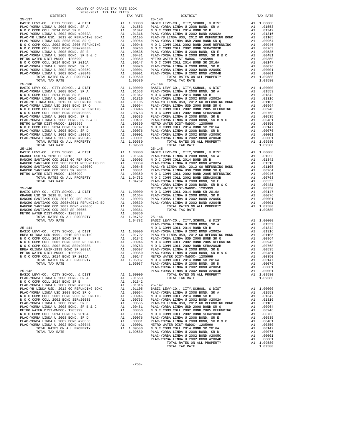| DISTRICT                                                                  |          | TAX RATE         |                 |
|---------------------------------------------------------------------------|----------|------------------|-----------------|
| $25 - 137$                                                                |          |                  | $25 - 143$      |
|                                                                           |          |                  |                 |
|                                                                           |          |                  |                 |
|                                                                           |          |                  |                 |
|                                                                           |          |                  |                 |
|                                                                           |          |                  |                 |
|                                                                           |          |                  |                 |
|                                                                           |          |                  |                 |
|                                                                           |          |                  |                 |
|                                                                           |          |                  |                 |
|                                                                           |          |                  |                 |
|                                                                           |          |                  |                 |
|                                                                           |          |                  |                 |
|                                                                           |          |                  |                 |
|                                                                           |          |                  |                 |
|                                                                           |          |                  |                 |
| TOTAL TAX RATE                                                            |          | 1.09580          |                 |
|                                                                           |          |                  |                 |
|                                                                           |          |                  |                 |
|                                                                           |          |                  |                 |
|                                                                           |          |                  |                 |
|                                                                           |          |                  |                 |
|                                                                           |          |                  |                 |
|                                                                           |          |                  |                 |
|                                                                           |          |                  |                 |
|                                                                           |          |                  |                 |
|                                                                           |          |                  |                 |
|                                                                           |          |                  |                 |
|                                                                           |          |                  |                 |
|                                                                           |          |                  |                 |
|                                                                           |          |                  |                 |
|                                                                           |          |                  |                 |
|                                                                           |          |                  |                 |
|                                                                           |          |                  |                 |
| $25 - 139$                                                                |          |                  | $25 - 145$      |
|                                                                           |          |                  |                 |
|                                                                           |          |                  |                 |
|                                                                           |          |                  |                 |
|                                                                           |          |                  |                 |
|                                                                           |          |                  |                 |
|                                                                           |          |                  |                 |
|                                                                           |          |                  |                 |
|                                                                           |          |                  |                 |
|                                                                           |          |                  | PLAC-YO         |
| $25 - 140$                                                                |          |                  | METRO W         |
|                                                                           |          |                  |                 |
|                                                                           |          |                  |                 |
|                                                                           |          |                  |                 |
|                                                                           |          |                  |                 |
|                                                                           |          |                  |                 |
|                                                                           |          |                  |                 |
|                                                                           |          |                  |                 |
|                                                                           |          |                  |                 |
|                                                                           |          |                  |                 |
|                                                                           |          |                  | PLAC-YO         |
|                                                                           |          |                  |                 |
|                                                                           |          |                  |                 |
|                                                                           |          |                  |                 |
|                                                                           |          |                  |                 |
|                                                                           |          |                  |                 |
|                                                                           |          |                  |                 |
|                                                                           |          |                  |                 |
|                                                                           |          |                  |                 |
|                                                                           |          |                  |                 |
|                                                                           |          |                  |                 |
|                                                                           |          |                  | PLAC-YO         |
| $25 - 142$                                                                |          |                  | PLAC-YO         |
| BASIC LEVY-CO., CITY, SCHOOL, & DIST                                      | A1       | 1.00000          |                 |
| PLAC-YORBA LINDA U 2008 BOND, SR A                                        |          | A1.01553         |                 |
| N O C COMM COLL 2014 BOND SR B                                            | A1       | .01342           |                 |
| PLAC-YORBA LINDA U 2002 BOND #2002A                                       | A1       | .01316           | $25 - 147$      |
| PLAC-YB LINDA USD, 2012 GO REFUNDING BOND                                 | A1       | .01105           | BASIC L         |
| PLAC-YORBA LINDA USD 2008 BOND SR Q                                       | A1       | .00964           | PLAC-YO         |
| N O C COMM COLL 2002 BOND 2005 REFUNDING                                  | A1       | .00946           | NOCC            |
| N O C COMM COLL 2002 BOND SER#2003B                                       | A1       | .00763           | PLAC-YO         |
| PLAC-YORBA LINDA U 2008 BOND, SR E                                        | A1       | .00535           | PLAC-YB         |
| PLAC-YORBA LINDA U 2008 BOND, SR B & C<br>METRO WATER DIST-MWDOC- 1205999 | A1       | .00481<br>.00350 | PLAC-YO<br>NOCC |
| N O C COMM COLL 2014 BOND SR 2016A                                        | A1<br>A1 | .00147           | NOCC            |
| PLAC-YORBA LINDA U 2008 BOND, SR D                                        | A1       |                  | PLAC-YO         |
| PLAC-YORBA LINDA U 2002 BOND #2005C                                       | A1       | .00076<br>.00001 | PLAC-YO         |
| PLAC-YORBA LINDA U 2002 BOND #2004B                                       | A1       | .00001           | METRO W         |
| TOTAL RATES ON ALL PROPERTY                                               |          | A1 1.09580       | N O C C         |
| TOTAL TAX RATE                                                            |          | 1.09580          | PLAC-YO         |
|                                                                           |          |                  | DI $A$ C-VO     |

| COUNTY OF ORANGE TAX RATE BOOK<br>2020-2021 TRA TAX RATES                                                                                                                                                                                                                               |          |                        |          |  |  |
|-----------------------------------------------------------------------------------------------------------------------------------------------------------------------------------------------------------------------------------------------------------------------------------------|----------|------------------------|----------|--|--|
| DISTRICT                                                                                                                                                                                                                                                                                | TAX RATE | DISTRICT<br>$25 - 143$ | TAX RATE |  |  |
|                                                                                                                                                                                                                                                                                         |          |                        |          |  |  |
| 25-117<br>25-127<br>25-21-27<br>25-22-27<br>25-22-27<br>25-22-27<br>25-22-27<br>26-27<br>26-27<br>26-27<br>26-27<br>26-27<br>26-27<br>26-27<br>26-27<br>26-27<br>26-27<br>26-27<br>26-27<br>26-27<br>26-27<br>26-27<br>26-27<br>26-27<br>26-27<br>26-27<br>26-27<br>26-27<br>26-27<br>2 |          |                        |          |  |  |
| $\begin{tabular}{cccccccc} 25-129 & 7074.74 & 1.09590 & 7074.74 & 1.09590 & 25-16 & 1.09500 & 25-16 & 1.09500 & 25-16 & 1.09500 & 25-16 & 1.09500 & 25-16 & 1.09500 & 25-16 & 1.09500 & 25-16 & 1.09500 & 25-16 & 1.09500 & 25-16 & 1.09500 & 25-16 & 1.09500 & 25-16 &$                |          |                        |          |  |  |
|                                                                                                                                                                                                                                                                                         |          |                        |          |  |  |
|                                                                                                                                                                                                                                                                                         |          | TOTAL TAX RATE         | 1.09580  |  |  |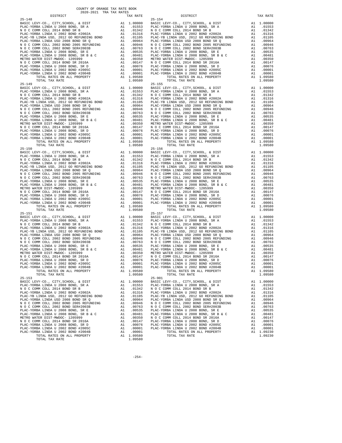| $25 - 148$                                                                       |          |                                     | $25 - 154$         |
|----------------------------------------------------------------------------------|----------|-------------------------------------|--------------------|
|                                                                                  |          |                                     |                    |
|                                                                                  |          |                                     |                    |
|                                                                                  |          |                                     |                    |
|                                                                                  |          |                                     |                    |
|                                                                                  |          |                                     |                    |
|                                                                                  |          |                                     |                    |
|                                                                                  |          |                                     |                    |
|                                                                                  |          |                                     |                    |
|                                                                                  |          |                                     |                    |
|                                                                                  |          |                                     |                    |
|                                                                                  |          |                                     |                    |
|                                                                                  |          |                                     |                    |
|                                                                                  |          |                                     |                    |
| TOTAL TAX RATE                                                                   |          | 1.09580                             |                    |
| $25 - 149$                                                                       |          |                                     | $25 - 155$         |
|                                                                                  |          |                                     |                    |
|                                                                                  |          |                                     |                    |
|                                                                                  |          |                                     |                    |
|                                                                                  |          |                                     |                    |
|                                                                                  |          |                                     |                    |
|                                                                                  |          |                                     |                    |
|                                                                                  |          |                                     |                    |
|                                                                                  |          |                                     |                    |
|                                                                                  |          |                                     |                    |
|                                                                                  |          |                                     |                    |
|                                                                                  |          |                                     |                    |
|                                                                                  |          |                                     |                    |
|                                                                                  |          |                                     |                    |
|                                                                                  |          |                                     |                    |
|                                                                                  |          |                                     |                    |
|                                                                                  |          |                                     |                    |
|                                                                                  |          |                                     |                    |
|                                                                                  |          |                                     |                    |
|                                                                                  |          |                                     |                    |
|                                                                                  |          |                                     |                    |
|                                                                                  |          |                                     |                    |
|                                                                                  |          |                                     |                    |
|                                                                                  |          |                                     |                    |
|                                                                                  |          |                                     |                    |
|                                                                                  |          |                                     |                    |
|                                                                                  |          |                                     |                    |
|                                                                                  |          |                                     |                    |
|                                                                                  |          |                                     |                    |
| $25 - 151$                                                                       |          |                                     | $25 - 157$         |
|                                                                                  |          |                                     |                    |
|                                                                                  |          |                                     |                    |
|                                                                                  |          |                                     |                    |
|                                                                                  |          |                                     |                    |
|                                                                                  |          |                                     |                    |
|                                                                                  |          |                                     |                    |
|                                                                                  |          |                                     |                    |
|                                                                                  |          |                                     |                    |
|                                                                                  |          |                                     |                    |
|                                                                                  |          |                                     |                    |
|                                                                                  |          |                                     |                    |
|                                                                                  |          |                                     |                    |
|                                                                                  |          |                                     |                    |
| TOTAL RATES ON ALL PROPERTY<br>TOTAL TAX RATE                                    |          | A1 1.09580<br>1.09580               |                    |
| $25 - 153$                                                                       |          |                                     | $25 - 901$         |
| BASIC LEVY-CO., CITY, SCHOOL, & DIST                                             | A1       | 1,00000                             | BASIC L            |
| PLAC-YORBA LINDA U 2008 BOND, SR A                                               |          | A1 .01553                           | PLAC-YO            |
| N O C COMM COLL 2014 BOND SR B                                                   | A1       | .01342                              | N O C C<br>PLAC-YO |
| PLAC-YORBA LINDA U 2002 BOND #2002A<br>PLAC-YB LINDA USD, 2012 GO REFUNDING BOND | A1<br>A1 | .01316<br>.01105                    | PLAC-YB            |
| PLAC-YORBA LINDA USD 2008 BOND SR Q                                              | A1       | .00964                              | PLAC-YO            |
| N O C COMM COLL 2002 BOND 2005 REFUNDING                                         |          |                                     |                    |
| N O C COMM COLL 2002 BOND SER#2003B                                              |          |                                     |                    |
| PLAC-YORBA LINDA U 2008 BOND, SR E                                               |          |                                     |                    |
| PLAC-YORBA LINDA U 2008 BOND, SR B & C<br>METRO WATER DIST-MWDOC- 1205999        |          |                                     |                    |
| N O C COMM COLL 2014 BOND SR 2016A                                               |          | A1 .00350 NOCC<br>A1 .00147 PLAC-YO |                    |
| PLAC-YORBA LINDA U 2008 BOND, SR D                                               | A1       | .00076                              | PLAC-YO            |
| PLAC-YORBA LINDA U 2002 BOND #2005C                                              | A1       | .00001                              | PLAC-YO            |
| PLAC-YORBA LINDA U 2002 BOND #2004B<br>TOTAL RATES ON ALL PROPERTY               | A1       | .00001<br>A1 1.09580                |                    |
| TOTAL TAX RATE                                                                   |          | 1.09580                             |                    |
|                                                                                  |          |                                     |                    |

| TAX RATE<br>DISTRICT                                                                                                                                                                                                                                                                       |         | DISTRICT   | TAX RATE                |
|--------------------------------------------------------------------------------------------------------------------------------------------------------------------------------------------------------------------------------------------------------------------------------------------|---------|------------|-------------------------|
|                                                                                                                                                                                                                                                                                            |         |            |                         |
|                                                                                                                                                                                                                                                                                            |         |            |                         |
|                                                                                                                                                                                                                                                                                            |         |            |                         |
|                                                                                                                                                                                                                                                                                            |         |            |                         |
|                                                                                                                                                                                                                                                                                            |         |            |                         |
|                                                                                                                                                                                                                                                                                            |         |            |                         |
|                                                                                                                                                                                                                                                                                            |         |            |                         |
|                                                                                                                                                                                                                                                                                            |         |            |                         |
|                                                                                                                                                                                                                                                                                            |         |            |                         |
|                                                                                                                                                                                                                                                                                            |         |            |                         |
|                                                                                                                                                                                                                                                                                            |         |            |                         |
|                                                                                                                                                                                                                                                                                            |         |            |                         |
|                                                                                                                                                                                                                                                                                            |         |            |                         |
|                                                                                                                                                                                                                                                                                            |         |            |                         |
|                                                                                                                                                                                                                                                                                            |         |            |                         |
|                                                                                                                                                                                                                                                                                            |         |            |                         |
|                                                                                                                                                                                                                                                                                            |         |            |                         |
|                                                                                                                                                                                                                                                                                            |         |            |                         |
|                                                                                                                                                                                                                                                                                            |         |            |                         |
|                                                                                                                                                                                                                                                                                            |         |            |                         |
|                                                                                                                                                                                                                                                                                            |         |            |                         |
|                                                                                                                                                                                                                                                                                            |         |            |                         |
|                                                                                                                                                                                                                                                                                            |         |            |                         |
|                                                                                                                                                                                                                                                                                            |         |            |                         |
|                                                                                                                                                                                                                                                                                            |         |            |                         |
|                                                                                                                                                                                                                                                                                            |         |            |                         |
|                                                                                                                                                                                                                                                                                            |         |            |                         |
|                                                                                                                                                                                                                                                                                            |         |            |                         |
|                                                                                                                                                                                                                                                                                            |         |            |                         |
|                                                                                                                                                                                                                                                                                            |         |            |                         |
|                                                                                                                                                                                                                                                                                            |         |            |                         |
|                                                                                                                                                                                                                                                                                            |         |            |                         |
|                                                                                                                                                                                                                                                                                            |         |            |                         |
|                                                                                                                                                                                                                                                                                            |         |            |                         |
| 25.18<br>26.19<br>26.19<br>26.19<br>26.19<br>26.19<br>26.19<br>26.19<br>26.19<br>26.19<br>26.19<br>26.19<br>26.29<br>26.29<br>26.29<br>26.29<br>26.29<br>26.29<br>26.29<br>26.29<br>26.29<br>26.29<br>26.29<br>26.29<br>26.29<br>26.29<br>26.29<br>26.29<br>26.29<br>26.29<br>26.29<br>26. |         |            |                         |
|                                                                                                                                                                                                                                                                                            |         |            |                         |
|                                                                                                                                                                                                                                                                                            |         |            |                         |
|                                                                                                                                                                                                                                                                                            |         |            |                         |
|                                                                                                                                                                                                                                                                                            |         |            |                         |
|                                                                                                                                                                                                                                                                                            |         |            |                         |
|                                                                                                                                                                                                                                                                                            |         |            |                         |
|                                                                                                                                                                                                                                                                                            |         |            |                         |
|                                                                                                                                                                                                                                                                                            |         |            |                         |
|                                                                                                                                                                                                                                                                                            |         |            |                         |
|                                                                                                                                                                                                                                                                                            |         |            |                         |
|                                                                                                                                                                                                                                                                                            |         |            |                         |
|                                                                                                                                                                                                                                                                                            |         |            |                         |
|                                                                                                                                                                                                                                                                                            |         |            |                         |
|                                                                                                                                                                                                                                                                                            |         |            |                         |
|                                                                                                                                                                                                                                                                                            |         |            |                         |
|                                                                                                                                                                                                                                                                                            |         |            |                         |
|                                                                                                                                                                                                                                                                                            |         |            |                         |
|                                                                                                                                                                                                                                                                                            |         |            |                         |
|                                                                                                                                                                                                                                                                                            |         |            |                         |
|                                                                                                                                                                                                                                                                                            |         |            |                         |
|                                                                                                                                                                                                                                                                                            |         |            |                         |
|                                                                                                                                                                                                                                                                                            |         |            |                         |
|                                                                                                                                                                                                                                                                                            |         |            |                         |
|                                                                                                                                                                                                                                                                                            |         |            |                         |
|                                                                                                                                                                                                                                                                                            |         |            |                         |
|                                                                                                                                                                                                                                                                                            |         |            |                         |
|                                                                                                                                                                                                                                                                                            |         |            |                         |
|                                                                                                                                                                                                                                                                                            |         |            |                         |
|                                                                                                                                                                                                                                                                                            |         |            |                         |
|                                                                                                                                                                                                                                                                                            |         |            |                         |
|                                                                                                                                                                                                                                                                                            |         |            |                         |
|                                                                                                                                                                                                                                                                                            |         |            |                         |
|                                                                                                                                                                                                                                                                                            |         |            |                         |
|                                                                                                                                                                                                                                                                                            |         |            |                         |
|                                                                                                                                                                                                                                                                                            |         |            |                         |
| $25 - 153$                                                                                                                                                                                                                                                                                 |         | $25 - 901$ |                         |
| BASIC LEVY-CO., CITY, SCHOOL, & DIST A1 1.00000 BASIC LEVY-CO., CITY, SCHOOL, & DIST A1 1.00000 BASIC LEVY-CO., CITY, SCHOOL, & DIST A1 1.00000 BASIC LEVY-CO., CITY, SCHOOL, & DIST A1 1.00000 BASIC LEVY-CO., CITY, SCHOOL,                                                              |         |            |                         |
|                                                                                                                                                                                                                                                                                            |         |            |                         |
| N O C COMM COLL 2014 BOND SR B                                                                                                                                                                                                                                                             |         |            | A1 .01342               |
|                                                                                                                                                                                                                                                                                            |         |            | A1 .01316               |
|                                                                                                                                                                                                                                                                                            |         |            | A1 .01105               |
|                                                                                                                                                                                                                                                                                            |         |            | A1 .00964               |
|                                                                                                                                                                                                                                                                                            |         |            | A1 .00946<br>A1 .00763  |
|                                                                                                                                                                                                                                                                                            |         |            | A1 .00535               |
|                                                                                                                                                                                                                                                                                            |         |            | A1 .00481               |
|                                                                                                                                                                                                                                                                                            |         |            | A1 .00147               |
|                                                                                                                                                                                                                                                                                            |         |            | A1 .00076               |
|                                                                                                                                                                                                                                                                                            |         |            | A1 .00001               |
|                                                                                                                                                                                                                                                                                            |         |            |                         |
|                                                                                                                                                                                                                                                                                            |         |            | A1 .00001<br>A1 1.09230 |
|                                                                                                                                                                                                                                                                                            |         |            | 1.09230                 |
| TOTAL TAX RATE                                                                                                                                                                                                                                                                             | 1.09580 |            |                         |

-254-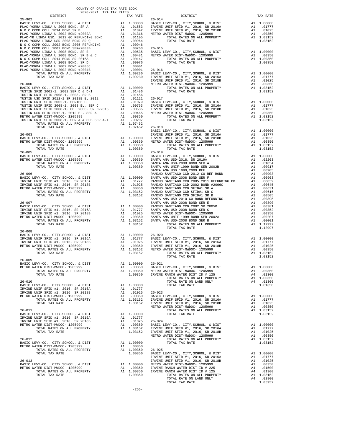| DISTRICT                                                                                                                                                                                                                             | 2020-2021 TRA TAX RATES |               | TAX RATE                                                                                                                                                                          |                       |
|--------------------------------------------------------------------------------------------------------------------------------------------------------------------------------------------------------------------------------------|-------------------------|---------------|-----------------------------------------------------------------------------------------------------------------------------------------------------------------------------------|-----------------------|
|                                                                                                                                                                                                                                      |                         |               |                                                                                                                                                                                   |                       |
|                                                                                                                                                                                                                                      |                         |               |                                                                                                                                                                                   |                       |
|                                                                                                                                                                                                                                      |                         |               |                                                                                                                                                                                   |                       |
|                                                                                                                                                                                                                                      |                         |               |                                                                                                                                                                                   |                       |
|                                                                                                                                                                                                                                      |                         |               |                                                                                                                                                                                   |                       |
|                                                                                                                                                                                                                                      |                         |               |                                                                                                                                                                                   |                       |
|                                                                                                                                                                                                                                      |                         |               |                                                                                                                                                                                   |                       |
|                                                                                                                                                                                                                                      |                         |               |                                                                                                                                                                                   |                       |
|                                                                                                                                                                                                                                      |                         |               |                                                                                                                                                                                   |                       |
|                                                                                                                                                                                                                                      |                         |               |                                                                                                                                                                                   |                       |
|                                                                                                                                                                                                                                      |                         |               |                                                                                                                                                                                   |                       |
|                                                                                                                                                                                                                                      |                         |               |                                                                                                                                                                                   |                       |
|                                                                                                                                                                                                                                      |                         |               |                                                                                                                                                                                   |                       |
|                                                                                                                                                                                                                                      |                         |               |                                                                                                                                                                                   |                       |
|                                                                                                                                                                                                                                      |                         |               |                                                                                                                                                                                   | IRVINE                |
| $26 - 000$                                                                                                                                                                                                                           |                         |               |                                                                                                                                                                                   | METRO W               |
|                                                                                                                                                                                                                                      |                         |               |                                                                                                                                                                                   |                       |
|                                                                                                                                                                                                                                      |                         |               |                                                                                                                                                                                   |                       |
|                                                                                                                                                                                                                                      |                         |               |                                                                                                                                                                                   |                       |
|                                                                                                                                                                                                                                      |                         |               |                                                                                                                                                                                   |                       |
|                                                                                                                                                                                                                                      |                         |               |                                                                                                                                                                                   |                       |
|                                                                                                                                                                                                                                      |                         |               |                                                                                                                                                                                   |                       |
|                                                                                                                                                                                                                                      |                         |               |                                                                                                                                                                                   |                       |
|                                                                                                                                                                                                                                      |                         |               |                                                                                                                                                                                   |                       |
| TOTAL TAX RATE                                                                                                                                                                                                                       |                         |               | 1.07452 26-018                                                                                                                                                                    |                       |
|                                                                                                                                                                                                                                      |                         |               |                                                                                                                                                                                   | BASIC L               |
| $26 - 003$                                                                                                                                                                                                                           |                         |               |                                                                                                                                                                                   | IRVINE                |
|                                                                                                                                                                                                                                      |                         |               |                                                                                                                                                                                   |                       |
|                                                                                                                                                                                                                                      |                         |               |                                                                                                                                                                                   |                       |
| TOTAL TAX RATE                                                                                                                                                                                                                       |                         |               | 1.00350                                                                                                                                                                           |                       |
| $26 - 005$                                                                                                                                                                                                                           |                         |               |                                                                                                                                                                                   | $26 - 019$            |
|                                                                                                                                                                                                                                      |                         |               |                                                                                                                                                                                   |                       |
|                                                                                                                                                                                                                                      |                         |               |                                                                                                                                                                                   |                       |
|                                                                                                                                                                                                                                      |                         |               |                                                                                                                                                                                   |                       |
|                                                                                                                                                                                                                                      |                         |               |                                                                                                                                                                                   | SANTA A               |
|                                                                                                                                                                                                                                      |                         |               |                                                                                                                                                                                   |                       |
|                                                                                                                                                                                                                                      |                         |               |                                                                                                                                                                                   |                       |
|                                                                                                                                                                                                                                      |                         |               |                                                                                                                                                                                   |                       |
|                                                                                                                                                                                                                                      |                         |               |                                                                                                                                                                                   |                       |
|                                                                                                                                                                                                                                      |                         |               |                                                                                                                                                                                   |                       |
|                                                                                                                                                                                                                                      |                         |               |                                                                                                                                                                                   |                       |
|                                                                                                                                                                                                                                      |                         |               |                                                                                                                                                                                   |                       |
| $26 - 007$                                                                                                                                                                                                                           |                         |               |                                                                                                                                                                                   | SANTA A               |
|                                                                                                                                                                                                                                      |                         |               |                                                                                                                                                                                   |                       |
|                                                                                                                                                                                                                                      |                         |               |                                                                                                                                                                                   |                       |
|                                                                                                                                                                                                                                      |                         |               |                                                                                                                                                                                   |                       |
|                                                                                                                                                                                                                                      |                         |               |                                                                                                                                                                                   |                       |
| TOTAL TAX RATE                                                                                                                                                                                                                       |                         |               | 1.03152                                                                                                                                                                           |                       |
| $26 - 008$                                                                                                                                                                                                                           |                         |               |                                                                                                                                                                                   |                       |
| A CHO BASIC LEVY-CO., CITY, SCHOOL, & DIST A 1 1.00000 26-020<br>IRVINE UNIF SFID #1, 2016, SR 2016A A 1 .01777 BASIC L<br>IRVINE UNIF SFID #1, 2016, SR 2018B A 1 .01077 BASIC L<br>METRO WATER DIST-MWDOC- 1205999 A 1 .00350 IRVI |                         |               |                                                                                                                                                                                   |                       |
|                                                                                                                                                                                                                                      |                         |               |                                                                                                                                                                                   |                       |
|                                                                                                                                                                                                                                      |                         |               |                                                                                                                                                                                   |                       |
|                                                                                                                                                                                                                                      |                         |               |                                                                                                                                                                                   |                       |
| TOTAL TAX RATE                                                                                                                                                                                                                       |                         |               | 1.03152                                                                                                                                                                           |                       |
|                                                                                                                                                                                                                                      |                         |               |                                                                                                                                                                                   |                       |
| $26 - 009$                                                                                                                                                                                                                           |                         |               |                                                                                                                                                                                   |                       |
| BASIC LEVY-CO., CITY, SCHOOL, & DIST                                                                                                                                                                                                 |                         |               | $\begin{tabular}{llllll} \text{A1} & 1.00000 & 26-021 \\ \text{A1} & .00350 & \text{BASIC L} \\ \text{A1} & 1.00350 & \text{METRO W} \\ & 1.00350 & \text{IRTRO W} \end{tabular}$ |                       |
| METRO WATER DIST-MWDOC- 1205999<br>TOTAL RATES ON ALL PROPERTY                                                                                                                                                                       |                         |               |                                                                                                                                                                                   |                       |
| TOTAL TAX RATE                                                                                                                                                                                                                       |                         |               |                                                                                                                                                                                   |                       |
|                                                                                                                                                                                                                                      |                         |               |                                                                                                                                                                                   |                       |
| $26 - 010$                                                                                                                                                                                                                           |                         |               |                                                                                                                                                                                   |                       |
| BASIC LEVY-CO., CITY, SCHOOL, & DIST                                                                                                                                                                                                 |                         |               | A1 1.00000                                                                                                                                                                        |                       |
| IRVINE UNIF SFID #1, 2016, SR 2016A<br>IRVINE UNIF SFID #1, 2016, SR 2018B                                                                                                                                                           |                         | A1            | A1 .01777<br>.01025                                                                                                                                                               | $26 - 023$            |
| METRO WATER DIST-MWDOC- 1205999                                                                                                                                                                                                      |                         | $\mathtt{Al}$ | .00350                                                                                                                                                                            | BASIC L               |
| TOTAL RATES ON ALL PROPERTY                                                                                                                                                                                                          |                         |               | A1 1.03152                                                                                                                                                                        | IRVINE                |
| TOTAL TAX RATE                                                                                                                                                                                                                       |                         |               | 1.03152                                                                                                                                                                           | IRVINE                |
| $26 - 011$                                                                                                                                                                                                                           |                         |               |                                                                                                                                                                                   | METRO W               |
| BASIC LEVY-CO., CITY, SCHOOL, & DIST                                                                                                                                                                                                 |                         |               | A1 1.00000                                                                                                                                                                        |                       |
| IRVINE UNIF SFID #1, 2016, SR 2016A                                                                                                                                                                                                  |                         |               | A1.01777                                                                                                                                                                          |                       |
| IRVINE UNIF SFID #1, 2016, SR 2018B                                                                                                                                                                                                  |                         |               |                                                                                                                                                                                   |                       |
| METRO WATER DIST-MWDOC- 1205999                                                                                                                                                                                                      |                         |               | A1 .01025 26-024<br>A1 .00350 BASIC L<br>A1 1.03152 IRVINE                                                                                                                        |                       |
| TOTAL RATES ON ALL PROPERTY<br>TOTAL TAX RATE                                                                                                                                                                                        |                         |               | 1.03152                                                                                                                                                                           | IRVINE                |
|                                                                                                                                                                                                                                      |                         |               |                                                                                                                                                                                   | METRO W               |
| $26 - 012$                                                                                                                                                                                                                           |                         |               |                                                                                                                                                                                   |                       |
| BASIC LEVY-CO., CITY, SCHOOL, & DIST                                                                                                                                                                                                 |                         |               | A1 1.00000                                                                                                                                                                        |                       |
| METRO WATER DIST-MWDOC- 1205999                                                                                                                                                                                                      |                         | A1            | .00350                                                                                                                                                                            |                       |
| TOTAL RATES ON ALL PROPERTY<br>TOTAL TAX RATE                                                                                                                                                                                        |                         |               | $A1 \quad 1.00350$<br>1.00350                                                                                                                                                     | $26 - 025$<br>BASIC L |
|                                                                                                                                                                                                                                      |                         |               |                                                                                                                                                                                   | IRVINE                |
| $26 - 013$                                                                                                                                                                                                                           |                         |               |                                                                                                                                                                                   | IRVINE                |
| BASIC LEVY-CO., CITY, SCHOOL, & DIST                                                                                                                                                                                                 |                         |               | A1   1.00000   METRO   W<br>A1   .00350   IRVINE<br>A1   1.00350   IRVINE                                                                                                         |                       |
| METRO WATER DIST-MWDOC- 1205999                                                                                                                                                                                                      |                         |               |                                                                                                                                                                                   |                       |
| TOTAL RATES ON ALL PROPERTY<br>TOTAL TAX RATE                                                                                                                                                                                        |                         |               | 1.00350                                                                                                                                                                           |                       |
|                                                                                                                                                                                                                                      |                         |               |                                                                                                                                                                                   |                       |

| COUNTY OF ORANGE TAX RATE BOOK<br>2020-2021 TRA TAX RATES |  |                                                                                                                                                                                                                                                                                                                                                                                                                           |          |
|-----------------------------------------------------------|--|---------------------------------------------------------------------------------------------------------------------------------------------------------------------------------------------------------------------------------------------------------------------------------------------------------------------------------------------------------------------------------------------------------------------------|----------|
| DISTRICT                                                  |  | RA TAX RATES<br>TAX RATE TAX RATE DISTRICT                                                                                                                                                                                                                                                                                                                                                                                | TAX RATE |
| $25 - 902$                                                |  | $26 - 014$                                                                                                                                                                                                                                                                                                                                                                                                                |          |
|                                                           |  |                                                                                                                                                                                                                                                                                                                                                                                                                           |          |
|                                                           |  |                                                                                                                                                                                                                                                                                                                                                                                                                           |          |
|                                                           |  |                                                                                                                                                                                                                                                                                                                                                                                                                           |          |
|                                                           |  |                                                                                                                                                                                                                                                                                                                                                                                                                           |          |
|                                                           |  |                                                                                                                                                                                                                                                                                                                                                                                                                           |          |
|                                                           |  |                                                                                                                                                                                                                                                                                                                                                                                                                           |          |
|                                                           |  |                                                                                                                                                                                                                                                                                                                                                                                                                           |          |
|                                                           |  |                                                                                                                                                                                                                                                                                                                                                                                                                           |          |
|                                                           |  |                                                                                                                                                                                                                                                                                                                                                                                                                           |          |
|                                                           |  |                                                                                                                                                                                                                                                                                                                                                                                                                           |          |
|                                                           |  |                                                                                                                                                                                                                                                                                                                                                                                                                           |          |
|                                                           |  |                                                                                                                                                                                                                                                                                                                                                                                                                           |          |
|                                                           |  |                                                                                                                                                                                                                                                                                                                                                                                                                           |          |
|                                                           |  |                                                                                                                                                                                                                                                                                                                                                                                                                           |          |
|                                                           |  |                                                                                                                                                                                                                                                                                                                                                                                                                           |          |
|                                                           |  |                                                                                                                                                                                                                                                                                                                                                                                                                           |          |
|                                                           |  |                                                                                                                                                                                                                                                                                                                                                                                                                           |          |
|                                                           |  |                                                                                                                                                                                                                                                                                                                                                                                                                           |          |
|                                                           |  |                                                                                                                                                                                                                                                                                                                                                                                                                           |          |
|                                                           |  | 1.07452 26-003<br>BASIC LEVY-CO., CITY, SCHOOL, & DIST<br>BASIC LEVY-CO., CITY, SCHOOL, & DIST<br>METRO WATER DIST-WIDDC-1205999 A1 .00000 IRVINE UNIF SFID #1, 2016, SR 2016A A1 .01777<br>METRO WATER DIST-WIDDC-1205999 A1 .00350 M                                                                                                                                                                                    |          |
|                                                           |  |                                                                                                                                                                                                                                                                                                                                                                                                                           |          |
|                                                           |  |                                                                                                                                                                                                                                                                                                                                                                                                                           |          |
|                                                           |  |                                                                                                                                                                                                                                                                                                                                                                                                                           |          |
|                                                           |  |                                                                                                                                                                                                                                                                                                                                                                                                                           |          |
|                                                           |  |                                                                                                                                                                                                                                                                                                                                                                                                                           |          |
|                                                           |  |                                                                                                                                                                                                                                                                                                                                                                                                                           |          |
|                                                           |  |                                                                                                                                                                                                                                                                                                                                                                                                                           |          |
|                                                           |  |                                                                                                                                                                                                                                                                                                                                                                                                                           |          |
|                                                           |  |                                                                                                                                                                                                                                                                                                                                                                                                                           |          |
|                                                           |  |                                                                                                                                                                                                                                                                                                                                                                                                                           |          |
|                                                           |  |                                                                                                                                                                                                                                                                                                                                                                                                                           |          |
|                                                           |  |                                                                                                                                                                                                                                                                                                                                                                                                                           |          |
|                                                           |  |                                                                                                                                                                                                                                                                                                                                                                                                                           |          |
|                                                           |  |                                                                                                                                                                                                                                                                                                                                                                                                                           |          |
|                                                           |  |                                                                                                                                                                                                                                                                                                                                                                                                                           |          |
|                                                           |  |                                                                                                                                                                                                                                                                                                                                                                                                                           |          |
|                                                           |  |                                                                                                                                                                                                                                                                                                                                                                                                                           |          |
| $26 - 008$                                                |  |                                                                                                                                                                                                                                                                                                                                                                                                                           |          |
|                                                           |  |                                                                                                                                                                                                                                                                                                                                                                                                                           |          |
|                                                           |  |                                                                                                                                                                                                                                                                                                                                                                                                                           |          |
|                                                           |  |                                                                                                                                                                                                                                                                                                                                                                                                                           |          |
|                                                           |  | TOTAL TAX RATE                                                                                                                                                                                                                                                                                                                                                                                                            | 1.03152  |
|                                                           |  | $\begin{tabular}{lllllllllllllllllll} \multicolumn{4}{c}{\textbf{26-009}} & \multicolumn{4}{c}{\textbf{26-021}} & \multicolumn{4}{c}{\textbf{26-021}} & \multicolumn{4}{c}{\textbf{26-021}} & \multicolumn{4}{c}{\textbf{26-021}} & \multicolumn{4}{c}{\textbf{26-021}} & \multicolumn{4}{c}{\textbf{26-021}} & \multicolumn{4}{c}{\textbf{26-021}} & \multicolumn{4}{c}{\textbf{26-021}} & \multicolumn{4}{c}{\textbf{2$ |          |
|                                                           |  |                                                                                                                                                                                                                                                                                                                                                                                                                           |          |
|                                                           |  |                                                                                                                                                                                                                                                                                                                                                                                                                           |          |
|                                                           |  |                                                                                                                                                                                                                                                                                                                                                                                                                           |          |
|                                                           |  |                                                                                                                                                                                                                                                                                                                                                                                                                           |          |
|                                                           |  |                                                                                                                                                                                                                                                                                                                                                                                                                           |          |
|                                                           |  |                                                                                                                                                                                                                                                                                                                                                                                                                           |          |
|                                                           |  |                                                                                                                                                                                                                                                                                                                                                                                                                           |          |
|                                                           |  |                                                                                                                                                                                                                                                                                                                                                                                                                           |          |
|                                                           |  |                                                                                                                                                                                                                                                                                                                                                                                                                           |          |
|                                                           |  |                                                                                                                                                                                                                                                                                                                                                                                                                           |          |
|                                                           |  |                                                                                                                                                                                                                                                                                                                                                                                                                           |          |
|                                                           |  |                                                                                                                                                                                                                                                                                                                                                                                                                           |          |
|                                                           |  |                                                                                                                                                                                                                                                                                                                                                                                                                           |          |
|                                                           |  |                                                                                                                                                                                                                                                                                                                                                                                                                           |          |
|                                                           |  |                                                                                                                                                                                                                                                                                                                                                                                                                           |          |
|                                                           |  |                                                                                                                                                                                                                                                                                                                                                                                                                           |          |
|                                                           |  | $\begin{tabular}{c c c c c} TOTAL RATES ON ALL PROPERTY &\multicolumn{3}{c}{A1} & 1.00350 & 26-025 \\ \hline \multicolumn{3}{c}{\text{DTAL TAX RATE}} & 1.00350 & 26-025 \\ \multicolumn{3}{c}{\text{DTAL TAX RATE}} & 1.00350 & 26-025 \\ \multicolumn{3}{c}{\text{DTAL TAX RATE}} & 1.00350 & 26-025 \\ \multicolumn{3}{c}{\text{BASTC LEVY-CO., CITY}, SCHOOL, & \multicolumn{3}{c}{\text{LPTY}} \\ \multic$           |          |
|                                                           |  |                                                                                                                                                                                                                                                                                                                                                                                                                           |          |
|                                                           |  |                                                                                                                                                                                                                                                                                                                                                                                                                           |          |
|                                                           |  |                                                                                                                                                                                                                                                                                                                                                                                                                           |          |
|                                                           |  |                                                                                                                                                                                                                                                                                                                                                                                                                           |          |
|                                                           |  |                                                                                                                                                                                                                                                                                                                                                                                                                           |          |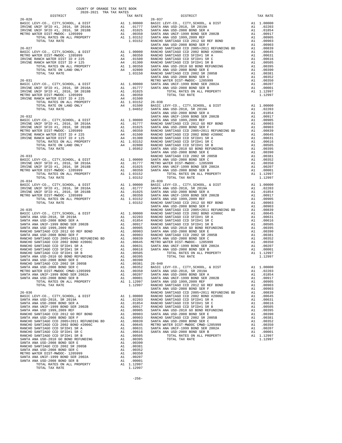| COUNTY OF ORANGE TAX RATE BOOK<br>2020-2021 TRA TAX RATES |          |            |          |
|-----------------------------------------------------------|----------|------------|----------|
| DISTRICT                                                  | TAX RATE | DISTRICT   | TAX RATE |
| $26 - 026$                                                |          | $26 - 037$ |          |
|                                                           |          |            |          |
|                                                           |          |            |          |
|                                                           |          |            |          |
|                                                           |          |            |          |
|                                                           |          |            |          |
|                                                           |          |            |          |
|                                                           |          |            |          |
|                                                           |          |            |          |
|                                                           |          |            |          |
|                                                           |          |            |          |
|                                                           |          |            |          |
|                                                           |          |            |          |
|                                                           |          |            |          |
|                                                           |          |            |          |
|                                                           |          |            |          |
|                                                           |          |            |          |
|                                                           |          |            |          |
|                                                           |          |            |          |
|                                                           |          |            |          |
|                                                           |          |            |          |
|                                                           |          |            |          |
|                                                           |          |            |          |
|                                                           |          |            |          |
|                                                           |          |            |          |
|                                                           |          |            |          |

- 
-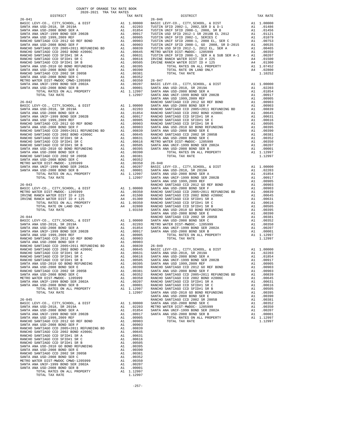| COUNTY OF ORANGE TAX RATE BOOK<br>$2020-2021\quad\text{TRA TAX RATES}$ DISTRICT |    |          |          |          |
|---------------------------------------------------------------------------------|----|----------|----------|----------|
|                                                                                 |    | TAX RATE | DISTRICT | TAX RATE |
|                                                                                 |    |          |          |          |
|                                                                                 |    |          |          |          |
|                                                                                 |    |          |          |          |
|                                                                                 |    |          |          |          |
|                                                                                 |    |          |          |          |
|                                                                                 |    |          |          |          |
|                                                                                 |    |          |          |          |
|                                                                                 |    |          |          |          |
|                                                                                 |    |          |          |          |
|                                                                                 |    |          |          |          |
|                                                                                 |    |          |          |          |
|                                                                                 |    |          |          |          |
|                                                                                 |    |          |          |          |
|                                                                                 |    |          |          |          |
|                                                                                 |    |          |          |          |
|                                                                                 |    |          |          |          |
|                                                                                 |    |          |          |          |
|                                                                                 |    |          |          |          |
|                                                                                 |    |          |          |          |
|                                                                                 |    |          |          |          |
|                                                                                 |    |          |          |          |
|                                                                                 |    |          |          |          |
|                                                                                 |    |          |          |          |
|                                                                                 |    |          |          |          |
|                                                                                 |    |          |          |          |
|                                                                                 |    |          |          |          |
|                                                                                 |    |          |          |          |
|                                                                                 |    |          |          |          |
|                                                                                 |    |          |          |          |
|                                                                                 |    |          |          |          |
|                                                                                 |    |          |          |          |
|                                                                                 |    |          |          |          |
|                                                                                 |    |          |          |          |
|                                                                                 |    |          |          |          |
|                                                                                 |    |          |          |          |
|                                                                                 |    |          |          |          |
|                                                                                 |    |          |          |          |
|                                                                                 |    |          |          |          |
|                                                                                 |    |          |          |          |
|                                                                                 |    |          |          |          |
|                                                                                 |    |          |          |          |
|                                                                                 |    |          |          |          |
|                                                                                 |    |          |          |          |
|                                                                                 |    |          |          |          |
|                                                                                 |    |          |          |          |
|                                                                                 |    |          |          |          |
|                                                                                 |    |          |          |          |
|                                                                                 |    |          |          |          |
|                                                                                 |    |          |          |          |
|                                                                                 |    |          |          |          |
|                                                                                 |    |          |          |          |
|                                                                                 |    |          |          |          |
|                                                                                 |    |          |          |          |
|                                                                                 |    |          |          |          |
|                                                                                 |    |          |          |          |
|                                                                                 |    |          |          |          |
|                                                                                 |    |          |          |          |
|                                                                                 |    |          |          |          |
|                                                                                 |    |          |          |          |
|                                                                                 |    |          |          |          |
|                                                                                 |    |          |          |          |
|                                                                                 |    |          |          |          |
|                                                                                 |    |          |          |          |
|                                                                                 |    |          |          |          |
|                                                                                 |    |          |          |          |
|                                                                                 |    |          |          |          |
|                                                                                 |    |          |          |          |
|                                                                                 |    |          |          |          |
|                                                                                 |    |          |          |          |
|                                                                                 |    |          |          |          |
|                                                                                 |    |          |          |          |
|                                                                                 |    |          |          |          |
|                                                                                 |    |          |          |          |
|                                                                                 |    |          |          |          |
|                                                                                 |    |          |          |          |
|                                                                                 |    |          |          |          |
|                                                                                 |    |          |          |          |
| RANCHO SANTIACO CCD 2002 SR 2005R                                               | 21 | 00381    |          |          |
|                                                                                 |    |          |          |          |

 $\begin{tabular}{l l l l l} \multicolumn{1}{c}{\textbf{RANCHO}} \multicolumn{1}{c}{\textbf{SANTI ANA}} \multicolumn{1}{c}{\textbf{CCD}} \multicolumn{1}{c}{\textbf{CCD}} \multicolumn{1}{c}{\textbf{SANTA}} \multicolumn{1}{c}{\textbf{RANCHO}} \multicolumn{1}{c}{\textbf{RANTA}} \multicolumn{1}{c}{\textbf{SANTA}} \multicolumn{1}{c}{\textbf{SANTA}} \multicolumn{1}{c}{\textbf{SANTA}} \multicolumn{1}{c}{\textbf{SANTA}} \multicolumn{1}{c}{\textbf{SANTA}} \multicolumn$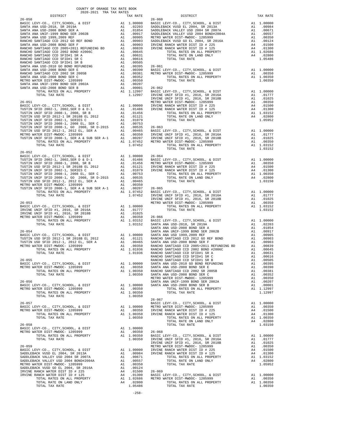| COUNTY OF ORANGE TAX RATE BOOK<br>2020-2021 TRA TAX RATES<br>$2020-2021 \quad \text{TRA TAX RATES}$ DISTRICT $2020-2021 \quad \text{TRA TAX RATES}$ |          |                                                                                                                                                                                                                                                                                               |          |
|-----------------------------------------------------------------------------------------------------------------------------------------------------|----------|-----------------------------------------------------------------------------------------------------------------------------------------------------------------------------------------------------------------------------------------------------------------------------------------------|----------|
|                                                                                                                                                     | TAX RATE | DISTRICT                                                                                                                                                                                                                                                                                      | TAX RATE |
|                                                                                                                                                     |          | $26 - 060$                                                                                                                                                                                                                                                                                    |          |
|                                                                                                                                                     |          |                                                                                                                                                                                                                                                                                               |          |
|                                                                                                                                                     |          |                                                                                                                                                                                                                                                                                               |          |
|                                                                                                                                                     |          |                                                                                                                                                                                                                                                                                               |          |
|                                                                                                                                                     |          |                                                                                                                                                                                                                                                                                               |          |
|                                                                                                                                                     |          |                                                                                                                                                                                                                                                                                               |          |
|                                                                                                                                                     |          |                                                                                                                                                                                                                                                                                               |          |
|                                                                                                                                                     |          |                                                                                                                                                                                                                                                                                               |          |
|                                                                                                                                                     |          |                                                                                                                                                                                                                                                                                               |          |
|                                                                                                                                                     |          |                                                                                                                                                                                                                                                                                               |          |
|                                                                                                                                                     |          |                                                                                                                                                                                                                                                                                               |          |
|                                                                                                                                                     |          |                                                                                                                                                                                                                                                                                               |          |
|                                                                                                                                                     |          |                                                                                                                                                                                                                                                                                               |          |
|                                                                                                                                                     |          |                                                                                                                                                                                                                                                                                               |          |
|                                                                                                                                                     |          |                                                                                                                                                                                                                                                                                               |          |
|                                                                                                                                                     |          |                                                                                                                                                                                                                                                                                               |          |
|                                                                                                                                                     |          |                                                                                                                                                                                                                                                                                               |          |
|                                                                                                                                                     |          |                                                                                                                                                                                                                                                                                               |          |
|                                                                                                                                                     |          |                                                                                                                                                                                                                                                                                               |          |
|                                                                                                                                                     |          |                                                                                                                                                                                                                                                                                               |          |
|                                                                                                                                                     |          |                                                                                                                                                                                                                                                                                               |          |
|                                                                                                                                                     |          |                                                                                                                                                                                                                                                                                               |          |
|                                                                                                                                                     |          |                                                                                                                                                                                                                                                                                               |          |
|                                                                                                                                                     |          |                                                                                                                                                                                                                                                                                               |          |
|                                                                                                                                                     |          |                                                                                                                                                                                                                                                                                               |          |
|                                                                                                                                                     |          |                                                                                                                                                                                                                                                                                               |          |
|                                                                                                                                                     |          |                                                                                                                                                                                                                                                                                               |          |
|                                                                                                                                                     |          |                                                                                                                                                                                                                                                                                               |          |
|                                                                                                                                                     |          |                                                                                                                                                                                                                                                                                               |          |
| $26 - 052$                                                                                                                                          |          |                                                                                                                                                                                                                                                                                               |          |
|                                                                                                                                                     |          |                                                                                                                                                                                                                                                                                               |          |
|                                                                                                                                                     |          |                                                                                                                                                                                                                                                                                               |          |
|                                                                                                                                                     |          |                                                                                                                                                                                                                                                                                               |          |
|                                                                                                                                                     |          |                                                                                                                                                                                                                                                                                               |          |
|                                                                                                                                                     |          |                                                                                                                                                                                                                                                                                               |          |
|                                                                                                                                                     |          |                                                                                                                                                                                                                                                                                               |          |
|                                                                                                                                                     |          |                                                                                                                                                                                                                                                                                               |          |
|                                                                                                                                                     |          |                                                                                                                                                                                                                                                                                               |          |
|                                                                                                                                                     |          |                                                                                                                                                                                                                                                                                               |          |
|                                                                                                                                                     |          |                                                                                                                                                                                                                                                                                               |          |
|                                                                                                                                                     |          |                                                                                                                                                                                                                                                                                               |          |
|                                                                                                                                                     |          |                                                                                                                                                                                                                                                                                               |          |
|                                                                                                                                                     |          |                                                                                                                                                                                                                                                                                               |          |
|                                                                                                                                                     |          |                                                                                                                                                                                                                                                                                               |          |
|                                                                                                                                                     |          |                                                                                                                                                                                                                                                                                               |          |
|                                                                                                                                                     |          |                                                                                                                                                                                                                                                                                               |          |
|                                                                                                                                                     |          |                                                                                                                                                                                                                                                                                               |          |
|                                                                                                                                                     |          |                                                                                                                                                                                                                                                                                               |          |
|                                                                                                                                                     |          |                                                                                                                                                                                                                                                                                               |          |
|                                                                                                                                                     |          |                                                                                                                                                                                                                                                                                               |          |
|                                                                                                                                                     |          |                                                                                                                                                                                                                                                                                               |          |
|                                                                                                                                                     |          |                                                                                                                                                                                                                                                                                               |          |
|                                                                                                                                                     |          |                                                                                                                                                                                                                                                                                               |          |
|                                                                                                                                                     |          |                                                                                                                                                                                                                                                                                               |          |
|                                                                                                                                                     |          |                                                                                                                                                                                                                                                                                               |          |
|                                                                                                                                                     |          | $\begin{tabular}{cccccccc} $26-052$ & $20-052$ & $20-052$ & $20-052$ & $20-052$ & $20-052$ & $20-052$ & $20-052$ & $20-052$ & $20-052$ & $20-052$ & $20-052$ & $20-052$ & $20-052$ & $20-052$ & $20-052$ & $20-052$ & $20-052$ & $20-052$ & $20-052$ & $20-052$ & $20-052$ & $20-052$ & $20-$ |          |
|                                                                                                                                                     |          |                                                                                                                                                                                                                                                                                               |          |
|                                                                                                                                                     |          |                                                                                                                                                                                                                                                                                               |          |
|                                                                                                                                                     |          |                                                                                                                                                                                                                                                                                               |          |
|                                                                                                                                                     |          |                                                                                                                                                                                                                                                                                               |          |
|                                                                                                                                                     |          |                                                                                                                                                                                                                                                                                               |          |
|                                                                                                                                                     |          |                                                                                                                                                                                                                                                                                               |          |
|                                                                                                                                                     |          |                                                                                                                                                                                                                                                                                               |          |
|                                                                                                                                                     |          |                                                                                                                                                                                                                                                                                               |          |
|                                                                                                                                                     |          |                                                                                                                                                                                                                                                                                               |          |
|                                                                                                                                                     |          |                                                                                                                                                                                                                                                                                               |          |
|                                                                                                                                                     |          |                                                                                                                                                                                                                                                                                               |          |
|                                                                                                                                                     |          |                                                                                                                                                                                                                                                                                               |          |
|                                                                                                                                                     |          |                                                                                                                                                                                                                                                                                               |          |
|                                                                                                                                                     |          |                                                                                                                                                                                                                                                                                               |          |
|                                                                                                                                                     |          |                                                                                                                                                                                                                                                                                               |          |
|                                                                                                                                                     |          |                                                                                                                                                                                                                                                                                               |          |
|                                                                                                                                                     |          |                                                                                                                                                                                                                                                                                               |          |
|                                                                                                                                                     |          |                                                                                                                                                                                                                                                                                               |          |
|                                                                                                                                                     |          |                                                                                                                                                                                                                                                                                               |          |
|                                                                                                                                                     |          |                                                                                                                                                                                                                                                                                               |          |
|                                                                                                                                                     |          |                                                                                                                                                                                                                                                                                               |          |
|                                                                                                                                                     |          |                                                                                                                                                                                                                                                                                               |          |
|                                                                                                                                                     |          |                                                                                                                                                                                                                                                                                               |          |
|                                                                                                                                                     |          |                                                                                                                                                                                                                                                                                               |          |
|                                                                                                                                                     |          |                                                                                                                                                                                                                                                                                               |          |
|                                                                                                                                                     |          |                                                                                                                                                                                                                                                                                               |          |

-258-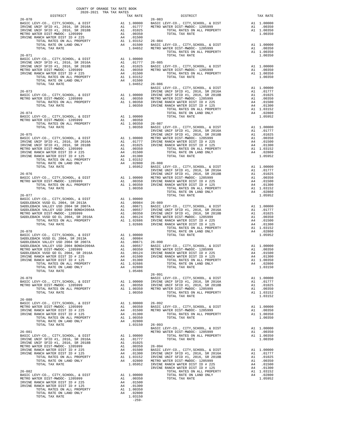| COUNTY OF ORANGE TAX RATE BOOK<br>2020-2021 TRA TAX RATES           |                                                                                                                                                                                                                                                                                                                                                                                             |  |
|---------------------------------------------------------------------|---------------------------------------------------------------------------------------------------------------------------------------------------------------------------------------------------------------------------------------------------------------------------------------------------------------------------------------------------------------------------------------------|--|
| $2020-2021 \quad \text{TRA RATES}$ DISTRICT 2020–2021 TRA TAX RATES |                                                                                                                                                                                                                                                                                                                                                                                             |  |
|                                                                     |                                                                                                                                                                                                                                                                                                                                                                                             |  |
|                                                                     |                                                                                                                                                                                                                                                                                                                                                                                             |  |
|                                                                     |                                                                                                                                                                                                                                                                                                                                                                                             |  |
|                                                                     |                                                                                                                                                                                                                                                                                                                                                                                             |  |
|                                                                     |                                                                                                                                                                                                                                                                                                                                                                                             |  |
|                                                                     |                                                                                                                                                                                                                                                                                                                                                                                             |  |
|                                                                     |                                                                                                                                                                                                                                                                                                                                                                                             |  |
|                                                                     |                                                                                                                                                                                                                                                                                                                                                                                             |  |
|                                                                     |                                                                                                                                                                                                                                                                                                                                                                                             |  |
|                                                                     |                                                                                                                                                                                                                                                                                                                                                                                             |  |
|                                                                     |                                                                                                                                                                                                                                                                                                                                                                                             |  |
|                                                                     | $\begin{tabular}{c c c c c} \multicolumn{4}{c}{\textbf{26-073}} & 1.04652 & 26-086 & \textbf{BASIC LEVY-CO.}, CITY, SEHOOL, & \& DIST & \textbf{RASIC LEVY-CO.}, CITY, SEHOOL, & \& DIST & \textbf{RASIC LEVY-CO.}, CITY, SEHOOL, & \& DIST & \textbf{26-074} & \textbf{277} & \textbf{28-086} & \textbf{2015A} & \textbf{210177} \\ \multicolumn{4}{c}{\textbf{METRO WATE DIST-MFDOC-1205$ |  |
|                                                                     |                                                                                                                                                                                                                                                                                                                                                                                             |  |
|                                                                     |                                                                                                                                                                                                                                                                                                                                                                                             |  |
|                                                                     |                                                                                                                                                                                                                                                                                                                                                                                             |  |
|                                                                     |                                                                                                                                                                                                                                                                                                                                                                                             |  |
|                                                                     |                                                                                                                                                                                                                                                                                                                                                                                             |  |
|                                                                     |                                                                                                                                                                                                                                                                                                                                                                                             |  |
|                                                                     |                                                                                                                                                                                                                                                                                                                                                                                             |  |
|                                                                     |                                                                                                                                                                                                                                                                                                                                                                                             |  |
|                                                                     |                                                                                                                                                                                                                                                                                                                                                                                             |  |
|                                                                     |                                                                                                                                                                                                                                                                                                                                                                                             |  |
|                                                                     |                                                                                                                                                                                                                                                                                                                                                                                             |  |
|                                                                     |                                                                                                                                                                                                                                                                                                                                                                                             |  |
|                                                                     |                                                                                                                                                                                                                                                                                                                                                                                             |  |
|                                                                     |                                                                                                                                                                                                                                                                                                                                                                                             |  |
|                                                                     |                                                                                                                                                                                                                                                                                                                                                                                             |  |
|                                                                     |                                                                                                                                                                                                                                                                                                                                                                                             |  |
|                                                                     |                                                                                                                                                                                                                                                                                                                                                                                             |  |
|                                                                     |                                                                                                                                                                                                                                                                                                                                                                                             |  |
|                                                                     |                                                                                                                                                                                                                                                                                                                                                                                             |  |
|                                                                     |                                                                                                                                                                                                                                                                                                                                                                                             |  |
|                                                                     |                                                                                                                                                                                                                                                                                                                                                                                             |  |
|                                                                     |                                                                                                                                                                                                                                                                                                                                                                                             |  |
|                                                                     |                                                                                                                                                                                                                                                                                                                                                                                             |  |
|                                                                     |                                                                                                                                                                                                                                                                                                                                                                                             |  |
|                                                                     |                                                                                                                                                                                                                                                                                                                                                                                             |  |
|                                                                     |                                                                                                                                                                                                                                                                                                                                                                                             |  |
|                                                                     |                                                                                                                                                                                                                                                                                                                                                                                             |  |
|                                                                     |                                                                                                                                                                                                                                                                                                                                                                                             |  |
|                                                                     |                                                                                                                                                                                                                                                                                                                                                                                             |  |
|                                                                     |                                                                                                                                                                                                                                                                                                                                                                                             |  |
|                                                                     |                                                                                                                                                                                                                                                                                                                                                                                             |  |
|                                                                     |                                                                                                                                                                                                                                                                                                                                                                                             |  |
|                                                                     |                                                                                                                                                                                                                                                                                                                                                                                             |  |
|                                                                     | $26 - 091$                                                                                                                                                                                                                                                                                                                                                                                  |  |
|                                                                     |                                                                                                                                                                                                                                                                                                                                                                                             |  |
|                                                                     |                                                                                                                                                                                                                                                                                                                                                                                             |  |
|                                                                     |                                                                                                                                                                                                                                                                                                                                                                                             |  |
|                                                                     |                                                                                                                                                                                                                                                                                                                                                                                             |  |
|                                                                     |                                                                                                                                                                                                                                                                                                                                                                                             |  |
|                                                                     |                                                                                                                                                                                                                                                                                                                                                                                             |  |
|                                                                     |                                                                                                                                                                                                                                                                                                                                                                                             |  |
|                                                                     |                                                                                                                                                                                                                                                                                                                                                                                             |  |
|                                                                     |                                                                                                                                                                                                                                                                                                                                                                                             |  |
|                                                                     |                                                                                                                                                                                                                                                                                                                                                                                             |  |
|                                                                     |                                                                                                                                                                                                                                                                                                                                                                                             |  |
|                                                                     |                                                                                                                                                                                                                                                                                                                                                                                             |  |
|                                                                     |                                                                                                                                                                                                                                                                                                                                                                                             |  |
|                                                                     |                                                                                                                                                                                                                                                                                                                                                                                             |  |
|                                                                     |                                                                                                                                                                                                                                                                                                                                                                                             |  |
|                                                                     |                                                                                                                                                                                                                                                                                                                                                                                             |  |
|                                                                     |                                                                                                                                                                                                                                                                                                                                                                                             |  |
|                                                                     |                                                                                                                                                                                                                                                                                                                                                                                             |  |
|                                                                     |                                                                                                                                                                                                                                                                                                                                                                                             |  |
|                                                                     |                                                                                                                                                                                                                                                                                                                                                                                             |  |
|                                                                     |                                                                                                                                                                                                                                                                                                                                                                                             |  |
|                                                                     |                                                                                                                                                                                                                                                                                                                                                                                             |  |
|                                                                     |                                                                                                                                                                                                                                                                                                                                                                                             |  |

-259-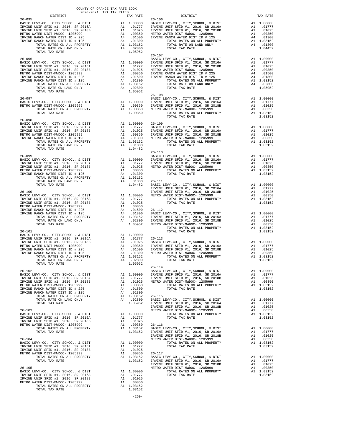| 2020-2021 TRA TAX RATES | $\begin{minipage}{.4\linewidth} \begin{tabular}{l} \multicolumn{2}{c}{\textbf{DISTRICT}} \end{tabular} \end{minipage}$<br>$\begin{tabular}{l c c c c c} \multicolumn{1}{c}{\textbf{26-095}} & \multicolumn{1}{c}{\textbf{16}} & \multicolumn{1}{c}{\textbf{16}} & \multicolumn{1}{c}{\textbf{16}} & \multicolumn{1}{c}{\textbf{16}} & \multicolumn{1}{c}{\textbf{16}} & \multicolumn{1}{c}{\textbf{16}} & \multicolumn{1}{c}{\textbf{17}} & \multicolumn{1}{c}{\textbf{18}} & \multicolumn{1}{c}{\textbf{18}} & \multicolumn{1}{c}{\textbf{18}} & \multicolumn{1}{c}{\text$ |  |
|-------------------------|-----------------------------------------------------------------------------------------------------------------------------------------------------------------------------------------------------------------------------------------------------------------------------------------------------------------------------------------------------------------------------------------------------------------------------------------------------------------------------------------------------------------------------------------------------------------------------|--|
|                         |                                                                                                                                                                                                                                                                                                                                                                                                                                                                                                                                                                             |  |
|                         |                                                                                                                                                                                                                                                                                                                                                                                                                                                                                                                                                                             |  |
|                         |                                                                                                                                                                                                                                                                                                                                                                                                                                                                                                                                                                             |  |
|                         |                                                                                                                                                                                                                                                                                                                                                                                                                                                                                                                                                                             |  |
|                         |                                                                                                                                                                                                                                                                                                                                                                                                                                                                                                                                                                             |  |
|                         |                                                                                                                                                                                                                                                                                                                                                                                                                                                                                                                                                                             |  |
|                         |                                                                                                                                                                                                                                                                                                                                                                                                                                                                                                                                                                             |  |
|                         | $\begin{tabular}{l c c c c c} \multicolumn{1}{c}{\textbf{26-096}} & \multicolumn{1}{c}{\textbf{26-107}} & \multicolumn{1}{c}{\textbf{26-107}} & \multicolumn{1}{c}{\textbf{26-107}} & \multicolumn{1}{c}{\textbf{26-107}} & \multicolumn{1}{c}{\textbf{26-108}} & \multicolumn{1}{c}{\textbf{26-108}} & \multicolumn{1}{c}{\textbf{26-108}} & \multicolumn{1}{c}{\textbf{26-108}} & \multicolumn{1}{c}{\textbf{$                                                                                                                                                            |  |
|                         |                                                                                                                                                                                                                                                                                                                                                                                                                                                                                                                                                                             |  |
|                         |                                                                                                                                                                                                                                                                                                                                                                                                                                                                                                                                                                             |  |
|                         |                                                                                                                                                                                                                                                                                                                                                                                                                                                                                                                                                                             |  |
|                         |                                                                                                                                                                                                                                                                                                                                                                                                                                                                                                                                                                             |  |
|                         |                                                                                                                                                                                                                                                                                                                                                                                                                                                                                                                                                                             |  |
|                         |                                                                                                                                                                                                                                                                                                                                                                                                                                                                                                                                                                             |  |
|                         |                                                                                                                                                                                                                                                                                                                                                                                                                                                                                                                                                                             |  |
|                         | $\begin{array}{cccccccc} & & & & & 26-108 & & \\ 26-097 & & & & & & \text{BAST} & \text{EUY} - \text{CO.}\,, & \text{CITY}, \text{SCHOOL}, & \& \text{ DIST} & \text{A1} & 1.00000 \\ \text{BASE LEVY-CO.}\,, & \text{CITY}, \text{SCHOOL}, & \& \text{ DIST} & \text{A1} & 1.00000 & \text{IRYINE UNIF SFID} & \text{H1}, & 2016, & \text{SR} & 2016 \text{A} & \text{A1} & .01777 \\ \text{METRO WATER DIST-MNDOC-1$                                                                                                                                                      |  |
|                         |                                                                                                                                                                                                                                                                                                                                                                                                                                                                                                                                                                             |  |
|                         |                                                                                                                                                                                                                                                                                                                                                                                                                                                                                                                                                                             |  |
|                         |                                                                                                                                                                                                                                                                                                                                                                                                                                                                                                                                                                             |  |
|                         | TOTAL TAX RATE                                                                                                                                                                                                                                                                                                                                                                                                                                                                                                                                                              |  |
|                         |                                                                                                                                                                                                                                                                                                                                                                                                                                                                                                                                                                             |  |
|                         |                                                                                                                                                                                                                                                                                                                                                                                                                                                                                                                                                                             |  |
|                         |                                                                                                                                                                                                                                                                                                                                                                                                                                                                                                                                                                             |  |
|                         |                                                                                                                                                                                                                                                                                                                                                                                                                                                                                                                                                                             |  |
|                         |                                                                                                                                                                                                                                                                                                                                                                                                                                                                                                                                                                             |  |
|                         |                                                                                                                                                                                                                                                                                                                                                                                                                                                                                                                                                                             |  |
|                         |                                                                                                                                                                                                                                                                                                                                                                                                                                                                                                                                                                             |  |
|                         |                                                                                                                                                                                                                                                                                                                                                                                                                                                                                                                                                                             |  |
|                         |                                                                                                                                                                                                                                                                                                                                                                                                                                                                                                                                                                             |  |
|                         |                                                                                                                                                                                                                                                                                                                                                                                                                                                                                                                                                                             |  |
|                         |                                                                                                                                                                                                                                                                                                                                                                                                                                                                                                                                                                             |  |
|                         |                                                                                                                                                                                                                                                                                                                                                                                                                                                                                                                                                                             |  |
|                         |                                                                                                                                                                                                                                                                                                                                                                                                                                                                                                                                                                             |  |
|                         |                                                                                                                                                                                                                                                                                                                                                                                                                                                                                                                                                                             |  |
|                         |                                                                                                                                                                                                                                                                                                                                                                                                                                                                                                                                                                             |  |
|                         |                                                                                                                                                                                                                                                                                                                                                                                                                                                                                                                                                                             |  |
|                         |                                                                                                                                                                                                                                                                                                                                                                                                                                                                                                                                                                             |  |
|                         |                                                                                                                                                                                                                                                                                                                                                                                                                                                                                                                                                                             |  |
|                         |                                                                                                                                                                                                                                                                                                                                                                                                                                                                                                                                                                             |  |
|                         |                                                                                                                                                                                                                                                                                                                                                                                                                                                                                                                                                                             |  |
|                         |                                                                                                                                                                                                                                                                                                                                                                                                                                                                                                                                                                             |  |
|                         |                                                                                                                                                                                                                                                                                                                                                                                                                                                                                                                                                                             |  |
|                         |                                                                                                                                                                                                                                                                                                                                                                                                                                                                                                                                                                             |  |
|                         |                                                                                                                                                                                                                                                                                                                                                                                                                                                                                                                                                                             |  |
|                         |                                                                                                                                                                                                                                                                                                                                                                                                                                                                                                                                                                             |  |
|                         |                                                                                                                                                                                                                                                                                                                                                                                                                                                                                                                                                                             |  |
|                         |                                                                                                                                                                                                                                                                                                                                                                                                                                                                                                                                                                             |  |
|                         |                                                                                                                                                                                                                                                                                                                                                                                                                                                                                                                                                                             |  |
|                         |                                                                                                                                                                                                                                                                                                                                                                                                                                                                                                                                                                             |  |
|                         |                                                                                                                                                                                                                                                                                                                                                                                                                                                                                                                                                                             |  |
|                         |                                                                                                                                                                                                                                                                                                                                                                                                                                                                                                                                                                             |  |
|                         |                                                                                                                                                                                                                                                                                                                                                                                                                                                                                                                                                                             |  |
|                         |                                                                                                                                                                                                                                                                                                                                                                                                                                                                                                                                                                             |  |
|                         |                                                                                                                                                                                                                                                                                                                                                                                                                                                                                                                                                                             |  |
|                         |                                                                                                                                                                                                                                                                                                                                                                                                                                                                                                                                                                             |  |
|                         |                                                                                                                                                                                                                                                                                                                                                                                                                                                                                                                                                                             |  |
|                         |                                                                                                                                                                                                                                                                                                                                                                                                                                                                                                                                                                             |  |
|                         |                                                                                                                                                                                                                                                                                                                                                                                                                                                                                                                                                                             |  |
|                         |                                                                                                                                                                                                                                                                                                                                                                                                                                                                                                                                                                             |  |
|                         |                                                                                                                                                                                                                                                                                                                                                                                                                                                                                                                                                                             |  |
|                         |                                                                                                                                                                                                                                                                                                                                                                                                                                                                                                                                                                             |  |
|                         |                                                                                                                                                                                                                                                                                                                                                                                                                                                                                                                                                                             |  |
|                         |                                                                                                                                                                                                                                                                                                                                                                                                                                                                                                                                                                             |  |
|                         |                                                                                                                                                                                                                                                                                                                                                                                                                                                                                                                                                                             |  |
|                         |                                                                                                                                                                                                                                                                                                                                                                                                                                                                                                                                                                             |  |
|                         |                                                                                                                                                                                                                                                                                                                                                                                                                                                                                                                                                                             |  |
|                         |                                                                                                                                                                                                                                                                                                                                                                                                                                                                                                                                                                             |  |
|                         |                                                                                                                                                                                                                                                                                                                                                                                                                                                                                                                                                                             |  |
|                         |                                                                                                                                                                                                                                                                                                                                                                                                                                                                                                                                                                             |  |
|                         |                                                                                                                                                                                                                                                                                                                                                                                                                                                                                                                                                                             |  |
|                         |                                                                                                                                                                                                                                                                                                                                                                                                                                                                                                                                                                             |  |
|                         |                                                                                                                                                                                                                                                                                                                                                                                                                                                                                                                                                                             |  |
|                         |                                                                                                                                                                                                                                                                                                                                                                                                                                                                                                                                                                             |  |
|                         |                                                                                                                                                                                                                                                                                                                                                                                                                                                                                                                                                                             |  |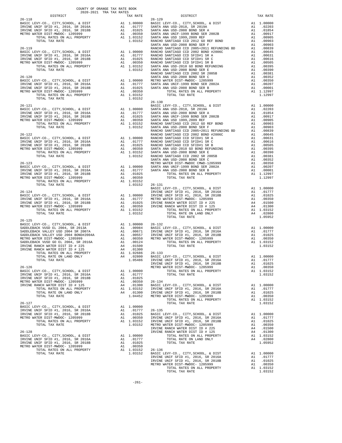| COUNTY OF ORANGE TAX RATE BOOK<br>2020-2021 TRA TAX RATES                                                                                                                                                                                                                                   |          |                        |          |
|---------------------------------------------------------------------------------------------------------------------------------------------------------------------------------------------------------------------------------------------------------------------------------------------|----------|------------------------|----------|
| DISTRICT<br>$26 - 118$                                                                                                                                                                                                                                                                      | TAX RATE | $26 - 129$<br>DISTRICT | TAX RATE |
|                                                                                                                                                                                                                                                                                             |          |                        |          |
|                                                                                                                                                                                                                                                                                             |          |                        |          |
|                                                                                                                                                                                                                                                                                             |          |                        |          |
|                                                                                                                                                                                                                                                                                             |          |                        |          |
|                                                                                                                                                                                                                                                                                             |          |                        |          |
|                                                                                                                                                                                                                                                                                             |          |                        |          |
|                                                                                                                                                                                                                                                                                             |          |                        |          |
|                                                                                                                                                                                                                                                                                             |          |                        |          |
|                                                                                                                                                                                                                                                                                             |          |                        |          |
|                                                                                                                                                                                                                                                                                             |          |                        |          |
|                                                                                                                                                                                                                                                                                             |          |                        |          |
|                                                                                                                                                                                                                                                                                             |          |                        |          |
|                                                                                                                                                                                                                                                                                             |          |                        |          |
|                                                                                                                                                                                                                                                                                             |          |                        |          |
|                                                                                                                                                                                                                                                                                             |          |                        |          |
|                                                                                                                                                                                                                                                                                             |          |                        |          |
|                                                                                                                                                                                                                                                                                             |          |                        |          |
|                                                                                                                                                                                                                                                                                             |          |                        |          |
|                                                                                                                                                                                                                                                                                             |          |                        |          |
|                                                                                                                                                                                                                                                                                             |          |                        |          |
|                                                                                                                                                                                                                                                                                             |          |                        |          |
|                                                                                                                                                                                                                                                                                             |          |                        |          |
|                                                                                                                                                                                                                                                                                             |          |                        |          |
| $\begin{tabular}{c c c c c} \multicolumn{4}{c }{26-124} & 1.03152 & 26-131 & 1.00101 & 26-131 & 1.00000 & 26-131 & 1.00000 & 26-131 & 1.00000 & 26-131 & 2016 & 2016 & 2016 & 2016 & 2016 & 2016 & 2016 & 2016 & 2016 & 2016 & 2016 & 2016 & 2016 & 2016 & 2016 & 2016 & 2016$              |          |                        |          |
| $26 - 125$                                                                                                                                                                                                                                                                                  |          |                        |          |
|                                                                                                                                                                                                                                                                                             |          |                        |          |
|                                                                                                                                                                                                                                                                                             |          |                        |          |
|                                                                                                                                                                                                                                                                                             |          |                        |          |
|                                                                                                                                                                                                                                                                                             |          |                        |          |
|                                                                                                                                                                                                                                                                                             |          |                        |          |
|                                                                                                                                                                                                                                                                                             |          |                        |          |
|                                                                                                                                                                                                                                                                                             |          |                        |          |
|                                                                                                                                                                                                                                                                                             |          |                        |          |
|                                                                                                                                                                                                                                                                                             |          |                        |          |
| $\begin{tabular}{l c c c c c} \hline \text{OTAL RATES ON LAID ONLINK} & \text{A1} 1.0266 & 26-134 & 0.0000 & 0.0000 & 0.0000 & 0.0000 & 0.0000 & 0.0000 & 0.0000 & 0.0000 & 0.0000 & 0.0000 & 0.0000 & 0.0000 & 0.0000 & 0.0000 & 0.0000 & 0.0000 & 0.0000 & 0.0000 & 0.0000 & 0.0000 & 0.$ |          |                        |          |
|                                                                                                                                                                                                                                                                                             |          |                        |          |
|                                                                                                                                                                                                                                                                                             |          |                        |          |
|                                                                                                                                                                                                                                                                                             |          |                        |          |
|                                                                                                                                                                                                                                                                                             |          |                        |          |
|                                                                                                                                                                                                                                                                                             |          |                        |          |
|                                                                                                                                                                                                                                                                                             |          |                        |          |
|                                                                                                                                                                                                                                                                                             |          |                        |          |
|                                                                                                                                                                                                                                                                                             |          |                        |          |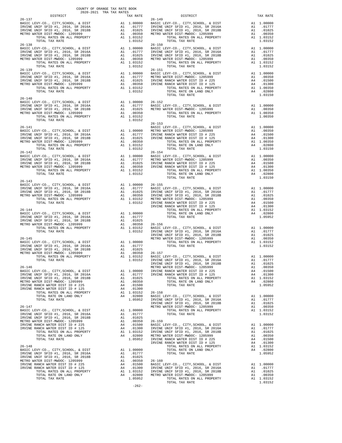| DISTRICT                                                                                                                                                                                                                                                 |          | TAX RATE                                                                                                              |                          |
|----------------------------------------------------------------------------------------------------------------------------------------------------------------------------------------------------------------------------------------------------------|----------|-----------------------------------------------------------------------------------------------------------------------|--------------------------|
| $26 - 137$<br>BASIC LEVY-CO., CITY, SCHOOL, & DIST                                                                                                                                                                                                       |          | 26-149<br>A1 1.00000 BASIC<br>A1 .01777 IRVINE<br>A1 .01035 IRVINE<br>A1 .00355 METROW<br>A1 1.03152                  | $26 - 149$               |
| IRVINE UNIF SFID #1, 2016, SR 2016A                                                                                                                                                                                                                      |          |                                                                                                                       |                          |
| IRVINE UNIF SFID #1, 2016, SR 2016A<br>METRO WATER DISTLE #1, 2016, SR 2018B<br>METRO WATER DIST-MWDOC- 1205999                                                                                                                                          |          |                                                                                                                       |                          |
| TOTAL RATES ON ALL PROPERTY                                                                                                                                                                                                                              |          | A1 1.03152                                                                                                            |                          |
| TOTAL TAX RATE<br>$26 - 138$                                                                                                                                                                                                                             |          | 1.03152                                                                                                               | $26 - 150$               |
|                                                                                                                                                                                                                                                          |          |                                                                                                                       |                          |
|                                                                                                                                                                                                                                                          |          |                                                                                                                       |                          |
|                                                                                                                                                                                                                                                          |          |                                                                                                                       |                          |
|                                                                                                                                                                                                                                                          |          |                                                                                                                       |                          |
| $26 - 139$                                                                                                                                                                                                                                               |          |                                                                                                                       | $26 - 151$               |
| BASIC LEVY-CO., CITY, SCHOOL, & DIST                                                                                                                                                                                                                     |          |                                                                                                                       |                          |
| IRVINE UNIF SFID #1, 2016, SR 2016A                                                                                                                                                                                                                      |          |                                                                                                                       |                          |
| IRVINE UNIF SFID #1, 2016, SR 2018B<br>METRO WATER DIST-MWDOC- 1205000                                                                                                                                                                                   |          |                                                                                                                       |                          |
| TOTAL RATES ON ALL PROPERTY                                                                                                                                                                                                                              |          | 26-151<br>A1 1.00000 BASIC L<br>A1 .01777 METRO W<br>A1 .01025 IRVINE<br>A1 .00350 IRVINE<br>A1 1.03152<br>1.03152    |                          |
| TOTAL TAX RATE                                                                                                                                                                                                                                           |          | 1.03152                                                                                                               |                          |
| $26 - 140$                                                                                                                                                                                                                                               |          |                                                                                                                       |                          |
|                                                                                                                                                                                                                                                          |          |                                                                                                                       |                          |
| BASIC LEVY-CO., CITY, SCHOOL, & DIST<br>IRVINE UNIF SFID #1, 2016, SR 2016A<br>IRVINE UNIF SFID #1, 2016, SR 2018B                                                                                                                                       |          |                                                                                                                       |                          |
| METRO WATER DIST-MWDOC- 1205999                                                                                                                                                                                                                          |          |                                                                                                                       |                          |
| TOTAL TAX RATE                                                                                                                                                                                                                                           |          | 1.03152                                                                                                               |                          |
| $26 - 141$                                                                                                                                                                                                                                               |          |                                                                                                                       | $26 - 153$               |
| BASIC LEVY-CO., CITY, SCHOOL, & DIST                                                                                                                                                                                                                     |          | BASIC L<br>A1 1.00000 METROW<br>A1 .01777 IRVINE<br>A1 .01025 IRVINE<br>A1 .00350<br>A1 1.03150<br>A1 1.03150         |                          |
|                                                                                                                                                                                                                                                          |          |                                                                                                                       |                          |
|                                                                                                                                                                                                                                                          |          |                                                                                                                       |                          |
|                                                                                                                                                                                                                                                          |          | A1 1.03152                                                                                                            |                          |
| TOTAL TAX RATE<br>$26 - 142$                                                                                                                                                                                                                             |          | 1.03152                                                                                                               | $26 - 154$               |
| BASIC LEVY-CO., CITY, SCHOOL, & DIST<br>BASIC LEVY-CO., CITY, SCHOOL, & DIST<br>IRVINE UNIF SFID #1, 2016, SR 2016A<br>IRVINE UNIF SFID #1, 2016, SR 2018B<br>IRVINE UNIF SFID #1, 2016, SR 2018B                                                        |          |                                                                                                                       |                          |
|                                                                                                                                                                                                                                                          |          |                                                                                                                       |                          |
| METRO WATER DIST-MWDOC- 1205999                                                                                                                                                                                                                          |          |                                                                                                                       |                          |
|                                                                                                                                                                                                                                                          |          |                                                                                                                       |                          |
|                                                                                                                                                                                                                                                          |          |                                                                                                                       |                          |
| $26 - 143$                                                                                                                                                                                                                                               |          |                                                                                                                       |                          |
| BASIC LEVY-CO., CITY, SCHOOL, & DIST                                                                                                                                                                                                                     |          |                                                                                                                       |                          |
| IRVINE UNIF SFID #1, 2016, SR 2016A<br>IRVINE UNIF SFID #1, 2016, SR 2018B<br>METRO WATER NICELAR 100506, SR 2018B                                                                                                                                       |          |                                                                                                                       |                          |
| METRO WATER DIST-MWDOC- 1205999<br>TOTAL RATES ON ALL PROPERTY                                                                                                                                                                                           |          |                                                                                                                       |                          |
| TOTAL TAX RATE                                                                                                                                                                                                                                           |          | A1 1.00000 26-155<br>A1 .01777 BASIC L<br>A1 .01025 IRVINE<br>A1 .00350 IRVINE<br>A1 1.03152 METROW<br>1.03152 IRVINE |                          |
| $26 - 144$                                                                                                                                                                                                                                               |          |                                                                                                                       | IRVINE                   |
|                                                                                                                                                                                                                                                          |          |                                                                                                                       |                          |
|                                                                                                                                                                                                                                                          |          | .01025                                                                                                                |                          |
|                                                                                                                                                                                                                                                          |          | A1 .00350 26-156                                                                                                      |                          |
| TOTAL RATES ON ALL PROPERTY                                                                                                                                                                                                                              |          | A1 1.03152                                                                                                            | oc 1<br>BASIC L<br>مرحمہ |
| TOTAL TAX RATE                                                                                                                                                                                                                                           |          | 1.03152                                                                                                               | IRVINE<br>IRVINE         |
| $26 - 145$<br>NEXT (1997), EXEMPLE STRIP (1997), 1997), 1997<br>UNIF SFID #1, 2016, SR 2016<br>UNIF SFID #1, 2016, SR 2018<br>NEXT MENT (1998) A1 (1992)<br>ATER DIST-MWDOC-1205999<br>TOTAL RATES ON ALL PROPERTY (1.03152 BASIC L<br>TOTAL RATES ON AL |          |                                                                                                                       |                          |
| BASIC LEVY-CO., CITY, SCHOOL, & DIST<br>BASIC LEVY-CO., CITY, SCHOOL, & DIST<br>IRVINE UNIF SFID #1, 2016, SR 2016A<br>IRVINE UNIF SFID #1, 2016, SR 2018B<br>IRVINE UNTF SFID #1, 2016, SR 2018B                                                        |          |                                                                                                                       |                          |
|                                                                                                                                                                                                                                                          |          |                                                                                                                       |                          |
| METRO WATER DIST-MWDOC- 1205999                                                                                                                                                                                                                          |          |                                                                                                                       |                          |
|                                                                                                                                                                                                                                                          |          |                                                                                                                       |                          |
| $26 - 146$                                                                                                                                                                                                                                               |          |                                                                                                                       | IRVINE<br>METRO W        |
| BASIC LEVY-CO., CITY, SCHOOL, & DIST                                                                                                                                                                                                                     | A1       | 1.00000                                                                                                               | IRVINE                   |
| IRVINE UNIF SFID #1, 2016, SR 2016A<br>IRVINE UNIF SFID #1, 2016, SR 2018B                                                                                                                                                                               | A1       | A1 .01777                                                                                                             | IRVINE                   |
| METRO WATER DIST-MWDOC- 1205999                                                                                                                                                                                                                          | A1       | .01025<br>.00350                                                                                                      |                          |
| IRVINE RANCH WATER DIST ID # 225                                                                                                                                                                                                                         | A4       | .01500                                                                                                                |                          |
| IRVINE RANCH WATER DIST ID # 125<br>TOTAL RATES ON ALL PROPERTY                                                                                                                                                                                          | A4       | .01300<br>A1 1.03152                                                                                                  | $26 - 158$               |
| TOTAL RATE ON LAND ONLY                                                                                                                                                                                                                                  |          | A1 1.03152<br>A4 .02800                                                                                               | BASIC L                  |
| TOTAL TAX RATE                                                                                                                                                                                                                                           |          | 1.05952                                                                                                               | IRVINE<br>IRVINE         |
| $26 - 147$                                                                                                                                                                                                                                               |          |                                                                                                                       | METRO W                  |
| BASIC LEVY-CO., CITY, SCHOOL, & DIST<br>IRVINE UNIF SFID #1, 2016, SR 2016A                                                                                                                                                                              | A1       | 1.00000<br>A1 .01777                                                                                                  |                          |
| IRVINE UNIF SFID #1, 2016, SR 2018B                                                                                                                                                                                                                      | A1       | .01025                                                                                                                |                          |
| METRO WATER DIST-MWDOC- 1205999                                                                                                                                                                                                                          | A1       | .00350                                                                                                                | $26 - 159$               |
| IRVINE RANCH WATER DIST ID # 225<br>IRVINE RANCH WATER DIST ID # 125                                                                                                                                                                                     | A4       | A4 .01500<br>.01300                                                                                                   | BASIC L<br>IRVINE        |
| TOTAL RATES ON ALL PROPERTY                                                                                                                                                                                                                              |          | A1 1.03152                                                                                                            | IRVINE                   |
| TOTAL RATE ON LAND ONLY<br>TOTAL TAX RATE                                                                                                                                                                                                                |          | A4 .02800<br>1.05952                                                                                                  | METRO W<br>IRVINE        |
|                                                                                                                                                                                                                                                          |          |                                                                                                                       | IRVINE                   |
| $26 - 148$<br>BASIC LEVY-CO., CITY, SCHOOL, & DIST                                                                                                                                                                                                       | A1       | 1.00000                                                                                                               |                          |
| IRVINE UNIF SFID #1, 2016, SR 2016A                                                                                                                                                                                                                      |          | A1.01777                                                                                                              |                          |
| IRVINE UNIF SFID #1, 2016, SR 2018B<br>METRO WATER DIST-MWDOC- 1205999                                                                                                                                                                                   | A1<br>A1 | .01025<br>.00350                                                                                                      | $26 - 160$               |
| IRVINE RANCH WATER DIST ID # 225                                                                                                                                                                                                                         | A4       | .01500                                                                                                                | BASIC L                  |
| IRVINE RANCH WATER DIST ID # 125                                                                                                                                                                                                                         | A4       | .01300                                                                                                                | IRVINE<br>IRVINE         |
| TOTAL RATES ON ALL PROPERTY<br>TOTAL RATE ON LAND ONLY                                                                                                                                                                                                   |          | A1 1.03152<br>A4 .02800                                                                                               | METRO W                  |
| TOTAL TAX RATE                                                                                                                                                                                                                                           |          | 1.05952                                                                                                               |                          |

| $26 - 140$                                                                                                                                                                                                                         |  |  |  |
|------------------------------------------------------------------------------------------------------------------------------------------------------------------------------------------------------------------------------------|--|--|--|
|                                                                                                                                                                                                                                    |  |  |  |
|                                                                                                                                                                                                                                    |  |  |  |
|                                                                                                                                                                                                                                    |  |  |  |
|                                                                                                                                                                                                                                    |  |  |  |
|                                                                                                                                                                                                                                    |  |  |  |
|                                                                                                                                                                                                                                    |  |  |  |
|                                                                                                                                                                                                                                    |  |  |  |
|                                                                                                                                                                                                                                    |  |  |  |
|                                                                                                                                                                                                                                    |  |  |  |
|                                                                                                                                                                                                                                    |  |  |  |
|                                                                                                                                                                                                                                    |  |  |  |
|                                                                                                                                                                                                                                    |  |  |  |
|                                                                                                                                                                                                                                    |  |  |  |
|                                                                                                                                                                                                                                    |  |  |  |
|                                                                                                                                                                                                                                    |  |  |  |
| $26 - 143$                                                                                                                                                                                                                         |  |  |  |
|                                                                                                                                                                                                                                    |  |  |  |
|                                                                                                                                                                                                                                    |  |  |  |
|                                                                                                                                                                                                                                    |  |  |  |
|                                                                                                                                                                                                                                    |  |  |  |
|                                                                                                                                                                                                                                    |  |  |  |
|                                                                                                                                                                                                                                    |  |  |  |
|                                                                                                                                                                                                                                    |  |  |  |
|                                                                                                                                                                                                                                    |  |  |  |
|                                                                                                                                                                                                                                    |  |  |  |
|                                                                                                                                                                                                                                    |  |  |  |
|                                                                                                                                                                                                                                    |  |  |  |
|                                                                                                                                                                                                                                    |  |  |  |
|                                                                                                                                                                                                                                    |  |  |  |
|                                                                                                                                                                                                                                    |  |  |  |
|                                                                                                                                                                                                                                    |  |  |  |
|                                                                                                                                                                                                                                    |  |  |  |
|                                                                                                                                                                                                                                    |  |  |  |
|                                                                                                                                                                                                                                    |  |  |  |
|                                                                                                                                                                                                                                    |  |  |  |
|                                                                                                                                                                                                                                    |  |  |  |
|                                                                                                                                                                                                                                    |  |  |  |
|                                                                                                                                                                                                                                    |  |  |  |
|                                                                                                                                                                                                                                    |  |  |  |
|                                                                                                                                                                                                                                    |  |  |  |
|                                                                                                                                                                                                                                    |  |  |  |
|                                                                                                                                                                                                                                    |  |  |  |
|                                                                                                                                                                                                                                    |  |  |  |
|                                                                                                                                                                                                                                    |  |  |  |
|                                                                                                                                                                                                                                    |  |  |  |
|                                                                                                                                                                                                                                    |  |  |  |
|                                                                                                                                                                                                                                    |  |  |  |
|                                                                                                                                                                                                                                    |  |  |  |
|                                                                                                                                                                                                                                    |  |  |  |
|                                                                                                                                                                                                                                    |  |  |  |
|                                                                                                                                                                                                                                    |  |  |  |
|                                                                                                                                                                                                                                    |  |  |  |
|                                                                                                                                                                                                                                    |  |  |  |
|                                                                                                                                                                                                                                    |  |  |  |
| 17074, ANTS ON ALL PROPERTY 121 1.03152 SANCI LOW-Y-CO., CITY, CSNOOL, 4 DIST<br>2011. PARK ON ALL PROPERTY 121 1.03152 INVING UNIT STEP (1, 2016, 52 2019 ALL 20177)<br>12.03152 INVING UNIT STEP (1, 2016, 2018)<br>12.03152 INV |  |  |  |
|                                                                                                                                                                                                                                    |  |  |  |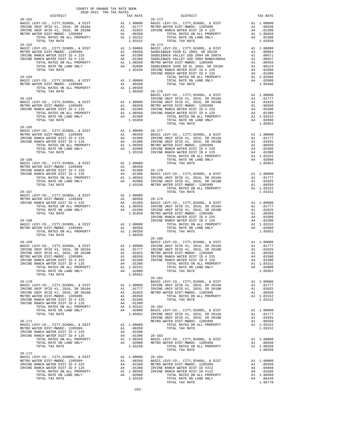| COUNTY OF ORANGE TAX RATE BOOK<br>2020-2021 TRA TAX RATES                                                                                                                                                                                                                                                                                                                                                           |                |                                      |          |  |
|---------------------------------------------------------------------------------------------------------------------------------------------------------------------------------------------------------------------------------------------------------------------------------------------------------------------------------------------------------------------------------------------------------------------|----------------|--------------------------------------|----------|--|
| DISTRICT<br>$26 - 161$                                                                                                                                                                                                                                                                                                                                                                                              |                | TAX RATE DISTRICT<br>TAX RATE 26-173 | TAX RATE |  |
|                                                                                                                                                                                                                                                                                                                                                                                                                     |                |                                      |          |  |
|                                                                                                                                                                                                                                                                                                                                                                                                                     |                |                                      |          |  |
|                                                                                                                                                                                                                                                                                                                                                                                                                     |                |                                      |          |  |
|                                                                                                                                                                                                                                                                                                                                                                                                                     |                |                                      |          |  |
|                                                                                                                                                                                                                                                                                                                                                                                                                     |                |                                      |          |  |
|                                                                                                                                                                                                                                                                                                                                                                                                                     |                |                                      |          |  |
|                                                                                                                                                                                                                                                                                                                                                                                                                     |                |                                      |          |  |
|                                                                                                                                                                                                                                                                                                                                                                                                                     |                |                                      |          |  |
|                                                                                                                                                                                                                                                                                                                                                                                                                     |                |                                      |          |  |
|                                                                                                                                                                                                                                                                                                                                                                                                                     |                |                                      |          |  |
|                                                                                                                                                                                                                                                                                                                                                                                                                     |                |                                      |          |  |
|                                                                                                                                                                                                                                                                                                                                                                                                                     |                |                                      |          |  |
| TOTAL TAX RATE                                                                                                                                                                                                                                                                                                                                                                                                      | 1.00350 26-176 |                                      |          |  |
|                                                                                                                                                                                                                                                                                                                                                                                                                     |                |                                      |          |  |
|                                                                                                                                                                                                                                                                                                                                                                                                                     |                |                                      |          |  |
|                                                                                                                                                                                                                                                                                                                                                                                                                     |                |                                      |          |  |
|                                                                                                                                                                                                                                                                                                                                                                                                                     |                |                                      |          |  |
|                                                                                                                                                                                                                                                                                                                                                                                                                     |                |                                      |          |  |
|                                                                                                                                                                                                                                                                                                                                                                                                                     |                |                                      |          |  |
| $26 - 165$                                                                                                                                                                                                                                                                                                                                                                                                          |                |                                      |          |  |
|                                                                                                                                                                                                                                                                                                                                                                                                                     |                |                                      |          |  |
|                                                                                                                                                                                                                                                                                                                                                                                                                     |                |                                      |          |  |
|                                                                                                                                                                                                                                                                                                                                                                                                                     |                |                                      |          |  |
|                                                                                                                                                                                                                                                                                                                                                                                                                     |                |                                      |          |  |
|                                                                                                                                                                                                                                                                                                                                                                                                                     |                |                                      |          |  |
|                                                                                                                                                                                                                                                                                                                                                                                                                     |                |                                      |          |  |
|                                                                                                                                                                                                                                                                                                                                                                                                                     |                |                                      |          |  |
|                                                                                                                                                                                                                                                                                                                                                                                                                     |                |                                      |          |  |
|                                                                                                                                                                                                                                                                                                                                                                                                                     |                |                                      |          |  |
|                                                                                                                                                                                                                                                                                                                                                                                                                     |                |                                      |          |  |
|                                                                                                                                                                                                                                                                                                                                                                                                                     |                |                                      |          |  |
|                                                                                                                                                                                                                                                                                                                                                                                                                     |                |                                      |          |  |
|                                                                                                                                                                                                                                                                                                                                                                                                                     |                |                                      |          |  |
|                                                                                                                                                                                                                                                                                                                                                                                                                     |                |                                      |          |  |
|                                                                                                                                                                                                                                                                                                                                                                                                                     |                |                                      |          |  |
|                                                                                                                                                                                                                                                                                                                                                                                                                     |                |                                      |          |  |
|                                                                                                                                                                                                                                                                                                                                                                                                                     |                |                                      |          |  |
|                                                                                                                                                                                                                                                                                                                                                                                                                     |                |                                      |          |  |
|                                                                                                                                                                                                                                                                                                                                                                                                                     |                |                                      |          |  |
|                                                                                                                                                                                                                                                                                                                                                                                                                     |                | $26 - 180$                           |          |  |
|                                                                                                                                                                                                                                                                                                                                                                                                                     |                |                                      |          |  |
|                                                                                                                                                                                                                                                                                                                                                                                                                     |                |                                      |          |  |
|                                                                                                                                                                                                                                                                                                                                                                                                                     |                |                                      |          |  |
|                                                                                                                                                                                                                                                                                                                                                                                                                     |                |                                      |          |  |
|                                                                                                                                                                                                                                                                                                                                                                                                                     |                |                                      |          |  |
|                                                                                                                                                                                                                                                                                                                                                                                                                     |                |                                      |          |  |
|                                                                                                                                                                                                                                                                                                                                                                                                                     |                |                                      |          |  |
|                                                                                                                                                                                                                                                                                                                                                                                                                     |                | $26 - 181$                           |          |  |
|                                                                                                                                                                                                                                                                                                                                                                                                                     |                |                                      |          |  |
|                                                                                                                                                                                                                                                                                                                                                                                                                     |                |                                      |          |  |
|                                                                                                                                                                                                                                                                                                                                                                                                                     |                |                                      |          |  |
|                                                                                                                                                                                                                                                                                                                                                                                                                     |                |                                      |          |  |
|                                                                                                                                                                                                                                                                                                                                                                                                                     |                |                                      |          |  |
|                                                                                                                                                                                                                                                                                                                                                                                                                     |                |                                      |          |  |
|                                                                                                                                                                                                                                                                                                                                                                                                                     |                |                                      |          |  |
|                                                                                                                                                                                                                                                                                                                                                                                                                     |                |                                      |          |  |
|                                                                                                                                                                                                                                                                                                                                                                                                                     |                |                                      |          |  |
|                                                                                                                                                                                                                                                                                                                                                                                                                     |                |                                      |          |  |
|                                                                                                                                                                                                                                                                                                                                                                                                                     |                |                                      |          |  |
|                                                                                                                                                                                                                                                                                                                                                                                                                     |                |                                      |          |  |
|                                                                                                                                                                                                                                                                                                                                                                                                                     |                |                                      |          |  |
|                                                                                                                                                                                                                                                                                                                                                                                                                     |                | TOTAL TAX RATE                       | 1.00350  |  |
|                                                                                                                                                                                                                                                                                                                                                                                                                     |                |                                      |          |  |
|                                                                                                                                                                                                                                                                                                                                                                                                                     |                |                                      |          |  |
|                                                                                                                                                                                                                                                                                                                                                                                                                     |                |                                      |          |  |
|                                                                                                                                                                                                                                                                                                                                                                                                                     |                |                                      |          |  |
|                                                                                                                                                                                                                                                                                                                                                                                                                     |                |                                      |          |  |
| $\begin{tabular}{lllllllllllllllllllllll} \texttt{26-172} & \texttt{BASTC LEVY-CO.}, & \texttt{CTTY}, \texttt{SCHOOL}, & \texttt{\& DIST-MDOC-1205999} & \texttt{A1} & 1.00000 & 26-184 \\ \texttt{METRC WATER DIST-MWDOC-1205999} & \texttt{A1} & 0.0350 & \texttt{BASTC LEVY-CO.}, & \texttt{CTTY}, \texttt{SCHOOL}, & \texttt{\& DIST} & \texttt{A1} & 1.00000 \\ \texttt{IRVINE RARCH WATER DIST-DH} & \texttt$ |                |                                      |          |  |

-263-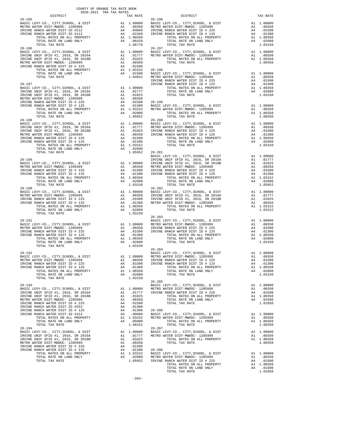|                                                                                                                                                                                                                                                                                                                                                                                                                                                                       | COUNTY OF ORANGE TAX RATE BOOK<br>2020-2021 TRA TAX RATES |                         |                       |
|-----------------------------------------------------------------------------------------------------------------------------------------------------------------------------------------------------------------------------------------------------------------------------------------------------------------------------------------------------------------------------------------------------------------------------------------------------------------------|-----------------------------------------------------------|-------------------------|-----------------------|
| DISTRICT                                                                                                                                                                                                                                                                                                                                                                                                                                                              |                                                           | TAX RATE                |                       |
|                                                                                                                                                                                                                                                                                                                                                                                                                                                                       |                                                           |                         |                       |
|                                                                                                                                                                                                                                                                                                                                                                                                                                                                       |                                                           |                         |                       |
|                                                                                                                                                                                                                                                                                                                                                                                                                                                                       |                                                           |                         |                       |
|                                                                                                                                                                                                                                                                                                                                                                                                                                                                       |                                                           |                         |                       |
|                                                                                                                                                                                                                                                                                                                                                                                                                                                                       |                                                           |                         |                       |
|                                                                                                                                                                                                                                                                                                                                                                                                                                                                       |                                                           |                         |                       |
|                                                                                                                                                                                                                                                                                                                                                                                                                                                                       |                                                           |                         |                       |
|                                                                                                                                                                                                                                                                                                                                                                                                                                                                       |                                                           |                         |                       |
|                                                                                                                                                                                                                                                                                                                                                                                                                                                                       |                                                           |                         |                       |
|                                                                                                                                                                                                                                                                                                                                                                                                                                                                       |                                                           |                         |                       |
|                                                                                                                                                                                                                                                                                                                                                                                                                                                                       |                                                           |                         |                       |
|                                                                                                                                                                                                                                                                                                                                                                                                                                                                       |                                                           |                         |                       |
|                                                                                                                                                                                                                                                                                                                                                                                                                                                                       |                                                           |                         |                       |
|                                                                                                                                                                                                                                                                                                                                                                                                                                                                       |                                                           |                         | IRVINE                |
| $26 - 187$                                                                                                                                                                                                                                                                                                                                                                                                                                                            |                                                           |                         | IRVINE                |
|                                                                                                                                                                                                                                                                                                                                                                                                                                                                       |                                                           |                         |                       |
|                                                                                                                                                                                                                                                                                                                                                                                                                                                                       |                                                           |                         |                       |
|                                                                                                                                                                                                                                                                                                                                                                                                                                                                       |                                                           |                         |                       |
|                                                                                                                                                                                                                                                                                                                                                                                                                                                                       |                                                           |                         |                       |
|                                                                                                                                                                                                                                                                                                                                                                                                                                                                       |                                                           |                         |                       |
|                                                                                                                                                                                                                                                                                                                                                                                                                                                                       |                                                           |                         |                       |
| TOTAL TAX RATE                                                                                                                                                                                                                                                                                                                                                                                                                                                        |                                                           | 1.05952                 |                       |
|                                                                                                                                                                                                                                                                                                                                                                                                                                                                       |                                                           |                         |                       |
| $\begin{tabular}{l c c c c} \multicolumn{1}{c}{\textbf{RASTC }} \multicolumn{1}{c}{\textbf{BASTC }} \multicolumn{1}{c}{\textbf{BASTC }} \multicolumn{1}{c}{\textbf{BASTC }} \multicolumn{1}{c}{\textbf{BASTC }} \multicolumn{1}{c}{\textbf{DSTC }} \multicolumn{1}{c}{\textbf{DSTC }} \multicolumn{1}{c}{\textbf{DSTC }} \multicolumn{1}{c}{\textbf{DSTC }} \multicolumn{1}{c}{\textbf{DSTC }} \multicolumn{1}{c}{\textbf{DSTC }} \multicolumn{1}{c}{\textbf{DSTC }}$ |                                                           |                         |                       |
|                                                                                                                                                                                                                                                                                                                                                                                                                                                                       |                                                           |                         |                       |
|                                                                                                                                                                                                                                                                                                                                                                                                                                                                       |                                                           |                         |                       |
|                                                                                                                                                                                                                                                                                                                                                                                                                                                                       |                                                           |                         |                       |
|                                                                                                                                                                                                                                                                                                                                                                                                                                                                       |                                                           |                         |                       |
|                                                                                                                                                                                                                                                                                                                                                                                                                                                                       |                                                           |                         |                       |
|                                                                                                                                                                                                                                                                                                                                                                                                                                                                       |                                                           |                         |                       |
|                                                                                                                                                                                                                                                                                                                                                                                                                                                                       |                                                           |                         |                       |
| $26 - 189$                                                                                                                                                                                                                                                                                                                                                                                                                                                            |                                                           |                         | IRVINE                |
|                                                                                                                                                                                                                                                                                                                                                                                                                                                                       |                                                           |                         |                       |
|                                                                                                                                                                                                                                                                                                                                                                                                                                                                       |                                                           |                         |                       |
|                                                                                                                                                                                                                                                                                                                                                                                                                                                                       |                                                           |                         |                       |
|                                                                                                                                                                                                                                                                                                                                                                                                                                                                       |                                                           |                         |                       |
|                                                                                                                                                                                                                                                                                                                                                                                                                                                                       |                                                           |                         |                       |
| TOTAL TAX RATE                                                                                                                                                                                                                                                                                                                                                                                                                                                        |                                                           | 1.03150                 |                       |
| 26-190                                                                                                                                                                                                                                                                                                                                                                                                                                                                |                                                           |                         | $26 - 202$            |
|                                                                                                                                                                                                                                                                                                                                                                                                                                                                       |                                                           |                         |                       |
|                                                                                                                                                                                                                                                                                                                                                                                                                                                                       |                                                           |                         |                       |
|                                                                                                                                                                                                                                                                                                                                                                                                                                                                       |                                                           |                         |                       |
|                                                                                                                                                                                                                                                                                                                                                                                                                                                                       |                                                           |                         |                       |
| TOTAL TAX RATE                                                                                                                                                                                                                                                                                                                                                                                                                                                        |                                                           | 1.03150                 |                       |
|                                                                                                                                                                                                                                                                                                                                                                                                                                                                       |                                                           |                         | $26 - 203$            |
| $\begin{tabular}{lllllllllllllllllllllll} & \multicolumn{3}{l}{{\bf 20^--191}} & \multicolumn{3}{l}{{\bf 20^--191}} & \multicolumn{3}{l}{{\bf 20^--191}} & \multicolumn{3}{l}{{\bf 20^--191}} & \multicolumn{3}{l}{{\bf 20^--191}} & \multicolumn{3}{l}{{\bf 20^--191}} & \multicolumn{3}{l}{{\bf 20^--191}} & \multicolumn{3}{l}{{\bf 20^--191}} & \multicolumn{3}{l}{{\bf 20^--191}} & \mult$                                                                       |                                                           |                         |                       |
|                                                                                                                                                                                                                                                                                                                                                                                                                                                                       |                                                           |                         |                       |
|                                                                                                                                                                                                                                                                                                                                                                                                                                                                       |                                                           |                         |                       |
|                                                                                                                                                                                                                                                                                                                                                                                                                                                                       |                                                           |                         |                       |
|                                                                                                                                                                                                                                                                                                                                                                                                                                                                       |                                                           |                         |                       |
|                                                                                                                                                                                                                                                                                                                                                                                                                                                                       |                                                           |                         |                       |
|                                                                                                                                                                                                                                                                                                                                                                                                                                                                       |                                                           |                         |                       |
|                                                                                                                                                                                                                                                                                                                                                                                                                                                                       |                                                           |                         | $26 - 204$            |
| $26-192$ $$\tt BASIC\ LEVY-CO.$ , CITY, SCHOOL, & DIST $$\tt A1$$ 1.00000 $$\tt METRO\ W$                                                                                                                                                                                                                                                                                                                                                                             |                                                           |                         |                       |
| METRO WATER DIST-MWDOC- 1205999                                                                                                                                                                                                                                                                                                                                                                                                                                       |                                                           | A1 .00350               | IRVINE                |
| IRVINE RANCH WATER DIST ID # 225                                                                                                                                                                                                                                                                                                                                                                                                                                      | A4                                                        | .01500                  | IRVINE                |
| IRVINE RANCH WATER DIST ID # 125                                                                                                                                                                                                                                                                                                                                                                                                                                      | A4                                                        | .01300                  |                       |
| TOTAL RATES ON ALL PROPERTY<br>TOTAL RATE ON LAND ONLY                                                                                                                                                                                                                                                                                                                                                                                                                |                                                           | A1 1.00350<br>A4 .02800 |                       |
| TOTAL TAX RATE                                                                                                                                                                                                                                                                                                                                                                                                                                                        |                                                           | 1.03150                 |                       |
|                                                                                                                                                                                                                                                                                                                                                                                                                                                                       |                                                           |                         | $26 - 205$            |
| $26 - 193$                                                                                                                                                                                                                                                                                                                                                                                                                                                            |                                                           |                         | BASIC L               |
| BASIC LEVY-CO., CITY, SCHOOL, & DIST<br>IRVINE UNIF SFID #1, 2016, SR 2016A                                                                                                                                                                                                                                                                                                                                                                                           | A1                                                        | A1 1.00000<br>.01777    | METRO W<br>IRVINE     |
| IRVINE UNIF SFID #1, 2016, SR 2018B                                                                                                                                                                                                                                                                                                                                                                                                                                   | A1                                                        | .01025                  |                       |
| METRO WATER DIST-MWDOC- 1205999                                                                                                                                                                                                                                                                                                                                                                                                                                       |                                                           | A1 .00350               |                       |
| IRVINE RANCH WATER DIST ID # 225                                                                                                                                                                                                                                                                                                                                                                                                                                      |                                                           | A4 .01500               |                       |
| IRVINE RANCH WATER DIST-ID #253<br>IRVINE RANCH WATER DIST ID # 125                                                                                                                                                                                                                                                                                                                                                                                                   | A4<br>A4                                                  | .01300<br>.01300        | $26 - 206$            |
| IRVINE RANCH WATER DIST-ID #153                                                                                                                                                                                                                                                                                                                                                                                                                                       | A4                                                        | .00900                  | BASIC L               |
| TOTAL RATES ON ALL PROPERTY                                                                                                                                                                                                                                                                                                                                                                                                                                           |                                                           | A1 1.03152              | METRO W               |
| TOTAL RATE ON LAND ONLY                                                                                                                                                                                                                                                                                                                                                                                                                                               |                                                           | A4 .05000               |                       |
| TOTAL TAX RATE                                                                                                                                                                                                                                                                                                                                                                                                                                                        |                                                           | 1.08152                 |                       |
| $26 - 194$<br>BASIC LEVY-CO., CITY, SCHOOL, & DIST                                                                                                                                                                                                                                                                                                                                                                                                                    |                                                           | A1 1.00000              | $26 - 207$<br>BASIC L |
| IRVINE UNIF SFID #1, 2016, SR 2016A                                                                                                                                                                                                                                                                                                                                                                                                                                   |                                                           | A1 .01777               | METRO W               |
| IRVINE UNIF SFID #1, 2016, SR 2018B                                                                                                                                                                                                                                                                                                                                                                                                                                   | A1                                                        | .01025                  |                       |
| METRO WATER DIST-MWDOC- 1205999                                                                                                                                                                                                                                                                                                                                                                                                                                       | A1                                                        | .00350                  |                       |
| IRVINE RANCH WATER DIST ID # 225                                                                                                                                                                                                                                                                                                                                                                                                                                      | A4                                                        | .01500                  |                       |
| IRVINE RANCH WATER DIST ID # 125<br>TOTAL RATES ON ALL PROPERTY                                                                                                                                                                                                                                                                                                                                                                                                       | A4                                                        | .01300<br>A1 1.03152    | 26-208<br>BASIC L     |
| TOTAL RATE ON LAND ONLY                                                                                                                                                                                                                                                                                                                                                                                                                                               |                                                           | A4 .02800               | METRO W               |
| TOTAL TAX RATE                                                                                                                                                                                                                                                                                                                                                                                                                                                        |                                                           | 1.05952 IRVINE          |                       |

| COUNTI OF ORANGE IAA RAIE BOOR<br>2020-2021 TRA TAX RATES<br>DISTRICT | TAX RATE | ${\tt RATE} \qquad \qquad {\tt DISTRICT}$ ${\tt 26-196}$                                                                                                                                                                                                                                                                                                                                                      | TAX RATE |
|-----------------------------------------------------------------------|----------|---------------------------------------------------------------------------------------------------------------------------------------------------------------------------------------------------------------------------------------------------------------------------------------------------------------------------------------------------------------------------------------------------------------|----------|
| $26 - 185$                                                            |          |                                                                                                                                                                                                                                                                                                                                                                                                               |          |
|                                                                       |          |                                                                                                                                                                                                                                                                                                                                                                                                               |          |
|                                                                       |          |                                                                                                                                                                                                                                                                                                                                                                                                               |          |
|                                                                       |          |                                                                                                                                                                                                                                                                                                                                                                                                               |          |
|                                                                       |          |                                                                                                                                                                                                                                                                                                                                                                                                               |          |
|                                                                       |          |                                                                                                                                                                                                                                                                                                                                                                                                               |          |
|                                                                       |          |                                                                                                                                                                                                                                                                                                                                                                                                               |          |
|                                                                       |          |                                                                                                                                                                                                                                                                                                                                                                                                               |          |
|                                                                       |          |                                                                                                                                                                                                                                                                                                                                                                                                               |          |
|                                                                       |          |                                                                                                                                                                                                                                                                                                                                                                                                               |          |
|                                                                       |          |                                                                                                                                                                                                                                                                                                                                                                                                               |          |
|                                                                       |          |                                                                                                                                                                                                                                                                                                                                                                                                               |          |
|                                                                       |          |                                                                                                                                                                                                                                                                                                                                                                                                               |          |
|                                                                       |          |                                                                                                                                                                                                                                                                                                                                                                                                               |          |
|                                                                       |          |                                                                                                                                                                                                                                                                                                                                                                                                               |          |
|                                                                       |          |                                                                                                                                                                                                                                                                                                                                                                                                               |          |
|                                                                       |          |                                                                                                                                                                                                                                                                                                                                                                                                               |          |
|                                                                       |          |                                                                                                                                                                                                                                                                                                                                                                                                               |          |
|                                                                       |          |                                                                                                                                                                                                                                                                                                                                                                                                               |          |
|                                                                       |          |                                                                                                                                                                                                                                                                                                                                                                                                               |          |
|                                                                       |          |                                                                                                                                                                                                                                                                                                                                                                                                               |          |
|                                                                       |          |                                                                                                                                                                                                                                                                                                                                                                                                               |          |
|                                                                       |          |                                                                                                                                                                                                                                                                                                                                                                                                               |          |
|                                                                       |          |                                                                                                                                                                                                                                                                                                                                                                                                               |          |
|                                                                       |          |                                                                                                                                                                                                                                                                                                                                                                                                               |          |
|                                                                       |          | $\begin{tabular}{cccccc} 1024.44 & 104476 & 104476 & 104476 & 104476 & 104476 & 104476 & 104476 & 104476 & 104476 & 104476 & 104476 & 104476 & 104476 & 104476 & 104476 & 104476 & 104476 & 104476 & 104476 & 104476 & 104476 & 104476 & 104476 & 104476 & 104476 & 1$                                                                                                                                        |          |
|                                                                       |          |                                                                                                                                                                                                                                                                                                                                                                                                               |          |
|                                                                       |          |                                                                                                                                                                                                                                                                                                                                                                                                               |          |
|                                                                       |          |                                                                                                                                                                                                                                                                                                                                                                                                               |          |
|                                                                       |          |                                                                                                                                                                                                                                                                                                                                                                                                               |          |
|                                                                       |          |                                                                                                                                                                                                                                                                                                                                                                                                               |          |
|                                                                       |          |                                                                                                                                                                                                                                                                                                                                                                                                               |          |
|                                                                       |          |                                                                                                                                                                                                                                                                                                                                                                                                               |          |
|                                                                       |          |                                                                                                                                                                                                                                                                                                                                                                                                               |          |
|                                                                       |          |                                                                                                                                                                                                                                                                                                                                                                                                               |          |
|                                                                       |          |                                                                                                                                                                                                                                                                                                                                                                                                               |          |
|                                                                       |          |                                                                                                                                                                                                                                                                                                                                                                                                               |          |
|                                                                       |          |                                                                                                                                                                                                                                                                                                                                                                                                               |          |
|                                                                       |          | $\begin{tabular}{lllllllllllllllllllll} & $\mbox{\sc i$$$$\mu$} & $\mbox{\sc i$$$$\mu$} & $\mbox{\sc i$$$$\mu$} & $\mbox{\sc i$$$$\mu$} & $\mbox{\sc i$$$\mu$} & $\mbox{\sc i$$$\mu$} & $\mbox{\sc i$$$\mu$} & $\mbox{\sc i$$\mu$} & $\mbox{\sc i$$\mu$} & $\mbox{\sc i$$\mu$} \\[0.2cm] \text{BASTC LEVY-C0., CITY, SCHOOL, & $\mbox{\sc i$$$$$\mu$} & $\mbox{\sc ii$$$$\mu$} & $\mbox{\sc ii$$$$\mu$} & $\$ |          |
|                                                                       |          |                                                                                                                                                                                                                                                                                                                                                                                                               |          |
|                                                                       |          |                                                                                                                                                                                                                                                                                                                                                                                                               |          |
|                                                                       |          |                                                                                                                                                                                                                                                                                                                                                                                                               |          |
|                                                                       |          |                                                                                                                                                                                                                                                                                                                                                                                                               |          |
|                                                                       |          |                                                                                                                                                                                                                                                                                                                                                                                                               |          |
|                                                                       |          |                                                                                                                                                                                                                                                                                                                                                                                                               |          |
|                                                                       |          |                                                                                                                                                                                                                                                                                                                                                                                                               |          |
|                                                                       |          |                                                                                                                                                                                                                                                                                                                                                                                                               |          |
|                                                                       |          |                                                                                                                                                                                                                                                                                                                                                                                                               |          |
|                                                                       |          |                                                                                                                                                                                                                                                                                                                                                                                                               |          |
|                                                                       |          | METRO WATER DIST -UO, CUIT, SCROOL, WE DIST ON TRUINE RANCH WATER DIST ID # 225 A4 .01500<br>IRVINE RANCH WATER DIST ID # 225 A4 .01500<br>IRVINE RANCH WATER DIST ID # 225 A4 .01500<br>IRVINE RANCH WATER DIST ID # 225 A4 .01500<br>                                                                                                                                                                       |          |
|                                                                       |          | $26 - 205$                                                                                                                                                                                                                                                                                                                                                                                                    |          |
|                                                                       |          |                                                                                                                                                                                                                                                                                                                                                                                                               |          |
|                                                                       |          |                                                                                                                                                                                                                                                                                                                                                                                                               |          |
|                                                                       |          |                                                                                                                                                                                                                                                                                                                                                                                                               |          |
|                                                                       |          |                                                                                                                                                                                                                                                                                                                                                                                                               |          |
|                                                                       |          |                                                                                                                                                                                                                                                                                                                                                                                                               |          |
|                                                                       |          |                                                                                                                                                                                                                                                                                                                                                                                                               |          |
|                                                                       |          |                                                                                                                                                                                                                                                                                                                                                                                                               |          |
|                                                                       |          |                                                                                                                                                                                                                                                                                                                                                                                                               |          |
|                                                                       |          |                                                                                                                                                                                                                                                                                                                                                                                                               |          |
|                                                                       |          |                                                                                                                                                                                                                                                                                                                                                                                                               |          |
|                                                                       |          |                                                                                                                                                                                                                                                                                                                                                                                                               |          |
|                                                                       |          |                                                                                                                                                                                                                                                                                                                                                                                                               |          |
|                                                                       |          |                                                                                                                                                                                                                                                                                                                                                                                                               |          |
|                                                                       |          |                                                                                                                                                                                                                                                                                                                                                                                                               |          |
|                                                                       |          |                                                                                                                                                                                                                                                                                                                                                                                                               |          |
|                                                                       |          |                                                                                                                                                                                                                                                                                                                                                                                                               |          |
|                                                                       |          |                                                                                                                                                                                                                                                                                                                                                                                                               |          |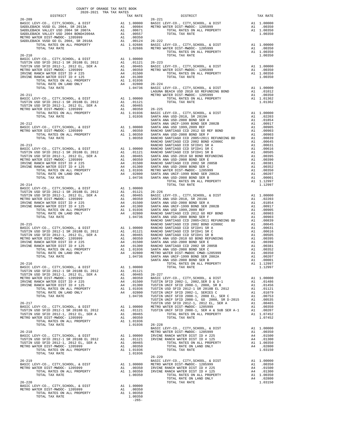| DISTRICT | 2020-2021 TRA TAX RATES<br>TAX RATE |         | DISTRICT                                                                                                                                                                                                                                                                                                                                                                                                             | TAX RATE |
|----------|-------------------------------------|---------|----------------------------------------------------------------------------------------------------------------------------------------------------------------------------------------------------------------------------------------------------------------------------------------------------------------------------------------------------------------------------------------------------------------------|----------|
|          |                                     |         |                                                                                                                                                                                                                                                                                                                                                                                                                      |          |
|          |                                     |         |                                                                                                                                                                                                                                                                                                                                                                                                                      |          |
|          |                                     |         |                                                                                                                                                                                                                                                                                                                                                                                                                      |          |
|          |                                     |         |                                                                                                                                                                                                                                                                                                                                                                                                                      |          |
|          |                                     |         |                                                                                                                                                                                                                                                                                                                                                                                                                      |          |
|          |                                     |         |                                                                                                                                                                                                                                                                                                                                                                                                                      |          |
|          |                                     |         |                                                                                                                                                                                                                                                                                                                                                                                                                      |          |
|          |                                     |         |                                                                                                                                                                                                                                                                                                                                                                                                                      |          |
|          |                                     |         |                                                                                                                                                                                                                                                                                                                                                                                                                      |          |
|          |                                     |         |                                                                                                                                                                                                                                                                                                                                                                                                                      |          |
|          |                                     |         |                                                                                                                                                                                                                                                                                                                                                                                                                      |          |
|          |                                     |         |                                                                                                                                                                                                                                                                                                                                                                                                                      |          |
|          |                                     |         |                                                                                                                                                                                                                                                                                                                                                                                                                      |          |
|          |                                     |         |                                                                                                                                                                                                                                                                                                                                                                                                                      |          |
|          |                                     |         |                                                                                                                                                                                                                                                                                                                                                                                                                      |          |
|          |                                     |         |                                                                                                                                                                                                                                                                                                                                                                                                                      |          |
|          |                                     |         |                                                                                                                                                                                                                                                                                                                                                                                                                      |          |
|          |                                     |         |                                                                                                                                                                                                                                                                                                                                                                                                                      |          |
|          |                                     |         |                                                                                                                                                                                                                                                                                                                                                                                                                      |          |
|          |                                     |         |                                                                                                                                                                                                                                                                                                                                                                                                                      |          |
|          |                                     |         |                                                                                                                                                                                                                                                                                                                                                                                                                      |          |
|          |                                     |         |                                                                                                                                                                                                                                                                                                                                                                                                                      |          |
|          |                                     |         |                                                                                                                                                                                                                                                                                                                                                                                                                      |          |
|          |                                     |         |                                                                                                                                                                                                                                                                                                                                                                                                                      |          |
|          |                                     |         |                                                                                                                                                                                                                                                                                                                                                                                                                      |          |
|          |                                     |         |                                                                                                                                                                                                                                                                                                                                                                                                                      |          |
|          |                                     |         |                                                                                                                                                                                                                                                                                                                                                                                                                      |          |
|          |                                     |         |                                                                                                                                                                                                                                                                                                                                                                                                                      |          |
|          |                                     |         |                                                                                                                                                                                                                                                                                                                                                                                                                      |          |
|          |                                     |         |                                                                                                                                                                                                                                                                                                                                                                                                                      |          |
|          |                                     |         |                                                                                                                                                                                                                                                                                                                                                                                                                      |          |
|          |                                     |         |                                                                                                                                                                                                                                                                                                                                                                                                                      |          |
|          |                                     |         |                                                                                                                                                                                                                                                                                                                                                                                                                      |          |
|          |                                     |         |                                                                                                                                                                                                                                                                                                                                                                                                                      |          |
|          |                                     |         |                                                                                                                                                                                                                                                                                                                                                                                                                      |          |
|          |                                     |         |                                                                                                                                                                                                                                                                                                                                                                                                                      |          |
|          |                                     |         |                                                                                                                                                                                                                                                                                                                                                                                                                      |          |
|          |                                     |         |                                                                                                                                                                                                                                                                                                                                                                                                                      |          |
|          |                                     |         |                                                                                                                                                                                                                                                                                                                                                                                                                      |          |
|          |                                     |         |                                                                                                                                                                                                                                                                                                                                                                                                                      |          |
|          |                                     |         |                                                                                                                                                                                                                                                                                                                                                                                                                      |          |
|          |                                     |         |                                                                                                                                                                                                                                                                                                                                                                                                                      |          |
|          |                                     |         |                                                                                                                                                                                                                                                                                                                                                                                                                      |          |
|          |                                     |         |                                                                                                                                                                                                                                                                                                                                                                                                                      |          |
|          |                                     |         |                                                                                                                                                                                                                                                                                                                                                                                                                      |          |
|          |                                     |         |                                                                                                                                                                                                                                                                                                                                                                                                                      |          |
|          |                                     |         |                                                                                                                                                                                                                                                                                                                                                                                                                      |          |
|          |                                     |         |                                                                                                                                                                                                                                                                                                                                                                                                                      |          |
|          |                                     |         |                                                                                                                                                                                                                                                                                                                                                                                                                      |          |
|          |                                     |         |                                                                                                                                                                                                                                                                                                                                                                                                                      |          |
|          |                                     |         |                                                                                                                                                                                                                                                                                                                                                                                                                      |          |
|          |                                     |         |                                                                                                                                                                                                                                                                                                                                                                                                                      |          |
|          |                                     |         |                                                                                                                                                                                                                                                                                                                                                                                                                      |          |
|          |                                     |         |                                                                                                                                                                                                                                                                                                                                                                                                                      |          |
|          |                                     |         |                                                                                                                                                                                                                                                                                                                                                                                                                      |          |
|          |                                     |         |                                                                                                                                                                                                                                                                                                                                                                                                                      |          |
|          |                                     |         |                                                                                                                                                                                                                                                                                                                                                                                                                      |          |
|          |                                     |         |                                                                                                                                                                                                                                                                                                                                                                                                                      |          |
|          |                                     |         |                                                                                                                                                                                                                                                                                                                                                                                                                      |          |
|          |                                     |         |                                                                                                                                                                                                                                                                                                                                                                                                                      |          |
|          |                                     |         |                                                                                                                                                                                                                                                                                                                                                                                                                      |          |
|          |                                     |         |                                                                                                                                                                                                                                                                                                                                                                                                                      |          |
|          |                                     |         |                                                                                                                                                                                                                                                                                                                                                                                                                      |          |
|          |                                     |         |                                                                                                                                                                                                                                                                                                                                                                                                                      |          |
|          |                                     |         |                                                                                                                                                                                                                                                                                                                                                                                                                      |          |
|          |                                     |         |                                                                                                                                                                                                                                                                                                                                                                                                                      |          |
|          |                                     |         |                                                                                                                                                                                                                                                                                                                                                                                                                      |          |
|          |                                     |         |                                                                                                                                                                                                                                                                                                                                                                                                                      |          |
|          |                                     |         |                                                                                                                                                                                                                                                                                                                                                                                                                      |          |
|          |                                     |         |                                                                                                                                                                                                                                                                                                                                                                                                                      |          |
|          |                                     |         |                                                                                                                                                                                                                                                                                                                                                                                                                      |          |
|          |                                     |         |                                                                                                                                                                                                                                                                                                                                                                                                                      |          |
|          |                                     |         |                                                                                                                                                                                                                                                                                                                                                                                                                      |          |
|          |                                     |         | $\begin{tabular}{lllllllllllllllllllll} \multicolumn{3}{l}{{\footnotesize \begin{tabular}{l}p{6-219}}\mbox{BASTC LEVY-CO., CITY, SCHOOL, & $\&$ DIST$ & $\&$BASIC LEVY-CO., CITY, SCHOOL, & $\&$ DIST$ & $\&$A1 1.00000 & $\&$BASIC LEVY-CO., CITY, SCHOOL, & $\&$ DIST$ & $\&$A1 1.00000 & $\&$BASIC LEVY-CO., CITY, SCHOOL, & $\&$ DIST$ & $\&$A1 1.00000 & $\&$BASIC LEVY-CO., CITY, SCHOOL, & $\&$ DIST$ & $\&$$ |          |
|          |                                     |         |                                                                                                                                                                                                                                                                                                                                                                                                                      |          |
|          |                                     |         |                                                                                                                                                                                                                                                                                                                                                                                                                      |          |
|          |                                     |         |                                                                                                                                                                                                                                                                                                                                                                                                                      |          |
|          |                                     | $-265-$ |                                                                                                                                                                                                                                                                                                                                                                                                                      |          |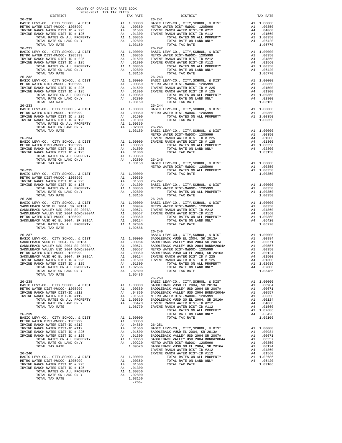| COUNTY OF ORANGE TAX RATE BOOK<br>2020-2021 TRA TAX RATES |          |            |          |
|-----------------------------------------------------------|----------|------------|----------|
| DISTRICT                                                  | TAX RATE | DISTRICT   | TAX RATE |
| $26 - 230$                                                |          | $26 - 241$ |          |
|                                                           |          |            |          |
| $26 - 231$                                                |          | $26 - 242$ |          |
|                                                           |          |            |          |
|                                                           |          |            |          |
|                                                           |          |            |          |
|                                                           |          |            |          |
|                                                           |          |            |          |
|                                                           |          |            |          |
|                                                           |          |            |          |
|                                                           |          |            |          |
|                                                           |          |            |          |
|                                                           |          |            |          |
|                                                           |          |            |          |
|                                                           |          |            |          |
|                                                           |          |            |          |
|                                                           |          |            |          |
|                                                           |          |            |          |
|                                                           |          |            |          |
|                                                           |          |            |          |
|                                                           |          |            |          |
|                                                           |          |            |          |
|                                                           |          |            |          |
|                                                           |          |            |          |
|                                                           |          |            |          |
|                                                           |          |            |          |
|                                                           |          |            |          |
|                                                           |          |            |          |
|                                                           |          |            |          |
|                                                           |          |            |          |
|                                                           |          |            |          |
|                                                           |          |            |          |
|                                                           |          |            |          |
|                                                           |          |            |          |
|                                                           |          |            |          |
|                                                           |          |            |          |
|                                                           |          |            |          |
|                                                           |          |            |          |
|                                                           |          |            |          |
|                                                           |          |            |          |
|                                                           |          |            |          |
|                                                           |          |            |          |
|                                                           |          |            |          |
|                                                           |          |            |          |
|                                                           |          |            |          |
|                                                           |          |            |          |
|                                                           |          |            |          |
|                                                           |          |            |          |
|                                                           |          |            |          |
|                                                           |          |            |          |
|                                                           |          |            |          |
|                                                           |          |            |          |
|                                                           |          |            |          |

| <b>DIGINICI</b>                                                                                                                                                                                                                                                                                              |                                                    | tuv v                                                                                                              |
|--------------------------------------------------------------------------------------------------------------------------------------------------------------------------------------------------------------------------------------------------------------------------------------------------------------|----------------------------------------------------|--------------------------------------------------------------------------------------------------------------------|
| Y-CO., CITY,SCHOOL, & DIST<br>ER DIST-MWDOC- 1205999<br>NCH WATER DIST-ID #212<br>NCH WATER DIST-ID #112<br>OTAL RATES ON ALL PROPERTY<br>OTAL RATES ON LAND ONLY<br>OTAL TAX RATE                                                                                                                           | A1<br>A4                                           | A1 1.000<br>.003<br>.048<br>1.01!<br>1.00: A1<br>44.06<br>$0.064$<br>1.06                                          |
| Y-CO., CITY, SCHOOL, & DIST<br>ER DIST-MWDOC- 1205999<br>NCH WATER DIST-ID #212<br>NCH WATER DIST-ID #112<br>OTAL RATES ON ALL PROPERTY<br>OTAL RATE ON LAND ONLY<br>OTAL TAX RATE                                                                                                                           | A1<br>A4                                           | A1 1.000<br>.003<br>.048<br>A4 .015<br>A1 1.003<br>A4 .064<br>$.064$<br>1.06                                       |
| Y-CO., CITY,SCHOOL, & DIST<br>ER DIST-MWDOC- 1205999<br>NCH WATER DIST ID # 225<br>NCH WATER DIST ID # 125<br>OTAL RATES ON ALL PROPERTY<br>OTAL RATE ON LAND ONLY<br>OTAL TAX RATE                                                                                                                          | A1<br>A4<br>A4                                     | A1 1.000<br>.003<br>.015<br>A4 .013<br>A1 1.003<br>.028<br>1.031                                                   |
| Y-CO., CITY, SCHOOL, & DIST<br>ER DIST-MWDOC- 1205999<br>OTAL RATES ON ALL PROPERTY<br>OTAL TAX RATE                                                                                                                                                                                                         | A1                                                 | 1.000<br>A1 .00:<br>A1 1.00:<br>1 00:<br>1.003                                                                     |
| Y-CO., CITY, SCHOOL, & DIST<br>ER DIST-MWDOC- 1205999<br>NCH WATER DIST ID # 225<br>NCH WATER DIST ID # 125<br>OTAL RATES ON ALL PROPERTY<br>OTAL RATE ON LAND ONLY<br>OTAL TAX RATE                                                                                                                         | A1<br>A4<br>A4                                     | A1 1.000<br>.003<br>.015<br>A4 .013<br>A1 1.003<br>.028<br>1.031                                                   |
| Y-CO., CITY, SCHOOL, & DIST<br>ER DIST-MWDOC- 1205999<br>OTAL RATES ON ALL PROPERTY<br>OTAL TAX RATE                                                                                                                                                                                                         | A1                                                 | A1 1.000<br>.003<br>A1 1.003<br>1.003                                                                              |
| Y-CO., CITY,SCHOOL, & DIST<br>ER DIST-MWDOC- 1205999<br>OTAL RATES ON ALL PROPERTY<br>OTAL TAX RATE                                                                                                                                                                                                          | $\mathtt{A1}$<br>A1                                | A1 1.000<br>.003<br>1.003<br>1.003                                                                                 |
| Y-CO., CITY,SCHOOL, & DIST<br>ER DIST-MWDOC- 1205999<br>NCH WATER DIST-ID #212<br>NCH WATER DIST-ID #112<br>OTAL RATES ON ALL PROPERTY<br>.<br>OTAL RATE ON LAND ONLY<br>OTAL TAX RATE                                                                                                                       | A1                                                 | A1 1.000<br>.003<br>A4 .048<br>A4 .01!<br>A1 1.003<br>A4 .064<br>.048<br>1.067                                     |
| Y-CO., CITY,SCHOOL, & DIST<br>K VUSD EL 2004, SR 2013A<br>K VALLEY USD 2004 SR 2007A<br>K VALLEY USD 2004 BOND#2004A<br>ER DIST-MWDOC- 1205999<br>K VUSD GO EL 2004, SR 2016A<br>NCH WATER DIST ID # 225<br>NCH WATER DIST ID # 125<br>OTAL RATES ON ALL PROPERTY<br>OTAL RATE ON LAND ONLY<br>OTAL TAX RATE | A4                                                 | A1 1.000<br>A1 .009<br>A1 .009<br>A1 .001<br>A1 .001<br>A1 .001<br>14.019<br>113. A4.<br>A1 1.026<br>.028<br>1.054 |
| Y-CO., CITY,SCHOOL, & DIST<br>K VUSD EL 2004, SR 2013A<br>K VALLEY USD 2004 SR 2007A<br>K VALLEY USD 2004 BOND#2004A<br>ER DIST-MWDOC- 1205999<br>K VUSD GO EL 2004, SR 2016A<br>NCH WATER DIST-ID #212<br>NCH WATER DIST-ID #112<br>OTAL RATES ON ALL PROPERTY<br>OTAL RATE ON LAND ONLY<br>OTAL TAX RATE   | A1<br>A1<br>A1<br>A1<br>A1<br>A1<br>A4<br>A4<br>A4 | 1.000<br>.009<br>.006<br>.005<br>.003<br>.001<br>.048<br>.015<br>A1 1.026<br>.064<br>1.091                         |
| Y-CO., CITY, SCHOOL, & DIST<br>K VUSD EL 2004, SR 2013A<br>K VALLEY USD 2004 SR 2007A<br>K VALLEY USD 2004 BOND#2004A<br>ER DIST-MWDOC- 1205999<br>K VUSD GO EL 2004, SR 2016A<br>NCH WATER DIST-ID #212<br>NCH WATER DIST-ID #112<br>OTAL RATES ON ALL PROPERTY<br>OTAL RATE ON LAND ONLY<br>OTAL TAX RATE  | A1<br>A1<br>A1<br>A1<br>A1<br>A1<br>A4<br>A4       | 1.000<br>.009<br>.006<br>.005<br>.003<br>.001<br>.048<br>.015<br>A4 .01!<br>A1 1.026<br>.064<br>1 091              |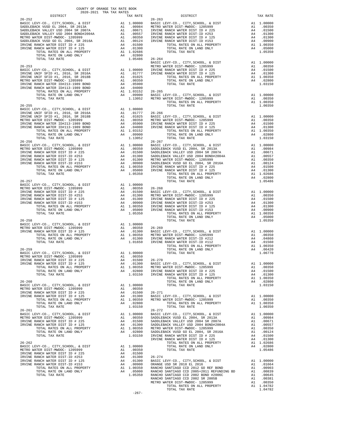| COUNTY OF ORANGE TAX RATE BOOK<br>2020-2021 TRA TAX RATES<br>$\begin{minipage}{.4\linewidth} \begin{tabular}{lcccccc} \textbf{1-AX RATE} & \textbf{1-X} & \textbf{1-X} & \textbf{1-X} & \textbf{1-X} & \textbf{1-X} & \textbf{1-X} & \textbf{1-X} & \textbf{1-X} & \textbf{1-X} & \textbf{1-X} & \textbf{1-X} & \textbf{1-X} & \textbf{1-X} & \textbf{1-X} & \textbf{1-X} & \textbf{1-X} & \textbf{1-X} & \textbf{1-X} & \textbf{1-X} & \textbf{1-X} & \textbf{1-X} & \textbf{1-X} & \textbf{1-X} & \textbf$ |  |  |
|--------------------------------------------------------------------------------------------------------------------------------------------------------------------------------------------------------------------------------------------------------------------------------------------------------------------------------------------------------------------------------------------------------------------------------------------------------------------------------------------------------------|--|--|
|                                                                                                                                                                                                                                                                                                                                                                                                                                                                                                              |  |  |
|                                                                                                                                                                                                                                                                                                                                                                                                                                                                                                              |  |  |
|                                                                                                                                                                                                                                                                                                                                                                                                                                                                                                              |  |  |
|                                                                                                                                                                                                                                                                                                                                                                                                                                                                                                              |  |  |
|                                                                                                                                                                                                                                                                                                                                                                                                                                                                                                              |  |  |
|                                                                                                                                                                                                                                                                                                                                                                                                                                                                                                              |  |  |
|                                                                                                                                                                                                                                                                                                                                                                                                                                                                                                              |  |  |
|                                                                                                                                                                                                                                                                                                                                                                                                                                                                                                              |  |  |
|                                                                                                                                                                                                                                                                                                                                                                                                                                                                                                              |  |  |
|                                                                                                                                                                                                                                                                                                                                                                                                                                                                                                              |  |  |
|                                                                                                                                                                                                                                                                                                                                                                                                                                                                                                              |  |  |
|                                                                                                                                                                                                                                                                                                                                                                                                                                                                                                              |  |  |
|                                                                                                                                                                                                                                                                                                                                                                                                                                                                                                              |  |  |
|                                                                                                                                                                                                                                                                                                                                                                                                                                                                                                              |  |  |
|                                                                                                                                                                                                                                                                                                                                                                                                                                                                                                              |  |  |
|                                                                                                                                                                                                                                                                                                                                                                                                                                                                                                              |  |  |
|                                                                                                                                                                                                                                                                                                                                                                                                                                                                                                              |  |  |
|                                                                                                                                                                                                                                                                                                                                                                                                                                                                                                              |  |  |
|                                                                                                                                                                                                                                                                                                                                                                                                                                                                                                              |  |  |
|                                                                                                                                                                                                                                                                                                                                                                                                                                                                                                              |  |  |
|                                                                                                                                                                                                                                                                                                                                                                                                                                                                                                              |  |  |
|                                                                                                                                                                                                                                                                                                                                                                                                                                                                                                              |  |  |
|                                                                                                                                                                                                                                                                                                                                                                                                                                                                                                              |  |  |
|                                                                                                                                                                                                                                                                                                                                                                                                                                                                                                              |  |  |
|                                                                                                                                                                                                                                                                                                                                                                                                                                                                                                              |  |  |
|                                                                                                                                                                                                                                                                                                                                                                                                                                                                                                              |  |  |
|                                                                                                                                                                                                                                                                                                                                                                                                                                                                                                              |  |  |
|                                                                                                                                                                                                                                                                                                                                                                                                                                                                                                              |  |  |
|                                                                                                                                                                                                                                                                                                                                                                                                                                                                                                              |  |  |
|                                                                                                                                                                                                                                                                                                                                                                                                                                                                                                              |  |  |
|                                                                                                                                                                                                                                                                                                                                                                                                                                                                                                              |  |  |
|                                                                                                                                                                                                                                                                                                                                                                                                                                                                                                              |  |  |
|                                                                                                                                                                                                                                                                                                                                                                                                                                                                                                              |  |  |
|                                                                                                                                                                                                                                                                                                                                                                                                                                                                                                              |  |  |
|                                                                                                                                                                                                                                                                                                                                                                                                                                                                                                              |  |  |
|                                                                                                                                                                                                                                                                                                                                                                                                                                                                                                              |  |  |
|                                                                                                                                                                                                                                                                                                                                                                                                                                                                                                              |  |  |
|                                                                                                                                                                                                                                                                                                                                                                                                                                                                                                              |  |  |
|                                                                                                                                                                                                                                                                                                                                                                                                                                                                                                              |  |  |
|                                                                                                                                                                                                                                                                                                                                                                                                                                                                                                              |  |  |
|                                                                                                                                                                                                                                                                                                                                                                                                                                                                                                              |  |  |
|                                                                                                                                                                                                                                                                                                                                                                                                                                                                                                              |  |  |
|                                                                                                                                                                                                                                                                                                                                                                                                                                                                                                              |  |  |
|                                                                                                                                                                                                                                                                                                                                                                                                                                                                                                              |  |  |
|                                                                                                                                                                                                                                                                                                                                                                                                                                                                                                              |  |  |
|                                                                                                                                                                                                                                                                                                                                                                                                                                                                                                              |  |  |
|                                                                                                                                                                                                                                                                                                                                                                                                                                                                                                              |  |  |
|                                                                                                                                                                                                                                                                                                                                                                                                                                                                                                              |  |  |
|                                                                                                                                                                                                                                                                                                                                                                                                                                                                                                              |  |  |
|                                                                                                                                                                                                                                                                                                                                                                                                                                                                                                              |  |  |
|                                                                                                                                                                                                                                                                                                                                                                                                                                                                                                              |  |  |
|                                                                                                                                                                                                                                                                                                                                                                                                                                                                                                              |  |  |
|                                                                                                                                                                                                                                                                                                                                                                                                                                                                                                              |  |  |
|                                                                                                                                                                                                                                                                                                                                                                                                                                                                                                              |  |  |
|                                                                                                                                                                                                                                                                                                                                                                                                                                                                                                              |  |  |
|                                                                                                                                                                                                                                                                                                                                                                                                                                                                                                              |  |  |
|                                                                                                                                                                                                                                                                                                                                                                                                                                                                                                              |  |  |
|                                                                                                                                                                                                                                                                                                                                                                                                                                                                                                              |  |  |
|                                                                                                                                                                                                                                                                                                                                                                                                                                                                                                              |  |  |
|                                                                                                                                                                                                                                                                                                                                                                                                                                                                                                              |  |  |
|                                                                                                                                                                                                                                                                                                                                                                                                                                                                                                              |  |  |
|                                                                                                                                                                                                                                                                                                                                                                                                                                                                                                              |  |  |
|                                                                                                                                                                                                                                                                                                                                                                                                                                                                                                              |  |  |
|                                                                                                                                                                                                                                                                                                                                                                                                                                                                                                              |  |  |
|                                                                                                                                                                                                                                                                                                                                                                                                                                                                                                              |  |  |
|                                                                                                                                                                                                                                                                                                                                                                                                                                                                                                              |  |  |
|                                                                                                                                                                                                                                                                                                                                                                                                                                                                                                              |  |  |
|                                                                                                                                                                                                                                                                                                                                                                                                                                                                                                              |  |  |
|                                                                                                                                                                                                                                                                                                                                                                                                                                                                                                              |  |  |
|                                                                                                                                                                                                                                                                                                                                                                                                                                                                                                              |  |  |
|                                                                                                                                                                                                                                                                                                                                                                                                                                                                                                              |  |  |
|                                                                                                                                                                                                                                                                                                                                                                                                                                                                                                              |  |  |
|                                                                                                                                                                                                                                                                                                                                                                                                                                                                                                              |  |  |
|                                                                                                                                                                                                                                                                                                                                                                                                                                                                                                              |  |  |
|                                                                                                                                                                                                                                                                                                                                                                                                                                                                                                              |  |  |
|                                                                                                                                                                                                                                                                                                                                                                                                                                                                                                              |  |  |

-267-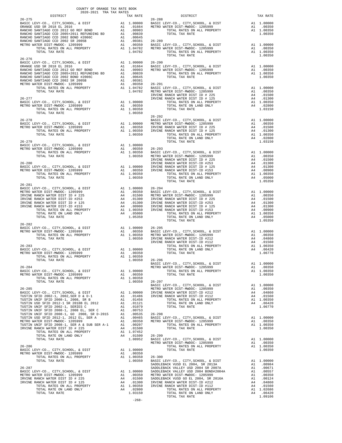| COUNTY OF ORANGE TAX RATE BOOK<br>2020-2021 TRA TAX RATES<br>DISTRICT TAX RA                                                                                                                                                                                                                                                                                                                                                                                             |  |  |
|--------------------------------------------------------------------------------------------------------------------------------------------------------------------------------------------------------------------------------------------------------------------------------------------------------------------------------------------------------------------------------------------------------------------------------------------------------------------------|--|--|
|                                                                                                                                                                                                                                                                                                                                                                                                                                                                          |  |  |
|                                                                                                                                                                                                                                                                                                                                                                                                                                                                          |  |  |
|                                                                                                                                                                                                                                                                                                                                                                                                                                                                          |  |  |
|                                                                                                                                                                                                                                                                                                                                                                                                                                                                          |  |  |
|                                                                                                                                                                                                                                                                                                                                                                                                                                                                          |  |  |
|                                                                                                                                                                                                                                                                                                                                                                                                                                                                          |  |  |
|                                                                                                                                                                                                                                                                                                                                                                                                                                                                          |  |  |
|                                                                                                                                                                                                                                                                                                                                                                                                                                                                          |  |  |
| $26 - 276$                                                                                                                                                                                                                                                                                                                                                                                                                                                               |  |  |
|                                                                                                                                                                                                                                                                                                                                                                                                                                                                          |  |  |
|                                                                                                                                                                                                                                                                                                                                                                                                                                                                          |  |  |
|                                                                                                                                                                                                                                                                                                                                                                                                                                                                          |  |  |
|                                                                                                                                                                                                                                                                                                                                                                                                                                                                          |  |  |
|                                                                                                                                                                                                                                                                                                                                                                                                                                                                          |  |  |
|                                                                                                                                                                                                                                                                                                                                                                                                                                                                          |  |  |
|                                                                                                                                                                                                                                                                                                                                                                                                                                                                          |  |  |
|                                                                                                                                                                                                                                                                                                                                                                                                                                                                          |  |  |
|                                                                                                                                                                                                                                                                                                                                                                                                                                                                          |  |  |
| $\begin{tabular}{l cccc} TOTAL RATES ON ALL PROPERTIES26-278RSET LEVY-CO, CITY, SCHOOL, & DISTRSET CO. LUTY, SCHOOL, & DISTRIST-MWDOC-1205999METRO WATES ONIST-MWDOC-120599926-27926-27026-27026-27026-27126-2712707L TX RATES ON ALL PROPERTV2707L TX RATES ON ALL PROPERTV2707L TX RATES ON ALL PROPERTV2707L TX RATES ON$                                                                                                                                             |  |  |
|                                                                                                                                                                                                                                                                                                                                                                                                                                                                          |  |  |
|                                                                                                                                                                                                                                                                                                                                                                                                                                                                          |  |  |
|                                                                                                                                                                                                                                                                                                                                                                                                                                                                          |  |  |
|                                                                                                                                                                                                                                                                                                                                                                                                                                                                          |  |  |
|                                                                                                                                                                                                                                                                                                                                                                                                                                                                          |  |  |
|                                                                                                                                                                                                                                                                                                                                                                                                                                                                          |  |  |
|                                                                                                                                                                                                                                                                                                                                                                                                                                                                          |  |  |
|                                                                                                                                                                                                                                                                                                                                                                                                                                                                          |  |  |
|                                                                                                                                                                                                                                                                                                                                                                                                                                                                          |  |  |
|                                                                                                                                                                                                                                                                                                                                                                                                                                                                          |  |  |
|                                                                                                                                                                                                                                                                                                                                                                                                                                                                          |  |  |
|                                                                                                                                                                                                                                                                                                                                                                                                                                                                          |  |  |
|                                                                                                                                                                                                                                                                                                                                                                                                                                                                          |  |  |
|                                                                                                                                                                                                                                                                                                                                                                                                                                                                          |  |  |
|                                                                                                                                                                                                                                                                                                                                                                                                                                                                          |  |  |
|                                                                                                                                                                                                                                                                                                                                                                                                                                                                          |  |  |
|                                                                                                                                                                                                                                                                                                                                                                                                                                                                          |  |  |
|                                                                                                                                                                                                                                                                                                                                                                                                                                                                          |  |  |
|                                                                                                                                                                                                                                                                                                                                                                                                                                                                          |  |  |
|                                                                                                                                                                                                                                                                                                                                                                                                                                                                          |  |  |
|                                                                                                                                                                                                                                                                                                                                                                                                                                                                          |  |  |
|                                                                                                                                                                                                                                                                                                                                                                                                                                                                          |  |  |
|                                                                                                                                                                                                                                                                                                                                                                                                                                                                          |  |  |
|                                                                                                                                                                                                                                                                                                                                                                                                                                                                          |  |  |
|                                                                                                                                                                                                                                                                                                                                                                                                                                                                          |  |  |
|                                                                                                                                                                                                                                                                                                                                                                                                                                                                          |  |  |
|                                                                                                                                                                                                                                                                                                                                                                                                                                                                          |  |  |
|                                                                                                                                                                                                                                                                                                                                                                                                                                                                          |  |  |
|                                                                                                                                                                                                                                                                                                                                                                                                                                                                          |  |  |
| $\begin{tabular}{lllllllllllll} & & & & & & & 26-296 & & \\ 26-284 & \text{BASE } \text{LEVY} - \text{CO.}, \text{ CITY}, \text{SCHOOL}, \text{ & DIST} & \text{RIST} & \text{RIST} & \text{RIST} & \\ & & & & & & & \\ \text{BASE } \text{LEVY} - \text{CO.}, \text{ CITY}, \text{SCHOOL}, \text{ & DIST} & \text{RIST} & \text{METRO } \text{MATER } \text{DIST} & \text{MIST} & \text{RIST} & \\ \text{METRO } \text{MATE} & \text{DIST} & \text{METRO } \text{MATE}$ |  |  |
|                                                                                                                                                                                                                                                                                                                                                                                                                                                                          |  |  |
|                                                                                                                                                                                                                                                                                                                                                                                                                                                                          |  |  |
|                                                                                                                                                                                                                                                                                                                                                                                                                                                                          |  |  |
|                                                                                                                                                                                                                                                                                                                                                                                                                                                                          |  |  |
|                                                                                                                                                                                                                                                                                                                                                                                                                                                                          |  |  |
|                                                                                                                                                                                                                                                                                                                                                                                                                                                                          |  |  |
|                                                                                                                                                                                                                                                                                                                                                                                                                                                                          |  |  |
|                                                                                                                                                                                                                                                                                                                                                                                                                                                                          |  |  |
|                                                                                                                                                                                                                                                                                                                                                                                                                                                                          |  |  |
|                                                                                                                                                                                                                                                                                                                                                                                                                                                                          |  |  |
|                                                                                                                                                                                                                                                                                                                                                                                                                                                                          |  |  |
|                                                                                                                                                                                                                                                                                                                                                                                                                                                                          |  |  |
|                                                                                                                                                                                                                                                                                                                                                                                                                                                                          |  |  |
|                                                                                                                                                                                                                                                                                                                                                                                                                                                                          |  |  |
|                                                                                                                                                                                                                                                                                                                                                                                                                                                                          |  |  |
|                                                                                                                                                                                                                                                                                                                                                                                                                                                                          |  |  |
|                                                                                                                                                                                                                                                                                                                                                                                                                                                                          |  |  |
|                                                                                                                                                                                                                                                                                                                                                                                                                                                                          |  |  |
|                                                                                                                                                                                                                                                                                                                                                                                                                                                                          |  |  |
|                                                                                                                                                                                                                                                                                                                                                                                                                                                                          |  |  |
|                                                                                                                                                                                                                                                                                                                                                                                                                                                                          |  |  |
|                                                                                                                                                                                                                                                                                                                                                                                                                                                                          |  |  |
|                                                                                                                                                                                                                                                                                                                                                                                                                                                                          |  |  |
|                                                                                                                                                                                                                                                                                                                                                                                                                                                                          |  |  |
|                                                                                                                                                                                                                                                                                                                                                                                                                                                                          |  |  |
|                                                                                                                                                                                                                                                                                                                                                                                                                                                                          |  |  |
| $\begin{tabular}{l c c c c c} \hline \texttt{TOTL} \texttt{RATE} & \texttt{N1.0000} & \texttt{26-280} & \texttt{1.0000} & \texttt{26-280} & \texttt{1.0000} & \texttt{26-280} & \texttt{1.0000} & \texttt{1.0000} & \texttt{1.0000} & \texttt{1.0000} & \texttt{1.0000} & \texttt{1.0000} & \texttt{1.0000} & \texttt{1.0000} & \texttt{1.0000} & \texttt$                                                                                                               |  |  |
|                                                                                                                                                                                                                                                                                                                                                                                                                                                                          |  |  |
|                                                                                                                                                                                                                                                                                                                                                                                                                                                                          |  |  |
|                                                                                                                                                                                                                                                                                                                                                                                                                                                                          |  |  |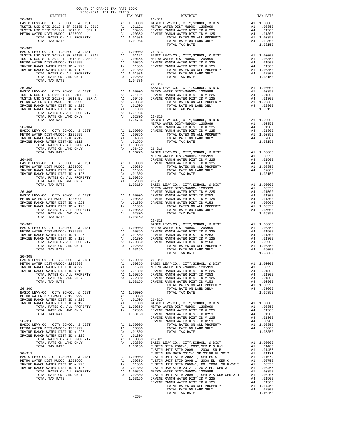| $\begin{minipage}{.4\linewidth} \begin{tabular}{lcccccc} & & & & & \\ & & & & & \\ \hline 2020-2021 & TRA TAX RATES \\ \end{tabular}$<br>DISTRICT |  |                             |          |
|---------------------------------------------------------------------------------------------------------------------------------------------------|--|-----------------------------|----------|
| $26 - 301$                                                                                                                                        |  | TAX RATE 26-312<br>DISTRICT | TAX RATE |
|                                                                                                                                                   |  |                             |          |
|                                                                                                                                                   |  |                             |          |
|                                                                                                                                                   |  |                             |          |
|                                                                                                                                                   |  |                             |          |
|                                                                                                                                                   |  |                             |          |
| $26 - 302$                                                                                                                                        |  |                             |          |
|                                                                                                                                                   |  |                             |          |
|                                                                                                                                                   |  |                             |          |
|                                                                                                                                                   |  |                             |          |
|                                                                                                                                                   |  |                             |          |
|                                                                                                                                                   |  |                             |          |
|                                                                                                                                                   |  |                             |          |
|                                                                                                                                                   |  |                             |          |
|                                                                                                                                                   |  |                             |          |
|                                                                                                                                                   |  |                             |          |
|                                                                                                                                                   |  |                             |          |
|                                                                                                                                                   |  |                             |          |
|                                                                                                                                                   |  |                             |          |
|                                                                                                                                                   |  |                             |          |
|                                                                                                                                                   |  |                             |          |
|                                                                                                                                                   |  |                             |          |
|                                                                                                                                                   |  |                             |          |
|                                                                                                                                                   |  |                             |          |
|                                                                                                                                                   |  |                             |          |
|                                                                                                                                                   |  |                             |          |
|                                                                                                                                                   |  |                             |          |
|                                                                                                                                                   |  |                             |          |
|                                                                                                                                                   |  |                             |          |
|                                                                                                                                                   |  |                             |          |
|                                                                                                                                                   |  |                             |          |
|                                                                                                                                                   |  |                             |          |
|                                                                                                                                                   |  |                             |          |
|                                                                                                                                                   |  |                             |          |
|                                                                                                                                                   |  |                             |          |
|                                                                                                                                                   |  |                             |          |
|                                                                                                                                                   |  |                             |          |
|                                                                                                                                                   |  |                             |          |
|                                                                                                                                                   |  |                             |          |
|                                                                                                                                                   |  | $26 - 318$                  |          |
|                                                                                                                                                   |  |                             |          |
|                                                                                                                                                   |  |                             |          |
|                                                                                                                                                   |  |                             |          |
|                                                                                                                                                   |  |                             |          |
|                                                                                                                                                   |  |                             |          |
|                                                                                                                                                   |  |                             |          |
| $26 - 308$                                                                                                                                        |  |                             |          |
|                                                                                                                                                   |  |                             |          |
|                                                                                                                                                   |  |                             |          |
|                                                                                                                                                   |  |                             |          |
|                                                                                                                                                   |  |                             |          |
|                                                                                                                                                   |  |                             |          |
|                                                                                                                                                   |  |                             |          |
|                                                                                                                                                   |  |                             |          |
|                                                                                                                                                   |  |                             |          |
|                                                                                                                                                   |  |                             |          |
|                                                                                                                                                   |  |                             |          |
|                                                                                                                                                   |  |                             |          |
|                                                                                                                                                   |  |                             |          |
|                                                                                                                                                   |  |                             |          |
|                                                                                                                                                   |  |                             |          |
|                                                                                                                                                   |  |                             |          |
|                                                                                                                                                   |  |                             |          |
|                                                                                                                                                   |  |                             |          |
|                                                                                                                                                   |  |                             |          |
|                                                                                                                                                   |  |                             |          |
|                                                                                                                                                   |  |                             |          |
|                                                                                                                                                   |  |                             |          |
|                                                                                                                                                   |  |                             |          |
|                                                                                                                                                   |  |                             |          |
|                                                                                                                                                   |  |                             |          |
|                                                                                                                                                   |  |                             |          |
|                                                                                                                                                   |  |                             |          |
|                                                                                                                                                   |  |                             |          |

-269-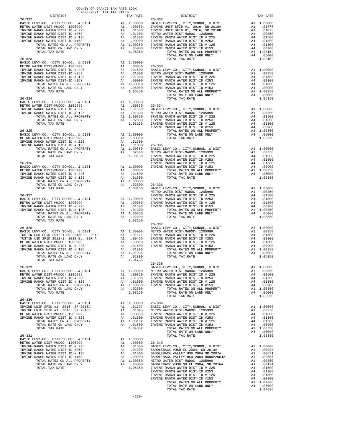| $\begin{minipage}{.4\linewidth} \begin{tabular}{lcccc} \textbf{0.1} & & & & & \\ \textbf{0.2} & & & & & \\ \textbf{1.3} & & & & & \\ \textbf{2.3} & & & & & \\ \textbf{3.4} & & & & & \\ \textbf{3.5} & & & & & \\ \textbf{1.6} & & & & & \\ \textbf{2.7} & & & & & \\ \textbf{3.8} & & & & & \\ \textbf{4.9} & & & & & \\ \textbf{5.1} & & & & & \\ \textbf{6.1} & & & & & \\ \textbf{7.1} & & & & & \\ \textbf{8.2} & & & & & \\ \textbf$ |         |                                    |          |
|---------------------------------------------------------------------------------------------------------------------------------------------------------------------------------------------------------------------------------------------------------------------------------------------------------------------------------------------------------------------------------------------------------------------------------------------|---------|------------------------------------|----------|
| $26 - 322$                                                                                                                                                                                                                                                                                                                                                                                                                                  |         | TAX RATE<br>DISTRICT<br>$26 - 332$ | TAX RATE |
|                                                                                                                                                                                                                                                                                                                                                                                                                                             |         |                                    |          |
|                                                                                                                                                                                                                                                                                                                                                                                                                                             |         |                                    |          |
|                                                                                                                                                                                                                                                                                                                                                                                                                                             |         |                                    |          |
|                                                                                                                                                                                                                                                                                                                                                                                                                                             |         |                                    |          |
|                                                                                                                                                                                                                                                                                                                                                                                                                                             |         |                                    |          |
|                                                                                                                                                                                                                                                                                                                                                                                                                                             |         |                                    |          |
|                                                                                                                                                                                                                                                                                                                                                                                                                                             |         |                                    |          |
|                                                                                                                                                                                                                                                                                                                                                                                                                                             |         |                                    |          |
|                                                                                                                                                                                                                                                                                                                                                                                                                                             |         |                                    |          |
|                                                                                                                                                                                                                                                                                                                                                                                                                                             |         |                                    |          |
|                                                                                                                                                                                                                                                                                                                                                                                                                                             |         |                                    |          |
|                                                                                                                                                                                                                                                                                                                                                                                                                                             |         |                                    |          |
|                                                                                                                                                                                                                                                                                                                                                                                                                                             |         |                                    |          |
|                                                                                                                                                                                                                                                                                                                                                                                                                                             |         |                                    |          |
|                                                                                                                                                                                                                                                                                                                                                                                                                                             |         |                                    |          |
|                                                                                                                                                                                                                                                                                                                                                                                                                                             |         |                                    |          |
|                                                                                                                                                                                                                                                                                                                                                                                                                                             |         |                                    |          |
|                                                                                                                                                                                                                                                                                                                                                                                                                                             |         |                                    |          |
|                                                                                                                                                                                                                                                                                                                                                                                                                                             |         |                                    |          |
|                                                                                                                                                                                                                                                                                                                                                                                                                                             |         |                                    |          |
|                                                                                                                                                                                                                                                                                                                                                                                                                                             |         |                                    |          |
|                                                                                                                                                                                                                                                                                                                                                                                                                                             |         |                                    |          |
|                                                                                                                                                                                                                                                                                                                                                                                                                                             |         |                                    |          |
|                                                                                                                                                                                                                                                                                                                                                                                                                                             |         |                                    |          |
|                                                                                                                                                                                                                                                                                                                                                                                                                                             |         |                                    |          |
|                                                                                                                                                                                                                                                                                                                                                                                                                                             |         |                                    |          |
|                                                                                                                                                                                                                                                                                                                                                                                                                                             |         |                                    |          |
|                                                                                                                                                                                                                                                                                                                                                                                                                                             |         |                                    |          |
|                                                                                                                                                                                                                                                                                                                                                                                                                                             |         |                                    |          |
|                                                                                                                                                                                                                                                                                                                                                                                                                                             |         |                                    |          |
|                                                                                                                                                                                                                                                                                                                                                                                                                                             |         |                                    |          |
|                                                                                                                                                                                                                                                                                                                                                                                                                                             |         |                                    |          |
|                                                                                                                                                                                                                                                                                                                                                                                                                                             |         |                                    |          |
|                                                                                                                                                                                                                                                                                                                                                                                                                                             |         |                                    |          |
|                                                                                                                                                                                                                                                                                                                                                                                                                                             |         |                                    |          |
|                                                                                                                                                                                                                                                                                                                                                                                                                                             |         |                                    |          |
|                                                                                                                                                                                                                                                                                                                                                                                                                                             |         |                                    |          |
|                                                                                                                                                                                                                                                                                                                                                                                                                                             |         |                                    |          |
|                                                                                                                                                                                                                                                                                                                                                                                                                                             |         |                                    |          |
|                                                                                                                                                                                                                                                                                                                                                                                                                                             |         |                                    |          |
|                                                                                                                                                                                                                                                                                                                                                                                                                                             |         |                                    |          |
|                                                                                                                                                                                                                                                                                                                                                                                                                                             |         |                                    |          |
|                                                                                                                                                                                                                                                                                                                                                                                                                                             |         |                                    |          |
|                                                                                                                                                                                                                                                                                                                                                                                                                                             |         |                                    |          |
|                                                                                                                                                                                                                                                                                                                                                                                                                                             |         |                                    |          |
|                                                                                                                                                                                                                                                                                                                                                                                                                                             |         |                                    |          |
|                                                                                                                                                                                                                                                                                                                                                                                                                                             |         |                                    |          |
|                                                                                                                                                                                                                                                                                                                                                                                                                                             |         |                                    |          |
|                                                                                                                                                                                                                                                                                                                                                                                                                                             |         |                                    |          |
| TOTAL RATE ON LAND ONLY $\begin{array}{cccc} \tt A4 & .02800 \\ \tt I.04736 \end{array}$ TOTAL TAX RATE                                                                                                                                                                                                                                                                                                                                     |         |                                    | 1.05350  |
| TOTAL TAX RATE                                                                                                                                                                                                                                                                                                                                                                                                                              | 1.04736 | $26 - 338$                         |          |
|                                                                                                                                                                                                                                                                                                                                                                                                                                             |         |                                    |          |
|                                                                                                                                                                                                                                                                                                                                                                                                                                             |         |                                    |          |
|                                                                                                                                                                                                                                                                                                                                                                                                                                             |         |                                    |          |
|                                                                                                                                                                                                                                                                                                                                                                                                                                             |         |                                    |          |
|                                                                                                                                                                                                                                                                                                                                                                                                                                             |         |                                    |          |
|                                                                                                                                                                                                                                                                                                                                                                                                                                             |         |                                    |          |
|                                                                                                                                                                                                                                                                                                                                                                                                                                             |         |                                    |          |
| $26 - 330$                                                                                                                                                                                                                                                                                                                                                                                                                                  |         |                                    |          |
|                                                                                                                                                                                                                                                                                                                                                                                                                                             |         |                                    |          |
|                                                                                                                                                                                                                                                                                                                                                                                                                                             |         |                                    |          |
|                                                                                                                                                                                                                                                                                                                                                                                                                                             |         |                                    |          |
|                                                                                                                                                                                                                                                                                                                                                                                                                                             |         |                                    |          |
|                                                                                                                                                                                                                                                                                                                                                                                                                                             |         |                                    |          |
|                                                                                                                                                                                                                                                                                                                                                                                                                                             |         |                                    |          |
|                                                                                                                                                                                                                                                                                                                                                                                                                                             |         |                                    |          |
|                                                                                                                                                                                                                                                                                                                                                                                                                                             |         |                                    |          |
|                                                                                                                                                                                                                                                                                                                                                                                                                                             |         |                                    |          |
|                                                                                                                                                                                                                                                                                                                                                                                                                                             |         |                                    |          |
|                                                                                                                                                                                                                                                                                                                                                                                                                                             |         |                                    |          |
|                                                                                                                                                                                                                                                                                                                                                                                                                                             |         |                                    |          |
|                                                                                                                                                                                                                                                                                                                                                                                                                                             |         |                                    |          |
|                                                                                                                                                                                                                                                                                                                                                                                                                                             |         |                                    |          |
|                                                                                                                                                                                                                                                                                                                                                                                                                                             |         |                                    |          |
|                                                                                                                                                                                                                                                                                                                                                                                                                                             |         |                                    |          |
|                                                                                                                                                                                                                                                                                                                                                                                                                                             |         |                                    |          |
|                                                                                                                                                                                                                                                                                                                                                                                                                                             |         |                                    |          |
|                                                                                                                                                                                                                                                                                                                                                                                                                                             |         |                                    |          |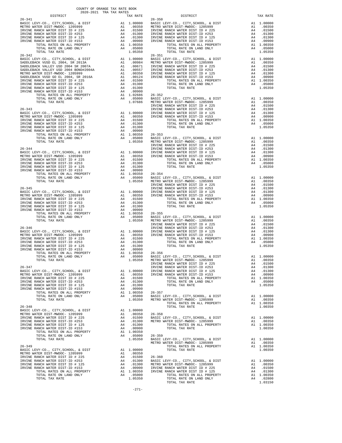| COUNTY OF ORANGE TAX RATE BOOK<br>2020-2021 TRA TAX RATES                                                                                                                                                                         |          |            |          |
|-----------------------------------------------------------------------------------------------------------------------------------------------------------------------------------------------------------------------------------|----------|------------|----------|
| DISTRICT                                                                                                                                                                                                                          | TAX RATE | DISTRICT   | TAX RATE |
|                                                                                                                                                                                                                                   |          | $26 - 350$ |          |
|                                                                                                                                                                                                                                   |          |            |          |
|                                                                                                                                                                                                                                   |          |            |          |
|                                                                                                                                                                                                                                   |          |            |          |
|                                                                                                                                                                                                                                   |          |            |          |
|                                                                                                                                                                                                                                   |          |            |          |
|                                                                                                                                                                                                                                   |          |            |          |
|                                                                                                                                                                                                                                   |          |            |          |
|                                                                                                                                                                                                                                   |          |            |          |
|                                                                                                                                                                                                                                   |          |            |          |
|                                                                                                                                                                                                                                   |          |            |          |
|                                                                                                                                                                                                                                   |          |            |          |
|                                                                                                                                                                                                                                   |          |            |          |
|                                                                                                                                                                                                                                   |          |            |          |
|                                                                                                                                                                                                                                   |          |            |          |
|                                                                                                                                                                                                                                   |          |            |          |
|                                                                                                                                                                                                                                   |          |            |          |
|                                                                                                                                                                                                                                   |          |            |          |
|                                                                                                                                                                                                                                   |          |            |          |
|                                                                                                                                                                                                                                   |          |            |          |
|                                                                                                                                                                                                                                   |          |            |          |
|                                                                                                                                                                                                                                   |          |            |          |
|                                                                                                                                                                                                                                   |          |            |          |
|                                                                                                                                                                                                                                   |          |            |          |
|                                                                                                                                                                                                                                   |          |            |          |
|                                                                                                                                                                                                                                   |          |            |          |
|                                                                                                                                                                                                                                   |          |            |          |
|                                                                                                                                                                                                                                   |          |            |          |
|                                                                                                                                                                                                                                   |          |            |          |
|                                                                                                                                                                                                                                   |          |            |          |
|                                                                                                                                                                                                                                   |          |            |          |
|                                                                                                                                                                                                                                   |          |            |          |
|                                                                                                                                                                                                                                   |          |            |          |
|                                                                                                                                                                                                                                   |          |            |          |
|                                                                                                                                                                                                                                   |          |            |          |
|                                                                                                                                                                                                                                   |          |            |          |
|                                                                                                                                                                                                                                   |          |            |          |
|                                                                                                                                                                                                                                   |          |            |          |
| TRYING RAMCH MATERIX DELTR (1997) 1991 - 19970<br>TOTAL PATH DIST - DR INTER COMPANY AND COLLECT COMPANY AND COLLECT COMPANY CONTROLLER (1992) 2014 - 19930<br>2014 - 1993 - 1994 - 1993 - 1994 - 1994 - 1994 - 1994 - 1994 - 199 |          |            |          |
|                                                                                                                                                                                                                                   |          |            |          |
|                                                                                                                                                                                                                                   |          |            |          |
|                                                                                                                                                                                                                                   |          |            |          |
|                                                                                                                                                                                                                                   |          |            |          |
|                                                                                                                                                                                                                                   |          |            |          |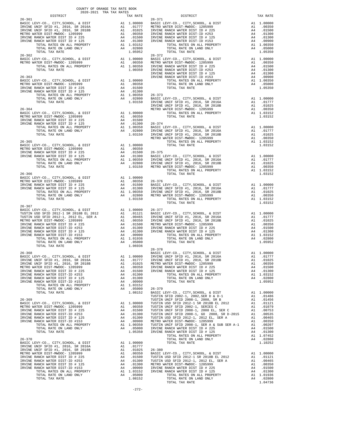| COUNTY OF ORANGE TAX RATE BOOK                                                                                                                                                                                                                                                                                                                                                                                                                                                                                                     |  |                                                                                                                                                                                                                                                                                                                                                                                                                            |          |
|------------------------------------------------------------------------------------------------------------------------------------------------------------------------------------------------------------------------------------------------------------------------------------------------------------------------------------------------------------------------------------------------------------------------------------------------------------------------------------------------------------------------------------|--|----------------------------------------------------------------------------------------------------------------------------------------------------------------------------------------------------------------------------------------------------------------------------------------------------------------------------------------------------------------------------------------------------------------------------|----------|
| $\begin{minipage}{0.5\textwidth} \begin{tabular}{c} \multicolumn{2}{c}{\textwidth} \begin{tabular}{c} \multicolumn{2}{c}{\textwidth} \end{tabular} \end{minipage} \begin{minipage}{0.5\textwidth} \begin{tabular}{c} \multicolumn{2}{c}{\textwidth} \end{tabular} \end{minipage} \begin{minipage}{0.5\textwidth} \begin{tabular}{c} \multicolumn{2}{c}{\textwidth} \end{tabular} \end{minipage} \end{minipage} \begin{minipage}{0.5\textwidth} \begin{tabular}{c} \multicolumn{2}{c}{\textwidth} \begin{tabular}{c} \multicolumn{$ |  | $\begin{array}{r@{\hspace{1em}}c@{\hspace{1em}}c@{\hspace{1em}}c@{\hspace{1em}}c@{\hspace{1em}}c@{\hspace{1em}}c@{\hspace{1em}}c@{\hspace{1em}}c@{\hspace{1em}}c@{\hspace{1em}}c@{\hspace{1em}}c@{\hspace{1em}}c@{\hspace{1em}}c@{\hspace{1em}}c@{\hspace{1em}}c@{\hspace{1em}}c@{\hspace{1em}}c@{\hspace{1em}}c@{\hspace{1em}}c@{\hspace{1em}}c@{\hspace{1em}}c@{\hspace{1em}}c@{\hspace{1em}}c@{\hspace{1em$<br>DISTRICT | TAX RATE |
| $26 - 361$                                                                                                                                                                                                                                                                                                                                                                                                                                                                                                                         |  |                                                                                                                                                                                                                                                                                                                                                                                                                            |          |
|                                                                                                                                                                                                                                                                                                                                                                                                                                                                                                                                    |  |                                                                                                                                                                                                                                                                                                                                                                                                                            |          |
|                                                                                                                                                                                                                                                                                                                                                                                                                                                                                                                                    |  |                                                                                                                                                                                                                                                                                                                                                                                                                            |          |
|                                                                                                                                                                                                                                                                                                                                                                                                                                                                                                                                    |  |                                                                                                                                                                                                                                                                                                                                                                                                                            |          |
|                                                                                                                                                                                                                                                                                                                                                                                                                                                                                                                                    |  |                                                                                                                                                                                                                                                                                                                                                                                                                            |          |
|                                                                                                                                                                                                                                                                                                                                                                                                                                                                                                                                    |  |                                                                                                                                                                                                                                                                                                                                                                                                                            |          |
|                                                                                                                                                                                                                                                                                                                                                                                                                                                                                                                                    |  |                                                                                                                                                                                                                                                                                                                                                                                                                            |          |
|                                                                                                                                                                                                                                                                                                                                                                                                                                                                                                                                    |  |                                                                                                                                                                                                                                                                                                                                                                                                                            |          |
|                                                                                                                                                                                                                                                                                                                                                                                                                                                                                                                                    |  |                                                                                                                                                                                                                                                                                                                                                                                                                            |          |
|                                                                                                                                                                                                                                                                                                                                                                                                                                                                                                                                    |  | 26-366<br>26-366<br>BASIC LEVY-CO., CITY, SCHOOL, & DIST<br>METRO WATER DIST -NWDOC- 1205999<br>METRO WATER DIST ID # 225 A4 .00350<br>26-376<br>METRO WATER DIST ID # 225 A4 .00350 BASIC LEVY-CO., CITY, SCHOOL, & DIST<br>IRVINE RAN                                                                                                                                                                                    |          |
| 26-367                                                                                                                                                                                                                                                                                                                                                                                                                                                                                                                             |  |                                                                                                                                                                                                                                                                                                                                                                                                                            |          |
|                                                                                                                                                                                                                                                                                                                                                                                                                                                                                                                                    |  |                                                                                                                                                                                                                                                                                                                                                                                                                            |          |
|                                                                                                                                                                                                                                                                                                                                                                                                                                                                                                                                    |  |                                                                                                                                                                                                                                                                                                                                                                                                                            |          |
| $26 - 368$                                                                                                                                                                                                                                                                                                                                                                                                                                                                                                                         |  | $26 - 378$<br>BASIC LEVY-CO., CITY, SCHOOL, & DIST A1 1.00000                                                                                                                                                                                                                                                                                                                                                              |          |
|                                                                                                                                                                                                                                                                                                                                                                                                                                                                                                                                    |  |                                                                                                                                                                                                                                                                                                                                                                                                                            |          |
|                                                                                                                                                                                                                                                                                                                                                                                                                                                                                                                                    |  |                                                                                                                                                                                                                                                                                                                                                                                                                            |          |
|                                                                                                                                                                                                                                                                                                                                                                                                                                                                                                                                    |  |                                                                                                                                                                                                                                                                                                                                                                                                                            |          |
|                                                                                                                                                                                                                                                                                                                                                                                                                                                                                                                                    |  |                                                                                                                                                                                                                                                                                                                                                                                                                            |          |
|                                                                                                                                                                                                                                                                                                                                                                                                                                                                                                                                    |  |                                                                                                                                                                                                                                                                                                                                                                                                                            |          |
|                                                                                                                                                                                                                                                                                                                                                                                                                                                                                                                                    |  |                                                                                                                                                                                                                                                                                                                                                                                                                            |          |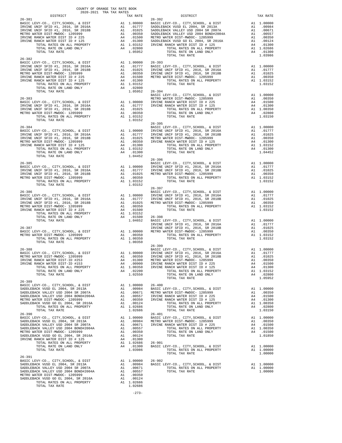| COUNTY OF ORANGE TAX RATE BOOK<br>2020-2021 TRA TAX RATES                                                                                                                                                                                                                                                   |                          |          |
|-------------------------------------------------------------------------------------------------------------------------------------------------------------------------------------------------------------------------------------------------------------------------------------------------------------|--------------------------|----------|
| $2020-2021\quad\text{TRA TAX RATES}$ DISTRICT<br>$26 - 381$                                                                                                                                                                                                                                                 | TAX RATE 26-392 DISTRICT | TAX RATE |
|                                                                                                                                                                                                                                                                                                             |                          |          |
| $26 - 382$                                                                                                                                                                                                                                                                                                  |                          |          |
|                                                                                                                                                                                                                                                                                                             |                          |          |
|                                                                                                                                                                                                                                                                                                             |                          |          |
| $\begin{tabular}{lllllllllllllllllllll} & & & & & & & & & & 1.04452 & \\ 26-385 && 26-396 && 26-396 && 26-396 && 26-396 && 26-396 && 26-396 && 26-396 && 26-396 && 26-396 && 26-396 && 26-396 && 26-396 && 26-396 && 26-396 && 26-396 && 26-396 && 26-396 && 26-396 && 26-396 && 26-396 && 26-396 && 26-39$ |                          |          |
|                                                                                                                                                                                                                                                                                                             |                          |          |
| TOTAL RATES ON ALL PROPERTY 11 1.03152 TOTAL TAX RATE<br>TOTAL TAX RATE 1.03152 TOTAL TAX RATE 1.03152 TOTAL TAX RATE 11.03152<br>26-386<br>ABSIC LEVY-CO., CITY, SCHOOL, & DIST<br>IRVINE UNIF SPID #1, 2016, SR 2016<br>IRVINE UNIF S                                                                     |                          |          |
| $26 - 389$                                                                                                                                                                                                                                                                                                  |                          |          |
|                                                                                                                                                                                                                                                                                                             |                          |          |
|                                                                                                                                                                                                                                                                                                             |                          |          |
| $26 - 391$                                                                                                                                                                                                                                                                                                  |                          |          |
|                                                                                                                                                                                                                                                                                                             |                          |          |

-273-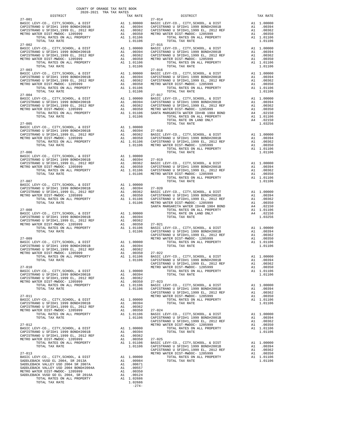| DISTRICT                                                                                                                                                                                                                                                                                            |                      | TAX RATE                                                                                |                                             |
|-----------------------------------------------------------------------------------------------------------------------------------------------------------------------------------------------------------------------------------------------------------------------------------------------------|----------------------|-----------------------------------------------------------------------------------------|---------------------------------------------|
| $27 - 001$                                                                                                                                                                                                                                                                                          |                      |                                                                                         | $27 - 014$                                  |
| TOTAL TAX RATE<br>$27 - 002$                                                                                                                                                                                                                                                                        |                      | 1.01106                                                                                 | $27 - 015$                                  |
|                                                                                                                                                                                                                                                                                                     |                      |                                                                                         |                                             |
|                                                                                                                                                                                                                                                                                                     |                      |                                                                                         |                                             |
| $27 - 004$<br>TOTAL TAX RATE                                                                                                                                                                                                                                                                        |                      | 1.01106                                                                                 | $27 - 017$                                  |
| $27 - 005$                                                                                                                                                                                                                                                                                          |                      |                                                                                         |                                             |
|                                                                                                                                                                                                                                                                                                     |                      |                                                                                         |                                             |
|                                                                                                                                                                                                                                                                                                     |                      |                                                                                         |                                             |
|                                                                                                                                                                                                                                                                                                     |                      |                                                                                         |                                             |
|                                                                                                                                                                                                                                                                                                     |                      |                                                                                         | SANTA M                                     |
|                                                                                                                                                                                                                                                                                                     |                      |                                                                                         | CAPISTR                                     |
| $27 - 009$                                                                                                                                                                                                                                                                                          |                      |                                                                                         | METRO W                                     |
| $27 - 010$                                                                                                                                                                                                                                                                                          |                      |                                                                                         | CAPISTR<br>METRO W                          |
| BASIC LEVY-CO., CITY, SCHOOL, & DIST<br>CAPISTRANO U SFID#1 1999 BOND#2001B<br>CAPISTRANO U SFID#1,1999 EL, 2012 REF<br>METRO WATER DIST-MWDOC- 1205999<br>TOTAL RATES ON ALL PROPERTY<br>TOTAL TAX RATE                                                                                            | A1<br>A1             | A1 1.00000<br>A1.00394<br>.00362<br>.00350<br>A1 1.01106<br>1.01106                     | $27 - 023$<br>BASIC L<br>CAPISTR<br>CAPISTR |
| $27 - 011$<br>BASIC LEVY-CO., CITY, SCHOOL, & DIST<br>CAPISTRANO U SFID#1 1999 BOND#2001B<br>CAPISTRANO U SFID#1,1999 EL, 2012 REF<br>METRO WATER DIST-MWDOC- 1205999                                                                                                                               | A1<br>A1             | A1 1.00000<br>A1 .00394<br>.00362<br>.00350                                             | METRO W<br>$27 - 024$                       |
| TOTAL RATES ON ALL PROPERTY<br>TOTAL TAX RATE                                                                                                                                                                                                                                                       |                      | A1 1.01106<br>1.01106                                                                   | BASIC L<br>CAPISTR<br>CAPISTR               |
| $27 - 012$<br>BASIC LEVY-CO., CITY, SCHOOL, & DIST<br>CAPISTRANO U SFID#1 1999 BOND#2001B                                                                                                                                                                                                           | A1                   | A1 1.00000<br>.00394                                                                    | METRO W                                     |
| CAPISTRANO U SFID#1,1999 EL, 2012 REF<br>METRO WATER DIST-MWDOC- 1205999<br>TOTAL RATES ON ALL PROPERTY<br>TOTAL TAX RATE                                                                                                                                                                           | A1<br>A1             | .00362<br>.00350<br>A1 1.01106<br>1.01106                                               | $27 - 025$<br>BASIC L<br>CAPISTR<br>CAPISTR |
| $27 - 013$<br>BASIC LEVY-CO., CITY, SCHOOL, & DIST<br>SADDLEBACK VUSD EL 2004, SR 2013A<br>SADDLEBACK VALLEY USD 2004 SR 2007A<br>SADDLEBACK VALLEY USD 2004 BOND#2004A<br>METRO WATER DIST-MWDOC- 1205999<br>SADDLEBACK VUSD GO EL 2004, SR 2016A<br>TOTAL RATES ON ALL PROPERTY<br>TOTAL TAX RATE | A1<br>A1<br>A1<br>A1 | 1.00000<br>A1 .00984<br>.00671<br>.00557<br>A1.00350<br>.00124<br>A1 1.02686<br>1.02686 | METRO W                                     |

-274-

| COUNTY OF ORANGE TAX RATE BOOK<br>2020-2021 TRA TAX RATES<br>$2020-2021 \quad \text{TRA RATES}$ DISTRICT $\hspace{0.5cm}$ |          |                                                                                                                                                                                                                                                                                                                                                                                                                                                                                                                                   |          |
|---------------------------------------------------------------------------------------------------------------------------|----------|-----------------------------------------------------------------------------------------------------------------------------------------------------------------------------------------------------------------------------------------------------------------------------------------------------------------------------------------------------------------------------------------------------------------------------------------------------------------------------------------------------------------------------------|----------|
| $27 - 001$                                                                                                                | TAX RATE | DISTRICT<br>$27 - 014$                                                                                                                                                                                                                                                                                                                                                                                                                                                                                                            | TAX RATE |
|                                                                                                                           |          | $\begin{tabular}{@{}c@{\thinspace}c@{\thinspace}c@{\thinspace}c@{\thinspace}c@{\thinspace}c@{\thinspace}c@{\thinspace}c@{\thinspace}c@{\thinspace}c@{\thinspace}c@{\thinspace}c@{\thinspace}c@{\thinspace}c@{\thinspace}c@{\thinspace}c@{\thinspace}c@{\thinspace}c@{\thinspace}c@{\thinspace}c@{\thinspace}c@{\thinspace}c@{\thinspace}c@{\thinspace}c@{\thinspace}c@{\thinspace}c@{\thinspace}c@{\thinspace}c@{\thinspace}c@{\thinspace}c@{\thinspace}c@{\thinspace}c@{\thinspace}c@{\thinspace}c@{\thinspace}c@{\thinspace}c@$ |          |
|                                                                                                                           |          |                                                                                                                                                                                                                                                                                                                                                                                                                                                                                                                                   |          |
|                                                                                                                           |          |                                                                                                                                                                                                                                                                                                                                                                                                                                                                                                                                   |          |
|                                                                                                                           |          |                                                                                                                                                                                                                                                                                                                                                                                                                                                                                                                                   |          |
|                                                                                                                           |          |                                                                                                                                                                                                                                                                                                                                                                                                                                                                                                                                   |          |
|                                                                                                                           |          |                                                                                                                                                                                                                                                                                                                                                                                                                                                                                                                                   |          |
|                                                                                                                           |          |                                                                                                                                                                                                                                                                                                                                                                                                                                                                                                                                   |          |
|                                                                                                                           |          |                                                                                                                                                                                                                                                                                                                                                                                                                                                                                                                                   |          |
|                                                                                                                           |          |                                                                                                                                                                                                                                                                                                                                                                                                                                                                                                                                   |          |
|                                                                                                                           |          |                                                                                                                                                                                                                                                                                                                                                                                                                                                                                                                                   |          |
|                                                                                                                           |          | $27 - 016$                                                                                                                                                                                                                                                                                                                                                                                                                                                                                                                        |          |
|                                                                                                                           |          |                                                                                                                                                                                                                                                                                                                                                                                                                                                                                                                                   |          |
|                                                                                                                           |          |                                                                                                                                                                                                                                                                                                                                                                                                                                                                                                                                   |          |
|                                                                                                                           |          |                                                                                                                                                                                                                                                                                                                                                                                                                                                                                                                                   |          |
|                                                                                                                           |          |                                                                                                                                                                                                                                                                                                                                                                                                                                                                                                                                   |          |
|                                                                                                                           |          |                                                                                                                                                                                                                                                                                                                                                                                                                                                                                                                                   |          |
|                                                                                                                           |          |                                                                                                                                                                                                                                                                                                                                                                                                                                                                                                                                   |          |
|                                                                                                                           |          |                                                                                                                                                                                                                                                                                                                                                                                                                                                                                                                                   |          |
|                                                                                                                           |          |                                                                                                                                                                                                                                                                                                                                                                                                                                                                                                                                   |          |
|                                                                                                                           |          |                                                                                                                                                                                                                                                                                                                                                                                                                                                                                                                                   |          |
|                                                                                                                           |          |                                                                                                                                                                                                                                                                                                                                                                                                                                                                                                                                   |          |
|                                                                                                                           |          | $\begin{tabular}{@{}c@{}}\textbf{27--004} & \textbf{1.01110} & \textbf{27--015} & \textbf{27--016} & \textbf{27--016} & \textbf{27--016} & \textbf{27--016} & \textbf{27--017} & \textbf{27--018} & \textbf{27--018} \\ \textbf{27--005} & \textbf{27--017} & \textbf{27--018} & \textbf{28--017} & \textbf{29--018} & \textbf{20.0000} & \textbf{20.0000} & \$                                                                                                                                                                   |          |
|                                                                                                                           |          |                                                                                                                                                                                                                                                                                                                                                                                                                                                                                                                                   |          |
|                                                                                                                           |          |                                                                                                                                                                                                                                                                                                                                                                                                                                                                                                                                   |          |
|                                                                                                                           |          |                                                                                                                                                                                                                                                                                                                                                                                                                                                                                                                                   |          |
|                                                                                                                           |          |                                                                                                                                                                                                                                                                                                                                                                                                                                                                                                                                   |          |
|                                                                                                                           |          |                                                                                                                                                                                                                                                                                                                                                                                                                                                                                                                                   |          |
|                                                                                                                           |          | $\begin{tabular}{c c c c c} \multicolumn{1}{c}{\textbf{27-005}} & \multicolumn{1}{c}{\textbf{707AL RATE ON LAND ONLY}} & \multicolumn{1}{c}{\textbf{44}} & .02150 \\ \multicolumn{1}{c}{\textbf{BASIC LEV} - CO. , CITY, SCHOOL, & \& DIST \\ \multicolumn{1}{c}{\textbf{BASIC LEV} - CO. , CITY, SCHOOL, & \& DIST \\ \multicolumn{1}{c}{\textbf{CAPISTRANO U SFIDH1 1999 BONDH2001B}} & \multicolumn{1}{c}{\textbf{A1}} & .00394 & $                                                                                            |          |
|                                                                                                                           |          |                                                                                                                                                                                                                                                                                                                                                                                                                                                                                                                                   |          |
|                                                                                                                           |          |                                                                                                                                                                                                                                                                                                                                                                                                                                                                                                                                   |          |
|                                                                                                                           |          |                                                                                                                                                                                                                                                                                                                                                                                                                                                                                                                                   |          |
|                                                                                                                           |          |                                                                                                                                                                                                                                                                                                                                                                                                                                                                                                                                   |          |
|                                                                                                                           |          |                                                                                                                                                                                                                                                                                                                                                                                                                                                                                                                                   |          |
|                                                                                                                           |          |                                                                                                                                                                                                                                                                                                                                                                                                                                                                                                                                   |          |
|                                                                                                                           |          |                                                                                                                                                                                                                                                                                                                                                                                                                                                                                                                                   |          |
|                                                                                                                           |          |                                                                                                                                                                                                                                                                                                                                                                                                                                                                                                                                   |          |
|                                                                                                                           |          |                                                                                                                                                                                                                                                                                                                                                                                                                                                                                                                                   |          |
|                                                                                                                           |          |                                                                                                                                                                                                                                                                                                                                                                                                                                                                                                                                   |          |
|                                                                                                                           |          |                                                                                                                                                                                                                                                                                                                                                                                                                                                                                                                                   |          |
|                                                                                                                           |          |                                                                                                                                                                                                                                                                                                                                                                                                                                                                                                                                   |          |
|                                                                                                                           |          |                                                                                                                                                                                                                                                                                                                                                                                                                                                                                                                                   |          |
|                                                                                                                           |          |                                                                                                                                                                                                                                                                                                                                                                                                                                                                                                                                   |          |
|                                                                                                                           |          |                                                                                                                                                                                                                                                                                                                                                                                                                                                                                                                                   |          |
|                                                                                                                           |          |                                                                                                                                                                                                                                                                                                                                                                                                                                                                                                                                   |          |
|                                                                                                                           |          |                                                                                                                                                                                                                                                                                                                                                                                                                                                                                                                                   |          |
|                                                                                                                           |          | $\begin{tabular}{@{}c@{}}\textbf{27--007} & \textbf{27--007} & \textbf{27--008} & \textbf{27--009} & \textbf{27--009} & \textbf{27--009} & \textbf{27--009} & \textbf{27--000} & \textbf{27--000} & \textbf{27--000} & \textbf{27--000} & \textbf{27--000} & \textbf{27--000} & \textbf{27--000} & \textbf{27--000} & \textbf{27--000} & \textbf{27--000} & \textbf{$                                                                                                                                                             |          |
|                                                                                                                           |          |                                                                                                                                                                                                                                                                                                                                                                                                                                                                                                                                   |          |
|                                                                                                                           |          |                                                                                                                                                                                                                                                                                                                                                                                                                                                                                                                                   |          |
|                                                                                                                           |          |                                                                                                                                                                                                                                                                                                                                                                                                                                                                                                                                   |          |
|                                                                                                                           |          |                                                                                                                                                                                                                                                                                                                                                                                                                                                                                                                                   |          |
|                                                                                                                           |          |                                                                                                                                                                                                                                                                                                                                                                                                                                                                                                                                   |          |
|                                                                                                                           |          |                                                                                                                                                                                                                                                                                                                                                                                                                                                                                                                                   |          |
|                                                                                                                           |          |                                                                                                                                                                                                                                                                                                                                                                                                                                                                                                                                   |          |
|                                                                                                                           |          |                                                                                                                                                                                                                                                                                                                                                                                                                                                                                                                                   |          |
|                                                                                                                           |          |                                                                                                                                                                                                                                                                                                                                                                                                                                                                                                                                   |          |
|                                                                                                                           |          |                                                                                                                                                                                                                                                                                                                                                                                                                                                                                                                                   |          |
|                                                                                                                           |          |                                                                                                                                                                                                                                                                                                                                                                                                                                                                                                                                   |          |
|                                                                                                                           |          |                                                                                                                                                                                                                                                                                                                                                                                                                                                                                                                                   |          |
|                                                                                                                           |          |                                                                                                                                                                                                                                                                                                                                                                                                                                                                                                                                   |          |
|                                                                                                                           |          |                                                                                                                                                                                                                                                                                                                                                                                                                                                                                                                                   |          |
|                                                                                                                           |          |                                                                                                                                                                                                                                                                                                                                                                                                                                                                                                                                   |          |
|                                                                                                                           |          |                                                                                                                                                                                                                                                                                                                                                                                                                                                                                                                                   |          |
|                                                                                                                           |          |                                                                                                                                                                                                                                                                                                                                                                                                                                                                                                                                   |          |
|                                                                                                                           |          |                                                                                                                                                                                                                                                                                                                                                                                                                                                                                                                                   |          |
|                                                                                                                           |          |                                                                                                                                                                                                                                                                                                                                                                                                                                                                                                                                   |          |
|                                                                                                                           |          |                                                                                                                                                                                                                                                                                                                                                                                                                                                                                                                                   |          |
|                                                                                                                           |          |                                                                                                                                                                                                                                                                                                                                                                                                                                                                                                                                   |          |
|                                                                                                                           |          |                                                                                                                                                                                                                                                                                                                                                                                                                                                                                                                                   |          |
|                                                                                                                           |          |                                                                                                                                                                                                                                                                                                                                                                                                                                                                                                                                   |          |
|                                                                                                                           |          |                                                                                                                                                                                                                                                                                                                                                                                                                                                                                                                                   |          |
|                                                                                                                           |          |                                                                                                                                                                                                                                                                                                                                                                                                                                                                                                                                   |          |
|                                                                                                                           |          |                                                                                                                                                                                                                                                                                                                                                                                                                                                                                                                                   |          |
|                                                                                                                           |          |                                                                                                                                                                                                                                                                                                                                                                                                                                                                                                                                   |          |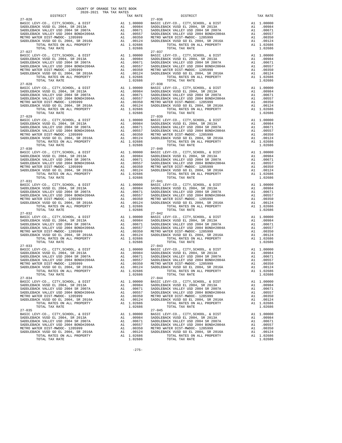| $27 - 026$                                                                                                          |                                                                                                                             |    |                      | $27 - 036$            |
|---------------------------------------------------------------------------------------------------------------------|-----------------------------------------------------------------------------------------------------------------------------|----|----------------------|-----------------------|
|                                                                                                                     |                                                                                                                             |    |                      |                       |
|                                                                                                                     |                                                                                                                             |    |                      |                       |
|                                                                                                                     |                                                                                                                             |    |                      |                       |
|                                                                                                                     |                                                                                                                             |    |                      |                       |
| TOTAL TAX RATE                                                                                                      |                                                                                                                             |    | 1.02686              |                       |
| $27 - 027$                                                                                                          |                                                                                                                             |    |                      | $27 - 037$            |
|                                                                                                                     |                                                                                                                             |    |                      |                       |
|                                                                                                                     |                                                                                                                             |    |                      |                       |
|                                                                                                                     |                                                                                                                             |    |                      |                       |
|                                                                                                                     |                                                                                                                             |    |                      |                       |
|                                                                                                                     |                                                                                                                             |    |                      |                       |
|                                                                                                                     |                                                                                                                             |    |                      |                       |
| TOTAL TAX RATE<br>$27 - 028$                                                                                        |                                                                                                                             |    | 1.02686              | $27 - 038$            |
|                                                                                                                     |                                                                                                                             |    |                      |                       |
|                                                                                                                     |                                                                                                                             |    |                      |                       |
|                                                                                                                     |                                                                                                                             |    |                      |                       |
|                                                                                                                     |                                                                                                                             |    |                      |                       |
|                                                                                                                     |                                                                                                                             |    |                      |                       |
|                                                                                                                     |                                                                                                                             |    |                      |                       |
| $27 - 029$                                                                                                          |                                                                                                                             |    |                      | $27 - 039$            |
|                                                                                                                     |                                                                                                                             |    |                      |                       |
|                                                                                                                     |                                                                                                                             |    |                      |                       |
|                                                                                                                     |                                                                                                                             |    |                      |                       |
|                                                                                                                     |                                                                                                                             |    |                      |                       |
|                                                                                                                     |                                                                                                                             |    |                      |                       |
|                                                                                                                     |                                                                                                                             |    |                      |                       |
| TOTAL TAX RATE                                                                                                      |                                                                                                                             |    | 1.02686              |                       |
|                                                                                                                     |                                                                                                                             |    |                      |                       |
|                                                                                                                     |                                                                                                                             |    |                      |                       |
|                                                                                                                     |                                                                                                                             |    |                      |                       |
|                                                                                                                     |                                                                                                                             |    |                      |                       |
|                                                                                                                     |                                                                                                                             |    |                      |                       |
|                                                                                                                     |                                                                                                                             |    |                      |                       |
|                                                                                                                     |                                                                                                                             |    |                      |                       |
| $27 - 031$                                                                                                          |                                                                                                                             |    |                      | $27 - 041$            |
|                                                                                                                     |                                                                                                                             |    |                      |                       |
|                                                                                                                     |                                                                                                                             |    |                      |                       |
|                                                                                                                     |                                                                                                                             |    |                      |                       |
|                                                                                                                     |                                                                                                                             |    |                      |                       |
|                                                                                                                     |                                                                                                                             |    |                      |                       |
| TOTAL TAX RATE                                                                                                      |                                                                                                                             |    | 1.02686              |                       |
| $27 - 032$<br>BASIC LEVY-CO., CITY, SCHOOL, & DIST                                                                  |                                                                                                                             |    |                      | $27 - 042$            |
| SADDLEBACK VUSD EL 2004, SR 2013A                                                                                   | A1 1.00000 BASIC L<br>A1 .00984 SADDLEB<br>A1 .00671 SADDLEB<br>A1 .00557 SADDLEB<br>A1 .00350 METRO W<br>A1 .00124 SADDLEB |    |                      |                       |
| SADDLEBACK VALLEY USD 2004 SR 2007A<br>SADDLEBACK VALLEY USD 2004 SR 2007A<br>SADDLEBACK VALLEY USD 2004 BOND#2004A |                                                                                                                             |    |                      |                       |
|                                                                                                                     |                                                                                                                             |    |                      |                       |
| METRO WATER DIST-MWDOC- 1205999<br>SADDLEBACK VUSD GO EL 2004, SR 2016A                                             |                                                                                                                             |    |                      |                       |
| TOTAL RATES ON ALL PROPERTY                                                                                         |                                                                                                                             |    | A1 1.02686           |                       |
| TOTAL TAX RATE                                                                                                      |                                                                                                                             |    | 1.02686              |                       |
| $27 - 033$                                                                                                          |                                                                                                                             |    |                      | $27 - 043$            |
|                                                                                                                     |                                                                                                                             |    |                      |                       |
|                                                                                                                     |                                                                                                                             |    |                      |                       |
|                                                                                                                     |                                                                                                                             |    |                      |                       |
|                                                                                                                     |                                                                                                                             |    |                      |                       |
| TOTAL RATES ON ALL PROPERTY                                                                                         |                                                                                                                             |    | A1 1.02686           |                       |
| TOTAL TAX RATE                                                                                                      |                                                                                                                             |    | 1.02686              |                       |
| $27 - 034$<br>BASIC LEVY-CO., CITY, SCHOOL, & DIST                                                                  |                                                                                                                             | A1 | 1.00000              | $27 - 044$<br>BASIC L |
| SADDLEBACK VUSD EL 2004, SR 2013A                                                                                   |                                                                                                                             |    | A1 .00984            | SADDLEB               |
| SADDLEBACK VALLEY USD 2004 SR 2007A                                                                                 |                                                                                                                             | A1 | .00671               | SADDLEB               |
| SADDLEBACK VALLEY USD 2004 BOND#2004A                                                                               |                                                                                                                             | A1 | .00557               | SADDLEB               |
| METRO WATER DIST-MWDOC- 1205999                                                                                     |                                                                                                                             | A1 | .00350               | METRO W               |
| SADDLEBACK VUSD GO EL 2004, SR 2016A<br>TOTAL RATES ON ALL PROPERTY                                                 |                                                                                                                             | A1 | .00124<br>A1 1.02686 | SADDLEB               |
| TOTAL TAX RATE                                                                                                      |                                                                                                                             |    | 1.02686              |                       |
| $27 - 035$                                                                                                          |                                                                                                                             |    |                      | $27 - 045$            |
| BASIC LEVY-CO., CITY, SCHOOL, & DIST<br>SADDLEBACK VUSD EL 2004, SR 2013A                                           |                                                                                                                             | A1 | 1.00000<br>A1 .00984 | BASIC L<br>SADDLEB    |
| SADDLEBACK VALLEY USD 2004 SR 2007A                                                                                 |                                                                                                                             | A1 | .00671               | SADDLEB               |
| SADDLEBACK VALLEY USD 2004 BOND#2004A                                                                               |                                                                                                                             | A1 | .00557               | SADDLEB               |
| METRO WATER DIST-MWDOC- 1205999                                                                                     |                                                                                                                             | A1 | .00350               | METRO W               |
| SADDLEBACK VUSD GO EL 2004, SR 2016A<br>TOTAL RATES ON ALL PROPERTY                                                 |                                                                                                                             | A1 | .00124<br>A1 1.02686 | SADDLEB               |
|                                                                                                                     |                                                                                                                             |    |                      |                       |

COUNTY OF ORANGE TAX RATE BOOK 2020-2021 TRA TAX RATES

 DISTRICT TAX RATE DISTRICT TAX RATE BASIC LEVY-CO., CITY,SCHOOL, & DIST A1 1.00000 BASIC LEVY-CO., CITY,SCHOOL, & DIST A1 1.00000 SADDLEBACK VUSD EL 2004, SR 2013A A1 .00984 SADDLEBACK VUSD EL 2004, SR 2013A A1 .00984 SADDLEBACK VALLEY USD 2004 SR 2007A A1 .00671 SADDLEBACK VALLEY USD 2004 SR 2007A A1 .00671 SADDLEBACK VALLEY USD 2004 BOND#2004A A1 .00557 SADDLEBACK VALLEY USD 2004 BOND#2004A A1 .00557 METRO WATER DIST-MWDOC- 1205999 A1 .00350 METRO WATER DIST-MWDOC- 1205999 A1 .00350 SADDLEBACK VUSD GO EL 2004, SR 2016A A1 .00124 SADDLEBACK VUSD GO EL 2004, SR 2016A A1 .00124 TOTAL RATES ON ALL PROPERTY A1 1.02686 TOTAL RATES ON ALL PROPERTY A1 1.02686 TOTAL TAX RATES ON ALL PROPERTY<br>
1.02686 TOTAL RATES ON ALL PROPERTY<br>
1.02686 27–037<br>
27–037  ${\small \begin{tabular}{l|c|c|c|c|c|c|c} BASIC EBV-CO. & CITY, SCHOLEBACK (V3D ELC BACK VJCD,C & DITY, SCHOLD,C & DITX, SUDLEBACK (V3D ELC BACK VALLEY USD 2004 SR 2007A & A1 & 1.000804 \\ SADDLEBACK VALLEY USD 2004 SR 2007A & A1 & .00871 & SADDLEBACK (VALLEY USD 2004 SNNL) & A1 & .00871 \\ SADDLEBACK VALLEY USD 2004 SND M. & A1 & .00871 & SAD$  BASIC LEVY-CO., CITY,SCHOOL, & DIST A1 1.00000 BASIC LEVY-CO., CITY,SCHOOL, & DIST A1 1.00000 SADDLEBACK VUSD EL 2004, SR 2013A A1 .00984 SADDLEBACK VUSD EL 2004, SR 2013A A1 .00984 SADDLEBACK VALLEY USD 2004 SR 2007A A1 .00671 SADDLEBACK VALLEY USD 2004 SR 2007A A1 .00671 SADDLEBACK VALLEY USD 2004 BOND#2004A A1 .00557 SADDLEBACK VALLEY USD 2004 BOND#2004A A1 .00557 METRO WATER DIST-MWDOC- 1205999 A1 .00350 METRO WATER DIST-MWDOC- 1205999 A1 .00350 SADDLEBACK VUSD GO EL 2004, SR 2016A A1 .00124 SADDLEBACK VUSD GO EL 2004, SR 2016A A1 .00124 TOTAL RATES ON ALL PROPERTY A1 1.02686 TOTAL RATES ON ALL PROPERTY A1 1.02686 TOTAL TAX RATE  $1.02686$  TOTAL TAX RATE  $1.02686$  BASIC LEVY-CO., CITY,SCHOOL, & DIST A1 1.00000 BASIC LEVY-CO., CITY,SCHOOL, & DIST A1 1.00000 SADDLEBACK VUSD EL 2004, SR 2013A A1 .00984 SADDLEBACK VUSD EL 2004, SR 2013A A1 .00984 SADDLEBACK VALLEY USD 2004 SR 2007A A1 .00671 SADDLEBACK VALLEY USD 2004 SR 2007A A1 .00671 SADDLEBACK VALLEY USD 2004 BOND#2004A A1 .00557 SADDLEBACK VALLEY USD 2004 BOND#2004A A1 .00557 METRO WATER DIST-MWDOC- 1205999 A1 .00350 METRO WATER DIST-MWDOC- 1205999 A1 .00350 SADDLEBACK VUSD GO EL 2004, SR 2016A A1 .00124 SADDLEBACK VUSD GO EL 2004, SR 2016A A1 .00124 TOTAL RATES ON ALL PROPERTY A1 1.02686 TOTAL RATES ON ALL PROPERTY A1 1.02686 TOTAL TAX RATE 1.02686 TOTAL TAX RATE 1.02686 A1 1.00000 BASIC LEVY-CO., CITY, SCHOOL, & DIST A1 1.00000<br>A1 .00984 SADDLEBACK VUSD EL 2004, SR 2013A A1 .00984<br>A1 .00671 SADDLEBACK VALLEY USD 2004 SR 2007A A1 .00671 SADDLEBACK VUSD EL 2004, SR 2013A A1 .00984 SADDLEBACK VUSD EL 2004, SR 2013A A1 .00984 SADDLEBACK VALLEY USD 2004 SR 2007A A1 .00671 SADDLEBACK VALLEY USD 2004 SR 2007A A1 .00671 SADDLEBACK VALLEY USD 2004 BOND#2004A A1 .00557 SADDLEBACK VALLEY USD 2004 BOND#2004A A1 .00557 METRO WATER DIST-MWDOC- 1205999 A1 .00350 METRO WATER DIST-MWDOC- 1205999 A1 .00350 SADDLEBACK VUSD GO EL 2004, SR 2016A A1 .00124 SADDLEBACK VUSD GO EL 2004, SR 2016A A1 .00124 TOTAL RATES ON ALL PROPERTY A1 1.02686 TOTAL RATES ON ALL PROPERTY A1 1.02686 TOTAL TAX RATE 1.02686 TOTAL TAX RATE 1.02686 A1 1.00000 BASIC LEVY-CO., CITY,SCHOOL, & DIST A1 1.00000<br>A1 .00984 SADDLEBACK VUSD EL 2004, SR 2013A A1 .00984<br>A1 .00671 SADDLEBACK VALLEY USD 2004 SR 2007A A1 .00671 100984 SADDLEBACK VUSD EL 2004, SR 2013A (10984 SADDLEBACK VUSD EL 2004, SR 2013A (10984 )<br>SADDLEBACK VALLEY USD 2004 SADDLEBACK DAINERACK VALLEY USD 2004 SR 2007A (1007A 100871<br>SADDLEBACK VALLEY USD 2004 BOND#2004A 1 1055 METRO WATER DIST-MWDOC- 1205999 A1 .00350 METRO WATER DIST-MWDOC- 1205999 A1 .00350 SADDLEBACK VUSD GO EL 2004, SR 2016A A1 .00124 SADDLEBACK VUSD GO EL 2004, SR 2016A A1 .00124 TOTAL RATES ON ALL PROPERTY A1 1.02686 TOTAL RATES ON ALL PROPERTY A1 1.02686 TOTAL TAX RATE 1.02606 TOTAL TAX RATE 1.02686 27-042 A1 1.00000 BASIC LEVY-CO., CITY,SCHOOL, & DIST A1 1.00000<br>BAI .00984 SADDLEBACK VUSD EL 2004, SR 2003A A1 .00671 SADDLEBACK VALLEY USD 2004 SR 2007A A1 .00691 100984 SADDLEBACK VUSD EL 2004, SR 2013A (10984 SADDLEBACK VUSD EL 2004, SR 2013A (10984<br>SADDLEBACK VALLEY USD 2004 SADDLEBACK DAINERACK VALLEY USD 2004 SR 2007A (10871<br>SADDLEBACK VALLEY USD 2004 BOND#2004A (10557 SADDLEBA METRO WATER DIST-MWDOC- 1205999 A1 .00350 METRO WATER DIST-MWDOC- 1205999 A1 .00350 SADDLEBACK VUSD GO EL 2004, SR 2016A A1 .00124 SADDLEBACK VUSD GO EL 2004, SR 2016A A1 .00124 TOTAL RATES ON ALL PROPERTY A1 1.02686 TOTAL RATES ON ALL PROPERTY A1 1.02686 TOTAL TAX RATE 1.02686 TOTAL TAX RATE 1.02686 77-043 BASIC LEVY-CO., CITY,SCHOOL, & DIST A1 1.00000 BASIC LEVY-CO., CITY,SCHOOL, & DIST A1 1.00000 SADDLEBACK VUSD EL 2004, SR 2013A A1 .00984 SADDLEBACK VUSD EL 2004, SR 2013A A1 .00984 SADDLEBACK VALLEY USD 2004 SR 2007A A1 .00671 SADDLEBACK VALLEY USD 2004 SR 2007A A1 .00671 SADDLEBACK VALLEY USD 2004 BOND#2004A A1 .00557 SADDLEBACK VALLEY USD 2004 BOND#2004A A1 .00557 METRO WATER DIST-MWDOC- 1205999 A1 .00350 METRO WATER DIST-MWDOC- 1205999 A1 .00350 SADDLEBACK VUSD GO EL 2004, SR 2016A A1 .00124 SADDLEBACK VUSD GO EL 2004, SR 2016A A1 .00124 TOTAL RATES ON ALL PROPERTY A1 1.02686 TOTAL RATES ON ALL PROPERTY A1 1.02686  $\begin{array}{cccc}\n 1.02686 \\
 27-044\n\end{array}$  TOTAL TAX RATE 1.02686 BASIC LEVY-CO., CITY,SCHOOL, & DIST A1 1.00000 BASIC LEVY-CO., CITY,SCHOOL, & DIST A1 1.00000 SADDLEBACK VUSD EL 2004, SR 2013A A1 .00984 SADDLEBACK VUSD EL 2004, SR 2013A A1 .00984 SADDLEBACK VALLEY USD 2004 SR 2007A A1 .00671 SADDLEBACK VALLEY USD 2004 SR 2007A A1 .00671 SADDLEBACK VALLEY USD 2004 BOND#2004A A1 .00557 SADDLEBACK VALLEY USD 2004 BOND#2004A A1 .00557 METRO WATER DIST-MWDOC- 1205999 A1 .00350 METRO WATER DIST-MWDOC- 1205999 A1 .00350 SADDLEBACK VUSD GO EL 2004, SR 2016A A1 .00124 SADDLEBACK VUSD GO EL 2004, SR 2016A A1 .00124  $\begin{array}{cccccccccc} \texttt{A1} & 1.02686 & & & & \texttt{TOTAL RATES ON ALL PROPERTY} & & & & \texttt{A1} & 1.02686 \\ & & & & & \texttt{TOTAL TAX RATE} & & & & & \texttt{A1} & 1.02686 \end{array}$ TOTAL TAX RATE 1.02686 BASIC LEVY-CO., CITY, SCHOOL, & DIST A1 1.00000 BASIC LEVY-CO., CITY, SCHOOL, & DIST A1 1.00000<br>SADDLEBACK VUSD EXEL (2004 SR 2007A SADDLEBACK VALLEY USD 2004 BONDER (1995) 2004 BONDER (1995) 2004 BONDER ON ALLEY USD 2004 BONDER (1995)<br>METRO WATER DIST – MWDCC - 120599 2016A al .00350 METRO WATER DIST – MWDCC - 120599 201 00350<br>SADDLEBACK VUSD GO EL 20

-275-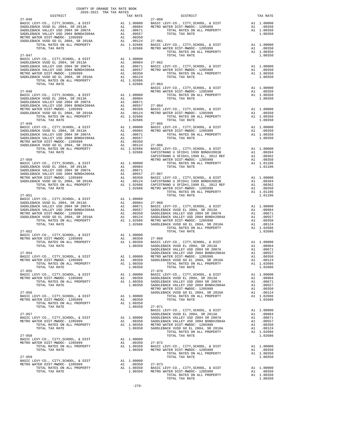| $\begin{tabular}{l c c c c c c} \multicolumn{4}{c c c c} \multicolumn{4}{c c c} \multicolumn{4}{c c c} \multicolumn{4}{c c c} \multicolumn{4}{c c c} \multicolumn{4}{c c c} \multicolumn{4}{c c c} \multicolumn{4}{c c c} \multicolumn{4}{c c c} \multicolumn{4}{c c c} \multicolumn{4}{c c c} \multicolumn{4}{c c c} \multicolumn{4}{c c c} \multicolumn{4}{c c c} \multicolumn{4}{c c c} \multic$ |                | $\begin{array}{c}\n\text{max} \\ \text{max} \\ 27-060\n\end{array}$                                                                                                                                                                                                                                                                                                                                                                                                                                        |  |
|-----------------------------------------------------------------------------------------------------------------------------------------------------------------------------------------------------------------------------------------------------------------------------------------------------------------------------------------------------------------------------------------------------|----------------|------------------------------------------------------------------------------------------------------------------------------------------------------------------------------------------------------------------------------------------------------------------------------------------------------------------------------------------------------------------------------------------------------------------------------------------------------------------------------------------------------------|--|
|                                                                                                                                                                                                                                                                                                                                                                                                     |                |                                                                                                                                                                                                                                                                                                                                                                                                                                                                                                            |  |
|                                                                                                                                                                                                                                                                                                                                                                                                     |                |                                                                                                                                                                                                                                                                                                                                                                                                                                                                                                            |  |
|                                                                                                                                                                                                                                                                                                                                                                                                     |                |                                                                                                                                                                                                                                                                                                                                                                                                                                                                                                            |  |
|                                                                                                                                                                                                                                                                                                                                                                                                     |                |                                                                                                                                                                                                                                                                                                                                                                                                                                                                                                            |  |
|                                                                                                                                                                                                                                                                                                                                                                                                     |                |                                                                                                                                                                                                                                                                                                                                                                                                                                                                                                            |  |
|                                                                                                                                                                                                                                                                                                                                                                                                     |                |                                                                                                                                                                                                                                                                                                                                                                                                                                                                                                            |  |
|                                                                                                                                                                                                                                                                                                                                                                                                     |                |                                                                                                                                                                                                                                                                                                                                                                                                                                                                                                            |  |
|                                                                                                                                                                                                                                                                                                                                                                                                     |                |                                                                                                                                                                                                                                                                                                                                                                                                                                                                                                            |  |
|                                                                                                                                                                                                                                                                                                                                                                                                     |                |                                                                                                                                                                                                                                                                                                                                                                                                                                                                                                            |  |
|                                                                                                                                                                                                                                                                                                                                                                                                     |                |                                                                                                                                                                                                                                                                                                                                                                                                                                                                                                            |  |
|                                                                                                                                                                                                                                                                                                                                                                                                     |                |                                                                                                                                                                                                                                                                                                                                                                                                                                                                                                            |  |
|                                                                                                                                                                                                                                                                                                                                                                                                     |                |                                                                                                                                                                                                                                                                                                                                                                                                                                                                                                            |  |
|                                                                                                                                                                                                                                                                                                                                                                                                     |                |                                                                                                                                                                                                                                                                                                                                                                                                                                                                                                            |  |
|                                                                                                                                                                                                                                                                                                                                                                                                     |                |                                                                                                                                                                                                                                                                                                                                                                                                                                                                                                            |  |
|                                                                                                                                                                                                                                                                                                                                                                                                     |                |                                                                                                                                                                                                                                                                                                                                                                                                                                                                                                            |  |
|                                                                                                                                                                                                                                                                                                                                                                                                     |                |                                                                                                                                                                                                                                                                                                                                                                                                                                                                                                            |  |
|                                                                                                                                                                                                                                                                                                                                                                                                     |                |                                                                                                                                                                                                                                                                                                                                                                                                                                                                                                            |  |
|                                                                                                                                                                                                                                                                                                                                                                                                     |                |                                                                                                                                                                                                                                                                                                                                                                                                                                                                                                            |  |
|                                                                                                                                                                                                                                                                                                                                                                                                     |                |                                                                                                                                                                                                                                                                                                                                                                                                                                                                                                            |  |
|                                                                                                                                                                                                                                                                                                                                                                                                     |                |                                                                                                                                                                                                                                                                                                                                                                                                                                                                                                            |  |
|                                                                                                                                                                                                                                                                                                                                                                                                     |                |                                                                                                                                                                                                                                                                                                                                                                                                                                                                                                            |  |
|                                                                                                                                                                                                                                                                                                                                                                                                     |                |                                                                                                                                                                                                                                                                                                                                                                                                                                                                                                            |  |
|                                                                                                                                                                                                                                                                                                                                                                                                     |                |                                                                                                                                                                                                                                                                                                                                                                                                                                                                                                            |  |
|                                                                                                                                                                                                                                                                                                                                                                                                     |                |                                                                                                                                                                                                                                                                                                                                                                                                                                                                                                            |  |
|                                                                                                                                                                                                                                                                                                                                                                                                     |                |                                                                                                                                                                                                                                                                                                                                                                                                                                                                                                            |  |
|                                                                                                                                                                                                                                                                                                                                                                                                     |                |                                                                                                                                                                                                                                                                                                                                                                                                                                                                                                            |  |
|                                                                                                                                                                                                                                                                                                                                                                                                     |                |                                                                                                                                                                                                                                                                                                                                                                                                                                                                                                            |  |
|                                                                                                                                                                                                                                                                                                                                                                                                     |                |                                                                                                                                                                                                                                                                                                                                                                                                                                                                                                            |  |
|                                                                                                                                                                                                                                                                                                                                                                                                     |                |                                                                                                                                                                                                                                                                                                                                                                                                                                                                                                            |  |
|                                                                                                                                                                                                                                                                                                                                                                                                     |                |                                                                                                                                                                                                                                                                                                                                                                                                                                                                                                            |  |
|                                                                                                                                                                                                                                                                                                                                                                                                     |                |                                                                                                                                                                                                                                                                                                                                                                                                                                                                                                            |  |
|                                                                                                                                                                                                                                                                                                                                                                                                     |                |                                                                                                                                                                                                                                                                                                                                                                                                                                                                                                            |  |
|                                                                                                                                                                                                                                                                                                                                                                                                     |                |                                                                                                                                                                                                                                                                                                                                                                                                                                                                                                            |  |
|                                                                                                                                                                                                                                                                                                                                                                                                     |                |                                                                                                                                                                                                                                                                                                                                                                                                                                                                                                            |  |
|                                                                                                                                                                                                                                                                                                                                                                                                     |                |                                                                                                                                                                                                                                                                                                                                                                                                                                                                                                            |  |
|                                                                                                                                                                                                                                                                                                                                                                                                     |                |                                                                                                                                                                                                                                                                                                                                                                                                                                                                                                            |  |
|                                                                                                                                                                                                                                                                                                                                                                                                     |                |                                                                                                                                                                                                                                                                                                                                                                                                                                                                                                            |  |
|                                                                                                                                                                                                                                                                                                                                                                                                     |                |                                                                                                                                                                                                                                                                                                                                                                                                                                                                                                            |  |
|                                                                                                                                                                                                                                                                                                                                                                                                     |                |                                                                                                                                                                                                                                                                                                                                                                                                                                                                                                            |  |
|                                                                                                                                                                                                                                                                                                                                                                                                     |                |                                                                                                                                                                                                                                                                                                                                                                                                                                                                                                            |  |
|                                                                                                                                                                                                                                                                                                                                                                                                     |                |                                                                                                                                                                                                                                                                                                                                                                                                                                                                                                            |  |
|                                                                                                                                                                                                                                                                                                                                                                                                     |                |                                                                                                                                                                                                                                                                                                                                                                                                                                                                                                            |  |
|                                                                                                                                                                                                                                                                                                                                                                                                     |                |                                                                                                                                                                                                                                                                                                                                                                                                                                                                                                            |  |
|                                                                                                                                                                                                                                                                                                                                                                                                     |                |                                                                                                                                                                                                                                                                                                                                                                                                                                                                                                            |  |
|                                                                                                                                                                                                                                                                                                                                                                                                     |                |                                                                                                                                                                                                                                                                                                                                                                                                                                                                                                            |  |
|                                                                                                                                                                                                                                                                                                                                                                                                     |                |                                                                                                                                                                                                                                                                                                                                                                                                                                                                                                            |  |
|                                                                                                                                                                                                                                                                                                                                                                                                     |                |                                                                                                                                                                                                                                                                                                                                                                                                                                                                                                            |  |
|                                                                                                                                                                                                                                                                                                                                                                                                     |                | $\begin{tabular}{l c c c c c} \multicolumn{1}{c}{\textbf{27--052}}\\ \multicolumn{1}{c}{\textbf{BASE LEVY-CO., CITY, SCHOOL, & DIST}\\ \multicolumn{1}{c}{\textbf{METRO WATER DIST–MIMOC-- 1205999}} & \multicolumn{1}{c}{\textbf{A1}} & \multicolumn{1}{c}{\textbf{0.0350}} & \multicolumn{1}{c}{\textbf{27--069}}\\ \multicolumn{1}{c}{\textbf{METRO WATER DIST–MIMOC-- 1205999}} & \multicolumn{1}{c}{\textbf{A1}} & \mult$                                                                             |  |
|                                                                                                                                                                                                                                                                                                                                                                                                     |                |                                                                                                                                                                                                                                                                                                                                                                                                                                                                                                            |  |
|                                                                                                                                                                                                                                                                                                                                                                                                     |                |                                                                                                                                                                                                                                                                                                                                                                                                                                                                                                            |  |
|                                                                                                                                                                                                                                                                                                                                                                                                     |                |                                                                                                                                                                                                                                                                                                                                                                                                                                                                                                            |  |
|                                                                                                                                                                                                                                                                                                                                                                                                     |                |                                                                                                                                                                                                                                                                                                                                                                                                                                                                                                            |  |
|                                                                                                                                                                                                                                                                                                                                                                                                     |                |                                                                                                                                                                                                                                                                                                                                                                                                                                                                                                            |  |
|                                                                                                                                                                                                                                                                                                                                                                                                     |                |                                                                                                                                                                                                                                                                                                                                                                                                                                                                                                            |  |
|                                                                                                                                                                                                                                                                                                                                                                                                     |                |                                                                                                                                                                                                                                                                                                                                                                                                                                                                                                            |  |
|                                                                                                                                                                                                                                                                                                                                                                                                     |                |                                                                                                                                                                                                                                                                                                                                                                                                                                                                                                            |  |
|                                                                                                                                                                                                                                                                                                                                                                                                     |                |                                                                                                                                                                                                                                                                                                                                                                                                                                                                                                            |  |
|                                                                                                                                                                                                                                                                                                                                                                                                     |                |                                                                                                                                                                                                                                                                                                                                                                                                                                                                                                            |  |
|                                                                                                                                                                                                                                                                                                                                                                                                     |                |                                                                                                                                                                                                                                                                                                                                                                                                                                                                                                            |  |
|                                                                                                                                                                                                                                                                                                                                                                                                     |                |                                                                                                                                                                                                                                                                                                                                                                                                                                                                                                            |  |
|                                                                                                                                                                                                                                                                                                                                                                                                     |                |                                                                                                                                                                                                                                                                                                                                                                                                                                                                                                            |  |
|                                                                                                                                                                                                                                                                                                                                                                                                     |                |                                                                                                                                                                                                                                                                                                                                                                                                                                                                                                            |  |
|                                                                                                                                                                                                                                                                                                                                                                                                     |                |                                                                                                                                                                                                                                                                                                                                                                                                                                                                                                            |  |
|                                                                                                                                                                                                                                                                                                                                                                                                     |                |                                                                                                                                                                                                                                                                                                                                                                                                                                                                                                            |  |
|                                                                                                                                                                                                                                                                                                                                                                                                     |                |                                                                                                                                                                                                                                                                                                                                                                                                                                                                                                            |  |
| TOTAL TAX RATE                                                                                                                                                                                                                                                                                                                                                                                      | 1.00350 27-071 |                                                                                                                                                                                                                                                                                                                                                                                                                                                                                                            |  |
|                                                                                                                                                                                                                                                                                                                                                                                                     |                |                                                                                                                                                                                                                                                                                                                                                                                                                                                                                                            |  |
|                                                                                                                                                                                                                                                                                                                                                                                                     |                |                                                                                                                                                                                                                                                                                                                                                                                                                                                                                                            |  |
|                                                                                                                                                                                                                                                                                                                                                                                                     |                |                                                                                                                                                                                                                                                                                                                                                                                                                                                                                                            |  |
|                                                                                                                                                                                                                                                                                                                                                                                                     |                |                                                                                                                                                                                                                                                                                                                                                                                                                                                                                                            |  |
|                                                                                                                                                                                                                                                                                                                                                                                                     |                |                                                                                                                                                                                                                                                                                                                                                                                                                                                                                                            |  |
|                                                                                                                                                                                                                                                                                                                                                                                                     |                |                                                                                                                                                                                                                                                                                                                                                                                                                                                                                                            |  |
|                                                                                                                                                                                                                                                                                                                                                                                                     |                |                                                                                                                                                                                                                                                                                                                                                                                                                                                                                                            |  |
|                                                                                                                                                                                                                                                                                                                                                                                                     |                |                                                                                                                                                                                                                                                                                                                                                                                                                                                                                                            |  |
|                                                                                                                                                                                                                                                                                                                                                                                                     |                |                                                                                                                                                                                                                                                                                                                                                                                                                                                                                                            |  |
|                                                                                                                                                                                                                                                                                                                                                                                                     |                |                                                                                                                                                                                                                                                                                                                                                                                                                                                                                                            |  |
|                                                                                                                                                                                                                                                                                                                                                                                                     |                |                                                                                                                                                                                                                                                                                                                                                                                                                                                                                                            |  |
|                                                                                                                                                                                                                                                                                                                                                                                                     |                |                                                                                                                                                                                                                                                                                                                                                                                                                                                                                                            |  |
| $\begin{tabular}{c c c c c c} \hline \texttt{1-00150} & \texttt{1-00150} & \texttt{2014L} & \texttt{1-00150} & \texttt{2014L} & \texttt{2014L} & \texttt{2014L} & \texttt{2014L} & \texttt{2014L} & \texttt{2014L} & \texttt{2014L} & \texttt{2014L} & \texttt{2014L} & \texttt{2014L} & \texttt{2014L} & \texttt{2014L} & \texttt{2014L} & \texttt{20$                                             |                |                                                                                                                                                                                                                                                                                                                                                                                                                                                                                                            |  |
|                                                                                                                                                                                                                                                                                                                                                                                                     |                | $\begin{tabular}{lllllllllllll} \multicolumn{4}{c}{\begin{tabular}{l} \multicolumn{4}{c}{\begin{tabular}{l} \multicolumn{4}{c}{\begin{tabular}{l} \multicolumn{4}{c}{\begin{tabular}{l} \multicolumn{4}{c}{\begin{tabular}{l} \multicolumn{4}{c}{\begin{tabular}{l} \multicolumn{4}{c}{\begin{tabular}{l} \multicolumn{4}{c}{\begin{tabular}{l} \multicolumn{4}{c}{\begin{tabular}{l} \multicolumn{4}{c}{\begin{tabular}{l} \multicolumn{4}{c}{\begin{tabular}{l} \multicolumn{4}{c}{\multicolumn{4}{c}{\$ |  |

|        | CAPISINANO O SPID#1,1999 BD,<br>-4944<br>METRO WATER DIST-MWDOC- 1205999                  |  |
|--------|-------------------------------------------------------------------------------------------|--|
| .00000 | TOTAL RATES ON ALL PROPERTY                                                               |  |
| .00984 | TOTAL TAX RATE                                                                            |  |
| .00671 |                                                                                           |  |
|        |                                                                                           |  |
| .00557 | $27 - 067$                                                                                |  |
|        | .00350 BASIC LEVY-CO., CITY, SCHOOL, & DIST<br>.00124 CAPISTRANO U SFID#1 1999 BOND#2001B |  |
|        |                                                                                           |  |
| .02686 | CAPISTRANO U SFID#1,1999 EL, 2012 REF                                                     |  |
| .02686 | METRO WATER DIST-MWDOC- 1205999                                                           |  |
|        | TOTAL RATES ON ALL PROPERTY                                                               |  |
|        | TOTAL TAX RATE                                                                            |  |
| .00000 |                                                                                           |  |
| .00984 | $27 - 068$                                                                                |  |
| .00671 | BASIC LEVY-CO., CITY, SCHOOL, & DIST                                                      |  |
| .00557 | SADDLEBACK VUSD EL 2004, SR 2013A                                                         |  |
| .00350 | SADDLEBACK VALLEY USD 2004 SR 2007A                                                       |  |
| .00124 | SADDLEBACK VALLEY USD 2004 BOND#2004A                                                     |  |
|        |                                                                                           |  |
|        | .02686 METRO WATER DIST-MWDOC- 1205999<br>.02686 SADDLEBACK VUSD GO EL 2004, SR 2016A     |  |
|        | TOTAL RATES ON ALL PROPERTY                                                               |  |
|        | TOTAL TAX RATE                                                                            |  |
| .00000 |                                                                                           |  |
| .00350 | $27 - 069$                                                                                |  |
| .00350 | BASIC LEVY-CO., CITY, SCHOOL, & DIST                                                      |  |
| .00350 | SADDLEBACK VUSD EL 2004, SR 2013A                                                         |  |
|        | SADDLEBACK VALLEY USD 2004 SR 2007A                                                       |  |
|        | SADDLEBACK VALLEY USD 2004 BOND#2004A                                                     |  |
| .00000 | METRO WATER DIST-MWDOC- 1205999                                                           |  |
| .00350 | SADDLEBACK VUSD GO EL 2004, SR 2016A                                                      |  |
| .00350 | TOTAL RATES ON ALL PROPERTY                                                               |  |
| .00350 | TOTAL TAX RATE                                                                            |  |
|        | $27 - 070$                                                                                |  |
| .00000 | BASIC LEVY-CO., CITY, SCHOOL, & DIST                                                      |  |
| .00350 | SADDLEBACK VUSD EL 2004, SR 2013A                                                         |  |
| .00350 | SADDLEBACK VALLEY USD 2004 SR 2007A                                                       |  |
| .00350 | SADDLEBACK VALLEY USD 2004 BOND#2004A                                                     |  |
|        | METRO WATER DIST-MWDOC- 1205999                                                           |  |
|        |                                                                                           |  |
|        | SADDLEBACK VUSD GO EL 2004, SR 2016A                                                      |  |
| .00000 | TOTAL RATES ON ALL PROPERTY                                                               |  |
| .00350 | TOTAL TAX RATE                                                                            |  |
| .00350 |                                                                                           |  |
| .00350 | $27 - 071$                                                                                |  |
|        | BASIC LEVY-CO., CITY, SCHOOL, & DIST                                                      |  |
|        | SADDLEBACK VUSD EL 2004, SR 2013A                                                         |  |
| .00000 | SADDLEBACK VALLEY USD 2004 SR 2007A                                                       |  |
| .00350 | SADDLEBACK VALLEY USD 2004 BOND#2004A                                                     |  |
| .00350 | METRO WATER DIST-MWDOC- 1205999                                                           |  |
| .00350 | SADDLEBACK VUSD GO EL 2004, SR 2016A                                                      |  |
|        | TOTAL RATES ON ALL PROPERTY                                                               |  |
|        | TOTAL TAX RATE                                                                            |  |
| .00000 |                                                                                           |  |
| .00350 | $27 - 072$                                                                                |  |
| .00350 | BASIC LEVY-CO., CITY, SCHOOL, & DIST                                                      |  |
| .00350 | METRO WATER DIST-MWDOC- 1205999                                                           |  |
|        | TOTAL RATES ON ALL PROPERTY                                                               |  |
|        | TOTAL TAX RATE                                                                            |  |
| .00000 |                                                                                           |  |
| .00350 | $27 - 073$                                                                                |  |
| .00350 | BASIC LEVY-CO., CITY, SCHOOL, & DIST                                                      |  |
| .00350 | METRO WATER DIST-MWDOC- 1205999                                                           |  |
|        |                                                                                           |  |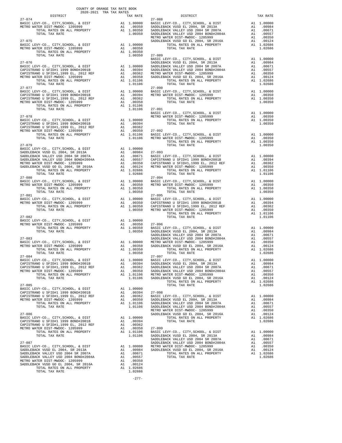| TAX RATE |  | DISTRICT                                                                                                                                                                                                                                                                                                                                                                                                                                         |         |  |
|----------|--|--------------------------------------------------------------------------------------------------------------------------------------------------------------------------------------------------------------------------------------------------------------------------------------------------------------------------------------------------------------------------------------------------------------------------------------------------|---------|--|
|          |  | $\begin{tabular}{l c c c c c} \multicolumn{3}{c}{27-074}& \multicolumn{3}{c}{\textbf{PASIC LEVY-CO.}}, & \multicolumn{3}{c}{CITY}, \text{SCHOL}, & \multicolumn{3}{c}{\textbf{E}} & \multicolumn{3}{c}{\textbf{PASIC LEVY-CO.}}, & \multicolumn{3}{c}{CITY}, \text{SCHOL}, & \multicolumn{3}{c}{\textbf{E}} & \multicolumn{3}{c}{\textbf{PASIC LEVY-CO.}}, & \multicolumn{3}{c}{CTTY}, \text{SCHOL}, & \multicolumn{3}{c}{\textbf{E}} & \multic$ |         |  |
|          |  |                                                                                                                                                                                                                                                                                                                                                                                                                                                  |         |  |
|          |  |                                                                                                                                                                                                                                                                                                                                                                                                                                                  |         |  |
|          |  |                                                                                                                                                                                                                                                                                                                                                                                                                                                  |         |  |
|          |  |                                                                                                                                                                                                                                                                                                                                                                                                                                                  |         |  |
|          |  |                                                                                                                                                                                                                                                                                                                                                                                                                                                  |         |  |
|          |  |                                                                                                                                                                                                                                                                                                                                                                                                                                                  |         |  |
|          |  |                                                                                                                                                                                                                                                                                                                                                                                                                                                  |         |  |
|          |  |                                                                                                                                                                                                                                                                                                                                                                                                                                                  |         |  |
|          |  |                                                                                                                                                                                                                                                                                                                                                                                                                                                  |         |  |
|          |  |                                                                                                                                                                                                                                                                                                                                                                                                                                                  |         |  |
|          |  |                                                                                                                                                                                                                                                                                                                                                                                                                                                  |         |  |
|          |  |                                                                                                                                                                                                                                                                                                                                                                                                                                                  |         |  |
|          |  | $\begin{tabular}{l c c c c} \multicolumn{4}{c}{\textbf{27--076}} & \multicolumn{4}{c}{\textbf{27--076}} & \multicolumn{4}{c}{\textbf{27--076}} & \multicolumn{4}{c}{\textbf{27--076}} & \multicolumn{4}{c}{\textbf{27--076}} & \multicolumn{4}{c}{\textbf{27--076}} & \multicolumn{4}{c}{\textbf{27--076}} & \multicolumn{4}{c}{\textbf{27--076}} & \multicolumn{4}{c}{\textbf{27--076}} & \multicolumn{4}{c}{\textbf{27$                        |         |  |
|          |  |                                                                                                                                                                                                                                                                                                                                                                                                                                                  |         |  |
|          |  |                                                                                                                                                                                                                                                                                                                                                                                                                                                  |         |  |
|          |  |                                                                                                                                                                                                                                                                                                                                                                                                                                                  |         |  |
|          |  |                                                                                                                                                                                                                                                                                                                                                                                                                                                  |         |  |
|          |  |                                                                                                                                                                                                                                                                                                                                                                                                                                                  |         |  |
|          |  |                                                                                                                                                                                                                                                                                                                                                                                                                                                  |         |  |
|          |  |                                                                                                                                                                                                                                                                                                                                                                                                                                                  |         |  |
|          |  |                                                                                                                                                                                                                                                                                                                                                                                                                                                  |         |  |
|          |  | $\begin{tabular}{cccccc} 27-078 & 1.01106 & 27-091 & 1.01106 & 27-092 & 27-092 & 27-092 & 27-092 & 27-092 & 27-092 & 27-092 & 27-092 & 27-092 & 27-092 & 27-092 & 27-092 & 27-092 & 27-092 & 27-092 & 27-092 & 27-092 & 27-092 & 27-092 & 27-092 & 27-092 & 27-092 & $                                                                                                                                                                           |         |  |
|          |  |                                                                                                                                                                                                                                                                                                                                                                                                                                                  |         |  |
|          |  |                                                                                                                                                                                                                                                                                                                                                                                                                                                  |         |  |
|          |  |                                                                                                                                                                                                                                                                                                                                                                                                                                                  |         |  |
|          |  |                                                                                                                                                                                                                                                                                                                                                                                                                                                  |         |  |
|          |  |                                                                                                                                                                                                                                                                                                                                                                                                                                                  |         |  |
|          |  |                                                                                                                                                                                                                                                                                                                                                                                                                                                  |         |  |
|          |  |                                                                                                                                                                                                                                                                                                                                                                                                                                                  |         |  |
|          |  | $\begin{array}{cccccccc} 27-080 & 27-084 & 10444 & 1046 & 10444 & 1044 & 1044 & 1044 & 1044 & 1044 & 1044 & 1044 & 1044 & 1044 & 1044 & 1044 & 1044 & 1044 & 1044 & 1044 & 1044 & 1044 & 1044 & 1044 & 1044 & 1044 & 1044 & 1044 & 1044 & 1044 & 1044 & 1044 & 1044 & 1044 & 1$                                                                                                                                                                  |         |  |
|          |  |                                                                                                                                                                                                                                                                                                                                                                                                                                                  |         |  |
|          |  |                                                                                                                                                                                                                                                                                                                                                                                                                                                  |         |  |
|          |  |                                                                                                                                                                                                                                                                                                                                                                                                                                                  |         |  |
|          |  | ${\begin{tabular}{l c c c c c c c c} \multicolumn{4}{c c c c} \multicolumn{4}{c c c} \multicolumn{4}{c c c} \multicolumn{4}{c c c} \multicolumn{4}{c c c} \multicolumn{4}{c c c} \multicolumn{4}{c c c} \multicolumn{4}{c c c} \multicolumn{4}{c c c} \multicolumn{4}{c c c} \multicolumn{4}{c c c} \multicolumn{4}{c c c} \multicolumn{4}{c c c} \multicolumn{4}{c c c} \multicolumn{4}{c c c$                                                  |         |  |
|          |  |                                                                                                                                                                                                                                                                                                                                                                                                                                                  |         |  |
|          |  |                                                                                                                                                                                                                                                                                                                                                                                                                                                  |         |  |
|          |  |                                                                                                                                                                                                                                                                                                                                                                                                                                                  |         |  |
|          |  | $\begin{tabular}{@{}c@{}}\hline & $\mathbf{10140} & $\mathbf{10140} & $\mathbf{10140} & $\mathbf{10140} & $\mathbf{10140} & $\mathbf{10140} & $\mathbf{10140} & $\mathbf{10140} & $\mathbf{10140} & $\mathbf{10140} & $\mathbf{10140} & $\mathbf{10140} & $\mathbf{10140} & $\mathbf{10140} & $\mathbf{10140} & $\mathbf{10140} & $\mathbf{10140} & $\mathbf{10140} & $\mathbf{10$                                                               |         |  |
|          |  |                                                                                                                                                                                                                                                                                                                                                                                                                                                  |         |  |
|          |  |                                                                                                                                                                                                                                                                                                                                                                                                                                                  |         |  |
|          |  |                                                                                                                                                                                                                                                                                                                                                                                                                                                  |         |  |
|          |  |                                                                                                                                                                                                                                                                                                                                                                                                                                                  |         |  |
|          |  |                                                                                                                                                                                                                                                                                                                                                                                                                                                  |         |  |
|          |  |                                                                                                                                                                                                                                                                                                                                                                                                                                                  |         |  |
|          |  |                                                                                                                                                                                                                                                                                                                                                                                                                                                  |         |  |
|          |  |                                                                                                                                                                                                                                                                                                                                                                                                                                                  |         |  |
|          |  |                                                                                                                                                                                                                                                                                                                                                                                                                                                  |         |  |
|          |  |                                                                                                                                                                                                                                                                                                                                                                                                                                                  |         |  |
|          |  |                                                                                                                                                                                                                                                                                                                                                                                                                                                  |         |  |
|          |  | TOTAL TAX RATE                                                                                                                                                                                                                                                                                                                                                                                                                                   | 1.02686 |  |
|          |  |                                                                                                                                                                                                                                                                                                                                                                                                                                                  |         |  |
|          |  |                                                                                                                                                                                                                                                                                                                                                                                                                                                  |         |  |
|          |  |                                                                                                                                                                                                                                                                                                                                                                                                                                                  |         |  |
|          |  |                                                                                                                                                                                                                                                                                                                                                                                                                                                  |         |  |
|          |  |                                                                                                                                                                                                                                                                                                                                                                                                                                                  |         |  |
|          |  |                                                                                                                                                                                                                                                                                                                                                                                                                                                  |         |  |
|          |  |                                                                                                                                                                                                                                                                                                                                                                                                                                                  |         |  |
|          |  |                                                                                                                                                                                                                                                                                                                                                                                                                                                  |         |  |
|          |  |                                                                                                                                                                                                                                                                                                                                                                                                                                                  |         |  |
|          |  |                                                                                                                                                                                                                                                                                                                                                                                                                                                  |         |  |
|          |  |                                                                                                                                                                                                                                                                                                                                                                                                                                                  |         |  |
|          |  |                                                                                                                                                                                                                                                                                                                                                                                                                                                  |         |  |
|          |  |                                                                                                                                                                                                                                                                                                                                                                                                                                                  |         |  |
|          |  |                                                                                                                                                                                                                                                                                                                                                                                                                                                  |         |  |
|          |  |                                                                                                                                                                                                                                                                                                                                                                                                                                                  |         |  |
|          |  |                                                                                                                                                                                                                                                                                                                                                                                                                                                  |         |  |

TOTAL RATES ON ALL PROPERTY A1 1.02686 TOTAL TAX RATE 1.02686

COUNTY OF ORANGE TAX RATE BOOK 2020-2021 TRA TAX RATES

-277-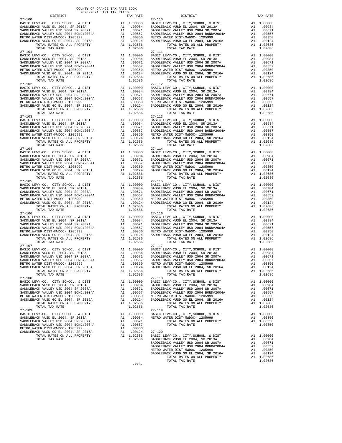| $27 - 100$                                                                                                          |                                                                                                                            |                       | $27 - 110$            |
|---------------------------------------------------------------------------------------------------------------------|----------------------------------------------------------------------------------------------------------------------------|-----------------------|-----------------------|
|                                                                                                                     |                                                                                                                            |                       |                       |
|                                                                                                                     |                                                                                                                            |                       |                       |
|                                                                                                                     |                                                                                                                            |                       |                       |
| TOTAL TAX RATE<br>$27 - 101$                                                                                        |                                                                                                                            | 1.02686               | $27 - 111$            |
|                                                                                                                     |                                                                                                                            |                       |                       |
|                                                                                                                     |                                                                                                                            |                       |                       |
|                                                                                                                     |                                                                                                                            |                       |                       |
|                                                                                                                     |                                                                                                                            |                       |                       |
| TOTAL TAX RATE                                                                                                      |                                                                                                                            | 1.02686               |                       |
| $27 - 102$                                                                                                          |                                                                                                                            |                       | 27-112                |
|                                                                                                                     |                                                                                                                            |                       |                       |
|                                                                                                                     |                                                                                                                            |                       |                       |
|                                                                                                                     |                                                                                                                            |                       |                       |
|                                                                                                                     |                                                                                                                            |                       |                       |
| $27 - 103$                                                                                                          |                                                                                                                            |                       | $27 - 113$            |
|                                                                                                                     |                                                                                                                            |                       |                       |
|                                                                                                                     |                                                                                                                            |                       |                       |
|                                                                                                                     |                                                                                                                            |                       |                       |
|                                                                                                                     |                                                                                                                            |                       |                       |
|                                                                                                                     |                                                                                                                            |                       |                       |
| TOTAL TAX RATE                                                                                                      |                                                                                                                            | 1.02686               |                       |
|                                                                                                                     |                                                                                                                            |                       |                       |
|                                                                                                                     |                                                                                                                            |                       |                       |
|                                                                                                                     |                                                                                                                            |                       |                       |
|                                                                                                                     |                                                                                                                            |                       |                       |
|                                                                                                                     |                                                                                                                            |                       |                       |
| $27 - 105$                                                                                                          |                                                                                                                            |                       | $27 - 115$            |
|                                                                                                                     |                                                                                                                            |                       |                       |
|                                                                                                                     |                                                                                                                            |                       |                       |
|                                                                                                                     |                                                                                                                            |                       |                       |
|                                                                                                                     |                                                                                                                            |                       |                       |
| TOTAL TAX RATE                                                                                                      |                                                                                                                            | 1.02686               |                       |
| $27 - 106$<br>BASIC LEVY-CO., CITY, SCHOOL, & DIST                                                                  |                                                                                                                            |                       | 27-116                |
| SADDLEBACK VUSD EL 2004, SR 2013A                                                                                   | A1 1.00000 BASIC L<br>A1 .00984 SADDLEB<br>A1 .00671 SADDLEB<br>A1 .00557 SADDLEB<br>A1 .00350 METROW<br>A1 .00124 SADDLEB |                       |                       |
| SADDLEBACK VALLEY USD 2004 SR 2007A<br>SADDLEBACK VALLEY USD 2004 SR 2007A<br>SADDLEBACK VALLEY USD 2004 BOND#2004A |                                                                                                                            |                       |                       |
| METRO WATER DIST-MWDOC- 1205999                                                                                     |                                                                                                                            |                       |                       |
| SADDLEBACK VUSD GO EL 2004, SR 2016A<br>TOTAL RATES ON ALL PROPERTY                                                 |                                                                                                                            | A1 1.02686            |                       |
| TOTAL TAX RATE<br>$27 - 107$                                                                                        |                                                                                                                            | 1.02686               | $27 - 117$            |
|                                                                                                                     |                                                                                                                            |                       |                       |
|                                                                                                                     |                                                                                                                            |                       |                       |
|                                                                                                                     |                                                                                                                            |                       |                       |
|                                                                                                                     |                                                                                                                            |                       |                       |
| TOTAL RATES ON ALL PROPERTY                                                                                         |                                                                                                                            | A1 1.02686            |                       |
| TOTAL TAX RATE<br>$27 - 108$                                                                                        |                                                                                                                            | 1.02686               | $27 - 118$            |
| BASIC LEVY-CO., CITY, SCHOOL, & DIST<br>SADDLEBACK VUSD EL 2004, SR 2013A                                           | A1                                                                                                                         | 1.00000<br>A1 .00984  | BASIC L<br>SADDLEB    |
| SADDLEBACK VALLEY USD 2004 SR 2007A                                                                                 | A1                                                                                                                         | .00671                | SADDLEB               |
| SADDLEBACK VALLEY USD 2004 BOND#2004A<br>METRO WATER DIST-MWDOC- 1205999                                            | A1<br>A1                                                                                                                   | .00557<br>.00350      | SADDLEB<br>METRO W    |
| SADDLEBACK VUSD GO EL 2004, SR 2016A                                                                                | A1                                                                                                                         | .00124                | SADDLEB               |
| TOTAL RATES ON ALL PROPERTY<br>TOTAL TAX RATE                                                                       |                                                                                                                            | A1 1.02686<br>1.02686 |                       |
| $27 - 109$                                                                                                          |                                                                                                                            | 1.00000               | $27 - 119$<br>BASIC L |
| BASIC LEVY-CO., CITY, SCHOOL, & DIST<br>SADDLEBACK VUSD EL 2004, SR 2013A                                           | A1                                                                                                                         | A1 .00984             | METRO W               |
| SADDLEBACK VALLEY USD 2004 SR 2007A<br>SADDLEBACK VALLEY USD 2004 BOND#2004A                                        | A1<br>A1                                                                                                                   | .00671<br>.00557      |                       |
| METRO WATER DIST-MWDOC- 1205999                                                                                     | A1                                                                                                                         | .00350                |                       |
| SADDLEBACK VUSD GO EL 2004, SR 2016A<br>TOTAL RATES ON ALL PROPERTY                                                 | A1                                                                                                                         | .00124<br>A1 1.02686  | $27 - 120$<br>BASIC L |
|                                                                                                                     |                                                                                                                            |                       |                       |

| COUNTY OF ORANGE TAX RATE BOOK<br>2020-2021 TRA TAX RATES<br>$\begin{minipage}{0.5\textwidth} \begin{tabular}{lcccccc} \textbf{1} & \textbf{1} & \textbf{1} & \textbf{1} & \textbf{1} & \textbf{1} & \textbf{1} & \textbf{1} & \textbf{1} & \textbf{1} & \textbf{1} & \textbf{1} & \textbf{1} & \textbf{1} & \textbf{1} & \textbf{1} & \textbf{1} & \textbf{1} & \textbf{1} & \textbf{1} & \textbf{1} & \textbf{1} & \textbf{1} & \textbf{1} & \textbf{1} & \textbf{1} & \textbf{1} & \textbf{1} &$                                             |          |                |          |
|-------------------------------------------------------------------------------------------------------------------------------------------------------------------------------------------------------------------------------------------------------------------------------------------------------------------------------------------------------------------------------------------------------------------------------------------------------------------------------------------------------------------------------------------------|----------|----------------|----------|
|                                                                                                                                                                                                                                                                                                                                                                                                                                                                                                                                                 | TAX RATE | DISTRICT       | TAX RATE |
| $27 - 100$<br>$\begin{tabular}{@{}c@{\thinspace}c@{\thinspace}c@{\thinspace}c@{\thinspace}c@{\thinspace}c@{\thinspace}c@{\thinspace}c@{\thinspace}c@{\thinspace}c@{\thinspace}c@{\thinspace}c@{\thinspace}c@{\thinspace}c@{\thinspace}c@{\thinspace}c@{\thinspace}c@{\thinspace}c@{\thinspace}c@{\thinspace}c@{\thinspace}c@{\thinspace}c@{\thinspace}c@{\thinspace}c@{\thinspace}c@{\thinspace}c@{\thinspace}c@{\thinspace}c@{\thinspace}c@{\thinspace}c@{\thinspace}c@{\thinspace}c@{\thinspace}c@{\thinspace}c@{\thinspace}c@{\thinspace}c@$ |          | $27 - 110$     |          |
|                                                                                                                                                                                                                                                                                                                                                                                                                                                                                                                                                 |          |                |          |
|                                                                                                                                                                                                                                                                                                                                                                                                                                                                                                                                                 |          |                |          |
|                                                                                                                                                                                                                                                                                                                                                                                                                                                                                                                                                 |          |                |          |
|                                                                                                                                                                                                                                                                                                                                                                                                                                                                                                                                                 |          |                |          |
|                                                                                                                                                                                                                                                                                                                                                                                                                                                                                                                                                 |          |                |          |
| $27 - 101$                                                                                                                                                                                                                                                                                                                                                                                                                                                                                                                                      |          | $27 - 111$     |          |
|                                                                                                                                                                                                                                                                                                                                                                                                                                                                                                                                                 |          |                |          |
|                                                                                                                                                                                                                                                                                                                                                                                                                                                                                                                                                 |          |                |          |
|                                                                                                                                                                                                                                                                                                                                                                                                                                                                                                                                                 |          |                |          |
|                                                                                                                                                                                                                                                                                                                                                                                                                                                                                                                                                 |          |                |          |
|                                                                                                                                                                                                                                                                                                                                                                                                                                                                                                                                                 |          |                |          |
|                                                                                                                                                                                                                                                                                                                                                                                                                                                                                                                                                 |          |                |          |
|                                                                                                                                                                                                                                                                                                                                                                                                                                                                                                                                                 |          |                |          |
|                                                                                                                                                                                                                                                                                                                                                                                                                                                                                                                                                 |          |                |          |
|                                                                                                                                                                                                                                                                                                                                                                                                                                                                                                                                                 |          |                |          |
|                                                                                                                                                                                                                                                                                                                                                                                                                                                                                                                                                 |          |                |          |
|                                                                                                                                                                                                                                                                                                                                                                                                                                                                                                                                                 |          |                |          |
|                                                                                                                                                                                                                                                                                                                                                                                                                                                                                                                                                 |          |                |          |
| $\begin{tabular}{@{}c@{}} 27-101 & $1014$ & $100000$ & $27-111$ & $100000$ & $27-111$ & $100000$ & $27-111$ & $100000$ & $27-111$ & $100000$ & $27-111$ & $100000$ & $27-111$ & $100000$ & $27-111$ & $100000$ & $27-111$ & $27-111$ & $27-111$ & $27-111$ & $27-111$ & $27-111$ & $27-$                                                                                                                                                                                                                                                        |          |                |          |
|                                                                                                                                                                                                                                                                                                                                                                                                                                                                                                                                                 |          |                |          |
|                                                                                                                                                                                                                                                                                                                                                                                                                                                                                                                                                 |          |                |          |
|                                                                                                                                                                                                                                                                                                                                                                                                                                                                                                                                                 |          |                |          |
|                                                                                                                                                                                                                                                                                                                                                                                                                                                                                                                                                 |          |                |          |
|                                                                                                                                                                                                                                                                                                                                                                                                                                                                                                                                                 |          |                |          |
|                                                                                                                                                                                                                                                                                                                                                                                                                                                                                                                                                 |          |                |          |
|                                                                                                                                                                                                                                                                                                                                                                                                                                                                                                                                                 |          |                |          |
|                                                                                                                                                                                                                                                                                                                                                                                                                                                                                                                                                 |          |                |          |
|                                                                                                                                                                                                                                                                                                                                                                                                                                                                                                                                                 |          |                |          |
|                                                                                                                                                                                                                                                                                                                                                                                                                                                                                                                                                 |          |                |          |
|                                                                                                                                                                                                                                                                                                                                                                                                                                                                                                                                                 |          |                |          |
|                                                                                                                                                                                                                                                                                                                                                                                                                                                                                                                                                 |          |                |          |
| $\begin{tabular}{l c c c c c} \multicolumn{4}{c}{27-104} & $\mathbb{P}1$-104 & $\mathbb{P}27$-114 & $1$-00000 & $27-114 & $27-104 & $27-115 & $300$-10000 \\ \multicolumn{4}{c}{\textbf{BADDLEBACK}} & $\mathbb{X}1$ & $2013A$ & $A1$ & $1.00000 & $3\mathbb{A}3\mathbb{C}$ & $\mathbb{E}12004$, $R$ & $2013A$ & $A1$ & $1.00000 \\ \multicolumn{4$<br>$27 - 105$                                                                                                                                                                               |          | $27-115$       |          |
|                                                                                                                                                                                                                                                                                                                                                                                                                                                                                                                                                 |          |                |          |
|                                                                                                                                                                                                                                                                                                                                                                                                                                                                                                                                                 |          |                |          |
|                                                                                                                                                                                                                                                                                                                                                                                                                                                                                                                                                 |          |                |          |
|                                                                                                                                                                                                                                                                                                                                                                                                                                                                                                                                                 |          |                |          |
|                                                                                                                                                                                                                                                                                                                                                                                                                                                                                                                                                 |          |                |          |
| $\begin{tabular}{@{}c@{\thinspace}c@{\thinspace}c@{\thinspace}c@{\thinspace}c@{\thinspace}c@{\thinspace}c@{\thinspace}c@{\thinspace}c@{\thinspace}c@{\thinspace}c@{\thinspace}c@{\thinspace}c@{\thinspace}c@{\thinspace}c@{\thinspace}c@{\thinspace}c@{\thinspace}c@{\thinspace}c@{\thinspace}c@{\thinspace}c@{\thinspace}c@{\thinspace}c@{\thinspace}c@{\thinspace}c@{\thinspace}c@{\thinspace}c@{\thinspace}c@{\thinspace}c@{\thinspace}c@{\thinspace}c@{\thinspace}c@{\thinspace}c@{\thinspace}c@{\thinspace}c@{\thinspace}c@$               |          |                |          |
|                                                                                                                                                                                                                                                                                                                                                                                                                                                                                                                                                 |          |                |          |
|                                                                                                                                                                                                                                                                                                                                                                                                                                                                                                                                                 |          |                |          |
|                                                                                                                                                                                                                                                                                                                                                                                                                                                                                                                                                 |          |                |          |
|                                                                                                                                                                                                                                                                                                                                                                                                                                                                                                                                                 |          |                |          |
|                                                                                                                                                                                                                                                                                                                                                                                                                                                                                                                                                 |          |                |          |
|                                                                                                                                                                                                                                                                                                                                                                                                                                                                                                                                                 |          |                |          |
|                                                                                                                                                                                                                                                                                                                                                                                                                                                                                                                                                 |          |                |          |
|                                                                                                                                                                                                                                                                                                                                                                                                                                                                                                                                                 |          |                |          |
|                                                                                                                                                                                                                                                                                                                                                                                                                                                                                                                                                 |          |                |          |
|                                                                                                                                                                                                                                                                                                                                                                                                                                                                                                                                                 |          |                |          |
|                                                                                                                                                                                                                                                                                                                                                                                                                                                                                                                                                 |          |                |          |
|                                                                                                                                                                                                                                                                                                                                                                                                                                                                                                                                                 |          |                |          |
| SADDLEBACK VALLEY USD 2004 SADDLEBACK VALLEY USD 2004 SADDLEBACK VALLEY USD 2004 SADDLEBACK VALLEY USD 2004 SADDLEBACK VALLEY USD 2004 SADDLEBACK VALLEY USD 2004 SADDLEBACK VALLEY USD 2004 SADDLEBACK VALLEY USD 2004 SADDLE                                                                                                                                                                                                                                                                                                                  |          |                |          |
| $27 - 108$<br>$\begin{tabular}{@{}c@{\thinspace}c@{\thinspace}c@{\thinspace}c@{\thinspace}c@{\thinspace}c@{\thinspace}c@{\thinspace}c@{\thinspace}c@{\thinspace}c@{\thinspace}c@{\thinspace}c@{\thinspace}c@{\thinspace}c@{\thinspace}c@{\thinspace}c@{\thinspace}c@{\thinspace}c@{\thinspace}c@{\thinspace}c@{\thinspace}c@{\thinspace}c@{\thinspace}c@{\thinspace}c@{\thinspace}c@{\thinspace}c@{\thinspace}c@{\thinspace}c@{\thinspace}c@{\thinspace}c@{\thinspace}c@{\thinspace}c@{\thinspace}c@{\thinspace}c@{\thinspace}c@{\thinspace}c@$ |          | $27 - 118$     |          |
|                                                                                                                                                                                                                                                                                                                                                                                                                                                                                                                                                 |          |                |          |
|                                                                                                                                                                                                                                                                                                                                                                                                                                                                                                                                                 |          |                |          |
|                                                                                                                                                                                                                                                                                                                                                                                                                                                                                                                                                 |          |                |          |
|                                                                                                                                                                                                                                                                                                                                                                                                                                                                                                                                                 |          |                |          |
|                                                                                                                                                                                                                                                                                                                                                                                                                                                                                                                                                 |          |                |          |
| $27 - 109$                                                                                                                                                                                                                                                                                                                                                                                                                                                                                                                                      |          | $27 - 119$     |          |
|                                                                                                                                                                                                                                                                                                                                                                                                                                                                                                                                                 |          |                |          |
|                                                                                                                                                                                                                                                                                                                                                                                                                                                                                                                                                 |          |                |          |
|                                                                                                                                                                                                                                                                                                                                                                                                                                                                                                                                                 |          |                |          |
|                                                                                                                                                                                                                                                                                                                                                                                                                                                                                                                                                 |          |                |          |
|                                                                                                                                                                                                                                                                                                                                                                                                                                                                                                                                                 |          |                |          |
|                                                                                                                                                                                                                                                                                                                                                                                                                                                                                                                                                 |          |                |          |
|                                                                                                                                                                                                                                                                                                                                                                                                                                                                                                                                                 |          |                |          |
|                                                                                                                                                                                                                                                                                                                                                                                                                                                                                                                                                 |          |                |          |
|                                                                                                                                                                                                                                                                                                                                                                                                                                                                                                                                                 |          |                |          |
|                                                                                                                                                                                                                                                                                                                                                                                                                                                                                                                                                 |          |                |          |
|                                                                                                                                                                                                                                                                                                                                                                                                                                                                                                                                                 | $-278-$  | TOTAL TAX RATE | 1.02686  |
|                                                                                                                                                                                                                                                                                                                                                                                                                                                                                                                                                 |          |                |          |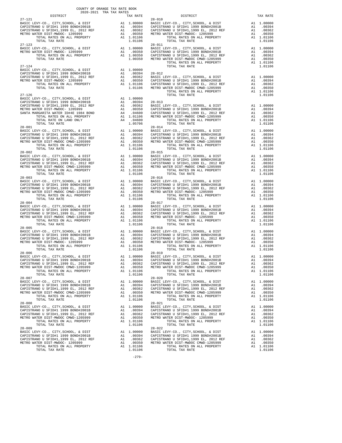| DISTRICT       | 2020-2021 TRA TAX RATES |                                                                                                                                                                                                                                                                                                                                                                                                                          |         |
|----------------|-------------------------|--------------------------------------------------------------------------------------------------------------------------------------------------------------------------------------------------------------------------------------------------------------------------------------------------------------------------------------------------------------------------------------------------------------------------|---------|
|                |                         | DISTRICT                                                                                                                                                                                                                                                                                                                                                                                                                 |         |
|                |                         |                                                                                                                                                                                                                                                                                                                                                                                                                          |         |
|                |                         |                                                                                                                                                                                                                                                                                                                                                                                                                          |         |
|                |                         |                                                                                                                                                                                                                                                                                                                                                                                                                          |         |
|                |                         |                                                                                                                                                                                                                                                                                                                                                                                                                          |         |
|                |                         |                                                                                                                                                                                                                                                                                                                                                                                                                          |         |
|                |                         |                                                                                                                                                                                                                                                                                                                                                                                                                          |         |
|                |                         |                                                                                                                                                                                                                                                                                                                                                                                                                          |         |
|                |                         |                                                                                                                                                                                                                                                                                                                                                                                                                          |         |
|                |                         |                                                                                                                                                                                                                                                                                                                                                                                                                          |         |
|                |                         | $\begin{tabular}{l c c c c c} \multicolumn{1}{c}{\textbf{27--124}} & \multicolumn{1}{c}{\textbf{1.00000}} & \multicolumn{1}{c}{\textbf{28--124}} & \multicolumn{1}{c}{\textbf{29--124}} & \multicolumn{1}{c}{\textbf{20--124}} & \multicolumn{1}{c}{\textbf{20--124}} & \multicolumn{1}{c}{\textbf{20--124}} & \multicolumn{1}{c}{\textbf{20--124}} & \multicolumn{1}{c}{\textbf{20--124}} & \multicolumn{1}{c}{\textbf$ |         |
|                |                         |                                                                                                                                                                                                                                                                                                                                                                                                                          |         |
|                |                         |                                                                                                                                                                                                                                                                                                                                                                                                                          |         |
|                |                         |                                                                                                                                                                                                                                                                                                                                                                                                                          |         |
|                |                         |                                                                                                                                                                                                                                                                                                                                                                                                                          |         |
|                |                         |                                                                                                                                                                                                                                                                                                                                                                                                                          |         |
|                |                         |                                                                                                                                                                                                                                                                                                                                                                                                                          |         |
|                |                         |                                                                                                                                                                                                                                                                                                                                                                                                                          |         |
|                |                         |                                                                                                                                                                                                                                                                                                                                                                                                                          |         |
|                |                         |                                                                                                                                                                                                                                                                                                                                                                                                                          |         |
|                |                         |                                                                                                                                                                                                                                                                                                                                                                                                                          |         |
|                |                         |                                                                                                                                                                                                                                                                                                                                                                                                                          |         |
|                |                         | $\begin{tabular}{l c c c c c} \multicolumn{1}{c}{2.8-011} \multicolumn{1}{c}{\textbf{2.8-011}} \multicolumn{1}{c}{\textbf{2.8-011}} \end{tabular} \begin{tabular}{l c c c} \multicolumn{1}{c}{\textbf{2.8-011}} \multicolumn{1}{c}{\textbf{2.8-011}} \end{tabular} \begin{tabular}{l c c c} \multicolumn{1}{c}{\textbf{2.8-011}} \multicolumn{1}{c}{\textbf{2.8-011}} \end{tabular} \begin{tabular}{l c c c$             |         |
| $28 - 001$     |                         | $28 - 014$                                                                                                                                                                                                                                                                                                                                                                                                               |         |
|                |                         |                                                                                                                                                                                                                                                                                                                                                                                                                          |         |
|                |                         |                                                                                                                                                                                                                                                                                                                                                                                                                          |         |
|                |                         |                                                                                                                                                                                                                                                                                                                                                                                                                          |         |
|                |                         |                                                                                                                                                                                                                                                                                                                                                                                                                          |         |
|                |                         |                                                                                                                                                                                                                                                                                                                                                                                                                          |         |
|                |                         |                                                                                                                                                                                                                                                                                                                                                                                                                          |         |
|                |                         |                                                                                                                                                                                                                                                                                                                                                                                                                          |         |
|                |                         |                                                                                                                                                                                                                                                                                                                                                                                                                          |         |
|                |                         |                                                                                                                                                                                                                                                                                                                                                                                                                          |         |
| $28 - 003$     |                         | $28 - 016$                                                                                                                                                                                                                                                                                                                                                                                                               |         |
|                |                         |                                                                                                                                                                                                                                                                                                                                                                                                                          |         |
|                |                         |                                                                                                                                                                                                                                                                                                                                                                                                                          |         |
|                |                         |                                                                                                                                                                                                                                                                                                                                                                                                                          |         |
|                |                         |                                                                                                                                                                                                                                                                                                                                                                                                                          |         |
|                |                         |                                                                                                                                                                                                                                                                                                                                                                                                                          |         |
|                |                         |                                                                                                                                                                                                                                                                                                                                                                                                                          |         |
|                |                         |                                                                                                                                                                                                                                                                                                                                                                                                                          |         |
|                |                         |                                                                                                                                                                                                                                                                                                                                                                                                                          |         |
|                |                         |                                                                                                                                                                                                                                                                                                                                                                                                                          |         |
|                |                         |                                                                                                                                                                                                                                                                                                                                                                                                                          |         |
| $28 - 005$     |                         | $28 - 018$                                                                                                                                                                                                                                                                                                                                                                                                               |         |
|                |                         |                                                                                                                                                                                                                                                                                                                                                                                                                          |         |
|                |                         |                                                                                                                                                                                                                                                                                                                                                                                                                          |         |
|                |                         |                                                                                                                                                                                                                                                                                                                                                                                                                          |         |
|                |                         |                                                                                                                                                                                                                                                                                                                                                                                                                          |         |
|                |                         |                                                                                                                                                                                                                                                                                                                                                                                                                          |         |
|                |                         |                                                                                                                                                                                                                                                                                                                                                                                                                          |         |
|                |                         |                                                                                                                                                                                                                                                                                                                                                                                                                          |         |
|                |                         |                                                                                                                                                                                                                                                                                                                                                                                                                          |         |
|                |                         |                                                                                                                                                                                                                                                                                                                                                                                                                          |         |
| $28 - 007$     |                         | $28 - 020$                                                                                                                                                                                                                                                                                                                                                                                                               |         |
|                |                         |                                                                                                                                                                                                                                                                                                                                                                                                                          |         |
|                |                         |                                                                                                                                                                                                                                                                                                                                                                                                                          |         |
|                |                         |                                                                                                                                                                                                                                                                                                                                                                                                                          |         |
|                |                         |                                                                                                                                                                                                                                                                                                                                                                                                                          |         |
|                |                         |                                                                                                                                                                                                                                                                                                                                                                                                                          |         |
|                |                         |                                                                                                                                                                                                                                                                                                                                                                                                                          |         |
|                |                         |                                                                                                                                                                                                                                                                                                                                                                                                                          |         |
|                |                         |                                                                                                                                                                                                                                                                                                                                                                                                                          |         |
|                |                         |                                                                                                                                                                                                                                                                                                                                                                                                                          |         |
|                |                         |                                                                                                                                                                                                                                                                                                                                                                                                                          |         |
| $28 - 009$     |                         | $28 - 022$                                                                                                                                                                                                                                                                                                                                                                                                               |         |
|                |                         |                                                                                                                                                                                                                                                                                                                                                                                                                          |         |
|                |                         |                                                                                                                                                                                                                                                                                                                                                                                                                          |         |
|                |                         |                                                                                                                                                                                                                                                                                                                                                                                                                          |         |
| TOTAL TAX RATE |                         |                                                                                                                                                                                                                                                                                                                                                                                                                          | 1.01106 |
|                | 1.01106                 | TOTAL TAX RATE                                                                                                                                                                                                                                                                                                                                                                                                           |         |

-279-

|                                  | TAX RATE                                                       |
|----------------------------------|----------------------------------------------------------------|
| A1<br>A1<br>A 1<br>A1<br>A1      | 1,00000<br>.00394<br>.00362<br>.00350<br>1,01106<br>1.01106    |
| A1<br>A1<br>A1<br>A <sub>1</sub> | A1 1,00000<br>.00394<br>.00362<br>.00350<br>1.01106<br>1.01106 |
| A1<br>A1<br>A1                   | A1 1,00000<br>.00394<br>.00362<br>.00350                       |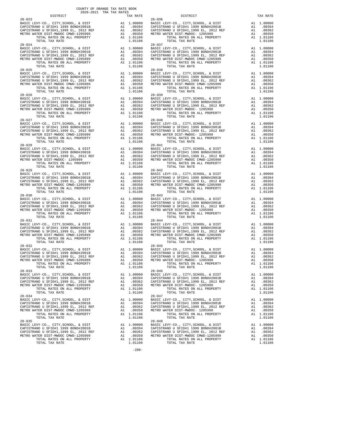| nteiwich                                                                                                                                         |    | IAA RAIL                                                                                                                                                                                                                       |            |
|--------------------------------------------------------------------------------------------------------------------------------------------------|----|--------------------------------------------------------------------------------------------------------------------------------------------------------------------------------------------------------------------------------|------------|
| $28 - 023$                                                                                                                                       |    |                                                                                                                                                                                                                                | $28 - 036$ |
|                                                                                                                                                  |    |                                                                                                                                                                                                                                |            |
|                                                                                                                                                  |    |                                                                                                                                                                                                                                |            |
|                                                                                                                                                  |    |                                                                                                                                                                                                                                |            |
|                                                                                                                                                  |    |                                                                                                                                                                                                                                |            |
|                                                                                                                                                  |    |                                                                                                                                                                                                                                |            |
|                                                                                                                                                  |    |                                                                                                                                                                                                                                |            |
| TOTAL TAX RATE                                                                                                                                   |    | 1.01106                                                                                                                                                                                                                        |            |
|                                                                                                                                                  |    |                                                                                                                                                                                                                                |            |
|                                                                                                                                                  |    |                                                                                                                                                                                                                                |            |
|                                                                                                                                                  |    |                                                                                                                                                                                                                                |            |
|                                                                                                                                                  |    |                                                                                                                                                                                                                                |            |
|                                                                                                                                                  |    |                                                                                                                                                                                                                                |            |
|                                                                                                                                                  |    |                                                                                                                                                                                                                                |            |
|                                                                                                                                                  |    |                                                                                                                                                                                                                                |            |
| TOTAL TAX RATE                                                                                                                                   |    | 1.01106                                                                                                                                                                                                                        |            |
| $28 - 025$                                                                                                                                       |    |                                                                                                                                                                                                                                | $28 - 038$ |
|                                                                                                                                                  |    |                                                                                                                                                                                                                                |            |
|                                                                                                                                                  |    |                                                                                                                                                                                                                                |            |
|                                                                                                                                                  |    |                                                                                                                                                                                                                                |            |
|                                                                                                                                                  |    |                                                                                                                                                                                                                                |            |
|                                                                                                                                                  |    |                                                                                                                                                                                                                                |            |
|                                                                                                                                                  |    |                                                                                                                                                                                                                                |            |
| TOTAL TAX RATE                                                                                                                                   |    |                                                                                                                                                                                                                                |            |
| $28 - 026$                                                                                                                                       |    | $\begin{tabular}{c} 28-039 \\ \text{A1} & 1.00000 \\ \text{A1} & .00394 \\ \text{A1} & .00394 \\ \text{A1} & .00362 \\ \text{A1} & .00362 \\ \text{A2} & .00350 \\ \text{A3} & .00350 \\ \text{A4} & 1.01106 \\ \end{tabular}$ |            |
| BASIC LEVY-CO., CITY, SCHOOL, & DIST                                                                                                             |    |                                                                                                                                                                                                                                |            |
| CAPISTRANO U SFID#1 1999 BOND#2001B AL CAPISTRANO U SFID#1,1999 EL, 2012 REF Al Al AL METRO WATER DIST-1205999 Al AL METRO WATER DISTRANCE CONDE |    |                                                                                                                                                                                                                                |            |
|                                                                                                                                                  |    |                                                                                                                                                                                                                                |            |
|                                                                                                                                                  |    |                                                                                                                                                                                                                                |            |
|                                                                                                                                                  |    | A1 1.01106                                                                                                                                                                                                                     |            |
| TOTAL TAX RATE                                                                                                                                   |    | 1.01106                                                                                                                                                                                                                        |            |
|                                                                                                                                                  |    |                                                                                                                                                                                                                                |            |
|                                                                                                                                                  |    |                                                                                                                                                                                                                                |            |
|                                                                                                                                                  |    |                                                                                                                                                                                                                                |            |
|                                                                                                                                                  |    |                                                                                                                                                                                                                                |            |
|                                                                                                                                                  |    |                                                                                                                                                                                                                                |            |
|                                                                                                                                                  |    |                                                                                                                                                                                                                                |            |
|                                                                                                                                                  |    |                                                                                                                                                                                                                                |            |
|                                                                                                                                                  |    |                                                                                                                                                                                                                                |            |
|                                                                                                                                                  |    |                                                                                                                                                                                                                                |            |
|                                                                                                                                                  |    |                                                                                                                                                                                                                                |            |
|                                                                                                                                                  |    |                                                                                                                                                                                                                                |            |
|                                                                                                                                                  |    |                                                                                                                                                                                                                                |            |
|                                                                                                                                                  |    |                                                                                                                                                                                                                                |            |
|                                                                                                                                                  |    |                                                                                                                                                                                                                                |            |
|                                                                                                                                                  |    |                                                                                                                                                                                                                                |            |
|                                                                                                                                                  |    |                                                                                                                                                                                                                                |            |
| $28 - 029$                                                                                                                                       |    |                                                                                                                                                                                                                                |            |
|                                                                                                                                                  |    |                                                                                                                                                                                                                                | $28 - 042$ |
|                                                                                                                                                  |    |                                                                                                                                                                                                                                |            |
|                                                                                                                                                  |    |                                                                                                                                                                                                                                |            |
|                                                                                                                                                  |    |                                                                                                                                                                                                                                |            |
|                                                                                                                                                  |    |                                                                                                                                                                                                                                |            |
| TOTAL RATES ON ALL PROPERTY                                                                                                                      |    | A1 1.01106                                                                                                                                                                                                                     |            |
| TOTAL TAX RATE                                                                                                                                   |    | 1.01106                                                                                                                                                                                                                        |            |
| $28 - 030$                                                                                                                                       |    |                                                                                                                                                                                                                                | $28 - 043$ |
|                                                                                                                                                  |    |                                                                                                                                                                                                                                |            |
|                                                                                                                                                  |    |                                                                                                                                                                                                                                |            |
|                                                                                                                                                  |    |                                                                                                                                                                                                                                |            |
|                                                                                                                                                  |    |                                                                                                                                                                                                                                |            |
|                                                                                                                                                  |    |                                                                                                                                                                                                                                |            |
|                                                                                                                                                  |    |                                                                                                                                                                                                                                |            |
|                                                                                                                                                  |    |                                                                                                                                                                                                                                |            |
|                                                                                                                                                  |    |                                                                                                                                                                                                                                |            |
|                                                                                                                                                  |    |                                                                                                                                                                                                                                |            |
|                                                                                                                                                  |    |                                                                                                                                                                                                                                |            |
|                                                                                                                                                  |    |                                                                                                                                                                                                                                |            |
|                                                                                                                                                  |    |                                                                                                                                                                                                                                |            |
|                                                                                                                                                  |    |                                                                                                                                                                                                                                |            |
|                                                                                                                                                  |    |                                                                                                                                                                                                                                |            |
|                                                                                                                                                  |    |                                                                                                                                                                                                                                |            |
|                                                                                                                                                  |    |                                                                                                                                                                                                                                |            |
|                                                                                                                                                  |    |                                                                                                                                                                                                                                |            |
|                                                                                                                                                  |    |                                                                                                                                                                                                                                |            |
|                                                                                                                                                  |    |                                                                                                                                                                                                                                |            |
|                                                                                                                                                  |    |                                                                                                                                                                                                                                |            |
|                                                                                                                                                  |    |                                                                                                                                                                                                                                |            |
|                                                                                                                                                  |    |                                                                                                                                                                                                                                |            |
|                                                                                                                                                  |    |                                                                                                                                                                                                                                |            |
|                                                                                                                                                  |    |                                                                                                                                                                                                                                |            |
| $28 - 033$                                                                                                                                       |    |                                                                                                                                                                                                                                | $28 - 046$ |
| BASIC LEVY-CO., CITY, SCHOOL, & DIST                                                                                                             | A1 | 1.00000                                                                                                                                                                                                                        | BASIC L    |
| CAPISTRANO U SFID#1 1999 BOND#2001B                                                                                                              |    | A1 .00394                                                                                                                                                                                                                      | CAPISTR    |
| CAPISTRANO U SFID#1,1999 EL, 2012 REF                                                                                                            | A1 | .00362                                                                                                                                                                                                                         | CAPISTR    |
| METRO WATER DIST-MWDOC CMWD-1205999                                                                                                              | A1 | .00350                                                                                                                                                                                                                         | METRO W    |
| TOTAL RATES ON ALL PROPERTY                                                                                                                      |    | A1 1.01106                                                                                                                                                                                                                     |            |
|                                                                                                                                                  |    |                                                                                                                                                                                                                                |            |
| TOTAL TAX RATE                                                                                                                                   |    | 1.01106                                                                                                                                                                                                                        |            |
| $28 - 034$                                                                                                                                       |    |                                                                                                                                                                                                                                | $28 - 047$ |
| BASIC LEVY-CO., CITY, SCHOOL, & DIST                                                                                                             | A1 | 1.00000                                                                                                                                                                                                                        | BASIC L    |
| CAPISTRANO U SFID#1 1999 BOND#2001B                                                                                                              |    | A1 .00394                                                                                                                                                                                                                      | CAPISTR    |
| CAPISTRANO U SFID#1,1999 EL, 2012 REF                                                                                                            | A1 | .00362                                                                                                                                                                                                                         | CAPISTR    |
| METRO WATER DIST-MWDOC CMWD-1205999                                                                                                              | A1 | .00350                                                                                                                                                                                                                         | METRO W    |
| TOTAL RATES ON ALL PROPERTY                                                                                                                      |    | A1 1.01106                                                                                                                                                                                                                     |            |
|                                                                                                                                                  |    |                                                                                                                                                                                                                                |            |
| TOTAL TAX RATE                                                                                                                                   |    | 1.01106                                                                                                                                                                                                                        |            |
| $28 - 035$                                                                                                                                       |    |                                                                                                                                                                                                                                | $28 - 048$ |
| BASIC LEVY-CO., CITY, SCHOOL, & DIST                                                                                                             | A1 | 1.00000                                                                                                                                                                                                                        | BASIC L    |
| CAPISTRANO U SFID#1 1999 BOND#2001B                                                                                                              | A1 | .00394                                                                                                                                                                                                                         | CAPISTR    |
|                                                                                                                                                  |    |                                                                                                                                                                                                                                |            |
| CAPISTRANO U SFID#1,1999 EL, 2012 REF                                                                                                            | A1 | .00362                                                                                                                                                                                                                         | CAPISTR    |

-280-

 COUNTY OF ORANGE TAX RATE BOOK 2020-2021 TRA TAX RATES DISTRICT TAX RATE DISTRICT TAX RATE BASIC LEVY-CO., CITY,SCHOOL, & DIST A1 1.00000 BASIC LEVY-CO., CITY,SCHOOL, & DIST A1 1.00000 CAPISTRANO U SFID#1 1999 BOND#2001B A1 .00394 CAPISTRANO U SFID#1 1999 BOND#2001B A1 .00394 CAPISTRANO U SFID#1,1999 EL, 2012 REF A1 .00362 CAPISTRANO U SFID#1,1999 EL, 2012 REF A1 .00362 METRO WATER DIST-MWDOC CMWD-1205999 A1 .00350 METRO WATER DIST-MWDOC- 1205999 A1 .00350 TOTAL RATES ON ALL PROPERTY A1 1.01106 TOTAL RATES ON ALL PROPERTY A1 1.01106 TOTAL TAX RATE 1.01106 TOTAL TAX RATE 1.01106 28-024 28-037 BASIC LEVY-CO., CITY,SCHOOL, & DIST A1 1.00000 BASIC LEVY-CO., CITY,SCHOOL, & DIST A1 1.00000 CAPISTRANO U SFID#1 1999 BOND#2001B A1 .00394 CAPISTRANO U SFID#1 1999 BOND#2001B A1 .00394 CAPISTRANO U SFID#1,1999 EL, 2012 REF A1 .00362 CAPISTRANO U SFID#1,1999 EL, 2012 REF A1 .00362 METRO WATER DIST-MWDOC CMWD-1205999 A1 .00350 METRO WATER DIST-MWDOC CMWD-1205999 A1 .00350 TOTAL RATES ON ALL PROPERTY A1 1.01106 TOTAL RATES ON ALL PROPERTY A1 1.01106 TOTAL TAX RATE 1.01106 TOTAL TAX RATE 1.01106 BASIC LEVY-CO., CITY,SCHOOL, & DIST A1 1.00000 BASIC LEVY-CO., CITY,SCHOOL, & DIST A1 1.00000 CAPISTRANO U SFID#1 1999 BOND#2001B A1 .00394 CAPISTRANO U SFID#1 1999 BOND#2001B A1 .00394 CAPISTRANO U SFID#1,1999 EL, 2012 REF A1 .00362 CAPISTRANO U SFID#1,1999 EL, 2012 REF A1 .00362 METRO WATER DIST-MWDOC CMWD-1205999 A1 .00350 METRO WATER DIST-MWDOC CMWD-1205999 A1 .00350 TOTAL RATES ON ALL PROPERTY A1 1.01106 TOTAL RATES ON ALL PROPERTY A1 1.01106 TOTAL TAX RATE 1.01106 TOTAL TAX RATE 1.01106 BASIC LEVY-CO., CITY,SCHOOL, & DIST A1 1.00000 BASIC LEVY-CO., CITY,SCHOOL, & DIST A1 1.00000 CAPISTRANO U SFID#1 1999 BOND#2001B A1 .00394 CAPISTRANO U SFID#1 1999 BOND#2001B A1 .00394 CAPISTRANO U SFID#1,1999 EL, 2012 REF A1 .00362 CAPISTRANO U SFID#1,1999 EL, 2012 REF A1 .00362 METRO WATER DIST-MWDOC CMWD-1205999 A1 .00350 METRO WATER DIST-MWDOC- 1205999 A1 .00350 TOTAL RATES ON ALL PROPERTY A1 1.01106 TOTAL RATES ON ALL PROPERTY A1 1.01106 TOTAL TAX RATE 1.01106 TOTAL TAX RATE 1.01106 BASIC LEVY-CO., CITY,SCHOOL, & DIST A1 1.00000 BASIC LEVY-CO., CITY,SCHOOL, & DIST A1 1.00000 CAPISTRANO U SFID#1 1999 BOND#2001B A1 .00394 CAPISTRANO U SFID#1 1999 BOND#2001B A1 .00394 CAPISTRANO U SFID#1,1999 EL, 2012 REF A1 .00362 CAPISTRANO U SFID#1,1999 EL, 2012 REF A1 .00362 METRO WATER DIST-MWDOC CMWD-1205999 A1 .00350 METRO WATER DIST-MWDOC- 1205999 A1 .00350 TOTAL RATES ON ALL PROPERTY A1 1.01106 TOTAL RATES ON ALL PROPERTY A1 1.01106 TOTAL TAX RATE 1.01106 TOTAL TAX RATE 1.01106 BASIC LEVY-CO., CITY,SCHOOL, & DIST A1 1.00000 BASIC LEVY-CO., CITY,SCHOOL, & DIST A1 1.00000 CAPISTRANO U SFID#1 1999 BOND#2001B A1 .00394 CAPISTRANO U SFID#1 1999 BOND#2001B A1 .00394 CAPISTRANO U SFID#1,1999 EL, 2012 REF A1 .00362 CAPISTRANO U SFID#1,1999 EL, 2012 REF A1 .00362 METRO WATER DIST-MWDOC- 1205999 A1 .00350 METRO WATER DIST-MWDOC CMWD-1205999 A1 .00350 TOTAL RATES ON ALL PROPERTY A1 1.01106 TOTAL RATES ON ALL PROPERTY A1 1.01106 TOTAL TAX RATE 1.01106 TOTAL TAX RATE 1.01106 BASIC LEVY-CO., CITY,SCHOOL, & DIST A1 1.00000 BASIC LEVY-CO., CITY,SCHOOL, & DIST A1 1.00000 CAPISTRANO U SFID#1 1999 BOND#2001B A1 .00394 CAPISTRANO U SFID#1 1999 BOND#2001B A1 .00394 CAPISTRANO U SFID#1,1999 EL, 2012 REF A1 .00362 CAPISTRANO U SFID#1,1999 EL, 2012 REF A1 .00362 METRO WATER DIST-MWDOC CMWD-1205999 A1 .00350 METRO WATER DIST-MWDOC CMWD-1205999 A1 .00350 TOTAL RATES ON ALL PROPERTY A1 1.01106 TOTAL RATES ON ALL PROPERTY A1 1.01106 TOTAL TAX RATE 1.01106 TOTAL TAX RATE 1.01106 BASIC LEVY-CO., CITY,SCHOOL, & DIST A1 1.00000 BASIC LEVY-CO., CITY,SCHOOL, & DIST A1 1.00000 CAPISTRANO U SFID#1 1999 BOND#2001B A1 .00394 CAPISTRANO U SFID#1 1999 BOND#2001B A1 .00394 CAPISTRANO U SFID#1,1999 EL, 2012 REF A1 .00362 CAPISTRANO U SFID#1,1999 EL, 2012 REF A1 .00362 METRO WATER DIST-MWDOC CMWD-1205999 A1 .00350 METRO WATER DIST-MWDOC- 1205999 A1 .00350 TOTAL RATES ON ALL PROPERTY A1 1.01106 TOTAL RATES ON ALL PROPERTY A1 1.01106 TOTAL TAX RATE 1.01106 TOTAL TAX RATE 1.01106 BASIC LEVY-CO., CITY,SCHOOL, & DIST A1 1.00000 BASIC LEVY-CO., CITY,SCHOOL, & DIST A1 1.00000 CAPISTRANO U SFID#1 1999 BOND#2001B A1 .00394 CAPISTRANO U SFID#1 1999 BOND#2001B A1 .00394<br>CAPISTRANO U SFID#1,1999 EL, 2012 REF A1 .00362 CAPISTRANO U SFID#1,1999 EL, 2012 REF A1 .00362<br>METRO WATER DISTRIMENTER DISTRIMEN A1 1.00000 BASIC LEVY-CO., CITY, SCHOOL, & DIST A1 1.00000<br>
A1 .00394 CAPISTRANO U SFID#1 1999 BOND#2001B A1 .00362<br>
A1 .00362 CAPISTRANO U SFID#1,1999 EL, 2012 REF A1 .00362 CAPISTRANO U SFID#1 1999 BOND#2001B A1 .00394 CAPISTRANO U SFID#1 1999 BOND#2001B A1 .00394 CAPISTRANO U SFID#1,1999 EL, 2012 REF A1 .00362 CAPISTRANO U SFID#1,1999 EL, 2012 REF A1 .00362 METRO WATER DIST-MWDOC CMWD-1205999 A1 .00350 METRO WATER DIST-MWDOC- 1205999 A1 .00350 TOTAL RATES ON ALL PROPERTY A1 1.01106 TOTAL RATES ON ALL PROPERTY A1 1.01106 TOTAL TAX RATE 1.01106 TOTAL TAX RATE 1.01106 BASIC LEVY-CO., CITY,SCHOOL, & DIST A1 1.00000 BASIC LEVY-CO., CITY,SCHOOL, & DIST A1 1.00000 CAPISTRANO U SFID#1 1999 BOND#2001B A1 .00394 CAPISTRANO U SFID#1 1999 BOND#2001B A1 .00394 CAPISTRANO U SFID#1,1999 EL, 2012 REF A1 .00362 CAPISTRANO U SFID#1,1999 EL, 2012 REF A1 .00362 METRO WATER DIST-MWDOC CMWD-1205999 A1 .00350 METRO WATER DIST-MWDOC- 1205999 A1 .00350 TOTAL RATES ON ALL PROPERTY A1 1.01106 TOTAL RATES ON ALL PROPERTY A1 1.01106 TOTAL TAX RATE 1.01106 TOTAL TAX RATE 1.01106 28-034 28-047 BASIC LEVY-CO., CITY,SCHOOL, & DIST A1 1.00000 BASIC LEVY-CO., CITY,SCHOOL, & DIST A1 1.00000 CAPISTRANO U SFID#1 1999 BOND#2001B A1 .00394 CAPISTRANO U SFID#1 1999 BOND#2001B A1 .00394 CAPISTRANO U SFID#1,1999 EL, 2012 REF A1 .00362 CAPISTRANO U SFID#1,1999 EL, 2012 REF A1 .00362 METRO WATER DIST-MWDOC CMWD-1205999 A1 .00350 METRO WATER DIST-MWDOC- 1205999 A1 .00350 TOTAL RATES ON ALL PROPERTY A1 1.01106 TOTAL RATES ON ALL PROPERTY A1 1.01106 TOTAL TAX RATE 1.01106 TOTAL TAX RATE 1.01106 BASIC LEVY-CO., CITY,SCHOOL, & DIST A1 1.00000 BASIC LEVY-CO., CITY,SCHOOL, & DIST A1 1.00000 CAPISTRANO U SFID#1 1999 BOND#2001B A1 .00394 CAPISTRANO U SFID#1 1999 BOND#2001B A1 .00394 CAPISTRANO U SFID#1,1999 EL, 2012 REF A1 .00362 CAPISTRANO U SFID#1,1999 EL, 2012 REF A1 .00362 METRO WATER DIST-MWDOC CMWD-1205999 A1 .00350 METRO WATER DIST-MWDOC CMWD-1205999 A1 .00350 TOTAL RATES ON ALL PROPERTY A1 1.01106 TOTAL RATES ON ALL PROPERTY A1 1.01106 TOTAL TAX RATE 1.01106 TOTAL TAX RATE 1.01106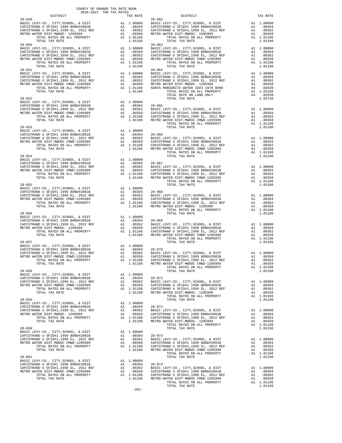|  | METRO WATER DIST-MWDOC CWID-1205999<br>METRO WATER DIST-MWDOC CWID-1205999<br>TOTAL RATES ON ALL PROPERTY A1 1.01106<br>TOTAL TAX RATE 1.01106                                                                                                                                                                                                                                                                                                                                                                 |  |
|--|----------------------------------------------------------------------------------------------------------------------------------------------------------------------------------------------------------------------------------------------------------------------------------------------------------------------------------------------------------------------------------------------------------------------------------------------------------------------------------------------------------------|--|
|  |                                                                                                                                                                                                                                                                                                                                                                                                                                                                                                                |  |
|  |                                                                                                                                                                                                                                                                                                                                                                                                                                                                                                                |  |
|  |                                                                                                                                                                                                                                                                                                                                                                                                                                                                                                                |  |
|  | $\begin{tabular}{l c c c c c} \multicolumn{4}{c c c} \multicolumn{4}{c c c} \multicolumn{4}{c c c} \multicolumn{4}{c c c} \multicolumn{4}{c c c} \multicolumn{4}{c c c} \multicolumn{4}{c c c} \multicolumn{4}{c c c} \multicolumn{4}{c c c} \multicolumn{4}{c c c} \multicolumn{4}{c c c} \multicolumn{4}{c c c} \multicolumn{4}{c c c} \multicolumn{4}{c c c} \multicolumn{4}{c c c} \multicolumn{4}{$                                                                                                       |  |
|  |                                                                                                                                                                                                                                                                                                                                                                                                                                                                                                                |  |
|  |                                                                                                                                                                                                                                                                                                                                                                                                                                                                                                                |  |
|  | $\begin{tabular}{lllllllllllllllllllll} \multicolumn{4}{c}{\begin{tabular}{l} \multicolumn{4}{c}{\begin{tabular}{l} \multicolumn{4}{c}{\begin{tabular}{l} \multicolumn{4}{c}{\begin{tabular}{l} \multicolumn{4}{c}{\begin{tabular}{l} \multicolumn{4}{c}{\begin{tabular}{l} \multicolumn{4}{c}{\begin{tabular}{l} \multicolumn{4}{c}{\begin{tabular}{l} \multicolumn{4}{c}{\begin{tabular}{l} \multicolumn{4}{c}{\begin{tabular}{l} \multicolumn{4}{c}{\begin{tabular}{l} \multicolumn{4}{c}{\begin{tabular}{$ |  |
|  |                                                                                                                                                                                                                                                                                                                                                                                                                                                                                                                |  |
|  |                                                                                                                                                                                                                                                                                                                                                                                                                                                                                                                |  |

-281-

| w<br>v |  |
|--------|--|
|        |  |
|        |  |

|  |           | UUUNII UPURANTE IAA KAIP BUU |               |  |
|--|-----------|------------------------------|---------------|--|
|  | 2020-2021 |                              | TRA TAX RATES |  |

|                                                    | TAX RATE                                                                        |
|----------------------------------------------------|---------------------------------------------------------------------------------|
| A1<br>A1<br>A1<br>A1<br>A1                         | 1.00000<br>.00394<br>.00362<br>.00350<br>1.01106<br>1.01106                     |
| A1<br>A1<br>A1<br>A1<br>A1                         | 1.00000<br>.00394<br>.00362<br>.00350<br>1.01106<br>1.01106                     |
| A1<br>A1<br>A1<br>A1<br>A <sub>4</sub><br>A1<br>A4 | 1.00000<br>.00394<br>.00362<br>.00350<br>.02630<br>1.01106<br>.02630<br>1.03736 |
| A1<br>A1<br>A1<br>A1<br>A1                         | 1.00000<br>.00394<br>.00362<br>.00350<br>1.01106<br>1.01106                     |
| A1<br>A1<br>A1<br>A1<br>A1                         | 1.00000<br>.00394<br>.00362<br>.00350<br>1.01106<br>1.01106                     |
| A1<br>A1<br>A1<br>A1<br>A1                         | 1.00000<br>.00394<br>.00362<br>.00350<br>1.01106<br>1.01106                     |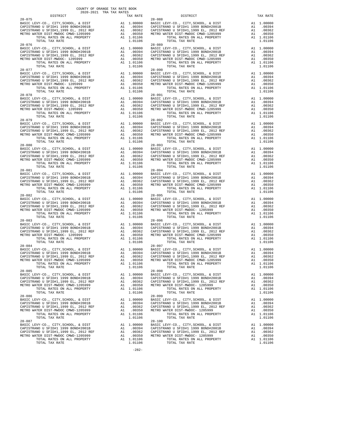| DISTRICT                                                                                                                                                                                                                             |                                                                                                 | TAX RATE                                                                                                  |                       |
|--------------------------------------------------------------------------------------------------------------------------------------------------------------------------------------------------------------------------------------|-------------------------------------------------------------------------------------------------|-----------------------------------------------------------------------------------------------------------|-----------------------|
| $28 - 075$                                                                                                                                                                                                                           |                                                                                                 |                                                                                                           | 28-088                |
|                                                                                                                                                                                                                                      |                                                                                                 |                                                                                                           |                       |
|                                                                                                                                                                                                                                      |                                                                                                 |                                                                                                           |                       |
|                                                                                                                                                                                                                                      |                                                                                                 |                                                                                                           |                       |
|                                                                                                                                                                                                                                      |                                                                                                 |                                                                                                           |                       |
|                                                                                                                                                                                                                                      |                                                                                                 |                                                                                                           |                       |
| $28 - 076$                                                                                                                                                                                                                           |                                                                                                 |                                                                                                           | $28 - 089$            |
|                                                                                                                                                                                                                                      |                                                                                                 |                                                                                                           |                       |
|                                                                                                                                                                                                                                      |                                                                                                 |                                                                                                           |                       |
|                                                                                                                                                                                                                                      |                                                                                                 |                                                                                                           |                       |
|                                                                                                                                                                                                                                      |                                                                                                 |                                                                                                           |                       |
|                                                                                                                                                                                                                                      |                                                                                                 |                                                                                                           |                       |
| $28 - 077$                                                                                                                                                                                                                           |                                                                                                 |                                                                                                           | $28 - 090$            |
| BASIC LEVY-CO., CITY, SCHOOL, & DIST                                                                                                                                                                                                 |                                                                                                 | A1 1.00000 BASIC L<br>A1 .00394 CAPISTR<br>A1 .00362 CAPISTR<br>A1 .00350 METROW                          |                       |
| CAPISTRANO U SFID#1 1999 BOND#2001B                                                                                                                                                                                                  |                                                                                                 |                                                                                                           |                       |
| CAPISIRANO O SFID#1 1999 BOND#2001B<br>CAPISTRANO U SFID#1,1999 EL, 2012 REF                                                                                                                                                         |                                                                                                 |                                                                                                           |                       |
| METRO WATER DIST-MWDOC- 1205999                                                                                                                                                                                                      | $\mathop{\rm Al}\limits^-$                                                                      |                                                                                                           |                       |
| TOTAL RATES ON ALL PROPERTY<br>TOTAL TAX RATE                                                                                                                                                                                        |                                                                                                 | A1 1.01106<br>1.01106                                                                                     |                       |
| $28 - 078$                                                                                                                                                                                                                           |                                                                                                 |                                                                                                           | $28 - 091$            |
| BASIC LEVY-CO., CITY, SCHOOL, & DIST and 1.00000 BASIC LAPS<br>CAPISTRANO U SFID#1, 1999 BOMD#2001B A1 .00394 CAPISTRANO U SFID#1, 1999 BL, 2012 REF and 201308 CAPISTR<br>METRO WATER DIST-MWDOC-1205999 RL, 2012 REF and 200362 CA |                                                                                                 |                                                                                                           |                       |
|                                                                                                                                                                                                                                      |                                                                                                 |                                                                                                           |                       |
|                                                                                                                                                                                                                                      |                                                                                                 |                                                                                                           |                       |
|                                                                                                                                                                                                                                      |                                                                                                 |                                                                                                           |                       |
| TOTAL RATES ON ALL PROPERTY                                                                                                                                                                                                          |                                                                                                 | A1 1.01106                                                                                                |                       |
| TOTAL TAX RATE<br>$28 - 079$                                                                                                                                                                                                         |                                                                                                 | 1.01106                                                                                                   | $28 - 092$            |
| BASIC LEVY-CO., CITY, SCHOOL, & DIST                                                                                                                                                                                                 |                                                                                                 |                                                                                                           |                       |
| CAPISTRANO U SFID#1 1999 BOND#2001B                                                                                                                                                                                                  |                                                                                                 |                                                                                                           |                       |
|                                                                                                                                                                                                                                      |                                                                                                 |                                                                                                           |                       |
| CAPISTRANO U SFID#1,1999 EL, 2012 REF<br>METRO WATER DIST-MWDOC CMWD-1205999 A1<br>TOTAL RATES ON ALL PROPERTY A1                                                                                                                    |                                                                                                 |                                                                                                           |                       |
|                                                                                                                                                                                                                                      |                                                                                                 | 28-092<br>Al 1.00000 BASIC L<br>Al .00394 CAPISTR<br>Al .00362 CAPISTR<br>Al .00350 METRO W<br>Al 1.01106 |                       |
| TOTAL TAX RATE                                                                                                                                                                                                                       |                                                                                                 | 1.01106                                                                                                   |                       |
|                                                                                                                                                                                                                                      |                                                                                                 |                                                                                                           |                       |
|                                                                                                                                                                                                                                      |                                                                                                 |                                                                                                           |                       |
|                                                                                                                                                                                                                                      |                                                                                                 |                                                                                                           |                       |
|                                                                                                                                                                                                                                      |                                                                                                 |                                                                                                           |                       |
|                                                                                                                                                                                                                                      |                                                                                                 |                                                                                                           |                       |
|                                                                                                                                                                                                                                      |                                                                                                 |                                                                                                           |                       |
|                                                                                                                                                                                                                                      |                                                                                                 | 26-034<br>A1 .00000 BASIC L<br>A1 .00394 CAPISTR<br>A1 .00362 CAPISTR<br>A1 .00350 METROW                 |                       |
| CAPISTRANO U SFID#1 1999 BOND#2001B                                                                                                                                                                                                  |                                                                                                 |                                                                                                           |                       |
| CAPISTRANO U SFID#1,1999 EL, 2012 REF                                                                                                                                                                                                |                                                                                                 |                                                                                                           |                       |
| METRO WATER DIST-MWDOC CMWD-1205999                                                                                                                                                                                                  |                                                                                                 |                                                                                                           |                       |
| TOTAL RATES ON ALL PROPERTY                                                                                                                                                                                                          |                                                                                                 | A1 1.01106<br>1.01106                                                                                     |                       |
| TOTAL TAX RATE<br>$28 - 082$                                                                                                                                                                                                         |                                                                                                 |                                                                                                           | $28 - 095$            |
| BASIC LEVY-CO., CITY, SCHOOL, & DIST                                                                                                                                                                                                 |                                                                                                 | A1 1.00000 BASIC L<br>A1 .00394 CAPISTR<br>A1 .00362 CAPISTR<br>A1 .00350 METRO W                         |                       |
| CAPISTRANO U SFID#1 1999 BOND#2001B                                                                                                                                                                                                  |                                                                                                 |                                                                                                           |                       |
|                                                                                                                                                                                                                                      |                                                                                                 |                                                                                                           |                       |
|                                                                                                                                                                                                                                      |                                                                                                 |                                                                                                           |                       |
| TOTAL RATES ON ALL PROPERTY<br>TOTAL TAX RATE                                                                                                                                                                                        |                                                                                                 | A1 1.01106<br>1.01106                                                                                     |                       |
| $28 - 083$                                                                                                                                                                                                                           |                                                                                                 |                                                                                                           | $28 - 096$            |
| BASIC LEVY-CO., CITY, SCHOOL, & DIST                                                                                                                                                                                                 |                                                                                                 | A1 1.00000 BASIC L<br>A1 .00394 CAPISTR<br>A1 .00362 CAPISTR<br>A1 .00350 METROW                          |                       |
| CAPISTRANO U SFID#1 1999 BOND#2001B                                                                                                                                                                                                  |                                                                                                 |                                                                                                           |                       |
| CAPISTRANO U SFID#1,1999 EL, 2012 REF                                                                                                                                                                                                |                                                                                                 |                                                                                                           |                       |
| METRO WATER DIST-MWDOC- 1205999                                                                                                                                                                                                      |                                                                                                 |                                                                                                           |                       |
| TOTAL RATES ON ALL PROPERTY                                                                                                                                                                                                          |                                                                                                 | A1 1.01106                                                                                                |                       |
| TOTAL TAX RATE<br>$28 - 084$                                                                                                                                                                                                         |                                                                                                 | 1.01106                                                                                                   | $28 - 097$            |
| BASIC LEVY-CO., CITY, SCHOOL, & DIST                                                                                                                                                                                                 |                                                                                                 |                                                                                                           |                       |
| CAPISTRANO U SFID#1 1999 BOND#2001B                                                                                                                                                                                                  |                                                                                                 |                                                                                                           |                       |
| CAPISTRANO U SFID#1,1999 EL, 2012 REF                                                                                                                                                                                                |                                                                                                 |                                                                                                           |                       |
| METRO WATER DIST-MWDOC CMWD-1205999                                                                                                                                                                                                  |                                                                                                 |                                                                                                           |                       |
| TOTAL RATES ON ALL PROPERTY                                                                                                                                                                                                          | A1 1.00000 BASIC L<br>A1 .00394 CAPISTR<br>A1 .00362 CAPISTR<br>A1 .00350 METRO W<br>A1 1.01106 |                                                                                                           |                       |
| TOTAL TAX RATE<br>$28 - 085$                                                                                                                                                                                                         |                                                                                                 | 1.01106                                                                                                   | $28 - 098$            |
| BASIC LEVY-CO., CITY, SCHOOL, & DIST                                                                                                                                                                                                 | A1                                                                                              | 1.00000                                                                                                   | BASIC L               |
| CAPISTRANO U SFID#1 1999 BOND#2001B                                                                                                                                                                                                  | A1                                                                                              | .00394                                                                                                    | CAPISTR               |
| CAPISTRANO U SFID#1,1999 EL, 2012 REF                                                                                                                                                                                                | A1                                                                                              | .00362                                                                                                    | CAPISTR               |
| METRO WATER DIST-MWDOC CMWD-1205999                                                                                                                                                                                                  | A1                                                                                              | .00350                                                                                                    | METRO W               |
| TOTAL RATES ON ALL PROPERTY                                                                                                                                                                                                          |                                                                                                 | A1 1.01106                                                                                                |                       |
| TOTAL TAX RATE                                                                                                                                                                                                                       |                                                                                                 | 1.01106                                                                                                   |                       |
| $28 - 086$<br>BASIC LEVY-CO., CITY, SCHOOL, & DIST                                                                                                                                                                                   | A1                                                                                              | 1.00000                                                                                                   | $28 - 099$<br>BASIC L |
| CAPISTRANO U SFID#1 1999 BOND#2001B                                                                                                                                                                                                  | A1                                                                                              | .00394                                                                                                    | CAPISTR               |
| CAPISTRANO U SFID#1,1999 EL, 2012 REF                                                                                                                                                                                                | A1                                                                                              | .00362                                                                                                    | CAPISTR               |
| METRO WATER DIST-MWDOC CMWD-1205999                                                                                                                                                                                                  | A1                                                                                              | .00350                                                                                                    | METRO W               |
| TOTAL RATES ON ALL PROPERTY                                                                                                                                                                                                          |                                                                                                 | A1 1.01106                                                                                                |                       |
| TOTAL TAX RATE                                                                                                                                                                                                                       |                                                                                                 | 1.01106                                                                                                   |                       |
| $28 - 087$<br>BASIC LEVY-CO., CITY, SCHOOL, & DIST                                                                                                                                                                                   | A1                                                                                              | 1.00000                                                                                                   | $28 - 100$<br>BASIC L |
| CAPISTRANO U SFID#1 1999 BOND#2001B                                                                                                                                                                                                  | A1                                                                                              | .00394                                                                                                    | CAPISTR               |
| CAPISTRANO U SFID#1,1999 EL, 2012 REF                                                                                                                                                                                                | A1                                                                                              | .00362                                                                                                    | CAPISTR<br>           |
| METRO MATER DICT-MWDOC CMWD-1205000                                                                                                                                                                                                  | 7.1                                                                                             | 00350                                                                                                     |                       |

-282-

 COUNTY OF ORANGE TAX RATE BOOK 2020-2021 TRA TAX RATES DISTRICT TAX RATE DISTRICT TAX RATE BASIC LEVY-CO., CITY,SCHOOL, & DIST A1 1.00000 BASIC LEVY-CO., CITY,SCHOOL, & DIST A1 1.00000 CAPISTRANO U SFID#1 1999 BOND#2001B A1 .00394 CAPISTRANO U SFID#1 1999 BOND#2001B A1 .00394 CAPISTRANO U SFID#1,1999 EL, 2012 REF A1 .00362 CAPISTRANO U SFID#1,1999 EL, 2012 REF A1 .00362 METRO WATER DIST-MWDOC CMWD-1205999 A1 .00350 METRO WATER DIST-MWDOC CMWD-1205999 A1 .00350 TOTAL RATES ON ALL PROPERTY A1 1.01106 TOTAL RATES ON ALL PROPERTY A1 1.01106 TOTAL TAX RATE 1.01106 TOTAL TAX RATE 1.01106 28-076 28-089 BASIC LEVY-CO., CITY,SCHOOL, & DIST A1 1.00000 BASIC LEVY-CO., CITY,SCHOOL, & DIST A1 1.00000 CAPISTRANO U SFID#1 1999 BOND#2001B A1 .00394 CAPISTRANO U SFID#1 1999 BOND#2001B A1 .00394 CAPISTRANO U SFID#1,1999 EL, 2012 REF A1 .00362 CAPISTRANO U SFID#1,1999 EL, 2012 REF A1 .00362 METRO WATER DIST-MWDOC- 1205999 A1 .00350 METRO WATER DIST-MWDOC CMWD-1205999 A1 .00350 TOTAL RATES ON ALL PROPERTY A1 1.01106 TOTAL RATES ON ALL PROPERTY A1 1.01106 TOTAL TAX RATE 1.01106 TOTAL TAX RATE 1.01106 BASIC LEVY-CO., CITY,SCHOOL, & DIST A1 1.00000 BASIC LEVY-CO., CITY,SCHOOL, & DIST A1 1.00000 CAPISTRANO U SFID#1 1999 BOND#2001B A1 .00394 CAPISTRANO U SFID#1 1999 BOND#2001B A1 .00394 CAPISTRANO U SFID#1,1999 EL, 2012 REF A1 .00362 CAPISTRANO U SFID#1,1999 EL, 2012 REF A1 .00362 METRO WATER DIST-MWDOC- 1205999 A1 .00350 METRO WATER DIST-MWDOC CMWD-1205999 A1 .00350 TOTAL RATES ON ALL PROPERTY A1 1.01106 TOTAL RATES ON ALL PROPERTY A1 1.01106 TOTAL TAX RATE 1.01106 TOTAL TAX RATE 1.01106 BASIC LEVY-CO., CITY,SCHOOL, & DIST A1 1.00000 BASIC LEVY-CO., CITY,SCHOOL, & DIST A1 1.00000 CAPISTRANO U SFID#1 1999 BOND#2001B A1 .00394 CAPISTRANO U SFID#1 1999 BOND#2001B A1 .00394 CAPISTRANO U SFID#1,1999 EL, 2012 REF A1 .00362 CAPISTRANO U SFID#1,1999 EL, 2012 REF A1 .00362 METRO WATER DIST-MWDOC- 1205999 A1 .00350 METRO WATER DIST-MWDOC CMWD-1205999 A1 .00350 TOTAL RATES ON ALL PROPERTY A1 1.01106 TOTAL RATES ON ALL PROPERTY A1 1.01106 TOTAL TAX RATE 1.01106 TOTAL TAX RATE 1.01106 BASIC LEVY-CO., CITY,SCHOOL, & DIST A1 1.00000 BASIC LEVY-CO., CITY,SCHOOL, & DIST A1 1.00000 CAPISTRANO U SFID#1 1999 BOND#2001B A1 .00394 CAPISTRANO U SFID#1 1999 BOND#2001B A1 .00394 CAPISTRANO U SFID#1,1999 EL, 2012 REF A1 .00362 CAPISTRANO U SFID#1,1999 EL, 2012 REF A1 .00362 METRO WATER DIST-MWDOC CMWD-1205999 A1 .00350 METRO WATER DIST-MWDOC CMWD-1205999 A1 .00350 TOTAL RATES ON ALL PROPERTY A1 1.01106 TOTAL RATES ON ALL PROPERTY A1 1.01106 TOTAL TAX RATE 1.01106 TOTAL TAX RATE 1.01106 BASIC LEVY-CO., CITY,SCHOOL, & DIST A1 1.00000 BASIC LEVY-CO., CITY,SCHOOL, & DIST A1 1.00000 CAPISTRANO U SFID#1 1999 BOND#2001B A1 .00394 CAPISTRANO U SFID#1 1999 BOND#2001B A1 .00394 CAPISTRANO U SFID#1,1999 EL, 2012 REF A1 .00362 CAPISTRANO U SFID#1,1999 EL, 2012 REF A1 .00362 METRO WATER DIST-MWDOC CMWD-1205999 A1 .00350 METRO WATER DIST-MWDOC CMWD-1205999 A1 .00350 TOTAL RATES ON ALL PROPERTY A1 1.01106 TOTAL RATES ON ALL PROPERTY A1 1.01106 TOTAL TAX RATE 1.01106 TOTAL TAX RATE 1.01106 BASIC LEVY-CO., CITY,SCHOOL, & DIST A1 1.00000 BASIC LEVY-CO., CITY,SCHOOL, & DIST A1 1.00000 CAPISTRANO U SFID#1 1999 BOND#2001B A1 .00394 CAPISTRANO U SFID#1 1999 BOND#2001B A1 .00394 CAPISTRANO U SFID#1,1999 EL, 2012 REF A1 .00362 CAPISTRANO U SFID#1,1999 EL, 2012 REF A1 .00362 METRO WATER DIST-MWDOC CMWD-1205999 A1 .00350 METRO WATER DIST-MWDOC CMWD-1205999 A1 .00350 TOTAL RATES ON ALL PROPERTY A1 1.01106 TOTAL RATES ON ALL PROPERTY A1 1.01106 TOTAL TAX RATE 1.01106 TOTAL TAX RATE 1.01106 BASIC LEVY-CO., CITY,SCHOOL, & DIST A1 1.00000 BASIC LEVY-CO., CITY,SCHOOL, & DIST A1 1.00000 CAPISTRANO U SFID#1 1999 BOND#2001B A1 .00394 CAPISTRANO U SFID#1 1999 BOND#2001B A1 .00394 CAPISTRANO U SFID#1,1999 EL, 2012 REF A1 .00362 CAPISTRANO U SFID#1,1999 EL, 2012 REF A1 .00362 METRO WATER DIST-MWDOC CMWD-1205999 A1 .00350 METRO WATER DIST-MWDOC- 1205999 A1 .00350 TOTAL RATES ON ALL PROPERTY A1 1.01106 TOTAL RATES ON ALL PROPERTY A1 1.01106 TOTAL TAX RATE 1.01106 TOTAL TAX RATE 1.01106 BASIC LEVY-CO., CITY,SCHOOL, & DIST A1 1.00000 BASIC LEVY-CO., CITY,SCHOOL, & DIST A1 1.00000 CAPISTRANO U SFID#1 1999 BOND#2001B A1 .00394 CAPISTRANO U SFID#1 1999 BOND#2001B A1 .00394 CAPISTRANO U SFID#1<br>CAPISTRANO U SFID#1,1999 EL, 2012 REF A1 .00350 CAPISTRANO U SFID#1,1999 EL, 2012 REF A1 .00350<br>METRO WATER DI A1 1.00000 BASIC LEVY-CO., CITY, SCHOOL, & DIST A1 1.00000<br>
A1 .00394 CAPISTRANO U SFID#1 1999 BOND#2001B A1 .00362<br>
A1 .00362 CAPISTRANO U SFID#1,1999 EL, 2012 REF A1 .00362 CAPISTRANO U SFID#1 1999 BOND#2001B A1 .00394 CAPISTRANO U SFID#1 1999 BOND#2001B A1 .00394 CAPISTRANO U SFID#1,1999 EL, 2012 REF A1 .00362 CAPISTRANO U SFID#1,1999 EL, 2012 REF A1 .00362 METRO WATER DIST-MWDOC CMWD-1205999 A1 .00350 METRO WATER DIST-MWDOC CMWD-1205999 A1 .00350 TOTAL RATES ON ALL PROPERTY A1 1.01106 TOTAL RATES ON ALL PROPERTY A1 1.01106 TOTAL TAX RATE 1.01106 TOTAL TAX RATE 1.01106 BASIC LEVY-CO., CITY,SCHOOL, & DIST A1 1.00000 BASIC LEVY-CO., CITY,SCHOOL, & DIST A1 1.00000 CAPISTRANO U SFID#1 1999 BOND#2001B A1 .00394 CAPISTRANO U SFID#1 1999 BOND#2001B A1 .00394 CAPISTRANO U SFID#1,1999 EL, 2012 REF A1 .00362 CAPISTRANO U SFID#1,1999 EL, 2012 REF A1 .00362 METRO WATER DIST-MWDOC CMWD-1205999 A1 .00350 METRO WATER DIST-MWDOC- 1205999 A1 .00350 TOTAL RATES ON ALL PROPERTY A1 1.01106 TOTAL RATES ON ALL PROPERTY A1 1.01106 TOTAL TAX RATE 1.01106 TOTAL TAX RATE 1.01106 28-086 28-099 BASIC LEVY-CO., CITY,SCHOOL, & DIST A1 1.00000 BASIC LEVY-CO., CITY,SCHOOL, & DIST A1 1.00000 CAPISTRANO U SFID#1 1999 BOND#2001B A1 .00394 CAPISTRANO U SFID#1 1999 BOND#2001B A1 .00394 CAPISTRANO U SFID#1,1999 EL, 2012 REF A1 .00362 CAPISTRANO U SFID#1,1999 EL, 2012 REF A1 .00362 METRO WATER DIST-MWDOC CMWD-1205999 A1 .00350 METRO WATER DIST-MWDOC- 1205999 A1 .00350 TOTAL RATES ON ALL PROPERTY A1 1.01106 TOTAL RATES ON ALL PROPERTY A1 1.01106 TOTAL TAX RATE 1.01106 TOTAL TAX RATE 1.01106 BASIC LEVY-CO., CITY,SCHOOL, & DIST A1 1.00000 BASIC LEVY-CO., CITY,SCHOOL, & DIST A1 1.00000 CAPISTRANO U SFID#1 1999 BOND#2001B A1 .00394 CAPISTRANO U SFID#1 1999 BOND#2001B A1 .00394 CAPISTRANO U SFID#1,1999 EL, 2012 REF A1 .00362 CAPISTRANO U SFID#1,1999 EL, 2012 REF A1 .00362 METRO WATER DIST-MWDOC CMWD-1205999 A1 .00350 METRO WATER DIST-MWDOC- 1205999 A1 .00350 TOTAL RATES ON ALL PROPERTY A1 1.01106 TOTAL RATES ON ALL PROPERTY A1 1.01106 TOTAL TAX RATE 1.01106 TOTAL TAX RATE 1.01106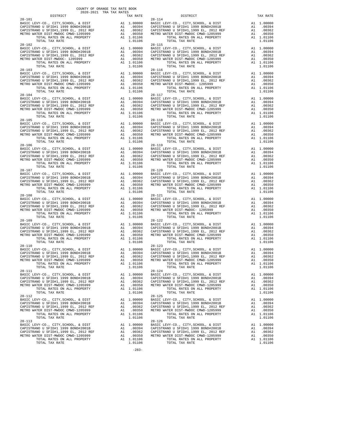|            | <b>DISIRICI</b>                       |    | IAA KAIL   |            |
|------------|---------------------------------------|----|------------|------------|
| $28 - 101$ |                                       |    |            | $28 - 114$ |
|            |                                       |    |            |            |
|            |                                       |    |            |            |
|            |                                       |    |            |            |
|            |                                       |    |            |            |
|            |                                       |    |            |            |
|            | TOTAL TAX RATE                        |    | 1.01106    |            |
|            |                                       |    |            |            |
|            |                                       |    |            |            |
|            |                                       |    |            |            |
|            |                                       |    |            |            |
|            |                                       |    |            |            |
|            |                                       |    |            |            |
|            |                                       |    |            |            |
|            |                                       |    |            |            |
|            |                                       |    |            |            |
|            |                                       |    |            |            |
|            |                                       |    |            |            |
|            |                                       |    |            |            |
|            |                                       |    |            |            |
|            | TOTAL TAX RATE                        |    | 1.01106    |            |
|            |                                       |    |            |            |
|            |                                       |    |            |            |
|            |                                       |    |            |            |
|            |                                       |    |            |            |
|            |                                       |    |            |            |
|            |                                       |    |            |            |
|            |                                       |    |            |            |
|            |                                       |    |            |            |
|            |                                       |    |            |            |
|            |                                       |    |            |            |
|            |                                       |    |            |            |
|            |                                       |    |            |            |
|            |                                       |    |            |            |
|            |                                       |    |            |            |
|            |                                       |    |            |            |
|            |                                       |    |            |            |
|            |                                       |    |            |            |
|            |                                       |    |            |            |
|            |                                       |    |            |            |
|            |                                       |    |            |            |
|            |                                       |    |            |            |
|            |                                       |    |            |            |
| $28 - 107$ |                                       |    |            | $28 - 120$ |
|            |                                       |    |            |            |
|            |                                       |    |            |            |
|            |                                       |    |            |            |
|            |                                       |    |            |            |
|            | TOTAL RATES ON ALL PROPERTY           |    | A1 1.01106 |            |
|            | TOTAL TAX RATE                        |    | 1.01106    |            |
| $28 - 108$ |                                       |    |            | 28-121     |
|            |                                       |    |            |            |
|            |                                       |    |            |            |
|            |                                       |    |            |            |
|            |                                       |    |            |            |
|            |                                       |    |            |            |
|            | TOTAL TAX RATE                        |    | 1.01106    |            |
|            |                                       |    |            |            |
|            |                                       |    |            |            |
|            |                                       |    |            |            |
|            |                                       |    |            |            |
|            |                                       |    |            |            |
|            |                                       |    |            |            |
|            |                                       |    |            |            |
|            |                                       |    |            |            |
|            |                                       |    |            |            |
|            |                                       |    |            |            |
|            |                                       |    |            |            |
|            |                                       |    |            |            |
|            |                                       |    |            |            |
|            |                                       |    |            |            |
|            |                                       |    |            |            |
|            |                                       |    |            |            |
|            |                                       | A1 | 1.00000    | BASIC L    |
|            | CAPISTRANO U SFID#1 1999 BOND#2001B   |    | A1 .00394  | CAPISTR    |
|            | CAPISTRANO U SFID#1,1999 EL, 2012 REF | A1 | .00362     | CAPISTR    |
|            | METRO WATER DIST-MWDOC CMWD-1205999   | A1 | .00350     | METRO W    |
|            | TOTAL RATES ON ALL PROPERTY           |    | A1 1.01106 |            |
|            | TOTAL TAX RATE                        |    | 1.01106    |            |
| $28 - 112$ |                                       |    |            | $28 - 125$ |
|            | BASIC LEVY-CO., CITY, SCHOOL, & DIST  | A1 | 1.00000    | BASIC L    |
|            | CAPISTRANO U SFID#1 1999 BOND#2001B   |    | A1.00394   | CAPISTR    |
|            | CAPISTRANO U SFID#1,1999 EL, 2012 REF | A1 | .00362     | CAPISTR    |
|            | METRO WATER DIST-MWDOC CMWD-1205999   | A1 | .00350     | METRO W    |
|            | TOTAL RATES ON ALL PROPERTY           |    | A1 1.01106 |            |
|            | TOTAL TAX RATE                        |    | 1.01106    |            |
| $28 - 113$ |                                       |    |            | $28 - 126$ |
|            | BASIC LEVY-CO., CITY, SCHOOL, & DIST  | A1 | 1.00000    | BASIC L    |
|            | CAPISTRANO U SFID#1 1999 BOND#2001B   | A1 | .00394     | CAPISTR    |
|            | CAPISTRANO U SFID#1,1999 EL, 2012 REF | A1 | .00362     | CAPISTR    |
|            | METRO MATER DIST-MMDOC CMMD-1205999   | 21 | 00350      | M          |

| COUNTY OF ORANGE TAX RATE BOOK<br>2020-2021 TRA TAX RATES<br>$2020-2021\quad\text{TRA} \quad \text{RATE} \quad \text{DISTRICT}$ DISTRICT | TAX RATE | DISTRICT                                                                                                                                                                                                                                                                                                                                                   | TAX RATE |
|------------------------------------------------------------------------------------------------------------------------------------------|----------|------------------------------------------------------------------------------------------------------------------------------------------------------------------------------------------------------------------------------------------------------------------------------------------------------------------------------------------------------------|----------|
| $28 - 101$                                                                                                                               |          | $28 - 114$                                                                                                                                                                                                                                                                                                                                                 |          |
| $28 - 103$                                                                                                                               |          | $28 - 116$                                                                                                                                                                                                                                                                                                                                                 |          |
|                                                                                                                                          |          |                                                                                                                                                                                                                                                                                                                                                            |          |
|                                                                                                                                          |          |                                                                                                                                                                                                                                                                                                                                                            |          |
| $28 - 105$                                                                                                                               |          | $28 - 118$                                                                                                                                                                                                                                                                                                                                                 |          |
|                                                                                                                                          |          | $\begin{tabular}{@{}c@{}}\textbf{28-105} & \textbf{13-104} & \textbf{140} & \textbf{15-10} & \textbf{15-10} & \textbf{16-10} & \textbf{16-10} & \textbf{17-10} & \textbf{18-10} & \textbf{18-10} & \textbf{19-10} & \textbf{19-10} & \textbf{10-10} & \textbf{10-10} & \textbf{10-10} & \textbf{10-10} & \textbf{10-10} & \textbf{10-10} & \textbf{10-10}$ |          |
| $28 - 107$                                                                                                                               |          | $28 - 120$                                                                                                                                                                                                                                                                                                                                                 |          |
|                                                                                                                                          |          |                                                                                                                                                                                                                                                                                                                                                            |          |
| $28 - 109$                                                                                                                               |          | $28 - 122$                                                                                                                                                                                                                                                                                                                                                 |          |
|                                                                                                                                          |          | METRO WATER DIST-MWDOC CMWD-1205999 A1 .00350<br>TOTAL RATER ON TEATER ON ALL PROPERTY A1 1.01106<br>TOTAL TAX RATE<br>TOTAL TAX RATE                                                                                                                                                                                                                      | 1.01106  |
| $28 - 111$                                                                                                                               |          | $28 - 124$                                                                                                                                                                                                                                                                                                                                                 |          |
|                                                                                                                                          |          |                                                                                                                                                                                                                                                                                                                                                            |          |
| $28 - 113$                                                                                                                               |          | $28 - 126$                                                                                                                                                                                                                                                                                                                                                 |          |

 $-283-$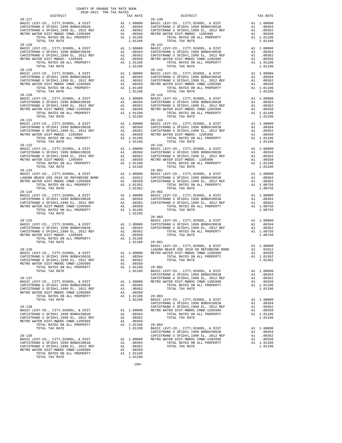| DISTRICT                                                                                                                                                                                                                                                                                                                                                                                                     |                                    | TAX RATE                                                                                                           |                                                        |
|--------------------------------------------------------------------------------------------------------------------------------------------------------------------------------------------------------------------------------------------------------------------------------------------------------------------------------------------------------------------------------------------------------------|------------------------------------|--------------------------------------------------------------------------------------------------------------------|--------------------------------------------------------|
| $28 - 127$                                                                                                                                                                                                                                                                                                                                                                                                   |                                    |                                                                                                                    | $28 - 140$                                             |
|                                                                                                                                                                                                                                                                                                                                                                                                              |                                    |                                                                                                                    |                                                        |
| $28 - 129$<br>BASIC LEVY-CO., CITY, SCHOOL, & DIST<br>$\ldots$ , $\ldots$ , $\ldots$ , $\ldots$ , $\&$ DIST<br>CAPISTRANO U SFID#1 1999 BOND#2001B<br>CAPISTRANO U SEID#1 1999 --<br>BASIC LEVI-CU., CITCHI 1999 BOND#2001B<br>CAPISTRANO U SFID#1 1999 BOND#2001B<br>CAPISTRANO U SFID#1,1999 BL, 2012 REF<br>METRO WATER DIST-MWDOC CMWD-1205999 A1<br>A1<br>TOTAL RATES ON ALL PROPERTY<br>TOTAL TAX RATE |                                    | 28-142<br>A1 1.00000 BASIC L<br>A1 .00394 CAPISTR<br>A1 .00350 METROW<br>A1 .00350 METROW<br>A1 1.01106<br>1.01106 | $28 - 142$                                             |
| $28 - 130$                                                                                                                                                                                                                                                                                                                                                                                                   |                                    |                                                                                                                    | $28 - 143$                                             |
| $28 - 131$<br>BASIC LEVY-CO., CITY, SURVOU, WILLIAM CAPISTRANO U SFID#1 1999 BOND#2001 REF<br>CAPISTRANO U SFID#1, 1999 BL, 2012 REF<br>METRO WATER DIST-MWDOC- 1205999<br>METRO WATER DIST-MWDOC- 1205999<br>TOTAL TAX RATE                                                                                                                                                                                 | $\overline{A1}$<br>$\overline{A1}$ | 28-144<br>A1 .00000 BASIC L<br>A1 .00394 CAPISTR<br>A1 .00350 METROW<br>A1 1.01106<br>1.01106                      | $28 - 144$                                             |
|                                                                                                                                                                                                                                                                                                                                                                                                              |                                    |                                                                                                                    |                                                        |
| $28 - 133$<br>TOTAL TAX RATE                                                                                                                                                                                                                                                                                                                                                                                 |                                    | 1.01362                                                                                                            | $28 - 901$                                             |
| $28 - 134$<br>TOTAL TAX RATE                                                                                                                                                                                                                                                                                                                                                                                 |                                    | 1.01106                                                                                                            | $28 - 902$                                             |
| $28 - 135$<br>TOTAL TAX RATE                                                                                                                                                                                                                                                                                                                                                                                 |                                    | A1 1.00000 CAPISTR<br>A1 .00394 CAPISTR<br>.00362<br>1.01106                                                       | $28 - 903$<br>BASIC L<br>$29 - 001$                    |
| $28 - 136$<br>TOTAL RATES ON ALL PROPERTY<br>TOTAL TAX RATE                                                                                                                                                                                                                                                                                                                                                  |                                    | A1 $1.01106$ 29-002<br>1.01106                                                                                     | BASIC L<br>LAGUNA<br>BASIC L                           |
| $28 - 137$<br>BASIC LEVY-CO., CITY, SCHOOL, & DIST<br>CAPISTRANO U SFID#1 1999 BOND#2001B<br>CAPISTRANO U SFID#1,1999 EL, 2012 REF<br>METRO WATER DIST-MWDOC CMWD-1205999<br>TOTAL RATES ON ALL PROPERTY                                                                                                                                                                                                     | A1<br>A1                           | A1 1.00000 METRO W<br>A1 .00394<br>.00362<br>.00350<br>A1 1.01106                                                  | CAPISTR<br>CAPISTR<br>$29 - 003$                       |
| TOTAL TAX RATE<br>$28 - 138$<br>BASIC LEVY-CO., CITY, SCHOOL, & DIST<br>CAPISTRANO U SFID#1 1999 BOND#2001B<br>CAPISTRANO U SFID#1,1999 EL, 2012 REF<br>METRO WATER DIST-MWDOC CMWD-1205999                                                                                                                                                                                                                  | A1<br>$\mathtt{Al}$                | 1.01106<br>A1 1.00000<br>A1 .00394<br>.00362<br>.00350                                                             | BASIC L<br>CAPISTR<br>CAPISTR<br>METRO W               |
| TOTAL RATES ON ALL PROPERTY<br>TOTAL TAX RATE<br>$28 - 139$<br>BASIC LEVY-CO., CITY, SCHOOL, & DIST<br>CAPISTRANO U SFID#1 1999 BOND#2001B<br>CAPISTRANO U SFID#1,1999 EL, 2012 REF<br>METRO WATER DIST-MWDOC CMWD-1205999<br>TOTAL RATES ON ALL PROPERTY<br>TOTAL TAX RATE                                                                                                                                  | A1<br>A1                           | A1 1.01106<br>1.01106<br>A1 1.00000<br>A1.00394<br>.00362<br>.00350<br>A1 1.01106<br>1.01106                       | $29 - 004$<br>BASIC L<br>CAPISTR<br>CAPISTR<br>METRO W |

|                                                                                                                                                                                                                                                                                                          | COUNTY OF ORANGE TAX RATE BOOK<br>2020-2021 TRA TAX RATES<br>$2020-2021 \quad \text{TRA RATES}$ DISTRICT $\hspace{2.5cm}$ |                                                                                                                                                                                                                                                                                                                                                                                                                                                                             |                                                 |  |  |  |  |  |
|----------------------------------------------------------------------------------------------------------------------------------------------------------------------------------------------------------------------------------------------------------------------------------------------------------|---------------------------------------------------------------------------------------------------------------------------|-----------------------------------------------------------------------------------------------------------------------------------------------------------------------------------------------------------------------------------------------------------------------------------------------------------------------------------------------------------------------------------------------------------------------------------------------------------------------------|-------------------------------------------------|--|--|--|--|--|
| $28 - 127$                                                                                                                                                                                                                                                                                               | TAX RATE                                                                                                                  | DISTRICT<br>$28 - 140$                                                                                                                                                                                                                                                                                                                                                                                                                                                      | TAX RATE                                        |  |  |  |  |  |
|                                                                                                                                                                                                                                                                                                          |                                                                                                                           |                                                                                                                                                                                                                                                                                                                                                                                                                                                                             |                                                 |  |  |  |  |  |
| $28 - 129$                                                                                                                                                                                                                                                                                               |                                                                                                                           | $28 - 142$                                                                                                                                                                                                                                                                                                                                                                                                                                                                  |                                                 |  |  |  |  |  |
|                                                                                                                                                                                                                                                                                                          |                                                                                                                           |                                                                                                                                                                                                                                                                                                                                                                                                                                                                             |                                                 |  |  |  |  |  |
|                                                                                                                                                                                                                                                                                                          |                                                                                                                           |                                                                                                                                                                                                                                                                                                                                                                                                                                                                             |                                                 |  |  |  |  |  |
| $28 - 131$                                                                                                                                                                                                                                                                                               |                                                                                                                           | $28 - 144$                                                                                                                                                                                                                                                                                                                                                                                                                                                                  |                                                 |  |  |  |  |  |
|                                                                                                                                                                                                                                                                                                          |                                                                                                                           |                                                                                                                                                                                                                                                                                                                                                                                                                                                                             |                                                 |  |  |  |  |  |
|                                                                                                                                                                                                                                                                                                          |                                                                                                                           |                                                                                                                                                                                                                                                                                                                                                                                                                                                                             |                                                 |  |  |  |  |  |
| $\begin{tabular}{cccccc} 28-13 & 101M & 1AA KAL & 1.00000 & 1.0010 & 0.011 & 0.0000 \\ \hline LACWM B ERCH & 105 & 2010 & 00.010 & 0.011 & 0.0000 \\ \hline METRO WATER DIST - MWOCC (MWD-1205999) & 0.01 & 0.012 & 0.017 & 0.017 & 0.017 & 0.017 & 0.017 & 0.017 & 0.017 & 0.017 & 0.017 & 0.017 & 0.0$ |                                                                                                                           |                                                                                                                                                                                                                                                                                                                                                                                                                                                                             |                                                 |  |  |  |  |  |
|                                                                                                                                                                                                                                                                                                          |                                                                                                                           |                                                                                                                                                                                                                                                                                                                                                                                                                                                                             |                                                 |  |  |  |  |  |
|                                                                                                                                                                                                                                                                                                          |                                                                                                                           |                                                                                                                                                                                                                                                                                                                                                                                                                                                                             |                                                 |  |  |  |  |  |
|                                                                                                                                                                                                                                                                                                          |                                                                                                                           |                                                                                                                                                                                                                                                                                                                                                                                                                                                                             |                                                 |  |  |  |  |  |
|                                                                                                                                                                                                                                                                                                          |                                                                                                                           |                                                                                                                                                                                                                                                                                                                                                                                                                                                                             | A1 .00362<br>A1 .00350<br>A1 1.01106<br>1.01106 |  |  |  |  |  |
|                                                                                                                                                                                                                                                                                                          |                                                                                                                           | $\begin{tabular}{c c c c c c} \multicolumn{3}{c }{\text{\small{1.01106}}} & \multicolumn{3}{c }{\begin{tabular}{c c c c} \multicolumn{3}{c }{\begin{tabular}{c} \multicolumn{3}{c }{\begin{tabular}{c} \multicolumn{3}{c }{\begin{tabular}{c} \multicolumn{3}{c}{}{\begin{tabular}{c} \multicolumn{3}{c}{}{\begin{tabular}{c} \multicolumn{3}{c}{}{\begin{tabular}{c} \multicolumn{3}{c}{}{\begin{tabular}{c} \multicolumn{3}{c}{}{\begin{tabular}{c} \multicolumn{3}{c}{}$ |                                                 |  |  |  |  |  |

-284-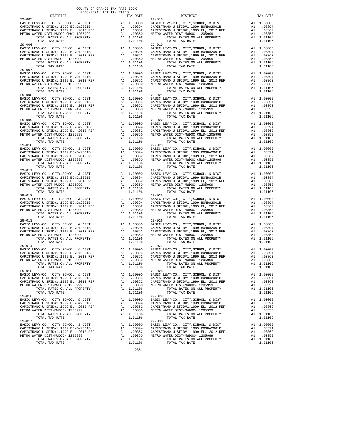| DISTRICT                                                                                                                                           |                                                                                                                      | TAX RATE   |                |
|----------------------------------------------------------------------------------------------------------------------------------------------------|----------------------------------------------------------------------------------------------------------------------|------------|----------------|
| $29 - 005$                                                                                                                                         |                                                                                                                      |            | 29-018         |
|                                                                                                                                                    |                                                                                                                      |            |                |
|                                                                                                                                                    |                                                                                                                      |            |                |
|                                                                                                                                                    |                                                                                                                      |            |                |
|                                                                                                                                                    |                                                                                                                      |            |                |
|                                                                                                                                                    |                                                                                                                      |            |                |
|                                                                                                                                                    |                                                                                                                      |            |                |
|                                                                                                                                                    |                                                                                                                      |            |                |
| $29 - 006$                                                                                                                                         |                                                                                                                      |            | $29 - 019$     |
|                                                                                                                                                    |                                                                                                                      |            |                |
|                                                                                                                                                    |                                                                                                                      |            |                |
|                                                                                                                                                    |                                                                                                                      |            |                |
|                                                                                                                                                    |                                                                                                                      |            |                |
|                                                                                                                                                    |                                                                                                                      |            |                |
|                                                                                                                                                    |                                                                                                                      |            |                |
|                                                                                                                                                    |                                                                                                                      |            |                |
|                                                                                                                                                    |                                                                                                                      |            | $29 - 020$     |
|                                                                                                                                                    |                                                                                                                      |            |                |
|                                                                                                                                                    |                                                                                                                      |            |                |
|                                                                                                                                                    |                                                                                                                      |            |                |
|                                                                                                                                                    |                                                                                                                      |            |                |
|                                                                                                                                                    |                                                                                                                      |            |                |
| TOTAL TAX RATE                                                                                                                                     |                                                                                                                      | 1.01106    |                |
| $29 - 008$                                                                                                                                         |                                                                                                                      |            |                |
|                                                                                                                                                    |                                                                                                                      |            |                |
| BASIC LEVY-CO., CITY, SCHOOL, & DIST                                                                                                               |                                                                                                                      |            |                |
| CAPISTRANO U SFID#1 1999 BOND#2001B<br>CAPISTRANO U SFID#1,1999 EL, 2012 REF<br>METRO WATER DIST-MWDOC CMWD-1205999<br>TOTAL RATES ON ALL PROPERTY | 29-021<br>A1 1.00000 BASIC L<br>A1 .00394 CAPISTR<br>A1 .00362 CAPISTR<br>A1 .00350 METRO W<br>A1 1.01106<br>1.01106 |            |                |
|                                                                                                                                                    |                                                                                                                      |            |                |
|                                                                                                                                                    |                                                                                                                      |            |                |
| TOTAL RATES ON ALL PROPERTY                                                                                                                        |                                                                                                                      |            |                |
| TOTAL TAX RATE                                                                                                                                     |                                                                                                                      |            |                |
| $29 - 009$                                                                                                                                         |                                                                                                                      |            | $29 - 022$     |
|                                                                                                                                                    |                                                                                                                      |            |                |
|                                                                                                                                                    |                                                                                                                      |            |                |
|                                                                                                                                                    |                                                                                                                      |            |                |
|                                                                                                                                                    |                                                                                                                      |            |                |
|                                                                                                                                                    |                                                                                                                      |            |                |
|                                                                                                                                                    |                                                                                                                      |            |                |
|                                                                                                                                                    |                                                                                                                      |            |                |
|                                                                                                                                                    |                                                                                                                      |            |                |
|                                                                                                                                                    |                                                                                                                      |            |                |
|                                                                                                                                                    |                                                                                                                      |            |                |
|                                                                                                                                                    |                                                                                                                      |            |                |
|                                                                                                                                                    |                                                                                                                      |            |                |
|                                                                                                                                                    |                                                                                                                      |            |                |
|                                                                                                                                                    |                                                                                                                      |            |                |
|                                                                                                                                                    |                                                                                                                      |            |                |
|                                                                                                                                                    |                                                                                                                      |            |                |
|                                                                                                                                                    |                                                                                                                      |            |                |
|                                                                                                                                                    |                                                                                                                      |            |                |
|                                                                                                                                                    |                                                                                                                      |            |                |
|                                                                                                                                                    |                                                                                                                      |            |                |
|                                                                                                                                                    |                                                                                                                      |            |                |
|                                                                                                                                                    |                                                                                                                      |            |                |
| TOTAL TAX RATE                                                                                                                                     |                                                                                                                      | 1.01106    |                |
| $29 - 012$                                                                                                                                         |                                                                                                                      |            | $29 - 025$     |
|                                                                                                                                                    |                                                                                                                      |            |                |
|                                                                                                                                                    |                                                                                                                      |            |                |
|                                                                                                                                                    |                                                                                                                      |            |                |
|                                                                                                                                                    |                                                                                                                      |            |                |
|                                                                                                                                                    |                                                                                                                      |            |                |
|                                                                                                                                                    |                                                                                                                      |            |                |
|                                                                                                                                                    |                                                                                                                      |            |                |
| $29 - 013$                                                                                                                                         |                                                                                                                      |            | $29 - 026$     |
|                                                                                                                                                    |                                                                                                                      |            |                |
|                                                                                                                                                    |                                                                                                                      |            |                |
|                                                                                                                                                    |                                                                                                                      |            |                |
|                                                                                                                                                    |                                                                                                                      |            |                |
|                                                                                                                                                    |                                                                                                                      |            |                |
|                                                                                                                                                    |                                                                                                                      |            |                |
| TOTAL TAX RATE                                                                                                                                     |                                                                                                                      | 1.01106    |                |
|                                                                                                                                                    |                                                                                                                      |            |                |
|                                                                                                                                                    |                                                                                                                      |            |                |
|                                                                                                                                                    |                                                                                                                      |            |                |
|                                                                                                                                                    |                                                                                                                      |            |                |
|                                                                                                                                                    |                                                                                                                      |            |                |
|                                                                                                                                                    |                                                                                                                      |            |                |
|                                                                                                                                                    |                                                                                                                      |            |                |
|                                                                                                                                                    |                                                                                                                      |            |                |
|                                                                                                                                                    |                                                                                                                      |            |                |
| BASIC LEVY-CO., CITY, SCHOOL, & DIST                                                                                                               | A1                                                                                                                   | 1.00000    | BASIC L        |
| CAPISTRANO U SFID#1 1999 BOND#2001B                                                                                                                |                                                                                                                      | A1 .00394  | CAPISTR        |
| CAPISTRANO U SFID#1,1999 EL, 2012 REF                                                                                                              | A1                                                                                                                   | .00362     | CAPISTR        |
| METRO WATER DIST-MWDOC- 1205999                                                                                                                    | A1                                                                                                                   | .00350     | METRO W        |
| TOTAL RATES ON ALL PROPERTY                                                                                                                        |                                                                                                                      | A1 1.01106 |                |
|                                                                                                                                                    |                                                                                                                      |            |                |
| TOTAL TAX RATE                                                                                                                                     |                                                                                                                      | 1.01106    |                |
| $29 - 016$                                                                                                                                         |                                                                                                                      |            | $29 - 029$     |
| BASIC LEVY-CO., CITY, SCHOOL, & DIST                                                                                                               | A1                                                                                                                   | 1.00000    | BASIC L        |
| CAPISTRANO U SFID#1 1999 BOND#2001B                                                                                                                |                                                                                                                      | A1 .00394  | CAPISTR        |
| CAPISTRANO U SFID#1,1999 EL, 2012 REF                                                                                                              | A1                                                                                                                   | .00362     | CAPISTR        |
| METRO WATER DIST-MWDOC- 1205999                                                                                                                    | A1                                                                                                                   | .00350     | METRO W        |
| TOTAL RATES ON ALL PROPERTY                                                                                                                        |                                                                                                                      | A1 1.01106 |                |
|                                                                                                                                                    |                                                                                                                      |            |                |
| TOTAL TAX RATE                                                                                                                                     |                                                                                                                      | 1.01106    |                |
| $29 - 017$                                                                                                                                         |                                                                                                                      |            | $29 - 030$     |
| BASIC LEVY-CO., CITY, SCHOOL, & DIST                                                                                                               | A1                                                                                                                   | 1.00000    | BASIC L        |
| CAPISTRANO U SFID#1 1999 BOND#2001B                                                                                                                | A1                                                                                                                   | .00394     | CAPISTR        |
| CAPISTRANO U SFID#1,1999 EL, 2012 REF                                                                                                              | A1                                                                                                                   |            | .00362 CAPISTR |
|                                                                                                                                                    |                                                                                                                      |            |                |

 $-285-$ 

| COUNTY OF ORANGE TAX RATE BOOK<br>2020-2021 TRA TAX RATES<br>$2020-2021\quad\text{TRA TAX RATES}\atop \text{DISTRICT}$                                    | TAX RATE | DISTRICT                                                                                                                                                                                                                                                                                                                                                    | TAX RATE |
|-----------------------------------------------------------------------------------------------------------------------------------------------------------|----------|-------------------------------------------------------------------------------------------------------------------------------------------------------------------------------------------------------------------------------------------------------------------------------------------------------------------------------------------------------------|----------|
| $29 - 005$                                                                                                                                                |          | $29 - 018$                                                                                                                                                                                                                                                                                                                                                  |          |
| $29 - 007$                                                                                                                                                |          | $29 - 020$                                                                                                                                                                                                                                                                                                                                                  |          |
|                                                                                                                                                           |          |                                                                                                                                                                                                                                                                                                                                                             |          |
|                                                                                                                                                           |          |                                                                                                                                                                                                                                                                                                                                                             |          |
| $29 - 009$                                                                                                                                                |          | $29 - 022$                                                                                                                                                                                                                                                                                                                                                  |          |
| $29 - 011$                                                                                                                                                |          | $\begin{tabular}{@{}c@{}}\textbf{29--019} & \textbf{10140} & \textbf{10440} & \textbf{10440} & \textbf{10440} & \textbf{10440} & \textbf{10440} & \textbf{10440} & \textbf{10440} & \textbf{10440} & \textbf{10440} & \textbf{10440} & \textbf{10440} & \textbf{10440} & \textbf{10440} & \textbf{10440} & \textbf{10440} & \textbf{10440} & \textbf{10440$ |          |
|                                                                                                                                                           |          | $29 - 024$                                                                                                                                                                                                                                                                                                                                                  |          |
|                                                                                                                                                           |          |                                                                                                                                                                                                                                                                                                                                                             |          |
| $29 - 013$                                                                                                                                                |          | $29 - 026$                                                                                                                                                                                                                                                                                                                                                  |          |
| CAPISTRANO U SFID#1,1999 EL, 2012 REF AL<br>METRO WATER DIST-MWDOC- 1205999 A1 .00350<br>TOTAL RATES ON ALL PROPERTY A1 1.01106<br>TOTAL TAX RATE 1.01106 |          | METRO WATER DIST-MWDOC- 1205999<br>METRO WATER DIST-MWDOC- 1205999<br>TOTAL RATES ON ALL PROPERTY A1 1.01106<br>TOTAL TAX RATE<br>TOTAL RATES ON A TOTAL TAX RATE                                                                                                                                                                                           |          |
|                                                                                                                                                           |          |                                                                                                                                                                                                                                                                                                                                                             |          |
|                                                                                                                                                           |          |                                                                                                                                                                                                                                                                                                                                                             |          |
| $29 - 017$                                                                                                                                                |          | $29 - 030$                                                                                                                                                                                                                                                                                                                                                  |          |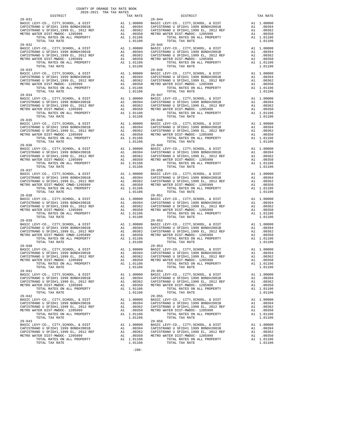| nteiwich                              |     | IAA RAIL                                                                                                     |            |
|---------------------------------------|-----|--------------------------------------------------------------------------------------------------------------|------------|
| $29 - 031$                            |     |                                                                                                              | $29 - 044$ |
|                                       |     |                                                                                                              |            |
|                                       |     |                                                                                                              |            |
|                                       |     |                                                                                                              |            |
| TOTAL RATES ON ALL PROPERTY           |     | A1 1.01106                                                                                                   |            |
| TOTAL TAX RATE                        |     | 1.01106                                                                                                      |            |
| $29 - 032$                            |     |                                                                                                              | $29 - 045$ |
|                                       |     |                                                                                                              |            |
|                                       |     |                                                                                                              |            |
|                                       |     |                                                                                                              |            |
|                                       |     |                                                                                                              |            |
|                                       |     |                                                                                                              |            |
| TOTAL TAX RATE                        |     | 1.01106                                                                                                      |            |
| $29 - 033$                            |     |                                                                                                              | $29 - 046$ |
|                                       |     |                                                                                                              |            |
|                                       |     |                                                                                                              |            |
|                                       |     |                                                                                                              |            |
|                                       |     |                                                                                                              |            |
| TOTAL RATES ON ALL PROPERTY           |     | A1 1.01106                                                                                                   |            |
| TOTAL TAX RATE                        |     | 1.01106                                                                                                      |            |
| $29 - 034$                            |     |                                                                                                              | $29 - 047$ |
| BASIC LEVY-CO., CITY, SCHOOL, & DIST  |     | 29-047<br>Al 1.00000 BASIC L<br>Al .00394 CAPISTR<br>Al .00362 CAPISTR<br>Al .00362 METRO W<br>METRO WETRO W |            |
| CAPISTRANO U SFID#1 1999 BOND#2001B   |     |                                                                                                              |            |
|                                       |     |                                                                                                              |            |
|                                       |     |                                                                                                              |            |
|                                       |     | A1 1.01106                                                                                                   |            |
| TOTAL TAX RATE                        |     | 1.01106                                                                                                      |            |
|                                       |     |                                                                                                              |            |
|                                       |     |                                                                                                              |            |
|                                       |     |                                                                                                              |            |
|                                       |     |                                                                                                              |            |
|                                       |     |                                                                                                              |            |
| TOTAL RATES ON ALL PROPERTY           |     | A1 1.01106                                                                                                   |            |
| TOTAL TAX RATE                        |     | 1.01106                                                                                                      |            |
|                                       |     |                                                                                                              |            |
|                                       |     |                                                                                                              |            |
|                                       |     |                                                                                                              |            |
|                                       |     |                                                                                                              |            |
|                                       |     |                                                                                                              |            |
|                                       |     |                                                                                                              |            |
|                                       |     |                                                                                                              |            |
| $29 - 037$                            |     |                                                                                                              | $29 - 050$ |
|                                       |     |                                                                                                              |            |
|                                       |     |                                                                                                              |            |
|                                       |     |                                                                                                              |            |
|                                       |     |                                                                                                              |            |
|                                       |     |                                                                                                              |            |
| TOTAL TAX RATE                        |     | 1.01106                                                                                                      |            |
| $29 - 038$                            |     |                                                                                                              | 29-051     |
|                                       |     |                                                                                                              |            |
|                                       |     |                                                                                                              |            |
|                                       |     |                                                                                                              |            |
|                                       |     |                                                                                                              |            |
|                                       |     |                                                                                                              |            |
|                                       |     | 1.01106                                                                                                      |            |
|                                       |     |                                                                                                              |            |
|                                       |     |                                                                                                              |            |
|                                       |     |                                                                                                              |            |
|                                       |     |                                                                                                              |            |
|                                       |     |                                                                                                              |            |
|                                       |     |                                                                                                              |            |
|                                       |     |                                                                                                              |            |
|                                       |     |                                                                                                              |            |
|                                       |     |                                                                                                              |            |
|                                       |     |                                                                                                              |            |
|                                       |     |                                                                                                              |            |
|                                       |     |                                                                                                              |            |
|                                       |     |                                                                                                              |            |
| $29 - 041$                            |     |                                                                                                              | $29 - 054$ |
| BASIC LEVY-CO., CITY, SCHOOL, & DIST  | A1  | 1.00000                                                                                                      | BASIC L    |
| CAPISTRANO U SFID#1 1999 BOND#2001B   |     | A1 .00394                                                                                                    | CAPISTR    |
| CAPISTRANO U SFID#1,1999 EL, 2012 REF | A1  | .00362                                                                                                       | CAPISTR    |
| METRO WATER DIST-MWDOC- 1205999       | A1  | .00350                                                                                                       | METRO W    |
| TOTAL RATES ON ALL PROPERTY           |     | A1 1.01106                                                                                                   |            |
| TOTAL TAX RATE                        |     | 1.01106                                                                                                      |            |
| $29 - 042$                            |     |                                                                                                              | $29 - 055$ |
| BASIC LEVY-CO., CITY, SCHOOL, & DIST  | A1  | 1.00000                                                                                                      | BASIC L    |
| CAPISTRANO U SFID#1 1999 BOND#2001B   |     | A1.00394                                                                                                     | CAPISTR    |
| CAPISTRANO U SFID#1,1999 EL, 2012 REF | A1  | .00362                                                                                                       | CAPISTR    |
| METRO WATER DIST-MWDOC- 1205999       | A1  | .00350                                                                                                       | METRO W    |
| TOTAL RATES ON ALL PROPERTY           |     | A1 1.01106                                                                                                   |            |
| TOTAL TAX RATE                        |     | 1.01106                                                                                                      |            |
| $29 - 043$                            |     |                                                                                                              | $29 - 056$ |
| BASIC LEVY-CO., CITY, SCHOOL, & DIST  | A1  | 1.00000                                                                                                      | BASIC L    |
| CAPISTRANO U SFID#1 1999 BOND#2001B   | A1  | .00394                                                                                                       | CAPISTR    |
| CAPISTRANO U SFID#1,1999 EL, 2012 REF |     | A1 .00362 CAPISTR                                                                                            |            |
| MOODA BARDO DICO MUDAC<br>1205000     | 2.1 | 0.0258                                                                                                       |            |

-286-

 COUNTY OF ORANGE TAX RATE BOOK 2020-2021 TRA TAX RATES DISTRICT TAX RATE DISTRICT TAX RATE BASIC LEVY-CO., CITY,SCHOOL, & DIST A1 1.00000 BASIC LEVY-CO., CITY,SCHOOL, & DIST A1 1.00000 CAPISTRANO U SFID#1 1999 BOND#2001B A1 .00394 CAPISTRANO U SFID#1 1999 BOND#2001B A1 .00394 CAPISTRANO U SFID#1,1999 EL, 2012 REF A1 .00362 CAPISTRANO U SFID#1,1999 EL, 2012 REF A1 .00362 METRO WATER DIST-MWDOC- 1205999 A1 .00350 METRO WATER DIST-MWDOC- 1205999 A1 .00350 TOTAL RATES ON ALL PROPERTY A1 1.01106 TOTAL RATES ON ALL PROPERTY A1 1.01106 TOTAL TAX RATE 1.01106 TOTAL TAX RATE 1.01106 29-032 29-045 BASIC LEVY-CO., CITY,SCHOOL, & DIST A1 1.00000 BASIC LEVY-CO., CITY,SCHOOL, & DIST A1 1.00000 CAPISTRANO U SFID#1 1999 BOND#2001B A1 .00394 CAPISTRANO U SFID#1 1999 BOND#2001B A1 .00394 CAPISTRANO U SFID#1,1999 EL, 2012 REF A1 .00362 CAPISTRANO U SFID#1,1999 EL, 2012 REF A1 .00362 METRO WATER DIST-MWDOC- 1205999 A1 .00350 METRO WATER DIST-MWDOC- 1205999 A1 .00350 TOTAL RATES ON ALL PROPERTY A1 1.01106 TOTAL RATES ON ALL PROPERTY A1 1.01106 TOTAL TAX RATE 1.01106 TOTAL TAX RATE 1.01106 BASIC LEVY-CO., CITY, SCHOOL, & DIST<br>CAPISTRANO U SFID#1 1999 BOMD#2001B CAPISTRANO U SFID#1 1999 BDM#2001B CAPISTRANO U SFID#1,1999 BL, 2012 REF A1<br>CAPISTRANO U SFID#1,1999 BL, 2012 REF A1 .00394 CAPISTRANO U SFID#1,1999 29-034 29-047 BASIC LEVY-CO., CITY,SCHOOL, & DIST A1 1.00000 BASIC LEVY-CO., CITY,SCHOOL, & DIST A1 1.00000 CAPISTRANO U SFID#1 1999 BOND#2001B A1 .00394 CAPISTRANO U SFID#1 1999 BOND#2001B A1 .00394 CAPISTRANO U SFID#1,1999 EL, 2012 REF A1 .00362 CAPISTRANO U SFID#1,1999 EL, 2012 REF A1 .00362 METRO WATER DIST-MWDOC- 1205999 A1 .00350 METRO WATER DIST-MWDOC- 1205999 A1 .00350 TOTAL RATES ON ALL PROPERTY A1 1.01106 TOTAL RATES ON ALL PROPERTY A1 1.01106 TOTAL TAX RATE 1.01106 TOTAL TAX RATE 1.01106 29-035 29-048 BASIC LEVY-CO., CITY,SCHOOL, & DIST A1 1.00000 BASIC LEVY-CO., CITY,SCHOOL, & DIST A1 1.00000 CAPISTRANO U SFID#1 1999 BOND#2001B A1 .00394 CAPISTRANO U SFID#1 1999 BOND#2001B A1 .00394 CAPISTRANO U SFID#1,1999 EL, 2012 REF A1 .00362 CAPISTRANO U SFID#1,1999 EL, 2012 REF A1 .00362 METRO WATER DIST-MWDOC- 1205999 A1 .00350 METRO WATER DIST-MWDOC- 1205999 A1 .00350 TOTAL RATES ON ALL PROPERTY A1 1.01106 TOTAL RATES ON ALL PROPERTY A1 1.01106 TOTAL TAX RATE 1.01106 TOTAL TAX RATE 1.01106 BASIC LEVY-CO., CITY,SCHOOL, & DIST A1 1.00000 BASIC LEVY-CO., CITY,SCHOOL, & DIST A1 1.00000 CAPISTRANO U SFID#1 1999 BOND#2001B A1 .00394 CAPISTRANO U SFID#1 1999 BOND#2001B A1 .00394 CAPISTRANO U SFID#1,1999 EL, 2012 REF A1 .00362 CAPISTRANO U SFID#1,1999 EL, 2012 REF A1 .00362 METRO WATER DIST-MWDOC- 1205999 A1 .00350 METRO WATER DIST-MWDOC- 1205999 A1 .00350 TOTAL RATES ON ALL PROPERTY A1 1.01106 TOTAL RATES ON ALL PROPERTY A1 1.01106 TOTAL TAX RATE 1.01106 TOTAL TAX RATE 1.01106 BASIC LEVY-CO., CITY,SCHOOL, & DIST A1 1.00000 BASIC LEVY-CO., CITY,SCHOOL, & DIST A1 1.00000 CAPISTRANO U SFID#1 1999 BOND#2001B A1 .00394 CAPISTRANO U SFID#1 1999 BOND#2001B A1 .00394 CAPISTRANO U SFID#1,1999 EL, 2012 REF A1 .00362 CAPISTRANO U SFID#1,1999 EL, 2012 REF A1 .00362 METRO WATER DIST-MWDOC CMWD-1205999 A1 .00350 METRO WATER DIST-MWDOC- 1205999 A1 .00350 TOTAL RATES ON ALL PROPERTY A1 1.01106 TOTAL RATES ON ALL PROPERTY A1 1.01106 TOTAL TAX RATE 1.01106 TOTAL TAX RATE 1.01106 BASIC LEVY-CO., CITY,SCHOOL, & DIST A1 1.00000 BASIC LEVY-CO., CITY,SCHOOL, & DIST A1 1.00000 CAPISTRANO U SFID#1 1999 BOND#2001B A1 .00394 CAPISTRANO U SFID#1 1999 BOND#2001B A1 .00394 CAPISTRANO U SFID#1,1999 EL, 2012 REF A1 .00362 CAPISTRANO U SFID#1,1999 EL, 2012 REF A1 .00362 METRO WATER DIST-MWDOC- 1205999 A1 .00350 METRO WATER DIST-MWDOC- 1205999 A1 .00350 TOTAL RATES ON ALL PROPERTY A1 1.01106 TOTAL RATES ON ALL PROPERTY A1 1.01106 TOTAL TAX RATE 1.01106 TOTAL TAX RATE 1.01106 BASIC LEVY-CO., CITY, SCHOOL, & DIST<br>CAPISTRANO U SFID#1 1999 BOMD#2001B CAPISTRANO U SFID#1 1999 BD, 2012 REF<br>CAPISTRANO U SFID#1,1999 BL, 2012 REF A1 .00354 CAPISTRANO U SFID#1,1999 BD, 2012 REF A1 .00354<br>CAPISTRANO U SF 29-040 29-053 BASIC LEVY-CO., CITY,SCHOOL, & DIST A1 1.00000 BASIC LEVY-CO., CITY,SCHOOL, & DIST A1 1.00000 CAPISTRANO U SFID#1 1999 BOND#2001B A1 .00394 CAPISTRANO U SFID#1 1999 BOND#2001B A1 .00394 CAPISTRANO U SFID#1,1999 EL, 2012 REF A1 .00362 CAPISTRANO U SFID#1,1999 EL, 2012 REF A1 .00362 METRO WATER DIST-MWDOC- 1205999 A1 .00350 METRO WATER DIST-MWDOC- 1205999 A1 .00350 TOTAL RATES ON ALL PROPERTY A1 1.01106 TOTAL RATES ON ALL PROPERTY A1 1.01106 TOTAL TAX RATE 1.01106 TOTAL TAX RATE 1.01106 29-041 29-054 BASIC LEVY-CO., CITY, SCHOOL, & DIST<br>CAPISTRANO U SFID#1 1999 BOMD#2001B A1 1.00000 BASIC LEVY-CO., CITY, SCHOOL, & DIST<br>CAPISTRANO U SFID#1,1999 BD., 2012 REF A1 .00350 CAPISTRANO U SFID#1,1999 BD., 2012 REF A1 .00362<br>CAP A1 1.00000 BASIC LEVY-CO., CITY,SCHOOL, & DIST A1 1.00000<br>A1 .00394 CAPISTRANO U SFID#1 1999 BOND#2001B A1 .00394<br>A1 .00362 CAPISTRANO U SFID#1,1999 BL, 2012 REF A1 .00362<br>A1 .00350 METRO WATRR DIST-MWDOC-1205999 CAPISTRANO U SFID#1 1999 BOND#2001B A1 .00394 CAPISTRANO U SFID#1 1999 BOND#2001B A1 .00394 CAPISTRANO U SFID#1,1999 EL, 2012 REF A1 .00362 CAPISTRANO U SFID#1,1999 EL, 2012 REF A1 .00362 METRO WATER DIST-MWDOC- 1205999 A1 .00350 METRO WATER DIST-MWDOC- 1205999 A1 .00350 TOTAL RATES ON ALL PROPERTY A1 1.01106 TOTAL RATES ON ALL PROPERTY A1 1.01106 TOTAL TAX RATE 1.01106 TOTAL TAX RATE 1.01106 BASIC LEVY-CO., CITY,SCHOOL, & DIST A1 1.00000 BASIC LEVY-CO., CITY,SCHOOL, & DIST A1 1.00000 CAPISTRANO U SFID#1 1999 BOND#2001B A1 .00394 CAPISTRANO U SFID#1 1999 BOND#2001B A1 .00394 CAPISTRANO U SFID#1,1999 EL, 2012 REF A1 .00362 CAPISTRANO U SFID#1,1999 EL, 2012 REF A1 .00362 METRO WATER DIST-MWDOC- 1205999 A1 .00350 METRO WATER DIST-MWDOC- 1205999 A1 .00350 TOTAL RATES ON ALL PROPERTY A1 1.01106 TOTAL RATES ON ALL PROPERTY A1 1.01106 TOTAL TAX RATE 1.01106 TOTAL TAX RATE 1.01106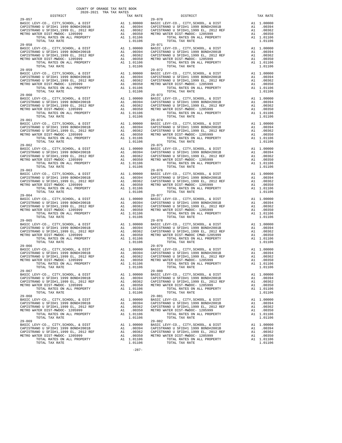| <b>DISIRICI</b>                                                              |    | IAA KAIL           |                    |
|------------------------------------------------------------------------------|----|--------------------|--------------------|
| $29 - 057$                                                                   |    |                    | $29 - 070$         |
|                                                                              |    |                    |                    |
|                                                                              |    |                    |                    |
|                                                                              |    |                    |                    |
|                                                                              |    |                    |                    |
|                                                                              |    |                    |                    |
| $29 - 058$                                                                   |    |                    | $29 - 071$         |
|                                                                              |    |                    |                    |
|                                                                              |    |                    |                    |
|                                                                              |    |                    |                    |
|                                                                              |    |                    |                    |
|                                                                              |    |                    |                    |
|                                                                              |    |                    |                    |
|                                                                              |    |                    | 29-072             |
|                                                                              |    |                    |                    |
|                                                                              |    |                    |                    |
|                                                                              |    |                    |                    |
|                                                                              |    |                    |                    |
|                                                                              |    |                    |                    |
| TOTAL TAX RATE                                                               |    | 1.01106            |                    |
| $29 - 060$                                                                   |    |                    | $29 - 073$         |
|                                                                              |    |                    |                    |
|                                                                              |    |                    |                    |
|                                                                              |    |                    |                    |
|                                                                              |    |                    |                    |
|                                                                              |    |                    |                    |
|                                                                              |    |                    |                    |
| $29 - 061$                                                                   |    |                    | $29 - 074$         |
|                                                                              |    |                    |                    |
|                                                                              |    |                    |                    |
|                                                                              |    |                    |                    |
|                                                                              |    |                    |                    |
| TOTAL RATES ON ALL PROPERTY                                                  |    | A1 1.01106         |                    |
| TOTAL TAX RATE                                                               |    | 1.01106            |                    |
|                                                                              |    |                    |                    |
|                                                                              |    |                    |                    |
|                                                                              |    |                    |                    |
|                                                                              |    |                    |                    |
|                                                                              |    |                    |                    |
|                                                                              |    |                    |                    |
|                                                                              |    |                    |                    |
|                                                                              |    |                    |                    |
|                                                                              |    |                    |                    |
|                                                                              |    |                    |                    |
|                                                                              |    |                    |                    |
|                                                                              |    |                    |                    |
| TOTAL RATES ON ALL PROPERTY                                                  |    | A1 1.01106         |                    |
| TOTAL TAX RATE                                                               |    | 1.01106            |                    |
| $29 - 064$                                                                   |    |                    | 29-077             |
|                                                                              |    |                    |                    |
|                                                                              |    |                    |                    |
|                                                                              |    |                    |                    |
|                                                                              |    |                    |                    |
|                                                                              |    |                    |                    |
| TOTAL TAX RATE                                                               |    | 1.01106            |                    |
|                                                                              |    |                    |                    |
|                                                                              |    |                    |                    |
|                                                                              |    |                    |                    |
|                                                                              |    |                    |                    |
| TOTAL RATES ON ALL PROPERTY                                                  |    | A1 1.01106         |                    |
| TOTAL TAX RATE                                                               |    | 1.01106            |                    |
| $29 - 066$                                                                   |    |                    | $29 - 079$         |
|                                                                              |    |                    |                    |
|                                                                              |    |                    |                    |
|                                                                              |    |                    |                    |
|                                                                              |    |                    |                    |
|                                                                              |    |                    |                    |
| TOTAL TAX RATE                                                               |    | 1.01106            |                    |
| $29 - 067$                                                                   |    |                    | $29 - 080$         |
| BASIC LEVY-CO., CITY, SCHOOL, & DIST                                         |    | A1 1.00000         | BASIC L            |
| CAPISTRANO U SFID#1 1999 BOND#2001B                                          |    | A1.00394           | CAPISTR            |
| CAPISTRANO U SFID#1,1999 EL, 2012 REF                                        | A1 | .00362             | CAPISTR            |
| METRO WATER DIST-MWDOC- 1205999                                              | A1 | .00350             | METRO W            |
| TOTAL RATES ON ALL PROPERTY                                                  |    | A1 1.01106         |                    |
| TOTAL TAX RATE                                                               |    | 1.01106            |                    |
| $29 - 068$                                                                   |    |                    | $29 - 081$         |
| BASIC LEVY-CO., CITY, SCHOOL, & DIST                                         | A1 | 1.00000            | BASIC L            |
| CAPISTRANO U SFID#1 1999 BOND#2001B                                          |    | A1 .00394          | CAPISTR            |
| CAPISTRANO U SFID#1,1999 EL, 2012 REF                                        | A1 | .00362             | CAPISTR            |
| METRO WATER DIST-MWDOC- 1205999                                              | A1 | .00350             | METRO W            |
| TOTAL RATES ON ALL PROPERTY                                                  |    | A1 1.01106         |                    |
| TOTAL TAX RATE                                                               |    | 1.01106            |                    |
| $29 - 069$                                                                   |    |                    | $29 - 082$         |
|                                                                              |    |                    |                    |
| BASIC LEVY-CO., CITY, SCHOOL, & DIST                                         | A1 | 1.00000            | BASIC L            |
| CAPISTRANO U SFID#1 1999 BOND#2001B<br>CAPISTRANO U SFID#1,1999 EL, 2012 REF | A1 | A1.00394<br>.00362 | CAPISTR<br>CAPISTR |

-287-

 COUNTY OF ORANGE TAX RATE BOOK 2020-2021 TRA TAX RATES DISTRICT TAX RATE DISTRICT TAX RATE BASIC LEVY-CO., CITY,SCHOOL, & DIST A1 1.00000 BASIC LEVY-CO., CITY,SCHOOL, & DIST A1 1.00000 CAPISTRANO U SFID#1 1999 BOND#2001B A1 .00394 CAPISTRANO U SFID#1 1999 BOND#2001B A1 .00394 CAPISTRANO U SFID#1,1999 EL, 2012 REF A1 .00362 CAPISTRANO U SFID#1,1999 EL, 2012 REF A1 .00362 METRO WATER DIST-MWDOC- 1205999 A1 .00350 METRO WATER DIST-MWDOC- 1205999 A1 .00350 TOTAL RATES ON ALL PROPERTY A1 1.01106 TOTAL RATES ON ALL PROPERTY A1 1.01106 TOTAL TAX RATE 1.01106 TOTAL TAX RATE 1.01106 29-058 29-071 BASIC LEVY-CO., CITY,SCHOOL, & DIST A1 1.00000 BASIC LEVY-CO., CITY,SCHOOL, & DIST A1 1.00000 CAPISTRANO U SFID#1 1999 BOND#2001B A1 .00394 CAPISTRANO U SFID#1 1999 BOND#2001B A1 .00394 CAPISTRANO U SFID#1,1999 EL, 2012 REF A1 .00362 CAPISTRANO U SFID#1,1999 EL, 2012 REF A1 .00362 METRO WATER DIST-MWDOC- 1205999 A1 .00350 METRO WATER DIST-MWDOC- 1205999 A1 .00350 TOTAL RATES ON ALL PROPERTY A1 1.01106 TOTAL RATES ON ALL PROPERTY A1 1.01106 TOTAL TAX RATE 1.01106 TOTAL TAX RATE 1.01106 29-059 29-072 BASIC LEVY-CO., CITY, SCHOOL, & DIST<br>CAPISTRANO U SFID#1 1999 BOMD#2001B CAPISTRANO U SFID#1 1999 BDM#2001B CAPISTRANO U SFID#1,1999 BL, 2012 REF A1<br>CAPISTRANO U SFID#1,1999 BL, 2012 REF A1 .00394 CAPISTRANO U SFID#1,1999 29-060 29-073 BASIC LEVY-CO., CITY,SCHOOL, & DIST A1 1.00000 BASIC LEVY-CO., CITY,SCHOOL, & DIST A1 1.00000 CAPISTRANO U SFID#1 1999 BOND#2001B A1 .00394 CAPISTRANO U SFID#1 1999 BOND#2001B A1 .00394 CAPISTRANO U SFID#1,1999 EL, 2012 REF A1 .00362 CAPISTRANO U SFID#1,1999 EL, 2012 REF A1 .00362 METRO WATER DIST-MWDOC- 1205999 A1 .00350 METRO WATER DIST-MWDOC- 1205999 A1 .00350 TOTAL RATES ON ALL PROPERTY A1 1.01106 TOTAL RATES ON ALL PROPERTY A1 1.01106 TOTAL TAX RATE 1.01106 TOTAL TAX RATE 1.01106 29-061 29-074 BASIC LEVY-CO., CITY, SCHOOL, & DIST<br>CAPISTRANO U SFID#1 1999 BOMD#2001B A1 1.00000 BASIC LEVY-CO., CITY, SCHOOL, & DIST<br>CAPISTRANO U SFID#1,1999 BD., 2012 REF A1 .00350 CAPISTRANO U SFID#1,1999 BD., 2012 REF A1 .00362<br>CAP BASIC LEVY-CO., CITY,SCHOOL, & DIST A1 1.00000 BASIC LEVY-CO., CITY,SCHOOL, & DIST A1 1.00000 CAPISTRANO U SFID#1 1999 BOND#2001B A1 .00394 CAPISTRANO U SFID#1 1999 BOND#2001B A1 .00394 CAPISTRANO U SFID#1,1999 EL, 2012 REF A1 .00362 CAPISTRANO U SFID#1,1999 EL, 2012 REF A1 .00362 METRO WATER DIST-MWDOC- 1205999 A1 .00350 METRO WATER DIST-MWDOC- 1205999 A1 .00350 TOTAL RATES ON ALL PROPERTY A1 1.01106 TOTAL RATES ON ALL PROPERTY A1 1.01106 TOTAL TAX RATE 1.01106 TOTAL TAX RATE 1.01106 BASIC LEVY-CO., CITY,SCHOOL, & DIST A1 1.00000 BASIC LEVY-CO., CITY,SCHOOL, & DIST A1 1.00000 CAPISTRANO U SFID#1 1999 BOND#2001B A1 .00394 CAPISTRANO U SFID#1 1999 BOND#2001B A1 .00394 CAPISTRANO U SFID#1,1999 EL, 2012 REF A1 .00362 CAPISTRANO U SFID#1,1999 EL, 2012 REF A1 .00362 METRO WATER DIST-MWDOC- 1205999 A1 .00350 METRO WATER DIST-MWDOC- 1205999 A1 .00350 TOTAL RATES ON ALL PROPERTY A1 1.01106 TOTAL RATES ON ALL PROPERTY A1 1.01106 TOTAL TAX RATE 1.01106 TOTAL TAX RATE 1.01106 BASIC LEVY-CO., CITY,SCHOOL, & DIST A1 1.00000 BASIC LEVY-CO., CITY,SCHOOL, & DIST A1 1.00000 CAPISTRANO U SFID#1 1999 BOND#2001B A1 .00394 CAPISTRANO U SFID#1 1999 BOND#2001B A1 .00394 CAPISTRANO U SFID#1,1999 EL, 2012 REF A1 .00362 CAPISTRANO U SFID#1,1999 EL, 2012 REF A1 .00362 METRO WATER DIST-MWDOC- 1205999 A1 .00350 METRO WATER DIST-MWDOC- 1205999 A1 .00350 TOTAL RATES ON ALL PROPERTY A1 1.01106 TOTAL RATES ON ALL PROPERTY A1 1.01106 TOTAL TAX RATE 1.01106 TOTAL TAX RATE 1.01106 BASIC LEVY-CO., CITY, SCHOOL, & DIST<br>CAPISTRANO U SFID#1 1999 BOMD#2001B CAPISTRANO U SFID#1 1999 BD, 2012 REF<br>CAPISTRANO U SFID#1,1999 BL, 2012 REF A1 .00354 CAPISTRANO U SFID#1,1999 BD, 2012 REF A1 .00354<br>CAPISTRANO U SF BASIC LEVY-CO., CITY,SCHOOL, & DIST A1 1.00000 BASIC LEVY-CO., CITY,SCHOOL, & DIST A1 1.00000 CAPISTRANO U SFID#1 1999 BOND#2001B A1 .00394 CAPISTRANO U SFID#1 1999 BOND#2001B A1 .00394 CAPISTRANO U SFID#1,1999 EL, 2012 REF A1 .00362 CAPISTRANO U SFID#1,1999 EL, 2012 REF A1 .00362 METRO WATER DIST-MWDOC- 1205999 A1 .00350 METRO WATER DIST-MWDOC- 1205999 A1 .00350 TOTAL RATES ON ALL PROPERTY A1 1.01106 TOTAL RATES ON ALL PROPERTY A1 1.01106 TOTAL TAX RATE 1.01106 TOTAL TAX RATE 1.01106 BASIC LEVY-CO., CITY, SCHOOL, & DIST<br>CAPISTRANO U SFID#1 1999 BOMD#2001B A1 1.00000 BASIC LEVY-CO., CITY, SCHOOL, & DIST<br>CAPISTRANO U SFID#1,1999 BD., 2012 REF A1 .00350 CAPISTRANO U SFID#1,1999 BD., 2012 REF A1 .00362<br>CAP BASIC LEVY-CO., CITY,SCHOOL, & DIST A1 1.00000 BASIC LEVY-CO., CITY,SCHOOL, & DIST A1 1.00000 CAPISTRANO U SFID#1 1999 BOND#2001B A1 .00394 CAPISTRANO U SFID#1 1999 BOND#2001B A1 .00394 CAPISTRANO U SFID#1,1999 EL, 2012 REF A1 .00362 CAPISTRANO U SFID#1,1999 EL, 2012 REF A1 .00362 METRO WATER DIST-MWDOC- 1205999 A1 .00350 METRO WATER DIST-MWDOC- 1205999 A1 .00350 TOTAL RATES ON ALL PROPERTY A1 1.01106 TOTAL RATES ON ALL PROPERTY A1 1.01106 TOTAL TAX RATE 1.01106 TOTAL TAX RATE 1.01106 BASIC LEVY-CO., CITY,SCHOOL, & DIST A1 1.00000 BASIC LEVY-CO., CITY,SCHOOL, & DIST A1 1.00000 CAPISTRANO U SFID#1 1999 BOND#2001B A1 .00394 CAPISTRANO U SFID#1 1999 BOND#2001B A1 .00394 CAPISTRANO U SFID#1,1999 EL, 2012 REF A1 .00362 CAPISTRANO U SFID#1,1999 EL, 2012 REF A1 .00362 METRO WATER DIST-MWDOC- 1205999 A1 .00350 METRO WATER DIST-MWDOC- 1205999 A1 .00350 TOTAL RATES ON ALL PROPERTY A1 1.01106 TOTAL RATES ON ALL PROPERTY A1 1.01106 TOTAL TAX RATE 1.01106 TOTAL TAX RATE 1.01106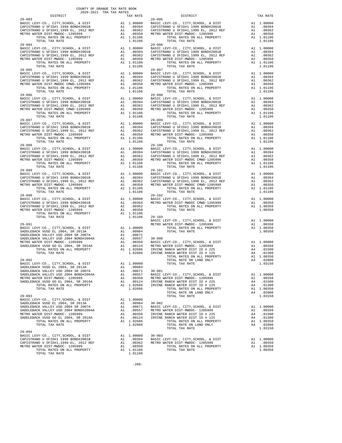| <b>DISIRICI</b>                                                                                                                                                                                                                                                                                                |                            | IAA KAIL                                                                                                        |                                                      |
|----------------------------------------------------------------------------------------------------------------------------------------------------------------------------------------------------------------------------------------------------------------------------------------------------------------|----------------------------|-----------------------------------------------------------------------------------------------------------------|------------------------------------------------------|
| $29 - 083$<br>TOTAL TAX RATE                                                                                                                                                                                                                                                                                   |                            | 1.01106                                                                                                         | $29 - 095$                                           |
| $29 - 084$                                                                                                                                                                                                                                                                                                     |                            |                                                                                                                 | 29-096                                               |
| TOTAL TAX RATE                                                                                                                                                                                                                                                                                                 |                            | 1.01106                                                                                                         |                                                      |
|                                                                                                                                                                                                                                                                                                                |                            |                                                                                                                 |                                                      |
| TOTAL TAX RATE                                                                                                                                                                                                                                                                                                 |                            | 1.01106                                                                                                         |                                                      |
|                                                                                                                                                                                                                                                                                                                |                            |                                                                                                                 |                                                      |
|                                                                                                                                                                                                                                                                                                                |                            |                                                                                                                 |                                                      |
| $29 - 090$                                                                                                                                                                                                                                                                                                     |                            |                                                                                                                 | 29-102                                               |
| $29 - 091$                                                                                                                                                                                                                                                                                                     |                            |                                                                                                                 | BASIC L<br>METRO W                                   |
| $29 - 092$<br>BASIC LEVY-CO., CITY, SCHOOL, & DIST A1 1.00000<br>SADDLEBACK VUSD EL 2004, SR 2013A<br>SADDLEBACK VALLEY USD 2004 SR 2007A<br>SADDLEBACK VALLEY USD 2004 BOND#2004A<br>METRO WATER DIST-MWDOC- 1205999<br>SADDLEBACK VUSD GO EL 2004, SR 2016A<br>TOTAL RATES ON ALL PROPERTY<br>TOTAL TAX RATE | A1                         | .00984<br>A1.00671<br>A1 .00557 BASIC L<br>A1 .00350 METROW<br>A1 .00124 IRVINE<br>A1 1.02686 IRVINE<br>1.02686 | $30 - 001$                                           |
| $29 - 093$<br>BASIC LEVY-CO., CITY, SCHOOL, & DIST<br>SADDLEBACK VUSD EL 2004, SR 2013A<br>SADDLEBACK VALLEY USD 2004 SR 2007A<br>SADDLEBACK VALLEY USD 2004 BOND#2004A<br>METRO WATER DIST-MWDOC- 1205999<br>SADDLEBACK VUSD GO EL 2004, SR 2016A<br>TOTAL RATES ON ALL PROPERTY<br>TOTAL TAX RATE            | A1<br>A1<br>A1<br>A1<br>A1 | 1.00000<br>A1 .00984<br>.00671<br>.00557<br>.00350<br>.00124<br>A1 1.02686<br>1.02686                           | $30 - 002$<br>BASIC L<br>METRO W<br>IRVINE<br>IRVINE |
| $29 - 094$<br>BASIC LEVY-CO., CITY, SCHOOL, & DIST<br>CAPISTRANO U SFID#1 1999 BOND#2001B<br>CAPISTRANO U SFID#1,1999 EL, 2012 REF<br>METRO WATER DIST-MWDOC- 1205999<br>TOTAL RATES ON ALL PROPERTY<br>TOTAL TAX RATE                                                                                         | A1<br>A1                   | A1 1.00000<br>A1 .00394<br>.00362<br>.00350<br>A1 1.01106<br>1.01106                                            | $30 - 003$<br>BASIC L<br>METRO W                     |

| COUNTY OF ORANGE TAX RATE BOOK<br>2020-2021 TRA TAX RATES<br>$2020-2021 \quad \text{TRA TAX RATES}$ DISTRICT $$\tt 2020-2021$$ | TAX RATE |            | DISTRICT                                                                                                                                                                                                                                                                                                                                                                                                                                        | TAX RATE |
|--------------------------------------------------------------------------------------------------------------------------------|----------|------------|-------------------------------------------------------------------------------------------------------------------------------------------------------------------------------------------------------------------------------------------------------------------------------------------------------------------------------------------------------------------------------------------------------------------------------------------------|----------|
| $29 - 083$                                                                                                                     |          |            | $29 - 095$                                                                                                                                                                                                                                                                                                                                                                                                                                      |          |
|                                                                                                                                |          |            |                                                                                                                                                                                                                                                                                                                                                                                                                                                 |          |
|                                                                                                                                |          |            |                                                                                                                                                                                                                                                                                                                                                                                                                                                 |          |
|                                                                                                                                |          |            |                                                                                                                                                                                                                                                                                                                                                                                                                                                 |          |
|                                                                                                                                |          |            |                                                                                                                                                                                                                                                                                                                                                                                                                                                 |          |
|                                                                                                                                |          |            |                                                                                                                                                                                                                                                                                                                                                                                                                                                 |          |
|                                                                                                                                |          |            |                                                                                                                                                                                                                                                                                                                                                                                                                                                 |          |
|                                                                                                                                |          |            |                                                                                                                                                                                                                                                                                                                                                                                                                                                 |          |
|                                                                                                                                |          |            |                                                                                                                                                                                                                                                                                                                                                                                                                                                 |          |
|                                                                                                                                |          |            |                                                                                                                                                                                                                                                                                                                                                                                                                                                 |          |
|                                                                                                                                |          |            |                                                                                                                                                                                                                                                                                                                                                                                                                                                 |          |
| $29 - 085$                                                                                                                     |          |            | $29 - 097$                                                                                                                                                                                                                                                                                                                                                                                                                                      |          |
|                                                                                                                                |          |            |                                                                                                                                                                                                                                                                                                                                                                                                                                                 |          |
|                                                                                                                                |          |            |                                                                                                                                                                                                                                                                                                                                                                                                                                                 |          |
|                                                                                                                                |          |            |                                                                                                                                                                                                                                                                                                                                                                                                                                                 |          |
|                                                                                                                                |          |            |                                                                                                                                                                                                                                                                                                                                                                                                                                                 |          |
|                                                                                                                                |          |            |                                                                                                                                                                                                                                                                                                                                                                                                                                                 |          |
|                                                                                                                                |          |            |                                                                                                                                                                                                                                                                                                                                                                                                                                                 |          |
|                                                                                                                                |          |            |                                                                                                                                                                                                                                                                                                                                                                                                                                                 |          |
|                                                                                                                                |          |            |                                                                                                                                                                                                                                                                                                                                                                                                                                                 |          |
|                                                                                                                                |          |            |                                                                                                                                                                                                                                                                                                                                                                                                                                                 |          |
|                                                                                                                                |          |            | $\begin{tabular}{@{}c@{}}\hline\textbf{29--085} & $\cdots$ & $\cdots$ & $\cdots$ & $\cdots$ & $\cdots$ \\ \hline \textbf{29--085} & $\cdots$ & $\cdots$ & $\cdots$ & $\cdots$ \\ \hline \textbf{29--086} & $\cdots$ & $\cdots$ & $\cdots$ & $\cdots$ \\ \hline \textbf{20--087TFRANO U SFIDH1 1999 EDNDH2001B} & $\cdots$ & $\cdots$ & $\cdots$ \\ \hline \textbf{21--086} & $\cdots$ & $\cdots$ & $\cdots$ & $\cdots$ \\ \hline \textbf{22--0$ |          |
| $29 - 087$                                                                                                                     |          | $29 - 099$ |                                                                                                                                                                                                                                                                                                                                                                                                                                                 |          |
|                                                                                                                                |          |            |                                                                                                                                                                                                                                                                                                                                                                                                                                                 |          |
|                                                                                                                                |          |            |                                                                                                                                                                                                                                                                                                                                                                                                                                                 |          |
|                                                                                                                                |          |            |                                                                                                                                                                                                                                                                                                                                                                                                                                                 |          |
|                                                                                                                                |          |            |                                                                                                                                                                                                                                                                                                                                                                                                                                                 |          |
|                                                                                                                                |          |            |                                                                                                                                                                                                                                                                                                                                                                                                                                                 |          |
|                                                                                                                                |          |            |                                                                                                                                                                                                                                                                                                                                                                                                                                                 |          |
|                                                                                                                                |          |            |                                                                                                                                                                                                                                                                                                                                                                                                                                                 |          |
|                                                                                                                                |          |            |                                                                                                                                                                                                                                                                                                                                                                                                                                                 |          |
|                                                                                                                                |          |            |                                                                                                                                                                                                                                                                                                                                                                                                                                                 |          |
|                                                                                                                                |          |            | $\begin{tabular}{@{}c@{}}\textbf{29--08} & \textbf{1.01106} & \textbf{1.01106} & \textbf{1.01106} & \textbf{1.01106} & \textbf{1.01106} & \textbf{1.01106} & \textbf{1.01106} & \textbf{1.01106} & \textbf{1.01106} & \textbf{1.01106} & \textbf{1.01106} & \textbf{1.01106} & \textbf{1.01106} & \textbf{1.01106} & \textbf{1.01106} & \text$                                                                                                  |          |
| $29 - 089$                                                                                                                     |          |            | $29 - 101$                                                                                                                                                                                                                                                                                                                                                                                                                                      |          |
|                                                                                                                                |          |            |                                                                                                                                                                                                                                                                                                                                                                                                                                                 |          |
|                                                                                                                                |          |            |                                                                                                                                                                                                                                                                                                                                                                                                                                                 |          |
|                                                                                                                                |          |            |                                                                                                                                                                                                                                                                                                                                                                                                                                                 |          |
|                                                                                                                                |          |            |                                                                                                                                                                                                                                                                                                                                                                                                                                                 |          |
|                                                                                                                                |          |            |                                                                                                                                                                                                                                                                                                                                                                                                                                                 |          |
|                                                                                                                                |          |            |                                                                                                                                                                                                                                                                                                                                                                                                                                                 |          |
|                                                                                                                                |          |            |                                                                                                                                                                                                                                                                                                                                                                                                                                                 |          |
|                                                                                                                                |          |            |                                                                                                                                                                                                                                                                                                                                                                                                                                                 |          |
|                                                                                                                                |          |            |                                                                                                                                                                                                                                                                                                                                                                                                                                                 |          |
|                                                                                                                                |          |            | $\begin{tabular}{c c c c} \multicolumn{4}{c}{\textbf{29--091}} & \multicolumn{4}{c}{\textbf{1.0106}} & \multicolumn{4}{c}{29--091} & \multicolumn{4}{c}{\textbf{29--092}} & \multicolumn{4}{c}{\textbf{29--091}} & \multicolumn{4}{c}{\textbf{29--092}} & \multicolumn{4}{c}{\textbf{29--092}} & \multicolumn{4}{c}{\textbf{20.0000}} & \multicolumn{4}{c}{\textbf{20.0000}} & \multicolumn{4}{c}{\textbf{20.000$                               |          |
|                                                                                                                                |          |            |                                                                                                                                                                                                                                                                                                                                                                                                                                                 |          |
|                                                                                                                                |          |            |                                                                                                                                                                                                                                                                                                                                                                                                                                                 |          |
|                                                                                                                                |          |            |                                                                                                                                                                                                                                                                                                                                                                                                                                                 |          |
|                                                                                                                                |          |            |                                                                                                                                                                                                                                                                                                                                                                                                                                                 |          |
|                                                                                                                                |          |            |                                                                                                                                                                                                                                                                                                                                                                                                                                                 |          |
|                                                                                                                                |          |            |                                                                                                                                                                                                                                                                                                                                                                                                                                                 |          |
|                                                                                                                                |          |            |                                                                                                                                                                                                                                                                                                                                                                                                                                                 |          |
|                                                                                                                                |          |            |                                                                                                                                                                                                                                                                                                                                                                                                                                                 |          |
|                                                                                                                                |          |            |                                                                                                                                                                                                                                                                                                                                                                                                                                                 |          |
|                                                                                                                                |          |            |                                                                                                                                                                                                                                                                                                                                                                                                                                                 |          |
|                                                                                                                                |          |            |                                                                                                                                                                                                                                                                                                                                                                                                                                                 |          |
|                                                                                                                                |          |            |                                                                                                                                                                                                                                                                                                                                                                                                                                                 |          |
|                                                                                                                                |          |            |                                                                                                                                                                                                                                                                                                                                                                                                                                                 |          |
|                                                                                                                                |          |            |                                                                                                                                                                                                                                                                                                                                                                                                                                                 |          |
|                                                                                                                                |          |            |                                                                                                                                                                                                                                                                                                                                                                                                                                                 |          |
|                                                                                                                                |          |            |                                                                                                                                                                                                                                                                                                                                                                                                                                                 |          |
|                                                                                                                                |          |            |                                                                                                                                                                                                                                                                                                                                                                                                                                                 |          |
|                                                                                                                                |          |            |                                                                                                                                                                                                                                                                                                                                                                                                                                                 |          |
|                                                                                                                                |          |            |                                                                                                                                                                                                                                                                                                                                                                                                                                                 |          |
|                                                                                                                                |          |            |                                                                                                                                                                                                                                                                                                                                                                                                                                                 |          |
|                                                                                                                                |          |            |                                                                                                                                                                                                                                                                                                                                                                                                                                                 |          |
|                                                                                                                                |          |            |                                                                                                                                                                                                                                                                                                                                                                                                                                                 |          |
|                                                                                                                                |          |            |                                                                                                                                                                                                                                                                                                                                                                                                                                                 |          |
|                                                                                                                                |          |            |                                                                                                                                                                                                                                                                                                                                                                                                                                                 |          |
|                                                                                                                                |          |            |                                                                                                                                                                                                                                                                                                                                                                                                                                                 |          |
|                                                                                                                                |          |            |                                                                                                                                                                                                                                                                                                                                                                                                                                                 |          |
|                                                                                                                                |          |            |                                                                                                                                                                                                                                                                                                                                                                                                                                                 |          |
|                                                                                                                                |          |            |                                                                                                                                                                                                                                                                                                                                                                                                                                                 |          |
|                                                                                                                                |          |            |                                                                                                                                                                                                                                                                                                                                                                                                                                                 |          |
|                                                                                                                                |          |            |                                                                                                                                                                                                                                                                                                                                                                                                                                                 |          |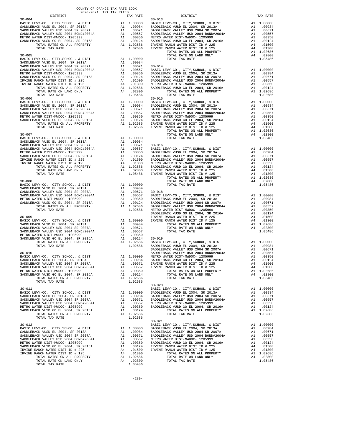| TAX RATE<br>DISTRICT |  | DISTRICT   | TAX RATE |
|----------------------|--|------------|----------|
|                      |  |            |          |
|                      |  |            |          |
|                      |  |            |          |
|                      |  |            |          |
|                      |  |            |          |
|                      |  |            |          |
|                      |  |            |          |
|                      |  |            |          |
|                      |  |            |          |
|                      |  |            |          |
|                      |  |            |          |
|                      |  |            |          |
|                      |  |            |          |
|                      |  |            |          |
|                      |  |            |          |
|                      |  |            |          |
|                      |  |            |          |
|                      |  |            |          |
|                      |  |            |          |
|                      |  |            |          |
|                      |  |            |          |
|                      |  |            |          |
|                      |  |            |          |
|                      |  |            |          |
|                      |  |            |          |
|                      |  |            |          |
|                      |  |            |          |
|                      |  |            |          |
|                      |  |            |          |
|                      |  |            |          |
|                      |  |            |          |
|                      |  |            |          |
|                      |  |            |          |
|                      |  |            |          |
|                      |  |            |          |
|                      |  |            |          |
|                      |  |            |          |
|                      |  |            |          |
|                      |  |            |          |
|                      |  |            |          |
|                      |  |            |          |
|                      |  |            |          |
|                      |  |            |          |
|                      |  |            |          |
|                      |  |            |          |
|                      |  |            |          |
|                      |  |            |          |
|                      |  |            |          |
|                      |  |            |          |
|                      |  |            |          |
|                      |  |            |          |
|                      |  |            |          |
|                      |  |            |          |
|                      |  |            |          |
|                      |  |            |          |
|                      |  |            |          |
|                      |  |            |          |
|                      |  |            |          |
|                      |  |            |          |
|                      |  |            |          |
|                      |  |            |          |
|                      |  |            |          |
|                      |  |            |          |
|                      |  |            |          |
|                      |  |            |          |
|                      |  |            |          |
|                      |  |            |          |
|                      |  |            |          |
|                      |  |            |          |
|                      |  |            |          |
|                      |  |            |          |
|                      |  |            |          |
|                      |  |            |          |
|                      |  |            |          |
|                      |  |            |          |
|                      |  |            |          |
|                      |  |            |          |
|                      |  |            |          |
|                      |  | $30 - 021$ |          |
|                      |  |            |          |
|                      |  |            |          |
|                      |  |            |          |
|                      |  |            |          |
|                      |  |            |          |
|                      |  |            |          |
|                      |  |            |          |
|                      |  |            |          |
|                      |  |            |          |
|                      |  |            |          |
|                      |  |            |          |
| TOTAL TAX RATE       |  |            |          |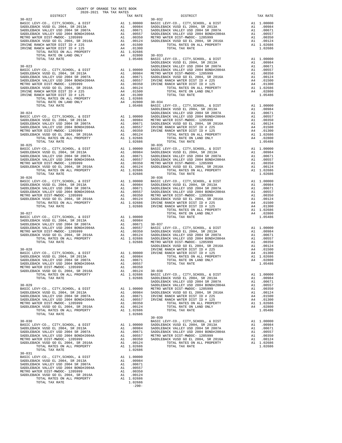|            |         | $30 - 039$ |  |
|------------|---------|------------|--|
|            |         |            |  |
|            |         |            |  |
|            |         |            |  |
|            |         |            |  |
|            |         |            |  |
|            |         |            |  |
|            |         |            |  |
|            |         |            |  |
|            |         |            |  |
|            |         |            |  |
| $30 - 031$ |         |            |  |
|            |         |            |  |
|            |         |            |  |
|            |         |            |  |
|            |         |            |  |
|            |         |            |  |
|            |         |            |  |
|            |         |            |  |
|            |         |            |  |
|            |         |            |  |
|            | 1.02686 |            |  |

-290-

| COUNTY OF ORANGE TAX RATE BOOK<br>2020-2021 TRA TAX RATES<br>$\begin{minipage}{0.5\textwidth} \begin{tabular}{lcccccc} \textbf{1} & \textbf{1} & \textbf{1} & \textbf{1} & \textbf{1} & \textbf{1} & \textbf{1} & \textbf{1} & \textbf{1} & \textbf{1} & \textbf{1} & \textbf{1} & \textbf{1} & \textbf{1} & \textbf{1} & \textbf{1} & \textbf{1} & \textbf{1} & \textbf{1} & \textbf{1} & \textbf{1} & \textbf{1} & \textbf{1} & \textbf{1} & \textbf{1} & \textbf{1} & \textbf{1} & \textbf{1} &$ | TAX RATE | DISTRICT   | TAX RATE |
|-----------------------------------------------------------------------------------------------------------------------------------------------------------------------------------------------------------------------------------------------------------------------------------------------------------------------------------------------------------------------------------------------------------------------------------------------------------------------------------------------------|----------|------------|----------|
|                                                                                                                                                                                                                                                                                                                                                                                                                                                                                                     |          |            |          |
|                                                                                                                                                                                                                                                                                                                                                                                                                                                                                                     |          |            |          |
|                                                                                                                                                                                                                                                                                                                                                                                                                                                                                                     |          |            |          |
|                                                                                                                                                                                                                                                                                                                                                                                                                                                                                                     |          |            |          |
|                                                                                                                                                                                                                                                                                                                                                                                                                                                                                                     |          |            |          |
|                                                                                                                                                                                                                                                                                                                                                                                                                                                                                                     |          |            |          |
|                                                                                                                                                                                                                                                                                                                                                                                                                                                                                                     |          |            |          |
|                                                                                                                                                                                                                                                                                                                                                                                                                                                                                                     |          |            |          |
|                                                                                                                                                                                                                                                                                                                                                                                                                                                                                                     |          |            |          |
|                                                                                                                                                                                                                                                                                                                                                                                                                                                                                                     |          |            |          |
|                                                                                                                                                                                                                                                                                                                                                                                                                                                                                                     |          |            |          |
|                                                                                                                                                                                                                                                                                                                                                                                                                                                                                                     |          |            |          |
|                                                                                                                                                                                                                                                                                                                                                                                                                                                                                                     |          |            |          |
|                                                                                                                                                                                                                                                                                                                                                                                                                                                                                                     |          |            |          |
|                                                                                                                                                                                                                                                                                                                                                                                                                                                                                                     |          |            |          |
|                                                                                                                                                                                                                                                                                                                                                                                                                                                                                                     |          |            |          |
|                                                                                                                                                                                                                                                                                                                                                                                                                                                                                                     |          |            |          |
|                                                                                                                                                                                                                                                                                                                                                                                                                                                                                                     |          |            |          |
|                                                                                                                                                                                                                                                                                                                                                                                                                                                                                                     |          |            |          |
|                                                                                                                                                                                                                                                                                                                                                                                                                                                                                                     |          |            |          |
|                                                                                                                                                                                                                                                                                                                                                                                                                                                                                                     |          |            |          |
|                                                                                                                                                                                                                                                                                                                                                                                                                                                                                                     |          |            |          |
|                                                                                                                                                                                                                                                                                                                                                                                                                                                                                                     |          |            |          |
|                                                                                                                                                                                                                                                                                                                                                                                                                                                                                                     |          |            |          |
|                                                                                                                                                                                                                                                                                                                                                                                                                                                                                                     |          |            |          |
|                                                                                                                                                                                                                                                                                                                                                                                                                                                                                                     |          |            |          |
|                                                                                                                                                                                                                                                                                                                                                                                                                                                                                                     |          |            |          |
|                                                                                                                                                                                                                                                                                                                                                                                                                                                                                                     |          |            |          |
|                                                                                                                                                                                                                                                                                                                                                                                                                                                                                                     |          |            |          |
|                                                                                                                                                                                                                                                                                                                                                                                                                                                                                                     |          |            |          |
|                                                                                                                                                                                                                                                                                                                                                                                                                                                                                                     |          |            |          |
|                                                                                                                                                                                                                                                                                                                                                                                                                                                                                                     |          |            |          |
|                                                                                                                                                                                                                                                                                                                                                                                                                                                                                                     |          |            |          |
|                                                                                                                                                                                                                                                                                                                                                                                                                                                                                                     |          |            |          |
|                                                                                                                                                                                                                                                                                                                                                                                                                                                                                                     |          |            |          |
|                                                                                                                                                                                                                                                                                                                                                                                                                                                                                                     |          |            |          |
|                                                                                                                                                                                                                                                                                                                                                                                                                                                                                                     |          |            |          |
|                                                                                                                                                                                                                                                                                                                                                                                                                                                                                                     |          |            |          |
|                                                                                                                                                                                                                                                                                                                                                                                                                                                                                                     |          |            |          |
|                                                                                                                                                                                                                                                                                                                                                                                                                                                                                                     |          |            |          |
|                                                                                                                                                                                                                                                                                                                                                                                                                                                                                                     |          |            |          |
|                                                                                                                                                                                                                                                                                                                                                                                                                                                                                                     |          |            |          |
|                                                                                                                                                                                                                                                                                                                                                                                                                                                                                                     |          |            |          |
|                                                                                                                                                                                                                                                                                                                                                                                                                                                                                                     |          |            |          |
|                                                                                                                                                                                                                                                                                                                                                                                                                                                                                                     |          |            |          |
|                                                                                                                                                                                                                                                                                                                                                                                                                                                                                                     |          |            |          |
|                                                                                                                                                                                                                                                                                                                                                                                                                                                                                                     |          |            |          |
|                                                                                                                                                                                                                                                                                                                                                                                                                                                                                                     |          |            |          |
|                                                                                                                                                                                                                                                                                                                                                                                                                                                                                                     |          |            |          |
|                                                                                                                                                                                                                                                                                                                                                                                                                                                                                                     |          |            |          |
|                                                                                                                                                                                                                                                                                                                                                                                                                                                                                                     |          |            |          |
|                                                                                                                                                                                                                                                                                                                                                                                                                                                                                                     |          |            |          |
|                                                                                                                                                                                                                                                                                                                                                                                                                                                                                                     |          |            |          |
|                                                                                                                                                                                                                                                                                                                                                                                                                                                                                                     |          |            |          |
|                                                                                                                                                                                                                                                                                                                                                                                                                                                                                                     |          |            |          |
|                                                                                                                                                                                                                                                                                                                                                                                                                                                                                                     |          |            |          |
|                                                                                                                                                                                                                                                                                                                                                                                                                                                                                                     |          |            |          |
|                                                                                                                                                                                                                                                                                                                                                                                                                                                                                                     |          |            |          |
|                                                                                                                                                                                                                                                                                                                                                                                                                                                                                                     |          |            |          |
|                                                                                                                                                                                                                                                                                                                                                                                                                                                                                                     |          |            |          |
|                                                                                                                                                                                                                                                                                                                                                                                                                                                                                                     |          |            |          |
|                                                                                                                                                                                                                                                                                                                                                                                                                                                                                                     |          |            |          |
|                                                                                                                                                                                                                                                                                                                                                                                                                                                                                                     |          |            |          |
|                                                                                                                                                                                                                                                                                                                                                                                                                                                                                                     |          |            |          |
|                                                                                                                                                                                                                                                                                                                                                                                                                                                                                                     |          |            |          |
|                                                                                                                                                                                                                                                                                                                                                                                                                                                                                                     |          |            |          |
|                                                                                                                                                                                                                                                                                                                                                                                                                                                                                                     |          |            |          |
|                                                                                                                                                                                                                                                                                                                                                                                                                                                                                                     |          |            |          |
|                                                                                                                                                                                                                                                                                                                                                                                                                                                                                                     |          |            |          |
|                                                                                                                                                                                                                                                                                                                                                                                                                                                                                                     |          |            |          |
|                                                                                                                                                                                                                                                                                                                                                                                                                                                                                                     |          |            |          |
|                                                                                                                                                                                                                                                                                                                                                                                                                                                                                                     |          |            |          |
|                                                                                                                                                                                                                                                                                                                                                                                                                                                                                                     |          |            |          |
|                                                                                                                                                                                                                                                                                                                                                                                                                                                                                                     |          |            |          |
|                                                                                                                                                                                                                                                                                                                                                                                                                                                                                                     |          | $30 - 039$ |          |
|                                                                                                                                                                                                                                                                                                                                                                                                                                                                                                     |          |            |          |
|                                                                                                                                                                                                                                                                                                                                                                                                                                                                                                     |          |            |          |
|                                                                                                                                                                                                                                                                                                                                                                                                                                                                                                     |          |            |          |
|                                                                                                                                                                                                                                                                                                                                                                                                                                                                                                     |          |            |          |
|                                                                                                                                                                                                                                                                                                                                                                                                                                                                                                     |          |            |          |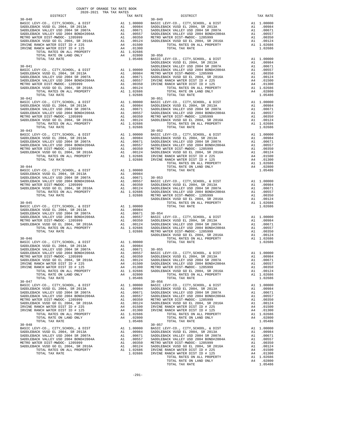| $2020-2021 \quad \text{TRA RATE B}$ DISTRICT 2020–2021 TRA TAX RATES<br>DISTRICT<br>TAX RATE<br>$30 - 040$<br>$30 - 049$ | TAX RATE |
|--------------------------------------------------------------------------------------------------------------------------|----------|
|                                                                                                                          |          |
|                                                                                                                          |          |
|                                                                                                                          |          |
|                                                                                                                          |          |
|                                                                                                                          |          |
|                                                                                                                          |          |
|                                                                                                                          |          |
|                                                                                                                          |          |
|                                                                                                                          |          |
|                                                                                                                          |          |
|                                                                                                                          |          |
|                                                                                                                          |          |
|                                                                                                                          |          |
|                                                                                                                          |          |
|                                                                                                                          |          |
|                                                                                                                          |          |
|                                                                                                                          |          |
|                                                                                                                          |          |
|                                                                                                                          |          |
|                                                                                                                          |          |
|                                                                                                                          |          |
|                                                                                                                          |          |
|                                                                                                                          |          |
|                                                                                                                          |          |
|                                                                                                                          |          |
|                                                                                                                          |          |
|                                                                                                                          |          |
|                                                                                                                          |          |
|                                                                                                                          |          |
|                                                                                                                          |          |
|                                                                                                                          |          |
|                                                                                                                          |          |
|                                                                                                                          |          |
|                                                                                                                          |          |
|                                                                                                                          |          |
|                                                                                                                          |          |
|                                                                                                                          |          |
|                                                                                                                          |          |
|                                                                                                                          |          |
|                                                                                                                          |          |
|                                                                                                                          |          |
|                                                                                                                          |          |
|                                                                                                                          |          |
|                                                                                                                          |          |
|                                                                                                                          |          |
|                                                                                                                          |          |
|                                                                                                                          |          |
|                                                                                                                          |          |
|                                                                                                                          |          |
|                                                                                                                          |          |
|                                                                                                                          |          |
|                                                                                                                          |          |
|                                                                                                                          |          |
|                                                                                                                          |          |
|                                                                                                                          |          |
|                                                                                                                          |          |
|                                                                                                                          |          |
| $30 - 056$<br>$30 - 047$                                                                                                 |          |
|                                                                                                                          |          |
|                                                                                                                          |          |
|                                                                                                                          |          |
|                                                                                                                          |          |
|                                                                                                                          |          |
|                                                                                                                          |          |
|                                                                                                                          |          |
|                                                                                                                          |          |
| $30 - 048$                                                                                                               |          |
| $30 - 057$                                                                                                               |          |
|                                                                                                                          |          |
|                                                                                                                          |          |
|                                                                                                                          |          |
|                                                                                                                          |          |
|                                                                                                                          |          |
|                                                                                                                          |          |
|                                                                                                                          |          |
|                                                                                                                          |          |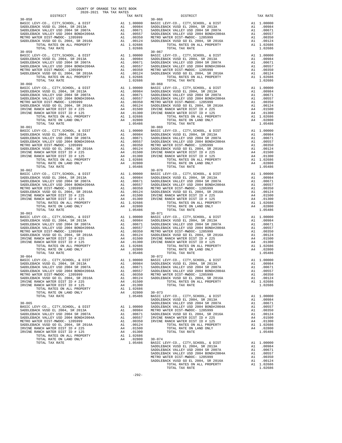| $30 - 058$                                                                   |                                                                                                                                                                                         |                   | $30 - 066$         |
|------------------------------------------------------------------------------|-----------------------------------------------------------------------------------------------------------------------------------------------------------------------------------------|-------------------|--------------------|
|                                                                              |                                                                                                                                                                                         |                   |                    |
|                                                                              |                                                                                                                                                                                         |                   |                    |
|                                                                              |                                                                                                                                                                                         |                   |                    |
|                                                                              |                                                                                                                                                                                         |                   |                    |
|                                                                              |                                                                                                                                                                                         |                   |                    |
| TOTAL TAX RATE                                                               |                                                                                                                                                                                         | 1.02686           |                    |
| $30 - 059$                                                                   |                                                                                                                                                                                         |                   | $30 - 067$         |
|                                                                              |                                                                                                                                                                                         |                   |                    |
|                                                                              |                                                                                                                                                                                         |                   |                    |
|                                                                              |                                                                                                                                                                                         |                   |                    |
|                                                                              |                                                                                                                                                                                         |                   |                    |
|                                                                              |                                                                                                                                                                                         |                   |                    |
|                                                                              |                                                                                                                                                                                         |                   |                    |
| TOTAL TAX RATE                                                               |                                                                                                                                                                                         | 1.02686           |                    |
|                                                                              |                                                                                                                                                                                         |                   |                    |
|                                                                              |                                                                                                                                                                                         |                   |                    |
|                                                                              |                                                                                                                                                                                         |                   |                    |
|                                                                              |                                                                                                                                                                                         |                   |                    |
|                                                                              |                                                                                                                                                                                         |                   |                    |
|                                                                              |                                                                                                                                                                                         |                   |                    |
|                                                                              |                                                                                                                                                                                         |                   |                    |
|                                                                              |                                                                                                                                                                                         |                   |                    |
|                                                                              |                                                                                                                                                                                         |                   |                    |
|                                                                              |                                                                                                                                                                                         |                   |                    |
|                                                                              |                                                                                                                                                                                         |                   |                    |
|                                                                              |                                                                                                                                                                                         |                   |                    |
|                                                                              |                                                                                                                                                                                         |                   |                    |
|                                                                              |                                                                                                                                                                                         |                   |                    |
|                                                                              |                                                                                                                                                                                         |                   |                    |
|                                                                              |                                                                                                                                                                                         |                   |                    |
|                                                                              |                                                                                                                                                                                         |                   |                    |
|                                                                              |                                                                                                                                                                                         |                   |                    |
|                                                                              |                                                                                                                                                                                         |                   |                    |
|                                                                              |                                                                                                                                                                                         |                   |                    |
| TOTAL TAX RATE                                                               |                                                                                                                                                                                         | 1.05486           |                    |
| $30 - 062$                                                                   |                                                                                                                                                                                         |                   | $30 - 070$         |
|                                                                              |                                                                                                                                                                                         |                   |                    |
|                                                                              |                                                                                                                                                                                         |                   |                    |
|                                                                              |                                                                                                                                                                                         |                   |                    |
|                                                                              |                                                                                                                                                                                         |                   |                    |
|                                                                              |                                                                                                                                                                                         |                   |                    |
|                                                                              |                                                                                                                                                                                         |                   |                    |
|                                                                              |                                                                                                                                                                                         |                   |                    |
|                                                                              |                                                                                                                                                                                         |                   |                    |
| TOTAL TAX RATE                                                               |                                                                                                                                                                                         | 1.05486           |                    |
| $30 - 063$                                                                   |                                                                                                                                                                                         |                   | $30 - 071$         |
|                                                                              |                                                                                                                                                                                         |                   |                    |
|                                                                              |                                                                                                                                                                                         |                   |                    |
| SADDLEBACK VALLEY USD 2004 SR 2007A<br>SADDLEBACK VALLEY USD 2004 BOND#2004A |                                                                                                                                                                                         |                   |                    |
| METRO WATER DIST-MWDOC- 1205999                                              |                                                                                                                                                                                         |                   |                    |
| SADDLEBACK VUSD GO EL 2004, SR 2016A                                         |                                                                                                                                                                                         |                   |                    |
| IRVINE RANCH WATER DIST ID # 225                                             |                                                                                                                                                                                         |                   |                    |
| IRVINE RANCH WATER DIST ID # 125                                             | Al 1.00000 BASIC L<br>Al .00984 SADDLEB<br>Al .00984 SADDLEB<br>Al .0057 SADDLEB<br>Al .00557 SADDLEB<br>Al .00350 METRO W<br>Al .00124 SADDLEB<br>A4 .01500 IRVINE<br>A4 .01500 IRVINE |                   |                    |
|                                                                              |                                                                                                                                                                                         |                   |                    |
|                                                                              |                                                                                                                                                                                         |                   |                    |
| TOTAL TAX RATE<br>$30 - 064$                                                 |                                                                                                                                                                                         | 1.05486           | $30 - 072$         |
|                                                                              |                                                                                                                                                                                         |                   |                    |
|                                                                              |                                                                                                                                                                                         |                   |                    |
|                                                                              |                                                                                                                                                                                         |                   |                    |
| SADDLEBACK VALLEY USD 2004 BOND#2004A                                        | A1                                                                                                                                                                                      | .00557            | SADDLEB            |
| METRO WATER DIST-MWDOC- 1205999                                              | A1                                                                                                                                                                                      | .00350            | METRO W            |
| SADDLEBACK VUSD GO EL 2004, SR 2016A                                         | A1<br>A4                                                                                                                                                                                | .00124<br>.01500  | SADDLEB            |
| IRVINE RANCH WATER DIST ID # 225<br>IRVINE RANCH WATER DIST ID # 125         | A4                                                                                                                                                                                      | .01300            |                    |
| TOTAL RATES ON ALL PROPERTY                                                  |                                                                                                                                                                                         | A1 1.02686        |                    |
| TOTAL RATE ON LAND ONLY                                                      |                                                                                                                                                                                         | A4 .02800         | $30 - 073$         |
| TOTAL TAX RATE                                                               |                                                                                                                                                                                         | 1.05486           | BASIC L            |
|                                                                              |                                                                                                                                                                                         |                   | SADDLEB            |
| $30 - 065$                                                                   |                                                                                                                                                                                         |                   | SADDLEB            |
| BASIC LEVY-CO., CITY, SCHOOL, & DIST                                         | A1<br>A1                                                                                                                                                                                | 1.00000<br>.00984 | SADDLEB<br>METRO W |
| SADDLEBACK VUSD EL 2004, SR 2013A<br>SADDLEBACK VALLEY USD 2004 SR 2007A     | A1                                                                                                                                                                                      | .00671            | SADDLEB            |
|                                                                              |                                                                                                                                                                                         |                   |                    |

 COUNTY OF ORANGE TAX RATE BOOK 2020-2021 TRA TAX RATES DISTRICT TAX RATE DISTRICT TAX RATE BASIC LEVY-CO., CITY,SCHOOL, & DIST A1 1.00000 BASIC LEVY-CO., CITY,SCHOOL, & DIST A1 1.00000 SADDLEBACK VUSD EL 2004, SR 2013A A1 .00984 SADDLEBACK VUSD EL 2004, SR 2013A A1 .00984 SADDLEBACK VALLEY USD 2004 SR 2007A A1 .00671 SADDLEBACK VALLEY USD 2004 SR 2007A A1 .00671 SADDLEBACK VALLEY USD 2004 BOND#2004A A1 .00557 SADDLEBACK VALLEY USD 2004 BOND#2004A A1 .00557 METRO WATER DIST-MWDOC- 1205999 A1 .00350 METRO WATER DIST-MWDOC- 1205999 A1 .00350 SADDLEBACK VUSD GO EL 2004, SR 2016A A1 .00124 SADDLEBACK VUSD GO EL 2004, SR 2016A A1 .00124 TOTAL RATES ON ALL PROPERTY A1 1.02686 TOTAL RATES ON ALL PROPERTY A1 1.02686  $\begin{tabular}{lllllllllll} \multicolumn{2}{l}{{\textbf{1.02686}}} & & & & & & & & & \\ \multicolumn{2}{l}{\textbf{1.02686}} & & & & & & & \\ \multicolumn{2}{l}{\textbf{1.02686}} & & & & & & \\ \multicolumn{2}{l}{\textbf{1.02686}} & & & & & & \\ \multicolumn{2}{l}{\textbf{1.02686}} & & & & & & \\ \multicolumn{2}{l}{\textbf{2.02686}} & & & & & & \\ \multicolumn{2}{l}{\textbf{30-067}} & & & & & & \\ \end{tabular}$  ${\small \begin{tabular}{l|c|c|c|c|c|c|c} BASIC EBV-CO. & CITY, SCHOLEBACK (V3D ELC BACK VJCD,C & DITY, SCHOLD,C & DITX, SUDLEBACK (V3D ELC BACK VALLEY USD 2004 SR 2007A & A1 & 1.000804 \\ SADDLEBACK VALLEY USD 2004 SR 2007A & A1 & .00871 & SADDLEBACK (VALLEY USD 2004 SNNL) & A1 & .00871 \\ SADDLEBACK VALLEY USD 2004 SND M. & A1 & .00871 & SAD$  BASIC LEVY-CO., CITY,SCHOOL, & DIST A1 1.00000 BASIC LEVY-CO., CITY,SCHOOL, & DIST A1 1.00000 SADDLEBACK VUSD EL 2004, SR 2013A A1 .00984 SADDLEBACK VUSD EL 2004, SR 2013A A1 .00984 SADDLEBACK VALLEY USD 2004 SR 2007A A1 .00671 SADDLEBACK VALLEY USD 2004 SR 2007A A1 .00671 SADDLEBACK VALLEY USD 2004 BOND#2004A A1 .00557 SADDLEBACK VALLEY USD 2004 BOND#2004A A1 .00557 METRO WATER DIST-MWDOC- 1205999 A1 .00350 METRO WATER DIST-MWDOC- 1205999 A1 .00350  $\begin{tabular}{lcccccc} \texttt{SADDLEBACK} \texttt{WJND} \texttt{GO} \texttt{C} \texttt{E} \texttt{A} \texttt{C} \texttt{WJD} \texttt{GO} \texttt{C} \texttt{E} \texttt{A} \texttt{C} \texttt{A} \texttt{D} \texttt{A} \texttt{D} \texttt{A} \texttt{A} \texttt{A} \texttt{A} \texttt{A} \texttt{A} \texttt{A} \texttt{A} \texttt{A} \texttt{A} \texttt{A} \texttt{A} \texttt{A} \texttt{A} \texttt{A} \texttt{A} \$ TOTAL TAX RATE ON LAND ONLY  $A4$  . 02800 1.05486 TOTAL TAX RATE 1.05486 BASIC LEVY-CO., CITY,SCHOOL, & DIST A1 1.00000 BASIC LEVY-CO., CITY,SCHOOL, & DIST A1 1.00000 SADDLEBACK VUSD EL 2004, SR 2013A A1 .00984 SADDLEBACK VUSD EL 2004, SR 2013A A1 .00984 SADDLEBACK VALLEY USD 2004 SR 2007A A1 .00671 SADDLEBACK VALLEY USD 2004 SR 2007A A1 .00671 SADDLEBACK VALLEY USD 2004 BOND#2004A A1 .00557 SADDLEBACK VALLEY USD 2004 BOND#2004A A1 .00557 METRO WATER DIST-MWDOC- 1205999 A1 .00350 METRO WATER DIST-MWDOC- 1205999 A1 .00350 SADDLEBACK VUSD GO EL 2004, SR 2016A A1 .00124 SADDLEBACK VUSD GO EL 2004, SR 2016A A1 .00124 IRVINE RANCH WATER DIST ID # 225 A4 .01500 IRVINE RANCH WATER DIST ID # 225 A4 .01500 IRVINE RANCH WATER DIST ID # 125 A4 .01300 IRVINE RANCH WATER DIST ID # 125 A4 .01300 TOTAL RATES ON ALL PROPERTY A1 1.02686 TOTAL RATES ON ALL PROPERTY A1 1.02686 TOTAL RATE ON LAND ONLY A4 .02800 TOTAL RATE ON LAND ONLY A4 .02800 TOTAL TAX RATE 1.05486 TOTAL TAX RATE 1.05486 BASIC LEVY-CO., CITY,SCHOOL, & DIST A1 1.00000 BASIC LEVY-CO., CITY,SCHOOL, & DIST A1 1.00000 SADDLEBACK VUSD EL 2004, SR 2013A A1 .00984 SADDLEBACK VUSD EL 2004, SR 2013A A1 .00984 SADDLEBACK VALLEY USD 2004 SR 2007A A1 .00671 SADDLEBACK VALLEY USD 2004 SR 2007A A1 .00671 SADDLEBACK VALLEY USD 2004 BOND#2004A A1 .00557 SADDLEBACK VALLEY USD 2004 BOND#2004A A1 .00557 METRO WATER DIST-MWDOC- 1205999 A1 .00350 METRO WATER DIST-MWDOC- 1205999 A1 .00350 SADDLEBACK VUSD GO EL 2004, SR 2016A A1 .00124 SADDLEBACK VUSD GO EL 2004, SR 2016A A1 .00124 IRVINE RANCH WATER DIST ID # 225 A4 .01500 IRVINE RANCH WATER DIST ID # 225 A4 .01500 IRVINE RANCH WATER DIST ID # 125 A4 .01300 IRVINE RANCH WATER DIST ID # 125 A4 .01300 TOTAL RATES ON ALL PROPERTY A1 1.02686 TOTAL RATES ON ALL PROPERTY A1 1.02686 TOTAL RATE ON LAND ONLY A4 .02800 TOTAL RATE ON LAND ONLY A4 .02800 TOTAL TAX RATE 1.05486 TOTAL TAX RATE 1.05486 A1 1.00000 BASIC LEVY-CO., CITY,SCHOOL, & DIST A1 1.00000<br>BAI .00984 SADDLEBACK VUSD EL 2004, SR 2003A A1 .00671 SADDLEBACK VALLEY USD 2004 SR 2007A A1 .00671 100984 SADDLEBACK VUSD EL 2004, SR 2013A (10984 SADDLEBACK VUSD EL 2004, SR 2013A (10984<br>SADDLEBACK VALLEY USD 2004 SADDLEBACK DAINERACK VALLEY USD 2004 SR 2007A (10871<br>SADDLEBACK VALLEY USD 2004 BOND#2004A (10557 SADDLEBA METRO WATER DIST-MWDOC- 1205999 A1 .00350 METRO WATER DIST-MWDOC- 1205999 A1 .00350<br>SADDLEBACK VUSD GO EL 2004, SR 2016A A1 .00124 SADDLEBACK VUSD GO EL 2004, SR 2016A A1 .00124<br>IRVINE RANCH WATER DIST ID # 225 A4 .01500 I TOTAL RATES ON ALL PROPERTY A1 1.02686 TOTAL RATES ON ALL PROPERTY A1 1.02686 TOTAL RATE ON LAND ONLY A4 .02800 TOTAL RATE ON LAND ONLY A4 .02800 TOTAL TAX RATE 1.05486 TOTAL TAX RATE 1.05486 BASIC LEVY-CO., CITY,SCHOOL, & DIST A1 1.00000 BASIC LEVY-CO., CITY,SCHOOL, & DIST A1 1.00000 SADDLEBACK VUSD EL 2004, SR 2013A A1 .00984 SADDLEBACK VUSD EL 2004, SR 2013A A1 .00984 SADDLEBACK VALLEY USD 2004 SR 2007A A1 .00671 SADDLEBACK VALLEY USD 2004 SR 2007A A1 .00671 SADDLEBACK VALLEY USD 2004 BOND#2004A A1 .00557 SADDLEBACK VALLEY USD 2004 BOND#2004A A1 .00557 METRO WATER DIST-MWDOC- 1205999 A1 00350 METRO WATER DIST-MWDOC- 1205999 A1 00350<br>SADDLEBACK VUSD GO BL 2004, SR 2016A A1 00124 SADDLEBACK VUSD GO BL 2004, SR 2016A A1 00124<br>IRVINE RANCH WATER DIST ID # 225 A4 01500 TOTAL TOTAL TAX RATE 1.05486 BASIC LEVY-CO., CITY,SCHOOL, & DIST A1 1.00000 SADDLEBACK VUSD EL 2004, SR 2013A A1 .00984 30-065 SADDLEBACK VALLEY USD 2004 SR 2007A A1 .00671 BASIC LEVY-CO., CITY,SCHOOL, & DIST A1 1.00000 SADDLEBACK VALLEY USD 2004 BOND#2004A A1 .00557 SADDLEBACK VUSD EL 2004, SR 2013A A1 .00984 METRO WATER DIST-MWDOC- 1205999 A1 .00350 SADDLEBACK VALLEY USD 2004 SR 2007A A1 .00671 SADDLEBACK VUSD GO EL 2004, SR 2016A A1 .00124 SADDLEBACK VALLEY USD 2004 BOND#2004A A1 .00557 IRVINE RANCH WATER DIST ID # 225 A4 .01500 METRO WATER DIST-MWDOC- 1205999 A1 .00350 IRVINE RANCH WATER DIST ID # 125 A4 .01300 SADDLEBACK VUSD GO EL 2004, SR 2016A A1 .00124 TOTAL RATES ON ALL PROPERTY A1 1.02686 IRVINE RANCH WATER DIST ID # 225 A4 .01500 TOTAL RATE ON LAND ONLY A4 .02800 IRVINE RANCH WATER DIST ID # 125 A4 .01300 TOTAL TAX RATE 1.05486 TOTAL RATES ON ALL PROPERTY A1 1.02686 TOTAL RATE ON LAND ONLY A4 .02800 30-074 TOTAL TAX RATE 1.05486 BASIC LEVY-CO., CITY,SCHOOL, & DIST A1 1.00000<br>1.05486 SADDLEBACK VUSD EL 2004, SR 2013A A1 .00694<br>1.00671 SADDLEBACK VALLEY USD 2004 SR 2007A A1 .00571<br>1.00557 SADDLEBACK VALLEY USD 2004 BOND#2004A METRO WATER DIST-MWDOC- 1205999 A1 .00350<br>SADDLEBACK VUSD GO EL 2004, SR 2016A A1 .00124<br>TOTAL RATES ON ALL PROPERTY A1 1.02686<br>TOTAL TAX RATE TOTAL TAX RATE 1.02686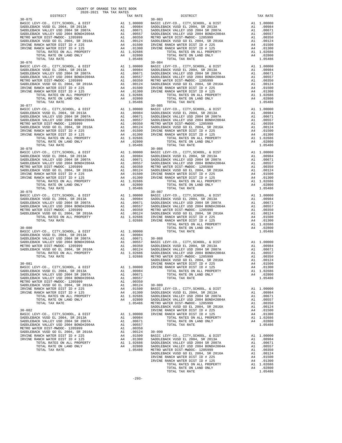| TOTAL RATE ON LAND ONLY<br>TOTAL TAX RATE                                                                                                          |                                      | A4 .02800<br>1.05486                                                                                                                                                                                                                                                                                                                                                                                   |                       |
|----------------------------------------------------------------------------------------------------------------------------------------------------|--------------------------------------|--------------------------------------------------------------------------------------------------------------------------------------------------------------------------------------------------------------------------------------------------------------------------------------------------------------------------------------------------------------------------------------------------------|-----------------------|
| $30 - 076$                                                                                                                                         |                                      |                                                                                                                                                                                                                                                                                                                                                                                                        | $30 - 084$            |
| BASIC LEVY-CO., CITY, SCHOOL, & DIST                                                                                                               |                                      | $\begin{tabular}{ll} $\text{A1} $ & 1.00000$ & $\text{BA30-084}$ \\ $\text{A1} $ & .00984$ & $\text{SADDLEB}$ \\ $\text{A1} $ & .00671$ & $\text{SADDLEB}$ \\ $\text{A1} $ & .00575$ & $\text{SADDLEB}$ \\ $\text{A1} $ & .00350$ & $\text{METRO W}\\ $\text{A1} $ & .00124$ & $\text{SADDLEB}$ \\ $\text{A4} $ & .01500$ & $\text{IRVINEB}$ \\ $\text{A4} $ & .01300$ & $\text{IRVINEB}$ \\ $\text{A$ |                       |
| SADDLEBACK VUSD EL 2004, SR 2013A                                                                                                                  |                                      |                                                                                                                                                                                                                                                                                                                                                                                                        |                       |
| SADDLEBACK VALLEY USD 2004 SR 2007A                                                                                                                |                                      |                                                                                                                                                                                                                                                                                                                                                                                                        |                       |
| SADDLEBACK VALLEY USD 2004 BOND#2004A<br>METRO WATER DIST-MWDOC- 1205999                                                                           |                                      |                                                                                                                                                                                                                                                                                                                                                                                                        |                       |
| SADDLEBACK VUSD GO EL 2004, SR 2016A                                                                                                               |                                      |                                                                                                                                                                                                                                                                                                                                                                                                        |                       |
| IRVINE RANCH WATER DIST ID # 225                                                                                                                   |                                      |                                                                                                                                                                                                                                                                                                                                                                                                        |                       |
| IRVINE RANCH WATER DIST ID # 125                                                                                                                   |                                      |                                                                                                                                                                                                                                                                                                                                                                                                        |                       |
| TOTAL RATES ON ALL PROPERTY<br>TOTAL RATE ON LAND ONLY                                                                                             |                                      |                                                                                                                                                                                                                                                                                                                                                                                                        |                       |
| TOTAL TAX RATE                                                                                                                                     |                                      | 1.05486                                                                                                                                                                                                                                                                                                                                                                                                |                       |
| $30 - 077$                                                                                                                                         |                                      |                                                                                                                                                                                                                                                                                                                                                                                                        | $30 - 085$            |
| BASIC LEVY-CO., CITY, SCHOOL, & DIST                                                                                                               |                                      |                                                                                                                                                                                                                                                                                                                                                                                                        |                       |
| BASIC LEVY-CO., CITT, CORON, SR 2013A<br>SADDLEBACK VUSD EL 2004, SR 2007A<br>SADDLEBACK VALLEY USD 2004 SR 2007A                                  |                                      |                                                                                                                                                                                                                                                                                                                                                                                                        |                       |
| SADDLEBACK VALLEY USD 2004 BOND#2004A                                                                                                              |                                      |                                                                                                                                                                                                                                                                                                                                                                                                        |                       |
| METRO WATER DIST-MWDOC- 1205999                                                                                                                    |                                      |                                                                                                                                                                                                                                                                                                                                                                                                        |                       |
| SADDLEBACK VUSD GO EL 2004, SR 2016A                                                                                                               |                                      |                                                                                                                                                                                                                                                                                                                                                                                                        |                       |
| IRVINE RANCH WATER DIST ID # 225                                                                                                                   |                                      |                                                                                                                                                                                                                                                                                                                                                                                                        |                       |
| NAMES MATRIX AND THE H 225 RANCH WATER DIST ID # 125<br>TOTAL RATES ON ALL PROPERTY<br>TOTAL PATE ON LAWRER TO<br>IRVINE RANCH WATER DIST ID # 125 |                                      | $\begin{tabular}{ll} $\text{30-085}$ & $\text{30-085}$ \\ \text{A1} & 1.00000 & \text{BASIC B} \\ \text{A1} & .00984 & \text{SADDLEB} \\ \text{A1} & .00671 & \text{SADDLEB} \\ \text{A1} & .00557 & \text{SADDLEB} \\ \text{A1} & .00124 & \text{SADDLEB} \\ \text{A1} & .01500 & \text{IRVINE} \\ \text{A4} & .01500 & \text{IRVINE} \\ \text{A4} & .01300 & \text{IRVINE} \\ \text{$                |                       |
| TOTAL RATE ON LAND ONLY                                                                                                                            |                                      |                                                                                                                                                                                                                                                                                                                                                                                                        |                       |
| TOTAL TAX RATE                                                                                                                                     |                                      | 1.05486                                                                                                                                                                                                                                                                                                                                                                                                |                       |
| $30 - 078$                                                                                                                                         |                                      |                                                                                                                                                                                                                                                                                                                                                                                                        | $30 - 086$            |
|                                                                                                                                                    |                                      |                                                                                                                                                                                                                                                                                                                                                                                                        |                       |
|                                                                                                                                                    |                                      |                                                                                                                                                                                                                                                                                                                                                                                                        |                       |
|                                                                                                                                                    |                                      |                                                                                                                                                                                                                                                                                                                                                                                                        |                       |
|                                                                                                                                                    |                                      |                                                                                                                                                                                                                                                                                                                                                                                                        |                       |
|                                                                                                                                                    |                                      |                                                                                                                                                                                                                                                                                                                                                                                                        |                       |
|                                                                                                                                                    |                                      |                                                                                                                                                                                                                                                                                                                                                                                                        |                       |
| TOTAL RATES ON ALL PROPERTY                                                                                                                        |                                      |                                                                                                                                                                                                                                                                                                                                                                                                        |                       |
| TOTAL RATE ON LAND ONLY                                                                                                                            |                                      |                                                                                                                                                                                                                                                                                                                                                                                                        |                       |
| TOTAL TAX RATE                                                                                                                                     |                                      | A4 .013vv<br>A1 1.02686<br>A4 .02800<br>1.05486                                                                                                                                                                                                                                                                                                                                                        |                       |
| $30 - 079$                                                                                                                                         |                                      |                                                                                                                                                                                                                                                                                                                                                                                                        | $30 - 087$            |
| BASIC LEVY-CO., CITY, SCHOOL, & DIST<br>SADDLEBACK VUSD EL 2004, SR 2013A                                                                          |                                      |                                                                                                                                                                                                                                                                                                                                                                                                        |                       |
| SADDLEBACK VALLEY USD 2004 SR 2007A                                                                                                                |                                      |                                                                                                                                                                                                                                                                                                                                                                                                        |                       |
| SADDLEBACK VALLEY USD 2004 BOND#2004A                                                                                                              |                                      |                                                                                                                                                                                                                                                                                                                                                                                                        |                       |
| METRO WATER DIST-MWDOC- 1205999                                                                                                                    |                                      |                                                                                                                                                                                                                                                                                                                                                                                                        |                       |
| SADDLEBACK VUSD GO EL 2004, SR 2016A<br>TOTAL RATES ON ALL PROPERTY                                                                                |                                      |                                                                                                                                                                                                                                                                                                                                                                                                        |                       |
| TOTAL TAX RATE                                                                                                                                     |                                      | A1 1.00000 BASIC L<br>A1 .00984 SADDLEB<br>A1 .00984 SADDLEB<br>A1 .00557 SADDLEB<br>A1 .00350 METRO W<br>A1 .00350 METRO W<br>A1 .00124 SADDLEB<br>A1 .00124 SADDLEB<br>A1 .00266 IRVINE<br>1.02686 IRVINE                                                                                                                                                                                            |                       |
|                                                                                                                                                    |                                      |                                                                                                                                                                                                                                                                                                                                                                                                        |                       |
| $30 - 080$<br>30-080<br>BASIC LEVY-CO., CITY, SCHOOL, & DIST<br>FLOREST COAL SR 2013A                                                              |                                      |                                                                                                                                                                                                                                                                                                                                                                                                        |                       |
|                                                                                                                                                    |                                      |                                                                                                                                                                                                                                                                                                                                                                                                        |                       |
|                                                                                                                                                    |                                      |                                                                                                                                                                                                                                                                                                                                                                                                        |                       |
|                                                                                                                                                    |                                      |                                                                                                                                                                                                                                                                                                                                                                                                        |                       |
|                                                                                                                                                    |                                      |                                                                                                                                                                                                                                                                                                                                                                                                        |                       |
|                                                                                                                                                    |                                      |                                                                                                                                                                                                                                                                                                                                                                                                        |                       |
|                                                                                                                                                    |                                      |                                                                                                                                                                                                                                                                                                                                                                                                        |                       |
|                                                                                                                                                    |                                      |                                                                                                                                                                                                                                                                                                                                                                                                        | SADDLEB               |
| $30 - 081$                                                                                                                                         |                                      |                                                                                                                                                                                                                                                                                                                                                                                                        | IRVINE<br>IRVINE      |
| BASIC LEVY-CO., CITY, SCHOOL, & DIST                                                                                                               | A1 1.00000<br>A1 .00984<br>31 .00671 |                                                                                                                                                                                                                                                                                                                                                                                                        |                       |
| SADDLEBACK VUSD EL 2004, SR 2013A<br>SADDLEBACK VALLEY USD 2004 SR 2007A A1 .00671                                                                 |                                      |                                                                                                                                                                                                                                                                                                                                                                                                        |                       |
| SADDLEBACK VALLEY USD 2004 BOND#2004A                                                                                                              | A1                                   | .00557                                                                                                                                                                                                                                                                                                                                                                                                 |                       |
| METRO WATER DIST-MWDOC- 1205999                                                                                                                    | A1                                   | .00350                                                                                                                                                                                                                                                                                                                                                                                                 |                       |
| SADDLEBACK VUSD GO EL 2004, SR 2016A                                                                                                               | A1                                   | .00124                                                                                                                                                                                                                                                                                                                                                                                                 | $30 - 089$            |
| IRVINE RANCH WATER DIST ID # 225                                                                                                                   | A4<br>A4                             | .01500<br>.01300                                                                                                                                                                                                                                                                                                                                                                                       | BASIC L<br>SADDLEB    |
| IRVINE RANCH WATER DIST ID # 125<br>TOTAL RATES ON ALL PROPERTY                                                                                    |                                      | A1 1.02686                                                                                                                                                                                                                                                                                                                                                                                             | SADDLEB               |
| TOTAL RATE ON LAND ONLY                                                                                                                            |                                      | A4 .02800                                                                                                                                                                                                                                                                                                                                                                                              | SADDLEB               |
| TOTAL TAX RATE                                                                                                                                     |                                      | 1.05486                                                                                                                                                                                                                                                                                                                                                                                                | METRO W               |
|                                                                                                                                                    |                                      |                                                                                                                                                                                                                                                                                                                                                                                                        | SADDLEB               |
| $30 - 082$                                                                                                                                         | A1                                   | 1.00000                                                                                                                                                                                                                                                                                                                                                                                                | IRVINE<br>IRVINE      |
| BASIC LEVY-CO., CITY, SCHOOL, & DIST<br>SADDLEBACK VUSD EL 2004, SR 2013A                                                                          | A1                                   | .00984                                                                                                                                                                                                                                                                                                                                                                                                 |                       |
| SADDLEBACK VALLEY USD 2004 SR 2007A                                                                                                                | A1                                   | .00671                                                                                                                                                                                                                                                                                                                                                                                                 |                       |
| SADDLEBACK VALLEY USD 2004 BOND#2004A                                                                                                              | A1                                   | .00557                                                                                                                                                                                                                                                                                                                                                                                                 |                       |
| METRO WATER DIST-MWDOC- 1205999                                                                                                                    | A1                                   | .00350                                                                                                                                                                                                                                                                                                                                                                                                 |                       |
| SADDLEBACK VUSD GO EL 2004, SR 2016A<br>IRVINE RANCH WATER DIST ID # 225                                                                           | A1<br>A4                             | .00124<br>.01500                                                                                                                                                                                                                                                                                                                                                                                       | $30 - 090$<br>BASIC L |
| IRVINE RANCH WATER DIST ID # 125                                                                                                                   | A4                                   | .01300                                                                                                                                                                                                                                                                                                                                                                                                 | SADDLEB               |
| TOTAL RATES ON ALL PROPERTY                                                                                                                        |                                      | A1 1.02686                                                                                                                                                                                                                                                                                                                                                                                             | SADDLEB               |
| TOTAL RATE ON LAND ONLY                                                                                                                            |                                      | A4 .02800                                                                                                                                                                                                                                                                                                                                                                                              | SADDLEB               |
| TOTAL TAX RATE                                                                                                                                     |                                      | 1.05486 METRO W                                                                                                                                                                                                                                                                                                                                                                                        |                       |

| COUNTY OF ORANGE TAX RATE BOOK<br>$\begin{minipage}{0.5\textwidth} \begin{tabular}{lcccccc} \textbf{1} & \textbf{1} & \textbf{1} & \textbf{1} & \textbf{1} & \textbf{1} & \textbf{1} & \textbf{1} & \textbf{1} & \textbf{1} & \textbf{1} & \textbf{1} & \textbf{1} & \textbf{1} & \textbf{1} & \textbf{1} & \textbf{1} & \textbf{1} & \textbf{1} & \textbf{1} & \textbf{1} & \textbf{1} & \textbf{1} & \textbf{1} & \textbf{1} & \textbf{1} & \textbf{1} & \textbf{1} &$ | TAX RATE | DISTRICT   | TAX RATE |
|--------------------------------------------------------------------------------------------------------------------------------------------------------------------------------------------------------------------------------------------------------------------------------------------------------------------------------------------------------------------------------------------------------------------------------------------------------------------------|----------|------------|----------|
| $30 - 075$                                                                                                                                                                                                                                                                                                                                                                                                                                                               |          | $30 - 083$ |          |
|                                                                                                                                                                                                                                                                                                                                                                                                                                                                          |          |            |          |
|                                                                                                                                                                                                                                                                                                                                                                                                                                                                          |          |            |          |
|                                                                                                                                                                                                                                                                                                                                                                                                                                                                          |          |            |          |
|                                                                                                                                                                                                                                                                                                                                                                                                                                                                          |          |            |          |
|                                                                                                                                                                                                                                                                                                                                                                                                                                                                          |          |            |          |
|                                                                                                                                                                                                                                                                                                                                                                                                                                                                          |          |            |          |
|                                                                                                                                                                                                                                                                                                                                                                                                                                                                          |          |            |          |
|                                                                                                                                                                                                                                                                                                                                                                                                                                                                          |          |            |          |
|                                                                                                                                                                                                                                                                                                                                                                                                                                                                          |          |            |          |
|                                                                                                                                                                                                                                                                                                                                                                                                                                                                          |          |            |          |
|                                                                                                                                                                                                                                                                                                                                                                                                                                                                          |          |            |          |
|                                                                                                                                                                                                                                                                                                                                                                                                                                                                          |          |            |          |
|                                                                                                                                                                                                                                                                                                                                                                                                                                                                          |          |            |          |
|                                                                                                                                                                                                                                                                                                                                                                                                                                                                          |          |            |          |
|                                                                                                                                                                                                                                                                                                                                                                                                                                                                          |          |            |          |
|                                                                                                                                                                                                                                                                                                                                                                                                                                                                          |          |            |          |
|                                                                                                                                                                                                                                                                                                                                                                                                                                                                          |          |            |          |
|                                                                                                                                                                                                                                                                                                                                                                                                                                                                          |          |            |          |
|                                                                                                                                                                                                                                                                                                                                                                                                                                                                          |          |            |          |
|                                                                                                                                                                                                                                                                                                                                                                                                                                                                          |          |            |          |
|                                                                                                                                                                                                                                                                                                                                                                                                                                                                          |          |            |          |
|                                                                                                                                                                                                                                                                                                                                                                                                                                                                          |          |            |          |
|                                                                                                                                                                                                                                                                                                                                                                                                                                                                          |          |            |          |
|                                                                                                                                                                                                                                                                                                                                                                                                                                                                          |          |            |          |
|                                                                                                                                                                                                                                                                                                                                                                                                                                                                          |          |            |          |
|                                                                                                                                                                                                                                                                                                                                                                                                                                                                          |          |            |          |
|                                                                                                                                                                                                                                                                                                                                                                                                                                                                          |          |            |          |
|                                                                                                                                                                                                                                                                                                                                                                                                                                                                          |          |            |          |
|                                                                                                                                                                                                                                                                                                                                                                                                                                                                          |          |            |          |
|                                                                                                                                                                                                                                                                                                                                                                                                                                                                          |          |            |          |
|                                                                                                                                                                                                                                                                                                                                                                                                                                                                          |          |            |          |
|                                                                                                                                                                                                                                                                                                                                                                                                                                                                          |          |            |          |
|                                                                                                                                                                                                                                                                                                                                                                                                                                                                          |          |            |          |
|                                                                                                                                                                                                                                                                                                                                                                                                                                                                          |          |            |          |
|                                                                                                                                                                                                                                                                                                                                                                                                                                                                          |          |            |          |
|                                                                                                                                                                                                                                                                                                                                                                                                                                                                          |          |            |          |
|                                                                                                                                                                                                                                                                                                                                                                                                                                                                          |          |            |          |
|                                                                                                                                                                                                                                                                                                                                                                                                                                                                          |          |            |          |
|                                                                                                                                                                                                                                                                                                                                                                                                                                                                          |          |            |          |
|                                                                                                                                                                                                                                                                                                                                                                                                                                                                          |          |            |          |
|                                                                                                                                                                                                                                                                                                                                                                                                                                                                          |          |            |          |
|                                                                                                                                                                                                                                                                                                                                                                                                                                                                          |          |            |          |
|                                                                                                                                                                                                                                                                                                                                                                                                                                                                          |          |            |          |
|                                                                                                                                                                                                                                                                                                                                                                                                                                                                          |          |            |          |
|                                                                                                                                                                                                                                                                                                                                                                                                                                                                          |          |            |          |
|                                                                                                                                                                                                                                                                                                                                                                                                                                                                          |          |            |          |
|                                                                                                                                                                                                                                                                                                                                                                                                                                                                          |          |            |          |
|                                                                                                                                                                                                                                                                                                                                                                                                                                                                          |          |            |          |
|                                                                                                                                                                                                                                                                                                                                                                                                                                                                          |          |            |          |
|                                                                                                                                                                                                                                                                                                                                                                                                                                                                          |          |            |          |
|                                                                                                                                                                                                                                                                                                                                                                                                                                                                          |          |            |          |
|                                                                                                                                                                                                                                                                                                                                                                                                                                                                          |          |            |          |
|                                                                                                                                                                                                                                                                                                                                                                                                                                                                          |          |            |          |
|                                                                                                                                                                                                                                                                                                                                                                                                                                                                          |          |            |          |
|                                                                                                                                                                                                                                                                                                                                                                                                                                                                          |          |            |          |
|                                                                                                                                                                                                                                                                                                                                                                                                                                                                          |          |            |          |
|                                                                                                                                                                                                                                                                                                                                                                                                                                                                          |          |            |          |
|                                                                                                                                                                                                                                                                                                                                                                                                                                                                          |          |            |          |
|                                                                                                                                                                                                                                                                                                                                                                                                                                                                          |          |            |          |
|                                                                                                                                                                                                                                                                                                                                                                                                                                                                          |          |            |          |
|                                                                                                                                                                                                                                                                                                                                                                                                                                                                          |          |            |          |
|                                                                                                                                                                                                                                                                                                                                                                                                                                                                          |          |            |          |
|                                                                                                                                                                                                                                                                                                                                                                                                                                                                          |          |            |          |
|                                                                                                                                                                                                                                                                                                                                                                                                                                                                          |          |            |          |
|                                                                                                                                                                                                                                                                                                                                                                                                                                                                          |          |            |          |
|                                                                                                                                                                                                                                                                                                                                                                                                                                                                          |          |            |          |
|                                                                                                                                                                                                                                                                                                                                                                                                                                                                          |          |            |          |
|                                                                                                                                                                                                                                                                                                                                                                                                                                                                          |          |            |          |
|                                                                                                                                                                                                                                                                                                                                                                                                                                                                          |          |            |          |
|                                                                                                                                                                                                                                                                                                                                                                                                                                                                          |          |            |          |
|                                                                                                                                                                                                                                                                                                                                                                                                                                                                          |          |            |          |
|                                                                                                                                                                                                                                                                                                                                                                                                                                                                          |          |            |          |
|                                                                                                                                                                                                                                                                                                                                                                                                                                                                          |          |            |          |
|                                                                                                                                                                                                                                                                                                                                                                                                                                                                          |          |            |          |
|                                                                                                                                                                                                                                                                                                                                                                                                                                                                          |          |            |          |
|                                                                                                                                                                                                                                                                                                                                                                                                                                                                          |          |            |          |
|                                                                                                                                                                                                                                                                                                                                                                                                                                                                          |          |            |          |
|                                                                                                                                                                                                                                                                                                                                                                                                                                                                          |          |            |          |
|                                                                                                                                                                                                                                                                                                                                                                                                                                                                          |          |            |          |
|                                                                                                                                                                                                                                                                                                                                                                                                                                                                          |          |            |          |
|                                                                                                                                                                                                                                                                                                                                                                                                                                                                          |          |            |          |
|                                                                                                                                                                                                                                                                                                                                                                                                                                                                          |          |            |          |
|                                                                                                                                                                                                                                                                                                                                                                                                                                                                          |          |            |          |
|                                                                                                                                                                                                                                                                                                                                                                                                                                                                          |          |            |          |
|                                                                                                                                                                                                                                                                                                                                                                                                                                                                          |          |            |          |
|                                                                                                                                                                                                                                                                                                                                                                                                                                                                          |          |            |          |
|                                                                                                                                                                                                                                                                                                                                                                                                                                                                          |          |            |          |
|                                                                                                                                                                                                                                                                                                                                                                                                                                                                          |          |            |          |
|                                                                                                                                                                                                                                                                                                                                                                                                                                                                          |          |            |          |
|                                                                                                                                                                                                                                                                                                                                                                                                                                                                          |          |            |          |
|                                                                                                                                                                                                                                                                                                                                                                                                                                                                          |          |            |          |
|                                                                                                                                                                                                                                                                                                                                                                                                                                                                          |          |            |          |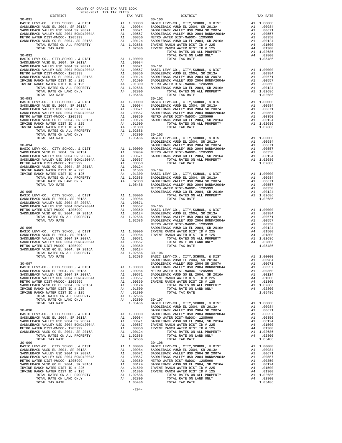| COUNTY OF ORANGE TAX RATE BOOK<br>2020-2021 TRA TAX RATES |  |                                                                                                                                                                                                                                   |          |  |
|-----------------------------------------------------------|--|-----------------------------------------------------------------------------------------------------------------------------------------------------------------------------------------------------------------------------------|----------|--|
| DISTRICT<br>$30 - 091$                                    |  | RA TAX RATES<br>TAX RATE COLORED DISTRICT<br>$30 - 100$                                                                                                                                                                           | TAX RATE |  |
|                                                           |  |                                                                                                                                                                                                                                   |          |  |
|                                                           |  |                                                                                                                                                                                                                                   |          |  |
|                                                           |  |                                                                                                                                                                                                                                   |          |  |
|                                                           |  |                                                                                                                                                                                                                                   |          |  |
|                                                           |  |                                                                                                                                                                                                                                   |          |  |
|                                                           |  |                                                                                                                                                                                                                                   |          |  |
|                                                           |  |                                                                                                                                                                                                                                   |          |  |
|                                                           |  |                                                                                                                                                                                                                                   |          |  |
|                                                           |  |                                                                                                                                                                                                                                   |          |  |
|                                                           |  |                                                                                                                                                                                                                                   |          |  |
|                                                           |  |                                                                                                                                                                                                                                   |          |  |
|                                                           |  |                                                                                                                                                                                                                                   |          |  |
|                                                           |  |                                                                                                                                                                                                                                   |          |  |
|                                                           |  |                                                                                                                                                                                                                                   |          |  |
|                                                           |  |                                                                                                                                                                                                                                   |          |  |
|                                                           |  |                                                                                                                                                                                                                                   |          |  |
|                                                           |  |                                                                                                                                                                                                                                   |          |  |
|                                                           |  |                                                                                                                                                                                                                                   |          |  |
|                                                           |  |                                                                                                                                                                                                                                   |          |  |
|                                                           |  |                                                                                                                                                                                                                                   |          |  |
|                                                           |  |                                                                                                                                                                                                                                   |          |  |
|                                                           |  |                                                                                                                                                                                                                                   |          |  |
|                                                           |  |                                                                                                                                                                                                                                   |          |  |
|                                                           |  |                                                                                                                                                                                                                                   |          |  |
|                                                           |  |                                                                                                                                                                                                                                   |          |  |
|                                                           |  |                                                                                                                                                                                                                                   |          |  |
|                                                           |  |                                                                                                                                                                                                                                   |          |  |
|                                                           |  |                                                                                                                                                                                                                                   |          |  |
|                                                           |  |                                                                                                                                                                                                                                   |          |  |
|                                                           |  |                                                                                                                                                                                                                                   |          |  |
|                                                           |  |                                                                                                                                                                                                                                   |          |  |
|                                                           |  |                                                                                                                                                                                                                                   |          |  |
|                                                           |  |                                                                                                                                                                                                                                   |          |  |
|                                                           |  |                                                                                                                                                                                                                                   |          |  |
|                                                           |  |                                                                                                                                                                                                                                   |          |  |
|                                                           |  |                                                                                                                                                                                                                                   |          |  |
|                                                           |  |                                                                                                                                                                                                                                   |          |  |
|                                                           |  |                                                                                                                                                                                                                                   |          |  |
|                                                           |  |                                                                                                                                                                                                                                   |          |  |
|                                                           |  |                                                                                                                                                                                                                                   |          |  |
|                                                           |  |                                                                                                                                                                                                                                   |          |  |
|                                                           |  |                                                                                                                                                                                                                                   |          |  |
|                                                           |  |                                                                                                                                                                                                                                   |          |  |
|                                                           |  |                                                                                                                                                                                                                                   |          |  |
|                                                           |  |                                                                                                                                                                                                                                   |          |  |
|                                                           |  |                                                                                                                                                                                                                                   |          |  |
|                                                           |  |                                                                                                                                                                                                                                   |          |  |
|                                                           |  |                                                                                                                                                                                                                                   |          |  |
|                                                           |  |                                                                                                                                                                                                                                   |          |  |
|                                                           |  |                                                                                                                                                                                                                                   |          |  |
|                                                           |  |                                                                                                                                                                                                                                   |          |  |
|                                                           |  |                                                                                                                                                                                                                                   |          |  |
|                                                           |  |                                                                                                                                                                                                                                   |          |  |
|                                                           |  |                                                                                                                                                                                                                                   |          |  |
|                                                           |  |                                                                                                                                                                                                                                   |          |  |
|                                                           |  |                                                                                                                                                                                                                                   |          |  |
|                                                           |  |                                                                                                                                                                                                                                   |          |  |
|                                                           |  |                                                                                                                                                                                                                                   |          |  |
|                                                           |  |                                                                                                                                                                                                                                   |          |  |
|                                                           |  |                                                                                                                                                                                                                                   |          |  |
|                                                           |  |                                                                                                                                                                                                                                   |          |  |
|                                                           |  |                                                                                                                                                                                                                                   |          |  |
|                                                           |  | TOTAL RATES ON ALL PROPERTY AT 1.02686<br>TOTAL RATES ON LARD ORLY AND ALL PROPERTY AND ALL PROPERTY AND ALL PROPERTY AND A COMPOSITION CONTINUOUS SADDLERACK VISIDE 2004, SE 2013 A 1.0009<br>NATES ON LARD ORLY AND A 1.00000 S |          |  |
|                                                           |  |                                                                                                                                                                                                                                   |          |  |
|                                                           |  |                                                                                                                                                                                                                                   |          |  |
|                                                           |  |                                                                                                                                                                                                                                   |          |  |
|                                                           |  |                                                                                                                                                                                                                                   |          |  |
|                                                           |  |                                                                                                                                                                                                                                   |          |  |
|                                                           |  |                                                                                                                                                                                                                                   |          |  |
|                                                           |  |                                                                                                                                                                                                                                   |          |  |
|                                                           |  |                                                                                                                                                                                                                                   |          |  |
|                                                           |  |                                                                                                                                                                                                                                   |          |  |
|                                                           |  |                                                                                                                                                                                                                                   |          |  |
|                                                           |  |                                                                                                                                                                                                                                   |          |  |
|                                                           |  |                                                                                                                                                                                                                                   |          |  |
|                                                           |  |                                                                                                                                                                                                                                   |          |  |
|                                                           |  |                                                                                                                                                                                                                                   |          |  |
|                                                           |  |                                                                                                                                                                                                                                   |          |  |
|                                                           |  |                                                                                                                                                                                                                                   |          |  |
|                                                           |  |                                                                                                                                                                                                                                   |          |  |
|                                                           |  |                                                                                                                                                                                                                                   |          |  |
|                                                           |  |                                                                                                                                                                                                                                   |          |  |

-294-

| MOOD BASIC LEVY-CO., CITY, SCHOOL, & DIST<br>09000 BASIC LEVY-CO., CITY, SCHOOL, & DIST<br>0984 SADDLEBACK VUSD EL 2004, SR 2013<br>0957 SADDLEBACK VALLEY USD 2004 BOND#2004A<br>09557 SADDLEBACK VALLEY USD 2004 BOND#2004A<br>09550 M<br>A1 1.00<br>A1<br>A1<br>A1<br>A1<br>$A1$<br>$A4$<br>A4 .01<br>A4 .01<br>A1 1.02<br>TOTAL RATES ON ALL PROPERTY<br>TOTAL RATE ON LAND ONLY<br>A4<br>10000<br>TOTAL TAX RATE<br>10984<br>10671<br>$30 - 101$<br>A1<br>A1<br>A1<br>A1<br>A1<br>A1<br>A1 1.02<br>2800<br>TOTAL RATES ON ALL PROPERTY<br>TOTAL TAX RATE<br>15486<br>A1 .00<br>A1<br>A1<br>A1<br>A1<br>A1 1.02<br>TOTAL TAX RATE<br>1300<br>12686<br>12800 30-103<br>15486 BASIC LEVY-CO., CITY, SCHOOL, & DIST<br>SADDLEBACK VUSD EL 2004, SR 2013A<br>A1<br>A1<br>SADDLEBACK VALLEY USD 2004 SR 2007A<br>A1<br>SADDLEBACK VALLEY USD 2004 BOND#2004<br>10900 SADDLEBACK VALLEY USD 2004 BOND#2004<br>10984 METRO WATER DIST-MWDOC- 1205999<br>10671 SADDLEBACK VUSD GO EL 2004, SR 2016A<br>A1<br>A1 .00<br>A1 .00<br>TOTAL RATES ON ALL PROPERTY<br>0557<br>0350<br>TOTAL TAX RATE<br>0124<br>$30 - 104$<br>1500<br>1300 BASIC LEVY-CO., CITY, SCHOOL, & DIST<br>1300 BASIC LEVY-CO., CITY, SCHOOL, SR 2013A<br>12800 SADDLEBACK VALLEY USD 2004 SR 2007A<br>5486 SADDLEBACK VALLEY USD 2004 BOND#2004A<br>METRO WATER DIST-MWDOC- 1205999<br>1.00<br>A1<br>A1<br>A1<br>A1<br>A1 .00<br>A1 .00<br>SADDLEBACK VUSD GO EL 2004, SR 2016A<br>A1 1.02<br>0000<br>TOTAL RATES ON ALL PROPERTY<br>TOTAL TAX RATE<br>10984<br>10671<br>30-105<br>BASIC LEVY-CO., CITY, SCHOOL, & DIST<br>SADDLEBACK VUSD EL 2004, SR 2013A<br>SADDLEBACK VALLEY USD 2004 SR 2007A<br>SADDLEBACK VALLEY USD 2004 BOND#2004A<br>WERPO WATER DIST-MWDOC- 1205999<br>0557<br>A1 1.00<br>0350<br>A1<br>0124<br>A1<br>12686<br>12686<br>A1<br>A1<br>SADDLEBACK VUSD GO EL 2004, SR 2016A<br>A1<br>0000<br>IRVINE RANCH WATER DIST ID # 225<br>IRVINE RANCH WATER DIST ID # 125<br>A4<br>10984<br>A4<br>A1 1.02<br>10671<br>TOTAL RATES ON ALL PROPERTY<br>TOTAL RATE ON LAND ONLY<br>A4<br>0557<br>TOTAL TAX RATE<br>0350<br>0124<br>30-106<br>BASIC LEVY-CO., CITY, SCHOOL, & DIST<br>12686<br>2686<br>A1<br>SADDLEBACK VUSD EL 2004, SR 2013A<br>A1 .00<br>SADDLEBACK VALLEY USD 2004 SR 2007A<br>A1<br>0000<br>SADDLEBACK VALLEY USD 2004 BOND#2004A<br>A1<br>METRO WATER DIST-MWDOC- 1205999<br>10984<br>A1<br>SADDLEBACK VUSD GO EL 2004, SR 2016A<br>10671<br>A1<br>IRVINE RANCH WATER DIST ID # 225<br>IRVINE RANCH WATER DIST ID # 125<br>0557<br>A4<br>0350<br>A4<br>0124<br>TOTAL RATES ON ALL PROPERTY<br>A1 1.02<br>1500<br>TOTAL RATE ON LAND ONLY<br>A4<br>TOTAL TAX RATE<br>1300<br>2686<br>2800<br>$30 - 107$<br>BASIC LEVY-CO., CITY, SCHOOL, & DIST<br>15486<br>A1<br>SADDLEBACK VUSD EL 2004, SR 2013A<br>A1<br>SADDLEBACK VALLEY USD 2004 SR 2007A<br>A1<br>SADDLEBACK VALLEY USD 2004 BOND#2004A<br>10000<br>A1<br>0984<br>METRO WATER DIST-MWDOC- 1205999<br>A1<br>0671<br>SADDLEBACK VUSD GO EL 2004, SR 2016A<br>A1<br>IRVINE RANCH WATER DIST ID # 225<br>0557<br>A4<br>IRVINE RANCH WATER DIST ID # 125<br>0350<br>A4<br>0124<br>TOTAL RATES ON ALL PROPERTY<br>TOTAL RATE ON LAND ONLY<br>12686<br>A4<br>12686<br>TOTAL TAX RATE<br>$30 - 108$<br>A1<br>10000<br>BASIC LEVY-CO., CITY, SCHOOL, & DIST<br>SADDLEBACK VUSD EL 2004, SR 2013<br>SADDLEBACK VUSD EL 2004, SR 2013<br>SADDLEBACK VALLEY USD 2004 BOND#2004<br>METRO WATER DIST-MWDOC- 1205999<br>SADDLEBACK VUSD GO EL 2004, SR 2016A<br>0984<br>A1<br>10671<br>A1<br>0557<br>A1<br>0350<br>A1<br>0124<br>A1<br>1500<br>IRVINE RANCH WATER DIST ID # 225<br>A4<br>IRVINE RANCH WATER DIST ID # 125<br>1300<br>A4<br>TOTAL RATES ON ALL PROPERTY<br>$A1 = 1.02$<br>$A4 = 02$<br>12686 | $  -$  |                         |         |             |
|-------------------------------------------------------------------------------------------------------------------------------------------------------------------------------------------------------------------------------------------------------------------------------------------------------------------------------------------------------------------------------------------------------------------------------------------------------------------------------------------------------------------------------------------------------------------------------------------------------------------------------------------------------------------------------------------------------------------------------------------------------------------------------------------------------------------------------------------------------------------------------------------------------------------------------------------------------------------------------------------------------------------------------------------------------------------------------------------------------------------------------------------------------------------------------------------------------------------------------------------------------------------------------------------------------------------------------------------------------------------------------------------------------------------------------------------------------------------------------------------------------------------------------------------------------------------------------------------------------------------------------------------------------------------------------------------------------------------------------------------------------------------------------------------------------------------------------------------------------------------------------------------------------------------------------------------------------------------------------------------------------------------------------------------------------------------------------------------------------------------------------------------------------------------------------------------------------------------------------------------------------------------------------------------------------------------------------------------------------------------------------------------------------------------------------------------------------------------------------------------------------------------------------------------------------------------------------------------------------------------------------------------------------------------------------------------------------------------------------------------------------------------------------------------------------------------------------------------------------------------------------------------------------------------------------------------------------------------------------------------------------------------------------------------------------------------------------------------------------------------------------------------------------------------------------------------------------------------------------------------------------------------------------------------------------------------------------------------------------------------------------------------------------------------------------------------------------------------------------------------------------------------------------------------------------------------------------------------------------------------------------------------------------------------------------------------------------------------------------------------------------|--------|-------------------------|---------|-------------|
|                                                                                                                                                                                                                                                                                                                                                                                                                                                                                                                                                                                                                                                                                                                                                                                                                                                                                                                                                                                                                                                                                                                                                                                                                                                                                                                                                                                                                                                                                                                                                                                                                                                                                                                                                                                                                                                                                                                                                                                                                                                                                                                                                                                                                                                                                                                                                                                                                                                                                                                                                                                                                                                                                                                                                                                                                                                                                                                                                                                                                                                                                                                                                                                                                                                                                                                                                                                                                                                                                                                                                                                                                                                                                                                                                       |        | $30 - 100$              |         |             |
|                                                                                                                                                                                                                                                                                                                                                                                                                                                                                                                                                                                                                                                                                                                                                                                                                                                                                                                                                                                                                                                                                                                                                                                                                                                                                                                                                                                                                                                                                                                                                                                                                                                                                                                                                                                                                                                                                                                                                                                                                                                                                                                                                                                                                                                                                                                                                                                                                                                                                                                                                                                                                                                                                                                                                                                                                                                                                                                                                                                                                                                                                                                                                                                                                                                                                                                                                                                                                                                                                                                                                                                                                                                                                                                                                       |        |                         |         |             |
|                                                                                                                                                                                                                                                                                                                                                                                                                                                                                                                                                                                                                                                                                                                                                                                                                                                                                                                                                                                                                                                                                                                                                                                                                                                                                                                                                                                                                                                                                                                                                                                                                                                                                                                                                                                                                                                                                                                                                                                                                                                                                                                                                                                                                                                                                                                                                                                                                                                                                                                                                                                                                                                                                                                                                                                                                                                                                                                                                                                                                                                                                                                                                                                                                                                                                                                                                                                                                                                                                                                                                                                                                                                                                                                                                       |        |                         |         | .00         |
|                                                                                                                                                                                                                                                                                                                                                                                                                                                                                                                                                                                                                                                                                                                                                                                                                                                                                                                                                                                                                                                                                                                                                                                                                                                                                                                                                                                                                                                                                                                                                                                                                                                                                                                                                                                                                                                                                                                                                                                                                                                                                                                                                                                                                                                                                                                                                                                                                                                                                                                                                                                                                                                                                                                                                                                                                                                                                                                                                                                                                                                                                                                                                                                                                                                                                                                                                                                                                                                                                                                                                                                                                                                                                                                                                       |        |                         |         | .00         |
|                                                                                                                                                                                                                                                                                                                                                                                                                                                                                                                                                                                                                                                                                                                                                                                                                                                                                                                                                                                                                                                                                                                                                                                                                                                                                                                                                                                                                                                                                                                                                                                                                                                                                                                                                                                                                                                                                                                                                                                                                                                                                                                                                                                                                                                                                                                                                                                                                                                                                                                                                                                                                                                                                                                                                                                                                                                                                                                                                                                                                                                                                                                                                                                                                                                                                                                                                                                                                                                                                                                                                                                                                                                                                                                                                       |        |                         |         | .00         |
|                                                                                                                                                                                                                                                                                                                                                                                                                                                                                                                                                                                                                                                                                                                                                                                                                                                                                                                                                                                                                                                                                                                                                                                                                                                                                                                                                                                                                                                                                                                                                                                                                                                                                                                                                                                                                                                                                                                                                                                                                                                                                                                                                                                                                                                                                                                                                                                                                                                                                                                                                                                                                                                                                                                                                                                                                                                                                                                                                                                                                                                                                                                                                                                                                                                                                                                                                                                                                                                                                                                                                                                                                                                                                                                                                       |        |                         |         | .00         |
|                                                                                                                                                                                                                                                                                                                                                                                                                                                                                                                                                                                                                                                                                                                                                                                                                                                                                                                                                                                                                                                                                                                                                                                                                                                                                                                                                                                                                                                                                                                                                                                                                                                                                                                                                                                                                                                                                                                                                                                                                                                                                                                                                                                                                                                                                                                                                                                                                                                                                                                                                                                                                                                                                                                                                                                                                                                                                                                                                                                                                                                                                                                                                                                                                                                                                                                                                                                                                                                                                                                                                                                                                                                                                                                                                       |        |                         |         | .00         |
|                                                                                                                                                                                                                                                                                                                                                                                                                                                                                                                                                                                                                                                                                                                                                                                                                                                                                                                                                                                                                                                                                                                                                                                                                                                                                                                                                                                                                                                                                                                                                                                                                                                                                                                                                                                                                                                                                                                                                                                                                                                                                                                                                                                                                                                                                                                                                                                                                                                                                                                                                                                                                                                                                                                                                                                                                                                                                                                                                                                                                                                                                                                                                                                                                                                                                                                                                                                                                                                                                                                                                                                                                                                                                                                                                       |        |                         |         |             |
|                                                                                                                                                                                                                                                                                                                                                                                                                                                                                                                                                                                                                                                                                                                                                                                                                                                                                                                                                                                                                                                                                                                                                                                                                                                                                                                                                                                                                                                                                                                                                                                                                                                                                                                                                                                                                                                                                                                                                                                                                                                                                                                                                                                                                                                                                                                                                                                                                                                                                                                                                                                                                                                                                                                                                                                                                                                                                                                                                                                                                                                                                                                                                                                                                                                                                                                                                                                                                                                                                                                                                                                                                                                                                                                                                       |        |                         |         |             |
|                                                                                                                                                                                                                                                                                                                                                                                                                                                                                                                                                                                                                                                                                                                                                                                                                                                                                                                                                                                                                                                                                                                                                                                                                                                                                                                                                                                                                                                                                                                                                                                                                                                                                                                                                                                                                                                                                                                                                                                                                                                                                                                                                                                                                                                                                                                                                                                                                                                                                                                                                                                                                                                                                                                                                                                                                                                                                                                                                                                                                                                                                                                                                                                                                                                                                                                                                                                                                                                                                                                                                                                                                                                                                                                                                       |        |                         |         |             |
|                                                                                                                                                                                                                                                                                                                                                                                                                                                                                                                                                                                                                                                                                                                                                                                                                                                                                                                                                                                                                                                                                                                                                                                                                                                                                                                                                                                                                                                                                                                                                                                                                                                                                                                                                                                                                                                                                                                                                                                                                                                                                                                                                                                                                                                                                                                                                                                                                                                                                                                                                                                                                                                                                                                                                                                                                                                                                                                                                                                                                                                                                                                                                                                                                                                                                                                                                                                                                                                                                                                                                                                                                                                                                                                                                       |        |                         |         |             |
|                                                                                                                                                                                                                                                                                                                                                                                                                                                                                                                                                                                                                                                                                                                                                                                                                                                                                                                                                                                                                                                                                                                                                                                                                                                                                                                                                                                                                                                                                                                                                                                                                                                                                                                                                                                                                                                                                                                                                                                                                                                                                                                                                                                                                                                                                                                                                                                                                                                                                                                                                                                                                                                                                                                                                                                                                                                                                                                                                                                                                                                                                                                                                                                                                                                                                                                                                                                                                                                                                                                                                                                                                                                                                                                                                       |        |                         |         | .02         |
|                                                                                                                                                                                                                                                                                                                                                                                                                                                                                                                                                                                                                                                                                                                                                                                                                                                                                                                                                                                                                                                                                                                                                                                                                                                                                                                                                                                                                                                                                                                                                                                                                                                                                                                                                                                                                                                                                                                                                                                                                                                                                                                                                                                                                                                                                                                                                                                                                                                                                                                                                                                                                                                                                                                                                                                                                                                                                                                                                                                                                                                                                                                                                                                                                                                                                                                                                                                                                                                                                                                                                                                                                                                                                                                                                       |        |                         |         | 1.05        |
|                                                                                                                                                                                                                                                                                                                                                                                                                                                                                                                                                                                                                                                                                                                                                                                                                                                                                                                                                                                                                                                                                                                                                                                                                                                                                                                                                                                                                                                                                                                                                                                                                                                                                                                                                                                                                                                                                                                                                                                                                                                                                                                                                                                                                                                                                                                                                                                                                                                                                                                                                                                                                                                                                                                                                                                                                                                                                                                                                                                                                                                                                                                                                                                                                                                                                                                                                                                                                                                                                                                                                                                                                                                                                                                                                       |        |                         |         |             |
|                                                                                                                                                                                                                                                                                                                                                                                                                                                                                                                                                                                                                                                                                                                                                                                                                                                                                                                                                                                                                                                                                                                                                                                                                                                                                                                                                                                                                                                                                                                                                                                                                                                                                                                                                                                                                                                                                                                                                                                                                                                                                                                                                                                                                                                                                                                                                                                                                                                                                                                                                                                                                                                                                                                                                                                                                                                                                                                                                                                                                                                                                                                                                                                                                                                                                                                                                                                                                                                                                                                                                                                                                                                                                                                                                       |        |                         |         |             |
|                                                                                                                                                                                                                                                                                                                                                                                                                                                                                                                                                                                                                                                                                                                                                                                                                                                                                                                                                                                                                                                                                                                                                                                                                                                                                                                                                                                                                                                                                                                                                                                                                                                                                                                                                                                                                                                                                                                                                                                                                                                                                                                                                                                                                                                                                                                                                                                                                                                                                                                                                                                                                                                                                                                                                                                                                                                                                                                                                                                                                                                                                                                                                                                                                                                                                                                                                                                                                                                                                                                                                                                                                                                                                                                                                       |        |                         |         | 1.00        |
|                                                                                                                                                                                                                                                                                                                                                                                                                                                                                                                                                                                                                                                                                                                                                                                                                                                                                                                                                                                                                                                                                                                                                                                                                                                                                                                                                                                                                                                                                                                                                                                                                                                                                                                                                                                                                                                                                                                                                                                                                                                                                                                                                                                                                                                                                                                                                                                                                                                                                                                                                                                                                                                                                                                                                                                                                                                                                                                                                                                                                                                                                                                                                                                                                                                                                                                                                                                                                                                                                                                                                                                                                                                                                                                                                       |        |                         |         | .00         |
|                                                                                                                                                                                                                                                                                                                                                                                                                                                                                                                                                                                                                                                                                                                                                                                                                                                                                                                                                                                                                                                                                                                                                                                                                                                                                                                                                                                                                                                                                                                                                                                                                                                                                                                                                                                                                                                                                                                                                                                                                                                                                                                                                                                                                                                                                                                                                                                                                                                                                                                                                                                                                                                                                                                                                                                                                                                                                                                                                                                                                                                                                                                                                                                                                                                                                                                                                                                                                                                                                                                                                                                                                                                                                                                                                       |        |                         |         | .00         |
|                                                                                                                                                                                                                                                                                                                                                                                                                                                                                                                                                                                                                                                                                                                                                                                                                                                                                                                                                                                                                                                                                                                                                                                                                                                                                                                                                                                                                                                                                                                                                                                                                                                                                                                                                                                                                                                                                                                                                                                                                                                                                                                                                                                                                                                                                                                                                                                                                                                                                                                                                                                                                                                                                                                                                                                                                                                                                                                                                                                                                                                                                                                                                                                                                                                                                                                                                                                                                                                                                                                                                                                                                                                                                                                                                       |        |                         |         | .00         |
|                                                                                                                                                                                                                                                                                                                                                                                                                                                                                                                                                                                                                                                                                                                                                                                                                                                                                                                                                                                                                                                                                                                                                                                                                                                                                                                                                                                                                                                                                                                                                                                                                                                                                                                                                                                                                                                                                                                                                                                                                                                                                                                                                                                                                                                                                                                                                                                                                                                                                                                                                                                                                                                                                                                                                                                                                                                                                                                                                                                                                                                                                                                                                                                                                                                                                                                                                                                                                                                                                                                                                                                                                                                                                                                                                       |        |                         |         |             |
|                                                                                                                                                                                                                                                                                                                                                                                                                                                                                                                                                                                                                                                                                                                                                                                                                                                                                                                                                                                                                                                                                                                                                                                                                                                                                                                                                                                                                                                                                                                                                                                                                                                                                                                                                                                                                                                                                                                                                                                                                                                                                                                                                                                                                                                                                                                                                                                                                                                                                                                                                                                                                                                                                                                                                                                                                                                                                                                                                                                                                                                                                                                                                                                                                                                                                                                                                                                                                                                                                                                                                                                                                                                                                                                                                       |        |                         |         | .00         |
|                                                                                                                                                                                                                                                                                                                                                                                                                                                                                                                                                                                                                                                                                                                                                                                                                                                                                                                                                                                                                                                                                                                                                                                                                                                                                                                                                                                                                                                                                                                                                                                                                                                                                                                                                                                                                                                                                                                                                                                                                                                                                                                                                                                                                                                                                                                                                                                                                                                                                                                                                                                                                                                                                                                                                                                                                                                                                                                                                                                                                                                                                                                                                                                                                                                                                                                                                                                                                                                                                                                                                                                                                                                                                                                                                       |        |                         |         | .00         |
|                                                                                                                                                                                                                                                                                                                                                                                                                                                                                                                                                                                                                                                                                                                                                                                                                                                                                                                                                                                                                                                                                                                                                                                                                                                                                                                                                                                                                                                                                                                                                                                                                                                                                                                                                                                                                                                                                                                                                                                                                                                                                                                                                                                                                                                                                                                                                                                                                                                                                                                                                                                                                                                                                                                                                                                                                                                                                                                                                                                                                                                                                                                                                                                                                                                                                                                                                                                                                                                                                                                                                                                                                                                                                                                                                       |        |                         |         |             |
|                                                                                                                                                                                                                                                                                                                                                                                                                                                                                                                                                                                                                                                                                                                                                                                                                                                                                                                                                                                                                                                                                                                                                                                                                                                                                                                                                                                                                                                                                                                                                                                                                                                                                                                                                                                                                                                                                                                                                                                                                                                                                                                                                                                                                                                                                                                                                                                                                                                                                                                                                                                                                                                                                                                                                                                                                                                                                                                                                                                                                                                                                                                                                                                                                                                                                                                                                                                                                                                                                                                                                                                                                                                                                                                                                       |        |                         |         | 1.02        |
|                                                                                                                                                                                                                                                                                                                                                                                                                                                                                                                                                                                                                                                                                                                                                                                                                                                                                                                                                                                                                                                                                                                                                                                                                                                                                                                                                                                                                                                                                                                                                                                                                                                                                                                                                                                                                                                                                                                                                                                                                                                                                                                                                                                                                                                                                                                                                                                                                                                                                                                                                                                                                                                                                                                                                                                                                                                                                                                                                                                                                                                                                                                                                                                                                                                                                                                                                                                                                                                                                                                                                                                                                                                                                                                                                       |        |                         |         |             |
|                                                                                                                                                                                                                                                                                                                                                                                                                                                                                                                                                                                                                                                                                                                                                                                                                                                                                                                                                                                                                                                                                                                                                                                                                                                                                                                                                                                                                                                                                                                                                                                                                                                                                                                                                                                                                                                                                                                                                                                                                                                                                                                                                                                                                                                                                                                                                                                                                                                                                                                                                                                                                                                                                                                                                                                                                                                                                                                                                                                                                                                                                                                                                                                                                                                                                                                                                                                                                                                                                                                                                                                                                                                                                                                                                       |        |                         | A1 1.00 |             |
|                                                                                                                                                                                                                                                                                                                                                                                                                                                                                                                                                                                                                                                                                                                                                                                                                                                                                                                                                                                                                                                                                                                                                                                                                                                                                                                                                                                                                                                                                                                                                                                                                                                                                                                                                                                                                                                                                                                                                                                                                                                                                                                                                                                                                                                                                                                                                                                                                                                                                                                                                                                                                                                                                                                                                                                                                                                                                                                                                                                                                                                                                                                                                                                                                                                                                                                                                                                                                                                                                                                                                                                                                                                                                                                                                       |        |                         |         |             |
|                                                                                                                                                                                                                                                                                                                                                                                                                                                                                                                                                                                                                                                                                                                                                                                                                                                                                                                                                                                                                                                                                                                                                                                                                                                                                                                                                                                                                                                                                                                                                                                                                                                                                                                                                                                                                                                                                                                                                                                                                                                                                                                                                                                                                                                                                                                                                                                                                                                                                                                                                                                                                                                                                                                                                                                                                                                                                                                                                                                                                                                                                                                                                                                                                                                                                                                                                                                                                                                                                                                                                                                                                                                                                                                                                       |        |                         |         | .00         |
|                                                                                                                                                                                                                                                                                                                                                                                                                                                                                                                                                                                                                                                                                                                                                                                                                                                                                                                                                                                                                                                                                                                                                                                                                                                                                                                                                                                                                                                                                                                                                                                                                                                                                                                                                                                                                                                                                                                                                                                                                                                                                                                                                                                                                                                                                                                                                                                                                                                                                                                                                                                                                                                                                                                                                                                                                                                                                                                                                                                                                                                                                                                                                                                                                                                                                                                                                                                                                                                                                                                                                                                                                                                                                                                                                       |        |                         |         | .00         |
|                                                                                                                                                                                                                                                                                                                                                                                                                                                                                                                                                                                                                                                                                                                                                                                                                                                                                                                                                                                                                                                                                                                                                                                                                                                                                                                                                                                                                                                                                                                                                                                                                                                                                                                                                                                                                                                                                                                                                                                                                                                                                                                                                                                                                                                                                                                                                                                                                                                                                                                                                                                                                                                                                                                                                                                                                                                                                                                                                                                                                                                                                                                                                                                                                                                                                                                                                                                                                                                                                                                                                                                                                                                                                                                                                       |        |                         |         |             |
|                                                                                                                                                                                                                                                                                                                                                                                                                                                                                                                                                                                                                                                                                                                                                                                                                                                                                                                                                                                                                                                                                                                                                                                                                                                                                                                                                                                                                                                                                                                                                                                                                                                                                                                                                                                                                                                                                                                                                                                                                                                                                                                                                                                                                                                                                                                                                                                                                                                                                                                                                                                                                                                                                                                                                                                                                                                                                                                                                                                                                                                                                                                                                                                                                                                                                                                                                                                                                                                                                                                                                                                                                                                                                                                                                       |        |                         |         | .00         |
|                                                                                                                                                                                                                                                                                                                                                                                                                                                                                                                                                                                                                                                                                                                                                                                                                                                                                                                                                                                                                                                                                                                                                                                                                                                                                                                                                                                                                                                                                                                                                                                                                                                                                                                                                                                                                                                                                                                                                                                                                                                                                                                                                                                                                                                                                                                                                                                                                                                                                                                                                                                                                                                                                                                                                                                                                                                                                                                                                                                                                                                                                                                                                                                                                                                                                                                                                                                                                                                                                                                                                                                                                                                                                                                                                       |        |                         |         | .00         |
|                                                                                                                                                                                                                                                                                                                                                                                                                                                                                                                                                                                                                                                                                                                                                                                                                                                                                                                                                                                                                                                                                                                                                                                                                                                                                                                                                                                                                                                                                                                                                                                                                                                                                                                                                                                                                                                                                                                                                                                                                                                                                                                                                                                                                                                                                                                                                                                                                                                                                                                                                                                                                                                                                                                                                                                                                                                                                                                                                                                                                                                                                                                                                                                                                                                                                                                                                                                                                                                                                                                                                                                                                                                                                                                                                       |        |                         |         |             |
|                                                                                                                                                                                                                                                                                                                                                                                                                                                                                                                                                                                                                                                                                                                                                                                                                                                                                                                                                                                                                                                                                                                                                                                                                                                                                                                                                                                                                                                                                                                                                                                                                                                                                                                                                                                                                                                                                                                                                                                                                                                                                                                                                                                                                                                                                                                                                                                                                                                                                                                                                                                                                                                                                                                                                                                                                                                                                                                                                                                                                                                                                                                                                                                                                                                                                                                                                                                                                                                                                                                                                                                                                                                                                                                                                       |        |                         |         | 1.02        |
|                                                                                                                                                                                                                                                                                                                                                                                                                                                                                                                                                                                                                                                                                                                                                                                                                                                                                                                                                                                                                                                                                                                                                                                                                                                                                                                                                                                                                                                                                                                                                                                                                                                                                                                                                                                                                                                                                                                                                                                                                                                                                                                                                                                                                                                                                                                                                                                                                                                                                                                                                                                                                                                                                                                                                                                                                                                                                                                                                                                                                                                                                                                                                                                                                                                                                                                                                                                                                                                                                                                                                                                                                                                                                                                                                       |        |                         |         |             |
|                                                                                                                                                                                                                                                                                                                                                                                                                                                                                                                                                                                                                                                                                                                                                                                                                                                                                                                                                                                                                                                                                                                                                                                                                                                                                                                                                                                                                                                                                                                                                                                                                                                                                                                                                                                                                                                                                                                                                                                                                                                                                                                                                                                                                                                                                                                                                                                                                                                                                                                                                                                                                                                                                                                                                                                                                                                                                                                                                                                                                                                                                                                                                                                                                                                                                                                                                                                                                                                                                                                                                                                                                                                                                                                                                       |        |                         |         |             |
|                                                                                                                                                                                                                                                                                                                                                                                                                                                                                                                                                                                                                                                                                                                                                                                                                                                                                                                                                                                                                                                                                                                                                                                                                                                                                                                                                                                                                                                                                                                                                                                                                                                                                                                                                                                                                                                                                                                                                                                                                                                                                                                                                                                                                                                                                                                                                                                                                                                                                                                                                                                                                                                                                                                                                                                                                                                                                                                                                                                                                                                                                                                                                                                                                                                                                                                                                                                                                                                                                                                                                                                                                                                                                                                                                       |        |                         |         | 1.00        |
|                                                                                                                                                                                                                                                                                                                                                                                                                                                                                                                                                                                                                                                                                                                                                                                                                                                                                                                                                                                                                                                                                                                                                                                                                                                                                                                                                                                                                                                                                                                                                                                                                                                                                                                                                                                                                                                                                                                                                                                                                                                                                                                                                                                                                                                                                                                                                                                                                                                                                                                                                                                                                                                                                                                                                                                                                                                                                                                                                                                                                                                                                                                                                                                                                                                                                                                                                                                                                                                                                                                                                                                                                                                                                                                                                       |        |                         |         | .00         |
|                                                                                                                                                                                                                                                                                                                                                                                                                                                                                                                                                                                                                                                                                                                                                                                                                                                                                                                                                                                                                                                                                                                                                                                                                                                                                                                                                                                                                                                                                                                                                                                                                                                                                                                                                                                                                                                                                                                                                                                                                                                                                                                                                                                                                                                                                                                                                                                                                                                                                                                                                                                                                                                                                                                                                                                                                                                                                                                                                                                                                                                                                                                                                                                                                                                                                                                                                                                                                                                                                                                                                                                                                                                                                                                                                       |        |                         |         |             |
|                                                                                                                                                                                                                                                                                                                                                                                                                                                                                                                                                                                                                                                                                                                                                                                                                                                                                                                                                                                                                                                                                                                                                                                                                                                                                                                                                                                                                                                                                                                                                                                                                                                                                                                                                                                                                                                                                                                                                                                                                                                                                                                                                                                                                                                                                                                                                                                                                                                                                                                                                                                                                                                                                                                                                                                                                                                                                                                                                                                                                                                                                                                                                                                                                                                                                                                                                                                                                                                                                                                                                                                                                                                                                                                                                       |        |                         |         | .00         |
|                                                                                                                                                                                                                                                                                                                                                                                                                                                                                                                                                                                                                                                                                                                                                                                                                                                                                                                                                                                                                                                                                                                                                                                                                                                                                                                                                                                                                                                                                                                                                                                                                                                                                                                                                                                                                                                                                                                                                                                                                                                                                                                                                                                                                                                                                                                                                                                                                                                                                                                                                                                                                                                                                                                                                                                                                                                                                                                                                                                                                                                                                                                                                                                                                                                                                                                                                                                                                                                                                                                                                                                                                                                                                                                                                       |        |                         |         | .00         |
|                                                                                                                                                                                                                                                                                                                                                                                                                                                                                                                                                                                                                                                                                                                                                                                                                                                                                                                                                                                                                                                                                                                                                                                                                                                                                                                                                                                                                                                                                                                                                                                                                                                                                                                                                                                                                                                                                                                                                                                                                                                                                                                                                                                                                                                                                                                                                                                                                                                                                                                                                                                                                                                                                                                                                                                                                                                                                                                                                                                                                                                                                                                                                                                                                                                                                                                                                                                                                                                                                                                                                                                                                                                                                                                                                       |        |                         |         |             |
|                                                                                                                                                                                                                                                                                                                                                                                                                                                                                                                                                                                                                                                                                                                                                                                                                                                                                                                                                                                                                                                                                                                                                                                                                                                                                                                                                                                                                                                                                                                                                                                                                                                                                                                                                                                                                                                                                                                                                                                                                                                                                                                                                                                                                                                                                                                                                                                                                                                                                                                                                                                                                                                                                                                                                                                                                                                                                                                                                                                                                                                                                                                                                                                                                                                                                                                                                                                                                                                                                                                                                                                                                                                                                                                                                       |        |                         |         |             |
|                                                                                                                                                                                                                                                                                                                                                                                                                                                                                                                                                                                                                                                                                                                                                                                                                                                                                                                                                                                                                                                                                                                                                                                                                                                                                                                                                                                                                                                                                                                                                                                                                                                                                                                                                                                                                                                                                                                                                                                                                                                                                                                                                                                                                                                                                                                                                                                                                                                                                                                                                                                                                                                                                                                                                                                                                                                                                                                                                                                                                                                                                                                                                                                                                                                                                                                                                                                                                                                                                                                                                                                                                                                                                                                                                       |        |                         | A1 1.02 |             |
|                                                                                                                                                                                                                                                                                                                                                                                                                                                                                                                                                                                                                                                                                                                                                                                                                                                                                                                                                                                                                                                                                                                                                                                                                                                                                                                                                                                                                                                                                                                                                                                                                                                                                                                                                                                                                                                                                                                                                                                                                                                                                                                                                                                                                                                                                                                                                                                                                                                                                                                                                                                                                                                                                                                                                                                                                                                                                                                                                                                                                                                                                                                                                                                                                                                                                                                                                                                                                                                                                                                                                                                                                                                                                                                                                       |        |                         |         | 1.02        |
|                                                                                                                                                                                                                                                                                                                                                                                                                                                                                                                                                                                                                                                                                                                                                                                                                                                                                                                                                                                                                                                                                                                                                                                                                                                                                                                                                                                                                                                                                                                                                                                                                                                                                                                                                                                                                                                                                                                                                                                                                                                                                                                                                                                                                                                                                                                                                                                                                                                                                                                                                                                                                                                                                                                                                                                                                                                                                                                                                                                                                                                                                                                                                                                                                                                                                                                                                                                                                                                                                                                                                                                                                                                                                                                                                       |        |                         |         |             |
|                                                                                                                                                                                                                                                                                                                                                                                                                                                                                                                                                                                                                                                                                                                                                                                                                                                                                                                                                                                                                                                                                                                                                                                                                                                                                                                                                                                                                                                                                                                                                                                                                                                                                                                                                                                                                                                                                                                                                                                                                                                                                                                                                                                                                                                                                                                                                                                                                                                                                                                                                                                                                                                                                                                                                                                                                                                                                                                                                                                                                                                                                                                                                                                                                                                                                                                                                                                                                                                                                                                                                                                                                                                                                                                                                       |        |                         |         |             |
|                                                                                                                                                                                                                                                                                                                                                                                                                                                                                                                                                                                                                                                                                                                                                                                                                                                                                                                                                                                                                                                                                                                                                                                                                                                                                                                                                                                                                                                                                                                                                                                                                                                                                                                                                                                                                                                                                                                                                                                                                                                                                                                                                                                                                                                                                                                                                                                                                                                                                                                                                                                                                                                                                                                                                                                                                                                                                                                                                                                                                                                                                                                                                                                                                                                                                                                                                                                                                                                                                                                                                                                                                                                                                                                                                       |        |                         |         |             |
|                                                                                                                                                                                                                                                                                                                                                                                                                                                                                                                                                                                                                                                                                                                                                                                                                                                                                                                                                                                                                                                                                                                                                                                                                                                                                                                                                                                                                                                                                                                                                                                                                                                                                                                                                                                                                                                                                                                                                                                                                                                                                                                                                                                                                                                                                                                                                                                                                                                                                                                                                                                                                                                                                                                                                                                                                                                                                                                                                                                                                                                                                                                                                                                                                                                                                                                                                                                                                                                                                                                                                                                                                                                                                                                                                       |        |                         |         |             |
|                                                                                                                                                                                                                                                                                                                                                                                                                                                                                                                                                                                                                                                                                                                                                                                                                                                                                                                                                                                                                                                                                                                                                                                                                                                                                                                                                                                                                                                                                                                                                                                                                                                                                                                                                                                                                                                                                                                                                                                                                                                                                                                                                                                                                                                                                                                                                                                                                                                                                                                                                                                                                                                                                                                                                                                                                                                                                                                                                                                                                                                                                                                                                                                                                                                                                                                                                                                                                                                                                                                                                                                                                                                                                                                                                       |        |                         |         | .00         |
|                                                                                                                                                                                                                                                                                                                                                                                                                                                                                                                                                                                                                                                                                                                                                                                                                                                                                                                                                                                                                                                                                                                                                                                                                                                                                                                                                                                                                                                                                                                                                                                                                                                                                                                                                                                                                                                                                                                                                                                                                                                                                                                                                                                                                                                                                                                                                                                                                                                                                                                                                                                                                                                                                                                                                                                                                                                                                                                                                                                                                                                                                                                                                                                                                                                                                                                                                                                                                                                                                                                                                                                                                                                                                                                                                       |        |                         |         | .00         |
|                                                                                                                                                                                                                                                                                                                                                                                                                                                                                                                                                                                                                                                                                                                                                                                                                                                                                                                                                                                                                                                                                                                                                                                                                                                                                                                                                                                                                                                                                                                                                                                                                                                                                                                                                                                                                                                                                                                                                                                                                                                                                                                                                                                                                                                                                                                                                                                                                                                                                                                                                                                                                                                                                                                                                                                                                                                                                                                                                                                                                                                                                                                                                                                                                                                                                                                                                                                                                                                                                                                                                                                                                                                                                                                                                       |        |                         |         | .00         |
|                                                                                                                                                                                                                                                                                                                                                                                                                                                                                                                                                                                                                                                                                                                                                                                                                                                                                                                                                                                                                                                                                                                                                                                                                                                                                                                                                                                                                                                                                                                                                                                                                                                                                                                                                                                                                                                                                                                                                                                                                                                                                                                                                                                                                                                                                                                                                                                                                                                                                                                                                                                                                                                                                                                                                                                                                                                                                                                                                                                                                                                                                                                                                                                                                                                                                                                                                                                                                                                                                                                                                                                                                                                                                                                                                       |        |                         |         |             |
|                                                                                                                                                                                                                                                                                                                                                                                                                                                                                                                                                                                                                                                                                                                                                                                                                                                                                                                                                                                                                                                                                                                                                                                                                                                                                                                                                                                                                                                                                                                                                                                                                                                                                                                                                                                                                                                                                                                                                                                                                                                                                                                                                                                                                                                                                                                                                                                                                                                                                                                                                                                                                                                                                                                                                                                                                                                                                                                                                                                                                                                                                                                                                                                                                                                                                                                                                                                                                                                                                                                                                                                                                                                                                                                                                       |        |                         |         |             |
|                                                                                                                                                                                                                                                                                                                                                                                                                                                                                                                                                                                                                                                                                                                                                                                                                                                                                                                                                                                                                                                                                                                                                                                                                                                                                                                                                                                                                                                                                                                                                                                                                                                                                                                                                                                                                                                                                                                                                                                                                                                                                                                                                                                                                                                                                                                                                                                                                                                                                                                                                                                                                                                                                                                                                                                                                                                                                                                                                                                                                                                                                                                                                                                                                                                                                                                                                                                                                                                                                                                                                                                                                                                                                                                                                       |        |                         |         |             |
|                                                                                                                                                                                                                                                                                                                                                                                                                                                                                                                                                                                                                                                                                                                                                                                                                                                                                                                                                                                                                                                                                                                                                                                                                                                                                                                                                                                                                                                                                                                                                                                                                                                                                                                                                                                                                                                                                                                                                                                                                                                                                                                                                                                                                                                                                                                                                                                                                                                                                                                                                                                                                                                                                                                                                                                                                                                                                                                                                                                                                                                                                                                                                                                                                                                                                                                                                                                                                                                                                                                                                                                                                                                                                                                                                       |        |                         |         | 1.02        |
|                                                                                                                                                                                                                                                                                                                                                                                                                                                                                                                                                                                                                                                                                                                                                                                                                                                                                                                                                                                                                                                                                                                                                                                                                                                                                                                                                                                                                                                                                                                                                                                                                                                                                                                                                                                                                                                                                                                                                                                                                                                                                                                                                                                                                                                                                                                                                                                                                                                                                                                                                                                                                                                                                                                                                                                                                                                                                                                                                                                                                                                                                                                                                                                                                                                                                                                                                                                                                                                                                                                                                                                                                                                                                                                                                       |        |                         |         |             |
|                                                                                                                                                                                                                                                                                                                                                                                                                                                                                                                                                                                                                                                                                                                                                                                                                                                                                                                                                                                                                                                                                                                                                                                                                                                                                                                                                                                                                                                                                                                                                                                                                                                                                                                                                                                                                                                                                                                                                                                                                                                                                                                                                                                                                                                                                                                                                                                                                                                                                                                                                                                                                                                                                                                                                                                                                                                                                                                                                                                                                                                                                                                                                                                                                                                                                                                                                                                                                                                                                                                                                                                                                                                                                                                                                       |        |                         |         |             |
|                                                                                                                                                                                                                                                                                                                                                                                                                                                                                                                                                                                                                                                                                                                                                                                                                                                                                                                                                                                                                                                                                                                                                                                                                                                                                                                                                                                                                                                                                                                                                                                                                                                                                                                                                                                                                                                                                                                                                                                                                                                                                                                                                                                                                                                                                                                                                                                                                                                                                                                                                                                                                                                                                                                                                                                                                                                                                                                                                                                                                                                                                                                                                                                                                                                                                                                                                                                                                                                                                                                                                                                                                                                                                                                                                       |        |                         |         |             |
|                                                                                                                                                                                                                                                                                                                                                                                                                                                                                                                                                                                                                                                                                                                                                                                                                                                                                                                                                                                                                                                                                                                                                                                                                                                                                                                                                                                                                                                                                                                                                                                                                                                                                                                                                                                                                                                                                                                                                                                                                                                                                                                                                                                                                                                                                                                                                                                                                                                                                                                                                                                                                                                                                                                                                                                                                                                                                                                                                                                                                                                                                                                                                                                                                                                                                                                                                                                                                                                                                                                                                                                                                                                                                                                                                       |        |                         |         |             |
|                                                                                                                                                                                                                                                                                                                                                                                                                                                                                                                                                                                                                                                                                                                                                                                                                                                                                                                                                                                                                                                                                                                                                                                                                                                                                                                                                                                                                                                                                                                                                                                                                                                                                                                                                                                                                                                                                                                                                                                                                                                                                                                                                                                                                                                                                                                                                                                                                                                                                                                                                                                                                                                                                                                                                                                                                                                                                                                                                                                                                                                                                                                                                                                                                                                                                                                                                                                                                                                                                                                                                                                                                                                                                                                                                       |        |                         |         | .00         |
|                                                                                                                                                                                                                                                                                                                                                                                                                                                                                                                                                                                                                                                                                                                                                                                                                                                                                                                                                                                                                                                                                                                                                                                                                                                                                                                                                                                                                                                                                                                                                                                                                                                                                                                                                                                                                                                                                                                                                                                                                                                                                                                                                                                                                                                                                                                                                                                                                                                                                                                                                                                                                                                                                                                                                                                                                                                                                                                                                                                                                                                                                                                                                                                                                                                                                                                                                                                                                                                                                                                                                                                                                                                                                                                                                       |        |                         |         | .00         |
|                                                                                                                                                                                                                                                                                                                                                                                                                                                                                                                                                                                                                                                                                                                                                                                                                                                                                                                                                                                                                                                                                                                                                                                                                                                                                                                                                                                                                                                                                                                                                                                                                                                                                                                                                                                                                                                                                                                                                                                                                                                                                                                                                                                                                                                                                                                                                                                                                                                                                                                                                                                                                                                                                                                                                                                                                                                                                                                                                                                                                                                                                                                                                                                                                                                                                                                                                                                                                                                                                                                                                                                                                                                                                                                                                       |        |                         |         | .00         |
|                                                                                                                                                                                                                                                                                                                                                                                                                                                                                                                                                                                                                                                                                                                                                                                                                                                                                                                                                                                                                                                                                                                                                                                                                                                                                                                                                                                                                                                                                                                                                                                                                                                                                                                                                                                                                                                                                                                                                                                                                                                                                                                                                                                                                                                                                                                                                                                                                                                                                                                                                                                                                                                                                                                                                                                                                                                                                                                                                                                                                                                                                                                                                                                                                                                                                                                                                                                                                                                                                                                                                                                                                                                                                                                                                       |        |                         |         | .00         |
|                                                                                                                                                                                                                                                                                                                                                                                                                                                                                                                                                                                                                                                                                                                                                                                                                                                                                                                                                                                                                                                                                                                                                                                                                                                                                                                                                                                                                                                                                                                                                                                                                                                                                                                                                                                                                                                                                                                                                                                                                                                                                                                                                                                                                                                                                                                                                                                                                                                                                                                                                                                                                                                                                                                                                                                                                                                                                                                                                                                                                                                                                                                                                                                                                                                                                                                                                                                                                                                                                                                                                                                                                                                                                                                                                       |        |                         |         | .00         |
|                                                                                                                                                                                                                                                                                                                                                                                                                                                                                                                                                                                                                                                                                                                                                                                                                                                                                                                                                                                                                                                                                                                                                                                                                                                                                                                                                                                                                                                                                                                                                                                                                                                                                                                                                                                                                                                                                                                                                                                                                                                                                                                                                                                                                                                                                                                                                                                                                                                                                                                                                                                                                                                                                                                                                                                                                                                                                                                                                                                                                                                                                                                                                                                                                                                                                                                                                                                                                                                                                                                                                                                                                                                                                                                                                       |        |                         |         |             |
|                                                                                                                                                                                                                                                                                                                                                                                                                                                                                                                                                                                                                                                                                                                                                                                                                                                                                                                                                                                                                                                                                                                                                                                                                                                                                                                                                                                                                                                                                                                                                                                                                                                                                                                                                                                                                                                                                                                                                                                                                                                                                                                                                                                                                                                                                                                                                                                                                                                                                                                                                                                                                                                                                                                                                                                                                                                                                                                                                                                                                                                                                                                                                                                                                                                                                                                                                                                                                                                                                                                                                                                                                                                                                                                                                       |        |                         |         | $\ldots$ 01 |
|                                                                                                                                                                                                                                                                                                                                                                                                                                                                                                                                                                                                                                                                                                                                                                                                                                                                                                                                                                                                                                                                                                                                                                                                                                                                                                                                                                                                                                                                                                                                                                                                                                                                                                                                                                                                                                                                                                                                                                                                                                                                                                                                                                                                                                                                                                                                                                                                                                                                                                                                                                                                                                                                                                                                                                                                                                                                                                                                                                                                                                                                                                                                                                                                                                                                                                                                                                                                                                                                                                                                                                                                                                                                                                                                                       |        |                         |         | .01         |
|                                                                                                                                                                                                                                                                                                                                                                                                                                                                                                                                                                                                                                                                                                                                                                                                                                                                                                                                                                                                                                                                                                                                                                                                                                                                                                                                                                                                                                                                                                                                                                                                                                                                                                                                                                                                                                                                                                                                                                                                                                                                                                                                                                                                                                                                                                                                                                                                                                                                                                                                                                                                                                                                                                                                                                                                                                                                                                                                                                                                                                                                                                                                                                                                                                                                                                                                                                                                                                                                                                                                                                                                                                                                                                                                                       |        |                         |         |             |
|                                                                                                                                                                                                                                                                                                                                                                                                                                                                                                                                                                                                                                                                                                                                                                                                                                                                                                                                                                                                                                                                                                                                                                                                                                                                                                                                                                                                                                                                                                                                                                                                                                                                                                                                                                                                                                                                                                                                                                                                                                                                                                                                                                                                                                                                                                                                                                                                                                                                                                                                                                                                                                                                                                                                                                                                                                                                                                                                                                                                                                                                                                                                                                                                                                                                                                                                                                                                                                                                                                                                                                                                                                                                                                                                                       |        |                         |         | .02         |
|                                                                                                                                                                                                                                                                                                                                                                                                                                                                                                                                                                                                                                                                                                                                                                                                                                                                                                                                                                                                                                                                                                                                                                                                                                                                                                                                                                                                                                                                                                                                                                                                                                                                                                                                                                                                                                                                                                                                                                                                                                                                                                                                                                                                                                                                                                                                                                                                                                                                                                                                                                                                                                                                                                                                                                                                                                                                                                                                                                                                                                                                                                                                                                                                                                                                                                                                                                                                                                                                                                                                                                                                                                                                                                                                                       |        |                         |         | 1.05        |
|                                                                                                                                                                                                                                                                                                                                                                                                                                                                                                                                                                                                                                                                                                                                                                                                                                                                                                                                                                                                                                                                                                                                                                                                                                                                                                                                                                                                                                                                                                                                                                                                                                                                                                                                                                                                                                                                                                                                                                                                                                                                                                                                                                                                                                                                                                                                                                                                                                                                                                                                                                                                                                                                                                                                                                                                                                                                                                                                                                                                                                                                                                                                                                                                                                                                                                                                                                                                                                                                                                                                                                                                                                                                                                                                                       |        |                         |         |             |
|                                                                                                                                                                                                                                                                                                                                                                                                                                                                                                                                                                                                                                                                                                                                                                                                                                                                                                                                                                                                                                                                                                                                                                                                                                                                                                                                                                                                                                                                                                                                                                                                                                                                                                                                                                                                                                                                                                                                                                                                                                                                                                                                                                                                                                                                                                                                                                                                                                                                                                                                                                                                                                                                                                                                                                                                                                                                                                                                                                                                                                                                                                                                                                                                                                                                                                                                                                                                                                                                                                                                                                                                                                                                                                                                                       |        |                         |         |             |
|                                                                                                                                                                                                                                                                                                                                                                                                                                                                                                                                                                                                                                                                                                                                                                                                                                                                                                                                                                                                                                                                                                                                                                                                                                                                                                                                                                                                                                                                                                                                                                                                                                                                                                                                                                                                                                                                                                                                                                                                                                                                                                                                                                                                                                                                                                                                                                                                                                                                                                                                                                                                                                                                                                                                                                                                                                                                                                                                                                                                                                                                                                                                                                                                                                                                                                                                                                                                                                                                                                                                                                                                                                                                                                                                                       |        |                         |         | 1.00        |
|                                                                                                                                                                                                                                                                                                                                                                                                                                                                                                                                                                                                                                                                                                                                                                                                                                                                                                                                                                                                                                                                                                                                                                                                                                                                                                                                                                                                                                                                                                                                                                                                                                                                                                                                                                                                                                                                                                                                                                                                                                                                                                                                                                                                                                                                                                                                                                                                                                                                                                                                                                                                                                                                                                                                                                                                                                                                                                                                                                                                                                                                                                                                                                                                                                                                                                                                                                                                                                                                                                                                                                                                                                                                                                                                                       |        |                         |         |             |
|                                                                                                                                                                                                                                                                                                                                                                                                                                                                                                                                                                                                                                                                                                                                                                                                                                                                                                                                                                                                                                                                                                                                                                                                                                                                                                                                                                                                                                                                                                                                                                                                                                                                                                                                                                                                                                                                                                                                                                                                                                                                                                                                                                                                                                                                                                                                                                                                                                                                                                                                                                                                                                                                                                                                                                                                                                                                                                                                                                                                                                                                                                                                                                                                                                                                                                                                                                                                                                                                                                                                                                                                                                                                                                                                                       |        |                         |         |             |
|                                                                                                                                                                                                                                                                                                                                                                                                                                                                                                                                                                                                                                                                                                                                                                                                                                                                                                                                                                                                                                                                                                                                                                                                                                                                                                                                                                                                                                                                                                                                                                                                                                                                                                                                                                                                                                                                                                                                                                                                                                                                                                                                                                                                                                                                                                                                                                                                                                                                                                                                                                                                                                                                                                                                                                                                                                                                                                                                                                                                                                                                                                                                                                                                                                                                                                                                                                                                                                                                                                                                                                                                                                                                                                                                                       |        |                         |         | .00         |
|                                                                                                                                                                                                                                                                                                                                                                                                                                                                                                                                                                                                                                                                                                                                                                                                                                                                                                                                                                                                                                                                                                                                                                                                                                                                                                                                                                                                                                                                                                                                                                                                                                                                                                                                                                                                                                                                                                                                                                                                                                                                                                                                                                                                                                                                                                                                                                                                                                                                                                                                                                                                                                                                                                                                                                                                                                                                                                                                                                                                                                                                                                                                                                                                                                                                                                                                                                                                                                                                                                                                                                                                                                                                                                                                                       |        |                         |         | .00         |
|                                                                                                                                                                                                                                                                                                                                                                                                                                                                                                                                                                                                                                                                                                                                                                                                                                                                                                                                                                                                                                                                                                                                                                                                                                                                                                                                                                                                                                                                                                                                                                                                                                                                                                                                                                                                                                                                                                                                                                                                                                                                                                                                                                                                                                                                                                                                                                                                                                                                                                                                                                                                                                                                                                                                                                                                                                                                                                                                                                                                                                                                                                                                                                                                                                                                                                                                                                                                                                                                                                                                                                                                                                                                                                                                                       |        |                         |         | .00         |
|                                                                                                                                                                                                                                                                                                                                                                                                                                                                                                                                                                                                                                                                                                                                                                                                                                                                                                                                                                                                                                                                                                                                                                                                                                                                                                                                                                                                                                                                                                                                                                                                                                                                                                                                                                                                                                                                                                                                                                                                                                                                                                                                                                                                                                                                                                                                                                                                                                                                                                                                                                                                                                                                                                                                                                                                                                                                                                                                                                                                                                                                                                                                                                                                                                                                                                                                                                                                                                                                                                                                                                                                                                                                                                                                                       |        |                         |         | .00         |
|                                                                                                                                                                                                                                                                                                                                                                                                                                                                                                                                                                                                                                                                                                                                                                                                                                                                                                                                                                                                                                                                                                                                                                                                                                                                                                                                                                                                                                                                                                                                                                                                                                                                                                                                                                                                                                                                                                                                                                                                                                                                                                                                                                                                                                                                                                                                                                                                                                                                                                                                                                                                                                                                                                                                                                                                                                                                                                                                                                                                                                                                                                                                                                                                                                                                                                                                                                                                                                                                                                                                                                                                                                                                                                                                                       |        |                         |         | .01         |
|                                                                                                                                                                                                                                                                                                                                                                                                                                                                                                                                                                                                                                                                                                                                                                                                                                                                                                                                                                                                                                                                                                                                                                                                                                                                                                                                                                                                                                                                                                                                                                                                                                                                                                                                                                                                                                                                                                                                                                                                                                                                                                                                                                                                                                                                                                                                                                                                                                                                                                                                                                                                                                                                                                                                                                                                                                                                                                                                                                                                                                                                                                                                                                                                                                                                                                                                                                                                                                                                                                                                                                                                                                                                                                                                                       |        |                         |         | .01         |
|                                                                                                                                                                                                                                                                                                                                                                                                                                                                                                                                                                                                                                                                                                                                                                                                                                                                                                                                                                                                                                                                                                                                                                                                                                                                                                                                                                                                                                                                                                                                                                                                                                                                                                                                                                                                                                                                                                                                                                                                                                                                                                                                                                                                                                                                                                                                                                                                                                                                                                                                                                                                                                                                                                                                                                                                                                                                                                                                                                                                                                                                                                                                                                                                                                                                                                                                                                                                                                                                                                                                                                                                                                                                                                                                                       |        |                         |         |             |
|                                                                                                                                                                                                                                                                                                                                                                                                                                                                                                                                                                                                                                                                                                                                                                                                                                                                                                                                                                                                                                                                                                                                                                                                                                                                                                                                                                                                                                                                                                                                                                                                                                                                                                                                                                                                                                                                                                                                                                                                                                                                                                                                                                                                                                                                                                                                                                                                                                                                                                                                                                                                                                                                                                                                                                                                                                                                                                                                                                                                                                                                                                                                                                                                                                                                                                                                                                                                                                                                                                                                                                                                                                                                                                                                                       |        |                         |         | .02         |
|                                                                                                                                                                                                                                                                                                                                                                                                                                                                                                                                                                                                                                                                                                                                                                                                                                                                                                                                                                                                                                                                                                                                                                                                                                                                                                                                                                                                                                                                                                                                                                                                                                                                                                                                                                                                                                                                                                                                                                                                                                                                                                                                                                                                                                                                                                                                                                                                                                                                                                                                                                                                                                                                                                                                                                                                                                                                                                                                                                                                                                                                                                                                                                                                                                                                                                                                                                                                                                                                                                                                                                                                                                                                                                                                                       |        |                         |         | 1.05        |
|                                                                                                                                                                                                                                                                                                                                                                                                                                                                                                                                                                                                                                                                                                                                                                                                                                                                                                                                                                                                                                                                                                                                                                                                                                                                                                                                                                                                                                                                                                                                                                                                                                                                                                                                                                                                                                                                                                                                                                                                                                                                                                                                                                                                                                                                                                                                                                                                                                                                                                                                                                                                                                                                                                                                                                                                                                                                                                                                                                                                                                                                                                                                                                                                                                                                                                                                                                                                                                                                                                                                                                                                                                                                                                                                                       |        |                         |         |             |
|                                                                                                                                                                                                                                                                                                                                                                                                                                                                                                                                                                                                                                                                                                                                                                                                                                                                                                                                                                                                                                                                                                                                                                                                                                                                                                                                                                                                                                                                                                                                                                                                                                                                                                                                                                                                                                                                                                                                                                                                                                                                                                                                                                                                                                                                                                                                                                                                                                                                                                                                                                                                                                                                                                                                                                                                                                                                                                                                                                                                                                                                                                                                                                                                                                                                                                                                                                                                                                                                                                                                                                                                                                                                                                                                                       |        |                         |         |             |
|                                                                                                                                                                                                                                                                                                                                                                                                                                                                                                                                                                                                                                                                                                                                                                                                                                                                                                                                                                                                                                                                                                                                                                                                                                                                                                                                                                                                                                                                                                                                                                                                                                                                                                                                                                                                                                                                                                                                                                                                                                                                                                                                                                                                                                                                                                                                                                                                                                                                                                                                                                                                                                                                                                                                                                                                                                                                                                                                                                                                                                                                                                                                                                                                                                                                                                                                                                                                                                                                                                                                                                                                                                                                                                                                                       |        |                         |         |             |
|                                                                                                                                                                                                                                                                                                                                                                                                                                                                                                                                                                                                                                                                                                                                                                                                                                                                                                                                                                                                                                                                                                                                                                                                                                                                                                                                                                                                                                                                                                                                                                                                                                                                                                                                                                                                                                                                                                                                                                                                                                                                                                                                                                                                                                                                                                                                                                                                                                                                                                                                                                                                                                                                                                                                                                                                                                                                                                                                                                                                                                                                                                                                                                                                                                                                                                                                                                                                                                                                                                                                                                                                                                                                                                                                                       |        |                         |         | 1.00        |
|                                                                                                                                                                                                                                                                                                                                                                                                                                                                                                                                                                                                                                                                                                                                                                                                                                                                                                                                                                                                                                                                                                                                                                                                                                                                                                                                                                                                                                                                                                                                                                                                                                                                                                                                                                                                                                                                                                                                                                                                                                                                                                                                                                                                                                                                                                                                                                                                                                                                                                                                                                                                                                                                                                                                                                                                                                                                                                                                                                                                                                                                                                                                                                                                                                                                                                                                                                                                                                                                                                                                                                                                                                                                                                                                                       |        |                         |         | .00         |
|                                                                                                                                                                                                                                                                                                                                                                                                                                                                                                                                                                                                                                                                                                                                                                                                                                                                                                                                                                                                                                                                                                                                                                                                                                                                                                                                                                                                                                                                                                                                                                                                                                                                                                                                                                                                                                                                                                                                                                                                                                                                                                                                                                                                                                                                                                                                                                                                                                                                                                                                                                                                                                                                                                                                                                                                                                                                                                                                                                                                                                                                                                                                                                                                                                                                                                                                                                                                                                                                                                                                                                                                                                                                                                                                                       |        |                         |         | .00         |
|                                                                                                                                                                                                                                                                                                                                                                                                                                                                                                                                                                                                                                                                                                                                                                                                                                                                                                                                                                                                                                                                                                                                                                                                                                                                                                                                                                                                                                                                                                                                                                                                                                                                                                                                                                                                                                                                                                                                                                                                                                                                                                                                                                                                                                                                                                                                                                                                                                                                                                                                                                                                                                                                                                                                                                                                                                                                                                                                                                                                                                                                                                                                                                                                                                                                                                                                                                                                                                                                                                                                                                                                                                                                                                                                                       |        |                         |         | .00         |
|                                                                                                                                                                                                                                                                                                                                                                                                                                                                                                                                                                                                                                                                                                                                                                                                                                                                                                                                                                                                                                                                                                                                                                                                                                                                                                                                                                                                                                                                                                                                                                                                                                                                                                                                                                                                                                                                                                                                                                                                                                                                                                                                                                                                                                                                                                                                                                                                                                                                                                                                                                                                                                                                                                                                                                                                                                                                                                                                                                                                                                                                                                                                                                                                                                                                                                                                                                                                                                                                                                                                                                                                                                                                                                                                                       |        |                         |         | .00         |
|                                                                                                                                                                                                                                                                                                                                                                                                                                                                                                                                                                                                                                                                                                                                                                                                                                                                                                                                                                                                                                                                                                                                                                                                                                                                                                                                                                                                                                                                                                                                                                                                                                                                                                                                                                                                                                                                                                                                                                                                                                                                                                                                                                                                                                                                                                                                                                                                                                                                                                                                                                                                                                                                                                                                                                                                                                                                                                                                                                                                                                                                                                                                                                                                                                                                                                                                                                                                                                                                                                                                                                                                                                                                                                                                                       |        |                         |         |             |
|                                                                                                                                                                                                                                                                                                                                                                                                                                                                                                                                                                                                                                                                                                                                                                                                                                                                                                                                                                                                                                                                                                                                                                                                                                                                                                                                                                                                                                                                                                                                                                                                                                                                                                                                                                                                                                                                                                                                                                                                                                                                                                                                                                                                                                                                                                                                                                                                                                                                                                                                                                                                                                                                                                                                                                                                                                                                                                                                                                                                                                                                                                                                                                                                                                                                                                                                                                                                                                                                                                                                                                                                                                                                                                                                                       |        |                         |         | .00         |
|                                                                                                                                                                                                                                                                                                                                                                                                                                                                                                                                                                                                                                                                                                                                                                                                                                                                                                                                                                                                                                                                                                                                                                                                                                                                                                                                                                                                                                                                                                                                                                                                                                                                                                                                                                                                                                                                                                                                                                                                                                                                                                                                                                                                                                                                                                                                                                                                                                                                                                                                                                                                                                                                                                                                                                                                                                                                                                                                                                                                                                                                                                                                                                                                                                                                                                                                                                                                                                                                                                                                                                                                                                                                                                                                                       |        |                         |         | .01         |
|                                                                                                                                                                                                                                                                                                                                                                                                                                                                                                                                                                                                                                                                                                                                                                                                                                                                                                                                                                                                                                                                                                                                                                                                                                                                                                                                                                                                                                                                                                                                                                                                                                                                                                                                                                                                                                                                                                                                                                                                                                                                                                                                                                                                                                                                                                                                                                                                                                                                                                                                                                                                                                                                                                                                                                                                                                                                                                                                                                                                                                                                                                                                                                                                                                                                                                                                                                                                                                                                                                                                                                                                                                                                                                                                                       |        |                         |         | .01         |
|                                                                                                                                                                                                                                                                                                                                                                                                                                                                                                                                                                                                                                                                                                                                                                                                                                                                                                                                                                                                                                                                                                                                                                                                                                                                                                                                                                                                                                                                                                                                                                                                                                                                                                                                                                                                                                                                                                                                                                                                                                                                                                                                                                                                                                                                                                                                                                                                                                                                                                                                                                                                                                                                                                                                                                                                                                                                                                                                                                                                                                                                                                                                                                                                                                                                                                                                                                                                                                                                                                                                                                                                                                                                                                                                                       |        |                         | A1 1.02 |             |
|                                                                                                                                                                                                                                                                                                                                                                                                                                                                                                                                                                                                                                                                                                                                                                                                                                                                                                                                                                                                                                                                                                                                                                                                                                                                                                                                                                                                                                                                                                                                                                                                                                                                                                                                                                                                                                                                                                                                                                                                                                                                                                                                                                                                                                                                                                                                                                                                                                                                                                                                                                                                                                                                                                                                                                                                                                                                                                                                                                                                                                                                                                                                                                                                                                                                                                                                                                                                                                                                                                                                                                                                                                                                                                                                                       |        |                         |         | .02         |
|                                                                                                                                                                                                                                                                                                                                                                                                                                                                                                                                                                                                                                                                                                                                                                                                                                                                                                                                                                                                                                                                                                                                                                                                                                                                                                                                                                                                                                                                                                                                                                                                                                                                                                                                                                                                                                                                                                                                                                                                                                                                                                                                                                                                                                                                                                                                                                                                                                                                                                                                                                                                                                                                                                                                                                                                                                                                                                                                                                                                                                                                                                                                                                                                                                                                                                                                                                                                                                                                                                                                                                                                                                                                                                                                                       |        |                         |         | 1.05        |
|                                                                                                                                                                                                                                                                                                                                                                                                                                                                                                                                                                                                                                                                                                                                                                                                                                                                                                                                                                                                                                                                                                                                                                                                                                                                                                                                                                                                                                                                                                                                                                                                                                                                                                                                                                                                                                                                                                                                                                                                                                                                                                                                                                                                                                                                                                                                                                                                                                                                                                                                                                                                                                                                                                                                                                                                                                                                                                                                                                                                                                                                                                                                                                                                                                                                                                                                                                                                                                                                                                                                                                                                                                                                                                                                                       |        |                         |         |             |
|                                                                                                                                                                                                                                                                                                                                                                                                                                                                                                                                                                                                                                                                                                                                                                                                                                                                                                                                                                                                                                                                                                                                                                                                                                                                                                                                                                                                                                                                                                                                                                                                                                                                                                                                                                                                                                                                                                                                                                                                                                                                                                                                                                                                                                                                                                                                                                                                                                                                                                                                                                                                                                                                                                                                                                                                                                                                                                                                                                                                                                                                                                                                                                                                                                                                                                                                                                                                                                                                                                                                                                                                                                                                                                                                                       |        |                         |         | 1.00        |
|                                                                                                                                                                                                                                                                                                                                                                                                                                                                                                                                                                                                                                                                                                                                                                                                                                                                                                                                                                                                                                                                                                                                                                                                                                                                                                                                                                                                                                                                                                                                                                                                                                                                                                                                                                                                                                                                                                                                                                                                                                                                                                                                                                                                                                                                                                                                                                                                                                                                                                                                                                                                                                                                                                                                                                                                                                                                                                                                                                                                                                                                                                                                                                                                                                                                                                                                                                                                                                                                                                                                                                                                                                                                                                                                                       |        |                         |         |             |
|                                                                                                                                                                                                                                                                                                                                                                                                                                                                                                                                                                                                                                                                                                                                                                                                                                                                                                                                                                                                                                                                                                                                                                                                                                                                                                                                                                                                                                                                                                                                                                                                                                                                                                                                                                                                                                                                                                                                                                                                                                                                                                                                                                                                                                                                                                                                                                                                                                                                                                                                                                                                                                                                                                                                                                                                                                                                                                                                                                                                                                                                                                                                                                                                                                                                                                                                                                                                                                                                                                                                                                                                                                                                                                                                                       |        |                         |         | .00         |
|                                                                                                                                                                                                                                                                                                                                                                                                                                                                                                                                                                                                                                                                                                                                                                                                                                                                                                                                                                                                                                                                                                                                                                                                                                                                                                                                                                                                                                                                                                                                                                                                                                                                                                                                                                                                                                                                                                                                                                                                                                                                                                                                                                                                                                                                                                                                                                                                                                                                                                                                                                                                                                                                                                                                                                                                                                                                                                                                                                                                                                                                                                                                                                                                                                                                                                                                                                                                                                                                                                                                                                                                                                                                                                                                                       |        |                         |         | .00         |
|                                                                                                                                                                                                                                                                                                                                                                                                                                                                                                                                                                                                                                                                                                                                                                                                                                                                                                                                                                                                                                                                                                                                                                                                                                                                                                                                                                                                                                                                                                                                                                                                                                                                                                                                                                                                                                                                                                                                                                                                                                                                                                                                                                                                                                                                                                                                                                                                                                                                                                                                                                                                                                                                                                                                                                                                                                                                                                                                                                                                                                                                                                                                                                                                                                                                                                                                                                                                                                                                                                                                                                                                                                                                                                                                                       |        |                         |         | .00         |
|                                                                                                                                                                                                                                                                                                                                                                                                                                                                                                                                                                                                                                                                                                                                                                                                                                                                                                                                                                                                                                                                                                                                                                                                                                                                                                                                                                                                                                                                                                                                                                                                                                                                                                                                                                                                                                                                                                                                                                                                                                                                                                                                                                                                                                                                                                                                                                                                                                                                                                                                                                                                                                                                                                                                                                                                                                                                                                                                                                                                                                                                                                                                                                                                                                                                                                                                                                                                                                                                                                                                                                                                                                                                                                                                                       |        |                         |         | .00         |
|                                                                                                                                                                                                                                                                                                                                                                                                                                                                                                                                                                                                                                                                                                                                                                                                                                                                                                                                                                                                                                                                                                                                                                                                                                                                                                                                                                                                                                                                                                                                                                                                                                                                                                                                                                                                                                                                                                                                                                                                                                                                                                                                                                                                                                                                                                                                                                                                                                                                                                                                                                                                                                                                                                                                                                                                                                                                                                                                                                                                                                                                                                                                                                                                                                                                                                                                                                                                                                                                                                                                                                                                                                                                                                                                                       |        |                         |         | .00         |
|                                                                                                                                                                                                                                                                                                                                                                                                                                                                                                                                                                                                                                                                                                                                                                                                                                                                                                                                                                                                                                                                                                                                                                                                                                                                                                                                                                                                                                                                                                                                                                                                                                                                                                                                                                                                                                                                                                                                                                                                                                                                                                                                                                                                                                                                                                                                                                                                                                                                                                                                                                                                                                                                                                                                                                                                                                                                                                                                                                                                                                                                                                                                                                                                                                                                                                                                                                                                                                                                                                                                                                                                                                                                                                                                                       |        |                         |         | .01         |
|                                                                                                                                                                                                                                                                                                                                                                                                                                                                                                                                                                                                                                                                                                                                                                                                                                                                                                                                                                                                                                                                                                                                                                                                                                                                                                                                                                                                                                                                                                                                                                                                                                                                                                                                                                                                                                                                                                                                                                                                                                                                                                                                                                                                                                                                                                                                                                                                                                                                                                                                                                                                                                                                                                                                                                                                                                                                                                                                                                                                                                                                                                                                                                                                                                                                                                                                                                                                                                                                                                                                                                                                                                                                                                                                                       |        |                         |         | .01         |
|                                                                                                                                                                                                                                                                                                                                                                                                                                                                                                                                                                                                                                                                                                                                                                                                                                                                                                                                                                                                                                                                                                                                                                                                                                                                                                                                                                                                                                                                                                                                                                                                                                                                                                                                                                                                                                                                                                                                                                                                                                                                                                                                                                                                                                                                                                                                                                                                                                                                                                                                                                                                                                                                                                                                                                                                                                                                                                                                                                                                                                                                                                                                                                                                                                                                                                                                                                                                                                                                                                                                                                                                                                                                                                                                                       |        |                         |         |             |
|                                                                                                                                                                                                                                                                                                                                                                                                                                                                                                                                                                                                                                                                                                                                                                                                                                                                                                                                                                                                                                                                                                                                                                                                                                                                                                                                                                                                                                                                                                                                                                                                                                                                                                                                                                                                                                                                                                                                                                                                                                                                                                                                                                                                                                                                                                                                                                                                                                                                                                                                                                                                                                                                                                                                                                                                                                                                                                                                                                                                                                                                                                                                                                                                                                                                                                                                                                                                                                                                                                                                                                                                                                                                                                                                                       | 12800. | TOTAL RATE ON LAND ONLY | ΔΔ      | $\cap$      |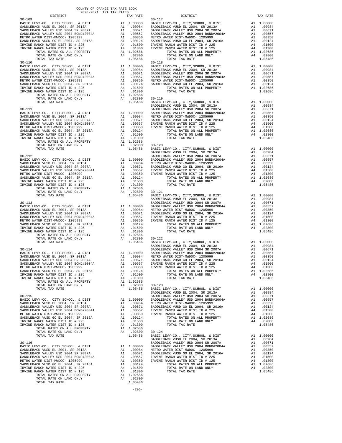| COUNTY OF ORANGE TAX RATE BOOK<br>2020-2021 TRA TAX RATES                                                                                                                                                                                   |                                                                                                                          |                    |
|---------------------------------------------------------------------------------------------------------------------------------------------------------------------------------------------------------------------------------------------|--------------------------------------------------------------------------------------------------------------------------|--------------------|
| DISTRICT<br>$30 - 109$                                                                                                                                                                                                                      | TAX RATE                                                                                                                 | $30 - 117$         |
|                                                                                                                                                                                                                                             |                                                                                                                          |                    |
|                                                                                                                                                                                                                                             |                                                                                                                          |                    |
|                                                                                                                                                                                                                                             |                                                                                                                          |                    |
|                                                                                                                                                                                                                                             |                                                                                                                          |                    |
|                                                                                                                                                                                                                                             |                                                                                                                          |                    |
|                                                                                                                                                                                                                                             |                                                                                                                          |                    |
|                                                                                                                                                                                                                                             |                                                                                                                          |                    |
|                                                                                                                                                                                                                                             |                                                                                                                          |                    |
| TOTAL TAX RATE                                                                                                                                                                                                                              | 1.05486                                                                                                                  |                    |
| $30 - 110$                                                                                                                                                                                                                                  |                                                                                                                          | $30 - 118$         |
| BASIC LEVY-CO., CITY, SCHOOL, & DIST<br>BASIC LEVY-CO., CITY, SURVAN, WALLER<br>SADDLEBACK VUSD EL 2004, SR 2007A<br>SADDLEBACK VALLEY USD 2004 SR 2007A<br>And The Transform of 2004 ROND#2004A                                            |                                                                                                                          |                    |
|                                                                                                                                                                                                                                             |                                                                                                                          |                    |
|                                                                                                                                                                                                                                             |                                                                                                                          |                    |
| METRO WATER DIST-MWDOC- 1205999                                                                                                                                                                                                             |                                                                                                                          |                    |
|                                                                                                                                                                                                                                             |                                                                                                                          |                    |
| SADDLEBACK VUSD GO EL 2004, SR 2016A<br>IRVINE RANCH WATER DIST ID # 225<br>IRVINE RANCH WATER DIST ID # 125                                                                                                                                |                                                                                                                          |                    |
|                                                                                                                                                                                                                                             |                                                                                                                          |                    |
|                                                                                                                                                                                                                                             |                                                                                                                          |                    |
|                                                                                                                                                                                                                                             |                                                                                                                          |                    |
|                                                                                                                                                                                                                                             |                                                                                                                          | SADDLEB            |
| $30 - 111$                                                                                                                                                                                                                                  |                                                                                                                          | SADDLEB            |
|                                                                                                                                                                                                                                             |                                                                                                                          |                    |
|                                                                                                                                                                                                                                             |                                                                                                                          |                    |
|                                                                                                                                                                                                                                             |                                                                                                                          |                    |
|                                                                                                                                                                                                                                             |                                                                                                                          |                    |
| SADDLEBACK VUSD GO EL 2004, SR 2016A<br>IRVINE RANCH WATER DIST ID # 225                                                                                                                                                                    |                                                                                                                          |                    |
| IRVINE RANCH WATER DIST ID # 125                                                                                                                                                                                                            |                                                                                                                          |                    |
| ACK VALLEY USD 2004 BOND<br>HAVER DIST-MWDOC- 1205999 A1 .000124<br>ACK VUSD GO EL 2004, SR 2016A A1 .00124<br>RANCH WATER DIST ID # 225 A4 .01500<br>RANCH WATER DIST ID # 125 A4 .01300<br>TOTAL RATES ON ALL PROPERTY A1 1.02686<br>TO   |                                                                                                                          |                    |
|                                                                                                                                                                                                                                             |                                                                                                                          |                    |
|                                                                                                                                                                                                                                             |                                                                                                                          |                    |
|                                                                                                                                                                                                                                             |                                                                                                                          | SADDLEB            |
|                                                                                                                                                                                                                                             | Al 1.00000 SADDLEB<br>Al .00984 METRO W<br>Al .00981 METRO W<br>Al .00557 IRVINE<br>Al .00350 IRVINE<br>Al .00350 IRVINE |                    |
|                                                                                                                                                                                                                                             |                                                                                                                          |                    |
|                                                                                                                                                                                                                                             |                                                                                                                          |                    |
|                                                                                                                                                                                                                                             |                                                                                                                          |                    |
| METRO WATER DIST-MWDOC- 1205999<br>SADDLEBACK VUSD GO EL 2004, SR 2016A                                                                                                                                                                     |                                                                                                                          |                    |
| IRVINE RANCH WATER DIST ID # 225                                                                                                                                                                                                            |                                                                                                                          |                    |
| IRVINE RANCH WATER DIST ID # 125                                                                                                                                                                                                            |                                                                                                                          |                    |
|                                                                                                                                                                                                                                             |                                                                                                                          |                    |
|                                                                                                                                                                                                                                             |                                                                                                                          |                    |
| ACK VALLEY USD 2004 BORDHESON:<br>ACK VALLEY USD 2004 BORDHESON:<br>ACK VUSD GO EL 2004, SR 2016A<br>ARNCH WATER DIST ID # 225<br>RANCH WATER DIST ID # 125<br>TOTAL RATES ON ALL PROPERTY<br>TOTAL RATES ON LAND ONLY<br>TOTAL RATES ON LA |                                                                                                                          | SADDLEB            |
| $30 - 113$                                                                                                                                                                                                                                  |                                                                                                                          | SADDLEB            |
|                                                                                                                                                                                                                                             |                                                                                                                          |                    |
|                                                                                                                                                                                                                                             |                                                                                                                          |                    |
|                                                                                                                                                                                                                                             |                                                                                                                          |                    |
|                                                                                                                                                                                                                                             |                                                                                                                          |                    |
| SADDLEBACK VUSD GO EL 2004, SR 2016A                                                                                                                                                                                                        | A1 .00124                                                                                                                |                    |
| IRVINE RANCH WATER DIST ID # 225                                                                                                                                                                                                            |                                                                                                                          |                    |
| IRVINE RANCH WATER DIST ID # 125                                                                                                                                                                                                            |                                                                                                                          |                    |
|                                                                                                                                                                                                                                             | $0.02800$ $30-122$<br>1.05486 BASIC L                                                                                    |                    |
| TOTAL TAX RATE                                                                                                                                                                                                                              |                                                                                                                          |                    |
|                                                                                                                                                                                                                                             |                                                                                                                          | SADDLEB            |
| $30 - 114$                                                                                                                                                                                                                                  |                                                                                                                          | SADDLEB            |
|                                                                                                                                                                                                                                             |                                                                                                                          |                    |
| SADDLEBACK VALLEY USD 2004 SR 2007A                                                                                                                                                                                                         |                                                                                                                          |                    |
| SADDLEBACK VALLEY USD 2004 BOND#2004A                                                                                                                                                                                                       |                                                                                                                          |                    |
| METRO WATER DIST-MWDOC- 1205999                                                                                                                                                                                                             |                                                                                                                          |                    |
| SADDLEBACK VUSD GO EL 2004, SR 2016A<br>IRVINE RANCH WATER DIST ID # 225                                                                                                                                                                    | A4 .01500                                                                                                                |                    |
| IRVINE RANCH WATER DIST ID # 125                                                                                                                                                                                                            | A4 .01300                                                                                                                |                    |
| RANCH WATER DIST ID # 125<br>TOTAL RATES ON ALL PROPERTY<br>TOTAL RATES ON ALL PROPERTY                                                                                                                                                     | A1 1.02686                                                                                                               |                    |
| TOTAL RATE ON LAND ONLY                                                                                                                                                                                                                     | A4 .02800                                                                                                                | $30 - 123$         |
| TOTAL TAX RATE                                                                                                                                                                                                                              | 1.05486                                                                                                                  | BASIC L<br>SADDLEB |
| $30 - 115$                                                                                                                                                                                                                                  |                                                                                                                          | SADDLEB            |
|                                                                                                                                                                                                                                             |                                                                                                                          |                    |
|                                                                                                                                                                                                                                             |                                                                                                                          |                    |
|                                                                                                                                                                                                                                             |                                                                                                                          |                    |
|                                                                                                                                                                                                                                             |                                                                                                                          |                    |
|                                                                                                                                                                                                                                             |                                                                                                                          |                    |
| IRVINE RANCH WATER DIST ID # 225                                                                                                                                                                                                            | A4 .01500<br>A4 .01300                                                                                                   |                    |
| IRVINE RANCH WATER DIST ID # 125<br>RANCH WATER DIST ID # 125<br>TOTAL RATES ON ALL PROPERTY                                                                                                                                                |                                                                                                                          |                    |
| TOTAL RATE ON LAND ONLY                                                                                                                                                                                                                     | A1 1.02686<br>A4 .02800                                                                                                  | $30 - 124$         |
| TOTAL TAX RATE                                                                                                                                                                                                                              | 1.05486                                                                                                                  | BASIC L            |
|                                                                                                                                                                                                                                             |                                                                                                                          | SADDLEB            |
| $30 - 116$                                                                                                                                                                                                                                  |                                                                                                                          | SADDLEB            |
| 30-110<br>BASIC LEVY-CO., CITY, SCHOOL, & DIST                                                                                                                                                                                              |                                                                                                                          |                    |
|                                                                                                                                                                                                                                             |                                                                                                                          |                    |
|                                                                                                                                                                                                                                             |                                                                                                                          |                    |
|                                                                                                                                                                                                                                             |                                                                                                                          |                    |
| SADDLEBACK VUSD GO EL 2004, SR 2016A<br>IRVINE RANCH WATER DIST ID # 225<br>IRVINE RANCH WATER DIST ID # 225                                                                                                                                |                                                                                                                          |                    |
| IRVINE RANCH WATER DIST ID # 225<br>IRVINE RANCH WATER DIST ID # 125                                                                                                                                                                        |                                                                                                                          |                    |
| TOTAL RATES ON ALL PROPERTY                                                                                                                                                                                                                 | A4 .01500<br>A4 .01300<br>A1 1.02686                                                                                     |                    |
| TOTAL RATE ON LAND ONLY                                                                                                                                                                                                                     | A4.02800                                                                                                                 |                    |
| TOTAL TAX RATE                                                                                                                                                                                                                              | 1 05486                                                                                                                  |                    |

| DISTRICT   | 2020 2021 INA IAM KAIDO<br>TAX RATE | $\frac{E}{30-117}$<br>DISTRICT                                                                                                                                                                                                                                       | TAX RATE |
|------------|-------------------------------------|----------------------------------------------------------------------------------------------------------------------------------------------------------------------------------------------------------------------------------------------------------------------|----------|
| $30 - 109$ |                                     |                                                                                                                                                                                                                                                                      |          |
|            |                                     |                                                                                                                                                                                                                                                                      |          |
|            |                                     |                                                                                                                                                                                                                                                                      |          |
|            |                                     |                                                                                                                                                                                                                                                                      |          |
|            |                                     |                                                                                                                                                                                                                                                                      |          |
|            |                                     |                                                                                                                                                                                                                                                                      |          |
|            |                                     |                                                                                                                                                                                                                                                                      |          |
|            |                                     |                                                                                                                                                                                                                                                                      |          |
|            |                                     |                                                                                                                                                                                                                                                                      |          |
|            |                                     |                                                                                                                                                                                                                                                                      |          |
|            |                                     |                                                                                                                                                                                                                                                                      |          |
|            |                                     |                                                                                                                                                                                                                                                                      |          |
|            |                                     |                                                                                                                                                                                                                                                                      |          |
|            |                                     |                                                                                                                                                                                                                                                                      |          |
|            |                                     |                                                                                                                                                                                                                                                                      |          |
|            |                                     |                                                                                                                                                                                                                                                                      |          |
|            |                                     |                                                                                                                                                                                                                                                                      |          |
|            |                                     |                                                                                                                                                                                                                                                                      |          |
|            |                                     |                                                                                                                                                                                                                                                                      |          |
|            |                                     |                                                                                                                                                                                                                                                                      |          |
|            |                                     |                                                                                                                                                                                                                                                                      |          |
|            |                                     |                                                                                                                                                                                                                                                                      |          |
|            |                                     |                                                                                                                                                                                                                                                                      |          |
|            |                                     |                                                                                                                                                                                                                                                                      |          |
|            |                                     |                                                                                                                                                                                                                                                                      |          |
|            |                                     |                                                                                                                                                                                                                                                                      |          |
|            |                                     |                                                                                                                                                                                                                                                                      |          |
|            |                                     |                                                                                                                                                                                                                                                                      |          |
|            |                                     |                                                                                                                                                                                                                                                                      |          |
|            |                                     |                                                                                                                                                                                                                                                                      |          |
|            |                                     |                                                                                                                                                                                                                                                                      |          |
|            |                                     |                                                                                                                                                                                                                                                                      |          |
|            |                                     |                                                                                                                                                                                                                                                                      |          |
|            |                                     |                                                                                                                                                                                                                                                                      |          |
|            |                                     |                                                                                                                                                                                                                                                                      |          |
|            |                                     |                                                                                                                                                                                                                                                                      |          |
|            |                                     |                                                                                                                                                                                                                                                                      |          |
|            |                                     |                                                                                                                                                                                                                                                                      |          |
|            |                                     |                                                                                                                                                                                                                                                                      |          |
|            |                                     |                                                                                                                                                                                                                                                                      |          |
|            |                                     |                                                                                                                                                                                                                                                                      |          |
|            |                                     |                                                                                                                                                                                                                                                                      |          |
|            |                                     |                                                                                                                                                                                                                                                                      |          |
|            |                                     |                                                                                                                                                                                                                                                                      |          |
|            |                                     |                                                                                                                                                                                                                                                                      |          |
|            |                                     |                                                                                                                                                                                                                                                                      |          |
|            |                                     |                                                                                                                                                                                                                                                                      |          |
|            |                                     |                                                                                                                                                                                                                                                                      |          |
|            |                                     |                                                                                                                                                                                                                                                                      |          |
|            |                                     |                                                                                                                                                                                                                                                                      |          |
|            |                                     |                                                                                                                                                                                                                                                                      |          |
|            |                                     |                                                                                                                                                                                                                                                                      |          |
|            |                                     |                                                                                                                                                                                                                                                                      |          |
|            |                                     |                                                                                                                                                                                                                                                                      |          |
|            |                                     |                                                                                                                                                                                                                                                                      |          |
|            |                                     |                                                                                                                                                                                                                                                                      |          |
|            |                                     |                                                                                                                                                                                                                                                                      |          |
|            |                                     |                                                                                                                                                                                                                                                                      |          |
|            |                                     |                                                                                                                                                                                                                                                                      |          |
|            |                                     |                                                                                                                                                                                                                                                                      |          |
|            |                                     |                                                                                                                                                                                                                                                                      |          |
|            |                                     |                                                                                                                                                                                                                                                                      |          |
|            |                                     |                                                                                                                                                                                                                                                                      |          |
|            |                                     |                                                                                                                                                                                                                                                                      |          |
|            |                                     |                                                                                                                                                                                                                                                                      |          |
|            |                                     |                                                                                                                                                                                                                                                                      |          |
|            |                                     |                                                                                                                                                                                                                                                                      |          |
|            |                                     |                                                                                                                                                                                                                                                                      |          |
|            |                                     |                                                                                                                                                                                                                                                                      |          |
|            |                                     |                                                                                                                                                                                                                                                                      |          |
|            |                                     |                                                                                                                                                                                                                                                                      |          |
|            |                                     |                                                                                                                                                                                                                                                                      |          |
|            |                                     |                                                                                                                                                                                                                                                                      |          |
|            |                                     |                                                                                                                                                                                                                                                                      |          |
|            |                                     |                                                                                                                                                                                                                                                                      |          |
|            |                                     |                                                                                                                                                                                                                                                                      |          |
|            |                                     |                                                                                                                                                                                                                                                                      |          |
|            |                                     |                                                                                                                                                                                                                                                                      |          |
|            |                                     |                                                                                                                                                                                                                                                                      |          |
|            |                                     | $\begin{tabular}{ c c c c c c c c c c c c} \hline &0.00001 &0.0001 &0.00001 &0.00001 &0.00001 &0.00001 &0.00001 &0.00001 &0.00001 &0.00001 &0.00001 &0.00001 &0.00001 &0.00001 &0.00001 &0.00001 &0.00001 &0.00001 &0.00001 &0.00001 &0.00001 &0.00001 &0.00001 &0.$ |          |
|            |                                     |                                                                                                                                                                                                                                                                      |          |

-295-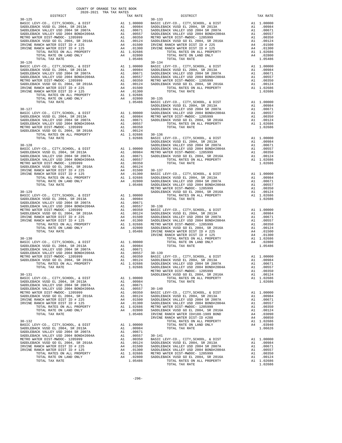| TOTAL TAX RATE                                                                                                                                                                                                                                                                                                                                                                           |          | 1.05486                                                                                                                                                                                                                                                   |                    |
|------------------------------------------------------------------------------------------------------------------------------------------------------------------------------------------------------------------------------------------------------------------------------------------------------------------------------------------------------------------------------------------|----------|-----------------------------------------------------------------------------------------------------------------------------------------------------------------------------------------------------------------------------------------------------------|--------------------|
| $30 - 126$                                                                                                                                                                                                                                                                                                                                                                               |          |                                                                                                                                                                                                                                                           | $30 - 134$         |
|                                                                                                                                                                                                                                                                                                                                                                                          |          |                                                                                                                                                                                                                                                           | SADDLEB            |
| $30 - 128$                                                                                                                                                                                                                                                                                                                                                                               |          |                                                                                                                                                                                                                                                           | SADDLEB            |
| $30 - 129$                                                                                                                                                                                                                                                                                                                                                                               |          |                                                                                                                                                                                                                                                           | METRO W<br>IRVINE  |
| $30 - 130$<br>$30 - 131$                                                                                                                                                                                                                                                                                                                                                                 |          |                                                                                                                                                                                                                                                           | METRO W<br>SADDLEB |
| BASIC LEVY-CO., CITY, SCHOOL, & DIST<br>SADDLEBACK VUSD EL 2004, SR 2013A<br>SADDLEBACK VALLEY USD 2004 SR 2007A<br>SADDLEBACK VALLEY USD 2004 BOND#2004A<br>METRO WATER DIST-MWDOC- 1205999<br>SADDLEBACK VUSD GO EL 2004, SR 2016A<br>IRVINE RANCH WATER DIST ID # 225<br>IRVINE RANCH WATER DIST ID # 125<br>TOTAL RATES ON ALL PROPERTY<br>TOTAL RATE ON LAND ONLY<br>TOTAL TAX RATE | A1<br>A1 | A1 1.00000<br>.00984<br>.00671<br>A1 .00557 30-140<br>A1 .00557 30-140<br>A1 .00350 BASIC L<br>A1 .00124 SADDLEB<br>A4 .01500 SADDLEB<br>A4 .01300 SADDLEB<br>A4 .02360 SADDLEB<br>A4 .02360 SADDLEB<br>A4 .02360 SADDLEB<br>A4 .02360 SADDLEB<br>1.05486 | IRVINE<br>IRVINE   |
| $30 - 132$<br>BASIC LEVY-CO., CITY, SCHOOL, & DIST<br>SADDLEBACK VUSD EL 2004, SR 2013A<br>SADDLEBACK VALLEY USD 2004 SR 2007A<br>SADDLEBACK VALLEY USD 2004 BOND#2004A<br>METRO WATER DIST-MWDOC- 1205999<br>SADDLEBACK VUSD GO EL 2004, SR 2016A<br>IRVINE RANCH WATER DIST ID # 225<br>IRVINE RANCH WATER DIST ID # 125<br>TOTAL RATES ON ALL PROPERTY<br>TOTAL RATE ON LAND ONLY     | A1       | A1 1.00000<br>A1.00984<br>.00671<br>A1 .00557 30-141<br>A1 .00350 BASIC L<br>A1 .00350 BASIC L<br>A4 .01500 SADDLEB<br>A4 .01300 SADDLEB<br>A1 .02866 METRON<br>A1 .02866 METRON<br>SADDLEB<br>A1 .02866 METRON                                           |                    |

| COUNTY OF ORANGE TAX RATE BOOK<br>2020-2021 TRA TAX RATES<br>$2020-2021 \quad \text{TRA RATE B}$ DISTRICT 2020–2021 TRA TAX RATES<br>DISTRICT<br>TAX RATE<br>TAX RATE |
|-----------------------------------------------------------------------------------------------------------------------------------------------------------------------|
|                                                                                                                                                                       |
|                                                                                                                                                                       |
|                                                                                                                                                                       |
|                                                                                                                                                                       |
|                                                                                                                                                                       |
|                                                                                                                                                                       |
|                                                                                                                                                                       |
|                                                                                                                                                                       |
|                                                                                                                                                                       |
|                                                                                                                                                                       |
|                                                                                                                                                                       |
|                                                                                                                                                                       |
|                                                                                                                                                                       |
|                                                                                                                                                                       |
|                                                                                                                                                                       |
|                                                                                                                                                                       |
|                                                                                                                                                                       |
|                                                                                                                                                                       |
|                                                                                                                                                                       |
|                                                                                                                                                                       |
|                                                                                                                                                                       |
|                                                                                                                                                                       |
|                                                                                                                                                                       |
|                                                                                                                                                                       |
|                                                                                                                                                                       |
|                                                                                                                                                                       |
|                                                                                                                                                                       |
|                                                                                                                                                                       |
|                                                                                                                                                                       |
|                                                                                                                                                                       |
|                                                                                                                                                                       |
|                                                                                                                                                                       |
|                                                                                                                                                                       |
|                                                                                                                                                                       |
|                                                                                                                                                                       |
|                                                                                                                                                                       |
|                                                                                                                                                                       |
|                                                                                                                                                                       |
|                                                                                                                                                                       |
|                                                                                                                                                                       |
|                                                                                                                                                                       |
|                                                                                                                                                                       |
|                                                                                                                                                                       |
|                                                                                                                                                                       |
|                                                                                                                                                                       |
|                                                                                                                                                                       |
|                                                                                                                                                                       |
|                                                                                                                                                                       |
|                                                                                                                                                                       |
|                                                                                                                                                                       |
|                                                                                                                                                                       |
|                                                                                                                                                                       |
|                                                                                                                                                                       |
|                                                                                                                                                                       |
|                                                                                                                                                                       |
|                                                                                                                                                                       |
|                                                                                                                                                                       |
|                                                                                                                                                                       |
|                                                                                                                                                                       |
|                                                                                                                                                                       |
|                                                                                                                                                                       |
|                                                                                                                                                                       |
|                                                                                                                                                                       |
|                                                                                                                                                                       |
|                                                                                                                                                                       |
|                                                                                                                                                                       |
|                                                                                                                                                                       |
|                                                                                                                                                                       |
|                                                                                                                                                                       |
|                                                                                                                                                                       |
|                                                                                                                                                                       |
|                                                                                                                                                                       |
|                                                                                                                                                                       |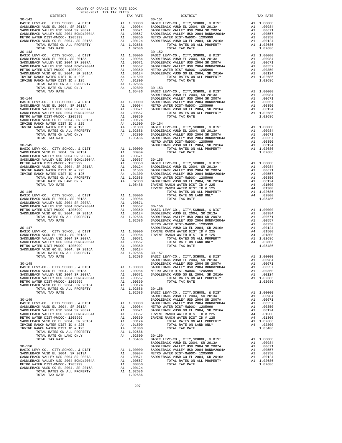|                                                                                                                                                                                                                                                                                                                                                                                                                                                                                                                                                                                                                                                     | ലപാ⊥് പ<br>SADDLEB                                                                                                                                                                                                                                |
|-----------------------------------------------------------------------------------------------------------------------------------------------------------------------------------------------------------------------------------------------------------------------------------------------------------------------------------------------------------------------------------------------------------------------------------------------------------------------------------------------------------------------------------------------------------------------------------------------------------------------------------------------------|---------------------------------------------------------------------------------------------------------------------------------------------------------------------------------------------------------------------------------------------------|
|                                                                                                                                                                                                                                                                                                                                                                                                                                                                                                                                                                                                                                                     | SADDLEB                                                                                                                                                                                                                                           |
|                                                                                                                                                                                                                                                                                                                                                                                                                                                                                                                                                                                                                                                     | SADDLEB                                                                                                                                                                                                                                           |
|                                                                                                                                                                                                                                                                                                                                                                                                                                                                                                                                                                                                                                                     | METRO W                                                                                                                                                                                                                                           |
|                                                                                                                                                                                                                                                                                                                                                                                                                                                                                                                                                                                                                                                     | SADDLEB                                                                                                                                                                                                                                           |
|                                                                                                                                                                                                                                                                                                                                                                                                                                                                                                                                                                                                                                                     | IRVINE                                                                                                                                                                                                                                            |
|                                                                                                                                                                                                                                                                                                                                                                                                                                                                                                                                                                                                                                                     | IRVINE                                                                                                                                                                                                                                            |
|                                                                                                                                                                                                                                                                                                                                                                                                                                                                                                                                                                                                                                                     |                                                                                                                                                                                                                                                   |
|                                                                                                                                                                                                                                                                                                                                                                                                                                                                                                                                                                                                                                                     |                                                                                                                                                                                                                                                   |
|                                                                                                                                                                                                                                                                                                                                                                                                                                                                                                                                                                                                                                                     |                                                                                                                                                                                                                                                   |
|                                                                                                                                                                                                                                                                                                                                                                                                                                                                                                                                                                                                                                                     |                                                                                                                                                                                                                                                   |
|                                                                                                                                                                                                                                                                                                                                                                                                                                                                                                                                                                                                                                                     | $30 - 159$                                                                                                                                                                                                                                        |
|                                                                                                                                                                                                                                                                                                                                                                                                                                                                                                                                                                                                                                                     | BASIC L                                                                                                                                                                                                                                           |
|                                                                                                                                                                                                                                                                                                                                                                                                                                                                                                                                                                                                                                                     | SADDLEB                                                                                                                                                                                                                                           |
|                                                                                                                                                                                                                                                                                                                                                                                                                                                                                                                                                                                                                                                     | SADDLEB                                                                                                                                                                                                                                           |
|                                                                                                                                                                                                                                                                                                                                                                                                                                                                                                                                                                                                                                                     | SADDLEB                                                                                                                                                                                                                                           |
|                                                                                                                                                                                                                                                                                                                                                                                                                                                                                                                                                                                                                                                     | METRO W                                                                                                                                                                                                                                           |
|                                                                                                                                                                                                                                                                                                                                                                                                                                                                                                                                                                                                                                                     | SADDLEB                                                                                                                                                                                                                                           |
| .00557                                                                                                                                                                                                                                                                                                                                                                                                                                                                                                                                                                                                                                              |                                                                                                                                                                                                                                                   |
|                                                                                                                                                                                                                                                                                                                                                                                                                                                                                                                                                                                                                                                     |                                                                                                                                                                                                                                                   |
|                                                                                                                                                                                                                                                                                                                                                                                                                                                                                                                                                                                                                                                     |                                                                                                                                                                                                                                                   |
|                                                                                                                                                                                                                                                                                                                                                                                                                                                                                                                                                                                                                                                     |                                                                                                                                                                                                                                                   |
|                                                                                                                                                                                                                                                                                                                                                                                                                                                                                                                                                                                                                                                     |                                                                                                                                                                                                                                                   |
| BASIC LEVY-CO., CITY, SCHOOL, & DIST<br>SADDLEBACK VUSD EL 2004, SR 2013A<br>SADDLEBACK VALLEY USD 2004 SR 2007A<br>SADDLEBACK VALLEY USD 2004 BOND#2004A<br>METRO WATER DIST-MWDOC- 1205999<br>SADDLEBACK VUSD GO EL 2004, SR 2016A<br>IRVINE RANCH WATER DIST ID # 225<br>IRVINE RANCH WATER DIST ID # 125<br>TOTAL RATES ON ALL PROPERTY<br>TOTAL RATE ON LAND ONLY<br>BASIC LEVY-CO., CITY, SCHOOL, & DIST<br>SADDLEBACK VUSD EL 2004, SR 2013A<br>SADDLEBACK VALLEY USD 2004 SR 2007A<br>SADDLEBACK VALLEY USD 2004 BOND#2004A<br>METRO WATER DIST-MWDOC- 1205999<br>SADDLEBACK VUSD GO EL 2004, SR 2016A<br>A1<br>TOTAL RATES ON ALL PROPERTY | 1.04000<br>A1 1.00000<br>A1 .00984<br>A1.00671<br>A1.00557<br>A1 .00350<br>A1 .00124<br>A4 .01500<br>A4 .01300<br>A1 1.02686<br>A4 .02800<br>1.05486<br>A1 1.00000<br>A1.00984<br>A1 .00671<br>A1<br>A1 .00350<br>A1 .00124<br>1.02686<br>1.02686 |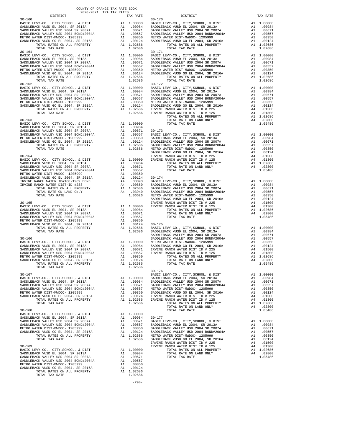| TOTAL TAX RATE<br>$30 - 161$<br>BASIC LEVY-CO., CITY, SCHOOL, & DIST                                                                                                                                                                                                                                                  |                                                                                                                                                                         | 1.02686                                                                                                                                                                                                 | $30 - 171$                                  |
|-----------------------------------------------------------------------------------------------------------------------------------------------------------------------------------------------------------------------------------------------------------------------------------------------------------------------|-------------------------------------------------------------------------------------------------------------------------------------------------------------------------|---------------------------------------------------------------------------------------------------------------------------------------------------------------------------------------------------------|---------------------------------------------|
| SADDLEBACK VUSD EL 2004, SR 2013A<br>SADDLEBACK VOSD EL 2004, SR 2013A<br>SADDLEBACK VALLEY USD 2004 SR 2007A<br>SADDLEBACK VALLEY USD 2004 BOND#2004A<br>METRO WATER DIST-MWDOC- 1205999<br>METRO WATER DIST-MWDOC- 1205999<br>SADDLEBACK VUSD GO EL 2004, SR 2016A<br>TOTAL RATES ON ALL PROPERTY<br>TOTAL TAX RATE | 30–171<br>A1 1.00000 BASIC L<br>A1 .00984 SADDLEB<br>A1 .00671 SADDLEB<br>A1 .00577 SADDLEB<br>A1 .00350 METRO W<br>A1 .00124 SADDLEB<br>A1 .00124 SADDLEB<br>A1 .00266 | 1.02686                                                                                                                                                                                                 |                                             |
| $30 - 162$                                                                                                                                                                                                                                                                                                            |                                                                                                                                                                         |                                                                                                                                                                                                         | $30 - 172$                                  |
| $30 - 163$                                                                                                                                                                                                                                                                                                            |                                                                                                                                                                         |                                                                                                                                                                                                         |                                             |
| $30 - 164$                                                                                                                                                                                                                                                                                                            |                                                                                                                                                                         |                                                                                                                                                                                                         | SADDLEB<br>IRVINE                           |
|                                                                                                                                                                                                                                                                                                                       |                                                                                                                                                                         |                                                                                                                                                                                                         | SADDLEB                                     |
| $30 - 165$                                                                                                                                                                                                                                                                                                            |                                                                                                                                                                         |                                                                                                                                                                                                         | IRVINE                                      |
| $30 - 166$<br>TOTAL TAX RATE                                                                                                                                                                                                                                                                                          |                                                                                                                                                                         | 1.02686                                                                                                                                                                                                 | SADDLEB<br>SADDLEB                          |
| $30 - 167$<br>BASIC LEVY-CO., CITY, SCHOOL, & DIST<br>SADDLEBACK VUSD EL 2004, SR 2013A<br>SADDLEBACK VALLEY USD 2004 SR 2007A<br>SADDLEBACK VALLEY USD 2004 BOND#2004A<br>METRO WATER DIST-MWDOC- 1205999<br>SADDLEBACK VUSD GO EL 2004, SR 2016A<br>TOTAL RATES ON ALL PROPERTY<br>TOTAL TAX RATE                   | $\overline{A1}$                                                                                                                                                         | A1 1.00000<br>A1 1.00000 SADDLEB<br>A1 .00984 SADDLEB<br>A1 .00671 SADDLEB<br>A1 .00071 SADDRES<br>A1 .00557 METRO W<br>A1 .00350 SADDLEB<br>.00124<br>A1 .00124 IRVINE<br>A1 1.02686 IRVINE<br>1.02686 | $30 - 176$<br>BASIC L<br>IRVINE             |
| $30 - 168$<br>BASIC LEVY-CO., CITY, SCHOOL, & DIST<br>SADDLEBACK VUSD EL 2004, SR 2013A<br>SADDLEBACK VALLEY USD 2004 SR 2007A<br>SADDLEBACK VALLEY USD 2004 BOND#2004A<br>METRO WATER DIST-MWDOC- 1205999<br>SADDLEBACK VUSD GO EL 2004, SR 2016A<br>TOTAL RATES ON ALL PROPERTY<br>TOTAL TAX RATE                   | A1<br>A1                                                                                                                                                                | A1 1.00000<br>A1 .00984<br>.00671<br>.00557<br>A1 .00357<br>A1 .00350 SADDLEB<br>A1 .00124 SADDLEB<br>A1 1.02686 METRO W<br>1.02686                                                                     | $30 - 177$<br>BASIC L<br>SADDLEB<br>SADDLEB |
| $30 - 169$<br>BASIC LEVY-CO., CITY, SCHOOL, & DIST<br>SADDLEBACK VUSD EL 2004, SR 2013A<br>SADDLEBACK VALLEY USD 2004 SR 2007A<br>SADDLEBACK VALLEY USD 2004 BOND#2004A<br>METRO WATER DIST-MWDOC- 1205999<br>SADDLEBACK VUSD GO EL 2004, SR 2016A<br>TOTAL RATES ON ALL PROPERTY<br>TOTAL TAX RATE                   | A1<br>A1<br>A1<br>A1                                                                                                                                                    | A1 1.00000<br>A1 .00984<br>.00671<br>.00557<br>.00350<br>.00124<br>A1 1.02686<br>1.02686                                                                                                                | IRVINE<br>IRVINE                            |

-298-

| COUNTY OF ORANGE TAX RATE BOOK<br>2020-2021 TRA TAX RATES<br>$2020-2021 \quad \text{TRA TAX RATES}$ DISTRICT $\hspace{2.5cm}$ |          |                        |          |
|-------------------------------------------------------------------------------------------------------------------------------|----------|------------------------|----------|
| $30 - 160$                                                                                                                    | TAX RATE | DISTRICT<br>$30 - 170$ | TAX RATE |
|                                                                                                                               |          |                        |          |
|                                                                                                                               |          |                        |          |
|                                                                                                                               |          |                        |          |
|                                                                                                                               |          |                        |          |
|                                                                                                                               |          |                        |          |
|                                                                                                                               |          |                        |          |
|                                                                                                                               |          | $30 - 171$             |          |
|                                                                                                                               |          |                        |          |
|                                                                                                                               |          |                        |          |
|                                                                                                                               |          |                        |          |
|                                                                                                                               |          |                        |          |
|                                                                                                                               |          |                        |          |
|                                                                                                                               |          |                        |          |
|                                                                                                                               |          |                        |          |
|                                                                                                                               |          |                        |          |
|                                                                                                                               |          |                        |          |
|                                                                                                                               |          |                        |          |
|                                                                                                                               |          |                        |          |
|                                                                                                                               |          |                        |          |
|                                                                                                                               |          |                        |          |
|                                                                                                                               |          |                        |          |
|                                                                                                                               |          |                        |          |
|                                                                                                                               |          |                        |          |
|                                                                                                                               |          |                        |          |
|                                                                                                                               |          |                        |          |
|                                                                                                                               |          |                        |          |
|                                                                                                                               |          |                        |          |
|                                                                                                                               |          |                        |          |
|                                                                                                                               |          |                        |          |
|                                                                                                                               |          |                        |          |
|                                                                                                                               |          |                        |          |
|                                                                                                                               |          |                        |          |
|                                                                                                                               |          |                        |          |
|                                                                                                                               |          |                        |          |
|                                                                                                                               |          |                        |          |
|                                                                                                                               |          |                        |          |
|                                                                                                                               |          |                        |          |
|                                                                                                                               |          |                        |          |
|                                                                                                                               |          |                        |          |
|                                                                                                                               |          |                        |          |
|                                                                                                                               |          |                        |          |
|                                                                                                                               |          |                        |          |
|                                                                                                                               |          |                        |          |
|                                                                                                                               |          |                        |          |
|                                                                                                                               |          |                        |          |
|                                                                                                                               |          |                        |          |
|                                                                                                                               |          |                        |          |
|                                                                                                                               |          |                        |          |
|                                                                                                                               |          |                        |          |
|                                                                                                                               |          |                        |          |
|                                                                                                                               |          |                        |          |
|                                                                                                                               |          |                        |          |
|                                                                                                                               |          |                        |          |
|                                                                                                                               |          |                        |          |
|                                                                                                                               |          |                        |          |
|                                                                                                                               |          |                        |          |
|                                                                                                                               |          |                        |          |
|                                                                                                                               |          |                        |          |
|                                                                                                                               |          |                        |          |
|                                                                                                                               |          |                        |          |
|                                                                                                                               |          |                        |          |
|                                                                                                                               |          |                        |          |
|                                                                                                                               |          |                        |          |
|                                                                                                                               |          |                        |          |
|                                                                                                                               |          |                        |          |
|                                                                                                                               |          |                        |          |
|                                                                                                                               |          |                        |          |
|                                                                                                                               |          |                        |          |
|                                                                                                                               |          |                        |          |
|                                                                                                                               |          |                        |          |
|                                                                                                                               |          |                        |          |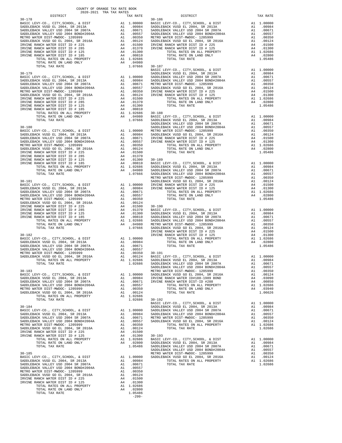| COUNTY OF ORANGE TAX RATE BOOK |          |            |          |
|--------------------------------|----------|------------|----------|
|                                | TAX RATE | DISTRICT   | TAX RATE |
| $30 - 178$                     |          | $30 - 186$ |          |
|                                |          |            |          |
|                                |          |            |          |
|                                |          |            |          |
|                                |          |            |          |
|                                |          |            |          |
|                                |          |            |          |
|                                |          |            |          |
|                                |          |            |          |
|                                |          |            |          |
|                                |          |            |          |
|                                |          |            |          |
|                                |          |            |          |
|                                |          |            |          |
|                                |          |            |          |
|                                |          |            |          |
|                                |          |            |          |
|                                |          |            |          |
|                                |          |            |          |
|                                |          |            |          |
|                                |          |            |          |
|                                |          |            |          |
|                                |          |            |          |
|                                |          |            |          |
|                                |          |            |          |
|                                |          |            |          |
|                                |          |            |          |
|                                |          |            |          |
|                                |          |            |          |
|                                |          |            |          |
|                                |          |            |          |
|                                |          |            |          |
|                                |          |            |          |
|                                |          |            |          |
|                                |          |            |          |
|                                |          |            |          |
|                                |          |            |          |
|                                |          |            |          |
|                                |          |            |          |
|                                |          |            |          |
|                                |          |            |          |
|                                |          |            |          |
|                                |          |            |          |
|                                |          |            |          |
|                                |          |            |          |
|                                |          |            |          |
|                                |          |            |          |
|                                |          |            |          |
|                                |          |            |          |
|                                |          |            |          |
|                                |          |            |          |
|                                |          |            |          |
|                                |          |            |          |
|                                |          |            |          |
|                                |          |            |          |
|                                |          |            |          |
|                                |          |            |          |
|                                |          |            |          |
|                                |          |            |          |
|                                |          |            |          |
|                                |          |            |          |
|                                |          |            |          |
|                                |          |            |          |
|                                |          |            |          |
|                                |          |            |          |
|                                |          |            |          |
|                                |          |            |          |
|                                |          |            |          |
|                                |          |            |          |
|                                |          |            |          |
|                                |          |            |          |
|                                |          |            |          |
|                                |          |            |          |
|                                |          |            |          |
|                                |          |            |          |
|                                |          |            |          |

| RATE         | DISTRICT                                                                                                                                                                                                                                               |               | TAX RI                                     |
|--------------|--------------------------------------------------------------------------------------------------------------------------------------------------------------------------------------------------------------------------------------------------------|---------------|--------------------------------------------|
|              | $30 - 186$<br>90000 BASIC LEVY-CO., CITY, SCHOOL, & DIST<br>9884 SADDLEBACK VUSD EL 2004, SR 2013A<br>9871 SADDLEBACK VALLEY USD 2004 SR 2007A<br>9557 SADDLEBACK VALLEY USD 2004 BOND#2004A<br>9557 SADDLEBACK VALLEY USD 2004 BOND#2004A<br>9350 MET | A1            | 1.000                                      |
|              |                                                                                                                                                                                                                                                        | A1            | .009                                       |
|              |                                                                                                                                                                                                                                                        | A1            | .006                                       |
|              |                                                                                                                                                                                                                                                        | A1            | .005                                       |
|              |                                                                                                                                                                                                                                                        | A1            | .003                                       |
|              |                                                                                                                                                                                                                                                        | A1            | .001                                       |
|              |                                                                                                                                                                                                                                                        | A4            | .015                                       |
|              |                                                                                                                                                                                                                                                        | A4            | .013                                       |
| 1300         | TOTAL RATES ON ALL PROPERTY                                                                                                                                                                                                                            |               | A1 1.026                                   |
| 0810         | TOTAL RATE ON LAND ONLY                                                                                                                                                                                                                                | $\mathbb{A}4$ | .028                                       |
| 2686         | TOTAL TAX RATE                                                                                                                                                                                                                                         |               | 1.054                                      |
| 4980         |                                                                                                                                                                                                                                                        |               |                                            |
| 7666         | $30 - 187$                                                                                                                                                                                                                                             |               |                                            |
|              | BASIC LEVY-CO., CITY, SCHOOL, & DIST                                                                                                                                                                                                                   | A1            | 1.000                                      |
|              | SADDLEBACK VUSD EL 2004, SR 2013A                                                                                                                                                                                                                      | A1            | .009                                       |
|              |                                                                                                                                                                                                                                                        | A1            | .006                                       |
|              |                                                                                                                                                                                                                                                        | A1            | .005                                       |
|              |                                                                                                                                                                                                                                                        | A1<br>A1      | .003                                       |
|              | SADDLEBACK VALLEY USD 2004, SK 2007A<br>984 SADDLEBACK VALLEY USD 2004 SR 2007A<br>9871 METRO WATER DIST-MWOOC 1205999<br>9657 SADDLEBACK VUSD GO EL 2004, SR 2016A<br>9557 SADDLEBACK VUSD GO EL 2004, SR 2016A<br>1787 INNER RANCH WAT               | A4            | .001<br>.015                               |
|              |                                                                                                                                                                                                                                                        | A4            | .013                                       |
| 1500         | TOTAL RATES ON ALL PROPERTY                                                                                                                                                                                                                            |               | A1 1.026                                   |
| 1370         | TOTAL RATE ON LAND ONLY                                                                                                                                                                                                                                | A4            | .028                                       |
| 1300         | TOTAL TAX RATE                                                                                                                                                                                                                                         |               | 1.054                                      |
| 0810         |                                                                                                                                                                                                                                                        |               |                                            |
|              | 0010<br>4986 - 30-188<br>4980 - BASIC LEVY-CO., CITY,SCHOOL, & DIST<br>7666 - SADDLEBACK VUSD EL 2004, SR 2013A<br>- SADDLEBACK VALLEY USD 2004 SR 2007A                                                                                               |               |                                            |
|              |                                                                                                                                                                                                                                                        |               | A1 1.000                                   |
|              |                                                                                                                                                                                                                                                        | A1            | .009                                       |
|              |                                                                                                                                                                                                                                                        | A1            |                                            |
|              | SADDLEBACK VALLEY USD 2004 BOND#2004A                                                                                                                                                                                                                  | A1            | $.006$<br>0.0.1.1                          |
|              |                                                                                                                                                                                                                                                        | A1            | .003                                       |
|              | 0000 METRO WATER DIST-MWDC-1205999<br>0984 SADDLEBACK VUSD GO EL 2004, SR 2016A<br>0671 IRVINE RANCH WATER DIST ID # 225<br>0557 IRVINE RANCH WATER DIST ID # 125                                                                                      | A1            | .001                                       |
|              |                                                                                                                                                                                                                                                        | A4            | .015                                       |
|              |                                                                                                                                                                                                                                                        | A4            | .013                                       |
| 0350         | TOTAL RATES ON ALL PROPERTY                                                                                                                                                                                                                            |               | A1 1.026                                   |
| 0124         | TOTAL RATE ON LAND ONLY                                                                                                                                                                                                                                | A4            | .028                                       |
| 1500         | TOTAL TAX RATE                                                                                                                                                                                                                                         |               | 1.054                                      |
| 1370         | 1370 30-189<br>1300 30-189<br>0810 BASIC LEVY-CO., CITY, SCHOOL, SR 2013A<br>2686 SADDLEBACK VALLEY USD 2004 SR 2007A<br>4980 SADDLEBACK VALLEY USD 2004 BOND#2004A<br>7666 SADDLEBACK VALLEY USD 2004 BOND#2004A<br>METRO WATER DIST-MWDCC- 120       |               |                                            |
|              |                                                                                                                                                                                                                                                        |               | A1 1.000                                   |
|              |                                                                                                                                                                                                                                                        | A1            | .009                                       |
|              |                                                                                                                                                                                                                                                        | A1            |                                            |
|              |                                                                                                                                                                                                                                                        | A1            | 000.<br>001.<br>001.                       |
|              |                                                                                                                                                                                                                                                        | A1            |                                            |
|              | SADDLEBACK VUSD GO EL 2004, SR 2016A                                                                                                                                                                                                                   | A1            | .001                                       |
|              |                                                                                                                                                                                                                                                        | A4            |                                            |
|              | 0000 IRVINE RANCH WATER DIST ID # 225<br>0984 IRVINE RANCH WATER DIST ID # 125                                                                                                                                                                         | A4            | 01!<br>01:                                 |
| 0671         | TOTAL RATES ON ALL PROPERTY                                                                                                                                                                                                                            |               | A1 1.026                                   |
| 0557         | TOTAL RATE ON LAND ONLY                                                                                                                                                                                                                                | A4            | .028                                       |
| 0350         | TOTAL TAX RATE                                                                                                                                                                                                                                         |               | 1.054                                      |
| 0124         |                                                                                                                                                                                                                                                        |               |                                            |
|              | 0124<br>1500 30-190<br>1500 BASIC LEVY-CO., CITY, SCHOOL, & DIST<br>1300 SADDLEBACK VUSD EL 2004, SR 2013A<br>2686 SADDLEBACK VALLEY USD 2004 BOND#2004A<br>2686 SADDLEBACK VALLEY USD 2004 BOND#2004A<br>4980 METRO WATER DIST-MWDOC- 1205999<br>7    |               |                                            |
|              |                                                                                                                                                                                                                                                        | A1            | 1.000                                      |
|              |                                                                                                                                                                                                                                                        | A1            | .009                                       |
|              |                                                                                                                                                                                                                                                        | A1            | .006                                       |
|              |                                                                                                                                                                                                                                                        | A1            | .005                                       |
|              |                                                                                                                                                                                                                                                        | A1<br>A1      | .003<br>.001                               |
|              |                                                                                                                                                                                                                                                        | A4            |                                            |
|              | IRVINE RANCH WATER DIST ID # 225<br>IRVINE RANCH WATER DIST ID # 125                                                                                                                                                                                   | A4            | $\begin{array}{c} .015 \ .015 \end{array}$ |
| 0000         | TOTAL RATES ON ALL PROPERTY                                                                                                                                                                                                                            | A1            | 1.026                                      |
| 0984         | TOTAL RATE ON LAND ONLY                                                                                                                                                                                                                                | A4            | .028                                       |
| 0671         | TOTAL TAX RATE                                                                                                                                                                                                                                         |               | 1.054                                      |
| 0557         |                                                                                                                                                                                                                                                        |               |                                            |
|              | ° 2008<br>0350 - 30-191<br>0124 - BASIC LEVY-CO., CITY, SCHOOL, & DIST<br>2686 - SADDLEBACK VUSD EL 2004, SR 2013A                                                                                                                                     |               |                                            |
|              |                                                                                                                                                                                                                                                        |               | A1 1.000                                   |
|              |                                                                                                                                                                                                                                                        |               | A1 .009                                    |
| 2686         | SADDLEBACK VALLEY USD 2004 SR 2007A                                                                                                                                                                                                                    | A1            | .006                                       |
|              | SADDLEBACK VALLEY USD 2004 BOND#2004A                                                                                                                                                                                                                  | A1            | .005                                       |
|              | METRO WATER DIST-MWDOC- 1205999                                                                                                                                                                                                                        | A1            | .003                                       |
| 0000<br>0984 | SADDLEBACK VUSD GO EL 2004, SR 2016A<br>IRVINE RANCH WATER ID#188-1989 BOND                                                                                                                                                                            | A1<br>A4      | .001                                       |
|              | 0671 IRVINE RANCH WATER DIST-ID #288                                                                                                                                                                                                                   | A4            | .030<br>.008                               |
| 0557         | TOTAL RATES ON ALL PROPERTY                                                                                                                                                                                                                            | A1            | 1.026                                      |
| 0350         | TOTAL RATE ON LAND ONLY                                                                                                                                                                                                                                | A4            | .039                                       |
| 0124         | TOTAL TAX RATE                                                                                                                                                                                                                                         |               | 1.066                                      |
| 2686         |                                                                                                                                                                                                                                                        |               |                                            |
| 2686         | $30 - 192$                                                                                                                                                                                                                                             |               |                                            |
|              | BASIC LEVY-CO., CITY, SCHOOL, & DIST                                                                                                                                                                                                                   | A1            | 1,000                                      |
|              | SADDLEBACK VUSD EL 2004, SR 2013A                                                                                                                                                                                                                      | A1            | .009                                       |
| 0000         | SADDLEBACK VALLEY USD 2004 SR 2007A                                                                                                                                                                                                                    | A1            | .006                                       |
| 0984         | SADDLEBACK VALLEY USD 2004 BOND#2004A                                                                                                                                                                                                                  | A1            | .005                                       |
| 0671         | METRO WATER DIST-MWDOC- 1205999                                                                                                                                                                                                                        | A1            | .003                                       |
| 0557         | SADDLEBACK VUSD GO EL 2004, SR 2016A                                                                                                                                                                                                                   | A1            | .001                                       |
| 0350         | TOTAL RATES ON ALL PROPERTY                                                                                                                                                                                                                            |               | A1 1.026                                   |
| 0124         | TOTAL TAX RATE                                                                                                                                                                                                                                         |               | 1.026                                      |
| 1500         |                                                                                                                                                                                                                                                        |               |                                            |
| 1300         | $30 - 193$                                                                                                                                                                                                                                             |               |                                            |
|              |                                                                                                                                                                                                                                                        | A1            | 1.000                                      |
|              | 1300 30-193<br>2686 BASIC LEVY-CO., CITY, SCHOOL, & DIST<br>2800 SADDLEBACK VUSD EL 2004, SR 2013A<br>5486 SADDLEBACK VALLEY USD 2004 SR 2007A<br>- ------ "-"-"" """ "" "" 2007A ROND#2004                                                            | A1            | .009                                       |
|              |                                                                                                                                                                                                                                                        | A1            | .006                                       |
|              | SADDLEBACK VALLEY USD 2004 BOND#2004A                                                                                                                                                                                                                  | A1            | .005                                       |
|              | METRO WATER DIST-MWDOC- 1205999                                                                                                                                                                                                                        | A1            | .003                                       |
| 0000<br>0984 | SADDLEBACK VUSD GO EL 2004, SR 2016A<br>TOTAL RATES ON ALL PROPERTY                                                                                                                                                                                    | A1            | .001<br>A1 1.026                           |
| 0671         | TOTAL TAX RATE                                                                                                                                                                                                                                         |               | 1.026                                      |
| 0557         |                                                                                                                                                                                                                                                        |               |                                            |
| 0350         |                                                                                                                                                                                                                                                        |               |                                            |
|              |                                                                                                                                                                                                                                                        |               |                                            |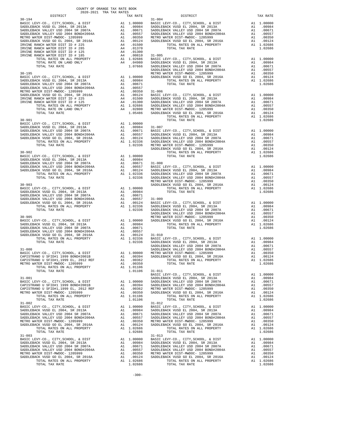| DISTRICT                                                                                                                                | 2020-2021 TRA TAX RATES | TAX RATE | DISTRICT                                                                                                                                                                                                                                                                                                                                                                                                                             | TAX RATE |
|-----------------------------------------------------------------------------------------------------------------------------------------|-------------------------|----------|--------------------------------------------------------------------------------------------------------------------------------------------------------------------------------------------------------------------------------------------------------------------------------------------------------------------------------------------------------------------------------------------------------------------------------------|----------|
|                                                                                                                                         |                         |          |                                                                                                                                                                                                                                                                                                                                                                                                                                      |          |
|                                                                                                                                         |                         |          |                                                                                                                                                                                                                                                                                                                                                                                                                                      |          |
|                                                                                                                                         |                         |          |                                                                                                                                                                                                                                                                                                                                                                                                                                      |          |
|                                                                                                                                         |                         |          |                                                                                                                                                                                                                                                                                                                                                                                                                                      |          |
|                                                                                                                                         |                         |          |                                                                                                                                                                                                                                                                                                                                                                                                                                      |          |
|                                                                                                                                         |                         |          |                                                                                                                                                                                                                                                                                                                                                                                                                                      |          |
|                                                                                                                                         |                         |          |                                                                                                                                                                                                                                                                                                                                                                                                                                      |          |
|                                                                                                                                         |                         |          |                                                                                                                                                                                                                                                                                                                                                                                                                                      |          |
|                                                                                                                                         |                         |          |                                                                                                                                                                                                                                                                                                                                                                                                                                      |          |
|                                                                                                                                         |                         |          |                                                                                                                                                                                                                                                                                                                                                                                                                                      |          |
|                                                                                                                                         |                         |          |                                                                                                                                                                                                                                                                                                                                                                                                                                      |          |
|                                                                                                                                         |                         |          |                                                                                                                                                                                                                                                                                                                                                                                                                                      |          |
|                                                                                                                                         |                         |          |                                                                                                                                                                                                                                                                                                                                                                                                                                      |          |
|                                                                                                                                         |                         |          |                                                                                                                                                                                                                                                                                                                                                                                                                                      |          |
| METRO WATER DIST-MWDOC-1205999<br>TOTAL RATES ON ALL PROPERTY A1 1.01106<br>TOTAL TAX RATE 1.01106<br>TOTAL TAX RATE 1.01106<br>RASIC L |                         |          |                                                                                                                                                                                                                                                                                                                                                                                                                                      |          |
|                                                                                                                                         |                         |          |                                                                                                                                                                                                                                                                                                                                                                                                                                      |          |
| $31 - 002$                                                                                                                              |                         |          | $\begin{tabular}{c c c c} \multicolumn{4}{c }{\textbf{1-011}} & \multicolumn{4}{c }{\textbf{1-012}} & \multicolumn{4}{c }{\textbf{1-02}} & \multicolumn{4}{c }{\textbf{1-02}} & \multicolumn{4}{c }{\textbf{1-03}} & \multicolumn{4}{c }{\textbf{1-012}} & \multicolumn{4}{c }{\textbf{1-02}} & \multicolumn{4}{c }{\textbf{1-03}} & \multicolumn{4}{c }{\textbf{1-012}} & \multicolumn{4}{c }{\textbf{1-02}} & \mult$<br>$31 - 012$ |          |
|                                                                                                                                         |                         |          |                                                                                                                                                                                                                                                                                                                                                                                                                                      |          |
|                                                                                                                                         |                         |          |                                                                                                                                                                                                                                                                                                                                                                                                                                      |          |
|                                                                                                                                         |                         |          |                                                                                                                                                                                                                                                                                                                                                                                                                                      |          |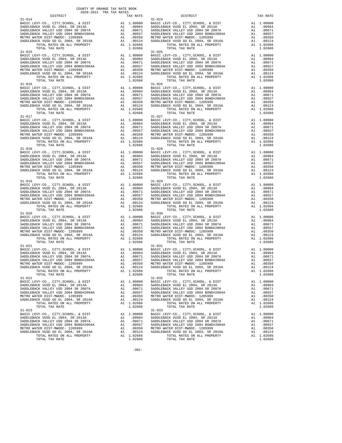| $31 - 014$                                                                                                          |                                                                                                                           |                       | $31 - 024$         |
|---------------------------------------------------------------------------------------------------------------------|---------------------------------------------------------------------------------------------------------------------------|-----------------------|--------------------|
|                                                                                                                     |                                                                                                                           |                       |                    |
|                                                                                                                     |                                                                                                                           |                       |                    |
|                                                                                                                     |                                                                                                                           |                       |                    |
|                                                                                                                     |                                                                                                                           |                       |                    |
|                                                                                                                     |                                                                                                                           |                       |                    |
| TOTAL TAX RATE                                                                                                      |                                                                                                                           | 1.02686               |                    |
| $31 - 015$                                                                                                          |                                                                                                                           |                       | $31 - 025$         |
|                                                                                                                     |                                                                                                                           |                       |                    |
|                                                                                                                     |                                                                                                                           |                       |                    |
|                                                                                                                     |                                                                                                                           |                       |                    |
|                                                                                                                     |                                                                                                                           |                       |                    |
|                                                                                                                     |                                                                                                                           |                       |                    |
| TOTAL TAX RATE                                                                                                      |                                                                                                                           | 1.02686               |                    |
| $31 - 016$                                                                                                          |                                                                                                                           |                       | $31 - 026$         |
|                                                                                                                     |                                                                                                                           |                       |                    |
|                                                                                                                     |                                                                                                                           |                       |                    |
|                                                                                                                     |                                                                                                                           |                       |                    |
|                                                                                                                     |                                                                                                                           |                       |                    |
|                                                                                                                     |                                                                                                                           |                       |                    |
|                                                                                                                     |                                                                                                                           |                       |                    |
| $31 - 017$                                                                                                          |                                                                                                                           |                       | $31 - 027$         |
|                                                                                                                     |                                                                                                                           |                       |                    |
|                                                                                                                     |                                                                                                                           |                       |                    |
|                                                                                                                     |                                                                                                                           |                       |                    |
|                                                                                                                     |                                                                                                                           |                       |                    |
|                                                                                                                     |                                                                                                                           |                       |                    |
|                                                                                                                     |                                                                                                                           |                       |                    |
| TOTAL TAX RATE                                                                                                      |                                                                                                                           | 1.02686               |                    |
|                                                                                                                     |                                                                                                                           |                       |                    |
|                                                                                                                     |                                                                                                                           |                       |                    |
|                                                                                                                     |                                                                                                                           |                       |                    |
|                                                                                                                     |                                                                                                                           |                       |                    |
|                                                                                                                     |                                                                                                                           |                       |                    |
|                                                                                                                     |                                                                                                                           |                       |                    |
|                                                                                                                     |                                                                                                                           |                       |                    |
| $31 - 019$                                                                                                          |                                                                                                                           |                       | $31 - 029$         |
|                                                                                                                     |                                                                                                                           |                       |                    |
|                                                                                                                     |                                                                                                                           |                       |                    |
|                                                                                                                     |                                                                                                                           |                       |                    |
|                                                                                                                     |                                                                                                                           |                       |                    |
|                                                                                                                     |                                                                                                                           |                       |                    |
|                                                                                                                     |                                                                                                                           |                       |                    |
| TOTAL TAX RATE<br>$31 - 020$                                                                                        |                                                                                                                           | 1.02686               | $31 - 030$         |
| BASIC LEVY-CO., CITY, SCHOOL, & DIST                                                                                | A1 1.00000 BASIC L<br>A1 .00984 SADDLEB<br>A1 .00671 SADDLEB<br>A1 .0057 SADDLEB<br>A1 .00350 METROW<br>A1 .00124 SADDLEB |                       |                    |
| SADDLEBACK VUSD EL 2004, SR 2013A                                                                                   |                                                                                                                           |                       |                    |
| SADDLEBACK VALLEY USD 2004 SR 2007A<br>SADDLEBACK VALLEY USD 2004 SR 2007A<br>SADDLEBACK VALLEY USD 2004 BOND#2004A |                                                                                                                           |                       |                    |
|                                                                                                                     |                                                                                                                           |                       |                    |
| METRO WATER DIST-MWDOC- 1205999<br>SADDLEBACK VUSD GO EL 2004, SR 2016A                                             |                                                                                                                           |                       |                    |
| TOTAL RATES ON ALL PROPERTY                                                                                         |                                                                                                                           | A1 1.02686            |                    |
| TOTAL TAX RATE                                                                                                      |                                                                                                                           | 1.02686               |                    |
| $31 - 021$                                                                                                          |                                                                                                                           |                       | $31 - 031$         |
|                                                                                                                     |                                                                                                                           |                       |                    |
|                                                                                                                     |                                                                                                                           |                       |                    |
|                                                                                                                     |                                                                                                                           |                       |                    |
|                                                                                                                     |                                                                                                                           |                       |                    |
|                                                                                                                     |                                                                                                                           | A1 1.02686            |                    |
| TOTAL RATES ON ALL PROPERTY<br>TOTAL TAX RATE                                                                       |                                                                                                                           | 1.02686               |                    |
| 31-022                                                                                                              |                                                                                                                           |                       | $31 - 032$         |
| BASIC LEVY-CO., CITY, SCHOOL, & DIST                                                                                | A1                                                                                                                        | 1,00000               | BASIC L            |
| SADDLEBACK VUSD EL 2004, SR 2013A                                                                                   |                                                                                                                           | A1 .00984             | SADDLEB            |
| SADDLEBACK VALLEY USD 2004 SR 2007A<br>SADDLEBACK VALLEY USD 2004 BOND#2004A                                        | A1<br>A1                                                                                                                  | .00671<br>.00557      | SADDLEB<br>SADDLEB |
| METRO WATER DIST-MWDOC- 1205999                                                                                     | A1                                                                                                                        | .00350                | METRO W            |
| SADDLEBACK VUSD GO EL 2004, SR 2016A                                                                                | A1                                                                                                                        | .00124                | SADDLEB            |
| TOTAL RATES ON ALL PROPERTY                                                                                         |                                                                                                                           | A1 1.02686            |                    |
| TOTAL TAX RATE<br>$31 - 023$                                                                                        |                                                                                                                           | 1.02686               | $31 - 033$         |
| BASIC LEVY-CO., CITY, SCHOOL, & DIST                                                                                | A1                                                                                                                        | 1.00000               | BASIC L            |
| SADDLEBACK VUSD EL 2004, SR 2013A                                                                                   |                                                                                                                           | A1 .00984             | SADDLEB            |
| SADDLEBACK VALLEY USD 2004 SR 2007A                                                                                 | A1                                                                                                                        | .00671                | SADDLEB            |
| SADDLEBACK VALLEY USD 2004 BOND#2004A                                                                               | A1                                                                                                                        | .00557                | SADDLEB            |
| METRO WATER DIST-MWDOC- 1205999                                                                                     | A1                                                                                                                        | .00350                | METRO W            |
| SADDLEBACK VUSD GO EL 2004, SR 2016A<br>TOTAL PATES ON ALL DROPERTY                                                 |                                                                                                                           | A1.00124<br>A1.102686 | SADDLEB            |

COUNTY OF ORANGE TAX RATE BOOK 2020-2021 TRA TAX RATES

 DISTRICT TAX RATE DISTRICT TAX RATE BASIC LEVY-CO., CITY,SCHOOL, & DIST A1 1.00000 BASIC LEVY-CO., CITY,SCHOOL, & DIST A1 1.00000 SADDLEBACK VUSD EL 2004, SR 2013A A1 .00984 SADDLEBACK VUSD EL 2004, SR 2013A A1 .00984 SADDLEBACK VALLEY USD 2004 SR 2007A A1 .00671 SADDLEBACK VALLEY USD 2004 SR 2007A A1 .00671 SADDLEBACK VALLEY USD 2004 BOND#2004A A1 .00557 SADDLEBACK VALLEY USD 2004 BOND#2004A A1 .00557 METRO WATER DIST-MWDOC- 1205999 A1 .00350 METRO WATER DIST-MWDOC- 1205999 A1 .00350 SADDLEBACK VUSD GO EL 2004, SR 2016A 1 .00124 SADDLEBACK VUSD GO EL 2004, SR 2016A 1 .00124<br>TOTAL TAX RATES ON ALL PROPERTY 1.02686 1002686 TOTAL TAX RATES ON ALL PROPERTY 1.02686<br>1.02686 1.02686 1.02686 1.02686 1.02686 1. BASIC LEVY-CO., CITY,SCHOOL, & DIST A1 1.00000 BASIC LEVY-CO., CITY,SCHOOL, & DIST A1 1.00000 SADDLEBACK VUSD EL 2004, SR 2013A A1 .00984 SADDLEBACK VUSD EL 2004, SR 2013A A1 .00984 SADDLEBACK VALLEY USD 2004 SR 2007A A1 .00671 SADDLEBACK VALLEY USD 2004 SR 2007A A1 .00671 SADDLEBACK VALLEY USD 2004 BOND#2004A A1 .00557 SADDLEBACK VALLEY USD 2004 BOND#2004A A1 .00557 METRO WATER DIST-MWDOC- 1205999 A1 .00350 METRO WATER DIST-MWDOC- 1205999 A1 .00350 SADDLEBACK VUSD GO EL 2004, SR 2016A A1 .00124 SADDLEBACK VUSD GO EL 2004, SR 2016A A1 .00124 TOTAL RATES ON ALL PROPERTY A1 1.02686 TOTAL RATES ON ALL PROPERTY A1 1.02686 TOTAL TAX RATE 1.02686 TOTAL TAX RATE 1.02686 BASIC LEVY-CO., CITY,SCHOOL, & DIST A1 1.00000 BASIC LEVY-CO., CITY,SCHOOL, & DIST A1 1.00000 SADDLEBACK VUSD EL 2004, SR 2013A A1 .00984 SADDLEBACK VUSD EL 2004, SR 2013A A1 .00984 SADDLEBACK VALLEY USD 2004 SR 2007A A1 .00671 SADDLEBACK VALLEY USD 2004 SR 2007A A1 .00671 SADDLEBACK VALLEY USD 2004 BOND#2004A A1 .00557 SADDLEBACK VALLEY USD 2004 BOND#2004A A1 .00557 METRO WATER DIST-MWDOC- 1205999 A1 .00350 METRO WATER DIST-MWDOC- 1205999 A1 .00350 SADDLEBACK VUSD GO EL 2004, SR 2016A A1 .00124 SADDLEBACK VUSD GO EL 2004, SR 2016A A1 .00124 TOTAL RATES ON ALL PROPERTY A1 1.02686 TOTAL RATES ON ALL PROPERTY A1 1.02686  $1.02686$  TOTAL TAX RATE 1.02686 1.02686 1.02686 BASIC LEVY-CO., CITY,SCHOOL, & DIST A1 1.00000 BASIC LEVY-CO., CITY,SCHOOL, & DIST A1 1.00000 SADDLEBACK VUSD EL 2004, SR 2013A A1 .00984 SADDLEBACK VUSD EL 2004, SR 2013A A1 .00984 SADDLEBACK VALLEY USD 2004 SR 2007A A1 .00671 SADDLEBACK VALLEY USD 2004 SR 2007A A1 .00671 SADDLEBACK VALLEY USD 2004 BOND#2004A A1 .00557 SADDLEBACK VALLEY USD 2004 BOND#2004A A1 .00557 METRO WATER DIST-MWDOC- 1205999 A1 .00350 METRO WATER DIST-MWDOC- 1205999 A1 .00350 SADDLEBACK VUSD GO EL 2004, SR 2016A A1 .00124 SADDLEBACK VUSD GO EL 2004, SR 2016A A1 .00124 TOTAL RATES ON ALL PROPERTY A1 1.02686 TOTAL RATES ON ALL PROPERTY A1 1.02686 TOTAL TAX RATE 1.02686 TOTAL TAX RATE 1.02686 A1 1.00000 BASIC LEVY-CO., CITY,SCHOOL, & DIST A1 1.00000<br>A1 .00984 SADDLEBACK VUSD EL 2004, SR 2013A A1 .00984<br>A1 .00671 SADDLEBACK VALLEY USD 2004 SR 2007A A1 .00671 SADDLEBACK VUSD EL 2004, SR 2013A A1 .00984 SADDLEBACK VUSD EL 2004, SR 2013A A1 .00984 SADDLEBACK VALLEY USD 2004 SR 2007A A1 .00671 SADDLEBACK VALLEY USD 2004 SR 2007A A1 .00671 SADDLEBACK VALLEY USD 2004 BOND#2004A A1 .00557 SADDLEBACK VALLEY USD 2004 BOND#2004A A1 .00557 METRO WATER DIST-MWDOC- 1205999 A1 .00350 METRO WATER DIST-MWDOC- 1205999 A1 .00350 SADDLEBACK VUSD GO EL 2004, SR 2016A A1 .00124 SADDLEBACK VUSD GO EL 2004, SR 2016A A1 .00124 TOTAL RATES ON ALL PROPERTY A1 1.02686 TOTAL RATES ON ALL PROPERTY A1 1.02686 TOTAL TAX RATE 1.02686 TOTAL TAX RATE 1.02686 A1 1.00000 BASIC LEVY-CO., CITY,SCHOOL, & DIST A1 1.00000<br>A1 .00984 SADDLEBACK VUSD EL 2004, SR 2013A A1 .00984<br>A1 .00671 SADDLEBACK VALLEY USD 2004 SR 2007A A1 .00671 100984 SADDLEBACK VUSD EL 2004, SR 2013A (10984 SADDLEBACK VUSD EL 2004, SR 2013A (10984 )<br>SADDLEBACK VALLEY USD 2004 SADDLEBACK DAINERACK VALLEY USD 2004 SR 2007A (1007A 100871<br>SADDLEBACK VALLEY USD 2004 BOND#2004A 1 1055 METRO WATER DIST-MWDOC- 1205999 A1 .00350 METRO WATER DIST-MWDOC- 1205999 A1 .00350 SADDLEBACK VUSD GO EL 2004, SR 2016A A1 .00124 SADDLEBACK VUSD GO EL 2004, SR 2016A A1 .00124 TOTAL RATES ON ALL PROPERTY A1 1.02686 TOTAL RATES ON ALL PROPERTY A1 1.02686 TOTAL TAX RATE 1.02606 TOTAL TAX RATE 1.02686 31-030 A1 1.00000 BASIC LEVY-CO., CITY,SCHOOL, & DIST A1 1.00000<br>BAI .00984 SADDLEBACK VUSD EL 2004, SR 2003A A1 .00671 SADDLEBACK VALLEY USD 2004 SR 2007A A1 .00671 100984 SADDLEBACK VUSD EL 2004, SR 2013A (10984 SADDLEBACK VUSD EL 2004, SR 2013A (10984<br>SADDLEBACK VALLEY USD 2004 SADDLEBACK DAINERACK VALLEY USD 2004 SR 2007A (10871<br>SADDLEBACK VALLEY USD 2004 BOND#2004A (10557 SADDLEBA METRO WATER DIST-MWDOC- 1205999 A1 .00350 METRO WATER DIST-MWDOC- 1205999 A1 .00350 SADDLEBACK VUSD GO EL 2004, SR 2016A A1 .00124 SADDLEBACK VUSD GO EL 2004, SR 2016A A1 .00124 TOTAL RATES ON ALL PROPERTY A1 1.02686 TOTAL RATES ON ALL PROPERTY A1 1.02686 TOTAL TAX RATE 1.02686 TOTAL TAX RATE 1.02686 31-031 BASIC LEVY-CO., CITY,SCHOOL, & DIST A1 1.00000 BASIC LEVY-CO., CITY,SCHOOL, & DIST A1 1.00000 SADDLEBACK VUSD EL 2004, SR 2013A A1 .00984 SADDLEBACK VUSD EL 2004, SR 2013A A1 .00984 SADDLEBACK VALLEY USD 2004 SR 2007A A1 .00671 SADDLEBACK VALLEY USD 2004 SR 2007A A1 .00671 SADDLEBACK VALLEY USD 2004 BOND#2004A A1 .00557 SADDLEBACK VALLEY USD 2004 BOND#2004A A1 .00557 METRO WATER DIST-MWDOC- 1205999 A1 .00350 METRO WATER DIST-MWDOC- 1205999 A1 .00350 SADDLEBACK VUSD GO EL 2004, SR 2016A A1 .00124 SADDLEBACK VUSD GO EL 2004, SR 2016A A1 .00124 TOTAL RATES ON ALL PROPERTY A1 1.02686 TOTAL RATES ON ALL PROPERTY A1 1.02686  $\begin{array}{cccc}\n 1.02686 \\
 \hline\n 31-032\n \end{array}$  TOTAL TAX RATE 1.02686 BASIC LEVY-CO., CITY,SCHOOL, & DIST A1 1.00000 BASIC LEVY-CO., CITY,SCHOOL, & DIST A1 1.00000 SADDLEBACK VUSD EL 2004, SR 2013A A1 .00984 SADDLEBACK VUSD EL 2004, SR 2013A A1 .00984 SADDLEBACK VALLEY USD 2004 SR 2007A A1 .00671 SADDLEBACK VALLEY USD 2004 SR 2007A A1 .00671 SADDLEBACK VALLEY USD 2004 BOND#2004A A1 .00557 SADDLEBACK VALLEY USD 2004 BOND#2004A A1 .00557 METRO WATER DIST-MWDOC- 1205999 A1 .00350 METRO WATER DIST-MWDOC- 1205999 A1 .00350 SADDLEBACK VUSD GO EL 2004, SR 2016A A1 .00124 SADDLEBACK VUSD GO EL 2004, SR 2016A A1 .00124  $\begin{array}{cccccccccc} \texttt{A1} & 1.02686 & & & & \texttt{TOTAL RATES ON ALL PROPERTY} & & & & \texttt{A1} & 1.02686 \\ & & & & & \texttt{TOTAL TAX RATE} & & & & & \texttt{A1} & 1.02686 \end{array}$ TOTAL TAX RATE 1.02686 BASIC LEVY-CO., CITY,SCHOOL, & DIST A1 1.00000 BASIC LEVY-CO., CITY,SCHOOL, & DIST A1 1.00000 SADDLEBACK VUSD EL 2004, SR 2013A A1 .00984 SADDLEBACK VUSD EL 2004, SR 2013A A1 .00984 SADDLEBACK VALLEY USD 2004 SR 2007A A1 .00671 SADDLEBACK VALLEY USD 2004 SR 2007A A1 .00671 SADDLEBACK VALLEY USD 2004 BONDER (1995) 2004 BONDER (1995) 2004 BONDER ON ALLEY USD 2004 BONDER (1995) 2004 BONDER (1995)<br>METRO WATER DIST – MWDCC - 120599 2016A 20124 201350 METRO WATER DIST – MWDCC - 120599 201 20124<br>SA

-301-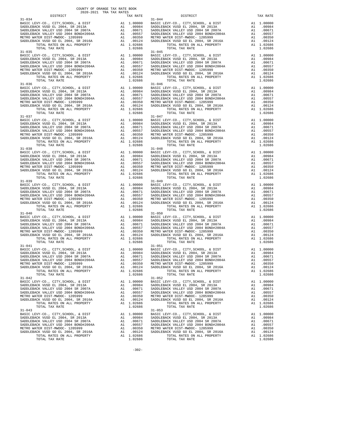| $31 - 034$                                                                                                          |    |                                                                                                                           | $31 - 044$         |
|---------------------------------------------------------------------------------------------------------------------|----|---------------------------------------------------------------------------------------------------------------------------|--------------------|
|                                                                                                                     |    |                                                                                                                           |                    |
|                                                                                                                     |    |                                                                                                                           |                    |
|                                                                                                                     |    |                                                                                                                           |                    |
|                                                                                                                     |    |                                                                                                                           |                    |
| TOTAL TAX RATE                                                                                                      |    | 1.02686                                                                                                                   |                    |
| $31 - 035$                                                                                                          |    |                                                                                                                           | $31 - 045$         |
|                                                                                                                     |    |                                                                                                                           |                    |
|                                                                                                                     |    |                                                                                                                           |                    |
|                                                                                                                     |    |                                                                                                                           |                    |
|                                                                                                                     |    |                                                                                                                           |                    |
|                                                                                                                     |    |                                                                                                                           |                    |
| TOTAL TAX RATE                                                                                                      |    | 1.02686                                                                                                                   |                    |
| $31 - 036$                                                                                                          |    |                                                                                                                           | $31 - 046$         |
|                                                                                                                     |    |                                                                                                                           |                    |
|                                                                                                                     |    |                                                                                                                           |                    |
|                                                                                                                     |    |                                                                                                                           |                    |
|                                                                                                                     |    |                                                                                                                           |                    |
|                                                                                                                     |    |                                                                                                                           |                    |
|                                                                                                                     |    |                                                                                                                           |                    |
| $31 - 037$                                                                                                          |    |                                                                                                                           | $31 - 047$         |
|                                                                                                                     |    |                                                                                                                           |                    |
|                                                                                                                     |    |                                                                                                                           |                    |
|                                                                                                                     |    |                                                                                                                           |                    |
|                                                                                                                     |    |                                                                                                                           |                    |
|                                                                                                                     |    |                                                                                                                           |                    |
| TOTAL TAX RATE                                                                                                      |    | 1.02686                                                                                                                   |                    |
|                                                                                                                     |    |                                                                                                                           |                    |
|                                                                                                                     |    |                                                                                                                           |                    |
|                                                                                                                     |    |                                                                                                                           |                    |
|                                                                                                                     |    |                                                                                                                           |                    |
|                                                                                                                     |    |                                                                                                                           |                    |
|                                                                                                                     |    |                                                                                                                           |                    |
|                                                                                                                     |    |                                                                                                                           |                    |
| $31 - 039$                                                                                                          |    |                                                                                                                           | $31 - 049$         |
|                                                                                                                     |    |                                                                                                                           |                    |
|                                                                                                                     |    |                                                                                                                           |                    |
|                                                                                                                     |    |                                                                                                                           |                    |
|                                                                                                                     |    |                                                                                                                           |                    |
|                                                                                                                     |    |                                                                                                                           |                    |
| TOTAL TAX RATE<br>$31 - 040$                                                                                        |    | 1.02686                                                                                                                   |                    |
| BASIC LEVY-CO., CITY, SCHOOL, & DIST                                                                                |    |                                                                                                                           | $31 - 050$         |
| SADDLEBACK VUSD EL 2004, SR 2013A                                                                                   |    | A1 1.00000 BASIC L<br>A1 .00984 SADDLEB<br>A1 .00671 SADDLEB<br>A1 .0057 SADDLEB<br>A1 .00350 METROW<br>A1 .00124 SADDLEB |                    |
| SADDLEBACK VALLEY USD 2004 SR 2007A<br>SADDLEBACK VALLEY USD 2004 SR 2007A<br>SADDLEBACK VALLEY USD 2004 BOND#2004A |    |                                                                                                                           |                    |
| METRO WATER DIST-MWDOC- 1205999                                                                                     |    |                                                                                                                           |                    |
| SADDLEBACK VUSD GO EL 2004, SR 2016A                                                                                |    |                                                                                                                           |                    |
| TOTAL RATES ON ALL PROPERTY                                                                                         |    | A1 1.02686                                                                                                                |                    |
| TOTAL TAX RATE<br>$31 - 041$                                                                                        |    | 1.02686                                                                                                                   | $31 - 051$         |
|                                                                                                                     |    |                                                                                                                           |                    |
|                                                                                                                     |    |                                                                                                                           |                    |
|                                                                                                                     |    |                                                                                                                           |                    |
|                                                                                                                     |    |                                                                                                                           |                    |
|                                                                                                                     |    |                                                                                                                           |                    |
| TOTAL RATES ON ALL PROPERTY                                                                                         |    | A1 1.02686                                                                                                                |                    |
| TOTAL TAX RATE<br>$31 - 042$                                                                                        |    | 1.02686                                                                                                                   | $31 - 052$         |
| BASIC LEVY-CO., CITY, SCHOOL, & DIST                                                                                | A1 | 1.00000                                                                                                                   | BASIC L            |
| SADDLEBACK VUSD EL 2004, SR 2013A                                                                                   |    | A1 .00984                                                                                                                 | SADDLEB            |
| SADDLEBACK VALLEY USD 2004 SR 2007A<br>SADDLEBACK VALLEY USD 2004 BOND#2004A                                        |    | .00671<br>A1<br>A1                                                                                                        | SADDLEB<br>SADDLEB |
| METRO WATER DIST-MWDOC- 1205999                                                                                     |    | .00557<br>A1<br>.00350                                                                                                    | METRO W            |
| SADDLEBACK VUSD GO EL 2004, SR 2016A                                                                                |    | A1<br>.00124                                                                                                              | SADDLEB            |
| TOTAL RATES ON ALL PROPERTY                                                                                         |    | A1 1.02686                                                                                                                |                    |
| TOTAL TAX RATE<br>$31 - 043$                                                                                        |    | 1.02686                                                                                                                   | $31 - 053$         |
| BASIC LEVY-CO., CITY, SCHOOL, & DIST                                                                                | A1 | 1.00000                                                                                                                   | BASIC L            |
| SADDLEBACK VUSD EL 2004, SR 2013A                                                                                   |    | A1.00984                                                                                                                  | SADDLEB            |
| SADDLEBACK VALLEY USD 2004 SR 2007A<br>SADDLEBACK VALLEY USD 2004 BOND#2004A                                        | A1 | .00671<br>.00557<br>A1                                                                                                    | SADDLEB<br>SADDLEB |
| METRO WATER DIST-MWDOC- 1205999                                                                                     |    | A1 .00350                                                                                                                 | METRO W            |
| SADDLEBACK VUSD GO EL 2004, SR 2016A                                                                                | A1 | .00124                                                                                                                    | SADDLEB            |
| TOTAL RATES ON ALL PROPERTY                                                                                         |    | A1 1.02686                                                                                                                |                    |

 BASIC LEVY-CO., CITY,SCHOOL, & DIST A1 1.00000 BASIC LEVY-CO., CITY,SCHOOL, & DIST A1 1.00000 SADDLEBACK VUSD EL 2004, SR 2013A A1 .00984 SADDLEBACK VUSD EL 2004, SR 2013A A1 .00984 SADDLEBACK VALLEY USD 2004 SR 2007A A1 .00671 SADDLEBACK VALLEY USD 2004 SR 2007A A1 .00671 SADDLEBACK VALLEY USD 2004 BOND#2004A A1 .00557 SADDLEBACK VALLEY USD 2004 BOND#2004A A1 .00557 METRO WATER DIST-MWDOC- 1205999 A1 .00350 METRO WATER DIST-MWDOC- 1205999 A1 .00350 SADDLEBACK VUSD GO EL 2004, SR 2016A A1 .00124 SADDLEBACK VUSD GO EL 2004, SR 2016A A1 .00124 TOTAL RATES ON ALL PROPERTY A1 1.02686 TOTAL RATES ON ALL PROPERTY A1 1.02686 TOTAL RATES ON ALL PROPERTY<br>
1.02686 TOTAL RATES ON ALL PROPERTY<br>
1.02686 31–045 1.02686 BASIC LEVY-CO., CITY,SCHOOL, & DIST A1 1.00000 BASIC LEVY-CO., CITY,SCHOOL, & DIST A1 1.00000 SADDLEBACK VUSD EL 2004, SR 2013A A1 .00984 SADDLEBACK VUSD EL 2004, SR 2013A A1 .00984 SADDLEBACK VALLEY USD 2004 SR 2007A A1 .00671 SADDLEBACK VALLEY USD 2004 SR 2007A A1 .00671 SADDLEBACK VALLEY USD 2004 BOND#2004A A1 .00557 SADDLEBACK VALLEY USD 2004 BOND#2004A A1 .00557 METRO WATER DIST-MWDOC- 1205999 A1 .00350 METRO WATER DIST-MWDOC- 1205999 A1 .00350 SADDLEBACK VUSD GO EL 2004, SR 2016A A1 .00124 SADDLEBACK VUSD GO EL 2004, SR 2016A A1 .00124 TOTAL RATES ON ALL PROPERTY A1 1.02686 TOTAL RATES ON ALL PROPERTY A1 1.02686 TOTAL TAX RATE 1.02686 TOTAL TAX RATE 1.02686 BASIC LEVY-CO., CITY,SCHOOL, & DIST A1 1.00000 BASIC LEVY-CO., CITY,SCHOOL, & DIST A1 1.00000 SADDLEBACK VUSD EL 2004, SR 2013A A1 .00984 SADDLEBACK VUSD EL 2004, SR 2013A A1 .00984 SADDLEBACK VALLEY USD 2004 SR 2007A A1 .00671 SADDLEBACK VALLEY USD 2004 SR 2007A A1 .00671 SADDLEBACK VALLEY USD 2004 BOND#2004A A1 .00557 SADDLEBACK VALLEY USD 2004 BOND#2004A A1 .00557 METRO WATER DIST-MWDOC- 1205999 A1 .00350 METRO WATER DIST-MWDOC- 1205999 A1 .00350 SADDLEBACK VUSD GO EL 2004, SR 2016A A1 .00124 SADDLEBACK VUSD GO EL 2004, SR 2016A A1 .00124 TOTAL RATES ON ALL PROPERTY A1 1.02686 TOTAL RATES ON ALL PROPERTY A1 1.02686 TOTAL TAX RATE  $1.02686$  TOTAL TAX RATE  $1.02686$  BASIC LEVY-CO., CITY,SCHOOL, & DIST A1 1.00000 BASIC LEVY-CO., CITY,SCHOOL, & DIST A1 1.00000 SADDLEBACK VUSD EL 2004, SR 2013A A1 .00984 SADDLEBACK VUSD EL 2004, SR 2013A A1 .00984 SADDLEBACK VALLEY USD 2004 SR 2007A A1 .00671 SADDLEBACK VALLEY USD 2004 SR 2007A A1 .00671 SADDLEBACK VALLEY USD 2004 BOND#2004A A1 .00557 SADDLEBACK VALLEY USD 2004 BOND#2004A A1 .00557 METRO WATER DIST-MWDOC- 1205999 A1 .00350 METRO WATER DIST-MWDOC- 1205999 A1 .00350 SADDLEBACK VUSD GO EL 2004, SR 2016A A1 .00124 SADDLEBACK VUSD GO EL 2004, SR 2016A A1 .00124 TOTAL RATES ON ALL PROPERTY A1 1.02686 TOTAL RATES ON ALL PROPERTY A1 1.02686 TOTAL TAX RATE 1.02686 TOTAL TAX RATE 1.02686 A1 1.00000 BASIC LEVY-CO., CITY,SCHOOL, & DIST A1 1.00000<br>A1 .00984 SADDLEBACK VUSD EL 2004, SR 2013A A1 .00984<br>A1 .00671 SADDLEBACK VALLEY USD 2004 SR 2007A A1 .00671 SADDLEBACK VUSD EL 2004, SR 2013A A1 .00984 SADDLEBACK VUSD EL 2004, SR 2013A A1 .00984 SADDLEBACK VALLEY USD 2004 SR 2007A A1 .00671 SADDLEBACK VALLEY USD 2004 SR 2007A A1 .00671 SADDLEBACK VALLEY USD 2004 BOND#2004A A1 .00557 SADDLEBACK VALLEY USD 2004 BOND#2004A A1 .00557 METRO WATER DIST-MWDOC- 1205999 A1 .00350 METRO WATER DIST-MWDOC- 1205999 A1 .00350 SADDLEBACK VUSD GO EL 2004, SR 2016A A1 .00124 SADDLEBACK VUSD GO EL 2004, SR 2016A A1 .00124 TOTAL RATES ON ALL PROPERTY A1 1.02686 TOTAL RATES ON ALL PROPERTY A1 1.02686 TOTAL TAX RATE 1.02686 TOTAL TAX RATE 1.02686 A1 1.00000 BASIC LEVY-CO., CITY,SCHOOL, & DIST A1 1.00000<br>A1 .00984 SADDLEBACK VUSD EL 2004, SR 2013A A1 .00984<br>A1 .00671 SADDLEBACK VALLEY USD 2004 SR 2007A A1 .00671 100984 SADDLEBACK VUSD EL 2004, SR 2013A (10984 SADDLEBACK VUSD EL 2004, SR 2013A (10984 )<br>SADDLEBACK VALLEY USD 2004 SADDLEBACK DAINERACK VALLEY USD 2004 SR 2007A (1007A 100871<br>SADDLEBACK VALLEY USD 2004 BOND#2004A 1 1055 METRO WATER DIST-MWDOC- 1205999 A1 .00350 METRO WATER DIST-MWDOC- 1205999 A1 .00350 SADDLEBACK VUSD GO EL 2004, SR 2016A A1 .00124 SADDLEBACK VUSD GO EL 2004, SR 2016A A1 .00124 TOTAL RATES ON ALL PROPERTY A1 1.02686 TOTAL RATES ON ALL PROPERTY A1 1.02686 TOTAL TAX RATE 1.02606 TOTAL TAX RATE 1.02686 31-050 A1 1.00000 BASIC LEVY-CO., CITY,SCHOOL, & DIST A1 1.00000<br>BAI .00984 SADDLEBACK VUSD EL 2004, SR 2003A A1 .00671 SADDLEBACK VALLEY USD 2004 SR 2007A A1 .00671 100984 SADDLEBACK VUSD EL 2004, SR 2013A (10984 SADDLEBACK VUSD EL 2004, SR 2013A (10984<br>SADDLEBACK VALLEY USD 2004 SADDLEBACK DAINERACK VALLEY USD 2004 SR 2007A (10871<br>SADDLEBACK VALLEY USD 2004 BOND#2004A (10557 SADDLEBA METRO WATER DIST-MWDOC- 1205999 A1 .00350 METRO WATER DIST-MWDOC- 1205999 A1 .00350 SADDLEBACK VUSD GO EL 2004, SR 2016A A1 .00124 SADDLEBACK VUSD GO EL 2004, SR 2016A A1 .00124 TOTAL RATES ON ALL PROPERTY A1 1.02686 TOTAL RATES ON ALL PROPERTY A1 1.02686 TOTAL TAX RATE 1.02686 TOTAL TAX RATE 1.02686 11-051 BASIC LEVY-CO., CITY,SCHOOL, & DIST A1 1.00000 BASIC LEVY-CO., CITY,SCHOOL, & DIST A1 1.00000 SADDLEBACK VUSD EL 2004, SR 2013A A1 .00984 SADDLEBACK VUSD EL 2004, SR 2013A A1 .00984 SADDLEBACK VALLEY USD 2004 SR 2007A A1 .00671 SADDLEBACK VALLEY USD 2004 SR 2007A A1 .00671 SADDLEBACK VALLEY USD 2004 BOND#2004A A1 .00557 SADDLEBACK VALLEY USD 2004 BOND#2004A A1 .00557 METRO WATER DIST-MWDOC- 1205999 A1 .00350 METRO WATER DIST-MWDOC- 1205999 A1 .00350 SADDLEBACK VUSD GO EL 2004, SR 2016A A1 .00124 SADDLEBACK VUSD GO EL 2004, SR 2016A A1 .00124 TOTAL RATES ON ALL PROPERTY A1 1.02686 TOTAL RATES ON ALL PROPERTY A1 1.02686  $\begin{array}{cccc}\n 1.02686 \\
 \hline\n 31-052\n \end{array}$  TOTAL TAX RATE 1.02686 BASIC LEVY-CO., CITY,SCHOOL, & DIST A1 1.00000 BASIC LEVY-CO., CITY,SCHOOL, & DIST A1 1.00000 SADDLEBACK VUSD EL 2004, SR 2013A A1 .00984 SADDLEBACK VUSD EL 2004, SR 2013A A1 .00984 SADDLEBACK VALLEY USD 2004 SR 2007A A1 .00671 SADDLEBACK VALLEY USD 2004 SR 2007A A1 .00671 SADDLEBACK VALLEY USD 2004 BOND#2004A A1 .00557 SADDLEBACK VALLEY USD 2004 BOND#2004A A1 .00557 METRO WATER DIST-MWDOC- 1205999 A1 .00350 METRO WATER DIST-MWDOC- 1205999 A1 .00350 SADDLEBACK VUSD GO EL 2004, SR 2016A A1 .00124 SADDLEBACK VUSD GO EL 2004, SR 2016A A1 .00124  $\begin{array}{cccccccccc} \texttt{A1} & 1.02686 & & & & \texttt{TOTAL RATES ON ALL PROPERTY} & & & & \texttt{A1} & 1.02686 \\ & & & & & \texttt{TOTAL TAX RATE} & & & & & \texttt{A1} & 1.02686 \end{array}$ TOTAL TAX RATE 1.02686 BASIC LEVY-CO., CITY, SCHOOL, & DIST A1 1.00000 BASIC LEVY-CO., CITY, SCHOOL, & DIST A1 1.00000<br>SADDLEBACK VUSD EXEL (2004 SR 2007A SADDLEBACK VALLEY USD 2004 BONDER (1995) 2004 BONDER (1995) 2004 BONDER ON ALLEY USD 2004 BONDER (1995)<br>METRO WATER DIST – MWDCC - 120599 2016A al .00350 METRO WATER DIST – MWDCC - 120599 201 00350<br>SADDLEBACK VUSD GO EL 20

-302-

COUNTY OF ORANGE TAX RATE BOOK 2020-2021 TRA TAX RATES

DISTRICT TAX RATE DISTRICT TAX RATE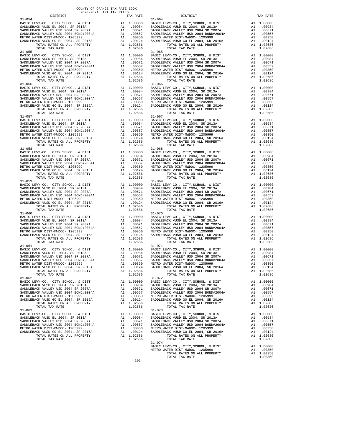| $31 - 054$                                                                   |                                                                                                                           |                       | $31 - 064$         |
|------------------------------------------------------------------------------|---------------------------------------------------------------------------------------------------------------------------|-----------------------|--------------------|
|                                                                              |                                                                                                                           |                       |                    |
|                                                                              |                                                                                                                           |                       |                    |
|                                                                              |                                                                                                                           |                       |                    |
|                                                                              |                                                                                                                           |                       |                    |
|                                                                              |                                                                                                                           |                       |                    |
| TOTAL TAX RATE                                                               |                                                                                                                           | 1.02686               |                    |
| $31 - 055$                                                                   |                                                                                                                           |                       | $31 - 065$         |
|                                                                              |                                                                                                                           |                       |                    |
|                                                                              |                                                                                                                           |                       |                    |
|                                                                              |                                                                                                                           |                       |                    |
|                                                                              |                                                                                                                           |                       |                    |
|                                                                              |                                                                                                                           |                       |                    |
|                                                                              |                                                                                                                           |                       |                    |
| TOTAL TAX RATE                                                               |                                                                                                                           | 1.02686               |                    |
| $31 - 056$                                                                   |                                                                                                                           |                       | $31 - 066$         |
|                                                                              |                                                                                                                           |                       |                    |
|                                                                              |                                                                                                                           |                       |                    |
|                                                                              |                                                                                                                           |                       |                    |
|                                                                              |                                                                                                                           |                       |                    |
|                                                                              |                                                                                                                           |                       |                    |
|                                                                              |                                                                                                                           |                       |                    |
|                                                                              |                                                                                                                           |                       |                    |
|                                                                              |                                                                                                                           |                       |                    |
|                                                                              |                                                                                                                           |                       |                    |
|                                                                              |                                                                                                                           |                       |                    |
|                                                                              |                                                                                                                           |                       |                    |
|                                                                              |                                                                                                                           |                       |                    |
|                                                                              |                                                                                                                           |                       |                    |
| TOTAL TAX RATE                                                               |                                                                                                                           | 1.02686               |                    |
|                                                                              |                                                                                                                           |                       |                    |
|                                                                              |                                                                                                                           |                       |                    |
|                                                                              |                                                                                                                           |                       |                    |
|                                                                              |                                                                                                                           |                       |                    |
|                                                                              |                                                                                                                           |                       |                    |
|                                                                              |                                                                                                                           |                       |                    |
|                                                                              |                                                                                                                           |                       |                    |
| $31 - 059$                                                                   |                                                                                                                           |                       | $31 - 069$         |
|                                                                              |                                                                                                                           |                       |                    |
|                                                                              |                                                                                                                           |                       |                    |
|                                                                              |                                                                                                                           |                       |                    |
|                                                                              |                                                                                                                           |                       |                    |
|                                                                              |                                                                                                                           |                       |                    |
|                                                                              |                                                                                                                           |                       |                    |
| TOTAL TAX RATE                                                               |                                                                                                                           | 1.02686               |                    |
| $31 - 060$<br>BASIC LEVY-CO., CITY, SCHOOL, & DIST                           |                                                                                                                           |                       | $31 - 070$         |
| SADDLEBACK VUSD EL 2004, SR 2013A                                            | A1 1.00000 BASIC L<br>A1 .00984 SADDLEB<br>A1 .00671 SADDLEB<br>A1 .0057 SADDLEB<br>A1 .00350 METROW<br>A1 .00124 SADDLEB |                       |                    |
| SADDLEBACK VALLEY USD 2004 SR 2007A                                          |                                                                                                                           |                       |                    |
| SADDLEBACK VALLEY USD 2004 SR 2007A<br>SADDLEBACK VALLEY USD 2004 BOND#2004A |                                                                                                                           |                       |                    |
| METRO WATER DIST-MWDOC- 1205999                                              |                                                                                                                           |                       |                    |
| SADDLEBACK VUSD GO EL 2004, SR 2016A                                         |                                                                                                                           |                       |                    |
| TOTAL RATES ON ALL PROPERTY<br>TOTAL TAX RATE                                |                                                                                                                           | A1 1.02686<br>1.02686 |                    |
| $31 - 061$                                                                   |                                                                                                                           |                       | $31 - 071$         |
|                                                                              |                                                                                                                           |                       |                    |
|                                                                              |                                                                                                                           |                       |                    |
|                                                                              |                                                                                                                           |                       |                    |
|                                                                              |                                                                                                                           |                       |                    |
|                                                                              |                                                                                                                           |                       |                    |
| TOTAL RATES ON ALL PROPERTY                                                  |                                                                                                                           | A1 1.02686            |                    |
| TOTAL TAX RATE                                                               |                                                                                                                           | 1.02686               |                    |
| $31 - 062$                                                                   |                                                                                                                           | 1,00000               | $31 - 072$         |
| BASIC LEVY-CO., CITY, SCHOOL, & DIST<br>SADDLEBACK VUSD EL 2004, SR 2013A    | A1                                                                                                                        | A1 .00984             | BASIC L<br>SADDLEB |
| SADDLEBACK VALLEY USD 2004 SR 2007A                                          | A1                                                                                                                        | .00671                | SADDLEB            |
| SADDLEBACK VALLEY USD 2004 BOND#2004A                                        | A1                                                                                                                        | .00557                | SADDLEB            |
| METRO WATER DIST-MWDOC- 1205999                                              | A1                                                                                                                        | .00350                | METRO W            |
| SADDLEBACK VUSD GO EL 2004, SR 2016A                                         | A1                                                                                                                        | .00124                | SADDLEB            |
| TOTAL RATES ON ALL PROPERTY<br>TOTAL TAX RATE                                |                                                                                                                           | A1 1.02686<br>1.02686 |                    |
| $31 - 063$                                                                   |                                                                                                                           |                       | $31 - 073$         |
| BASIC LEVY-CO., CITY, SCHOOL, & DIST                                         | A1                                                                                                                        | 1.00000               | BASIC L            |
| SADDLEBACK VUSD EL 2004, SR 2013A                                            |                                                                                                                           | A1 .00984             | SADDLEB            |
| SADDLEBACK VALLEY USD 2004 SR 2007A                                          | A1                                                                                                                        | .00671                | SADDLEB            |
| SADDLEBACK VALLEY USD 2004 BOND#2004A<br>METRO WATER DIST-MWDOC- 1205999     | A1<br>A1                                                                                                                  | .00557<br>.00350      | SADDLEB<br>METRO W |
| SADDLEBACK VUSD GO EL 2004, SR 2016A                                         |                                                                                                                           |                       | SADDLEB            |
| ירים בתחום זזו זו היחידת בתחיר                                               |                                                                                                                           | A1 .00124             |                    |

| COUNTY OF ORANGE TAX RATE BOOK<br>2020-2021 TRA TAX RATES<br>$\begin{minipage}{0.5\textwidth} \begin{tabular}{lcccccc} \textbf{1} & \textbf{1} & \textbf{1} & \textbf{1} & \textbf{1} & \textbf{1} & \textbf{1} & \textbf{1} & \textbf{1} & \textbf{1} & \textbf{1} & \textbf{1} & \textbf{1} & \textbf{1} & \textbf{1} & \textbf{1} & \textbf{1} & \textbf{1} & \textbf{1} & \textbf{1} & \textbf{1} & \textbf{1} & \textbf{1} & \textbf{1} & \textbf{1} & \textbf{1} & \textbf{1} & \textbf{1} &$ | TAX RATE | DISTRICT                                                                                                                                                                                                                                                          | TAX RATE |
|-----------------------------------------------------------------------------------------------------------------------------------------------------------------------------------------------------------------------------------------------------------------------------------------------------------------------------------------------------------------------------------------------------------------------------------------------------------------------------------------------------|----------|-------------------------------------------------------------------------------------------------------------------------------------------------------------------------------------------------------------------------------------------------------------------|----------|
| $31 - 054$                                                                                                                                                                                                                                                                                                                                                                                                                                                                                          |          | $31 - 064$                                                                                                                                                                                                                                                        |          |
|                                                                                                                                                                                                                                                                                                                                                                                                                                                                                                     |          |                                                                                                                                                                                                                                                                   |          |
|                                                                                                                                                                                                                                                                                                                                                                                                                                                                                                     |          |                                                                                                                                                                                                                                                                   |          |
|                                                                                                                                                                                                                                                                                                                                                                                                                                                                                                     |          |                                                                                                                                                                                                                                                                   |          |
|                                                                                                                                                                                                                                                                                                                                                                                                                                                                                                     |          |                                                                                                                                                                                                                                                                   |          |
|                                                                                                                                                                                                                                                                                                                                                                                                                                                                                                     |          |                                                                                                                                                                                                                                                                   |          |
|                                                                                                                                                                                                                                                                                                                                                                                                                                                                                                     |          |                                                                                                                                                                                                                                                                   |          |
| $31 - 055$                                                                                                                                                                                                                                                                                                                                                                                                                                                                                          |          | $31 - 065$                                                                                                                                                                                                                                                        |          |
|                                                                                                                                                                                                                                                                                                                                                                                                                                                                                                     |          |                                                                                                                                                                                                                                                                   |          |
|                                                                                                                                                                                                                                                                                                                                                                                                                                                                                                     |          |                                                                                                                                                                                                                                                                   |          |
|                                                                                                                                                                                                                                                                                                                                                                                                                                                                                                     |          |                                                                                                                                                                                                                                                                   |          |
|                                                                                                                                                                                                                                                                                                                                                                                                                                                                                                     |          |                                                                                                                                                                                                                                                                   |          |
|                                                                                                                                                                                                                                                                                                                                                                                                                                                                                                     |          |                                                                                                                                                                                                                                                                   |          |
|                                                                                                                                                                                                                                                                                                                                                                                                                                                                                                     |          |                                                                                                                                                                                                                                                                   |          |
|                                                                                                                                                                                                                                                                                                                                                                                                                                                                                                     |          |                                                                                                                                                                                                                                                                   |          |
|                                                                                                                                                                                                                                                                                                                                                                                                                                                                                                     |          |                                                                                                                                                                                                                                                                   |          |
|                                                                                                                                                                                                                                                                                                                                                                                                                                                                                                     |          |                                                                                                                                                                                                                                                                   |          |
|                                                                                                                                                                                                                                                                                                                                                                                                                                                                                                     |          |                                                                                                                                                                                                                                                                   |          |
|                                                                                                                                                                                                                                                                                                                                                                                                                                                                                                     |          |                                                                                                                                                                                                                                                                   |          |
|                                                                                                                                                                                                                                                                                                                                                                                                                                                                                                     |          |                                                                                                                                                                                                                                                                   |          |
|                                                                                                                                                                                                                                                                                                                                                                                                                                                                                                     |          |                                                                                                                                                                                                                                                                   |          |
|                                                                                                                                                                                                                                                                                                                                                                                                                                                                                                     |          |                                                                                                                                                                                                                                                                   |          |
|                                                                                                                                                                                                                                                                                                                                                                                                                                                                                                     |          |                                                                                                                                                                                                                                                                   |          |
|                                                                                                                                                                                                                                                                                                                                                                                                                                                                                                     |          |                                                                                                                                                                                                                                                                   |          |
|                                                                                                                                                                                                                                                                                                                                                                                                                                                                                                     |          |                                                                                                                                                                                                                                                                   |          |
|                                                                                                                                                                                                                                                                                                                                                                                                                                                                                                     |          |                                                                                                                                                                                                                                                                   |          |
|                                                                                                                                                                                                                                                                                                                                                                                                                                                                                                     |          |                                                                                                                                                                                                                                                                   |          |
|                                                                                                                                                                                                                                                                                                                                                                                                                                                                                                     |          |                                                                                                                                                                                                                                                                   |          |
|                                                                                                                                                                                                                                                                                                                                                                                                                                                                                                     |          |                                                                                                                                                                                                                                                                   |          |
|                                                                                                                                                                                                                                                                                                                                                                                                                                                                                                     |          |                                                                                                                                                                                                                                                                   |          |
|                                                                                                                                                                                                                                                                                                                                                                                                                                                                                                     |          |                                                                                                                                                                                                                                                                   |          |
|                                                                                                                                                                                                                                                                                                                                                                                                                                                                                                     |          | $\begin{tabular}{c c c c} 31-058 & 31-068 & 31-068 & 31-068 & 31-068 & 31-068 & 31-068 & 31-068 & 31-068 & 31-068 & 31-068 & 31-068 & 31-068 & 31-088 & 31-088 & 31-088 & 31-088 & 31-088 & 31-088 & 31-088 & 31-088 & 31-088 & 31-088 & 31-088 & 31-088 & 31-08$ |          |
|                                                                                                                                                                                                                                                                                                                                                                                                                                                                                                     |          |                                                                                                                                                                                                                                                                   |          |
|                                                                                                                                                                                                                                                                                                                                                                                                                                                                                                     |          |                                                                                                                                                                                                                                                                   |          |
|                                                                                                                                                                                                                                                                                                                                                                                                                                                                                                     |          |                                                                                                                                                                                                                                                                   |          |
|                                                                                                                                                                                                                                                                                                                                                                                                                                                                                                     |          |                                                                                                                                                                                                                                                                   |          |
|                                                                                                                                                                                                                                                                                                                                                                                                                                                                                                     |          |                                                                                                                                                                                                                                                                   |          |
|                                                                                                                                                                                                                                                                                                                                                                                                                                                                                                     |          |                                                                                                                                                                                                                                                                   |          |
|                                                                                                                                                                                                                                                                                                                                                                                                                                                                                                     |          |                                                                                                                                                                                                                                                                   |          |
|                                                                                                                                                                                                                                                                                                                                                                                                                                                                                                     |          |                                                                                                                                                                                                                                                                   |          |
|                                                                                                                                                                                                                                                                                                                                                                                                                                                                                                     |          |                                                                                                                                                                                                                                                                   |          |
|                                                                                                                                                                                                                                                                                                                                                                                                                                                                                                     |          |                                                                                                                                                                                                                                                                   |          |
|                                                                                                                                                                                                                                                                                                                                                                                                                                                                                                     |          |                                                                                                                                                                                                                                                                   |          |
|                                                                                                                                                                                                                                                                                                                                                                                                                                                                                                     |          |                                                                                                                                                                                                                                                                   |          |
|                                                                                                                                                                                                                                                                                                                                                                                                                                                                                                     |          |                                                                                                                                                                                                                                                                   |          |
|                                                                                                                                                                                                                                                                                                                                                                                                                                                                                                     |          |                                                                                                                                                                                                                                                                   |          |
|                                                                                                                                                                                                                                                                                                                                                                                                                                                                                                     |          |                                                                                                                                                                                                                                                                   |          |
|                                                                                                                                                                                                                                                                                                                                                                                                                                                                                                     |          |                                                                                                                                                                                                                                                                   |          |
|                                                                                                                                                                                                                                                                                                                                                                                                                                                                                                     |          |                                                                                                                                                                                                                                                                   |          |
|                                                                                                                                                                                                                                                                                                                                                                                                                                                                                                     |          |                                                                                                                                                                                                                                                                   |          |
|                                                                                                                                                                                                                                                                                                                                                                                                                                                                                                     |          |                                                                                                                                                                                                                                                                   |          |
|                                                                                                                                                                                                                                                                                                                                                                                                                                                                                                     |          |                                                                                                                                                                                                                                                                   |          |
|                                                                                                                                                                                                                                                                                                                                                                                                                                                                                                     |          |                                                                                                                                                                                                                                                                   |          |
|                                                                                                                                                                                                                                                                                                                                                                                                                                                                                                     |          |                                                                                                                                                                                                                                                                   |          |
|                                                                                                                                                                                                                                                                                                                                                                                                                                                                                                     |          |                                                                                                                                                                                                                                                                   |          |
|                                                                                                                                                                                                                                                                                                                                                                                                                                                                                                     |          |                                                                                                                                                                                                                                                                   |          |
|                                                                                                                                                                                                                                                                                                                                                                                                                                                                                                     |          |                                                                                                                                                                                                                                                                   |          |
|                                                                                                                                                                                                                                                                                                                                                                                                                                                                                                     |          |                                                                                                                                                                                                                                                                   |          |
|                                                                                                                                                                                                                                                                                                                                                                                                                                                                                                     |          |                                                                                                                                                                                                                                                                   |          |
|                                                                                                                                                                                                                                                                                                                                                                                                                                                                                                     |          |                                                                                                                                                                                                                                                                   |          |
|                                                                                                                                                                                                                                                                                                                                                                                                                                                                                                     |          | A 1 .00557<br>SADDLEBACK VALLEY USD 2004 SONDHEMOC 120599<br>METRO WATER DIST -WINDOC - 120599<br>METRO WATER DIST -WINDOC - 120599<br>METRO WATER DIST -WINDOC - 120599<br>METRO WATER DIST -WINDOC - 120599<br>A 1 .00350<br>METRO WATER D                      |          |
| $31 - 062$                                                                                                                                                                                                                                                                                                                                                                                                                                                                                          |          | $31 - 072$                                                                                                                                                                                                                                                        |          |
|                                                                                                                                                                                                                                                                                                                                                                                                                                                                                                     |          |                                                                                                                                                                                                                                                                   |          |
|                                                                                                                                                                                                                                                                                                                                                                                                                                                                                                     |          |                                                                                                                                                                                                                                                                   |          |
|                                                                                                                                                                                                                                                                                                                                                                                                                                                                                                     |          |                                                                                                                                                                                                                                                                   |          |
|                                                                                                                                                                                                                                                                                                                                                                                                                                                                                                     |          |                                                                                                                                                                                                                                                                   |          |
|                                                                                                                                                                                                                                                                                                                                                                                                                                                                                                     |          |                                                                                                                                                                                                                                                                   |          |
|                                                                                                                                                                                                                                                                                                                                                                                                                                                                                                     |          |                                                                                                                                                                                                                                                                   |          |
|                                                                                                                                                                                                                                                                                                                                                                                                                                                                                                     |          |                                                                                                                                                                                                                                                                   |          |
| $31 - 063$                                                                                                                                                                                                                                                                                                                                                                                                                                                                                          |          | $31 - 073$                                                                                                                                                                                                                                                        |          |
|                                                                                                                                                                                                                                                                                                                                                                                                                                                                                                     |          |                                                                                                                                                                                                                                                                   |          |
|                                                                                                                                                                                                                                                                                                                                                                                                                                                                                                     |          |                                                                                                                                                                                                                                                                   |          |
|                                                                                                                                                                                                                                                                                                                                                                                                                                                                                                     |          |                                                                                                                                                                                                                                                                   |          |
|                                                                                                                                                                                                                                                                                                                                                                                                                                                                                                     |          |                                                                                                                                                                                                                                                                   |          |
|                                                                                                                                                                                                                                                                                                                                                                                                                                                                                                     |          |                                                                                                                                                                                                                                                                   |          |
|                                                                                                                                                                                                                                                                                                                                                                                                                                                                                                     |          |                                                                                                                                                                                                                                                                   |          |
|                                                                                                                                                                                                                                                                                                                                                                                                                                                                                                     |          |                                                                                                                                                                                                                                                                   |          |
|                                                                                                                                                                                                                                                                                                                                                                                                                                                                                                     |          | $31 - 074$                                                                                                                                                                                                                                                        |          |
|                                                                                                                                                                                                                                                                                                                                                                                                                                                                                                     |          |                                                                                                                                                                                                                                                                   |          |
|                                                                                                                                                                                                                                                                                                                                                                                                                                                                                                     |          |                                                                                                                                                                                                                                                                   |          |
|                                                                                                                                                                                                                                                                                                                                                                                                                                                                                                     |          |                                                                                                                                                                                                                                                                   |          |
|                                                                                                                                                                                                                                                                                                                                                                                                                                                                                                     |          |                                                                                                                                                                                                                                                                   |          |

-303-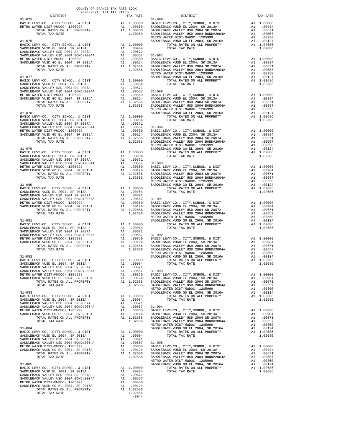| DISTRICT | 2020-2021 TRA TAX RATES<br>TAX RATE |         | DISTRICT | TAX RATE |
|----------|-------------------------------------|---------|----------|----------|
|          |                                     |         |          |          |
|          |                                     |         |          |          |
|          |                                     |         |          |          |
|          |                                     |         |          |          |
|          |                                     |         |          |          |
|          |                                     |         |          |          |
|          |                                     |         |          |          |
|          |                                     |         |          |          |
|          |                                     |         |          |          |
|          |                                     |         |          |          |
|          |                                     |         |          |          |
|          |                                     |         |          |          |
|          |                                     |         |          |          |
|          |                                     |         |          |          |
|          |                                     |         |          |          |
|          |                                     |         |          |          |
|          |                                     |         |          |          |
|          |                                     |         |          |          |
|          |                                     |         |          |          |
|          |                                     |         |          |          |
|          |                                     |         |          |          |
|          |                                     |         |          |          |
|          |                                     |         |          |          |
|          |                                     |         |          |          |
|          |                                     |         |          |          |
|          |                                     |         |          |          |
|          |                                     |         |          |          |
|          |                                     |         |          |          |
|          |                                     |         |          |          |
|          |                                     |         |          |          |
|          |                                     |         |          |          |
|          |                                     |         |          |          |
|          |                                     |         |          |          |
|          |                                     |         |          |          |
|          |                                     |         |          |          |
|          |                                     |         |          |          |
|          |                                     |         |          |          |
|          |                                     |         |          |          |
|          |                                     |         |          |          |
|          |                                     |         |          |          |
|          |                                     |         |          |          |
|          |                                     |         |          |          |
|          |                                     |         |          |          |
|          |                                     |         |          |          |
|          |                                     |         |          |          |
|          |                                     |         |          |          |
|          |                                     |         |          |          |
|          |                                     |         |          |          |
|          |                                     |         |          |          |
|          |                                     |         |          |          |
|          |                                     |         |          |          |
|          |                                     |         |          |          |
|          |                                     |         |          |          |
|          |                                     |         |          |          |
|          |                                     |         |          |          |
|          |                                     |         |          |          |
|          |                                     |         |          |          |
|          |                                     |         |          |          |
|          |                                     |         |          |          |
|          |                                     |         |          |          |
|          |                                     |         |          |          |
|          |                                     |         |          |          |
|          |                                     |         |          |          |
|          |                                     |         |          |          |
|          |                                     |         |          |          |
|          |                                     |         |          |          |
|          |                                     |         |          |          |
|          |                                     |         |          |          |
|          |                                     | $-304-$ |          |          |

COUNTY OF ORANGE TAX RATE BOOK

|  | TAX RATE   |  |
|--|------------|--|
|  | A1 1.00000 |  |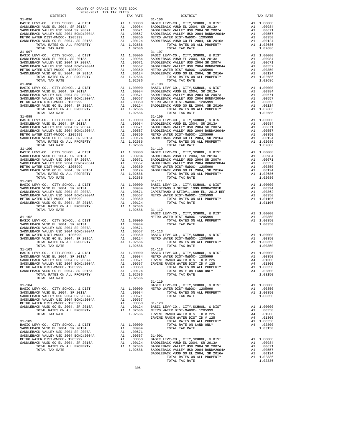| $31 - 096$                                                                                        |          |                                  | $31 - 106$       |
|---------------------------------------------------------------------------------------------------|----------|----------------------------------|------------------|
|                                                                                                   |          |                                  |                  |
|                                                                                                   |          |                                  |                  |
|                                                                                                   |          |                                  |                  |
|                                                                                                   |          |                                  |                  |
|                                                                                                   |          |                                  |                  |
| TOTAL TAX RATE                                                                                    |          | 1.02686                          |                  |
| $31 - 097$                                                                                        |          |                                  | $31 - 107$       |
|                                                                                                   |          |                                  |                  |
|                                                                                                   |          |                                  |                  |
|                                                                                                   |          |                                  |                  |
|                                                                                                   |          |                                  |                  |
|                                                                                                   |          |                                  |                  |
| TOTAL TAX RATE                                                                                    |          | 1.02686                          |                  |
|                                                                                                   |          |                                  |                  |
|                                                                                                   |          |                                  |                  |
|                                                                                                   |          |                                  |                  |
|                                                                                                   |          |                                  |                  |
|                                                                                                   |          |                                  |                  |
|                                                                                                   |          |                                  |                  |
|                                                                                                   |          |                                  |                  |
|                                                                                                   |          |                                  |                  |
|                                                                                                   |          |                                  |                  |
|                                                                                                   |          |                                  |                  |
|                                                                                                   |          |                                  |                  |
|                                                                                                   |          |                                  |                  |
|                                                                                                   |          |                                  |                  |
|                                                                                                   |          |                                  |                  |
| TOTAL TAX RATE                                                                                    |          | 1.02686                          |                  |
|                                                                                                   |          |                                  |                  |
|                                                                                                   |          |                                  |                  |
|                                                                                                   |          |                                  |                  |
|                                                                                                   |          |                                  |                  |
|                                                                                                   |          |                                  |                  |
|                                                                                                   |          |                                  |                  |
|                                                                                                   |          |                                  |                  |
| $31 - 101$                                                                                        |          |                                  | 31-111           |
|                                                                                                   |          |                                  |                  |
|                                                                                                   |          |                                  |                  |
|                                                                                                   |          |                                  |                  |
|                                                                                                   |          |                                  |                  |
|                                                                                                   |          |                                  |                  |
| TOTAL TAX RATE                                                                                    |          | 1.02686 31-112                   |                  |
|                                                                                                   |          |                                  | BASIC L          |
| $31 - 102$                                                                                        |          |                                  | METRO W          |
|                                                                                                   |          |                                  |                  |
|                                                                                                   |          |                                  |                  |
|                                                                                                   |          |                                  |                  |
|                                                                                                   |          |                                  |                  |
|                                                                                                   |          |                                  |                  |
|                                                                                                   |          |                                  |                  |
|                                                                                                   |          |                                  |                  |
|                                                                                                   |          |                                  |                  |
|                                                                                                   |          |                                  |                  |
|                                                                                                   |          |                                  |                  |
|                                                                                                   |          |                                  |                  |
|                                                                                                   |          |                                  |                  |
| TOTAL RATES ON ALL PROPERTY<br>TOTAL TAX RATE                                                     | A1       | 1.02686<br>1.02686               |                  |
|                                                                                                   |          |                                  | $31 - 119$       |
| $31 - 104$                                                                                        |          |                                  | BASIC L          |
| BASIC LEVY-CO., CITY, SCHOOL, & DIST                                                              | A1       | 1.00000                          | METRO W          |
| SADDLEBACK VUSD EL 2004, SR 2013A<br>SADDLEBACK VALLEY USD 2004 SR 2007A                          | A1       | A1 .00984<br>.00671              |                  |
| SADDLEBACK VALLEY USD 2004 BOND#2004A                                                             | A1       | .00557                           |                  |
| METRO WATER DIST-MWDOC- 1205999                                                                   |          |                                  | $31 - 120$       |
| SADDLEBACK VUSD GO EL 2004, SR 2016A                                                              |          | A1 .00350<br>A1 .00124<br>.00124 | BASIC L          |
| TOTAL RATES ON ALL PROPERTY<br>TOTAL TAX RATE                                                     |          | A1 1.02686<br>1.02686            | METRO W          |
|                                                                                                   |          |                                  | IRVINE<br>IRVINE |
| $31 - 105$                                                                                        |          |                                  |                  |
| ${\tt BASIC~LEVY-CO.},~{\tt CITY}, {\tt SCHOOL},~\&~{\tt DIST}$ SADDLEBACK VUSD EL 2004, SR 2013A | A1       | 1.00000                          |                  |
| SADDLEBACK VALLEY USD 2004 SR 2007A                                                               | A1<br>A1 | .00984<br>.00671                 |                  |
| SADDLEBACK VALLEY USD 2004 BOND#2004A                                                             |          | A1 .00557                        | $31 - 901$       |
| METRO WATER DIST-MWDOC- 1205999                                                                   |          | A1 .00350                        | BASIC L          |
| SADDLEBACK VUSD GO EL 2004, SR 2016A                                                              |          | A1.00124                         | SADDLEB          |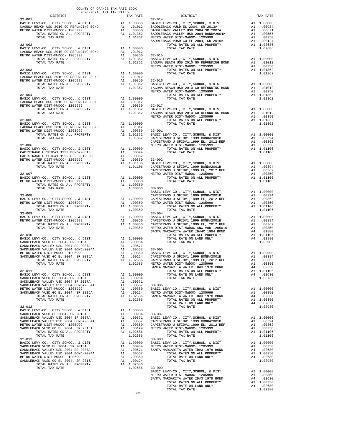| COUNTY OF ORANGE TAX RATE BOOK<br>2020-2021 TRA TAX RATES<br>DISTRICT TAX RI |  |  |  |
|------------------------------------------------------------------------------|--|--|--|
|                                                                              |  |  |  |
|                                                                              |  |  |  |
|                                                                              |  |  |  |
|                                                                              |  |  |  |
|                                                                              |  |  |  |
|                                                                              |  |  |  |
|                                                                              |  |  |  |
|                                                                              |  |  |  |
|                                                                              |  |  |  |
|                                                                              |  |  |  |
|                                                                              |  |  |  |
|                                                                              |  |  |  |
|                                                                              |  |  |  |
|                                                                              |  |  |  |
|                                                                              |  |  |  |
|                                                                              |  |  |  |
|                                                                              |  |  |  |
|                                                                              |  |  |  |
|                                                                              |  |  |  |
|                                                                              |  |  |  |
|                                                                              |  |  |  |
|                                                                              |  |  |  |
|                                                                              |  |  |  |
|                                                                              |  |  |  |
|                                                                              |  |  |  |
|                                                                              |  |  |  |
|                                                                              |  |  |  |
|                                                                              |  |  |  |
|                                                                              |  |  |  |
|                                                                              |  |  |  |
|                                                                              |  |  |  |
|                                                                              |  |  |  |
|                                                                              |  |  |  |
|                                                                              |  |  |  |
|                                                                              |  |  |  |
|                                                                              |  |  |  |
|                                                                              |  |  |  |
|                                                                              |  |  |  |
|                                                                              |  |  |  |
|                                                                              |  |  |  |
|                                                                              |  |  |  |
|                                                                              |  |  |  |
|                                                                              |  |  |  |
|                                                                              |  |  |  |
|                                                                              |  |  |  |
|                                                                              |  |  |  |
|                                                                              |  |  |  |
|                                                                              |  |  |  |
|                                                                              |  |  |  |
|                                                                              |  |  |  |
|                                                                              |  |  |  |
|                                                                              |  |  |  |
|                                                                              |  |  |  |
|                                                                              |  |  |  |
|                                                                              |  |  |  |
|                                                                              |  |  |  |
|                                                                              |  |  |  |
|                                                                              |  |  |  |
|                                                                              |  |  |  |
|                                                                              |  |  |  |
|                                                                              |  |  |  |
|                                                                              |  |  |  |
|                                                                              |  |  |  |
|                                                                              |  |  |  |
|                                                                              |  |  |  |
|                                                                              |  |  |  |
|                                                                              |  |  |  |
|                                                                              |  |  |  |
|                                                                              |  |  |  |
|                                                                              |  |  |  |
|                                                                              |  |  |  |
|                                                                              |  |  |  |
|                                                                              |  |  |  |
|                                                                              |  |  |  |
|                                                                              |  |  |  |
|                                                                              |  |  |  |
|                                                                              |  |  |  |
|                                                                              |  |  |  |
|                                                                              |  |  |  |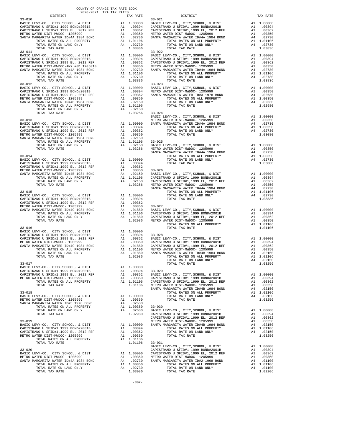| 2020-2021 TRA TAX RATES                                                     | COUNTY OF ORANGE TAX RATE BOOK |                                                            |
|-----------------------------------------------------------------------------|--------------------------------|------------------------------------------------------------|
| DISTRICT<br>$33 - 010$                                                      | TAX RATE                       | $33 - 021$                                                 |
|                                                                             |                                |                                                            |
|                                                                             |                                |                                                            |
|                                                                             |                                |                                                            |
|                                                                             |                                |                                                            |
|                                                                             |                                |                                                            |
| TOTAL TAX RATE                                                              | 1.03836                        |                                                            |
| $33 - 011$                                                                  |                                | $33 - 022$                                                 |
|                                                                             |                                |                                                            |
|                                                                             |                                |                                                            |
|                                                                             |                                |                                                            |
|                                                                             |                                |                                                            |
|                                                                             |                                |                                                            |
| TOTAL TAX RATE<br>$33 - 012$                                                | 1.03836                        |                                                            |
|                                                                             |                                | $33 - 023$                                                 |
|                                                                             |                                |                                                            |
|                                                                             |                                |                                                            |
|                                                                             |                                |                                                            |
|                                                                             |                                |                                                            |
| TOTAL TAX RATE                                                              |                                | 1.03256 33-024                                             |
|                                                                             |                                | BASIC L                                                    |
|                                                                             |                                |                                                            |
|                                                                             |                                |                                                            |
|                                                                             |                                |                                                            |
|                                                                             |                                |                                                            |
|                                                                             |                                |                                                            |
|                                                                             |                                |                                                            |
|                                                                             |                                |                                                            |
| $33 - 014$                                                                  |                                |                                                            |
|                                                                             |                                |                                                            |
|                                                                             | .00362                         |                                                            |
|                                                                             |                                |                                                            |
|                                                                             |                                |                                                            |
|                                                                             |                                |                                                            |
|                                                                             |                                |                                                            |
| $33 - 015$                                                                  |                                | SANTA M                                                    |
|                                                                             |                                |                                                            |
|                                                                             |                                |                                                            |
|                                                                             |                                |                                                            |
|                                                                             |                                |                                                            |
|                                                                             |                                |                                                            |
|                                                                             |                                |                                                            |
|                                                                             |                                |                                                            |
| $33 - 016$                                                                  |                                |                                                            |
|                                                                             |                                |                                                            |
|                                                                             |                                |                                                            |
|                                                                             |                                |                                                            |
|                                                                             |                                |                                                            |
|                                                                             |                                |                                                            |
|                                                                             |                                |                                                            |
| $33 - 017$                                                                  |                                |                                                            |
| BASIC LEVY-CO., CITY, SCHOOL, & DIST<br>CAPISTRANO U SFID#1 1999 BOND#2001B | A1 1.00000                     |                                                            |
| CAPISTRANO U SFID#1,1999 EL, 2012 REF                                       |                                | A1 .00394 33-029<br>A1 .00362 BASIC L<br>A1 .00350 CAPISTR |
| METRO WATER DIST-MWDOC- 1205999                                             |                                | CAPISTR                                                    |
| TOTAL RATES ON ALL PROPERTY<br>TOTAL TAX RATE                               | A1 1.01106                     | 1.01106 METRO W                                            |
|                                                                             |                                | SANTA M                                                    |
| $33 - 018$                                                                  | A1 1.00000                     |                                                            |
| BASIC LEVY-CO., CITY, SCHOOL, & DIST<br>METRO WATER DIST-MWDOC- 1205999     | A1 .00350                      |                                                            |
| SANTA MARGARITA WATER ID#3 1978 BOND                                        | A4<br>.02630                   |                                                            |
| TOTAL RATES ON ALL PROPERTY<br>TOTAL RATE ON LAND ONLY                      |                                |                                                            |
| TOTAL TAX RATE                                                              |                                | A1 1.00350 33-030<br>A4 .02630 BASIC L<br>1.02980 CAPISTR  |
|                                                                             |                                | CAPISTR                                                    |
| $33 - 019$<br>BASIC LEVY-CO., CITY, SCHOOL, & DIST                          |                                | METRO W<br>A1 1.00000 SANTA M                              |
| CAPISTRANO U SFID#1 1999 BOND#2001B                                         | A1 .00394                      |                                                            |
| CAPISTRANO U SFID#1,1999 EL, 2012 REF                                       | A1<br>.00362                   |                                                            |
| METRO WATER DIST-MWDOC- 1205999<br>TOTAL RATES ON ALL PROPERTY              | A1<br>.00350<br>A1 1.01106     |                                                            |
| TOTAL TAX RATE                                                              | 1.01106                        | $33 - 031$                                                 |
|                                                                             |                                | <b>BASIC L</b>                                             |
| $33 - 020$<br>BASIC LEVY-CO., CITY, SCHOOL, & DIST                          |                                | CAPISTR                                                    |
| METRO WATER DIST-MWDOC- 1205999                                             |                                | A1 1.00000 CAPISTR<br>A1 .00350 METROW<br>A4 .02730 SANTA  |
| SANTA MARGARITA WATER ID#4A 1984 BOND<br>TOTAL RATES ON ALL PROPERTY        | A1 1.00350                     |                                                            |
| TOTAL RATE ON LAND ONLY                                                     | A4 .02730                      |                                                            |

| DISTRICT   | 2020-2021 TRA TAX RATES<br>TAX RATE |                                                                                                                                                                                                                                                                                                                                                                                                            | TAX RATE |
|------------|-------------------------------------|------------------------------------------------------------------------------------------------------------------------------------------------------------------------------------------------------------------------------------------------------------------------------------------------------------------------------------------------------------------------------------------------------------|----------|
| $33 - 010$ |                                     | RATE ${\tt DISTRICT}$                                                                                                                                                                                                                                                                                                                                                                                      |          |
|            |                                     |                                                                                                                                                                                                                                                                                                                                                                                                            |          |
|            |                                     |                                                                                                                                                                                                                                                                                                                                                                                                            |          |
|            |                                     |                                                                                                                                                                                                                                                                                                                                                                                                            |          |
|            |                                     |                                                                                                                                                                                                                                                                                                                                                                                                            |          |
|            |                                     |                                                                                                                                                                                                                                                                                                                                                                                                            |          |
|            |                                     |                                                                                                                                                                                                                                                                                                                                                                                                            |          |
|            |                                     | $\begin{tabular}{cccccccc} $3$-011 & 0.0000 & 0.0000 & 0.0000 & 0.0000 & 0.0000 & 0.0000 & 0.0000 & 0.0000 & 0.0000 & 0.0000 & 0.0000 & 0.0000 & 0.0000 & 0.0000 & 0.0000 & 0.0000 & 0.0000 & 0.0000 & 0.0000 & 0.0000 & 0.0000 & 0.0000 & 0.0000 & 0.0000 & 0.0000 & 0.$                                                                                                                                  |          |
|            |                                     |                                                                                                                                                                                                                                                                                                                                                                                                            |          |
|            |                                     |                                                                                                                                                                                                                                                                                                                                                                                                            |          |
|            |                                     |                                                                                                                                                                                                                                                                                                                                                                                                            |          |
|            |                                     |                                                                                                                                                                                                                                                                                                                                                                                                            |          |
|            |                                     |                                                                                                                                                                                                                                                                                                                                                                                                            |          |
|            |                                     |                                                                                                                                                                                                                                                                                                                                                                                                            |          |
|            |                                     |                                                                                                                                                                                                                                                                                                                                                                                                            |          |
|            |                                     |                                                                                                                                                                                                                                                                                                                                                                                                            |          |
|            |                                     |                                                                                                                                                                                                                                                                                                                                                                                                            |          |
|            |                                     |                                                                                                                                                                                                                                                                                                                                                                                                            |          |
|            |                                     |                                                                                                                                                                                                                                                                                                                                                                                                            |          |
|            |                                     |                                                                                                                                                                                                                                                                                                                                                                                                            |          |
|            |                                     |                                                                                                                                                                                                                                                                                                                                                                                                            |          |
|            |                                     |                                                                                                                                                                                                                                                                                                                                                                                                            |          |
|            |                                     |                                                                                                                                                                                                                                                                                                                                                                                                            |          |
|            |                                     |                                                                                                                                                                                                                                                                                                                                                                                                            |          |
|            |                                     |                                                                                                                                                                                                                                                                                                                                                                                                            |          |
|            |                                     |                                                                                                                                                                                                                                                                                                                                                                                                            |          |
|            |                                     |                                                                                                                                                                                                                                                                                                                                                                                                            |          |
|            |                                     |                                                                                                                                                                                                                                                                                                                                                                                                            |          |
|            |                                     |                                                                                                                                                                                                                                                                                                                                                                                                            |          |
|            |                                     |                                                                                                                                                                                                                                                                                                                                                                                                            |          |
|            |                                     |                                                                                                                                                                                                                                                                                                                                                                                                            |          |
|            |                                     |                                                                                                                                                                                                                                                                                                                                                                                                            |          |
|            |                                     |                                                                                                                                                                                                                                                                                                                                                                                                            |          |
|            |                                     |                                                                                                                                                                                                                                                                                                                                                                                                            |          |
|            |                                     |                                                                                                                                                                                                                                                                                                                                                                                                            |          |
|            |                                     |                                                                                                                                                                                                                                                                                                                                                                                                            |          |
|            |                                     |                                                                                                                                                                                                                                                                                                                                                                                                            |          |
|            |                                     |                                                                                                                                                                                                                                                                                                                                                                                                            |          |
|            |                                     |                                                                                                                                                                                                                                                                                                                                                                                                            |          |
|            |                                     |                                                                                                                                                                                                                                                                                                                                                                                                            |          |
|            |                                     |                                                                                                                                                                                                                                                                                                                                                                                                            |          |
|            |                                     |                                                                                                                                                                                                                                                                                                                                                                                                            |          |
|            |                                     |                                                                                                                                                                                                                                                                                                                                                                                                            |          |
|            |                                     | $\begin{tabular}{c c c c c} \hline \text{TOTAL TAA KALE} & \text{TOTAL TAA KALE} \\[1mm] \hline \text{BAST C LEVY-CO., CITY, SCHOOL, & DISTT \\[1mm] \hline \text{CAPISTRANO U SFID#1,1999 EU, 2012 REF} & \text{Al} & \text{.00394} & \text{33--028} \\[1mm] \hline \text{CAPISTRANO U SFID#1,1999 EL, 2012 REF} & \text{Al} & \text{.00394} & \text{33--028} \\[1mm] \hline \text{CAPISTRANO$            |          |
|            |                                     |                                                                                                                                                                                                                                                                                                                                                                                                            |          |
|            |                                     |                                                                                                                                                                                                                                                                                                                                                                                                            |          |
|            |                                     |                                                                                                                                                                                                                                                                                                                                                                                                            |          |
|            |                                     |                                                                                                                                                                                                                                                                                                                                                                                                            |          |
|            |                                     |                                                                                                                                                                                                                                                                                                                                                                                                            |          |
|            |                                     |                                                                                                                                                                                                                                                                                                                                                                                                            |          |
|            |                                     |                                                                                                                                                                                                                                                                                                                                                                                                            |          |
|            |                                     |                                                                                                                                                                                                                                                                                                                                                                                                            |          |
|            |                                     |                                                                                                                                                                                                                                                                                                                                                                                                            |          |
|            |                                     |                                                                                                                                                                                                                                                                                                                                                                                                            |          |
|            |                                     |                                                                                                                                                                                                                                                                                                                                                                                                            |          |
|            |                                     |                                                                                                                                                                                                                                                                                                                                                                                                            |          |
|            |                                     |                                                                                                                                                                                                                                                                                                                                                                                                            |          |
|            |                                     |                                                                                                                                                                                                                                                                                                                                                                                                            |          |
|            |                                     |                                                                                                                                                                                                                                                                                                                                                                                                            |          |
|            |                                     |                                                                                                                                                                                                                                                                                                                                                                                                            |          |
|            |                                     |                                                                                                                                                                                                                                                                                                                                                                                                            |          |
|            |                                     |                                                                                                                                                                                                                                                                                                                                                                                                            |          |
|            |                                     |                                                                                                                                                                                                                                                                                                                                                                                                            |          |
|            |                                     |                                                                                                                                                                                                                                                                                                                                                                                                            |          |
|            |                                     |                                                                                                                                                                                                                                                                                                                                                                                                            |          |
|            |                                     |                                                                                                                                                                                                                                                                                                                                                                                                            |          |
|            |                                     |                                                                                                                                                                                                                                                                                                                                                                                                            |          |
|            |                                     |                                                                                                                                                                                                                                                                                                                                                                                                            |          |
|            |                                     |                                                                                                                                                                                                                                                                                                                                                                                                            |          |
|            |                                     |                                                                                                                                                                                                                                                                                                                                                                                                            |          |
|            |                                     |                                                                                                                                                                                                                                                                                                                                                                                                            |          |
|            |                                     |                                                                                                                                                                                                                                                                                                                                                                                                            |          |
|            |                                     |                                                                                                                                                                                                                                                                                                                                                                                                            |          |
|            |                                     | $\begin{tabular}{c c c c c} \multicolumn{4}{c}{\textbf{1.01106}} & \multicolumn{4}{c}{\textbf{1.01106}} & \multicolumn{4}{c}{\textbf{1.01106}} & \multicolumn{4}{c}{\textbf{1.01106}} & \multicolumn{4}{c}{\textbf{1.01106}} & \multicolumn{4}{c}{\textbf{1.01106}} & \multicolumn{4}{c}{\textbf{1.01106}} & \multicolumn{4}{c}{\textbf{1.01106}} & \multicolumn{4}{c}{\textbf{1.01106}} & \multicolumn{4$ |          |
|            |                                     |                                                                                                                                                                                                                                                                                                                                                                                                            |          |
|            |                                     |                                                                                                                                                                                                                                                                                                                                                                                                            |          |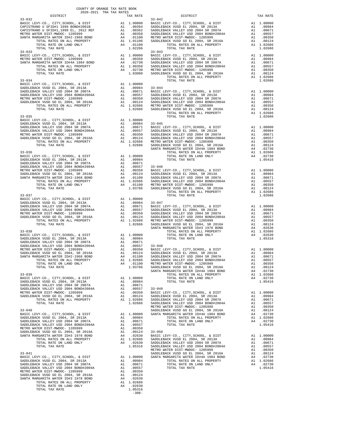| $\begin{tabular}{ccccc} 33-033 & 32-033 & 33-043 \\ \texttt{BASE LEVY-CO.}, & \texttt{CITY}, & \texttt{SCBOOL}, & \texttt{& DIST} & \texttt{A1} & 1.00000 & \texttt{BASE L} & \texttt{BASTC LEVY-CO.}, & \texttt{CITY}, & \texttt{SCROI} & \texttt{SADL} & \texttt{SADL} \\ \texttt{METRO WATER DIST-MMTER DIFAB} & \texttt{MATER DIFAB} & \texttt{A1} & 0.0350 & \texttt{SADDLEB} & \texttt{SADDLEB} & \texttt{$ |                |                                                                                                                            |                                                                              |
|-------------------------------------------------------------------------------------------------------------------------------------------------------------------------------------------------------------------------------------------------------------------------------------------------------------------------------------------------------------------------------------------------------------------|----------------|----------------------------------------------------------------------------------------------------------------------------|------------------------------------------------------------------------------|
|                                                                                                                                                                                                                                                                                                                                                                                                                   |                |                                                                                                                            |                                                                              |
|                                                                                                                                                                                                                                                                                                                                                                                                                   |                |                                                                                                                            |                                                                              |
| $33 - 036$                                                                                                                                                                                                                                                                                                                                                                                                        |                |                                                                                                                            |                                                                              |
|                                                                                                                                                                                                                                                                                                                                                                                                                   |                |                                                                                                                            | SANTA M                                                                      |
| $33 - 038$<br>BASIC LEVY-CO., CITY, SCHOOL, & DIST A1 1.00000                                                                                                                                                                                                                                                                                                                                                     |                |                                                                                                                            | SANTA M                                                                      |
| $33 - 039$<br>BASIC LEVY-CO., CITY, SCHOOL, & DIST<br>SADDLEBACK VUSD EL 2004, SR 2013A<br>SADDLEBACK VALLEY USD 2004 SR 2007A<br>SADDLEBACK VALLEY USD 2004 BOND#2004A<br>METRO WATER DIST-MWDOC- 1205999<br>SADDLEBACK VUSD GO EL 2004, SR 2016A<br>TOTAL RATES ON ALL PROPERTY<br>TOTAL TAX RATE                                                                                                               | A1<br>A1<br>A1 | A1 1.00000<br>A1 .00984<br>.00671<br>.00557<br>A1 .00350<br>.00124<br>A1 1.02686<br>1.02686                                | $33 - 049$<br>BASIC L<br>SADDLEB<br>SADDLEB<br>SADDLEB<br>METRO W            |
| $33 - 040$<br>BASIC LEVY-CO., CITY, SCHOOL, & DIST<br>SADDLEBACK VUSD EL 2004, SR 2013A<br>SADDLEBACK VALLEY USD 2004 SR 2007A<br>SADDLEBACK VALLEY USD 2004 BOND#2004A<br>METRO WATER DIST-MWDOC- 1205999<br>SADDLEBACK VUSD GO EL 2004, SR 2016A<br>SANTA MARGARITA WATER ID#3 1978 BOND<br>TOTAL RATES ON ALL PROPERTY<br>TOTAL RATE ON LAND ONLY<br>TOTAL TAX RATE                                            | A1             | A1 1.00000<br>A1 .00984<br>.00671<br>A1 .00557<br>A1 .00350<br>A1 .00124<br>A4 .02630<br>A1 1.02686<br>A4.02630<br>1.05316 | SADDLEB<br>SANTA M<br>$33 - 050$<br>BASIC L<br>SADDLEB<br>SADDLEB<br>SADDLEB |
| $33 - 041$<br>BASIC LEVY-CO., CITY, SCHOOL, & DIST<br>SADDLEBACK VUSD EL 2004, SR 2013A<br>SADDLEBACK VALLEY USD 2004 SR 2007A<br>SADDLEBACK VALLEY USD 2004 BOND#2004A<br>METRO WATER DIST-MWDOC- 1205999<br>SADDLEBACK VUSD GO EL 2004, SR 2016A<br>SANTA MARGARITA WATER ID#3 1978 BOND<br>TOTAL RATES ON ALL PROPERTY<br>TOTAL RATE ON LAND ONLY<br>TOTAL TAX RATE                                            | A1<br>A4       | A1 1.00000<br>A1.00984<br>A1.00671<br>A1 .00557<br>A1 .00350<br>.00124<br>.02630<br>A1 1.02686<br>A4 .02630<br>1.05316     | METRO W<br>SADDLEB<br>SANTA M                                                |

-308-

| COUNTY OF ORANGE TAX RATE BOOK<br>2020-2021 TRA TAX RATES<br>$2020-2021 \quad \text{TRA RATES}$ DISTRICT $\label{eq:2020-2021}$ |          |                                                                                                                                                                                                                                                                                                                                                                                                         | TAX RATE |
|---------------------------------------------------------------------------------------------------------------------------------|----------|---------------------------------------------------------------------------------------------------------------------------------------------------------------------------------------------------------------------------------------------------------------------------------------------------------------------------------------------------------------------------------------------------------|----------|
| $33 - 032$                                                                                                                      | TAX RATE | DISTRICT<br>$33 - 042$<br>$\begin{tabular}{cccc} 33-032 \\ 33-032 \\ \textbf{CAFISTRANO U SFTD4, VACNCE} & 33-042 \\ \textbf{CAFISTRANO U SFTD4, VACNCE} & 33-042 \\ \textbf{CAFISTRANO U SFTD4, VACNCE} & 33-042 \\ \textbf{CAFISTRANO U SFTD4, VACNCE} & 31 & 0.00300 \\ \textbf{CAFISTRANO U SFTD4, VACNCE} & 31 & 0.00352 \\ \textbf{SANTA MARTE NATE DFTD, SCHO1, & 30350 \\ \textbf{CAFISTRANO U$ |          |
|                                                                                                                                 |          |                                                                                                                                                                                                                                                                                                                                                                                                         |          |
|                                                                                                                                 |          |                                                                                                                                                                                                                                                                                                                                                                                                         |          |
|                                                                                                                                 |          |                                                                                                                                                                                                                                                                                                                                                                                                         |          |
|                                                                                                                                 |          |                                                                                                                                                                                                                                                                                                                                                                                                         |          |
|                                                                                                                                 |          |                                                                                                                                                                                                                                                                                                                                                                                                         |          |
|                                                                                                                                 |          |                                                                                                                                                                                                                                                                                                                                                                                                         |          |
|                                                                                                                                 |          |                                                                                                                                                                                                                                                                                                                                                                                                         |          |
|                                                                                                                                 |          |                                                                                                                                                                                                                                                                                                                                                                                                         |          |
|                                                                                                                                 |          |                                                                                                                                                                                                                                                                                                                                                                                                         |          |
|                                                                                                                                 |          |                                                                                                                                                                                                                                                                                                                                                                                                         |          |
|                                                                                                                                 |          |                                                                                                                                                                                                                                                                                                                                                                                                         |          |
|                                                                                                                                 |          |                                                                                                                                                                                                                                                                                                                                                                                                         |          |
|                                                                                                                                 |          |                                                                                                                                                                                                                                                                                                                                                                                                         |          |
|                                                                                                                                 |          |                                                                                                                                                                                                                                                                                                                                                                                                         |          |
|                                                                                                                                 |          |                                                                                                                                                                                                                                                                                                                                                                                                         |          |
|                                                                                                                                 |          |                                                                                                                                                                                                                                                                                                                                                                                                         |          |
|                                                                                                                                 |          |                                                                                                                                                                                                                                                                                                                                                                                                         |          |
|                                                                                                                                 |          |                                                                                                                                                                                                                                                                                                                                                                                                         |          |
|                                                                                                                                 |          |                                                                                                                                                                                                                                                                                                                                                                                                         |          |
|                                                                                                                                 |          |                                                                                                                                                                                                                                                                                                                                                                                                         |          |
|                                                                                                                                 |          |                                                                                                                                                                                                                                                                                                                                                                                                         |          |
|                                                                                                                                 |          |                                                                                                                                                                                                                                                                                                                                                                                                         |          |
|                                                                                                                                 |          |                                                                                                                                                                                                                                                                                                                                                                                                         |          |
|                                                                                                                                 |          |                                                                                                                                                                                                                                                                                                                                                                                                         |          |
|                                                                                                                                 |          |                                                                                                                                                                                                                                                                                                                                                                                                         |          |
|                                                                                                                                 |          |                                                                                                                                                                                                                                                                                                                                                                                                         |          |
|                                                                                                                                 |          |                                                                                                                                                                                                                                                                                                                                                                                                         |          |
|                                                                                                                                 |          |                                                                                                                                                                                                                                                                                                                                                                                                         |          |
|                                                                                                                                 |          |                                                                                                                                                                                                                                                                                                                                                                                                         |          |
|                                                                                                                                 |          |                                                                                                                                                                                                                                                                                                                                                                                                         |          |
|                                                                                                                                 |          |                                                                                                                                                                                                                                                                                                                                                                                                         |          |
|                                                                                                                                 |          |                                                                                                                                                                                                                                                                                                                                                                                                         |          |
|                                                                                                                                 |          |                                                                                                                                                                                                                                                                                                                                                                                                         |          |
|                                                                                                                                 |          |                                                                                                                                                                                                                                                                                                                                                                                                         |          |
|                                                                                                                                 |          |                                                                                                                                                                                                                                                                                                                                                                                                         |          |
|                                                                                                                                 |          |                                                                                                                                                                                                                                                                                                                                                                                                         |          |
|                                                                                                                                 |          |                                                                                                                                                                                                                                                                                                                                                                                                         |          |
|                                                                                                                                 |          |                                                                                                                                                                                                                                                                                                                                                                                                         |          |
|                                                                                                                                 |          |                                                                                                                                                                                                                                                                                                                                                                                                         |          |
|                                                                                                                                 |          |                                                                                                                                                                                                                                                                                                                                                                                                         |          |
|                                                                                                                                 |          |                                                                                                                                                                                                                                                                                                                                                                                                         |          |
|                                                                                                                                 |          |                                                                                                                                                                                                                                                                                                                                                                                                         |          |
|                                                                                                                                 |          |                                                                                                                                                                                                                                                                                                                                                                                                         |          |
|                                                                                                                                 |          |                                                                                                                                                                                                                                                                                                                                                                                                         |          |
|                                                                                                                                 |          |                                                                                                                                                                                                                                                                                                                                                                                                         |          |
|                                                                                                                                 |          |                                                                                                                                                                                                                                                                                                                                                                                                         |          |
|                                                                                                                                 |          |                                                                                                                                                                                                                                                                                                                                                                                                         |          |
|                                                                                                                                 |          |                                                                                                                                                                                                                                                                                                                                                                                                         |          |
|                                                                                                                                 |          |                                                                                                                                                                                                                                                                                                                                                                                                         |          |
|                                                                                                                                 |          |                                                                                                                                                                                                                                                                                                                                                                                                         |          |
|                                                                                                                                 |          |                                                                                                                                                                                                                                                                                                                                                                                                         |          |
|                                                                                                                                 |          |                                                                                                                                                                                                                                                                                                                                                                                                         |          |
|                                                                                                                                 |          |                                                                                                                                                                                                                                                                                                                                                                                                         |          |
|                                                                                                                                 |          |                                                                                                                                                                                                                                                                                                                                                                                                         |          |
|                                                                                                                                 |          |                                                                                                                                                                                                                                                                                                                                                                                                         |          |
|                                                                                                                                 |          |                                                                                                                                                                                                                                                                                                                                                                                                         |          |
|                                                                                                                                 |          |                                                                                                                                                                                                                                                                                                                                                                                                         |          |
|                                                                                                                                 |          |                                                                                                                                                                                                                                                                                                                                                                                                         |          |
|                                                                                                                                 |          |                                                                                                                                                                                                                                                                                                                                                                                                         |          |
|                                                                                                                                 |          |                                                                                                                                                                                                                                                                                                                                                                                                         |          |
|                                                                                                                                 |          |                                                                                                                                                                                                                                                                                                                                                                                                         |          |
|                                                                                                                                 |          |                                                                                                                                                                                                                                                                                                                                                                                                         |          |
|                                                                                                                                 |          |                                                                                                                                                                                                                                                                                                                                                                                                         |          |
|                                                                                                                                 |          |                                                                                                                                                                                                                                                                                                                                                                                                         |          |
|                                                                                                                                 |          |                                                                                                                                                                                                                                                                                                                                                                                                         |          |
|                                                                                                                                 |          |                                                                                                                                                                                                                                                                                                                                                                                                         |          |
|                                                                                                                                 |          |                                                                                                                                                                                                                                                                                                                                                                                                         |          |
|                                                                                                                                 |          |                                                                                                                                                                                                                                                                                                                                                                                                         |          |
|                                                                                                                                 |          |                                                                                                                                                                                                                                                                                                                                                                                                         |          |
|                                                                                                                                 |          |                                                                                                                                                                                                                                                                                                                                                                                                         |          |
|                                                                                                                                 |          |                                                                                                                                                                                                                                                                                                                                                                                                         |          |
|                                                                                                                                 |          |                                                                                                                                                                                                                                                                                                                                                                                                         |          |
|                                                                                                                                 |          |                                                                                                                                                                                                                                                                                                                                                                                                         |          |
|                                                                                                                                 |          |                                                                                                                                                                                                                                                                                                                                                                                                         |          |
|                                                                                                                                 |          |                                                                                                                                                                                                                                                                                                                                                                                                         |          |
|                                                                                                                                 |          |                                                                                                                                                                                                                                                                                                                                                                                                         |          |
|                                                                                                                                 |          |                                                                                                                                                                                                                                                                                                                                                                                                         |          |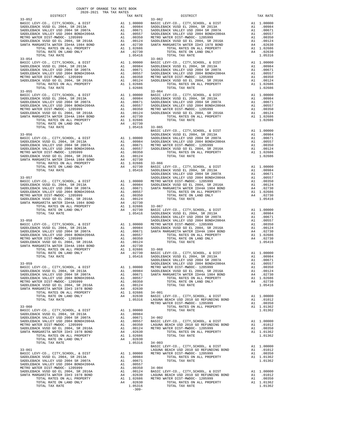| COUNTY OF ORANGE TAX RATE BOOK<br>2020-2021 TRA TAX RATES |  |                                                                                                                                                                                                                                                                                                                                                                                                            |          |
|-----------------------------------------------------------|--|------------------------------------------------------------------------------------------------------------------------------------------------------------------------------------------------------------------------------------------------------------------------------------------------------------------------------------------------------------------------------------------------------------|----------|
| DISTRICT                                                  |  | RA TAX RATES<br>TAX RATE 33-062<br>33-062                                                                                                                                                                                                                                                                                                                                                                  | TAX RATE |
| $33 - 052$                                                |  |                                                                                                                                                                                                                                                                                                                                                                                                            |          |
|                                                           |  |                                                                                                                                                                                                                                                                                                                                                                                                            |          |
|                                                           |  |                                                                                                                                                                                                                                                                                                                                                                                                            |          |
|                                                           |  |                                                                                                                                                                                                                                                                                                                                                                                                            |          |
|                                                           |  |                                                                                                                                                                                                                                                                                                                                                                                                            |          |
|                                                           |  |                                                                                                                                                                                                                                                                                                                                                                                                            |          |
|                                                           |  |                                                                                                                                                                                                                                                                                                                                                                                                            |          |
|                                                           |  |                                                                                                                                                                                                                                                                                                                                                                                                            |          |
|                                                           |  |                                                                                                                                                                                                                                                                                                                                                                                                            |          |
|                                                           |  |                                                                                                                                                                                                                                                                                                                                                                                                            |          |
|                                                           |  |                                                                                                                                                                                                                                                                                                                                                                                                            |          |
|                                                           |  |                                                                                                                                                                                                                                                                                                                                                                                                            |          |
|                                                           |  |                                                                                                                                                                                                                                                                                                                                                                                                            |          |
|                                                           |  |                                                                                                                                                                                                                                                                                                                                                                                                            |          |
|                                                           |  |                                                                                                                                                                                                                                                                                                                                                                                                            |          |
|                                                           |  |                                                                                                                                                                                                                                                                                                                                                                                                            |          |
|                                                           |  |                                                                                                                                                                                                                                                                                                                                                                                                            |          |
|                                                           |  |                                                                                                                                                                                                                                                                                                                                                                                                            |          |
|                                                           |  |                                                                                                                                                                                                                                                                                                                                                                                                            |          |
|                                                           |  |                                                                                                                                                                                                                                                                                                                                                                                                            |          |
|                                                           |  |                                                                                                                                                                                                                                                                                                                                                                                                            |          |
|                                                           |  |                                                                                                                                                                                                                                                                                                                                                                                                            |          |
|                                                           |  |                                                                                                                                                                                                                                                                                                                                                                                                            |          |
|                                                           |  |                                                                                                                                                                                                                                                                                                                                                                                                            |          |
|                                                           |  |                                                                                                                                                                                                                                                                                                                                                                                                            |          |
|                                                           |  |                                                                                                                                                                                                                                                                                                                                                                                                            |          |
|                                                           |  |                                                                                                                                                                                                                                                                                                                                                                                                            |          |
|                                                           |  |                                                                                                                                                                                                                                                                                                                                                                                                            |          |
|                                                           |  |                                                                                                                                                                                                                                                                                                                                                                                                            |          |
|                                                           |  |                                                                                                                                                                                                                                                                                                                                                                                                            |          |
|                                                           |  |                                                                                                                                                                                                                                                                                                                                                                                                            |          |
|                                                           |  |                                                                                                                                                                                                                                                                                                                                                                                                            |          |
|                                                           |  |                                                                                                                                                                                                                                                                                                                                                                                                            |          |
|                                                           |  |                                                                                                                                                                                                                                                                                                                                                                                                            |          |
|                                                           |  |                                                                                                                                                                                                                                                                                                                                                                                                            |          |
|                                                           |  |                                                                                                                                                                                                                                                                                                                                                                                                            |          |
|                                                           |  |                                                                                                                                                                                                                                                                                                                                                                                                            |          |
|                                                           |  |                                                                                                                                                                                                                                                                                                                                                                                                            |          |
|                                                           |  |                                                                                                                                                                                                                                                                                                                                                                                                            |          |
|                                                           |  |                                                                                                                                                                                                                                                                                                                                                                                                            |          |
|                                                           |  |                                                                                                                                                                                                                                                                                                                                                                                                            |          |
|                                                           |  |                                                                                                                                                                                                                                                                                                                                                                                                            |          |
|                                                           |  |                                                                                                                                                                                                                                                                                                                                                                                                            |          |
|                                                           |  |                                                                                                                                                                                                                                                                                                                                                                                                            |          |
|                                                           |  |                                                                                                                                                                                                                                                                                                                                                                                                            |          |
|                                                           |  |                                                                                                                                                                                                                                                                                                                                                                                                            |          |
|                                                           |  |                                                                                                                                                                                                                                                                                                                                                                                                            |          |
|                                                           |  |                                                                                                                                                                                                                                                                                                                                                                                                            |          |
|                                                           |  |                                                                                                                                                                                                                                                                                                                                                                                                            |          |
|                                                           |  | 1.05416 SADDLEBACK VUSD EL 2004, SR 2013A A1 .00984                                                                                                                                                                                                                                                                                                                                                        |          |
|                                                           |  |                                                                                                                                                                                                                                                                                                                                                                                                            |          |
|                                                           |  |                                                                                                                                                                                                                                                                                                                                                                                                            |          |
|                                                           |  |                                                                                                                                                                                                                                                                                                                                                                                                            |          |
|                                                           |  |                                                                                                                                                                                                                                                                                                                                                                                                            |          |
|                                                           |  |                                                                                                                                                                                                                                                                                                                                                                                                            |          |
|                                                           |  |                                                                                                                                                                                                                                                                                                                                                                                                            |          |
|                                                           |  |                                                                                                                                                                                                                                                                                                                                                                                                            |          |
|                                                           |  |                                                                                                                                                                                                                                                                                                                                                                                                            |          |
|                                                           |  |                                                                                                                                                                                                                                                                                                                                                                                                            |          |
|                                                           |  |                                                                                                                                                                                                                                                                                                                                                                                                            |          |
|                                                           |  |                                                                                                                                                                                                                                                                                                                                                                                                            |          |
|                                                           |  |                                                                                                                                                                                                                                                                                                                                                                                                            |          |
|                                                           |  |                                                                                                                                                                                                                                                                                                                                                                                                            |          |
|                                                           |  |                                                                                                                                                                                                                                                                                                                                                                                                            |          |
|                                                           |  |                                                                                                                                                                                                                                                                                                                                                                                                            |          |
|                                                           |  |                                                                                                                                                                                                                                                                                                                                                                                                            |          |
|                                                           |  |                                                                                                                                                                                                                                                                                                                                                                                                            |          |
|                                                           |  |                                                                                                                                                                                                                                                                                                                                                                                                            |          |
|                                                           |  | $\begin{tabular}{c c c c c} \multicolumn{4}{c}{\textbf{531-061}} & \multicolumn{4}{c}{\textbf{531-061}} & \multicolumn{4}{c}{\textbf{531-061}} & \multicolumn{4}{c}{\textbf{531-061}} & \multicolumn{4}{c}{\textbf{531-061}} & \multicolumn{4}{c}{\textbf{531-061}} & \multicolumn{4}{c}{\textbf{531-061}} & \multicolumn{4}{c}{\textbf{531-061}} & \multicolumn{4}{c}{\textbf{531-061}} & \multicolumn{4$ |          |
|                                                           |  |                                                                                                                                                                                                                                                                                                                                                                                                            |          |
|                                                           |  |                                                                                                                                                                                                                                                                                                                                                                                                            |          |
|                                                           |  |                                                                                                                                                                                                                                                                                                                                                                                                            |          |
|                                                           |  |                                                                                                                                                                                                                                                                                                                                                                                                            |          |
|                                                           |  |                                                                                                                                                                                                                                                                                                                                                                                                            |          |
|                                                           |  |                                                                                                                                                                                                                                                                                                                                                                                                            |          |
|                                                           |  |                                                                                                                                                                                                                                                                                                                                                                                                            |          |
|                                                           |  |                                                                                                                                                                                                                                                                                                                                                                                                            |          |

|  | $\begin{tabular}{l c c c c} \multicolumn{4}{c}{\textbf{33-061}} & \multicolumn{4}{c}{\textbf{34-003}} & \multicolumn{4}{c}{\textbf{8ASTC LEVY-CO.}}, & \multicolumn{4}{c}{\textbf{CITY}}, & \multicolumn{4}{c}{\textbf{5ASTC LEVY-CO.}}, & \multicolumn{4}{c}{\textbf{CITY}}, & \multicolumn{4}{c}{\textbf{CITY}}, & \multicolumn{4}{c}{\textbf{CITY}}, & \multicolumn{4}{c}{\textbf{CITY}}, & \multicolumn{4}{c}{\textbf{CITY}}, & \multicolumn{4}{c}{\$ |  |
|--|-----------------------------------------------------------------------------------------------------------------------------------------------------------------------------------------------------------------------------------------------------------------------------------------------------------------------------------------------------------------------------------------------------------------------------------------------------------|--|
|  |                                                                                                                                                                                                                                                                                                                                                                                                                                                           |  |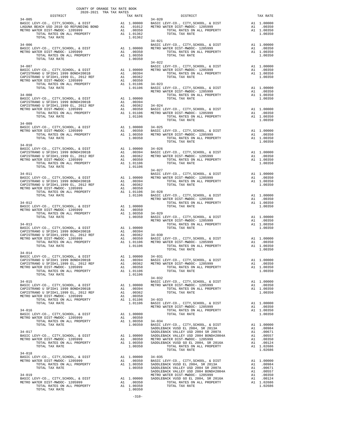| COUNTY OF ORANGE TAX RATE BOOK<br>2020-2021 TRA TAX RATES                                                                                                                                                                                                                                                                                                                                                                    |  |  |                |  |          |  |  |
|------------------------------------------------------------------------------------------------------------------------------------------------------------------------------------------------------------------------------------------------------------------------------------------------------------------------------------------------------------------------------------------------------------------------------|--|--|----------------|--|----------|--|--|
| DISTRICT<br>$34 - 005$                                                                                                                                                                                                                                                                                                                                                                                                       |  |  |                |  | TAX RATE |  |  |
|                                                                                                                                                                                                                                                                                                                                                                                                                              |  |  |                |  |          |  |  |
|                                                                                                                                                                                                                                                                                                                                                                                                                              |  |  |                |  |          |  |  |
|                                                                                                                                                                                                                                                                                                                                                                                                                              |  |  |                |  |          |  |  |
|                                                                                                                                                                                                                                                                                                                                                                                                                              |  |  |                |  |          |  |  |
|                                                                                                                                                                                                                                                                                                                                                                                                                              |  |  |                |  |          |  |  |
|                                                                                                                                                                                                                                                                                                                                                                                                                              |  |  |                |  |          |  |  |
|                                                                                                                                                                                                                                                                                                                                                                                                                              |  |  |                |  |          |  |  |
| $\begin{tabular}{lllllllllllllllllllll} \texttt{34-009} & & & & & & \texttt{A1} & 1.00000 & 34-025 \\ \texttt{BASIC LEVY-CO.}, & & & & & \texttt{CITY}, \texttt{SCHOOL}, & & & \texttt{DISTT} & & & \texttt{A1} & 1.00000 \\ \texttt{METRO WATER DIST-MWDOC- 1205999} & & & & & \texttt{A1} & 1.00350 & & \texttt{BASIC LEVY-CO.}, & & & & \texttt{CITY}, \texttt{SCHOOL}, & & & \texttt{DISTT} & & & \texttt$               |  |  |                |  |          |  |  |
|                                                                                                                                                                                                                                                                                                                                                                                                                              |  |  |                |  |          |  |  |
|                                                                                                                                                                                                                                                                                                                                                                                                                              |  |  |                |  |          |  |  |
|                                                                                                                                                                                                                                                                                                                                                                                                                              |  |  |                |  |          |  |  |
|                                                                                                                                                                                                                                                                                                                                                                                                                              |  |  |                |  |          |  |  |
|                                                                                                                                                                                                                                                                                                                                                                                                                              |  |  |                |  |          |  |  |
| $34 - 014$                                                                                                                                                                                                                                                                                                                                                                                                                   |  |  |                |  |          |  |  |
| $\begin{tabular}{lllllllllllllllllllll} & & & & & & & 34-032 & \\ \texttt{BASIC LEVY-CO.}, & \texttt{CITY}, \texttt{SCHOOL}, & \& \texttt{DIST} & \texttt{A1} & 1.00000 & \texttt{BASIC LEVY-CO.}, & \texttt{CITY}, \texttt{SCHOOL}, & \& \texttt{DIST} & \texttt{A1} & 1.00000 \\ \texttt{RASTC LEVY-CO.}, & \texttt{CITY}, \texttt{SCHOOL}, & \& \texttt{DIST} & \texttt{A1} & 1.00000 \\ \texttt{CAPISTRANO U SFIDH1 199$ |  |  |                |  |          |  |  |
|                                                                                                                                                                                                                                                                                                                                                                                                                              |  |  |                |  |          |  |  |
|                                                                                                                                                                                                                                                                                                                                                                                                                              |  |  |                |  |          |  |  |
| $34 - 018$                                                                                                                                                                                                                                                                                                                                                                                                                   |  |  | TOTAL TAX RATE |  | 1.02686  |  |  |
|                                                                                                                                                                                                                                                                                                                                                                                                                              |  |  |                |  |          |  |  |
|                                                                                                                                                                                                                                                                                                                                                                                                                              |  |  |                |  |          |  |  |

-310-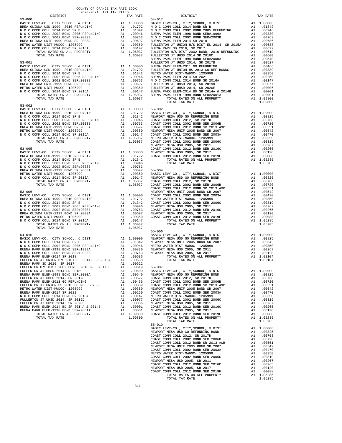| COUNTY OF ORANGE TAX RATE BOOK<br>$\begin{minipage}{0.5\textwidth} \begin{tabular}{lcccccc} \textbf{1} & \textbf{1} & \textbf{1} & \textbf{1} & \textbf{1} & \textbf{1} & \textbf{1} & \textbf{1} & \textbf{1} & \textbf{1} & \textbf{1} & \textbf{1} & \textbf{1} & \textbf{1} & \textbf{1} & \textbf{1} & \textbf{1} & \textbf{1} & \textbf{1} & \textbf{1} & \textbf{1} & \textbf{1} & \textbf{1} & \textbf{1} & \textbf{1} & \textbf{1} & \textbf{1} & \textbf{1} &$ |          |                        |          |
|--------------------------------------------------------------------------------------------------------------------------------------------------------------------------------------------------------------------------------------------------------------------------------------------------------------------------------------------------------------------------------------------------------------------------------------------------------------------------|----------|------------------------|----------|
| $53 - 000$                                                                                                                                                                                                                                                                                                                                                                                                                                                               | TAX RATE | DISTRICT<br>$54 - 017$ | TAX RATE |
|                                                                                                                                                                                                                                                                                                                                                                                                                                                                          |          |                        |          |
|                                                                                                                                                                                                                                                                                                                                                                                                                                                                          |          |                        |          |
|                                                                                                                                                                                                                                                                                                                                                                                                                                                                          |          |                        |          |
|                                                                                                                                                                                                                                                                                                                                                                                                                                                                          |          |                        |          |
|                                                                                                                                                                                                                                                                                                                                                                                                                                                                          |          |                        |          |
|                                                                                                                                                                                                                                                                                                                                                                                                                                                                          |          |                        |          |
|                                                                                                                                                                                                                                                                                                                                                                                                                                                                          |          |                        |          |
|                                                                                                                                                                                                                                                                                                                                                                                                                                                                          |          |                        |          |
|                                                                                                                                                                                                                                                                                                                                                                                                                                                                          |          |                        |          |
|                                                                                                                                                                                                                                                                                                                                                                                                                                                                          |          |                        |          |
|                                                                                                                                                                                                                                                                                                                                                                                                                                                                          |          |                        |          |
|                                                                                                                                                                                                                                                                                                                                                                                                                                                                          |          |                        |          |
| $53 - 002$                                                                                                                                                                                                                                                                                                                                                                                                                                                               |          |                        |          |
|                                                                                                                                                                                                                                                                                                                                                                                                                                                                          |          |                        |          |
|                                                                                                                                                                                                                                                                                                                                                                                                                                                                          |          |                        |          |
|                                                                                                                                                                                                                                                                                                                                                                                                                                                                          |          |                        |          |
|                                                                                                                                                                                                                                                                                                                                                                                                                                                                          |          |                        |          |
|                                                                                                                                                                                                                                                                                                                                                                                                                                                                          |          |                        |          |
|                                                                                                                                                                                                                                                                                                                                                                                                                                                                          |          |                        |          |
|                                                                                                                                                                                                                                                                                                                                                                                                                                                                          |          |                        |          |
|                                                                                                                                                                                                                                                                                                                                                                                                                                                                          |          |                        |          |
|                                                                                                                                                                                                                                                                                                                                                                                                                                                                          |          |                        |          |
|                                                                                                                                                                                                                                                                                                                                                                                                                                                                          |          |                        |          |
|                                                                                                                                                                                                                                                                                                                                                                                                                                                                          |          |                        |          |
|                                                                                                                                                                                                                                                                                                                                                                                                                                                                          |          |                        |          |
|                                                                                                                                                                                                                                                                                                                                                                                                                                                                          |          |                        |          |
|                                                                                                                                                                                                                                                                                                                                                                                                                                                                          |          |                        |          |
|                                                                                                                                                                                                                                                                                                                                                                                                                                                                          |          |                        |          |
|                                                                                                                                                                                                                                                                                                                                                                                                                                                                          |          |                        |          |
|                                                                                                                                                                                                                                                                                                                                                                                                                                                                          |          |                        |          |
|                                                                                                                                                                                                                                                                                                                                                                                                                                                                          |          |                        |          |
| TOTAL TAX RATE                                                                                                                                                                                                                                                                                                                                                                                                                                                           | 1.06037  |                        |          |
|                                                                                                                                                                                                                                                                                                                                                                                                                                                                          |          | $55 - 006$             |          |
|                                                                                                                                                                                                                                                                                                                                                                                                                                                                          |          |                        |          |
|                                                                                                                                                                                                                                                                                                                                                                                                                                                                          |          |                        |          |
|                                                                                                                                                                                                                                                                                                                                                                                                                                                                          |          |                        |          |
|                                                                                                                                                                                                                                                                                                                                                                                                                                                                          |          |                        |          |
|                                                                                                                                                                                                                                                                                                                                                                                                                                                                          |          |                        |          |
|                                                                                                                                                                                                                                                                                                                                                                                                                                                                          |          |                        |          |
|                                                                                                                                                                                                                                                                                                                                                                                                                                                                          |          |                        |          |
|                                                                                                                                                                                                                                                                                                                                                                                                                                                                          |          |                        |          |
|                                                                                                                                                                                                                                                                                                                                                                                                                                                                          |          |                        |          |
|                                                                                                                                                                                                                                                                                                                                                                                                                                                                          |          |                        |          |
|                                                                                                                                                                                                                                                                                                                                                                                                                                                                          |          |                        |          |
|                                                                                                                                                                                                                                                                                                                                                                                                                                                                          |          |                        |          |
|                                                                                                                                                                                                                                                                                                                                                                                                                                                                          |          |                        |          |
|                                                                                                                                                                                                                                                                                                                                                                                                                                                                          |          |                        |          |
|                                                                                                                                                                                                                                                                                                                                                                                                                                                                          |          |                        |          |
|                                                                                                                                                                                                                                                                                                                                                                                                                                                                          |          |                        |          |
|                                                                                                                                                                                                                                                                                                                                                                                                                                                                          |          |                        |          |
|                                                                                                                                                                                                                                                                                                                                                                                                                                                                          |          |                        |          |
|                                                                                                                                                                                                                                                                                                                                                                                                                                                                          |          |                        |          |
|                                                                                                                                                                                                                                                                                                                                                                                                                                                                          |          |                        |          |
|                                                                                                                                                                                                                                                                                                                                                                                                                                                                          |          |                        |          |
|                                                                                                                                                                                                                                                                                                                                                                                                                                                                          |          |                        |          |
|                                                                                                                                                                                                                                                                                                                                                                                                                                                                          |          | TOTAL TAX RATE         | 1.05285  |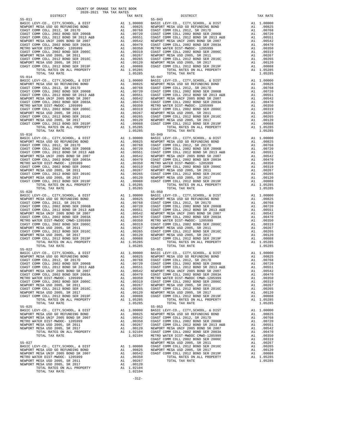55-011 55-043 MORT CLEVY-CO., CITY, SCHOOL, & DIST A1 1.00000<br>NEWPORT MESA USD GO REFUNDING BOND A1 .00825 55-016 55-049 TOTAL TAX RATE 1.05285 TOTAL TAX RATE 1.05285  ${\tt BASIC~LEVY-CO.} \hbox{, CITY, SCHOOL, & \tt DIST} \hbox{,} \hbox{,} \hbox{,} \hbox{,} \hbox{,} \hbox{,} \hbox{,} \hbox{,} \hbox{,} \hbox{,} \hbox{,} \hbox{,} \hbox{,} \hbox{,} \hbox{,} \hbox{,} \hbox{,} \hbox{,} \hbox{,} \hbox{,} \hbox{,} \hbox{,} \hbox{,} \hbox{,} \hbox{,} \hbox{,} \hbox{,} \hbox{,} \hbox{,} \hbox{,} \hbox{,} \hbox{,} \$ NEWPORT MESA USD 2005, SR 2017 A1 .00120 TOTAL RATES ON ALL PROPERTY A1 1.02104 TOTAL TAX RATE 1.02104

-312-

 DISTRICT TAX RATE DISTRICT TAX RATE BASIC LEVY-CO., CITY,SCHOOL, & DIST A1 1.00000 BASIC LEVY-CO., CITY,SCHOOL, & DIST A1 1.00000 NEWPORT MESA USD GO REFUNDING BOND A1 .00825 NEWPORT MESA USD GO REFUNDING BOND A1 .00825 COAST COMM COLL 2012, SR 2017D A1 .00768 COAST COMM COLL 2012, SR 2017D A1 .00768 COAST COMM COLL 2002 BOND SER 2006B A1 .00720 COAST COMM COLL 2002 BOND SER 2006B A1 .00720 COAST COMM COLL 2012 BOND SR 2013 A&B A1 .00551 COAST COMM COLL 2012 BOND SR 2013 A&B A1 .00551 NEWPORT MESA UNIF 2005 BOND SR 2007 A1 .00542 NEWPORT MESA UNIF 2005 BOND SR 2007 A1 .00542 COAST COMM COLL 2002 BOND SER 2003A A1 .00470 COAST COMM COLL 2002 BOND SER 2003A A1 .00470 METRO WATER DIST-MWDOC- 1205999 A1 .00350 METRO WATER DIST-MWDOC- 1205999 A1 .00350<br>COAST COMM COLL 2002 BOND SER 2006C A1 .00319 COAST COMM COLL 2002 BOND SER 2006C A1 .0031 NEWPORT MESA USD 2005, SR 2011 A1 .00267 NEWPORT MESA USD 2005, SR 2011 A1 .00267 COAST COMM COLL 2012 BOND SER 2016C A1 .00265 COAST COMM COLL 2012 BOND SER 2016C A1 .00265 00120 NEWPORT MESA USD 2005, SR 2017 – 11 00120 NEWPORT MESA USD 2005, SR 2017<br>COAST COMM COLL 2012 BORD SR 2019F – 12 00088 COAST COMM COLL 2012 BORD SER 2019F – 12 00088<br>A1 1.05285 – TOTAL RATES ON ALL PROPERTY – 11 0528 TORAL TAX RATE 55-014<br>
TOTAL TAX RATE 3000 AND 2005, SR 2017<br>
TOTAL TAX RATE 3000 SER 2019<br>
TOTAL TAX RATE 3000 SER 2019<br>
TOTAL TAX RATE 300 ALL PROPERTY<br>
TOTAL TAX RATE 300 ALL PROPERTY<br>
TOTAL TAX RATE 300 ALL PROPERTY<br>
T  $\begin{tabular}{lcccc} BASIC LEVY-CO., CITY, SCHOOL, & DIST & A1 & 1.00000 & BASIC LEVY-CO., CITY, SCHOOL, & DIST & A1 & 1.00000 \\ NEWOPORT MEMSO AUS CO AESFWDING BOND & BOND & A1 & .00825 & NEWPORT MESA USO GORETWDING BOND & A1 & .00825 & .00877 COMM COLL & 2002 & .00877 COMM COLL & 2002 & .00877 COMM COLL & 2002 & .00877 COMM COLL & 2002 & .00877 COMM COLL & 2002 & .00$  NEWPORT MESA UNIF 2005 BOND SR 2007 A1 .00542 NEWPORT MESA UNIF 2005 BOND SR 2007 A1 .00542 COAST COMM COLL 2002 BOND SER 2003A A1 .00470 COAST COMM COLL 2002 BOND SER 2003A A1 .00470 METRO WATER DIST-MWDOC- 1205999 A1 .00350 METRO WATER DIST-MWDOC- 1205999 A1 .00350 METRO WATER DIST-MWDOC- 1205999 A1 .00319 COAST COMM COLL 2002 BOND SER 2006C A1 .00319 COAST COMM COLL 2002 BOND SER 2006C A1 .00319 COAST COMM COLL 2002 BOND SER 2006C A1 .00319 NEWPORT MESA USD 2005, SR 2011 A1 .00267 NEWPORT MESA USD 2005, SR 2011 A1 .00267 COAST COMM COLL 2012 BOND SER 2016C A1 .00265 COAST COMM COLL 2012 BOND SER 2016C A1 .00265 NEWPORT MESA USD 2005, SR 2017 A1 .00120 NEWPORT MESA USD 2005, SR 2017 A1 .00120 COAST COMM COLL 2012 BOND SER 2019F A1 .00088 COAST COMM COLL 2012 BOND SER 2019F A1 .00088 TOTAL RATES ON ALL PROPERTY A1 1.05285 TOTAL RATES ON ALL PROPERTY A1 1.05285 ECAST COMM COLL 2012 BOND SER 2019F AT 1.00088 COAST COMM COLL 2012 BOND SER 2019F AT 1.05285 TOTAL RATES ON ALL PROPERTY AT 1.05285 TOTAL TAX RATE 1.05285 TOTAL TAX RATE 1.05285 TOTAL TAX RATE 1.05285 TOTAL TAX RATE 1.052  $\begin{tabular}{lcccc} BASIC LEVY-CO., CITY, SCHOOL, & DIST & A1 & 1.00000 & BASIC LEVY-CO., CITY, SCHOOL, & DIST & A1 & 1.00000 \\ NEWOPORT MEMSO AUS CO AESFWDING BOND & BOND & A1 & .00825 & NEWPORT MESA USO GORETWDING BOND & A1 & .00825 & .00877 COMM COLL & 2002 & .00877 COMM COLL & 2002 & .00877 COMM COLL & 2002 & .00877 COMM COLL & 2002 & .00877 COMM COLL & 2002 & .00$  NEWPORT MESA UNIF 2005 BOND SR 2007 A1 .00542 NEWPORT MESA UNIF 2005 BOND SR 2007 A1 .00542 COAST COMM COLL 2002 BOND SER 2003A A1 .00470 COAST COMM COLL 2002 BOND SER 2003A A1 .00470 METRO WATER DIST-MWDOC- 1205999 A1 .00350 METRO WATER DIST-MWDOC- 1205999 A1 .00350 COAST COMM COLL 2002 BOND SER 2006C A1 .00319 COAST COMM COLL 2002 BOND SER 2006C A1 .00319 NEWPORT MESAUSD 2005, SR 2011 (0267 NEWPORT MESAUSD 2005, SR 2011 (0267 NEWPORT MESAUSD 2005, SR 2011 (0267 NEWPORT MESAUSD 2005, SR 2016C<br>COAST COM COLL 2012 ERR 2016C 2016C 2011 (02065 2017 21) 2012 NEWPORT MESAUSD 2005, ALL COLL COLL CONDUCTS ON ALL PROPERTY AT 1.05285 TOTAL RATES ON ALL PROPERTY ALL 1.05285 TOTAL RATES ON ALL PROPERTY A1 1.05285 TOTAL RATES ON ALL PROPERTY A1 1.05285 BASIC LEVY-CO., CITY,SCHOOL, & DIST A1 1.00000 BASIC LEVY-CO., CITY,SCHOOL, & DIST A1 1.00000 NEWPORT MESAUSD GO REFUNDING BOND (10825 NEWPORT MESAUSD GO REFUNDING BOND (10825 NEWPORT MESAUSD GO REFUNDING<br>COAST COMM COLL 2002 SOND SER 2006B (10.0768 COAST COMM COLL 2012 SR 2017D (2002 TOMM COLL 2002 BOND SER 2006B<br> NEWPORT MESA UNIF 2005 BOND SR 2007 A1 .00542 NEWPORT MESA UNIF 2005 BOND SR 2007 A1 .00542 COAST COMM COLL 2002 BOND SER 2003A A1 .00470 COAST COMM COLL 2002 BOND SER 2003A A1 .00470 METRO WATER DIST-MWDOC CMWD-1205999<br>
METRO WATER DIST-MWDOC CMWD-1205999<br>
COAST COMM COLL 2002 BOND SER 2006C<br>
MEWPORT MESA USD 2005, SR 2011<br>
MEWPORT MESA USD 2005, SR 2011<br>
NEWPORT MESA USD 2005, SR 2011<br>
NEWPORT MESA US COAST COMM COLL 2002 BOND SER 2006C A1 .00319 COAST COMM COLL 2002 BOND SER 2006C A1 .00319 NEWPORT MESA USD 2005, SR 2011 A1 .00267 NEWPORT MESA USD 2005, SR 2011 A1 .00267 COAST COMM COLL 2012 BOND SER 2016C A1 .00265 COAST COMM COLL 2012 BOND SER 2016C A1 .00265 NEWPORT MESA USD 2005, SR 2017 A1 .00120 NEWPORT MESA USD 2005, SR 2017 A1 .00120 COAST COMM COLL 2012 BOND SER 2019F A1 .00088 COAST COMM COLL 2012 BOND SER 2019F A1 .00088 TOTAL RATES ON ALL PROPERTY A1 1.05285 TOTAL RATES ON ALL PROPERTY A1 1.05285 TOTAL RATES ON ALL PROPERTY A1 1.05285 TOTAL TAX RATE 1.05285 TOTAL TAX RATE 1.05285 55-022 55-051 BASIC LEVY-CO., CITY,SCHOOL, & DIST A1 1.00000 BASIC LEVY-CO., CITY,SCHOOL, & DIST A1 1.00000 NEWPORT MESA USD GO REFUNDING BOND A1 .00825 NEWPORT MESA USD GO REFUNDING BOND A1 .00825 COAST COMM COLL 2012, SR 2017D A1 .00768 COAST COMM COLL 2012, SR 2017D A1 .00768 COAST COMM COLL 2002 BOND SER 2006B A1 .00720 COAST COMM COLL 2002 BOND SER 2006B A1 .00720 100551 COAST COMM OOLL 2012 BOND SR 2013 A&B A1 .00551 COAST COMM COLL 2012 BOND SR 2013 A&B A1 .00551<br>NEWPORT MESA UNIF 2005 A2007 SR 2007 A1 .00542 NEWPORT MESA UNIF 2005 BOND SR 2007<br>COAST COMM COLL 2002 BOND SER 2003A METRO WATER 2002 BOND SER 2003A AT 200470 COAST COMM COLL 2002 BOND SER 2003A AT 2002 BOND SER 2003A COAST COMM<br>METRO WATER DIST-MWDOC- 12052999 AT 200319 METRO WATER DIST-MWDOC COMM COLL 2002 BOND SER 2006C AT 2002 BOND S COAST COMM COLL 2002 BOND SER 2006C A1 .00319 COAST COMM COLL 2002 BOND SER 2006C A1 .00319<br>A1 .00265 COAST COMM COLL 2012, SR 2011 COLL 2012 A1 .00265 NEWPORT MESA USD 2005, SR 2010<br>
NEWPORT MESA USD 2005, SR 2011 A1 .00267 NEWPORT MESA USD 2005, SR 2011 A1 .00267<br>
COAST COMM COLL 2012 BOND SER 2016C A1 .00265 COAST COMM COLL 2012 BOND SER 2016C A1 .00265 COAST COMM COLL 2012 BOND SER 2016C<br>
COAST COMM COLL 2012 BOND SER 2015, SR 2017<br>
COAST COMM COLL 2012 BOND SER 2019F A1 .00265 COAST COMM COLL 2012 BOND SER 2019F A1 .00266<br>
COAST COMM COLL 2012 BOND SER 2019F A1 .00088 C NEWPORT MESA USD 2005, SR 2017 A1 .00120 NEWPORT MESA USD 2005, SR 2017 A1 .00120 COAST COMM COLL 2012 BOND SER 2019F A1 .00088 COAST COMM COLL 2012 BOND SER 2019F A1 .00088 TOTAL RATES ON ALL PROPERTY A1 1.05285 COLL COLL COLL CALL PROPERTY A1 1.05285<br>TOTAL RATES ON ALL PROPERTY A1 1.05285 TOTAL RATES ON ALL PROPERTY A1 1.05285<br>TOTAL TAX RATE 1.05285 TOTAL TAX RATE TOTAL TAX RATE 1.05285 TOTAL TAX RATE 1.05285 55-025 55-053 BASIC LEVY-CO., CITY,SCHOOL, & DIST A1 1.00000 BASIC LEVY-CO., CITY,SCHOOL, & DIST A1 1.00000 00825 NEWPORT MESA USD GO REFUNDING BOND MENING A1 .00825 NEWPORT MESA USD GO REFUNDING BOND A1 .00825<br>NEWPORT MESA UNIF 2005 BOND SENG DOSTROOM A1 .00542 COAST COMM COLL 2010 DE DOSTROOM AND DOSTROOM A1<br>METRO WATER DIST-M NEWPORT MESAUSD 2005, SR 2011 100267 COAST COMM COLL 2012 BOND SR 2013 A&B<br>100120 101542 DRIVERS AT 2017 100120 NEWPORT MESAUSD 2005, SR 2017 10120 100542 NEWPORT MESAUSD 2005, SR 2017<br>100470 102104 COAST COMM COLL 2002 BO COAST COMM COLL 2002 BOND SER 2006C<br>TEWPORT MESA USD 2005, SR 2011 A1 .00267. BASIC LEVY-CO., CITY, SCHOOL, & DIST A1 1.00000 COAST COMM COLL 2012 BOND SER 2016C AN .00265<br>BASIC LEVY-CO., CITY, SCHOOL, & DIST A1 .00000 COAST COMM COLL 2012 BOND SER 2016C A1 .00265<br>REWPORT MESA UNIF 2005 BOND SR 2007 NEWPORT MESA USD GO REFUNDING BOND A1 .00825 NEWPORT MESA USD 2005, SR 2017 A1 .00120 NEWPORT MESA UNIF 2005 BOND SR 2007 A1 .00542 COAST COMM COLL 2012 BOND SER 2019F A1 .00088 METRO WATER DIST-MWDOC- 1205999 A1 .00350 TOTAL RATES ON ALL PROPERTY A1 1.05285 NEWPORT MESA USD 2005, SR 2011 A1 .00267 TOTAL TAX RATE 1.05285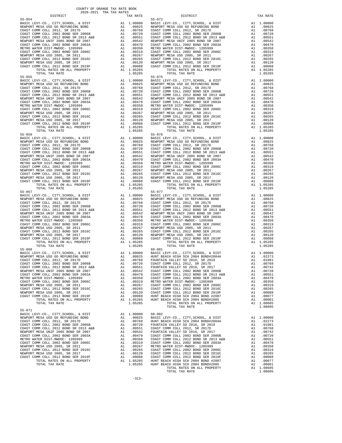55-071 BASIC LEVY-CO., CITY, SCHOOL, & DIST<br>MEWPORT MESA USD GO REFUNDING BOND AN AL .00825 BASIC I<br>COAST COMM COLL 2012, SR 2017D AN .00768 HUNT BI

 55-059 55-076 55-068 60-001<br>BASIC LEVY-CO., CITY, SCHOOL, & DIST Al 1.00000 BASIC L

 DISTRICT TAX RATE DISTRICT TAX RATE 55-054<br>
BASIC LEVY-CO., CITY, SCHOOL, & DIST<br>
NEWPORT MESA USD GO REFUNDING BOND A1 1.00000 BASIC I BASIC LEVY-CO., CITY,SCHOOL, & DIST A1 1.00000 BASIC LEVY-CO., CITY,SCHOOL, & DIST A1 1.00000 NEWPORT MESA USD GO REFUNDING BOND A1 .00825 NEWPORT MESA USD GO REFUNDING BOND A1 .00825 COAST COMM COLL 2012, SR 2017D A1 .00768 COAST COMM COLL 2012, SR 2017D A1 .00768 COAST COMM COLL 2002 BOND SER 2006B A1 .00720 COAST COMM COLL 2002 BOND SER 2006B A1 .00720 COAST COMM COLL 2012 BOND SR 2013 A&B A1 .00551 COAST COMM COLL 2012 BOND SR 2013 A&B A1 .00551 NEWPORT MESA UNIF 2005 BOND SR 2007 A1 .00542 NEWPORT MESA UNIF 2005 BOND SR 2007 A1 .00542 COAST COMM COLL 2002 BOND SER 2003A A1 .00470 COAST COMM COLL 2002 BOND SER 2003A A1 .00470 METRO WATER DIST-MWDOC- 1205999 A1 .00350 METRO WATER DIST-MWDOC- 1205999 A1 .00350 COAST COMM COLL 2002 BOND SER 2006C A1 .00319 COAST COMM COLL 2002 BOND SER 2006C A1 .00319 NEWPORT MESA USD 2005, SR 2010 (2005) AN 100267 MESH DOLL 2012 DOAST COMM COLL 2012 BOND SER 2016 (20057 MESA U<br>COAST COMM COLL 2012 BOND SER 2016 (2012 A1 .00265 COAST COMM COLL 2012 BOND SER 2016C (2012 BOND SER 2016C ME UNEWPORT NESA USD 2005, SR 2010<br>
NEWPORT NESA USD 2005, SR 2010<br>
NEWPORT MESA USD 2005, SR 2011<br>
NEWPORT MESA USD 2005, SR 2011<br>
NEWPORT MESA USD 2005, SR 2011<br>
NEWPORT MESA USD 2005, SR 2011<br>
NEWPORT MESA USD 2005, SR 201 BASIC LEVY-CO., CITY, SCHOOL, & DIST A1 1.00000  $\begin{tabular}{lcccc} BASIC LEVY-CO., CITY, SCHOOL, & DIST & A1 & 1.00000 & BASIC LEVY-CO., CITY, SCHOOL, & DIST & A1 & 1.00000 \\ NEWOPORT MEMSO AUS CO AESFWDING BOND & BOND & A1 & .00825 & NEWPORT MESA USO GORETWDING BOND & A1 & .00825 & .00827 & .00827 & .00827 & .00827 & .00827 & .00827 & .00827 & .00827 & .00827 & .00827 & .00827 & .00827 & .00827 & .0$  NEWPORT MESA UNIF 2005 BOND SR 2007 A1 .00542 NEWPORT MESA UNIF 2005 BOND SR 2007 A1 .00542 COAST COMM COLL 2002 BOND SER 2003A A1 .00470 COAST COMM COLL 2002 BOND SER 2003A A1 .00470 METRO WATER DIST-MWDOC- 1205999 A1 .00350 METRO WATER DIST-MWDOC- 1205999 A1 .00350 METRO WATER DIST-MWDOC- 1205999 A1 .00319 COAST COMM COLL 2002 BOND SER 2006C A1 .00319 COAST COMM COLL 2002 BOND SER 2006C A1 .00319 COAST COMM COLL 2002 BOND SER 2006C A1 .00319 NEWPORT MESA USD 2005, SR 2011 A1 .00267 NEWPORT MESA USD 2005, SR 2011 A1 .00267 COAST COMM COLL 2012 BOND SER 2016C A1 .00265 COAST COMM COLL 2012 BOND SER 2016C A1 .00265 NEWPORT MESA USD 2005, SR 2017 A1 .00120 NEWPORT MESA USD 2005, SR 2017 A1 .00120 COAST COMM COLL 2012 BOND SER 2019F A1 .00088 COAST COMM COLL 2012 BOND SER 2019F A1 .00088 TOTAL RATES ON ALL PROPERTY A1 1.05285 TOTAL RATES ON ALL PROPERTY A1 1.05285 ECAST COMM COLL 2012 BOND SER 2019F AT 1.00088 COAST COMM COLL 2012 BOND SER 2019F AT 1.05285 TOTAL RATES ON ALL PROPERTY AT 1.05285 TOTAL TAX RATE 1.05285 TOTAL TAX RATE 1.05285 TOTAL TAX RATE 1.05285 TOTAL TAX RATE 1.052  $\begin{tabular}{lcccc} BASIC LEVY-CO., CITY, SCHOOL, & DIST & A1 & 1.00000 & BASIC LEVY-CO., CITY, SCHOOL, & DIST & A1 & 1.00000 \\ NEWOPORT MEMSO AUS CO AESFWDING BOND & BOND & A1 & .00825 & NEWPORT MESA USO GORETWDING BOND & A1 & .00825 & .00827 & .00827 & .00827 & .00827 & .00827 & .00827 & .00827 & .00827 & .00827 & .00827 & .00827 & .00827 & .00827 & .0$  NEWPORT MESA UNIF 2005 BOND SR 2007 A1 .00542 NEWPORT MESA UNIF 2005 BOND SR 2007 A1 .00542 COAST COMM COLL 2002 BOND SER 2003A A1 .00470 COAST COMM COLL 2002 BOND SER 2003A A1 .00470 METRO WATER DIST-MWDOC- 1205999 A1 .00350 METRO WATER DIST-MWDOC- 1205999 A1 .00350 COAST COMM COLL 2002 BOND SER 2006C A1 .00319 COAST COMM COLL 2002 BOND SER 2006C A1 .00319 NEWPORT MESAUSD 2005, SR 2011 (0267 NEWPORT MESAUSD 2005, SR 2011 (0267 NEWPORT MESAUSD 2005, SR 2011 (0267 NEWPORT MESAUSD 2005, SR 2016C<br>COAST COMM COLL 2012 EOR 2016C 2016C 2011 (02065 2017 21) 2012 A1 (02065 SR 2017 21 NET COLL AND DIRECTLY AND RESONAL CONSTRUCTION CONSTRUCTION AND SEXUS ON ALL PROPERTY AND LOSS ON ALL PROPERTY<br>TOTAL RATES ON ALL PROPERTY A1 1.05285 TOTAL RATES ON ALL PROPERTY AND 1.05285 TOTAL TAX RATE  $1.05285$  TOTAL TAX RATE  $55-067$  55-067 55-077 BASIC LEVY-CO., CITY,SCHOOL, & DIST A1 1.00000 BASIC LEVY-CO., CITY,SCHOOL, & DIST A1 1.00000 NEWPORT MESAUSD GO REFUNDING BOND (10825 NEWPORT MESAUSD GO REFUNDING BOND (10825 NEWPORT MESAUSD GO REFUNDING<br>COAST COMM COLL 2002 SOND SER 2006B (10.0768 COAST COMM COLL 2012 SR 2017D (2002 TOMM COLL 2002 BOND SER 2006B<br> NEWPORT MESA UNIF 2005 BOND SR 2007 A1 .00542 NEWPORT MESA UNIF 2005 BOND SR 2007 A1 .00542 COAST COMM COLL 2002 BOND SER 2003A A1 .00470 COAST COMM COLL 2002 BOND SER 2003A A1 .00470 METRO WATER DIST-MWDOC- 120599<br>
METRO WATER DIST-MWDOC- 120599 A1 .00350 METRO WATER DIST-MWDOC- 120599<br>
COAST COMM COLL 2002 BOND SER 2016C<br>
MEWPORT MESA USD 2005, SR 2011 A1 .00267<br>
NEWPORT MESA USD 2005, SR 2011 A1 .002 COAST COMM COLL 2002 BOND SER 2006C A1 .00319 COAST COMM COLL 2002 BOND SER 2006C A1 .00319 NEWPORT MESA USD 2005, SR 2011 A1 .00267 NEWPORT MESA USD 2005, SR 2011 A1 .00267 COAST COMM COLL 2012 BOND SER 2016C A1 .00265 COAST COMM COLL 2012 BOND SER 2016C A1 .00265 NEWPORT MESA USD 2005, SR 2017 A1 .00120 NEWPORT MESA USD 2005, SR 2017 A1 .00120 COAST COMM COLL 2012 BOND SER 2019F A1 .00088 COAST COMM COLL 2012 BOND SER 2019F A1 .00088 TOTAL RATES ON ALL PROPERTY A1 1.05285 TOTAL RATES ON ALL PROPERTY A1 1.05285 TOTAL RATES ON ALL PROPERTY A1 1.05285 TOTAL TAX RATE 1.05285 TOTAL TAX RATE 1.05285 BASIC LEVY-CO., CITY, SCHOOL, & DIST<br>NEWPORT MESA USD GO REFUNDING BOND DAI 1.00000 BASIC LEVY-CO., CITY, SCHOOL, & DIST A1 1.00000<br>COAST COMM COLL 2002 AD 20273 A1 .00068 FOUNTAIN VALLEY SD 2016, SR 2019 A1 .0273<br>COAST CO COAST COMM COLL 2012 BOND SR 2003 A&B A1 .00551 FOUNTAIN VALLEY SD 2016, SR 2017 A1 .00742<br>REWPORT MESA UNIF 2005 BOND SR 2007 A1 .00542 COAST COMM COLL 2002 BOND SER 2006B A1 .00720 NEWPORT MESA UNIF 2005 BOND SR 2007 A1 .00542 COAST COMM COLL 2002 BOND SER 2006B A1 .00720 COAST COMM COLL 2002 BOND SER 2003A A1 .00470 COAST COMM COLL 2012 BOND SR 2013 A&B A1 .00551<br>COAST COMM COLL 2002 BOND SER 2003A A1 .00350 COAST COMM COLL 2002 BOND SER 2003A A1 .00470 METRO WATER DIST-MWDOC- 1205999 A1 .00350 COAST COMM COLL 2002 BOND SER 2003A A1 .00350<br>A1 .00319 METRO WATER DIST-MWDOC- 1205999 A1 .00367<br>A1 .00265 COAST COMM COLL 2012 BOND SER 2016C A1 .00265 .00470 COAST COMM COLL 2002 BOND SER 2006C A1 .00319 METRO WATER DIST-MWDOC- 1205999 A1 .00350 NEWPORT MESA USD 2005, SR 2011 A1 .00267 COAST COMM COLL 2002 BOND SER 2006C A1 .00319 COAST COMM COLL 2012 BOND SER 2016C A1 .00265 COAST COMM COLL 2012 BOND SER 2016C A1 .00265 NEWPORT MESA USD 2005, SR 2017 A1 .00120 COAST COMM COLL 2012 BOND SER 2019F A1 .00088 COAST COMM COLL 2012 BOND SER 2019F A1 .00088 HUNT BEACH HIGH SCH 2004 BOND #2007 A1 .00077 TOTAL RATES ON ALL PROPERTY A1 1.05285 HUNT BEACH HIGH SCH 2004 BOND#2005 A1 .00001<br>TOTAL TAX RATES ON ALL PROPERTY A1 1.05285 HUNT BEACH HIGH SCH 2004 BOND#2005 A1 .00001<br>TOTAL TAX RATES ON ALL PROPERTY A1 1.08605 TOTAL TAX RATE 1.05285 TOTAL RATES ON ALL PROPERTY A1 1.08605 TOTAL TAX RATE 1.08605 NEWPORT MESA USD GO REFUNDING BOND A1 .00825 BASIC LEVY-CO., CITY,SCHOOL, & DIST A1 1.00000 COAST COMM COLL 2012, SR 2017D A1 .00768 HUNT BEACH HIGH SCH 2004 BOND#2004A A1 .02273 COAST COMM COLL 2002 BOND SER 2006B A1 .00720 FOUNTAIN VALLEY SD 2016, SR 2019<br>COAST COMM COLL 2012 BOND SR 2013 A&B A1 .00551 COAST COMM COLL 2012, SR 2017D A1 .00768 COAST COMM COLL 2012 BOND SR 2013 A&B A1 .00551 COAST COMM COLL 2012, SR 2017D A1 .00768<br>NEWPORT MESA UNIF 2005 BOND SR 2007 A1 .00542 FOUNTAIN VALLEY SD 2016, SR 2017 COAST COMM COLL 2002 BOND SER 2003A A1 .00542 FOUNTAIN VALLEY SD 2016, SR 2017 A1 .00742<br>COAST COMM COLL 2002 BOND SER 2003A A1 .00470 COAST COMM COLL 2002 BOND SER 2006B A1 .00720<br>METRO WATER DIST-MWDOC- 12059 A1 .00350 C  $\begin{tabular}{l|c|c|c|c|c|c} \hline \texttt{METRO WATER DIST-MNDOC- 1205999} & \texttt{A1} & .00350 & \texttt{COAST COMM COLL 2012 BOND SR 2013 A&B & A1 & .00551 \\ \hline \texttt{COAST COMM COLL 2012 BOND SR R 2016} & \texttt{A1} & .00350 & \texttt{COAST COMM COLL 2012 BOND SR 2013A} & A1 & .00551 \\ \hline \texttt{NEWPORT MESA USD 2005 SOND SR R 2011} & \texttt{A1} & .002$  TOTAL TAX RATE 1.05285 HUNT BEACH HIGH SCH 2004 BOND#2005 A1 .00001 TOTAL RATES ON ALL PROPERTY A1 1.08605<br>TOTAL TAX RATE 1.08605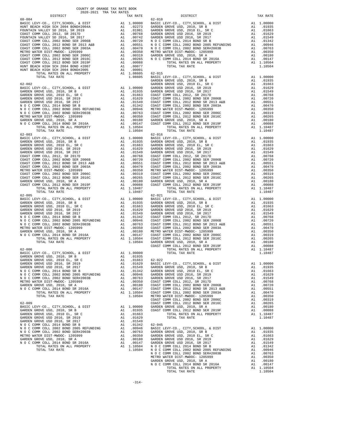|                                                                        |                 |                                             | GARDEN             |
|------------------------------------------------------------------------|-----------------|---------------------------------------------|--------------------|
|                                                                        |                 |                                             |                    |
|                                                                        |                 |                                             |                    |
|                                                                        |                 |                                             |                    |
|                                                                        |                 |                                             |                    |
|                                                                        |                 |                                             |                    |
|                                                                        |                 |                                             |                    |
|                                                                        |                 |                                             |                    |
|                                                                        |                 |                                             |                    |
|                                                                        |                 |                                             |                    |
|                                                                        |                 |                                             |                    |
|                                                                        |                 |                                             |                    |
|                                                                        |                 |                                             |                    |
|                                                                        |                 |                                             |                    |
|                                                                        |                 |                                             |                    |
|                                                                        |                 |                                             |                    |
|                                                                        |                 |                                             |                    |
|                                                                        |                 |                                             |                    |
|                                                                        |                 |                                             |                    |
|                                                                        |                 |                                             |                    |
|                                                                        |                 |                                             |                    |
|                                                                        |                 |                                             |                    |
|                                                                        |                 |                                             |                    |
|                                                                        |                 |                                             |                    |
|                                                                        |                 |                                             |                    |
|                                                                        |                 |                                             |                    |
| TOTAL TAX RATE                                                         |                 | 1.10487                                     |                    |
|                                                                        |                 |                                             |                    |
|                                                                        |                 |                                             |                    |
|                                                                        |                 |                                             |                    |
|                                                                        |                 |                                             |                    |
|                                                                        |                 |                                             |                    |
|                                                                        |                 |                                             |                    |
|                                                                        |                 |                                             |                    |
|                                                                        |                 |                                             |                    |
|                                                                        |                 |                                             |                    |
|                                                                        |                 |                                             |                    |
|                                                                        |                 |                                             |                    |
|                                                                        |                 |                                             | COAST C            |
| $62 - 006$                                                             |                 |                                             |                    |
|                                                                        |                 |                                             |                    |
|                                                                        |                 |                                             |                    |
|                                                                        |                 |                                             |                    |
|                                                                        |                 |                                             |                    |
| N O C COMM COLL 2014 BOND SR B                                         | $\overline{A1}$ | .01342                                      | GARDEN             |
| N O C COMM COLL 2002 BOND 2005 REFUNDING                               | A1              | .00946                                      | GARDEN             |
| N O C COMM COLL 2002 BOND SER#2003B                                    | A1              | .00763                                      | GARDEN             |
| METRO WATER DIST-MWDOC- 1205999                                        | A1              | .00350                                      | COAST C            |
| GARDEN GROVE USD, 2010, SR A<br>N O C COMM COLL 2014 BOND SR 2016A     | A1              | A1 .00180<br>.00147                         | COAST C<br>COAST C |
| TOTAL RATES ON ALL PROPERTY                                            |                 | A1 1.10504                                  | COAST C            |
| TOTAL TAX RATE                                                         |                 | 1.10504                                     | METRO W            |
|                                                                        |                 |                                             | COAST C            |
| $62 - 009$                                                             |                 |                                             | COAST C            |
| BASIC LEVY-CO., CITY, SCHOOL, & DIST                                   |                 | A1  1.00000  GARDEN<br>A1  .01935  COAST  C |                    |
| GARDEN GROVE USD, 2010, SR B<br>GARDEN GROVE USD, 2010 EL, SR C        | A1              | .01663                                      |                    |
| GARDEN GROVE USD 2016, SR 2019                                         |                 | A1 .01629                                   |                    |
| GARDEN GROVE USD 2016, SR 2017                                         | A1              | .01549                                      |                    |
| N O C COMM COLL 2014 BOND SR B                                         | A1              | .01342                                      | $62 - 045$         |
| N O C COMM COLL 2002 BOND 2005 REFUNDING                               | A1              | .00946                                      | BASIC L            |
| N O C COMM COLL 2002 BOND SER#2003B<br>METRO WATER DIST-MWDOC- 1205999 | A1              | .00763<br>A1 .00350                         | GARDEN<br>GARDEN   |
| GARDEN GROVE USD, 2010, SR A                                           |                 | A1.00180                                    | GARDEN             |
| N O C COMM COLL 2014 BOND SR 2016A                                     |                 | A1 .00147                                   | GARDEN             |
|                                                                        |                 |                                             |                    |

| IVIAL RAIBO VN ALL |  |
|--------------------|--|
| חדמס צמי ומירתי    |  |

|  | TAX RATE | DISTRICT | TAX RATE |
|--|----------|----------|----------|
|  |          |          |          |
|  |          |          |          |
|  |          |          |          |
|  |          |          |          |
|  |          |          |          |
|  |          |          |          |
|  |          |          |          |
|  |          |          |          |
|  |          |          |          |
|  |          |          |          |
|  |          |          |          |
|  |          |          |          |
|  |          |          |          |
|  |          |          |          |
|  |          |          |          |
|  |          |          |          |
|  |          |          |          |
|  |          |          |          |
|  |          |          |          |
|  |          |          |          |
|  |          |          |          |
|  |          |          |          |
|  |          |          |          |
|  |          |          |          |
|  |          |          |          |
|  |          |          |          |
|  |          |          |          |
|  |          |          |          |
|  |          |          |          |
|  |          |          |          |
|  |          |          |          |
|  |          |          |          |
|  |          |          |          |
|  |          |          |          |
|  |          |          |          |
|  |          |          |          |
|  |          |          |          |
|  |          |          |          |
|  |          |          |          |
|  |          |          |          |
|  |          |          |          |
|  |          |          |          |
|  |          |          |          |
|  |          |          |          |
|  |          |          |          |
|  |          |          |          |
|  |          |          |          |
|  |          |          |          |
|  |          |          |          |
|  |          |          |          |
|  |          |          |          |
|  |          |          |          |
|  |          |          |          |
|  |          |          |          |
|  |          |          |          |
|  |          |          |          |
|  |          |          |          |
|  |          |          |          |
|  |          |          |          |
|  |          |          |          |
|  |          |          |          |
|  |          |          |          |
|  |          |          |          |
|  |          |          |          |
|  |          |          |          |
|  |          |          |          |
|  |          |          |          |
|  |          |          |          |
|  |          |          |          |
|  |          |          |          |
|  |          |          |          |
|  |          |          |          |
|  |          |          |          |
|  |          |          |          |
|  |          |          |          |
|  |          |          |          |
|  |          |          |          |
|  |          |          |          |
|  |          |          |          |
|  |          |          |          |
|  |          |          |          |
|  |          |          |          |
|  |          |          |          |
|  |          |          |          |
|  |          |          |          |
|  |          |          |          |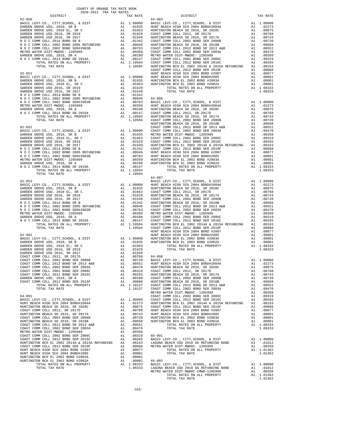| DISTRICT                                                                                                                                                                                                                                                                                                                                                                                                                             |    | TAX RATE                                                                                                                                          |         |
|--------------------------------------------------------------------------------------------------------------------------------------------------------------------------------------------------------------------------------------------------------------------------------------------------------------------------------------------------------------------------------------------------------------------------------------|----|---------------------------------------------------------------------------------------------------------------------------------------------------|---------|
|                                                                                                                                                                                                                                                                                                                                                                                                                                      |    |                                                                                                                                                   |         |
|                                                                                                                                                                                                                                                                                                                                                                                                                                      |    |                                                                                                                                                   |         |
|                                                                                                                                                                                                                                                                                                                                                                                                                                      |    |                                                                                                                                                   |         |
|                                                                                                                                                                                                                                                                                                                                                                                                                                      |    |                                                                                                                                                   |         |
|                                                                                                                                                                                                                                                                                                                                                                                                                                      |    |                                                                                                                                                   |         |
|                                                                                                                                                                                                                                                                                                                                                                                                                                      |    |                                                                                                                                                   |         |
|                                                                                                                                                                                                                                                                                                                                                                                                                                      |    |                                                                                                                                                   |         |
|                                                                                                                                                                                                                                                                                                                                                                                                                                      |    |                                                                                                                                                   |         |
|                                                                                                                                                                                                                                                                                                                                                                                                                                      |    |                                                                                                                                                   |         |
|                                                                                                                                                                                                                                                                                                                                                                                                                                      |    |                                                                                                                                                   |         |
|                                                                                                                                                                                                                                                                                                                                                                                                                                      |    |                                                                                                                                                   |         |
|                                                                                                                                                                                                                                                                                                                                                                                                                                      |    |                                                                                                                                                   |         |
|                                                                                                                                                                                                                                                                                                                                                                                                                                      |    |                                                                                                                                                   |         |
|                                                                                                                                                                                                                                                                                                                                                                                                                                      |    |                                                                                                                                                   |         |
| $\begin{tabular}{lllllllllllllllllllll} \multicolumn{2}{c}{\textbf{BASIC L EVV-CO.}}, & {\textbf{CITY}, SCHOOL}, & \& \textbf{DIST} & \textbf{A1} & 1.00000 & \textbf{HUNT BE} \\ \multicolumn{2}{c}{\textbf{GADEN GROVE ISD, 2010, SR B}} & \multicolumn{2}{c}{\textbf{A1}} & 1.00000 & \textbf{HUNT BE} \\ \multicolumn{2}{c}{\textbf{GARDEN GROVE ISD, 2010, SR C}} & \multicolumn{2}{c}{\textbf{A1}} & .01663 & \textbf{HUNTING$ |    |                                                                                                                                                   |         |
|                                                                                                                                                                                                                                                                                                                                                                                                                                      |    |                                                                                                                                                   |         |
|                                                                                                                                                                                                                                                                                                                                                                                                                                      |    |                                                                                                                                                   |         |
|                                                                                                                                                                                                                                                                                                                                                                                                                                      |    |                                                                                                                                                   |         |
|                                                                                                                                                                                                                                                                                                                                                                                                                                      |    |                                                                                                                                                   |         |
|                                                                                                                                                                                                                                                                                                                                                                                                                                      |    |                                                                                                                                                   |         |
|                                                                                                                                                                                                                                                                                                                                                                                                                                      |    |                                                                                                                                                   |         |
|                                                                                                                                                                                                                                                                                                                                                                                                                                      |    |                                                                                                                                                   |         |
|                                                                                                                                                                                                                                                                                                                                                                                                                                      |    |                                                                                                                                                   |         |
|                                                                                                                                                                                                                                                                                                                                                                                                                                      |    |                                                                                                                                                   |         |
|                                                                                                                                                                                                                                                                                                                                                                                                                                      |    |                                                                                                                                                   |         |
|                                                                                                                                                                                                                                                                                                                                                                                                                                      |    |                                                                                                                                                   |         |
|                                                                                                                                                                                                                                                                                                                                                                                                                                      |    |                                                                                                                                                   |         |
|                                                                                                                                                                                                                                                                                                                                                                                                                                      |    |                                                                                                                                                   |         |
|                                                                                                                                                                                                                                                                                                                                                                                                                                      |    |                                                                                                                                                   |         |
|                                                                                                                                                                                                                                                                                                                                                                                                                                      |    |                                                                                                                                                   |         |
|                                                                                                                                                                                                                                                                                                                                                                                                                                      |    |                                                                                                                                                   |         |
|                                                                                                                                                                                                                                                                                                                                                                                                                                      |    |                                                                                                                                                   |         |
|                                                                                                                                                                                                                                                                                                                                                                                                                                      |    |                                                                                                                                                   |         |
|                                                                                                                                                                                                                                                                                                                                                                                                                                      |    |                                                                                                                                                   |         |
|                                                                                                                                                                                                                                                                                                                                                                                                                                      |    |                                                                                                                                                   |         |
|                                                                                                                                                                                                                                                                                                                                                                                                                                      |    |                                                                                                                                                   |         |
|                                                                                                                                                                                                                                                                                                                                                                                                                                      |    |                                                                                                                                                   |         |
|                                                                                                                                                                                                                                                                                                                                                                                                                                      |    |                                                                                                                                                   |         |
|                                                                                                                                                                                                                                                                                                                                                                                                                                      |    |                                                                                                                                                   |         |
|                                                                                                                                                                                                                                                                                                                                                                                                                                      |    |                                                                                                                                                   |         |
|                                                                                                                                                                                                                                                                                                                                                                                                                                      |    |                                                                                                                                                   |         |
|                                                                                                                                                                                                                                                                                                                                                                                                                                      |    |                                                                                                                                                   |         |
|                                                                                                                                                                                                                                                                                                                                                                                                                                      |    |                                                                                                                                                   | 64-007  |
|                                                                                                                                                                                                                                                                                                                                                                                                                                      |    |                                                                                                                                                   |         |
|                                                                                                                                                                                                                                                                                                                                                                                                                                      |    |                                                                                                                                                   |         |
|                                                                                                                                                                                                                                                                                                                                                                                                                                      |    |                                                                                                                                                   |         |
|                                                                                                                                                                                                                                                                                                                                                                                                                                      |    |                                                                                                                                                   |         |
|                                                                                                                                                                                                                                                                                                                                                                                                                                      |    |                                                                                                                                                   |         |
|                                                                                                                                                                                                                                                                                                                                                                                                                                      |    |                                                                                                                                                   |         |
|                                                                                                                                                                                                                                                                                                                                                                                                                                      |    |                                                                                                                                                   |         |
|                                                                                                                                                                                                                                                                                                                                                                                                                                      |    |                                                                                                                                                   |         |
|                                                                                                                                                                                                                                                                                                                                                                                                                                      |    |                                                                                                                                                   |         |
|                                                                                                                                                                                                                                                                                                                                                                                                                                      |    |                                                                                                                                                   |         |
|                                                                                                                                                                                                                                                                                                                                                                                                                                      |    |                                                                                                                                                   |         |
|                                                                                                                                                                                                                                                                                                                                                                                                                                      |    |                                                                                                                                                   |         |
|                                                                                                                                                                                                                                                                                                                                                                                                                                      |    |                                                                                                                                                   |         |
|                                                                                                                                                                                                                                                                                                                                                                                                                                      |    |                                                                                                                                                   | HUNT BE |
|                                                                                                                                                                                                                                                                                                                                                                                                                                      |    |                                                                                                                                                   |         |
|                                                                                                                                                                                                                                                                                                                                                                                                                                      |    |                                                                                                                                                   |         |
|                                                                                                                                                                                                                                                                                                                                                                                                                                      |    |                                                                                                                                                   |         |
|                                                                                                                                                                                                                                                                                                                                                                                                                                      |    |                                                                                                                                                   |         |
|                                                                                                                                                                                                                                                                                                                                                                                                                                      |    |                                                                                                                                                   |         |
|                                                                                                                                                                                                                                                                                                                                                                                                                                      |    |                                                                                                                                                   |         |
|                                                                                                                                                                                                                                                                                                                                                                                                                                      |    |                                                                                                                                                   |         |
|                                                                                                                                                                                                                                                                                                                                                                                                                                      |    |                                                                                                                                                   |         |
| COAST COMM COLL 2002 BOND SER 2003A                                                                                                                                                                                                                                                                                                                                                                                                  |    | A1 .00370 HUNTING<br>A1 .00319 COAST C<br>A1 .00365 HUNTING<br>A1 .00265 HUNTING<br>A1 .00180 COAST C<br>A1 1.10137 COAST C<br>A1 1.10137 COAST C |         |
| COAST COMM COLL 2002 BOND SER 2006C                                                                                                                                                                                                                                                                                                                                                                                                  |    |                                                                                                                                                   |         |
| COAST COMM COLL 2012 BOND SER 2016C                                                                                                                                                                                                                                                                                                                                                                                                  |    |                                                                                                                                                   |         |
| GARDEN GROVE USD, 2010, SR A                                                                                                                                                                                                                                                                                                                                                                                                         |    |                                                                                                                                                   |         |
| COAST COMM COLL 2012 BOND SER 2019F                                                                                                                                                                                                                                                                                                                                                                                                  |    |                                                                                                                                                   |         |
| TOTAL RATES ON ALL PROPERTY                                                                                                                                                                                                                                                                                                                                                                                                          |    |                                                                                                                                                   |         |
| TOTAL TAX RATE                                                                                                                                                                                                                                                                                                                                                                                                                       |    |                                                                                                                                                   |         |
|                                                                                                                                                                                                                                                                                                                                                                                                                                      |    |                                                                                                                                                   | METRO W |
| $64 - 001$                                                                                                                                                                                                                                                                                                                                                                                                                           |    |                                                                                                                                                   | COAST C |
|                                                                                                                                                                                                                                                                                                                                                                                                                                      |    |                                                                                                                                                   |         |
|                                                                                                                                                                                                                                                                                                                                                                                                                                      |    |                                                                                                                                                   |         |
|                                                                                                                                                                                                                                                                                                                                                                                                                                      |    |                                                                                                                                                   |         |
|                                                                                                                                                                                                                                                                                                                                                                                                                                      |    |                                                                                                                                                   |         |
|                                                                                                                                                                                                                                                                                                                                                                                                                                      |    |                                                                                                                                                   |         |
|                                                                                                                                                                                                                                                                                                                                                                                                                                      |    |                                                                                                                                                   |         |
|                                                                                                                                                                                                                                                                                                                                                                                                                                      |    |                                                                                                                                                   |         |
|                                                                                                                                                                                                                                                                                                                                                                                                                                      |    |                                                                                                                                                   |         |
|                                                                                                                                                                                                                                                                                                                                                                                                                                      |    |                                                                                                                                                   |         |
|                                                                                                                                                                                                                                                                                                                                                                                                                                      |    |                                                                                                                                                   |         |
|                                                                                                                                                                                                                                                                                                                                                                                                                                      |    |                                                                                                                                                   |         |
|                                                                                                                                                                                                                                                                                                                                                                                                                                      |    |                                                                                                                                                   |         |
|                                                                                                                                                                                                                                                                                                                                                                                                                                      |    |                                                                                                                                                   |         |
| HUNT BEACH HIGH SCH 2004 BOND #2007                                                                                                                                                                                                                                                                                                                                                                                                  | A1 | .00077                                                                                                                                            |         |
| HUNT BEACH HIGH SCH 2004 BOND#2005                                                                                                                                                                                                                                                                                                                                                                                                   | A1 | .00001                                                                                                                                            |         |
| HUNTINGTON BCH EL 2002 BOND #2003A                                                                                                                                                                                                                                                                                                                                                                                                   |    | A1 .00001                                                                                                                                         |         |
| HUNTINGTON BCH EL 2002 BOND #2002A                                                                                                                                                                                                                                                                                                                                                                                                   |    | A1 .00001 66-002                                                                                                                                  |         |
| TOTAL RATES ON ALL PROPERTY<br>TOTAL TAX RATE                                                                                                                                                                                                                                                                                                                                                                                        |    | A1 1.08333<br>1.08333 LAGUNA                                                                                                                      | BASIC L |
|                                                                                                                                                                                                                                                                                                                                                                                                                                      |    |                                                                                                                                                   |         |

| COUNTY OF ORANGE TAX RATE BOOK<br>2020-2021 TRA TAX RATES<br>$2020-2021 \quad \text{TRA RATES}$ DISTRICT $$\tt 2020-2021$$ |          |            |          |
|----------------------------------------------------------------------------------------------------------------------------|----------|------------|----------|
|                                                                                                                            | TAX RATE | DISTRICT   | TAX RATE |
| $62 - 050$                                                                                                                 |          | $64 - 003$ |          |
|                                                                                                                            |          |            |          |
|                                                                                                                            |          |            |          |
|                                                                                                                            |          |            |          |
|                                                                                                                            |          |            |          |
|                                                                                                                            |          |            |          |
|                                                                                                                            |          |            |          |
|                                                                                                                            |          |            |          |
|                                                                                                                            |          |            |          |
|                                                                                                                            |          |            |          |
|                                                                                                                            |          |            |          |
|                                                                                                                            |          |            |          |
|                                                                                                                            |          |            |          |
|                                                                                                                            |          |            |          |
|                                                                                                                            |          |            |          |
|                                                                                                                            |          |            |          |
|                                                                                                                            |          |            |          |
|                                                                                                                            |          |            |          |
|                                                                                                                            |          |            |          |
|                                                                                                                            |          |            |          |
|                                                                                                                            |          |            |          |
|                                                                                                                            |          |            |          |
|                                                                                                                            |          |            |          |
|                                                                                                                            |          |            |          |
|                                                                                                                            |          |            |          |
|                                                                                                                            |          |            |          |
|                                                                                                                            |          |            |          |
|                                                                                                                            |          |            |          |
|                                                                                                                            |          |            |          |
|                                                                                                                            |          |            |          |
|                                                                                                                            |          |            |          |
|                                                                                                                            |          |            |          |
|                                                                                                                            |          |            |          |
| TOTAL TAX RATE                                                                                                             | 1.10504  | 64-007     |          |
|                                                                                                                            |          |            |          |
|                                                                                                                            |          |            |          |
|                                                                                                                            |          |            |          |
|                                                                                                                            |          |            |          |
|                                                                                                                            |          |            |          |
|                                                                                                                            |          |            |          |
|                                                                                                                            |          |            |          |
|                                                                                                                            |          |            |          |
|                                                                                                                            |          |            |          |
|                                                                                                                            |          |            |          |
|                                                                                                                            |          |            |          |
|                                                                                                                            |          |            |          |
|                                                                                                                            |          |            |          |
|                                                                                                                            |          |            |          |
|                                                                                                                            |          |            |          |
|                                                                                                                            |          |            |          |
|                                                                                                                            |          |            |          |
|                                                                                                                            |          |            |          |
|                                                                                                                            |          |            |          |
|                                                                                                                            |          |            |          |
|                                                                                                                            |          |            |          |
|                                                                                                                            |          |            |          |
|                                                                                                                            |          |            |          |
|                                                                                                                            |          |            |          |
|                                                                                                                            |          |            |          |
|                                                                                                                            |          |            |          |
|                                                                                                                            |          |            |          |
|                                                                                                                            |          |            |          |
|                                                                                                                            |          |            |          |
|                                                                                                                            |          |            |          |
|                                                                                                                            |          |            |          |
|                                                                                                                            |          |            |          |
|                                                                                                                            |          |            |          |
|                                                                                                                            |          |            |          |
|                                                                                                                            |          |            |          |
|                                                                                                                            |          |            |          |
|                                                                                                                            |          |            |          |
|                                                                                                                            |          |            |          |
|                                                                                                                            |          |            |          |
|                                                                                                                            |          |            |          |
|                                                                                                                            |          |            |          |
|                                                                                                                            |          |            |          |
|                                                                                                                            |          |            |          |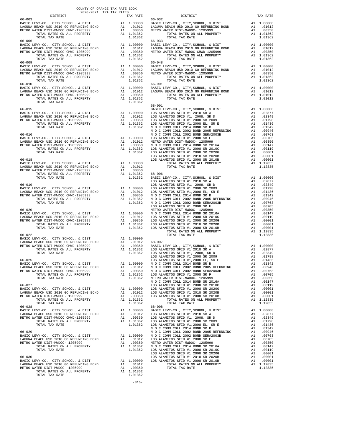| COUNTY OF ORANGE TAX RATE BOOK<br>2020-2021 TRA TAX RATES<br>DISTRICT |  |  |
|-----------------------------------------------------------------------|--|--|
|                                                                       |  |  |
|                                                                       |  |  |
|                                                                       |  |  |
|                                                                       |  |  |
|                                                                       |  |  |
|                                                                       |  |  |
|                                                                       |  |  |
|                                                                       |  |  |
|                                                                       |  |  |
|                                                                       |  |  |
|                                                                       |  |  |
|                                                                       |  |  |
|                                                                       |  |  |
|                                                                       |  |  |
|                                                                       |  |  |
|                                                                       |  |  |
|                                                                       |  |  |
|                                                                       |  |  |
|                                                                       |  |  |
|                                                                       |  |  |
|                                                                       |  |  |
|                                                                       |  |  |
|                                                                       |  |  |
|                                                                       |  |  |
|                                                                       |  |  |
|                                                                       |  |  |
|                                                                       |  |  |
|                                                                       |  |  |
|                                                                       |  |  |
|                                                                       |  |  |
|                                                                       |  |  |
|                                                                       |  |  |
|                                                                       |  |  |
|                                                                       |  |  |
|                                                                       |  |  |
|                                                                       |  |  |
|                                                                       |  |  |
|                                                                       |  |  |
|                                                                       |  |  |
|                                                                       |  |  |
|                                                                       |  |  |
|                                                                       |  |  |
|                                                                       |  |  |
|                                                                       |  |  |
|                                                                       |  |  |
|                                                                       |  |  |
|                                                                       |  |  |
|                                                                       |  |  |
|                                                                       |  |  |
|                                                                       |  |  |
|                                                                       |  |  |
|                                                                       |  |  |
|                                                                       |  |  |
|                                                                       |  |  |
|                                                                       |  |  |
|                                                                       |  |  |
|                                                                       |  |  |
|                                                                       |  |  |
|                                                                       |  |  |
|                                                                       |  |  |
|                                                                       |  |  |
|                                                                       |  |  |
|                                                                       |  |  |
|                                                                       |  |  |
|                                                                       |  |  |
|                                                                       |  |  |
|                                                                       |  |  |
|                                                                       |  |  |
|                                                                       |  |  |
|                                                                       |  |  |
|                                                                       |  |  |
|                                                                       |  |  |
|                                                                       |  |  |
|                                                                       |  |  |
|                                                                       |  |  |
|                                                                       |  |  |
|                                                                       |  |  |
|                                                                       |  |  |

-316-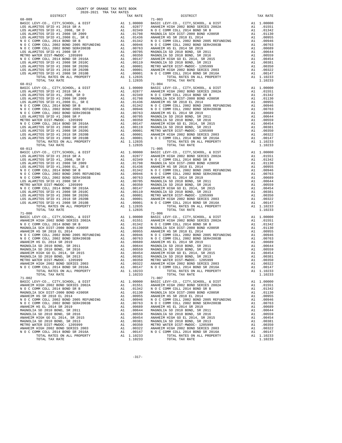| TOTAL TAX RATE                                                                                                                                                                                                                                                                                                                                                                                                                    |               | 1.12835                                                                                                                                                                                     |                    |
|-----------------------------------------------------------------------------------------------------------------------------------------------------------------------------------------------------------------------------------------------------------------------------------------------------------------------------------------------------------------------------------------------------------------------------------|---------------|---------------------------------------------------------------------------------------------------------------------------------------------------------------------------------------------|--------------------|
| 68-012                                                                                                                                                                                                                                                                                                                                                                                                                            |               |                                                                                                                                                                                             | $71 - 004$         |
|                                                                                                                                                                                                                                                                                                                                                                                                                                   |               |                                                                                                                                                                                             |                    |
|                                                                                                                                                                                                                                                                                                                                                                                                                                   |               |                                                                                                                                                                                             |                    |
|                                                                                                                                                                                                                                                                                                                                                                                                                                   |               |                                                                                                                                                                                             |                    |
|                                                                                                                                                                                                                                                                                                                                                                                                                                   |               |                                                                                                                                                                                             |                    |
|                                                                                                                                                                                                                                                                                                                                                                                                                                   |               |                                                                                                                                                                                             |                    |
|                                                                                                                                                                                                                                                                                                                                                                                                                                   |               |                                                                                                                                                                                             |                    |
|                                                                                                                                                                                                                                                                                                                                                                                                                                   |               |                                                                                                                                                                                             |                    |
|                                                                                                                                                                                                                                                                                                                                                                                                                                   |               |                                                                                                                                                                                             |                    |
|                                                                                                                                                                                                                                                                                                                                                                                                                                   |               |                                                                                                                                                                                             |                    |
|                                                                                                                                                                                                                                                                                                                                                                                                                                   |               |                                                                                                                                                                                             |                    |
|                                                                                                                                                                                                                                                                                                                                                                                                                                   |               |                                                                                                                                                                                             |                    |
|                                                                                                                                                                                                                                                                                                                                                                                                                                   |               |                                                                                                                                                                                             |                    |
|                                                                                                                                                                                                                                                                                                                                                                                                                                   |               |                                                                                                                                                                                             |                    |
|                                                                                                                                                                                                                                                                                                                                                                                                                                   |               |                                                                                                                                                                                             |                    |
| TOTAL TAX RATE                                                                                                                                                                                                                                                                                                                                                                                                                    |               | 1.12835                                                                                                                                                                                     |                    |
| $68 - 013$                                                                                                                                                                                                                                                                                                                                                                                                                        |               |                                                                                                                                                                                             | $71 - 005$         |
|                                                                                                                                                                                                                                                                                                                                                                                                                                   |               |                                                                                                                                                                                             |                    |
|                                                                                                                                                                                                                                                                                                                                                                                                                                   |               |                                                                                                                                                                                             |                    |
|                                                                                                                                                                                                                                                                                                                                                                                                                                   |               |                                                                                                                                                                                             |                    |
|                                                                                                                                                                                                                                                                                                                                                                                                                                   |               |                                                                                                                                                                                             |                    |
|                                                                                                                                                                                                                                                                                                                                                                                                                                   |               |                                                                                                                                                                                             |                    |
|                                                                                                                                                                                                                                                                                                                                                                                                                                   |               |                                                                                                                                                                                             |                    |
|                                                                                                                                                                                                                                                                                                                                                                                                                                   |               |                                                                                                                                                                                             |                    |
|                                                                                                                                                                                                                                                                                                                                                                                                                                   |               |                                                                                                                                                                                             |                    |
|                                                                                                                                                                                                                                                                                                                                                                                                                                   |               |                                                                                                                                                                                             |                    |
|                                                                                                                                                                                                                                                                                                                                                                                                                                   |               |                                                                                                                                                                                             |                    |
|                                                                                                                                                                                                                                                                                                                                                                                                                                   |               |                                                                                                                                                                                             |                    |
|                                                                                                                                                                                                                                                                                                                                                                                                                                   |               |                                                                                                                                                                                             |                    |
|                                                                                                                                                                                                                                                                                                                                                                                                                                   |               |                                                                                                                                                                                             |                    |
|                                                                                                                                                                                                                                                                                                                                                                                                                                   |               |                                                                                                                                                                                             |                    |
|                                                                                                                                                                                                                                                                                                                                                                                                                                   |               |                                                                                                                                                                                             |                    |
|                                                                                                                                                                                                                                                                                                                                                                                                                                   |               |                                                                                                                                                                                             |                    |
| $71 - 000$                                                                                                                                                                                                                                                                                                                                                                                                                        |               |                                                                                                                                                                                             | $71 - 006$         |
|                                                                                                                                                                                                                                                                                                                                                                                                                                   |               |                                                                                                                                                                                             |                    |
|                                                                                                                                                                                                                                                                                                                                                                                                                                   |               |                                                                                                                                                                                             |                    |
|                                                                                                                                                                                                                                                                                                                                                                                                                                   |               |                                                                                                                                                                                             |                    |
|                                                                                                                                                                                                                                                                                                                                                                                                                                   |               |                                                                                                                                                                                             |                    |
|                                                                                                                                                                                                                                                                                                                                                                                                                                   |               |                                                                                                                                                                                             |                    |
|                                                                                                                                                                                                                                                                                                                                                                                                                                   |               |                                                                                                                                                                                             |                    |
|                                                                                                                                                                                                                                                                                                                                                                                                                                   |               |                                                                                                                                                                                             |                    |
|                                                                                                                                                                                                                                                                                                                                                                                                                                   |               |                                                                                                                                                                                             |                    |
|                                                                                                                                                                                                                                                                                                                                                                                                                                   |               |                                                                                                                                                                                             |                    |
|                                                                                                                                                                                                                                                                                                                                                                                                                                   |               |                                                                                                                                                                                             |                    |
|                                                                                                                                                                                                                                                                                                                                                                                                                                   |               |                                                                                                                                                                                             |                    |
|                                                                                                                                                                                                                                                                                                                                                                                                                                   |               |                                                                                                                                                                                             |                    |
|                                                                                                                                                                                                                                                                                                                                                                                                                                   |               |                                                                                                                                                                                             |                    |
|                                                                                                                                                                                                                                                                                                                                                                                                                                   |               |                                                                                                                                                                                             |                    |
| $\begin{tabular}{c c c c} \multicolumn{4}{c}{\begin{tabular}{c} $1-000$} \multicolumn{4}{c}{\begin{tabular}{c} $1-000$} \multicolumn{4}{c}{\begin{tabular}{c} $1-000$} \multicolumn{4}{c}{\begin{tabular}{c} $1-000$} \multicolumn{4}{c}{\begin{tabular}{c} $1-000$} \multicolumn{4}{c}{\begin{tabular}{c} $1-000$} \multicolumn{4}{c}{\begin{tabular}{c} $1-000$} \multicolumn{4}{c}{\begin{tabular}{c} $1-000$} \multicolumn{4$ |               |                                                                                                                                                                                             |                    |
| TOTAL TAX RATE                                                                                                                                                                                                                                                                                                                                                                                                                    |               | 1.10233                                                                                                                                                                                     | $71 - 007$         |
| 71-002<br>BASIC LEVY-CO., CITY, SCHOOL, & DIST                                                                                                                                                                                                                                                                                                                                                                                    |               | A1 1.00000                                                                                                                                                                                  | BASIC L            |
| ANAHEIM HIGH 2002 BOND SERIES 2002A                                                                                                                                                                                                                                                                                                                                                                                               |               | A1 .01551                                                                                                                                                                                   | ANAHEIM            |
| N O C COMM COLL 2014 BOND SR B                                                                                                                                                                                                                                                                                                                                                                                                    |               |                                                                                                                                                                                             |                    |
| MAGNOLIA SCH DIST-2000 BOND #2005R                                                                                                                                                                                                                                                                                                                                                                                                |               | A1 .01342 NOCC<br>A1 .01130 MAGNOLI                                                                                                                                                         |                    |
| ANAHEIM HS SR 2018 EL 2014                                                                                                                                                                                                                                                                                                                                                                                                        | $\mathtt{Al}$ | .00955                                                                                                                                                                                      | ANAHEIM            |
| N O C COMM COLL 2002 BOND 2005 REFUNDING                                                                                                                                                                                                                                                                                                                                                                                          | A1            | .00946                                                                                                                                                                                      | NOCC               |
| N O C COMM COLL 2002 BOND SER#2003B                                                                                                                                                                                                                                                                                                                                                                                               | A1            | .00763 NOCC<br>.00689 ANAHEIM                                                                                                                                                               |                    |
| ANAHEIM HS EL 2014 SR 2019                                                                                                                                                                                                                                                                                                                                                                                                        | A1            |                                                                                                                                                                                             |                    |
| MAGNOLIA SD 2010 BOND, SR 2011                                                                                                                                                                                                                                                                                                                                                                                                    |               | A1 .00644                                                                                                                                                                                   | MAGNOLI            |
| MAGNOLIA SD 2010 BOND, SR 2016                                                                                                                                                                                                                                                                                                                                                                                                    |               | A1 .00559                                                                                                                                                                                   | MAGNOLI<br>ANAHEIM |
| ANAHEIM HIGH GO EL 2014, SR 2015                                                                                                                                                                                                                                                                                                                                                                                                  | A1            | .00454                                                                                                                                                                                      |                    |
| MAGNOLIA SD 2010 BOND, SR 2013                                                                                                                                                                                                                                                                                                                                                                                                    | A1            | .00381                                                                                                                                                                                      | MAGNOLI            |
| METRO WATER DIST-MWDOC- 1205999                                                                                                                                                                                                                                                                                                                                                                                                   | A1            | .00350<br>$\begin{tabular}{ccccc} & $\cdots$ & \textbf{METRO W} \\ \textbf{.00322} & \textbf{ANAHEIM} \\ \textbf{.00147} & \textbf{N} & \textbf{O} & \textbf{O} & \textbf{O} \end{tabular}$ |                    |
| ANAHEIM HIGH 2002 BOND SERIES 2003<br>N O C COMM COLL 2014 BOND SR 2016A                                                                                                                                                                                                                                                                                                                                                          | A1<br>A1      |                                                                                                                                                                                             |                    |
| TOTAL RATES ON ALL PROPERTY                                                                                                                                                                                                                                                                                                                                                                                                       |               | A1 1.10233                                                                                                                                                                                  |                    |
|                                                                                                                                                                                                                                                                                                                                                                                                                                   |               |                                                                                                                                                                                             |                    |

| DISTRICT                                                                                                                                                                                                                                      | TAX RATE | DISTRICT       | TAX RATE |
|-----------------------------------------------------------------------------------------------------------------------------------------------------------------------------------------------------------------------------------------------|----------|----------------|----------|
| $68 - 009$                                                                                                                                                                                                                                    |          | $71 - 003$     |          |
|                                                                                                                                                                                                                                               |          |                |          |
|                                                                                                                                                                                                                                               |          |                |          |
|                                                                                                                                                                                                                                               |          |                |          |
|                                                                                                                                                                                                                                               |          |                |          |
|                                                                                                                                                                                                                                               |          |                |          |
|                                                                                                                                                                                                                                               |          |                |          |
|                                                                                                                                                                                                                                               |          |                |          |
|                                                                                                                                                                                                                                               |          |                |          |
|                                                                                                                                                                                                                                               |          |                |          |
|                                                                                                                                                                                                                                               |          |                |          |
|                                                                                                                                                                                                                                               |          |                |          |
|                                                                                                                                                                                                                                               |          |                |          |
|                                                                                                                                                                                                                                               |          |                |          |
|                                                                                                                                                                                                                                               |          |                |          |
|                                                                                                                                                                                                                                               |          |                |          |
|                                                                                                                                                                                                                                               |          |                |          |
|                                                                                                                                                                                                                                               |          |                |          |
|                                                                                                                                                                                                                                               |          |                |          |
|                                                                                                                                                                                                                                               |          |                |          |
|                                                                                                                                                                                                                                               |          |                |          |
|                                                                                                                                                                                                                                               |          |                |          |
|                                                                                                                                                                                                                                               |          |                |          |
|                                                                                                                                                                                                                                               |          |                |          |
|                                                                                                                                                                                                                                               |          |                |          |
|                                                                                                                                                                                                                                               |          |                |          |
|                                                                                                                                                                                                                                               |          |                |          |
|                                                                                                                                                                                                                                               |          |                |          |
|                                                                                                                                                                                                                                               |          |                |          |
| $\begin{array}{cccccccc} 10716, 04765, 0785, 0884, 0884, 0884, 0884, 0884, 0884, 0884, 0884, 0884, 0884, 0884, 0884, 0884, 0884, 0884, 0884, 0884, 0884, 0884, 0884, 0884, 0884, 0884, 0884, 0884, 0884, 0884, 0884, 0884, 0884, 0884, 0884,$ |          |                |          |
|                                                                                                                                                                                                                                               |          |                |          |
|                                                                                                                                                                                                                                               |          |                |          |
|                                                                                                                                                                                                                                               |          |                |          |
|                                                                                                                                                                                                                                               |          |                |          |
|                                                                                                                                                                                                                                               |          |                |          |
|                                                                                                                                                                                                                                               |          |                |          |
|                                                                                                                                                                                                                                               |          |                |          |
|                                                                                                                                                                                                                                               |          |                |          |
|                                                                                                                                                                                                                                               |          |                |          |
|                                                                                                                                                                                                                                               |          |                |          |
|                                                                                                                                                                                                                                               |          |                |          |
|                                                                                                                                                                                                                                               |          |                |          |
|                                                                                                                                                                                                                                               |          |                |          |
|                                                                                                                                                                                                                                               |          |                |          |
|                                                                                                                                                                                                                                               |          |                |          |
|                                                                                                                                                                                                                                               |          |                |          |
|                                                                                                                                                                                                                                               |          |                |          |
|                                                                                                                                                                                                                                               |          |                |          |
|                                                                                                                                                                                                                                               |          |                |          |
|                                                                                                                                                                                                                                               |          |                |          |
|                                                                                                                                                                                                                                               |          |                |          |
|                                                                                                                                                                                                                                               |          |                |          |
|                                                                                                                                                                                                                                               |          |                |          |
|                                                                                                                                                                                                                                               |          |                |          |
|                                                                                                                                                                                                                                               |          |                |          |
|                                                                                                                                                                                                                                               |          |                |          |
|                                                                                                                                                                                                                                               |          |                |          |
|                                                                                                                                                                                                                                               |          |                |          |
|                                                                                                                                                                                                                                               |          |                |          |
|                                                                                                                                                                                                                                               |          |                |          |
|                                                                                                                                                                                                                                               |          |                |          |
|                                                                                                                                                                                                                                               |          |                |          |
|                                                                                                                                                                                                                                               |          |                |          |
|                                                                                                                                                                                                                                               |          |                |          |
|                                                                                                                                                                                                                                               |          |                |          |
|                                                                                                                                                                                                                                               |          |                |          |
|                                                                                                                                                                                                                                               |          |                |          |
|                                                                                                                                                                                                                                               |          |                |          |
|                                                                                                                                                                                                                                               |          |                |          |
|                                                                                                                                                                                                                                               |          |                |          |
|                                                                                                                                                                                                                                               |          |                |          |
|                                                                                                                                                                                                                                               |          |                |          |
|                                                                                                                                                                                                                                               |          |                |          |
|                                                                                                                                                                                                                                               |          |                |          |
|                                                                                                                                                                                                                                               |          |                |          |
| $71 - 002$                                                                                                                                                                                                                                    |          | $71 - 007$     |          |
| AN 1.00000 BASIC LEVY-CO., CITY, SCHOOL, & DIST AN 1.00000 BASIC LEVY-CO., CITY, SCHOOL, & DIST AN 1.00000 BASIC LEVY-CO., CITY, SCHOOL, & DIST AN 1.00000 ANAHEIM HIGH 2002 BOND SERIES 2002A                                                |          |                |          |
|                                                                                                                                                                                                                                               |          |                |          |
|                                                                                                                                                                                                                                               |          |                |          |
|                                                                                                                                                                                                                                               |          |                |          |
|                                                                                                                                                                                                                                               |          |                |          |
|                                                                                                                                                                                                                                               |          |                |          |
|                                                                                                                                                                                                                                               |          |                |          |
|                                                                                                                                                                                                                                               |          |                |          |
|                                                                                                                                                                                                                                               |          |                |          |
|                                                                                                                                                                                                                                               |          |                |          |
|                                                                                                                                                                                                                                               |          |                |          |
|                                                                                                                                                                                                                                               |          |                |          |
|                                                                                                                                                                                                                                               |          |                |          |
|                                                                                                                                                                                                                                               |          |                |          |
|                                                                                                                                                                                                                                               |          |                |          |
|                                                                                                                                                                                                                                               |          |                |          |
|                                                                                                                                                                                                                                               |          |                |          |
| TOTAL TAX RATE                                                                                                                                                                                                                                | 1.10233  | TOTAL TAX RATE | 1.10233  |
|                                                                                                                                                                                                                                               |          |                |          |

-317-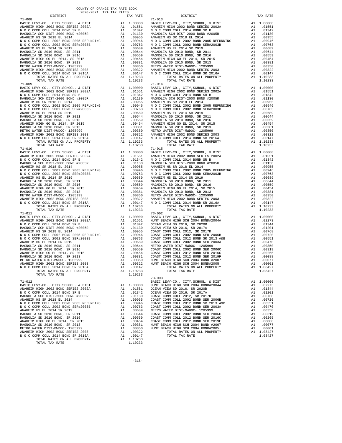| COUNTY OF ORANGE TAX RATE BOOK<br>$2020-2021 \quad \text{TRA TAX RATES}$ DISTRICT                                                                                                                                                                                           |          |                                                                                                                                                                                                                                                                                               |          |
|-----------------------------------------------------------------------------------------------------------------------------------------------------------------------------------------------------------------------------------------------------------------------------|----------|-----------------------------------------------------------------------------------------------------------------------------------------------------------------------------------------------------------------------------------------------------------------------------------------------|----------|
| $\begin{tabular}{cccccccc} $1-0.08$ & $128782721$ & $1248948728 & $1248948728 & $1248948728 & $1248948728 & $124894872877627, $124894876767, $1648248 & $124894876767, $1648248 & $124894876767, $1648248 & $124894876767, $1648248 & $124894876767, $1648248 & $124894876$ | TAX RATE | DISTRICT                                                                                                                                                                                                                                                                                      | TAX RATE |
|                                                                                                                                                                                                                                                                             |          | $71 - 013$                                                                                                                                                                                                                                                                                    |          |
|                                                                                                                                                                                                                                                                             |          |                                                                                                                                                                                                                                                                                               |          |
|                                                                                                                                                                                                                                                                             |          |                                                                                                                                                                                                                                                                                               |          |
|                                                                                                                                                                                                                                                                             |          |                                                                                                                                                                                                                                                                                               |          |
|                                                                                                                                                                                                                                                                             |          |                                                                                                                                                                                                                                                                                               |          |
|                                                                                                                                                                                                                                                                             |          |                                                                                                                                                                                                                                                                                               |          |
|                                                                                                                                                                                                                                                                             |          |                                                                                                                                                                                                                                                                                               |          |
|                                                                                                                                                                                                                                                                             |          |                                                                                                                                                                                                                                                                                               |          |
|                                                                                                                                                                                                                                                                             |          |                                                                                                                                                                                                                                                                                               |          |
|                                                                                                                                                                                                                                                                             |          |                                                                                                                                                                                                                                                                                               |          |
|                                                                                                                                                                                                                                                                             |          |                                                                                                                                                                                                                                                                                               |          |
|                                                                                                                                                                                                                                                                             |          |                                                                                                                                                                                                                                                                                               |          |
|                                                                                                                                                                                                                                                                             |          |                                                                                                                                                                                                                                                                                               |          |
|                                                                                                                                                                                                                                                                             |          |                                                                                                                                                                                                                                                                                               |          |
|                                                                                                                                                                                                                                                                             |          |                                                                                                                                                                                                                                                                                               |          |
|                                                                                                                                                                                                                                                                             |          |                                                                                                                                                                                                                                                                                               |          |
|                                                                                                                                                                                                                                                                             |          |                                                                                                                                                                                                                                                                                               |          |
|                                                                                                                                                                                                                                                                             |          |                                                                                                                                                                                                                                                                                               |          |
|                                                                                                                                                                                                                                                                             |          |                                                                                                                                                                                                                                                                                               |          |
|                                                                                                                                                                                                                                                                             |          |                                                                                                                                                                                                                                                                                               |          |
|                                                                                                                                                                                                                                                                             |          |                                                                                                                                                                                                                                                                                               |          |
|                                                                                                                                                                                                                                                                             |          |                                                                                                                                                                                                                                                                                               |          |
|                                                                                                                                                                                                                                                                             |          |                                                                                                                                                                                                                                                                                               |          |
|                                                                                                                                                                                                                                                                             |          |                                                                                                                                                                                                                                                                                               |          |
|                                                                                                                                                                                                                                                                             |          |                                                                                                                                                                                                                                                                                               |          |
|                                                                                                                                                                                                                                                                             |          |                                                                                                                                                                                                                                                                                               |          |
|                                                                                                                                                                                                                                                                             |          |                                                                                                                                                                                                                                                                                               |          |
|                                                                                                                                                                                                                                                                             |          |                                                                                                                                                                                                                                                                                               |          |
|                                                                                                                                                                                                                                                                             |          |                                                                                                                                                                                                                                                                                               |          |
|                                                                                                                                                                                                                                                                             |          |                                                                                                                                                                                                                                                                                               |          |
|                                                                                                                                                                                                                                                                             |          |                                                                                                                                                                                                                                                                                               |          |
|                                                                                                                                                                                                                                                                             |          |                                                                                                                                                                                                                                                                                               |          |
|                                                                                                                                                                                                                                                                             |          |                                                                                                                                                                                                                                                                                               |          |
|                                                                                                                                                                                                                                                                             |          |                                                                                                                                                                                                                                                                                               |          |
|                                                                                                                                                                                                                                                                             |          |                                                                                                                                                                                                                                                                                               |          |
|                                                                                                                                                                                                                                                                             |          |                                                                                                                                                                                                                                                                                               |          |
|                                                                                                                                                                                                                                                                             |          |                                                                                                                                                                                                                                                                                               |          |
|                                                                                                                                                                                                                                                                             |          |                                                                                                                                                                                                                                                                                               |          |
|                                                                                                                                                                                                                                                                             |          |                                                                                                                                                                                                                                                                                               |          |
|                                                                                                                                                                                                                                                                             |          |                                                                                                                                                                                                                                                                                               |          |
|                                                                                                                                                                                                                                                                             |          |                                                                                                                                                                                                                                                                                               |          |
|                                                                                                                                                                                                                                                                             |          |                                                                                                                                                                                                                                                                                               |          |
|                                                                                                                                                                                                                                                                             |          |                                                                                                                                                                                                                                                                                               |          |
|                                                                                                                                                                                                                                                                             |          |                                                                                                                                                                                                                                                                                               |          |
|                                                                                                                                                                                                                                                                             |          |                                                                                                                                                                                                                                                                                               |          |
|                                                                                                                                                                                                                                                                             |          |                                                                                                                                                                                                                                                                                               |          |
|                                                                                                                                                                                                                                                                             |          |                                                                                                                                                                                                                                                                                               |          |
|                                                                                                                                                                                                                                                                             |          |                                                                                                                                                                                                                                                                                               |          |
|                                                                                                                                                                                                                                                                             |          |                                                                                                                                                                                                                                                                                               |          |
|                                                                                                                                                                                                                                                                             |          |                                                                                                                                                                                                                                                                                               |          |
|                                                                                                                                                                                                                                                                             |          |                                                                                                                                                                                                                                                                                               |          |
|                                                                                                                                                                                                                                                                             |          |                                                                                                                                                                                                                                                                                               |          |
|                                                                                                                                                                                                                                                                             |          |                                                                                                                                                                                                                                                                                               |          |
|                                                                                                                                                                                                                                                                             |          |                                                                                                                                                                                                                                                                                               |          |
|                                                                                                                                                                                                                                                                             |          |                                                                                                                                                                                                                                                                                               |          |
|                                                                                                                                                                                                                                                                             |          |                                                                                                                                                                                                                                                                                               |          |
|                                                                                                                                                                                                                                                                             |          |                                                                                                                                                                                                                                                                                               |          |
|                                                                                                                                                                                                                                                                             |          |                                                                                                                                                                                                                                                                                               |          |
|                                                                                                                                                                                                                                                                             |          |                                                                                                                                                                                                                                                                                               |          |
|                                                                                                                                                                                                                                                                             |          |                                                                                                                                                                                                                                                                                               |          |
|                                                                                                                                                                                                                                                                             |          |                                                                                                                                                                                                                                                                                               |          |
|                                                                                                                                                                                                                                                                             |          |                                                                                                                                                                                                                                                                                               |          |
|                                                                                                                                                                                                                                                                             |          |                                                                                                                                                                                                                                                                                               |          |
|                                                                                                                                                                                                                                                                             |          |                                                                                                                                                                                                                                                                                               |          |
|                                                                                                                                                                                                                                                                             |          |                                                                                                                                                                                                                                                                                               |          |
|                                                                                                                                                                                                                                                                             |          |                                                                                                                                                                                                                                                                                               |          |
| TOTAL TAX RATE                                                                                                                                                                                                                                                              | 1.10233  |                                                                                                                                                                                                                                                                                               |          |
|                                                                                                                                                                                                                                                                             |          | $73 - 003$                                                                                                                                                                                                                                                                                    |          |
|                                                                                                                                                                                                                                                                             |          |                                                                                                                                                                                                                                                                                               |          |
|                                                                                                                                                                                                                                                                             |          |                                                                                                                                                                                                                                                                                               |          |
|                                                                                                                                                                                                                                                                             |          |                                                                                                                                                                                                                                                                                               |          |
|                                                                                                                                                                                                                                                                             |          |                                                                                                                                                                                                                                                                                               |          |
|                                                                                                                                                                                                                                                                             |          |                                                                                                                                                                                                                                                                                               |          |
|                                                                                                                                                                                                                                                                             |          |                                                                                                                                                                                                                                                                                               |          |
|                                                                                                                                                                                                                                                                             |          |                                                                                                                                                                                                                                                                                               |          |
|                                                                                                                                                                                                                                                                             |          |                                                                                                                                                                                                                                                                                               |          |
|                                                                                                                                                                                                                                                                             |          | $\begin{tabular}{cccccccc} $71-012$ & $73-003$ & $100000$ & $100000$ & $100000$ & $100000$ & $100000$ & $100000$ & $100000$ & $100000$ & $100000$ & $100000$ & $100000$ & $100000$ & $100000$ & $100000$ & $100000$ & $100000$ & $100000$ & $100000$ & $100000$ & $100000$ & $100000$ & $100$ |          |
|                                                                                                                                                                                                                                                                             |          |                                                                                                                                                                                                                                                                                               |          |
|                                                                                                                                                                                                                                                                             |          |                                                                                                                                                                                                                                                                                               |          |

TOTAL RATES ON ALL PROPERTY A1 1.10233<br>TOTAL TAX RATE 1.10233 TOTAL TAX RATE

 BASIC LEVY-CO., CITY,SCHOOL, & DIST A1 1.00000 BASIC LEVY-CO., CITY,SCHOOL, & DIST A1 1.00000 ANAHEIM HIGH 2002 BOND SERIES 2002A A1 .01551 ANAHEIM HIGH 2002 BOND SERIES 2002A A1 .01551 0 C COMM COLL 2014 BOND SR B A1 .01342 N O C COMM COLL 2014 BOND SR B A1 .01342<br>MAGNOLIA SCH DIST-2000 BOND #2005R A1 .01130 MAGNOLIA SCH DIST-2000 BOND #2005R A1 .01130 ANAHEIM HS SR 2018 EL 2014 (0955 ANAHEIM HS SR 2018 EL 2014 (0955 ANAHEIM HS SR 2018 EL 2014 (0955 ANAHEIM HS SR 2018 EL 2014 (0955 ANAHEIM HS SR 2018 EL 2014 (0955 ANAHEIM HS SR 2018 EL 2014 (0955 ANAHEIM HS SR 2018 AD 10 MAGNOLIA SD 2010 BOND, SR 2011 A1 .00644 MAGNOLIA SD 2010 BOND, SR 2011 A1 .00644 MAGNOLIA SD 2010 BOND, SR 2016 A1 .00559 MAGNOLIA SD 2010 BOND, SR 2016 A1 .00559 ANAHEIM HIGH GO EL 2014, SR 2015 A1 .00454 ANAHEIM HIGH GO EL 2014, SR 2015 A1 .00454 MAGNOLIA SD 2010 BOND, SR 2013 A1 .00381 MAGNOLIA SD 2010 BOND, SR 2013 A1 .00381 METRO WATER DIST-MWDOC- 1205999 A1 .00350 METRO WATER DIST-MWDOC- 1205999 A1 .00350 ANAHEIM HIGH 2002 BOND SERIES 2003 A1 .00322 ANAHEIM HIGH 2002 BOND SERIES 2003 A1 .00322 0 C COMM COLL 2014 BOND SR 2016A A1 .00147 N O C COMM COLL 2014 BOND SR 2016A A1 .00147<br>TOTAL RATES ON ALL PROPERTY A1 1.10233 TOTAL RATES ON ALL PROPERTY A1 1.10233 1.10233 TOTAL TAX RATE 1.10233 TOTAL TAX RATE 1.10233 TOTAL TAX RATE 1.10233 TOTAL TAX RATE 1.0000 BASIC LEVY-CO., C DIT COLORED 1.100000 BASIC LEVY-CO., C DIT COLORED 1.00000 BONE 1.00000 BONE 1.00000 BONE 1.00000 BONE 1 BASIC LEVY-CO., CITY,SCHOOL, & DIST A1 1.00000 BASIC LEVY-CO., CITY,SCHOOL, & DIST A1 1.00000 ANAHEIM HIGH 2002 BOND SERIES 2002A A1 .01551 ANAHEIM HIGH 2002 BOND SERIES 2002A A1 .01551 N O C COMM COLL 2014 BOND SR B A1 .01342 N O C COMM COLL 2014 BOND SR B A1 .01342 MAGNOLIA SCH DIST-2000 BOND #2005R A1 .01130 MAGNOLIA SCH DIST-2000 BOND #2005R<br>A1 .00955 ANAHEIM HS SR 2018 EL 2014 A1 .00955 ANAHEIM HS SR 2018 EL 2014 (0955 ANAHEIM HS SR 2018 EL 2014 (0955 ANAHEIM HS SR 2018 EL 2014 (0955 ANAHEIM HS SR 2018 EL 2014 (0955 ANAHEIM HS SR 2018 EL 2014 (0955 ANAHEIM HS SR 2018 EL 2014 (0955 ANAHEIM HS SR 2018 EL 20 MAGNOLIA SD 2010 BOND, SR 2011 A1 .00644 MAGNOLIA SD 2010 BOND, SR 2011 A1 .00644 MAGNOLIA SD 2010 BOND, SR 2016 A1 .00559 MAGNOLIA SD 2010 BOND, SR 2016 A1 .00559 ANAHEIM HIGH GO EL 2014, SR 2015<br>MAGNOLIA SD 2010 BOND, SR 2013 MAGNOLIA SD 2010 BOND SR 2013 A1 .00454<br>METRO WATER DIST-MWDOC-1205999 A1 .00381 MAGNOLIA SD 2010 BOND, SR 2013 A1 .00381<br>ANAHEIM HIGH 2002 BOND SERIES 2003 A N O C COMM COLL 2014 BOND SR 2016A A1 .00147 N O C COMM COLL 2014 BOND SR 2016A A1 .00147<br>TOTAL RATES ON ALL PROPERTY A1 1.10233 TOTAL RATES ON ALL PROPERTY TOTAL TAX RATE<br>1.10233 TOTAL TAX RATE A1 1.00000 BASIC LEVY-CO., CITY,SCHOOL, & DIST A1 1.00000<br>A1 .01551 ANAHEIM HIGH 2002 BOND SERIES 2002A A1 .01551<br>A1 .01342 NOCCOMM COLL 2014 BOND SR B A1 .01342 ANAHEIM HIGH 2002 BOND SERIES 2002A A1 .01551 ANAHEIM HIGH 2002 BOND SERIES 2002A A1 .01551 N O C COMM COLL 2014 BOND SR B A1 .01342 N O C COMM COLL 2014 BOND SR B A1 .01342 MAGNOLIA SCH DIST-2000 BOND #2005R A1 .01130 MAGNOLIA SCH DIST-2000 BOND #2005R A1 .01130 ANAHEIM HS SR 2018 EL 2014 A1 .00955 ANAHEIM HS SR 2018 EL 2014 A1 .00955 N O C COMM COLL 2002 BOND 2005 REFUNDING A1 .00946 N O C COMM COLL 2002 BOND 2005 REFUNDING A1 .00946 N O C COMM COLL 2002 BOND SER#2003B A1 .00763 N O C COMM COLL 2002 BOND SER#2003B A1 .00763 ANAHEIM HS EL 2014 SR 2019 A1 .00689 ANAHEIM HS EL 2014 SR 2019 A1 .00689  $\begin{tabular}{l|c|c|c|c|c|c|c} \multicolumn{1}{c}{MAGNOLIA} & D010&DND, SR 2010&DND, SR 2011&D010&DND, SR 2010&DND, SR 2011&D010&DND, SR 2011&D010&DND, SR 2010&DND, SR 2016&DND, SR 2016&DND, SR 2016&DND, SR 2016&DND, SR 2016&DND, SR 2016&DND, SR 2016&DND, SR 2016&DND, SR 2010&DND, SR 2010&DND$ TOTAL TAX RATE 1.10233<br>1.10233 TOTAL TAX RATE 1.10233<br>73-002 BASIC LEVY-CO., CITY,SCHOOL, & DIST A1 1.00000 BASIC LEVY-CO., CITY,SCHOOL, & DIST A1 1.00000 ANAHEIM HIGH 2002 BOND SERIES 2002A A1 .01551 HUNT BEACH HIGH SCH 2004 BOND#2004A A1 .02273 N O C COMM COLL 2014 BOND SR B A1 .01342 OCEAN VIEW SD 2016, SR 2020B A1 .01344 MAGNOLIA SCH DIST-2000 BOND #2005R A1 .01130 OCEAN VIEW SD 2016, SR 2017A A1 .01201 ANAHEIM HS SR 2018 EL 2014 A1 .00955 COAST COMM COLL 2012, SR 2017D A1 .00768 N O C COMM COLL 2002 BOND 2005 REFUNDING A1 .00946 COAST COMM COLL 2002 BOND SER 2006B A1 .00720 N O C COMM COLL 2002 BOND SER#2003B A1 .00763 COAST COMM COLL 2012 BOND SR 2013 A&B A1 .00551 ANAHEIM HS EL 2014 SR 2019 A1 .00689 COAST COMM COLL 2002 BOND SER 2003A A1 .00470 MAGNOLIA SD 2010 BOND, SR 2011 A1 .00644 METRO WATER DIST-MWDOC- 1205999 A1 .00350 MAGNOLIA SD 2010 BOND, SR 2016 A1 .00559 COAST COMM COLL 2002 BOND SER 2006C A1 .00319 ANAHEIM HIGH GO EL 2014, SR 2015 A1 .00454 COAST COMM COLL 2012 BOND SER 2016C A1 .00265 MAGNOLIA SD 2010 BOND, SR 2013 A1 .00381 COAST COMM COLL 2012 BOND SER 2019F A1 .00088 METRO WATER DIST-MWDOC- 1205999 A1 .00350 HUNT BEACH HIGH SCH 2004 BOND #2007 A1 .00077 ANAHEIM HIGH 2002 BOND SERIES 2003 A1 .00322 HUNT BEACH HIGH SCH 2004 BOND#2005 A1 .00001 N O C COMM COLL 2014 BOND SR 2016A A1 .00147 TOTAL RATES ON ALL PROPERTY A1 1.08427 TOTAL RATES ON ALL PROPERTY A1 1.10233 TOTAL TAX RATE 1.08427 71-012 BASIC LEVY-CO., CITY,SCHOOL, & DIST A1 1.00000 BASIC LEVY-CO., CITY,SCHOOL, & DIST A1 1.00000 HUNT BEACH HIGH SCH 2004 BOND#2004A A1 .02273 ANAHEIM HIGH 2002 BOND SERIES 2002A A1 .01551 OCEAN VIEW SD 2016, SR 2020B A1 .01344  $\begin{tabular}{l|c|c|c|c|c} \multicolumn{4}{c}{\textbf{N} $\alpha$=0.00M $\mbox{\sc{CDL}} $2014$ & 200M $\mbox{\sc{CDL}} $2014$ & 0.0124$ & 0.0312$ & 0.0222$ & 0.008$ \\ \multicolumn{4}{c}{\textbf{M} $\mbox{\sc{AME}}$L$ M1$ & 0.0201$ & 0.0212$ & 0.089$ & 0.0877 $\mbox{\sc{COMN} $\mbox{\sc{COM}}$ & 0.0212$ & 0.088$ \\ \multicolumn{$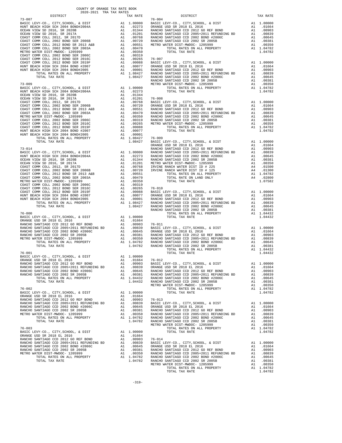| COUNTY OF ORANGE TAX RATE BOOK<br>$2020-2021 \quad \text{TRA RATES}$ DISTRICT $$\tt 2020-2021$$                                                                                                                                                                                    |          |                              |          |
|------------------------------------------------------------------------------------------------------------------------------------------------------------------------------------------------------------------------------------------------------------------------------------|----------|------------------------------|----------|
|                                                                                                                                                                                                                                                                                    | TAX RATE | DISTRICT<br>X RATE<br>76-004 | TAX RATE |
|                                                                                                                                                                                                                                                                                    |          |                              |          |
|                                                                                                                                                                                                                                                                                    |          |                              |          |
|                                                                                                                                                                                                                                                                                    |          |                              |          |
|                                                                                                                                                                                                                                                                                    |          |                              |          |
|                                                                                                                                                                                                                                                                                    |          |                              |          |
|                                                                                                                                                                                                                                                                                    |          |                              |          |
|                                                                                                                                                                                                                                                                                    |          |                              |          |
|                                                                                                                                                                                                                                                                                    |          |                              |          |
|                                                                                                                                                                                                                                                                                    |          |                              |          |
|                                                                                                                                                                                                                                                                                    |          |                              |          |
|                                                                                                                                                                                                                                                                                    |          |                              |          |
|                                                                                                                                                                                                                                                                                    |          |                              |          |
|                                                                                                                                                                                                                                                                                    |          |                              |          |
|                                                                                                                                                                                                                                                                                    |          |                              |          |
| $\begin{tabular}{cccc} $76-001 & $107-0.01$ & $107-0.01$ & $107-0.01$ & $107-0.01$ & $107-0.01$ & $107-0.01$ & $107-0.01$ & $107-0.01$ & $107-0.01$ & $107-0.01$ & $107-0.01$ & $107-0.01$ & $107-0.01$ & $107-0.01$ & $107-0.01$ & $107-0.01$ & $107-0.01$ & $107-0.01$ & $107-0$ |          |                              |          |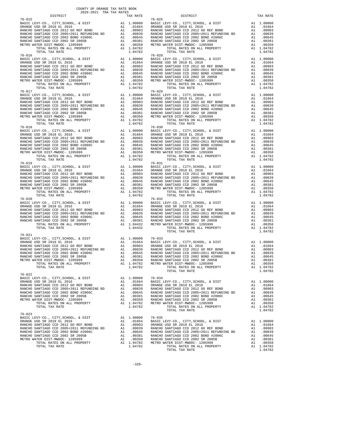| $2020-2021 \quad \text{TRA TAX RATES}$ DISTRICT                                                                                                                                                                                                                                                                                                                                                             | TAX RATE | DISTRICT       | TAX RATE |
|-------------------------------------------------------------------------------------------------------------------------------------------------------------------------------------------------------------------------------------------------------------------------------------------------------------------------------------------------------------------------------------------------------------|----------|----------------|----------|
| $76 - 015$<br>$\begin{tabular}{l c c c c c} \hline 76-015 & 76-015 \\ \hline \text{BASIC LEVY-CO., CITY, SCHOOL, & \& DIST & \& & 10,0000 \\ \text{ORANGE USD SR 2018 EL 2016 & \& & 0.01664 \\ \text{RANCE USD SR 2018 EL 2016 & \& & 0.0000 \\ \text{RANCE VSD SR 2018 RE 2018 RE 2018 RE 2018 RE 2018 RE 2018 RE 2018 RE 2018 RE 2018 RE 2018 RE 2018 RE 2018 RE 20$                                     |          | $76 - 025$     |          |
|                                                                                                                                                                                                                                                                                                                                                                                                             |          |                |          |
|                                                                                                                                                                                                                                                                                                                                                                                                             |          |                |          |
| $\begin{tabular}{l c c c c c} \hline 76-018 & 76-030 & 76-030 \\ \hline \text{BASIC EW-CO.}, \text{ CITY}, \text{SCHOOL}, \text{ & DIST} & \text{Al} & 1.00000 & \text{BASIC LEVY-CO.}, \text{ CITY}, \text{SCHOOL}, \text{ & DIST} & \text{Al} & 1.00000 \\ \text{ORANGE USD SR 2018 EL 2016 & \text{Al} & .01664 & \text{ORANGE USD SR 2018 EL 2016 & \text{Al} & .01664 \\ \text{RANCE O SANTIAGO CCD 2$ |          |                |          |
|                                                                                                                                                                                                                                                                                                                                                                                                             |          |                |          |
|                                                                                                                                                                                                                                                                                                                                                                                                             |          |                |          |
| $76 - 021$                                                                                                                                                                                                                                                                                                                                                                                                  |          | TOTAL TAX RATE | 1.04782  |
|                                                                                                                                                                                                                                                                                                                                                                                                             |          |                |          |
| $76 - 023$                                                                                                                                                                                                                                                                                                                                                                                                  |          |                |          |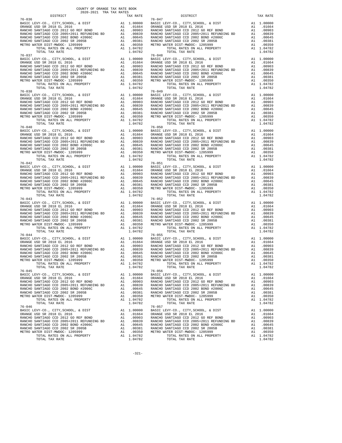| DISTRICT   | 2020-2021 TRA TAX RATES<br>TAX RATE | DISTRICT                                                                                                                                                                                                                                                                                                                                                                                                          | TAX RATE |
|------------|-------------------------------------|-------------------------------------------------------------------------------------------------------------------------------------------------------------------------------------------------------------------------------------------------------------------------------------------------------------------------------------------------------------------------------------------------------------------|----------|
| $76 - 036$ |                                     | $76 - 047$                                                                                                                                                                                                                                                                                                                                                                                                        |          |
|            |                                     |                                                                                                                                                                                                                                                                                                                                                                                                                   |          |
| $76 - 040$ |                                     | $\begin{tabular}{l cccc} $76-037$ & $10410$ & $104100$ & $104100$ & $104100$ & $104100$ & $104100$ & $104100$ & $104100$ & $104100$ & $104100$ & $104100$ & $104100$ & $104100$ & $104100$ & $104100$ & $104100$ & $104100$ & $104100$ & $104100$ & $104100$ & $104100$ & $104100$ & $104$<br>$76 - 050$                                                                                                          |          |
|            |                                     | $\begin{tabular}{l c c c c c} \hline 76-040 & 76-050 & 76-050 \\ \hline \texttt{BAXCE} \texttt{ UEV} - \texttt{CO.}, \texttt{CITY}, \texttt{CHOOL}, \texttt{EVY} - \texttt{CO.}, \texttt{CITY}, \texttt{SCHOOL}, \texttt{EVIST} & \texttt{A1} & 1.00000 \\ \texttt{ORANGE} \texttt{USD} \texttt{ SR} \texttt{ 2018} & \texttt{E1} & 2016 & \texttt{A1} & .01664 \\ \texttt{RANCE} \texttt{GANCHO} \$              |          |
|            |                                     |                                                                                                                                                                                                                                                                                                                                                                                                                   |          |
|            |                                     | $76 - 055$                                                                                                                                                                                                                                                                                                                                                                                                        |          |
| $76 - 044$ |                                     | $\begin{tabular}{l c c c c c} \hline $76-044$ & $76-055$ \\ \hline \texttt{BAXCE} & LEVY-C0., \texttt{CITY}, \texttt{SCHOOL}, & $\&$ DIST$ & \texttt{A1} & 1.00000 & \texttt{BAXIC} & LEVY-C0., \texttt{CITY}, \texttt{SCHOOL}, & $\&$ DIST$ & \texttt{A1} & 1.00000 \\ \hline \texttt{RANCE } \texttt{USD} & \texttt{SR} & 2018 & \texttt{EL} & 2016 & \texttt{A1} & .01664 \\ \texttt{RANCE} & \$<br>$76 - 056$ |          |
| 76-045     |                                     | $\begin{tabular}{l c c c c c} \hline 76-045 & 76-045 \\ \hline \texttt{BARCE} \texttt{LEVY-CO} \; , \; \texttt{CITY}, \texttt{SCHOOL} \; , \; & \; \texttt{DIST} & \; \texttt{A1} & 1.00000 & \texttt{BASTC} \; \texttt{LEVY-CO} \; , \; \texttt{CITY}, \texttt{SCHOOL} \; , \; & \; \texttt{DIST} & \; \texttt{A1} & 1.00000 \\ \hline \texttt{QRANGE} \; \texttt{USD} \; \texttt{SR} \; \texttt{2$              |          |
|            |                                     |                                                                                                                                                                                                                                                                                                                                                                                                                   |          |

-321-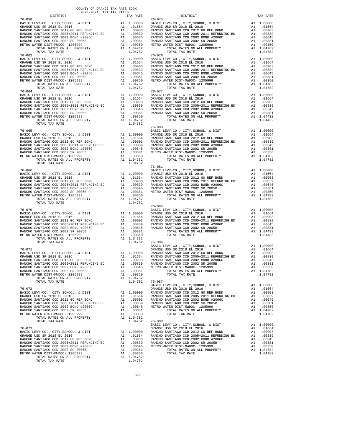| 2020-2021 TRA TAX RATES<br>DISTRICT | TAX RATE | DISTRICT                                                                                                                                                                                                                                                                                                                                                                                                                                                               | TAX RATE |
|-------------------------------------|----------|------------------------------------------------------------------------------------------------------------------------------------------------------------------------------------------------------------------------------------------------------------------------------------------------------------------------------------------------------------------------------------------------------------------------------------------------------------------------|----------|
|                                     |          | $\begin{tabular}{l c c c c c} \multicolumn{1}{c}{\textbf{76--058}} & \multicolumn{1}{c}{\textbf{DISTRICT}} & \multicolumn{1}{c}{\textbf{TAX RATE}} & \multicolumn{1}{c}{\textbf{DISTRICT}} & \multicolumn{1}{c}{\textbf{TAX RATE}} & \multicolumn{1}{c}{\textbf{DISTRICT}} & \multicolumn{1}{c}{\textbf{TAX RATE}} & \multicolumn{1}{c}{\textbf{TAX RATE}} & \multicolumn{1}{c}{\textbf{TAX RATE}} & \multicolumn{1}{c}{\textbf{TAX RATE}} & \multicolumn{1}{c}{\$     |          |
|                                     |          |                                                                                                                                                                                                                                                                                                                                                                                                                                                                        |          |
|                                     |          |                                                                                                                                                                                                                                                                                                                                                                                                                                                                        |          |
|                                     |          |                                                                                                                                                                                                                                                                                                                                                                                                                                                                        |          |
|                                     |          |                                                                                                                                                                                                                                                                                                                                                                                                                                                                        |          |
|                                     |          |                                                                                                                                                                                                                                                                                                                                                                                                                                                                        |          |
|                                     |          |                                                                                                                                                                                                                                                                                                                                                                                                                                                                        |          |
|                                     |          |                                                                                                                                                                                                                                                                                                                                                                                                                                                                        |          |
|                                     |          |                                                                                                                                                                                                                                                                                                                                                                                                                                                                        |          |
|                                     |          |                                                                                                                                                                                                                                                                                                                                                                                                                                                                        |          |
|                                     |          |                                                                                                                                                                                                                                                                                                                                                                                                                                                                        |          |
|                                     |          |                                                                                                                                                                                                                                                                                                                                                                                                                                                                        |          |
|                                     |          |                                                                                                                                                                                                                                                                                                                                                                                                                                                                        |          |
|                                     |          |                                                                                                                                                                                                                                                                                                                                                                                                                                                                        |          |
|                                     |          |                                                                                                                                                                                                                                                                                                                                                                                                                                                                        |          |
|                                     |          |                                                                                                                                                                                                                                                                                                                                                                                                                                                                        |          |
|                                     |          |                                                                                                                                                                                                                                                                                                                                                                                                                                                                        |          |
|                                     |          |                                                                                                                                                                                                                                                                                                                                                                                                                                                                        |          |
|                                     |          |                                                                                                                                                                                                                                                                                                                                                                                                                                                                        |          |
|                                     |          |                                                                                                                                                                                                                                                                                                                                                                                                                                                                        |          |
|                                     |          |                                                                                                                                                                                                                                                                                                                                                                                                                                                                        |          |
|                                     |          |                                                                                                                                                                                                                                                                                                                                                                                                                                                                        |          |
|                                     |          |                                                                                                                                                                                                                                                                                                                                                                                                                                                                        |          |
|                                     |          |                                                                                                                                                                                                                                                                                                                                                                                                                                                                        |          |
|                                     |          |                                                                                                                                                                                                                                                                                                                                                                                                                                                                        |          |
|                                     |          |                                                                                                                                                                                                                                                                                                                                                                                                                                                                        |          |
|                                     |          | $76 - 080$                                                                                                                                                                                                                                                                                                                                                                                                                                                             |          |
|                                     |          |                                                                                                                                                                                                                                                                                                                                                                                                                                                                        |          |
|                                     |          |                                                                                                                                                                                                                                                                                                                                                                                                                                                                        |          |
|                                     |          |                                                                                                                                                                                                                                                                                                                                                                                                                                                                        |          |
|                                     |          |                                                                                                                                                                                                                                                                                                                                                                                                                                                                        |          |
|                                     |          |                                                                                                                                                                                                                                                                                                                                                                                                                                                                        |          |
|                                     |          |                                                                                                                                                                                                                                                                                                                                                                                                                                                                        |          |
|                                     |          |                                                                                                                                                                                                                                                                                                                                                                                                                                                                        |          |
| TOTAL TAX RATE                      |          |                                                                                                                                                                                                                                                                                                                                                                                                                                                                        |          |
|                                     |          | $76 - 081$                                                                                                                                                                                                                                                                                                                                                                                                                                                             |          |
|                                     |          |                                                                                                                                                                                                                                                                                                                                                                                                                                                                        |          |
|                                     |          |                                                                                                                                                                                                                                                                                                                                                                                                                                                                        |          |
|                                     |          |                                                                                                                                                                                                                                                                                                                                                                                                                                                                        |          |
|                                     |          |                                                                                                                                                                                                                                                                                                                                                                                                                                                                        |          |
|                                     |          |                                                                                                                                                                                                                                                                                                                                                                                                                                                                        |          |
|                                     |          |                                                                                                                                                                                                                                                                                                                                                                                                                                                                        |          |
|                                     |          |                                                                                                                                                                                                                                                                                                                                                                                                                                                                        |          |
|                                     |          |                                                                                                                                                                                                                                                                                                                                                                                                                                                                        |          |
| TOTAL TAX RATE                      | 1.04782  |                                                                                                                                                                                                                                                                                                                                                                                                                                                                        |          |
|                                     |          |                                                                                                                                                                                                                                                                                                                                                                                                                                                                        |          |
|                                     |          |                                                                                                                                                                                                                                                                                                                                                                                                                                                                        |          |
|                                     |          |                                                                                                                                                                                                                                                                                                                                                                                                                                                                        |          |
|                                     |          |                                                                                                                                                                                                                                                                                                                                                                                                                                                                        |          |
|                                     |          |                                                                                                                                                                                                                                                                                                                                                                                                                                                                        |          |
|                                     |          |                                                                                                                                                                                                                                                                                                                                                                                                                                                                        |          |
|                                     |          |                                                                                                                                                                                                                                                                                                                                                                                                                                                                        |          |
|                                     |          |                                                                                                                                                                                                                                                                                                                                                                                                                                                                        |          |
|                                     |          |                                                                                                                                                                                                                                                                                                                                                                                                                                                                        |          |
|                                     |          | $\begin{array}{cccccccc} \text{1014L} & \text{1A1 R} & \text{RALE} & \text{1.04762} & \text{76-070} & \text{CITY}, \text{SCHOOL}, & \& \text{DIST} & \text{A1} & \text{1.00000} \\ \text{BASE} & \text{LEY-CO.}, & \text{CITY}, \text{SCHOOL}, & \& \text{DIST} & \text{A1} & \text{1.00000} \\ \text{BASE} & \text{LEY-CO.}, & \text{CITY}, \text{SCHOOL}, & \& \text{DIST} & \text{A1} & \text{01664} \\ \text{ORANGE} & \text{NS}$                                  |          |
|                                     |          |                                                                                                                                                                                                                                                                                                                                                                                                                                                                        |          |
|                                     |          |                                                                                                                                                                                                                                                                                                                                                                                                                                                                        |          |
|                                     |          |                                                                                                                                                                                                                                                                                                                                                                                                                                                                        |          |
|                                     |          |                                                                                                                                                                                                                                                                                                                                                                                                                                                                        |          |
|                                     |          |                                                                                                                                                                                                                                                                                                                                                                                                                                                                        |          |
|                                     |          |                                                                                                                                                                                                                                                                                                                                                                                                                                                                        |          |
|                                     |          |                                                                                                                                                                                                                                                                                                                                                                                                                                                                        |          |
|                                     |          | $\begin{tabular}{l c c c c c c} \multicolumn{1}{c}{\textbf{RANCHO} SANTIAGO CCD} & \multicolumn{1}{c}{\textbf{RANCHO} SANTIAGO CCD} & \multicolumn{1}{c}{\textbf{RANCHO} SANTIAGO CCD} & \multicolumn{1}{c}{\textbf{RANCHO} SANTIAGO CCD} & \multicolumn{1}{c}{\textbf{RANCHO} SANTIAGO CCD} & \multicolumn{1}{c}{\textbf{RANCHO} SANTIAGO CCD} & \multicolumn{1}{c}{\textbf{RANCHO} SANTIAGO CCD} & \multicolumn{1}{c}{\textbf{RANCHO} SANTIAGO CCD} & \multicolumn{$ |          |
|                                     |          |                                                                                                                                                                                                                                                                                                                                                                                                                                                                        |          |
|                                     |          |                                                                                                                                                                                                                                                                                                                                                                                                                                                                        |          |
|                                     |          |                                                                                                                                                                                                                                                                                                                                                                                                                                                                        |          |
|                                     |          |                                                                                                                                                                                                                                                                                                                                                                                                                                                                        |          |
|                                     |          |                                                                                                                                                                                                                                                                                                                                                                                                                                                                        |          |
|                                     |          |                                                                                                                                                                                                                                                                                                                                                                                                                                                                        |          |
|                                     |          |                                                                                                                                                                                                                                                                                                                                                                                                                                                                        |          |
|                                     |          |                                                                                                                                                                                                                                                                                                                                                                                                                                                                        |          |
|                                     |          |                                                                                                                                                                                                                                                                                                                                                                                                                                                                        |          |
|                                     |          |                                                                                                                                                                                                                                                                                                                                                                                                                                                                        |          |
|                                     |          |                                                                                                                                                                                                                                                                                                                                                                                                                                                                        |          |
|                                     |          |                                                                                                                                                                                                                                                                                                                                                                                                                                                                        |          |
|                                     |          |                                                                                                                                                                                                                                                                                                                                                                                                                                                                        |          |
|                                     |          |                                                                                                                                                                                                                                                                                                                                                                                                                                                                        |          |
|                                     |          |                                                                                                                                                                                                                                                                                                                                                                                                                                                                        |          |
|                                     |          |                                                                                                                                                                                                                                                                                                                                                                                                                                                                        |          |
|                                     |          |                                                                                                                                                                                                                                                                                                                                                                                                                                                                        |          |
|                                     |          |                                                                                                                                                                                                                                                                                                                                                                                                                                                                        |          |
|                                     |          |                                                                                                                                                                                                                                                                                                                                                                                                                                                                        |          |
|                                     |          |                                                                                                                                                                                                                                                                                                                                                                                                                                                                        |          |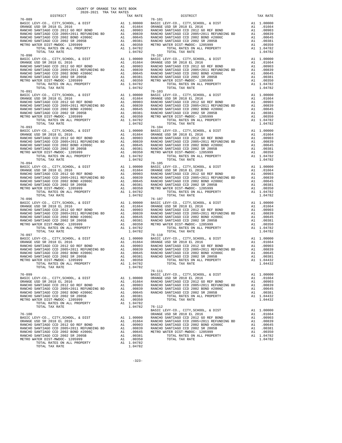| COUNTY OF ORANGE TAX RATE BOOK<br>2020-2021 TRA TAX RATES<br>DISTRICT |          | DISTRICT                                                                                                                                                                                                                                                                                                                                                                                              | TAX RATE |
|-----------------------------------------------------------------------|----------|-------------------------------------------------------------------------------------------------------------------------------------------------------------------------------------------------------------------------------------------------------------------------------------------------------------------------------------------------------------------------------------------------------|----------|
| $76 - 089$                                                            | TAX RATE | $76 - 101$                                                                                                                                                                                                                                                                                                                                                                                            |          |
|                                                                       |          | $\begin{tabular}{l c c c c c} \hline 76-089 & 76-101 \\ \hline \text{BASIC LEVY-CO., CITY, SCHOOL, & \& DIST & \& & 10,0000 \\ \text{ORANGE USD SR 2018 EL 2016 & \& & 0.01664 \\ \text{RANCE USD SR 2018 EL 2016 & \& & 0.0000 \\ \text{RANCE VSD SR 2018 EL 2016 & \& & 0.0000 \\ \text{RANCE VSD RINCHO SANTIAGO CCD 2012 GO REF BOND & \& & 1.01664 \\ \text{RANCEO SANTIAGO CCD 2$               |          |
|                                                                       |          |                                                                                                                                                                                                                                                                                                                                                                                                       |          |
|                                                                       |          |                                                                                                                                                                                                                                                                                                                                                                                                       |          |
|                                                                       |          |                                                                                                                                                                                                                                                                                                                                                                                                       |          |
|                                                                       |          |                                                                                                                                                                                                                                                                                                                                                                                                       |          |
|                                                                       |          |                                                                                                                                                                                                                                                                                                                                                                                                       |          |
|                                                                       |          |                                                                                                                                                                                                                                                                                                                                                                                                       |          |
|                                                                       |          |                                                                                                                                                                                                                                                                                                                                                                                                       |          |
|                                                                       |          |                                                                                                                                                                                                                                                                                                                                                                                                       |          |
|                                                                       |          |                                                                                                                                                                                                                                                                                                                                                                                                       |          |
|                                                                       |          |                                                                                                                                                                                                                                                                                                                                                                                                       |          |
|                                                                       |          |                                                                                                                                                                                                                                                                                                                                                                                                       |          |
|                                                                       |          |                                                                                                                                                                                                                                                                                                                                                                                                       |          |
|                                                                       |          |                                                                                                                                                                                                                                                                                                                                                                                                       |          |
|                                                                       |          |                                                                                                                                                                                                                                                                                                                                                                                                       |          |
|                                                                       |          |                                                                                                                                                                                                                                                                                                                                                                                                       |          |
|                                                                       |          |                                                                                                                                                                                                                                                                                                                                                                                                       |          |
|                                                                       |          |                                                                                                                                                                                                                                                                                                                                                                                                       |          |
|                                                                       |          |                                                                                                                                                                                                                                                                                                                                                                                                       |          |
|                                                                       |          |                                                                                                                                                                                                                                                                                                                                                                                                       |          |
|                                                                       |          |                                                                                                                                                                                                                                                                                                                                                                                                       |          |
|                                                                       |          | $\begin{tabular}{l c c c c c} \hline 76-093 & 76-104 & 76-104 & 76-104 \\ \hline \text{BASIC EW-CO.}, \text{ CITY}, \text{SCHOOL}, \text{ & DIST} & \text{Al} & 1.00000 & \text{BASIC LEVY-CO.}, \text{ CITY}, \text{SCHOOL}, \text{ & DIST} & \text{Al} & 1.00000 \\ \text{ORANGE USD SR 2018 EL 2016 & \text{Al} & .01664 & \text{ORANGE USD SR 2018 EL 2016 & \text{Al} & .01664 \\ \text{RANCE O$ |          |
|                                                                       |          |                                                                                                                                                                                                                                                                                                                                                                                                       |          |
|                                                                       |          |                                                                                                                                                                                                                                                                                                                                                                                                       |          |
|                                                                       |          |                                                                                                                                                                                                                                                                                                                                                                                                       |          |
|                                                                       |          |                                                                                                                                                                                                                                                                                                                                                                                                       |          |
|                                                                       |          |                                                                                                                                                                                                                                                                                                                                                                                                       |          |
|                                                                       |          |                                                                                                                                                                                                                                                                                                                                                                                                       |          |
|                                                                       |          |                                                                                                                                                                                                                                                                                                                                                                                                       |          |
|                                                                       |          |                                                                                                                                                                                                                                                                                                                                                                                                       |          |
|                                                                       |          |                                                                                                                                                                                                                                                                                                                                                                                                       |          |
|                                                                       |          |                                                                                                                                                                                                                                                                                                                                                                                                       |          |
|                                                                       |          |                                                                                                                                                                                                                                                                                                                                                                                                       |          |
|                                                                       |          |                                                                                                                                                                                                                                                                                                                                                                                                       |          |
|                                                                       |          | $\begin{tabular}{l c c c c c} \hline 76-094 & 76-105 \\ \hline \text{BASIC LEVY-CO} \ , & CITY, STROOL \ , & & DIST \\ \hline \text{ORMGE USD SR 2018 EL 2016} & \text{A1} & 0.0000 & \text{BASIC LEVY-CO} \ , & CITY, SCHOOL \ , & & DIST \\ \hline \text{RANCE USD SR 2018 EL 2016} & \text{A1} & 0.0664 & \text{ORANGE USD SR 2018 EL 2016} & \text{A1} & 0.0664 \\ \text{RANCE O SANTIAGO CCD 2$  |          |
|                                                                       |          |                                                                                                                                                                                                                                                                                                                                                                                                       |          |
|                                                                       |          |                                                                                                                                                                                                                                                                                                                                                                                                       |          |
|                                                                       |          |                                                                                                                                                                                                                                                                                                                                                                                                       |          |
|                                                                       |          |                                                                                                                                                                                                                                                                                                                                                                                                       |          |
|                                                                       |          |                                                                                                                                                                                                                                                                                                                                                                                                       |          |
|                                                                       |          |                                                                                                                                                                                                                                                                                                                                                                                                       |          |
|                                                                       |          |                                                                                                                                                                                                                                                                                                                                                                                                       |          |
|                                                                       |          |                                                                                                                                                                                                                                                                                                                                                                                                       |          |
|                                                                       |          |                                                                                                                                                                                                                                                                                                                                                                                                       |          |
|                                                                       |          |                                                                                                                                                                                                                                                                                                                                                                                                       |          |
|                                                                       |          |                                                                                                                                                                                                                                                                                                                                                                                                       |          |
|                                                                       |          |                                                                                                                                                                                                                                                                                                                                                                                                       |          |
|                                                                       |          |                                                                                                                                                                                                                                                                                                                                                                                                       |          |
|                                                                       |          |                                                                                                                                                                                                                                                                                                                                                                                                       |          |
|                                                                       |          | $76 - 111$                                                                                                                                                                                                                                                                                                                                                                                            |          |
| $76 - 099$                                                            |          | BASIC LEVY-CO., CITY, SCHOOL, & DIST A1 1.00000                                                                                                                                                                                                                                                                                                                                                       |          |
|                                                                       |          |                                                                                                                                                                                                                                                                                                                                                                                                       |          |
|                                                                       |          |                                                                                                                                                                                                                                                                                                                                                                                                       |          |
|                                                                       |          |                                                                                                                                                                                                                                                                                                                                                                                                       |          |
|                                                                       |          |                                                                                                                                                                                                                                                                                                                                                                                                       |          |
|                                                                       |          |                                                                                                                                                                                                                                                                                                                                                                                                       |          |
|                                                                       |          |                                                                                                                                                                                                                                                                                                                                                                                                       |          |
|                                                                       |          |                                                                                                                                                                                                                                                                                                                                                                                                       |          |
|                                                                       |          |                                                                                                                                                                                                                                                                                                                                                                                                       |          |
|                                                                       |          |                                                                                                                                                                                                                                                                                                                                                                                                       |          |
|                                                                       |          |                                                                                                                                                                                                                                                                                                                                                                                                       |          |
|                                                                       |          |                                                                                                                                                                                                                                                                                                                                                                                                       |          |
|                                                                       |          |                                                                                                                                                                                                                                                                                                                                                                                                       |          |
|                                                                       |          |                                                                                                                                                                                                                                                                                                                                                                                                       |          |
|                                                                       |          |                                                                                                                                                                                                                                                                                                                                                                                                       |          |
|                                                                       |          |                                                                                                                                                                                                                                                                                                                                                                                                       |          |

| AX RATE | DISTRICT                                                                                                                                                                                                                                 | TAX RAT                     |
|---------|------------------------------------------------------------------------------------------------------------------------------------------------------------------------------------------------------------------------------------------|-----------------------------|
|         |                                                                                                                                                                                                                                          |                             |
|         |                                                                                                                                                                                                                                          |                             |
|         |                                                                                                                                                                                                                                          |                             |
|         |                                                                                                                                                                                                                                          |                             |
|         |                                                                                                                                                                                                                                          |                             |
|         |                                                                                                                                                                                                                                          |                             |
| 1.04782 | TOTAL RATES ON ALL PROPERTY                                                                                                                                                                                                              | A1<br>1.0478                |
| 1.04782 | TOTAL TAX RATE                                                                                                                                                                                                                           | 1.0478                      |
|         |                                                                                                                                                                                                                                          |                             |
|         |                                                                                                                                                                                                                                          |                             |
|         |                                                                                                                                                                                                                                          |                             |
|         |                                                                                                                                                                                                                                          |                             |
|         |                                                                                                                                                                                                                                          |                             |
|         |                                                                                                                                                                                                                                          |                             |
|         |                                                                                                                                                                                                                                          |                             |
| 1.04782 | TOTAL TAX RATE                                                                                                                                                                                                                           | 1.0478                      |
|         |                                                                                                                                                                                                                                          | A1 1.0000                   |
|         |                                                                                                                                                                                                                                          | A1 .0166                    |
|         |                                                                                                                                                                                                                                          | .0090                       |
|         |                                                                                                                                                                                                                                          | .0083                       |
|         |                                                                                                                                                                                                                                          | .0064                       |
|         |                                                                                                                                                                                                                                          | $A1 \t .0038$<br>.0035      |
|         |                                                                                                                                                                                                                                          | 1.0478                      |
|         |                                                                                                                                                                                                                                          | 1.0478                      |
|         | $76 - 104$                                                                                                                                                                                                                               |                             |
|         |                                                                                                                                                                                                                                          |                             |
|         |                                                                                                                                                                                                                                          |                             |
|         |                                                                                                                                                                                                                                          |                             |
|         |                                                                                                                                                                                                                                          |                             |
|         |                                                                                                                                                                                                                                          |                             |
| 1.04782 | TOTAL RATES ON ALL PROPERTY                                                                                                                                                                                                              | A1 1.0478                   |
|         |                                                                                                                                                                                                                                          |                             |
|         |                                                                                                                                                                                                                                          |                             |
|         |                                                                                                                                                                                                                                          |                             |
|         |                                                                                                                                                                                                                                          |                             |
|         |                                                                                                                                                                                                                                          |                             |
|         |                                                                                                                                                                                                                                          |                             |
|         |                                                                                                                                                                                                                                          |                             |
|         |                                                                                                                                                                                                                                          |                             |
|         | 76-107 YORU HA KATE<br>1.00000 BASIC LEVY-CO., CITY, SCHOOL, & DIST<br>.01664 ORANGE USD SR 2018 EL 2016<br>.00903 RANCHO SANTIAGO CCD 2012 GO REF BOND<br>.00839 RANCHO SANTIAGO CCD 2002 BOND #2006C<br>.00645 RANCHO SANTIAGO CCD 200 | 1.0478                      |
|         |                                                                                                                                                                                                                                          | A1 1.0000                   |
|         |                                                                                                                                                                                                                                          | A1 .0166                    |
|         |                                                                                                                                                                                                                                          | A1<br>.0090                 |
|         |                                                                                                                                                                                                                                          | $\mathtt{Al}$<br>.0083      |
|         |                                                                                                                                                                                                                                          | A1<br>.0064<br>A1           |
|         |                                                                                                                                                                                                                                          | .0038<br>A1<br>.0035        |
|         |                                                                                                                                                                                                                                          | A1 1.0478                   |
| 1.04782 | TOTAL TAX RATE                                                                                                                                                                                                                           | 1.0478                      |
|         | $76 - 110$                                                                                                                                                                                                                               |                             |
|         |                                                                                                                                                                                                                                          |                             |
|         |                                                                                                                                                                                                                                          |                             |
|         |                                                                                                                                                                                                                                          |                             |
|         |                                                                                                                                                                                                                                          |                             |
|         |                                                                                                                                                                                                                                          |                             |
|         |                                                                                                                                                                                                                                          |                             |
| 1.04782 |                                                                                                                                                                                                                                          |                             |
|         | 76-111<br>BASIC LEVY-CO., CITY, SCHOOL, & DIST                                                                                                                                                                                           | 1.0000<br>A1                |
| 1.00000 | ORANGE USD SR 2018 EL 2016                                                                                                                                                                                                               | .0166<br>A1                 |
|         |                                                                                                                                                                                                                                          | .0090<br>A1                 |
|         |                                                                                                                                                                                                                                          | A1<br>.0083                 |
|         |                                                                                                                                                                                                                                          | .0064<br>A1                 |
| .00381  | TOTAL RATES ON ALL PROPERTY                                                                                                                                                                                                              | A1<br>.0038<br>1.0443<br>A1 |
| .00350  | TOTAL TAX RATE                                                                                                                                                                                                                           | 1.0443                      |
| 1.04782 |                                                                                                                                                                                                                                          |                             |
| 1.04782 | $76 - 112$                                                                                                                                                                                                                               |                             |
|         | BASIC LEVY-CO., CITY, SCHOOL, & DIST<br>ORANGE USD SR 2018 EL 2016                                                                                                                                                                       | A1<br>1.0000<br>A1<br>.0166 |
| 1.00000 | RANCHO SANTIAGO CCD 2012 GO REF BOND                                                                                                                                                                                                     | .0090<br>A1                 |
| .01664  | RANCHO SANTIAGO CCD 2005+2011 REFUNDING BD                                                                                                                                                                                               | .0083<br>A1                 |
| .00903  | RANCHO SANTIAGO CCD 2002 BOND #2006C                                                                                                                                                                                                     | .0064<br>A1                 |
|         | .00839 RANCHO SANTIAGO CCD 2002 BOND #20<br>.00645 METRO WATER DISTLATOR CCD 2002 SR 2005B                                                                                                                                               | .0038<br>A1<br>.0035<br>A1  |
| .00381  | TOTAL RATES ON ALL PROPERTY                                                                                                                                                                                                              | A1 1.0478                   |
| .00350  | TOTAL TAX RATE                                                                                                                                                                                                                           | 1.0478                      |
| 1.04782 |                                                                                                                                                                                                                                          |                             |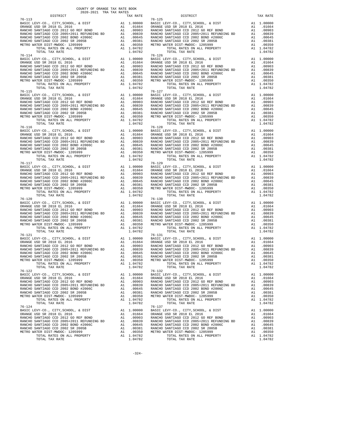| DISTRICT             | 2020-2021 TRA TAX RATES | TAX RATE | DISTRICT                                                                                                                                                                                                                                                                                                                                                                                                                                                                                          | TAX RATE |
|----------------------|-------------------------|----------|---------------------------------------------------------------------------------------------------------------------------------------------------------------------------------------------------------------------------------------------------------------------------------------------------------------------------------------------------------------------------------------------------------------------------------------------------------------------------------------------------|----------|
| $76 - 113$           |                         |          | $76 - 125$<br>$\begin{tabular}{l c c c c c} \hline $16-113$ & $16-0000$ & $16-125$ & $16-125$ \\ \hline \texttt{BANGE USD SR 2018 EL 2016} & \texttt{AL 1.00000} & \texttt{BASTCEVY-CO.}, \texttt{CITY}, \texttt{SCHOOL}, & \texttt{EDIST} & \texttt{A1 1.00000} \\ \hline \texttt{ORANGE USD SR 2018 EL 2016} & \texttt{AL 1.00000} & \texttt{A1} & .01664 & \texttt{ORANGE USD SR 2018 EL$                                                                                                      |          |
|                      |                         |          |                                                                                                                                                                                                                                                                                                                                                                                                                                                                                                   |          |
| $76 - 116$           |                         |          | $\begin{tabular}{l cccc} $76-114$ & $10410$ & $16410$ & $164100$ & $164100$ & $1641000$ & $1641000$ & $1641000$ & $1641000$ & $1641000$ & $1641000$ & $16410000$ & $16410000$ & $16410000$ & $16410000$ & $16410000$ & $16410000$ & $16410000$ & $16410000$ & $16410000$ & $1641000$<br>$76 - 128$                                                                                                                                                                                                |          |
|                      |                         |          |                                                                                                                                                                                                                                                                                                                                                                                                                                                                                                   |          |
|                      |                         |          |                                                                                                                                                                                                                                                                                                                                                                                                                                                                                                   |          |
|                      |                         |          |                                                                                                                                                                                                                                                                                                                                                                                                                                                                                                   |          |
| 76-121<br>$76 - 122$ |                         |          | $76 - 131$<br>$\begin{tabular}{lllllllllllll} \multicolumn{2}{c }{\multicolumn{2}{c }{\multicolumn{2}{c}{\multicolumn{2}{c}{\multicolumn{2}{c}{\multicolumn{2}{c}{\multicolumn{2}{c}{\multicolumn{2}{c}{\multicolumn{2}{c}{\multicolumn{2}{c}{\multicolumn{2}{c}{\multicolumn{2}{c}{\multicolumn{2}{c}{\multicolumn{2}{c}{\multicolumn{2}{c}{\multicolumn{2}{c}{\multicolumn{2}{c}{\multicolumn{2}{c}{\multicolumn{2}{c}{\multicolumn{2}{c}{\multicolumn{2}{c}{\multicolumn{2}{c}{\multicolumn{2$ |          |
|                      |                         |          | $\begin{tabular}{l c c c c c} \hline 76-122 & 76-132 \\ \hline \texttt{BARCE} \texttt{LEVY-CO} \texttt{, CITY}, \texttt{SCHOOL}, & \texttt{EUY-CO} \texttt{, CITY}, \texttt{SCHOOL}, & \texttt{EUST} & \texttt{A1} & 1.00000 \\ \texttt{ORANGE} \texttt{USD} \texttt{SR} \texttt{2018} \texttt{EL} \texttt{2016} & \texttt{A1} & .01664 \\ \texttt{RANCE} \texttt{GANCHO} \texttt{SANTIAGO} \texttt{CCD} \text$                                                                                   |          |
|                      |                         |          | $\begin{tabular}{l c c c c c} \multicolumn{1}{c}{\begin{tabular}{c} $76-124$ & $1.04762$ & $1.04762$ & $1.04762$ & $1.04762$ & $1.04762$ & $1.04762$ & $1.04762$ & $1.04762$ & $1.04762$ & $1.04762$ & $1.04762$ & $1.04762$ & $1.04762$ & $1.04762$ & $1.04762$ & $1.04762$ & $1.04762$ & $1.047$                                                                                                                                                                                                |          |

-324-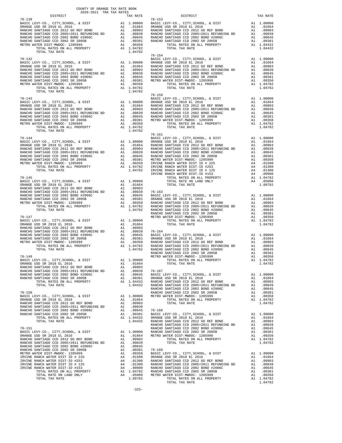| $\begin{tabular}{l c c c c c} \hline 76-142 & 76-154 & 76-154 & 76-154 \\ \hline \texttt{BASE } \texttt{LBV-CO} & , \texttt{CITY}, \texttt{SCHOOL}, & \texttt{E DIST} & \texttt{A1 1.00000} & \texttt{RASIC LEVY-CO}, \texttt{CITY}, \texttt{CCHOOL}, & \texttt{E DIST} & \texttt{A1 1.00000} \\ \texttt{ORANGE } \texttt{USD} & \texttt{SR 2018} & \texttt{EL 2016} & \texttt{A1 0.01664}$<br>$\begin{tabular}{lcccc} 76-143 & 76-159 & 80.0000 & 80.00000 & 80.000000 & 80.000000 & 80.0000000 & 80.000000 & 80.000000 & 80.000000 & 80.000000 & 80.000000 & 80.000000 & 80.00000 & 80.00000 & 80.00000 & 80.00000 & 80.00000 & 80.00000 & 80.00000 & 80.00$<br>$76 - 161$ | DISTRICT   | TAX RATE | DISTRICT   | TAX RATE |
|------------------------------------------------------------------------------------------------------------------------------------------------------------------------------------------------------------------------------------------------------------------------------------------------------------------------------------------------------------------------------------------------------------------------------------------------------------------------------------------------------------------------------------------------------------------------------------------------------------------------------------------------------------------------------|------------|----------|------------|----------|
|                                                                                                                                                                                                                                                                                                                                                                                                                                                                                                                                                                                                                                                                              | $76 - 139$ |          | $76 - 153$ |          |
|                                                                                                                                                                                                                                                                                                                                                                                                                                                                                                                                                                                                                                                                              |            |          |            |          |
|                                                                                                                                                                                                                                                                                                                                                                                                                                                                                                                                                                                                                                                                              |            |          |            |          |
|                                                                                                                                                                                                                                                                                                                                                                                                                                                                                                                                                                                                                                                                              |            |          |            |          |
|                                                                                                                                                                                                                                                                                                                                                                                                                                                                                                                                                                                                                                                                              |            |          |            |          |
|                                                                                                                                                                                                                                                                                                                                                                                                                                                                                                                                                                                                                                                                              |            |          |            |          |
|                                                                                                                                                                                                                                                                                                                                                                                                                                                                                                                                                                                                                                                                              |            |          |            |          |
|                                                                                                                                                                                                                                                                                                                                                                                                                                                                                                                                                                                                                                                                              |            |          |            |          |
|                                                                                                                                                                                                                                                                                                                                                                                                                                                                                                                                                                                                                                                                              |            |          |            |          |
|                                                                                                                                                                                                                                                                                                                                                                                                                                                                                                                                                                                                                                                                              |            |          |            |          |
|                                                                                                                                                                                                                                                                                                                                                                                                                                                                                                                                                                                                                                                                              |            |          |            |          |
|                                                                                                                                                                                                                                                                                                                                                                                                                                                                                                                                                                                                                                                                              |            |          |            |          |
|                                                                                                                                                                                                                                                                                                                                                                                                                                                                                                                                                                                                                                                                              |            |          |            |          |
|                                                                                                                                                                                                                                                                                                                                                                                                                                                                                                                                                                                                                                                                              |            |          |            |          |
|                                                                                                                                                                                                                                                                                                                                                                                                                                                                                                                                                                                                                                                                              |            |          |            |          |
|                                                                                                                                                                                                                                                                                                                                                                                                                                                                                                                                                                                                                                                                              |            |          |            |          |
|                                                                                                                                                                                                                                                                                                                                                                                                                                                                                                                                                                                                                                                                              |            |          |            |          |
|                                                                                                                                                                                                                                                                                                                                                                                                                                                                                                                                                                                                                                                                              |            |          |            |          |
|                                                                                                                                                                                                                                                                                                                                                                                                                                                                                                                                                                                                                                                                              |            |          |            |          |
|                                                                                                                                                                                                                                                                                                                                                                                                                                                                                                                                                                                                                                                                              |            |          |            |          |
|                                                                                                                                                                                                                                                                                                                                                                                                                                                                                                                                                                                                                                                                              |            |          |            |          |
|                                                                                                                                                                                                                                                                                                                                                                                                                                                                                                                                                                                                                                                                              |            |          |            |          |
|                                                                                                                                                                                                                                                                                                                                                                                                                                                                                                                                                                                                                                                                              |            |          |            |          |
|                                                                                                                                                                                                                                                                                                                                                                                                                                                                                                                                                                                                                                                                              |            |          |            |          |
|                                                                                                                                                                                                                                                                                                                                                                                                                                                                                                                                                                                                                                                                              |            |          |            |          |
|                                                                                                                                                                                                                                                                                                                                                                                                                                                                                                                                                                                                                                                                              |            |          |            |          |
|                                                                                                                                                                                                                                                                                                                                                                                                                                                                                                                                                                                                                                                                              |            |          |            |          |
|                                                                                                                                                                                                                                                                                                                                                                                                                                                                                                                                                                                                                                                                              |            |          |            |          |
|                                                                                                                                                                                                                                                                                                                                                                                                                                                                                                                                                                                                                                                                              |            |          |            |          |
|                                                                                                                                                                                                                                                                                                                                                                                                                                                                                                                                                                                                                                                                              |            |          |            |          |
|                                                                                                                                                                                                                                                                                                                                                                                                                                                                                                                                                                                                                                                                              |            |          |            |          |
|                                                                                                                                                                                                                                                                                                                                                                                                                                                                                                                                                                                                                                                                              |            |          |            |          |
|                                                                                                                                                                                                                                                                                                                                                                                                                                                                                                                                                                                                                                                                              |            |          |            |          |
|                                                                                                                                                                                                                                                                                                                                                                                                                                                                                                                                                                                                                                                                              |            |          |            |          |
|                                                                                                                                                                                                                                                                                                                                                                                                                                                                                                                                                                                                                                                                              |            |          |            |          |
|                                                                                                                                                                                                                                                                                                                                                                                                                                                                                                                                                                                                                                                                              |            |          |            |          |
|                                                                                                                                                                                                                                                                                                                                                                                                                                                                                                                                                                                                                                                                              |            |          |            |          |
|                                                                                                                                                                                                                                                                                                                                                                                                                                                                                                                                                                                                                                                                              |            |          |            |          |
|                                                                                                                                                                                                                                                                                                                                                                                                                                                                                                                                                                                                                                                                              |            |          |            |          |
|                                                                                                                                                                                                                                                                                                                                                                                                                                                                                                                                                                                                                                                                              |            |          |            |          |
|                                                                                                                                                                                                                                                                                                                                                                                                                                                                                                                                                                                                                                                                              |            |          |            |          |
|                                                                                                                                                                                                                                                                                                                                                                                                                                                                                                                                                                                                                                                                              |            |          |            |          |
|                                                                                                                                                                                                                                                                                                                                                                                                                                                                                                                                                                                                                                                                              |            |          |            |          |
|                                                                                                                                                                                                                                                                                                                                                                                                                                                                                                                                                                                                                                                                              |            |          |            |          |
|                                                                                                                                                                                                                                                                                                                                                                                                                                                                                                                                                                                                                                                                              |            |          |            |          |
|                                                                                                                                                                                                                                                                                                                                                                                                                                                                                                                                                                                                                                                                              |            |          |            |          |
|                                                                                                                                                                                                                                                                                                                                                                                                                                                                                                                                                                                                                                                                              |            |          |            |          |
|                                                                                                                                                                                                                                                                                                                                                                                                                                                                                                                                                                                                                                                                              |            |          |            |          |
|                                                                                                                                                                                                                                                                                                                                                                                                                                                                                                                                                                                                                                                                              |            |          |            |          |
|                                                                                                                                                                                                                                                                                                                                                                                                                                                                                                                                                                                                                                                                              |            |          |            |          |
|                                                                                                                                                                                                                                                                                                                                                                                                                                                                                                                                                                                                                                                                              |            |          |            |          |
|                                                                                                                                                                                                                                                                                                                                                                                                                                                                                                                                                                                                                                                                              |            |          |            |          |
|                                                                                                                                                                                                                                                                                                                                                                                                                                                                                                                                                                                                                                                                              |            |          |            |          |
|                                                                                                                                                                                                                                                                                                                                                                                                                                                                                                                                                                                                                                                                              |            |          |            |          |
|                                                                                                                                                                                                                                                                                                                                                                                                                                                                                                                                                                                                                                                                              |            |          |            |          |
|                                                                                                                                                                                                                                                                                                                                                                                                                                                                                                                                                                                                                                                                              |            |          |            |          |
|                                                                                                                                                                                                                                                                                                                                                                                                                                                                                                                                                                                                                                                                              |            |          |            |          |
|                                                                                                                                                                                                                                                                                                                                                                                                                                                                                                                                                                                                                                                                              |            |          |            |          |
|                                                                                                                                                                                                                                                                                                                                                                                                                                                                                                                                                                                                                                                                              |            |          |            |          |
|                                                                                                                                                                                                                                                                                                                                                                                                                                                                                                                                                                                                                                                                              |            |          |            |          |
|                                                                                                                                                                                                                                                                                                                                                                                                                                                                                                                                                                                                                                                                              |            |          |            |          |
|                                                                                                                                                                                                                                                                                                                                                                                                                                                                                                                                                                                                                                                                              |            |          |            |          |
|                                                                                                                                                                                                                                                                                                                                                                                                                                                                                                                                                                                                                                                                              |            |          |            |          |
|                                                                                                                                                                                                                                                                                                                                                                                                                                                                                                                                                                                                                                                                              |            |          |            |          |
|                                                                                                                                                                                                                                                                                                                                                                                                                                                                                                                                                                                                                                                                              |            |          |            |          |
|                                                                                                                                                                                                                                                                                                                                                                                                                                                                                                                                                                                                                                                                              |            |          |            |          |
|                                                                                                                                                                                                                                                                                                                                                                                                                                                                                                                                                                                                                                                                              |            |          |            |          |
|                                                                                                                                                                                                                                                                                                                                                                                                                                                                                                                                                                                                                                                                              |            |          |            |          |
|                                                                                                                                                                                                                                                                                                                                                                                                                                                                                                                                                                                                                                                                              |            |          |            |          |
|                                                                                                                                                                                                                                                                                                                                                                                                                                                                                                                                                                                                                                                                              |            |          |            |          |
|                                                                                                                                                                                                                                                                                                                                                                                                                                                                                                                                                                                                                                                                              |            |          |            |          |
|                                                                                                                                                                                                                                                                                                                                                                                                                                                                                                                                                                                                                                                                              |            |          |            |          |
|                                                                                                                                                                                                                                                                                                                                                                                                                                                                                                                                                                                                                                                                              |            |          |            |          |
|                                                                                                                                                                                                                                                                                                                                                                                                                                                                                                                                                                                                                                                                              |            |          |            |          |
|                                                                                                                                                                                                                                                                                                                                                                                                                                                                                                                                                                                                                                                                              |            |          |            |          |
|                                                                                                                                                                                                                                                                                                                                                                                                                                                                                                                                                                                                                                                                              |            |          |            |          |
|                                                                                                                                                                                                                                                                                                                                                                                                                                                                                                                                                                                                                                                                              |            |          |            |          |
|                                                                                                                                                                                                                                                                                                                                                                                                                                                                                                                                                                                                                                                                              |            |          |            |          |
|                                                                                                                                                                                                                                                                                                                                                                                                                                                                                                                                                                                                                                                                              |            |          |            |          |
|                                                                                                                                                                                                                                                                                                                                                                                                                                                                                                                                                                                                                                                                              |            |          |            |          |
|                                                                                                                                                                                                                                                                                                                                                                                                                                                                                                                                                                                                                                                                              |            |          |            |          |
|                                                                                                                                                                                                                                                                                                                                                                                                                                                                                                                                                                                                                                                                              |            |          |            |          |
|                                                                                                                                                                                                                                                                                                                                                                                                                                                                                                                                                                                                                                                                              |            |          |            |          |
|                                                                                                                                                                                                                                                                                                                                                                                                                                                                                                                                                                                                                                                                              |            |          |            |          |
|                                                                                                                                                                                                                                                                                                                                                                                                                                                                                                                                                                                                                                                                              |            |          |            |          |
|                                                                                                                                                                                                                                                                                                                                                                                                                                                                                                                                                                                                                                                                              |            |          |            |          |
|                                                                                                                                                                                                                                                                                                                                                                                                                                                                                                                                                                                                                                                                              |            |          |            |          |
|                                                                                                                                                                                                                                                                                                                                                                                                                                                                                                                                                                                                                                                                              |            |          |            |          |
|                                                                                                                                                                                                                                                                                                                                                                                                                                                                                                                                                                                                                                                                              |            |          |            |          |
|                                                                                                                                                                                                                                                                                                                                                                                                                                                                                                                                                                                                                                                                              |            |          |            |          |
|                                                                                                                                                                                                                                                                                                                                                                                                                                                                                                                                                                                                                                                                              |            |          |            |          |
|                                                                                                                                                                                                                                                                                                                                                                                                                                                                                                                                                                                                                                                                              |            |          |            |          |
|                                                                                                                                                                                                                                                                                                                                                                                                                                                                                                                                                                                                                                                                              |            |          |            |          |
|                                                                                                                                                                                                                                                                                                                                                                                                                                                                                                                                                                                                                                                                              |            |          |            |          |
|                                                                                                                                                                                                                                                                                                                                                                                                                                                                                                                                                                                                                                                                              |            |          |            |          |
|                                                                                                                                                                                                                                                                                                                                                                                                                                                                                                                                                                                                                                                                              |            |          |            |          |
|                                                                                                                                                                                                                                                                                                                                                                                                                                                                                                                                                                                                                                                                              |            |          |            |          |
|                                                                                                                                                                                                                                                                                                                                                                                                                                                                                                                                                                                                                                                                              |            |          |            |          |
|                                                                                                                                                                                                                                                                                                                                                                                                                                                                                                                                                                                                                                                                              |            |          |            |          |
|                                                                                                                                                                                                                                                                                                                                                                                                                                                                                                                                                                                                                                                                              |            |          |            |          |
|                                                                                                                                                                                                                                                                                                                                                                                                                                                                                                                                                                                                                                                                              |            |          |            |          |
|                                                                                                                                                                                                                                                                                                                                                                                                                                                                                                                                                                                                                                                                              |            |          |            |          |
|                                                                                                                                                                                                                                                                                                                                                                                                                                                                                                                                                                                                                                                                              |            |          |            |          |
|                                                                                                                                                                                                                                                                                                                                                                                                                                                                                                                                                                                                                                                                              |            |          |            |          |
|                                                                                                                                                                                                                                                                                                                                                                                                                                                                                                                                                                                                                                                                              |            |          |            |          |
|                                                                                                                                                                                                                                                                                                                                                                                                                                                                                                                                                                                                                                                                              |            |          |            |          |
|                                                                                                                                                                                                                                                                                                                                                                                                                                                                                                                                                                                                                                                                              |            |          |            |          |
|                                                                                                                                                                                                                                                                                                                                                                                                                                                                                                                                                                                                                                                                              |            |          |            |          |
|                                                                                                                                                                                                                                                                                                                                                                                                                                                                                                                                                                                                                                                                              |            |          |            |          |
|                                                                                                                                                                                                                                                                                                                                                                                                                                                                                                                                                                                                                                                                              |            |          |            |          |
|                                                                                                                                                                                                                                                                                                                                                                                                                                                                                                                                                                                                                                                                              |            |          |            |          |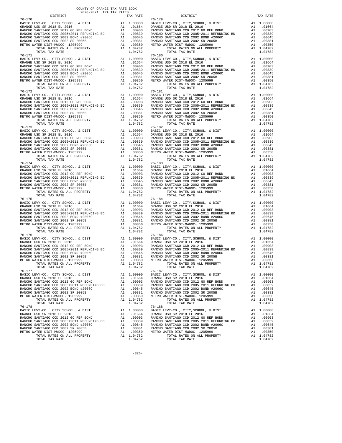| DISTRICT   | 2020-2021 TRA TAX RATES | DISTRICT<br>TAX RATE                                                                                                                                                                                                                                                                                                                                                                                                           | TAX RATE |
|------------|-------------------------|--------------------------------------------------------------------------------------------------------------------------------------------------------------------------------------------------------------------------------------------------------------------------------------------------------------------------------------------------------------------------------------------------------------------------------|----------|
| $76 - 170$ |                         | $76 - 179$                                                                                                                                                                                                                                                                                                                                                                                                                     |          |
|            |                         |                                                                                                                                                                                                                                                                                                                                                                                                                                |          |
| $76 - 173$ |                         | $76 - 182$                                                                                                                                                                                                                                                                                                                                                                                                                     |          |
|            |                         | $\begin{tabular}{l c c c c c} \hline 76-173 & 76-182 \\ \hline \texttt{BARCE} \texttt{LEVY-CO} \texttt{, CITY}, \texttt{CCHO}, \texttt{CITY}, \texttt{CHOOL}, \texttt{EVY-CO}, \texttt{CITY}, \texttt{SCHOOL}, \texttt{EVY-CO}, \texttt{CITY}, \texttt{SCHOOL}, \texttt{EVIST} & \texttt{A1} & 1.00000 \\ \hline \texttt{ORANGE} \texttt{USD} \texttt{SR} \texttt{2018} \texttt{EL} \texttt{2016} & \texttt{A1} & .$           |          |
|            |                         |                                                                                                                                                                                                                                                                                                                                                                                                                                |          |
|            |                         |                                                                                                                                                                                                                                                                                                                                                                                                                                |          |
| 76-176     |                         | $76 - 186$<br>$\begin{tabular}{l c c c c c c} \hline $76-176$ & $76-186$ \\ \hline \texttt{BAXCE} & \texttt{LEVY-C0} &, \texttt{CITY}, \texttt{CHOV-C0} & \texttt{RIST} & \texttt{A1} & 1.00000 & \texttt{BASTC} & \texttt{LEVY-C0} &, \texttt{CITY}, \texttt{SCHOOL}, & \texttt{& DIST} & \texttt{A1} & 1.00000 \\ \hline \texttt{RANCE } \texttt{USD} & \texttt{SR} & 2018 & \texttt{EL} & 2016 & \texttt{A1}$<br>$76 - 187$ |          |
| $76 - 177$ |                         | $\begin{tabular}{l c c c c c} \hline 76-177 & 76-187 \\ \hline \texttt{BARICHO SANTIAGO CCD, CITY, SCHOOL, & DIST} & \texttt{A1} & 1.00000 & \texttt{BASC LEVY-CO.}, \texttt{CITY, SCHOOL, & & DIST} & \texttt{A1} & 1.00000 \\ \texttt{ORANGE USD SR} & 2018 \text{ EL } 2016 & \texttt{A1} & .01664 & \texttt{ORANGE USD SR} & 2018 \text{ EL } 2016 & \texttt{A1} & .01664 \\ \texttt{RANC$                                 |          |
|            |                         |                                                                                                                                                                                                                                                                                                                                                                                                                                |          |

-326-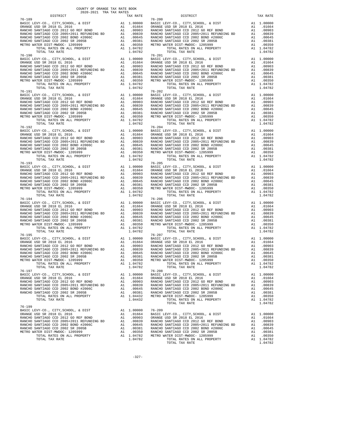| 2020-2021 TRA TAX RATES<br>DISTRICT | TAX RATE | DISTRICT                                                                                                                                                                                                                                                                                                                       | TAX RATE |
|-------------------------------------|----------|--------------------------------------------------------------------------------------------------------------------------------------------------------------------------------------------------------------------------------------------------------------------------------------------------------------------------------|----------|
| $76 - 189$                          |          | $76 - 200$<br>$\begin{tabular}{l c c c c c} \hline $76-190$ & $76-2000$ & $86-2000$ & $86-2000$ & $86-2000$ & $86-2000$ & $86-2000$ & $86-2000$ & $86-2000$ & $86-2000$ & $86-2000$ & $86-2000$ & $86-2000$ & $86-2000$ & $86-2000$ & $86-2000$ & $86-2000$ & $86-2000$ & $86-2000$ & $86-2000$ &$                             |          |
|                                     |          |                                                                                                                                                                                                                                                                                                                                |          |
|                                     |          |                                                                                                                                                                                                                                                                                                                                |          |
|                                     |          |                                                                                                                                                                                                                                                                                                                                |          |
|                                     |          |                                                                                                                                                                                                                                                                                                                                |          |
|                                     |          |                                                                                                                                                                                                                                                                                                                                |          |
|                                     |          |                                                                                                                                                                                                                                                                                                                                |          |
|                                     |          |                                                                                                                                                                                                                                                                                                                                |          |
| $76 - 190$                          |          | $76 - 201$                                                                                                                                                                                                                                                                                                                     |          |
|                                     |          |                                                                                                                                                                                                                                                                                                                                |          |
|                                     |          |                                                                                                                                                                                                                                                                                                                                |          |
|                                     |          |                                                                                                                                                                                                                                                                                                                                |          |
|                                     |          |                                                                                                                                                                                                                                                                                                                                |          |
|                                     |          |                                                                                                                                                                                                                                                                                                                                |          |
|                                     |          |                                                                                                                                                                                                                                                                                                                                |          |
|                                     |          |                                                                                                                                                                                                                                                                                                                                |          |
|                                     |          |                                                                                                                                                                                                                                                                                                                                |          |
|                                     |          |                                                                                                                                                                                                                                                                                                                                |          |
|                                     |          |                                                                                                                                                                                                                                                                                                                                |          |
|                                     |          |                                                                                                                                                                                                                                                                                                                                |          |
|                                     |          |                                                                                                                                                                                                                                                                                                                                |          |
|                                     |          |                                                                                                                                                                                                                                                                                                                                |          |
|                                     |          |                                                                                                                                                                                                                                                                                                                                |          |
|                                     |          |                                                                                                                                                                                                                                                                                                                                |          |
| 76-192                              |          | $\begin{tabular}{l cccc} $76-190$ & $104$ & $104$ & $104$ & $104$ & $104$ & $104$ & $104$ & $104$ & $104$ & $104$ & $104$ & $104$ & $104$ & $104$ & $104$ & $104$ & $104$ & $104$ & $104$ & $104$ & $104$ & $104$ & $104$ & $104$ & $104$ & $104$ & $104$ & $104$ & $104$ & $104$ & $104$ & $104$ & $104$ & $10$<br>$76 - 204$ |          |
|                                     |          |                                                                                                                                                                                                                                                                                                                                |          |
|                                     |          |                                                                                                                                                                                                                                                                                                                                |          |
|                                     |          |                                                                                                                                                                                                                                                                                                                                |          |
|                                     |          |                                                                                                                                                                                                                                                                                                                                |          |
|                                     |          |                                                                                                                                                                                                                                                                                                                                |          |
|                                     |          |                                                                                                                                                                                                                                                                                                                                |          |
|                                     |          |                                                                                                                                                                                                                                                                                                                                |          |
|                                     |          |                                                                                                                                                                                                                                                                                                                                |          |
|                                     |          |                                                                                                                                                                                                                                                                                                                                |          |
|                                     |          |                                                                                                                                                                                                                                                                                                                                |          |
|                                     |          |                                                                                                                                                                                                                                                                                                                                |          |
|                                     |          |                                                                                                                                                                                                                                                                                                                                |          |
|                                     |          |                                                                                                                                                                                                                                                                                                                                |          |
|                                     |          |                                                                                                                                                                                                                                                                                                                                |          |
|                                     |          |                                                                                                                                                                                                                                                                                                                                |          |
|                                     |          |                                                                                                                                                                                                                                                                                                                                |          |
|                                     |          |                                                                                                                                                                                                                                                                                                                                |          |
|                                     |          |                                                                                                                                                                                                                                                                                                                                |          |
|                                     |          |                                                                                                                                                                                                                                                                                                                                |          |
|                                     |          |                                                                                                                                                                                                                                                                                                                                |          |
|                                     |          |                                                                                                                                                                                                                                                                                                                                |          |
|                                     |          |                                                                                                                                                                                                                                                                                                                                |          |
|                                     |          |                                                                                                                                                                                                                                                                                                                                |          |
|                                     |          |                                                                                                                                                                                                                                                                                                                                |          |
| $76 - 195$                          |          | $76 - 207$                                                                                                                                                                                                                                                                                                                     |          |
|                                     |          |                                                                                                                                                                                                                                                                                                                                |          |
|                                     |          |                                                                                                                                                                                                                                                                                                                                |          |
|                                     |          |                                                                                                                                                                                                                                                                                                                                |          |
|                                     |          |                                                                                                                                                                                                                                                                                                                                |          |
|                                     |          |                                                                                                                                                                                                                                                                                                                                |          |
|                                     |          |                                                                                                                                                                                                                                                                                                                                |          |
|                                     |          |                                                                                                                                                                                                                                                                                                                                |          |
|                                     |          | TOTAL RATES ON ALL PROPERTY<br>TOTAL RATES ON ALL PROPERTY<br>TOTAL TAX RATE 1.04782<br>TOTAL TAX RATE 1.04782<br>$76-208$<br>TOTAL TAX RATE 1.04782                                                                                                                                                                           |          |
| $76 - 197$                          |          |                                                                                                                                                                                                                                                                                                                                |          |
|                                     |          |                                                                                                                                                                                                                                                                                                                                |          |
|                                     |          |                                                                                                                                                                                                                                                                                                                                |          |
|                                     |          |                                                                                                                                                                                                                                                                                                                                |          |
|                                     |          |                                                                                                                                                                                                                                                                                                                                |          |
|                                     |          |                                                                                                                                                                                                                                                                                                                                |          |
|                                     |          | $\begin{tabular}{l c c c c c} \hline 76-197 & 76-208 & 76-208 & 76-208 & 76-208 & 76-208 & 76-208 & 76-208 & 76-208 & 76-208 & 76-208 & 76-208 & 76-208 & 76-208 & 76-208 & 76-208 & 76-208 & 76-208 & 76-208 & 76-208 & 76-208 & 76-208 & 76-208 & 76-208 & 76-208$                                                           |          |
|                                     |          |                                                                                                                                                                                                                                                                                                                                |          |
| $76 - 199$                          |          |                                                                                                                                                                                                                                                                                                                                |          |
|                                     |          |                                                                                                                                                                                                                                                                                                                                |          |
|                                     |          |                                                                                                                                                                                                                                                                                                                                |          |
|                                     |          |                                                                                                                                                                                                                                                                                                                                |          |
|                                     |          |                                                                                                                                                                                                                                                                                                                                |          |
|                                     |          |                                                                                                                                                                                                                                                                                                                                |          |
|                                     |          |                                                                                                                                                                                                                                                                                                                                |          |
|                                     |          |                                                                                                                                                                                                                                                                                                                                |          |

-327-

TOTAL TAX RATE  $1.04782$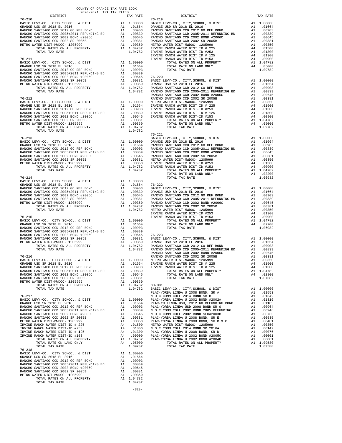| COUNTY OF ORANGE TAX RATE BOOK<br>$2020-2021 \quad \text{TRA RATES}$ DISTRICT $\hspace{2.5cm}$                                                                                                                                                                       |          |            |          |
|----------------------------------------------------------------------------------------------------------------------------------------------------------------------------------------------------------------------------------------------------------------------|----------|------------|----------|
|                                                                                                                                                                                                                                                                      | TAX RATE | DISTRICT   | TAX RATE |
| $76 - 210$                                                                                                                                                                                                                                                           |          | $76 - 219$ |          |
|                                                                                                                                                                                                                                                                      |          |            |          |
|                                                                                                                                                                                                                                                                      |          |            |          |
|                                                                                                                                                                                                                                                                      |          |            |          |
|                                                                                                                                                                                                                                                                      |          |            |          |
|                                                                                                                                                                                                                                                                      |          |            |          |
|                                                                                                                                                                                                                                                                      |          |            |          |
|                                                                                                                                                                                                                                                                      |          |            |          |
|                                                                                                                                                                                                                                                                      |          |            |          |
|                                                                                                                                                                                                                                                                      |          |            |          |
|                                                                                                                                                                                                                                                                      |          |            |          |
|                                                                                                                                                                                                                                                                      |          |            |          |
|                                                                                                                                                                                                                                                                      |          |            |          |
|                                                                                                                                                                                                                                                                      |          |            |          |
|                                                                                                                                                                                                                                                                      |          |            |          |
|                                                                                                                                                                                                                                                                      |          |            |          |
|                                                                                                                                                                                                                                                                      |          |            |          |
|                                                                                                                                                                                                                                                                      |          |            |          |
|                                                                                                                                                                                                                                                                      |          |            |          |
|                                                                                                                                                                                                                                                                      |          |            |          |
|                                                                                                                                                                                                                                                                      |          |            |          |
|                                                                                                                                                                                                                                                                      |          |            |          |
|                                                                                                                                                                                                                                                                      |          |            |          |
|                                                                                                                                                                                                                                                                      |          | $76 - 221$ |          |
|                                                                                                                                                                                                                                                                      |          |            |          |
|                                                                                                                                                                                                                                                                      |          |            |          |
|                                                                                                                                                                                                                                                                      |          |            |          |
|                                                                                                                                                                                                                                                                      |          |            |          |
|                                                                                                                                                                                                                                                                      |          |            |          |
| $\begin{tabular}{l c c c c c} \hline 76-213 & 76-221 & 76-221 & 76-221 & 76-221 & 76-221 & 76-221 & 76-221 & 76-221 & 76-221 & 76-221 & 76-221 & 76-221 & 76-221 & 76-221 & 76-221 & 76-221 & 76-221 & 76-221 & 76-221 & 76-221 & 76-221 & 76-221 & 76-221 & 76-221$ |          |            |          |
|                                                                                                                                                                                                                                                                      |          |            |          |
|                                                                                                                                                                                                                                                                      |          |            |          |
|                                                                                                                                                                                                                                                                      |          |            |          |
|                                                                                                                                                                                                                                                                      |          |            |          |
|                                                                                                                                                                                                                                                                      |          |            |          |
|                                                                                                                                                                                                                                                                      |          |            |          |
|                                                                                                                                                                                                                                                                      |          |            |          |
|                                                                                                                                                                                                                                                                      |          |            |          |
|                                                                                                                                                                                                                                                                      |          |            |          |
|                                                                                                                                                                                                                                                                      |          |            |          |
|                                                                                                                                                                                                                                                                      |          |            |          |
|                                                                                                                                                                                                                                                                      |          |            |          |
|                                                                                                                                                                                                                                                                      |          |            |          |
|                                                                                                                                                                                                                                                                      |          |            |          |
|                                                                                                                                                                                                                                                                      |          |            |          |
|                                                                                                                                                                                                                                                                      |          |            |          |
|                                                                                                                                                                                                                                                                      |          |            |          |
|                                                                                                                                                                                                                                                                      |          |            |          |
|                                                                                                                                                                                                                                                                      |          |            |          |
|                                                                                                                                                                                                                                                                      |          |            |          |
|                                                                                                                                                                                                                                                                      |          |            |          |
|                                                                                                                                                                                                                                                                      |          |            |          |
|                                                                                                                                                                                                                                                                      |          |            |          |
|                                                                                                                                                                                                                                                                      |          |            |          |
|                                                                                                                                                                                                                                                                      |          |            |          |
|                                                                                                                                                                                                                                                                      |          |            |          |
|                                                                                                                                                                                                                                                                      |          |            |          |
|                                                                                                                                                                                                                                                                      |          |            |          |
|                                                                                                                                                                                                                                                                      |          |            |          |
|                                                                                                                                                                                                                                                                      |          |            |          |
|                                                                                                                                                                                                                                                                      |          |            |          |
|                                                                                                                                                                                                                                                                      |          |            |          |
|                                                                                                                                                                                                                                                                      |          |            |          |
|                                                                                                                                                                                                                                                                      |          |            |          |
|                                                                                                                                                                                                                                                                      |          |            |          |
|                                                                                                                                                                                                                                                                      |          |            |          |
|                                                                                                                                                                                                                                                                      |          |            |          |
| <b>1973.</b> The street of the street of the street in the street of the street of the street of the street of the street of the street of the street of the street of the street of the street of the street of the street of the                                   |          |            |          |
|                                                                                                                                                                                                                                                                      |          |            |          |
|                                                                                                                                                                                                                                                                      |          |            |          |
|                                                                                                                                                                                                                                                                      |          |            |          |
|                                                                                                                                                                                                                                                                      |          |            |          |
|                                                                                                                                                                                                                                                                      |          |            |          |
|                                                                                                                                                                                                                                                                      |          |            |          |

-328-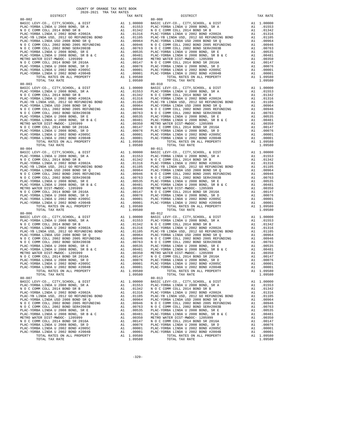| $80 - 002$                                                                   |    |                                                                         | 80-008     |
|------------------------------------------------------------------------------|----|-------------------------------------------------------------------------|------------|
|                                                                              |    |                                                                         |            |
|                                                                              |    |                                                                         |            |
|                                                                              |    |                                                                         |            |
|                                                                              |    |                                                                         |            |
|                                                                              |    |                                                                         |            |
|                                                                              |    |                                                                         |            |
|                                                                              |    |                                                                         |            |
|                                                                              |    |                                                                         |            |
|                                                                              |    |                                                                         |            |
|                                                                              |    |                                                                         |            |
|                                                                              |    |                                                                         |            |
|                                                                              |    |                                                                         |            |
|                                                                              |    |                                                                         |            |
|                                                                              |    |                                                                         |            |
| TOTAL TAX RATE                                                               |    | 1.09580                                                                 |            |
|                                                                              |    |                                                                         |            |
|                                                                              |    |                                                                         |            |
|                                                                              |    |                                                                         |            |
|                                                                              |    |                                                                         |            |
|                                                                              |    |                                                                         |            |
|                                                                              |    |                                                                         |            |
|                                                                              |    |                                                                         |            |
|                                                                              |    |                                                                         |            |
|                                                                              |    |                                                                         |            |
|                                                                              |    |                                                                         |            |
|                                                                              |    |                                                                         |            |
|                                                                              |    |                                                                         |            |
|                                                                              |    |                                                                         |            |
|                                                                              |    |                                                                         |            |
|                                                                              |    |                                                                         |            |
|                                                                              |    |                                                                         |            |
|                                                                              |    |                                                                         |            |
|                                                                              |    |                                                                         |            |
|                                                                              |    |                                                                         |            |
|                                                                              |    |                                                                         |            |
|                                                                              |    |                                                                         |            |
|                                                                              |    |                                                                         |            |
|                                                                              |    |                                                                         |            |
|                                                                              |    |                                                                         |            |
|                                                                              |    |                                                                         |            |
|                                                                              |    |                                                                         |            |
|                                                                              |    |                                                                         |            |
|                                                                              |    |                                                                         |            |
|                                                                              |    |                                                                         |            |
|                                                                              |    |                                                                         |            |
|                                                                              |    |                                                                         |            |
|                                                                              |    |                                                                         |            |
| $80 - 006$                                                                   |    |                                                                         | $80 - 012$ |
|                                                                              |    |                                                                         |            |
|                                                                              |    |                                                                         |            |
|                                                                              |    |                                                                         |            |
|                                                                              |    |                                                                         |            |
|                                                                              |    |                                                                         |            |
|                                                                              |    |                                                                         |            |
|                                                                              |    |                                                                         |            |
|                                                                              |    |                                                                         |            |
|                                                                              |    |                                                                         |            |
|                                                                              |    |                                                                         |            |
|                                                                              |    |                                                                         |            |
|                                                                              |    |                                                                         |            |
|                                                                              |    |                                                                         |            |
|                                                                              |    |                                                                         |            |
| TOTAL RATES ON ALL PROPERTY<br>TOTAL TAX RATE                                |    | A1 1.09580<br>1.09580                                                   |            |
| $80 - 007$                                                                   |    |                                                                         | $80 - 013$ |
| BASIC LEVY-CO., CITY, SCHOOL, & DIST                                         | A1 | 1.00000                                                                 | BASIC L    |
| PLAC-YORBA LINDA U 2008 BOND, SR A                                           |    | A1 .01553                                                               | PLAC-YO    |
| N O C COMM COLL 2014 BOND SR B                                               | A1 | .01342                                                                  | N O C C    |
| PLAC-YORBA LINDA U 2002 BOND #2002A                                          | A1 | .01316                                                                  | PLAC-YO    |
| PLAC-YB LINDA USD, 2012 GO REFUNDING BOND                                    | A1 | .01105                                                                  | PLAC-YB    |
| PLAC-YORBA LINDA USD 2008 BOND SR Q                                          | A1 | .00964                                                                  | PLAC-YO    |
| N O C COMM COLL 2002 BOND 2005 REFUNDING                                     |    | A1 .00946 NOCC<br>A1 .00763 NOCC<br>A1 .00535 PLAC-YO<br>A1 .00481 NOCC |            |
| N O C COMM COLL 2002 BOND SER#2003B                                          |    |                                                                         |            |
| PLAC-YORBA LINDA U 2008 BOND, SR E<br>PLAC-YORBA LINDA U 2008 BOND, SR B & C |    |                                                                         |            |
| METRO WATER DIST-MWDOC- 1205999                                              |    |                                                                         |            |
| N O C COMM COLL 2014 BOND SR 2016A                                           |    | A1 .00350 METROW<br>A1 .00147 NOCC                                      |            |
| PLAC-YORBA LINDA U 2008 BOND, SR D                                           | A1 | .00076                                                                  | PLAC-YO    |
| PLAC-YORBA LINDA U 2002 BOND #2005C                                          | A1 | .00001                                                                  | PLAC-YO    |
| PLAC-YORBA LINDA U 2002 BOND #2004B                                          | A1 | .00001                                                                  | PLAC-YO    |
| TOTAL RATES ON ALL PROPERTY                                                  |    | A1 1.09580                                                              |            |
| TOTAL TAX RATE                                                               |    | 1.09580                                                                 |            |

| TAX RATE<br>DISTRICT |         | DISTRICT                                                                                                                                                                                                                      | TAX RATE  |
|----------------------|---------|-------------------------------------------------------------------------------------------------------------------------------------------------------------------------------------------------------------------------------|-----------|
|                      |         |                                                                                                                                                                                                                               |           |
|                      |         |                                                                                                                                                                                                                               |           |
|                      |         |                                                                                                                                                                                                                               |           |
|                      |         |                                                                                                                                                                                                                               |           |
|                      |         |                                                                                                                                                                                                                               |           |
|                      |         |                                                                                                                                                                                                                               |           |
|                      |         |                                                                                                                                                                                                                               |           |
|                      |         |                                                                                                                                                                                                                               |           |
|                      |         |                                                                                                                                                                                                                               |           |
|                      |         |                                                                                                                                                                                                                               |           |
|                      |         |                                                                                                                                                                                                                               |           |
|                      |         |                                                                                                                                                                                                                               |           |
|                      |         |                                                                                                                                                                                                                               |           |
|                      |         |                                                                                                                                                                                                                               |           |
|                      |         |                                                                                                                                                                                                                               |           |
|                      |         |                                                                                                                                                                                                                               |           |
|                      |         |                                                                                                                                                                                                                               |           |
|                      |         |                                                                                                                                                                                                                               |           |
|                      |         |                                                                                                                                                                                                                               |           |
|                      |         |                                                                                                                                                                                                                               |           |
|                      |         |                                                                                                                                                                                                                               |           |
|                      |         |                                                                                                                                                                                                                               |           |
|                      |         |                                                                                                                                                                                                                               |           |
|                      |         |                                                                                                                                                                                                                               |           |
|                      |         |                                                                                                                                                                                                                               |           |
|                      |         |                                                                                                                                                                                                                               |           |
|                      |         |                                                                                                                                                                                                                               |           |
|                      |         |                                                                                                                                                                                                                               |           |
|                      |         |                                                                                                                                                                                                                               |           |
|                      |         |                                                                                                                                                                                                                               |           |
|                      |         |                                                                                                                                                                                                                               |           |
|                      |         |                                                                                                                                                                                                                               |           |
|                      |         |                                                                                                                                                                                                                               |           |
|                      |         |                                                                                                                                                                                                                               |           |
|                      |         |                                                                                                                                                                                                                               |           |
|                      |         |                                                                                                                                                                                                                               |           |
|                      |         |                                                                                                                                                                                                                               |           |
|                      |         |                                                                                                                                                                                                                               |           |
|                      |         |                                                                                                                                                                                                                               |           |
|                      |         |                                                                                                                                                                                                                               |           |
|                      |         |                                                                                                                                                                                                                               |           |
|                      |         |                                                                                                                                                                                                                               |           |
|                      |         |                                                                                                                                                                                                                               |           |
|                      |         |                                                                                                                                                                                                                               |           |
|                      |         |                                                                                                                                                                                                                               |           |
|                      |         |                                                                                                                                                                                                                               |           |
|                      |         |                                                                                                                                                                                                                               |           |
|                      |         |                                                                                                                                                                                                                               |           |
|                      |         |                                                                                                                                                                                                                               |           |
|                      |         |                                                                                                                                                                                                                               |           |
|                      |         |                                                                                                                                                                                                                               |           |
|                      |         |                                                                                                                                                                                                                               |           |
|                      |         |                                                                                                                                                                                                                               |           |
|                      |         |                                                                                                                                                                                                                               |           |
|                      |         |                                                                                                                                                                                                                               |           |
|                      |         |                                                                                                                                                                                                                               |           |
|                      |         |                                                                                                                                                                                                                               |           |
|                      |         |                                                                                                                                                                                                                               |           |
|                      |         |                                                                                                                                                                                                                               |           |
|                      |         |                                                                                                                                                                                                                               |           |
|                      |         |                                                                                                                                                                                                                               |           |
|                      |         |                                                                                                                                                                                                                               |           |
|                      |         |                                                                                                                                                                                                                               |           |
|                      |         |                                                                                                                                                                                                                               |           |
|                      |         |                                                                                                                                                                                                                               |           |
|                      |         |                                                                                                                                                                                                                               |           |
|                      |         |                                                                                                                                                                                                                               |           |
|                      |         |                                                                                                                                                                                                                               |           |
|                      |         |                                                                                                                                                                                                                               |           |
|                      |         |                                                                                                                                                                                                                               |           |
|                      |         |                                                                                                                                                                                                                               |           |
|                      |         |                                                                                                                                                                                                                               |           |
|                      |         |                                                                                                                                                                                                                               |           |
|                      |         |                                                                                                                                                                                                                               |           |
|                      |         |                                                                                                                                                                                                                               |           |
| $80 - 007$           |         | $80 - 013$                                                                                                                                                                                                                    |           |
|                      |         | BASIC LEVY-CO., CITY, SCHOOL, & DIST A1 1.00000 BASIC LEVY-CO., CITY, SCHOOL, & DIST A1 1.00000 BASIC LEVY-CO., CITY, SCHOOL, & DIST A1 1.00000 BASIC LEVY-CO., CITY, SCHOOL, & DIST A1 1.00000 BASIC LEVY-CO., CITY, SCHOOL, |           |
|                      |         |                                                                                                                                                                                                                               |           |
|                      |         |                                                                                                                                                                                                                               | A1 .01342 |
|                      |         |                                                                                                                                                                                                                               | A1 .01316 |
|                      |         |                                                                                                                                                                                                                               | A1 .01105 |
|                      |         |                                                                                                                                                                                                                               | A1 .00964 |
|                      |         |                                                                                                                                                                                                                               |           |
|                      |         |                                                                                                                                                                                                                               |           |
|                      |         |                                                                                                                                                                                                                               |           |
|                      |         |                                                                                                                                                                                                                               |           |
|                      |         |                                                                                                                                                                                                                               |           |
|                      |         |                                                                                                                                                                                                                               |           |
|                      |         |                                                                                                                                                                                                                               |           |
|                      |         |                                                                                                                                                                                                                               |           |
|                      |         |                                                                                                                                                                                                                               |           |
|                      |         |                                                                                                                                                                                                                               |           |
|                      |         |                                                                                                                                                                                                                               |           |
| TOTAL TAX RATE       | 1.09580 | TOTAL TAX RATE                                                                                                                                                                                                                | 1.09580   |

-329-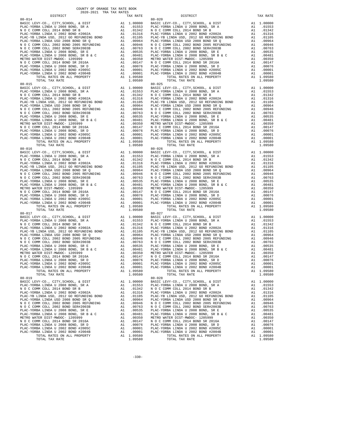| $80 - 014$                                                            |          |            | 80-020                       |
|-----------------------------------------------------------------------|----------|------------|------------------------------|
|                                                                       |          |            |                              |
|                                                                       |          |            |                              |
|                                                                       |          |            |                              |
|                                                                       |          |            |                              |
|                                                                       |          |            |                              |
|                                                                       |          |            |                              |
|                                                                       |          |            |                              |
|                                                                       |          |            |                              |
|                                                                       |          |            |                              |
|                                                                       |          |            |                              |
|                                                                       |          |            |                              |
|                                                                       |          |            |                              |
|                                                                       |          |            |                              |
|                                                                       |          |            |                              |
| TOTAL TAX RATE                                                        |          | 1.09580    |                              |
|                                                                       |          |            |                              |
|                                                                       |          |            |                              |
|                                                                       |          |            |                              |
|                                                                       |          |            |                              |
|                                                                       |          |            |                              |
|                                                                       |          |            |                              |
|                                                                       |          |            |                              |
|                                                                       |          |            |                              |
|                                                                       |          |            |                              |
|                                                                       |          |            |                              |
|                                                                       |          |            |                              |
|                                                                       |          |            |                              |
|                                                                       |          |            |                              |
|                                                                       |          |            |                              |
|                                                                       |          |            |                              |
|                                                                       |          |            |                              |
|                                                                       |          |            |                              |
|                                                                       |          |            |                              |
|                                                                       |          |            |                              |
|                                                                       |          |            |                              |
|                                                                       |          |            |                              |
|                                                                       |          |            |                              |
|                                                                       |          |            |                              |
|                                                                       |          |            |                              |
|                                                                       |          |            |                              |
|                                                                       |          |            |                              |
|                                                                       |          |            |                              |
|                                                                       |          |            |                              |
|                                                                       |          |            |                              |
|                                                                       |          |            |                              |
|                                                                       |          |            |                              |
|                                                                       |          |            |                              |
|                                                                       |          |            |                              |
| $80 - 017$                                                            |          |            | $80 - 027$                   |
|                                                                       |          |            |                              |
|                                                                       |          |            |                              |
|                                                                       |          |            |                              |
|                                                                       |          |            |                              |
|                                                                       |          |            |                              |
|                                                                       |          |            |                              |
|                                                                       |          |            |                              |
|                                                                       |          |            |                              |
|                                                                       |          |            |                              |
|                                                                       |          |            |                              |
|                                                                       |          |            |                              |
|                                                                       |          |            |                              |
|                                                                       |          |            |                              |
|                                                                       |          |            |                              |
| TOTAL RATES ON ALL PROPERTY                                           |          | A1 1.09580 |                              |
| TOTAL TAX RATE<br>$80 - 019$                                          |          | 1.09580    | $80 - 028$                   |
| BASIC LEVY-CO., CITY, SCHOOL, & DIST                                  | A1       | 1,00000    | BASIC L                      |
| PLAC-YORBA LINDA U 2008 BOND, SR A                                    |          | A1 .01553  | PLAC-YO                      |
| N O C COMM COLL 2014 BOND SR B                                        | A1       | .01342     | NOCC                         |
| PLAC-YORBA LINDA U 2002 BOND #2002A                                   | A1       | .01316     | PLAC-YO                      |
| PLAC-YB LINDA USD, 2012 GO REFUNDING BOND                             | A1       | .01105     | PLAC-YB                      |
| PLAC-YORBA LINDA USD 2008 BOND SR Q                                   | A1       | .00964     | PLAC-YO                      |
| N O C COMM COLL 2002 BOND 2005 REFUNDING                              | A1       | .00946     | NOCC                         |
| N O C COMM COLL 2002 BOND SER#2003B                                   |          | A1.00763   | $N$ O C C                    |
| PLAC-YORBA LINDA U 2008 BOND, SR E                                    |          | A1 .00535  | PLAC-YO                      |
| PLAC-YORBA LINDA U 2008 BOND, SR B & C                                | A1       | .00481     | PLAC-YO                      |
| METRO WATER DIST-MWDOC- 1205999<br>N O C COMM COLL 2014 BOND SR 2016A | A1       |            | .00350 METROW<br>.00147 NOCC |
| PLAC-YORBA LINDA U 2008 BOND, SR D                                    | A1<br>A1 | .00076     | PLAC-YO                      |
| PLAC-YORBA LINDA U 2002 BOND #2005C                                   | A1       | .00001     | PLAC-YO                      |
| PLAC-YORBA LINDA U 2002 BOND #2004B                                   | A1       | .00001     | PLAC-YO                      |
| TOTAL RATES ON ALL PROPERTY                                           |          | A1 1.09580 |                              |
| <b>POPAI PAV DAPP</b>                                                 |          | 1 09590    |                              |

 DISTRICT TAX RATE DISTRICT TAX RATE BASIC LEVY-CO., CITY,SCHOOL, & DIST A1 1.00000 BASIC LEVY-CO., CITY,SCHOOL, & DIST A1 1.00000 PLAC-YORBA LINDA U 2008 BOND, SR A A1 .01553 PLAC-YORBA LINDA U 2008 BOND, SR A A1 .01553 N O C COMM COLL 2014 BOND SR B AN A1 .01553<br>
A1 .01342 N O C COMM COLL 2014 BOND SR B A1 .01342<br>
A1 .01316 PLAC-YORBA LINDA U 2002 BOND #2002A<br>
A1 .01105 PLAC-YB LINDA USD, 2012 GO REFUNDING BOND A1 .01105 PLAC-YORBA LIMDA U 2002 BOND #2002<br>
PLAC-YORBA LIMDA U 2002 BOND #2002A<br>
11105 PLAC-YB LINDA USD, 2012 GO REFUNDING BOND A1 .01105  $[1.00-70 \, \text{FLAC}-Y0 \, \text{FBA} \, \text{LINDA} \, \text{USD}, \, \, 2012 \, \text{GO} \, \text{RE} \, \text{WLO} \, \text{O} \, \text{O} \, \text{O} \, \text{O} \, \text{O} \, \text{O} \, \text{O} \, \text{O} \, \text{O} \, \text{O} \, \text{O} \, \text{O} \, \text{O} \, \text{O} \, \text{O} \, \text{O} \, \text{O} \, \text{O} \, \text{O} \, \text{O} \, \text{$  BASIC LEVY-CO., CITY,SCHOOL, & DIST A1 1.00000 BASIC LEVY-CO., CITY,SCHOOL, & DIST A1 1.00000 PLAC-YORBA LINDA U 2008 BOND, SR A A1 .01553 PLAC-YORBA LINDA U 2008 BOND, SR A A1 .01553 N O C COMM COLL 2014 BOND SR B A1 .01342 N O C COMM COLL 2014 BOND SR B A1 .01342 A1 .01316 PLAC-YORBA LINDA U 2002 BOND #2002A A1 .01316<br>A1 .01316 PLAC-YORBA LINDA U 2002 BOND #2002A A1 .01105 PLAC-YB LINDA USD, 2012 GO REFUNDING BOND A1 .01105 PLAC-YB LINDA USD, 2012 GO REFUNDING BOND A1 .01105 PLAC-YORBA LINDA USD 2008 BOND SR Q A1 .00964 PLAC-YORBA LINDA USD 2008 BOND SR Q A1 .00964 N O C COMM COLL 2002 BOND 2005 REFUNDING A1 .00946 N O C COMM COLL 2002 BOND 2005 REFUNDING A1 .00946 N O C COMM COLL 2002 BOND SER#2003B A1 .00763 N O C COMM COLL 2002 BOND SER#2003B A1 .00763 PLAC-YORBA LINDA U 2008 BOND, SR E A1 .00535 PLAC-YORBA LINDA U 2008 BOND, SR E A1 .00535 PLAC-YORBA LINDA U 2008 BOND, SR B & C A1 .00481 PLAC-YORBA LINDA U 2008 BOND, SR B & C A1 .00481 METRO WATER DIST-MWDOC- 1205999 A1 .00350 METRO WATER DIST-MWDOC- 1205999 A1 .00350 N O C COMM COLL 2014 BOND SR 2016A A1 .00147 N O C COMM COLL 2014 BOND SR 2016A A1 .00147 PLAC-YORBA LINDA U 2008 BOND, SR D A1 .00076 PLAC-YORBA LINDA U 2008 BOND, SR D A1 .00076 PLAC-YORBA LINDA U 2002 BOND #2005C A1 .00001 PLAC-YORBA LINDA U 2002 BOND #2005C A1 .00001 PLAC-YORBA LINDA U 2002 BOND #2004B A1 .00001 PLAC-YORBA LINDA U 2002 BOND #2004B A1 .00001 TOTAL RATES ON ALL PROPERTY A1 1.09580 TOTAL RATES ON ALL PROPERTY A1 1.09580 TOTAL TAX RATE 1.09580 TOTAL TAX RATE 1.09580 A1 1.00000 BASIC LEVY-CO., CITY,SCHOOL, & DIST A1 1.00000<br>A1 .01553 PLAC-YORBA LINDA U 2008 BOND, SR A<br>A1 .01342 N O C COMM COLL 2014 BOND SR B A1 .01342 PLAC-YORBA LINDA U 2008 BOND, SR A<br>N 0 C COMM COLL 2014 BOND SR B N O C COMM COLL 2014 BOND SR B A1 .01342 N O C COMM COLL 2014 BOND SR B A1 .01342 PLAC-YORBA LINDA U 2002 BOND #2002A A1 .01316 PLAC-YORBA LINDA U 2002 BOND #2002A A1 .01316 PLAC-YB LINDA USD, 2012 GO REFUNDING BOND A1 .01105 PLAC-YB LINDA USD, 2012 GO REFUNDING BOND A1 .01105 PLAC-YORBA LINDA USD 2008 BOND SR Q A1 .00964 PLAC-YORBA LINDA USD 2008 BOND SR Q A1 .00964 N O C COMM COLL 2002 BOND 2005 REFUNDING A1 .00946 N O C COMM COLL 2002 BOND 2005 REFUNDING A1 .00946 N O C COMM COLL 2002 BOND SER#2003B A1 .00763 N O C COMM COLL 2002 BOND SER#2003B A1 .00763 PLAC-YORBA LINDA U 2008 BOND, SR E A1 .00535 PLAC-YORBA LINDA U 2008 BOND, SR E A1 .00535 PLAC-YORBA LINDA U 2008 BOND, SR B & C A1 .00481 PLAC-YORBA LINDA U 2008 BOND, SR B & C A1 .00481 METRO WATER DIST-MWDOC- 1205999 A1 .00350 METRO WATER DIST-MWDOC- 1205999 A1 .00350 N O C COMM COLL 2014 BOND SR 2016A A1 .00147 N O C COMM COLL 2014 BOND SR 2016A A1 .00147 PLAC-YORBA LINDA U 2008 BOND, SR D A1 .00076 PLAC-YORBA LINDA U 2008 BOND, SR D A1 .00076 PLAC-YORBA LINDA U 2002 BOND #2005C A1 .00001 PLAC-YORBA LINDA U 2002 BOND #2005C A1 .00001 PLAC-YORBA LINDA U 2002 BOND #2004B A1 .00001 PLAC-YORBA LINDA U 2002 BOND #2004B A1 .00001 TOTAL RATES ON ALL PROPERTY A1 1.09580 TOTAL RATES ON ALL PROPERTY A1 1.09580 TOTAL TAX RATE 1.09580 TOTAL TAX RATE 1.09580  $\begin{tabular}{l|c|c|c|c|c|c} BASTC LEVY-CO., CITY, SCHOOL, &\&DIST &\&A1 & 1.00000 &\&DASIC LEVY-CO., CITY, SCHOOL, &\&DIST &\&A1 & 1.00000 \\ \hline \texttt{PAC-YORBA LINDA U 2008 BOND, S.R &\&A1 & .01553 &\&DLAC-YORBA LINDA U 2008 BOND, SR A &\&A1 & .01553 \\ \texttt{N O C COMM COLL 2014 BOND SR A &\&A1 & .01542 \\ \texttt{PLAC-YORBA LINDA U 2002$  $\begin{tabular}{l|c|c|c|c|c|c|c|c} \multicolumn{4}{c}{\textbf{N} O C COM COLL 2002 BOND 2005 REFUNDING} & \multicolumn{4}{c}{\textbf{A1}} & .00946 & \multicolumn{4}{c}{\textbf{N} O C COM COLL 2002 BOND 2005 REFUNDING} & \multicolumn{4}{c}{\textbf{A1}} & .00946 \\ \multicolumn{4}{c}{\textbf{N} O C COM COLL 2002 BOND SERN 2008 BOND, SER R & \multicolumn{4}{c}{\textbf{A1}} & .00763 & \multicolumn{4}{$  TOTAL TAX RATE 1.09580 TOTAL TAX RATE 1.09580 BASIC LEVY-CO., CITY,SCHOOL, & DIST A1 1.00000 BASIC LEVY-CO., CITY,SCHOOL, & DIST A1 1.00000 PLAC-YORBA LINDA U 2008 BOND, SR A A1 .01553 PLAC-YORBA LINDA U 2008 BOND, SR A A1 .01553 N O C COMM COLL 2014 BOND SR B A1 .01342 N O C COMM COLL 2014 BOND SR B A1 .01342 PLAC-YORBA LINDA U 2002 BOND #2002A A1 .01316 PLAC-YORBA LINDA U 2002 BOND #2002A A1 .01316 PLAC-YB LINDA USD, 2012 GO REFUNDING BOND A1 .01105 PLAC-YB LINDA USD, 2012 GO REFUNDING BOND A1 .01105 PLAC-YORBA LINDA USD 2008 BOND SR Q A1 .00964 PLAC-YORBA LINDA USD 2008 BOND SR Q A1 .00964 0 C COMM COLL 2002 BOND 2005 REFUNDING A1 .00946 N O C COMM COLL 2002 BOND 2005 REFUNDING A1 .00946<br>10 O C COMM COLL 2002 BOND SER#2003B A1 .00763 N O C COMM COLL 2002 BOND SER#2003B A1 .00763 PLAC-YORBA LINDA U 2008 BOND, SR E A1 .00535 PLAC-YORBA LINDA U 2008 BOND, SR E A1 .00535 PLAC-YORBA LINDA U 2008 BOND, SR B & C A1 .00481 PLAC-YORBA LINDA U 2008 BOND, SR B & C A1 .00481 METRO WATER DIST-MWDOC- 1205999 A1 .00350 METRO WATER DIST-MWDOC- 1205999 A1 .00350 N O C COMM COLL 2014 BOND SR 2016A A1 .00147 N O C COMM COLL 2014 BOND SR 2016A A1 .00147 PLAC-YORBA LINDA U 2008 BOND, SR D A1 .00076 PLAC-YORBA LINDA U 2008 BOND, SR D A1 .00076 PLAC-YORBA LINDA U 2002 BOND #2005C A1 .00001 PLAC-YORBA LINDA U 2002 BOND #2005C A1 .00001 PLAC-YORBA LINDA U 2002 BOND #2004B A1 .00001 PLAC-YORBA LINDA U 2002 BOND #2004B A1 .00001 TOTAL RATES ON ALL PROPERTY A1 1.09580 TOTAL RATES ON ALL PROPERTY A1 1.09580 TOTAL RATES ON ALL PROPERTY ALL 1.09580 TOTAL RATES ON ALL PROPERTY ALL 1.09580 TOTAL TAX RATE 1.09580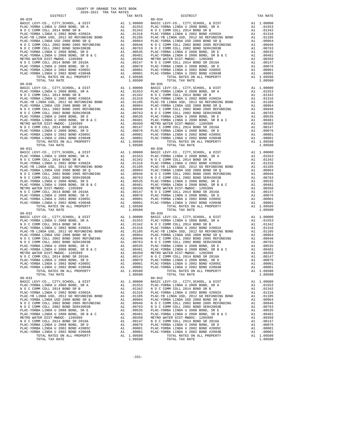| 80-029                                                                           |          |                                                                     | 80-034             |
|----------------------------------------------------------------------------------|----------|---------------------------------------------------------------------|--------------------|
|                                                                                  |          |                                                                     |                    |
|                                                                                  |          |                                                                     |                    |
|                                                                                  |          |                                                                     |                    |
|                                                                                  |          |                                                                     |                    |
|                                                                                  |          |                                                                     |                    |
|                                                                                  |          |                                                                     |                    |
|                                                                                  |          |                                                                     |                    |
|                                                                                  |          |                                                                     |                    |
|                                                                                  |          |                                                                     |                    |
|                                                                                  |          |                                                                     |                    |
|                                                                                  |          |                                                                     |                    |
|                                                                                  |          |                                                                     |                    |
|                                                                                  |          |                                                                     |                    |
| TOTAL TAX RATE                                                                   |          | 1.09580                                                             |                    |
|                                                                                  |          |                                                                     |                    |
|                                                                                  |          |                                                                     |                    |
|                                                                                  |          |                                                                     |                    |
|                                                                                  |          |                                                                     |                    |
|                                                                                  |          |                                                                     |                    |
|                                                                                  |          |                                                                     |                    |
|                                                                                  |          |                                                                     |                    |
|                                                                                  |          |                                                                     |                    |
|                                                                                  |          |                                                                     |                    |
|                                                                                  |          |                                                                     |                    |
|                                                                                  |          |                                                                     |                    |
|                                                                                  |          |                                                                     |                    |
|                                                                                  |          |                                                                     |                    |
|                                                                                  |          |                                                                     |                    |
|                                                                                  |          |                                                                     |                    |
|                                                                                  |          |                                                                     |                    |
|                                                                                  |          |                                                                     |                    |
|                                                                                  |          |                                                                     |                    |
|                                                                                  |          |                                                                     |                    |
|                                                                                  |          |                                                                     |                    |
|                                                                                  |          |                                                                     |                    |
|                                                                                  |          |                                                                     |                    |
|                                                                                  |          |                                                                     |                    |
|                                                                                  |          |                                                                     |                    |
|                                                                                  |          |                                                                     |                    |
|                                                                                  |          |                                                                     |                    |
|                                                                                  |          |                                                                     |                    |
|                                                                                  |          |                                                                     |                    |
|                                                                                  |          |                                                                     |                    |
|                                                                                  |          |                                                                     |                    |
|                                                                                  |          |                                                                     |                    |
| $80 - 032$                                                                       |          |                                                                     | $80 - 039$         |
|                                                                                  |          |                                                                     |                    |
|                                                                                  |          |                                                                     |                    |
|                                                                                  |          |                                                                     |                    |
|                                                                                  |          |                                                                     |                    |
|                                                                                  |          |                                                                     |                    |
|                                                                                  |          |                                                                     |                    |
|                                                                                  |          |                                                                     |                    |
|                                                                                  |          |                                                                     |                    |
|                                                                                  |          |                                                                     |                    |
|                                                                                  |          |                                                                     |                    |
|                                                                                  |          |                                                                     |                    |
|                                                                                  |          |                                                                     |                    |
|                                                                                  |          |                                                                     |                    |
| TOTAL RATES ON ALL PROPERTY                                                      |          | A1 1.09580                                                          |                    |
| TOTAL TAX RATE                                                                   |          | 1.09580                                                             |                    |
| $80 - 033$                                                                       |          |                                                                     | $80 - 042$         |
| BASIC LEVY-CO., CITY, SCHOOL, & DIST                                             | A1       | 1.00000                                                             | BASIC L            |
| PLAC-YORBA LINDA U 2008 BOND, SR A                                               |          | A1 .01553                                                           | PLAC-YO            |
| N O C COMM COLL 2014 BOND SR B                                                   | A1       | .01342                                                              | N O C C            |
| PLAC-YORBA LINDA U 2002 BOND #2002A                                              | A1       | .01316                                                              | PLAC-YO            |
| PLAC-YB LINDA USD, 2012 GO REFUNDING BOND<br>PLAC-YORBA LINDA USD 2008 BOND SR Q | A1<br>A1 | .01105<br>.00964                                                    | PLAC-YB<br>PLAC-YO |
| N O C COMM COLL 2002 BOND 2005 REFUNDING                                         |          |                                                                     |                    |
| N O C COMM COLL 2002 BOND SER#2003B                                              |          | A1 .00946 NOCC<br>A1 .00763 NOCC<br>A1 .00535 PLAC-YO<br>A1 00401 - |                    |
| PLAC-YORBA LINDA U 2008 BOND, SR E                                               |          |                                                                     |                    |
| PLAC-YORBA LINDA U 2008 BOND, SR B & C                                           |          | A1 .00481                                                           | PLAC-YO            |
| METRO WATER DIST-MWDOC- 1205999                                                  |          | A1 .00350 METROW<br>A1 .00147 NOCC                                  |                    |
| N O C COMM COLL 2014 BOND SR 2016A                                               |          |                                                                     |                    |
| PLAC-YORBA LINDA U 2008 BOND, SR D<br>PLAC-YORBA LINDA U 2002 BOND #2005C        | A1<br>A1 | .00076<br>.00001                                                    | PLAC-YO<br>PLAC-YO |
| PLAC-YORBA LINDA U 2002 BOND #2004B                                              | A1       | .00001                                                              | PLAC-YO            |
| TOTAL RATES ON ALL PROPERTY                                                      |          | A1 1.09580                                                          |                    |
| TOTAL TAX RATE                                                                   |          | 1.09580                                                             |                    |

| TAX RATE<br>DISTRICT |         | DISTRICT                                                                                                                                                                                                                      | TAX RATE  |
|----------------------|---------|-------------------------------------------------------------------------------------------------------------------------------------------------------------------------------------------------------------------------------|-----------|
|                      |         |                                                                                                                                                                                                                               |           |
|                      |         |                                                                                                                                                                                                                               |           |
|                      |         |                                                                                                                                                                                                                               |           |
|                      |         |                                                                                                                                                                                                                               |           |
|                      |         |                                                                                                                                                                                                                               |           |
|                      |         |                                                                                                                                                                                                                               |           |
|                      |         |                                                                                                                                                                                                                               |           |
|                      |         |                                                                                                                                                                                                                               |           |
|                      |         |                                                                                                                                                                                                                               |           |
|                      |         |                                                                                                                                                                                                                               |           |
|                      |         |                                                                                                                                                                                                                               |           |
|                      |         |                                                                                                                                                                                                                               |           |
|                      |         |                                                                                                                                                                                                                               |           |
|                      |         |                                                                                                                                                                                                                               |           |
|                      |         |                                                                                                                                                                                                                               |           |
|                      |         |                                                                                                                                                                                                                               |           |
|                      |         |                                                                                                                                                                                                                               |           |
|                      |         |                                                                                                                                                                                                                               |           |
|                      |         |                                                                                                                                                                                                                               |           |
|                      |         |                                                                                                                                                                                                                               |           |
|                      |         |                                                                                                                                                                                                                               |           |
|                      |         |                                                                                                                                                                                                                               |           |
|                      |         |                                                                                                                                                                                                                               |           |
|                      |         |                                                                                                                                                                                                                               |           |
|                      |         |                                                                                                                                                                                                                               |           |
|                      |         |                                                                                                                                                                                                                               |           |
|                      |         |                                                                                                                                                                                                                               |           |
|                      |         |                                                                                                                                                                                                                               |           |
|                      |         |                                                                                                                                                                                                                               |           |
|                      |         |                                                                                                                                                                                                                               |           |
|                      |         |                                                                                                                                                                                                                               |           |
|                      |         |                                                                                                                                                                                                                               |           |
|                      |         |                                                                                                                                                                                                                               |           |
|                      |         |                                                                                                                                                                                                                               |           |
|                      |         |                                                                                                                                                                                                                               |           |
|                      |         |                                                                                                                                                                                                                               |           |
|                      |         |                                                                                                                                                                                                                               |           |
|                      |         |                                                                                                                                                                                                                               |           |
|                      |         |                                                                                                                                                                                                                               |           |
|                      |         |                                                                                                                                                                                                                               |           |
|                      |         |                                                                                                                                                                                                                               |           |
|                      |         |                                                                                                                                                                                                                               |           |
|                      |         |                                                                                                                                                                                                                               |           |
|                      |         |                                                                                                                                                                                                                               |           |
|                      |         |                                                                                                                                                                                                                               |           |
|                      |         |                                                                                                                                                                                                                               |           |
|                      |         |                                                                                                                                                                                                                               |           |
|                      |         |                                                                                                                                                                                                                               |           |
|                      |         |                                                                                                                                                                                                                               |           |
|                      |         |                                                                                                                                                                                                                               |           |
|                      |         |                                                                                                                                                                                                                               |           |
|                      |         |                                                                                                                                                                                                                               |           |
|                      |         |                                                                                                                                                                                                                               |           |
|                      |         |                                                                                                                                                                                                                               |           |
|                      |         |                                                                                                                                                                                                                               |           |
|                      |         |                                                                                                                                                                                                                               |           |
|                      |         |                                                                                                                                                                                                                               |           |
|                      |         |                                                                                                                                                                                                                               |           |
|                      |         |                                                                                                                                                                                                                               |           |
|                      |         |                                                                                                                                                                                                                               |           |
|                      |         |                                                                                                                                                                                                                               |           |
|                      |         |                                                                                                                                                                                                                               |           |
|                      |         |                                                                                                                                                                                                                               |           |
|                      |         |                                                                                                                                                                                                                               |           |
|                      |         |                                                                                                                                                                                                                               |           |
|                      |         |                                                                                                                                                                                                                               |           |
|                      |         |                                                                                                                                                                                                                               |           |
|                      |         |                                                                                                                                                                                                                               |           |
|                      |         |                                                                                                                                                                                                                               |           |
|                      |         |                                                                                                                                                                                                                               |           |
|                      |         |                                                                                                                                                                                                                               |           |
|                      |         |                                                                                                                                                                                                                               |           |
|                      |         |                                                                                                                                                                                                                               |           |
|                      |         |                                                                                                                                                                                                                               |           |
|                      |         |                                                                                                                                                                                                                               |           |
| $80 - 033$           |         | $80 - 042$                                                                                                                                                                                                                    |           |
|                      |         | BASIC LEVY-CO., CITY, SCHOOL, & DIST A1 1.00000 BASIC LEVY-CO., CITY, SCHOOL, & DIST A1 1.00000 BASIC LEVY-CO., CITY, SCHOOL, & DIST A1 1.00000 BASIC LEVY-CO., CITY, SCHOOL, & DIST A1 1.00000 BASIC LEVY-CO., CITY, SCHOOL, |           |
|                      |         |                                                                                                                                                                                                                               |           |
|                      |         |                                                                                                                                                                                                                               | A1 .01342 |
|                      |         |                                                                                                                                                                                                                               | A1 .01316 |
|                      |         |                                                                                                                                                                                                                               | A1 .01105 |
|                      |         |                                                                                                                                                                                                                               | A1 .00964 |
|                      |         |                                                                                                                                                                                                                               |           |
|                      |         |                                                                                                                                                                                                                               |           |
|                      |         |                                                                                                                                                                                                                               |           |
|                      |         |                                                                                                                                                                                                                               |           |
|                      |         |                                                                                                                                                                                                                               |           |
|                      |         |                                                                                                                                                                                                                               |           |
|                      |         |                                                                                                                                                                                                                               |           |
|                      |         |                                                                                                                                                                                                                               |           |
|                      |         |                                                                                                                                                                                                                               |           |
|                      |         |                                                                                                                                                                                                                               |           |
|                      |         |                                                                                                                                                                                                                               |           |
| TOTAL TAX RATE       | 1.09580 | TOTAL TAX RATE                                                                                                                                                                                                                | 1.09580   |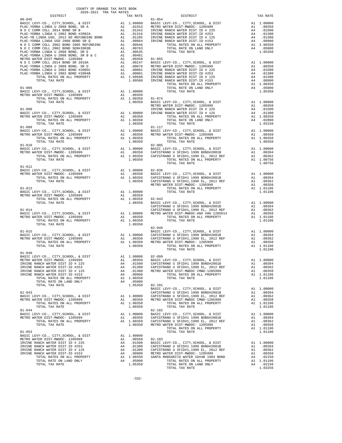| COUNTY OF ORANGE TAX RATE BOOK<br>2020-2021 TRA TAX RATES<br>DISTRICT 2020-2021 TRA TAX RATES |         |                       |          |
|-----------------------------------------------------------------------------------------------|---------|-----------------------|----------|
|                                                                                               |         | IRA IAA RAIE DISTRICT | TAX RATE |
|                                                                                               |         |                       |          |
|                                                                                               |         |                       |          |
|                                                                                               |         |                       |          |
|                                                                                               |         |                       |          |
|                                                                                               |         |                       |          |
|                                                                                               |         |                       |          |
|                                                                                               |         |                       |          |
|                                                                                               |         |                       |          |
|                                                                                               |         |                       |          |
|                                                                                               |         |                       |          |
|                                                                                               |         |                       |          |
|                                                                                               |         |                       |          |
|                                                                                               |         |                       |          |
|                                                                                               |         |                       |          |
|                                                                                               |         |                       |          |
|                                                                                               |         |                       |          |
|                                                                                               |         |                       |          |
|                                                                                               |         |                       |          |
|                                                                                               |         |                       |          |
|                                                                                               |         |                       |          |
|                                                                                               |         |                       |          |
|                                                                                               |         |                       |          |
|                                                                                               |         |                       |          |
|                                                                                               |         |                       |          |
|                                                                                               |         |                       |          |
|                                                                                               |         |                       |          |
|                                                                                               |         |                       |          |
|                                                                                               |         |                       |          |
|                                                                                               |         |                       |          |
|                                                                                               |         |                       |          |
|                                                                                               |         |                       |          |
| $81 - 012$                                                                                    |         |                       |          |
|                                                                                               |         |                       |          |
|                                                                                               |         |                       |          |
|                                                                                               |         |                       |          |
|                                                                                               |         |                       |          |
|                                                                                               |         |                       |          |
|                                                                                               |         |                       |          |
|                                                                                               |         |                       |          |
|                                                                                               |         |                       |          |
|                                                                                               |         |                       |          |
|                                                                                               |         |                       |          |
|                                                                                               |         |                       |          |
| TOTAL TAX RATE                                                                                | 1.00350 |                       |          |
|                                                                                               |         | $82 - 049$            |          |
|                                                                                               |         |                       |          |
|                                                                                               |         |                       |          |
|                                                                                               |         |                       |          |
|                                                                                               |         |                       |          |
| $81 - 040$                                                                                    |         |                       |          |
| BASIC LEVY-CO., CITY, SCHOOL, & DIST A1 1.00000 82-099                                        |         |                       |          |
|                                                                                               |         |                       |          |
|                                                                                               |         |                       |          |
|                                                                                               |         |                       |          |
|                                                                                               |         |                       |          |
|                                                                                               |         |                       |          |
|                                                                                               |         |                       |          |
|                                                                                               |         |                       |          |
|                                                                                               |         |                       |          |
|                                                                                               |         |                       |          |
|                                                                                               |         |                       |          |
|                                                                                               |         |                       |          |
|                                                                                               |         |                       |          |
|                                                                                               |         |                       |          |
|                                                                                               |         |                       |          |
|                                                                                               |         |                       |          |
|                                                                                               |         |                       |          |
|                                                                                               |         |                       |          |
|                                                                                               |         |                       |          |
|                                                                                               |         |                       |          |
|                                                                                               |         |                       |          |
|                                                                                               |         |                       |          |
|                                                                                               |         |                       |          |
|                                                                                               |         |                       |          |
|                                                                                               |         |                       |          |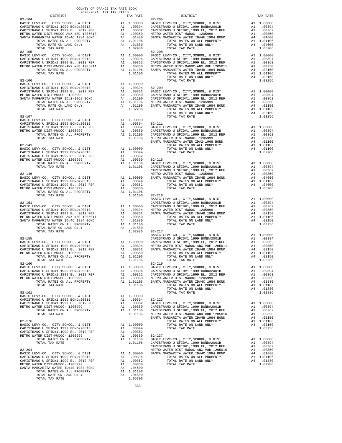|            | DISTRICT                                                                                                                                                                                                                                                                     | 2020-2021 TRA TAX RATES |                                                       | TAX RATE                                  |                                                                                                                                   |
|------------|------------------------------------------------------------------------------------------------------------------------------------------------------------------------------------------------------------------------------------------------------------------------------|-------------------------|-------------------------------------------------------|-------------------------------------------|-----------------------------------------------------------------------------------------------------------------------------------|
|            |                                                                                                                                                                                                                                                                              |                         |                                                       |                                           |                                                                                                                                   |
| $82 - 105$ | TOTAL TAX RATE                                                                                                                                                                                                                                                               |                         |                                                       | 1.01106                                   | $82 - 208$                                                                                                                        |
| $82 - 106$ | TOTAL TAX RATE                                                                                                                                                                                                                                                               |                         |                                                       | 1.02206                                   |                                                                                                                                   |
|            |                                                                                                                                                                                                                                                                              |                         |                                                       |                                           |                                                                                                                                   |
|            |                                                                                                                                                                                                                                                                              |                         |                                                       |                                           | CAPISTR                                                                                                                           |
|            |                                                                                                                                                                                                                                                                              |                         |                                                       |                                           | BASIC L                                                                                                                           |
| $82 - 151$ | TOTAL TAX RATE                                                                                                                                                                                                                                                               |                         |                                                       |                                           | CAPISTR<br>$1.02986$ $82-217$                                                                                                     |
| $82 - 155$ | TOTAL TAX RATE                                                                                                                                                                                                                                                               |                         |                                                       | 1.01106                                   | BASIC L<br>CAPISTR                                                                                                                |
| $82 - 160$ | BASIC LEVY-CO., CITY, SCHOOL, & DIST<br>CAPISTRANO U SFID#1 1999 BOND#2001B<br>CAPISTRANO U SFID#1,1999 EL, 2012 REF<br>METRO WATER DIST-MWDOC- 1205999<br>TOTAL RATES ON ALL PROPERTY<br>TOTAL TAX RATE                                                                     |                         |                                                       | 1.01106                                   | $82 - 219$<br>A1 1.00000 BASIC L<br>A1 .00394 CAPISTR<br>A1 .00362 CAPISTR<br>A1 .00350 METRO W<br>A1 1.01106 SANTA M             |
| $82 - 161$ | BASIC LEVY-CO., CITY, SCHOOL, & DIST<br>TOTAL RATES ON ALL PROPERTY<br>TOTAL TAX RATE                                                                                                                                                                                        |                         | A1                                                    | 1.00000                                   | A1 .00394 82-223<br>A1 .00394 82-223<br>A1 .00352 BASIC L<br>A1 .00350 CAPISTR<br>A1 1.01106 CAPISTR<br>1.01106 METROW<br>SANTA M |
| $82 - 176$ | BASIC LEVY-CO., CITY, SCHOOL, & DIST<br>CAPISTRANO U SFID#1 1999 BOND#2001B<br>CAPISTRANO U SFID#1,1999 EL, 2012 REF<br>METRO WATER DIST-MWDOC- 1205999<br>TOTAL RATES ON ALL PROPERTY<br>TOTAL TAX RATE                                                                     |                         | A1 1.00000<br>A1 .00394<br>A1<br>A1                   | .00362<br>.00350<br>A1 1.01106<br>1.01106 | $82 - 237$<br>BASIC L<br>CAPISTR<br>CAPISTR                                                                                       |
| $82 - 204$ | BASIC LEVY-CO., CITY, SCHOOL, & DIST<br>CAPISTRANO U SFID#1 1999 BOND#2001B<br>CAPISTRANO U SFID#1,1999 EL, 2012 REF<br>METRO WATER DIST-MWDOC- 1205999<br>SANTA MARGARITA WATER ID#4E 1984 BOND<br>TOTAL RATES ON ALL PROPERTY<br>TOTAL RATE ON LAND ONLY<br>TOTAL TAX RATE |                         | A1.00394<br>A1<br>A1<br>A4<br>A1 1.01106<br>A4 .04600 | .00362<br>.00350<br>.04600<br>1.05706     | METRO W<br>A1 1.00000 SANTA M                                                                                                     |

-333-

COUNTY OF ORANGE TAX RATE BOOK

| DISTRICT   | 2020-2021 TRA TAX RATES<br>TAX RATE | DISTRICT                                                                                                                                                                                                                                                                                                                                                           | TAX RATE |
|------------|-------------------------------------|--------------------------------------------------------------------------------------------------------------------------------------------------------------------------------------------------------------------------------------------------------------------------------------------------------------------------------------------------------------------|----------|
|            |                                     |                                                                                                                                                                                                                                                                                                                                                                    |          |
|            |                                     |                                                                                                                                                                                                                                                                                                                                                                    |          |
|            |                                     |                                                                                                                                                                                                                                                                                                                                                                    |          |
|            |                                     |                                                                                                                                                                                                                                                                                                                                                                    |          |
|            |                                     |                                                                                                                                                                                                                                                                                                                                                                    |          |
|            |                                     |                                                                                                                                                                                                                                                                                                                                                                    |          |
|            |                                     |                                                                                                                                                                                                                                                                                                                                                                    |          |
|            |                                     |                                                                                                                                                                                                                                                                                                                                                                    |          |
|            |                                     |                                                                                                                                                                                                                                                                                                                                                                    |          |
|            |                                     |                                                                                                                                                                                                                                                                                                                                                                    |          |
|            |                                     |                                                                                                                                                                                                                                                                                                                                                                    |          |
|            |                                     |                                                                                                                                                                                                                                                                                                                                                                    |          |
|            |                                     |                                                                                                                                                                                                                                                                                                                                                                    |          |
|            |                                     |                                                                                                                                                                                                                                                                                                                                                                    |          |
|            |                                     |                                                                                                                                                                                                                                                                                                                                                                    |          |
|            |                                     |                                                                                                                                                                                                                                                                                                                                                                    |          |
|            |                                     |                                                                                                                                                                                                                                                                                                                                                                    |          |
|            |                                     |                                                                                                                                                                                                                                                                                                                                                                    |          |
|            |                                     |                                                                                                                                                                                                                                                                                                                                                                    |          |
|            |                                     |                                                                                                                                                                                                                                                                                                                                                                    |          |
|            |                                     |                                                                                                                                                                                                                                                                                                                                                                    |          |
|            |                                     |                                                                                                                                                                                                                                                                                                                                                                    |          |
|            |                                     |                                                                                                                                                                                                                                                                                                                                                                    |          |
|            |                                     |                                                                                                                                                                                                                                                                                                                                                                    |          |
|            |                                     |                                                                                                                                                                                                                                                                                                                                                                    |          |
|            |                                     |                                                                                                                                                                                                                                                                                                                                                                    |          |
|            |                                     |                                                                                                                                                                                                                                                                                                                                                                    |          |
|            |                                     |                                                                                                                                                                                                                                                                                                                                                                    |          |
|            |                                     |                                                                                                                                                                                                                                                                                                                                                                    |          |
|            |                                     |                                                                                                                                                                                                                                                                                                                                                                    |          |
|            |                                     |                                                                                                                                                                                                                                                                                                                                                                    |          |
|            |                                     |                                                                                                                                                                                                                                                                                                                                                                    |          |
|            |                                     |                                                                                                                                                                                                                                                                                                                                                                    |          |
|            |                                     |                                                                                                                                                                                                                                                                                                                                                                    |          |
|            |                                     |                                                                                                                                                                                                                                                                                                                                                                    |          |
|            |                                     |                                                                                                                                                                                                                                                                                                                                                                    |          |
|            |                                     |                                                                                                                                                                                                                                                                                                                                                                    |          |
|            |                                     |                                                                                                                                                                                                                                                                                                                                                                    |          |
|            |                                     |                                                                                                                                                                                                                                                                                                                                                                    |          |
|            |                                     |                                                                                                                                                                                                                                                                                                                                                                    |          |
|            |                                     |                                                                                                                                                                                                                                                                                                                                                                    |          |
|            |                                     |                                                                                                                                                                                                                                                                                                                                                                    |          |
|            |                                     |                                                                                                                                                                                                                                                                                                                                                                    |          |
|            |                                     | $\begin{tabular}{l c c c c c} \multicolumn{1}{c}{\textbf{52-15}} & 1.02986 & 82-217 & 1.00000 & 82-217 & 82-15 \\ \hline \multicolumn{1}{c}{\textbf{52-15}} & 1.00000 & 0.00000 & 0.00000 & 0.00000 \\ \multicolumn{1}{c}{\textbf{B2-15}} & 1.00000 & 0.00000 & 0.00000 \\ \multicolumn{1}{c}{\textbf{B2-15}} & 1.00000 & 0.000$                                   |          |
|            |                                     |                                                                                                                                                                                                                                                                                                                                                                    |          |
|            |                                     |                                                                                                                                                                                                                                                                                                                                                                    |          |
|            |                                     |                                                                                                                                                                                                                                                                                                                                                                    |          |
|            |                                     |                                                                                                                                                                                                                                                                                                                                                                    |          |
|            |                                     |                                                                                                                                                                                                                                                                                                                                                                    |          |
| $82 - 160$ |                                     | $82 - 219$                                                                                                                                                                                                                                                                                                                                                         |          |
|            |                                     |                                                                                                                                                                                                                                                                                                                                                                    |          |
|            |                                     |                                                                                                                                                                                                                                                                                                                                                                    |          |
|            |                                     |                                                                                                                                                                                                                                                                                                                                                                    |          |
|            |                                     |                                                                                                                                                                                                                                                                                                                                                                    |          |
|            |                                     | $\begin{tabular}{@{}c@{}}\n 82-160 & 82-219 & 82-219 & 800000 & 800000 & 800000 & 8000000 & 8000000 & 8000000 & 8000000 & 8000000 & 8000000 & 8000000 & 8000000 & 8000000 & 8000000 & 8000000 & 8000000 & 8000000 & 8000000 & 8000000 & 8000000 & 8000000 & 8000$                                                                                                  |          |
|            |                                     |                                                                                                                                                                                                                                                                                                                                                                    |          |
|            |                                     |                                                                                                                                                                                                                                                                                                                                                                    |          |
|            |                                     |                                                                                                                                                                                                                                                                                                                                                                    |          |
|            |                                     |                                                                                                                                                                                                                                                                                                                                                                    |          |
|            |                                     |                                                                                                                                                                                                                                                                                                                                                                    |          |
|            |                                     |                                                                                                                                                                                                                                                                                                                                                                    |          |
|            |                                     |                                                                                                                                                                                                                                                                                                                                                                    |          |
|            |                                     |                                                                                                                                                                                                                                                                                                                                                                    |          |
|            |                                     |                                                                                                                                                                                                                                                                                                                                                                    |          |
|            |                                     | $\begin{tabular}{@{}c@{}}\n 82-176 & \mbox{TOTA} RATES & \mbox{NAL PROBERTY} & \mbox{A1 1.0106} \\\hline \texttt{CAPISTRANO U SFIDH1 1999 BONDH2001B} & \mbox{A1 1.00000} & \mbox{TOTA} RATE & \mbox{A1 1.0106} \\\hline \texttt{CAPISTRANO U SFIDH1 1999 BONDH2001B} & \mbox{A1 1.00394} & \mbox{TOTA} RATE & \mbox{A1 1.03256} \\\hline \texttt{CAPISTRANO U SF$ |          |
|            |                                     |                                                                                                                                                                                                                                                                                                                                                                    |          |
|            |                                     |                                                                                                                                                                                                                                                                                                                                                                    |          |
|            |                                     |                                                                                                                                                                                                                                                                                                                                                                    |          |
|            |                                     |                                                                                                                                                                                                                                                                                                                                                                    |          |
|            |                                     |                                                                                                                                                                                                                                                                                                                                                                    |          |
|            |                                     |                                                                                                                                                                                                                                                                                                                                                                    |          |
|            |                                     |                                                                                                                                                                                                                                                                                                                                                                    |          |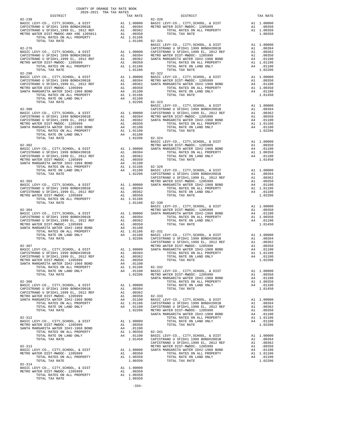| COUNTY OF ORANGE TAX RATE BOOK<br>2020-2021 TRA TAX RATES<br>$\begin{minipage}{0.03\textwidth} \begin{tabular}{c} \multicolumn{2}{c}{\textbf{1-X} \textbf{R} \textbf{A} \textbf{A} \textbf{A} \textbf{A} \textbf{B}} & \multicolumn{2}{c}{\textbf{1-X} \textbf{A} \textbf{A} \textbf{A} \textbf{A} \textbf{B}} & \multicolumn{2}{c}{\textbf{1-X} \textbf{A} \textbf{A} \textbf{A} \textbf{B} \textbf{B}} \\ \multicolumn{2}{c}{\textbf{0.13} \textbf{A} \textbf{A} \textbf{A} \textbf{A} \textbf{B} \text$ | TAX RATE | DISTRICT                                                                                                                                                                                                                                                                      | TAX RATE |
|------------------------------------------------------------------------------------------------------------------------------------------------------------------------------------------------------------------------------------------------------------------------------------------------------------------------------------------------------------------------------------------------------------------------------------------------------------------------------------------------------------|----------|-------------------------------------------------------------------------------------------------------------------------------------------------------------------------------------------------------------------------------------------------------------------------------|----------|
| $82 - 238$                                                                                                                                                                                                                                                                                                                                                                                                                                                                                                 |          | $82 - 320$                                                                                                                                                                                                                                                                    |          |
|                                                                                                                                                                                                                                                                                                                                                                                                                                                                                                            |          |                                                                                                                                                                                                                                                                               |          |
|                                                                                                                                                                                                                                                                                                                                                                                                                                                                                                            |          |                                                                                                                                                                                                                                                                               |          |
|                                                                                                                                                                                                                                                                                                                                                                                                                                                                                                            |          |                                                                                                                                                                                                                                                                               |          |
|                                                                                                                                                                                                                                                                                                                                                                                                                                                                                                            |          |                                                                                                                                                                                                                                                                               |          |
|                                                                                                                                                                                                                                                                                                                                                                                                                                                                                                            |          |                                                                                                                                                                                                                                                                               |          |
|                                                                                                                                                                                                                                                                                                                                                                                                                                                                                                            |          |                                                                                                                                                                                                                                                                               |          |
|                                                                                                                                                                                                                                                                                                                                                                                                                                                                                                            |          |                                                                                                                                                                                                                                                                               |          |
|                                                                                                                                                                                                                                                                                                                                                                                                                                                                                                            |          |                                                                                                                                                                                                                                                                               |          |
|                                                                                                                                                                                                                                                                                                                                                                                                                                                                                                            |          |                                                                                                                                                                                                                                                                               |          |
|                                                                                                                                                                                                                                                                                                                                                                                                                                                                                                            |          |                                                                                                                                                                                                                                                                               |          |
|                                                                                                                                                                                                                                                                                                                                                                                                                                                                                                            |          |                                                                                                                                                                                                                                                                               |          |
|                                                                                                                                                                                                                                                                                                                                                                                                                                                                                                            |          |                                                                                                                                                                                                                                                                               |          |
|                                                                                                                                                                                                                                                                                                                                                                                                                                                                                                            |          |                                                                                                                                                                                                                                                                               |          |
|                                                                                                                                                                                                                                                                                                                                                                                                                                                                                                            |          |                                                                                                                                                                                                                                                                               |          |
|                                                                                                                                                                                                                                                                                                                                                                                                                                                                                                            |          |                                                                                                                                                                                                                                                                               |          |
|                                                                                                                                                                                                                                                                                                                                                                                                                                                                                                            |          |                                                                                                                                                                                                                                                                               |          |
|                                                                                                                                                                                                                                                                                                                                                                                                                                                                                                            |          |                                                                                                                                                                                                                                                                               |          |
|                                                                                                                                                                                                                                                                                                                                                                                                                                                                                                            |          |                                                                                                                                                                                                                                                                               |          |
|                                                                                                                                                                                                                                                                                                                                                                                                                                                                                                            |          |                                                                                                                                                                                                                                                                               |          |
|                                                                                                                                                                                                                                                                                                                                                                                                                                                                                                            |          |                                                                                                                                                                                                                                                                               |          |
|                                                                                                                                                                                                                                                                                                                                                                                                                                                                                                            |          |                                                                                                                                                                                                                                                                               |          |
|                                                                                                                                                                                                                                                                                                                                                                                                                                                                                                            |          |                                                                                                                                                                                                                                                                               |          |
|                                                                                                                                                                                                                                                                                                                                                                                                                                                                                                            |          |                                                                                                                                                                                                                                                                               |          |
|                                                                                                                                                                                                                                                                                                                                                                                                                                                                                                            |          |                                                                                                                                                                                                                                                                               |          |
|                                                                                                                                                                                                                                                                                                                                                                                                                                                                                                            |          |                                                                                                                                                                                                                                                                               |          |
|                                                                                                                                                                                                                                                                                                                                                                                                                                                                                                            |          |                                                                                                                                                                                                                                                                               |          |
|                                                                                                                                                                                                                                                                                                                                                                                                                                                                                                            |          |                                                                                                                                                                                                                                                                               |          |
|                                                                                                                                                                                                                                                                                                                                                                                                                                                                                                            |          |                                                                                                                                                                                                                                                                               |          |
|                                                                                                                                                                                                                                                                                                                                                                                                                                                                                                            |          |                                                                                                                                                                                                                                                                               |          |
|                                                                                                                                                                                                                                                                                                                                                                                                                                                                                                            |          |                                                                                                                                                                                                                                                                               |          |
|                                                                                                                                                                                                                                                                                                                                                                                                                                                                                                            |          |                                                                                                                                                                                                                                                                               |          |
|                                                                                                                                                                                                                                                                                                                                                                                                                                                                                                            |          |                                                                                                                                                                                                                                                                               |          |
|                                                                                                                                                                                                                                                                                                                                                                                                                                                                                                            |          |                                                                                                                                                                                                                                                                               |          |
|                                                                                                                                                                                                                                                                                                                                                                                                                                                                                                            |          |                                                                                                                                                                                                                                                                               |          |
|                                                                                                                                                                                                                                                                                                                                                                                                                                                                                                            |          |                                                                                                                                                                                                                                                                               |          |
|                                                                                                                                                                                                                                                                                                                                                                                                                                                                                                            |          |                                                                                                                                                                                                                                                                               |          |
|                                                                                                                                                                                                                                                                                                                                                                                                                                                                                                            |          |                                                                                                                                                                                                                                                                               |          |
|                                                                                                                                                                                                                                                                                                                                                                                                                                                                                                            |          |                                                                                                                                                                                                                                                                               |          |
|                                                                                                                                                                                                                                                                                                                                                                                                                                                                                                            |          |                                                                                                                                                                                                                                                                               |          |
|                                                                                                                                                                                                                                                                                                                                                                                                                                                                                                            |          |                                                                                                                                                                                                                                                                               |          |
|                                                                                                                                                                                                                                                                                                                                                                                                                                                                                                            |          |                                                                                                                                                                                                                                                                               |          |
|                                                                                                                                                                                                                                                                                                                                                                                                                                                                                                            |          |                                                                                                                                                                                                                                                                               |          |
|                                                                                                                                                                                                                                                                                                                                                                                                                                                                                                            |          |                                                                                                                                                                                                                                                                               |          |
|                                                                                                                                                                                                                                                                                                                                                                                                                                                                                                            |          |                                                                                                                                                                                                                                                                               |          |
|                                                                                                                                                                                                                                                                                                                                                                                                                                                                                                            |          |                                                                                                                                                                                                                                                                               |          |
|                                                                                                                                                                                                                                                                                                                                                                                                                                                                                                            |          |                                                                                                                                                                                                                                                                               |          |
|                                                                                                                                                                                                                                                                                                                                                                                                                                                                                                            |          |                                                                                                                                                                                                                                                                               |          |
|                                                                                                                                                                                                                                                                                                                                                                                                                                                                                                            |          |                                                                                                                                                                                                                                                                               |          |
|                                                                                                                                                                                                                                                                                                                                                                                                                                                                                                            |          |                                                                                                                                                                                                                                                                               |          |
|                                                                                                                                                                                                                                                                                                                                                                                                                                                                                                            |          |                                                                                                                                                                                                                                                                               |          |
|                                                                                                                                                                                                                                                                                                                                                                                                                                                                                                            |          |                                                                                                                                                                                                                                                                               |          |
|                                                                                                                                                                                                                                                                                                                                                                                                                                                                                                            |          |                                                                                                                                                                                                                                                                               |          |
|                                                                                                                                                                                                                                                                                                                                                                                                                                                                                                            |          |                                                                                                                                                                                                                                                                               |          |
|                                                                                                                                                                                                                                                                                                                                                                                                                                                                                                            |          |                                                                                                                                                                                                                                                                               |          |
|                                                                                                                                                                                                                                                                                                                                                                                                                                                                                                            |          |                                                                                                                                                                                                                                                                               |          |
|                                                                                                                                                                                                                                                                                                                                                                                                                                                                                                            |          |                                                                                                                                                                                                                                                                               |          |
|                                                                                                                                                                                                                                                                                                                                                                                                                                                                                                            |          |                                                                                                                                                                                                                                                                               |          |
|                                                                                                                                                                                                                                                                                                                                                                                                                                                                                                            |          |                                                                                                                                                                                                                                                                               |          |
|                                                                                                                                                                                                                                                                                                                                                                                                                                                                                                            |          |                                                                                                                                                                                                                                                                               |          |
|                                                                                                                                                                                                                                                                                                                                                                                                                                                                                                            |          |                                                                                                                                                                                                                                                                               |          |
|                                                                                                                                                                                                                                                                                                                                                                                                                                                                                                            |          |                                                                                                                                                                                                                                                                               |          |
|                                                                                                                                                                                                                                                                                                                                                                                                                                                                                                            |          | $\begin{tabular}{@{}c c c c} \hline CAD-ISTRAMO & SPTB1 & 1999 & 0.0012 & 0.11 & 0.0014 & 0.0014 & 0.0014 & 0.0014 & 0.01100 & 0.0017 & 0.0017 & 0.0017 & 0.0017 & 0.0017 & 0.0017 & 0.0017 & 0.0017 & 0.0017 & 0.0017 & 0.0017 & 0.0017 & 0.0017 & 0.0017 & 0.0017 & 0.0017$ |          |
|                                                                                                                                                                                                                                                                                                                                                                                                                                                                                                            |          |                                                                                                                                                                                                                                                                               |          |
|                                                                                                                                                                                                                                                                                                                                                                                                                                                                                                            |          |                                                                                                                                                                                                                                                                               |          |
|                                                                                                                                                                                                                                                                                                                                                                                                                                                                                                            |          |                                                                                                                                                                                                                                                                               |          |
|                                                                                                                                                                                                                                                                                                                                                                                                                                                                                                            |          |                                                                                                                                                                                                                                                                               |          |
|                                                                                                                                                                                                                                                                                                                                                                                                                                                                                                            |          |                                                                                                                                                                                                                                                                               |          |
|                                                                                                                                                                                                                                                                                                                                                                                                                                                                                                            |          |                                                                                                                                                                                                                                                                               |          |
|                                                                                                                                                                                                                                                                                                                                                                                                                                                                                                            |          |                                                                                                                                                                                                                                                                               |          |
|                                                                                                                                                                                                                                                                                                                                                                                                                                                                                                            |          |                                                                                                                                                                                                                                                                               |          |
|                                                                                                                                                                                                                                                                                                                                                                                                                                                                                                            |          |                                                                                                                                                                                                                                                                               |          |
|                                                                                                                                                                                                                                                                                                                                                                                                                                                                                                            |          |                                                                                                                                                                                                                                                                               |          |
|                                                                                                                                                                                                                                                                                                                                                                                                                                                                                                            |          |                                                                                                                                                                                                                                                                               |          |
|                                                                                                                                                                                                                                                                                                                                                                                                                                                                                                            |          |                                                                                                                                                                                                                                                                               |          |
|                                                                                                                                                                                                                                                                                                                                                                                                                                                                                                            |          |                                                                                                                                                                                                                                                                               |          |
|                                                                                                                                                                                                                                                                                                                                                                                                                                                                                                            |          |                                                                                                                                                                                                                                                                               |          |
|                                                                                                                                                                                                                                                                                                                                                                                                                                                                                                            |          |                                                                                                                                                                                                                                                                               |          |
|                                                                                                                                                                                                                                                                                                                                                                                                                                                                                                            |          |                                                                                                                                                                                                                                                                               |          |
| $82 - 314$                                                                                                                                                                                                                                                                                                                                                                                                                                                                                                 |          |                                                                                                                                                                                                                                                                               |          |
|                                                                                                                                                                                                                                                                                                                                                                                                                                                                                                            |          |                                                                                                                                                                                                                                                                               |          |
|                                                                                                                                                                                                                                                                                                                                                                                                                                                                                                            |          |                                                                                                                                                                                                                                                                               |          |

METRO WATER DIST-MWDOC- 1205999 A1 .00350<br>TOTAL RATES ON ALL PROPERTY A1 1.00350<br>TOTAL TAX RATE

-334-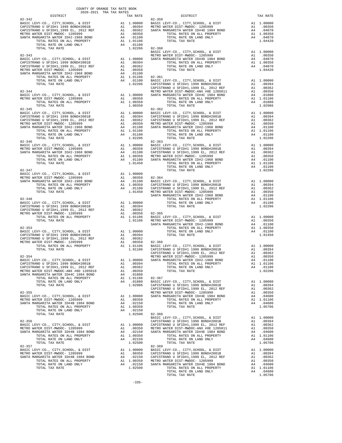| $\begin{minipage}{.1\linewidth} \begin{tabular}{lcccccc} . & & . & . & . \\ . & . & . & . \\ . & . & . & . \\ . & . & . & . \\ . & . & . & . \\ . & . & . & . \\ . & . & . & . \\ . & . & . & . \\ . & . & . & . \\ . & . & . & . \\ . & . & . & . \\ . & . & . & . \\ . & . & . & . \\ . & . & . & . \\ . & . & . & . \\ . & . & . & . \\ . & . & . & . \\ . & . & . & . \\ . & . & . & . \\ . & . & . & . \\ . & . & . & . \\ . & . & . & . \\ . & . & . & . \\ . & . & . & . \\ . & .$ |  |                                           |          |
|-------------------------------------------------------------------------------------------------------------------------------------------------------------------------------------------------------------------------------------------------------------------------------------------------------------------------------------------------------------------------------------------------------------------------------------------------------------------------------------------|--|-------------------------------------------|----------|
|                                                                                                                                                                                                                                                                                                                                                                                                                                                                                           |  | TAX RATE DISTRICT<br>TAX RATE 82-359      | TAX RATE |
| $82 - 342$                                                                                                                                                                                                                                                                                                                                                                                                                                                                                |  |                                           |          |
|                                                                                                                                                                                                                                                                                                                                                                                                                                                                                           |  |                                           |          |
|                                                                                                                                                                                                                                                                                                                                                                                                                                                                                           |  |                                           |          |
|                                                                                                                                                                                                                                                                                                                                                                                                                                                                                           |  |                                           |          |
|                                                                                                                                                                                                                                                                                                                                                                                                                                                                                           |  |                                           |          |
|                                                                                                                                                                                                                                                                                                                                                                                                                                                                                           |  |                                           |          |
|                                                                                                                                                                                                                                                                                                                                                                                                                                                                                           |  |                                           |          |
|                                                                                                                                                                                                                                                                                                                                                                                                                                                                                           |  |                                           |          |
|                                                                                                                                                                                                                                                                                                                                                                                                                                                                                           |  |                                           |          |
|                                                                                                                                                                                                                                                                                                                                                                                                                                                                                           |  |                                           |          |
|                                                                                                                                                                                                                                                                                                                                                                                                                                                                                           |  |                                           |          |
|                                                                                                                                                                                                                                                                                                                                                                                                                                                                                           |  |                                           |          |
|                                                                                                                                                                                                                                                                                                                                                                                                                                                                                           |  |                                           |          |
|                                                                                                                                                                                                                                                                                                                                                                                                                                                                                           |  |                                           |          |
|                                                                                                                                                                                                                                                                                                                                                                                                                                                                                           |  |                                           |          |
|                                                                                                                                                                                                                                                                                                                                                                                                                                                                                           |  |                                           |          |
|                                                                                                                                                                                                                                                                                                                                                                                                                                                                                           |  |                                           |          |
|                                                                                                                                                                                                                                                                                                                                                                                                                                                                                           |  |                                           |          |
|                                                                                                                                                                                                                                                                                                                                                                                                                                                                                           |  |                                           |          |
|                                                                                                                                                                                                                                                                                                                                                                                                                                                                                           |  |                                           |          |
|                                                                                                                                                                                                                                                                                                                                                                                                                                                                                           |  |                                           |          |
|                                                                                                                                                                                                                                                                                                                                                                                                                                                                                           |  |                                           |          |
|                                                                                                                                                                                                                                                                                                                                                                                                                                                                                           |  |                                           |          |
|                                                                                                                                                                                                                                                                                                                                                                                                                                                                                           |  |                                           |          |
|                                                                                                                                                                                                                                                                                                                                                                                                                                                                                           |  |                                           |          |
| $82 - 346$                                                                                                                                                                                                                                                                                                                                                                                                                                                                                |  | $82 - 363$                                |          |
|                                                                                                                                                                                                                                                                                                                                                                                                                                                                                           |  |                                           |          |
|                                                                                                                                                                                                                                                                                                                                                                                                                                                                                           |  |                                           |          |
|                                                                                                                                                                                                                                                                                                                                                                                                                                                                                           |  |                                           |          |
|                                                                                                                                                                                                                                                                                                                                                                                                                                                                                           |  |                                           |          |
|                                                                                                                                                                                                                                                                                                                                                                                                                                                                                           |  |                                           |          |
|                                                                                                                                                                                                                                                                                                                                                                                                                                                                                           |  |                                           |          |
|                                                                                                                                                                                                                                                                                                                                                                                                                                                                                           |  |                                           |          |
|                                                                                                                                                                                                                                                                                                                                                                                                                                                                                           |  |                                           |          |
|                                                                                                                                                                                                                                                                                                                                                                                                                                                                                           |  |                                           |          |
|                                                                                                                                                                                                                                                                                                                                                                                                                                                                                           |  |                                           |          |
|                                                                                                                                                                                                                                                                                                                                                                                                                                                                                           |  |                                           |          |
|                                                                                                                                                                                                                                                                                                                                                                                                                                                                                           |  |                                           |          |
|                                                                                                                                                                                                                                                                                                                                                                                                                                                                                           |  |                                           |          |
|                                                                                                                                                                                                                                                                                                                                                                                                                                                                                           |  |                                           |          |
|                                                                                                                                                                                                                                                                                                                                                                                                                                                                                           |  |                                           |          |
|                                                                                                                                                                                                                                                                                                                                                                                                                                                                                           |  |                                           |          |
|                                                                                                                                                                                                                                                                                                                                                                                                                                                                                           |  |                                           |          |
|                                                                                                                                                                                                                                                                                                                                                                                                                                                                                           |  |                                           |          |
|                                                                                                                                                                                                                                                                                                                                                                                                                                                                                           |  |                                           |          |
|                                                                                                                                                                                                                                                                                                                                                                                                                                                                                           |  |                                           |          |
|                                                                                                                                                                                                                                                                                                                                                                                                                                                                                           |  |                                           |          |
|                                                                                                                                                                                                                                                                                                                                                                                                                                                                                           |  |                                           |          |
|                                                                                                                                                                                                                                                                                                                                                                                                                                                                                           |  |                                           |          |
| $82 - 354$                                                                                                                                                                                                                                                                                                                                                                                                                                                                                |  | METRO WATER DIST-MWDOC- 1205999 A1 .00350 |          |
|                                                                                                                                                                                                                                                                                                                                                                                                                                                                                           |  |                                           |          |
|                                                                                                                                                                                                                                                                                                                                                                                                                                                                                           |  |                                           |          |
|                                                                                                                                                                                                                                                                                                                                                                                                                                                                                           |  |                                           |          |
|                                                                                                                                                                                                                                                                                                                                                                                                                                                                                           |  |                                           |          |
|                                                                                                                                                                                                                                                                                                                                                                                                                                                                                           |  |                                           |          |
|                                                                                                                                                                                                                                                                                                                                                                                                                                                                                           |  |                                           |          |
|                                                                                                                                                                                                                                                                                                                                                                                                                                                                                           |  |                                           |          |
|                                                                                                                                                                                                                                                                                                                                                                                                                                                                                           |  |                                           |          |
|                                                                                                                                                                                                                                                                                                                                                                                                                                                                                           |  |                                           |          |
|                                                                                                                                                                                                                                                                                                                                                                                                                                                                                           |  |                                           |          |
|                                                                                                                                                                                                                                                                                                                                                                                                                                                                                           |  |                                           |          |
|                                                                                                                                                                                                                                                                                                                                                                                                                                                                                           |  |                                           |          |
|                                                                                                                                                                                                                                                                                                                                                                                                                                                                                           |  |                                           |          |
|                                                                                                                                                                                                                                                                                                                                                                                                                                                                                           |  |                                           |          |
|                                                                                                                                                                                                                                                                                                                                                                                                                                                                                           |  |                                           |          |
|                                                                                                                                                                                                                                                                                                                                                                                                                                                                                           |  |                                           |          |
|                                                                                                                                                                                                                                                                                                                                                                                                                                                                                           |  |                                           |          |
|                                                                                                                                                                                                                                                                                                                                                                                                                                                                                           |  |                                           |          |
|                                                                                                                                                                                                                                                                                                                                                                                                                                                                                           |  |                                           |          |
|                                                                                                                                                                                                                                                                                                                                                                                                                                                                                           |  |                                           |          |
|                                                                                                                                                                                                                                                                                                                                                                                                                                                                                           |  |                                           |          |
|                                                                                                                                                                                                                                                                                                                                                                                                                                                                                           |  |                                           |          |
|                                                                                                                                                                                                                                                                                                                                                                                                                                                                                           |  |                                           |          |
|                                                                                                                                                                                                                                                                                                                                                                                                                                                                                           |  |                                           |          |
|                                                                                                                                                                                                                                                                                                                                                                                                                                                                                           |  |                                           |          |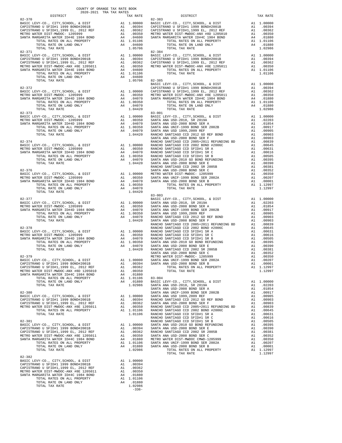| COUNTY OF ORANGE TAX RATE BOOK<br>2020-2021 TRA TAX RATES                      |          |                                                                                                                                                                                                                                                                                                                                                                                            |          |
|--------------------------------------------------------------------------------|----------|--------------------------------------------------------------------------------------------------------------------------------------------------------------------------------------------------------------------------------------------------------------------------------------------------------------------------------------------------------------------------------------------|----------|
| $2020-2021\quad\text{TRA TAX RATES}\label{eq:2020}$ DISTRICT $$$<br>$82 - 370$ | TAX RATE | DISTRICT<br>$82 - 383$                                                                                                                                                                                                                                                                                                                                                                     | TAX RATE |
|                                                                                |          |                                                                                                                                                                                                                                                                                                                                                                                            |          |
| 82-371                                                                         |          | $82 - 384$                                                                                                                                                                                                                                                                                                                                                                                 |          |
|                                                                                |          |                                                                                                                                                                                                                                                                                                                                                                                            |          |
|                                                                                |          |                                                                                                                                                                                                                                                                                                                                                                                            |          |
|                                                                                |          |                                                                                                                                                                                                                                                                                                                                                                                            |          |
|                                                                                |          |                                                                                                                                                                                                                                                                                                                                                                                            |          |
|                                                                                |          |                                                                                                                                                                                                                                                                                                                                                                                            |          |
|                                                                                |          | $\begin{array}{cccccc} 82-377 & 84-307 & 80-001, & 6 \text{ DIST} & \text{BASTC LEVY-C0}, & \text{CITY}, \text{SCH0OL}, & \text{B DIST} & \text{AA 1.00000} & \text{SANTR M R R B1D-2018}, & \text{BASTC LEVY-C0}, & \text{CITY}, \text{SCH0OL}, & \text{B DISA} & \text{A1.00000} & \text{SANTR M R B1D-2018}, & \text{BISTC LEVY-C0}, & \text{CITY}, \text{SCH0OL}, & \text{A1.00000} &$ |          |
|                                                                                |          |                                                                                                                                                                                                                                                                                                                                                                                            |          |
|                                                                                |          |                                                                                                                                                                                                                                                                                                                                                                                            |          |
|                                                                                |          |                                                                                                                                                                                                                                                                                                                                                                                            |          |
| $82 - 382$                                                                     |          |                                                                                                                                                                                                                                                                                                                                                                                            |          |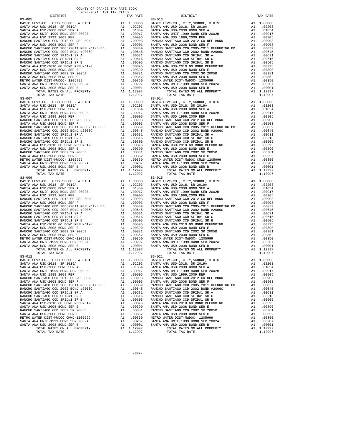| DISTRICT                                                     |                                         | TAX RATE              |                |
|--------------------------------------------------------------|-----------------------------------------|-----------------------|----------------|
|                                                              |                                         |                       |                |
|                                                              |                                         |                       |                |
|                                                              |                                         |                       |                |
|                                                              |                                         |                       |                |
|                                                              |                                         |                       |                |
|                                                              |                                         |                       |                |
|                                                              |                                         |                       |                |
|                                                              |                                         |                       |                |
|                                                              |                                         |                       |                |
|                                                              |                                         |                       |                |
|                                                              |                                         |                       |                |
|                                                              |                                         |                       |                |
|                                                              |                                         |                       |                |
|                                                              |                                         |                       |                |
|                                                              |                                         |                       |                |
|                                                              |                                         |                       |                |
|                                                              |                                         |                       |                |
|                                                              |                                         |                       |                |
|                                                              |                                         |                       |                |
|                                                              |                                         |                       |                |
|                                                              |                                         | A1 1.12997<br>1.12997 |                |
| TOTAL TAX RATE<br>$83 - 007$                                 |                                         |                       | $83 - 014$     |
|                                                              |                                         |                       |                |
|                                                              |                                         |                       |                |
|                                                              |                                         |                       |                |
|                                                              |                                         |                       |                |
|                                                              |                                         |                       |                |
|                                                              |                                         |                       |                |
|                                                              |                                         |                       |                |
|                                                              |                                         |                       |                |
|                                                              |                                         |                       |                |
|                                                              |                                         |                       |                |
|                                                              |                                         |                       |                |
|                                                              |                                         |                       |                |
|                                                              |                                         |                       |                |
|                                                              |                                         |                       |                |
|                                                              |                                         |                       |                |
|                                                              |                                         |                       |                |
|                                                              |                                         |                       |                |
|                                                              |                                         |                       |                |
|                                                              |                                         |                       |                |
| TOTAL RATES ON ALL PROPERTY                                  |                                         | A1 1.12997            |                |
| TOTAL TAX RATE                                               |                                         | 1.12997               |                |
|                                                              |                                         |                       |                |
|                                                              |                                         |                       |                |
|                                                              |                                         |                       |                |
|                                                              |                                         |                       |                |
|                                                              |                                         |                       |                |
|                                                              |                                         |                       |                |
|                                                              |                                         |                       |                |
|                                                              |                                         |                       |                |
|                                                              |                                         |                       |                |
|                                                              |                                         |                       |                |
|                                                              |                                         |                       |                |
|                                                              |                                         |                       |                |
|                                                              |                                         |                       |                |
|                                                              |                                         |                       |                |
|                                                              |                                         |                       |                |
|                                                              |                                         |                       |                |
|                                                              |                                         |                       |                |
|                                                              |                                         |                       |                |
|                                                              |                                         |                       |                |
|                                                              |                                         |                       |                |
|                                                              |                                         |                       |                |
|                                                              |                                         |                       |                |
| 83-012                                                       |                                         |                       | $83 - 021$     |
| BASIC LEVY-CO., CITY, SCHOOL, & DIST                         | A1 1.00000 BASIC L<br>A1 .02203 SANTA A |                       |                |
| SANTA ANA USD-2018, SR 2019A                                 |                                         |                       |                |
| SANTA ANA USD-2008 BOND SER A                                | A1                                      |                       | .01854 SANTA A |
| SANTA ANA UNIF-1999 BOND SER 2002B                           | A1                                      | .00917                | SANTA A        |
| SANTA ANA USD 1999, 2009 REF                                 | A1                                      | .00905                | SANTA A        |
| RANCHO SANTIAGO CCD 2012 GO REF BOND                         | A1                                      | .00903                | RANCHO         |
| SANTA ANA USD-2008 BOND SER F                                | A1                                      | .00903                | SANTA A        |
| RANCHO SANTIAGO CCD 2005+2011 REFUNDING BD                   | A1                                      | .00839                | RANCHO         |
| RANCHO SANTIAGO CCD 2002 BOND #2006C                         | A1                                      | .00645                | RANCHO         |
| RANCHO SANTIAGO CCD SFID#1 SR A                              | A1                                      | .00631                | RANCHO         |
| RANCHO SANTIAGO CCD SFID#1 SR C                              | A1                                      | .00616                | RANCHO         |
| RANCHO SANTIAGO CCD SFID#1 SR B                              | A1                                      | .00505                | RANCHO         |
| SANTA ANA USD-2010 GO BOND REFUNDING                         | A1                                      | .00395                | SANTA A        |
| SANTA ANA USD-2008 BOND SER E                                | A1                                      | .00390                | SANTA A        |
| RANCHO SANTIAGO CCD 2002 SR 2005B                            | A1                                      | .00381                | RANCHO         |
| SANTA ANA USD-2008 BOND SER C                                | A1                                      | .00352                | SANTA A        |
| METRO WATER DIST-MWDOC CMWD-1205999                          | A1                                      | .00350                | METRO W        |
| SANTA ANA UNIF-1999 BOND SER 2002A                           | A1                                      | .00207                | SANTA A        |
| SANTA ANA USD-2008 BOND SER B<br>TOTAL RATES ON ALL PROPERTY | A1                                      | .00001<br>A1 1.12997  | SANTA A        |
| TOTAL TAX RATE                                               |                                         | 1.12997               |                |
|                                                              |                                         |                       |                |

| COUNTY OF ORANGE TAX RATE BOOK<br>$2020-2021 \quad \text{TRA RATES}$ DISTRICT $\hspace{0.5cm}$ |          |                |          |
|------------------------------------------------------------------------------------------------|----------|----------------|----------|
|                                                                                                | TAX RATE | DISTRICT       | TAX RATE |
| $83 - 005$                                                                                     |          | $83 - 013$     |          |
|                                                                                                |          |                |          |
|                                                                                                |          |                |          |
|                                                                                                |          |                |          |
|                                                                                                |          |                |          |
|                                                                                                |          |                |          |
|                                                                                                |          |                |          |
|                                                                                                |          |                |          |
|                                                                                                |          |                |          |
|                                                                                                |          |                |          |
|                                                                                                |          |                |          |
|                                                                                                |          |                |          |
|                                                                                                |          |                |          |
|                                                                                                |          |                |          |
|                                                                                                |          |                |          |
|                                                                                                |          |                |          |
|                                                                                                |          |                |          |
|                                                                                                |          |                |          |
|                                                                                                |          |                |          |
|                                                                                                |          |                |          |
|                                                                                                |          |                |          |
|                                                                                                |          |                |          |
|                                                                                                |          |                |          |
|                                                                                                |          |                |          |
|                                                                                                |          |                |          |
|                                                                                                |          |                |          |
|                                                                                                |          |                |          |
|                                                                                                |          |                |          |
|                                                                                                |          |                |          |
|                                                                                                |          |                |          |
|                                                                                                |          |                |          |
|                                                                                                |          |                |          |
|                                                                                                |          |                |          |
|                                                                                                |          |                |          |
|                                                                                                |          |                |          |
| $83 - 009$                                                                                     |          | $83 - 015$     |          |
|                                                                                                |          |                |          |
|                                                                                                |          |                |          |
|                                                                                                |          |                |          |
|                                                                                                |          |                |          |
|                                                                                                |          |                |          |
|                                                                                                |          |                |          |
|                                                                                                |          |                |          |
|                                                                                                |          |                |          |
|                                                                                                |          |                |          |
|                                                                                                |          |                |          |
|                                                                                                |          |                |          |
|                                                                                                |          |                |          |
|                                                                                                |          |                |          |
|                                                                                                |          |                |          |
|                                                                                                |          |                |          |
|                                                                                                |          |                |          |
| $83 - 012$                                                                                     |          | $83 - 021$     |          |
|                                                                                                |          |                |          |
|                                                                                                |          |                |          |
|                                                                                                |          |                |          |
|                                                                                                |          |                |          |
|                                                                                                |          |                |          |
|                                                                                                |          |                |          |
|                                                                                                |          |                |          |
|                                                                                                |          |                |          |
|                                                                                                |          |                |          |
|                                                                                                |          |                |          |
|                                                                                                |          |                |          |
|                                                                                                |          |                |          |
|                                                                                                |          |                |          |
|                                                                                                |          |                |          |
|                                                                                                |          |                |          |
| TOTAL TAX RATE                                                                                 | 1.12997  | TOTAL TAX RATE | 1.12997  |
|                                                                                                |          |                |          |

-337-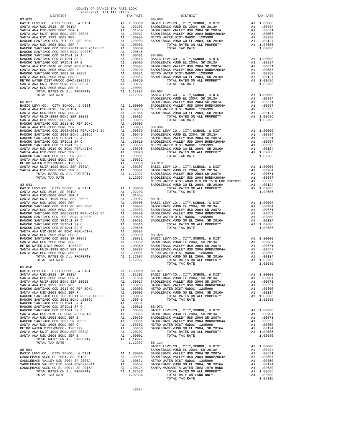| COUNTY OF ORANGE TAX RATE BOOK<br>2020-2021 TRA TAX RATES |          |                                                                                                                                                                                                                                                       |          |
|-----------------------------------------------------------|----------|-------------------------------------------------------------------------------------------------------------------------------------------------------------------------------------------------------------------------------------------------------|----------|
| DISTRICT<br>$83 - 023$                                    | TAX RATE | DISTRICT<br>$88 - 003$                                                                                                                                                                                                                                | TAX RATE |
|                                                           |          |                                                                                                                                                                                                                                                       |          |
|                                                           |          |                                                                                                                                                                                                                                                       |          |
|                                                           |          |                                                                                                                                                                                                                                                       |          |
|                                                           |          |                                                                                                                                                                                                                                                       |          |
|                                                           |          |                                                                                                                                                                                                                                                       |          |
|                                                           |          |                                                                                                                                                                                                                                                       |          |
|                                                           |          |                                                                                                                                                                                                                                                       |          |
|                                                           |          |                                                                                                                                                                                                                                                       |          |
|                                                           |          |                                                                                                                                                                                                                                                       |          |
|                                                           |          |                                                                                                                                                                                                                                                       |          |
|                                                           |          |                                                                                                                                                                                                                                                       |          |
|                                                           |          |                                                                                                                                                                                                                                                       |          |
|                                                           |          |                                                                                                                                                                                                                                                       |          |
|                                                           |          |                                                                                                                                                                                                                                                       |          |
|                                                           |          |                                                                                                                                                                                                                                                       |          |
|                                                           |          |                                                                                                                                                                                                                                                       |          |
|                                                           |          |                                                                                                                                                                                                                                                       |          |
|                                                           |          |                                                                                                                                                                                                                                                       |          |
|                                                           |          |                                                                                                                                                                                                                                                       |          |
|                                                           |          |                                                                                                                                                                                                                                                       |          |
|                                                           |          |                                                                                                                                                                                                                                                       |          |
|                                                           |          |                                                                                                                                                                                                                                                       |          |
|                                                           |          |                                                                                                                                                                                                                                                       |          |
|                                                           |          |                                                                                                                                                                                                                                                       |          |
|                                                           |          |                                                                                                                                                                                                                                                       |          |
|                                                           |          |                                                                                                                                                                                                                                                       |          |
|                                                           |          |                                                                                                                                                                                                                                                       |          |
|                                                           |          |                                                                                                                                                                                                                                                       |          |
|                                                           |          |                                                                                                                                                                                                                                                       |          |
|                                                           |          |                                                                                                                                                                                                                                                       |          |
|                                                           |          |                                                                                                                                                                                                                                                       |          |
|                                                           |          |                                                                                                                                                                                                                                                       |          |
|                                                           |          |                                                                                                                                                                                                                                                       |          |
|                                                           |          |                                                                                                                                                                                                                                                       |          |
|                                                           |          |                                                                                                                                                                                                                                                       |          |
|                                                           |          |                                                                                                                                                                                                                                                       |          |
|                                                           |          |                                                                                                                                                                                                                                                       |          |
|                                                           |          |                                                                                                                                                                                                                                                       |          |
|                                                           |          |                                                                                                                                                                                                                                                       |          |
|                                                           |          |                                                                                                                                                                                                                                                       |          |
|                                                           |          |                                                                                                                                                                                                                                                       |          |
|                                                           |          |                                                                                                                                                                                                                                                       |          |
|                                                           |          |                                                                                                                                                                                                                                                       |          |
|                                                           |          |                                                                                                                                                                                                                                                       |          |
|                                                           |          |                                                                                                                                                                                                                                                       |          |
|                                                           |          |                                                                                                                                                                                                                                                       |          |
|                                                           |          |                                                                                                                                                                                                                                                       |          |
|                                                           |          |                                                                                                                                                                                                                                                       |          |
|                                                           |          |                                                                                                                                                                                                                                                       |          |
|                                                           |          |                                                                                                                                                                                                                                                       |          |
|                                                           |          |                                                                                                                                                                                                                                                       |          |
|                                                           |          |                                                                                                                                                                                                                                                       |          |
|                                                           |          |                                                                                                                                                                                                                                                       |          |
|                                                           |          |                                                                                                                                                                                                                                                       |          |
| $\overline{a}$<br>TOTAL TAX RATE                          | 1.12997  | TOTAL RATES ON ALL PROPERTY A1 1.02686                                                                                                                                                                                                                |          |
| $83 - 058$                                                |          | <b>PACIFIC AND THE CONTROL COMPROSITY AND ACTEST SERVICE CONTROL CONTROL AND ACTEST AND A CONTROL CONTROL AND A CONTROL CONTROL CONTROL AND CONTROL CONTROL CONTROL CONTROL AND CONTROL CONTROL CONTROL CONTROL CONTROL CONTROL</b><br>TOTAL TAX RATE | 1.02686  |
|                                                           |          |                                                                                                                                                                                                                                                       |          |
|                                                           |          |                                                                                                                                                                                                                                                       |          |
|                                                           |          |                                                                                                                                                                                                                                                       |          |
|                                                           |          |                                                                                                                                                                                                                                                       |          |
|                                                           |          |                                                                                                                                                                                                                                                       |          |
|                                                           |          |                                                                                                                                                                                                                                                       |          |
|                                                           |          |                                                                                                                                                                                                                                                       |          |
|                                                           |          |                                                                                                                                                                                                                                                       |          |
|                                                           |          |                                                                                                                                                                                                                                                       |          |
|                                                           |          |                                                                                                                                                                                                                                                       |          |
|                                                           |          |                                                                                                                                                                                                                                                       |          |
|                                                           |          |                                                                                                                                                                                                                                                       |          |
|                                                           |          |                                                                                                                                                                                                                                                       |          |
|                                                           |          |                                                                                                                                                                                                                                                       |          |
|                                                           |          |                                                                                                                                                                                                                                                       |          |
|                                                           |          |                                                                                                                                                                                                                                                       |          |
|                                                           |          |                                                                                                                                                                                                                                                       |          |
|                                                           |          |                                                                                                                                                                                                                                                       |          |
|                                                           |          |                                                                                                                                                                                                                                                       |          |
|                                                           |          |                                                                                                                                                                                                                                                       |          |
|                                                           |          |                                                                                                                                                                                                                                                       |          |
|                                                           |          |                                                                                                                                                                                                                                                       |          |
|                                                           |          |                                                                                                                                                                                                                                                       |          |
|                                                           |          |                                                                                                                                                                                                                                                       |          |
|                                                           |          |                                                                                                                                                                                                                                                       |          |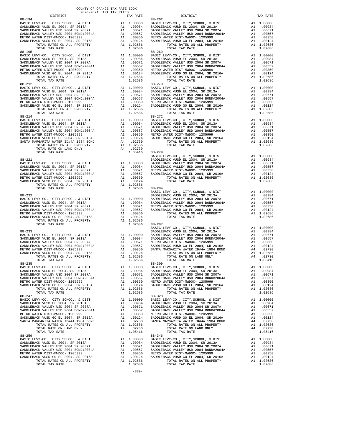| 88-194<br>$88 - 195$                                                                                                                                                                                                                                                                                                                                                    |                                        |                                                                                                                                                  | 88-262<br>$88 - 269$                                   |
|-------------------------------------------------------------------------------------------------------------------------------------------------------------------------------------------------------------------------------------------------------------------------------------------------------------------------------------------------------------------------|----------------------------------------|--------------------------------------------------------------------------------------------------------------------------------------------------|--------------------------------------------------------|
| TOTAL TAX RATE                                                                                                                                                                                                                                                                                                                                                          |                                        | 1.02686                                                                                                                                          |                                                        |
|                                                                                                                                                                                                                                                                                                                                                                         |                                        |                                                                                                                                                  |                                                        |
| TOTAL TAX RATE                                                                                                                                                                                                                                                                                                                                                          |                                        | $1.05416$ $88-279$                                                                                                                               |                                                        |
| 88-221<br>TOTAL TAX RATE                                                                                                                                                                                                                                                                                                                                                |                                        | 1.02686 88-284                                                                                                                                   | BASIC L<br>SADDLEB                                     |
| $88 - 232$<br>TOTAL TAX RATE                                                                                                                                                                                                                                                                                                                                            |                                        | $1.02686$ $88-287$                                                                                                                               | BASIC L<br>SADDLEB                                     |
|                                                                                                                                                                                                                                                                                                                                                                         |                                        |                                                                                                                                                  | BASIC L                                                |
| $88 - 235$<br>BASIC LEVY-CO., CITY, SCHOOL, & DIST<br>SADDLEBACK VUSD EL 2004, SR 2013A<br>SADDLEBACK VALLEY USD 2004 SR 2007A<br>SADDLEBACK VALLEY USD 2004 BOND#2004A<br>METRO WATER DIST-MWDOC- 1205999<br>SADDLEBACK VUSD GO EL 2004, SR 2016A<br>TOTAL RATES ON ALL PROPERTY<br>TOTAL TAX RATE                                                                     | A1<br>A1<br>A1<br>A1<br>A1             | 88-309<br>A1 1.00000 BASIC L<br>.00984<br>.00671<br>.00557<br>.00350<br>.00124<br>A1 1.02686<br>1.02686                                          | SADDLEB<br>SADDLEB<br>SADDLEB<br>METRO W<br>SADDLEB    |
| $88 - 247$<br>BASIC LEVY-CO., CITY, SCHOOL, & DIST<br>SADDLEBACK VUSD EL 2004, SR 2013A<br>SADDLEBACK VALLEY USD 2004 SR 2007A<br>SADDLEBACK VALLEY USD 2004 BOND#2004A<br>METRO WATER DIST-MWDOC- 1205999<br>SADDLEBACK VUSD GO EL 2004, SR 2016A<br>SANTA MARGARITA WATER ID#4A 1984 BOND<br>TOTAL RATES ON ALL PROPERTY<br>TOTAL RATE ON LAND ONLY<br>TOTAL TAX RATE | A1<br>A1<br>A1<br>A1<br>A1<br>A4<br>A4 | A1 1.00000<br>.00984<br>.00671 SADDLEB<br>.00557 SADDLEB<br>.00350 METROW<br>.00124 SADDLEB<br>.02730 SANTA M<br>A1 1.02686<br>.02730<br>1.05416 | $88 - 328$<br>BASIC L<br>SADDLEB                       |
| $88 - 259$<br>BASIC LEVY-CO., CITY, SCHOOL, & DIST<br>SADDLEBACK VUSD EL 2004, SR 2013A<br>SADDLEBACK VALLEY USD 2004 SR 2007A<br>SADDLEBACK VALLEY USD 2004 BOND#2004A<br>METRO WATER DIST-MWDOC- 1205999<br>SADDLEBACK VUSD GO EL 2004, SR 2016A<br>TOTAL RATES ON ALL PROPERTY                                                                                       | A1<br>A1<br>A1<br>A1<br>A1 1.02686     | A1 1.00000<br>A1.00984<br>.00671<br>.00557<br>.00350 METRO W<br>.00124 SADDLEB                                                                   | $88 - 346$<br>BASIC L<br>SADDLEB<br>SADDLEB<br>SADDLEB |

| TAX RATE<br>DISTRICT |         | DISTRICT       | TAX RATE |
|----------------------|---------|----------------|----------|
| $88 - 194$           |         | $88 - 262$     |          |
|                      |         |                |          |
|                      |         |                |          |
|                      |         |                |          |
|                      |         |                |          |
|                      |         |                |          |
|                      |         |                |          |
|                      |         |                |          |
|                      |         |                |          |
|                      |         |                |          |
|                      |         |                |          |
|                      |         |                |          |
|                      |         |                |          |
|                      |         |                |          |
|                      |         |                |          |
|                      |         |                |          |
|                      |         |                |          |
|                      |         |                |          |
|                      |         |                |          |
|                      |         |                |          |
|                      |         |                |          |
|                      |         |                |          |
|                      |         |                |          |
|                      |         |                |          |
|                      |         |                |          |
|                      |         |                |          |
|                      |         |                |          |
|                      |         |                |          |
|                      |         |                |          |
|                      |         |                |          |
|                      |         |                |          |
|                      |         |                |          |
|                      |         |                |          |
|                      |         |                |          |
|                      |         |                |          |
|                      |         |                |          |
|                      |         |                |          |
|                      |         |                |          |
|                      |         |                |          |
|                      |         |                |          |
|                      |         |                |          |
|                      |         |                |          |
|                      |         |                |          |
|                      |         |                |          |
|                      |         |                |          |
|                      |         |                |          |
|                      |         |                |          |
|                      |         |                |          |
|                      |         |                |          |
|                      |         |                |          |
|                      |         |                |          |
|                      |         |                |          |
|                      |         |                |          |
|                      |         |                |          |
|                      |         |                |          |
|                      |         |                |          |
|                      |         |                |          |
|                      |         |                |          |
|                      |         |                |          |
|                      |         |                |          |
|                      |         |                |          |
|                      |         |                |          |
|                      |         |                |          |
|                      |         |                |          |
|                      |         |                |          |
|                      |         |                |          |
|                      |         |                |          |
| TOTAL TAX RATE       | 1.02686 | TOTAL TAX RATE | 1.02686  |
| $88 - 247$           |         | $88 - 328$     |          |
|                      |         |                |          |
|                      |         |                |          |
|                      |         |                |          |
|                      |         |                |          |
|                      |         |                |          |
|                      |         |                |          |
|                      |         |                |          |
|                      |         |                |          |
| TOTAL TAX RATE       | 1.05416 |                |          |
| $88 - 259$           |         | $88 - 346$     |          |
|                      |         |                |          |
|                      |         |                |          |
|                      |         |                |          |
|                      |         |                |          |
|                      |         |                |          |
|                      |         |                |          |
| TOTAL TAX RATE       | 1.02686 | TOTAL TAX RATE | 1.02686  |
|                      | $-339-$ |                |          |
|                      |         |                |          |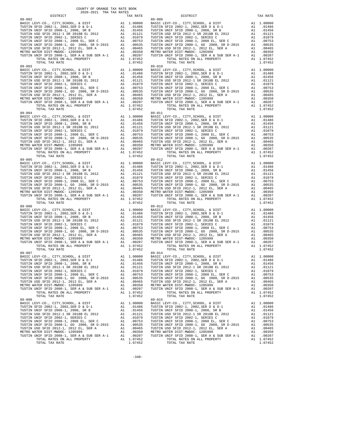| DISTRICT                                      |    | TAX RATE                            |            |
|-----------------------------------------------|----|-------------------------------------|------------|
|                                               |    |                                     |            |
|                                               |    |                                     |            |
|                                               |    |                                     |            |
|                                               |    |                                     |            |
|                                               |    |                                     |            |
|                                               |    |                                     |            |
|                                               |    |                                     |            |
|                                               |    |                                     |            |
|                                               |    |                                     |            |
|                                               |    |                                     |            |
|                                               |    |                                     |            |
|                                               |    |                                     |            |
| $89 - 003$                                    |    |                                     | $89 - 010$ |
|                                               |    |                                     |            |
|                                               |    |                                     |            |
|                                               |    |                                     |            |
|                                               |    |                                     |            |
|                                               |    |                                     |            |
|                                               |    |                                     |            |
|                                               |    |                                     |            |
|                                               |    |                                     |            |
|                                               |    |                                     |            |
|                                               |    |                                     |            |
| TOTAL TAX RATE                                |    | 1.07452                             |            |
| $89 - 004$                                    |    |                                     | 89-011     |
|                                               |    |                                     |            |
|                                               |    |                                     |            |
|                                               |    |                                     |            |
|                                               |    |                                     |            |
|                                               |    |                                     |            |
|                                               |    |                                     |            |
|                                               |    |                                     |            |
|                                               |    |                                     |            |
|                                               |    |                                     |            |
|                                               |    |                                     |            |
| TOTAL TAX RATE                                |    | 1.07452                             |            |
| $89 - 005$                                    |    |                                     | 89-012     |
|                                               |    |                                     |            |
|                                               |    |                                     |            |
|                                               |    |                                     |            |
|                                               |    |                                     |            |
|                                               |    |                                     |            |
|                                               |    |                                     |            |
|                                               |    |                                     |            |
|                                               |    |                                     |            |
|                                               |    |                                     |            |
|                                               |    |                                     |            |
| TOTAL TAX RATE                                |    | 1.07452                             |            |
| $89 - 006$                                    |    |                                     | $89 - 013$ |
|                                               |    |                                     |            |
|                                               |    |                                     |            |
|                                               |    |                                     |            |
|                                               |    |                                     |            |
|                                               |    |                                     |            |
|                                               |    |                                     |            |
|                                               |    |                                     |            |
|                                               |    |                                     |            |
|                                               |    |                                     |            |
|                                               |    |                                     |            |
| TOTAL TAX RATE                                |    | 1.07452                             |            |
|                                               |    |                                     |            |
|                                               |    |                                     |            |
|                                               |    |                                     |            |
|                                               |    |                                     |            |
| TUSTIN USD SFID 2012-1 SR 2018B EL 2012       | A1 | .01121                              | TUSTIN     |
| TUSTIN UNIF SFID 2002-1, SERIES C             | A1 | .01079                              | TUSTIN     |
| TUSTIN UNIF SFID 2008-1, 2008 EL, SER C       |    | A1 .00753                           | TUSTIN     |
| TUSTIN UNIF SFID 2008-1, GO 2008, SR D-2015   |    | A1 .00535                           | TUSTIN     |
| TUSTIN USD SFID 2012-1, 2012 EL, SER A        |    | A1.00465                            | TUSTIN     |
| METRO WATER DIST-MWDOC- 1205999               |    | A1.00350                            | METRO W    |
| TUSTIN UNIF SFID 2008-1, SER A & SUB SER A-1  | A1 | .00207<br>A1 1.07452                | TUSTIN     |
| TOTAL RATES ON ALL PROPERTY<br>TOTAL TAX RATE |    | 1.07452                             |            |
| $89 - 008$                                    |    |                                     | $89 - 015$ |
| BASIC LEVY-CO., CITY, SCHOOL, & DIST          |    | A1 1.00000                          | BASIC L    |
| TUSTIN SFID 2002-1, 2002, SER D & D-1         |    | A1 .01486                           | TUSTIN     |
| TUSTIN UNIF SFID 2008-1, 2008, SR B           |    | A1 .01456                           | TUSTIN     |
| TUSTIN USD SFID 2012-1 SR 2018B EL 2012       |    | A1 .01121                           | TUSTIN     |
| TUSTIN UNIF SFID 2002-1, SERIES C             |    | A1 .01079<br>A1 .00753<br>A1 .00535 | TUSTIN     |
| TUSTIN UNIF SFID 2008-1, 2008 EL, SER C       |    |                                     | TUSTIN     |
| TUSTIN UNIF SFID 2008-1, GO 2008, SR D-2015   |    |                                     | TUSTIN     |
| TUSTIN USD SFID 2012-1, 2012 EL, SER A        |    | A1.00465                            | TUSTIN     |
| METRO WATER DIST-MWDOC- 1205999               |    | A1.00350                            | METRO W    |
| TUSTIN UNIF SFID 2008-1, SER A & SUB SER A-1  | A1 | .00207                              | TUSTIN     |
| TOTAL RATES ON ALL PROPERTY<br>TOTAL TAX RATE |    | A1 1.07452<br>1.07452               |            |
|                                               |    |                                     |            |

| COUNTY OF ORANGE TAX RATE BOOK<br>2020-2021 TRA TAX RATES |          |                                                                                                                                                                                                                                                                                                                                                                                                              |            |  |  |  |  |
|-----------------------------------------------------------|----------|--------------------------------------------------------------------------------------------------------------------------------------------------------------------------------------------------------------------------------------------------------------------------------------------------------------------------------------------------------------------------------------------------------------|------------|--|--|--|--|
| DISTRICT                                                  | TAX RATE | DISTRICT                                                                                                                                                                                                                                                                                                                                                                                                     | TAX RATE   |  |  |  |  |
|                                                           |          |                                                                                                                                                                                                                                                                                                                                                                                                              |            |  |  |  |  |
|                                                           |          |                                                                                                                                                                                                                                                                                                                                                                                                              |            |  |  |  |  |
|                                                           |          | $\begin{smallmatrix} \textbf{11} & \textbf{12} & \textbf{13} & \textbf{15} & \textbf{16} & \textbf{17} & \textbf{18} & \textbf{18} & \textbf{18} & \textbf{19} & \textbf{19} & \textbf{19} & \textbf{19} & \textbf{19} & \textbf{19} & \textbf{19} & \textbf{19} & \textbf{19} & \textbf{19} & \textbf{19} & \textbf{19} & \textbf{19} & \textbf{19} & \textbf{19} & \textbf{19} & \textbf{19} & \textbf{19$ |            |  |  |  |  |
|                                                           |          |                                                                                                                                                                                                                                                                                                                                                                                                              |            |  |  |  |  |
|                                                           |          |                                                                                                                                                                                                                                                                                                                                                                                                              |            |  |  |  |  |
| $89 - 008$                                                |          | BASIC LEVY-CO., CITY, SCHOOL, & DIST Al 1.00000 BASIC LEVY-CO., CITY, SCHOOL, & DIST<br>$89 - 015$                                                                                                                                                                                                                                                                                                           | A1 1.00000 |  |  |  |  |
|                                                           |          |                                                                                                                                                                                                                                                                                                                                                                                                              |            |  |  |  |  |

 $-340-$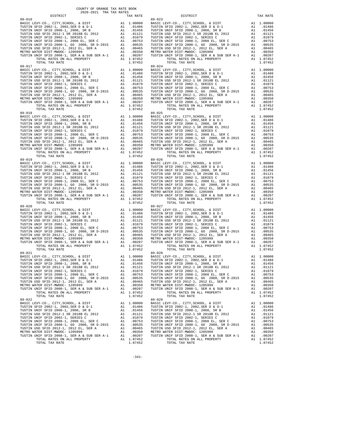| DISTRICT                                     |    | TAX RATE                                         |            |
|----------------------------------------------|----|--------------------------------------------------|------------|
|                                              |    |                                                  |            |
|                                              |    |                                                  |            |
|                                              |    |                                                  |            |
|                                              |    |                                                  |            |
|                                              |    |                                                  |            |
|                                              |    |                                                  |            |
|                                              |    |                                                  |            |
|                                              |    |                                                  |            |
|                                              |    |                                                  |            |
|                                              |    |                                                  |            |
|                                              |    |                                                  |            |
|                                              |    |                                                  |            |
| 89-017                                       |    |                                                  | $89 - 024$ |
|                                              |    |                                                  |            |
|                                              |    |                                                  |            |
|                                              |    |                                                  |            |
|                                              |    |                                                  |            |
|                                              |    |                                                  |            |
|                                              |    |                                                  |            |
|                                              |    |                                                  |            |
|                                              |    |                                                  |            |
|                                              |    |                                                  |            |
|                                              |    |                                                  |            |
| TOTAL TAX RATE                               |    | 1.07452                                          |            |
| $89 - 018$                                   |    |                                                  | 89-025     |
|                                              |    |                                                  |            |
|                                              |    |                                                  |            |
|                                              |    |                                                  |            |
|                                              |    |                                                  |            |
|                                              |    |                                                  |            |
|                                              |    |                                                  |            |
|                                              |    |                                                  |            |
|                                              |    |                                                  |            |
|                                              |    |                                                  |            |
|                                              |    |                                                  |            |
| TOTAL TAX RATE                               |    |                                                  |            |
| $89 - 019$                                   |    |                                                  | 89-026     |
|                                              |    |                                                  |            |
|                                              |    |                                                  |            |
|                                              |    |                                                  |            |
|                                              |    |                                                  |            |
|                                              |    |                                                  |            |
|                                              |    |                                                  |            |
|                                              |    |                                                  |            |
|                                              |    |                                                  |            |
|                                              |    |                                                  |            |
|                                              |    |                                                  |            |
| TOTAL TAX RATE                               |    | 1.07452                                          |            |
| $89 - 020$                                   |    |                                                  | 89-027     |
|                                              |    |                                                  |            |
|                                              |    |                                                  |            |
|                                              |    |                                                  |            |
|                                              |    |                                                  |            |
|                                              |    |                                                  |            |
|                                              |    |                                                  |            |
|                                              |    |                                                  |            |
|                                              |    |                                                  |            |
|                                              |    |                                                  |            |
|                                              |    |                                                  |            |
| TOTAL TAX RATE                               |    | 1.07452                                          | $89 - 028$ |
| $89 - 021$                                   |    |                                                  |            |
|                                              |    |                                                  |            |
|                                              |    |                                                  |            |
| TUSTIN USD SFID 2012-1 SR 2018B EL 2012      | A1 | .01121                                           | TUSTIN     |
| TUSTIN UNIF SFID 2002-1, SERIES C            | A1 | .01079                                           | TUSTIN     |
| TUSTIN UNIF SFID 2008-1, 2008 EL, SER C      |    | A1.00753                                         | TUSTIN     |
| TUSTIN UNIF SFID 2008-1, GO 2008, SR D-2015  |    | A1 .00535                                        | TUSTIN     |
| TUSTIN USD SFID 2012-1, 2012 EL, SER A       | A1 | .00465                                           | TUSTIN     |
| METRO WATER DIST-MWDOC- 1205999              | A1 | .00350                                           | METRO W    |
| TUSTIN UNIF SFID 2008-1, SER A & SUB SER A-1 | A1 | .00207                                           | TUSTIN     |
| TOTAL RATES ON ALL PROPERTY                  |    | A1 1.07452                                       |            |
| TOTAL TAX RATE<br>$89 - 022$                 |    | 1.07452                                          | $89 - 029$ |
| BASIC LEVY-CO., CITY, SCHOOL, & DIST         | A1 | 1.00000                                          | BASIC L    |
| TUSTIN SFID 2002-1, 2002, SER D & D-1        |    | A1.01486                                         | TUSTIN     |
| TUSTIN UNIF SFID 2008-1, 2008, SR B          |    | A1.01456                                         | TUSTIN     |
| TUSTIN USD SFID 2012-1 SR 2018B EL 2012      |    |                                                  | TUSTIN     |
| TUSTIN UNIF SFID 2002-1, SERIES C            |    | A1 .01121<br>A1 .01079<br>A1 .00753<br>A1 .00535 | TUSTIN     |
| TUSTIN UNIF SFID 2008-1, 2008 EL, SER C      |    |                                                  | TUSTIN     |
| TUSTIN UNIF SFID 2008-1, GO 2008, SR D-2015  |    |                                                  | TUSTIN     |
| TUSTIN USD SFID 2012-1, 2012 EL, SER A       |    | A1.00465                                         | TUSTIN     |
| METRO WATER DIST-MWDOC- 1205999              |    | A1.00350                                         | METRO W    |
| TUSTIN UNIF SFID 2008-1, SER A & SUB SER A-1 | A1 | .00207                                           | TUSTIN     |
| TOTAL RATES ON ALL PROPERTY                  |    | A1 1.07452                                       |            |
| TOTAL TAX RATE                               |    | 1.07452                                          |            |

| COUNTY OF ORANGE TAX RATE BOOK<br>2020-2021 TRA TAX RATES |          |                                                                                                                                                                                                                                                                                                                                                                                                                             |            |  |  |  |  |
|-----------------------------------------------------------|----------|-----------------------------------------------------------------------------------------------------------------------------------------------------------------------------------------------------------------------------------------------------------------------------------------------------------------------------------------------------------------------------------------------------------------------------|------------|--|--|--|--|
| DISTRICT                                                  | TAX RATE | DISTRICT                                                                                                                                                                                                                                                                                                                                                                                                                    | TAX RATE   |  |  |  |  |
|                                                           |          |                                                                                                                                                                                                                                                                                                                                                                                                                             |            |  |  |  |  |
|                                                           |          |                                                                                                                                                                                                                                                                                                                                                                                                                             |            |  |  |  |  |
|                                                           |          | $\begin{smallmatrix} \textbf{11}_{111}\\ \textbf{12}_{112}\\ \textbf{13}_{123}\\ \textbf{14}_{133}\\ \textbf{15}_{143}\\ \textbf{16}_{144}\\ \textbf{17}_{145}\\ \textbf{18}_{145}\\ \textbf{18}_{146}\\ \textbf{19}_{145}\\ \textbf{10}_{146}\\ \textbf{10}_{147}\\ \textbf{10}_{148}\\ \textbf{11}_{148}\\ \textbf{11}_{148}\\ \textbf{11}_{148}\\ \textbf{11}_{148}\\ \textbf{11}_{148}\\ \textbf{11}_{148}\\ \textbf{1$ |            |  |  |  |  |
|                                                           |          |                                                                                                                                                                                                                                                                                                                                                                                                                             |            |  |  |  |  |
|                                                           |          |                                                                                                                                                                                                                                                                                                                                                                                                                             |            |  |  |  |  |
| $89 - 022$                                                |          | BASIC LEVY-CO., CITY, SCHOOL, & DIST Al 1.00000 BASIC LEVY-CO., CITY, SCHOOL, & DIST<br>$89 - 029$                                                                                                                                                                                                                                                                                                                          | A1 1.00000 |  |  |  |  |
|                                                           |          |                                                                                                                                                                                                                                                                                                                                                                                                                             |            |  |  |  |  |

-341-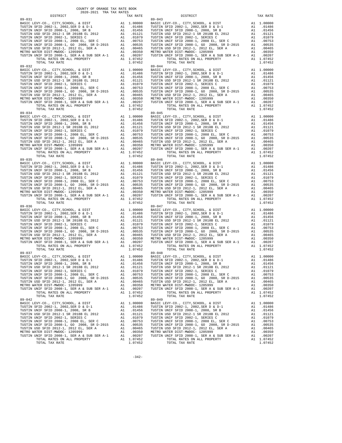| DISTRICT                                     |    | TAX RATE                                         |            |
|----------------------------------------------|----|--------------------------------------------------|------------|
|                                              |    |                                                  |            |
|                                              |    |                                                  |            |
|                                              |    |                                                  |            |
|                                              |    |                                                  |            |
|                                              |    |                                                  |            |
|                                              |    |                                                  |            |
|                                              |    |                                                  |            |
|                                              |    |                                                  |            |
|                                              |    |                                                  |            |
|                                              |    |                                                  |            |
|                                              |    |                                                  |            |
|                                              |    |                                                  |            |
| $89 - 032$                                   |    |                                                  | $89 - 044$ |
|                                              |    |                                                  |            |
|                                              |    |                                                  |            |
|                                              |    |                                                  |            |
|                                              |    |                                                  |            |
|                                              |    |                                                  |            |
|                                              |    |                                                  |            |
|                                              |    |                                                  |            |
|                                              |    |                                                  |            |
|                                              |    |                                                  |            |
|                                              |    |                                                  |            |
| TOTAL TAX RATE                               |    | 1.07452                                          |            |
| $89 - 034$                                   |    |                                                  | $89 - 045$ |
|                                              |    |                                                  |            |
|                                              |    |                                                  |            |
|                                              |    |                                                  |            |
|                                              |    |                                                  |            |
|                                              |    |                                                  |            |
|                                              |    |                                                  |            |
|                                              |    |                                                  |            |
|                                              |    |                                                  |            |
|                                              |    |                                                  |            |
|                                              |    |                                                  |            |
| TOTAL TAX RATE                               |    | 1.07452                                          |            |
| $89 - 035$                                   |    |                                                  | 89-046     |
|                                              |    |                                                  |            |
|                                              |    |                                                  |            |
|                                              |    |                                                  |            |
|                                              |    |                                                  |            |
|                                              |    |                                                  |            |
|                                              |    |                                                  |            |
|                                              |    |                                                  |            |
|                                              |    |                                                  |            |
|                                              |    |                                                  |            |
|                                              |    |                                                  |            |
| TOTAL TAX RATE                               |    | 1.07452                                          |            |
| $89 - 036$                                   |    |                                                  | 89-047     |
|                                              |    |                                                  |            |
|                                              |    |                                                  |            |
|                                              |    |                                                  |            |
|                                              |    |                                                  |            |
|                                              |    |                                                  |            |
|                                              |    |                                                  |            |
|                                              |    |                                                  |            |
|                                              |    |                                                  |            |
|                                              |    |                                                  |            |
|                                              |    |                                                  |            |
|                                              |    | 1.07452                                          |            |
| TOTAL TAX RATE                               |    |                                                  |            |
|                                              |    |                                                  |            |
|                                              |    |                                                  |            |
|                                              |    |                                                  |            |
| TUSTIN USD SFID 2012-1 SR 2018B EL 2012      | A1 | .01121                                           | TUSTIN     |
| TUSTIN UNIF SFID 2002-1, SERIES C            | A1 | .01079                                           | TUSTIN     |
| TUSTIN UNIF SFID 2008-1, 2008 EL, SER C      |    | A1 .00753                                        | TUSTIN     |
| TUSTIN UNIF SFID 2008-1, GO 2008, SR D-2015  |    | A1 .00535                                        | TUSTIN     |
| TUSTIN USD SFID 2012-1, 2012 EL, SER A       |    | A1.00465                                         | TUSTIN     |
| METRO WATER DIST-MWDOC- 1205999              |    | A1.00350                                         | METRO W    |
| TUSTIN UNIF SFID 2008-1, SER A & SUB SER A-1 | A1 | .00207                                           | TUSTIN     |
| TOTAL RATES ON ALL PROPERTY                  |    | A1 1.07452                                       |            |
| TOTAL TAX RATE<br>$89 - 042$                 |    | 1.07452                                          | $89 - 049$ |
| BASIC LEVY-CO., CITY, SCHOOL, & DIST         |    | A1 1.00000                                       | BASIC L    |
| TUSTIN SFID 2002-1, 2002, SER D & D-1        |    | A1 .01486                                        | TUSTIN     |
| TUSTIN UNIF SFID 2008-1, 2008, SR B          |    | A1 .01456                                        | TUSTIN     |
| TUSTIN USD SFID 2012-1 SR 2018B EL 2012      |    |                                                  | TUSTIN     |
| TUSTIN UNIF SFID 2002-1, SERIES C            |    |                                                  | TUSTIN     |
| TUSTIN UNIF SFID 2008-1, 2008 EL, SER C      |    | A1 .01121<br>A1 .01079<br>A1 .00753<br>A1 .00535 | TUSTIN     |
| TUSTIN UNIF SFID 2008-1, GO 2008, SR D-2015  |    |                                                  | TUSTIN     |
| TUSTIN USD SFID 2012-1, 2012 EL, SER A       |    | A1.00465                                         | TUSTIN     |
| METRO WATER DIST-MWDOC- 1205999              |    | A1.00350                                         | METRO W    |
| TUSTIN UNIF SFID 2008-1, SER A & SUB SER A-1 | A1 | .00207                                           | TUSTIN     |
| TOTAL RATES ON ALL PROPERTY                  |    | A1 1.07452                                       |            |
| TOTAL TAX RATE                               |    | 1.07452                                          |            |

| COUNTY OF ORANGE TAX RATE BOOK<br>2020-2021 TRA TAX RATES |          |                                                                                                                                                                                                                                                                                                                                                                                                                          |            |  |  |  |  |
|-----------------------------------------------------------|----------|--------------------------------------------------------------------------------------------------------------------------------------------------------------------------------------------------------------------------------------------------------------------------------------------------------------------------------------------------------------------------------------------------------------------------|------------|--|--|--|--|
| DISTRICT                                                  | TAX RATE | DISTRICT                                                                                                                                                                                                                                                                                                                                                                                                                 | TAX RATE   |  |  |  |  |
|                                                           |          |                                                                                                                                                                                                                                                                                                                                                                                                                          |            |  |  |  |  |
|                                                           |          | $\begin{smallmatrix} \mathbf{1}_{31} & \mathbf{1}_{32} & \mathbf{1}_{33} & \mathbf{1}_{34} & \mathbf{1}_{35} & \mathbf{1}_{36} & \mathbf{1}_{37} & \mathbf{1}_{38} & \mathbf{1}_{39} & \mathbf{1}_{30} & \mathbf{1}_{30} & \mathbf{1}_{30} & \mathbf{1}_{30} & \mathbf{1}_{30} & \mathbf{1}_{30} & \mathbf{1}_{30} & \mathbf{1}_{30} & \mathbf{1}_{30} & \mathbf{1}_{30} & \mathbf{1}_{30} & \mathbf{1}_{30} & \mathbf{$ |            |  |  |  |  |
|                                                           |          |                                                                                                                                                                                                                                                                                                                                                                                                                          |            |  |  |  |  |
|                                                           |          |                                                                                                                                                                                                                                                                                                                                                                                                                          |            |  |  |  |  |
|                                                           |          |                                                                                                                                                                                                                                                                                                                                                                                                                          |            |  |  |  |  |
| $89 - 042$                                                |          | BASIC LEVY-CO., CITY, SCHOOL, & DIST Al 1.00000 BASIC LEVY-CO., CITY, SCHOOL, & DIST<br>$89 - 049$                                                                                                                                                                                                                                                                                                                       | A1 1.00000 |  |  |  |  |
|                                                           |          |                                                                                                                                                                                                                                                                                                                                                                                                                          |            |  |  |  |  |

 $-342-$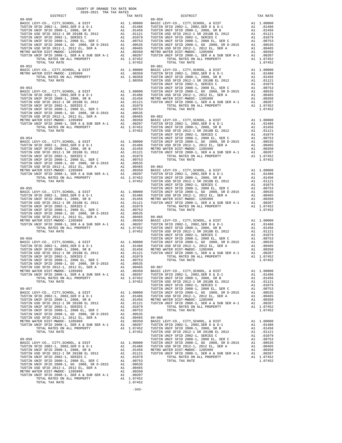| COUNTY OF ORANGE TAX RATE BOOK<br>$2020-2021 \quad \text{TRA TAX RATES}$ DISTRICT 2020–2021 TRA TAX RATES |          |            |          |
|-----------------------------------------------------------------------------------------------------------|----------|------------|----------|
|                                                                                                           | TAX RATE | DISTRICT   | TAX RATE |
| $89 - 050$                                                                                                |          | $89 - 059$ |          |
|                                                                                                           |          |            |          |
|                                                                                                           |          |            |          |
|                                                                                                           |          |            |          |
|                                                                                                           |          |            |          |
|                                                                                                           |          |            |          |
|                                                                                                           |          |            |          |
|                                                                                                           |          |            |          |
|                                                                                                           |          |            |          |
|                                                                                                           |          |            |          |
|                                                                                                           |          |            |          |
|                                                                                                           |          |            |          |
|                                                                                                           |          |            |          |
|                                                                                                           |          |            |          |
|                                                                                                           |          |            |          |
|                                                                                                           |          |            |          |
|                                                                                                           |          |            |          |
|                                                                                                           |          |            |          |
|                                                                                                           |          |            |          |
|                                                                                                           |          |            |          |
|                                                                                                           |          |            |          |
|                                                                                                           |          |            |          |
|                                                                                                           |          |            |          |
|                                                                                                           |          |            |          |
|                                                                                                           |          |            |          |
|                                                                                                           |          |            |          |
|                                                                                                           |          |            |          |
|                                                                                                           |          |            |          |
|                                                                                                           |          |            |          |
|                                                                                                           |          |            |          |
|                                                                                                           |          |            |          |
|                                                                                                           |          |            |          |
|                                                                                                           |          |            |          |
|                                                                                                           |          |            |          |
|                                                                                                           |          |            |          |
|                                                                                                           |          |            |          |
|                                                                                                           |          |            |          |
|                                                                                                           |          |            |          |
|                                                                                                           |          |            |          |
|                                                                                                           |          |            |          |
|                                                                                                           |          |            |          |
|                                                                                                           |          |            |          |
|                                                                                                           |          |            |          |
|                                                                                                           |          |            |          |
|                                                                                                           |          |            |          |
|                                                                                                           |          |            |          |
|                                                                                                           |          |            |          |
|                                                                                                           |          |            |          |
|                                                                                                           |          |            |          |
|                                                                                                           |          |            |          |
|                                                                                                           |          |            |          |
|                                                                                                           |          |            |          |
|                                                                                                           |          |            |          |
|                                                                                                           |          |            |          |
|                                                                                                           |          |            |          |
|                                                                                                           |          |            |          |
|                                                                                                           |          |            |          |
|                                                                                                           |          |            |          |
|                                                                                                           |          |            |          |
|                                                                                                           |          |            |          |
|                                                                                                           |          |            |          |
|                                                                                                           |          |            |          |
|                                                                                                           |          |            |          |
|                                                                                                           |          |            |          |
|                                                                                                           |          |            |          |
|                                                                                                           |          |            |          |
|                                                                                                           |          |            |          |
|                                                                                                           |          |            |          |
|                                                                                                           |          |            |          |
|                                                                                                           |          |            |          |
|                                                                                                           |          |            |          |
|                                                                                                           |          |            |          |
|                                                                                                           |          |            |          |
|                                                                                                           |          |            |          |
|                                                                                                           |          |            |          |
|                                                                                                           |          |            |          |
|                                                                                                           |          |            |          |
|                                                                                                           |          |            |          |
|                                                                                                           |          |            |          |
|                                                                                                           |          |            |          |

-343-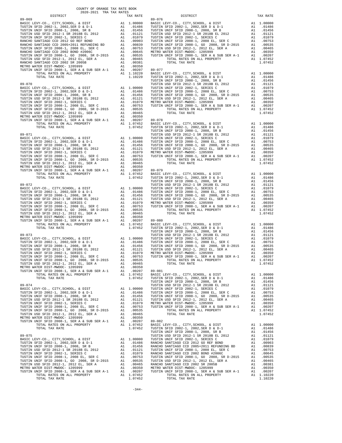| 2020-2021 TRA TAX RATES<br>DISTRICT | TAX RATE | DISTRICT                                                                                                                                                                                                                              | TAX RATE |
|-------------------------------------|----------|---------------------------------------------------------------------------------------------------------------------------------------------------------------------------------------------------------------------------------------|----------|
|                                     |          |                                                                                                                                                                                                                                       |          |
|                                     |          |                                                                                                                                                                                                                                       |          |
|                                     |          |                                                                                                                                                                                                                                       |          |
|                                     |          |                                                                                                                                                                                                                                       |          |
|                                     |          |                                                                                                                                                                                                                                       |          |
|                                     |          |                                                                                                                                                                                                                                       |          |
|                                     |          |                                                                                                                                                                                                                                       |          |
|                                     |          |                                                                                                                                                                                                                                       |          |
|                                     |          |                                                                                                                                                                                                                                       |          |
|                                     |          |                                                                                                                                                                                                                                       |          |
|                                     |          |                                                                                                                                                                                                                                       |          |
|                                     |          |                                                                                                                                                                                                                                       |          |
|                                     |          |                                                                                                                                                                                                                                       |          |
|                                     |          |                                                                                                                                                                                                                                       |          |
|                                     |          |                                                                                                                                                                                                                                       |          |
|                                     |          |                                                                                                                                                                                                                                       |          |
|                                     |          |                                                                                                                                                                                                                                       |          |
|                                     |          |                                                                                                                                                                                                                                       |          |
|                                     |          |                                                                                                                                                                                                                                       |          |
|                                     |          |                                                                                                                                                                                                                                       |          |
|                                     |          |                                                                                                                                                                                                                                       |          |
|                                     |          |                                                                                                                                                                                                                                       |          |
|                                     |          |                                                                                                                                                                                                                                       |          |
|                                     |          |                                                                                                                                                                                                                                       |          |
|                                     |          |                                                                                                                                                                                                                                       |          |
|                                     |          |                                                                                                                                                                                                                                       |          |
|                                     |          |                                                                                                                                                                                                                                       |          |
|                                     |          |                                                                                                                                                                                                                                       |          |
|                                     |          |                                                                                                                                                                                                                                       |          |
|                                     |          |                                                                                                                                                                                                                                       |          |
|                                     |          |                                                                                                                                                                                                                                       |          |
|                                     |          |                                                                                                                                                                                                                                       |          |
|                                     |          |                                                                                                                                                                                                                                       |          |
|                                     |          |                                                                                                                                                                                                                                       |          |
|                                     |          |                                                                                                                                                                                                                                       |          |
|                                     |          |                                                                                                                                                                                                                                       |          |
|                                     |          |                                                                                                                                                                                                                                       |          |
|                                     |          |                                                                                                                                                                                                                                       |          |
|                                     |          |                                                                                                                                                                                                                                       |          |
|                                     |          |                                                                                                                                                                                                                                       |          |
|                                     |          |                                                                                                                                                                                                                                       |          |
|                                     |          |                                                                                                                                                                                                                                       |          |
|                                     |          |                                                                                                                                                                                                                                       |          |
|                                     |          |                                                                                                                                                                                                                                       |          |
|                                     |          |                                                                                                                                                                                                                                       |          |
|                                     |          |                                                                                                                                                                                                                                       |          |
|                                     |          |                                                                                                                                                                                                                                       |          |
|                                     |          |                                                                                                                                                                                                                                       |          |
|                                     |          |                                                                                                                                                                                                                                       |          |
|                                     |          |                                                                                                                                                                                                                                       |          |
|                                     |          |                                                                                                                                                                                                                                       |          |
|                                     |          |                                                                                                                                                                                                                                       |          |
|                                     |          |                                                                                                                                                                                                                                       |          |
|                                     |          |                                                                                                                                                                                                                                       |          |
|                                     |          |                                                                                                                                                                                                                                       |          |
|                                     |          |                                                                                                                                                                                                                                       |          |
|                                     |          |                                                                                                                                                                                                                                       |          |
|                                     |          |                                                                                                                                                                                                                                       |          |
|                                     |          |                                                                                                                                                                                                                                       |          |
|                                     |          |                                                                                                                                                                                                                                       |          |
|                                     |          |                                                                                                                                                                                                                                       |          |
|                                     |          |                                                                                                                                                                                                                                       |          |
|                                     |          |                                                                                                                                                                                                                                       |          |
|                                     |          |                                                                                                                                                                                                                                       |          |
|                                     |          |                                                                                                                                                                                                                                       |          |
|                                     |          |                                                                                                                                                                                                                                       |          |
|                                     |          |                                                                                                                                                                                                                                       |          |
|                                     |          |                                                                                                                                                                                                                                       |          |
|                                     |          |                                                                                                                                                                                                                                       |          |
|                                     |          |                                                                                                                                                                                                                                       |          |
|                                     |          |                                                                                                                                                                                                                                       |          |
|                                     |          |                                                                                                                                                                                                                                       |          |
|                                     |          |                                                                                                                                                                                                                                       |          |
|                                     |          |                                                                                                                                                                                                                                       |          |
|                                     |          |                                                                                                                                                                                                                                       |          |
|                                     |          |                                                                                                                                                                                                                                       |          |
|                                     |          |                                                                                                                                                                                                                                       |          |
|                                     |          |                                                                                                                                                                                                                                       |          |
|                                     |          |                                                                                                                                                                                                                                       |          |
|                                     |          |                                                                                                                                                                                                                                       |          |
|                                     |          |                                                                                                                                                                                                                                       |          |
|                                     |          |                                                                                                                                                                                                                                       |          |
|                                     |          |                                                                                                                                                                                                                                       |          |
|                                     |          |                                                                                                                                                                                                                                       |          |
|                                     |          | TOWER WHE SPID 2008-1, 2008 E. 2011 - 0.00135<br>TUSHER WHE SPID 2008-1, 2009-2013 - 0.00135<br>TUSHER WHE SPID 2008-1, 2009-2013 - 0.00135<br>TUSHER WHE SPID 2008-1, 2009-2013 - 0.00135<br>TUSHER WHE SPID 2008-1, 2009-2013 - 0.0 |          |
|                                     |          |                                                                                                                                                                                                                                       |          |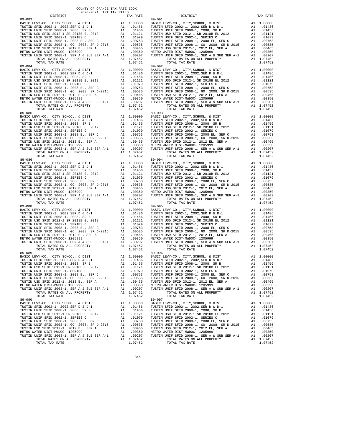| DISTRICT                                     |    | TAX RATE                            |         |
|----------------------------------------------|----|-------------------------------------|---------|
|                                              |    |                                     |         |
|                                              |    |                                     |         |
|                                              |    |                                     |         |
|                                              |    |                                     |         |
|                                              |    |                                     |         |
|                                              |    |                                     |         |
|                                              |    |                                     |         |
|                                              |    |                                     |         |
|                                              |    |                                     |         |
|                                              |    |                                     |         |
|                                              |    |                                     |         |
|                                              |    |                                     |         |
| $89 - 084$                                   |    |                                     | 89-092  |
|                                              |    |                                     |         |
|                                              |    |                                     |         |
|                                              |    |                                     |         |
|                                              |    |                                     |         |
|                                              |    |                                     |         |
|                                              |    |                                     |         |
|                                              |    |                                     |         |
|                                              |    |                                     |         |
|                                              |    |                                     |         |
|                                              |    |                                     |         |
| TOTAL TAX RATE                               |    | 1.07452                             |         |
| $89 - 085$                                   |    |                                     | 89-093  |
|                                              |    |                                     |         |
|                                              |    |                                     |         |
|                                              |    |                                     |         |
|                                              |    |                                     |         |
|                                              |    |                                     |         |
|                                              |    |                                     |         |
|                                              |    |                                     |         |
|                                              |    |                                     |         |
|                                              |    |                                     |         |
|                                              |    |                                     |         |
| TOTAL TAX RATE                               |    | 1.07452                             |         |
| $89 - 086$                                   |    |                                     | 89-094  |
|                                              |    |                                     |         |
|                                              |    |                                     |         |
|                                              |    |                                     |         |
|                                              |    |                                     |         |
|                                              |    |                                     |         |
|                                              |    |                                     |         |
|                                              |    |                                     |         |
|                                              |    |                                     |         |
|                                              |    |                                     |         |
|                                              |    |                                     |         |
| TOTAL TAX RATE                               |    | 1.07452                             |         |
| $89 - 088$                                   |    |                                     | 89-095  |
|                                              |    |                                     |         |
|                                              |    |                                     |         |
|                                              |    |                                     |         |
|                                              |    |                                     |         |
|                                              |    |                                     |         |
|                                              |    |                                     |         |
|                                              |    |                                     |         |
|                                              |    |                                     |         |
|                                              |    |                                     |         |
|                                              |    |                                     |         |
| TOTAL TAX RATE                               |    | 1.07452                             |         |
|                                              |    |                                     |         |
|                                              |    |                                     |         |
|                                              |    |                                     |         |
|                                              |    |                                     |         |
| TUSTIN USD SFID 2012-1 SR 2018B EL 2012      | A1 | .01121                              | TUSTIN  |
| TUSTIN UNIF SFID 2002-1, SERIES C            | A1 | .01079                              | TUSTIN  |
| TUSTIN UNIF SFID 2008-1, 2008 EL, SER C      |    | A1 .00753                           | TUSTIN  |
| TUSTIN UNIF SFID 2008-1, GO 2008, SR D-2015  |    | A1 .00535                           | TUSTIN  |
| TUSTIN USD SFID 2012-1, 2012 EL, SER A       |    | A1.00465                            | TUSTIN  |
| METRO WATER DIST-MWDOC- 1205999              |    | A1.00350                            | METRO W |
| TUSTIN UNIF SFID 2008-1, SER A & SUB SER A-1 | A1 | .00207                              | TUSTIN  |
| TOTAL RATES ON ALL PROPERTY                  |    | A1 1.07452                          |         |
| TOTAL TAX RATE<br>$89 - 090$                 |    | 1.07452                             | 89-097  |
| BASIC LEVY-CO., CITY, SCHOOL, & DIST         |    | A1 1.00000                          | BASIC L |
| TUSTIN SFID 2002-1, 2002, SER D & D-1        |    | A1 .01486                           | TUSTIN  |
| TUSTIN UNIF SFID 2008-1, 2008, SR B          |    | A1 .01456                           | TUSTIN  |
| TUSTIN USD SFID 2012-1 SR 2018B EL 2012      |    | A1 .01121                           | TUSTIN  |
| TUSTIN UNIF SFID 2002-1, SERIES C            |    |                                     | TUSTIN  |
| TUSTIN UNIF SFID 2008-1, 2008 EL, SER C      |    | A1 .01079<br>A1 .00753<br>A1 .00535 | TUSTIN  |
| TUSTIN UNIF SFID 2008-1, GO 2008, SR D-2015  |    |                                     | TUSTIN  |
| TUSTIN USD SFID 2012-1, 2012 EL, SER A       |    | A1 .00465                           | TUSTIN  |
| METRO WATER DIST-MWDOC- 1205999              |    | A1.00350                            | METRO W |
| TUSTIN UNIF SFID 2008-1, SER A & SUB SER A-1 | A1 | .00207                              | TUSTIN  |
| TOTAL RATES ON ALL PROPERTY                  |    | A1 1.07452                          |         |
| TOTAL TAX RATE                               |    | 1.07452                             |         |

| COUNTY OF ORANGE TAX RATE BOOK<br>2020-2021 TRA TAX RATES |          |                                                                                                                                                                                                                                                                                                                                                                                                              |          |  |  |
|-----------------------------------------------------------|----------|--------------------------------------------------------------------------------------------------------------------------------------------------------------------------------------------------------------------------------------------------------------------------------------------------------------------------------------------------------------------------------------------------------------|----------|--|--|
| DISTRICT                                                  | TAX RATE | DISTRICT                                                                                                                                                                                                                                                                                                                                                                                                     | TAX RATE |  |  |
|                                                           |          |                                                                                                                                                                                                                                                                                                                                                                                                              |          |  |  |
|                                                           |          | $\begin{smallmatrix} \textbf{11} & \textbf{12} & \textbf{13} & \textbf{15} & \textbf{16} & \textbf{17} & \textbf{18} & \textbf{18} & \textbf{18} & \textbf{19} & \textbf{19} & \textbf{19} & \textbf{19} & \textbf{19} & \textbf{19} & \textbf{19} & \textbf{19} & \textbf{19} & \textbf{19} & \textbf{19} & \textbf{19} & \textbf{19} & \textbf{19} & \textbf{19} & \textbf{19} & \textbf{19} & \textbf{19$ |          |  |  |
|                                                           |          |                                                                                                                                                                                                                                                                                                                                                                                                              |          |  |  |
|                                                           |          |                                                                                                                                                                                                                                                                                                                                                                                                              |          |  |  |
|                                                           |          |                                                                                                                                                                                                                                                                                                                                                                                                              |          |  |  |
| $89 - 090$                                                |          | $89 - 097$                                                                                                                                                                                                                                                                                                                                                                                                   |          |  |  |
| TOTAL TAX RATE                                            | 1.07452  | TOTAL TAX RATE                                                                                                                                                                                                                                                                                                                                                                                               | 1.07452  |  |  |

 $-345-$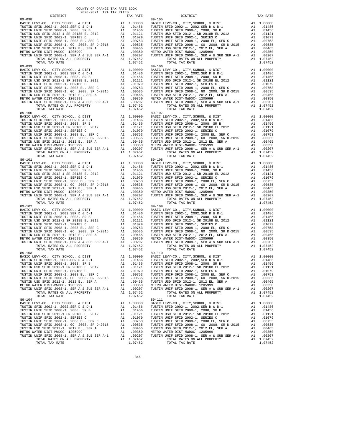| DISTRICT                                                                               |    | TAX RATE                                           |            |
|----------------------------------------------------------------------------------------|----|----------------------------------------------------|------------|
| 89-098                                                                                 |    |                                                    | $89 - 105$ |
|                                                                                        |    |                                                    |            |
|                                                                                        |    |                                                    |            |
|                                                                                        |    |                                                    |            |
|                                                                                        |    |                                                    |            |
|                                                                                        |    |                                                    |            |
|                                                                                        |    |                                                    |            |
|                                                                                        |    |                                                    |            |
|                                                                                        |    |                                                    |            |
|                                                                                        |    |                                                    |            |
|                                                                                        |    |                                                    |            |
|                                                                                        |    |                                                    |            |
| TOTAL TAX RATE                                                                         |    | 1.07452                                            |            |
| $89 - 099$                                                                             |    |                                                    | 89-106     |
|                                                                                        |    |                                                    |            |
|                                                                                        |    |                                                    |            |
|                                                                                        |    |                                                    |            |
|                                                                                        |    |                                                    |            |
|                                                                                        |    |                                                    |            |
|                                                                                        |    |                                                    |            |
|                                                                                        |    |                                                    |            |
|                                                                                        |    |                                                    |            |
|                                                                                        |    |                                                    |            |
|                                                                                        |    |                                                    |            |
|                                                                                        |    |                                                    |            |
| TOTAL TAX RATE                                                                         |    | 1.07452                                            |            |
|                                                                                        |    |                                                    |            |
|                                                                                        |    |                                                    |            |
|                                                                                        |    |                                                    |            |
|                                                                                        |    |                                                    |            |
|                                                                                        |    |                                                    |            |
|                                                                                        |    |                                                    |            |
|                                                                                        |    |                                                    |            |
|                                                                                        |    |                                                    |            |
|                                                                                        |    |                                                    |            |
|                                                                                        |    |                                                    |            |
|                                                                                        |    |                                                    |            |
|                                                                                        |    |                                                    |            |
|                                                                                        |    |                                                    |            |
|                                                                                        |    |                                                    |            |
|                                                                                        |    |                                                    |            |
|                                                                                        |    |                                                    |            |
|                                                                                        |    |                                                    |            |
|                                                                                        |    |                                                    |            |
|                                                                                        |    |                                                    |            |
|                                                                                        |    |                                                    |            |
|                                                                                        |    |                                                    |            |
|                                                                                        |    |                                                    |            |
|                                                                                        |    |                                                    |            |
|                                                                                        |    |                                                    |            |
|                                                                                        |    |                                                    |            |
|                                                                                        |    |                                                    |            |
|                                                                                        |    |                                                    |            |
|                                                                                        |    |                                                    |            |
|                                                                                        |    |                                                    |            |
|                                                                                        |    |                                                    |            |
|                                                                                        |    |                                                    |            |
|                                                                                        |    |                                                    |            |
|                                                                                        |    |                                                    |            |
|                                                                                        |    |                                                    |            |
|                                                                                        |    |                                                    |            |
|                                                                                        |    |                                                    |            |
|                                                                                        |    |                                                    |            |
|                                                                                        |    |                                                    |            |
|                                                                                        |    |                                                    |            |
|                                                                                        |    |                                                    |            |
|                                                                                        |    |                                                    |            |
|                                                                                        |    |                                                    |            |
|                                                                                        |    |                                                    |            |
|                                                                                        |    |                                                    |            |
| TUSTIN USD SFID 2012-1 SR 2018B EL 2012                                                | A1 | .01121                                             | TUSTIN     |
| TUSTIN UNIF SFID 2002-1, SERIES C                                                      | A1 | .01079                                             | TUSTIN     |
| TUSTIN UNIF SFID 2008-1, 2008 EL, SER C                                                | A1 | .00753                                             | TUSTIN     |
| TUSTIN UNIF SFID 2008-1, GO 2008, SR D-2015                                            | A1 | .00535                                             | TUSTIN     |
|                                                                                        |    | A1 .00465                                          | TUSTIN     |
| TUSTIN USD SFID 2012-1, 2012 EL, SER A METRO WATER DIST-MWDOC- 1205999                 |    | A1 .00350                                          | METRO W    |
| TUSTIN UNIF SFID 2008-1, SER A & SUB SER A-1                                           | A1 | .00207                                             | TUSTIN     |
| TOTAL RATES ON ALL PROPERTY                                                            |    | A1 1.07452                                         |            |
| TOTAL TAX RATE                                                                         |    | 1.07452                                            |            |
| $89 - 104$                                                                             |    |                                                    | 89-111     |
| BASIC LEVY-CO., CITY, SCHOOL, & DIST                                                   |    | A1 1.00000                                         | BASIC L    |
| TUSTIN SFID 2002-1, 2002, SER D & D-1                                                  | A1 | .01486                                             | TUSTIN     |
| TUSTIN UNIF SFID 2008-1, 2008, SR B                                                    | A1 | .01456                                             | TUSTIN     |
| TUSTIN USD SFID 2012-1 SR 2018B EL 2012                                                |    | A1 .01121                                          | TUSTIN     |
|                                                                                        |    | A1 . 01079<br>A1 .01079 TUSTIN<br>A1 .00753 TUSTIN |            |
| TUSTIN UNIF SFID 2002-1, SERIES C                                                      |    |                                                    |            |
| TUSTIN UNIF SFID 2008-1, 2008 EL, SER C<br>TUSTIN UNIF SFID 2008-1, GO 2008, SR D-2015 |    |                                                    |            |
|                                                                                        |    | A1 .00753<br>A1 .00535<br>A1 .00465                | TUSTIN     |
| TUSTIN USD SFID 2012-1, 2012 EL, SER A<br>METRO WATER DIST-MWDOC- 1205999              |    |                                                    | TUSTIN     |
|                                                                                        |    | A1 .00350<br>A1 .00207                             | METRO W    |
| TUSTIN UNIF SFID 2008-1, SER A & SUB SER A-1                                           |    |                                                    | TUSTIN     |
| TOTAL RATES ON ALL PROPERTY                                                            |    | A1 1.07452                                         |            |
| TOTAL TAX RATE                                                                         |    | 1.07452                                            |            |

| DISTRICT<br>TAX RATE         |         | DISTRICT                                                                                                                                                                                                                                                 | TAX RATE |
|------------------------------|---------|----------------------------------------------------------------------------------------------------------------------------------------------------------------------------------------------------------------------------------------------------------|----------|
|                              |         |                                                                                                                                                                                                                                                          |          |
|                              |         |                                                                                                                                                                                                                                                          |          |
|                              |         |                                                                                                                                                                                                                                                          |          |
|                              |         |                                                                                                                                                                                                                                                          |          |
|                              |         |                                                                                                                                                                                                                                                          |          |
| TOTAL TAX RATE               | 1.07452 | METRO WATER DIST-MWDOC-1205999<br>TUSTIN UNIF SFID 2008-1, SER A & SUB SER A-1 A1 .00207<br>TUSTIN UNIF SFID 2008-1, SER A & SUB SER A-1 A1 .00207<br>TUSTIN UNIF SFID 2008-1, SER A & SUB SER A-1 A1 .00207<br>TOTAL FROPERTY A1 1.07<br>TOTAL TAX RATE | 1.07452  |
| $89 - 104$<br>TOTAL TAX RATE | 1.07452 | $89 - 111$<br>TOTAL TAX RATE                                                                                                                                                                                                                             | 1.07452  |

 $-346-$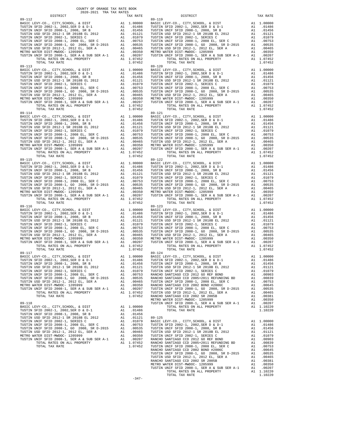| DISTRICT                                              |    | TAX RATE         |            |
|-------------------------------------------------------|----|------------------|------------|
|                                                       |    |                  |            |
|                                                       |    |                  |            |
|                                                       |    |                  |            |
|                                                       |    |                  |            |
|                                                       |    |                  |            |
|                                                       |    |                  |            |
|                                                       |    |                  |            |
|                                                       |    |                  |            |
|                                                       |    |                  |            |
|                                                       |    |                  |            |
|                                                       |    |                  |            |
|                                                       |    |                  |            |
| $89 - 113$                                            |    |                  | $89 - 120$ |
|                                                       |    |                  |            |
|                                                       |    |                  |            |
|                                                       |    |                  |            |
|                                                       |    |                  |            |
|                                                       |    |                  |            |
|                                                       |    |                  |            |
|                                                       |    |                  |            |
|                                                       |    |                  |            |
|                                                       |    |                  |            |
|                                                       |    |                  |            |
| TOTAL TAX RATE                                        |    | 1.07452          |            |
| 89-114                                                |    |                  | 89-121     |
|                                                       |    |                  |            |
|                                                       |    |                  |            |
|                                                       |    |                  |            |
|                                                       |    |                  |            |
|                                                       |    |                  |            |
|                                                       |    |                  |            |
|                                                       |    |                  |            |
|                                                       |    |                  |            |
|                                                       |    |                  |            |
|                                                       |    |                  |            |
|                                                       |    |                  |            |
| $89 - 115$                                            |    |                  | 89-122     |
|                                                       |    |                  |            |
|                                                       |    |                  |            |
|                                                       |    |                  |            |
|                                                       |    |                  |            |
|                                                       |    |                  |            |
|                                                       |    |                  |            |
|                                                       |    |                  |            |
|                                                       |    |                  |            |
|                                                       |    |                  |            |
|                                                       |    |                  |            |
| TOTAL TAX RATE                                        |    | 1.07452          |            |
| $89 - 116$                                            |    |                  | $89 - 123$ |
|                                                       |    |                  |            |
|                                                       |    |                  |            |
|                                                       |    |                  |            |
|                                                       |    |                  |            |
|                                                       |    |                  |            |
|                                                       |    |                  |            |
|                                                       |    |                  |            |
|                                                       |    |                  |            |
|                                                       |    |                  |            |
|                                                       |    |                  |            |
| TOTAL TAX RATE                                        |    | 1.07452          |            |
| 89-117                                                |    |                  | $89 - 124$ |
|                                                       |    |                  |            |
|                                                       |    |                  |            |
| TUSTIN USD SFID 2012-1 SR 2018B EL 2012               |    | A1 .01121        | TUSTIN     |
| TUSTIN UNIF SFID 2002-1, SERIES C                     | A1 | .01079           | TUSTIN     |
| TUSTIN UNIF SFID 2008-1, 2008 EL, SER C               |    |                  | RANCHO     |
|                                                       |    |                  | RANCHO     |
| TUSTIN USD SFID 2012-1, 2012 EL, SER A                |    | A1.00465         | TUSTIN     |
| METRO WATER DIST-MWDOC- 1205999                       |    | A1 .00350        | RANCHO     |
| TUSTIN UNIF SFID 2008-1, SER A & SUB SER A-1 A1       |    | .00207           | TUSTIN     |
| TOTAL RATES ON ALL PROPERTY                           |    | A1 1.07452       | TUSTIN     |
| TOTAL TAX RATE                                        |    | 1.07452          | RANCHO     |
|                                                       |    |                  | METRO W    |
| $89 - 118$<br>BASIC LEVY-CO., CITY, SCHOOL, & DIST    |    | A1 1.00000       | TUSTIN     |
| TUSTIN SFID 2002-1, 2002, SER D & D-1                 |    | A1.01486         |            |
| TUSTIN UNIF SFID 2008-1, 2008, SR B                   | A1 | .01456           |            |
| TUSTIN USD SFID 2012-1 SR 2018B EL 2012               |    | A1 .01121        | $89 - 125$ |
| TUSTIN UNIF SFID 2002-1, SERIES C                     |    | A1 .01079        | BASIC L    |
| TUSTIN UNIF SFID 2008-1, 2008 EL, SER C               |    | A1 .00753        | TUSTIN     |
| TUSTIN UNIF SFID 2008-1, GO 2008, SR D-2015 A1 .00535 |    |                  | TUSTIN     |
| TUSTIN USD SFID 2012-1, 2012 EL, SER A                |    | A1 .00465 TUSTIN |            |

| COUNTY OF ORANGE TAX RATE BOOK<br>2020-2021 TRA TAX RATES                                                                                                                                                                                                                                                                                                                                                         |          |                                                                                      |            |
|-------------------------------------------------------------------------------------------------------------------------------------------------------------------------------------------------------------------------------------------------------------------------------------------------------------------------------------------------------------------------------------------------------------------|----------|--------------------------------------------------------------------------------------|------------|
| DISTRICT                                                                                                                                                                                                                                                                                                                                                                                                          | TAX RATE | DISTRICT                                                                             | TAX RATE   |
|                                                                                                                                                                                                                                                                                                                                                                                                                   |          |                                                                                      |            |
|                                                                                                                                                                                                                                                                                                                                                                                                                   |          |                                                                                      |            |
|                                                                                                                                                                                                                                                                                                                                                                                                                   |          |                                                                                      |            |
|                                                                                                                                                                                                                                                                                                                                                                                                                   |          |                                                                                      |            |
|                                                                                                                                                                                                                                                                                                                                                                                                                   |          |                                                                                      |            |
|                                                                                                                                                                                                                                                                                                                                                                                                                   |          | BASIC LEVY-CO., CITY, SCHOOL, & DIST Al 1.00000 BASIC LEVY-CO., CITY, SCHOOL, & DIST | A1 1.00000 |
| $\begin{tabular}{c cccc} \textbf{RUCT} & \textbf{SUTN} & \textbf{SUTR} & \textbf{SUTR} & \textbf{SUTR} & \textbf{RUCR} & \textbf{RUCR} & \textbf{RUCR} & \textbf{RUCR} & \textbf{RUCR} & \textbf{RUCR} & \textbf{RUCR} & \textbf{RUCR} & \textbf{RUCR} & \textbf{RUCR} & \textbf{RUCR} & \textbf{RUCR} & \textbf{RUCR} & \textbf{RUCR} & \textbf{RUCR} & \textbf{RUCR} & \textbf{RUCR} & \textbf{RUCR} & \textbf$ |          |                                                                                      |            |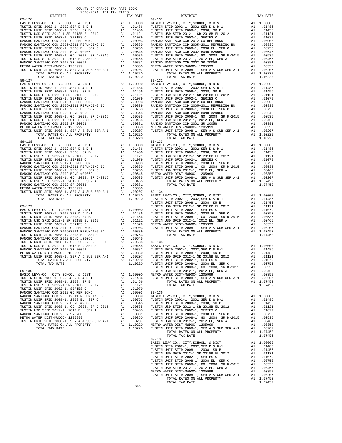| COUNTY OF ORANGE TAX RATE BOOK<br>$\begin{minipage}{.4\textwidth} \begin{tabular}{l} \multicolumn{2}{c}{\textwidth} \end{tabular} \begin{tabular}{l} \multicolumn{2}{c}{\textwidth} \end{tabular} \begin{tabular}{l} \multicolumn{2}{c}{\textwidth} \end{tabular} \begin{tabular}{l} \multicolumn{2}{c}{\textwidth} \end{tabular} \begin{tabular}{l} \multicolumn{2}{c}{\textwidth} \end{tabular} \begin{tabular}{l} \multicolumn{2}{c}{\textwidth} \end{tabular} \begin{tabular}{l} \multicolumn{2}{c}{\textwidth} \end{tabular} \begin{tabular}{l} \multicolumn{2}{c}{\$ |          |                |          |
|----------------------------------------------------------------------------------------------------------------------------------------------------------------------------------------------------------------------------------------------------------------------------------------------------------------------------------------------------------------------------------------------------------------------------------------------------------------------------------------------------------------------------------------------------------------------------|----------|----------------|----------|
|                                                                                                                                                                                                                                                                                                                                                                                                                                                                                                                                                                            | TAX RATE | DISTRICT       | TAX RATE |
|                                                                                                                                                                                                                                                                                                                                                                                                                                                                                                                                                                            |          | $89 - 131$     |          |
|                                                                                                                                                                                                                                                                                                                                                                                                                                                                                                                                                                            |          |                |          |
|                                                                                                                                                                                                                                                                                                                                                                                                                                                                                                                                                                            |          |                |          |
|                                                                                                                                                                                                                                                                                                                                                                                                                                                                                                                                                                            |          |                |          |
|                                                                                                                                                                                                                                                                                                                                                                                                                                                                                                                                                                            |          |                |          |
|                                                                                                                                                                                                                                                                                                                                                                                                                                                                                                                                                                            |          |                |          |
|                                                                                                                                                                                                                                                                                                                                                                                                                                                                                                                                                                            |          |                |          |
|                                                                                                                                                                                                                                                                                                                                                                                                                                                                                                                                                                            |          |                |          |
|                                                                                                                                                                                                                                                                                                                                                                                                                                                                                                                                                                            |          |                |          |
|                                                                                                                                                                                                                                                                                                                                                                                                                                                                                                                                                                            |          |                |          |
|                                                                                                                                                                                                                                                                                                                                                                                                                                                                                                                                                                            |          |                |          |
|                                                                                                                                                                                                                                                                                                                                                                                                                                                                                                                                                                            |          |                |          |
|                                                                                                                                                                                                                                                                                                                                                                                                                                                                                                                                                                            |          |                |          |
|                                                                                                                                                                                                                                                                                                                                                                                                                                                                                                                                                                            |          |                |          |
|                                                                                                                                                                                                                                                                                                                                                                                                                                                                                                                                                                            |          |                |          |
|                                                                                                                                                                                                                                                                                                                                                                                                                                                                                                                                                                            |          |                |          |
|                                                                                                                                                                                                                                                                                                                                                                                                                                                                                                                                                                            |          |                |          |
|                                                                                                                                                                                                                                                                                                                                                                                                                                                                                                                                                                            |          |                |          |
|                                                                                                                                                                                                                                                                                                                                                                                                                                                                                                                                                                            |          |                |          |
|                                                                                                                                                                                                                                                                                                                                                                                                                                                                                                                                                                            |          |                |          |
|                                                                                                                                                                                                                                                                                                                                                                                                                                                                                                                                                                            |          |                |          |
|                                                                                                                                                                                                                                                                                                                                                                                                                                                                                                                                                                            |          |                |          |
|                                                                                                                                                                                                                                                                                                                                                                                                                                                                                                                                                                            |          |                |          |
|                                                                                                                                                                                                                                                                                                                                                                                                                                                                                                                                                                            |          |                |          |
|                                                                                                                                                                                                                                                                                                                                                                                                                                                                                                                                                                            |          |                |          |
|                                                                                                                                                                                                                                                                                                                                                                                                                                                                                                                                                                            |          |                |          |
|                                                                                                                                                                                                                                                                                                                                                                                                                                                                                                                                                                            |          |                |          |
|                                                                                                                                                                                                                                                                                                                                                                                                                                                                                                                                                                            |          |                |          |
|                                                                                                                                                                                                                                                                                                                                                                                                                                                                                                                                                                            |          |                |          |
|                                                                                                                                                                                                                                                                                                                                                                                                                                                                                                                                                                            |          |                |          |
|                                                                                                                                                                                                                                                                                                                                                                                                                                                                                                                                                                            |          |                |          |
|                                                                                                                                                                                                                                                                                                                                                                                                                                                                                                                                                                            |          |                |          |
|                                                                                                                                                                                                                                                                                                                                                                                                                                                                                                                                                                            |          |                |          |
|                                                                                                                                                                                                                                                                                                                                                                                                                                                                                                                                                                            |          |                |          |
|                                                                                                                                                                                                                                                                                                                                                                                                                                                                                                                                                                            |          |                |          |
|                                                                                                                                                                                                                                                                                                                                                                                                                                                                                                                                                                            |          |                |          |
|                                                                                                                                                                                                                                                                                                                                                                                                                                                                                                                                                                            |          |                |          |
|                                                                                                                                                                                                                                                                                                                                                                                                                                                                                                                                                                            |          |                |          |
|                                                                                                                                                                                                                                                                                                                                                                                                                                                                                                                                                                            |          |                |          |
|                                                                                                                                                                                                                                                                                                                                                                                                                                                                                                                                                                            |          |                |          |
|                                                                                                                                                                                                                                                                                                                                                                                                                                                                                                                                                                            |          |                |          |
|                                                                                                                                                                                                                                                                                                                                                                                                                                                                                                                                                                            |          |                |          |
|                                                                                                                                                                                                                                                                                                                                                                                                                                                                                                                                                                            |          |                |          |
|                                                                                                                                                                                                                                                                                                                                                                                                                                                                                                                                                                            |          |                |          |
|                                                                                                                                                                                                                                                                                                                                                                                                                                                                                                                                                                            |          |                |          |
|                                                                                                                                                                                                                                                                                                                                                                                                                                                                                                                                                                            |          |                |          |
|                                                                                                                                                                                                                                                                                                                                                                                                                                                                                                                                                                            |          |                |          |
|                                                                                                                                                                                                                                                                                                                                                                                                                                                                                                                                                                            |          |                |          |
|                                                                                                                                                                                                                                                                                                                                                                                                                                                                                                                                                                            |          |                |          |
|                                                                                                                                                                                                                                                                                                                                                                                                                                                                                                                                                                            |          |                |          |
|                                                                                                                                                                                                                                                                                                                                                                                                                                                                                                                                                                            |          |                |          |
|                                                                                                                                                                                                                                                                                                                                                                                                                                                                                                                                                                            |          |                |          |
|                                                                                                                                                                                                                                                                                                                                                                                                                                                                                                                                                                            |          |                |          |
|                                                                                                                                                                                                                                                                                                                                                                                                                                                                                                                                                                            |          |                |          |
|                                                                                                                                                                                                                                                                                                                                                                                                                                                                                                                                                                            |          |                |          |
|                                                                                                                                                                                                                                                                                                                                                                                                                                                                                                                                                                            |          |                |          |
|                                                                                                                                                                                                                                                                                                                                                                                                                                                                                                                                                                            |          |                |          |
|                                                                                                                                                                                                                                                                                                                                                                                                                                                                                                                                                                            |          |                |          |
|                                                                                                                                                                                                                                                                                                                                                                                                                                                                                                                                                                            |          |                |          |
|                                                                                                                                                                                                                                                                                                                                                                                                                                                                                                                                                                            |          |                |          |
|                                                                                                                                                                                                                                                                                                                                                                                                                                                                                                                                                                            |          |                |          |
|                                                                                                                                                                                                                                                                                                                                                                                                                                                                                                                                                                            |          |                |          |
|                                                                                                                                                                                                                                                                                                                                                                                                                                                                                                                                                                            |          |                |          |
|                                                                                                                                                                                                                                                                                                                                                                                                                                                                                                                                                                            |          |                |          |
|                                                                                                                                                                                                                                                                                                                                                                                                                                                                                                                                                                            |          |                |          |
|                                                                                                                                                                                                                                                                                                                                                                                                                                                                                                                                                                            |          |                |          |
|                                                                                                                                                                                                                                                                                                                                                                                                                                                                                                                                                                            |          | TOTAL TAX RATE | 1.07452  |
|                                                                                                                                                                                                                                                                                                                                                                                                                                                                                                                                                                            |          | $89 - 137$     |          |
|                                                                                                                                                                                                                                                                                                                                                                                                                                                                                                                                                                            |          |                |          |
|                                                                                                                                                                                                                                                                                                                                                                                                                                                                                                                                                                            |          |                |          |
|                                                                                                                                                                                                                                                                                                                                                                                                                                                                                                                                                                            |          |                |          |
|                                                                                                                                                                                                                                                                                                                                                                                                                                                                                                                                                                            |          |                |          |
|                                                                                                                                                                                                                                                                                                                                                                                                                                                                                                                                                                            |          |                |          |
|                                                                                                                                                                                                                                                                                                                                                                                                                                                                                                                                                                            |          |                |          |
|                                                                                                                                                                                                                                                                                                                                                                                                                                                                                                                                                                            |          |                |          |
|                                                                                                                                                                                                                                                                                                                                                                                                                                                                                                                                                                            |          |                |          |
|                                                                                                                                                                                                                                                                                                                                                                                                                                                                                                                                                                            |          | TOTAL TAX RATE | 1.07452  |

 $-348-$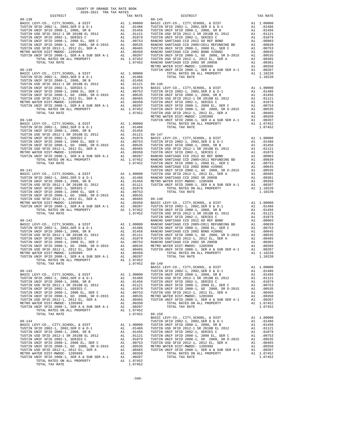| COUNTY OF ORANGE TAX RATE BOOK<br>2020-2021 TRA TAX RATES |                                                                                                   |          |          |
|-----------------------------------------------------------|---------------------------------------------------------------------------------------------------|----------|----------|
| DISTRICT                                                  | TAX RATE                                                                                          | DISTRICT | TAX RATE |
|                                                           |                                                                                                   |          |          |
|                                                           |                                                                                                   |          |          |
|                                                           |                                                                                                   |          |          |
|                                                           |                                                                                                   |          |          |
|                                                           |                                                                                                   |          |          |
|                                                           |                                                                                                   |          |          |
|                                                           |                                                                                                   |          |          |
|                                                           |                                                                                                   |          |          |
|                                                           |                                                                                                   |          |          |
|                                                           |                                                                                                   |          |          |
|                                                           |                                                                                                   |          |          |
|                                                           |                                                                                                   |          |          |
|                                                           |                                                                                                   |          |          |
|                                                           |                                                                                                   |          |          |
|                                                           |                                                                                                   |          |          |
|                                                           |                                                                                                   |          |          |
|                                                           |                                                                                                   |          |          |
|                                                           |                                                                                                   |          |          |
|                                                           |                                                                                                   |          |          |
|                                                           |                                                                                                   |          |          |
|                                                           |                                                                                                   |          |          |
|                                                           |                                                                                                   |          |          |
|                                                           |                                                                                                   |          |          |
|                                                           |                                                                                                   |          |          |
|                                                           |                                                                                                   |          |          |
|                                                           |                                                                                                   |          |          |
|                                                           |                                                                                                   |          |          |
|                                                           |                                                                                                   |          |          |
|                                                           |                                                                                                   |          |          |
|                                                           |                                                                                                   |          |          |
|                                                           |                                                                                                   |          |          |
|                                                           |                                                                                                   |          |          |
|                                                           |                                                                                                   |          |          |
|                                                           |                                                                                                   |          |          |
|                                                           |                                                                                                   |          |          |
|                                                           |                                                                                                   |          |          |
|                                                           |                                                                                                   |          |          |
|                                                           |                                                                                                   |          |          |
|                                                           |                                                                                                   |          |          |
|                                                           |                                                                                                   |          |          |
|                                                           |                                                                                                   |          |          |
|                                                           |                                                                                                   |          |          |
|                                                           |                                                                                                   |          |          |
|                                                           |                                                                                                   |          |          |
|                                                           |                                                                                                   |          |          |
|                                                           |                                                                                                   |          |          |
|                                                           |                                                                                                   |          |          |
|                                                           |                                                                                                   |          |          |
|                                                           |                                                                                                   |          |          |
|                                                           |                                                                                                   |          |          |
|                                                           |                                                                                                   |          |          |
|                                                           |                                                                                                   |          |          |
|                                                           |                                                                                                   |          |          |
|                                                           | $\begin{array}{cccc}\n - & 1 & .00207 \\  - & 1 & .07452 \\  \hline\n & 1 & .07452\n \end{array}$ |          |          |
|                                                           |                                                                                                   |          |          |
|                                                           |                                                                                                   |          |          |
|                                                           |                                                                                                   |          |          |
|                                                           |                                                                                                   |          |          |
|                                                           |                                                                                                   |          |          |
|                                                           |                                                                                                   |          |          |
|                                                           |                                                                                                   |          |          |
|                                                           |                                                                                                   |          |          |
|                                                           |                                                                                                   |          |          |
|                                                           |                                                                                                   |          |          |
|                                                           |                                                                                                   |          |          |
|                                                           |                                                                                                   |          |          |
|                                                           |                                                                                                   |          |          |
|                                                           |                                                                                                   |          |          |
|                                                           |                                                                                                   |          |          |
|                                                           |                                                                                                   |          |          |
|                                                           |                                                                                                   |          |          |
|                                                           |                                                                                                   |          |          |
|                                                           |                                                                                                   |          |          |
|                                                           |                                                                                                   |          |          |
|                                                           |                                                                                                   |          |          |
|                                                           |                                                                                                   |          |          |
|                                                           |                                                                                                   |          |          |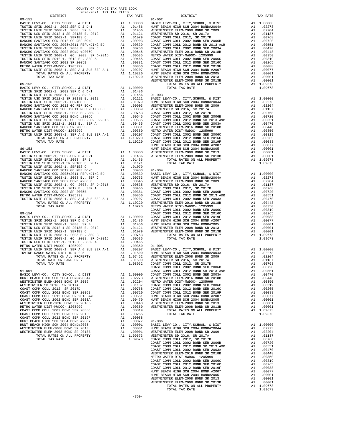| DISTRICT | TAX RATE | DISTRICT | TAX RATE |
|----------|----------|----------|----------|
|          |          |          |          |
|          |          |          |          |
|          |          |          |          |
|          |          |          |          |
|          |          |          |          |
|          |          |          |          |
|          |          |          |          |
|          |          |          |          |
|          |          |          |          |
|          |          |          |          |
|          |          |          |          |
|          |          |          |          |
|          |          |          |          |
|          |          |          |          |
|          |          |          |          |
|          |          |          |          |
|          |          |          |          |
|          |          |          |          |
|          |          |          |          |
|          |          |          |          |
|          |          |          |          |
|          |          |          |          |
|          |          |          |          |
|          |          |          |          |
|          |          |          |          |
|          |          |          |          |
|          |          |          |          |
|          |          |          |          |
|          |          |          |          |
|          |          |          |          |
|          |          |          |          |
|          |          |          |          |
|          |          |          |          |
|          |          |          |          |
|          |          |          |          |
|          |          |          |          |
|          |          |          |          |
|          |          |          |          |
|          |          |          |          |
|          |          |          |          |
|          |          |          |          |
|          |          |          |          |
|          |          |          |          |
|          |          |          |          |
|          |          |          |          |
|          |          |          |          |
|          |          |          |          |
|          |          |          |          |
|          |          |          |          |
|          |          |          |          |
|          |          |          |          |
|          |          |          |          |
|          |          |          |          |
|          |          |          |          |
|          |          |          |          |
|          |          |          |          |
|          |          |          |          |
|          |          |          |          |
|          |          |          |          |
|          |          |          |          |
|          |          |          |          |
|          |          |          |          |
|          |          |          |          |
|          |          |          |          |
|          |          |          |          |
|          |          |          |          |
|          |          |          |          |
|          |          |          |          |
|          |          |          |          |
|          |          |          |          |
|          |          |          |          |
|          |          |          |          |
|          |          |          |          |
|          |          |          |          |
|          |          |          |          |
|          |          |          |          |
|          |          |          |          |
|          |          |          |          |
|          |          |          |          |
|          |          |          |          |
|          |          |          |          |
|          |          |          |          |
|          |          |          |          |
|          |          |          |          |
|          |          |          |          |
|          |          |          |          |
|          |          |          |          |
|          |          |          |          |
|          |          |          |          |
|          |          |          |          |
|          |          |          |          |
|          |          |          |          |
|          |          |          |          |
|          |          |          |          |
|          |          |          |          |
|          |          |          |          |
|          |          |          |          |
|          |          |          |          |
|          |          |          |          |
|          |          |          |          |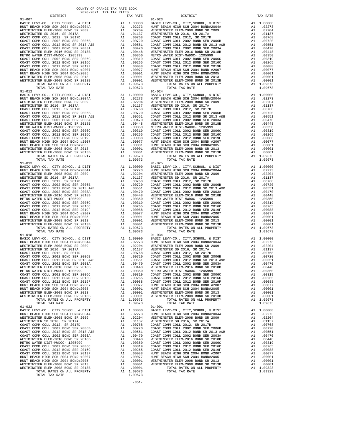| BASIC LEVY-CO., CITY, SCHOOL, & DIST<br>BASIC LEVI-CO., CIII, CIII<br>HUNT BEACH HIGH SCH 2004 BOND#2004A | A1 1.00000 BASIC L<br>A1 .02273 HUNT BEST LINE AND .02734 HUNT BESTMIN<br>A1 .012373 WESTMIN<br>A1 .00768 COAST C<br>A1 .00768 COAST COAST C<br>A1 .00551 COAST COAST C<br>A1 .00470 COAST C<br>A1 .00430 METMIN<br>A1 .00319 COAST C<br>A1 .00036 COAST |                                                                                                                                                                                                                                                                                                                                                               |                |
|-----------------------------------------------------------------------------------------------------------|----------------------------------------------------------------------------------------------------------------------------------------------------------------------------------------------------------------------------------------------------------|---------------------------------------------------------------------------------------------------------------------------------------------------------------------------------------------------------------------------------------------------------------------------------------------------------------------------------------------------------------|----------------|
| WESTMINSTER ELEM-2008 BOND SR 2009                                                                        |                                                                                                                                                                                                                                                          |                                                                                                                                                                                                                                                                                                                                                               |                |
| WESTMINSTER SD 2016, SR 2017A                                                                             |                                                                                                                                                                                                                                                          |                                                                                                                                                                                                                                                                                                                                                               |                |
| COAST COMM COLL 2012, SR 2017D                                                                            |                                                                                                                                                                                                                                                          |                                                                                                                                                                                                                                                                                                                                                               |                |
| COAST COMM COLL 2002 BOND SER 2006B                                                                       |                                                                                                                                                                                                                                                          |                                                                                                                                                                                                                                                                                                                                                               |                |
| COAST COMM COLL 2012 BOND SR 2013 A&B                                                                     |                                                                                                                                                                                                                                                          |                                                                                                                                                                                                                                                                                                                                                               |                |
| COAST COMM COLL 2002 BOND SER 2003A                                                                       |                                                                                                                                                                                                                                                          |                                                                                                                                                                                                                                                                                                                                                               |                |
| WESTMINSTER ELEM-2016 BOND SR 2018B<br>METRO WATER DIST-MWDOC- 1205999                                    |                                                                                                                                                                                                                                                          |                                                                                                                                                                                                                                                                                                                                                               |                |
| COAST COMM COLL 2002 BOND SER 2006C                                                                       |                                                                                                                                                                                                                                                          |                                                                                                                                                                                                                                                                                                                                                               |                |
| COAST COMM COLL 2012 BOND SER 2016C                                                                       |                                                                                                                                                                                                                                                          |                                                                                                                                                                                                                                                                                                                                                               |                |
| COAST COMM COLL 2012 BOND SER 2019F                                                                       |                                                                                                                                                                                                                                                          |                                                                                                                                                                                                                                                                                                                                                               |                |
| HUNT BEACH HIGH SCH 2004 BOND #2007                                                                       |                                                                                                                                                                                                                                                          |                                                                                                                                                                                                                                                                                                                                                               |                |
| HUNT BEACH HIGH SCH 2004 BOND#2005                                                                        |                                                                                                                                                                                                                                                          |                                                                                                                                                                                                                                                                                                                                                               |                |
| WESTMINSTER ELEM-2008 BOND SR 2013                                                                        |                                                                                                                                                                                                                                                          |                                                                                                                                                                                                                                                                                                                                                               |                |
| WESTMINSTER ELEM-2008 BOND SR 2013B                                                                       |                                                                                                                                                                                                                                                          |                                                                                                                                                                                                                                                                                                                                                               |                |
| TOTAL RATES ON ALL PROPERTY<br>TOTAL TAX RATE                                                             |                                                                                                                                                                                                                                                          | 1.09673                                                                                                                                                                                                                                                                                                                                                       |                |
| $91 - 012$                                                                                                |                                                                                                                                                                                                                                                          |                                                                                                                                                                                                                                                                                                                                                               | $91 - 024$     |
| BASIC LEVY-CO., CITY, SCHOOL, & DIST                                                                      |                                                                                                                                                                                                                                                          | 91-024<br>A1 1.00000 BASIC L<br>A1 02273 HUNT BE<br>A1 02273 HUNT BE<br>A1 02204 WESTMIN<br>A1 01768 COAST C<br>A1 00768 COAST C<br>A1 00768 COAST C<br>A1 00470 COAST C<br>A1 00448 WESTMIN<br>A1 00319 COAST C<br>A1 00303 COAST C<br>A1 00025 COAST                                                                                                        |                |
| HUNT BEACH HIGH SCH 2004 BOND#2004A                                                                       |                                                                                                                                                                                                                                                          |                                                                                                                                                                                                                                                                                                                                                               |                |
| WESTMINSTER ELEM-2008 BOND SR 2009                                                                        |                                                                                                                                                                                                                                                          |                                                                                                                                                                                                                                                                                                                                                               |                |
| WESTMINSTER SD 2016, SR 2017A                                                                             |                                                                                                                                                                                                                                                          |                                                                                                                                                                                                                                                                                                                                                               |                |
| COAST COMM COLL 2012, SR 2017D                                                                            |                                                                                                                                                                                                                                                          |                                                                                                                                                                                                                                                                                                                                                               |                |
| COAST COMM COLL 2002 BOND SER 2006B                                                                       |                                                                                                                                                                                                                                                          |                                                                                                                                                                                                                                                                                                                                                               |                |
| COAST COMM COLL 2012 BOND SR 2013 A&B<br>COAST COMM COLL 2002 BOND SER 2003A                              |                                                                                                                                                                                                                                                          |                                                                                                                                                                                                                                                                                                                                                               |                |
| WESTMINSTER ELEM-2016 BOND SR 2018B                                                                       |                                                                                                                                                                                                                                                          |                                                                                                                                                                                                                                                                                                                                                               |                |
| METRO WATER DIST-MWDOC- 1205999                                                                           |                                                                                                                                                                                                                                                          |                                                                                                                                                                                                                                                                                                                                                               |                |
| COAST COMM COLL 2002 BOND SER 2006C                                                                       |                                                                                                                                                                                                                                                          |                                                                                                                                                                                                                                                                                                                                                               |                |
| COAST COMM COLL 2012 BOND SER 2016C                                                                       |                                                                                                                                                                                                                                                          |                                                                                                                                                                                                                                                                                                                                                               |                |
| COAST COMM COLL 2012 BOND SER 2019F                                                                       |                                                                                                                                                                                                                                                          |                                                                                                                                                                                                                                                                                                                                                               |                |
| HUNT BEACH HIGH SCH 2004 BOND #2007                                                                       |                                                                                                                                                                                                                                                          |                                                                                                                                                                                                                                                                                                                                                               |                |
| HUNT BEACH HIGH SCH 2004 BOND#2005                                                                        |                                                                                                                                                                                                                                                          |                                                                                                                                                                                                                                                                                                                                                               |                |
| WESTMINSTER ELEM-2008 BOND SR 2013                                                                        |                                                                                                                                                                                                                                                          |                                                                                                                                                                                                                                                                                                                                                               |                |
| WESTMINSTER ELEM-2008 BOND SR 2013B<br>TOTAL RATES ON ALL PROPERTY                                        |                                                                                                                                                                                                                                                          |                                                                                                                                                                                                                                                                                                                                                               |                |
| TOTAL TAX RATE                                                                                            |                                                                                                                                                                                                                                                          | 1.09673                                                                                                                                                                                                                                                                                                                                                       |                |
| $91 - 013$                                                                                                |                                                                                                                                                                                                                                                          |                                                                                                                                                                                                                                                                                                                                                               | $91 - 025$     |
| BASIC LEVY-CO., CITY, SCHOOL, & DIST                                                                      |                                                                                                                                                                                                                                                          |                                                                                                                                                                                                                                                                                                                                                               |                |
| HUNT BEACH HIGH SCH 2004 BOND#2004A                                                                       |                                                                                                                                                                                                                                                          |                                                                                                                                                                                                                                                                                                                                                               |                |
| WESTMINSTER ELEM-2008 BOND SR 2009                                                                        |                                                                                                                                                                                                                                                          |                                                                                                                                                                                                                                                                                                                                                               |                |
| WESTMINSTER SD 2016, SR 2017A                                                                             |                                                                                                                                                                                                                                                          |                                                                                                                                                                                                                                                                                                                                                               |                |
| WORST COMM COLL 2012, SR 2017D<br>COAST COMM COLL 2002 BOND SER 2006B                                     |                                                                                                                                                                                                                                                          |                                                                                                                                                                                                                                                                                                                                                               |                |
|                                                                                                           |                                                                                                                                                                                                                                                          |                                                                                                                                                                                                                                                                                                                                                               |                |
| COAST COMM COLL 2002 BOND SER 2003A                                                                       |                                                                                                                                                                                                                                                          |                                                                                                                                                                                                                                                                                                                                                               |                |
| WESTMINSTER ELEM-2016 BOND SR 2018B                                                                       |                                                                                                                                                                                                                                                          |                                                                                                                                                                                                                                                                                                                                                               |                |
| METRO WATER DIST-MWDOC- 1205999                                                                           |                                                                                                                                                                                                                                                          |                                                                                                                                                                                                                                                                                                                                                               |                |
| COAST COMM COLL 2002 BOND SER 2006C                                                                       |                                                                                                                                                                                                                                                          |                                                                                                                                                                                                                                                                                                                                                               |                |
| COAST COMM COLL 2012 BOND SER 2016C                                                                       |                                                                                                                                                                                                                                                          |                                                                                                                                                                                                                                                                                                                                                               |                |
| COAST COMM COLL 2012 BOND SER 2019F                                                                       |                                                                                                                                                                                                                                                          |                                                                                                                                                                                                                                                                                                                                                               |                |
| HUNT BEACH HIGH SCH 2004 BOND #2007                                                                       |                                                                                                                                                                                                                                                          |                                                                                                                                                                                                                                                                                                                                                               |                |
| HUNT BEACH HIGH SCH 2004 BOND#2005                                                                        |                                                                                                                                                                                                                                                          |                                                                                                                                                                                                                                                                                                                                                               |                |
| WESTMINSTER ELEM-2008 BOND SR 2013<br>WESTMINSTER ELEM-2008 BOND SR 2013B                                 |                                                                                                                                                                                                                                                          |                                                                                                                                                                                                                                                                                                                                                               |                |
| TOTAL RATES ON ALL PROPERTY                                                                               |                                                                                                                                                                                                                                                          | $\begin{tabular}{cc} $91$-025 \\ \text{A1} & 1.00000 \\ \text{A1} & 0.2273 \\ \text{A1} & 0.2273 \\ \text{RINT BE} \\ \text{A1} & 0.0224 \\ \text{A1} & 0.0134 \\ \text{A1} & 0.0768 \\ \text{A1} & 0.0768 \\ \text{A1} & 0.0768 \\ \text{A1} & 0.0768 \\ \text{A1} & 0.0551 \\ \text{A1} & 0.0448 \\ \text{A1} & 0.0448 \\ \text{A1} & 0.0351$<br>A1 1.09673 |                |
| TOTAL TAX RATE                                                                                            |                                                                                                                                                                                                                                                          | 1.09673                                                                                                                                                                                                                                                                                                                                                       |                |
| $91 - 018$                                                                                                |                                                                                                                                                                                                                                                          |                                                                                                                                                                                                                                                                                                                                                               | $91 - 034$     |
| BASIC LEVY-CO., CITY, SCHOOL, & DIST                                                                      |                                                                                                                                                                                                                                                          |                                                                                                                                                                                                                                                                                                                                                               |                |
| HUNT BEACH HIGH SCH 2004 BOND#2004A                                                                       |                                                                                                                                                                                                                                                          |                                                                                                                                                                                                                                                                                                                                                               |                |
| WESTMINSTER ELEM-2008 BOND SR 2009                                                                        |                                                                                                                                                                                                                                                          |                                                                                                                                                                                                                                                                                                                                                               |                |
| WESTMINSTER SD 2016, SR 2017A                                                                             |                                                                                                                                                                                                                                                          |                                                                                                                                                                                                                                                                                                                                                               |                |
| COAST COMM COLL 2012, SR 2017D                                                                            |                                                                                                                                                                                                                                                          |                                                                                                                                                                                                                                                                                                                                                               |                |
| COAST COMM COLL 2002 BOND SER 2006B                                                                       |                                                                                                                                                                                                                                                          |                                                                                                                                                                                                                                                                                                                                                               |                |
| $COAST$ COMM COLL 2012 BOND SR 2013 A&B<br>COAST COMM COLL 2002 BOND SER 2003A                            |                                                                                                                                                                                                                                                          |                                                                                                                                                                                                                                                                                                                                                               |                |
| WESTMINSTER ELEM-2016 BOND SER 2002A                                                                      | A1 1.00000 9AB-034<br>A1 .02273 HUNT BE<br>A1 .02273 HUNT BE<br>A1 .01237 WESTMIN<br>A1 .00768 COAST C<br>A1 .00768 COAST C<br>A1 .00551 COAST C<br>A1 .00470 COAST C<br>A1 .0049 WESTMIN<br>A1 .00350 METATIN                                           |                                                                                                                                                                                                                                                                                                                                                               |                |
| METRO WATER DIST-MWDOC- 1205999                                                                           |                                                                                                                                                                                                                                                          |                                                                                                                                                                                                                                                                                                                                                               |                |
| COAST COMM COLL 2002 BOND SER 2006C                                                                       | A1                                                                                                                                                                                                                                                       |                                                                                                                                                                                                                                                                                                                                                               | .00319 COAST C |
| COAST COMM COLL 2012 BOND SER 2016C                                                                       | A1                                                                                                                                                                                                                                                       | .00265                                                                                                                                                                                                                                                                                                                                                        | COAST C        |
| COAST COMM COLL 2012 BOND SER 2019F                                                                       |                                                                                                                                                                                                                                                          |                                                                                                                                                                                                                                                                                                                                                               |                |
| HUNT BEACH HIGH SCH 2004 BOND #2007                                                                       |                                                                                                                                                                                                                                                          | A1 .00088 COAST C<br>A1 .00077 HUNT BE<br>A1 .00001 HUNT BE                                                                                                                                                                                                                                                                                                   |                |
| HUNT BEACH HIGH SCH 2004 BOND#2005<br>WESTMINSTER ELEM-2008 BOND SR 2013                                  | A1                                                                                                                                                                                                                                                       | .00001                                                                                                                                                                                                                                                                                                                                                        | WESTMIN        |
| WESTMINSTER ELEM-2008 BOND SR 2013B                                                                       | A1                                                                                                                                                                                                                                                       | .00001                                                                                                                                                                                                                                                                                                                                                        | WESTMIN        |
| TOTAL RATES ON ALL PROPERTY                                                                               |                                                                                                                                                                                                                                                          | A1 1.09673                                                                                                                                                                                                                                                                                                                                                    |                |
| TOTAL TAX RATE                                                                                            |                                                                                                                                                                                                                                                          | 1.09673                                                                                                                                                                                                                                                                                                                                                       |                |
| $91 - 022$                                                                                                |                                                                                                                                                                                                                                                          |                                                                                                                                                                                                                                                                                                                                                               | $91 - 901$     |
| BASIC LEVY-CO., CITY, SCHOOL, & DIST                                                                      |                                                                                                                                                                                                                                                          |                                                                                                                                                                                                                                                                                                                                                               |                |
| HUNT BEACH HIGH SCH 2004 BOND#2004A                                                                       |                                                                                                                                                                                                                                                          |                                                                                                                                                                                                                                                                                                                                                               |                |
| WESTMINSTER ELEM-2008 BOND SR 2009                                                                        |                                                                                                                                                                                                                                                          |                                                                                                                                                                                                                                                                                                                                                               |                |
| WESTMINSTER SD 2016, SR 2017A                                                                             |                                                                                                                                                                                                                                                          |                                                                                                                                                                                                                                                                                                                                                               |                |
| COAST COMM COLL 2012, SR 2017D<br>COAST COMM COLL 2002 BOND SER 2006B                                     |                                                                                                                                                                                                                                                          |                                                                                                                                                                                                                                                                                                                                                               |                |
| COAST COMM COLL 2012 BOND SR 2013 A&B                                                                     |                                                                                                                                                                                                                                                          |                                                                                                                                                                                                                                                                                                                                                               |                |
| COAST COMM COLL 2002 BOND SER 2003A                                                                       |                                                                                                                                                                                                                                                          |                                                                                                                                                                                                                                                                                                                                                               |                |
| WESTMINSTER ELEM-2016 BOND SR 2018B                                                                       |                                                                                                                                                                                                                                                          |                                                                                                                                                                                                                                                                                                                                                               |                |
| METRO WATER DIST-MWDOC- 1205999                                                                           |                                                                                                                                                                                                                                                          |                                                                                                                                                                                                                                                                                                                                                               |                |
| COAST COMM COLL 2002 BOND SER 2006C                                                                       |                                                                                                                                                                                                                                                          |                                                                                                                                                                                                                                                                                                                                                               |                |
| COAST COMM COLL 2012 BOND SER 2016C                                                                       | $\mathbbm{A}1$                                                                                                                                                                                                                                           |                                                                                                                                                                                                                                                                                                                                                               |                |
| COAST COMM COLL 2012 BOND SER 2019F                                                                       |                                                                                                                                                                                                                                                          |                                                                                                                                                                                                                                                                                                                                                               |                |
| HUNT BEACH HIGH SCH 2004 BOND #2007                                                                       |                                                                                                                                                                                                                                                          |                                                                                                                                                                                                                                                                                                                                                               |                |
| HUNT BEACH HIGH SCH 2004 BOND#2005                                                                        | A1                                                                                                                                                                                                                                                       | .00001                                                                                                                                                                                                                                                                                                                                                        | WESTMIN        |

| DISTRICT   | AUAU-AUAI IRA IAA RAIBO | TAX RATE | DISTRICT   | TAX RATE |
|------------|-------------------------|----------|------------|----------|
| $91 - 007$ |                         |          | $91 - 023$ |          |
|            |                         |          |            |          |
|            |                         |          |            |          |
|            |                         |          |            |          |
|            |                         |          |            |          |
|            |                         |          |            |          |
|            |                         |          |            |          |
|            |                         |          |            |          |
|            |                         |          |            |          |
|            |                         |          |            |          |
|            |                         |          |            |          |
|            |                         |          |            |          |
|            |                         |          |            |          |
|            |                         |          |            |          |
|            |                         |          |            |          |
|            |                         |          |            |          |
|            |                         |          |            |          |
|            |                         |          |            |          |
|            |                         |          |            |          |
|            |                         |          |            |          |
|            |                         |          |            |          |
|            |                         |          |            |          |
|            |                         |          |            |          |
|            |                         |          |            |          |
|            |                         |          |            |          |
|            |                         |          |            |          |
|            |                         |          |            |          |
|            |                         |          |            |          |
|            |                         |          |            |          |
|            |                         |          |            |          |
|            |                         |          |            |          |
|            |                         |          |            |          |
|            |                         |          |            |          |
|            |                         |          |            |          |
|            |                         |          |            |          |
|            |                         |          |            |          |
|            |                         |          |            |          |
|            |                         |          |            |          |
|            |                         |          |            |          |
|            |                         |          |            |          |
|            |                         |          |            |          |
|            |                         |          |            |          |
|            |                         |          |            |          |
|            |                         |          |            |          |
|            |                         |          |            |          |
|            |                         |          |            |          |
|            |                         |          |            |          |
|            |                         |          |            |          |
|            |                         |          |            |          |
| $91 - 018$ |                         |          | $91 - 034$ |          |
|            |                         |          |            |          |
|            |                         |          |            |          |
|            |                         |          |            |          |
|            |                         |          |            |          |
|            |                         |          |            |          |
|            |                         |          |            |          |
|            |                         |          |            |          |
|            |                         |          |            |          |
|            |                         |          |            |          |
|            |                         |          |            |          |
|            |                         |          |            |          |
|            |                         |          |            |          |
|            |                         |          |            |          |
|            |                         |          |            |          |
|            |                         |          |            |          |
|            |                         |          |            |          |
| $91 - 022$ |                         |          | $91 - 901$ |          |
|            |                         |          |            |          |
|            |                         |          |            |          |
|            |                         |          |            |          |
|            |                         |          |            |          |
|            |                         |          |            |          |
|            |                         |          |            |          |
|            |                         |          |            |          |
|            |                         |          |            |          |
|            |                         |          |            |          |
|            |                         |          |            |          |
|            |                         |          |            |          |
|            |                         |          |            |          |
|            |                         |          |            |          |
|            |                         |          |            |          |
|            |                         |          |            |          |

-351-